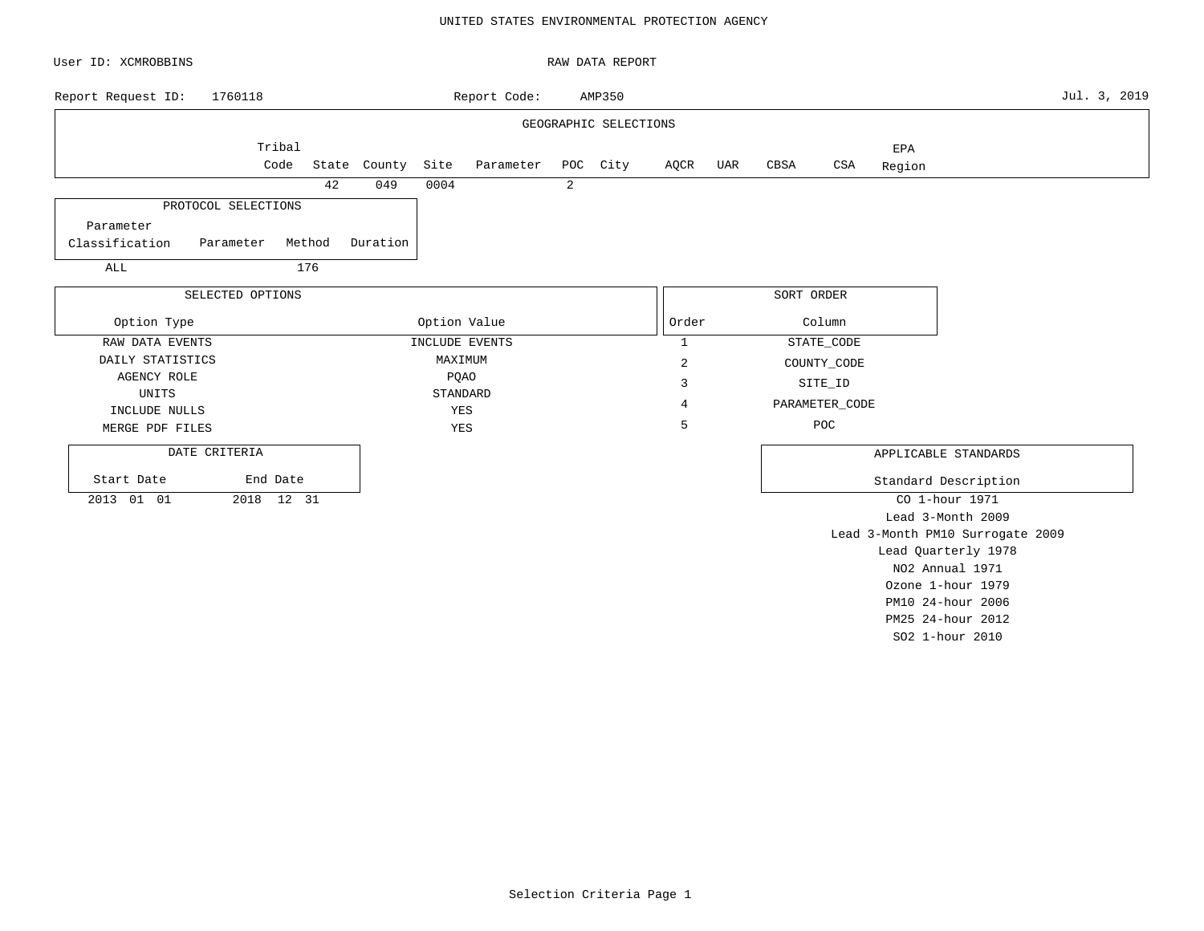#### UNITED STATES ENVIRONMENTAL PROTECTION AGENCY

| User ID: XCMROBBINS         |                  |        |              |              |                |   | RAW DATA REPORT       |                |     |            |                |        |                                  |              |
|-----------------------------|------------------|--------|--------------|--------------|----------------|---|-----------------------|----------------|-----|------------|----------------|--------|----------------------------------|--------------|
| Report Request ID:          | 1760118          |        |              |              | Report Code:   |   | AMP350                |                |     |            |                |        |                                  | Jul. 3, 2019 |
|                             |                  |        |              |              |                |   | GEOGRAPHIC SELECTIONS |                |     |            |                |        |                                  |              |
|                             | Tribal           |        |              |              |                |   |                       |                |     |            |                | EPA    |                                  |              |
|                             | Code             |        | State County | Site         | Parameter      |   | POC City              | AQCR           | UAR | CBSA       | CSA            | Region |                                  |              |
|                             |                  | 42     | 049          | 0004         |                | 2 |                       |                |     |            |                |        |                                  |              |
| PROTOCOL SELECTIONS         |                  |        |              |              |                |   |                       |                |     |            |                |        |                                  |              |
| Parameter                   |                  |        |              |              |                |   |                       |                |     |            |                |        |                                  |              |
| Classification<br>Parameter |                  | Method | Duration     |              |                |   |                       |                |     |            |                |        |                                  |              |
| ALL                         |                  | 176    |              |              |                |   |                       |                |     |            |                |        |                                  |              |
|                             | SELECTED OPTIONS |        |              |              |                |   |                       |                |     | SORT ORDER |                |        |                                  |              |
|                             |                  |        |              |              |                |   |                       |                |     |            |                |        |                                  |              |
| Option Type                 |                  |        |              | Option Value |                |   |                       | Order          |     |            | Column         |        |                                  |              |
| RAW DATA EVENTS             |                  |        |              |              | INCLUDE EVENTS |   |                       | $\mathbf{1}$   |     |            | STATE_CODE     |        |                                  |              |
| DAILY STATISTICS            |                  |        |              | MAXIMUM      |                |   |                       | $\overline{c}$ |     |            | COUNTY_CODE    |        |                                  |              |
| <b>AGENCY ROLE</b>          |                  |        |              | <b>PQAO</b>  |                |   |                       | 3              |     |            | SITE_ID        |        |                                  |              |
| UNITS                       |                  |        |              | STANDARD     |                |   |                       | 4              |     |            | PARAMETER_CODE |        |                                  |              |
| INCLUDE NULLS               |                  |        |              | YES          |                |   |                       | 5              |     |            | POC            |        |                                  |              |
| MERGE PDF FILES             |                  |        |              | YES          |                |   |                       |                |     |            |                |        |                                  |              |
| DATE CRITERIA               |                  |        |              |              |                |   |                       |                |     |            |                |        | APPLICABLE STANDARDS             |              |
| Start Date                  | End Date         |        |              |              |                |   |                       |                |     |            |                |        | Standard Description             |              |
| 2013 01 01                  | 2018 12 31       |        |              |              |                |   |                       |                |     |            |                |        | CO 1-hour 1971                   |              |
|                             |                  |        |              |              |                |   |                       |                |     |            |                |        | Lead 3-Month 2009                |              |
|                             |                  |        |              |              |                |   |                       |                |     |            |                |        | Lead 3-Month PM10 Surrogate 2009 |              |
|                             |                  |        |              |              |                |   |                       |                |     |            |                |        | Lead Quarterly 1978              |              |
|                             |                  |        |              |              |                |   |                       |                |     |            |                |        | NO2 Annual 1971                  |              |
|                             |                  |        |              |              |                |   |                       |                |     |            |                |        | Ozone 1-hour 1979                |              |
|                             |                  |        |              |              |                |   |                       |                |     |            |                |        | PM10 24-hour 2006                |              |

Selection Criteria Page 1

PM25 24-hour 2012 SO2 1-hour 2010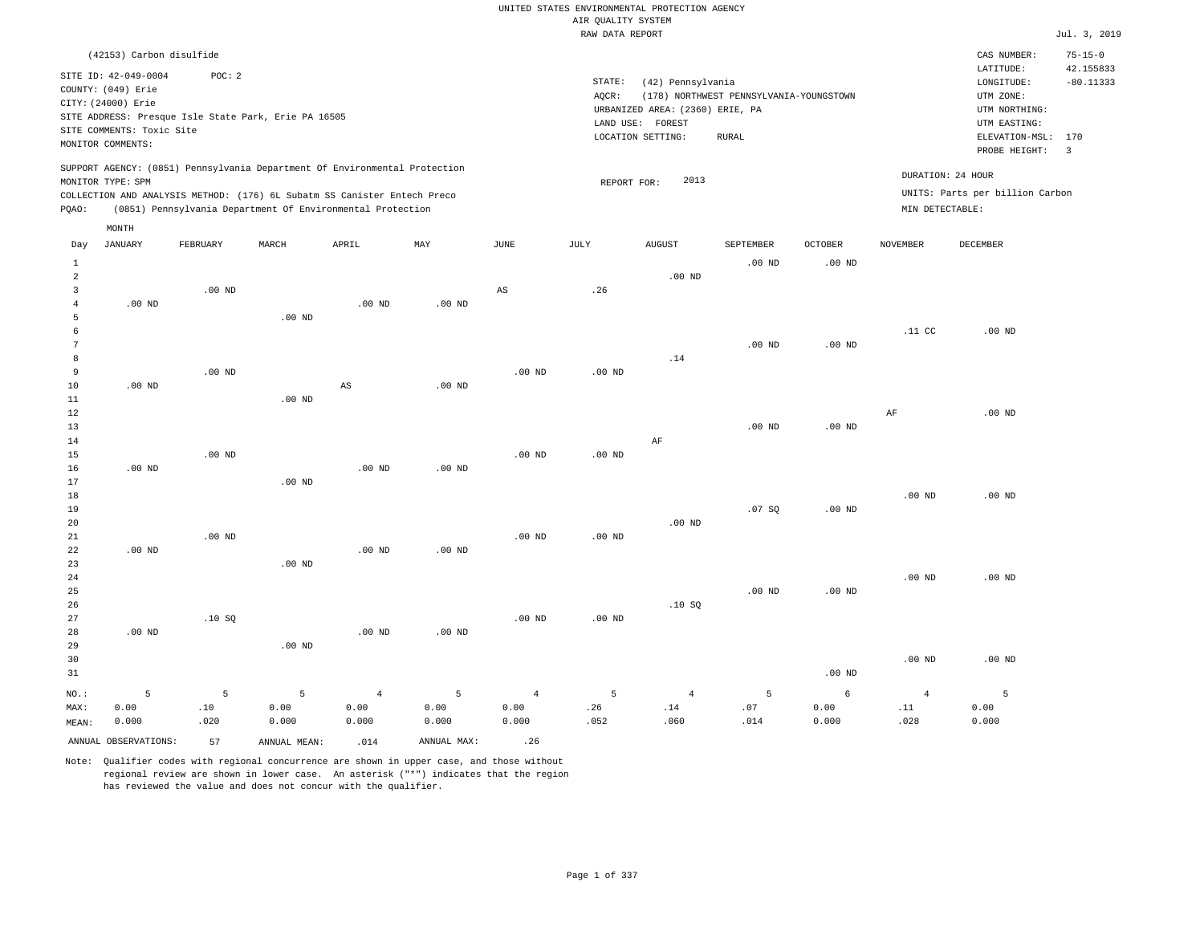|                 | (42153) Carbon disulfide                   |                   |                                                                            |                        |                   |                       |                   |                                                     |                                         |                   |                   | CAS NUMBER:                     | $75 - 15 - 0$            |
|-----------------|--------------------------------------------|-------------------|----------------------------------------------------------------------------|------------------------|-------------------|-----------------------|-------------------|-----------------------------------------------------|-----------------------------------------|-------------------|-------------------|---------------------------------|--------------------------|
|                 | SITE ID: 42-049-0004<br>COUNTY: (049) Erie | POC: 2            |                                                                            |                        |                   |                       | STATE:            | (42) Pennsylvania                                   |                                         |                   |                   | LATITUDE:<br>LONGITUDE:         | 42.155833<br>$-80.11333$ |
|                 | CITY: (24000) Erie                         |                   |                                                                            |                        |                   |                       | AQCR:             |                                                     | (178) NORTHWEST PENNSYLVANIA-YOUNGSTOWN |                   |                   | UTM ZONE:                       |                          |
|                 |                                            |                   | SITE ADDRESS: Presque Isle State Park, Erie PA 16505                       |                        |                   |                       |                   | URBANIZED AREA: (2360) ERIE, PA<br>LAND USE: FOREST |                                         |                   |                   | UTM NORTHING:<br>UTM EASTING:   |                          |
|                 | SITE COMMENTS: Toxic Site                  |                   |                                                                            |                        |                   |                       |                   | LOCATION SETTING:                                   | RURAL                                   |                   |                   | ELEVATION-MSL:                  | 170                      |
|                 | MONITOR COMMENTS:                          |                   |                                                                            |                        |                   |                       |                   |                                                     |                                         |                   |                   | PROBE HEIGHT:                   | $\overline{3}$           |
|                 | MONITOR TYPE: SPM                          |                   | SUPPORT AGENCY: (0851) Pennsylvania Department Of Environmental Protection |                        |                   |                       | REPORT FOR:       | 2013                                                |                                         |                   | DURATION: 24 HOUR |                                 |                          |
|                 |                                            |                   | COLLECTION AND ANALYSIS METHOD: (176) 6L Subatm SS Canister Entech Preco   |                        |                   |                       |                   |                                                     |                                         |                   |                   | UNITS: Parts per billion Carbon |                          |
| PQAO:           |                                            |                   | (0851) Pennsylvania Department Of Environmental Protection                 |                        |                   |                       |                   |                                                     |                                         |                   | MIN DETECTABLE:   |                                 |                          |
|                 | MONTH                                      |                   |                                                                            |                        |                   |                       |                   |                                                     |                                         |                   |                   |                                 |                          |
| Day             | <b>JANUARY</b>                             | FEBRUARY          | MARCH                                                                      | APRIL                  | MAY               | $\operatorname{JUNE}$ | JULY              | <b>AUGUST</b>                                       | SEPTEMBER                               | OCTOBER           | <b>NOVEMBER</b>   | DECEMBER                        |                          |
| $1\,$           |                                            |                   |                                                                            |                        |                   |                       |                   |                                                     | $.00$ ND                                | $.00$ ND          |                   |                                 |                          |
| $\overline{2}$  |                                            |                   |                                                                            |                        |                   |                       |                   | $.00$ ND                                            |                                         |                   |                   |                                 |                          |
| 3               |                                            | $.00$ ND          |                                                                            |                        |                   | AS                    | .26               |                                                     |                                         |                   |                   |                                 |                          |
| $\overline{4}$  | $.00$ ND                                   |                   |                                                                            | $.00$ ND               | .00 <sub>ND</sub> |                       |                   |                                                     |                                         |                   |                   |                                 |                          |
| 5               |                                            |                   | .00 <sub>ND</sub>                                                          |                        |                   |                       |                   |                                                     |                                         |                   |                   |                                 |                          |
| 6               |                                            |                   |                                                                            |                        |                   |                       |                   |                                                     |                                         |                   | .11 CC            | $.00$ ND                        |                          |
| $7\phantom{.0}$ |                                            |                   |                                                                            |                        |                   |                       |                   |                                                     | $.00$ ND                                | $.00$ ND          |                   |                                 |                          |
| 8               |                                            |                   |                                                                            |                        |                   |                       |                   | .14                                                 |                                         |                   |                   |                                 |                          |
| 9<br>$10$       | $.00$ ND                                   | .00 <sub>ND</sub> |                                                                            | $\mathbb{A}\mathbb{S}$ | $.00$ ND          | $.00$ ND              | $.00$ ND          |                                                     |                                         |                   |                   |                                 |                          |
| $1\,1$          |                                            |                   | $.00$ ND                                                                   |                        |                   |                       |                   |                                                     |                                         |                   |                   |                                 |                          |
| $1\,2$          |                                            |                   |                                                                            |                        |                   |                       |                   |                                                     |                                         |                   | AF                | $.00$ ND                        |                          |
| 13              |                                            |                   |                                                                            |                        |                   |                       |                   |                                                     | $.00$ ND                                | $.00$ ND          |                   |                                 |                          |
| 14              |                                            |                   |                                                                            |                        |                   |                       |                   | AF                                                  |                                         |                   |                   |                                 |                          |
| 15              |                                            | $.00$ ND          |                                                                            |                        |                   | $.00$ ND              | .00 <sub>ND</sub> |                                                     |                                         |                   |                   |                                 |                          |
| 16              | $.00$ ND                                   |                   |                                                                            | $.00$ ND               | $.00$ ND          |                       |                   |                                                     |                                         |                   |                   |                                 |                          |
| 17              |                                            |                   | $.00$ ND                                                                   |                        |                   |                       |                   |                                                     |                                         |                   |                   |                                 |                          |
| 18              |                                            |                   |                                                                            |                        |                   |                       |                   |                                                     |                                         |                   | $.00$ ND          | $.00$ ND                        |                          |
| 19              |                                            |                   |                                                                            |                        |                   |                       |                   |                                                     | .07S                                    | $.00$ ND          |                   |                                 |                          |
| 20              |                                            |                   |                                                                            |                        |                   |                       |                   | $.00$ ND                                            |                                         |                   |                   |                                 |                          |
| $2\sqrt{1}$     |                                            | $.00$ ND          |                                                                            |                        |                   | .00 <sub>ND</sub>     | $.00$ ND          |                                                     |                                         |                   |                   |                                 |                          |
| 22<br>23        | $.00$ ND                                   |                   | $.00$ ND                                                                   | $.00$ ND               | $.00$ ND          |                       |                   |                                                     |                                         |                   |                   |                                 |                          |
| 24              |                                            |                   |                                                                            |                        |                   |                       |                   |                                                     |                                         |                   | $.00$ ND          | $.00$ ND                        |                          |
| 25              |                                            |                   |                                                                            |                        |                   |                       |                   |                                                     | .00 <sub>ND</sub>                       | .00 <sub>ND</sub> |                   |                                 |                          |
| 26              |                                            |                   |                                                                            |                        |                   |                       |                   | .10SQ                                               |                                         |                   |                   |                                 |                          |
| 27              |                                            | .10SQ             |                                                                            |                        |                   | $.00$ ND              | .00 <sub>ND</sub> |                                                     |                                         |                   |                   |                                 |                          |
| 28              | $.00$ ND                                   |                   |                                                                            | .00 <sub>ND</sub>      | $.00$ ND          |                       |                   |                                                     |                                         |                   |                   |                                 |                          |
| 29              |                                            |                   | $.00$ ND                                                                   |                        |                   |                       |                   |                                                     |                                         |                   |                   |                                 |                          |
| 30              |                                            |                   |                                                                            |                        |                   |                       |                   |                                                     |                                         |                   | .00 <sub>ND</sub> | $.00$ ND                        |                          |
| 31              |                                            |                   |                                                                            |                        |                   |                       |                   |                                                     |                                         | $.00$ ND          |                   |                                 |                          |
| NO.:            | 5                                          | 5                 | 5                                                                          | $\overline{4}$         | 5                 | $\overline{4}$        | 5                 | $\overline{4}$                                      | 5                                       | $\epsilon$        | $\overline{4}$    | 5                               |                          |
| MAX:            | 0.00                                       | $.10$             | 0.00                                                                       | 0.00                   | 0.00              | 0.00                  | .26               | .14                                                 | .07                                     | 0.00              | .11               | 0.00                            |                          |
| MEAN:           | 0.000                                      | .020              | 0.000                                                                      | 0.000                  | 0.000             | 0.000                 | .052              | .060                                                | .014                                    | 0.000             | .028              | 0.000                           |                          |
|                 | ANNUAL OBSERVATIONS:                       | 57                | ANNUAL MEAN:                                                               | .014                   | ANNUAL MAX:       | .26                   |                   |                                                     |                                         |                   |                   |                                 |                          |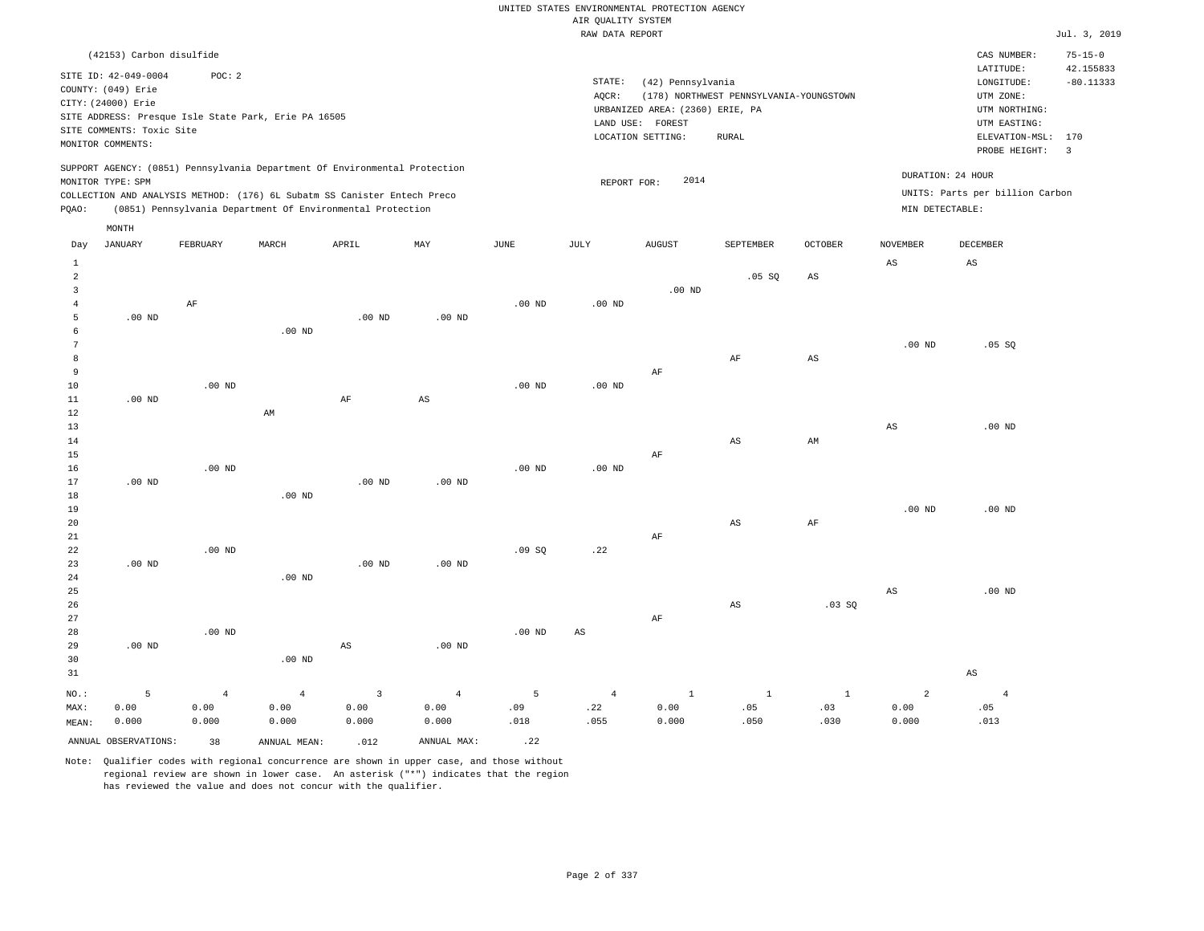|                 |                                                                                                                    |                                                                |                   |                                                                            |                |                   | RAW DATA REPORT   |                                                                                               |                                                         |                        |                        |                                                                                                          | Jul. 3, 2019                                               |
|-----------------|--------------------------------------------------------------------------------------------------------------------|----------------------------------------------------------------|-------------------|----------------------------------------------------------------------------|----------------|-------------------|-------------------|-----------------------------------------------------------------------------------------------|---------------------------------------------------------|------------------------|------------------------|----------------------------------------------------------------------------------------------------------|------------------------------------------------------------|
|                 | (42153) Carbon disulfide                                                                                           |                                                                |                   |                                                                            |                |                   |                   |                                                                                               |                                                         |                        |                        | CAS NUMBER:                                                                                              | $75 - 15 - 0$                                              |
|                 | SITE ID: 42-049-0004<br>COUNTY: (049) Erie<br>CITY: (24000) Erie<br>SITE COMMENTS: Toxic Site<br>MONITOR COMMENTS: | POC: 2<br>SITE ADDRESS: Presque Isle State Park, Erie PA 16505 |                   |                                                                            |                |                   | STATE:<br>AQCR:   | (42) Pennsylvania<br>URBANIZED AREA: (2360) ERIE, PA<br>LAND USE: FOREST<br>LOCATION SETTING: | (178) NORTHWEST PENNSYLVANIA-YOUNGSTOWN<br><b>RURAL</b> |                        |                        | LATITUDE:<br>LONGITUDE:<br>UTM ZONE:<br>UTM NORTHING:<br>UTM EASTING:<br>ELEVATION-MSL:<br>PROBE HEIGHT: | 42.155833<br>$-80.11333$<br>170<br>$\overline{\mathbf{3}}$ |
|                 |                                                                                                                    |                                                                |                   | SUPPORT AGENCY: (0851) Pennsylvania Department Of Environmental Protection |                |                   |                   |                                                                                               |                                                         |                        |                        | DURATION: 24 HOUR                                                                                        |                                                            |
|                 | MONITOR TYPE: SPM                                                                                                  |                                                                |                   |                                                                            |                |                   | REPORT FOR:       | 2014                                                                                          |                                                         |                        |                        |                                                                                                          |                                                            |
|                 |                                                                                                                    |                                                                |                   | COLLECTION AND ANALYSIS METHOD: (176) 6L Subatm SS Canister Entech Preco   |                |                   |                   |                                                                                               |                                                         |                        |                        | UNITS: Parts per billion Carbon                                                                          |                                                            |
| PQAO:           |                                                                                                                    |                                                                |                   | (0851) Pennsylvania Department Of Environmental Protection                 |                |                   |                   |                                                                                               |                                                         |                        | MIN DETECTABLE:        |                                                                                                          |                                                            |
|                 | MONTH                                                                                                              |                                                                |                   |                                                                            |                |                   |                   |                                                                                               |                                                         |                        |                        |                                                                                                          |                                                            |
| Day             | <b>JANUARY</b>                                                                                                     | FEBRUARY                                                       | MARCH             | APRIL                                                                      | MAY            | $\mathtt{JUNE}$   | $\mathtt{JULY}$   | ${\tt AUGUST}$                                                                                | SEPTEMBER                                               | OCTOBER                | <b>NOVEMBER</b>        | DECEMBER                                                                                                 |                                                            |
| $\mathbf{1}$    |                                                                                                                    |                                                                |                   |                                                                            |                |                   |                   |                                                                                               |                                                         |                        | $\mathbb{A}\mathbb{S}$ | $\mathbb{A}\mathbb{S}$                                                                                   |                                                            |
| $\overline{a}$  |                                                                                                                    |                                                                |                   |                                                                            |                |                   |                   |                                                                                               | .05 SQ                                                  | $\mathbb{A}\mathbb{S}$ |                        |                                                                                                          |                                                            |
| $\overline{3}$  |                                                                                                                    |                                                                |                   |                                                                            |                |                   |                   | $.00$ ND                                                                                      |                                                         |                        |                        |                                                                                                          |                                                            |
| $\overline{4}$  |                                                                                                                    | AF                                                             |                   |                                                                            |                | $.00$ ND          | .00 <sub>ND</sub> |                                                                                               |                                                         |                        |                        |                                                                                                          |                                                            |
| 5<br>6          | .00 <sub>ND</sub>                                                                                                  |                                                                | .00 <sub>ND</sub> | $.00$ ND                                                                   | $.00$ ND       |                   |                   |                                                                                               |                                                         |                        |                        |                                                                                                          |                                                            |
| $7\phantom{.0}$ |                                                                                                                    |                                                                |                   |                                                                            |                |                   |                   |                                                                                               |                                                         |                        | $.00$ ND               | .05 SQ                                                                                                   |                                                            |
| 8               |                                                                                                                    |                                                                |                   |                                                                            |                |                   |                   |                                                                                               | AF                                                      | $\mathbb{A}\mathbb{S}$ |                        |                                                                                                          |                                                            |
| 9               |                                                                                                                    |                                                                |                   |                                                                            |                |                   |                   | AF                                                                                            |                                                         |                        |                        |                                                                                                          |                                                            |
| $10$            |                                                                                                                    | $.00$ ND                                                       |                   |                                                                            |                | $.00$ ND          | .00 <sub>ND</sub> |                                                                                               |                                                         |                        |                        |                                                                                                          |                                                            |
| $11\,$          | .00 <sub>ND</sub>                                                                                                  |                                                                |                   | $\rm AF$                                                                   | $_{\rm AS}$    |                   |                   |                                                                                               |                                                         |                        |                        |                                                                                                          |                                                            |
| 12              |                                                                                                                    |                                                                | AM                |                                                                            |                |                   |                   |                                                                                               |                                                         |                        |                        |                                                                                                          |                                                            |
| 13              |                                                                                                                    |                                                                |                   |                                                                            |                |                   |                   |                                                                                               |                                                         |                        | AS                     | $.00$ ND                                                                                                 |                                                            |
| 14              |                                                                                                                    |                                                                |                   |                                                                            |                |                   |                   |                                                                                               | $_{\rm AS}$                                             | AM                     |                        |                                                                                                          |                                                            |
| 15              |                                                                                                                    |                                                                |                   |                                                                            |                |                   |                   | $\rm{AF}$                                                                                     |                                                         |                        |                        |                                                                                                          |                                                            |
| $16$            |                                                                                                                    | $.00$ ND                                                       |                   |                                                                            |                | .00 <sub>ND</sub> | $.00$ ND          |                                                                                               |                                                         |                        |                        |                                                                                                          |                                                            |
| 17              | $.00$ ND                                                                                                           |                                                                |                   | $.00$ ND                                                                   | $.00$ ND       |                   |                   |                                                                                               |                                                         |                        |                        |                                                                                                          |                                                            |
| 18<br>19        |                                                                                                                    |                                                                | $.00$ ND          |                                                                            |                |                   |                   |                                                                                               |                                                         |                        | $.00$ ND               | $.00$ ND                                                                                                 |                                                            |
| 20              |                                                                                                                    |                                                                |                   |                                                                            |                |                   |                   |                                                                                               | $_{\rm AS}$                                             | $\rm{AF}$              |                        |                                                                                                          |                                                            |
| $2\sqrt{1}$     |                                                                                                                    |                                                                |                   |                                                                            |                |                   |                   | AF                                                                                            |                                                         |                        |                        |                                                                                                          |                                                            |
| 22              |                                                                                                                    | .00 <sub>ND</sub>                                              |                   |                                                                            |                | .09SQ             | .22               |                                                                                               |                                                         |                        |                        |                                                                                                          |                                                            |
| 23              | $.00$ ND                                                                                                           |                                                                |                   | $.00$ ND                                                                   | $.00$ ND       |                   |                   |                                                                                               |                                                         |                        |                        |                                                                                                          |                                                            |
| 24              |                                                                                                                    |                                                                | $.00$ ND          |                                                                            |                |                   |                   |                                                                                               |                                                         |                        |                        |                                                                                                          |                                                            |
| 25              |                                                                                                                    |                                                                |                   |                                                                            |                |                   |                   |                                                                                               |                                                         |                        | $_{\rm AS}$            | $.00$ ND                                                                                                 |                                                            |
| 26              |                                                                                                                    |                                                                |                   |                                                                            |                |                   |                   |                                                                                               | AS                                                      | .03SQ                  |                        |                                                                                                          |                                                            |
| 27              |                                                                                                                    |                                                                |                   |                                                                            |                |                   |                   | $\rm{AF}$                                                                                     |                                                         |                        |                        |                                                                                                          |                                                            |
| 28              |                                                                                                                    | $.00$ ND                                                       |                   |                                                                            |                | $.00$ ND          | $_{\rm AS}$       |                                                                                               |                                                         |                        |                        |                                                                                                          |                                                            |
| 29<br>30        | .00 <sub>ND</sub>                                                                                                  |                                                                | $.00$ ND          | AS                                                                         | $.00$ ND       |                   |                   |                                                                                               |                                                         |                        |                        |                                                                                                          |                                                            |
| 31              |                                                                                                                    |                                                                |                   |                                                                            |                |                   |                   |                                                                                               |                                                         |                        |                        | $\mathbb{A}\mathbb{S}$                                                                                   |                                                            |
|                 |                                                                                                                    |                                                                |                   |                                                                            |                |                   |                   |                                                                                               |                                                         |                        |                        |                                                                                                          |                                                            |
| $NO.$ :         | 5                                                                                                                  | $\overline{4}$                                                 | $\overline{4}$    | $\overline{3}$                                                             | $\overline{4}$ | 5                 | $\overline{4}$    | $\mathbf{1}$                                                                                  | $\mathbf{1}$                                            | $\mathbf{1}$           | $\overline{a}$         | $\overline{4}$                                                                                           |                                                            |
| MAX:            | 0.00<br>0.000                                                                                                      | 0.00<br>0.000                                                  | 0.00<br>0.000     | 0.00<br>0.000                                                              | 0.00<br>0.000  | .09<br>.018       | .22<br>.055       | 0.00<br>0.000                                                                                 | .05<br>.050                                             | .03<br>.030            | 0.00<br>0.000          | .05<br>.013                                                                                              |                                                            |
| MEAN:           |                                                                                                                    |                                                                |                   |                                                                            |                |                   |                   |                                                                                               |                                                         |                        |                        |                                                                                                          |                                                            |

Note: Qualifier codes with regional concurrence are shown in upper case, and those without regional review are shown in lower case. An asterisk ("\*") indicates that the region has reviewed the value and does not concur with the qualifier.

ANNUAL OBSERVATIONS: 38 ANNUAL MEAN: .012 ANNUAL MAX: .22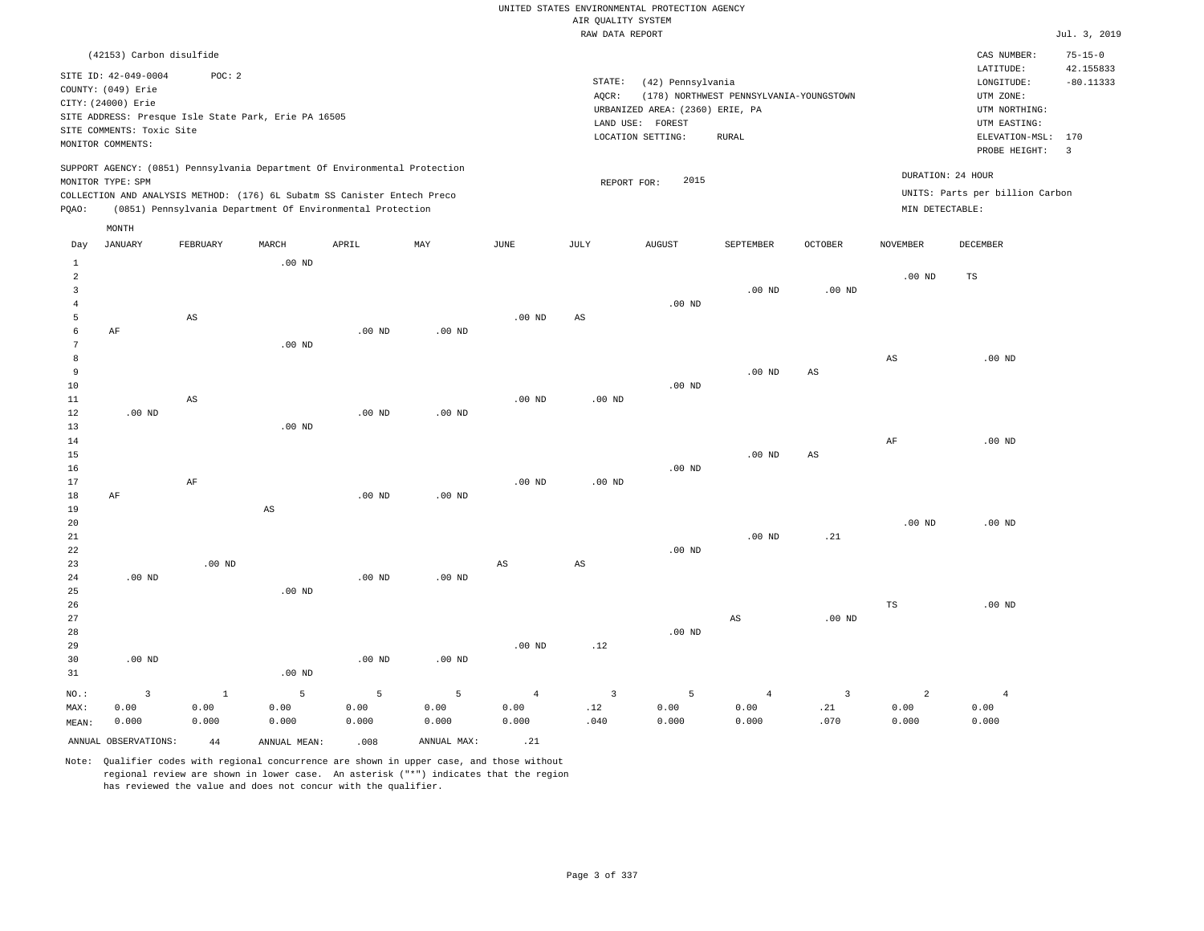| (42153) Carbon disulfide                                                   |          |          |                                                            |     |      |        |                                 |                                         |                |                 | CAS NUMBER:                     | $75 - 15 - 0$           |
|----------------------------------------------------------------------------|----------|----------|------------------------------------------------------------|-----|------|--------|---------------------------------|-----------------------------------------|----------------|-----------------|---------------------------------|-------------------------|
| SITE ID: 42-049-0004                                                       | POC: 2   |          |                                                            |     |      |        |                                 |                                         |                |                 | LATITUDE:                       | 42.155833               |
| COUNTY: (049) Erie                                                         |          |          |                                                            |     |      | STATE: | (42) Pennsylvania               |                                         |                |                 | LONGITUDE:                      | $-80.11333$             |
| CITY: (24000) Erie                                                         |          |          |                                                            |     |      | AOCR:  |                                 | (178) NORTHWEST PENNSYLVANIA-YOUNGSTOWN |                |                 | UTM ZONE:                       |                         |
| SITE ADDRESS: Presque Isle State Park, Erie PA 16505                       |          |          |                                                            |     |      |        | URBANIZED AREA: (2360) ERIE, PA |                                         |                |                 | UTM NORTHING:                   |                         |
| SITE COMMENTS: Toxic Site                                                  |          |          |                                                            |     |      |        | LAND USE: FOREST                |                                         |                |                 | UTM EASTING:                    |                         |
| MONITOR COMMENTS:                                                          |          |          |                                                            |     |      |        | LOCATION SETTING:               | RURAL                                   |                |                 | ELEVATION-MSL: 170              |                         |
|                                                                            |          |          |                                                            |     |      |        |                                 |                                         |                |                 | PROBE HEIGHT:                   | $\overline{\mathbf{3}}$ |
| SUPPORT AGENCY: (0851) Pennsylvania Department Of Environmental Protection |          |          |                                                            |     |      |        |                                 |                                         |                |                 | DURATION: 24 HOUR               |                         |
| MONITOR TYPE: SPM                                                          |          |          |                                                            |     |      |        | 2015<br>REPORT FOR:             |                                         |                |                 |                                 |                         |
| COLLECTION AND ANALYSIS METHOD: (176) 6L Subatm SS Canister Entech Preco   |          |          |                                                            |     |      |        |                                 |                                         |                |                 | UNITS: Parts per billion Carbon |                         |
| POAO:                                                                      |          |          | (0851) Pennsylvania Department Of Environmental Protection |     |      |        |                                 |                                         |                | MIN DETECTABLE: |                                 |                         |
| MONTH                                                                      |          |          |                                                            |     |      |        |                                 |                                         |                |                 |                                 |                         |
| JANUARY<br>Day                                                             | FEBRUARY | MARCH    | APRIL                                                      | MAY | JUNE | JULY   | AUGUST                          | SEPTEMBER                               | <b>OCTOBER</b> | <b>NOVEMBER</b> | DECEMBER                        |                         |
|                                                                            |          | $.00$ ND |                                                            |     |      |        |                                 |                                         |                |                 |                                 |                         |
|                                                                            |          |          |                                                            |     |      |        |                                 |                                         |                | $.00$ ND        | <b>TS</b>                       |                         |

| 3              |                         |                        |                        |          |                   |                |                         |          | .00 <sub>ND</sub> | $.00{\rm ~ND}$         |                        |                |
|----------------|-------------------------|------------------------|------------------------|----------|-------------------|----------------|-------------------------|----------|-------------------|------------------------|------------------------|----------------|
| 4              |                         |                        |                        |          |                   |                |                         | $.00$ ND |                   |                        |                        |                |
| 5              |                         | $\mathbb{A}\mathbb{S}$ |                        |          |                   | $.00$ ND       | $\mathbb{A}\mathbb{S}$  |          |                   |                        |                        |                |
| 6              | $\rm{AF}$               |                        |                        | $.00$ ND | $.00$ ND          |                |                         |          |                   |                        |                        |                |
| 7              |                         |                        | $.00$ ND               |          |                   |                |                         |          |                   |                        |                        |                |
| 8              |                         |                        |                        |          |                   |                |                         |          |                   |                        | $\mathbb{A}\mathbb{S}$ | $.00$ ND       |
| 9              |                         |                        |                        |          |                   |                |                         |          | $.00$ ND          | $\mathbb{A}\mathbb{S}$ |                        |                |
| 10             |                         |                        |                        |          |                   |                |                         | $.00$ ND |                   |                        |                        |                |
| 11             |                         | $\mathbb{A}\mathbb{S}$ |                        |          |                   | $.00$ ND       | $.00$ ND                |          |                   |                        |                        |                |
| 12             | $.00$ ND                |                        |                        | $.00$ ND | $.00$ ND          |                |                         |          |                   |                        |                        |                |
| 13             |                         |                        | $.00$ ND               |          |                   |                |                         |          |                   |                        |                        |                |
| 14             |                         |                        |                        |          |                   |                |                         |          |                   |                        | $\rm AF$               | $.00$ ND       |
| 15             |                         |                        |                        |          |                   |                |                         |          | $.00$ ND          | $\mathbb{A}\mathbb{S}$ |                        |                |
| 16             |                         |                        |                        |          |                   |                |                         | $.00$ ND |                   |                        |                        |                |
| 17             |                         | $\rm AF$               |                        |          |                   | $.00$ ND       | $.00$ ND                |          |                   |                        |                        |                |
| $18\,$         | $\rm AF$                |                        |                        | .00 $ND$ | $.00$ ND          |                |                         |          |                   |                        |                        |                |
| 19             |                         |                        | $\mathbb{A}\mathbb{S}$ |          |                   |                |                         |          |                   |                        |                        |                |
| 20             |                         |                        |                        |          |                   |                |                         |          |                   |                        | $.00$ ND               | $.00$ ND       |
| $2\sqrt{1}$    |                         |                        |                        |          |                   |                |                         |          | $.00$ ND          | .21                    |                        |                |
| 22             |                         |                        |                        |          |                   |                |                         | $.00$ ND |                   |                        |                        |                |
| 23             |                         | .00 $ND$               |                        |          |                   | $_{\rm AS}$    | AS                      |          |                   |                        |                        |                |
| 24             | $.00$ ND                |                        |                        | $.00$ ND | $.00$ ND          |                |                         |          |                   |                        |                        |                |
| 25             |                         |                        | $.00$ ND               |          |                   |                |                         |          |                   |                        |                        |                |
| 26             |                         |                        |                        |          |                   |                |                         |          |                   |                        | $_{\rm TS}$            | $.00$ ND       |
| $_{\rm 27}$    |                         |                        |                        |          |                   |                |                         |          | AS                | $.00~\mathrm{ND}$      |                        |                |
| $_{\rm 28}$    |                         |                        |                        |          |                   |                |                         | $.00$ ND |                   |                        |                        |                |
| 29             |                         |                        |                        |          |                   | $.00$ ND       | .12                     |          |                   |                        |                        |                |
| 30             | $.00$ ND                |                        |                        | .00 $ND$ | .00 <sub>ND</sub> |                |                         |          |                   |                        |                        |                |
| $31\,$         |                         |                        | .00 $ND$               |          |                   |                |                         |          |                   |                        |                        |                |
| $_{\rm NO.}$ : | $\overline{\mathbf{3}}$ | $1\,$                  | 5                      | 5        | 5                 | $\overline{4}$ | $\overline{\mathbf{3}}$ | 5        | $\overline{4}$    | $\overline{3}$         | $\overline{a}$         | $\overline{4}$ |
| MAX:           | 0.00                    | 0.00                   | 0.00                   | 0.00     | 0.00              | 0.00           | .12                     | 0.00     | 0.00              | .21                    | 0.00                   | 0.00           |
| MEAN:          | 0.000                   | 0.000                  | 0.000                  | 0.000    | 0.000             | 0.000          | .040                    | 0.000    | 0.000             | .070                   | 0.000                  | 0.000          |

Note: Qualifier codes with regional concurrence are shown in upper case, and those without regional review are shown in lower case. An asterisk ("\*") indicates that the region has reviewed the value and does not concur with the qualifier.

ANNUAL OBSERVATIONS:  $44$  ANNUAL MEAN: .008 ANNUAL MAX: .21

MEAN: 0.000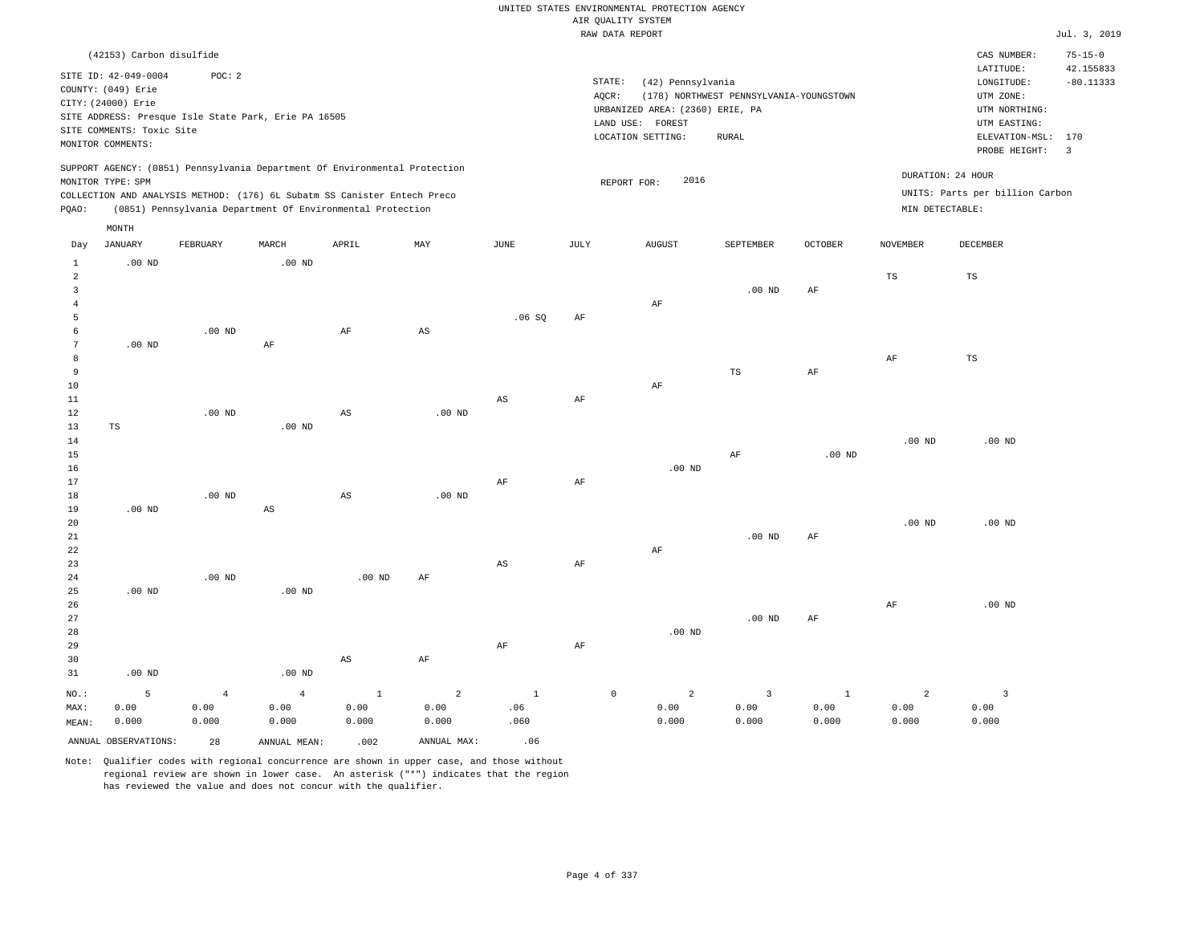|                                  |                           |                   |                                                      |                                                                            |                        |                        |           | RAW DATA REPORT                 |                                         |                |                   |                                 | Jul. 3, 2019            |
|----------------------------------|---------------------------|-------------------|------------------------------------------------------|----------------------------------------------------------------------------|------------------------|------------------------|-----------|---------------------------------|-----------------------------------------|----------------|-------------------|---------------------------------|-------------------------|
|                                  | (42153) Carbon disulfide  |                   |                                                      |                                                                            |                        |                        |           |                                 |                                         |                |                   | CAS NUMBER:                     | $75 - 15 - 0$           |
|                                  |                           |                   |                                                      |                                                                            |                        |                        |           |                                 |                                         |                |                   | LATITUDE:                       | 42.155833               |
|                                  | SITE ID: 42-049-0004      | POC: 2            |                                                      |                                                                            |                        |                        | STATE:    | (42) Pennsylvania               |                                         |                |                   | LONGITUDE:                      | $-80.11333$             |
|                                  | COUNTY: (049) Erie        |                   |                                                      |                                                                            |                        |                        | AOCR:     |                                 | (178) NORTHWEST PENNSYLVANIA-YOUNGSTOWN |                |                   | UTM ZONE:                       |                         |
|                                  | CITY: (24000) Erie        |                   |                                                      |                                                                            |                        |                        |           | URBANIZED AREA: (2360) ERIE, PA |                                         |                |                   | UTM NORTHING:                   |                         |
|                                  |                           |                   | SITE ADDRESS: Presque Isle State Park, Erie PA 16505 |                                                                            |                        |                        |           | LAND USE: FOREST                |                                         |                |                   | UTM EASTING:                    |                         |
|                                  | SITE COMMENTS: Toxic Site |                   |                                                      |                                                                            |                        |                        |           | LOCATION SETTING:               | <b>RURAL</b>                            |                |                   | ELEVATION-MSL: 170              |                         |
|                                  | MONITOR COMMENTS:         |                   |                                                      |                                                                            |                        |                        |           |                                 |                                         |                |                   | PROBE HEIGHT:                   | $\overline{\mathbf{3}}$ |
|                                  |                           |                   |                                                      | SUPPORT AGENCY: (0851) Pennsylvania Department Of Environmental Protection |                        |                        |           |                                 |                                         |                |                   |                                 |                         |
|                                  | MONITOR TYPE: SPM         |                   |                                                      |                                                                            |                        |                        |           | 2016<br>REPORT FOR:             |                                         |                |                   | DURATION: 24 HOUR               |                         |
|                                  |                           |                   |                                                      | COLLECTION AND ANALYSIS METHOD: (176) 6L Subatm SS Canister Entech Preco   |                        |                        |           |                                 |                                         |                |                   | UNITS: Parts per billion Carbon |                         |
| PQAO:                            |                           |                   |                                                      | (0851) Pennsylvania Department Of Environmental Protection                 |                        |                        |           |                                 |                                         |                | MIN DETECTABLE:   |                                 |                         |
|                                  | MONTH                     |                   |                                                      |                                                                            |                        |                        |           |                                 |                                         |                |                   |                                 |                         |
| Day                              | <b>JANUARY</b>            | FEBRUARY          | MARCH                                                | APRIL                                                                      | MAY                    | JUNE                   | JULY      | <b>AUGUST</b>                   | SEPTEMBER                               | <b>OCTOBER</b> | <b>NOVEMBER</b>   | <b>DECEMBER</b>                 |                         |
|                                  |                           |                   |                                                      |                                                                            |                        |                        |           |                                 |                                         |                |                   |                                 |                         |
| $\mathbf{1}$                     | $.00$ ND                  |                   | .00 <sub>ND</sub>                                    |                                                                            |                        |                        |           |                                 |                                         |                |                   |                                 |                         |
| $\overline{a}$<br>$\overline{3}$ |                           |                   |                                                      |                                                                            |                        |                        |           |                                 |                                         |                | TS                | TS                              |                         |
| $\overline{4}$                   |                           |                   |                                                      |                                                                            |                        |                        |           | AF                              | .00 <sub>ND</sub>                       | AF             |                   |                                 |                         |
| 5                                |                           |                   |                                                      |                                                                            |                        | .06SQ                  | $\rm{AF}$ |                                 |                                         |                |                   |                                 |                         |
| 6                                |                           | .00 <sub>ND</sub> |                                                      | AF                                                                         | $\mathbb{A}\mathbb{S}$ |                        |           |                                 |                                         |                |                   |                                 |                         |
| $\overline{7}$                   | $.00$ ND                  |                   | $\rm{AF}$                                            |                                                                            |                        |                        |           |                                 |                                         |                |                   |                                 |                         |
| 8                                |                           |                   |                                                      |                                                                            |                        |                        |           |                                 |                                         |                | $\rm{AF}$         | $_{\rm TS}$                     |                         |
| 9                                |                           |                   |                                                      |                                                                            |                        |                        |           |                                 | $_{\rm TS}$                             | AF             |                   |                                 |                         |
| 10                               |                           |                   |                                                      |                                                                            |                        |                        |           | AF                              |                                         |                |                   |                                 |                         |
| 11                               |                           |                   |                                                      |                                                                            |                        | $\mathbb{A}\mathbb{S}$ | AF        |                                 |                                         |                |                   |                                 |                         |
| 12                               |                           | $.00$ ND          |                                                      | $\mathbb{A}\mathbb{S}$                                                     | $.00$ ND               |                        |           |                                 |                                         |                |                   |                                 |                         |
| 13                               | $_{\rm TS}$               |                   | .00 <sub>ND</sub>                                    |                                                                            |                        |                        |           |                                 |                                         |                |                   |                                 |                         |
| $14\,$                           |                           |                   |                                                      |                                                                            |                        |                        |           |                                 |                                         |                | .00 <sub>ND</sub> | $.00$ ND                        |                         |
| 15                               |                           |                   |                                                      |                                                                            |                        |                        |           |                                 | $\rm AF$                                | $.00$ ND       |                   |                                 |                         |
| 16                               |                           |                   |                                                      |                                                                            |                        |                        |           | $.00$ ND                        |                                         |                |                   |                                 |                         |
| 17                               |                           |                   |                                                      |                                                                            |                        | AF                     | AF        |                                 |                                         |                |                   |                                 |                         |
| 18<br>19                         | .00 <sub>ND</sub>         | $.00$ ND          |                                                      | $\mathbb{A}\mathbb{S}$                                                     | $.00$ ND               |                        |           |                                 |                                         |                |                   |                                 |                         |
| 20                               |                           |                   | $\mathbb{A}\mathbb{S}$                               |                                                                            |                        |                        |           |                                 |                                         |                | $.00$ ND          | $.00$ ND                        |                         |
| 21                               |                           |                   |                                                      |                                                                            |                        |                        |           |                                 | $.00$ ND                                | AF             |                   |                                 |                         |
| 22                               |                           |                   |                                                      |                                                                            |                        |                        |           | $\rm{AF}$                       |                                         |                |                   |                                 |                         |
| 23                               |                           |                   |                                                      |                                                                            |                        | AS                     | AF        |                                 |                                         |                |                   |                                 |                         |
| 24                               |                           | $.00$ ND          |                                                      | $.00$ ND                                                                   | $\rm{AF}$              |                        |           |                                 |                                         |                |                   |                                 |                         |
| 25                               | $.00$ ND                  |                   | .00 <sub>ND</sub>                                    |                                                                            |                        |                        |           |                                 |                                         |                |                   |                                 |                         |
| 26                               |                           |                   |                                                      |                                                                            |                        |                        |           |                                 |                                         |                | AF                | $.00$ ND                        |                         |
| 27                               |                           |                   |                                                      |                                                                            |                        |                        |           |                                 | $.00$ ND                                | AF             |                   |                                 |                         |
| 28                               |                           |                   |                                                      |                                                                            |                        |                        |           | $.00$ ND                        |                                         |                |                   |                                 |                         |
| 29                               |                           |                   |                                                      |                                                                            |                        | AF                     | AF        |                                 |                                         |                |                   |                                 |                         |
| 30                               |                           |                   |                                                      | AS                                                                         | AF                     |                        |           |                                 |                                         |                |                   |                                 |                         |
| 31                               | $.00$ ND                  |                   | $.00$ ND                                             |                                                                            |                        |                        |           |                                 |                                         |                |                   |                                 |                         |
| NO.:                             | 5                         | $\overline{4}$    | $\overline{4}$                                       | $\mathbf{1}$                                                               | $\overline{a}$         | $\mathbf{1}$           | $\circ$   | $\overline{a}$                  | $\overline{\mathbf{3}}$                 | $\mathbf{1}$   | $\overline{a}$    | $\overline{3}$                  |                         |
| MAX:                             | 0.00                      | 0.00              | 0.00                                                 | 0.00                                                                       | 0.00                   | .06                    |           | 0.00                            | 0.00                                    | 0.00           | 0.00              | 0.00                            |                         |
| MEAN:                            | 0.000                     | 0.000             | 0.000                                                | 0.000                                                                      | 0.000                  | .060                   |           | 0.000                           | 0.000                                   | 0.000          | 0.000             | 0.000                           |                         |
|                                  | ANNUAL OBSERVATIONS:      | 28                | ANNUAL MEAN:                                         | .002                                                                       | ANNUAL MAX:            | .06                    |           |                                 |                                         |                |                   |                                 |                         |
|                                  |                           |                   |                                                      |                                                                            |                        |                        |           |                                 |                                         |                |                   |                                 |                         |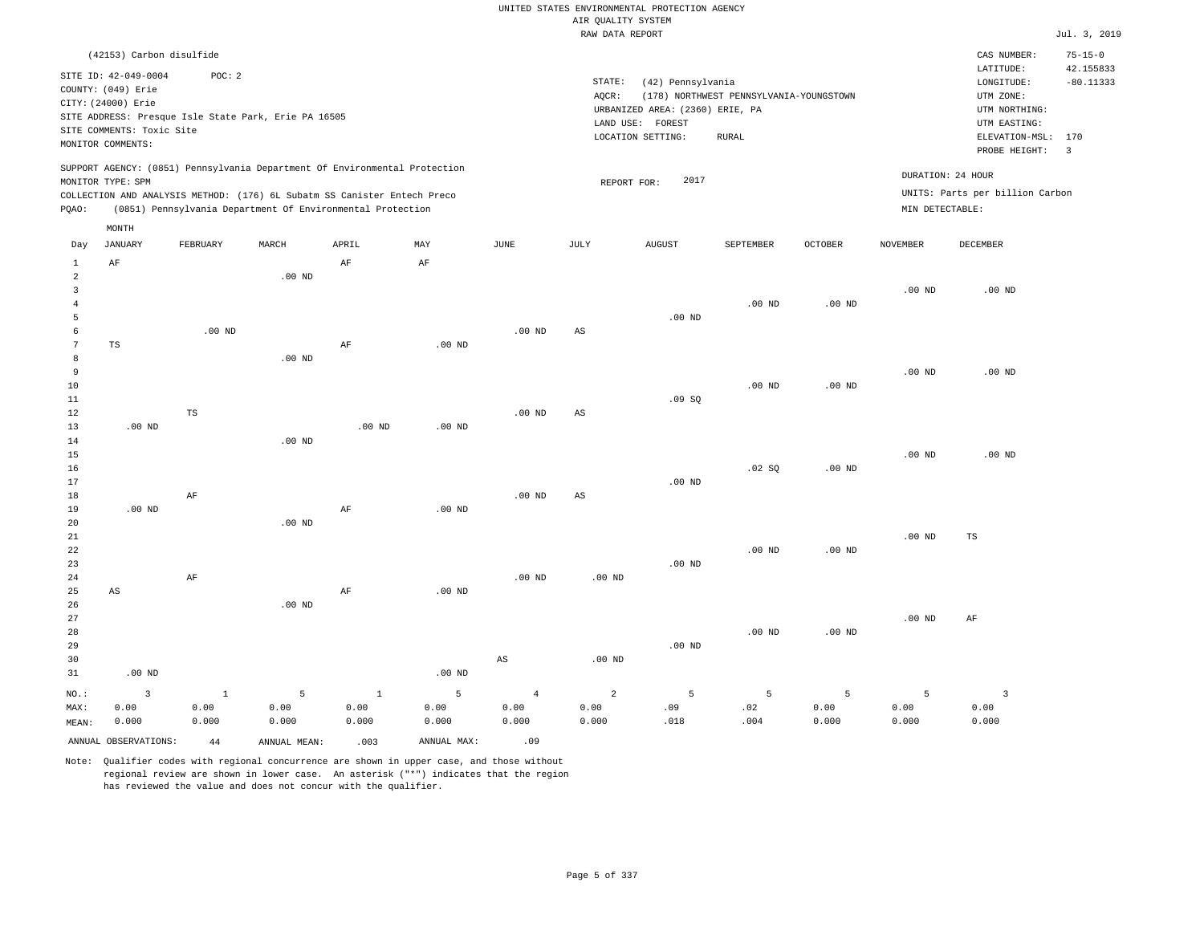|                | (42153) Carbon disulfide                             |              |              |                                                                                                                                                        |                   |                        |                        |                                 |                                         |                   |                   | CAS NUMBER:<br>LATITUDE:                             | $75 - 15 - 0$<br>42.155833 |
|----------------|------------------------------------------------------|--------------|--------------|--------------------------------------------------------------------------------------------------------------------------------------------------------|-------------------|------------------------|------------------------|---------------------------------|-----------------------------------------|-------------------|-------------------|------------------------------------------------------|----------------------------|
|                | SITE ID: 42-049-0004                                 | POC: 2       |              |                                                                                                                                                        |                   |                        | STATE:                 | (42) Pennsylvania               |                                         |                   |                   | LONGITUDE:                                           | $-80.11333$                |
|                | COUNTY: (049) Erie                                   |              |              |                                                                                                                                                        |                   |                        | AQCR:                  |                                 | (178) NORTHWEST PENNSYLVANIA-YOUNGSTOWN |                   |                   | UTM ZONE:                                            |                            |
|                | CITY: (24000) Erie                                   |              |              |                                                                                                                                                        |                   |                        |                        | URBANIZED AREA: (2360) ERIE, PA |                                         |                   |                   | UTM NORTHING:                                        |                            |
|                | SITE ADDRESS: Presque Isle State Park, Erie PA 16505 |              |              |                                                                                                                                                        |                   |                        |                        | LAND USE: FOREST                |                                         |                   |                   | UTM EASTING:                                         |                            |
|                | SITE COMMENTS: Toxic Site                            |              |              |                                                                                                                                                        |                   |                        |                        |                                 | <b>RURAL</b>                            |                   |                   | ELEVATION-MSL: 170                                   |                            |
|                | MONITOR COMMENTS:                                    |              |              |                                                                                                                                                        |                   |                        |                        | LOCATION SETTING:               |                                         |                   |                   | PROBE HEIGHT:                                        | $\overline{\mathbf{3}}$    |
|                | MONITOR TYPE: SPM                                    |              |              | SUPPORT AGENCY: (0851) Pennsylvania Department Of Environmental Protection<br>COLLECTION AND ANALYSIS METHOD: (176) 6L Subatm SS Canister Entech Preco |                   |                        | REPORT FOR:            | 2017                            |                                         |                   |                   | DURATION: 24 HOUR<br>UNITS: Parts per billion Carbon |                            |
| PQAO:          |                                                      |              |              | (0851) Pennsylvania Department Of Environmental Protection                                                                                             |                   |                        |                        |                                 |                                         |                   | MIN DETECTABLE:   |                                                      |                            |
|                | MONTH                                                |              |              |                                                                                                                                                        |                   |                        |                        |                                 |                                         |                   |                   |                                                      |                            |
| Day            | <b>JANUARY</b>                                       | FEBRUARY     | MARCH        | APRIL                                                                                                                                                  | MAY               | JUNE                   | JULY                   | <b>AUGUST</b>                   | SEPTEMBER                               | <b>OCTOBER</b>    | <b>NOVEMBER</b>   | <b>DECEMBER</b>                                      |                            |
| $\mathbf{1}$   | $\rm AF$                                             |              |              | AF                                                                                                                                                     | $\rm AF$          |                        |                        |                                 |                                         |                   |                   |                                                      |                            |
| $\overline{a}$ |                                                      |              | $.00$ ND     |                                                                                                                                                        |                   |                        |                        |                                 |                                         |                   |                   |                                                      |                            |
| $\overline{3}$ |                                                      |              |              |                                                                                                                                                        |                   |                        |                        |                                 |                                         |                   | $.00$ ND          | $.00$ ND                                             |                            |
| $\overline{4}$ |                                                      |              |              |                                                                                                                                                        |                   |                        |                        |                                 | .00 <sub>ND</sub>                       | .00 <sub>ND</sub> |                   |                                                      |                            |
| 5              |                                                      |              |              |                                                                                                                                                        |                   |                        |                        | $.00$ ND                        |                                         |                   |                   |                                                      |                            |
| 6              |                                                      | $.00$ ND     |              |                                                                                                                                                        |                   | $.00$ ND               | $_{\rm AS}$            |                                 |                                         |                   |                   |                                                      |                            |
| $\overline{7}$ | TS                                                   |              |              | AF                                                                                                                                                     | $.00$ ND          |                        |                        |                                 |                                         |                   |                   |                                                      |                            |
| 8              |                                                      |              | $.00$ ND     |                                                                                                                                                        |                   |                        |                        |                                 |                                         |                   |                   |                                                      |                            |
| 9              |                                                      |              |              |                                                                                                                                                        |                   |                        |                        |                                 |                                         |                   | .00 <sub>ND</sub> | $.00$ ND                                             |                            |
| 10             |                                                      |              |              |                                                                                                                                                        |                   |                        |                        |                                 | $.00$ ND                                | .00 <sub>ND</sub> |                   |                                                      |                            |
| 11             |                                                      |              |              |                                                                                                                                                        |                   |                        |                        | .09SQ                           |                                         |                   |                   |                                                      |                            |
| $1\,2$         |                                                      | $_{\rm TS}$  |              |                                                                                                                                                        |                   | .00 <sub>ND</sub>      | $\mathbb{A}\mathbb{S}$ |                                 |                                         |                   |                   |                                                      |                            |
| 13             | $.00$ ND                                             |              |              | $.00$ ND                                                                                                                                               | $.00$ ND          |                        |                        |                                 |                                         |                   |                   |                                                      |                            |
| 14             |                                                      |              | $.00$ ND     |                                                                                                                                                        |                   |                        |                        |                                 |                                         |                   |                   |                                                      |                            |
| 15             |                                                      |              |              |                                                                                                                                                        |                   |                        |                        |                                 |                                         |                   | $.00$ ND          | $.00$ ND                                             |                            |
| 16             |                                                      |              |              |                                                                                                                                                        |                   |                        |                        |                                 | .02 SQ                                  | $.00$ ND          |                   |                                                      |                            |
| 17             |                                                      |              |              |                                                                                                                                                        |                   |                        |                        | $.00$ ND                        |                                         |                   |                   |                                                      |                            |
| 18             |                                                      | AF           |              |                                                                                                                                                        |                   | .00 <sub>ND</sub>      | AS                     |                                 |                                         |                   |                   |                                                      |                            |
| 19             | $.00$ ND                                             |              |              | AF                                                                                                                                                     | $.00$ ND          |                        |                        |                                 |                                         |                   |                   |                                                      |                            |
| 20             |                                                      |              | $.00$ ND     |                                                                                                                                                        |                   |                        |                        |                                 |                                         |                   |                   |                                                      |                            |
| 21             |                                                      |              |              |                                                                                                                                                        |                   |                        |                        |                                 |                                         |                   | .00 <sub>ND</sub> | $_{\rm TS}$                                          |                            |
| 22             |                                                      |              |              |                                                                                                                                                        |                   |                        |                        |                                 | .00 <sub>ND</sub>                       | .00 <sub>ND</sub> |                   |                                                      |                            |
| 23             |                                                      |              |              |                                                                                                                                                        |                   |                        |                        | $.00$ ND                        |                                         |                   |                   |                                                      |                            |
| 24             |                                                      | AF           |              |                                                                                                                                                        |                   | $.00$ ND               | .00 <sub>ND</sub>      |                                 |                                         |                   |                   |                                                      |                            |
| 25             | AS                                                   |              |              | $\rm AF$                                                                                                                                               | $.00$ ND          |                        |                        |                                 |                                         |                   |                   |                                                      |                            |
| 26             |                                                      |              | $.00$ ND     |                                                                                                                                                        |                   |                        |                        |                                 |                                         |                   |                   |                                                      |                            |
| 27             |                                                      |              |              |                                                                                                                                                        |                   |                        |                        |                                 |                                         |                   | $.00$ ND          | $\rm AF$                                             |                            |
| 28             |                                                      |              |              |                                                                                                                                                        |                   |                        |                        |                                 | $.00$ ND                                | $.00$ ND          |                   |                                                      |                            |
| 29             |                                                      |              |              |                                                                                                                                                        |                   |                        |                        | $.00$ ND                        |                                         |                   |                   |                                                      |                            |
| 30             |                                                      |              |              |                                                                                                                                                        |                   | $\mathbb{A}\mathbb{S}$ | .00 <sub>ND</sub>      |                                 |                                         |                   |                   |                                                      |                            |
| 31             | $.00$ ND                                             |              |              |                                                                                                                                                        | .00 <sub>ND</sub> |                        |                        |                                 |                                         |                   |                   |                                                      |                            |
| NO.:           | $\overline{3}$                                       | $\mathbf{1}$ | 5            | $\mathbf{1}$                                                                                                                                           | 5                 | $\overline{4}$         | $\overline{2}$         | 5                               | 5                                       | 5                 | 5                 | $\overline{3}$                                       |                            |
| MAX:           | 0.00                                                 | 0.00         | 0.00         | 0.00                                                                                                                                                   | 0.00              | 0.00                   | 0.00                   | .09                             | .02                                     | 0.00              | 0.00              | 0.00                                                 |                            |
| MEAN:          | 0.000                                                | 0.000        | 0.000        | 0.000                                                                                                                                                  | 0.000             | 0.000                  | 0.000                  | .018                            | .004                                    | 0.000             | 0.000             | 0.000                                                |                            |
|                | ANNUAL OBSERVATIONS:                                 | 44           | ANNUAL MEAN: | .003                                                                                                                                                   | ANNUAL MAX:       | .09                    |                        |                                 |                                         |                   |                   |                                                      |                            |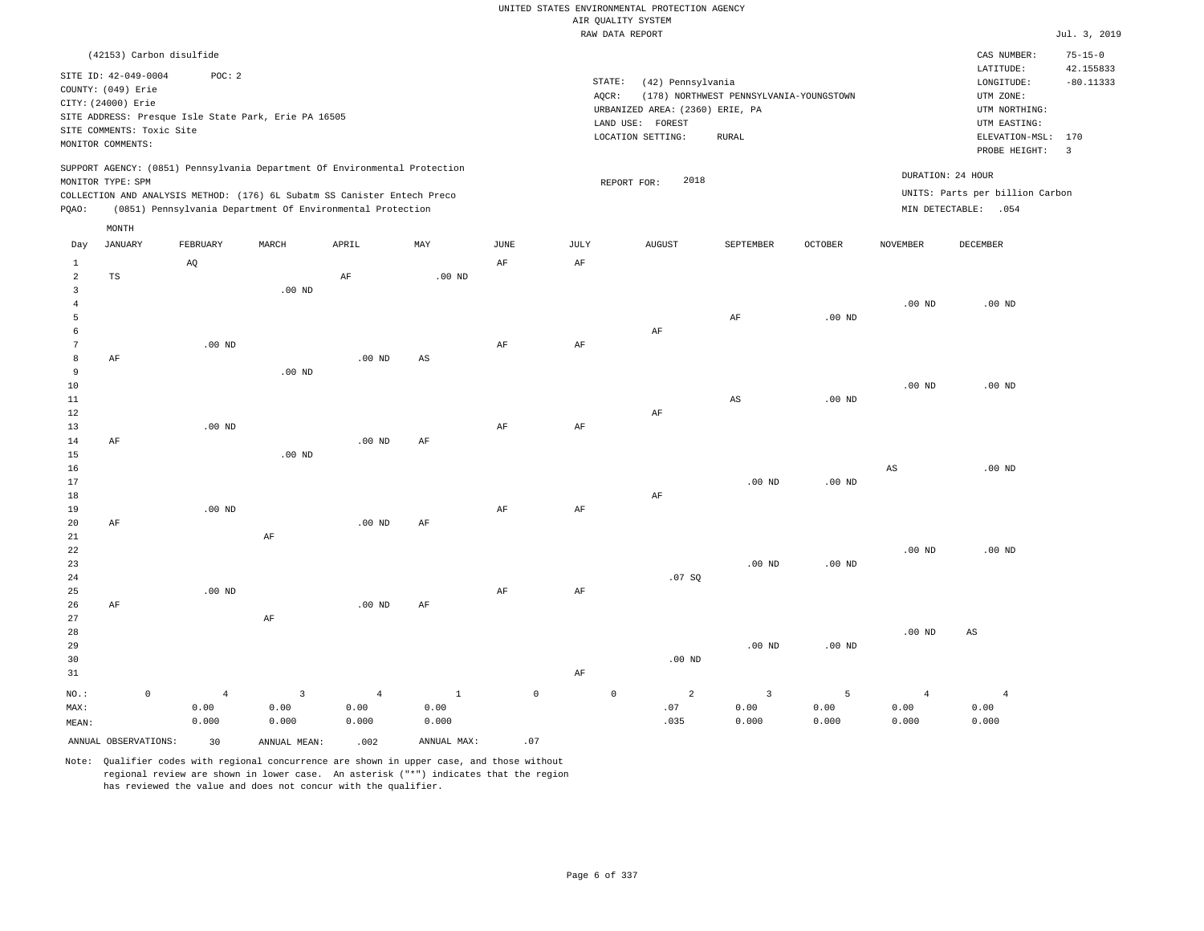|                                                                 |                                                                                       |                                                       |                                 |                                                      |                                                                                                                                                                                                                      |                               |                     |                   |                     | UNITED STATES ENVIRONMENTAL PROTECTION AGENCY                                                 |                                                          |                    |                                 |                                                                                                                         |                                                                    |
|-----------------------------------------------------------------|---------------------------------------------------------------------------------------|-------------------------------------------------------|---------------------------------|------------------------------------------------------|----------------------------------------------------------------------------------------------------------------------------------------------------------------------------------------------------------------------|-------------------------------|---------------------|-------------------|---------------------|-----------------------------------------------------------------------------------------------|----------------------------------------------------------|--------------------|---------------------------------|-------------------------------------------------------------------------------------------------------------------------|--------------------------------------------------------------------|
|                                                                 |                                                                                       |                                                       |                                 |                                                      |                                                                                                                                                                                                                      |                               |                     |                   | AIR QUALITY SYSTEM  |                                                                                               |                                                          |                    |                                 |                                                                                                                         |                                                                    |
|                                                                 |                                                                                       |                                                       |                                 |                                                      |                                                                                                                                                                                                                      |                               |                     |                   | RAW DATA REPORT     |                                                                                               |                                                          |                    |                                 |                                                                                                                         | Jul. 3, 2019                                                       |
|                                                                 | SITE ID: 42-049-0004<br>COUNTY: (049) Erie<br>CITY: (24000) Erie<br>MONITOR COMMENTS: | (42153) Carbon disulfide<br>SITE COMMENTS: Toxic Site | POC: 2                          | SITE ADDRESS: Presque Isle State Park, Erie PA 16505 |                                                                                                                                                                                                                      |                               |                     |                   | STATE:<br>AOCR:     | (42) Pennsylvania<br>URBANIZED AREA: (2360) ERIE, PA<br>LAND USE: FOREST<br>LOCATION SETTING: | (178) NORTHWEST PENNSYLVANIA-YOUNGSTOWN<br>${\tt RURAL}$ |                    |                                 | CAS NUMBER:<br>LATITUDE:<br>LONGITUDE:<br>UTM ZONE:<br>UTM NORTHING:<br>UTM EASTING:<br>ELEVATION-MSL:<br>PROBE HEIGHT: | $75 - 15 - 0$<br>42.155833<br>$-80.11333$<br>170<br>$\overline{3}$ |
| PQAO:                                                           | MONITOR TYPE: SPM                                                                     |                                                       |                                 |                                                      | SUPPORT AGENCY: (0851) Pennsylvania Department Of Environmental Protection<br>COLLECTION AND ANALYSIS METHOD: (176) 6L Subatm SS Canister Entech Preco<br>(0851) Pennsylvania Department Of Environmental Protection |                               |                     |                   |                     | 2018<br>REPORT FOR:                                                                           |                                                          |                    |                                 | DURATION: 24 HOUR<br>UNITS: Parts per billion Carbon<br>MIN DETECTABLE: . 054                                           |                                                                    |
|                                                                 |                                                                                       |                                                       |                                 |                                                      |                                                                                                                                                                                                                      |                               |                     |                   |                     |                                                                                               |                                                          |                    |                                 |                                                                                                                         |                                                                    |
| Day<br>$1\,$                                                    | MONTH<br><b>JANUARY</b>                                                               |                                                       | FEBRUARY<br>AQ                  | MARCH                                                | APRIL                                                                                                                                                                                                                | MAY                           | $_{\rm JUNE}$<br>AF | <b>JULY</b><br>AF |                     | <b>AUGUST</b>                                                                                 | SEPTEMBER                                                | <b>OCTOBER</b>     | <b>NOVEMBER</b>                 | DECEMBER                                                                                                                |                                                                    |
| $\overline{2}$<br>$\mathbf{3}$<br>$\overline{4}$<br>5<br>6<br>7 | <b>TS</b>                                                                             |                                                       | .00 <sub>ND</sub>               | $.00$ ND                                             | AF                                                                                                                                                                                                                   | $.00$ ND                      | $\rm{AF}$           | $\rm AF$          |                     | AF                                                                                            | $\rm AF$                                                 | .00 <sub>ND</sub>  | .00 <sub>ND</sub>               | $.00$ ND                                                                                                                |                                                                    |
| 8<br>$\overline{9}$<br>$10$<br>11<br>$12$<br>13                 | AF                                                                                    |                                                       | $.00$ ND                        | $.00$ ND                                             | $.00$ ND                                                                                                                                                                                                             | AS                            | AF                  | AF                |                     | AF                                                                                            | $\mathbb{A}\mathbb{S}$                                   | $.00$ ND           | .00 <sub>ND</sub>               | $.00$ ND                                                                                                                |                                                                    |
| 14<br>15<br>16<br>17<br>18<br>19                                | AF                                                                                    |                                                       | $.00$ ND                        | $.00$ ND                                             | $.00$ ND                                                                                                                                                                                                             | AF                            | AF                  | AF                |                     | AF                                                                                            | $.00$ ND                                                 | $.00$ ND           | $\mathbb{A}\mathbb{S}$          | $.00$ ND                                                                                                                |                                                                    |
| 20<br>21<br>22<br>23<br>24<br>25                                | AF                                                                                    |                                                       | .00 <sub>ND</sub>               | AF                                                   | $.00$ ND                                                                                                                                                                                                             | AF                            | AF                  | AF                |                     | .07 SQ                                                                                        | $.00$ ND                                                 | $.00$ ND           | $.00$ ND                        | $.00$ ND                                                                                                                |                                                                    |
| 26<br>27<br>28<br>29<br>30<br>31                                | AF                                                                                    |                                                       |                                 | AF                                                   | $.00$ ND                                                                                                                                                                                                             | AF                            |                     | AF                |                     | $.00$ ND                                                                                      | $.00$ ND                                                 | $.00$ ND           | .00 <sub>ND</sub>               | $\mathbb{A}\mathbb{S}$                                                                                                  |                                                                    |
| NO.:<br>MAX:<br>MEAN:                                           |                                                                                       | $\mathbb O$                                           | $\overline{4}$<br>0.00<br>0.000 | 3<br>0.00<br>0.000                                   | $\overline{4}$<br>0.00<br>0.000                                                                                                                                                                                      | $\mathbf{1}$<br>0.00<br>0.000 |                     | $\mathsf 0$       | $\mathsf{O}\xspace$ | $\overline{a}$<br>.07<br>.035                                                                 | $\overline{3}$<br>0.00<br>0.000                          | 5<br>0.00<br>0.000 | $\overline{4}$<br>0.00<br>0.000 | $\overline{4}$<br>0.00<br>0.000                                                                                         |                                                                    |
|                                                                 | ANNUAL OBSERVATIONS:                                                                  |                                                       | 30                              | ANNUAL MEAN:                                         | .002                                                                                                                                                                                                                 | ANNUAL MAX:                   |                     | .07               |                     |                                                                                               |                                                          |                    |                                 |                                                                                                                         |                                                                    |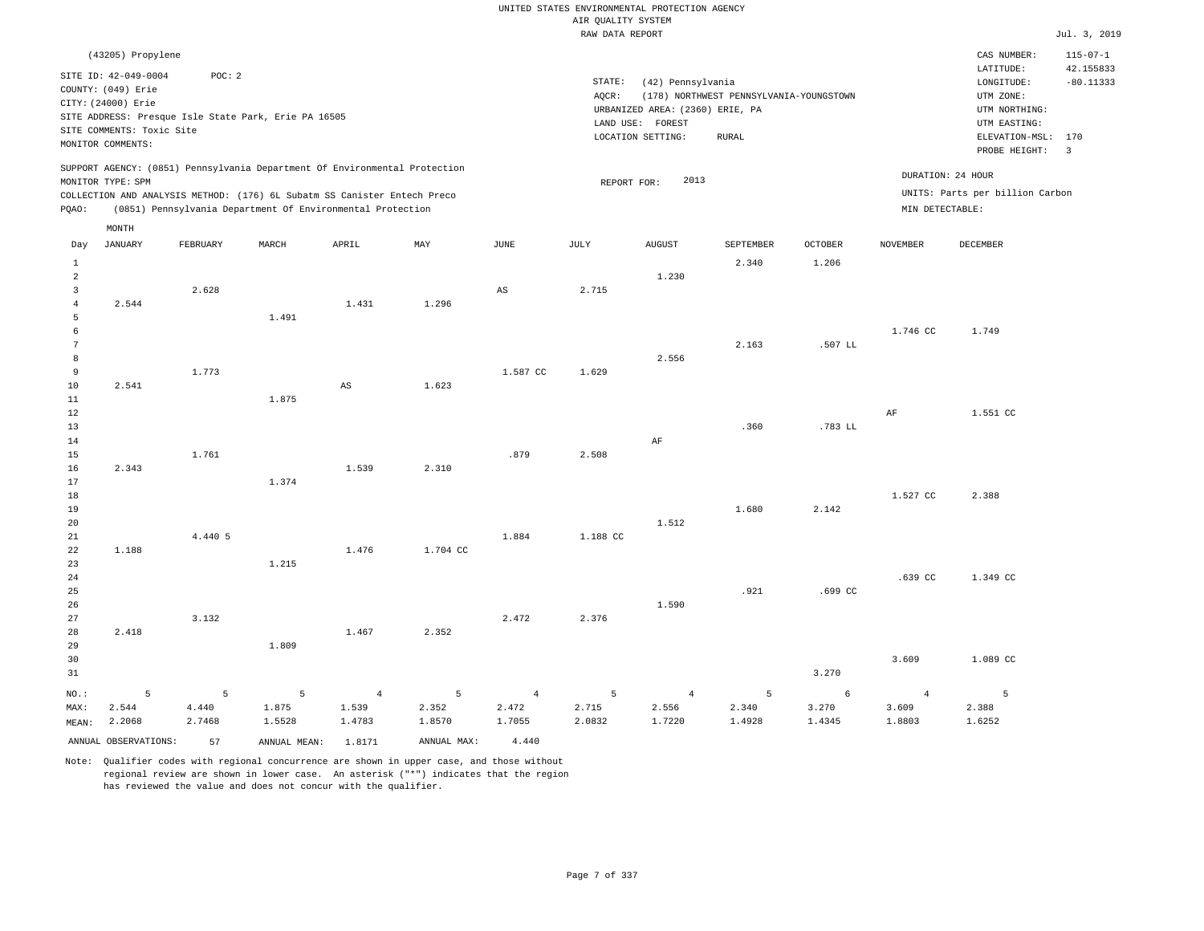|                |                           |          |                                                                            |                        |             |                | RAW DATA REPORT |                                 |                                         |         |                 |                                 | Jul. 3, 2019            |
|----------------|---------------------------|----------|----------------------------------------------------------------------------|------------------------|-------------|----------------|-----------------|---------------------------------|-----------------------------------------|---------|-----------------|---------------------------------|-------------------------|
|                | (43205) Propylene         |          |                                                                            |                        |             |                |                 |                                 |                                         |         |                 | CAS NUMBER:                     | $115 - 07 - 1$          |
|                | SITE ID: 42-049-0004      | POC: 2   |                                                                            |                        |             |                |                 |                                 |                                         |         |                 | LATITUDE:                       | 42.155833               |
|                | COUNTY: (049) Erie        |          |                                                                            |                        |             |                | STATE:          | (42) Pennsylvania               |                                         |         |                 | LONGITUDE:                      | $-80.11333$             |
|                | CITY: (24000) Erie        |          |                                                                            |                        |             |                | AQCR:           |                                 | (178) NORTHWEST PENNSYLVANIA-YOUNGSTOWN |         |                 | UTM ZONE:                       |                         |
|                |                           |          |                                                                            |                        |             |                |                 | URBANIZED AREA: (2360) ERIE, PA |                                         |         |                 | UTM NORTHING:                   |                         |
|                |                           |          | SITE ADDRESS: Presque Isle State Park, Erie PA 16505                       |                        |             |                |                 | LAND USE: FOREST                |                                         |         |                 | UTM EASTING:                    |                         |
|                | SITE COMMENTS: Toxic Site |          |                                                                            |                        |             |                |                 | LOCATION SETTING:               | ${\tt RURAL}$                           |         |                 | ELEVATION-MSL:                  | 170                     |
|                | MONITOR COMMENTS:         |          |                                                                            |                        |             |                |                 |                                 |                                         |         |                 | PROBE HEIGHT:                   | $\overline{\mathbf{3}}$ |
|                |                           |          | SUPPORT AGENCY: (0851) Pennsylvania Department Of Environmental Protection |                        |             |                |                 |                                 |                                         |         |                 |                                 |                         |
|                | MONITOR TYPE: SPM         |          |                                                                            |                        |             |                | REPORT FOR:     | 2013                            |                                         |         |                 | DURATION: 24 HOUR               |                         |
|                |                           |          | COLLECTION AND ANALYSIS METHOD: (176) 6L Subatm SS Canister Entech Preco   |                        |             |                |                 |                                 |                                         |         |                 | UNITS: Parts per billion Carbon |                         |
| PQAO:          |                           |          | (0851) Pennsylvania Department Of Environmental Protection                 |                        |             |                |                 |                                 |                                         |         | MIN DETECTABLE: |                                 |                         |
|                | MONTH                     |          |                                                                            |                        |             |                |                 |                                 |                                         |         |                 |                                 |                         |
| Day            | <b>JANUARY</b>            | FEBRUARY | MARCH                                                                      | APRIL                  | MAY         | <b>JUNE</b>    | <b>JULY</b>     | <b>AUGUST</b>                   | SEPTEMBER                               | OCTOBER | <b>NOVEMBER</b> | <b>DECEMBER</b>                 |                         |
| $\mathbf{1}$   |                           |          |                                                                            |                        |             |                |                 |                                 | 2.340                                   | 1.206   |                 |                                 |                         |
| $\overline{a}$ |                           |          |                                                                            |                        |             |                |                 | 1.230                           |                                         |         |                 |                                 |                         |
| 3              |                           | 2.628    |                                                                            |                        |             | AS             | 2.715           |                                 |                                         |         |                 |                                 |                         |
| $\overline{4}$ | 2.544                     |          |                                                                            | 1.431                  | 1.296       |                |                 |                                 |                                         |         |                 |                                 |                         |
| 5              |                           |          | 1.491                                                                      |                        |             |                |                 |                                 |                                         |         |                 |                                 |                         |
| $\epsilon$     |                           |          |                                                                            |                        |             |                |                 |                                 |                                         |         | 1.746 CC        | 1.749                           |                         |
| 7              |                           |          |                                                                            |                        |             |                |                 |                                 | 2.163                                   | .507 LL |                 |                                 |                         |
| 8              |                           |          |                                                                            |                        |             |                |                 | 2.556                           |                                         |         |                 |                                 |                         |
| 9              |                           | 1.773    |                                                                            |                        |             | 1.587 CC       | 1.629           |                                 |                                         |         |                 |                                 |                         |
| 10             | 2.541                     |          |                                                                            | $\mathbb{A}\mathbb{S}$ | 1.623       |                |                 |                                 |                                         |         |                 |                                 |                         |
| 11             |                           |          | 1.875                                                                      |                        |             |                |                 |                                 |                                         |         |                 |                                 |                         |
| $1\,2$         |                           |          |                                                                            |                        |             |                |                 |                                 |                                         |         | $\rm{AF}$       | 1.551 CC                        |                         |
| 13             |                           |          |                                                                            |                        |             |                |                 |                                 | .360                                    | .783 LL |                 |                                 |                         |
| 14             |                           |          |                                                                            |                        |             |                |                 | AF                              |                                         |         |                 |                                 |                         |
| 15             |                           | 1.761    |                                                                            |                        |             | .879           | 2.508           |                                 |                                         |         |                 |                                 |                         |
| 16             | 2.343                     |          |                                                                            | 1.539                  | 2.310       |                |                 |                                 |                                         |         |                 |                                 |                         |
| 17<br>18       |                           |          | 1.374                                                                      |                        |             |                |                 |                                 |                                         |         | 1.527 CC        |                                 |                         |
| 19             |                           |          |                                                                            |                        |             |                |                 |                                 | 1.680                                   |         |                 | 2.388                           |                         |
| 20             |                           |          |                                                                            |                        |             |                |                 | 1.512                           |                                         | 2.142   |                 |                                 |                         |
| 21             |                           | 4.440 5  |                                                                            |                        |             | 1.884          | 1.188 CC        |                                 |                                         |         |                 |                                 |                         |
| 22             | 1.188                     |          |                                                                            | 1.476                  | 1.704 CC    |                |                 |                                 |                                         |         |                 |                                 |                         |
| 23             |                           |          | 1.215                                                                      |                        |             |                |                 |                                 |                                         |         |                 |                                 |                         |
| 24             |                           |          |                                                                            |                        |             |                |                 |                                 |                                         |         | .639 CC         | 1.349 CC                        |                         |
| 25             |                           |          |                                                                            |                        |             |                |                 |                                 | .921                                    | .699 CC |                 |                                 |                         |
| 26             |                           |          |                                                                            |                        |             |                |                 | 1.590                           |                                         |         |                 |                                 |                         |
| 27             |                           | 3.132    |                                                                            |                        |             | 2.472          | 2.376           |                                 |                                         |         |                 |                                 |                         |
| 28             | 2.418                     |          |                                                                            | 1.467                  | 2.352       |                |                 |                                 |                                         |         |                 |                                 |                         |
| 29             |                           |          | 1.809                                                                      |                        |             |                |                 |                                 |                                         |         |                 |                                 |                         |
| 30             |                           |          |                                                                            |                        |             |                |                 |                                 |                                         |         | 3.609           | 1.089 CC                        |                         |
| 31             |                           |          |                                                                            |                        |             |                |                 |                                 |                                         | 3.270   |                 |                                 |                         |
|                |                           |          |                                                                            |                        |             |                |                 |                                 |                                         |         |                 |                                 |                         |
| $NO.$ :        | 5                         | 5        | 5                                                                          | $\overline{4}$         | 5           | $\overline{4}$ | 5               | $\overline{4}$                  | 5                                       | 6       | $\overline{4}$  | 5                               |                         |
| MAX:           | 2.544                     | 4.440    | 1.875                                                                      | 1.539                  | 2.352       | 2.472          | 2.715           | 2.556                           | 2.340                                   | 3.270   | 3.609           | 2.388                           |                         |
| MEAN:          | 2.2068                    | 2.7468   | 1.5528                                                                     | 1.4783                 | 1.8570      | 1.7055         | 2.0832          | 1.7220                          | 1.4928                                  | 1.4345  | 1.8803          | 1.6252                          |                         |
|                | ANNUAL OBSERVATIONS:      | 57       | ANNUAL MEAN:                                                               | 1.8171                 | ANNUAL MAX: | 4.440          |                 |                                 |                                         |         |                 |                                 |                         |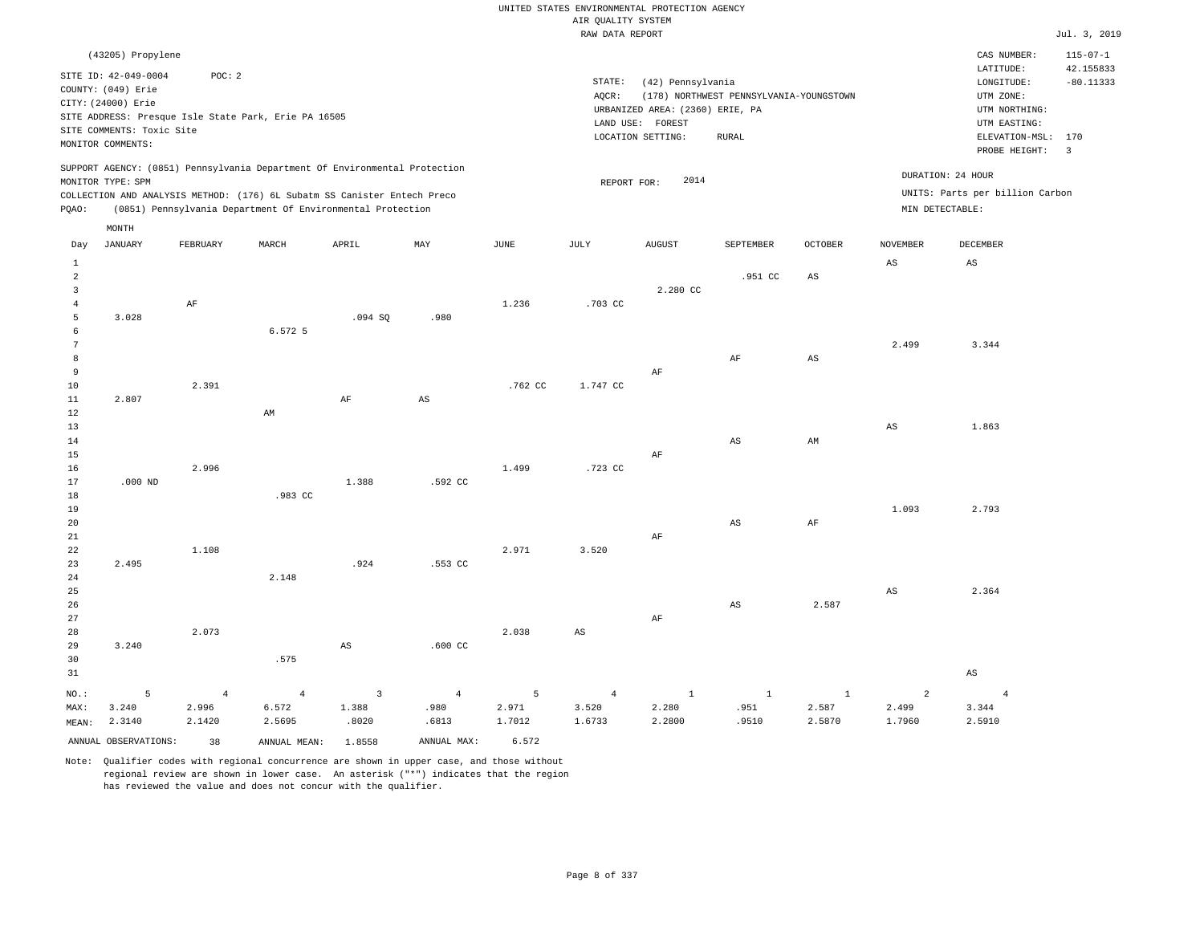|                |                           |                |                                                                            |                        |                        |             | RAW DATA REPORT |                                 |                                         |                |                 |                                 | Jul. 3, 2019   |
|----------------|---------------------------|----------------|----------------------------------------------------------------------------|------------------------|------------------------|-------------|-----------------|---------------------------------|-----------------------------------------|----------------|-----------------|---------------------------------|----------------|
|                | (43205) Propylene         |                |                                                                            |                        |                        |             |                 |                                 |                                         |                |                 | CAS NUMBER:                     | $115 - 07 - 1$ |
|                | SITE ID: 42-049-0004      | POC: 2         |                                                                            |                        |                        |             |                 |                                 |                                         |                |                 | LATITUDE:                       | 42.155833      |
|                | COUNTY: (049) Erie        |                |                                                                            |                        |                        |             | STATE:          | (42) Pennsylvania               |                                         |                |                 | LONGITUDE:                      | $-80.11333$    |
|                | CITY: (24000) Erie        |                |                                                                            |                        |                        |             | AQCR:           |                                 | (178) NORTHWEST PENNSYLVANIA-YOUNGSTOWN |                |                 | UTM ZONE:                       |                |
|                |                           |                | SITE ADDRESS: Presque Isle State Park, Erie PA 16505                       |                        |                        |             |                 | URBANIZED AREA: (2360) ERIE, PA |                                         |                |                 | UTM NORTHING:                   |                |
|                | SITE COMMENTS: Toxic Site |                |                                                                            |                        |                        |             |                 | LAND USE: FOREST                |                                         |                |                 | UTM EASTING:                    |                |
|                | MONITOR COMMENTS:         |                |                                                                            |                        |                        |             |                 | LOCATION SETTING:               | RURAL                                   |                |                 | ELEVATION-MSL: 170              |                |
|                |                           |                |                                                                            |                        |                        |             |                 |                                 |                                         |                |                 | PROBE HEIGHT:                   | $\overline{3}$ |
|                |                           |                | SUPPORT AGENCY: (0851) Pennsylvania Department Of Environmental Protection |                        |                        |             |                 |                                 |                                         |                |                 | DURATION: 24 HOUR               |                |
|                | MONITOR TYPE: SPM         |                |                                                                            |                        |                        |             | REPORT FOR:     | 2014                            |                                         |                |                 |                                 |                |
|                |                           |                | COLLECTION AND ANALYSIS METHOD: (176) 6L Subatm SS Canister Entech Preco   |                        |                        |             |                 |                                 |                                         |                |                 | UNITS: Parts per billion Carbon |                |
| PQAO:          |                           |                | (0851) Pennsylvania Department Of Environmental Protection                 |                        |                        |             |                 |                                 |                                         |                | MIN DETECTABLE: |                                 |                |
|                | MONTH                     |                |                                                                            |                        |                        |             |                 |                                 |                                         |                |                 |                                 |                |
| Day            | <b>JANUARY</b>            | FEBRUARY       | MARCH                                                                      | APRIL                  | MAY                    | <b>JUNE</b> | JULY            | <b>AUGUST</b>                   | SEPTEMBER                               | <b>OCTOBER</b> | <b>NOVEMBER</b> | DECEMBER                        |                |
| $\mathbf{1}$   |                           |                |                                                                            |                        |                        |             |                 |                                 |                                         |                | $_{\rm AS}$     | $_{\rm AS}$                     |                |
| $\overline{a}$ |                           |                |                                                                            |                        |                        |             |                 |                                 | .951 CC                                 | AS             |                 |                                 |                |
| 3<br>$\bf{4}$  |                           | $\rm{AF}$      |                                                                            |                        |                        | 1.236       | .703 CC         | 2.280 CC                        |                                         |                |                 |                                 |                |
| 5              | 3.028                     |                |                                                                            | .094S                  | .980                   |             |                 |                                 |                                         |                |                 |                                 |                |
| 6              |                           |                | 6.572 5                                                                    |                        |                        |             |                 |                                 |                                         |                |                 |                                 |                |
| 7              |                           |                |                                                                            |                        |                        |             |                 |                                 |                                         |                | 2.499           | 3.344                           |                |
| 8              |                           |                |                                                                            |                        |                        |             |                 |                                 | AF                                      | $_{\rm AS}$    |                 |                                 |                |
| 9              |                           |                |                                                                            |                        |                        |             |                 | AF                              |                                         |                |                 |                                 |                |
| 10             |                           | 2.391          |                                                                            |                        |                        | .762 CC     | 1.747 CC        |                                 |                                         |                |                 |                                 |                |
| $11\,$         | 2.807                     |                |                                                                            | $\rm AF$               | $\mathbb{A}\mathbb{S}$ |             |                 |                                 |                                         |                |                 |                                 |                |
| 12             |                           |                | AM                                                                         |                        |                        |             |                 |                                 |                                         |                |                 |                                 |                |
| 13             |                           |                |                                                                            |                        |                        |             |                 |                                 |                                         |                | $_{\rm AS}$     | 1.863                           |                |
| 14             |                           |                |                                                                            |                        |                        |             |                 |                                 | $\mathbb{A}\mathbb{S}$                  | AM             |                 |                                 |                |
| 15             |                           |                |                                                                            |                        |                        |             |                 | $\rm{AF}$                       |                                         |                |                 |                                 |                |
| 16             |                           | 2.996          |                                                                            |                        |                        | 1.499       | .723 CC         |                                 |                                         |                |                 |                                 |                |
| 17             | $.000$ ND                 |                |                                                                            | 1.388                  | .592 CC                |             |                 |                                 |                                         |                |                 |                                 |                |
| 18             |                           |                | .983 CC                                                                    |                        |                        |             |                 |                                 |                                         |                |                 |                                 |                |
| 19             |                           |                |                                                                            |                        |                        |             |                 |                                 |                                         |                | 1.093           | 2.793                           |                |
| 20             |                           |                |                                                                            |                        |                        |             |                 |                                 | $\mathbb{A}\mathbb{S}$                  | AF             |                 |                                 |                |
| 21             |                           |                |                                                                            |                        |                        |             |                 | $\rm{AF}$                       |                                         |                |                 |                                 |                |
| 22             |                           | 1.108          |                                                                            |                        |                        | 2.971       | 3.520           |                                 |                                         |                |                 |                                 |                |
| 23             | 2.495                     |                |                                                                            | .924                   | .553 CC                |             |                 |                                 |                                         |                |                 |                                 |                |
| 24             |                           |                | 2.148                                                                      |                        |                        |             |                 |                                 |                                         |                |                 |                                 |                |
| 25             |                           |                |                                                                            |                        |                        |             |                 |                                 |                                         |                | $_{\rm AS}$     | 2.364                           |                |
| 26             |                           |                |                                                                            |                        |                        |             |                 |                                 | $\mathbb{A}\mathbb{S}$                  | 2.587          |                 |                                 |                |
| 27             |                           |                |                                                                            |                        |                        |             |                 | $\rm{AF}$                       |                                         |                |                 |                                 |                |
| 28             |                           | 2.073          |                                                                            |                        |                        | 2.038       | $_{\rm AS}$     |                                 |                                         |                |                 |                                 |                |
| 29             | 3.240                     |                |                                                                            | $\mathbb{A}\mathbb{S}$ | .600 <sub>cc</sub>     |             |                 |                                 |                                         |                |                 |                                 |                |
| 30             |                           |                | .575                                                                       |                        |                        |             |                 |                                 |                                         |                |                 |                                 |                |
| 31             |                           |                |                                                                            |                        |                        |             |                 |                                 |                                         |                |                 | AS                              |                |
| NO.:           | 5                         | $\overline{4}$ | $\overline{4}$                                                             | $\overline{3}$         | $\overline{4}$         | 5           | $\overline{4}$  | $\mathbf{1}$                    | $\mathbf{1}$                            | $\mathbf{1}$   | 2               | $\overline{4}$                  |                |
| MAX:           | 3.240                     | 2.996          | 6.572                                                                      | 1.388                  | .980                   | 2.971       | 3.520           | 2.280                           | .951                                    | 2.587          | 2.499           | 3.344                           |                |
| MEAN:          | 2.3140                    | 2.1420         | 2.5695                                                                     | .8020                  | .6813                  | 1.7012      | 1.6733          | 2.2800                          | .9510                                   | 2.5870         | 1.7960          | 2.5910                          |                |
|                | ANNUAL OBSERVATIONS:      | 38             | ANNUAL MEAN:                                                               | 1.8558                 | ANNUAL MAX:            | 6.572       |                 |                                 |                                         |                |                 |                                 |                |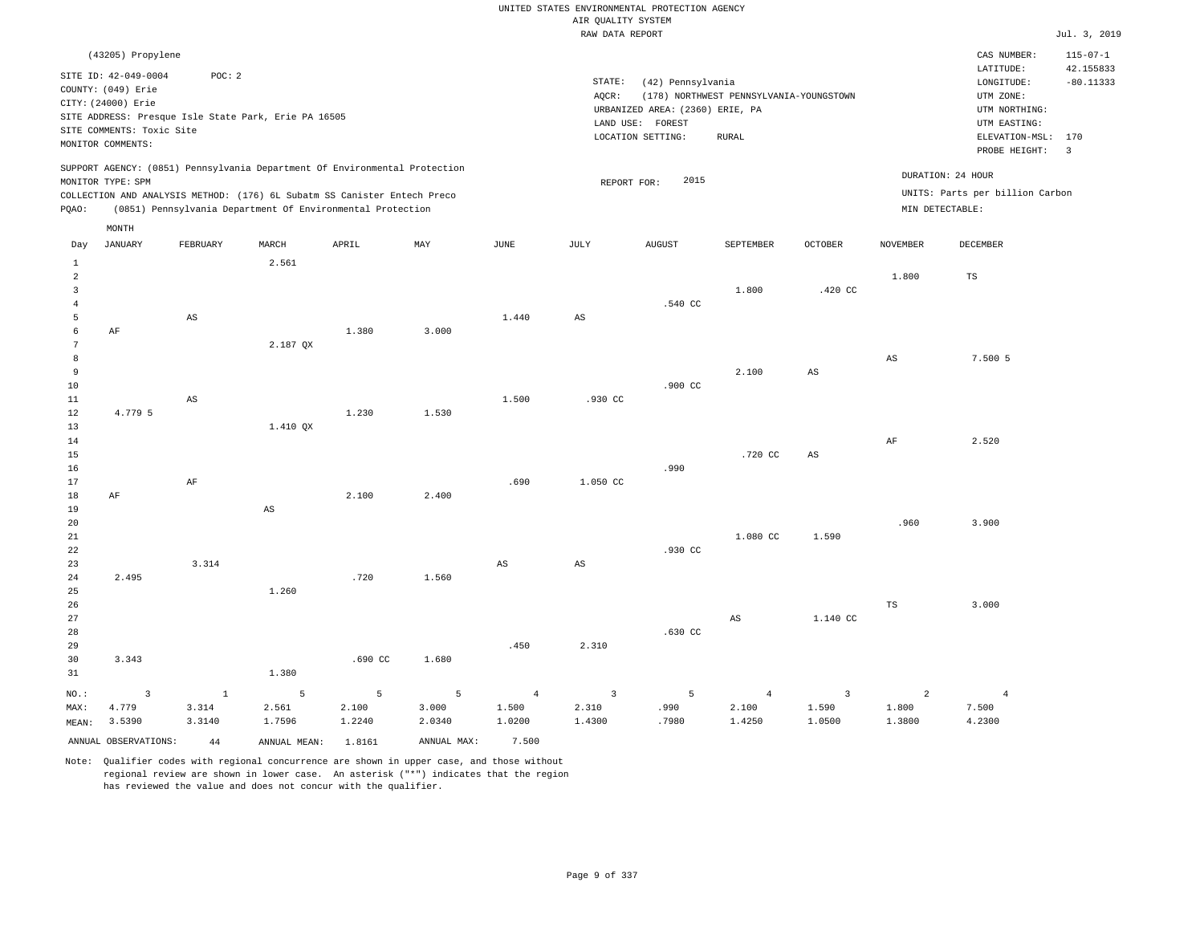|                |                           |              |                                                                            |         |             |                 | RAW DATA REPORT        |                                 |                                         |                         |                 |                                 | Jul. 3, 2019   |
|----------------|---------------------------|--------------|----------------------------------------------------------------------------|---------|-------------|-----------------|------------------------|---------------------------------|-----------------------------------------|-------------------------|-----------------|---------------------------------|----------------|
|                | (43205) Propylene         |              |                                                                            |         |             |                 |                        |                                 |                                         |                         |                 | CAS NUMBER:                     | $115 - 07 - 1$ |
|                | SITE ID: 42-049-0004      | POC: 2       |                                                                            |         |             |                 |                        |                                 |                                         |                         |                 | LATITUDE:                       | 42.155833      |
|                | COUNTY: (049) Erie        |              |                                                                            |         |             |                 | STATE:                 | (42) Pennsylvania               |                                         |                         |                 | LONGITUDE:                      | $-80.11333$    |
|                | CITY: (24000) Erie        |              |                                                                            |         |             |                 | AQCR:                  |                                 | (178) NORTHWEST PENNSYLVANIA-YOUNGSTOWN |                         |                 | UTM ZONE:                       |                |
|                |                           |              |                                                                            |         |             |                 |                        | URBANIZED AREA: (2360) ERIE, PA |                                         |                         |                 | UTM NORTHING:                   |                |
|                | SITE COMMENTS: Toxic Site |              | SITE ADDRESS: Presque Isle State Park, Erie PA 16505                       |         |             |                 |                        | LAND USE: FOREST                |                                         |                         |                 | UTM EASTING:                    |                |
|                | MONITOR COMMENTS:         |              |                                                                            |         |             |                 |                        | LOCATION SETTING:               | RURAL                                   |                         |                 | ELEVATION-MSL: 170              |                |
|                |                           |              |                                                                            |         |             |                 |                        |                                 |                                         |                         |                 | PROBE HEIGHT:                   | $\overline{3}$ |
|                |                           |              | SUPPORT AGENCY: (0851) Pennsylvania Department Of Environmental Protection |         |             |                 |                        |                                 |                                         |                         |                 | DURATION: 24 HOUR               |                |
|                | MONITOR TYPE: SPM         |              |                                                                            |         |             |                 | REPORT FOR:            | 2015                            |                                         |                         |                 |                                 |                |
|                |                           |              | COLLECTION AND ANALYSIS METHOD: (176) 6L Subatm SS Canister Entech Preco   |         |             |                 |                        |                                 |                                         |                         |                 | UNITS: Parts per billion Carbon |                |
| PQAO:          |                           |              | (0851) Pennsylvania Department Of Environmental Protection                 |         |             |                 |                        |                                 |                                         |                         |                 | MIN DETECTABLE:                 |                |
|                | MONTH                     |              |                                                                            |         |             |                 |                        |                                 |                                         |                         |                 |                                 |                |
| Day            | <b>JANUARY</b>            | FEBRUARY     | MARCH                                                                      | APRIL   | MAY         | $\mathtt{JUNE}$ | JULY                   | <b>AUGUST</b>                   | SEPTEMBER                               | OCTOBER                 | <b>NOVEMBER</b> | DECEMBER                        |                |
| $\mathbf{1}$   |                           |              | 2.561                                                                      |         |             |                 |                        |                                 |                                         |                         |                 |                                 |                |
| $\overline{a}$ |                           |              |                                                                            |         |             |                 |                        |                                 |                                         |                         | 1.800           | $_{\rm TS}$                     |                |
| $\overline{3}$ |                           |              |                                                                            |         |             |                 |                        |                                 | 1.800                                   | .420 CC                 |                 |                                 |                |
| $\bf 4$        |                           |              |                                                                            |         |             |                 |                        | .540 CC                         |                                         |                         |                 |                                 |                |
| 5              |                           | AS           |                                                                            |         |             | 1.440           | $_{\rm AS}$            |                                 |                                         |                         |                 |                                 |                |
| 6              | AF                        |              |                                                                            | 1.380   | 3.000       |                 |                        |                                 |                                         |                         |                 |                                 |                |
| 7<br>8         |                           |              | 2.187 QX                                                                   |         |             |                 |                        |                                 |                                         |                         | $_{\rm AS}$     | 7.500 5                         |                |
| 9              |                           |              |                                                                            |         |             |                 |                        |                                 | 2.100                                   | $_{\rm AS}$             |                 |                                 |                |
| 10             |                           |              |                                                                            |         |             |                 |                        | .900 CC                         |                                         |                         |                 |                                 |                |
| 11             |                           | AS           |                                                                            |         |             | 1.500           | .930 CC                |                                 |                                         |                         |                 |                                 |                |
| 12             | 4.779 5                   |              |                                                                            | 1.230   | 1.530       |                 |                        |                                 |                                         |                         |                 |                                 |                |
| 13             |                           |              | 1.410 QX                                                                   |         |             |                 |                        |                                 |                                         |                         |                 |                                 |                |
| 14             |                           |              |                                                                            |         |             |                 |                        |                                 |                                         |                         | AF              | 2.520                           |                |
| 15             |                           |              |                                                                            |         |             |                 |                        |                                 | .720 CC                                 | $_{\rm AS}$             |                 |                                 |                |
| 16             |                           |              |                                                                            |         |             |                 |                        | .990                            |                                         |                         |                 |                                 |                |
| 17             |                           | $\rm{AF}$    |                                                                            |         |             | .690            | 1.050 CC               |                                 |                                         |                         |                 |                                 |                |
| 18             | AF                        |              |                                                                            | 2.100   | 2.400       |                 |                        |                                 |                                         |                         |                 |                                 |                |
| 19             |                           |              | $\mathbb{A}\mathbb{S}$                                                     |         |             |                 |                        |                                 |                                         |                         |                 |                                 |                |
| 20             |                           |              |                                                                            |         |             |                 |                        |                                 |                                         |                         | .960            | 3.900                           |                |
| 21             |                           |              |                                                                            |         |             |                 |                        |                                 | 1.080 CC                                | 1.590                   |                 |                                 |                |
| 22             |                           |              |                                                                            |         |             |                 |                        | .930 CC                         |                                         |                         |                 |                                 |                |
| 23             |                           | 3.314        |                                                                            |         |             | AS              | $\mathbb{A}\mathbb{S}$ |                                 |                                         |                         |                 |                                 |                |
| 24             | 2.495                     |              |                                                                            | .720    | 1.560       |                 |                        |                                 |                                         |                         |                 |                                 |                |
| 25             |                           |              | 1.260                                                                      |         |             |                 |                        |                                 |                                         |                         |                 |                                 |                |
| 26<br>27       |                           |              |                                                                            |         |             |                 |                        |                                 |                                         |                         | $_{\rm TS}$     | 3.000                           |                |
| 28             |                           |              |                                                                            |         |             |                 |                        | .630 CC                         | $\mathbb{A}\mathbb{S}$                  | 1.140 CC                |                 |                                 |                |
| 29             |                           |              |                                                                            |         |             | .450            | 2.310                  |                                 |                                         |                         |                 |                                 |                |
| 30             | 3.343                     |              |                                                                            | .690 CC | 1.680       |                 |                        |                                 |                                         |                         |                 |                                 |                |
| 31             |                           |              | 1.380                                                                      |         |             |                 |                        |                                 |                                         |                         |                 |                                 |                |
|                |                           |              |                                                                            |         |             |                 |                        |                                 |                                         |                         |                 |                                 |                |
| NO.:           | $\overline{3}$            | <sup>1</sup> | 5                                                                          | 5       | 5           | $\overline{4}$  | $\overline{3}$         | 5                               | $\overline{4}$                          | $\overline{\mathbf{3}}$ | 2               | $\overline{4}$                  |                |
| MAX:           | 4.779                     | 3.314        | 2.561                                                                      | 2.100   | 3.000       | 1.500           | 2.310                  | .990                            | 2.100                                   | 1.590                   | 1.800           | 7.500                           |                |
| MEAN:          | 3.5390                    | 3.3140       | 1.7596                                                                     | 1.2240  | 2.0340      | 1.0200          | 1.4300                 | .7980                           | 1.4250                                  | 1.0500                  | 1.3800          | 4.2300                          |                |
|                | ANNUAL OBSERVATIONS:      | $4\,4$       | ANNUAL MEAN:                                                               | 1.8161  | ANNUAL MAX: | 7.500           |                        |                                 |                                         |                         |                 |                                 |                |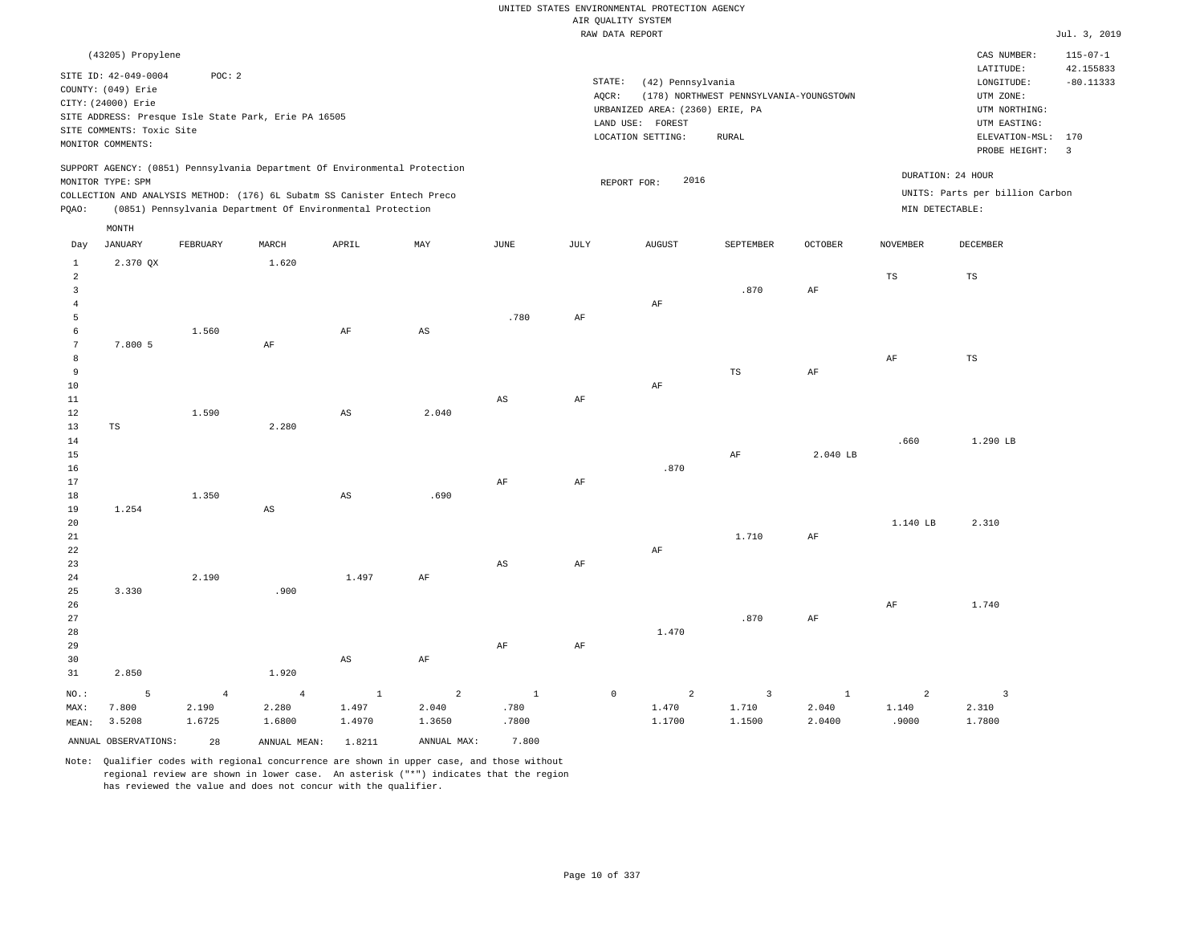|                                                              | (43205) Propylene                                                                                                  |                                   |                                                                                                                                                                                                                      |                                 |                                   |                               |           |                                                                                                                  |                                                         |                                 |                                      | CAS NUMBER:                                                                                                  | $115 - 07 - 1$                             |
|--------------------------------------------------------------|--------------------------------------------------------------------------------------------------------------------|-----------------------------------|----------------------------------------------------------------------------------------------------------------------------------------------------------------------------------------------------------------------|---------------------------------|-----------------------------------|-------------------------------|-----------|------------------------------------------------------------------------------------------------------------------|---------------------------------------------------------|---------------------------------|--------------------------------------|--------------------------------------------------------------------------------------------------------------|--------------------------------------------|
|                                                              | SITE ID: 42-049-0004<br>COUNTY: (049) Erie<br>CITY: (24000) Erie<br>SITE COMMENTS: Toxic Site<br>MONITOR COMMENTS: | POC: 2                            | SITE ADDRESS: Presque Isle State Park, Erie PA 16505                                                                                                                                                                 |                                 |                                   |                               |           | STATE:<br>(42) Pennsylvania<br>AQCR:<br>URBANIZED AREA: (2360) ERIE, PA<br>LAND USE: FOREST<br>LOCATION SETTING: | (178) NORTHWEST PENNSYLVANIA-YOUNGSTOWN<br><b>RURAL</b> |                                 |                                      | LATITUDE:<br>LONGITUDE:<br>UTM ZONE:<br>UTM NORTHING:<br>UTM EASTING:<br>ELEVATION-MSL: 170<br>PROBE HEIGHT: | 42.155833<br>$-80.11333$<br>$\overline{3}$ |
| POAO:                                                        | MONITOR TYPE: SPM                                                                                                  |                                   | SUPPORT AGENCY: (0851) Pennsylvania Department Of Environmental Protection<br>COLLECTION AND ANALYSIS METHOD: (176) 6L Subatm SS Canister Entech Preco<br>(0851) Pennsylvania Department Of Environmental Protection |                                 |                                   |                               |           | 2016<br>REPORT FOR:                                                                                              |                                                         |                                 | DURATION: 24 HOUR<br>MIN DETECTABLE: | UNITS: Parts per billion Carbon                                                                              |                                            |
| Day                                                          | MONTH<br><b>JANUARY</b>                                                                                            | FEBRUARY                          | MARCH                                                                                                                                                                                                                | APRIL                           | MAY                               | <b>JUNE</b>                   | JULY      | <b>AUGUST</b>                                                                                                    | SEPTEMBER                                               | OCTOBER                         | NOVEMBER                             | DECEMBER                                                                                                     |                                            |
| $\,$ 1<br>$\overline{a}$<br>$\overline{3}$<br>$\overline{4}$ | 2.370 QX                                                                                                           |                                   | 1.620                                                                                                                                                                                                                |                                 |                                   |                               |           | AF                                                                                                               | .870                                                    | AF                              | <b>TS</b>                            | TS                                                                                                           |                                            |
| 5<br>6<br>$\overline{7}$                                     | 7.800 5                                                                                                            | 1.560                             | AF                                                                                                                                                                                                                   | $\rm AF$                        | $\mathbb{A}\mathbb{S}$            | .780                          | $\rm{AF}$ |                                                                                                                  |                                                         |                                 |                                      |                                                                                                              |                                            |
| 8<br>$\overline{9}$<br>$10$<br>$11\,$                        |                                                                                                                    |                                   |                                                                                                                                                                                                                      |                                 | 2.040                             | $_{\rm AS}$                   | AF        | $\rm AF$                                                                                                         | $\mathbb{TS}$                                           | $\rm{AF}$                       | AF                                   | $_{\rm TS}$                                                                                                  |                                            |
| $1\,2$<br>13<br>14<br>15<br>16                               | $_{\rm TS}$                                                                                                        | 1.590                             | 2.280                                                                                                                                                                                                                | $\mathbb{A}\mathbb{S}$          |                                   |                               |           | .870                                                                                                             | AF                                                      | 2.040 LB                        | .660                                 | 1.290 LB                                                                                                     |                                            |
| 17<br>18<br>19                                               | 1.254                                                                                                              | 1.350                             | $\mathbb{A}\mathbb{S}$                                                                                                                                                                                               | $\mathbb{A}\mathbb{S}$          | .690                              | $\rm{AF}$                     | $\rm{AF}$ |                                                                                                                  |                                                         |                                 |                                      |                                                                                                              |                                            |
| 20<br>21<br>22<br>23                                         |                                                                                                                    |                                   |                                                                                                                                                                                                                      |                                 |                                   | $\mathbb{A}\mathbb{S}$        | $\rm{AF}$ | $\rm AF$                                                                                                         | 1.710                                                   | $\rm{AF}$                       | 1.140 LB                             | 2.310                                                                                                        |                                            |
| 24<br>25<br>26<br>27<br>28                                   | 3.330                                                                                                              | 2.190                             | .900                                                                                                                                                                                                                 | 1.497                           | $\rm{AF}$                         |                               |           | 1.470                                                                                                            | .870                                                    | AF                              | $\rm{AF}$                            | 1.740                                                                                                        |                                            |
| 29<br>30<br>31                                               | 2.850                                                                                                              |                                   | 1.920                                                                                                                                                                                                                | $\mathbb{A}\mathbb{S}$          | $\rm{AF}$                         | $\rm{AF}$                     | $\rm{AF}$ |                                                                                                                  |                                                         |                                 |                                      |                                                                                                              |                                            |
| $NO.$ :<br>MAX:<br>MEAN:                                     | 5<br>7.800<br>3.5208                                                                                               | $\overline{4}$<br>2.190<br>1.6725 | $\overline{4}$<br>2.280<br>1.6800                                                                                                                                                                                    | $\mathbf{1}$<br>1.497<br>1.4970 | $\overline{a}$<br>2.040<br>1.3650 | $\mathbf{1}$<br>.780<br>.7800 |           | $\mathbb O$<br>$\overline{a}$<br>1.470<br>1.1700                                                                 | $\overline{\mathbf{3}}$<br>1.710<br>1.1500              | $\mathbf{1}$<br>2.040<br>2.0400 | $\overline{2}$<br>1.140<br>.9000     | $\overline{3}$<br>2.310<br>1.7800                                                                            |                                            |
|                                                              | ANNUAL OBSERVATIONS:                                                                                               | 28                                | ANNUAL MEAN:                                                                                                                                                                                                         | 1.8211                          | ANNUAL MAX:                       | 7.800                         |           |                                                                                                                  |                                                         |                                 |                                      |                                                                                                              |                                            |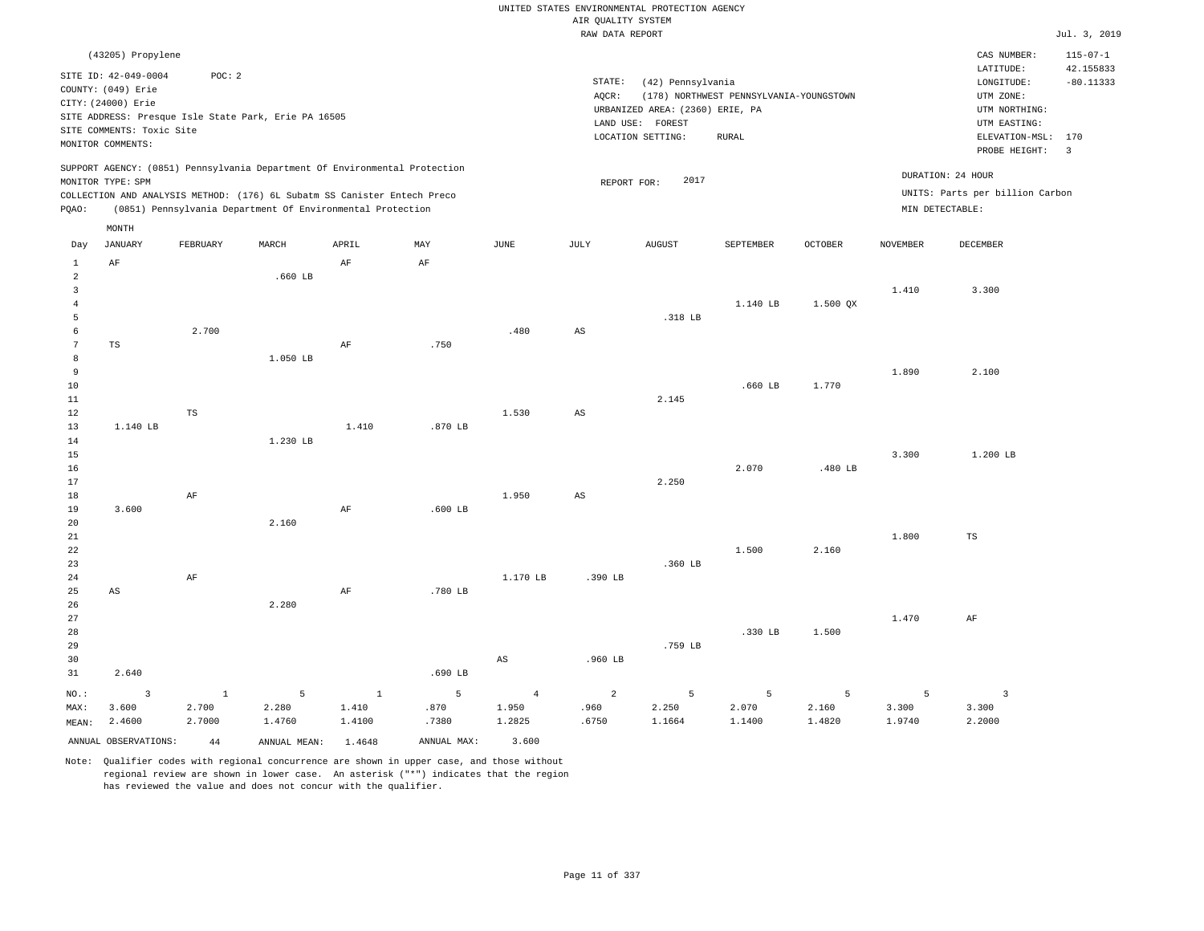|                                | (43205) Propylene                                                |          |                                                                            |           |             |                |                 |                                                      |                                         |            |          | CAS NUMBER:<br>LATITUDE:                 | $115 - 07 - 1$<br>42.155833 |
|--------------------------------|------------------------------------------------------------------|----------|----------------------------------------------------------------------------|-----------|-------------|----------------|-----------------|------------------------------------------------------|-----------------------------------------|------------|----------|------------------------------------------|-----------------------------|
|                                | SITE ID: 42-049-0004<br>COUNTY: (049) Erie<br>CITY: (24000) Erie | POC: 2   | SITE ADDRESS: Presque Isle State Park, Erie PA 16505                       |           |             |                | STATE:<br>AQCR: | (42) Pennsylvania<br>URBANIZED AREA: (2360) ERIE, PA | (178) NORTHWEST PENNSYLVANIA-YOUNGSTOWN |            |          | LONGITUDE:<br>UTM ZONE:<br>UTM NORTHING: | $-80.11333$                 |
|                                | SITE COMMENTS: Toxic Site                                        |          |                                                                            |           |             |                |                 | LAND USE: FOREST<br>LOCATION SETTING:                | RURAL                                   |            |          | UTM EASTING:<br>ELEVATION-MSL: 170       |                             |
|                                | MONITOR COMMENTS:                                                |          |                                                                            |           |             |                |                 |                                                      |                                         |            |          | PROBE HEIGHT:                            | $\overline{3}$              |
|                                | MONITOR TYPE: SPM                                                |          | SUPPORT AGENCY: (0851) Pennsylvania Department Of Environmental Protection |           |             |                | REPORT FOR:     | 2017                                                 |                                         |            |          | DURATION: 24 HOUR                        |                             |
|                                |                                                                  |          | COLLECTION AND ANALYSIS METHOD: (176) 6L Subatm SS Canister Entech Preco   |           |             |                |                 |                                                      |                                         |            |          | UNITS: Parts per billion Carbon          |                             |
| PQAO:                          |                                                                  |          | (0851) Pennsylvania Department Of Environmental Protection                 |           |             |                |                 |                                                      |                                         |            |          | MIN DETECTABLE:                          |                             |
| Day                            | MONTH<br><b>JANUARY</b>                                          | FEBRUARY | MARCH                                                                      | APRIL     | MAY         | JUNE           | JULY            | <b>AUGUST</b>                                        | SEPTEMBER                               | OCTOBER    | NOVEMBER | DECEMBER                                 |                             |
|                                |                                                                  |          |                                                                            |           |             |                |                 |                                                      |                                         |            |          |                                          |                             |
| $\mathbf{1}$<br>$\overline{a}$ | AF                                                               |          | $.660$ LB                                                                  | AF        | AF          |                |                 |                                                      |                                         |            |          |                                          |                             |
| 3                              |                                                                  |          |                                                                            |           |             |                |                 |                                                      |                                         |            | 1.410    | 3.300                                    |                             |
| $\overline{4}$                 |                                                                  |          |                                                                            |           |             |                |                 |                                                      | 1.140 LB                                | $1.500$ QX |          |                                          |                             |
| 5                              |                                                                  |          |                                                                            |           |             |                |                 | .318 LB                                              |                                         |            |          |                                          |                             |
| 6                              |                                                                  | 2.700    |                                                                            |           |             | .480           | $_{\rm AS}$     |                                                      |                                         |            |          |                                          |                             |
| 7<br>8                         | $\mathbb{TS}$                                                    |          | 1.050 LB                                                                   | $\rm{AF}$ | .750        |                |                 |                                                      |                                         |            |          |                                          |                             |
| 9                              |                                                                  |          |                                                                            |           |             |                |                 |                                                      |                                         |            | 1.890    | 2.100                                    |                             |
| 10                             |                                                                  |          |                                                                            |           |             |                |                 |                                                      | $.660$ LB                               | 1.770      |          |                                          |                             |
| 11                             |                                                                  |          |                                                                            |           |             |                |                 | 2.145                                                |                                         |            |          |                                          |                             |
| 12                             |                                                                  | TS       |                                                                            |           |             | 1.530          | $_{\rm AS}$     |                                                      |                                         |            |          |                                          |                             |
| 13                             | 1.140 LB                                                         |          |                                                                            | 1.410     | $.870$ LB   |                |                 |                                                      |                                         |            |          |                                          |                             |
| 14                             |                                                                  |          | 1.230 LB                                                                   |           |             |                |                 |                                                      |                                         |            |          |                                          |                             |
| 15                             |                                                                  |          |                                                                            |           |             |                |                 |                                                      |                                         |            | 3.300    | 1.200 LB                                 |                             |
| 16<br>17                       |                                                                  |          |                                                                            |           |             |                |                 | 2.250                                                | 2.070                                   | .480 LB    |          |                                          |                             |
| 18                             |                                                                  | $\rm AF$ |                                                                            |           |             | 1.950          | $_{\rm AS}$     |                                                      |                                         |            |          |                                          |                             |
| 19                             | 3.600                                                            |          |                                                                            | AF        | $.600$ LB   |                |                 |                                                      |                                         |            |          |                                          |                             |
| 20                             |                                                                  |          | 2.160                                                                      |           |             |                |                 |                                                      |                                         |            |          |                                          |                             |
| 21                             |                                                                  |          |                                                                            |           |             |                |                 |                                                      |                                         |            | 1.800    | TS                                       |                             |
| 22                             |                                                                  |          |                                                                            |           |             |                |                 |                                                      | 1.500                                   | 2.160      |          |                                          |                             |
| 23                             |                                                                  |          |                                                                            |           |             |                |                 | .360 LB                                              |                                         |            |          |                                          |                             |
| 24<br>25                       | AS                                                               | AF       |                                                                            | AF        | .780 LB     | 1.170 LB       | .390 LB         |                                                      |                                         |            |          |                                          |                             |
| 26                             |                                                                  |          | 2.280                                                                      |           |             |                |                 |                                                      |                                         |            |          |                                          |                             |
| 27                             |                                                                  |          |                                                                            |           |             |                |                 |                                                      |                                         |            | 1.470    | $\rm AF$                                 |                             |
| 28                             |                                                                  |          |                                                                            |           |             |                |                 |                                                      | .330 LB                                 | 1.500      |          |                                          |                             |
| 29                             |                                                                  |          |                                                                            |           |             |                |                 | .759 LB                                              |                                         |            |          |                                          |                             |
| 30                             |                                                                  |          |                                                                            |           |             | $_{\rm AS}$    | .960 LB         |                                                      |                                         |            |          |                                          |                             |
| 31                             | 2.640                                                            |          |                                                                            |           | $.690$ LB   |                |                 |                                                      |                                         |            |          |                                          |                             |
| NO.:                           | $\overline{3}$                                                   | $1\,$    | 5                                                                          | $1\,$     | 5           | $\overline{4}$ | $\overline{a}$  | 5                                                    | 5                                       | 5          | 5        | $\overline{3}$                           |                             |
| MAX:                           | 3.600                                                            | 2.700    | 2.280                                                                      | 1.410     | .870        | 1.950          | .960            | 2.250                                                | 2.070                                   | 2.160      | 3.300    | 3.300                                    |                             |
| MEAN:                          | 2.4600                                                           | 2.7000   | 1.4760                                                                     | 1.4100    | .7380       | 1.2825         | .6750           | 1.1664                                               | 1.1400                                  | 1.4820     | 1.9740   | 2.2000                                   |                             |
|                                | ANNUAL OBSERVATIONS:                                             | 44       | ANNUAL MEAN:                                                               | 1.4648    | ANNUAL MAX: | 3.600          |                 |                                                      |                                         |            |          |                                          |                             |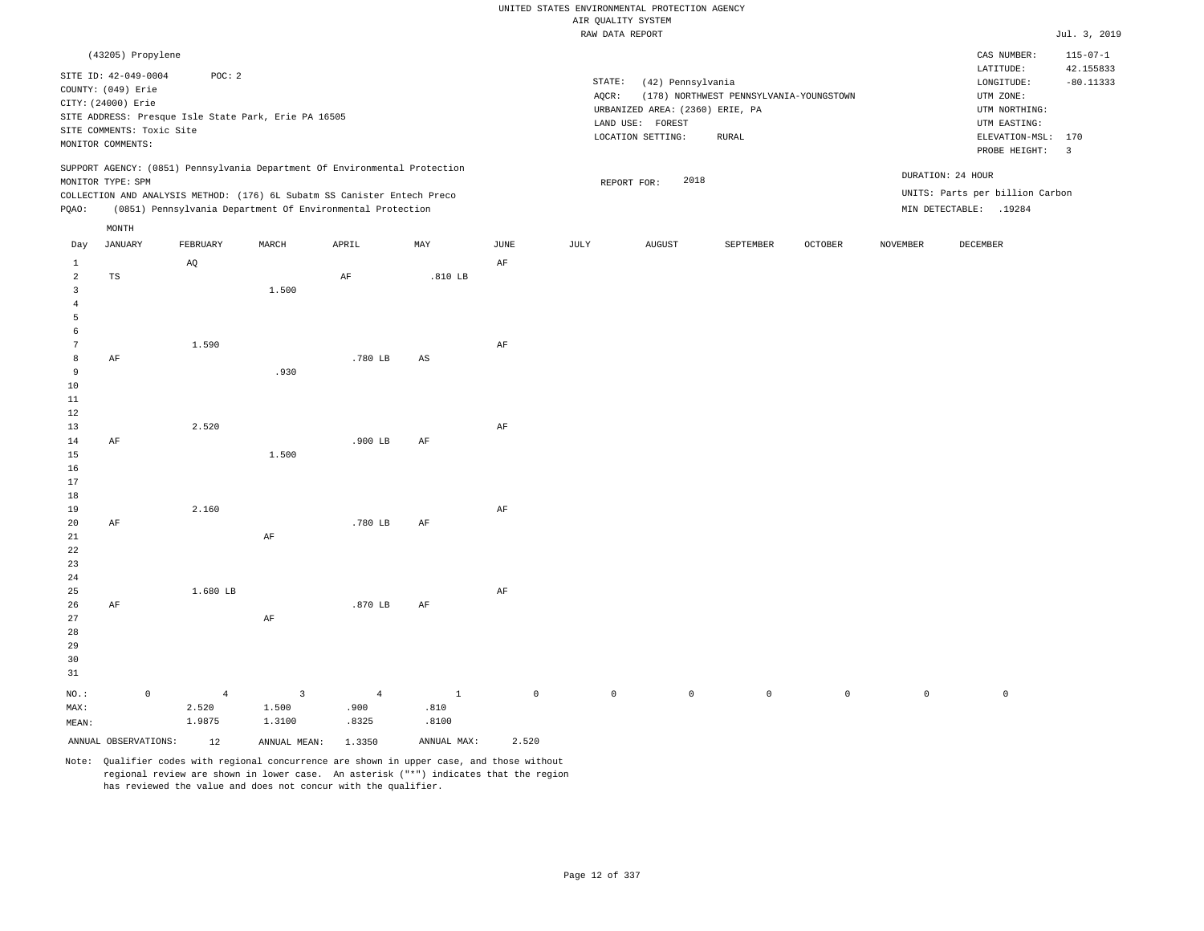|                                                  | (43205) Propylene                                                                             |                                                                                                                                                        |                                   |                                 |                               |          |                 |                                                                                               |                                                         |                |                 | CAS NUMBER:                                                                                 | $115 - 07 - 1$           |
|--------------------------------------------------|-----------------------------------------------------------------------------------------------|--------------------------------------------------------------------------------------------------------------------------------------------------------|-----------------------------------|---------------------------------|-------------------------------|----------|-----------------|-----------------------------------------------------------------------------------------------|---------------------------------------------------------|----------------|-----------------|---------------------------------------------------------------------------------------------|--------------------------|
|                                                  | SITE ID: 42-049-0004<br>COUNTY: (049) Erie<br>CITY: (24000) Erie<br>SITE COMMENTS: Toxic Site | POC: 2<br>SITE ADDRESS: Presque Isle State Park, Erie PA 16505                                                                                         |                                   |                                 |                               |          | STATE:<br>AQCR: | (42) Pennsylvania<br>URBANIZED AREA: (2360) ERIE, PA<br>LAND USE: FOREST<br>LOCATION SETTING: | (178) NORTHWEST PENNSYLVANIA-YOUNGSTOWN<br><b>RURAL</b> |                |                 | LATITUDE:<br>LONGITUDE:<br>UTM ZONE:<br>UTM NORTHING:<br>UTM EASTING:<br>ELEVATION-MSL: 170 | 42.155833<br>$-80.11333$ |
|                                                  | MONITOR COMMENTS:                                                                             |                                                                                                                                                        |                                   |                                 |                               |          |                 |                                                                                               |                                                         |                |                 | PROBE HEIGHT:                                                                               | $\overline{3}$           |
|                                                  | MONITOR TYPE: SPM                                                                             | SUPPORT AGENCY: (0851) Pennsylvania Department Of Environmental Protection<br>COLLECTION AND ANALYSIS METHOD: (176) 6L Subatm SS Canister Entech Preco |                                   |                                 |                               |          |                 | 2018<br>REPORT FOR:                                                                           |                                                         |                |                 | DURATION: 24 HOUR<br>UNITS: Parts per billion Carbon                                        |                          |
| PQAO:                                            |                                                                                               | (0851) Pennsylvania Department Of Environmental Protection                                                                                             |                                   |                                 |                               |          |                 |                                                                                               |                                                         |                |                 | MIN DETECTABLE: .19284                                                                      |                          |
|                                                  | MONTH                                                                                         |                                                                                                                                                        |                                   |                                 |                               |          |                 |                                                                                               |                                                         |                |                 |                                                                                             |                          |
| Day                                              | <b>JANUARY</b>                                                                                | FEBRUARY                                                                                                                                               | MARCH                             | APRIL                           | MAY                           | JUNE     | JULY            | <b>AUGUST</b>                                                                                 | SEPTEMBER                                               | <b>OCTOBER</b> | <b>NOVEMBER</b> | DECEMBER                                                                                    |                          |
| $\mathbf{1}$<br>$\overline{a}$<br>$\overline{3}$ | $_{\rm TS}$                                                                                   | AQ                                                                                                                                                     | 1.500                             | $\rm{AF}$                       | $.810$ LB                     | $\rm AF$ |                 |                                                                                               |                                                         |                |                 |                                                                                             |                          |
| $\overline{4}$<br>5<br>6                         |                                                                                               |                                                                                                                                                        |                                   |                                 |                               |          |                 |                                                                                               |                                                         |                |                 |                                                                                             |                          |
| $7\phantom{.0}$<br>8<br>9<br>$10$                | AF                                                                                            | 1.590                                                                                                                                                  | .930                              | .780 LB                         | $_{\rm AS}$                   | AF       |                 |                                                                                               |                                                         |                |                 |                                                                                             |                          |
| 11<br>12<br>13                                   |                                                                                               | 2.520                                                                                                                                                  |                                   |                                 |                               | $\rm AF$ |                 |                                                                                               |                                                         |                |                 |                                                                                             |                          |
| 14<br>15<br>16<br>17                             | AF                                                                                            |                                                                                                                                                        | 1.500                             | .900 LB                         | AF                            |          |                 |                                                                                               |                                                         |                |                 |                                                                                             |                          |
| 18<br>19<br>20                                   | AF                                                                                            | 2.160                                                                                                                                                  |                                   | .780 LB                         | AF                            | $\rm AF$ |                 |                                                                                               |                                                         |                |                 |                                                                                             |                          |
| 21<br>22<br>23                                   |                                                                                               |                                                                                                                                                        | $\rm AF$                          |                                 |                               |          |                 |                                                                                               |                                                         |                |                 |                                                                                             |                          |
| 24<br>25<br>26<br>27                             | AF                                                                                            | 1.680 LB                                                                                                                                               | AF                                | .870 LB                         | AF                            | AF       |                 |                                                                                               |                                                         |                |                 |                                                                                             |                          |
| 28<br>29<br>30<br>31                             |                                                                                               |                                                                                                                                                        |                                   |                                 |                               |          |                 |                                                                                               |                                                         |                |                 |                                                                                             |                          |
| NO.:<br>MAX:<br>MEAN:                            | $\mathbb O$                                                                                   | $\overline{4}$<br>2.520<br>1.9875                                                                                                                      | $\overline{3}$<br>1.500<br>1.3100 | $\overline{4}$<br>.900<br>.8325 | $\mathbf{1}$<br>.810<br>.8100 | $\circ$  | $\mathbb O$     | $\circ$                                                                                       | $\mathbb O$                                             | $\circ$        | $\mathbb O$     | $\mathbb O$                                                                                 |                          |
|                                                  | ANNUAL OBSERVATIONS:                                                                          | 12                                                                                                                                                     | ANNUAL MEAN:                      | 1.3350                          | ANNUAL MAX:                   | 2.520    |                 |                                                                                               |                                                         |                |                 |                                                                                             |                          |
|                                                  |                                                                                               |                                                                                                                                                        |                                   |                                 |                               |          |                 |                                                                                               |                                                         |                |                 |                                                                                             |                          |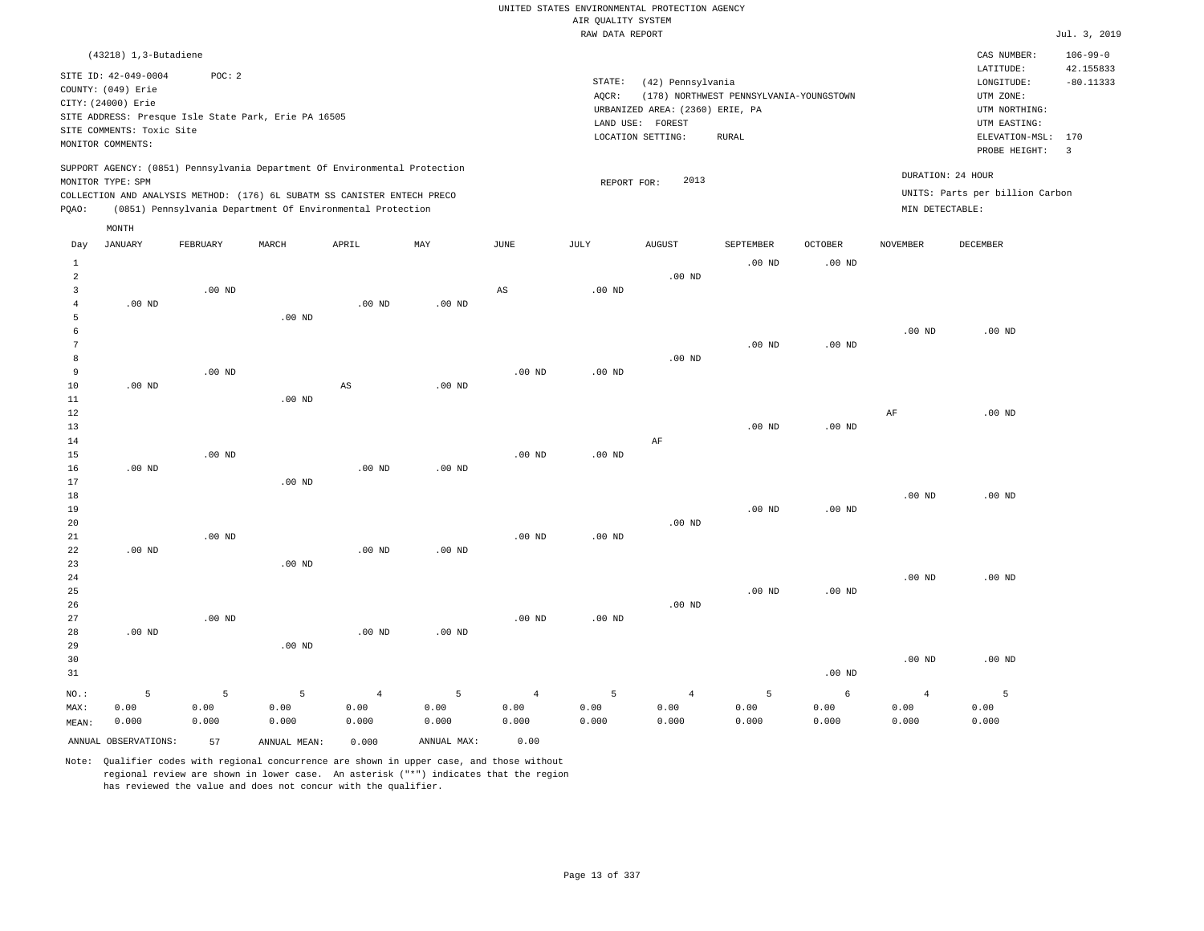|                |                           |          |                                                                            |                        |                   |                | RAW DATA REPORT   |                                 |                                         |                   |                 |                                 | Jul. 3, 2019            |
|----------------|---------------------------|----------|----------------------------------------------------------------------------|------------------------|-------------------|----------------|-------------------|---------------------------------|-----------------------------------------|-------------------|-----------------|---------------------------------|-------------------------|
|                | (43218) 1,3-Butadiene     |          |                                                                            |                        |                   |                |                   |                                 |                                         |                   |                 | CAS NUMBER:                     | $106 - 99 - 0$          |
|                |                           |          |                                                                            |                        |                   |                |                   |                                 |                                         |                   |                 | LATITUDE:                       | 42.155833               |
|                | SITE ID: 42-049-0004      | POC: 2   |                                                                            |                        |                   |                | STATE:            | (42) Pennsylvania               |                                         |                   |                 | LONGITUDE:                      | $-80.11333$             |
|                | COUNTY: (049) Erie        |          |                                                                            |                        |                   |                | AQCR:             |                                 | (178) NORTHWEST PENNSYLVANIA-YOUNGSTOWN |                   |                 | UTM ZONE:                       |                         |
|                | CITY: (24000) Erie        |          |                                                                            |                        |                   |                |                   | URBANIZED AREA: (2360) ERIE, PA |                                         |                   |                 | UTM NORTHING:                   |                         |
|                |                           |          | SITE ADDRESS: Presque Isle State Park, Erie PA 16505                       |                        |                   |                |                   | LAND USE: FOREST                |                                         |                   |                 | UTM EASTING:                    |                         |
|                | SITE COMMENTS: Toxic Site |          |                                                                            |                        |                   |                |                   | LOCATION SETTING:               | RURAL                                   |                   |                 | ELEVATION-MSL:                  | 170                     |
|                | MONITOR COMMENTS:         |          |                                                                            |                        |                   |                |                   |                                 |                                         |                   |                 | PROBE HEIGHT:                   | $\overline{\mathbf{3}}$ |
|                |                           |          | SUPPORT AGENCY: (0851) Pennsylvania Department Of Environmental Protection |                        |                   |                |                   |                                 |                                         |                   |                 |                                 |                         |
|                | MONITOR TYPE: SPM         |          |                                                                            |                        |                   |                | REPORT FOR:       | 2013                            |                                         |                   |                 | DURATION: 24 HOUR               |                         |
|                |                           |          | COLLECTION AND ANALYSIS METHOD: (176) 6L SUBATM SS CANISTER ENTECH PRECO   |                        |                   |                |                   |                                 |                                         |                   |                 | UNITS: Parts per billion Carbon |                         |
| PQAO:          |                           |          | (0851) Pennsylvania Department Of Environmental Protection                 |                        |                   |                |                   |                                 |                                         |                   | MIN DETECTABLE: |                                 |                         |
|                | MONTH                     |          |                                                                            |                        |                   |                |                   |                                 |                                         |                   |                 |                                 |                         |
| Day            | <b>JANUARY</b>            | FEBRUARY | MARCH                                                                      | APRIL                  | MAY               | JUNE           | JULY              | <b>AUGUST</b>                   | SEPTEMBER                               | <b>OCTOBER</b>    | <b>NOVEMBER</b> | DECEMBER                        |                         |
| $\mathbf{1}$   |                           |          |                                                                            |                        |                   |                |                   |                                 | $.00$ ND                                | $.00$ ND          |                 |                                 |                         |
| $\overline{a}$ |                           |          |                                                                            |                        |                   |                |                   | $.00$ ND                        |                                         |                   |                 |                                 |                         |
| 3              |                           | $.00$ ND |                                                                            |                        |                   | AS             | .00 <sub>ND</sub> |                                 |                                         |                   |                 |                                 |                         |
| $\overline{4}$ | $.00$ ND                  |          |                                                                            | $.00$ ND               | $.00$ ND          |                |                   |                                 |                                         |                   |                 |                                 |                         |
| 5              |                           |          | $.00$ ND                                                                   |                        |                   |                |                   |                                 |                                         |                   |                 |                                 |                         |
| 6              |                           |          |                                                                            |                        |                   |                |                   |                                 |                                         |                   | $.00$ ND        | $.00$ ND                        |                         |
| 7              |                           |          |                                                                            |                        |                   |                |                   |                                 | .00 <sub>ND</sub>                       | $.00$ ND          |                 |                                 |                         |
| 8              |                           |          |                                                                            |                        |                   |                |                   | $.00$ ND                        |                                         |                   |                 |                                 |                         |
| 9              |                           | $.00$ ND |                                                                            |                        |                   | $.00$ ND       | .00 <sub>ND</sub> |                                 |                                         |                   |                 |                                 |                         |
| 10             | $.00$ ND                  |          |                                                                            | $\mathbb{A}\mathbb{S}$ | $.00$ ND          |                |                   |                                 |                                         |                   |                 |                                 |                         |
| 11             |                           |          | $.00$ ND                                                                   |                        |                   |                |                   |                                 |                                         |                   |                 |                                 |                         |
| 12             |                           |          |                                                                            |                        |                   |                |                   |                                 |                                         |                   | AF              | .00 <sub>ND</sub>               |                         |
| 13             |                           |          |                                                                            |                        |                   |                |                   |                                 | $.00$ ND                                | .00 <sub>ND</sub> |                 |                                 |                         |
| 14             |                           |          |                                                                            |                        |                   |                |                   | $\rm{AF}$                       |                                         |                   |                 |                                 |                         |
| 15             |                           | $.00$ ND |                                                                            |                        |                   | $.00$ ND       | .00 <sub>ND</sub> |                                 |                                         |                   |                 |                                 |                         |
| 16             | $.00$ ND                  |          |                                                                            | $.00$ ND               | .00 <sub>ND</sub> |                |                   |                                 |                                         |                   |                 |                                 |                         |
| 17             |                           |          | $.00$ ND                                                                   |                        |                   |                |                   |                                 |                                         |                   |                 |                                 |                         |
| $18$           |                           |          |                                                                            |                        |                   |                |                   |                                 |                                         |                   | $.00$ ND        | $.00$ ND                        |                         |
| 19             |                           |          |                                                                            |                        |                   |                |                   |                                 | $.00$ ND                                | $.00$ ND          |                 |                                 |                         |
| 20             |                           |          |                                                                            |                        |                   |                |                   | $.00$ ND                        |                                         |                   |                 |                                 |                         |
| 21             |                           | $.00$ ND |                                                                            |                        |                   | $.00$ ND       | $.00$ ND          |                                 |                                         |                   |                 |                                 |                         |
| 22             | $.00$ ND                  |          |                                                                            | $.00$ ND               | .00 <sub>ND</sub> |                |                   |                                 |                                         |                   |                 |                                 |                         |
| 23             |                           |          | $.00$ ND                                                                   |                        |                   |                |                   |                                 |                                         |                   |                 |                                 |                         |
| 24<br>25       |                           |          |                                                                            |                        |                   |                |                   |                                 | $.00$ ND                                | $.00$ ND          | $.00$ ND        | $.00$ ND                        |                         |
| 26             |                           |          |                                                                            |                        |                   |                |                   | $.00$ ND                        |                                         |                   |                 |                                 |                         |
| 27             |                           | $.00$ ND |                                                                            |                        |                   | $.00$ ND       | $.00$ ND          |                                 |                                         |                   |                 |                                 |                         |
| 28             | $.00$ ND                  |          |                                                                            | $.00$ ND               | $.00$ ND          |                |                   |                                 |                                         |                   |                 |                                 |                         |
| 29             |                           |          | $.00$ ND                                                                   |                        |                   |                |                   |                                 |                                         |                   |                 |                                 |                         |
| 30             |                           |          |                                                                            |                        |                   |                |                   |                                 |                                         |                   | $.00$ ND        | $.00$ ND                        |                         |
| 31             |                           |          |                                                                            |                        |                   |                |                   |                                 |                                         | $.00$ ND          |                 |                                 |                         |
|                |                           |          |                                                                            |                        |                   |                |                   |                                 |                                         |                   |                 |                                 |                         |
| $NO.$ :        | 5                         | 5        | 5                                                                          | $\overline{4}$         | 5                 | $\overline{4}$ | 5                 | $\overline{4}$                  | 5                                       | $\epsilon$        | $\overline{4}$  | 5                               |                         |
| MAX:           | 0.00                      | 0.00     | 0.00                                                                       | 0.00                   | 0.00              | 0.00           | 0.00              | 0.00                            | 0.00                                    | 0.00              | 0.00            | 0.00                            |                         |
| MEAN:          | 0.000                     | 0.000    | 0.000                                                                      | 0.000                  | 0.000             | 0.000          | 0.000             | 0.000                           | 0.000                                   | 0.000             | 0.000           | 0.000                           |                         |
|                | ANNUAL OBSERVATIONS:      | 57       | ANNUAL MEAN:                                                               | 0.000                  | ANNUAL MAX:       | 0.00           |                   |                                 |                                         |                   |                 |                                 |                         |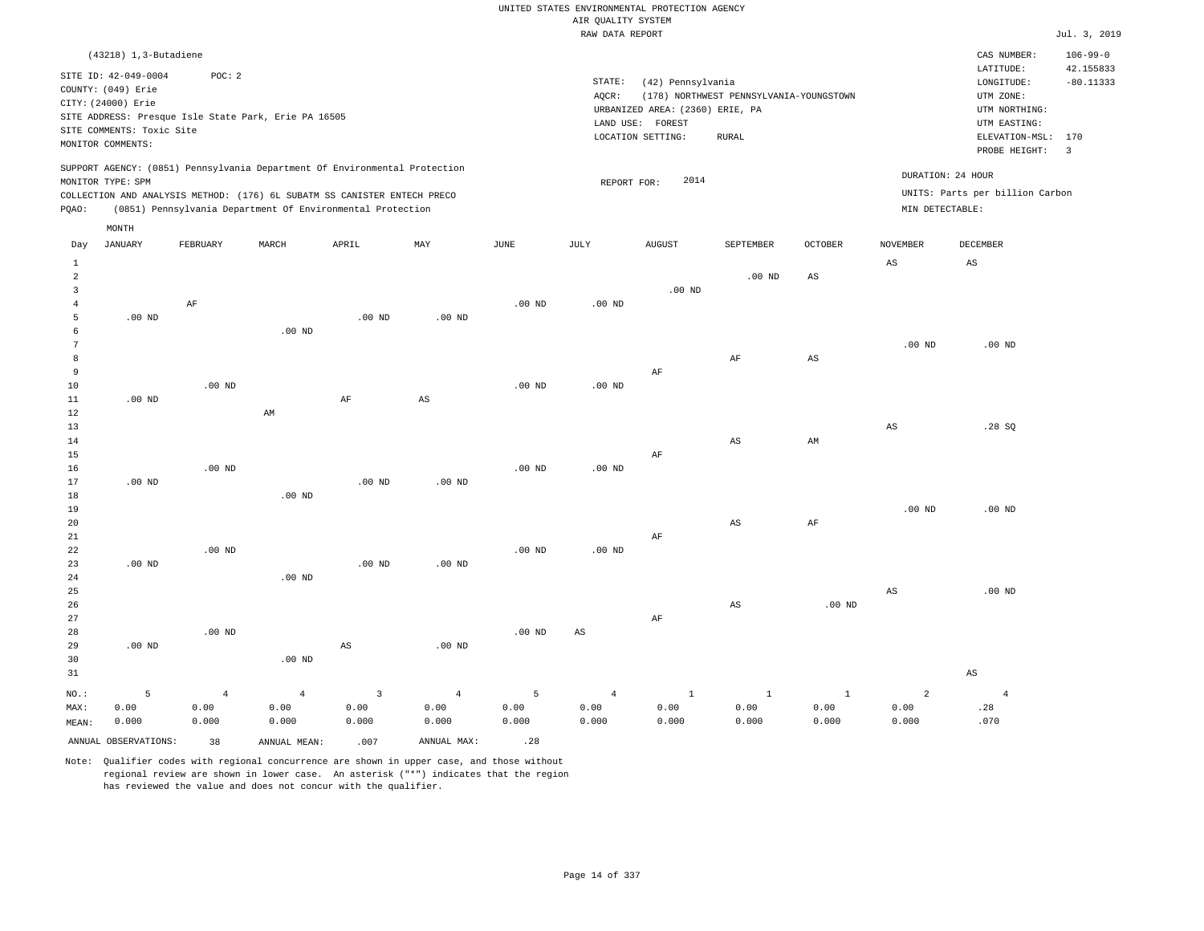|                 | (43218) 1,3-Butadiene                                            |                   |                                                                            |                         |                        |                   |                   |                                                     |                                         |                |                   | CAS NUMBER:                          | $106 - 99 - 0$           |
|-----------------|------------------------------------------------------------------|-------------------|----------------------------------------------------------------------------|-------------------------|------------------------|-------------------|-------------------|-----------------------------------------------------|-----------------------------------------|----------------|-------------------|--------------------------------------|--------------------------|
|                 | SITE ID: 42-049-0004<br>COUNTY: (049) Erie<br>CITY: (24000) Erie | POC: 2            |                                                                            |                         |                        |                   | STATE:<br>AQCR:   | (42) Pennsylvania                                   | (178) NORTHWEST PENNSYLVANIA-YOUNGSTOWN |                |                   | LATITUDE:<br>LONGITUDE:<br>UTM ZONE: | 42.155833<br>$-80.11333$ |
|                 |                                                                  |                   | SITE ADDRESS: Presque Isle State Park, Erie PA 16505                       |                         |                        |                   |                   | URBANIZED AREA: (2360) ERIE, PA<br>LAND USE: FOREST |                                         |                |                   | UTM NORTHING:<br>UTM EASTING:        |                          |
|                 | SITE COMMENTS: Toxic Site                                        |                   |                                                                            |                         |                        |                   |                   | LOCATION SETTING:                                   | <b>RURAL</b>                            |                |                   | ELEVATION-MSL: 170                   |                          |
|                 | MONITOR COMMENTS:                                                |                   |                                                                            |                         |                        |                   |                   |                                                     |                                         |                |                   | PROBE HEIGHT:                        | $\overline{3}$           |
|                 | MONITOR TYPE: SPM                                                |                   | SUPPORT AGENCY: (0851) Pennsylvania Department Of Environmental Protection |                         |                        |                   | REPORT FOR:       | 2014                                                |                                         |                | DURATION: 24 HOUR |                                      |                          |
|                 |                                                                  |                   | COLLECTION AND ANALYSIS METHOD: (176) 6L SUBATM SS CANISTER ENTECH PRECO   |                         |                        |                   |                   |                                                     |                                         |                |                   | UNITS: Parts per billion Carbon      |                          |
| PQAO:           |                                                                  |                   | (0851) Pennsylvania Department Of Environmental Protection                 |                         |                        |                   |                   |                                                     |                                         |                | MIN DETECTABLE:   |                                      |                          |
|                 | MONTH                                                            |                   |                                                                            |                         |                        |                   |                   |                                                     |                                         |                |                   |                                      |                          |
| Day             | <b>JANUARY</b>                                                   | FEBRUARY          | MARCH                                                                      | APRIL                   | MAY                    | JUNE              | JULY              | <b>AUGUST</b>                                       | SEPTEMBER                               | <b>OCTOBER</b> | <b>NOVEMBER</b>   | <b>DECEMBER</b>                      |                          |
| $\mathbf{1}$    |                                                                  |                   |                                                                            |                         |                        |                   |                   |                                                     |                                         |                | $_{\rm AS}$       | $\mathbb{A}\mathbb{S}$               |                          |
| $\overline{2}$  |                                                                  |                   |                                                                            |                         |                        |                   |                   |                                                     | $.00$ ND                                | AS             |                   |                                      |                          |
| $\overline{3}$  |                                                                  |                   |                                                                            |                         |                        |                   |                   | $.00$ ND                                            |                                         |                |                   |                                      |                          |
| $\overline{4}$  |                                                                  | AF                |                                                                            |                         |                        | $.00$ ND          | .00 <sub>ND</sub> |                                                     |                                         |                |                   |                                      |                          |
| 5               | $.00$ ND                                                         |                   |                                                                            | $.00$ ND                | $.00$ ND               |                   |                   |                                                     |                                         |                |                   |                                      |                          |
| $\epsilon$      |                                                                  |                   | .00 <sub>ND</sub>                                                          |                         |                        |                   |                   |                                                     |                                         |                |                   |                                      |                          |
| $7\phantom{.0}$ |                                                                  |                   |                                                                            |                         |                        |                   |                   |                                                     |                                         |                | $.00$ ND          | .00 <sub>ND</sub>                    |                          |
| 8               |                                                                  |                   |                                                                            |                         |                        |                   |                   |                                                     | AF                                      | $_{\rm AS}$    |                   |                                      |                          |
| $\overline{9}$  |                                                                  |                   |                                                                            |                         |                        |                   |                   | AF                                                  |                                         |                |                   |                                      |                          |
| 10              |                                                                  | $.00$ ND          |                                                                            |                         |                        | $.00$ ND          | $.00$ ND          |                                                     |                                         |                |                   |                                      |                          |
| 11              | $.00$ ND                                                         |                   |                                                                            | AF                      | $\mathbb{A}\mathbb{S}$ |                   |                   |                                                     |                                         |                |                   |                                      |                          |
| 12<br>13        |                                                                  |                   | AM                                                                         |                         |                        |                   |                   |                                                     |                                         |                | $_{\rm AS}$       | .28SQ                                |                          |
| 14              |                                                                  |                   |                                                                            |                         |                        |                   |                   |                                                     | AS                                      | AM             |                   |                                      |                          |
| 15              |                                                                  |                   |                                                                            |                         |                        |                   |                   | $\rm AF$                                            |                                         |                |                   |                                      |                          |
| 16              |                                                                  | $.00$ ND          |                                                                            |                         |                        | $.00$ ND          | $.00$ ND          |                                                     |                                         |                |                   |                                      |                          |
| 17              | $.00$ ND                                                         |                   |                                                                            | $.00$ ND                | $.00$ ND               |                   |                   |                                                     |                                         |                |                   |                                      |                          |
| 18              |                                                                  |                   | $.00$ ND                                                                   |                         |                        |                   |                   |                                                     |                                         |                |                   |                                      |                          |
| 19              |                                                                  |                   |                                                                            |                         |                        |                   |                   |                                                     |                                         |                | .00 <sub>ND</sub> | $.00$ ND                             |                          |
| 20              |                                                                  |                   |                                                                            |                         |                        |                   |                   |                                                     | $\mathbb{A}\mathbb{S}$                  | $\rm{AF}$      |                   |                                      |                          |
| 21              |                                                                  |                   |                                                                            |                         |                        |                   |                   | $\rm AF$                                            |                                         |                |                   |                                      |                          |
| 22              |                                                                  | .00 <sub>ND</sub> |                                                                            |                         |                        | .00 <sub>ND</sub> | .00 <sub>ND</sub> |                                                     |                                         |                |                   |                                      |                          |
| 23              | $.00$ ND                                                         |                   |                                                                            | $.00$ ND                | $.00$ ND               |                   |                   |                                                     |                                         |                |                   |                                      |                          |
| 24              |                                                                  |                   | $.00$ ND                                                                   |                         |                        |                   |                   |                                                     |                                         |                |                   |                                      |                          |
| 25              |                                                                  |                   |                                                                            |                         |                        |                   |                   |                                                     |                                         |                | $_{\rm AS}$       | .00 <sub>ND</sub>                    |                          |
| 26<br>27        |                                                                  |                   |                                                                            |                         |                        |                   |                   |                                                     | $\mathbb{A}\mathbb{S}$                  | $.00$ ND       |                   |                                      |                          |
| 28              |                                                                  | $.00$ ND          |                                                                            |                         |                        | $.00$ ND          | $_{\rm AS}$       | $\rm AF$                                            |                                         |                |                   |                                      |                          |
| 29              | $.00$ ND                                                         |                   |                                                                            | $\mathbb{A}\mathbb{S}$  | $.00$ ND               |                   |                   |                                                     |                                         |                |                   |                                      |                          |
| 30              |                                                                  |                   | $.00$ ND                                                                   |                         |                        |                   |                   |                                                     |                                         |                |                   |                                      |                          |
| 31              |                                                                  |                   |                                                                            |                         |                        |                   |                   |                                                     |                                         |                |                   | $\mathbb{A}\mathbb{S}$               |                          |
|                 |                                                                  |                   |                                                                            |                         |                        |                   |                   |                                                     |                                         |                |                   |                                      |                          |
| NO.:            | 5                                                                | $\overline{4}$    | $\overline{4}$                                                             | $\overline{\mathbf{3}}$ | $\overline{4}$         | 5                 | $\overline{4}$    | $\mathbf{1}$                                        | $\mathbf{1}$                            | $\mathbf{1}$   | 2                 | $\overline{4}$                       |                          |
| MAX:            | 0.00                                                             | 0.00              | 0.00                                                                       | 0.00                    | 0.00                   | 0.00              | 0.00              | 0.00                                                | 0.00                                    | 0.00           | 0.00              | .28                                  |                          |
| MEAN:           | 0.000                                                            | 0.000             | 0.000                                                                      | 0.000                   | 0.000                  | 0.000             | 0.000             | 0.000                                               | 0.000                                   | 0.000          | 0.000             | .070                                 |                          |
|                 | ANNUAL OBSERVATIONS:                                             | 38                | ANNUAL MEAN:                                                               | .007                    | ANNUAL MAX:            | .28               |                   |                                                     |                                         |                |                   |                                      |                          |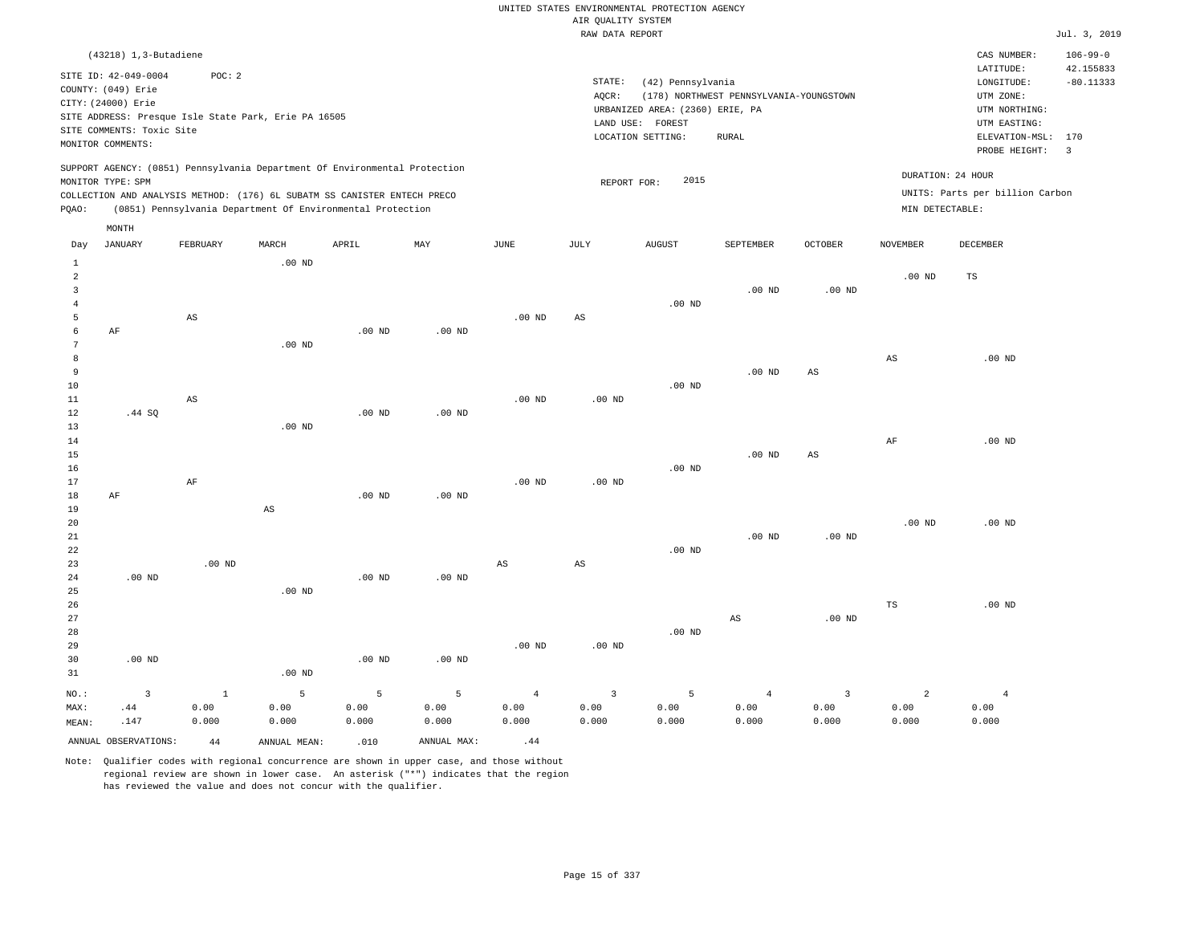|       | $(43218)$ 1, 3-Butadiene                                                                        |          |          |                                                            |     |      |                 |                                 |                                         |          |                 | CAS NUMBER:                     | $106 - 99 - 0$           |
|-------|-------------------------------------------------------------------------------------------------|----------|----------|------------------------------------------------------------|-----|------|-----------------|---------------------------------|-----------------------------------------|----------|-----------------|---------------------------------|--------------------------|
|       | SITE ID: 42-049-0004                                                                            | POC:2    |          |                                                            |     |      |                 |                                 |                                         |          |                 | LATITUDE:                       | 42.155833                |
|       | COUNTY: (049) Erie                                                                              |          |          |                                                            |     |      | STATE:<br>AOCR: | (42) Pennsylvania               | (178) NORTHWEST PENNSYLVANIA-YOUNGSTOWN |          |                 | LONGITUDE:<br>UTM ZONE:         | $-80.11333$              |
|       | CITY: (24000) Erie                                                                              |          |          |                                                            |     |      |                 | URBANIZED AREA: (2360) ERIE, PA |                                         |          |                 | UTM NORTHING:                   |                          |
|       | SITE ADDRESS: Presque Isle State Park, Erie PA 16505                                            |          |          |                                                            |     |      |                 | LAND USE: FOREST                |                                         |          |                 | UTM EASTING:                    |                          |
|       | SITE COMMENTS: Toxic Site<br>MONITOR COMMENTS:                                                  |          |          |                                                            |     |      |                 | LOCATION SETTING:               | RURAL                                   |          |                 | ELEVATION-MSL: 170              |                          |
|       |                                                                                                 |          |          |                                                            |     |      |                 |                                 |                                         |          |                 | PROBE HEIGHT:                   | $\overline{\phantom{a}}$ |
|       | SUPPORT AGENCY: (0851) Pennsylvania Department Of Environmental Protection<br>MONITOR TYPE: SPM |          |          |                                                            |     |      |                 | 2015<br>REPORT FOR:             |                                         |          |                 | DURATION: 24 HOUR               |                          |
|       | COLLECTION AND ANALYSIS METHOD: (176) 6L SUBATM SS CANISTER ENTECH PRECO                        |          |          |                                                            |     |      |                 |                                 |                                         |          |                 | UNITS: Parts per billion Carbon |                          |
| PQAO: |                                                                                                 |          |          | (0851) Pennsylvania Department Of Environmental Protection |     |      |                 |                                 |                                         |          | MIN DETECTABLE: |                                 |                          |
|       | MONTH                                                                                           |          |          |                                                            |     |      |                 |                                 |                                         |          |                 |                                 |                          |
| Day   | JANUARY                                                                                         | FEBRUARY | MARCH    | APRIL                                                      | MAY | JUNE | JULY            | AUGUST                          | SEPTEMBER                               | OCTOBER  | NOVEMBER        | DECEMBER                        |                          |
|       |                                                                                                 |          | $.00$ ND |                                                            |     |      |                 |                                 |                                         |          |                 |                                 |                          |
| 2     |                                                                                                 |          |          |                                                            |     |      |                 |                                 |                                         |          | $.00$ ND        | TS                              |                          |
|       |                                                                                                 |          |          |                                                            |     |      |                 |                                 | $.00$ ND                                | $.00$ ND |                 |                                 |                          |
|       |                                                                                                 |          |          |                                                            |     |      |                 | $.00$ ND                        |                                         |          |                 |                                 |                          |

| __              |        | $- - -$ |          |          |          | .        | $-$      |          |          |    |    |          |
|-----------------|--------|---------|----------|----------|----------|----------|----------|----------|----------|----|----|----------|
| $6\overline{6}$ | AF     |         |          | $.00$ ND | $.00$ ND |          |          |          |          |    |    |          |
| 7               |        |         | $.00$ ND |          |          |          |          |          |          |    |    |          |
| 8               |        |         |          |          |          |          |          |          |          |    | AS | $.00$ ND |
| 9               |        |         |          |          |          |          |          |          | $.00$ ND | AS |    |          |
| 10              |        |         |          |          |          |          |          | $.00$ ND |          |    |    |          |
| 11              |        | AS      |          |          |          | $.00$ ND | $.00$ ND |          |          |    |    |          |
| 12              | .44 SQ |         |          | $.00$ ND | $.00$ ND |          |          |          |          |    |    |          |
| 13              |        |         | $.00$ ND |          |          |          |          |          |          |    |    |          |
| 14              |        |         |          |          |          |          |          |          |          |    | AF | $.00$ ND |

.00 ND AS

| 14 |    |          |          |                                                             |          |           | AF | $.00$ ND |
|----|----|----------|----------|-------------------------------------------------------------|----------|-----------|----|----------|
| 15 |    |          |          |                                                             | $.00$ ND | <b>AS</b> |    |          |
| 16 |    |          |          | $.00$ ND<br>the contract of the contract of the contract of |          |           |    |          |
| 17 | ΑF | $.00$ ND | $.00$ ND |                                                             |          |           |    |          |

| 18          | AF       |          |          | $.00$ ND | $.00$ ND |    |    |          |          |          |          |          |
|-------------|----------|----------|----------|----------|----------|----|----|----------|----------|----------|----------|----------|
| 19          |          |          | AS       |          |          |    |    |          |          |          |          |          |
| 20          |          |          |          |          |          |    |    |          |          |          | $.00$ ND | $.00$ ND |
| $2\sqrt{1}$ |          |          |          |          |          |    |    |          | $.00$ ND | $.00$ ND |          |          |
| $2\sqrt{2}$ |          |          |          |          |          |    |    | $.00$ ND |          |          |          |          |
| 23          |          | $.00$ ND |          |          |          | AS | AS |          |          |          |          |          |
| 24          | $.00$ ND |          |          | $.00$ ND | $.00$ ND |    |    |          |          |          |          |          |
| 25          |          |          | $.00$ ND |          |          |    |    |          |          |          |          |          |
| 26          |          |          |          |          |          |    |    |          |          |          | TS       | $.00$ ND |

| 27 |          |          |          |          |          |          |          | AS | $.00$ ND |
|----|----------|----------|----------|----------|----------|----------|----------|----|----------|
| 28 |          |          |          |          |          |          | $.00$ ND |    |          |
| 29 |          |          |          |          | $.00$ ND | $.00$ ND |          |    |          |
| 30 | $.00$ ND |          | $.00$ ND | $.00$ ND |          |          |          |    |          |
| 31 |          | $.00$ ND |          |          |          |          |          |    |          |
|    |          |          |          |          |          |          |          |    |          |

| NO.:  |                      | $\sim$ $\sim$ $\sim$ $\sim$ $\sim$ $\sim$ $\sim$ | $-5$ $-5$    | $\overline{5}$ $\overline{5}$ |             |       | 5 4 3 5 |       | $4\overline{ }$ |       |       |       |
|-------|----------------------|--------------------------------------------------|--------------|-------------------------------|-------------|-------|---------|-------|-----------------|-------|-------|-------|
| MAX:  | .44                  | 0.00                                             | 0.00         | 0.00                          | 0.00        | 0.00  | 0.00    | 0.00  | 0.00            | 0.00  | 0.00  | 0.00  |
| MEAN: | .147                 | 0.000                                            | 0.000        | 0.000                         | 0.000       | 0.000 | 0.000   | 0.000 | 0.000           | 0.000 | 0.000 | 0.000 |
|       | ANNUAL OBSERVATIONS: | 44                                               | ANNUAL MEAN: | .010                          | ANNUAL MAX: |       |         |       |                 |       |       |       |

Note: Qualifier codes with regional concurrence are shown in upper case, and those without regional review are shown in lower case. An asterisk ("\*") indicates that the region has reviewed the value and does not concur with the qualifier.

5

AS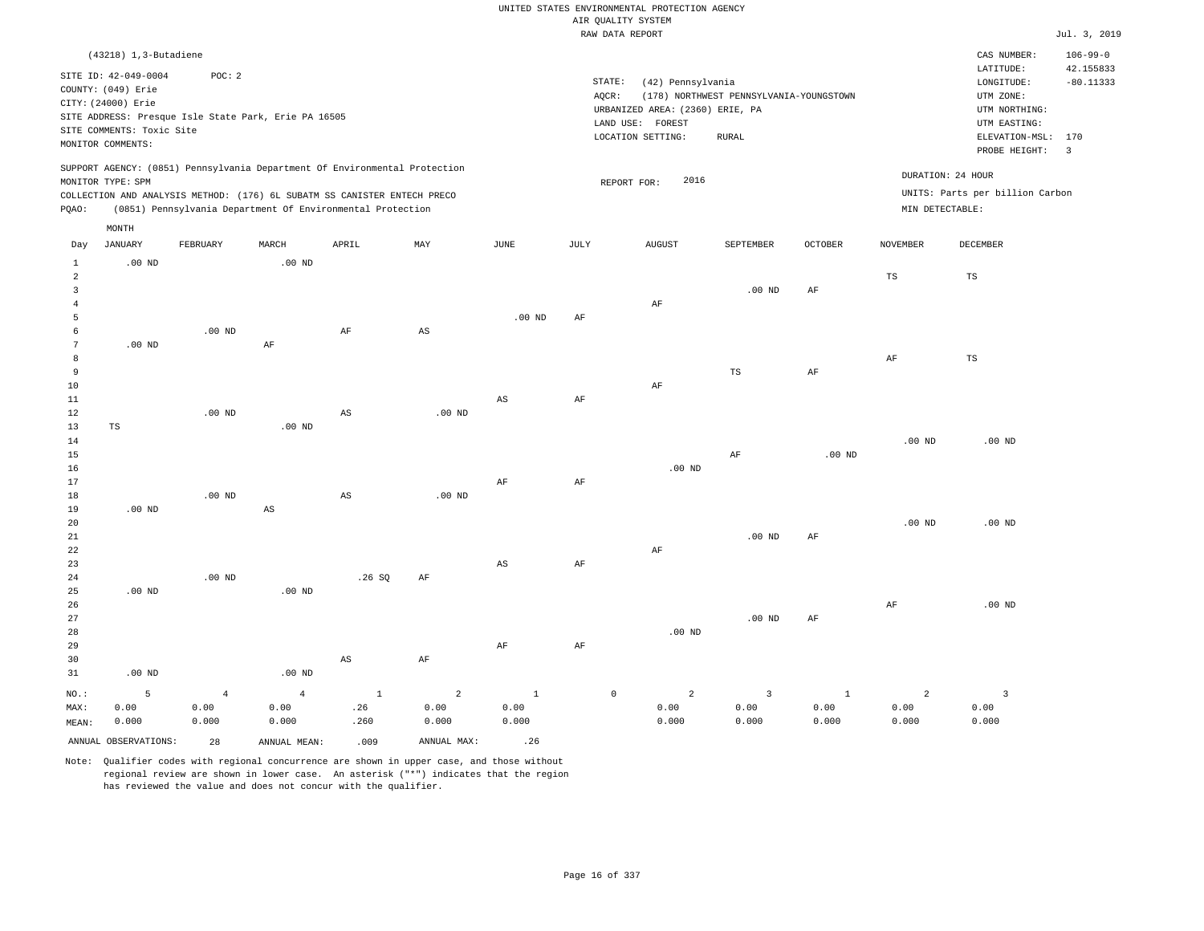|                                |                           |                                                                            |                |                        |                   |               |      | RAW DATA REPORT                 |                                         |                |                 |                                 | Jul. 3, 2019                   |
|--------------------------------|---------------------------|----------------------------------------------------------------------------|----------------|------------------------|-------------------|---------------|------|---------------------------------|-----------------------------------------|----------------|-----------------|---------------------------------|--------------------------------|
|                                | $(43218)$ 1, 3-Butadiene  |                                                                            |                |                        |                   |               |      |                                 |                                         |                |                 | CAS NUMBER:                     | $106 - 99 - 0$                 |
|                                | SITE ID: 42-049-0004      | POC: 2                                                                     |                |                        |                   |               |      |                                 |                                         |                |                 | LATITUDE:                       | 42.155833                      |
|                                | COUNTY: (049) Erie        |                                                                            |                |                        |                   |               |      | STATE:<br>(42) Pennsylvania     |                                         |                |                 | LONGITUDE:                      | $-80.11333$                    |
|                                | CITY: (24000) Erie        |                                                                            |                |                        |                   |               |      | AQCR:                           | (178) NORTHWEST PENNSYLVANIA-YOUNGSTOWN |                |                 | UTM ZONE:                       |                                |
|                                |                           | SITE ADDRESS: Presque Isle State Park, Erie PA 16505                       |                |                        |                   |               |      | URBANIZED AREA: (2360) ERIE, PA |                                         |                |                 | UTM NORTHING:                   |                                |
|                                | SITE COMMENTS: Toxic Site |                                                                            |                |                        |                   |               |      | LAND USE: FOREST                |                                         |                |                 | UTM EASTING:                    |                                |
|                                | MONITOR COMMENTS:         |                                                                            |                |                        |                   |               |      | LOCATION SETTING:               | RURAL                                   |                |                 | ELEVATION-MSL:<br>PROBE HEIGHT: | 170<br>$\overline{\mathbf{3}}$ |
|                                |                           |                                                                            |                |                        |                   |               |      |                                 |                                         |                |                 |                                 |                                |
|                                | MONITOR TYPE: SPM         | SUPPORT AGENCY: (0851) Pennsylvania Department Of Environmental Protection |                |                        |                   |               |      | 2016<br>REPORT FOR:             |                                         |                |                 | DURATION: 24 HOUR               |                                |
|                                |                           | COLLECTION AND ANALYSIS METHOD: (176) 6L SUBATM SS CANISTER ENTECH PRECO   |                |                        |                   |               |      |                                 |                                         |                |                 | UNITS: Parts per billion Carbon |                                |
| PQAO:                          |                           | (0851) Pennsylvania Department Of Environmental Protection                 |                |                        |                   |               |      |                                 |                                         |                | MIN DETECTABLE: |                                 |                                |
|                                | MONTH                     |                                                                            |                |                        |                   |               |      |                                 |                                         |                |                 |                                 |                                |
| Day                            | <b>JANUARY</b>            | FEBRUARY                                                                   | MARCH          | APRIL                  | MAY               | $_{\rm JUNE}$ | JULY | <b>AUGUST</b>                   | SEPTEMBER                               | <b>OCTOBER</b> | <b>NOVEMBER</b> | DECEMBER                        |                                |
|                                |                           |                                                                            |                |                        |                   |               |      |                                 |                                         |                |                 |                                 |                                |
| $\mathbf{1}$<br>$\overline{a}$ | $.00$ ND                  |                                                                            | $.00$ ND       |                        |                   |               |      |                                 |                                         |                | $_{\rm TS}$     | $_{\rm TS}$                     |                                |
| $\overline{3}$                 |                           |                                                                            |                |                        |                   |               |      |                                 | $.00$ ND                                | $\rm{AF}$      |                 |                                 |                                |
| $\overline{4}$                 |                           |                                                                            |                |                        |                   |               |      | AF                              |                                         |                |                 |                                 |                                |
| 5                              |                           |                                                                            |                |                        |                   | $.00$ ND      | AF   |                                 |                                         |                |                 |                                 |                                |
| 6                              |                           | $.00$ ND                                                                   |                | $\rm AF$               | $_{\rm AS}$       |               |      |                                 |                                         |                |                 |                                 |                                |
| $\overline{7}$                 | $.00$ ND                  |                                                                            | $\rm AF$       |                        |                   |               |      |                                 |                                         |                |                 |                                 |                                |
| 8                              |                           |                                                                            |                |                        |                   |               |      |                                 |                                         |                | $\rm{AF}$       | $_{\rm TS}$                     |                                |
| 9                              |                           |                                                                            |                |                        |                   |               |      |                                 | TS                                      | $\rm{AF}$      |                 |                                 |                                |
| 10                             |                           |                                                                            |                |                        |                   |               |      | AF                              |                                         |                |                 |                                 |                                |
| 11                             |                           |                                                                            |                |                        |                   | AS            | AF   |                                 |                                         |                |                 |                                 |                                |
| 12<br>13                       | $_{\rm TS}$               | $.00$ ND                                                                   | $.00$ ND       | $\mathbb{A}\mathbb{S}$ | $.00$ ND          |               |      |                                 |                                         |                |                 |                                 |                                |
| 14                             |                           |                                                                            |                |                        |                   |               |      |                                 |                                         |                | $.00$ ND        | $.00$ ND                        |                                |
| 15                             |                           |                                                                            |                |                        |                   |               |      |                                 | AF                                      | $.00$ ND       |                 |                                 |                                |
| 16                             |                           |                                                                            |                |                        |                   |               |      | $.00$ ND                        |                                         |                |                 |                                 |                                |
| 17                             |                           |                                                                            |                |                        |                   | AF            | AF   |                                 |                                         |                |                 |                                 |                                |
| 18                             |                           | $.00$ ND                                                                   |                | $\mathbb{A}\mathbb{S}$ | .00 <sub>ND</sub> |               |      |                                 |                                         |                |                 |                                 |                                |
| 19                             | $.00$ ND                  |                                                                            | $_{\rm AS}$    |                        |                   |               |      |                                 |                                         |                |                 |                                 |                                |
| 20                             |                           |                                                                            |                |                        |                   |               |      |                                 |                                         |                | $.00$ ND        | .00 <sub>ND</sub>               |                                |
| 21                             |                           |                                                                            |                |                        |                   |               |      |                                 | $.00$ ND                                | AF             |                 |                                 |                                |
| 22                             |                           |                                                                            |                |                        |                   |               |      | $\rm AF$                        |                                         |                |                 |                                 |                                |
| 23<br>24                       |                           | $.00$ ND                                                                   |                |                        |                   | AS            | AF   |                                 |                                         |                |                 |                                 |                                |
| 25                             | $.00$ ND                  |                                                                            | $.00$ ND       | .26SQ                  | AF                |               |      |                                 |                                         |                |                 |                                 |                                |
| 26                             |                           |                                                                            |                |                        |                   |               |      |                                 |                                         |                | $\rm{AF}$       | $.00$ ND                        |                                |
| 27                             |                           |                                                                            |                |                        |                   |               |      |                                 | $.00$ ND                                | AF             |                 |                                 |                                |
| 28                             |                           |                                                                            |                |                        |                   |               |      | $.00$ ND                        |                                         |                |                 |                                 |                                |
| 29                             |                           |                                                                            |                |                        |                   | AF            | AF   |                                 |                                         |                |                 |                                 |                                |
| 30                             |                           |                                                                            |                | $\mathbb{A}\mathbb{S}$ | AF                |               |      |                                 |                                         |                |                 |                                 |                                |
| 31                             | $.00$ ND                  |                                                                            | $.00$ ND       |                        |                   |               |      |                                 |                                         |                |                 |                                 |                                |
| NO.:                           | 5                         | $\overline{4}$                                                             | $\overline{4}$ | $\mathbf{1}$           | $\overline{a}$    | $\mathbf{1}$  |      | 2<br>$\mathbb O$                | $\overline{\mathbf{3}}$                 | $\,1\,$        | 2               | $\overline{3}$                  |                                |
| MAX:                           | 0.00                      | 0.00                                                                       | 0.00           | .26                    | 0.00              | 0.00          |      | 0.00                            | 0.00                                    | 0.00           | 0.00            | 0.00                            |                                |
| MEAN:                          | 0.000                     | 0.000                                                                      | 0.000          | .260                   | 0.000             | 0.000         |      | 0.000                           | 0.000                                   | 0.000          | 0.000           | 0.000                           |                                |

ANNUAL OBSERVATIONS: 28 ANNUAL MEAN: .009 ANNUAL MAX: .26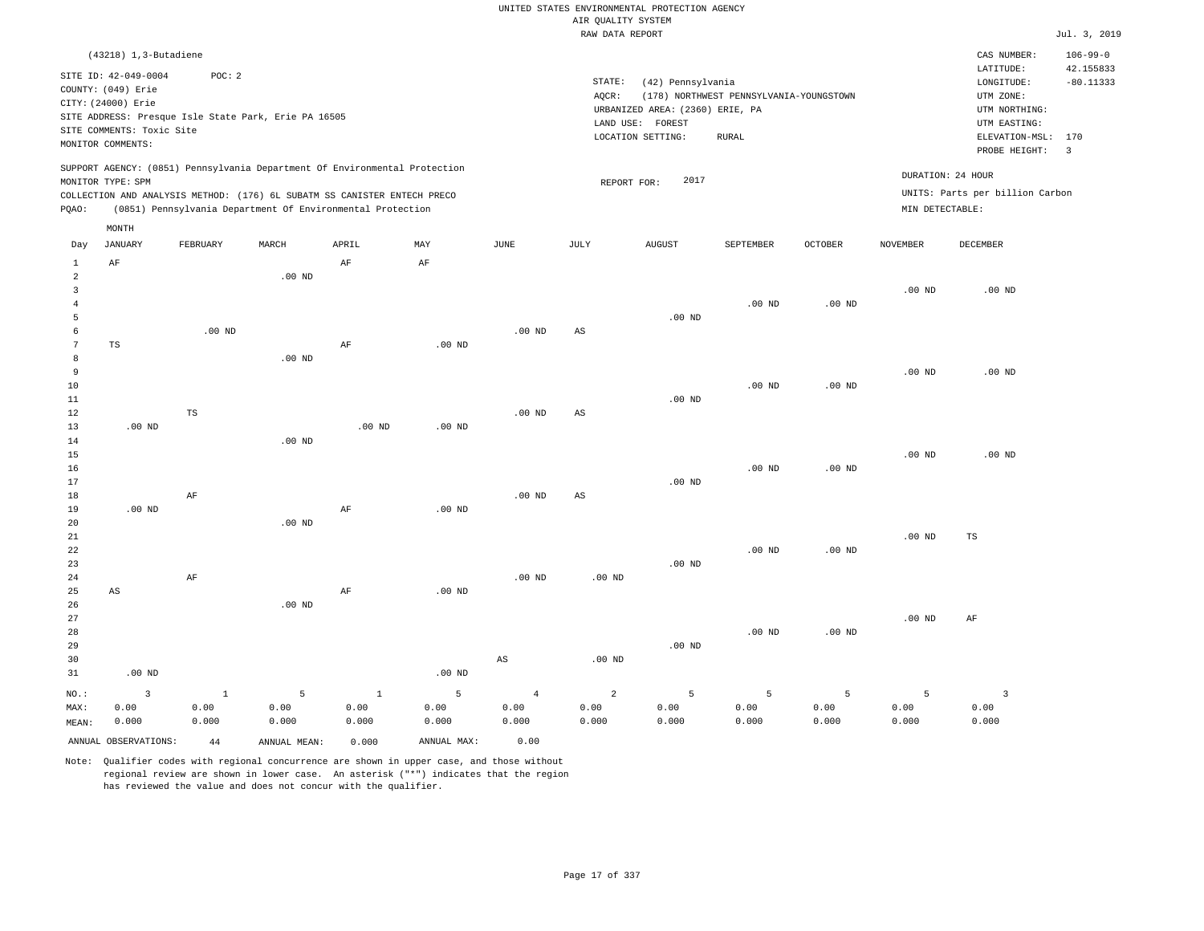|                                |                                                                            |                   |                                                            |           |                           |                   | RAW DATA REPORT |                                 |                                         |                   |                   |                                 | Jul. 3, 2019            |
|--------------------------------|----------------------------------------------------------------------------|-------------------|------------------------------------------------------------|-----------|---------------------------|-------------------|-----------------|---------------------------------|-----------------------------------------|-------------------|-------------------|---------------------------------|-------------------------|
|                                | (43218) 1,3-Butadiene                                                      |                   |                                                            |           |                           |                   |                 |                                 |                                         |                   |                   | CAS NUMBER:                     | $106 - 99 - 0$          |
|                                |                                                                            |                   |                                                            |           |                           |                   |                 |                                 |                                         |                   |                   | LATITUDE:                       | 42.155833               |
|                                | SITE ID: 42-049-0004                                                       | POC: 2            |                                                            |           |                           |                   | STATE:          | (42) Pennsylvania               |                                         |                   |                   | LONGITUDE:                      | $-80.11333$             |
|                                | COUNTY: (049) Erie                                                         |                   |                                                            |           |                           |                   | AQCR:           |                                 | (178) NORTHWEST PENNSYLVANIA-YOUNGSTOWN |                   |                   | UTM ZONE:                       |                         |
|                                | CITY: (24000) Erie                                                         |                   |                                                            |           |                           |                   |                 | URBANIZED AREA: (2360) ERIE, PA |                                         |                   |                   | UTM NORTHING:                   |                         |
|                                | SITE ADDRESS: Presque Isle State Park, Erie PA 16505                       |                   |                                                            |           |                           |                   |                 | LAND USE: FOREST                |                                         |                   |                   | UTM EASTING:                    |                         |
|                                | SITE COMMENTS: Toxic Site                                                  |                   |                                                            |           |                           |                   |                 | LOCATION SETTING:               | <b>RURAL</b>                            |                   |                   | ELEVATION-MSL:                  | 170                     |
|                                | MONITOR COMMENTS:                                                          |                   |                                                            |           |                           |                   |                 |                                 |                                         |                   |                   | PROBE HEIGHT:                   | $\overline{\mathbf{3}}$ |
|                                | SUPPORT AGENCY: (0851) Pennsylvania Department Of Environmental Protection |                   |                                                            |           |                           |                   |                 |                                 |                                         |                   |                   |                                 |                         |
|                                | MONITOR TYPE: SPM                                                          |                   |                                                            |           |                           |                   | REPORT FOR:     | 2017                            |                                         |                   |                   | DURATION: 24 HOUR               |                         |
|                                | COLLECTION AND ANALYSIS METHOD: (176) 6L SUBATM SS CANISTER ENTECH PRECO   |                   |                                                            |           |                           |                   |                 |                                 |                                         |                   |                   | UNITS: Parts per billion Carbon |                         |
| PQAO:                          |                                                                            |                   | (0851) Pennsylvania Department Of Environmental Protection |           |                           |                   |                 |                                 |                                         |                   | MIN DETECTABLE:   |                                 |                         |
|                                | MONTH                                                                      |                   |                                                            |           |                           |                   |                 |                                 |                                         |                   |                   |                                 |                         |
| Day                            | <b>JANUARY</b>                                                             | FEBRUARY          | MARCH                                                      | APRIL     | $\ensuremath{\text{MAX}}$ | JUNE              | JULY            | <b>AUGUST</b>                   | SEPTEMBER                               | OCTOBER           | <b>NOVEMBER</b>   | DECEMBER                        |                         |
|                                |                                                                            |                   |                                                            |           |                           |                   |                 |                                 |                                         |                   |                   |                                 |                         |
| $\mathbf{1}$<br>$\overline{a}$ | $\rm AF$                                                                   |                   | .00 <sub>ND</sub>                                          | $\rm{AF}$ | AF                        |                   |                 |                                 |                                         |                   |                   |                                 |                         |
| 3                              |                                                                            |                   |                                                            |           |                           |                   |                 |                                 |                                         |                   | $.00$ ND          | $.00$ ND                        |                         |
| $\overline{4}$                 |                                                                            |                   |                                                            |           |                           |                   |                 |                                 | $.00$ ND                                | .00 <sub>ND</sub> |                   |                                 |                         |
| 5                              |                                                                            |                   |                                                            |           |                           |                   |                 | $.00$ ND                        |                                         |                   |                   |                                 |                         |
| 6                              |                                                                            | .00 <sub>ND</sub> |                                                            |           |                           | .00 <sub>ND</sub> | AS              |                                 |                                         |                   |                   |                                 |                         |
| $7\phantom{.0}$                | $_{\rm TS}$                                                                |                   |                                                            | $\rm{AF}$ | $.00$ ND                  |                   |                 |                                 |                                         |                   |                   |                                 |                         |
| 8                              |                                                                            |                   | $.00$ ND                                                   |           |                           |                   |                 |                                 |                                         |                   |                   |                                 |                         |
| 9                              |                                                                            |                   |                                                            |           |                           |                   |                 |                                 |                                         |                   | $.00$ ND          | .00 <sub>ND</sub>               |                         |
| 10                             |                                                                            |                   |                                                            |           |                           |                   |                 |                                 | $.00$ ND                                | .00 <sub>ND</sub> |                   |                                 |                         |
| 11                             |                                                                            |                   |                                                            |           |                           |                   |                 | $.00$ ND                        |                                         |                   |                   |                                 |                         |
| 12                             |                                                                            | $\mathbb{TS}$     |                                                            |           |                           | $.00$ ND          | AS              |                                 |                                         |                   |                   |                                 |                         |
| 13                             | $.00$ ND                                                                   |                   |                                                            | $.00$ ND  | .00 <sub>ND</sub>         |                   |                 |                                 |                                         |                   |                   |                                 |                         |
| 14                             |                                                                            |                   | .00 <sub>ND</sub>                                          |           |                           |                   |                 |                                 |                                         |                   |                   |                                 |                         |
| 15                             |                                                                            |                   |                                                            |           |                           |                   |                 |                                 |                                         |                   | .00 <sub>ND</sub> | .00 <sub>ND</sub>               |                         |
| 16                             |                                                                            |                   |                                                            |           |                           |                   |                 |                                 | .00 <sub>ND</sub>                       | $.00$ ND          |                   |                                 |                         |
| 17                             |                                                                            |                   |                                                            |           |                           |                   |                 | $.00$ ND                        |                                         |                   |                   |                                 |                         |
| 18                             |                                                                            | AF                |                                                            |           |                           | .00 <sub>ND</sub> | AS              |                                 |                                         |                   |                   |                                 |                         |
| 19                             | $.00$ ND                                                                   |                   |                                                            | AF        | $.00$ ND                  |                   |                 |                                 |                                         |                   |                   |                                 |                         |
| 20                             |                                                                            |                   | $.00$ ND                                                   |           |                           |                   |                 |                                 |                                         |                   |                   |                                 |                         |
| 21                             |                                                                            |                   |                                                            |           |                           |                   |                 |                                 |                                         |                   | $.00$ ND          | $_{\rm TS}$                     |                         |
| 22                             |                                                                            |                   |                                                            |           |                           |                   |                 |                                 | $.00$ ND                                | .00 <sub>ND</sub> |                   |                                 |                         |
| 23                             |                                                                            |                   |                                                            |           |                           |                   |                 | $.00$ ND                        |                                         |                   |                   |                                 |                         |
| 24                             |                                                                            | $\rm AF$          |                                                            |           |                           | .00 <sub>ND</sub> | $.00$ ND        |                                 |                                         |                   |                   |                                 |                         |
| 25                             | $\mathbb{A}\mathbb{S}$                                                     |                   |                                                            | AF        | .00 <sub>ND</sub>         |                   |                 |                                 |                                         |                   |                   |                                 |                         |
| 26                             |                                                                            |                   | $.00$ ND                                                   |           |                           |                   |                 |                                 |                                         |                   |                   |                                 |                         |
| 27                             |                                                                            |                   |                                                            |           |                           |                   |                 |                                 |                                         |                   | .00 <sub>ND</sub> | AF                              |                         |
| 28                             |                                                                            |                   |                                                            |           |                           |                   |                 |                                 | $.00$ ND                                | $.00$ ND          |                   |                                 |                         |
| 29                             |                                                                            |                   |                                                            |           |                           |                   |                 | $.00$ ND                        |                                         |                   |                   |                                 |                         |
| 30                             |                                                                            |                   |                                                            |           |                           | AS                | $.00$ ND        |                                 |                                         |                   |                   |                                 |                         |
| 31                             | $.00$ ND                                                                   |                   |                                                            |           | $.00$ ND                  |                   |                 |                                 |                                         |                   |                   |                                 |                         |
| $NO.$ :                        | $\overline{3}$                                                             | $\mathbf{1}$      | 5                                                          | $\,$ 1    | 5                         | $\overline{4}$    | $\overline{a}$  | 5                               | 5                                       | 5                 | 5                 | $\overline{3}$                  |                         |
| MAX:                           | 0.00                                                                       | 0.00              | 0.00                                                       | 0.00      | 0.00                      | 0.00              | 0.00            | 0.00                            | 0.00                                    | 0.00              | 0.00              | 0.00                            |                         |
| MEAN:                          | 0.000                                                                      | 0.000             | 0.000                                                      | 0.000     | 0.000                     | 0.000             | 0.000           | 0.000                           | 0.000                                   | 0.000             | 0.000             | 0.000                           |                         |
|                                | ANNUAL OBSERVATIONS:                                                       | $4\,4$            | ANNUAL MEAN:                                               | 0.000     | ANNUAL MAX:               | 0.00              |                 |                                 |                                         |                   |                   |                                 |                         |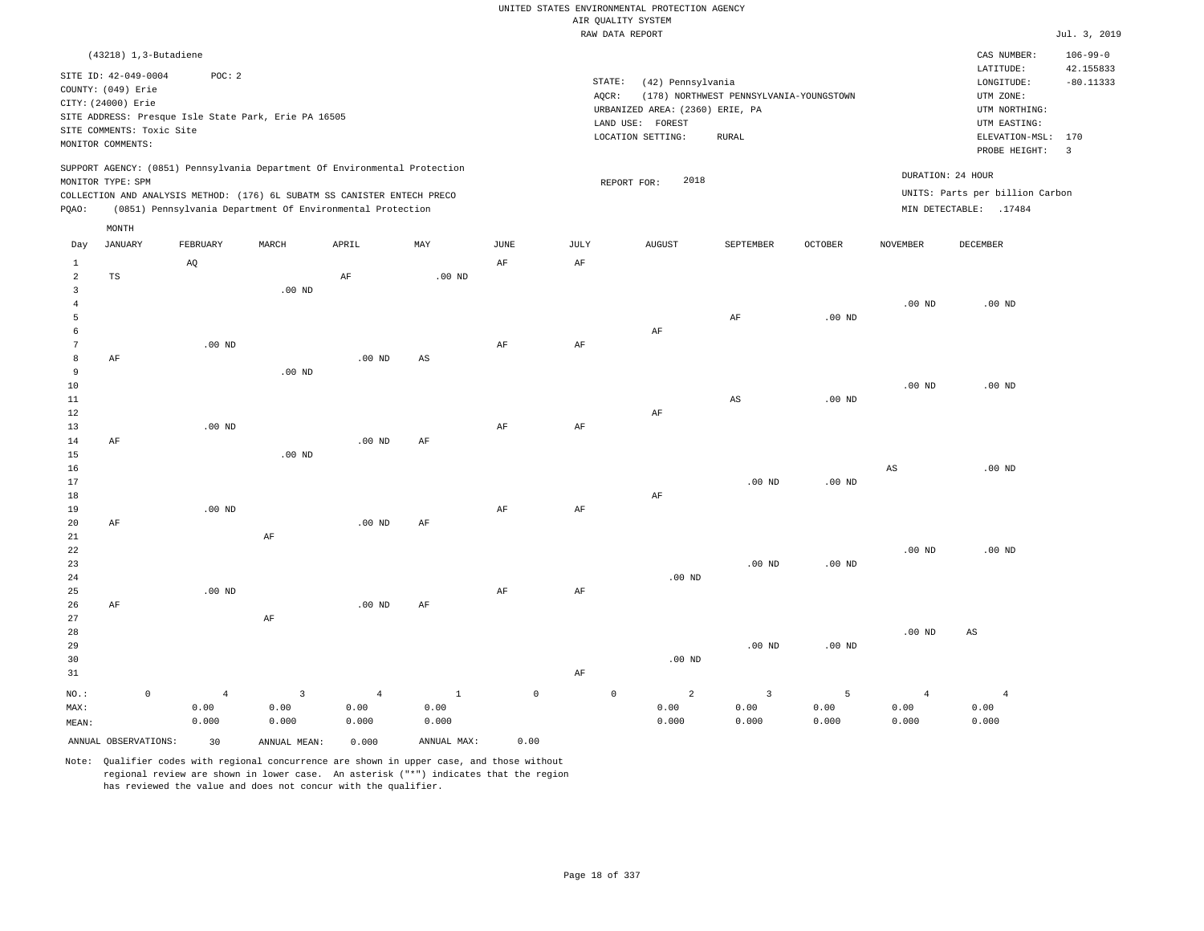|                |                                            |             |                   |                                                                            |                   |              |                     |           | UNITED STATES ENVIRONMENTAL PROTECTION AGENCY<br>AIR QUALITY SYSTEM |                                         |                   |                   |                                 |                          |
|----------------|--------------------------------------------|-------------|-------------------|----------------------------------------------------------------------------|-------------------|--------------|---------------------|-----------|---------------------------------------------------------------------|-----------------------------------------|-------------------|-------------------|---------------------------------|--------------------------|
|                |                                            |             |                   |                                                                            |                   |              |                     |           | RAW DATA REPORT                                                     |                                         |                   |                   |                                 | Jul. 3, 2019             |
|                | (43218) 1,3-Butadiene                      |             |                   |                                                                            |                   |              |                     |           |                                                                     |                                         |                   |                   | CAS NUMBER:                     | $106 - 99 - 0$           |
|                | SITE ID: 42-049-0004<br>COUNTY: (049) Erie |             | POC: 2            |                                                                            |                   |              |                     |           | STATE:<br>(42) Pennsylvania                                         |                                         |                   |                   | LATITUDE:<br>LONGITUDE:         | 42.155833<br>$-80.11333$ |
|                | CITY: (24000) Erie                         |             |                   |                                                                            |                   |              |                     |           | AQCR:                                                               | (178) NORTHWEST PENNSYLVANIA-YOUNGSTOWN |                   |                   | UTM ZONE:                       |                          |
|                |                                            |             |                   | SITE ADDRESS: Presque Isle State Park, Erie PA 16505                       |                   |              |                     |           | URBANIZED AREA: (2360) ERIE, PA<br>LAND USE: FOREST                 |                                         |                   |                   | UTM NORTHING:<br>UTM EASTING:   |                          |
|                | SITE COMMENTS: Toxic Site                  |             |                   |                                                                            |                   |              |                     |           | LOCATION SETTING:                                                   | RURAL                                   |                   |                   | ELEVATION-MSL:                  | 170                      |
|                | MONITOR COMMENTS:                          |             |                   |                                                                            |                   |              |                     |           |                                                                     |                                         |                   |                   | PROBE HEIGHT:                   | $\overline{3}$           |
|                | MONITOR TYPE: SPM                          |             |                   | SUPPORT AGENCY: (0851) Pennsylvania Department Of Environmental Protection |                   |              |                     |           | 2018                                                                |                                         |                   |                   | DURATION: 24 HOUR               |                          |
|                |                                            |             |                   | COLLECTION AND ANALYSIS METHOD: (176) 6L SUBATM SS CANISTER ENTECH PRECO   |                   |              |                     |           | REPORT FOR:                                                         |                                         |                   |                   | UNITS: Parts per billion Carbon |                          |
| PQAO:          |                                            |             |                   | (0851) Pennsylvania Department Of Environmental Protection                 |                   |              |                     |           |                                                                     |                                         |                   |                   | MIN DETECTABLE: .17484          |                          |
|                | MONTH                                      |             |                   |                                                                            |                   |              |                     |           |                                                                     |                                         |                   |                   |                                 |                          |
| Day            | <b>JANUARY</b>                             |             | FEBRUARY          | MARCH                                                                      | APRIL             | MAY          | $\mathtt{JUNE}$     | JULY      | <b>AUGUST</b>                                                       | SEPTEMBER                               | OCTOBER           | <b>NOVEMBER</b>   | DECEMBER                        |                          |
| 1              |                                            |             | AQ                |                                                                            |                   |              | AF                  | AF        |                                                                     |                                         |                   |                   |                                 |                          |
| $\overline{a}$ | $_{\rm TS}$                                |             |                   |                                                                            | AF                | $.00$ ND     |                     |           |                                                                     |                                         |                   |                   |                                 |                          |
| $\overline{3}$ |                                            |             |                   | $.00$ ND                                                                   |                   |              |                     |           |                                                                     |                                         |                   |                   |                                 |                          |
| $\overline{4}$ |                                            |             |                   |                                                                            |                   |              |                     |           |                                                                     |                                         |                   | .00 <sub>ND</sub> | $.00$ ND                        |                          |
| 5              |                                            |             |                   |                                                                            |                   |              |                     |           |                                                                     | $\rm AF$                                | .00 <sub>ND</sub> |                   |                                 |                          |
| 6              |                                            |             |                   |                                                                            |                   |              |                     |           | AF                                                                  |                                         |                   |                   |                                 |                          |
| 7              |                                            |             | $.00$ ND          |                                                                            |                   |              | AF                  | $\rm{AF}$ |                                                                     |                                         |                   |                   |                                 |                          |
| 8<br>9         | AF                                         |             |                   |                                                                            | $.00$ ND          | AS           |                     |           |                                                                     |                                         |                   |                   |                                 |                          |
| 10             |                                            |             |                   | $.00$ ND                                                                   |                   |              |                     |           |                                                                     |                                         |                   | .00 <sub>ND</sub> | $.00$ ND                        |                          |
| 11             |                                            |             |                   |                                                                            |                   |              |                     |           |                                                                     | $\mathbb{A}\mathbb{S}$                  | $.00$ ND          |                   |                                 |                          |
| $12$           |                                            |             |                   |                                                                            |                   |              |                     |           | AF                                                                  |                                         |                   |                   |                                 |                          |
| 13             |                                            |             | $.00$ ND          |                                                                            |                   |              | AF                  | $\rm AF$  |                                                                     |                                         |                   |                   |                                 |                          |
| 14             | AF                                         |             |                   |                                                                            | $.00$ ND          | AF           |                     |           |                                                                     |                                         |                   |                   |                                 |                          |
| 15             |                                            |             |                   | $.00$ ND                                                                   |                   |              |                     |           |                                                                     |                                         |                   |                   |                                 |                          |
| 16             |                                            |             |                   |                                                                            |                   |              |                     |           |                                                                     |                                         |                   | AS                | $.00$ ND                        |                          |
| 17             |                                            |             |                   |                                                                            |                   |              |                     |           |                                                                     | $.00$ ND                                | $.00$ ND          |                   |                                 |                          |
| 18             |                                            |             |                   |                                                                            |                   |              |                     |           | AF                                                                  |                                         |                   |                   |                                 |                          |
| 19             |                                            |             | .00 <sub>ND</sub> |                                                                            |                   |              | AF                  | AF        |                                                                     |                                         |                   |                   |                                 |                          |
| 20<br>21       | AF                                         |             |                   |                                                                            | $.00$ ND          | AF           |                     |           |                                                                     |                                         |                   |                   |                                 |                          |
| 22             |                                            |             |                   | $\rm AF$                                                                   |                   |              |                     |           |                                                                     |                                         |                   | $.00$ ND          | $.00$ ND                        |                          |
| 23             |                                            |             |                   |                                                                            |                   |              |                     |           |                                                                     | $.00$ ND                                | .00 <sub>ND</sub> |                   |                                 |                          |
| 24             |                                            |             |                   |                                                                            |                   |              |                     |           | $.00$ ND                                                            |                                         |                   |                   |                                 |                          |
| 25             |                                            |             | .00 <sub>ND</sub> |                                                                            |                   |              | $\rm{AF}$           | $\rm{AF}$ |                                                                     |                                         |                   |                   |                                 |                          |
| 26             | AF                                         |             |                   |                                                                            | .00 <sub>ND</sub> | AF           |                     |           |                                                                     |                                         |                   |                   |                                 |                          |
| 27             |                                            |             |                   | AF                                                                         |                   |              |                     |           |                                                                     |                                         |                   |                   |                                 |                          |
| 28             |                                            |             |                   |                                                                            |                   |              |                     |           |                                                                     |                                         |                   | .00 <sub>ND</sub> | $\mathbb{A}\mathbb{S}$          |                          |
| 29             |                                            |             |                   |                                                                            |                   |              |                     |           |                                                                     | $.00$ ND                                | $.00$ ND          |                   |                                 |                          |
| 30             |                                            |             |                   |                                                                            |                   |              |                     |           | $.00$ ND                                                            |                                         |                   |                   |                                 |                          |
| 31             |                                            |             |                   |                                                                            |                   |              |                     | AF        |                                                                     |                                         |                   |                   |                                 |                          |
| $NO.$ :        |                                            | $\mathbb O$ | $\overline{4}$    | 3                                                                          | $\overline{4}$    | $\mathbf{1}$ | $\mathsf{O}\xspace$ |           | $\mathsf{O}$<br>$\overline{a}$                                      | $\overline{3}$                          | 5                 | $\overline{4}$    | $\overline{4}$                  |                          |
| MAX:           |                                            |             | 0.00              | 0.00                                                                       | 0.00              | 0.00         |                     |           | 0.00                                                                | 0.00                                    | 0.00              | 0.00              | 0.00                            |                          |
| MEAN:          |                                            |             | 0.000             | 0.000                                                                      | 0.000             | 0.000        |                     |           | 0.000                                                               | 0.000                                   | 0.000             | 0.000             | 0.000                           |                          |
|                | ANNUAL OBSERVATIONS:                       |             | 30                | ANNUAL MEAN:                                                               | 0.000             | ANNUAL MAX:  | 0.00                |           |                                                                     |                                         |                   |                   |                                 |                          |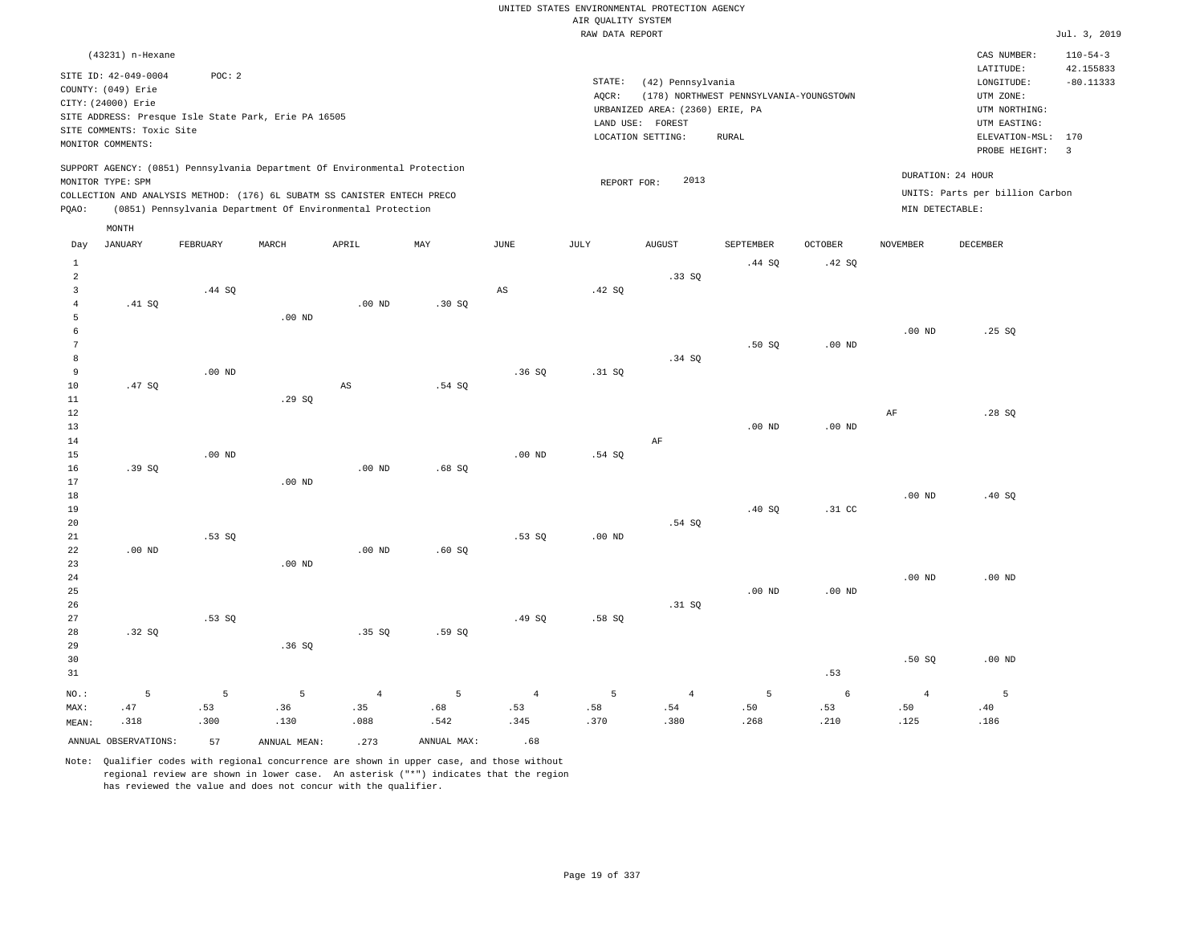|                | (43231) n-Hexane                                                                                                         |          |              |                                                                            |             |                        |                              |                                                                |                                         |            |                   | CAS NUMBER:                                                           | $110 - 54 - 3$           |
|----------------|--------------------------------------------------------------------------------------------------------------------------|----------|--------------|----------------------------------------------------------------------------|-------------|------------------------|------------------------------|----------------------------------------------------------------|-----------------------------------------|------------|-------------------|-----------------------------------------------------------------------|--------------------------|
|                | SITE ID: 42-049-0004<br>COUNTY: (049) Erie<br>CITY: (24000) Erie<br>SITE ADDRESS: Presque Isle State Park, Erie PA 16505 | POC: 2   |              |                                                                            |             |                        | STATE:<br>AQCR:<br>LAND USE: | (42) Pennsylvania<br>URBANIZED AREA: (2360) ERIE, PA<br>FOREST | (178) NORTHWEST PENNSYLVANIA-YOUNGSTOWN |            |                   | LATITUDE:<br>LONGITUDE:<br>UTM ZONE:<br>UTM NORTHING:<br>UTM EASTING: | 42.155833<br>$-80.11333$ |
|                | SITE COMMENTS: Toxic Site<br>MONITOR COMMENTS:                                                                           |          |              |                                                                            |             |                        |                              | LOCATION SETTING:                                              | <b>RURAL</b>                            |            |                   | ELEVATION-MSL: 170<br>PROBE HEIGHT:                                   | $\overline{\mathbf{3}}$  |
|                | MONITOR TYPE: SPM                                                                                                        |          |              | SUPPORT AGENCY: (0851) Pennsylvania Department Of Environmental Protection |             |                        | REPORT FOR:                  | 2013                                                           |                                         |            |                   | DURATION: 24 HOUR                                                     |                          |
|                |                                                                                                                          |          |              | COLLECTION AND ANALYSIS METHOD: (176) 6L SUBATM SS CANISTER ENTECH PRECO   |             |                        |                              |                                                                |                                         |            |                   | UNITS: Parts per billion Carbon                                       |                          |
| PQAO:          |                                                                                                                          |          |              | (0851) Pennsylvania Department Of Environmental Protection                 |             |                        |                              |                                                                |                                         |            | MIN DETECTABLE:   |                                                                       |                          |
|                | MONTH                                                                                                                    |          |              |                                                                            |             |                        |                              |                                                                |                                         |            |                   |                                                                       |                          |
| Day            | JANUARY                                                                                                                  | FEBRUARY | MARCH        | APRIL                                                                      | MAY         | $\mathtt{JUNE}$        | JULY                         | <b>AUGUST</b>                                                  | SEPTEMBER                               | OCTOBER    | NOVEMBER          | DECEMBER                                                              |                          |
| $\mathbf{1}$   |                                                                                                                          |          |              |                                                                            |             |                        |                              |                                                                | .44 SQ                                  | .42 SQ     |                   |                                                                       |                          |
| $\overline{a}$ |                                                                                                                          |          |              |                                                                            |             |                        |                              | .33SQ                                                          |                                         |            |                   |                                                                       |                          |
| 3              |                                                                                                                          | .44 SQ   |              |                                                                            |             | $\mathbb{A}\mathbb{S}$ | .42SQ                        |                                                                |                                         |            |                   |                                                                       |                          |
| $\overline{4}$ | .41 SQ                                                                                                                   |          |              | .00 <sub>ND</sub>                                                          | .30 SQ      |                        |                              |                                                                |                                         |            |                   |                                                                       |                          |
| 5              |                                                                                                                          |          | $.00$ ND     |                                                                            |             |                        |                              |                                                                |                                         |            |                   |                                                                       |                          |
| 6<br>7         |                                                                                                                          |          |              |                                                                            |             |                        |                              |                                                                |                                         |            | $.00$ ND          | .25SQ                                                                 |                          |
| 8              |                                                                                                                          |          |              |                                                                            |             |                        |                              | .34 SQ                                                         | .50S                                    | $.00$ ND   |                   |                                                                       |                          |
| $\overline{9}$ |                                                                                                                          | $.00$ ND |              |                                                                            |             | .36SQ                  | .31 SQ                       |                                                                |                                         |            |                   |                                                                       |                          |
| 10             | .47SQ                                                                                                                    |          |              | $\mathbb{A}\mathbb{S}$                                                     | .54SQ       |                        |                              |                                                                |                                         |            |                   |                                                                       |                          |
| 11             |                                                                                                                          |          | .29SQ        |                                                                            |             |                        |                              |                                                                |                                         |            |                   |                                                                       |                          |
| $1\,2$         |                                                                                                                          |          |              |                                                                            |             |                        |                              |                                                                |                                         |            | AF                | .28SQ                                                                 |                          |
| 13             |                                                                                                                          |          |              |                                                                            |             |                        |                              |                                                                | $.00$ ND                                | $.00$ ND   |                   |                                                                       |                          |
| $14\,$         |                                                                                                                          |          |              |                                                                            |             |                        |                              | AF                                                             |                                         |            |                   |                                                                       |                          |
| 15             |                                                                                                                          | $.00$ ND |              |                                                                            |             | .00 <sub>ND</sub>      | .54 SQ                       |                                                                |                                         |            |                   |                                                                       |                          |
| 16<br>17       | .39SQ                                                                                                                    |          | $.00$ ND     | .00 <sub>ND</sub>                                                          | .68SQ       |                        |                              |                                                                |                                         |            |                   |                                                                       |                          |
| 18             |                                                                                                                          |          |              |                                                                            |             |                        |                              |                                                                |                                         |            | $.00$ ND          | .40SQ                                                                 |                          |
| 19             |                                                                                                                          |          |              |                                                                            |             |                        |                              |                                                                | .40S                                    | .31 CC     |                   |                                                                       |                          |
| 20             |                                                                                                                          |          |              |                                                                            |             |                        |                              | .54S                                                           |                                         |            |                   |                                                                       |                          |
| 21             |                                                                                                                          | .53SQ    |              |                                                                            |             | .53SQ                  | .00 <sub>ND</sub>            |                                                                |                                         |            |                   |                                                                       |                          |
| 22             | $.00$ ND                                                                                                                 |          |              | $.00$ ND                                                                   | .60SQ       |                        |                              |                                                                |                                         |            |                   |                                                                       |                          |
| 23             |                                                                                                                          |          | $.00$ ND     |                                                                            |             |                        |                              |                                                                |                                         |            |                   |                                                                       |                          |
| 24             |                                                                                                                          |          |              |                                                                            |             |                        |                              |                                                                |                                         |            | .00 <sub>ND</sub> | .00 <sub>ND</sub>                                                     |                          |
| 25<br>26       |                                                                                                                          |          |              |                                                                            |             |                        |                              | .31 SQ                                                         | $.00$ ND                                | $.00$ ND   |                   |                                                                       |                          |
| 27             |                                                                                                                          | .53SQ    |              |                                                                            |             | .49SQ                  | .58S                         |                                                                |                                         |            |                   |                                                                       |                          |
| 28             | .32 SQ                                                                                                                   |          |              | .35S                                                                       | .59SQ       |                        |                              |                                                                |                                         |            |                   |                                                                       |                          |
| 29             |                                                                                                                          |          | .36SQ        |                                                                            |             |                        |                              |                                                                |                                         |            |                   |                                                                       |                          |
| 30             |                                                                                                                          |          |              |                                                                            |             |                        |                              |                                                                |                                         |            | .50S              | $.00$ ND                                                              |                          |
| 31             |                                                                                                                          |          |              |                                                                            |             |                        |                              |                                                                |                                         | .53        |                   |                                                                       |                          |
| NO.:           | 5                                                                                                                        | 5        | 5            | $\overline{4}$                                                             | 5           | $\overline{4}$         | 5                            | $\overline{4}$                                                 | 5                                       | $\epsilon$ | $\overline{4}$    | 5                                                                     |                          |
| MAX:           | .47                                                                                                                      | .53      | .36          | .35                                                                        | .68         | .53                    | .58                          | .54                                                            | .50                                     | .53        | .50               | .40                                                                   |                          |
| MEAN:          | .318                                                                                                                     | .300     | .130         | .088                                                                       | .542        | .345                   | .370                         | .380                                                           | .268                                    | .210       | .125              | .186                                                                  |                          |
|                | ANNUAL OBSERVATIONS:                                                                                                     | 57       | ANNUAL MEAN: | .273                                                                       | ANNUAL MAX: | .68                    |                              |                                                                |                                         |            |                   |                                                                       |                          |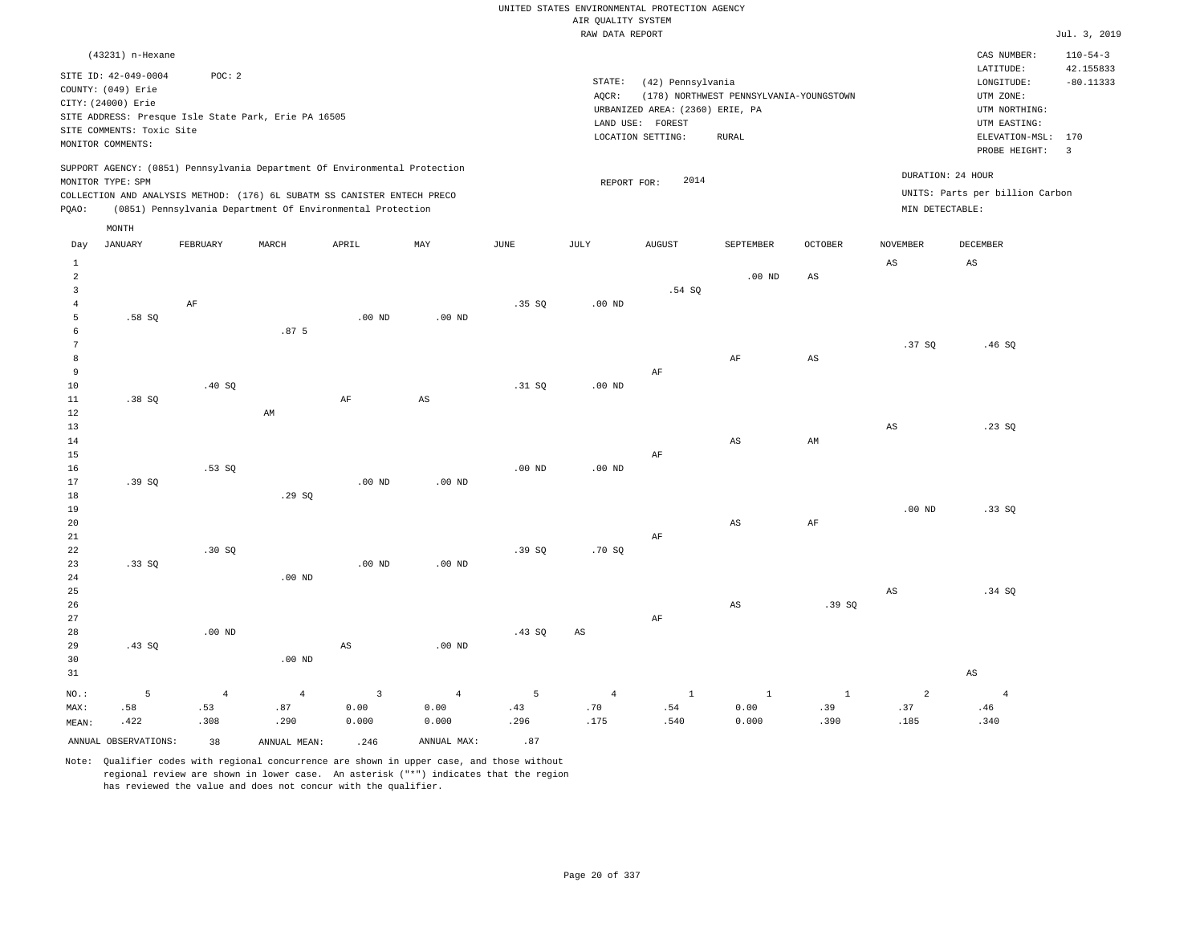|                     | (43231) n-Hexane<br>SITE ID: 42-049-0004<br>COUNTY: (049) Erie<br>CITY: (24000) Erie | POC: 2         |                                                      |                                                                            |                   |                   | STATE:<br>AQCR:   | (42) Pennsylvania<br>URBANIZED AREA: (2360) ERIE, PA | (178) NORTHWEST PENNSYLVANIA-YOUNGSTOWN |                        |                   | CAS NUMBER:<br>LATITUDE:<br>LONGITUDE:<br>UTM ZONE:<br>UTM NORTHING: | $110 - 54 - 3$<br>42.155833<br>$-80.11333$ |
|---------------------|--------------------------------------------------------------------------------------|----------------|------------------------------------------------------|----------------------------------------------------------------------------|-------------------|-------------------|-------------------|------------------------------------------------------|-----------------------------------------|------------------------|-------------------|----------------------------------------------------------------------|--------------------------------------------|
|                     | SITE COMMENTS: Toxic Site<br>MONITOR COMMENTS:                                       |                | SITE ADDRESS: Presque Isle State Park, Erie PA 16505 |                                                                            |                   |                   |                   | LAND USE: FOREST<br>LOCATION SETTING:                | <b>RURAL</b>                            |                        |                   | UTM EASTING:<br>ELEVATION-MSL: 170<br>PROBE HEIGHT:                  | $\overline{3}$                             |
|                     | MONITOR TYPE: SPM                                                                    |                |                                                      | SUPPORT AGENCY: (0851) Pennsylvania Department Of Environmental Protection |                   |                   | REPORT FOR:       | 2014                                                 |                                         |                        | DURATION: 24 HOUR |                                                                      |                                            |
|                     |                                                                                      |                |                                                      | COLLECTION AND ANALYSIS METHOD: (176) 6L SUBATM SS CANISTER ENTECH PRECO   |                   |                   |                   |                                                      |                                         |                        |                   | UNITS: Parts per billion Carbon                                      |                                            |
| PQAO:               |                                                                                      |                |                                                      | (0851) Pennsylvania Department Of Environmental Protection                 |                   |                   |                   |                                                      |                                         |                        | MIN DETECTABLE:   |                                                                      |                                            |
|                     | MONTH                                                                                |                |                                                      |                                                                            |                   |                   |                   |                                                      |                                         |                        |                   |                                                                      |                                            |
| Day                 | <b>JANUARY</b>                                                                       | FEBRUARY       | MARCH                                                | APRIL                                                                      | MAY               | <b>JUNE</b>       | JULY              | <b>AUGUST</b>                                        | SEPTEMBER                               | OCTOBER                | <b>NOVEMBER</b>   | DECEMBER                                                             |                                            |
| $\mathbf{1}$        |                                                                                      |                |                                                      |                                                                            |                   |                   |                   |                                                      |                                         |                        | $_{\rm AS}$       | $\mathbb{A}\mathbb{S}$                                               |                                            |
| $\overline{a}$      |                                                                                      |                |                                                      |                                                                            |                   |                   |                   |                                                      | $.00$ ND                                | AS                     |                   |                                                                      |                                            |
| $\overline{3}$      |                                                                                      |                |                                                      |                                                                            |                   |                   |                   | .54S                                                 |                                         |                        |                   |                                                                      |                                            |
| $\overline{4}$      |                                                                                      | AF             |                                                      |                                                                            |                   | .35SQ             | $.00$ ND          |                                                      |                                         |                        |                   |                                                                      |                                            |
| 5                   | .58S                                                                                 |                |                                                      | .00 <sub>ND</sub>                                                          | .00 <sub>ND</sub> |                   |                   |                                                      |                                         |                        |                   |                                                                      |                                            |
| 6                   |                                                                                      |                | .87 <sub>5</sub>                                     |                                                                            |                   |                   |                   |                                                      |                                         |                        |                   |                                                                      |                                            |
| $\overline{7}$<br>8 |                                                                                      |                |                                                      |                                                                            |                   |                   |                   |                                                      |                                         |                        | .37S              | .46S                                                                 |                                            |
| $\overline{9}$      |                                                                                      |                |                                                      |                                                                            |                   |                   |                   | AF                                                   | AF                                      | $\mathbb{A}\mathbb{S}$ |                   |                                                                      |                                            |
| 10                  |                                                                                      | .40S           |                                                      |                                                                            |                   | .31 SQ            | .00 <sub>ND</sub> |                                                      |                                         |                        |                   |                                                                      |                                            |
| 11                  | .38SQ                                                                                |                |                                                      | AF                                                                         | AS                |                   |                   |                                                      |                                         |                        |                   |                                                                      |                                            |
| 12                  |                                                                                      |                | AM                                                   |                                                                            |                   |                   |                   |                                                      |                                         |                        |                   |                                                                      |                                            |
| 13                  |                                                                                      |                |                                                      |                                                                            |                   |                   |                   |                                                      |                                         |                        | $_{\rm AS}$       | .23SQ                                                                |                                            |
| $14\,$              |                                                                                      |                |                                                      |                                                                            |                   |                   |                   |                                                      | $_{\rm AS}$                             | $\mathsf{AM}$          |                   |                                                                      |                                            |
| 15                  |                                                                                      |                |                                                      |                                                                            |                   |                   |                   | AF                                                   |                                         |                        |                   |                                                                      |                                            |
| 16                  |                                                                                      | .53SQ          |                                                      |                                                                            |                   | .00 <sub>ND</sub> | .00 <sub>ND</sub> |                                                      |                                         |                        |                   |                                                                      |                                            |
| 17                  | .39SQ                                                                                |                |                                                      | .00 <sub>ND</sub>                                                          | .00 <sub>ND</sub> |                   |                   |                                                      |                                         |                        |                   |                                                                      |                                            |
| 18                  |                                                                                      |                | .29SQ                                                |                                                                            |                   |                   |                   |                                                      |                                         |                        |                   |                                                                      |                                            |
| 19                  |                                                                                      |                |                                                      |                                                                            |                   |                   |                   |                                                      |                                         |                        | $.00$ ND          | .33SQ                                                                |                                            |
| 20                  |                                                                                      |                |                                                      |                                                                            |                   |                   |                   |                                                      | $\mathbb{A}\mathbb{S}$                  | AF                     |                   |                                                                      |                                            |
| 21                  |                                                                                      |                |                                                      |                                                                            |                   |                   |                   | $\rm{AF}$                                            |                                         |                        |                   |                                                                      |                                            |
| 22                  |                                                                                      | .30SQ          |                                                      |                                                                            |                   | .39SQ             | .70SQ             |                                                      |                                         |                        |                   |                                                                      |                                            |
| 23                  | .33SQ                                                                                |                |                                                      | $.00$ ND                                                                   | $.00$ ND          |                   |                   |                                                      |                                         |                        |                   |                                                                      |                                            |
| 24<br>25            |                                                                                      |                | $.00$ ND                                             |                                                                            |                   |                   |                   |                                                      |                                         |                        | $_{\rm AS}$       | .34 SQ                                                               |                                            |
| 26                  |                                                                                      |                |                                                      |                                                                            |                   |                   |                   |                                                      | AS                                      | .39SQ                  |                   |                                                                      |                                            |
| 27                  |                                                                                      |                |                                                      |                                                                            |                   |                   |                   | AF                                                   |                                         |                        |                   |                                                                      |                                            |
| 28                  |                                                                                      | $.00$ ND       |                                                      |                                                                            |                   | .43S              | AS                |                                                      |                                         |                        |                   |                                                                      |                                            |
| 29                  | .43 SQ                                                                               |                |                                                      | $_{\rm AS}$                                                                | .00 <sub>ND</sub> |                   |                   |                                                      |                                         |                        |                   |                                                                      |                                            |
| 30                  |                                                                                      |                | $.00$ ND                                             |                                                                            |                   |                   |                   |                                                      |                                         |                        |                   |                                                                      |                                            |
| 31                  |                                                                                      |                |                                                      |                                                                            |                   |                   |                   |                                                      |                                         |                        |                   | $\mathbb{A}\mathbb{S}$                                               |                                            |
| NO.:                | 5                                                                                    | $\overline{4}$ | $\overline{4}$                                       | $\overline{\mathbf{3}}$                                                    | $\overline{4}$    | 5                 | $\overline{4}$    | $\mathbf{1}$                                         | $\,$ 1                                  | $\mathbf{1}$           | $\overline{a}$    | $\overline{4}$                                                       |                                            |
| MAX:                | .58                                                                                  | .53            | .87                                                  | 0.00                                                                       | 0.00              | .43               | .70               | .54                                                  | 0.00                                    | .39                    | .37               | .46                                                                  |                                            |
| MEAN:               | .422                                                                                 | .308           | .290                                                 | 0.000                                                                      | 0.000             | .296              | .175              | .540                                                 | 0.000                                   | .390                   | .185              | .340                                                                 |                                            |
|                     |                                                                                      |                |                                                      |                                                                            |                   |                   |                   |                                                      |                                         |                        |                   |                                                                      |                                            |
|                     | ANNUAL OBSERVATIONS:                                                                 | 38             | ANNUAL MEAN:                                         | .246                                                                       | ANNUAL MAX:       | .87               |                   |                                                      |                                         |                        |                   |                                                                      |                                            |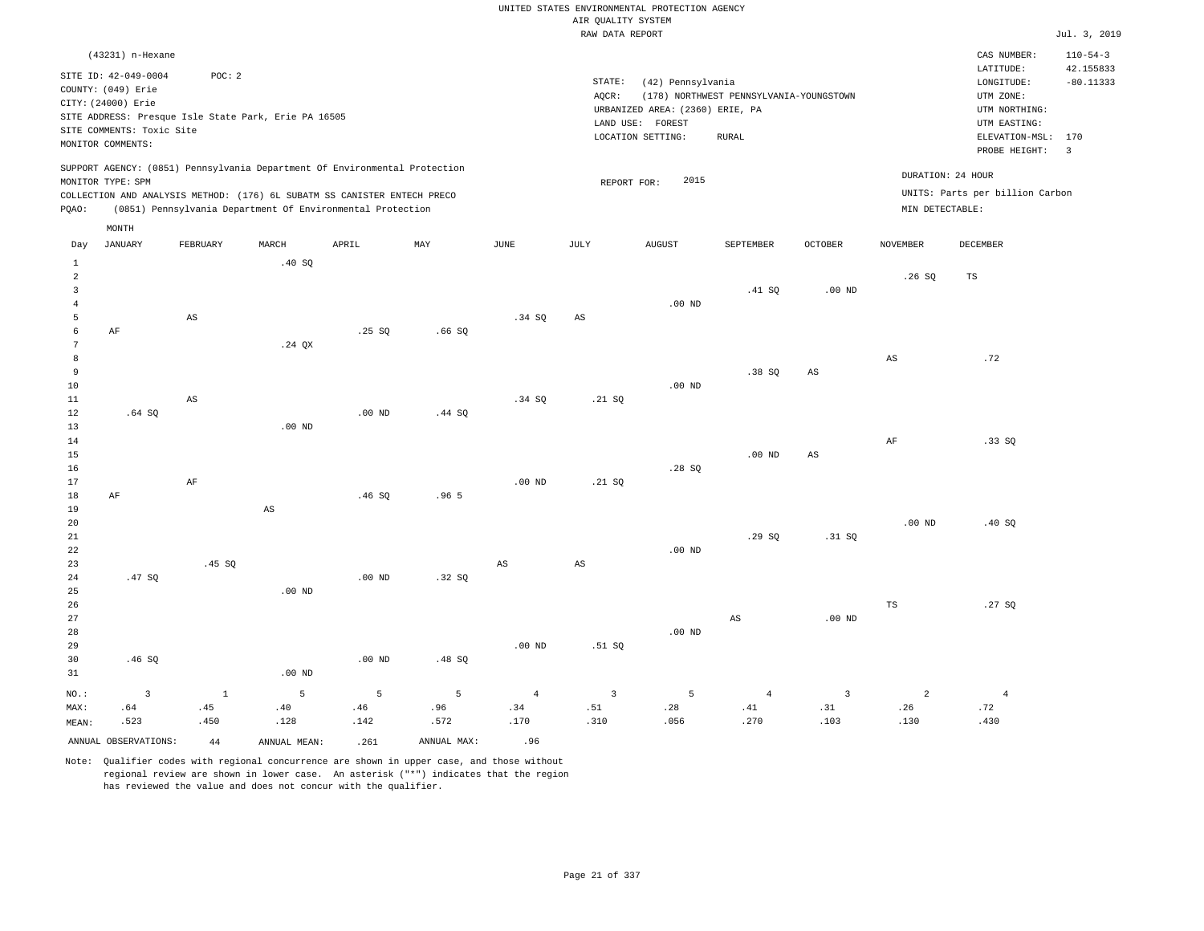|                     | (43231) n-Hexane          |              |                                                      |                                                                            |                  |                   |                         |                                 |                                         |                |                 | CAS NUMBER:                     | $110 - 54 - 3$ |
|---------------------|---------------------------|--------------|------------------------------------------------------|----------------------------------------------------------------------------|------------------|-------------------|-------------------------|---------------------------------|-----------------------------------------|----------------|-----------------|---------------------------------|----------------|
|                     | SITE ID: 42-049-0004      | POC: 2       |                                                      |                                                                            |                  |                   |                         |                                 |                                         |                |                 | LATITUDE:                       | 42.155833      |
|                     | COUNTY: (049) Erie        |              |                                                      |                                                                            |                  |                   | STATE:                  | (42) Pennsylvania               |                                         |                |                 | LONGITUDE:                      | $-80.11333$    |
|                     | CITY: (24000) Erie        |              |                                                      |                                                                            |                  |                   | AQCR:                   | URBANIZED AREA: (2360) ERIE, PA | (178) NORTHWEST PENNSYLVANIA-YOUNGSTOWN |                |                 | UTM ZONE:                       |                |
|                     |                           |              | SITE ADDRESS: Presque Isle State Park, Erie PA 16505 |                                                                            |                  |                   |                         | LAND USE: FOREST                |                                         |                |                 | UTM NORTHING:<br>UTM EASTING:   |                |
|                     | SITE COMMENTS: Toxic Site |              |                                                      |                                                                            |                  |                   |                         | LOCATION SETTING:               | RURAL                                   |                |                 | ELEVATION-MSL:                  | 170            |
|                     | MONITOR COMMENTS:         |              |                                                      |                                                                            |                  |                   |                         |                                 |                                         |                |                 | PROBE HEIGHT:                   | $\overline{3}$ |
|                     |                           |              |                                                      | SUPPORT AGENCY: (0851) Pennsylvania Department Of Environmental Protection |                  |                   |                         |                                 |                                         |                |                 |                                 |                |
|                     | MONITOR TYPE: SPM         |              |                                                      |                                                                            |                  |                   | REPORT FOR:             | 2015                            |                                         |                |                 | DURATION: 24 HOUR               |                |
|                     |                           |              |                                                      | COLLECTION AND ANALYSIS METHOD: (176) 6L SUBATM SS CANISTER ENTECH PRECO   |                  |                   |                         |                                 |                                         |                |                 | UNITS: Parts per billion Carbon |                |
| PQAO:               |                           |              |                                                      | (0851) Pennsylvania Department Of Environmental Protection                 |                  |                   |                         |                                 |                                         |                | MIN DETECTABLE: |                                 |                |
|                     | MONTH                     |              |                                                      |                                                                            |                  |                   |                         |                                 |                                         |                |                 |                                 |                |
| Day                 | JANUARY                   | FEBRUARY     | MARCH                                                | APRIL                                                                      | MAY              | JUNE              | JULY                    | <b>AUGUST</b>                   | SEPTEMBER                               | <b>OCTOBER</b> | <b>NOVEMBER</b> | DECEMBER                        |                |
| 1                   |                           |              | .40 SQ                                               |                                                                            |                  |                   |                         |                                 |                                         |                |                 |                                 |                |
| $\overline{a}$      |                           |              |                                                      |                                                                            |                  |                   |                         |                                 |                                         |                | .26SQ           | TS                              |                |
| $\overline{3}$      |                           |              |                                                      |                                                                            |                  |                   |                         |                                 | .41 SQ                                  | $.00$ ND       |                 |                                 |                |
| $\overline{4}$<br>5 |                           | AS           |                                                      |                                                                            |                  | .34 SO            | $\mathbb{A}\mathbb{S}$  | $.00$ ND                        |                                         |                |                 |                                 |                |
| $\epsilon$          | AF                        |              |                                                      | .25SQ                                                                      | .66SQ            |                   |                         |                                 |                                         |                |                 |                                 |                |
| $7\phantom{.0}$     |                           |              | .24 QX                                               |                                                                            |                  |                   |                         |                                 |                                         |                |                 |                                 |                |
| 8                   |                           |              |                                                      |                                                                            |                  |                   |                         |                                 |                                         |                | $_{\rm AS}$     | .72                             |                |
| 9                   |                           |              |                                                      |                                                                            |                  |                   |                         |                                 | .38SQ                                   | $_{\rm AS}$    |                 |                                 |                |
| 10                  |                           |              |                                                      |                                                                            |                  |                   |                         | $.00$ ND                        |                                         |                |                 |                                 |                |
| 11                  |                           | AS           |                                                      |                                                                            |                  | .34 S             | .21 SQ                  |                                 |                                         |                |                 |                                 |                |
| 12                  | .64SQ                     |              |                                                      | .00 <sub>ND</sub>                                                          | .44 SQ           |                   |                         |                                 |                                         |                |                 |                                 |                |
| 13                  |                           |              | .00 <sub>ND</sub>                                    |                                                                            |                  |                   |                         |                                 |                                         |                |                 |                                 |                |
| 14<br>15            |                           |              |                                                      |                                                                            |                  |                   |                         |                                 | .00 <sub>ND</sub>                       | AS             | AF              | .33SQ                           |                |
| 16                  |                           |              |                                                      |                                                                            |                  |                   |                         | .28S                            |                                         |                |                 |                                 |                |
| 17                  |                           | $\rm AF$     |                                                      |                                                                            |                  | $.00$ ND          | .21 SQ                  |                                 |                                         |                |                 |                                 |                |
| 18                  | AF                        |              |                                                      | .46SQ                                                                      | .96 <sub>5</sub> |                   |                         |                                 |                                         |                |                 |                                 |                |
| 19                  |                           |              | $\mathbb{A}\mathbb{S}$                               |                                                                            |                  |                   |                         |                                 |                                         |                |                 |                                 |                |
| 20                  |                           |              |                                                      |                                                                            |                  |                   |                         |                                 |                                         |                | $.00$ ND        | .40SQ                           |                |
| 21                  |                           |              |                                                      |                                                                            |                  |                   |                         |                                 | .29 SQ                                  | .31 SQ         |                 |                                 |                |
| 22                  |                           |              |                                                      |                                                                            |                  |                   |                         | $.00$ ND                        |                                         |                |                 |                                 |                |
| 23<br>24            | .47SQ                     | .45 SQ       |                                                      | $.00$ ND                                                                   | .32S             | AS                | $_{\rm AS}$             |                                 |                                         |                |                 |                                 |                |
| 25                  |                           |              | $.00$ ND                                             |                                                                            |                  |                   |                         |                                 |                                         |                |                 |                                 |                |
| 26                  |                           |              |                                                      |                                                                            |                  |                   |                         |                                 |                                         |                | TS              | .27SQ                           |                |
| 27                  |                           |              |                                                      |                                                                            |                  |                   |                         |                                 | $\mathbb{A}\mathbb{S}$                  | $.00$ ND       |                 |                                 |                |
| 28                  |                           |              |                                                      |                                                                            |                  |                   |                         | $.00$ ND                        |                                         |                |                 |                                 |                |
| 29                  |                           |              |                                                      |                                                                            |                  | .00 <sub>ND</sub> | .51 SQ                  |                                 |                                         |                |                 |                                 |                |
| 30                  | .46SQ                     |              |                                                      | $.00$ ND                                                                   | .48SQ            |                   |                         |                                 |                                         |                |                 |                                 |                |
| 31                  |                           |              | $.00$ ND                                             |                                                                            |                  |                   |                         |                                 |                                         |                |                 |                                 |                |
| NO.:                | $\overline{3}$            | $\mathbf{1}$ | 5                                                    | 5                                                                          | 5                | $\overline{4}$    | $\overline{\mathbf{3}}$ | 5                               | $\overline{4}$                          | $\overline{3}$ | $\overline{2}$  | $\overline{4}$                  |                |
| MAX:                | .64                       | .45          | .40                                                  | .46                                                                        | .96              | .34               | .51                     | .28                             | .41                                     | .31            | .26             | .72                             |                |
| MEAN:               | .523                      | .450         | .128                                                 | .142                                                                       | .572             | .170              | .310                    | .056                            | .270                                    | .103           | .130            | .430                            |                |

Note: Qualifier codes with regional concurrence are shown in upper case, and those without regional review are shown in lower case. An asterisk ("\*") indicates that the region has reviewed the value and does not concur with the qualifier.

ANNUAL OBSERVATIONS:  $44$  ANNUAL MEAN: .261 ANNUAL MAX: .96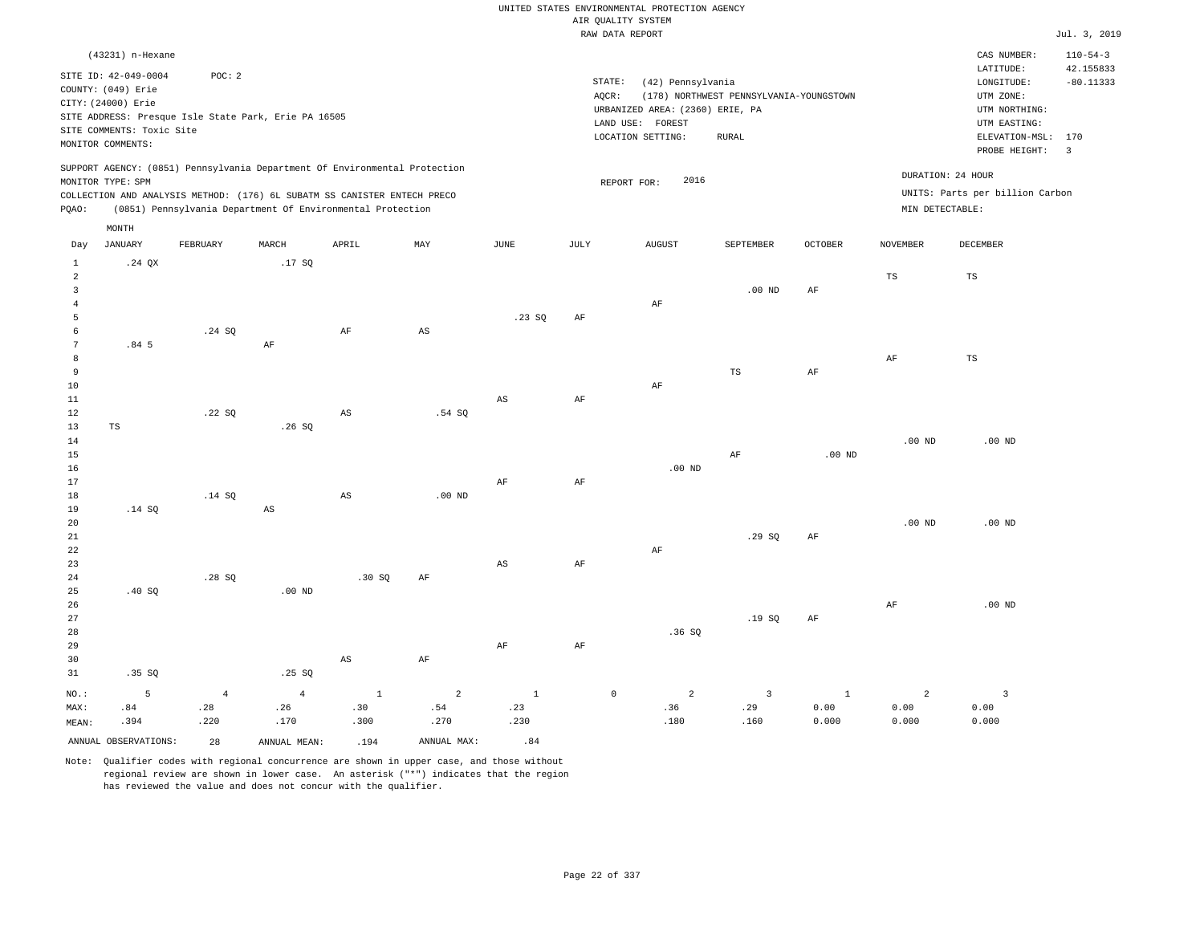|                   | (43231) n-Hexane          |                |                                                                            |                        |                        |              |           |                                         |                                         |          |                   | CAS NUMBER:                     | $110 - 54 - 3$          |
|-------------------|---------------------------|----------------|----------------------------------------------------------------------------|------------------------|------------------------|--------------|-----------|-----------------------------------------|-----------------------------------------|----------|-------------------|---------------------------------|-------------------------|
|                   | SITE ID: 42-049-0004      | POC: 2         |                                                                            |                        |                        |              |           |                                         |                                         |          |                   | LATITUDE:                       | 42.155833               |
|                   | COUNTY: (049) Erie        |                |                                                                            |                        |                        |              |           | $\texttt{STATE}$ :<br>(42) Pennsylvania |                                         |          |                   | LONGITUDE:                      | $-80.11333$             |
|                   | CITY: (24000) Erie        |                |                                                                            |                        |                        |              |           | AQCR:                                   | (178) NORTHWEST PENNSYLVANIA-YOUNGSTOWN |          |                   | UTM ZONE:                       |                         |
|                   |                           |                | SITE ADDRESS: Presque Isle State Park, Erie PA 16505                       |                        |                        |              |           | URBANIZED AREA: (2360) ERIE, PA         |                                         |          |                   | UTM NORTHING:                   |                         |
|                   | SITE COMMENTS: Toxic Site |                |                                                                            |                        |                        |              |           | LAND USE: FOREST                        |                                         |          |                   | UTM EASTING:                    |                         |
|                   | MONITOR COMMENTS:         |                |                                                                            |                        |                        |              |           | LOCATION SETTING:                       | <b>RURAL</b>                            |          |                   | ELEVATION-MSL: 170              |                         |
|                   |                           |                |                                                                            |                        |                        |              |           |                                         |                                         |          |                   | PROBE HEIGHT:                   | $\overline{\mathbf{3}}$ |
|                   |                           |                | SUPPORT AGENCY: (0851) Pennsylvania Department Of Environmental Protection |                        |                        |              |           |                                         |                                         |          |                   | DURATION: 24 HOUR               |                         |
|                   | MONITOR TYPE: SPM         |                |                                                                            |                        |                        |              |           | 2016<br>REPORT FOR:                     |                                         |          |                   |                                 |                         |
|                   |                           |                | COLLECTION AND ANALYSIS METHOD: (176) 6L SUBATM SS CANISTER ENTECH PRECO   |                        |                        |              |           |                                         |                                         |          |                   | UNITS: Parts per billion Carbon |                         |
| PQAO:             |                           |                | (0851) Pennsylvania Department Of Environmental Protection                 |                        |                        |              |           |                                         |                                         |          | MIN DETECTABLE:   |                                 |                         |
|                   | MONTH                     |                |                                                                            |                        |                        |              |           |                                         |                                         |          |                   |                                 |                         |
| Day               | JANUARY                   | FEBRUARY       | MARCH                                                                      | APRIL                  | MAY                    | JUNE         | JULY      | AUGUST                                  | SEPTEMBER                               | OCTOBER  | <b>NOVEMBER</b>   | DECEMBER                        |                         |
| $\mathbf{1}$      | .24 QX                    |                | .17SQ                                                                      |                        |                        |              |           |                                         |                                         |          |                   |                                 |                         |
| $\overline{a}$    |                           |                |                                                                            |                        |                        |              |           |                                         |                                         |          | $_{\rm TS}$       | TS                              |                         |
| $\overline{3}$    |                           |                |                                                                            |                        |                        |              |           |                                         | .00 <sub>ND</sub>                       | AF       |                   |                                 |                         |
| $\overline{4}$    |                           |                |                                                                            |                        |                        |              |           | AF                                      |                                         |          |                   |                                 |                         |
| $\overline{5}$    |                           |                |                                                                            |                        |                        | .23SQ        | AF        |                                         |                                         |          |                   |                                 |                         |
| 6                 |                           | .24 SQ         |                                                                            | $\rm{AF}$              | $\mathbb{A}\mathbb{S}$ |              |           |                                         |                                         |          |                   |                                 |                         |
| $7\phantom{.0}$   | .84 <sub>5</sub>          |                | AF                                                                         |                        |                        |              |           |                                         |                                         |          |                   |                                 |                         |
| 8                 |                           |                |                                                                            |                        |                        |              |           |                                         |                                         |          | AF                | TS                              |                         |
| 9                 |                           |                |                                                                            |                        |                        |              |           |                                         | $\mathbb{TS}$                           | $\rm AF$ |                   |                                 |                         |
| 10                |                           |                |                                                                            |                        |                        |              |           | $\rm{AF}$                               |                                         |          |                   |                                 |                         |
| 11                |                           |                |                                                                            |                        |                        | AS           | AF        |                                         |                                         |          |                   |                                 |                         |
| 12                |                           | .22SQ          |                                                                            | AS                     | .54SQ                  |              |           |                                         |                                         |          |                   |                                 |                         |
| 13                | TS                        |                | .26SQ                                                                      |                        |                        |              |           |                                         |                                         |          |                   |                                 |                         |
| 14                |                           |                |                                                                            |                        |                        |              |           |                                         |                                         |          | $.00$ ND          | $.00$ ND                        |                         |
| 15                |                           |                |                                                                            |                        |                        |              |           |                                         | AF                                      | $.00$ ND |                   |                                 |                         |
| 16                |                           |                |                                                                            |                        |                        |              |           | $.00$ ND                                |                                         |          |                   |                                 |                         |
| 17                |                           |                |                                                                            |                        |                        | $\rm AF$     | $\rm{AF}$ |                                         |                                         |          |                   |                                 |                         |
| 18                |                           | .14 SQ         |                                                                            | $\mathbb{A}\mathbb{S}$ | $.00$ ND               |              |           |                                         |                                         |          |                   |                                 |                         |
| 19                | .14 SQ                    |                | $\mathbb{A}\mathbb{S}$                                                     |                        |                        |              |           |                                         |                                         |          |                   |                                 |                         |
| 20                |                           |                |                                                                            |                        |                        |              |           |                                         |                                         |          | .00 <sub>ND</sub> | $.00$ ND                        |                         |
| $2\sqrt{1}$<br>22 |                           |                |                                                                            |                        |                        |              |           | $\rm{AF}$                               | .29SQ                                   | AF       |                   |                                 |                         |
| 23                |                           |                |                                                                            |                        |                        | AS           | AF        |                                         |                                         |          |                   |                                 |                         |
| 24                |                           | .28SQ          |                                                                            | .30S                   | AF                     |              |           |                                         |                                         |          |                   |                                 |                         |
| 25                | .40SQ                     |                | $.00$ ND                                                                   |                        |                        |              |           |                                         |                                         |          |                   |                                 |                         |
| 26                |                           |                |                                                                            |                        |                        |              |           |                                         |                                         |          | $\rm{AF}$         | $.00$ ND                        |                         |
| 27                |                           |                |                                                                            |                        |                        |              |           |                                         | .19SQ                                   | AF       |                   |                                 |                         |
| 28                |                           |                |                                                                            |                        |                        |              |           | .36SQ                                   |                                         |          |                   |                                 |                         |
| 29                |                           |                |                                                                            |                        |                        | $\rm{AF}$    | $\rm{AF}$ |                                         |                                         |          |                   |                                 |                         |
| 30                |                           |                |                                                                            | $\mathbb{A}\mathbb{S}$ | $\rm{AF}$              |              |           |                                         |                                         |          |                   |                                 |                         |
| 31                | .35 SQ                    |                | .25SQ                                                                      |                        |                        |              |           |                                         |                                         |          |                   |                                 |                         |
| NO.:              | 5                         | $\overline{4}$ | $\overline{4}$                                                             | $\mathbf{1}$           | 2                      | $\mathbf{1}$ |           | $\mathbb O$<br>$\overline{a}$           | $\overline{3}$                          | $1\,$    | 2                 | $\overline{3}$                  |                         |
| MAX:              | .84                       | .28            | .26                                                                        | .30                    | .54                    | .23          |           | .36                                     | .29                                     | 0.00     | 0.00              | 0.00                            |                         |
| MEAN:             | .394                      | .220           | .170                                                                       | .300                   | .270                   | .230         |           | .180                                    | .160                                    | 0.000    | 0.000             | 0.000                           |                         |
|                   |                           |                |                                                                            |                        |                        |              |           |                                         |                                         |          |                   |                                 |                         |
|                   | ANNUAL OBSERVATIONS:      | 28             | ANNUAL MEAN:                                                               | .194                   | ANNUAL MAX:            | .84          |           |                                         |                                         |          |                   |                                 |                         |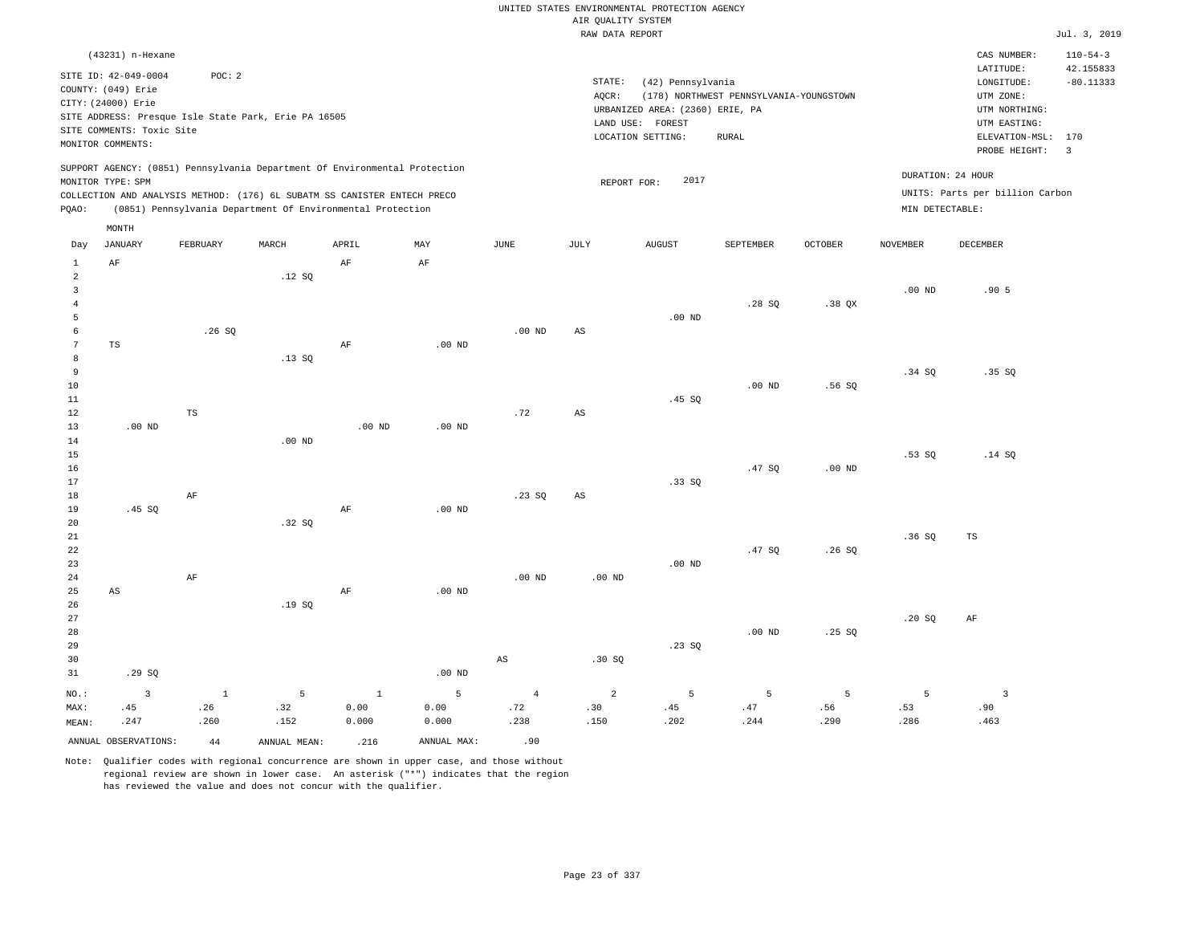|                  |                                                      |              |              |                                                                            |             |                        | RAW DATA REPORT        |                                 |                                         |                   |                 |                                 | Jul. 3, 2019   |
|------------------|------------------------------------------------------|--------------|--------------|----------------------------------------------------------------------------|-------------|------------------------|------------------------|---------------------------------|-----------------------------------------|-------------------|-----------------|---------------------------------|----------------|
|                  | (43231) n-Hexane                                     |              |              |                                                                            |             |                        |                        |                                 |                                         |                   |                 | CAS NUMBER:                     | $110 - 54 - 3$ |
|                  |                                                      |              |              |                                                                            |             |                        |                        |                                 |                                         |                   |                 | LATITUDE:                       | 42.155833      |
|                  | SITE ID: 42-049-0004                                 | POC: 2       |              |                                                                            |             |                        | STATE:                 | (42) Pennsylvania               |                                         |                   |                 | LONGITUDE:                      | $-80.11333$    |
|                  | COUNTY: (049) Erie                                   |              |              |                                                                            |             |                        | AQCR:                  |                                 | (178) NORTHWEST PENNSYLVANIA-YOUNGSTOWN |                   |                 | UTM ZONE:                       |                |
|                  | CITY: (24000) Erie                                   |              |              |                                                                            |             |                        |                        | URBANIZED AREA: (2360) ERIE, PA |                                         |                   |                 | UTM NORTHING:                   |                |
|                  | SITE ADDRESS: Presque Isle State Park, Erie PA 16505 |              |              |                                                                            |             |                        |                        | LAND USE: FOREST                |                                         |                   |                 | UTM EASTING:                    |                |
|                  | SITE COMMENTS: Toxic Site                            |              |              |                                                                            |             |                        |                        | LOCATION SETTING:               | ${\tt RURAL}$                           |                   |                 | ELEVATION-MSL: 170              |                |
|                  | MONITOR COMMENTS:                                    |              |              |                                                                            |             |                        |                        |                                 |                                         |                   |                 | PROBE HEIGHT:                   | $\overline{3}$ |
|                  |                                                      |              |              | SUPPORT AGENCY: (0851) Pennsylvania Department Of Environmental Protection |             |                        |                        |                                 |                                         |                   |                 |                                 |                |
|                  | MONITOR TYPE: SPM                                    |              |              |                                                                            |             |                        | REPORT FOR:            | 2017                            |                                         |                   |                 | DURATION: 24 HOUR               |                |
|                  |                                                      |              |              | COLLECTION AND ANALYSIS METHOD: (176) 6L SUBATM SS CANISTER ENTECH PRECO   |             |                        |                        |                                 |                                         |                   |                 | UNITS: Parts per billion Carbon |                |
| PQAO:            |                                                      |              |              | (0851) Pennsylvania Department Of Environmental Protection                 |             |                        |                        |                                 |                                         |                   | MIN DETECTABLE: |                                 |                |
|                  | MONTH                                                |              |              |                                                                            |             |                        |                        |                                 |                                         |                   |                 |                                 |                |
| Day              | <b>JANUARY</b>                                       | FEBRUARY     | MARCH        | APRIL                                                                      | MAY         | <b>JUNE</b>            | JULY                   | <b>AUGUST</b>                   | SEPTEMBER                               | <b>OCTOBER</b>    | <b>NOVEMBER</b> | <b>DECEMBER</b>                 |                |
| $\mathbf{1}$     | AF                                                   |              |              | AF                                                                         | AF          |                        |                        |                                 |                                         |                   |                 |                                 |                |
| $\overline{a}$   |                                                      |              | .12 SQ       |                                                                            |             |                        |                        |                                 |                                         |                   |                 |                                 |                |
| $\overline{3}$   |                                                      |              |              |                                                                            |             |                        |                        |                                 |                                         |                   | $.00$ ND        | .905                            |                |
| $\bf 4$          |                                                      |              |              |                                                                            |             |                        |                        |                                 | .28SQ                                   | .38 QX            |                 |                                 |                |
| 5                |                                                      |              |              |                                                                            |             |                        |                        | $.00$ ND                        |                                         |                   |                 |                                 |                |
| 6                |                                                      | .26S         |              |                                                                            |             | $.00$ ND               | $_{\rm AS}$            |                                 |                                         |                   |                 |                                 |                |
| $\boldsymbol{7}$ | $_{\rm TS}$                                          |              |              | AF                                                                         | $.00$ ND    |                        |                        |                                 |                                         |                   |                 |                                 |                |
| 8                |                                                      |              | .13SQ        |                                                                            |             |                        |                        |                                 |                                         |                   |                 |                                 |                |
| $\overline{9}$   |                                                      |              |              |                                                                            |             |                        |                        |                                 |                                         |                   | .34 SO          | .35 S                           |                |
| 10               |                                                      |              |              |                                                                            |             |                        |                        |                                 | $.00$ ND                                | .56SQ             |                 |                                 |                |
| $11\,$           |                                                      |              |              |                                                                            |             |                        |                        | .45 SQ                          |                                         |                   |                 |                                 |                |
| 12               |                                                      | $_{\rm TS}$  |              |                                                                            |             | .72                    | AS                     |                                 |                                         |                   |                 |                                 |                |
| 13               | .00 <sub>ND</sub>                                    |              |              | .00 <sub>ND</sub>                                                          | $.00$ ND    |                        |                        |                                 |                                         |                   |                 |                                 |                |
| 14               |                                                      |              | $.00$ ND     |                                                                            |             |                        |                        |                                 |                                         |                   |                 |                                 |                |
| 15               |                                                      |              |              |                                                                            |             |                        |                        |                                 |                                         |                   | $.53$ SO        | .14S                            |                |
| 16               |                                                      |              |              |                                                                            |             |                        |                        |                                 | .47SQ                                   | .00 <sub>ND</sub> |                 |                                 |                |
| 17               |                                                      |              |              |                                                                            |             |                        |                        | .33SQ                           |                                         |                   |                 |                                 |                |
| 18               |                                                      | $\rm{AF}$    |              |                                                                            |             | .23SQ                  | $\mathbb{A}\mathbb{S}$ |                                 |                                         |                   |                 |                                 |                |
| 19               | .45 SQ                                               |              |              | AF                                                                         | $.00$ ND    |                        |                        |                                 |                                         |                   |                 |                                 |                |
| 20               |                                                      |              | .32 SQ       |                                                                            |             |                        |                        |                                 |                                         |                   |                 |                                 |                |
| 21               |                                                      |              |              |                                                                            |             |                        |                        |                                 |                                         |                   | .36S            | $_{\rm TS}$                     |                |
| 22               |                                                      |              |              |                                                                            |             |                        |                        |                                 | .47S                                    | .26S              |                 |                                 |                |
| 23               |                                                      |              |              |                                                                            |             |                        |                        | $.00$ ND                        |                                         |                   |                 |                                 |                |
| 24<br>25         |                                                      | $\rm{AF}$    |              |                                                                            |             | .00 <sub>ND</sub>      | $.00$ ND               |                                 |                                         |                   |                 |                                 |                |
| 26               | AS                                                   |              | .19SQ        | AF                                                                         | $.00$ ND    |                        |                        |                                 |                                         |                   |                 |                                 |                |
| 27               |                                                      |              |              |                                                                            |             |                        |                        |                                 |                                         |                   | .20SQ           | $\rm{AF}$                       |                |
| 28               |                                                      |              |              |                                                                            |             |                        |                        |                                 | $.00$ ND                                | .25S              |                 |                                 |                |
| 29               |                                                      |              |              |                                                                            |             |                        |                        | .23SQ                           |                                         |                   |                 |                                 |                |
| 30               |                                                      |              |              |                                                                            |             | $\mathbb{A}\mathbb{S}$ | .30 SQ                 |                                 |                                         |                   |                 |                                 |                |
| 31               | .29SQ                                                |              |              |                                                                            | $.00$ ND    |                        |                        |                                 |                                         |                   |                 |                                 |                |
|                  |                                                      |              |              |                                                                            |             |                        |                        |                                 |                                         |                   |                 |                                 |                |
| $NO.$ :          | $\overline{\mathbf{3}}$                              | $\mathbf{1}$ | 5            | $\mathbf{1}$                                                               | 5           | $\overline{4}$         | 2                      | 5                               | 5                                       | 5                 | 5               | $\overline{\mathbf{3}}$         |                |
| MAX:             | .45                                                  | .26          | .32          | 0.00                                                                       | 0.00        | .72                    | .30                    | .45                             | .47                                     | .56               | .53             | .90                             |                |
| MEAN:            | .247                                                 | .260         | .152         | 0.000                                                                      | 0.000       | .238                   | .150                   | .202                            | .244                                    | .290              | .286            | .463                            |                |
|                  | ANNUAL OBSERVATIONS:                                 | $4\,4$       | ANNUAL MEAN: | .216                                                                       | ANNUAL MAX: | .90                    |                        |                                 |                                         |                   |                 |                                 |                |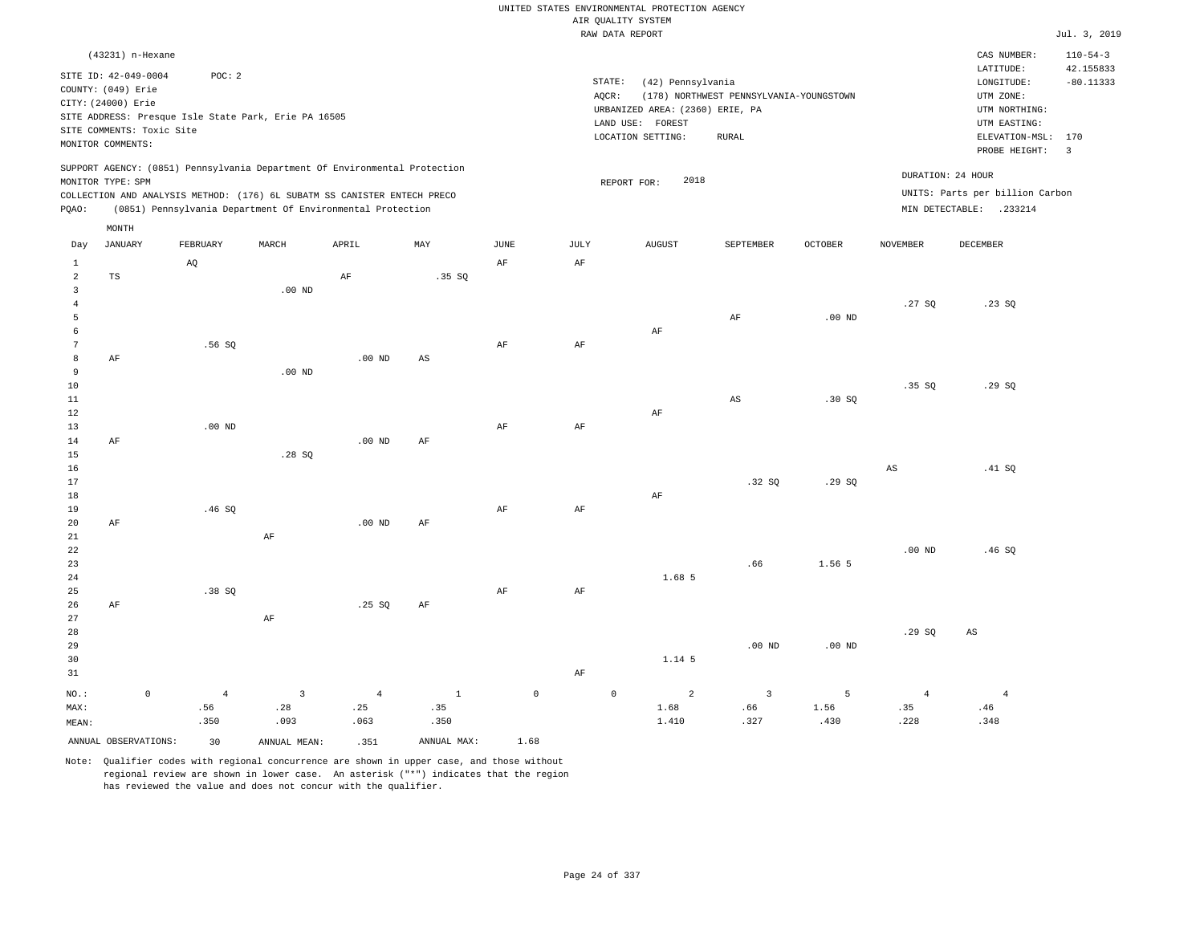|                                                     |                                                                                                                                        |                                                                                                                                                                                                                      |                               |                               |                        |                     |                   | UNITED STATES ENVIRONMENTAL PROTECTION AGENCY                                                           |                                                  |                   |                               |                                                                                                                         |                                                                     |
|-----------------------------------------------------|----------------------------------------------------------------------------------------------------------------------------------------|----------------------------------------------------------------------------------------------------------------------------------------------------------------------------------------------------------------------|-------------------------------|-------------------------------|------------------------|---------------------|-------------------|---------------------------------------------------------------------------------------------------------|--------------------------------------------------|-------------------|-------------------------------|-------------------------------------------------------------------------------------------------------------------------|---------------------------------------------------------------------|
|                                                     |                                                                                                                                        |                                                                                                                                                                                                                      |                               |                               |                        |                     |                   | AIR QUALITY SYSTEM<br>RAW DATA REPORT                                                                   |                                                  |                   |                               |                                                                                                                         | Jul. 3, 2019                                                        |
|                                                     |                                                                                                                                        |                                                                                                                                                                                                                      |                               |                               |                        |                     |                   |                                                                                                         |                                                  |                   |                               |                                                                                                                         |                                                                     |
|                                                     | (43231) n-Hexane<br>SITE ID: 42-049-0004<br>COUNTY: (049) Erie<br>CITY: (24000) Erie<br>SITE COMMENTS: Toxic Site<br>MONITOR COMMENTS: | POC: 2<br>SITE ADDRESS: Presque Isle State Park, Erie PA 16505                                                                                                                                                       |                               |                               |                        |                     | AQCR:             | STATE:<br>(42) Pennsylvania<br>URBANIZED AREA: (2360) ERIE, PA<br>LAND USE: FOREST<br>LOCATION SETTING: | (178) NORTHWEST PENNSYLVANIA-YOUNGSTOWN<br>RURAL |                   |                               | CAS NUMBER:<br>LATITUDE:<br>LONGITUDE:<br>UTM ZONE:<br>UTM NORTHING:<br>UTM EASTING:<br>ELEVATION-MSL:<br>PROBE HEIGHT: | $110 - 54 - 3$<br>42.155833<br>$-80.11333$<br>170<br>$\overline{3}$ |
| PQAO:                                               | MONITOR TYPE: SPM                                                                                                                      | SUPPORT AGENCY: (0851) Pennsylvania Department Of Environmental Protection<br>COLLECTION AND ANALYSIS METHOD: (176) 6L SUBATM SS CANISTER ENTECH PRECO<br>(0851) Pennsylvania Department Of Environmental Protection |                               |                               |                        |                     |                   | 2018<br>REPORT FOR:                                                                                     |                                                  |                   | DURATION: 24 HOUR             | UNITS: Parts per billion Carbon<br>MIN DETECTABLE: .233214                                                              |                                                                     |
|                                                     | MONTH                                                                                                                                  |                                                                                                                                                                                                                      |                               |                               |                        |                     |                   |                                                                                                         |                                                  |                   |                               |                                                                                                                         |                                                                     |
| Day<br>$1\,$<br>$\overline{2}$                      | <b>JANUARY</b><br><b>TS</b>                                                                                                            | FEBRUARY<br>AQ                                                                                                                                                                                                       | MARCH                         | APRIL<br>AF                   | MAY<br>.35 SQ          | <b>JUNE</b><br>AF   | <b>JULY</b><br>AF | <b>AUGUST</b>                                                                                           | SEPTEMBER                                        | <b>OCTOBER</b>    | <b>NOVEMBER</b>               | DECEMBER                                                                                                                |                                                                     |
| $\overline{\mathbf{3}}$<br>$\overline{4}$<br>5<br>6 |                                                                                                                                        |                                                                                                                                                                                                                      | $.00$ ND                      |                               |                        |                     |                   | AF                                                                                                      | $\rm{AF}$                                        | .00 <sub>ND</sub> | .27S                          | .23SQ                                                                                                                   |                                                                     |
| $7\phantom{.0}$<br>8<br>9<br>$10$                   | AF                                                                                                                                     | .56SQ                                                                                                                                                                                                                | .00 <sub>ND</sub>             | .00 <sub>ND</sub>             | AS                     | $\rm AF$            | $\rm{AF}$         |                                                                                                         |                                                  |                   | .35 S                         | .29SQ                                                                                                                   |                                                                     |
| $1\,1$<br>$1\,2$<br>13<br>14                        | AF                                                                                                                                     | $.00$ ND                                                                                                                                                                                                             |                               | $.00$ ND                      | AF                     | AF                  | AF                | AF                                                                                                      | $_{\rm AS}$                                      | .30 SQ            |                               |                                                                                                                         |                                                                     |
| 15<br>16<br>17<br>18                                |                                                                                                                                        |                                                                                                                                                                                                                      | .28SQ                         |                               |                        |                     |                   | AF                                                                                                      | .32S                                             | .29SQ             | $\mathbb{A}\mathbb{S}$        | .41 SQ                                                                                                                  |                                                                     |
| 19<br>20<br>21<br>22                                | AF                                                                                                                                     | .46 SQ                                                                                                                                                                                                               | AF                            | .00 <sub>ND</sub>             | AF                     | AF                  | AF                |                                                                                                         |                                                  |                   | $.00$ ND                      | .46S                                                                                                                    |                                                                     |
| 23<br>24<br>25<br>26                                | AF                                                                                                                                     | .38 SQ                                                                                                                                                                                                               |                               | .25SQ                         | AF                     | AF                  | AF                | 1.68 5                                                                                                  | .66                                              | 1.56 5            |                               |                                                                                                                         |                                                                     |
| 27<br>28<br>29<br>30<br>31                          |                                                                                                                                        |                                                                                                                                                                                                                      | AF                            |                               |                        |                     | AF                | 1.14 5                                                                                                  | $.00$ ND                                         | $.00$ ND          | .29SQ                         | $\mathbb{A}\mathbb{S}$                                                                                                  |                                                                     |
| $NO.$ :<br>MAX:<br>MEAN:                            | $\mathbb O$                                                                                                                            | $\overline{4}$<br>.56<br>.350                                                                                                                                                                                        | $\overline{3}$<br>.28<br>.093 | $\overline{4}$<br>.25<br>.063 | $\,1\,$<br>.35<br>.350 | $\mathsf{O}\xspace$ |                   | $\mathbb O$<br>2<br>1.68<br>1.410                                                                       | $\overline{\mathbf{3}}$<br>.66<br>.327           | 5<br>1.56<br>.430 | $\overline{4}$<br>.35<br>.228 | $\overline{4}$<br>.46<br>.348                                                                                           |                                                                     |
|                                                     | ANNUAL OBSERVATIONS:                                                                                                                   | 30                                                                                                                                                                                                                   | ANNUAL MEAN:                  | .351                          | ANNUAL MAX:            | 1.68                |                   |                                                                                                         |                                                  |                   |                               |                                                                                                                         |                                                                     |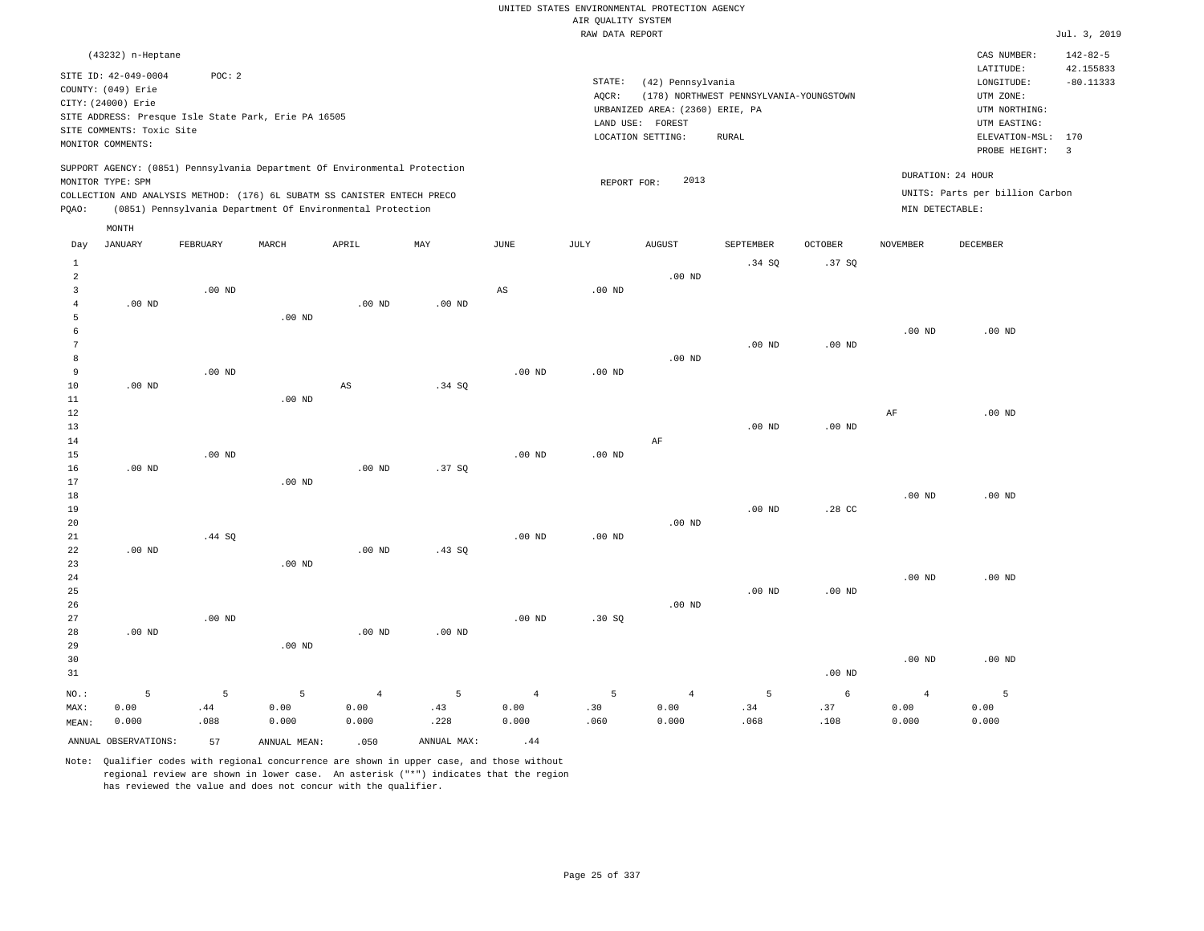|                                | (43232) n-Heptane         |          |                                                                            |                |                |                   |                   |                                 |                                         |                   |                   | CAS NUMBER:<br>LATITUDE:        | $142 - 82 - 5$<br>42.155833 |
|--------------------------------|---------------------------|----------|----------------------------------------------------------------------------|----------------|----------------|-------------------|-------------------|---------------------------------|-----------------------------------------|-------------------|-------------------|---------------------------------|-----------------------------|
|                                | SITE ID: 42-049-0004      | POC: 2   |                                                                            |                |                |                   | STATE:            | (42) Pennsylvania               |                                         |                   |                   | LONGITUDE:                      | $-80.11333$                 |
|                                | COUNTY: (049) Erie        |          |                                                                            |                |                |                   | AQCR:             |                                 | (178) NORTHWEST PENNSYLVANIA-YOUNGSTOWN |                   |                   | UTM ZONE:                       |                             |
|                                | CITY: (24000) Erie        |          |                                                                            |                |                |                   |                   | URBANIZED AREA: (2360) ERIE, PA |                                         |                   |                   | UTM NORTHING:                   |                             |
|                                |                           |          | SITE ADDRESS: Presque Isle State Park, Erie PA 16505                       |                |                |                   |                   | LAND USE: FOREST                |                                         |                   |                   | UTM EASTING:                    |                             |
|                                | SITE COMMENTS: Toxic Site |          |                                                                            |                |                |                   |                   | LOCATION SETTING:               | ${\tt RURAL}$                           |                   |                   | ELEVATION-MSL: 170              |                             |
|                                | MONITOR COMMENTS:         |          |                                                                            |                |                |                   |                   |                                 |                                         |                   |                   | PROBE HEIGHT:                   | $\overline{3}$              |
|                                | MONITOR TYPE: SPM         |          | SUPPORT AGENCY: (0851) Pennsylvania Department Of Environmental Protection |                |                |                   | REPORT FOR:       | 2013                            |                                         |                   |                   | DURATION: 24 HOUR               |                             |
|                                |                           |          | COLLECTION AND ANALYSIS METHOD: (176) 6L SUBATM SS CANISTER ENTECH PRECO   |                |                |                   |                   |                                 |                                         |                   |                   | UNITS: Parts per billion Carbon |                             |
| PQAO:                          |                           |          | (0851) Pennsylvania Department Of Environmental Protection                 |                |                |                   |                   |                                 |                                         |                   | MIN DETECTABLE:   |                                 |                             |
|                                | MONTH                     |          |                                                                            |                |                |                   |                   |                                 |                                         |                   |                   |                                 |                             |
| Day                            | <b>JANUARY</b>            | FEBRUARY | MARCH                                                                      | APRIL          | MAY            | $_{\rm JUNE}$     | JULY              | <b>AUGUST</b>                   | SEPTEMBER                               | OCTOBER           | <b>NOVEMBER</b>   | DECEMBER                        |                             |
|                                |                           |          |                                                                            |                |                |                   |                   |                                 |                                         |                   |                   |                                 |                             |
| $\mathbf{1}$<br>$\overline{a}$ |                           |          |                                                                            |                |                |                   |                   | $.00$ ND                        | .34 SQ                                  | .37SQ             |                   |                                 |                             |
| 3                              |                           | $.00$ ND |                                                                            |                |                | AS                | $.00$ ND          |                                 |                                         |                   |                   |                                 |                             |
| $\bf{4}$                       | $.00$ ND                  |          |                                                                            | $.00$ ND       | $.00$ ND       |                   |                   |                                 |                                         |                   |                   |                                 |                             |
| 5                              |                           |          | $.00$ ND                                                                   |                |                |                   |                   |                                 |                                         |                   |                   |                                 |                             |
| 6                              |                           |          |                                                                            |                |                |                   |                   |                                 |                                         |                   | $.00$ ND          | $.00$ ND                        |                             |
| 7                              |                           |          |                                                                            |                |                |                   |                   |                                 | $.00$ ND                                | $.00$ ND          |                   |                                 |                             |
| 8                              |                           |          |                                                                            |                |                |                   |                   | $.00$ ND                        |                                         |                   |                   |                                 |                             |
| 9                              |                           | $.00$ ND |                                                                            |                |                | $.00$ ND          | $.00$ ND          |                                 |                                         |                   |                   |                                 |                             |
| 10                             | $.00$ ND                  |          |                                                                            | AS             | .34 S0         |                   |                   |                                 |                                         |                   |                   |                                 |                             |
| 11                             |                           |          | $.00$ ND                                                                   |                |                |                   |                   |                                 |                                         |                   |                   |                                 |                             |
| 12                             |                           |          |                                                                            |                |                |                   |                   |                                 |                                         |                   | AF                | .00 <sub>ND</sub>               |                             |
| 13                             |                           |          |                                                                            |                |                |                   |                   |                                 | $.00$ ND                                | $.00$ ND          |                   |                                 |                             |
| 14                             |                           |          |                                                                            |                |                |                   |                   | AF                              |                                         |                   |                   |                                 |                             |
| 15<br>16                       | $.00$ ND                  | $.00$ ND |                                                                            | $.00$ ND       | .37SQ          | $.00$ ND          | $.00$ ND          |                                 |                                         |                   |                   |                                 |                             |
| 17                             |                           |          | .00 <sub>ND</sub>                                                          |                |                |                   |                   |                                 |                                         |                   |                   |                                 |                             |
| 18                             |                           |          |                                                                            |                |                |                   |                   |                                 |                                         |                   | $.00$ ND          | $.00$ ND                        |                             |
| 19                             |                           |          |                                                                            |                |                |                   |                   |                                 | $.00$ ND                                | .28 CC            |                   |                                 |                             |
| 20                             |                           |          |                                                                            |                |                |                   |                   | $.00$ ND                        |                                         |                   |                   |                                 |                             |
| $21\,$                         |                           | .44 SQ   |                                                                            |                |                | .00 <sub>ND</sub> | .00 <sub>ND</sub> |                                 |                                         |                   |                   |                                 |                             |
| 22                             | $.00$ ND                  |          |                                                                            | $.00$ ND       | .43SQ          |                   |                   |                                 |                                         |                   |                   |                                 |                             |
| 23                             |                           |          | $.00$ ND                                                                   |                |                |                   |                   |                                 |                                         |                   |                   |                                 |                             |
| 24                             |                           |          |                                                                            |                |                |                   |                   |                                 |                                         |                   | .00 <sub>ND</sub> | $.00$ ND                        |                             |
| 25                             |                           |          |                                                                            |                |                |                   |                   |                                 | $.00$ ND                                | .00 <sub>ND</sub> |                   |                                 |                             |
| 26                             |                           |          |                                                                            |                |                |                   |                   | $.00$ ND                        |                                         |                   |                   |                                 |                             |
| 27                             |                           | $.00$ ND |                                                                            |                |                | $.00$ ND          | .30 SQ            |                                 |                                         |                   |                   |                                 |                             |
| 28                             | $.00$ ND                  |          |                                                                            | $.00$ ND       | $.00$ ND       |                   |                   |                                 |                                         |                   |                   |                                 |                             |
| 29                             |                           |          | .00 <sub>ND</sub>                                                          |                |                |                   |                   |                                 |                                         |                   |                   |                                 |                             |
| 30                             |                           |          |                                                                            |                |                |                   |                   |                                 |                                         |                   | $.00$ ND          | $.00$ ND                        |                             |
| 31                             |                           |          |                                                                            |                |                |                   |                   |                                 |                                         | $.00$ ND          |                   |                                 |                             |
| NO.:                           | 5                         | 5        | 5                                                                          | $\overline{4}$ | $\overline{5}$ | $\overline{4}$    | 5                 | $\overline{4}$                  | 5                                       | $\epsilon$        | $\overline{4}$    | $\overline{5}$                  |                             |
| MAX:                           | 0.00                      | .44      | 0.00                                                                       | 0.00           | .43            | 0.00              | .30               | 0.00                            | .34                                     | .37               | 0.00              | 0.00                            |                             |
| MEAN:                          | 0.000                     | .088     | 0.000                                                                      | 0.000          | .228           | 0.000             | .060              | 0.000                           | .068                                    | .108              | 0.000             | 0.000                           |                             |
|                                | ANNUAL OBSERVATIONS:      | 57       | ANNUAL MEAN:                                                               | .050           | ANNUAL MAX:    | .44               |                   |                                 |                                         |                   |                   |                                 |                             |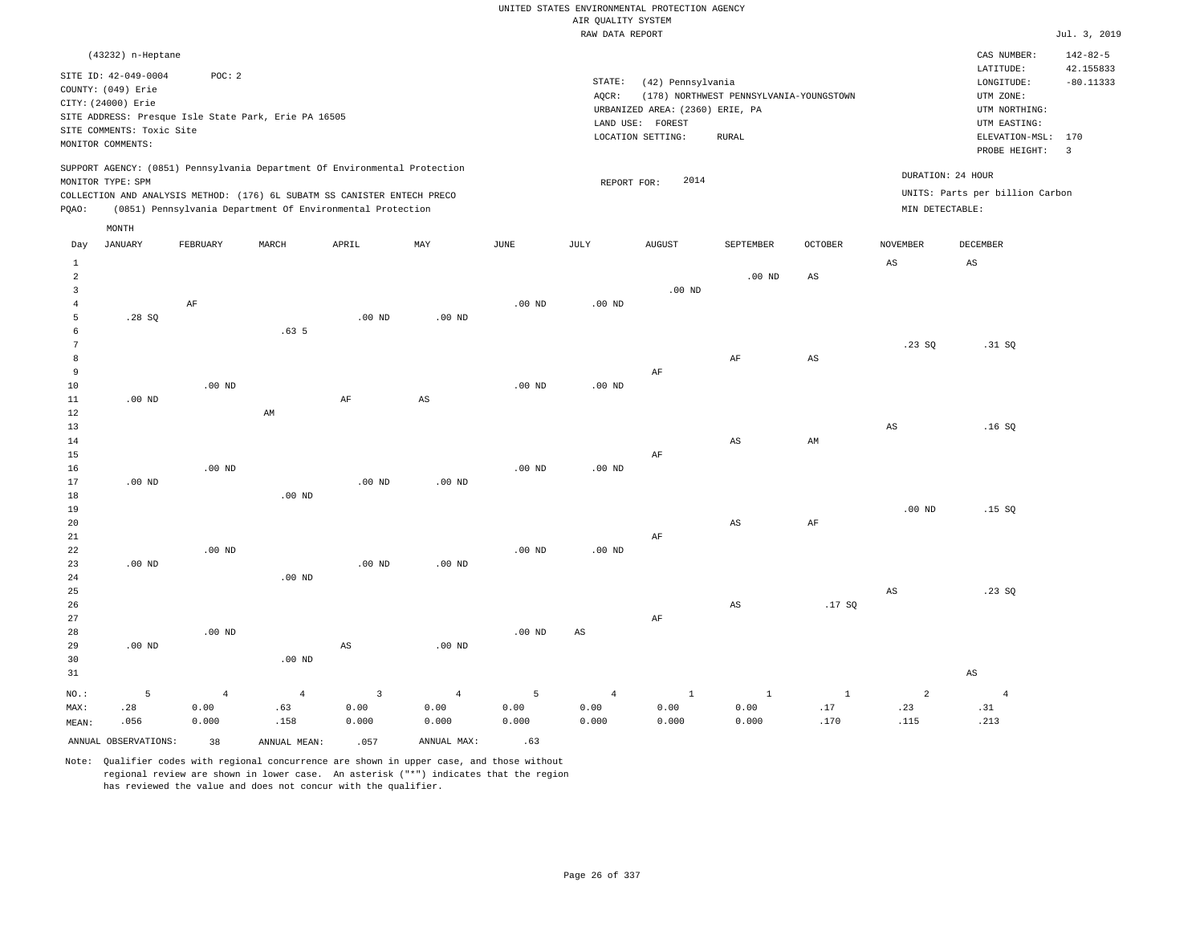|                                  | (43232) n-Heptane                                                                                                  |                |                                                                            |                        |                        |                   |                   |                                                                                               |                                                         |              |                        | CAS NUMBER:                                                                                 | $142 - 82 - 5$           |
|----------------------------------|--------------------------------------------------------------------------------------------------------------------|----------------|----------------------------------------------------------------------------|------------------------|------------------------|-------------------|-------------------|-----------------------------------------------------------------------------------------------|---------------------------------------------------------|--------------|------------------------|---------------------------------------------------------------------------------------------|--------------------------|
|                                  | SITE ID: 42-049-0004<br>COUNTY: (049) Erie<br>CITY: (24000) Erie<br>SITE COMMENTS: Toxic Site<br>MONITOR COMMENTS: | POC: 2         | SITE ADDRESS: Presque Isle State Park, Erie PA 16505                       |                        |                        |                   | STATE:<br>AQCR:   | (42) Pennsylvania<br>URBANIZED AREA: (2360) ERIE, PA<br>LAND USE: FOREST<br>LOCATION SETTING: | (178) NORTHWEST PENNSYLVANIA-YOUNGSTOWN<br><b>RURAL</b> |              |                        | LATITUDE:<br>LONGITUDE:<br>UTM ZONE:<br>UTM NORTHING:<br>UTM EASTING:<br>ELEVATION-MSL: 170 | 42.155833<br>$-80.11333$ |
|                                  |                                                                                                                    |                |                                                                            |                        |                        |                   |                   |                                                                                               |                                                         |              |                        | PROBE HEIGHT:                                                                               | $\overline{\mathbf{3}}$  |
|                                  | MONITOR TYPE: SPM                                                                                                  |                | SUPPORT AGENCY: (0851) Pennsylvania Department Of Environmental Protection |                        |                        |                   | REPORT FOR:       | 2014                                                                                          |                                                         |              | DURATION: 24 HOUR      |                                                                                             |                          |
|                                  |                                                                                                                    |                | COLLECTION AND ANALYSIS METHOD: (176) 6L SUBATM SS CANISTER ENTECH PRECO   |                        |                        |                   |                   |                                                                                               |                                                         |              |                        | UNITS: Parts per billion Carbon                                                             |                          |
| PQAO:                            |                                                                                                                    |                | (0851) Pennsylvania Department Of Environmental Protection                 |                        |                        |                   |                   |                                                                                               |                                                         |              | MIN DETECTABLE:        |                                                                                             |                          |
|                                  | MONTH                                                                                                              |                |                                                                            |                        |                        |                   |                   |                                                                                               |                                                         |              |                        |                                                                                             |                          |
| Day                              | <b>JANUARY</b>                                                                                                     | FEBRUARY       | MARCH                                                                      | APRIL                  | MAY                    | <b>JUNE</b>       | JULY              | <b>AUGUST</b>                                                                                 | SEPTEMBER                                               | OCTOBER      | <b>NOVEMBER</b>        | DECEMBER                                                                                    |                          |
| $\mathbf{1}$                     |                                                                                                                    |                |                                                                            |                        |                        |                   |                   |                                                                                               |                                                         |              | $\mathbb{A}\mathbb{S}$ | $\mathbb{A}\mathbb{S}$                                                                      |                          |
| $\overline{a}$                   |                                                                                                                    |                |                                                                            |                        |                        |                   |                   |                                                                                               | $.00$ ND                                                | $_{\rm AS}$  |                        |                                                                                             |                          |
| $\overline{3}$<br>$\overline{4}$ |                                                                                                                    | $\rm{AF}$      |                                                                            |                        |                        | $.00$ ND          | .00 <sub>ND</sub> | $.00$ ND                                                                                      |                                                         |              |                        |                                                                                             |                          |
| 5                                | .28SQ                                                                                                              |                |                                                                            | $.00$ ND               | $.00$ ND               |                   |                   |                                                                                               |                                                         |              |                        |                                                                                             |                          |
| $\epsilon$                       |                                                                                                                    |                | .63 <sub>5</sub>                                                           |                        |                        |                   |                   |                                                                                               |                                                         |              |                        |                                                                                             |                          |
| $\overline{7}$                   |                                                                                                                    |                |                                                                            |                        |                        |                   |                   |                                                                                               |                                                         |              | .23S                   | .31 S0                                                                                      |                          |
| 8<br>9                           |                                                                                                                    |                |                                                                            |                        |                        |                   |                   |                                                                                               | AF                                                      | AS           |                        |                                                                                             |                          |
| $10$                             |                                                                                                                    | $.00$ ND       |                                                                            |                        |                        | .00 <sub>ND</sub> | $.00$ ND          | AF                                                                                            |                                                         |              |                        |                                                                                             |                          |
| $11\,$                           | $.00$ ND                                                                                                           |                |                                                                            | $\rm{AF}$              | $\mathbb{A}\mathbb{S}$ |                   |                   |                                                                                               |                                                         |              |                        |                                                                                             |                          |
| 12                               |                                                                                                                    |                | AM                                                                         |                        |                        |                   |                   |                                                                                               |                                                         |              |                        |                                                                                             |                          |
| 13                               |                                                                                                                    |                |                                                                            |                        |                        |                   |                   |                                                                                               |                                                         |              | AS                     | .16S                                                                                        |                          |
| 14<br>15                         |                                                                                                                    |                |                                                                            |                        |                        |                   |                   | AF                                                                                            | AS                                                      | AM           |                        |                                                                                             |                          |
| 16                               |                                                                                                                    | $.00$ ND       |                                                                            |                        |                        | $.00$ ND          | $.00$ ND          |                                                                                               |                                                         |              |                        |                                                                                             |                          |
| 17                               | $.00$ ND                                                                                                           |                |                                                                            | $.00$ ND               | $.00$ ND               |                   |                   |                                                                                               |                                                         |              |                        |                                                                                             |                          |
| $1\,8$                           |                                                                                                                    |                | .00 <sub>ND</sub>                                                          |                        |                        |                   |                   |                                                                                               |                                                         |              |                        |                                                                                             |                          |
| 19                               |                                                                                                                    |                |                                                                            |                        |                        |                   |                   |                                                                                               |                                                         |              | $.00$ ND               | .15S                                                                                        |                          |
| 20<br>21                         |                                                                                                                    |                |                                                                            |                        |                        |                   |                   | AF                                                                                            | AS                                                      | $\rm{AF}$    |                        |                                                                                             |                          |
| 22                               |                                                                                                                    | $.00$ ND       |                                                                            |                        |                        | $.00$ ND          | .00 <sub>ND</sub> |                                                                                               |                                                         |              |                        |                                                                                             |                          |
| 23                               | $.00$ ND                                                                                                           |                |                                                                            | $.00$ ND               | .00 <sub>ND</sub>      |                   |                   |                                                                                               |                                                         |              |                        |                                                                                             |                          |
| 24                               |                                                                                                                    |                | .00 <sub>ND</sub>                                                          |                        |                        |                   |                   |                                                                                               |                                                         |              |                        |                                                                                             |                          |
| 25<br>26                         |                                                                                                                    |                |                                                                            |                        |                        |                   |                   |                                                                                               | AS                                                      | .17SQ        | $\mathbb{A}\mathbb{S}$ | .23SQ                                                                                       |                          |
| 27                               |                                                                                                                    |                |                                                                            |                        |                        |                   |                   | AF                                                                                            |                                                         |              |                        |                                                                                             |                          |
| 28                               |                                                                                                                    | $.00$ ND       |                                                                            |                        |                        | .00 <sub>ND</sub> | AS                |                                                                                               |                                                         |              |                        |                                                                                             |                          |
| 29                               | $.00$ ND                                                                                                           |                |                                                                            | $\mathbb{A}\mathbb{S}$ | $.00$ ND               |                   |                   |                                                                                               |                                                         |              |                        |                                                                                             |                          |
| 30                               |                                                                                                                    |                | .00 <sub>ND</sub>                                                          |                        |                        |                   |                   |                                                                                               |                                                         |              |                        |                                                                                             |                          |
| 31                               |                                                                                                                    |                |                                                                            |                        |                        |                   |                   |                                                                                               |                                                         |              |                        | $\mathbb{A}\mathbb{S}$                                                                      |                          |
| NO.:                             | 5                                                                                                                  | $\overline{4}$ | $\overline{4}$                                                             | $\overline{3}$         | $\overline{4}$         | 5                 | $\overline{4}$    | $\mathbf{1}$                                                                                  | $\mathbf{1}$                                            | $\mathbf{1}$ | $\overline{a}$         | $\overline{4}$                                                                              |                          |
| MAX:                             | .28<br>.056                                                                                                        | 0.00<br>0.000  | .63<br>.158                                                                | 0.00<br>0.000          | 0.00<br>0.000          | 0.00<br>0.000     | 0.00<br>0.000     | 0.00<br>0.000                                                                                 | 0.00<br>0.000                                           | .17<br>.170  | .23<br>.115            | .31<br>.213                                                                                 |                          |
| MEAN:                            |                                                                                                                    |                |                                                                            |                        |                        |                   |                   |                                                                                               |                                                         |              |                        |                                                                                             |                          |
|                                  | ANNUAL OBSERVATIONS:                                                                                               | 38             | ANNUAL MEAN:                                                               | .057                   | ANNUAL MAX:            | .63               |                   |                                                                                               |                                                         |              |                        |                                                                                             |                          |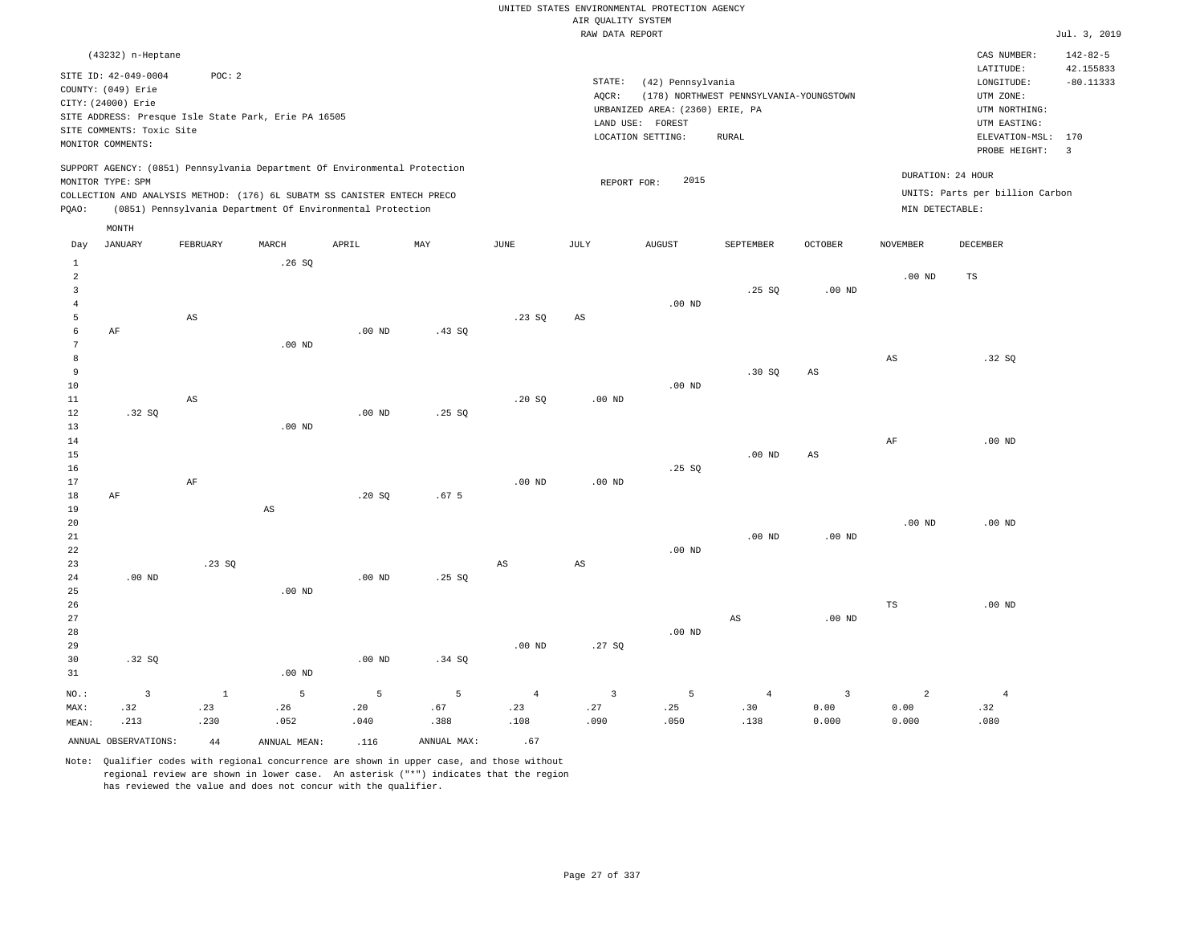|                |                                                                 |                        |                                                      |                                                                            |                  |                   | RAW DATA REPORT   |                                       |                                         |                   |                 |                                        | Jul. 3, 2019                               |
|----------------|-----------------------------------------------------------------|------------------------|------------------------------------------------------|----------------------------------------------------------------------------|------------------|-------------------|-------------------|---------------------------------------|-----------------------------------------|-------------------|-----------------|----------------------------------------|--------------------------------------------|
|                | (43232) n-Heptane<br>SITE ID: 42-049-0004<br>COUNTY: (049) Erie | POC: 2                 |                                                      |                                                                            |                  |                   | STATE:            | (42) Pennsylvania                     |                                         |                   |                 | CAS NUMBER:<br>LATITUDE:<br>LONGITUDE: | $142 - 82 - 5$<br>42.155833<br>$-80.11333$ |
|                | CITY: (24000) Erie                                              |                        |                                                      |                                                                            |                  |                   | AQCR:             |                                       | (178) NORTHWEST PENNSYLVANIA-YOUNGSTOWN |                   |                 | UTM ZONE:                              |                                            |
|                |                                                                 |                        | SITE ADDRESS: Presque Isle State Park, Erie PA 16505 |                                                                            |                  |                   |                   | URBANIZED AREA: (2360) ERIE, PA       |                                         |                   |                 | UTM NORTHING:                          |                                            |
|                | SITE COMMENTS: Toxic Site                                       |                        |                                                      |                                                                            |                  |                   |                   | LAND USE: FOREST<br>LOCATION SETTING: | <b>RURAL</b>                            |                   |                 | UTM EASTING:<br>ELEVATION-MSL:         | 170                                        |
|                | MONITOR COMMENTS:                                               |                        |                                                      |                                                                            |                  |                   |                   |                                       |                                         |                   |                 | PROBE HEIGHT:                          | $\overline{\mathbf{3}}$                    |
|                |                                                                 |                        |                                                      | SUPPORT AGENCY: (0851) Pennsylvania Department Of Environmental Protection |                  |                   |                   |                                       |                                         |                   |                 |                                        |                                            |
|                | MONITOR TYPE: SPM                                               |                        |                                                      |                                                                            |                  |                   | REPORT FOR:       | 2015                                  |                                         |                   |                 | DURATION: 24 HOUR                      |                                            |
|                |                                                                 |                        |                                                      | COLLECTION AND ANALYSIS METHOD: (176) 6L SUBATM SS CANISTER ENTECH PRECO   |                  |                   |                   |                                       |                                         |                   |                 | UNITS: Parts per billion Carbon        |                                            |
| POAO:          |                                                                 |                        |                                                      | (0851) Pennsylvania Department Of Environmental Protection                 |                  |                   |                   |                                       |                                         |                   | MIN DETECTABLE: |                                        |                                            |
|                | MONTH                                                           |                        |                                                      |                                                                            |                  |                   |                   |                                       |                                         |                   |                 |                                        |                                            |
| Day            | JANUARY                                                         | FEBRUARY               | MARCH                                                | APRIL                                                                      | MAY              | JUNE              | JULY              | <b>AUGUST</b>                         | SEPTEMBER                               | <b>OCTOBER</b>    | <b>NOVEMBER</b> | <b>DECEMBER</b>                        |                                            |
| 1              |                                                                 |                        | .26SQ                                                |                                                                            |                  |                   |                   |                                       |                                         |                   |                 |                                        |                                            |
| $\overline{a}$ |                                                                 |                        |                                                      |                                                                            |                  |                   |                   |                                       |                                         |                   | $.00$ ND        | TS                                     |                                            |
| 3              |                                                                 |                        |                                                      |                                                                            |                  |                   |                   |                                       | .25 SQ                                  | $.00$ ND          |                 |                                        |                                            |
| 4<br>5         |                                                                 | $\mathbb{A}\mathbb{S}$ |                                                      |                                                                            |                  | .23SQ             | AS                | $.00$ ND                              |                                         |                   |                 |                                        |                                            |
| -6             | AF                                                              |                        |                                                      | $.00$ ND                                                                   | .43SQ            |                   |                   |                                       |                                         |                   |                 |                                        |                                            |
| 7              |                                                                 |                        | $.00$ ND                                             |                                                                            |                  |                   |                   |                                       |                                         |                   |                 |                                        |                                            |
| 8              |                                                                 |                        |                                                      |                                                                            |                  |                   |                   |                                       |                                         |                   | $_{\rm AS}$     | .32SQ                                  |                                            |
| 9              |                                                                 |                        |                                                      |                                                                            |                  |                   |                   |                                       | .30S                                    | AS                |                 |                                        |                                            |
| 10             |                                                                 |                        |                                                      |                                                                            |                  |                   |                   | $.00$ ND                              |                                         |                   |                 |                                        |                                            |
| 11             |                                                                 | AS                     |                                                      |                                                                            |                  | .20SQ             | .00 <sub>ND</sub> |                                       |                                         |                   |                 |                                        |                                            |
| 12<br>13       | .32S                                                            |                        | .00 <sub>ND</sub>                                    | $.00$ ND                                                                   | .25SQ            |                   |                   |                                       |                                         |                   |                 |                                        |                                            |
| 14             |                                                                 |                        |                                                      |                                                                            |                  |                   |                   |                                       |                                         |                   | AF              | $.00$ ND                               |                                            |
| 15             |                                                                 |                        |                                                      |                                                                            |                  |                   |                   |                                       | $.00$ ND                                | AS                |                 |                                        |                                            |
| 16             |                                                                 |                        |                                                      |                                                                            |                  |                   |                   | .25S                                  |                                         |                   |                 |                                        |                                            |
| 17             |                                                                 | AF                     |                                                      |                                                                            |                  | .00 <sub>ND</sub> | .00 <sub>ND</sub> |                                       |                                         |                   |                 |                                        |                                            |
| 18             | AF                                                              |                        |                                                      | .20 SQ                                                                     | .67 <sub>5</sub> |                   |                   |                                       |                                         |                   |                 |                                        |                                            |
| 19             |                                                                 |                        | $\mathbb{A}\mathbb{S}$                               |                                                                            |                  |                   |                   |                                       |                                         |                   |                 |                                        |                                            |
| 20<br>21       |                                                                 |                        |                                                      |                                                                            |                  |                   |                   |                                       | $.00$ ND                                | .00 <sub>ND</sub> | $.00$ ND        | $.00$ ND                               |                                            |
| 22             |                                                                 |                        |                                                      |                                                                            |                  |                   |                   | $.00$ ND                              |                                         |                   |                 |                                        |                                            |

| 24      | $.00$ ND |      |          | $.00$ ND | .25SQ  |                   |       |          |                |          |             |          |
|---------|----------|------|----------|----------|--------|-------------------|-------|----------|----------------|----------|-------------|----------|
| 25      |          |      | $.00$ ND |          |        |                   |       |          |                |          |             |          |
| 26      |          |      |          |          |        |                   |       |          |                |          | $_{\rm TS}$ | $.00$ ND |
| 27      |          |      |          |          |        |                   |       |          | AS             | $.00$ ND |             |          |
| 28      |          |      |          |          |        |                   |       | $.00$ ND |                |          |             |          |
| 29      |          |      |          |          |        | .00 <sub>ND</sub> | .27SQ |          |                |          |             |          |
| 30      | .32SQ    |      |          | $.00$ ND | .34 SQ |                   |       |          |                |          |             |          |
| 31      |          |      | $.00$ ND |          |        |                   |       |          |                |          |             |          |
| $NO.$ : |          |      | 5        |          | 5      | $\overline{4}$    |       | 5        | $\overline{4}$ | 3        | 2           |          |
| MAX:    | .32      | .23  | .26      | .20      | .67    | .23               | .27   | .25      | .30            | 0.00     | 0.00        | .32      |
| MEAN:   | .213     | .230 | .052     | .040     | .388   | .108              | .090  | .050     | .138           | 0.000    | 0.000       | .080     |

AS

AS

ANNUAL OBSERVATIONS:  $44$  ANNUAL MEAN: .116 ANNUAL MAX: .67

.23 SQ

23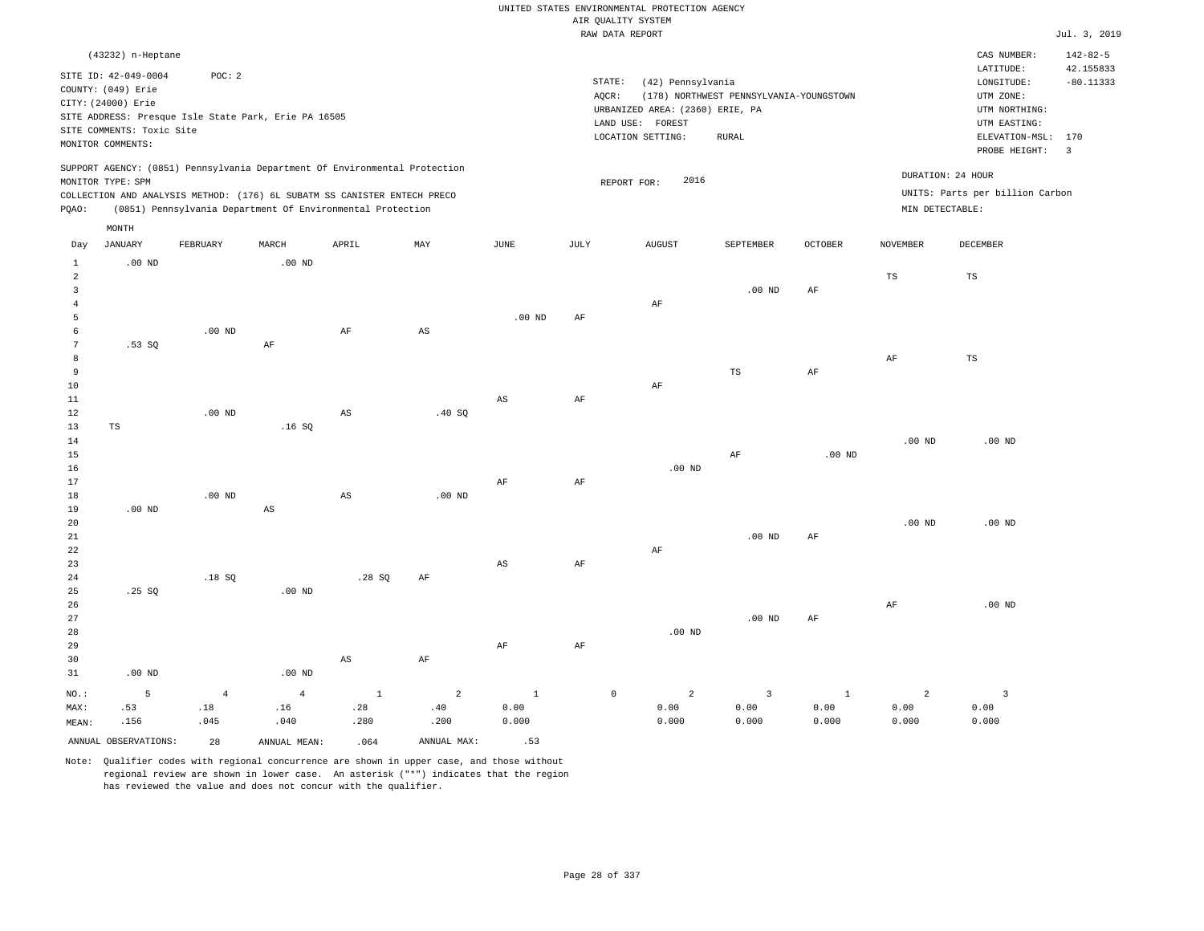|                 | (43232) n-Heptane         |                |                                                                                                                                                                                                                      |                        |                        |                        |           |                                         |                                         |              |                                      | CAS NUMBER:                         | $142 - 82 - 5$ |
|-----------------|---------------------------|----------------|----------------------------------------------------------------------------------------------------------------------------------------------------------------------------------------------------------------------|------------------------|------------------------|------------------------|-----------|-----------------------------------------|-----------------------------------------|--------------|--------------------------------------|-------------------------------------|----------------|
|                 | SITE ID: 42-049-0004      | POC: 2         |                                                                                                                                                                                                                      |                        |                        |                        |           |                                         |                                         |              |                                      | LATITUDE:                           | 42.155833      |
|                 | COUNTY: (049) Erie        |                |                                                                                                                                                                                                                      |                        |                        |                        |           | $\texttt{STATE}$ :<br>(42) Pennsylvania |                                         |              |                                      | LONGITUDE:                          | $-80.11333$    |
|                 | CITY: (24000) Erie        |                |                                                                                                                                                                                                                      |                        |                        |                        | AQCR:     |                                         | (178) NORTHWEST PENNSYLVANIA-YOUNGSTOWN |              |                                      | UTM ZONE:                           |                |
|                 |                           |                | SITE ADDRESS: Presque Isle State Park, Erie PA 16505                                                                                                                                                                 |                        |                        |                        |           | URBANIZED AREA: (2360) ERIE, PA         |                                         |              |                                      | UTM NORTHING:                       |                |
|                 | SITE COMMENTS: Toxic Site |                |                                                                                                                                                                                                                      |                        |                        |                        |           | LAND USE: FOREST                        |                                         |              |                                      | UTM EASTING:                        |                |
|                 | MONITOR COMMENTS:         |                |                                                                                                                                                                                                                      |                        |                        |                        |           | LOCATION SETTING:                       | <b>RURAL</b>                            |              |                                      | ELEVATION-MSL: 170<br>PROBE HEIGHT: | $\overline{3}$ |
| PQAO:           | MONITOR TYPE: SPM         |                | SUPPORT AGENCY: (0851) Pennsylvania Department Of Environmental Protection<br>COLLECTION AND ANALYSIS METHOD: (176) 6L SUBATM SS CANISTER ENTECH PRECO<br>(0851) Pennsylvania Department Of Environmental Protection |                        |                        |                        |           | 2016<br>REPORT FOR:                     |                                         |              | DURATION: 24 HOUR<br>MIN DETECTABLE: | UNITS: Parts per billion Carbon     |                |
|                 | MONTH                     |                |                                                                                                                                                                                                                      |                        |                        |                        |           |                                         |                                         |              |                                      |                                     |                |
| Day             | JANUARY                   | FEBRUARY       | MARCH                                                                                                                                                                                                                | APRIL                  | MAY                    | JUNE                   | JULY      | <b>AUGUST</b>                           | SEPTEMBER                               | OCTOBER      | <b>NOVEMBER</b>                      | DECEMBER                            |                |
| $\mathbf{1}$    | $.00$ ND                  |                | $.00$ ND                                                                                                                                                                                                             |                        |                        |                        |           |                                         |                                         |              |                                      |                                     |                |
| $\overline{a}$  |                           |                |                                                                                                                                                                                                                      |                        |                        |                        |           |                                         |                                         |              | $_{\rm TS}$                          | TS                                  |                |
| 3               |                           |                |                                                                                                                                                                                                                      |                        |                        |                        |           |                                         | $.00$ ND                                | $\rm{AF}$    |                                      |                                     |                |
| $\overline{4}$  |                           |                |                                                                                                                                                                                                                      |                        |                        |                        |           | AF                                      |                                         |              |                                      |                                     |                |
| 5               |                           |                |                                                                                                                                                                                                                      |                        |                        | $.00$ ND               | $\rm{AF}$ |                                         |                                         |              |                                      |                                     |                |
| 6               |                           | $.00$ ND       |                                                                                                                                                                                                                      | $\rm{AF}$              | $\mathbb{A}\mathbb{S}$ |                        |           |                                         |                                         |              |                                      |                                     |                |
| $7\phantom{.0}$ | .53SQ                     |                | AF                                                                                                                                                                                                                   |                        |                        |                        |           |                                         |                                         |              |                                      |                                     |                |
| 8               |                           |                |                                                                                                                                                                                                                      |                        |                        |                        |           |                                         |                                         |              | AF                                   | TS                                  |                |
| 9               |                           |                |                                                                                                                                                                                                                      |                        |                        |                        |           |                                         | $_{\rm TS}$                             | AF           |                                      |                                     |                |
| $10$            |                           |                |                                                                                                                                                                                                                      |                        |                        |                        |           | $\rm{AF}$                               |                                         |              |                                      |                                     |                |
| $11\,$          |                           |                |                                                                                                                                                                                                                      |                        |                        | $\mathbb{A}\mathbb{S}$ | $\rm{AF}$ |                                         |                                         |              |                                      |                                     |                |
| 12              |                           | $.00$ ND       |                                                                                                                                                                                                                      | $_{\rm AS}$            | .40SQ                  |                        |           |                                         |                                         |              |                                      |                                     |                |
| 13              | TS                        |                | .16S                                                                                                                                                                                                                 |                        |                        |                        |           |                                         |                                         |              |                                      |                                     |                |
| 14              |                           |                |                                                                                                                                                                                                                      |                        |                        |                        |           |                                         |                                         |              | $.00$ ND                             | .00 <sub>ND</sub>                   |                |
| 15              |                           |                |                                                                                                                                                                                                                      |                        |                        |                        |           |                                         | AF                                      | $.00$ ND     |                                      |                                     |                |
| 16              |                           |                |                                                                                                                                                                                                                      |                        |                        |                        |           | .00 $ND$                                |                                         |              |                                      |                                     |                |
| 17              |                           |                |                                                                                                                                                                                                                      |                        |                        | AF                     | AF        |                                         |                                         |              |                                      |                                     |                |
| 18              |                           | $.00$ ND       |                                                                                                                                                                                                                      | $\mathbb{A}\mathbb{S}$ | .00 <sub>ND</sub>      |                        |           |                                         |                                         |              |                                      |                                     |                |
| 19              | $.00$ ND                  |                | $\mathbb{A}\mathbb{S}$                                                                                                                                                                                               |                        |                        |                        |           |                                         |                                         |              |                                      |                                     |                |
| 20<br>21        |                           |                |                                                                                                                                                                                                                      |                        |                        |                        |           |                                         | $.00$ ND                                |              | .00 <sub>ND</sub>                    | $.00$ ND                            |                |
| 22              |                           |                |                                                                                                                                                                                                                      |                        |                        |                        |           | $\rm{AF}$                               |                                         | AF           |                                      |                                     |                |
| 23              |                           |                |                                                                                                                                                                                                                      |                        |                        | AS                     | AF        |                                         |                                         |              |                                      |                                     |                |
| 24              |                           | .18S           |                                                                                                                                                                                                                      | .28S                   | AF                     |                        |           |                                         |                                         |              |                                      |                                     |                |
| 25              | .25S                      |                | $.00$ ND                                                                                                                                                                                                             |                        |                        |                        |           |                                         |                                         |              |                                      |                                     |                |
| 26              |                           |                |                                                                                                                                                                                                                      |                        |                        |                        |           |                                         |                                         |              | $\rm{AF}$                            | $.00$ ND                            |                |
| 27              |                           |                |                                                                                                                                                                                                                      |                        |                        |                        |           |                                         | $.00$ ND                                | AF           |                                      |                                     |                |
| 28              |                           |                |                                                                                                                                                                                                                      |                        |                        |                        |           | .00 <sub>ND</sub>                       |                                         |              |                                      |                                     |                |
| 29              |                           |                |                                                                                                                                                                                                                      |                        |                        | AF                     | AF        |                                         |                                         |              |                                      |                                     |                |
| 30              |                           |                |                                                                                                                                                                                                                      | $\mathbb{A}\mathbb{S}$ | AF                     |                        |           |                                         |                                         |              |                                      |                                     |                |
| 31              | $.00$ ND                  |                | $.00$ ND                                                                                                                                                                                                             |                        |                        |                        |           |                                         |                                         |              |                                      |                                     |                |
| NO.:            | 5                         | $\overline{4}$ | $\overline{4}$                                                                                                                                                                                                       | $\mathbf{1}$           | $\overline{a}$         | $\,$ 1                 |           | $\overline{a}$<br>$\mathbb O$           | $\overline{3}$                          | $\mathbf{1}$ | $\overline{a}$                       | $\overline{\mathbf{3}}$             |                |
| MAX:            | .53                       | .18            | .16                                                                                                                                                                                                                  | .28                    | .40                    | 0.00                   |           | 0.00                                    | 0.00                                    | 0.00         | 0.00                                 | 0.00                                |                |
| MEAN:           | .156                      | .045           | .040                                                                                                                                                                                                                 | .280                   | .200                   | 0.000                  |           | 0.000                                   | 0.000                                   | 0.000        | 0.000                                | 0.000                               |                |
|                 | ANNUAL OBSERVATIONS:      | 28             | ANNUAL MEAN:                                                                                                                                                                                                         | .064                   | ANNUAL MAX:            | .53                    |           |                                         |                                         |              |                                      |                                     |                |
|                 |                           |                |                                                                                                                                                                                                                      |                        |                        |                        |           |                                         |                                         |              |                                      |                                     |                |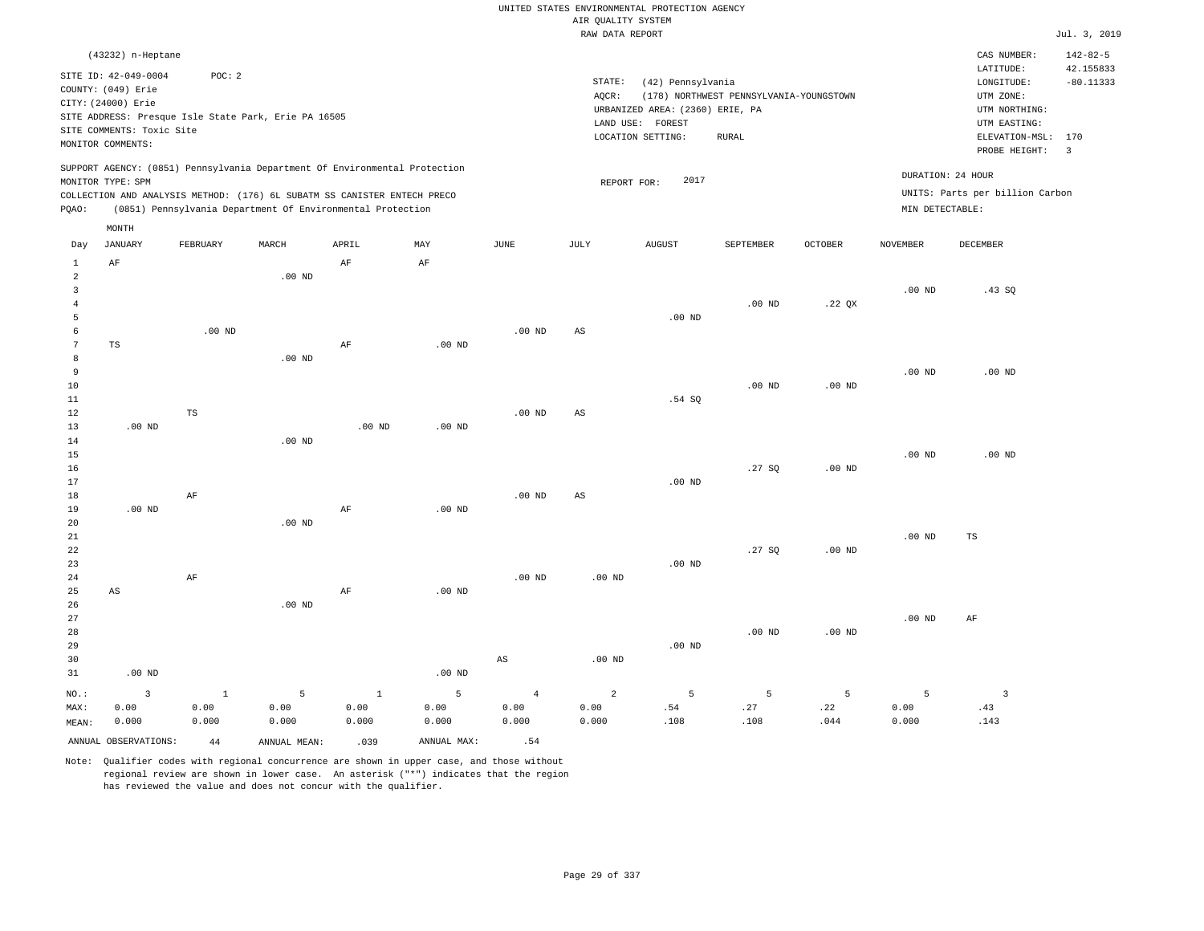|                     | (43232) n-Heptane                                    |              |              |                                                                            |                   |                        |                        |                                           |                                         |                   |                   | CAS NUMBER:<br>LATITUDE:   | $142 - 82 - 5$<br>42.155833 |  |
|---------------------|------------------------------------------------------|--------------|--------------|----------------------------------------------------------------------------|-------------------|------------------------|------------------------|-------------------------------------------|-----------------------------------------|-------------------|-------------------|----------------------------|-----------------------------|--|
|                     | SITE ID: 42-049-0004<br>COUNTY: (049) Erie           | POC: 2       |              |                                                                            |                   |                        | STATE:                 | (42) Pennsylvania                         |                                         |                   |                   | LONGITUDE:                 | $-80.11333$                 |  |
|                     | CITY: (24000) Erie                                   |              |              |                                                                            |                   |                        | AQCR:                  |                                           | (178) NORTHWEST PENNSYLVANIA-YOUNGSTOWN |                   |                   | UTM ZONE:<br>UTM NORTHING: |                             |  |
|                     | SITE ADDRESS: Presque Isle State Park, Erie PA 16505 |              |              |                                                                            |                   |                        | LAND USE:              | URBANIZED AREA: (2360) ERIE, PA<br>FOREST |                                         |                   |                   | UTM EASTING:               |                             |  |
|                     | SITE COMMENTS: Toxic Site                            |              |              |                                                                            |                   |                        |                        | LOCATION SETTING:                         | <b>RURAL</b>                            |                   |                   | ELEVATION-MSL: 170         |                             |  |
|                     | MONITOR COMMENTS:                                    |              |              |                                                                            |                   |                        |                        | PROBE HEIGHT:                             | $\overline{3}$                          |                   |                   |                            |                             |  |
|                     | MONITOR TYPE: SPM                                    |              |              | SUPPORT AGENCY: (0851) Pennsylvania Department Of Environmental Protection |                   |                        |                        | DURATION: 24 HOUR<br>2017<br>REPORT FOR:  |                                         |                   |                   |                            |                             |  |
|                     |                                                      |              |              | COLLECTION AND ANALYSIS METHOD: (176) 6L SUBATM SS CANISTER ENTECH PRECO   |                   |                        |                        | UNITS: Parts per billion Carbon           |                                         |                   |                   |                            |                             |  |
| PQAO:               |                                                      |              |              | (0851) Pennsylvania Department Of Environmental Protection                 |                   |                        |                        |                                           |                                         |                   | MIN DETECTABLE:   |                            |                             |  |
|                     | MONTH                                                |              |              |                                                                            |                   |                        |                        |                                           |                                         |                   |                   |                            |                             |  |
| Day                 | <b>JANUARY</b>                                       | FEBRUARY     | MARCH        | APRIL                                                                      | MAY               | JUNE                   | JULY                   | <b>AUGUST</b>                             | SEPTEMBER                               | OCTOBER           | <b>NOVEMBER</b>   | DECEMBER                   |                             |  |
| $\mathbf{1}$        | AF                                                   |              |              | AF                                                                         | AF                |                        |                        |                                           |                                         |                   |                   |                            |                             |  |
| $\overline{a}$      |                                                      |              | $.00$ ND     |                                                                            |                   |                        |                        |                                           |                                         |                   |                   |                            |                             |  |
| $\overline{3}$      |                                                      |              |              |                                                                            |                   |                        |                        |                                           |                                         |                   | .00 <sub>ND</sub> | .43 SQ                     |                             |  |
| $\overline{4}$      |                                                      |              |              |                                                                            |                   |                        |                        |                                           | $.00$ ND                                | .22 QX            |                   |                            |                             |  |
| 5                   |                                                      |              |              |                                                                            |                   |                        |                        | $.00$ ND                                  |                                         |                   |                   |                            |                             |  |
| 6<br>$\overline{7}$ |                                                      | $.00$ ND     |              |                                                                            |                   | $.00$ ND               | $_{\rm AS}$            |                                           |                                         |                   |                   |                            |                             |  |
| $\,8\,$             | TS                                                   |              | $.00$ ND     | AF                                                                         | .00 <sub>ND</sub> |                        |                        |                                           |                                         |                   |                   |                            |                             |  |
| 9                   |                                                      |              |              |                                                                            |                   |                        |                        |                                           |                                         |                   | .00 <sub>ND</sub> | .00 <sub>ND</sub>          |                             |  |
| 10                  |                                                      |              |              |                                                                            |                   |                        |                        |                                           | $.00$ ND                                | $.00$ ND          |                   |                            |                             |  |
| 11                  |                                                      |              |              |                                                                            |                   |                        |                        | .54S                                      |                                         |                   |                   |                            |                             |  |
| 12                  |                                                      | $_{\rm TS}$  |              |                                                                            |                   | .00 <sub>ND</sub>      | $\mathbb{A}\mathbb{S}$ |                                           |                                         |                   |                   |                            |                             |  |
| 13                  | $.00$ ND                                             |              |              | $.00$ ND                                                                   | $.00$ ND          |                        |                        |                                           |                                         |                   |                   |                            |                             |  |
| 14                  |                                                      |              | $.00$ ND     |                                                                            |                   |                        |                        |                                           |                                         |                   |                   |                            |                             |  |
| 15                  |                                                      |              |              |                                                                            |                   |                        |                        |                                           |                                         |                   | .00 <sub>ND</sub> | $.00$ ND                   |                             |  |
| 16                  |                                                      |              |              |                                                                            |                   |                        |                        |                                           | .27SQ                                   | $.00$ ND          |                   |                            |                             |  |
| 17                  |                                                      |              |              |                                                                            |                   |                        |                        | .00 <sub>ND</sub>                         |                                         |                   |                   |                            |                             |  |
| 18                  |                                                      | AF           |              |                                                                            |                   | $.00$ ND               | AS                     |                                           |                                         |                   |                   |                            |                             |  |
| 19                  | $.00$ ND                                             |              |              | $\rm AF$                                                                   | $.00$ ND          |                        |                        |                                           |                                         |                   |                   |                            |                             |  |
| 20                  |                                                      |              | $.00$ ND     |                                                                            |                   |                        |                        |                                           |                                         |                   |                   |                            |                             |  |
| 21<br>22            |                                                      |              |              |                                                                            |                   |                        |                        |                                           | .27S                                    | $.00$ ND          | $.00$ ND          | TS                         |                             |  |
| 23                  |                                                      |              |              |                                                                            |                   |                        |                        | $.00$ ND                                  |                                         |                   |                   |                            |                             |  |
| 24                  |                                                      | AF           |              |                                                                            |                   | .00 <sub>ND</sub>      | .00 <sub>ND</sub>      |                                           |                                         |                   |                   |                            |                             |  |
| 25                  | AS                                                   |              |              | AF                                                                         | $.00$ ND          |                        |                        |                                           |                                         |                   |                   |                            |                             |  |
| 26                  |                                                      |              | $.00$ ND     |                                                                            |                   |                        |                        |                                           |                                         |                   |                   |                            |                             |  |
| 27                  |                                                      |              |              |                                                                            |                   |                        |                        |                                           |                                         |                   | $.00$ ND          | AF                         |                             |  |
| 28                  |                                                      |              |              |                                                                            |                   |                        |                        |                                           | .00 <sub>ND</sub>                       | .00 <sub>ND</sub> |                   |                            |                             |  |
| 29                  |                                                      |              |              |                                                                            |                   |                        |                        | $.00$ ND                                  |                                         |                   |                   |                            |                             |  |
| 30                  |                                                      |              |              |                                                                            |                   | $\mathbb{A}\mathbb{S}$ | $.00$ ND               |                                           |                                         |                   |                   |                            |                             |  |
| 31                  | $.00$ ND                                             |              |              |                                                                            | .00 <sub>ND</sub> |                        |                        |                                           |                                         |                   |                   |                            |                             |  |
| NO.:                | $\overline{3}$                                       | <sup>1</sup> | 5            | $\mathbf{1}$                                                               | 5                 | $\overline{4}$         | 2                      | 5                                         | 5                                       | 5                 | 5                 | $\overline{3}$             |                             |  |
| MAX:                | 0.00                                                 | 0.00         | 0.00         | 0.00                                                                       | 0.00              | 0.00                   | 0.00                   | .54                                       | .27                                     | .22               | 0.00              | .43                        |                             |  |
| MEAN:               | 0.000                                                | 0.000        | 0.000        | 0.000                                                                      | 0.000             | 0.000                  | 0.000                  | .108                                      | .108                                    | .044              | 0.000             | .143                       |                             |  |
|                     | ANNUAL OBSERVATIONS:                                 | $4\,4$       | ANNUAL MEAN: | .039                                                                       | ANNUAL MAX:       | .54                    |                        |                                           |                                         |                   |                   |                            |                             |  |
|                     |                                                      |              |              |                                                                            |                   |                        |                        |                                           |                                         |                   |                   |                            |                             |  |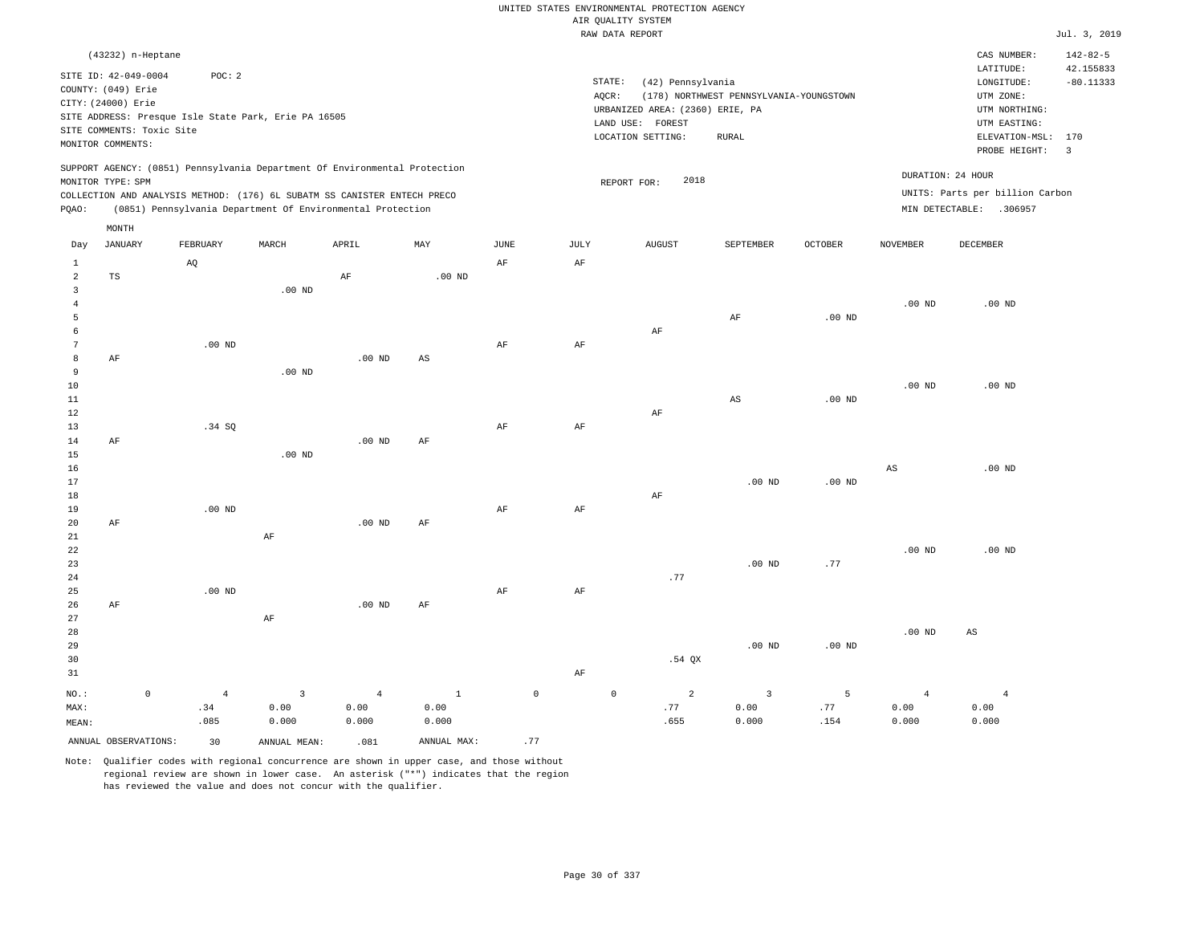| RAW DATA REPORT<br>(43232) n-Heptane<br>CAS NUMBER:<br>$142 - 82 - 5$<br>42.155833<br>LATITUDE:<br>SITE ID: 42-049-0004<br>POC: 2<br>STATE:<br>(42) Pennsylvania<br>LONGITUDE:<br>COUNTY: (049) Erie<br>(178) NORTHWEST PENNSYLVANIA-YOUNGSTOWN<br>AQCR:<br>UTM ZONE:<br>CITY: (24000) Erie<br>URBANIZED AREA: (2360) ERIE, PA<br>UTM NORTHING:<br>SITE ADDRESS: Presque Isle State Park, Erie PA 16505<br>LAND USE: FOREST<br>UTM EASTING:<br>SITE COMMENTS: Toxic Site<br>LOCATION SETTING:<br>ELEVATION-MSL:<br>170<br>RURAL<br>MONITOR COMMENTS:<br>PROBE HEIGHT:<br>$\overline{3}$<br>SUPPORT AGENCY: (0851) Pennsylvania Department Of Environmental Protection<br>DURATION: 24 HOUR<br>2018<br>MONITOR TYPE: SPM<br>REPORT FOR:<br>UNITS: Parts per billion Carbon<br>COLLECTION AND ANALYSIS METHOD: (176) 6L SUBATM SS CANISTER ENTECH PRECO<br>(0851) Pennsylvania Department Of Environmental Protection<br>MIN DETECTABLE: .306957<br>PQAO:<br>MONTH<br><b>JANUARY</b><br>FEBRUARY<br>MARCH<br>APRIL<br>MAY<br>$\operatorname{JUNE}$<br>JULY<br><b>AUGUST</b><br>SEPTEMBER<br>OCTOBER<br><b>NOVEMBER</b><br>DECEMBER<br>Day<br>1<br>AQ<br>AF<br>AF<br>$\overline{a}$<br>$_{\rm TS}$<br>AF<br>$.00$ ND<br>$\overline{3}$<br>$.00$ ND<br>.00 <sub>ND</sub><br>$.00$ ND<br>$\overline{4}$<br>5<br>$\rm AF$<br>.00 <sub>ND</sub><br>6<br>AF<br>7<br>$.00$ ND<br>$\rm{AF}$<br>$\rm{AF}$<br>8<br>AF<br>$.00$ ND<br>AS<br>9<br>$.00$ ND<br>10<br>.00 <sub>ND</sub><br>$.00$ ND<br>$\mathbb{A}\mathbb{S}$<br>$.00$ ND<br>11<br>$1\,2$<br>AF<br>13<br>.34 SQ<br>AF<br>$\rm AF$<br>.00 <sub>ND</sub><br>AF<br>14<br>AF<br>15<br>$.00$ ND<br>$.00$ ND<br>16<br>AS<br>17<br>$.00$ ND<br>$.00$ ND<br>18<br>AF<br>$.00$ ND<br>19<br>AF<br>AF<br>20<br>$.00$ ND<br>AF<br>AF<br>21<br>$\rm AF$<br>22<br>$.00$ ND<br>$.00$ ND<br>23<br>$.00$ ND<br>.77<br>.77<br>24<br>.00 <sub>ND</sub><br>25<br>$\rm{AF}$<br>$\rm{AF}$<br>26<br>AF<br>$.00$ ND<br>AF<br>27<br>AF<br>28<br>.00 <sub>ND</sub><br>$\mathbb{A}\mathbb{S}$<br>29<br>$.00$ ND<br>$.00$ ND<br>.54 QX<br>30<br>31<br>AF<br>$\mathbb O$<br>$\overline{4}$<br>3<br>$\overline{4}$<br>$\mathbf{1}$<br>$\mathsf{O}\xspace$<br>$\mathsf{O}$<br>$\overline{a}$<br>$\overline{\mathbf{3}}$<br>5<br>NO.:<br>$\overline{4}$<br>$\overline{4}$<br>.77<br>.77<br>.34<br>0.00<br>0.00<br>0.00<br>0.00<br>0.00<br>0.00<br>MAX:<br>.085<br>0.000<br>0.000<br>0.000<br>.655<br>0.000<br>.154<br>0.000<br>0.000<br>MEAN: |  |  |  |  | UNITED STATES ENVIRONMENTAL PROTECTION AGENCY<br>AIR QUALITY SYSTEM |  |  |              |
|---------------------------------------------------------------------------------------------------------------------------------------------------------------------------------------------------------------------------------------------------------------------------------------------------------------------------------------------------------------------------------------------------------------------------------------------------------------------------------------------------------------------------------------------------------------------------------------------------------------------------------------------------------------------------------------------------------------------------------------------------------------------------------------------------------------------------------------------------------------------------------------------------------------------------------------------------------------------------------------------------------------------------------------------------------------------------------------------------------------------------------------------------------------------------------------------------------------------------------------------------------------------------------------------------------------------------------------------------------------------------------------------------------------------------------------------------------------------------------------------------------------------------------------------------------------------------------------------------------------------------------------------------------------------------------------------------------------------------------------------------------------------------------------------------------------------------------------------------------------------------------------------------------------------------------------------------------------------------------------------------------------------------------------------------------------------------------------------------------------------------------------------------------------------------------------------------------------------------------------------------------------------------------------------------------------------------------------------------------------------------------------------------------------------------------------------------------------|--|--|--|--|---------------------------------------------------------------------|--|--|--------------|
|                                                                                                                                                                                                                                                                                                                                                                                                                                                                                                                                                                                                                                                                                                                                                                                                                                                                                                                                                                                                                                                                                                                                                                                                                                                                                                                                                                                                                                                                                                                                                                                                                                                                                                                                                                                                                                                                                                                                                                                                                                                                                                                                                                                                                                                                                                                                                                                                                                                               |  |  |  |  |                                                                     |  |  | Jul. 3, 2019 |
|                                                                                                                                                                                                                                                                                                                                                                                                                                                                                                                                                                                                                                                                                                                                                                                                                                                                                                                                                                                                                                                                                                                                                                                                                                                                                                                                                                                                                                                                                                                                                                                                                                                                                                                                                                                                                                                                                                                                                                                                                                                                                                                                                                                                                                                                                                                                                                                                                                                               |  |  |  |  |                                                                     |  |  |              |
|                                                                                                                                                                                                                                                                                                                                                                                                                                                                                                                                                                                                                                                                                                                                                                                                                                                                                                                                                                                                                                                                                                                                                                                                                                                                                                                                                                                                                                                                                                                                                                                                                                                                                                                                                                                                                                                                                                                                                                                                                                                                                                                                                                                                                                                                                                                                                                                                                                                               |  |  |  |  |                                                                     |  |  | $-80.11333$  |
|                                                                                                                                                                                                                                                                                                                                                                                                                                                                                                                                                                                                                                                                                                                                                                                                                                                                                                                                                                                                                                                                                                                                                                                                                                                                                                                                                                                                                                                                                                                                                                                                                                                                                                                                                                                                                                                                                                                                                                                                                                                                                                                                                                                                                                                                                                                                                                                                                                                               |  |  |  |  |                                                                     |  |  |              |
|                                                                                                                                                                                                                                                                                                                                                                                                                                                                                                                                                                                                                                                                                                                                                                                                                                                                                                                                                                                                                                                                                                                                                                                                                                                                                                                                                                                                                                                                                                                                                                                                                                                                                                                                                                                                                                                                                                                                                                                                                                                                                                                                                                                                                                                                                                                                                                                                                                                               |  |  |  |  |                                                                     |  |  |              |
|                                                                                                                                                                                                                                                                                                                                                                                                                                                                                                                                                                                                                                                                                                                                                                                                                                                                                                                                                                                                                                                                                                                                                                                                                                                                                                                                                                                                                                                                                                                                                                                                                                                                                                                                                                                                                                                                                                                                                                                                                                                                                                                                                                                                                                                                                                                                                                                                                                                               |  |  |  |  |                                                                     |  |  |              |
|                                                                                                                                                                                                                                                                                                                                                                                                                                                                                                                                                                                                                                                                                                                                                                                                                                                                                                                                                                                                                                                                                                                                                                                                                                                                                                                                                                                                                                                                                                                                                                                                                                                                                                                                                                                                                                                                                                                                                                                                                                                                                                                                                                                                                                                                                                                                                                                                                                                               |  |  |  |  |                                                                     |  |  |              |
|                                                                                                                                                                                                                                                                                                                                                                                                                                                                                                                                                                                                                                                                                                                                                                                                                                                                                                                                                                                                                                                                                                                                                                                                                                                                                                                                                                                                                                                                                                                                                                                                                                                                                                                                                                                                                                                                                                                                                                                                                                                                                                                                                                                                                                                                                                                                                                                                                                                               |  |  |  |  |                                                                     |  |  |              |
|                                                                                                                                                                                                                                                                                                                                                                                                                                                                                                                                                                                                                                                                                                                                                                                                                                                                                                                                                                                                                                                                                                                                                                                                                                                                                                                                                                                                                                                                                                                                                                                                                                                                                                                                                                                                                                                                                                                                                                                                                                                                                                                                                                                                                                                                                                                                                                                                                                                               |  |  |  |  |                                                                     |  |  |              |
|                                                                                                                                                                                                                                                                                                                                                                                                                                                                                                                                                                                                                                                                                                                                                                                                                                                                                                                                                                                                                                                                                                                                                                                                                                                                                                                                                                                                                                                                                                                                                                                                                                                                                                                                                                                                                                                                                                                                                                                                                                                                                                                                                                                                                                                                                                                                                                                                                                                               |  |  |  |  |                                                                     |  |  |              |
|                                                                                                                                                                                                                                                                                                                                                                                                                                                                                                                                                                                                                                                                                                                                                                                                                                                                                                                                                                                                                                                                                                                                                                                                                                                                                                                                                                                                                                                                                                                                                                                                                                                                                                                                                                                                                                                                                                                                                                                                                                                                                                                                                                                                                                                                                                                                                                                                                                                               |  |  |  |  |                                                                     |  |  |              |
|                                                                                                                                                                                                                                                                                                                                                                                                                                                                                                                                                                                                                                                                                                                                                                                                                                                                                                                                                                                                                                                                                                                                                                                                                                                                                                                                                                                                                                                                                                                                                                                                                                                                                                                                                                                                                                                                                                                                                                                                                                                                                                                                                                                                                                                                                                                                                                                                                                                               |  |  |  |  |                                                                     |  |  |              |
|                                                                                                                                                                                                                                                                                                                                                                                                                                                                                                                                                                                                                                                                                                                                                                                                                                                                                                                                                                                                                                                                                                                                                                                                                                                                                                                                                                                                                                                                                                                                                                                                                                                                                                                                                                                                                                                                                                                                                                                                                                                                                                                                                                                                                                                                                                                                                                                                                                                               |  |  |  |  |                                                                     |  |  |              |
|                                                                                                                                                                                                                                                                                                                                                                                                                                                                                                                                                                                                                                                                                                                                                                                                                                                                                                                                                                                                                                                                                                                                                                                                                                                                                                                                                                                                                                                                                                                                                                                                                                                                                                                                                                                                                                                                                                                                                                                                                                                                                                                                                                                                                                                                                                                                                                                                                                                               |  |  |  |  |                                                                     |  |  |              |
|                                                                                                                                                                                                                                                                                                                                                                                                                                                                                                                                                                                                                                                                                                                                                                                                                                                                                                                                                                                                                                                                                                                                                                                                                                                                                                                                                                                                                                                                                                                                                                                                                                                                                                                                                                                                                                                                                                                                                                                                                                                                                                                                                                                                                                                                                                                                                                                                                                                               |  |  |  |  |                                                                     |  |  |              |
|                                                                                                                                                                                                                                                                                                                                                                                                                                                                                                                                                                                                                                                                                                                                                                                                                                                                                                                                                                                                                                                                                                                                                                                                                                                                                                                                                                                                                                                                                                                                                                                                                                                                                                                                                                                                                                                                                                                                                                                                                                                                                                                                                                                                                                                                                                                                                                                                                                                               |  |  |  |  |                                                                     |  |  |              |
|                                                                                                                                                                                                                                                                                                                                                                                                                                                                                                                                                                                                                                                                                                                                                                                                                                                                                                                                                                                                                                                                                                                                                                                                                                                                                                                                                                                                                                                                                                                                                                                                                                                                                                                                                                                                                                                                                                                                                                                                                                                                                                                                                                                                                                                                                                                                                                                                                                                               |  |  |  |  |                                                                     |  |  |              |
|                                                                                                                                                                                                                                                                                                                                                                                                                                                                                                                                                                                                                                                                                                                                                                                                                                                                                                                                                                                                                                                                                                                                                                                                                                                                                                                                                                                                                                                                                                                                                                                                                                                                                                                                                                                                                                                                                                                                                                                                                                                                                                                                                                                                                                                                                                                                                                                                                                                               |  |  |  |  |                                                                     |  |  |              |
|                                                                                                                                                                                                                                                                                                                                                                                                                                                                                                                                                                                                                                                                                                                                                                                                                                                                                                                                                                                                                                                                                                                                                                                                                                                                                                                                                                                                                                                                                                                                                                                                                                                                                                                                                                                                                                                                                                                                                                                                                                                                                                                                                                                                                                                                                                                                                                                                                                                               |  |  |  |  |                                                                     |  |  |              |
|                                                                                                                                                                                                                                                                                                                                                                                                                                                                                                                                                                                                                                                                                                                                                                                                                                                                                                                                                                                                                                                                                                                                                                                                                                                                                                                                                                                                                                                                                                                                                                                                                                                                                                                                                                                                                                                                                                                                                                                                                                                                                                                                                                                                                                                                                                                                                                                                                                                               |  |  |  |  |                                                                     |  |  |              |
|                                                                                                                                                                                                                                                                                                                                                                                                                                                                                                                                                                                                                                                                                                                                                                                                                                                                                                                                                                                                                                                                                                                                                                                                                                                                                                                                                                                                                                                                                                                                                                                                                                                                                                                                                                                                                                                                                                                                                                                                                                                                                                                                                                                                                                                                                                                                                                                                                                                               |  |  |  |  |                                                                     |  |  |              |
|                                                                                                                                                                                                                                                                                                                                                                                                                                                                                                                                                                                                                                                                                                                                                                                                                                                                                                                                                                                                                                                                                                                                                                                                                                                                                                                                                                                                                                                                                                                                                                                                                                                                                                                                                                                                                                                                                                                                                                                                                                                                                                                                                                                                                                                                                                                                                                                                                                                               |  |  |  |  |                                                                     |  |  |              |
|                                                                                                                                                                                                                                                                                                                                                                                                                                                                                                                                                                                                                                                                                                                                                                                                                                                                                                                                                                                                                                                                                                                                                                                                                                                                                                                                                                                                                                                                                                                                                                                                                                                                                                                                                                                                                                                                                                                                                                                                                                                                                                                                                                                                                                                                                                                                                                                                                                                               |  |  |  |  |                                                                     |  |  |              |
|                                                                                                                                                                                                                                                                                                                                                                                                                                                                                                                                                                                                                                                                                                                                                                                                                                                                                                                                                                                                                                                                                                                                                                                                                                                                                                                                                                                                                                                                                                                                                                                                                                                                                                                                                                                                                                                                                                                                                                                                                                                                                                                                                                                                                                                                                                                                                                                                                                                               |  |  |  |  |                                                                     |  |  |              |
|                                                                                                                                                                                                                                                                                                                                                                                                                                                                                                                                                                                                                                                                                                                                                                                                                                                                                                                                                                                                                                                                                                                                                                                                                                                                                                                                                                                                                                                                                                                                                                                                                                                                                                                                                                                                                                                                                                                                                                                                                                                                                                                                                                                                                                                                                                                                                                                                                                                               |  |  |  |  |                                                                     |  |  |              |
|                                                                                                                                                                                                                                                                                                                                                                                                                                                                                                                                                                                                                                                                                                                                                                                                                                                                                                                                                                                                                                                                                                                                                                                                                                                                                                                                                                                                                                                                                                                                                                                                                                                                                                                                                                                                                                                                                                                                                                                                                                                                                                                                                                                                                                                                                                                                                                                                                                                               |  |  |  |  |                                                                     |  |  |              |
|                                                                                                                                                                                                                                                                                                                                                                                                                                                                                                                                                                                                                                                                                                                                                                                                                                                                                                                                                                                                                                                                                                                                                                                                                                                                                                                                                                                                                                                                                                                                                                                                                                                                                                                                                                                                                                                                                                                                                                                                                                                                                                                                                                                                                                                                                                                                                                                                                                                               |  |  |  |  |                                                                     |  |  |              |
|                                                                                                                                                                                                                                                                                                                                                                                                                                                                                                                                                                                                                                                                                                                                                                                                                                                                                                                                                                                                                                                                                                                                                                                                                                                                                                                                                                                                                                                                                                                                                                                                                                                                                                                                                                                                                                                                                                                                                                                                                                                                                                                                                                                                                                                                                                                                                                                                                                                               |  |  |  |  |                                                                     |  |  |              |
|                                                                                                                                                                                                                                                                                                                                                                                                                                                                                                                                                                                                                                                                                                                                                                                                                                                                                                                                                                                                                                                                                                                                                                                                                                                                                                                                                                                                                                                                                                                                                                                                                                                                                                                                                                                                                                                                                                                                                                                                                                                                                                                                                                                                                                                                                                                                                                                                                                                               |  |  |  |  |                                                                     |  |  |              |
|                                                                                                                                                                                                                                                                                                                                                                                                                                                                                                                                                                                                                                                                                                                                                                                                                                                                                                                                                                                                                                                                                                                                                                                                                                                                                                                                                                                                                                                                                                                                                                                                                                                                                                                                                                                                                                                                                                                                                                                                                                                                                                                                                                                                                                                                                                                                                                                                                                                               |  |  |  |  |                                                                     |  |  |              |
|                                                                                                                                                                                                                                                                                                                                                                                                                                                                                                                                                                                                                                                                                                                                                                                                                                                                                                                                                                                                                                                                                                                                                                                                                                                                                                                                                                                                                                                                                                                                                                                                                                                                                                                                                                                                                                                                                                                                                                                                                                                                                                                                                                                                                                                                                                                                                                                                                                                               |  |  |  |  |                                                                     |  |  |              |
|                                                                                                                                                                                                                                                                                                                                                                                                                                                                                                                                                                                                                                                                                                                                                                                                                                                                                                                                                                                                                                                                                                                                                                                                                                                                                                                                                                                                                                                                                                                                                                                                                                                                                                                                                                                                                                                                                                                                                                                                                                                                                                                                                                                                                                                                                                                                                                                                                                                               |  |  |  |  |                                                                     |  |  |              |
|                                                                                                                                                                                                                                                                                                                                                                                                                                                                                                                                                                                                                                                                                                                                                                                                                                                                                                                                                                                                                                                                                                                                                                                                                                                                                                                                                                                                                                                                                                                                                                                                                                                                                                                                                                                                                                                                                                                                                                                                                                                                                                                                                                                                                                                                                                                                                                                                                                                               |  |  |  |  |                                                                     |  |  |              |
|                                                                                                                                                                                                                                                                                                                                                                                                                                                                                                                                                                                                                                                                                                                                                                                                                                                                                                                                                                                                                                                                                                                                                                                                                                                                                                                                                                                                                                                                                                                                                                                                                                                                                                                                                                                                                                                                                                                                                                                                                                                                                                                                                                                                                                                                                                                                                                                                                                                               |  |  |  |  |                                                                     |  |  |              |
|                                                                                                                                                                                                                                                                                                                                                                                                                                                                                                                                                                                                                                                                                                                                                                                                                                                                                                                                                                                                                                                                                                                                                                                                                                                                                                                                                                                                                                                                                                                                                                                                                                                                                                                                                                                                                                                                                                                                                                                                                                                                                                                                                                                                                                                                                                                                                                                                                                                               |  |  |  |  |                                                                     |  |  |              |
|                                                                                                                                                                                                                                                                                                                                                                                                                                                                                                                                                                                                                                                                                                                                                                                                                                                                                                                                                                                                                                                                                                                                                                                                                                                                                                                                                                                                                                                                                                                                                                                                                                                                                                                                                                                                                                                                                                                                                                                                                                                                                                                                                                                                                                                                                                                                                                                                                                                               |  |  |  |  |                                                                     |  |  |              |
|                                                                                                                                                                                                                                                                                                                                                                                                                                                                                                                                                                                                                                                                                                                                                                                                                                                                                                                                                                                                                                                                                                                                                                                                                                                                                                                                                                                                                                                                                                                                                                                                                                                                                                                                                                                                                                                                                                                                                                                                                                                                                                                                                                                                                                                                                                                                                                                                                                                               |  |  |  |  |                                                                     |  |  |              |
|                                                                                                                                                                                                                                                                                                                                                                                                                                                                                                                                                                                                                                                                                                                                                                                                                                                                                                                                                                                                                                                                                                                                                                                                                                                                                                                                                                                                                                                                                                                                                                                                                                                                                                                                                                                                                                                                                                                                                                                                                                                                                                                                                                                                                                                                                                                                                                                                                                                               |  |  |  |  |                                                                     |  |  |              |
|                                                                                                                                                                                                                                                                                                                                                                                                                                                                                                                                                                                                                                                                                                                                                                                                                                                                                                                                                                                                                                                                                                                                                                                                                                                                                                                                                                                                                                                                                                                                                                                                                                                                                                                                                                                                                                                                                                                                                                                                                                                                                                                                                                                                                                                                                                                                                                                                                                                               |  |  |  |  |                                                                     |  |  |              |
|                                                                                                                                                                                                                                                                                                                                                                                                                                                                                                                                                                                                                                                                                                                                                                                                                                                                                                                                                                                                                                                                                                                                                                                                                                                                                                                                                                                                                                                                                                                                                                                                                                                                                                                                                                                                                                                                                                                                                                                                                                                                                                                                                                                                                                                                                                                                                                                                                                                               |  |  |  |  |                                                                     |  |  |              |
|                                                                                                                                                                                                                                                                                                                                                                                                                                                                                                                                                                                                                                                                                                                                                                                                                                                                                                                                                                                                                                                                                                                                                                                                                                                                                                                                                                                                                                                                                                                                                                                                                                                                                                                                                                                                                                                                                                                                                                                                                                                                                                                                                                                                                                                                                                                                                                                                                                                               |  |  |  |  |                                                                     |  |  |              |
|                                                                                                                                                                                                                                                                                                                                                                                                                                                                                                                                                                                                                                                                                                                                                                                                                                                                                                                                                                                                                                                                                                                                                                                                                                                                                                                                                                                                                                                                                                                                                                                                                                                                                                                                                                                                                                                                                                                                                                                                                                                                                                                                                                                                                                                                                                                                                                                                                                                               |  |  |  |  |                                                                     |  |  |              |
|                                                                                                                                                                                                                                                                                                                                                                                                                                                                                                                                                                                                                                                                                                                                                                                                                                                                                                                                                                                                                                                                                                                                                                                                                                                                                                                                                                                                                                                                                                                                                                                                                                                                                                                                                                                                                                                                                                                                                                                                                                                                                                                                                                                                                                                                                                                                                                                                                                                               |  |  |  |  |                                                                     |  |  |              |
| .77<br>ANNUAL OBSERVATIONS:<br>ANNUAL MAX:<br>30<br>ANNUAL MEAN:<br>.081                                                                                                                                                                                                                                                                                                                                                                                                                                                                                                                                                                                                                                                                                                                                                                                                                                                                                                                                                                                                                                                                                                                                                                                                                                                                                                                                                                                                                                                                                                                                                                                                                                                                                                                                                                                                                                                                                                                                                                                                                                                                                                                                                                                                                                                                                                                                                                                      |  |  |  |  |                                                                     |  |  |              |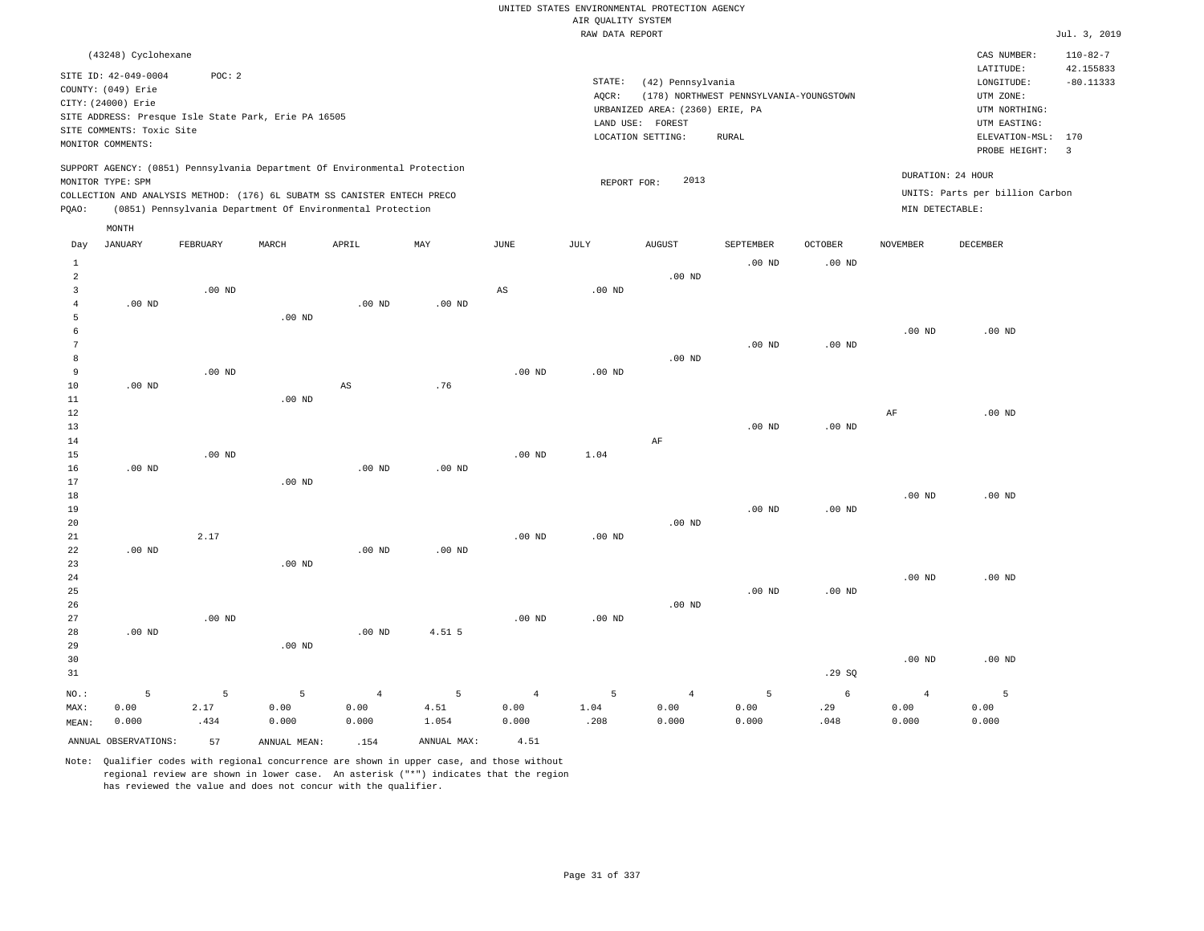|                | (43248) Cyclohexane                                                                           |          |                                                                            |                        |                   |                        |                              |                                                                                     |                                                         |                   |                 | CAS NUMBER:                                                                                 | $110 - 82 - 7$           |
|----------------|-----------------------------------------------------------------------------------------------|----------|----------------------------------------------------------------------------|------------------------|-------------------|------------------------|------------------------------|-------------------------------------------------------------------------------------|---------------------------------------------------------|-------------------|-----------------|---------------------------------------------------------------------------------------------|--------------------------|
|                | SITE ID: 42-049-0004<br>COUNTY: (049) Erie<br>CITY: (24000) Erie<br>SITE COMMENTS: Toxic Site | POC: 2   | SITE ADDRESS: Presque Isle State Park, Erie PA 16505                       |                        |                   |                        | STATE:<br>AQCR:<br>LAND USE: | (42) Pennsylvania<br>URBANIZED AREA: (2360) ERIE, PA<br>FOREST<br>LOCATION SETTING: | (178) NORTHWEST PENNSYLVANIA-YOUNGSTOWN<br><b>RURAL</b> |                   |                 | LATITUDE:<br>LONGITUDE:<br>UTM ZONE:<br>UTM NORTHING:<br>UTM EASTING:<br>ELEVATION-MSL: 170 | 42.155833<br>$-80.11333$ |
|                | MONITOR COMMENTS:                                                                             |          | SUPPORT AGENCY: (0851) Pennsylvania Department Of Environmental Protection |                        |                   |                        |                              |                                                                                     |                                                         |                   |                 | PROBE HEIGHT:                                                                               | $\overline{\mathbf{3}}$  |
|                | MONITOR TYPE: SPM                                                                             |          |                                                                            |                        |                   |                        | REPORT FOR:                  | 2013                                                                                |                                                         |                   |                 | DURATION: 24 HOUR                                                                           |                          |
|                |                                                                                               |          | COLLECTION AND ANALYSIS METHOD: (176) 6L SUBATM SS CANISTER ENTECH PRECO   |                        |                   |                        |                              |                                                                                     |                                                         |                   |                 | UNITS: Parts per billion Carbon                                                             |                          |
| PQAO:          |                                                                                               |          | (0851) Pennsylvania Department Of Environmental Protection                 |                        |                   |                        |                              |                                                                                     |                                                         |                   | MIN DETECTABLE: |                                                                                             |                          |
|                | MONTH                                                                                         |          |                                                                            |                        |                   |                        |                              |                                                                                     |                                                         |                   |                 |                                                                                             |                          |
| Day            | JANUARY                                                                                       | FEBRUARY | MARCH                                                                      | APRIL                  | MAY               | $\mathtt{JUNE}$        | JULY                         | <b>AUGUST</b>                                                                       | SEPTEMBER                                               | OCTOBER           | NOVEMBER        | DECEMBER                                                                                    |                          |
| $\mathbf{1}$   |                                                                                               |          |                                                                            |                        |                   |                        |                              |                                                                                     | $.00$ ND                                                | .00 <sub>ND</sub> |                 |                                                                                             |                          |
| $\overline{a}$ |                                                                                               |          |                                                                            |                        |                   |                        |                              | $.00$ ND                                                                            |                                                         |                   |                 |                                                                                             |                          |
| 3<br>$\bf{4}$  | .00 <sub>ND</sub>                                                                             | $.00$ ND |                                                                            | .00 <sub>ND</sub>      | .00 <sub>ND</sub> | $\mathbb{A}\mathbb{S}$ | .00 <sub>ND</sub>            |                                                                                     |                                                         |                   |                 |                                                                                             |                          |
| 5              |                                                                                               |          | $.00$ ND                                                                   |                        |                   |                        |                              |                                                                                     |                                                         |                   |                 |                                                                                             |                          |
| 6              |                                                                                               |          |                                                                            |                        |                   |                        |                              |                                                                                     |                                                         |                   | $.00$ ND        | $.00$ ND                                                                                    |                          |
| $\overline{7}$ |                                                                                               |          |                                                                            |                        |                   |                        |                              |                                                                                     | $.00$ ND                                                | $.00$ ND          |                 |                                                                                             |                          |
| 8              |                                                                                               |          |                                                                            |                        |                   |                        |                              | $.00$ ND                                                                            |                                                         |                   |                 |                                                                                             |                          |
| 9              |                                                                                               | $.00$ ND |                                                                            |                        |                   | $.00$ ND               | .00 <sub>ND</sub>            |                                                                                     |                                                         |                   |                 |                                                                                             |                          |
| 10             | $.00$ ND                                                                                      |          |                                                                            | $\mathbb{A}\mathbb{S}$ | .76               |                        |                              |                                                                                     |                                                         |                   |                 |                                                                                             |                          |
| 11             |                                                                                               |          | $.00$ ND                                                                   |                        |                   |                        |                              |                                                                                     |                                                         |                   |                 |                                                                                             |                          |
| $1\,2$<br>13   |                                                                                               |          |                                                                            |                        |                   |                        |                              |                                                                                     | $.00$ ND                                                | $.00$ ND          | AF              | $.00$ ND                                                                                    |                          |
| $14\,$         |                                                                                               |          |                                                                            |                        |                   |                        |                              | AF                                                                                  |                                                         |                   |                 |                                                                                             |                          |
| 15             |                                                                                               | $.00$ ND |                                                                            |                        |                   | .00 <sub>ND</sub>      | 1.04                         |                                                                                     |                                                         |                   |                 |                                                                                             |                          |
| 16             | .00 <sub>ND</sub>                                                                             |          |                                                                            | .00 <sub>ND</sub>      | $.00$ ND          |                        |                              |                                                                                     |                                                         |                   |                 |                                                                                             |                          |
| 17             |                                                                                               |          | $.00$ ND                                                                   |                        |                   |                        |                              |                                                                                     |                                                         |                   |                 |                                                                                             |                          |
| 18             |                                                                                               |          |                                                                            |                        |                   |                        |                              |                                                                                     |                                                         |                   | $.00$ ND        | $.00$ ND                                                                                    |                          |
| 19             |                                                                                               |          |                                                                            |                        |                   |                        |                              |                                                                                     | $.00$ ND                                                | $.00$ ND          |                 |                                                                                             |                          |
| 20<br>21       |                                                                                               | 2.17     |                                                                            |                        |                   | .00 <sub>ND</sub>      | .00 <sub>ND</sub>            | $.00$ ND                                                                            |                                                         |                   |                 |                                                                                             |                          |
| 22             | $.00$ ND                                                                                      |          |                                                                            | $.00$ ND               | $.00$ ND          |                        |                              |                                                                                     |                                                         |                   |                 |                                                                                             |                          |
| 23             |                                                                                               |          | $.00$ ND                                                                   |                        |                   |                        |                              |                                                                                     |                                                         |                   |                 |                                                                                             |                          |
| 24             |                                                                                               |          |                                                                            |                        |                   |                        |                              |                                                                                     |                                                         |                   | $.00$ ND        | $.00$ ND                                                                                    |                          |
| 25             |                                                                                               |          |                                                                            |                        |                   |                        |                              |                                                                                     | $.00$ ND                                                | $.00$ ND          |                 |                                                                                             |                          |
| 26             |                                                                                               |          |                                                                            |                        |                   |                        |                              | $.00$ ND                                                                            |                                                         |                   |                 |                                                                                             |                          |
| 27<br>28       | $.00$ ND                                                                                      | $.00$ ND |                                                                            | .00 <sub>ND</sub>      | 4.51 5            | .00 <sub>ND</sub>      | $.00$ ND                     |                                                                                     |                                                         |                   |                 |                                                                                             |                          |
| 29             |                                                                                               |          | $.00$ ND                                                                   |                        |                   |                        |                              |                                                                                     |                                                         |                   |                 |                                                                                             |                          |
| 30             |                                                                                               |          |                                                                            |                        |                   |                        |                              |                                                                                     |                                                         |                   | $.00$ ND        | $.00$ ND                                                                                    |                          |
| 31             |                                                                                               |          |                                                                            |                        |                   |                        |                              |                                                                                     |                                                         | .29SQ             |                 |                                                                                             |                          |
| NO.:           | 5                                                                                             | 5        | 5                                                                          | $\overline{4}$         | 5                 | $\overline{4}$         | 5                            | $\bf{4}$                                                                            | 5                                                       | $\epsilon$        | $\overline{4}$  | 5                                                                                           |                          |
| MAX:           | 0.00                                                                                          | 2.17     | 0.00                                                                       | 0.00                   | 4.51              | 0.00                   | 1.04                         | 0.00                                                                                | 0.00                                                    | .29               | 0.00            | 0.00                                                                                        |                          |
| MEAN:          | 0.000                                                                                         | .434     | 0.000                                                                      | 0.000                  | 1.054             | 0.000                  | .208                         | 0.000                                                                               | 0.000                                                   | .048              | 0.000           | 0.000                                                                                       |                          |
|                | ANNUAL OBSERVATIONS:                                                                          | 57       | ANNUAL MEAN:                                                               | .154                   | ANNUAL MAX:       | 4.51                   |                              |                                                                                     |                                                         |                   |                 |                                                                                             |                          |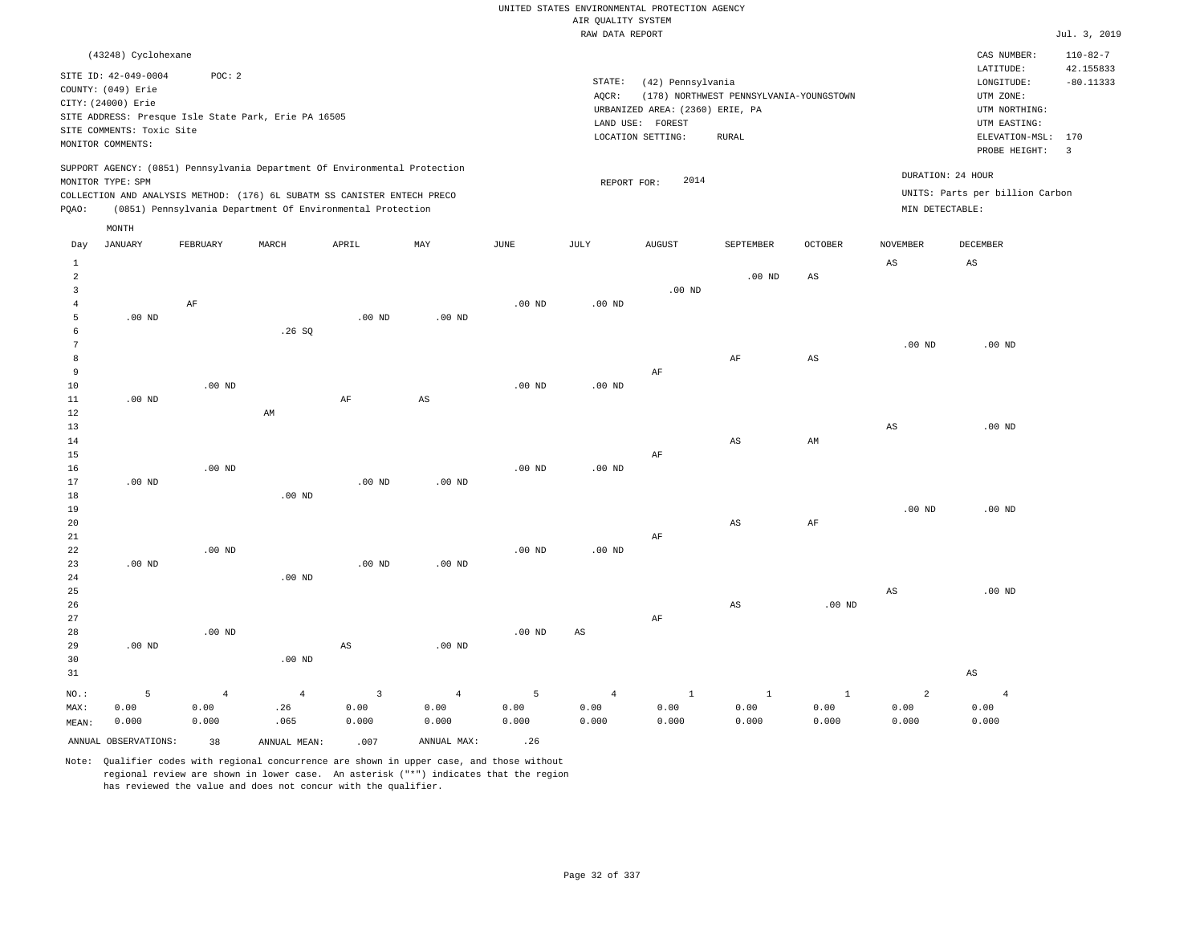|                                          | (43248) Cyclohexane                                                                                                |                   |                                                                                                                                                                                                                      |                        |                   |                   |                 |                                                                                               |                                                         |                   |                                      | CAS NUMBER:                                                                                                  | $110 - 82 - 7$                             |
|------------------------------------------|--------------------------------------------------------------------------------------------------------------------|-------------------|----------------------------------------------------------------------------------------------------------------------------------------------------------------------------------------------------------------------|------------------------|-------------------|-------------------|-----------------|-----------------------------------------------------------------------------------------------|---------------------------------------------------------|-------------------|--------------------------------------|--------------------------------------------------------------------------------------------------------------|--------------------------------------------|
|                                          | SITE ID: 42-049-0004<br>COUNTY: (049) Erie<br>CITY: (24000) Erie<br>SITE COMMENTS: Toxic Site<br>MONITOR COMMENTS: | POC: 2            | SITE ADDRESS: Presque Isle State Park, Erie PA 16505                                                                                                                                                                 |                        |                   |                   | STATE:<br>AQCR: | (42) Pennsylvania<br>URBANIZED AREA: (2360) ERIE, PA<br>LAND USE: FOREST<br>LOCATION SETTING: | (178) NORTHWEST PENNSYLVANIA-YOUNGSTOWN<br><b>RURAL</b> |                   |                                      | LATITUDE:<br>LONGITUDE:<br>UTM ZONE:<br>UTM NORTHING:<br>UTM EASTING:<br>ELEVATION-MSL: 170<br>PROBE HEIGHT: | 42.155833<br>$-80.11333$<br>$\overline{3}$ |
| PQAO:                                    | MONITOR TYPE: SPM                                                                                                  |                   | SUPPORT AGENCY: (0851) Pennsylvania Department Of Environmental Protection<br>COLLECTION AND ANALYSIS METHOD: (176) 6L SUBATM SS CANISTER ENTECH PRECO<br>(0851) Pennsylvania Department Of Environmental Protection |                        |                   |                   | REPORT FOR:     | 2014                                                                                          |                                                         |                   | DURATION: 24 HOUR<br>MIN DETECTABLE: | UNITS: Parts per billion Carbon                                                                              |                                            |
|                                          | MONTH                                                                                                              |                   | MARCH                                                                                                                                                                                                                |                        |                   |                   |                 |                                                                                               |                                                         |                   |                                      | <b>DECEMBER</b>                                                                                              |                                            |
| Day                                      | <b>JANUARY</b>                                                                                                     | FEBRUARY          |                                                                                                                                                                                                                      | APRIL                  | MAY               | $_{\rm JUNE}$     | JULY            | <b>AUGUST</b>                                                                                 | SEPTEMBER                                               | <b>OCTOBER</b>    | <b>NOVEMBER</b>                      |                                                                                                              |                                            |
| $\mathbf{1}$<br>2<br>3<br>$\overline{4}$ |                                                                                                                    |                   |                                                                                                                                                                                                                      |                        |                   |                   |                 | $.00$ ND                                                                                      | .00 <sub>ND</sub>                                       | AS                | AS                                   | $\mathbb{A}\mathbb{S}$                                                                                       |                                            |
| 5<br>6<br>7                              | .00 <sub>ND</sub>                                                                                                  | $\rm{AF}$         | .26SQ                                                                                                                                                                                                                | $.00$ ND               | .00 <sub>ND</sub> | .00 <sub>ND</sub> | $.00$ ND        |                                                                                               |                                                         |                   |                                      |                                                                                                              |                                            |
| 8<br>9                                   |                                                                                                                    | .00 <sub>ND</sub> |                                                                                                                                                                                                                      |                        |                   |                   |                 | AF                                                                                            | AF                                                      | AS                | .00 <sub>ND</sub>                    | $.00$ ND                                                                                                     |                                            |
| $10$<br>$11\,$<br>12<br>13               | $.00$ ND                                                                                                           |                   | AM                                                                                                                                                                                                                   | $\rm AF$               | $_{\rm AS}$       | $.00$ ND          | $.00$ ND        |                                                                                               |                                                         |                   | $\mathbb{A}\mathbb{S}$               | $.00$ ND                                                                                                     |                                            |
| 14<br>15<br>16                           |                                                                                                                    | $.00$ ND          |                                                                                                                                                                                                                      |                        |                   | $.00$ ND          | $.00$ ND        | AF                                                                                            | AS                                                      | AM                |                                      |                                                                                                              |                                            |
| 17<br>18<br>19                           | $.00$ ND                                                                                                           |                   | .00 <sub>ND</sub>                                                                                                                                                                                                    | $.00$ ND               | $.00$ ND          |                   |                 |                                                                                               |                                                         |                   | .00 <sub>ND</sub>                    | $.00$ ND                                                                                                     |                                            |
| 20<br>21<br>22                           |                                                                                                                    | $.00$ ND          |                                                                                                                                                                                                                      |                        |                   | $.00$ ND          | $.00$ ND        | AF                                                                                            | $_{\rm AS}$                                             | AF                |                                      |                                                                                                              |                                            |
| 23<br>24<br>25                           | $.00$ ND                                                                                                           |                   | .00 <sub>ND</sub>                                                                                                                                                                                                    | $.00$ ND               | $.00$ ND          |                   |                 |                                                                                               |                                                         |                   | $\mathbb{A}\mathbb{S}$               | $.00$ ND                                                                                                     |                                            |
| 26<br>27<br>28<br>29                     | .00 <sub>ND</sub>                                                                                                  | .00 <sub>ND</sub> |                                                                                                                                                                                                                      | $\mathbb{A}\mathbb{S}$ | .00 <sub>ND</sub> | .00 <sub>ND</sub> | $_{\rm AS}$     | AF                                                                                            | AS                                                      | .00 <sub>ND</sub> |                                      |                                                                                                              |                                            |
| 30<br>31                                 |                                                                                                                    |                   | $.00$ ND                                                                                                                                                                                                             |                        |                   |                   |                 |                                                                                               |                                                         |                   |                                      | $\mathbb{A}\mathbb{S}$                                                                                       |                                            |
| NO.:                                     | 5                                                                                                                  | $\overline{4}$    | $\overline{4}$                                                                                                                                                                                                       | $\overline{3}$         | $\overline{4}$    | 5                 | $\overline{4}$  | $\mathbf{1}$                                                                                  | $\mathbf{1}$                                            | $\mathbf{1}$      | $\overline{a}$                       | $\overline{4}$                                                                                               |                                            |
| MAX:                                     | 0.00                                                                                                               | 0.00              | .26                                                                                                                                                                                                                  | 0.00                   | 0.00              | 0.00              | 0.00            | 0.00                                                                                          | 0.00                                                    | 0.00              | 0.00                                 | 0.00                                                                                                         |                                            |
| MEAN:                                    | 0.000                                                                                                              | 0.000             | .065                                                                                                                                                                                                                 | 0.000                  | 0.000             | 0.000             | 0.000           | 0.000                                                                                         | 0.000                                                   | 0.000             | 0.000                                | 0.000                                                                                                        |                                            |
|                                          | ANNUAL OBSERVATIONS:                                                                                               | 38                | ANNUAL MEAN:                                                                                                                                                                                                         | .007                   | ANNUAL MAX:       | .26               |                 |                                                                                               |                                                         |                   |                                      |                                                                                                              |                                            |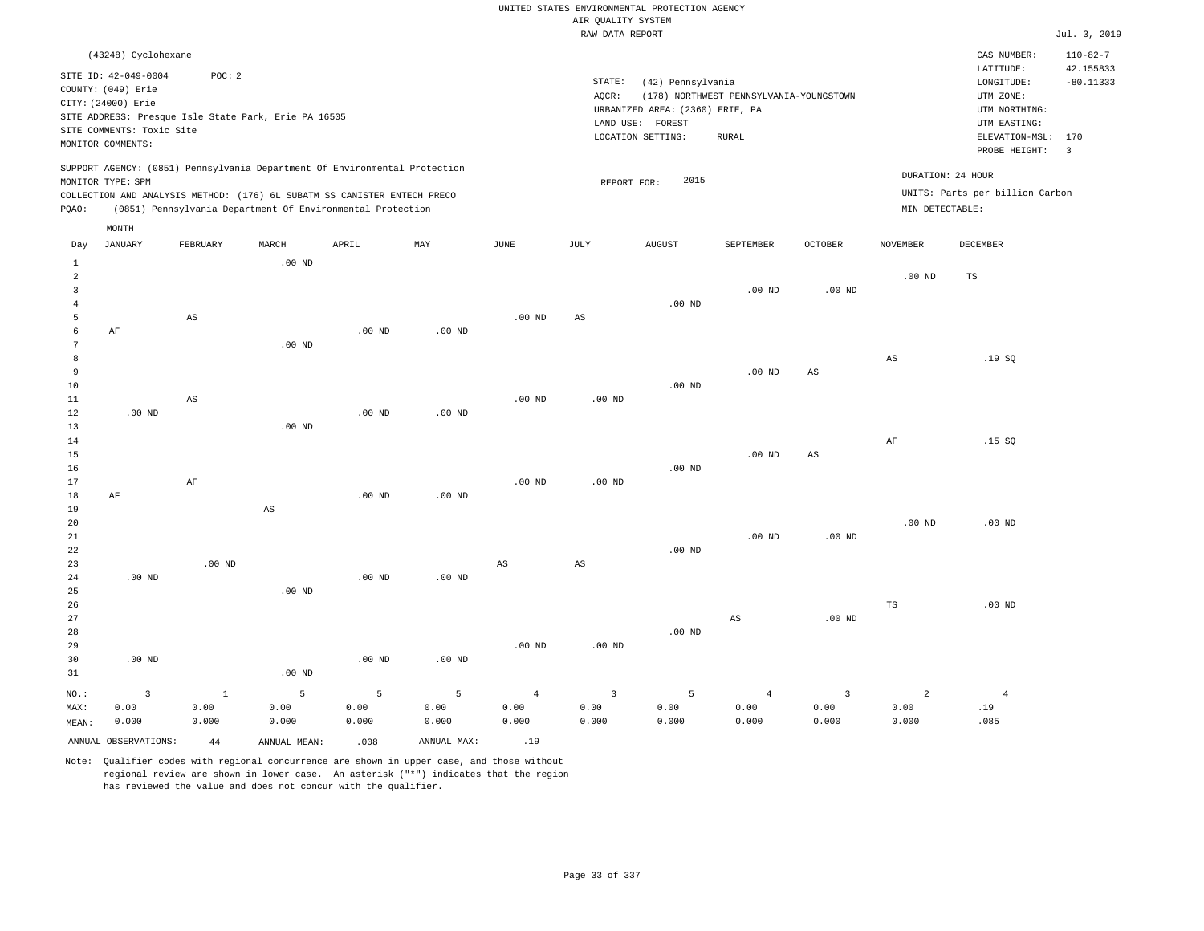|                                                                                                                                                                                      |       | (43248) Cyclohexane |          |                                                                                                                                        |       |                                                                            |      |                    |                                                                                               |                                                  |                |                 | CAS NUMBER:                                                                                                  | $110 - 82 - 7$                                        |
|--------------------------------------------------------------------------------------------------------------------------------------------------------------------------------------|-------|---------------------|----------|----------------------------------------------------------------------------------------------------------------------------------------|-------|----------------------------------------------------------------------------|------|--------------------|-----------------------------------------------------------------------------------------------|--------------------------------------------------|----------------|-----------------|--------------------------------------------------------------------------------------------------------------|-------------------------------------------------------|
| SITE ID: 42-049-0004<br>POC: 2<br>COUNTY: (049) Erie<br>CITY: (24000) Erie<br>SITE ADDRESS: Presque Isle State Park, Erie PA 16505<br>SITE COMMENTS: Toxic Site<br>MONITOR COMMENTS: |       |                     |          |                                                                                                                                        |       |                                                                            |      | STATE:<br>$AQCR$ : | (42) Pennsylvania<br>URBANIZED AREA: (2360) ERIE, PA<br>LAND USE: FOREST<br>LOCATION SETTING: | (178) NORTHWEST PENNSYLVANIA-YOUNGSTOWN<br>RURAL |                |                 | LATITUDE:<br>LONGITUDE:<br>UTM ZONE:<br>UTM NORTHING:<br>UTM EASTING:<br>ELEVATION-MSL: 170<br>PROBE HEIGHT: | 42.155833<br>$-80.11333$<br>$\overline{\phantom{a}3}$ |
|                                                                                                                                                                                      | POAO: | MONITOR TYPE: SPM   |          | COLLECTION AND ANALYSIS METHOD: (176) 6L SUBATM SS CANISTER ENTECH PRECO<br>(0851) Pennsylvania Department Of Environmental Protection |       | SUPPORT AGENCY: (0851) Pennsylvania Department Of Environmental Protection |      | REPORT FOR:        | DURATION: 24 HOUR<br>UNITS: Parts per billion Carbon<br>MIN DETECTABLE:                       |                                                  |                |                 |                                                                                                              |                                                       |
|                                                                                                                                                                                      | Day   | MONTH<br>JANUARY    | FEBRUARY | MARCH                                                                                                                                  | APRIL | MAY                                                                        | JUNE | JULY               | <b>AUGUST</b>                                                                                 | SEPTEMBER                                        | <b>OCTOBER</b> | <b>NOVEMBER</b> | DECEMBER                                                                                                     |                                                       |
|                                                                                                                                                                                      | 2     |                     |          | $.00$ ND                                                                                                                               |       |                                                                            |      |                    |                                                                                               |                                                  |                |                 | TS                                                                                                           |                                                       |
|                                                                                                                                                                                      |       |                     |          |                                                                                                                                        |       |                                                                            |      |                    |                                                                                               | $.00$ ND                                         | $.00$ ND       | $.00$ ND        |                                                                                                              |                                                       |
|                                                                                                                                                                                      |       |                     |          |                                                                                                                                        |       |                                                                            |      |                    | $.00$ ND                                                                                      |                                                  |                |                 |                                                                                                              |                                                       |

| NO.: | 3        | $\mathbf{1}$           | 5                 | 5        | 5        | $\overline{4}$         | 3                      | 5        | $\overline{4}$         | 3                      | 2                      | $\overline{4}$ |
|------|----------|------------------------|-------------------|----------|----------|------------------------|------------------------|----------|------------------------|------------------------|------------------------|----------------|
| 31   |          |                        | .00 <sub>ND</sub> |          |          |                        |                        |          |                        |                        |                        |                |
| 30   | .00 $ND$ |                        |                   | $.00$ ND | $.00$ ND |                        |                        |          |                        |                        |                        |                |
| 29   |          |                        |                   |          |          | $.00~\mathrm{ND}$      | .00 $ND$               |          |                        |                        |                        |                |
| 28   |          |                        |                   |          |          |                        |                        | $.00$ ND |                        |                        |                        |                |
| 27   |          |                        |                   |          |          |                        |                        |          | $\mathbb{A}\mathbb{S}$ | $.00$ ND               |                        |                |
| 26   |          |                        |                   |          |          |                        |                        |          |                        |                        | TS                     | .00 $ND$       |
| 25   |          |                        | $.00$ ND          |          |          |                        |                        |          |                        |                        |                        |                |
| 24   | $.00$ ND |                        |                   | $.00$ ND | $.00$ ND |                        |                        |          |                        |                        |                        |                |
| 23   |          | .00 $ND$               |                   |          |          | $\mathbb{A}\mathbb{S}$ | $\mathbb{A}\mathbb{S}$ |          |                        |                        |                        |                |
| 22   |          |                        |                   |          |          |                        |                        | $.00$ ND |                        |                        |                        |                |
| 21   |          |                        |                   |          |          |                        |                        |          | .00 $ND$               | $.00$ ND               |                        |                |
| 20   |          |                        |                   |          |          |                        |                        |          |                        |                        | .00 $ND$               | $.00$ ND       |
| 19   |          |                        | AS                |          |          |                        |                        |          |                        |                        |                        |                |
| 18   | AF       |                        |                   | $.00$ ND | $.00$ ND |                        |                        |          |                        |                        |                        |                |
| 17   |          | $\rm{AF}$              |                   |          |          | $.00$ ND               | $.00$ ND               |          |                        |                        |                        |                |
| 16   |          |                        |                   |          |          |                        |                        | $.00$ ND |                        |                        |                        |                |
| 15   |          |                        |                   |          |          |                        |                        |          | $.00$ ND               | AS                     |                        |                |
| 14   |          |                        |                   |          |          |                        |                        |          |                        |                        | $\rm{AF}$              | .15 SQ         |
| 13   |          |                        | $.00$ ND          |          |          |                        |                        |          |                        |                        |                        |                |
| 12   | $.00$ ND |                        |                   | .00 $ND$ | $.00$ ND |                        |                        |          |                        |                        |                        |                |
| 11   |          | $\mathbb{A}\mathbb{S}$ |                   |          |          | .00 $ND$               | $.00$ ND               |          |                        |                        |                        |                |
| 10   |          |                        |                   |          |          |                        |                        | .00 $ND$ |                        |                        |                        |                |
| 9    |          |                        |                   |          |          |                        |                        |          | $.00$ ND               | $\mathbb{A}\mathbb{S}$ |                        |                |
| 8    |          |                        |                   |          |          |                        |                        |          |                        |                        | $\mathbb{A}\mathbb{S}$ | .19SQ          |
| 7    |          |                        | $.00$ ND          |          |          |                        |                        |          |                        |                        |                        |                |
| 6    | AF       |                        |                   | $.00$ ND | $.00$ ND |                        |                        |          |                        |                        |                        |                |
| 5    |          | AS                     |                   |          |          | $.00$ ND               | AS                     |          |                        |                        |                        |                |

 0.00 0.000

ANNUAL OBSERVATIONS:  $44$  ANNUAL MEAN: .008 ANNUAL MAX: .19

 0.00 0.000  0.00 0.000

 0.00 0.000

MAX: MEAN:

 0.00 0.000  0.00 0.000

Note: Qualifier codes with regional concurrence are shown in upper case, and those without regional review are shown in lower case. An asterisk ("\*") indicates that the region has reviewed the value and does not concur with the qualifier.

 0.00 0.000  0.00 0.000  0.00 0.000

 0.00 0.000

 0.00 0.000  .19 .085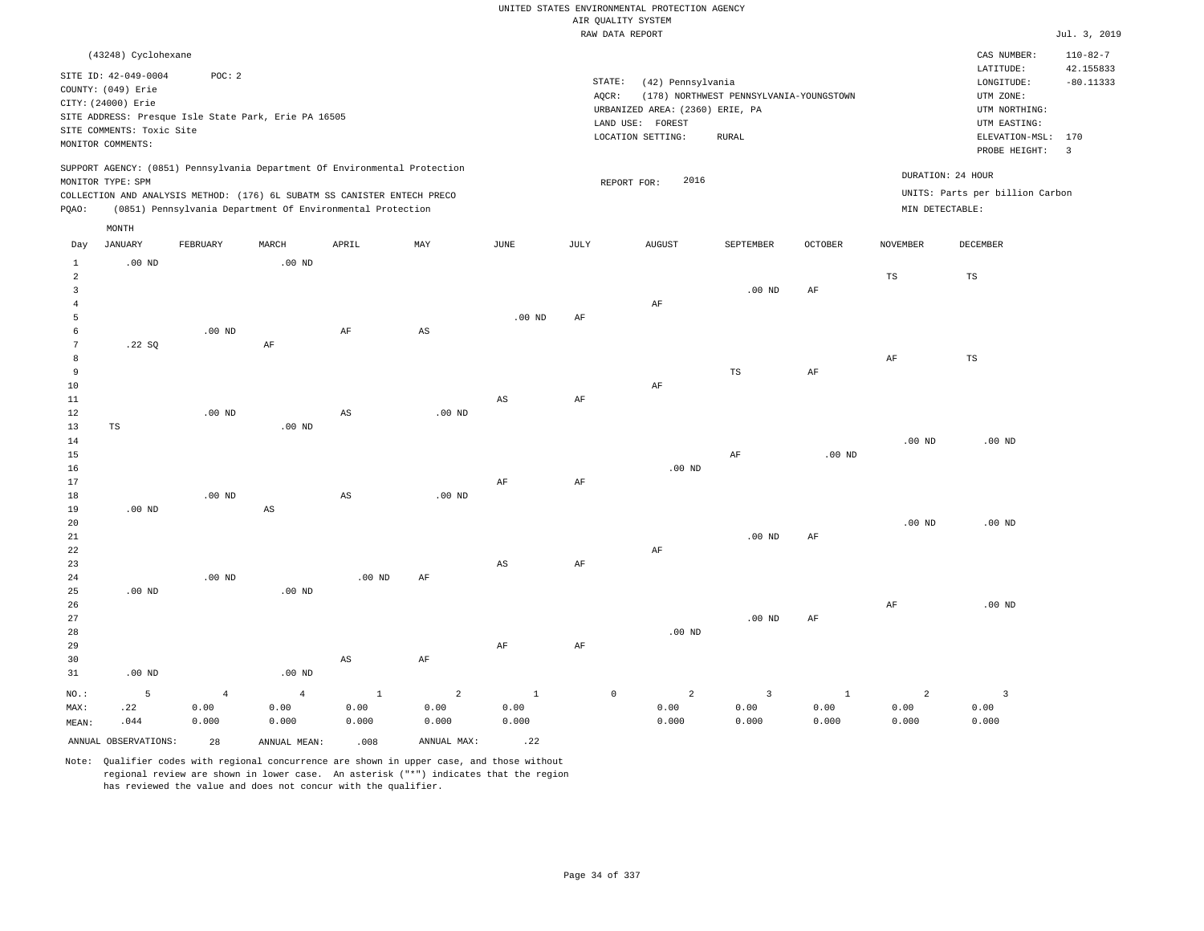|                                  |                                                      |                |                        |                                                                            |                        |                        |           | RAW DATA REPORT                 |                                         |                |                 |                                 | Jul. 3, 2019   |
|----------------------------------|------------------------------------------------------|----------------|------------------------|----------------------------------------------------------------------------|------------------------|------------------------|-----------|---------------------------------|-----------------------------------------|----------------|-----------------|---------------------------------|----------------|
|                                  | (43248) Cyclohexane                                  |                |                        |                                                                            |                        |                        |           |                                 |                                         |                |                 | CAS NUMBER:                     | $110 - 82 - 7$ |
|                                  |                                                      |                |                        |                                                                            |                        |                        |           |                                 |                                         |                |                 | LATITUDE:                       | 42.155833      |
|                                  | SITE ID: 42-049-0004                                 | POC: 2         |                        |                                                                            |                        |                        | STATE:    | (42) Pennsylvania               |                                         |                |                 | LONGITUDE:                      | $-80.11333$    |
|                                  | COUNTY: (049) Erie                                   |                |                        |                                                                            |                        |                        | AOCR:     |                                 | (178) NORTHWEST PENNSYLVANIA-YOUNGSTOWN |                |                 | UTM ZONE:                       |                |
|                                  | CITY: (24000) Erie                                   |                |                        |                                                                            |                        |                        |           | URBANIZED AREA: (2360) ERIE, PA |                                         |                |                 | UTM NORTHING:                   |                |
|                                  | SITE ADDRESS: Presque Isle State Park, Erie PA 16505 |                |                        |                                                                            |                        |                        |           | LAND USE: FOREST                |                                         |                |                 | UTM EASTING:                    |                |
|                                  | SITE COMMENTS: Toxic Site                            |                |                        |                                                                            |                        |                        |           | LOCATION SETTING:               | RURAL                                   |                |                 | ELEVATION-MSL: 170              |                |
|                                  | MONITOR COMMENTS:                                    |                |                        |                                                                            |                        |                        |           |                                 |                                         |                |                 | PROBE HEIGHT:                   | $\overline{3}$ |
|                                  |                                                      |                |                        | SUPPORT AGENCY: (0851) Pennsylvania Department Of Environmental Protection |                        |                        |           |                                 |                                         |                |                 |                                 |                |
|                                  | MONITOR TYPE: SPM                                    |                |                        |                                                                            |                        |                        |           | 2016<br>REPORT FOR:             |                                         |                |                 | DURATION: 24 HOUR               |                |
|                                  |                                                      |                |                        | COLLECTION AND ANALYSIS METHOD: (176) 6L SUBATM SS CANISTER ENTECH PRECO   |                        |                        |           |                                 |                                         |                |                 | UNITS: Parts per billion Carbon |                |
| PQAO:                            |                                                      |                |                        | (0851) Pennsylvania Department Of Environmental Protection                 |                        |                        |           |                                 |                                         |                | MIN DETECTABLE: |                                 |                |
|                                  | MONTH                                                |                |                        |                                                                            |                        |                        |           |                                 |                                         |                |                 |                                 |                |
| Day                              | <b>JANUARY</b>                                       | FEBRUARY       | MARCH                  | APRIL                                                                      | MAY                    | <b>JUNE</b>            | JULY      | <b>AUGUST</b>                   | SEPTEMBER                               | <b>OCTOBER</b> | <b>NOVEMBER</b> | <b>DECEMBER</b>                 |                |
|                                  |                                                      |                |                        |                                                                            |                        |                        |           |                                 |                                         |                |                 |                                 |                |
| $\mathbf{1}$                     | $.00$ ND                                             |                | $.00$ ND               |                                                                            |                        |                        |           |                                 |                                         |                |                 |                                 |                |
| $\overline{a}$<br>$\overline{3}$ |                                                      |                |                        |                                                                            |                        |                        |           |                                 | $.00$ ND                                |                | $_{\rm TS}$     | $\mathbb{TS}$                   |                |
| $\overline{4}$                   |                                                      |                |                        |                                                                            |                        |                        |           | $\rm AF$                        |                                         | AF             |                 |                                 |                |
| 5                                |                                                      |                |                        |                                                                            |                        | $.00$ ND               | AF        |                                 |                                         |                |                 |                                 |                |
| 6                                |                                                      | $.00$ ND       |                        | $\rm AF$                                                                   | $\mathbb{A}\mathbb{S}$ |                        |           |                                 |                                         |                |                 |                                 |                |
| $7\phantom{.0}$                  | .22SQ                                                |                | $\rm AF$               |                                                                            |                        |                        |           |                                 |                                         |                |                 |                                 |                |
| 8                                |                                                      |                |                        |                                                                            |                        |                        |           |                                 |                                         |                | $\rm{AF}$       | $\mathbb{TS}$                   |                |
| 9                                |                                                      |                |                        |                                                                            |                        |                        |           |                                 | <b>TS</b>                               | AF             |                 |                                 |                |
| 10                               |                                                      |                |                        |                                                                            |                        |                        |           | $\rm AF$                        |                                         |                |                 |                                 |                |
| $11\,$                           |                                                      |                |                        |                                                                            |                        | $\mathbb{A}\mathbb{S}$ | $\rm{AF}$ |                                 |                                         |                |                 |                                 |                |
| 12                               |                                                      | $.00$ ND       |                        | $_{\rm AS}$                                                                | $.00$ ND               |                        |           |                                 |                                         |                |                 |                                 |                |
| 13                               | $_{\rm TS}$                                          |                | .00 <sub>ND</sub>      |                                                                            |                        |                        |           |                                 |                                         |                |                 |                                 |                |
| 14                               |                                                      |                |                        |                                                                            |                        |                        |           |                                 |                                         |                | $.00$ ND        | .00 <sub>ND</sub>               |                |
| 15                               |                                                      |                |                        |                                                                            |                        |                        |           |                                 | $\rm AF$                                | $.00$ ND       |                 |                                 |                |
| 16                               |                                                      |                |                        |                                                                            |                        |                        |           | $.00$ ND                        |                                         |                |                 |                                 |                |
| $17$                             |                                                      |                |                        |                                                                            |                        | AF                     | AF        |                                 |                                         |                |                 |                                 |                |
| 18                               |                                                      | $.00$ ND       |                        | $_{\rm AS}$                                                                | $.00$ ND               |                        |           |                                 |                                         |                |                 |                                 |                |
| 19<br>20                         | $.00$ ND                                             |                | $\mathbb{A}\mathbb{S}$ |                                                                            |                        |                        |           |                                 |                                         |                | $.00$ ND        | $.00$ ND                        |                |
| 21                               |                                                      |                |                        |                                                                            |                        |                        |           |                                 | .00 <sub>ND</sub>                       | AF             |                 |                                 |                |
| 22                               |                                                      |                |                        |                                                                            |                        |                        |           | AF                              |                                         |                |                 |                                 |                |
| 23                               |                                                      |                |                        |                                                                            |                        | AS                     | AF        |                                 |                                         |                |                 |                                 |                |
| 24                               |                                                      | $.00$ ND       |                        | $.00$ ND                                                                   | AF                     |                        |           |                                 |                                         |                |                 |                                 |                |
| 25                               | $.00$ ND                                             |                | $.00$ ND               |                                                                            |                        |                        |           |                                 |                                         |                |                 |                                 |                |
| 26                               |                                                      |                |                        |                                                                            |                        |                        |           |                                 |                                         |                | AF              | $.00$ ND                        |                |
| 27                               |                                                      |                |                        |                                                                            |                        |                        |           |                                 | .00 <sub>ND</sub>                       | AF             |                 |                                 |                |
| 28                               |                                                      |                |                        |                                                                            |                        |                        |           | $.00$ ND                        |                                         |                |                 |                                 |                |
| 29                               |                                                      |                |                        |                                                                            |                        | AF                     | AF        |                                 |                                         |                |                 |                                 |                |
| 30                               |                                                      |                |                        | $\mathbb{A}\mathbb{S}$                                                     | AF                     |                        |           |                                 |                                         |                |                 |                                 |                |
| 31                               | $.00$ ND                                             |                | $.00$ ND               |                                                                            |                        |                        |           |                                 |                                         |                |                 |                                 |                |
| NO.:                             | 5                                                    | $\overline{4}$ | $\overline{4}$         | $1\,$                                                                      | $\overline{a}$         | $\mathbf{1}$           |           | $\mathbb O$<br>$\overline{a}$   | $\overline{3}$                          | $\mathbf{1}$   | $\overline{2}$  | $\overline{\mathbf{3}}$         |                |
| MAX:                             | .22                                                  | 0.00           | 0.00                   | 0.00                                                                       | 0.00                   | 0.00                   |           | 0.00                            | 0.00                                    | 0.00           | 0.00            | 0.00                            |                |
| MEAN:                            | .044                                                 | 0.000          | 0.000                  | 0.000                                                                      | 0.000                  | 0.000                  |           | 0.000                           | 0.000                                   | 0.000          | 0.000           | 0.000                           |                |
|                                  | ANNUAL OBSERVATIONS:                                 | 28             | ANNUAL MEAN:           | .008                                                                       | ANNUAL MAX:            | .22                    |           |                                 |                                         |                |                 |                                 |                |
|                                  |                                                      |                |                        |                                                                            |                        |                        |           |                                 |                                         |                |                 |                                 |                |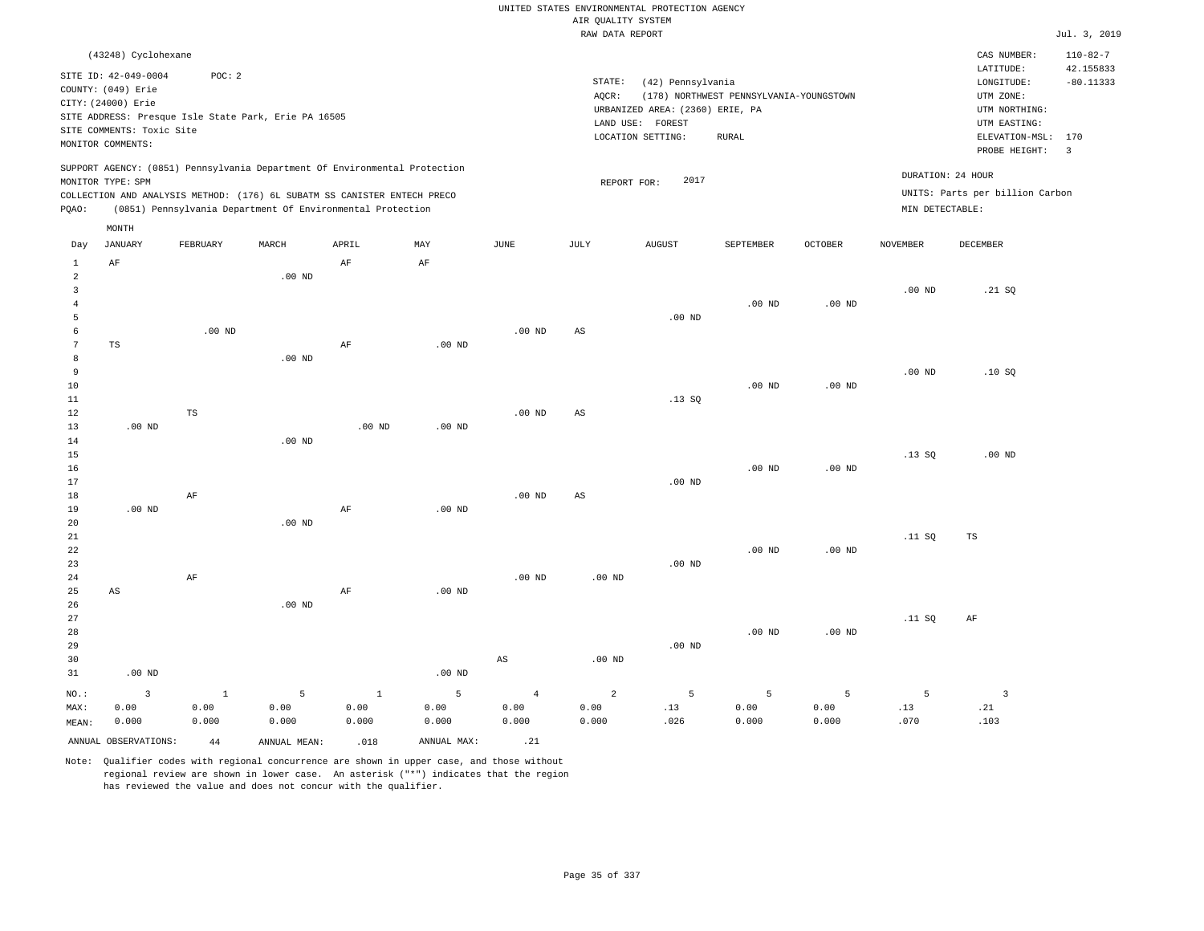|                | (43248) Cyclohexane<br>SITE ID: 42-049-0004<br>COUNTY: (049) Erie<br>CITY: (24000) Erie<br>SITE ADDRESS: Presque Isle State Park, Erie PA 16505<br>SITE COMMENTS: Toxic Site<br>MONITOR COMMENTS: | POC: 2       |                   |                                                                                                                                                        |             |                   | STATE:<br>AQCR:        | (42) Pennsylvania<br>URBANIZED AREA: (2360) ERIE, PA<br>LAND USE: FOREST<br>LOCATION SETTING: | (178) NORTHWEST PENNSYLVANIA-YOUNGSTOWN<br>RURAL |                   |                    | CAS NUMBER:<br>LATITUDE:<br>LONGITUDE:<br>UTM ZONE:<br>UTM NORTHING:<br>UTM EASTING:<br>ELEVATION-MSL: 170<br>PROBE HEIGHT: | $110 - 82 - 7$<br>42.155833<br>$-80.11333$<br>$\overline{\mathbf{3}}$ |
|----------------|---------------------------------------------------------------------------------------------------------------------------------------------------------------------------------------------------|--------------|-------------------|--------------------------------------------------------------------------------------------------------------------------------------------------------|-------------|-------------------|------------------------|-----------------------------------------------------------------------------------------------|--------------------------------------------------|-------------------|--------------------|-----------------------------------------------------------------------------------------------------------------------------|-----------------------------------------------------------------------|
|                | MONITOR TYPE: SPM                                                                                                                                                                                 |              |                   | SUPPORT AGENCY: (0851) Pennsylvania Department Of Environmental Protection<br>COLLECTION AND ANALYSIS METHOD: (176) 6L SUBATM SS CANISTER ENTECH PRECO |             |                   | REPORT FOR:            | 2017                                                                                          |                                                  |                   |                    | DURATION: 24 HOUR<br>UNITS: Parts per billion Carbon                                                                        |                                                                       |
| PQAO:          |                                                                                                                                                                                                   |              |                   | (0851) Pennsylvania Department Of Environmental Protection                                                                                             |             |                   |                        |                                                                                               |                                                  |                   | $MIN$ DETECTABLE : |                                                                                                                             |                                                                       |
| Day            | MONTH<br><b>JANUARY</b>                                                                                                                                                                           | FEBRUARY     | MARCH             | APRIL                                                                                                                                                  | MAY         | $_{\rm JUNE}$     | JULY                   | <b>AUGUST</b>                                                                                 | SEPTEMBER                                        | OCTOBER           | <b>NOVEMBER</b>    | DECEMBER                                                                                                                    |                                                                       |
| $\mathbf{1}$   | AF                                                                                                                                                                                                |              |                   | AF                                                                                                                                                     | AF          |                   |                        |                                                                                               |                                                  |                   |                    |                                                                                                                             |                                                                       |
| $\overline{a}$ |                                                                                                                                                                                                   |              | $.00$ ND          |                                                                                                                                                        |             |                   |                        |                                                                                               |                                                  |                   |                    |                                                                                                                             |                                                                       |
| 3              |                                                                                                                                                                                                   |              |                   |                                                                                                                                                        |             |                   |                        |                                                                                               |                                                  |                   | .00 <sub>ND</sub>  | .21 SQ                                                                                                                      |                                                                       |
| $\bf{4}$       |                                                                                                                                                                                                   |              |                   |                                                                                                                                                        |             |                   |                        |                                                                                               | $.00$ ND                                         | .00 <sub>ND</sub> |                    |                                                                                                                             |                                                                       |
| 5              |                                                                                                                                                                                                   |              |                   |                                                                                                                                                        |             |                   |                        | $.00$ ND                                                                                      |                                                  |                   |                    |                                                                                                                             |                                                                       |
| 6              |                                                                                                                                                                                                   | $.00$ ND     |                   |                                                                                                                                                        |             | $.00$ ND          | AS                     |                                                                                               |                                                  |                   |                    |                                                                                                                             |                                                                       |
| $\overline{7}$ | $_{\rm TS}$                                                                                                                                                                                       |              |                   | $\rm AF$                                                                                                                                               | $.00$ ND    |                   |                        |                                                                                               |                                                  |                   |                    |                                                                                                                             |                                                                       |
| 8              |                                                                                                                                                                                                   |              | $.00$ ND          |                                                                                                                                                        |             |                   |                        |                                                                                               |                                                  |                   |                    |                                                                                                                             |                                                                       |
| 9<br>10        |                                                                                                                                                                                                   |              |                   |                                                                                                                                                        |             |                   |                        |                                                                                               | $.00$ ND                                         | $.00$ ND          | $.00$ ND           | .10S                                                                                                                        |                                                                       |
| $11\,$         |                                                                                                                                                                                                   |              |                   |                                                                                                                                                        |             |                   |                        | .13 SQ                                                                                        |                                                  |                   |                    |                                                                                                                             |                                                                       |
| 12             |                                                                                                                                                                                                   | TS           |                   |                                                                                                                                                        |             | .00 <sub>ND</sub> | $\mathbb{A}\mathbb{S}$ |                                                                                               |                                                  |                   |                    |                                                                                                                             |                                                                       |
| 13             | $.00$ ND                                                                                                                                                                                          |              |                   | $.00$ ND                                                                                                                                               | $.00$ ND    |                   |                        |                                                                                               |                                                  |                   |                    |                                                                                                                             |                                                                       |
| 14             |                                                                                                                                                                                                   |              | $.00$ ND          |                                                                                                                                                        |             |                   |                        |                                                                                               |                                                  |                   |                    |                                                                                                                             |                                                                       |
| 15             |                                                                                                                                                                                                   |              |                   |                                                                                                                                                        |             |                   |                        |                                                                                               |                                                  |                   | .13SQ              | $.00$ ND                                                                                                                    |                                                                       |
| 16             |                                                                                                                                                                                                   |              |                   |                                                                                                                                                        |             |                   |                        |                                                                                               | $.00$ ND                                         | $.00$ ND          |                    |                                                                                                                             |                                                                       |
| 17             |                                                                                                                                                                                                   |              |                   |                                                                                                                                                        |             |                   |                        | $.00$ ND                                                                                      |                                                  |                   |                    |                                                                                                                             |                                                                       |
| 18             |                                                                                                                                                                                                   | AF           |                   |                                                                                                                                                        |             | .00 <sub>ND</sub> | $_{\rm AS}$            |                                                                                               |                                                  |                   |                    |                                                                                                                             |                                                                       |
| 19             | $.00$ ND                                                                                                                                                                                          |              |                   | $\rm AF$                                                                                                                                               | $.00$ ND    |                   |                        |                                                                                               |                                                  |                   |                    |                                                                                                                             |                                                                       |
| 20             |                                                                                                                                                                                                   |              | .00 <sub>ND</sub> |                                                                                                                                                        |             |                   |                        |                                                                                               |                                                  |                   |                    |                                                                                                                             |                                                                       |
| 21<br>22       |                                                                                                                                                                                                   |              |                   |                                                                                                                                                        |             |                   |                        |                                                                                               | $.00$ ND                                         | .00 $ND$          | .11 SQ             | TS                                                                                                                          |                                                                       |
| 23             |                                                                                                                                                                                                   |              |                   |                                                                                                                                                        |             |                   |                        | $.00$ ND                                                                                      |                                                  |                   |                    |                                                                                                                             |                                                                       |
| 24             |                                                                                                                                                                                                   | $\rm{AF}$    |                   |                                                                                                                                                        |             | $.00$ ND          | .00 <sub>ND</sub>      |                                                                                               |                                                  |                   |                    |                                                                                                                             |                                                                       |
| 25             | AS                                                                                                                                                                                                |              |                   | AF                                                                                                                                                     | $.00$ ND    |                   |                        |                                                                                               |                                                  |                   |                    |                                                                                                                             |                                                                       |
| 26             |                                                                                                                                                                                                   |              | $.00$ ND          |                                                                                                                                                        |             |                   |                        |                                                                                               |                                                  |                   |                    |                                                                                                                             |                                                                       |
| 27             |                                                                                                                                                                                                   |              |                   |                                                                                                                                                        |             |                   |                        |                                                                                               |                                                  |                   | .11 SQ             | AF                                                                                                                          |                                                                       |
| 28             |                                                                                                                                                                                                   |              |                   |                                                                                                                                                        |             |                   |                        |                                                                                               | $.00$ ND                                         | $.00$ ND          |                    |                                                                                                                             |                                                                       |
| 29             |                                                                                                                                                                                                   |              |                   |                                                                                                                                                        |             |                   |                        | $.00$ ND                                                                                      |                                                  |                   |                    |                                                                                                                             |                                                                       |
| 30             |                                                                                                                                                                                                   |              |                   |                                                                                                                                                        |             | AS                | $.00$ ND               |                                                                                               |                                                  |                   |                    |                                                                                                                             |                                                                       |
| 31             | $.00$ ND                                                                                                                                                                                          |              |                   |                                                                                                                                                        | $.00$ ND    |                   |                        |                                                                                               |                                                  |                   |                    |                                                                                                                             |                                                                       |
| NO.:           | $\overline{3}$                                                                                                                                                                                    | $\mathbf{1}$ | 5                 | $\mathbf{1}$                                                                                                                                           | 5           | $\overline{4}$    | 2                      | 5                                                                                             | 5                                                | 5                 | 5                  | $\overline{3}$                                                                                                              |                                                                       |
| MAX:           | 0.00                                                                                                                                                                                              | 0.00         | 0.00              | 0.00                                                                                                                                                   | 0.00        | 0.00              | 0.00                   | .13                                                                                           | 0.00                                             | 0.00              | .13                | .21                                                                                                                         |                                                                       |
| MEAN:          | 0.000                                                                                                                                                                                             | 0.000        | 0.000             | 0.000                                                                                                                                                  | 0.000       | 0.000             | 0.000                  | .026                                                                                          | 0.000                                            | 0.000             | .070               | .103                                                                                                                        |                                                                       |
|                | ANNUAL OBSERVATIONS:                                                                                                                                                                              | $4\,4$       | ANNUAL MEAN:      | .018                                                                                                                                                   | ANNUAL MAX: | .21               |                        |                                                                                               |                                                  |                   |                    |                                                                                                                             |                                                                       |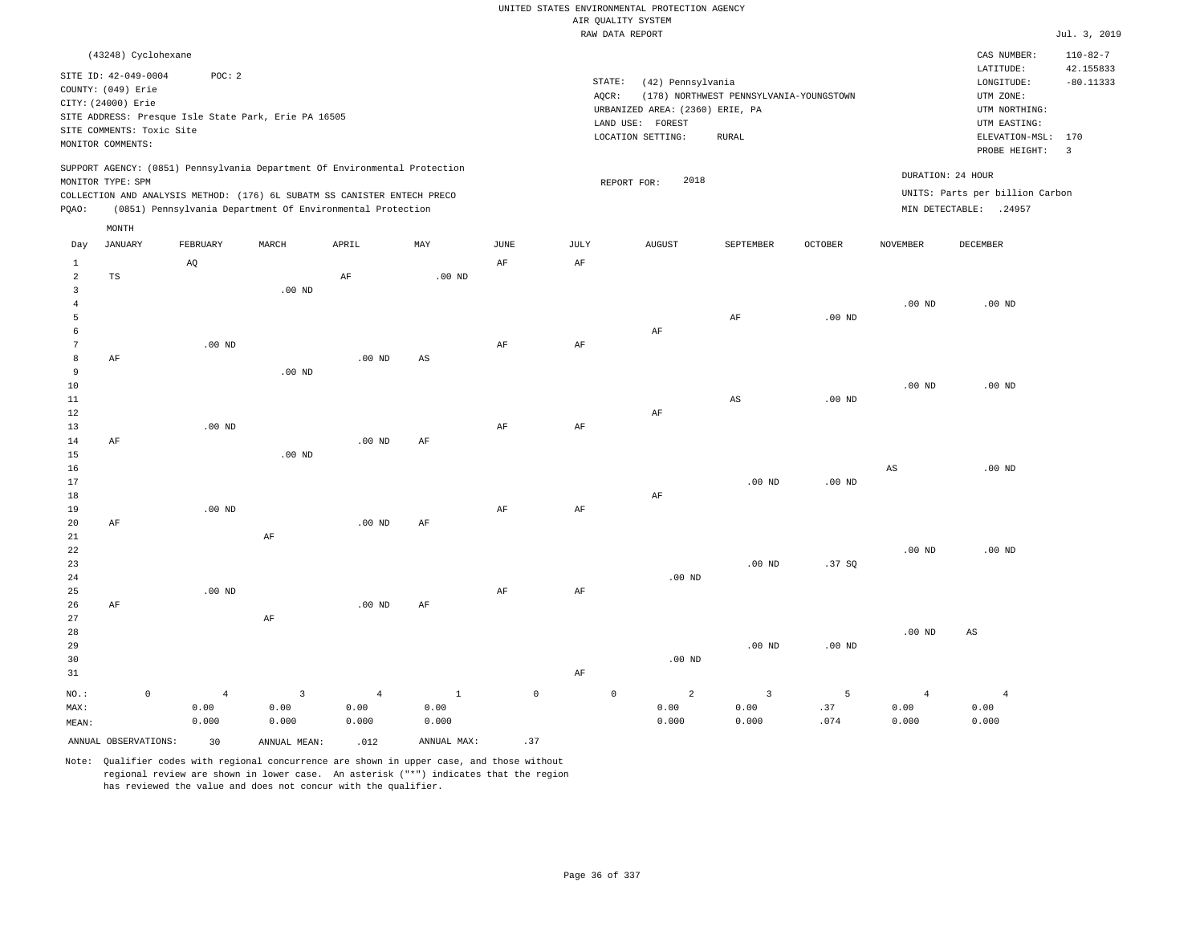|                   |                           |                                                                            |                   |                   |             |                     |           | UNITED STATES ENVIRONMENTAL PROTECTION AGENCY |                                         |                |                   |                                 |                             |
|-------------------|---------------------------|----------------------------------------------------------------------------|-------------------|-------------------|-------------|---------------------|-----------|-----------------------------------------------|-----------------------------------------|----------------|-------------------|---------------------------------|-----------------------------|
|                   |                           |                                                                            |                   |                   |             |                     |           | AIR QUALITY SYSTEM                            |                                         |                |                   |                                 |                             |
|                   |                           |                                                                            |                   |                   |             |                     |           | RAW DATA REPORT                               |                                         |                |                   |                                 | Jul. 3, 2019                |
|                   | (43248) Cyclohexane       |                                                                            |                   |                   |             |                     |           |                                               |                                         |                |                   | CAS NUMBER:<br>LATITUDE:        | $110 - 82 - 7$<br>42.155833 |
|                   | SITE ID: 42-049-0004      | POC: 2                                                                     |                   |                   |             |                     | STATE:    | (42) Pennsylvania                             |                                         |                |                   | LONGITUDE:                      | $-80.11333$                 |
|                   | COUNTY: (049) Erie        |                                                                            |                   |                   |             |                     | AQCR:     |                                               | (178) NORTHWEST PENNSYLVANIA-YOUNGSTOWN |                |                   | UTM ZONE:                       |                             |
|                   | CITY: (24000) Erie        |                                                                            |                   |                   |             |                     |           | URBANIZED AREA: (2360) ERIE, PA               |                                         |                |                   | UTM NORTHING:                   |                             |
|                   | SITE COMMENTS: Toxic Site | SITE ADDRESS: Presque Isle State Park, Erie PA 16505                       |                   |                   |             |                     |           | LAND USE: FOREST                              |                                         |                |                   | UTM EASTING:                    |                             |
|                   | MONITOR COMMENTS:         |                                                                            |                   |                   |             |                     |           | LOCATION SETTING:                             | <b>RURAL</b>                            |                |                   | ELEVATION-MSL:                  | 170                         |
|                   |                           |                                                                            |                   |                   |             |                     |           |                                               |                                         |                |                   | PROBE HEIGHT:                   | $\overline{3}$              |
|                   |                           | SUPPORT AGENCY: (0851) Pennsylvania Department Of Environmental Protection |                   |                   |             |                     |           |                                               |                                         |                |                   | DURATION: 24 HOUR               |                             |
|                   | MONITOR TYPE: SPM         |                                                                            |                   |                   |             |                     |           | 2018<br>REPORT FOR:                           |                                         |                |                   |                                 |                             |
|                   |                           | COLLECTION AND ANALYSIS METHOD: (176) 6L SUBATM SS CANISTER ENTECH PRECO   |                   |                   |             |                     |           |                                               |                                         |                |                   | UNITS: Parts per billion Carbon |                             |
| PQAO:             |                           | (0851) Pennsylvania Department Of Environmental Protection                 |                   |                   |             |                     |           |                                               |                                         |                |                   | MIN DETECTABLE: .24957          |                             |
|                   | MONTH                     |                                                                            |                   |                   |             |                     |           |                                               |                                         |                |                   |                                 |                             |
| Day               | JANUARY                   | FEBRUARY                                                                   | MARCH             | APRIL             | MAY         | $_{\rm JUNE}$       | JULY      | <b>AUGUST</b>                                 | SEPTEMBER                               | <b>OCTOBER</b> | <b>NOVEMBER</b>   | DECEMBER                        |                             |
| $\mathbf{1}$      |                           | AQ                                                                         |                   |                   |             | AF                  | AF        |                                               |                                         |                |                   |                                 |                             |
| $\overline{a}$    | $_{\rm TS}$               |                                                                            |                   | AF                | $.00$ ND    |                     |           |                                               |                                         |                |                   |                                 |                             |
| $\mathbf{3}$      |                           |                                                                            | .00 <sub>ND</sub> |                   |             |                     |           |                                               |                                         |                |                   |                                 |                             |
| $\overline{4}$    |                           |                                                                            |                   |                   |             |                     |           |                                               |                                         |                | $.00$ ND          | $.00$ ND                        |                             |
| 5                 |                           |                                                                            |                   |                   |             |                     |           |                                               | $\rm{AF}$                               | $.00$ ND       |                   |                                 |                             |
| 6                 |                           |                                                                            |                   |                   |             |                     |           | AF                                            |                                         |                |                   |                                 |                             |
| $\overline{7}$    |                           | $.00$ ND                                                                   |                   |                   |             | AF                  | AF        |                                               |                                         |                |                   |                                 |                             |
| 8<br>9            | AF                        |                                                                            | $.00$ ND          | $.00$ ND          | AS          |                     |           |                                               |                                         |                |                   |                                 |                             |
| 10                |                           |                                                                            |                   |                   |             |                     |           |                                               |                                         |                | .00 <sub>ND</sub> | $.00$ ND                        |                             |
| 11                |                           |                                                                            |                   |                   |             |                     |           |                                               | $_{\rm AS}$                             | $.00$ ND       |                   |                                 |                             |
| 12                |                           |                                                                            |                   |                   |             |                     |           | AF                                            |                                         |                |                   |                                 |                             |
| 13                |                           | $.00$ ND                                                                   |                   |                   |             | AF                  | AF        |                                               |                                         |                |                   |                                 |                             |
| 14                | AF                        |                                                                            |                   | .00 <sub>ND</sub> | AF          |                     |           |                                               |                                         |                |                   |                                 |                             |
| 15                |                           |                                                                            | .00 <sub>ND</sub> |                   |             |                     |           |                                               |                                         |                |                   |                                 |                             |
| 16                |                           |                                                                            |                   |                   |             |                     |           |                                               |                                         |                | AS                | $.00$ ND                        |                             |
| 17                |                           |                                                                            |                   |                   |             |                     |           |                                               | $.00$ ND                                | $.00$ ND       |                   |                                 |                             |
| 18                |                           |                                                                            |                   |                   |             |                     |           | AF                                            |                                         |                |                   |                                 |                             |
| 19                |                           | $.00$ ND                                                                   |                   |                   |             | AF                  | AF        |                                               |                                         |                |                   |                                 |                             |
| 20<br>$2\sqrt{1}$ | AF                        |                                                                            | AF                | $.00$ ND          | $\rm{AF}$   |                     |           |                                               |                                         |                |                   |                                 |                             |
| 22                |                           |                                                                            |                   |                   |             |                     |           |                                               |                                         |                | $.00$ ND          | .00 <sub>ND</sub>               |                             |
| 23                |                           |                                                                            |                   |                   |             |                     |           |                                               | $.00$ ND                                | .37SQ          |                   |                                 |                             |
| 24                |                           |                                                                            |                   |                   |             |                     |           | $.00$ ND                                      |                                         |                |                   |                                 |                             |
| 25                |                           | $.00$ ND                                                                   |                   |                   |             | $\rm AF$            | $\rm AF$  |                                               |                                         |                |                   |                                 |                             |
| 26                | AF                        |                                                                            |                   | $.00$ ND          | $\rm{AF}$   |                     |           |                                               |                                         |                |                   |                                 |                             |
| 27                |                           |                                                                            | AF                |                   |             |                     |           |                                               |                                         |                |                   |                                 |                             |
| 28                |                           |                                                                            |                   |                   |             |                     |           |                                               |                                         |                | $.00$ ND          | AS                              |                             |
| 29                |                           |                                                                            |                   |                   |             |                     |           |                                               | $.00$ ND                                | $.00$ ND       |                   |                                 |                             |
| 30                |                           |                                                                            |                   |                   |             |                     |           | $.00$ ND                                      |                                         |                |                   |                                 |                             |
| 31                |                           |                                                                            |                   |                   |             |                     | $\rm{AF}$ |                                               |                                         |                |                   |                                 |                             |
| NO.:              | $\mathbb O$               | $\overline{4}$                                                             | 3                 | $\overline{4}$    | $1\,$       | $\mathsf{O}\xspace$ |           | $\overline{a}$<br>$\mathbb O$                 | $\overline{\mathbf{3}}$                 | 5              | $\overline{4}$    | $\overline{4}$                  |                             |
| MAX:              |                           | 0.00                                                                       | 0.00              | 0.00              | 0.00        |                     |           | 0.00                                          | 0.00                                    | .37            | 0.00              | 0.00                            |                             |
| MEAN:             |                           | 0.000                                                                      | 0.000             | 0.000             | 0.000       |                     |           | 0.000                                         | 0.000                                   | .074           | 0.000             | 0.000                           |                             |
|                   | ANNUAL OBSERVATIONS:      | 30                                                                         | ANNUAL MEAN:      | .012              | ANNUAL MAX: | .37                 |           |                                               |                                         |                |                   |                                 |                             |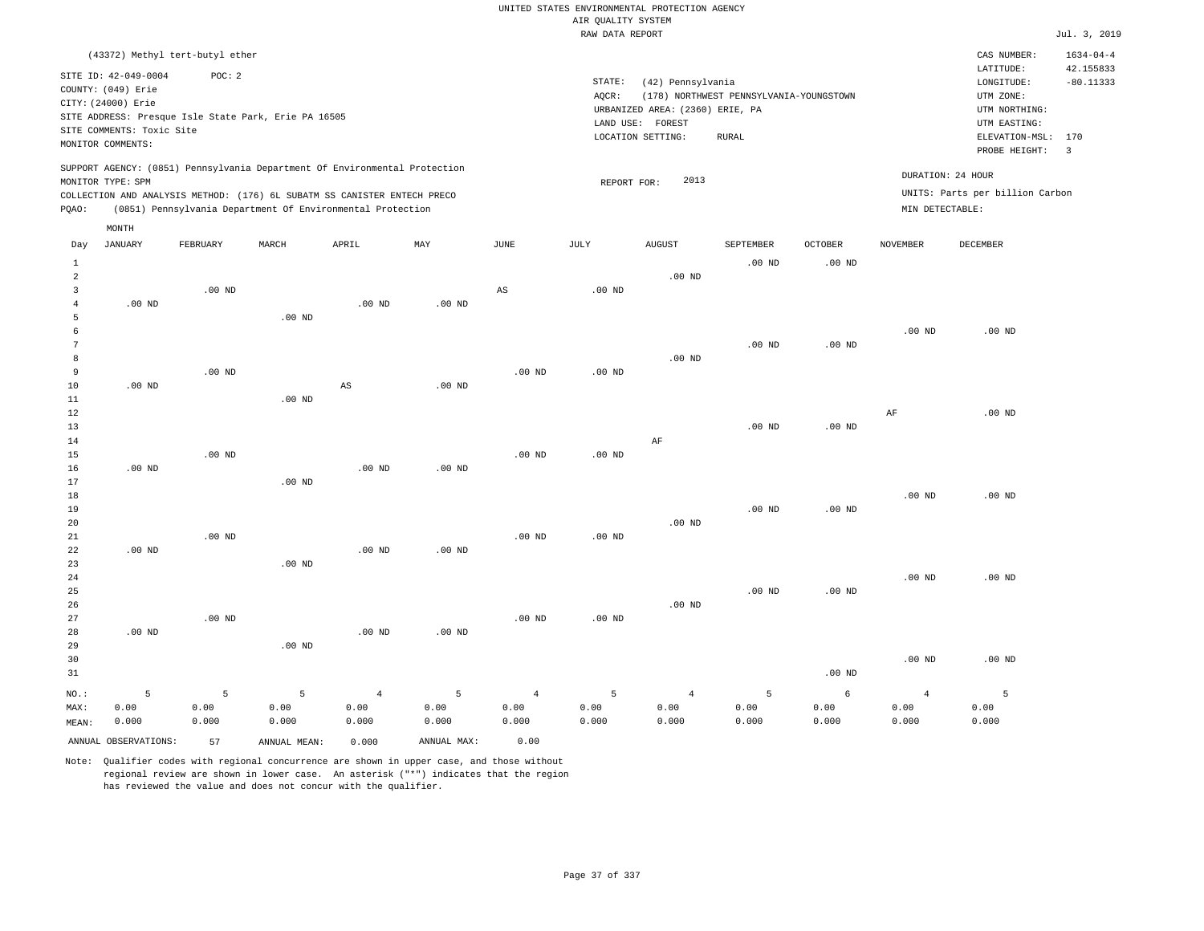|                                  |                           |                                                      |                   |                                                                            |                   |                        | AIR QUALITY SYSTEM<br>RAW DATA REPORT |                                 |                                         |                   |                   |                                 | Jul. 3, 2019                 |
|----------------------------------|---------------------------|------------------------------------------------------|-------------------|----------------------------------------------------------------------------|-------------------|------------------------|---------------------------------------|---------------------------------|-----------------------------------------|-------------------|-------------------|---------------------------------|------------------------------|
|                                  |                           | (43372) Methyl tert-butyl ether                      |                   |                                                                            |                   |                        |                                       |                                 |                                         |                   |                   | CAS NUMBER:<br>LATITUDE:        | $1634 - 04 - 4$<br>42.155833 |
|                                  | SITE ID: 42-049-0004      | POC: 2                                               |                   |                                                                            |                   |                        | STATE:                                | (42) Pennsylvania               |                                         |                   |                   | LONGITUDE:                      | $-80.11333$                  |
|                                  | COUNTY: (049) Erie        |                                                      |                   |                                                                            |                   |                        | AOCR:                                 |                                 | (178) NORTHWEST PENNSYLVANIA-YOUNGSTOWN |                   |                   | UTM ZONE:                       |                              |
|                                  | CITY: (24000) Erie        |                                                      |                   |                                                                            |                   |                        |                                       | URBANIZED AREA: (2360) ERIE, PA |                                         |                   |                   | UTM NORTHING:                   |                              |
|                                  | SITE COMMENTS: Toxic Site | SITE ADDRESS: Presque Isle State Park, Erie PA 16505 |                   |                                                                            |                   |                        |                                       | LAND USE: FOREST                |                                         |                   |                   | UTM EASTING:                    |                              |
|                                  | MONITOR COMMENTS:         |                                                      |                   |                                                                            |                   |                        |                                       | LOCATION SETTING:               | RURAL                                   |                   |                   | ELEVATION-MSL:                  | 170                          |
|                                  |                           |                                                      |                   |                                                                            |                   |                        |                                       |                                 |                                         |                   |                   | PROBE HEIGHT:                   | 3                            |
|                                  |                           |                                                      |                   | SUPPORT AGENCY: (0851) Pennsylvania Department Of Environmental Protection |                   |                        |                                       |                                 |                                         |                   |                   | DURATION: 24 HOUR               |                              |
|                                  | MONITOR TYPE: SPM         |                                                      |                   |                                                                            |                   |                        | REPORT FOR:                           | 2013                            |                                         |                   |                   |                                 |                              |
|                                  |                           |                                                      |                   | COLLECTION AND ANALYSIS METHOD: (176) 6L SUBATM SS CANISTER ENTECH PRECO   |                   |                        |                                       |                                 |                                         |                   |                   | UNITS: Parts per billion Carbon |                              |
| PQAO:                            |                           |                                                      |                   | (0851) Pennsylvania Department Of Environmental Protection                 |                   |                        |                                       |                                 |                                         |                   | MIN DETECTABLE:   |                                 |                              |
|                                  | MONTH                     |                                                      |                   |                                                                            |                   |                        |                                       |                                 |                                         |                   |                   |                                 |                              |
| Day                              | JANUARY                   | FEBRUARY                                             | MARCH             | APRIL                                                                      | MAY               | JUNE                   | JULY                                  | <b>AUGUST</b>                   | SEPTEMBER                               | OCTOBER           | <b>NOVEMBER</b>   | <b>DECEMBER</b>                 |                              |
| $\mathbf{1}$                     |                           |                                                      |                   |                                                                            |                   |                        |                                       |                                 | $.00$ ND                                | $.00$ ND          |                   |                                 |                              |
| $\overline{2}$                   |                           |                                                      |                   |                                                                            |                   |                        |                                       | $.00$ ND                        |                                         |                   |                   |                                 |                              |
| $\overline{3}$<br>$\overline{4}$ | $.00$ ND                  | $.00$ ND                                             |                   | $.00$ ND                                                                   |                   | $\mathbb{A}\mathbb{S}$ | .00 <sub>ND</sub>                     |                                 |                                         |                   |                   |                                 |                              |
| 5                                |                           |                                                      | $.00$ ND          |                                                                            | $.00$ ND          |                        |                                       |                                 |                                         |                   |                   |                                 |                              |
| 6                                |                           |                                                      |                   |                                                                            |                   |                        |                                       |                                 |                                         |                   | $.00$ ND          | $.00$ ND                        |                              |
| 7                                |                           |                                                      |                   |                                                                            |                   |                        |                                       |                                 | $.00$ ND                                | $.00$ ND          |                   |                                 |                              |
| 8                                |                           |                                                      |                   |                                                                            |                   |                        |                                       | $.00$ ND                        |                                         |                   |                   |                                 |                              |
| 9                                |                           | .00 <sub>ND</sub>                                    |                   |                                                                            |                   | $.00$ ND               | .00 <sub>ND</sub>                     |                                 |                                         |                   |                   |                                 |                              |
| 10                               | $.00$ ND                  |                                                      |                   | $\mathbb{A}\mathbb{S}$                                                     | $.00$ ND          |                        |                                       |                                 |                                         |                   |                   |                                 |                              |
| 11                               |                           |                                                      | $.00$ ND          |                                                                            |                   |                        |                                       |                                 |                                         |                   |                   |                                 |                              |
| 12                               |                           |                                                      |                   |                                                                            |                   |                        |                                       |                                 |                                         |                   | AF                | $.00$ ND                        |                              |
| 13                               |                           |                                                      |                   |                                                                            |                   |                        |                                       |                                 | .00 <sub>ND</sub>                       | .00 <sub>ND</sub> |                   |                                 |                              |
| 14<br>15                         |                           | .00 <sub>ND</sub>                                    |                   |                                                                            |                   | $.00$ ND               | .00 <sub>ND</sub>                     | AF                              |                                         |                   |                   |                                 |                              |
| 16                               | $.00$ ND                  |                                                      |                   | $.00$ ND                                                                   | .00 <sub>ND</sub> |                        |                                       |                                 |                                         |                   |                   |                                 |                              |
| 17                               |                           |                                                      | .00 <sub>ND</sub> |                                                                            |                   |                        |                                       |                                 |                                         |                   |                   |                                 |                              |
| 18                               |                           |                                                      |                   |                                                                            |                   |                        |                                       |                                 |                                         |                   | .00 <sub>ND</sub> | $.00$ ND                        |                              |
| 19                               |                           |                                                      |                   |                                                                            |                   |                        |                                       |                                 | .00 <sub>ND</sub>                       | .00 <sub>ND</sub> |                   |                                 |                              |
| 20                               |                           |                                                      |                   |                                                                            |                   |                        |                                       | $.00$ ND                        |                                         |                   |                   |                                 |                              |
| 21                               |                           | .00 <sub>ND</sub>                                    |                   |                                                                            |                   | $.00$ ND               | $.00$ ND                              |                                 |                                         |                   |                   |                                 |                              |
| 22                               | $.00$ ND                  |                                                      |                   | .00 <sub>ND</sub>                                                          | $.00$ ND          |                        |                                       |                                 |                                         |                   |                   |                                 |                              |
| 23                               |                           |                                                      | $.00$ ND          |                                                                            |                   |                        |                                       |                                 |                                         |                   |                   |                                 |                              |
| 24                               |                           |                                                      |                   |                                                                            |                   |                        |                                       |                                 |                                         |                   | .00 <sub>ND</sub> | $.00$ ND                        |                              |
| 25                               |                           |                                                      |                   |                                                                            |                   |                        |                                       |                                 | .00 <sub>ND</sub>                       | $.00$ ND          |                   |                                 |                              |
| 26<br>27                         |                           | $.00$ ND                                             |                   |                                                                            |                   | $.00$ ND               | $.00$ ND                              | $.00$ ND                        |                                         |                   |                   |                                 |                              |
| 28                               | $.00$ ND                  |                                                      |                   | .00 <sub>ND</sub>                                                          | $.00$ ND          |                        |                                       |                                 |                                         |                   |                   |                                 |                              |
| 29                               |                           |                                                      | .00 <sub>ND</sub> |                                                                            |                   |                        |                                       |                                 |                                         |                   |                   |                                 |                              |

30 31 NO.: MAX: MEAN: 5 0.00 0.000 .00 ND .00 ND .00 ND 5 0.00 0.000 5 0.00 0.000 4 0.00 0.000 5 0.00 0.000 4 0.00 0.000 5 0.00 0.000 4 0.00 0.000 5 0.00 0.000 6 0.00 0.000 4 0.00 0.000 5 0.00 0.000 ANNUAL OBSERVATIONS: 57 ANNUAL MEAN: 0.000 ANNUAL MAX: 0.00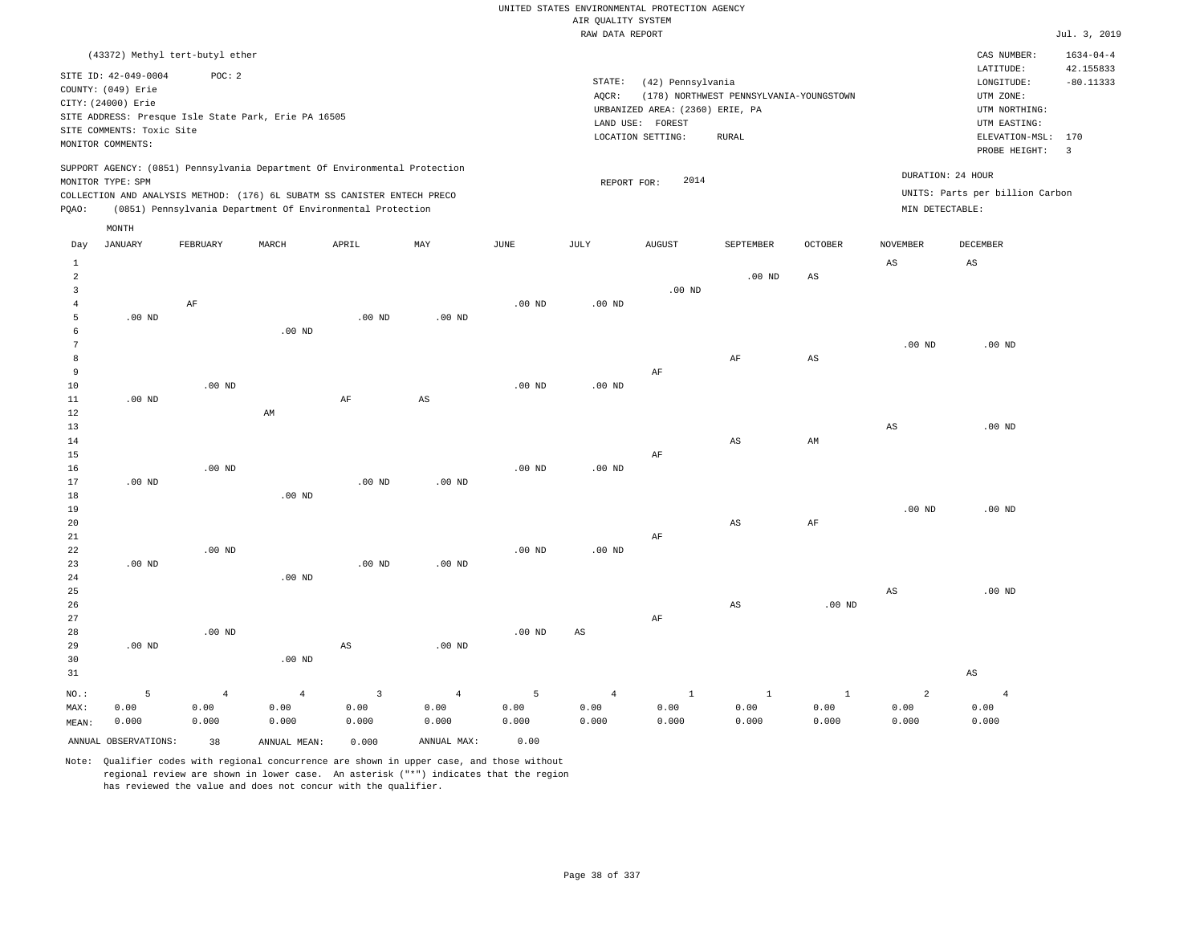RAW DATA REPORT UNITED STATES ENVIRONMENTAL PROTECTION AGENCY AIR QUALITY SYSTEM

LOCATION SETTING: RURAL

URBANIZED AREA: (2360) ERIE, PA UTM NORTHING:

LAND USE: FOREST

REPORT FOR:  $2014$ 

| WUALLII SISIEM |                                            |             |                 |
|----------------|--------------------------------------------|-------------|-----------------|
| W DATA REPORT  |                                            |             | Jul. 3, 2019    |
|                |                                            | CAS NUMBER: | $1634 - 04 - 4$ |
|                |                                            | LATITUDE:   | 42.155833       |
| STATE:         | (42) Pennsylvania                          | LONGITUDE:  | $-80.11333$     |
| AOCR:          | (178)<br>NORTHWEST PENNSYLVANIA-YOUNGSTOWN | UTM ZONE:   |                 |

PROBE HEIGHT: 3 ELEVATION-MSL: 170

UTM EASTING: UTM ZONE:

UNITS: Parts per billion Carbon

DURATION: 24 HOUR

SITE ID: 42-049-0004 POC: 2 COUNTY: (049) Erie CITY: (24000) Erie SITE ADDRESS: Presque Isle State Park, Erie PA 16505 SITE COMMENTS: Toxic Site MONITOR COMMENTS:

(43372) Methyl tert-butyl ether

MONTH

SUPPORT AGENCY: (0851) Pennsylvania Department Of Environmental Protection MONITOR TYPE: SPM

COLLECTION AND ANALYSIS METHOD: (176) 6L SUBATM SS CANISTER ENTECH PRECO PQAO: (0851) Pennsylvania Department Of Environmental Protection MIN DETECTABLE:

|                 | MONTH                |                |                        |                        |                        |                   |                |               |                        |                        |                        |                        |
|-----------------|----------------------|----------------|------------------------|------------------------|------------------------|-------------------|----------------|---------------|------------------------|------------------------|------------------------|------------------------|
| Day             | <b>JANUARY</b>       | FEBRUARY       | MARCH                  | APRIL                  | MAY                    | JUNE              | JULY           | <b>AUGUST</b> | SEPTEMBER              | OCTOBER                | <b>NOVEMBER</b>        | DECEMBER               |
| $\mathbf{1}$    |                      |                |                        |                        |                        |                   |                |               |                        |                        | $\mathbb{A}\mathbb{S}$ | AS                     |
| $\overline{c}$  |                      |                |                        |                        |                        |                   |                |               | $.00$ ND               | $\mathbb{A}\mathbb{S}$ |                        |                        |
| 3               |                      |                |                        |                        |                        |                   |                | $.00$ ND      |                        |                        |                        |                        |
| $\overline{4}$  |                      | $\rm{AF}$      |                        |                        |                        | $.00$ ND          | $.00$ ND       |               |                        |                        |                        |                        |
| 5               | .00 $ND$             |                |                        | $.00~\mathrm{ND}$      | $.00$ ND               |                   |                |               |                        |                        |                        |                        |
| 6               |                      |                | $.00$ ND               |                        |                        |                   |                |               |                        |                        |                        |                        |
| $7\phantom{.0}$ |                      |                |                        |                        |                        |                   |                |               |                        |                        | $.00$ ND               | $.00$ ND               |
| 8               |                      |                |                        |                        |                        |                   |                |               | $\rm AF$               | $\mathbb{A}\mathbb{S}$ |                        |                        |
| 9               |                      |                |                        |                        |                        |                   |                | $\rm AF$      |                        |                        |                        |                        |
| 10              |                      | $.00$ ND       |                        |                        |                        | $.00$ ND          | $.00$ ND       |               |                        |                        |                        |                        |
| $11\,$          | $.00$ ND             |                |                        | $\rm{AF}$              | $\mathbb{A}\mathbb{S}$ |                   |                |               |                        |                        |                        |                        |
| 12              |                      |                | $\mathbb{A}\mathbb{M}$ |                        |                        |                   |                |               |                        |                        |                        |                        |
| 13              |                      |                |                        |                        |                        |                   |                |               |                        |                        | $\mathbb{A}\mathbb{S}$ | $.00$ ND               |
| $14$            |                      |                |                        |                        |                        |                   |                |               | $\mathbb{A}\mathbb{S}$ | AM                     |                        |                        |
| 15              |                      |                |                        |                        |                        |                   |                | $\rm AF$      |                        |                        |                        |                        |
| $16$            |                      | $.00$ ND       |                        |                        |                        | .00 <sub>ND</sub> | $.00$ ND       |               |                        |                        |                        |                        |
| $17\,$          | $.00$ ND             |                |                        | .00 <sub>ND</sub>      | .00 $ND$               |                   |                |               |                        |                        |                        |                        |
| 18              |                      |                | $.00$ ND               |                        |                        |                   |                |               |                        |                        |                        |                        |
| $19$            |                      |                |                        |                        |                        |                   |                |               |                        |                        | $.00$ ND               | $.00$ ND               |
| 20              |                      |                |                        |                        |                        |                   |                |               | $\mathbb{A}\mathbb{S}$ | $\rm{AF}$              |                        |                        |
| $2\sqrt{1}$     |                      |                |                        |                        |                        |                   |                | $\rm{AF}$     |                        |                        |                        |                        |
| 22              |                      | $.00$ ND       |                        |                        |                        | $.00$ ND          | .00 $ND$       |               |                        |                        |                        |                        |
| 23              | $.00$ ND             |                |                        | .00 <sub>ND</sub>      | $.00$ ND               |                   |                |               |                        |                        |                        |                        |
| 24              |                      |                | $.00$ ND               |                        |                        |                   |                |               |                        |                        |                        |                        |
| 25              |                      |                |                        |                        |                        |                   |                |               |                        |                        | $_{\rm AS}$            | $.00$ ND               |
| 26              |                      |                |                        |                        |                        |                   |                |               | $\mathbb{A}\mathbb{S}$ | $.00$ ND               |                        |                        |
| 27              |                      |                |                        |                        |                        |                   |                | $\rm{AF}$     |                        |                        |                        |                        |
| 28              |                      | $.00$ ND       |                        |                        |                        | $.00$ ND          | $_{\rm AS}$    |               |                        |                        |                        |                        |
| 29              | $.00$ ND             |                |                        | $\mathbb{A}\mathbb{S}$ | $.00$ ND               |                   |                |               |                        |                        |                        |                        |
| 30              |                      |                | .00 $ND$               |                        |                        |                   |                |               |                        |                        |                        |                        |
| 31              |                      |                |                        |                        |                        |                   |                |               |                        |                        |                        | $\mathbb{A}\mathbb{S}$ |
| $_{\rm NO.}$ :  | 5                    | $\overline{4}$ | $\overline{4}$         | $\overline{3}$         | $\bf{4}$               | 5                 | $\overline{4}$ | $1\,$         | $\mathbf{1}$           | $\,$ 1                 | $\overline{a}$         | $\overline{4}$         |
| MAX:            | 0.00                 | 0.00           | 0.00                   | 0.00                   | 0.00                   | 0.00              | 0.00           | 0.00          | 0.00                   | 0.00                   | 0.00                   | 0.00                   |
| MEAN:           | 0.000                | 0.000          | 0.000                  | 0.000                  | 0.000                  | 0.000             | 0.000          | 0.000         | 0.000                  | 0.000                  | 0.000                  | 0.000                  |
|                 | ANNUAL OBSERVATIONS: | 38             | ANNUAL MEAN:           | 0.000                  | ANNUAL MAX:            | 0.00              |                |               |                        |                        |                        |                        |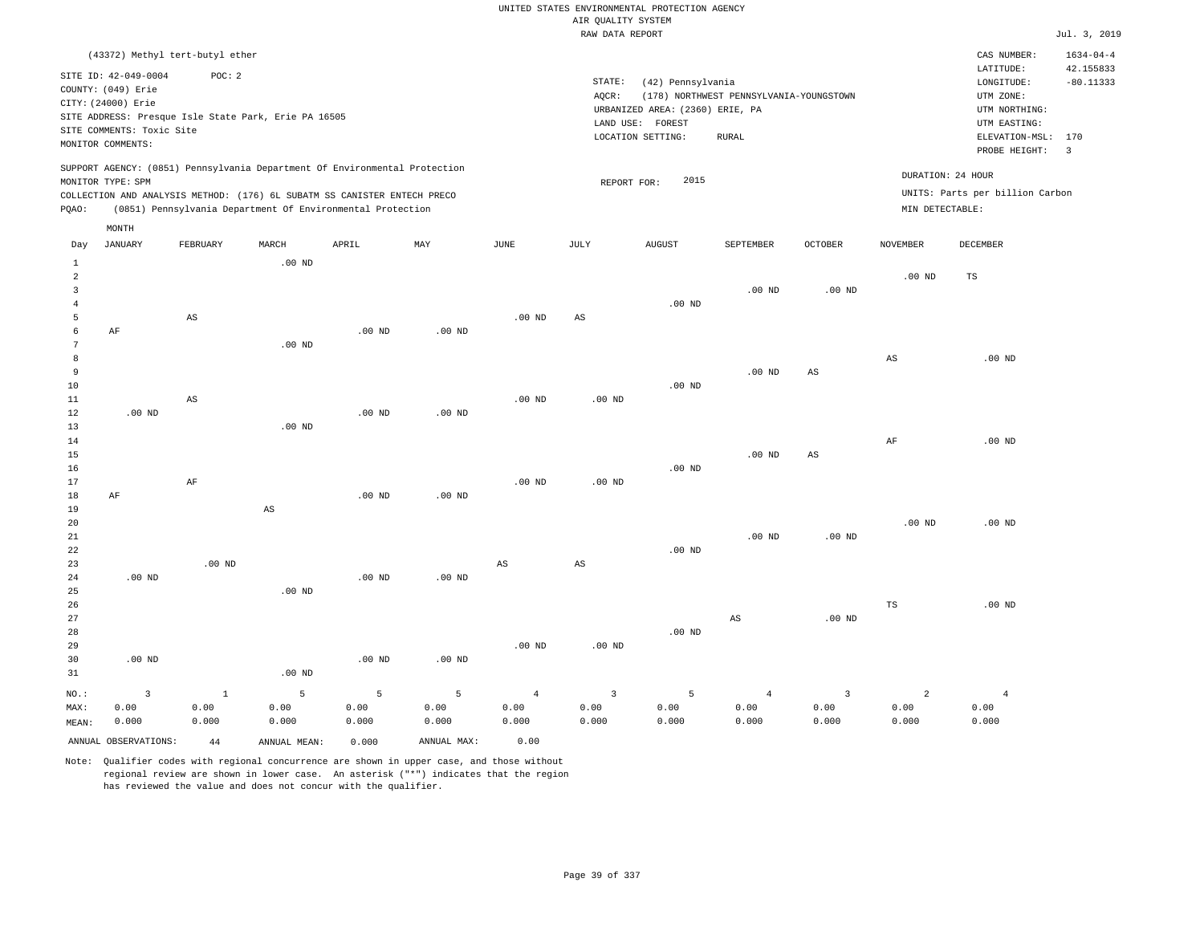|                          |                                                                                                                                                       |          |                                                                                                                                                                                                                      |                      |                      |          | RAW DATA REPORT              |                                                                                     |                                                         |                |                                      |                                                                                                                             | Jul. 3, 2019                                                            |
|--------------------------|-------------------------------------------------------------------------------------------------------------------------------------------------------|----------|----------------------------------------------------------------------------------------------------------------------------------------------------------------------------------------------------------------------|----------------------|----------------------|----------|------------------------------|-------------------------------------------------------------------------------------|---------------------------------------------------------|----------------|--------------------------------------|-----------------------------------------------------------------------------------------------------------------------------|-------------------------------------------------------------------------|
|                          | (43372) Methyl tert-butyl ether<br>SITE ID: 42-049-0004<br>COUNTY: (049) Erie<br>CITY: (24000) Erie<br>SITE COMMENTS: Toxic Site<br>MONITOR COMMENTS: | POC: 2   | SITE ADDRESS: Presque Isle State Park, Erie PA 16505                                                                                                                                                                 |                      |                      |          | STATE:<br>AQCR:<br>LAND USE: | (42) Pennsylvania<br>URBANIZED AREA: (2360) ERIE, PA<br>FOREST<br>LOCATION SETTING: | (178) NORTHWEST PENNSYLVANIA-YOUNGSTOWN<br><b>RURAL</b> |                |                                      | CAS NUMBER:<br>LATITUDE:<br>LONGITUDE:<br>UTM ZONE:<br>UTM NORTHING:<br>UTM EASTING:<br>ELEVATION-MSL: 170<br>PROBE HEIGHT: | $1634 - 04 - 4$<br>42.155833<br>$-80.11333$<br>$\overline{\phantom{a}}$ |
| POAO:                    | MONITOR TYPE: SPM<br>MONTH                                                                                                                            |          | SUPPORT AGENCY: (0851) Pennsylvania Department Of Environmental Protection<br>COLLECTION AND ANALYSIS METHOD: (176) 6L SUBATM SS CANISTER ENTECH PRECO<br>(0851) Pennsylvania Department Of Environmental Protection |                      |                      |          |                              | 2015<br>REPORT FOR:                                                                 |                                                         |                | DURATION: 24 HOUR<br>MIN DETECTABLE: | UNITS: Parts per billion Carbon                                                                                             |                                                                         |
| Day                      | <b>JANUARY</b>                                                                                                                                        | FEBRUARY | MARCH                                                                                                                                                                                                                | APRIL                | MAY                  | JUNE     | JULY                         | <b>AUGUST</b>                                                                       | SEPTEMBER                                               | <b>OCTOBER</b> | <b>NOVEMBER</b>                      | DECEMBER                                                                                                                    |                                                                         |
| 1<br>2<br>5              |                                                                                                                                                       | AS       | $.00$ ND                                                                                                                                                                                                             |                      |                      | $.00$ ND | AS                           | $.00$ ND                                                                            | $.00$ ND                                                | $.00$ ND       | .00 <sub>ND</sub>                    | TS                                                                                                                          |                                                                         |
| 6<br>9<br>10<br>11<br>12 | AF<br>$.00$ ND                                                                                                                                        | AS       | $.00$ ND                                                                                                                                                                                                             | $.00$ ND<br>$.00$ ND | $.00$ ND<br>$.00$ ND | $.00$ ND | $.00$ ND                     | $.00$ ND                                                                            | $.00$ ND                                                | AS             | AS                                   | $.00$ ND                                                                                                                    |                                                                         |
| 13<br>14<br>15           |                                                                                                                                                       |          | $.00$ ND                                                                                                                                                                                                             |                      |                      |          |                              |                                                                                     | $.00$ ND                                                | AS             | AF                                   | $.00$ ND                                                                                                                    |                                                                         |

.00 ND

17 18 19 20 21 22 23 24 25 26 AF .00 ND AF .00 ND AS .00 ND .00 ND .00 ND .00 ND .00 ND .00 ND AS .00 ND AS .00 ND .00 ND .00 ND .00 ND TS .00 ND .00 ND

| $ -$  |                      |       |              |          |             |                   |          |          |       |          | $-$         | .     |
|-------|----------------------|-------|--------------|----------|-------------|-------------------|----------|----------|-------|----------|-------------|-------|
| 27    |                      |       |              |          |             |                   |          |          | AS    | $.00$ ND |             |       |
| 28    |                      |       |              |          |             |                   |          | $.00$ ND |       |          |             |       |
| 29    |                      |       |              |          |             | .00 <sub>ND</sub> | $.00$ ND |          |       |          |             |       |
| 30    | $.00$ ND             |       |              | $.00$ ND | $.00$ ND    |                   |          |          |       |          |             |       |
| 31    |                      |       | $.00$ ND     |          |             |                   |          |          |       |          |             |       |
| NO.:  |                      |       |              |          | 5           |                   |          |          | 4     | 3        | $\sim$<br>∠ |       |
| MAX:  | 0.00                 | 0.00  | 0.00         | 0.00     | 0.00        | 0.00              | 0.00     | 0.00     | 0.00  | 0.00     | 0.00        | 0.00  |
| MEAN: | 0.000                | 0.000 | 0.000        | 0.000    | 0.000       | 0.000             | 0.000    | 0.000    | 0.000 | 0.000    | 0.000       | 0.000 |
|       | ANNUAL OBSERVATIONS: | 44    | ANNUAL MEAN: | 0.000    | ANNUAL MAX: | 0.00              |          |          |       |          |             |       |

Note: Qualifier codes with regional concurrence are shown in upper case, and those without regional review are shown in lower case. An asterisk ("\*") indicates that the region has reviewed the value and does not concur with the qualifier.

16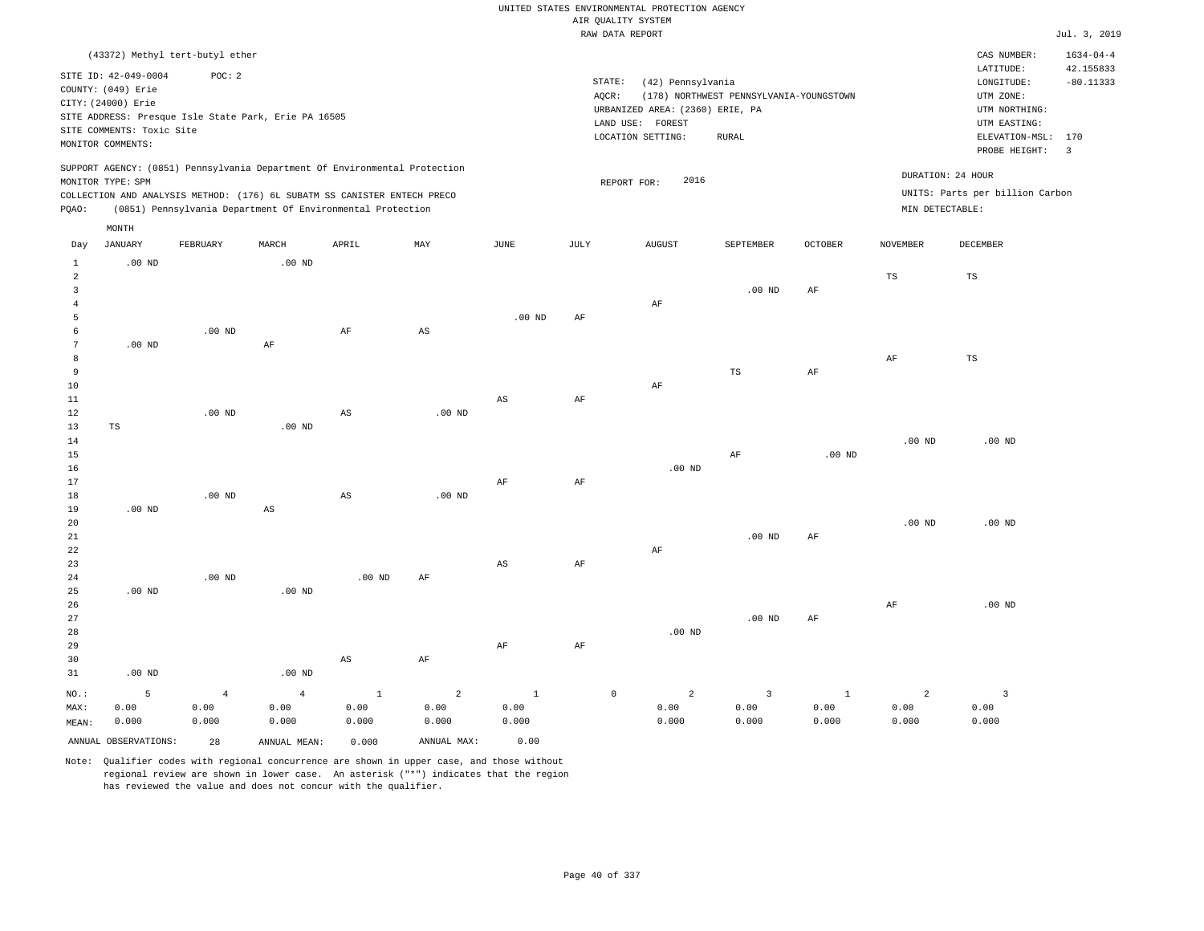|                                                       |                                                                                                                    |                |                                                                                                                                                                                                                      |                        |                   |                        |                 | RAW DATA REPORT                                                                               |                                                  |                   |                                      |                                                                                                          | Jul. 3, 2019                                               |
|-------------------------------------------------------|--------------------------------------------------------------------------------------------------------------------|----------------|----------------------------------------------------------------------------------------------------------------------------------------------------------------------------------------------------------------------|------------------------|-------------------|------------------------|-----------------|-----------------------------------------------------------------------------------------------|--------------------------------------------------|-------------------|--------------------------------------|----------------------------------------------------------------------------------------------------------|------------------------------------------------------------|
|                                                       | (43372) Methyl tert-butyl ether                                                                                    |                |                                                                                                                                                                                                                      |                        |                   |                        |                 |                                                                                               |                                                  |                   |                                      | CAS NUMBER:                                                                                              | $1634 - 04 - 4$                                            |
|                                                       | SITE ID: 42-049-0004<br>COUNTY: (049) Erie<br>CITY: (24000) Erie<br>SITE COMMENTS: Toxic Site<br>MONITOR COMMENTS: | POC: 2         | SITE ADDRESS: Presque Isle State Park, Erie PA 16505                                                                                                                                                                 |                        |                   |                        | STATE:<br>AQCR: | (42) Pennsylvania<br>URBANIZED AREA: (2360) ERIE, PA<br>LAND USE: FOREST<br>LOCATION SETTING: | (178) NORTHWEST PENNSYLVANIA-YOUNGSTOWN<br>RURAL |                   |                                      | LATITUDE:<br>LONGITUDE:<br>UTM ZONE:<br>UTM NORTHING:<br>UTM EASTING:<br>ELEVATION-MSL:<br>PROBE HEIGHT: | 42.155833<br>$-80.11333$<br>170<br>$\overline{\mathbf{3}}$ |
| PQAO:                                                 | MONITOR TYPE: SPM                                                                                                  |                | SUPPORT AGENCY: (0851) Pennsylvania Department Of Environmental Protection<br>COLLECTION AND ANALYSIS METHOD: (176) 6L SUBATM SS CANISTER ENTECH PRECO<br>(0851) Pennsylvania Department Of Environmental Protection |                        |                   |                        |                 | 2016<br>REPORT FOR:                                                                           |                                                  |                   | DURATION: 24 HOUR<br>MIN DETECTABLE: | UNITS: Parts per billion Carbon                                                                          |                                                            |
|                                                       | MONTH                                                                                                              |                |                                                                                                                                                                                                                      |                        |                   |                        |                 |                                                                                               |                                                  |                   |                                      |                                                                                                          |                                                            |
| Day                                                   | JANUARY                                                                                                            | FEBRUARY       | MARCH                                                                                                                                                                                                                | APRIL                  | MAY               | <b>JUNE</b>            | JULY            | <b>AUGUST</b>                                                                                 | SEPTEMBER                                        | <b>OCTOBER</b>    | <b>NOVEMBER</b>                      | DECEMBER                                                                                                 |                                                            |
| $\mathbf{1}$<br>$\overline{a}$<br>3<br>$\overline{4}$ | $.00$ ND                                                                                                           |                | $.00$ ND                                                                                                                                                                                                             |                        |                   |                        |                 | AF                                                                                            | $.00$ ND                                         | AF                | $_{\rm TS}$                          | TS                                                                                                       |                                                            |
| 5                                                     |                                                                                                                    |                |                                                                                                                                                                                                                      |                        |                   | .00 <sub>ND</sub>      | AF              |                                                                                               |                                                  |                   |                                      |                                                                                                          |                                                            |
| 6                                                     |                                                                                                                    | $.00$ ND       |                                                                                                                                                                                                                      | AF                     | AS                |                        |                 |                                                                                               |                                                  |                   |                                      |                                                                                                          |                                                            |
| $7\phantom{.0}$<br>8<br>9                             | $.00$ ND                                                                                                           |                | AF                                                                                                                                                                                                                   |                        |                   |                        |                 |                                                                                               | TS                                               | AF                | AF                                   | $\mathbb{TS}$                                                                                            |                                                            |
| 10                                                    |                                                                                                                    |                |                                                                                                                                                                                                                      |                        |                   |                        |                 | AF                                                                                            |                                                  |                   |                                      |                                                                                                          |                                                            |
| $11\,$                                                |                                                                                                                    |                |                                                                                                                                                                                                                      |                        |                   | $\mathbb{A}\mathbb{S}$ | $\rm{AF}$       |                                                                                               |                                                  |                   |                                      |                                                                                                          |                                                            |
| 12                                                    |                                                                                                                    | $.00$ ND       |                                                                                                                                                                                                                      | $\mathbb{A}\mathbb{S}$ | .00 <sub>ND</sub> |                        |                 |                                                                                               |                                                  |                   |                                      |                                                                                                          |                                                            |
| 13                                                    | TS                                                                                                                 |                | $.00$ ND                                                                                                                                                                                                             |                        |                   |                        |                 |                                                                                               |                                                  |                   |                                      |                                                                                                          |                                                            |
| 14<br>15                                              |                                                                                                                    |                |                                                                                                                                                                                                                      |                        |                   |                        |                 |                                                                                               | AF                                               | .00 <sub>ND</sub> | .00 <sub>ND</sub>                    | $.00$ ND                                                                                                 |                                                            |
| 16                                                    |                                                                                                                    |                |                                                                                                                                                                                                                      |                        |                   |                        |                 | $.00$ ND                                                                                      |                                                  |                   |                                      |                                                                                                          |                                                            |
| 17                                                    |                                                                                                                    |                |                                                                                                                                                                                                                      |                        |                   | $\rm AF$               | $\rm{AF}$       |                                                                                               |                                                  |                   |                                      |                                                                                                          |                                                            |
| 18                                                    |                                                                                                                    | $.00$ ND       |                                                                                                                                                                                                                      | AS                     | $.00$ ND          |                        |                 |                                                                                               |                                                  |                   |                                      |                                                                                                          |                                                            |
| 19                                                    | $.00$ ND                                                                                                           |                | $_{\rm AS}$                                                                                                                                                                                                          |                        |                   |                        |                 |                                                                                               |                                                  |                   |                                      |                                                                                                          |                                                            |
| 20<br>21                                              |                                                                                                                    |                |                                                                                                                                                                                                                      |                        |                   |                        |                 |                                                                                               | .00 <sub>ND</sub>                                | AF                | .00 <sub>ND</sub>                    | $.00$ ND                                                                                                 |                                                            |
| 22                                                    |                                                                                                                    |                |                                                                                                                                                                                                                      |                        |                   |                        |                 | AF                                                                                            |                                                  |                   |                                      |                                                                                                          |                                                            |
| 23                                                    |                                                                                                                    |                |                                                                                                                                                                                                                      |                        |                   | $\mathbb{A}\mathbb{S}$ | AF              |                                                                                               |                                                  |                   |                                      |                                                                                                          |                                                            |
| 24                                                    |                                                                                                                    | $.00$ ND       |                                                                                                                                                                                                                      | $.00$ ND               | AF                |                        |                 |                                                                                               |                                                  |                   |                                      |                                                                                                          |                                                            |
| 25                                                    | $.00$ ND                                                                                                           |                | $.00$ ND                                                                                                                                                                                                             |                        |                   |                        |                 |                                                                                               |                                                  |                   |                                      |                                                                                                          |                                                            |
| 26                                                    |                                                                                                                    |                |                                                                                                                                                                                                                      |                        |                   |                        |                 |                                                                                               |                                                  |                   | AF                                   | $.00$ ND                                                                                                 |                                                            |
| 27<br>28                                              |                                                                                                                    |                |                                                                                                                                                                                                                      |                        |                   |                        |                 | $.00$ ND                                                                                      | $.00$ ND                                         | $\rm AF$          |                                      |                                                                                                          |                                                            |
| 29                                                    |                                                                                                                    |                |                                                                                                                                                                                                                      |                        |                   | AF                     | AF              |                                                                                               |                                                  |                   |                                      |                                                                                                          |                                                            |
| 30                                                    |                                                                                                                    |                |                                                                                                                                                                                                                      | $_{\rm AS}$            | AF                |                        |                 |                                                                                               |                                                  |                   |                                      |                                                                                                          |                                                            |
| 31                                                    | $.00$ ND                                                                                                           |                | $.00$ ND                                                                                                                                                                                                             |                        |                   |                        |                 |                                                                                               |                                                  |                   |                                      |                                                                                                          |                                                            |
| $NO.$ :                                               | 5                                                                                                                  | $\overline{4}$ | $\overline{4}$                                                                                                                                                                                                       | $\mathbf{1}$           | $\overline{a}$    | $\mathbf{1}$           |                 | $\mathbb O$<br>$\overline{a}$                                                                 | $\overline{\mathbf{3}}$                          | $\,$ 1            | $\overline{a}$                       | $\overline{\mathbf{3}}$                                                                                  |                                                            |
| MAX:                                                  | 0.00                                                                                                               | 0.00           | 0.00                                                                                                                                                                                                                 | 0.00                   | 0.00              | 0.00                   |                 | 0.00                                                                                          | 0.00                                             | 0.00              | 0.00                                 | 0.00                                                                                                     |                                                            |
| MEAN:                                                 | 0.000                                                                                                              | 0.000          | 0.000                                                                                                                                                                                                                | 0.000                  | 0.000             | 0.000                  |                 | 0.000                                                                                         | 0.000                                            | 0.000             | 0.000                                | 0.000                                                                                                    |                                                            |
|                                                       | ANNUAL OBSERVATIONS:                                                                                               | 28             | ANNUAL MEAN:                                                                                                                                                                                                         | 0.000                  | ANNUAL MAX:       | 0.00                   |                 |                                                                                               |                                                  |                   |                                      |                                                                                                          |                                                            |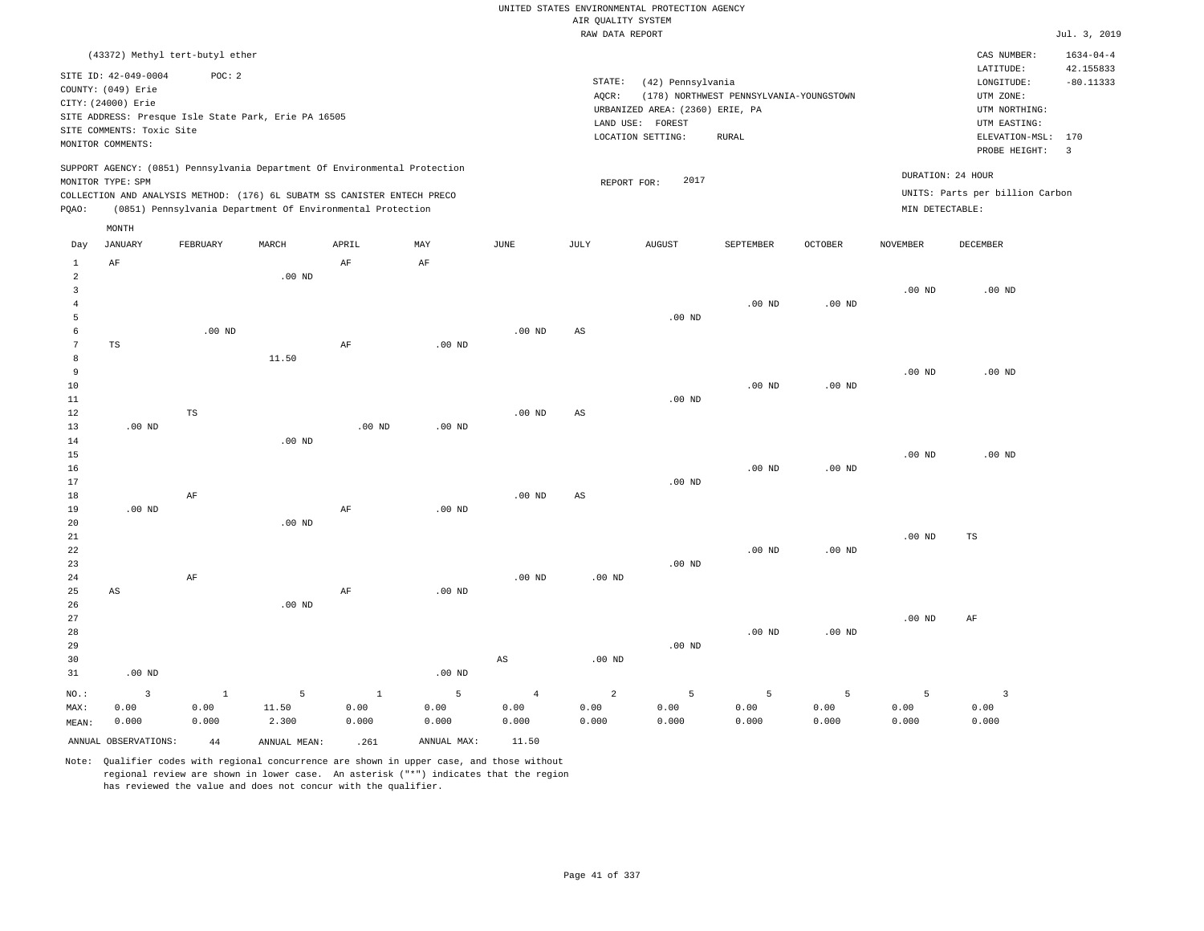|                |                                 |              |                                                                            |               |                   |                        | RAW DATA REPORT   |                                 |                                         |                   |                   |                                 | Jul. 3, 2019    |
|----------------|---------------------------------|--------------|----------------------------------------------------------------------------|---------------|-------------------|------------------------|-------------------|---------------------------------|-----------------------------------------|-------------------|-------------------|---------------------------------|-----------------|
|                | (43372) Methyl tert-butyl ether |              |                                                                            |               |                   |                        |                   |                                 |                                         |                   |                   | CAS NUMBER:                     | $1634 - 04 - 4$ |
|                |                                 |              |                                                                            |               |                   |                        |                   |                                 |                                         |                   |                   | LATITUDE:                       | 42.155833       |
|                | SITE ID: 42-049-0004            | POC: 2       |                                                                            |               |                   |                        | STATE:            | (42) Pennsylvania               |                                         |                   |                   | LONGITUDE:                      | $-80.11333$     |
|                | COUNTY: (049) Erie              |              |                                                                            |               |                   |                        | AQCR:             |                                 | (178) NORTHWEST PENNSYLVANIA-YOUNGSTOWN |                   |                   | UTM ZONE:                       |                 |
|                | CITY: (24000) Erie              |              |                                                                            |               |                   |                        |                   | URBANIZED AREA: (2360) ERIE, PA |                                         |                   |                   | UTM NORTHING:                   |                 |
|                |                                 |              | SITE ADDRESS: Presque Isle State Park, Erie PA 16505                       |               |                   |                        | LAND USE:         | FOREST                          |                                         |                   |                   | UTM EASTING:                    |                 |
|                | SITE COMMENTS: Toxic Site       |              |                                                                            |               |                   |                        |                   | LOCATION SETTING:               | RURAL                                   |                   |                   | ELEVATION-MSL: 170              |                 |
|                | MONITOR COMMENTS:               |              |                                                                            |               |                   |                        |                   |                                 |                                         |                   |                   | PROBE HEIGHT:                   | $\overline{3}$  |
|                |                                 |              | SUPPORT AGENCY: (0851) Pennsylvania Department Of Environmental Protection |               |                   |                        |                   |                                 |                                         |                   |                   |                                 |                 |
|                | MONITOR TYPE: SPM               |              |                                                                            |               |                   |                        | REPORT FOR:       | 2017                            |                                         |                   |                   | DURATION: 24 HOUR               |                 |
|                |                                 |              | COLLECTION AND ANALYSIS METHOD: (176) 6L SUBATM SS CANISTER ENTECH PRECO   |               |                   |                        |                   |                                 |                                         |                   |                   | UNITS: Parts per billion Carbon |                 |
| PQAO:          |                                 |              | (0851) Pennsylvania Department Of Environmental Protection                 |               |                   |                        |                   |                                 |                                         |                   | MIN DETECTABLE:   |                                 |                 |
|                | MONTH                           |              |                                                                            |               |                   |                        |                   |                                 |                                         |                   |                   |                                 |                 |
| Day            | JANUARY                         | FEBRUARY     | MARCH                                                                      | APRIL         | MAY               | JUNE                   | JULY              | AUGUST                          | SEPTEMBER                               | OCTOBER           | <b>NOVEMBER</b>   | DECEMBER                        |                 |
| $\mathbf{1}$   | $\rm AF$                        |              |                                                                            | $\rm AF$      | AF                |                        |                   |                                 |                                         |                   |                   |                                 |                 |
| $\overline{a}$ |                                 |              | .00 <sub>ND</sub>                                                          |               |                   |                        |                   |                                 |                                         |                   |                   |                                 |                 |
| 3              |                                 |              |                                                                            |               |                   |                        |                   |                                 |                                         |                   | .00 <sub>ND</sub> | $.00$ ND                        |                 |
| $\overline{4}$ |                                 |              |                                                                            |               |                   |                        |                   |                                 | $.00$ ND                                | $.00$ ND          |                   |                                 |                 |
| 5              |                                 |              |                                                                            |               |                   |                        |                   | $.00$ ND                        |                                         |                   |                   |                                 |                 |
| 6              |                                 | $.00$ ND     |                                                                            |               |                   | .00 <sub>ND</sub>      | $_{\rm AS}$       |                                 |                                         |                   |                   |                                 |                 |
| 7              | $\mathbb{TS}$                   |              |                                                                            | $\rm{AF}$     | $.00$ ND          |                        |                   |                                 |                                         |                   |                   |                                 |                 |
| 8              |                                 |              | 11.50                                                                      |               |                   |                        |                   |                                 |                                         |                   |                   |                                 |                 |
| $\overline{9}$ |                                 |              |                                                                            |               |                   |                        |                   |                                 |                                         |                   | .00 <sub>ND</sub> | $.00$ ND                        |                 |
| 10             |                                 |              |                                                                            |               |                   |                        |                   |                                 | .00 <sub>ND</sub>                       | .00 <sub>ND</sub> |                   |                                 |                 |
| 11             |                                 |              |                                                                            |               |                   |                        |                   | $.00$ ND                        |                                         |                   |                   |                                 |                 |
| 12             |                                 | TS           |                                                                            |               |                   | .00 <sub>ND</sub>      | AS                |                                 |                                         |                   |                   |                                 |                 |
| 13             | $.00$ ND                        |              |                                                                            | $.00$ ND      | $.00$ ND          |                        |                   |                                 |                                         |                   |                   |                                 |                 |
| 14             |                                 |              | .00 <sub>ND</sub>                                                          |               |                   |                        |                   |                                 |                                         |                   |                   |                                 |                 |
| 15             |                                 |              |                                                                            |               |                   |                        |                   |                                 |                                         |                   | .00 <sub>ND</sub> | $.00$ ND                        |                 |
| 16             |                                 |              |                                                                            |               |                   |                        |                   |                                 | $.00$ ND                                | $.00$ ND          |                   |                                 |                 |
| 17             |                                 |              |                                                                            |               |                   |                        |                   | $.00$ ND                        |                                         |                   |                   |                                 |                 |
| 18             |                                 | AF           |                                                                            |               |                   | .00 <sub>ND</sub>      | $_{\rm AS}$       |                                 |                                         |                   |                   |                                 |                 |
| 19             | $.00$ ND                        |              |                                                                            | AF            | $.00$ ND          |                        |                   |                                 |                                         |                   |                   |                                 |                 |
| 20             |                                 |              | $.00$ ND                                                                   |               |                   |                        |                   |                                 |                                         |                   |                   |                                 |                 |
| $21\,$<br>22   |                                 |              |                                                                            |               |                   |                        |                   |                                 |                                         |                   | .00 <sub>ND</sub> | $_{\rm TS}$                     |                 |
| 23             |                                 |              |                                                                            |               |                   |                        |                   | $.00$ ND                        | $.00$ ND                                | .00 <sub>ND</sub> |                   |                                 |                 |
| 24             |                                 | AF           |                                                                            |               |                   | $.00$ ND               | $.00$ ND          |                                 |                                         |                   |                   |                                 |                 |
| 25             | AS                              |              |                                                                            | AF            | .00 <sub>ND</sub> |                        |                   |                                 |                                         |                   |                   |                                 |                 |
| 26             |                                 |              | $.00$ ND                                                                   |               |                   |                        |                   |                                 |                                         |                   |                   |                                 |                 |
| 27             |                                 |              |                                                                            |               |                   |                        |                   |                                 |                                         |                   | .00 <sub>ND</sub> | AF                              |                 |
| 28             |                                 |              |                                                                            |               |                   |                        |                   |                                 | $.00$ ND                                | .00 <sub>ND</sub> |                   |                                 |                 |
| 29             |                                 |              |                                                                            |               |                   |                        |                   | $.00$ ND                        |                                         |                   |                   |                                 |                 |
| 30             |                                 |              |                                                                            |               |                   | $\mathbb{A}\mathbb{S}$ | .00 <sub>ND</sub> |                                 |                                         |                   |                   |                                 |                 |
| 31             | $.00$ ND                        |              |                                                                            |               | .00 <sub>ND</sub> |                        |                   |                                 |                                         |                   |                   |                                 |                 |
|                |                                 |              |                                                                            |               |                   |                        |                   |                                 |                                         |                   |                   |                                 |                 |
| $NO.$ :        | $\overline{3}$                  | $\mathbf{1}$ | 5                                                                          | $\mathbf 1$   | 5                 | $\overline{4}$         | $\overline{a}$    | 5                               | 5                                       | 5                 | 5                 | $\overline{\mathbf{3}}$         |                 |
| MAX:           | 0.00                            | 0.00         | 11.50                                                                      | 0.00<br>0.000 | 0.00              | 0.00<br>0.000          | 0.00<br>0.000     | 0.00<br>0.000                   | 0.00                                    | 0.00<br>0.000     | 0.00              | 0.00<br>0.000                   |                 |
| MEAN:          | 0.000                           | 0.000        | 2.300                                                                      |               | 0.000             |                        |                   |                                 | 0.000                                   |                   | 0.000             |                                 |                 |
|                | ANNUAL OBSERVATIONS:            | 44           | ANNUAL MEAN:                                                               | .261          | ANNUAL MAX:       | 11.50                  |                   |                                 |                                         |                   |                   |                                 |                 |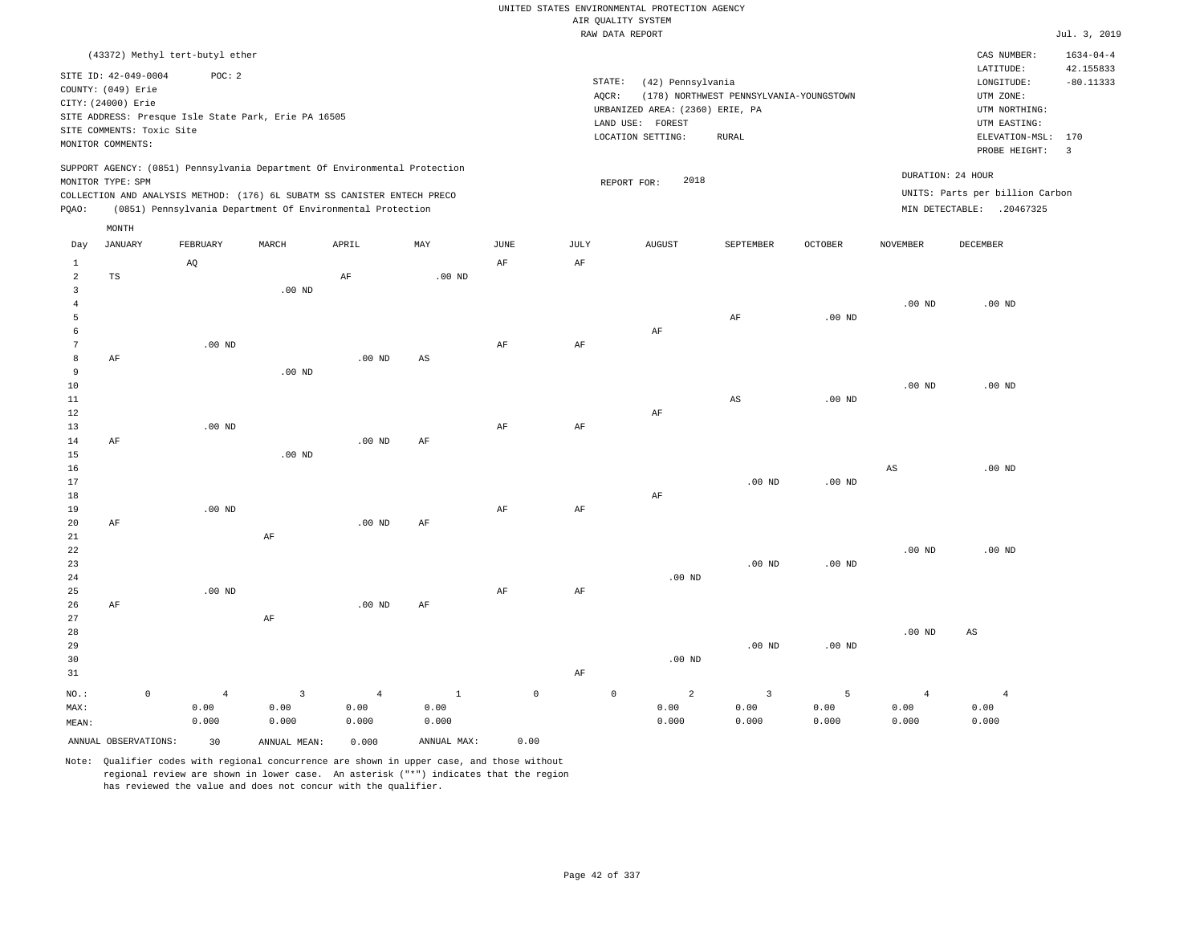|                |                                            |                                 |                   |                                                      |                                                                            |              |                 |           | UNITED STATES ENVIRONMENTAL PROTECTION AGENCY<br>AIR QUALITY SYSTEM |                                         |                   |                   |                                 |                              |
|----------------|--------------------------------------------|---------------------------------|-------------------|------------------------------------------------------|----------------------------------------------------------------------------|--------------|-----------------|-----------|---------------------------------------------------------------------|-----------------------------------------|-------------------|-------------------|---------------------------------|------------------------------|
|                |                                            |                                 |                   |                                                      |                                                                            |              |                 |           | RAW DATA REPORT                                                     |                                         |                   |                   |                                 | Jul. 3, 2019                 |
|                |                                            | (43372) Methyl tert-butyl ether |                   |                                                      |                                                                            |              |                 |           |                                                                     |                                         |                   |                   | CAS NUMBER:<br>LATITUDE:        | $1634 - 04 - 4$<br>42.155833 |
|                | SITE ID: 42-049-0004<br>COUNTY: (049) Erie |                                 | POC: 2            |                                                      |                                                                            |              |                 |           | STATE:<br>(42) Pennsylvania                                         |                                         |                   |                   | LONGITUDE:                      | $-80.11333$                  |
|                | CITY: (24000) Erie                         |                                 |                   |                                                      |                                                                            |              |                 |           | AQCR:                                                               | (178) NORTHWEST PENNSYLVANIA-YOUNGSTOWN |                   |                   | UTM ZONE:                       |                              |
|                |                                            |                                 |                   | SITE ADDRESS: Presque Isle State Park, Erie PA 16505 |                                                                            |              |                 |           | URBANIZED AREA: (2360) ERIE, PA<br>LAND USE: FOREST                 |                                         |                   |                   | UTM NORTHING:<br>UTM EASTING:   |                              |
|                | SITE COMMENTS: Toxic Site                  |                                 |                   |                                                      |                                                                            |              |                 |           | LOCATION SETTING:                                                   | RURAL                                   |                   |                   | ELEVATION-MSL:                  | 170                          |
|                | MONITOR COMMENTS:                          |                                 |                   |                                                      |                                                                            |              |                 |           |                                                                     |                                         |                   |                   | PROBE HEIGHT:                   | $\overline{3}$               |
|                | MONITOR TYPE: SPM                          |                                 |                   |                                                      | SUPPORT AGENCY: (0851) Pennsylvania Department Of Environmental Protection |              |                 |           | 2018<br>REPORT FOR:                                                 |                                         |                   |                   | DURATION: 24 HOUR               |                              |
|                |                                            |                                 |                   |                                                      | COLLECTION AND ANALYSIS METHOD: (176) 6L SUBATM SS CANISTER ENTECH PRECO   |              |                 |           |                                                                     |                                         |                   |                   | UNITS: Parts per billion Carbon |                              |
| PQAO:          |                                            |                                 |                   |                                                      | (0851) Pennsylvania Department Of Environmental Protection                 |              |                 |           |                                                                     |                                         |                   |                   | MIN DETECTABLE: .20467325       |                              |
|                | MONTH                                      |                                 |                   |                                                      |                                                                            |              |                 |           |                                                                     |                                         |                   |                   |                                 |                              |
| Day            | <b>JANUARY</b>                             | FEBRUARY                        |                   | MARCH                                                | APRIL                                                                      | MAY          | $\mathtt{JUNE}$ | JULY      | <b>AUGUST</b>                                                       | SEPTEMBER                               | OCTOBER           | <b>NOVEMBER</b>   | DECEMBER                        |                              |
| 1              |                                            | AQ                              |                   |                                                      |                                                                            |              | AF              | AF        |                                                                     |                                         |                   |                   |                                 |                              |
| $\overline{a}$ | $_{\rm TS}$                                |                                 |                   |                                                      | AF                                                                         | $.00$ ND     |                 |           |                                                                     |                                         |                   |                   |                                 |                              |
| $\overline{3}$ |                                            |                                 |                   | $.00$ ND                                             |                                                                            |              |                 |           |                                                                     |                                         |                   |                   |                                 |                              |
| $\overline{4}$ |                                            |                                 |                   |                                                      |                                                                            |              |                 |           |                                                                     |                                         |                   | .00 <sub>ND</sub> | $.00$ ND                        |                              |
| 5              |                                            |                                 |                   |                                                      |                                                                            |              |                 |           |                                                                     | $\rm AF$                                | .00 <sub>ND</sub> |                   |                                 |                              |
| 6              |                                            |                                 |                   |                                                      |                                                                            |              |                 |           | AF                                                                  |                                         |                   |                   |                                 |                              |
| 7<br>8         |                                            |                                 | $.00$ ND          |                                                      |                                                                            |              | AF              | AF        |                                                                     |                                         |                   |                   |                                 |                              |
| 9              | AF                                         |                                 |                   | $.00$ ND                                             | $.00$ ND                                                                   | $_{\rm AS}$  |                 |           |                                                                     |                                         |                   |                   |                                 |                              |
| 10             |                                            |                                 |                   |                                                      |                                                                            |              |                 |           |                                                                     |                                         |                   | .00 <sub>ND</sub> | $.00$ ND                        |                              |
| 11             |                                            |                                 |                   |                                                      |                                                                            |              |                 |           |                                                                     | $\mathbb{A}\mathbb{S}$                  | $.00$ ND          |                   |                                 |                              |
| $12$           |                                            |                                 |                   |                                                      |                                                                            |              |                 |           | AF                                                                  |                                         |                   |                   |                                 |                              |
| 13             |                                            |                                 | $.00$ ND          |                                                      |                                                                            |              | AF              | $\rm AF$  |                                                                     |                                         |                   |                   |                                 |                              |
| 14             | AF                                         |                                 |                   |                                                      | .00 <sub>ND</sub>                                                          | AF           |                 |           |                                                                     |                                         |                   |                   |                                 |                              |
| 15             |                                            |                                 |                   | $.00$ ND                                             |                                                                            |              |                 |           |                                                                     |                                         |                   |                   |                                 |                              |
| 16             |                                            |                                 |                   |                                                      |                                                                            |              |                 |           |                                                                     |                                         |                   | AS                | $.00$ ND                        |                              |
| 17             |                                            |                                 |                   |                                                      |                                                                            |              |                 |           |                                                                     | $.00$ ND                                | $.00$ ND          |                   |                                 |                              |
| 18<br>19       |                                            |                                 | .00 <sub>ND</sub> |                                                      |                                                                            |              | AF              | AF        | AF                                                                  |                                         |                   |                   |                                 |                              |
| 20             | AF                                         |                                 |                   |                                                      | $.00$ ND                                                                   | AF           |                 |           |                                                                     |                                         |                   |                   |                                 |                              |
| 21             |                                            |                                 |                   | $\rm AF$                                             |                                                                            |              |                 |           |                                                                     |                                         |                   |                   |                                 |                              |
| 22             |                                            |                                 |                   |                                                      |                                                                            |              |                 |           |                                                                     |                                         |                   | $.00$ ND          | $.00$ ND                        |                              |
| 23             |                                            |                                 |                   |                                                      |                                                                            |              |                 |           |                                                                     | $.00$ ND                                | .00 <sub>ND</sub> |                   |                                 |                              |
| 24             |                                            |                                 |                   |                                                      |                                                                            |              |                 |           | $.00$ ND                                                            |                                         |                   |                   |                                 |                              |
| 25             |                                            |                                 | .00 <sub>ND</sub> |                                                      |                                                                            |              | $\rm{AF}$       | $\rm{AF}$ |                                                                     |                                         |                   |                   |                                 |                              |
| 26             | AF                                         |                                 |                   |                                                      | $.00$ ND                                                                   | AF           |                 |           |                                                                     |                                         |                   |                   |                                 |                              |
| 27             |                                            |                                 |                   | AF                                                   |                                                                            |              |                 |           |                                                                     |                                         |                   |                   |                                 |                              |
| 28             |                                            |                                 |                   |                                                      |                                                                            |              |                 |           |                                                                     |                                         |                   | .00 <sub>ND</sub> | $\mathbb{A}\mathbb{S}$          |                              |
| 29             |                                            |                                 |                   |                                                      |                                                                            |              |                 |           |                                                                     | $.00$ ND                                | $.00$ ND          |                   |                                 |                              |
| 30<br>31       |                                            |                                 |                   |                                                      |                                                                            |              |                 | AF        | $.00$ ND                                                            |                                         |                   |                   |                                 |                              |
|                |                                            |                                 |                   |                                                      |                                                                            |              |                 |           |                                                                     |                                         |                   |                   |                                 |                              |
| NO.:           | $\mathbb O$                                |                                 | $\overline{4}$    | 3                                                    | $\overline{4}$                                                             | $\mathbf{1}$ | $\mathsf 0$     |           | $\mathsf{O}$<br>$\overline{a}$                                      | $\overline{\mathbf{3}}$                 | 5                 | $\overline{4}$    | $\overline{4}$                  |                              |
| MAX:           |                                            |                                 | 0.00              | 0.00                                                 | 0.00                                                                       | 0.00         |                 |           | 0.00                                                                | 0.00                                    | 0.00              | 0.00              | 0.00                            |                              |
| MEAN:          |                                            |                                 | 0.000             | 0.000                                                | 0.000                                                                      | 0.000        |                 |           | 0.000                                                               | 0.000                                   | 0.000             | 0.000             | 0.000                           |                              |
|                | ANNUAL OBSERVATIONS:                       |                                 | 30                | ANNUAL MEAN:                                         | 0.000                                                                      | ANNUAL MAX:  | 0.00            |           |                                                                     |                                         |                   |                   |                                 |                              |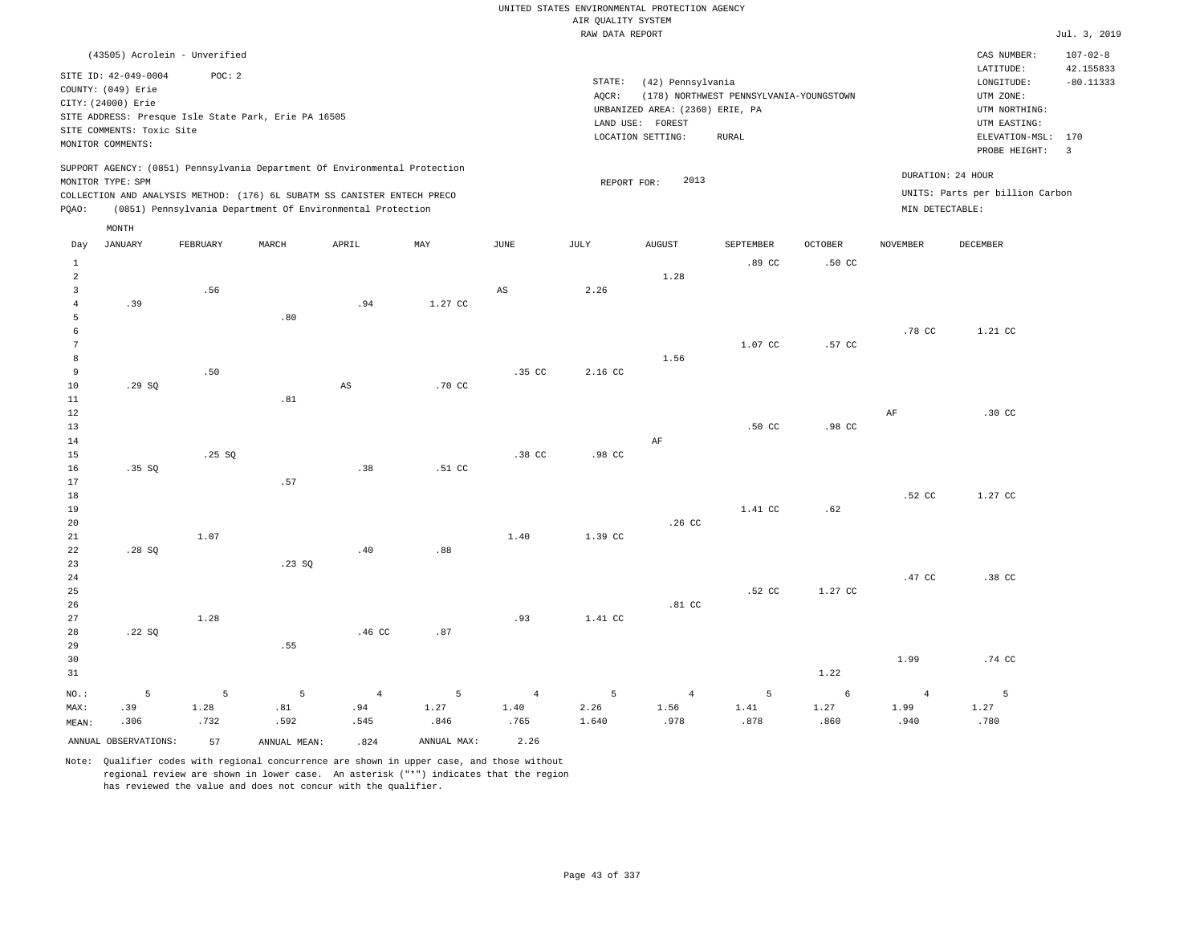#### RAW DATA REPORT Jul. 3, 2019 UNITED STATES ENVIRONMENTAL PROTECTION AGENCY AIR QUALITY SYSTEM

|                     | (43505) Acrolein - Unverified<br>SITE ID: 42-049-0004<br>COUNTY: (049) Erie<br>CITY: (24000) Erie<br>SITE COMMENTS: Toxic Site<br>MONITOR COMMENTS:<br>MONITOR TYPE: SPM | POC: 2         | SITE ADDRESS: Presque Isle State Park, Erie PA 16505<br>SUPPORT AGENCY: (0851) Pennsylvania Department Of Environmental Protection<br>COLLECTION AND ANALYSIS METHOD: (176) 6L SUBATM SS CANISTER ENTECH PRECO |                        |                |                  | STATE:<br>AQCR:<br>REPORT FOR: | (42) Pennsylvania<br>URBANIZED AREA: (2360) ERIE, PA<br>LAND USE: FOREST<br>LOCATION SETTING:<br>2013 | (178) NORTHWEST PENNSYLVANIA-YOUNGSTOWN<br><b>RURAL</b> |                  |                    | CAS NUMBER:<br>LATITUDE:<br>LONGITUDE:<br>UTM ZONE:<br>UTM NORTHING:<br>UTM EASTING:<br>ELEVATION-MSL: 170<br>PROBE HEIGHT:<br>DURATION: 24 HOUR<br>UNITS: Parts per billion Carbon | $107 - 02 - 8$<br>42.155833<br>$-80.11333$<br>$\overline{3}$ |
|---------------------|--------------------------------------------------------------------------------------------------------------------------------------------------------------------------|----------------|----------------------------------------------------------------------------------------------------------------------------------------------------------------------------------------------------------------|------------------------|----------------|------------------|--------------------------------|-------------------------------------------------------------------------------------------------------|---------------------------------------------------------|------------------|--------------------|-------------------------------------------------------------------------------------------------------------------------------------------------------------------------------------|--------------------------------------------------------------|
| PQAO:               |                                                                                                                                                                          |                | (0851) Pennsylvania Department Of Environmental Protection                                                                                                                                                     |                        |                |                  |                                |                                                                                                       |                                                         |                  | $MIN$ DETECTABLE : |                                                                                                                                                                                     |                                                              |
|                     | MONTH                                                                                                                                                                    |                |                                                                                                                                                                                                                |                        |                |                  |                                |                                                                                                       |                                                         |                  |                    |                                                                                                                                                                                     |                                                              |
| Day                 | JANUARY                                                                                                                                                                  | FEBRUARY       | MARCH                                                                                                                                                                                                          | APRIL                  | MAY            | <b>JUNE</b>      | JULY                           | <b>AUGUST</b>                                                                                         | SEPTEMBER                                               | <b>OCTOBER</b>   | <b>NOVEMBER</b>    | <b>DECEMBER</b>                                                                                                                                                                     |                                                              |
| $\mathbf{1}$        |                                                                                                                                                                          |                |                                                                                                                                                                                                                |                        |                |                  |                                |                                                                                                       | .89 <sub>cc</sub>                                       | .50 <sub>C</sub> |                    |                                                                                                                                                                                     |                                                              |
| 2<br>$\overline{3}$ |                                                                                                                                                                          |                |                                                                                                                                                                                                                |                        |                |                  | 2.26                           | 1.28                                                                                                  |                                                         |                  |                    |                                                                                                                                                                                     |                                                              |
| $\overline{4}$      | .39                                                                                                                                                                      | .56            |                                                                                                                                                                                                                | .94                    | 1.27 CC        | $_{\rm AS}$      |                                |                                                                                                       |                                                         |                  |                    |                                                                                                                                                                                     |                                                              |
| 5                   |                                                                                                                                                                          |                | .80                                                                                                                                                                                                            |                        |                |                  |                                |                                                                                                       |                                                         |                  |                    |                                                                                                                                                                                     |                                                              |
| 6                   |                                                                                                                                                                          |                |                                                                                                                                                                                                                |                        |                |                  |                                |                                                                                                       |                                                         |                  | .78 CC             | 1.21 CC                                                                                                                                                                             |                                                              |
| $7\phantom{.0}$     |                                                                                                                                                                          |                |                                                                                                                                                                                                                |                        |                |                  |                                |                                                                                                       | 1.07 CC                                                 | .57 CC           |                    |                                                                                                                                                                                     |                                                              |
| 8                   |                                                                                                                                                                          |                |                                                                                                                                                                                                                |                        |                |                  |                                | 1.56                                                                                                  |                                                         |                  |                    |                                                                                                                                                                                     |                                                              |
| $\overline{9}$      |                                                                                                                                                                          | .50            |                                                                                                                                                                                                                |                        |                | .35 <sub>c</sub> | 2.16 CC                        |                                                                                                       |                                                         |                  |                    |                                                                                                                                                                                     |                                                              |
| 10                  | .29SQ                                                                                                                                                                    |                |                                                                                                                                                                                                                | $\mathbb{A}\mathbb{S}$ | .70 CC         |                  |                                |                                                                                                       |                                                         |                  |                    |                                                                                                                                                                                     |                                                              |
| $11\,$<br>12        |                                                                                                                                                                          |                | .81                                                                                                                                                                                                            |                        |                |                  |                                |                                                                                                       |                                                         |                  | AF                 | .30 CC                                                                                                                                                                              |                                                              |
| 13                  |                                                                                                                                                                          |                |                                                                                                                                                                                                                |                        |                |                  |                                |                                                                                                       | $.50$ CC                                                | .98 CC           |                    |                                                                                                                                                                                     |                                                              |
| 14                  |                                                                                                                                                                          |                |                                                                                                                                                                                                                |                        |                |                  |                                | AF                                                                                                    |                                                         |                  |                    |                                                                                                                                                                                     |                                                              |
| 15                  |                                                                                                                                                                          | .25SQ          |                                                                                                                                                                                                                |                        |                | .38 CC           | .98 CC                         |                                                                                                       |                                                         |                  |                    |                                                                                                                                                                                     |                                                              |
| 16                  | .35 S                                                                                                                                                                    |                |                                                                                                                                                                                                                | .38                    | .51 CC         |                  |                                |                                                                                                       |                                                         |                  |                    |                                                                                                                                                                                     |                                                              |
| 17                  |                                                                                                                                                                          |                | .57                                                                                                                                                                                                            |                        |                |                  |                                |                                                                                                       |                                                         |                  |                    |                                                                                                                                                                                     |                                                              |
| 18                  |                                                                                                                                                                          |                |                                                                                                                                                                                                                |                        |                |                  |                                |                                                                                                       |                                                         |                  | .52 CC             | 1.27 CC                                                                                                                                                                             |                                                              |
| 19                  |                                                                                                                                                                          |                |                                                                                                                                                                                                                |                        |                |                  |                                |                                                                                                       | 1.41 CC                                                 | .62              |                    |                                                                                                                                                                                     |                                                              |
| 20<br>21            |                                                                                                                                                                          | 1.07           |                                                                                                                                                                                                                |                        |                | 1.40             | 1.39 CC                        | .26 <sub>c</sub>                                                                                      |                                                         |                  |                    |                                                                                                                                                                                     |                                                              |
| 22                  | .28SQ                                                                                                                                                                    |                |                                                                                                                                                                                                                | .40                    | .88            |                  |                                |                                                                                                       |                                                         |                  |                    |                                                                                                                                                                                     |                                                              |
| 23                  |                                                                                                                                                                          |                | .23 S0                                                                                                                                                                                                         |                        |                |                  |                                |                                                                                                       |                                                         |                  |                    |                                                                                                                                                                                     |                                                              |
| 24                  |                                                                                                                                                                          |                |                                                                                                                                                                                                                |                        |                |                  |                                |                                                                                                       |                                                         |                  | .47 CC             | .38 CC                                                                                                                                                                              |                                                              |
| 25                  |                                                                                                                                                                          |                |                                                                                                                                                                                                                |                        |                |                  |                                |                                                                                                       | .52 <sub>c</sub>                                        | $1.27$ CC        |                    |                                                                                                                                                                                     |                                                              |
| 26                  |                                                                                                                                                                          |                |                                                                                                                                                                                                                |                        |                |                  |                                | .81 <sub>c</sub>                                                                                      |                                                         |                  |                    |                                                                                                                                                                                     |                                                              |
| 27                  |                                                                                                                                                                          | 1.28           |                                                                                                                                                                                                                |                        |                | .93              | 1.41 CC                        |                                                                                                       |                                                         |                  |                    |                                                                                                                                                                                     |                                                              |
| 28                  | .22SQ                                                                                                                                                                    |                |                                                                                                                                                                                                                | .46 CC                 | .87            |                  |                                |                                                                                                       |                                                         |                  |                    |                                                                                                                                                                                     |                                                              |
| 29                  |                                                                                                                                                                          |                | .55                                                                                                                                                                                                            |                        |                |                  |                                |                                                                                                       |                                                         |                  |                    |                                                                                                                                                                                     |                                                              |
| 30<br>31            |                                                                                                                                                                          |                |                                                                                                                                                                                                                |                        |                |                  |                                |                                                                                                       |                                                         | 1.22             | 1.99               | .74 CC                                                                                                                                                                              |                                                              |
|                     |                                                                                                                                                                          |                |                                                                                                                                                                                                                |                        |                |                  |                                |                                                                                                       |                                                         |                  |                    |                                                                                                                                                                                     |                                                              |
| NO.:                | 5                                                                                                                                                                        | $\overline{5}$ | 5                                                                                                                                                                                                              | $\overline{4}$         | $\overline{5}$ | $\overline{4}$   | 5                              | $\sqrt{4}$                                                                                            | 5                                                       | $\epsilon$       | $\overline{4}$     | $\overline{5}$                                                                                                                                                                      |                                                              |
| MAX:                | .39                                                                                                                                                                      | 1.28           | .81                                                                                                                                                                                                            | .94                    | 1.27           | 1.40<br>.765     | 2.26                           | 1.56<br>.978                                                                                          | 1.41                                                    | 1.27             | 1.99               | 1.27<br>.780                                                                                                                                                                        |                                                              |
| MEAN:               | .306                                                                                                                                                                     | .732           | .592                                                                                                                                                                                                           | .545                   | .846           |                  | 1.640                          |                                                                                                       | .878                                                    | .860             | .940               |                                                                                                                                                                                     |                                                              |
|                     | ANNUAL OBSERVATIONS:                                                                                                                                                     | 57             | ANNUAL MEAN:                                                                                                                                                                                                   | .824                   | ANNUAL MAX:    | 2.26             |                                |                                                                                                       |                                                         |                  |                    |                                                                                                                                                                                     |                                                              |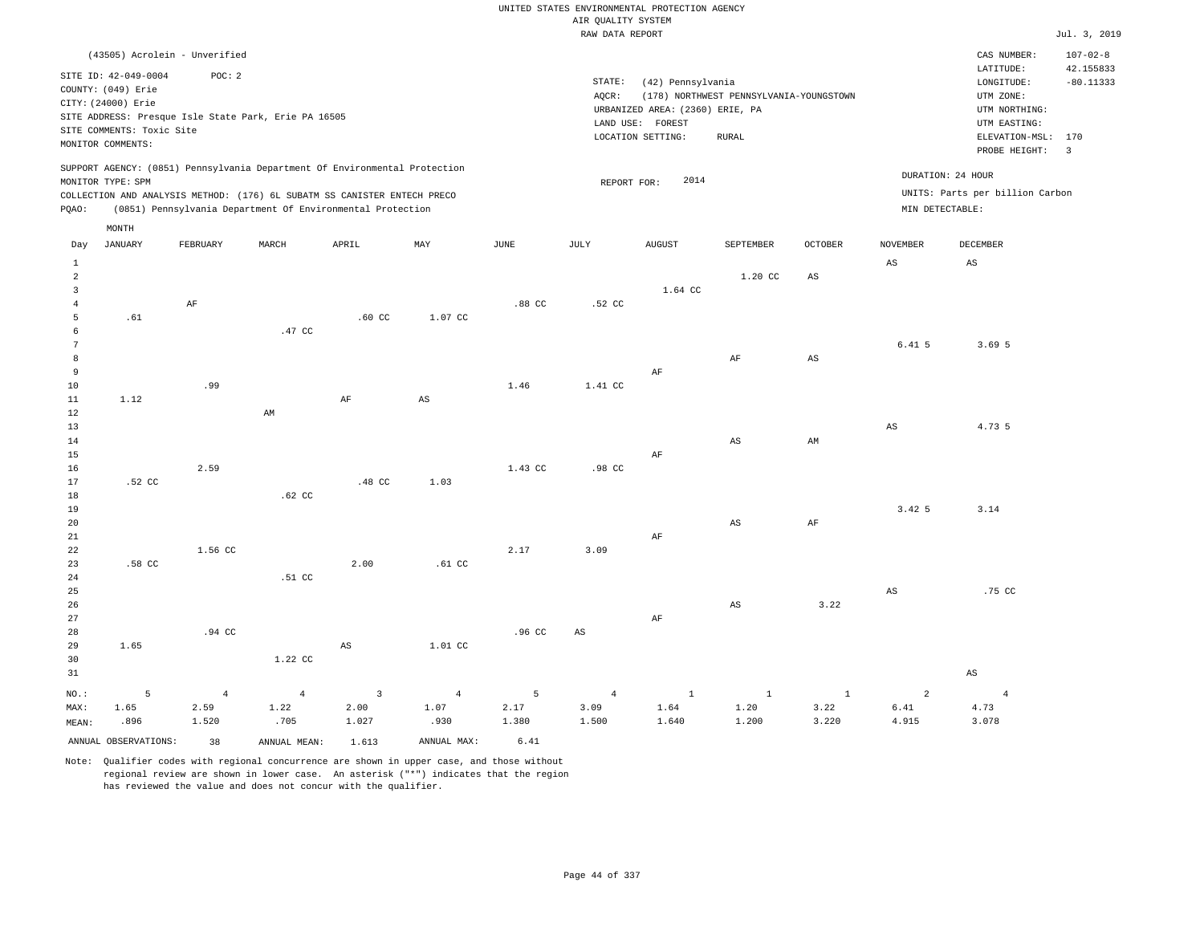|                                  |                           |                                                      |                |                                                                            |                |                       | RAW DATA REPORT  |                                 |                                         |                |                        |                                 | Jul. 3, 2019                |
|----------------------------------|---------------------------|------------------------------------------------------|----------------|----------------------------------------------------------------------------|----------------|-----------------------|------------------|---------------------------------|-----------------------------------------|----------------|------------------------|---------------------------------|-----------------------------|
|                                  |                           | (43505) Acrolein - Unverified                        |                |                                                                            |                |                       |                  |                                 |                                         |                |                        | CAS NUMBER:<br>LATITUDE:        | $107 - 02 - 8$<br>42.155833 |
|                                  | SITE ID: 42-049-0004      | POC: 2                                               |                |                                                                            |                |                       | STATE:           | (42) Pennsylvania               |                                         |                |                        | LONGITUDE:                      | $-80.11333$                 |
|                                  | COUNTY: (049) Erie        |                                                      |                |                                                                            |                |                       | AQCR:            |                                 | (178) NORTHWEST PENNSYLVANIA-YOUNGSTOWN |                |                        | UTM ZONE:                       |                             |
|                                  | CITY: (24000) Erie        |                                                      |                |                                                                            |                |                       |                  | URBANIZED AREA: (2360) ERIE, PA |                                         |                |                        | UTM NORTHING:                   |                             |
|                                  |                           | SITE ADDRESS: Presque Isle State Park, Erie PA 16505 |                |                                                                            |                |                       |                  | LAND USE: FOREST                |                                         |                |                        | UTM EASTING:                    |                             |
|                                  | SITE COMMENTS: Toxic Site |                                                      |                |                                                                            |                |                       |                  | LOCATION SETTING:               | <b>RURAL</b>                            |                |                        | ELEVATION-MSL:                  | 170                         |
|                                  | MONITOR COMMENTS:         |                                                      |                |                                                                            |                |                       |                  |                                 |                                         |                |                        | PROBE HEIGHT:                   | $\overline{3}$              |
|                                  |                           |                                                      |                | SUPPORT AGENCY: (0851) Pennsylvania Department Of Environmental Protection |                |                       |                  | 2014                            |                                         |                |                        | DURATION: 24 HOUR               |                             |
|                                  | MONITOR TYPE: SPM         |                                                      |                | COLLECTION AND ANALYSIS METHOD: (176) 6L SUBATM SS CANISTER ENTECH PRECO   |                |                       | REPORT FOR:      |                                 |                                         |                |                        | UNITS: Parts per billion Carbon |                             |
| PQAO:                            |                           |                                                      |                | (0851) Pennsylvania Department Of Environmental Protection                 |                |                       |                  |                                 |                                         |                | MIN DETECTABLE:        |                                 |                             |
|                                  | MONTH                     |                                                      |                |                                                                            |                |                       |                  |                                 |                                         |                |                        |                                 |                             |
| Day                              | <b>JANUARY</b>            | FEBRUARY                                             | MARCH          | APRIL                                                                      | MAY            | $\operatorname{JUNE}$ | $\mathtt{JULY}$  | ${\tt AUGUST}$                  | SEPTEMBER                               | <b>OCTOBER</b> | NOVEMBER               | DECEMBER                        |                             |
| $\mathbf{1}$                     |                           |                                                      |                |                                                                            |                |                       |                  |                                 |                                         |                | $\mathbb{A}\mathbb{S}$ | $\mathbb{A}\mathbb{S}$          |                             |
| $\overline{a}$<br>$\overline{3}$ |                           |                                                      |                |                                                                            |                |                       |                  | 1.64 CC                         | 1.20 CC                                 | $_{\rm AS}$    |                        |                                 |                             |
| 4                                |                           | AF                                                   |                |                                                                            |                | .88 <sub>C</sub>      | .52 CC           |                                 |                                         |                |                        |                                 |                             |
| 5                                | .61                       |                                                      |                | .60 <sub>cc</sub>                                                          | 1.07 CC        |                       |                  |                                 |                                         |                |                        |                                 |                             |
| 6                                |                           |                                                      | .47 CC         |                                                                            |                |                       |                  |                                 |                                         |                |                        |                                 |                             |
| $7\phantom{.0}$                  |                           |                                                      |                |                                                                            |                |                       |                  |                                 |                                         |                | 6.415                  | 3.695                           |                             |
| 8                                |                           |                                                      |                |                                                                            |                |                       |                  |                                 | AF                                      | $_{\rm AS}$    |                        |                                 |                             |
| 9                                |                           |                                                      |                |                                                                            |                |                       |                  | $\rm AF$                        |                                         |                |                        |                                 |                             |
| 10                               |                           | .99                                                  |                |                                                                            |                | 1.46                  | 1.41 CC          |                                 |                                         |                |                        |                                 |                             |
| 11                               | 1.12                      |                                                      |                | AF                                                                         | AS             |                       |                  |                                 |                                         |                |                        |                                 |                             |
| 12                               |                           |                                                      | AM             |                                                                            |                |                       |                  |                                 |                                         |                |                        |                                 |                             |
| $13$<br>14                       |                           |                                                      |                |                                                                            |                |                       |                  |                                 | AS                                      | AM             | $\mathbb{A}\mathbb{S}$ | 4.73 5                          |                             |
| 15                               |                           |                                                      |                |                                                                            |                |                       |                  | AF                              |                                         |                |                        |                                 |                             |
| 16                               |                           | 2.59                                                 |                |                                                                            |                | 1.43 CC               | .98 <sub>C</sub> |                                 |                                         |                |                        |                                 |                             |
| 17                               | .52 CC                    |                                                      |                | .48 CC                                                                     | 1.03           |                       |                  |                                 |                                         |                |                        |                                 |                             |
| 18                               |                           |                                                      | $.62$ CC       |                                                                            |                |                       |                  |                                 |                                         |                |                        |                                 |                             |
| 19                               |                           |                                                      |                |                                                                            |                |                       |                  |                                 |                                         |                | 3.42.5                 | 3.14                            |                             |
| 20                               |                           |                                                      |                |                                                                            |                |                       |                  |                                 | AS                                      | AF             |                        |                                 |                             |
| 21                               |                           |                                                      |                |                                                                            |                |                       |                  | AF                              |                                         |                |                        |                                 |                             |
| 22                               |                           | 1.56 CC                                              |                |                                                                            |                | 2.17                  | 3.09             |                                 |                                         |                |                        |                                 |                             |
| 23<br>24                         | .58 CC                    |                                                      | .51 CC         | 2.00                                                                       | $.61$ CC       |                       |                  |                                 |                                         |                |                        |                                 |                             |
| 25                               |                           |                                                      |                |                                                                            |                |                       |                  |                                 |                                         |                | AS                     | .75 CC                          |                             |
| 26                               |                           |                                                      |                |                                                                            |                |                       |                  |                                 | $\mathbb{A}\mathbb{S}$                  | 3.22           |                        |                                 |                             |
| 27                               |                           |                                                      |                |                                                                            |                |                       |                  | AF                              |                                         |                |                        |                                 |                             |
| 28                               |                           | .94 CC                                               |                |                                                                            |                | .96 <sub>c</sub>      | $_{\rm AS}$      |                                 |                                         |                |                        |                                 |                             |
| 29                               | 1.65                      |                                                      |                | $_{\rm AS}$                                                                | 1.01 CC        |                       |                  |                                 |                                         |                |                        |                                 |                             |
| 30                               |                           |                                                      | 1.22 CC        |                                                                            |                |                       |                  |                                 |                                         |                |                        |                                 |                             |
| 31                               |                           |                                                      |                |                                                                            |                |                       |                  |                                 |                                         |                |                        | $_{\rm AS}$                     |                             |
| NO.:                             | 5                         | $\overline{4}$                                       | $\overline{4}$ | $\mathbf{3}$                                                               | $\overline{4}$ | 5                     | $\overline{4}$   | $1\,$                           | $1\,$                                   | $1\,$          | $\overline{a}$         | $\overline{4}$                  |                             |
| MAX:                             | 1.65                      | 2.59                                                 | 1.22           | 2.00                                                                       | 1.07           | 2.17                  | 3.09             | 1.64                            | 1.20                                    | 3.22           | 6.41                   | 4.73                            |                             |
| MEAN:                            | .896                      | 1.520                                                | .705           | 1.027                                                                      | .930           | 1.380                 | 1.500            | 1.640                           | 1.200                                   | 3.220          | 4.915                  | 3.078                           |                             |

ANNUAL OBSERVATIONS: 38 ANNUAL MEAN: 1.613 ANNUAL MAX: 6.41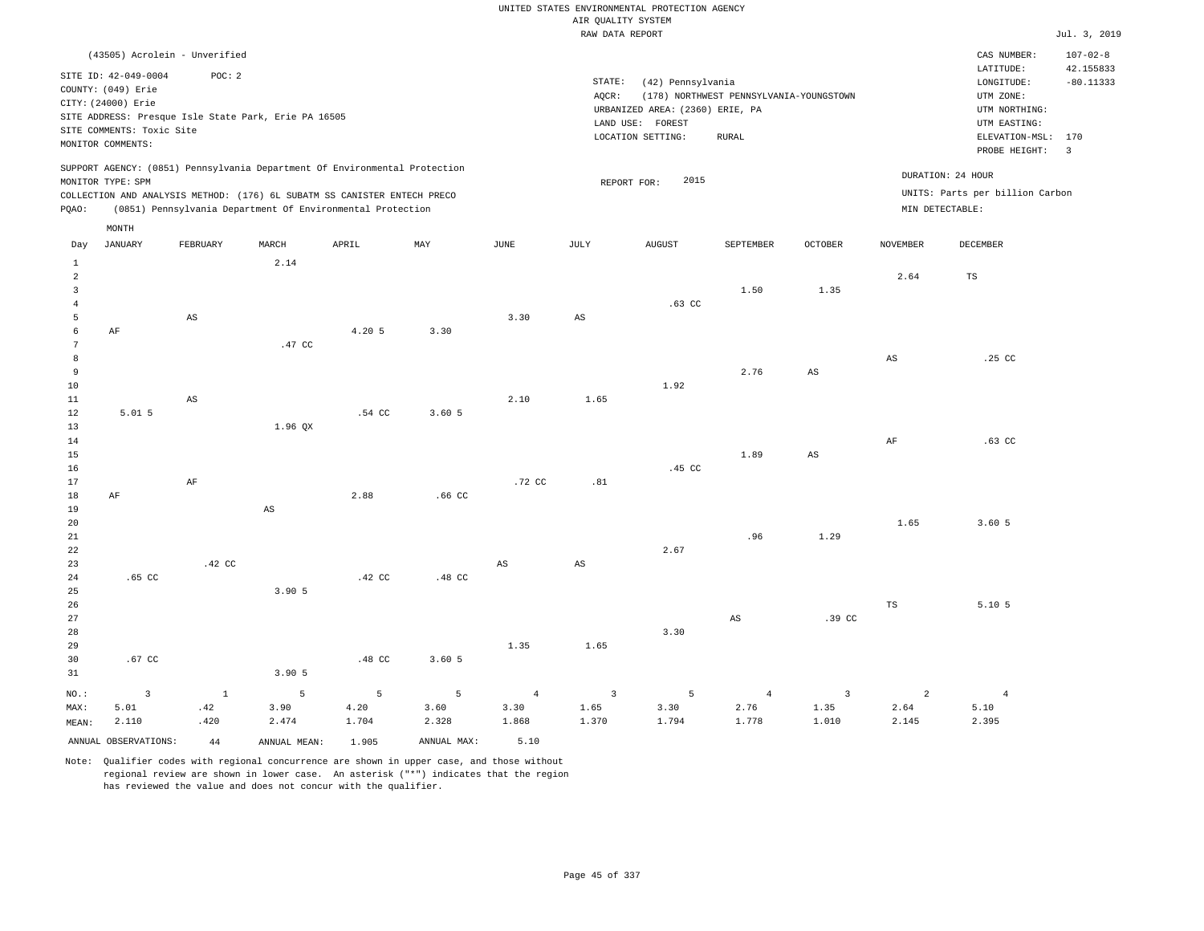|                                                                         |                                                                                                                    |                               |                                                      |                                                                                                                                                                                                                      |                   |                        | RAW DATA REPORT        |                                                                                               |                                                         |                  |                 |                                                                                                          | Jul. 3, 2019                                               |
|-------------------------------------------------------------------------|--------------------------------------------------------------------------------------------------------------------|-------------------------------|------------------------------------------------------|----------------------------------------------------------------------------------------------------------------------------------------------------------------------------------------------------------------------|-------------------|------------------------|------------------------|-----------------------------------------------------------------------------------------------|---------------------------------------------------------|------------------|-----------------|----------------------------------------------------------------------------------------------------------|------------------------------------------------------------|
|                                                                         |                                                                                                                    | (43505) Acrolein - Unverified |                                                      |                                                                                                                                                                                                                      |                   |                        |                        |                                                                                               |                                                         |                  |                 | CAS NUMBER:                                                                                              | $107 - 02 - 8$                                             |
|                                                                         | SITE ID: 42-049-0004<br>COUNTY: (049) Erie<br>CITY: (24000) Erie<br>SITE COMMENTS: Toxic Site<br>MONITOR COMMENTS: | POC: 2                        | SITE ADDRESS: Presque Isle State Park, Erie PA 16505 |                                                                                                                                                                                                                      |                   |                        | STATE:<br>AOCR:        | (42) Pennsylvania<br>URBANIZED AREA: (2360) ERIE, PA<br>LAND USE: FOREST<br>LOCATION SETTING: | (178) NORTHWEST PENNSYLVANIA-YOUNGSTOWN<br><b>RURAL</b> |                  |                 | LATITUDE:<br>LONGITUDE:<br>UTM ZONE:<br>UTM NORTHING:<br>UTM EASTING:<br>ELEVATION-MSL:<br>PROBE HEIGHT: | 42.155833<br>$-80.11333$<br>170<br>$\overline{\mathbf{3}}$ |
| PQAO:                                                                   | MONITOR TYPE: SPM                                                                                                  |                               |                                                      | SUPPORT AGENCY: (0851) Pennsylvania Department Of Environmental Protection<br>COLLECTION AND ANALYSIS METHOD: (176) 6L SUBATM SS CANISTER ENTECH PRECO<br>(0851) Pennsylvania Department Of Environmental Protection |                   |                        |                        | 2015<br>REPORT FOR:                                                                           |                                                         |                  |                 | DURATION: 24 HOUR<br>UNITS: Parts per billion Carbon<br>MIN DETECTABLE:                                  |                                                            |
|                                                                         | MONTH                                                                                                              |                               |                                                      |                                                                                                                                                                                                                      |                   |                        |                        |                                                                                               |                                                         |                  |                 |                                                                                                          |                                                            |
| Day                                                                     | <b>JANUARY</b>                                                                                                     | FEBRUARY                      | MARCH                                                | APRIL                                                                                                                                                                                                                | MAY               | <b>JUNE</b>            | JULY                   | <b>AUGUST</b>                                                                                 | SEPTEMBER                                               | <b>OCTOBER</b>   | <b>NOVEMBER</b> | <b>DECEMBER</b>                                                                                          |                                                            |
| $\mathbf{1}$<br>$\overline{2}$<br>$\overline{3}$<br>$\overline{4}$<br>5 |                                                                                                                    | $\mathbb{A}\mathbb{S}$        | 2.14                                                 |                                                                                                                                                                                                                      |                   | 3.30                   | $\mathbb{A}\mathbb{S}$ | $.63$ CC                                                                                      | 1.50                                                    | 1.35             | 2.64            | TS                                                                                                       |                                                            |
| 6<br>7<br>8<br>9                                                        | AF                                                                                                                 |                               | .47 CC                                               | 4.20 5                                                                                                                                                                                                               | 3.30              |                        |                        |                                                                                               | 2.76                                                    | AS               | $_{\rm AS}$     | .25 <sub>c</sub>                                                                                         |                                                            |
| $10$<br>11<br>12<br>13                                                  | 5.015                                                                                                              | $\mathbb{A}\mathbb{S}$        | 1.96 QX                                              | .54 CC                                                                                                                                                                                                               | 3.60 <sub>5</sub> | 2.10                   | 1.65                   | 1.92                                                                                          |                                                         |                  |                 |                                                                                                          |                                                            |
| 14<br>15<br>16<br>17                                                    |                                                                                                                    | $\rm AF$                      |                                                      |                                                                                                                                                                                                                      |                   | .72 CC                 | .81                    | .45 CC                                                                                        | 1.89                                                    | AS               | AF              | $.63$ CC                                                                                                 |                                                            |
| 18<br>19<br>20<br>21                                                    | AF                                                                                                                 |                               | $\mathbb{A}\mathbb{S}$                               | 2.88                                                                                                                                                                                                                 | .66 <sub>cc</sub> |                        |                        |                                                                                               | .96                                                     | 1.29             | 1.65            | 3.605                                                                                                    |                                                            |
| 22<br>23<br>24<br>25                                                    | .65 <sub>c</sub>                                                                                                   | .42 CC                        | 3.90 5                                               | .42 <sub>c</sub>                                                                                                                                                                                                     | .48 CC            | $\mathbb{A}\mathbb{S}$ | $\mathbb{A}\mathbb{S}$ | 2.67                                                                                          |                                                         |                  |                 |                                                                                                          |                                                            |
| 26<br>27<br>28<br>29                                                    |                                                                                                                    |                               |                                                      |                                                                                                                                                                                                                      |                   | 1.35                   | 1.65                   | 3.30                                                                                          | AS                                                      | .39 <sub>c</sub> | $_{\rm TS}$     | 5.10 <sub>5</sub>                                                                                        |                                                            |

NO.: MAX: MEAN: 3 5.01 2.110 3.90 5 1 .42 .420 5 3.90 2.474 5 4.20 1.704 5 3.60 2.328 4 3.30 1.868 3 1.65 1.370 5 3.30 1.794 4 2.76 1.778 3 1.35 1.010 2 2.64 2.145 5.10 2.395 ANNUAL OBSERVATIONS: 44 ANNUAL MEAN: 1.905 ANNUAL MAX: 5.10

Note: Qualifier codes with regional concurrence are shown in upper case, and those without regional review are shown in lower case. An asterisk ("\*") indicates that the region has reviewed the value and does not concur with the qualifier.

.48 CC

3.60 5

30 31 .67 CC

4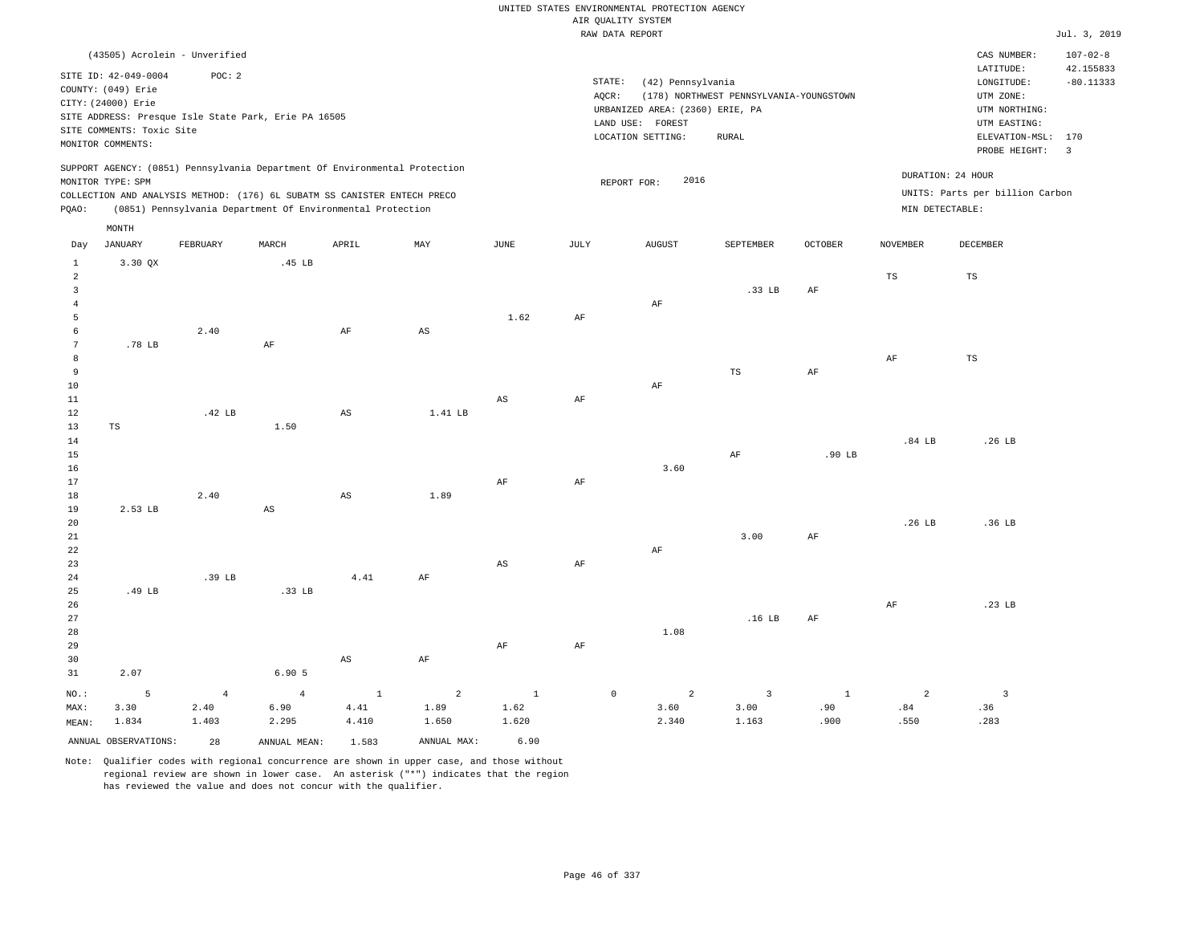|                         |                                                      |                   |                   |                                                                            |             |              |           | RAW DATA REPORT                 |                                         |                |                 |                                 | Jul. 3, 2019   |
|-------------------------|------------------------------------------------------|-------------------|-------------------|----------------------------------------------------------------------------|-------------|--------------|-----------|---------------------------------|-----------------------------------------|----------------|-----------------|---------------------------------|----------------|
|                         | (43505) Acrolein - Unverified                        |                   |                   |                                                                            |             |              |           |                                 |                                         |                |                 | CAS NUMBER:                     | $107 - 02 - 8$ |
|                         | SITE ID: 42-049-0004                                 | POC: 2            |                   |                                                                            |             |              |           |                                 |                                         |                |                 | LATITUDE:                       | 42.155833      |
|                         | COUNTY: (049) Erie                                   |                   |                   |                                                                            |             |              |           | STATE:<br>(42) Pennsylvania     |                                         |                |                 | LONGITUDE:                      | $-80.11333$    |
|                         | CITY: (24000) Erie                                   |                   |                   |                                                                            |             |              |           | AOCR:                           | (178) NORTHWEST PENNSYLVANIA-YOUNGSTOWN |                |                 | UTM ZONE:                       |                |
|                         | SITE ADDRESS: Presque Isle State Park, Erie PA 16505 |                   |                   |                                                                            |             |              |           | URBANIZED AREA: (2360) ERIE, PA |                                         |                |                 | UTM NORTHING:                   |                |
|                         | SITE COMMENTS: Toxic Site                            |                   |                   |                                                                            |             |              |           | LAND USE: FOREST                |                                         |                |                 | UTM EASTING:                    |                |
|                         | MONITOR COMMENTS:                                    |                   |                   |                                                                            |             |              |           | LOCATION SETTING:               | RURAL                                   |                |                 | ELEVATION-MSL: 170              |                |
|                         |                                                      |                   |                   |                                                                            |             |              |           |                                 |                                         |                |                 | PROBE HEIGHT:                   | $\overline{3}$ |
|                         |                                                      |                   |                   | SUPPORT AGENCY: (0851) Pennsylvania Department Of Environmental Protection |             |              |           |                                 |                                         |                |                 | DURATION: 24 HOUR               |                |
|                         | MONITOR TYPE: SPM                                    |                   |                   |                                                                            |             |              |           | 2016<br>REPORT FOR:             |                                         |                |                 |                                 |                |
|                         |                                                      |                   |                   | COLLECTION AND ANALYSIS METHOD: (176) 6L SUBATM SS CANISTER ENTECH PRECO   |             |              |           |                                 |                                         |                |                 | UNITS: Parts per billion Carbon |                |
| PQAO:                   |                                                      |                   |                   | (0851) Pennsylvania Department Of Environmental Protection                 |             |              |           |                                 |                                         |                | MIN DETECTABLE: |                                 |                |
|                         | $\texttt{MONTH}$                                     |                   |                   |                                                                            |             |              |           |                                 |                                         |                |                 |                                 |                |
| Day                     | JANUARY                                              | FEBRUARY          | MARCH             | APRIL                                                                      | MAY         | JUNE         | JULY      | <b>AUGUST</b>                   | SEPTEMBER                               | <b>OCTOBER</b> | <b>NOVEMBER</b> | DECEMBER                        |                |
| $\mathbf{1}$            | 3.30 QX                                              |                   | .45 LB            |                                                                            |             |              |           |                                 |                                         |                |                 |                                 |                |
| 2                       |                                                      |                   |                   |                                                                            |             |              |           |                                 |                                         |                | $_{\rm TS}$     | $_{\rm TS}$                     |                |
| $\overline{\mathbf{3}}$ |                                                      |                   |                   |                                                                            |             |              |           |                                 | .33 <sub>LB</sub>                       | AF             |                 |                                 |                |
| $\overline{4}$          |                                                      |                   |                   |                                                                            |             |              |           | $\rm AF$                        |                                         |                |                 |                                 |                |
| 5                       |                                                      |                   |                   |                                                                            |             | 1.62         | AF        |                                 |                                         |                |                 |                                 |                |
| 6                       |                                                      | 2.40              |                   | $\rm AF$                                                                   | $_{\rm AS}$ |              |           |                                 |                                         |                |                 |                                 |                |
| $7\phantom{.0}$         | .78 LB                                               |                   | $\rm{AF}$         |                                                                            |             |              |           |                                 |                                         |                |                 |                                 |                |
| 8                       |                                                      |                   |                   |                                                                            |             |              |           |                                 |                                         |                | AF              | TS                              |                |
| 9                       |                                                      |                   |                   |                                                                            |             |              |           |                                 | TS                                      | $\rm{AF}$      |                 |                                 |                |
| 10                      |                                                      |                   |                   |                                                                            |             |              |           | AF                              |                                         |                |                 |                                 |                |
| 11                      |                                                      |                   |                   |                                                                            |             | AS           | AF        |                                 |                                         |                |                 |                                 |                |
| 12<br>13                |                                                      | .42 <sub>LB</sub> | 1.50              | $\mathbb{A}\mathbb{S}$                                                     | 1.41 LB     |              |           |                                 |                                         |                |                 |                                 |                |
| 14                      | TS                                                   |                   |                   |                                                                            |             |              |           |                                 |                                         |                | .84 LB          | .26 <sub>LB</sub>               |                |
| 15                      |                                                      |                   |                   |                                                                            |             |              |           |                                 | AF                                      | .90 LB         |                 |                                 |                |
| 16                      |                                                      |                   |                   |                                                                            |             |              |           | 3.60                            |                                         |                |                 |                                 |                |
| 17                      |                                                      |                   |                   |                                                                            |             | AF           | AF        |                                 |                                         |                |                 |                                 |                |
| 18                      |                                                      | 2.40              |                   | $\mathbb{A}\mathbb{S}$                                                     | 1.89        |              |           |                                 |                                         |                |                 |                                 |                |
| 19                      | 2.53 LB                                              |                   | $_{\rm AS}$       |                                                                            |             |              |           |                                 |                                         |                |                 |                                 |                |
| 20                      |                                                      |                   |                   |                                                                            |             |              |           |                                 |                                         |                | .26 LB          | .36 <sub>LB</sub>               |                |
| 21                      |                                                      |                   |                   |                                                                            |             |              |           |                                 | 3.00                                    | $\rm{AF}$      |                 |                                 |                |
| 22                      |                                                      |                   |                   |                                                                            |             |              |           | AF                              |                                         |                |                 |                                 |                |
| 23                      |                                                      |                   |                   |                                                                            |             | AS           | AF        |                                 |                                         |                |                 |                                 |                |
| 24                      |                                                      | .39 <sub>LB</sub> |                   | 4.41                                                                       | $\rm{AF}$   |              |           |                                 |                                         |                |                 |                                 |                |
| 25                      | .49 LB                                               |                   | .33 <sub>LB</sub> |                                                                            |             |              |           |                                 |                                         |                |                 |                                 |                |
| 26                      |                                                      |                   |                   |                                                                            |             |              |           |                                 |                                         |                | AF              | .23 <sub>LB</sub>               |                |
| 27                      |                                                      |                   |                   |                                                                            |             |              |           |                                 | .16 <sub>LB</sub>                       | AF             |                 |                                 |                |
| 28                      |                                                      |                   |                   |                                                                            |             |              |           | 1.08                            |                                         |                |                 |                                 |                |
| 29                      |                                                      |                   |                   |                                                                            |             | $\rm{AF}$    | $\rm{AF}$ |                                 |                                         |                |                 |                                 |                |
| 30                      |                                                      |                   |                   | $\mathbb{A}\mathbb{S}$                                                     | AF          |              |           |                                 |                                         |                |                 |                                 |                |
| 31                      | 2.07                                                 |                   | 6.90 5            |                                                                            |             |              |           |                                 |                                         |                |                 |                                 |                |
| NO.:                    | -5                                                   | $\overline{4}$    | 4                 | $\mathbf{1}$                                                               | 2           | <sup>1</sup> |           | $\mathbb O$<br>2                | $\overline{\mathbf{3}}$                 | $\mathbf{1}$   | $\overline{a}$  | $\overline{\mathbf{3}}$         |                |
| MAX:                    | 3.30                                                 | 2.40              | 6.90              | 4.41                                                                       | 1.89        | 1.62         |           | 3.60                            | 3.00                                    | .90            | .84             | .36                             |                |
| MEAN:                   | 1.834                                                | 1.403             | 2.295             | 4.410                                                                      | 1.650       | 1.620        |           | 2.340                           | 1.163                                   | .900           | .550            | .283                            |                |
|                         | ANNUAL OBSERVATIONS:                                 | 28                | ANNUAL MEAN:      | 1.583                                                                      | ANNUAL MAX: | 6.90         |           |                                 |                                         |                |                 |                                 |                |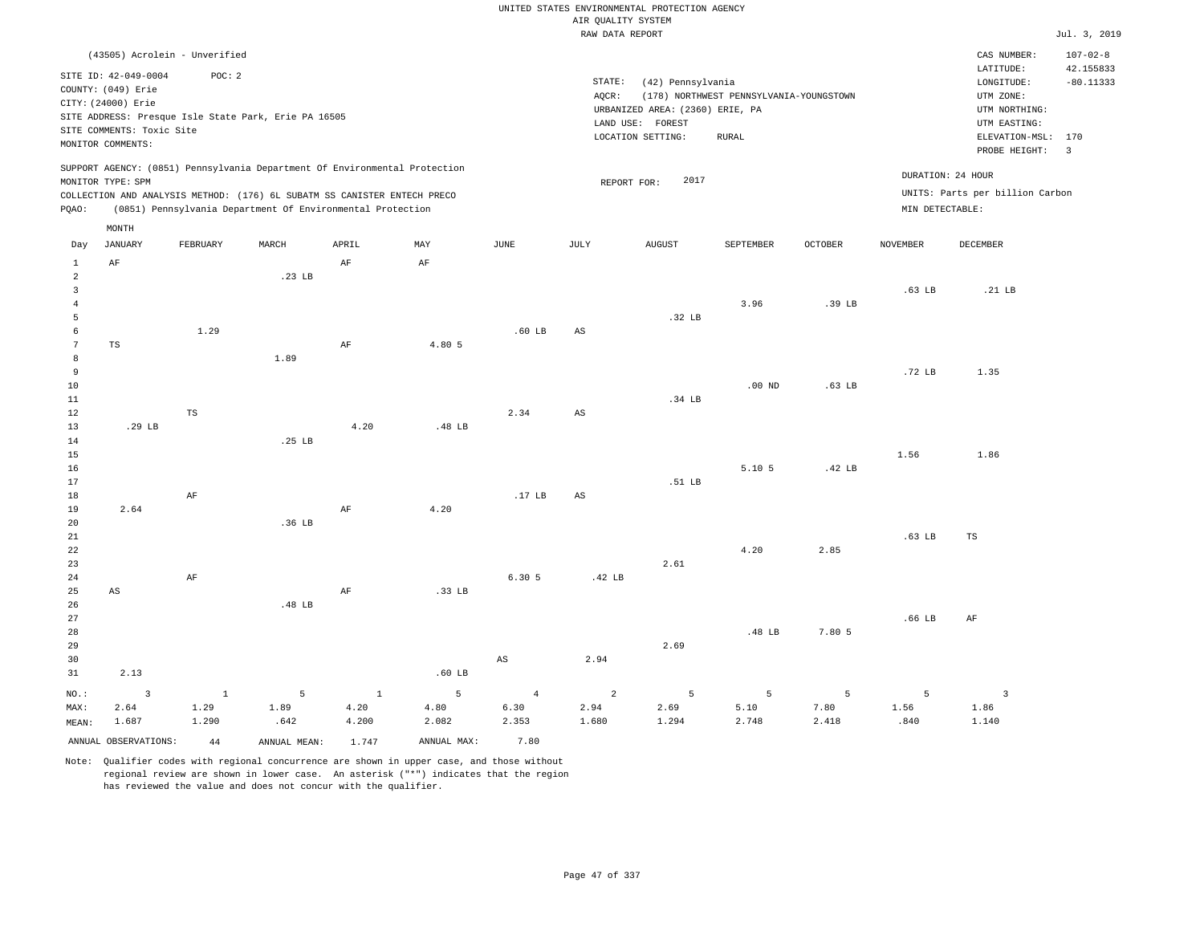| (43505) Acrolein - Unverified<br>$107 - 02 - 8$<br>CAS NUMBER:<br>42.155833<br>LATITUDE:<br>SITE ID: 42-049-0004<br>POC: 2<br>STATE:<br>(42) Pennsylvania<br>$-80.11333$<br>LONGITUDE:<br>COUNTY: (049) Erie<br>(178) NORTHWEST PENNSYLVANIA-YOUNGSTOWN<br>UTM ZONE:<br>AOCR:<br>CITY: (24000) Erie<br>URBANIZED AREA: (2360) ERIE, PA<br>UTM NORTHING:<br>SITE ADDRESS: Presque Isle State Park, Erie PA 16505<br>LAND USE: FOREST<br>UTM EASTING:<br>SITE COMMENTS: Toxic Site<br>LOCATION SETTING:<br>RURAL<br>ELEVATION-MSL: 170<br>MONITOR COMMENTS:<br>PROBE HEIGHT:<br>$\overline{3}$<br>SUPPORT AGENCY: (0851) Pennsylvania Department Of Environmental Protection<br>DURATION: 24 HOUR<br>2017<br>MONITOR TYPE: SPM<br>REPORT FOR: |
|---------------------------------------------------------------------------------------------------------------------------------------------------------------------------------------------------------------------------------------------------------------------------------------------------------------------------------------------------------------------------------------------------------------------------------------------------------------------------------------------------------------------------------------------------------------------------------------------------------------------------------------------------------------------------------------------------------------------------------------------|
|                                                                                                                                                                                                                                                                                                                                                                                                                                                                                                                                                                                                                                                                                                                                             |
|                                                                                                                                                                                                                                                                                                                                                                                                                                                                                                                                                                                                                                                                                                                                             |
|                                                                                                                                                                                                                                                                                                                                                                                                                                                                                                                                                                                                                                                                                                                                             |
|                                                                                                                                                                                                                                                                                                                                                                                                                                                                                                                                                                                                                                                                                                                                             |
|                                                                                                                                                                                                                                                                                                                                                                                                                                                                                                                                                                                                                                                                                                                                             |
|                                                                                                                                                                                                                                                                                                                                                                                                                                                                                                                                                                                                                                                                                                                                             |
|                                                                                                                                                                                                                                                                                                                                                                                                                                                                                                                                                                                                                                                                                                                                             |
|                                                                                                                                                                                                                                                                                                                                                                                                                                                                                                                                                                                                                                                                                                                                             |
|                                                                                                                                                                                                                                                                                                                                                                                                                                                                                                                                                                                                                                                                                                                                             |
| UNITS: Parts per billion Carbon                                                                                                                                                                                                                                                                                                                                                                                                                                                                                                                                                                                                                                                                                                             |
| COLLECTION AND ANALYSIS METHOD: (176) 6L SUBATM SS CANISTER ENTECH PRECO                                                                                                                                                                                                                                                                                                                                                                                                                                                                                                                                                                                                                                                                    |
| (0851) Pennsylvania Department Of Environmental Protection<br>MIN DETECTABLE:<br>PQAO:                                                                                                                                                                                                                                                                                                                                                                                                                                                                                                                                                                                                                                                      |
| MONTH<br><b>JANUARY</b><br>FEBRUARY<br>MARCH<br>APRIL<br>MAY<br>JUNE<br>JULY<br><b>AUGUST</b><br><b>SEPTEMBER</b><br><b>OCTOBER</b><br><b>NOVEMBER</b><br><b>DECEMBER</b><br>Day                                                                                                                                                                                                                                                                                                                                                                                                                                                                                                                                                            |
| $\,1\,$<br>AF<br>AF<br>$\rm AF$                                                                                                                                                                                                                                                                                                                                                                                                                                                                                                                                                                                                                                                                                                             |
| 2<br>.23 <sub>LB</sub>                                                                                                                                                                                                                                                                                                                                                                                                                                                                                                                                                                                                                                                                                                                      |
| $\overline{3}$<br>.63 <sub>LB</sub><br>.21 LB                                                                                                                                                                                                                                                                                                                                                                                                                                                                                                                                                                                                                                                                                               |
| 3.96<br>$\overline{4}$<br>.39 LB                                                                                                                                                                                                                                                                                                                                                                                                                                                                                                                                                                                                                                                                                                            |
| 5<br>.32 LB                                                                                                                                                                                                                                                                                                                                                                                                                                                                                                                                                                                                                                                                                                                                 |
| 1.29<br>6<br>$.60$ LB<br>AS                                                                                                                                                                                                                                                                                                                                                                                                                                                                                                                                                                                                                                                                                                                 |
| $7\phantom{.0}$<br>$\rm AF$<br>4.80 5<br>$_{\rm TS}$                                                                                                                                                                                                                                                                                                                                                                                                                                                                                                                                                                                                                                                                                        |
| 8<br>1.89                                                                                                                                                                                                                                                                                                                                                                                                                                                                                                                                                                                                                                                                                                                                   |
| 9<br>.72 LB<br>1.35                                                                                                                                                                                                                                                                                                                                                                                                                                                                                                                                                                                                                                                                                                                         |
| 10<br>$.00$ ND<br>$.63$ LB                                                                                                                                                                                                                                                                                                                                                                                                                                                                                                                                                                                                                                                                                                                  |
| 11<br>.34 LB                                                                                                                                                                                                                                                                                                                                                                                                                                                                                                                                                                                                                                                                                                                                |
| $1\,2$<br>$\mathbb{TS}$<br>2.34<br>$\mathbb{A}\mathbb{S}$                                                                                                                                                                                                                                                                                                                                                                                                                                                                                                                                                                                                                                                                                   |
| 13<br>.29 LB<br>4.20<br>.48 LB                                                                                                                                                                                                                                                                                                                                                                                                                                                                                                                                                                                                                                                                                                              |
| 14<br>.25 <sub>LB</sub>                                                                                                                                                                                                                                                                                                                                                                                                                                                                                                                                                                                                                                                                                                                     |
| 1.86<br>15<br>1.56                                                                                                                                                                                                                                                                                                                                                                                                                                                                                                                                                                                                                                                                                                                          |
| 5.10 <sub>5</sub><br>.42 LB<br>16                                                                                                                                                                                                                                                                                                                                                                                                                                                                                                                                                                                                                                                                                                           |
| 17<br>.51 LB                                                                                                                                                                                                                                                                                                                                                                                                                                                                                                                                                                                                                                                                                                                                |
| $1\,8$<br>.17 <sub>LB</sub><br>AF<br>$\mathbb{A}\mathbb{S}$                                                                                                                                                                                                                                                                                                                                                                                                                                                                                                                                                                                                                                                                                 |
| 19<br>2.64<br>$\rm{AF}$<br>4.20                                                                                                                                                                                                                                                                                                                                                                                                                                                                                                                                                                                                                                                                                                             |
| 20<br>.36 <sub>LB</sub>                                                                                                                                                                                                                                                                                                                                                                                                                                                                                                                                                                                                                                                                                                                     |
| 21<br>$.63$ LB<br>$_{\rm TS}$                                                                                                                                                                                                                                                                                                                                                                                                                                                                                                                                                                                                                                                                                                               |
| 22<br>4.20<br>2.85                                                                                                                                                                                                                                                                                                                                                                                                                                                                                                                                                                                                                                                                                                                          |
| 23<br>2.61                                                                                                                                                                                                                                                                                                                                                                                                                                                                                                                                                                                                                                                                                                                                  |
| 6.305<br>24<br>$\rm{AF}$<br>.42 LB                                                                                                                                                                                                                                                                                                                                                                                                                                                                                                                                                                                                                                                                                                          |
| 25<br>AS<br>AF<br>.33 LB                                                                                                                                                                                                                                                                                                                                                                                                                                                                                                                                                                                                                                                                                                                    |
| 26<br>.48 LB                                                                                                                                                                                                                                                                                                                                                                                                                                                                                                                                                                                                                                                                                                                                |
| 27<br>.66 <sub>LB</sub><br>AF                                                                                                                                                                                                                                                                                                                                                                                                                                                                                                                                                                                                                                                                                                               |
| 28<br>.48 LB<br>7.80 5                                                                                                                                                                                                                                                                                                                                                                                                                                                                                                                                                                                                                                                                                                                      |
| 29<br>2.69                                                                                                                                                                                                                                                                                                                                                                                                                                                                                                                                                                                                                                                                                                                                  |
| 30<br>$\mathbb{A}\mathbb{S}$<br>2.94                                                                                                                                                                                                                                                                                                                                                                                                                                                                                                                                                                                                                                                                                                        |
| 31<br>2.13<br>$.60$ LB                                                                                                                                                                                                                                                                                                                                                                                                                                                                                                                                                                                                                                                                                                                      |
| 5<br>$1\,$<br>5<br>$\overline{a}$<br>5<br>5<br>$\overline{\mathbf{3}}$<br>NO.:<br>$\overline{\mathbf{3}}$<br>$\mathbf{1}$<br>$\overline{4}$<br>5<br>5                                                                                                                                                                                                                                                                                                                                                                                                                                                                                                                                                                                       |
| 2.64<br>1.29<br>1.89<br>4.20<br>6.30<br>2.94<br>2.69<br>5.10<br>7.80<br>1.56<br>MAX:<br>4.80<br>1.86                                                                                                                                                                                                                                                                                                                                                                                                                                                                                                                                                                                                                                        |
| 2.748<br>.840<br>1.687<br>1.290<br>.642<br>4.200<br>2.353<br>1.680<br>1.294<br>2.418<br>1.140<br>2.082<br>MEAN:                                                                                                                                                                                                                                                                                                                                                                                                                                                                                                                                                                                                                             |
| ANNUAL OBSERVATIONS:<br>ANNUAL MAX:<br>7.80<br>44<br>ANNUAL MEAN:<br>1.747                                                                                                                                                                                                                                                                                                                                                                                                                                                                                                                                                                                                                                                                  |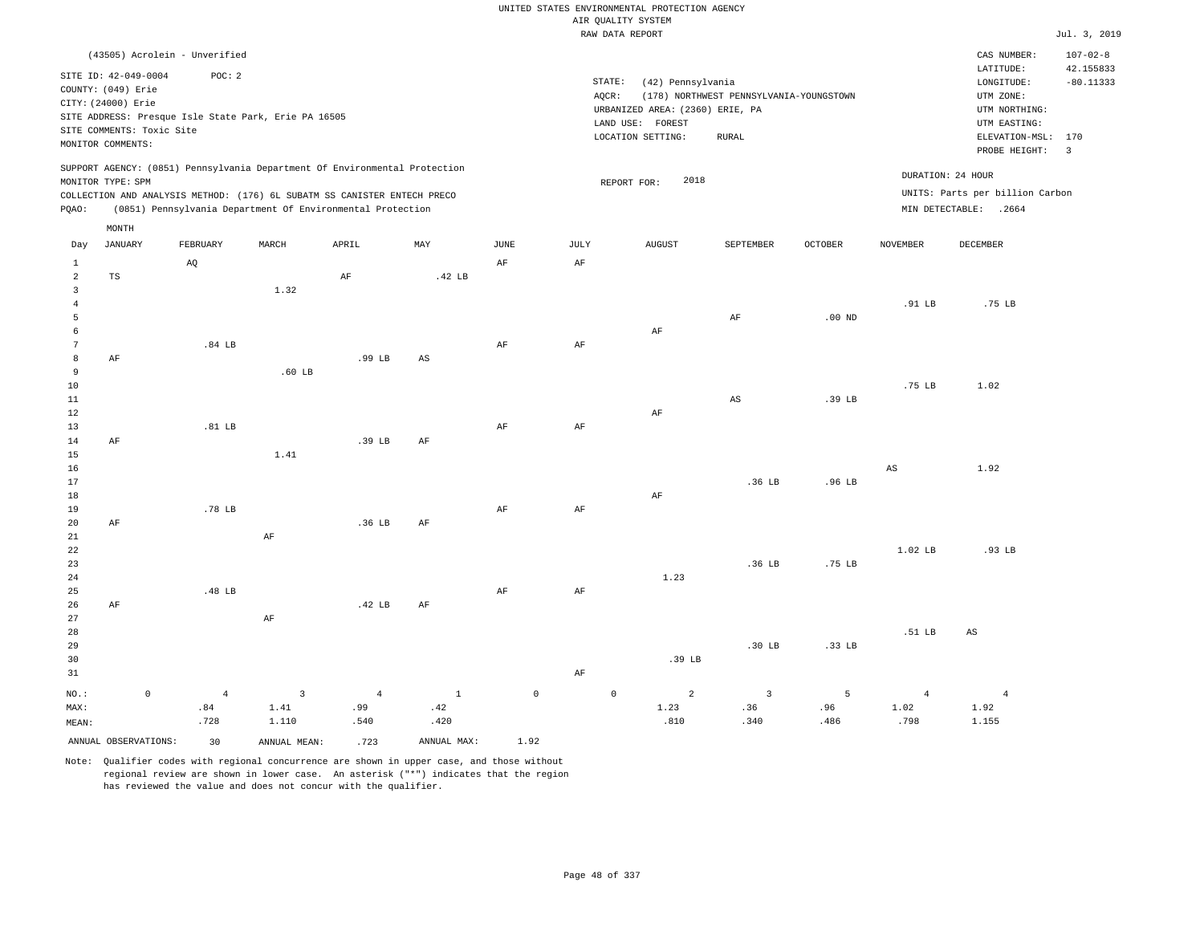|                                                     |                                                                                                                    |                               |                                                                |                                                                                                                                                        |                        |                     |                 | UNITED STATES ENVIRONMENTAL PROTECTION AGENCY<br>AIR OUALITY SYSTEM                           |                                                  |                  |                                |                                                                                                                         |                                                                     |
|-----------------------------------------------------|--------------------------------------------------------------------------------------------------------------------|-------------------------------|----------------------------------------------------------------|--------------------------------------------------------------------------------------------------------------------------------------------------------|------------------------|---------------------|-----------------|-----------------------------------------------------------------------------------------------|--------------------------------------------------|------------------|--------------------------------|-------------------------------------------------------------------------------------------------------------------------|---------------------------------------------------------------------|
|                                                     |                                                                                                                    |                               |                                                                |                                                                                                                                                        |                        |                     |                 | RAW DATA REPORT                                                                               |                                                  |                  |                                |                                                                                                                         | Jul. 3, 2019                                                        |
|                                                     | SITE ID: 42-049-0004<br>COUNTY: (049) Erie<br>CITY: (24000) Erie<br>SITE COMMENTS: Toxic Site<br>MONITOR COMMENTS: | (43505) Acrolein - Unverified | POC: 2<br>SITE ADDRESS: Presque Isle State Park, Erie PA 16505 |                                                                                                                                                        |                        |                     | STATE:<br>AOCR: | (42) Pennsylvania<br>URBANIZED AREA: (2360) ERIE, PA<br>LAND USE: FOREST<br>LOCATION SETTING: | (178) NORTHWEST PENNSYLVANIA-YOUNGSTOWN<br>RURAL |                  |                                | CAS NUMBER:<br>LATITUDE:<br>LONGITUDE:<br>UTM ZONE:<br>UTM NORTHING:<br>UTM EASTING:<br>ELEVATION-MSL:<br>PROBE HEIGHT: | $107 - 02 - 8$<br>42.155833<br>$-80.11333$<br>170<br>$\overline{3}$ |
|                                                     | MONITOR TYPE: SPM                                                                                                  |                               |                                                                | SUPPORT AGENCY: (0851) Pennsylvania Department Of Environmental Protection<br>COLLECTION AND ANALYSIS METHOD: (176) 6L SUBATM SS CANISTER ENTECH PRECO |                        |                     |                 | 2018<br>REPORT FOR:                                                                           |                                                  |                  | DURATION: 24 HOUR              | UNITS: Parts per billion Carbon                                                                                         |                                                                     |
| PQAO:                                               |                                                                                                                    |                               |                                                                | (0851) Pennsylvania Department Of Environmental Protection                                                                                             |                        |                     |                 |                                                                                               |                                                  |                  |                                | MIN DETECTABLE: .2664                                                                                                   |                                                                     |
| Day                                                 | MONTH<br><b>JANUARY</b>                                                                                            | FEBRUARY                      | MARCH                                                          | APRIL                                                                                                                                                  | MAY                    | JUNE                | JULY            | AUGUST                                                                                        | SEPTEMBER                                        | OCTOBER          | NOVEMBER                       | DECEMBER                                                                                                                |                                                                     |
| $\mathbf{1}$<br>$\overline{a}$                      | TS                                                                                                                 | AQ                            |                                                                | AF                                                                                                                                                     | .42 LB                 | AF                  | AF              |                                                                                               |                                                  |                  |                                |                                                                                                                         |                                                                     |
| $\overline{3}$<br>$\overline{4}$<br>5<br>$\epsilon$ |                                                                                                                    |                               | 1.32                                                           |                                                                                                                                                        |                        |                     |                 | $\rm{AF}$                                                                                     | AF                                               | $.00$ ND         | .91 LB                         | .75 LB                                                                                                                  |                                                                     |
| $7\phantom{.0}$<br>8<br>9<br>$10$                   | AF                                                                                                                 | $.84$ LB                      | .60 <sub>LB</sub>                                              | .99 LB                                                                                                                                                 | AS                     | $\rm{AF}$           | AF              |                                                                                               |                                                  |                  | .75 LB                         | 1.02                                                                                                                    |                                                                     |
| $1\,1$<br>12<br>13                                  |                                                                                                                    | $.81$ LB                      |                                                                |                                                                                                                                                        |                        | $\rm{AF}$           | $\rm{AF}$       | AF                                                                                            | $\mathbb{A}\mathbb{S}$                           | .39 LB           |                                |                                                                                                                         |                                                                     |
| 14<br>15<br>16<br>17                                | AF                                                                                                                 |                               | 1.41                                                           | .39 LB                                                                                                                                                 | AF                     |                     |                 |                                                                                               | .36 LB                                           | .96 LB           | AS                             | 1.92                                                                                                                    |                                                                     |
| 18<br>19<br>$20$<br>21                              | AF                                                                                                                 | .78 LB                        | AF                                                             | .36 LB                                                                                                                                                 | $\rm{AF}$              | AF                  | AF              | AF                                                                                            |                                                  |                  |                                |                                                                                                                         |                                                                     |
| 22<br>23<br>24<br>25                                |                                                                                                                    | .48 LB                        |                                                                |                                                                                                                                                        |                        | AF                  | AF              | 1.23                                                                                          | .36 <sub>LB</sub>                                | .75 LB           | 1.02 LB                        | .93 LB                                                                                                                  |                                                                     |
| 26<br>27<br>28<br>29<br>30<br>31                    | AF                                                                                                                 |                               | $\rm AF$                                                       | .42 LB                                                                                                                                                 | AF                     |                     | AF              | .39 LB                                                                                        | .30 <sub>LB</sub>                                | .33 LB           | .51 LB                         | AS                                                                                                                      |                                                                     |
| NO.:<br>MAX:<br>MEAN:                               | $\mathbb O$                                                                                                        | .84<br>.728                   | $\overline{4}$<br>$\overline{3}$<br>1.41<br>1.110              | $\overline{4}$<br>.99<br>.540                                                                                                                          | $\,1\,$<br>.42<br>.420 | $\mathsf{O}\xspace$ | $\mathbb O$     | 2<br>1.23<br>.810                                                                             | $\overline{3}$<br>.36<br>.340                    | 5<br>.96<br>.486 | $\overline{4}$<br>1.02<br>.798 | $\overline{4}$<br>1.92<br>1.155                                                                                         |                                                                     |
|                                                     | ANNUAL OBSERVATIONS:                                                                                               | 30                            | ANNUAL MEAN:                                                   | .723                                                                                                                                                   | ANNUAL MAX:            | 1.92                |                 |                                                                                               |                                                  |                  |                                |                                                                                                                         |                                                                     |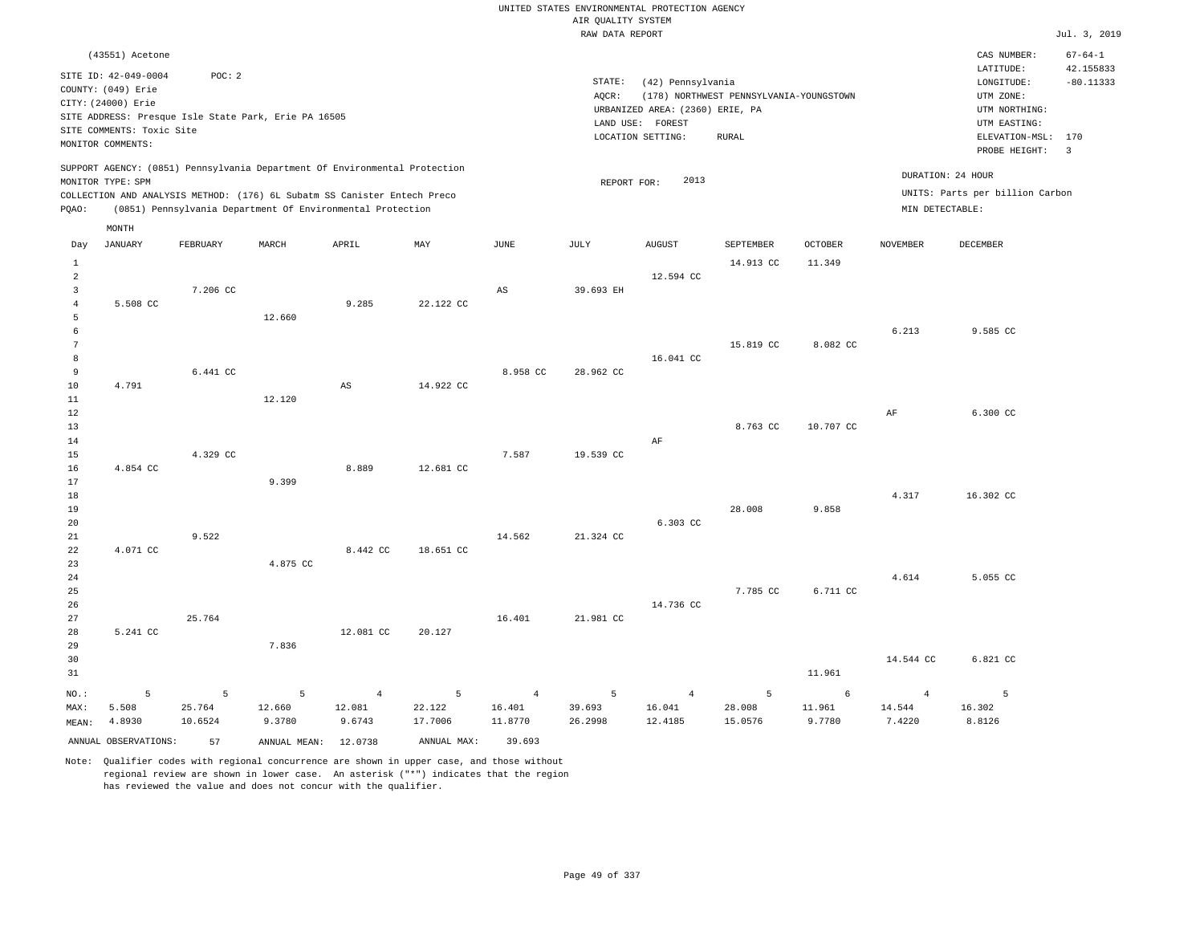#### RAW DATA REPORT Jul. 3, 2019 UNITED STATES ENVIRONMENTAL PROTECTION AGENCY AIR QUALITY SYSTEM

|                     | (43551) Acetone                                                                                                    |          |                                                                            |                |             |                |                 |                                                                                               |                                                         |                |                   | CAS NUMBER:                                                                                 | $67 - 64 - 1$            |
|---------------------|--------------------------------------------------------------------------------------------------------------------|----------|----------------------------------------------------------------------------|----------------|-------------|----------------|-----------------|-----------------------------------------------------------------------------------------------|---------------------------------------------------------|----------------|-------------------|---------------------------------------------------------------------------------------------|--------------------------|
|                     | SITE ID: 42-049-0004<br>COUNTY: (049) Erie<br>CITY: (24000) Erie<br>SITE COMMENTS: Toxic Site<br>MONITOR COMMENTS: | POC: 2   | SITE ADDRESS: Presque Isle State Park, Erie PA 16505                       |                |             |                | STATE:<br>AQCR: | (42) Pennsylvania<br>URBANIZED AREA: (2360) ERIE, PA<br>LAND USE: FOREST<br>LOCATION SETTING: | (178) NORTHWEST PENNSYLVANIA-YOUNGSTOWN<br><b>RURAL</b> |                |                   | LATITUDE:<br>LONGITUDE:<br>UTM ZONE:<br>UTM NORTHING:<br>UTM EASTING:<br>ELEVATION-MSL: 170 | 42.155833<br>$-80.11333$ |
|                     |                                                                                                                    |          | SUPPORT AGENCY: (0851) Pennsylvania Department Of Environmental Protection |                |             |                |                 |                                                                                               |                                                         |                |                   | PROBE HEIGHT:                                                                               | $\overline{3}$           |
|                     | MONITOR TYPE: SPM                                                                                                  |          |                                                                            |                |             |                | REPORT FOR:     | 2013                                                                                          |                                                         |                | DURATION: 24 HOUR |                                                                                             |                          |
|                     |                                                                                                                    |          | COLLECTION AND ANALYSIS METHOD: (176) 6L Subatm SS Canister Entech Preco   |                |             |                |                 |                                                                                               |                                                         |                |                   | UNITS: Parts per billion Carbon                                                             |                          |
| PQAO:               |                                                                                                                    |          | (0851) Pennsylvania Department Of Environmental Protection                 |                |             |                |                 |                                                                                               |                                                         |                | MIN DETECTABLE:   |                                                                                             |                          |
|                     | MONTH                                                                                                              |          |                                                                            |                |             |                |                 |                                                                                               |                                                         |                |                   |                                                                                             |                          |
| Day                 | <b>JANUARY</b>                                                                                                     | FEBRUARY | MARCH                                                                      | APRIL          | MAY         | $_{\rm JUNE}$  | <b>JULY</b>     | <b>AUGUST</b>                                                                                 | SEPTEMBER                                               | <b>OCTOBER</b> | <b>NOVEMBER</b>   | DECEMBER                                                                                    |                          |
| $\mathbf{1}$        |                                                                                                                    |          |                                                                            |                |             |                |                 |                                                                                               | 14.913 CC                                               | 11.349         |                   |                                                                                             |                          |
| $\overline{a}$<br>3 |                                                                                                                    | 7.206 CC |                                                                            |                |             | AS             | 39.693 EH       | 12.594 CC                                                                                     |                                                         |                |                   |                                                                                             |                          |
| $\overline{4}$      | 5.508 CC                                                                                                           |          |                                                                            | 9.285          | 22.122 CC   |                |                 |                                                                                               |                                                         |                |                   |                                                                                             |                          |
| 5                   |                                                                                                                    |          | 12.660                                                                     |                |             |                |                 |                                                                                               |                                                         |                |                   |                                                                                             |                          |
| 6                   |                                                                                                                    |          |                                                                            |                |             |                |                 |                                                                                               |                                                         |                | 6.213             | 9.585 CC                                                                                    |                          |
| $\overline{7}$      |                                                                                                                    |          |                                                                            |                |             |                |                 |                                                                                               | 15.819 CC                                               | 8.082 CC       |                   |                                                                                             |                          |
| 8<br>9              |                                                                                                                    | 6.441 CC |                                                                            |                |             | 8.958 CC       | 28.962 CC       | 16.041 CC                                                                                     |                                                         |                |                   |                                                                                             |                          |
| 10                  | 4.791                                                                                                              |          |                                                                            | $_{\rm AS}$    | 14.922 CC   |                |                 |                                                                                               |                                                         |                |                   |                                                                                             |                          |
| $11\,$              |                                                                                                                    |          | 12.120                                                                     |                |             |                |                 |                                                                                               |                                                         |                |                   |                                                                                             |                          |
| 12                  |                                                                                                                    |          |                                                                            |                |             |                |                 |                                                                                               |                                                         |                | $\rm{AF}$         | 6.300 CC                                                                                    |                          |
| 13                  |                                                                                                                    |          |                                                                            |                |             |                |                 |                                                                                               | 8.763 CC                                                | 10.707 CC      |                   |                                                                                             |                          |
| 14<br>15            |                                                                                                                    | 4.329 CC |                                                                            |                |             | 7.587          | 19.539 CC       | AF                                                                                            |                                                         |                |                   |                                                                                             |                          |
| 16                  | 4.854 CC                                                                                                           |          |                                                                            | 8.889          | 12.681 CC   |                |                 |                                                                                               |                                                         |                |                   |                                                                                             |                          |
| 17                  |                                                                                                                    |          | 9.399                                                                      |                |             |                |                 |                                                                                               |                                                         |                |                   |                                                                                             |                          |
| 18                  |                                                                                                                    |          |                                                                            |                |             |                |                 |                                                                                               |                                                         |                | 4.317             | 16.302 CC                                                                                   |                          |
| 19                  |                                                                                                                    |          |                                                                            |                |             |                |                 |                                                                                               | 28.008                                                  | 9.858          |                   |                                                                                             |                          |
| 20                  |                                                                                                                    | 9.522    |                                                                            |                |             | 14.562         | 21.324 CC       | 6.303 CC                                                                                      |                                                         |                |                   |                                                                                             |                          |
| 21<br>22            | 4.071 CC                                                                                                           |          |                                                                            | 8.442 CC       | 18.651 CC   |                |                 |                                                                                               |                                                         |                |                   |                                                                                             |                          |
| 23                  |                                                                                                                    |          | 4.875 CC                                                                   |                |             |                |                 |                                                                                               |                                                         |                |                   |                                                                                             |                          |
| 24                  |                                                                                                                    |          |                                                                            |                |             |                |                 |                                                                                               |                                                         |                | 4.614             | 5.055 CC                                                                                    |                          |
| 25                  |                                                                                                                    |          |                                                                            |                |             |                |                 |                                                                                               | 7.785 CC                                                | 6.711 CC       |                   |                                                                                             |                          |
| 26                  |                                                                                                                    |          |                                                                            |                |             |                |                 | 14.736 CC                                                                                     |                                                         |                |                   |                                                                                             |                          |
| 27<br>28            | 5.241 CC                                                                                                           | 25.764   |                                                                            | 12.081 CC      | 20.127      | 16.401         | 21.981 CC       |                                                                                               |                                                         |                |                   |                                                                                             |                          |
| 29                  |                                                                                                                    |          | 7.836                                                                      |                |             |                |                 |                                                                                               |                                                         |                |                   |                                                                                             |                          |
| 30                  |                                                                                                                    |          |                                                                            |                |             |                |                 |                                                                                               |                                                         |                | 14.544 CC         | 6.821 CC                                                                                    |                          |
| 31                  |                                                                                                                    |          |                                                                            |                |             |                |                 |                                                                                               |                                                         | 11.961         |                   |                                                                                             |                          |
| $NO.$ :             | 5                                                                                                                  | 5        | 5                                                                          | $\overline{4}$ | 5           | $\overline{4}$ | 5               | $\overline{4}$                                                                                | 5                                                       | 6              | $\overline{4}$    | 5                                                                                           |                          |
| MAX:                | 5.508                                                                                                              | 25.764   | 12.660                                                                     | 12.081         | 22.122      | 16.401         | 39.693          | 16.041                                                                                        | 28.008                                                  | 11.961         | 14.544            | 16.302                                                                                      |                          |
| MEAN:               | 4.8930                                                                                                             | 10.6524  | 9.3780                                                                     | 9.6743         | 17.7006     | 11.8770        | 26.2998         | 12.4185                                                                                       | 15.0576                                                 | 9.7780         | 7.4220            | 8.8126                                                                                      |                          |
|                     | ANNUAL OBSERVATIONS:                                                                                               | 57       | ANNUAL MEAN: 12.0738                                                       |                | ANNUAL MAX: | 39.693         |                 |                                                                                               |                                                         |                |                   |                                                                                             |                          |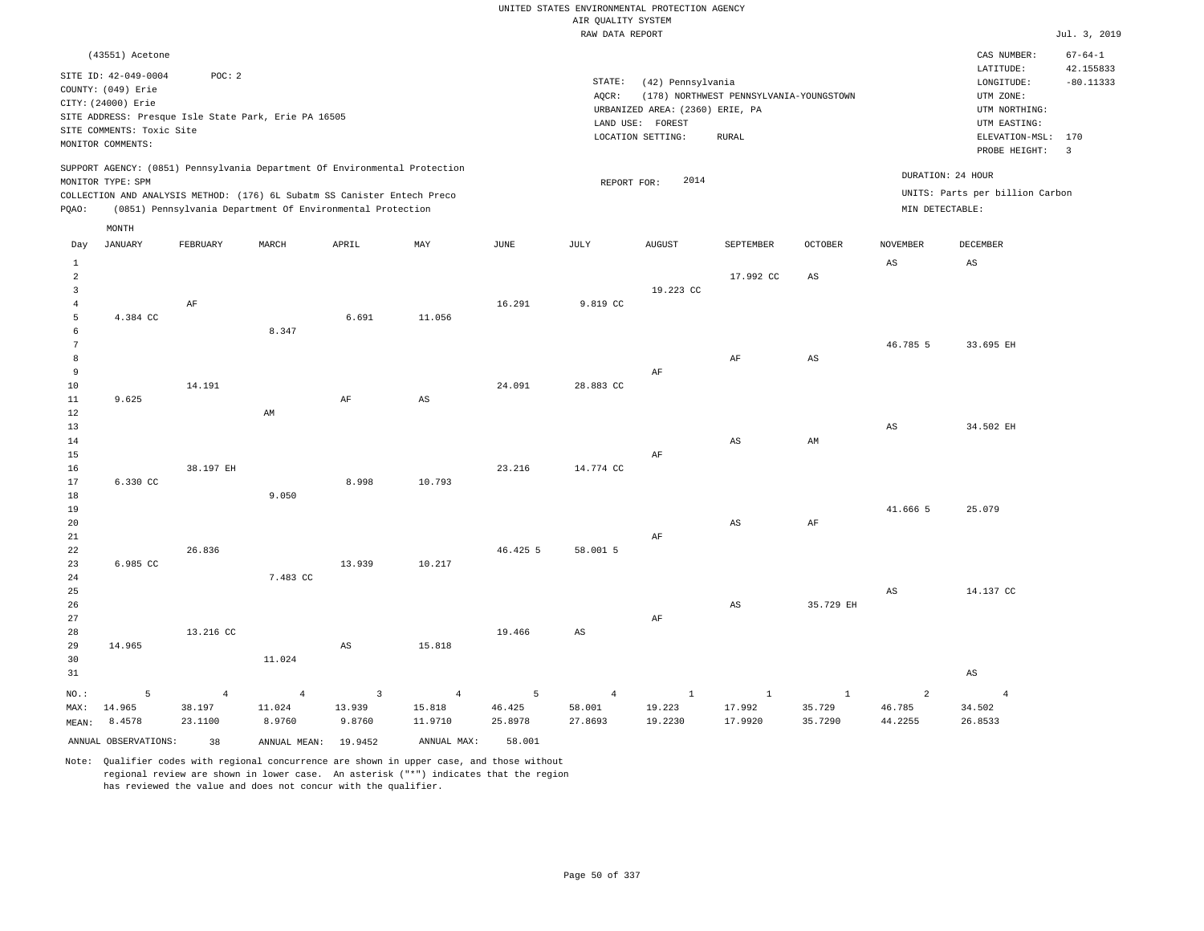|                |                           |                          |                                                                            |                                   |                          |             | RAW DATA REPORT          |                                 |                                         |                        |                          |                                 | Jul. 3, 2019            |
|----------------|---------------------------|--------------------------|----------------------------------------------------------------------------|-----------------------------------|--------------------------|-------------|--------------------------|---------------------------------|-----------------------------------------|------------------------|--------------------------|---------------------------------|-------------------------|
|                | (43551) Acetone           |                          |                                                                            |                                   |                          |             |                          |                                 |                                         |                        |                          | CAS NUMBER:                     | $67 - 64 - 1$           |
|                |                           |                          |                                                                            |                                   |                          |             |                          |                                 |                                         |                        |                          | LATITUDE:                       | 42.155833               |
|                | SITE ID: 42-049-0004      | POC: 2                   |                                                                            |                                   |                          |             | STATE:                   | (42) Pennsylvania               |                                         |                        |                          | LONGITUDE:                      | $-80.11333$             |
|                | COUNTY: (049) Erie        |                          |                                                                            |                                   |                          |             | AQCR:                    |                                 | (178) NORTHWEST PENNSYLVANIA-YOUNGSTOWN |                        |                          | UTM ZONE:                       |                         |
|                | CITY: (24000) Erie        |                          |                                                                            |                                   |                          |             |                          | URBANIZED AREA: (2360) ERIE, PA |                                         |                        |                          | UTM NORTHING:                   |                         |
|                |                           |                          | SITE ADDRESS: Presque Isle State Park, Erie PA 16505                       |                                   |                          |             |                          | LAND USE: FOREST                |                                         |                        |                          | UTM EASTING:                    |                         |
|                | SITE COMMENTS: Toxic Site |                          |                                                                            |                                   |                          |             |                          | LOCATION SETTING:               | <b>RURAL</b>                            |                        |                          | ELEVATION-MSL: 170              |                         |
|                | MONITOR COMMENTS:         |                          |                                                                            |                                   |                          |             |                          |                                 |                                         |                        |                          | PROBE HEIGHT:                   | $\overline{\mathbf{3}}$ |
|                |                           |                          | SUPPORT AGENCY: (0851) Pennsylvania Department Of Environmental Protection |                                   |                          |             |                          |                                 |                                         |                        |                          |                                 |                         |
|                | MONITOR TYPE: SPM         |                          |                                                                            |                                   |                          |             | REPORT FOR:              | 2014                            |                                         |                        | DURATION: 24 HOUR        |                                 |                         |
|                |                           |                          | COLLECTION AND ANALYSIS METHOD: (176) 6L Subatm SS Canister Entech Preco   |                                   |                          |             |                          |                                 |                                         |                        |                          | UNITS: Parts per billion Carbon |                         |
| PQAO:          |                           |                          | (0851) Pennsylvania Department Of Environmental Protection                 |                                   |                          |             |                          |                                 |                                         |                        | MIN DETECTABLE:          |                                 |                         |
|                | MONTH                     |                          |                                                                            |                                   |                          |             |                          |                                 |                                         |                        |                          |                                 |                         |
| Day            | <b>JANUARY</b>            | FEBRUARY                 | MARCH                                                                      | APRIL                             | MAY                      | <b>JUNE</b> | <b>JULY</b>              | <b>AUGUST</b>                   | SEPTEMBER                               | <b>OCTOBER</b>         | <b>NOVEMBER</b>          | DECEMBER                        |                         |
| $\mathbf{1}$   |                           |                          |                                                                            |                                   |                          |             |                          |                                 |                                         |                        | AS                       | AS                              |                         |
| 2              |                           |                          |                                                                            |                                   |                          |             |                          |                                 | 17.992 CC                               | $_{\rm AS}$            |                          |                                 |                         |
| $\overline{3}$ |                           |                          |                                                                            |                                   |                          |             |                          | 19.223 CC                       |                                         |                        |                          |                                 |                         |
| $\overline{4}$ |                           | AF                       |                                                                            |                                   |                          | 16.291      | 9.819 CC                 |                                 |                                         |                        |                          |                                 |                         |
| 5              | 4.384 CC                  |                          |                                                                            | 6.691                             | 11.056                   |             |                          |                                 |                                         |                        |                          |                                 |                         |
| 6              |                           |                          | 8.347                                                                      |                                   |                          |             |                          |                                 |                                         |                        |                          |                                 |                         |
| 7              |                           |                          |                                                                            |                                   |                          |             |                          |                                 |                                         |                        | 46.785 5                 | 33.695 EH                       |                         |
| 8              |                           |                          |                                                                            |                                   |                          |             |                          |                                 | AF                                      | $_{\rm AS}$            |                          |                                 |                         |
| $\overline{9}$ |                           |                          |                                                                            |                                   |                          |             |                          | $\rm AF$                        |                                         |                        |                          |                                 |                         |
| 10             |                           | 14.191                   |                                                                            |                                   |                          | 24.091      | 28.883 CC                |                                 |                                         |                        |                          |                                 |                         |
| $1\,1$         | 9.625                     |                          |                                                                            | AF                                | $_{\rm AS}$              |             |                          |                                 |                                         |                        |                          |                                 |                         |
| $1\,2$         |                           |                          | AM                                                                         |                                   |                          |             |                          |                                 |                                         |                        |                          |                                 |                         |
| 13             |                           |                          |                                                                            |                                   |                          |             |                          |                                 |                                         |                        | $\mathbb{A}\mathbb{S}$   | 34.502 EH                       |                         |
| 14             |                           |                          |                                                                            |                                   |                          |             |                          |                                 | AS                                      | AM                     |                          |                                 |                         |
| 15             |                           |                          |                                                                            |                                   |                          |             |                          | $\rm AF$                        |                                         |                        |                          |                                 |                         |
| 16             |                           | 38.197 EH                |                                                                            |                                   |                          | 23.216      | 14.774 CC                |                                 |                                         |                        |                          |                                 |                         |
| 17             | 6.330 CC                  |                          |                                                                            | 8.998                             | 10.793                   |             |                          |                                 |                                         |                        |                          |                                 |                         |
| $18$           |                           |                          | 9.050                                                                      |                                   |                          |             |                          |                                 |                                         |                        |                          |                                 |                         |
| 19             |                           |                          |                                                                            |                                   |                          |             |                          |                                 |                                         |                        | 41.666 5                 | 25.079                          |                         |
| 20<br>21       |                           |                          |                                                                            |                                   |                          |             |                          |                                 | AS                                      | AF                     |                          |                                 |                         |
| 22             |                           | 26.836                   |                                                                            |                                   |                          | 46.425 5    | 58.001 5                 | AF                              |                                         |                        |                          |                                 |                         |
| 23             | 6.985 CC                  |                          |                                                                            | 13.939                            | 10.217                   |             |                          |                                 |                                         |                        |                          |                                 |                         |
| 24             |                           |                          | 7.483 CC                                                                   |                                   |                          |             |                          |                                 |                                         |                        |                          |                                 |                         |
| 25             |                           |                          |                                                                            |                                   |                          |             |                          |                                 |                                         |                        | $_{\rm AS}$              | 14.137 CC                       |                         |
| 26             |                           |                          |                                                                            |                                   |                          |             |                          |                                 | AS                                      | 35.729 EH              |                          |                                 |                         |
| 27             |                           |                          |                                                                            |                                   |                          |             |                          | $\rm AF$                        |                                         |                        |                          |                                 |                         |
| 28             |                           | 13.216 CC                |                                                                            |                                   |                          | 19.466      | $\mathbb{A}\mathbb{S}$   |                                 |                                         |                        |                          |                                 |                         |
| 29             | 14.965                    |                          |                                                                            | AS                                | 15.818                   |             |                          |                                 |                                         |                        |                          |                                 |                         |
| 30             |                           |                          | 11.024                                                                     |                                   |                          |             |                          |                                 |                                         |                        |                          |                                 |                         |
| 31             |                           |                          |                                                                            |                                   |                          |             |                          |                                 |                                         |                        |                          | $\mathbb{A}\mathbb{S}$          |                         |
|                |                           |                          |                                                                            |                                   |                          |             |                          |                                 |                                         |                        |                          |                                 |                         |
| NO.:           | 5<br>14.965               | $\overline{4}$<br>38.197 | $\overline{4}$<br>11.024                                                   | $\overline{\mathbf{3}}$<br>13.939 | $\overline{4}$<br>15.818 | 5<br>46.425 | $\overline{4}$<br>58.001 | $\mathbf{1}$<br>19.223          | $\mathbf{1}$<br>17.992                  | $\mathbf{1}$<br>35.729 | $\overline{a}$<br>46.785 | $\overline{4}$<br>34.502        |                         |
| MAX:           | 8.4578                    | 23.1100                  | 8.9760                                                                     | 9.8760                            | 11.9710                  | 25.8978     | 27.8693                  | 19.2230                         | 17.9920                                 | 35.7290                | 44.2255                  | 26.8533                         |                         |
| MEAN:          |                           |                          |                                                                            |                                   |                          |             |                          |                                 |                                         |                        |                          |                                 |                         |
|                | ANNUAL OBSERVATIONS:      | 38                       | ANNUAL MEAN: 19.9452                                                       |                                   | ANNUAL MAX:              | 58.001      |                          |                                 |                                         |                        |                          |                                 |                         |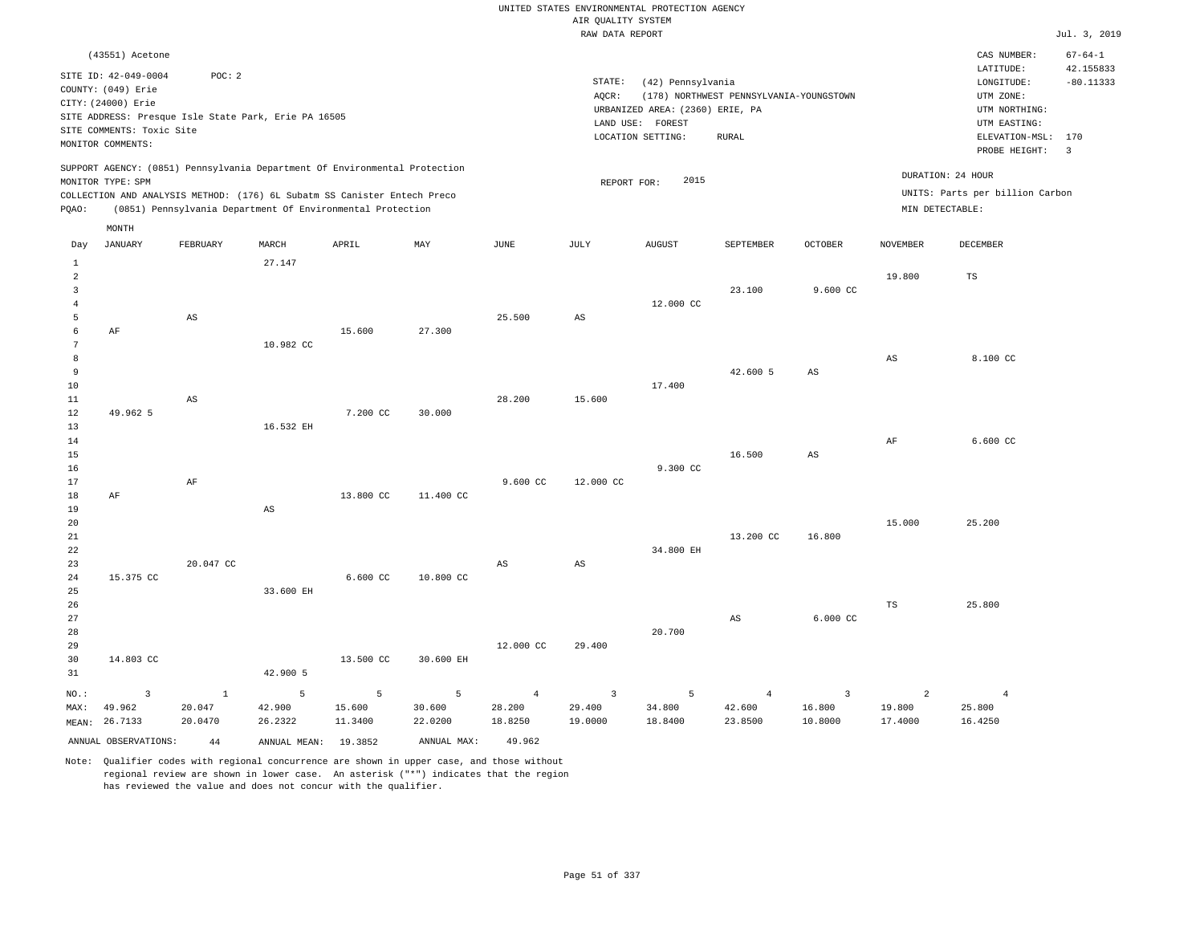|                     |                           |                                                                            |                        |           |             |                        | RAW DATA REPORT         |                                 |                                         |                         |                 |                                 | Jul. 3, 2019   |
|---------------------|---------------------------|----------------------------------------------------------------------------|------------------------|-----------|-------------|------------------------|-------------------------|---------------------------------|-----------------------------------------|-------------------------|-----------------|---------------------------------|----------------|
|                     | (43551) Acetone           |                                                                            |                        |           |             |                        |                         |                                 |                                         |                         |                 | CAS NUMBER:                     | $67 - 64 - 1$  |
|                     | SITE ID: 42-049-0004      | POC: 2                                                                     |                        |           |             |                        |                         |                                 |                                         |                         |                 | LATITUDE:                       | 42.155833      |
|                     | COUNTY: (049) Erie        |                                                                            |                        |           |             |                        | STATE:                  | (42) Pennsylvania               |                                         |                         |                 | LONGITUDE:                      | $-80.11333$    |
|                     | CITY: (24000) Erie        |                                                                            |                        |           |             |                        | AQCR:                   |                                 | (178) NORTHWEST PENNSYLVANIA-YOUNGSTOWN |                         |                 | UTM ZONE:                       |                |
|                     |                           | SITE ADDRESS: Presque Isle State Park, Erie PA 16505                       |                        |           |             |                        |                         | URBANIZED AREA: (2360) ERIE, PA |                                         |                         |                 | UTM NORTHING:                   |                |
|                     | SITE COMMENTS: Toxic Site |                                                                            |                        |           |             |                        |                         | LAND USE: FOREST                |                                         |                         |                 | UTM EASTING:                    |                |
|                     | MONITOR COMMENTS:         |                                                                            |                        |           |             |                        |                         | LOCATION SETTING:               | <b>RURAL</b>                            |                         |                 | ELEVATION-MSL: 170              |                |
|                     |                           |                                                                            |                        |           |             |                        |                         |                                 |                                         |                         |                 | PROBE HEIGHT:                   | $\overline{3}$ |
|                     |                           | SUPPORT AGENCY: (0851) Pennsylvania Department Of Environmental Protection |                        |           |             |                        |                         | 2015                            |                                         |                         |                 | DURATION: 24 HOUR               |                |
|                     | MONITOR TYPE: SPM         | COLLECTION AND ANALYSIS METHOD: (176) 6L Subatm SS Canister Entech Preco   |                        |           |             |                        | REPORT FOR:             |                                 |                                         |                         |                 | UNITS: Parts per billion Carbon |                |
| POAO:               |                           | (0851) Pennsylvania Department Of Environmental Protection                 |                        |           |             |                        |                         |                                 |                                         |                         | MIN DETECTABLE: |                                 |                |
|                     |                           |                                                                            |                        |           |             |                        |                         |                                 |                                         |                         |                 |                                 |                |
|                     | MONTH                     |                                                                            |                        |           |             |                        |                         |                                 |                                         |                         |                 |                                 |                |
| Day                 | <b>JANUARY</b>            | FEBRUARY                                                                   | MARCH                  | APRIL     | MAY         | $_{\rm JUNE}$          | JULY                    | <b>AUGUST</b>                   | SEPTEMBER                               | <b>OCTOBER</b>          | <b>NOVEMBER</b> | DECEMBER                        |                |
| $\mathbf{1}$        |                           |                                                                            | 27.147                 |           |             |                        |                         |                                 |                                         |                         |                 |                                 |                |
| $\overline{a}$      |                           |                                                                            |                        |           |             |                        |                         |                                 |                                         |                         | 19.800          | TS                              |                |
| $\mathbf{3}$        |                           |                                                                            |                        |           |             |                        |                         |                                 | 23.100                                  | 9.600 CC                |                 |                                 |                |
| $\overline{4}$<br>5 |                           | AS                                                                         |                        |           |             | 25.500                 | $\mathbb{A}\mathbb{S}$  | 12.000 CC                       |                                         |                         |                 |                                 |                |
| 6                   | $\rm AF$                  |                                                                            |                        | 15.600    | 27.300      |                        |                         |                                 |                                         |                         |                 |                                 |                |
| $7\phantom{.0}$     |                           |                                                                            | 10.982 CC              |           |             |                        |                         |                                 |                                         |                         |                 |                                 |                |
| 8                   |                           |                                                                            |                        |           |             |                        |                         |                                 |                                         |                         | $_{\rm AS}$     | 8.100 CC                        |                |
| 9                   |                           |                                                                            |                        |           |             |                        |                         |                                 | 42.600 5                                | $_{\rm AS}$             |                 |                                 |                |
| 10                  |                           |                                                                            |                        |           |             |                        |                         | 17.400                          |                                         |                         |                 |                                 |                |
| 11                  |                           | AS                                                                         |                        |           |             | 28.200                 | 15,600                  |                                 |                                         |                         |                 |                                 |                |
| 12                  | 49.962 5                  |                                                                            |                        | 7.200 CC  | 30.000      |                        |                         |                                 |                                         |                         |                 |                                 |                |
| 13                  |                           |                                                                            | 16.532 EH              |           |             |                        |                         |                                 |                                         |                         |                 |                                 |                |
| 14                  |                           |                                                                            |                        |           |             |                        |                         |                                 |                                         |                         | AF              | 6.600 CC                        |                |
| 15<br>16            |                           |                                                                            |                        |           |             |                        |                         | 9.300 CC                        | 16.500                                  | $_{\rm AS}$             |                 |                                 |                |
| 17                  |                           | AF                                                                         |                        |           |             | 9.600 CC               | 12.000 CC               |                                 |                                         |                         |                 |                                 |                |
| 18                  | AF                        |                                                                            |                        | 13.800 CC | 11.400 CC   |                        |                         |                                 |                                         |                         |                 |                                 |                |
| 19                  |                           |                                                                            | $\mathbb{A}\mathbb{S}$ |           |             |                        |                         |                                 |                                         |                         |                 |                                 |                |
| 20                  |                           |                                                                            |                        |           |             |                        |                         |                                 |                                         |                         | 15.000          | 25,200                          |                |
| 21                  |                           |                                                                            |                        |           |             |                        |                         |                                 | 13.200 CC                               | 16.800                  |                 |                                 |                |
| 22                  |                           |                                                                            |                        |           |             |                        |                         | 34.800 EH                       |                                         |                         |                 |                                 |                |
| 23                  |                           | 20.047 CC                                                                  |                        |           |             | $\mathbb{A}\mathbb{S}$ | AS                      |                                 |                                         |                         |                 |                                 |                |
| 24                  | 15.375 CC                 |                                                                            |                        | 6.600 CC  | 10.800 CC   |                        |                         |                                 |                                         |                         |                 |                                 |                |
| 25<br>26            |                           |                                                                            | 33.600 EH              |           |             |                        |                         |                                 |                                         |                         | $_{\rm TS}$     | 25.800                          |                |
| 27                  |                           |                                                                            |                        |           |             |                        |                         |                                 | AS                                      | 6.000 CC                |                 |                                 |                |
| 28                  |                           |                                                                            |                        |           |             |                        |                         | 20.700                          |                                         |                         |                 |                                 |                |
| 29                  |                           |                                                                            |                        |           |             | 12.000 CC              | 29.400                  |                                 |                                         |                         |                 |                                 |                |
| 30                  | 14.803 CC                 |                                                                            |                        | 13.500 CC | 30.600 EH   |                        |                         |                                 |                                         |                         |                 |                                 |                |
| 31                  |                           |                                                                            | 42.900 5               |           |             |                        |                         |                                 |                                         |                         |                 |                                 |                |
| NO.:                | 3                         | $\mathbf{1}$                                                               | 5                      | 5         | 5           | $\overline{4}$         | $\overline{\mathbf{3}}$ | 5                               | $\overline{4}$                          | $\overline{\mathbf{3}}$ | $\overline{a}$  | $\overline{4}$                  |                |
| MAX:                | 49.962                    | 20.047                                                                     | 42.900                 | 15.600    | 30.600      | 28.200                 | 29.400                  | 34.800                          | 42.600                                  | 16.800                  | 19.800          | 25.800                          |                |
|                     | MEAN: 26.7133             | 20.0470                                                                    | 26.2322                | 11.3400   | 22.0200     | 18.8250                | 19.0000                 | 18.8400                         | 23.8500                                 | 10.8000                 | 17.4000         | 16.4250                         |                |
|                     | ANNUAL OBSERVATIONS:      | $4\,4$                                                                     | ANNUAL MEAN: 19.3852   |           | ANNUAL MAX: | 49.962                 |                         |                                 |                                         |                         |                 |                                 |                |
|                     |                           |                                                                            |                        |           |             |                        |                         |                                 |                                         |                         |                 |                                 |                |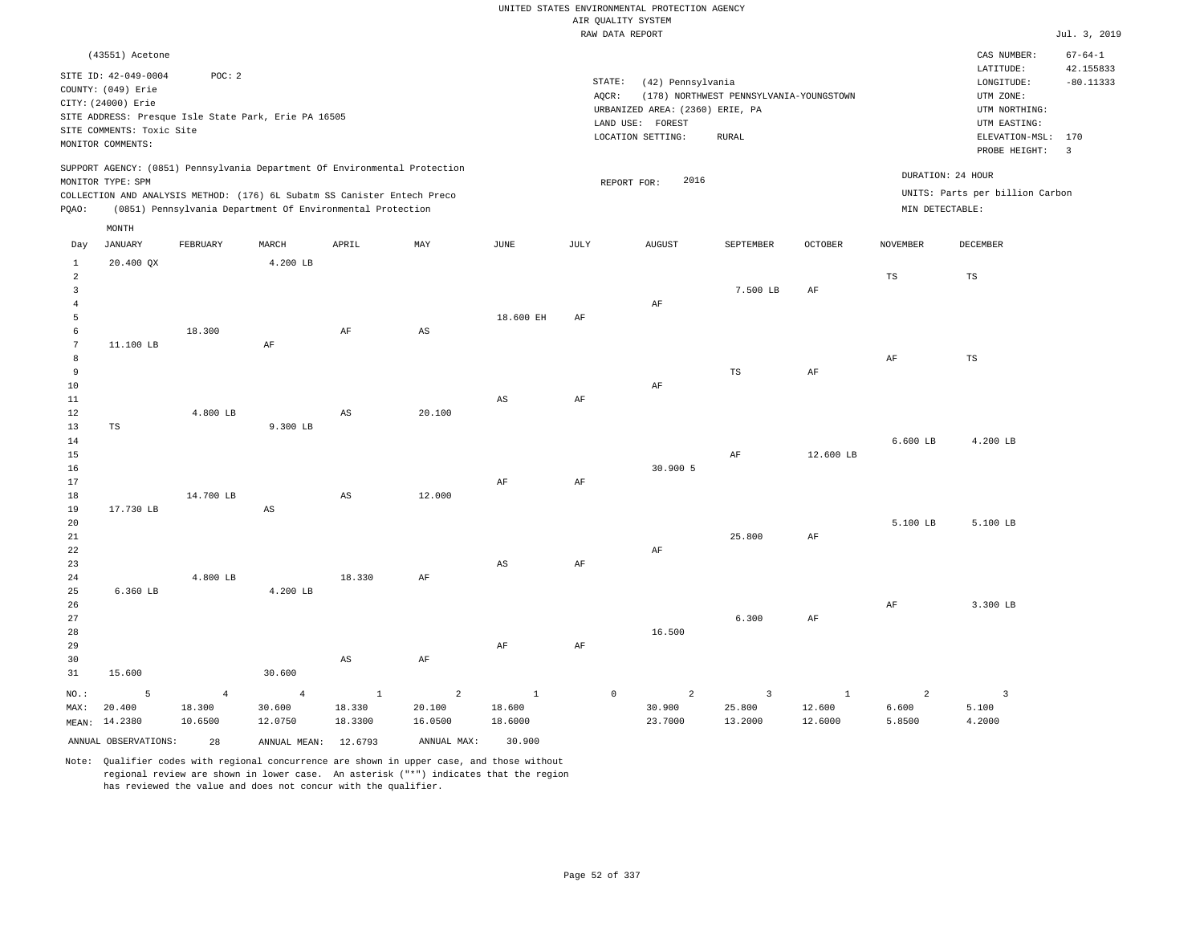|                      |                                            |                |                                                      |                                                                                                                                        |                |                        |        | RAW DATA REPORT   |                                 |                                         |              |                   |                                 | Jul. 3, 2019   |
|----------------------|--------------------------------------------|----------------|------------------------------------------------------|----------------------------------------------------------------------------------------------------------------------------------------|----------------|------------------------|--------|-------------------|---------------------------------|-----------------------------------------|--------------|-------------------|---------------------------------|----------------|
|                      | (43551) Acetone                            |                |                                                      |                                                                                                                                        |                |                        |        |                   |                                 |                                         |              |                   | CAS NUMBER:                     | $67 - 64 - 1$  |
|                      |                                            |                |                                                      |                                                                                                                                        |                |                        |        |                   |                                 |                                         |              |                   | LATITUDE:                       | 42.155833      |
|                      | SITE ID: 42-049-0004<br>COUNTY: (049) Erie | POC: 2         |                                                      |                                                                                                                                        |                |                        | STATE: |                   | (42) Pennsylvania               |                                         |              |                   | LONGITUDE:                      | $-80.11333$    |
|                      | CITY: (24000) Erie                         |                |                                                      |                                                                                                                                        |                |                        | AQCR:  |                   |                                 | (178) NORTHWEST PENNSYLVANIA-YOUNGSTOWN |              |                   | UTM ZONE:                       |                |
|                      |                                            |                | SITE ADDRESS: Presque Isle State Park, Erie PA 16505 |                                                                                                                                        |                |                        |        |                   | URBANIZED AREA: (2360) ERIE, PA |                                         |              |                   | UTM NORTHING:                   |                |
|                      | SITE COMMENTS: Toxic Site                  |                |                                                      |                                                                                                                                        |                |                        |        | LAND USE: FOREST  |                                 |                                         |              |                   | UTM EASTING:                    |                |
|                      | MONITOR COMMENTS:                          |                |                                                      |                                                                                                                                        |                |                        |        | LOCATION SETTING: |                                 | <b>RURAL</b>                            |              |                   | ELEVATION-MSL: 170              |                |
|                      |                                            |                |                                                      |                                                                                                                                        |                |                        |        |                   |                                 |                                         |              |                   | PROBE HEIGHT:                   | $\overline{3}$ |
|                      |                                            |                |                                                      | SUPPORT AGENCY: (0851) Pennsylvania Department Of Environmental Protection                                                             |                |                        |        |                   |                                 |                                         |              | DURATION: 24 HOUR |                                 |                |
|                      | MONITOR TYPE: SPM                          |                |                                                      |                                                                                                                                        |                |                        |        | REPORT FOR:       | 2016                            |                                         |              |                   | UNITS: Parts per billion Carbon |                |
| PQAO:                |                                            |                |                                                      | COLLECTION AND ANALYSIS METHOD: (176) 6L Subatm SS Canister Entech Preco<br>(0851) Pennsylvania Department Of Environmental Protection |                |                        |        |                   |                                 |                                         |              | MIN DETECTABLE:   |                                 |                |
|                      |                                            |                |                                                      |                                                                                                                                        |                |                        |        |                   |                                 |                                         |              |                   |                                 |                |
|                      | MONTH                                      |                |                                                      |                                                                                                                                        |                |                        |        |                   |                                 |                                         |              |                   |                                 |                |
| Day                  | <b>JANUARY</b>                             | FEBRUARY       | MARCH                                                | APRIL                                                                                                                                  | MAY            | JUNE                   | JULY   |                   | <b>AUGUST</b>                   | SEPTEMBER                               | OCTOBER      | <b>NOVEMBER</b>   | DECEMBER                        |                |
| $\,1\,$              | 20.400 QX                                  |                | 4.200 LB                                             |                                                                                                                                        |                |                        |        |                   |                                 |                                         |              |                   |                                 |                |
| $\overline{a}$       |                                            |                |                                                      |                                                                                                                                        |                |                        |        |                   |                                 |                                         |              | $_{\rm TS}$       | $_{\rm TS}$                     |                |
| $\overline{3}$       |                                            |                |                                                      |                                                                                                                                        |                |                        |        |                   |                                 | 7.500 LB                                | AF           |                   |                                 |                |
| $\overline{4}$       |                                            |                |                                                      |                                                                                                                                        |                |                        |        |                   | $\rm AF$                        |                                         |              |                   |                                 |                |
| 5                    |                                            |                |                                                      |                                                                                                                                        |                | 18.600 EH              | AF     |                   |                                 |                                         |              |                   |                                 |                |
| 6                    |                                            | 18.300         |                                                      | AF                                                                                                                                     | AS             |                        |        |                   |                                 |                                         |              |                   |                                 |                |
| $\overline{7}$       | 11.100 LB                                  |                | $\rm AF$                                             |                                                                                                                                        |                |                        |        |                   |                                 |                                         |              |                   |                                 |                |
| $\overline{8}$       |                                            |                |                                                      |                                                                                                                                        |                |                        |        |                   |                                 |                                         |              | $\rm{AF}$         | $_{\rm TS}$                     |                |
| $\overline{9}$<br>10 |                                            |                |                                                      |                                                                                                                                        |                |                        |        |                   | $\rm{AF}$                       | $\mathbb{TS}$                           | AF           |                   |                                 |                |
| 11                   |                                            |                |                                                      |                                                                                                                                        |                | $\mathbb{A}\mathbb{S}$ | AF     |                   |                                 |                                         |              |                   |                                 |                |
| $1\,2$               |                                            | 4.800 LB       |                                                      | $_{\rm AS}$                                                                                                                            | 20.100         |                        |        |                   |                                 |                                         |              |                   |                                 |                |
| 13                   | $_{\rm TS}$                                |                | 9.300 LB                                             |                                                                                                                                        |                |                        |        |                   |                                 |                                         |              |                   |                                 |                |
| 14                   |                                            |                |                                                      |                                                                                                                                        |                |                        |        |                   |                                 |                                         |              | $6.600$ LB        | 4.200 LB                        |                |
| 15                   |                                            |                |                                                      |                                                                                                                                        |                |                        |        |                   |                                 | AF                                      | 12.600 LB    |                   |                                 |                |
| 16                   |                                            |                |                                                      |                                                                                                                                        |                |                        |        |                   | 30.900 5                        |                                         |              |                   |                                 |                |
| 17                   |                                            |                |                                                      |                                                                                                                                        |                | AF                     | AF     |                   |                                 |                                         |              |                   |                                 |                |
| 18                   |                                            | 14.700 LB      |                                                      | $\mathbb{A}\mathbb{S}$                                                                                                                 | 12.000         |                        |        |                   |                                 |                                         |              |                   |                                 |                |
| 19                   | 17.730 LB                                  |                | $_{\rm AS}$                                          |                                                                                                                                        |                |                        |        |                   |                                 |                                         |              |                   |                                 |                |
| 20                   |                                            |                |                                                      |                                                                                                                                        |                |                        |        |                   |                                 |                                         |              | 5.100 LB          | 5.100 LB                        |                |
| 21                   |                                            |                |                                                      |                                                                                                                                        |                |                        |        |                   |                                 | 25.800                                  | $\rm{AF}$    |                   |                                 |                |
| 22<br>23             |                                            |                |                                                      |                                                                                                                                        |                | $\mathbb{A}\mathbb{S}$ | AF     |                   | $\rm AF$                        |                                         |              |                   |                                 |                |
| 24                   |                                            | 4.800 LB       |                                                      | 18.330                                                                                                                                 | $\rm{AF}$      |                        |        |                   |                                 |                                         |              |                   |                                 |                |
| 25                   | $6.360$ LB                                 |                | 4.200 LB                                             |                                                                                                                                        |                |                        |        |                   |                                 |                                         |              |                   |                                 |                |
| 26                   |                                            |                |                                                      |                                                                                                                                        |                |                        |        |                   |                                 |                                         |              | AF                | 3.300 LB                        |                |
| 27                   |                                            |                |                                                      |                                                                                                                                        |                |                        |        |                   |                                 | 6.300                                   | AF           |                   |                                 |                |
| 28                   |                                            |                |                                                      |                                                                                                                                        |                |                        |        |                   | 16.500                          |                                         |              |                   |                                 |                |
| 29                   |                                            |                |                                                      |                                                                                                                                        |                | AF                     | AF     |                   |                                 |                                         |              |                   |                                 |                |
| 30                   |                                            |                |                                                      | $\mathbb{A}\mathbb{S}$                                                                                                                 | AF             |                        |        |                   |                                 |                                         |              |                   |                                 |                |
| 31                   | 15.600                                     |                | 30.600                                               |                                                                                                                                        |                |                        |        |                   |                                 |                                         |              |                   |                                 |                |
| NO.:                 | 5                                          | $\overline{4}$ | $\overline{4}$                                       | $1\,$                                                                                                                                  | $\overline{a}$ | $\mathbf{1}$           |        | $\mathbb O$       | 2                               | $\overline{3}$                          | $\mathbf{1}$ | $\overline{a}$    | $\overline{3}$                  |                |
| MAX:                 | 20.400                                     | 18.300         | 30.600                                               | 18.330                                                                                                                                 | 20.100         | 18.600                 |        |                   | 30.900                          | 25.800                                  | 12.600       | 6.600             | 5.100                           |                |
|                      | MEAN: 14.2380                              | 10.6500        | 12.0750                                              | 18.3300                                                                                                                                | 16.0500        | 18.6000                |        |                   | 23.7000                         | 13.2000                                 | 12.6000      | 5.8500            | 4.2000                          |                |
|                      | ANNUAL OBSERVATIONS:                       | 28             | ANNUAL MEAN:                                         | 12.6793                                                                                                                                | ANNUAL MAX:    | 30.900                 |        |                   |                                 |                                         |              |                   |                                 |                |
|                      |                                            |                |                                                      |                                                                                                                                        |                |                        |        |                   |                                 |                                         |              |                   |                                 |                |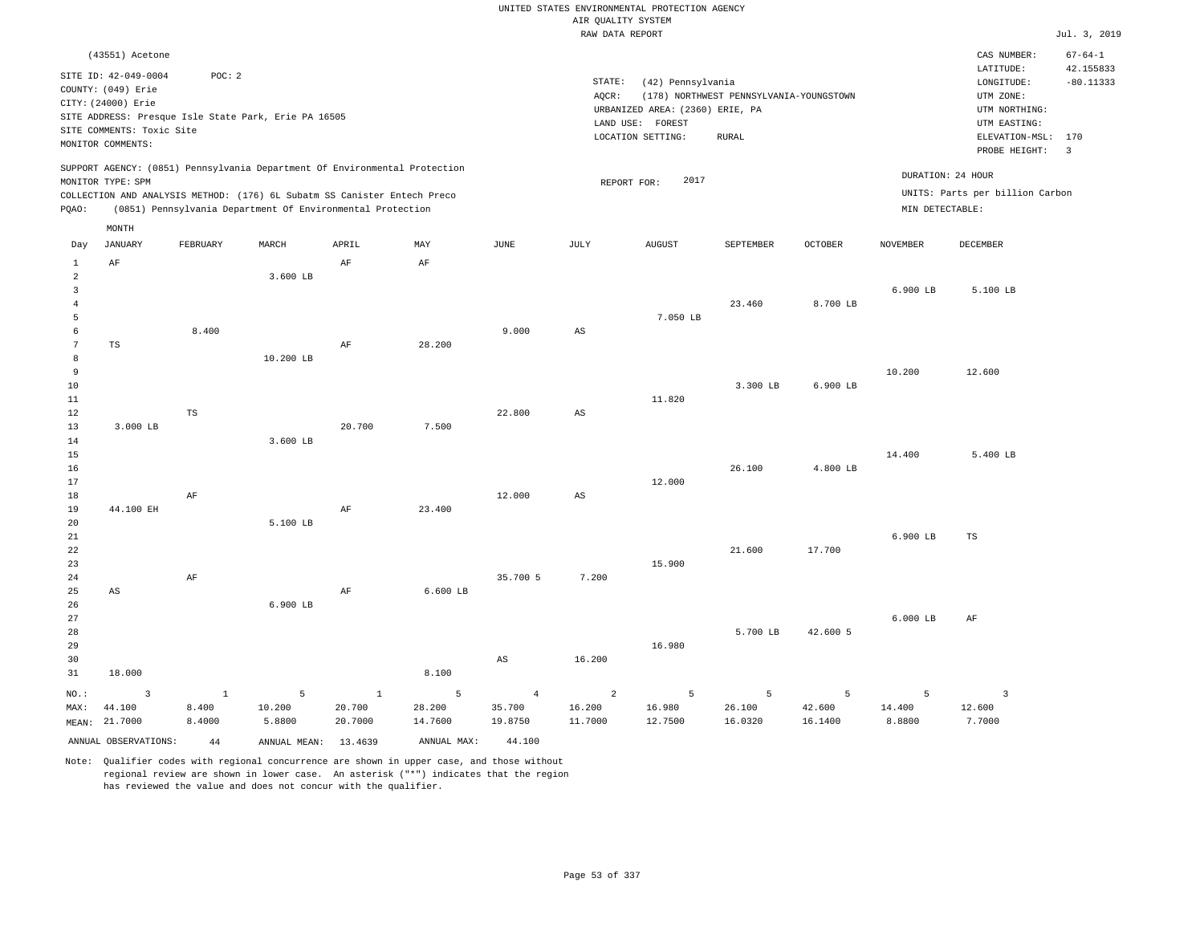|                                                            |                                                                                                                    |                                       |                                                                                                                                                        |                                  |                                                |                                               | AIR QUALITY SYSTEM                  | UNITED STATES ENVIRONMENTAL PROTECTION AGENCY                                                 |                                                  |                        |                       |                                                                                             |                                      |
|------------------------------------------------------------|--------------------------------------------------------------------------------------------------------------------|---------------------------------------|--------------------------------------------------------------------------------------------------------------------------------------------------------|----------------------------------|------------------------------------------------|-----------------------------------------------|-------------------------------------|-----------------------------------------------------------------------------------------------|--------------------------------------------------|------------------------|-----------------------|---------------------------------------------------------------------------------------------|--------------------------------------|
|                                                            |                                                                                                                    |                                       |                                                                                                                                                        |                                  |                                                |                                               | RAW DATA REPORT                     |                                                                                               |                                                  |                        |                       |                                                                                             | Jul. 3, 2019                         |
|                                                            | (43551) Acetone                                                                                                    |                                       |                                                                                                                                                        |                                  |                                                |                                               |                                     |                                                                                               |                                                  |                        |                       | CAS NUMBER:<br>LATITUDE:                                                                    | $67 - 64 - 1$<br>42.155833           |
|                                                            | SITE ID: 42-049-0004<br>COUNTY: (049) Erie<br>CITY: (24000) Erie<br>SITE COMMENTS: Toxic Site<br>MONITOR COMMENTS: | POC: 2                                | SITE ADDRESS: Presque Isle State Park, Erie PA 16505                                                                                                   |                                  |                                                |                                               | STATE:<br>AQCR:                     | (42) Pennsylvania<br>URBANIZED AREA: (2360) ERIE, PA<br>LAND USE: FOREST<br>LOCATION SETTING: | (178) NORTHWEST PENNSYLVANIA-YOUNGSTOWN<br>RURAL |                        |                       | LONGITUDE:<br>UTM ZONE:<br>UTM NORTHING:<br>UTM EASTING:<br>ELEVATION-MSL:<br>PROBE HEIGHT: | $-80.11333$<br>170<br>$\overline{3}$ |
|                                                            | MONITOR TYPE: SPM                                                                                                  |                                       | SUPPORT AGENCY: (0851) Pennsylvania Department Of Environmental Protection<br>COLLECTION AND ANALYSIS METHOD: (176) 6L Subatm SS Canister Entech Preco |                                  |                                                |                                               | REPORT FOR:                         | 2017                                                                                          |                                                  |                        | DURATION: 24 HOUR     | UNITS: Parts per billion Carbon                                                             |                                      |
| PQAO:                                                      |                                                                                                                    |                                       | (0851) Pennsylvania Department Of Environmental Protection                                                                                             |                                  |                                                |                                               |                                     |                                                                                               |                                                  |                        | MIN DETECTABLE:       |                                                                                             |                                      |
| Day                                                        | MONTH<br><b>JANUARY</b>                                                                                            | FEBRUARY                              | MARCH                                                                                                                                                  | APRIL                            | MAY                                            | JUNE                                          | JULY                                | <b>AUGUST</b>                                                                                 | SEPTEMBER                                        | <b>OCTOBER</b>         | <b>NOVEMBER</b>       | DECEMBER                                                                                    |                                      |
| $\mathbf{1}$<br>$\overline{2}$<br>$\overline{3}$<br>4<br>5 | AF                                                                                                                 |                                       | 3.600 LB                                                                                                                                               | AF                               | AF                                             |                                               |                                     | 7.050 LB                                                                                      | 23.460                                           | 8.700 LB               | 6.900 LB              | 5.100 LB                                                                                    |                                      |
| 6<br>7<br>8<br>$\overline{9}$<br>10                        | TS                                                                                                                 | 8.400                                 | 10.200 LB                                                                                                                                              | AF                               | 28.200                                         | 9.000                                         | $\mathbb{A}\mathbb{S}$              |                                                                                               | 3.300 LB                                         | 6.900 LB               | 10.200                | 12.600                                                                                      |                                      |
| $11\,$<br>12<br>13<br>14<br>15                             | 3.000 LB                                                                                                           | TS                                    | 3.600 LB                                                                                                                                               | 20.700                           | 7.500                                          | 22.800                                        | AS                                  | 11.820                                                                                        |                                                  |                        | 14.400                | 5.400 LB                                                                                    |                                      |
| 16<br>17<br>18<br>19                                       | 44.100 EH                                                                                                          | AF                                    |                                                                                                                                                        | AF                               | 23.400                                         | 12.000                                        | $_{\rm AS}$                         | 12.000                                                                                        | 26.100                                           | 4.800 LB               |                       |                                                                                             |                                      |
| 20<br>21<br>22<br>23<br>24                                 |                                                                                                                    | AF                                    | 5.100 LB                                                                                                                                               |                                  |                                                | 35.700 5                                      | 7.200                               | 15.900                                                                                        | 21.600                                           | 17.700                 | 6.900 LB              | $\mathbb{TS}$                                                                               |                                      |
| 25<br>26<br>27<br>28<br>29<br>30                           | AS                                                                                                                 |                                       | 6.900 LB                                                                                                                                               | AF                               | $6.600$ LB                                     | $\mathbb{A}\mathbb{S}$                        | 16.200                              | 16.980                                                                                        | 5.700 LB                                         | 42.600 5               | $6.000$ LB            | AF                                                                                          |                                      |
| 31<br>NO.:<br>MAX:                                         | 18.000<br>$\overline{\mathbf{3}}$<br>44.100<br>MEAN: 21.7000<br>ANNUAL OBSERVATIONS:                               | $\mathbf{1}$<br>8.400<br>8.4000<br>44 | 5<br>10.200<br>5.8800<br>ANNUAL MEAN: 13.4639                                                                                                          | $\mathbf 1$<br>20.700<br>20.7000 | 8.100<br>5<br>28.200<br>14.7600<br>ANNUAL MAX: | $\overline{4}$<br>35.700<br>19.8750<br>44.100 | $\overline{a}$<br>16.200<br>11.7000 | 5<br>16.980<br>12.7500                                                                        | 5<br>26.100<br>16.0320                           | 5<br>42.600<br>16.1400 | 5<br>14.400<br>8.8800 | $\overline{\mathbf{3}}$<br>12.600<br>7.7000                                                 |                                      |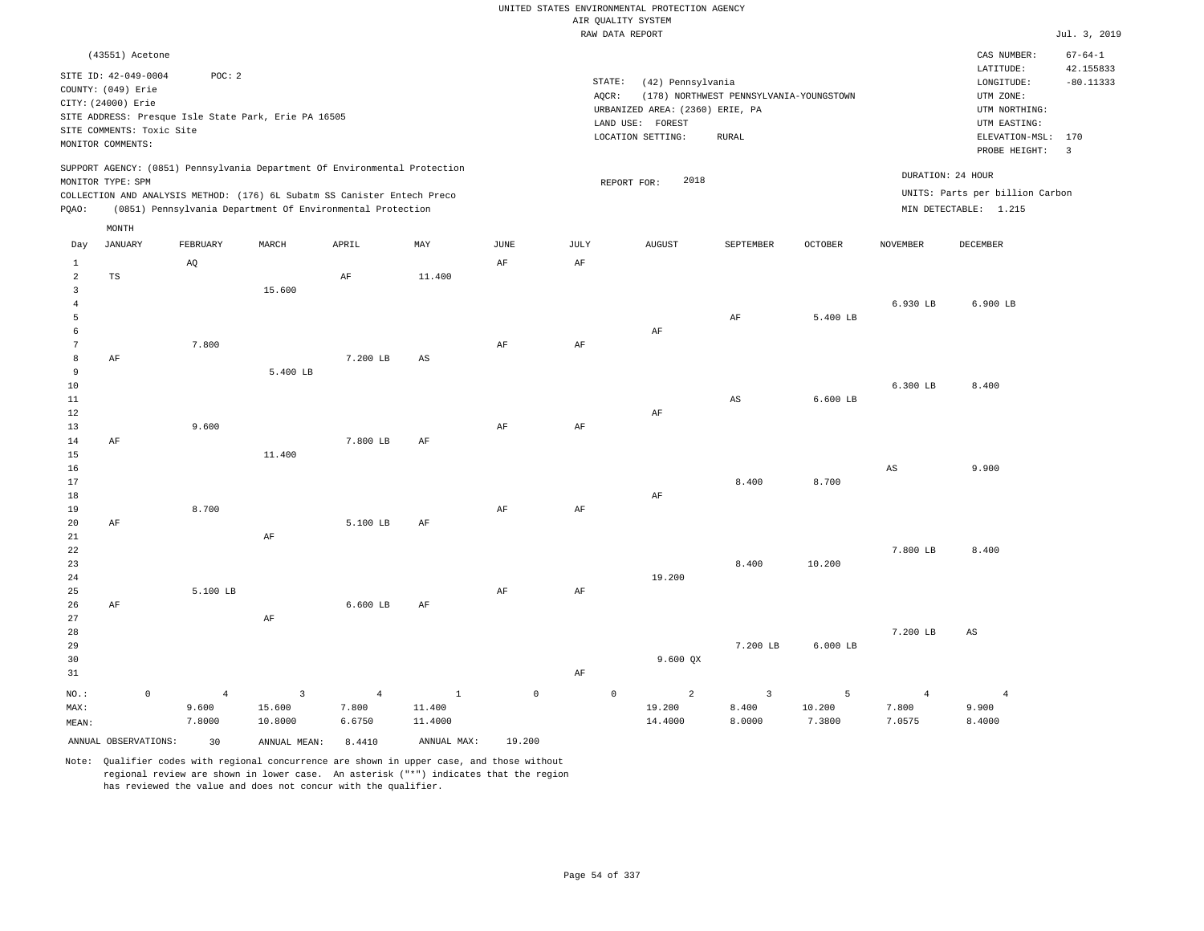|                                                |                                                                                                                                       |             |                                   |                                                                            |                                   |                                   |                     |      | UNITED STATES ENVIRONMENTAL PROTECTION AGENCY                                                                    |                                                         |                       |                                   |                                                                                                                         |                                                                             |
|------------------------------------------------|---------------------------------------------------------------------------------------------------------------------------------------|-------------|-----------------------------------|----------------------------------------------------------------------------|-----------------------------------|-----------------------------------|---------------------|------|------------------------------------------------------------------------------------------------------------------|---------------------------------------------------------|-----------------------|-----------------------------------|-------------------------------------------------------------------------------------------------------------------------|-----------------------------------------------------------------------------|
|                                                |                                                                                                                                       |             |                                   |                                                                            |                                   |                                   |                     |      | AIR OUALITY SYSTEM                                                                                               |                                                         |                       |                                   |                                                                                                                         |                                                                             |
|                                                |                                                                                                                                       |             |                                   |                                                                            |                                   |                                   |                     |      | RAW DATA REPORT                                                                                                  |                                                         |                       |                                   |                                                                                                                         | Jul. 3, 2019                                                                |
|                                                | (43551) Acetone<br>SITE ID: 42-049-0004<br>COUNTY: (049) Erie<br>CITY: (24000) Erie<br>SITE COMMENTS: Toxic Site<br>MONITOR COMMENTS: |             | POC: 2                            | SITE ADDRESS: Presque Isle State Park, Erie PA 16505                       |                                   |                                   |                     |      | STATE:<br>(42) Pennsylvania<br>AOCR:<br>URBANIZED AREA: (2360) ERIE, PA<br>LAND USE: FOREST<br>LOCATION SETTING: | (178) NORTHWEST PENNSYLVANIA-YOUNGSTOWN<br><b>RURAL</b> |                       |                                   | CAS NUMBER:<br>LATITUDE:<br>LONGITUDE:<br>UTM ZONE:<br>UTM NORTHING:<br>UTM EASTING:<br>ELEVATION-MSL:<br>PROBE HEIGHT: | $67 - 64 - 1$<br>42.155833<br>$-80.11333$<br>170<br>$\overline{\mathbf{3}}$ |
|                                                |                                                                                                                                       |             |                                   | SUPPORT AGENCY: (0851) Pennsylvania Department Of Environmental Protection |                                   |                                   |                     |      |                                                                                                                  |                                                         |                       |                                   | DURATION: 24 HOUR                                                                                                       |                                                                             |
|                                                | MONITOR TYPE: SPM                                                                                                                     |             |                                   |                                                                            |                                   |                                   |                     |      | 2018<br>REPORT FOR:                                                                                              |                                                         |                       |                                   |                                                                                                                         |                                                                             |
|                                                |                                                                                                                                       |             |                                   | COLLECTION AND ANALYSIS METHOD: (176) 6L Subatm SS Canister Entech Preco   |                                   |                                   |                     |      |                                                                                                                  |                                                         |                       |                                   | UNITS: Parts per billion Carbon                                                                                         |                                                                             |
| PQAO:                                          |                                                                                                                                       |             |                                   | (0851) Pennsylvania Department Of Environmental Protection                 |                                   |                                   |                     |      |                                                                                                                  |                                                         |                       |                                   | MIN DETECTABLE: 1.215                                                                                                   |                                                                             |
|                                                | MONTH                                                                                                                                 |             |                                   |                                                                            |                                   |                                   |                     |      |                                                                                                                  |                                                         |                       |                                   |                                                                                                                         |                                                                             |
| Day                                            | JANUARY                                                                                                                               |             | FEBRUARY                          | MARCH                                                                      | APRIL                             | MAY                               | JUNE                | JULY | <b>AUGUST</b>                                                                                                    | SEPTEMBER                                               | <b>OCTOBER</b>        | <b>NOVEMBER</b>                   | <b>DECEMBER</b>                                                                                                         |                                                                             |
| $\mathbf{1}$<br>$\overline{a}$<br>$\mathbf{3}$ | TS                                                                                                                                    |             | AQ                                | 15.600                                                                     | AF                                | 11.400                            | AF                  | AF   |                                                                                                                  |                                                         |                       |                                   |                                                                                                                         |                                                                             |
| $\overline{4}$<br>5<br>6                       |                                                                                                                                       |             |                                   |                                                                            |                                   |                                   |                     |      | AF                                                                                                               | AF                                                      | 5.400 LB              | 6.930 LB                          | 6.900 LB                                                                                                                |                                                                             |
| $\overline{7}$<br>8                            |                                                                                                                                       |             | 7.800                             |                                                                            | 7.200 LB                          |                                   | AF                  | AF   |                                                                                                                  |                                                         |                       |                                   |                                                                                                                         |                                                                             |
| 9<br>10<br>11                                  | AF                                                                                                                                    |             |                                   | 5.400 LB                                                                   |                                   | AS                                |                     |      |                                                                                                                  | AS                                                      | $6.600$ LB            | 6.300 LB                          | 8.400                                                                                                                   |                                                                             |
| 12<br>13<br>14                                 | AF                                                                                                                                    |             | 9.600                             |                                                                            | 7.800 LB                          | AF                                | AF                  | AF   | $\rm AF$                                                                                                         |                                                         |                       |                                   |                                                                                                                         |                                                                             |
| 15<br>16<br>17                                 |                                                                                                                                       |             |                                   | 11.400                                                                     |                                   |                                   |                     |      |                                                                                                                  | 8.400                                                   | 8.700                 | $\mathbb{A}\mathbb{S}$            | 9.900                                                                                                                   |                                                                             |
| 18<br>19<br>20                                 | AF                                                                                                                                    |             | 8.700                             |                                                                            | 5.100 LB                          | AF                                | AF                  | AF   | AF                                                                                                               |                                                         |                       |                                   |                                                                                                                         |                                                                             |
| 21<br>22<br>23<br>24                           |                                                                                                                                       |             |                                   | AF                                                                         |                                   |                                   |                     |      | 19.200                                                                                                           | 8.400                                                   | 10.200                | 7.800 LB                          | 8,400                                                                                                                   |                                                                             |
| 25<br>26<br>27                                 | AF                                                                                                                                    |             | 5.100 LB                          | AF                                                                         | $6.600$ LB                        | AF                                | AF                  | AF   |                                                                                                                  |                                                         |                       |                                   |                                                                                                                         |                                                                             |
| 28<br>29<br>30<br>31                           |                                                                                                                                       |             |                                   |                                                                            |                                   |                                   |                     | AF   | 9.600 QX                                                                                                         | 7.200 LB                                                | $6.000$ LB            | 7.200 LB                          | AS                                                                                                                      |                                                                             |
| NO.:<br>MAX:<br>MEAN:                          |                                                                                                                                       | $\mathbb O$ | $\overline{4}$<br>9.600<br>7.8000 | 3<br>15.600<br>10.8000                                                     | $\overline{4}$<br>7.800<br>6.6750 | $\mathbf{1}$<br>11.400<br>11.4000 | $\mathsf{O}\xspace$ |      | $\overline{a}$<br>$\mathbb O$<br>19.200<br>14.4000                                                               | $\overline{3}$<br>8.400<br>8.0000                       | 5<br>10.200<br>7.3800 | $\overline{4}$<br>7.800<br>7.0575 | $\overline{4}$<br>9.900<br>8.4000                                                                                       |                                                                             |
|                                                | ANNUAL OBSERVATIONS:                                                                                                                  |             | 30                                | ANNUAL MEAN: 8.4410                                                        |                                   | ANNUAL MAX:                       | 19.200              |      |                                                                                                                  |                                                         |                       |                                   |                                                                                                                         |                                                                             |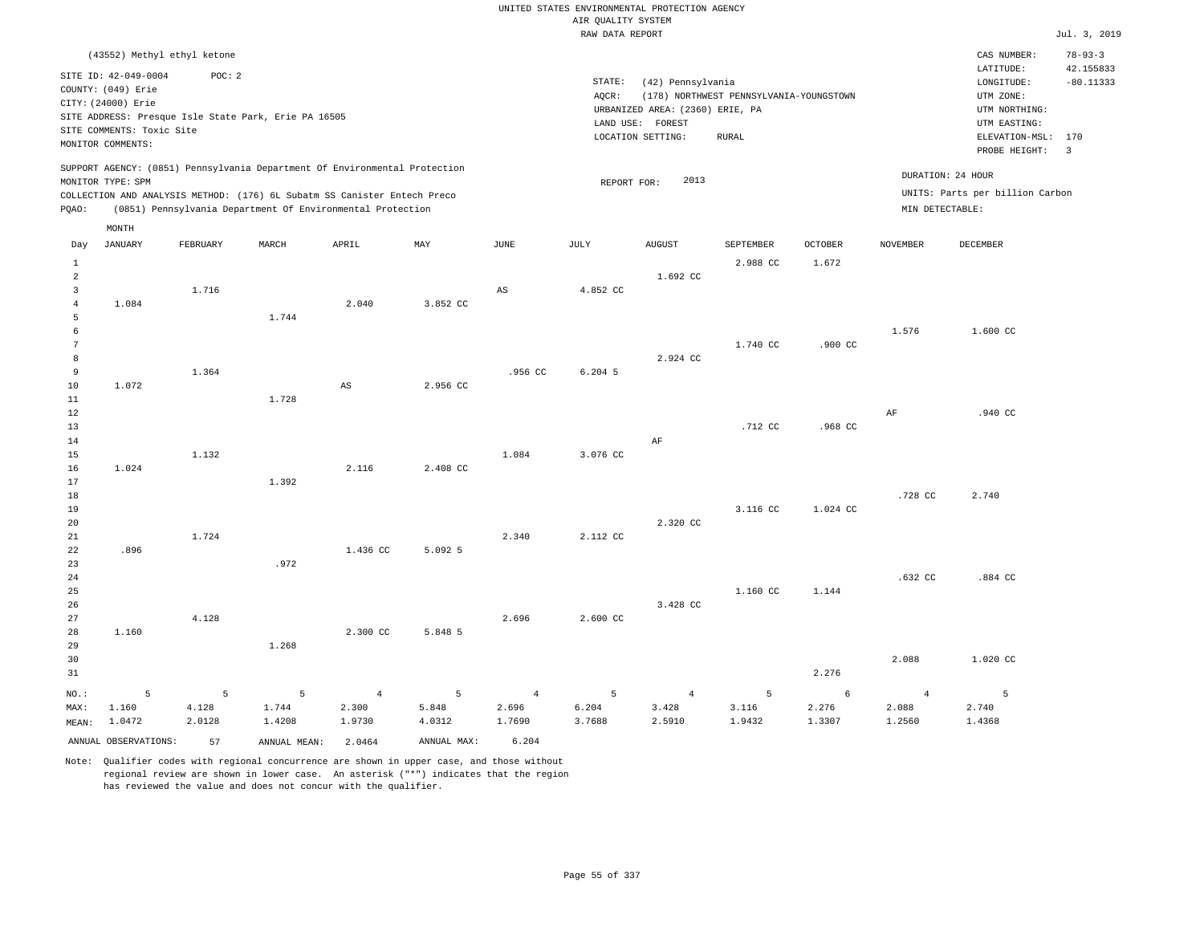|                                |                             |          |                                                      |                                                                            |             |                | RAW DATA REPORT |                                 |                                         |                |                 |                                 | Jul. 3, 2019            |
|--------------------------------|-----------------------------|----------|------------------------------------------------------|----------------------------------------------------------------------------|-------------|----------------|-----------------|---------------------------------|-----------------------------------------|----------------|-----------------|---------------------------------|-------------------------|
|                                | (43552) Methyl ethyl ketone |          |                                                      |                                                                            |             |                |                 |                                 |                                         |                |                 | CAS NUMBER:                     | $78 - 93 - 3$           |
|                                | SITE ID: 42-049-0004        | POC: 2   |                                                      |                                                                            |             |                |                 |                                 |                                         |                |                 | LATITUDE:                       | 42.155833               |
|                                | COUNTY: (049) Erie          |          |                                                      |                                                                            |             |                | STATE:          | (42) Pennsylvania               |                                         |                |                 | LONGITUDE:                      | $-80.11333$             |
|                                | CITY: (24000) Erie          |          |                                                      |                                                                            |             |                | AOCR:           |                                 | (178) NORTHWEST PENNSYLVANIA-YOUNGSTOWN |                |                 | UTM ZONE:                       |                         |
|                                |                             |          | SITE ADDRESS: Presque Isle State Park, Erie PA 16505 |                                                                            |             |                |                 | URBANIZED AREA: (2360) ERIE, PA |                                         |                |                 | UTM NORTHING:                   |                         |
|                                | SITE COMMENTS: Toxic Site   |          |                                                      |                                                                            |             |                |                 | LAND USE: FOREST                |                                         |                |                 | UTM EASTING:                    |                         |
|                                | MONITOR COMMENTS:           |          |                                                      |                                                                            |             |                |                 | LOCATION SETTING:               | RURAL                                   |                |                 | ELEVATION-MSL: 170              |                         |
|                                |                             |          |                                                      |                                                                            |             |                |                 |                                 |                                         |                |                 | PROBE HEIGHT:                   | $\overline{\mathbf{3}}$ |
|                                |                             |          |                                                      | SUPPORT AGENCY: (0851) Pennsylvania Department Of Environmental Protection |             |                |                 |                                 |                                         |                |                 | DURATION: 24 HOUR               |                         |
|                                | MONITOR TYPE: SPM           |          |                                                      |                                                                            |             |                | REPORT FOR:     | 2013                            |                                         |                |                 |                                 |                         |
|                                |                             |          |                                                      | COLLECTION AND ANALYSIS METHOD: (176) 6L Subatm SS Canister Entech Preco   |             |                |                 |                                 |                                         |                |                 | UNITS: Parts per billion Carbon |                         |
| PQAO:                          |                             |          |                                                      | (0851) Pennsylvania Department Of Environmental Protection                 |             |                |                 |                                 |                                         |                | MIN DETECTABLE: |                                 |                         |
|                                | MONTH<br><b>JANUARY</b>     | FEBRUARY | MARCH                                                | APRIL                                                                      | MAY         | <b>JUNE</b>    | <b>JULY</b>     | <b>AUGUST</b>                   | <b>SEPTEMBER</b>                        | <b>OCTOBER</b> | <b>NOVEMBER</b> | <b>DECEMBER</b>                 |                         |
| Day                            |                             |          |                                                      |                                                                            |             |                |                 |                                 |                                         |                |                 |                                 |                         |
| $\mathbf{1}$<br>$\overline{a}$ |                             |          |                                                      |                                                                            |             |                |                 | 1.692 CC                        | 2.988 CC                                | 1.672          |                 |                                 |                         |
| $\overline{3}$                 |                             | 1.716    |                                                      |                                                                            |             | AS             | 4.852 CC        |                                 |                                         |                |                 |                                 |                         |
| $\overline{4}$                 | 1.084                       |          |                                                      | 2.040                                                                      | 3.852 CC    |                |                 |                                 |                                         |                |                 |                                 |                         |
| $\overline{5}$                 |                             |          | 1.744                                                |                                                                            |             |                |                 |                                 |                                         |                |                 |                                 |                         |
| 6                              |                             |          |                                                      |                                                                            |             |                |                 |                                 |                                         |                | 1.576           | 1.600 CC                        |                         |
| $7\phantom{.0}$                |                             |          |                                                      |                                                                            |             |                |                 |                                 | 1.740 CC                                | .900 CC        |                 |                                 |                         |
| 8                              |                             |          |                                                      |                                                                            |             |                |                 | 2.924 CC                        |                                         |                |                 |                                 |                         |
| 9                              |                             | 1.364    |                                                      |                                                                            |             | .956 CC        | $6.204$ 5       |                                 |                                         |                |                 |                                 |                         |
| 10                             | 1.072                       |          |                                                      | $\mathbb{A}\mathbb{S}$                                                     | 2.956 CC    |                |                 |                                 |                                         |                |                 |                                 |                         |
| 11                             |                             |          | 1.728                                                |                                                                            |             |                |                 |                                 |                                         |                |                 |                                 |                         |
| 12                             |                             |          |                                                      |                                                                            |             |                |                 |                                 |                                         |                | AF              | .940 CC                         |                         |
| 13                             |                             |          |                                                      |                                                                            |             |                |                 |                                 | .712 CC                                 | .968 CC        |                 |                                 |                         |
| 14                             |                             |          |                                                      |                                                                            |             |                |                 | AF                              |                                         |                |                 |                                 |                         |
| 15                             |                             | 1.132    |                                                      |                                                                            |             | 1.084          | 3.076 CC        |                                 |                                         |                |                 |                                 |                         |
| 16                             | 1.024                       |          |                                                      | 2.116                                                                      | 2.408 CC    |                |                 |                                 |                                         |                |                 |                                 |                         |
| 17                             |                             |          | 1.392                                                |                                                                            |             |                |                 |                                 |                                         |                |                 |                                 |                         |
| 18                             |                             |          |                                                      |                                                                            |             |                |                 |                                 |                                         |                | .728 CC         | 2.740                           |                         |
| 19                             |                             |          |                                                      |                                                                            |             |                |                 |                                 | 3.116 CC                                | 1.024 CC       |                 |                                 |                         |
| 20                             |                             |          |                                                      |                                                                            |             |                |                 | 2.320 CC                        |                                         |                |                 |                                 |                         |
| 21                             |                             | 1.724    |                                                      |                                                                            |             | 2.340          | 2.112 CC        |                                 |                                         |                |                 |                                 |                         |
| 22                             | .896                        |          |                                                      | 1.436 CC                                                                   | 5.092 5     |                |                 |                                 |                                         |                |                 |                                 |                         |
| 23                             |                             |          | .972                                                 |                                                                            |             |                |                 |                                 |                                         |                |                 |                                 |                         |
| 24                             |                             |          |                                                      |                                                                            |             |                |                 |                                 |                                         |                | .632 CC         | .884 CC                         |                         |
| 25                             |                             |          |                                                      |                                                                            |             |                |                 |                                 | 1.160 CC                                | 1.144          |                 |                                 |                         |
| 26                             |                             |          |                                                      |                                                                            |             |                |                 | 3.428 CC                        |                                         |                |                 |                                 |                         |
| 27                             |                             | 4.128    |                                                      |                                                                            |             | 2.696          | 2.600 CC        |                                 |                                         |                |                 |                                 |                         |
| 28                             | 1.160                       |          |                                                      | 2.300 CC                                                                   | 5.848 5     |                |                 |                                 |                                         |                |                 |                                 |                         |
| 29                             |                             |          | 1.268                                                |                                                                            |             |                |                 |                                 |                                         |                |                 |                                 |                         |
| 30                             |                             |          |                                                      |                                                                            |             |                |                 |                                 |                                         |                | 2.088           | 1.020 CC                        |                         |
| 31                             |                             |          |                                                      |                                                                            |             |                |                 |                                 |                                         | 2.276          |                 |                                 |                         |
| NO.:                           | 5                           | 5        | 5                                                    | $\overline{4}$                                                             | 5           | $\overline{4}$ | 5               | $\overline{4}$                  | 5                                       | 6              | $\overline{4}$  | 5                               |                         |
| MAX:                           | 1.160                       | 4.128    | 1.744                                                | 2.300                                                                      | 5.848       | 2.696          | 6.204           | 3.428                           | 3.116                                   | 2.276          | 2.088           | 2.740                           |                         |
| MEAN:                          | 1.0472                      | 2.0128   | 1.4208                                               | 1.9730                                                                     | 4.0312      | 1.7690         | 3.7688          | 2.5910                          | 1.9432                                  | 1.3307         | 1.2560          | 1.4368                          |                         |
|                                | ANNUAL OBSERVATIONS:        | 57       | ANNUAL MEAN:                                         | 2.0464                                                                     | ANNUAL MAX: | 6.204          |                 |                                 |                                         |                |                 |                                 |                         |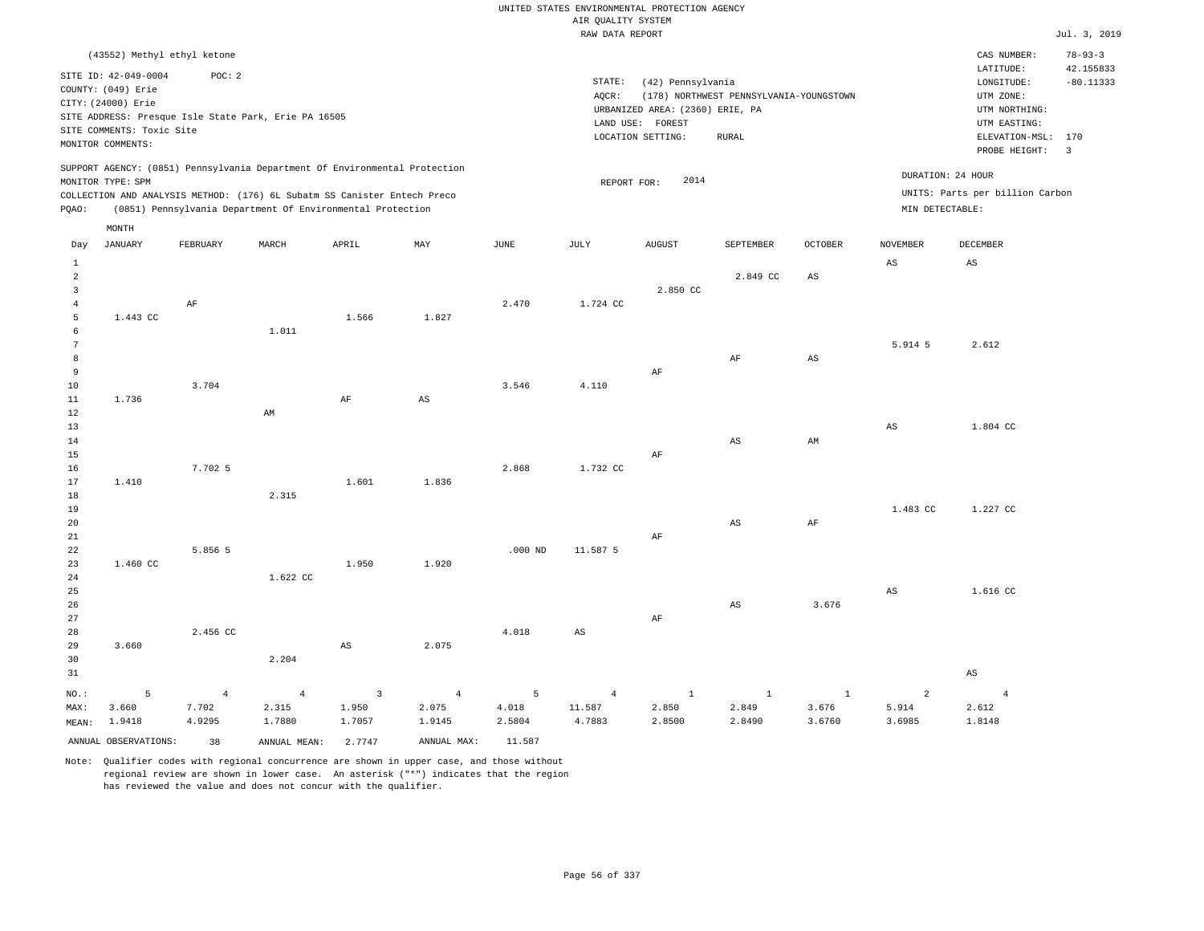|                |                             |                |                                                                            |                        |                        |             | RAW DATA REPORT        |                                 |                                         |                        |                             |                                 | Jul. 3, 2019            |
|----------------|-----------------------------|----------------|----------------------------------------------------------------------------|------------------------|------------------------|-------------|------------------------|---------------------------------|-----------------------------------------|------------------------|-----------------------------|---------------------------------|-------------------------|
|                | (43552) Methyl ethyl ketone |                |                                                                            |                        |                        |             |                        |                                 |                                         |                        |                             | CAS NUMBER:                     | $78 - 93 - 3$           |
|                | SITE ID: 42-049-0004        | POC: 2         |                                                                            |                        |                        |             |                        |                                 |                                         |                        |                             | LATITUDE:                       | 42.155833               |
|                | COUNTY: (049) Erie          |                |                                                                            |                        |                        |             | STATE:                 | (42) Pennsylvania               |                                         |                        |                             | LONGITUDE:                      | $-80.11333$             |
|                | CITY: (24000) Erie          |                |                                                                            |                        |                        |             | AOCR:                  |                                 | (178) NORTHWEST PENNSYLVANIA-YOUNGSTOWN |                        |                             | UTM ZONE:                       |                         |
|                |                             |                | SITE ADDRESS: Presque Isle State Park, Erie PA 16505                       |                        |                        |             |                        | URBANIZED AREA: (2360) ERIE, PA |                                         |                        |                             | UTM NORTHING:                   |                         |
|                | SITE COMMENTS: Toxic Site   |                |                                                                            |                        |                        |             |                        | LAND USE: FOREST                |                                         |                        |                             | UTM EASTING:                    |                         |
|                | MONITOR COMMENTS:           |                |                                                                            |                        |                        |             |                        | LOCATION SETTING:               | <b>RURAL</b>                            |                        |                             | ELEVATION-MSL: 170              |                         |
|                |                             |                |                                                                            |                        |                        |             |                        |                                 |                                         |                        |                             | PROBE HEIGHT:                   | $\overline{\mathbf{3}}$ |
|                |                             |                | SUPPORT AGENCY: (0851) Pennsylvania Department Of Environmental Protection |                        |                        |             |                        |                                 |                                         |                        |                             | DURATION: 24 HOUR               |                         |
|                | MONITOR TYPE: SPM           |                |                                                                            |                        |                        |             | REPORT FOR:            | 2014                            |                                         |                        |                             |                                 |                         |
|                |                             |                | COLLECTION AND ANALYSIS METHOD: (176) 6L Subatm SS Canister Entech Preco   |                        |                        |             |                        |                                 |                                         |                        |                             | UNITS: Parts per billion Carbon |                         |
| PQAO:          |                             |                | (0851) Pennsylvania Department Of Environmental Protection                 |                        |                        |             |                        |                                 |                                         |                        | $\texttt{MIN}$ DETECTABLE : |                                 |                         |
|                | MONTH                       |                |                                                                            |                        |                        |             |                        |                                 |                                         |                        |                             |                                 |                         |
| Day            | <b>JANUARY</b>              | FEBRUARY       | MARCH                                                                      | APRIL                  | MAY                    | <b>JUNE</b> | <b>JULY</b>            | <b>AUGUST</b>                   | SEPTEMBER                               | <b>OCTOBER</b>         | <b>NOVEMBER</b>             | DECEMBER                        |                         |
| $\,1\,$        |                             |                |                                                                            |                        |                        |             |                        |                                 |                                         |                        | $\mathbb{A}\mathbb{S}$      | $\mathbb{A}\mathbb{S}$          |                         |
| 2              |                             |                |                                                                            |                        |                        |             |                        |                                 | 2.849 CC                                | $_{\rm AS}$            |                             |                                 |                         |
| $\overline{3}$ |                             |                |                                                                            |                        |                        |             |                        | 2.850 CC                        |                                         |                        |                             |                                 |                         |
| $\overline{4}$ |                             | AF             |                                                                            |                        |                        | 2.470       | 1.724 CC               |                                 |                                         |                        |                             |                                 |                         |
| 5              | 1.443 CC                    |                |                                                                            | 1.566                  | 1.827                  |             |                        |                                 |                                         |                        |                             |                                 |                         |
| 6              |                             |                | 1.011                                                                      |                        |                        |             |                        |                                 |                                         |                        |                             |                                 |                         |
| $\overline{7}$ |                             |                |                                                                            |                        |                        |             |                        |                                 |                                         |                        | 5.914 5                     | 2.612                           |                         |
| 8              |                             |                |                                                                            |                        |                        |             |                        |                                 | $\rm AF$                                | $\mathbb{A}\mathbb{S}$ |                             |                                 |                         |
| 9              |                             |                |                                                                            |                        |                        |             |                        | AF                              |                                         |                        |                             |                                 |                         |
| $10$           |                             | 3.704          |                                                                            |                        |                        | 3.546       | 4.110                  |                                 |                                         |                        |                             |                                 |                         |
| $1\,1$<br>12   | 1.736                       |                |                                                                            | AF                     | $\mathbb{A}\mathbb{S}$ |             |                        |                                 |                                         |                        |                             |                                 |                         |
| 13             |                             |                | AM                                                                         |                        |                        |             |                        |                                 |                                         |                        | $_{\rm AS}$                 | 1.804 CC                        |                         |
| 14             |                             |                |                                                                            |                        |                        |             |                        |                                 | AS                                      | AM                     |                             |                                 |                         |
| 15             |                             |                |                                                                            |                        |                        |             |                        | $\rm AF$                        |                                         |                        |                             |                                 |                         |
| 16             |                             | 7.702 5        |                                                                            |                        |                        | 2.868       | 1.732 CC               |                                 |                                         |                        |                             |                                 |                         |
| 17             | 1.410                       |                |                                                                            | 1.601                  | 1.836                  |             |                        |                                 |                                         |                        |                             |                                 |                         |
| $1\,8$         |                             |                | 2.315                                                                      |                        |                        |             |                        |                                 |                                         |                        |                             |                                 |                         |
| 19             |                             |                |                                                                            |                        |                        |             |                        |                                 |                                         |                        | 1.483 CC                    | 1.227 CC                        |                         |
| 20             |                             |                |                                                                            |                        |                        |             |                        |                                 | AS                                      | AF                     |                             |                                 |                         |
| 21             |                             |                |                                                                            |                        |                        |             |                        | AF                              |                                         |                        |                             |                                 |                         |
| 22             |                             | 5.856 5        |                                                                            |                        |                        | $.000$ ND   | 11.587 5               |                                 |                                         |                        |                             |                                 |                         |
| 23             | 1.460 CC                    |                |                                                                            | 1.950                  | 1.920                  |             |                        |                                 |                                         |                        |                             |                                 |                         |
| 24             |                             |                | 1.622 CC                                                                   |                        |                        |             |                        |                                 |                                         |                        |                             |                                 |                         |
| 25             |                             |                |                                                                            |                        |                        |             |                        |                                 |                                         |                        | $\mathbb{A}\mathbb{S}$      | 1.616 CC                        |                         |
| 26             |                             |                |                                                                            |                        |                        |             |                        |                                 | AS                                      | 3.676                  |                             |                                 |                         |
| 27             |                             |                |                                                                            |                        |                        |             |                        | $\rm AF$                        |                                         |                        |                             |                                 |                         |
| 28             |                             | 2.456 CC       |                                                                            |                        |                        | 4.018       | $\mathbb{A}\mathbb{S}$ |                                 |                                         |                        |                             |                                 |                         |
| 29             | 3.660                       |                | 2.204                                                                      | $\mathbb{A}\mathbb{S}$ | 2.075                  |             |                        |                                 |                                         |                        |                             |                                 |                         |
| 30<br>31       |                             |                |                                                                            |                        |                        |             |                        |                                 |                                         |                        |                             | $\mathbb{A}\mathbb{S}$          |                         |
|                |                             |                |                                                                            |                        |                        |             |                        |                                 |                                         |                        |                             |                                 |                         |
| $NO.$ :        | 5                           | $\overline{4}$ | $\overline{4}$                                                             | $\overline{3}$         | $\overline{4}$         | 5           | $\overline{4}$         | $1\,$                           | $\mathbf{1}$                            | $\mathbf{1}$           | $\overline{a}$              | $\overline{4}$                  |                         |
| MAX:           | 3.660                       | 7.702          | 2.315                                                                      | 1.950                  | 2.075                  | 4.018       | 11.587                 | 2.850                           | 2.849                                   | 3.676                  | 5.914                       | 2.612                           |                         |
| MEAN:          | 1.9418                      | 4.9295         | 1.7880                                                                     | 1.7057                 | 1.9145                 | 2.5804      | 4.7883                 | 2.8500                          | 2.8490                                  | 3.6760                 | 3.6985                      | 1.8148                          |                         |
|                | ANNUAL OBSERVATIONS:        | 38             | ANNUAL MEAN:                                                               | 2.7747                 | ANNUAL MAX:            | 11.587      |                        |                                 |                                         |                        |                             |                                 |                         |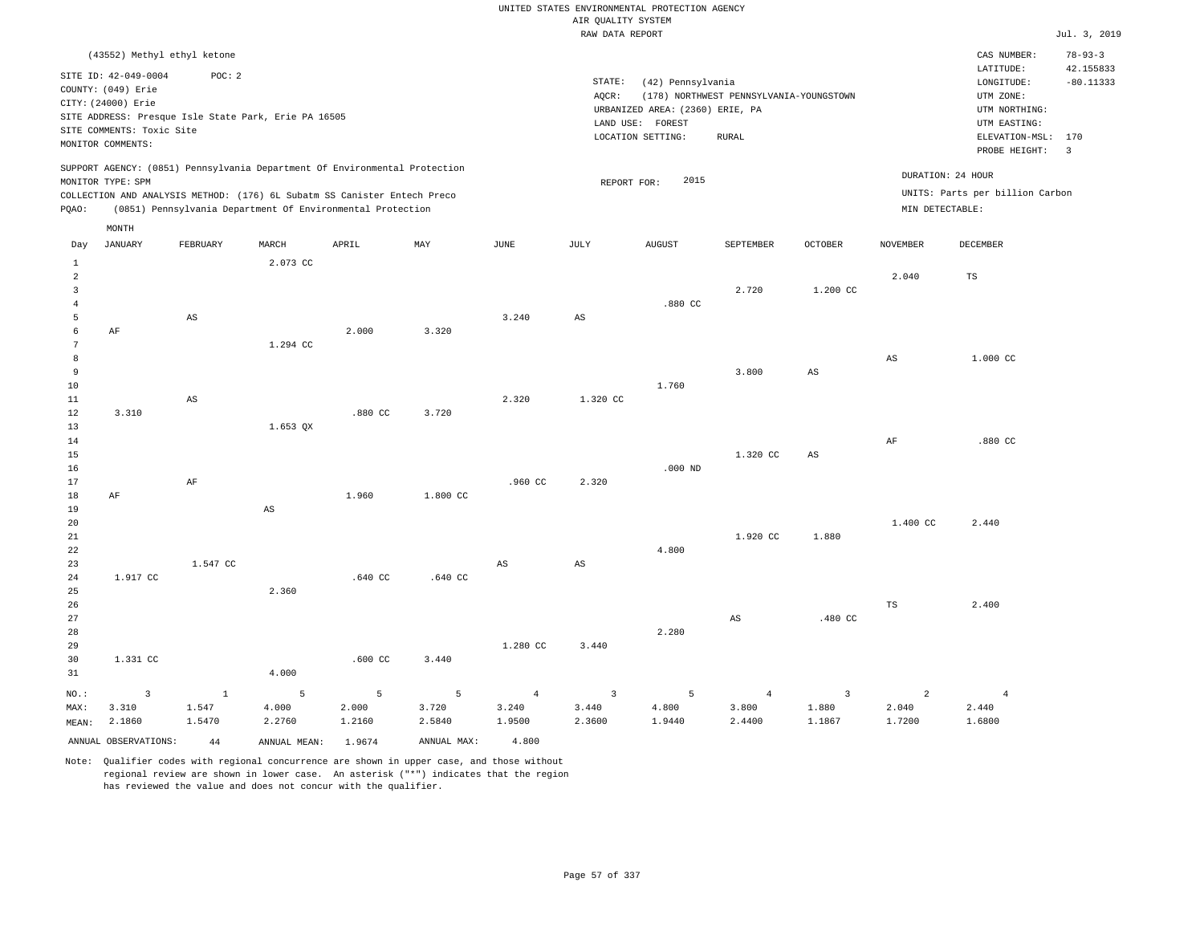#### RAW DATA REPORT JUL. 3, 2019 UNITED STATES ENVIRONMENTAL PROTECTION AGENCY AIR QUALITY SYSTEM

|                |                           | (43552) Methyl ethyl ketone                          |          |                                                                            |       |       |             |                                 |                                         |                        |                 | CAS NUMBER:                     | $78 - 93 - 3$            |
|----------------|---------------------------|------------------------------------------------------|----------|----------------------------------------------------------------------------|-------|-------|-------------|---------------------------------|-----------------------------------------|------------------------|-----------------|---------------------------------|--------------------------|
|                | SITE ID: 42-049-0004      | POC: 2                                               |          |                                                                            |       |       |             |                                 |                                         |                        |                 | LATITUDE:                       | 42.155833                |
|                | COUNTY: (049) Erie        |                                                      |          |                                                                            |       |       | STATE:      | (42) Pennsylvania               |                                         |                        |                 | LONGITUDE:                      | $-80.11333$              |
|                | CITY: (24000) Erie        |                                                      |          |                                                                            |       |       | AOCR:       |                                 | (178) NORTHWEST PENNSYLVANIA-YOUNGSTOWN |                        |                 | UTM ZONE:                       |                          |
|                |                           | SITE ADDRESS: Presque Isle State Park, Erie PA 16505 |          |                                                                            |       |       |             | URBANIZED AREA: (2360) ERIE, PA |                                         |                        |                 | UTM NORTHING:                   |                          |
|                | SITE COMMENTS: Toxic Site |                                                      |          |                                                                            |       |       |             | LAND USE: FOREST                |                                         |                        |                 | UTM EASTING:                    |                          |
|                | MONITOR COMMENTS:         |                                                      |          |                                                                            |       |       |             | LOCATION SETTING:               | RURAL                                   |                        |                 | ELEVATION-MSL: 170              |                          |
|                |                           |                                                      |          |                                                                            |       |       |             |                                 |                                         |                        |                 | PROBE HEIGHT:                   | $\overline{\phantom{a}}$ |
|                |                           |                                                      |          | SUPPORT AGENCY: (0851) Pennsylvania Department Of Environmental Protection |       |       |             |                                 |                                         |                        |                 |                                 |                          |
|                | MONITOR TYPE: SPM         |                                                      |          |                                                                            |       |       | REPORT FOR: | 2015                            |                                         |                        |                 | DURATION: 24 HOUR               |                          |
|                |                           |                                                      |          | COLLECTION AND ANALYSIS METHOD: (176) 6L Subatm SS Canister Entech Preco   |       |       |             |                                 |                                         |                        |                 | UNITS: Parts per billion Carbon |                          |
| POAO:          |                           |                                                      |          | (0851) Pennsylvania Department Of Environmental Protection                 |       |       |             |                                 |                                         |                        |                 | MIN DETECTABLE:                 |                          |
|                | MONTH                     |                                                      |          |                                                                            |       |       |             |                                 |                                         |                        |                 |                                 |                          |
| Day            | <b>JANUARY</b>            | FEBRUARY                                             | MARCH    | APRIL                                                                      | MAY   | JUNE  | JULY        | <b>AUGUST</b>                   | SEPTEMBER                               | <b>OCTOBER</b>         | <b>NOVEMBER</b> | DECEMBER                        |                          |
|                |                           |                                                      |          |                                                                            |       |       |             |                                 |                                         |                        |                 |                                 |                          |
|                |                           |                                                      | 2.073 CC |                                                                            |       |       |             |                                 |                                         |                        |                 |                                 |                          |
| $\overline{2}$ |                           |                                                      |          |                                                                            |       |       |             |                                 |                                         |                        | 2.040           | TS                              |                          |
| 3              |                           |                                                      |          |                                                                            |       |       |             |                                 | 2.720                                   | 1,200 CC               |                 |                                 |                          |
| $\overline{4}$ |                           |                                                      |          |                                                                            |       |       |             | .880 CC                         |                                         |                        |                 |                                 |                          |
| 5              |                           | AS                                                   |          |                                                                            |       | 3.240 | AS          |                                 |                                         |                        |                 |                                 |                          |
| $\epsilon$     | AF                        |                                                      |          | 2.000                                                                      | 3.320 |       |             |                                 |                                         |                        |                 |                                 |                          |
| $\overline{7}$ |                           |                                                      | 1.294 CC |                                                                            |       |       |             |                                 |                                         |                        |                 |                                 |                          |
| 8              |                           |                                                      |          |                                                                            |       |       |             |                                 |                                         |                        | AS              | 1.000 CC                        |                          |
| 9              |                           |                                                      |          |                                                                            |       |       |             |                                 | 3,800                                   | $\mathbb{A}\mathbb{S}$ |                 |                                 |                          |
| 10             |                           |                                                      |          |                                                                            |       |       |             | 1.760                           |                                         |                        |                 |                                 |                          |
| 11             |                           | AS                                                   |          |                                                                            |       | 2.320 | 1.320 CC    |                                 |                                         |                        |                 |                                 |                          |
| 12             | 3.310                     |                                                      |          | .880 <sub>C</sub>                                                          | 3.720 |       |             |                                 |                                         |                        |                 |                                 |                          |
| 13             |                           |                                                      | 1.653 QX |                                                                            |       |       |             |                                 |                                         |                        |                 |                                 |                          |
| 14             |                           |                                                      |          |                                                                            |       |       |             |                                 |                                         |                        | AF              | .880 CC                         |                          |

15 16 17 AF .960 CC 2.320 .000 ND 1.320 CC AS

18 19 20 21 22 23 24 25 AF 1.917 CC 1.547 CC AS 2.360 1.960 .640 CC 1.800 CC .640 CC AS AS 4.800 1.920 CC 1.880 1.400 CC 2.440

26 27 28 29 30 31 1.331 CC 4.000 .600 CC 3.440 1.280 CC 3.440 2.280 AS .480 CC TS 2.400

|                         |                     |        |                                 |        |        |        |             |               | NO.: 3 1 5 5 5 4 3 5 4 3 2 4 |        |
|-------------------------|---------------------|--------|---------------------------------|--------|--------|--------|-------------|---------------|------------------------------|--------|
| MAX: 3.310 1.547        | 4.000               |        | $2.000$ $3.720$ $3.240$ $3.440$ |        |        | 4.800  | 3.800 1.880 |               | 2.040                        | 2.440  |
| MEAN: 2.1860 1.5470     | 2.2760              | 1.2160 | 2.5840                          | 1.9500 | 2.3600 | 1.9440 | 2.4400      | 1.1867 1.7200 |                              | 1.6800 |
| ANNUAL OBSERVATIONS: 44 | ANNUAL MEAN: 1.9674 |        | ANNUAL MAX:                     | 4.800  |        |        |             |               |                              |        |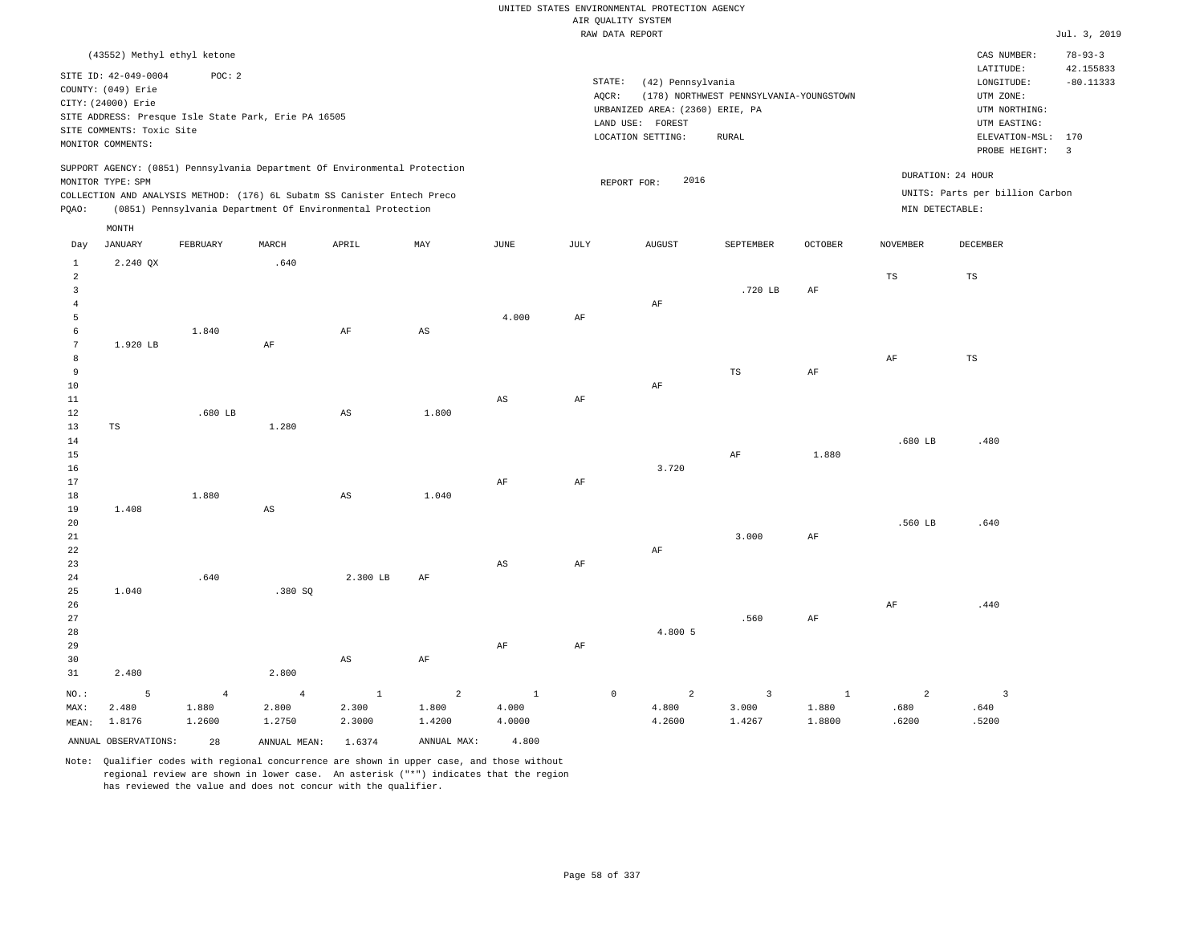|                                |                             |                |                                                                            |                        |                |                        |           | RAW DATA REPORT   |                   |                                         |                |                 |                                 | Jul. 3, 2019            |
|--------------------------------|-----------------------------|----------------|----------------------------------------------------------------------------|------------------------|----------------|------------------------|-----------|-------------------|-------------------|-----------------------------------------|----------------|-----------------|---------------------------------|-------------------------|
|                                | (43552) Methyl ethyl ketone |                |                                                                            |                        |                |                        |           |                   |                   |                                         |                |                 | CAS NUMBER:                     | $78 - 93 - 3$           |
|                                | SITE ID: 42-049-0004        | POC: 2         |                                                                            |                        |                |                        |           |                   |                   |                                         |                |                 | LATITUDE:                       | 42.155833               |
|                                | COUNTY: (049) Erie          |                |                                                                            |                        |                |                        |           | STATE:            | (42) Pennsylvania |                                         |                |                 | LONGITUDE:                      | $-80.11333$             |
|                                | CITY: (24000) Erie          |                |                                                                            |                        |                |                        |           | AOCR:             |                   | (178) NORTHWEST PENNSYLVANIA-YOUNGSTOWN |                |                 | UTM ZONE:                       |                         |
|                                |                             |                | SITE ADDRESS: Presque Isle State Park, Erie PA 16505                       |                        |                |                        |           |                   |                   | URBANIZED AREA: (2360) ERIE, PA         |                |                 | UTM NORTHING:                   |                         |
|                                | SITE COMMENTS: Toxic Site   |                |                                                                            |                        |                |                        |           | LAND USE: FOREST  |                   |                                         |                |                 | UTM EASTING:                    |                         |
|                                | MONITOR COMMENTS:           |                |                                                                            |                        |                |                        |           | LOCATION SETTING: |                   | RURAL                                   |                |                 | ELEVATION-MSL: 170              |                         |
|                                |                             |                |                                                                            |                        |                |                        |           |                   |                   |                                         |                |                 | PROBE HEIGHT:                   | $\overline{\mathbf{3}}$ |
|                                | MONITOR TYPE: SPM           |                | SUPPORT AGENCY: (0851) Pennsylvania Department Of Environmental Protection |                        |                |                        |           |                   | 2016              |                                         |                |                 | DURATION: 24 HOUR               |                         |
|                                |                             |                | COLLECTION AND ANALYSIS METHOD: (176) 6L Subatm SS Canister Entech Preco   |                        |                |                        |           | REPORT FOR:       |                   |                                         |                |                 | UNITS: Parts per billion Carbon |                         |
| PQAO:                          |                             |                | (0851) Pennsylvania Department Of Environmental Protection                 |                        |                |                        |           |                   |                   |                                         |                | MIN DETECTABLE: |                                 |                         |
|                                | MONTH                       |                |                                                                            |                        |                |                        |           |                   |                   |                                         |                |                 |                                 |                         |
| Day                            | JANUARY                     | FEBRUARY       | MARCH                                                                      | APRIL                  | MAY            | <b>JUNE</b>            | JULY      |                   | <b>AUGUST</b>     | SEPTEMBER                               | <b>OCTOBER</b> | <b>NOVEMBER</b> | <b>DECEMBER</b>                 |                         |
|                                |                             |                |                                                                            |                        |                |                        |           |                   |                   |                                         |                |                 |                                 |                         |
| $\mathbf{1}$<br>$\overline{a}$ | 2.240 QX                    |                | .640                                                                       |                        |                |                        |           |                   |                   |                                         |                | $_{\rm TS}$     | $\mathbb{TS}$                   |                         |
| $\overline{3}$                 |                             |                |                                                                            |                        |                |                        |           |                   |                   | .720 LB                                 | $\rm{AF}$      |                 |                                 |                         |
| $\overline{4}$                 |                             |                |                                                                            |                        |                |                        |           |                   | $\rm AF$          |                                         |                |                 |                                 |                         |
| $\overline{5}$                 |                             |                |                                                                            |                        |                | 4.000                  | $\rm{AF}$ |                   |                   |                                         |                |                 |                                 |                         |
| 6                              |                             | 1.840          |                                                                            | AF                     | AS             |                        |           |                   |                   |                                         |                |                 |                                 |                         |
| $\,7$                          | 1.920 LB                    |                | $\rm{AF}$                                                                  |                        |                |                        |           |                   |                   |                                         |                |                 |                                 |                         |
| 8                              |                             |                |                                                                            |                        |                |                        |           |                   |                   |                                         |                | $\rm{AF}$       | $_{\rm TS}$                     |                         |
| 9                              |                             |                |                                                                            |                        |                |                        |           |                   |                   | TS                                      | AF             |                 |                                 |                         |
| 10                             |                             |                |                                                                            |                        |                |                        |           |                   | $\rm AF$          |                                         |                |                 |                                 |                         |
| 11                             |                             |                |                                                                            |                        |                | AS                     | AF        |                   |                   |                                         |                |                 |                                 |                         |
| 12<br>13                       | TS                          | .680 LB        | 1.280                                                                      | AS                     | 1.800          |                        |           |                   |                   |                                         |                |                 |                                 |                         |
| 14                             |                             |                |                                                                            |                        |                |                        |           |                   |                   |                                         |                | .680 LB         | .480                            |                         |
| 15                             |                             |                |                                                                            |                        |                |                        |           |                   |                   | AF                                      | 1.880          |                 |                                 |                         |
| 16                             |                             |                |                                                                            |                        |                |                        |           |                   | 3.720             |                                         |                |                 |                                 |                         |
| 17                             |                             |                |                                                                            |                        |                | AF                     | $\rm{AF}$ |                   |                   |                                         |                |                 |                                 |                         |
| 18                             |                             | 1.880          |                                                                            | AS                     | 1.040          |                        |           |                   |                   |                                         |                |                 |                                 |                         |
| 19                             | 1.408                       |                | $\mathbb{A}\mathbb{S}$                                                     |                        |                |                        |           |                   |                   |                                         |                |                 |                                 |                         |
| 20                             |                             |                |                                                                            |                        |                |                        |           |                   |                   |                                         |                | .560 LB         | .640                            |                         |
| $21\,$                         |                             |                |                                                                            |                        |                |                        |           |                   |                   | 3.000                                   | AF             |                 |                                 |                         |
| 22<br>23                       |                             |                |                                                                            |                        |                | $\mathbb{A}\mathbb{S}$ | AF        | AF                |                   |                                         |                |                 |                                 |                         |
| 24                             |                             | .640           |                                                                            | 2.300 LB               | $\rm AF$       |                        |           |                   |                   |                                         |                |                 |                                 |                         |
| 25                             | 1.040                       |                | .380SQ                                                                     |                        |                |                        |           |                   |                   |                                         |                |                 |                                 |                         |
| 26                             |                             |                |                                                                            |                        |                |                        |           |                   |                   |                                         |                | AF              | .440                            |                         |
| 27                             |                             |                |                                                                            |                        |                |                        |           |                   |                   | .560                                    | AF             |                 |                                 |                         |
| 28                             |                             |                |                                                                            |                        |                |                        |           |                   | 4.800 5           |                                         |                |                 |                                 |                         |
| 29                             |                             |                |                                                                            |                        |                | AF                     | AF        |                   |                   |                                         |                |                 |                                 |                         |
| 30                             |                             |                |                                                                            | $\mathbb{A}\mathbb{S}$ | $\rm AF$       |                        |           |                   |                   |                                         |                |                 |                                 |                         |
| 31                             | 2.480                       |                | 2.800                                                                      |                        |                |                        |           |                   |                   |                                         |                |                 |                                 |                         |
| NO.:                           | 5                           | $\overline{4}$ | $\overline{4}$                                                             | $1\,$                  | $\overline{a}$ | $\,$ 1                 |           | $\mathbb O$       | $\overline{a}$    | $\mathbf{3}$                            | $\mathbf{1}$   | $\overline{a}$  | $\overline{3}$                  |                         |
| MAX:                           | 2.480                       | 1.880          | 2.800                                                                      | 2.300                  | 1.800          | 4.000                  |           |                   | 4.800             | 3.000                                   | 1.880          | .680            | .640                            |                         |
| MEAN:                          | 1.8176                      | 1.2600         | 1.2750                                                                     | 2.3000                 | 1.4200         | 4.0000                 |           |                   | 4.2600            | 1.4267                                  | 1.8800         | .6200           | .5200                           |                         |
|                                | ANNUAL OBSERVATIONS:        | 28             | ANNUAL MEAN:                                                               | 1.6374                 | ANNUAL MAX:    | 4.800                  |           |                   |                   |                                         |                |                 |                                 |                         |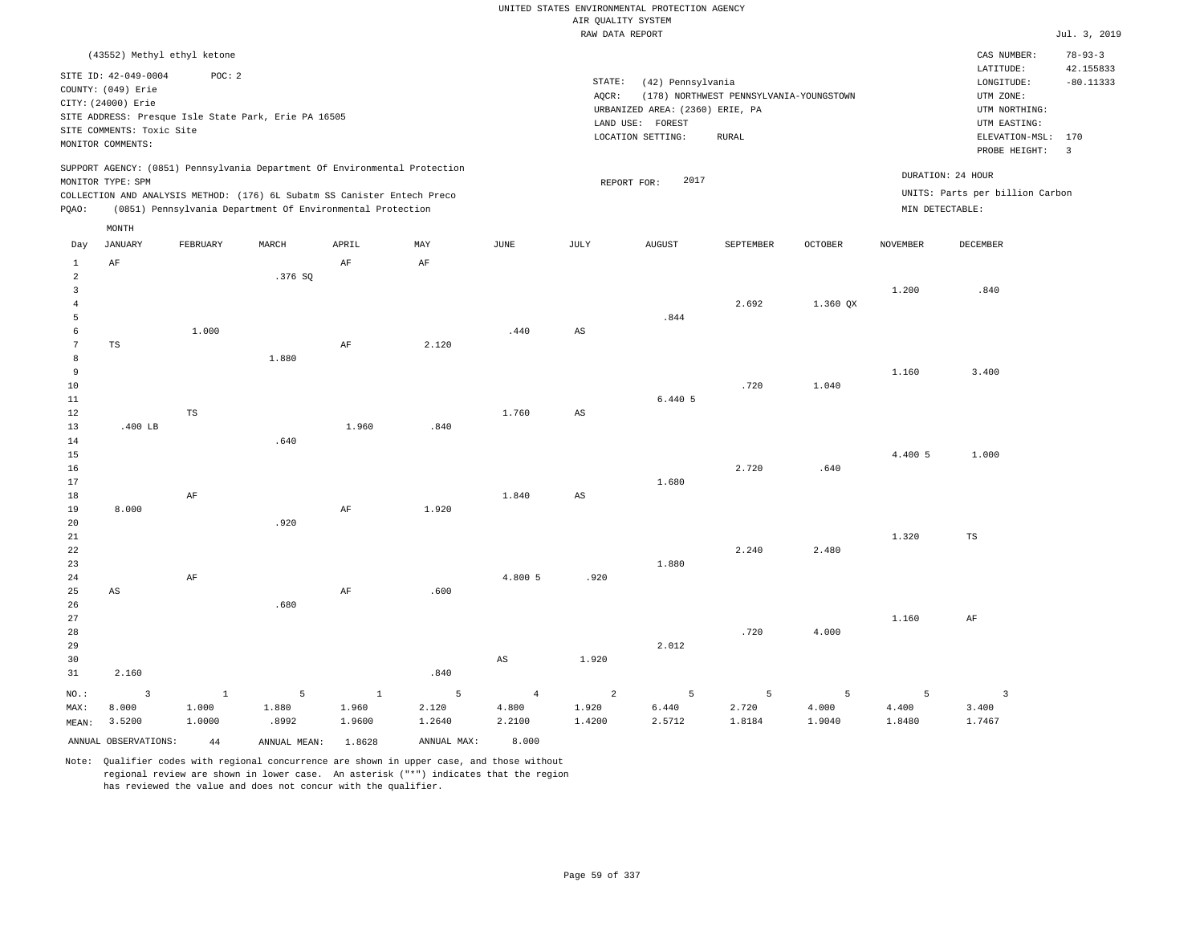|                      |                             |          |                                                                            |              |             |                | RAW DATA REPORT        |                                 |                                         |          |                 |                                 | Jul. 3, 2019            |
|----------------------|-----------------------------|----------|----------------------------------------------------------------------------|--------------|-------------|----------------|------------------------|---------------------------------|-----------------------------------------|----------|-----------------|---------------------------------|-------------------------|
|                      | (43552) Methyl ethyl ketone |          |                                                                            |              |             |                |                        |                                 |                                         |          |                 | CAS NUMBER:                     | $78 - 93 - 3$           |
|                      | SITE ID: 42-049-0004        | POC: 2   |                                                                            |              |             |                |                        |                                 |                                         |          |                 | LATITUDE:                       | 42.155833               |
|                      | COUNTY: (049) Erie          |          |                                                                            |              |             |                | STATE:                 | (42) Pennsylvania               |                                         |          |                 | LONGITUDE:                      | $-80.11333$             |
|                      | CITY: (24000) Erie          |          |                                                                            |              |             |                | AQCR:                  |                                 | (178) NORTHWEST PENNSYLVANIA-YOUNGSTOWN |          |                 | UTM ZONE:                       |                         |
|                      |                             |          | SITE ADDRESS: Presque Isle State Park, Erie PA 16505                       |              |             |                |                        | URBANIZED AREA: (2360) ERIE, PA |                                         |          |                 | UTM NORTHING:                   |                         |
|                      | SITE COMMENTS: Toxic Site   |          |                                                                            |              |             |                |                        | LAND USE: FOREST                |                                         |          |                 | UTM EASTING:                    |                         |
|                      | MONITOR COMMENTS:           |          |                                                                            |              |             |                |                        | LOCATION SETTING:               | <b>RURAL</b>                            |          |                 | ELEVATION-MSL: 170              |                         |
|                      |                             |          |                                                                            |              |             |                |                        |                                 |                                         |          |                 | PROBE HEIGHT:                   | $\overline{\mathbf{3}}$ |
|                      |                             |          | SUPPORT AGENCY: (0851) Pennsylvania Department Of Environmental Protection |              |             |                |                        |                                 |                                         |          |                 | DURATION: 24 HOUR               |                         |
|                      | MONITOR TYPE: SPM           |          |                                                                            |              |             |                |                        | 2017<br>REPORT FOR:             |                                         |          |                 |                                 |                         |
|                      |                             |          | COLLECTION AND ANALYSIS METHOD: (176) 6L Subatm SS Canister Entech Preco   |              |             |                |                        |                                 |                                         |          |                 | UNITS: Parts per billion Carbon |                         |
| PQAO:                |                             |          | (0851) Pennsylvania Department Of Environmental Protection                 |              |             |                |                        |                                 |                                         |          |                 | MIN DETECTABLE:                 |                         |
|                      | MONTH                       |          |                                                                            |              |             |                |                        |                                 |                                         |          |                 |                                 |                         |
| Day                  | <b>JANUARY</b>              | FEBRUARY | MARCH                                                                      | APRIL        | MAY         | $_{\rm JUNE}$  | $\mathtt{JULY}$        | AUGUST                          | SEPTEMBER                               | OCTOBER  | <b>NOVEMBER</b> | DECEMBER                        |                         |
| $\mathbf{1}$         | AF                          |          |                                                                            | AF           | AF          |                |                        |                                 |                                         |          |                 |                                 |                         |
| $\overline{a}$       |                             |          | .376 SQ                                                                    |              |             |                |                        |                                 |                                         |          |                 |                                 |                         |
| $\overline{3}$       |                             |          |                                                                            |              |             |                |                        |                                 |                                         |          | 1.200           | .840                            |                         |
| $\overline{4}$       |                             |          |                                                                            |              |             |                |                        |                                 | 2.692                                   | 1.360 QX |                 |                                 |                         |
| 5                    |                             |          |                                                                            |              |             |                |                        | .844                            |                                         |          |                 |                                 |                         |
| 6<br>$7\phantom{.0}$ |                             | 1.000    |                                                                            | $\rm{AF}$    |             | .440           | $\mathbb{A}\mathbb{S}$ |                                 |                                         |          |                 |                                 |                         |
| $\,8\,$              | $_{\rm TS}$                 |          | 1.880                                                                      |              | 2.120       |                |                        |                                 |                                         |          |                 |                                 |                         |
| 9                    |                             |          |                                                                            |              |             |                |                        |                                 |                                         |          | 1.160           | 3.400                           |                         |
| 10                   |                             |          |                                                                            |              |             |                |                        |                                 | .720                                    | 1.040    |                 |                                 |                         |
| 11                   |                             |          |                                                                            |              |             |                |                        | 6.440 5                         |                                         |          |                 |                                 |                         |
| 12                   |                             | TS       |                                                                            |              |             | 1.760          | $_{\rm AS}$            |                                 |                                         |          |                 |                                 |                         |
| 13                   | .400 LB                     |          |                                                                            | 1.960        | .840        |                |                        |                                 |                                         |          |                 |                                 |                         |
| 14                   |                             |          | .640                                                                       |              |             |                |                        |                                 |                                         |          |                 |                                 |                         |
| 15                   |                             |          |                                                                            |              |             |                |                        |                                 |                                         |          | 4.400 5         | 1,000                           |                         |
| 16                   |                             |          |                                                                            |              |             |                |                        |                                 | 2.720                                   | .640     |                 |                                 |                         |
| 17                   |                             |          |                                                                            |              |             |                |                        | 1.680                           |                                         |          |                 |                                 |                         |
| 18                   |                             | AF       |                                                                            |              |             | 1.840          | $\mathbb{A}\mathbb{S}$ |                                 |                                         |          |                 |                                 |                         |
| 19                   | 8.000                       |          |                                                                            | AF           | 1.920       |                |                        |                                 |                                         |          |                 |                                 |                         |
| 20                   |                             |          | .920                                                                       |              |             |                |                        |                                 |                                         |          |                 |                                 |                         |
| 21                   |                             |          |                                                                            |              |             |                |                        |                                 |                                         |          | 1.320           | TS                              |                         |
| 22                   |                             |          |                                                                            |              |             |                |                        |                                 | 2.240                                   | 2.480    |                 |                                 |                         |
| 23                   |                             |          |                                                                            |              |             |                |                        | 1.880                           |                                         |          |                 |                                 |                         |
| 24<br>25             |                             | $\rm AF$ |                                                                            |              |             | 4.800 5        | .920                   |                                 |                                         |          |                 |                                 |                         |
| 26                   | $_{\rm AS}$                 |          | .680                                                                       | AF           | .600        |                |                        |                                 |                                         |          |                 |                                 |                         |
| 27                   |                             |          |                                                                            |              |             |                |                        |                                 |                                         |          | 1.160           | $\rm AF$                        |                         |
| 28                   |                             |          |                                                                            |              |             |                |                        |                                 | .720                                    | 4.000    |                 |                                 |                         |
| 29                   |                             |          |                                                                            |              |             |                |                        | 2.012                           |                                         |          |                 |                                 |                         |
| 30                   |                             |          |                                                                            |              |             | $_{\rm AS}$    | 1.920                  |                                 |                                         |          |                 |                                 |                         |
| 31                   | 2.160                       |          |                                                                            |              | .840        |                |                        |                                 |                                         |          |                 |                                 |                         |
|                      | $\overline{3}$              | $\,$ 1   | 5                                                                          | $\mathbf{1}$ | 5           | $\overline{4}$ | $\overline{a}$         | 5                               | 5                                       | 5        | 5               | $\overline{\mathbf{3}}$         |                         |
| NO.:<br>MAX:         | 8.000                       | 1.000    | 1.880                                                                      | 1.960        | 2.120       | 4.800          | 1.920                  | 6.440                           | 2.720                                   | 4.000    | 4.400           | 3.400                           |                         |
| MEAN:                | 3.5200                      | 1.0000   | .8992                                                                      | 1.9600       | 1.2640      | 2.2100         | 1.4200                 | 2.5712                          | 1.8184                                  | 1.9040   | 1.8480          | 1.7467                          |                         |
|                      |                             |          |                                                                            |              |             |                |                        |                                 |                                         |          |                 |                                 |                         |
|                      | ANNUAL OBSERVATIONS:        | $4\,4$   | ANNUAL MEAN:                                                               | 1.8628       | ANNUAL MAX: | 8.000          |                        |                                 |                                         |          |                 |                                 |                         |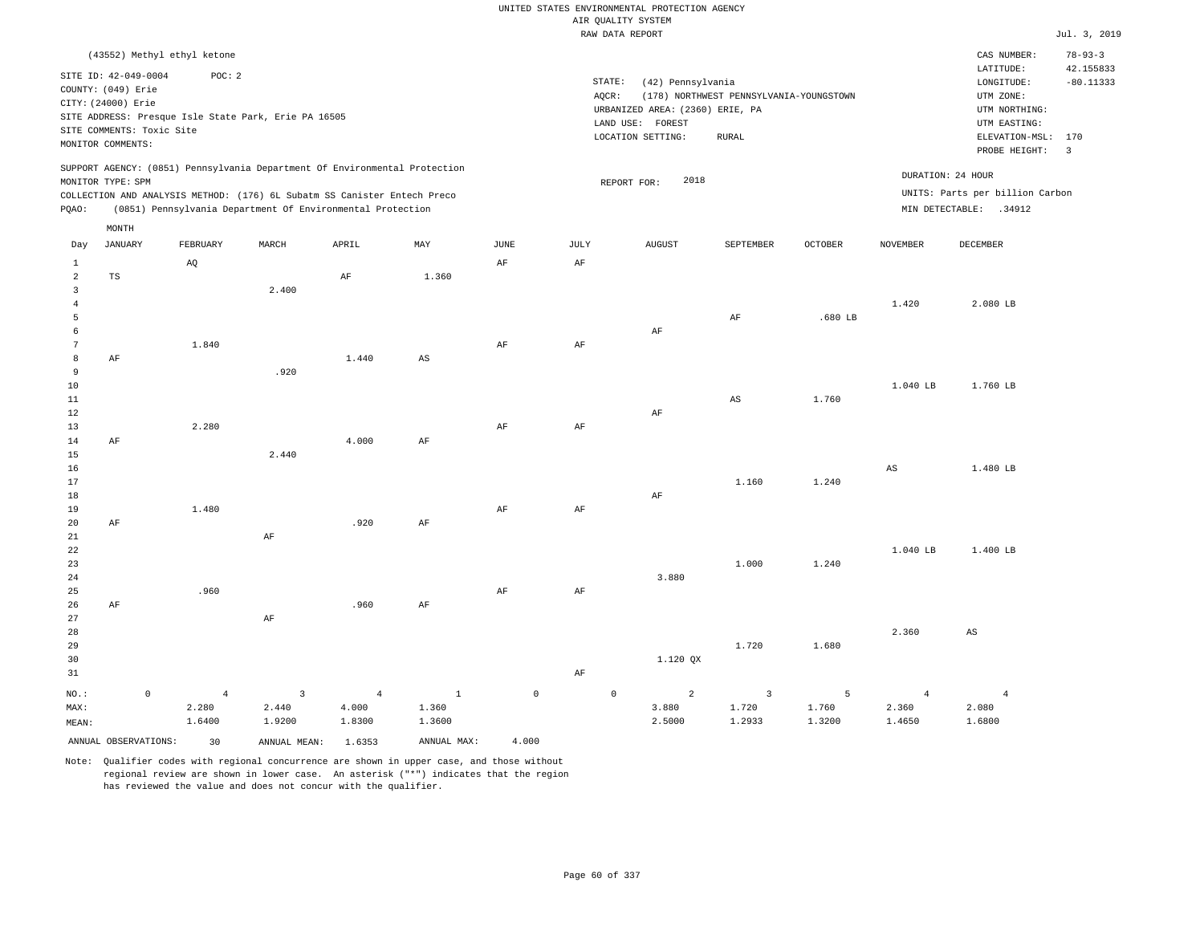|                                |                                                                  |             |                             |                                                                                                                                        |                |                        |                     |           | UNITED STATES ENVIRONMENTAL PROTECTION AGENCY<br>AIR QUALITY SYSTEM     |                                         |                |                 |                                                           |                            |
|--------------------------------|------------------------------------------------------------------|-------------|-----------------------------|----------------------------------------------------------------------------------------------------------------------------------------|----------------|------------------------|---------------------|-----------|-------------------------------------------------------------------------|-----------------------------------------|----------------|-----------------|-----------------------------------------------------------|----------------------------|
|                                |                                                                  |             |                             |                                                                                                                                        |                |                        |                     |           | RAW DATA REPORT                                                         |                                         |                |                 |                                                           | Jul. 3, 2019               |
|                                |                                                                  |             | (43552) Methyl ethyl ketone |                                                                                                                                        |                |                        |                     |           |                                                                         |                                         |                |                 | CAS NUMBER:<br>LATITUDE:                                  | $78 - 93 - 3$<br>42.155833 |
|                                | SITE ID: 42-049-0004<br>COUNTY: (049) Erie<br>CITY: (24000) Erie |             | POC: 2                      | SITE ADDRESS: Presque Isle State Park, Erie PA 16505                                                                                   |                |                        |                     |           | STATE:<br>(42) Pennsylvania<br>AQCR:<br>URBANIZED AREA: (2360) ERIE, PA | (178) NORTHWEST PENNSYLVANIA-YOUNGSTOWN |                |                 | LONGITUDE:<br>UTM ZONE:<br>UTM NORTHING:                  | $-80.11333$                |
|                                | SITE COMMENTS: Toxic Site                                        |             |                             |                                                                                                                                        |                |                        |                     |           | LAND USE: FOREST                                                        |                                         |                |                 | UTM EASTING:                                              |                            |
|                                | MONITOR COMMENTS:                                                |             |                             |                                                                                                                                        |                |                        |                     |           | LOCATION SETTING:                                                       | RURAL                                   |                |                 | ELEVATION-MSL:<br>PROBE HEIGHT:                           | 170<br>$\overline{3}$      |
|                                | MONITOR TYPE: SPM                                                |             |                             | SUPPORT AGENCY: (0851) Pennsylvania Department Of Environmental Protection                                                             |                |                        |                     |           | 2018<br>REPORT FOR:                                                     |                                         |                |                 | DURATION: 24 HOUR                                         |                            |
| PQAO:                          |                                                                  |             |                             | COLLECTION AND ANALYSIS METHOD: (176) 6L Subatm SS Canister Entech Preco<br>(0851) Pennsylvania Department Of Environmental Protection |                |                        |                     |           |                                                                         |                                         |                |                 | UNITS: Parts per billion Carbon<br>MIN DETECTABLE: .34912 |                            |
|                                | MONTH                                                            |             |                             |                                                                                                                                        |                |                        |                     |           |                                                                         |                                         |                |                 |                                                           |                            |
| Day                            | <b>JANUARY</b>                                                   |             | FEBRUARY                    | MARCH                                                                                                                                  | APRIL          | MAY                    | $_{\rm JUNE}$       | JULY      | <b>AUGUST</b>                                                           | SEPTEMBER                               | <b>OCTOBER</b> | <b>NOVEMBER</b> | <b>DECEMBER</b>                                           |                            |
| $1\,$<br>$\overline{a}$        | $_{\rm TS}$                                                      |             | AQ                          |                                                                                                                                        | AF             | 1.360                  | AF                  | AF        |                                                                         |                                         |                |                 |                                                           |                            |
| $\mathbf{3}$<br>$\overline{4}$ |                                                                  |             |                             | 2.400                                                                                                                                  |                |                        |                     |           |                                                                         |                                         |                | 1.420           | 2.080 LB                                                  |                            |
| 5<br>6                         |                                                                  |             |                             |                                                                                                                                        |                |                        |                     |           | AF                                                                      | AF                                      | $.680$ LB      |                 |                                                           |                            |
| 7                              |                                                                  |             | 1.840                       |                                                                                                                                        |                |                        | AF                  | $\rm{AF}$ |                                                                         |                                         |                |                 |                                                           |                            |
| 8                              | $\rm AF$                                                         |             |                             |                                                                                                                                        | 1.440          | $\mathbb{A}\mathbb{S}$ |                     |           |                                                                         |                                         |                |                 |                                                           |                            |
| $\overline{9}$                 |                                                                  |             |                             | .920                                                                                                                                   |                |                        |                     |           |                                                                         |                                         |                |                 |                                                           |                            |
| 10                             |                                                                  |             |                             |                                                                                                                                        |                |                        |                     |           |                                                                         |                                         |                | 1.040 LB        | 1.760 LB                                                  |                            |
| 11                             |                                                                  |             |                             |                                                                                                                                        |                |                        |                     |           |                                                                         | $\mathbb{A}\mathbb{S}$                  | 1.760          |                 |                                                           |                            |
| 12<br>13                       |                                                                  |             | 2.280                       |                                                                                                                                        |                |                        | AF                  | AF        | AF                                                                      |                                         |                |                 |                                                           |                            |
| 14                             | ΑF                                                               |             |                             |                                                                                                                                        | 4.000          | $\rm AF$               |                     |           |                                                                         |                                         |                |                 |                                                           |                            |
| 15                             |                                                                  |             |                             | 2.440                                                                                                                                  |                |                        |                     |           |                                                                         |                                         |                |                 |                                                           |                            |
| 16                             |                                                                  |             |                             |                                                                                                                                        |                |                        |                     |           |                                                                         |                                         |                | $_{\rm AS}$     | 1.480 LB                                                  |                            |
| 17                             |                                                                  |             |                             |                                                                                                                                        |                |                        |                     |           |                                                                         | 1.160                                   | 1.240          |                 |                                                           |                            |
| 18                             |                                                                  |             |                             |                                                                                                                                        |                |                        |                     |           | AF                                                                      |                                         |                |                 |                                                           |                            |
| 19                             |                                                                  |             | 1.480                       |                                                                                                                                        |                |                        | $\rm{AF}$           | AF        |                                                                         |                                         |                |                 |                                                           |                            |
| 20<br>21                       | AF                                                               |             |                             | AF                                                                                                                                     | .920           | $\rm AF$               |                     |           |                                                                         |                                         |                |                 |                                                           |                            |
| 22                             |                                                                  |             |                             |                                                                                                                                        |                |                        |                     |           |                                                                         |                                         |                | 1.040 LB        | 1.400 LB                                                  |                            |
| 23                             |                                                                  |             |                             |                                                                                                                                        |                |                        |                     |           |                                                                         | 1.000                                   | 1.240          |                 |                                                           |                            |
| 24                             |                                                                  |             |                             |                                                                                                                                        |                |                        |                     |           | 3.880                                                                   |                                         |                |                 |                                                           |                            |
| 25                             |                                                                  |             | .960                        |                                                                                                                                        |                |                        | $\rm{AF}$           | $\rm{AF}$ |                                                                         |                                         |                |                 |                                                           |                            |
| 26                             | AF                                                               |             |                             |                                                                                                                                        | .960           | AF                     |                     |           |                                                                         |                                         |                |                 |                                                           |                            |
| 27                             |                                                                  |             |                             | AF                                                                                                                                     |                |                        |                     |           |                                                                         |                                         |                |                 |                                                           |                            |
| 28<br>29                       |                                                                  |             |                             |                                                                                                                                        |                |                        |                     |           |                                                                         | 1.720                                   | 1.680          | 2.360           | AS                                                        |                            |
| 30                             |                                                                  |             |                             |                                                                                                                                        |                |                        |                     |           | 1.120 QX                                                                |                                         |                |                 |                                                           |                            |
| 31                             |                                                                  |             |                             |                                                                                                                                        |                |                        |                     | $\rm{AF}$ |                                                                         |                                         |                |                 |                                                           |                            |
| NO.:                           |                                                                  | $\mathbb O$ | $\overline{4}$              | $\mathbf{3}$                                                                                                                           | $\overline{4}$ | $\mathbf{1}$           | $\mathsf{O}\xspace$ |           | $\overline{a}$<br>$\mathsf{O}$                                          | $\overline{\mathbf{3}}$                 | 5              | $\overline{4}$  | $\overline{4}$                                            |                            |
| MAX:                           |                                                                  |             | 2.280                       | 2.440                                                                                                                                  | 4.000          | 1.360                  |                     |           | 3.880                                                                   | 1.720                                   | 1.760          | 2.360           | 2.080                                                     |                            |
| MEAN:                          |                                                                  |             | 1.6400                      | 1.9200                                                                                                                                 | 1.8300         | 1.3600                 |                     |           | 2.5000                                                                  | 1.2933                                  | 1.3200         | 1.4650          | 1.6800                                                    |                            |
|                                | ANNUAL OBSERVATIONS:                                             |             | 30                          | ANNUAL MEAN: 1.6353                                                                                                                    |                | ANNUAL MAX:            | 4.000               |           |                                                                         |                                         |                |                 |                                                           |                            |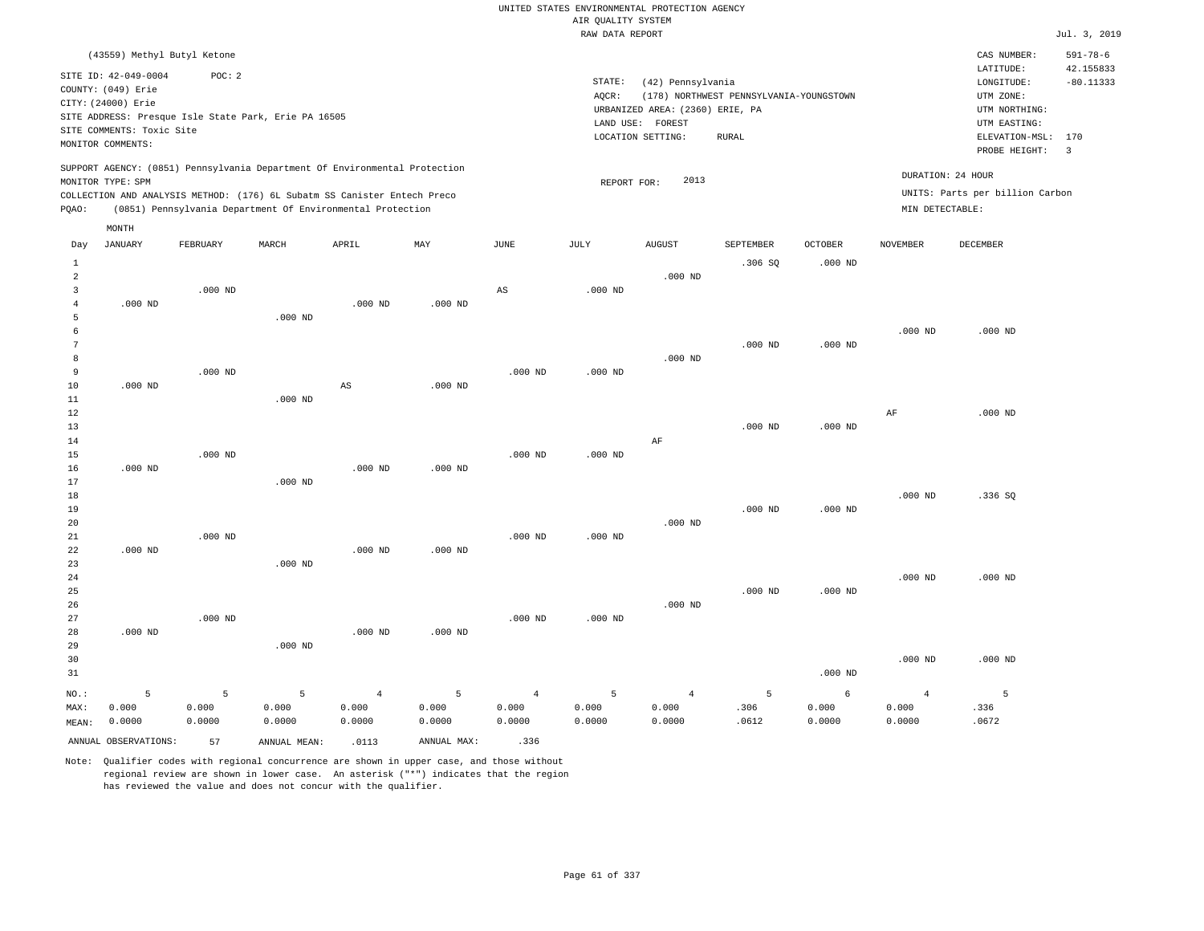|                |                                                                                                                                                                            |                 |                 |                                                            |                 |                        | RAW DATA REPORT |                                                                                               |                                                         |                 |                 |                                                                                                          | Jul. 3, 2019                                      |
|----------------|----------------------------------------------------------------------------------------------------------------------------------------------------------------------------|-----------------|-----------------|------------------------------------------------------------|-----------------|------------------------|-----------------|-----------------------------------------------------------------------------------------------|---------------------------------------------------------|-----------------|-----------------|----------------------------------------------------------------------------------------------------------|---------------------------------------------------|
|                | (43559) Methyl Butyl Ketone                                                                                                                                                |                 |                 |                                                            |                 |                        |                 |                                                                                               |                                                         |                 |                 | CAS NUMBER:                                                                                              | $591 - 78 - 6$                                    |
|                | SITE ID: 42-049-0004<br>COUNTY: (049) Erie<br>CITY: (24000) Erie<br>SITE ADDRESS: Presque Isle State Park, Erie PA 16505<br>SITE COMMENTS: Toxic Site<br>MONITOR COMMENTS: | POC: 2          |                 |                                                            |                 |                        | STATE:<br>AQCR: | (42) Pennsylvania<br>URBANIZED AREA: (2360) ERIE, PA<br>LAND USE: FOREST<br>LOCATION SETTING: | (178) NORTHWEST PENNSYLVANIA-YOUNGSTOWN<br><b>RURAL</b> |                 |                 | LATITUDE:<br>LONGITUDE:<br>UTM ZONE:<br>UTM NORTHING:<br>UTM EASTING:<br>ELEVATION-MSL:<br>PROBE HEIGHT: | 42.155833<br>$-80.11333$<br>170<br>$\overline{3}$ |
|                | SUPPORT AGENCY: (0851) Pennsylvania Department Of Environmental Protection                                                                                                 |                 |                 |                                                            |                 |                        |                 |                                                                                               |                                                         |                 |                 | DURATION: 24 HOUR                                                                                        |                                                   |
|                | MONITOR TYPE: SPM                                                                                                                                                          |                 |                 |                                                            |                 |                        | REPORT FOR:     | 2013                                                                                          |                                                         |                 |                 | UNITS: Parts per billion Carbon                                                                          |                                                   |
| PQAO:          | COLLECTION AND ANALYSIS METHOD: (176) 6L Subatm SS Canister Entech Preco                                                                                                   |                 |                 | (0851) Pennsylvania Department Of Environmental Protection |                 |                        |                 |                                                                                               |                                                         |                 | MIN DETECTABLE: |                                                                                                          |                                                   |
|                | MONTH                                                                                                                                                                      |                 |                 |                                                            |                 |                        |                 |                                                                                               |                                                         |                 |                 |                                                                                                          |                                                   |
| Day            | JANUARY                                                                                                                                                                    | FEBRUARY        | MARCH           | APRIL                                                      | MAY             | $\mathtt{JUNE}$        | JULY            | AUGUST                                                                                        | SEPTEMBER                                               | OCTOBER         | <b>NOVEMBER</b> | DECEMBER                                                                                                 |                                                   |
| 1              |                                                                                                                                                                            |                 |                 |                                                            |                 |                        |                 |                                                                                               | .306 SO                                                 | $.000$ ND       |                 |                                                                                                          |                                                   |
| $\overline{a}$ |                                                                                                                                                                            |                 |                 |                                                            |                 |                        |                 | $.000$ ND                                                                                     |                                                         |                 |                 |                                                                                                          |                                                   |
| 3              |                                                                                                                                                                            | $.000$ ND       |                 |                                                            |                 | $\mathbb{A}\mathbb{S}$ | $.000$ ND       |                                                                                               |                                                         |                 |                 |                                                                                                          |                                                   |
| $\overline{4}$ | $.000$ ND                                                                                                                                                                  |                 |                 | $.000$ ND                                                  | $.000$ ND       |                        |                 |                                                                                               |                                                         |                 |                 |                                                                                                          |                                                   |
| 5<br>6         |                                                                                                                                                                            |                 | $.000$ ND       |                                                            |                 |                        |                 |                                                                                               |                                                         |                 |                 |                                                                                                          |                                                   |
| 7              |                                                                                                                                                                            |                 |                 |                                                            |                 |                        |                 |                                                                                               | $.000$ ND                                               | $.000$ ND       | $.000$ ND       | $.000$ ND                                                                                                |                                                   |
| 8              |                                                                                                                                                                            |                 |                 |                                                            |                 |                        |                 | $.000$ ND                                                                                     |                                                         |                 |                 |                                                                                                          |                                                   |
| 9              |                                                                                                                                                                            | $.000$ ND       |                 |                                                            |                 | $.000$ ND              | $.000$ ND       |                                                                                               |                                                         |                 |                 |                                                                                                          |                                                   |
| 10             | $.000$ ND                                                                                                                                                                  |                 |                 | AS                                                         | $.000$ ND       |                        |                 |                                                                                               |                                                         |                 |                 |                                                                                                          |                                                   |
| $1\,1$         |                                                                                                                                                                            |                 | $.000$ ND       |                                                            |                 |                        |                 |                                                                                               |                                                         |                 |                 |                                                                                                          |                                                   |
| $1\,2$         |                                                                                                                                                                            |                 |                 |                                                            |                 |                        |                 |                                                                                               |                                                         |                 | $\rm{AF}$       | $.000$ ND                                                                                                |                                                   |
| 13             |                                                                                                                                                                            |                 |                 |                                                            |                 |                        |                 |                                                                                               | .000 <sub>ND</sub>                                      | $.000$ ND       |                 |                                                                                                          |                                                   |
| $1\,4$         |                                                                                                                                                                            |                 |                 |                                                            |                 |                        |                 | AF                                                                                            |                                                         |                 |                 |                                                                                                          |                                                   |
| 15             |                                                                                                                                                                            | $.000$ ND       |                 |                                                            |                 | $.000$ ND              | $.000$ ND       |                                                                                               |                                                         |                 |                 |                                                                                                          |                                                   |
| 16             | $.000$ ND                                                                                                                                                                  |                 |                 | $.000$ ND                                                  | $.000$ ND       |                        |                 |                                                                                               |                                                         |                 |                 |                                                                                                          |                                                   |
| $17$           |                                                                                                                                                                            |                 | $.000$ ND       |                                                            |                 |                        |                 |                                                                                               |                                                         |                 |                 |                                                                                                          |                                                   |
| $1\,8$<br>19   |                                                                                                                                                                            |                 |                 |                                                            |                 |                        |                 |                                                                                               | $.000$ ND                                               | $.000$ ND       | $.000$ ND       | .336 SQ                                                                                                  |                                                   |
| 20             |                                                                                                                                                                            |                 |                 |                                                            |                 |                        |                 | $.000$ ND                                                                                     |                                                         |                 |                 |                                                                                                          |                                                   |
| 21             |                                                                                                                                                                            | $.000$ ND       |                 |                                                            |                 | $.000$ ND              | $.000$ ND       |                                                                                               |                                                         |                 |                 |                                                                                                          |                                                   |
| 22             | $.000$ ND                                                                                                                                                                  |                 |                 | $.000$ ND                                                  | $.000$ ND       |                        |                 |                                                                                               |                                                         |                 |                 |                                                                                                          |                                                   |
| 23             |                                                                                                                                                                            |                 | $.000$ ND       |                                                            |                 |                        |                 |                                                                                               |                                                         |                 |                 |                                                                                                          |                                                   |
| 24             |                                                                                                                                                                            |                 |                 |                                                            |                 |                        |                 |                                                                                               |                                                         |                 | $.000$ ND       | $.000$ ND                                                                                                |                                                   |
| 25             |                                                                                                                                                                            |                 |                 |                                                            |                 |                        |                 |                                                                                               | .000 <sub>ND</sub>                                      | $.000$ ND       |                 |                                                                                                          |                                                   |
| 26             |                                                                                                                                                                            |                 |                 |                                                            |                 |                        |                 | $.000$ ND                                                                                     |                                                         |                 |                 |                                                                                                          |                                                   |
| 27             |                                                                                                                                                                            | $.000$ ND       |                 |                                                            |                 | $.000$ ND              | $.000$ ND       |                                                                                               |                                                         |                 |                 |                                                                                                          |                                                   |
| 28<br>29       | $.000$ ND                                                                                                                                                                  |                 | $.000$ ND       | $.000$ ND                                                  | $.000$ ND       |                        |                 |                                                                                               |                                                         |                 |                 |                                                                                                          |                                                   |
| 30             |                                                                                                                                                                            |                 |                 |                                                            |                 |                        |                 |                                                                                               |                                                         |                 | $.000$ ND       | $.000$ ND                                                                                                |                                                   |
| 31             |                                                                                                                                                                            |                 |                 |                                                            |                 |                        |                 |                                                                                               |                                                         | $.000$ ND       |                 |                                                                                                          |                                                   |
|                |                                                                                                                                                                            |                 |                 |                                                            |                 |                        |                 |                                                                                               |                                                         |                 |                 |                                                                                                          |                                                   |
| NO.:           | 5                                                                                                                                                                          | 5               | 5               | $\overline{4}$                                             | $\overline{5}$  | $\overline{4}$         | 5               | $\overline{4}$                                                                                | 5                                                       | 6               | $\overline{4}$  | 5                                                                                                        |                                                   |
| MAX:           | 0.000<br>0.0000                                                                                                                                                            | 0.000<br>0.0000 | 0.000<br>0.0000 | 0.000<br>0.0000                                            | 0.000<br>0.0000 | 0.000<br>0.0000        | 0.000<br>0.0000 | 0.000<br>0.0000                                                                               | .306<br>.0612                                           | 0.000<br>0.0000 | 0.000<br>0.0000 | .336<br>.0672                                                                                            |                                                   |
| MEAN:          |                                                                                                                                                                            |                 |                 |                                                            |                 |                        |                 |                                                                                               |                                                         |                 |                 |                                                                                                          |                                                   |
|                | ANNUAL OBSERVATIONS:                                                                                                                                                       | 57              | ANNUAL MEAN:    | .0113                                                      | ANNUAL MAX:     | .336                   |                 |                                                                                               |                                                         |                 |                 |                                                                                                          |                                                   |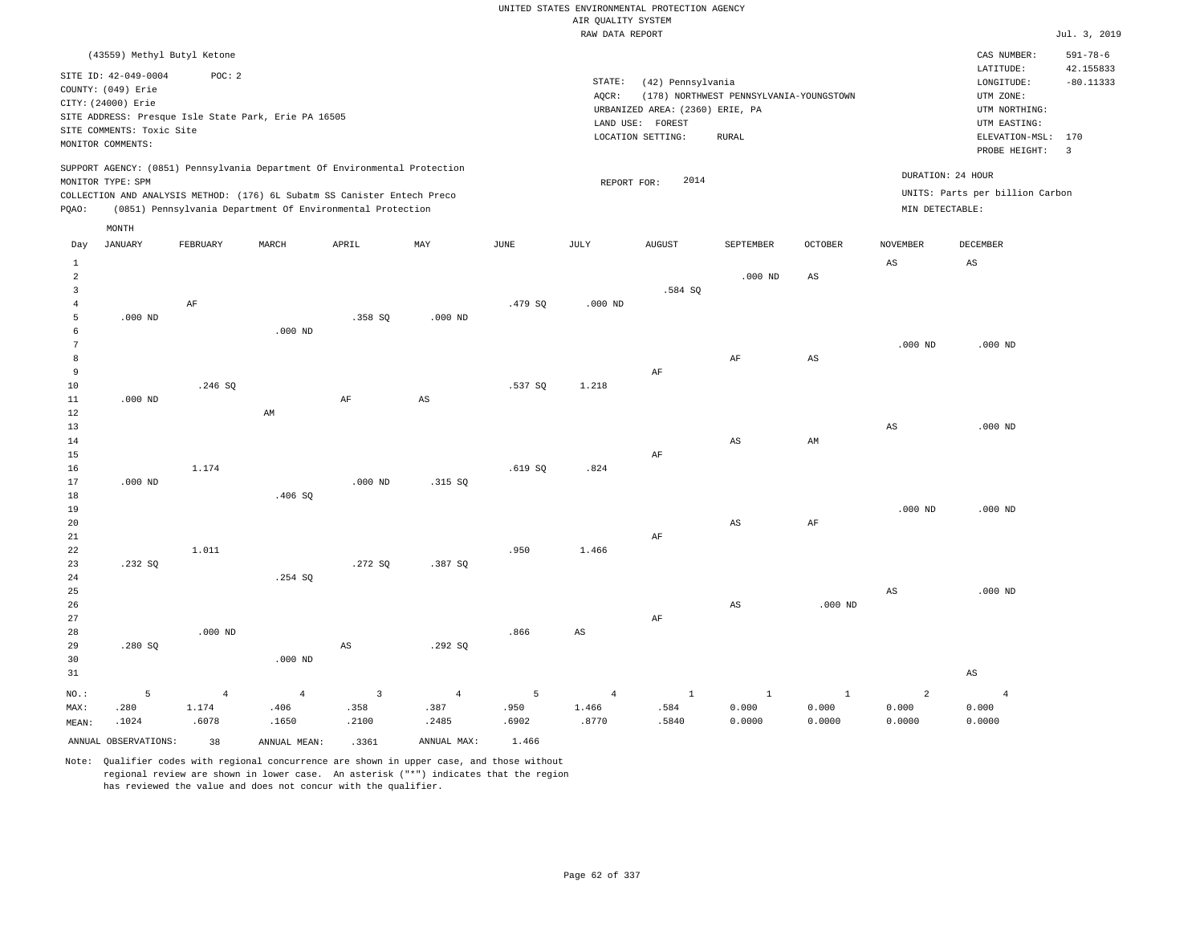|                 |                             |                |                                                                                                                                        |                        |                |                       | RAW DATA REPORT |                                 |                                         |                        |                        |                                 | Jul. 3, 2019   |
|-----------------|-----------------------------|----------------|----------------------------------------------------------------------------------------------------------------------------------------|------------------------|----------------|-----------------------|-----------------|---------------------------------|-----------------------------------------|------------------------|------------------------|---------------------------------|----------------|
|                 | (43559) Methyl Butyl Ketone |                |                                                                                                                                        |                        |                |                       |                 |                                 |                                         |                        |                        | CAS NUMBER:                     | $591 - 78 - 6$ |
|                 | SITE ID: 42-049-0004        | POC: 2         |                                                                                                                                        |                        |                |                       |                 |                                 |                                         |                        |                        | LATITUDE:                       | 42.155833      |
|                 | COUNTY: (049) Erie          |                |                                                                                                                                        |                        |                |                       | STATE:          | (42) Pennsylvania               |                                         |                        |                        | LONGITUDE:                      | $-80.11333$    |
|                 | CITY: (24000) Erie          |                |                                                                                                                                        |                        |                |                       | AQCR:           |                                 | (178) NORTHWEST PENNSYLVANIA-YOUNGSTOWN |                        |                        | UTM ZONE:                       |                |
|                 |                             |                | SITE ADDRESS: Presque Isle State Park, Erie PA 16505                                                                                   |                        |                |                       |                 | URBANIZED AREA: (2360) ERIE, PA |                                         |                        |                        | UTM NORTHING:                   |                |
|                 | SITE COMMENTS: Toxic Site   |                |                                                                                                                                        |                        |                |                       |                 | LAND USE: FOREST                |                                         |                        |                        | UTM EASTING:                    |                |
|                 | MONITOR COMMENTS:           |                |                                                                                                                                        |                        |                |                       |                 | LOCATION SETTING:               | <b>RURAL</b>                            |                        |                        | ELEVATION-MSL: 170              |                |
|                 |                             |                |                                                                                                                                        |                        |                |                       |                 |                                 |                                         |                        |                        | PROBE HEIGHT:                   | $\overline{3}$ |
|                 |                             |                | SUPPORT AGENCY: (0851) Pennsylvania Department Of Environmental Protection                                                             |                        |                |                       |                 | 2014                            |                                         |                        |                        | DURATION: 24 HOUR               |                |
|                 | MONITOR TYPE: SPM           |                |                                                                                                                                        |                        |                |                       | REPORT FOR:     |                                 |                                         |                        |                        | UNITS: Parts per billion Carbon |                |
| POAO:           |                             |                | COLLECTION AND ANALYSIS METHOD: (176) 6L Subatm SS Canister Entech Preco<br>(0851) Pennsylvania Department Of Environmental Protection |                        |                |                       |                 |                                 |                                         |                        | MIN DETECTABLE:        |                                 |                |
|                 | MONTH                       |                |                                                                                                                                        |                        |                |                       |                 |                                 |                                         |                        |                        |                                 |                |
| Day             | <b>JANUARY</b>              | FEBRUARY       | MARCH                                                                                                                                  | APRIL                  | MAX            | $\operatorname{JUNE}$ | JULY            | AUGUST                          | SEPTEMBER                               | OCTOBER                | <b>NOVEMBER</b>        | DECEMBER                        |                |
| $\mathbf{1}$    |                             |                |                                                                                                                                        |                        |                |                       |                 |                                 |                                         |                        | $\mathbb{A}\mathbb{S}$ | $_{\rm AS}$                     |                |
| $\overline{a}$  |                             |                |                                                                                                                                        |                        |                |                       |                 |                                 | $.000$ ND                               | $\mathbb{A}\mathbb{S}$ |                        |                                 |                |
| 3               |                             |                |                                                                                                                                        |                        |                |                       |                 | .584 SQ                         |                                         |                        |                        |                                 |                |
| $\overline{4}$  |                             | AF             |                                                                                                                                        |                        |                | .479 SQ               | $.000$ ND       |                                 |                                         |                        |                        |                                 |                |
| 5               | $.000$ ND                   |                |                                                                                                                                        | .358 SO                | $.000$ ND      |                       |                 |                                 |                                         |                        |                        |                                 |                |
| 6               |                             |                | $.000$ ND                                                                                                                              |                        |                |                       |                 |                                 |                                         |                        |                        |                                 |                |
| $7\phantom{.0}$ |                             |                |                                                                                                                                        |                        |                |                       |                 |                                 |                                         |                        | $.000$ ND              | $.000$ ND                       |                |
| 8               |                             |                |                                                                                                                                        |                        |                |                       |                 |                                 | AF                                      | $\mathbb{A}\mathbb{S}$ |                        |                                 |                |
| 9               |                             |                |                                                                                                                                        |                        |                |                       |                 | AF                              |                                         |                        |                        |                                 |                |
| $10$            |                             | .246S          |                                                                                                                                        |                        |                | .537 SQ               | 1.218           |                                 |                                         |                        |                        |                                 |                |
| 11              | $.000$ ND                   |                |                                                                                                                                        | AF                     | AS             |                       |                 |                                 |                                         |                        |                        |                                 |                |
| $1\,2$          |                             |                | AM                                                                                                                                     |                        |                |                       |                 |                                 |                                         |                        |                        |                                 |                |
| 13              |                             |                |                                                                                                                                        |                        |                |                       |                 |                                 |                                         |                        | $\mathbb{A}\mathbb{S}$ | $.000$ ND                       |                |
| 14              |                             |                |                                                                                                                                        |                        |                |                       |                 |                                 | AS                                      | AM                     |                        |                                 |                |
| 15              |                             |                |                                                                                                                                        |                        |                |                       |                 | AF                              |                                         |                        |                        |                                 |                |
| 16              |                             | 1.174          |                                                                                                                                        |                        |                | .619SQ                | .824            |                                 |                                         |                        |                        |                                 |                |
| 17              | $.000$ ND                   |                |                                                                                                                                        | $.000$ ND              | .315 SO        |                       |                 |                                 |                                         |                        |                        |                                 |                |
| 18              |                             |                | .406SQ                                                                                                                                 |                        |                |                       |                 |                                 |                                         |                        |                        |                                 |                |
| 19              |                             |                |                                                                                                                                        |                        |                |                       |                 |                                 |                                         |                        | $.000$ ND              | $.000$ ND                       |                |
| 20              |                             |                |                                                                                                                                        |                        |                |                       |                 |                                 | AS                                      | AF                     |                        |                                 |                |
| $2\sqrt{1}$     |                             |                |                                                                                                                                        |                        |                |                       |                 | AF                              |                                         |                        |                        |                                 |                |
| 22              |                             | 1.011          |                                                                                                                                        |                        |                | .950                  | 1.466           |                                 |                                         |                        |                        |                                 |                |
| 23              | .232SQ                      |                |                                                                                                                                        | .272 SO                | .387 SO        |                       |                 |                                 |                                         |                        |                        |                                 |                |
| 24              |                             |                | .254 SQ                                                                                                                                |                        |                |                       |                 |                                 |                                         |                        |                        |                                 |                |
| 25              |                             |                |                                                                                                                                        |                        |                |                       |                 |                                 |                                         |                        | $\mathbb{A}\mathbb{S}$ | $.000$ ND                       |                |
| 26              |                             |                |                                                                                                                                        |                        |                |                       |                 |                                 | $_{\rm AS}$                             | $.000$ ND              |                        |                                 |                |
| 27              |                             |                |                                                                                                                                        |                        |                |                       |                 | AF                              |                                         |                        |                        |                                 |                |
| 28              |                             | $.000$ ND      |                                                                                                                                        |                        |                | .866                  | $_{\rm AS}$     |                                 |                                         |                        |                        |                                 |                |
| 29              | .280SQ                      |                |                                                                                                                                        | $\mathbb{A}\mathbb{S}$ | .292SQ         |                       |                 |                                 |                                         |                        |                        |                                 |                |
| 30              |                             |                | $.000$ ND                                                                                                                              |                        |                |                       |                 |                                 |                                         |                        |                        |                                 |                |
| 31              |                             |                |                                                                                                                                        |                        |                |                       |                 |                                 |                                         |                        |                        | $\mathbb{A}\mathbb{S}$          |                |
| NO.:            | 5                           | $\overline{4}$ | $\overline{4}$                                                                                                                         | $\overline{3}$         | $\overline{4}$ | 5                     | $\overline{4}$  | $\mathbf{1}$                    | $\mathbf{1}$                            | $\mathbf{1}$           | $\overline{a}$         | $\overline{4}$                  |                |
|                 | .280                        | 1.174          | .406                                                                                                                                   | .358                   | .387           | .950                  | 1.466           | .584                            | 0.000                                   | 0.000                  | 0.000                  | 0.000                           |                |
| MAX:            | .1024                       | .6078          | .1650                                                                                                                                  | .2100                  | .2485          | .6902                 | .8770           | .5840                           | 0.0000                                  | 0.0000                 | 0.0000                 | 0.0000                          |                |
| MEAN:           |                             |                |                                                                                                                                        |                        |                |                       |                 |                                 |                                         |                        |                        |                                 |                |
|                 | ANNUAL OBSERVATIONS:        | 38             | ANNUAL MEAN:                                                                                                                           | .3361                  | ANNUAL MAX:    | 1.466                 |                 |                                 |                                         |                        |                        |                                 |                |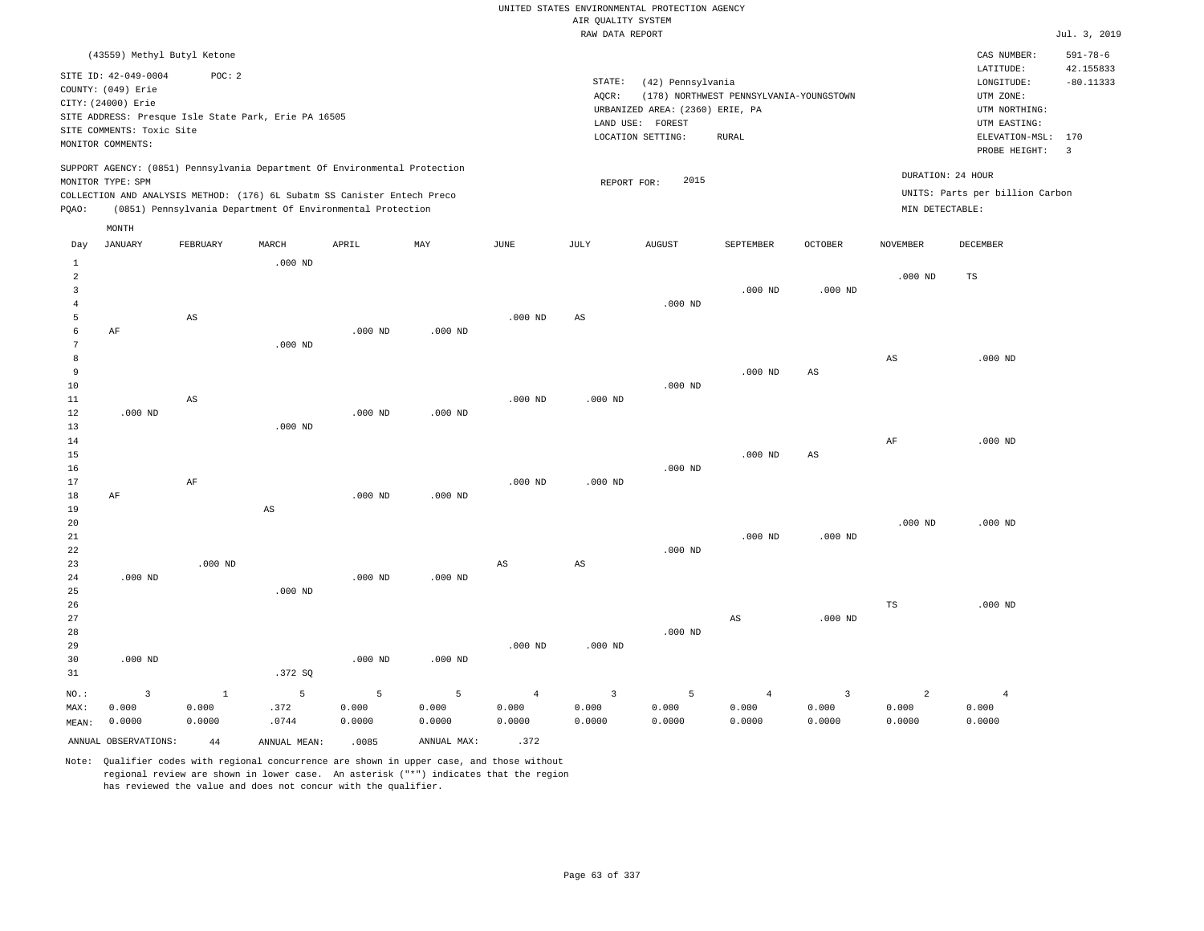|                          |                                                                                                                    |                             |                                                                                                                                        |           |           |                | RAW DATA REPORT         |                                                                                               |                                                         |                |                 |                                                                                                          | Jul. 3, 2019                                      |
|--------------------------|--------------------------------------------------------------------------------------------------------------------|-----------------------------|----------------------------------------------------------------------------------------------------------------------------------------|-----------|-----------|----------------|-------------------------|-----------------------------------------------------------------------------------------------|---------------------------------------------------------|----------------|-----------------|----------------------------------------------------------------------------------------------------------|---------------------------------------------------|
|                          |                                                                                                                    | (43559) Methyl Butyl Ketone |                                                                                                                                        |           |           |                |                         |                                                                                               |                                                         |                |                 | CAS NUMBER:                                                                                              | $591 - 78 - 6$                                    |
|                          | SITE ID: 42-049-0004<br>COUNTY: (049) Erie<br>CITY: (24000) Erie<br>SITE COMMENTS: Toxic Site<br>MONITOR COMMENTS: | POC: 2                      | SITE ADDRESS: Presque Isle State Park, Erie PA 16505                                                                                   |           |           |                | STATE:<br>AQCR:         | (42) Pennsylvania<br>URBANIZED AREA: (2360) ERIE, PA<br>LAND USE: FOREST<br>LOCATION SETTING: | (178) NORTHWEST PENNSYLVANIA-YOUNGSTOWN<br><b>RURAL</b> |                |                 | LATITUDE:<br>LONGITUDE:<br>UTM ZONE:<br>UTM NORTHING:<br>UTM EASTING:<br>ELEVATION-MSL:<br>PROBE HEIGHT: | 42.155833<br>$-80.11333$<br>170<br>$\overline{3}$ |
|                          | MONITOR TYPE: SPM                                                                                                  |                             | SUPPORT AGENCY: (0851) Pennsylvania Department Of Environmental Protection                                                             |           |           |                |                         | 2015                                                                                          |                                                         |                |                 | DURATION: 24 HOUR                                                                                        |                                                   |
| PQAO:                    |                                                                                                                    |                             | COLLECTION AND ANALYSIS METHOD: (176) 6L Subatm SS Canister Entech Preco<br>(0851) Pennsylvania Department Of Environmental Protection |           |           |                | REPORT FOR:             |                                                                                               |                                                         |                | MIN DETECTABLE: | UNITS: Parts per billion Carbon                                                                          |                                                   |
| Day                      | MONTH<br><b>JANUARY</b>                                                                                            | FEBRUARY                    | MARCH                                                                                                                                  | APRIL     | MAY       | JUNE           | JULY                    | <b>AUGUST</b>                                                                                 | SEPTEMBER                                               | <b>OCTOBER</b> | <b>NOVEMBER</b> | DECEMBER                                                                                                 |                                                   |
| $\mathbf{1}$             |                                                                                                                    |                             | $.000$ ND                                                                                                                              |           |           |                |                         |                                                                                               |                                                         |                |                 |                                                                                                          |                                                   |
| 2<br>3<br>$\overline{4}$ |                                                                                                                    |                             |                                                                                                                                        |           |           |                |                         | $.000$ ND                                                                                     | $.000$ ND                                               | $.000$ ND      | $.000$ ND       | $_{\rm TS}$                                                                                              |                                                   |
| 5<br>6<br>7              | AF                                                                                                                 | AS                          | $.000$ ND                                                                                                                              | $.000$ ND | $.000$ ND | $.000$ ND      | $_{\rm AS}$             |                                                                                               |                                                         |                |                 |                                                                                                          |                                                   |
| 8<br>9<br>10             |                                                                                                                    |                             |                                                                                                                                        |           |           |                |                         | $.000$ ND                                                                                     | $.000$ ND                                               | $_{\rm AS}$    | $_{\rm AS}$     | $.000$ ND                                                                                                |                                                   |
| 11<br>12<br>13           | $.000$ ND                                                                                                          | $\mathbb{A}\mathbb{S}$      | $.000$ ND                                                                                                                              | $.000$ ND | $.000$ ND | $.000$ ND      | $.000$ ND               |                                                                                               |                                                         |                |                 |                                                                                                          |                                                   |
| 14<br>15<br>16           |                                                                                                                    |                             |                                                                                                                                        |           |           |                |                         | $.000$ ND                                                                                     | $.000$ ND                                               | $_{\rm AS}$    | $\rm{AF}$       | $.000$ ND                                                                                                |                                                   |
| 17<br>18<br>19           | AF                                                                                                                 | AF                          | AS                                                                                                                                     | $.000$ ND | $.000$ ND | $.000$ ND      | $.000$ ND               |                                                                                               |                                                         |                |                 |                                                                                                          |                                                   |
| 20<br>21<br>22           |                                                                                                                    |                             |                                                                                                                                        |           |           |                |                         | $.000$ ND                                                                                     | $.000$ ND                                               | $.000$ ND      | $.000$ ND       | $.000$ ND                                                                                                |                                                   |
| 23<br>24<br>25           | $.000$ ND                                                                                                          | $.000$ ND                   | $.000$ ND                                                                                                                              | $.000$ ND | $.000$ ND | $_{\rm AS}$    | $_{\rm AS}$             |                                                                                               |                                                         |                |                 |                                                                                                          |                                                   |
| 26<br>27<br>28           |                                                                                                                    |                             |                                                                                                                                        |           |           |                |                         | $.000$ ND                                                                                     | $_{\rm AS}$                                             | $.000$ ND      | $_{\rm TS}$     | $.000$ ND                                                                                                |                                                   |
| 29<br>30<br>31           | $.000$ ND                                                                                                          |                             | .372S                                                                                                                                  | $.000$ ND | $.000$ ND | $.000$ ND      | $.000$ ND               |                                                                                               |                                                         |                |                 |                                                                                                          |                                                   |
| NO.:                     | $\overline{\mathbf{3}}$                                                                                            | $\mathbf{1}$                | 5                                                                                                                                      | 5         | 5         | $\overline{4}$ | $\overline{\mathbf{3}}$ | 5                                                                                             | $\overline{4}$                                          | $\overline{3}$ | $\overline{a}$  | $\overline{4}$                                                                                           |                                                   |

MAX: MEAN: 0.0000 0.000 0.000 0.0000 .372 .0744 0.000 0.0000 0.000 0.0000 0.000 0.0000 0.000 0.0000 0.000 0.0000 0.000 0.0000 0.000 0.0000 0.000 0.0000 0.000 0.0000 ANNUAL OBSERVATIONS:  $44$  ANNUAL MEAN: .0085 ANNUAL MAX: .372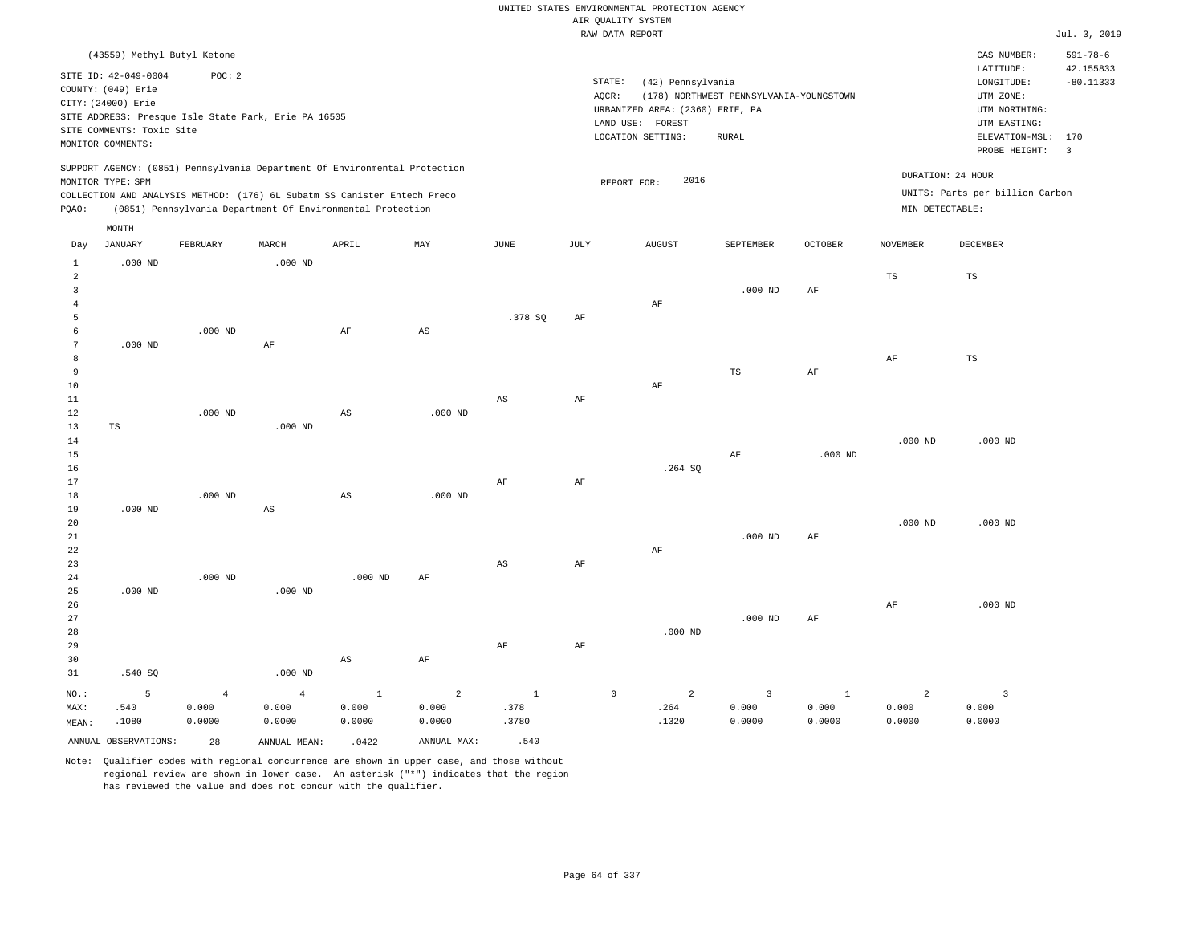|                |                             |                |                                                      |                                                                            |                        |                        |           | RAW DATA REPORT   |                                 |                                         |              |                   |                                 | Jul. 3, 2019            |
|----------------|-----------------------------|----------------|------------------------------------------------------|----------------------------------------------------------------------------|------------------------|------------------------|-----------|-------------------|---------------------------------|-----------------------------------------|--------------|-------------------|---------------------------------|-------------------------|
|                | (43559) Methyl Butyl Ketone |                |                                                      |                                                                            |                        |                        |           |                   |                                 |                                         |              |                   | CAS NUMBER:                     | $591 - 78 - 6$          |
|                |                             |                |                                                      |                                                                            |                        |                        |           |                   |                                 |                                         |              |                   | LATITUDE:                       | 42.155833               |
|                | SITE ID: 42-049-0004        | POC: 2         |                                                      |                                                                            |                        |                        |           | STATE:            | (42) Pennsylvania               |                                         |              |                   | LONGITUDE:                      | $-80.11333$             |
|                | COUNTY: (049) Erie          |                |                                                      |                                                                            |                        |                        |           | AQCR:             |                                 | (178) NORTHWEST PENNSYLVANIA-YOUNGSTOWN |              |                   | UTM ZONE:                       |                         |
|                | CITY: (24000) Erie          |                |                                                      |                                                                            |                        |                        |           |                   | URBANIZED AREA: (2360) ERIE, PA |                                         |              |                   | UTM NORTHING:                   |                         |
|                |                             |                | SITE ADDRESS: Presque Isle State Park, Erie PA 16505 |                                                                            |                        |                        |           | LAND USE: FOREST  |                                 |                                         |              |                   | UTM EASTING:                    |                         |
|                | SITE COMMENTS: Toxic Site   |                |                                                      |                                                                            |                        |                        |           | LOCATION SETTING: |                                 | <b>RURAL</b>                            |              |                   | ELEVATION-MSL: 170              |                         |
|                | MONITOR COMMENTS:           |                |                                                      |                                                                            |                        |                        |           |                   |                                 |                                         |              |                   | PROBE HEIGHT:                   | $\overline{\mathbf{3}}$ |
|                |                             |                |                                                      | SUPPORT AGENCY: (0851) Pennsylvania Department Of Environmental Protection |                        |                        |           |                   |                                 |                                         |              |                   |                                 |                         |
|                | MONITOR TYPE: SPM           |                |                                                      |                                                                            |                        |                        |           | REPORT FOR:       | 2016                            |                                         |              | DURATION: 24 HOUR |                                 |                         |
|                |                             |                |                                                      | COLLECTION AND ANALYSIS METHOD: (176) 6L Subatm SS Canister Entech Preco   |                        |                        |           |                   |                                 |                                         |              |                   | UNITS: Parts per billion Carbon |                         |
| PQAO:          |                             |                |                                                      | (0851) Pennsylvania Department Of Environmental Protection                 |                        |                        |           |                   |                                 |                                         |              | MIN DETECTABLE:   |                                 |                         |
|                | MONTH                       |                |                                                      |                                                                            |                        |                        |           |                   |                                 |                                         |              |                   |                                 |                         |
| Day            | JANUARY                     | FEBRUARY       | MARCH                                                | APRIL                                                                      | MAY                    | $\operatorname{JUNE}$  | JULY      |                   | AUGUST                          | SEPTEMBER                               | OCTOBER      | <b>NOVEMBER</b>   | DECEMBER                        |                         |
| $\mathbf{1}$   | $.000$ ND                   |                | $.000$ ND                                            |                                                                            |                        |                        |           |                   |                                 |                                         |              |                   |                                 |                         |
| $\overline{a}$ |                             |                |                                                      |                                                                            |                        |                        |           |                   |                                 |                                         |              | $_{\rm TS}$       | TS                              |                         |
| $\overline{3}$ |                             |                |                                                      |                                                                            |                        |                        |           |                   |                                 | $.000$ ND                               | $\rm{AF}$    |                   |                                 |                         |
| $\overline{4}$ |                             |                |                                                      |                                                                            |                        |                        |           |                   | $\rm AF$                        |                                         |              |                   |                                 |                         |
| 5              |                             |                |                                                      |                                                                            |                        | .378 SQ                | AF        |                   |                                 |                                         |              |                   |                                 |                         |
| 6              |                             | $.000$ ND      |                                                      | $\rm AF$                                                                   | $\mathbb{A}\mathbb{S}$ |                        |           |                   |                                 |                                         |              |                   |                                 |                         |
| 7              | $.000$ ND                   |                | AF                                                   |                                                                            |                        |                        |           |                   |                                 |                                         |              |                   |                                 |                         |
| 8              |                             |                |                                                      |                                                                            |                        |                        |           |                   |                                 |                                         |              | $\rm{AF}$         | $\mathbb{TS}$                   |                         |
| 9              |                             |                |                                                      |                                                                            |                        |                        |           |                   |                                 | TS                                      | AF           |                   |                                 |                         |
| 10             |                             |                |                                                      |                                                                            |                        |                        |           |                   | AF                              |                                         |              |                   |                                 |                         |
| 11<br>12       |                             | $.000$ ND      |                                                      |                                                                            | $.000$ ND              | $\mathbb{A}\mathbb{S}$ | AF        |                   |                                 |                                         |              |                   |                                 |                         |
| 13             | $_{\rm TS}$                 |                | $.000$ ND                                            | $\mathbb{A}\mathbb{S}$                                                     |                        |                        |           |                   |                                 |                                         |              |                   |                                 |                         |
| 14             |                             |                |                                                      |                                                                            |                        |                        |           |                   |                                 |                                         |              | $.000$ ND         | $.000$ ND                       |                         |
| 15             |                             |                |                                                      |                                                                            |                        |                        |           |                   |                                 | AF                                      | $.000$ ND    |                   |                                 |                         |
| 16             |                             |                |                                                      |                                                                            |                        |                        |           |                   | .264 SQ                         |                                         |              |                   |                                 |                         |
| 17             |                             |                |                                                      |                                                                            |                        | $\rm{AF}$              | $\rm{AF}$ |                   |                                 |                                         |              |                   |                                 |                         |
| 18             |                             | $.000$ ND      |                                                      | $\mathbb{A}\mathbb{S}$                                                     | $.000$ ND              |                        |           |                   |                                 |                                         |              |                   |                                 |                         |
| 19             | $.000$ ND                   |                | AS                                                   |                                                                            |                        |                        |           |                   |                                 |                                         |              |                   |                                 |                         |
| 20             |                             |                |                                                      |                                                                            |                        |                        |           |                   |                                 |                                         |              | $.000$ ND         | $.000$ ND                       |                         |
| 21             |                             |                |                                                      |                                                                            |                        |                        |           |                   |                                 | $.000$ ND                               | AF           |                   |                                 |                         |
| 22             |                             |                |                                                      |                                                                            |                        |                        |           |                   | AF                              |                                         |              |                   |                                 |                         |
| 23             |                             |                |                                                      |                                                                            |                        | AS                     | AF        |                   |                                 |                                         |              |                   |                                 |                         |
| 24             |                             | $.000$ ND      |                                                      | $.000$ ND                                                                  | AF                     |                        |           |                   |                                 |                                         |              |                   |                                 |                         |
| 25             | $.000$ ND                   |                | $.000$ ND                                            |                                                                            |                        |                        |           |                   |                                 |                                         |              |                   |                                 |                         |
| 26             |                             |                |                                                      |                                                                            |                        |                        |           |                   |                                 |                                         |              | AF                | $.000$ ND                       |                         |
| 27             |                             |                |                                                      |                                                                            |                        |                        |           |                   |                                 | $.000$ ND                               | AF           |                   |                                 |                         |
| 28             |                             |                |                                                      |                                                                            |                        |                        |           |                   | $.000$ ND                       |                                         |              |                   |                                 |                         |
| 29             |                             |                |                                                      |                                                                            |                        | $\rm{AF}$              | $\rm AF$  |                   |                                 |                                         |              |                   |                                 |                         |
| 30             |                             |                |                                                      | AS                                                                         | AF                     |                        |           |                   |                                 |                                         |              |                   |                                 |                         |
| 31             | .540 SO                     |                | $.000$ ND                                            |                                                                            |                        |                        |           |                   |                                 |                                         |              |                   |                                 |                         |
| NO.:           | 5                           | $\overline{4}$ | $\overline{4}$                                       | $1\,$                                                                      | $\overline{a}$         | $\mathbf{1}$           |           | $\circ$           | 2                               | $\overline{3}$                          | $\mathbf{1}$ | $\overline{a}$    | $\mathbf{3}$                    |                         |
| MAX:           | .540                        | 0.000          | 0.000                                                | 0.000                                                                      | 0.000                  | .378                   |           |                   | .264                            | 0.000                                   | 0.000        | 0.000             | 0.000                           |                         |
| MEAN:          | .1080                       | 0.0000         | 0.0000                                               | 0.0000                                                                     | 0.0000                 | .3780                  |           |                   | .1320                           | 0.0000                                  | 0.0000       | 0.0000            | 0.0000                          |                         |
|                | ANNUAL OBSERVATIONS:        | 28             | ANNUAL MEAN:                                         | .0422                                                                      | ANNUAL MAX:            | .540                   |           |                   |                                 |                                         |              |                   |                                 |                         |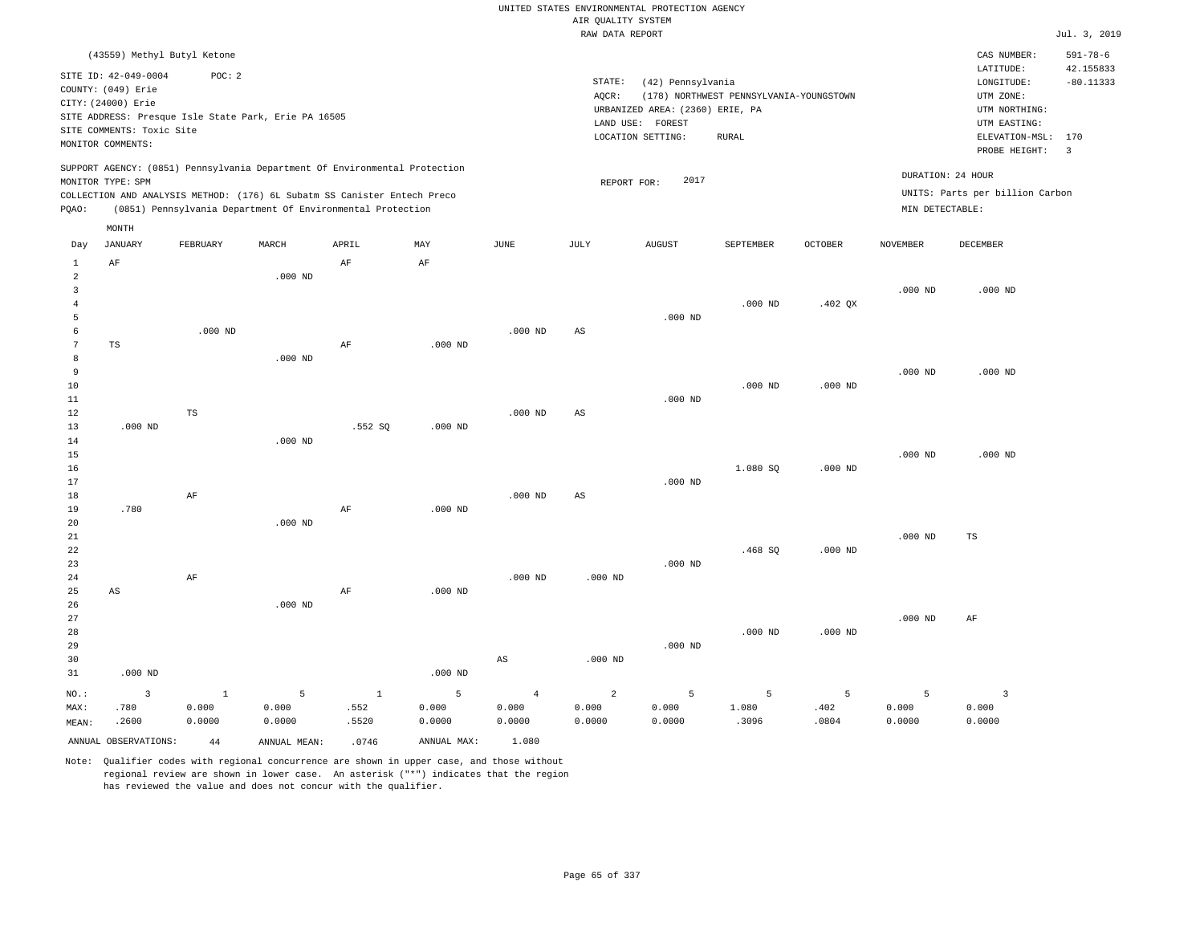|                     |                             |              |                                                      |                                                                            |             |                | RAW DATA REPORT |                                 |                                         |           |                 |                                 | Jul. 3, 2019   |
|---------------------|-----------------------------|--------------|------------------------------------------------------|----------------------------------------------------------------------------|-------------|----------------|-----------------|---------------------------------|-----------------------------------------|-----------|-----------------|---------------------------------|----------------|
|                     | (43559) Methyl Butyl Ketone |              |                                                      |                                                                            |             |                |                 |                                 |                                         |           |                 | CAS NUMBER:                     | $591 - 78 - 6$ |
|                     | SITE ID: 42-049-0004        | POC: 2       |                                                      |                                                                            |             |                |                 |                                 |                                         |           |                 | LATITUDE:                       | 42.155833      |
|                     | COUNTY: (049) Erie          |              |                                                      |                                                                            |             |                | STATE:          | (42) Pennsylvania               |                                         |           |                 | LONGITUDE:                      | $-80.11333$    |
|                     | CITY: (24000) Erie          |              |                                                      |                                                                            |             |                | AQCR:           |                                 | (178) NORTHWEST PENNSYLVANIA-YOUNGSTOWN |           |                 | UTM ZONE:                       |                |
|                     |                             |              |                                                      |                                                                            |             |                |                 | URBANIZED AREA: (2360) ERIE, PA |                                         |           |                 | UTM NORTHING:                   |                |
|                     |                             |              | SITE ADDRESS: Presque Isle State Park, Erie PA 16505 |                                                                            |             |                |                 | LAND USE: FOREST                |                                         |           |                 | UTM EASTING:                    |                |
|                     | SITE COMMENTS: Toxic Site   |              |                                                      |                                                                            |             |                |                 | LOCATION SETTING:               | <b>RURAL</b>                            |           |                 | ELEVATION-MSL: 170              |                |
|                     | MONITOR COMMENTS:           |              |                                                      |                                                                            |             |                |                 |                                 |                                         |           |                 | PROBE HEIGHT:                   | $\overline{3}$ |
|                     |                             |              |                                                      | SUPPORT AGENCY: (0851) Pennsylvania Department Of Environmental Protection |             |                |                 |                                 |                                         |           |                 | DURATION: 24 HOUR               |                |
|                     | MONITOR TYPE: SPM           |              |                                                      |                                                                            |             |                | REPORT FOR:     | 2017                            |                                         |           |                 |                                 |                |
|                     |                             |              |                                                      | COLLECTION AND ANALYSIS METHOD: (176) 6L Subatm SS Canister Entech Preco   |             |                |                 |                                 |                                         |           |                 | UNITS: Parts per billion Carbon |                |
| PQAO:               |                             |              |                                                      | (0851) Pennsylvania Department Of Environmental Protection                 |             |                |                 |                                 |                                         |           | MIN DETECTABLE: |                                 |                |
|                     | MONTH                       |              |                                                      |                                                                            |             |                |                 |                                 |                                         |           |                 |                                 |                |
| Day                 | <b>JANUARY</b>              | FEBRUARY     | MARCH                                                | APRIL                                                                      | MAY         | $_{\rm JUNE}$  | $\mathtt{JULY}$ | <b>AUGUST</b>                   | SEPTEMBER                               | OCTOBER   | <b>NOVEMBER</b> | DECEMBER                        |                |
| $\mathbf{1}$        | $\rm AF$                    |              |                                                      | $\rm AF$                                                                   | AF          |                |                 |                                 |                                         |           |                 |                                 |                |
| $\overline{a}$      |                             |              | $.000$ ND                                            |                                                                            |             |                |                 |                                 |                                         |           |                 |                                 |                |
| $\overline{3}$      |                             |              |                                                      |                                                                            |             |                |                 |                                 | $.000$ ND                               |           | $.000$ ND       | $.000$ ND                       |                |
| $\overline{4}$<br>5 |                             |              |                                                      |                                                                            |             |                |                 | $.000$ ND                       |                                         | $.402$ QX |                 |                                 |                |
| 6                   |                             | $.000$ ND    |                                                      |                                                                            |             | $.000$ ND      | AS              |                                 |                                         |           |                 |                                 |                |
| $7\phantom{.0}$     | TS                          |              |                                                      | AF                                                                         | $.000$ ND   |                |                 |                                 |                                         |           |                 |                                 |                |
| 8                   |                             |              | $.000$ ND                                            |                                                                            |             |                |                 |                                 |                                         |           |                 |                                 |                |
| 9                   |                             |              |                                                      |                                                                            |             |                |                 |                                 |                                         |           | $.000$ ND       | $.000$ ND                       |                |
| 10                  |                             |              |                                                      |                                                                            |             |                |                 |                                 | $.000$ ND                               | $.000$ ND |                 |                                 |                |
| 11                  |                             |              |                                                      |                                                                            |             |                |                 | $.000$ ND                       |                                         |           |                 |                                 |                |
| 12                  |                             | TS           |                                                      |                                                                            |             | $.000$ ND      | AS              |                                 |                                         |           |                 |                                 |                |
| 13                  | $.000$ ND                   |              |                                                      | .552 SQ                                                                    | $.000$ ND   |                |                 |                                 |                                         |           |                 |                                 |                |
| 14                  |                             |              | $.000$ ND                                            |                                                                            |             |                |                 |                                 |                                         |           |                 |                                 |                |
| 15                  |                             |              |                                                      |                                                                            |             |                |                 |                                 |                                         |           | $.000$ ND       | $.000$ ND                       |                |
| 16                  |                             |              |                                                      |                                                                            |             |                |                 |                                 | 1.080 SQ                                | $.000$ ND |                 |                                 |                |
| 17                  |                             |              |                                                      |                                                                            |             |                |                 | $.000$ ND                       |                                         |           |                 |                                 |                |
| 18                  |                             | AF           |                                                      |                                                                            |             | $.000$ ND      | AS              |                                 |                                         |           |                 |                                 |                |
| 19                  | .780                        |              |                                                      | $\rm AF$                                                                   | $.000$ ND   |                |                 |                                 |                                         |           |                 |                                 |                |
| 20                  |                             |              | $.000$ ND                                            |                                                                            |             |                |                 |                                 |                                         |           |                 |                                 |                |
| 21                  |                             |              |                                                      |                                                                            |             |                |                 |                                 |                                         |           | $.000$ ND       | TS                              |                |
| 22<br>23            |                             |              |                                                      |                                                                            |             |                |                 | $.000$ ND                       | .468SQ                                  | $.000$ ND |                 |                                 |                |
| 24                  |                             | AF           |                                                      |                                                                            |             | $.000$ ND      | $.000$ ND       |                                 |                                         |           |                 |                                 |                |
| 25                  | $\mathbb{A}\mathbb{S}$      |              |                                                      | AF                                                                         | $.000$ ND   |                |                 |                                 |                                         |           |                 |                                 |                |
| 26                  |                             |              | $.000$ ND                                            |                                                                            |             |                |                 |                                 |                                         |           |                 |                                 |                |
| 27                  |                             |              |                                                      |                                                                            |             |                |                 |                                 |                                         |           | $.000$ ND       | AF                              |                |
| 28                  |                             |              |                                                      |                                                                            |             |                |                 |                                 | $.000$ ND                               | $.000$ ND |                 |                                 |                |
| 29                  |                             |              |                                                      |                                                                            |             |                |                 | $.000$ ND                       |                                         |           |                 |                                 |                |
| 30                  |                             |              |                                                      |                                                                            |             | $_{\rm AS}$    | $.000$ ND       |                                 |                                         |           |                 |                                 |                |
| 31                  | $.000$ ND                   |              |                                                      |                                                                            | $.000$ ND   |                |                 |                                 |                                         |           |                 |                                 |                |
| NO.:                | $\overline{3}$              | <sup>1</sup> | 5                                                    | $\mathbf{1}$                                                               | 5           | $\overline{4}$ | 2               | 5                               | 5                                       | 5         | 5               | $\overline{\mathbf{3}}$         |                |
| MAX:                | .780                        | 0.000        | 0.000                                                | .552                                                                       | 0.000       | 0.000          | 0.000           | 0.000                           | 1.080                                   | .402      | 0.000           | 0.000                           |                |
| MEAN:               | .2600                       | 0.0000       | 0.0000                                               | .5520                                                                      | 0.0000      | 0.0000         | 0.0000          | 0.0000                          | .3096                                   | .0804     | 0.0000          | 0.0000                          |                |
|                     | ANNUAL OBSERVATIONS:        | $4\,4$       | ANNUAL MEAN:                                         | .0746                                                                      | ANNUAL MAX: | 1.080          |                 |                                 |                                         |           |                 |                                 |                |
|                     |                             |              |                                                      |                                                                            |             |                |                 |                                 |                                         |           |                 |                                 |                |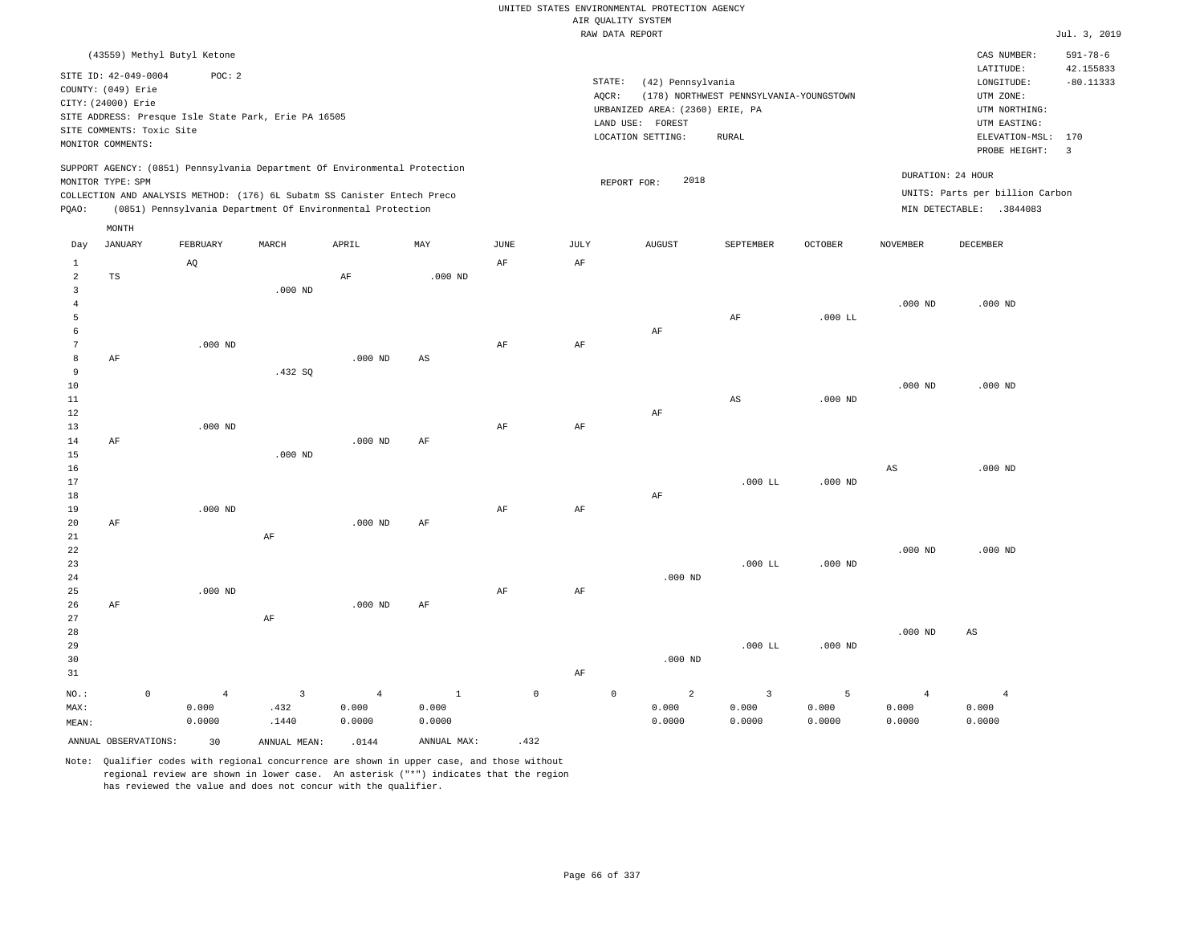|                                                  |                                                                                                                    |                     |                                       |                                                      |                                                                                                                                                        |                        |                     |      | UNITED STATES ENVIRONMENTAL PROTECTION AGENCY<br>AIR QUALITY SYSTEM<br>RAW DATA REPORT                           |                                                         |                      |                                   |                                                                                                                         | Jul. 3, 2019                                      |
|--------------------------------------------------|--------------------------------------------------------------------------------------------------------------------|---------------------|---------------------------------------|------------------------------------------------------|--------------------------------------------------------------------------------------------------------------------------------------------------------|------------------------|---------------------|------|------------------------------------------------------------------------------------------------------------------|---------------------------------------------------------|----------------------|-----------------------------------|-------------------------------------------------------------------------------------------------------------------------|---------------------------------------------------|
|                                                  |                                                                                                                    |                     |                                       |                                                      |                                                                                                                                                        |                        |                     |      |                                                                                                                  |                                                         |                      |                                   |                                                                                                                         | $591 - 78 - 6$                                    |
|                                                  | SITE ID: 42-049-0004<br>COUNTY: (049) Erie<br>CITY: (24000) Erie<br>SITE COMMENTS: Toxic Site<br>MONITOR COMMENTS: |                     | (43559) Methyl Butyl Ketone<br>POC: 2 | SITE ADDRESS: Presque Isle State Park, Erie PA 16505 |                                                                                                                                                        |                        |                     |      | STATE:<br>(42) Pennsylvania<br>AOCR:<br>URBANIZED AREA: (2360) ERIE, PA<br>LAND USE: FOREST<br>LOCATION SETTING: | (178) NORTHWEST PENNSYLVANIA-YOUNGSTOWN<br><b>RURAL</b> |                      |                                   | CAS NUMBER:<br>LATITUDE:<br>LONGITUDE:<br>UTM ZONE:<br>UTM NORTHING:<br>UTM EASTING:<br>ELEVATION-MSL:<br>PROBE HEIGHT: | 42.155833<br>$-80.11333$<br>170<br>$\overline{3}$ |
|                                                  | MONITOR TYPE: SPM                                                                                                  |                     |                                       |                                                      | SUPPORT AGENCY: (0851) Pennsylvania Department Of Environmental Protection<br>COLLECTION AND ANALYSIS METHOD: (176) 6L Subatm SS Canister Entech Preco |                        |                     |      | 2018<br>REPORT FOR:                                                                                              |                                                         |                      | DURATION: 24 HOUR                 | UNITS: Parts per billion Carbon                                                                                         |                                                   |
| PQAO:                                            |                                                                                                                    |                     |                                       |                                                      | (0851) Pennsylvania Department Of Environmental Protection                                                                                             |                        |                     |      |                                                                                                                  |                                                         |                      |                                   | MIN DETECTABLE: .3844083                                                                                                |                                                   |
| Day                                              | MONTH<br><b>JANUARY</b>                                                                                            |                     | FEBRUARY                              | MARCH                                                | APRIL                                                                                                                                                  | MAY                    | JUNE                | JULY | AUGUST                                                                                                           | SEPTEMBER                                               | <b>OCTOBER</b>       | NOVEMBER                          | DECEMBER                                                                                                                |                                                   |
| $\mathbf{1}$<br>$\overline{a}$<br>$\overline{3}$ | $\operatorname{TS}$                                                                                                |                     | AQ                                    | $.000$ ND                                            | AF                                                                                                                                                     | $.000$ ND              | AF                  | AF   |                                                                                                                  |                                                         |                      |                                   |                                                                                                                         |                                                   |
| $\overline{4}$<br>5<br>6                         |                                                                                                                    |                     |                                       |                                                      |                                                                                                                                                        |                        |                     |      | AF                                                                                                               | AF                                                      | .000 LL              | $.000$ ND                         | $.000$ ND                                                                                                               |                                                   |
| $7\phantom{.0}$<br>8<br>9                        | AF                                                                                                                 |                     | $.000$ ND                             | .432SQ                                               | $.000$ ND                                                                                                                                              | $\mathbb{A}\mathbb{S}$ | AF                  | AF   |                                                                                                                  |                                                         |                      |                                   |                                                                                                                         |                                                   |
| $10$<br>$1\,1$<br>12<br>13                       |                                                                                                                    |                     | $.000$ ND                             |                                                      |                                                                                                                                                        |                        | AF                  | AF   | $\rm{AF}$                                                                                                        | $_{\rm AS}$                                             | $.000$ ND            | $.000$ ND                         | $.000$ ND                                                                                                               |                                                   |
| 14<br>15<br>16                                   | AF                                                                                                                 |                     |                                       | $.000$ ND                                            | $.000$ ND                                                                                                                                              | AF                     |                     |      |                                                                                                                  |                                                         |                      | $_{\rm AS}$                       | $.000$ ND                                                                                                               |                                                   |
| 17<br>18<br>19<br>$20$                           | $\rm AF$                                                                                                           |                     | $.000$ ND                             |                                                      | $.000$ ND                                                                                                                                              | AF                     | AF                  | AF   | AF                                                                                                               | .000 $LL$                                               | $.000$ ND            |                                   |                                                                                                                         |                                                   |
| $2\sqrt{1}$<br>22<br>23<br>24                    |                                                                                                                    |                     |                                       | AF                                                   |                                                                                                                                                        |                        |                     |      | $.000$ ND                                                                                                        | .000 LL                                                 | $.000$ ND            | $.000$ ND                         | $.000$ ND                                                                                                               |                                                   |
| 25<br>26<br>27                                   | AF                                                                                                                 |                     | $.000$ ND                             | AF                                                   | $.000$ ND                                                                                                                                              | AF                     | AF                  | AF   |                                                                                                                  |                                                         |                      |                                   |                                                                                                                         |                                                   |
| 28<br>29<br>30<br>31                             |                                                                                                                    |                     |                                       |                                                      |                                                                                                                                                        |                        |                     | AF   | $.000$ ND                                                                                                        | .000 LL                                                 | $.000$ ND            | $.000$ ND                         | $_{\rm AS}$                                                                                                             |                                                   |
| NO.:<br>MAX:<br>MEAN:                            |                                                                                                                    | $\mathsf{O}\xspace$ | $\,4$<br>0.000<br>0.0000              | $\overline{\mathbf{3}}$<br>.432<br>.1440             | $\overline{4}$<br>0.000<br>0.0000                                                                                                                      | 1<br>0.000<br>0.0000   | $\mathsf{O}\xspace$ |      | $\mathbb O$<br>$\overline{a}$<br>0.000<br>0.0000                                                                 | $\overline{\mathbf{3}}$<br>0.000<br>0.0000              | 5<br>0.000<br>0.0000 | $\overline{4}$<br>0.000<br>0.0000 | $\overline{4}$<br>0.000<br>0.0000                                                                                       |                                                   |
|                                                  | ANNUAL OBSERVATIONS:                                                                                               |                     | 30                                    | ANNUAL MEAN:                                         | .0144                                                                                                                                                  | ANNUAL MAX:            | .432                |      |                                                                                                                  |                                                         |                      |                                   |                                                                                                                         |                                                   |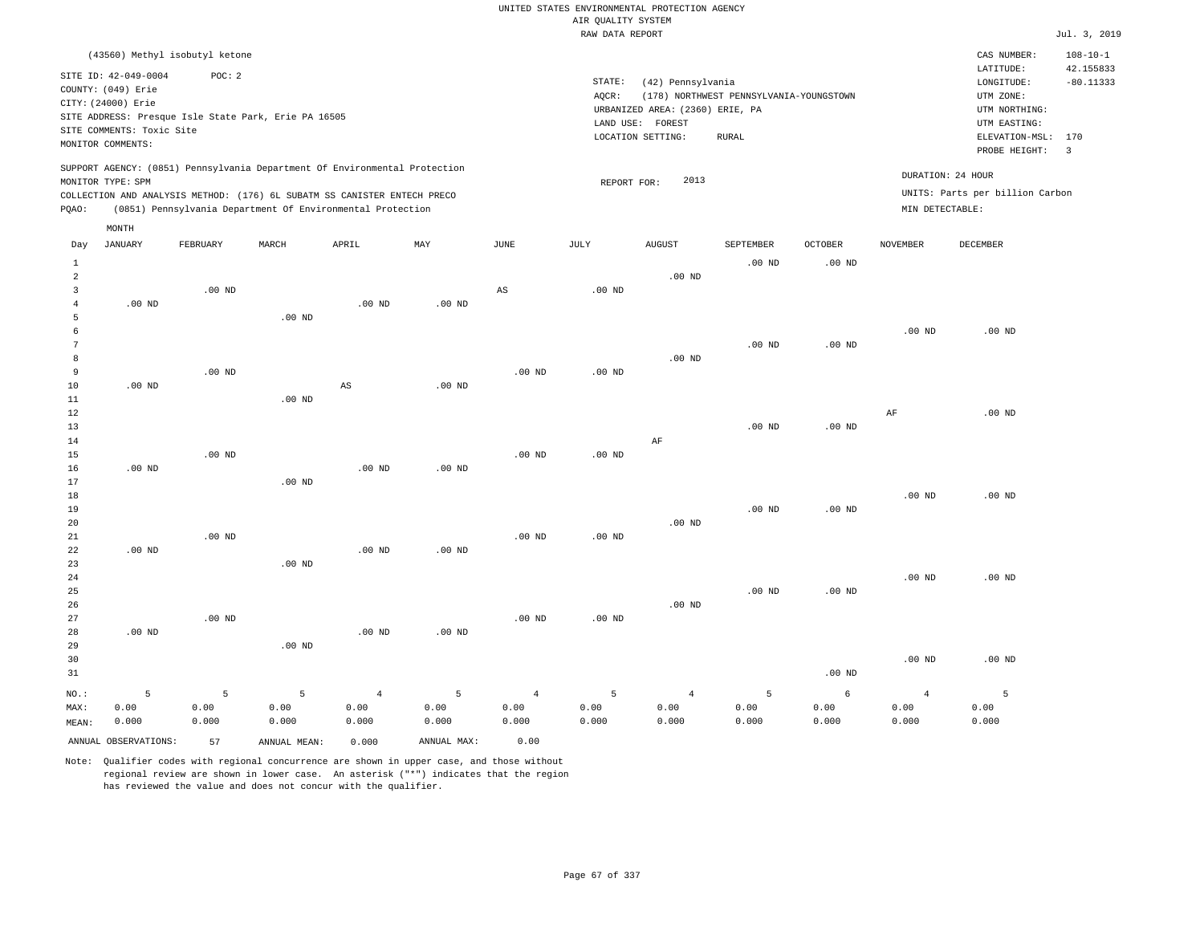|                         |                                |          |                                                                            |                        |                   |                   | RAW DATA REPORT |                                 |                                         |                |                 |                                 | Jul. 3, 2019   |
|-------------------------|--------------------------------|----------|----------------------------------------------------------------------------|------------------------|-------------------|-------------------|-----------------|---------------------------------|-----------------------------------------|----------------|-----------------|---------------------------------|----------------|
|                         | (43560) Methyl isobutyl ketone |          |                                                                            |                        |                   |                   |                 |                                 |                                         |                |                 | CAS NUMBER:                     | $108 - 10 - 1$ |
|                         |                                |          |                                                                            |                        |                   |                   |                 |                                 |                                         |                |                 | LATITUDE:                       | 42.155833      |
|                         | SITE ID: 42-049-0004           | POC: 2   |                                                                            |                        |                   |                   | STATE:          | (42) Pennsylvania               |                                         |                |                 | LONGITUDE:                      | $-80.11333$    |
|                         | COUNTY: (049) Erie             |          |                                                                            |                        |                   |                   | AQCR:           |                                 | (178) NORTHWEST PENNSYLVANIA-YOUNGSTOWN |                |                 | UTM ZONE:                       |                |
|                         | CITY: (24000) Erie             |          |                                                                            |                        |                   |                   |                 | URBANIZED AREA: (2360) ERIE, PA |                                         |                |                 | UTM NORTHING:                   |                |
|                         |                                |          | SITE ADDRESS: Presque Isle State Park, Erie PA 16505                       |                        |                   |                   |                 |                                 |                                         |                |                 |                                 |                |
|                         | SITE COMMENTS: Toxic Site      |          |                                                                            |                        |                   |                   | LAND USE:       | FOREST                          |                                         |                |                 | UTM EASTING:                    |                |
|                         | MONITOR COMMENTS:              |          |                                                                            |                        |                   |                   |                 | LOCATION SETTING:               | <b>RURAL</b>                            |                |                 | ELEVATION-MSL:                  | 170            |
|                         |                                |          |                                                                            |                        |                   |                   |                 |                                 |                                         |                |                 | PROBE HEIGHT:                   | $\overline{3}$ |
|                         |                                |          | SUPPORT AGENCY: (0851) Pennsylvania Department Of Environmental Protection |                        |                   |                   |                 |                                 |                                         |                |                 | DURATION: 24 HOUR               |                |
|                         | MONITOR TYPE: SPM              |          |                                                                            |                        |                   |                   | REPORT FOR:     | 2013                            |                                         |                |                 |                                 |                |
|                         |                                |          | COLLECTION AND ANALYSIS METHOD: (176) 6L SUBATM SS CANISTER ENTECH PRECO   |                        |                   |                   |                 |                                 |                                         |                |                 | UNITS: Parts per billion Carbon |                |
| PQAO:                   |                                |          | (0851) Pennsylvania Department Of Environmental Protection                 |                        |                   |                   |                 |                                 |                                         |                | MIN DETECTABLE: |                                 |                |
|                         | MONTH                          |          |                                                                            |                        |                   |                   |                 |                                 |                                         |                |                 |                                 |                |
| Day                     | <b>JANUARY</b>                 | FEBRUARY | MARCH                                                                      | APRIL                  | MAY               | JUNE              | JULY            | <b>AUGUST</b>                   | SEPTEMBER                               | <b>OCTOBER</b> | <b>NOVEMBER</b> | <b>DECEMBER</b>                 |                |
| $\mathbf{1}$            |                                |          |                                                                            |                        |                   |                   |                 |                                 | $.00$ ND                                | $.00$ ND       |                 |                                 |                |
| $\overline{a}$          |                                |          |                                                                            |                        |                   |                   |                 | $.00$ ND                        |                                         |                |                 |                                 |                |
| $\overline{\mathbf{3}}$ |                                | $.00$ ND |                                                                            |                        |                   | AS                | $.00$ ND        |                                 |                                         |                |                 |                                 |                |
| $\overline{4}$          | $.00$ ND                       |          |                                                                            | .00 <sub>ND</sub>      | .00 <sub>ND</sub> |                   |                 |                                 |                                         |                |                 |                                 |                |
| 5                       |                                |          | $.00$ ND                                                                   |                        |                   |                   |                 |                                 |                                         |                |                 |                                 |                |
| 6                       |                                |          |                                                                            |                        |                   |                   |                 |                                 |                                         |                | $.00$ ND        | $.00$ ND                        |                |
| $\overline{7}$          |                                |          |                                                                            |                        |                   |                   |                 |                                 | .00 <sub>ND</sub>                       | $.00$ ND       |                 |                                 |                |
| 8                       |                                |          |                                                                            |                        |                   |                   |                 | $.00$ ND                        |                                         |                |                 |                                 |                |
| 9                       |                                | $.00$ ND |                                                                            |                        |                   | $.00$ ND          | $.00$ ND        |                                 |                                         |                |                 |                                 |                |
| 10                      | $.00$ ND                       |          |                                                                            | $\mathbb{A}\mathbb{S}$ | $.00$ ND          |                   |                 |                                 |                                         |                |                 |                                 |                |
| $11\,$                  |                                |          | $.00$ ND                                                                   |                        |                   |                   |                 |                                 |                                         |                |                 |                                 |                |
| 12                      |                                |          |                                                                            |                        |                   |                   |                 |                                 |                                         |                | AF              | .00 <sub>ND</sub>               |                |
| 13                      |                                |          |                                                                            |                        |                   |                   |                 |                                 | $.00$ ND                                | $.00$ ND       |                 |                                 |                |
| 14                      |                                |          |                                                                            |                        |                   |                   |                 | $\rm{AF}$                       |                                         |                |                 |                                 |                |
| 15                      |                                | $.00$ ND |                                                                            |                        |                   | .00 <sub>ND</sub> | $.00$ ND        |                                 |                                         |                |                 |                                 |                |
| 16                      | $.00$ ND                       |          |                                                                            | .00 <sub>ND</sub>      | .00 <sub>ND</sub> |                   |                 |                                 |                                         |                |                 |                                 |                |
| $17$                    |                                |          | .00 <sub>ND</sub>                                                          |                        |                   |                   |                 |                                 |                                         |                |                 |                                 |                |
| $18\,$                  |                                |          |                                                                            |                        |                   |                   |                 |                                 |                                         |                | $.00$ ND        | $.00$ ND                        |                |
| 19                      |                                |          |                                                                            |                        |                   |                   |                 |                                 | $.00$ ND                                | $.00$ ND       |                 |                                 |                |
| 20                      |                                |          |                                                                            |                        |                   |                   |                 | $.00$ ND                        |                                         |                |                 |                                 |                |
| 21                      |                                | $.00$ ND |                                                                            |                        |                   | $.00$ ND          | $.00$ ND        |                                 |                                         |                |                 |                                 |                |
| 22                      | $.00$ ND                       |          |                                                                            | $.00$ ND               | $.00$ ND          |                   |                 |                                 |                                         |                |                 |                                 |                |
| 23                      |                                |          | $.00$ ND                                                                   |                        |                   |                   |                 |                                 |                                         |                |                 |                                 |                |
| 24                      |                                |          |                                                                            |                        |                   |                   |                 |                                 |                                         |                | $.00$ ND        | .00 <sub>ND</sub>               |                |
| 25                      |                                |          |                                                                            |                        |                   |                   |                 |                                 | $.00$ ND                                | $.00$ ND       |                 |                                 |                |
| 26                      |                                |          |                                                                            |                        |                   |                   |                 | $.00$ ND                        |                                         |                |                 |                                 |                |
| 27                      |                                | $.00$ ND |                                                                            |                        |                   | $.00$ ND          | $.00$ ND        |                                 |                                         |                |                 |                                 |                |
| 28                      | $.00$ ND                       |          |                                                                            | $.00$ ND               | $.00$ ND          |                   |                 |                                 |                                         |                |                 |                                 |                |
| 29                      |                                |          | $.00$ ND                                                                   |                        |                   |                   |                 |                                 |                                         |                |                 |                                 |                |
| 30                      |                                |          |                                                                            |                        |                   |                   |                 |                                 |                                         |                | $.00$ ND        | $.00$ ND                        |                |
| 31                      |                                |          |                                                                            |                        |                   |                   |                 |                                 |                                         | $.00$ ND       |                 |                                 |                |
| NO.:                    | 5                              | 5        | 5                                                                          | $\overline{4}$         | 5                 | $\overline{4}$    | 5               | $\overline{4}$                  | 5                                       | 6              | $\overline{4}$  | 5                               |                |
| MAX:                    | 0.00                           | 0.00     | 0.00                                                                       | 0.00                   | 0.00              | 0.00              | 0.00            | 0.00                            | 0.00                                    | 0.00           | 0.00            | 0.00                            |                |
| MEAN:                   | 0.000                          | 0.000    | 0.000                                                                      | 0.000                  | 0.000             | 0.000             | 0.000           | 0.000                           | 0.000                                   | 0.000          | 0.000           | 0.000                           |                |
|                         |                                |          |                                                                            |                        |                   |                   |                 |                                 |                                         |                |                 |                                 |                |
|                         | ANNUAL OBSERVATIONS:           | 57       | ANNUAL MEAN:                                                               | 0.000                  | ANNUAL MAX:       | 0.00              |                 |                                 |                                         |                |                 |                                 |                |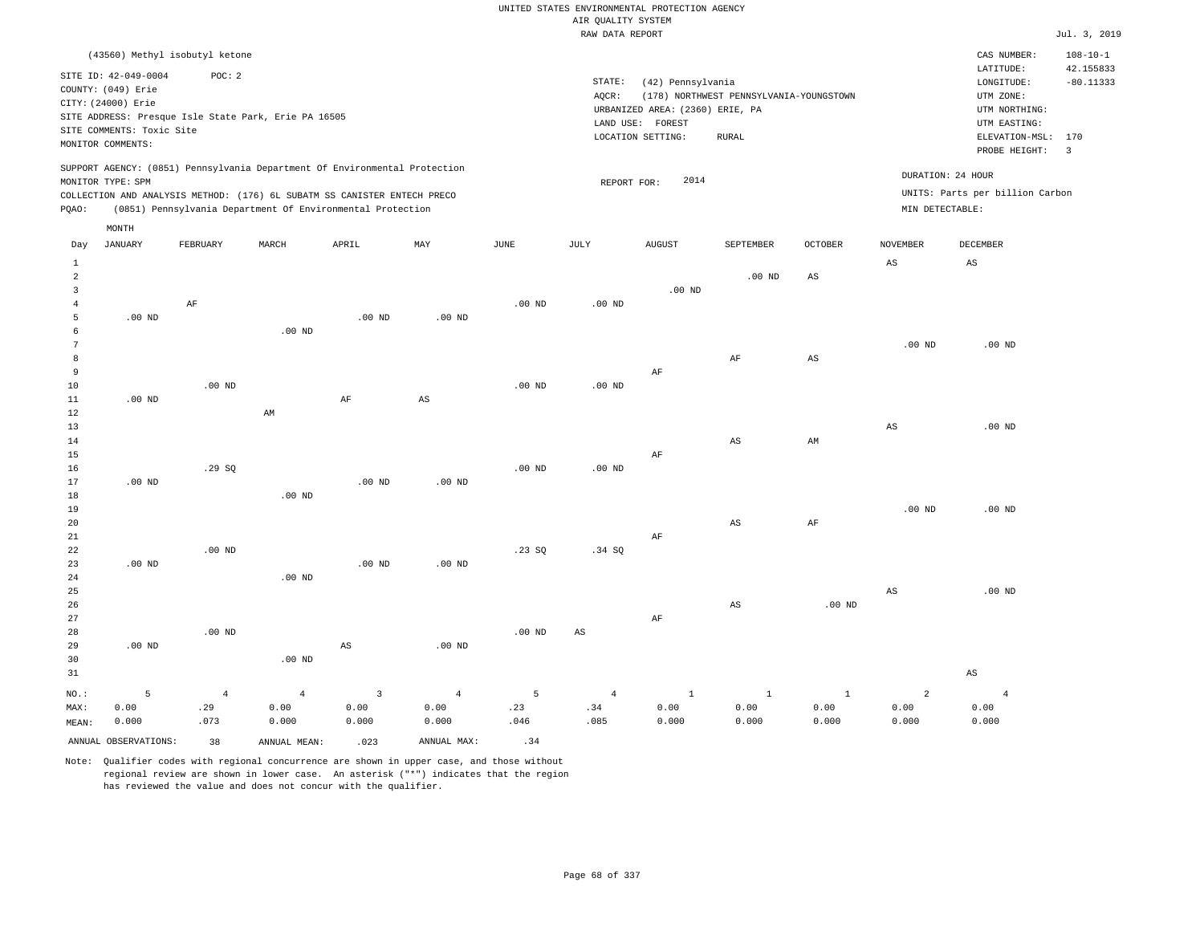#### RAW DATA REPORT Jul. 3, 2019 UNITED STATES ENVIRONMENTAL PROTECTION AGENCY AIR QUALITY SYSTEM

|                | (43560) Methyl isobutyl ketone             |                       |                                                                            |                        |                        |                   |                       |                                 |                                         |                        |                        | CAS NUMBER:                          | $108 - 10 - 1$<br>42.155833 |
|----------------|--------------------------------------------|-----------------------|----------------------------------------------------------------------------|------------------------|------------------------|-------------------|-----------------------|---------------------------------|-----------------------------------------|------------------------|------------------------|--------------------------------------|-----------------------------|
|                | SITE ID: 42-049-0004<br>COUNTY: (049) Erie | POC: 2                |                                                                            |                        |                        |                   | STATE:<br>AQCR:       | (42) Pennsylvania               | (178) NORTHWEST PENNSYLVANIA-YOUNGSTOWN |                        |                        | LATITUDE:<br>LONGITUDE:<br>UTM ZONE: | $-80.11333$                 |
|                | CITY: (24000) Erie                         |                       |                                                                            |                        |                        |                   |                       | URBANIZED AREA: (2360) ERIE, PA |                                         |                        |                        | UTM NORTHING:                        |                             |
|                |                                            |                       | SITE ADDRESS: Presque Isle State Park, Erie PA 16505                       |                        |                        |                   |                       | LAND USE: FOREST                |                                         |                        |                        | UTM EASTING:                         |                             |
|                | SITE COMMENTS: Toxic Site                  |                       |                                                                            |                        |                        |                   |                       | LOCATION SETTING:               | <b>RURAL</b>                            |                        |                        | ELEVATION-MSL:                       | 170                         |
|                | MONITOR COMMENTS:                          |                       |                                                                            |                        |                        |                   |                       |                                 |                                         |                        |                        | PROBE HEIGHT:                        | $\overline{3}$              |
|                | MONITOR TYPE: SPM                          |                       | SUPPORT AGENCY: (0851) Pennsylvania Department Of Environmental Protection |                        |                        |                   | REPORT FOR:           | 2014                            |                                         |                        | DURATION: 24 HOUR      |                                      |                             |
|                |                                            |                       | COLLECTION AND ANALYSIS METHOD: (176) 6L SUBATM SS CANISTER ENTECH PRECO   |                        |                        |                   |                       |                                 |                                         |                        |                        | UNITS: Parts per billion Carbon      |                             |
| PQAO:          |                                            |                       | (0851) Pennsylvania Department Of Environmental Protection                 |                        |                        |                   |                       |                                 |                                         |                        | MIN DETECTABLE:        |                                      |                             |
|                | MONTH                                      |                       |                                                                            |                        |                        |                   |                       |                                 |                                         |                        |                        |                                      |                             |
| Day            | <b>JANUARY</b>                             | FEBRUARY              | MARCH                                                                      | APRIL                  | MAY                    | <b>JUNE</b>       | $\mathtt{JULY}$       | <b>AUGUST</b>                   | SEPTEMBER                               | OCTOBER                | <b>NOVEMBER</b>        | <b>DECEMBER</b>                      |                             |
| $\,1\,$        |                                            |                       |                                                                            |                        |                        |                   |                       |                                 |                                         |                        | $\mathbb{A}\mathbb{S}$ | $\mathbb{A}\mathbb{S}$               |                             |
| $\overline{2}$ |                                            |                       |                                                                            |                        |                        |                   |                       |                                 | $.00$ ND                                | $\mathbb{A}\mathbb{S}$ |                        |                                      |                             |
| 3              |                                            |                       |                                                                            |                        |                        |                   |                       | $.00$ ND                        |                                         |                        |                        |                                      |                             |
| $\overline{4}$ |                                            | AF                    |                                                                            |                        |                        | .00 <sub>ND</sub> | $.00$ ND              |                                 |                                         |                        |                        |                                      |                             |
| 5              | $.00$ ND                                   |                       |                                                                            | .00 <sub>ND</sub>      | $.00$ ND               |                   |                       |                                 |                                         |                        |                        |                                      |                             |
| 6              |                                            |                       | $.00$ ND                                                                   |                        |                        |                   |                       |                                 |                                         |                        |                        |                                      |                             |
| $\overline{7}$ |                                            |                       |                                                                            |                        |                        |                   |                       |                                 |                                         |                        | $.00$ ND               | .00 <sub>ND</sub>                    |                             |
| 8              |                                            |                       |                                                                            |                        |                        |                   |                       |                                 | AF                                      | $\mathbb{A}\mathbb{S}$ |                        |                                      |                             |
| $\overline{9}$ |                                            |                       |                                                                            |                        |                        |                   |                       | AF                              |                                         |                        |                        |                                      |                             |
| 10             |                                            | $.00$ ND              |                                                                            |                        |                        | .00 <sub>ND</sub> | $.00$ ND              |                                 |                                         |                        |                        |                                      |                             |
| $11\,$         | $.00$ ND                                   |                       |                                                                            | AF                     | $\mathbb{A}\mathbb{S}$ |                   |                       |                                 |                                         |                        |                        |                                      |                             |
| $1\,2$<br>13   |                                            |                       | $\mathbb{A}\mathbb{M}$                                                     |                        |                        |                   |                       |                                 |                                         |                        | AS                     | $.00$ ND                             |                             |
| 14             |                                            |                       |                                                                            |                        |                        |                   |                       |                                 | $\mathbb{A}\mathbb{S}$                  | $\mathbb{A}\mathbb{M}$ |                        |                                      |                             |
| 15             |                                            |                       |                                                                            |                        |                        |                   |                       | AF                              |                                         |                        |                        |                                      |                             |
| 16             |                                            | .29SQ                 |                                                                            |                        |                        | .00 <sub>ND</sub> | .00 $ND$              |                                 |                                         |                        |                        |                                      |                             |
| 17             | $.00$ ND                                   |                       |                                                                            | .00 <sub>ND</sub>      | $.00$ ND               |                   |                       |                                 |                                         |                        |                        |                                      |                             |
| 18             |                                            |                       | $.00$ ND                                                                   |                        |                        |                   |                       |                                 |                                         |                        |                        |                                      |                             |
| 19             |                                            |                       |                                                                            |                        |                        |                   |                       |                                 |                                         |                        | $.00$ ND               | $.00$ ND                             |                             |
| 20             |                                            |                       |                                                                            |                        |                        |                   |                       |                                 | AS                                      | AF                     |                        |                                      |                             |
| 21             |                                            |                       |                                                                            |                        |                        |                   |                       | AF                              |                                         |                        |                        |                                      |                             |
| 22             |                                            | $.00$ ND              |                                                                            |                        |                        | .23SQ             | .34S                  |                                 |                                         |                        |                        |                                      |                             |
| 23             | $.00$ ND                                   |                       |                                                                            | $.00$ ND               | .00 <sub>ND</sub>      |                   |                       |                                 |                                         |                        |                        |                                      |                             |
| 24             |                                            |                       | .00 <sub>ND</sub>                                                          |                        |                        |                   |                       |                                 |                                         |                        |                        |                                      |                             |
| 25             |                                            |                       |                                                                            |                        |                        |                   |                       |                                 |                                         | $.00$ ND               | AS                     | $.00$ ND                             |                             |
| 26<br>27       |                                            |                       |                                                                            |                        |                        |                   |                       | AF                              | AS                                      |                        |                        |                                      |                             |
| 28             |                                            | $.00$ ND              |                                                                            |                        |                        | .00 <sub>ND</sub> | AS                    |                                 |                                         |                        |                        |                                      |                             |
| 29             | .00 <sub>ND</sub>                          |                       |                                                                            | $_{\rm AS}$            | .00 <sub>ND</sub>      |                   |                       |                                 |                                         |                        |                        |                                      |                             |
| 30             |                                            |                       | $.00$ ND                                                                   |                        |                        |                   |                       |                                 |                                         |                        |                        |                                      |                             |
| 31             |                                            |                       |                                                                            |                        |                        |                   |                       |                                 |                                         |                        |                        | $\mathbb{A}\mathbb{S}$               |                             |
|                |                                            |                       |                                                                            |                        |                        |                   |                       |                                 |                                         |                        |                        |                                      |                             |
| NO.:<br>MAX:   | 5<br>0.00                                  | $\overline{4}$<br>.29 | $\overline{4}$<br>0.00                                                     | $\overline{3}$<br>0.00 | $\overline{4}$<br>0.00 | 5<br>.23          | $\overline{4}$<br>.34 | $\mathbf{1}$<br>0.00            | $\mathbf{1}$<br>0.00                    | $\mathbf{1}$<br>0.00   | $\overline{a}$<br>0.00 | $\overline{4}$<br>0.00               |                             |
| MEAN:          | 0.000                                      | .073                  | 0.000                                                                      | 0.000                  | 0.000                  | .046              | .085                  | 0.000                           | 0.000                                   | 0.000                  | 0.000                  | 0.000                                |                             |
|                |                                            |                       |                                                                            |                        |                        |                   |                       |                                 |                                         |                        |                        |                                      |                             |
|                | ANNUAL OBSERVATIONS:                       | 38                    | ANNUAL MEAN:                                                               | .023                   | ANNUAL MAX:            | .34               |                       |                                 |                                         |                        |                        |                                      |                             |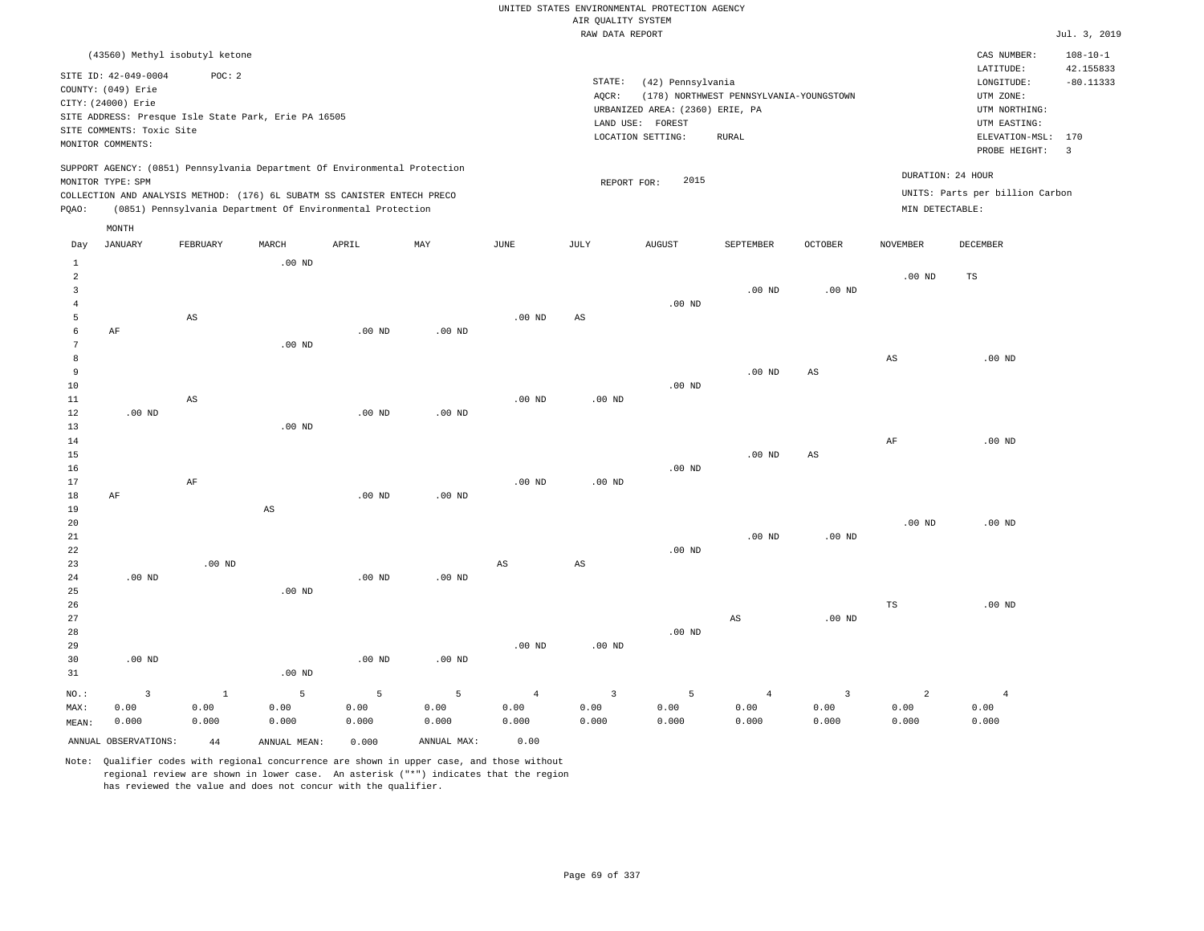|                                                                                                                                                                                                                                                             |         |                                |          |       |     |          |      | RAW DATA REPORT                                                                                                                                             |                                                                                                          |                                                              |                                      |                                 | Jul. 3, 2019   |
|-------------------------------------------------------------------------------------------------------------------------------------------------------------------------------------------------------------------------------------------------------------|---------|--------------------------------|----------|-------|-----|----------|------|-------------------------------------------------------------------------------------------------------------------------------------------------------------|----------------------------------------------------------------------------------------------------------|--------------------------------------------------------------|--------------------------------------|---------------------------------|----------------|
|                                                                                                                                                                                                                                                             |         | (43560) Methyl isobutyl ketone |          |       |     |          |      |                                                                                                                                                             |                                                                                                          |                                                              |                                      | CAS NUMBER:                     | $108 - 10 - 1$ |
| SITE ID: 42-049-0004<br>POC:2<br>COUNTY: (049) Erie<br>CITY: (24000) Erie<br>SITE ADDRESS: Presque Isle State Park, Erie PA 16505<br>SITE COMMENTS: Toxic Site<br>MONITOR COMMENTS:                                                                         |         |                                |          |       |     |          |      | STATE:<br>(42) Pennsylvania<br>AQCR:<br>(178) NORTHWEST PENNSYLVANIA-YOUNGSTOWN<br>URBANIZED AREA: (2360) ERIE, PA<br>LAND USE: FOREST<br>LOCATION SETTING: | LATITUDE:<br>LONGITUDE:<br>UTM ZONE:<br>UTM NORTHING:<br>UTM EASTING:<br>ELEVATION-MSL:<br>PROBE HEIGHT: | 42.155833<br>$-80.11333$<br>170<br>$\overline{\phantom{a}3}$ |                                      |                                 |                |
| SUPPORT AGENCY: (0851) Pennsylvania Department Of Environmental Protection<br>MONITOR TYPE: SPM<br>COLLECTION AND ANALYSIS METHOD: (176) 6L SUBATM SS CANISTER ENTECH PRECO<br>(0851) Pennsylvania Department Of Environmental Protection<br>POAO:<br>MONTH |         |                                |          |       |     |          |      | 2015<br>REPORT FOR:                                                                                                                                         |                                                                                                          |                                                              | DURATION: 24 HOUR<br>MIN DETECTABLE: | UNITS: Parts per billion Carbon |                |
| Day                                                                                                                                                                                                                                                         | JANUARY | FEBRUARY                       | MARCH    | APRIL | MAY | JUNE     | JULY | AUGUST                                                                                                                                                      | SEPTEMBER                                                                                                | <b>OCTOBER</b>                                               | NOVEMBER                             | DECEMBER                        |                |
|                                                                                                                                                                                                                                                             |         |                                | $.00$ ND |       |     |          |      | $.00$ ND                                                                                                                                                    | $.00$ ND                                                                                                 | $.00$ ND                                                     | $.00$ ND                             | TS                              |                |
|                                                                                                                                                                                                                                                             |         | AS                             |          |       |     | $.00$ ND | AS   |                                                                                                                                                             |                                                                                                          |                                                              |                                      |                                 |                |

| ್               |          | A.O      |          |          |                   | שום טט.  | no.      |          |          |          |          |          |
|-----------------|----------|----------|----------|----------|-------------------|----------|----------|----------|----------|----------|----------|----------|
| 6               | AF       |          |          | $.00$ ND | $.00$ ND          |          |          |          |          |          |          |          |
| $7\phantom{.0}$ |          |          | $.00$ ND |          |                   |          |          |          |          |          |          |          |
| $^{\rm 8}$      |          |          |          |          |                   |          |          |          |          |          | AS       | $.00$ ND |
| $\overline{9}$  |          |          |          |          |                   |          |          |          | $.00$ ND | AS       |          |          |
| $10$            |          |          |          |          |                   |          |          | $.00$ ND |          |          |          |          |
| $1\,1$          |          | AS       |          |          |                   | .00 $ND$ | $.00$ ND |          |          |          |          |          |
| $1\,2$          | $.00$ ND |          |          | $.00$ ND | $.00$ ND          |          |          |          |          |          |          |          |
| 13              |          |          | .00 $ND$ |          |                   |          |          |          |          |          |          |          |
| $1\,4$          |          |          |          |          |                   |          |          |          |          |          | AF       | $.00$ ND |
| $15\,$          |          |          |          |          |                   |          |          |          | $.00$ ND | AS       |          |          |
| 16              |          |          |          |          |                   |          |          | $.00$ ND |          |          |          |          |
| 17              |          | AF       |          |          |                   | $.00$ ND | $.00$ ND |          |          |          |          |          |
| $18\,$          | AF       |          |          | $.00$ ND | $.00$ ND          |          |          |          |          |          |          |          |
| 19              |          |          | AS       |          |                   |          |          |          |          |          |          |          |
| $20\,$          |          |          |          |          |                   |          |          |          |          |          | $.00$ ND | $.00$ ND |
| $2\sqrt{1}$     |          |          |          |          |                   |          |          |          | $.00$ ND | $.00$ ND |          |          |
| 22              |          |          |          |          |                   |          |          | $.00$ ND |          |          |          |          |
| 23              |          | $.00$ ND |          |          |                   | AS       | AS       |          |          |          |          |          |
| 24              | $.00$ ND |          |          | $.00$ ND | .00 <sub>ND</sub> |          |          |          |          |          |          |          |

| 25   |          | $.00$ ND |          |          |                |              |          |    |          |               |          |
|------|----------|----------|----------|----------|----------------|--------------|----------|----|----------|---------------|----------|
| 26   |          |          |          |          |                |              |          |    |          | TS            | $.00$ ND |
| 27   |          |          |          |          |                |              |          | AS | $.00$ ND |               |          |
| 28   |          |          |          |          |                |              | $.00$ ND |    |          |               |          |
| 29   |          |          |          |          | $.00$ ND       | $.00$ ND     |          |    |          |               |          |
| 30   | $.00$ ND |          | $.00$ ND | $.00$ ND |                |              |          |    |          |               |          |
| 31   |          | $.00$ ND |          |          |                |              |          |    |          |               |          |
| NO.: |          | -5       | -5.      | 5.       | $\overline{4}$ | $\mathbf{R}$ |          | 4  |          | $\mathcal{L}$ | -4       |

|       | ANNUAL OBSERVATIONS: |       | ANNUAL MEAN: | 0.000 | MAX:<br>ANNUAL | 0.00 |      |      |       |
|-------|----------------------|-------|--------------|-------|----------------|------|------|------|-------|
| MEAN: | 0.000                | J.000 | .000         | 0.000 | .000           | .000 | .000 | .000 | .000  |
| MAX   | J.00                 | 00.ر  | .00          | 0.00  | .00 د          | .00  | .00  | .00  | 00. ( |

Note: Qualifier codes with regional concurrence are shown in upper case, and those without regional review are shown in lower case. An asterisk ("\*") indicates that the region has reviewed the value and does not concur with the qualifier.

 0.00 0.000  0.00 0.000  0.00 0.000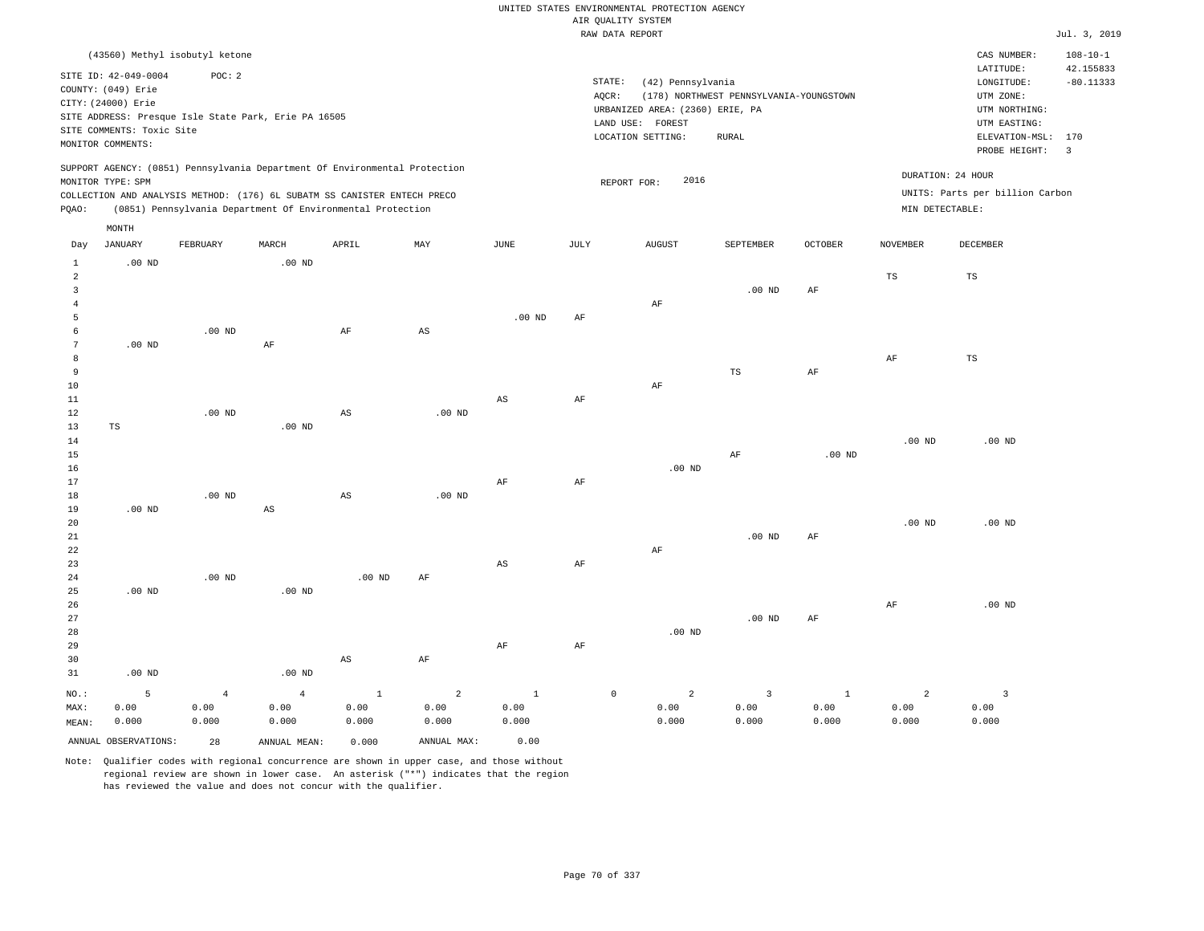| $108 - 10 - 1$<br>(43560) Methyl isobutyl ketone<br>CAS NUMBER:<br>42.155833<br>LATITUDE:<br>SITE ID: 42-049-0004<br>POC: 2<br>STATE:<br>(42) Pennsylvania<br>$-80.11333$<br>LONGITUDE:<br>COUNTY: (049) Erie<br>(178) NORTHWEST PENNSYLVANIA-YOUNGSTOWN<br>UTM ZONE:<br>AQCR:<br>CITY: (24000) Erie<br>URBANIZED AREA: (2360) ERIE, PA<br>UTM NORTHING:<br>SITE ADDRESS: Presque Isle State Park, Erie PA 16505<br>LAND USE: FOREST<br>UTM EASTING:<br>SITE COMMENTS: Toxic Site<br>LOCATION SETTING:<br><b>RURAL</b><br>ELEVATION-MSL: 170<br>MONITOR COMMENTS:<br>PROBE HEIGHT:<br>$\overline{\mathbf{3}}$<br>SUPPORT AGENCY: (0851) Pennsylvania Department Of Environmental Protection<br>DURATION: 24 HOUR<br>2016<br>MONITOR TYPE: SPM<br>REPORT FOR:<br>UNITS: Parts per billion Carbon<br>COLLECTION AND ANALYSIS METHOD: (176) 6L SUBATM SS CANISTER ENTECH PRECO<br>(0851) Pennsylvania Department Of Environmental Protection<br>MIN DETECTABLE:<br>PQAO:<br>MONTH<br><b>JANUARY</b><br>FEBRUARY<br>MARCH<br>APRIL<br>MAY<br>JUNE<br>JULY<br><b>AUGUST</b><br>SEPTEMBER<br><b>OCTOBER</b><br><b>NOVEMBER</b><br><b>DECEMBER</b><br>Day<br>$.00$ ND<br>$.00$ ND<br>1<br>TS<br>2<br>TS<br>$\overline{3}$<br>$.00$ ND<br>AF<br>AF<br>$\overline{4}$<br>$.00$ ND<br>$\rm{AF}$<br>5<br>$.00$ ND<br>$\rm{AF}$<br>$\mathbb{A}\mathbb{S}$<br>6<br>7<br>$.00$ ND<br>AF<br>8<br>AF<br>$_{\rm TS}$<br>9<br>$_{\rm TS}$<br>$\rm{AF}$<br>10<br>$\rm{AF}$<br>11<br>AS<br>AF<br>12<br>$.00$ ND<br>.00 <sub>ND</sub><br>AS<br>13<br>$.00$ ND<br>TS<br>14<br>.00 <sub>ND</sub><br>$.00$ ND<br>15<br>AF<br>.00 <sub>ND</sub><br>16<br>$.00$ ND<br>17<br>AF<br>AF<br>18<br>$.00$ ND<br>AS<br>$.00$ ND<br>19<br>$.00~$ ND<br>$\mathbb{A}\mathbb{S}$<br>20<br>$.00$ ND<br>$.00$ ND<br>21<br>$.00$ ND<br>AF<br>22<br>$\rm{AF}$<br>23<br>$_{\rm AS}$<br>AF<br>24<br>.00 <sub>ND</sub><br>$.00$ ND<br>AF<br>25<br>.00 <sub>ND</sub><br>.00 <sub>ND</sub><br>26<br>$\rm{AF}$<br>$.00$ ND<br>27<br>$.00$ ND<br>$\rm{AF}$<br>28<br>$.00$ ND<br>29<br>AF<br>AF<br>30<br>AS<br>AF<br>31<br>$.00$ ND<br>.00 <sub>ND</sub><br>$\overline{4}$<br>$\overline{4}$<br>$\mathbf{1}$<br>$\overline{a}$<br>$\mathbb O$<br>2<br>$\overline{3}$<br>$\overline{a}$<br>$\overline{3}$<br>NO.:<br>5<br>$\mathbf{1}$<br><sup>1</sup> |      |      |      |      |      |      |      | RAW DATA REPORT |      |      |      |      | Jul. 3, 2019 |
|------------------------------------------------------------------------------------------------------------------------------------------------------------------------------------------------------------------------------------------------------------------------------------------------------------------------------------------------------------------------------------------------------------------------------------------------------------------------------------------------------------------------------------------------------------------------------------------------------------------------------------------------------------------------------------------------------------------------------------------------------------------------------------------------------------------------------------------------------------------------------------------------------------------------------------------------------------------------------------------------------------------------------------------------------------------------------------------------------------------------------------------------------------------------------------------------------------------------------------------------------------------------------------------------------------------------------------------------------------------------------------------------------------------------------------------------------------------------------------------------------------------------------------------------------------------------------------------------------------------------------------------------------------------------------------------------------------------------------------------------------------------------------------------------------------------------------------------------------------------------------------------------------------------------------------------------------------------------------------------------------------------------------------------------------------------------------------------------------------------------------------------------------------------------------------------------------------------------------------------------------------------------------------------------------|------|------|------|------|------|------|------|-----------------|------|------|------|------|--------------|
|                                                                                                                                                                                                                                                                                                                                                                                                                                                                                                                                                                                                                                                                                                                                                                                                                                                                                                                                                                                                                                                                                                                                                                                                                                                                                                                                                                                                                                                                                                                                                                                                                                                                                                                                                                                                                                                                                                                                                                                                                                                                                                                                                                                                                                                                                                      |      |      |      |      |      |      |      |                 |      |      |      |      |              |
|                                                                                                                                                                                                                                                                                                                                                                                                                                                                                                                                                                                                                                                                                                                                                                                                                                                                                                                                                                                                                                                                                                                                                                                                                                                                                                                                                                                                                                                                                                                                                                                                                                                                                                                                                                                                                                                                                                                                                                                                                                                                                                                                                                                                                                                                                                      |      |      |      |      |      |      |      |                 |      |      |      |      |              |
|                                                                                                                                                                                                                                                                                                                                                                                                                                                                                                                                                                                                                                                                                                                                                                                                                                                                                                                                                                                                                                                                                                                                                                                                                                                                                                                                                                                                                                                                                                                                                                                                                                                                                                                                                                                                                                                                                                                                                                                                                                                                                                                                                                                                                                                                                                      |      |      |      |      |      |      |      |                 |      |      |      |      |              |
|                                                                                                                                                                                                                                                                                                                                                                                                                                                                                                                                                                                                                                                                                                                                                                                                                                                                                                                                                                                                                                                                                                                                                                                                                                                                                                                                                                                                                                                                                                                                                                                                                                                                                                                                                                                                                                                                                                                                                                                                                                                                                                                                                                                                                                                                                                      |      |      |      |      |      |      |      |                 |      |      |      |      |              |
|                                                                                                                                                                                                                                                                                                                                                                                                                                                                                                                                                                                                                                                                                                                                                                                                                                                                                                                                                                                                                                                                                                                                                                                                                                                                                                                                                                                                                                                                                                                                                                                                                                                                                                                                                                                                                                                                                                                                                                                                                                                                                                                                                                                                                                                                                                      |      |      |      |      |      |      |      |                 |      |      |      |      |              |
|                                                                                                                                                                                                                                                                                                                                                                                                                                                                                                                                                                                                                                                                                                                                                                                                                                                                                                                                                                                                                                                                                                                                                                                                                                                                                                                                                                                                                                                                                                                                                                                                                                                                                                                                                                                                                                                                                                                                                                                                                                                                                                                                                                                                                                                                                                      |      |      |      |      |      |      |      |                 |      |      |      |      |              |
|                                                                                                                                                                                                                                                                                                                                                                                                                                                                                                                                                                                                                                                                                                                                                                                                                                                                                                                                                                                                                                                                                                                                                                                                                                                                                                                                                                                                                                                                                                                                                                                                                                                                                                                                                                                                                                                                                                                                                                                                                                                                                                                                                                                                                                                                                                      |      |      |      |      |      |      |      |                 |      |      |      |      |              |
|                                                                                                                                                                                                                                                                                                                                                                                                                                                                                                                                                                                                                                                                                                                                                                                                                                                                                                                                                                                                                                                                                                                                                                                                                                                                                                                                                                                                                                                                                                                                                                                                                                                                                                                                                                                                                                                                                                                                                                                                                                                                                                                                                                                                                                                                                                      |      |      |      |      |      |      |      |                 |      |      |      |      |              |
|                                                                                                                                                                                                                                                                                                                                                                                                                                                                                                                                                                                                                                                                                                                                                                                                                                                                                                                                                                                                                                                                                                                                                                                                                                                                                                                                                                                                                                                                                                                                                                                                                                                                                                                                                                                                                                                                                                                                                                                                                                                                                                                                                                                                                                                                                                      |      |      |      |      |      |      |      |                 |      |      |      |      |              |
|                                                                                                                                                                                                                                                                                                                                                                                                                                                                                                                                                                                                                                                                                                                                                                                                                                                                                                                                                                                                                                                                                                                                                                                                                                                                                                                                                                                                                                                                                                                                                                                                                                                                                                                                                                                                                                                                                                                                                                                                                                                                                                                                                                                                                                                                                                      |      |      |      |      |      |      |      |                 |      |      |      |      |              |
|                                                                                                                                                                                                                                                                                                                                                                                                                                                                                                                                                                                                                                                                                                                                                                                                                                                                                                                                                                                                                                                                                                                                                                                                                                                                                                                                                                                                                                                                                                                                                                                                                                                                                                                                                                                                                                                                                                                                                                                                                                                                                                                                                                                                                                                                                                      |      |      |      |      |      |      |      |                 |      |      |      |      |              |
|                                                                                                                                                                                                                                                                                                                                                                                                                                                                                                                                                                                                                                                                                                                                                                                                                                                                                                                                                                                                                                                                                                                                                                                                                                                                                                                                                                                                                                                                                                                                                                                                                                                                                                                                                                                                                                                                                                                                                                                                                                                                                                                                                                                                                                                                                                      |      |      |      |      |      |      |      |                 |      |      |      |      |              |
|                                                                                                                                                                                                                                                                                                                                                                                                                                                                                                                                                                                                                                                                                                                                                                                                                                                                                                                                                                                                                                                                                                                                                                                                                                                                                                                                                                                                                                                                                                                                                                                                                                                                                                                                                                                                                                                                                                                                                                                                                                                                                                                                                                                                                                                                                                      |      |      |      |      |      |      |      |                 |      |      |      |      |              |
|                                                                                                                                                                                                                                                                                                                                                                                                                                                                                                                                                                                                                                                                                                                                                                                                                                                                                                                                                                                                                                                                                                                                                                                                                                                                                                                                                                                                                                                                                                                                                                                                                                                                                                                                                                                                                                                                                                                                                                                                                                                                                                                                                                                                                                                                                                      |      |      |      |      |      |      |      |                 |      |      |      |      |              |
|                                                                                                                                                                                                                                                                                                                                                                                                                                                                                                                                                                                                                                                                                                                                                                                                                                                                                                                                                                                                                                                                                                                                                                                                                                                                                                                                                                                                                                                                                                                                                                                                                                                                                                                                                                                                                                                                                                                                                                                                                                                                                                                                                                                                                                                                                                      |      |      |      |      |      |      |      |                 |      |      |      |      |              |
|                                                                                                                                                                                                                                                                                                                                                                                                                                                                                                                                                                                                                                                                                                                                                                                                                                                                                                                                                                                                                                                                                                                                                                                                                                                                                                                                                                                                                                                                                                                                                                                                                                                                                                                                                                                                                                                                                                                                                                                                                                                                                                                                                                                                                                                                                                      |      |      |      |      |      |      |      |                 |      |      |      |      |              |
|                                                                                                                                                                                                                                                                                                                                                                                                                                                                                                                                                                                                                                                                                                                                                                                                                                                                                                                                                                                                                                                                                                                                                                                                                                                                                                                                                                                                                                                                                                                                                                                                                                                                                                                                                                                                                                                                                                                                                                                                                                                                                                                                                                                                                                                                                                      |      |      |      |      |      |      |      |                 |      |      |      |      |              |
|                                                                                                                                                                                                                                                                                                                                                                                                                                                                                                                                                                                                                                                                                                                                                                                                                                                                                                                                                                                                                                                                                                                                                                                                                                                                                                                                                                                                                                                                                                                                                                                                                                                                                                                                                                                                                                                                                                                                                                                                                                                                                                                                                                                                                                                                                                      |      |      |      |      |      |      |      |                 |      |      |      |      |              |
|                                                                                                                                                                                                                                                                                                                                                                                                                                                                                                                                                                                                                                                                                                                                                                                                                                                                                                                                                                                                                                                                                                                                                                                                                                                                                                                                                                                                                                                                                                                                                                                                                                                                                                                                                                                                                                                                                                                                                                                                                                                                                                                                                                                                                                                                                                      |      |      |      |      |      |      |      |                 |      |      |      |      |              |
|                                                                                                                                                                                                                                                                                                                                                                                                                                                                                                                                                                                                                                                                                                                                                                                                                                                                                                                                                                                                                                                                                                                                                                                                                                                                                                                                                                                                                                                                                                                                                                                                                                                                                                                                                                                                                                                                                                                                                                                                                                                                                                                                                                                                                                                                                                      |      |      |      |      |      |      |      |                 |      |      |      |      |              |
|                                                                                                                                                                                                                                                                                                                                                                                                                                                                                                                                                                                                                                                                                                                                                                                                                                                                                                                                                                                                                                                                                                                                                                                                                                                                                                                                                                                                                                                                                                                                                                                                                                                                                                                                                                                                                                                                                                                                                                                                                                                                                                                                                                                                                                                                                                      |      |      |      |      |      |      |      |                 |      |      |      |      |              |
|                                                                                                                                                                                                                                                                                                                                                                                                                                                                                                                                                                                                                                                                                                                                                                                                                                                                                                                                                                                                                                                                                                                                                                                                                                                                                                                                                                                                                                                                                                                                                                                                                                                                                                                                                                                                                                                                                                                                                                                                                                                                                                                                                                                                                                                                                                      |      |      |      |      |      |      |      |                 |      |      |      |      |              |
|                                                                                                                                                                                                                                                                                                                                                                                                                                                                                                                                                                                                                                                                                                                                                                                                                                                                                                                                                                                                                                                                                                                                                                                                                                                                                                                                                                                                                                                                                                                                                                                                                                                                                                                                                                                                                                                                                                                                                                                                                                                                                                                                                                                                                                                                                                      |      |      |      |      |      |      |      |                 |      |      |      |      |              |
|                                                                                                                                                                                                                                                                                                                                                                                                                                                                                                                                                                                                                                                                                                                                                                                                                                                                                                                                                                                                                                                                                                                                                                                                                                                                                                                                                                                                                                                                                                                                                                                                                                                                                                                                                                                                                                                                                                                                                                                                                                                                                                                                                                                                                                                                                                      |      |      |      |      |      |      |      |                 |      |      |      |      |              |
|                                                                                                                                                                                                                                                                                                                                                                                                                                                                                                                                                                                                                                                                                                                                                                                                                                                                                                                                                                                                                                                                                                                                                                                                                                                                                                                                                                                                                                                                                                                                                                                                                                                                                                                                                                                                                                                                                                                                                                                                                                                                                                                                                                                                                                                                                                      |      |      |      |      |      |      |      |                 |      |      |      |      |              |
|                                                                                                                                                                                                                                                                                                                                                                                                                                                                                                                                                                                                                                                                                                                                                                                                                                                                                                                                                                                                                                                                                                                                                                                                                                                                                                                                                                                                                                                                                                                                                                                                                                                                                                                                                                                                                                                                                                                                                                                                                                                                                                                                                                                                                                                                                                      |      |      |      |      |      |      |      |                 |      |      |      |      |              |
|                                                                                                                                                                                                                                                                                                                                                                                                                                                                                                                                                                                                                                                                                                                                                                                                                                                                                                                                                                                                                                                                                                                                                                                                                                                                                                                                                                                                                                                                                                                                                                                                                                                                                                                                                                                                                                                                                                                                                                                                                                                                                                                                                                                                                                                                                                      |      |      |      |      |      |      |      |                 |      |      |      |      |              |
|                                                                                                                                                                                                                                                                                                                                                                                                                                                                                                                                                                                                                                                                                                                                                                                                                                                                                                                                                                                                                                                                                                                                                                                                                                                                                                                                                                                                                                                                                                                                                                                                                                                                                                                                                                                                                                                                                                                                                                                                                                                                                                                                                                                                                                                                                                      |      |      |      |      |      |      |      |                 |      |      |      |      |              |
|                                                                                                                                                                                                                                                                                                                                                                                                                                                                                                                                                                                                                                                                                                                                                                                                                                                                                                                                                                                                                                                                                                                                                                                                                                                                                                                                                                                                                                                                                                                                                                                                                                                                                                                                                                                                                                                                                                                                                                                                                                                                                                                                                                                                                                                                                                      |      |      |      |      |      |      |      |                 |      |      |      |      |              |
|                                                                                                                                                                                                                                                                                                                                                                                                                                                                                                                                                                                                                                                                                                                                                                                                                                                                                                                                                                                                                                                                                                                                                                                                                                                                                                                                                                                                                                                                                                                                                                                                                                                                                                                                                                                                                                                                                                                                                                                                                                                                                                                                                                                                                                                                                                      |      |      |      |      |      |      |      |                 |      |      |      |      |              |
|                                                                                                                                                                                                                                                                                                                                                                                                                                                                                                                                                                                                                                                                                                                                                                                                                                                                                                                                                                                                                                                                                                                                                                                                                                                                                                                                                                                                                                                                                                                                                                                                                                                                                                                                                                                                                                                                                                                                                                                                                                                                                                                                                                                                                                                                                                      |      |      |      |      |      |      |      |                 |      |      |      |      |              |
|                                                                                                                                                                                                                                                                                                                                                                                                                                                                                                                                                                                                                                                                                                                                                                                                                                                                                                                                                                                                                                                                                                                                                                                                                                                                                                                                                                                                                                                                                                                                                                                                                                                                                                                                                                                                                                                                                                                                                                                                                                                                                                                                                                                                                                                                                                      |      |      |      |      |      |      |      |                 |      |      |      |      |              |
|                                                                                                                                                                                                                                                                                                                                                                                                                                                                                                                                                                                                                                                                                                                                                                                                                                                                                                                                                                                                                                                                                                                                                                                                                                                                                                                                                                                                                                                                                                                                                                                                                                                                                                                                                                                                                                                                                                                                                                                                                                                                                                                                                                                                                                                                                                      |      |      |      |      |      |      |      |                 |      |      |      |      |              |
|                                                                                                                                                                                                                                                                                                                                                                                                                                                                                                                                                                                                                                                                                                                                                                                                                                                                                                                                                                                                                                                                                                                                                                                                                                                                                                                                                                                                                                                                                                                                                                                                                                                                                                                                                                                                                                                                                                                                                                                                                                                                                                                                                                                                                                                                                                      |      |      |      |      |      |      |      |                 |      |      |      |      |              |
|                                                                                                                                                                                                                                                                                                                                                                                                                                                                                                                                                                                                                                                                                                                                                                                                                                                                                                                                                                                                                                                                                                                                                                                                                                                                                                                                                                                                                                                                                                                                                                                                                                                                                                                                                                                                                                                                                                                                                                                                                                                                                                                                                                                                                                                                                                      |      |      |      |      |      |      |      |                 |      |      |      |      |              |
|                                                                                                                                                                                                                                                                                                                                                                                                                                                                                                                                                                                                                                                                                                                                                                                                                                                                                                                                                                                                                                                                                                                                                                                                                                                                                                                                                                                                                                                                                                                                                                                                                                                                                                                                                                                                                                                                                                                                                                                                                                                                                                                                                                                                                                                                                                      |      |      |      |      |      |      |      |                 |      |      |      |      |              |
|                                                                                                                                                                                                                                                                                                                                                                                                                                                                                                                                                                                                                                                                                                                                                                                                                                                                                                                                                                                                                                                                                                                                                                                                                                                                                                                                                                                                                                                                                                                                                                                                                                                                                                                                                                                                                                                                                                                                                                                                                                                                                                                                                                                                                                                                                                      |      |      |      |      |      |      |      |                 |      |      |      |      |              |
|                                                                                                                                                                                                                                                                                                                                                                                                                                                                                                                                                                                                                                                                                                                                                                                                                                                                                                                                                                                                                                                                                                                                                                                                                                                                                                                                                                                                                                                                                                                                                                                                                                                                                                                                                                                                                                                                                                                                                                                                                                                                                                                                                                                                                                                                                                      |      |      |      |      |      |      |      |                 |      |      |      |      |              |
|                                                                                                                                                                                                                                                                                                                                                                                                                                                                                                                                                                                                                                                                                                                                                                                                                                                                                                                                                                                                                                                                                                                                                                                                                                                                                                                                                                                                                                                                                                                                                                                                                                                                                                                                                                                                                                                                                                                                                                                                                                                                                                                                                                                                                                                                                                      |      |      |      |      |      |      |      |                 |      |      |      |      |              |
|                                                                                                                                                                                                                                                                                                                                                                                                                                                                                                                                                                                                                                                                                                                                                                                                                                                                                                                                                                                                                                                                                                                                                                                                                                                                                                                                                                                                                                                                                                                                                                                                                                                                                                                                                                                                                                                                                                                                                                                                                                                                                                                                                                                                                                                                                                      |      |      |      |      |      |      |      |                 |      |      |      |      |              |
|                                                                                                                                                                                                                                                                                                                                                                                                                                                                                                                                                                                                                                                                                                                                                                                                                                                                                                                                                                                                                                                                                                                                                                                                                                                                                                                                                                                                                                                                                                                                                                                                                                                                                                                                                                                                                                                                                                                                                                                                                                                                                                                                                                                                                                                                                                      |      |      |      |      |      |      |      |                 |      |      |      |      |              |
|                                                                                                                                                                                                                                                                                                                                                                                                                                                                                                                                                                                                                                                                                                                                                                                                                                                                                                                                                                                                                                                                                                                                                                                                                                                                                                                                                                                                                                                                                                                                                                                                                                                                                                                                                                                                                                                                                                                                                                                                                                                                                                                                                                                                                                                                                                      |      |      |      |      |      |      |      |                 |      |      |      |      |              |
|                                                                                                                                                                                                                                                                                                                                                                                                                                                                                                                                                                                                                                                                                                                                                                                                                                                                                                                                                                                                                                                                                                                                                                                                                                                                                                                                                                                                                                                                                                                                                                                                                                                                                                                                                                                                                                                                                                                                                                                                                                                                                                                                                                                                                                                                                                      |      |      |      |      |      |      |      |                 |      |      |      |      |              |
|                                                                                                                                                                                                                                                                                                                                                                                                                                                                                                                                                                                                                                                                                                                                                                                                                                                                                                                                                                                                                                                                                                                                                                                                                                                                                                                                                                                                                                                                                                                                                                                                                                                                                                                                                                                                                                                                                                                                                                                                                                                                                                                                                                                                                                                                                                      |      |      |      |      |      |      |      |                 |      |      |      |      |              |
| 0.00                                                                                                                                                                                                                                                                                                                                                                                                                                                                                                                                                                                                                                                                                                                                                                                                                                                                                                                                                                                                                                                                                                                                                                                                                                                                                                                                                                                                                                                                                                                                                                                                                                                                                                                                                                                                                                                                                                                                                                                                                                                                                                                                                                                                                                                                                                 | MAX: | 0.00 | 0.00 | 0.00 | 0.00 | 0.00 | 0.00 |                 | 0.00 | 0.00 | 0.00 | 0.00 |              |
| 0.000<br>0.000<br>0.000<br>0.000<br>0.000<br>0.000<br>0.000<br>0.000<br>0.000<br>0.000<br>0.000<br>MEAN:                                                                                                                                                                                                                                                                                                                                                                                                                                                                                                                                                                                                                                                                                                                                                                                                                                                                                                                                                                                                                                                                                                                                                                                                                                                                                                                                                                                                                                                                                                                                                                                                                                                                                                                                                                                                                                                                                                                                                                                                                                                                                                                                                                                             |      |      |      |      |      |      |      |                 |      |      |      |      |              |
| ANNUAL OBSERVATIONS:<br>ANNUAL MAX:<br>0.00<br>ANNUAL, MEAN:<br>0.000<br>28                                                                                                                                                                                                                                                                                                                                                                                                                                                                                                                                                                                                                                                                                                                                                                                                                                                                                                                                                                                                                                                                                                                                                                                                                                                                                                                                                                                                                                                                                                                                                                                                                                                                                                                                                                                                                                                                                                                                                                                                                                                                                                                                                                                                                          |      |      |      |      |      |      |      |                 |      |      |      |      |              |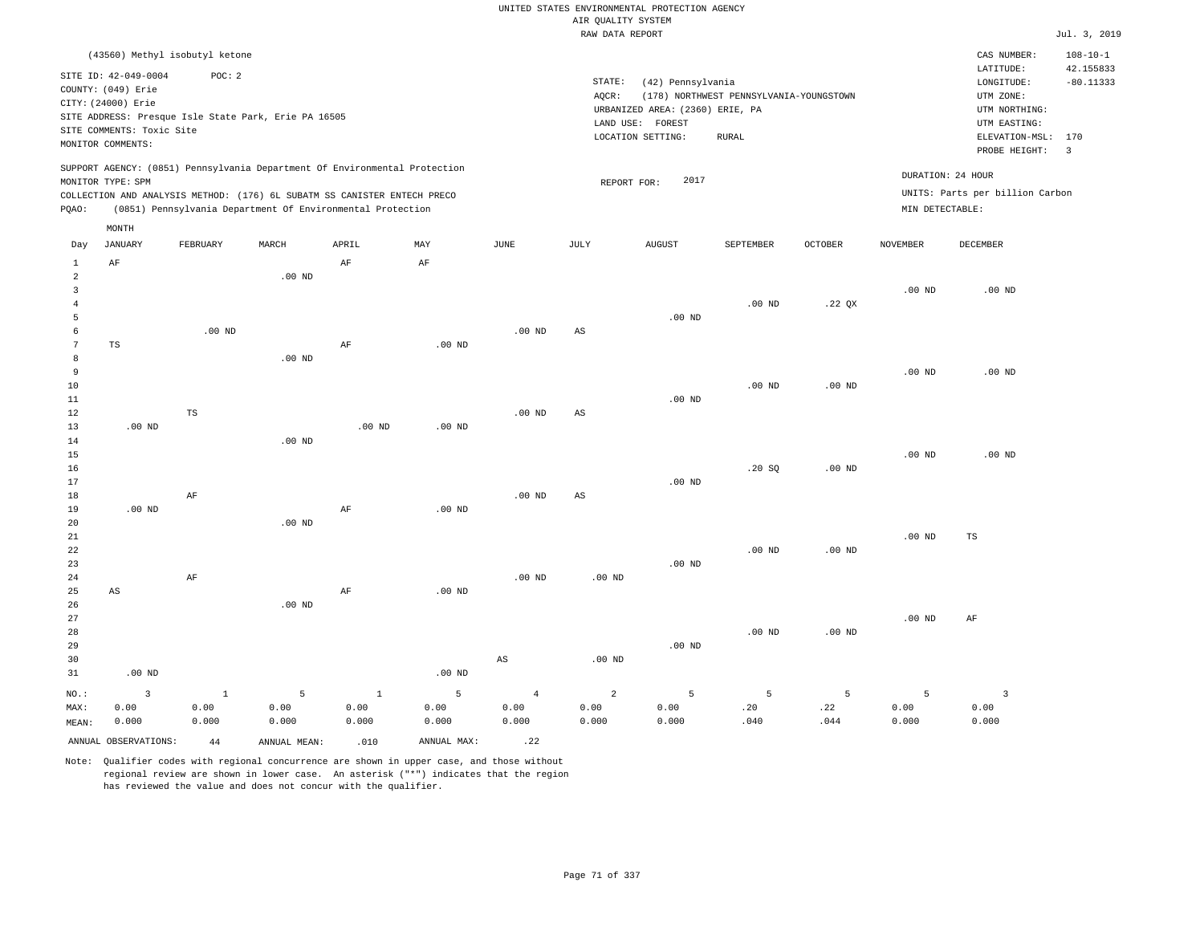|                     |                                |              |                                                                            |              |                   |                   | RAW DATA REPORT        |                                 |                   |                   |                   |                                 | Jul. 3, 2019   |
|---------------------|--------------------------------|--------------|----------------------------------------------------------------------------|--------------|-------------------|-------------------|------------------------|---------------------------------|-------------------|-------------------|-------------------|---------------------------------|----------------|
|                     | (43560) Methyl isobutyl ketone |              |                                                                            |              |                   |                   |                        |                                 |                   |                   |                   | CAS NUMBER:                     | $108 - 10 - 1$ |
|                     |                                |              |                                                                            |              |                   |                   |                        |                                 |                   |                   |                   | LATITUDE:                       | 42.155833      |
|                     | SITE ID: 42-049-0004           | POC: 2       |                                                                            |              |                   |                   | STATE:                 | LONGITUDE:                      | $-80.11333$       |                   |                   |                                 |                |
|                     | COUNTY: (049) Erie             |              |                                                                            |              |                   |                   | AQCR:                  | UTM ZONE:                       |                   |                   |                   |                                 |                |
|                     | CITY: (24000) Erie             |              |                                                                            |              |                   |                   |                        | URBANIZED AREA: (2360) ERIE, PA |                   |                   |                   | UTM NORTHING:                   |                |
|                     |                                |              | SITE ADDRESS: Presque Isle State Park, Erie PA 16505                       |              |                   |                   |                        | LAND USE: FOREST                |                   |                   |                   | UTM EASTING:                    |                |
|                     | SITE COMMENTS: Toxic Site      |              |                                                                            |              |                   |                   |                        | LOCATION SETTING:               | RURAL             |                   |                   | ELEVATION-MSL: 170              |                |
|                     | MONITOR COMMENTS:              |              |                                                                            |              |                   |                   |                        |                                 |                   |                   |                   | PROBE HEIGHT:                   | $\overline{3}$ |
|                     |                                |              | SUPPORT AGENCY: (0851) Pennsylvania Department Of Environmental Protection |              |                   |                   |                        |                                 |                   |                   |                   |                                 |                |
|                     | MONITOR TYPE: SPM              |              |                                                                            |              |                   |                   | REPORT FOR:            | 2017                            |                   |                   |                   | DURATION: 24 HOUR               |                |
|                     |                                |              | COLLECTION AND ANALYSIS METHOD: (176) 6L SUBATM SS CANISTER ENTECH PRECO   |              |                   |                   |                        |                                 |                   |                   |                   | UNITS: Parts per billion Carbon |                |
| PQAO:               |                                |              | (0851) Pennsylvania Department Of Environmental Protection                 |              |                   |                   |                        |                                 |                   |                   | MIN DETECTABLE:   |                                 |                |
|                     | MONTH                          |              |                                                                            |              |                   |                   |                        |                                 |                   |                   |                   |                                 |                |
| Day                 | <b>JANUARY</b>                 | FEBRUARY     | MARCH                                                                      | APRIL        | MAY               | JUNE              | JULY                   | <b>AUGUST</b>                   | SEPTEMBER         | <b>OCTOBER</b>    | <b>NOVEMBER</b>   | DECEMBER                        |                |
| $\mathbf{1}$        | $\rm AF$                       |              |                                                                            | AF           | AF                |                   |                        |                                 |                   |                   |                   |                                 |                |
| $\overline{a}$      |                                |              | $.00$ ND                                                                   |              |                   |                   |                        |                                 |                   |                   |                   |                                 |                |
| $\mathbf{3}$        |                                |              |                                                                            |              |                   |                   |                        |                                 |                   |                   | .00 <sub>ND</sub> | $.00$ ND                        |                |
| $\overline{4}$      |                                |              |                                                                            |              |                   |                   |                        |                                 | $.00$ ND          | .22 QX            |                   |                                 |                |
| 5                   |                                |              |                                                                            |              |                   |                   |                        | $.00$ ND                        |                   |                   |                   |                                 |                |
| 6                   |                                | $.00$ ND     |                                                                            |              |                   | $.00$ ND          | $\mathbb{A}\mathbb{S}$ |                                 |                   |                   |                   |                                 |                |
| $7\phantom{.0}$     | TS                             |              |                                                                            | $\rm AF$     | $.00$ ND          |                   |                        |                                 |                   |                   |                   |                                 |                |
| 8<br>$\overline{9}$ |                                |              | .00 <sub>ND</sub>                                                          |              |                   |                   |                        |                                 |                   |                   | .00 <sub>ND</sub> | $.00$ ND                        |                |
| 10                  |                                |              |                                                                            |              |                   |                   |                        |                                 | .00 <sub>ND</sub> | .00 <sub>ND</sub> |                   |                                 |                |
| 11                  |                                |              |                                                                            |              |                   |                   |                        | $.00$ ND                        |                   |                   |                   |                                 |                |
| 12                  |                                | TS           |                                                                            |              |                   | .00 <sub>ND</sub> | $\mathbb{A}\mathbb{S}$ |                                 |                   |                   |                   |                                 |                |
| 13                  | $.00$ ND                       |              |                                                                            | $.00$ ND     | $.00$ ND          |                   |                        |                                 |                   |                   |                   |                                 |                |
| 14                  |                                |              | $.00$ ND                                                                   |              |                   |                   |                        |                                 |                   |                   |                   |                                 |                |
| 15                  |                                |              |                                                                            |              |                   |                   |                        |                                 |                   |                   | .00 <sub>ND</sub> | $.00$ ND                        |                |
| 16                  |                                |              |                                                                            |              |                   |                   |                        |                                 | .20S              | $.00$ ND          |                   |                                 |                |
| 17                  |                                |              |                                                                            |              |                   |                   |                        | $.00$ ND                        |                   |                   |                   |                                 |                |
| 18                  |                                | AF           |                                                                            |              |                   | $.00$ ND          | $\mathbb{A}\mathbb{S}$ |                                 |                   |                   |                   |                                 |                |
| 19                  | $.00$ ND                       |              |                                                                            | AF           | $.00$ ND          |                   |                        |                                 |                   |                   |                   |                                 |                |
| 20                  |                                |              | .00 <sub>ND</sub>                                                          |              |                   |                   |                        |                                 |                   |                   |                   |                                 |                |
| 21                  |                                |              |                                                                            |              |                   |                   |                        |                                 |                   |                   | .00 <sub>ND</sub> | TS                              |                |
| 22                  |                                |              |                                                                            |              |                   |                   |                        |                                 | $.00$ ND          | .00 <sub>ND</sub> |                   |                                 |                |
| 23                  |                                |              |                                                                            |              |                   |                   |                        | $.00$ ND                        |                   |                   |                   |                                 |                |
| 24                  |                                | AF           |                                                                            |              |                   | .00 <sub>ND</sub> | $.00$ ND               |                                 |                   |                   |                   |                                 |                |
| 25                  | AS                             |              | $.00$ ND                                                                   | AF           | .00 <sub>ND</sub> |                   |                        |                                 |                   |                   |                   |                                 |                |
| 26<br>27            |                                |              |                                                                            |              |                   |                   |                        |                                 |                   |                   | .00 <sub>ND</sub> | AF                              |                |
| 28                  |                                |              |                                                                            |              |                   |                   |                        |                                 | .00 <sub>ND</sub> | .00 <sub>ND</sub> |                   |                                 |                |
| 29                  |                                |              |                                                                            |              |                   |                   |                        | $.00$ ND                        |                   |                   |                   |                                 |                |
| 30                  |                                |              |                                                                            |              |                   | $_{\rm AS}$       | $.00$ ND               |                                 |                   |                   |                   |                                 |                |
| 31                  | $.00$ ND                       |              |                                                                            |              | $.00$ ND          |                   |                        |                                 |                   |                   |                   |                                 |                |
|                     |                                |              |                                                                            |              |                   |                   |                        |                                 |                   |                   |                   |                                 |                |
| NO.:                | 3                              | $\mathbf{1}$ | 5                                                                          | $\mathbf{1}$ | 5                 | $\overline{4}$    | $\overline{a}$         | 5                               | 5                 | 5                 | 5                 | $\overline{3}$                  |                |
| MAX:                | 0.00                           | 0.00         | 0.00                                                                       | 0.00         | 0.00              | 0.00              | 0.00                   | 0.00                            | .20               | .22               | 0.00              | 0.00                            |                |
| MEAN:               | 0.000                          | 0.000        | 0.000                                                                      | 0.000        | 0.000             | 0.000             | 0.000                  | 0.000                           | .040              | .044              | 0.000             | 0.000                           |                |
|                     | ANNUAL OBSERVATIONS:           | 44           | ANNUAL MEAN:                                                               | .010         | ANNUAL MAX:       | .22               |                        |                                 |                   |                   |                   |                                 |                |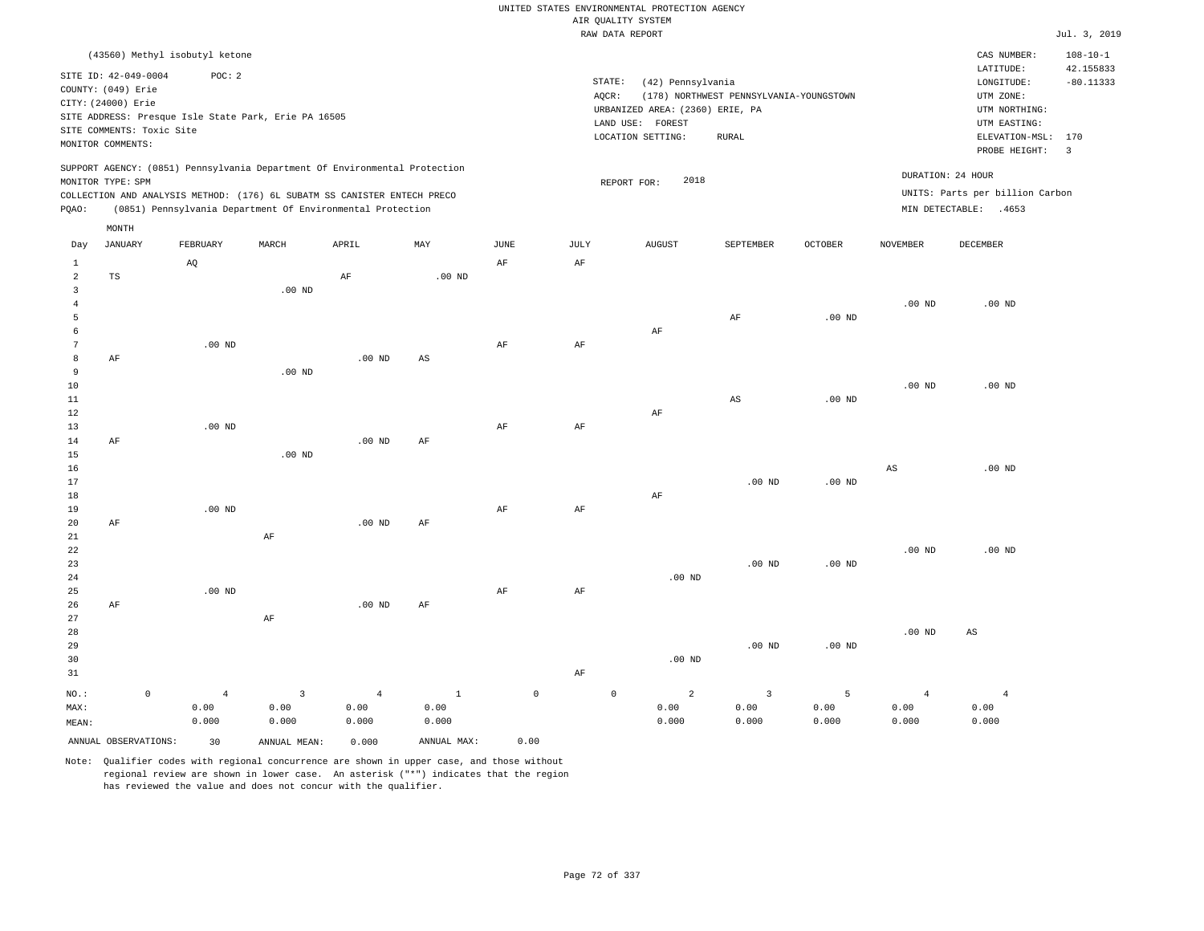|                     |                      |                           |                                          |                                                      |                                                                            |              |                     |           | UNITED STATES ENVIRONMENTAL PROTECTION AGENCY |                                         |                   |                   |                                 |                             |
|---------------------|----------------------|---------------------------|------------------------------------------|------------------------------------------------------|----------------------------------------------------------------------------|--------------|---------------------|-----------|-----------------------------------------------|-----------------------------------------|-------------------|-------------------|---------------------------------|-----------------------------|
|                     |                      |                           |                                          |                                                      |                                                                            |              |                     |           | AIR QUALITY SYSTEM                            |                                         |                   |                   |                                 |                             |
|                     |                      |                           |                                          |                                                      |                                                                            |              |                     |           | RAW DATA REPORT                               |                                         |                   |                   |                                 | Jul. 3, 2019                |
|                     | SITE ID: 42-049-0004 |                           | (43560) Methyl isobutyl ketone<br>POC: 2 |                                                      |                                                                            |              |                     |           |                                               |                                         |                   |                   | CAS NUMBER:<br>LATITUDE:        | $108 - 10 - 1$<br>42.155833 |
|                     | COUNTY: (049) Erie   |                           |                                          |                                                      |                                                                            |              |                     |           | STATE:<br>(42) Pennsylvania                   |                                         |                   |                   | LONGITUDE:                      | $-80.11333$                 |
|                     | CITY: (24000) Erie   |                           |                                          |                                                      |                                                                            |              |                     | AQCR:     | URBANIZED AREA: (2360) ERIE, PA               | (178) NORTHWEST PENNSYLVANIA-YOUNGSTOWN |                   |                   | UTM ZONE:<br>UTM NORTHING:      |                             |
|                     |                      |                           |                                          | SITE ADDRESS: Presque Isle State Park, Erie PA 16505 |                                                                            |              |                     |           | LAND USE: FOREST                              |                                         |                   |                   | UTM EASTING:                    |                             |
|                     |                      | SITE COMMENTS: Toxic Site |                                          |                                                      |                                                                            |              |                     |           | LOCATION SETTING:                             | <b>RURAL</b>                            |                   |                   | ELEVATION-MSL:                  | 170                         |
|                     | MONITOR COMMENTS:    |                           |                                          |                                                      |                                                                            |              |                     |           |                                               |                                         |                   |                   | PROBE HEIGHT:                   | $\overline{3}$              |
|                     | MONITOR TYPE: SPM    |                           |                                          |                                                      | SUPPORT AGENCY: (0851) Pennsylvania Department Of Environmental Protection |              |                     |           | 2018<br>REPORT FOR:                           |                                         |                   | DURATION: 24 HOUR |                                 |                             |
|                     |                      |                           |                                          |                                                      | COLLECTION AND ANALYSIS METHOD: (176) 6L SUBATM SS CANISTER ENTECH PRECO   |              |                     |           |                                               |                                         |                   |                   | UNITS: Parts per billion Carbon |                             |
| PQAO:               |                      |                           |                                          |                                                      | (0851) Pennsylvania Department Of Environmental Protection                 |              |                     |           |                                               |                                         |                   |                   | MIN DETECTABLE: .4653           |                             |
|                     | MONTH                |                           |                                          |                                                      |                                                                            |              |                     |           |                                               |                                         |                   |                   |                                 |                             |
| Day                 | <b>JANUARY</b>       |                           | FEBRUARY                                 | MARCH                                                | APRIL                                                                      | MAY          | JUNE                | JULY      | <b>AUGUST</b>                                 | SEPTEMBER                               | <b>OCTOBER</b>    | NOVEMBER          | DECEMBER                        |                             |
| $\mathbf{1}$        |                      |                           | AQ                                       |                                                      |                                                                            |              | AF                  | AF        |                                               |                                         |                   |                   |                                 |                             |
| $\overline{a}$      | TS                   |                           |                                          |                                                      | $\rm AF$                                                                   | $.00$ ND     |                     |           |                                               |                                         |                   |                   |                                 |                             |
| $\overline{3}$      |                      |                           |                                          | $.00$ ND                                             |                                                                            |              |                     |           |                                               |                                         |                   |                   |                                 |                             |
| $\overline{4}$<br>5 |                      |                           |                                          |                                                      |                                                                            |              |                     |           |                                               |                                         |                   | .00 <sub>ND</sub> | $.00$ ND                        |                             |
| 6                   |                      |                           |                                          |                                                      |                                                                            |              |                     |           | AF                                            | AF                                      | $.00$ ND          |                   |                                 |                             |
| $7\phantom{.0}$     |                      |                           | $.00$ ND                                 |                                                      |                                                                            |              | $\rm{AF}$           | $\rm{AF}$ |                                               |                                         |                   |                   |                                 |                             |
| 8                   | AF                   |                           |                                          |                                                      | $.00$ ND                                                                   | AS           |                     |           |                                               |                                         |                   |                   |                                 |                             |
| 9                   |                      |                           |                                          | $.00$ ND                                             |                                                                            |              |                     |           |                                               |                                         |                   |                   |                                 |                             |
| $10$                |                      |                           |                                          |                                                      |                                                                            |              |                     |           |                                               |                                         |                   | .00 <sub>ND</sub> | $.00$ ND                        |                             |
| $1\,1$              |                      |                           |                                          |                                                      |                                                                            |              |                     |           |                                               | $\mathbb{A}\mathbb{S}$                  | .00 <sub>ND</sub> |                   |                                 |                             |
| 12                  |                      |                           |                                          |                                                      |                                                                            |              |                     |           | AF                                            |                                         |                   |                   |                                 |                             |
| 13                  |                      |                           | $.00$ ND                                 |                                                      |                                                                            |              | AF                  | AF        |                                               |                                         |                   |                   |                                 |                             |
| $1\,4$              | AF                   |                           |                                          |                                                      | $.00$ ND                                                                   | AF           |                     |           |                                               |                                         |                   |                   |                                 |                             |
| 15<br>16            |                      |                           |                                          | $.00$ ND                                             |                                                                            |              |                     |           |                                               |                                         |                   | $_{\rm AS}$       | $.00$ ND                        |                             |
| 17                  |                      |                           |                                          |                                                      |                                                                            |              |                     |           |                                               | $.00$ ND                                | $.00$ ND          |                   |                                 |                             |
| $1\,8$              |                      |                           |                                          |                                                      |                                                                            |              |                     |           | AF                                            |                                         |                   |                   |                                 |                             |
| 19                  |                      |                           | $.00$ ND                                 |                                                      |                                                                            |              | AF                  | AF        |                                               |                                         |                   |                   |                                 |                             |
| 20                  | AF                   |                           |                                          |                                                      | $.00$ ND                                                                   | AF           |                     |           |                                               |                                         |                   |                   |                                 |                             |
| 21                  |                      |                           |                                          | AF                                                   |                                                                            |              |                     |           |                                               |                                         |                   |                   |                                 |                             |
| 22                  |                      |                           |                                          |                                                      |                                                                            |              |                     |           |                                               |                                         |                   | $.00$ ND          | $.00$ ND                        |                             |
| 23                  |                      |                           |                                          |                                                      |                                                                            |              |                     |           |                                               | $.00$ ND                                | $.00$ ND          |                   |                                 |                             |
| 24                  |                      |                           | $.00$ ND                                 |                                                      |                                                                            |              |                     |           | $.00$ ND                                      |                                         |                   |                   |                                 |                             |
| 25<br>26            | AF                   |                           |                                          |                                                      | .00 <sub>ND</sub>                                                          | AF           | $\rm{AF}$           | AF        |                                               |                                         |                   |                   |                                 |                             |
| 27                  |                      |                           |                                          | AF                                                   |                                                                            |              |                     |           |                                               |                                         |                   |                   |                                 |                             |
| 28                  |                      |                           |                                          |                                                      |                                                                            |              |                     |           |                                               |                                         |                   | .00 <sub>ND</sub> | AS                              |                             |
| 29                  |                      |                           |                                          |                                                      |                                                                            |              |                     |           |                                               | $.00$ ND                                | .00 <sub>ND</sub> |                   |                                 |                             |
| 30                  |                      |                           |                                          |                                                      |                                                                            |              |                     |           | $.00$ ND                                      |                                         |                   |                   |                                 |                             |
| 31                  |                      |                           |                                          |                                                      |                                                                            |              |                     | AF        |                                               |                                         |                   |                   |                                 |                             |
| NO.:                |                      | $\mathsf 0$               | $\overline{4}$                           | $\overline{3}$                                       | $\overline{4}$                                                             | $\mathbf{1}$ | $\mathsf{O}\xspace$ |           | $\mathbb O$<br>2                              | $\overline{3}$                          | 5                 | $\overline{4}$    | $\overline{4}$                  |                             |
| MAX:                |                      |                           | 0.00                                     | 0.00                                                 | 0.00                                                                       | 0.00         |                     |           | 0.00                                          | 0.00                                    | 0.00              | 0.00              | 0.00                            |                             |
| MEAN:               |                      |                           | 0.000                                    | 0.000                                                | 0.000                                                                      | 0.000        |                     |           | 0.000                                         | 0.000                                   | 0.000             | 0.000             | 0.000                           |                             |
|                     | ANNUAL OBSERVATIONS: |                           | 30                                       | ANNUAL MEAN:                                         | 0.000                                                                      | ANNUAL MAX:  | 0.00                |           |                                               |                                         |                   |                   |                                 |                             |
|                     |                      |                           |                                          |                                                      |                                                                            |              |                     |           |                                               |                                         |                   |                   |                                 |                             |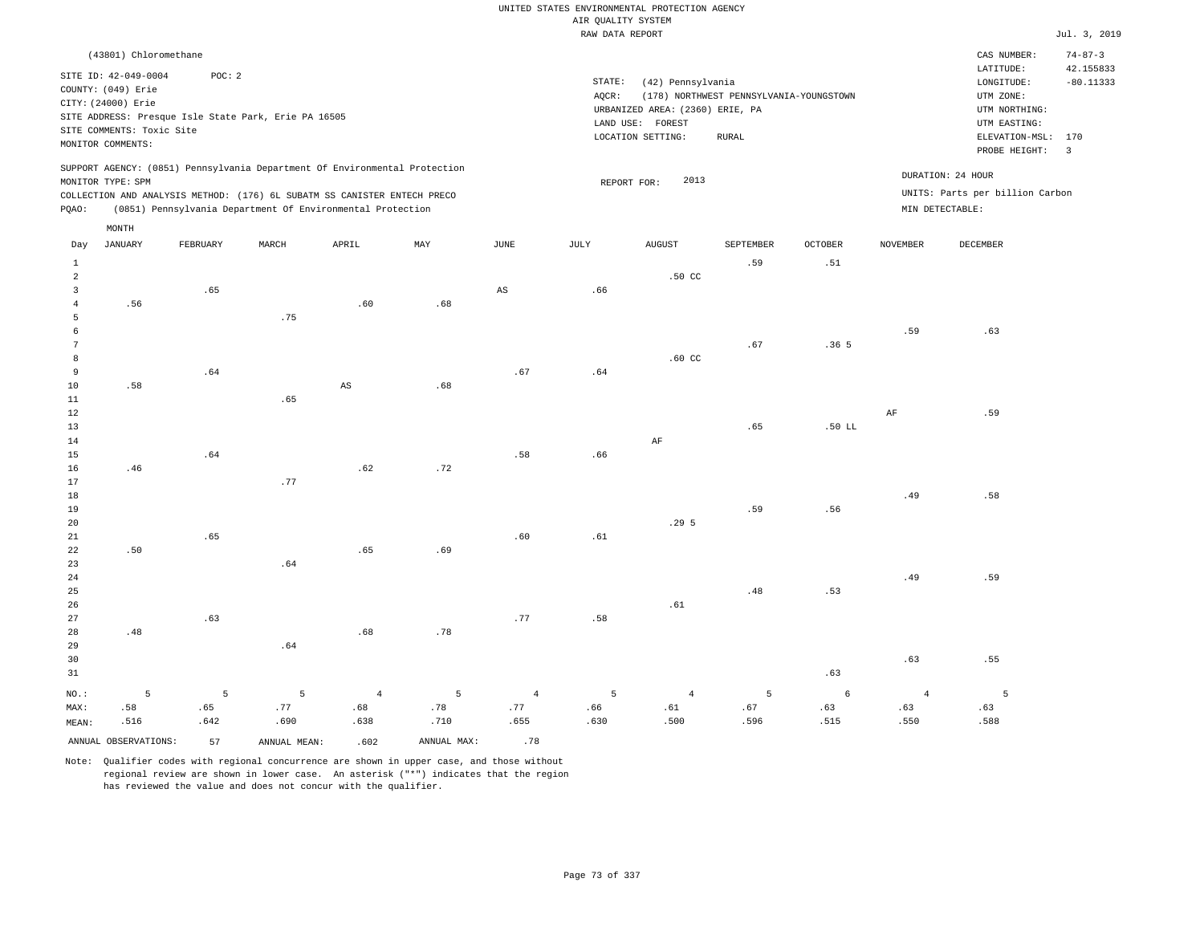|              |                           |                                                      |       |                                                                            |     |                        | RAW DATA REPORT |                                 |                                         |         |                 |                                 | Jul. 3, 2019  |
|--------------|---------------------------|------------------------------------------------------|-------|----------------------------------------------------------------------------|-----|------------------------|-----------------|---------------------------------|-----------------------------------------|---------|-----------------|---------------------------------|---------------|
|              | (43801) Chloromethane     |                                                      |       |                                                                            |     |                        |                 |                                 |                                         |         |                 | CAS NUMBER:                     | $74 - 87 - 3$ |
|              | SITE ID: 42-049-0004      | POC: 2                                               |       |                                                                            |     |                        |                 |                                 |                                         |         |                 | LATITUDE:                       | 42.155833     |
|              | COUNTY: (049) Erie        |                                                      |       |                                                                            |     |                        | STATE:          | (42) Pennsylvania               |                                         |         |                 | LONGITUDE:                      | $-80.11333$   |
|              | CITY: (24000) Erie        |                                                      |       |                                                                            |     |                        | AQCR:           |                                 | (178) NORTHWEST PENNSYLVANIA-YOUNGSTOWN |         |                 | UTM ZONE:                       |               |
|              |                           | SITE ADDRESS: Presque Isle State Park, Erie PA 16505 |       |                                                                            |     |                        |                 | URBANIZED AREA: (2360) ERIE, PA |                                         |         |                 | UTM NORTHING:                   |               |
|              | SITE COMMENTS: Toxic Site |                                                      |       |                                                                            |     |                        |                 | LAND USE: FOREST                |                                         |         |                 | UTM EASTING:                    |               |
|              | MONITOR COMMENTS:         |                                                      |       |                                                                            |     |                        |                 | LOCATION SETTING:               | <b>RURAL</b>                            |         |                 | ELEVATION-MSL: 170              |               |
|              |                           |                                                      |       |                                                                            |     |                        |                 |                                 |                                         |         |                 | PROBE HEIGHT: 3                 |               |
|              | MONITOR TYPE: SPM         |                                                      |       | SUPPORT AGENCY: (0851) Pennsylvania Department Of Environmental Protection |     |                        |                 | 2013<br>REPORT FOR:             |                                         |         |                 | DURATION: 24 HOUR               |               |
|              |                           |                                                      |       | COLLECTION AND ANALYSIS METHOD: (176) 6L SUBATM SS CANISTER ENTECH PRECO   |     |                        |                 |                                 |                                         |         |                 | UNITS: Parts per billion Carbon |               |
| PQAO:        |                           |                                                      |       | (0851) Pennsylvania Department Of Environmental Protection                 |     |                        |                 |                                 |                                         |         |                 | MIN DETECTABLE:                 |               |
|              |                           |                                                      |       |                                                                            |     |                        |                 |                                 |                                         |         |                 |                                 |               |
| Day          | MONTH<br>JANUARY          | FEBRUARY                                             | MARCH | APRIL                                                                      | MAY | JUNE                   | JULY            | AUGUST                          | SEPTEMBER                               | OCTOBER | <b>NOVEMBER</b> | DECEMBER                        |               |
| $\mathbf{1}$ |                           |                                                      |       |                                                                            |     |                        |                 |                                 | .59                                     | .51     |                 |                                 |               |
| 2            |                           |                                                      |       |                                                                            |     |                        |                 | .50 CC                          |                                         |         |                 |                                 |               |
| 3            |                           | .65                                                  |       |                                                                            |     | $\mathbb{A}\mathbb{S}$ | .66             |                                 |                                         |         |                 |                                 |               |
| 4            | .56                       |                                                      |       | .60                                                                        | .68 |                        |                 |                                 |                                         |         |                 |                                 |               |
| 5            |                           |                                                      | .75   |                                                                            |     |                        |                 |                                 |                                         |         |                 |                                 |               |
| 6            |                           |                                                      |       |                                                                            |     |                        |                 |                                 |                                         |         | .59             | .63                             |               |
| 7            |                           |                                                      |       |                                                                            |     |                        |                 |                                 | .67                                     | .365    |                 |                                 |               |
| 8            |                           |                                                      |       |                                                                            |     |                        |                 | .60 <sub>cc</sub>               |                                         |         |                 |                                 |               |
| 9            |                           | .64                                                  |       |                                                                            |     | .67                    | .64             |                                 |                                         |         |                 |                                 |               |
| 10           | .58                       |                                                      |       | AS                                                                         | .68 |                        |                 |                                 |                                         |         |                 |                                 |               |
| 11           |                           |                                                      | .65   |                                                                            |     |                        |                 |                                 |                                         |         |                 |                                 |               |
| 12           |                           |                                                      |       |                                                                            |     |                        |                 |                                 |                                         |         | $\rm{AF}$       | .59                             |               |
| 13           |                           |                                                      |       |                                                                            |     |                        |                 |                                 | .65                                     | .50 LL  |                 |                                 |               |
| 14           |                           |                                                      |       |                                                                            |     |                        |                 | $\rm AF$                        |                                         |         |                 |                                 |               |
| 15           |                           | .64                                                  |       |                                                                            |     | .58                    | .66             |                                 |                                         |         |                 |                                 |               |
| 16           | .46                       |                                                      |       | .62                                                                        | .72 |                        |                 |                                 |                                         |         |                 |                                 |               |
| 17           |                           |                                                      | .77   |                                                                            |     |                        |                 |                                 |                                         |         |                 |                                 |               |
| 18           |                           |                                                      |       |                                                                            |     |                        |                 |                                 |                                         |         | .49             | .58                             |               |
| 19           |                           |                                                      |       |                                                                            |     |                        |                 |                                 | .59                                     | .56     |                 |                                 |               |
| 20           |                           |                                                      |       |                                                                            |     |                        |                 | .295                            |                                         |         |                 |                                 |               |
| 21           |                           | .65                                                  |       |                                                                            |     | .60                    | .61             |                                 |                                         |         |                 |                                 |               |
| 22           | .50                       |                                                      |       | .65                                                                        | .69 |                        |                 |                                 |                                         |         |                 |                                 |               |
| 23           |                           |                                                      | .64   |                                                                            |     |                        |                 |                                 |                                         |         |                 |                                 |               |
|              |                           |                                                      |       |                                                                            |     |                        |                 |                                 |                                         |         |                 |                                 |               |

24 25 26 27 28 29 30 .48 .63 .64 .68 .78 .77 .58 .61 .48 .53 .49 .63 .59 .55

31 NO.: MAX: MEAN: 5 .58 .516 .63 5 .65 .642 5 .77 .690 4 .68 .638 5 .78 .710 4 .77 .655 5 .66 .630 4 .61 .500 5 .67 .596 6 .63 .515 4 .63 .550 5 .63 .588 ANNUAL OBSERVATIONS: 57 ANNUAL MEAN: .602 ANNUAL MAX: .78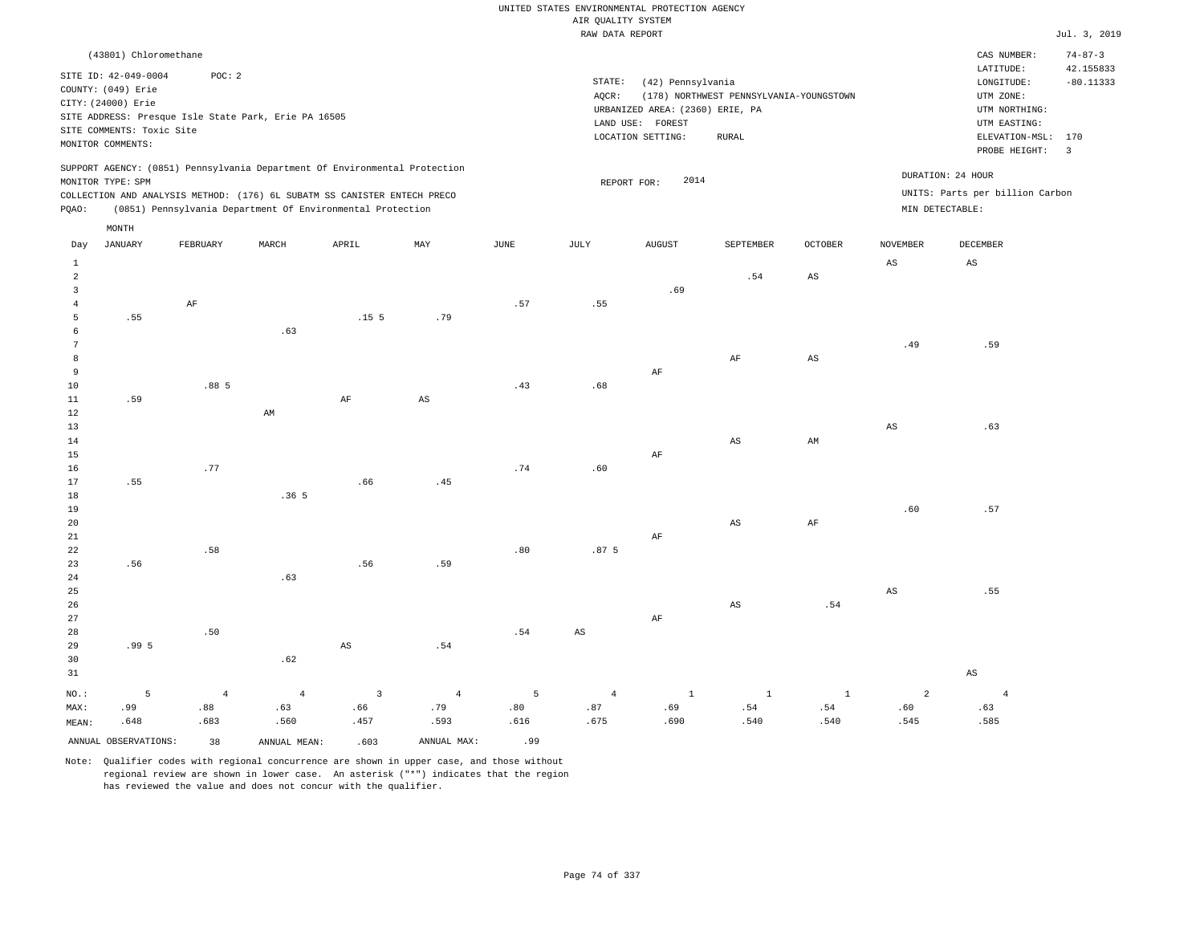|                                  |                           |                                                      |                  |                                                                                                                                        |                        |      | RAW DATA REPORT        |                                 |                                         |                        |                 |                                 | Jul. 3, 2019            |
|----------------------------------|---------------------------|------------------------------------------------------|------------------|----------------------------------------------------------------------------------------------------------------------------------------|------------------------|------|------------------------|---------------------------------|-----------------------------------------|------------------------|-----------------|---------------------------------|-------------------------|
|                                  | (43801) Chloromethane     |                                                      |                  |                                                                                                                                        |                        |      |                        |                                 |                                         |                        |                 | CAS NUMBER:                     | $74 - 87 - 3$           |
|                                  | SITE ID: 42-049-0004      | POC: 2                                               |                  |                                                                                                                                        |                        |      |                        |                                 |                                         |                        |                 | LATITUDE:                       | 42.155833               |
|                                  | COUNTY: (049) Erie        |                                                      |                  |                                                                                                                                        |                        |      | STATE:                 | (42) Pennsylvania               |                                         |                        |                 | LONGITUDE:                      | $-80.11333$             |
|                                  | CITY: (24000) Erie        |                                                      |                  |                                                                                                                                        |                        |      | AQCR:                  |                                 | (178) NORTHWEST PENNSYLVANIA-YOUNGSTOWN |                        |                 | UTM ZONE:                       |                         |
|                                  |                           | SITE ADDRESS: Presque Isle State Park, Erie PA 16505 |                  |                                                                                                                                        |                        |      |                        | URBANIZED AREA: (2360) ERIE, PA |                                         |                        |                 | UTM NORTHING:                   |                         |
|                                  | SITE COMMENTS: Toxic Site |                                                      |                  |                                                                                                                                        |                        |      |                        | LAND USE: FOREST                |                                         |                        |                 | UTM EASTING:                    |                         |
|                                  | MONITOR COMMENTS:         |                                                      |                  |                                                                                                                                        |                        |      |                        | LOCATION SETTING:               | RURAL                                   |                        |                 | ELEVATION-MSL: 170              |                         |
|                                  |                           |                                                      |                  |                                                                                                                                        |                        |      |                        |                                 |                                         |                        |                 | PROBE HEIGHT:                   | $\overline{\mathbf{3}}$ |
|                                  |                           |                                                      |                  | SUPPORT AGENCY: (0851) Pennsylvania Department Of Environmental Protection                                                             |                        |      |                        |                                 |                                         |                        |                 | DURATION: 24 HOUR               |                         |
|                                  | MONITOR TYPE: SPM         |                                                      |                  |                                                                                                                                        |                        |      |                        | 2014<br>REPORT FOR:             |                                         |                        |                 | UNITS: Parts per billion Carbon |                         |
| PQAO:                            |                           |                                                      |                  | COLLECTION AND ANALYSIS METHOD: (176) 6L SUBATM SS CANISTER ENTECH PRECO<br>(0851) Pennsylvania Department Of Environmental Protection |                        |      |                        |                                 |                                         |                        |                 | MIN DETECTABLE:                 |                         |
|                                  |                           |                                                      |                  |                                                                                                                                        |                        |      |                        |                                 |                                         |                        |                 |                                 |                         |
|                                  | MONTH                     | FEBRUARY                                             | MARCH            | APRIL                                                                                                                                  | MAY                    | JUNE |                        | <b>AUGUST</b>                   | SEPTEMBER                               | <b>OCTOBER</b>         | <b>NOVEMBER</b> | <b>DECEMBER</b>                 |                         |
| Day                              | <b>JANUARY</b>            |                                                      |                  |                                                                                                                                        |                        |      | JULY                   |                                 |                                         |                        |                 |                                 |                         |
| $\mathbf{1}$                     |                           |                                                      |                  |                                                                                                                                        |                        |      |                        |                                 |                                         |                        | AS              | AS                              |                         |
| $\overline{a}$                   |                           |                                                      |                  |                                                                                                                                        |                        |      |                        |                                 | .54                                     | $\mathbb{A}\mathbb{S}$ |                 |                                 |                         |
| $\overline{3}$<br>$\overline{4}$ |                           | $\rm{AF}$                                            |                  |                                                                                                                                        |                        | .57  | .55                    | .69                             |                                         |                        |                 |                                 |                         |
| 5                                | .55                       |                                                      |                  | .15 <sub>5</sub>                                                                                                                       | .79                    |      |                        |                                 |                                         |                        |                 |                                 |                         |
| 6                                |                           |                                                      | .63              |                                                                                                                                        |                        |      |                        |                                 |                                         |                        |                 |                                 |                         |
| $\overline{7}$                   |                           |                                                      |                  |                                                                                                                                        |                        |      |                        |                                 |                                         |                        | .49             | .59                             |                         |
| 8                                |                           |                                                      |                  |                                                                                                                                        |                        |      |                        |                                 | AF                                      | $\mathbb{A}\mathbb{S}$ |                 |                                 |                         |
| 9                                |                           |                                                      |                  |                                                                                                                                        |                        |      |                        | $\rm{AF}$                       |                                         |                        |                 |                                 |                         |
| 10                               |                           | .885                                                 |                  |                                                                                                                                        |                        | .43  | .68                    |                                 |                                         |                        |                 |                                 |                         |
| 11                               | .59                       |                                                      |                  | $\rm{AF}$                                                                                                                              | $\mathbb{A}\mathbb{S}$ |      |                        |                                 |                                         |                        |                 |                                 |                         |
| $1\,2$                           |                           |                                                      | AM               |                                                                                                                                        |                        |      |                        |                                 |                                         |                        |                 |                                 |                         |
| 13                               |                           |                                                      |                  |                                                                                                                                        |                        |      |                        |                                 |                                         |                        | AS              | .63                             |                         |
| 14                               |                           |                                                      |                  |                                                                                                                                        |                        |      |                        |                                 | $\mathbb{A}\mathbb{S}$                  | AM                     |                 |                                 |                         |
| 15                               |                           |                                                      |                  |                                                                                                                                        |                        |      |                        | $\rm AF$                        |                                         |                        |                 |                                 |                         |
| 16<br>17                         | .55                       | .77                                                  |                  | .66                                                                                                                                    | .45                    | .74  | .60                    |                                 |                                         |                        |                 |                                 |                         |
| 18                               |                           |                                                      | .36 <sub>5</sub> |                                                                                                                                        |                        |      |                        |                                 |                                         |                        |                 |                                 |                         |
| 19                               |                           |                                                      |                  |                                                                                                                                        |                        |      |                        |                                 |                                         |                        | .60             | .57                             |                         |
| 20                               |                           |                                                      |                  |                                                                                                                                        |                        |      |                        |                                 | $\mathbb{A}\mathbb{S}$                  | $\rm AF$               |                 |                                 |                         |
| 21                               |                           |                                                      |                  |                                                                                                                                        |                        |      |                        | AF                              |                                         |                        |                 |                                 |                         |
| 22                               |                           | .58                                                  |                  |                                                                                                                                        |                        | .80  | .87 <sub>5</sub>       |                                 |                                         |                        |                 |                                 |                         |
| 23                               | .56                       |                                                      |                  | .56                                                                                                                                    | .59                    |      |                        |                                 |                                         |                        |                 |                                 |                         |
| 24                               |                           |                                                      | .63              |                                                                                                                                        |                        |      |                        |                                 |                                         |                        |                 |                                 |                         |
| 25                               |                           |                                                      |                  |                                                                                                                                        |                        |      |                        |                                 |                                         |                        | $_{\rm AS}$     | .55                             |                         |
| 26                               |                           |                                                      |                  |                                                                                                                                        |                        |      |                        |                                 | $_{\rm AS}$                             | .54                    |                 |                                 |                         |
| 27                               |                           |                                                      |                  |                                                                                                                                        |                        |      |                        | AF                              |                                         |                        |                 |                                 |                         |
| 28                               |                           | .50                                                  |                  |                                                                                                                                        |                        | .54  | $\mathbb{A}\mathbb{S}$ |                                 |                                         |                        |                 |                                 |                         |
| 29                               | .99 5                     |                                                      |                  | $\mathbb{A}\mathbb{S}$                                                                                                                 | .54                    |      |                        |                                 |                                         |                        |                 |                                 |                         |
| 30<br>31                         |                           |                                                      | .62              |                                                                                                                                        |                        |      |                        |                                 |                                         |                        |                 | $\mathbb{A}\mathbb{S}$          |                         |
|                                  |                           |                                                      |                  |                                                                                                                                        |                        |      |                        |                                 |                                         |                        |                 |                                 |                         |
| NO.:                             | 5                         | $\overline{4}$                                       | $\overline{4}$   | $\overline{3}$                                                                                                                         | $\overline{4}$         | 5    | $\overline{4}$         | $\mathbf{1}$                    | $\mathbf{1}$                            | <sup>1</sup>           | $\overline{a}$  | $\overline{4}$                  |                         |
| MAX:                             | .99                       | .88                                                  | .63              | .66                                                                                                                                    | .79                    | .80  | .87                    | .69                             | .54                                     | .54                    | .60             | .63                             |                         |
| MEAN:                            | .648                      | .683                                                 | .560             | .457                                                                                                                                   | .593                   | .616 | .675                   | .690                            | .540                                    | .540                   | .545            | .585                            |                         |

ANNUAL OBSERVATIONS: 38 ANNUAL MEAN: .603 ANNUAL MAX: .99 Note: Qualifier codes with regional concurrence are shown in upper case, and those without

regional review are shown in lower case. An asterisk ("\*") indicates that the region

has reviewed the value and does not concur with the qualifier.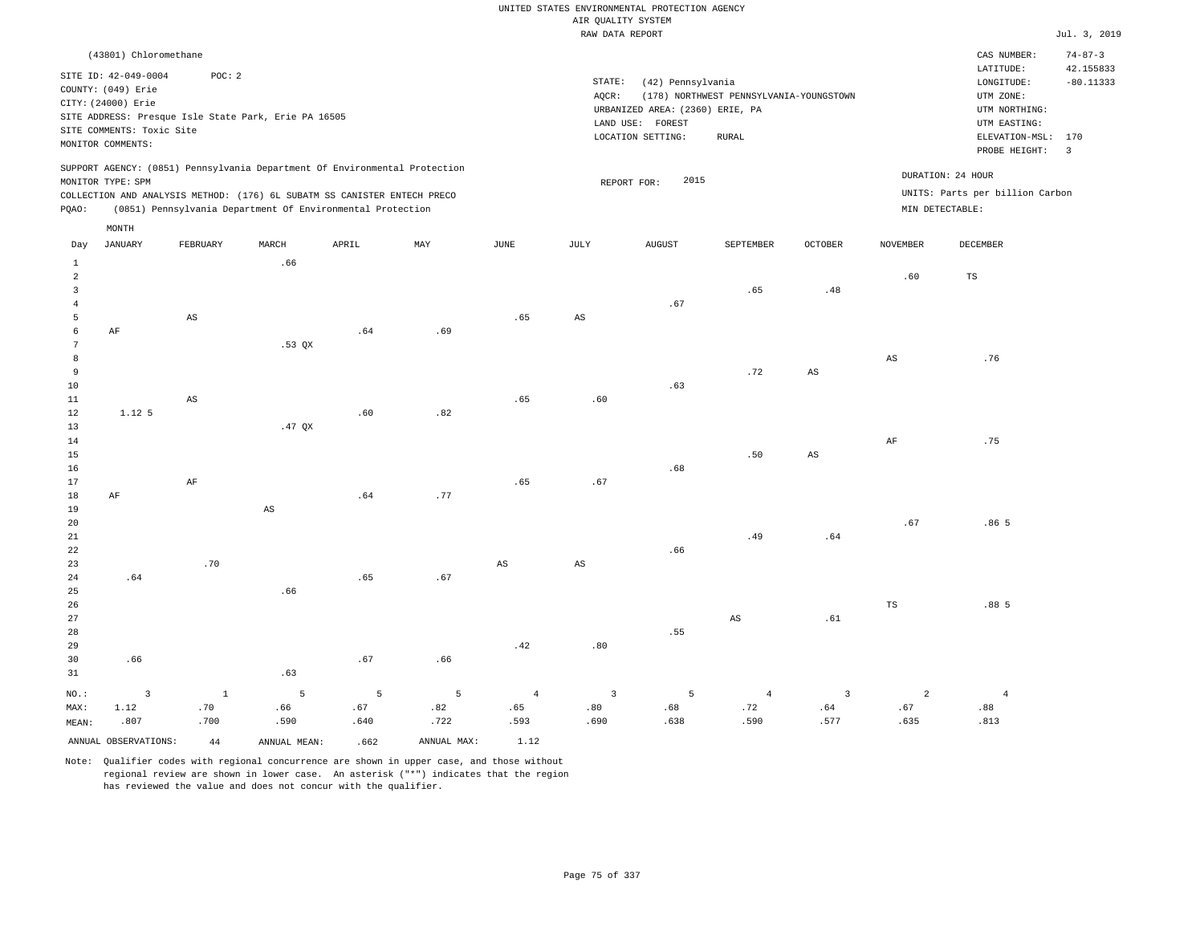|                                |                           |                        |                                                                            |       |             |                | RAW DATA REPORT        |                                 |                                         |                        |                        |                                     | Jul. 3, 2019   |
|--------------------------------|---------------------------|------------------------|----------------------------------------------------------------------------|-------|-------------|----------------|------------------------|---------------------------------|-----------------------------------------|------------------------|------------------------|-------------------------------------|----------------|
|                                | (43801) Chloromethane     |                        |                                                                            |       |             |                |                        |                                 |                                         |                        |                        | CAS NUMBER:                         | $74 - 87 - 3$  |
|                                | SITE ID: 42-049-0004      | POC: 2                 |                                                                            |       |             |                |                        |                                 |                                         |                        |                        | LATITUDE:                           | 42.155833      |
|                                | COUNTY: (049) Erie        |                        |                                                                            |       |             |                | STATE:                 | (42) Pennsylvania               |                                         |                        |                        | LONGITUDE:                          | $-80.11333$    |
|                                | CITY: (24000) Erie        |                        |                                                                            |       |             |                | AQCR:                  |                                 | (178) NORTHWEST PENNSYLVANIA-YOUNGSTOWN |                        |                        | UTM ZONE:                           |                |
|                                |                           |                        | SITE ADDRESS: Presque Isle State Park, Erie PA 16505                       |       |             |                |                        | URBANIZED AREA: (2360) ERIE, PA |                                         |                        |                        | UTM NORTHING:                       |                |
|                                | SITE COMMENTS: Toxic Site |                        |                                                                            |       |             |                |                        | LAND USE: FOREST                |                                         |                        |                        | UTM EASTING:                        |                |
|                                | MONITOR COMMENTS:         |                        |                                                                            |       |             |                |                        | LOCATION SETTING:               | <b>RURAL</b>                            |                        |                        | ELEVATION-MSL: 170<br>PROBE HEIGHT: | $\overline{3}$ |
|                                |                           |                        | SUPPORT AGENCY: (0851) Pennsylvania Department Of Environmental Protection |       |             |                |                        |                                 |                                         |                        |                        | DURATION: 24 HOUR                   |                |
|                                | MONITOR TYPE: SPM         |                        |                                                                            |       |             |                |                        | 2015<br>REPORT FOR:             |                                         |                        |                        |                                     |                |
|                                |                           |                        | COLLECTION AND ANALYSIS METHOD: (176) 6L SUBATM SS CANISTER ENTECH PRECO   |       |             |                |                        |                                 |                                         |                        |                        | UNITS: Parts per billion Carbon     |                |
| PQAO:                          |                           |                        | (0851) Pennsylvania Department Of Environmental Protection                 |       |             |                |                        |                                 |                                         |                        |                        | MIN DETECTABLE:                     |                |
|                                | MONTH                     |                        |                                                                            |       |             |                |                        |                                 |                                         |                        |                        |                                     |                |
| Day                            | JANUARY                   | FEBRUARY               | MARCH                                                                      | APRIL | MAY         | <b>JUNE</b>    | JULY                   | <b>AUGUST</b>                   | SEPTEMBER                               | <b>OCTOBER</b>         | <b>NOVEMBER</b>        | <b>DECEMBER</b>                     |                |
| $\mathbf{1}$<br>$\overline{a}$ |                           |                        | .66                                                                        |       |             |                |                        |                                 |                                         |                        | .60                    | TS                                  |                |
| $\overline{3}$                 |                           |                        |                                                                            |       |             |                |                        |                                 | .65                                     | .48                    |                        |                                     |                |
| $\overline{4}$                 |                           |                        |                                                                            |       |             |                |                        | .67                             |                                         |                        |                        |                                     |                |
| 5                              |                           | $\mathbb{A}\mathbb{S}$ |                                                                            |       |             | .65            | $\mathbb{A}\mathbb{S}$ |                                 |                                         |                        |                        |                                     |                |
| 6                              | AF                        |                        |                                                                            | .64   | .69         |                |                        |                                 |                                         |                        |                        |                                     |                |
| 7                              |                           |                        | $.53$ QX                                                                   |       |             |                |                        |                                 |                                         |                        |                        |                                     |                |
| 8                              |                           |                        |                                                                            |       |             |                |                        |                                 |                                         |                        | $\mathbb{A}\mathbb{S}$ | .76                                 |                |
| 9                              |                           |                        |                                                                            |       |             |                |                        |                                 | .72                                     | $_{\rm AS}$            |                        |                                     |                |
| 10                             |                           |                        |                                                                            |       |             |                |                        | .63                             |                                         |                        |                        |                                     |                |
| 11                             |                           | $_{\rm AS}$            |                                                                            |       |             | .65            | .60                    |                                 |                                         |                        |                        |                                     |                |
| 12                             | 1.12.5                    |                        |                                                                            | .60   | .82         |                |                        |                                 |                                         |                        |                        |                                     |                |
| 13                             |                           |                        | $.47$ QX                                                                   |       |             |                |                        |                                 |                                         |                        |                        |                                     |                |
| 14                             |                           |                        |                                                                            |       |             |                |                        |                                 |                                         |                        | $\rm AF$               | .75                                 |                |
| 15                             |                           |                        |                                                                            |       |             |                |                        |                                 | .50                                     | $\mathbb{A}\mathbb{S}$ |                        |                                     |                |
| 16                             |                           |                        |                                                                            |       |             |                |                        | .68                             |                                         |                        |                        |                                     |                |
| 17                             |                           | $\rm{AF}$              |                                                                            |       |             | .65            | .67                    |                                 |                                         |                        |                        |                                     |                |
| 18                             | AF                        |                        |                                                                            | .64   | .77         |                |                        |                                 |                                         |                        |                        |                                     |                |
| 19<br>20                       |                           |                        | AS                                                                         |       |             |                |                        |                                 |                                         |                        | .67                    | .865                                |                |
| 21                             |                           |                        |                                                                            |       |             |                |                        |                                 | .49                                     | .64                    |                        |                                     |                |
| 22                             |                           |                        |                                                                            |       |             |                |                        | .66                             |                                         |                        |                        |                                     |                |
| 23                             |                           | .70                    |                                                                            |       |             | $_{\rm AS}$    | $_{\rm AS}$            |                                 |                                         |                        |                        |                                     |                |
| 24                             | .64                       |                        |                                                                            | .65   | .67         |                |                        |                                 |                                         |                        |                        |                                     |                |
| 25                             |                           |                        | .66                                                                        |       |             |                |                        |                                 |                                         |                        |                        |                                     |                |
| 26                             |                           |                        |                                                                            |       |             |                |                        |                                 |                                         |                        | $\mathbb{TS}$          | .885                                |                |
| 27                             |                           |                        |                                                                            |       |             |                |                        |                                 | $\mathbb{A}\mathbb{S}$                  | .61                    |                        |                                     |                |
| 28                             |                           |                        |                                                                            |       |             |                |                        | .55                             |                                         |                        |                        |                                     |                |
| 29                             |                           |                        |                                                                            |       |             | .42            | .80                    |                                 |                                         |                        |                        |                                     |                |
| 30                             | .66                       |                        |                                                                            | .67   | .66         |                |                        |                                 |                                         |                        |                        |                                     |                |
| 31                             |                           |                        | .63                                                                        |       |             |                |                        |                                 |                                         |                        |                        |                                     |                |
| NO.:                           | $\overline{3}$            | $\mathbf{1}$           | 5                                                                          | 5     | 5           | $\overline{4}$ | $\overline{3}$         | 5                               | $\overline{4}$                          | $\overline{3}$         | 2                      | $\overline{4}$                      |                |
| MAX:                           | 1.12                      | .70                    | .66                                                                        | .67   | .82         | .65            | .80                    | .68                             | .72                                     | .64                    | .67                    | .88                                 |                |
| MEAN:                          | .807                      | .700                   | .590                                                                       | .640  | .722        | .593           | .690                   | .638                            | .590                                    | .577                   | .635                   | .813                                |                |
|                                | ANNUAL OBSERVATIONS:      | 44                     | ANNUAL, MEAN:                                                              | .662  | ANNUAL MAX: | 1.12           |                        |                                 |                                         |                        |                        |                                     |                |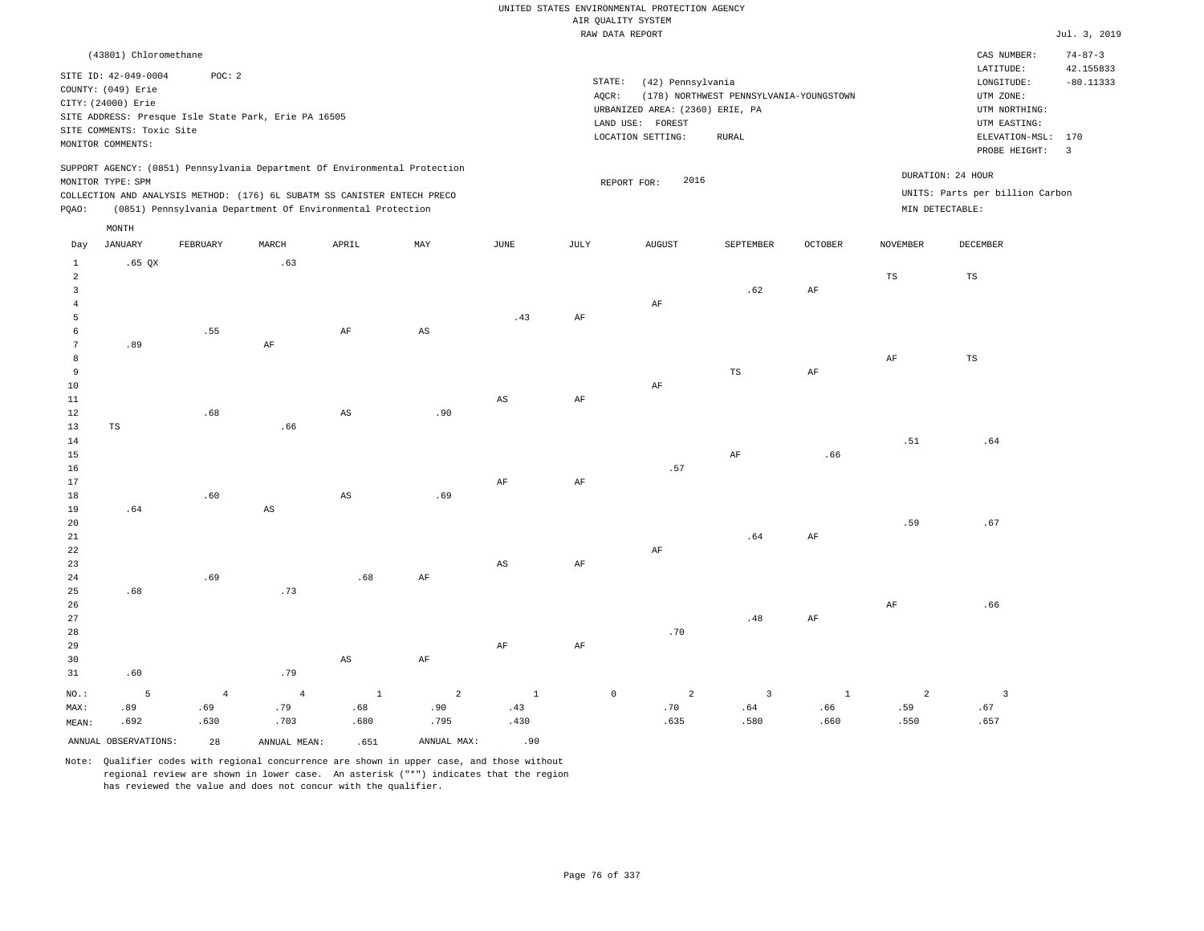|                |                           |                |                                                                            |                        |                        |                        |          | RAW DATA REPORT                 |                                         |           |                |                                 | Jul. 3, 2019            |
|----------------|---------------------------|----------------|----------------------------------------------------------------------------|------------------------|------------------------|------------------------|----------|---------------------------------|-----------------------------------------|-----------|----------------|---------------------------------|-------------------------|
|                | (43801) Chloromethane     |                |                                                                            |                        |                        |                        |          |                                 |                                         |           |                | CAS NUMBER:                     | $74 - 87 - 3$           |
|                | SITE ID: 42-049-0004      | POC: 2         |                                                                            |                        |                        |                        |          |                                 |                                         |           |                | LATITUDE:                       | 42.155833               |
|                | COUNTY: (049) Erie        |                |                                                                            |                        |                        |                        | STATE:   | (42) Pennsylvania               |                                         |           |                | LONGITUDE:                      | $-80.11333$             |
|                | CITY: (24000) Erie        |                |                                                                            |                        |                        |                        | AQCR:    |                                 | (178) NORTHWEST PENNSYLVANIA-YOUNGSTOWN |           |                | UTM ZONE:                       |                         |
|                |                           |                | SITE ADDRESS: Presque Isle State Park, Erie PA 16505                       |                        |                        |                        |          | URBANIZED AREA: (2360) ERIE, PA |                                         |           |                | UTM NORTHING:                   |                         |
|                | SITE COMMENTS: Toxic Site |                |                                                                            |                        |                        |                        |          | LAND USE: FOREST                |                                         |           |                | UTM EASTING:                    |                         |
|                | MONITOR COMMENTS:         |                |                                                                            |                        |                        |                        |          | LOCATION SETTING:               | RURAL                                   |           |                | ELEVATION-MSL: 170              |                         |
|                |                           |                |                                                                            |                        |                        |                        |          |                                 |                                         |           |                | PROBE HEIGHT:                   | $\overline{\mathbf{3}}$ |
|                |                           |                | SUPPORT AGENCY: (0851) Pennsylvania Department Of Environmental Protection |                        |                        |                        |          |                                 |                                         |           |                | DURATION: 24 HOUR               |                         |
|                | MONITOR TYPE: SPM         |                |                                                                            |                        |                        |                        |          | 2016<br>REPORT FOR:             |                                         |           |                |                                 |                         |
|                |                           |                | COLLECTION AND ANALYSIS METHOD: (176) 6L SUBATM SS CANISTER ENTECH PRECO   |                        |                        |                        |          |                                 |                                         |           |                | UNITS: Parts per billion Carbon |                         |
| PQAO:          |                           |                | (0851) Pennsylvania Department Of Environmental Protection                 |                        |                        |                        |          |                                 |                                         |           |                | MIN DETECTABLE:                 |                         |
|                | MONTH                     |                |                                                                            |                        |                        |                        |          |                                 |                                         |           |                |                                 |                         |
| Day            | <b>JANUARY</b>            | FEBRUARY       | MARCH                                                                      | APRIL                  | MAY                    | JUNE                   | JULY     | AUGUST                          | SEPTEMBER                               | OCTOBER   | NOVEMBER       | DECEMBER                        |                         |
| $\,1\,$        | $.65$ QX                  |                | .63                                                                        |                        |                        |                        |          |                                 |                                         |           |                |                                 |                         |
| $\overline{2}$ |                           |                |                                                                            |                        |                        |                        |          |                                 |                                         |           | $_{\rm TS}$    | $_{\rm TS}$                     |                         |
| $\overline{3}$ |                           |                |                                                                            |                        |                        |                        |          |                                 | .62                                     | AF        |                |                                 |                         |
| $\overline{4}$ |                           |                |                                                                            |                        |                        |                        |          | AF                              |                                         |           |                |                                 |                         |
| -5             |                           |                |                                                                            |                        |                        | .43                    | AF       |                                 |                                         |           |                |                                 |                         |
| 6              |                           | .55            |                                                                            | $\rm AF$               | $\mathbb{A}\mathbb{S}$ |                        |          |                                 |                                         |           |                |                                 |                         |
| $\overline{7}$ | .89                       |                | AF                                                                         |                        |                        |                        |          |                                 |                                         |           |                |                                 |                         |
| 8              |                           |                |                                                                            |                        |                        |                        |          |                                 |                                         |           | AF             | TS                              |                         |
| $\overline{9}$ |                           |                |                                                                            |                        |                        |                        |          |                                 | TS                                      | AF        |                |                                 |                         |
| 10             |                           |                |                                                                            |                        |                        |                        |          | $\rm{AF}$                       |                                         |           |                |                                 |                         |
| 11             |                           |                |                                                                            |                        |                        | AS                     | AF       |                                 |                                         |           |                |                                 |                         |
| $1\,2$         |                           | .68            |                                                                            | AS                     | .90                    |                        |          |                                 |                                         |           |                |                                 |                         |
| 13<br>14       | TS                        |                | .66                                                                        |                        |                        |                        |          |                                 |                                         |           | .51            | .64                             |                         |
| 15             |                           |                |                                                                            |                        |                        |                        |          |                                 | AF                                      | .66       |                |                                 |                         |
| 16             |                           |                |                                                                            |                        |                        |                        |          | .57                             |                                         |           |                |                                 |                         |
| 17             |                           |                |                                                                            |                        |                        | $\rm{AF}$              | $\rm AF$ |                                 |                                         |           |                |                                 |                         |
| 18             |                           | .60            |                                                                            | $\mathbb{A}\mathbb{S}$ | .69                    |                        |          |                                 |                                         |           |                |                                 |                         |
| 19             | .64                       |                | $\mathbb{A}\mathbb{S}$                                                     |                        |                        |                        |          |                                 |                                         |           |                |                                 |                         |
| 20             |                           |                |                                                                            |                        |                        |                        |          |                                 |                                         |           | .59            | .67                             |                         |
| 21             |                           |                |                                                                            |                        |                        |                        |          |                                 | .64                                     | $\rm{AF}$ |                |                                 |                         |
| 22             |                           |                |                                                                            |                        |                        |                        |          | AF                              |                                         |           |                |                                 |                         |
| 23             |                           |                |                                                                            |                        |                        | $\mathbb{A}\mathbb{S}$ | $\rm AF$ |                                 |                                         |           |                |                                 |                         |
| 24             |                           | .69            |                                                                            | .68                    | AF                     |                        |          |                                 |                                         |           |                |                                 |                         |
| 25             | .68                       |                | .73                                                                        |                        |                        |                        |          |                                 |                                         |           |                |                                 |                         |
| 26             |                           |                |                                                                            |                        |                        |                        |          |                                 |                                         |           | AF             | .66                             |                         |
| 27             |                           |                |                                                                            |                        |                        |                        |          |                                 | .48                                     | AF        |                |                                 |                         |
| 28             |                           |                |                                                                            |                        |                        |                        |          | .70                             |                                         |           |                |                                 |                         |
| 29             |                           |                |                                                                            |                        |                        | $\rm{AF}$              | $\rm AF$ |                                 |                                         |           |                |                                 |                         |
| 30<br>31       | .60                       |                | .79                                                                        | AS                     | AF                     |                        |          |                                 |                                         |           |                |                                 |                         |
|                |                           |                |                                                                            |                        |                        |                        |          |                                 |                                         |           |                |                                 |                         |
| NO.:           | 5                         | $\overline{4}$ | $\overline{4}$                                                             | $\mathbf{1}$           | $\overline{a}$         | $\mathbf{1}$           |          | $\mathbb O$<br>$\overline{a}$   | $\overline{3}$                          | $\,1\,$   | $\overline{a}$ | $\overline{3}$                  |                         |
| MAX:           | .89                       | .69            | .79                                                                        | .68                    | .90                    | .43                    |          | .70                             | .64                                     | .66       | .59            | .67                             |                         |
| MEAN:          | .692                      | .630           | .703                                                                       | .680                   | .795                   | .430                   |          | .635                            | .580                                    | .660      | .550           | .657                            |                         |
|                | ANNUAL OBSERVATIONS:      | 28             | ANNUAL MEAN:                                                               | .651                   | ANNUAL MAX:            | .90                    |          |                                 |                                         |           |                |                                 |                         |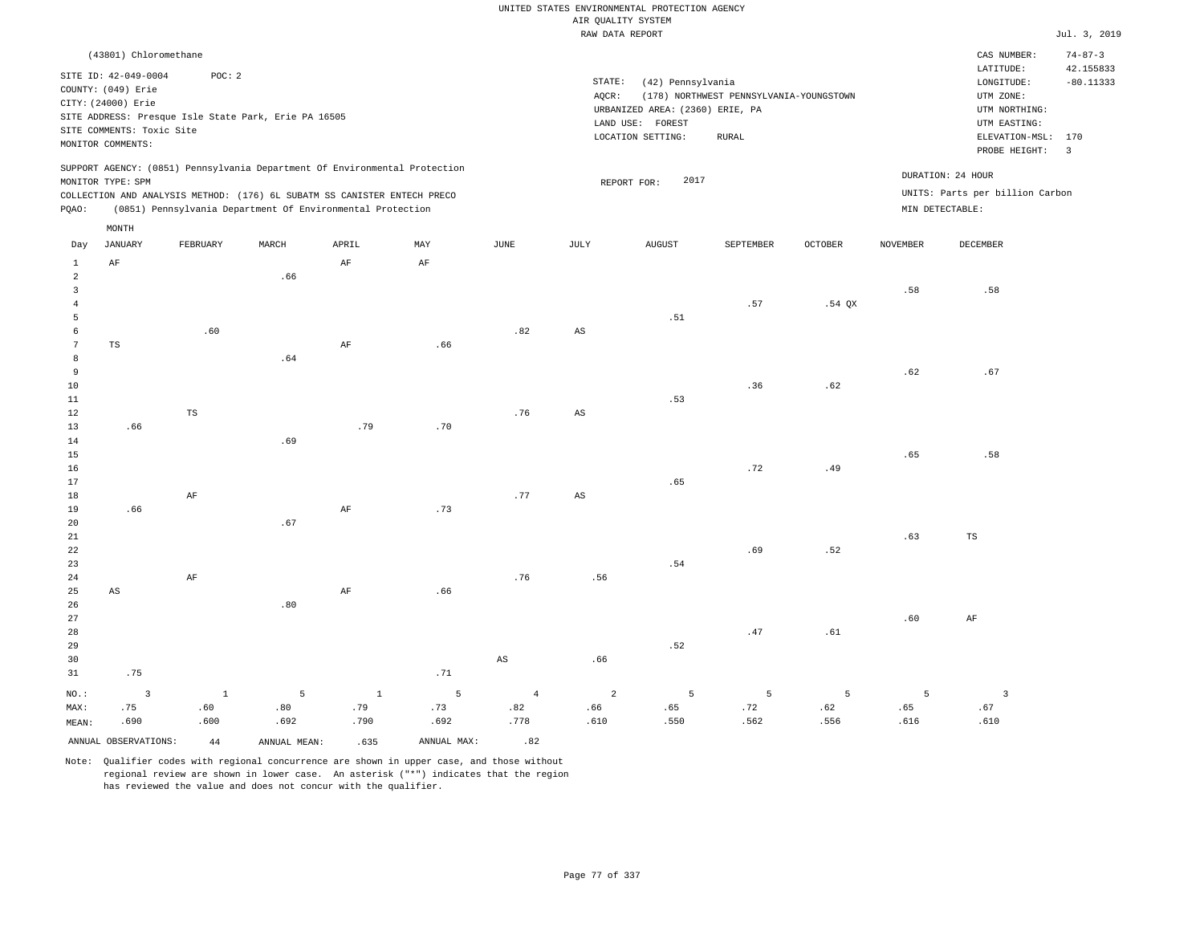|                         |                           |              |                                                                            |              |             |                        | RAW DATA REPORT |                                 |                                         |          |          |                                 | Jul. 3, 2019            |
|-------------------------|---------------------------|--------------|----------------------------------------------------------------------------|--------------|-------------|------------------------|-----------------|---------------------------------|-----------------------------------------|----------|----------|---------------------------------|-------------------------|
|                         | (43801) Chloromethane     |              |                                                                            |              |             |                        |                 |                                 |                                         |          |          | CAS NUMBER:                     | $74 - 87 - 3$           |
|                         |                           |              |                                                                            |              |             |                        |                 |                                 |                                         |          |          | LATITUDE:                       | 42.155833               |
|                         | SITE ID: 42-049-0004      | POC: 2       |                                                                            |              |             |                        | STATE:          | (42) Pennsylvania               |                                         |          |          | LONGITUDE:                      | $-80.11333$             |
|                         | COUNTY: (049) Erie        |              |                                                                            |              |             |                        | AQCR:           |                                 | (178) NORTHWEST PENNSYLVANIA-YOUNGSTOWN |          |          | UTM ZONE:                       |                         |
|                         | CITY: (24000) Erie        |              |                                                                            |              |             |                        |                 | URBANIZED AREA: (2360) ERIE, PA |                                         |          |          | UTM NORTHING:                   |                         |
|                         |                           |              | SITE ADDRESS: Presque Isle State Park, Erie PA 16505                       |              |             |                        |                 | LAND USE: FOREST                |                                         |          |          | UTM EASTING:                    |                         |
|                         | SITE COMMENTS: Toxic Site |              |                                                                            |              |             |                        |                 | LOCATION SETTING:               | RURAL                                   |          |          | ELEVATION-MSL:                  | 170                     |
|                         | MONITOR COMMENTS:         |              |                                                                            |              |             |                        |                 |                                 |                                         |          |          | PROBE HEIGHT:                   | $\overline{\mathbf{3}}$ |
|                         |                           |              | SUPPORT AGENCY: (0851) Pennsylvania Department Of Environmental Protection |              |             |                        |                 |                                 |                                         |          |          |                                 |                         |
|                         | MONITOR TYPE: SPM         |              |                                                                            |              |             |                        |                 | 2017<br>REPORT FOR:             |                                         |          |          | DURATION: 24 HOUR               |                         |
|                         |                           |              | COLLECTION AND ANALYSIS METHOD: (176) 6L SUBATM SS CANISTER ENTECH PRECO   |              |             |                        |                 |                                 |                                         |          |          | UNITS: Parts per billion Carbon |                         |
| PQAO:                   |                           |              | (0851) Pennsylvania Department Of Environmental Protection                 |              |             |                        |                 |                                 |                                         |          |          | MIN DETECTABLE:                 |                         |
|                         | MONTH                     |              |                                                                            |              |             |                        |                 |                                 |                                         |          |          |                                 |                         |
| Day                     | JANUARY                   | FEBRUARY     | MARCH                                                                      | APRIL        | MAY         | JUNE                   | JULY            | <b>AUGUST</b>                   | SEPTEMBER                               | OCTOBER  | NOVEMBER | DECEMBER                        |                         |
| $\mathbf{1}$            | AF                        |              |                                                                            | AF           | AF          |                        |                 |                                 |                                         |          |          |                                 |                         |
| $\overline{a}$          |                           |              | .66                                                                        |              |             |                        |                 |                                 |                                         |          |          |                                 |                         |
| $\overline{\mathbf{3}}$ |                           |              |                                                                            |              |             |                        |                 |                                 |                                         |          | .58      | .58                             |                         |
| $\overline{4}$          |                           |              |                                                                            |              |             |                        |                 |                                 | .57                                     | $.54$ QX |          |                                 |                         |
| $\overline{5}$          |                           |              |                                                                            |              |             |                        |                 | .51                             |                                         |          |          |                                 |                         |
| 6                       |                           | .60          |                                                                            |              |             | .82                    | AS              |                                 |                                         |          |          |                                 |                         |
| $7\phantom{.0}$         | TS                        |              |                                                                            | AF           | .66         |                        |                 |                                 |                                         |          |          |                                 |                         |
| $^{\rm 8}$              |                           |              | .64                                                                        |              |             |                        |                 |                                 |                                         |          |          |                                 |                         |
| 9                       |                           |              |                                                                            |              |             |                        |                 |                                 |                                         |          | .62      | .67                             |                         |
| 10                      |                           |              |                                                                            |              |             |                        |                 |                                 | .36                                     | .62      |          |                                 |                         |
| $11\,$                  |                           |              |                                                                            |              |             |                        |                 | .53                             |                                         |          |          |                                 |                         |
| 12                      |                           | $_{\rm TS}$  |                                                                            |              |             | .76                    | AS              |                                 |                                         |          |          |                                 |                         |
| 13                      | .66                       |              |                                                                            | .79          | .70         |                        |                 |                                 |                                         |          |          |                                 |                         |
| $14$                    |                           |              | .69                                                                        |              |             |                        |                 |                                 |                                         |          |          |                                 |                         |
| 15                      |                           |              |                                                                            |              |             |                        |                 |                                 |                                         |          | .65      | .58                             |                         |
| 16                      |                           |              |                                                                            |              |             |                        |                 |                                 | .72                                     | .49      |          |                                 |                         |
| 17                      |                           |              |                                                                            |              |             |                        |                 | .65                             |                                         |          |          |                                 |                         |
| 18                      |                           | $\rm AF$     |                                                                            |              |             | .77                    | AS              |                                 |                                         |          |          |                                 |                         |
| 19                      | .66                       |              |                                                                            | $\rm AF$     | .73         |                        |                 |                                 |                                         |          |          |                                 |                         |
| 20                      |                           |              | .67                                                                        |              |             |                        |                 |                                 |                                         |          |          |                                 |                         |
| $2\sqrt{1}$<br>22       |                           |              |                                                                            |              |             |                        |                 |                                 | .69                                     | .52      | .63      | $\mathbb{TS}$                   |                         |
| 23                      |                           |              |                                                                            |              |             |                        |                 | .54                             |                                         |          |          |                                 |                         |
| 24                      |                           | $\rm AF$     |                                                                            |              |             | .76                    | .56             |                                 |                                         |          |          |                                 |                         |
| 25                      | AS                        |              |                                                                            | AF           | .66         |                        |                 |                                 |                                         |          |          |                                 |                         |
| 26                      |                           |              | .80                                                                        |              |             |                        |                 |                                 |                                         |          |          |                                 |                         |
| $2\,7$                  |                           |              |                                                                            |              |             |                        |                 |                                 |                                         |          | .60      | $\rm AF$                        |                         |
| 28                      |                           |              |                                                                            |              |             |                        |                 |                                 | .47                                     | .61      |          |                                 |                         |
| 29                      |                           |              |                                                                            |              |             |                        |                 | .52                             |                                         |          |          |                                 |                         |
| 30                      |                           |              |                                                                            |              |             | $\mathbb{A}\mathbb{S}$ | .66             |                                 |                                         |          |          |                                 |                         |
| 31                      | .75                       |              |                                                                            |              | .71         |                        |                 |                                 |                                         |          |          |                                 |                         |
| NO.:                    | $\overline{3}$            | $\mathbf{1}$ | 5                                                                          | $\mathbf{1}$ | 5           | $\overline{4}$         | 2               | 5                               | 5                                       | 5        | 5        | $\overline{3}$                  |                         |
| MAX:                    | .75                       | .60          | .80                                                                        | .79          | .73         | .82                    | .66             | .65                             | .72                                     | .62      | .65      | .67                             |                         |
| MEAN:                   | .690                      | .600         | .692                                                                       | .790         | .692        | .778                   | .610            | .550                            | .562                                    | .556     | .616     | .610                            |                         |
|                         | ANNUAL OBSERVATIONS:      | $4\,4$       | ANNUAL MEAN:                                                               | .635         | ANNUAL MAX: | .82                    |                 |                                 |                                         |          |          |                                 |                         |
|                         |                           |              |                                                                            |              |             |                        |                 |                                 |                                         |          |          |                                 |                         |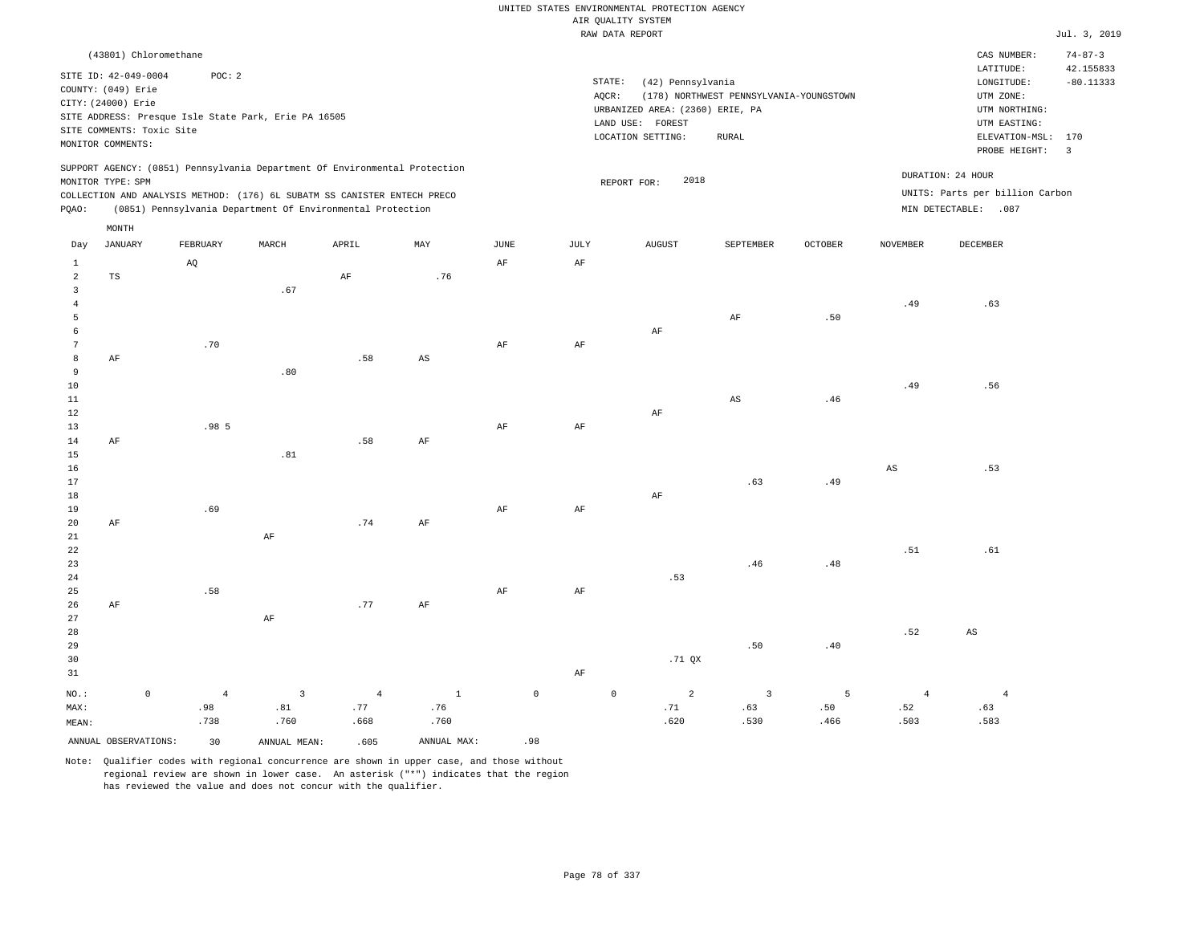|                                |                                            |                                                      |                |                               |                                                                            |             |               |                     |                                       | UNITED STATES ENVIRONMENTAL PROTECTION AGENCY |                                         |                |                        |                                 |                          |
|--------------------------------|--------------------------------------------|------------------------------------------------------|----------------|-------------------------------|----------------------------------------------------------------------------|-------------|---------------|---------------------|---------------------------------------|-----------------------------------------------|-----------------------------------------|----------------|------------------------|---------------------------------|--------------------------|
|                                |                                            |                                                      |                |                               |                                                                            |             |               |                     | AIR QUALITY SYSTEM<br>RAW DATA REPORT |                                               |                                         |                |                        |                                 | Jul. 3, 2019             |
|                                |                                            | (43801) Chloromethane                                |                |                               |                                                                            |             |               |                     |                                       |                                               |                                         |                |                        | CAS NUMBER:                     | $74 - 87 - 3$            |
|                                | SITE ID: 42-049-0004<br>COUNTY: (049) Erie |                                                      | POC: 2         |                               |                                                                            |             |               |                     | STATE:                                | (42) Pennsylvania                             |                                         |                |                        | LATITUDE:<br>LONGITUDE:         | 42.155833<br>$-80.11333$ |
|                                | CITY: (24000) Erie                         |                                                      |                |                               |                                                                            |             |               |                     | AQCR:                                 |                                               | (178) NORTHWEST PENNSYLVANIA-YOUNGSTOWN |                |                        | UTM ZONE:                       |                          |
|                                |                                            | SITE ADDRESS: Presque Isle State Park, Erie PA 16505 |                |                               |                                                                            |             |               |                     |                                       | URBANIZED AREA: (2360) ERIE, PA               |                                         |                |                        | UTM NORTHING:                   |                          |
|                                | SITE COMMENTS: Toxic Site                  |                                                      |                |                               |                                                                            |             |               |                     |                                       | LAND USE: FOREST                              |                                         |                |                        | UTM EASTING:                    |                          |
|                                | MONITOR COMMENTS:                          |                                                      |                |                               |                                                                            |             |               |                     |                                       | LOCATION SETTING:                             | RURAL                                   |                |                        | ELEVATION-MSL:<br>PROBE HEIGHT: | 170<br>$\overline{3}$    |
|                                |                                            |                                                      |                |                               | SUPPORT AGENCY: (0851) Pennsylvania Department Of Environmental Protection |             |               |                     |                                       |                                               |                                         |                |                        | DURATION: 24 HOUR               |                          |
|                                | MONITOR TYPE: SPM                          |                                                      |                |                               |                                                                            |             |               |                     |                                       | 2018<br>REPORT FOR:                           |                                         |                |                        | UNITS: Parts per billion Carbon |                          |
|                                |                                            |                                                      |                |                               | COLLECTION AND ANALYSIS METHOD: (176) 6L SUBATM SS CANISTER ENTECH PRECO   |             |               |                     |                                       |                                               |                                         |                |                        |                                 |                          |
| PQAO:                          |                                            |                                                      |                |                               | (0851) Pennsylvania Department Of Environmental Protection                 |             |               |                     |                                       |                                               |                                         |                |                        | MIN DETECTABLE: .087            |                          |
|                                | MONTH<br>JANUARY                           | FEBRUARY                                             |                | MARCH                         | APRIL                                                                      | MAX         | $_{\rm JUNE}$ |                     | $\mathtt{JULY}$                       | ${\tt AUGUST}$                                | SEPTEMBER                               | <b>OCTOBER</b> | <b>NOVEMBER</b>        | DECEMBER                        |                          |
| Day                            |                                            |                                                      |                |                               |                                                                            |             |               |                     |                                       |                                               |                                         |                |                        |                                 |                          |
| $\mathbf{1}$<br>$\overline{a}$ |                                            | AQ                                                   |                |                               |                                                                            | .76         | $\rm{AF}$     |                     | $\rm{AF}$                             |                                               |                                         |                |                        |                                 |                          |
| $\overline{3}$                 | TS                                         |                                                      |                | .67                           | AF                                                                         |             |               |                     |                                       |                                               |                                         |                |                        |                                 |                          |
| $\overline{4}$                 |                                            |                                                      |                |                               |                                                                            |             |               |                     |                                       |                                               |                                         |                | .49                    | .63                             |                          |
| 5                              |                                            |                                                      |                |                               |                                                                            |             |               |                     |                                       |                                               | $\rm{AF}$                               | .50            |                        |                                 |                          |
| 6                              |                                            |                                                      |                |                               |                                                                            |             |               |                     |                                       | AF                                            |                                         |                |                        |                                 |                          |
| $7\phantom{.0}$                |                                            | .70                                                  |                |                               |                                                                            |             | $\rm{AF}$     |                     | $\rm{AF}$                             |                                               |                                         |                |                        |                                 |                          |
| 8                              | AF                                         |                                                      |                |                               | .58                                                                        | AS          |               |                     |                                       |                                               |                                         |                |                        |                                 |                          |
| $\overline{9}$                 |                                            |                                                      |                | .80                           |                                                                            |             |               |                     |                                       |                                               |                                         |                |                        |                                 |                          |
| $10$                           |                                            |                                                      |                |                               |                                                                            |             |               |                     |                                       |                                               |                                         |                | .49                    | .56                             |                          |
| 11                             |                                            |                                                      |                |                               |                                                                            |             |               |                     |                                       |                                               | $\mathbb{A}\mathbb{S}$                  | .46            |                        |                                 |                          |
| $1\,2$<br>13                   |                                            |                                                      | .98 5          |                               |                                                                            |             | AF            |                     | AF                                    | AF                                            |                                         |                |                        |                                 |                          |
| 14                             | AF                                         |                                                      |                |                               | .58                                                                        | AF          |               |                     |                                       |                                               |                                         |                |                        |                                 |                          |
| 15                             |                                            |                                                      |                | .81                           |                                                                            |             |               |                     |                                       |                                               |                                         |                |                        |                                 |                          |
| 16                             |                                            |                                                      |                |                               |                                                                            |             |               |                     |                                       |                                               |                                         |                | $\mathbb{A}\mathbb{S}$ | .53                             |                          |
| 17                             |                                            |                                                      |                |                               |                                                                            |             |               |                     |                                       |                                               | .63                                     | .49            |                        |                                 |                          |
| 18                             |                                            |                                                      |                |                               |                                                                            |             |               |                     |                                       | AF                                            |                                         |                |                        |                                 |                          |
| 19                             |                                            | .69                                                  |                |                               |                                                                            |             | AF            |                     | AF                                    |                                               |                                         |                |                        |                                 |                          |
| $20$                           | AF                                         |                                                      |                |                               | .74                                                                        | $\rm{AF}$   |               |                     |                                       |                                               |                                         |                |                        |                                 |                          |
| $2\sqrt{1}$                    |                                            |                                                      |                | $\rm AF$                      |                                                                            |             |               |                     |                                       |                                               |                                         |                |                        |                                 |                          |
| 22<br>23                       |                                            |                                                      |                |                               |                                                                            |             |               |                     |                                       |                                               | .46                                     | .48            | .51                    | .61                             |                          |
| 24                             |                                            |                                                      |                |                               |                                                                            |             |               |                     |                                       | .53                                           |                                         |                |                        |                                 |                          |
| 25                             |                                            | .58                                                  |                |                               |                                                                            |             | $\rm{AF}$     |                     | $\rm{AF}$                             |                                               |                                         |                |                        |                                 |                          |
| 26                             | AF                                         |                                                      |                |                               | .77                                                                        | AF          |               |                     |                                       |                                               |                                         |                |                        |                                 |                          |
| 27                             |                                            |                                                      |                | AF                            |                                                                            |             |               |                     |                                       |                                               |                                         |                |                        |                                 |                          |
| 28                             |                                            |                                                      |                |                               |                                                                            |             |               |                     |                                       |                                               |                                         |                | .52                    | $_{\rm AS}$                     |                          |
| 29                             |                                            |                                                      |                |                               |                                                                            |             |               |                     |                                       |                                               | .50                                     | .40            |                        |                                 |                          |
| 30                             |                                            |                                                      |                |                               |                                                                            |             |               |                     |                                       | .71 <sub>QX</sub>                             |                                         |                |                        |                                 |                          |
| 31                             |                                            |                                                      |                |                               |                                                                            |             |               |                     | AF                                    |                                               |                                         |                |                        |                                 |                          |
| NO.:                           | $\mathbb O$                                |                                                      | $\overline{4}$ | $\overline{3}$                | $\overline{4}$                                                             | $\,$ 1      |               | $\mathsf{O}\xspace$ | $\mathbb O$                           | 2                                             | $\overline{3}$                          | 5              | $\sqrt{4}$             | $\overline{4}$                  |                          |
| MAX:                           |                                            | .98                                                  |                | $\footnotesize{\textbf{.81}}$ | .77                                                                        | .76         |               |                     |                                       | .71                                           | .63                                     | .50            | .52                    | .63                             |                          |
| MEAN:                          |                                            | .738                                                 |                | .760                          | .668                                                                       | .760        |               |                     |                                       | .620                                          | .530                                    | .466           | .503                   | .583                            |                          |
|                                | ANNUAL OBSERVATIONS:                       |                                                      | 30             | ANNUAL MEAN:                  | .605                                                                       | ANNUAL MAX: |               | .98                 |                                       |                                               |                                         |                |                        |                                 |                          |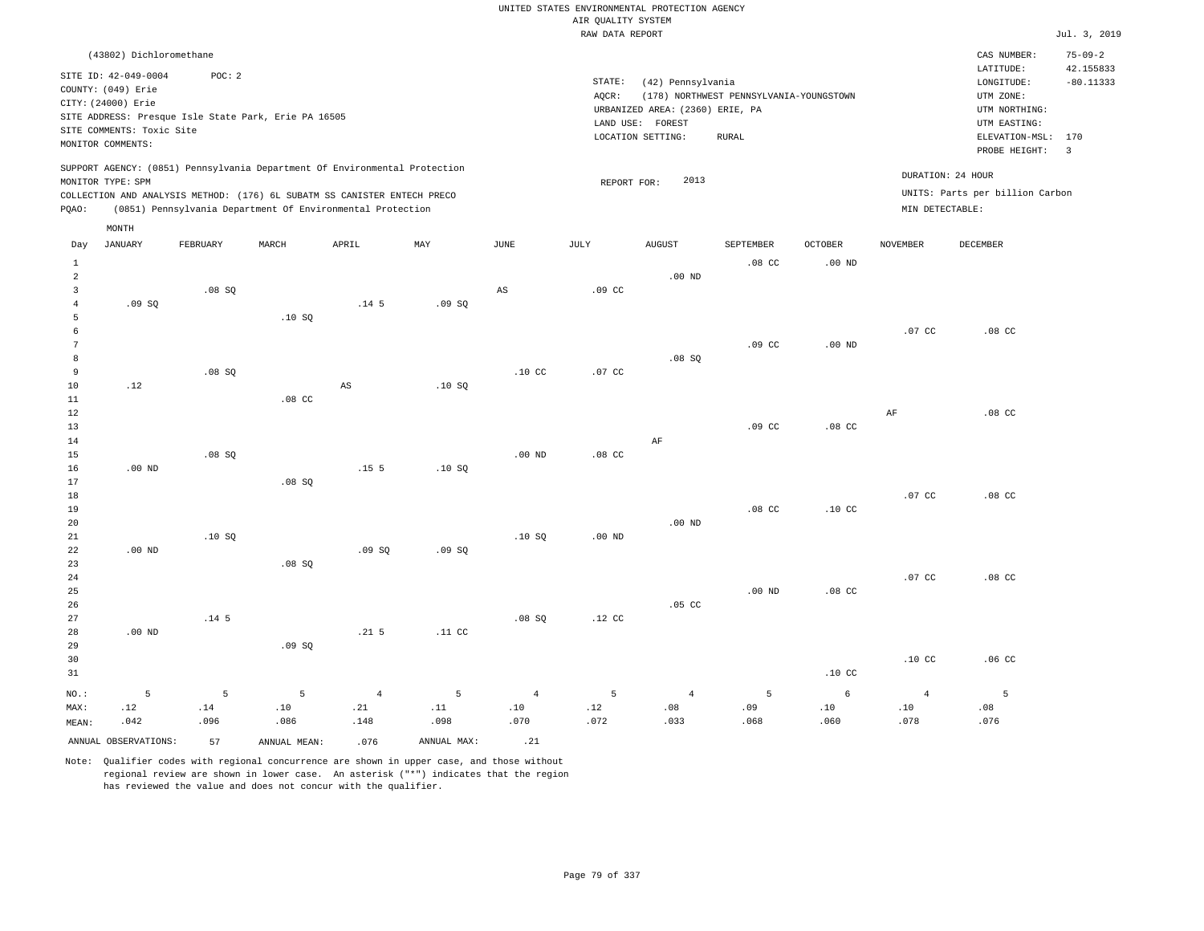|                         | (43802) Dichloromethane   |                  |                                                      |                                                                            |                |                  |                   |                                 |                                         |                   |                  | CAS NUMBER:<br>LATITUDE:           | $75 - 09 - 2$<br>42.155833     |
|-------------------------|---------------------------|------------------|------------------------------------------------------|----------------------------------------------------------------------------|----------------|------------------|-------------------|---------------------------------|-----------------------------------------|-------------------|------------------|------------------------------------|--------------------------------|
|                         | SITE ID: 42-049-0004      | POC: 2           |                                                      |                                                                            |                |                  | STATE:            | (42) Pennsylvania               |                                         |                   |                  | LONGITUDE:                         | $-80.11333$                    |
|                         | COUNTY: (049) Erie        |                  |                                                      |                                                                            |                |                  | AQCR:             |                                 | (178) NORTHWEST PENNSYLVANIA-YOUNGSTOWN |                   |                  | UTM ZONE:                          |                                |
|                         | CITY: (24000) Erie        |                  |                                                      |                                                                            |                |                  |                   | URBANIZED AREA: (2360) ERIE, PA |                                         |                   |                  | UTM NORTHING:                      |                                |
|                         |                           |                  | SITE ADDRESS: Presque Isle State Park, Erie PA 16505 |                                                                            |                |                  |                   |                                 |                                         |                   |                  |                                    |                                |
|                         | SITE COMMENTS: Toxic Site |                  |                                                      |                                                                            |                |                  |                   | LAND USE: FOREST                |                                         |                   |                  | UTM EASTING:                       |                                |
|                         | MONITOR COMMENTS:         |                  |                                                      |                                                                            |                |                  |                   | LOCATION SETTING:               | <b>RURAL</b>                            |                   |                  | ELEVATION-MSL:                     | 170<br>$\overline{\mathbf{3}}$ |
|                         | MONITOR TYPE: SPM         |                  |                                                      | SUPPORT AGENCY: (0851) Pennsylvania Department Of Environmental Protection |                |                  | REPORT FOR:       | 2013                            |                                         |                   |                  | PROBE HEIGHT:<br>DURATION: 24 HOUR |                                |
|                         |                           |                  |                                                      | COLLECTION AND ANALYSIS METHOD: (176) 6L SUBATM SS CANISTER ENTECH PRECO   |                |                  |                   |                                 |                                         |                   |                  | UNITS: Parts per billion Carbon    |                                |
| PQAO:                   |                           |                  |                                                      | (0851) Pennsylvania Department Of Environmental Protection                 |                |                  |                   |                                 |                                         |                   | MIN DETECTABLE:  |                                    |                                |
|                         |                           |                  |                                                      |                                                                            |                |                  |                   |                                 |                                         |                   |                  |                                    |                                |
|                         | MONTH                     |                  |                                                      |                                                                            |                |                  |                   |                                 |                                         |                   |                  |                                    |                                |
| Day                     | <b>JANUARY</b>            | FEBRUARY         | MARCH                                                | APRIL                                                                      | MAY            | <b>JUNE</b>      | JULY              | <b>AUGUST</b>                   | <b>SEPTEMBER</b>                        | <b>OCTOBER</b>    | <b>NOVEMBER</b>  | <b>DECEMBER</b>                    |                                |
| $\mathbf{1}$            |                           |                  |                                                      |                                                                            |                |                  |                   |                                 | .08 <sub>cc</sub>                       | $.00$ ND          |                  |                                    |                                |
| $\overline{a}$          |                           |                  |                                                      |                                                                            |                |                  |                   | $.00$ ND                        |                                         |                   |                  |                                    |                                |
| $\overline{\mathbf{3}}$ |                           | .08SQ            |                                                      |                                                                            |                | AS               | $.09$ CC          |                                 |                                         |                   |                  |                                    |                                |
| $\overline{4}$          | .09SQ                     |                  |                                                      | .14 <sub>5</sub>                                                           | .09SQ          |                  |                   |                                 |                                         |                   |                  |                                    |                                |
| 5                       |                           |                  | .10S                                                 |                                                                            |                |                  |                   |                                 |                                         |                   |                  |                                    |                                |
| 6                       |                           |                  |                                                      |                                                                            |                |                  |                   |                                 |                                         |                   | .07 <sub>c</sub> | $.08$ CC                           |                                |
| $\boldsymbol{7}$        |                           |                  |                                                      |                                                                            |                |                  |                   |                                 | .09 <sub>c</sub>                        | .00 <sub>ND</sub> |                  |                                    |                                |
| 8                       |                           |                  |                                                      |                                                                            |                |                  |                   | .08SQ                           |                                         |                   |                  |                                    |                                |
| 9                       |                           | .08SQ            |                                                      |                                                                            |                | .10 <sub>C</sub> | $.07$ CC          |                                 |                                         |                   |                  |                                    |                                |
| 10                      | .12                       |                  |                                                      | AS                                                                         | .10SQ          |                  |                   |                                 |                                         |                   |                  |                                    |                                |
| $11\,$                  |                           |                  | $.08$ CC                                             |                                                                            |                |                  |                   |                                 |                                         |                   |                  |                                    |                                |
| 12                      |                           |                  |                                                      |                                                                            |                |                  |                   |                                 |                                         |                   | $\rm{AF}$        | $.08$ CC                           |                                |
| 13                      |                           |                  |                                                      |                                                                            |                |                  |                   |                                 | .09 <sub>c</sub>                        | .08 <sub>c</sub>  |                  |                                    |                                |
| 14                      |                           |                  |                                                      |                                                                            |                |                  |                   | AF                              |                                         |                   |                  |                                    |                                |
| 15                      |                           | .08S             |                                                      |                                                                            |                | $.00$ ND         | .08 <sub>cc</sub> |                                 |                                         |                   |                  |                                    |                                |
| 16                      | .00 <sub>ND</sub>         |                  |                                                      | .15 <sub>5</sub>                                                           | .10S           |                  |                   |                                 |                                         |                   |                  |                                    |                                |
| 17                      |                           |                  | .08S                                                 |                                                                            |                |                  |                   |                                 |                                         |                   |                  |                                    |                                |
| 18                      |                           |                  |                                                      |                                                                            |                |                  |                   |                                 |                                         |                   | .07 <sub>c</sub> | .08 <sub>C</sub>                   |                                |
| 19                      |                           |                  |                                                      |                                                                            |                |                  |                   |                                 | .08 <sub>c</sub>                        | .10 <sub>c</sub>  |                  |                                    |                                |
| 20                      |                           |                  |                                                      |                                                                            |                |                  |                   | $.00$ ND                        |                                         |                   |                  |                                    |                                |
| 21                      |                           | .10S             |                                                      |                                                                            |                | .10S             | .00 <sub>ND</sub> |                                 |                                         |                   |                  |                                    |                                |
| 22                      | $.00$ ND                  |                  |                                                      | .09S                                                                       | .09S           |                  |                   |                                 |                                         |                   |                  |                                    |                                |
| 23                      |                           |                  | .08SQ                                                |                                                                            |                |                  |                   |                                 |                                         |                   |                  |                                    |                                |
| 24                      |                           |                  |                                                      |                                                                            |                |                  |                   |                                 |                                         |                   | .07 <sub>c</sub> | $.08$ CC                           |                                |
| 25                      |                           |                  |                                                      |                                                                            |                |                  |                   |                                 | .00 <sub>ND</sub>                       | .08 <sub>C</sub>  |                  |                                    |                                |
| 26                      |                           |                  |                                                      |                                                                            |                |                  |                   | .05 <sub>c</sub>                |                                         |                   |                  |                                    |                                |
| 27                      |                           | .14 <sub>5</sub> |                                                      |                                                                            |                | .08SQ            | $.12$ CC          |                                 |                                         |                   |                  |                                    |                                |
| 28                      | $.00$ ND                  |                  |                                                      | .21.5                                                                      | .11 CC         |                  |                   |                                 |                                         |                   |                  |                                    |                                |
| 29                      |                           |                  | .09SQ                                                |                                                                            |                |                  |                   |                                 |                                         |                   |                  |                                    |                                |
| 30                      |                           |                  |                                                      |                                                                            |                |                  |                   |                                 |                                         |                   | .10 <sub>C</sub> | .06 <sub>cc</sub>                  |                                |
| 31                      |                           |                  |                                                      |                                                                            |                |                  |                   |                                 |                                         | .10 <sub>C</sub>  |                  |                                    |                                |
| $NO.$ :                 | 5                         | 5                | 5                                                    | $\overline{4}$                                                             | $\overline{5}$ | $\overline{4}$   | 5                 | $\overline{4}$                  | 5                                       | $\epsilon$        | $\overline{4}$   | $\overline{5}$                     |                                |
| MAX:                    | .12                       | .14              | .10                                                  | .21                                                                        | .11            | .10              | .12               | .08                             | .09                                     | .10               | .10              | .08                                |                                |
| MEAN:                   | .042                      | .096             | .086                                                 | .148                                                                       | .098           | .070             | .072              | .033                            | .068                                    | .060              | .078             | .076                               |                                |
|                         | ANNUAL OBSERVATIONS:      | 57               | ANNUAL MEAN:                                         | .076                                                                       | ANNUAL MAX:    | .21              |                   |                                 |                                         |                   |                  |                                    |                                |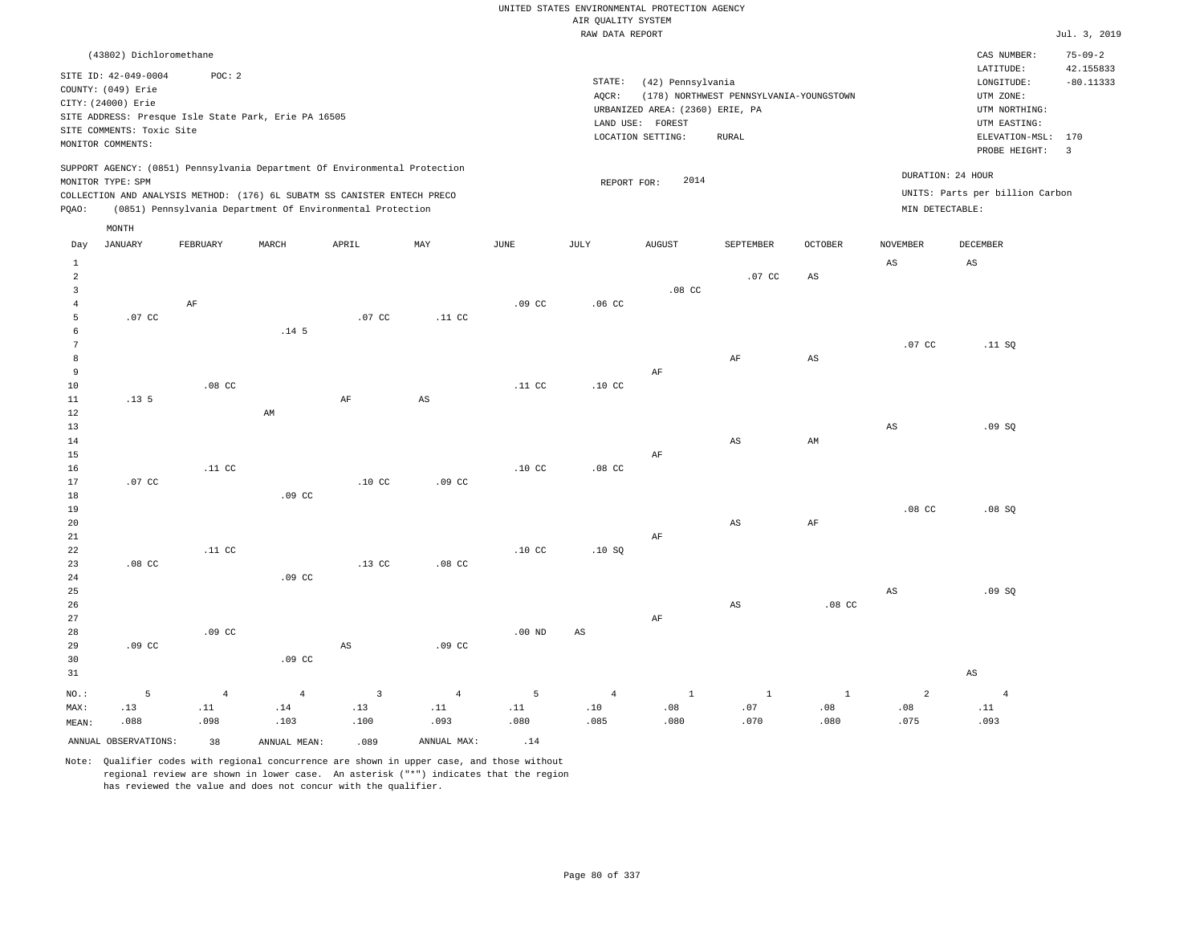|                      | (43802) Dichloromethane                        |                              |                                                      |                                                                            |                        |                  |                   |                                 |                                         |                            |                        | CAS NUMBER:                        | $75 - 09 - 2$            |
|----------------------|------------------------------------------------|------------------------------|------------------------------------------------------|----------------------------------------------------------------------------|------------------------|------------------|-------------------|---------------------------------|-----------------------------------------|----------------------------|------------------------|------------------------------------|--------------------------|
|                      | SITE ID: 42-049-0004                           | POC: 2                       |                                                      |                                                                            |                        |                  | STATE:            | (42) Pennsylvania               |                                         |                            |                        | LATITUDE:<br>$\texttt{LONGITUDE}:$ | 42.155833<br>$-80.11333$ |
|                      | COUNTY: (049) Erie                             |                              |                                                      |                                                                            |                        |                  | AQCR:             |                                 | (178) NORTHWEST PENNSYLVANIA-YOUNGSTOWN |                            |                        | UTM ZONE:                          |                          |
|                      | CITY: (24000) Erie                             |                              |                                                      |                                                                            |                        |                  |                   | URBANIZED AREA: (2360) ERIE, PA |                                         |                            |                        | UTM NORTHING:                      |                          |
|                      |                                                |                              | SITE ADDRESS: Presque Isle State Park, Erie PA 16505 |                                                                            |                        |                  |                   | LAND USE: FOREST                |                                         |                            |                        | UTM EASTING:                       |                          |
|                      | SITE COMMENTS: Toxic Site<br>MONITOR COMMENTS: |                              |                                                      |                                                                            |                        |                  |                   | LOCATION SETTING:               | RURAL                                   |                            |                        | ELEVATION-MSL: 170                 |                          |
|                      |                                                |                              |                                                      |                                                                            |                        |                  |                   |                                 |                                         |                            |                        | PROBE HEIGHT:                      | $\overline{3}$           |
|                      | MONITOR TYPE: SPM                              |                              |                                                      | SUPPORT AGENCY: (0851) Pennsylvania Department Of Environmental Protection |                        |                  |                   | 2014                            |                                         |                            |                        | DURATION: 24 HOUR                  |                          |
|                      |                                                |                              |                                                      | COLLECTION AND ANALYSIS METHOD: (176) 6L SUBATM SS CANISTER ENTECH PRECO   |                        |                  | REPORT FOR:       |                                 |                                         |                            |                        | UNITS: Parts per billion Carbon    |                          |
| PQAO:                |                                                |                              |                                                      | (0851) Pennsylvania Department Of Environmental Protection                 |                        |                  |                   |                                 |                                         |                            | MIN DETECTABLE:        |                                    |                          |
|                      | MONTH                                          |                              |                                                      |                                                                            |                        |                  |                   |                                 |                                         |                            |                        |                                    |                          |
| Day                  | JANUARY                                        | FEBRUARY                     | MARCH                                                | APRIL                                                                      | MAY                    | JUNE             | JULY              | <b>AUGUST</b>                   | SEPTEMBER                               | <b>OCTOBER</b>             | <b>NOVEMBER</b>        | <b>DECEMBER</b>                    |                          |
| $\mathbf{1}$         |                                                |                              |                                                      |                                                                            |                        |                  |                   |                                 |                                         |                            | $_{\rm AS}$            | $\mathbb{A}\mathbb{S}$             |                          |
| $\overline{a}$       |                                                |                              |                                                      |                                                                            |                        |                  |                   |                                 | .07 <sub>c</sub>                        | $\mathbb{A}\mathbb{S}$     |                        |                                    |                          |
| $\overline{3}$       |                                                |                              |                                                      |                                                                            |                        |                  |                   | .08 <sub>c</sub>                |                                         |                            |                        |                                    |                          |
| $\overline{4}$       |                                                | AF                           |                                                      |                                                                            |                        | .09 <sub>c</sub> | .06 <sub>C</sub>  |                                 |                                         |                            |                        |                                    |                          |
| 5                    | .07 <sub>c</sub>                               |                              |                                                      | .07 <sub>c</sub>                                                           | .11 <sub>c</sub>       |                  |                   |                                 |                                         |                            |                        |                                    |                          |
| 6<br>$7\phantom{.0}$ |                                                |                              | .14 <sub>5</sub>                                     |                                                                            |                        |                  |                   |                                 |                                         |                            | .07 <sub>c</sub>       | .11 SQ                             |                          |
| 8                    |                                                |                              |                                                      |                                                                            |                        |                  |                   |                                 | AF                                      | AS                         |                        |                                    |                          |
| $\overline{9}$       |                                                |                              |                                                      |                                                                            |                        |                  |                   | AF                              |                                         |                            |                        |                                    |                          |
| 10                   |                                                | $.08$ CC                     |                                                      |                                                                            |                        | .11 <sub>c</sub> | .10 <sub>c</sub>  |                                 |                                         |                            |                        |                                    |                          |
| 11                   | .13 <sub>5</sub>                               |                              |                                                      | $\rm{AF}$                                                                  | $\mathbb{A}\mathbb{S}$ |                  |                   |                                 |                                         |                            |                        |                                    |                          |
| 12                   |                                                |                              | AM                                                   |                                                                            |                        |                  |                   |                                 |                                         |                            |                        |                                    |                          |
| 13<br>14             |                                                |                              |                                                      |                                                                            |                        |                  |                   |                                 | $_{\rm AS}$                             | $\mathop{\rm AM}\nolimits$ | $\mathbb{A}\mathbb{S}$ | .09SQ                              |                          |
| 15                   |                                                |                              |                                                      |                                                                            |                        |                  |                   | AF                              |                                         |                            |                        |                                    |                          |
| 16                   |                                                | .11 <sub>c</sub>             |                                                      |                                                                            |                        | .10 <sub>C</sub> | .08 <sub>cc</sub> |                                 |                                         |                            |                        |                                    |                          |
| 17                   | $.07$ CC                                       |                              |                                                      | .10 <sub>c</sub>                                                           | .09 <sub>c</sub>       |                  |                   |                                 |                                         |                            |                        |                                    |                          |
| 18                   |                                                |                              | .09 <sub>c</sub>                                     |                                                                            |                        |                  |                   |                                 |                                         |                            |                        |                                    |                          |
| 19                   |                                                |                              |                                                      |                                                                            |                        |                  |                   |                                 |                                         |                            | $.08$ CC               | .08SQ                              |                          |
| 20<br>21             |                                                |                              |                                                      |                                                                            |                        |                  |                   | $\rm AF$                        | AS                                      | AF                         |                        |                                    |                          |
| 22                   |                                                | .11 <sub>c</sub>             |                                                      |                                                                            |                        | .10 <sub>C</sub> | .10SQ             |                                 |                                         |                            |                        |                                    |                          |
| 23                   | $.08$ CC                                       |                              |                                                      | .13 <sub>c</sub>                                                           | .08 <sub>c</sub>       |                  |                   |                                 |                                         |                            |                        |                                    |                          |
| 24                   |                                                |                              | .09 <sub>c</sub>                                     |                                                                            |                        |                  |                   |                                 |                                         |                            |                        |                                    |                          |
| 25                   |                                                |                              |                                                      |                                                                            |                        |                  |                   |                                 |                                         |                            | AS                     | .09S                               |                          |
| 26                   |                                                |                              |                                                      |                                                                            |                        |                  |                   |                                 | $_{\rm AS}$                             | $.08$ CC                   |                        |                                    |                          |
| 27<br>28             |                                                | .09 <sub>c</sub>             |                                                      |                                                                            |                        | $.00$ ND         | AS                | AF                              |                                         |                            |                        |                                    |                          |
| 29                   | .09 <sub>c</sub>                               |                              |                                                      | AS                                                                         | .09 <sub>c</sub>       |                  |                   |                                 |                                         |                            |                        |                                    |                          |
| 30                   |                                                |                              | .09 <sub>c</sub>                                     |                                                                            |                        |                  |                   |                                 |                                         |                            |                        |                                    |                          |
| 31                   |                                                |                              |                                                      |                                                                            |                        |                  |                   |                                 |                                         |                            |                        | $\mathbb{A}\mathbb{S}$             |                          |
| NO.:                 | 5                                              | $\overline{4}$               | $\overline{4}$                                       | $\overline{3}$                                                             | $\overline{4}$         | 5                | $\overline{4}$    | $\mathbf{1}$                    | $\mathbf{1}$                            | $\mathbf{1}$               | $\overline{2}$         | $\overline{4}$                     |                          |
| MAX:                 | .13                                            | $\footnotesize\substack{11}$ | .14                                                  | .13                                                                        | .11                    | .11              | .10               | .08                             | .07                                     | .08                        | .08                    | .11                                |                          |
| MEAN:                | .088                                           | .098                         | .103                                                 | .100                                                                       | .093                   | .080             | .085              | .080                            | .070                                    | .080                       | .075                   | .093                               |                          |
|                      | ANNUAL OBSERVATIONS:                           | 38                           | ANNUAL MEAN:                                         | .089                                                                       | ANNUAL MAX:            | .14              |                   |                                 |                                         |                            |                        |                                    |                          |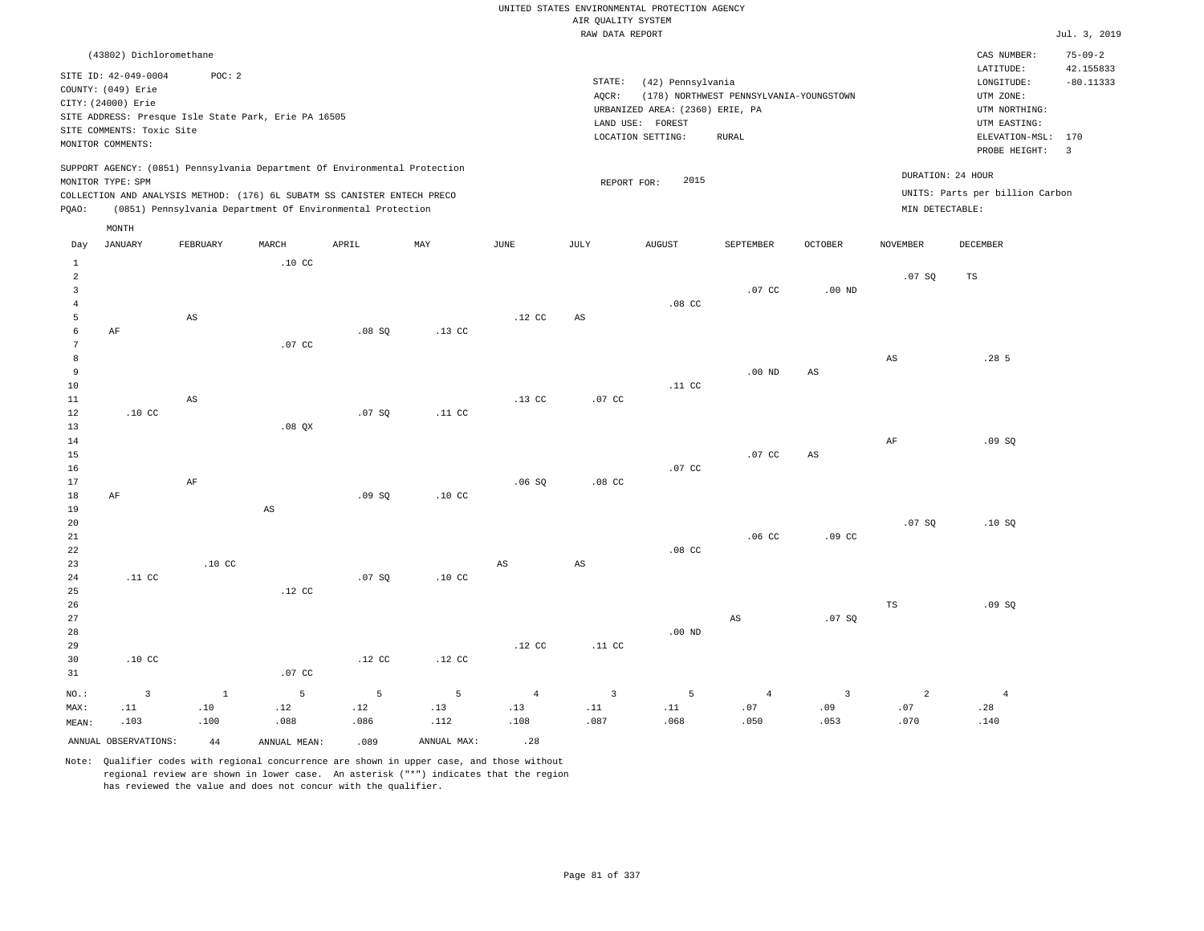|       | (43802) Dichloromethane                              |          |       |                                                                          |                                                                            |             |           |                                 |                                         |         |                 | CAS NUMBER:                     | $75 - 09 - 2$           |
|-------|------------------------------------------------------|----------|-------|--------------------------------------------------------------------------|----------------------------------------------------------------------------|-------------|-----------|---------------------------------|-----------------------------------------|---------|-----------------|---------------------------------|-------------------------|
|       | SITE ID: 42-049-0004                                 | POC:2    |       |                                                                          |                                                                            |             |           |                                 |                                         |         |                 | LATITUDE:                       | 42.155833               |
|       | COUNTY: (049) Erie                                   |          |       |                                                                          |                                                                            |             | STATE:    | (42) Pennsylvania               |                                         |         |                 | LONGITUDE:                      | $-80.11333$             |
|       | CITY: (24000) Erie                                   |          |       |                                                                          |                                                                            |             | AOCR:     |                                 | (178) NORTHWEST PENNSYLVANIA-YOUNGSTOWN |         |                 | UTM ZONE:                       |                         |
|       | SITE ADDRESS: Presque Isle State Park, Erie PA 16505 |          |       |                                                                          |                                                                            |             |           | URBANIZED AREA: (2360) ERIE, PA |                                         |         |                 | UTM NORTHING:                   |                         |
|       | SITE COMMENTS: Toxic Site                            |          |       |                                                                          |                                                                            |             | LAND USE: | FOREST                          |                                         |         |                 | UTM EASTING:                    |                         |
|       | MONITOR COMMENTS:                                    |          |       |                                                                          |                                                                            |             |           | LOCATION SETTING:               | RURAL                                   |         |                 | ELEVATION-MSL: 170              |                         |
|       |                                                      |          |       |                                                                          |                                                                            |             |           |                                 |                                         |         |                 | PROBE HEIGHT:                   | $\overline{\mathbf{3}}$ |
|       |                                                      |          |       |                                                                          | SUPPORT AGENCY: (0851) Pennsylvania Department Of Environmental Protection |             |           |                                 |                                         |         |                 |                                 |                         |
|       | MONITOR TYPE: SPM                                    |          |       |                                                                          |                                                                            |             |           | 2015<br>REPORT FOR:             |                                         |         |                 | DURATION: 24 HOUR               |                         |
|       |                                                      |          |       | COLLECTION AND ANALYSIS METHOD: (176) 6L SUBATM SS CANISTER ENTECH PRECO |                                                                            |             |           |                                 |                                         |         |                 | UNITS: Parts per billion Carbon |                         |
| POAO: |                                                      |          |       | (0851) Pennsylvania Department Of Environmental Protection               |                                                                            |             |           |                                 |                                         |         | MIN DETECTABLE: |                                 |                         |
|       | MONTH                                                |          |       |                                                                          |                                                                            |             |           |                                 |                                         |         |                 |                                 |                         |
| Day   | JANUARY                                              | FEBRUARY | MARCH | APRIL                                                                    | MAY                                                                        | <b>JUNE</b> | JULY      | <b>AUGUST</b>                   | SEPTEMBER                               | OCTOBER | NOVEMBER        | DECEMBER                        |                         |

| $\mathbf{1}$<br>$\sqrt{2}$ |                              |                        | .10 <sub>C</sub>             |          |                  |                |                              |                              |                               |                        | .07 SQ                 | TS             |
|----------------------------|------------------------------|------------------------|------------------------------|----------|------------------|----------------|------------------------------|------------------------------|-------------------------------|------------------------|------------------------|----------------|
| 3                          |                              |                        |                              |          |                  |                |                              |                              | $.07$ CC                      | $.00$ ND               |                        |                |
| $\overline{4}$             |                              |                        |                              |          |                  |                |                              | $.08$ CC                     |                               |                        |                        |                |
| 5                          |                              | $\mathbb{A}\mathbb{S}$ |                              |          |                  | $.12$ CC       | $\mathbb{A}\mathbb{S}$       |                              |                               |                        |                        |                |
| 6                          | $\rm AF$                     |                        |                              | .08SQ    | $.13$ CC         |                |                              |                              |                               |                        |                        |                |
| 7                          |                              |                        | $.07$ CC                     |          |                  |                |                              |                              |                               |                        |                        |                |
| 8                          |                              |                        |                              |          |                  |                |                              |                              |                               |                        | $\mathbb{A}\mathbb{S}$ | .285           |
| 9                          |                              |                        |                              |          |                  |                |                              |                              | $.00$ ND                      | $\mathbb{A}\mathbb{S}$ |                        |                |
| 10<br>11                   |                              | $\mathbb{A}\mathbb{S}$ |                              |          |                  | $.13$ CC       | $.07$ CC                     | $.11$ CC                     |                               |                        |                        |                |
| 12                         | .10 $CC$                     |                        |                              | .07 SQ   | .11 <sub>C</sub> |                |                              |                              |                               |                        |                        |                |
| 13                         |                              |                        | $.08$ QX                     |          |                  |                |                              |                              |                               |                        |                        |                |
| $14\,$                     |                              |                        |                              |          |                  |                |                              |                              |                               |                        | AF                     | .09 SQ         |
| 15                         |                              |                        |                              |          |                  |                |                              |                              | $.07$ CC                      | $\mathbb{A}\mathbb{S}$ |                        |                |
| 16                         |                              |                        |                              |          |                  |                |                              | $.07$ CC                     |                               |                        |                        |                |
| 17                         |                              | $\rm{AF}$              |                              |          |                  | .06SQ          | $.08$ CC                     |                              |                               |                        |                        |                |
| 18                         | AF                           |                        |                              | .09SQ    | .10 <sub>C</sub> |                |                              |                              |                               |                        |                        |                |
| 19                         |                              |                        | $\mathbb{A}\mathbb{S}$       |          |                  |                |                              |                              |                               |                        |                        |                |
| 20                         |                              |                        |                              |          |                  |                |                              |                              |                               |                        | .07 SQ                 | .10SQ          |
| 21                         |                              |                        |                              |          |                  |                |                              |                              | .06 <sub>C</sub>              | .09 <sub>c</sub>       |                        |                |
| 22<br>23                   |                              | .10 <sub>C</sub>       |                              |          |                  | $_{\rm AS}$    | $_{\rm AS}$                  | $.08$ CC                     |                               |                        |                        |                |
| $2\,4$                     | .11 $cc$                     |                        |                              | .07 SQ   | .10 <sub>C</sub> |                |                              |                              |                               |                        |                        |                |
| 25                         |                              |                        | $.12$ CC                     |          |                  |                |                              |                              |                               |                        |                        |                |
| 26                         |                              |                        |                              |          |                  |                |                              |                              |                               |                        | $_{\rm TS}$            | .09SQ          |
| 27                         |                              |                        |                              |          |                  |                |                              |                              | $\mathbb{A}\mathbb{S}$        | .07 SQ                 |                        |                |
| 28                         |                              |                        |                              |          |                  |                |                              | $.00$ ND                     |                               |                        |                        |                |
| 29                         |                              |                        |                              |          |                  | $.12$ CC       | $.11$ CC                     |                              |                               |                        |                        |                |
| 30                         | $.10$ CC                     |                        |                              | $.12$ CC | $.12$ CC         |                |                              |                              |                               |                        |                        |                |
| 31                         |                              |                        | $.07$ CC                     |          |                  |                |                              |                              |                               |                        |                        |                |
| $_{\rm NO.}$ :             | $\overline{\mathbf{3}}$      | $\,$ 1                 | $5\phantom{.0}$              | 5        | $5\phantom{.0}$  | $\overline{4}$ | $\overline{\mathbf{3}}$      | $\overline{5}$               | $\overline{4}$                | $\overline{3}$         | $\overline{a}$         | $\overline{4}$ |
| MAX:                       | $\footnotesize\substack{11}$ | $.10\,$                | $\footnotesize\substack{12}$ | .12      | .13              | .13            | $\footnotesize\substack{11}$ | $\footnotesize\substack{11}$ | $\footnotesize{\textbf{.07}}$ | .09                    | .07                    | .28            |
| MEAN:                      | .103                         | .100                   | .088                         | .086     | .112             | .108           | .087                         | .068                         | .050                          | .053                   | .070                   | .140           |
|                            | ANNUAL OBSERVATIONS:         | 44                     | ANNUAL MEAN:                 | .089     | ANNUAL MAX:      | .28            |                              |                              |                               |                        |                        |                |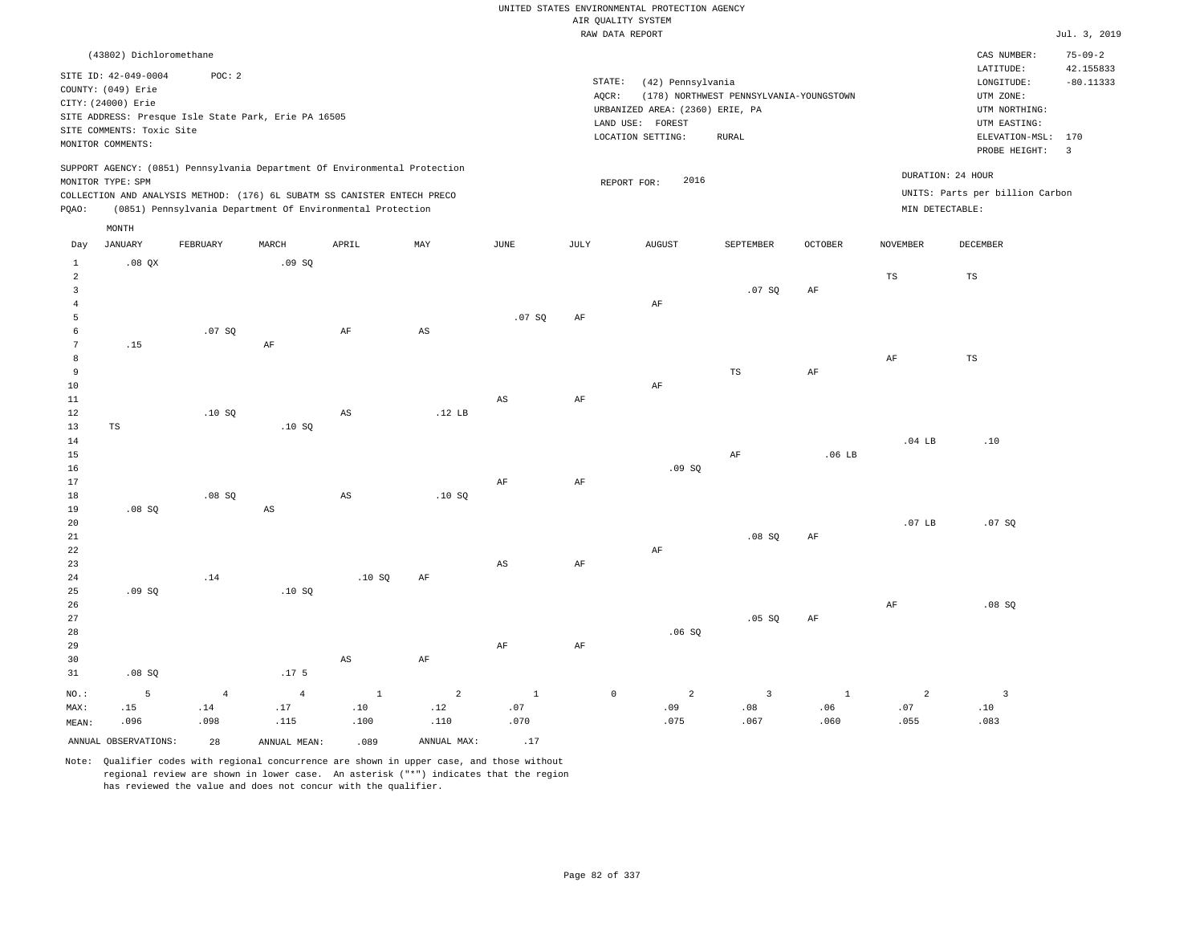|                |                           |                |                                                      |                                                                            |                        |             |           | RAW DATA REPORT                 |                                         |                   |                   |                                 | Jul. 3, 2019   |
|----------------|---------------------------|----------------|------------------------------------------------------|----------------------------------------------------------------------------|------------------------|-------------|-----------|---------------------------------|-----------------------------------------|-------------------|-------------------|---------------------------------|----------------|
|                | (43802) Dichloromethane   |                |                                                      |                                                                            |                        |             |           |                                 |                                         |                   |                   | CAS NUMBER:                     | $75 - 09 - 2$  |
|                |                           |                |                                                      |                                                                            |                        |             |           |                                 |                                         |                   |                   | LATITUDE:                       | 42.155833      |
|                | SITE ID: 42-049-0004      | POC: 2         |                                                      |                                                                            |                        |             |           | STATE:<br>(42) Pennsylvania     |                                         |                   |                   | LONGITUDE:                      | $-80.11333$    |
|                | COUNTY: (049) Erie        |                |                                                      |                                                                            |                        |             | AQCR:     |                                 | (178) NORTHWEST PENNSYLVANIA-YOUNGSTOWN |                   |                   | UTM ZONE:                       |                |
|                | CITY: (24000) Erie        |                |                                                      |                                                                            |                        |             |           | URBANIZED AREA: (2360) ERIE, PA |                                         |                   |                   | UTM NORTHING:                   |                |
|                |                           |                | SITE ADDRESS: Presque Isle State Park, Erie PA 16505 |                                                                            |                        |             |           | LAND USE: FOREST                |                                         |                   |                   | UTM EASTING:                    |                |
|                | SITE COMMENTS: Toxic Site |                |                                                      |                                                                            |                        |             |           | LOCATION SETTING:               | <b>RURAL</b>                            |                   |                   | ELEVATION-MSL:                  | 170            |
|                | MONITOR COMMENTS:         |                |                                                      |                                                                            |                        |             |           |                                 |                                         |                   |                   | PROBE HEIGHT:                   | $\overline{3}$ |
|                |                           |                |                                                      | SUPPORT AGENCY: (0851) Pennsylvania Department Of Environmental Protection |                        |             |           |                                 |                                         |                   |                   |                                 |                |
|                | MONITOR TYPE: SPM         |                |                                                      |                                                                            |                        |             |           | 2016<br>REPORT FOR:             |                                         |                   |                   | DURATION: 24 HOUR               |                |
|                |                           |                |                                                      | COLLECTION AND ANALYSIS METHOD: (176) 6L SUBATM SS CANISTER ENTECH PRECO   |                        |             |           |                                 |                                         |                   |                   | UNITS: Parts per billion Carbon |                |
| PQAO:          |                           |                |                                                      | (0851) Pennsylvania Department Of Environmental Protection                 |                        |             |           |                                 |                                         |                   | MIN DETECTABLE:   |                                 |                |
|                | MONTH                     |                |                                                      |                                                                            |                        |             |           |                                 |                                         |                   |                   |                                 |                |
| Day            | JANUARY                   | FEBRUARY       | MARCH                                                | APRIL                                                                      | MAY                    | <b>JUNE</b> | JULY      | <b>AUGUST</b>                   | SEPTEMBER                               | <b>OCTOBER</b>    | <b>NOVEMBER</b>   | DECEMBER                        |                |
| $\mathbf{1}$   | $.08$ $OX$                |                | .09S                                                 |                                                                            |                        |             |           |                                 |                                         |                   |                   |                                 |                |
| 2              |                           |                |                                                      |                                                                            |                        |             |           |                                 |                                         |                   | $_{\rm TS}$       | $_{\rm TS}$                     |                |
| $\overline{3}$ |                           |                |                                                      |                                                                            |                        |             |           |                                 | .07 SQ                                  | AF                |                   |                                 |                |
| $\overline{4}$ |                           |                |                                                      |                                                                            |                        |             |           | $\rm AF$                        |                                         |                   |                   |                                 |                |
| 5              |                           |                |                                                      |                                                                            |                        | .07 SQ      | AF        |                                 |                                         |                   |                   |                                 |                |
| 6              |                           | .07SQ          |                                                      | $\rm{AF}$                                                                  | $\mathbb{A}\mathbb{S}$ |             |           |                                 |                                         |                   |                   |                                 |                |
| 7              | .15                       |                | $\rm{AF}$                                            |                                                                            |                        |             |           |                                 |                                         |                   |                   |                                 |                |
| 8              |                           |                |                                                      |                                                                            |                        |             |           |                                 |                                         |                   | $\rm{AF}$         | $_{\rm TS}$                     |                |
| 9              |                           |                |                                                      |                                                                            |                        |             |           |                                 | $\mathbb{TS}$                           | $\rm{AF}$         |                   |                                 |                |
| 10             |                           |                |                                                      |                                                                            |                        |             |           | AF                              |                                         |                   |                   |                                 |                |
| 11             |                           |                |                                                      |                                                                            |                        | AS          | AF        |                                 |                                         |                   |                   |                                 |                |
| $12$           |                           | .10S           |                                                      | AS                                                                         | .12 <sub>LB</sub>      |             |           |                                 |                                         |                   |                   |                                 |                |
| $13$           | $_{\rm TS}$               |                | .10SQ                                                |                                                                            |                        |             |           |                                 |                                         |                   |                   |                                 |                |
| 14             |                           |                |                                                      |                                                                            |                        |             |           |                                 |                                         |                   | .04 <sub>LB</sub> | .10                             |                |
| 15             |                           |                |                                                      |                                                                            |                        |             |           |                                 | AF                                      | .06 <sub>LB</sub> |                   |                                 |                |
| 16             |                           |                |                                                      |                                                                            |                        |             |           | .09SQ                           |                                         |                   |                   |                                 |                |
| 17             |                           |                |                                                      |                                                                            |                        | AF          | $\rm{AF}$ |                                 |                                         |                   |                   |                                 |                |
| 18             |                           | .08S           |                                                      | $_{\rm AS}$                                                                | .10SQ                  |             |           |                                 |                                         |                   |                   |                                 |                |
| 19             | .08 SQ                    |                | $\mathbb{A}\mathbb{S}$                               |                                                                            |                        |             |           |                                 |                                         |                   |                   |                                 |                |
| 20<br>21       |                           |                |                                                      |                                                                            |                        |             |           |                                 | .08SQ                                   | AF                | .07 <sub>LB</sub> | .07SQ                           |                |
| 22             |                           |                |                                                      |                                                                            |                        |             |           | $\rm AF$                        |                                         |                   |                   |                                 |                |
| 23             |                           |                |                                                      |                                                                            |                        | $_{\rm AS}$ | AF        |                                 |                                         |                   |                   |                                 |                |
| 24             |                           | .14            |                                                      | .10S                                                                       | AF                     |             |           |                                 |                                         |                   |                   |                                 |                |
| 25             | .09SQ                     |                | .10S                                                 |                                                                            |                        |             |           |                                 |                                         |                   |                   |                                 |                |
| 26             |                           |                |                                                      |                                                                            |                        |             |           |                                 |                                         |                   | $\rm{AF}$         | .08SQ                           |                |
| 27             |                           |                |                                                      |                                                                            |                        |             |           |                                 | .05 SQ                                  | $\rm{AF}$         |                   |                                 |                |
| 28             |                           |                |                                                      |                                                                            |                        |             |           | .06S                            |                                         |                   |                   |                                 |                |
| 29             |                           |                |                                                      |                                                                            |                        | $\rm AF$    | AF        |                                 |                                         |                   |                   |                                 |                |
| 30             |                           |                |                                                      | $\mathbb{A}\mathbb{S}$                                                     | $\rm AF$               |             |           |                                 |                                         |                   |                   |                                 |                |
| 31             | .08S                      |                | .17 <sub>5</sub>                                     |                                                                            |                        |             |           |                                 |                                         |                   |                   |                                 |                |
| NO.:           | 5                         | $\overline{4}$ | $\bf{4}$                                             | $\mathbf{1}$                                                               | $\overline{a}$         | $1\,$       |           | $\mathbb O$<br>2                | $\overline{3}$                          | $\mathbf{1}$      | $\overline{a}$    | $\overline{3}$                  |                |
| MAX:           | .15                       | .14            | .17                                                  | .10                                                                        | .12                    | .07         |           | .09                             | .08                                     | .06               | .07               | .10                             |                |
| MEAN:          | .096                      | .098           | .115                                                 | .100                                                                       | .110                   | .070        |           | .075                            | .067                                    | .060              | .055              | .083                            |                |
|                |                           |                |                                                      |                                                                            |                        |             |           |                                 |                                         |                   |                   |                                 |                |
|                | ANNUAL OBSERVATIONS:      | 28             | ANNUAL MEAN:                                         | .089                                                                       | ANNUAL MAX:            | .17         |           |                                 |                                         |                   |                   |                                 |                |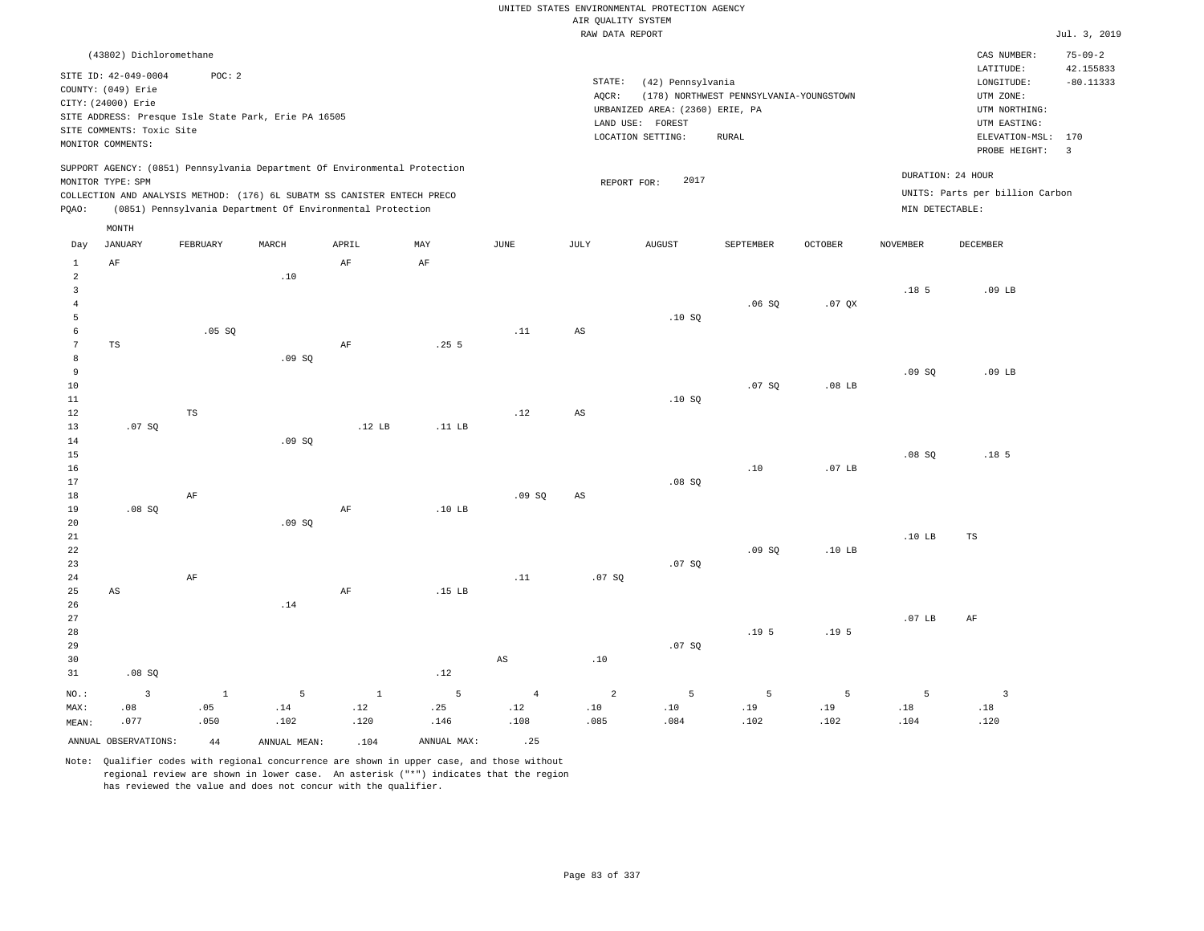|  |  |                    | UNITED STATES ENVIRONMENTAL PROTECTION AGENCY |  |
|--|--|--------------------|-----------------------------------------------|--|
|  |  | AIR OUALITY SYSTEM |                                               |  |

|                      |                                                                                                                    |              |                                                      |                                                                            |             |                        | RAW DATA REPORT        |                                                                                               |                                                         |                   |                   |                                                                                                              | Jul. 3, 2019                                        |
|----------------------|--------------------------------------------------------------------------------------------------------------------|--------------|------------------------------------------------------|----------------------------------------------------------------------------|-------------|------------------------|------------------------|-----------------------------------------------------------------------------------------------|---------------------------------------------------------|-------------------|-------------------|--------------------------------------------------------------------------------------------------------------|-----------------------------------------------------|
|                      | (43802) Dichloromethane                                                                                            |              |                                                      |                                                                            |             |                        |                        |                                                                                               |                                                         |                   |                   | CAS NUMBER:                                                                                                  | $75 - 09 - 2$                                       |
|                      | SITE ID: 42-049-0004<br>COUNTY: (049) Erie<br>CITY: (24000) Erie<br>SITE COMMENTS: Toxic Site<br>MONITOR COMMENTS: | POC: 2       | SITE ADDRESS: Presque Isle State Park, Erie PA 16505 |                                                                            |             |                        | STATE:<br>AQCR:        | (42) Pennsylvania<br>URBANIZED AREA: (2360) ERIE, PA<br>LAND USE: FOREST<br>LOCATION SETTING: | (178) NORTHWEST PENNSYLVANIA-YOUNGSTOWN<br><b>RURAL</b> |                   |                   | LATITUDE:<br>LONGITUDE:<br>UTM ZONE:<br>UTM NORTHING:<br>UTM EASTING:<br>ELEVATION-MSL: 170<br>PROBE HEIGHT: | 42.155833<br>$-80.11333$<br>$\overline{\mathbf{3}}$ |
|                      |                                                                                                                    |              |                                                      | SUPPORT AGENCY: (0851) Pennsylvania Department Of Environmental Protection |             |                        |                        | 2017                                                                                          |                                                         |                   |                   | DURATION: 24 HOUR                                                                                            |                                                     |
|                      | MONITOR TYPE: SPM                                                                                                  |              |                                                      | COLLECTION AND ANALYSIS METHOD: (176) 6L SUBATM SS CANISTER ENTECH PRECO   |             |                        | REPORT FOR:            |                                                                                               |                                                         |                   |                   | UNITS: Parts per billion Carbon                                                                              |                                                     |
| PQAO:                |                                                                                                                    |              |                                                      | (0851) Pennsylvania Department Of Environmental Protection                 |             |                        |                        |                                                                                               |                                                         |                   | MIN DETECTABLE:   |                                                                                                              |                                                     |
|                      | MONTH                                                                                                              |              |                                                      |                                                                            |             |                        |                        |                                                                                               |                                                         |                   |                   |                                                                                                              |                                                     |
| Day                  | <b>JANUARY</b>                                                                                                     | FEBRUARY     | MARCH                                                | APRIL                                                                      | MAY         | $\operatorname{JUNE}$  | JULY                   | <b>AUGUST</b>                                                                                 | SEPTEMBER                                               | OCTOBER           | <b>NOVEMBER</b>   | DECEMBER                                                                                                     |                                                     |
| $\mathbf{1}$         | $\rm{AF}$                                                                                                          |              |                                                      | $\rm AF$                                                                   | AF          |                        |                        |                                                                                               |                                                         |                   |                   |                                                                                                              |                                                     |
| $\overline{a}$       |                                                                                                                    |              | .10                                                  |                                                                            |             |                        |                        |                                                                                               |                                                         |                   |                   |                                                                                                              |                                                     |
| 3                    |                                                                                                                    |              |                                                      |                                                                            |             |                        |                        |                                                                                               |                                                         |                   | .18 <sub>5</sub>  | $.09$ LB                                                                                                     |                                                     |
| $\,4\,$              |                                                                                                                    |              |                                                      |                                                                            |             |                        |                        |                                                                                               | .06SQ                                                   | .07QX             |                   |                                                                                                              |                                                     |
| 5                    |                                                                                                                    |              |                                                      |                                                                            |             |                        |                        | .10S                                                                                          |                                                         |                   |                   |                                                                                                              |                                                     |
| 6                    |                                                                                                                    | .05 SQ       |                                                      |                                                                            |             | .11                    | $\mathbb{A}\mathbb{S}$ |                                                                                               |                                                         |                   |                   |                                                                                                              |                                                     |
| $7\phantom{.0}$<br>8 | TS                                                                                                                 |              |                                                      | AF                                                                         | .255        |                        |                        |                                                                                               |                                                         |                   |                   |                                                                                                              |                                                     |
| 9                    |                                                                                                                    |              | .09SQ                                                |                                                                            |             |                        |                        |                                                                                               |                                                         |                   | .09SQ             | $.09$ LB                                                                                                     |                                                     |
| 10                   |                                                                                                                    |              |                                                      |                                                                            |             |                        |                        |                                                                                               | .07 SQ                                                  | $.08$ LB          |                   |                                                                                                              |                                                     |
| 11                   |                                                                                                                    |              |                                                      |                                                                            |             |                        |                        | .10S                                                                                          |                                                         |                   |                   |                                                                                                              |                                                     |
| 12                   |                                                                                                                    | TS           |                                                      |                                                                            |             | .12                    | $_{\rm AS}$            |                                                                                               |                                                         |                   |                   |                                                                                                              |                                                     |
| 13                   | .07SQ                                                                                                              |              |                                                      | .12 LB                                                                     | $.11$ LB    |                        |                        |                                                                                               |                                                         |                   |                   |                                                                                                              |                                                     |
| 14                   |                                                                                                                    |              | .09SQ                                                |                                                                            |             |                        |                        |                                                                                               |                                                         |                   |                   |                                                                                                              |                                                     |
| 15                   |                                                                                                                    |              |                                                      |                                                                            |             |                        |                        |                                                                                               |                                                         |                   | .08SQ             | .18 <sub>5</sub>                                                                                             |                                                     |
| 16                   |                                                                                                                    |              |                                                      |                                                                            |             |                        |                        |                                                                                               | .10                                                     | .07 <sub>LB</sub> |                   |                                                                                                              |                                                     |
| 17                   |                                                                                                                    |              |                                                      |                                                                            |             |                        |                        | .08SQ                                                                                         |                                                         |                   |                   |                                                                                                              |                                                     |
| $18\,$<br>19         | .08SQ                                                                                                              | AF           |                                                      | AF                                                                         | $.10$ LB    | .09SQ                  | AS                     |                                                                                               |                                                         |                   |                   |                                                                                                              |                                                     |
| 20                   |                                                                                                                    |              | .09SQ                                                |                                                                            |             |                        |                        |                                                                                               |                                                         |                   |                   |                                                                                                              |                                                     |
| 21                   |                                                                                                                    |              |                                                      |                                                                            |             |                        |                        |                                                                                               |                                                         |                   | .10 <sub>LB</sub> | TS                                                                                                           |                                                     |
| 22                   |                                                                                                                    |              |                                                      |                                                                            |             |                        |                        |                                                                                               | .09SQ                                                   | .10 LB            |                   |                                                                                                              |                                                     |
| 23                   |                                                                                                                    |              |                                                      |                                                                            |             |                        |                        | .07SQ                                                                                         |                                                         |                   |                   |                                                                                                              |                                                     |
| 24                   |                                                                                                                    | AF           |                                                      |                                                                            |             | .11                    | .07SQ                  |                                                                                               |                                                         |                   |                   |                                                                                                              |                                                     |
| 25                   | AS                                                                                                                 |              |                                                      | $\rm{AF}$                                                                  | .15 LB      |                        |                        |                                                                                               |                                                         |                   |                   |                                                                                                              |                                                     |
| 26                   |                                                                                                                    |              | .14                                                  |                                                                            |             |                        |                        |                                                                                               |                                                         |                   |                   |                                                                                                              |                                                     |
| 27<br>28             |                                                                                                                    |              |                                                      |                                                                            |             |                        |                        |                                                                                               | .19 <sub>5</sub>                                        | .19 <sub>5</sub>  | .07 <sub>LB</sub> | AF                                                                                                           |                                                     |
| 29                   |                                                                                                                    |              |                                                      |                                                                            |             |                        |                        | .07SQ                                                                                         |                                                         |                   |                   |                                                                                                              |                                                     |
| 30                   |                                                                                                                    |              |                                                      |                                                                            |             | $\mathbb{A}\mathbb{S}$ | $.10$                  |                                                                                               |                                                         |                   |                   |                                                                                                              |                                                     |
| 31                   | .08SQ                                                                                                              |              |                                                      |                                                                            | .12         |                        |                        |                                                                                               |                                                         |                   |                   |                                                                                                              |                                                     |
| $NO.$ :              | $\overline{3}$                                                                                                     | $\mathbf{1}$ | 5                                                    | $1\,$                                                                      | 5           | $\overline{4}$         | $\overline{a}$         | 5                                                                                             | 5                                                       | 5                 | 5                 | $\overline{3}$                                                                                               |                                                     |
| MAX:                 | .08                                                                                                                | .05          | .14                                                  | .12                                                                        | .25         | .12                    | .10                    | .10                                                                                           | .19                                                     | .19               | .18               | $.18\,$                                                                                                      |                                                     |
| MEAN:                | .077                                                                                                               | .050         | .102                                                 | .120                                                                       | .146        | .108                   | .085                   | .084                                                                                          | .102                                                    | .102              | .104              | .120                                                                                                         |                                                     |
|                      | ANNUAL OBSERVATIONS:                                                                                               | 44           | ANNUAL MEAN:                                         | .104                                                                       | ANNUAL MAX: | .25                    |                        |                                                                                               |                                                         |                   |                   |                                                                                                              |                                                     |
|                      |                                                                                                                    |              |                                                      |                                                                            |             |                        |                        |                                                                                               |                                                         |                   |                   |                                                                                                              |                                                     |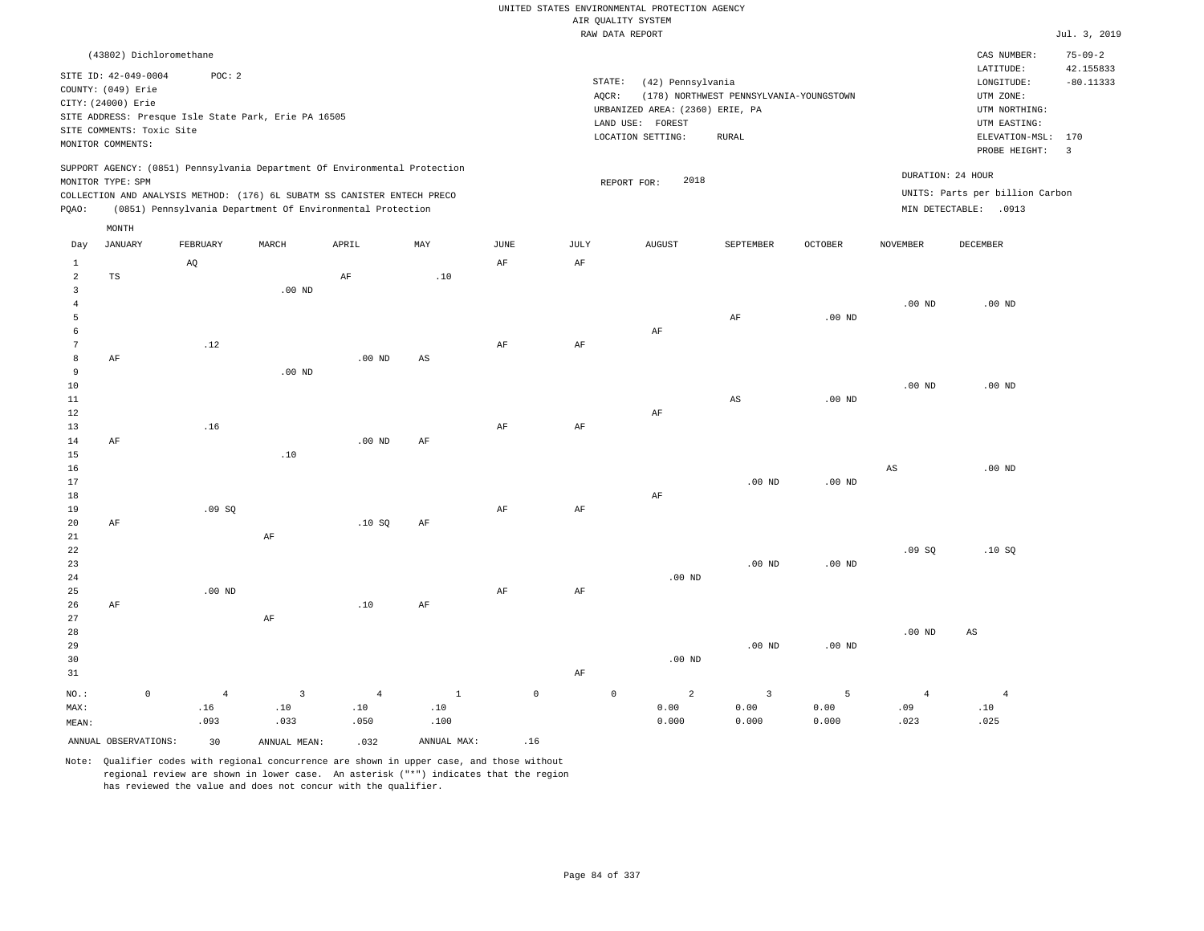|                                  |                                                 |                         |                                                      |                                                                            |              |                     |             | UNITED STATES ENVIRONMENTAL PROTECTION AGENCY<br>AIR QUALITY SYSTEM |                                         |                   |                   |                                      |                          |
|----------------------------------|-------------------------------------------------|-------------------------|------------------------------------------------------|----------------------------------------------------------------------------|--------------|---------------------|-------------|---------------------------------------------------------------------|-----------------------------------------|-------------------|-------------------|--------------------------------------|--------------------------|
|                                  |                                                 |                         |                                                      |                                                                            |              |                     |             | RAW DATA REPORT                                                     |                                         |                   |                   |                                      | Jul. 3, 2019             |
|                                  |                                                 | (43802) Dichloromethane |                                                      |                                                                            |              |                     |             |                                                                     |                                         |                   |                   | CAS NUMBER:                          | $75 - 09 - 2$            |
|                                  | SITE ID: 42-049-0004<br>COUNTY: (049) Erie      | POC: 2                  |                                                      |                                                                            |              |                     | AQCR:       | STATE:<br>(42) Pennsylvania                                         | (178) NORTHWEST PENNSYLVANIA-YOUNGSTOWN |                   |                   | LATITUDE:<br>LONGITUDE:<br>UTM ZONE: | 42.155833<br>$-80.11333$ |
|                                  | CITY: (24000) Erie<br>SITE COMMENTS: Toxic Site |                         | SITE ADDRESS: Presque Isle State Park, Erie PA 16505 |                                                                            |              |                     |             | URBANIZED AREA: (2360) ERIE, PA<br>LAND USE: FOREST                 |                                         |                   |                   | UTM NORTHING:<br>UTM EASTING:        |                          |
|                                  | MONITOR COMMENTS:                               |                         |                                                      |                                                                            |              |                     |             | LOCATION SETTING:                                                   | <b>RURAL</b>                            |                   |                   | ELEVATION-MSL:<br>PROBE HEIGHT:      | 170<br>3                 |
|                                  | MONITOR TYPE: SPM                               |                         |                                                      | SUPPORT AGENCY: (0851) Pennsylvania Department Of Environmental Protection |              |                     |             | 2018                                                                |                                         |                   |                   | DURATION: 24 HOUR                    |                          |
|                                  |                                                 |                         |                                                      | COLLECTION AND ANALYSIS METHOD: (176) 6L SUBATM SS CANISTER ENTECH PRECO   |              |                     |             | REPORT FOR:                                                         |                                         |                   |                   | UNITS: Parts per billion Carbon      |                          |
| PQAO:                            |                                                 |                         |                                                      | (0851) Pennsylvania Department Of Environmental Protection                 |              |                     |             |                                                                     |                                         |                   |                   | MIN DETECTABLE: .0913                |                          |
|                                  | MONTH                                           |                         |                                                      |                                                                            |              |                     |             |                                                                     |                                         |                   |                   |                                      |                          |
| Day                              | <b>JANUARY</b>                                  | FEBRUARY                | MARCH                                                | APRIL                                                                      | MAY          | JUNE                | <b>JULY</b> | <b>AUGUST</b>                                                       | SEPTEMBER                               | <b>OCTOBER</b>    | <b>NOVEMBER</b>   | <b>DECEMBER</b>                      |                          |
| 1<br>$\overline{a}$              | $_{\rm TS}$                                     | AQ                      |                                                      | AF                                                                         | .10          | AF                  | AF          |                                                                     |                                         |                   |                   |                                      |                          |
| $\overline{3}$<br>$\overline{4}$ |                                                 |                         | $.00$ ND                                             |                                                                            |              |                     |             |                                                                     |                                         |                   | .00 <sub>ND</sub> | $.00$ ND                             |                          |
| 5                                |                                                 |                         |                                                      |                                                                            |              |                     |             |                                                                     | $\rm AF$                                | $.00$ ND          |                   |                                      |                          |
| 6                                |                                                 |                         |                                                      |                                                                            |              |                     |             | AF                                                                  |                                         |                   |                   |                                      |                          |
| 7<br>8                           | AF                                              | .12                     |                                                      | $.00$ ND                                                                   | AS           | AF                  | $\rm AF$    |                                                                     |                                         |                   |                   |                                      |                          |
| $\mathbf{q}$                     |                                                 |                         | $.00$ ND                                             |                                                                            |              |                     |             |                                                                     |                                         |                   |                   |                                      |                          |
| $10$                             |                                                 |                         |                                                      |                                                                            |              |                     |             |                                                                     |                                         |                   | .00 <sub>ND</sub> | $.00$ ND                             |                          |
| 11<br>$12$                       |                                                 |                         |                                                      |                                                                            |              |                     |             | AF                                                                  | AS                                      | $.00$ ND          |                   |                                      |                          |
| 13                               |                                                 | .16                     |                                                      |                                                                            |              | AF                  | AF          |                                                                     |                                         |                   |                   |                                      |                          |
| 14                               | AF                                              |                         |                                                      | $.00$ ND                                                                   | $\rm AF$     |                     |             |                                                                     |                                         |                   |                   |                                      |                          |
| 15                               |                                                 |                         | .10                                                  |                                                                            |              |                     |             |                                                                     |                                         |                   |                   |                                      |                          |
| 16<br>17                         |                                                 |                         |                                                      |                                                                            |              |                     |             |                                                                     | $.00$ ND                                | $.00$ ND          | $_{\rm AS}$       | $.00$ ND                             |                          |
| 18                               |                                                 |                         |                                                      |                                                                            |              |                     |             | AF                                                                  |                                         |                   |                   |                                      |                          |
| 19                               |                                                 | .09SQ                   |                                                      |                                                                            |              | $\rm{AF}$           | $\rm{AF}$   |                                                                     |                                         |                   |                   |                                      |                          |
| 20                               | AF                                              |                         |                                                      | .10S                                                                       | AF           |                     |             |                                                                     |                                         |                   |                   |                                      |                          |
| 21<br>22                         |                                                 |                         | AF                                                   |                                                                            |              |                     |             |                                                                     |                                         |                   | .09S              | .10S                                 |                          |
| 23                               |                                                 |                         |                                                      |                                                                            |              |                     |             |                                                                     | $.00$ ND                                | .00 <sub>ND</sub> |                   |                                      |                          |
| 24                               |                                                 |                         |                                                      |                                                                            |              |                     |             | $.00$ ND                                                            |                                         |                   |                   |                                      |                          |
| 25                               |                                                 | $.00$ ND                |                                                      |                                                                            |              | AF                  | AF          |                                                                     |                                         |                   |                   |                                      |                          |
| 26<br>27                         | AF                                              |                         | AF                                                   | .10                                                                        | AF           |                     |             |                                                                     |                                         |                   |                   |                                      |                          |
| 28                               |                                                 |                         |                                                      |                                                                            |              |                     |             |                                                                     |                                         |                   | .00 <sub>ND</sub> | $\mathbb{A}\mathbb{S}$               |                          |
| 29                               |                                                 |                         |                                                      |                                                                            |              |                     |             |                                                                     | $.00$ ND                                | $.00$ ND          |                   |                                      |                          |
| 30                               |                                                 |                         |                                                      |                                                                            |              |                     |             | $.00$ ND                                                            |                                         |                   |                   |                                      |                          |
| 31                               |                                                 |                         |                                                      |                                                                            |              |                     | AF          |                                                                     |                                         |                   |                   |                                      |                          |
| NO.:                             | $\mathsf{O}\xspace$                             | $\overline{4}$          | $\overline{3}$                                       | $\overline{4}$                                                             | $\mathbf{1}$ | $\mathsf{O}\xspace$ |             | $\mathsf{O}$<br>$\overline{a}$                                      | $\overline{3}$                          | 5                 | $\overline{4}$    | $\overline{4}$                       |                          |
| MAX:                             |                                                 | .16                     | .10                                                  | .10                                                                        | .10          |                     |             | 0.00                                                                | 0.00                                    | 0.00              | .09               | .10                                  |                          |
| MEAN:                            |                                                 | .093                    | .033                                                 | .050                                                                       | .100         |                     |             | 0.000                                                               | 0.000                                   | 0.000             | .023              | .025                                 |                          |
|                                  | ANNUAL OBSERVATIONS:                            | 30                      | ANNUAL MEAN:                                         | .032                                                                       | ANNUAL MAX:  | .16                 |             |                                                                     |                                         |                   |                   |                                      |                          |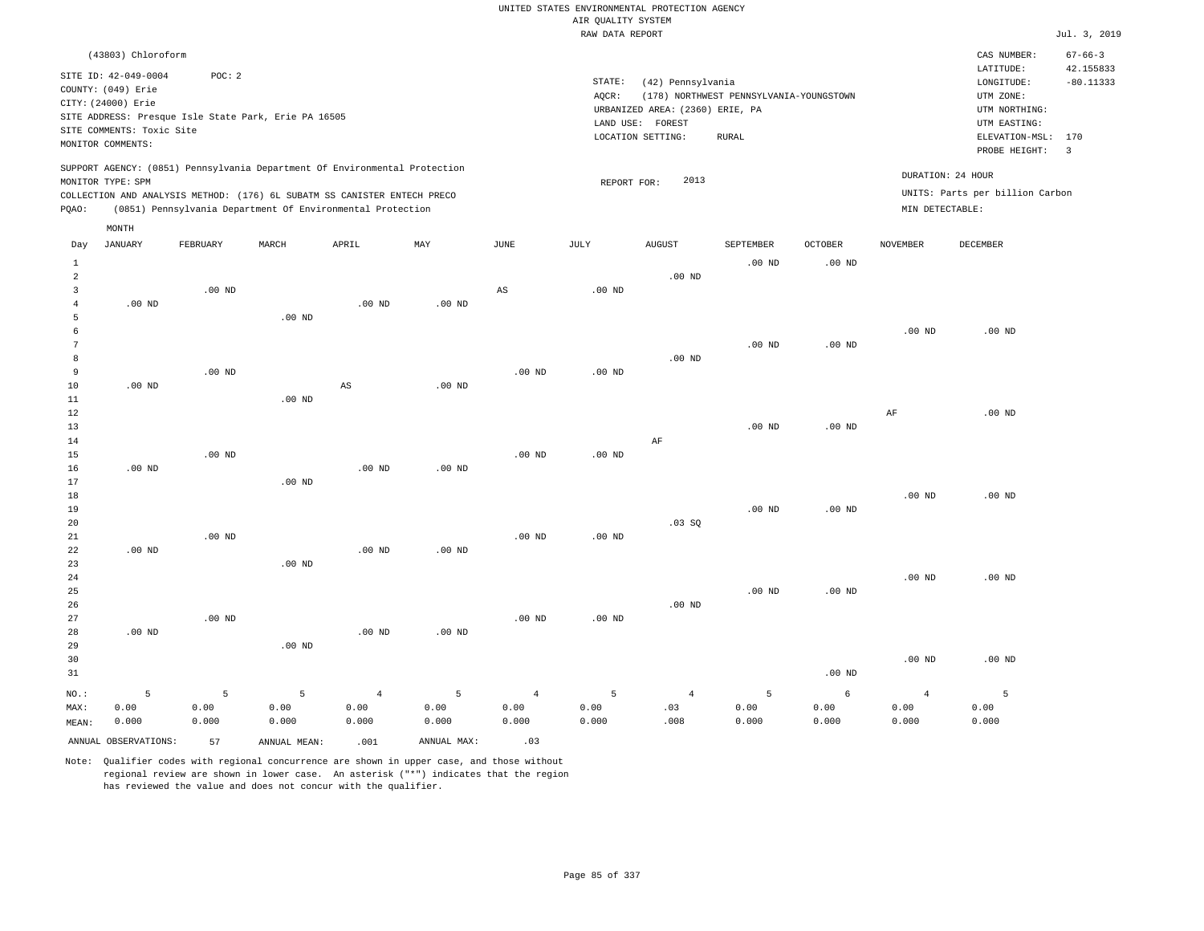|                | (43803) Chloroform<br>SITE ID: 42-049-0004<br>COUNTY: (049) Erie<br>CITY: (24000) Erie<br>SITE COMMENTS: Toxic Site<br>MONITOR COMMENTS: | POC: 2   | SITE ADDRESS: Presque Isle State Park, Erie PA 16505<br>SUPPORT AGENCY: (0851) Pennsylvania Department Of Environmental Protection |                   |                   |                       | STATE:<br>AQCR:   | (42) Pennsylvania<br>URBANIZED AREA: (2360) ERIE, PA<br>LAND USE: FOREST<br>LOCATION SETTING: | (178) NORTHWEST PENNSYLVANIA-YOUNGSTOWN<br><b>RURAL</b> |                   |                   | CAS NUMBER:<br>LATITUDE:<br>LONGITUDE:<br>UTM ZONE:<br>UTM NORTHING:<br>UTM EASTING:<br>ELEVATION-MSL:<br>PROBE HEIGHT: | $67 - 66 - 3$<br>42.155833<br>$-80.11333$<br>170<br>$\overline{3}$ |
|----------------|------------------------------------------------------------------------------------------------------------------------------------------|----------|------------------------------------------------------------------------------------------------------------------------------------|-------------------|-------------------|-----------------------|-------------------|-----------------------------------------------------------------------------------------------|---------------------------------------------------------|-------------------|-------------------|-------------------------------------------------------------------------------------------------------------------------|--------------------------------------------------------------------|
|                | MONITOR TYPE: SPM                                                                                                                        |          |                                                                                                                                    |                   |                   |                       | REPORT FOR:       | 2013                                                                                          |                                                         |                   |                   | DURATION: 24 HOUR                                                                                                       |                                                                    |
|                |                                                                                                                                          |          | COLLECTION AND ANALYSIS METHOD: (176) 6L SUBATM SS CANISTER ENTECH PRECO                                                           |                   |                   |                       |                   |                                                                                               |                                                         |                   |                   | UNITS: Parts per billion Carbon                                                                                         |                                                                    |
| PQAO:          |                                                                                                                                          |          | (0851) Pennsylvania Department Of Environmental Protection                                                                         |                   |                   |                       |                   |                                                                                               |                                                         |                   | MIN DETECTABLE:   |                                                                                                                         |                                                                    |
|                | MONTH                                                                                                                                    |          |                                                                                                                                    |                   |                   |                       |                   |                                                                                               |                                                         |                   |                   |                                                                                                                         |                                                                    |
| Day            | <b>JANUARY</b>                                                                                                                           | FEBRUARY | MARCH                                                                                                                              | APRIL             | MAY               | $\operatorname{JUNE}$ | $\mathtt{JULY}$   | <b>AUGUST</b>                                                                                 | SEPTEMBER                                               | OCTOBER           | <b>NOVEMBER</b>   | DECEMBER                                                                                                                |                                                                    |
| $\mathbf{1}$   |                                                                                                                                          |          |                                                                                                                                    |                   |                   |                       |                   |                                                                                               | $.00$ ND                                                | $.00$ ND          |                   |                                                                                                                         |                                                                    |
| $\sqrt{2}$     |                                                                                                                                          |          |                                                                                                                                    |                   |                   |                       |                   | $.00$ ND                                                                                      |                                                         |                   |                   |                                                                                                                         |                                                                    |
| 3              |                                                                                                                                          | $.00$ ND |                                                                                                                                    |                   |                   | AS                    | .00 <sub>ND</sub> |                                                                                               |                                                         |                   |                   |                                                                                                                         |                                                                    |
| 4              | $.00$ ND                                                                                                                                 |          |                                                                                                                                    | .00 <sub>ND</sub> | $.00$ ND          |                       |                   |                                                                                               |                                                         |                   |                   |                                                                                                                         |                                                                    |
| 5              |                                                                                                                                          |          | $.00$ ND                                                                                                                           |                   |                   |                       |                   |                                                                                               |                                                         |                   |                   |                                                                                                                         |                                                                    |
| 6              |                                                                                                                                          |          |                                                                                                                                    |                   |                   |                       |                   |                                                                                               |                                                         |                   | .00 <sub>ND</sub> | $.00$ ND                                                                                                                |                                                                    |
| $\overline{7}$ |                                                                                                                                          |          |                                                                                                                                    |                   |                   |                       |                   |                                                                                               | $.00$ ND                                                | .00 <sub>ND</sub> |                   |                                                                                                                         |                                                                    |
| 8<br>9         |                                                                                                                                          | $.00$ ND |                                                                                                                                    |                   |                   |                       | .00 <sub>ND</sub> | $.00$ ND                                                                                      |                                                         |                   |                   |                                                                                                                         |                                                                    |
| 10             | $.00$ ND                                                                                                                                 |          |                                                                                                                                    |                   | $.00$ ND          | .00 <sub>ND</sub>     |                   |                                                                                               |                                                         |                   |                   |                                                                                                                         |                                                                    |
| 11             |                                                                                                                                          |          | $.00$ ND                                                                                                                           | AS                |                   |                       |                   |                                                                                               |                                                         |                   |                   |                                                                                                                         |                                                                    |
| $1\,2$         |                                                                                                                                          |          |                                                                                                                                    |                   |                   |                       |                   |                                                                                               |                                                         |                   | $\rm{AF}$         | $.00$ ND                                                                                                                |                                                                    |
| 13             |                                                                                                                                          |          |                                                                                                                                    |                   |                   |                       |                   |                                                                                               | $.00$ ND                                                | $.00$ ND          |                   |                                                                                                                         |                                                                    |
| 14             |                                                                                                                                          |          |                                                                                                                                    |                   |                   |                       |                   | AF                                                                                            |                                                         |                   |                   |                                                                                                                         |                                                                    |
| 15             |                                                                                                                                          | $.00$ ND |                                                                                                                                    |                   |                   | $.00$ ND              | .00 <sub>ND</sub> |                                                                                               |                                                         |                   |                   |                                                                                                                         |                                                                    |
| 16             | $.00$ ND                                                                                                                                 |          |                                                                                                                                    | $.00$ ND          | .00 <sub>ND</sub> |                       |                   |                                                                                               |                                                         |                   |                   |                                                                                                                         |                                                                    |
| 17             |                                                                                                                                          |          | $.00$ ND                                                                                                                           |                   |                   |                       |                   |                                                                                               |                                                         |                   |                   |                                                                                                                         |                                                                    |
| 18             |                                                                                                                                          |          |                                                                                                                                    |                   |                   |                       |                   |                                                                                               |                                                         |                   | .00 <sub>ND</sub> | $.00$ ND                                                                                                                |                                                                    |
| 19             |                                                                                                                                          |          |                                                                                                                                    |                   |                   |                       |                   |                                                                                               | $.00$ ND                                                | $.00$ ND          |                   |                                                                                                                         |                                                                    |
| 20             |                                                                                                                                          |          |                                                                                                                                    |                   |                   |                       |                   | .03 SQ                                                                                        |                                                         |                   |                   |                                                                                                                         |                                                                    |
| 21             |                                                                                                                                          | $.00$ ND |                                                                                                                                    |                   |                   | .00 <sub>ND</sub>     | $.00$ ND          |                                                                                               |                                                         |                   |                   |                                                                                                                         |                                                                    |
| 22             | $.00$ ND                                                                                                                                 |          |                                                                                                                                    | .00 <sub>ND</sub> | $.00$ ND          |                       |                   |                                                                                               |                                                         |                   |                   |                                                                                                                         |                                                                    |
| 23             |                                                                                                                                          |          | $.00$ ND                                                                                                                           |                   |                   |                       |                   |                                                                                               |                                                         |                   |                   |                                                                                                                         |                                                                    |
| 24             |                                                                                                                                          |          |                                                                                                                                    |                   |                   |                       |                   |                                                                                               |                                                         |                   | $.00$ ND          | $.00$ ND                                                                                                                |                                                                    |
| 25             |                                                                                                                                          |          |                                                                                                                                    |                   |                   |                       |                   |                                                                                               | $.00$ ND                                                | $.00$ ND          |                   |                                                                                                                         |                                                                    |
| 26             |                                                                                                                                          |          |                                                                                                                                    |                   |                   |                       |                   | $.00$ ND                                                                                      |                                                         |                   |                   |                                                                                                                         |                                                                    |
| 27             |                                                                                                                                          | $.00$ ND |                                                                                                                                    |                   |                   | .00 <sub>ND</sub>     | .00 <sub>ND</sub> |                                                                                               |                                                         |                   |                   |                                                                                                                         |                                                                    |
| 28             | $.00$ ND                                                                                                                                 |          |                                                                                                                                    | .00 <sub>ND</sub> | .00 <sub>ND</sub> |                       |                   |                                                                                               |                                                         |                   |                   |                                                                                                                         |                                                                    |
| 29             |                                                                                                                                          |          | $.00$ ND                                                                                                                           |                   |                   |                       |                   |                                                                                               |                                                         |                   |                   |                                                                                                                         |                                                                    |
| 30<br>31       |                                                                                                                                          |          |                                                                                                                                    |                   |                   |                       |                   |                                                                                               |                                                         | $.00$ ND          | $.00$ ND          | $.00$ ND                                                                                                                |                                                                    |
|                |                                                                                                                                          |          |                                                                                                                                    |                   |                   |                       |                   |                                                                                               |                                                         |                   |                   |                                                                                                                         |                                                                    |
| NO.:           | 5                                                                                                                                        | 5        | 5                                                                                                                                  | $\overline{4}$    | 5                 | $\overline{4}$        | 5                 | $\overline{4}$                                                                                | 5                                                       | 6                 | $\overline{4}$    | 5                                                                                                                       |                                                                    |
| MAX:           | 0.00                                                                                                                                     | 0.00     | 0.00                                                                                                                               | 0.00              | 0.00              | 0.00                  | 0.00              | .03                                                                                           | 0.00                                                    | 0.00              | 0.00              | 0.00                                                                                                                    |                                                                    |
| MEAN:          | 0.000                                                                                                                                    | 0.000    | 0.000                                                                                                                              | 0.000             | 0.000             | 0.000                 | 0.000             | .008                                                                                          | 0.000                                                   | 0.000             | 0.000             | 0.000                                                                                                                   |                                                                    |
|                | ANNUAL OBSERVATIONS:                                                                                                                     | 57       | ANNUAL MEAN:                                                                                                                       | .001              | ANNUAL MAX:       | .03                   |                   |                                                                                               |                                                         |                   |                   |                                                                                                                         |                                                                    |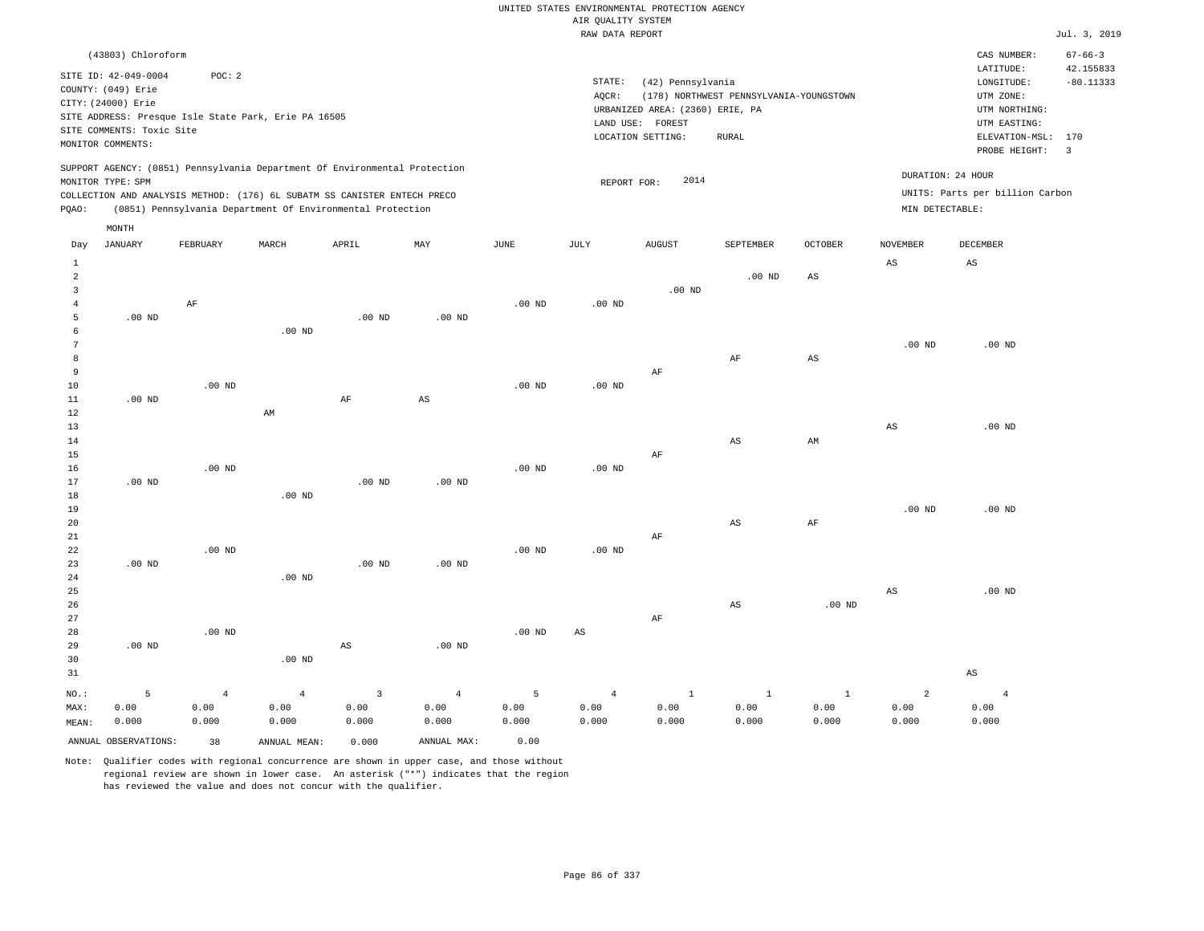|                                           |                                            |                |                                                                            |                        |                   |          | RAW DATA REPORT   |                                 |                                         |                |                        |                                 | Jul. 3, 2019            |
|-------------------------------------------|--------------------------------------------|----------------|----------------------------------------------------------------------------|------------------------|-------------------|----------|-------------------|---------------------------------|-----------------------------------------|----------------|------------------------|---------------------------------|-------------------------|
|                                           | (43803) Chloroform                         |                |                                                                            |                        |                   |          |                   |                                 |                                         |                |                        | CAS NUMBER:                     | $67 - 66 - 3$           |
|                                           |                                            | POC: 2         |                                                                            |                        |                   |          |                   |                                 |                                         |                |                        | LATITUDE:                       | 42.155833               |
|                                           | SITE ID: 42-049-0004<br>COUNTY: (049) Erie |                |                                                                            |                        |                   |          | STATE:            | (42) Pennsylvania               |                                         |                |                        | LONGITUDE:                      | $-80.11333$             |
|                                           | CITY: (24000) Erie                         |                |                                                                            |                        |                   |          | AQCR:             |                                 | (178) NORTHWEST PENNSYLVANIA-YOUNGSTOWN |                |                        | UTM ZONE:                       |                         |
|                                           |                                            |                | SITE ADDRESS: Presque Isle State Park, Erie PA 16505                       |                        |                   |          |                   | URBANIZED AREA: (2360) ERIE, PA |                                         |                |                        | UTM NORTHING:                   |                         |
|                                           | SITE COMMENTS: Toxic Site                  |                |                                                                            |                        |                   |          |                   | LAND USE: FOREST                |                                         |                |                        | UTM EASTING:                    |                         |
|                                           | MONITOR COMMENTS:                          |                |                                                                            |                        |                   |          |                   | LOCATION SETTING:               | <b>RURAL</b>                            |                |                        | ELEVATION-MSL: 170              |                         |
|                                           |                                            |                |                                                                            |                        |                   |          |                   |                                 |                                         |                |                        | PROBE HEIGHT:                   | $\overline{\mathbf{3}}$ |
|                                           |                                            |                | SUPPORT AGENCY: (0851) Pennsylvania Department Of Environmental Protection |                        |                   |          |                   | 2014                            |                                         |                |                        | DURATION: 24 HOUR               |                         |
|                                           | MONITOR TYPE: SPM                          |                | COLLECTION AND ANALYSIS METHOD: (176) 6L SUBATM SS CANISTER ENTECH PRECO   |                        |                   |          | REPORT FOR:       |                                 |                                         |                |                        | UNITS: Parts per billion Carbon |                         |
| PQAO:                                     |                                            |                | (0851) Pennsylvania Department Of Environmental Protection                 |                        |                   |          |                   |                                 |                                         |                | MIN DETECTABLE:        |                                 |                         |
|                                           |                                            |                |                                                                            |                        |                   |          |                   |                                 |                                         |                |                        |                                 |                         |
|                                           | MONTH                                      |                |                                                                            |                        |                   |          |                   |                                 |                                         |                |                        |                                 |                         |
| Day                                       | <b>JANUARY</b>                             | FEBRUARY       | MARCH                                                                      | APRIL                  | MAY               | JUNE     | JULY              | <b>AUGUST</b>                   | SEPTEMBER                               | <b>OCTOBER</b> | <b>NOVEMBER</b>        | <b>DECEMBER</b>                 |                         |
| $\mathbf{1}$                              |                                            |                |                                                                            |                        |                   |          |                   |                                 |                                         |                | AS                     | AS                              |                         |
| $\overline{a}$                            |                                            |                |                                                                            |                        |                   |          |                   |                                 | $.00$ ND                                | $_{\rm AS}$    |                        |                                 |                         |
| $\overline{\mathbf{3}}$<br>$\overline{4}$ |                                            | $\rm AF$       |                                                                            |                        |                   | $.00$ ND | $.00$ ND          | $.00$ ND                        |                                         |                |                        |                                 |                         |
| 5                                         | $.00$ ND                                   |                |                                                                            | $.00$ ND               | $.00$ ND          |          |                   |                                 |                                         |                |                        |                                 |                         |
| 6                                         |                                            |                | $.00$ ND                                                                   |                        |                   |          |                   |                                 |                                         |                |                        |                                 |                         |
| 7                                         |                                            |                |                                                                            |                        |                   |          |                   |                                 |                                         |                | $.00$ ND               | $.00$ ND                        |                         |
| 8                                         |                                            |                |                                                                            |                        |                   |          |                   |                                 | $\rm AF$                                | $_{\rm AS}$    |                        |                                 |                         |
| 9                                         |                                            |                |                                                                            |                        |                   |          |                   | AF                              |                                         |                |                        |                                 |                         |
| 10                                        |                                            | $.00$ ND       |                                                                            |                        |                   | $.00$ ND | .00 <sub>ND</sub> |                                 |                                         |                |                        |                                 |                         |
| $1\,1$                                    | $.00$ ND                                   |                |                                                                            | $\rm{AF}$              | AS                |          |                   |                                 |                                         |                |                        |                                 |                         |
| 12                                        |                                            |                | AM                                                                         |                        |                   |          |                   |                                 |                                         |                |                        |                                 |                         |
| 13                                        |                                            |                |                                                                            |                        |                   |          |                   |                                 |                                         |                | $\mathbb{A}\mathbb{S}$ | $.00$ ND                        |                         |
| 14                                        |                                            |                |                                                                            |                        |                   |          |                   |                                 | AS                                      | AM             |                        |                                 |                         |
| 15<br>16                                  |                                            | $.00$ ND       |                                                                            |                        |                   | $.00$ ND | $.00$ ND          | AF                              |                                         |                |                        |                                 |                         |
| 17                                        | $.00$ ND                                   |                |                                                                            | $.00$ ND               | $.00$ ND          |          |                   |                                 |                                         |                |                        |                                 |                         |
| $18$                                      |                                            |                | $.00$ ND                                                                   |                        |                   |          |                   |                                 |                                         |                |                        |                                 |                         |
| 19                                        |                                            |                |                                                                            |                        |                   |          |                   |                                 |                                         |                | $.00$ ND               | $.00$ ND                        |                         |
| 20                                        |                                            |                |                                                                            |                        |                   |          |                   |                                 | AS                                      | $\rm{AF}$      |                        |                                 |                         |
| 21                                        |                                            |                |                                                                            |                        |                   |          |                   | AF                              |                                         |                |                        |                                 |                         |
| 22                                        |                                            | .00 $ND$       |                                                                            |                        |                   | $.00$ ND | $.00$ ND          |                                 |                                         |                |                        |                                 |                         |
| 23                                        | $.00$ ND                                   |                |                                                                            | $.00$ ND               | $.00$ ND          |          |                   |                                 |                                         |                |                        |                                 |                         |
| 24                                        |                                            |                | $.00$ ND                                                                   |                        |                   |          |                   |                                 |                                         |                |                        |                                 |                         |
| 25                                        |                                            |                |                                                                            |                        |                   |          |                   |                                 |                                         |                | $\mathbb{A}\mathbb{S}$ | $.00$ ND                        |                         |
| 26                                        |                                            |                |                                                                            |                        |                   |          |                   |                                 | $\mathbb{A}\mathbb{S}$                  | $.00$ ND       |                        |                                 |                         |
| 27                                        |                                            |                |                                                                            |                        |                   |          |                   | $\rm AF$                        |                                         |                |                        |                                 |                         |
| 28                                        |                                            | $.00$ ND       |                                                                            |                        |                   | $.00$ ND | $_{\rm AS}$       |                                 |                                         |                |                        |                                 |                         |
| 29<br>30                                  | $.00$ ND                                   |                | $.00$ ND                                                                   | $\mathbb{A}\mathbb{S}$ | .00 <sub>ND</sub> |          |                   |                                 |                                         |                |                        |                                 |                         |
| 31                                        |                                            |                |                                                                            |                        |                   |          |                   |                                 |                                         |                |                        | $\mathbb{A}\mathbb{S}$          |                         |
|                                           |                                            |                |                                                                            |                        |                   |          |                   |                                 |                                         |                |                        |                                 |                         |
| NO.:                                      | 5                                          | $\overline{4}$ | $\overline{4}$                                                             | $\overline{3}$         | $\overline{4}$    | 5        | $\overline{4}$    | <sup>1</sup>                    | $\mathbf{1}$                            | <sup>1</sup>   | $\overline{a}$         | $\overline{4}$                  |                         |
| MAX:                                      | 0.00                                       | 0.00           | 0.00                                                                       | 0.00                   | 0.00              | 0.00     | 0.00              | 0.00                            | 0.00                                    | 0.00           | 0.00                   | 0.00                            |                         |
| MEAN:                                     | 0.000                                      | 0.000          | 0.000                                                                      | 0.000                  | 0.000             | 0.000    | 0.000             | 0.000                           | 0.000                                   | 0.000          | 0.000                  | 0.000                           |                         |
|                                           | ANNUAL OBSERVATIONS:                       | 38             | ANNUAL, MEAN:                                                              | 0.000                  | ANNUAL MAX:       | 0.00     |                   |                                 |                                         |                |                        |                                 |                         |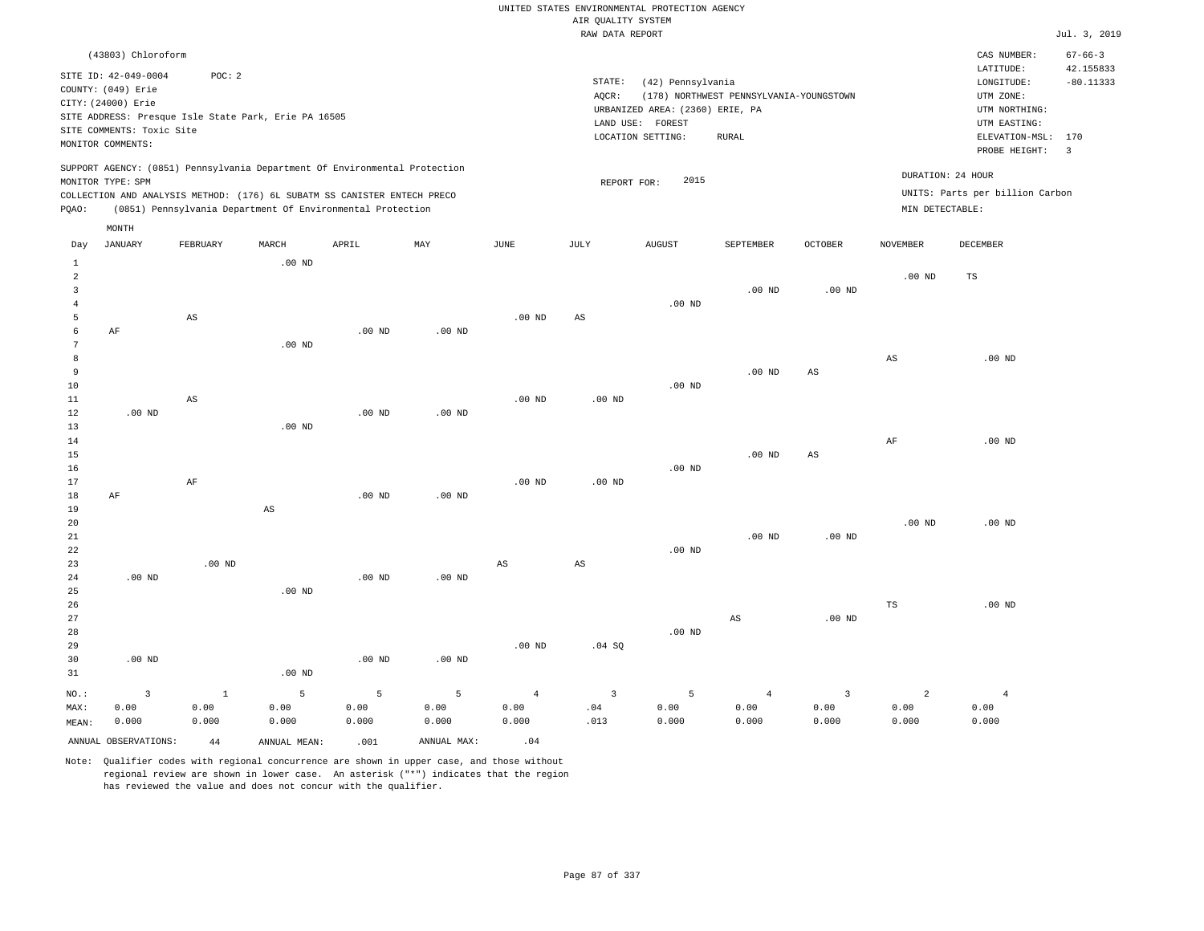|                |                           |          |                                                      |                                                                            |                   |          | RAW DATA REPORT   |                                 |                                         |                |                   |                                 | Jul. 3, 2019             |
|----------------|---------------------------|----------|------------------------------------------------------|----------------------------------------------------------------------------|-------------------|----------|-------------------|---------------------------------|-----------------------------------------|----------------|-------------------|---------------------------------|--------------------------|
|                | (43803) Chloroform        |          |                                                      |                                                                            |                   |          |                   |                                 |                                         |                |                   | CAS NUMBER:                     | $67 - 66 - 3$            |
|                | SITE ID: 42-049-0004      | POC: 2   |                                                      |                                                                            |                   |          |                   |                                 |                                         |                |                   | LATITUDE:                       | 42.155833                |
|                | COUNTY: (049) Erie        |          |                                                      |                                                                            |                   |          | STATE:            | (42) Pennsylvania               |                                         |                |                   | LONGITUDE:                      | $-80.11333$              |
|                | CITY: (24000) Erie        |          |                                                      |                                                                            |                   |          | AQCR:             |                                 | (178) NORTHWEST PENNSYLVANIA-YOUNGSTOWN |                |                   | UTM ZONE:                       |                          |
|                |                           |          | SITE ADDRESS: Presque Isle State Park, Erie PA 16505 |                                                                            |                   |          |                   | URBANIZED AREA: (2360) ERIE, PA |                                         |                |                   | UTM NORTHING:                   |                          |
|                | SITE COMMENTS: Toxic Site |          |                                                      |                                                                            |                   |          |                   | LAND USE: FOREST                |                                         |                |                   | UTM EASTING:                    |                          |
|                | MONITOR COMMENTS:         |          |                                                      |                                                                            |                   |          |                   | LOCATION SETTING:               | RURAL                                   |                |                   | ELEVATION-MSL:                  | 170                      |
|                |                           |          |                                                      |                                                                            |                   |          |                   |                                 |                                         |                |                   | PROBE HEIGHT:                   | $\overline{\phantom{a}}$ |
|                |                           |          |                                                      | SUPPORT AGENCY: (0851) Pennsylvania Department Of Environmental Protection |                   |          |                   |                                 |                                         |                |                   | DURATION: 24 HOUR               |                          |
|                | MONITOR TYPE: SPM         |          |                                                      |                                                                            |                   |          | REPORT FOR:       | 2015                            |                                         |                |                   |                                 |                          |
|                |                           |          |                                                      | COLLECTION AND ANALYSIS METHOD: (176) 6L SUBATM SS CANISTER ENTECH PRECO   |                   |          |                   |                                 |                                         |                |                   | UNITS: Parts per billion Carbon |                          |
| PQAO:          |                           |          |                                                      | (0851) Pennsylvania Department Of Environmental Protection                 |                   |          |                   |                                 |                                         |                | MIN DETECTABLE:   |                                 |                          |
|                | MONTH                     |          |                                                      |                                                                            |                   |          |                   |                                 |                                         |                |                   |                                 |                          |
| Day            | JANUARY                   | FEBRUARY | MARCH                                                | APRIL                                                                      | MAY               | JUNE     | JULY              | AUGUST                          | SEPTEMBER                               | <b>OCTOBER</b> | <b>NOVEMBER</b>   | DECEMBER                        |                          |
| 1              |                           |          | $.00$ ND                                             |                                                                            |                   |          |                   |                                 |                                         |                |                   |                                 |                          |
| $\overline{a}$ |                           |          |                                                      |                                                                            |                   |          |                   |                                 |                                         |                | .00 <sub>ND</sub> | TS                              |                          |
| 3              |                           |          |                                                      |                                                                            |                   |          |                   |                                 | $.00$ ND                                | $.00$ ND       |                   |                                 |                          |
| 4              |                           |          |                                                      |                                                                            |                   |          |                   | $.00$ ND                        |                                         |                |                   |                                 |                          |
| 5              |                           | AS       |                                                      |                                                                            |                   | $.00$ ND | AS                |                                 |                                         |                |                   |                                 |                          |
| 6              | AF                        |          |                                                      | $.00$ ND                                                                   | .00 <sub>ND</sub> |          |                   |                                 |                                         |                |                   |                                 |                          |
|                |                           |          | $.00$ ND                                             |                                                                            |                   |          |                   |                                 |                                         |                |                   |                                 |                          |
| 8              |                           |          |                                                      |                                                                            |                   |          |                   |                                 |                                         |                | AS                | $.00$ ND                        |                          |
| 9              |                           |          |                                                      |                                                                            |                   |          |                   |                                 | $.00$ ND                                | $_{\rm AS}$    |                   |                                 |                          |
| 10             |                           |          |                                                      |                                                                            |                   |          |                   | $.00$ ND                        |                                         |                |                   |                                 |                          |
| 11             |                           | AS       |                                                      |                                                                            |                   | $.00$ ND | .00 <sub>ND</sub> |                                 |                                         |                |                   |                                 |                          |
| 12             | $.00$ ND                  |          |                                                      | .00 <sub>ND</sub>                                                          | $.00$ ND          |          |                   |                                 |                                         |                |                   |                                 |                          |
| 13             |                           |          | $.00$ ND                                             |                                                                            |                   |          |                   |                                 |                                         |                |                   |                                 |                          |
| 14             |                           |          |                                                      |                                                                            |                   |          |                   |                                 |                                         |                | AF                | $.00$ ND                        |                          |
| 15             |                           |          |                                                      |                                                                            |                   |          |                   |                                 | $.00$ ND                                | AS             |                   |                                 |                          |
| 16             |                           |          |                                                      |                                                                            |                   |          |                   | $.00$ ND                        |                                         |                |                   |                                 |                          |
| 17             |                           | AF       |                                                      |                                                                            |                   | $.00$ ND | $.00$ ND          |                                 |                                         |                |                   |                                 |                          |
| 18             | AF                        |          |                                                      | $.00$ ND                                                                   | $.00$ ND          |          |                   |                                 |                                         |                |                   |                                 |                          |
| 19             |                           |          | AS                                                   |                                                                            |                   |          |                   |                                 |                                         |                |                   |                                 |                          |
| 20             |                           |          |                                                      |                                                                            |                   |          |                   |                                 |                                         |                | $.00$ ND          | $.00$ ND                        |                          |

20 21 22 23 24 25 26 .00 ND .00 ND .00 ND .00 ND .00 ND AS AS .00 ND .00 ND .00 ND TS .00 ND

| 27      |          |       |          |          |          |          |        |          | AS    | $.00$ ND |       |       |
|---------|----------|-------|----------|----------|----------|----------|--------|----------|-------|----------|-------|-------|
| 28      |          |       |          |          |          |          |        | $.00$ ND |       |          |       |       |
| 29      |          |       |          |          |          | $.00$ ND | .04 SQ |          |       |          |       |       |
| 30      | $.00$ ND |       |          | $.00$ ND | $.00$ ND |          |        |          |       |          |       |       |
| 31      |          |       | $.00$ ND |          |          |          |        |          |       |          |       |       |
| $NO.$ : |          |       |          |          |          | 4        |        |          |       |          |       |       |
| MAX:    | 0.00     | 0.00  | 0.00     | 0.00     | 0.00     | 0.00     | .04    | 0.00     | 0.00  | 0.00     | 0.00  | 0.00  |
| MEAN:   | 0.000    | 0.000 | 0.000    | 0.000    | 0.000    | 0.000    | .013   | 0.000    | 0.000 | 0.000    | 0.000 | 0.000 |

ANNUAL OBSERVATIONS:  $44$  ANNUAL MEAN: .001 ANNUAL MAX: .04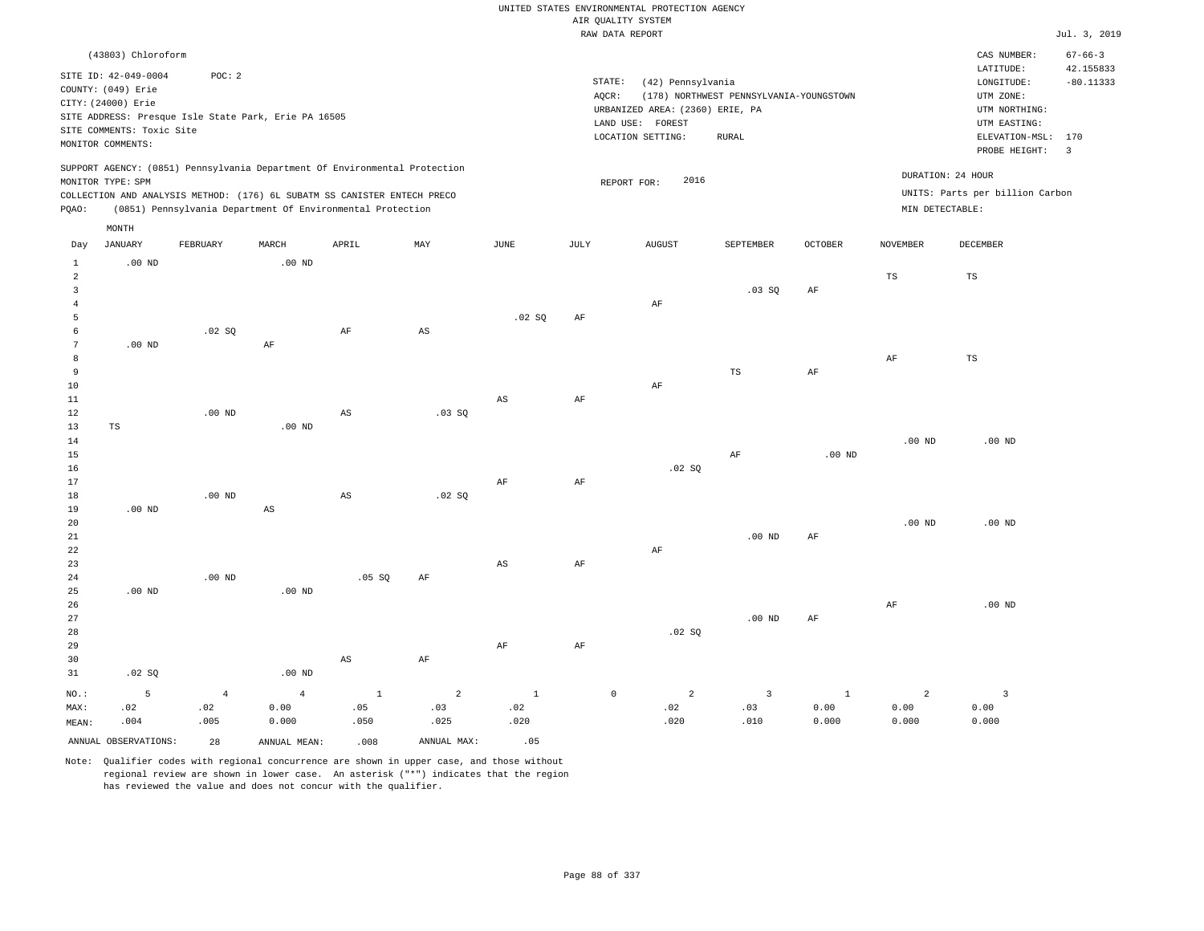|                         | (43803) Chloroform        |                   |                                                                            |                        |                           |                        |           |                                 |                                         |              |                   | CAS NUMBER:                     | $67 - 66 - 3$            |
|-------------------------|---------------------------|-------------------|----------------------------------------------------------------------------|------------------------|---------------------------|------------------------|-----------|---------------------------------|-----------------------------------------|--------------|-------------------|---------------------------------|--------------------------|
|                         | SITE ID: 42-049-0004      | POC: 2            |                                                                            |                        |                           |                        | STATE:    | (42) Pennsylvania               |                                         |              |                   | LATITUDE:<br>LONGITUDE:         | 42.155833<br>$-80.11333$ |
|                         | COUNTY: (049) Erie        |                   |                                                                            |                        |                           |                        | AQCR:     |                                 | (178) NORTHWEST PENNSYLVANIA-YOUNGSTOWN |              |                   | UTM ZONE:                       |                          |
|                         | CITY: (24000) Erie        |                   |                                                                            |                        |                           |                        |           | URBANIZED AREA: (2360) ERIE, PA |                                         |              |                   | UTM NORTHING:                   |                          |
|                         |                           |                   | SITE ADDRESS: Presque Isle State Park, Erie PA 16505                       |                        |                           |                        |           | LAND USE: FOREST                |                                         |              |                   | UTM EASTING:                    |                          |
|                         | SITE COMMENTS: Toxic Site |                   |                                                                            |                        |                           |                        |           | LOCATION SETTING:               | RURAL                                   |              |                   | ELEVATION-MSL: 170              |                          |
|                         | MONITOR COMMENTS:         |                   |                                                                            |                        |                           |                        |           |                                 |                                         |              |                   | PROBE HEIGHT:                   | $\overline{3}$           |
|                         |                           |                   | SUPPORT AGENCY: (0851) Pennsylvania Department Of Environmental Protection |                        |                           |                        |           |                                 |                                         |              | DURATION: 24 HOUR |                                 |                          |
|                         | MONITOR TYPE: SPM         |                   |                                                                            |                        |                           |                        |           | 2016<br>REPORT FOR:             |                                         |              |                   |                                 |                          |
|                         |                           |                   | COLLECTION AND ANALYSIS METHOD: (176) 6L SUBATM SS CANISTER ENTECH PRECO   |                        |                           |                        |           |                                 |                                         |              |                   | UNITS: Parts per billion Carbon |                          |
| PQAO:                   |                           |                   | (0851) Pennsylvania Department Of Environmental Protection                 |                        |                           |                        |           |                                 |                                         |              | MIN DETECTABLE:   |                                 |                          |
|                         | MONTH                     |                   |                                                                            |                        |                           |                        |           |                                 |                                         |              |                   |                                 |                          |
| Day                     | <b>JANUARY</b>            | FEBRUARY          | MARCH                                                                      | APRIL                  | $\ensuremath{\text{MAX}}$ | <b>JUNE</b>            | JULY      | <b>AUGUST</b>                   | SEPTEMBER                               | OCTOBER      | <b>NOVEMBER</b>   | DECEMBER                        |                          |
| $\mathbf{1}$            | $.00$ ND                  |                   | $.00$ ND                                                                   |                        |                           |                        |           |                                 |                                         |              |                   |                                 |                          |
| $\overline{a}$          |                           |                   |                                                                            |                        |                           |                        |           |                                 |                                         |              | TS                | <b>TS</b>                       |                          |
| $\overline{\mathbf{3}}$ |                           |                   |                                                                            |                        |                           |                        |           |                                 | .03SQ                                   | AF           |                   |                                 |                          |
| $\overline{4}$          |                           |                   |                                                                            |                        |                           |                        |           | AF                              |                                         |              |                   |                                 |                          |
| 5                       |                           |                   |                                                                            |                        |                           | .02 SQ                 | $\rm{AF}$ |                                 |                                         |              |                   |                                 |                          |
| 6<br>$7\phantom{.0}$    |                           | .02 SQ            |                                                                            | AF                     | $_{\rm AS}$               |                        |           |                                 |                                         |              |                   |                                 |                          |
| 8                       | .00 <sub>ND</sub>         |                   | $\rm AF$                                                                   |                        |                           |                        |           |                                 |                                         |              | $\rm{AF}$         | $\mathbb{TS}$                   |                          |
| 9                       |                           |                   |                                                                            |                        |                           |                        |           |                                 | <b>TS</b>                               | $\rm{AF}$    |                   |                                 |                          |
| 10                      |                           |                   |                                                                            |                        |                           |                        |           | $\rm AF$                        |                                         |              |                   |                                 |                          |
| 11                      |                           |                   |                                                                            |                        |                           | AS                     | AF        |                                 |                                         |              |                   |                                 |                          |
| 12                      |                           | $.00$ ND          |                                                                            | $_{\rm AS}$            | .03 SQ                    |                        |           |                                 |                                         |              |                   |                                 |                          |
| 13                      | TS                        |                   | $.00$ ND                                                                   |                        |                           |                        |           |                                 |                                         |              |                   |                                 |                          |
| 14                      |                           |                   |                                                                            |                        |                           |                        |           |                                 |                                         |              | .00 <sub>ND</sub> | $.00$ ND                        |                          |
| 15                      |                           |                   |                                                                            |                        |                           |                        |           |                                 | AF                                      | $.00$ ND     |                   |                                 |                          |
| 16                      |                           |                   |                                                                            |                        |                           |                        |           | .02S                            |                                         |              |                   |                                 |                          |
| 17                      |                           |                   |                                                                            |                        |                           | AF                     | AF        |                                 |                                         |              |                   |                                 |                          |
| 18                      |                           | .00 <sub>ND</sub> |                                                                            | $\mathbb{A}\mathbb{S}$ | .02 SQ                    |                        |           |                                 |                                         |              |                   |                                 |                          |
| 19                      | $.00$ ND                  |                   | $_{\rm AS}$                                                                |                        |                           |                        |           |                                 |                                         |              |                   |                                 |                          |
| 20                      |                           |                   |                                                                            |                        |                           |                        |           |                                 |                                         |              | .00 <sub>ND</sub> | .00 <sub>ND</sub>               |                          |
| 21                      |                           |                   |                                                                            |                        |                           |                        |           |                                 | $.00$ ND                                | AF           |                   |                                 |                          |
| 22                      |                           |                   |                                                                            |                        |                           |                        |           | $\rm AF$                        |                                         |              |                   |                                 |                          |
| 23                      |                           |                   |                                                                            |                        |                           | $\mathbb{A}\mathbb{S}$ | $\rm{AF}$ |                                 |                                         |              |                   |                                 |                          |
| 24                      |                           | $.00$ ND          |                                                                            | .05 SQ                 | $\rm{AF}$                 |                        |           |                                 |                                         |              |                   |                                 |                          |
| 25                      | $.00$ ND                  |                   | .00 <sub>ND</sub>                                                          |                        |                           |                        |           |                                 |                                         |              |                   |                                 |                          |
| 26                      |                           |                   |                                                                            |                        |                           |                        |           |                                 |                                         |              | AF                | $.00$ ND                        |                          |
| 27<br>28                |                           |                   |                                                                            |                        |                           |                        |           | .02 S                           | $.00$ ND                                | AF           |                   |                                 |                          |
| 29                      |                           |                   |                                                                            |                        |                           | AF                     | AF        |                                 |                                         |              |                   |                                 |                          |
| 30                      |                           |                   |                                                                            | $_{\rm AS}$            | $\rm{AF}$                 |                        |           |                                 |                                         |              |                   |                                 |                          |
| 31                      | .02 SQ                    |                   | $.00$ ND                                                                   |                        |                           |                        |           |                                 |                                         |              |                   |                                 |                          |
|                         |                           |                   |                                                                            |                        |                           |                        |           |                                 |                                         |              |                   |                                 |                          |
| NO.:                    | 5                         | $\overline{4}$    | $\overline{4}$                                                             | $\mathbf{1}$           | 2                         | $\mathbf{1}$           |           | $\mathbb O$<br>$\overline{a}$   | $\overline{3}$                          | $\mathbf{1}$ | 2                 | $\overline{3}$                  |                          |
| MAX:                    | .02                       | .02               | 0.00                                                                       | .05                    | .03                       | .02                    |           | .02                             | .03<br>.010                             | 0.00         | 0.00<br>0.000     | 0.00                            |                          |
| MEAN:                   | .004                      | .005              | 0.000                                                                      | .050                   | .025                      | .020                   |           | .020                            |                                         | 0.000        |                   | 0.000                           |                          |
|                         | ANNUAL OBSERVATIONS:      | 28                | ANNUAL MEAN:                                                               | .008                   | ANNUAL MAX:               | .05                    |           |                                 |                                         |              |                   |                                 |                          |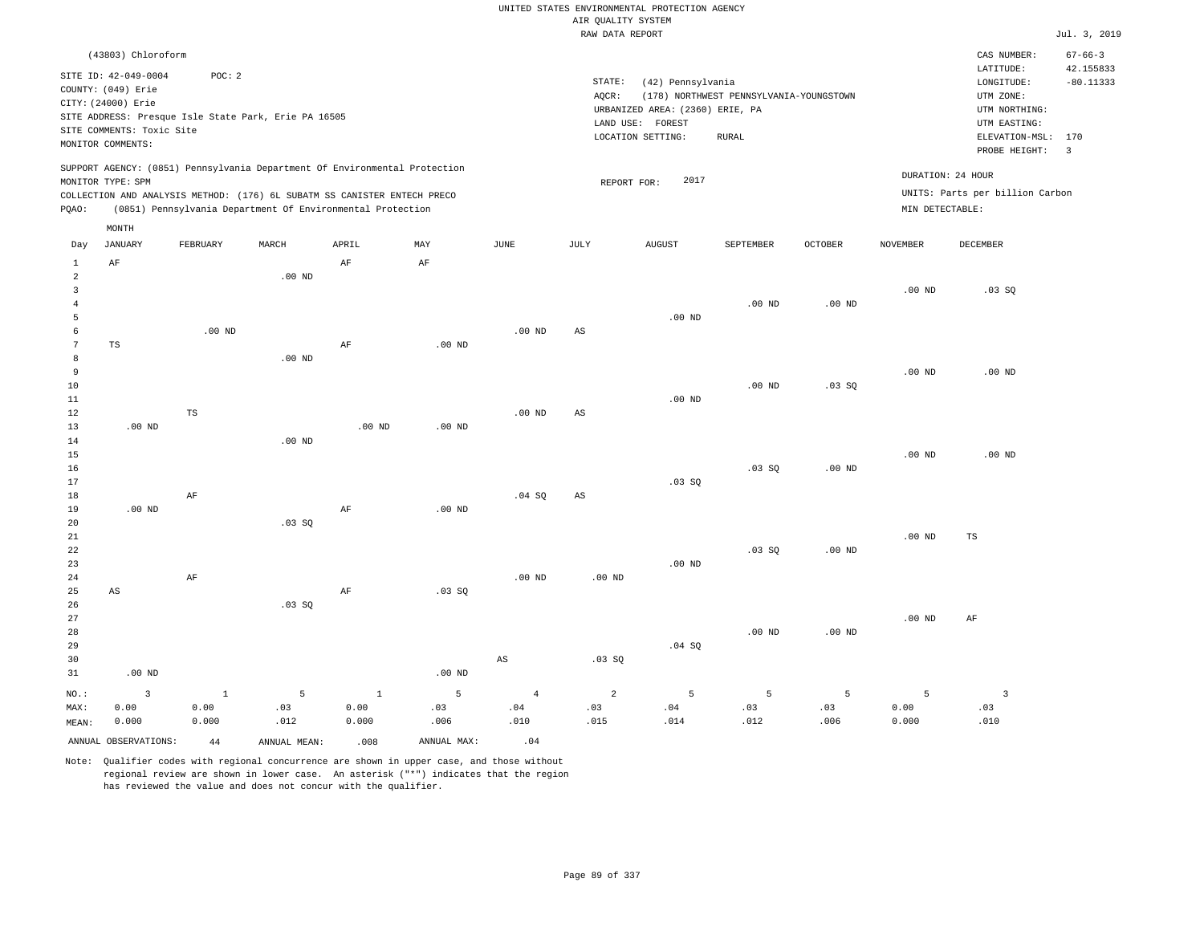| SUPPORT AGENCY: (0851) Pennsylvania Department Of Environmental Protection<br>DURATION: 24 HOUR<br>2017<br>MONITOR TYPE: SPM<br>REPORT FOR:<br>UNITS: Parts per billion Carbon<br>COLLECTION AND ANALYSIS METHOD: (176) 6L SUBATM SS CANISTER ENTECH PRECO<br>(0851) Pennsylvania Department Of Environmental Protection<br>MIN DETECTABLE:<br>PQAO:<br>MONTH<br><b>JANUARY</b><br>FEBRUARY<br>MARCH<br>APRIL<br>MAY<br><b>JUNE</b><br>JULY<br><b>AUGUST</b><br>SEPTEMBER<br><b>OCTOBER</b><br><b>NOVEMBER</b><br><b>DECEMBER</b><br>Day<br>$\mathbf{1}$<br>AF<br>AF<br>AF<br>$\overline{a}$<br>$.00$ ND<br>3<br>.00 <sub>ND</sub><br>.03SQ<br>$.00$ ND<br>$\bf 4$<br>$.00$ ND<br>5<br>$.00$ ND<br>6<br>$.00$ ND<br>.00 <sub>ND</sub><br>$_{\rm AS}$<br>$7\phantom{.}$<br>$_{\rm TS}$<br>$\rm AF$<br>$.00$ ND<br>8<br>$.00$ ND<br>9<br>.00 <sub>ND</sub><br>$.00$ ND<br>10<br>$.00$ ND<br>.03 SQ<br>11<br>$.00$ ND<br>12<br>TS<br>$.00$ ND<br>$\mathbb{A}\mathbb{S}$<br>13<br>$.00$ ND<br>$.00$ ND<br>$.00$ ND<br>14<br>$.00$ ND<br>15<br>$.00$ ND<br>.00 <sub>ND</sub><br>16<br>.03S<br>.00 <sub>ND</sub><br>17<br>.03SQ<br>18<br>AF<br>.04 SQ<br>$\mathbb{A}\mathbb{S}$<br>19<br>$.00$ ND<br>$\rm AF$<br>$.00$ ND<br>20<br>.03 SQ<br>21<br>.00 <sub>ND</sub><br>$_{\rm TS}$<br>22<br>.03SQ<br>.00 <sub>ND</sub><br>23<br>$.00$ ND<br>24<br>$\rm{AF}$<br>$.00$ ND<br>$.00$ ND<br>25<br>.03 SQ<br>$\mathbb{A}\mathbb{S}$<br>AF<br>26<br>.03SQ<br>27<br>$.00$ ND<br>AF<br>28<br>$.00$ ND<br>$.00$ ND<br>29<br>.04 SQ<br>30<br>.03SQ<br>AS<br>31<br>$.00$ ND<br>$.00$ ND<br>5<br>$\overline{a}$<br>5<br>5<br>5<br>$\overline{3}$<br>$\mathbf{1}$<br>$\mathbf{1}$<br>5<br>5<br>$\overline{3}$<br>NO.:<br>$\overline{4}$<br>0.00<br>0.00<br>.03<br>0.00<br>.03<br>.04<br>.03<br>$.04$<br>.03<br>.03<br>.03<br>0.00<br>MAX:<br>.010<br>0.000<br>0.000<br>.012<br>0.000<br>.006<br>.015<br>.014<br>.012<br>.006<br>0.000<br>.010<br>MEAN:<br>ANNUAL OBSERVATIONS:<br>.04<br>ANNUAL MAX:<br>.008<br>44<br>ANNUAL MEAN: | (43803) Chloroform<br>SITE ID: 42-049-0004<br>COUNTY: (049) Erie<br>CITY: (24000) Erie<br>SITE ADDRESS: Presque Isle State Park, Erie PA 16505<br>SITE COMMENTS: Toxic Site<br>MONITOR COMMENTS: | POC: 2 |  |  | STATE:<br>AOCR: | (42) Pennsylvania<br>URBANIZED AREA: (2360) ERIE, PA<br>LAND USE: FOREST<br>LOCATION SETTING: | (178) NORTHWEST PENNSYLVANIA-YOUNGSTOWN<br>RURAL |  | CAS NUMBER:<br>LATITUDE:<br>LONGITUDE:<br>UTM ZONE:<br>UTM NORTHING:<br>UTM EASTING:<br>ELEVATION-MSL: 170<br>PROBE HEIGHT: | $67 - 66 - 3$<br>42.155833<br>$-80.11333$<br>$\overline{3}$ |
|-----------------------------------------------------------------------------------------------------------------------------------------------------------------------------------------------------------------------------------------------------------------------------------------------------------------------------------------------------------------------------------------------------------------------------------------------------------------------------------------------------------------------------------------------------------------------------------------------------------------------------------------------------------------------------------------------------------------------------------------------------------------------------------------------------------------------------------------------------------------------------------------------------------------------------------------------------------------------------------------------------------------------------------------------------------------------------------------------------------------------------------------------------------------------------------------------------------------------------------------------------------------------------------------------------------------------------------------------------------------------------------------------------------------------------------------------------------------------------------------------------------------------------------------------------------------------------------------------------------------------------------------------------------------------------------------------------------------------------------------------------------------------------------------------------------------------------------------------------------------------------------------------------------------------------------------------------------------------------------------------------------------|--------------------------------------------------------------------------------------------------------------------------------------------------------------------------------------------------|--------|--|--|-----------------|-----------------------------------------------------------------------------------------------|--------------------------------------------------|--|-----------------------------------------------------------------------------------------------------------------------------|-------------------------------------------------------------|
|                                                                                                                                                                                                                                                                                                                                                                                                                                                                                                                                                                                                                                                                                                                                                                                                                                                                                                                                                                                                                                                                                                                                                                                                                                                                                                                                                                                                                                                                                                                                                                                                                                                                                                                                                                                                                                                                                                                                                                                                                 |                                                                                                                                                                                                  |        |  |  |                 |                                                                                               |                                                  |  |                                                                                                                             |                                                             |
|                                                                                                                                                                                                                                                                                                                                                                                                                                                                                                                                                                                                                                                                                                                                                                                                                                                                                                                                                                                                                                                                                                                                                                                                                                                                                                                                                                                                                                                                                                                                                                                                                                                                                                                                                                                                                                                                                                                                                                                                                 |                                                                                                                                                                                                  |        |  |  |                 |                                                                                               |                                                  |  |                                                                                                                             |                                                             |
|                                                                                                                                                                                                                                                                                                                                                                                                                                                                                                                                                                                                                                                                                                                                                                                                                                                                                                                                                                                                                                                                                                                                                                                                                                                                                                                                                                                                                                                                                                                                                                                                                                                                                                                                                                                                                                                                                                                                                                                                                 |                                                                                                                                                                                                  |        |  |  |                 |                                                                                               |                                                  |  |                                                                                                                             |                                                             |
|                                                                                                                                                                                                                                                                                                                                                                                                                                                                                                                                                                                                                                                                                                                                                                                                                                                                                                                                                                                                                                                                                                                                                                                                                                                                                                                                                                                                                                                                                                                                                                                                                                                                                                                                                                                                                                                                                                                                                                                                                 |                                                                                                                                                                                                  |        |  |  |                 |                                                                                               |                                                  |  |                                                                                                                             |                                                             |
|                                                                                                                                                                                                                                                                                                                                                                                                                                                                                                                                                                                                                                                                                                                                                                                                                                                                                                                                                                                                                                                                                                                                                                                                                                                                                                                                                                                                                                                                                                                                                                                                                                                                                                                                                                                                                                                                                                                                                                                                                 |                                                                                                                                                                                                  |        |  |  |                 |                                                                                               |                                                  |  |                                                                                                                             |                                                             |
|                                                                                                                                                                                                                                                                                                                                                                                                                                                                                                                                                                                                                                                                                                                                                                                                                                                                                                                                                                                                                                                                                                                                                                                                                                                                                                                                                                                                                                                                                                                                                                                                                                                                                                                                                                                                                                                                                                                                                                                                                 |                                                                                                                                                                                                  |        |  |  |                 |                                                                                               |                                                  |  |                                                                                                                             |                                                             |
|                                                                                                                                                                                                                                                                                                                                                                                                                                                                                                                                                                                                                                                                                                                                                                                                                                                                                                                                                                                                                                                                                                                                                                                                                                                                                                                                                                                                                                                                                                                                                                                                                                                                                                                                                                                                                                                                                                                                                                                                                 |                                                                                                                                                                                                  |        |  |  |                 |                                                                                               |                                                  |  |                                                                                                                             |                                                             |
|                                                                                                                                                                                                                                                                                                                                                                                                                                                                                                                                                                                                                                                                                                                                                                                                                                                                                                                                                                                                                                                                                                                                                                                                                                                                                                                                                                                                                                                                                                                                                                                                                                                                                                                                                                                                                                                                                                                                                                                                                 |                                                                                                                                                                                                  |        |  |  |                 |                                                                                               |                                                  |  |                                                                                                                             |                                                             |
|                                                                                                                                                                                                                                                                                                                                                                                                                                                                                                                                                                                                                                                                                                                                                                                                                                                                                                                                                                                                                                                                                                                                                                                                                                                                                                                                                                                                                                                                                                                                                                                                                                                                                                                                                                                                                                                                                                                                                                                                                 |                                                                                                                                                                                                  |        |  |  |                 |                                                                                               |                                                  |  |                                                                                                                             |                                                             |
|                                                                                                                                                                                                                                                                                                                                                                                                                                                                                                                                                                                                                                                                                                                                                                                                                                                                                                                                                                                                                                                                                                                                                                                                                                                                                                                                                                                                                                                                                                                                                                                                                                                                                                                                                                                                                                                                                                                                                                                                                 |                                                                                                                                                                                                  |        |  |  |                 |                                                                                               |                                                  |  |                                                                                                                             |                                                             |
|                                                                                                                                                                                                                                                                                                                                                                                                                                                                                                                                                                                                                                                                                                                                                                                                                                                                                                                                                                                                                                                                                                                                                                                                                                                                                                                                                                                                                                                                                                                                                                                                                                                                                                                                                                                                                                                                                                                                                                                                                 |                                                                                                                                                                                                  |        |  |  |                 |                                                                                               |                                                  |  |                                                                                                                             |                                                             |
|                                                                                                                                                                                                                                                                                                                                                                                                                                                                                                                                                                                                                                                                                                                                                                                                                                                                                                                                                                                                                                                                                                                                                                                                                                                                                                                                                                                                                                                                                                                                                                                                                                                                                                                                                                                                                                                                                                                                                                                                                 |                                                                                                                                                                                                  |        |  |  |                 |                                                                                               |                                                  |  |                                                                                                                             |                                                             |
|                                                                                                                                                                                                                                                                                                                                                                                                                                                                                                                                                                                                                                                                                                                                                                                                                                                                                                                                                                                                                                                                                                                                                                                                                                                                                                                                                                                                                                                                                                                                                                                                                                                                                                                                                                                                                                                                                                                                                                                                                 |                                                                                                                                                                                                  |        |  |  |                 |                                                                                               |                                                  |  |                                                                                                                             |                                                             |
|                                                                                                                                                                                                                                                                                                                                                                                                                                                                                                                                                                                                                                                                                                                                                                                                                                                                                                                                                                                                                                                                                                                                                                                                                                                                                                                                                                                                                                                                                                                                                                                                                                                                                                                                                                                                                                                                                                                                                                                                                 |                                                                                                                                                                                                  |        |  |  |                 |                                                                                               |                                                  |  |                                                                                                                             |                                                             |
|                                                                                                                                                                                                                                                                                                                                                                                                                                                                                                                                                                                                                                                                                                                                                                                                                                                                                                                                                                                                                                                                                                                                                                                                                                                                                                                                                                                                                                                                                                                                                                                                                                                                                                                                                                                                                                                                                                                                                                                                                 |                                                                                                                                                                                                  |        |  |  |                 |                                                                                               |                                                  |  |                                                                                                                             |                                                             |
|                                                                                                                                                                                                                                                                                                                                                                                                                                                                                                                                                                                                                                                                                                                                                                                                                                                                                                                                                                                                                                                                                                                                                                                                                                                                                                                                                                                                                                                                                                                                                                                                                                                                                                                                                                                                                                                                                                                                                                                                                 |                                                                                                                                                                                                  |        |  |  |                 |                                                                                               |                                                  |  |                                                                                                                             |                                                             |
|                                                                                                                                                                                                                                                                                                                                                                                                                                                                                                                                                                                                                                                                                                                                                                                                                                                                                                                                                                                                                                                                                                                                                                                                                                                                                                                                                                                                                                                                                                                                                                                                                                                                                                                                                                                                                                                                                                                                                                                                                 |                                                                                                                                                                                                  |        |  |  |                 |                                                                                               |                                                  |  |                                                                                                                             |                                                             |
|                                                                                                                                                                                                                                                                                                                                                                                                                                                                                                                                                                                                                                                                                                                                                                                                                                                                                                                                                                                                                                                                                                                                                                                                                                                                                                                                                                                                                                                                                                                                                                                                                                                                                                                                                                                                                                                                                                                                                                                                                 |                                                                                                                                                                                                  |        |  |  |                 |                                                                                               |                                                  |  |                                                                                                                             |                                                             |
|                                                                                                                                                                                                                                                                                                                                                                                                                                                                                                                                                                                                                                                                                                                                                                                                                                                                                                                                                                                                                                                                                                                                                                                                                                                                                                                                                                                                                                                                                                                                                                                                                                                                                                                                                                                                                                                                                                                                                                                                                 |                                                                                                                                                                                                  |        |  |  |                 |                                                                                               |                                                  |  |                                                                                                                             |                                                             |
|                                                                                                                                                                                                                                                                                                                                                                                                                                                                                                                                                                                                                                                                                                                                                                                                                                                                                                                                                                                                                                                                                                                                                                                                                                                                                                                                                                                                                                                                                                                                                                                                                                                                                                                                                                                                                                                                                                                                                                                                                 |                                                                                                                                                                                                  |        |  |  |                 |                                                                                               |                                                  |  |                                                                                                                             |                                                             |
|                                                                                                                                                                                                                                                                                                                                                                                                                                                                                                                                                                                                                                                                                                                                                                                                                                                                                                                                                                                                                                                                                                                                                                                                                                                                                                                                                                                                                                                                                                                                                                                                                                                                                                                                                                                                                                                                                                                                                                                                                 |                                                                                                                                                                                                  |        |  |  |                 |                                                                                               |                                                  |  |                                                                                                                             |                                                             |
|                                                                                                                                                                                                                                                                                                                                                                                                                                                                                                                                                                                                                                                                                                                                                                                                                                                                                                                                                                                                                                                                                                                                                                                                                                                                                                                                                                                                                                                                                                                                                                                                                                                                                                                                                                                                                                                                                                                                                                                                                 |                                                                                                                                                                                                  |        |  |  |                 |                                                                                               |                                                  |  |                                                                                                                             |                                                             |
|                                                                                                                                                                                                                                                                                                                                                                                                                                                                                                                                                                                                                                                                                                                                                                                                                                                                                                                                                                                                                                                                                                                                                                                                                                                                                                                                                                                                                                                                                                                                                                                                                                                                                                                                                                                                                                                                                                                                                                                                                 |                                                                                                                                                                                                  |        |  |  |                 |                                                                                               |                                                  |  |                                                                                                                             |                                                             |
|                                                                                                                                                                                                                                                                                                                                                                                                                                                                                                                                                                                                                                                                                                                                                                                                                                                                                                                                                                                                                                                                                                                                                                                                                                                                                                                                                                                                                                                                                                                                                                                                                                                                                                                                                                                                                                                                                                                                                                                                                 |                                                                                                                                                                                                  |        |  |  |                 |                                                                                               |                                                  |  |                                                                                                                             |                                                             |
|                                                                                                                                                                                                                                                                                                                                                                                                                                                                                                                                                                                                                                                                                                                                                                                                                                                                                                                                                                                                                                                                                                                                                                                                                                                                                                                                                                                                                                                                                                                                                                                                                                                                                                                                                                                                                                                                                                                                                                                                                 |                                                                                                                                                                                                  |        |  |  |                 |                                                                                               |                                                  |  |                                                                                                                             |                                                             |
|                                                                                                                                                                                                                                                                                                                                                                                                                                                                                                                                                                                                                                                                                                                                                                                                                                                                                                                                                                                                                                                                                                                                                                                                                                                                                                                                                                                                                                                                                                                                                                                                                                                                                                                                                                                                                                                                                                                                                                                                                 |                                                                                                                                                                                                  |        |  |  |                 |                                                                                               |                                                  |  |                                                                                                                             |                                                             |
|                                                                                                                                                                                                                                                                                                                                                                                                                                                                                                                                                                                                                                                                                                                                                                                                                                                                                                                                                                                                                                                                                                                                                                                                                                                                                                                                                                                                                                                                                                                                                                                                                                                                                                                                                                                                                                                                                                                                                                                                                 |                                                                                                                                                                                                  |        |  |  |                 |                                                                                               |                                                  |  |                                                                                                                             |                                                             |
|                                                                                                                                                                                                                                                                                                                                                                                                                                                                                                                                                                                                                                                                                                                                                                                                                                                                                                                                                                                                                                                                                                                                                                                                                                                                                                                                                                                                                                                                                                                                                                                                                                                                                                                                                                                                                                                                                                                                                                                                                 |                                                                                                                                                                                                  |        |  |  |                 |                                                                                               |                                                  |  |                                                                                                                             |                                                             |
|                                                                                                                                                                                                                                                                                                                                                                                                                                                                                                                                                                                                                                                                                                                                                                                                                                                                                                                                                                                                                                                                                                                                                                                                                                                                                                                                                                                                                                                                                                                                                                                                                                                                                                                                                                                                                                                                                                                                                                                                                 |                                                                                                                                                                                                  |        |  |  |                 |                                                                                               |                                                  |  |                                                                                                                             |                                                             |
|                                                                                                                                                                                                                                                                                                                                                                                                                                                                                                                                                                                                                                                                                                                                                                                                                                                                                                                                                                                                                                                                                                                                                                                                                                                                                                                                                                                                                                                                                                                                                                                                                                                                                                                                                                                                                                                                                                                                                                                                                 |                                                                                                                                                                                                  |        |  |  |                 |                                                                                               |                                                  |  |                                                                                                                             |                                                             |
|                                                                                                                                                                                                                                                                                                                                                                                                                                                                                                                                                                                                                                                                                                                                                                                                                                                                                                                                                                                                                                                                                                                                                                                                                                                                                                                                                                                                                                                                                                                                                                                                                                                                                                                                                                                                                                                                                                                                                                                                                 |                                                                                                                                                                                                  |        |  |  |                 |                                                                                               |                                                  |  |                                                                                                                             |                                                             |
|                                                                                                                                                                                                                                                                                                                                                                                                                                                                                                                                                                                                                                                                                                                                                                                                                                                                                                                                                                                                                                                                                                                                                                                                                                                                                                                                                                                                                                                                                                                                                                                                                                                                                                                                                                                                                                                                                                                                                                                                                 |                                                                                                                                                                                                  |        |  |  |                 |                                                                                               |                                                  |  |                                                                                                                             |                                                             |
|                                                                                                                                                                                                                                                                                                                                                                                                                                                                                                                                                                                                                                                                                                                                                                                                                                                                                                                                                                                                                                                                                                                                                                                                                                                                                                                                                                                                                                                                                                                                                                                                                                                                                                                                                                                                                                                                                                                                                                                                                 |                                                                                                                                                                                                  |        |  |  |                 |                                                                                               |                                                  |  |                                                                                                                             |                                                             |
|                                                                                                                                                                                                                                                                                                                                                                                                                                                                                                                                                                                                                                                                                                                                                                                                                                                                                                                                                                                                                                                                                                                                                                                                                                                                                                                                                                                                                                                                                                                                                                                                                                                                                                                                                                                                                                                                                                                                                                                                                 |                                                                                                                                                                                                  |        |  |  |                 |                                                                                               |                                                  |  |                                                                                                                             |                                                             |
|                                                                                                                                                                                                                                                                                                                                                                                                                                                                                                                                                                                                                                                                                                                                                                                                                                                                                                                                                                                                                                                                                                                                                                                                                                                                                                                                                                                                                                                                                                                                                                                                                                                                                                                                                                                                                                                                                                                                                                                                                 |                                                                                                                                                                                                  |        |  |  |                 |                                                                                               |                                                  |  |                                                                                                                             |                                                             |
|                                                                                                                                                                                                                                                                                                                                                                                                                                                                                                                                                                                                                                                                                                                                                                                                                                                                                                                                                                                                                                                                                                                                                                                                                                                                                                                                                                                                                                                                                                                                                                                                                                                                                                                                                                                                                                                                                                                                                                                                                 |                                                                                                                                                                                                  |        |  |  |                 |                                                                                               |                                                  |  |                                                                                                                             |                                                             |
|                                                                                                                                                                                                                                                                                                                                                                                                                                                                                                                                                                                                                                                                                                                                                                                                                                                                                                                                                                                                                                                                                                                                                                                                                                                                                                                                                                                                                                                                                                                                                                                                                                                                                                                                                                                                                                                                                                                                                                                                                 |                                                                                                                                                                                                  |        |  |  |                 |                                                                                               |                                                  |  |                                                                                                                             |                                                             |
|                                                                                                                                                                                                                                                                                                                                                                                                                                                                                                                                                                                                                                                                                                                                                                                                                                                                                                                                                                                                                                                                                                                                                                                                                                                                                                                                                                                                                                                                                                                                                                                                                                                                                                                                                                                                                                                                                                                                                                                                                 |                                                                                                                                                                                                  |        |  |  |                 |                                                                                               |                                                  |  |                                                                                                                             |                                                             |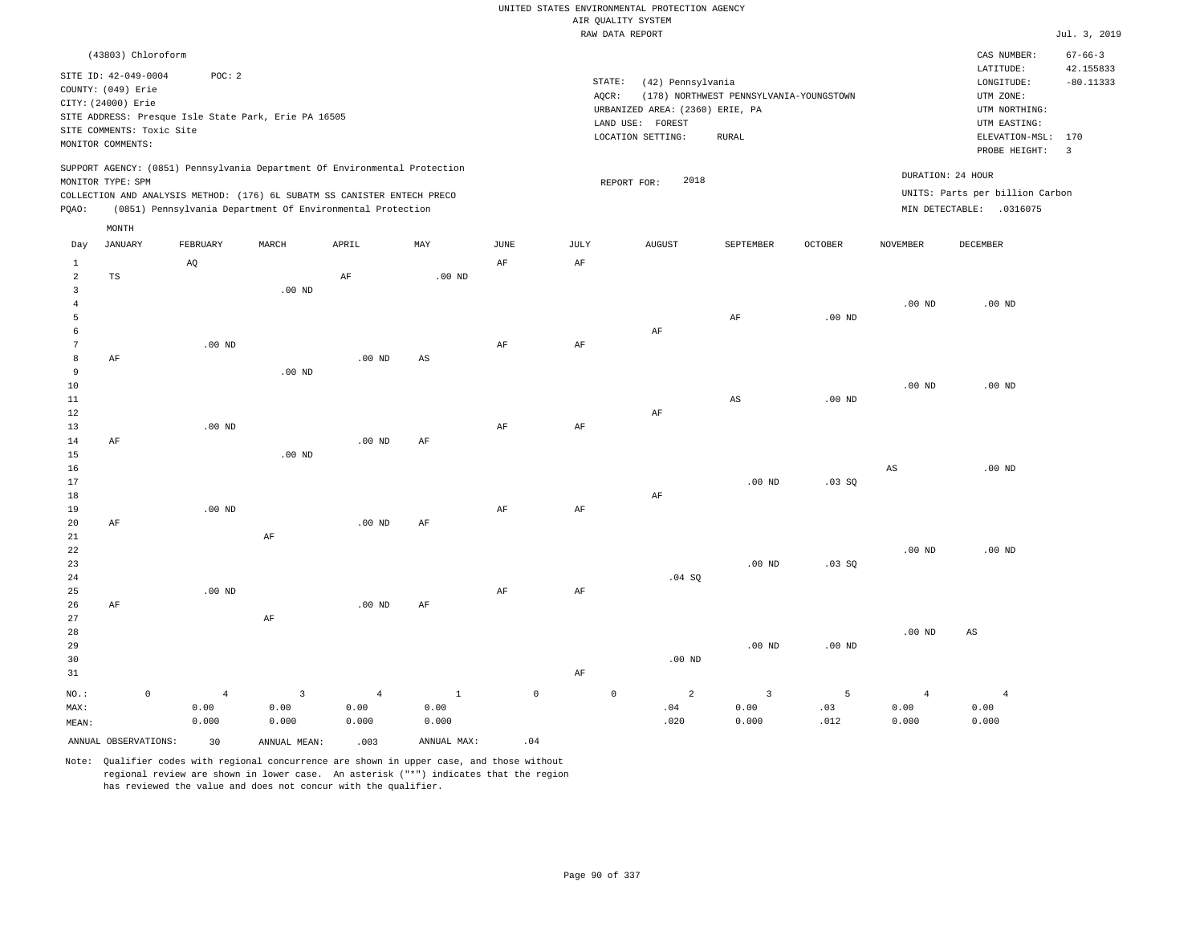|                                                                 |                                                                                                                                          |             |                                 |                                                      |                                                                                                                                                                                                                      |                               |                     |                     |                     | UNITED STATES ENVIRONMENTAL PROTECTION AGENCY                                                 |                                                          |                   |                                 |                                                                                                                         |                                                                    |
|-----------------------------------------------------------------|------------------------------------------------------------------------------------------------------------------------------------------|-------------|---------------------------------|------------------------------------------------------|----------------------------------------------------------------------------------------------------------------------------------------------------------------------------------------------------------------------|-------------------------------|---------------------|---------------------|---------------------|-----------------------------------------------------------------------------------------------|----------------------------------------------------------|-------------------|---------------------------------|-------------------------------------------------------------------------------------------------------------------------|--------------------------------------------------------------------|
|                                                                 |                                                                                                                                          |             |                                 |                                                      |                                                                                                                                                                                                                      |                               |                     |                     | AIR QUALITY SYSTEM  |                                                                                               |                                                          |                   |                                 |                                                                                                                         |                                                                    |
|                                                                 |                                                                                                                                          |             |                                 |                                                      |                                                                                                                                                                                                                      |                               |                     |                     | RAW DATA REPORT     |                                                                                               |                                                          |                   |                                 |                                                                                                                         | Jul. 3, 2019                                                       |
|                                                                 | (43803) Chloroform<br>SITE ID: 42-049-0004<br>COUNTY: (049) Erie<br>CITY: (24000) Erie<br>SITE COMMENTS: Toxic Site<br>MONITOR COMMENTS: |             | POC: 2                          | SITE ADDRESS: Presque Isle State Park, Erie PA 16505 |                                                                                                                                                                                                                      |                               |                     |                     | STATE:<br>AQCR:     | (42) Pennsylvania<br>URBANIZED AREA: (2360) ERIE, PA<br>LAND USE: FOREST<br>LOCATION SETTING: | (178) NORTHWEST PENNSYLVANIA-YOUNGSTOWN<br>${\tt RURAL}$ |                   |                                 | CAS NUMBER:<br>LATITUDE:<br>LONGITUDE:<br>UTM ZONE:<br>UTM NORTHING:<br>UTM EASTING:<br>ELEVATION-MSL:<br>PROBE HEIGHT: | $67 - 66 - 3$<br>42.155833<br>$-80.11333$<br>170<br>$\overline{3}$ |
| PQAO:                                                           | MONITOR TYPE: SPM                                                                                                                        |             |                                 |                                                      | SUPPORT AGENCY: (0851) Pennsylvania Department Of Environmental Protection<br>COLLECTION AND ANALYSIS METHOD: (176) 6L SUBATM SS CANISTER ENTECH PRECO<br>(0851) Pennsylvania Department Of Environmental Protection |                               |                     |                     |                     | 2018<br>REPORT FOR:                                                                           |                                                          |                   |                                 | DURATION: 24 HOUR<br>UNITS: Parts per billion Carbon<br>MIN DETECTABLE: .0316075                                        |                                                                    |
|                                                                 |                                                                                                                                          |             |                                 |                                                      |                                                                                                                                                                                                                      |                               |                     |                     |                     |                                                                                               |                                                          |                   |                                 |                                                                                                                         |                                                                    |
| Day<br>$1\,$                                                    | MONTH<br><b>JANUARY</b>                                                                                                                  |             | FEBRUARY<br>AQ                  | MARCH                                                | APRIL                                                                                                                                                                                                                | MAY                           | $_{\rm JUNE}$<br>AF |                     | <b>JULY</b><br>AF   | <b>AUGUST</b>                                                                                 | SEPTEMBER                                                | <b>OCTOBER</b>    | <b>NOVEMBER</b>                 | DECEMBER                                                                                                                |                                                                    |
| $\overline{2}$<br>$\mathbf{3}$<br>$\overline{4}$<br>5<br>6<br>7 | <b>TS</b>                                                                                                                                |             | .00 <sub>ND</sub>               | $.00$ ND                                             | AF                                                                                                                                                                                                                   | $.00$ ND                      | $\rm{AF}$           |                     | $\rm AF$            | AF                                                                                            | $\rm AF$                                                 | .00 <sub>ND</sub> | .00 <sub>ND</sub>               | $.00$ ND                                                                                                                |                                                                    |
| 8<br>$\overline{9}$<br>$10$<br>$11\,$<br>$12$<br>13             | AF                                                                                                                                       |             | $.00$ ND                        | $.00$ ND                                             | $.00$ ND                                                                                                                                                                                                             | AS                            | AF                  |                     | AF                  | AF                                                                                            | $\mathbb{A}\mathbb{S}$                                   | $.00$ ND          | .00 <sub>ND</sub>               | $.00$ ND                                                                                                                |                                                                    |
| 14<br>15<br>16<br>17<br>18<br>19                                | AF                                                                                                                                       |             | $.00$ ND                        | $.00$ ND                                             | $.00$ ND                                                                                                                                                                                                             | AF                            | AF                  |                     | AF                  | AF                                                                                            | $.00$ ND                                                 | .03SQ             | $\mathbb{A}\mathbb{S}$          | $.00$ ND                                                                                                                |                                                                    |
| 20<br>21<br>22<br>23<br>24<br>25                                | AF                                                                                                                                       |             | .00 <sub>ND</sub>               | AF                                                   | $.00$ ND                                                                                                                                                                                                             | AF                            | AF                  |                     | AF                  | .04 SQ                                                                                        | $.00$ ND                                                 | .03 SQ            | $.00$ ND                        | $.00$ ND                                                                                                                |                                                                    |
| 26<br>27<br>28<br>29<br>30<br>31                                | AF                                                                                                                                       |             |                                 | AF                                                   | $.00$ ND                                                                                                                                                                                                             | AF                            |                     |                     | AF                  | $.00$ ND                                                                                      | $.00$ ND                                                 | $.00$ ND          | .00 <sub>ND</sub>               | $\mathbb{A}\mathbb{S}$                                                                                                  |                                                                    |
| NO.:<br>MAX:<br>MEAN:                                           |                                                                                                                                          | $\mathbb O$ | $\overline{4}$<br>0.00<br>0.000 | 3<br>0.00<br>0.000                                   | $\overline{4}$<br>0.00<br>0.000                                                                                                                                                                                      | $\mathbf{1}$<br>0.00<br>0.000 |                     | $\mathsf{O}\xspace$ | $\mathsf{O}\xspace$ | $\overline{a}$<br>.04<br>.020                                                                 | $\overline{\mathbf{3}}$<br>0.00<br>0.000                 | 5<br>.03<br>.012  | $\overline{4}$<br>0.00<br>0.000 | $\overline{4}$<br>0.00<br>0.000                                                                                         |                                                                    |
|                                                                 | ANNUAL OBSERVATIONS:                                                                                                                     |             | 30                              | ANNUAL MEAN:                                         | .003                                                                                                                                                                                                                 | ANNUAL MAX:                   |                     | .04                 |                     |                                                                                               |                                                          |                   |                                 |                                                                                                                         |                                                                    |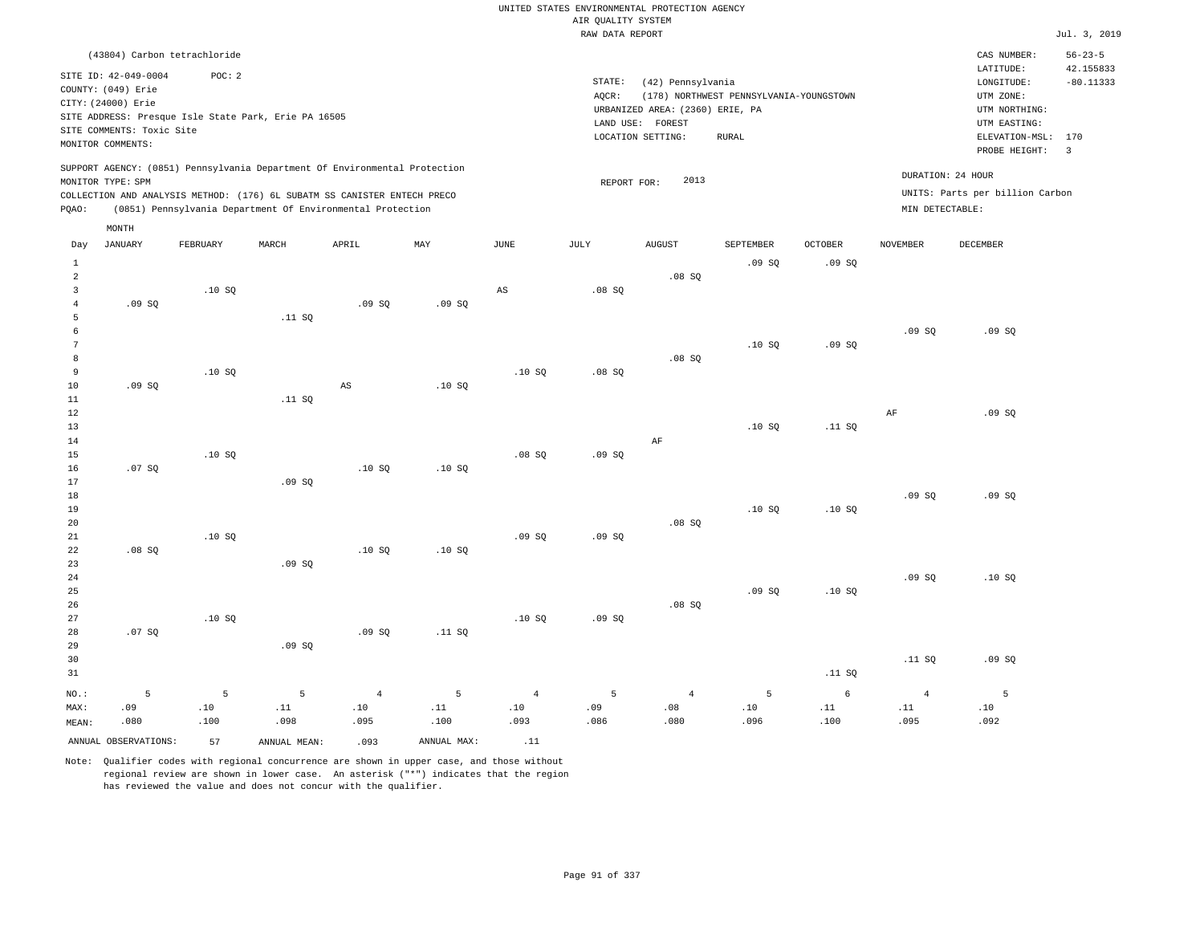|                 |                           |                                                                            |              |                        |             |                        | RAW DATA REPORT |                                 |                                         |                |                 |                                 | Jul. 3, 2019   |
|-----------------|---------------------------|----------------------------------------------------------------------------|--------------|------------------------|-------------|------------------------|-----------------|---------------------------------|-----------------------------------------|----------------|-----------------|---------------------------------|----------------|
|                 |                           | (43804) Carbon tetrachloride                                               |              |                        |             |                        |                 |                                 |                                         |                |                 | CAS NUMBER:                     | $56 - 23 - 5$  |
|                 |                           |                                                                            |              |                        |             |                        |                 |                                 |                                         |                |                 | LATITUDE:                       | 42.155833      |
|                 | SITE ID: 42-049-0004      | POC: 2                                                                     |              |                        |             |                        | STATE:          | (42) Pennsylvania               |                                         |                |                 | LONGITUDE:                      | $-80.11333$    |
|                 | COUNTY: (049) Erie        |                                                                            |              |                        |             |                        | AOCR:           |                                 | (178) NORTHWEST PENNSYLVANIA-YOUNGSTOWN |                |                 | UTM ZONE:                       |                |
|                 | CITY: (24000) Erie        |                                                                            |              |                        |             |                        |                 | URBANIZED AREA: (2360) ERIE, PA |                                         |                |                 | UTM NORTHING:                   |                |
|                 |                           | SITE ADDRESS: Presque Isle State Park, Erie PA 16505                       |              |                        |             |                        |                 | LAND USE: FOREST                |                                         |                |                 | UTM EASTING:                    |                |
|                 | SITE COMMENTS: Toxic Site |                                                                            |              |                        |             |                        |                 | LOCATION SETTING:               | <b>RURAL</b>                            |                |                 | ELEVATION-MSL: 170              |                |
|                 | MONITOR COMMENTS:         |                                                                            |              |                        |             |                        |                 |                                 |                                         |                |                 | PROBE HEIGHT:                   | $\overline{3}$ |
|                 |                           | SUPPORT AGENCY: (0851) Pennsylvania Department Of Environmental Protection |              |                        |             |                        |                 |                                 |                                         |                |                 |                                 |                |
|                 | MONITOR TYPE: SPM         |                                                                            |              |                        |             |                        | REPORT FOR:     | 2013                            |                                         |                |                 | DURATION: 24 HOUR               |                |
|                 |                           | COLLECTION AND ANALYSIS METHOD: (176) 6L SUBATM SS CANISTER ENTECH PRECO   |              |                        |             |                        |                 |                                 |                                         |                |                 | UNITS: Parts per billion Carbon |                |
| PQAO:           |                           | (0851) Pennsylvania Department Of Environmental Protection                 |              |                        |             |                        |                 |                                 |                                         |                |                 | MIN DETECTABLE:                 |                |
|                 | MONTH                     |                                                                            |              |                        |             |                        |                 |                                 |                                         |                |                 |                                 |                |
| Day             | <b>JANUARY</b>            | FEBRUARY                                                                   | MARCH        | APRIL                  | MAY         | <b>JUNE</b>            | <b>JULY</b>     | <b>AUGUST</b>                   | SEPTEMBER                               | <b>OCTOBER</b> | <b>NOVEMBER</b> | DECEMBER                        |                |
| $\mathbf{1}$    |                           |                                                                            |              |                        |             |                        |                 |                                 | .09S                                    | .09S           |                 |                                 |                |
| $\overline{2}$  |                           |                                                                            |              |                        |             |                        |                 | .08SQ                           |                                         |                |                 |                                 |                |
| $\overline{3}$  |                           | .10SQ                                                                      |              |                        |             | $\mathbb{A}\mathbb{S}$ | .08SQ           |                                 |                                         |                |                 |                                 |                |
| $\overline{4}$  | .09S                      |                                                                            |              | .09S                   | .09S        |                        |                 |                                 |                                         |                |                 |                                 |                |
| 5               |                           |                                                                            | .11 SQ       |                        |             |                        |                 |                                 |                                         |                |                 |                                 |                |
| 6               |                           |                                                                            |              |                        |             |                        |                 |                                 |                                         |                | .09SQ           | .09S                            |                |
| $7\phantom{.0}$ |                           |                                                                            |              |                        |             |                        |                 |                                 | .10S                                    | .09S           |                 |                                 |                |
| 8               |                           |                                                                            |              |                        |             |                        |                 | .08SQ                           |                                         |                |                 |                                 |                |
| 9               |                           | .10S                                                                       |              |                        |             | .10S                   | $.08$ SO        |                                 |                                         |                |                 |                                 |                |
| 10              | .09SQ                     |                                                                            |              | $\mathbb{A}\mathbb{S}$ | .10S        |                        |                 |                                 |                                         |                |                 |                                 |                |
| 11              |                           |                                                                            | .11 SQ       |                        |             |                        |                 |                                 |                                         |                |                 |                                 |                |
| 12              |                           |                                                                            |              |                        |             |                        |                 |                                 |                                         |                | AF              | .09S                            |                |
| 13              |                           |                                                                            |              |                        |             |                        |                 |                                 | .10S                                    | .11 SQ         |                 |                                 |                |
| $14\,$          |                           |                                                                            |              |                        |             |                        |                 | $\rm AF$                        |                                         |                |                 |                                 |                |
| 15              |                           | .10S                                                                       |              |                        |             | .08SQ                  | .09SQ           |                                 |                                         |                |                 |                                 |                |
| 16              | .07SQ                     |                                                                            |              | .10S                   | .10S        |                        |                 |                                 |                                         |                |                 |                                 |                |
| 17              |                           |                                                                            | .09S         |                        |             |                        |                 |                                 |                                         |                |                 |                                 |                |
| 18<br>19        |                           |                                                                            |              |                        |             |                        |                 |                                 | .10S                                    | .10S           | .09SQ           | .09S                            |                |
| $20\,$          |                           |                                                                            |              |                        |             |                        |                 | .08SQ                           |                                         |                |                 |                                 |                |
| 21              |                           | .10S                                                                       |              |                        |             | .09S                   | .09S            |                                 |                                         |                |                 |                                 |                |
| 22              | .08SQ                     |                                                                            |              | .10S                   | .10SQ       |                        |                 |                                 |                                         |                |                 |                                 |                |
| 23              |                           |                                                                            | .09SQ        |                        |             |                        |                 |                                 |                                         |                |                 |                                 |                |
| 24              |                           |                                                                            |              |                        |             |                        |                 |                                 |                                         |                | .09S            | .10S                            |                |
| 25              |                           |                                                                            |              |                        |             |                        |                 |                                 | .09SQ                                   | .10S           |                 |                                 |                |
| 26              |                           |                                                                            |              |                        |             |                        |                 | .08SQ                           |                                         |                |                 |                                 |                |
| 27              |                           | .10S                                                                       |              |                        |             | .10S                   | .09S            |                                 |                                         |                |                 |                                 |                |
| 28              | .07SQ                     |                                                                            |              | .09SQ                  | .11 SQ      |                        |                 |                                 |                                         |                |                 |                                 |                |
| 29              |                           |                                                                            | .09SQ        |                        |             |                        |                 |                                 |                                         |                |                 |                                 |                |
| 30              |                           |                                                                            |              |                        |             |                        |                 |                                 |                                         |                | .11 S0          | .09S                            |                |
| 31              |                           |                                                                            |              |                        |             |                        |                 |                                 |                                         | .11 SQ         |                 |                                 |                |
| NO.:            | 5                         | 5                                                                          | 5            | $\overline{4}$         | 5           | $\overline{4}$         | 5               | $\overline{4}$                  | 5                                       | 6              | $\overline{4}$  | 5                               |                |
| MAX:            | .09                       | .10                                                                        | .11          | .10                    | .11         | .10                    | .09             | .08                             | .10                                     | .11            | .11             | .10                             |                |
| MEAN:           | .080                      | .100                                                                       | .098         | .095                   | .100        | .093                   | .086            | .080                            | .096                                    | .100           | .095            | .092                            |                |
|                 |                           |                                                                            |              |                        |             |                        |                 |                                 |                                         |                |                 |                                 |                |
|                 | ANNUAL OBSERVATIONS:      | 57                                                                         | ANNUAL MEAN: | .093                   | ANNUAL MAX: | .11                    |                 |                                 |                                         |                |                 |                                 |                |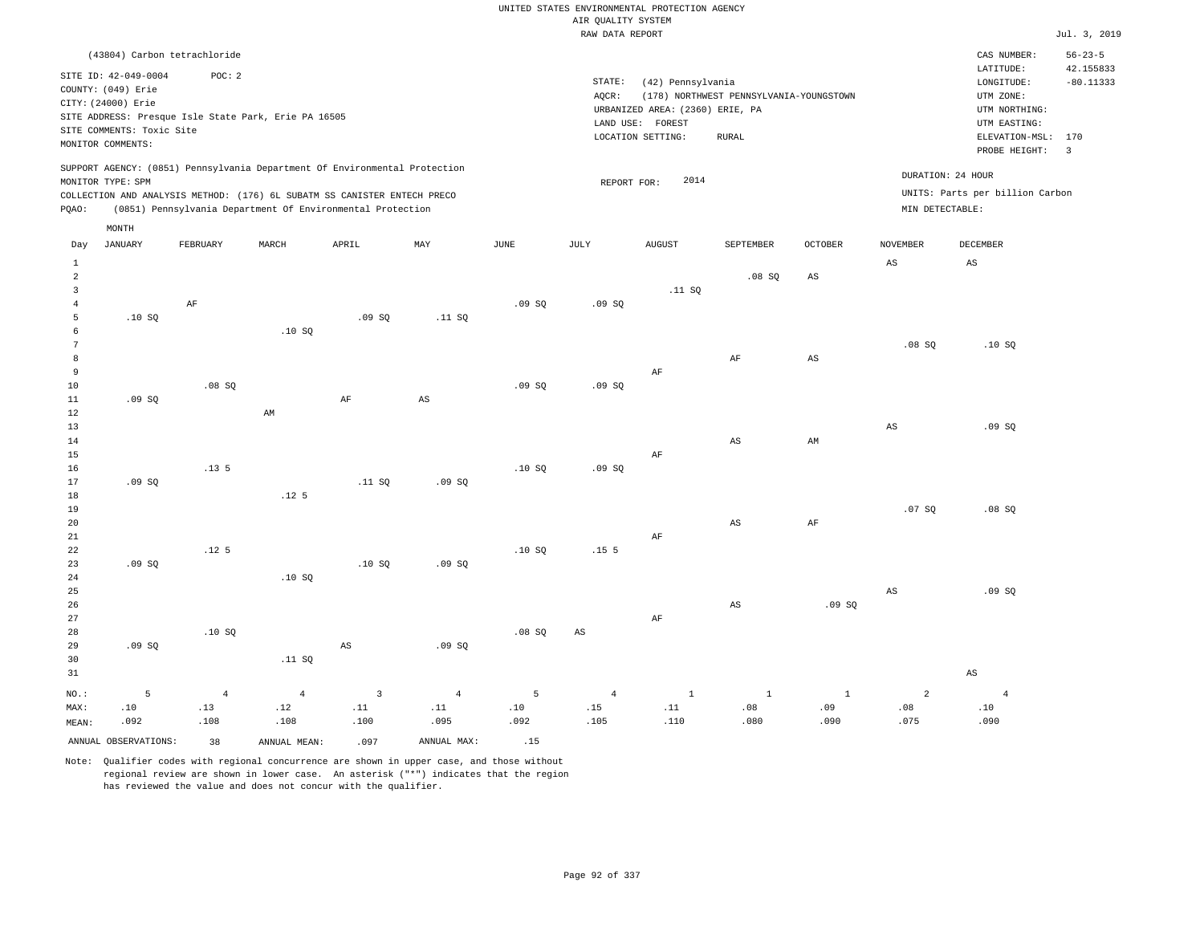|                |                              |                  |                                                                            |                         |                        |       | RAW DATA REPORT        |                                 |                                         |                        |                        |                                 | Jul. 3, 2019   |
|----------------|------------------------------|------------------|----------------------------------------------------------------------------|-------------------------|------------------------|-------|------------------------|---------------------------------|-----------------------------------------|------------------------|------------------------|---------------------------------|----------------|
|                | (43804) Carbon tetrachloride |                  |                                                                            |                         |                        |       |                        |                                 |                                         |                        |                        | CAS NUMBER:                     | $56 - 23 - 5$  |
|                |                              |                  |                                                                            |                         |                        |       |                        |                                 |                                         |                        |                        | LATITUDE:                       | 42.155833      |
|                | SITE ID: 42-049-0004         | POC: 2           |                                                                            |                         |                        |       | STATE:                 | (42) Pennsylvania               |                                         |                        |                        | LONGITUDE:                      | $-80.11333$    |
|                | COUNTY: (049) Erie           |                  |                                                                            |                         |                        |       | AOCR:                  |                                 | (178) NORTHWEST PENNSYLVANIA-YOUNGSTOWN |                        |                        | UTM ZONE:                       |                |
|                | CITY: (24000) Erie           |                  |                                                                            |                         |                        |       |                        | URBANIZED AREA: (2360) ERIE, PA |                                         |                        |                        | UTM NORTHING:                   |                |
|                |                              |                  | SITE ADDRESS: Presque Isle State Park, Erie PA 16505                       |                         |                        |       |                        | LAND USE: FOREST                |                                         |                        |                        | UTM EASTING:                    |                |
|                | SITE COMMENTS: Toxic Site    |                  |                                                                            |                         |                        |       |                        | LOCATION SETTING:               | <b>RURAL</b>                            |                        |                        | ELEVATION-MSL: 170              |                |
|                | MONITOR COMMENTS:            |                  |                                                                            |                         |                        |       |                        |                                 |                                         |                        |                        | PROBE HEIGHT:                   | $\overline{3}$ |
|                |                              |                  | SUPPORT AGENCY: (0851) Pennsylvania Department Of Environmental Protection |                         |                        |       |                        |                                 |                                         |                        |                        |                                 |                |
|                | MONITOR TYPE: SPM            |                  |                                                                            |                         |                        |       | REPORT FOR:            | 2014                            |                                         |                        |                        | DURATION: 24 HOUR               |                |
|                |                              |                  | COLLECTION AND ANALYSIS METHOD: (176) 6L SUBATM SS CANISTER ENTECH PRECO   |                         |                        |       |                        |                                 |                                         |                        |                        | UNITS: Parts per billion Carbon |                |
| PQAO:          |                              |                  | (0851) Pennsylvania Department Of Environmental Protection                 |                         |                        |       |                        |                                 |                                         |                        | MIN DETECTABLE:        |                                 |                |
|                | MONTH                        |                  |                                                                            |                         |                        |       |                        |                                 |                                         |                        |                        |                                 |                |
| Day            | <b>JANUARY</b>               | FEBRUARY         | MARCH                                                                      | APRIL                   | MAY                    | JUNE  | JULY                   | <b>AUGUST</b>                   | SEPTEMBER                               | <b>OCTOBER</b>         | <b>NOVEMBER</b>        | DECEMBER                        |                |
| $\mathbf{1}$   |                              |                  |                                                                            |                         |                        |       |                        |                                 |                                         |                        | $_{\rm AS}$            | AS                              |                |
| $\overline{a}$ |                              |                  |                                                                            |                         |                        |       |                        |                                 | .08 SQ                                  | $\mathbb{A}\mathbb{S}$ |                        |                                 |                |
| $\overline{3}$ |                              |                  |                                                                            |                         |                        |       |                        | .11 SQ                          |                                         |                        |                        |                                 |                |
| $\overline{4}$ |                              | AF               |                                                                            |                         |                        | .09SQ | .09SQ                  |                                 |                                         |                        |                        |                                 |                |
| 5              | .10S                         |                  |                                                                            | .09SQ                   | .11 SQ                 |       |                        |                                 |                                         |                        |                        |                                 |                |
| 6              |                              |                  | .10S                                                                       |                         |                        |       |                        |                                 |                                         |                        |                        |                                 |                |
| $\overline{7}$ |                              |                  |                                                                            |                         |                        |       |                        |                                 |                                         |                        | .08SQ                  | .10S                            |                |
| 8              |                              |                  |                                                                            |                         |                        |       |                        |                                 | $\rm AF$                                | $\mathbb{A}\mathbb{S}$ |                        |                                 |                |
| 9              |                              |                  |                                                                            |                         |                        |       |                        | AF                              |                                         |                        |                        |                                 |                |
| 10             |                              | .08SQ            |                                                                            |                         |                        | .09SQ | .09SQ                  |                                 |                                         |                        |                        |                                 |                |
| 11             | .09SQ                        |                  |                                                                            | $\rm AF$                | $\mathbb{A}\mathbb{S}$ |       |                        |                                 |                                         |                        |                        |                                 |                |
| 12             |                              |                  | AM                                                                         |                         |                        |       |                        |                                 |                                         |                        |                        |                                 |                |
| 13             |                              |                  |                                                                            |                         |                        |       |                        |                                 |                                         |                        | $\mathbb{A}\mathbb{S}$ | .09SQ                           |                |
| 14             |                              |                  |                                                                            |                         |                        |       |                        |                                 | $_{\rm AS}$                             | AM                     |                        |                                 |                |
| 15             |                              |                  |                                                                            |                         |                        |       |                        | AF                              |                                         |                        |                        |                                 |                |
| 16             |                              | .13.5            |                                                                            |                         |                        | .10S  | .09SQ                  |                                 |                                         |                        |                        |                                 |                |
| 17             | .09SQ                        |                  |                                                                            | .11 SQ                  | .09SQ                  |       |                        |                                 |                                         |                        |                        |                                 |                |
| $18\,$         |                              |                  | .12 <sub>5</sub>                                                           |                         |                        |       |                        |                                 |                                         |                        |                        |                                 |                |
| 19             |                              |                  |                                                                            |                         |                        |       |                        |                                 |                                         |                        | .07 SQ                 | .08SQ                           |                |
| 20             |                              |                  |                                                                            |                         |                        |       |                        |                                 | AS                                      | AF                     |                        |                                 |                |
| 21             |                              |                  |                                                                            |                         |                        |       |                        | AF                              |                                         |                        |                        |                                 |                |
| 22             |                              | .12 <sub>5</sub> |                                                                            |                         |                        | .10SQ | .15 <sub>5</sub>       |                                 |                                         |                        |                        |                                 |                |
| 23             | .09S                         |                  |                                                                            | .10S                    | .09S                   |       |                        |                                 |                                         |                        |                        |                                 |                |
| 24             |                              |                  | .10SQ                                                                      |                         |                        |       |                        |                                 |                                         |                        |                        |                                 |                |
| 25             |                              |                  |                                                                            |                         |                        |       |                        |                                 |                                         |                        | $\mathbb{A}\mathbb{S}$ | .09SQ                           |                |
| 26             |                              |                  |                                                                            |                         |                        |       |                        |                                 | AS                                      | .09S                   |                        |                                 |                |
| 27             |                              |                  |                                                                            |                         |                        |       |                        | AF                              |                                         |                        |                        |                                 |                |
| 28             |                              | .10S             |                                                                            |                         |                        | .08SQ | $\mathbb{A}\mathbb{S}$ |                                 |                                         |                        |                        |                                 |                |
| 29             | .09SQ                        |                  |                                                                            | $\mathbb{A}\mathbb{S}$  | .09SQ                  |       |                        |                                 |                                         |                        |                        |                                 |                |
| 30             |                              |                  | .11 SQ                                                                     |                         |                        |       |                        |                                 |                                         |                        |                        |                                 |                |
| 31             |                              |                  |                                                                            |                         |                        |       |                        |                                 |                                         |                        |                        | AS                              |                |
| NO.:           | 5                            | $\overline{4}$   | $\overline{4}$                                                             | $\overline{\mathbf{3}}$ | $\overline{4}$         | 5     | $\sqrt{4}$             | $\mathbf{1}$                    | $\mathbf{1}$                            | $\,$ 1                 | $\overline{a}$         | $\overline{4}$                  |                |
| MAX:           | .10                          | .13              | .12                                                                        | .11                     | .11                    | .10   | .15                    | .11                             | .08                                     | .09                    | .08                    | .10                             |                |
| MEAN:          | .092                         | .108             | .108                                                                       | .100                    | .095                   | .092  | .105                   | .110                            | .080                                    | .090                   | .075                   | .090                            |                |
|                | ANNUAL OBSERVATIONS:         | 38               | ANNUAL MEAN:                                                               | .097                    | ANNUAL MAX:            | .15   |                        |                                 |                                         |                        |                        |                                 |                |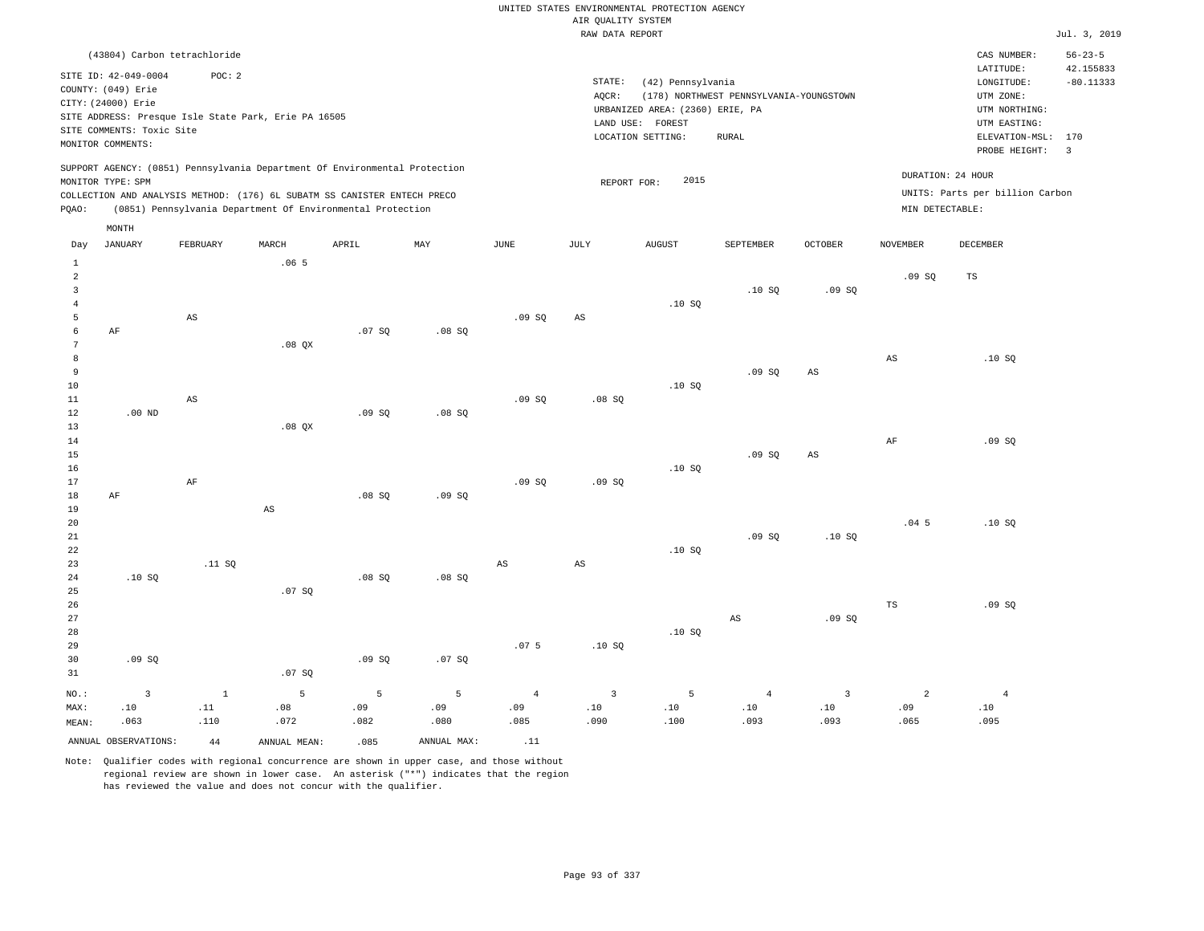|                |                           | (43804) Carbon tetrachloride |                                                      |                                                                            |       |       |             |                                 |                                         |                |                 | CAS NUMBER:                     | $56 - 23 - 5$           |
|----------------|---------------------------|------------------------------|------------------------------------------------------|----------------------------------------------------------------------------|-------|-------|-------------|---------------------------------|-----------------------------------------|----------------|-----------------|---------------------------------|-------------------------|
|                | SITE ID: 42-049-0004      | POC: 2                       |                                                      |                                                                            |       |       |             |                                 |                                         |                |                 | LATITUDE:                       | 42.155833               |
|                | COUNTY: (049) Erie        |                              |                                                      |                                                                            |       |       | STATE:      | (42) Pennsylvania               |                                         |                |                 | LONGITUDE:                      | $-80.11333$             |
|                | CITY: (24000) Erie        |                              |                                                      |                                                                            |       |       | AOCR:       |                                 | (178) NORTHWEST PENNSYLVANIA-YOUNGSTOWN |                |                 | UTM ZONE:                       |                         |
|                |                           |                              | SITE ADDRESS: Presque Isle State Park, Erie PA 16505 |                                                                            |       |       |             | URBANIZED AREA: (2360) ERIE, PA |                                         |                |                 | UTM NORTHING:                   |                         |
|                | SITE COMMENTS: Toxic Site |                              |                                                      |                                                                            |       |       | LAND USE:   | FOREST                          |                                         |                |                 | UTM EASTING:                    |                         |
|                | MONITOR COMMENTS:         |                              |                                                      |                                                                            |       |       |             | LOCATION SETTING:               | RURAL                                   |                |                 | ELEVATION-MSL: 170              |                         |
|                |                           |                              |                                                      |                                                                            |       |       |             |                                 |                                         |                |                 | PROBE HEIGHT:                   | $\overline{\mathbf{3}}$ |
|                |                           |                              |                                                      | SUPPORT AGENCY: (0851) Pennsylvania Department Of Environmental Protection |       |       |             |                                 |                                         |                |                 |                                 |                         |
|                | MONITOR TYPE: SPM         |                              |                                                      |                                                                            |       |       | REPORT FOR: | 2015                            |                                         |                |                 | DURATION: 24 HOUR               |                         |
|                |                           |                              |                                                      | COLLECTION AND ANALYSIS METHOD: (176) 6L SUBATM SS CANISTER ENTECH PRECO   |       |       |             |                                 |                                         |                |                 | UNITS: Parts per billion Carbon |                         |
| PQAO:          |                           |                              |                                                      | (0851) Pennsylvania Department Of Environmental Protection                 |       |       |             |                                 |                                         |                | MIN DETECTABLE: |                                 |                         |
|                | MONTH                     |                              |                                                      |                                                                            |       |       |             |                                 |                                         |                |                 |                                 |                         |
| Day            | <b>JANUARY</b>            | FEBRUARY                     | MARCH                                                | APRIL                                                                      | MAY   | JUNE  | JULY        | <b>AUGUST</b>                   | SEPTEMBER                               | <b>OCTOBER</b> | <b>NOVEMBER</b> | DECEMBER                        |                         |
| $\overline{1}$ |                           |                              | .065                                                 |                                                                            |       |       |             |                                 |                                         |                |                 |                                 |                         |
| 2              |                           |                              |                                                      |                                                                            |       |       |             |                                 |                                         |                | .09SQ           | TS                              |                         |
| 3              |                           |                              |                                                      |                                                                            |       |       |             |                                 | .10S                                    | .09S           |                 |                                 |                         |
|                |                           |                              |                                                      |                                                                            |       |       |             | .10S                            |                                         |                |                 |                                 |                         |
| 5              |                           | AS                           |                                                      |                                                                            |       | .09SQ | AS          |                                 |                                         |                |                 |                                 |                         |
|                | AF                        |                              |                                                      | .07SQ                                                                      | .08SQ |       |             |                                 |                                         |                |                 |                                 |                         |
|                |                           |                              | $.08$ QX                                             |                                                                            |       |       |             |                                 |                                         |                |                 |                                 |                         |
| 8              |                           |                              |                                                      |                                                                            |       |       |             |                                 |                                         |                | AS              | .10S                            |                         |
| 9              |                           |                              |                                                      |                                                                            |       |       |             |                                 | .09SQ                                   | AS             |                 |                                 |                         |
| 10             |                           |                              |                                                      |                                                                            |       |       |             | .10S                            |                                         |                |                 |                                 |                         |
| 11             |                           | AS                           |                                                      |                                                                            |       | .09SQ | .08SQ       |                                 |                                         |                |                 |                                 |                         |
| 12             | $.00$ ND                  |                              |                                                      | .09S                                                                       | .08S  |       |             |                                 |                                         |                |                 |                                 |                         |
| 13             |                           |                              | $.08$ QX                                             |                                                                            |       |       |             |                                 |                                         |                |                 |                                 |                         |
| 14             |                           |                              |                                                      |                                                                            |       |       |             |                                 |                                         |                | AF              | .09SQ                           |                         |
| 15             |                           |                              |                                                      |                                                                            |       |       |             |                                 | .09S                                    | AS             |                 |                                 |                         |
| 16             |                           |                              |                                                      |                                                                            |       |       |             | .10S                            |                                         |                |                 |                                 |                         |

17 18 19 20 21 22 23 24 25 AF .10 SQ AF .11 SQ AS .07 SQ .08 SQ .08 SQ .09 SQ .08 SQ .09 SQ AS .09 SQ AS .10 SQ .09 SQ .10 SQ .04 5 .10 SQ

| 26      |       |      |        |       |        |                  |      |      |                |       | TS   | .09SQ |
|---------|-------|------|--------|-------|--------|------------------|------|------|----------------|-------|------|-------|
| 27      |       |      |        |       |        |                  |      |      | AS             | .09SQ |      |       |
| 28      |       |      |        |       |        |                  |      | .10S |                |       |      |       |
| 29      |       |      |        |       |        | .07 <sub>5</sub> | .10S |      |                |       |      |       |
| 30      | .09SQ |      |        | .09SQ | .07 SQ |                  |      |      |                |       |      |       |
| 31      |       |      | .07 SQ |       |        |                  |      |      |                |       |      |       |
| $NO.$ : |       |      | 5      | -5    | 5      | 4                | 3    | 5    | $\overline{4}$ | 3     | 2    |       |
| MAX:    | .10   | .11  | .08    | .09   | .09    | .09              | .10  | .10  | .10            | .10   | .09  | .10   |
| MEAN:   | .063  | .110 | .072   | .082  | .080   | .085             | .090 | .100 | .093           | .093  | .065 | .095  |
|         |       |      |        |       |        |                  |      |      |                |       |      |       |

ANNUAL OBSERVATIONS:  $44$  ANNUAL MEAN: .085 ANNUAL MAX: .11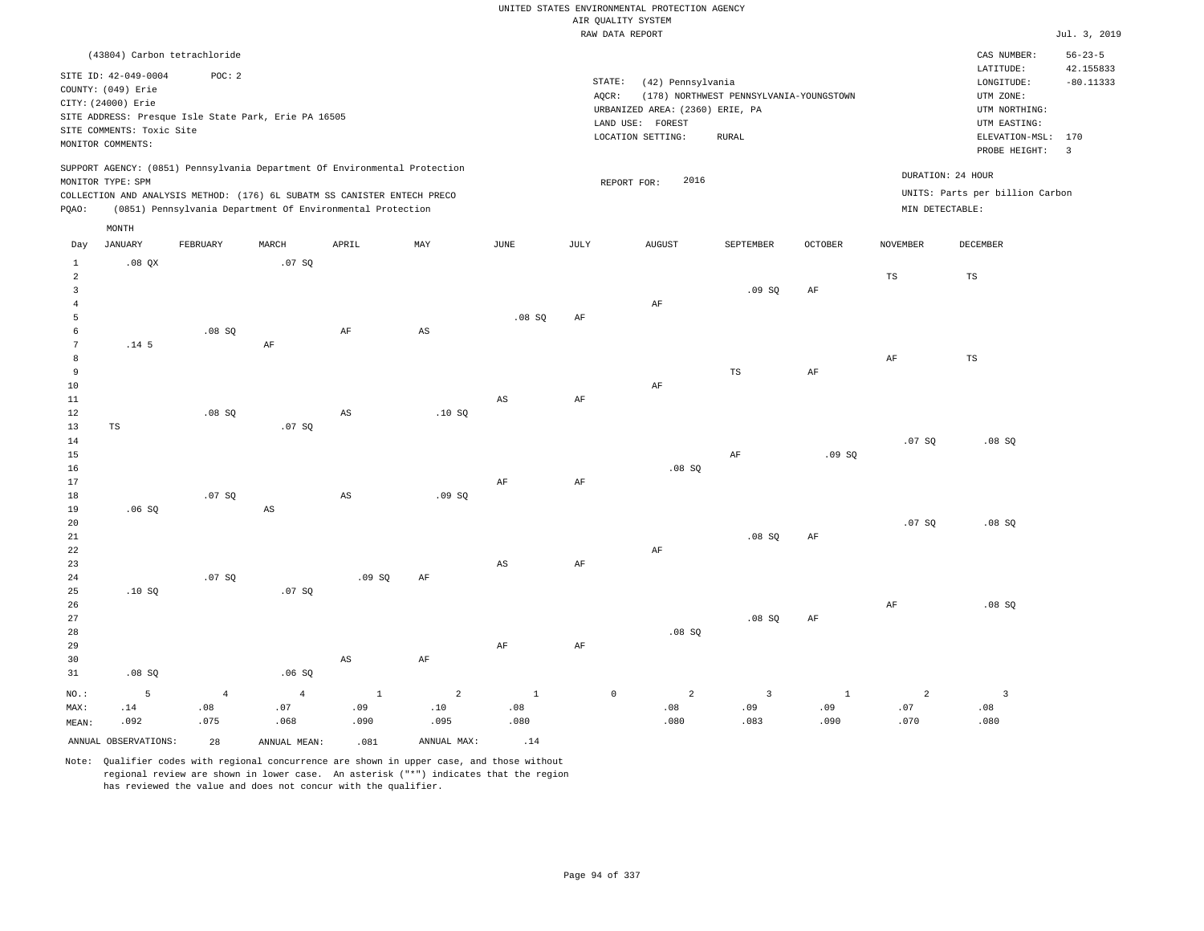|                      |                              |                |                                                      |                                                                            |                |              | RAW DATA REPORT |                                 |                                         |                |                 |                                     | Jul. 3, 2019            |
|----------------------|------------------------------|----------------|------------------------------------------------------|----------------------------------------------------------------------------|----------------|--------------|-----------------|---------------------------------|-----------------------------------------|----------------|-----------------|-------------------------------------|-------------------------|
|                      | (43804) Carbon tetrachloride |                |                                                      |                                                                            |                |              |                 |                                 |                                         |                |                 | CAS NUMBER:                         | $56 - 23 - 5$           |
|                      | SITE ID: 42-049-0004         | POC: 2         |                                                      |                                                                            |                |              |                 |                                 |                                         |                |                 | LATITUDE:                           | 42.155833               |
|                      | COUNTY: (049) Erie           |                |                                                      |                                                                            |                |              | STATE:          | (42) Pennsylvania               |                                         |                |                 | LONGITUDE:                          | $-80.11333$             |
|                      | CITY: (24000) Erie           |                |                                                      |                                                                            |                |              | AOCR:           |                                 | (178) NORTHWEST PENNSYLVANIA-YOUNGSTOWN |                |                 | UTM ZONE:                           |                         |
|                      |                              |                | SITE ADDRESS: Presque Isle State Park, Erie PA 16505 |                                                                            |                |              |                 | URBANIZED AREA: (2360) ERIE, PA |                                         |                |                 | UTM NORTHING:                       |                         |
|                      | SITE COMMENTS: Toxic Site    |                |                                                      |                                                                            |                |              |                 | LAND USE: FOREST                |                                         |                |                 | UTM EASTING:                        |                         |
|                      | MONITOR COMMENTS:            |                |                                                      |                                                                            |                |              |                 | LOCATION SETTING:               | <b>RURAL</b>                            |                |                 | ELEVATION-MSL: 170<br>PROBE HEIGHT: | $\overline{\mathbf{3}}$ |
|                      |                              |                |                                                      | SUPPORT AGENCY: (0851) Pennsylvania Department Of Environmental Protection |                |              |                 |                                 |                                         |                |                 |                                     |                         |
|                      | MONITOR TYPE: SPM            |                |                                                      |                                                                            |                |              |                 | 2016<br>REPORT FOR:             |                                         |                |                 | DURATION: 24 HOUR                   |                         |
|                      |                              |                |                                                      | COLLECTION AND ANALYSIS METHOD: (176) 6L SUBATM SS CANISTER ENTECH PRECO   |                |              |                 |                                 |                                         |                |                 | UNITS: Parts per billion Carbon     |                         |
| PQAO:                |                              |                |                                                      | (0851) Pennsylvania Department Of Environmental Protection                 |                |              |                 |                                 |                                         |                | MIN DETECTABLE: |                                     |                         |
|                      | $\texttt{MONTH}$             |                |                                                      |                                                                            |                |              |                 |                                 |                                         |                |                 |                                     |                         |
| Day                  | <b>JANUARY</b>               | FEBRUARY       | MARCH                                                | APRIL                                                                      | MAY            | JUNE         | JULY            | <b>AUGUST</b>                   | SEPTEMBER                               | <b>OCTOBER</b> | <b>NOVEMBER</b> | DECEMBER                            |                         |
| $\,$ 1               | .08 QX                       |                | .07 SQ                                               |                                                                            |                |              |                 |                                 |                                         |                |                 |                                     |                         |
| $\overline{2}$       |                              |                |                                                      |                                                                            |                |              |                 |                                 |                                         |                | TS              | TS                                  |                         |
| $\overline{3}$       |                              |                |                                                      |                                                                            |                |              |                 |                                 | .09SQ                                   | AF             |                 |                                     |                         |
| $\overline{4}$       |                              |                |                                                      |                                                                            |                |              |                 | AF                              |                                         |                |                 |                                     |                         |
| $\overline{5}$       |                              |                |                                                      |                                                                            |                | .08SQ        | AF              |                                 |                                         |                |                 |                                     |                         |
| 6<br>$7\phantom{.0}$ | .14 <sub>5</sub>             | .08S           | $\rm AF$                                             | AF                                                                         | AS             |              |                 |                                 |                                         |                |                 |                                     |                         |
| 8                    |                              |                |                                                      |                                                                            |                |              |                 |                                 |                                         |                | $\rm{AF}$       | TS                                  |                         |
| 9                    |                              |                |                                                      |                                                                            |                |              |                 |                                 | TS                                      | AF             |                 |                                     |                         |
| 10                   |                              |                |                                                      |                                                                            |                |              |                 | $\rm AF$                        |                                         |                |                 |                                     |                         |
| 11                   |                              |                |                                                      |                                                                            |                | AS           | AF              |                                 |                                         |                |                 |                                     |                         |
| $1\,2$               |                              | .08SQ          |                                                      | AS                                                                         | .10S           |              |                 |                                 |                                         |                |                 |                                     |                         |
| 13                   | TS                           |                | .07 SQ                                               |                                                                            |                |              |                 |                                 |                                         |                |                 |                                     |                         |
| $14$                 |                              |                |                                                      |                                                                            |                |              |                 |                                 |                                         |                | .07SQ           | .08SQ                               |                         |
| 15<br>16             |                              |                |                                                      |                                                                            |                |              |                 | .08 SQ                          | $\rm AF$                                | .09SQ          |                 |                                     |                         |
| 17                   |                              |                |                                                      |                                                                            |                | AF           | AF              |                                 |                                         |                |                 |                                     |                         |
| $1\,8$               |                              | .07SQ          |                                                      | $\mathbb{A}\mathbb{S}$                                                     | .09 SQ         |              |                 |                                 |                                         |                |                 |                                     |                         |
| 19                   | .06SQ                        |                | $\mathbb{A}\mathbb{S}$                               |                                                                            |                |              |                 |                                 |                                         |                |                 |                                     |                         |
| 20                   |                              |                |                                                      |                                                                            |                |              |                 |                                 |                                         |                | .07SQ           | .08SQ                               |                         |
| 21                   |                              |                |                                                      |                                                                            |                |              |                 |                                 | .08 SQ                                  | $\rm{AF}$      |                 |                                     |                         |
| 22                   |                              |                |                                                      |                                                                            |                |              |                 | AF                              |                                         |                |                 |                                     |                         |
| 23                   |                              |                |                                                      |                                                                            |                | $_{\rm AS}$  | AF              |                                 |                                         |                |                 |                                     |                         |
| 24<br>25             | .10S                         | .07SQ          | .07SQ                                                | .09SQ                                                                      | AF             |              |                 |                                 |                                         |                |                 |                                     |                         |
| 26                   |                              |                |                                                      |                                                                            |                |              |                 |                                 |                                         |                | $\rm{AF}$       | .08 SQ                              |                         |
| 27                   |                              |                |                                                      |                                                                            |                |              |                 |                                 | .08SQ                                   | AF             |                 |                                     |                         |
| 28                   |                              |                |                                                      |                                                                            |                |              |                 | .08S                            |                                         |                |                 |                                     |                         |
| 29                   |                              |                |                                                      |                                                                            |                | AF           | AF              |                                 |                                         |                |                 |                                     |                         |
| 30                   |                              |                |                                                      | $\mathbb{A}\mathbb{S}$                                                     | $\rm AF$       |              |                 |                                 |                                         |                |                 |                                     |                         |
| 31                   | .08 SQ                       |                | .06SQ                                                |                                                                            |                |              |                 |                                 |                                         |                |                 |                                     |                         |
| $NO.$ :              | 5                            | $\overline{4}$ | $\overline{4}$                                       | $\mathbf{1}$                                                               | $\overline{a}$ | $\mathbf{1}$ | $\mathbb O$     | $\overline{a}$                  | $\overline{\mathbf{3}}$                 | $\mathbf{1}$   | $\overline{a}$  | $\mathbf{3}$                        |                         |
| MAX:                 | .14                          | .08            | .07                                                  | .09                                                                        | .10            | .08          |                 | .08                             | .09                                     | .09            | .07             | .08                                 |                         |
| MEAN:                | .092                         | .075           | .068                                                 | .090                                                                       | .095           | .080         |                 | .080                            | .083                                    | .090           | .070            | .080                                |                         |
|                      | ANNUAL OBSERVATIONS:         | 28             | ANNUAL MEAN:                                         | .081                                                                       | ANNUAL MAX:    | .14          |                 |                                 |                                         |                |                 |                                     |                         |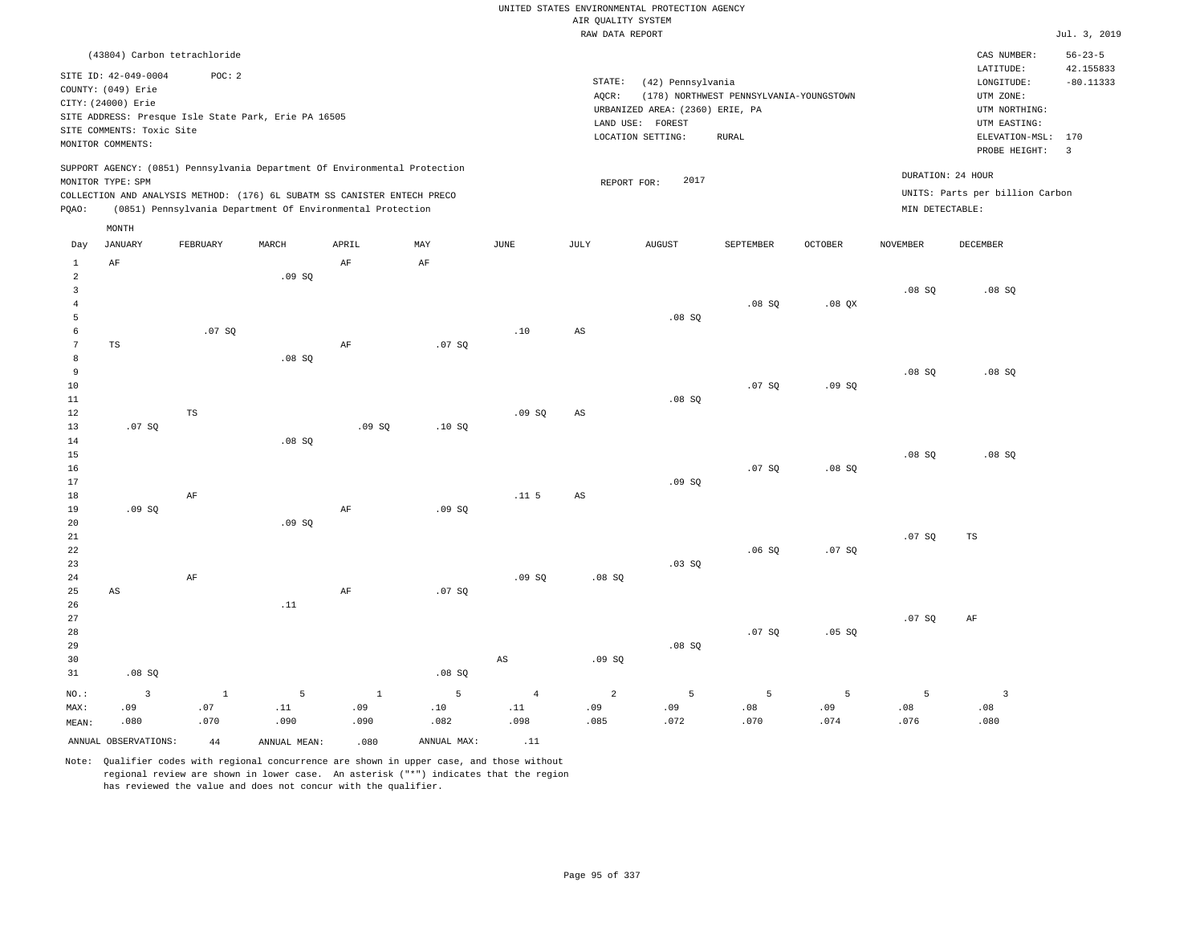|                     |                              |           |                                                      |                                                                            |             |                  | RAW DATA REPORT        |                                 |                                         |                |                 |                                 | Jul. 3, 2019   |
|---------------------|------------------------------|-----------|------------------------------------------------------|----------------------------------------------------------------------------|-------------|------------------|------------------------|---------------------------------|-----------------------------------------|----------------|-----------------|---------------------------------|----------------|
|                     | (43804) Carbon tetrachloride |           |                                                      |                                                                            |             |                  |                        |                                 |                                         |                |                 | CAS NUMBER:                     | $56 - 23 - 5$  |
|                     | SITE ID: 42-049-0004         | POC: 2    |                                                      |                                                                            |             |                  |                        |                                 |                                         |                |                 | LATITUDE:                       | 42.155833      |
|                     | COUNTY: (049) Erie           |           |                                                      |                                                                            |             |                  | STATE:                 | (42) Pennsylvania               |                                         |                |                 | LONGITUDE:                      | $-80.11333$    |
|                     | CITY: (24000) Erie           |           |                                                      |                                                                            |             |                  | AOCR:                  |                                 | (178) NORTHWEST PENNSYLVANIA-YOUNGSTOWN |                |                 | UTM ZONE:                       |                |
|                     |                              |           | SITE ADDRESS: Presque Isle State Park, Erie PA 16505 |                                                                            |             |                  |                        | URBANIZED AREA: (2360) ERIE, PA |                                         |                |                 | UTM NORTHING:                   |                |
|                     | SITE COMMENTS: Toxic Site    |           |                                                      |                                                                            |             |                  |                        | LAND USE: FOREST                |                                         |                |                 | UTM EASTING:                    |                |
|                     | MONITOR COMMENTS:            |           |                                                      |                                                                            |             |                  |                        | LOCATION SETTING:               | <b>RURAL</b>                            |                |                 | ELEVATION-MSL: 170              |                |
|                     |                              |           |                                                      |                                                                            |             |                  |                        |                                 |                                         |                |                 | PROBE HEIGHT:                   | $\overline{3}$ |
|                     |                              |           |                                                      | SUPPORT AGENCY: (0851) Pennsylvania Department Of Environmental Protection |             |                  |                        |                                 |                                         |                |                 | DURATION: 24 HOUR               |                |
|                     | MONITOR TYPE: SPM            |           |                                                      |                                                                            |             |                  | REPORT FOR:            | 2017                            |                                         |                |                 |                                 |                |
|                     |                              |           |                                                      | COLLECTION AND ANALYSIS METHOD: (176) 6L SUBATM SS CANISTER ENTECH PRECO   |             |                  |                        |                                 |                                         |                |                 | UNITS: Parts per billion Carbon |                |
| PQAO:               |                              |           |                                                      | (0851) Pennsylvania Department Of Environmental Protection                 |             |                  |                        |                                 |                                         |                | MIN DETECTABLE: |                                 |                |
|                     | MONTH                        |           |                                                      |                                                                            |             |                  |                        |                                 |                                         |                |                 |                                 |                |
| Day                 | <b>JANUARY</b>               | FEBRUARY  | MARCH                                                | APRIL                                                                      | MAY         | JUNE             | <b>JULY</b>            | <b>AUGUST</b>                   | SEPTEMBER                               | <b>OCTOBER</b> | <b>NOVEMBER</b> | <b>DECEMBER</b>                 |                |
| $\mathbf{1}$        | AF                           |           |                                                      | $\rm{AF}$                                                                  | AF          |                  |                        |                                 |                                         |                |                 |                                 |                |
| $\overline{a}$      |                              |           | .09SQ                                                |                                                                            |             |                  |                        |                                 |                                         |                |                 |                                 |                |
| $\overline{3}$      |                              |           |                                                      |                                                                            |             |                  |                        |                                 |                                         |                | .08SQ           | .08SQ                           |                |
| $\overline{4}$      |                              |           |                                                      |                                                                            |             |                  |                        |                                 | .08S                                    | .08QX          |                 |                                 |                |
| 5                   |                              |           |                                                      |                                                                            |             |                  |                        | .08SQ                           |                                         |                |                 |                                 |                |
| 6                   |                              | .07SQ     |                                                      |                                                                            |             | .10              | $_{\rm AS}$            |                                 |                                         |                |                 |                                 |                |
| $\overline{7}$      | TS                           |           |                                                      | AF                                                                         | .07S        |                  |                        |                                 |                                         |                |                 |                                 |                |
| 8<br>$\overline{9}$ |                              |           | .08SQ                                                |                                                                            |             |                  |                        |                                 |                                         |                | .08SQ           | .08S                            |                |
| 10                  |                              |           |                                                      |                                                                            |             |                  |                        |                                 | .07SQ                                   | .09SQ          |                 |                                 |                |
| $11\,$              |                              |           |                                                      |                                                                            |             |                  |                        | .08SQ                           |                                         |                |                 |                                 |                |
| 12                  |                              | TS        |                                                      |                                                                            |             | .09SQ            | AS                     |                                 |                                         |                |                 |                                 |                |
| 13                  | .07 SQ                       |           |                                                      | .09SQ                                                                      | .10S        |                  |                        |                                 |                                         |                |                 |                                 |                |
| 14                  |                              |           | .08SQ                                                |                                                                            |             |                  |                        |                                 |                                         |                |                 |                                 |                |
| 15                  |                              |           |                                                      |                                                                            |             |                  |                        |                                 |                                         |                | .08SQ           | .08SQ                           |                |
| 16                  |                              |           |                                                      |                                                                            |             |                  |                        |                                 | .07SQ                                   | .08SQ          |                 |                                 |                |
| 17                  |                              |           |                                                      |                                                                            |             |                  |                        | .09SQ                           |                                         |                |                 |                                 |                |
| 18                  |                              | AF        |                                                      |                                                                            |             | .11 <sub>5</sub> | $\mathbb{A}\mathbb{S}$ |                                 |                                         |                |                 |                                 |                |
| 19                  | .09SQ                        |           |                                                      | $\rm{AF}$                                                                  | .09SQ       |                  |                        |                                 |                                         |                |                 |                                 |                |
| 20                  |                              |           | .09SQ                                                |                                                                            |             |                  |                        |                                 |                                         |                |                 |                                 |                |
| 21                  |                              |           |                                                      |                                                                            |             |                  |                        |                                 |                                         |                | .07S            | TS                              |                |
| 22                  |                              |           |                                                      |                                                                            |             |                  |                        |                                 | .06SQ                                   | .07S           |                 |                                 |                |
| 23<br>24            |                              | $\rm{AF}$ |                                                      |                                                                            |             | .09SQ            | .08S                   | .03 SQ                          |                                         |                |                 |                                 |                |
| 25                  | $_{\rm AS}$                  |           |                                                      | $\rm{AF}$                                                                  | .07SQ       |                  |                        |                                 |                                         |                |                 |                                 |                |
| 26                  |                              |           | .11                                                  |                                                                            |             |                  |                        |                                 |                                         |                |                 |                                 |                |
| 27                  |                              |           |                                                      |                                                                            |             |                  |                        |                                 |                                         |                | .07S            | AF                              |                |
| 28                  |                              |           |                                                      |                                                                            |             |                  |                        |                                 | .07SQ                                   | .05SQ          |                 |                                 |                |
| 29                  |                              |           |                                                      |                                                                            |             |                  |                        | .08S                            |                                         |                |                 |                                 |                |
| 30                  |                              |           |                                                      |                                                                            |             | AS               | .09S                   |                                 |                                         |                |                 |                                 |                |
| 31                  | .08SQ                        |           |                                                      |                                                                            | .08SQ       |                  |                        |                                 |                                         |                |                 |                                 |                |
| NO.:                | $\overline{3}$               | $\,$ 1    | 5                                                    | $\,$ 1                                                                     | 5           | $\overline{4}$   | 2                      | 5                               | 5                                       | 5              | 5               | $\overline{3}$                  |                |
| MAX:                | .09                          | .07       | .11                                                  | .09                                                                        | .10         | .11              | .09                    | .09                             | .08                                     | .09            | .08             | .08                             |                |
| MEAN:               | .080                         | .070      | .090                                                 | .090                                                                       | .082        | .098             | .085                   | .072                            | .070                                    | .074           | .076            | .080                            |                |
|                     |                              |           |                                                      |                                                                            |             |                  |                        |                                 |                                         |                |                 |                                 |                |
|                     | ANNUAL OBSERVATIONS:         | 44        | ANNUAL MEAN:                                         | .080                                                                       | ANNUAL MAX: | .11              |                        |                                 |                                         |                |                 |                                 |                |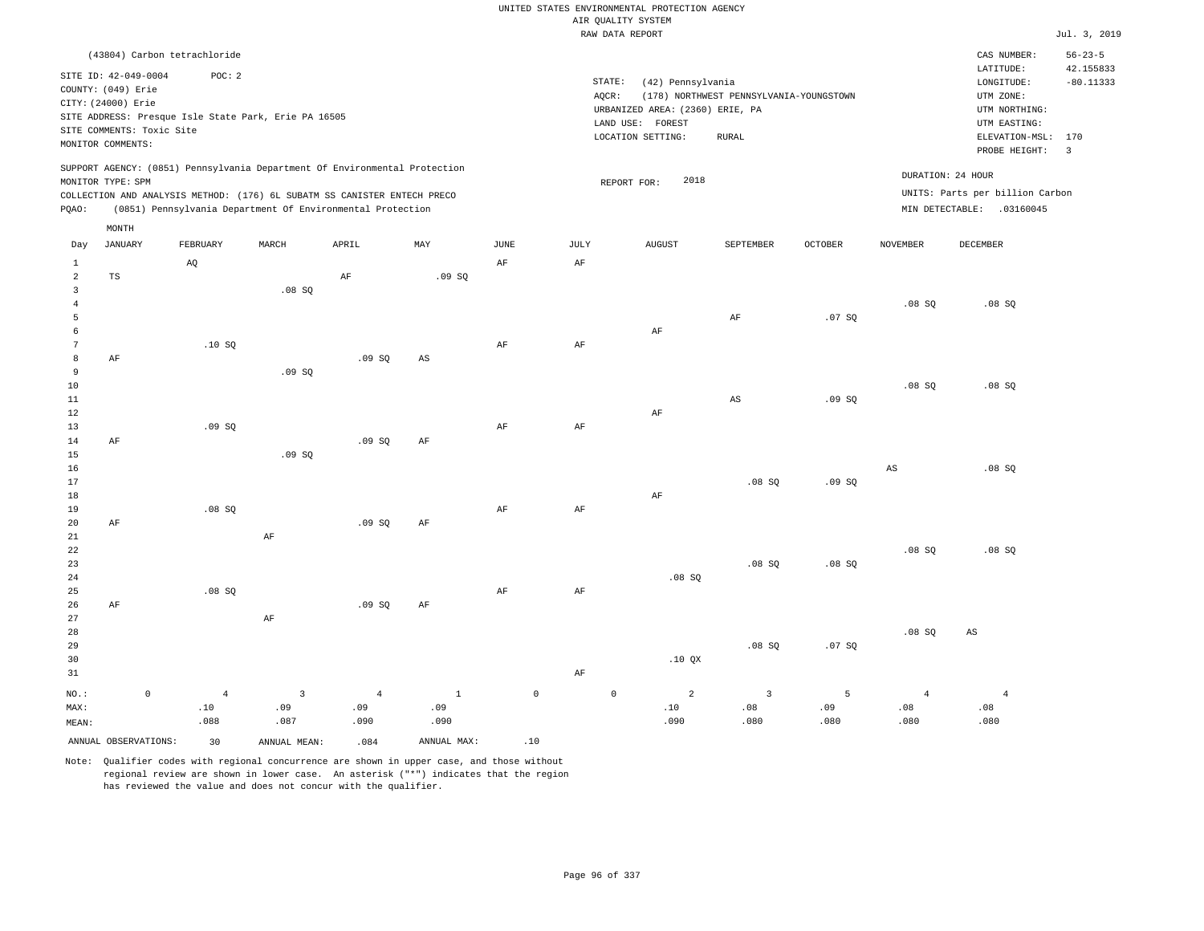|                                               |                                                                                                                    |                                                                                                                                                                                                                      |                               |                               |                             |                     |                   | UNITED STATES ENVIRONMENTAL PROTECTION AGENCY                                                                    |                                                          |                  |                               |                                                                                                                         |                                                                    |
|-----------------------------------------------|--------------------------------------------------------------------------------------------------------------------|----------------------------------------------------------------------------------------------------------------------------------------------------------------------------------------------------------------------|-------------------------------|-------------------------------|-----------------------------|---------------------|-------------------|------------------------------------------------------------------------------------------------------------------|----------------------------------------------------------|------------------|-------------------------------|-------------------------------------------------------------------------------------------------------------------------|--------------------------------------------------------------------|
|                                               |                                                                                                                    |                                                                                                                                                                                                                      |                               |                               |                             |                     |                   | AIR QUALITY SYSTEM                                                                                               |                                                          |                  |                               |                                                                                                                         |                                                                    |
|                                               |                                                                                                                    |                                                                                                                                                                                                                      |                               |                               |                             |                     |                   | RAW DATA REPORT                                                                                                  |                                                          |                  |                               |                                                                                                                         | Jul. 3, 2019                                                       |
|                                               | SITE ID: 42-049-0004<br>COUNTY: (049) Erie<br>CITY: (24000) Erie<br>SITE COMMENTS: Toxic Site<br>MONITOR COMMENTS: | (43804) Carbon tetrachloride<br>POC: 2<br>SITE ADDRESS: Presque Isle State Park, Erie PA 16505                                                                                                                       |                               |                               |                             |                     |                   | STATE:<br>(42) Pennsylvania<br>AQCR:<br>URBANIZED AREA: (2360) ERIE, PA<br>LAND USE: FOREST<br>LOCATION SETTING: | (178) NORTHWEST PENNSYLVANIA-YOUNGSTOWN<br>${\tt RURAL}$ |                  |                               | CAS NUMBER:<br>LATITUDE:<br>LONGITUDE:<br>UTM ZONE:<br>UTM NORTHING:<br>UTM EASTING:<br>ELEVATION-MSL:<br>PROBE HEIGHT: | $56 - 23 - 5$<br>42.155833<br>$-80.11333$<br>170<br>$\overline{3}$ |
| PQAO:                                         | MONITOR TYPE: SPM                                                                                                  | SUPPORT AGENCY: (0851) Pennsylvania Department Of Environmental Protection<br>COLLECTION AND ANALYSIS METHOD: (176) 6L SUBATM SS CANISTER ENTECH PRECO<br>(0851) Pennsylvania Department Of Environmental Protection |                               |                               |                             |                     |                   | 2018<br>REPORT FOR:                                                                                              |                                                          |                  |                               | DURATION: 24 HOUR<br>UNITS: Parts per billion Carbon<br>MIN DETECTABLE: .03160045                                       |                                                                    |
|                                               | MONTH                                                                                                              |                                                                                                                                                                                                                      |                               |                               |                             |                     |                   |                                                                                                                  |                                                          |                  |                               |                                                                                                                         |                                                                    |
| Day<br>$1\,$<br>$\mathfrak{D}$                | <b>JANUARY</b><br><b>TS</b>                                                                                        | FEBRUARY<br>AQ                                                                                                                                                                                                       | MARCH                         | APRIL<br>AF                   | MAY<br>.09SQ                | $_{\rm JUNE}$<br>AF | <b>JULY</b><br>AF | <b>AUGUST</b>                                                                                                    | SEPTEMBER                                                | <b>OCTOBER</b>   | <b>NOVEMBER</b>               | <b>DECEMBER</b>                                                                                                         |                                                                    |
| $\mathbf{3}$<br>$\overline{4}$<br>5<br>6<br>7 |                                                                                                                    | .10SQ                                                                                                                                                                                                                | .08SQ                         |                               |                             | $\rm{AF}$           | $\rm AF$          | AF                                                                                                               | $\rm AF$                                                 | .07 SQ           | .08S                          | .08SQ                                                                                                                   |                                                                    |
| 8<br>9<br>10<br>11<br>$12$<br>13              | AF                                                                                                                 | .09S                                                                                                                                                                                                                 | .09SQ                         | .09SQ                         | AS                          | AF                  | AF                | AF                                                                                                               | $\mathbb{A}\mathbb{S}$                                   | .09SQ            | .08SQ                         | .08SQ                                                                                                                   |                                                                    |
| 14<br>15<br>16<br>17<br>18<br>19              | AF                                                                                                                 | .08SQ                                                                                                                                                                                                                | .09SQ                         | .09SQ                         | AF                          | AF                  | AF                | AF                                                                                                               | .08 SQ                                                   | .09SQ            | $\mathbb{A}\mathbb{S}$        | .08SQ                                                                                                                   |                                                                    |
| 20<br>21<br>22<br>23<br>24<br>25              | AF                                                                                                                 | .08 SQ                                                                                                                                                                                                               | AF                            | .09SQ                         | AF                          | AF                  | AF                | .08SQ                                                                                                            | .08SQ                                                    | .08SQ            | .08S                          | .08S                                                                                                                    |                                                                    |
| 26<br>27<br>28<br>29<br>30<br>31              | AF                                                                                                                 |                                                                                                                                                                                                                      | AF                            | .09SQ                         | AF                          |                     | AF                | .10 QX                                                                                                           | .08SQ                                                    | .07 SQ           | .08SQ                         | $\mathbb{A}\mathbb{S}$                                                                                                  |                                                                    |
| NO.:<br>MAX:<br>MEAN:                         | $\mathbb O$                                                                                                        | $\overline{4}$<br>.10<br>.088                                                                                                                                                                                        | $\overline{3}$<br>.09<br>.087 | $\overline{4}$<br>.09<br>.090 | $\mathbf{1}$<br>.09<br>.090 | $\mathsf{O}\xspace$ |                   | $\mathsf{O}\xspace$<br>$\mathfrak{D}$<br>.10<br>.090                                                             | $\overline{\mathbf{3}}$<br>.08<br>.080                   | 5<br>.09<br>.080 | $\overline{4}$<br>.08<br>.080 | $\overline{4}$<br>.08<br>.080                                                                                           |                                                                    |
|                                               | ANNUAL OBSERVATIONS:                                                                                               | 30                                                                                                                                                                                                                   | ANNUAL MEAN:                  | .084                          | ANNUAL MAX:                 | .10                 |                   |                                                                                                                  |                                                          |                  |                               |                                                                                                                         |                                                                    |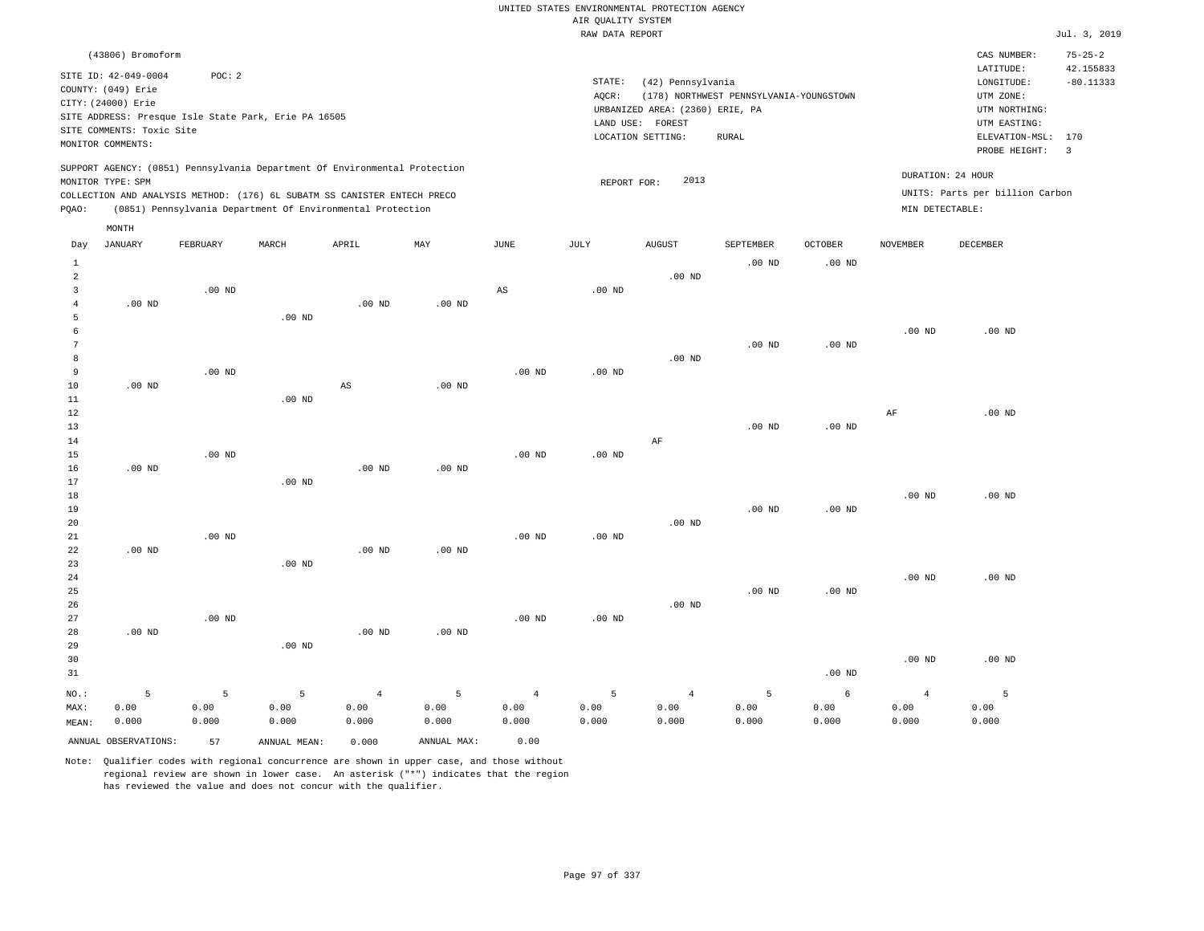|                     | (43806) Bromoform<br>SITE ID: 42-049-0004<br>COUNTY: (049) Erie<br>CITY: (24000) Erie<br>SITE COMMENTS: Toxic Site<br>MONITOR COMMENTS:<br>MONITOR TYPE: SPM | POC: 2            | SITE ADDRESS: Presque Isle State Park, Erie PA 16505<br>SUPPORT AGENCY: (0851) Pennsylvania Department Of Environmental Protection |                   |                   |                   | STATE:<br>AQCR:<br>REPORT FOR: | (42) Pennsylvania<br>URBANIZED AREA: (2360) ERIE, PA<br>LAND USE: FOREST<br>LOCATION SETTING:<br>2013 | (178) NORTHWEST PENNSYLVANIA-YOUNGSTOWN<br><b>RURAL</b> |                   |                   | CAS NUMBER:<br>LATITUDE:<br>LONGITUDE:<br>UTM ZONE:<br>UTM NORTHING:<br>UTM EASTING:<br>ELEVATION-MSL: 170<br>PROBE HEIGHT:<br>DURATION: 24 HOUR | $75 - 25 - 2$<br>42.155833<br>$-80.11333$<br>$\overline{3}$ |
|---------------------|--------------------------------------------------------------------------------------------------------------------------------------------------------------|-------------------|------------------------------------------------------------------------------------------------------------------------------------|-------------------|-------------------|-------------------|--------------------------------|-------------------------------------------------------------------------------------------------------|---------------------------------------------------------|-------------------|-------------------|--------------------------------------------------------------------------------------------------------------------------------------------------|-------------------------------------------------------------|
|                     |                                                                                                                                                              |                   | COLLECTION AND ANALYSIS METHOD: (176) 6L SUBATM SS CANISTER ENTECH PRECO                                                           |                   |                   |                   |                                |                                                                                                       |                                                         |                   |                   | UNITS: Parts per billion Carbon                                                                                                                  |                                                             |
| PQAO:               |                                                                                                                                                              |                   | (0851) Pennsylvania Department Of Environmental Protection                                                                         |                   |                   |                   |                                |                                                                                                       |                                                         |                   | MIN DETECTABLE:   |                                                                                                                                                  |                                                             |
|                     | MONTH                                                                                                                                                        |                   |                                                                                                                                    |                   |                   |                   |                                |                                                                                                       |                                                         |                   |                   |                                                                                                                                                  |                                                             |
| Day                 | <b>JANUARY</b>                                                                                                                                               | FEBRUARY          | MARCH                                                                                                                              | APRIL             | MAY               | <b>JUNE</b>       | JULY                           | <b>AUGUST</b>                                                                                         | SEPTEMBER                                               | <b>OCTOBER</b>    | <b>NOVEMBER</b>   | <b>DECEMBER</b>                                                                                                                                  |                                                             |
| $\mathbf{1}$        |                                                                                                                                                              |                   |                                                                                                                                    |                   |                   |                   |                                |                                                                                                       | $.00$ ND                                                | $.00$ ND          |                   |                                                                                                                                                  |                                                             |
| $\overline{a}$      |                                                                                                                                                              |                   |                                                                                                                                    |                   |                   |                   |                                | $.00$ ND                                                                                              |                                                         |                   |                   |                                                                                                                                                  |                                                             |
| $\overline{3}$      |                                                                                                                                                              | .00 <sub>ND</sub> |                                                                                                                                    |                   |                   | AS                | .00 <sub>ND</sub>              |                                                                                                       |                                                         |                   |                   |                                                                                                                                                  |                                                             |
| $\overline{4}$      | $.00$ ND                                                                                                                                                     |                   |                                                                                                                                    | $.00$ ND          | .00 <sub>ND</sub> |                   |                                |                                                                                                       |                                                         |                   |                   |                                                                                                                                                  |                                                             |
| 5                   |                                                                                                                                                              |                   | $.00$ ND                                                                                                                           |                   |                   |                   |                                |                                                                                                       |                                                         |                   |                   |                                                                                                                                                  |                                                             |
| 6<br>$\overline{7}$ |                                                                                                                                                              |                   |                                                                                                                                    |                   |                   |                   |                                |                                                                                                       |                                                         |                   | .00 <sub>ND</sub> | $.00$ ND                                                                                                                                         |                                                             |
| 8                   |                                                                                                                                                              |                   |                                                                                                                                    |                   |                   |                   |                                | $.00$ ND                                                                                              | $.00$ ND                                                | $.00$ ND          |                   |                                                                                                                                                  |                                                             |
| 9                   |                                                                                                                                                              | $.00$ ND          |                                                                                                                                    |                   |                   | $.00$ ND          | $.00$ ND                       |                                                                                                       |                                                         |                   |                   |                                                                                                                                                  |                                                             |
| 10                  | $.00$ ND                                                                                                                                                     |                   |                                                                                                                                    | AS                | $.00$ ND          |                   |                                |                                                                                                       |                                                         |                   |                   |                                                                                                                                                  |                                                             |
| 11                  |                                                                                                                                                              |                   | $.00$ ND                                                                                                                           |                   |                   |                   |                                |                                                                                                       |                                                         |                   |                   |                                                                                                                                                  |                                                             |
| 12                  |                                                                                                                                                              |                   |                                                                                                                                    |                   |                   |                   |                                |                                                                                                       |                                                         |                   | $\rm{AF}$         | $.00$ ND                                                                                                                                         |                                                             |
| 13                  |                                                                                                                                                              |                   |                                                                                                                                    |                   |                   |                   |                                |                                                                                                       | $.00$ ND                                                | $.00$ ND          |                   |                                                                                                                                                  |                                                             |
| 14                  |                                                                                                                                                              |                   |                                                                                                                                    |                   |                   |                   |                                | AF                                                                                                    |                                                         |                   |                   |                                                                                                                                                  |                                                             |
| 15                  |                                                                                                                                                              | $.00$ ND          |                                                                                                                                    |                   |                   | $.00$ ND          | $.00$ ND                       |                                                                                                       |                                                         |                   |                   |                                                                                                                                                  |                                                             |
| 16                  | $.00$ ND                                                                                                                                                     |                   |                                                                                                                                    | $.00$ ND          | $.00$ ND          |                   |                                |                                                                                                       |                                                         |                   |                   |                                                                                                                                                  |                                                             |
| 17                  |                                                                                                                                                              |                   | $.00$ ND                                                                                                                           |                   |                   |                   |                                |                                                                                                       |                                                         |                   |                   |                                                                                                                                                  |                                                             |
| 18                  |                                                                                                                                                              |                   |                                                                                                                                    |                   |                   |                   |                                |                                                                                                       |                                                         |                   | .00 <sub>ND</sub> | $.00$ ND                                                                                                                                         |                                                             |
| 19                  |                                                                                                                                                              |                   |                                                                                                                                    |                   |                   |                   |                                |                                                                                                       | $.00$ ND                                                | .00 <sub>ND</sub> |                   |                                                                                                                                                  |                                                             |
| 20                  |                                                                                                                                                              |                   |                                                                                                                                    |                   |                   |                   |                                | $.00$ ND                                                                                              |                                                         |                   |                   |                                                                                                                                                  |                                                             |
| 21                  |                                                                                                                                                              | $.00$ ND          |                                                                                                                                    |                   |                   | $.00$ ND          | $.00$ ND                       |                                                                                                       |                                                         |                   |                   |                                                                                                                                                  |                                                             |
| 22                  | $.00$ ND                                                                                                                                                     |                   |                                                                                                                                    | $.00$ ND          | $.00$ ND          |                   |                                |                                                                                                       |                                                         |                   |                   |                                                                                                                                                  |                                                             |
| 23                  |                                                                                                                                                              |                   | .00 <sub>ND</sub>                                                                                                                  |                   |                   |                   |                                |                                                                                                       |                                                         |                   |                   |                                                                                                                                                  |                                                             |
| 24                  |                                                                                                                                                              |                   |                                                                                                                                    |                   |                   |                   |                                |                                                                                                       |                                                         |                   | $.00$ ND          | $.00$ ND                                                                                                                                         |                                                             |
| 25                  |                                                                                                                                                              |                   |                                                                                                                                    |                   |                   |                   |                                |                                                                                                       | $.00$ ND                                                | $.00$ ND          |                   |                                                                                                                                                  |                                                             |
| 26                  |                                                                                                                                                              |                   |                                                                                                                                    |                   |                   |                   |                                | $.00$ ND                                                                                              |                                                         |                   |                   |                                                                                                                                                  |                                                             |
| 27                  |                                                                                                                                                              | $.00$ ND          |                                                                                                                                    |                   |                   | .00 <sub>ND</sub> | .00 <sub>ND</sub>              |                                                                                                       |                                                         |                   |                   |                                                                                                                                                  |                                                             |
| 28                  | .00 <sub>ND</sub>                                                                                                                                            |                   |                                                                                                                                    | .00 <sub>ND</sub> | $.00$ ND          |                   |                                |                                                                                                       |                                                         |                   |                   |                                                                                                                                                  |                                                             |
| 29<br>30            |                                                                                                                                                              |                   | $.00$ ND                                                                                                                           |                   |                   |                   |                                |                                                                                                       |                                                         |                   |                   |                                                                                                                                                  |                                                             |
| 31                  |                                                                                                                                                              |                   |                                                                                                                                    |                   |                   |                   |                                |                                                                                                       |                                                         | $.00$ ND          | $.00$ ND          | $.00$ ND                                                                                                                                         |                                                             |
|                     |                                                                                                                                                              |                   |                                                                                                                                    |                   |                   |                   |                                |                                                                                                       |                                                         |                   |                   |                                                                                                                                                  |                                                             |
| $NO.$ :             | 5                                                                                                                                                            | 5                 | 5                                                                                                                                  | $\overline{4}$    | $\overline{5}$    | $\overline{4}$    | 5                              | $\overline{4}$                                                                                        | 5                                                       | 6                 | $\overline{4}$    | 5                                                                                                                                                |                                                             |
| MAX:                | 0.00                                                                                                                                                         | 0.00              | 0.00                                                                                                                               | 0.00              | 0.00              | 0.00              | 0.00                           | 0.00                                                                                                  | 0.00                                                    | 0.00              | 0.00              | 0.00                                                                                                                                             |                                                             |
| MEAN:               | 0.000                                                                                                                                                        | 0.000             | 0.000                                                                                                                              | 0.000             | 0.000             | 0.000             | 0.000                          | 0.000                                                                                                 | 0.000                                                   | 0.000             | 0.000             | 0.000                                                                                                                                            |                                                             |
|                     | ANNUAL OBSERVATIONS:                                                                                                                                         | 57                | ANNUAL MEAN:                                                                                                                       | 0.000             | ANNUAL MAX:       | 0.00              |                                |                                                                                                       |                                                         |                   |                   |                                                                                                                                                  |                                                             |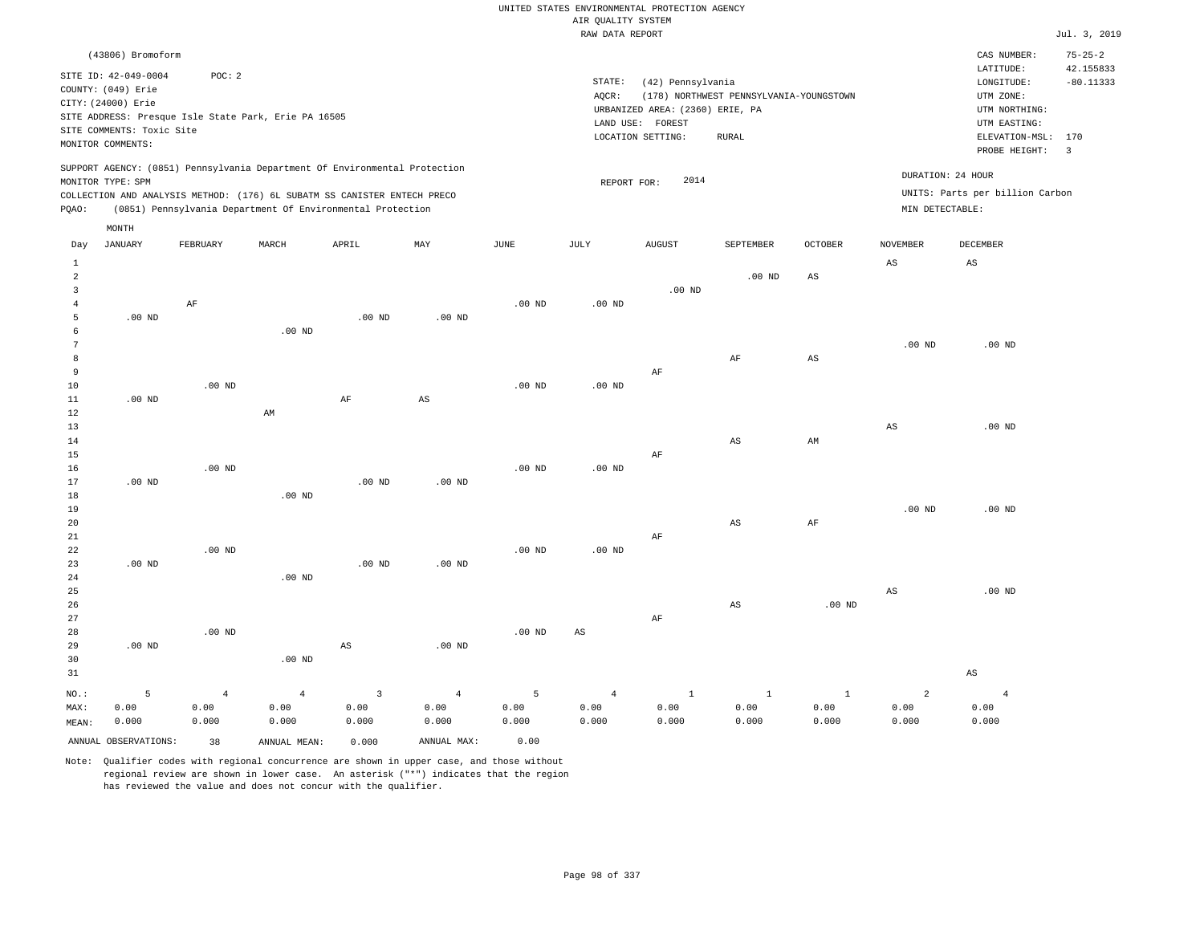|                |                           |                |                                                                            |                |                        |          | RAW DATA REPORT   |                                 |                                         |                   |                        |                                 | Jul. 3, 2019            |
|----------------|---------------------------|----------------|----------------------------------------------------------------------------|----------------|------------------------|----------|-------------------|---------------------------------|-----------------------------------------|-------------------|------------------------|---------------------------------|-------------------------|
|                | (43806) Bromoform         |                |                                                                            |                |                        |          |                   |                                 |                                         |                   |                        | CAS NUMBER:                     | $75 - 25 - 2$           |
|                |                           |                |                                                                            |                |                        |          |                   |                                 |                                         |                   |                        | LATITUDE:                       | 42.155833               |
|                | SITE ID: 42-049-0004      | POC: 2         |                                                                            |                |                        |          | STATE:            | (42) Pennsylvania               |                                         |                   |                        | LONGITUDE:                      | $-80.11333$             |
|                | COUNTY: (049) Erie        |                |                                                                            |                |                        |          | AQCR:             |                                 | (178) NORTHWEST PENNSYLVANIA-YOUNGSTOWN |                   |                        | UTM ZONE:                       |                         |
|                | CITY: (24000) Erie        |                |                                                                            |                |                        |          |                   | URBANIZED AREA: (2360) ERIE, PA |                                         |                   |                        | UTM NORTHING:                   |                         |
|                |                           |                | SITE ADDRESS: Presque Isle State Park, Erie PA 16505                       |                |                        |          |                   | LAND USE: FOREST                |                                         |                   |                        | UTM EASTING:                    |                         |
|                | SITE COMMENTS: Toxic Site |                |                                                                            |                |                        |          |                   | LOCATION SETTING:               | <b>RURAL</b>                            |                   |                        | ELEVATION-MSL:                  | 170                     |
|                | MONITOR COMMENTS:         |                |                                                                            |                |                        |          |                   |                                 |                                         |                   |                        | PROBE HEIGHT:                   | $\overline{\mathbf{3}}$ |
|                |                           |                | SUPPORT AGENCY: (0851) Pennsylvania Department Of Environmental Protection |                |                        |          |                   |                                 |                                         |                   |                        |                                 |                         |
|                | MONITOR TYPE: SPM         |                |                                                                            |                |                        |          | REPORT FOR:       | 2014                            |                                         |                   |                        | DURATION: 24 HOUR               |                         |
|                |                           |                | COLLECTION AND ANALYSIS METHOD: (176) 6L SUBATM SS CANISTER ENTECH PRECO   |                |                        |          |                   |                                 |                                         |                   |                        | UNITS: Parts per billion Carbon |                         |
| PQAO:          |                           |                | (0851) Pennsylvania Department Of Environmental Protection                 |                |                        |          |                   |                                 |                                         |                   | MIN DETECTABLE:        |                                 |                         |
|                | MONTH                     |                |                                                                            |                |                        |          |                   |                                 |                                         |                   |                        |                                 |                         |
| Day            | JANUARY                   | FEBRUARY       | MARCH                                                                      | APRIL          | MAY                    | JUNE     | JULY              | AUGUST                          | SEPTEMBER                               | <b>OCTOBER</b>    | <b>NOVEMBER</b>        | DECEMBER                        |                         |
| <sup>1</sup>   |                           |                |                                                                            |                |                        |          |                   |                                 |                                         |                   | $\mathbb{A}\mathbb{S}$ | $\mathbb{A}\mathbb{S}$          |                         |
| 2              |                           |                |                                                                            |                |                        |          |                   |                                 | $.00$ ND                                | $_{\rm AS}$       |                        |                                 |                         |
| 3              |                           |                |                                                                            |                |                        |          |                   | $.00$ ND                        |                                         |                   |                        |                                 |                         |
| $\overline{4}$ |                           | AF             |                                                                            |                |                        | $.00$ ND | .00 <sub>ND</sub> |                                 |                                         |                   |                        |                                 |                         |
| 5              | $.00$ ND                  |                |                                                                            | $.00$ ND       | $.00$ ND               |          |                   |                                 |                                         |                   |                        |                                 |                         |
| 6              |                           |                | $.00$ ND                                                                   |                |                        |          |                   |                                 |                                         |                   |                        |                                 |                         |
| 7              |                           |                |                                                                            |                |                        |          |                   |                                 |                                         |                   | .00 <sub>ND</sub>      | .00 <sub>ND</sub>               |                         |
| 8              |                           |                |                                                                            |                |                        |          |                   |                                 | AF                                      | $_{\rm AS}$       |                        |                                 |                         |
| 9              |                           |                |                                                                            |                |                        |          |                   | AF                              |                                         |                   |                        |                                 |                         |
| $10$           |                           | $.00$ ND       |                                                                            |                |                        | $.00$ ND | .00 <sub>ND</sub> |                                 |                                         |                   |                        |                                 |                         |
| $11\,$         | .00 <sub>ND</sub>         |                |                                                                            | $\rm AF$       | $\mathbb{A}\mathbb{S}$ |          |                   |                                 |                                         |                   |                        |                                 |                         |
| 12             |                           |                | $\mathop{\rm AM}\nolimits$                                                 |                |                        |          |                   |                                 |                                         |                   |                        |                                 |                         |
| 13             |                           |                |                                                                            |                |                        |          |                   |                                 |                                         |                   | AS                     | $.00$ ND                        |                         |
| 14             |                           |                |                                                                            |                |                        |          |                   |                                 | AS                                      | AM                |                        |                                 |                         |
| 15             |                           |                |                                                                            |                |                        |          |                   | $\rm AF$                        |                                         |                   |                        |                                 |                         |
| 16             |                           | $.00$ ND       |                                                                            |                |                        | $.00$ ND | .00 <sub>ND</sub> |                                 |                                         |                   |                        |                                 |                         |
| 17             | .00 <sub>ND</sub>         |                |                                                                            | $.00$ ND       | .00 <sub>ND</sub>      |          |                   |                                 |                                         |                   |                        |                                 |                         |
| 18             |                           |                | $.00$ ND                                                                   |                |                        |          |                   |                                 |                                         |                   |                        |                                 |                         |
| 19             |                           |                |                                                                            |                |                        |          |                   |                                 |                                         |                   | $.00$ ND               | $.00$ ND                        |                         |
| 20             |                           |                |                                                                            |                |                        |          |                   |                                 | AS                                      | $\rm AF$          |                        |                                 |                         |
| $2\sqrt{1}$    |                           |                |                                                                            |                |                        |          |                   | $\rm AF$                        |                                         |                   |                        |                                 |                         |
| 22             |                           | $.00$ ND       |                                                                            |                |                        | $.00$ ND | $.00$ ND          |                                 |                                         |                   |                        |                                 |                         |
| 23             | $.00$ ND                  |                |                                                                            | $.00$ ND       | $.00$ ND               |          |                   |                                 |                                         |                   |                        |                                 |                         |
| 24<br>25       |                           |                | $.00$ ND                                                                   |                |                        |          |                   |                                 |                                         |                   |                        | $.00$ ND                        |                         |
| 26             |                           |                |                                                                            |                |                        |          |                   |                                 | AS                                      | .00 <sub>ND</sub> | AS                     |                                 |                         |
| 27             |                           |                |                                                                            |                |                        |          |                   | AF                              |                                         |                   |                        |                                 |                         |
| 28             |                           | $.00$ ND       |                                                                            |                |                        | $.00$ ND | $_{\rm AS}$       |                                 |                                         |                   |                        |                                 |                         |
| 29             | $.00$ ND                  |                |                                                                            | $_{\rm AS}$    | $.00$ ND               |          |                   |                                 |                                         |                   |                        |                                 |                         |
| 30             |                           |                | $.00$ ND                                                                   |                |                        |          |                   |                                 |                                         |                   |                        |                                 |                         |
| 31             |                           |                |                                                                            |                |                        |          |                   |                                 |                                         |                   |                        | $\mathbb{A}\mathbb{S}$          |                         |
|                |                           |                |                                                                            |                |                        |          |                   |                                 |                                         |                   |                        |                                 |                         |
| NO.:           | - 5                       | $\overline{4}$ | $\overline{4}$                                                             | $\overline{3}$ | $4\overline{ }$        | 5        | $\overline{4}$    | $\mathbf{1}$                    | <sup>1</sup>                            | $\mathbf{1}$      | 2                      | $\overline{4}$                  |                         |
| MAX:           | 0.00                      | 0.00           | 0.00                                                                       | 0.00           | 0.00                   | 0.00     | 0.00              | 0.00                            | 0.00                                    | 0.00              | 0.00                   | 0.00                            |                         |
| MEAN:          | 0.000                     | 0.000          | 0.000                                                                      | 0.000          | 0.000                  | 0.000    | 0.000             | 0.000                           | 0.000                                   | 0.000             | 0.000                  | 0.000                           |                         |
|                | ANNUAL OBSERVATIONS:      | 38             | ANNUAL MEAN:                                                               | 0.000          | ANNUAL MAX:            | 0.00     |                   |                                 |                                         |                   |                        |                                 |                         |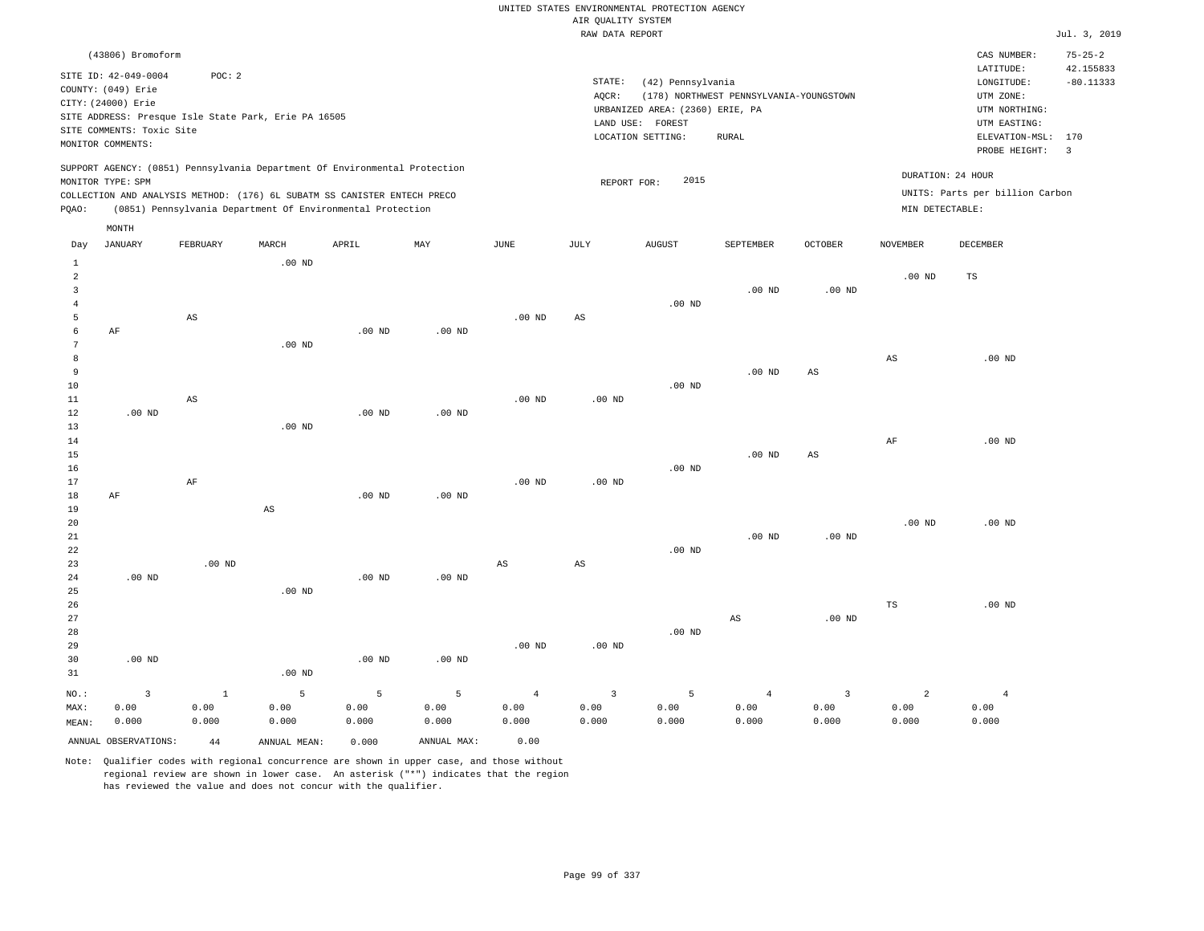|                     |                           |          |                                                      |                                                                                                                                        |                   |                        | RAW DATA REPORT        |                                 |                                         |                        |                        |                                 | Jul. 3, 2019               |
|---------------------|---------------------------|----------|------------------------------------------------------|----------------------------------------------------------------------------------------------------------------------------------------|-------------------|------------------------|------------------------|---------------------------------|-----------------------------------------|------------------------|------------------------|---------------------------------|----------------------------|
|                     | (43806) Bromoform         |          |                                                      |                                                                                                                                        |                   |                        |                        |                                 |                                         |                        |                        | CAS NUMBER:<br>LATITUDE:        | $75 - 25 - 2$<br>42.155833 |
|                     | SITE ID: 42-049-0004      | POC: 2   |                                                      |                                                                                                                                        |                   |                        | STATE:                 | (42) Pennsylvania               |                                         |                        |                        | LONGITUDE:                      | $-80.11333$                |
|                     | COUNTY: (049) Erie        |          |                                                      |                                                                                                                                        |                   |                        | $AQCR$ :               |                                 | (178) NORTHWEST PENNSYLVANIA-YOUNGSTOWN |                        |                        | UTM ZONE:                       |                            |
|                     | CITY: (24000) Erie        |          |                                                      |                                                                                                                                        |                   |                        |                        | URBANIZED AREA: (2360) ERIE, PA |                                         |                        |                        | UTM NORTHING:                   |                            |
|                     |                           |          | SITE ADDRESS: Presque Isle State Park, Erie PA 16505 |                                                                                                                                        |                   |                        |                        | LAND USE: FOREST                |                                         |                        |                        | UTM EASTING:                    |                            |
|                     | SITE COMMENTS: Toxic Site |          |                                                      |                                                                                                                                        |                   |                        |                        | LOCATION SETTING:               | RURAL                                   |                        |                        | ELEVATION-MSL:                  | 170                        |
|                     | MONITOR COMMENTS:         |          |                                                      |                                                                                                                                        |                   |                        |                        |                                 |                                         |                        |                        | PROBE HEIGHT: 3                 |                            |
|                     |                           |          |                                                      | SUPPORT AGENCY: (0851) Pennsylvania Department Of Environmental Protection                                                             |                   |                        |                        |                                 |                                         |                        |                        | DURATION: 24 HOUR               |                            |
|                     | MONITOR TYPE: SPM         |          |                                                      |                                                                                                                                        |                   |                        | REPORT FOR:            | 2015                            |                                         |                        |                        | UNITS: Parts per billion Carbon |                            |
| PQAO:               |                           |          |                                                      | COLLECTION AND ANALYSIS METHOD: (176) 6L SUBATM SS CANISTER ENTECH PRECO<br>(0851) Pennsylvania Department Of Environmental Protection |                   |                        |                        |                                 |                                         |                        | MIN DETECTABLE:        |                                 |                            |
|                     |                           |          |                                                      |                                                                                                                                        |                   |                        |                        |                                 |                                         |                        |                        |                                 |                            |
|                     | MONTH<br><b>JANUARY</b>   | FEBRUARY | MARCH                                                | APRIL                                                                                                                                  | MAY               | JUNE                   | JULY                   | <b>AUGUST</b>                   | SEPTEMBER                               | <b>OCTOBER</b>         | NOVEMBER               | DECEMBER                        |                            |
| Day                 |                           |          |                                                      |                                                                                                                                        |                   |                        |                        |                                 |                                         |                        |                        |                                 |                            |
| $\mathbf{1}$        |                           |          | $.00$ ND                                             |                                                                                                                                        |                   |                        |                        |                                 |                                         |                        |                        |                                 |                            |
| $\overline{a}$<br>3 |                           |          |                                                      |                                                                                                                                        |                   |                        |                        |                                 | $.00$ ND                                | $.00$ ND               | $.00$ ND               | TS                              |                            |
| 4                   |                           |          |                                                      |                                                                                                                                        |                   |                        |                        | $.00$ ND                        |                                         |                        |                        |                                 |                            |
| 5                   |                           | AS       |                                                      |                                                                                                                                        |                   | .00 <sub>ND</sub>      | AS                     |                                 |                                         |                        |                        |                                 |                            |
| 6                   | $\rm AF$                  |          |                                                      | .00 <sub>ND</sub>                                                                                                                      | .00 <sub>ND</sub> |                        |                        |                                 |                                         |                        |                        |                                 |                            |
| 7                   |                           |          | $.00$ ND                                             |                                                                                                                                        |                   |                        |                        |                                 |                                         |                        |                        |                                 |                            |
| 8                   |                           |          |                                                      |                                                                                                                                        |                   |                        |                        |                                 |                                         |                        | $\mathbb{A}\mathbb{S}$ | $.00$ ND                        |                            |
| 9                   |                           |          |                                                      |                                                                                                                                        |                   |                        |                        |                                 | .00 <sub>ND</sub>                       | AS                     |                        |                                 |                            |
| 10                  |                           |          |                                                      |                                                                                                                                        |                   |                        |                        | $.00$ ND                        |                                         |                        |                        |                                 |                            |
| 11                  |                           | AS       |                                                      |                                                                                                                                        |                   | .00 <sub>ND</sub>      | $.00$ ND               |                                 |                                         |                        |                        |                                 |                            |
| 12                  | $.00$ ND                  |          |                                                      | $.00$ ND                                                                                                                               | $.00$ ND          |                        |                        |                                 |                                         |                        |                        |                                 |                            |
| 13                  |                           |          | $.00$ ND                                             |                                                                                                                                        |                   |                        |                        |                                 |                                         |                        |                        |                                 |                            |
| 14                  |                           |          |                                                      |                                                                                                                                        |                   |                        |                        |                                 |                                         |                        | AF                     | $.00$ ND                        |                            |
| 15                  |                           |          |                                                      |                                                                                                                                        |                   |                        |                        |                                 | .00 <sub>ND</sub>                       | $\mathbb{A}\mathbb{S}$ |                        |                                 |                            |
| 16                  |                           |          |                                                      |                                                                                                                                        |                   |                        |                        | $.00$ ND                        |                                         |                        |                        |                                 |                            |
| 17                  |                           | AF       |                                                      |                                                                                                                                        |                   | .00 <sub>ND</sub>      | $.00$ ND               |                                 |                                         |                        |                        |                                 |                            |
| 18                  | AF                        |          |                                                      | .00 <sub>ND</sub>                                                                                                                      | .00 <sub>ND</sub> |                        |                        |                                 |                                         |                        |                        |                                 |                            |
| 19                  |                           |          | AS                                                   |                                                                                                                                        |                   |                        |                        |                                 |                                         |                        |                        |                                 |                            |
| 20                  |                           |          |                                                      |                                                                                                                                        |                   |                        |                        |                                 |                                         |                        | $.00$ ND               | $.00$ ND                        |                            |
| 21                  |                           |          |                                                      |                                                                                                                                        |                   |                        |                        |                                 | .00 <sub>ND</sub>                       | .00 <sub>ND</sub>      |                        |                                 |                            |
| 22                  |                           |          |                                                      |                                                                                                                                        |                   |                        |                        | $.00$ ND                        |                                         |                        |                        |                                 |                            |
| 23                  |                           | $.00$ ND |                                                      |                                                                                                                                        |                   | $\mathbb{A}\mathbb{S}$ | $\mathbb{A}\mathbb{S}$ |                                 |                                         |                        |                        |                                 |                            |
| 24                  | $.00$ ND                  |          |                                                      | $.00$ ND                                                                                                                               | .00 <sub>ND</sub> |                        |                        |                                 |                                         |                        |                        |                                 |                            |
| 25                  |                           |          | $.00$ ND                                             |                                                                                                                                        |                   |                        |                        |                                 |                                         |                        |                        |                                 |                            |

26 27 28 29 30 31 .00 ND NO.: 3 .00 ND .00 ND .00 ND .00 ND .00 ND .00 ND AS .00 ND TS .00 ND 1 5 5 5 4 3 5 4 3 2 4

MAX: MEAN: 0.00 0.000 0.00 0.000 0.00 0.000 0.00 0.000 0.00 0.000 0.00 0.000 0.00 0.000 0.00 0.000 0.00 0.000 0.00 0.000 0.00 0.000 0.00 0.000 ANNUAL OBSERVATIONS: 44 ANNUAL MEAN: 0.000 ANNUAL MAX: 0.00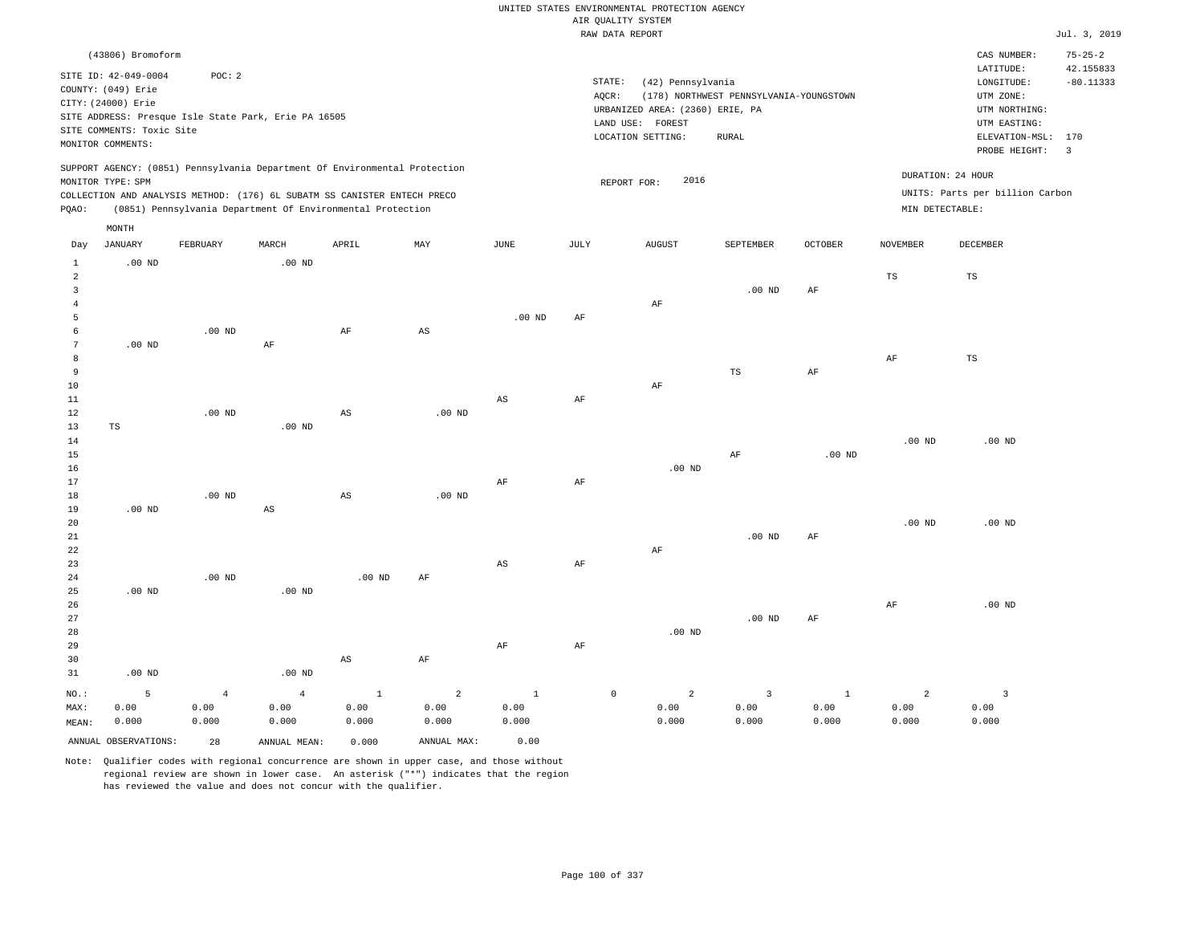|                 | (43806) Bromoform         |                |                                                                            |                        |                   |                        |          |                   |                                 |                                         |                   |                    | CAS NUMBER:                     | $75 - 25 - 2$  |
|-----------------|---------------------------|----------------|----------------------------------------------------------------------------|------------------------|-------------------|------------------------|----------|-------------------|---------------------------------|-----------------------------------------|-------------------|--------------------|---------------------------------|----------------|
|                 | SITE ID: 42-049-0004      | POC: 2         |                                                                            |                        |                   |                        |          |                   |                                 |                                         |                   |                    | LATITUDE:                       | 42.155833      |
|                 | COUNTY: (049) Erie        |                |                                                                            |                        |                   |                        |          | STATE:            | (42) Pennsylvania               |                                         |                   |                    | LONGITUDE:                      | $-80.11333$    |
|                 | CITY: (24000) Erie        |                |                                                                            |                        |                   |                        |          | AQCR:             |                                 | (178) NORTHWEST PENNSYLVANIA-YOUNGSTOWN |                   |                    | UTM ZONE:                       |                |
|                 |                           |                | SITE ADDRESS: Presque Isle State Park, Erie PA 16505                       |                        |                   |                        |          |                   | URBANIZED AREA: (2360) ERIE, PA |                                         |                   |                    | UTM NORTHING:                   |                |
|                 | SITE COMMENTS: Toxic Site |                |                                                                            |                        |                   |                        |          | LAND USE: FOREST  |                                 |                                         |                   |                    | UTM EASTING:                    |                |
|                 | MONITOR COMMENTS:         |                |                                                                            |                        |                   |                        |          | LOCATION SETTING: |                                 | <b>RURAL</b>                            |                   |                    | ELEVATION-MSL: 170              |                |
|                 |                           |                |                                                                            |                        |                   |                        |          |                   |                                 |                                         |                   |                    | PROBE HEIGHT:                   | $\overline{3}$ |
|                 |                           |                | SUPPORT AGENCY: (0851) Pennsylvania Department Of Environmental Protection |                        |                   |                        |          |                   |                                 |                                         |                   | DURATION: 24 HOUR  |                                 |                |
|                 | MONITOR TYPE: SPM         |                |                                                                            |                        |                   |                        |          | REPORT FOR:       | 2016                            |                                         |                   |                    | UNITS: Parts per billion Carbon |                |
|                 |                           |                | COLLECTION AND ANALYSIS METHOD: (176) 6L SUBATM SS CANISTER ENTECH PRECO   |                        |                   |                        |          |                   |                                 |                                         |                   |                    |                                 |                |
| PQAO:           |                           |                | (0851) Pennsylvania Department Of Environmental Protection                 |                        |                   |                        |          |                   |                                 |                                         |                   | $MIN$ DETECTABLE : |                                 |                |
|                 | MONTH                     |                |                                                                            |                        |                   |                        |          |                   |                                 |                                         |                   |                    |                                 |                |
| Day             | <b>JANUARY</b>            | FEBRUARY       | MARCH                                                                      | APRIL                  | MAY               | JUNE                   | JULY     |                   | <b>AUGUST</b>                   | SEPTEMBER                               | OCTOBER           | <b>NOVEMBER</b>    | DECEMBER                        |                |
| $\mathbf{1}$    | $.00$ ND                  |                | $.00$ ND                                                                   |                        |                   |                        |          |                   |                                 |                                         |                   |                    |                                 |                |
| $\overline{a}$  |                           |                |                                                                            |                        |                   |                        |          |                   |                                 |                                         |                   | $_{\rm TS}$        | TS                              |                |
| $\mathbf{3}$    |                           |                |                                                                            |                        |                   |                        |          |                   |                                 | $.00$ ND                                | AF                |                    |                                 |                |
| $\overline{4}$  |                           |                |                                                                            |                        |                   |                        |          |                   | $\rm AF$                        |                                         |                   |                    |                                 |                |
| 5               |                           |                |                                                                            |                        |                   | $.00$ ND               | AF       |                   |                                 |                                         |                   |                    |                                 |                |
| 6               |                           | $.00$ ND       |                                                                            | AF                     | AS                |                        |          |                   |                                 |                                         |                   |                    |                                 |                |
| $7\phantom{.0}$ | $.00$ ND                  |                | AF                                                                         |                        |                   |                        |          |                   |                                 |                                         |                   |                    |                                 |                |
| 8               |                           |                |                                                                            |                        |                   |                        |          |                   |                                 |                                         |                   | AF                 | TS                              |                |
| 9               |                           |                |                                                                            |                        |                   |                        |          |                   |                                 | TS                                      | AF                |                    |                                 |                |
| 10              |                           |                |                                                                            |                        |                   |                        |          |                   | AF                              |                                         |                   |                    |                                 |                |
| 11              |                           |                |                                                                            |                        |                   | $_{\rm AS}$            | $\rm AF$ |                   |                                 |                                         |                   |                    |                                 |                |
| 12              |                           | $.00$ ND       |                                                                            | $\mathbb{A}\mathbb{S}$ | $.00$ ND          |                        |          |                   |                                 |                                         |                   |                    |                                 |                |
| 13              | TS                        |                | $.00$ ND                                                                   |                        |                   |                        |          |                   |                                 |                                         |                   |                    |                                 |                |
| 14              |                           |                |                                                                            |                        |                   |                        |          |                   |                                 |                                         |                   | .00 <sub>ND</sub>  | $.00$ ND                        |                |
| 15              |                           |                |                                                                            |                        |                   |                        |          |                   |                                 | AF                                      | .00 <sub>ND</sub> |                    |                                 |                |
| 16<br>$17$      |                           |                |                                                                            |                        |                   |                        |          |                   | $.00$ ND                        |                                         |                   |                    |                                 |                |
| 18              |                           | $.00$ ND       |                                                                            | AS                     | .00 <sub>ND</sub> | AF                     | AF       |                   |                                 |                                         |                   |                    |                                 |                |
| 19              | $.00$ ND                  |                | $\mathbb{A}\mathbb{S}$                                                     |                        |                   |                        |          |                   |                                 |                                         |                   |                    |                                 |                |
| 20              |                           |                |                                                                            |                        |                   |                        |          |                   |                                 |                                         |                   | .00 <sub>ND</sub>  | $.00$ ND                        |                |
| 21              |                           |                |                                                                            |                        |                   |                        |          |                   |                                 | $.00$ ND                                | AF                |                    |                                 |                |
| 22              |                           |                |                                                                            |                        |                   |                        |          |                   | $\rm AF$                        |                                         |                   |                    |                                 |                |
| 23              |                           |                |                                                                            |                        |                   | $\mathbb{A}\mathbb{S}$ | AF       |                   |                                 |                                         |                   |                    |                                 |                |
| 24              |                           | $.00$ ND       |                                                                            | $.00$ ND               | AF                |                        |          |                   |                                 |                                         |                   |                    |                                 |                |
| 25              | $.00$ ND                  |                | $.00$ ND                                                                   |                        |                   |                        |          |                   |                                 |                                         |                   |                    |                                 |                |
| 26              |                           |                |                                                                            |                        |                   |                        |          |                   |                                 |                                         |                   | $\rm{AF}$          | $.00$ ND                        |                |
| 27              |                           |                |                                                                            |                        |                   |                        |          |                   |                                 | $.00$ ND                                | $\rm{AF}$         |                    |                                 |                |
| 28              |                           |                |                                                                            |                        |                   |                        |          |                   | $.00$ ND                        |                                         |                   |                    |                                 |                |
| 29              |                           |                |                                                                            |                        |                   | AF                     | AF       |                   |                                 |                                         |                   |                    |                                 |                |
| 30              |                           |                |                                                                            | $\mathbb{A}\mathbb{S}$ | AF                |                        |          |                   |                                 |                                         |                   |                    |                                 |                |
| 31              | $.00$ ND                  |                | $.00$ ND                                                                   |                        |                   |                        |          |                   |                                 |                                         |                   |                    |                                 |                |
| NO.:            | 5                         | $\overline{4}$ | $\overline{4}$                                                             | $\mathbf{1}$           | $\overline{2}$    | $\mathbf{1}$           |          | $\mathbb O$       | $\overline{a}$                  | $\mathbf{3}$                            | $\mathbf{1}$      | $\overline{2}$     | $\overline{\mathbf{3}}$         |                |
| MAX:            | 0.00                      | 0.00           | 0.00                                                                       | 0.00                   | 0.00              | 0.00                   |          |                   | 0.00                            | 0.00                                    | 0.00              | 0.00               | 0.00                            |                |
| MEAN:           | 0.000                     | 0.000          | 0.000                                                                      | 0.000                  | 0.000             | 0.000                  |          |                   | 0.000                           | 0.000                                   | 0.000             | 0.000              | 0.000                           |                |
|                 | ANNUAL OBSERVATIONS:      |                |                                                                            |                        | ANNUAL MAX:       | 0.00                   |          |                   |                                 |                                         |                   |                    |                                 |                |
|                 |                           | 28             | ANNUAL MEAN:                                                               | 0.000                  |                   |                        |          |                   |                                 |                                         |                   |                    |                                 |                |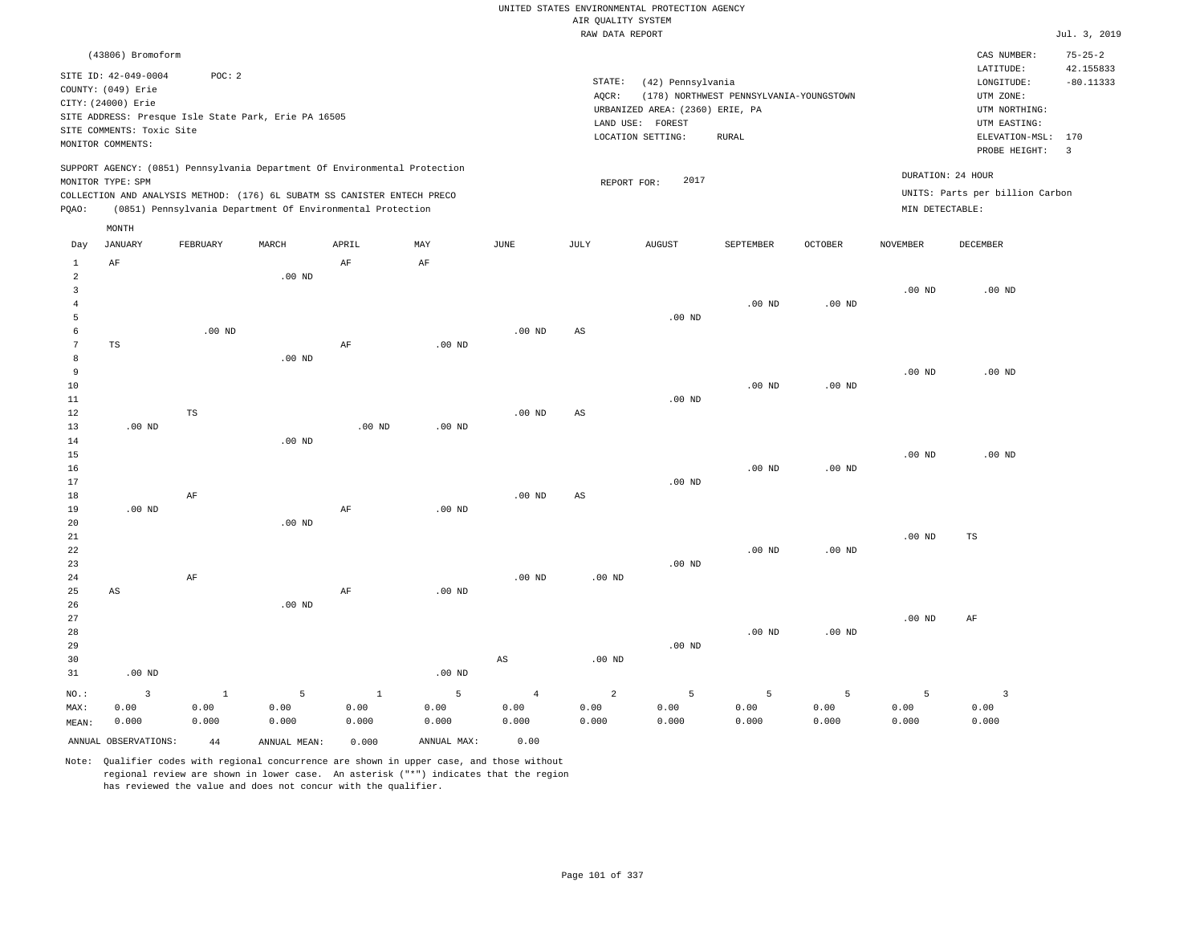| RAW DATA REPORT                                                                                                                               | Jul. 3, 2019   |
|-----------------------------------------------------------------------------------------------------------------------------------------------|----------------|
| CAS NUMBER:<br>(43806) Bromoform                                                                                                              | $75 - 25 - 2$  |
| LATITUDE:                                                                                                                                     | 42.155833      |
| SITE ID: 42-049-0004<br>POC: 2<br>STATE:<br>(42) Pennsylvania<br>LONGITUDE:                                                                   | $-80.11333$    |
| COUNTY: (049) Erie<br>(178) NORTHWEST PENNSYLVANIA-YOUNGSTOWN<br>UTM ZONE:<br>AQCR:                                                           |                |
| CITY: (24000) Erie<br>URBANIZED AREA: (2360) ERIE, PA<br>UTM NORTHING:<br>SITE ADDRESS: Presque Isle State Park, Erie PA 16505                |                |
| LAND USE: FOREST<br>UTM EASTING:<br>SITE COMMENTS: Toxic Site                                                                                 |                |
| LOCATION SETTING:<br>${\tt RURAL}$<br>ELEVATION-MSL: 170<br>MONITOR COMMENTS:                                                                 |                |
| PROBE HEIGHT:                                                                                                                                 | $\overline{3}$ |
| SUPPORT AGENCY: (0851) Pennsylvania Department Of Environmental Protection                                                                    |                |
| DURATION: 24 HOUR<br>2017<br>MONITOR TYPE: SPM<br>REPORT FOR:                                                                                 |                |
| UNITS: Parts per billion Carbon<br>COLLECTION AND ANALYSIS METHOD: (176) 6L SUBATM SS CANISTER ENTECH PRECO                                   |                |
| PQAO:<br>(0851) Pennsylvania Department Of Environmental Protection<br>MIN DETECTABLE:                                                        |                |
| MONTH                                                                                                                                         |                |
| JUNE<br>JANUARY<br>FEBRUARY<br>MARCH<br>APRIL<br>MAY<br>JULY<br><b>AUGUST</b><br>SEPTEMBER<br><b>OCTOBER</b><br>NOVEMBER<br>DECEMBER<br>Day   |                |
| $1\,$<br>$\rm AF$<br>$\rm AF$<br>AF                                                                                                           |                |
| $\overline{a}$<br>$.00$ ND                                                                                                                    |                |
| $\overline{3}$<br>.00 <sub>ND</sub><br>$.00$ ND                                                                                               |                |
| $\overline{4}$<br>$.00$ ND<br>$.00$ ND                                                                                                        |                |
| 5<br>$.00$ ND                                                                                                                                 |                |
| 6<br>$.00$ ND<br>.00 <sub>ND</sub><br>AS                                                                                                      |                |
| $7\phantom{.0}$<br>$_{\rm TS}$<br>AF<br>$.00$ ND                                                                                              |                |
| 8<br>$.00$ ND                                                                                                                                 |                |
| 9<br>.00 <sub>ND</sub><br>$.00$ ND                                                                                                            |                |
| 10<br>$.00$ ND<br>.00 <sub>ND</sub>                                                                                                           |                |
| 11<br>$.00$ ND                                                                                                                                |                |
| 12<br>$\mathbb{TS}$<br>.00 <sub>ND</sub><br>$_{\rm AS}$                                                                                       |                |
| 13<br>$.00$ ND<br>$.00$ ND<br>$.00$ ND                                                                                                        |                |
| 14<br>$.00$ ND                                                                                                                                |                |
| 15<br>.00 <sub>ND</sub><br>$.00$ ND                                                                                                           |                |
| 16<br>$.00$ ND<br>$.00$ ND<br>17<br>$.00$ ND                                                                                                  |                |
| 18<br>$\rm AF$<br>.00 <sub>ND</sub><br>$\mathbb{A}\mathbb{S}$                                                                                 |                |
| 19<br>$.00$ ND<br>AF<br>$.00$ ND                                                                                                              |                |
| 20<br>$.00$ ND                                                                                                                                |                |
| 21<br>.00 <sub>ND</sub><br>TS                                                                                                                 |                |
| 22<br>$.00$ ND<br>$.00$ ND                                                                                                                    |                |
| 23<br>$.00$ ND                                                                                                                                |                |
| $.00$ ND<br>.00 <sub>ND</sub><br>24<br>AF                                                                                                     |                |
| 25<br>$.00$ ND<br>AS<br>AF                                                                                                                    |                |
| 26<br>.00 <sub>ND</sub>                                                                                                                       |                |
| 27<br>.00 <sub>ND</sub><br>AF                                                                                                                 |                |
| 28<br>$.00$ ND<br>.00 <sub>ND</sub>                                                                                                           |                |
| 29<br>$.00$ ND                                                                                                                                |                |
| 30<br>$_{\rm AS}$<br>$.00$ ND                                                                                                                 |                |
| 31<br>$.00$ ND<br>$.00$ ND                                                                                                                    |                |
| $\mathbf{1}$<br>5<br>$\overline{a}$<br>5<br>$\overline{3}$<br>$NO.$ :<br>$\overline{3}$<br>$\mathbf{1}$<br>5<br>$\overline{4}$<br>5<br>5<br>5 |                |
| 0.00<br>0.00<br>0.00<br>0.00<br>0.00<br>0.00<br>MAX:<br>0.00<br>0.00<br>0.00<br>0.00<br>0.00<br>0.00                                          |                |
|                                                                                                                                               |                |
| 0.000<br>0.000<br>0.000<br>0.000<br>0.000<br>0.000<br>0.000<br>0.000<br>0.000<br>0.000<br>0.000<br>0.000<br>MEAN:                             |                |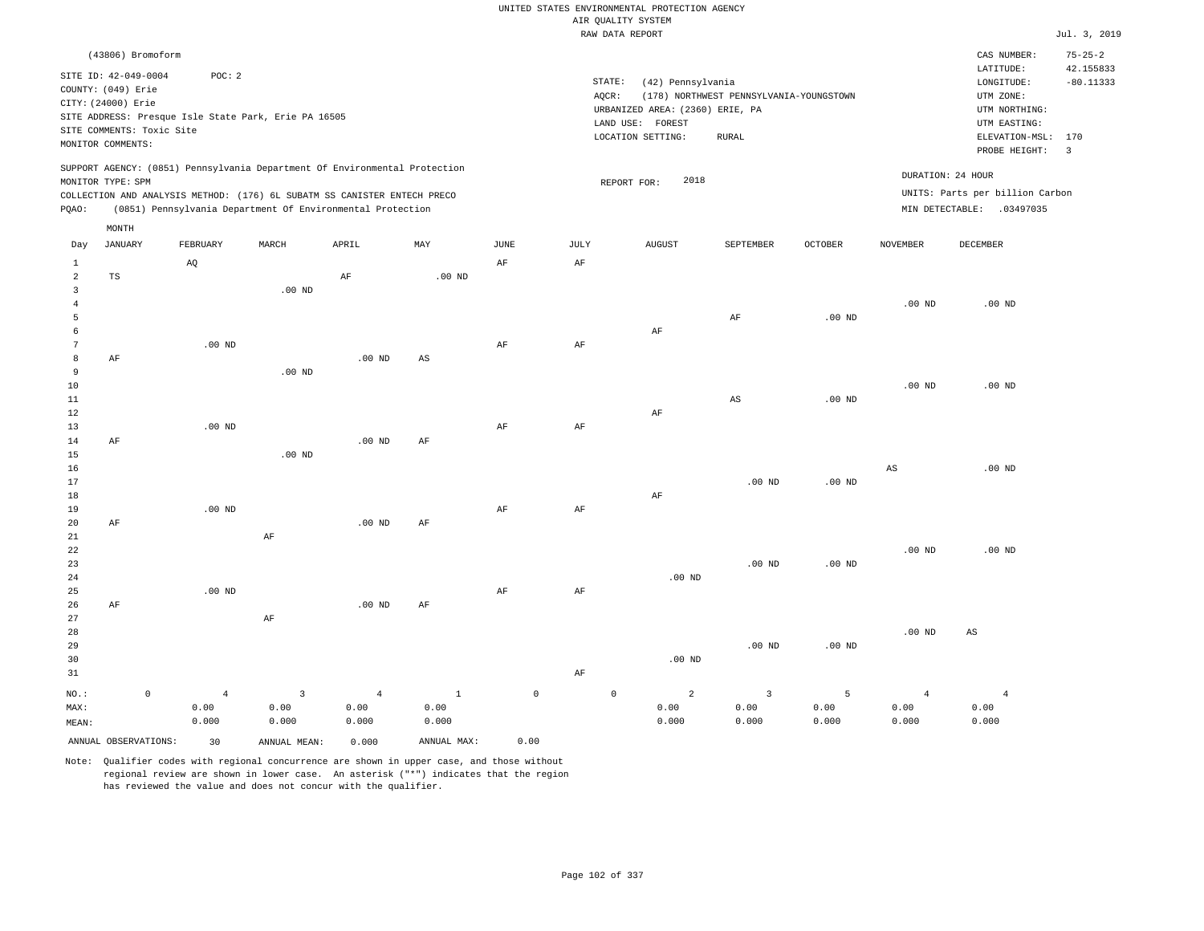|                                |                                                |                        |                                                      |                                                                                                                                        |                        |                     |                 | UNITED STATES ENVIRONMENTAL PROTECTION AGENCY       |                                         |                   |                        |                                                              |                          |
|--------------------------------|------------------------------------------------|------------------------|------------------------------------------------------|----------------------------------------------------------------------------------------------------------------------------------------|------------------------|---------------------|-----------------|-----------------------------------------------------|-----------------------------------------|-------------------|------------------------|--------------------------------------------------------------|--------------------------|
|                                |                                                |                        |                                                      |                                                                                                                                        |                        |                     |                 | AIR QUALITY SYSTEM<br>RAW DATA REPORT               |                                         |                   |                        |                                                              | Jul. 3, 2019             |
|                                | (43806) Bromoform                              |                        |                                                      |                                                                                                                                        |                        |                     |                 |                                                     |                                         |                   |                        | CAS NUMBER:                                                  | $75 - 25 - 2$            |
|                                | SITE ID: 42-049-0004<br>COUNTY: (049) Erie     | POC: 2                 |                                                      |                                                                                                                                        |                        |                     | STATE:<br>AQCR: | (42) Pennsylvania                                   | (178) NORTHWEST PENNSYLVANIA-YOUNGSTOWN |                   |                        | LATITUDE:<br>LONGITUDE:<br>UTM ZONE:                         | 42.155833<br>$-80.11333$ |
|                                | CITY: (24000) Erie                             |                        | SITE ADDRESS: Presque Isle State Park, Erie PA 16505 |                                                                                                                                        |                        |                     |                 | URBANIZED AREA: (2360) ERIE, PA<br>LAND USE: FOREST |                                         |                   |                        | UTM NORTHING:<br>UTM EASTING:                                |                          |
|                                | SITE COMMENTS: Toxic Site<br>MONITOR COMMENTS: |                        |                                                      |                                                                                                                                        |                        |                     |                 | LOCATION SETTING:                                   | <b>RURAL</b>                            |                   |                        | ELEVATION-MSL:<br>PROBE HEIGHT:                              | 170<br>$\overline{3}$    |
|                                | MONITOR TYPE: SPM                              |                        |                                                      | SUPPORT AGENCY: (0851) Pennsylvania Department Of Environmental Protection                                                             |                        |                     |                 | 2018<br>REPORT FOR:                                 |                                         |                   | DURATION: 24 HOUR      |                                                              |                          |
| PQAO:                          |                                                |                        |                                                      | COLLECTION AND ANALYSIS METHOD: (176) 6L SUBATM SS CANISTER ENTECH PRECO<br>(0851) Pennsylvania Department Of Environmental Protection |                        |                     |                 |                                                     |                                         |                   |                        | UNITS: Parts per billion Carbon<br>MIN DETECTABLE: .03497035 |                          |
| Day                            | $\texttt{MONTH}$<br><b>JANUARY</b>             | FEBRUARY               | MARCH                                                | APRIL                                                                                                                                  | MAY                    | JUNE                | JULY            | <b>AUGUST</b>                                       | SEPTEMBER                               | OCTOBER           | <b>NOVEMBER</b>        | DECEMBER                                                     |                          |
| $\mathbf{1}$<br>$\overline{a}$ | $_{\rm TS}$                                    | AQ                     |                                                      | AF                                                                                                                                     | $.00$ ND               | AF                  | AF              |                                                     |                                         |                   |                        |                                                              |                          |
| $\mathbf{3}$<br>$\bf 4$        |                                                |                        | $.00$ ND                                             |                                                                                                                                        |                        |                     |                 |                                                     |                                         |                   | $.00$ ND               | $.00$ ND                                                     |                          |
| 5<br>6                         |                                                |                        |                                                      |                                                                                                                                        |                        |                     |                 | AF                                                  | AF                                      | $.00$ ND          |                        |                                                              |                          |
| $\overline{7}$<br>$\mathbf{a}$ | $\rm AF$                                       | $.00$ ND               |                                                      | .00 <sub>ND</sub>                                                                                                                      | $\mathbb{A}\mathbb{S}$ | AF                  | AF              |                                                     |                                         |                   |                        |                                                              |                          |
| $\overline{9}$<br>10           |                                                |                        | $.00$ ND                                             |                                                                                                                                        |                        |                     |                 |                                                     |                                         |                   | .00 <sub>ND</sub>      | $.00$ ND                                                     |                          |
| $11\,$<br>12<br>13             |                                                | $.00$ ND               |                                                      |                                                                                                                                        |                        | $\rm{AF}$           | $\rm{AF}$       | AF                                                  | $_{\rm AS}$                             | $.00$ ND          |                        |                                                              |                          |
| 14<br>15                       | AF                                             |                        | $.00$ ND                                             | $.00$ ND                                                                                                                               | AF                     |                     |                 |                                                     |                                         |                   |                        |                                                              |                          |
| 16<br>17                       |                                                |                        |                                                      |                                                                                                                                        |                        |                     |                 |                                                     | $.00$ ND                                | $.00$ ND          | $_{\rm AS}$            | $.00$ ND                                                     |                          |
| 18<br>19<br>20                 |                                                | $.00$ ND               |                                                      | .00 $ND$                                                                                                                               | AF                     | AF                  | AF              | AF                                                  |                                         |                   |                        |                                                              |                          |
| 21<br>22                       | AF                                             |                        | AF                                                   |                                                                                                                                        |                        |                     |                 |                                                     |                                         |                   | .00 <sub>ND</sub>      | .00 <sub>ND</sub>                                            |                          |
| 23<br>24                       |                                                |                        |                                                      |                                                                                                                                        |                        |                     |                 | $.00$ ND                                            | $.00$ ND                                | $.00$ ND          |                        |                                                              |                          |
| 25<br>26                       | AF                                             | $.00$ ND               |                                                      | $.00$ ND                                                                                                                               | AF                     | AF                  | AF              |                                                     |                                         |                   |                        |                                                              |                          |
| 27<br>28                       |                                                |                        | $\rm AF$                                             |                                                                                                                                        |                        |                     |                 |                                                     | $.00$ ND                                |                   | .00 <sub>ND</sub>      | $_{\rm AS}$                                                  |                          |
| 29<br>30<br>31                 |                                                |                        |                                                      |                                                                                                                                        |                        |                     | $\rm{AF}$       | $.00$ ND                                            |                                         | .00 <sub>ND</sub> |                        |                                                              |                          |
| NO.:<br>MAX:                   | $\mathbb O$                                    | $\overline{4}$<br>0.00 | 3<br>0.00                                            | $\overline{4}$<br>0.00                                                                                                                 | $\mathbf{1}$<br>0.00   | $\mathsf{O}\xspace$ |                 | $\mathbf 2$<br>$\mathsf{O}$<br>0.00                 | $\overline{\mathbf{3}}$<br>0.00         | 5<br>0.00         | $\overline{4}$<br>0.00 | $\overline{4}$<br>0.00                                       |                          |
| MEAN:                          |                                                | 0.000                  | 0.000                                                | 0.000                                                                                                                                  | 0.000                  |                     |                 | 0.000                                               | 0.000                                   | 0.000             | 0.000                  | 0.000                                                        |                          |
|                                | ANNUAL OBSERVATIONS:                           | 30                     | ANNUAL, MEAN:                                        | 0.000                                                                                                                                  | ANNUAL MAX:            | 0.00                |                 |                                                     |                                         |                   |                        |                                                              |                          |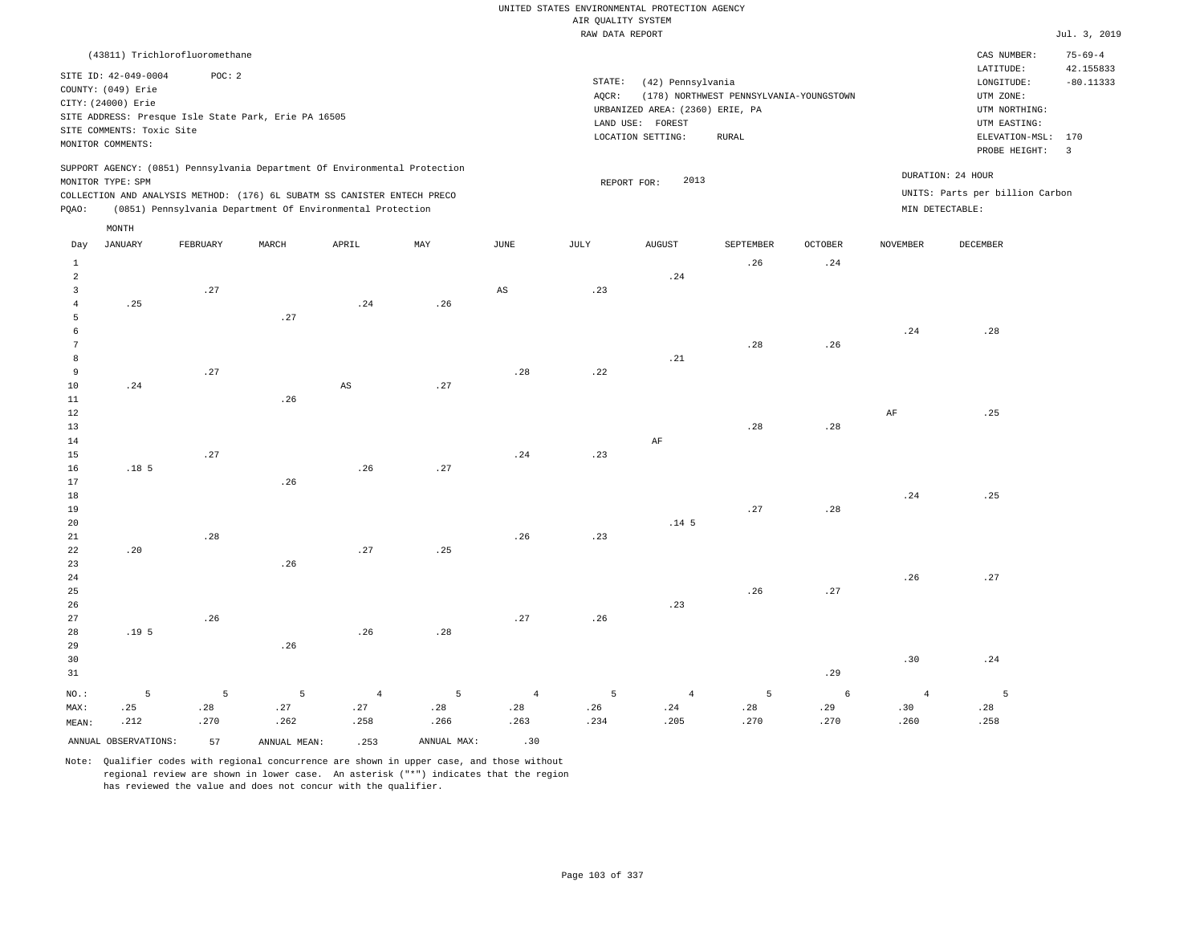|                         |                                |          |                                                                            |                        |             |                | RAW DATA REPORT |                                 |                                         |                |                |                                 | Jul. 3, 2019   |
|-------------------------|--------------------------------|----------|----------------------------------------------------------------------------|------------------------|-------------|----------------|-----------------|---------------------------------|-----------------------------------------|----------------|----------------|---------------------------------|----------------|
|                         | (43811) Trichlorofluoromethane |          |                                                                            |                        |             |                |                 |                                 |                                         |                |                | CAS NUMBER:                     | $75 - 69 - 4$  |
|                         | SITE ID: 42-049-0004           | POC: 2   |                                                                            |                        |             |                |                 |                                 |                                         |                |                | LATITUDE:                       | 42.155833      |
|                         | COUNTY: (049) Erie             |          |                                                                            |                        |             |                | STATE:          | (42) Pennsylvania               |                                         |                |                | LONGITUDE:                      | $-80.11333$    |
|                         |                                |          |                                                                            |                        |             |                | AQCR:           |                                 | (178) NORTHWEST PENNSYLVANIA-YOUNGSTOWN |                |                | UTM ZONE:                       |                |
|                         | CITY: (24000) Erie             |          |                                                                            |                        |             |                |                 | URBANIZED AREA: (2360) ERIE, PA |                                         |                |                | UTM NORTHING:                   |                |
|                         |                                |          | SITE ADDRESS: Presque Isle State Park, Erie PA 16505                       |                        |             |                |                 | LAND USE: FOREST                |                                         |                |                | UTM EASTING:                    |                |
|                         | SITE COMMENTS: Toxic Site      |          |                                                                            |                        |             |                |                 | LOCATION SETTING:               | RURAL                                   |                |                | ELEVATION-MSL: 170              |                |
|                         | MONITOR COMMENTS:              |          |                                                                            |                        |             |                |                 |                                 |                                         |                |                | PROBE HEIGHT:                   | $\overline{3}$ |
|                         |                                |          | SUPPORT AGENCY: (0851) Pennsylvania Department Of Environmental Protection |                        |             |                |                 |                                 |                                         |                |                | DURATION: 24 HOUR               |                |
|                         | MONITOR TYPE: SPM              |          |                                                                            |                        |             |                |                 | 2013<br>REPORT FOR:             |                                         |                |                |                                 |                |
|                         |                                |          | COLLECTION AND ANALYSIS METHOD: (176) 6L SUBATM SS CANISTER ENTECH PRECO   |                        |             |                |                 |                                 |                                         |                |                | UNITS: Parts per billion Carbon |                |
| PQAO:                   |                                |          | (0851) Pennsylvania Department Of Environmental Protection                 |                        |             |                |                 |                                 |                                         |                |                | MIN DETECTABLE:                 |                |
|                         | MONTH                          |          |                                                                            |                        |             |                |                 |                                 |                                         |                |                |                                 |                |
| Day                     | JANUARY                        | FEBRUARY | MARCH                                                                      | APRIL                  | MAY         | JUNE           | JULY            | ${\tt AUGUST}$                  | SEPTEMBER                               | <b>OCTOBER</b> | NOVEMBER       | DECEMBER                        |                |
| $\mathbf{1}$            |                                |          |                                                                            |                        |             |                |                 |                                 | .26                                     | .24            |                |                                 |                |
| $\overline{a}$          |                                |          |                                                                            |                        |             |                |                 | .24                             |                                         |                |                |                                 |                |
| $\overline{\mathbf{3}}$ |                                | .27      |                                                                            |                        |             | $_{\rm AS}$    | .23             |                                 |                                         |                |                |                                 |                |
| $\overline{4}$          | .25                            |          |                                                                            | .24                    | .26         |                |                 |                                 |                                         |                |                |                                 |                |
| 5                       |                                |          | .27                                                                        |                        |             |                |                 |                                 |                                         |                |                |                                 |                |
| 6                       |                                |          |                                                                            |                        |             |                |                 |                                 |                                         |                | .24            | .28                             |                |
| $\overline{7}$          |                                |          |                                                                            |                        |             |                |                 |                                 | .28                                     | .26            |                |                                 |                |
| 8                       |                                |          |                                                                            |                        |             |                |                 | .21                             |                                         |                |                |                                 |                |
| 9                       |                                | .27      |                                                                            |                        |             | .28            | .22             |                                 |                                         |                |                |                                 |                |
| 10                      | .24                            |          |                                                                            | $\mathbb{A}\mathbb{S}$ | .27         |                |                 |                                 |                                         |                |                |                                 |                |
| $11\,$                  |                                |          | .26                                                                        |                        |             |                |                 |                                 |                                         |                |                |                                 |                |
| 12                      |                                |          |                                                                            |                        |             |                |                 |                                 |                                         |                | $\rm AF$       | .25                             |                |
| 13                      |                                |          |                                                                            |                        |             |                |                 |                                 | .28                                     | .28            |                |                                 |                |
| 14                      |                                |          |                                                                            |                        |             |                |                 | $\rm AF$                        |                                         |                |                |                                 |                |
| 15                      |                                | .27      |                                                                            |                        |             | .24            | .23             |                                 |                                         |                |                |                                 |                |
| 16                      | .18 <sub>5</sub>               |          |                                                                            | .26                    | .27         |                |                 |                                 |                                         |                |                |                                 |                |
| 17                      |                                |          | .26                                                                        |                        |             |                |                 |                                 |                                         |                |                |                                 |                |
| 18                      |                                |          |                                                                            |                        |             |                |                 |                                 |                                         |                | .24            | .25                             |                |
| 19                      |                                |          |                                                                            |                        |             |                |                 |                                 | .27                                     | .28            |                |                                 |                |
| 20                      |                                |          |                                                                            |                        |             |                |                 | .14 <sub>5</sub>                |                                         |                |                |                                 |                |
| 21                      |                                | .28      |                                                                            |                        |             | .26            | .23             |                                 |                                         |                |                |                                 |                |
| 22                      | .20                            |          |                                                                            | .27                    | .25         |                |                 |                                 |                                         |                |                |                                 |                |
| 23                      |                                |          | .26                                                                        |                        |             |                |                 |                                 |                                         |                |                |                                 |                |
| 24                      |                                |          |                                                                            |                        |             |                |                 |                                 |                                         |                | .26            | .27                             |                |
| 25                      |                                |          |                                                                            |                        |             |                |                 |                                 | .26                                     | .27            |                |                                 |                |
| 26                      |                                |          |                                                                            |                        |             |                |                 | .23                             |                                         |                |                |                                 |                |
| 27                      |                                | .26      |                                                                            |                        |             | .27            | .26             |                                 |                                         |                |                |                                 |                |
| 28                      | .19 <sub>5</sub>               |          |                                                                            | .26                    | .28         |                |                 |                                 |                                         |                |                |                                 |                |
| 29                      |                                |          | .26                                                                        |                        |             |                |                 |                                 |                                         |                |                |                                 |                |
| 30                      |                                |          |                                                                            |                        |             |                |                 |                                 |                                         |                | .30            | .24                             |                |
| 31                      |                                |          |                                                                            |                        |             |                |                 |                                 |                                         | .29            |                |                                 |                |
| NO.:                    | 5                              | 5        | 5                                                                          | $\overline{4}$         | 5           | $\overline{4}$ | 5               | $\overline{4}$                  | 5                                       | 6              | $\overline{4}$ | 5                               |                |
| MAX:                    | .25                            | .28      | .27                                                                        | .27                    | .28         | .28            | .26             | .24                             | .28                                     | .29            | .30            | .28                             |                |
| MEAN:                   | .212                           | .270     | .262                                                                       | .258                   | .266        | .263           | .234            | .205                            | .270                                    | .270           | .260           | .258                            |                |
|                         | ANNUAL OBSERVATIONS:           | 57       | ANNUAL MEAN:                                                               | .253                   | ANNUAL MAX: | .30            |                 |                                 |                                         |                |                |                                 |                |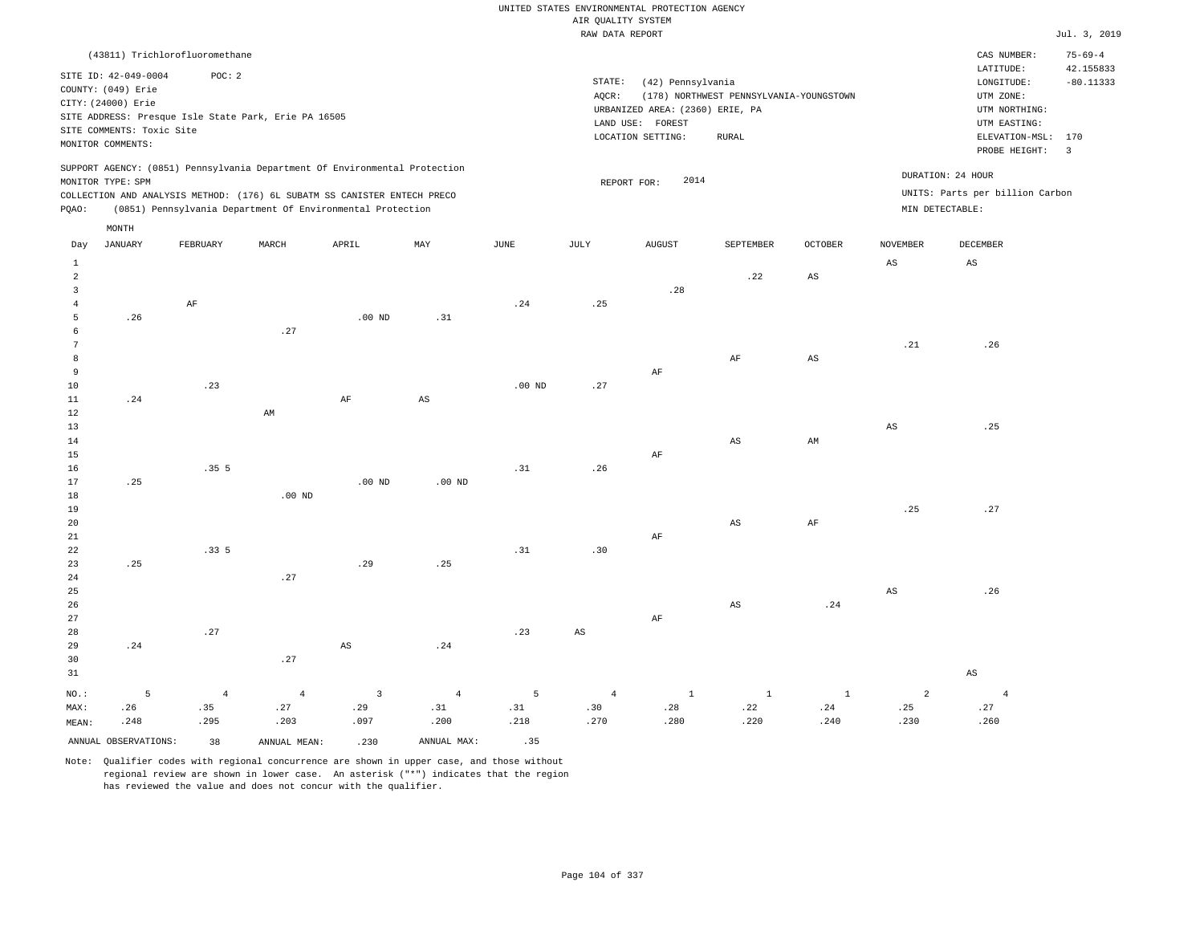|                                                                                                                                                                                      |                   |                                                                            |          |                        |                        |          | RAW DATA REPORT |                                                                                                                                                    |                                                                                                              |                                                     |                        |                                 | Jul. 3, 2019  |
|--------------------------------------------------------------------------------------------------------------------------------------------------------------------------------------|-------------------|----------------------------------------------------------------------------|----------|------------------------|------------------------|----------|-----------------|----------------------------------------------------------------------------------------------------------------------------------------------------|--------------------------------------------------------------------------------------------------------------|-----------------------------------------------------|------------------------|---------------------------------|---------------|
|                                                                                                                                                                                      |                   | (43811) Trichlorofluoromethane                                             |          |                        |                        |          |                 |                                                                                                                                                    |                                                                                                              |                                                     |                        | CAS NUMBER:                     | $75 - 69 - 4$ |
| SITE ID: 42-049-0004<br>POC: 2<br>COUNTY: (049) Erie<br>CITY: (24000) Erie<br>SITE ADDRESS: Presque Isle State Park, Erie PA 16505<br>SITE COMMENTS: Toxic Site<br>MONITOR COMMENTS: |                   |                                                                            |          |                        |                        |          |                 | STATE:<br>(42) Pennsylvania<br>(178) NORTHWEST PENNSYLVANIA-YOUNGSTOWN<br>URBANIZED AREA: (2360) ERIE, PA<br>LAND USE: FOREST<br>LOCATION SETTING: | LATITUDE:<br>LONGITUDE:<br>UTM ZONE:<br>UTM NORTHING:<br>UTM EASTING:<br>ELEVATION-MSL: 170<br>PROBE HEIGHT: | 42.155833<br>$-80.11333$<br>$\overline{\mathbf{3}}$ |                        |                                 |               |
|                                                                                                                                                                                      |                   | SUPPORT AGENCY: (0851) Pennsylvania Department Of Environmental Protection |          |                        |                        |          |                 |                                                                                                                                                    |                                                                                                              |                                                     |                        | DURATION: 24 HOUR               |               |
|                                                                                                                                                                                      | MONITOR TYPE: SPM |                                                                            |          |                        |                        |          |                 | 2014<br>REPORT FOR:                                                                                                                                |                                                                                                              |                                                     |                        | UNITS: Parts per billion Carbon |               |
|                                                                                                                                                                                      |                   | COLLECTION AND ANALYSIS METHOD: (176) 6L SUBATM SS CANISTER ENTECH PRECO   |          |                        |                        |          |                 |                                                                                                                                                    |                                                                                                              |                                                     |                        |                                 |               |
| PQAO:                                                                                                                                                                                |                   | (0851) Pennsylvania Department Of Environmental Protection                 |          |                        |                        |          |                 |                                                                                                                                                    |                                                                                                              |                                                     |                        | MIN DETECTABLE:                 |               |
|                                                                                                                                                                                      | MONTH             |                                                                            |          |                        |                        |          |                 |                                                                                                                                                    |                                                                                                              |                                                     |                        |                                 |               |
| Day                                                                                                                                                                                  | JANUARY           | FEBRUARY                                                                   | MARCH    | APRIL                  | MAY                    | JUNE     | JULY            | <b>AUGUST</b>                                                                                                                                      | SEPTEMBER                                                                                                    | <b>OCTOBER</b>                                      | NOVEMBER               | DECEMBER                        |               |
| $1\,$<br>$\overline{a}$                                                                                                                                                              |                   |                                                                            |          |                        |                        |          |                 |                                                                                                                                                    | .22                                                                                                          | $\mathbb{A}\mathbb{S}$                              | $_{\rm AS}$            | $\mathbb{A}\mathbb{S}$          |               |
| 3                                                                                                                                                                                    |                   |                                                                            |          |                        |                        |          |                 | .28                                                                                                                                                |                                                                                                              |                                                     |                        |                                 |               |
| $\overline{4}$                                                                                                                                                                       |                   | AF                                                                         |          |                        |                        | .24      | .25             |                                                                                                                                                    |                                                                                                              |                                                     |                        |                                 |               |
| 5                                                                                                                                                                                    | .26               |                                                                            |          | $.00$ ND               | .31                    |          |                 |                                                                                                                                                    |                                                                                                              |                                                     |                        |                                 |               |
| 6                                                                                                                                                                                    |                   |                                                                            | .27      |                        |                        |          |                 |                                                                                                                                                    |                                                                                                              |                                                     |                        |                                 |               |
| $7\phantom{.0}$                                                                                                                                                                      |                   |                                                                            |          |                        |                        |          |                 |                                                                                                                                                    |                                                                                                              |                                                     | .21                    | .26                             |               |
| 8                                                                                                                                                                                    |                   |                                                                            |          |                        |                        |          |                 |                                                                                                                                                    | $\rm AF$                                                                                                     | $\mathbb{A}\mathcal{S}$                             |                        |                                 |               |
| 9                                                                                                                                                                                    |                   |                                                                            |          |                        |                        |          |                 | $\rm AF$                                                                                                                                           |                                                                                                              |                                                     |                        |                                 |               |
| $10$                                                                                                                                                                                 |                   | .23                                                                        |          |                        |                        | $.00$ ND | .27             |                                                                                                                                                    |                                                                                                              |                                                     |                        |                                 |               |
| $11\,$                                                                                                                                                                               | .24               |                                                                            |          | AF                     | $\mathbb{A}\mathbb{S}$ |          |                 |                                                                                                                                                    |                                                                                                              |                                                     |                        |                                 |               |
| 12                                                                                                                                                                                   |                   |                                                                            | AM       |                        |                        |          |                 |                                                                                                                                                    |                                                                                                              |                                                     |                        |                                 |               |
| 13                                                                                                                                                                                   |                   |                                                                            |          |                        |                        |          |                 |                                                                                                                                                    |                                                                                                              |                                                     | $\mathbb{A}\mathbb{S}$ | .25                             |               |
| 14                                                                                                                                                                                   |                   |                                                                            |          |                        |                        |          |                 |                                                                                                                                                    | $\mathbb{A}\mathbb{S}$                                                                                       | AM                                                  |                        |                                 |               |
| 15                                                                                                                                                                                   |                   |                                                                            |          |                        |                        |          |                 | $\rm{AF}$                                                                                                                                          |                                                                                                              |                                                     |                        |                                 |               |
| 16                                                                                                                                                                                   |                   | .355                                                                       |          |                        |                        | .31      | .26             |                                                                                                                                                    |                                                                                                              |                                                     |                        |                                 |               |
| 17                                                                                                                                                                                   | .25               |                                                                            |          | $.00$ ND               | $.00$ ND               |          |                 |                                                                                                                                                    |                                                                                                              |                                                     |                        |                                 |               |
| 18                                                                                                                                                                                   |                   |                                                                            | $.00$ ND |                        |                        |          |                 |                                                                                                                                                    |                                                                                                              |                                                     |                        |                                 |               |
| 19                                                                                                                                                                                   |                   |                                                                            |          |                        |                        |          |                 |                                                                                                                                                    |                                                                                                              |                                                     | .25                    | .27                             |               |
| 20<br>21                                                                                                                                                                             |                   |                                                                            |          |                        |                        |          |                 |                                                                                                                                                    | AS                                                                                                           | AF                                                  |                        |                                 |               |
| 22                                                                                                                                                                                   |                   | .335                                                                       |          |                        |                        | .31      | .30             | AF                                                                                                                                                 |                                                                                                              |                                                     |                        |                                 |               |
|                                                                                                                                                                                      |                   |                                                                            |          |                        |                        |          |                 |                                                                                                                                                    |                                                                                                              |                                                     |                        |                                 |               |
| 23                                                                                                                                                                                   | .25               |                                                                            |          | .29                    | .25                    |          |                 |                                                                                                                                                    |                                                                                                              |                                                     |                        |                                 |               |
| 24                                                                                                                                                                                   |                   |                                                                            | .27      |                        |                        |          |                 |                                                                                                                                                    |                                                                                                              |                                                     |                        |                                 |               |
| 25                                                                                                                                                                                   |                   |                                                                            |          |                        |                        |          |                 |                                                                                                                                                    |                                                                                                              |                                                     | $_{\rm AS}$            | .26                             |               |
| 26                                                                                                                                                                                   |                   |                                                                            |          |                        |                        |          |                 |                                                                                                                                                    | AS                                                                                                           | .24                                                 |                        |                                 |               |
| 27                                                                                                                                                                                   |                   |                                                                            |          |                        |                        |          |                 | AF                                                                                                                                                 |                                                                                                              |                                                     |                        |                                 |               |
| 28                                                                                                                                                                                   |                   | .27                                                                        |          |                        |                        | .23      | AS              |                                                                                                                                                    |                                                                                                              |                                                     |                        |                                 |               |
| 29                                                                                                                                                                                   | .24               |                                                                            |          | $\mathbb{A}\mathbb{S}$ | .24                    |          |                 |                                                                                                                                                    |                                                                                                              |                                                     |                        |                                 |               |
| 30                                                                                                                                                                                   |                   |                                                                            | .27      |                        |                        |          |                 |                                                                                                                                                    |                                                                                                              |                                                     |                        |                                 |               |
| 31                                                                                                                                                                                   |                   |                                                                            |          |                        |                        |          |                 |                                                                                                                                                    |                                                                                                              |                                                     |                        | $\mathbb{A}\mathbb{S}$          |               |

NO.: MAX: MEAN: 5 .26 .248 4 .35 .295 4 .27 .203 3 .29 .097 4 .31 .200 5 .31 .218 4 .30 .270 1 .28 .280 1 .22 .220 1 .24 .240 2 .25 .230 4 .27 .260 ANNUAL OBSERVATIONS: 38 ANNUAL MEAN: .230 ANNUAL MAX: .35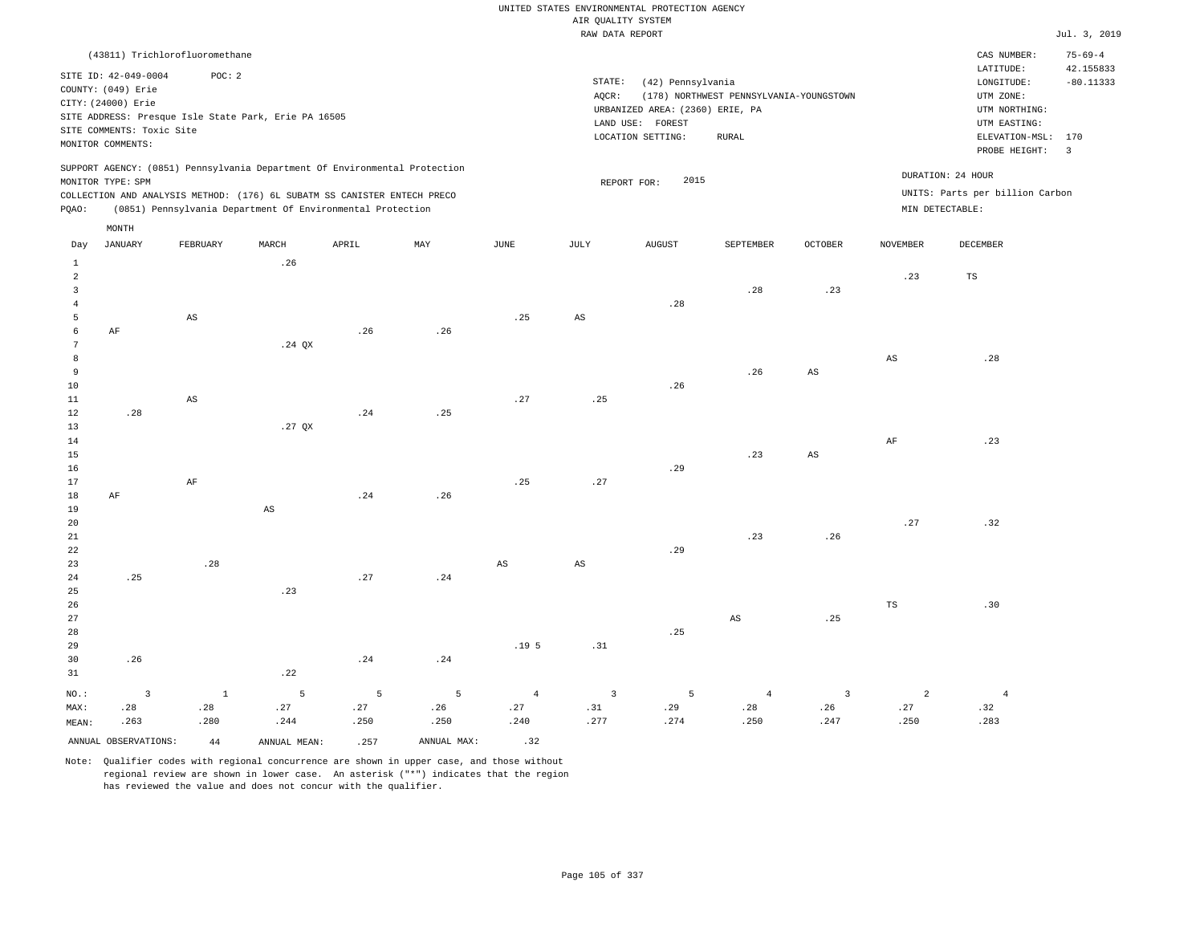|                                                                                                                                                                                      |                   |                                                                            |                        |       |     |                        | RAW DATA REPORT                                                                                                                                                                                                        |                     |           |             |                 |                                 | Jul. 3, 2019                                                                                                   |
|--------------------------------------------------------------------------------------------------------------------------------------------------------------------------------------|-------------------|----------------------------------------------------------------------------|------------------------|-------|-----|------------------------|------------------------------------------------------------------------------------------------------------------------------------------------------------------------------------------------------------------------|---------------------|-----------|-------------|-----------------|---------------------------------|----------------------------------------------------------------------------------------------------------------|
|                                                                                                                                                                                      |                   | (43811) Trichlorofluoromethane                                             |                        |       |     |                        |                                                                                                                                                                                                                        |                     |           |             |                 | CAS NUMBER:<br>LATITUDE:        | $75 - 69 - 4$                                                                                                  |
| POC: 2<br>SITE ID: 42-049-0004<br>COUNTY: (049) Erie<br>CITY: (24000) Erie<br>SITE ADDRESS: Presque Isle State Park, Erie PA 16505<br>SITE COMMENTS: Toxic Site<br>MONITOR COMMENTS: |                   |                                                                            |                        |       |     |                        | STATE:<br>(42) Pennsylvania<br>LONGITUDE:<br>AQCR:<br>(178) NORTHWEST PENNSYLVANIA-YOUNGSTOWN<br>UTM ZONE:<br>URBANIZED AREA: (2360) ERIE, PA<br>LAND USE: FOREST<br>UTM EASTING:<br>LOCATION SETTING:<br><b>RURAL</b> |                     |           |             |                 |                                 | 42.155833<br>$-80.11333$<br>UTM NORTHING:<br>170<br>ELEVATION-MSL:<br>PROBE HEIGHT:<br>$\overline{\mathbf{3}}$ |
|                                                                                                                                                                                      | MONITOR TYPE: SPM | SUPPORT AGENCY: (0851) Pennsylvania Department Of Environmental Protection |                        |       |     |                        |                                                                                                                                                                                                                        | 2015<br>REPORT FOR: |           |             |                 | DURATION: 24 HOUR               |                                                                                                                |
|                                                                                                                                                                                      |                   | COLLECTION AND ANALYSIS METHOD: (176) 6L SUBATM SS CANISTER ENTECH PRECO   |                        |       |     |                        |                                                                                                                                                                                                                        |                     |           |             |                 | UNITS: Parts per billion Carbon |                                                                                                                |
| PQAO:                                                                                                                                                                                |                   | (0851) Pennsylvania Department Of Environmental Protection                 |                        |       |     |                        |                                                                                                                                                                                                                        |                     |           |             |                 | MIN DETECTABLE:                 |                                                                                                                |
|                                                                                                                                                                                      | MONTH             |                                                                            |                        |       |     |                        |                                                                                                                                                                                                                        |                     |           |             |                 |                                 |                                                                                                                |
| Day                                                                                                                                                                                  | JANUARY           | FEBRUARY                                                                   | MARCH                  | APRIL | MAY | JUNE                   | JULY                                                                                                                                                                                                                   | AUGUST              | SEPTEMBER | OCTOBER     | <b>NOVEMBER</b> | DECEMBER                        |                                                                                                                |
| $\mathbf{1}$<br>$\overline{2}$<br>$\overline{3}$                                                                                                                                     |                   |                                                                            | .26                    |       |     |                        |                                                                                                                                                                                                                        |                     | .28       | .23         | .23             | $_{\rm TS}$                     |                                                                                                                |
| 4<br>5                                                                                                                                                                               |                   | AS                                                                         |                        |       |     | .25                    | AS                                                                                                                                                                                                                     | .28                 |           |             |                 |                                 |                                                                                                                |
| 6                                                                                                                                                                                    | AF                |                                                                            |                        | .26   | .26 |                        |                                                                                                                                                                                                                        |                     |           |             |                 |                                 |                                                                                                                |
| $\overline{7}$<br>8                                                                                                                                                                  |                   |                                                                            | $.24$ QX               |       |     |                        |                                                                                                                                                                                                                        |                     |           |             | $_{\rm AS}$     | .28                             |                                                                                                                |
| 9<br>10                                                                                                                                                                              |                   |                                                                            |                        |       |     |                        |                                                                                                                                                                                                                        | .26                 | .26       | $_{\rm AS}$ |                 |                                 |                                                                                                                |
| $11\,$                                                                                                                                                                               |                   | $\mathbb{A}\mathbb{S}$                                                     |                        |       |     | .27                    | .25                                                                                                                                                                                                                    |                     |           |             |                 |                                 |                                                                                                                |
| $1\,2$<br>13                                                                                                                                                                         | .28               |                                                                            | $.27$ QX               | .24   | .25 |                        |                                                                                                                                                                                                                        |                     |           |             |                 |                                 |                                                                                                                |
| 14<br>15                                                                                                                                                                             |                   |                                                                            |                        |       |     |                        |                                                                                                                                                                                                                        |                     | .23       | $_{\rm AS}$ | AF              | .23                             |                                                                                                                |
| 16                                                                                                                                                                                   |                   |                                                                            |                        |       |     |                        |                                                                                                                                                                                                                        | .29                 |           |             |                 |                                 |                                                                                                                |
| 17                                                                                                                                                                                   |                   | AF                                                                         |                        |       |     | .25                    | .27                                                                                                                                                                                                                    |                     |           |             |                 |                                 |                                                                                                                |
| 18                                                                                                                                                                                   | AF                |                                                                            |                        | .24   | .26 |                        |                                                                                                                                                                                                                        |                     |           |             |                 |                                 |                                                                                                                |
| 19                                                                                                                                                                                   |                   |                                                                            | $\mathbb{A}\mathbb{S}$ |       |     |                        |                                                                                                                                                                                                                        |                     |           |             |                 |                                 |                                                                                                                |
| 20                                                                                                                                                                                   |                   |                                                                            |                        |       |     |                        |                                                                                                                                                                                                                        |                     |           |             | .27             | .32                             |                                                                                                                |
| 21                                                                                                                                                                                   |                   |                                                                            |                        |       |     |                        |                                                                                                                                                                                                                        |                     | .23       | .26         |                 |                                 |                                                                                                                |
| 22                                                                                                                                                                                   |                   |                                                                            |                        |       |     |                        |                                                                                                                                                                                                                        | .29                 |           |             |                 |                                 |                                                                                                                |
| 23                                                                                                                                                                                   |                   | .28                                                                        |                        |       |     | $\mathbb{A}\mathbb{S}$ | $_{\rm AS}$                                                                                                                                                                                                            |                     |           |             |                 |                                 |                                                                                                                |
| 24<br>25                                                                                                                                                                             | .25               |                                                                            | .23                    | .27   | .24 |                        |                                                                                                                                                                                                                        |                     |           |             |                 |                                 |                                                                                                                |
| 26                                                                                                                                                                                   |                   |                                                                            |                        |       |     |                        |                                                                                                                                                                                                                        |                     |           |             | TS 5            | .30                             |                                                                                                                |

| 27   |            |                   |      |                                                                      |      |               |      |      | AS   | .25  |      |                |
|------|------------|-------------------|------|----------------------------------------------------------------------|------|---------------|------|------|------|------|------|----------------|
| 28   |            |                   |      |                                                                      |      |               |      | .25  |      |      |      |                |
| 29   |            |                   |      |                                                                      |      | .195          | .31  |      |      |      |      |                |
| 30   | .26        |                   |      | .24                                                                  | .24  |               |      |      |      |      |      |                |
| 31   |            |                   | .22  |                                                                      |      |               |      |      |      |      |      |                |
| NO.: |            |                   |      | $\begin{array}{ccccccccccccccccc} 3 & 1 & 5 & 5 & 5 & 5 \end{array}$ |      | $4$ 3 5 4 3 2 |      |      |      |      |      | $\overline{4}$ |
| max: |            | $.28$ $.28$ $.27$ |      | .27                                                                  | .26  | .27           | .31  | .29  | .28  | .26  | .27  | .32            |
|      | MEAN: .263 | .280              | .244 | .250                                                                 | .250 | .240          | .277 | .274 | .250 | .247 | .250 | .283           |

.240

Note: Qualifier codes with regional concurrence are shown in upper case, and those without regional review are shown in lower case. An asterisk ("\*") indicates that the region has reviewed the value and does not concur with the qualifier.

ANNUAL OBSERVATIONS:  $44$  ANNUAL MEAN: .257 ANNUAL MAX: .32

MEAN:

.263

.274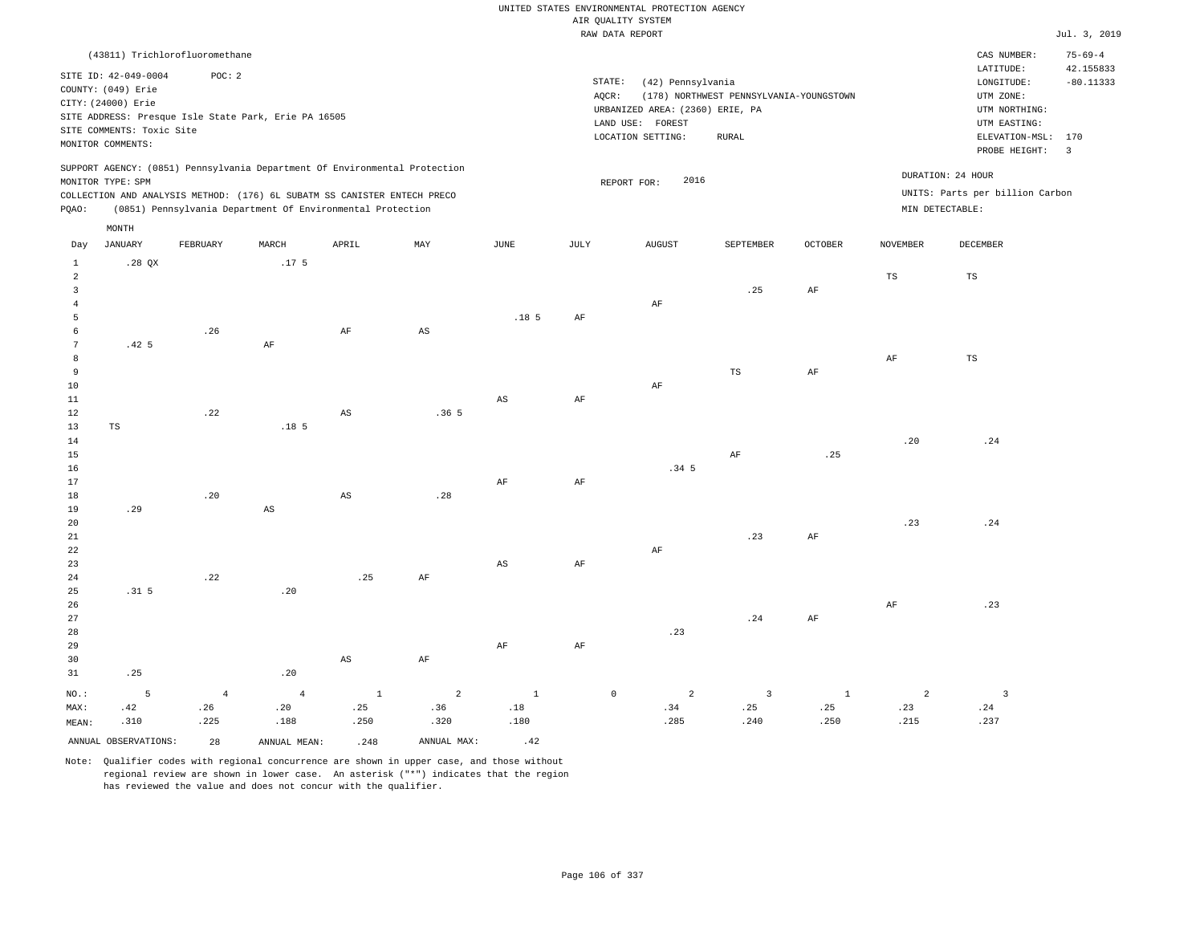|                 |                                |                |                                                                            |                        |                  |                        |             | RAW DATA REPORT                 |                         |              |                 |                                 | Jul. 3, 2019            |
|-----------------|--------------------------------|----------------|----------------------------------------------------------------------------|------------------------|------------------|------------------------|-------------|---------------------------------|-------------------------|--------------|-----------------|---------------------------------|-------------------------|
|                 | (43811) Trichlorofluoromethane |                |                                                                            |                        |                  |                        |             |                                 |                         |              |                 | CAS NUMBER:                     | $75 - 69 - 4$           |
|                 |                                |                |                                                                            |                        |                  |                        |             |                                 |                         |              |                 | LATITUDE:                       | 42.155833               |
|                 | SITE ID: 42-049-0004           | POC: 2         |                                                                            |                        |                  |                        | LONGITUDE:  | $-80.11333$                     |                         |              |                 |                                 |                         |
|                 | COUNTY: (049) Erie             |                |                                                                            |                        |                  |                        | UTM ZONE:   |                                 |                         |              |                 |                                 |                         |
|                 | CITY: (24000) Erie             |                | SITE ADDRESS: Presque Isle State Park, Erie PA 16505                       |                        |                  |                        |             | URBANIZED AREA: (2360) ERIE, PA |                         |              |                 | UTM NORTHING:                   |                         |
|                 | SITE COMMENTS: Toxic Site      |                |                                                                            |                        |                  |                        |             | LAND USE: FOREST                |                         |              |                 | UTM EASTING:                    |                         |
|                 | MONITOR COMMENTS:              |                |                                                                            |                        |                  |                        |             | LOCATION SETTING:               | <b>RURAL</b>            |              |                 | ELEVATION-MSL: 170              |                         |
|                 |                                |                |                                                                            |                        |                  |                        |             |                                 |                         |              |                 | PROBE HEIGHT:                   | $\overline{\mathbf{3}}$ |
|                 |                                |                | SUPPORT AGENCY: (0851) Pennsylvania Department Of Environmental Protection |                        |                  |                        |             |                                 |                         |              |                 |                                 |                         |
|                 | MONITOR TYPE: SPM              |                |                                                                            |                        |                  |                        |             | 2016<br>REPORT FOR:             |                         |              |                 | DURATION: 24 HOUR               |                         |
|                 |                                |                | COLLECTION AND ANALYSIS METHOD: (176) 6L SUBATM SS CANISTER ENTECH PRECO   |                        |                  |                        |             |                                 |                         |              |                 | UNITS: Parts per billion Carbon |                         |
| PQAO:           |                                |                | (0851) Pennsylvania Department Of Environmental Protection                 |                        |                  |                        |             |                                 |                         |              |                 | MIN DETECTABLE:                 |                         |
|                 | MONTH                          |                |                                                                            |                        |                  |                        |             |                                 |                         |              |                 |                                 |                         |
| Day             | <b>JANUARY</b>                 | FEBRUARY       | MARCH                                                                      | APRIL                  | MAY              | JUNE                   | JULY        | <b>AUGUST</b>                   | SEPTEMBER               | OCTOBER      | <b>NOVEMBER</b> | DECEMBER                        |                         |
| $\mathbf{1}$    | $.28$ QX                       |                | .17 <sub>5</sub>                                                           |                        |                  |                        |             |                                 |                         |              |                 |                                 |                         |
| $\overline{a}$  |                                |                |                                                                            |                        |                  |                        |             |                                 |                         |              | TS              | $_{\rm TS}$                     |                         |
| $\overline{3}$  |                                |                |                                                                            |                        |                  |                        |             |                                 | .25                     | $\rm{AF}$    |                 |                                 |                         |
| $\overline{4}$  |                                |                |                                                                            |                        |                  |                        |             | $\rm AF$                        |                         |              |                 |                                 |                         |
| 5               |                                |                |                                                                            |                        |                  | .18 <sub>5</sub>       | AF          |                                 |                         |              |                 |                                 |                         |
| $\epsilon$      |                                | .26            |                                                                            | AF                     | AS               |                        |             |                                 |                         |              |                 |                                 |                         |
| $7\phantom{.0}$ | .425                           |                | $\rm AF$                                                                   |                        |                  |                        |             |                                 |                         |              |                 |                                 |                         |
| 8               |                                |                |                                                                            |                        |                  |                        |             |                                 |                         |              | AF              | TS                              |                         |
| 9               |                                |                |                                                                            |                        |                  |                        |             |                                 | TS                      | AF           |                 |                                 |                         |
| $10$            |                                |                |                                                                            |                        |                  |                        |             | AF                              |                         |              |                 |                                 |                         |
| 11              |                                |                |                                                                            |                        |                  | $\mathbb{A}\mathbb{S}$ | AF          |                                 |                         |              |                 |                                 |                         |
| $1\,2$          |                                | .22            |                                                                            | $_{\rm AS}$            | .36 <sub>5</sub> |                        |             |                                 |                         |              |                 |                                 |                         |
| 13<br>14        | $\mathbb{TS}$                  |                | .18 <sub>5</sub>                                                           |                        |                  |                        |             |                                 |                         |              |                 | .24                             |                         |
| 15              |                                |                |                                                                            |                        |                  |                        |             |                                 | $\rm AF$                | .25          | .20             |                                 |                         |
| 16              |                                |                |                                                                            |                        |                  |                        |             | .34 <sub>5</sub>                |                         |              |                 |                                 |                         |
| 17              |                                |                |                                                                            |                        |                  | AF                     | AF          |                                 |                         |              |                 |                                 |                         |
| $1\,8$          |                                | .20            |                                                                            | $\mathbb{A}\mathbb{S}$ | .28              |                        |             |                                 |                         |              |                 |                                 |                         |
| 19              | .29                            |                | $_{\rm AS}$                                                                |                        |                  |                        |             |                                 |                         |              |                 |                                 |                         |
| 20              |                                |                |                                                                            |                        |                  |                        |             |                                 |                         |              | .23             | .24                             |                         |
| 21              |                                |                |                                                                            |                        |                  |                        |             |                                 | .23                     | AF           |                 |                                 |                         |
| 22              |                                |                |                                                                            |                        |                  |                        |             | AF                              |                         |              |                 |                                 |                         |
| 23              |                                |                |                                                                            |                        |                  | $\mathbb{A}\mathbb{S}$ | AF          |                                 |                         |              |                 |                                 |                         |
| 24              |                                | .22            |                                                                            | .25                    | $\rm{AF}$        |                        |             |                                 |                         |              |                 |                                 |                         |
| 25              | .31 <sub>5</sub>               |                | .20                                                                        |                        |                  |                        |             |                                 |                         |              |                 |                                 |                         |
| 26              |                                |                |                                                                            |                        |                  |                        |             |                                 |                         |              | $\rm{AF}$       | .23                             |                         |
| 27<br>28        |                                |                |                                                                            |                        |                  |                        |             | .23                             | .24                     | AF           |                 |                                 |                         |
| 29              |                                |                |                                                                            |                        |                  | $\rm{AF}$              | AF          |                                 |                         |              |                 |                                 |                         |
| 30              |                                |                |                                                                            | $\mathbb{A}\mathbb{S}$ | $\rm{AF}$        |                        |             |                                 |                         |              |                 |                                 |                         |
| 31              | .25                            |                | .20                                                                        |                        |                  |                        |             |                                 |                         |              |                 |                                 |                         |
|                 |                                |                |                                                                            |                        |                  |                        |             |                                 |                         |              |                 |                                 |                         |
| NO.:            | 5                              | $\overline{4}$ | $\overline{4}$                                                             | $\mathbf{1}$           | $\overline{a}$   | $\mathbf{1}$           | $\mathbb O$ | 2                               | $\overline{\mathbf{3}}$ | $\mathbf{1}$ | 2               | $\overline{3}$                  |                         |
| MAX:            | .42<br>.310                    | .26<br>.225    | .20<br>.188                                                                | .25<br>.250            | .36<br>.320      | $.18\,$<br>.180        |             | .34<br>.285                     | .25<br>.240             | .25<br>.250  | .23<br>.215     | .24<br>.237                     |                         |
| MEAN:           |                                |                |                                                                            |                        |                  |                        |             |                                 |                         |              |                 |                                 |                         |
|                 | ANNUAL OBSERVATIONS:           | 28             | ANNUAL MEAN:                                                               | .248                   | ANNUAL MAX:      | .42                    |             |                                 |                         |              |                 |                                 |                         |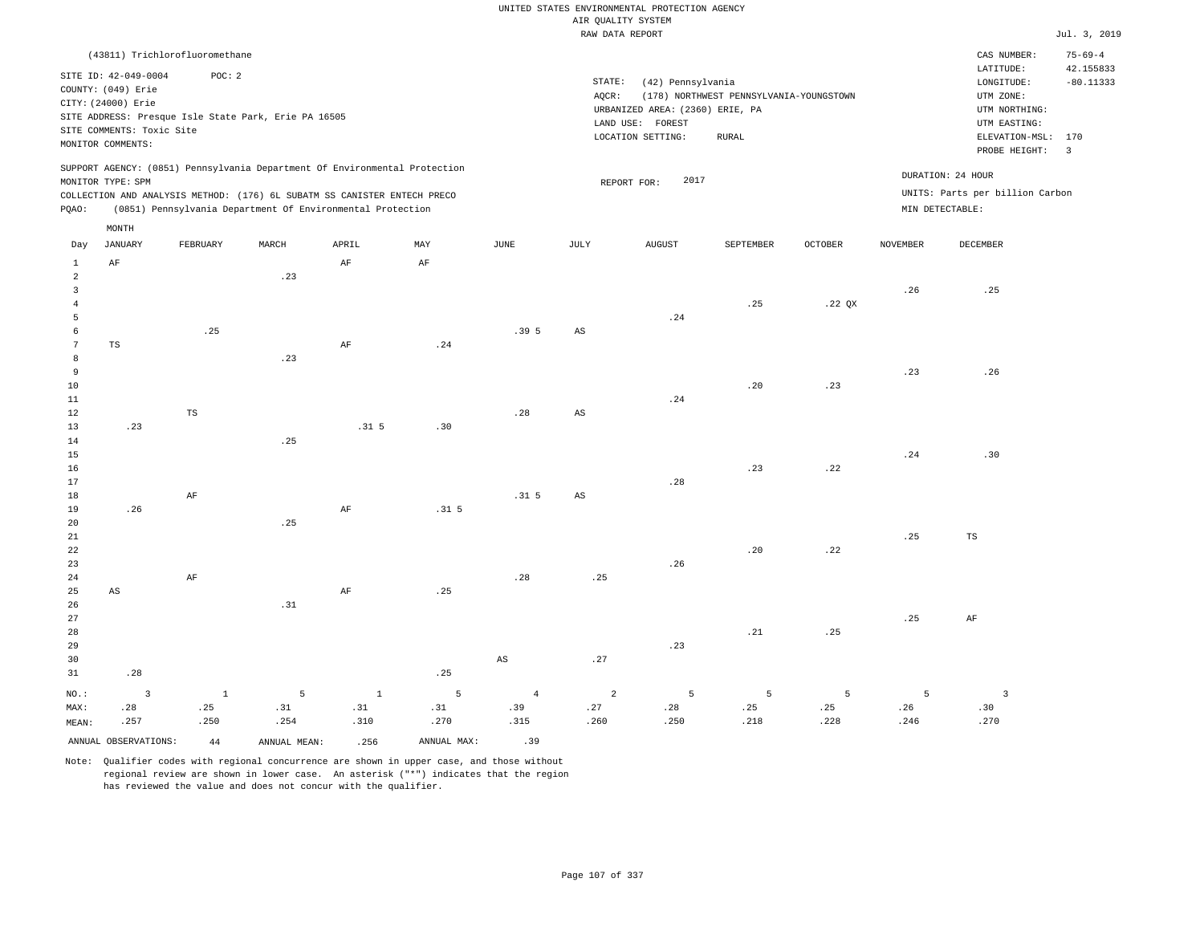|                    | (43811) Trichlorofluoromethane                       |             |              |                                                                            |                  |                  |                        |                                 |                                         |                |                 | CAS NUMBER:                              | $75 - 69 - 4$ |  |
|--------------------|------------------------------------------------------|-------------|--------------|----------------------------------------------------------------------------|------------------|------------------|------------------------|---------------------------------|-----------------------------------------|----------------|-----------------|------------------------------------------|---------------|--|
|                    | SITE ID: 42-049-0004                                 | POC: 2      |              |                                                                            |                  |                  | STATE:                 |                                 | LATITUDE:<br>$\texttt{LONGITUDE}$ :     | 42.155833      |                 |                                          |               |  |
| COUNTY: (049) Erie |                                                      |             |              |                                                                            |                  |                  |                        | (42) Pennsylvania               | (178) NORTHWEST PENNSYLVANIA-YOUNGSTOWN |                |                 | UTM ZONE:                                | $-80.11333$   |  |
|                    | CITY: (24000) Erie                                   |             |              |                                                                            |                  |                  | AOCR:                  | URBANIZED AREA: (2360) ERIE, PA |                                         |                |                 | UTM NORTHING:                            |               |  |
|                    | SITE ADDRESS: Presque Isle State Park, Erie PA 16505 |             |              |                                                                            |                  |                  |                        | LAND USE: FOREST                |                                         |                |                 | UTM EASTING:                             |               |  |
|                    | SITE COMMENTS: Toxic Site                            |             |              |                                                                            |                  |                  |                        | LOCATION SETTING:               | RURAL                                   |                |                 | ELEVATION-MSL: 170                       |               |  |
|                    | MONITOR COMMENTS:                                    |             |              |                                                                            |                  |                  |                        |                                 |                                         |                |                 | PROBE HEIGHT:<br>$\overline{\mathbf{3}}$ |               |  |
|                    |                                                      |             |              | SUPPORT AGENCY: (0851) Pennsylvania Department Of Environmental Protection |                  |                  |                        | 2017                            |                                         |                |                 | DURATION: 24 HOUR                        |               |  |
|                    | MONITOR TYPE: SPM                                    |             |              | COLLECTION AND ANALYSIS METHOD: (176) 6L SUBATM SS CANISTER ENTECH PRECO   |                  |                  | REPORT FOR:            |                                 |                                         |                |                 | UNITS: Parts per billion Carbon          |               |  |
| PQAO:              |                                                      |             |              | (0851) Pennsylvania Department Of Environmental Protection                 |                  |                  |                        |                                 |                                         |                | MIN DETECTABLE: |                                          |               |  |
|                    |                                                      |             |              |                                                                            |                  |                  |                        |                                 |                                         |                |                 |                                          |               |  |
| Day                | MONTH<br><b>JANUARY</b>                              | FEBRUARY    | $\tt MARCH$  | APRIL                                                                      | MAY              | $_{\rm JUNE}$    | JULY                   | <b>AUGUST</b>                   | SEPTEMBER                               | <b>OCTOBER</b> | <b>NOVEMBER</b> | <b>DECEMBER</b>                          |               |  |
| $1\,$              | $\rm AF$                                             |             |              | $\rm{AF}$                                                                  | $\rm{AF}$        |                  |                        |                                 |                                         |                |                 |                                          |               |  |
| $\overline{a}$     |                                                      |             | .23          |                                                                            |                  |                  |                        |                                 |                                         |                |                 |                                          |               |  |
| $\overline{3}$     |                                                      |             |              |                                                                            |                  |                  |                        |                                 |                                         |                | .26             | .25                                      |               |  |
| $\overline{4}$     |                                                      |             |              |                                                                            |                  |                  |                        |                                 | .25                                     | $.22$ QX       |                 |                                          |               |  |
| 5                  |                                                      |             |              |                                                                            |                  |                  |                        | .24                             |                                         |                |                 |                                          |               |  |
| 6                  |                                                      | .25         |              |                                                                            |                  | .395             | $\mathbb{A}\mathbb{S}$ |                                 |                                         |                |                 |                                          |               |  |
| $\overline{7}$     | TS                                                   |             |              | AF                                                                         | .24              |                  |                        |                                 |                                         |                |                 |                                          |               |  |
| 8                  |                                                      |             | .23          |                                                                            |                  |                  |                        |                                 |                                         |                |                 |                                          |               |  |
| 9                  |                                                      |             |              |                                                                            |                  |                  |                        |                                 |                                         |                | .23             | .26                                      |               |  |
| 10                 |                                                      |             |              |                                                                            |                  |                  |                        |                                 | .20                                     | .23            |                 |                                          |               |  |
| $1\,1$<br>12       |                                                      | $_{\rm TS}$ |              |                                                                            |                  | .28              | AS                     | .24                             |                                         |                |                 |                                          |               |  |
| 13                 | .23                                                  |             |              | .31 <sub>5</sub>                                                           | .30              |                  |                        |                                 |                                         |                |                 |                                          |               |  |
| $1\,4$             |                                                      |             | .25          |                                                                            |                  |                  |                        |                                 |                                         |                |                 |                                          |               |  |
| 15                 |                                                      |             |              |                                                                            |                  |                  |                        |                                 |                                         |                | .24             | .30                                      |               |  |
| 16                 |                                                      |             |              |                                                                            |                  |                  |                        |                                 | .23                                     | .22            |                 |                                          |               |  |
| $17$               |                                                      |             |              |                                                                            |                  |                  |                        | .28                             |                                         |                |                 |                                          |               |  |
| 18                 |                                                      | AF          |              |                                                                            |                  | .31 <sub>5</sub> | $_{\rm AS}$            |                                 |                                         |                |                 |                                          |               |  |
| 19                 | .26                                                  |             |              | AF                                                                         | .31 <sub>5</sub> |                  |                        |                                 |                                         |                |                 |                                          |               |  |
| 20                 |                                                      |             | .25          |                                                                            |                  |                  |                        |                                 |                                         |                |                 |                                          |               |  |
| 21<br>22           |                                                      |             |              |                                                                            |                  |                  |                        |                                 | .20                                     | .22            | .25             | $_{\rm TS}$                              |               |  |
| 23                 |                                                      |             |              |                                                                            |                  |                  |                        | .26                             |                                         |                |                 |                                          |               |  |
| 24                 |                                                      | AF          |              |                                                                            |                  | .28              | .25                    |                                 |                                         |                |                 |                                          |               |  |
| 25                 | AS                                                   |             |              | $\rm{AF}$                                                                  | .25              |                  |                        |                                 |                                         |                |                 |                                          |               |  |
| 26                 |                                                      |             | .31          |                                                                            |                  |                  |                        |                                 |                                         |                |                 |                                          |               |  |
| 27                 |                                                      |             |              |                                                                            |                  |                  |                        |                                 |                                         |                | .25             | $\rm AF$                                 |               |  |
| 28                 |                                                      |             |              |                                                                            |                  |                  |                        |                                 | .21                                     | .25            |                 |                                          |               |  |
| 29                 |                                                      |             |              |                                                                            |                  |                  |                        | .23                             |                                         |                |                 |                                          |               |  |
| 30                 |                                                      |             |              |                                                                            |                  | $_{\rm AS}$      | .27                    |                                 |                                         |                |                 |                                          |               |  |
| 31                 | .28                                                  |             |              |                                                                            | .25              |                  |                        |                                 |                                         |                |                 |                                          |               |  |
| $NO.$ :            | $\overline{3}$                                       | $\,$ 1      | 5            | $\mathbf{1}$                                                               | 5                | $\overline{4}$   | $\overline{a}$         | 5                               | 5                                       | 5              | 5               | $\overline{\mathbf{3}}$                  |               |  |
| MAX:               | .28                                                  | .25         | .31          | .31                                                                        | .31              | .39              | .27                    | .28                             | .25                                     | .25            | .26             | .30                                      |               |  |
| MEAN:              | .257                                                 | .250        | .254         | .310                                                                       | .270             | .315             | .260                   | .250                            | .218                                    | .228           | .246            | .270                                     |               |  |
|                    | ANNUAL OBSERVATIONS:                                 | 44          | ANNUAL MEAN: | .256                                                                       | ANNUAL MAX:      | .39              |                        |                                 |                                         |                |                 |                                          |               |  |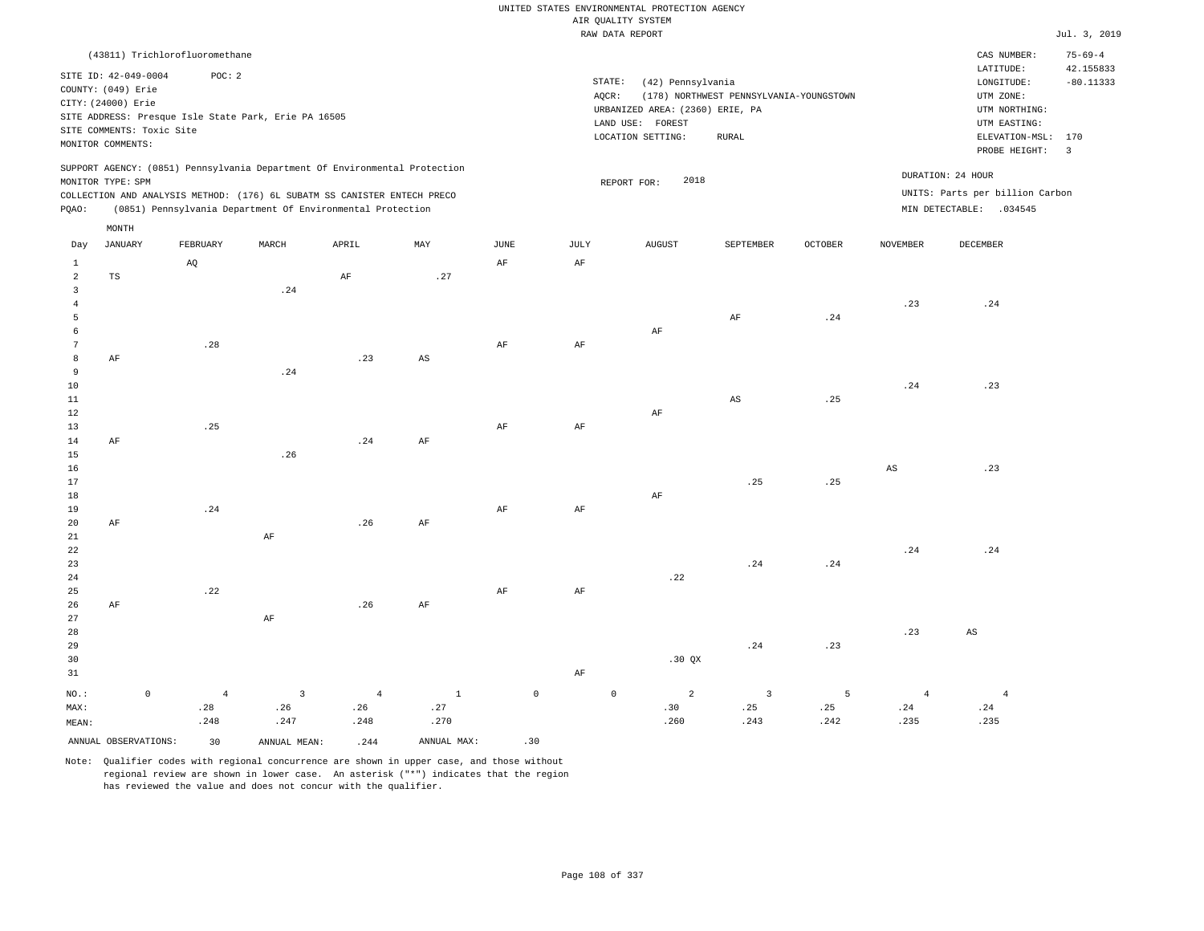|                    |  |  |  |  | UNITED STATES ENVIRONMENTAL PROTECTION AGENCY |  |  |  |  |  |  |  |  |
|--------------------|--|--|--|--|-----------------------------------------------|--|--|--|--|--|--|--|--|
| AIR OUALITY SYSTEM |  |  |  |  |                                               |  |  |  |  |  |  |  |  |
|                    |  |  |  |  |                                               |  |  |  |  |  |  |  |  |

|                |                           |                                                      |                         |                                                                            |             |             |           | RAW DATA REPORT                 |                                         |                |                 |                                 | Jul. 3, 2019          |
|----------------|---------------------------|------------------------------------------------------|-------------------------|----------------------------------------------------------------------------|-------------|-------------|-----------|---------------------------------|-----------------------------------------|----------------|-----------------|---------------------------------|-----------------------|
|                |                           | (43811) Trichlorofluoromethane                       |                         |                                                                            |             |             |           |                                 |                                         |                |                 | CAS NUMBER:                     | $75 - 69 - 4$         |
|                | SITE ID: 42-049-0004      | POC: 2                                               |                         |                                                                            |             |             |           |                                 |                                         |                |                 | LATITUDE:                       | 42.155833             |
|                | COUNTY: (049) Erie        |                                                      |                         |                                                                            |             |             |           | STATE:<br>(42) Pennsylvania     |                                         |                |                 | LONGITUDE:                      | $-80.11333$           |
|                | CITY: (24000) Erie        |                                                      |                         |                                                                            |             |             |           | AQCR:                           | (178) NORTHWEST PENNSYLVANIA-YOUNGSTOWN |                |                 | UTM ZONE:                       |                       |
|                |                           | SITE ADDRESS: Presque Isle State Park, Erie PA 16505 |                         |                                                                            |             |             |           | URBANIZED AREA: (2360) ERIE, PA |                                         |                |                 | UTM NORTHING:                   |                       |
|                | SITE COMMENTS: Toxic Site |                                                      |                         |                                                                            |             |             |           | LAND USE: FOREST                |                                         |                |                 | UTM EASTING:                    |                       |
|                | MONITOR COMMENTS:         |                                                      |                         |                                                                            |             |             |           | LOCATION SETTING:               | ${\tt RURAL}$                           |                |                 | ELEVATION-MSL:<br>PROBE HEIGHT: | 170<br>$\overline{3}$ |
|                |                           |                                                      |                         | SUPPORT AGENCY: (0851) Pennsylvania Department Of Environmental Protection |             |             |           |                                 |                                         |                |                 |                                 |                       |
|                | MONITOR TYPE: SPM         |                                                      |                         |                                                                            |             |             |           | 2018<br>REPORT FOR:             |                                         |                |                 | DURATION: 24 HOUR               |                       |
|                |                           |                                                      |                         | COLLECTION AND ANALYSIS METHOD: (176) 6L SUBATM SS CANISTER ENTECH PRECO   |             |             |           |                                 |                                         |                |                 | UNITS: Parts per billion Carbon |                       |
| PQAO:          |                           |                                                      |                         | (0851) Pennsylvania Department Of Environmental Protection                 |             |             |           |                                 |                                         |                |                 | MIN DETECTABLE: .034545         |                       |
|                | MONTH                     |                                                      |                         |                                                                            |             |             |           |                                 |                                         |                |                 |                                 |                       |
| Day            | <b>JANUARY</b>            | FEBRUARY                                             | MARCH                   | APRIL                                                                      | MAY         | <b>JUNE</b> | JULY      | <b>AUGUST</b>                   | SEPTEMBER                               | <b>OCTOBER</b> | <b>NOVEMBER</b> | <b>DECEMBER</b>                 |                       |
| $\mathbf{1}$   |                           | AQ                                                   |                         |                                                                            |             | AF          | AF        |                                 |                                         |                |                 |                                 |                       |
| $\overline{a}$ | TS                        |                                                      |                         | AF                                                                         | .27         |             |           |                                 |                                         |                |                 |                                 |                       |
| 3              |                           |                                                      | .24                     |                                                                            |             |             |           |                                 |                                         |                |                 |                                 |                       |
| $\overline{4}$ |                           |                                                      |                         |                                                                            |             |             |           |                                 |                                         |                | .23             | .24                             |                       |
| 5              |                           |                                                      |                         |                                                                            |             |             |           |                                 | AF                                      | .24            |                 |                                 |                       |
| 6              |                           |                                                      |                         |                                                                            |             |             |           | $\rm{AF}$                       |                                         |                |                 |                                 |                       |
| $\overline{7}$ |                           | .28                                                  |                         |                                                                            |             | AF          | AF        |                                 |                                         |                |                 |                                 |                       |
| 8              | AF                        |                                                      |                         | .23                                                                        | AS          |             |           |                                 |                                         |                |                 |                                 |                       |
| 9              |                           |                                                      | .24                     |                                                                            |             |             |           |                                 |                                         |                |                 |                                 |                       |
| $10$           |                           |                                                      |                         |                                                                            |             |             |           |                                 |                                         |                | .24             | .23                             |                       |
| $11\,$         |                           |                                                      |                         |                                                                            |             |             |           |                                 | AS                                      | .25            |                 |                                 |                       |
| $1\,2$         |                           |                                                      |                         |                                                                            |             |             |           | AF                              |                                         |                |                 |                                 |                       |
| 13             |                           | .25                                                  |                         |                                                                            |             | $\rm AF$    | $\rm{AF}$ |                                 |                                         |                |                 |                                 |                       |
| 14             | AF                        |                                                      |                         | .24                                                                        | AF          |             |           |                                 |                                         |                |                 |                                 |                       |
| 15             |                           |                                                      | .26                     |                                                                            |             |             |           |                                 |                                         |                |                 | .23                             |                       |
| 16<br>17       |                           |                                                      |                         |                                                                            |             |             |           |                                 | .25                                     | .25            | AS              |                                 |                       |
| 18             |                           |                                                      |                         |                                                                            |             |             |           | AF                              |                                         |                |                 |                                 |                       |
| 19             |                           | .24                                                  |                         |                                                                            |             | $\rm AF$    | $\rm AF$  |                                 |                                         |                |                 |                                 |                       |
| 20             | AF                        |                                                      |                         | .26                                                                        | AF          |             |           |                                 |                                         |                |                 |                                 |                       |
| 21             |                           |                                                      | AF                      |                                                                            |             |             |           |                                 |                                         |                |                 |                                 |                       |
| 22             |                           |                                                      |                         |                                                                            |             |             |           |                                 |                                         |                | .24             | .24                             |                       |
| 23             |                           |                                                      |                         |                                                                            |             |             |           |                                 | .24                                     | .24            |                 |                                 |                       |
| 24             |                           |                                                      |                         |                                                                            |             |             |           | .22                             |                                         |                |                 |                                 |                       |
| 25             |                           | .22                                                  |                         |                                                                            |             | $\rm{AF}$   | AF        |                                 |                                         |                |                 |                                 |                       |
| 26             | AF                        |                                                      |                         | .26                                                                        | AF          |             |           |                                 |                                         |                |                 |                                 |                       |
| 27             |                           |                                                      | $\rm{AF}$               |                                                                            |             |             |           |                                 |                                         |                |                 |                                 |                       |
| 28             |                           |                                                      |                         |                                                                            |             |             |           |                                 |                                         |                | .23             | $\mathbb{A}\mathbb{S}$          |                       |
| 29             |                           |                                                      |                         |                                                                            |             |             |           |                                 | .24                                     | .23            |                 |                                 |                       |
| 30             |                           |                                                      |                         |                                                                            |             |             |           | .30 QX                          |                                         |                |                 |                                 |                       |
| 31             |                           |                                                      |                         |                                                                            |             |             | AF        |                                 |                                         |                |                 |                                 |                       |
| NO.:           | $\mathsf{O}\xspace$       | $\overline{4}$                                       | $\overline{\mathbf{3}}$ | $\overline{4}$                                                             | $1\,$       | $\mathbb O$ |           | $\mathbb O$<br>$\overline{a}$   | $\overline{\mathbf{3}}$                 | 5              | $\overline{4}$  | $\overline{4}$                  |                       |
| MAX:           |                           | .28                                                  | .26                     | .26                                                                        | .27         |             |           | .30                             | .25                                     | .25            | .24             | .24                             |                       |
| MEAN:          |                           | .248                                                 | .247                    | .248                                                                       | .270        |             |           | .260                            | .243                                    | .242           | .235            | .235                            |                       |
|                | ANNUAL OBSERVATIONS:      | 30                                                   | ANNUAL MEAN:            | .244                                                                       | ANNUAL MAX: | .30         |           |                                 |                                         |                |                 |                                 |                       |
|                |                           |                                                      |                         |                                                                            |             |             |           |                                 |                                         |                |                 |                                 |                       |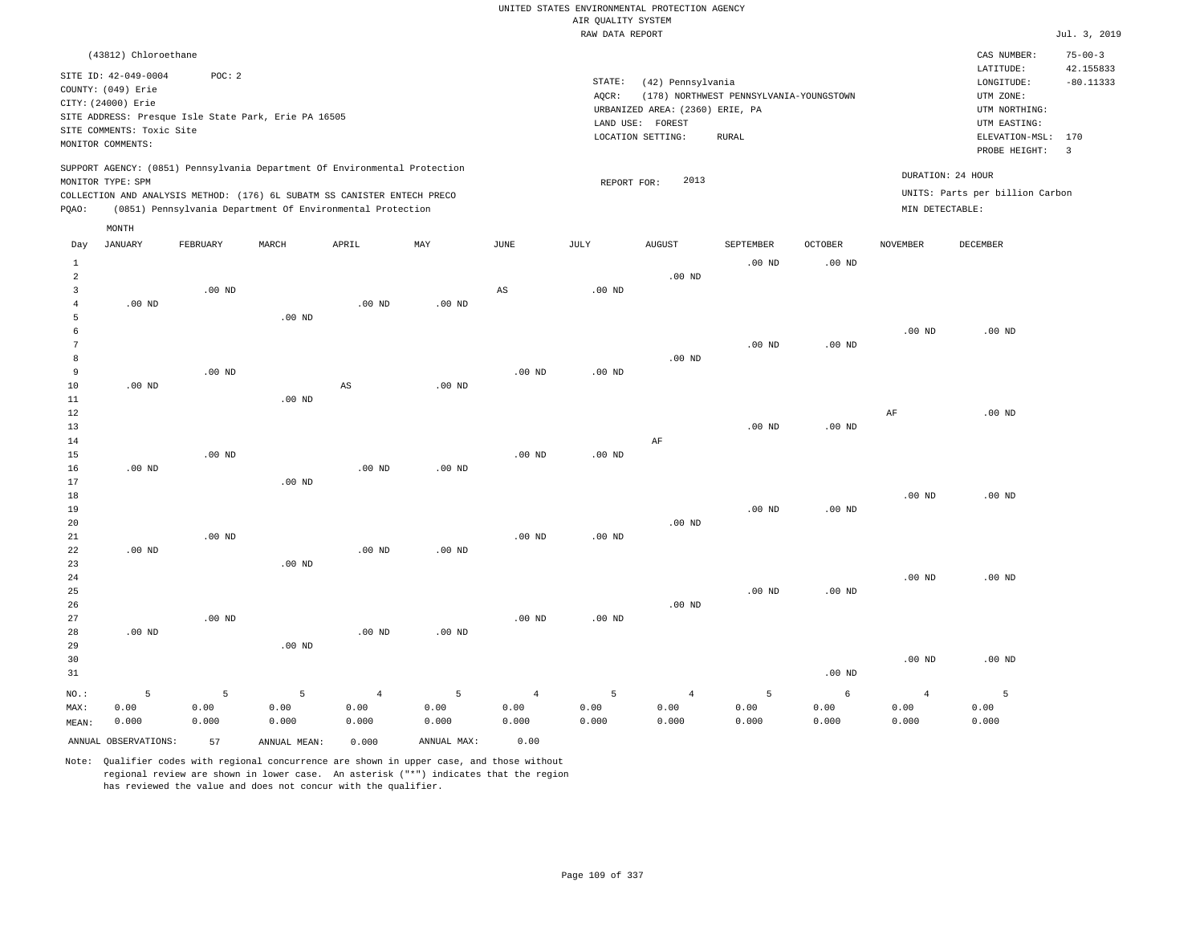### RAW DATA REPORT Jul. 3, 2019 UNITED STATES ENVIRONMENTAL PROTECTION AGENCY AIR QUALITY SYSTEM

|                     | (43812) Chloroethane                                             |          |                                                                            |                   |                   |                        |                   |                                                      |                                         |                   |                   | CAS NUMBER:<br>LATITUDE:                            | $75 - 00 - 3$<br>42.155833 |
|---------------------|------------------------------------------------------------------|----------|----------------------------------------------------------------------------|-------------------|-------------------|------------------------|-------------------|------------------------------------------------------|-----------------------------------------|-------------------|-------------------|-----------------------------------------------------|----------------------------|
|                     | SITE ID: 42-049-0004<br>COUNTY: (049) Erie<br>CITY: (24000) Erie | POC: 2   | SITE ADDRESS: Presque Isle State Park, Erie PA 16505                       |                   |                   |                        | STATE:<br>AQCR:   | (42) Pennsylvania<br>URBANIZED AREA: (2360) ERIE, PA | (178) NORTHWEST PENNSYLVANIA-YOUNGSTOWN |                   |                   | LONGITUDE:<br>UTM ZONE:<br>UTM NORTHING:            | $-80.11333$                |
|                     | SITE COMMENTS: Toxic Site<br>MONITOR COMMENTS:                   |          |                                                                            |                   |                   |                        | LAND USE:         | FOREST<br>LOCATION SETTING:                          | <b>RURAL</b>                            |                   |                   | UTM EASTING:<br>ELEVATION-MSL: 170<br>PROBE HEIGHT: | $\overline{\mathbf{3}}$    |
|                     | MONITOR TYPE: SPM                                                |          | SUPPORT AGENCY: (0851) Pennsylvania Department Of Environmental Protection |                   |                   |                        | REPORT FOR:       | 2013                                                 |                                         |                   |                   | DURATION: 24 HOUR                                   |                            |
|                     |                                                                  |          | COLLECTION AND ANALYSIS METHOD: (176) 6L SUBATM SS CANISTER ENTECH PRECO   |                   |                   |                        |                   |                                                      |                                         |                   |                   | UNITS: Parts per billion Carbon                     |                            |
| PQAO:               |                                                                  |          | (0851) Pennsylvania Department Of Environmental Protection                 |                   |                   |                        |                   |                                                      |                                         |                   | MIN DETECTABLE:   |                                                     |                            |
|                     | MONTH                                                            |          |                                                                            |                   |                   |                        |                   |                                                      |                                         |                   |                   |                                                     |                            |
| Day                 | <b>JANUARY</b>                                                   | FEBRUARY | MARCH                                                                      | APRIL             | MAY               | <b>JUNE</b>            | JULY              | <b>AUGUST</b>                                        | SEPTEMBER                               | OCTOBER           | <b>NOVEMBER</b>   | DECEMBER                                            |                            |
| $\,1\,$             |                                                                  |          |                                                                            |                   |                   |                        |                   |                                                      | $.00$ ND                                | $.00$ ND          |                   |                                                     |                            |
| $\sqrt{2}$          |                                                                  |          |                                                                            |                   |                   |                        |                   | $.00$ ND                                             |                                         |                   |                   |                                                     |                            |
| $\overline{3}$      |                                                                  | $.00$ ND |                                                                            |                   |                   | $\mathbb{A}\mathbb{S}$ | $.00$ ND          |                                                      |                                         |                   |                   |                                                     |                            |
| $\overline{4}$      | $.00$ ND                                                         |          |                                                                            | .00 <sub>ND</sub> | .00 <sub>ND</sub> |                        |                   |                                                      |                                         |                   |                   |                                                     |                            |
| 5                   |                                                                  |          | $.00$ ND                                                                   |                   |                   |                        |                   |                                                      |                                         |                   |                   |                                                     |                            |
| 6<br>$\overline{7}$ |                                                                  |          |                                                                            |                   |                   |                        |                   |                                                      |                                         |                   | $.00$ ND          | $.00$ ND                                            |                            |
| 8                   |                                                                  |          |                                                                            |                   |                   |                        |                   | $.00$ ND                                             | $.00$ ND                                | .00 <sub>ND</sub> |                   |                                                     |                            |
| $\overline{9}$      |                                                                  | $.00$ ND |                                                                            |                   |                   | .00 <sub>ND</sub>      | $.00$ ND          |                                                      |                                         |                   |                   |                                                     |                            |
| 10                  | $.00$ ND                                                         |          |                                                                            | $_{\rm AS}$       | $.00$ ND          |                        |                   |                                                      |                                         |                   |                   |                                                     |                            |
| 11                  |                                                                  |          | $.00$ ND                                                                   |                   |                   |                        |                   |                                                      |                                         |                   |                   |                                                     |                            |
| 12                  |                                                                  |          |                                                                            |                   |                   |                        |                   |                                                      |                                         |                   | AF                | $.00$ ND                                            |                            |
| 13                  |                                                                  |          |                                                                            |                   |                   |                        |                   |                                                      | $.00$ ND                                | .00 <sub>ND</sub> |                   |                                                     |                            |
| 14                  |                                                                  |          |                                                                            |                   |                   |                        |                   | AF                                                   |                                         |                   |                   |                                                     |                            |
| 15                  |                                                                  | $.00$ ND |                                                                            |                   |                   | .00 <sub>ND</sub>      | $.00$ ND          |                                                      |                                         |                   |                   |                                                     |                            |
| 16                  | $.00$ ND                                                         |          |                                                                            | $.00$ ND          | $.00$ ND          |                        |                   |                                                      |                                         |                   |                   |                                                     |                            |
| 17                  |                                                                  |          | $.00$ ND                                                                   |                   |                   |                        |                   |                                                      |                                         |                   |                   |                                                     |                            |
| 18                  |                                                                  |          |                                                                            |                   |                   |                        |                   |                                                      |                                         |                   | .00 <sub>ND</sub> | $.00$ ND                                            |                            |
| 19                  |                                                                  |          |                                                                            |                   |                   |                        |                   |                                                      | $.00$ ND                                | .00 <sub>ND</sub> |                   |                                                     |                            |
| 20<br>21            |                                                                  | $.00$ ND |                                                                            |                   |                   | .00 <sub>ND</sub>      | $.00$ ND          | $.00$ ND                                             |                                         |                   |                   |                                                     |                            |
| 22                  | $.00$ ND                                                         |          |                                                                            | .00 <sub>ND</sub> | .00 <sub>ND</sub> |                        |                   |                                                      |                                         |                   |                   |                                                     |                            |
| 23                  |                                                                  |          | .00 <sub>ND</sub>                                                          |                   |                   |                        |                   |                                                      |                                         |                   |                   |                                                     |                            |
| 24                  |                                                                  |          |                                                                            |                   |                   |                        |                   |                                                      |                                         |                   | $.00$ ND          | $.00$ ND                                            |                            |
| 25                  |                                                                  |          |                                                                            |                   |                   |                        |                   |                                                      | $.00$ ND                                | $.00$ ND          |                   |                                                     |                            |
| 26                  |                                                                  |          |                                                                            |                   |                   |                        |                   | $.00$ ND                                             |                                         |                   |                   |                                                     |                            |
| 27                  |                                                                  | $.00$ ND |                                                                            |                   |                   | .00 <sub>ND</sub>      | .00 <sub>ND</sub> |                                                      |                                         |                   |                   |                                                     |                            |
| 28                  | $.00$ ND                                                         |          |                                                                            | .00 <sub>ND</sub> | .00 <sub>ND</sub> |                        |                   |                                                      |                                         |                   |                   |                                                     |                            |
| 29                  |                                                                  |          | $.00$ ND                                                                   |                   |                   |                        |                   |                                                      |                                         |                   |                   |                                                     |                            |
| 30                  |                                                                  |          |                                                                            |                   |                   |                        |                   |                                                      |                                         |                   | $.00$ ND          | $.00$ ND                                            |                            |
| 31                  |                                                                  |          |                                                                            |                   |                   |                        |                   |                                                      |                                         | $.00$ ND          |                   |                                                     |                            |
| NO.:                | 5                                                                | 5        | 5                                                                          | $\overline{4}$    | 5                 | $\overline{4}$         | 5                 | $\overline{4}$                                       | 5                                       | 6                 | $\overline{4}$    | 5                                                   |                            |
| MAX:                | 0.00                                                             | 0.00     | 0.00                                                                       | 0.00              | 0.00              | 0.00                   | 0.00              | 0.00                                                 | 0.00                                    | 0.00              | 0.00              | 0.00                                                |                            |
| MEAN:               | 0.000                                                            | 0.000    | 0.000                                                                      | 0.000             | 0.000             | 0.000                  | 0.000             | 0.000                                                | 0.000                                   | 0.000             | 0.000             | 0.000                                               |                            |
|                     | ANNUAL OBSERVATIONS:                                             | 57       | ANNUAL MEAN:                                                               | 0.000             | ANNUAL MAX:       | 0.00                   |                   |                                                      |                                         |                   |                   |                                                     |                            |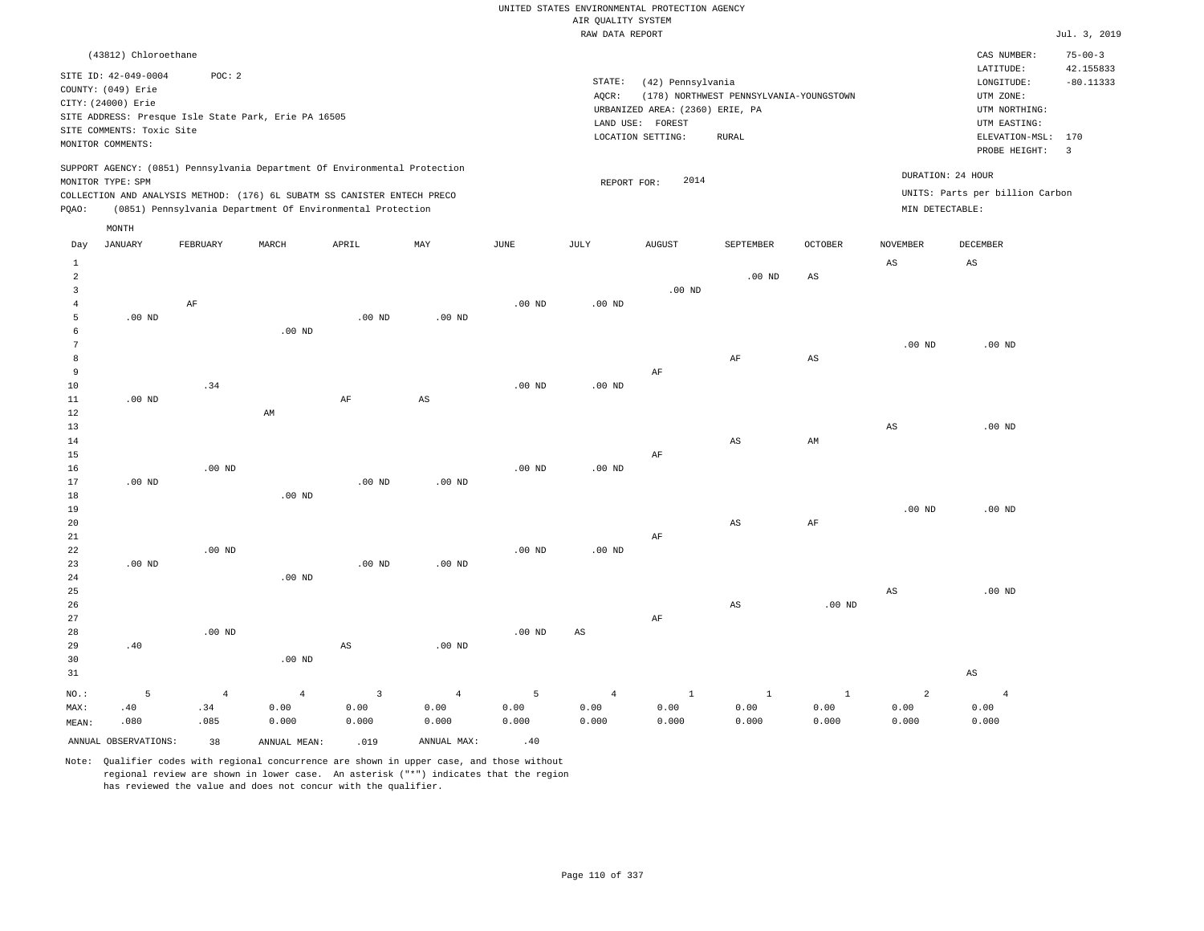|                     |                           |                                                                                                                                        |                   |                        |                        |                   | RAW DATA REPORT   |                                 |                                         |                        |                        |                                 | Jul. 3, 2019               |
|---------------------|---------------------------|----------------------------------------------------------------------------------------------------------------------------------------|-------------------|------------------------|------------------------|-------------------|-------------------|---------------------------------|-----------------------------------------|------------------------|------------------------|---------------------------------|----------------------------|
|                     | (43812) Chloroethane      |                                                                                                                                        |                   |                        |                        |                   |                   |                                 |                                         |                        |                        | CAS NUMBER:<br>LATITUDE:        | $75 - 00 - 3$<br>42.155833 |
|                     | SITE ID: 42-049-0004      | POC: 2                                                                                                                                 |                   |                        |                        |                   | STATE:            | (42) Pennsylvania               |                                         |                        |                        | LONGITUDE:                      | $-80.11333$                |
|                     | COUNTY: (049) Erie        |                                                                                                                                        |                   |                        |                        |                   | AQCR:             |                                 | (178) NORTHWEST PENNSYLVANIA-YOUNGSTOWN |                        |                        | UTM ZONE:                       |                            |
|                     | CITY: (24000) Erie        | SITE ADDRESS: Presque Isle State Park, Erie PA 16505                                                                                   |                   |                        |                        |                   |                   | URBANIZED AREA: (2360) ERIE, PA |                                         |                        |                        | UTM NORTHING:                   |                            |
|                     | SITE COMMENTS: Toxic Site |                                                                                                                                        |                   |                        |                        |                   |                   | LAND USE: FOREST                |                                         |                        |                        | UTM EASTING:                    |                            |
|                     | MONITOR COMMENTS:         |                                                                                                                                        |                   |                        |                        |                   |                   | LOCATION SETTING:               | <b>RURAL</b>                            |                        |                        | ELEVATION-MSL:                  | 170                        |
|                     |                           |                                                                                                                                        |                   |                        |                        |                   |                   |                                 |                                         |                        |                        | PROBE HEIGHT:                   | $\overline{\mathbf{3}}$    |
|                     |                           | SUPPORT AGENCY: (0851) Pennsylvania Department Of Environmental Protection                                                             |                   |                        |                        |                   |                   |                                 |                                         |                        |                        | DURATION: 24 HOUR               |                            |
|                     | MONITOR TYPE: SPM         |                                                                                                                                        |                   |                        |                        |                   | REPORT FOR:       | 2014                            |                                         |                        |                        | UNITS: Parts per billion Carbon |                            |
| PQAO:               |                           | COLLECTION AND ANALYSIS METHOD: (176) 6L SUBATM SS CANISTER ENTECH PRECO<br>(0851) Pennsylvania Department Of Environmental Protection |                   |                        |                        |                   |                   |                                 |                                         |                        | MIN DETECTABLE:        |                                 |                            |
|                     |                           |                                                                                                                                        |                   |                        |                        |                   |                   |                                 |                                         |                        |                        |                                 |                            |
|                     | MONTH                     |                                                                                                                                        |                   |                        |                        |                   |                   |                                 |                                         |                        |                        |                                 |                            |
| Day                 | <b>JANUARY</b>            | FEBRUARY                                                                                                                               | MARCH             | APRIL                  | MAY                    | JUNE              | JULY              | <b>AUGUST</b>                   | <b>SEPTEMBER</b>                        | <b>OCTOBER</b>         | <b>NOVEMBER</b>        | <b>DECEMBER</b>                 |                            |
| $\mathbf{1}$        |                           |                                                                                                                                        |                   |                        |                        |                   |                   |                                 |                                         |                        | $\mathbb{A}\mathbb{S}$ | AS                              |                            |
| $\overline{a}$      |                           |                                                                                                                                        |                   |                        |                        |                   |                   |                                 | $.00$ ND                                | $_{\rm AS}$            |                        |                                 |                            |
| $\overline{3}$      |                           |                                                                                                                                        |                   |                        |                        |                   |                   | $.00$ ND                        |                                         |                        |                        |                                 |                            |
| $\overline{4}$<br>5 |                           | AF                                                                                                                                     |                   |                        |                        | $.00$ ND          | $.00$ ND          |                                 |                                         |                        |                        |                                 |                            |
| 6                   | $.00$ ND                  |                                                                                                                                        | $.00$ ND          | .00 <sub>ND</sub>      | $.00$ ND               |                   |                   |                                 |                                         |                        |                        |                                 |                            |
| 7                   |                           |                                                                                                                                        |                   |                        |                        |                   |                   |                                 |                                         |                        | $.00$ ND               | $.00$ ND                        |                            |
| 8                   |                           |                                                                                                                                        |                   |                        |                        |                   |                   |                                 | $\rm{AF}$                               | $\mathbb{A}\mathbb{S}$ |                        |                                 |                            |
| $\overline{9}$      |                           |                                                                                                                                        |                   |                        |                        |                   |                   | $\rm{AF}$                       |                                         |                        |                        |                                 |                            |
| 10                  |                           | .34                                                                                                                                    |                   |                        |                        | $.00$ ND          | .00 <sub>ND</sub> |                                 |                                         |                        |                        |                                 |                            |
| $11\,$              | $.00$ ND                  |                                                                                                                                        |                   | $\rm AF$               | $\mathbb{A}\mathbb{S}$ |                   |                   |                                 |                                         |                        |                        |                                 |                            |
| 12                  |                           |                                                                                                                                        | AM                |                        |                        |                   |                   |                                 |                                         |                        |                        |                                 |                            |
| 13<br>14            |                           |                                                                                                                                        |                   |                        |                        |                   |                   |                                 | $\mathbb{A}\mathbb{S}$                  |                        | $\mathbb{A}\mathbb{S}$ | $.00$ ND                        |                            |
| 15                  |                           |                                                                                                                                        |                   |                        |                        |                   |                   | AF                              |                                         | AM                     |                        |                                 |                            |
| 16                  |                           | $.00$ ND                                                                                                                               |                   |                        |                        | .00 <sub>ND</sub> | $.00$ ND          |                                 |                                         |                        |                        |                                 |                            |
| 17                  | $.00$ ND                  |                                                                                                                                        |                   | $.00$ ND               | $.00$ ND               |                   |                   |                                 |                                         |                        |                        |                                 |                            |
| 18                  |                           |                                                                                                                                        | $.00$ ND          |                        |                        |                   |                   |                                 |                                         |                        |                        |                                 |                            |
| 19                  |                           |                                                                                                                                        |                   |                        |                        |                   |                   |                                 |                                         |                        | $.00$ ND               | $.00$ ND                        |                            |
| 20                  |                           |                                                                                                                                        |                   |                        |                        |                   |                   |                                 | $_{\rm AS}$                             | AF                     |                        |                                 |                            |
| 21                  |                           |                                                                                                                                        |                   |                        |                        |                   |                   | AF                              |                                         |                        |                        |                                 |                            |
| 22<br>23            | $.00$ ND                  | $.00$ ND                                                                                                                               |                   | $.00$ ND               | $.00$ ND               | .00 <sub>ND</sub> | $.00~\mathrm{ND}$ |                                 |                                         |                        |                        |                                 |                            |
| 24                  |                           |                                                                                                                                        | $.00$ ND          |                        |                        |                   |                   |                                 |                                         |                        |                        |                                 |                            |
| 25                  |                           |                                                                                                                                        |                   |                        |                        |                   |                   |                                 |                                         |                        | $\mathbb{A}\mathbb{S}$ | $.00$ ND                        |                            |
| 26                  |                           |                                                                                                                                        |                   |                        |                        |                   |                   |                                 | $\mathbb{A}\mathbb{S}$                  | .00 <sub>ND</sub>      |                        |                                 |                            |
| 27                  |                           |                                                                                                                                        |                   |                        |                        |                   |                   | $\rm{AF}$                       |                                         |                        |                        |                                 |                            |
| 28                  |                           | $.00$ ND                                                                                                                               |                   |                        |                        | .00 <sub>ND</sub> | $_{\rm AS}$       |                                 |                                         |                        |                        |                                 |                            |
| 29                  | .40                       |                                                                                                                                        |                   | $\mathbb{A}\mathbb{S}$ | $.00$ ND               |                   |                   |                                 |                                         |                        |                        |                                 |                            |
| 30<br>31            |                           |                                                                                                                                        | .00 <sub>ND</sub> |                        |                        |                   |                   |                                 |                                         |                        |                        | AS                              |                            |
| NO.:                | 5                         | $\overline{4}$                                                                                                                         | $\overline{4}$    | 3                      | 4                      | 5                 | $\overline{4}$    | $\mathbf{1}$                    | $\mathbf{1}$                            | $\mathbf{1}$           | $\overline{a}$         | $\overline{4}$                  |                            |
| MAX:                | .40                       | .34                                                                                                                                    | 0.00              | 0.00                   | 0.00                   | 0.00              | 0.00              | 0.00                            | 0.00                                    | 0.00                   | 0.00                   | 0.00                            |                            |
| MEAN:               | .080                      | .085                                                                                                                                   | 0.000             | 0.000                  | 0.000                  | 0.000             | 0.000             | 0.000                           | 0.000                                   | 0.000                  | 0.000                  | 0.000                           |                            |

ANNUAL OBSERVATIONS:  $38$  ANNUAL MEAN: .019 ANNUAL MAX: .40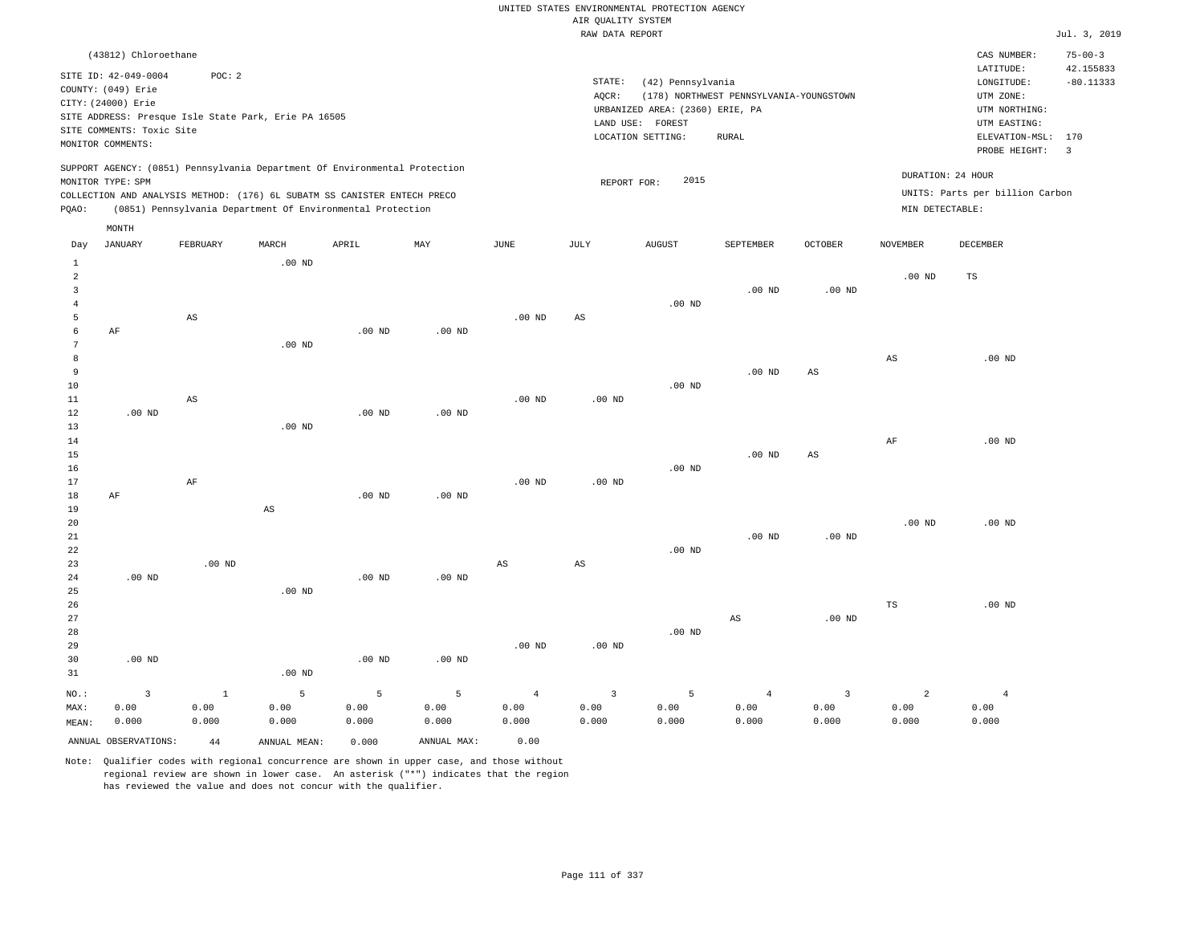|        |                                                                                            |          |                                                      |                                                                                                                                                                                                                      |          |          |                 | RAW DATA REPORT                                                                                  |                                                         |          |                 |                                                                                             | Jul. 3, 2019                                   |
|--------|--------------------------------------------------------------------------------------------|----------|------------------------------------------------------|----------------------------------------------------------------------------------------------------------------------------------------------------------------------------------------------------------------------|----------|----------|-----------------|--------------------------------------------------------------------------------------------------|---------------------------------------------------------|----------|-----------------|---------------------------------------------------------------------------------------------|------------------------------------------------|
|        | (43812) Chloroethane<br>SITE ID: 42-049-0004                                               | POC: 2   |                                                      |                                                                                                                                                                                                                      |          |          |                 |                                                                                                  |                                                         |          |                 | CAS NUMBER:<br>LATITUDE:                                                                    | $75 - 00 - 3$<br>42.155833                     |
|        | COUNTY: (049) Erie<br>CITY: (24000) Erie<br>SITE COMMENTS: Toxic Site<br>MONITOR COMMENTS: |          | SITE ADDRESS: Presque Isle State Park, Erie PA 16505 |                                                                                                                                                                                                                      |          |          | STATE:<br>AOCR: | (42) Pennsylvania<br>URBANIZED AREA: (2360) ERIE, PA<br>FOREST<br>LAND USE:<br>LOCATION SETTING: | (178) NORTHWEST PENNSYLVANIA-YOUNGSTOWN<br><b>RURAL</b> |          |                 | LONGITUDE:<br>UTM ZONE:<br>UTM NORTHING:<br>UTM EASTING:<br>ELEVATION-MSL:<br>PROBE HEIGHT: | $-80.11333$<br>170<br>$\overline{\phantom{a}}$ |
| POAO:  | MONITOR TYPE: SPM                                                                          |          |                                                      | SUPPORT AGENCY: (0851) Pennsylvania Department Of Environmental Protection<br>COLLECTION AND ANALYSIS METHOD: (176) 6L SUBATM SS CANISTER ENTECH PRECO<br>(0851) Pennsylvania Department Of Environmental Protection |          |          |                 | 2015<br>REPORT FOR:                                                                              |                                                         |          | MIN DETECTABLE: | DURATION: 24 HOUR<br>UNITS: Parts per billion Carbon                                        |                                                |
| Day    | MONTH<br>JANUARY                                                                           | FEBRUARY | MARCH                                                | APRIL                                                                                                                                                                                                                | MAY      | JUNE     | JULY            | AUGUST                                                                                           | <b>SEPTEMBER</b>                                        | OCTOBER  | <b>NOVEMBER</b> | DECEMBER                                                                                    |                                                |
| 2      |                                                                                            |          | $.00$ ND                                             |                                                                                                                                                                                                                      |          |          |                 | $.00$ ND                                                                                         | $.00$ ND                                                | $.00$ ND | $.00$ ND        | TS                                                                                          |                                                |
| 5<br>6 | AF                                                                                         | AS       | $.00$ ND                                             | $.00$ ND                                                                                                                                                                                                             | $.00$ ND | $.00$ ND | AS              |                                                                                                  |                                                         |          |                 |                                                                                             |                                                |
| 8<br>9 |                                                                                            |          |                                                      |                                                                                                                                                                                                                      |          |          |                 |                                                                                                  | .00 <sub>ND</sub>                                       | AS       | AS              | $.00$ ND                                                                                    |                                                |

10 11 12 13 14 15 16 17 18 .00 ND AF AS AF .00 ND .00 ND .00 ND .00 ND .00 ND .00 ND .00 ND .00 ND .00 ND .00 ND .00 ND .00 ND AS AF .00 ND

| 19          |          |          | $\mathbb{A}\mathbb{S}$ |          |          |          |          |          |          |          |          |          |
|-------------|----------|----------|------------------------|----------|----------|----------|----------|----------|----------|----------|----------|----------|
| 20          |          |          |                        |          |          |          |          |          |          |          | $.00$ ND | $.00$ ND |
| $2\sqrt{1}$ |          |          |                        |          |          |          |          |          | $.00$ ND | $.00$ ND |          |          |
| ${\bf 22}$  |          |          |                        |          |          |          |          | $.00$ ND |          |          |          |          |
| 23          |          | $.00$ ND |                        |          |          | AS       | AS       |          |          |          |          |          |
| 24          | $.00$ ND |          |                        | $.00$ ND | $.00$ ND |          |          |          |          |          |          |          |
| $25\,$      |          |          | $.00$ ND               |          |          |          |          |          |          |          |          |          |
| $26\,$      |          |          |                        |          |          |          |          |          |          |          | TS       | $.00$ ND |
| 27          |          |          |                        |          |          |          |          |          | AS       | $.00$ ND |          |          |
| $2\,8$      |          |          |                        |          |          |          |          | $.00$ ND |          |          |          |          |
| 29          |          |          |                        |          |          | $.00$ ND | $.00$ ND |          |          |          |          |          |
| 30          | $.00$ ND |          |                        | $.00$ ND | $.00$ ND |          |          |          |          |          |          |          |
| 31          |          |          | $.00$ ND               |          |          |          |          |          |          |          |          |          |
|             |          |          |                        |          |          |          |          |          |          |          |          |          |

| MAX:  | 0.00                 | 0.00  | 0.00         | 0.00  | 0.00        | 0.00  | 0.00  | 0.00  | 0.00  | 0.00  | 0.00  | 0.00  |
|-------|----------------------|-------|--------------|-------|-------------|-------|-------|-------|-------|-------|-------|-------|
| MEAN: | 0.000                | 0.000 | 0.000        | 0.000 | 0.000       | 0.000 | 0.000 | 0.000 | 0.000 | 0.000 | 0.000 | 0.000 |
|       | ANNUAL OBSERVATIONS: | 44    | ANNUAL MEAN: | 0.000 | ANNUAL MAX: | 0.00  |       |       |       |       |       |       |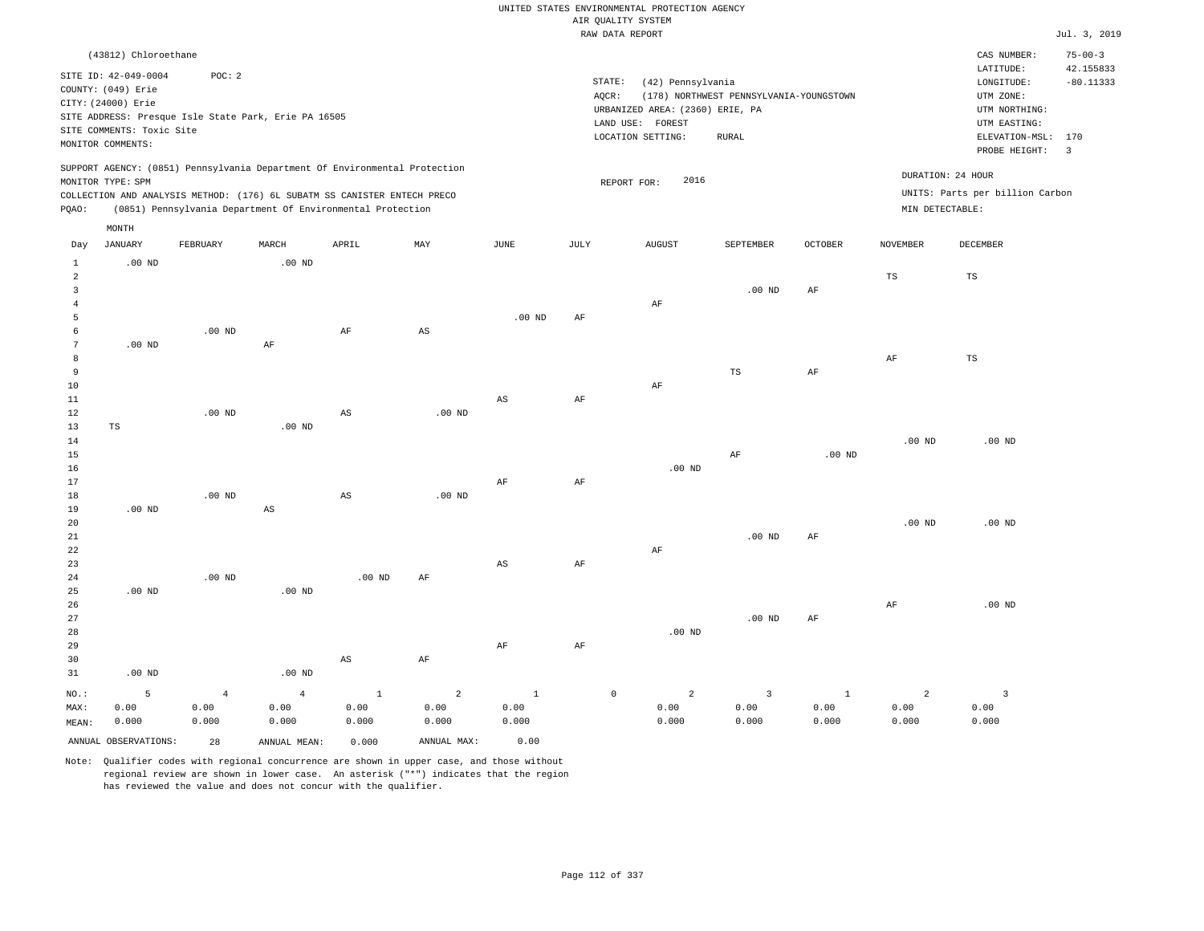| CAS NUMBER:<br>$75 - 00 - 3$<br>(43812) Chloroethane<br>LATITUDE:<br>42.155833<br>POC: 2<br>SITE ID: 42-049-0004<br>STATE:<br>$-80.11333$<br>(42) Pennsylvania<br>LONGITUDE:<br>COUNTY: (049) Erie<br>(178) NORTHWEST PENNSYLVANIA-YOUNGSTOWN<br>UTM ZONE:<br>AQCR:<br>CITY: (24000) Erie<br>URBANIZED AREA: (2360) ERIE, PA<br>UTM NORTHING:<br>SITE ADDRESS: Presque Isle State Park, Erie PA 16505<br>LAND USE: FOREST<br>UTM EASTING:<br>SITE COMMENTS: Toxic Site<br>LOCATION SETTING:<br>RURAL<br>ELEVATION-MSL: 170<br>MONITOR COMMENTS:<br>PROBE HEIGHT:<br>$\overline{\mathbf{3}}$<br>SUPPORT AGENCY: (0851) Pennsylvania Department Of Environmental Protection<br>DURATION: 24 HOUR<br>2016<br>MONITOR TYPE: SPM<br>REPORT FOR:<br>UNITS: Parts per billion Carbon<br>COLLECTION AND ANALYSIS METHOD: (176) 6L SUBATM SS CANISTER ENTECH PRECO<br>(0851) Pennsylvania Department Of Environmental Protection<br>PQAO:<br>MIN DETECTABLE:<br>MONTH<br>$_{\rm JUNE}$<br>JANUARY<br>FEBRUARY<br>MARCH<br>APRIL<br>MAY<br>JULY<br><b>AUGUST</b><br>SEPTEMBER<br>OCTOBER<br>NOVEMBER<br>DECEMBER<br>Day<br>.00 $ND$<br>$\mathbf{1}$<br>$.00$ ND<br>$\overline{a}$<br>TS<br>TS<br>$\overline{3}$<br>$.00$ ND<br>AF<br>$\rm{AF}$<br>$\overline{4}$<br>5<br>.00 <sub>ND</sub><br>AF<br>.00 <sub>ND</sub><br>6<br>AF<br>$\mathbb{A}\mathbb{S}$<br>$\overline{7}$<br>$.00$ ND<br>$\rm{AF}$<br>8<br>AF<br>TS<br>9<br>$\mathbb{TS}$<br>$\rm{AF}$<br>10<br>AF<br>$11\,$<br>$\mathbb{A}\mathbb{S}$<br>AF<br>12<br>$.00$ ND<br>$\mathbb{A}\mathbb{S}$<br>.00 <sub>ND</sub><br>13<br>TS<br>.00 <sub>ND</sub><br>14<br>$.00$ ND<br>.00 <sub>ND</sub><br>15<br>$.00$ ND<br>AF<br>16<br>$.00$ ND<br>17<br>AF<br>AF<br>18<br>.00 <sub>ND</sub><br>.00 <sub>ND</sub><br>$_{\rm AS}$<br>19<br>$.00$ ND<br>$_{\rm AS}$<br>$.00$ ND<br>20<br>$.00$ ND<br>21<br>.00 <sub>ND</sub><br>$\rm{AF}$<br>22<br>AF<br>23<br>$\mathbb{A}\mathbb{S}$<br>$\rm{AF}$<br>24<br>$.00$ ND<br>.00 <sub>ND</sub><br>AF<br>25<br>$.00$ ND<br>.00 <sub>ND</sub><br>$.00$ ND<br>26<br>$\rm{AF}$<br>27<br>$.00$ ND<br>AF<br>28<br>.00 <sub>ND</sub> |  |  |  |  | RAW DATA REPORT |  |  | Jul. 3, 2019 |
|-----------------------------------------------------------------------------------------------------------------------------------------------------------------------------------------------------------------------------------------------------------------------------------------------------------------------------------------------------------------------------------------------------------------------------------------------------------------------------------------------------------------------------------------------------------------------------------------------------------------------------------------------------------------------------------------------------------------------------------------------------------------------------------------------------------------------------------------------------------------------------------------------------------------------------------------------------------------------------------------------------------------------------------------------------------------------------------------------------------------------------------------------------------------------------------------------------------------------------------------------------------------------------------------------------------------------------------------------------------------------------------------------------------------------------------------------------------------------------------------------------------------------------------------------------------------------------------------------------------------------------------------------------------------------------------------------------------------------------------------------------------------------------------------------------------------------------------------------------------------------------------------------------------------------------------------------------------------------------------------------------------------------------------------------------------------------------------------------------------------|--|--|--|--|-----------------|--|--|--------------|
|                                                                                                                                                                                                                                                                                                                                                                                                                                                                                                                                                                                                                                                                                                                                                                                                                                                                                                                                                                                                                                                                                                                                                                                                                                                                                                                                                                                                                                                                                                                                                                                                                                                                                                                                                                                                                                                                                                                                                                                                                                                                                                                 |  |  |  |  |                 |  |  |              |
|                                                                                                                                                                                                                                                                                                                                                                                                                                                                                                                                                                                                                                                                                                                                                                                                                                                                                                                                                                                                                                                                                                                                                                                                                                                                                                                                                                                                                                                                                                                                                                                                                                                                                                                                                                                                                                                                                                                                                                                                                                                                                                                 |  |  |  |  |                 |  |  |              |
|                                                                                                                                                                                                                                                                                                                                                                                                                                                                                                                                                                                                                                                                                                                                                                                                                                                                                                                                                                                                                                                                                                                                                                                                                                                                                                                                                                                                                                                                                                                                                                                                                                                                                                                                                                                                                                                                                                                                                                                                                                                                                                                 |  |  |  |  |                 |  |  |              |
|                                                                                                                                                                                                                                                                                                                                                                                                                                                                                                                                                                                                                                                                                                                                                                                                                                                                                                                                                                                                                                                                                                                                                                                                                                                                                                                                                                                                                                                                                                                                                                                                                                                                                                                                                                                                                                                                                                                                                                                                                                                                                                                 |  |  |  |  |                 |  |  |              |
|                                                                                                                                                                                                                                                                                                                                                                                                                                                                                                                                                                                                                                                                                                                                                                                                                                                                                                                                                                                                                                                                                                                                                                                                                                                                                                                                                                                                                                                                                                                                                                                                                                                                                                                                                                                                                                                                                                                                                                                                                                                                                                                 |  |  |  |  |                 |  |  |              |
|                                                                                                                                                                                                                                                                                                                                                                                                                                                                                                                                                                                                                                                                                                                                                                                                                                                                                                                                                                                                                                                                                                                                                                                                                                                                                                                                                                                                                                                                                                                                                                                                                                                                                                                                                                                                                                                                                                                                                                                                                                                                                                                 |  |  |  |  |                 |  |  |              |
|                                                                                                                                                                                                                                                                                                                                                                                                                                                                                                                                                                                                                                                                                                                                                                                                                                                                                                                                                                                                                                                                                                                                                                                                                                                                                                                                                                                                                                                                                                                                                                                                                                                                                                                                                                                                                                                                                                                                                                                                                                                                                                                 |  |  |  |  |                 |  |  |              |
|                                                                                                                                                                                                                                                                                                                                                                                                                                                                                                                                                                                                                                                                                                                                                                                                                                                                                                                                                                                                                                                                                                                                                                                                                                                                                                                                                                                                                                                                                                                                                                                                                                                                                                                                                                                                                                                                                                                                                                                                                                                                                                                 |  |  |  |  |                 |  |  |              |
|                                                                                                                                                                                                                                                                                                                                                                                                                                                                                                                                                                                                                                                                                                                                                                                                                                                                                                                                                                                                                                                                                                                                                                                                                                                                                                                                                                                                                                                                                                                                                                                                                                                                                                                                                                                                                                                                                                                                                                                                                                                                                                                 |  |  |  |  |                 |  |  |              |
|                                                                                                                                                                                                                                                                                                                                                                                                                                                                                                                                                                                                                                                                                                                                                                                                                                                                                                                                                                                                                                                                                                                                                                                                                                                                                                                                                                                                                                                                                                                                                                                                                                                                                                                                                                                                                                                                                                                                                                                                                                                                                                                 |  |  |  |  |                 |  |  |              |
|                                                                                                                                                                                                                                                                                                                                                                                                                                                                                                                                                                                                                                                                                                                                                                                                                                                                                                                                                                                                                                                                                                                                                                                                                                                                                                                                                                                                                                                                                                                                                                                                                                                                                                                                                                                                                                                                                                                                                                                                                                                                                                                 |  |  |  |  |                 |  |  |              |
|                                                                                                                                                                                                                                                                                                                                                                                                                                                                                                                                                                                                                                                                                                                                                                                                                                                                                                                                                                                                                                                                                                                                                                                                                                                                                                                                                                                                                                                                                                                                                                                                                                                                                                                                                                                                                                                                                                                                                                                                                                                                                                                 |  |  |  |  |                 |  |  |              |
|                                                                                                                                                                                                                                                                                                                                                                                                                                                                                                                                                                                                                                                                                                                                                                                                                                                                                                                                                                                                                                                                                                                                                                                                                                                                                                                                                                                                                                                                                                                                                                                                                                                                                                                                                                                                                                                                                                                                                                                                                                                                                                                 |  |  |  |  |                 |  |  |              |
|                                                                                                                                                                                                                                                                                                                                                                                                                                                                                                                                                                                                                                                                                                                                                                                                                                                                                                                                                                                                                                                                                                                                                                                                                                                                                                                                                                                                                                                                                                                                                                                                                                                                                                                                                                                                                                                                                                                                                                                                                                                                                                                 |  |  |  |  |                 |  |  |              |
|                                                                                                                                                                                                                                                                                                                                                                                                                                                                                                                                                                                                                                                                                                                                                                                                                                                                                                                                                                                                                                                                                                                                                                                                                                                                                                                                                                                                                                                                                                                                                                                                                                                                                                                                                                                                                                                                                                                                                                                                                                                                                                                 |  |  |  |  |                 |  |  |              |
|                                                                                                                                                                                                                                                                                                                                                                                                                                                                                                                                                                                                                                                                                                                                                                                                                                                                                                                                                                                                                                                                                                                                                                                                                                                                                                                                                                                                                                                                                                                                                                                                                                                                                                                                                                                                                                                                                                                                                                                                                                                                                                                 |  |  |  |  |                 |  |  |              |
|                                                                                                                                                                                                                                                                                                                                                                                                                                                                                                                                                                                                                                                                                                                                                                                                                                                                                                                                                                                                                                                                                                                                                                                                                                                                                                                                                                                                                                                                                                                                                                                                                                                                                                                                                                                                                                                                                                                                                                                                                                                                                                                 |  |  |  |  |                 |  |  |              |
|                                                                                                                                                                                                                                                                                                                                                                                                                                                                                                                                                                                                                                                                                                                                                                                                                                                                                                                                                                                                                                                                                                                                                                                                                                                                                                                                                                                                                                                                                                                                                                                                                                                                                                                                                                                                                                                                                                                                                                                                                                                                                                                 |  |  |  |  |                 |  |  |              |
|                                                                                                                                                                                                                                                                                                                                                                                                                                                                                                                                                                                                                                                                                                                                                                                                                                                                                                                                                                                                                                                                                                                                                                                                                                                                                                                                                                                                                                                                                                                                                                                                                                                                                                                                                                                                                                                                                                                                                                                                                                                                                                                 |  |  |  |  |                 |  |  |              |
|                                                                                                                                                                                                                                                                                                                                                                                                                                                                                                                                                                                                                                                                                                                                                                                                                                                                                                                                                                                                                                                                                                                                                                                                                                                                                                                                                                                                                                                                                                                                                                                                                                                                                                                                                                                                                                                                                                                                                                                                                                                                                                                 |  |  |  |  |                 |  |  |              |
|                                                                                                                                                                                                                                                                                                                                                                                                                                                                                                                                                                                                                                                                                                                                                                                                                                                                                                                                                                                                                                                                                                                                                                                                                                                                                                                                                                                                                                                                                                                                                                                                                                                                                                                                                                                                                                                                                                                                                                                                                                                                                                                 |  |  |  |  |                 |  |  |              |
|                                                                                                                                                                                                                                                                                                                                                                                                                                                                                                                                                                                                                                                                                                                                                                                                                                                                                                                                                                                                                                                                                                                                                                                                                                                                                                                                                                                                                                                                                                                                                                                                                                                                                                                                                                                                                                                                                                                                                                                                                                                                                                                 |  |  |  |  |                 |  |  |              |
|                                                                                                                                                                                                                                                                                                                                                                                                                                                                                                                                                                                                                                                                                                                                                                                                                                                                                                                                                                                                                                                                                                                                                                                                                                                                                                                                                                                                                                                                                                                                                                                                                                                                                                                                                                                                                                                                                                                                                                                                                                                                                                                 |  |  |  |  |                 |  |  |              |
|                                                                                                                                                                                                                                                                                                                                                                                                                                                                                                                                                                                                                                                                                                                                                                                                                                                                                                                                                                                                                                                                                                                                                                                                                                                                                                                                                                                                                                                                                                                                                                                                                                                                                                                                                                                                                                                                                                                                                                                                                                                                                                                 |  |  |  |  |                 |  |  |              |
|                                                                                                                                                                                                                                                                                                                                                                                                                                                                                                                                                                                                                                                                                                                                                                                                                                                                                                                                                                                                                                                                                                                                                                                                                                                                                                                                                                                                                                                                                                                                                                                                                                                                                                                                                                                                                                                                                                                                                                                                                                                                                                                 |  |  |  |  |                 |  |  |              |
|                                                                                                                                                                                                                                                                                                                                                                                                                                                                                                                                                                                                                                                                                                                                                                                                                                                                                                                                                                                                                                                                                                                                                                                                                                                                                                                                                                                                                                                                                                                                                                                                                                                                                                                                                                                                                                                                                                                                                                                                                                                                                                                 |  |  |  |  |                 |  |  |              |
|                                                                                                                                                                                                                                                                                                                                                                                                                                                                                                                                                                                                                                                                                                                                                                                                                                                                                                                                                                                                                                                                                                                                                                                                                                                                                                                                                                                                                                                                                                                                                                                                                                                                                                                                                                                                                                                                                                                                                                                                                                                                                                                 |  |  |  |  |                 |  |  |              |
|                                                                                                                                                                                                                                                                                                                                                                                                                                                                                                                                                                                                                                                                                                                                                                                                                                                                                                                                                                                                                                                                                                                                                                                                                                                                                                                                                                                                                                                                                                                                                                                                                                                                                                                                                                                                                                                                                                                                                                                                                                                                                                                 |  |  |  |  |                 |  |  |              |
|                                                                                                                                                                                                                                                                                                                                                                                                                                                                                                                                                                                                                                                                                                                                                                                                                                                                                                                                                                                                                                                                                                                                                                                                                                                                                                                                                                                                                                                                                                                                                                                                                                                                                                                                                                                                                                                                                                                                                                                                                                                                                                                 |  |  |  |  |                 |  |  |              |
|                                                                                                                                                                                                                                                                                                                                                                                                                                                                                                                                                                                                                                                                                                                                                                                                                                                                                                                                                                                                                                                                                                                                                                                                                                                                                                                                                                                                                                                                                                                                                                                                                                                                                                                                                                                                                                                                                                                                                                                                                                                                                                                 |  |  |  |  |                 |  |  |              |
|                                                                                                                                                                                                                                                                                                                                                                                                                                                                                                                                                                                                                                                                                                                                                                                                                                                                                                                                                                                                                                                                                                                                                                                                                                                                                                                                                                                                                                                                                                                                                                                                                                                                                                                                                                                                                                                                                                                                                                                                                                                                                                                 |  |  |  |  |                 |  |  |              |
|                                                                                                                                                                                                                                                                                                                                                                                                                                                                                                                                                                                                                                                                                                                                                                                                                                                                                                                                                                                                                                                                                                                                                                                                                                                                                                                                                                                                                                                                                                                                                                                                                                                                                                                                                                                                                                                                                                                                                                                                                                                                                                                 |  |  |  |  |                 |  |  |              |
|                                                                                                                                                                                                                                                                                                                                                                                                                                                                                                                                                                                                                                                                                                                                                                                                                                                                                                                                                                                                                                                                                                                                                                                                                                                                                                                                                                                                                                                                                                                                                                                                                                                                                                                                                                                                                                                                                                                                                                                                                                                                                                                 |  |  |  |  |                 |  |  |              |
|                                                                                                                                                                                                                                                                                                                                                                                                                                                                                                                                                                                                                                                                                                                                                                                                                                                                                                                                                                                                                                                                                                                                                                                                                                                                                                                                                                                                                                                                                                                                                                                                                                                                                                                                                                                                                                                                                                                                                                                                                                                                                                                 |  |  |  |  |                 |  |  |              |
|                                                                                                                                                                                                                                                                                                                                                                                                                                                                                                                                                                                                                                                                                                                                                                                                                                                                                                                                                                                                                                                                                                                                                                                                                                                                                                                                                                                                                                                                                                                                                                                                                                                                                                                                                                                                                                                                                                                                                                                                                                                                                                                 |  |  |  |  |                 |  |  |              |
|                                                                                                                                                                                                                                                                                                                                                                                                                                                                                                                                                                                                                                                                                                                                                                                                                                                                                                                                                                                                                                                                                                                                                                                                                                                                                                                                                                                                                                                                                                                                                                                                                                                                                                                                                                                                                                                                                                                                                                                                                                                                                                                 |  |  |  |  |                 |  |  |              |
|                                                                                                                                                                                                                                                                                                                                                                                                                                                                                                                                                                                                                                                                                                                                                                                                                                                                                                                                                                                                                                                                                                                                                                                                                                                                                                                                                                                                                                                                                                                                                                                                                                                                                                                                                                                                                                                                                                                                                                                                                                                                                                                 |  |  |  |  |                 |  |  |              |
|                                                                                                                                                                                                                                                                                                                                                                                                                                                                                                                                                                                                                                                                                                                                                                                                                                                                                                                                                                                                                                                                                                                                                                                                                                                                                                                                                                                                                                                                                                                                                                                                                                                                                                                                                                                                                                                                                                                                                                                                                                                                                                                 |  |  |  |  |                 |  |  |              |
|                                                                                                                                                                                                                                                                                                                                                                                                                                                                                                                                                                                                                                                                                                                                                                                                                                                                                                                                                                                                                                                                                                                                                                                                                                                                                                                                                                                                                                                                                                                                                                                                                                                                                                                                                                                                                                                                                                                                                                                                                                                                                                                 |  |  |  |  |                 |  |  |              |
|                                                                                                                                                                                                                                                                                                                                                                                                                                                                                                                                                                                                                                                                                                                                                                                                                                                                                                                                                                                                                                                                                                                                                                                                                                                                                                                                                                                                                                                                                                                                                                                                                                                                                                                                                                                                                                                                                                                                                                                                                                                                                                                 |  |  |  |  |                 |  |  |              |
|                                                                                                                                                                                                                                                                                                                                                                                                                                                                                                                                                                                                                                                                                                                                                                                                                                                                                                                                                                                                                                                                                                                                                                                                                                                                                                                                                                                                                                                                                                                                                                                                                                                                                                                                                                                                                                                                                                                                                                                                                                                                                                                 |  |  |  |  |                 |  |  |              |
| 29<br>$\rm AF$<br>AF                                                                                                                                                                                                                                                                                                                                                                                                                                                                                                                                                                                                                                                                                                                                                                                                                                                                                                                                                                                                                                                                                                                                                                                                                                                                                                                                                                                                                                                                                                                                                                                                                                                                                                                                                                                                                                                                                                                                                                                                                                                                                            |  |  |  |  |                 |  |  |              |
| 30<br>$_{\rm AS}$<br>AF                                                                                                                                                                                                                                                                                                                                                                                                                                                                                                                                                                                                                                                                                                                                                                                                                                                                                                                                                                                                                                                                                                                                                                                                                                                                                                                                                                                                                                                                                                                                                                                                                                                                                                                                                                                                                                                                                                                                                                                                                                                                                         |  |  |  |  |                 |  |  |              |
| 31<br>$.00$ ND<br>$.00$ ND                                                                                                                                                                                                                                                                                                                                                                                                                                                                                                                                                                                                                                                                                                                                                                                                                                                                                                                                                                                                                                                                                                                                                                                                                                                                                                                                                                                                                                                                                                                                                                                                                                                                                                                                                                                                                                                                                                                                                                                                                                                                                      |  |  |  |  |                 |  |  |              |
| 5<br>$\mathbb O$<br>$\overline{3}$<br>NO.:<br>$\overline{4}$<br>$\overline{4}$<br>$\mathbf{1}$<br>$\overline{a}$<br>$\mathbf{1}$<br>$\overline{a}$<br>$\overline{3}$<br>$\mathbf{1}$<br>$\overline{a}$                                                                                                                                                                                                                                                                                                                                                                                                                                                                                                                                                                                                                                                                                                                                                                                                                                                                                                                                                                                                                                                                                                                                                                                                                                                                                                                                                                                                                                                                                                                                                                                                                                                                                                                                                                                                                                                                                                          |  |  |  |  |                 |  |  |              |
| 0.00<br>0.00<br>0.00<br>0.00<br>0.00<br>0.00<br>0.00<br>0.00<br>MAX:<br>0.00<br>0.00<br>0.00                                                                                                                                                                                                                                                                                                                                                                                                                                                                                                                                                                                                                                                                                                                                                                                                                                                                                                                                                                                                                                                                                                                                                                                                                                                                                                                                                                                                                                                                                                                                                                                                                                                                                                                                                                                                                                                                                                                                                                                                                    |  |  |  |  |                 |  |  |              |
| 0.000<br>0.000<br>0.000<br>0.000<br>0.000<br>0.000<br>0.000<br>0.000<br>0.000<br>0.000<br>0.000<br>MEAN:                                                                                                                                                                                                                                                                                                                                                                                                                                                                                                                                                                                                                                                                                                                                                                                                                                                                                                                                                                                                                                                                                                                                                                                                                                                                                                                                                                                                                                                                                                                                                                                                                                                                                                                                                                                                                                                                                                                                                                                                        |  |  |  |  |                 |  |  |              |
| ANNUAL OBSERVATIONS:<br>ANNUAL MAX:<br>0.00<br>28<br>ANNUAL MEAN:<br>0.000                                                                                                                                                                                                                                                                                                                                                                                                                                                                                                                                                                                                                                                                                                                                                                                                                                                                                                                                                                                                                                                                                                                                                                                                                                                                                                                                                                                                                                                                                                                                                                                                                                                                                                                                                                                                                                                                                                                                                                                                                                      |  |  |  |  |                 |  |  |              |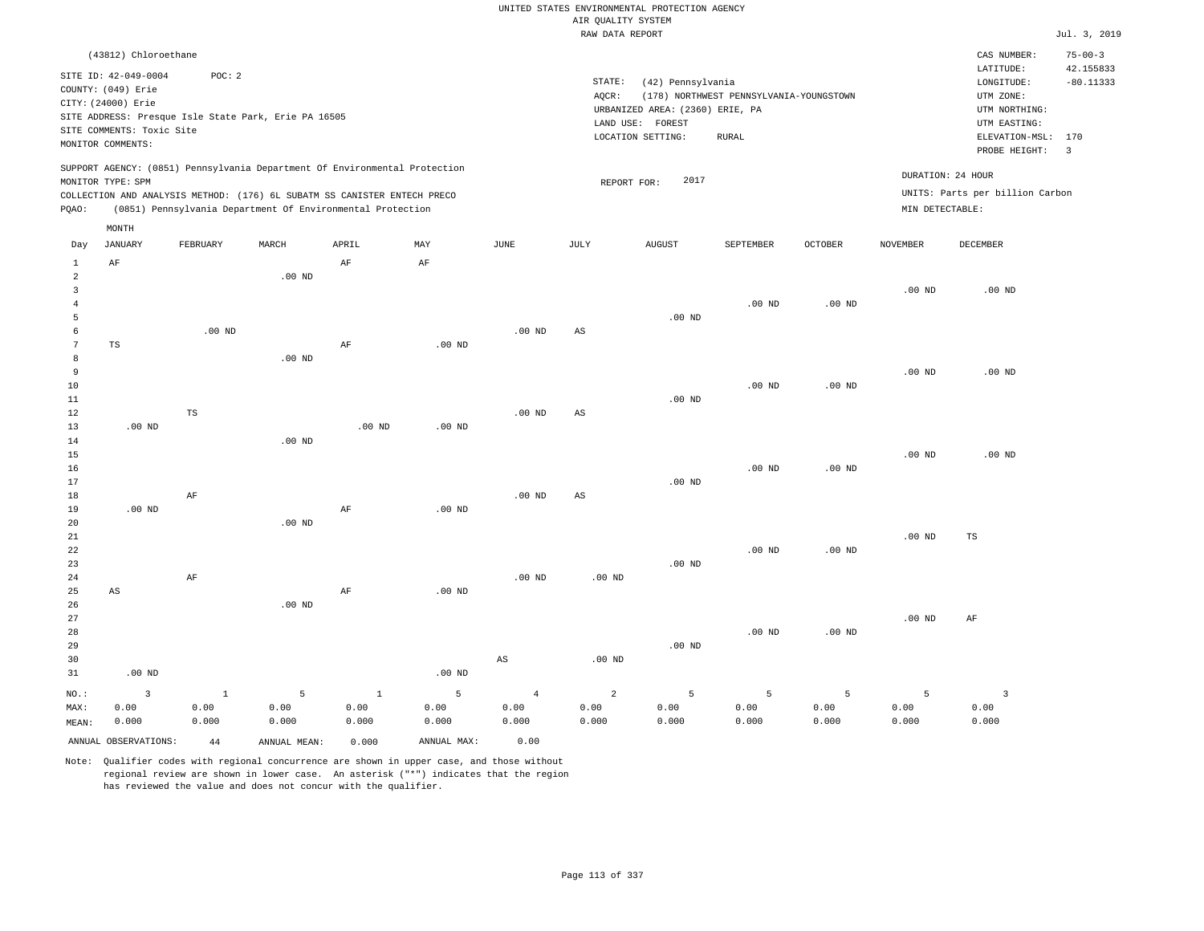### RAW DATA REPORT Jul. 3, 2019 UNITED STATES ENVIRONMENTAL PROTECTION AGENCY AIR QUALITY SYSTEM

|                  | (43812) Chloroethane                                 |               |              |                                                                            |                   |                        |                        |                                 |                                         |                   |                   | CAS NUMBER:                     | $75 - 00 - 3$  |
|------------------|------------------------------------------------------|---------------|--------------|----------------------------------------------------------------------------|-------------------|------------------------|------------------------|---------------------------------|-----------------------------------------|-------------------|-------------------|---------------------------------|----------------|
|                  | SITE ID: 42-049-0004                                 | POC: 2        |              |                                                                            |                   |                        |                        |                                 |                                         |                   |                   | LATITUDE:                       | 42.155833      |
|                  | COUNTY: (049) Erie                                   |               |              |                                                                            |                   |                        | STATE:                 | (42) Pennsylvania               |                                         |                   |                   | LONGITUDE:                      | $-80.11333$    |
|                  | CITY: (24000) Erie                                   |               |              |                                                                            |                   |                        | AQCR:                  |                                 | (178) NORTHWEST PENNSYLVANIA-YOUNGSTOWN |                   |                   | UTM ZONE:                       |                |
|                  | SITE ADDRESS: Presque Isle State Park, Erie PA 16505 |               |              |                                                                            |                   |                        |                        | URBANIZED AREA: (2360) ERIE, PA |                                         |                   |                   | UTM NORTHING:                   |                |
|                  | SITE COMMENTS: Toxic Site                            |               |              |                                                                            |                   |                        |                        | LAND USE: FOREST                |                                         |                   |                   | UTM EASTING:                    |                |
|                  | MONITOR COMMENTS:                                    |               |              |                                                                            |                   |                        |                        | LOCATION SETTING:               | <b>RURAL</b>                            |                   |                   | ELEVATION-MSL: 170              |                |
|                  |                                                      |               |              |                                                                            |                   |                        |                        |                                 |                                         |                   |                   | PROBE HEIGHT:                   | $\overline{3}$ |
|                  |                                                      |               |              | SUPPORT AGENCY: (0851) Pennsylvania Department Of Environmental Protection |                   |                        |                        |                                 |                                         |                   |                   | DURATION: 24 HOUR               |                |
|                  | MONITOR TYPE: SPM                                    |               |              |                                                                            |                   |                        | REPORT FOR:            | 2017                            |                                         |                   |                   |                                 |                |
|                  |                                                      |               |              | COLLECTION AND ANALYSIS METHOD: (176) 6L SUBATM SS CANISTER ENTECH PRECO   |                   |                        |                        |                                 |                                         |                   |                   | UNITS: Parts per billion Carbon |                |
| PQAO:            |                                                      |               |              | (0851) Pennsylvania Department Of Environmental Protection                 |                   |                        |                        |                                 |                                         |                   | MIN DETECTABLE:   |                                 |                |
|                  | MONTH                                                |               |              |                                                                            |                   |                        |                        |                                 |                                         |                   |                   |                                 |                |
| Day              | <b>JANUARY</b>                                       | FEBRUARY      | MARCH        | APRIL                                                                      | MAY               | JUNE                   | JULY                   | AUGUST                          | SEPTEMBER                               | OCTOBER           | <b>NOVEMBER</b>   | DECEMBER                        |                |
| $\mathbf{1}$     | $\rm AF$                                             |               |              | AF                                                                         | $\rm AF$          |                        |                        |                                 |                                         |                   |                   |                                 |                |
| $\overline{a}$   |                                                      |               | $.00$ ND     |                                                                            |                   |                        |                        |                                 |                                         |                   |                   |                                 |                |
| $\overline{3}$   |                                                      |               |              |                                                                            |                   |                        |                        |                                 |                                         |                   | $.00$ ND          | $.00$ ND                        |                |
| $\overline{4}$   |                                                      |               |              |                                                                            |                   |                        |                        |                                 | .00 <sub>ND</sub>                       | $.00$ ND          |                   |                                 |                |
| 5                |                                                      |               |              |                                                                            |                   |                        |                        | $.00$ ND                        |                                         |                   |                   |                                 |                |
| 6                |                                                      | $.00$ ND      |              |                                                                            |                   | .00 <sub>ND</sub>      | $\mathbb{A}\mathbb{S}$ |                                 |                                         |                   |                   |                                 |                |
| $\boldsymbol{7}$ | TS                                                   |               |              | AF                                                                         | .00 <sub>ND</sub> |                        |                        |                                 |                                         |                   |                   |                                 |                |
| 8                |                                                      |               | $.00$ ND     |                                                                            |                   |                        |                        |                                 |                                         |                   |                   |                                 |                |
| 9                |                                                      |               |              |                                                                            |                   |                        |                        |                                 |                                         |                   | .00 <sub>ND</sub> | $.00$ ND                        |                |
| 10               |                                                      |               |              |                                                                            |                   |                        |                        |                                 | .00 <sub>ND</sub>                       | $.00$ ND          |                   |                                 |                |
| 11               |                                                      |               |              |                                                                            |                   |                        |                        | .00 <sub>ND</sub>               |                                         |                   |                   |                                 |                |
| 12               |                                                      | $\mathbb{TS}$ |              |                                                                            |                   | .00 <sub>ND</sub>      | $\mathbb{A}\mathbb{S}$ |                                 |                                         |                   |                   |                                 |                |
| 13               | $.00$ ND                                             |               |              | $.00$ ND                                                                   | $.00$ ND          |                        |                        |                                 |                                         |                   |                   |                                 |                |
| 14               |                                                      |               | $.00$ ND     |                                                                            |                   |                        |                        |                                 |                                         |                   |                   |                                 |                |
| 15               |                                                      |               |              |                                                                            |                   |                        |                        |                                 |                                         |                   | .00 <sub>ND</sub> | $.00$ ND                        |                |
| 16               |                                                      |               |              |                                                                            |                   |                        |                        |                                 | .00 <sub>ND</sub>                       | $.00$ ND          |                   |                                 |                |
| 17               |                                                      |               |              |                                                                            |                   |                        |                        | $.00$ ND                        |                                         |                   |                   |                                 |                |
| 18               |                                                      | $\rm AF$      |              |                                                                            |                   | .00 <sub>ND</sub>      | $\mathbb{A}\mathbb{S}$ |                                 |                                         |                   |                   |                                 |                |
| 19               | $.00$ ND                                             |               |              | $\rm AF$                                                                   | .00 <sub>ND</sub> |                        |                        |                                 |                                         |                   |                   |                                 |                |
| 20               |                                                      |               | $.00$ ND     |                                                                            |                   |                        |                        |                                 |                                         |                   |                   |                                 |                |
| 21               |                                                      |               |              |                                                                            |                   |                        |                        |                                 |                                         |                   | .00 <sub>ND</sub> | TS                              |                |
| 22<br>23         |                                                      |               |              |                                                                            |                   |                        |                        | $.00$ ND                        | $.00$ ND                                | .00 <sub>ND</sub> |                   |                                 |                |
| 24               |                                                      | $\rm AF$      |              |                                                                            |                   | .00 <sub>ND</sub>      | .00 <sub>ND</sub>      |                                 |                                         |                   |                   |                                 |                |
| 25               | AS                                                   |               |              | AF                                                                         | .00 <sub>ND</sub> |                        |                        |                                 |                                         |                   |                   |                                 |                |
| 26               |                                                      |               | $.00$ ND     |                                                                            |                   |                        |                        |                                 |                                         |                   |                   |                                 |                |
| 27               |                                                      |               |              |                                                                            |                   |                        |                        |                                 |                                         |                   | $.00$ ND          | AF                              |                |
| 28               |                                                      |               |              |                                                                            |                   |                        |                        |                                 | .00 <sub>ND</sub>                       | $.00$ ND          |                   |                                 |                |
| 29               |                                                      |               |              |                                                                            |                   |                        |                        | .00 <sub>ND</sub>               |                                         |                   |                   |                                 |                |
| 30               |                                                      |               |              |                                                                            |                   | $\mathbb{A}\mathbb{S}$ | $.00$ ND               |                                 |                                         |                   |                   |                                 |                |
| 31               | $.00$ ND                                             |               |              |                                                                            | $.00$ ND          |                        |                        |                                 |                                         |                   |                   |                                 |                |
|                  |                                                      |               |              |                                                                            |                   |                        |                        |                                 |                                         |                   |                   |                                 |                |
| NO.:             | $\overline{3}$                                       | $\mathbf{1}$  | 5            | $\mathbf{1}$                                                               | 5                 | $\overline{4}$         | $\overline{a}$         | 5                               | 5                                       | 5                 | 5                 | $\overline{\mathbf{3}}$         |                |
| MAX:             | 0.00                                                 | 0.00          | 0.00         | 0.00                                                                       | 0.00              | 0.00                   | 0.00                   | 0.00                            | 0.00                                    | 0.00              | 0.00              | 0.00                            |                |
| MEAN:            | 0.000                                                | 0.000         | 0.000        | 0.000                                                                      | 0.000             | 0.000                  | 0.000                  | 0.000                           | 0.000                                   | 0.000             | 0.000             | 0.000                           |                |
|                  | ANNUAL OBSERVATIONS:                                 | 44            | ANNUAL MEAN: | 0.000                                                                      | ANNUAL MAX:       | 0.00                   |                        |                                 |                                         |                   |                   |                                 |                |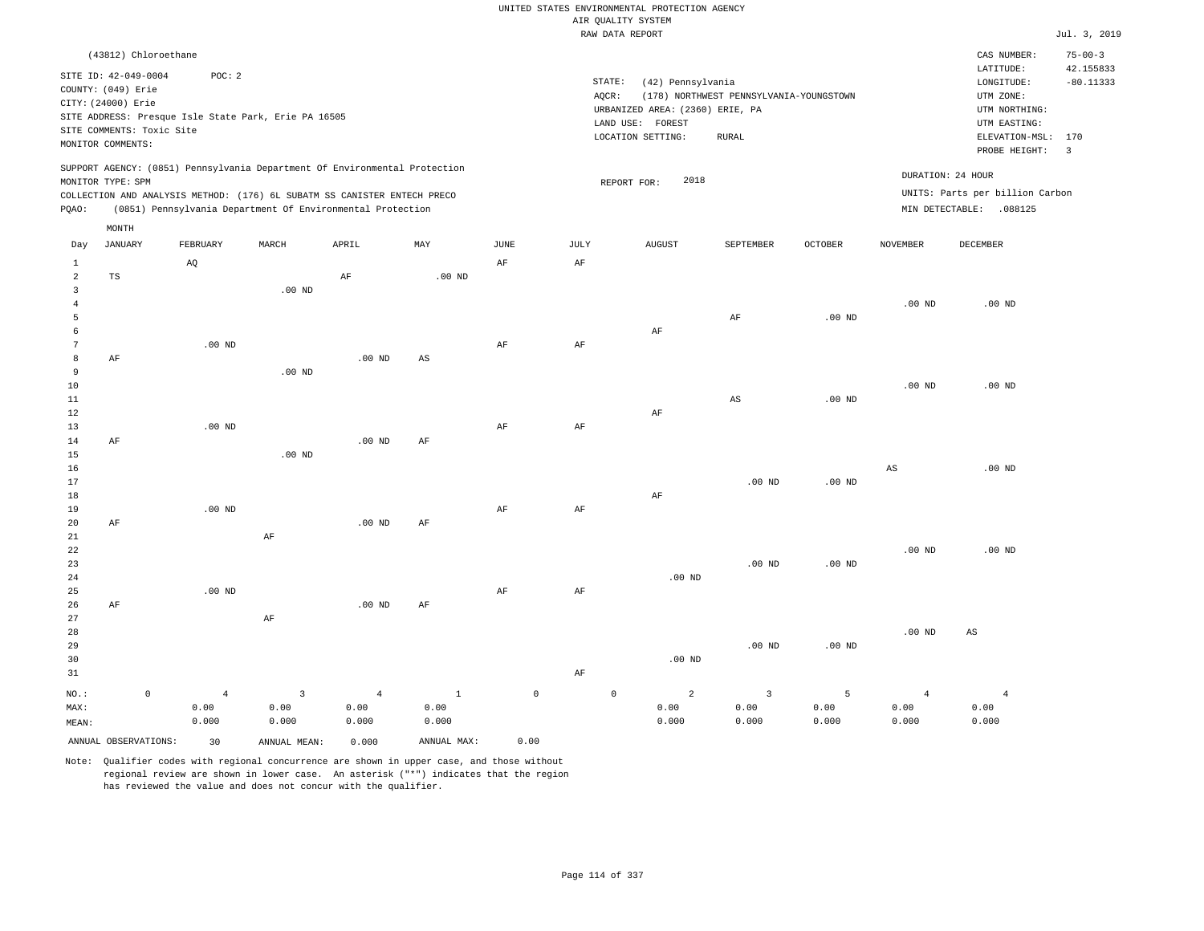|                                  |                                              |                   |                                                      |                                                                            |              |                     |           | UNITED STATES ENVIRONMENTAL PROTECTION AGENCY |                                         |                   |                   |                                 |                            |
|----------------------------------|----------------------------------------------|-------------------|------------------------------------------------------|----------------------------------------------------------------------------|--------------|---------------------|-----------|-----------------------------------------------|-----------------------------------------|-------------------|-------------------|---------------------------------|----------------------------|
|                                  |                                              |                   |                                                      |                                                                            |              |                     |           | AIR QUALITY SYSTEM                            |                                         |                   |                   |                                 |                            |
|                                  |                                              |                   |                                                      |                                                                            |              |                     |           | RAW DATA REPORT                               |                                         |                   |                   |                                 | Jul. 3, 2019               |
|                                  | (43812) Chloroethane<br>SITE ID: 42-049-0004 | POC: 2            |                                                      |                                                                            |              |                     |           |                                               |                                         |                   |                   | CAS NUMBER:<br>LATITUDE:        | $75 - 00 - 3$<br>42.155833 |
|                                  | COUNTY: (049) Erie                           |                   |                                                      |                                                                            |              |                     | STATE:    | (42) Pennsylvania                             |                                         |                   |                   | LONGITUDE:                      | $-80.11333$                |
|                                  | CITY: (24000) Erie                           |                   |                                                      |                                                                            |              |                     | AQCR:     |                                               | (178) NORTHWEST PENNSYLVANIA-YOUNGSTOWN |                   |                   | UTM ZONE:                       |                            |
|                                  |                                              |                   | SITE ADDRESS: Presque Isle State Park, Erie PA 16505 |                                                                            |              |                     |           | URBANIZED AREA: (2360) ERIE, PA               |                                         |                   |                   | UTM NORTHING:                   |                            |
|                                  | SITE COMMENTS: Toxic Site                    |                   |                                                      |                                                                            |              |                     |           | LAND USE: FOREST<br>LOCATION SETTING:         | <b>RURAL</b>                            |                   |                   | UTM EASTING:<br>ELEVATION-MSL:  | 170                        |
|                                  | MONITOR COMMENTS:                            |                   |                                                      |                                                                            |              |                     |           |                                               |                                         |                   |                   | PROBE HEIGHT:                   | $\overline{3}$             |
|                                  | MONITOR TYPE: SPM                            |                   |                                                      | SUPPORT AGENCY: (0851) Pennsylvania Department Of Environmental Protection |              |                     |           | 2018                                          |                                         |                   | DURATION: 24 HOUR |                                 |                            |
|                                  |                                              |                   |                                                      | COLLECTION AND ANALYSIS METHOD: (176) 6L SUBATM SS CANISTER ENTECH PRECO   |              |                     |           | REPORT FOR:                                   |                                         |                   |                   | UNITS: Parts per billion Carbon |                            |
| PQAO:                            |                                              |                   |                                                      | (0851) Pennsylvania Department Of Environmental Protection                 |              |                     |           |                                               |                                         |                   |                   | MIN DETECTABLE: .088125         |                            |
|                                  | $\texttt{MONTH}$                             |                   |                                                      |                                                                            |              |                     |           |                                               |                                         |                   |                   |                                 |                            |
| Day                              | <b>JANUARY</b>                               | FEBRUARY          | MARCH                                                | APRIL                                                                      | MAY          | $_{\rm JUNE}$       | JULY      | <b>AUGUST</b>                                 | SEPTEMBER                               | OCTOBER           | <b>NOVEMBER</b>   | DECEMBER                        |                            |
| $\mathbf{1}$                     |                                              | AQ                |                                                      |                                                                            |              | AF                  | AF        |                                               |                                         |                   |                   |                                 |                            |
| $\overline{a}$                   | TS                                           |                   |                                                      | $\rm AF$                                                                   | $.00$ ND     |                     |           |                                               |                                         |                   |                   |                                 |                            |
| $\overline{3}$<br>$\overline{4}$ |                                              |                   | $.00$ ND                                             |                                                                            |              |                     |           |                                               |                                         |                   | $.00$ ND          | $.00$ ND                        |                            |
| 5                                |                                              |                   |                                                      |                                                                            |              |                     |           |                                               | AF                                      | .00 <sub>ND</sub> |                   |                                 |                            |
| 6                                |                                              |                   |                                                      |                                                                            |              |                     |           | $\rm{AF}$                                     |                                         |                   |                   |                                 |                            |
| $\,7$                            |                                              | .00 <sub>ND</sub> |                                                      |                                                                            |              | $\rm AF$            | $\rm{AF}$ |                                               |                                         |                   |                   |                                 |                            |
| 8                                | AF                                           |                   |                                                      | $.00$ ND                                                                   | AS           |                     |           |                                               |                                         |                   |                   |                                 |                            |
| 9                                |                                              |                   | $.00$ ND                                             |                                                                            |              |                     |           |                                               |                                         |                   |                   |                                 |                            |
| $10$                             |                                              |                   |                                                      |                                                                            |              |                     |           |                                               |                                         |                   | .00 <sub>ND</sub> | $.00$ ND                        |                            |
| 11                               |                                              |                   |                                                      |                                                                            |              |                     |           |                                               | $_{\rm AS}$                             | $.00$ ND          |                   |                                 |                            |
| 12                               |                                              |                   |                                                      |                                                                            |              |                     |           | AF                                            |                                         |                   |                   |                                 |                            |
| 13<br>14                         | AF                                           | $.00$ ND          |                                                      | $.00$ ND                                                                   | AF           | AF                  | AF        |                                               |                                         |                   |                   |                                 |                            |
| 15                               |                                              |                   | $.00$ ND                                             |                                                                            |              |                     |           |                                               |                                         |                   |                   |                                 |                            |
| 16                               |                                              |                   |                                                      |                                                                            |              |                     |           |                                               |                                         |                   | $_{\rm AS}$       | $.00$ ND                        |                            |
| 17                               |                                              |                   |                                                      |                                                                            |              |                     |           |                                               | $.00$ ND                                | $.00$ ND          |                   |                                 |                            |
| 18                               |                                              |                   |                                                      |                                                                            |              |                     |           | AF                                            |                                         |                   |                   |                                 |                            |
| 19                               |                                              | $.00$ ND          |                                                      |                                                                            |              | AF                  | AF        |                                               |                                         |                   |                   |                                 |                            |
| 20                               | AF                                           |                   |                                                      | .00 <sub>ND</sub>                                                          | AF           |                     |           |                                               |                                         |                   |                   |                                 |                            |
| $2\sqrt{1}$                      |                                              |                   | $\rm AF$                                             |                                                                            |              |                     |           |                                               |                                         |                   |                   |                                 |                            |
| 22                               |                                              |                   |                                                      |                                                                            |              |                     |           |                                               | $.00$ ND                                |                   | $.00$ ND          | $.00$ ND                        |                            |
| 23<br>24                         |                                              |                   |                                                      |                                                                            |              |                     |           | $.00$ ND                                      |                                         | .00 <sub>ND</sub> |                   |                                 |                            |
| 25                               |                                              | $.00$ ND          |                                                      |                                                                            |              | $\rm AF$            | $\rm{AF}$ |                                               |                                         |                   |                   |                                 |                            |
| 26                               | AF                                           |                   |                                                      | .00 <sub>ND</sub>                                                          | AF           |                     |           |                                               |                                         |                   |                   |                                 |                            |
| 27                               |                                              |                   | AF                                                   |                                                                            |              |                     |           |                                               |                                         |                   |                   |                                 |                            |
| 28                               |                                              |                   |                                                      |                                                                            |              |                     |           |                                               |                                         |                   | .00 <sub>ND</sub> | $\mathbb{A}\mathbb{S}$          |                            |
| 29                               |                                              |                   |                                                      |                                                                            |              |                     |           |                                               | .00 <sub>ND</sub>                       | $.00$ ND          |                   |                                 |                            |
| 30                               |                                              |                   |                                                      |                                                                            |              |                     |           | $.00$ ND                                      |                                         |                   |                   |                                 |                            |
| 31                               |                                              |                   |                                                      |                                                                            |              |                     | AF        |                                               |                                         |                   |                   |                                 |                            |
| NO.:                             | $\mathbb O$                                  | $\overline{4}$    | $\overline{3}$                                       | $\overline{4}$                                                             | $\mathbf{1}$ | $\mathsf{O}\xspace$ |           | $\mathsf{O}\xspace$<br>$\overline{a}$         | $\overline{3}$                          | 5                 | $\overline{4}$    | $\overline{4}$                  |                            |
| MAX:                             |                                              | 0.00              | 0.00                                                 | 0.00                                                                       | 0.00         |                     |           | 0.00                                          | 0.00                                    | 0.00              | 0.00              | 0.00                            |                            |
| MEAN:                            |                                              | 0.000             | 0.000                                                | 0.000                                                                      | 0.000        |                     |           | 0.000                                         | 0.000                                   | 0.000             | 0.000             | 0.000                           |                            |
|                                  | ANNUAL OBSERVATIONS:                         | 30                | ANNUAL MEAN:                                         | 0.000                                                                      | ANNUAL MAX:  | 0.00                |           |                                               |                                         |                   |                   |                                 |                            |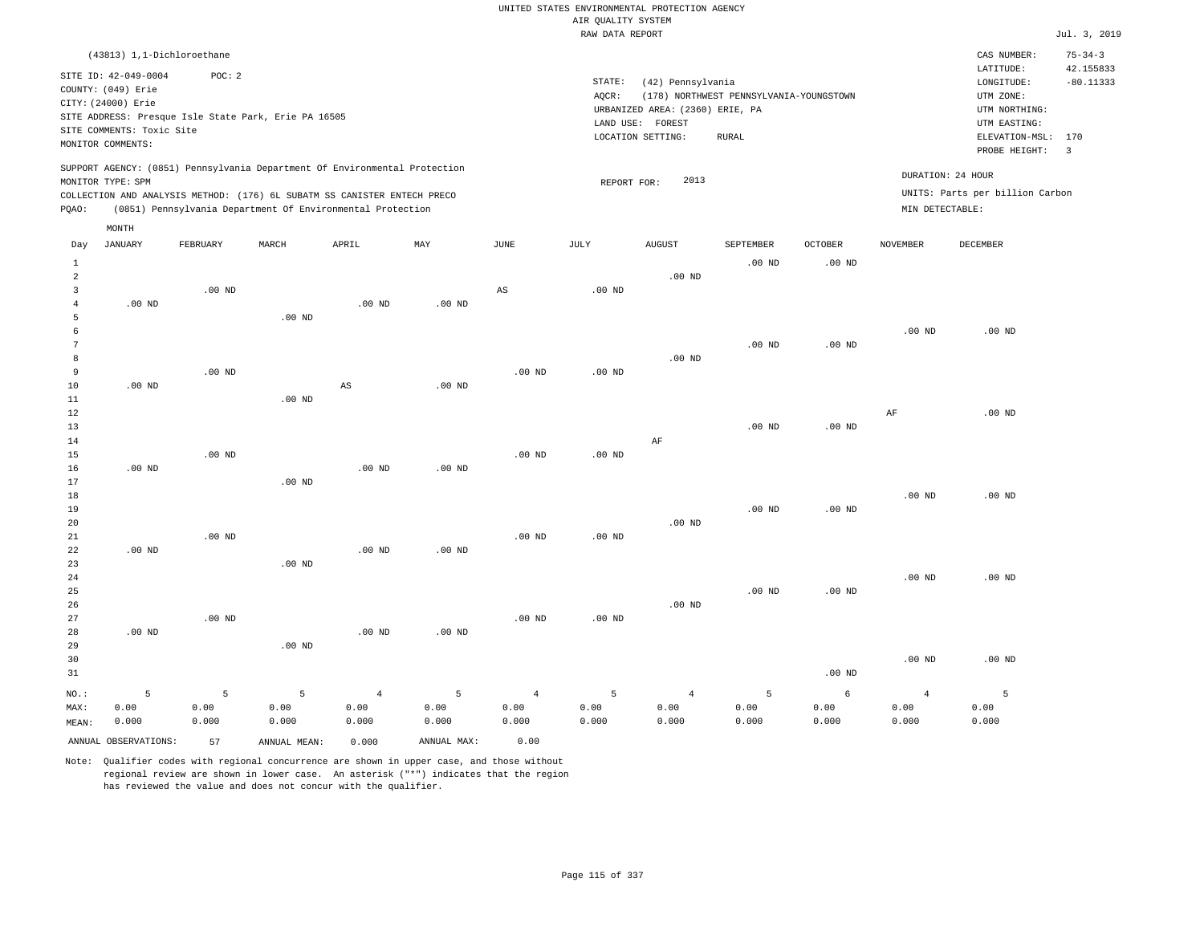### RAW DATA REPORT Jul. 3, 2019 UNITED STATES ENVIRONMENTAL PROTECTION AGENCY AIR QUALITY SYSTEM

|                                     | (43813) 1,1-Dichloroethane                                                                                         |                   |                                                                                                                                                                                                                      |                |                |                   |                              |                                                                                     |                                                  |                |                   | CAS NUMBER:                                                                                                  | $75 - 34 - 3$                              |
|-------------------------------------|--------------------------------------------------------------------------------------------------------------------|-------------------|----------------------------------------------------------------------------------------------------------------------------------------------------------------------------------------------------------------------|----------------|----------------|-------------------|------------------------------|-------------------------------------------------------------------------------------|--------------------------------------------------|----------------|-------------------|--------------------------------------------------------------------------------------------------------------|--------------------------------------------|
|                                     | SITE ID: 42-049-0004<br>COUNTY: (049) Erie<br>CITY: (24000) Erie<br>SITE COMMENTS: Toxic Site<br>MONITOR COMMENTS: | POC: 2            | SITE ADDRESS: Presque Isle State Park, Erie PA 16505                                                                                                                                                                 |                |                |                   | STATE:<br>AQCR:<br>LAND USE: | (42) Pennsylvania<br>URBANIZED AREA: (2360) ERIE, PA<br>FOREST<br>LOCATION SETTING: | (178) NORTHWEST PENNSYLVANIA-YOUNGSTOWN<br>RURAL |                |                   | LATITUDE:<br>LONGITUDE:<br>UTM ZONE:<br>UTM NORTHING:<br>UTM EASTING:<br>ELEVATION-MSL: 170<br>PROBE HEIGHT: | 42.155833<br>$-80.11333$<br>$\overline{3}$ |
| PQAO:                               | MONITOR TYPE: SPM                                                                                                  |                   | SUPPORT AGENCY: (0851) Pennsylvania Department Of Environmental Protection<br>COLLECTION AND ANALYSIS METHOD: (176) 6L SUBATM SS CANISTER ENTECH PRECO<br>(0851) Pennsylvania Department Of Environmental Protection |                |                |                   | REPORT FOR:                  | 2013                                                                                |                                                  |                | MIN DETECTABLE:   | DURATION: 24 HOUR<br>UNITS: Parts per billion Carbon                                                         |                                            |
|                                     | MONTH                                                                                                              |                   |                                                                                                                                                                                                                      |                |                |                   |                              |                                                                                     |                                                  |                |                   |                                                                                                              |                                            |
| Day                                 | <b>JANUARY</b>                                                                                                     | FEBRUARY          | MARCH                                                                                                                                                                                                                | APRIL          | MAY            | JUNE              | JULY                         | <b>AUGUST</b>                                                                       | SEPTEMBER                                        | <b>OCTOBER</b> | <b>NOVEMBER</b>   | DECEMBER                                                                                                     |                                            |
| $\mathbf{1}$<br>$\overline{a}$<br>3 |                                                                                                                    |                   |                                                                                                                                                                                                                      |                |                |                   |                              | $.00$ ND                                                                            | $.00$ ND                                         | $.00$ ND       |                   |                                                                                                              |                                            |
| $\overline{4}$<br>5                 | $.00$ ND                                                                                                           | $.00$ ND          | $.00$ ND                                                                                                                                                                                                             | $.00$ ND       | $.00$ ND       | AS                | .00 <sub>ND</sub>            |                                                                                     |                                                  |                |                   |                                                                                                              |                                            |
| 6<br>$\overline{7}$                 |                                                                                                                    |                   |                                                                                                                                                                                                                      |                |                |                   |                              |                                                                                     | .00 <sub>ND</sub>                                | $.00$ ND       | $.00$ ND          | $.00$ ND                                                                                                     |                                            |
| 8<br>9                              |                                                                                                                    | $.00$ ND          |                                                                                                                                                                                                                      |                |                | $.00$ ND          | $.00$ ND                     | $.00$ ND                                                                            |                                                  |                |                   |                                                                                                              |                                            |
| 10                                  | $.00$ ND                                                                                                           |                   |                                                                                                                                                                                                                      | AS             | $.00$ ND       |                   |                              |                                                                                     |                                                  |                |                   |                                                                                                              |                                            |
| 11                                  |                                                                                                                    |                   | $.00$ ND                                                                                                                                                                                                             |                |                |                   |                              |                                                                                     |                                                  |                |                   |                                                                                                              |                                            |
| 12<br>13                            |                                                                                                                    |                   |                                                                                                                                                                                                                      |                |                |                   |                              |                                                                                     | $.00$ ND                                         | $.00$ ND       | AF                | $.00$ ND                                                                                                     |                                            |
| 14                                  |                                                                                                                    |                   |                                                                                                                                                                                                                      |                |                |                   |                              | AF                                                                                  |                                                  |                |                   |                                                                                                              |                                            |
| 15                                  |                                                                                                                    | .00 <sub>ND</sub> |                                                                                                                                                                                                                      |                |                | $.00$ ND          | $.00$ ND                     |                                                                                     |                                                  |                |                   |                                                                                                              |                                            |
| 16                                  | $.00$ ND                                                                                                           |                   |                                                                                                                                                                                                                      | $.00$ ND       | $.00$ ND       |                   |                              |                                                                                     |                                                  |                |                   |                                                                                                              |                                            |
| 17                                  |                                                                                                                    |                   | $.00$ ND                                                                                                                                                                                                             |                |                |                   |                              |                                                                                     |                                                  |                |                   |                                                                                                              |                                            |
| 18<br>19                            |                                                                                                                    |                   |                                                                                                                                                                                                                      |                |                |                   |                              |                                                                                     | $.00$ ND                                         | $.00$ ND       | .00 <sub>ND</sub> | $.00$ ND                                                                                                     |                                            |
| 20                                  |                                                                                                                    |                   |                                                                                                                                                                                                                      |                |                |                   |                              | $.00$ ND                                                                            |                                                  |                |                   |                                                                                                              |                                            |
| 21                                  |                                                                                                                    | .00 <sub>ND</sub> |                                                                                                                                                                                                                      |                |                | .00 <sub>ND</sub> | .00 <sub>ND</sub>            |                                                                                     |                                                  |                |                   |                                                                                                              |                                            |
| 22                                  | $.00$ ND                                                                                                           |                   |                                                                                                                                                                                                                      | $.00$ ND       | $.00$ ND       |                   |                              |                                                                                     |                                                  |                |                   |                                                                                                              |                                            |
| 23                                  |                                                                                                                    |                   | $.00$ ND                                                                                                                                                                                                             |                |                |                   |                              |                                                                                     |                                                  |                |                   |                                                                                                              |                                            |
| 24<br>25                            |                                                                                                                    |                   |                                                                                                                                                                                                                      |                |                |                   |                              |                                                                                     | $.00$ ND                                         | $.00$ ND       | .00 <sub>ND</sub> | $.00$ ND                                                                                                     |                                            |
| 26                                  |                                                                                                                    |                   |                                                                                                                                                                                                                      |                |                |                   |                              | $.00$ ND                                                                            |                                                  |                |                   |                                                                                                              |                                            |
| 27                                  |                                                                                                                    | .00 <sub>ND</sub> |                                                                                                                                                                                                                      |                |                | $.00$ ND          | $.00$ ND                     |                                                                                     |                                                  |                |                   |                                                                                                              |                                            |
| 28                                  | $.00$ ND                                                                                                           |                   |                                                                                                                                                                                                                      | $.00$ ND       | $.00$ ND       |                   |                              |                                                                                     |                                                  |                |                   |                                                                                                              |                                            |
| 29                                  |                                                                                                                    |                   | .00 <sub>ND</sub>                                                                                                                                                                                                    |                |                |                   |                              |                                                                                     |                                                  |                |                   |                                                                                                              |                                            |
| 30                                  |                                                                                                                    |                   |                                                                                                                                                                                                                      |                |                |                   |                              |                                                                                     |                                                  |                | $.00$ ND          | $.00$ ND                                                                                                     |                                            |
| 31                                  |                                                                                                                    |                   |                                                                                                                                                                                                                      |                |                |                   |                              |                                                                                     |                                                  | $.00$ ND       |                   |                                                                                                              |                                            |
| NO.:                                | 5                                                                                                                  | 5                 | 5                                                                                                                                                                                                                    | $\overline{4}$ | $\overline{5}$ | $\overline{4}$    | 5                            | $\overline{4}$                                                                      | 5                                                | 6              | $\overline{4}$    | 5                                                                                                            |                                            |
| MAX:                                | 0.00                                                                                                               | 0.00              | 0.00                                                                                                                                                                                                                 | 0.00           | 0.00           | 0.00              | 0.00                         | 0.00                                                                                | 0.00                                             | 0.00           | 0.00              | 0.00                                                                                                         |                                            |
| MEAN:                               | 0.000                                                                                                              | 0.000             | 0.000                                                                                                                                                                                                                | 0.000          | 0.000          | 0.000             | 0.000                        | 0.000                                                                               | 0.000                                            | 0.000          | 0.000             | 0.000                                                                                                        |                                            |
|                                     | ANNUAL OBSERVATIONS:                                                                                               | 57                | ANNUAL MEAN:                                                                                                                                                                                                         | 0.000          | ANNUAL MAX:    | 0.00              |                              |                                                                                     |                                                  |                |                   |                                                                                                              |                                            |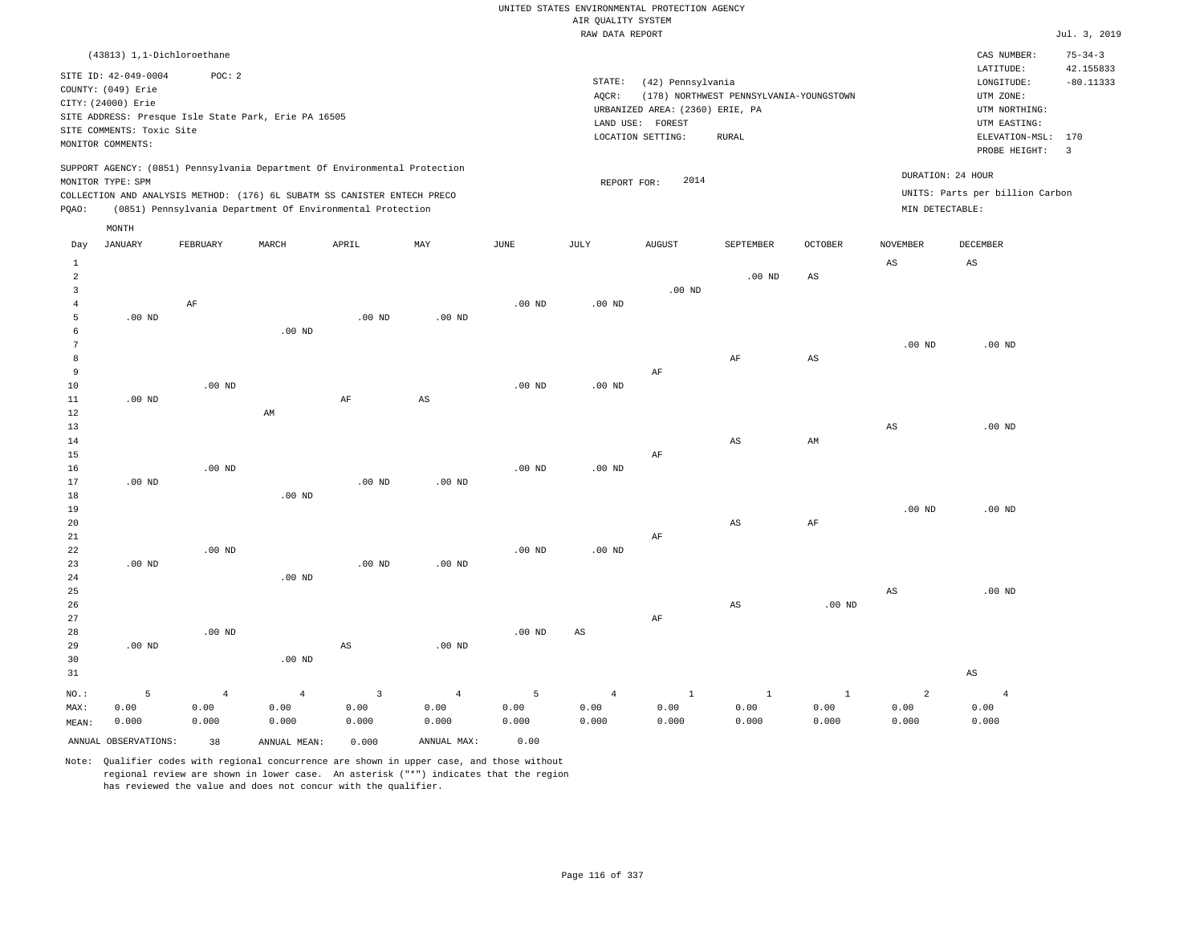|                |                            |                   |                                                                            |                        |                        |                   | RAW DATA REPORT   |                                 |                                         |              |                        |                                 | Jul. 3, 2019            |
|----------------|----------------------------|-------------------|----------------------------------------------------------------------------|------------------------|------------------------|-------------------|-------------------|---------------------------------|-----------------------------------------|--------------|------------------------|---------------------------------|-------------------------|
|                | (43813) 1,1-Dichloroethane |                   |                                                                            |                        |                        |                   |                   |                                 |                                         |              |                        | CAS NUMBER:                     | $75 - 34 - 3$           |
|                |                            |                   |                                                                            |                        |                        |                   |                   |                                 |                                         |              |                        | LATITUDE:                       | 42.155833               |
|                | SITE ID: 42-049-0004       | POC: 2            |                                                                            |                        |                        |                   | STATE:            | (42) Pennsylvania               |                                         |              |                        | LONGITUDE:                      | $-80.11333$             |
|                | COUNTY: (049) Erie         |                   |                                                                            |                        |                        |                   | AQCR:             |                                 | (178) NORTHWEST PENNSYLVANIA-YOUNGSTOWN |              |                        | UTM ZONE:                       |                         |
|                | CITY: (24000) Erie         |                   |                                                                            |                        |                        |                   |                   | URBANIZED AREA: (2360) ERIE, PA |                                         |              |                        | UTM NORTHING:                   |                         |
|                |                            |                   | SITE ADDRESS: Presque Isle State Park, Erie PA 16505                       |                        |                        |                   |                   | LAND USE: FOREST                |                                         |              |                        | UTM EASTING:                    |                         |
|                | SITE COMMENTS: Toxic Site  |                   |                                                                            |                        |                        |                   |                   | LOCATION SETTING:               | <b>RURAL</b>                            |              |                        | ELEVATION-MSL:                  | 170                     |
|                | MONITOR COMMENTS:          |                   |                                                                            |                        |                        |                   |                   |                                 |                                         |              |                        | PROBE HEIGHT:                   | $\overline{\mathbf{3}}$ |
|                |                            |                   | SUPPORT AGENCY: (0851) Pennsylvania Department Of Environmental Protection |                        |                        |                   |                   |                                 |                                         |              |                        | DURATION: 24 HOUR               |                         |
|                | MONITOR TYPE: SPM          |                   |                                                                            |                        |                        |                   | REPORT FOR:       | 2014                            |                                         |              |                        |                                 |                         |
|                |                            |                   | COLLECTION AND ANALYSIS METHOD: (176) 6L SUBATM SS CANISTER ENTECH PRECO   |                        |                        |                   |                   |                                 |                                         |              |                        | UNITS: Parts per billion Carbon |                         |
| PQAO:          |                            |                   | (0851) Pennsylvania Department Of Environmental Protection                 |                        |                        |                   |                   |                                 |                                         |              | MIN DETECTABLE:        |                                 |                         |
|                | MONTH                      |                   |                                                                            |                        |                        |                   |                   |                                 |                                         |              |                        |                                 |                         |
| Day            | <b>JANUARY</b>             | FEBRUARY          | MARCH                                                                      | APRIL                  | MAY                    | JUNE              | JULY              | <b>AUGUST</b>                   | SEPTEMBER                               | OCTOBER      | <b>NOVEMBER</b>        | DECEMBER                        |                         |
| $\mathbf{1}$   |                            |                   |                                                                            |                        |                        |                   |                   |                                 |                                         |              | AS                     | $\mathbb{A}\mathbb{S}$          |                         |
| $\overline{a}$ |                            |                   |                                                                            |                        |                        |                   |                   |                                 | $.00$ ND                                | $_{\rm AS}$  |                        |                                 |                         |
| $\overline{3}$ |                            |                   |                                                                            |                        |                        |                   |                   | $.00$ ND                        |                                         |              |                        |                                 |                         |
| $\overline{4}$ |                            | AF                |                                                                            |                        |                        | $.00$ ND          | $.00$ ND          |                                 |                                         |              |                        |                                 |                         |
| 5              | $.00$ ND                   |                   |                                                                            | $.00$ ND               | $.00$ ND               |                   |                   |                                 |                                         |              |                        |                                 |                         |
| 6              |                            |                   | $.00$ ND                                                                   |                        |                        |                   |                   |                                 |                                         |              |                        |                                 |                         |
| $\overline{7}$ |                            |                   |                                                                            |                        |                        |                   |                   |                                 |                                         |              | $.00$ ND               | $.00$ ND                        |                         |
| 8              |                            |                   |                                                                            |                        |                        |                   |                   |                                 | $\rm AF$                                | $_{\rm AS}$  |                        |                                 |                         |
| $\overline{9}$ |                            |                   |                                                                            |                        |                        |                   |                   | $\rm AF$                        |                                         |              |                        |                                 |                         |
| 10             |                            | $.00$ ND          |                                                                            |                        |                        | $.00$ ND          | .00 <sub>ND</sub> |                                 |                                         |              |                        |                                 |                         |
| $11\,$         | $.00$ ND                   |                   |                                                                            | $\rm{AF}$              | $\mathbb{A}\mathbb{S}$ |                   |                   |                                 |                                         |              |                        |                                 |                         |
| 12<br>13       |                            |                   | $\mathbb{A}\mathbb{M}$                                                     |                        |                        |                   |                   |                                 |                                         |              | $\mathbb{A}\mathbb{S}$ | $.00$ ND                        |                         |
| 14             |                            |                   |                                                                            |                        |                        |                   |                   |                                 | AS                                      | AM           |                        |                                 |                         |
| 15             |                            |                   |                                                                            |                        |                        |                   |                   | $\rm AF$                        |                                         |              |                        |                                 |                         |
| 16             |                            | .00 <sub>ND</sub> |                                                                            |                        |                        | $.00$ ND          | $.00$ ND          |                                 |                                         |              |                        |                                 |                         |
| 17             | $.00$ ND                   |                   |                                                                            | $.00$ ND               | $.00$ ND               |                   |                   |                                 |                                         |              |                        |                                 |                         |
| 18             |                            |                   | $.00$ ND                                                                   |                        |                        |                   |                   |                                 |                                         |              |                        |                                 |                         |
| 19             |                            |                   |                                                                            |                        |                        |                   |                   |                                 |                                         |              | $.00$ ND               | $.00$ ND                        |                         |
| 20             |                            |                   |                                                                            |                        |                        |                   |                   |                                 | AS                                      | AF           |                        |                                 |                         |
| 21             |                            |                   |                                                                            |                        |                        |                   |                   | AF                              |                                         |              |                        |                                 |                         |
| 22             |                            | $.00$ ND          |                                                                            |                        |                        | $.00$ ND          | $.00$ ND          |                                 |                                         |              |                        |                                 |                         |
| 23             | $.00$ ND                   |                   |                                                                            | $.00$ ND               | $.00$ ND               |                   |                   |                                 |                                         |              |                        |                                 |                         |
| 24             |                            |                   | $.00$ ND                                                                   |                        |                        |                   |                   |                                 |                                         |              |                        |                                 |                         |
| 25             |                            |                   |                                                                            |                        |                        |                   |                   |                                 |                                         |              | $\mathbb{A}\mathbb{S}$ | $.00$ ND                        |                         |
| 26             |                            |                   |                                                                            |                        |                        |                   |                   |                                 | $\mathbb{A}\mathbb{S}$                  | $.00$ ND     |                        |                                 |                         |
| 27             |                            |                   |                                                                            |                        |                        |                   |                   | AF                              |                                         |              |                        |                                 |                         |
| 28             |                            | $.00$ ND          |                                                                            |                        |                        | .00 <sub>ND</sub> | AS                |                                 |                                         |              |                        |                                 |                         |
| 29             | $.00$ ND                   |                   |                                                                            | $\mathbb{A}\mathbb{S}$ | $.00$ ND               |                   |                   |                                 |                                         |              |                        |                                 |                         |
| 30             |                            |                   | .00 <sub>ND</sub>                                                          |                        |                        |                   |                   |                                 |                                         |              |                        |                                 |                         |
| 31             |                            |                   |                                                                            |                        |                        |                   |                   |                                 |                                         |              |                        | $\mathbb{A}\mathbb{S}$          |                         |
| NO.:           | 5                          | $\overline{4}$    | $\overline{4}$                                                             | $\mathbf{3}$           | $\overline{4}$         | 5                 | $\overline{4}$    | $\mathbf{1}$                    | $\mathbf{1}$                            | $\mathbf{1}$ | $\overline{a}$         | $\overline{4}$                  |                         |
| MAX:           | 0.00                       | 0.00              | 0.00                                                                       | 0.00                   | 0.00                   | 0.00              | 0.00              | 0.00                            | 0.00                                    | 0.00         | 0.00                   | 0.00                            |                         |
| MEAN:          | 0.000                      | 0.000             | 0.000                                                                      | 0.000                  | 0.000                  | 0.000             | 0.000             | 0.000                           | 0.000                                   | 0.000        | 0.000                  | 0.000                           |                         |
|                | ANNUAL OBSERVATIONS:       | 38                | ANNUAL, MEAN:                                                              | 0.000                  | ANNUAL MAX:            | 0.00              |                   |                                 |                                         |              |                        |                                 |                         |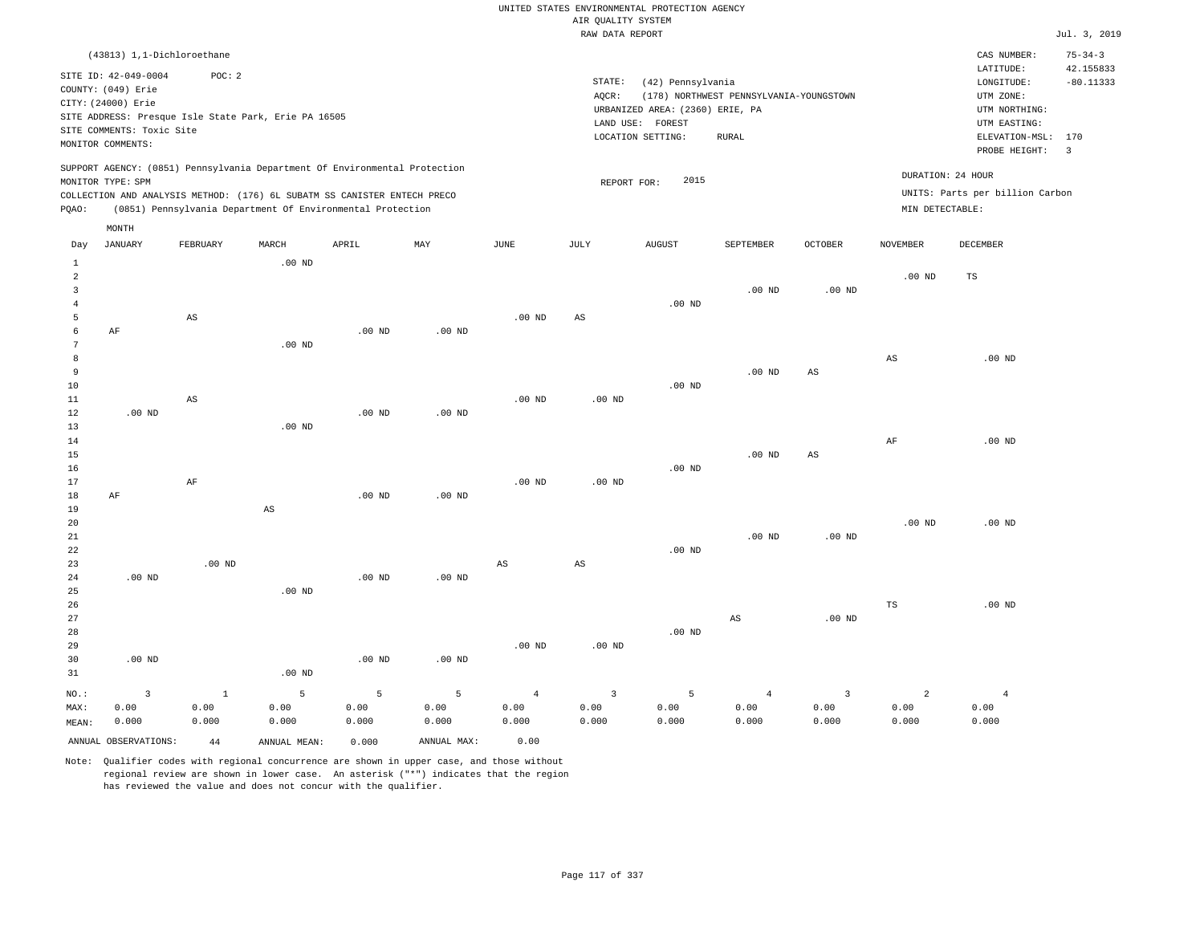### RAW DATA REPORT JUL. 3, 2019 UNITED STATES ENVIRONMENTAL PROTECTION AGENCY AIR QUALITY SYSTEM

|       | (43813) 1,1-Dichloroethane                           |          |          |                                                                          |                                                                            |      |        |                                 |                                         |          |                 | CAS NUMBER:                                          | $75 - 34 - 3$ |
|-------|------------------------------------------------------|----------|----------|--------------------------------------------------------------------------|----------------------------------------------------------------------------|------|--------|---------------------------------|-----------------------------------------|----------|-----------------|------------------------------------------------------|---------------|
|       | SITE ID: 42-049-0004                                 | POC:2    |          |                                                                          |                                                                            |      |        |                                 |                                         |          |                 | LATITUDE:                                            | 42.155833     |
|       | COUNTY: (049) Erie                                   |          |          |                                                                          |                                                                            |      | STATE: | (42) Pennsylvania               |                                         |          |                 | LONGITUDE:                                           | $-80.11333$   |
|       | CITY: (24000) Erie                                   |          |          |                                                                          |                                                                            |      | AOCR:  |                                 | (178) NORTHWEST PENNSYLVANIA-YOUNGSTOWN |          |                 | UTM ZONE:                                            |               |
|       | SITE ADDRESS: Presque Isle State Park, Erie PA 16505 |          |          |                                                                          |                                                                            |      |        | URBANIZED AREA: (2360) ERIE, PA |                                         |          |                 | UTM NORTHING:                                        |               |
|       | SITE COMMENTS: Toxic Site                            |          |          |                                                                          |                                                                            |      |        | LAND USE:<br>FOREST             |                                         |          |                 | UTM EASTING:                                         |               |
|       | MONITOR COMMENTS:                                    |          |          |                                                                          |                                                                            |      |        | LOCATION SETTING:               | RURAL                                   |          |                 | ELEVATION-MSL: 170                                   |               |
|       |                                                      |          |          |                                                                          |                                                                            |      |        |                                 |                                         |          |                 | PROBE HEIGHT:                                        | $_{3}$        |
|       | MONITOR TYPE: SPM                                    |          |          | COLLECTION AND ANALYSIS METHOD: (176) 6L SUBATM SS CANISTER ENTECH PRECO | SUPPORT AGENCY: (0851) Pennsylvania Department Of Environmental Protection |      |        | 2015<br>REPORT FOR:             |                                         |          |                 | DURATION: 24 HOUR<br>UNITS: Parts per billion Carbon |               |
| POAO: |                                                      |          |          | (0851) Pennsylvania Department Of Environmental Protection               |                                                                            |      |        |                                 |                                         |          | MIN DETECTABLE: |                                                      |               |
|       | MONTH                                                |          |          |                                                                          |                                                                            |      |        |                                 |                                         |          |                 |                                                      |               |
| Day   | JANUARY                                              | FEBRUARY | MARCH    | APRIL                                                                    | MAY                                                                        | JUNE | JULY   | AUGUST                          | SEPTEMBER                               | OCTOBER  | <b>NOVEMBER</b> | DECEMBER                                             |               |
|       |                                                      |          | $.00$ ND |                                                                          |                                                                            |      |        |                                 |                                         |          |                 |                                                      |               |
|       |                                                      |          |          |                                                                          |                                                                            |      |        |                                 |                                         |          | $.00$ ND        | <b>TS</b>                                            |               |
|       |                                                      |          |          |                                                                          |                                                                            |      |        |                                 | $.00$ ND                                | $.00$ ND |                 |                                                      |               |

AS

.00 ND

| 8              |                   |              |                        |          |          |                |                         |          |                        |                        | $_{\rm AS}$    | .00 $ND$ |
|----------------|-------------------|--------------|------------------------|----------|----------|----------------|-------------------------|----------|------------------------|------------------------|----------------|----------|
| 9              |                   |              |                        |          |          |                |                         |          | $.00$ ND               | $\mathbb{A}\mathbb{S}$ |                |          |
| 10             |                   |              |                        |          |          |                |                         | $.00$ ND |                        |                        |                |          |
| $11\,$         |                   | AS           |                        |          |          | $.00$ ND       | .00 $ND$                |          |                        |                        |                |          |
| 12             | .00 $ND$          |              |                        | $.00$ ND | $.00$ ND |                |                         |          |                        |                        |                |          |
| 13             |                   |              | .00 $ND$               |          |          |                |                         |          |                        |                        |                |          |
| $14\,$         |                   |              |                        |          |          |                |                         |          |                        |                        | $\rm{AF}$      | $.00$ ND |
| 15             |                   |              |                        |          |          |                |                         |          | $.00$ ND               | $\mathbb{A}\mathbb{S}$ |                |          |
| 16             |                   |              |                        |          |          |                |                         | $.00$ ND |                        |                        |                |          |
| 17             |                   | AF           |                        |          |          | $.00$ ND       | .00 $ND$                |          |                        |                        |                |          |
| 18             | AF                |              |                        | .00 $ND$ | $.00$ ND |                |                         |          |                        |                        |                |          |
| 19             |                   |              | $\mathbb{A}\mathbb{S}$ |          |          |                |                         |          |                        |                        |                |          |
| 20             |                   |              |                        |          |          |                |                         |          |                        |                        | .00 $ND$       | .00 $ND$ |
| 21             |                   |              |                        |          |          |                |                         |          | $.00$ ND               | $.00$ ND               |                |          |
| $^{\rm 22}$    |                   |              |                        |          |          |                |                         | $.00$ ND |                        |                        |                |          |
| 23             |                   | .00 $ND$     |                        |          |          | AS             | $\mathbb{A}\mathbb{S}$  |          |                        |                        |                |          |
| 24             | $.00~\mathrm{ND}$ |              |                        | $.00$ ND | $.00$ ND |                |                         |          |                        |                        |                |          |
| $25\,$         |                   |              | .00 $ND$               |          |          |                |                         |          |                        |                        |                |          |
| 26             |                   |              |                        |          |          |                |                         |          |                        |                        | $_{\rm TS}$    | $.00$ ND |
| 27             |                   |              |                        |          |          |                |                         |          | $\mathbb{A}\mathbb{S}$ | .00 $ND$               |                |          |
| $28\,$         |                   |              |                        |          |          |                |                         | $.00$ ND |                        |                        |                |          |
| 29             |                   |              |                        |          |          | $.00$ ND       | $.00$ ND                |          |                        |                        |                |          |
| 30             | $.00~\mathrm{ND}$ |              |                        | .00 $ND$ | .00 $ND$ |                |                         |          |                        |                        |                |          |
| 31             |                   |              | .00 $ND$               |          |          |                |                         |          |                        |                        |                |          |
| $_{\rm NO.}$ : | $\overline{3}$    | $\mathbf{1}$ | $\,$ 5                 | 5        | 5        | $\overline{4}$ | $\overline{\mathbf{3}}$ | 5        | $\overline{4}$         | $\overline{3}$         | $\overline{a}$ | 4        |
| MAX:           | 0.00              | 0.00         | 0.00                   | 0.00     | 0.00     | 0.00           | 0.00                    | 0.00     | 0.00                   | 0.00                   | 0.00           | 0.00     |
| MEAN:          | 0.000             | 0.000        | 0.000                  | 0.000    | 0.000    | 0.000          | 0.000                   | 0.000    | 0.000                  | 0.000                  | 0.000          | 0.000    |

.00 ND

ANNUAL OBSERVATIONS: 44 ANNUAL MEAN: 0.000 ANNUAL MAX: 0.00

.00 ND

.00 ND

.00 ND

AF

AS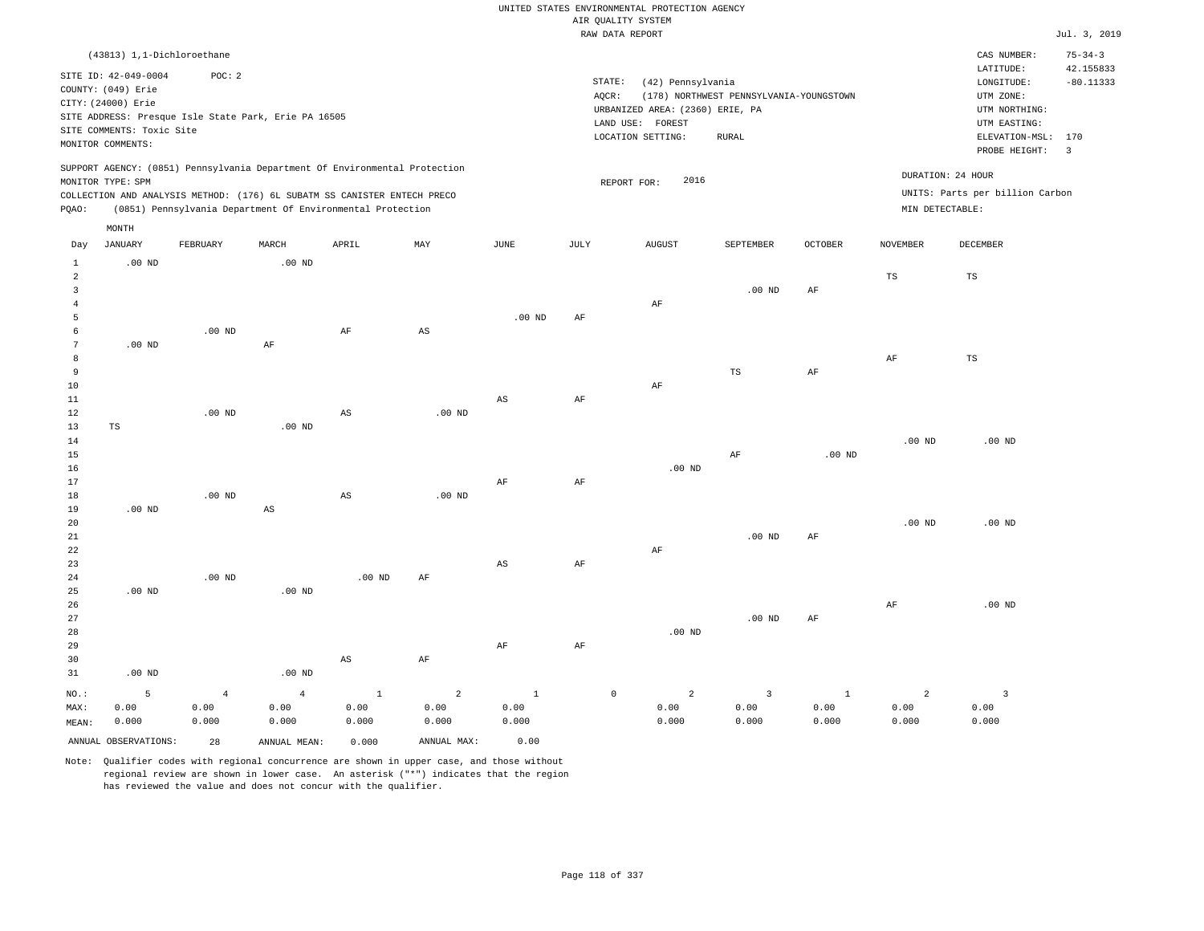|                         |                            |                   |                                                      |                                                                            |                |                        |           | RAW DATA REPORT   |                                 |                                         |                |                 |                                 | Jul. 3, 2019            |
|-------------------------|----------------------------|-------------------|------------------------------------------------------|----------------------------------------------------------------------------|----------------|------------------------|-----------|-------------------|---------------------------------|-----------------------------------------|----------------|-----------------|---------------------------------|-------------------------|
|                         | (43813) 1,1-Dichloroethane |                   |                                                      |                                                                            |                |                        |           |                   |                                 |                                         |                |                 | CAS NUMBER:                     | $75 - 34 - 3$           |
|                         |                            |                   |                                                      |                                                                            |                |                        |           |                   |                                 |                                         |                |                 | LATITUDE:                       | 42.155833               |
|                         | SITE ID: 42-049-0004       | POC: 2            |                                                      |                                                                            |                |                        |           | STATE:            | (42) Pennsylvania               |                                         |                |                 | LONGITUDE:                      | $-80.11333$             |
|                         | COUNTY: (049) Erie         |                   |                                                      |                                                                            |                |                        |           | AQCR:             |                                 | (178) NORTHWEST PENNSYLVANIA-YOUNGSTOWN |                |                 | UTM ZONE:                       |                         |
|                         | CITY: (24000) Erie         |                   |                                                      |                                                                            |                |                        |           |                   | URBANIZED AREA: (2360) ERIE, PA |                                         |                |                 | UTM NORTHING:                   |                         |
|                         |                            |                   | SITE ADDRESS: Presque Isle State Park, Erie PA 16505 |                                                                            |                |                        |           | LAND USE: FOREST  |                                 |                                         |                |                 | UTM EASTING:                    |                         |
|                         | SITE COMMENTS: Toxic Site  |                   |                                                      |                                                                            |                |                        |           | LOCATION SETTING: |                                 | RURAL                                   |                |                 | ELEVATION-MSL: 170              |                         |
|                         | MONITOR COMMENTS:          |                   |                                                      |                                                                            |                |                        |           |                   |                                 |                                         |                |                 | PROBE HEIGHT:                   | $\overline{\mathbf{3}}$ |
|                         |                            |                   |                                                      | SUPPORT AGENCY: (0851) Pennsylvania Department Of Environmental Protection |                |                        |           |                   |                                 |                                         |                |                 |                                 |                         |
|                         | MONITOR TYPE: SPM          |                   |                                                      |                                                                            |                |                        |           | REPORT FOR:       | 2016                            |                                         |                |                 | DURATION: 24 HOUR               |                         |
|                         |                            |                   |                                                      | COLLECTION AND ANALYSIS METHOD: (176) 6L SUBATM SS CANISTER ENTECH PRECO   |                |                        |           |                   |                                 |                                         |                |                 | UNITS: Parts per billion Carbon |                         |
| PQAO:                   |                            |                   |                                                      | (0851) Pennsylvania Department Of Environmental Protection                 |                |                        |           |                   |                                 |                                         |                | MIN DETECTABLE: |                                 |                         |
|                         | MONTH                      |                   |                                                      |                                                                            |                |                        |           |                   |                                 |                                         |                |                 |                                 |                         |
| Day                     | <b>JANUARY</b>             | FEBRUARY          | MARCH                                                | APRIL                                                                      | MAY            | <b>JUNE</b>            | JULY      |                   | <b>AUGUST</b>                   | SEPTEMBER                               | <b>OCTOBER</b> | <b>NOVEMBER</b> | <b>DECEMBER</b>                 |                         |
|                         |                            |                   |                                                      |                                                                            |                |                        |           |                   |                                 |                                         |                |                 |                                 |                         |
| $1\,$                   | $.00$ ND                   |                   | $.00$ ND                                             |                                                                            |                |                        |           |                   |                                 |                                         |                |                 |                                 |                         |
| $\overline{a}$          |                            |                   |                                                      |                                                                            |                |                        |           |                   |                                 |                                         |                | $_{\rm TS}$     | $\mathbb{TS}$                   |                         |
| $\overline{\mathbf{3}}$ |                            |                   |                                                      |                                                                            |                |                        |           |                   |                                 | $.00$ ND                                | AF             |                 |                                 |                         |
| $\overline{4}$<br>5     |                            |                   |                                                      |                                                                            |                | .00 <sub>ND</sub>      | AF        |                   | AF                              |                                         |                |                 |                                 |                         |
| 6                       |                            | .00 <sub>ND</sub> |                                                      | AF                                                                         | AS             |                        |           |                   |                                 |                                         |                |                 |                                 |                         |
| $7\phantom{.0}$         | $.00$ ND                   |                   | $\rm AF$                                             |                                                                            |                |                        |           |                   |                                 |                                         |                |                 |                                 |                         |
| 8                       |                            |                   |                                                      |                                                                            |                |                        |           |                   |                                 |                                         |                | $\rm{AF}$       | $\mathbb{TS}$                   |                         |
| 9                       |                            |                   |                                                      |                                                                            |                |                        |           |                   |                                 | TS                                      | AF             |                 |                                 |                         |
| 10                      |                            |                   |                                                      |                                                                            |                |                        |           |                   | $\rm AF$                        |                                         |                |                 |                                 |                         |
| $11\,$                  |                            |                   |                                                      |                                                                            |                | $\mathbb{A}\mathbb{S}$ | $\rm{AF}$ |                   |                                 |                                         |                |                 |                                 |                         |
| 12                      |                            | $.00$ ND          |                                                      | $_{\rm AS}$                                                                | $.00$ ND       |                        |           |                   |                                 |                                         |                |                 |                                 |                         |
| 13                      | $_{\rm TS}$                |                   | $.00$ ND                                             |                                                                            |                |                        |           |                   |                                 |                                         |                |                 |                                 |                         |
| 14                      |                            |                   |                                                      |                                                                            |                |                        |           |                   |                                 |                                         |                | $.00$ ND        | $.00$ ND                        |                         |
| 15                      |                            |                   |                                                      |                                                                            |                |                        |           |                   |                                 | $\rm{AF}$                               | $.00$ ND       |                 |                                 |                         |
| 16                      |                            |                   |                                                      |                                                                            |                |                        |           |                   | $.00$ ND                        |                                         |                |                 |                                 |                         |
| 17                      |                            |                   |                                                      |                                                                            |                | $\rm{AF}$              | $\rm{AF}$ |                   |                                 |                                         |                |                 |                                 |                         |
| 18                      |                            | $.00$ ND          |                                                      | $\mathbb{A}\mathbb{S}$                                                     | $.00$ ND       |                        |           |                   |                                 |                                         |                |                 |                                 |                         |
| 19                      | $.00$ ND                   |                   | $\mathbb{A}\mathbb{S}$                               |                                                                            |                |                        |           |                   |                                 |                                         |                |                 |                                 |                         |
| 20                      |                            |                   |                                                      |                                                                            |                |                        |           |                   |                                 |                                         |                | $.00$ ND        | $.00$ ND                        |                         |
| 21                      |                            |                   |                                                      |                                                                            |                |                        |           |                   |                                 | $.00$ ND                                | $\rm{AF}$      |                 |                                 |                         |
| 22                      |                            |                   |                                                      |                                                                            |                |                        |           |                   | AF                              |                                         |                |                 |                                 |                         |
| 23<br>24                |                            | $.00$ ND          |                                                      | $.00$ ND                                                                   | $\rm{AF}$      | $\mathbb{A}\mathbb{S}$ | $\rm{AF}$ |                   |                                 |                                         |                |                 |                                 |                         |
| 25                      | $.00$ ND                   |                   | $.00$ ND                                             |                                                                            |                |                        |           |                   |                                 |                                         |                |                 |                                 |                         |
| 26                      |                            |                   |                                                      |                                                                            |                |                        |           |                   |                                 |                                         |                | $\rm{AF}$       | $.00$ ND                        |                         |
| 27                      |                            |                   |                                                      |                                                                            |                |                        |           |                   |                                 | $.00$ ND                                | $\rm{AF}$      |                 |                                 |                         |
| 28                      |                            |                   |                                                      |                                                                            |                |                        |           |                   | $.00$ ND                        |                                         |                |                 |                                 |                         |
| 29                      |                            |                   |                                                      |                                                                            |                | $\rm{AF}$              | $\rm{AF}$ |                   |                                 |                                         |                |                 |                                 |                         |
| 30                      |                            |                   |                                                      | $_{\rm AS}$                                                                | AF             |                        |           |                   |                                 |                                         |                |                 |                                 |                         |
| 31                      | $.00$ ND                   |                   | $.00$ ND                                             |                                                                            |                |                        |           |                   |                                 |                                         |                |                 |                                 |                         |
|                         |                            |                   |                                                      |                                                                            |                |                        |           |                   |                                 |                                         |                |                 |                                 |                         |
| NO.:                    | 5                          | $\overline{4}$    | $\overline{4}$                                       | $\mathbf{1}$                                                               | $\overline{a}$ | $\mathbf{1}$           |           | $\circ$           | 2                               | $\overline{3}$                          | $\mathbf{1}$   | $\overline{2}$  | $\overline{\mathbf{3}}$         |                         |
| MAX:                    | 0.00                       | 0.00              | 0.00                                                 | 0.00                                                                       | 0.00           | 0.00                   |           |                   | 0.00                            | 0.00                                    | 0.00           | 0.00            | 0.00                            |                         |
| MEAN:                   | 0.000                      | 0.000             | 0.000                                                | 0.000                                                                      | 0.000          | 0.000                  |           |                   | 0.000                           | 0.000                                   | 0.000          | 0.000           | 0.000                           |                         |
|                         | ANNUAL OBSERVATIONS:       | 28                | ANNUAL MEAN:                                         | 0.000                                                                      | ANNUAL MAX:    | 0.00                   |           |                   |                                 |                                         |                |                 |                                 |                         |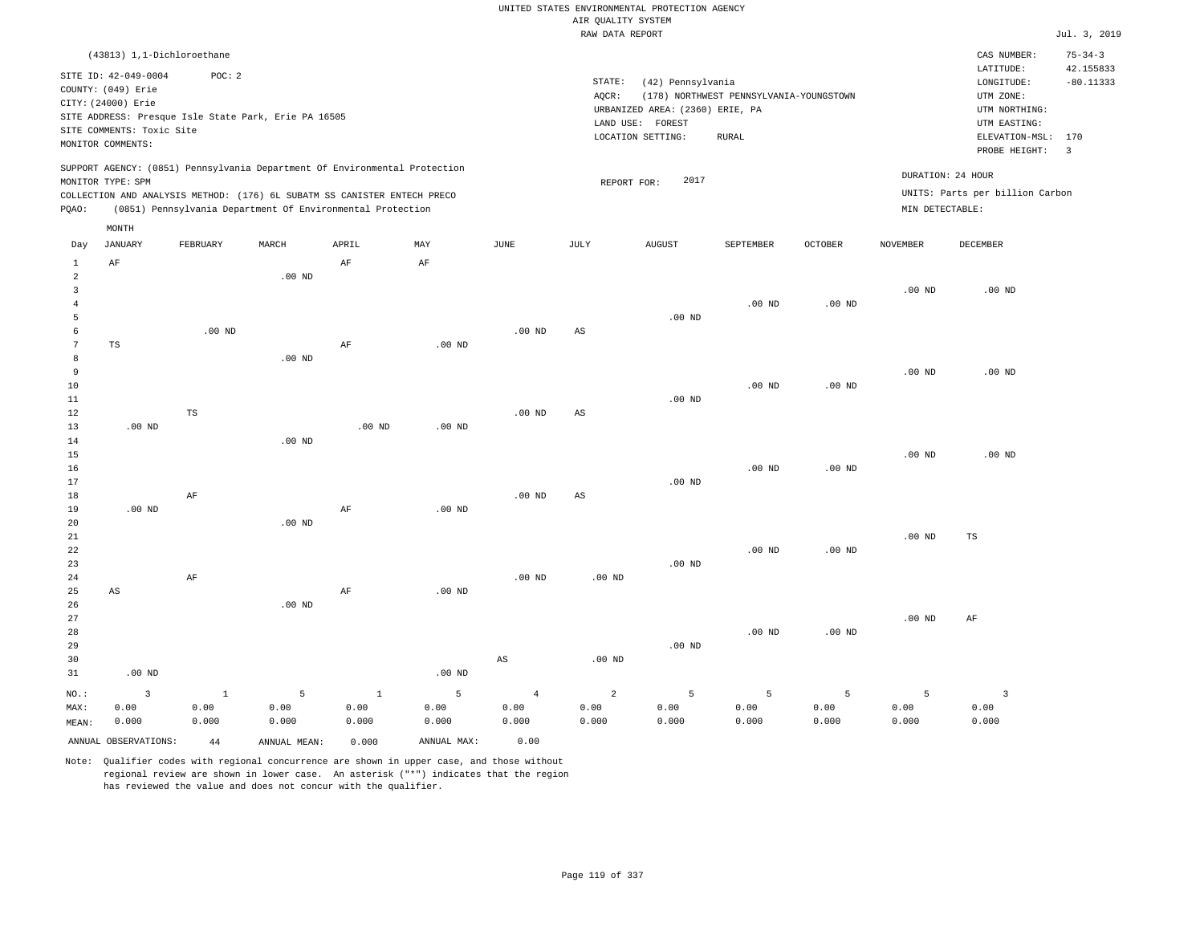|                     |                            |              |                                                                            |              |                   |                        | RAW DATA REPORT        |                                 |                                         |                   |                   |                                 | Jul. 3, 2019            |
|---------------------|----------------------------|--------------|----------------------------------------------------------------------------|--------------|-------------------|------------------------|------------------------|---------------------------------|-----------------------------------------|-------------------|-------------------|---------------------------------|-------------------------|
|                     | (43813) 1,1-Dichloroethane |              |                                                                            |              |                   |                        |                        |                                 |                                         |                   |                   | CAS NUMBER:                     | $75 - 34 - 3$           |
|                     |                            |              |                                                                            |              |                   |                        |                        |                                 |                                         |                   |                   | LATITUDE:                       | 42.155833               |
|                     | SITE ID: 42-049-0004       | POC: 2       |                                                                            |              |                   |                        | STATE:                 | (42) Pennsylvania               |                                         |                   |                   | LONGITUDE:                      | $-80.11333$             |
|                     | COUNTY: (049) Erie         |              |                                                                            |              |                   |                        | AQCR:                  |                                 | (178) NORTHWEST PENNSYLVANIA-YOUNGSTOWN |                   |                   | UTM ZONE:                       |                         |
|                     | CITY: (24000) Erie         |              |                                                                            |              |                   |                        |                        | URBANIZED AREA: (2360) ERIE, PA |                                         |                   |                   | UTM NORTHING:                   |                         |
|                     |                            |              | SITE ADDRESS: Presque Isle State Park, Erie PA 16505                       |              |                   |                        |                        | LAND USE: FOREST                |                                         |                   |                   | UTM EASTING:                    |                         |
|                     | SITE COMMENTS: Toxic Site  |              |                                                                            |              |                   |                        |                        | LOCATION SETTING:               | <b>RURAL</b>                            |                   |                   | ELEVATION-MSL:                  | 170                     |
|                     | MONITOR COMMENTS:          |              |                                                                            |              |                   |                        |                        |                                 |                                         |                   |                   | PROBE HEIGHT:                   | $\overline{\mathbf{3}}$ |
|                     |                            |              | SUPPORT AGENCY: (0851) Pennsylvania Department Of Environmental Protection |              |                   |                        |                        |                                 |                                         |                   |                   |                                 |                         |
|                     | MONITOR TYPE: SPM          |              |                                                                            |              |                   |                        | REPORT FOR:            | 2017                            |                                         |                   |                   | DURATION: 24 HOUR               |                         |
|                     |                            |              | COLLECTION AND ANALYSIS METHOD: (176) 6L SUBATM SS CANISTER ENTECH PRECO   |              |                   |                        |                        |                                 |                                         |                   |                   | UNITS: Parts per billion Carbon |                         |
| PQAO:               |                            |              | (0851) Pennsylvania Department Of Environmental Protection                 |              |                   |                        |                        |                                 |                                         |                   | MIN DETECTABLE:   |                                 |                         |
|                     | MONTH                      |              |                                                                            |              |                   |                        |                        |                                 |                                         |                   |                   |                                 |                         |
| Day                 | JANUARY                    | FEBRUARY     | MARCH                                                                      | APRIL        | MAY               | JUNE                   | JULY                   | AUGUST                          | SEPTEMBER                               | <b>OCTOBER</b>    | <b>NOVEMBER</b>   | <b>DECEMBER</b>                 |                         |
| $1\,$               | $\rm{AF}$                  |              |                                                                            | $\rm AF$     | $\rm{AF}$         |                        |                        |                                 |                                         |                   |                   |                                 |                         |
| $\overline{a}$      |                            |              | $.00$ ND                                                                   |              |                   |                        |                        |                                 |                                         |                   |                   |                                 |                         |
| $\overline{3}$      |                            |              |                                                                            |              |                   |                        |                        |                                 |                                         |                   | $.00$ ND          | .00 <sub>ND</sub>               |                         |
| $\overline{4}$<br>5 |                            |              |                                                                            |              |                   |                        |                        | $.00$ ND                        | .00 <sub>ND</sub>                       | .00 <sub>ND</sub> |                   |                                 |                         |
| 6                   |                            | $.00$ ND     |                                                                            |              |                   | $.00$ ND               | AS                     |                                 |                                         |                   |                   |                                 |                         |
| $7\phantom{.0}$     | TS                         |              |                                                                            | $\rm AF$     | $.00$ ND          |                        |                        |                                 |                                         |                   |                   |                                 |                         |
| 8                   |                            |              | $.00$ ND                                                                   |              |                   |                        |                        |                                 |                                         |                   |                   |                                 |                         |
| $\overline{9}$      |                            |              |                                                                            |              |                   |                        |                        |                                 |                                         |                   | .00 <sub>ND</sub> | $.00$ ND                        |                         |
| 10                  |                            |              |                                                                            |              |                   |                        |                        |                                 | $.00$ ND                                | $.00$ ND          |                   |                                 |                         |
| 11                  |                            |              |                                                                            |              |                   |                        |                        | $.00$ ND                        |                                         |                   |                   |                                 |                         |
| $12\,$              |                            | $_{\rm TS}$  |                                                                            |              |                   | $.00$ ND               | AS                     |                                 |                                         |                   |                   |                                 |                         |
| 13                  | $.00$ ND                   |              |                                                                            | $.00$ ND     | $.00$ ND          |                        |                        |                                 |                                         |                   |                   |                                 |                         |
| 14                  |                            |              | .00 <sub>ND</sub>                                                          |              |                   |                        |                        |                                 |                                         |                   |                   |                                 |                         |
| 15                  |                            |              |                                                                            |              |                   |                        |                        |                                 |                                         |                   | .00 <sub>ND</sub> | $.00$ ND                        |                         |
| 16                  |                            |              |                                                                            |              |                   |                        |                        |                                 | $.00$ ND                                | .00 <sub>ND</sub> |                   |                                 |                         |
| 17                  |                            |              |                                                                            |              |                   |                        |                        | $.00$ ND                        |                                         |                   |                   |                                 |                         |
| $18\,$              |                            | $\rm{AF}$    |                                                                            |              |                   | $.00$ ND               | $\mathbb{A}\mathbb{S}$ |                                 |                                         |                   |                   |                                 |                         |
| 19                  | $.00$ ND                   |              |                                                                            | AF           | $.00$ ND          |                        |                        |                                 |                                         |                   |                   |                                 |                         |
| 20                  |                            |              | $.00$ ND                                                                   |              |                   |                        |                        |                                 |                                         |                   |                   |                                 |                         |
| 21                  |                            |              |                                                                            |              |                   |                        |                        |                                 |                                         |                   | $.00$ ND          | $_{\rm TS}$                     |                         |
| 22                  |                            |              |                                                                            |              |                   |                        |                        |                                 | $.00$ ND                                | $.00$ ND          |                   |                                 |                         |
| 23                  |                            |              |                                                                            |              |                   |                        |                        | $.00$ ND                        |                                         |                   |                   |                                 |                         |
| 24                  |                            | AF           |                                                                            |              |                   | .00 <sub>ND</sub>      | $.00$ ND               |                                 |                                         |                   |                   |                                 |                         |
| 25                  | AS                         |              |                                                                            | AF           | $.00$ ND          |                        |                        |                                 |                                         |                   |                   |                                 |                         |
| 26                  |                            |              | $.00$ ND                                                                   |              |                   |                        |                        |                                 |                                         |                   |                   |                                 |                         |
| 27                  |                            |              |                                                                            |              |                   |                        |                        |                                 |                                         |                   | $.00$ ND          | AF                              |                         |
| 28                  |                            |              |                                                                            |              |                   |                        |                        |                                 | $.00$ ND                                | $.00$ ND          |                   |                                 |                         |
| 29                  |                            |              |                                                                            |              |                   |                        |                        | $.00$ ND                        |                                         |                   |                   |                                 |                         |
| 30                  |                            |              |                                                                            |              |                   | $\mathbb{A}\mathbb{S}$ | $.00$ ND               |                                 |                                         |                   |                   |                                 |                         |
| 31                  | $.00$ ND                   |              |                                                                            |              | .00 <sub>ND</sub> |                        |                        |                                 |                                         |                   |                   |                                 |                         |
| NO.:                | $\overline{\mathbf{3}}$    | $\mathbf{1}$ | 5                                                                          | $\mathbf{1}$ | 5                 | $\overline{4}$         | $\overline{a}$         | 5                               | 5                                       | 5                 | 5                 | $\overline{3}$                  |                         |
| MAX:                | 0.00                       | 0.00         | 0.00                                                                       | 0.00         | 0.00              | 0.00                   | 0.00                   | 0.00                            | 0.00                                    | 0.00              | 0.00              | 0.00                            |                         |
| MEAN:               | 0.000                      | 0.000        | 0.000                                                                      | 0.000        | 0.000             | 0.000                  | 0.000                  | 0.000                           | 0.000                                   | 0.000             | 0.000             | 0.000                           |                         |
|                     | ANNUAL OBSERVATIONS:       | 44           | ANNUAL MEAN:                                                               | 0.000        | ANNUAL MAX:       | 0.00                   |                        |                                 |                                         |                   |                   |                                 |                         |
|                     |                            |              |                                                                            |              |                   |                        |                        |                                 |                                         |                   |                   |                                 |                         |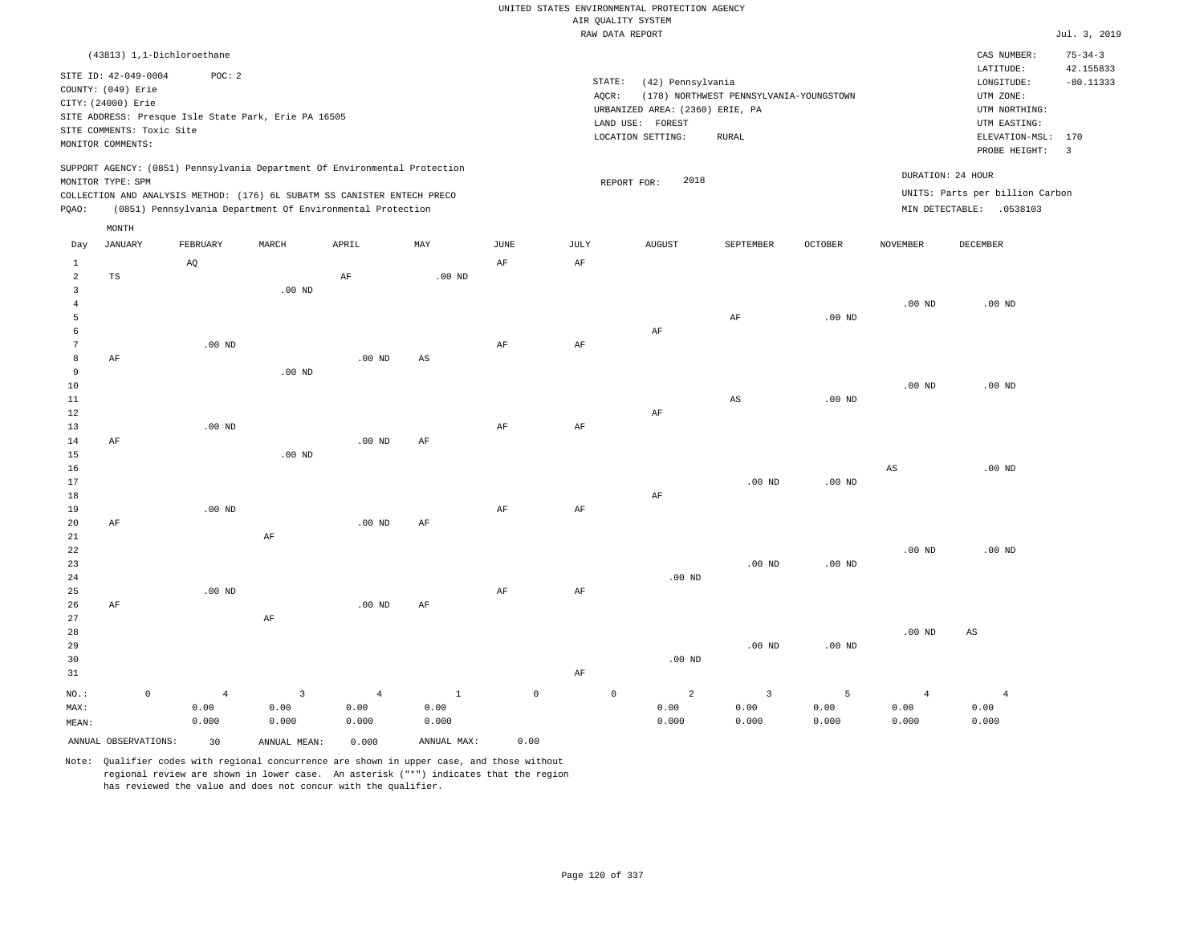|                                     |                                          |                                      |                                                                                                                                        |                |              |               |           | UNITED STATES ENVIRONMENTAL PROTECTION AGENCY<br>AIR QUALITY SYSTEM      |                                         |                   |                 |                                                             |                            |
|-------------------------------------|------------------------------------------|--------------------------------------|----------------------------------------------------------------------------------------------------------------------------------------|----------------|--------------|---------------|-----------|--------------------------------------------------------------------------|-----------------------------------------|-------------------|-----------------|-------------------------------------------------------------|----------------------------|
|                                     |                                          |                                      |                                                                                                                                        |                |              |               |           | RAW DATA REPORT                                                          |                                         |                   |                 |                                                             | Jul. 3, 2019               |
|                                     | SITE ID: 42-049-0004                     | (43813) 1,1-Dichloroethane<br>POC: 2 |                                                                                                                                        |                |              |               |           |                                                                          |                                         |                   |                 | CAS NUMBER:<br>LATITUDE:                                    | $75 - 34 - 3$<br>42.155833 |
|                                     | COUNTY: (049) Erie<br>CITY: (24000) Erie |                                      |                                                                                                                                        |                |              |               | AQCR:     | STATE:<br>(42) Pennsylvania                                              | (178) NORTHWEST PENNSYLVANIA-YOUNGSTOWN |                   |                 | LONGITUDE:<br>UTM ZONE:                                     | $-80.11333$                |
|                                     | SITE COMMENTS: Toxic Site                |                                      | SITE ADDRESS: Presque Isle State Park, Erie PA 16505                                                                                   |                |              |               |           | URBANIZED AREA: (2360) ERIE, PA<br>LAND USE: FOREST<br>LOCATION SETTING: | RURAL                                   |                   |                 | UTM NORTHING:<br>UTM EASTING:<br>ELEVATION-MSL:             | 170                        |
|                                     | MONITOR COMMENTS:                        |                                      |                                                                                                                                        |                |              |               |           |                                                                          |                                         |                   |                 | PROBE HEIGHT:                                               | $\overline{3}$             |
|                                     | MONITOR TYPE: SPM                        |                                      | SUPPORT AGENCY: (0851) Pennsylvania Department Of Environmental Protection                                                             |                |              |               |           | 2018<br>REPORT FOR:                                                      |                                         |                   |                 | DURATION: 24 HOUR                                           |                            |
| PQAO:                               |                                          |                                      | COLLECTION AND ANALYSIS METHOD: (176) 6L SUBATM SS CANISTER ENTECH PRECO<br>(0851) Pennsylvania Department Of Environmental Protection |                |              |               |           |                                                                          |                                         |                   |                 | UNITS: Parts per billion Carbon<br>MIN DETECTABLE: .0538103 |                            |
|                                     | MONTH                                    |                                      |                                                                                                                                        |                |              |               |           |                                                                          |                                         |                   |                 |                                                             |                            |
| Day                                 | <b>JANUARY</b>                           | FEBRUARY                             | MARCH                                                                                                                                  | APRIL          | $_{\rm MAY}$ | $_{\rm JUNE}$ | JULY      | <b>AUGUST</b>                                                            | SEPTEMBER                               | OCTOBER           | <b>NOVEMBER</b> | DECEMBER                                                    |                            |
| $\mathbf{1}$<br>$\overline{a}$      | $_{\rm TS}$                              | AQ                                   |                                                                                                                                        | AF             | $.00$ ND     | AF            | AF        |                                                                          |                                         |                   |                 |                                                             |                            |
| $\mathbf{3}$<br>$\overline{4}$<br>5 |                                          |                                      | .00 <sub>ND</sub>                                                                                                                      |                |              |               |           |                                                                          | $\rm AF$                                | $.00$ ND          | $.00$ ND        | $.00$ ND                                                    |                            |
| 6                                   |                                          |                                      |                                                                                                                                        |                |              |               |           | AF                                                                       |                                         |                   |                 |                                                             |                            |
| 7                                   |                                          | $.00$ ND                             |                                                                                                                                        |                |              | AF            | AF        |                                                                          |                                         |                   |                 |                                                             |                            |
| 8<br>$\overline{9}$                 | AF                                       |                                      | $.00$ ND                                                                                                                               | $.00$ ND       | AS           |               |           |                                                                          |                                         |                   |                 |                                                             |                            |
| 10                                  |                                          |                                      |                                                                                                                                        |                |              |               |           |                                                                          |                                         |                   | $.00$ ND        | $.00$ ND                                                    |                            |
| 11                                  |                                          |                                      |                                                                                                                                        |                |              |               |           |                                                                          | $\mathbb{A}\mathbb{S}$                  | $.00$ ND          |                 |                                                             |                            |
| 12                                  |                                          |                                      |                                                                                                                                        |                |              |               |           | AF                                                                       |                                         |                   |                 |                                                             |                            |
| 13<br>14                            | AF                                       | $.00$ ND                             |                                                                                                                                        | $.00$ ND       | AF           | AF            | $\rm{AF}$ |                                                                          |                                         |                   |                 |                                                             |                            |
| 15                                  |                                          |                                      | $.00$ ND                                                                                                                               |                |              |               |           |                                                                          |                                         |                   |                 |                                                             |                            |
| 16                                  |                                          |                                      |                                                                                                                                        |                |              |               |           |                                                                          |                                         |                   | AS              | $.00$ ND                                                    |                            |
| 17                                  |                                          |                                      |                                                                                                                                        |                |              |               |           |                                                                          | $.00$ ND                                | $.00$ ND          |                 |                                                             |                            |
| 18<br>19                            |                                          | $.00$ ND                             |                                                                                                                                        |                |              | AF            | AF        | AF                                                                       |                                         |                   |                 |                                                             |                            |
| 20                                  | AF                                       |                                      |                                                                                                                                        | $.00$ ND       | AF           |               |           |                                                                          |                                         |                   |                 |                                                             |                            |
| $2\sqrt{1}$                         |                                          |                                      | AF                                                                                                                                     |                |              |               |           |                                                                          |                                         |                   |                 |                                                             |                            |
| 22                                  |                                          |                                      |                                                                                                                                        |                |              |               |           |                                                                          |                                         |                   | $.00$ ND        | $.00$ ND                                                    |                            |
| 23<br>24                            |                                          |                                      |                                                                                                                                        |                |              |               |           | $.00$ ND                                                                 | $.00$ ND                                | .00 <sub>ND</sub> |                 |                                                             |                            |
| 25                                  |                                          | $.00$ ND                             |                                                                                                                                        |                |              | $\rm{AF}$     | $\rm{AF}$ |                                                                          |                                         |                   |                 |                                                             |                            |
| 26                                  | AF                                       |                                      |                                                                                                                                        | $.00$ ND       | AF           |               |           |                                                                          |                                         |                   |                 |                                                             |                            |
| 27                                  |                                          |                                      | AF                                                                                                                                     |                |              |               |           |                                                                          |                                         |                   |                 |                                                             |                            |
| 28<br>29                            |                                          |                                      |                                                                                                                                        |                |              |               |           |                                                                          | $.00$ ND                                | $.00$ ND          | $.00$ ND        | $\mathbb{A}\mathbb{S}$                                      |                            |
| 30                                  |                                          |                                      |                                                                                                                                        |                |              |               |           | $.00$ ND                                                                 |                                         |                   |                 |                                                             |                            |
| 31                                  |                                          |                                      |                                                                                                                                        |                |              |               | AF        |                                                                          |                                         |                   |                 |                                                             |                            |
| $NO.$ :                             | $\mathbb O$                              | $\overline{4}$                       | 3                                                                                                                                      | $\overline{4}$ | $\mathbf{1}$ | $\mathbb O$   |           | $\mathsf{O}\xspace$<br>$\overline{a}$                                    | $\overline{3}$                          | 5                 | $\overline{4}$  | $\overline{4}$                                              |                            |
| MAX:                                |                                          | 0.00                                 | 0.00                                                                                                                                   | 0.00           | 0.00         |               |           | 0.00                                                                     | 0.00                                    | 0.00              | 0.00            | 0.00                                                        |                            |
| MEAN:                               |                                          | 0.000                                | 0.000                                                                                                                                  | 0.000          | 0.000        |               |           | 0.000                                                                    | 0.000                                   | 0.000             | 0.000           | 0.000                                                       |                            |
|                                     | ANNUAL OBSERVATIONS:                     | 30                                   | ANNUAL MEAN:                                                                                                                           | 0.000          | ANNUAL MAX:  | 0.00          |           |                                                                          |                                         |                   |                 |                                                             |                            |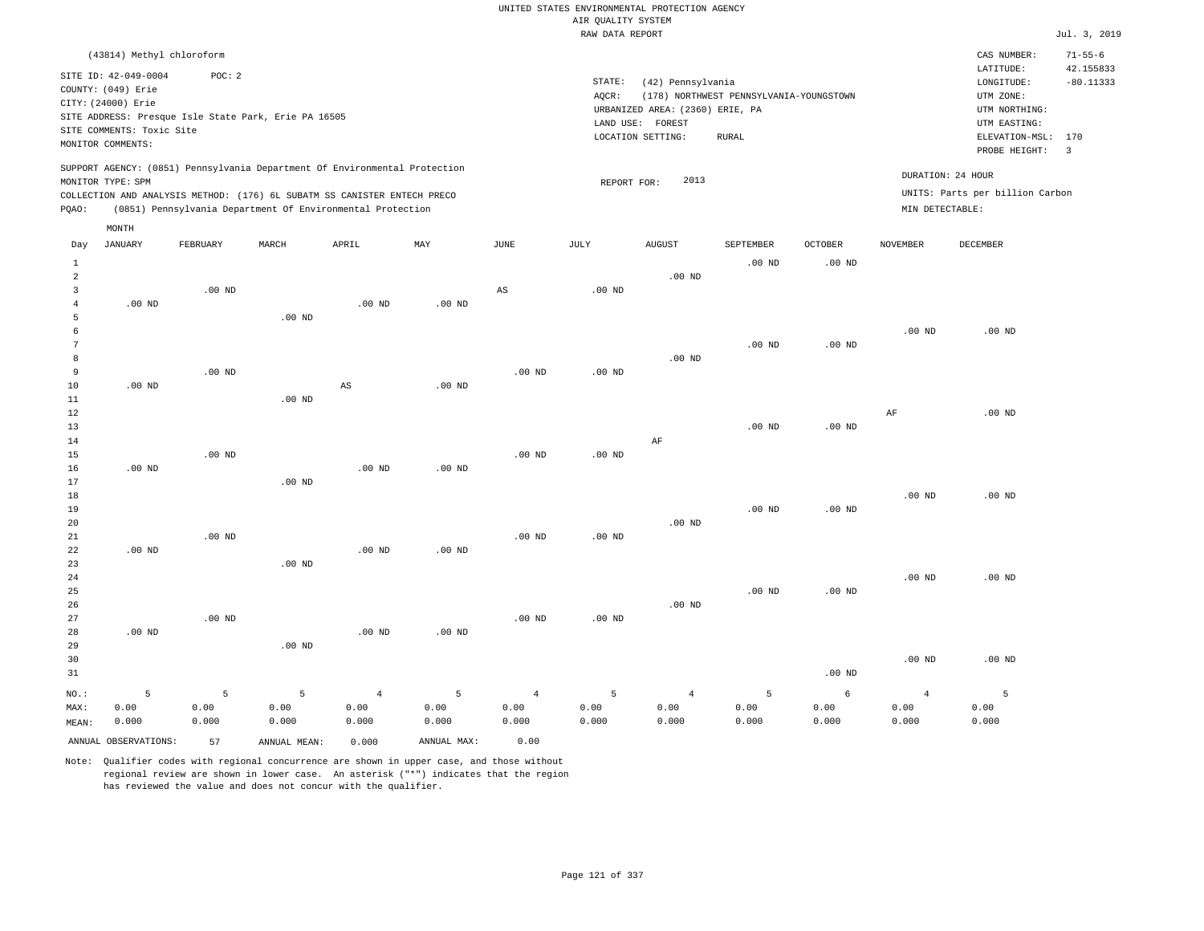### RAW DATA REPORT Jul. 3, 2019 UNITED STATES ENVIRONMENTAL PROTECTION AGENCY AIR QUALITY SYSTEM

|                | (43814) Methyl chloroform                  |          |                                                                            |                |                   |                   |                   |                                 |                                         |                   |                   | CAS NUMBER:                          | $71 - 55 - 6$            |
|----------------|--------------------------------------------|----------|----------------------------------------------------------------------------|----------------|-------------------|-------------------|-------------------|---------------------------------|-----------------------------------------|-------------------|-------------------|--------------------------------------|--------------------------|
|                | SITE ID: 42-049-0004<br>COUNTY: (049) Erie | POC: 2   |                                                                            |                |                   |                   | STATE:<br>AQCR:   | (42) Pennsylvania               | (178) NORTHWEST PENNSYLVANIA-YOUNGSTOWN |                   |                   | LATITUDE:<br>LONGITUDE:<br>UTM ZONE: | 42.155833<br>$-80.11333$ |
|                | CITY: (24000) Erie                         |          |                                                                            |                |                   |                   |                   | URBANIZED AREA: (2360) ERIE, PA |                                         |                   |                   | UTM NORTHING:                        |                          |
|                |                                            |          | SITE ADDRESS: Presque Isle State Park, Erie PA 16505                       |                |                   |                   | LAND USE:         | FOREST                          |                                         |                   |                   | UTM EASTING:                         |                          |
|                | SITE COMMENTS: Toxic Site                  |          |                                                                            |                |                   |                   |                   | LOCATION SETTING:               | ${\tt RURAL}$                           |                   |                   | ELEVATION-MSL: 170                   |                          |
|                | MONITOR COMMENTS:                          |          |                                                                            |                |                   |                   |                   |                                 |                                         |                   |                   | PROBE HEIGHT:                        | $\overline{\mathbf{3}}$  |
|                | MONITOR TYPE: SPM                          |          | SUPPORT AGENCY: (0851) Pennsylvania Department Of Environmental Protection |                |                   |                   | REPORT FOR:       | 2013                            |                                         |                   |                   | DURATION: 24 HOUR                    |                          |
|                |                                            |          | COLLECTION AND ANALYSIS METHOD: (176) 6L SUBATM SS CANISTER ENTECH PRECO   |                |                   |                   |                   |                                 |                                         |                   |                   | UNITS: Parts per billion Carbon      |                          |
| PQAO:          |                                            |          | (0851) Pennsylvania Department Of Environmental Protection                 |                |                   |                   |                   |                                 |                                         |                   | MIN DETECTABLE:   |                                      |                          |
|                | MONTH                                      |          |                                                                            |                |                   |                   |                   |                                 |                                         |                   |                   |                                      |                          |
| Day            | <b>JANUARY</b>                             | FEBRUARY | MARCH                                                                      | APRIL          | MAY               | JUNE              | JULY              | <b>AUGUST</b>                   | SEPTEMBER                               | OCTOBER           | <b>NOVEMBER</b>   | DECEMBER                             |                          |
| $\mathbf{1}$   |                                            |          |                                                                            |                |                   |                   |                   |                                 | $.00$ ND                                | $.00$ ND          |                   |                                      |                          |
| $\overline{a}$ |                                            |          |                                                                            |                |                   |                   |                   | $.00$ ND                        |                                         |                   |                   |                                      |                          |
| $\overline{3}$ |                                            | $.00$ ND |                                                                            |                |                   | AS                | $.00$ ND          |                                 |                                         |                   |                   |                                      |                          |
| $\bf{4}$       | $.00$ ND                                   |          |                                                                            | $.00$ ND       | .00 <sub>ND</sub> |                   |                   |                                 |                                         |                   |                   |                                      |                          |
| 5              |                                            |          | $.00$ ND                                                                   |                |                   |                   |                   |                                 |                                         |                   |                   |                                      |                          |
| 6<br>7         |                                            |          |                                                                            |                |                   |                   |                   |                                 |                                         |                   | $.00$ ND          | $.00$ ND                             |                          |
| 8              |                                            |          |                                                                            |                |                   |                   |                   | $.00$ ND                        | $.00$ ND                                | $.00$ ND          |                   |                                      |                          |
| 9              |                                            | $.00$ ND |                                                                            |                |                   | $.00$ ND          | $.00$ ND          |                                 |                                         |                   |                   |                                      |                          |
| 10             | $.00$ ND                                   |          |                                                                            | AS             | $.00$ ND          |                   |                   |                                 |                                         |                   |                   |                                      |                          |
| 11             |                                            |          | $.00$ ND                                                                   |                |                   |                   |                   |                                 |                                         |                   |                   |                                      |                          |
| 12             |                                            |          |                                                                            |                |                   |                   |                   |                                 |                                         |                   | AF                | $.00$ ND                             |                          |
| 13             |                                            |          |                                                                            |                |                   |                   |                   |                                 | $.00$ ND                                | $.00$ ND          |                   |                                      |                          |
| 14             |                                            |          |                                                                            |                |                   |                   |                   | AF                              |                                         |                   |                   |                                      |                          |
| 15             |                                            | $.00$ ND |                                                                            |                |                   | $.00$ ND          | $.00$ ND          |                                 |                                         |                   |                   |                                      |                          |
| 16             | $.00$ ND                                   |          |                                                                            | $.00$ ND       | $.00$ ND          |                   |                   |                                 |                                         |                   |                   |                                      |                          |
| 17             |                                            |          | $.00$ ND                                                                   |                |                   |                   |                   |                                 |                                         |                   |                   |                                      |                          |
| 18             |                                            |          |                                                                            |                |                   |                   |                   |                                 |                                         |                   | $.00$ ND          | $.00$ ND                             |                          |
| 19             |                                            |          |                                                                            |                |                   |                   |                   |                                 | $.00$ ND                                | $.00$ ND          |                   |                                      |                          |
| 20             |                                            |          |                                                                            |                |                   |                   |                   | $.00$ ND                        |                                         |                   |                   |                                      |                          |
| $21\,$         |                                            | $.00$ ND |                                                                            |                |                   | .00 <sub>ND</sub> | .00 <sub>ND</sub> |                                 |                                         |                   |                   |                                      |                          |
| 22<br>23       | $.00$ ND                                   |          |                                                                            | $.00$ ND       | $.00$ ND          |                   |                   |                                 |                                         |                   |                   |                                      |                          |
| 24             |                                            |          | $.00$ ND                                                                   |                |                   |                   |                   |                                 |                                         |                   | .00 <sub>ND</sub> | $.00$ ND                             |                          |
| 25             |                                            |          |                                                                            |                |                   |                   |                   |                                 | $.00$ ND                                | .00 <sub>ND</sub> |                   |                                      |                          |
| 26             |                                            |          |                                                                            |                |                   |                   |                   | $.00$ ND                        |                                         |                   |                   |                                      |                          |
| 27             |                                            | $.00$ ND |                                                                            |                |                   | $.00$ ND          | $.00$ ND          |                                 |                                         |                   |                   |                                      |                          |
| 28             | $.00$ ND                                   |          |                                                                            | $.00$ ND       | $.00$ ND          |                   |                   |                                 |                                         |                   |                   |                                      |                          |
| 29             |                                            |          | .00 <sub>ND</sub>                                                          |                |                   |                   |                   |                                 |                                         |                   |                   |                                      |                          |
| 30             |                                            |          |                                                                            |                |                   |                   |                   |                                 |                                         |                   | $.00$ ND          | $.00$ ND                             |                          |
| 31             |                                            |          |                                                                            |                |                   |                   |                   |                                 |                                         | $.00$ ND          |                   |                                      |                          |
| NO.:           | 5                                          | 5        | 5                                                                          | $\overline{4}$ | $\overline{5}$    | $\overline{4}$    | 5                 | $\overline{4}$                  | 5                                       | $\epsilon$        | $\overline{4}$    | $\overline{5}$                       |                          |
| MAX:           | 0.00                                       | 0.00     | 0.00                                                                       | 0.00           | 0.00              | 0.00              | 0.00              | 0.00                            | 0.00                                    | 0.00              | 0.00              | 0.00                                 |                          |
| MEAN:          | 0.000                                      | 0.000    | 0.000                                                                      | 0.000          | 0.000             | 0.000             | 0.000             | 0.000                           | 0.000                                   | 0.000             | 0.000             | 0.000                                |                          |
|                | ANNUAL OBSERVATIONS:                       | 57       | ANNUAL MEAN:                                                               | 0.000          | ANNUAL MAX:       | 0.00              |                   |                                 |                                         |                   |                   |                                      |                          |
|                |                                            |          |                                                                            |                |                   |                   |                   |                                 |                                         |                   |                   |                                      |                          |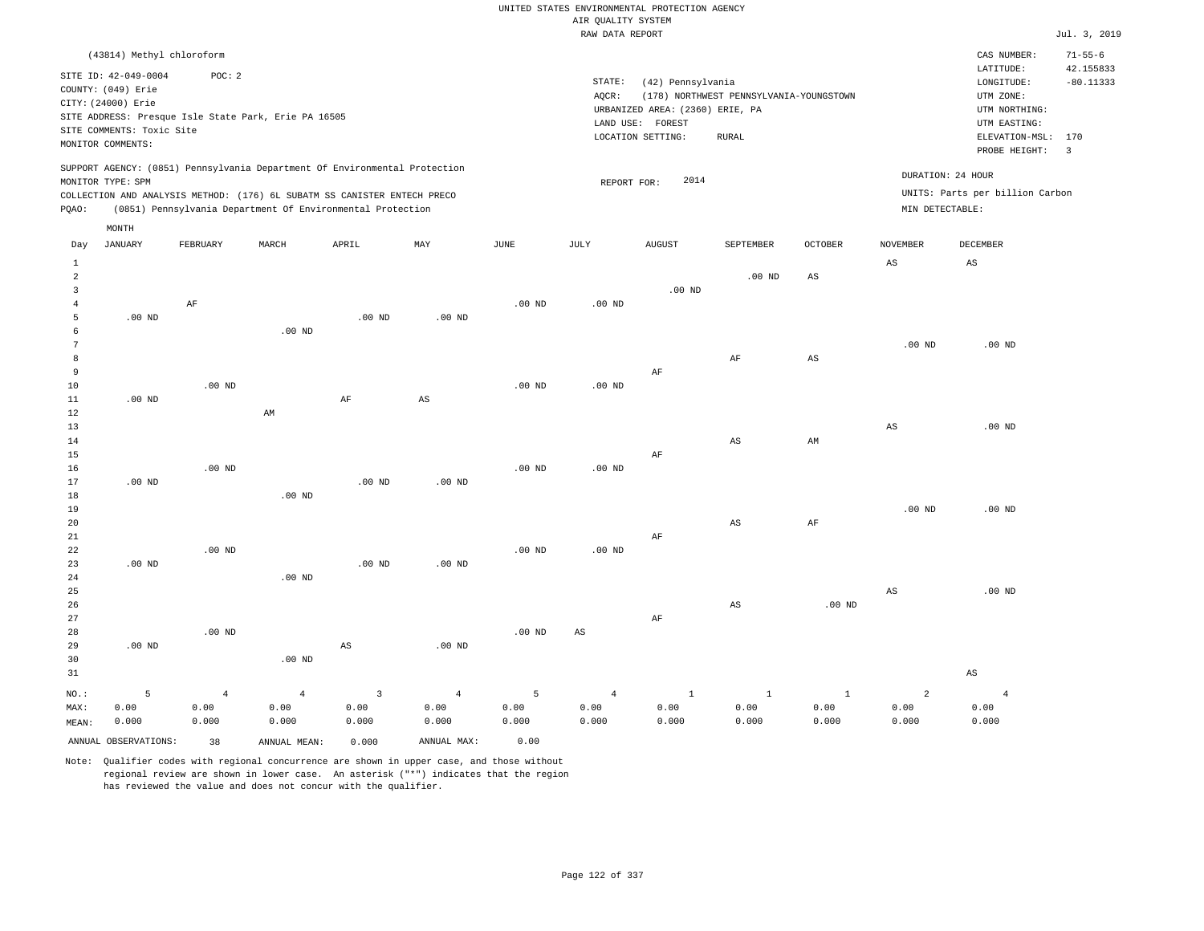|                |                           |                |                                                                            |                        |                        |                   | RAW DATA REPORT        |                                 |                                         |                        |                        |                                 | Jul. 3, 2019            |
|----------------|---------------------------|----------------|----------------------------------------------------------------------------|------------------------|------------------------|-------------------|------------------------|---------------------------------|-----------------------------------------|------------------------|------------------------|---------------------------------|-------------------------|
|                | (43814) Methyl chloroform |                |                                                                            |                        |                        |                   |                        |                                 |                                         |                        |                        | CAS NUMBER:                     | $71 - 55 - 6$           |
|                |                           |                |                                                                            |                        |                        |                   |                        |                                 |                                         |                        |                        | LATITUDE:                       | 42.155833               |
|                | SITE ID: 42-049-0004      | POC: 2         |                                                                            |                        |                        |                   | STATE:                 | (42) Pennsylvania               |                                         |                        |                        | LONGITUDE:                      | $-80.11333$             |
|                | COUNTY: (049) Erie        |                |                                                                            |                        |                        |                   | AQCR:                  |                                 | (178) NORTHWEST PENNSYLVANIA-YOUNGSTOWN |                        |                        | UTM ZONE:                       |                         |
|                | CITY: (24000) Erie        |                |                                                                            |                        |                        |                   |                        | URBANIZED AREA: (2360) ERIE, PA |                                         |                        |                        | UTM NORTHING:                   |                         |
|                | SITE COMMENTS: Toxic Site |                | SITE ADDRESS: Presque Isle State Park, Erie PA 16505                       |                        |                        |                   |                        | LAND USE: FOREST                |                                         |                        |                        | UTM EASTING:                    |                         |
|                | MONITOR COMMENTS:         |                |                                                                            |                        |                        |                   |                        | LOCATION SETTING:               | <b>RURAL</b>                            |                        |                        | ELEVATION-MSL:                  | 170                     |
|                |                           |                |                                                                            |                        |                        |                   |                        |                                 |                                         |                        |                        | PROBE HEIGHT:                   | $\overline{\mathbf{3}}$ |
|                |                           |                | SUPPORT AGENCY: (0851) Pennsylvania Department Of Environmental Protection |                        |                        |                   |                        |                                 |                                         |                        |                        | DURATION: 24 HOUR               |                         |
|                | MONITOR TYPE: SPM         |                |                                                                            |                        |                        |                   | REPORT FOR:            | 2014                            |                                         |                        |                        |                                 |                         |
|                |                           |                | COLLECTION AND ANALYSIS METHOD: (176) 6L SUBATM SS CANISTER ENTECH PRECO   |                        |                        |                   |                        |                                 |                                         |                        |                        | UNITS: Parts per billion Carbon |                         |
| PQAO:          |                           |                | (0851) Pennsylvania Department Of Environmental Protection                 |                        |                        |                   |                        |                                 |                                         |                        | MIN DETECTABLE:        |                                 |                         |
|                | MONTH                     |                |                                                                            |                        |                        |                   |                        |                                 |                                         |                        |                        |                                 |                         |
| Day            | <b>JANUARY</b>            | FEBRUARY       | MARCH                                                                      | APRIL                  | MAY                    | JUNE              | JULY                   | <b>AUGUST</b>                   | SEPTEMBER                               | OCTOBER                | <b>NOVEMBER</b>        | DECEMBER                        |                         |
| $1\,$          |                           |                |                                                                            |                        |                        |                   |                        |                                 |                                         |                        | AS                     | $\mathbb{A}\mathbb{S}$          |                         |
| $\overline{a}$ |                           |                |                                                                            |                        |                        |                   |                        |                                 | $.00$ ND                                | $_{\rm AS}$            |                        |                                 |                         |
| 3              |                           |                |                                                                            |                        |                        |                   |                        | $.00$ ND                        |                                         |                        |                        |                                 |                         |
| $\overline{4}$ |                           | $\rm AF$       |                                                                            |                        |                        | .00 <sub>ND</sub> | .00 <sub>ND</sub>      |                                 |                                         |                        |                        |                                 |                         |
| 5              | $.00$ ND                  |                |                                                                            | .00 <sub>ND</sub>      | $.00$ ND               |                   |                        |                                 |                                         |                        |                        |                                 |                         |
| 6              |                           |                | $.00$ ND                                                                   |                        |                        |                   |                        |                                 |                                         |                        |                        |                                 |                         |
| 7              |                           |                |                                                                            |                        |                        |                   |                        |                                 |                                         |                        | $.00$ ND               | $.00$ ND                        |                         |
| 8              |                           |                |                                                                            |                        |                        |                   |                        |                                 | $\rm AF$                                | $\mathbb{A}\mathbb{S}$ |                        |                                 |                         |
| 9<br>10        |                           | $.00$ ND       |                                                                            |                        |                        | $.00$ ND          | .00 <sub>ND</sub>      | $\rm{AF}$                       |                                         |                        |                        |                                 |                         |
| $1\,1$         | $.00$ ND                  |                |                                                                            | $\rm{AF}$              | $\mathbb{A}\mathbb{S}$ |                   |                        |                                 |                                         |                        |                        |                                 |                         |
| 12             |                           |                | $\mathbb{A}\mathbb{M}$                                                     |                        |                        |                   |                        |                                 |                                         |                        |                        |                                 |                         |
| 13             |                           |                |                                                                            |                        |                        |                   |                        |                                 |                                         |                        | $_{\rm AS}$            | $.00$ ND                        |                         |
| 14             |                           |                |                                                                            |                        |                        |                   |                        |                                 | AS                                      | AM                     |                        |                                 |                         |
| 15             |                           |                |                                                                            |                        |                        |                   |                        | AF                              |                                         |                        |                        |                                 |                         |
| 16             |                           | $.00$ ND       |                                                                            |                        |                        | $.00$ ND          | .00 <sub>ND</sub>      |                                 |                                         |                        |                        |                                 |                         |
| 17             | $.00$ ND                  |                |                                                                            | $.00$ ND               | $.00$ ND               |                   |                        |                                 |                                         |                        |                        |                                 |                         |
| $1\,8$         |                           |                | $.00$ ND                                                                   |                        |                        |                   |                        |                                 |                                         |                        |                        |                                 |                         |
| 19             |                           |                |                                                                            |                        |                        |                   |                        |                                 |                                         |                        | $.00$ ND               | $.00$ ND                        |                         |
| 20             |                           |                |                                                                            |                        |                        |                   |                        |                                 | AS                                      | AF                     |                        |                                 |                         |
| 21             |                           |                |                                                                            |                        |                        |                   |                        | AF                              |                                         |                        |                        |                                 |                         |
| 22             |                           | $.00$ ND       |                                                                            |                        |                        | .00 <sub>ND</sub> | .00 <sub>ND</sub>      |                                 |                                         |                        |                        |                                 |                         |
| 23             | $.00$ ND                  |                |                                                                            | $.00$ ND               | $.00$ ND               |                   |                        |                                 |                                         |                        |                        |                                 |                         |
| 24             |                           |                | $.00$ ND                                                                   |                        |                        |                   |                        |                                 |                                         |                        |                        |                                 |                         |
| 25             |                           |                |                                                                            |                        |                        |                   |                        |                                 |                                         |                        | $_{\rm AS}$            | $.00$ ND                        |                         |
| 26             |                           |                |                                                                            |                        |                        |                   |                        |                                 | $\mathbb{A}\mathbb{S}$                  | $.00$ ND               |                        |                                 |                         |
| 27<br>28       |                           | $.00$ ND       |                                                                            |                        |                        | $.00$ ND          |                        | AF                              |                                         |                        |                        |                                 |                         |
| 29             | $.00$ ND                  |                |                                                                            | $\mathbb{A}\mathbb{S}$ | $.00$ ND               |                   | AS                     |                                 |                                         |                        |                        |                                 |                         |
| 30             |                           |                | $.00$ ND                                                                   |                        |                        |                   |                        |                                 |                                         |                        |                        |                                 |                         |
| 31             |                           |                |                                                                            |                        |                        |                   |                        |                                 |                                         |                        |                        | $\mathbb{A}\mathbb{S}$          |                         |
|                |                           |                |                                                                            |                        |                        |                   |                        |                                 |                                         |                        |                        |                                 |                         |
| NO.:           | $\overline{5}$<br>0.00    | $\overline{4}$ | $\overline{4}$                                                             | $\overline{3}$<br>0.00 | $\overline{4}$         | 5                 | $\overline{4}$<br>0.00 | $\,$ 1<br>0.00                  | $\mathbf{1}$                            | $\mathbf{1}$           | $\overline{a}$<br>0.00 | $\overline{4}$                  |                         |
| MAX:<br>MEAN:  | 0.000                     | 0.00<br>0.000  | 0.00<br>0.000                                                              | 0.000                  | 0.00<br>0.000          | 0.00<br>0.000     | 0.000                  | 0.000                           | 0.00<br>0.000                           | 0.00<br>0.000          | 0.000                  | 0.00<br>0.000                   |                         |
|                |                           |                |                                                                            |                        |                        |                   |                        |                                 |                                         |                        |                        |                                 |                         |
|                | ANNUAL OBSERVATIONS:      | 38             | ANNUAL, MEAN:                                                              | 0.000                  | ANNUAL MAX:            | 0.00              |                        |                                 |                                         |                        |                        |                                 |                         |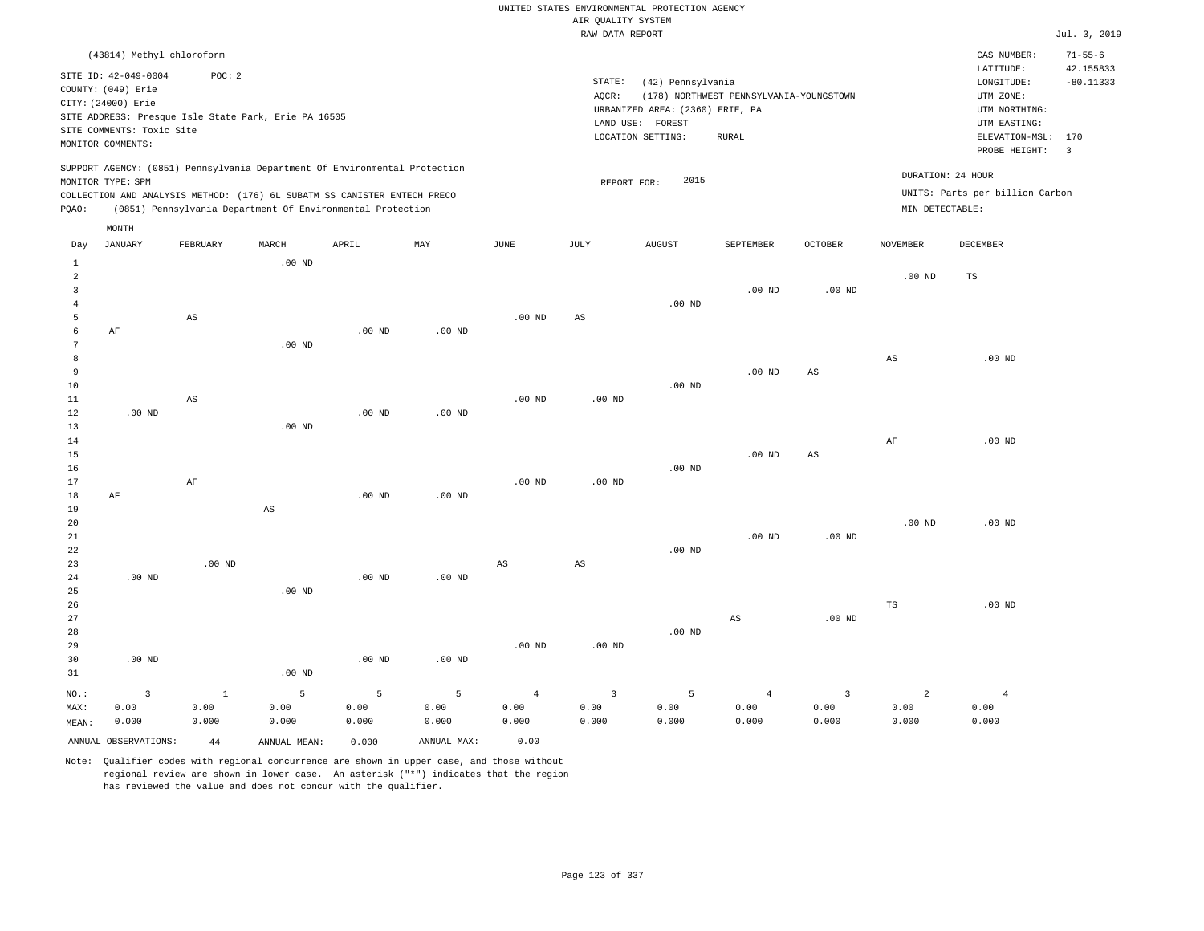### RAW DATA REPORT Jul. 3, 2019 UNITED STATES ENVIRONMENTAL PROTECTION AGENCY AIR QUALITY SYSTEM

|       | (43814) Methyl chloroform |                                                      |          |                                                                                                                                                                                                                      |     |      |        |                                 |                                         |                |                 | CAS NUMBER:                                          | $71 - 55 - 6$            |
|-------|---------------------------|------------------------------------------------------|----------|----------------------------------------------------------------------------------------------------------------------------------------------------------------------------------------------------------------------|-----|------|--------|---------------------------------|-----------------------------------------|----------------|-----------------|------------------------------------------------------|--------------------------|
|       | SITE ID: 42-049-0004      | POC: 2                                               |          |                                                                                                                                                                                                                      |     |      |        |                                 |                                         |                |                 | LATITUDE:                                            | 42.155833                |
|       | COUNTY: (049) Erie        |                                                      |          |                                                                                                                                                                                                                      |     |      | STATE: | (42) Pennsylvania               |                                         |                |                 | LONGITUDE:                                           | $-80.11333$              |
|       | CITY: (24000) Erie        |                                                      |          |                                                                                                                                                                                                                      |     |      | AOCR:  |                                 | (178) NORTHWEST PENNSYLVANIA-YOUNGSTOWN |                |                 | UTM ZONE:                                            |                          |
|       |                           | SITE ADDRESS: Presque Isle State Park, Erie PA 16505 |          |                                                                                                                                                                                                                      |     |      |        | URBANIZED AREA: (2360) ERIE, PA |                                         |                |                 | UTM NORTHING:                                        |                          |
|       | SITE COMMENTS: Toxic Site |                                                      |          |                                                                                                                                                                                                                      |     |      |        | LAND USE: FOREST                |                                         |                |                 | UTM EASTING:                                         |                          |
|       | MONITOR COMMENTS:         |                                                      |          |                                                                                                                                                                                                                      |     |      |        | LOCATION SETTING:               | RURAL                                   |                |                 | ELEVATION-MSL: 170<br>PROBE HEIGHT:                  | $\overline{\phantom{a}}$ |
| PQAO: | MONITOR TYPE: SPM         |                                                      |          | SUPPORT AGENCY: (0851) Pennsylvania Department Of Environmental Protection<br>COLLECTION AND ANALYSIS METHOD: (176) 6L SUBATM SS CANISTER ENTECH PRECO<br>(0851) Pennsylvania Department Of Environmental Protection |     |      |        | 2015<br>REPORT FOR:             |                                         |                | MIN DETECTABLE: | DURATION: 24 HOUR<br>UNITS: Parts per billion Carbon |                          |
|       | MONTH                     |                                                      |          |                                                                                                                                                                                                                      |     |      |        |                                 |                                         |                |                 |                                                      |                          |
| Day   | JANUARY                   | FEBRUARY                                             | MARCH    | APRIL                                                                                                                                                                                                                | MAY | JUNE | JULY   | AUGUST                          | SEPTEMBER                               | <b>OCTOBER</b> | NOVEMBER        | DECEMBER                                             |                          |
|       |                           |                                                      | $.00$ ND |                                                                                                                                                                                                                      |     |      |        |                                 |                                         |                |                 |                                                      |                          |
|       |                           |                                                      |          |                                                                                                                                                                                                                      |     |      |        |                                 |                                         |                | 00 ND           | тs                                                   |                          |

| $\overline{a}$ |          |                        |                        |          |          |          |                        |          |                        |                         | $.00{\rm ~ND}$ | $_{\rm TS}$    |
|----------------|----------|------------------------|------------------------|----------|----------|----------|------------------------|----------|------------------------|-------------------------|----------------|----------------|
| 3              |          |                        |                        |          |          |          |                        |          | .00 <sub>ND</sub>      | $.00$ ND                |                |                |
| $\overline{4}$ |          |                        |                        |          |          |          |                        | $.00$ ND |                        |                         |                |                |
| 5              |          | $\mathbb{A}\mathbb{S}$ |                        |          |          | $.00$ ND | $\mathbb{A}\mathbb{S}$ |          |                        |                         |                |                |
| 6              | $\rm AF$ |                        |                        | $.00$ ND | $.00$ ND |          |                        |          |                        |                         |                |                |
| 7              |          |                        | $.00$ ND               |          |          |          |                        |          |                        |                         |                |                |
| 8              |          |                        |                        |          |          |          |                        |          |                        |                         | $_{\rm AS}$    | $.00$ ND       |
| 9              |          |                        |                        |          |          |          |                        |          | $.00$ ND               | AS                      |                |                |
| 10             |          |                        |                        |          |          |          |                        | $.00$ ND |                        |                         |                |                |
| 11             |          | $\mathbb{A}\mathbb{S}$ |                        |          |          | $.00$ ND | $.00$ ND               |          |                        |                         |                |                |
| 12             | $.00$ ND |                        |                        | $.00$ ND | $.00$ ND |          |                        |          |                        |                         |                |                |
| 13             |          |                        | $.00$ ND               |          |          |          |                        |          |                        |                         |                |                |
| 14             |          |                        |                        |          |          |          |                        |          |                        |                         | $\rm{AF}$      | $.00$ ND       |
| 15             |          |                        |                        |          |          |          |                        |          | $.00$ ND               | $\mathbb{A}\mathbb{S}$  |                |                |
| 16             |          |                        |                        |          |          |          |                        | $.00$ ND |                        |                         |                |                |
| 17             |          | $\rm{AF}$              |                        |          |          | $.00$ ND | $.00$ ND               |          |                        |                         |                |                |
| 18             | $\rm AF$ |                        |                        | $.00$ ND | $.00$ ND |          |                        |          |                        |                         |                |                |
| 19             |          |                        | $\mathbb{A}\mathbb{S}$ |          |          |          |                        |          |                        |                         |                |                |
| 20             |          |                        |                        |          |          |          |                        |          |                        |                         | .00 $ND$       | .00 $ND$       |
| 21             |          |                        |                        |          |          |          |                        |          | $.00$ ND               | .00 <sub>ND</sub>       |                |                |
| 22             |          |                        |                        |          |          |          |                        | $.00$ ND |                        |                         |                |                |
| 23             |          | $.00$ ND               |                        |          |          | AS       | AS                     |          |                        |                         |                |                |
| 24             | $.00$ ND |                        |                        | $.00$ ND | $.00$ ND |          |                        |          |                        |                         |                |                |
| 25             |          |                        | $.00$ ND               |          |          |          |                        |          |                        |                         |                |                |
| 26             |          |                        |                        |          |          |          |                        |          | $\mathbb{A}\mathbb{S}$ |                         | $_{\rm TS}$    | $.00$ ND       |
| 27<br>28       |          |                        |                        |          |          |          |                        | .00 $ND$ |                        | .00 <sub>ND</sub>       |                |                |
| 29             |          |                        |                        |          |          | $.00$ ND | $.00$ ND               |          |                        |                         |                |                |
| 30             | $.00$ ND |                        |                        | $.00$ ND | $.00$ ND |          |                        |          |                        |                         |                |                |
| 31             |          |                        | $.00$ ND               |          |          |          |                        |          |                        |                         |                |                |
|                |          |                        |                        |          |          |          |                        |          |                        |                         |                |                |
| $_{\rm NO.}$ : | 3        | $\mathbf{1}$           | $5\phantom{.0}$        | 5        | 5        | $\,4$    | $\mathsf 3$            | 5        | $\overline{4}$         | $\overline{\mathbf{3}}$ | $\overline{2}$ | $\overline{4}$ |
| MAX:           | 0.00     | 0.00                   | 0.00                   | 0.00     | 0.00     | 0.00     | 0.00                   | 0.00     | 0.00                   | 0.00                    | 0.00           | 0.00           |
| MEAN:          | 0.000    | 0.000                  | 0.000                  | 0.000    | 0.000    | 0.000    | 0.000                  | 0.000    | 0.000                  | 0.000                   | 0.000          | 0.000          |

ANNUAL OBSERVATIONS: 44 ANNUAL MEAN: 0.000 ANNUAL MAX: 0.00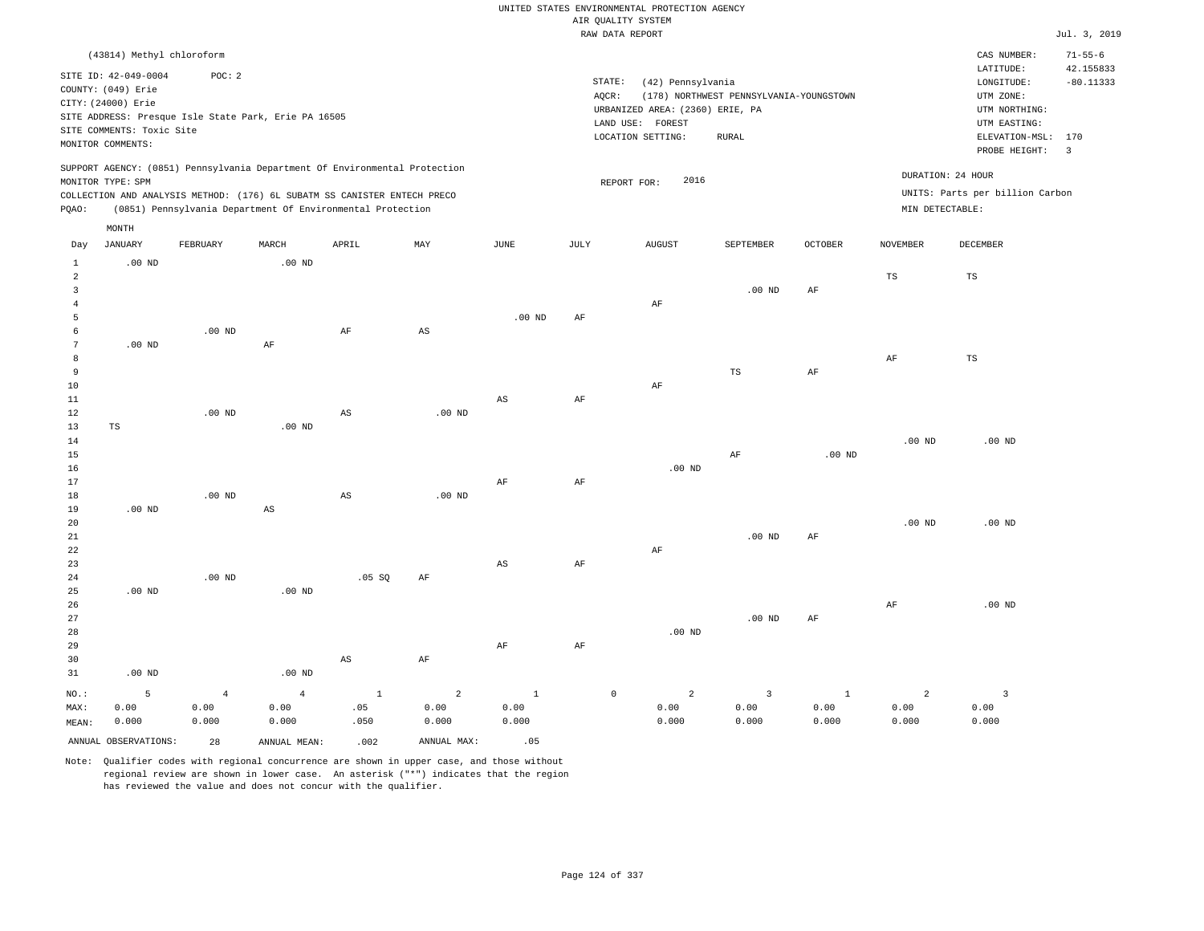|                                           |                                                      |                |                        |                                                                            |               |               |           | RAW DATA REPORT                 |                                         |               |                 |                                 | Jul. 3, 2019            |
|-------------------------------------------|------------------------------------------------------|----------------|------------------------|----------------------------------------------------------------------------|---------------|---------------|-----------|---------------------------------|-----------------------------------------|---------------|-----------------|---------------------------------|-------------------------|
|                                           | (43814) Methyl chloroform                            |                |                        |                                                                            |               |               |           |                                 |                                         |               |                 | CAS NUMBER:                     | $71 - 55 - 6$           |
|                                           | SITE ID: 42-049-0004                                 | POC: 2         |                        |                                                                            |               |               |           |                                 |                                         |               |                 | LATITUDE:                       | 42.155833               |
|                                           | COUNTY: (049) Erie                                   |                |                        |                                                                            |               |               | STATE:    | (42) Pennsylvania               |                                         |               |                 | LONGITUDE:                      | $-80.11333$             |
|                                           | CITY: (24000) Erie                                   |                |                        |                                                                            |               |               | $AQCR$ :  |                                 | (178) NORTHWEST PENNSYLVANIA-YOUNGSTOWN |               |                 | UTM ZONE:                       |                         |
|                                           | SITE ADDRESS: Presque Isle State Park, Erie PA 16505 |                |                        |                                                                            |               |               |           | URBANIZED AREA: (2360) ERIE, PA |                                         |               |                 | UTM NORTHING:                   |                         |
|                                           | SITE COMMENTS: Toxic Site                            |                |                        |                                                                            |               |               |           | LAND USE: FOREST                |                                         |               |                 | UTM EASTING:                    |                         |
|                                           | MONITOR COMMENTS:                                    |                |                        |                                                                            |               |               |           | LOCATION SETTING:               | <b>RURAL</b>                            |               |                 | ELEVATION-MSL: 170              |                         |
|                                           |                                                      |                |                        |                                                                            |               |               |           |                                 |                                         |               |                 | PROBE HEIGHT:                   | $\overline{\mathbf{3}}$ |
|                                           | MONITOR TYPE: SPM                                    |                |                        | SUPPORT AGENCY: (0851) Pennsylvania Department Of Environmental Protection |               |               |           | 2016<br>REPORT FOR:             |                                         |               |                 | DURATION: 24 HOUR               |                         |
|                                           |                                                      |                |                        | COLLECTION AND ANALYSIS METHOD: (176) 6L SUBATM SS CANISTER ENTECH PRECO   |               |               |           |                                 |                                         |               |                 | UNITS: Parts per billion Carbon |                         |
| PQAO:                                     |                                                      |                |                        | (0851) Pennsylvania Department Of Environmental Protection                 |               |               |           |                                 |                                         |               | MIN DETECTABLE: |                                 |                         |
|                                           |                                                      |                |                        |                                                                            |               |               |           |                                 |                                         |               |                 |                                 |                         |
|                                           | MONTH                                                |                |                        |                                                                            |               |               |           |                                 |                                         |               |                 |                                 |                         |
| Day                                       | JANUARY                                              | FEBRUARY       | MARCH                  | APRIL                                                                      | MAY           | JUNE          | JULY      | <b>AUGUST</b>                   | SEPTEMBER                               | OCTOBER       | NOVEMBER        | DECEMBER                        |                         |
| $\,$ 1                                    | $.00$ ND                                             |                | $.00$ ND               |                                                                            |               |               |           |                                 |                                         |               |                 |                                 |                         |
| 2                                         |                                                      |                |                        |                                                                            |               |               |           |                                 |                                         |               | TS              | TS                              |                         |
| $\overline{\mathbf{3}}$<br>$\overline{4}$ |                                                      |                |                        |                                                                            |               |               |           | $\rm AF$                        | .00 <sub>ND</sub>                       | AF            |                 |                                 |                         |
| 5                                         |                                                      |                |                        |                                                                            |               | $.00$ ND      | AF        |                                 |                                         |               |                 |                                 |                         |
| 6                                         |                                                      | $.00$ ND       |                        | AF                                                                         | AS            |               |           |                                 |                                         |               |                 |                                 |                         |
| 7                                         | $.00$ ND                                             |                | $\rm AF$               |                                                                            |               |               |           |                                 |                                         |               |                 |                                 |                         |
| 8                                         |                                                      |                |                        |                                                                            |               |               |           |                                 |                                         |               | AF              | TS                              |                         |
| 9                                         |                                                      |                |                        |                                                                            |               |               |           |                                 | $_{\rm TS}$                             | AF            |                 |                                 |                         |
| 10                                        |                                                      |                |                        |                                                                            |               |               |           | AF                              |                                         |               |                 |                                 |                         |
| 11                                        |                                                      |                |                        |                                                                            |               | $_{\rm AS}$   | AF        |                                 |                                         |               |                 |                                 |                         |
| 12                                        |                                                      | $.00$ ND       |                        | $\mathbb{A}\mathbb{S}$                                                     | $.00$ ND      |               |           |                                 |                                         |               |                 |                                 |                         |
| 13                                        | TS                                                   |                | $.00$ ND               |                                                                            |               |               |           |                                 |                                         |               |                 |                                 |                         |
| $1\,4$                                    |                                                      |                |                        |                                                                            |               |               |           |                                 |                                         |               | $.00$ ND        | $.00$ ND                        |                         |
| 15<br>16                                  |                                                      |                |                        |                                                                            |               |               |           | $.00$ ND                        | AF                                      | $.00$ ND      |                 |                                 |                         |
| 17                                        |                                                      |                |                        |                                                                            |               | AF            | $\rm{AF}$ |                                 |                                         |               |                 |                                 |                         |
| 18                                        |                                                      | $.00$ ND       |                        | AS                                                                         | $.00$ ND      |               |           |                                 |                                         |               |                 |                                 |                         |
| 19                                        | $.00$ ND                                             |                | $\mathbb{A}\mathbb{S}$ |                                                                            |               |               |           |                                 |                                         |               |                 |                                 |                         |
| 20                                        |                                                      |                |                        |                                                                            |               |               |           |                                 |                                         |               | $.00$ ND        | $.00$ ND                        |                         |
| 21                                        |                                                      |                |                        |                                                                            |               |               |           |                                 | $.00$ ND                                | AF            |                 |                                 |                         |
| 22                                        |                                                      |                |                        |                                                                            |               |               |           | $\rm AF$                        |                                         |               |                 |                                 |                         |
| 23                                        |                                                      |                |                        |                                                                            |               | AS            | $\rm{AF}$ |                                 |                                         |               |                 |                                 |                         |
| 24                                        |                                                      | $.00$ ND       |                        | .05S                                                                       | AF            |               |           |                                 |                                         |               |                 |                                 |                         |
| 25                                        | $.00$ ND                                             |                | .00 <sub>ND</sub>      |                                                                            |               |               |           |                                 |                                         |               |                 |                                 |                         |
| 26                                        |                                                      |                |                        |                                                                            |               |               |           |                                 |                                         |               | AF              | $.00$ ND                        |                         |
| 27                                        |                                                      |                |                        |                                                                            |               |               |           |                                 | $.00$ ND                                | AF            |                 |                                 |                         |
| 28<br>29                                  |                                                      |                |                        |                                                                            |               | AF            | AF        | $.00$ ND                        |                                         |               |                 |                                 |                         |
| 30                                        |                                                      |                |                        | AS                                                                         | AF            |               |           |                                 |                                         |               |                 |                                 |                         |
| 31                                        | $.00$ ND                                             |                | $.00$ ND               |                                                                            |               |               |           |                                 |                                         |               |                 |                                 |                         |
|                                           |                                                      |                |                        |                                                                            |               |               |           |                                 |                                         |               |                 |                                 |                         |
| $NO.$ :                                   | 5                                                    | $\overline{4}$ | $\overline{4}$         | $\mathbf{1}$                                                               | 2             | <sup>1</sup>  |           | $\circ$<br>2                    | $\overline{3}$                          | $\mathbf{1}$  | $\overline{a}$  | $\overline{3}$                  |                         |
| MAX:<br>MEAN:                             | 0.00<br>0.000                                        | 0.00<br>0.000  | 0.00<br>0.000          | .05<br>.050                                                                | 0.00<br>0.000 | 0.00<br>0.000 |           | 0.00<br>0.000                   | 0.00<br>0.000                           | 0.00<br>0.000 | 0.00<br>0.000   | 0.00<br>0.000                   |                         |
|                                           |                                                      |                |                        |                                                                            |               |               |           |                                 |                                         |               |                 |                                 |                         |
|                                           | ANNUAL OBSERVATIONS:                                 | 28             | ANNUAL MEAN:           | .002                                                                       | ANNUAL MAX:   | .05           |           |                                 |                                         |               |                 |                                 |                         |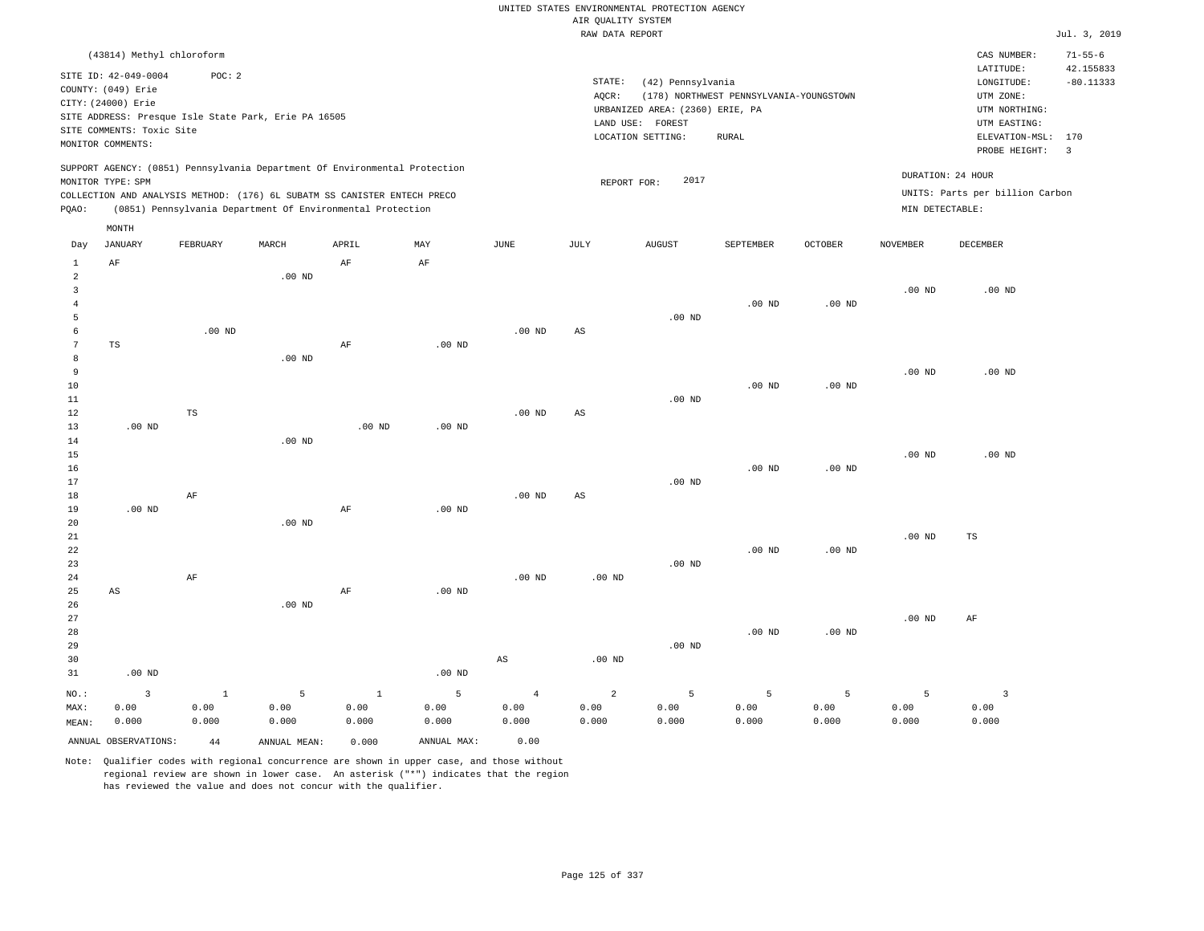| (43814) Methyl chloroform<br>$71 - 55 - 6$<br>CAS NUMBER:<br>42.155833<br>LATITUDE:<br>SITE ID: 42-049-0004<br>POC: 2<br>STATE:<br>(42) Pennsylvania<br>$-80.11333$<br>LONGITUDE:<br>COUNTY: (049) Erie<br>(178) NORTHWEST PENNSYLVANIA-YOUNGSTOWN<br>UTM ZONE:<br>AOCR:<br>CITY: (24000) Erie<br>URBANIZED AREA: (2360) ERIE, PA<br>UTM NORTHING:<br>SITE ADDRESS: Presque Isle State Park, Erie PA 16505<br>LAND USE: FOREST<br>UTM EASTING:<br>SITE COMMENTS: Toxic Site<br>LOCATION SETTING:<br><b>RURAL</b><br>ELEVATION-MSL: 170<br>MONITOR COMMENTS:<br>PROBE HEIGHT:<br>$\overline{3}$<br>SUPPORT AGENCY: (0851) Pennsylvania Department Of Environmental Protection<br>DURATION: 24 HOUR<br>2017<br>MONITOR TYPE: SPM<br>REPORT FOR:<br>UNITS: Parts per billion Carbon<br>COLLECTION AND ANALYSIS METHOD: (176) 6L SUBATM SS CANISTER ENTECH PRECO<br>(0851) Pennsylvania Department Of Environmental Protection<br>MIN DETECTABLE:<br>PQAO:<br>MONTH<br>DECEMBER<br>Day<br><b>JANUARY</b><br>FEBRUARY<br>MARCH<br>APRIL<br>MAY<br>JUNE<br>JULY<br><b>AUGUST</b><br>SEPTEMBER<br><b>OCTOBER</b><br><b>NOVEMBER</b><br>$\,1\,$<br>$\rm AF$<br>$\rm{AF}$<br>AF<br>$\overline{a}$<br>.00 <sub>ND</sub><br>$\overline{3}$<br>$.00$ ND<br>$.00$ ND<br>$.00$ ND<br>$\overline{4}$<br>.00 <sub>ND</sub><br>5<br>$.00$ ND<br>$.00$ ND<br>6<br>$.00$ ND<br>AS<br>$\overline{7}$<br>$\rm AF$<br>$.00$ ND<br>TS<br>8<br>.00 <sub>ND</sub><br>9<br>.00 <sub>ND</sub><br>$.00$ ND<br>10<br>.00 <sub>ND</sub><br>.00 <sub>ND</sub><br>$.00$ ND<br>11<br>12<br>TS<br>$.00$ ND<br>AS<br>13<br>$.00$ ND<br>$.00$ ND<br>$.00$ ND<br>14<br>$.00$ ND<br>15<br>.00 <sub>ND</sub><br>$.00$ ND<br>16<br>$.00$ ND<br>$.00$ ND<br>17<br>$.00$ ND<br>18<br>$\rm AF$<br>.00 <sub>ND</sub><br>$\mathbb{A}\mathbb{S}$<br>19<br>$.00$ ND<br>AF<br>$.00$ ND<br>20<br>.00 <sub>ND</sub><br>21<br>.00 <sub>ND</sub><br>TS<br>22<br>$.00$ ND<br>.00 <sub>ND</sub><br>.00 $ND$<br>23<br>24<br>$.00$ ND<br>.00 <sub>ND</sub><br>AF<br>25<br>$.00$ ND<br>AS<br>AF<br>26<br>$.00$ ND<br>27<br>.00 <sub>ND</sub><br>AF<br>28<br>.00 <sub>ND</sub><br>.00 <sub>ND</sub><br>29<br>$.00$ ND<br>30<br>$_{\rm AS}$<br>$.00$ ND<br>31<br>$.00$ ND<br>.00 <sub>ND</sub><br>NO.:<br>3<br>$\mathbf{1}$<br>5<br><sup>1</sup><br>-5<br>$\overline{4}$<br>2<br>5<br>5<br>5<br>5<br>$\overline{3}$<br>0.00<br>0.00<br>0.00<br>0.00<br>0.00<br>0.00<br>0.00<br>0.00<br>0.00<br>0.00<br>0.00<br>0.00<br>MAX:<br>0.000<br>0.000<br>0.000<br>0.000<br>0.000<br>0.000<br>0.000<br>0.000<br>0.000<br>0.000<br>0.000<br>0.000<br>MEAN: |  |  |             |      | RAW DATA REPORT |  |  | Jul. 3, 2019 |
|---------------------------------------------------------------------------------------------------------------------------------------------------------------------------------------------------------------------------------------------------------------------------------------------------------------------------------------------------------------------------------------------------------------------------------------------------------------------------------------------------------------------------------------------------------------------------------------------------------------------------------------------------------------------------------------------------------------------------------------------------------------------------------------------------------------------------------------------------------------------------------------------------------------------------------------------------------------------------------------------------------------------------------------------------------------------------------------------------------------------------------------------------------------------------------------------------------------------------------------------------------------------------------------------------------------------------------------------------------------------------------------------------------------------------------------------------------------------------------------------------------------------------------------------------------------------------------------------------------------------------------------------------------------------------------------------------------------------------------------------------------------------------------------------------------------------------------------------------------------------------------------------------------------------------------------------------------------------------------------------------------------------------------------------------------------------------------------------------------------------------------------------------------------------------------------------------------------------------------------------------------------------------------------------------------------------------------------------------------------------------------------------------------------------------------------------------------------------------------------------------------------------------------------------------------------------------------------|--|--|-------------|------|-----------------|--|--|--------------|
|                                                                                                                                                                                                                                                                                                                                                                                                                                                                                                                                                                                                                                                                                                                                                                                                                                                                                                                                                                                                                                                                                                                                                                                                                                                                                                                                                                                                                                                                                                                                                                                                                                                                                                                                                                                                                                                                                                                                                                                                                                                                                                                                                                                                                                                                                                                                                                                                                                                                                                                                                                                       |  |  |             |      |                 |  |  |              |
|                                                                                                                                                                                                                                                                                                                                                                                                                                                                                                                                                                                                                                                                                                                                                                                                                                                                                                                                                                                                                                                                                                                                                                                                                                                                                                                                                                                                                                                                                                                                                                                                                                                                                                                                                                                                                                                                                                                                                                                                                                                                                                                                                                                                                                                                                                                                                                                                                                                                                                                                                                                       |  |  |             |      |                 |  |  |              |
|                                                                                                                                                                                                                                                                                                                                                                                                                                                                                                                                                                                                                                                                                                                                                                                                                                                                                                                                                                                                                                                                                                                                                                                                                                                                                                                                                                                                                                                                                                                                                                                                                                                                                                                                                                                                                                                                                                                                                                                                                                                                                                                                                                                                                                                                                                                                                                                                                                                                                                                                                                                       |  |  |             |      |                 |  |  |              |
|                                                                                                                                                                                                                                                                                                                                                                                                                                                                                                                                                                                                                                                                                                                                                                                                                                                                                                                                                                                                                                                                                                                                                                                                                                                                                                                                                                                                                                                                                                                                                                                                                                                                                                                                                                                                                                                                                                                                                                                                                                                                                                                                                                                                                                                                                                                                                                                                                                                                                                                                                                                       |  |  |             |      |                 |  |  |              |
|                                                                                                                                                                                                                                                                                                                                                                                                                                                                                                                                                                                                                                                                                                                                                                                                                                                                                                                                                                                                                                                                                                                                                                                                                                                                                                                                                                                                                                                                                                                                                                                                                                                                                                                                                                                                                                                                                                                                                                                                                                                                                                                                                                                                                                                                                                                                                                                                                                                                                                                                                                                       |  |  |             |      |                 |  |  |              |
|                                                                                                                                                                                                                                                                                                                                                                                                                                                                                                                                                                                                                                                                                                                                                                                                                                                                                                                                                                                                                                                                                                                                                                                                                                                                                                                                                                                                                                                                                                                                                                                                                                                                                                                                                                                                                                                                                                                                                                                                                                                                                                                                                                                                                                                                                                                                                                                                                                                                                                                                                                                       |  |  |             |      |                 |  |  |              |
|                                                                                                                                                                                                                                                                                                                                                                                                                                                                                                                                                                                                                                                                                                                                                                                                                                                                                                                                                                                                                                                                                                                                                                                                                                                                                                                                                                                                                                                                                                                                                                                                                                                                                                                                                                                                                                                                                                                                                                                                                                                                                                                                                                                                                                                                                                                                                                                                                                                                                                                                                                                       |  |  |             |      |                 |  |  |              |
|                                                                                                                                                                                                                                                                                                                                                                                                                                                                                                                                                                                                                                                                                                                                                                                                                                                                                                                                                                                                                                                                                                                                                                                                                                                                                                                                                                                                                                                                                                                                                                                                                                                                                                                                                                                                                                                                                                                                                                                                                                                                                                                                                                                                                                                                                                                                                                                                                                                                                                                                                                                       |  |  |             |      |                 |  |  |              |
|                                                                                                                                                                                                                                                                                                                                                                                                                                                                                                                                                                                                                                                                                                                                                                                                                                                                                                                                                                                                                                                                                                                                                                                                                                                                                                                                                                                                                                                                                                                                                                                                                                                                                                                                                                                                                                                                                                                                                                                                                                                                                                                                                                                                                                                                                                                                                                                                                                                                                                                                                                                       |  |  |             |      |                 |  |  |              |
|                                                                                                                                                                                                                                                                                                                                                                                                                                                                                                                                                                                                                                                                                                                                                                                                                                                                                                                                                                                                                                                                                                                                                                                                                                                                                                                                                                                                                                                                                                                                                                                                                                                                                                                                                                                                                                                                                                                                                                                                                                                                                                                                                                                                                                                                                                                                                                                                                                                                                                                                                                                       |  |  |             |      |                 |  |  |              |
|                                                                                                                                                                                                                                                                                                                                                                                                                                                                                                                                                                                                                                                                                                                                                                                                                                                                                                                                                                                                                                                                                                                                                                                                                                                                                                                                                                                                                                                                                                                                                                                                                                                                                                                                                                                                                                                                                                                                                                                                                                                                                                                                                                                                                                                                                                                                                                                                                                                                                                                                                                                       |  |  |             |      |                 |  |  |              |
|                                                                                                                                                                                                                                                                                                                                                                                                                                                                                                                                                                                                                                                                                                                                                                                                                                                                                                                                                                                                                                                                                                                                                                                                                                                                                                                                                                                                                                                                                                                                                                                                                                                                                                                                                                                                                                                                                                                                                                                                                                                                                                                                                                                                                                                                                                                                                                                                                                                                                                                                                                                       |  |  |             |      |                 |  |  |              |
|                                                                                                                                                                                                                                                                                                                                                                                                                                                                                                                                                                                                                                                                                                                                                                                                                                                                                                                                                                                                                                                                                                                                                                                                                                                                                                                                                                                                                                                                                                                                                                                                                                                                                                                                                                                                                                                                                                                                                                                                                                                                                                                                                                                                                                                                                                                                                                                                                                                                                                                                                                                       |  |  |             |      |                 |  |  |              |
|                                                                                                                                                                                                                                                                                                                                                                                                                                                                                                                                                                                                                                                                                                                                                                                                                                                                                                                                                                                                                                                                                                                                                                                                                                                                                                                                                                                                                                                                                                                                                                                                                                                                                                                                                                                                                                                                                                                                                                                                                                                                                                                                                                                                                                                                                                                                                                                                                                                                                                                                                                                       |  |  |             |      |                 |  |  |              |
|                                                                                                                                                                                                                                                                                                                                                                                                                                                                                                                                                                                                                                                                                                                                                                                                                                                                                                                                                                                                                                                                                                                                                                                                                                                                                                                                                                                                                                                                                                                                                                                                                                                                                                                                                                                                                                                                                                                                                                                                                                                                                                                                                                                                                                                                                                                                                                                                                                                                                                                                                                                       |  |  |             |      |                 |  |  |              |
|                                                                                                                                                                                                                                                                                                                                                                                                                                                                                                                                                                                                                                                                                                                                                                                                                                                                                                                                                                                                                                                                                                                                                                                                                                                                                                                                                                                                                                                                                                                                                                                                                                                                                                                                                                                                                                                                                                                                                                                                                                                                                                                                                                                                                                                                                                                                                                                                                                                                                                                                                                                       |  |  |             |      |                 |  |  |              |
|                                                                                                                                                                                                                                                                                                                                                                                                                                                                                                                                                                                                                                                                                                                                                                                                                                                                                                                                                                                                                                                                                                                                                                                                                                                                                                                                                                                                                                                                                                                                                                                                                                                                                                                                                                                                                                                                                                                                                                                                                                                                                                                                                                                                                                                                                                                                                                                                                                                                                                                                                                                       |  |  |             |      |                 |  |  |              |
|                                                                                                                                                                                                                                                                                                                                                                                                                                                                                                                                                                                                                                                                                                                                                                                                                                                                                                                                                                                                                                                                                                                                                                                                                                                                                                                                                                                                                                                                                                                                                                                                                                                                                                                                                                                                                                                                                                                                                                                                                                                                                                                                                                                                                                                                                                                                                                                                                                                                                                                                                                                       |  |  |             |      |                 |  |  |              |
|                                                                                                                                                                                                                                                                                                                                                                                                                                                                                                                                                                                                                                                                                                                                                                                                                                                                                                                                                                                                                                                                                                                                                                                                                                                                                                                                                                                                                                                                                                                                                                                                                                                                                                                                                                                                                                                                                                                                                                                                                                                                                                                                                                                                                                                                                                                                                                                                                                                                                                                                                                                       |  |  |             |      |                 |  |  |              |
|                                                                                                                                                                                                                                                                                                                                                                                                                                                                                                                                                                                                                                                                                                                                                                                                                                                                                                                                                                                                                                                                                                                                                                                                                                                                                                                                                                                                                                                                                                                                                                                                                                                                                                                                                                                                                                                                                                                                                                                                                                                                                                                                                                                                                                                                                                                                                                                                                                                                                                                                                                                       |  |  |             |      |                 |  |  |              |
|                                                                                                                                                                                                                                                                                                                                                                                                                                                                                                                                                                                                                                                                                                                                                                                                                                                                                                                                                                                                                                                                                                                                                                                                                                                                                                                                                                                                                                                                                                                                                                                                                                                                                                                                                                                                                                                                                                                                                                                                                                                                                                                                                                                                                                                                                                                                                                                                                                                                                                                                                                                       |  |  |             |      |                 |  |  |              |
|                                                                                                                                                                                                                                                                                                                                                                                                                                                                                                                                                                                                                                                                                                                                                                                                                                                                                                                                                                                                                                                                                                                                                                                                                                                                                                                                                                                                                                                                                                                                                                                                                                                                                                                                                                                                                                                                                                                                                                                                                                                                                                                                                                                                                                                                                                                                                                                                                                                                                                                                                                                       |  |  |             |      |                 |  |  |              |
|                                                                                                                                                                                                                                                                                                                                                                                                                                                                                                                                                                                                                                                                                                                                                                                                                                                                                                                                                                                                                                                                                                                                                                                                                                                                                                                                                                                                                                                                                                                                                                                                                                                                                                                                                                                                                                                                                                                                                                                                                                                                                                                                                                                                                                                                                                                                                                                                                                                                                                                                                                                       |  |  |             |      |                 |  |  |              |
|                                                                                                                                                                                                                                                                                                                                                                                                                                                                                                                                                                                                                                                                                                                                                                                                                                                                                                                                                                                                                                                                                                                                                                                                                                                                                                                                                                                                                                                                                                                                                                                                                                                                                                                                                                                                                                                                                                                                                                                                                                                                                                                                                                                                                                                                                                                                                                                                                                                                                                                                                                                       |  |  |             |      |                 |  |  |              |
|                                                                                                                                                                                                                                                                                                                                                                                                                                                                                                                                                                                                                                                                                                                                                                                                                                                                                                                                                                                                                                                                                                                                                                                                                                                                                                                                                                                                                                                                                                                                                                                                                                                                                                                                                                                                                                                                                                                                                                                                                                                                                                                                                                                                                                                                                                                                                                                                                                                                                                                                                                                       |  |  |             |      |                 |  |  |              |
|                                                                                                                                                                                                                                                                                                                                                                                                                                                                                                                                                                                                                                                                                                                                                                                                                                                                                                                                                                                                                                                                                                                                                                                                                                                                                                                                                                                                                                                                                                                                                                                                                                                                                                                                                                                                                                                                                                                                                                                                                                                                                                                                                                                                                                                                                                                                                                                                                                                                                                                                                                                       |  |  |             |      |                 |  |  |              |
|                                                                                                                                                                                                                                                                                                                                                                                                                                                                                                                                                                                                                                                                                                                                                                                                                                                                                                                                                                                                                                                                                                                                                                                                                                                                                                                                                                                                                                                                                                                                                                                                                                                                                                                                                                                                                                                                                                                                                                                                                                                                                                                                                                                                                                                                                                                                                                                                                                                                                                                                                                                       |  |  |             |      |                 |  |  |              |
|                                                                                                                                                                                                                                                                                                                                                                                                                                                                                                                                                                                                                                                                                                                                                                                                                                                                                                                                                                                                                                                                                                                                                                                                                                                                                                                                                                                                                                                                                                                                                                                                                                                                                                                                                                                                                                                                                                                                                                                                                                                                                                                                                                                                                                                                                                                                                                                                                                                                                                                                                                                       |  |  |             |      |                 |  |  |              |
|                                                                                                                                                                                                                                                                                                                                                                                                                                                                                                                                                                                                                                                                                                                                                                                                                                                                                                                                                                                                                                                                                                                                                                                                                                                                                                                                                                                                                                                                                                                                                                                                                                                                                                                                                                                                                                                                                                                                                                                                                                                                                                                                                                                                                                                                                                                                                                                                                                                                                                                                                                                       |  |  |             |      |                 |  |  |              |
|                                                                                                                                                                                                                                                                                                                                                                                                                                                                                                                                                                                                                                                                                                                                                                                                                                                                                                                                                                                                                                                                                                                                                                                                                                                                                                                                                                                                                                                                                                                                                                                                                                                                                                                                                                                                                                                                                                                                                                                                                                                                                                                                                                                                                                                                                                                                                                                                                                                                                                                                                                                       |  |  |             |      |                 |  |  |              |
|                                                                                                                                                                                                                                                                                                                                                                                                                                                                                                                                                                                                                                                                                                                                                                                                                                                                                                                                                                                                                                                                                                                                                                                                                                                                                                                                                                                                                                                                                                                                                                                                                                                                                                                                                                                                                                                                                                                                                                                                                                                                                                                                                                                                                                                                                                                                                                                                                                                                                                                                                                                       |  |  |             |      |                 |  |  |              |
|                                                                                                                                                                                                                                                                                                                                                                                                                                                                                                                                                                                                                                                                                                                                                                                                                                                                                                                                                                                                                                                                                                                                                                                                                                                                                                                                                                                                                                                                                                                                                                                                                                                                                                                                                                                                                                                                                                                                                                                                                                                                                                                                                                                                                                                                                                                                                                                                                                                                                                                                                                                       |  |  |             |      |                 |  |  |              |
|                                                                                                                                                                                                                                                                                                                                                                                                                                                                                                                                                                                                                                                                                                                                                                                                                                                                                                                                                                                                                                                                                                                                                                                                                                                                                                                                                                                                                                                                                                                                                                                                                                                                                                                                                                                                                                                                                                                                                                                                                                                                                                                                                                                                                                                                                                                                                                                                                                                                                                                                                                                       |  |  |             |      |                 |  |  |              |
|                                                                                                                                                                                                                                                                                                                                                                                                                                                                                                                                                                                                                                                                                                                                                                                                                                                                                                                                                                                                                                                                                                                                                                                                                                                                                                                                                                                                                                                                                                                                                                                                                                                                                                                                                                                                                                                                                                                                                                                                                                                                                                                                                                                                                                                                                                                                                                                                                                                                                                                                                                                       |  |  |             |      |                 |  |  |              |
|                                                                                                                                                                                                                                                                                                                                                                                                                                                                                                                                                                                                                                                                                                                                                                                                                                                                                                                                                                                                                                                                                                                                                                                                                                                                                                                                                                                                                                                                                                                                                                                                                                                                                                                                                                                                                                                                                                                                                                                                                                                                                                                                                                                                                                                                                                                                                                                                                                                                                                                                                                                       |  |  |             |      |                 |  |  |              |
|                                                                                                                                                                                                                                                                                                                                                                                                                                                                                                                                                                                                                                                                                                                                                                                                                                                                                                                                                                                                                                                                                                                                                                                                                                                                                                                                                                                                                                                                                                                                                                                                                                                                                                                                                                                                                                                                                                                                                                                                                                                                                                                                                                                                                                                                                                                                                                                                                                                                                                                                                                                       |  |  |             |      |                 |  |  |              |
|                                                                                                                                                                                                                                                                                                                                                                                                                                                                                                                                                                                                                                                                                                                                                                                                                                                                                                                                                                                                                                                                                                                                                                                                                                                                                                                                                                                                                                                                                                                                                                                                                                                                                                                                                                                                                                                                                                                                                                                                                                                                                                                                                                                                                                                                                                                                                                                                                                                                                                                                                                                       |  |  |             |      |                 |  |  |              |
|                                                                                                                                                                                                                                                                                                                                                                                                                                                                                                                                                                                                                                                                                                                                                                                                                                                                                                                                                                                                                                                                                                                                                                                                                                                                                                                                                                                                                                                                                                                                                                                                                                                                                                                                                                                                                                                                                                                                                                                                                                                                                                                                                                                                                                                                                                                                                                                                                                                                                                                                                                                       |  |  |             |      |                 |  |  |              |
|                                                                                                                                                                                                                                                                                                                                                                                                                                                                                                                                                                                                                                                                                                                                                                                                                                                                                                                                                                                                                                                                                                                                                                                                                                                                                                                                                                                                                                                                                                                                                                                                                                                                                                                                                                                                                                                                                                                                                                                                                                                                                                                                                                                                                                                                                                                                                                                                                                                                                                                                                                                       |  |  |             |      |                 |  |  |              |
|                                                                                                                                                                                                                                                                                                                                                                                                                                                                                                                                                                                                                                                                                                                                                                                                                                                                                                                                                                                                                                                                                                                                                                                                                                                                                                                                                                                                                                                                                                                                                                                                                                                                                                                                                                                                                                                                                                                                                                                                                                                                                                                                                                                                                                                                                                                                                                                                                                                                                                                                                                                       |  |  |             |      |                 |  |  |              |
|                                                                                                                                                                                                                                                                                                                                                                                                                                                                                                                                                                                                                                                                                                                                                                                                                                                                                                                                                                                                                                                                                                                                                                                                                                                                                                                                                                                                                                                                                                                                                                                                                                                                                                                                                                                                                                                                                                                                                                                                                                                                                                                                                                                                                                                                                                                                                                                                                                                                                                                                                                                       |  |  |             |      |                 |  |  |              |
|                                                                                                                                                                                                                                                                                                                                                                                                                                                                                                                                                                                                                                                                                                                                                                                                                                                                                                                                                                                                                                                                                                                                                                                                                                                                                                                                                                                                                                                                                                                                                                                                                                                                                                                                                                                                                                                                                                                                                                                                                                                                                                                                                                                                                                                                                                                                                                                                                                                                                                                                                                                       |  |  |             |      |                 |  |  |              |
|                                                                                                                                                                                                                                                                                                                                                                                                                                                                                                                                                                                                                                                                                                                                                                                                                                                                                                                                                                                                                                                                                                                                                                                                                                                                                                                                                                                                                                                                                                                                                                                                                                                                                                                                                                                                                                                                                                                                                                                                                                                                                                                                                                                                                                                                                                                                                                                                                                                                                                                                                                                       |  |  |             |      |                 |  |  |              |
|                                                                                                                                                                                                                                                                                                                                                                                                                                                                                                                                                                                                                                                                                                                                                                                                                                                                                                                                                                                                                                                                                                                                                                                                                                                                                                                                                                                                                                                                                                                                                                                                                                                                                                                                                                                                                                                                                                                                                                                                                                                                                                                                                                                                                                                                                                                                                                                                                                                                                                                                                                                       |  |  |             |      |                 |  |  |              |
|                                                                                                                                                                                                                                                                                                                                                                                                                                                                                                                                                                                                                                                                                                                                                                                                                                                                                                                                                                                                                                                                                                                                                                                                                                                                                                                                                                                                                                                                                                                                                                                                                                                                                                                                                                                                                                                                                                                                                                                                                                                                                                                                                                                                                                                                                                                                                                                                                                                                                                                                                                                       |  |  |             |      |                 |  |  |              |
|                                                                                                                                                                                                                                                                                                                                                                                                                                                                                                                                                                                                                                                                                                                                                                                                                                                                                                                                                                                                                                                                                                                                                                                                                                                                                                                                                                                                                                                                                                                                                                                                                                                                                                                                                                                                                                                                                                                                                                                                                                                                                                                                                                                                                                                                                                                                                                                                                                                                                                                                                                                       |  |  |             |      |                 |  |  |              |
|                                                                                                                                                                                                                                                                                                                                                                                                                                                                                                                                                                                                                                                                                                                                                                                                                                                                                                                                                                                                                                                                                                                                                                                                                                                                                                                                                                                                                                                                                                                                                                                                                                                                                                                                                                                                                                                                                                                                                                                                                                                                                                                                                                                                                                                                                                                                                                                                                                                                                                                                                                                       |  |  |             |      |                 |  |  |              |
|                                                                                                                                                                                                                                                                                                                                                                                                                                                                                                                                                                                                                                                                                                                                                                                                                                                                                                                                                                                                                                                                                                                                                                                                                                                                                                                                                                                                                                                                                                                                                                                                                                                                                                                                                                                                                                                                                                                                                                                                                                                                                                                                                                                                                                                                                                                                                                                                                                                                                                                                                                                       |  |  |             |      |                 |  |  |              |
| ANNUAL OBSERVATIONS:<br>44<br>ANNUAL MEAN:<br>0.000                                                                                                                                                                                                                                                                                                                                                                                                                                                                                                                                                                                                                                                                                                                                                                                                                                                                                                                                                                                                                                                                                                                                                                                                                                                                                                                                                                                                                                                                                                                                                                                                                                                                                                                                                                                                                                                                                                                                                                                                                                                                                                                                                                                                                                                                                                                                                                                                                                                                                                                                   |  |  | ANNUAL MAX: | 0.00 |                 |  |  |              |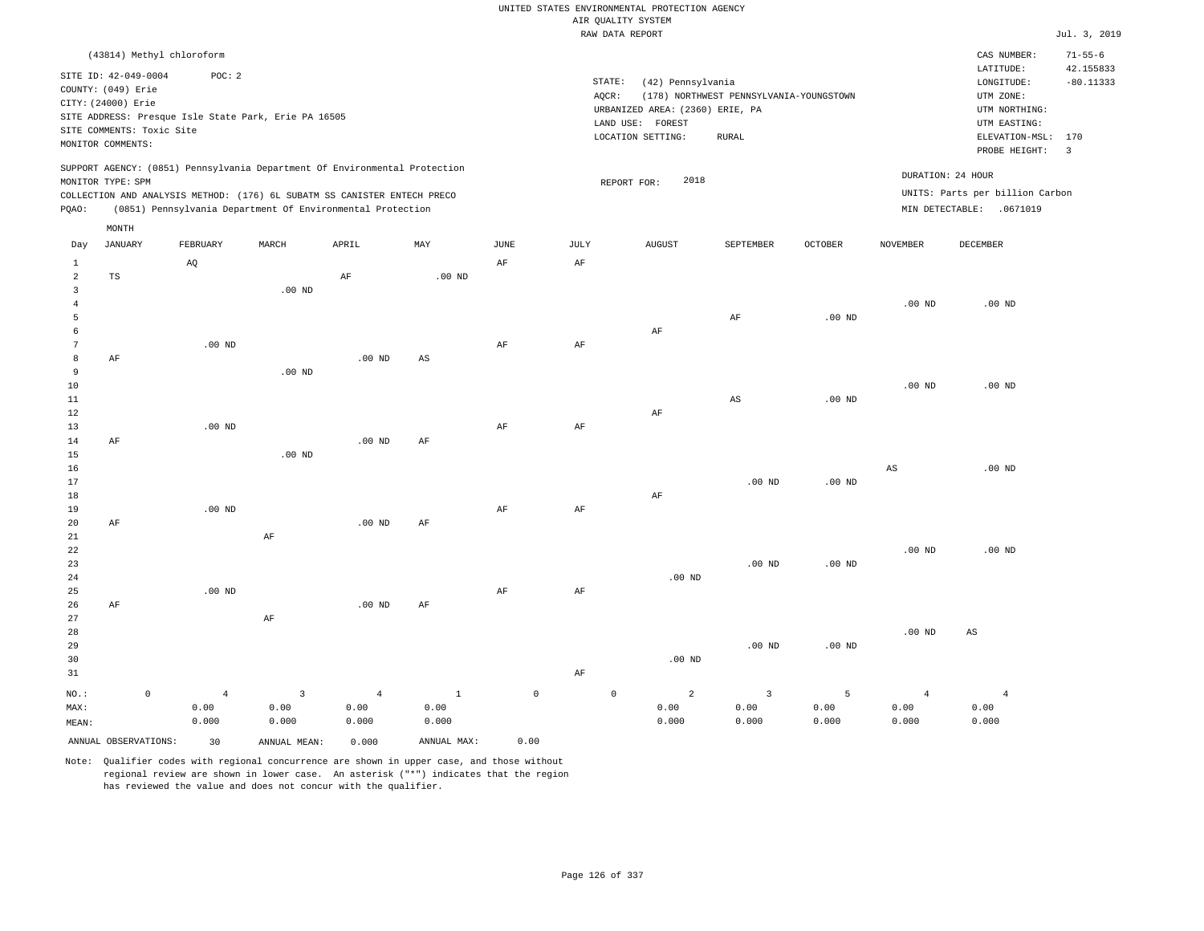|                |                                            |                           |                   |                                                      |                                                                            |              |                     |           | UNITED STATES ENVIRONMENTAL PROTECTION AGENCY<br>AIR QUALITY SYSTEM |                                         |                   |                   |                                 |                            |
|----------------|--------------------------------------------|---------------------------|-------------------|------------------------------------------------------|----------------------------------------------------------------------------|--------------|---------------------|-----------|---------------------------------------------------------------------|-----------------------------------------|-------------------|-------------------|---------------------------------|----------------------------|
|                |                                            |                           |                   |                                                      |                                                                            |              |                     |           | RAW DATA REPORT                                                     |                                         |                   |                   |                                 | Jul. 3, 2019               |
|                |                                            | (43814) Methyl chloroform |                   |                                                      |                                                                            |              |                     |           |                                                                     |                                         |                   |                   | CAS NUMBER:<br>LATITUDE:        | $71 - 55 - 6$<br>42.155833 |
|                | SITE ID: 42-049-0004<br>COUNTY: (049) Erie |                           | POC: 2            |                                                      |                                                                            |              |                     |           | STATE:<br>(42) Pennsylvania                                         |                                         |                   |                   | LONGITUDE:                      | $-80.11333$                |
|                | CITY: (24000) Erie                         |                           |                   |                                                      |                                                                            |              |                     |           | AQCR:                                                               | (178) NORTHWEST PENNSYLVANIA-YOUNGSTOWN |                   |                   | UTM ZONE:                       |                            |
|                |                                            |                           |                   | SITE ADDRESS: Presque Isle State Park, Erie PA 16505 |                                                                            |              |                     |           | URBANIZED AREA: (2360) ERIE, PA<br>LAND USE: FOREST                 |                                         |                   |                   | UTM NORTHING:<br>UTM EASTING:   |                            |
|                | SITE COMMENTS: Toxic Site                  |                           |                   |                                                      |                                                                            |              |                     |           | LOCATION SETTING:                                                   | RURAL                                   |                   |                   | ELEVATION-MSL:                  | 170                        |
|                | MONITOR COMMENTS:                          |                           |                   |                                                      |                                                                            |              |                     |           |                                                                     |                                         |                   |                   | PROBE HEIGHT:                   | $\overline{3}$             |
|                | MONITOR TYPE: SPM                          |                           |                   |                                                      | SUPPORT AGENCY: (0851) Pennsylvania Department Of Environmental Protection |              |                     |           | 2018<br>REPORT FOR:                                                 |                                         |                   |                   | DURATION: 24 HOUR               |                            |
|                |                                            |                           |                   |                                                      | COLLECTION AND ANALYSIS METHOD: (176) 6L SUBATM SS CANISTER ENTECH PRECO   |              |                     |           |                                                                     |                                         |                   |                   | UNITS: Parts per billion Carbon |                            |
| PQAO:          |                                            |                           |                   |                                                      | (0851) Pennsylvania Department Of Environmental Protection                 |              |                     |           |                                                                     |                                         |                   |                   | MIN DETECTABLE: . 0671019       |                            |
|                | MONTH                                      |                           |                   |                                                      |                                                                            |              |                     |           |                                                                     |                                         |                   |                   |                                 |                            |
| Day            | <b>JANUARY</b>                             | FEBRUARY                  |                   | MARCH                                                | APRIL                                                                      | MAY          | $\mathtt{JUNE}$     | JULY      | <b>AUGUST</b>                                                       | SEPTEMBER                               | OCTOBER           | <b>NOVEMBER</b>   | DECEMBER                        |                            |
| 1              |                                            | AQ                        |                   |                                                      |                                                                            |              | AF                  | AF        |                                                                     |                                         |                   |                   |                                 |                            |
| $\overline{a}$ | $_{\rm TS}$                                |                           |                   |                                                      | AF                                                                         | $.00$ ND     |                     |           |                                                                     |                                         |                   |                   |                                 |                            |
| $\overline{3}$ |                                            |                           |                   | $.00$ ND                                             |                                                                            |              |                     |           |                                                                     |                                         |                   |                   |                                 |                            |
| $\overline{4}$ |                                            |                           |                   |                                                      |                                                                            |              |                     |           |                                                                     |                                         |                   | .00 <sub>ND</sub> | $.00$ ND                        |                            |
| 5              |                                            |                           |                   |                                                      |                                                                            |              |                     |           |                                                                     | $\rm AF$                                | .00 <sub>ND</sub> |                   |                                 |                            |
| 6              |                                            |                           |                   |                                                      |                                                                            |              |                     |           | AF                                                                  |                                         |                   |                   |                                 |                            |
| 7<br>8         | AF                                         |                           | $.00$ ND          |                                                      | $.00$ ND                                                                   | AS           | AF                  | $\rm{AF}$ |                                                                     |                                         |                   |                   |                                 |                            |
| 9              |                                            |                           |                   | $.00$ ND                                             |                                                                            |              |                     |           |                                                                     |                                         |                   |                   |                                 |                            |
| 10             |                                            |                           |                   |                                                      |                                                                            |              |                     |           |                                                                     |                                         |                   | .00 <sub>ND</sub> | $.00$ ND                        |                            |
| 11             |                                            |                           |                   |                                                      |                                                                            |              |                     |           |                                                                     | $\mathbb{A}\mathbb{S}$                  | $.00$ ND          |                   |                                 |                            |
| $12$           |                                            |                           |                   |                                                      |                                                                            |              |                     |           | AF                                                                  |                                         |                   |                   |                                 |                            |
| 13             |                                            |                           | $.00$ ND          |                                                      |                                                                            |              | AF                  | $\rm AF$  |                                                                     |                                         |                   |                   |                                 |                            |
| 14             | AF                                         |                           |                   |                                                      | $.00$ ND                                                                   | AF           |                     |           |                                                                     |                                         |                   |                   |                                 |                            |
| 15             |                                            |                           |                   | $.00$ ND                                             |                                                                            |              |                     |           |                                                                     |                                         |                   |                   |                                 |                            |
| 16             |                                            |                           |                   |                                                      |                                                                            |              |                     |           |                                                                     |                                         |                   | AS                | $.00$ ND                        |                            |
| 17             |                                            |                           |                   |                                                      |                                                                            |              |                     |           |                                                                     | $.00$ ND                                | $.00$ ND          |                   |                                 |                            |
| 18<br>19       |                                            |                           | .00 <sub>ND</sub> |                                                      |                                                                            |              | AF                  | AF        | AF                                                                  |                                         |                   |                   |                                 |                            |
| 20             | AF                                         |                           |                   |                                                      | $.00$ ND                                                                   | AF           |                     |           |                                                                     |                                         |                   |                   |                                 |                            |
| 21             |                                            |                           |                   | $\rm AF$                                             |                                                                            |              |                     |           |                                                                     |                                         |                   |                   |                                 |                            |
| 22             |                                            |                           |                   |                                                      |                                                                            |              |                     |           |                                                                     |                                         |                   | $.00$ ND          | $.00$ ND                        |                            |
| 23             |                                            |                           |                   |                                                      |                                                                            |              |                     |           |                                                                     | $.00$ ND                                | .00 <sub>ND</sub> |                   |                                 |                            |
| 24             |                                            |                           |                   |                                                      |                                                                            |              |                     |           | $.00$ ND                                                            |                                         |                   |                   |                                 |                            |
| 25             |                                            |                           | .00 <sub>ND</sub> |                                                      |                                                                            |              | $\rm{AF}$           | $\rm{AF}$ |                                                                     |                                         |                   |                   |                                 |                            |
| 26             | AF                                         |                           |                   |                                                      | $.00$ ND                                                                   | AF           |                     |           |                                                                     |                                         |                   |                   |                                 |                            |
| 27             |                                            |                           |                   | AF                                                   |                                                                            |              |                     |           |                                                                     |                                         |                   |                   |                                 |                            |
| 28             |                                            |                           |                   |                                                      |                                                                            |              |                     |           |                                                                     |                                         |                   | .00 <sub>ND</sub> | $\mathbb{A}\mathbb{S}$          |                            |
| 29<br>30       |                                            |                           |                   |                                                      |                                                                            |              |                     |           | $.00$ ND                                                            | $.00$ ND                                | $.00$ ND          |                   |                                 |                            |
| 31             |                                            |                           |                   |                                                      |                                                                            |              |                     | AF        |                                                                     |                                         |                   |                   |                                 |                            |
|                |                                            |                           |                   |                                                      |                                                                            |              |                     |           |                                                                     |                                         |                   |                   |                                 |                            |
| $NO.$ :        | $\mathbb O$                                |                           | $\overline{4}$    | 3                                                    | $\overline{4}$                                                             | $\mathbf{1}$ | $\mathsf{O}\xspace$ |           | $\mathsf{O}$<br>$\overline{a}$                                      | $\overline{3}$                          | 5                 | $\overline{4}$    | $\overline{4}$                  |                            |
| MAX:           |                                            | 0.00                      |                   | 0.00                                                 | 0.00                                                                       | 0.00         |                     |           | 0.00                                                                | 0.00                                    | 0.00              | 0.00              | 0.00                            |                            |
| MEAN:          |                                            | 0.000                     |                   | 0.000                                                | 0.000                                                                      | 0.000        |                     |           | 0.000                                                               | 0.000                                   | 0.000             | 0.000             | 0.000                           |                            |
|                | ANNUAL OBSERVATIONS:                       |                           | 30                | ANNUAL MEAN:                                         | 0.000                                                                      | ANNUAL MAX:  | 0.00                |           |                                                                     |                                         |                   |                   |                                 |                            |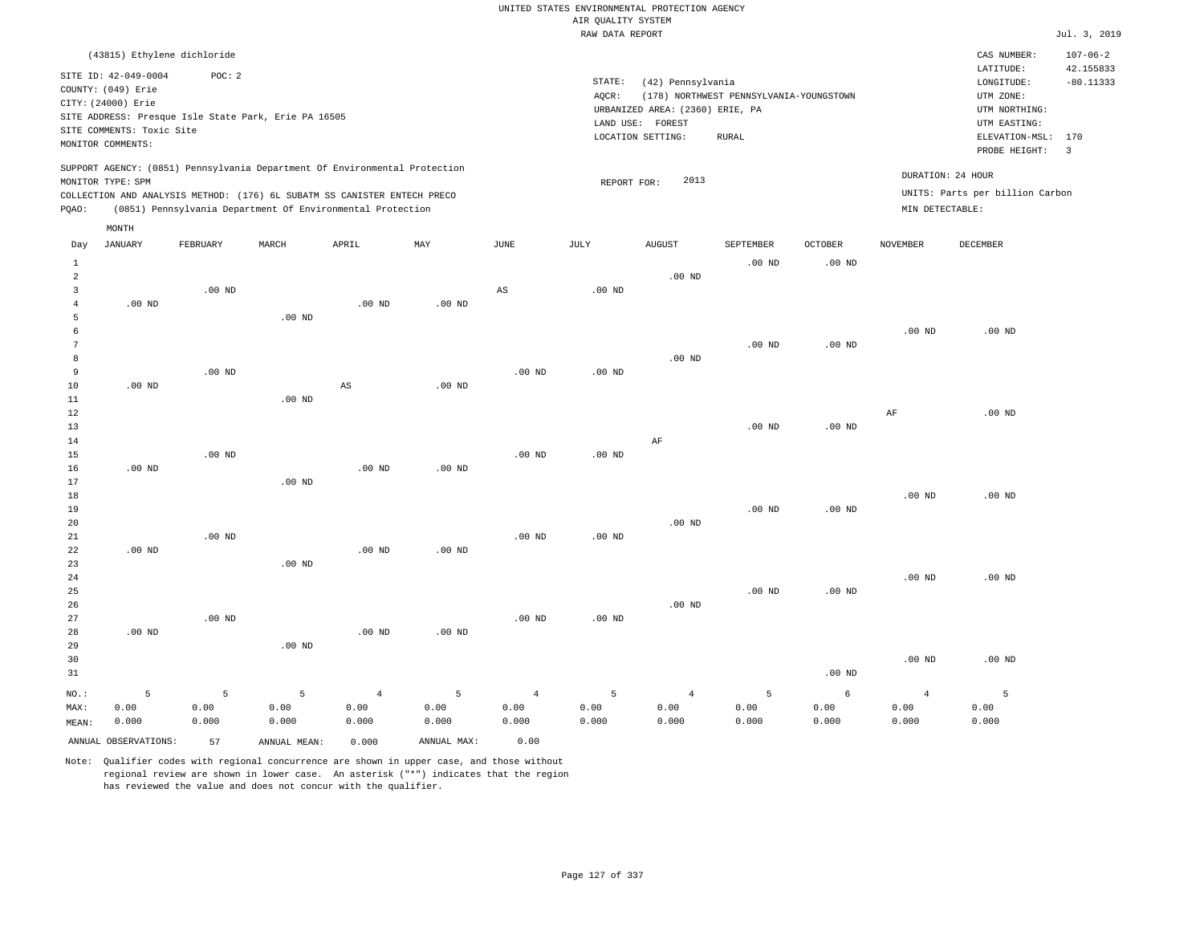|                |                                                                  |          |                                                      |                                                                            |                   |                        | RAW DATA REPORT   |                                                      |                                         |                   |                   |                                                       | Jul. 3, 2019             |
|----------------|------------------------------------------------------------------|----------|------------------------------------------------------|----------------------------------------------------------------------------|-------------------|------------------------|-------------------|------------------------------------------------------|-----------------------------------------|-------------------|-------------------|-------------------------------------------------------|--------------------------|
|                | (43815) Ethylene dichloride                                      |          |                                                      |                                                                            |                   |                        |                   |                                                      |                                         |                   |                   | CAS NUMBER:                                           | $107 - 06 - 2$           |
|                | SITE ID: 42-049-0004<br>COUNTY: (049) Erie<br>CITY: (24000) Erie | POC: 2   | SITE ADDRESS: Presque Isle State Park, Erie PA 16505 |                                                                            |                   |                        | STATE:<br>AOCR:   | (42) Pennsylvania<br>URBANIZED AREA: (2360) ERIE, PA | (178) NORTHWEST PENNSYLVANIA-YOUNGSTOWN |                   |                   | LATITUDE:<br>LONGITUDE:<br>UTM ZONE:<br>UTM NORTHING: | 42.155833<br>$-80.11333$ |
|                | SITE COMMENTS: Toxic Site                                        |          |                                                      |                                                                            |                   |                        |                   | LAND USE: FOREST                                     |                                         |                   |                   | UTM EASTING:                                          |                          |
|                | MONITOR COMMENTS:                                                |          |                                                      |                                                                            |                   |                        |                   | LOCATION SETTING:                                    | RURAL                                   |                   |                   | ELEVATION-MSL: 170                                    |                          |
|                |                                                                  |          |                                                      |                                                                            |                   |                        |                   |                                                      |                                         |                   |                   | PROBE HEIGHT:                                         | $\overline{3}$           |
|                | MONITOR TYPE: SPM                                                |          |                                                      | SUPPORT AGENCY: (0851) Pennsylvania Department Of Environmental Protection |                   |                        |                   | 2013                                                 |                                         |                   |                   | DURATION: 24 HOUR                                     |                          |
|                |                                                                  |          |                                                      | COLLECTION AND ANALYSIS METHOD: (176) 6L SUBATM SS CANISTER ENTECH PRECO   |                   |                        | REPORT FOR:       |                                                      |                                         |                   |                   | UNITS: Parts per billion Carbon                       |                          |
| PQAO:          |                                                                  |          |                                                      | (0851) Pennsylvania Department Of Environmental Protection                 |                   |                        |                   |                                                      |                                         |                   | MIN DETECTABLE:   |                                                       |                          |
|                | MONTH                                                            |          |                                                      |                                                                            |                   |                        |                   |                                                      |                                         |                   |                   |                                                       |                          |
| Day            | <b>JANUARY</b>                                                   | FEBRUARY | MARCH                                                | APRIL                                                                      | MAY               | <b>JUNE</b>            | JULY              | <b>AUGUST</b>                                        | SEPTEMBER                               | <b>OCTOBER</b>    | <b>NOVEMBER</b>   | DECEMBER                                              |                          |
| $\mathbf{1}$   |                                                                  |          |                                                      |                                                                            |                   |                        |                   |                                                      | $.00$ ND                                | .00 <sub>ND</sub> |                   |                                                       |                          |
| $\overline{a}$ |                                                                  |          |                                                      |                                                                            |                   |                        |                   | $.00$ ND                                             |                                         |                   |                   |                                                       |                          |
| 3              |                                                                  | $.00$ ND |                                                      |                                                                            |                   | $\mathbb{A}\mathbb{S}$ | $.00$ ND          |                                                      |                                         |                   |                   |                                                       |                          |
| $\overline{4}$ | $.00$ ND                                                         |          |                                                      | $.00$ ND                                                                   | $.00$ ND          |                        |                   |                                                      |                                         |                   |                   |                                                       |                          |
| 5              |                                                                  |          | .00 <sub>ND</sub>                                    |                                                                            |                   |                        |                   |                                                      |                                         |                   |                   |                                                       |                          |
| 6              |                                                                  |          |                                                      |                                                                            |                   |                        |                   |                                                      |                                         |                   | $.00$ ND          | $.00$ ND                                              |                          |
| 7              |                                                                  |          |                                                      |                                                                            |                   |                        |                   |                                                      | $.00$ ND                                | .00 <sub>ND</sub> |                   |                                                       |                          |
| 8              |                                                                  |          |                                                      |                                                                            |                   |                        |                   | $.00$ ND                                             |                                         |                   |                   |                                                       |                          |
| 9              |                                                                  | $.00$ ND |                                                      |                                                                            |                   | .00 <sub>ND</sub>      | .00 <sub>ND</sub> |                                                      |                                         |                   |                   |                                                       |                          |
| 10             | $.00$ ND                                                         |          |                                                      | AS                                                                         | .00 <sub>ND</sub> |                        |                   |                                                      |                                         |                   |                   |                                                       |                          |
| 11             |                                                                  |          | $.00$ ND                                             |                                                                            |                   |                        |                   |                                                      |                                         |                   |                   |                                                       |                          |
| 12             |                                                                  |          |                                                      |                                                                            |                   |                        |                   |                                                      |                                         |                   | $\rm AF$          | $.00$ ND                                              |                          |
| 13<br>14       |                                                                  |          |                                                      |                                                                            |                   |                        |                   | AF                                                   | $.00$ ND                                | .00 <sub>ND</sub> |                   |                                                       |                          |
| 15             |                                                                  | $.00$ ND |                                                      |                                                                            |                   | $.00$ ND               | $.00$ ND          |                                                      |                                         |                   |                   |                                                       |                          |
| 16             | $.00$ ND                                                         |          |                                                      | $.00$ ND                                                                   | .00 <sub>ND</sub> |                        |                   |                                                      |                                         |                   |                   |                                                       |                          |
| 17             |                                                                  |          | .00 <sub>ND</sub>                                    |                                                                            |                   |                        |                   |                                                      |                                         |                   |                   |                                                       |                          |
| 18             |                                                                  |          |                                                      |                                                                            |                   |                        |                   |                                                      |                                         |                   | .00 <sub>ND</sub> | $.00$ ND                                              |                          |
| 19             |                                                                  |          |                                                      |                                                                            |                   |                        |                   |                                                      | $.00$ ND                                | $.00$ ND          |                   |                                                       |                          |
| 20             |                                                                  |          |                                                      |                                                                            |                   |                        |                   | $.00$ ND                                             |                                         |                   |                   |                                                       |                          |
| 21             |                                                                  | $.00$ ND |                                                      |                                                                            |                   | $.00$ ND               | $.00$ ND          |                                                      |                                         |                   |                   |                                                       |                          |
| 22             | $.00$ ND                                                         |          |                                                      | .00 <sub>ND</sub>                                                          | $.00$ ND          |                        |                   |                                                      |                                         |                   |                   |                                                       |                          |
| 23             |                                                                  |          | $.00$ ND                                             |                                                                            |                   |                        |                   |                                                      |                                         |                   |                   |                                                       |                          |
| 24             |                                                                  |          |                                                      |                                                                            |                   |                        |                   |                                                      |                                         |                   | .00 <sub>ND</sub> | $.00$ ND                                              |                          |
| 25             |                                                                  |          |                                                      |                                                                            |                   |                        |                   |                                                      | .00 <sub>ND</sub>                       | .00 <sub>ND</sub> |                   |                                                       |                          |
| 26             |                                                                  |          |                                                      |                                                                            |                   |                        |                   | .00 <sub>ND</sub>                                    |                                         |                   |                   |                                                       |                          |
| 27             |                                                                  | $.00$ ND |                                                      |                                                                            |                   | .00 <sub>ND</sub>      | $.00$ ND          |                                                      |                                         |                   |                   |                                                       |                          |
| 28<br>29       | $.00$ ND                                                         |          | $.00$ ND                                             | $.00$ ND                                                                   | $.00$ ND          |                        |                   |                                                      |                                         |                   |                   |                                                       |                          |
| 30             |                                                                  |          |                                                      |                                                                            |                   |                        |                   |                                                      |                                         |                   | $.00$ ND          | $.00$ ND                                              |                          |
| 31             |                                                                  |          |                                                      |                                                                            |                   |                        |                   |                                                      |                                         | .00 <sub>ND</sub> |                   |                                                       |                          |
|                |                                                                  |          |                                                      |                                                                            |                   |                        |                   |                                                      |                                         |                   |                   |                                                       |                          |
| NO.:           | 5                                                                | 5        | 5                                                    | $\overline{4}$                                                             | 5                 | $\overline{4}$         | 5                 | $\overline{4}$                                       | 5                                       | 6                 | $\overline{4}$    | 5                                                     |                          |
| MAX:           | 0.00                                                             | 0.00     | 0.00                                                 | 0.00                                                                       | 0.00              | 0.00                   | 0.00              | 0.00                                                 | 0.00                                    | 0.00              | 0.00              | 0.00                                                  |                          |
| MEAN:          | 0.000                                                            | 0.000    | 0.000                                                | 0.000                                                                      | 0.000             | 0.000                  | 0.000             | 0.000                                                | 0.000                                   | 0.000             | 0.000             | 0.000                                                 |                          |
|                | ANNUAL OBSERVATIONS:                                             | 57       | ANNUAL MEAN:                                         | 0.000                                                                      | ANNUAL MAX:       | 0.00                   |                   |                                                      |                                         |                   |                   |                                                       |                          |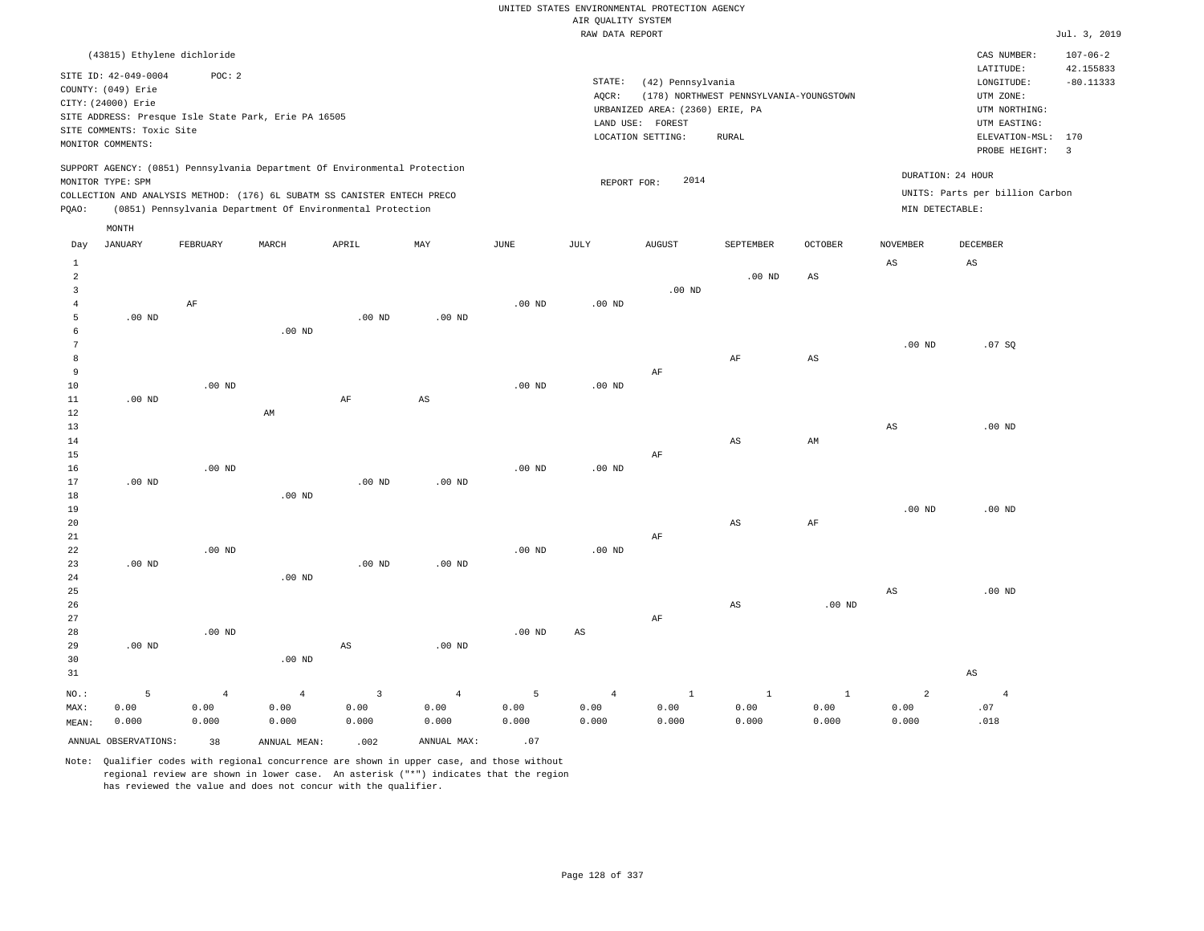### RAW DATA REPORT Jul. 3, 2019 UNITED STATES ENVIRONMENTAL PROTECTION AGENCY AIR QUALITY SYSTEM

|                                       | (43815) Ethylene dichloride                                      |                   |                                                                            |                        |                   |                   |                        |                                                      |                                         |                            |                        | CAS NUMBER:                                                       | $107 - 06 - 2$           |
|---------------------------------------|------------------------------------------------------------------|-------------------|----------------------------------------------------------------------------|------------------------|-------------------|-------------------|------------------------|------------------------------------------------------|-----------------------------------------|----------------------------|------------------------|-------------------------------------------------------------------|--------------------------|
|                                       | SITE ID: 42-049-0004<br>COUNTY: (049) Erie<br>CITY: (24000) Erie | POC: 2            |                                                                            |                        |                   |                   | STATE:<br>AQCR:        | (42) Pennsylvania<br>URBANIZED AREA: (2360) ERIE, PA | (178) NORTHWEST PENNSYLVANIA-YOUNGSTOWN |                            |                        | LATITUDE:<br>$\texttt{LONGITUDE}$ :<br>UTM ZONE:<br>UTM NORTHING: | 42.155833<br>$-80.11333$ |
|                                       | SITE COMMENTS: Toxic Site                                        |                   | SITE ADDRESS: Presque Isle State Park, Erie PA 16505                       |                        |                   |                   | LAND USE:              | FOREST<br>LOCATION SETTING:                          | <b>RURAL</b>                            |                            |                        | UTM EASTING:<br>ELEVATION-MSL: 170                                |                          |
|                                       | MONITOR COMMENTS:                                                |                   |                                                                            |                        |                   |                   |                        |                                                      |                                         |                            |                        | PROBE HEIGHT:                                                     | $\overline{3}$           |
|                                       | MONITOR TYPE: SPM                                                |                   | SUPPORT AGENCY: (0851) Pennsylvania Department Of Environmental Protection |                        |                   |                   | REPORT FOR:            | 2014                                                 |                                         |                            | DURATION: 24 HOUR      |                                                                   |                          |
|                                       |                                                                  |                   | COLLECTION AND ANALYSIS METHOD: (176) 6L SUBATM SS CANISTER ENTECH PRECO   |                        |                   |                   |                        |                                                      |                                         |                            |                        | UNITS: Parts per billion Carbon                                   |                          |
| PQAO:                                 |                                                                  |                   | (0851) Pennsylvania Department Of Environmental Protection                 |                        |                   |                   |                        |                                                      |                                         |                            | MIN DETECTABLE:        |                                                                   |                          |
|                                       | MONTH                                                            |                   |                                                                            |                        |                   |                   |                        |                                                      |                                         |                            |                        |                                                                   |                          |
| Day                                   | <b>JANUARY</b>                                                   | FEBRUARY          | MARCH                                                                      | APRIL                  | MAY               | $_{\rm JUNE}$     | JULY                   | <b>AUGUST</b>                                        | SEPTEMBER                               | OCTOBER                    | <b>NOVEMBER</b>        | DECEMBER                                                          |                          |
| $1\,$                                 |                                                                  |                   |                                                                            |                        |                   |                   |                        |                                                      |                                         |                            | $\mathbb{A}\mathbb{S}$ | $\mathbb{A}\mathbb{S}$                                            |                          |
| $\sqrt{2}$<br>$\overline{\mathbf{3}}$ |                                                                  |                   |                                                                            |                        |                   |                   |                        | $.00$ ND                                             | $.00$ ND                                | $\mathbb{A}\mathbb{S}$     |                        |                                                                   |                          |
| $\overline{4}$                        |                                                                  | AF                |                                                                            |                        |                   | $.00$ ND          | .00 <sub>ND</sub>      |                                                      |                                         |                            |                        |                                                                   |                          |
| 5                                     | $.00$ ND                                                         |                   |                                                                            | $.00$ ND               | .00 <sub>ND</sub> |                   |                        |                                                      |                                         |                            |                        |                                                                   |                          |
| $\epsilon$<br>$\overline{7}$          |                                                                  |                   | .00 <sub>ND</sub>                                                          |                        |                   |                   |                        |                                                      |                                         |                            | $.00$ ND               | .07S                                                              |                          |
| 8                                     |                                                                  |                   |                                                                            |                        |                   |                   |                        |                                                      | AF                                      | AS                         |                        |                                                                   |                          |
| 9                                     |                                                                  |                   |                                                                            |                        |                   |                   |                        | AF                                                   |                                         |                            |                        |                                                                   |                          |
| 10                                    |                                                                  | $.00$ ND          |                                                                            |                        |                   | $.00$ ND          | .00 <sub>ND</sub>      |                                                      |                                         |                            |                        |                                                                   |                          |
| $11\,$                                | $.00$ ND                                                         |                   |                                                                            | AF                     | AS                |                   |                        |                                                      |                                         |                            |                        |                                                                   |                          |
| 12<br>13                              |                                                                  |                   | AM                                                                         |                        |                   |                   |                        |                                                      |                                         |                            | $\mathbb{A}\mathbb{S}$ | $.00$ ND                                                          |                          |
| $1\,4$                                |                                                                  |                   |                                                                            |                        |                   |                   |                        |                                                      | $\mathbb{A}\mathbb{S}$                  | $\mathop{\rm AM}\nolimits$ |                        |                                                                   |                          |
| 15                                    |                                                                  |                   |                                                                            |                        |                   |                   |                        | $\rm AF$                                             |                                         |                            |                        |                                                                   |                          |
| 16                                    |                                                                  | $.00$ ND          |                                                                            |                        |                   | .00 <sub>ND</sub> | $.00$ ND               |                                                      |                                         |                            |                        |                                                                   |                          |
| 17                                    | $.00$ ND                                                         |                   |                                                                            | $.00$ ND               | $.00$ ND          |                   |                        |                                                      |                                         |                            |                        |                                                                   |                          |
| $1\,8$                                |                                                                  |                   | $.00$ ND                                                                   |                        |                   |                   |                        |                                                      |                                         |                            |                        |                                                                   |                          |
| 19<br>20                              |                                                                  |                   |                                                                            |                        |                   |                   |                        |                                                      | $\mathbb{A}\mathbb{S}$                  | $\rm{AF}$                  | .00 <sub>ND</sub>      | .00 <sub>ND</sub>                                                 |                          |
| 21                                    |                                                                  |                   |                                                                            |                        |                   |                   |                        | AF                                                   |                                         |                            |                        |                                                                   |                          |
| 22                                    |                                                                  | $.00$ ND          |                                                                            |                        |                   | $.00$ ND          | .00 <sub>ND</sub>      |                                                      |                                         |                            |                        |                                                                   |                          |
| 23                                    | $.00$ ND                                                         |                   |                                                                            | $.00$ ND               | $.00$ ND          |                   |                        |                                                      |                                         |                            |                        |                                                                   |                          |
| 24                                    |                                                                  |                   | $.00$ ND                                                                   |                        |                   |                   |                        |                                                      |                                         |                            |                        |                                                                   |                          |
| 25<br>26                              |                                                                  |                   |                                                                            |                        |                   |                   |                        |                                                      | AS                                      | $.00$ ND                   | $\mathbb{A}\mathbb{S}$ | $.00$ ND                                                          |                          |
| 27                                    |                                                                  |                   |                                                                            |                        |                   |                   |                        | $\rm AF$                                             |                                         |                            |                        |                                                                   |                          |
| 28                                    |                                                                  | .00 <sub>ND</sub> |                                                                            |                        |                   | $.00$ ND          | $\mathbb{A}\mathbb{S}$ |                                                      |                                         |                            |                        |                                                                   |                          |
| 29                                    | $.00$ ND                                                         |                   |                                                                            | $\mathbb{A}\mathbb{S}$ | $.00$ ND          |                   |                        |                                                      |                                         |                            |                        |                                                                   |                          |
| 30                                    |                                                                  |                   | $.00$ ND                                                                   |                        |                   |                   |                        |                                                      |                                         |                            |                        |                                                                   |                          |
| 31                                    |                                                                  |                   |                                                                            |                        |                   |                   |                        |                                                      |                                         |                            |                        | $\mathbb{A}\mathbb{S}$                                            |                          |
| NO.:                                  | 5                                                                | $\overline{4}$    | $\overline{4}$                                                             | 3                      | $\overline{4}$    | 5                 | $\overline{4}$         | $\mathbf{1}$                                         | $\,1\,$                                 | $\mathbf{1}$               | $\overline{a}$         | $\overline{4}$                                                    |                          |
| MAX:                                  | 0.00<br>0.000                                                    | 0.00<br>0.000     | 0.00<br>0.000                                                              | 0.00<br>0.000          | 0.00<br>0.000     | 0.00<br>0.000     | 0.00<br>0.000          | 0.00<br>0.000                                        | 0.00<br>0.000                           | 0.00<br>0.000              | 0.00<br>0.000          | .07<br>.018                                                       |                          |
| MEAN:                                 |                                                                  |                   |                                                                            |                        |                   |                   |                        |                                                      |                                         |                            |                        |                                                                   |                          |
|                                       | ANNUAL OBSERVATIONS:                                             | 38                | ANNUAL MEAN:                                                               | .002                   | ANNUAL MAX:       | .07               |                        |                                                      |                                         |                            |                        |                                                                   |                          |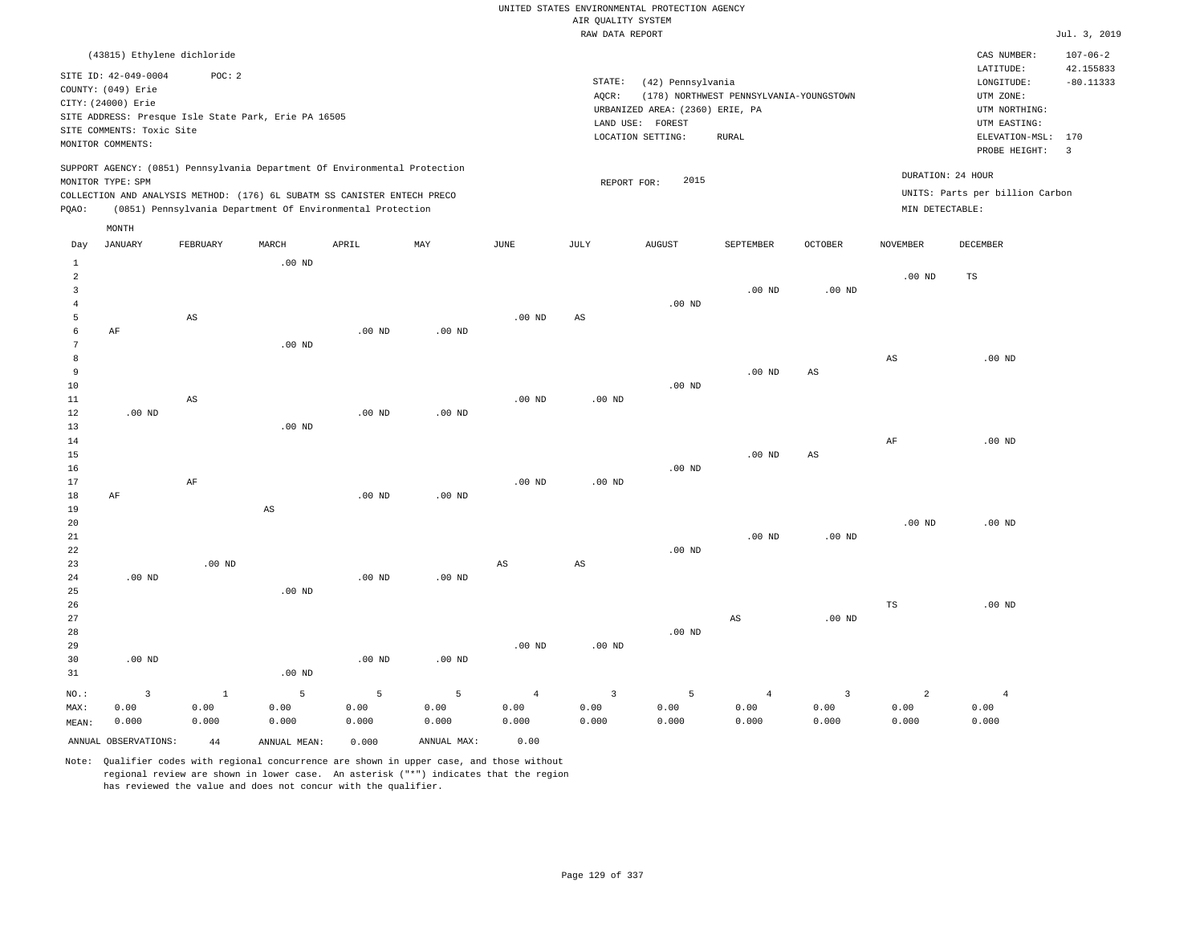### RAW DATA REPORT Jul. 3, 2019 UNITED STATES ENVIRONMENTAL PROTECTION AGENCY AIR QUALITY SYSTEM

|       |                                                                                                                    | (43815) Ethylene dichloride |                                                      |                                                                                                                                        |                                                                            |      |                 |                                                                                                  |                                                  |          |                             | CAS NUMBER:                                                                                 | $107 - 06 - 2$           |
|-------|--------------------------------------------------------------------------------------------------------------------|-----------------------------|------------------------------------------------------|----------------------------------------------------------------------------------------------------------------------------------------|----------------------------------------------------------------------------|------|-----------------|--------------------------------------------------------------------------------------------------|--------------------------------------------------|----------|-----------------------------|---------------------------------------------------------------------------------------------|--------------------------|
|       | SITE ID: 42-049-0004<br>COUNTY: (049) Erie<br>CITY: (24000) Erie<br>SITE COMMENTS: Toxic Site<br>MONITOR COMMENTS: | POC: 2                      | SITE ADDRESS: Presque Isle State Park, Erie PA 16505 |                                                                                                                                        |                                                                            |      | STATE:<br>AQCR: | (42) Pennsylvania<br>URBANIZED AREA: (2360) ERIE, PA<br>LAND USE:<br>FOREST<br>LOCATION SETTING: | (178) NORTHWEST PENNSYLVANIA-YOUNGSTOWN<br>RURAL |          |                             | LATITUDE:<br>LONGITUDE:<br>UTM ZONE:<br>UTM NORTHING:<br>UTM EASTING:<br>ELEVATION-MSL: 170 | 42.155833<br>$-80.11333$ |
| POAO: | MONITOR TYPE: SPM                                                                                                  |                             |                                                      | COLLECTION AND ANALYSIS METHOD: (176) 6L SUBATM SS CANISTER ENTECH PRECO<br>(0851) Pennsylvania Department Of Environmental Protection | SUPPORT AGENCY: (0851) Pennsylvania Department Of Environmental Protection |      |                 | 2015<br>REPORT FOR:                                                                              |                                                  |          | MIN DETECTABLE:             | PROBE HEIGHT:<br>DURATION: 24 HOUR<br>UNITS: Parts per billion Carbon                       | $\overline{\mathbf{3}}$  |
| Day   | MONTH<br>JANUARY                                                                                                   | FEBRUARY                    | MARCH<br>$.00$ ND                                    | APRIL                                                                                                                                  | MAY                                                                        | JUNE | JULY            | AUGUST                                                                                           | SEPTEMBER                                        | OCTOBER  | <b>NOVEMBER</b><br>$.00$ ND | DECEMBER<br>TS                                                                              |                          |
|       |                                                                                                                    |                             |                                                      |                                                                                                                                        |                                                                            |      |                 | .00 <sub>ND</sub>                                                                                | $.00$ ND                                         | $.00$ ND |                             |                                                                                             |                          |

| 5              |          | AS       |                        |          |          | .00 $ND$ | $\mathbb{A}\mathbb{S}$ |          |                        |                        |          |          |
|----------------|----------|----------|------------------------|----------|----------|----------|------------------------|----------|------------------------|------------------------|----------|----------|
| 6              | AF       |          |                        | $.00$ ND | $.00$ ND |          |                        |          |                        |                        |          |          |
| 7              |          |          | $.00$ ND               |          |          |          |                        |          |                        |                        |          |          |
| 8              |          |          |                        |          |          |          |                        |          |                        |                        | AS       | $.00$ ND |
| $\overline{9}$ |          |          |                        |          |          |          |                        |          | $.00$ ND               | $\mathbb{A}\mathbb{S}$ |          |          |
| 10             |          |          |                        |          |          |          |                        | .00 $ND$ |                        |                        |          |          |
| 11             |          | AS       |                        |          |          | $.00$ ND | .00 $ND$               |          |                        |                        |          |          |
| 12             | .00 $ND$ |          |                        | $.00$ ND | $.00$ ND |          |                        |          |                        |                        |          |          |
| 13             |          |          | $.00$ ND               |          |          |          |                        |          |                        |                        |          |          |
| 14             |          |          |                        |          |          |          |                        |          |                        |                        | AF       | $.00$ ND |
| 15             |          |          |                        |          |          |          |                        |          | $.00$ ND               | $\mathbb{A}\mathbb{S}$ |          |          |
| 16             |          |          |                        |          |          |          |                        | $.00$ ND |                        |                        |          |          |
| 17<br>18       | AF       | $\rm AF$ |                        | $.00$ ND | $.00$ ND | $.00$ ND | $.00$ ND               |          |                        |                        |          |          |
| 19             |          |          | $\mathbb{A}\mathbb{S}$ |          |          |          |                        |          |                        |                        |          |          |
| 20             |          |          |                        |          |          |          |                        |          |                        |                        | $.00$ ND | $.00$ ND |
| $21\,$         |          |          |                        |          |          |          |                        |          | $.00$ ND               | .00 $ND$               |          |          |
| 22             |          |          |                        |          |          |          |                        | $.00$ ND |                        |                        |          |          |
| 23             |          | $.00$ ND |                        |          |          | AS       | $\mathbb{A}\mathbb{S}$ |          |                        |                        |          |          |
| 24             | .00 $ND$ |          |                        | $.00$ ND | $.00$ ND |          |                        |          |                        |                        |          |          |
| 25             |          |          | $.00$ ND               |          |          |          |                        |          |                        |                        |          |          |
| 26             |          |          |                        |          |          |          |                        |          |                        |                        | TS       | $.00$ ND |
| 27             |          |          |                        |          |          |          |                        |          | $\mathbb{A}\mathbb{S}$ | $.00$ ND               |          |          |
| 28             |          |          |                        |          |          |          |                        | $.00$ ND |                        |                        |          |          |
| 29             |          |          |                        |          |          | $.00$ ND | .00 <sub>ND</sub>      |          |                        |                        |          |          |
| 30             | .00 $ND$ |          |                        | $.00$ ND | $.00$ ND |          |                        |          |                        |                        |          |          |
| 31             |          |          | $.00$ ND               |          |          |          |                        |          |                        |                        |          |          |

| MAX:  | 0.00                    | 0.00  | 0.00         | 0.00  | 0.00        | 0.00  | 0.00  | 0.00  | 0.00  | 0.00  | 0.00  | 0.00  |
|-------|-------------------------|-------|--------------|-------|-------------|-------|-------|-------|-------|-------|-------|-------|
| MEAN: | 0.000                   | 0.000 | 0.000        | 0.000 | 0.000       | 0.000 | 0.000 | 0.000 | 0.000 | 0.000 | 0.000 | 0.000 |
|       | ANNUAL OBSERVATIONS: 44 |       | ANNUAL MEAN: | 0.000 | ANNUAL MAX: | 0.00  |       |       |       |       |       |       |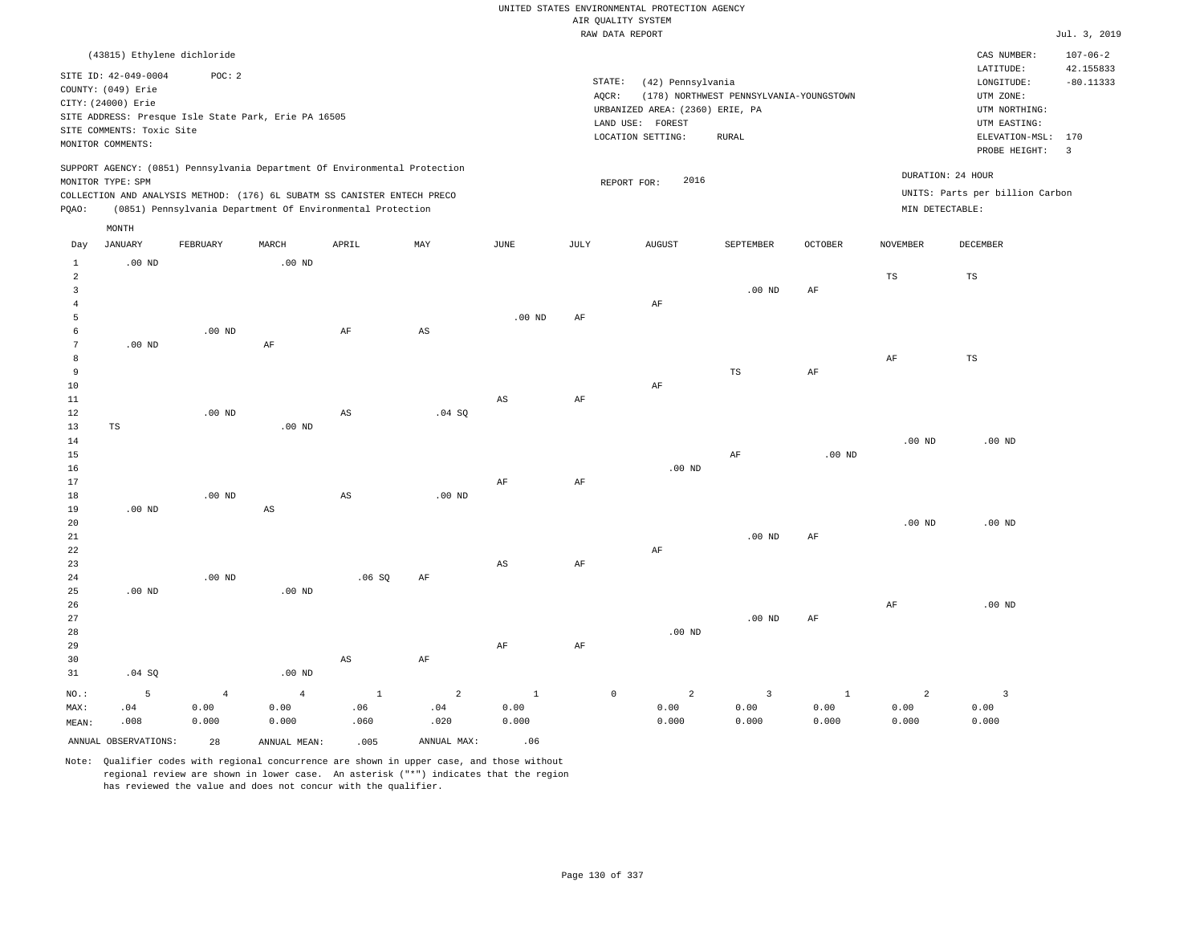|                 |                             |                |                                                                            |                        |                |                        |           | RAW DATA REPORT                 |                                         |                |                 |                                 | Jul. 3, 2019            |
|-----------------|-----------------------------|----------------|----------------------------------------------------------------------------|------------------------|----------------|------------------------|-----------|---------------------------------|-----------------------------------------|----------------|-----------------|---------------------------------|-------------------------|
|                 | (43815) Ethylene dichloride |                |                                                                            |                        |                |                        |           |                                 |                                         |                |                 | CAS NUMBER:                     | $107 - 06 - 2$          |
|                 |                             |                |                                                                            |                        |                |                        |           |                                 |                                         |                |                 | LATITUDE:                       | 42.155833               |
|                 | SITE ID: 42-049-0004        | POC: 2         |                                                                            |                        |                |                        | STATE:    | (42) Pennsylvania               |                                         |                |                 | LONGITUDE:                      | $-80.11333$             |
|                 | COUNTY: (049) Erie          |                |                                                                            |                        |                |                        | AQCR:     |                                 | (178) NORTHWEST PENNSYLVANIA-YOUNGSTOWN |                |                 | UTM ZONE:                       |                         |
|                 | CITY: (24000) Erie          |                |                                                                            |                        |                |                        |           | URBANIZED AREA: (2360) ERIE, PA |                                         |                |                 | UTM NORTHING:                   |                         |
|                 |                             |                | SITE ADDRESS: Presque Isle State Park, Erie PA 16505                       |                        |                |                        |           | LAND USE: FOREST                |                                         |                |                 | UTM EASTING:                    |                         |
|                 | SITE COMMENTS: Toxic Site   |                |                                                                            |                        |                |                        |           | LOCATION SETTING:               | RURAL                                   |                |                 | ELEVATION-MSL:                  | 170                     |
|                 | MONITOR COMMENTS:           |                |                                                                            |                        |                |                        |           |                                 |                                         |                |                 | PROBE HEIGHT:                   | $\overline{\mathbf{3}}$ |
|                 |                             |                | SUPPORT AGENCY: (0851) Pennsylvania Department Of Environmental Protection |                        |                |                        |           |                                 |                                         |                |                 |                                 |                         |
|                 | MONITOR TYPE: SPM           |                |                                                                            |                        |                |                        |           | 2016<br>REPORT FOR:             |                                         |                |                 | DURATION: 24 HOUR               |                         |
|                 |                             |                | COLLECTION AND ANALYSIS METHOD: (176) 6L SUBATM SS CANISTER ENTECH PRECO   |                        |                |                        |           |                                 |                                         |                |                 | UNITS: Parts per billion Carbon |                         |
| PQAO:           |                             |                | (0851) Pennsylvania Department Of Environmental Protection                 |                        |                |                        |           |                                 |                                         |                | MIN DETECTABLE: |                                 |                         |
|                 | MONTH                       |                |                                                                            |                        |                |                        |           |                                 |                                         |                |                 |                                 |                         |
| Day             | JANUARY                     | FEBRUARY       | MARCH                                                                      | APRIL                  | MAY            | JUNE                   | JULY      | AUGUST                          | SEPTEMBER                               | <b>OCTOBER</b> | <b>NOVEMBER</b> | DECEMBER                        |                         |
| 1               | $.00$ ND                    |                | .00 <sub>ND</sub>                                                          |                        |                |                        |           |                                 |                                         |                |                 |                                 |                         |
| $\overline{2}$  |                             |                |                                                                            |                        |                |                        |           |                                 |                                         |                | TS              | <b>TS</b>                       |                         |
| $\overline{3}$  |                             |                |                                                                            |                        |                |                        |           |                                 | .00 <sub>ND</sub>                       | AF             |                 |                                 |                         |
| $\overline{4}$  |                             |                |                                                                            |                        |                |                        |           | $\rm{AF}$                       |                                         |                |                 |                                 |                         |
| 5               |                             |                |                                                                            |                        |                | .00 <sub>ND</sub>      | $\rm{AF}$ |                                 |                                         |                |                 |                                 |                         |
| 6               |                             | $.00$ ND       |                                                                            | AF                     | AS             |                        |           |                                 |                                         |                |                 |                                 |                         |
| $7\phantom{.0}$ | $.00$ ND                    |                | AF                                                                         |                        |                |                        |           |                                 |                                         |                |                 |                                 |                         |
| 8               |                             |                |                                                                            |                        |                |                        |           |                                 |                                         |                | $\rm{AF}$       | $_{\rm TS}$                     |                         |
| 9               |                             |                |                                                                            |                        |                |                        |           |                                 | $_{\rm TS}$                             | AF             |                 |                                 |                         |
| $10$<br>11      |                             |                |                                                                            |                        |                | $\mathbb{A}\mathbb{S}$ | $\rm{AF}$ | AF                              |                                         |                |                 |                                 |                         |
| 12              |                             | $.00$ ND       |                                                                            | $_{\rm AS}$            | .04 SQ         |                        |           |                                 |                                         |                |                 |                                 |                         |
| 13              | TS                          |                | $.00$ ND                                                                   |                        |                |                        |           |                                 |                                         |                |                 |                                 |                         |
| 14              |                             |                |                                                                            |                        |                |                        |           |                                 |                                         |                | $.00$ ND        | .00 <sub>ND</sub>               |                         |
| 15              |                             |                |                                                                            |                        |                |                        |           |                                 | AF                                      | $.00$ ND       |                 |                                 |                         |
| 16              |                             |                |                                                                            |                        |                |                        |           | $.00$ ND                        |                                         |                |                 |                                 |                         |
| 17              |                             |                |                                                                            |                        |                | $\rm AF$               | AF        |                                 |                                         |                |                 |                                 |                         |
| 18              |                             | $.00$ ND       |                                                                            | $\mathbb{A}\mathbb{S}$ | $.00$ ND       |                        |           |                                 |                                         |                |                 |                                 |                         |
| 19              | $.00$ ND                    |                | AS                                                                         |                        |                |                        |           |                                 |                                         |                |                 |                                 |                         |
| 20              |                             |                |                                                                            |                        |                |                        |           |                                 |                                         |                | $.00$ ND        | .00 <sub>ND</sub>               |                         |
| $2\sqrt{1}$     |                             |                |                                                                            |                        |                |                        |           |                                 | .00 <sub>ND</sub>                       | AF             |                 |                                 |                         |
| 22              |                             |                |                                                                            |                        |                |                        |           | $\rm{AF}$                       |                                         |                |                 |                                 |                         |
| 23              |                             |                |                                                                            |                        |                | $\mathbb{A}\mathbb{S}$ | AF        |                                 |                                         |                |                 |                                 |                         |
| 24              |                             | $.00$ ND       |                                                                            | .06SQ                  | AF             |                        |           |                                 |                                         |                |                 |                                 |                         |
| 25              | $.00$ ND                    |                | $.00$ ND                                                                   |                        |                |                        |           |                                 |                                         |                |                 |                                 |                         |
| 26              |                             |                |                                                                            |                        |                |                        |           |                                 |                                         |                | AF              | $.00$ ND                        |                         |
| 27              |                             |                |                                                                            |                        |                |                        |           |                                 | $.00$ ND                                | AF             |                 |                                 |                         |
| 28              |                             |                |                                                                            |                        |                |                        |           | $.00$ ND                        |                                         |                |                 |                                 |                         |
| 29<br>30        |                             |                |                                                                            |                        |                | AF                     | AF        |                                 |                                         |                |                 |                                 |                         |
| 31              |                             |                | $.00$ ND                                                                   | AS                     | AF             |                        |           |                                 |                                         |                |                 |                                 |                         |
|                 | .04 SQ                      |                |                                                                            |                        |                |                        |           |                                 |                                         |                |                 |                                 |                         |
| NO.:            | 5                           | $\overline{4}$ | $\overline{4}$                                                             | $\mathbf{1}$           | $\overline{2}$ | $\mathbf{1}$           |           | 2<br>$\mathbb O$                | 3                                       | $\mathbf{1}$   | $\overline{a}$  | $\overline{3}$                  |                         |
| MAX:            | .04                         | 0.00           | 0.00                                                                       | .06                    | .04            | 0.00                   |           | 0.00                            | 0.00                                    | 0.00           | 0.00            | 0.00                            |                         |
| MEAN:           | .008                        | 0.000          | 0.000                                                                      | .060                   | .020           | 0.000                  |           | 0.000                           | 0.000                                   | 0.000          | 0.000           | 0.000                           |                         |
|                 | ANNUAL OBSERVATIONS:        | 28             | ANNUAL MEAN:                                                               | .005                   | ANNUAL MAX:    | .06                    |           |                                 |                                         |                |                 |                                 |                         |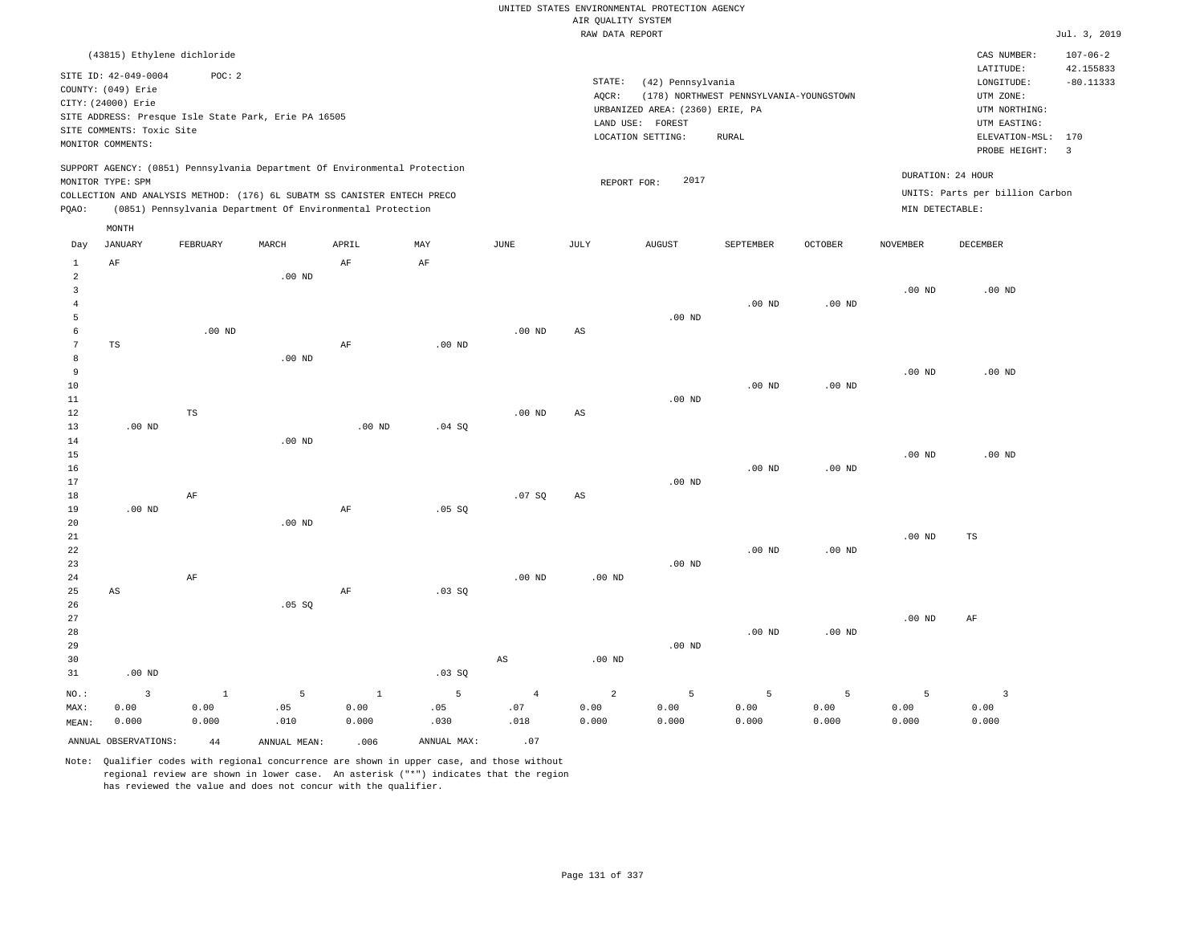|                 |                             |                                                      |                   |                                                                            |             |                   | RAW DATA REPORT |                                 |                                         |                   |                   |                                 | Jul. 3, 2019            |
|-----------------|-----------------------------|------------------------------------------------------|-------------------|----------------------------------------------------------------------------|-------------|-------------------|-----------------|---------------------------------|-----------------------------------------|-------------------|-------------------|---------------------------------|-------------------------|
|                 | (43815) Ethylene dichloride |                                                      |                   |                                                                            |             |                   |                 |                                 |                                         |                   |                   | CAS NUMBER:                     | $107 - 06 - 2$          |
|                 |                             |                                                      |                   |                                                                            |             |                   |                 |                                 |                                         |                   |                   | LATITUDE:                       | 42.155833               |
|                 | SITE ID: 42-049-0004        | POC: 2                                               |                   |                                                                            |             |                   | STATE:          | (42) Pennsylvania               |                                         |                   |                   | LONGITUDE:                      | $-80.11333$             |
|                 | COUNTY: (049) Erie          |                                                      |                   |                                                                            |             |                   | AQCR:           |                                 | (178) NORTHWEST PENNSYLVANIA-YOUNGSTOWN |                   |                   | UTM ZONE:                       |                         |
|                 | CITY: (24000) Erie          |                                                      |                   |                                                                            |             |                   |                 | URBANIZED AREA: (2360) ERIE, PA |                                         |                   |                   | UTM NORTHING:                   |                         |
|                 |                             | SITE ADDRESS: Presque Isle State Park, Erie PA 16505 |                   |                                                                            |             |                   |                 | LAND USE: FOREST                |                                         |                   |                   | UTM EASTING:                    |                         |
|                 | SITE COMMENTS: Toxic Site   |                                                      |                   |                                                                            |             |                   |                 | LOCATION SETTING:               | <b>RURAL</b>                            |                   |                   | ELEVATION-MSL:                  | 170                     |
|                 | MONITOR COMMENTS:           |                                                      |                   |                                                                            |             |                   |                 |                                 |                                         |                   |                   | PROBE HEIGHT:                   | $\overline{\mathbf{3}}$ |
|                 |                             |                                                      |                   | SUPPORT AGENCY: (0851) Pennsylvania Department Of Environmental Protection |             |                   |                 |                                 |                                         |                   |                   |                                 |                         |
|                 | MONITOR TYPE: SPM           |                                                      |                   |                                                                            |             |                   | REPORT FOR:     | 2017                            |                                         |                   |                   | DURATION: 24 HOUR               |                         |
|                 |                             |                                                      |                   | COLLECTION AND ANALYSIS METHOD: (176) 6L SUBATM SS CANISTER ENTECH PRECO   |             |                   |                 |                                 |                                         |                   |                   | UNITS: Parts per billion Carbon |                         |
| PQAO:           |                             |                                                      |                   | (0851) Pennsylvania Department Of Environmental Protection                 |             |                   |                 |                                 |                                         |                   | MIN DETECTABLE:   |                                 |                         |
|                 | MONTH                       |                                                      |                   |                                                                            |             |                   |                 |                                 |                                         |                   |                   |                                 |                         |
| Day             | <b>JANUARY</b>              | FEBRUARY                                             | MARCH             | APRIL                                                                      | MAY         | JUNE              | JULY            | <b>AUGUST</b>                   | SEPTEMBER                               | OCTOBER           | <b>NOVEMBER</b>   | DECEMBER                        |                         |
| $\mathbf{1}$    | $\rm AF$                    |                                                      |                   | $\rm AF$                                                                   | AF          |                   |                 |                                 |                                         |                   |                   |                                 |                         |
| $\overline{a}$  |                             |                                                      | .00 <sub>ND</sub> |                                                                            |             |                   |                 |                                 |                                         |                   |                   |                                 |                         |
| 3               |                             |                                                      |                   |                                                                            |             |                   |                 |                                 |                                         |                   | $.00$ ND          | $.00$ ND                        |                         |
| $\overline{4}$  |                             |                                                      |                   |                                                                            |             |                   |                 |                                 | $.00$ ND                                | .00 <sub>ND</sub> |                   |                                 |                         |
| 5               |                             |                                                      |                   |                                                                            |             |                   |                 | $.00$ ND                        |                                         |                   |                   |                                 |                         |
| 6               |                             | .00 <sub>ND</sub>                                    |                   |                                                                            |             | .00 <sub>ND</sub> | AS              |                                 |                                         |                   |                   |                                 |                         |
| $7\phantom{.0}$ | $_{\rm TS}$                 |                                                      |                   | $\rm AF$                                                                   | $.00$ ND    |                   |                 |                                 |                                         |                   |                   |                                 |                         |
| 8               |                             |                                                      | $.00$ ND          |                                                                            |             |                   |                 |                                 |                                         |                   |                   |                                 |                         |
| 9               |                             |                                                      |                   |                                                                            |             |                   |                 |                                 |                                         |                   | $.00$ ND          | .00 <sub>ND</sub>               |                         |
| 10              |                             |                                                      |                   |                                                                            |             |                   |                 |                                 | $.00$ ND                                | .00 <sub>ND</sub> |                   |                                 |                         |
| 11              |                             |                                                      |                   |                                                                            |             |                   |                 | $.00$ ND                        |                                         |                   |                   |                                 |                         |
| 12              |                             | $\mathbb{TS}$                                        |                   |                                                                            |             | .00 <sub>ND</sub> | AS              |                                 |                                         |                   |                   |                                 |                         |
| 13              | $.00$ ND                    |                                                      |                   | $.00$ ND                                                                   | .04 SQ      |                   |                 |                                 |                                         |                   |                   |                                 |                         |
| 14              |                             |                                                      | .00 <sub>ND</sub> |                                                                            |             |                   |                 |                                 |                                         |                   |                   |                                 |                         |
| 15              |                             |                                                      |                   |                                                                            |             |                   |                 |                                 |                                         |                   | .00 <sub>ND</sub> | .00 <sub>ND</sub>               |                         |
| 16              |                             |                                                      |                   |                                                                            |             |                   |                 |                                 | .00 <sub>ND</sub>                       | $.00$ ND          |                   |                                 |                         |
| 17              |                             |                                                      |                   |                                                                            |             |                   |                 | $.00$ ND                        |                                         |                   |                   |                                 |                         |
| 18<br>19        | $.00$ ND                    | AF                                                   |                   |                                                                            |             | .07SQ             | AS              |                                 |                                         |                   |                   |                                 |                         |
| 20              |                             |                                                      | $.00$ ND          | AF                                                                         | .05 SQ      |                   |                 |                                 |                                         |                   |                   |                                 |                         |
| 21              |                             |                                                      |                   |                                                                            |             |                   |                 |                                 |                                         |                   | .00 <sub>ND</sub> | $_{\rm TS}$                     |                         |
| 22              |                             |                                                      |                   |                                                                            |             |                   |                 |                                 | $.00$ ND                                | .00 <sub>ND</sub> |                   |                                 |                         |
| 23              |                             |                                                      |                   |                                                                            |             |                   |                 | $.00$ ND                        |                                         |                   |                   |                                 |                         |
| 24              |                             | $\rm AF$                                             |                   |                                                                            |             | .00 <sub>ND</sub> | $.00$ ND        |                                 |                                         |                   |                   |                                 |                         |
| 25              | $\mathbb{A}\mathbb{S}$      |                                                      |                   | AF                                                                         | .03 SQ      |                   |                 |                                 |                                         |                   |                   |                                 |                         |
| 26              |                             |                                                      | .05 SQ            |                                                                            |             |                   |                 |                                 |                                         |                   |                   |                                 |                         |
| 27              |                             |                                                      |                   |                                                                            |             |                   |                 |                                 |                                         |                   | .00 <sub>ND</sub> | AF                              |                         |
| 28              |                             |                                                      |                   |                                                                            |             |                   |                 |                                 | .00 <sub>ND</sub>                       | $.00$ ND          |                   |                                 |                         |
| 29              |                             |                                                      |                   |                                                                            |             |                   |                 | $.00$ ND                        |                                         |                   |                   |                                 |                         |
| 30              |                             |                                                      |                   |                                                                            |             | AS                | $.00$ ND        |                                 |                                         |                   |                   |                                 |                         |
| 31              | $.00$ ND                    |                                                      |                   |                                                                            | .03SQ       |                   |                 |                                 |                                         |                   |                   |                                 |                         |
| NO.:            | $\overline{3}$              | $1\,$                                                | 5                 | $\,$ 1                                                                     | 5           | $\overline{4}$    | $\overline{a}$  | 5                               | 5                                       | 5                 | 5                 | $\overline{3}$                  |                         |
| MAX:            | 0.00                        | 0.00                                                 | .05               | 0.00                                                                       | .05         | .07               | 0.00            | 0.00                            | 0.00                                    | 0.00              | 0.00              | 0.00                            |                         |
| MEAN:           | 0.000                       | 0.000                                                | .010              | 0.000                                                                      | .030        | .018              | 0.000           | 0.000                           | 0.000                                   | 0.000             | 0.000             | 0.000                           |                         |
|                 | ANNUAL OBSERVATIONS:        | $4\,4$                                               | ANNUAL MEAN:      | .006                                                                       | ANNUAL MAX: | .07               |                 |                                 |                                         |                   |                   |                                 |                         |
|                 |                             |                                                      |                   |                                                                            |             |                   |                 |                                 |                                         |                   |                   |                                 |                         |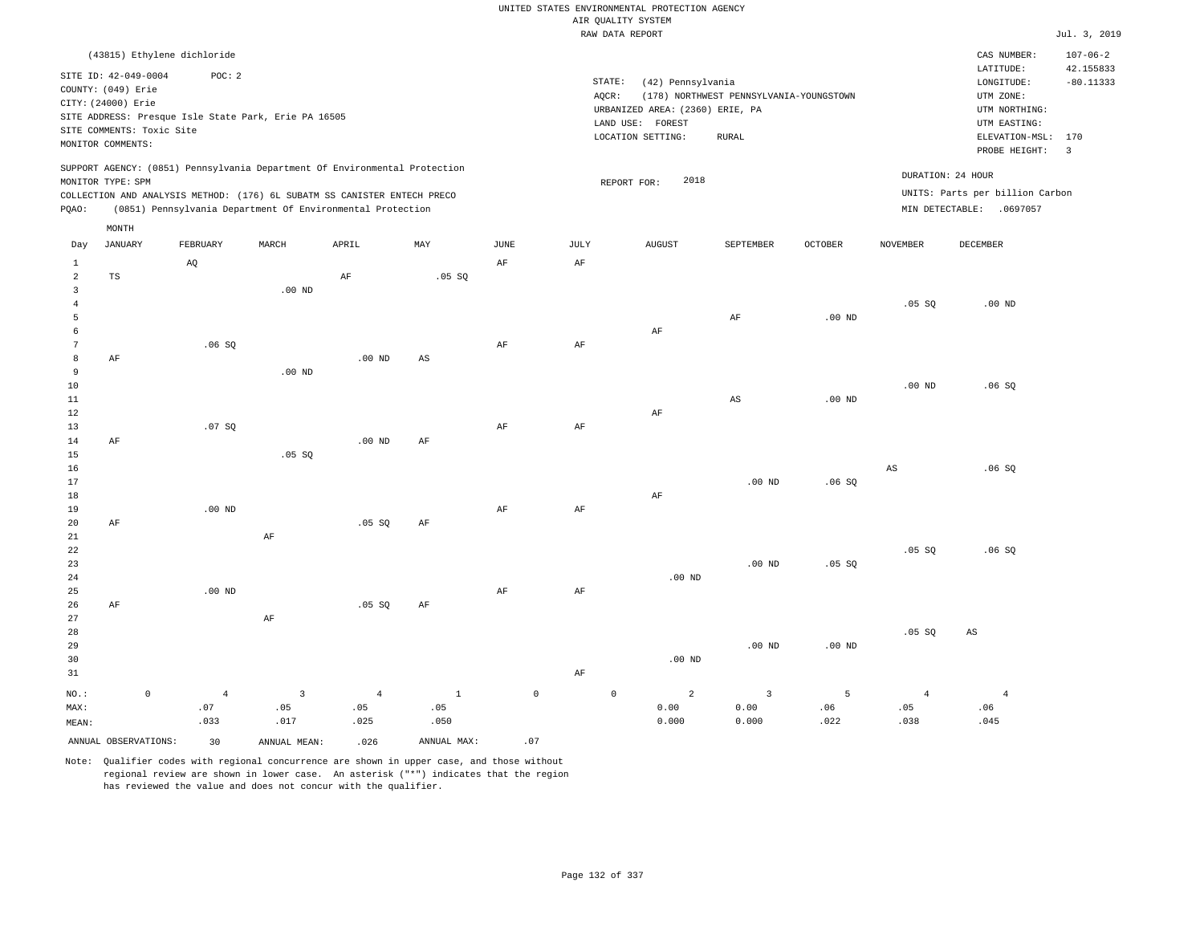|                                                           |                                                                  |                                                      |                               |                                                                                                                                                        |                      |                     |                 | UNITED STATES ENVIRONMENTAL PROTECTION AGENCY<br>AIR QUALITY SYSTEM |                                          |                                |                               |                                                       |                          |
|-----------------------------------------------------------|------------------------------------------------------------------|------------------------------------------------------|-------------------------------|--------------------------------------------------------------------------------------------------------------------------------------------------------|----------------------|---------------------|-----------------|---------------------------------------------------------------------|------------------------------------------|--------------------------------|-------------------------------|-------------------------------------------------------|--------------------------|
|                                                           |                                                                  |                                                      |                               |                                                                                                                                                        |                      |                     |                 | RAW DATA REPORT                                                     |                                          |                                |                               |                                                       | Jul. 3, 2019             |
|                                                           |                                                                  | (43815) Ethylene dichloride                          |                               |                                                                                                                                                        |                      |                     |                 |                                                                     |                                          |                                |                               | CAS NUMBER:                                           | $107 - 06 - 2$           |
|                                                           | SITE ID: 42-049-0004<br>COUNTY: (049) Erie<br>CITY: (24000) Erie | POC: 2                                               |                               |                                                                                                                                                        |                      |                     | STATE:<br>AOCR: | (42) Pennsylvania<br>URBANIZED AREA: (2360) ERIE, PA                | (178) NORTHWEST PENNSYLVANIA-YOUNGSTOWN  |                                |                               | LATITUDE:<br>LONGITUDE:<br>UTM ZONE:<br>UTM NORTHING: | 42.155833<br>$-80.11333$ |
|                                                           | SITE COMMENTS: Toxic Site<br>MONITOR COMMENTS:                   | SITE ADDRESS: Presque Isle State Park, Erie PA 16505 |                               |                                                                                                                                                        |                      |                     |                 | LAND USE: FOREST<br>LOCATION SETTING:                               | <b>RURAL</b>                             |                                |                               | UTM EASTING:<br>ELEVATION-MSL:<br>PROBE HEIGHT:       | 170<br>$\overline{3}$    |
|                                                           | MONITOR TYPE: SPM                                                |                                                      |                               | SUPPORT AGENCY: (0851) Pennsylvania Department Of Environmental Protection<br>COLLECTION AND ANALYSIS METHOD: (176) 6L SUBATM SS CANISTER ENTECH PRECO |                      |                     |                 | 2018<br>REPORT FOR:                                                 |                                          |                                | DURATION: 24 HOUR             | UNITS: Parts per billion Carbon                       |                          |
| PQAO:                                                     | MONTH                                                            |                                                      |                               | (0851) Pennsylvania Department Of Environmental Protection                                                                                             |                      |                     |                 |                                                                     |                                          |                                |                               | MIN DETECTABLE: .0697057                              |                          |
| Day                                                       | JANUARY                                                          | FEBRUARY                                             | MARCH                         | APRIL                                                                                                                                                  | MAY                  | $_{\rm JUNE}$       | $\mathtt{JULY}$ | ${\tt AUGUST}$                                                      | SEPTEMBER                                | <b>OCTOBER</b>                 | <b>NOVEMBER</b>               | DECEMBER                                              |                          |
| $\mathbf{1}$<br>$\overline{a}$<br>$\overline{\mathbf{3}}$ | $\operatorname{TS}$                                              | AQ                                                   | $.00$ ND                      | AF                                                                                                                                                     | .05 SQ               | AF                  | AF              |                                                                     |                                          |                                |                               |                                                       |                          |
| $\overline{4}$<br>5<br>6                                  |                                                                  |                                                      |                               |                                                                                                                                                        |                      |                     |                 | AF                                                                  | AF                                       | $.00$ ND                       | .05 SQ                        | $.00$ ND                                              |                          |
| $\overline{7}$<br>8<br>9                                  | AF                                                               | .06SQ                                                |                               | .00 <sub>ND</sub>                                                                                                                                      | AS                   | $\rm{AF}$           | $\rm{AF}$       |                                                                     |                                          |                                |                               |                                                       |                          |
| $10$<br>$1\,1$<br>12                                      |                                                                  |                                                      | $.00$ ND                      |                                                                                                                                                        |                      |                     |                 | AF                                                                  | $_{\rm AS}$                              | $.00$ ND                       | $.00~\mathrm{ND}$             | .06SQ                                                 |                          |
| 13<br>14<br>15                                            | AF                                                               | .07S                                                 | .05 SQ                        | .00 <sub>ND</sub>                                                                                                                                      | $\rm AF$             | AF                  | AF              |                                                                     |                                          |                                |                               |                                                       |                          |
| 16<br>17<br>18                                            |                                                                  |                                                      |                               |                                                                                                                                                        |                      |                     |                 | AF                                                                  | $.00$ ND                                 | .06SQ                          | $\mathbb{A}\mathbb{S}$        | .06S                                                  |                          |
| 19<br>20<br>21                                            | AF                                                               | $.00$ ND                                             | AF                            | .05 SQ                                                                                                                                                 | AF                   | $\rm{AF}$           | $\rm{AF}$       |                                                                     |                                          |                                |                               |                                                       |                          |
| 22<br>23<br>24                                            |                                                                  |                                                      |                               |                                                                                                                                                        |                      |                     |                 | .00 <sub>ND</sub>                                                   | $.00$ ND                                 | .05 SQ                         | .05SQ                         | .06SQ                                                 |                          |
| 25<br>26<br>27                                            | AF                                                               | $.00$ ND                                             | AF                            | .05 SQ                                                                                                                                                 | AF                   | AF                  | AF              |                                                                     |                                          |                                |                               |                                                       |                          |
| 28<br>29<br>30<br>31                                      |                                                                  |                                                      |                               |                                                                                                                                                        |                      |                     | AF              | $.00$ ND                                                            | $.00$ ND                                 | $.00$ ND                       | .05SQ                         | $_{\rm AS}$                                           |                          |
| $NO.$ :<br>MAX:<br>MEAN:                                  | $\mathsf{O}\xspace$                                              | $\overline{4}$<br>.07<br>.033                        | $\overline{3}$<br>.05<br>.017 | $\overline{4}$<br>.05<br>.025                                                                                                                          | $1\,$<br>.05<br>.050 | $\mathsf{O}\xspace$ |                 | $\overline{a}$<br>$\mathsf{O}\xspace$<br>0.00<br>0.000              | $\overline{\mathbf{3}}$<br>0.00<br>0.000 | $5\phantom{.0}$<br>.06<br>.022 | $\overline{4}$<br>.05<br>.038 | $\sqrt{4}$<br>.06<br>.045                             |                          |
|                                                           | ANNUAL OBSERVATIONS:                                             | 30                                                   | ANNUAL MEAN:                  | .026                                                                                                                                                   | ANNUAL MAX:          | .07                 |                 |                                                                     |                                          |                                |                               |                                                       |                          |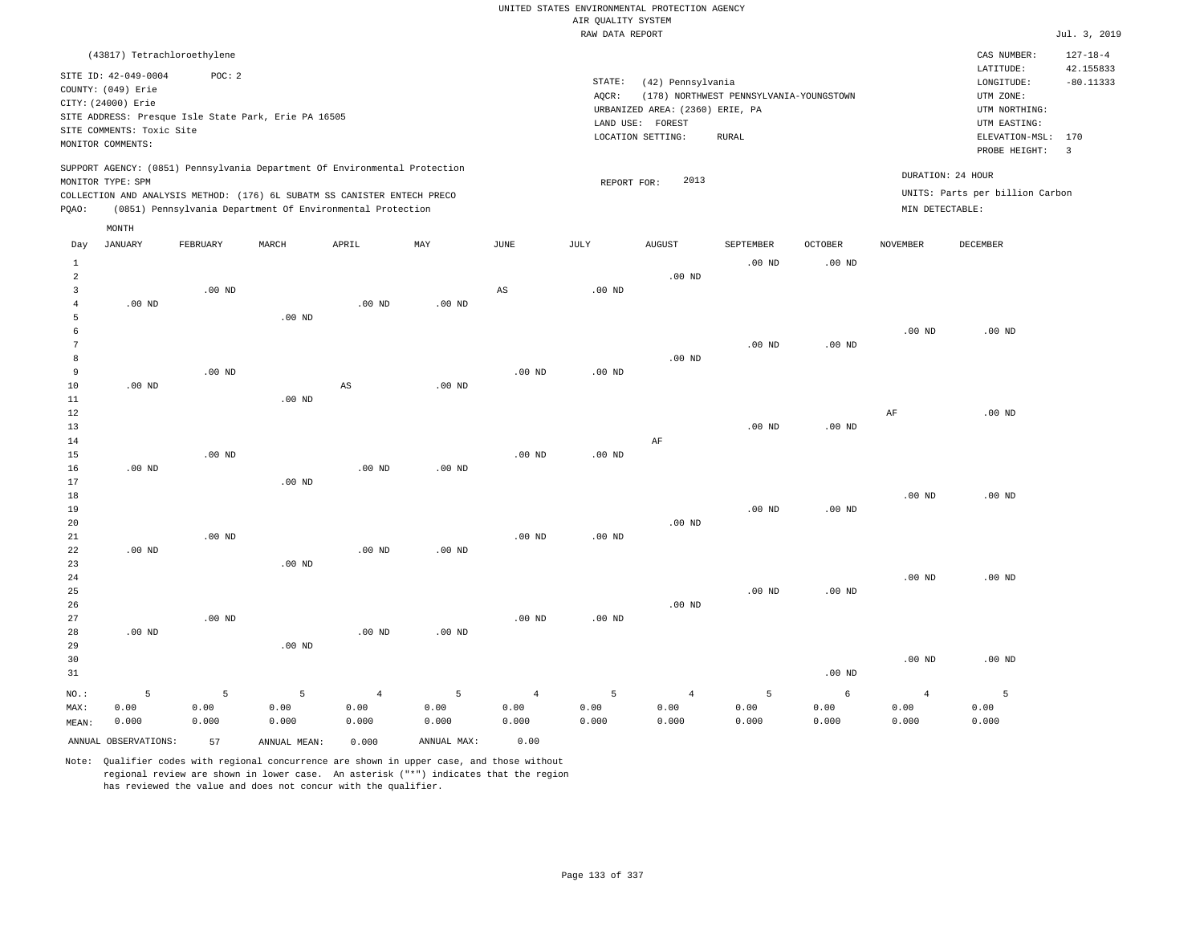|                |                             |                   |                                                                            |                |                   |                   | RAW DATA REPORT   |                                 |                                         |                   |                 |                                 | Jul. 3, 2019   |
|----------------|-----------------------------|-------------------|----------------------------------------------------------------------------|----------------|-------------------|-------------------|-------------------|---------------------------------|-----------------------------------------|-------------------|-----------------|---------------------------------|----------------|
|                | (43817) Tetrachloroethylene |                   |                                                                            |                |                   |                   |                   |                                 |                                         |                   |                 | CAS NUMBER:                     | $127 - 18 - 4$ |
|                |                             |                   |                                                                            |                |                   |                   |                   |                                 |                                         |                   |                 | LATITUDE:                       | 42.155833      |
|                | SITE ID: 42-049-0004        | POC: 2            |                                                                            |                |                   |                   | STATE:            | (42) Pennsylvania               |                                         |                   |                 | LONGITUDE:                      | $-80.11333$    |
|                | COUNTY: (049) Erie          |                   |                                                                            |                |                   |                   | AQCR:             |                                 | (178) NORTHWEST PENNSYLVANIA-YOUNGSTOWN |                   |                 | UTM ZONE:                       |                |
|                | CITY: (24000) Erie          |                   |                                                                            |                |                   |                   |                   | URBANIZED AREA: (2360) ERIE, PA |                                         |                   |                 | UTM NORTHING:                   |                |
|                |                             |                   | SITE ADDRESS: Presque Isle State Park, Erie PA 16505                       |                |                   |                   |                   | LAND USE: FOREST                |                                         |                   |                 | UTM EASTING:                    |                |
|                | SITE COMMENTS: Toxic Site   |                   |                                                                            |                |                   |                   |                   | LOCATION SETTING:               | RURAL                                   |                   |                 | ELEVATION-MSL:                  | 170            |
|                | MONITOR COMMENTS:           |                   |                                                                            |                |                   |                   |                   |                                 |                                         |                   |                 | PROBE HEIGHT:                   | $\overline{3}$ |
|                |                             |                   | SUPPORT AGENCY: (0851) Pennsylvania Department Of Environmental Protection |                |                   |                   |                   |                                 |                                         |                   |                 |                                 |                |
|                | MONITOR TYPE: SPM           |                   |                                                                            |                |                   |                   | REPORT FOR:       | 2013                            |                                         |                   |                 | DURATION: 24 HOUR               |                |
|                |                             |                   | COLLECTION AND ANALYSIS METHOD: (176) 6L SUBATM SS CANISTER ENTECH PRECO   |                |                   |                   |                   |                                 |                                         |                   |                 | UNITS: Parts per billion Carbon |                |
| PQAO:          |                             |                   | (0851) Pennsylvania Department Of Environmental Protection                 |                |                   |                   |                   |                                 |                                         |                   | MIN DETECTABLE: |                                 |                |
|                |                             |                   |                                                                            |                |                   |                   |                   |                                 |                                         |                   |                 |                                 |                |
|                | MONTH                       |                   |                                                                            |                |                   |                   |                   |                                 |                                         |                   |                 |                                 |                |
| Day            | <b>JANUARY</b>              | FEBRUARY          | MARCH                                                                      | APRIL          | MAY               | JUNE              | JULY              | <b>AUGUST</b>                   | SEPTEMBER                               | <b>OCTOBER</b>    | <b>NOVEMBER</b> | <b>DECEMBER</b>                 |                |
| $\mathbf{1}$   |                             |                   |                                                                            |                |                   |                   |                   |                                 | $.00$ ND                                | .00 $ND$          |                 |                                 |                |
| $\overline{a}$ |                             |                   |                                                                            |                |                   |                   |                   | $.00$ ND                        |                                         |                   |                 |                                 |                |
| 3              |                             | $.00$ ND          |                                                                            |                |                   | AS                | $.00$ ND          |                                 |                                         |                   |                 |                                 |                |
| $\overline{4}$ | $.00$ ND                    |                   |                                                                            | $.00$ ND       | $.00$ ND          |                   |                   |                                 |                                         |                   |                 |                                 |                |
| 5              |                             |                   | $.00$ ND                                                                   |                |                   |                   |                   |                                 |                                         |                   |                 |                                 |                |
| 6              |                             |                   |                                                                            |                |                   |                   |                   |                                 |                                         |                   | $.00$ ND        | $.00$ ND                        |                |
| 7              |                             |                   |                                                                            |                |                   |                   |                   |                                 | $.00$ ND                                | $.00$ ND          |                 |                                 |                |
| 8              |                             |                   |                                                                            |                |                   |                   |                   | $.00$ ND                        |                                         |                   |                 |                                 |                |
| 9              |                             | $.00$ ND          |                                                                            |                |                   | $.00$ ND          | $.00$ ND          |                                 |                                         |                   |                 |                                 |                |
| 10             | $.00$ ND                    |                   |                                                                            | $_{\rm AS}$    | .00 <sub>ND</sub> |                   |                   |                                 |                                         |                   |                 |                                 |                |
| 11             |                             |                   | $.00$ ND                                                                   |                |                   |                   |                   |                                 |                                         |                   |                 |                                 |                |
| 12             |                             |                   |                                                                            |                |                   |                   |                   |                                 |                                         |                   | AF              | $.00$ ND                        |                |
| 13             |                             |                   |                                                                            |                |                   |                   |                   |                                 | $.00$ ND                                | .00 <sub>ND</sub> |                 |                                 |                |
| 14             |                             |                   |                                                                            |                |                   |                   |                   | AF                              |                                         |                   |                 |                                 |                |
| 15             |                             | $.00$ ND          |                                                                            |                |                   | $.00$ ND          | $.00$ ND          |                                 |                                         |                   |                 |                                 |                |
| 16             | $.00$ ND                    |                   |                                                                            | $.00$ ND       | .00 <sub>ND</sub> |                   |                   |                                 |                                         |                   |                 |                                 |                |
| 17             |                             |                   | $.00$ ND                                                                   |                |                   |                   |                   |                                 |                                         |                   |                 |                                 |                |
| 18             |                             |                   |                                                                            |                |                   |                   |                   |                                 |                                         |                   | $.00$ ND        | $.00$ ND                        |                |
| 19             |                             |                   |                                                                            |                |                   |                   |                   |                                 | $.00$ ND                                | $.00$ ND          |                 |                                 |                |
| 20             |                             |                   |                                                                            |                |                   |                   |                   | $.00$ ND                        |                                         |                   |                 |                                 |                |
| 21             |                             | .00 <sub>ND</sub> |                                                                            |                |                   | .00 <sub>ND</sub> | .00 <sub>ND</sub> |                                 |                                         |                   |                 |                                 |                |
| 22             | $.00$ ND                    |                   |                                                                            | $.00$ ND       | .00 <sub>ND</sub> |                   |                   |                                 |                                         |                   |                 |                                 |                |
| 23             |                             |                   | $.00$ ND                                                                   |                |                   |                   |                   |                                 |                                         |                   |                 |                                 |                |
| 24             |                             |                   |                                                                            |                |                   |                   |                   |                                 |                                         |                   | $.00$ ND        | .00 <sub>ND</sub>               |                |
| 25             |                             |                   |                                                                            |                |                   |                   |                   |                                 | $.00$ ND                                | .00 <sub>ND</sub> |                 |                                 |                |
| 26             |                             |                   |                                                                            |                |                   |                   |                   | $.00$ ND                        |                                         |                   |                 |                                 |                |
| 27             |                             | $.00$ ND          |                                                                            |                |                   | $.00$ ND          | .00 <sub>ND</sub> |                                 |                                         |                   |                 |                                 |                |
| 28             | $.00$ ND                    |                   |                                                                            | $.00$ ND       | .00 <sub>ND</sub> |                   |                   |                                 |                                         |                   |                 |                                 |                |
| 29             |                             |                   | $.00$ ND                                                                   |                |                   |                   |                   |                                 |                                         |                   |                 |                                 |                |
| 30             |                             |                   |                                                                            |                |                   |                   |                   |                                 |                                         |                   | $.00$ ND        | .00 <sub>ND</sub>               |                |
| 31             |                             |                   |                                                                            |                |                   |                   |                   |                                 |                                         | .00 <sub>ND</sub> |                 |                                 |                |
| NO.:           | 5                           | 5                 | 5                                                                          | $\overline{4}$ | 5                 | $\overline{4}$    | 5                 | $\overline{4}$                  | 5                                       | 6                 | $\overline{4}$  | 5                               |                |
| MAX:           | 0.00                        | 0.00              | 0.00                                                                       | 0.00           | 0.00              | 0.00              | 0.00              | 0.00                            | 0.00                                    | 0.00              | 0.00            | 0.00                            |                |
| MEAN:          | 0.000                       | 0.000             | 0.000                                                                      | 0.000          | 0.000             | 0.000             | 0.000             | 0.000                           | 0.000                                   | 0.000             | 0.000           | 0.000                           |                |
|                | ANNUAL OBSERVATIONS:        | 57                | ANNUAL MEAN:                                                               | 0.000          | ANNUAL MAX:       | 0.00              |                   |                                 |                                         |                   |                 |                                 |                |
|                |                             |                   |                                                                            |                |                   |                   |                   |                                 |                                         |                   |                 |                                 |                |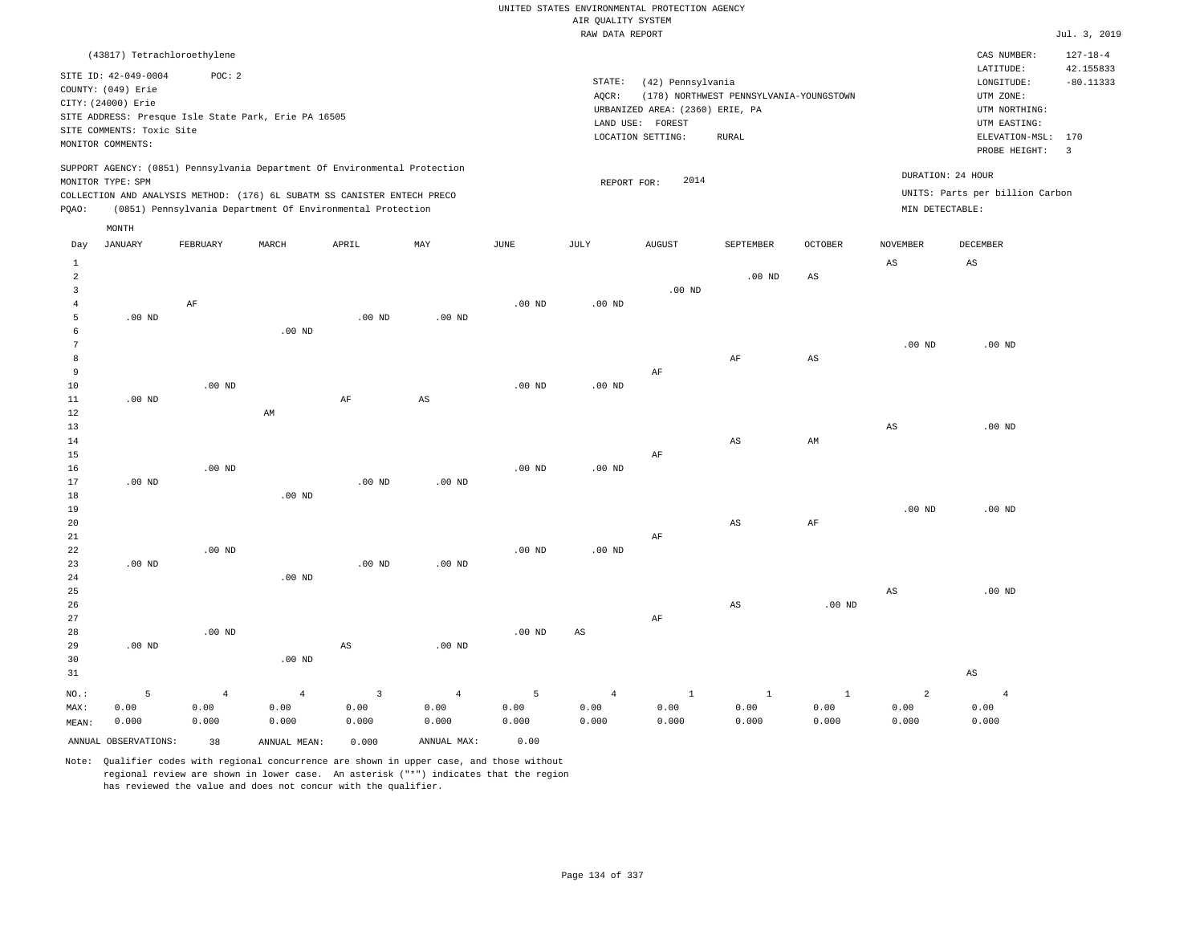|                |                             |                   |                                                                            |                   |                   |                | RAW DATA REPORT   |                                 |                                         |                |                   |                                 | Jul. 3, 2019            |
|----------------|-----------------------------|-------------------|----------------------------------------------------------------------------|-------------------|-------------------|----------------|-------------------|---------------------------------|-----------------------------------------|----------------|-------------------|---------------------------------|-------------------------|
|                | (43817) Tetrachloroethylene |                   |                                                                            |                   |                   |                |                   |                                 |                                         |                |                   | CAS NUMBER:                     | $127 - 18 - 4$          |
|                |                             |                   |                                                                            |                   |                   |                |                   |                                 |                                         |                |                   | LATITUDE:                       | 42.155833               |
|                | SITE ID: 42-049-0004        | POC: 2            |                                                                            |                   |                   |                | STATE:            | (42) Pennsylvania               |                                         |                |                   | LONGITUDE:                      | $-80.11333$             |
|                | COUNTY: (049) Erie          |                   |                                                                            |                   |                   |                | AQCR:             |                                 | (178) NORTHWEST PENNSYLVANIA-YOUNGSTOWN |                |                   | UTM ZONE:                       |                         |
|                | CITY: (24000) Erie          |                   |                                                                            |                   |                   |                |                   | URBANIZED AREA: (2360) ERIE, PA |                                         |                |                   | UTM NORTHING:                   |                         |
|                |                             |                   | SITE ADDRESS: Presque Isle State Park, Erie PA 16505                       |                   |                   |                |                   | LAND USE: FOREST                |                                         |                |                   | UTM EASTING:                    |                         |
|                | SITE COMMENTS: Toxic Site   |                   |                                                                            |                   |                   |                |                   | LOCATION SETTING:               | <b>RURAL</b>                            |                |                   | ELEVATION-MSL:                  | 170                     |
|                | MONITOR COMMENTS:           |                   |                                                                            |                   |                   |                |                   |                                 |                                         |                |                   | PROBE HEIGHT:                   | $\overline{\mathbf{3}}$ |
|                |                             |                   | SUPPORT AGENCY: (0851) Pennsylvania Department Of Environmental Protection |                   |                   |                |                   |                                 |                                         |                |                   |                                 |                         |
|                | MONITOR TYPE: SPM           |                   |                                                                            |                   |                   |                | REPORT FOR:       | 2014                            |                                         |                |                   | DURATION: 24 HOUR               |                         |
|                |                             |                   | COLLECTION AND ANALYSIS METHOD: (176) 6L SUBATM SS CANISTER ENTECH PRECO   |                   |                   |                |                   |                                 |                                         |                |                   | UNITS: Parts per billion Carbon |                         |
| PQAO:          |                             |                   | (0851) Pennsylvania Department Of Environmental Protection                 |                   |                   |                |                   |                                 |                                         |                | MIN DETECTABLE:   |                                 |                         |
|                | MONTH                       |                   |                                                                            |                   |                   |                |                   |                                 |                                         |                |                   |                                 |                         |
| Day            | <b>JANUARY</b>              | FEBRUARY          | MARCH                                                                      | APRIL             | MAY               | JUNE           | JULY              | <b>AUGUST</b>                   | SEPTEMBER                               | <b>OCTOBER</b> | <b>NOVEMBER</b>   | DECEMBER                        |                         |
| $\mathbf{1}$   |                             |                   |                                                                            |                   |                   |                |                   |                                 |                                         |                | AS                | AS                              |                         |
| $\overline{a}$ |                             |                   |                                                                            |                   |                   |                |                   |                                 | .00 <sub>ND</sub>                       | $_{\rm AS}$    |                   |                                 |                         |
| 3              |                             |                   |                                                                            |                   |                   |                |                   | $.00$ ND                        |                                         |                |                   |                                 |                         |
| $\overline{4}$ |                             | AF                |                                                                            |                   |                   | $.00$ ND       | .00 <sub>ND</sub> |                                 |                                         |                |                   |                                 |                         |
| 5              | $.00$ ND                    |                   |                                                                            | .00 <sub>ND</sub> | .00 <sub>ND</sub> |                |                   |                                 |                                         |                |                   |                                 |                         |
| 6              |                             |                   | $.00$ ND                                                                   |                   |                   |                |                   |                                 |                                         |                |                   |                                 |                         |
| 7              |                             |                   |                                                                            |                   |                   |                |                   |                                 |                                         |                | .00 <sub>ND</sub> | $.00$ ND                        |                         |
| 8              |                             |                   |                                                                            |                   |                   |                |                   |                                 | AF                                      | $_{\rm AS}$    |                   |                                 |                         |
| 9              |                             |                   |                                                                            |                   |                   |                |                   | $\rm AF$                        |                                         |                |                   |                                 |                         |
| 10             |                             | $.00$ ND          |                                                                            |                   |                   | $.00$ ND       | $.00$ ND          |                                 |                                         |                |                   |                                 |                         |
| $1\,1$         | $.00$ ND                    |                   |                                                                            | $\rm AF$          | $_{\rm AS}$       |                |                   |                                 |                                         |                |                   |                                 |                         |
| 12<br>13       |                             |                   | $\mathop{\rm AM}\nolimits$                                                 |                   |                   |                |                   |                                 |                                         |                | AS                | $.00$ ND                        |                         |
| 14             |                             |                   |                                                                            |                   |                   |                |                   |                                 | AS                                      | AM             |                   |                                 |                         |
| 15             |                             |                   |                                                                            |                   |                   |                |                   | $\rm{AF}$                       |                                         |                |                   |                                 |                         |
| 16             |                             | .00 <sub>ND</sub> |                                                                            |                   |                   | $.00$ ND       | .00 <sub>ND</sub> |                                 |                                         |                |                   |                                 |                         |
| 17             | $.00$ ND                    |                   |                                                                            | $.00$ ND          | $.00$ ND          |                |                   |                                 |                                         |                |                   |                                 |                         |
| $18\,$         |                             |                   | $.00$ ND                                                                   |                   |                   |                |                   |                                 |                                         |                |                   |                                 |                         |
| 19             |                             |                   |                                                                            |                   |                   |                |                   |                                 |                                         |                | .00 <sub>ND</sub> | .00 <sub>ND</sub>               |                         |
| 20             |                             |                   |                                                                            |                   |                   |                |                   |                                 | AS                                      | AF             |                   |                                 |                         |
| 21             |                             |                   |                                                                            |                   |                   |                |                   | AF                              |                                         |                |                   |                                 |                         |
| 22             |                             | $.00$ ND          |                                                                            |                   |                   | $.00$ ND       | .00 <sub>ND</sub> |                                 |                                         |                |                   |                                 |                         |
| 23             | $.00$ ND                    |                   |                                                                            | $.00$ ND          | $.00$ ND          |                |                   |                                 |                                         |                |                   |                                 |                         |
| 24             |                             |                   | $.00$ ND                                                                   |                   |                   |                |                   |                                 |                                         |                |                   |                                 |                         |
| 25             |                             |                   |                                                                            |                   |                   |                |                   |                                 |                                         |                | $_{\rm AS}$       | .00 <sub>ND</sub>               |                         |
| 26             |                             |                   |                                                                            |                   |                   |                |                   |                                 | $\mathbb{A}\mathbb{S}$                  | .00 $ND$       |                   |                                 |                         |
| 27             |                             |                   |                                                                            |                   |                   |                |                   | AF                              |                                         |                |                   |                                 |                         |
| 28             |                             | $.00$ ND          |                                                                            |                   |                   | $.00$ ND       | AS                |                                 |                                         |                |                   |                                 |                         |
| 29             | $.00$ ND                    |                   |                                                                            | $_{\rm AS}$       | $.00$ ND          |                |                   |                                 |                                         |                |                   |                                 |                         |
| 30             |                             |                   | .00 <sub>ND</sub>                                                          |                   |                   |                |                   |                                 |                                         |                |                   |                                 |                         |
| 31             |                             |                   |                                                                            |                   |                   |                |                   |                                 |                                         |                |                   | $\mathbb{A}\mathbb{S}$          |                         |
| NO.:           | 5                           | $\overline{4}$    | $\overline{4}$                                                             | $\overline{3}$    | $\overline{4}$    | $\overline{5}$ | $\overline{4}$    | $\,$ 1                          | $\mathbf{1}$                            | $1\,$          | $\overline{a}$    | $\overline{4}$                  |                         |
| MAX:           | 0.00                        | 0.00              | 0.00                                                                       | 0.00              | 0.00              | 0.00           | 0.00              | 0.00                            | 0.00                                    | 0.00           | 0.00              | 0.00                            |                         |
| MEAN:          | 0.000                       | 0.000             | 0.000                                                                      | 0.000             | 0.000             | 0.000          | 0.000             | 0.000                           | 0.000                                   | 0.000          | 0.000             | 0.000                           |                         |
|                | ANNUAL OBSERVATIONS:        | 38                | ANNUAL, MEAN:                                                              | 0.000             | ANNUAL MAX:       | 0.00           |                   |                                 |                                         |                |                   |                                 |                         |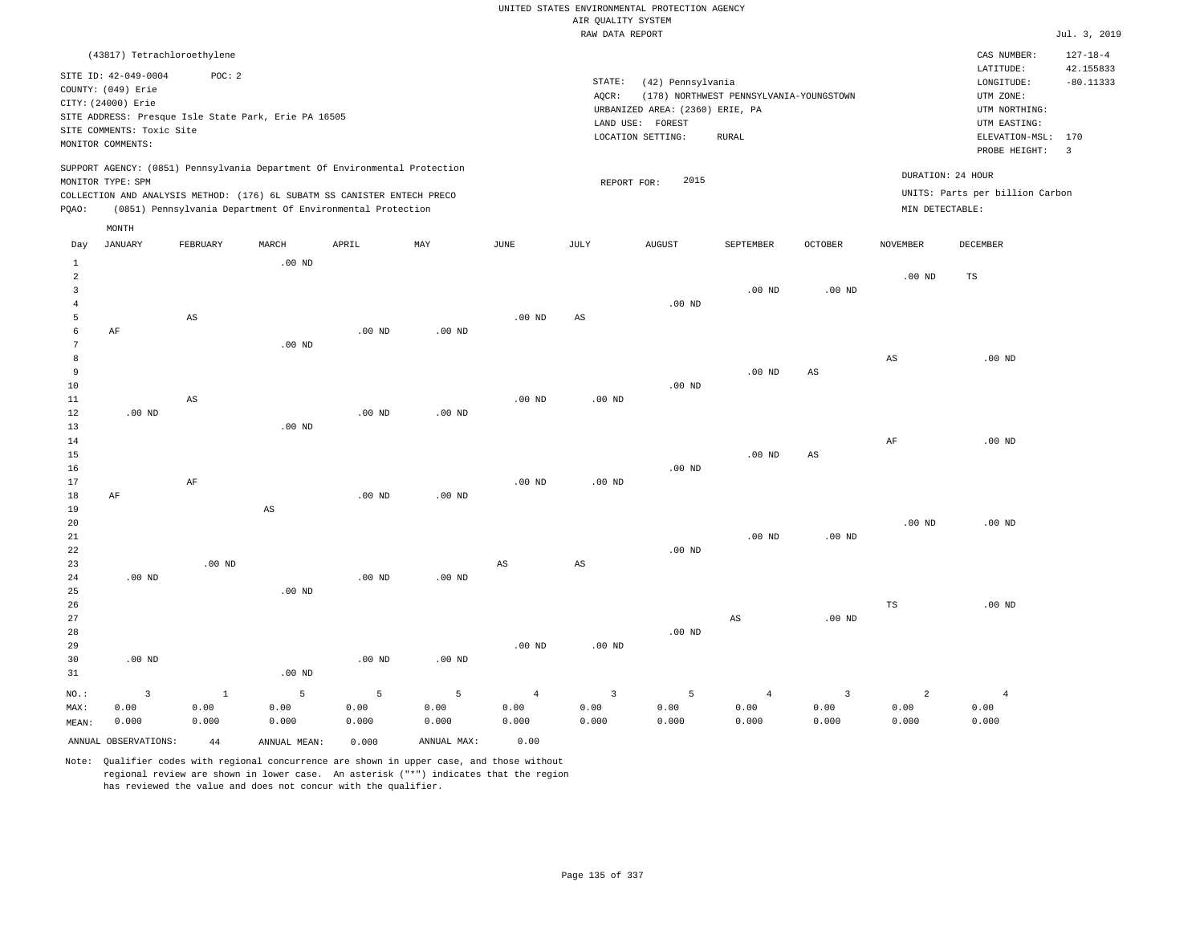### RAW DATA REPORT JUL. 3, 2019 UNITED STATES ENVIRONMENTAL PROTECTION AGENCY AIR QUALITY SYSTEM

|       | (43817) Tetrachloroethylene                                                                   |          |          |                                                            |                                                                            |      |        |                                 |                                         |          |                 | CAS NUMBER:                                          | $127 - 18 - 4$ |
|-------|-----------------------------------------------------------------------------------------------|----------|----------|------------------------------------------------------------|----------------------------------------------------------------------------|------|--------|---------------------------------|-----------------------------------------|----------|-----------------|------------------------------------------------------|----------------|
|       | SITE ID: 42-049-0004                                                                          | POC:2    |          |                                                            |                                                                            |      |        |                                 |                                         |          |                 | LATITUDE:                                            | 42.155833      |
|       | COUNTY: (049) Erie                                                                            |          |          |                                                            |                                                                            |      | STATE: | (42) Pennsylvania               |                                         |          |                 | LONGITUDE:                                           | $-80.11333$    |
|       | CITY: (24000) Erie                                                                            |          |          |                                                            |                                                                            |      | AOCR:  |                                 | (178) NORTHWEST PENNSYLVANIA-YOUNGSTOWN |          |                 | UTM ZONE:                                            |                |
|       | SITE ADDRESS: Presque Isle State Park, Erie PA 16505                                          |          |          |                                                            |                                                                            |      |        | URBANIZED AREA: (2360) ERIE, PA |                                         |          |                 | UTM NORTHING:                                        |                |
|       | SITE COMMENTS: Toxic Site                                                                     |          |          |                                                            |                                                                            |      |        | LAND USE:<br>FOREST             |                                         |          |                 | UTM EASTING:                                         |                |
|       | MONITOR COMMENTS:                                                                             |          |          |                                                            |                                                                            |      |        | LOCATION SETTING:               | RURAL                                   |          |                 | ELEVATION-MSL: 170                                   |                |
|       |                                                                                               |          |          |                                                            |                                                                            |      |        |                                 |                                         |          |                 | PROBE HEIGHT:                                        | $_{3}$         |
| POAO: | MONITOR TYPE: SPM<br>COLLECTION AND ANALYSIS METHOD: (176) 6L SUBATM SS CANISTER ENTECH PRECO |          |          | (0851) Pennsylvania Department Of Environmental Protection | SUPPORT AGENCY: (0851) Pennsylvania Department Of Environmental Protection |      |        | 2015<br>REPORT FOR:             |                                         |          | MIN DETECTABLE: | DURATION: 24 HOUR<br>UNITS: Parts per billion Carbon |                |
|       | MONTH                                                                                         |          |          |                                                            |                                                                            |      |        |                                 |                                         |          |                 |                                                      |                |
| Day   | JANUARY                                                                                       | FEBRUARY | MARCH    | APRIL                                                      | MAY                                                                        | JUNE | JULY   | AUGUST                          | SEPTEMBER                               | OCTOBER  | <b>NOVEMBER</b> | DECEMBER                                             |                |
|       |                                                                                               |          | $.00$ ND |                                                            |                                                                            |      |        |                                 |                                         |          |                 |                                                      |                |
|       |                                                                                               |          |          |                                                            |                                                                            |      |        |                                 |                                         |          | $.00$ ND        | <b>TS</b>                                            |                |
|       |                                                                                               |          |          |                                                            |                                                                            |      |        |                                 | $.00$ ND                                | $.00$ ND |                 |                                                      |                |

| NO.:           | 3              | <sup>1</sup>           | 5                      | 5        | 5        | $\overline{4}$         | $\overline{3}$         | 5        | $\overline{4}$         | $\overline{3}$         | 2                      | $\overline{4}$ |
|----------------|----------------|------------------------|------------------------|----------|----------|------------------------|------------------------|----------|------------------------|------------------------|------------------------|----------------|
| 31             |                |                        | $.00$ ND               |          |          |                        |                        |          |                        |                        |                        |                |
| 30             | $.00{\rm ~ND}$ |                        |                        | $.00$ ND | $.00$ ND |                        |                        |          |                        |                        |                        |                |
| 29             |                |                        |                        |          |          | $.00$ ND               | $.00$ ND               |          |                        |                        |                        |                |
| 28             |                |                        |                        |          |          |                        |                        | .00 $ND$ |                        |                        |                        |                |
| 27             |                |                        |                        |          |          |                        |                        |          | $\mathbb{A}\mathbb{S}$ | .00 $ND$               |                        |                |
| 26             |                |                        |                        |          |          |                        |                        |          |                        |                        | TS                     | .00 $ND$       |
| 25             |                |                        | $.00$ ND               |          |          |                        |                        |          |                        |                        |                        |                |
| 24             | $.00$ ND       |                        |                        | $.00$ ND | $.00$ ND |                        |                        |          |                        |                        |                        |                |
| 23             |                | .00 $ND$               |                        |          |          | $\mathbb{A}\mathbb{S}$ | $\mathbb{A}\mathbb{S}$ |          |                        |                        |                        |                |
| 22             |                |                        |                        |          |          |                        |                        | .00 $ND$ |                        |                        |                        |                |
| 21             |                |                        |                        |          |          |                        |                        |          | $.00$ ND               | .00 $ND$               |                        |                |
| 20             |                |                        |                        |          |          |                        |                        |          |                        |                        | .00 $ND$               | $.00$ ND       |
| 19             |                |                        | $\mathbb{A}\mathbb{S}$ |          |          |                        |                        |          |                        |                        |                        |                |
| 18             | AF             |                        |                        | $.00$ ND | $.00$ ND |                        |                        |          |                        |                        |                        |                |
| 17             |                | $\rm AF$               |                        |          |          | $.00$ ND               | .00 $ND$               |          |                        |                        |                        |                |
| 16             |                |                        |                        |          |          |                        |                        | $.00$ ND |                        |                        |                        |                |
| 15             |                |                        |                        |          |          |                        |                        |          | $.00$ ND               | AS                     |                        |                |
| 14             |                |                        |                        |          |          |                        |                        |          |                        |                        | AF                     | $.00$ ND       |
| 13             |                |                        | $.00$ ND               |          |          |                        |                        |          |                        |                        |                        |                |
| 12             | .00 $ND$       |                        |                        | $.00$ ND | $.00$ ND |                        |                        |          |                        |                        |                        |                |
| 11             |                | AS                     |                        |          |          | $.00$ ND               | .00 $ND$               |          |                        |                        |                        |                |
| 10             |                |                        |                        |          |          |                        |                        | .00 $ND$ |                        |                        |                        |                |
| $\overline{9}$ |                |                        |                        |          |          |                        |                        |          | $.00$ ND               | $\mathbb{A}\mathbb{S}$ |                        |                |
| 8              |                |                        |                        |          |          |                        |                        |          |                        |                        | $\mathbb{A}\mathbb{S}$ | .00 $ND$       |
| 6<br>7         | $\rm AF$       |                        | .00 $ND$               | $.00$ ND | $.00$ ND |                        |                        |          |                        |                        |                        |                |
| 5              |                | $\mathbb{A}\mathbb{S}$ |                        |          |          | $.00$ ND               | $\mathbb{A}\mathbb{S}$ |          |                        |                        |                        |                |
| 4              |                |                        |                        |          |          |                        |                        | $.00$ ND |                        |                        |                        |                |
|                |                |                        |                        |          |          |                        |                        |          |                        |                        |                        |                |

 0.00 0.000

ANNUAL OBSERVATIONS: 44 ANNUAL MEAN: 0.000 ANNUAL MAX: 0.00

 0.00 0.000

MAX: MEAN:

 0.00 0.000

 0.00 0.000

Note: Qualifier codes with regional concurrence are shown in upper case, and those without regional review are shown in lower case. An asterisk ("\*") indicates that the region has reviewed the value and does not concur with the qualifier.

 0.00 0.000  0.00 0.000  0.00 0.000  0.00 0.000  0.00 0.000  0.00 0.000

 0.00 0.000  0.00 0.000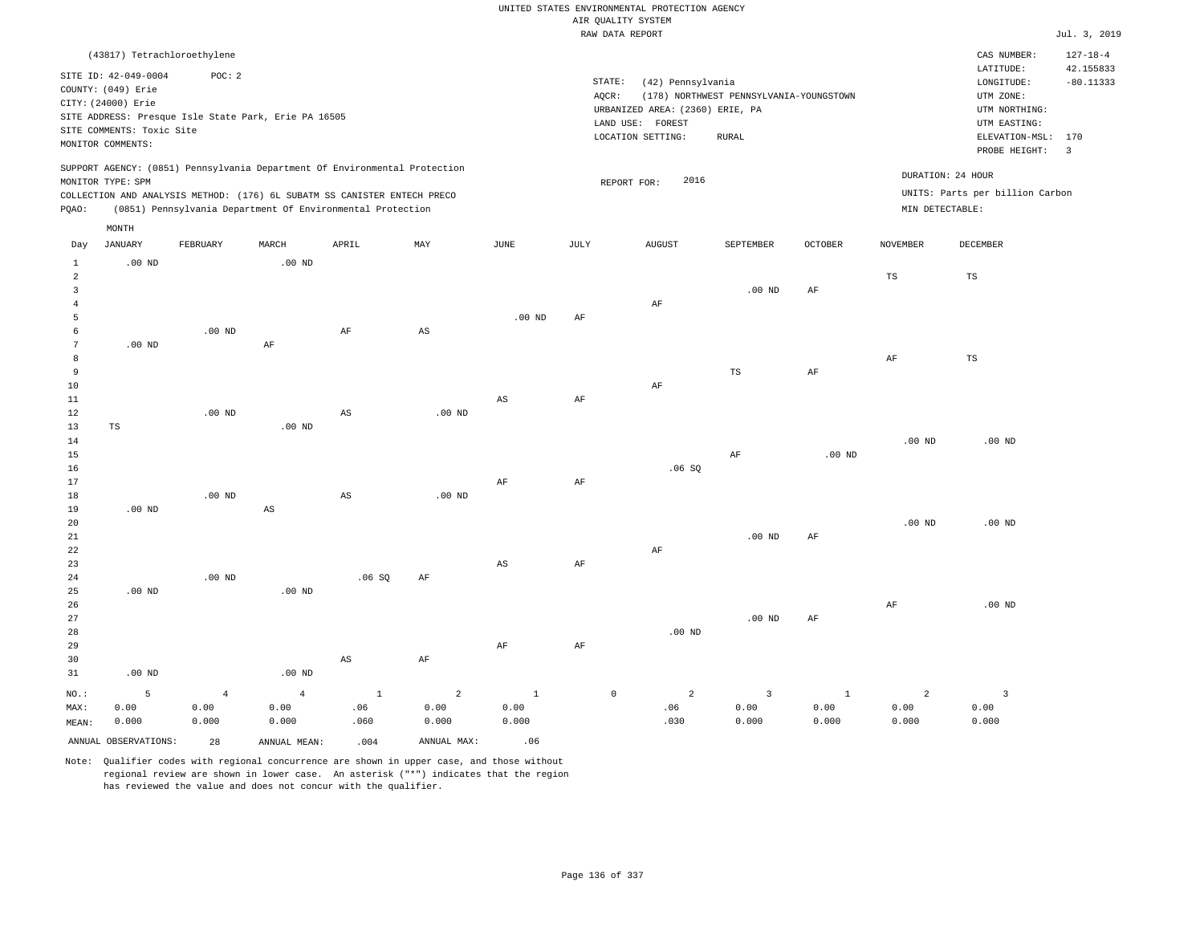|                 |                             |                        |                                                                            |                        |                        |                        |           | RAW DATA REPORT                 |                                         |                      |                        |                                 | Jul. 3, 2019   |
|-----------------|-----------------------------|------------------------|----------------------------------------------------------------------------|------------------------|------------------------|------------------------|-----------|---------------------------------|-----------------------------------------|----------------------|------------------------|---------------------------------|----------------|
|                 | (43817) Tetrachloroethylene |                        |                                                                            |                        |                        |                        |           |                                 |                                         |                      |                        | CAS NUMBER:                     | $127 - 18 - 4$ |
|                 |                             |                        |                                                                            |                        |                        |                        |           |                                 |                                         |                      |                        | LATITUDE:                       | 42.155833      |
|                 | SITE ID: 42-049-0004        | POC: 2                 |                                                                            |                        |                        |                        |           | STATE:<br>(42) Pennsylvania     |                                         |                      |                        | $\texttt{LONGITUDE}$ :          | $-80.11333$    |
|                 | COUNTY: (049) Erie          |                        |                                                                            |                        |                        |                        |           | AQCR:                           | (178) NORTHWEST PENNSYLVANIA-YOUNGSTOWN |                      |                        | UTM ZONE:                       |                |
|                 | CITY: (24000) Erie          |                        | SITE ADDRESS: Presque Isle State Park, Erie PA 16505                       |                        |                        |                        |           | URBANIZED AREA: (2360) ERIE, PA |                                         |                      |                        | UTM NORTHING:                   |                |
|                 | SITE COMMENTS: Toxic Site   |                        |                                                                            |                        |                        |                        |           | LAND USE: FOREST                |                                         |                      |                        | UTM EASTING:                    |                |
|                 | MONITOR COMMENTS:           |                        |                                                                            |                        |                        |                        |           | LOCATION SETTING:               | <b>RURAL</b>                            |                      |                        | ELEVATION-MSL: 170              |                |
|                 |                             |                        |                                                                            |                        |                        |                        |           |                                 |                                         |                      |                        | PROBE HEIGHT:                   | $\overline{3}$ |
|                 |                             |                        | SUPPORT AGENCY: (0851) Pennsylvania Department Of Environmental Protection |                        |                        |                        |           |                                 |                                         |                      |                        | DURATION: 24 HOUR               |                |
|                 | MONITOR TYPE: SPM           |                        |                                                                            |                        |                        |                        |           | 2016<br>REPORT FOR:             |                                         |                      |                        |                                 |                |
|                 |                             |                        | COLLECTION AND ANALYSIS METHOD: (176) 6L SUBATM SS CANISTER ENTECH PRECO   |                        |                        |                        |           |                                 |                                         |                      |                        | UNITS: Parts per billion Carbon |                |
| POAO:           |                             |                        | (0851) Pennsylvania Department Of Environmental Protection                 |                        |                        |                        |           |                                 |                                         |                      | MIN DETECTABLE:        |                                 |                |
|                 | MONTH                       |                        |                                                                            |                        |                        |                        |           |                                 |                                         |                      |                        |                                 |                |
| Day             | JANUARY                     | FEBRUARY               | MARCH                                                                      | APRIL                  | MAY                    | JUNE                   | JULY      | <b>AUGUST</b>                   | SEPTEMBER                               | <b>OCTOBER</b>       | <b>NOVEMBER</b>        | <b>DECEMBER</b>                 |                |
| $\mathbf{1}$    | $.00$ ND                    |                        | $.00$ ND                                                                   |                        |                        |                        |           |                                 |                                         |                      |                        |                                 |                |
| $\overline{a}$  |                             |                        |                                                                            |                        |                        |                        |           |                                 |                                         |                      | $_{\rm TS}$            | $\mathbb{TS}$                   |                |
| $\overline{3}$  |                             |                        |                                                                            |                        |                        |                        |           |                                 | $.00$ ND                                | AF                   |                        |                                 |                |
| $\overline{4}$  |                             |                        |                                                                            |                        |                        |                        |           | AF                              |                                         |                      |                        |                                 |                |
| 5               |                             |                        |                                                                            |                        |                        | .00 <sub>ND</sub>      | $\rm{AF}$ |                                 |                                         |                      |                        |                                 |                |
| 6               |                             | $.00$ ND               |                                                                            | $\rm AF$               | $\mathbb{A}\mathbb{S}$ |                        |           |                                 |                                         |                      |                        |                                 |                |
| $7\phantom{.0}$ | $.00$ ND                    |                        | AF                                                                         |                        |                        |                        |           |                                 |                                         |                      |                        |                                 |                |
| 8               |                             |                        |                                                                            |                        |                        |                        |           |                                 |                                         |                      | $\rm{AF}$              | TS                              |                |
| 9<br>10         |                             |                        |                                                                            |                        |                        |                        |           | AF                              | $\mathbb{TS}$                           | AF                   |                        |                                 |                |
| $1\,1$          |                             |                        |                                                                            |                        |                        | $\mathbb{A}\mathbb{S}$ | $\rm{AF}$ |                                 |                                         |                      |                        |                                 |                |
| 12              |                             | $.00$ ND               |                                                                            | $\mathbb{A}\mathbb{S}$ | $.00$ ND               |                        |           |                                 |                                         |                      |                        |                                 |                |
| 13              | TS                          |                        | $.00$ ND                                                                   |                        |                        |                        |           |                                 |                                         |                      |                        |                                 |                |
| 14              |                             |                        |                                                                            |                        |                        |                        |           |                                 |                                         |                      | .00 <sub>ND</sub>      | $.00$ ND                        |                |
| 15              |                             |                        |                                                                            |                        |                        |                        |           |                                 | $\rm AF$                                | $.00$ ND             |                        |                                 |                |
| 16              |                             |                        |                                                                            |                        |                        |                        |           | .06SQ                           |                                         |                      |                        |                                 |                |
| 17              |                             |                        |                                                                            |                        |                        | AF                     | AF        |                                 |                                         |                      |                        |                                 |                |
| 18              |                             | $.00$ ND               |                                                                            | $\mathbb{A}\mathbb{S}$ | $.00$ ND               |                        |           |                                 |                                         |                      |                        |                                 |                |
| 19              | $.00$ ND                    |                        | $\mathbb{A}\mathbb{S}$                                                     |                        |                        |                        |           |                                 |                                         |                      |                        |                                 |                |
| 20              |                             |                        |                                                                            |                        |                        |                        |           |                                 |                                         |                      | $.00$ ND               | $.00$ ND                        |                |
| 21              |                             |                        |                                                                            |                        |                        |                        |           |                                 | $.00$ ND                                | AF                   |                        |                                 |                |
| 22              |                             |                        |                                                                            |                        |                        |                        |           | AF                              |                                         |                      |                        |                                 |                |
| 23              |                             |                        |                                                                            |                        |                        | $\mathbb{A}\mathbb{S}$ | AF        |                                 |                                         |                      |                        |                                 |                |
| 24              |                             | $.00$ ND               |                                                                            | .06SQ                  | AF                     |                        |           |                                 |                                         |                      |                        |                                 |                |
| 25<br>26        | $.00$ ND                    |                        | .00 <sub>ND</sub>                                                          |                        |                        |                        |           |                                 |                                         |                      | AF                     | $.00$ ND                        |                |
| 27              |                             |                        |                                                                            |                        |                        |                        |           |                                 | $.00$ ND                                | AF                   |                        |                                 |                |
| 28              |                             |                        |                                                                            |                        |                        |                        |           | $.00$ ND                        |                                         |                      |                        |                                 |                |
| 29              |                             |                        |                                                                            |                        |                        | $\rm AF$               | $\rm{AF}$ |                                 |                                         |                      |                        |                                 |                |
| 30              |                             |                        |                                                                            | AS                     | AF                     |                        |           |                                 |                                         |                      |                        |                                 |                |
| 31              | $.00$ ND                    |                        | .00 <sub>ND</sub>                                                          |                        |                        |                        |           |                                 |                                         |                      |                        |                                 |                |
|                 |                             |                        |                                                                            |                        |                        |                        |           |                                 |                                         |                      |                        |                                 |                |
| NO.:<br>MAX:    | 5<br>0.00                   | $\overline{4}$<br>0.00 | $\overline{4}$<br>0.00                                                     | $1\,$<br>.06           | 2<br>0.00              | $\mathbf{1}$<br>0.00   |           | 2<br>$\mathbb O$<br>.06         | $\overline{3}$<br>0.00                  | $\mathbf{1}$<br>0.00 | $\overline{a}$<br>0.00 | $\overline{3}$<br>0.00          |                |
| MEAN:           | 0.000                       | 0.000                  | 0.000                                                                      | .060                   | 0.000                  | 0.000                  |           | .030                            | 0.000                                   | 0.000                | 0.000                  | 0.000                           |                |
|                 |                             |                        |                                                                            |                        |                        |                        |           |                                 |                                         |                      |                        |                                 |                |
|                 | ANNUAL OBSERVATIONS:        | 28                     | ANNUAL MEAN:                                                               | .004                   | ANNUAL MAX:            | .06                    |           |                                 |                                         |                      |                        |                                 |                |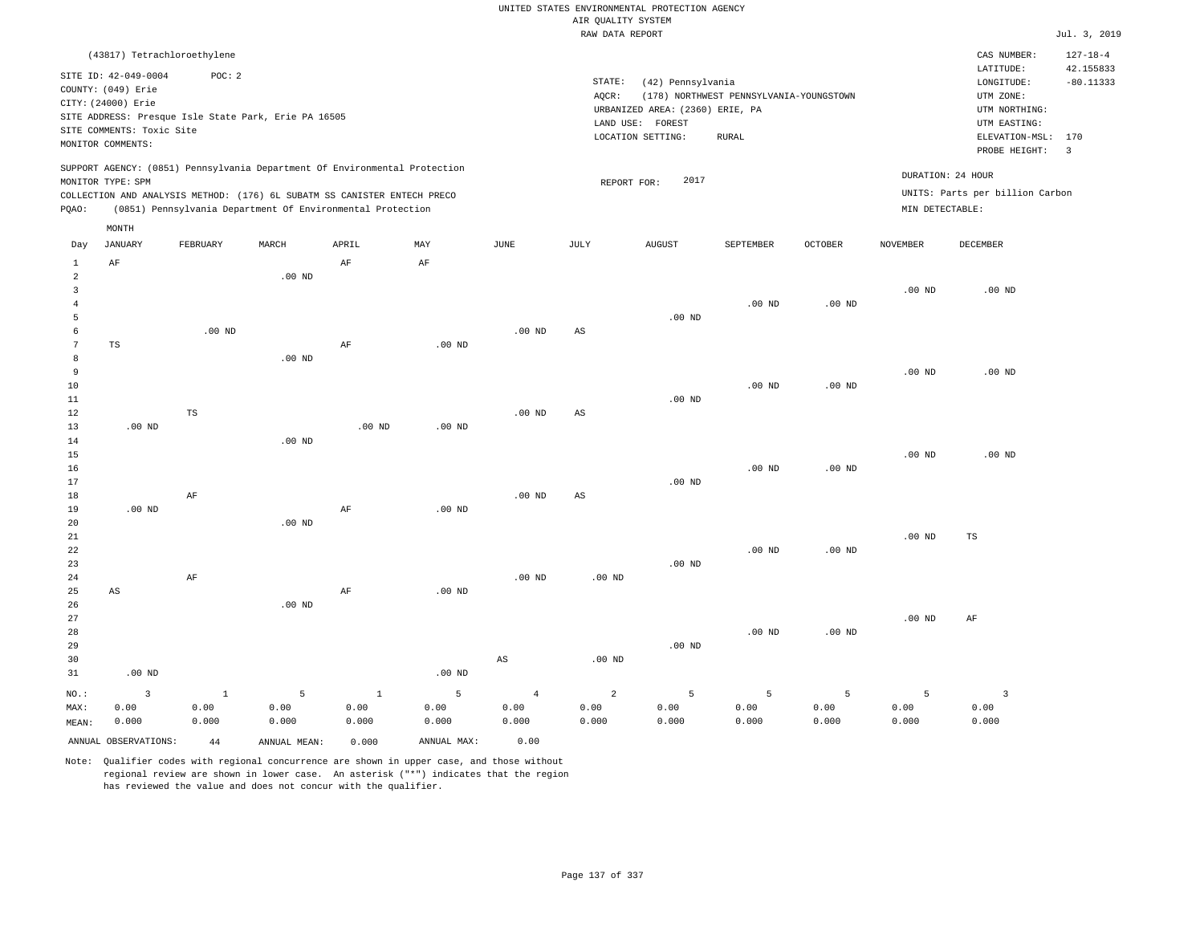|                 |                             |              |                                                                            |              |                           |                        | RAW DATA REPORT |                                 |                                         |                   |                   |                                 | Jul. 3, 2019            |
|-----------------|-----------------------------|--------------|----------------------------------------------------------------------------|--------------|---------------------------|------------------------|-----------------|---------------------------------|-----------------------------------------|-------------------|-------------------|---------------------------------|-------------------------|
|                 | (43817) Tetrachloroethylene |              |                                                                            |              |                           |                        |                 |                                 |                                         |                   |                   | CAS NUMBER:                     | $127 - 18 - 4$          |
|                 |                             |              |                                                                            |              |                           |                        |                 |                                 |                                         |                   |                   | LATITUDE:                       | 42.155833               |
|                 | SITE ID: 42-049-0004        | POC: 2       |                                                                            |              |                           |                        | STATE:          | (42) Pennsylvania               |                                         |                   |                   | LONGITUDE:                      | $-80.11333$             |
|                 | COUNTY: (049) Erie          |              |                                                                            |              |                           |                        | AQCR:           |                                 | (178) NORTHWEST PENNSYLVANIA-YOUNGSTOWN |                   |                   | UTM ZONE:                       |                         |
|                 | CITY: (24000) Erie          |              |                                                                            |              |                           |                        |                 | URBANIZED AREA: (2360) ERIE, PA |                                         |                   |                   | UTM NORTHING:                   |                         |
|                 |                             |              | SITE ADDRESS: Presque Isle State Park, Erie PA 16505                       |              |                           |                        |                 | LAND USE: FOREST                |                                         |                   |                   | UTM EASTING:                    |                         |
|                 | SITE COMMENTS: Toxic Site   |              |                                                                            |              |                           |                        |                 |                                 |                                         |                   |                   |                                 |                         |
|                 | MONITOR COMMENTS:           |              |                                                                            |              |                           |                        |                 | LOCATION SETTING:               | <b>RURAL</b>                            |                   |                   | ELEVATION-MSL:                  | 170                     |
|                 |                             |              | SUPPORT AGENCY: (0851) Pennsylvania Department Of Environmental Protection |              |                           |                        |                 |                                 |                                         |                   |                   | PROBE HEIGHT:                   | $\overline{\mathbf{3}}$ |
|                 | MONITOR TYPE: SPM           |              |                                                                            |              |                           |                        | REPORT FOR:     | 2017                            |                                         |                   |                   | DURATION: 24 HOUR               |                         |
|                 |                             |              | COLLECTION AND ANALYSIS METHOD: (176) 6L SUBATM SS CANISTER ENTECH PRECO   |              |                           |                        |                 |                                 |                                         |                   |                   | UNITS: Parts per billion Carbon |                         |
| PQAO:           |                             |              | (0851) Pennsylvania Department Of Environmental Protection                 |              |                           |                        |                 |                                 |                                         |                   | MIN DETECTABLE:   |                                 |                         |
|                 | MONTH                       |              |                                                                            |              |                           |                        |                 |                                 |                                         |                   |                   |                                 |                         |
| Day             | JANUARY                     | FEBRUARY     | MARCH                                                                      | APRIL        | $\ensuremath{\text{MAX}}$ | $\operatorname{JUNE}$  | JULY            | AUGUST                          | SEPTEMBER                               | OCTOBER           | <b>NOVEMBER</b>   | DECEMBER                        |                         |
| $\mathbf{1}$    | $\rm AF$                    |              |                                                                            | AF           | AF                        |                        |                 |                                 |                                         |                   |                   |                                 |                         |
| $\overline{a}$  |                             |              | $.00$ ND                                                                   |              |                           |                        |                 |                                 |                                         |                   |                   |                                 |                         |
| $\overline{3}$  |                             |              |                                                                            |              |                           |                        |                 |                                 |                                         |                   | .00 <sub>ND</sub> | $.00$ ND                        |                         |
| $\overline{4}$  |                             |              |                                                                            |              |                           |                        |                 |                                 | $.00$ ND                                | $.00$ ND          |                   |                                 |                         |
| 5               |                             |              |                                                                            |              |                           |                        |                 | $.00$ ND                        |                                         |                   |                   |                                 |                         |
| 6               |                             | $.00$ ND     |                                                                            |              |                           | .00 <sub>ND</sub>      | AS              |                                 |                                         |                   |                   |                                 |                         |
| $7\phantom{.0}$ | TS                          |              |                                                                            | AF           | $.00$ ND                  |                        |                 |                                 |                                         |                   |                   |                                 |                         |
| 8               |                             |              | $.00$ ND                                                                   |              |                           |                        |                 |                                 |                                         |                   |                   |                                 |                         |
| 9               |                             |              |                                                                            |              |                           |                        |                 |                                 |                                         |                   | .00 <sub>ND</sub> | $.00$ ND                        |                         |
| 10              |                             |              |                                                                            |              |                           |                        |                 |                                 | $.00$ ND                                | .00 <sub>ND</sub> |                   |                                 |                         |
| 11              |                             |              |                                                                            |              |                           |                        |                 | .00 <sub>ND</sub>               |                                         |                   |                   |                                 |                         |
| 12              |                             | $_{\rm TS}$  |                                                                            |              |                           | $.00$ ND               | AS              |                                 |                                         |                   |                   |                                 |                         |
| 13              | $.00$ ND                    |              |                                                                            | $.00$ ND     | $.00$ ND                  |                        |                 |                                 |                                         |                   |                   |                                 |                         |
| 14              |                             |              | $.00$ ND                                                                   |              |                           |                        |                 |                                 |                                         |                   |                   |                                 |                         |
| 15              |                             |              |                                                                            |              |                           |                        |                 |                                 |                                         |                   | $.00$ ND          | $.00$ ND                        |                         |
| 16              |                             |              |                                                                            |              |                           |                        |                 |                                 | $.00$ ND                                | $.00$ ND          |                   |                                 |                         |
| 17              |                             |              |                                                                            |              |                           |                        |                 | $.00$ ND                        |                                         |                   |                   |                                 |                         |
| 18              |                             | AF           |                                                                            |              |                           | .00 <sub>ND</sub>      | $_{\rm AS}$     |                                 |                                         |                   |                   |                                 |                         |
| 19              |                             |              |                                                                            |              |                           |                        |                 |                                 |                                         |                   |                   |                                 |                         |
|                 | $.00$ ND                    |              | .00 <sub>ND</sub>                                                          | AF           | $.00$ ND                  |                        |                 |                                 |                                         |                   |                   |                                 |                         |
| 20<br>21        |                             |              |                                                                            |              |                           |                        |                 |                                 |                                         |                   | .00 <sub>ND</sub> | TS                              |                         |
|                 |                             |              |                                                                            |              |                           |                        |                 |                                 |                                         |                   |                   |                                 |                         |
| 22              |                             |              |                                                                            |              |                           |                        |                 |                                 | $.00$ ND                                | $.00$ ND          |                   |                                 |                         |
| 23              |                             |              |                                                                            |              |                           |                        |                 | $.00$ ND                        |                                         |                   |                   |                                 |                         |
| 24              |                             | AF           |                                                                            |              |                           | $.00$ ND               | $.00$ ND        |                                 |                                         |                   |                   |                                 |                         |
| 25              | AS                          |              |                                                                            | $\rm AF$     | $.00$ ND                  |                        |                 |                                 |                                         |                   |                   |                                 |                         |
| 26              |                             |              | $.00$ ND                                                                   |              |                           |                        |                 |                                 |                                         |                   |                   |                                 |                         |
| 27              |                             |              |                                                                            |              |                           |                        |                 |                                 |                                         |                   | .00 <sub>ND</sub> | AF                              |                         |
| 28              |                             |              |                                                                            |              |                           |                        |                 |                                 | .00 <sub>ND</sub>                       | $.00$ ND          |                   |                                 |                         |
| 29              |                             |              |                                                                            |              |                           |                        |                 | $.00~\mathrm{ND}$               |                                         |                   |                   |                                 |                         |
| 30              |                             |              |                                                                            |              |                           | $\mathbb{A}\mathbb{S}$ | $.00$ ND        |                                 |                                         |                   |                   |                                 |                         |
| 31              | $.00$ ND                    |              |                                                                            |              | .00 <sub>ND</sub>         |                        |                 |                                 |                                         |                   |                   |                                 |                         |
| NO.:            | $\overline{3}$              | $\mathbf{1}$ | 5                                                                          | <sup>1</sup> | 5                         | $\overline{4}$         | $\overline{a}$  | 5                               | 5                                       | 5                 | 5                 | $\overline{3}$                  |                         |
| MAX:            | 0.00                        | 0.00         | 0.00                                                                       | 0.00         | 0.00                      | 0.00                   | 0.00            | 0.00                            | 0.00                                    | 0.00              | 0.00              | 0.00                            |                         |
| MEAN:           | 0.000                       | 0.000        | 0.000                                                                      | 0.000        | 0.000                     | 0.000                  | 0.000           | 0.000                           | 0.000                                   | 0.000             | 0.000             | 0.000                           |                         |
|                 | ANNUAL OBSERVATIONS:        | 44           | ANNUAL MEAN:                                                               | 0.000        | ANNUAL MAX:               | 0.00                   |                 |                                 |                                         |                   |                   |                                 |                         |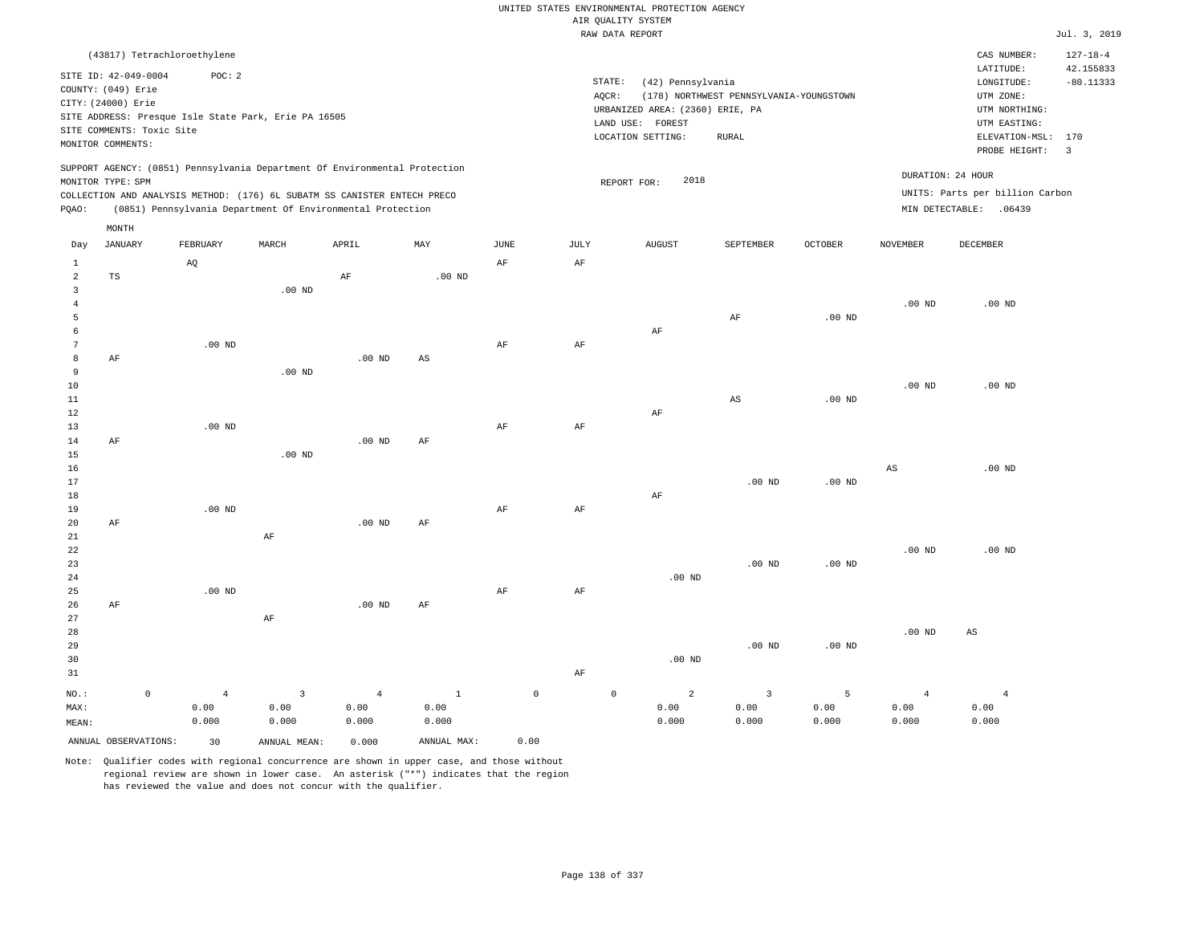|                                                |                                                                           |             |                                 |                                                      |                                                                                                                                        |                               |                                                                                                                                                                                                                                      |           | UNITED STATES ENVIRONMENTAL PROTECTION AGENCY |                                 |                    |                                 |                                                            |                                            |  |
|------------------------------------------------|---------------------------------------------------------------------------|-------------|---------------------------------|------------------------------------------------------|----------------------------------------------------------------------------------------------------------------------------------------|-------------------------------|--------------------------------------------------------------------------------------------------------------------------------------------------------------------------------------------------------------------------------------|-----------|-----------------------------------------------|---------------------------------|--------------------|---------------------------------|------------------------------------------------------------|--------------------------------------------|--|
|                                                |                                                                           |             |                                 |                                                      |                                                                                                                                        |                               |                                                                                                                                                                                                                                      |           | AIR QUALITY SYSTEM<br>RAW DATA REPORT         |                                 |                    |                                 |                                                            | Jul. 3, 2019                               |  |
|                                                |                                                                           |             |                                 |                                                      |                                                                                                                                        |                               |                                                                                                                                                                                                                                      |           |                                               |                                 |                    |                                 |                                                            |                                            |  |
|                                                | (43817) Tetrachloroethylene<br>SITE ID: 42-049-0004<br>COUNTY: (049) Erie |             | POC: 2                          |                                                      |                                                                                                                                        |                               |                                                                                                                                                                                                                                      |           | STATE:<br>(42) Pennsylvania                   |                                 |                    |                                 | CAS NUMBER:<br>LATITUDE:<br>LONGITUDE:                     | $127 - 18 - 4$<br>42.155833<br>$-80.11333$ |  |
|                                                | CITY: (24000) Erie<br>SITE COMMENTS: Toxic Site<br>MONITOR COMMENTS:      |             |                                 | SITE ADDRESS: Presque Isle State Park, Erie PA 16505 |                                                                                                                                        |                               | (178) NORTHWEST PENNSYLVANIA-YOUNGSTOWN<br>AQCR:<br>UTM ZONE:<br>URBANIZED AREA: (2360) ERIE, PA<br>UTM NORTHING:<br>LAND USE: FOREST<br>UTM EASTING:<br>LOCATION SETTING:<br><b>RURAL</b><br>ELEVATION-MSL:<br>170<br>PROBE HEIGHT: |           |                                               |                                 |                    |                                 |                                                            |                                            |  |
|                                                | MONITOR TYPE: SPM                                                         |             |                                 |                                                      | SUPPORT AGENCY: (0851) Pennsylvania Department Of Environmental Protection                                                             |                               |                                                                                                                                                                                                                                      |           | 2018<br>REPORT FOR:                           |                                 |                    | DURATION: 24 HOUR               |                                                            | $\overline{3}$                             |  |
| PQAO:                                          |                                                                           |             |                                 |                                                      | COLLECTION AND ANALYSIS METHOD: (176) 6L SUBATM SS CANISTER ENTECH PRECO<br>(0851) Pennsylvania Department Of Environmental Protection |                               |                                                                                                                                                                                                                                      |           |                                               |                                 |                    |                                 | UNITS: Parts per billion Carbon<br>MIN DETECTABLE: . 06439 |                                            |  |
| Day                                            | MONTH<br><b>JANUARY</b>                                                   |             | FEBRUARY                        | MARCH                                                | APRIL                                                                                                                                  | MAY                           | JUNE                                                                                                                                                                                                                                 | JULY      | <b>AUGUST</b>                                 | SEPTEMBER                       | OCTOBER            | <b>NOVEMBER</b>                 | DECEMBER                                                   |                                            |  |
| $\mathbf{1}$<br>$\overline{a}$<br>$\mathbf{3}$ | $_{\rm TS}$                                                               |             | AQ                              | $.00$ ND                                             | AF                                                                                                                                     | $.00$ ND                      | AF                                                                                                                                                                                                                                   | AF        |                                               |                                 |                    |                                 |                                                            |                                            |  |
| $\overline{4}$<br>5<br>6                       |                                                                           |             |                                 |                                                      |                                                                                                                                        |                               |                                                                                                                                                                                                                                      |           | AF                                            | AF                              | $.00$ ND           | .00 <sub>ND</sub>               | $.00$ ND                                                   |                                            |  |
| $\overline{7}$<br>8<br>9                       | AF                                                                        |             | .00 <sub>ND</sub>               | $.00$ ND                                             | $.00$ ND                                                                                                                               | AS                            | $\rm{AF}$                                                                                                                                                                                                                            | $\rm{AF}$ |                                               |                                 |                    |                                 |                                                            |                                            |  |
| $10$<br>$11\,$<br>12                           |                                                                           |             |                                 |                                                      |                                                                                                                                        |                               |                                                                                                                                                                                                                                      |           | AF                                            | $\mathbb{A}\mathbb{S}$          | $.00$ ND           | .00 <sub>ND</sub>               | $.00$ ND                                                   |                                            |  |
| 13<br>14<br>15                                 | $\rm AF$                                                                  |             | $.00$ ND                        | $.00$ ND                                             | $.00$ ND                                                                                                                               | AF                            | AF                                                                                                                                                                                                                                   | AF        |                                               |                                 |                    |                                 |                                                            |                                            |  |
| 16<br>17<br>18<br>19                           |                                                                           |             | $.00$ ND                        |                                                      |                                                                                                                                        |                               | AF                                                                                                                                                                                                                                   | AF        | AF                                            | $.00$ ND                        | $.00$ ND           | AS                              | $.00$ ND                                                   |                                            |  |
| 20<br>21<br>22                                 | $\rm AF$                                                                  |             |                                 | $\rm AF$                                             | $.00$ ND                                                                                                                               | AF                            |                                                                                                                                                                                                                                      |           |                                               |                                 |                    | $.00$ ND                        | $.00$ ND                                                   |                                            |  |
| 23<br>24<br>25<br>26                           | AF                                                                        |             | $.00$ ND                        |                                                      | $.00$ ND                                                                                                                               | AF                            | $\rm{AF}$                                                                                                                                                                                                                            | $\rm{AF}$ | $.00$ ND                                      | $.00$ ND                        | $.00$ ND           |                                 |                                                            |                                            |  |
| 27<br>28<br>29<br>30<br>31                     |                                                                           |             |                                 | AF                                                   |                                                                                                                                        |                               |                                                                                                                                                                                                                                      | AF        | $.00$ ND                                      | $.00$ ND                        | .00 <sub>ND</sub>  | .00 <sub>ND</sub>               | AS                                                         |                                            |  |
| $NO.$ :<br>MAX:<br>MEAN:                       |                                                                           | $\mathbb O$ | $\overline{4}$<br>0.00<br>0.000 | 3<br>0.00<br>0.000                                   | $\overline{4}$<br>0.00<br>0.000                                                                                                        | $\mathbf{1}$<br>0.00<br>0.000 | $\mathsf{O}\xspace$                                                                                                                                                                                                                  |           | $\mathsf{O}\xspace$<br>2<br>0.00<br>0.000     | $\overline{3}$<br>0.00<br>0.000 | 5<br>0.00<br>0.000 | $\overline{4}$<br>0.00<br>0.000 | $\overline{4}$<br>0.00<br>0.000                            |                                            |  |
|                                                | ANNUAL OBSERVATIONS:                                                      |             | 30                              | ANNUAL MEAN:                                         | 0.000                                                                                                                                  | ANNUAL MAX:                   | 0.00                                                                                                                                                                                                                                 |           |                                               |                                 |                    |                                 |                                                            |                                            |  |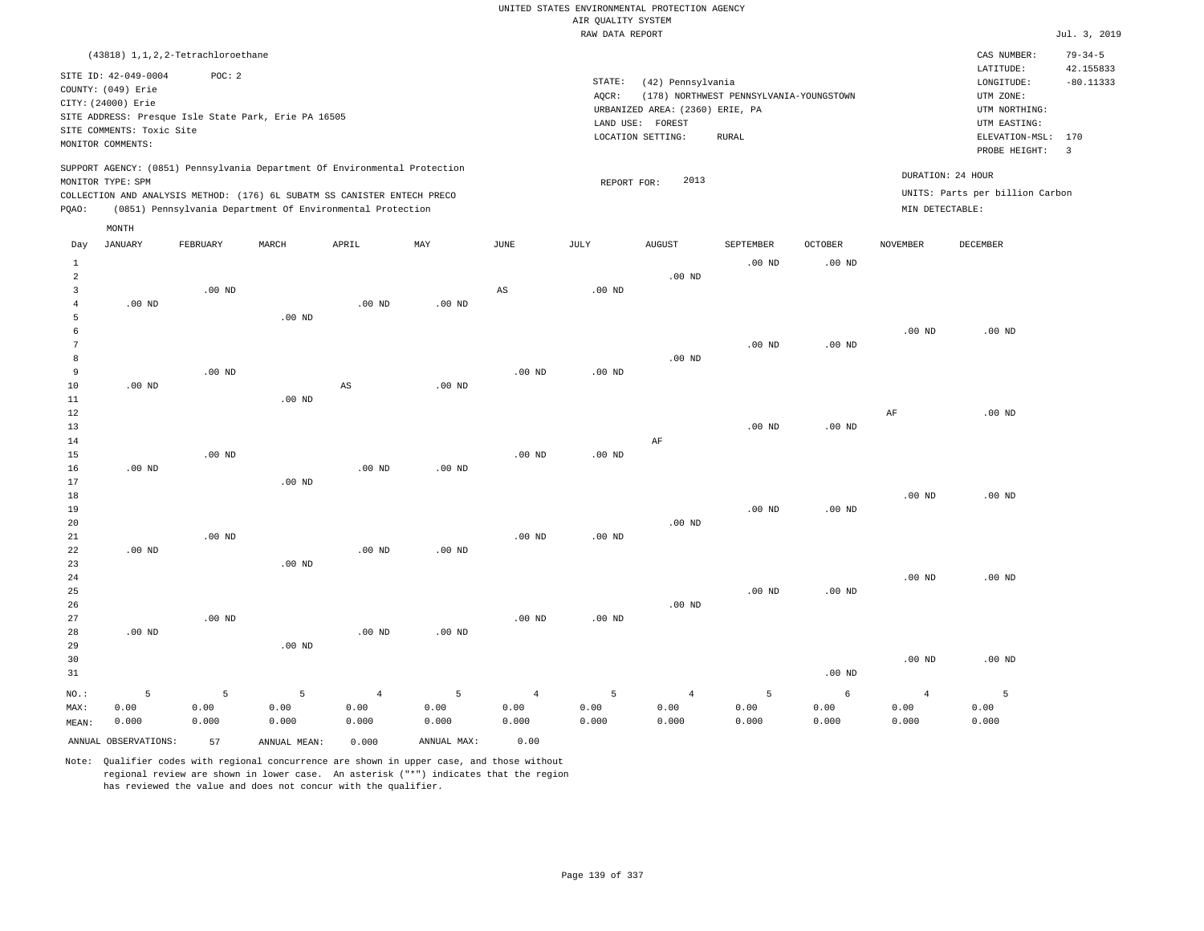|                     |                                                                                                                                                                            |                   |                                                            |                |                   |                   | RAW DATA REPORT                                                                                                                                                                |                   |                   |                   |                   |                                    | Jul. 3, 2019   |
|---------------------|----------------------------------------------------------------------------------------------------------------------------------------------------------------------------|-------------------|------------------------------------------------------------|----------------|-------------------|-------------------|--------------------------------------------------------------------------------------------------------------------------------------------------------------------------------|-------------------|-------------------|-------------------|-------------------|------------------------------------|----------------|
|                     | (43818) 1, 1, 2, 2-Tetrachloroethane                                                                                                                                       |                   |                                                            |                |                   |                   |                                                                                                                                                                                |                   |                   |                   |                   | CAS NUMBER:                        | $79 - 34 - 5$  |
|                     | SITE ID: 42-049-0004<br>COUNTY: (049) Erie<br>CITY: (24000) Erie<br>SITE ADDRESS: Presque Isle State Park, Erie PA 16505<br>SITE COMMENTS: Toxic Site<br>MONITOR COMMENTS: | POC: 2            |                                                            |                |                   |                   | STATE:<br>(42) Pennsylvania<br>AQCR:<br>(178) NORTHWEST PENNSYLVANIA-YOUNGSTOWN<br>URBANIZED AREA: (2360) ERIE, PA<br>LAND USE:<br>FOREST<br>LOCATION SETTING:<br><b>RURAL</b> |                   |                   |                   |                   |                                    |                |
|                     | SUPPORT AGENCY: (0851) Pennsylvania Department Of Environmental Protection                                                                                                 |                   |                                                            |                |                   |                   |                                                                                                                                                                                |                   |                   |                   |                   | PROBE HEIGHT:<br>DURATION: 24 HOUR | $\overline{3}$ |
|                     | MONITOR TYPE: SPM                                                                                                                                                          |                   |                                                            |                |                   |                   | REPORT FOR:                                                                                                                                                                    | 2013              |                   |                   |                   | UNITS: Parts per billion Carbon    |                |
|                     | COLLECTION AND ANALYSIS METHOD: (176) 6L SUBATM SS CANISTER ENTECH PRECO                                                                                                   |                   |                                                            |                |                   |                   |                                                                                                                                                                                |                   |                   |                   |                   |                                    |                |
| PQAO:               |                                                                                                                                                                            |                   | (0851) Pennsylvania Department Of Environmental Protection |                |                   |                   |                                                                                                                                                                                |                   |                   |                   | MIN DETECTABLE:   |                                    |                |
|                     | $\texttt{MONTH}$                                                                                                                                                           |                   |                                                            |                |                   |                   |                                                                                                                                                                                |                   |                   |                   |                   |                                    |                |
| Day                 | <b>JANUARY</b>                                                                                                                                                             | FEBRUARY          | MARCH                                                      | APRIL          | MAY               | JUNE              | JULY                                                                                                                                                                           | <b>AUGUST</b>     | SEPTEMBER         | <b>OCTOBER</b>    | <b>NOVEMBER</b>   | DECEMBER                           |                |
| $\mathbf{1}$        |                                                                                                                                                                            |                   |                                                            |                |                   |                   |                                                                                                                                                                                |                   | .00 <sub>ND</sub> | .00 <sub>ND</sub> |                   |                                    |                |
| $\overline{a}$      |                                                                                                                                                                            |                   |                                                            |                |                   |                   |                                                                                                                                                                                | $.00$ ND          |                   |                   |                   |                                    |                |
| 3                   |                                                                                                                                                                            | $.00$ ND          |                                                            |                |                   | AS                | $.00$ ND                                                                                                                                                                       |                   |                   |                   |                   |                                    |                |
| $\overline{4}$      | $.00$ ND                                                                                                                                                                   |                   |                                                            | $.00$ ND       | $.00$ ND          |                   |                                                                                                                                                                                |                   |                   |                   |                   |                                    |                |
| 5                   |                                                                                                                                                                            |                   | $.00$ ND                                                   |                |                   |                   |                                                                                                                                                                                |                   |                   |                   |                   |                                    |                |
| 6<br>$\overline{7}$ |                                                                                                                                                                            |                   |                                                            |                |                   |                   |                                                                                                                                                                                |                   |                   |                   | .00 <sub>ND</sub> | $.00$ ND                           |                |
| 8                   |                                                                                                                                                                            |                   |                                                            |                |                   |                   |                                                                                                                                                                                |                   | $.00$ ND          | .00 <sub>ND</sub> |                   |                                    |                |
| 9                   |                                                                                                                                                                            | $.00$ ND          |                                                            |                |                   | .00 <sub>ND</sub> | $.00$ ND                                                                                                                                                                       | .00 <sub>ND</sub> |                   |                   |                   |                                    |                |
| 10                  | $.00$ ND                                                                                                                                                                   |                   |                                                            | $_{\rm AS}$    | .00 <sub>ND</sub> |                   |                                                                                                                                                                                |                   |                   |                   |                   |                                    |                |
| $11\,$              |                                                                                                                                                                            |                   | .00 <sub>ND</sub>                                          |                |                   |                   |                                                                                                                                                                                |                   |                   |                   |                   |                                    |                |
| 12                  |                                                                                                                                                                            |                   |                                                            |                |                   |                   |                                                                                                                                                                                |                   |                   |                   | AF                | .00 <sub>ND</sub>                  |                |
| 13                  |                                                                                                                                                                            |                   |                                                            |                |                   |                   |                                                                                                                                                                                |                   | $.00$ ND          | .00 <sub>ND</sub> |                   |                                    |                |
| 14                  |                                                                                                                                                                            |                   |                                                            |                |                   |                   |                                                                                                                                                                                | AF                |                   |                   |                   |                                    |                |
| 15                  |                                                                                                                                                                            | $.00$ ND          |                                                            |                |                   | $.00$ ND          | $.00$ ND                                                                                                                                                                       |                   |                   |                   |                   |                                    |                |
| 16                  | $.00$ ND                                                                                                                                                                   |                   |                                                            | $.00$ ND       | $.00$ ND          |                   |                                                                                                                                                                                |                   |                   |                   |                   |                                    |                |
| 17                  |                                                                                                                                                                            |                   | .00 <sub>ND</sub>                                          |                |                   |                   |                                                                                                                                                                                |                   |                   |                   |                   |                                    |                |
| 18                  |                                                                                                                                                                            |                   |                                                            |                |                   |                   |                                                                                                                                                                                |                   |                   |                   | .00 <sub>ND</sub> | $.00$ ND                           |                |
| 19                  |                                                                                                                                                                            |                   |                                                            |                |                   |                   |                                                                                                                                                                                |                   | $.00$ ND          | .00 <sub>ND</sub> |                   |                                    |                |
| 20                  |                                                                                                                                                                            |                   |                                                            |                |                   |                   |                                                                                                                                                                                | $.00$ ND          |                   |                   |                   |                                    |                |
| $2\sqrt{1}$         |                                                                                                                                                                            | .00 <sub>ND</sub> |                                                            |                |                   | $.00$ ND          | .00 <sub>ND</sub>                                                                                                                                                              |                   |                   |                   |                   |                                    |                |
| 22                  | $.00$ ND                                                                                                                                                                   |                   |                                                            | $.00$ ND       | $.00$ ND          |                   |                                                                                                                                                                                |                   |                   |                   |                   |                                    |                |
| 23                  |                                                                                                                                                                            |                   | $.00$ ND                                                   |                |                   |                   |                                                                                                                                                                                |                   |                   |                   |                   |                                    |                |
| 24                  |                                                                                                                                                                            |                   |                                                            |                |                   |                   |                                                                                                                                                                                |                   |                   |                   | .00 <sub>ND</sub> | $.00$ ND                           |                |
| 25                  |                                                                                                                                                                            |                   |                                                            |                |                   |                   |                                                                                                                                                                                |                   | $.00$ ND          | .00 <sub>ND</sub> |                   |                                    |                |
| 26                  |                                                                                                                                                                            |                   |                                                            |                |                   |                   |                                                                                                                                                                                | $.00$ ND          |                   |                   |                   |                                    |                |
| 27                  |                                                                                                                                                                            | $.00$ ND          |                                                            |                |                   | .00 <sub>ND</sub> | $.00$ ND                                                                                                                                                                       |                   |                   |                   |                   |                                    |                |
| 28                  | $.00$ ND                                                                                                                                                                   |                   |                                                            | $.00$ ND       | $.00$ ND          |                   |                                                                                                                                                                                |                   |                   |                   |                   |                                    |                |
| 29                  |                                                                                                                                                                            |                   | .00 <sub>ND</sub>                                          |                |                   |                   |                                                                                                                                                                                |                   |                   |                   |                   |                                    |                |
| 30                  |                                                                                                                                                                            |                   |                                                            |                |                   |                   |                                                                                                                                                                                |                   |                   |                   | .00 <sub>ND</sub> | $.00$ ND                           |                |
| 31                  |                                                                                                                                                                            |                   |                                                            |                |                   |                   |                                                                                                                                                                                |                   |                   | .00 <sub>ND</sub> |                   |                                    |                |
| NO.:                | 5                                                                                                                                                                          | 5                 | 5                                                          | $\overline{4}$ | $\overline{5}$    | $\overline{4}$    | $\overline{5}$                                                                                                                                                                 | $\overline{4}$    | 5                 | 6                 | $\overline{4}$    | 5                                  |                |
| MAX:                | 0.00                                                                                                                                                                       | 0.00              | 0.00                                                       | 0.00           | 0.00              | 0.00              | 0.00                                                                                                                                                                           | 0.00              | 0.00              | 0.00              | 0.00              | 0.00                               |                |
| MEAN:               | 0.000                                                                                                                                                                      | 0.000             | 0.000                                                      | 0.000          | 0.000             | 0.000             | 0.000                                                                                                                                                                          | 0.000             | 0.000             | 0.000             | 0.000             | 0.000                              |                |
|                     | ANNUAL OBSERVATIONS:                                                                                                                                                       | 57                | ANNUAL MEAN:                                               | 0.000          | ANNUAL MAX:       | 0.00              |                                                                                                                                                                                |                   |                   |                   |                   |                                    |                |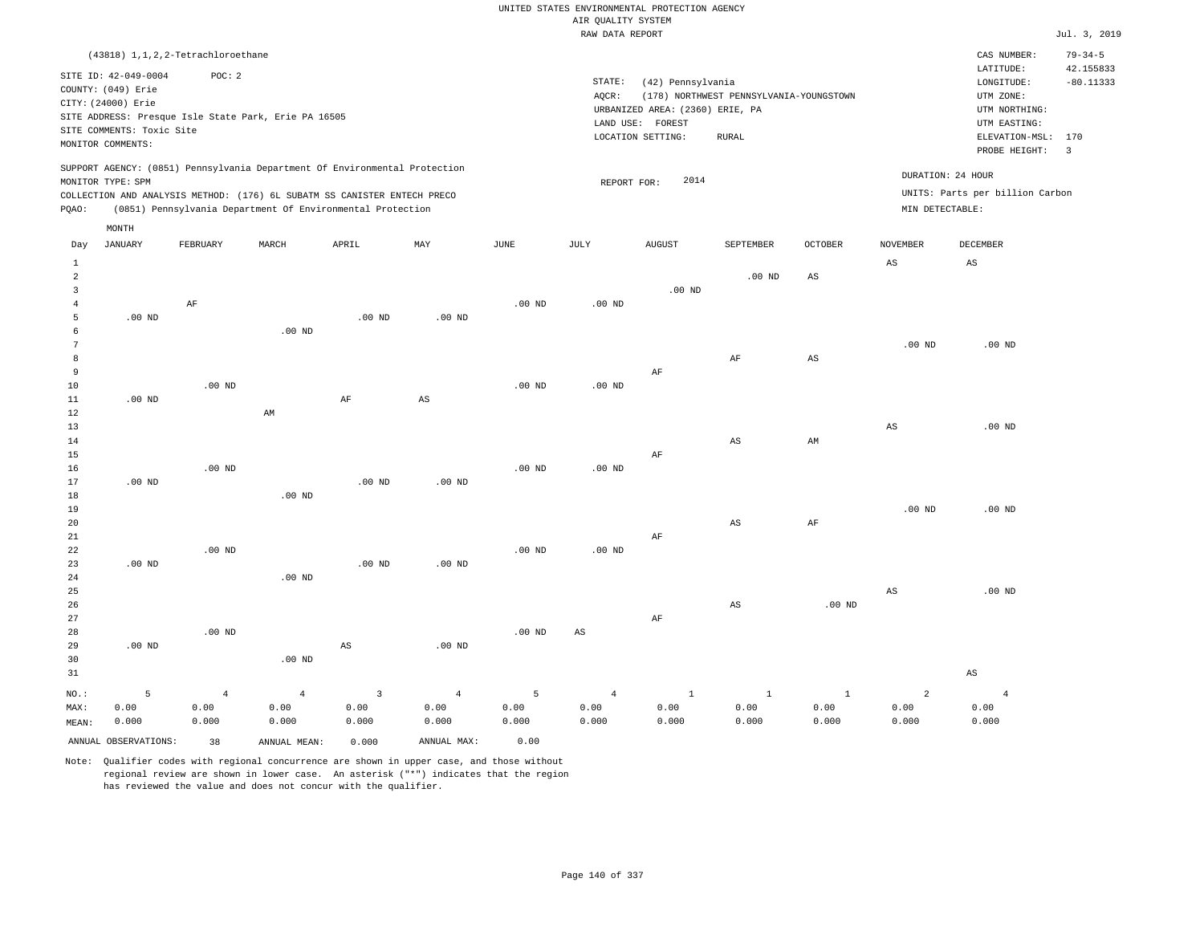|                                                                             |                                                                                                                    |                                 |                                                                                                                                                                                                                      |                                          |                                 |                    | RAW DATA REPORT                 |                                                                                               |                                                         |                         |                                      |                                                                                                          | Jul. 3, 2019                                      |
|-----------------------------------------------------------------------------|--------------------------------------------------------------------------------------------------------------------|---------------------------------|----------------------------------------------------------------------------------------------------------------------------------------------------------------------------------------------------------------------|------------------------------------------|---------------------------------|--------------------|---------------------------------|-----------------------------------------------------------------------------------------------|---------------------------------------------------------|-------------------------|--------------------------------------|----------------------------------------------------------------------------------------------------------|---------------------------------------------------|
|                                                                             | (43818) 1, 1, 2, 2-Tetrachloroethane                                                                               |                                 |                                                                                                                                                                                                                      |                                          |                                 |                    |                                 |                                                                                               |                                                         |                         |                                      | CAS NUMBER:                                                                                              | $79 - 34 - 5$                                     |
|                                                                             | SITE ID: 42-049-0004<br>COUNTY: (049) Erie<br>CITY: (24000) Erie<br>SITE COMMENTS: Toxic Site<br>MONITOR COMMENTS: | POC: 2                          | SITE ADDRESS: Presque Isle State Park, Erie PA 16505                                                                                                                                                                 |                                          |                                 |                    | STATE:<br>AQCR:                 | (42) Pennsylvania<br>URBANIZED AREA: (2360) ERIE, PA<br>LAND USE: FOREST<br>LOCATION SETTING: | (178) NORTHWEST PENNSYLVANIA-YOUNGSTOWN<br><b>RURAL</b> |                         |                                      | LATITUDE:<br>LONGITUDE:<br>UTM ZONE:<br>UTM NORTHING:<br>UTM EASTING:<br>ELEVATION-MSL:<br>PROBE HEIGHT: | 42.155833<br>$-80.11333$<br>170<br>$\overline{3}$ |
| PQAO:                                                                       | MONITOR TYPE: SPM                                                                                                  |                                 | SUPPORT AGENCY: (0851) Pennsylvania Department Of Environmental Protection<br>COLLECTION AND ANALYSIS METHOD: (176) 6L SUBATM SS CANISTER ENTECH PRECO<br>(0851) Pennsylvania Department Of Environmental Protection |                                          |                                 |                    | REPORT FOR:                     | 2014                                                                                          |                                                         |                         | DURATION: 24 HOUR<br>MIN DETECTABLE: | UNITS: Parts per billion Carbon                                                                          |                                                   |
|                                                                             | $\texttt{MONTH}$                                                                                                   |                                 |                                                                                                                                                                                                                      |                                          |                                 |                    |                                 |                                                                                               |                                                         |                         |                                      |                                                                                                          |                                                   |
| Day                                                                         | <b>JANUARY</b>                                                                                                     | FEBRUARY                        | MARCH                                                                                                                                                                                                                | APRIL                                    | MAY                             | <b>JUNE</b>        | JULY                            | <b>AUGUST</b>                                                                                 | SEPTEMBER                                               | <b>OCTOBER</b>          | <b>NOVEMBER</b>                      | DECEMBER                                                                                                 |                                                   |
| $\mathbf{1}$<br>$\overline{a}$<br>$\overline{\mathbf{3}}$<br>$\overline{4}$ |                                                                                                                    | AF                              |                                                                                                                                                                                                                      |                                          |                                 | $.00$ ND           | $.00$ ND                        | $.00$ ND                                                                                      | $.00$ ND                                                | $\mathbb{A}\mathbb{S}$  | AS                                   | $\mathbb{A}\mathbb{S}$                                                                                   |                                                   |
| 5<br>$\epsilon$<br>$7\phantom{.0}$                                          | $.00$ ND                                                                                                           |                                 | $.00$ ND                                                                                                                                                                                                             | $.00$ ND                                 | $.00$ ND                        |                    |                                 |                                                                                               |                                                         |                         | .00 <sub>ND</sub>                    | $.00$ ND                                                                                                 |                                                   |
| $\boldsymbol{8}$<br>9<br>10                                                 |                                                                                                                    | $.00$ ND                        |                                                                                                                                                                                                                      |                                          |                                 | $.00$ ND           | $.00$ ND                        | AF                                                                                            | AF                                                      | $_{\rm AS}$             |                                      |                                                                                                          |                                                   |
| $11\,$<br>$1\,2$<br>13                                                      | .00 <sub>ND</sub>                                                                                                  |                                 | AM                                                                                                                                                                                                                   | AF                                       | $\mathbb{A}\mathbb{S}$          |                    |                                 |                                                                                               |                                                         |                         | $\mathbb{A}\mathbb{S}$               | $.00$ ND                                                                                                 |                                                   |
| 14<br>15<br>16                                                              |                                                                                                                    | $.00$ ND                        |                                                                                                                                                                                                                      |                                          |                                 | .00 <sub>ND</sub>  | .00 <sub>ND</sub>               | $\rm{AF}$                                                                                     | AS                                                      | AM                      |                                      |                                                                                                          |                                                   |
| 17<br>$1\,8$<br>19<br>20                                                    | $.00$ ND                                                                                                           |                                 | $.00$ ND                                                                                                                                                                                                             | $.00$ ND                                 | $.00$ ND                        |                    |                                 |                                                                                               | AS                                                      | AF                      | .00 <sub>ND</sub>                    | $.00$ ND                                                                                                 |                                                   |
| 21<br>22<br>23                                                              | $.00$ ND                                                                                                           | $.00$ ND                        |                                                                                                                                                                                                                      | $.00$ ND                                 | $.00$ ND                        | .00 <sub>ND</sub>  | .00 <sub>ND</sub>               | AF                                                                                            |                                                         |                         |                                      |                                                                                                          |                                                   |
| 24<br>25<br>26                                                              |                                                                                                                    |                                 | $.00$ ND                                                                                                                                                                                                             |                                          |                                 |                    |                                 |                                                                                               | $\mathbb{A}\mathbb{S}$                                  | $.00$ ND                | $\mathbb{A}\mathbb{S}$               | $.00$ ND                                                                                                 |                                                   |
| 27<br>28<br>29<br>30                                                        | $.00$ ND                                                                                                           | $.00$ ND                        | $.00$ ND                                                                                                                                                                                                             | $\mathbb{A}\mathbb{S}$                   | .00 <sub>ND</sub>               | .00 <sub>ND</sub>  | $\mathbb{A}\mathbb{S}$          | AF                                                                                            |                                                         |                         |                                      |                                                                                                          |                                                   |
| 31                                                                          |                                                                                                                    |                                 |                                                                                                                                                                                                                      |                                          |                                 |                    |                                 |                                                                                               |                                                         |                         |                                      | $\mathbb{A}\mathbb{S}$                                                                                   |                                                   |
| NO.:<br>MAX:<br>MEAN:                                                       | 5<br>0.00<br>0.000                                                                                                 | $\overline{4}$<br>0.00<br>0.000 | $\overline{4}$<br>0.00<br>0.000                                                                                                                                                                                      | $\overline{\mathbf{3}}$<br>0.00<br>0.000 | $\overline{4}$<br>0.00<br>0.000 | 5<br>0.00<br>0.000 | $\overline{4}$<br>0.00<br>0.000 | $\mathbf{1}$<br>0.00<br>0.000                                                                 | $\,$ 1<br>0.00<br>0.000                                 | $\,$ 1<br>0.00<br>0.000 | $\overline{a}$<br>0.00<br>0.000      | $\overline{4}$<br>0.00<br>0.000                                                                          |                                                   |
|                                                                             | ANNUAL OBSERVATIONS:                                                                                               | 38                              | ANNUAL MEAN:                                                                                                                                                                                                         | 0.000                                    | ANNUAL MAX:                     | 0.00               |                                 |                                                                                               |                                                         |                         |                                      |                                                                                                          |                                                   |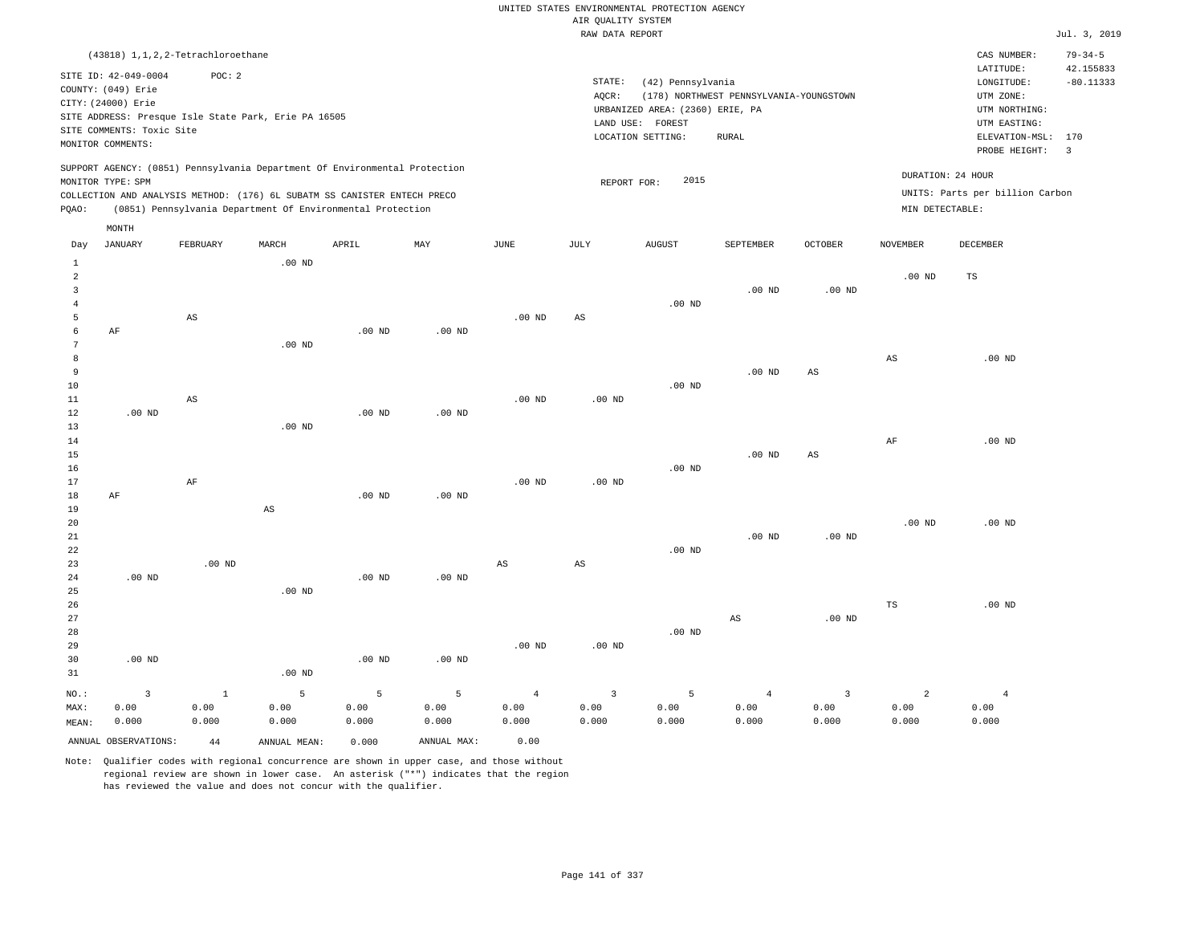|                |                                                                            |                        |                                                            |                   |             |                   | RAW DATA REPORT |                                 |                                         |                        |                        |                                 | Jul. 3, 2019   |
|----------------|----------------------------------------------------------------------------|------------------------|------------------------------------------------------------|-------------------|-------------|-------------------|-----------------|---------------------------------|-----------------------------------------|------------------------|------------------------|---------------------------------|----------------|
|                | (43818) 1, 1, 2, 2-Tetrachloroethane                                       |                        |                                                            |                   |             |                   |                 |                                 |                                         |                        |                        | CAS NUMBER:                     | $79 - 34 - 5$  |
|                | SITE ID: 42-049-0004                                                       | POC: 2                 |                                                            |                   |             |                   |                 |                                 |                                         |                        |                        | LATITUDE:                       | 42.155833      |
|                | COUNTY: (049) Erie                                                         |                        |                                                            |                   |             |                   | STATE:          | (42) Pennsylvania               |                                         |                        |                        | LONGITUDE:                      | $-80.11333$    |
|                | CITY: (24000) Erie                                                         |                        |                                                            |                   |             |                   | AQCR:           |                                 | (178) NORTHWEST PENNSYLVANIA-YOUNGSTOWN |                        |                        | UTM ZONE:                       |                |
|                | SITE ADDRESS: Presque Isle State Park, Erie PA 16505                       |                        |                                                            |                   |             |                   |                 | URBANIZED AREA: (2360) ERIE, PA |                                         |                        |                        | UTM NORTHING:                   |                |
|                |                                                                            |                        |                                                            |                   |             |                   |                 | LAND USE: FOREST                |                                         |                        |                        | UTM EASTING:                    |                |
|                | SITE COMMENTS: Toxic Site                                                  |                        |                                                            |                   |             |                   |                 | LOCATION SETTING:               | RURAL                                   |                        |                        | ELEVATION-MSL:                  | 170            |
|                | MONITOR COMMENTS:                                                          |                        |                                                            |                   |             |                   |                 |                                 |                                         |                        |                        | PROBE HEIGHT:                   | $\overline{3}$ |
|                | SUPPORT AGENCY: (0851) Pennsylvania Department Of Environmental Protection |                        |                                                            |                   |             |                   |                 |                                 |                                         |                        |                        | DURATION: 24 HOUR               |                |
|                | MONITOR TYPE: SPM                                                          |                        |                                                            |                   |             |                   | REPORT FOR:     | 2015                            |                                         |                        |                        |                                 |                |
|                | COLLECTION AND ANALYSIS METHOD: (176) 6L SUBATM SS CANISTER ENTECH PRECO   |                        |                                                            |                   |             |                   |                 |                                 |                                         |                        |                        | UNITS: Parts per billion Carbon |                |
| PQAO:          |                                                                            |                        | (0851) Pennsylvania Department Of Environmental Protection |                   |             |                   |                 |                                 |                                         |                        | MIN DETECTABLE:        |                                 |                |
|                | MONTH                                                                      |                        |                                                            |                   |             |                   |                 |                                 |                                         |                        |                        |                                 |                |
| Day            | JANUARY                                                                    | FEBRUARY               | MARCH                                                      | APRIL             | MAY         | $_{\rm JUNE}$     | JULY            | AUGUST                          | SEPTEMBER                               | OCTOBER                | <b>NOVEMBER</b>        | DECEMBER                        |                |
| $\mathbf{1}$   |                                                                            |                        | $.00$ ND                                                   |                   |             |                   |                 |                                 |                                         |                        |                        |                                 |                |
| $\overline{2}$ |                                                                            |                        |                                                            |                   |             |                   |                 |                                 |                                         |                        | .00 <sub>ND</sub>      | TS                              |                |
| 3              |                                                                            |                        |                                                            |                   |             |                   |                 |                                 | $.00$ ND                                | $.00$ ND               |                        |                                 |                |
| $\overline{4}$ |                                                                            |                        |                                                            |                   |             |                   |                 | $.00$ ND                        |                                         |                        |                        |                                 |                |
| 5              |                                                                            | $\mathbb{A}\mathbb{S}$ |                                                            |                   |             | .00 <sub>ND</sub> | $_{\rm AS}$     |                                 |                                         |                        |                        |                                 |                |
| 6              | AF                                                                         |                        |                                                            | $.00$ ND          | $.00$ ND    |                   |                 |                                 |                                         |                        |                        |                                 |                |
| 7              |                                                                            |                        | $.00$ ND                                                   |                   |             |                   |                 |                                 |                                         |                        |                        |                                 |                |
| 8              |                                                                            |                        |                                                            |                   |             |                   |                 |                                 |                                         |                        | $\mathbb{A}\mathbb{S}$ | $.00$ ND                        |                |
| 9<br>10        |                                                                            |                        |                                                            |                   |             |                   |                 | $.00$ ND                        | $.00$ ND                                | $\mathbb{A}\mathbb{S}$ |                        |                                 |                |
| $11\,$         |                                                                            | $\mathbb{A}\mathbb{S}$ |                                                            |                   |             | $.00$ ND          | $.00$ ND        |                                 |                                         |                        |                        |                                 |                |
| 12             | $.00$ ND                                                                   |                        |                                                            | $.00$ ND          | $.00$ ND    |                   |                 |                                 |                                         |                        |                        |                                 |                |
| 13             |                                                                            |                        | $.00$ ND                                                   |                   |             |                   |                 |                                 |                                         |                        |                        |                                 |                |
| 14             |                                                                            |                        |                                                            |                   |             |                   |                 |                                 |                                         |                        | $\rm AF$               | $.00$ ND                        |                |
| 15             |                                                                            |                        |                                                            |                   |             |                   |                 |                                 | $.00$ ND                                | $\mathbb{A}\mathbb{S}$ |                        |                                 |                |
| 16             |                                                                            |                        |                                                            |                   |             |                   |                 | $.00$ ND                        |                                         |                        |                        |                                 |                |
| $17$           |                                                                            | $\rm AF$               |                                                            |                   |             | .00 <sub>ND</sub> | $.00$ ND        |                                 |                                         |                        |                        |                                 |                |
| 18             | AF                                                                         |                        |                                                            | $.00$ ND          | $.00$ ND    |                   |                 |                                 |                                         |                        |                        |                                 |                |
| 19             |                                                                            |                        | AS                                                         |                   |             |                   |                 |                                 |                                         |                        |                        |                                 |                |
| 20             |                                                                            |                        |                                                            |                   |             |                   |                 |                                 |                                         |                        | $.00$ ND               | $.00$ ND                        |                |
| $2\sqrt{1}$    |                                                                            |                        |                                                            |                   |             |                   |                 |                                 | .00 <sub>ND</sub>                       | .00 <sub>ND</sub>      |                        |                                 |                |
| 22             |                                                                            |                        |                                                            |                   |             |                   |                 | $.00$ ND                        |                                         |                        |                        |                                 |                |
| 23             |                                                                            | $.00$ ND               |                                                            |                   |             | AS                | AS              |                                 |                                         |                        |                        |                                 |                |
| 24             | $.00$ ND                                                                   |                        |                                                            | .00 <sub>ND</sub> | $.00$ ND    |                   |                 |                                 |                                         |                        |                        |                                 |                |
| 25             |                                                                            |                        | $.00$ ND                                                   |                   |             |                   |                 |                                 |                                         |                        |                        |                                 |                |
| 26             |                                                                            |                        |                                                            |                   |             |                   |                 |                                 |                                         |                        | $\mathbb{TS}$          | $.00$ ND                        |                |
| 27             |                                                                            |                        |                                                            |                   |             |                   |                 |                                 | $_{\rm AS}$                             | $.00$ ND               |                        |                                 |                |
| 28             |                                                                            |                        |                                                            |                   |             |                   |                 | $.00$ ND                        |                                         |                        |                        |                                 |                |
| 29             |                                                                            |                        |                                                            |                   |             | .00 <sub>ND</sub> | $.00$ ND        |                                 |                                         |                        |                        |                                 |                |
| 30             | $.00$ ND                                                                   |                        |                                                            | $.00$ ND          | $.00$ ND    |                   |                 |                                 |                                         |                        |                        |                                 |                |
| 31             |                                                                            |                        | $.00$ ND                                                   |                   |             |                   |                 |                                 |                                         |                        |                        |                                 |                |
| NO.:           | $\overline{\mathbf{3}}$                                                    | $\mathbf{1}$           | 5                                                          | 5                 | 5           | $\overline{4}$    | $\overline{3}$  | 5                               | $\overline{4}$                          | $\overline{3}$         | $\overline{c}$         | $\overline{4}$                  |                |
| MAX:           | 0.00                                                                       | 0.00                   | 0.00                                                       | 0.00              | 0.00        | 0.00              | 0.00            | 0.00                            | 0.00                                    | 0.00                   | 0.00                   | 0.00                            |                |
| MEAN:          | 0.000                                                                      | 0.000                  | 0.000                                                      | 0.000             | 0.000       | 0.000             | 0.000           | 0.000                           | 0.000                                   | 0.000                  | 0.000                  | 0.000                           |                |
|                | ANNUAL OBSERVATIONS:                                                       | 44                     | ANNUAL MEAN:                                               | 0.000             | ANNUAL MAX: | 0.00              |                 |                                 |                                         |                        |                        |                                 |                |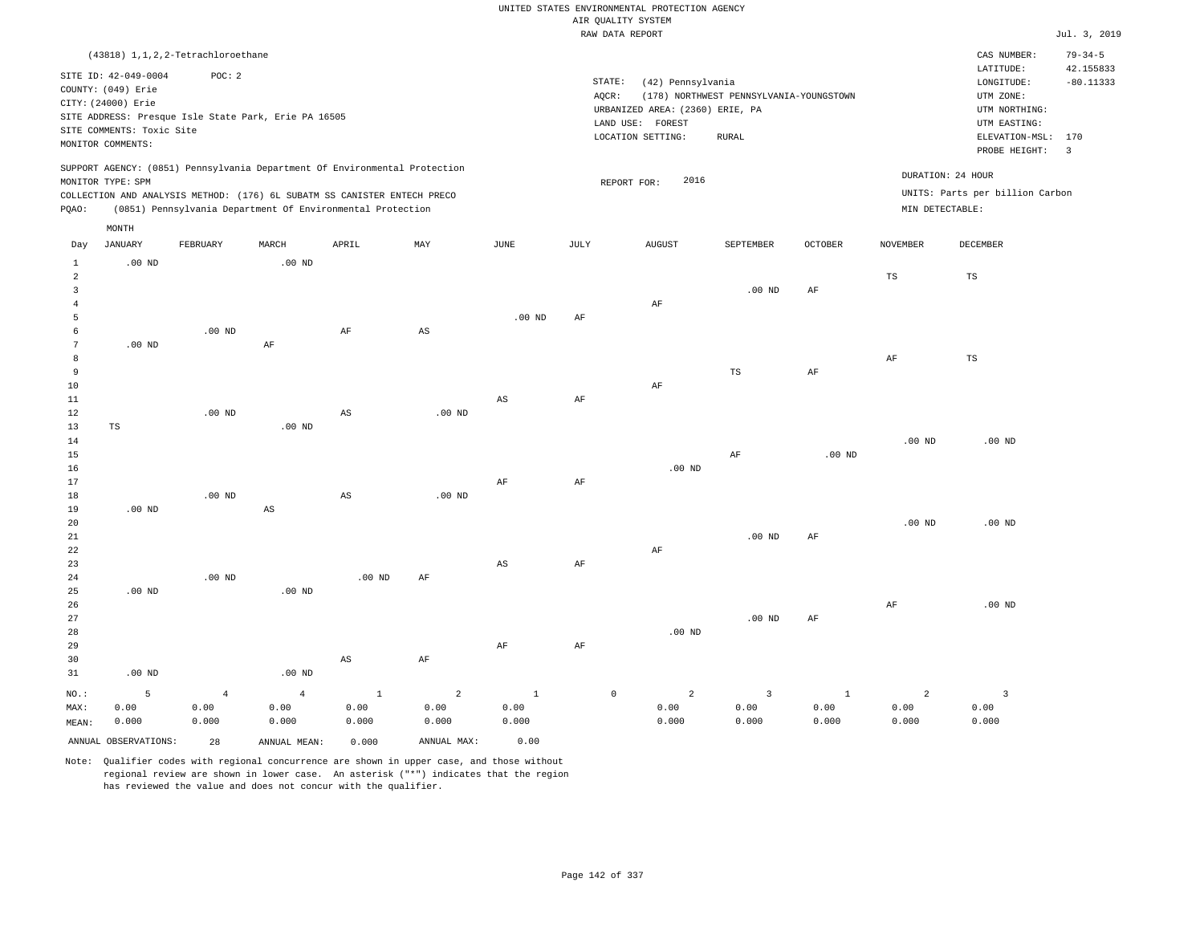|                                                    |                                                                                                                                                                             |                                 |                                 |                                                            |                        |                               |                     | RAW DATA REPORT                                                                               |                                                  |                               |                    |                                                                                                          | Jul. 3, 2019                                               |
|----------------------------------------------------|-----------------------------------------------------------------------------------------------------------------------------------------------------------------------------|---------------------------------|---------------------------------|------------------------------------------------------------|------------------------|-------------------------------|---------------------|-----------------------------------------------------------------------------------------------|--------------------------------------------------|-------------------------------|--------------------|----------------------------------------------------------------------------------------------------------|------------------------------------------------------------|
|                                                    | (43818) 1, 1, 2, 2-Tetrachloroethane                                                                                                                                        |                                 |                                 |                                                            |                        |                               |                     |                                                                                               |                                                  |                               |                    | CAS NUMBER:                                                                                              | $79 - 34 - 5$                                              |
|                                                    | SITE ID: 42-049-0004<br>COUNTY: (049) Erie<br>CITY: (24000) Erie<br>SITE ADDRESS: Presque Isle State Park, Erie PA 16505<br>SITE COMMENTS: Toxic Site<br>MONITOR COMMENTS:  | POC: 2                          |                                 |                                                            |                        |                               | STATE:<br>AQCR:     | (42) Pennsylvania<br>URBANIZED AREA: (2360) ERIE, PA<br>LAND USE: FOREST<br>LOCATION SETTING: | (178) NORTHWEST PENNSYLVANIA-YOUNGSTOWN<br>RURAL |                               |                    | LATITUDE:<br>LONGITUDE:<br>UTM ZONE:<br>UTM NORTHING:<br>UTM EASTING:<br>ELEVATION-MSL:<br>PROBE HEIGHT: | 42.155833<br>$-80.11333$<br>170<br>$\overline{\mathbf{3}}$ |
| PQAO:                                              | SUPPORT AGENCY: (0851) Pennsylvania Department Of Environmental Protection<br>MONITOR TYPE: SPM<br>COLLECTION AND ANALYSIS METHOD: (176) 6L SUBATM SS CANISTER ENTECH PRECO |                                 |                                 | (0851) Pennsylvania Department Of Environmental Protection |                        |                               |                     | 2016<br>REPORT FOR:                                                                           |                                                  |                               | MIN DETECTABLE:    | DURATION: 24 HOUR<br>UNITS: Parts per billion Carbon                                                     |                                                            |
| Day                                                | MONTH<br>JANUARY                                                                                                                                                            | FEBRUARY                        | MARCH                           | APRIL                                                      | MAY                    | JUNE                          | JULY                | <b>AUGUST</b>                                                                                 | SEPTEMBER                                        | <b>OCTOBER</b>                | NOVEMBER           | DECEMBER                                                                                                 |                                                            |
| $\mathbf{1}$<br>2                                  | $.00$ ND                                                                                                                                                                    |                                 | .00 <sub>ND</sub>               |                                                            |                        |                               |                     |                                                                                               |                                                  |                               | $_{\rm TS}$        | $_{\rm TS}$                                                                                              |                                                            |
| $\overline{3}$<br>$\overline{4}$<br>$\overline{5}$ |                                                                                                                                                                             |                                 |                                 |                                                            |                        | .00 <sub>ND</sub>             | AF                  | AF                                                                                            | $.00$ ND                                         | AF                            |                    |                                                                                                          |                                                            |
| $\epsilon$<br>$7\phantom{.0}$<br>8<br>9            | $.00$ ND                                                                                                                                                                    | $.00$ ND                        | $\rm{AF}$                       | AF                                                         | $\mathbb{A}\mathbb{S}$ |                               |                     |                                                                                               | TS                                               | AF                            | AF                 | TS                                                                                                       |                                                            |
| $10$<br>11<br>12                                   |                                                                                                                                                                             | $.00$ ND                        |                                 | $_{\rm AS}$                                                | $.00$ ND               | AS                            | $\rm{AF}$           | AF                                                                                            |                                                  |                               |                    |                                                                                                          |                                                            |
| 13<br>14<br>15<br>16                               | TS                                                                                                                                                                          |                                 | $.00$ ND                        |                                                            |                        |                               |                     | $.00$ ND                                                                                      | $\rm{AF}$                                        | .00 <sub>ND</sub>             | .00 <sub>ND</sub>  | $.00$ ND                                                                                                 |                                                            |
| 17<br>18<br>19                                     | $.00$ ND                                                                                                                                                                    | $.00$ ND                        | AS                              | $\mathbb{A}\mathbb{S}$                                     | $.00$ ND               | AF                            | $\rm{AF}$           |                                                                                               |                                                  |                               |                    |                                                                                                          |                                                            |
| 20<br>21<br>22<br>23                               |                                                                                                                                                                             |                                 |                                 |                                                            |                        | $_{\rm AS}$                   | AF                  | AF                                                                                            | $.00$ ND                                         | $\rm{AF}$                     | .00 <sub>ND</sub>  | $.00$ ND                                                                                                 |                                                            |
| 24<br>25<br>26                                     | $.00$ ND                                                                                                                                                                    | $.00$ ND                        | $.00$ ND                        | $.00$ ND                                                   | AF                     |                               |                     |                                                                                               |                                                  |                               | AF                 | $.00$ ND                                                                                                 |                                                            |
| 27<br>28<br>29<br>30                               |                                                                                                                                                                             |                                 |                                 | $\mathbb{A}\mathbb{S}$                                     | AF                     | AF                            | $\rm{AF}$           | $.00$ ND                                                                                      | $.00$ ND                                         | AF                            |                    |                                                                                                          |                                                            |
| 31                                                 | $.00$ ND                                                                                                                                                                    |                                 | $.00$ ND                        |                                                            |                        |                               |                     |                                                                                               |                                                  |                               |                    |                                                                                                          |                                                            |
| NO.:<br>MAX:<br>MEAN:                              | 5<br>0.00<br>0.000                                                                                                                                                          | $\overline{4}$<br>0.00<br>0.000 | $\overline{4}$<br>0.00<br>0.000 | $\mathbf{1}$<br>0.00<br>0.000                              | 2<br>0.00<br>0.000     | $\mathbf{1}$<br>0.00<br>0.000 | $\mathsf{O}\xspace$ | $\overline{a}$<br>0.00<br>0.000                                                               | $\overline{\mathbf{3}}$<br>0.00<br>0.000         | $\mathbf{1}$<br>0.00<br>0.000 | 2<br>0.00<br>0.000 | $\overline{\mathbf{3}}$<br>0.00<br>0.000                                                                 |                                                            |
|                                                    | ANNUAL OBSERVATIONS:                                                                                                                                                        | 28                              | ANNUAL MEAN:                    | 0.000                                                      | ANNUAL MAX:            | 0.00                          |                     |                                                                                               |                                                  |                               |                    |                                                                                                          |                                                            |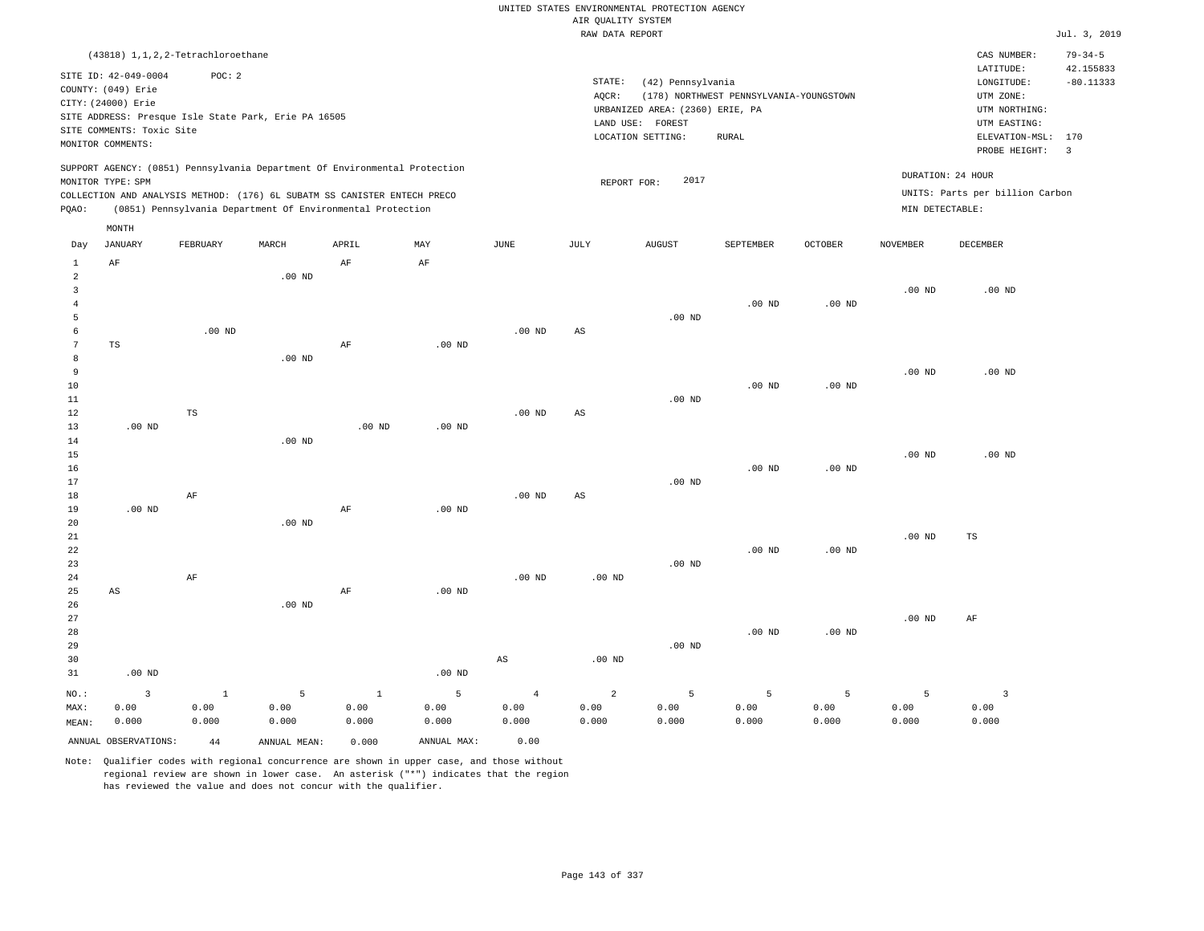|                 |                                      |               |                                                      |                                                                            |                   |                   | RAW DATA REPORT        |                                 |                                         |                   |                   |                                     | Jul. 3, 2019            |
|-----------------|--------------------------------------|---------------|------------------------------------------------------|----------------------------------------------------------------------------|-------------------|-------------------|------------------------|---------------------------------|-----------------------------------------|-------------------|-------------------|-------------------------------------|-------------------------|
|                 | (43818) 1, 1, 2, 2-Tetrachloroethane |               |                                                      |                                                                            |                   |                   |                        |                                 |                                         |                   |                   | CAS NUMBER:                         | $79 - 34 - 5$           |
|                 | SITE ID: 42-049-0004                 | POC: 2        |                                                      |                                                                            |                   |                   |                        |                                 |                                         |                   |                   | LATITUDE:                           | 42.155833               |
|                 | COUNTY: (049) Erie                   |               |                                                      |                                                                            |                   |                   | STATE:                 | (42) Pennsylvania               |                                         |                   |                   | LONGITUDE:                          | $-80.11333$             |
|                 | CITY: (24000) Erie                   |               |                                                      |                                                                            |                   |                   | AQCR:                  |                                 | (178) NORTHWEST PENNSYLVANIA-YOUNGSTOWN |                   |                   | UTM ZONE:                           |                         |
|                 |                                      |               | SITE ADDRESS: Presque Isle State Park, Erie PA 16505 |                                                                            |                   |                   |                        | URBANIZED AREA: (2360) ERIE, PA |                                         |                   |                   | UTM NORTHING:                       |                         |
|                 | SITE COMMENTS: Toxic Site            |               |                                                      |                                                                            |                   |                   |                        | LAND USE: FOREST                |                                         |                   |                   | UTM EASTING:                        |                         |
|                 | MONITOR COMMENTS:                    |               |                                                      |                                                                            |                   |                   |                        | LOCATION SETTING:               | <b>RURAL</b>                            |                   |                   | ELEVATION-MSL: 170<br>PROBE HEIGHT: | $\overline{\mathbf{3}}$ |
|                 |                                      |               |                                                      | SUPPORT AGENCY: (0851) Pennsylvania Department Of Environmental Protection |                   |                   |                        |                                 |                                         |                   |                   |                                     |                         |
|                 | MONITOR TYPE: SPM                    |               |                                                      |                                                                            |                   |                   | REPORT FOR:            | 2017                            |                                         |                   |                   | DURATION: 24 HOUR                   |                         |
|                 |                                      |               |                                                      | COLLECTION AND ANALYSIS METHOD: (176) 6L SUBATM SS CANISTER ENTECH PRECO   |                   |                   |                        |                                 |                                         |                   |                   | UNITS: Parts per billion Carbon     |                         |
| PQAO:           |                                      |               |                                                      | (0851) Pennsylvania Department Of Environmental Protection                 |                   |                   |                        |                                 |                                         |                   | MIN DETECTABLE:   |                                     |                         |
|                 | MONTH                                |               |                                                      |                                                                            |                   |                   |                        |                                 |                                         |                   |                   |                                     |                         |
| Day             | <b>JANUARY</b>                       | FEBRUARY      | MARCH                                                | APRIL                                                                      | MAY               | <b>JUNE</b>       | <b>JULY</b>            | ${\tt AUGUST}$                  | SEPTEMBER                               | <b>OCTOBER</b>    | <b>NOVEMBER</b>   | DECEMBER                            |                         |
| $\mathbf{1}$    | AF                                   |               |                                                      | AF                                                                         | AF                |                   |                        |                                 |                                         |                   |                   |                                     |                         |
| $\overline{a}$  |                                      |               | $.00$ ND                                             |                                                                            |                   |                   |                        |                                 |                                         |                   |                   |                                     |                         |
| $\mathbf{3}$    |                                      |               |                                                      |                                                                            |                   |                   |                        |                                 |                                         |                   | .00 <sub>ND</sub> | $.00$ ND                            |                         |
| $\overline{4}$  |                                      |               |                                                      |                                                                            |                   |                   |                        |                                 | $.00$ ND                                | .00 <sub>ND</sub> |                   |                                     |                         |
| 5               |                                      |               |                                                      |                                                                            |                   |                   |                        | $.00$ ND                        |                                         |                   |                   |                                     |                         |
| 6               |                                      | $.00$ ND      |                                                      |                                                                            |                   | .00 <sub>ND</sub> | AS                     |                                 |                                         |                   |                   |                                     |                         |
| $7\phantom{.0}$ | TS                                   |               |                                                      | $\rm{AF}$                                                                  | $.00$ ND          |                   |                        |                                 |                                         |                   |                   |                                     |                         |
| 8<br>9          |                                      |               | $.00$ ND                                             |                                                                            |                   |                   |                        |                                 |                                         |                   | .00 <sub>ND</sub> | $.00$ ND                            |                         |
| 10              |                                      |               |                                                      |                                                                            |                   |                   |                        |                                 | .00 <sub>ND</sub>                       | .00 <sub>ND</sub> |                   |                                     |                         |
| 11              |                                      |               |                                                      |                                                                            |                   |                   |                        | $.00$ ND                        |                                         |                   |                   |                                     |                         |
| 12              |                                      | $\mathbb{TS}$ |                                                      |                                                                            |                   | .00 <sub>ND</sub> | $\mathbb{A}\mathbb{S}$ |                                 |                                         |                   |                   |                                     |                         |
| 13              | $.00$ ND                             |               |                                                      | $.00$ ND                                                                   | $.00$ ND          |                   |                        |                                 |                                         |                   |                   |                                     |                         |
| 14              |                                      |               | $.00$ ND                                             |                                                                            |                   |                   |                        |                                 |                                         |                   |                   |                                     |                         |
| 15              |                                      |               |                                                      |                                                                            |                   |                   |                        |                                 |                                         |                   | .00 <sub>ND</sub> | $.00$ ND                            |                         |
| 16              |                                      |               |                                                      |                                                                            |                   |                   |                        |                                 | $.00$ ND                                | .00 <sub>ND</sub> |                   |                                     |                         |
| 17              |                                      |               |                                                      |                                                                            |                   |                   |                        | $.00$ ND                        |                                         |                   |                   |                                     |                         |
| 18              |                                      | AF            |                                                      |                                                                            |                   | .00 <sub>ND</sub> | AS                     |                                 |                                         |                   |                   |                                     |                         |
| 19              | $.00$ ND                             |               |                                                      | $\rm AF$                                                                   | $.00$ ND          |                   |                        |                                 |                                         |                   |                   |                                     |                         |
| 20              |                                      |               | $.00$ ND                                             |                                                                            |                   |                   |                        |                                 |                                         |                   |                   |                                     |                         |
| 21<br>22        |                                      |               |                                                      |                                                                            |                   |                   |                        |                                 | $.00$ ND                                | $.00$ ND          | .00 <sub>ND</sub> | TS                                  |                         |
| 23              |                                      |               |                                                      |                                                                            |                   |                   |                        | $.00$ ND                        |                                         |                   |                   |                                     |                         |
| 24              |                                      | AF            |                                                      |                                                                            |                   | $.00$ ND          | $.00$ ND               |                                 |                                         |                   |                   |                                     |                         |
| 25              | AS                                   |               |                                                      | AF                                                                         | .00 <sub>ND</sub> |                   |                        |                                 |                                         |                   |                   |                                     |                         |
| 26              |                                      |               | $.00$ ND                                             |                                                                            |                   |                   |                        |                                 |                                         |                   |                   |                                     |                         |
| 27              |                                      |               |                                                      |                                                                            |                   |                   |                        |                                 |                                         |                   | .00 <sub>ND</sub> | AF                                  |                         |
| 28              |                                      |               |                                                      |                                                                            |                   |                   |                        |                                 | $.00$ ND                                | .00 <sub>ND</sub> |                   |                                     |                         |
| 29              |                                      |               |                                                      |                                                                            |                   |                   |                        | $.00$ ND                        |                                         |                   |                   |                                     |                         |
| 30              |                                      |               |                                                      |                                                                            |                   | AS                | $.00$ ND               |                                 |                                         |                   |                   |                                     |                         |
| 31              | $.00$ ND                             |               |                                                      |                                                                            | .00 <sub>ND</sub> |                   |                        |                                 |                                         |                   |                   |                                     |                         |
| $NO.$ :         | $\overline{3}$                       | $\mathbf{1}$  | 5                                                    | $\overline{1}$                                                             | 5                 | $\overline{4}$    | $\overline{a}$         | 5                               | $\overline{5}$                          | $\overline{5}$    | 5                 | $\overline{\mathbf{3}}$             |                         |
| MAX:            | 0.00                                 | 0.00          | 0.00                                                 | 0.00                                                                       | 0.00              | 0.00              | 0.00                   | 0.00                            | 0.00                                    | 0.00              | 0.00              | 0.00                                |                         |
| MEAN:           | 0.000                                | 0.000         | 0.000                                                | 0.000                                                                      | 0.000             | 0.000             | 0.000                  | 0.000                           | 0.000                                   | 0.000             | 0.000             | 0.000                               |                         |
|                 | ANNUAL OBSERVATIONS:                 | 44            | ANNUAL MEAN:                                         | 0.000                                                                      | ANNUAL MAX:       | 0.00              |                        |                                 |                                         |                   |                   |                                     |                         |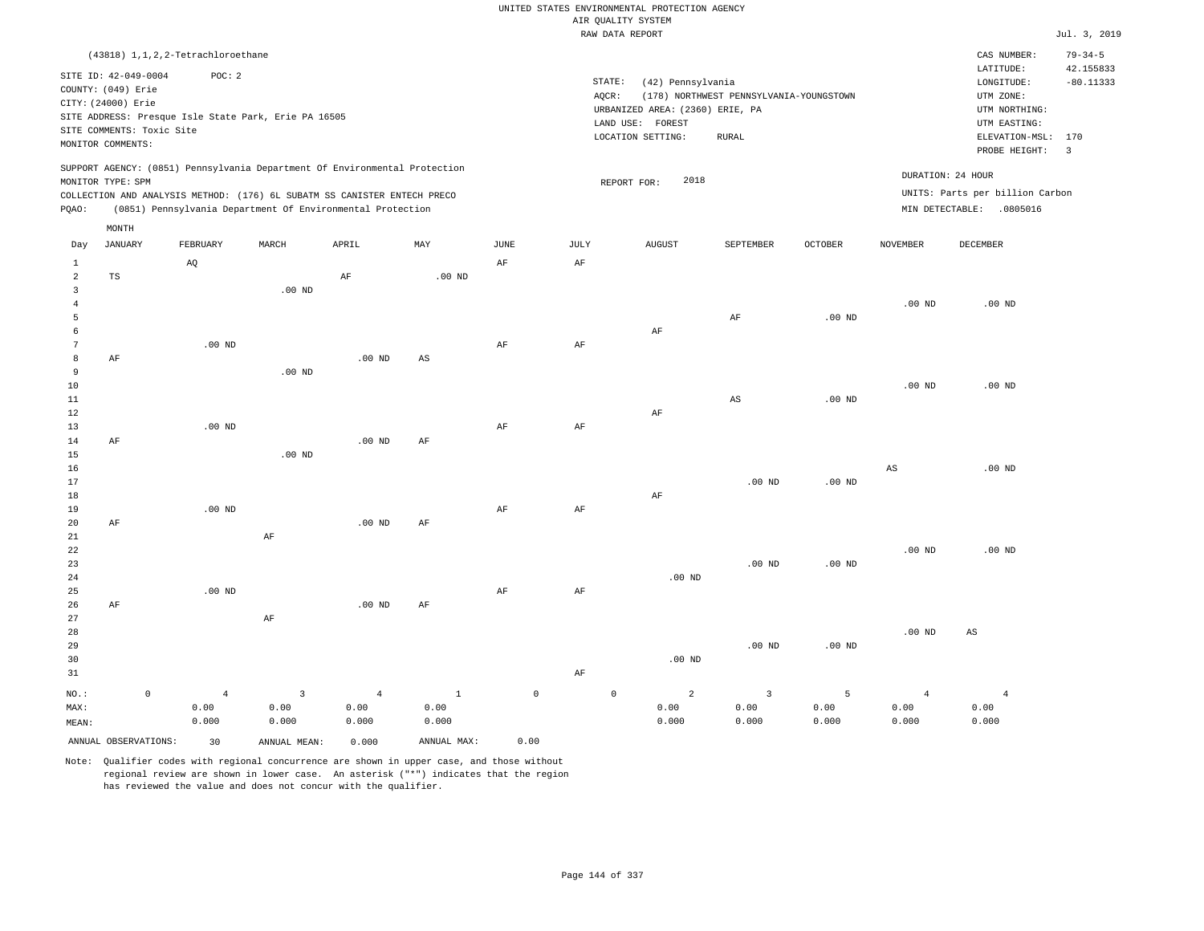|                                                         |                                                                                                                    |             |                                      |                                                      |                                                                                                                                                                                                                      |                               |                     |               | UNITED STATES ENVIRONMENTAL PROTECTION AGENCY<br>AIR OUALITY SYSTEM<br>RAW DATA REPORT                  |                                                         |                    |                                 |                                                                                         | Jul. 3, 2019                    |
|---------------------------------------------------------|--------------------------------------------------------------------------------------------------------------------|-------------|--------------------------------------|------------------------------------------------------|----------------------------------------------------------------------------------------------------------------------------------------------------------------------------------------------------------------------|-------------------------------|---------------------|---------------|---------------------------------------------------------------------------------------------------------|---------------------------------------------------------|--------------------|---------------------------------|-----------------------------------------------------------------------------------------|---------------------------------|
|                                                         |                                                                                                                    |             | (43818) 1, 1, 2, 2-Tetrachloroethane |                                                      |                                                                                                                                                                                                                      |                               |                     |               |                                                                                                         |                                                         |                    |                                 | CAS NUMBER:                                                                             | $79 - 34 - 5$                   |
|                                                         | SITE ID: 42-049-0004<br>COUNTY: (049) Erie<br>CITY: (24000) Erie<br>SITE COMMENTS: Toxic Site<br>MONITOR COMMENTS: |             | POC: 2                               | SITE ADDRESS: Presque Isle State Park, Erie PA 16505 |                                                                                                                                                                                                                      |                               |                     | $AQCR$ :      | STATE:<br>(42) Pennsylvania<br>URBANIZED AREA: (2360) ERIE, PA<br>LAND USE: FOREST<br>LOCATION SETTING: | (178) NORTHWEST PENNSYLVANIA-YOUNGSTOWN<br><b>RURAL</b> |                    |                                 | LATITUDE:<br>LONGITUDE:<br>UTM ZONE:<br>UTM NORTHING:<br>UTM EASTING:<br>ELEVATION-MSL: | 42.155833<br>$-80.11333$<br>170 |
| PQAO:                                                   | MONITOR TYPE: SPM                                                                                                  |             |                                      |                                                      | SUPPORT AGENCY: (0851) Pennsylvania Department Of Environmental Protection<br>COLLECTION AND ANALYSIS METHOD: (176) 6L SUBATM SS CANISTER ENTECH PRECO<br>(0851) Pennsylvania Department Of Environmental Protection |                               |                     |               | 2018<br>REPORT FOR:                                                                                     |                                                         |                    | DURATION: 24 HOUR               | PROBE HEIGHT:<br>UNITS: Parts per billion Carbon<br>MIN DETECTABLE: .0805016            | $\overline{3}$                  |
| Day                                                     | MONTH<br>JANUARY                                                                                                   |             | FEBRUARY                             | MARCH                                                | APRIL                                                                                                                                                                                                                | MAY                           | JUNE                | $_{\rm JULY}$ | AUGUST                                                                                                  | <b>SEPTEMBER</b>                                        | <b>OCTOBER</b>     | <b>NOVEMBER</b>                 | DECEMBER                                                                                |                                 |
| $\mathbf{1}$<br>$\sqrt{2}$<br>$\overline{3}$            | $\operatorname{TS}$                                                                                                |             | AQ                                   | $.00$ ND                                             | AF                                                                                                                                                                                                                   | .00 <sub>ND</sub>             | AF                  | AF            |                                                                                                         |                                                         |                    |                                 |                                                                                         |                                 |
| $\sqrt{4}$<br>5<br>6                                    |                                                                                                                    |             |                                      |                                                      |                                                                                                                                                                                                                      |                               |                     |               | AF                                                                                                      | $\rm{AF}$                                               | $.00$ ND           | .00 <sub>ND</sub>               | $.00$ ND                                                                                |                                 |
| $7\phantom{.0}$<br>$\mathbf{a}$<br>$\overline{9}$<br>10 | AF                                                                                                                 |             | $.00$ ND                             | $.00$ ND                                             | $.00$ ND                                                                                                                                                                                                             | AS                            | AF                  | AF            |                                                                                                         |                                                         |                    | $.00$ ND                        | $.00$ ND                                                                                |                                 |
| $1\,1$<br>$1\,2$<br>13<br>14                            | AF                                                                                                                 |             | $.00$ ND                             |                                                      | .00 <sub>ND</sub>                                                                                                                                                                                                    | AF                            | AF                  | AF            | AF                                                                                                      | $_{\rm AS}$                                             | $.00$ ND           |                                 |                                                                                         |                                 |
| 15<br>16<br>17<br>18                                    |                                                                                                                    |             |                                      | .00 <sub>ND</sub>                                    |                                                                                                                                                                                                                      |                               |                     |               | AF                                                                                                      | $.00$ ND                                                | $.00$ ND           | AS                              | $.00$ ND                                                                                |                                 |
| 19<br>20<br>$2\sqrt{1}$                                 | AF                                                                                                                 |             | $.00$ ND                             | AF                                                   | .00 <sub>ND</sub>                                                                                                                                                                                                    | AF                            | AF                  | AF            |                                                                                                         |                                                         |                    |                                 |                                                                                         |                                 |
| 22<br>23<br>24<br>25                                    |                                                                                                                    |             | $.00$ ND                             |                                                      |                                                                                                                                                                                                                      |                               | AF                  | AF            | $.00$ ND                                                                                                | $.00$ ND                                                | .00 <sub>ND</sub>  | .00 <sub>ND</sub>               | $.00$ ND                                                                                |                                 |
| 26<br>27<br>28<br>29<br>30<br>31                        | AF                                                                                                                 |             |                                      | AF                                                   | .00 <sub>ND</sub>                                                                                                                                                                                                    | AF                            |                     | AF            | $.00$ ND                                                                                                | $.00$ ND                                                | $.00$ ND           | .00 <sub>ND</sub>               | AS                                                                                      |                                 |
| NO.:<br>MAX:<br>MEAN:                                   |                                                                                                                    | $\mathbb O$ | $\overline{4}$<br>0.00<br>0.000      | $\overline{3}$<br>0.00<br>0.000                      | $\overline{4}$<br>0.00<br>0.000                                                                                                                                                                                      | $\mathbf{1}$<br>0.00<br>0.000 | $\mathsf{O}\xspace$ |               | $\mathbb O$<br>$\overline{2}$<br>0.00<br>0.000                                                          | $\overline{3}$<br>0.00<br>0.000                         | 5<br>0.00<br>0.000 | $\overline{4}$<br>0.00<br>0.000 | $\overline{4}$<br>0.00<br>0.000                                                         |                                 |
|                                                         | ANNUAL OBSERVATIONS:                                                                                               |             | 30                                   | ANNUAL MEAN:                                         | 0.000                                                                                                                                                                                                                | ANNUAL MAX:                   | 0.00                |               |                                                                                                         |                                                         |                    |                                 |                                                                                         |                                 |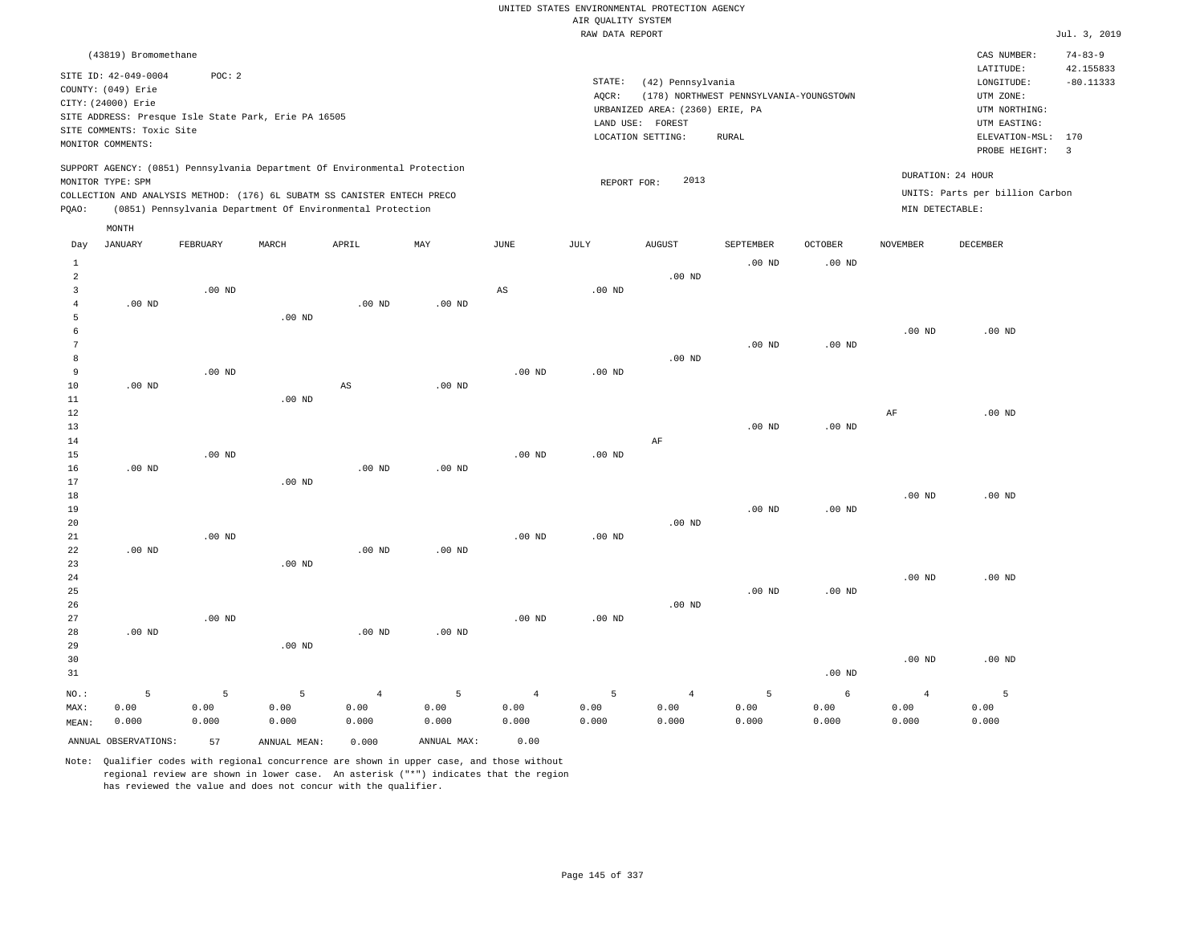|                                  | (43819) Bromomethane                                                                          |          |                                                                            |                   |                   |                   |                              |                                                                |                                         |                   |                 | CAS NUMBER:                                                           | $74 - 83 - 9$            |
|----------------------------------|-----------------------------------------------------------------------------------------------|----------|----------------------------------------------------------------------------|-------------------|-------------------|-------------------|------------------------------|----------------------------------------------------------------|-----------------------------------------|-------------------|-----------------|-----------------------------------------------------------------------|--------------------------|
|                                  | SITE ID: 42-049-0004<br>COUNTY: (049) Erie<br>CITY: (24000) Erie<br>SITE COMMENTS: Toxic Site | POC: 2   | SITE ADDRESS: Presque Isle State Park, Erie PA 16505                       |                   |                   |                   | STATE:<br>AQCR:<br>LAND USE: | (42) Pennsylvania<br>URBANIZED AREA: (2360) ERIE, PA<br>FOREST | (178) NORTHWEST PENNSYLVANIA-YOUNGSTOWN |                   |                 | LATITUDE:<br>LONGITUDE:<br>UTM ZONE:<br>UTM NORTHING:<br>UTM EASTING: | 42.155833<br>$-80.11333$ |
|                                  | MONITOR COMMENTS:                                                                             |          |                                                                            |                   |                   |                   |                              | LOCATION SETTING:                                              | <b>RURAL</b>                            |                   |                 | ELEVATION-MSL: 170<br>PROBE HEIGHT:                                   | $\overline{\mathbf{3}}$  |
|                                  | MONITOR TYPE: SPM                                                                             |          | SUPPORT AGENCY: (0851) Pennsylvania Department Of Environmental Protection |                   |                   |                   | REPORT FOR:                  | 2013                                                           |                                         |                   |                 | DURATION: 24 HOUR                                                     |                          |
|                                  |                                                                                               |          | COLLECTION AND ANALYSIS METHOD: (176) 6L SUBATM SS CANISTER ENTECH PRECO   |                   |                   |                   |                              |                                                                |                                         |                   |                 | UNITS: Parts per billion Carbon                                       |                          |
| PQAO:                            |                                                                                               |          | (0851) Pennsylvania Department Of Environmental Protection                 |                   |                   |                   |                              |                                                                |                                         |                   | MIN DETECTABLE: |                                                                       |                          |
|                                  | MONTH                                                                                         |          |                                                                            |                   |                   |                   |                              |                                                                |                                         |                   |                 |                                                                       |                          |
| Day                              | <b>JANUARY</b>                                                                                | FEBRUARY | MARCH                                                                      | APRIL             | MAY               | <b>JUNE</b>       | JULY                         | <b>AUGUST</b>                                                  | SEPTEMBER                               | <b>OCTOBER</b>    | <b>NOVEMBER</b> | <b>DECEMBER</b>                                                       |                          |
|                                  |                                                                                               |          |                                                                            |                   |                   |                   |                              |                                                                |                                         |                   |                 |                                                                       |                          |
| $1\,$                            |                                                                                               |          |                                                                            |                   |                   |                   |                              |                                                                | .00 <sub>ND</sub>                       | .00 <sub>ND</sub> |                 |                                                                       |                          |
| $\overline{a}$<br>$\overline{3}$ |                                                                                               |          |                                                                            |                   |                   |                   |                              | $.00$ ND                                                       |                                         |                   |                 |                                                                       |                          |
| $\bf{4}$                         |                                                                                               | $.00$ ND |                                                                            |                   |                   | AS                | .00 <sub>ND</sub>            |                                                                |                                         |                   |                 |                                                                       |                          |
| 5                                | $.00$ ND                                                                                      |          | .00 <sub>ND</sub>                                                          | .00 <sub>ND</sub> | .00 <sub>ND</sub> |                   |                              |                                                                |                                         |                   |                 |                                                                       |                          |
| $\epsilon$                       |                                                                                               |          |                                                                            |                   |                   |                   |                              |                                                                |                                         |                   | $.00$ ND        | $.00$ ND                                                              |                          |
| $7\phantom{.0}$                  |                                                                                               |          |                                                                            |                   |                   |                   |                              |                                                                | $.00$ ND                                | $.00$ ND          |                 |                                                                       |                          |
| 8                                |                                                                                               |          |                                                                            |                   |                   |                   |                              | $.00$ ND                                                       |                                         |                   |                 |                                                                       |                          |
| 9                                |                                                                                               | $.00$ ND |                                                                            |                   |                   | $.00$ ND          | $.00$ ND                     |                                                                |                                         |                   |                 |                                                                       |                          |
| 10                               | $.00$ ND                                                                                      |          |                                                                            | AS                | $.00$ ND          |                   |                              |                                                                |                                         |                   |                 |                                                                       |                          |
| 11                               |                                                                                               |          | $.00$ ND                                                                   |                   |                   |                   |                              |                                                                |                                         |                   |                 |                                                                       |                          |
| 12                               |                                                                                               |          |                                                                            |                   |                   |                   |                              |                                                                |                                         |                   | AF              | $.00$ ND                                                              |                          |
| 13                               |                                                                                               |          |                                                                            |                   |                   |                   |                              |                                                                | $.00$ ND                                | .00 <sub>ND</sub> |                 |                                                                       |                          |
| 14                               |                                                                                               |          |                                                                            |                   |                   |                   |                              | AF                                                             |                                         |                   |                 |                                                                       |                          |
| 15                               |                                                                                               | $.00$ ND |                                                                            |                   |                   | $.00$ ND          | .00 <sub>ND</sub>            |                                                                |                                         |                   |                 |                                                                       |                          |
| 16                               | $.00$ ND                                                                                      |          |                                                                            | $.00$ ND          | $.00$ ND          |                   |                              |                                                                |                                         |                   |                 |                                                                       |                          |
| 17                               |                                                                                               |          | $.00$ ND                                                                   |                   |                   |                   |                              |                                                                |                                         |                   |                 |                                                                       |                          |
| 18                               |                                                                                               |          |                                                                            |                   |                   |                   |                              |                                                                |                                         |                   | $.00$ ND        | $.00$ ND                                                              |                          |
| 19                               |                                                                                               |          |                                                                            |                   |                   |                   |                              |                                                                | $.00$ ND                                | $.00$ ND          |                 |                                                                       |                          |
| 20                               |                                                                                               |          |                                                                            |                   |                   |                   |                              | $.00$ ND                                                       |                                         |                   |                 |                                                                       |                          |
| $2\sqrt{1}$                      |                                                                                               | $.00$ ND |                                                                            |                   |                   | $.00$ ND          | .00 <sub>ND</sub>            |                                                                |                                         |                   |                 |                                                                       |                          |
| 22                               | $.00$ ND                                                                                      |          |                                                                            | .00 <sub>ND</sub> | .00 <sub>ND</sub> |                   |                              |                                                                |                                         |                   |                 |                                                                       |                          |
| 23                               |                                                                                               |          | $.00$ ND                                                                   |                   |                   |                   |                              |                                                                |                                         |                   |                 |                                                                       |                          |
| 24                               |                                                                                               |          |                                                                            |                   |                   |                   |                              |                                                                |                                         |                   | $.00$ ND        | $.00$ ND                                                              |                          |
| 25                               |                                                                                               |          |                                                                            |                   |                   |                   |                              |                                                                | $.00$ ND                                | $.00$ ND          |                 |                                                                       |                          |
| 26                               |                                                                                               |          |                                                                            |                   |                   |                   |                              | .00 <sub>ND</sub>                                              |                                         |                   |                 |                                                                       |                          |
| 27                               |                                                                                               | $.00$ ND |                                                                            |                   |                   | .00 <sub>ND</sub> | .00 <sub>ND</sub>            |                                                                |                                         |                   |                 |                                                                       |                          |
| 28                               | $.00$ ND                                                                                      |          |                                                                            | $.00$ ND          | $.00$ ND          |                   |                              |                                                                |                                         |                   |                 |                                                                       |                          |
| 29                               |                                                                                               |          | $.00$ ND                                                                   |                   |                   |                   |                              |                                                                |                                         |                   |                 |                                                                       |                          |
| 30                               |                                                                                               |          |                                                                            |                   |                   |                   |                              |                                                                |                                         |                   | $.00$ ND        | $.00$ ND                                                              |                          |
| 31                               |                                                                                               |          |                                                                            |                   |                   |                   |                              |                                                                |                                         | $.00$ ND          |                 |                                                                       |                          |
| NO.:                             | 5                                                                                             | 5        | 5                                                                          | $\overline{4}$    | 5                 | $\overline{4}$    | 5                            | $\overline{4}$                                                 | 5                                       | 6                 | $\overline{4}$  | 5                                                                     |                          |
| MAX:                             | 0.00                                                                                          | 0.00     | 0.00                                                                       | 0.00              | 0.00              | 0.00              | 0.00                         | 0.00                                                           | 0.00                                    | 0.00              | 0.00            | 0.00                                                                  |                          |
| MEAN:                            | 0.000                                                                                         | 0.000    | 0.000                                                                      | 0.000             | 0.000             | 0.000             | 0.000                        | 0.000                                                          | 0.000                                   | 0.000             | 0.000           | 0.000                                                                 |                          |
|                                  |                                                                                               |          |                                                                            |                   |                   |                   |                              |                                                                |                                         |                   |                 |                                                                       |                          |
|                                  | ANNUAL OBSERVATIONS:                                                                          | 57       | ANNUAL MEAN:                                                               | 0.000             | ANNUAL MAX:       | 0.00              |                              |                                                                |                                         |                   |                 |                                                                       |                          |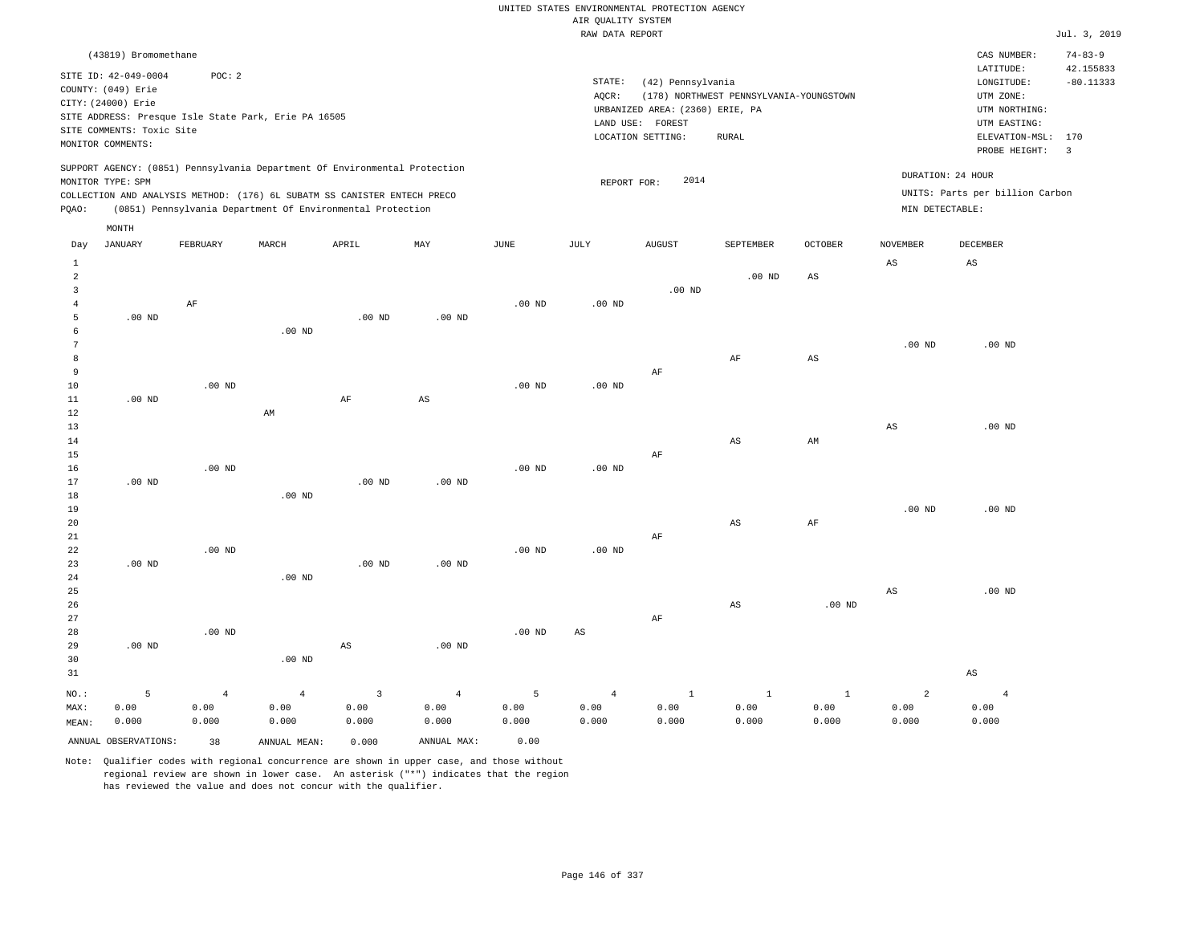|                     |                           |                   |                                                                            |                |                        |                   | RAW DATA REPORT |                                 |                                         |                        |                   |                                 | Jul. 3, 2019   |
|---------------------|---------------------------|-------------------|----------------------------------------------------------------------------|----------------|------------------------|-------------------|-----------------|---------------------------------|-----------------------------------------|------------------------|-------------------|---------------------------------|----------------|
|                     | (43819) Bromomethane      |                   |                                                                            |                |                        |                   |                 |                                 |                                         |                        |                   | CAS NUMBER:                     | $74 - 83 - 9$  |
|                     |                           |                   |                                                                            |                |                        |                   |                 |                                 |                                         |                        |                   | LATITUDE:                       | 42.155833      |
|                     | SITE ID: 42-049-0004      | POC: 2            |                                                                            |                |                        |                   | STATE:          | (42) Pennsylvania               |                                         |                        |                   | $\texttt{LONGITUDE}$ :          | $-80.11333$    |
|                     | COUNTY: (049) Erie        |                   |                                                                            |                |                        |                   | AQCR:           |                                 | (178) NORTHWEST PENNSYLVANIA-YOUNGSTOWN |                        |                   | UTM ZONE:                       |                |
|                     | CITY: (24000) Erie        |                   | SITE ADDRESS: Presque Isle State Park, Erie PA 16505                       |                |                        |                   |                 | URBANIZED AREA: (2360) ERIE, PA |                                         |                        |                   | UTM NORTHING:                   |                |
|                     | SITE COMMENTS: Toxic Site |                   |                                                                            |                |                        |                   |                 | LAND USE: FOREST                |                                         |                        |                   | UTM EASTING:                    |                |
|                     | MONITOR COMMENTS:         |                   |                                                                            |                |                        |                   |                 | LOCATION SETTING:               | <b>RURAL</b>                            |                        |                   | ELEVATION-MSL: 170              |                |
|                     |                           |                   |                                                                            |                |                        |                   |                 |                                 |                                         |                        |                   | PROBE HEIGHT:                   | $\overline{3}$ |
|                     |                           |                   | SUPPORT AGENCY: (0851) Pennsylvania Department Of Environmental Protection |                |                        |                   |                 |                                 |                                         |                        |                   | DURATION: 24 HOUR               |                |
|                     | MONITOR TYPE: SPM         |                   | COLLECTION AND ANALYSIS METHOD: (176) 6L SUBATM SS CANISTER ENTECH PRECO   |                |                        |                   | REPORT FOR:     | 2014                            |                                         |                        |                   | UNITS: Parts per billion Carbon |                |
| POAO:               |                           |                   | (0851) Pennsylvania Department Of Environmental Protection                 |                |                        |                   |                 |                                 |                                         |                        | MIN DETECTABLE:   |                                 |                |
|                     |                           |                   |                                                                            |                |                        |                   |                 |                                 |                                         |                        |                   |                                 |                |
|                     | MONTH                     |                   |                                                                            |                |                        |                   |                 |                                 |                                         |                        |                   |                                 |                |
| Day                 | JANUARY                   | FEBRUARY          | MARCH                                                                      | APRIL          | MAY                    | JUNE              | JULY            | <b>AUGUST</b>                   | SEPTEMBER                               | <b>OCTOBER</b>         | <b>NOVEMBER</b>   | <b>DECEMBER</b>                 |                |
| $\mathbf{1}$        |                           |                   |                                                                            |                |                        |                   |                 |                                 |                                         |                        | AS                | $\mathbb{A}\mathbb{S}$          |                |
| $\overline{a}$      |                           |                   |                                                                            |                |                        |                   |                 |                                 | $.00$ ND                                | $\mathbb{A}\mathbb{S}$ |                   |                                 |                |
| $\overline{3}$      |                           |                   |                                                                            |                |                        |                   |                 | $.00$ ND                        |                                         |                        |                   |                                 |                |
| $\overline{4}$<br>5 | $.00$ ND                  | AF                |                                                                            | $.00$ ND       | $.00$ ND               | .00 <sub>ND</sub> | $.00$ ND        |                                 |                                         |                        |                   |                                 |                |
| 6                   |                           |                   | $.00$ ND                                                                   |                |                        |                   |                 |                                 |                                         |                        |                   |                                 |                |
| 7                   |                           |                   |                                                                            |                |                        |                   |                 |                                 |                                         |                        | $.00$ ND          | $.00$ ND                        |                |
| 8                   |                           |                   |                                                                            |                |                        |                   |                 |                                 | AF                                      | AS                     |                   |                                 |                |
| 9                   |                           |                   |                                                                            |                |                        |                   |                 | AF                              |                                         |                        |                   |                                 |                |
| 10                  |                           | $.00$ ND          |                                                                            |                |                        | $.00$ ND          | $.00$ ND        |                                 |                                         |                        |                   |                                 |                |
| $11\,$              | $.00$ ND                  |                   |                                                                            | $\rm AF$       | $\mathbb{A}\mathbb{S}$ |                   |                 |                                 |                                         |                        |                   |                                 |                |
| 12                  |                           |                   | AM                                                                         |                |                        |                   |                 |                                 |                                         |                        |                   |                                 |                |
| 13                  |                           |                   |                                                                            |                |                        |                   |                 |                                 |                                         |                        | AS                | $.00$ ND                        |                |
| 14                  |                           |                   |                                                                            |                |                        |                   |                 |                                 | $\mathbb{A}\mathbb{S}$                  | AM                     |                   |                                 |                |
| 15                  |                           |                   |                                                                            |                |                        |                   |                 | $\rm AF$                        |                                         |                        |                   |                                 |                |
| 16                  |                           | $.00$ ND          |                                                                            |                |                        | $.00$ ND          | $.00$ ND        |                                 |                                         |                        |                   |                                 |                |
| 17                  | $.00$ ND                  |                   |                                                                            | $.00$ ND       | $.00$ ND               |                   |                 |                                 |                                         |                        |                   |                                 |                |
| 18                  |                           |                   | .00 <sub>ND</sub>                                                          |                |                        |                   |                 |                                 |                                         |                        |                   |                                 |                |
| 19<br>20            |                           |                   |                                                                            |                |                        |                   |                 |                                 | AS                                      | AF                     | .00 <sub>ND</sub> | $.00$ ND                        |                |
| 21                  |                           |                   |                                                                            |                |                        |                   |                 | AF                              |                                         |                        |                   |                                 |                |
| 22                  |                           | .00 <sub>ND</sub> |                                                                            |                |                        | .00 <sub>ND</sub> | $.00$ ND        |                                 |                                         |                        |                   |                                 |                |
| 23                  | $.00$ ND                  |                   |                                                                            | $.00$ ND       | $.00$ ND               |                   |                 |                                 |                                         |                        |                   |                                 |                |
| 24                  |                           |                   | .00 <sub>ND</sub>                                                          |                |                        |                   |                 |                                 |                                         |                        |                   |                                 |                |
| 25                  |                           |                   |                                                                            |                |                        |                   |                 |                                 |                                         |                        | $_{\rm AS}$       | $.00$ ND                        |                |
| 26                  |                           |                   |                                                                            |                |                        |                   |                 |                                 | AS                                      | $.00$ ND               |                   |                                 |                |
| 27                  |                           |                   |                                                                            |                |                        |                   |                 | AF                              |                                         |                        |                   |                                 |                |
| 28                  |                           | $.00$ ND          |                                                                            |                |                        | .00 <sub>ND</sub> | $_{\rm AS}$     |                                 |                                         |                        |                   |                                 |                |
| 29                  | $.00$ ND                  |                   |                                                                            | $_{\rm AS}$    | $.00$ ND               |                   |                 |                                 |                                         |                        |                   |                                 |                |
| 30                  |                           |                   | $.00$ ND                                                                   |                |                        |                   |                 |                                 |                                         |                        |                   |                                 |                |
| 31                  |                           |                   |                                                                            |                |                        |                   |                 |                                 |                                         |                        |                   | $\mathbb{A}\mathbb{S}$          |                |
| NO.:                | 5                         | $\overline{4}$    | $\overline{4}$                                                             | $\overline{3}$ | $\overline{4}$         | 5                 | $\overline{4}$  | $\mathbf{1}$                    | $\mathbf{1}$                            | $\mathbf{1}$           | $\overline{a}$    | $\overline{4}$                  |                |
| MAX:                | 0.00                      | 0.00              | 0.00                                                                       | 0.00           | 0.00                   | 0.00              | 0.00            | 0.00                            | 0.00                                    | 0.00                   | 0.00              | 0.00                            |                |
| MEAN:               | 0.000                     | 0.000             | 0.000                                                                      | 0.000          | 0.000                  | 0.000             | 0.000           | 0.000                           | 0.000                                   | 0.000                  | 0.000             | 0.000                           |                |
|                     | ANNUAL OBSERVATIONS:      | 38                | ANNUAL MEAN:                                                               | 0.000          | ANNUAL MAX:            | 0.00              |                 |                                 |                                         |                        |                   |                                 |                |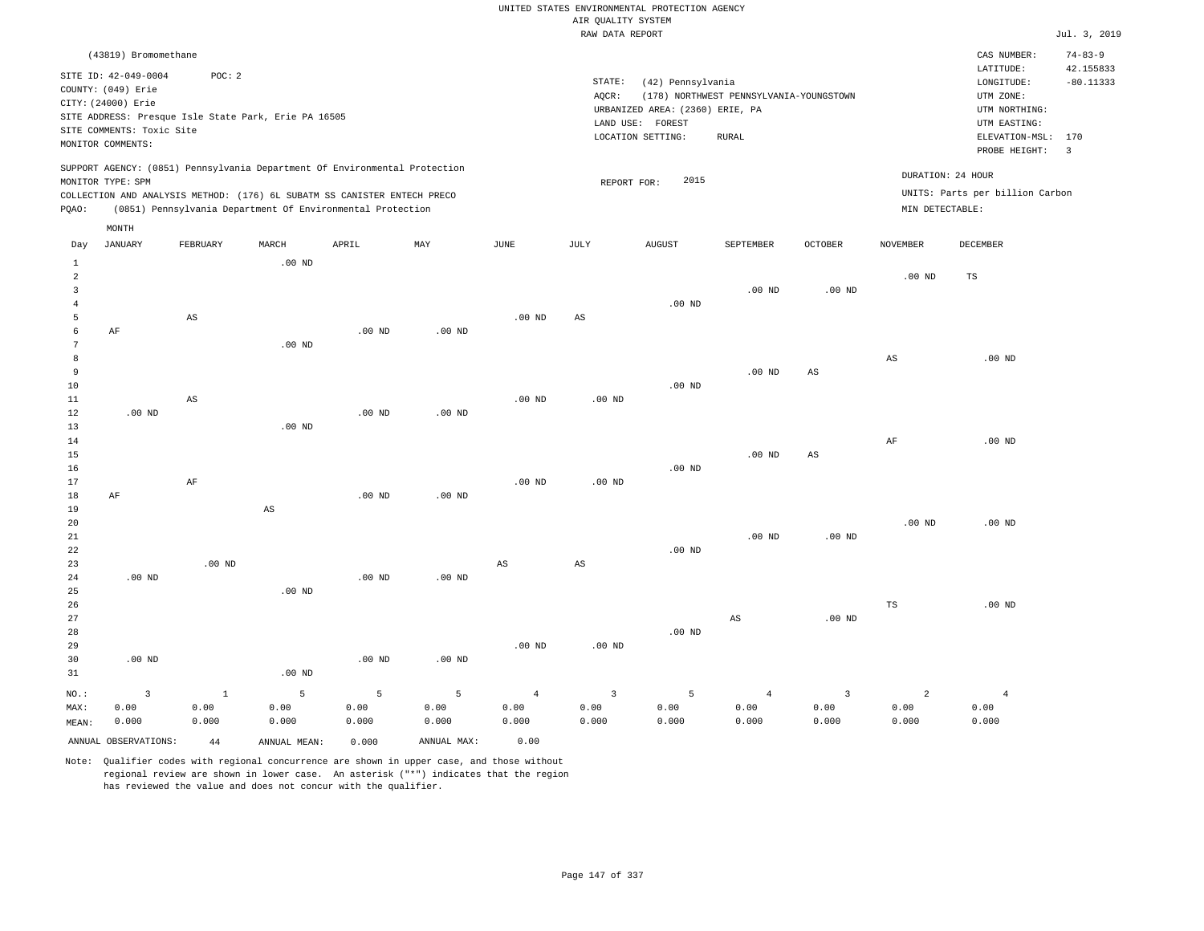|                         | (43819) Bromomethane      |                                                                            |          |       |     |      |        |                                 |                                         |                 |                 | CAS NUMBER:                     | $74 - 83 - 9$           |
|-------------------------|---------------------------|----------------------------------------------------------------------------|----------|-------|-----|------|--------|---------------------------------|-----------------------------------------|-----------------|-----------------|---------------------------------|-------------------------|
|                         | SITE ID: 42-049-0004      | POC: 2                                                                     |          |       |     |      |        |                                 |                                         |                 |                 | LATITUDE:                       | 42.155833               |
|                         | COUNTY: (049) Erie        |                                                                            |          |       |     |      | STATE: | (42) Pennsylvania               |                                         |                 |                 | LONGITUDE:                      | $-80.11333$             |
|                         | CITY: (24000) Erie        |                                                                            |          |       |     |      | AOCR:  |                                 | (178) NORTHWEST PENNSYLVANIA-YOUNGSTOWN |                 |                 | UTM ZONE:                       |                         |
|                         |                           | SITE ADDRESS: Presque Isle State Park, Erie PA 16505                       |          |       |     |      |        | URBANIZED AREA: (2360) ERIE, PA |                                         |                 |                 | UTM NORTHING:                   |                         |
|                         | SITE COMMENTS: Toxic Site |                                                                            |          |       |     |      |        | LAND USE: FOREST                |                                         |                 |                 | UTM EASTING:                    |                         |
|                         | MONITOR COMMENTS:         |                                                                            |          |       |     |      |        | LOCATION SETTING:               | RURAL                                   |                 |                 | ELEVATION-MSL: 170              |                         |
|                         |                           |                                                                            |          |       |     |      |        |                                 |                                         |                 |                 | PROBE HEIGHT:                   | $\overline{\mathbf{3}}$ |
|                         |                           | SUPPORT AGENCY: (0851) Pennsylvania Department Of Environmental Protection |          |       |     |      |        |                                 |                                         |                 |                 |                                 |                         |
|                         | MONITOR TYPE: SPM         |                                                                            |          |       |     |      |        | 2015<br>REPORT FOR:             |                                         |                 |                 | DURATION: 24 HOUR               |                         |
|                         |                           | COLLECTION AND ANALYSIS METHOD: (176) 6L SUBATM SS CANISTER ENTECH PRECO   |          |       |     |      |        |                                 |                                         |                 |                 | UNITS: Parts per billion Carbon |                         |
| POAO:                   |                           | (0851) Pennsylvania Department Of Environmental Protection                 |          |       |     |      |        |                                 |                                         |                 | MIN DETECTABLE: |                                 |                         |
|                         | MONTH                     |                                                                            |          |       |     |      |        |                                 |                                         |                 |                 |                                 |                         |
| Day                     | JANUARY                   | FEBRUARY                                                                   | MARCH    | APRIL | MAY | JUNE | JULY   | <b>AUGUST</b>                   | SEPTEMBER                               | OCTOBER         | NOVEMBER        | DECEMBER                        |                         |
|                         |                           |                                                                            | $.00$ ND |       |     |      |        |                                 |                                         |                 |                 |                                 |                         |
| $\overline{\mathbf{c}}$ |                           |                                                                            |          |       |     |      |        |                                 |                                         |                 | $.00$ ND        | <b>TS</b>                       |                         |
|                         |                           |                                                                            |          |       |     |      |        |                                 | 00. ND                                  | $00 \text{ nm}$ |                 |                                 |                         |

| $\overline{\mathbf{3}}$ |                |                        |                        |          |          |                |                        |          | .00 <sub>ND</sub>      | $.00~\mathrm{ND}$       |                        |                |
|-------------------------|----------------|------------------------|------------------------|----------|----------|----------------|------------------------|----------|------------------------|-------------------------|------------------------|----------------|
| $\overline{4}$          |                |                        |                        |          |          |                |                        | .00 $ND$ |                        |                         |                        |                |
| 5                       |                | $\mathbb{A}\mathbb{S}$ |                        |          |          | .00 $ND$       | $\mathbb{A}\mathbb{S}$ |          |                        |                         |                        |                |
| 6                       | AF             |                        |                        | $.00$ ND | $.00$ ND |                |                        |          |                        |                         |                        |                |
| $\overline{7}$          |                |                        | .00 $ND$               |          |          |                |                        |          |                        |                         |                        |                |
| 8                       |                |                        |                        |          |          |                |                        |          |                        |                         | $\mathbb{A}\mathbb{S}$ | $.00$ ND       |
| 9                       |                |                        |                        |          |          |                |                        |          | $.00$ ND               | $\mathbb{A}\mathbb{S}$  |                        |                |
| $10\,$                  |                |                        |                        |          |          |                |                        | .00 $ND$ |                        |                         |                        |                |
| $11$                    |                | $\mathbb{A}\mathbb{S}$ |                        |          |          | .00 $ND$       | .00 <sub>ND</sub>      |          |                        |                         |                        |                |
| $1\,2$                  | .00 $ND$       |                        |                        | $.00$ ND | .00 $ND$ |                |                        |          |                        |                         |                        |                |
| 13                      |                |                        | $.00$ ND               |          |          |                |                        |          |                        |                         |                        |                |
| $14$                    |                |                        |                        |          |          |                |                        |          |                        |                         | $\rm{AF}$              | $.00$ ND       |
| $15\,$                  |                |                        |                        |          |          |                |                        |          | $.00$ ND               | $\mathbb{A}\mathbb{S}$  |                        |                |
| 16                      |                |                        |                        |          |          |                |                        | $.00$ ND |                        |                         |                        |                |
| 17                      |                | $\rm AF$               |                        |          |          | $.00$ ND       | $.00$ ND               |          |                        |                         |                        |                |
| $18\,$                  | AF             |                        |                        | $.00$ ND | $.00$ ND |                |                        |          |                        |                         |                        |                |
| 19                      |                |                        | $\mathbb{A}\mathbb{S}$ |          |          |                |                        |          |                        |                         |                        |                |
| 20                      |                |                        |                        |          |          |                |                        |          |                        |                         | $.00$ ND               | $.00$ ND       |
| 21                      |                |                        |                        |          |          |                |                        |          | $.00$ ND               | $.00$ ND                |                        |                |
| 22                      |                |                        |                        |          |          |                |                        | $.00$ ND |                        |                         |                        |                |
| 23                      |                | $.00$ ND               |                        |          |          | $_{\rm AS}$    | $\mathbb{A}\mathbb{S}$ |          |                        |                         |                        |                |
| 24                      | .00 $ND$       |                        |                        | $.00$ ND | $.00$ ND |                |                        |          |                        |                         |                        |                |
| 25                      |                |                        | $.00$ ND               |          |          |                |                        |          |                        |                         |                        |                |
| 26                      |                |                        |                        |          |          |                |                        |          |                        |                         | TS                     | $.00$ ND       |
| $2\,7$                  |                |                        |                        |          |          |                |                        |          | $\mathbb{A}\mathbb{S}$ | $.00$ ND                |                        |                |
| 28                      |                |                        |                        |          |          |                |                        | .00 $ND$ |                        |                         |                        |                |
| 29                      |                |                        |                        |          |          | $.00$ ND       | $.00$ ND               |          |                        |                         |                        |                |
| 30                      | $.00$ ND       |                        |                        | $.00$ ND | $.00$ ND |                |                        |          |                        |                         |                        |                |
| 31                      |                |                        | $.00$ ND               |          |          |                |                        |          |                        |                         |                        |                |
| $NO.$ :                 | $\overline{3}$ | $\mathbf{1}$           | 5                      | 5        | 5        | $\overline{4}$ | $\overline{3}$         | 5        | $\overline{4}$         | $\overline{\mathbf{3}}$ | $\overline{a}$         | $\overline{4}$ |
| MAX:                    | 0.00           | 0.00                   | 0.00                   | 0.00     | 0.00     | 0.00           | 0.00                   | 0.00     | 0.00                   | 0.00                    | 0.00                   | 0.00           |
| MEAN:                   | 0.000          | 0.000                  | 0.000                  | 0.000    | 0.000    | 0.000          | 0.000                  | 0.000    | 0.000                  | 0.000                   | 0.000                  | 0.000          |

Note: Qualifier codes with regional concurrence are shown in upper case, and those without regional review are shown in lower case. An asterisk ("\*") indicates that the region has reviewed the value and does not concur with the qualifier.

ANNUAL OBSERVATIONS: 44 ANNUAL MEAN: 0.000 ANNUAL MAX: 0.00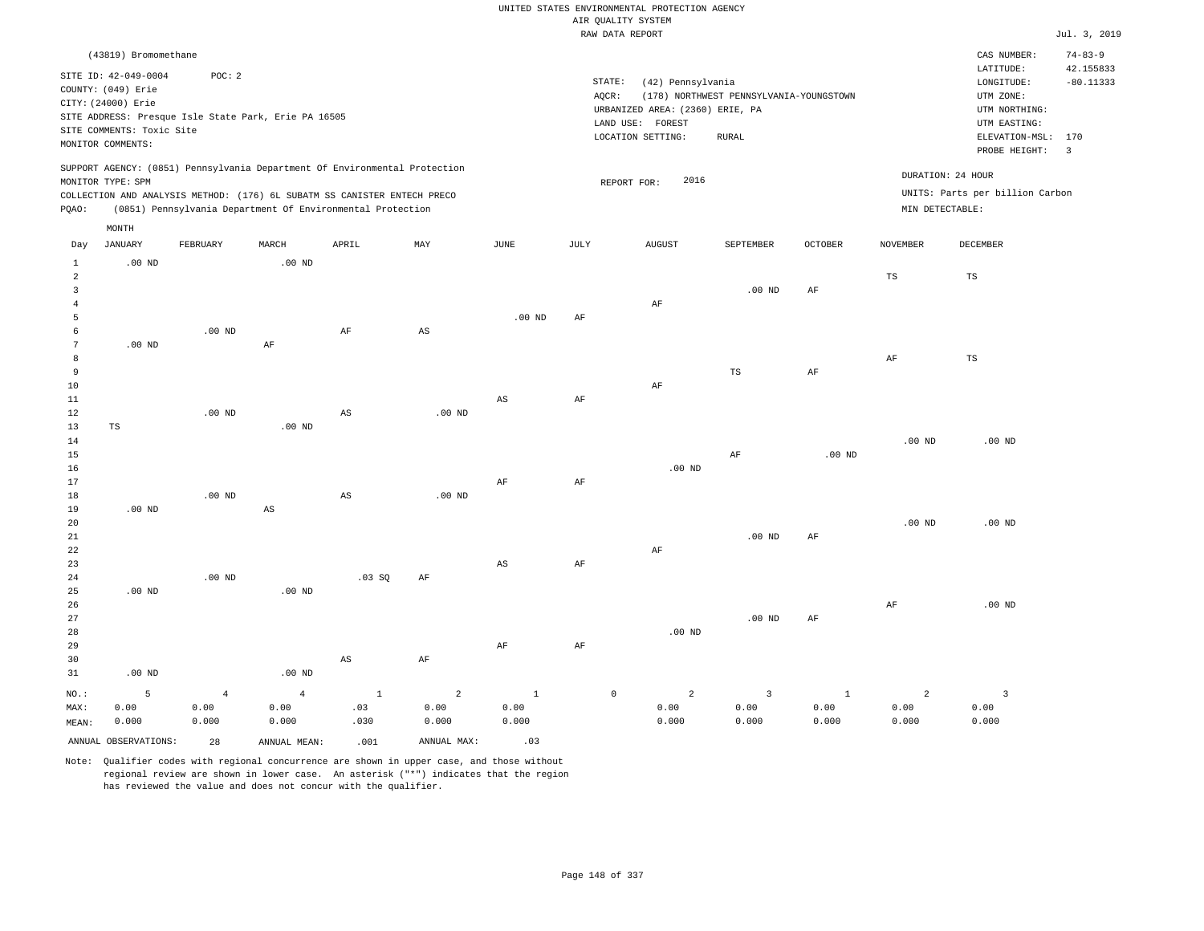|                     |                                                |                   |                                                      |                                                                            |                |                       |           | RAW DATA REPORT                 |                                         |              |                 |                                 | Jul. 3, 2019            |
|---------------------|------------------------------------------------|-------------------|------------------------------------------------------|----------------------------------------------------------------------------|----------------|-----------------------|-----------|---------------------------------|-----------------------------------------|--------------|-----------------|---------------------------------|-------------------------|
|                     | (43819) Bromomethane                           |                   |                                                      |                                                                            |                |                       |           |                                 |                                         |              |                 | CAS NUMBER:                     | $74 - 83 - 9$           |
|                     |                                                |                   |                                                      |                                                                            |                |                       |           |                                 |                                         |              |                 | LATITUDE:                       | 42.155833               |
|                     | SITE ID: 42-049-0004                           | POC: 2            |                                                      |                                                                            |                |                       |           | STATE:<br>(42) Pennsylvania     |                                         |              |                 | LONGITUDE:                      | $-80.11333$             |
|                     | COUNTY: (049) Erie                             |                   |                                                      |                                                                            |                |                       |           | AQCR:                           | (178) NORTHWEST PENNSYLVANIA-YOUNGSTOWN |              |                 | UTM ZONE:                       |                         |
|                     | CITY: (24000) Erie                             |                   | SITE ADDRESS: Presque Isle State Park, Erie PA 16505 |                                                                            |                |                       |           | URBANIZED AREA: (2360) ERIE, PA |                                         |              |                 | UTM NORTHING:                   |                         |
|                     |                                                |                   |                                                      |                                                                            |                |                       |           | LAND USE: FOREST                |                                         |              |                 | UTM EASTING:                    |                         |
|                     | SITE COMMENTS: Toxic Site<br>MONITOR COMMENTS: |                   |                                                      |                                                                            |                |                       |           | LOCATION SETTING:               | <b>RURAL</b>                            |              |                 | ELEVATION-MSL: 170              |                         |
|                     |                                                |                   |                                                      |                                                                            |                |                       |           |                                 |                                         |              |                 | PROBE HEIGHT:                   | $\overline{\mathbf{3}}$ |
|                     |                                                |                   |                                                      | SUPPORT AGENCY: (0851) Pennsylvania Department Of Environmental Protection |                |                       |           |                                 |                                         |              |                 |                                 |                         |
|                     | MONITOR TYPE: SPM                              |                   |                                                      |                                                                            |                |                       |           | 2016<br>REPORT FOR:             |                                         |              |                 | DURATION: 24 HOUR               |                         |
|                     |                                                |                   |                                                      | COLLECTION AND ANALYSIS METHOD: (176) 6L SUBATM SS CANISTER ENTECH PRECO   |                |                       |           |                                 |                                         |              |                 | UNITS: Parts per billion Carbon |                         |
| PQAO:               |                                                |                   |                                                      | (0851) Pennsylvania Department Of Environmental Protection                 |                |                       |           |                                 |                                         |              | MIN DETECTABLE: |                                 |                         |
|                     | MONTH                                          |                   |                                                      |                                                                            |                |                       |           |                                 |                                         |              |                 |                                 |                         |
| Day                 | JANUARY                                        | FEBRUARY          | MARCH                                                | APRIL                                                                      | MAY            | $\operatorname{JUNE}$ | JULY      | <b>AUGUST</b>                   | SEPTEMBER                               | OCTOBER      | NOVEMBER        | DECEMBER                        |                         |
|                     |                                                |                   |                                                      |                                                                            |                |                       |           |                                 |                                         |              |                 |                                 |                         |
| $\mathbf{1}$        | $.00$ ND                                       |                   | $.00$ ND                                             |                                                                            |                |                       |           |                                 |                                         |              |                 |                                 |                         |
| 2<br>$\overline{3}$ |                                                |                   |                                                      |                                                                            |                |                       |           |                                 |                                         |              | TS              | TS                              |                         |
| $\overline{4}$      |                                                |                   |                                                      |                                                                            |                |                       |           | $\rm AF$                        | .00 <sub>ND</sub>                       | AF           |                 |                                 |                         |
| 5                   |                                                |                   |                                                      |                                                                            |                | .00 <sub>ND</sub>     | AF        |                                 |                                         |              |                 |                                 |                         |
| $\epsilon$          |                                                | $.00$ ND          |                                                      | AF                                                                         | AS             |                       |           |                                 |                                         |              |                 |                                 |                         |
| 7                   | $.00$ ND                                       |                   | AF                                                   |                                                                            |                |                       |           |                                 |                                         |              |                 |                                 |                         |
| 8                   |                                                |                   |                                                      |                                                                            |                |                       |           |                                 |                                         |              | AF              | TS                              |                         |
| 9                   |                                                |                   |                                                      |                                                                            |                |                       |           |                                 | $_{\rm TS}$                             | $\rm{AF}$    |                 |                                 |                         |
| 10                  |                                                |                   |                                                      |                                                                            |                |                       |           | AF                              |                                         |              |                 |                                 |                         |
| $1\,1$              |                                                |                   |                                                      |                                                                            |                | $_{\rm AS}$           | AF        |                                 |                                         |              |                 |                                 |                         |
| 12                  |                                                | $.00$ ND          |                                                      | $\mathbb{A}\mathbb{S}$                                                     | $.00$ ND       |                       |           |                                 |                                         |              |                 |                                 |                         |
| 13                  | TS                                             |                   | $.00$ ND                                             |                                                                            |                |                       |           |                                 |                                         |              |                 |                                 |                         |
| $1\,4$              |                                                |                   |                                                      |                                                                            |                |                       |           |                                 |                                         |              | $.00$ ND        | $.00$ ND                        |                         |
| 15                  |                                                |                   |                                                      |                                                                            |                |                       |           |                                 | AF                                      | $.00$ ND     |                 |                                 |                         |
| 16                  |                                                |                   |                                                      |                                                                            |                |                       |           | $.00$ ND                        |                                         |              |                 |                                 |                         |
| 17                  |                                                |                   |                                                      |                                                                            |                | AF                    | AF        |                                 |                                         |              |                 |                                 |                         |
| $1\,8$              |                                                | $.00$ ND          |                                                      | AS                                                                         | $.00$ ND       |                       |           |                                 |                                         |              |                 |                                 |                         |
| 19                  | $.00$ ND                                       |                   | $\mathbb{A}\mathbb{S}$                               |                                                                            |                |                       |           |                                 |                                         |              |                 |                                 |                         |
| 20                  |                                                |                   |                                                      |                                                                            |                |                       |           |                                 |                                         |              | $.00$ ND        | $.00$ ND                        |                         |
| 21                  |                                                |                   |                                                      |                                                                            |                |                       |           |                                 | $.00$ ND                                | $\rm{AF}$    |                 |                                 |                         |
| 22<br>23            |                                                |                   |                                                      |                                                                            |                | $_{\rm AS}$           | $\rm{AF}$ | AF                              |                                         |              |                 |                                 |                         |
| 24                  |                                                | .00 <sub>ND</sub> |                                                      | $.03$ SO                                                                   | AF             |                       |           |                                 |                                         |              |                 |                                 |                         |
| 25                  | .00 <sub>ND</sub>                              |                   | $.00$ ND                                             |                                                                            |                |                       |           |                                 |                                         |              |                 |                                 |                         |
| 26                  |                                                |                   |                                                      |                                                                            |                |                       |           |                                 |                                         |              | $\rm{AF}$       | $.00$ ND                        |                         |
| 27                  |                                                |                   |                                                      |                                                                            |                |                       |           |                                 | .00 <sub>ND</sub>                       | AF           |                 |                                 |                         |
| 28                  |                                                |                   |                                                      |                                                                            |                |                       |           | $.00$ ND                        |                                         |              |                 |                                 |                         |
| 29                  |                                                |                   |                                                      |                                                                            |                | AF                    | AF        |                                 |                                         |              |                 |                                 |                         |
| 30                  |                                                |                   |                                                      | $\mathbb{A}\mathbb{S}$                                                     | AF             |                       |           |                                 |                                         |              |                 |                                 |                         |
| 31                  | $.00$ ND                                       |                   | $.00$ ND                                             |                                                                            |                |                       |           |                                 |                                         |              |                 |                                 |                         |
| NO.:                | 5                                              | $\overline{4}$    | $\overline{4}$                                       | $\mathbf{1}$                                                               | $\overline{c}$ | $\mathbf{1}$          |           | $\circ$<br>$\overline{a}$       | $\overline{3}$                          | $\mathbf{1}$ | $\overline{a}$  | $\overline{3}$                  |                         |
| MAX:                | 0.00                                           | 0.00              | 0.00                                                 | .03                                                                        | 0.00           | 0.00                  |           | 0.00                            | 0.00                                    | 0.00         | 0.00            | 0.00                            |                         |
| MEAN:               | 0.000                                          | 0.000             | 0.000                                                | .030                                                                       | 0.000          | 0.000                 |           | 0.000                           | 0.000                                   | 0.000        | 0.000           | 0.000                           |                         |
|                     |                                                |                   |                                                      |                                                                            |                |                       |           |                                 |                                         |              |                 |                                 |                         |
|                     | ANNUAL OBSERVATIONS:                           | 28                | ANNUAL MEAN:                                         | .001                                                                       | ANNUAL MAX:    | .03                   |           |                                 |                                         |              |                 |                                 |                         |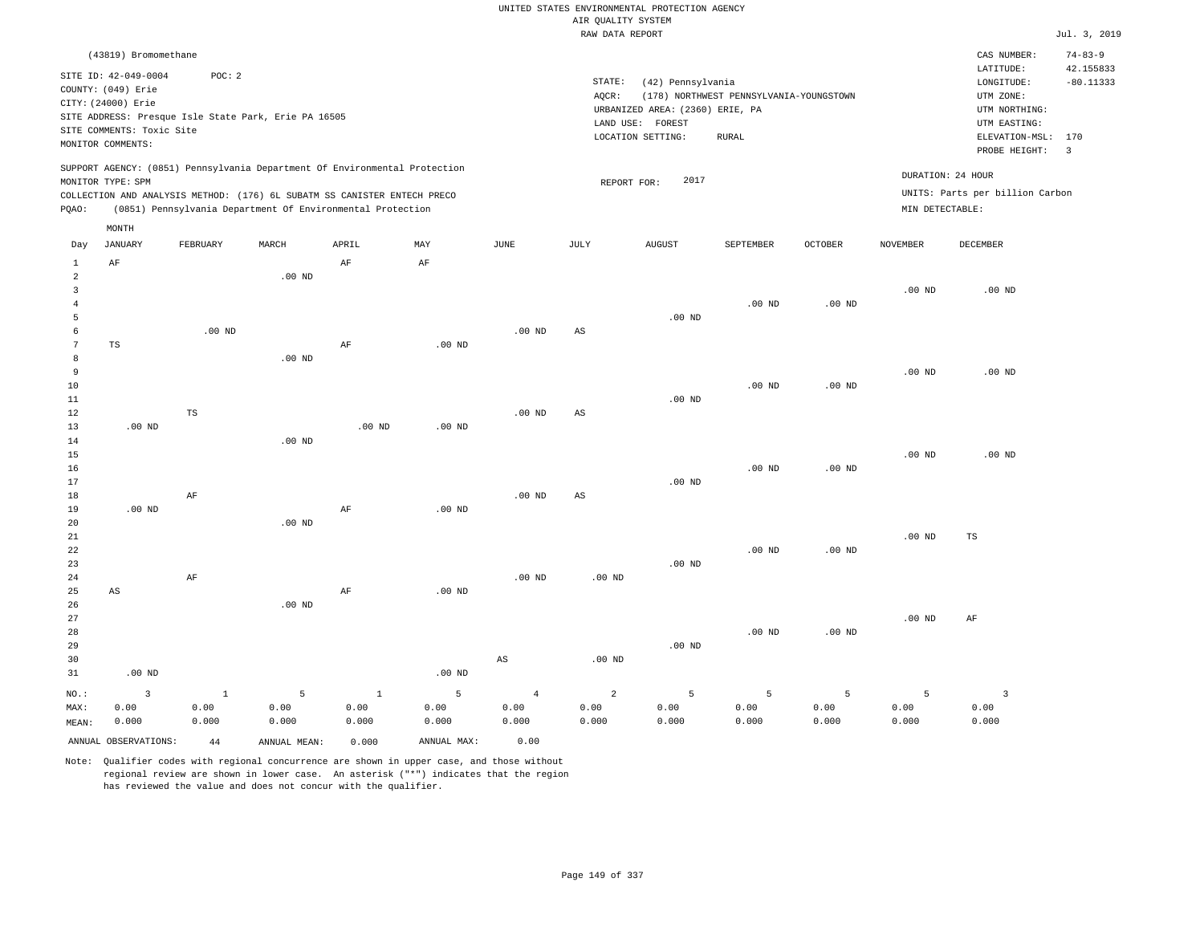|                           |                           |              |                                                                            |             |                   |                        | RAW DATA REPORT   |                                 |                                         |                   |                   |                                 | Jul. 3, 2019   |
|---------------------------|---------------------------|--------------|----------------------------------------------------------------------------|-------------|-------------------|------------------------|-------------------|---------------------------------|-----------------------------------------|-------------------|-------------------|---------------------------------|----------------|
|                           | (43819) Bromomethane      |              |                                                                            |             |                   |                        |                   |                                 |                                         |                   |                   | CAS NUMBER:                     | $74 - 83 - 9$  |
|                           | SITE ID: 42-049-0004      | POC: 2       |                                                                            |             |                   |                        |                   |                                 |                                         |                   |                   | LATITUDE:                       | 42.155833      |
|                           | COUNTY: (049) Erie        |              |                                                                            |             |                   |                        | STATE:            | (42) Pennsylvania               |                                         |                   |                   | LONGITUDE:                      | $-80.11333$    |
|                           | CITY: (24000) Erie        |              |                                                                            |             |                   |                        | AOCR:             |                                 | (178) NORTHWEST PENNSYLVANIA-YOUNGSTOWN |                   |                   | UTM ZONE:                       |                |
|                           |                           |              |                                                                            |             |                   |                        |                   | URBANIZED AREA: (2360) ERIE, PA |                                         |                   |                   | UTM NORTHING:                   |                |
|                           | SITE COMMENTS: Toxic Site |              | SITE ADDRESS: Presque Isle State Park, Erie PA 16505                       |             |                   |                        |                   | LAND USE: FOREST                |                                         |                   |                   | UTM EASTING:                    |                |
|                           |                           |              |                                                                            |             |                   |                        |                   | LOCATION SETTING:               | <b>RURAL</b>                            |                   |                   | ELEVATION-MSL: 170              |                |
|                           | MONITOR COMMENTS:         |              |                                                                            |             |                   |                        |                   |                                 |                                         |                   |                   | PROBE HEIGHT:                   | $\overline{3}$ |
|                           |                           |              | SUPPORT AGENCY: (0851) Pennsylvania Department Of Environmental Protection |             |                   |                        |                   |                                 |                                         |                   |                   | DURATION: 24 HOUR               |                |
|                           | MONITOR TYPE: SPM         |              |                                                                            |             |                   |                        | REPORT FOR:       | 2017                            |                                         |                   |                   | UNITS: Parts per billion Carbon |                |
|                           |                           |              | COLLECTION AND ANALYSIS METHOD: (176) 6L SUBATM SS CANISTER ENTECH PRECO   |             |                   |                        |                   |                                 |                                         |                   |                   |                                 |                |
| PQAO:                     |                           |              | (0851) Pennsylvania Department Of Environmental Protection                 |             |                   |                        |                   |                                 |                                         |                   | MIN DETECTABLE:   |                                 |                |
|                           | MONTH                     |              |                                                                            |             |                   |                        |                   |                                 |                                         |                   |                   | <b>DECEMBER</b>                 |                |
| Day                       | JANUARY                   | FEBRUARY     | MARCH                                                                      | APRIL       | MAY               | JUNE                   | JULY              | <b>AUGUST</b>                   | SEPTEMBER                               | <b>OCTOBER</b>    | NOVEMBER          |                                 |                |
| $\,1\,$<br>$\overline{a}$ | AF                        |              | $.00$ ND                                                                   | $\rm AF$    | $\rm{AF}$         |                        |                   |                                 |                                         |                   |                   |                                 |                |
| $\overline{3}$            |                           |              |                                                                            |             |                   |                        |                   |                                 |                                         |                   | $.00$ ND          | $.00$ ND                        |                |
|                           |                           |              |                                                                            |             |                   |                        |                   |                                 |                                         |                   |                   |                                 |                |
| $\overline{4}$            |                           |              |                                                                            |             |                   |                        |                   |                                 | $.00$ ND                                | .00 <sub>ND</sub> |                   |                                 |                |
| 5                         |                           |              |                                                                            |             |                   |                        |                   | $.00$ ND                        |                                         |                   |                   |                                 |                |
| 6                         |                           | $.00$ ND     |                                                                            |             |                   | .00 <sub>ND</sub>      | AS                |                                 |                                         |                   |                   |                                 |                |
| $\overline{7}$            | $\mathbb{TS}$             |              |                                                                            | $\rm AF$    | .00 <sub>ND</sub> |                        |                   |                                 |                                         |                   |                   |                                 |                |
| 8                         |                           |              | .00 <sub>ND</sub>                                                          |             |                   |                        |                   |                                 |                                         |                   |                   |                                 |                |
| $\overline{9}$            |                           |              |                                                                            |             |                   |                        |                   |                                 |                                         |                   | .00 <sub>ND</sub> | $.00$ ND                        |                |
| 10                        |                           |              |                                                                            |             |                   |                        |                   |                                 | $.00$ ND                                | $.00$ ND          |                   |                                 |                |
| 11                        |                           |              |                                                                            |             |                   |                        |                   | $.00$ ND                        |                                         |                   |                   |                                 |                |
| 12                        |                           | TS           |                                                                            |             |                   | .00 <sub>ND</sub>      | AS                |                                 |                                         |                   |                   |                                 |                |
| 13                        | $.00$ ND                  |              |                                                                            | $.00$ ND    | $.00$ ND          |                        |                   |                                 |                                         |                   |                   |                                 |                |
| 14                        |                           |              | $.00$ ND                                                                   |             |                   |                        |                   |                                 |                                         |                   |                   |                                 |                |
| 15                        |                           |              |                                                                            |             |                   |                        |                   |                                 |                                         |                   | .00 <sub>ND</sub> | $.00$ ND                        |                |
| 16                        |                           |              |                                                                            |             |                   |                        |                   |                                 | $.00$ ND                                | $.00$ ND          |                   |                                 |                |
| 17                        |                           |              |                                                                            |             |                   |                        |                   | $.00$ ND                        |                                         |                   |                   |                                 |                |
| 18                        |                           | AF           |                                                                            |             |                   | .00 <sub>ND</sub>      | $_{\rm AS}$       |                                 |                                         |                   |                   |                                 |                |
| 19                        | $.00$ ND                  |              |                                                                            | AF          | $.00$ ND          |                        |                   |                                 |                                         |                   |                   |                                 |                |
| 20                        |                           |              | .00 <sub>ND</sub>                                                          |             |                   |                        |                   |                                 |                                         |                   |                   |                                 |                |
| 21                        |                           |              |                                                                            |             |                   |                        |                   |                                 |                                         |                   | .00 <sub>ND</sub> | TS                              |                |
| 22                        |                           |              |                                                                            |             |                   |                        |                   |                                 | $.00$ ND                                | .00 <sub>ND</sub> |                   |                                 |                |
| 23                        |                           |              |                                                                            |             |                   |                        |                   | .00 <sub>ND</sub>               |                                         |                   |                   |                                 |                |
| 24                        |                           | $\rm{AF}$    |                                                                            |             |                   | $.00$ ND               | $.00$ ND          |                                 |                                         |                   |                   |                                 |                |
| 25                        | AS                        |              |                                                                            | AF          | $.00$ ND          |                        |                   |                                 |                                         |                   |                   |                                 |                |
| 26                        |                           |              | $.00$ ND                                                                   |             |                   |                        |                   |                                 |                                         |                   |                   |                                 |                |
| 27                        |                           |              |                                                                            |             |                   |                        |                   |                                 |                                         |                   | .00 <sub>ND</sub> | AF                              |                |
| 28                        |                           |              |                                                                            |             |                   |                        |                   |                                 | $.00$ ND                                | .00 <sub>ND</sub> |                   |                                 |                |
| 29                        |                           |              |                                                                            |             |                   |                        |                   | $.00$ ND                        |                                         |                   |                   |                                 |                |
| 30                        |                           |              |                                                                            |             |                   | $\mathbb{A}\mathbb{S}$ | .00 <sub>ND</sub> |                                 |                                         |                   |                   |                                 |                |
| 31                        | $.00$ ND                  |              |                                                                            |             | $.00$ ND          |                        |                   |                                 |                                         |                   |                   |                                 |                |
|                           |                           |              |                                                                            |             |                   |                        |                   |                                 |                                         |                   |                   |                                 |                |
| NO.:                      | $\overline{3}$            | $\mathbf{1}$ | 5                                                                          | $\mathbf 1$ | 5                 | $\overline{4}$         | 2                 | 5                               | 5                                       | 5                 | 5                 | $\overline{3}$                  |                |
| MAX:                      | 0.00                      | 0.00         | 0.00                                                                       | 0.00        | 0.00              | 0.00                   | 0.00              | 0.00                            | 0.00                                    | 0.00              | 0.00              | 0.00                            |                |
| MEAN:                     | 0.000                     | 0.000        | 0.000                                                                      | 0.000       | 0.000             | 0.000                  | 0.000             | 0.000                           | 0.000                                   | 0.000             | 0.000             | 0.000                           |                |
|                           | ANNUAL OBSERVATIONS:      | 44           | ANNUAL MEAN:                                                               | 0.000       | ANNUAL MAX:       | 0.00                   |                   |                                 |                                         |                   |                   |                                 |                |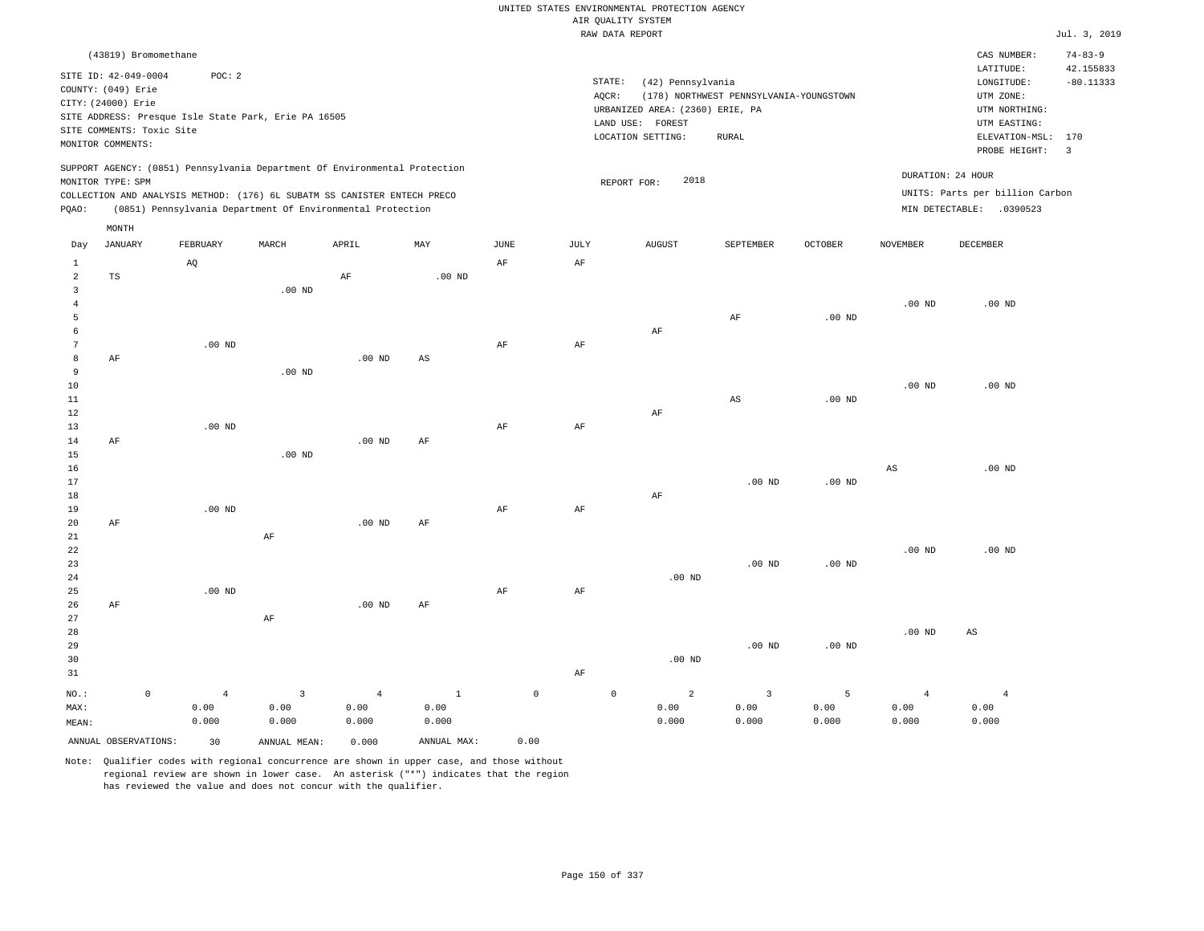|                                          |                                                                                                                                            |    |                                 |                                                      |                                                                                                                                                                                                                      |                               |               |           | UNITED STATES ENVIRONMENTAL PROTECTION AGENCY<br>AIR QUALITY SYSTEM                                              |                                                         |                    |                                 |                                                                                                                         |                                                                    |
|------------------------------------------|--------------------------------------------------------------------------------------------------------------------------------------------|----|---------------------------------|------------------------------------------------------|----------------------------------------------------------------------------------------------------------------------------------------------------------------------------------------------------------------------|-------------------------------|---------------|-----------|------------------------------------------------------------------------------------------------------------------|---------------------------------------------------------|--------------------|---------------------------------|-------------------------------------------------------------------------------------------------------------------------|--------------------------------------------------------------------|
|                                          |                                                                                                                                            |    |                                 |                                                      |                                                                                                                                                                                                                      |                               |               |           | RAW DATA REPORT                                                                                                  |                                                         |                    |                                 |                                                                                                                         | Jul. 3, 2019                                                       |
|                                          | (43819) Bromomethane<br>SITE ID: 42-049-0004<br>COUNTY: (049) Erie<br>CITY: (24000) Erie<br>SITE COMMENTS: Toxic Site<br>MONITOR COMMENTS: |    | POC: 2                          | SITE ADDRESS: Presque Isle State Park, Erie PA 16505 |                                                                                                                                                                                                                      |                               |               |           | STATE:<br>(42) Pennsylvania<br>AQCR:<br>URBANIZED AREA: (2360) ERIE, PA<br>LAND USE: FOREST<br>LOCATION SETTING: | (178) NORTHWEST PENNSYLVANIA-YOUNGSTOWN<br><b>RURAL</b> |                    |                                 | CAS NUMBER:<br>LATITUDE:<br>LONGITUDE:<br>UTM ZONE:<br>UTM NORTHING:<br>UTM EASTING:<br>ELEVATION-MSL:<br>PROBE HEIGHT: | $74 - 83 - 9$<br>42.155833<br>$-80.11333$<br>170<br>$\overline{3}$ |
| PQAO:                                    | MONITOR TYPE: SPM                                                                                                                          |    |                                 |                                                      | SUPPORT AGENCY: (0851) Pennsylvania Department Of Environmental Protection<br>COLLECTION AND ANALYSIS METHOD: (176) 6L SUBATM SS CANISTER ENTECH PRECO<br>(0851) Pennsylvania Department Of Environmental Protection |                               |               |           | 2018<br>REPORT FOR:                                                                                              |                                                         |                    |                                 | DURATION: 24 HOUR<br>UNITS: Parts per billion Carbon<br>MIN DETECTABLE: .0390523                                        |                                                                    |
| Day                                      | MONTH<br><b>JANUARY</b>                                                                                                                    |    | FEBRUARY                        | MARCH                                                | APRIL                                                                                                                                                                                                                | $_{\rm MAY}$                  | $_{\rm JUNE}$ | JULY      | <b>AUGUST</b>                                                                                                    | SEPTEMBER                                               | OCTOBER            | <b>NOVEMBER</b>                 | DECEMBER                                                                                                                |                                                                    |
| $\mathbf{1}$<br>$\overline{a}$           | $_{\rm TS}$                                                                                                                                | AQ |                                 |                                                      | AF                                                                                                                                                                                                                   | $.00$ ND                      | AF            | AF        |                                                                                                                  |                                                         |                    |                                 |                                                                                                                         |                                                                    |
| $\mathbf{3}$<br>$\overline{4}$<br>5<br>6 |                                                                                                                                            |    |                                 | .00 <sub>ND</sub>                                    |                                                                                                                                                                                                                      |                               |               |           | AF                                                                                                               | $\rm AF$                                                | $.00$ ND           | $.00$ ND                        | $.00$ ND                                                                                                                |                                                                    |
| 7<br>8<br>$\overline{9}$<br>10           | AF                                                                                                                                         |    | $.00$ ND                        | $.00$ ND                                             | $.00$ ND                                                                                                                                                                                                             | AS                            | AF            | AF        |                                                                                                                  |                                                         |                    | $.00$ ND                        | $.00$ ND                                                                                                                |                                                                    |
| 11<br>12<br>13<br>14                     | AF                                                                                                                                         |    | $.00$ ND                        |                                                      | $.00$ ND                                                                                                                                                                                                             | AF                            | AF            | $\rm{AF}$ | AF                                                                                                               | $\mathbb{A}\mathbb{S}$                                  | $.00$ ND           |                                 |                                                                                                                         |                                                                    |
| 15<br>16<br>17<br>18                     |                                                                                                                                            |    |                                 | $.00$ ND                                             |                                                                                                                                                                                                                      |                               |               |           | AF                                                                                                               | $.00$ ND                                                | $.00$ ND           | AS                              | $.00$ ND                                                                                                                |                                                                    |
| 19<br>20<br>$2\sqrt{1}$<br>22            | AF                                                                                                                                         |    | $.00$ ND                        | AF                                                   | $.00$ ND                                                                                                                                                                                                             | AF                            | AF            | AF        |                                                                                                                  |                                                         |                    | $.00$ ND                        | $.00$ ND                                                                                                                |                                                                    |
| 23<br>24<br>25<br>26                     | AF                                                                                                                                         |    | $.00$ ND                        |                                                      | $.00$ ND                                                                                                                                                                                                             | AF                            | $\rm{AF}$     | $\rm{AF}$ | $.00$ ND                                                                                                         | $.00$ ND                                                | .00 <sub>ND</sub>  |                                 |                                                                                                                         |                                                                    |
| 27<br>28<br>29<br>30<br>31               |                                                                                                                                            |    |                                 | AF                                                   |                                                                                                                                                                                                                      |                               |               | AF        | $.00$ ND                                                                                                         | $.00$ ND                                                | $.00$ ND           | $.00$ ND                        | $\mathbb{A}\mathbb{S}$                                                                                                  |                                                                    |
| $NO.$ :<br>MAX:<br>MEAN:                 | $\mathbb O$                                                                                                                                |    | $\overline{4}$<br>0.00<br>0.000 | 3<br>0.00<br>0.000                                   | $\overline{4}$<br>0.00<br>0.000                                                                                                                                                                                      | $\mathbf{1}$<br>0.00<br>0.000 | $\mathbb O$   |           | $\mathsf{O}\xspace$<br>$\overline{a}$<br>0.00<br>0.000                                                           | $\overline{3}$<br>0.00<br>0.000                         | 5<br>0.00<br>0.000 | $\overline{4}$<br>0.00<br>0.000 | $\overline{4}$<br>0.00<br>0.000                                                                                         |                                                                    |
|                                          | ANNUAL OBSERVATIONS:                                                                                                                       |    | 30                              | ANNUAL MEAN:                                         | 0.000                                                                                                                                                                                                                | ANNUAL MAX:                   | 0.00          |           |                                                                                                                  |                                                         |                    |                                 |                                                                                                                         |                                                                    |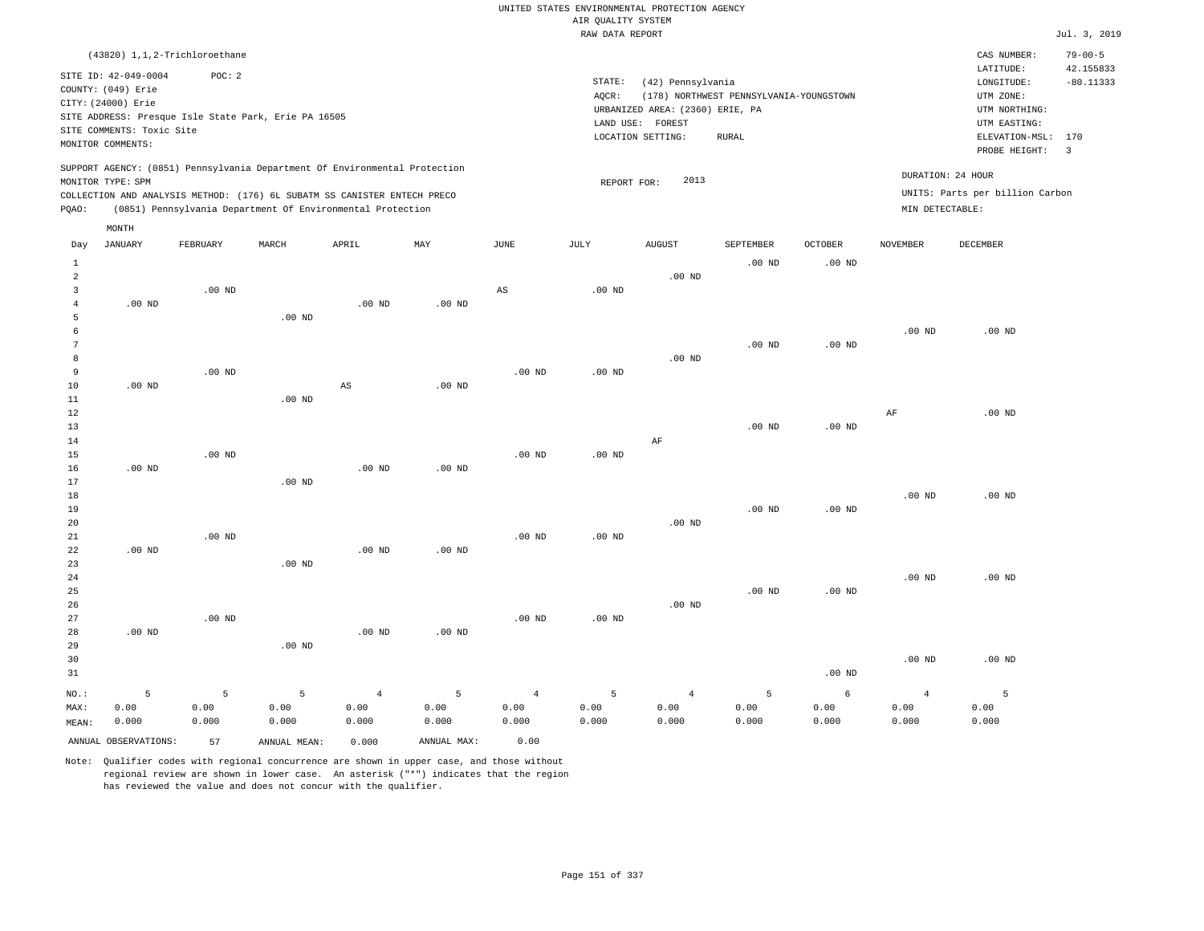|                                              | $(43820)$ 1, 1, 2-Trichloroethane                                                                                                                                           |                    |                                                            |                                 |                    |                                 |                              |                                                                                     |                                                  |                             |                                      | CAS NUMBER:                                                                                                  | $79 - 00 - 5$                                       |
|----------------------------------------------|-----------------------------------------------------------------------------------------------------------------------------------------------------------------------------|--------------------|------------------------------------------------------------|---------------------------------|--------------------|---------------------------------|------------------------------|-------------------------------------------------------------------------------------|--------------------------------------------------|-----------------------------|--------------------------------------|--------------------------------------------------------------------------------------------------------------|-----------------------------------------------------|
|                                              | SITE ID: 42-049-0004<br>COUNTY: (049) Erie<br>CITY: (24000) Erie<br>SITE ADDRESS: Presque Isle State Park, Erie PA 16505<br>SITE COMMENTS: Toxic Site<br>MONITOR COMMENTS:  | POC: 2             |                                                            |                                 |                    |                                 | STATE:<br>AQCR:<br>LAND USE: | (42) Pennsylvania<br>URBANIZED AREA: (2360) ERIE, PA<br>FOREST<br>LOCATION SETTING: | (178) NORTHWEST PENNSYLVANIA-YOUNGSTOWN<br>RURAL |                             |                                      | LATITUDE:<br>LONGITUDE:<br>UTM ZONE:<br>UTM NORTHING:<br>UTM EASTING:<br>ELEVATION-MSL: 170<br>PROBE HEIGHT: | 42.155833<br>$-80.11333$<br>$\overline{\mathbf{3}}$ |
| PQAO:                                        | SUPPORT AGENCY: (0851) Pennsylvania Department Of Environmental Protection<br>MONITOR TYPE: SPM<br>COLLECTION AND ANALYSIS METHOD: (176) 6L SUBATM SS CANISTER ENTECH PRECO |                    | (0851) Pennsylvania Department Of Environmental Protection |                                 |                    |                                 | REPORT FOR:                  | 2013                                                                                |                                                  |                             | DURATION: 24 HOUR<br>MIN DETECTABLE: | UNITS: Parts per billion Carbon                                                                              |                                                     |
|                                              | MONTH                                                                                                                                                                       |                    |                                                            |                                 |                    |                                 |                              |                                                                                     |                                                  |                             |                                      |                                                                                                              |                                                     |
| Day                                          | <b>JANUARY</b>                                                                                                                                                              | FEBRUARY           | MARCH                                                      | APRIL                           | MAY                | $\mathtt{JUNE}$                 | JULY                         | <b>AUGUST</b>                                                                       | SEPTEMBER                                        | <b>OCTOBER</b>              | NOVEMBER                             | DECEMBER                                                                                                     |                                                     |
| $\mathbf{1}$<br>$\sqrt{2}$<br>$\overline{3}$ |                                                                                                                                                                             | $.00$ ND           |                                                            |                                 |                    | $\mathbb{A}\mathbb{S}$          | .00 <sub>ND</sub>            | $.00$ ND                                                                            | $.00$ ND                                         | $.00$ ND                    |                                      |                                                                                                              |                                                     |
| $\overline{4}$<br>5                          | $.00$ ND                                                                                                                                                                    |                    | $.00$ ND                                                   | $.00$ ND                        | $.00$ ND           |                                 |                              |                                                                                     |                                                  |                             |                                      |                                                                                                              |                                                     |
| 6<br>$\overline{7}$<br>8                     |                                                                                                                                                                             |                    |                                                            |                                 |                    |                                 |                              | $.00$ ND                                                                            | $.00$ ND                                         | $.00$ ND                    | $.00$ ND                             | .00 <sub>ND</sub>                                                                                            |                                                     |
| $\overline{9}$<br>10                         | $.00$ ND                                                                                                                                                                    | $.00$ ND           |                                                            | $\mathbb{A}\mathbb{S}$          | .00 <sub>ND</sub>  | $.00$ ND                        | .00 <sub>ND</sub>            |                                                                                     |                                                  |                             |                                      |                                                                                                              |                                                     |
| 11<br>12<br>13                               |                                                                                                                                                                             |                    | $.00$ ND                                                   |                                 |                    |                                 |                              |                                                                                     | $.00$ ND                                         | .00 <sub>ND</sub>           | AF                                   | $.00$ ND                                                                                                     |                                                     |
| $14\,$<br>15<br>16                           | $.00$ ND                                                                                                                                                                    | $.00$ ND           |                                                            | $.00$ ND                        | $.00$ ND           | .00 <sub>ND</sub>               | .00 $ND$                     | AF                                                                                  |                                                  |                             |                                      |                                                                                                              |                                                     |
| 17<br>18                                     |                                                                                                                                                                             |                    | .00 <sub>ND</sub>                                          |                                 |                    |                                 |                              |                                                                                     |                                                  |                             | .00 <sub>ND</sub>                    | $.00$ ND                                                                                                     |                                                     |
| 19<br>20<br>21                               |                                                                                                                                                                             | $.00$ ND           |                                                            |                                 |                    | .00 <sub>ND</sub>               | $.00$ ND                     | $.00$ ND                                                                            | .00 <sub>ND</sub>                                | $.00$ ND                    |                                      |                                                                                                              |                                                     |
| 22<br>23<br>24                               | $.00$ ND                                                                                                                                                                    |                    | $.00$ ND                                                   | $.00$ ND                        | $.00$ ND           |                                 |                              |                                                                                     |                                                  |                             | .00 <sub>ND</sub>                    | $.00$ ND                                                                                                     |                                                     |
| 25<br>26<br>27                               |                                                                                                                                                                             | $.00$ ND           |                                                            |                                 |                    | .00 <sub>ND</sub>               | $.00$ ND                     | $.00$ ND                                                                            | $.00$ ND                                         | .00 <sub>ND</sub>           |                                      |                                                                                                              |                                                     |
| 28<br>29<br>30                               | $.00$ ND                                                                                                                                                                    |                    | $.00$ ND                                                   | $.00$ ND                        | $.00$ ND           |                                 |                              |                                                                                     |                                                  |                             | $.00$ ND                             | $.00$ ND                                                                                                     |                                                     |
| 31                                           |                                                                                                                                                                             |                    |                                                            |                                 |                    |                                 |                              |                                                                                     |                                                  | $.00$ ND                    |                                      |                                                                                                              |                                                     |
| NO.:<br>MAX:<br>MEAN:                        | 5<br>0.00<br>0.000                                                                                                                                                          | 5<br>0.00<br>0.000 | 5<br>0.00<br>0.000                                         | $\overline{4}$<br>0.00<br>0.000 | 5<br>0.00<br>0.000 | $\overline{4}$<br>0.00<br>0.000 | 5<br>0.00<br>0.000           | $\overline{4}$<br>0.00<br>0.000                                                     | 5<br>0.00<br>0.000                               | $\epsilon$<br>0.00<br>0.000 | $\overline{4}$<br>0.00<br>0.000      | 5<br>0.00<br>0.000                                                                                           |                                                     |
|                                              | ANNUAL OBSERVATIONS:                                                                                                                                                        | 57                 | ANNUAL MEAN:                                               | 0.000                           | ANNUAL MAX:        | 0.00                            |                              |                                                                                     |                                                  |                             |                                      |                                                                                                              |                                                     |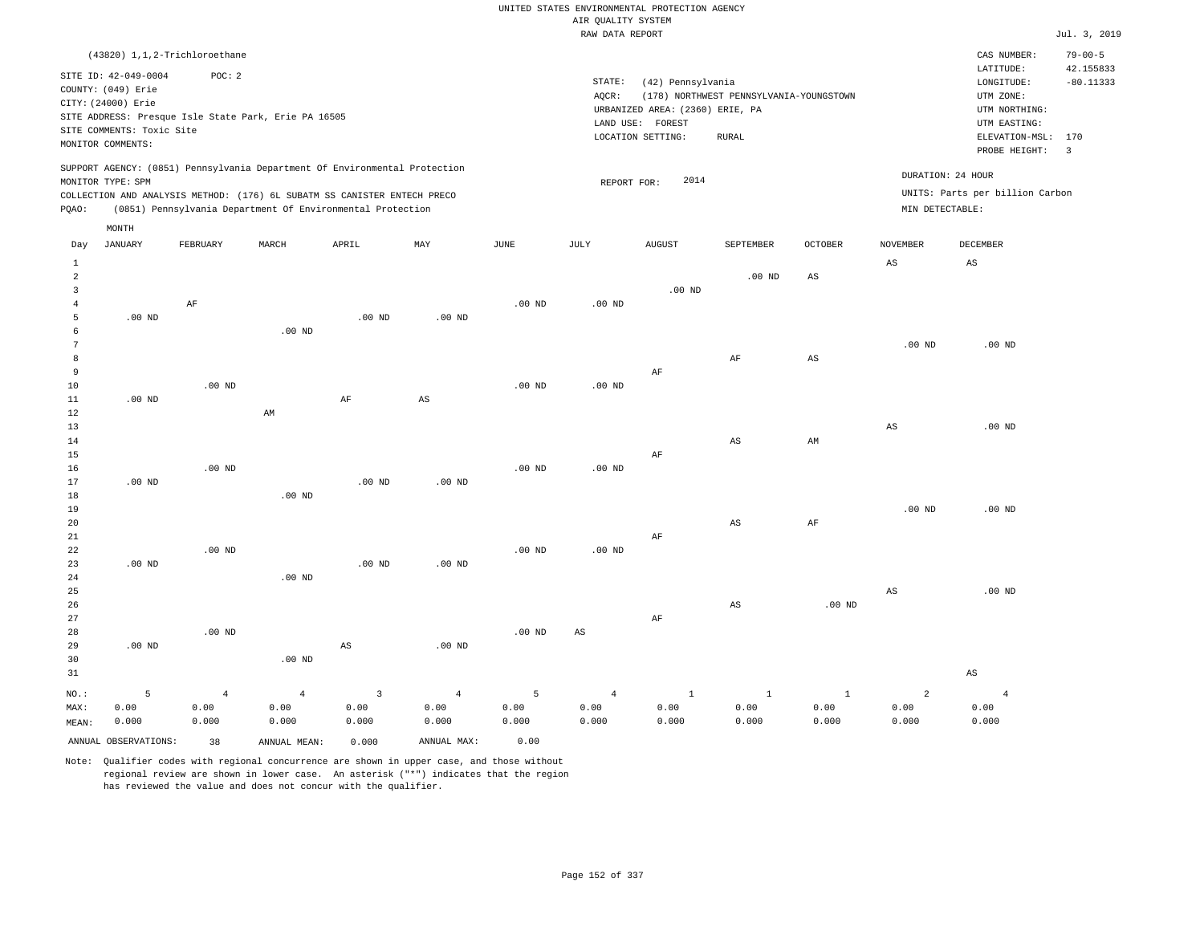|                |                                                |                                                                            |                        |          |                |                   | RAW DATA REPORT        |                                 |                                         |                |                        |                                 | Jul. 3, 2019            |
|----------------|------------------------------------------------|----------------------------------------------------------------------------|------------------------|----------|----------------|-------------------|------------------------|---------------------------------|-----------------------------------------|----------------|------------------------|---------------------------------|-------------------------|
|                |                                                | (43820) 1,1,2-Trichloroethane                                              |                        |          |                |                   |                        |                                 |                                         |                |                        | CAS NUMBER:                     | $79 - 00 - 5$           |
|                |                                                |                                                                            |                        |          |                |                   |                        |                                 |                                         |                |                        | LATITUDE:                       | 42.155833               |
|                | SITE ID: 42-049-0004                           | POC: 2                                                                     |                        |          |                |                   | STATE:                 | (42) Pennsylvania               |                                         |                |                        | LONGITUDE:                      | $-80.11333$             |
|                | COUNTY: (049) Erie                             |                                                                            |                        |          |                |                   | AQCR:                  |                                 | (178) NORTHWEST PENNSYLVANIA-YOUNGSTOWN |                |                        | UTM ZONE:                       |                         |
|                | CITY: (24000) Erie                             |                                                                            |                        |          |                |                   |                        | URBANIZED AREA: (2360) ERIE, PA |                                         |                |                        | UTM NORTHING:                   |                         |
|                |                                                | SITE ADDRESS: Presque Isle State Park, Erie PA 16505                       |                        |          |                |                   |                        | LAND USE: FOREST                |                                         |                |                        | UTM EASTING:                    |                         |
|                | SITE COMMENTS: Toxic Site<br>MONITOR COMMENTS: |                                                                            |                        |          |                |                   |                        | LOCATION SETTING:               | <b>RURAL</b>                            |                |                        | ELEVATION-MSL: 170              |                         |
|                |                                                |                                                                            |                        |          |                |                   |                        |                                 |                                         |                |                        | PROBE HEIGHT:                   | $\overline{\mathbf{3}}$ |
|                |                                                | SUPPORT AGENCY: (0851) Pennsylvania Department Of Environmental Protection |                        |          |                |                   |                        |                                 |                                         |                |                        |                                 |                         |
|                | MONITOR TYPE: SPM                              |                                                                            |                        |          |                |                   | REPORT FOR:            | 2014                            |                                         |                |                        | DURATION: 24 HOUR               |                         |
|                |                                                | COLLECTION AND ANALYSIS METHOD: (176) 6L SUBATM SS CANISTER ENTECH PRECO   |                        |          |                |                   |                        |                                 |                                         |                |                        | UNITS: Parts per billion Carbon |                         |
| PQAO:          |                                                | (0851) Pennsylvania Department Of Environmental Protection                 |                        |          |                |                   |                        |                                 |                                         |                | MIN DETECTABLE:        |                                 |                         |
|                | MONTH                                          |                                                                            |                        |          |                |                   |                        |                                 |                                         |                |                        |                                 |                         |
| Day            | <b>JANUARY</b>                                 | FEBRUARY                                                                   | MARCH                  | APRIL    | MAY            | <b>JUNE</b>       | JULY                   | <b>AUGUST</b>                   | SEPTEMBER                               | <b>OCTOBER</b> | <b>NOVEMBER</b>        | DECEMBER                        |                         |
| $\mathbf{1}$   |                                                |                                                                            |                        |          |                |                   |                        |                                 |                                         |                | $\mathbb{A}\mathbb{S}$ | AS                              |                         |
| $\overline{a}$ |                                                |                                                                            |                        |          |                |                   |                        |                                 | $.00$ ND                                | $_{\rm AS}$    |                        |                                 |                         |
| $\overline{3}$ |                                                |                                                                            |                        |          |                |                   |                        | $.00$ ND                        |                                         |                |                        |                                 |                         |
| $\overline{4}$ |                                                | AF                                                                         |                        |          |                | $.00$ ND          | $.00$ ND               |                                 |                                         |                |                        |                                 |                         |
| 5              | $.00$ ND                                       |                                                                            |                        | $.00$ ND | $.00$ ND       |                   |                        |                                 |                                         |                |                        |                                 |                         |
| 6              |                                                |                                                                            | $.00$ ND               |          |                |                   |                        |                                 |                                         |                |                        |                                 |                         |
| 7              |                                                |                                                                            |                        |          |                |                   |                        |                                 |                                         |                | .00 <sub>ND</sub>      | $.00$ ND                        |                         |
| 8              |                                                |                                                                            |                        |          |                |                   |                        |                                 | AF                                      | $_{\rm AS}$    |                        |                                 |                         |
| $\overline{9}$ |                                                |                                                                            |                        |          |                |                   |                        | AF                              |                                         |                |                        |                                 |                         |
| 10             |                                                | $.00$ ND                                                                   |                        |          |                | .00 <sub>ND</sub> | .00 <sub>ND</sub>      |                                 |                                         |                |                        |                                 |                         |
| $11\,$<br>12   | $.00$ ND                                       |                                                                            | $\mathbb{A}\mathbb{M}$ | $\rm AF$ | $_{\rm AS}$    |                   |                        |                                 |                                         |                |                        |                                 |                         |
| 13             |                                                |                                                                            |                        |          |                |                   |                        |                                 |                                         |                | $\mathbb{A}\mathbb{S}$ | .00 <sub>ND</sub>               |                         |
| 14             |                                                |                                                                            |                        |          |                |                   |                        |                                 | AS                                      | AM             |                        |                                 |                         |
| 15             |                                                |                                                                            |                        |          |                |                   |                        | $\rm AF$                        |                                         |                |                        |                                 |                         |
| 16             |                                                | $.00$ ND                                                                   |                        |          |                | .00 <sub>ND</sub> | $.00~\mathrm{ND}$      |                                 |                                         |                |                        |                                 |                         |
| 17             | $.00$ ND                                       |                                                                            |                        | $.00$ ND | $.00$ ND       |                   |                        |                                 |                                         |                |                        |                                 |                         |
| 18             |                                                |                                                                            | $.00$ ND               |          |                |                   |                        |                                 |                                         |                |                        |                                 |                         |
| 19             |                                                |                                                                            |                        |          |                |                   |                        |                                 |                                         |                | $.00$ ND               | $.00$ ND                        |                         |
| 20             |                                                |                                                                            |                        |          |                |                   |                        |                                 | AS                                      | $\rm{AF}$      |                        |                                 |                         |
| 21             |                                                |                                                                            |                        |          |                |                   |                        | $\rm AF$                        |                                         |                |                        |                                 |                         |
| 22             |                                                | $.00$ ND                                                                   |                        |          |                | $.00$ ND          | $.00$ ND               |                                 |                                         |                |                        |                                 |                         |
| 23             | $.00$ ND                                       |                                                                            |                        | $.00$ ND | $.00$ ND       |                   |                        |                                 |                                         |                |                        |                                 |                         |
| 24<br>25       |                                                |                                                                            | $.00$ ND               |          |                |                   |                        |                                 |                                         |                |                        |                                 |                         |
| 26             |                                                |                                                                            |                        |          |                |                   |                        |                                 | $\mathbb{A}\mathbb{S}$                  | $.00$ ND       | $\mathbb{A}\mathbb{S}$ | $.00$ ND                        |                         |
| 27             |                                                |                                                                            |                        |          |                |                   |                        | $\rm AF$                        |                                         |                |                        |                                 |                         |
| 28             |                                                | $.00$ ND                                                                   |                        |          |                | $.00$ ND          | $\mathbb{A}\mathbb{S}$ |                                 |                                         |                |                        |                                 |                         |
| 29             | $.00$ ND                                       |                                                                            |                        | AS       | $.00$ ND       |                   |                        |                                 |                                         |                |                        |                                 |                         |
| 30             |                                                |                                                                            | $.00$ ND               |          |                |                   |                        |                                 |                                         |                |                        |                                 |                         |
| 31             |                                                |                                                                            |                        |          |                |                   |                        |                                 |                                         |                |                        | $\mathbb{A}\mathbb{S}$          |                         |
| $NO.$ :        | 5                                              | $\overline{4}$                                                             | $\overline{4}$         | 3        | $\overline{4}$ | 5                 | $\overline{4}$         | $\mathbf{1}$                    | $\,1\,$                                 | $1\,$          | $\overline{a}$         | $\overline{4}$                  |                         |
| MAX:           | 0.00                                           | 0.00                                                                       | 0.00                   | 0.00     | 0.00           | 0.00              | 0.00                   | 0.00                            | 0.00                                    | 0.00           | 0.00                   | 0.00                            |                         |
| MEAN:          | 0.000                                          | 0.000                                                                      | 0.000                  | 0.000    | 0.000          | 0.000             | 0.000                  | 0.000                           | 0.000                                   | 0.000          | 0.000                  | 0.000                           |                         |
|                |                                                |                                                                            |                        |          |                |                   |                        |                                 |                                         |                |                        |                                 |                         |

Note: Qualifier codes with regional concurrence are shown in upper case, and those without regional review are shown in lower case. An asterisk ("\*") indicates that the region has reviewed the value and does not concur with the qualifier.

ANNUAL OBSERVATIONS: 38 ANNUAL MEAN: 0.000 ANNUAL MAX: 0.00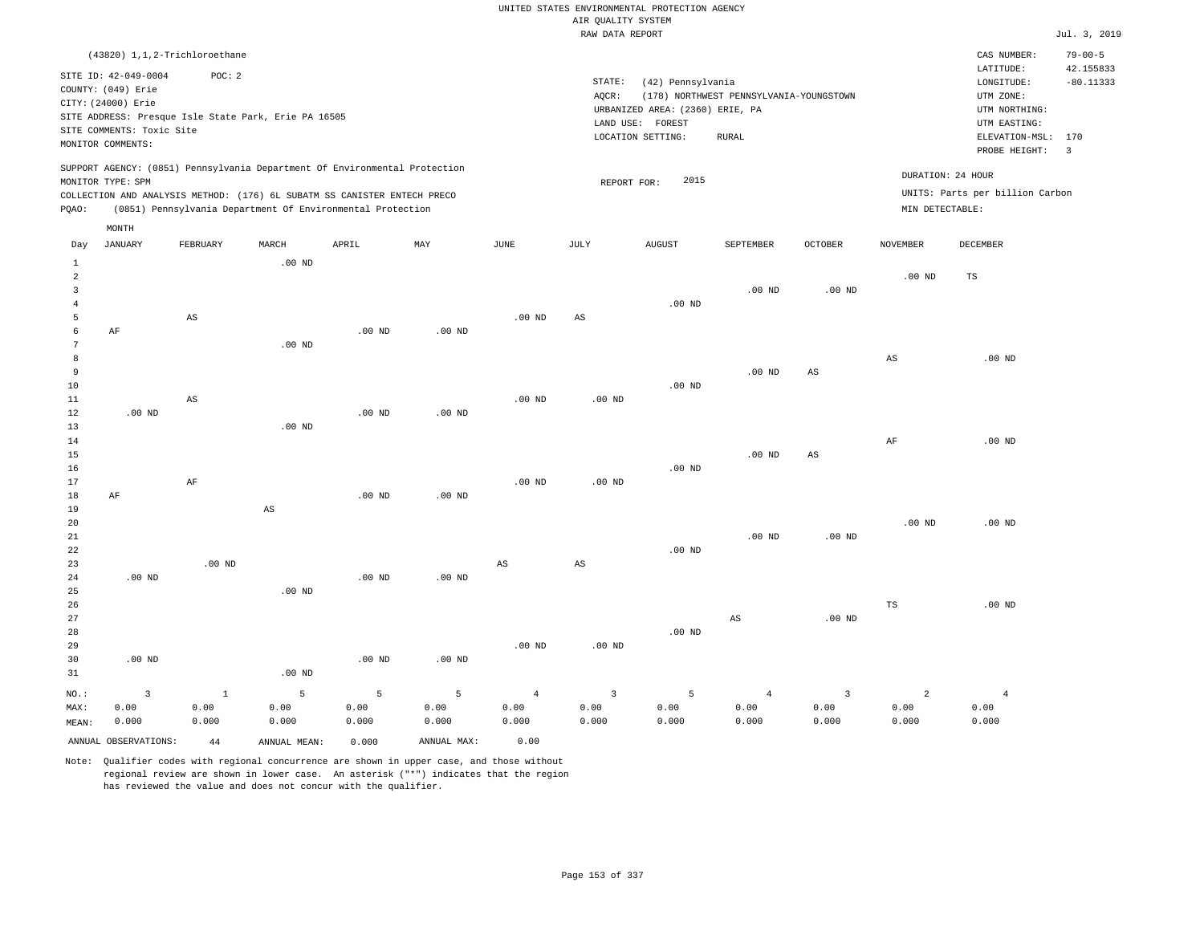|       |                           | (43820) 1,1,2-Trichloroethane                        |                   |                                                                          |                                                                            |      |        |                                 |                                         |         |                    | CAS NUMBER:                     | $79 - 00 - 5$           |
|-------|---------------------------|------------------------------------------------------|-------------------|--------------------------------------------------------------------------|----------------------------------------------------------------------------|------|--------|---------------------------------|-----------------------------------------|---------|--------------------|---------------------------------|-------------------------|
|       | SITE ID: 42-049-0004      | POC: 2                                               |                   |                                                                          |                                                                            |      |        |                                 |                                         |         |                    | LATITUDE:                       | 42.155833               |
|       | COUNTY: (049) Erie        |                                                      |                   |                                                                          |                                                                            |      | STATE: | (42) Pennsylvania               |                                         |         |                    | LONGITUDE:                      | $-80.11333$             |
|       | CITY: (24000) Erie        |                                                      |                   |                                                                          |                                                                            |      | AOCR:  |                                 | (178) NORTHWEST PENNSYLVANIA-YOUNGSTOWN |         |                    | UTM ZONE:                       |                         |
|       |                           | SITE ADDRESS: Presque Isle State Park, Erie PA 16505 |                   |                                                                          |                                                                            |      |        | URBANIZED AREA: (2360) ERIE, PA |                                         |         |                    | UTM NORTHING:                   |                         |
|       | SITE COMMENTS: Toxic Site |                                                      |                   |                                                                          |                                                                            |      |        | LAND USE: FOREST                |                                         |         |                    | UTM EASTING:                    |                         |
|       | MONITOR COMMENTS:         |                                                      |                   |                                                                          |                                                                            |      |        | LOCATION SETTING:               | RURAL                                   |         |                    | ELEVATION-MSL: 170              |                         |
|       |                           |                                                      |                   |                                                                          |                                                                            |      |        |                                 |                                         |         |                    | PROBE HEIGHT:                   | $\overline{\mathbf{3}}$ |
|       | MONITOR TYPE: SPM         |                                                      |                   |                                                                          | SUPPORT AGENCY: (0851) Pennsylvania Department Of Environmental Protection |      |        | 2015<br>REPORT FOR:             |                                         |         |                    | DURATION: 24 HOUR               |                         |
|       |                           |                                                      |                   | COLLECTION AND ANALYSIS METHOD: (176) 6L SUBATM SS CANISTER ENTECH PRECO |                                                                            |      |        |                                 |                                         |         |                    | UNITS: Parts per billion Carbon |                         |
| POAO: |                           |                                                      |                   | (0851) Pennsylvania Department Of Environmental Protection               |                                                                            |      |        |                                 |                                         |         | MIN DETECTABLE:    |                                 |                         |
|       | MONTH                     |                                                      |                   |                                                                          |                                                                            |      |        |                                 |                                         |         |                    |                                 |                         |
| Day   | JANUARY                   | FEBRUARY                                             | MARCH             | APRIL                                                                    | MAY                                                                        | JUNE | JULY   | <b>AUGUST</b>                   | SEPTEMBER                               | OCTOBER | <b>NOVEMBER</b>    | DECEMBER                        |                         |
|       |                           |                                                      | .00 <sub>ND</sub> |                                                                          |                                                                            |      |        |                                 |                                         |         |                    |                                 |                         |
|       |                           |                                                      |                   |                                                                          |                                                                            |      |        |                                 |                                         |         | $0.0 \, \text{nm}$ | m <sub>0</sub>                  |                         |

| $\overline{\mathbf{c}}$ |                         |                        |                        |          |          |                |                        |          |                        |                        | .00 $ND$               | $_{\rm TS}$    |
|-------------------------|-------------------------|------------------------|------------------------|----------|----------|----------------|------------------------|----------|------------------------|------------------------|------------------------|----------------|
| 3                       |                         |                        |                        |          |          |                |                        |          | $.00$ ND               | .00 <sub>ND</sub>      |                        |                |
| 4                       |                         |                        |                        |          |          |                |                        | $.00$ ND |                        |                        |                        |                |
| 5                       |                         | AS                     |                        |          |          | $.00$ ND       | $\mathbb{A}\mathbb{S}$ |          |                        |                        |                        |                |
| 6                       | $\rm AF$                |                        |                        | $.00$ ND | $.00$ ND |                |                        |          |                        |                        |                        |                |
| 7                       |                         |                        | $.00$ ND               |          |          |                |                        |          |                        |                        |                        |                |
| 8                       |                         |                        |                        |          |          |                |                        |          |                        |                        | $\mathbb{A}\mathbb{S}$ | $.00$ ND       |
| 9                       |                         |                        |                        |          |          |                |                        |          | .00 <sub>ND</sub>      | $\mathbb{A}\mathbb{S}$ |                        |                |
| 10                      |                         |                        |                        |          |          |                |                        | $.00$ ND |                        |                        |                        |                |
| 11                      |                         | $\mathbb{A}\mathbb{S}$ |                        |          |          | $.00$ ND       | $.00$ ND               |          |                        |                        |                        |                |
| 12                      | .00 $ND$                |                        |                        | .00 $ND$ | $.00$ ND |                |                        |          |                        |                        |                        |                |
| 13                      |                         |                        | .00 $ND$               |          |          |                |                        |          |                        |                        |                        |                |
| 14                      |                         |                        |                        |          |          |                |                        |          |                        |                        | $\rm{AF}$              | $.00$ ND       |
| 15                      |                         |                        |                        |          |          |                |                        |          | .00 <sub>ND</sub>      | $\mathbb{A}\mathbb{S}$ |                        |                |
| 16                      |                         |                        |                        |          |          |                |                        | $.00$ ND |                        |                        |                        |                |
| 17                      |                         | $\rm AF$               |                        |          |          | $.00$ ND       | $.00$ ND               |          |                        |                        |                        |                |
| 18<br>19                | $\rm AF$                |                        | $\mathbb{A}\mathbb{S}$ | .00 $ND$ | $.00$ ND |                |                        |          |                        |                        |                        |                |
| 20                      |                         |                        |                        |          |          |                |                        |          |                        |                        | $.00$ ND               | $.00$ ND       |
| 21                      |                         |                        |                        |          |          |                |                        |          | $.00$ ND               | .00 <sub>ND</sub>      |                        |                |
| $2\sqrt{2}$             |                         |                        |                        |          |          |                |                        | $.00$ ND |                        |                        |                        |                |
| 23                      |                         | $.00$ ND               |                        |          |          | AS             | $\mathbb{A}\mathbb{S}$ |          |                        |                        |                        |                |
| 24                      | $.00$ ND                |                        |                        | .00 $ND$ | .00 $ND$ |                |                        |          |                        |                        |                        |                |
| 25                      |                         |                        | $.00$ ND               |          |          |                |                        |          |                        |                        |                        |                |
| $26\,$                  |                         |                        |                        |          |          |                |                        |          |                        |                        | $_{\rm TS}$            | $.00$ ND       |
| 27                      |                         |                        |                        |          |          |                |                        |          | $\mathbb{A}\mathbb{S}$ | $.00$ ND               |                        |                |
| 28                      |                         |                        |                        |          |          |                |                        | .00 $ND$ |                        |                        |                        |                |
| 29                      |                         |                        |                        |          |          | $.00$ ND       | $.00$ ND               |          |                        |                        |                        |                |
| 30                      | $.00$ ND                |                        |                        | .00 $ND$ | $.00$ ND |                |                        |          |                        |                        |                        |                |
| $31\,$                  |                         |                        | $.00\,$ ND             |          |          |                |                        |          |                        |                        |                        |                |
| $_{\rm NO.}$ :          | $\overline{\mathbf{3}}$ | $\mathbf{1}$           | 5                      | 5        | 5        | $\overline{4}$ | $\mathsf 3$            | 5        | $\overline{4}$         | $\overline{3}$         | $\overline{2}$         | $\overline{4}$ |
| MAX:                    | 0.00                    | 0.00                   | 0.00                   | 0.00     | 0.00     | 0.00           | 0.00                   | 0.00     | 0.00                   | 0.00                   | 0.00                   | 0.00           |
| MEAN:                   | 0.000                   | 0.000                  | 0.000                  | 0.000    | 0.000    | 0.000          | 0.000                  | 0.000    | 0.000                  | 0.000                  | 0.000                  | 0.000          |

ANNUAL OBSERVATIONS: 44 ANNUAL MEAN: 0.000 ANNUAL MAX: 0.00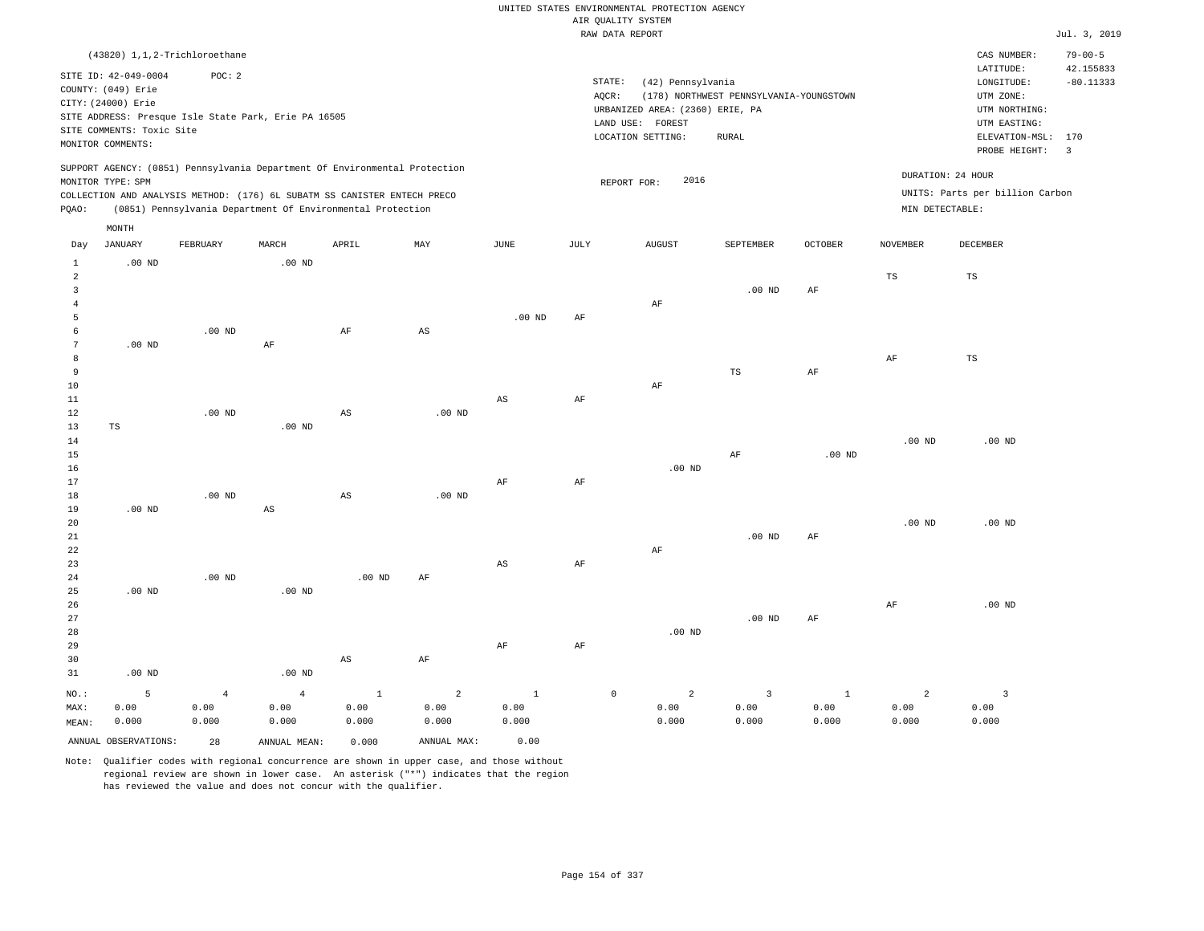|                     |                               |                   |                                                      |                                                                            |                        |                        |           | RAW DATA REPORT                 |                                         |                |                   |                                 | Jul. 3, 2019            |
|---------------------|-------------------------------|-------------------|------------------------------------------------------|----------------------------------------------------------------------------|------------------------|------------------------|-----------|---------------------------------|-----------------------------------------|----------------|-------------------|---------------------------------|-------------------------|
|                     | (43820) 1,1,2-Trichloroethane |                   |                                                      |                                                                            |                        |                        |           |                                 |                                         |                |                   | CAS NUMBER:                     | $79 - 00 - 5$           |
|                     |                               |                   |                                                      |                                                                            |                        |                        |           |                                 |                                         |                |                   | LATITUDE:                       | 42.155833               |
|                     | SITE ID: 42-049-0004          | POC: 2            |                                                      |                                                                            |                        |                        | STATE:    | (42) Pennsylvania               |                                         |                |                   | LONGITUDE:                      | $-80.11333$             |
|                     | COUNTY: (049) Erie            |                   |                                                      |                                                                            |                        |                        | AOCR:     |                                 | (178) NORTHWEST PENNSYLVANIA-YOUNGSTOWN |                |                   | UTM ZONE:                       |                         |
|                     | CITY: (24000) Erie            |                   |                                                      |                                                                            |                        |                        |           | URBANIZED AREA: (2360) ERIE, PA |                                         |                |                   | UTM NORTHING:                   |                         |
|                     |                               |                   | SITE ADDRESS: Presque Isle State Park, Erie PA 16505 |                                                                            |                        |                        |           | LAND USE: FOREST                |                                         |                |                   | UTM EASTING:                    |                         |
|                     | SITE COMMENTS: Toxic Site     |                   |                                                      |                                                                            |                        |                        |           | LOCATION SETTING:               | RURAL                                   |                |                   | ELEVATION-MSL: 170              |                         |
|                     | MONITOR COMMENTS:             |                   |                                                      |                                                                            |                        |                        |           |                                 |                                         |                |                   | PROBE HEIGHT:                   | $\overline{\mathbf{3}}$ |
|                     |                               |                   |                                                      | SUPPORT AGENCY: (0851) Pennsylvania Department Of Environmental Protection |                        |                        |           |                                 |                                         |                |                   |                                 |                         |
|                     | MONITOR TYPE: SPM             |                   |                                                      |                                                                            |                        |                        |           | 2016<br>REPORT FOR:             |                                         |                |                   | DURATION: 24 HOUR               |                         |
|                     |                               |                   |                                                      | COLLECTION AND ANALYSIS METHOD: (176) 6L SUBATM SS CANISTER ENTECH PRECO   |                        |                        |           |                                 |                                         |                |                   | UNITS: Parts per billion Carbon |                         |
| PQAO:               |                               |                   |                                                      | (0851) Pennsylvania Department Of Environmental Protection                 |                        |                        |           |                                 |                                         |                | MIN DETECTABLE:   |                                 |                         |
|                     | MONTH                         |                   |                                                      |                                                                            |                        |                        |           |                                 |                                         |                |                   |                                 |                         |
| Day                 | <b>JANUARY</b>                | FEBRUARY          | MARCH                                                | APRIL                                                                      | MAY                    | JUNE                   | JULY      | <b>AUGUST</b>                   | SEPTEMBER                               | <b>OCTOBER</b> | <b>NOVEMBER</b>   | <b>DECEMBER</b>                 |                         |
|                     |                               |                   |                                                      |                                                                            |                        |                        |           |                                 |                                         |                |                   |                                 |                         |
| $\mathbf{1}$        | $.00$ ND                      |                   | $.00$ ND                                             |                                                                            |                        |                        |           |                                 |                                         |                |                   |                                 |                         |
| $\overline{a}$      |                               |                   |                                                      |                                                                            |                        |                        |           |                                 |                                         |                | TS                | TS                              |                         |
| $\overline{3}$      |                               |                   |                                                      |                                                                            |                        |                        |           |                                 | .00 <sub>ND</sub>                       | AF             |                   |                                 |                         |
| $\overline{4}$<br>5 |                               |                   |                                                      |                                                                            |                        |                        |           | AF                              |                                         |                |                   |                                 |                         |
| 6                   |                               | .00 <sub>ND</sub> |                                                      | AF                                                                         | $\mathbb{A}\mathbb{S}$ | .00 <sub>ND</sub>      | $\rm{AF}$ |                                 |                                         |                |                   |                                 |                         |
| $\overline{7}$      | $.00$ ND                      |                   | AF                                                   |                                                                            |                        |                        |           |                                 |                                         |                |                   |                                 |                         |
| 8                   |                               |                   |                                                      |                                                                            |                        |                        |           |                                 |                                         |                | $\rm{AF}$         | $_{\rm TS}$                     |                         |
| 9                   |                               |                   |                                                      |                                                                            |                        |                        |           |                                 | TS                                      | AF             |                   |                                 |                         |
| 10                  |                               |                   |                                                      |                                                                            |                        |                        |           | AF                              |                                         |                |                   |                                 |                         |
| 11                  |                               |                   |                                                      |                                                                            |                        | $\mathbb{A}\mathbb{S}$ | AF        |                                 |                                         |                |                   |                                 |                         |
| 12                  |                               | $.00$ ND          |                                                      | $\mathbb{A}\mathbb{S}$                                                     | $.00$ ND               |                        |           |                                 |                                         |                |                   |                                 |                         |
| 13                  | $_{\rm TS}$                   |                   | .00 <sub>ND</sub>                                    |                                                                            |                        |                        |           |                                 |                                         |                |                   |                                 |                         |
| $14\,$              |                               |                   |                                                      |                                                                            |                        |                        |           |                                 |                                         |                | .00 <sub>ND</sub> | $.00$ ND                        |                         |
| 15                  |                               |                   |                                                      |                                                                            |                        |                        |           |                                 | $\rm AF$                                | $.00$ ND       |                   |                                 |                         |
| 16                  |                               |                   |                                                      |                                                                            |                        |                        |           | $.00$ ND                        |                                         |                |                   |                                 |                         |
| 17                  |                               |                   |                                                      |                                                                            |                        | AF                     | AF        |                                 |                                         |                |                   |                                 |                         |
| 18                  |                               | $.00$ ND          |                                                      | $\mathbb{A}\mathbb{S}$                                                     | $.00$ ND               |                        |           |                                 |                                         |                |                   |                                 |                         |
| 19                  | .00 <sub>ND</sub>             |                   | $\mathbb{A}\mathbb{S}$                               |                                                                            |                        |                        |           |                                 |                                         |                |                   |                                 |                         |
| 20                  |                               |                   |                                                      |                                                                            |                        |                        |           |                                 |                                         |                | $.00$ ND          | $.00$ ND                        |                         |
| 21                  |                               |                   |                                                      |                                                                            |                        |                        |           |                                 | $.00$ ND                                | AF             |                   |                                 |                         |
| 22                  |                               |                   |                                                      |                                                                            |                        |                        |           | $\rm{AF}$                       |                                         |                |                   |                                 |                         |
| 23                  |                               |                   |                                                      |                                                                            |                        | AS                     | AF        |                                 |                                         |                |                   |                                 |                         |
| 24<br>25            | $.00$ ND                      | $.00$ ND          | $.00$ ND                                             | $.00$ ND                                                                   | $\rm AF$               |                        |           |                                 |                                         |                |                   |                                 |                         |
| 26                  |                               |                   |                                                      |                                                                            |                        |                        |           |                                 |                                         |                | AF                | $.00$ ND                        |                         |
| 27                  |                               |                   |                                                      |                                                                            |                        |                        |           |                                 | $.00$ ND                                | AF             |                   |                                 |                         |
| 28                  |                               |                   |                                                      |                                                                            |                        |                        |           | $.00$ ND                        |                                         |                |                   |                                 |                         |
| 29                  |                               |                   |                                                      |                                                                            |                        | AF                     | AF        |                                 |                                         |                |                   |                                 |                         |
| 30                  |                               |                   |                                                      | AS                                                                         | AF                     |                        |           |                                 |                                         |                |                   |                                 |                         |
| 31                  | $.00$ ND                      |                   | $.00$ ND                                             |                                                                            |                        |                        |           |                                 |                                         |                |                   |                                 |                         |
|                     |                               |                   |                                                      |                                                                            |                        |                        |           |                                 |                                         |                |                   |                                 |                         |
| NO.:                | 5                             | $\overline{4}$    | $\overline{4}$                                       | $\mathbf{1}$                                                               | $\overline{a}$         | $\mathbf{1}$           |           | $\circ$<br>$\overline{a}$       | $\overline{\mathbf{3}}$                 | $\mathbf{1}$   | $\overline{a}$    | $\overline{3}$                  |                         |
| MAX:                | 0.00<br>0.000                 | 0.00              | 0.00<br>0.000                                        | 0.00                                                                       | 0.00                   | 0.00                   |           | 0.00<br>0.000                   | 0.00<br>0.000                           | 0.00<br>0.000  | 0.00<br>0.000     | 0.00<br>0.000                   |                         |
| MEAN:               |                               | 0.000             |                                                      | 0.000                                                                      | 0.000                  | 0.000                  |           |                                 |                                         |                |                   |                                 |                         |
|                     | ANNUAL OBSERVATIONS:          | 28                | ANNUAL MEAN:                                         | 0.000                                                                      | ANNUAL MAX:            | 0.00                   |           |                                 |                                         |                |                   |                                 |                         |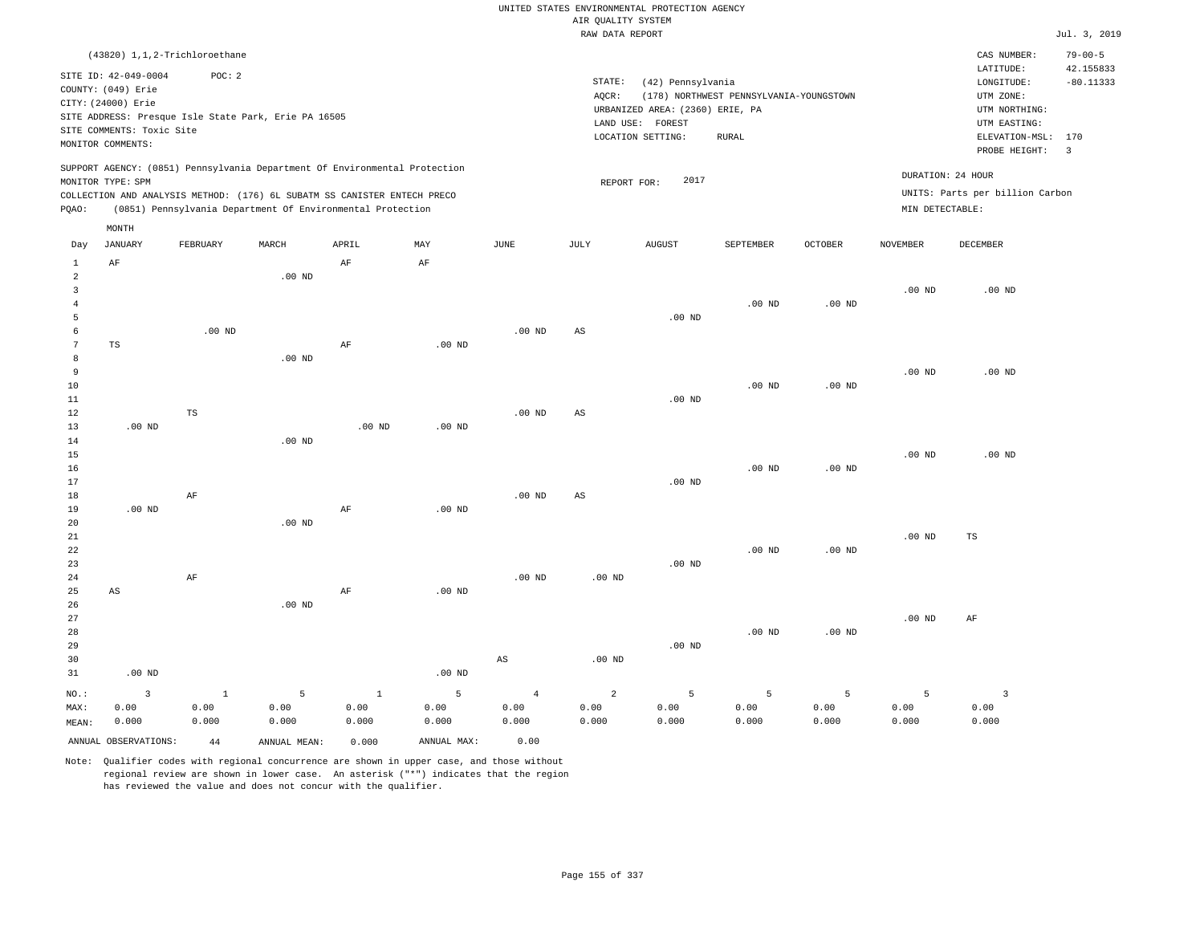|                 |                               |               |                                                                            |              |                   |                        | RAW DATA REPORT |                                 |                                         |                   |                   |                                 | Jul. 3, 2019            |
|-----------------|-------------------------------|---------------|----------------------------------------------------------------------------|--------------|-------------------|------------------------|-----------------|---------------------------------|-----------------------------------------|-------------------|-------------------|---------------------------------|-------------------------|
|                 | (43820) 1,1,2-Trichloroethane |               |                                                                            |              |                   |                        |                 |                                 |                                         |                   |                   | CAS NUMBER:                     | $79 - 00 - 5$           |
|                 |                               |               |                                                                            |              |                   |                        |                 |                                 |                                         |                   |                   | LATITUDE:                       | 42.155833               |
|                 | SITE ID: 42-049-0004          | POC: 2        |                                                                            |              |                   |                        | STATE:          | (42) Pennsylvania               |                                         |                   |                   | LONGITUDE:                      | $-80.11333$             |
|                 | COUNTY: (049) Erie            |               |                                                                            |              |                   |                        | AQCR:           |                                 | (178) NORTHWEST PENNSYLVANIA-YOUNGSTOWN |                   |                   | UTM ZONE:                       |                         |
|                 | CITY: (24000) Erie            |               |                                                                            |              |                   |                        |                 | URBANIZED AREA: (2360) ERIE, PA |                                         |                   |                   | UTM NORTHING:                   |                         |
|                 |                               |               | SITE ADDRESS: Presque Isle State Park, Erie PA 16505                       |              |                   |                        |                 | LAND USE: FOREST                |                                         |                   |                   | UTM EASTING:                    |                         |
|                 | SITE COMMENTS: Toxic Site     |               |                                                                            |              |                   |                        |                 | LOCATION SETTING:               | <b>RURAL</b>                            |                   |                   | ELEVATION-MSL:                  | 170                     |
|                 | MONITOR COMMENTS:             |               |                                                                            |              |                   |                        |                 |                                 |                                         |                   |                   | PROBE HEIGHT:                   | $\overline{\mathbf{3}}$ |
|                 |                               |               | SUPPORT AGENCY: (0851) Pennsylvania Department Of Environmental Protection |              |                   |                        |                 |                                 |                                         |                   |                   |                                 |                         |
|                 | MONITOR TYPE: SPM             |               |                                                                            |              |                   |                        | REPORT FOR:     | 2017                            |                                         |                   |                   | DURATION: 24 HOUR               |                         |
|                 |                               |               | COLLECTION AND ANALYSIS METHOD: (176) 6L SUBATM SS CANISTER ENTECH PRECO   |              |                   |                        |                 |                                 |                                         |                   |                   | UNITS: Parts per billion Carbon |                         |
| PQAO:           |                               |               | (0851) Pennsylvania Department Of Environmental Protection                 |              |                   |                        |                 |                                 |                                         |                   | MIN DETECTABLE:   |                                 |                         |
|                 | $\texttt{MONTH}$              |               |                                                                            |              |                   |                        |                 |                                 |                                         |                   |                   |                                 |                         |
| Day             | JANUARY                       | FEBRUARY      | MARCH                                                                      | APRIL        | MAY               | JUNE                   | JULY            | <b>AUGUST</b>                   | SEPTEMBER                               | <b>OCTOBER</b>    | <b>NOVEMBER</b>   | <b>DECEMBER</b>                 |                         |
| $1\,$           | $\rm AF$                      |               |                                                                            | $\rm{AF}$    | AF                |                        |                 |                                 |                                         |                   |                   |                                 |                         |
| 2               |                               |               | $.00$ ND                                                                   |              |                   |                        |                 |                                 |                                         |                   |                   |                                 |                         |
| $\overline{3}$  |                               |               |                                                                            |              |                   |                        |                 |                                 |                                         |                   | .00 <sub>ND</sub> | .00 <sub>ND</sub>               |                         |
| $\overline{4}$  |                               |               |                                                                            |              |                   |                        |                 |                                 | .00 <sub>ND</sub>                       | .00 <sub>ND</sub> |                   |                                 |                         |
| 5               |                               |               |                                                                            |              |                   |                        |                 | $.00$ ND                        |                                         |                   |                   |                                 |                         |
| 6               |                               | $.00$ ND      |                                                                            |              |                   | .00 <sub>ND</sub>      | AS              |                                 |                                         |                   |                   |                                 |                         |
| $7\phantom{.0}$ | $_{\rm TS}$                   |               |                                                                            | AF           | $.00$ ND          |                        |                 |                                 |                                         |                   |                   |                                 |                         |
| 8               |                               |               | $.00$ ND                                                                   |              |                   |                        |                 |                                 |                                         |                   |                   |                                 |                         |
| 9               |                               |               |                                                                            |              |                   |                        |                 |                                 |                                         |                   | .00 <sub>ND</sub> | $.00$ ND                        |                         |
| 10              |                               |               |                                                                            |              |                   |                        |                 |                                 | $.00$ ND                                | $.00$ ND          |                   |                                 |                         |
| 11              |                               |               |                                                                            |              |                   |                        |                 | $.00$ ND                        |                                         |                   |                   |                                 |                         |
| 12              |                               | $\mathbb{TS}$ |                                                                            |              |                   | $.00$ ND               | AS              |                                 |                                         |                   |                   |                                 |                         |
| 13              | $.00$ ND                      |               |                                                                            | $.00$ ND     | $.00$ ND          |                        |                 |                                 |                                         |                   |                   |                                 |                         |
| 14              |                               |               | $.00$ ND                                                                   |              |                   |                        |                 |                                 |                                         |                   |                   |                                 |                         |
| 15              |                               |               |                                                                            |              |                   |                        |                 |                                 |                                         |                   | .00 <sub>ND</sub> | $.00$ ND                        |                         |
| 16              |                               |               |                                                                            |              |                   |                        |                 |                                 | $.00$ ND                                | .00 <sub>ND</sub> |                   |                                 |                         |
| 17              |                               |               |                                                                            |              |                   |                        |                 | .00 <sub>ND</sub>               |                                         |                   |                   |                                 |                         |
| 18              |                               | $\rm AF$      |                                                                            |              |                   | .00 <sub>ND</sub>      | $_{\rm AS}$     |                                 |                                         |                   |                   |                                 |                         |
| 19              | $.00$ ND                      |               |                                                                            | AF           | $.00$ ND          |                        |                 |                                 |                                         |                   |                   |                                 |                         |
| 20              |                               |               | $.00$ ND                                                                   |              |                   |                        |                 |                                 |                                         |                   |                   |                                 |                         |
| 21<br>22        |                               |               |                                                                            |              |                   |                        |                 |                                 | $.00$ ND                                | $.00$ ND          | .00 <sub>ND</sub> | $_{\rm TS}$                     |                         |
| 23              |                               |               |                                                                            |              |                   |                        |                 | .00 <sub>ND</sub>               |                                         |                   |                   |                                 |                         |
| 24              |                               | AF            |                                                                            |              |                   | $.00$ ND               | $.00$ ND        |                                 |                                         |                   |                   |                                 |                         |
| 25              | $_{\rm AS}$                   |               |                                                                            | $\rm AF$     | .00 <sub>ND</sub> |                        |                 |                                 |                                         |                   |                   |                                 |                         |
| 26              |                               |               | $.00$ ND                                                                   |              |                   |                        |                 |                                 |                                         |                   |                   |                                 |                         |
| 27              |                               |               |                                                                            |              |                   |                        |                 |                                 |                                         |                   | $.00$ ND          | AF                              |                         |
| 28              |                               |               |                                                                            |              |                   |                        |                 |                                 | $.00$ ND                                | .00 <sub>ND</sub> |                   |                                 |                         |
| 29              |                               |               |                                                                            |              |                   |                        |                 | .00 <sub>ND</sub>               |                                         |                   |                   |                                 |                         |
| 30              |                               |               |                                                                            |              |                   | $\mathbb{A}\mathbb{S}$ | $.00$ ND        |                                 |                                         |                   |                   |                                 |                         |
| 31              | $.00$ ND                      |               |                                                                            |              | $.00$ ND          |                        |                 |                                 |                                         |                   |                   |                                 |                         |
| $NO.$ :         | $\overline{3}$                | $\mathbf{1}$  | 5                                                                          | $\mathbf{1}$ | 5                 | $\overline{4}$         | $\overline{a}$  | 5                               | 5                                       | 5                 | 5                 | $\overline{3}$                  |                         |
| MAX:            | 0.00                          | 0.00          | 0.00                                                                       | 0.00         | 0.00              | 0.00                   | 0.00            | 0.00                            | 0.00                                    | 0.00              | 0.00              | 0.00                            |                         |
| MEAN:           | 0.000                         | 0.000         | 0.000                                                                      | 0.000        | 0.000             | 0.000                  | 0.000           | 0.000                           | 0.000                                   | 0.000             | 0.000             | 0.000                           |                         |
|                 |                               |               |                                                                            |              |                   |                        |                 |                                 |                                         |                   |                   |                                 |                         |
|                 | ANNUAL OBSERVATIONS:          | 44            | ANNUAL MEAN:                                                               | 0.000        | ANNUAL MAX:       | 0.00                   |                 |                                 |                                         |                   |                   |                                 |                         |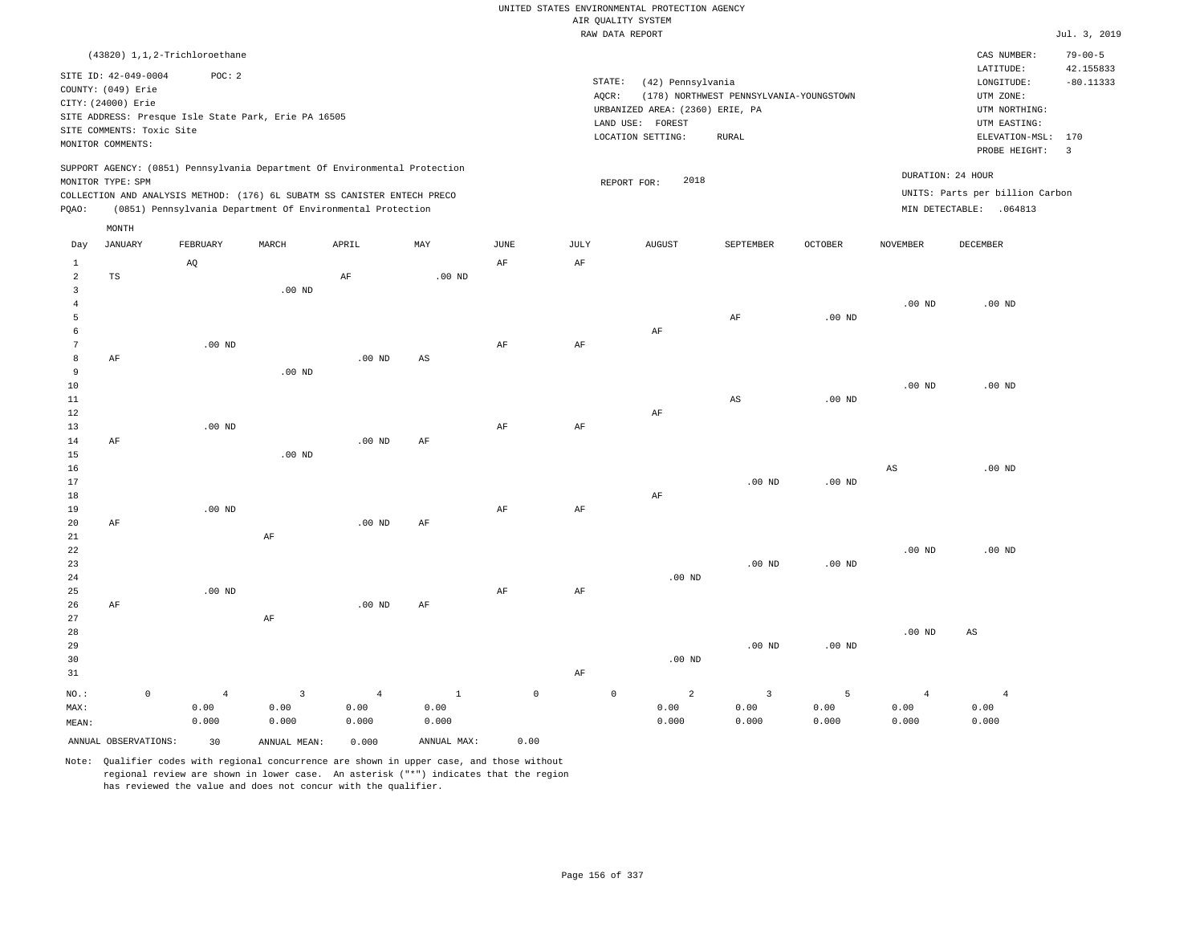|                                              |                                                                                                                    |             |                                           |                                                      |                                                                                                                                                                                                                      |                               |                     |               | UNITED STATES ENVIRONMENTAL PROTECTION AGENCY<br>AIR OUALITY SYSTEM<br>RAW DATA REPORT                              |                                                         |                    |                                 |                                                                                                                         | Jul. 3, 2019                                                       |
|----------------------------------------------|--------------------------------------------------------------------------------------------------------------------|-------------|-------------------------------------------|------------------------------------------------------|----------------------------------------------------------------------------------------------------------------------------------------------------------------------------------------------------------------------|-------------------------------|---------------------|---------------|---------------------------------------------------------------------------------------------------------------------|---------------------------------------------------------|--------------------|---------------------------------|-------------------------------------------------------------------------------------------------------------------------|--------------------------------------------------------------------|
|                                              |                                                                                                                    |             |                                           |                                                      |                                                                                                                                                                                                                      |                               |                     |               |                                                                                                                     |                                                         |                    |                                 |                                                                                                                         |                                                                    |
|                                              | SITE ID: 42-049-0004<br>COUNTY: (049) Erie<br>CITY: (24000) Erie<br>SITE COMMENTS: Toxic Site<br>MONITOR COMMENTS: |             | (43820) 1, 1, 2-Trichloroethane<br>POC: 2 | SITE ADDRESS: Presque Isle State Park, Erie PA 16505 |                                                                                                                                                                                                                      |                               |                     |               | STATE:<br>(42) Pennsylvania<br>$AQCR$ :<br>URBANIZED AREA: (2360) ERIE, PA<br>LAND USE: FOREST<br>LOCATION SETTING: | (178) NORTHWEST PENNSYLVANIA-YOUNGSTOWN<br><b>RURAL</b> |                    |                                 | CAS NUMBER:<br>LATITUDE:<br>LONGITUDE:<br>UTM ZONE:<br>UTM NORTHING:<br>UTM EASTING:<br>ELEVATION-MSL:<br>PROBE HEIGHT: | $79 - 00 - 5$<br>42.155833<br>$-80.11333$<br>170<br>$\overline{3}$ |
| PQAO:                                        | MONITOR TYPE: SPM                                                                                                  |             |                                           |                                                      | SUPPORT AGENCY: (0851) Pennsylvania Department Of Environmental Protection<br>COLLECTION AND ANALYSIS METHOD: (176) 6L SUBATM SS CANISTER ENTECH PRECO<br>(0851) Pennsylvania Department Of Environmental Protection |                               |                     |               | 2018<br>REPORT FOR:                                                                                                 |                                                         |                    | DURATION: 24 HOUR               | UNITS: Parts per billion Carbon<br>MIN DETECTABLE: . 064813                                                             |                                                                    |
| Day                                          | MONTH<br>JANUARY                                                                                                   |             | FEBRUARY                                  | MARCH                                                | APRIL                                                                                                                                                                                                                | MAY                           | JUNE                | $_{\rm JULY}$ | AUGUST                                                                                                              | SEPTEMBER                                               | <b>OCTOBER</b>     | <b>NOVEMBER</b>                 | DECEMBER                                                                                                                |                                                                    |
| $\mathbf{1}$<br>$\sqrt{2}$<br>$\overline{3}$ | $\operatorname{TS}$                                                                                                |             | AQ                                        | $.00$ ND                                             | AF                                                                                                                                                                                                                   | $.00$ ND                      | AF                  | AF            |                                                                                                                     |                                                         |                    |                                 |                                                                                                                         |                                                                    |
| $\sqrt{4}$<br>5<br>6                         |                                                                                                                    |             |                                           |                                                      |                                                                                                                                                                                                                      |                               |                     |               | AF                                                                                                                  | $\rm{AF}$                                               | $.00$ ND           | .00 <sub>ND</sub>               | $.00$ ND                                                                                                                |                                                                    |
| $7\phantom{.0}$<br>8<br>$\overline{9}$<br>10 | AF                                                                                                                 |             | $.00$ ND                                  | $.00$ ND                                             | .00 <sub>ND</sub>                                                                                                                                                                                                    | AS                            | $\rm{AF}$           | AF            |                                                                                                                     |                                                         |                    | $.00$ ND                        | $.00$ ND                                                                                                                |                                                                    |
| $1\,1$<br>$1\,2$<br>13<br>14                 | AF                                                                                                                 |             | $.00$ ND                                  |                                                      | .00 <sub>ND</sub>                                                                                                                                                                                                    | AF                            | AF                  | AF            | AF                                                                                                                  | $_{\rm AS}$                                             | $.00$ ND           |                                 |                                                                                                                         |                                                                    |
| 15<br>16<br>17<br>18                         |                                                                                                                    |             |                                           | .00 <sub>ND</sub>                                    |                                                                                                                                                                                                                      |                               |                     |               | AF                                                                                                                  | $.00$ ND                                                | $.00$ ND           | AS                              | $.00$ ND                                                                                                                |                                                                    |
| 19<br>20<br>$2\sqrt{1}$                      | AF                                                                                                                 |             | $.00$ ND                                  | AF                                                   | .00 <sub>ND</sub>                                                                                                                                                                                                    | AF                            | AF                  | AF            |                                                                                                                     |                                                         |                    |                                 |                                                                                                                         |                                                                    |
| 22<br>23<br>24<br>25<br>26                   | AF                                                                                                                 |             | $.00$ ND                                  |                                                      | .00 <sub>ND</sub>                                                                                                                                                                                                    | AF                            | AF                  | AF            | $.00$ ND                                                                                                            | $.00$ ND                                                | .00 <sub>ND</sub>  | $.00$ ND                        | $.00$ ND                                                                                                                |                                                                    |
| 27<br>28<br>29<br>30<br>31                   |                                                                                                                    |             |                                           | AF                                                   |                                                                                                                                                                                                                      |                               |                     | AF            | $.00$ ND                                                                                                            | $.00$ ND                                                | $.00$ ND           | .00 <sub>ND</sub>               | AS                                                                                                                      |                                                                    |
| NO.:<br>MAX:<br>MEAN:                        |                                                                                                                    | $\mathsf 0$ | $\overline{4}$<br>0.00<br>0.000           | $\overline{3}$<br>0.00<br>0.000                      | $\overline{4}$<br>0.00<br>0.000                                                                                                                                                                                      | $\mathbf{1}$<br>0.00<br>0.000 | $\mathsf{O}\xspace$ |               | $\mathbb O$<br>2<br>0.00<br>0.000                                                                                   | $\overline{3}$<br>0.00<br>0.000                         | 5<br>0.00<br>0.000 | $\overline{4}$<br>0.00<br>0.000 | $\overline{4}$<br>0.00<br>0.000                                                                                         |                                                                    |
|                                              | ANNUAL OBSERVATIONS:                                                                                               |             | 30                                        | ANNUAL MEAN:                                         | 0.000                                                                                                                                                                                                                | ANNUAL MAX:                   | 0.00                |               |                                                                                                                     |                                                         |                    |                                 |                                                                                                                         |                                                                    |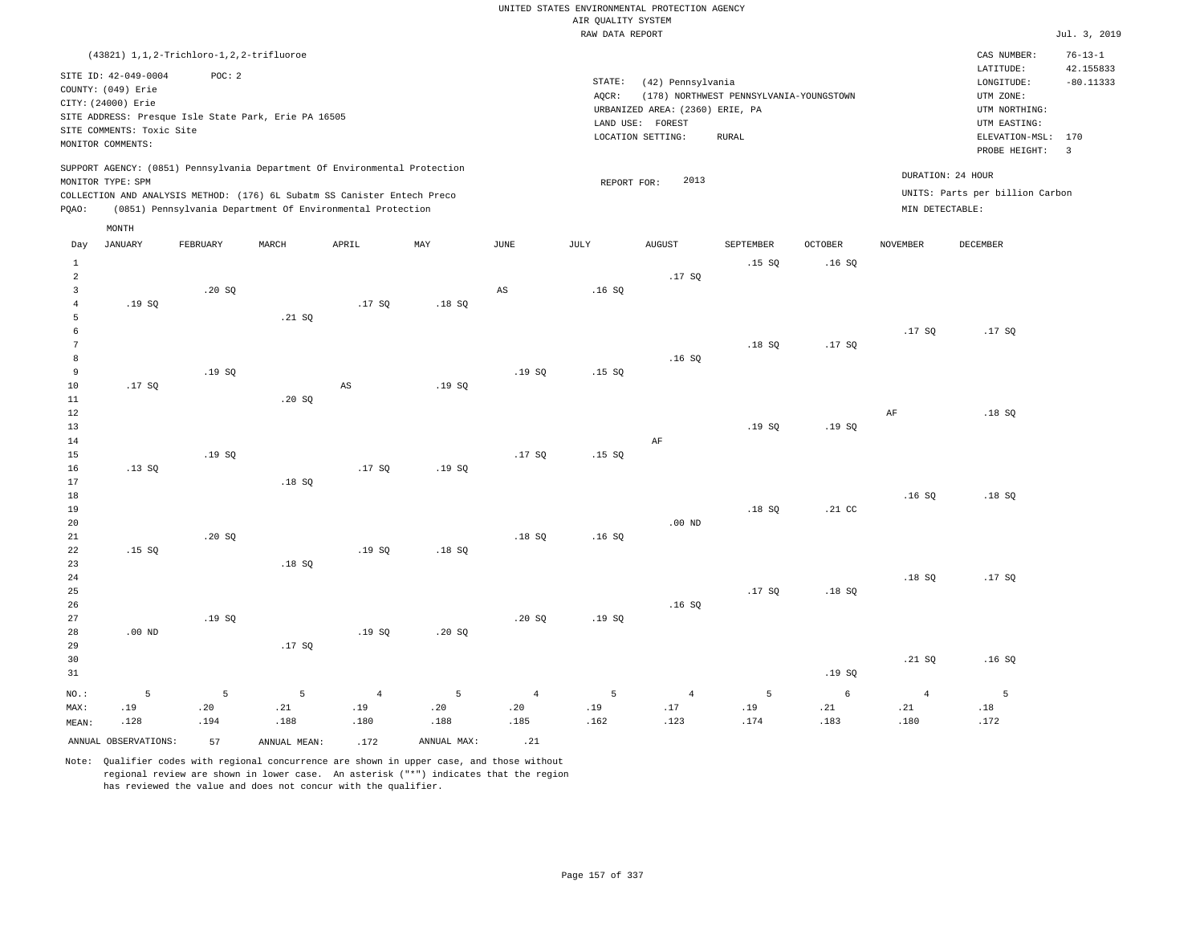|                 |                                                      |          |              |                                                                            |             |                        | RAW DATA REPORT |                                 |                                         |            |                 |                                 | Jul. 3, 2019   |
|-----------------|------------------------------------------------------|----------|--------------|----------------------------------------------------------------------------|-------------|------------------------|-----------------|---------------------------------|-----------------------------------------|------------|-----------------|---------------------------------|----------------|
|                 | (43821) 1, 1, 2-Trichloro-1, 2, 2-trifluoroe         |          |              |                                                                            |             |                        |                 |                                 |                                         |            |                 | CAS NUMBER:                     | $76 - 13 - 1$  |
|                 |                                                      |          |              |                                                                            |             |                        |                 |                                 |                                         |            |                 | LATITUDE:                       | 42.155833      |
|                 | SITE ID: 42-049-0004                                 | POC: 2   |              |                                                                            |             |                        | STATE:          | (42) Pennsylvania               |                                         |            |                 | $\texttt{LONGITUDE}$ :          | $-80.11333$    |
|                 | COUNTY: (049) Erie                                   |          |              |                                                                            |             |                        | AOCR:           |                                 | (178) NORTHWEST PENNSYLVANIA-YOUNGSTOWN |            |                 | UTM ZONE:                       |                |
|                 | CITY: (24000) Erie                                   |          |              |                                                                            |             |                        |                 | URBANIZED AREA: (2360) ERIE, PA |                                         |            |                 | UTM NORTHING:                   |                |
|                 | SITE ADDRESS: Presque Isle State Park, Erie PA 16505 |          |              |                                                                            |             |                        |                 | LAND USE: FOREST                |                                         |            |                 | UTM EASTING:                    |                |
|                 | SITE COMMENTS: Toxic Site                            |          |              |                                                                            |             |                        |                 | LOCATION SETTING:               | <b>RURAL</b>                            |            |                 | ELEVATION-MSL:                  | 170            |
|                 | MONITOR COMMENTS:                                    |          |              |                                                                            |             |                        |                 |                                 |                                         |            |                 | PROBE HEIGHT:                   | $\overline{3}$ |
|                 |                                                      |          |              | SUPPORT AGENCY: (0851) Pennsylvania Department Of Environmental Protection |             |                        |                 |                                 |                                         |            |                 | DURATION: 24 HOUR               |                |
|                 | MONITOR TYPE: SPM                                    |          |              |                                                                            |             |                        | REPORT FOR:     | 2013                            |                                         |            |                 |                                 |                |
|                 |                                                      |          |              | COLLECTION AND ANALYSIS METHOD: (176) 6L Subatm SS Canister Entech Preco   |             |                        |                 |                                 |                                         |            |                 | UNITS: Parts per billion Carbon |                |
| PQAO:           |                                                      |          |              | (0851) Pennsylvania Department Of Environmental Protection                 |             |                        |                 |                                 |                                         |            |                 | MIN DETECTABLE:                 |                |
|                 | MONTH                                                |          |              |                                                                            |             |                        |                 |                                 |                                         |            |                 |                                 |                |
| Day             | <b>JANUARY</b>                                       | FEBRUARY | MARCH        | APRIL                                                                      | MAY         | JUNE                   | JULY            | <b>AUGUST</b>                   | SEPTEMBER                               | OCTOBER    | <b>NOVEMBER</b> | DECEMBER                        |                |
| $\mathbf{1}$    |                                                      |          |              |                                                                            |             |                        |                 |                                 | .15S                                    | .16S       |                 |                                 |                |
| $\overline{2}$  |                                                      |          |              |                                                                            |             |                        |                 | .17SQ                           |                                         |            |                 |                                 |                |
| $\overline{3}$  |                                                      | .20S     |              |                                                                            |             | $\mathbb{A}\mathbb{S}$ | .16S            |                                 |                                         |            |                 |                                 |                |
| $\overline{4}$  | .19SQ                                                |          |              | .17SQ                                                                      | .18SQ       |                        |                 |                                 |                                         |            |                 |                                 |                |
| 5               |                                                      |          | .21 SQ       |                                                                            |             |                        |                 |                                 |                                         |            |                 |                                 |                |
| 6               |                                                      |          |              |                                                                            |             |                        |                 |                                 |                                         |            | .17SQ           | .17SQ                           |                |
| $7\phantom{.0}$ |                                                      |          |              |                                                                            |             |                        |                 |                                 | .18SQ                                   | .17SQ      |                 |                                 |                |
| 8               |                                                      |          |              |                                                                            |             |                        |                 | .16S                            |                                         |            |                 |                                 |                |
| 9               |                                                      | .19S     |              |                                                                            |             | .19S                   | .15S            |                                 |                                         |            |                 |                                 |                |
| 10              | .17SQ                                                |          |              | $\mathbb{A}\mathbb{S}$                                                     | .19SQ       |                        |                 |                                 |                                         |            |                 |                                 |                |
| $11\,$          |                                                      |          | .20 SQ       |                                                                            |             |                        |                 |                                 |                                         |            |                 |                                 |                |
| 12              |                                                      |          |              |                                                                            |             |                        |                 |                                 |                                         |            | $\rm AF$        | .18S                            |                |
| 13              |                                                      |          |              |                                                                            |             |                        |                 |                                 | .19S                                    | .19S       |                 |                                 |                |
| 14              |                                                      |          |              |                                                                            |             |                        |                 | AF                              |                                         |            |                 |                                 |                |
| 15              |                                                      | .19SQ    |              |                                                                            |             | .17SQ                  | .15SQ           |                                 |                                         |            |                 |                                 |                |
| 16              | .13 S0                                               |          |              | .17S                                                                       | .19S        |                        |                 |                                 |                                         |            |                 |                                 |                |
| 17              |                                                      |          | .18SQ        |                                                                            |             |                        |                 |                                 |                                         |            |                 |                                 |                |
| 18              |                                                      |          |              |                                                                            |             |                        |                 |                                 |                                         |            | .16SQ           | .18S                            |                |
| 19              |                                                      |          |              |                                                                            |             |                        |                 |                                 | .18S                                    | .21 CC     |                 |                                 |                |
| 20              |                                                      |          |              |                                                                            |             |                        |                 | $.00$ ND                        |                                         |            |                 |                                 |                |
| 21              |                                                      | .20SQ    |              |                                                                            |             | .18SQ                  | .16S            |                                 |                                         |            |                 |                                 |                |
| 22              | .15S                                                 |          |              | .19SQ                                                                      | .18S        |                        |                 |                                 |                                         |            |                 |                                 |                |
| 23              |                                                      |          | .18SQ        |                                                                            |             |                        |                 |                                 |                                         |            |                 |                                 |                |
| 24              |                                                      |          |              |                                                                            |             |                        |                 |                                 |                                         |            | .18SQ           | .17SQ                           |                |
| 25              |                                                      |          |              |                                                                            |             |                        |                 |                                 | .17S                                    | .18S       |                 |                                 |                |
| 26              |                                                      |          |              |                                                                            |             |                        |                 | .16S                            |                                         |            |                 |                                 |                |
| 27              |                                                      | .19SQ    |              |                                                                            |             | .20 SQ                 | .19SQ           |                                 |                                         |            |                 |                                 |                |
| 28              | $.00$ ND                                             |          |              | .19S                                                                       | .20S        |                        |                 |                                 |                                         |            |                 |                                 |                |
| 29              |                                                      |          | .17S         |                                                                            |             |                        |                 |                                 |                                         |            |                 |                                 |                |
| 30              |                                                      |          |              |                                                                            |             |                        |                 |                                 |                                         |            | .21 SQ          | .16S                            |                |
| 31              |                                                      |          |              |                                                                            |             |                        |                 |                                 |                                         | .19SQ      |                 |                                 |                |
| NO.:            | 5                                                    | 5        | 5            | $\overline{4}$                                                             | 5           | $\overline{4}$         | 5               | $\overline{4}$                  | 5                                       | $\epsilon$ | $\overline{4}$  | $\overline{5}$                  |                |
| MAX:            | .19                                                  | .20      | .21          | .19                                                                        | .20         | .20                    | .19             | .17                             | .19                                     | .21        | .21             | $.18\,$                         |                |
| MEAN:           | .128                                                 | .194     | .188         | .180                                                                       | .188        | .185                   | .162            | .123                            | .174                                    | .183       | .180            | .172                            |                |
|                 | ANNUAL OBSERVATIONS:                                 | 57       | ANNUAL MEAN: | .172                                                                       | ANNUAL MAX: | .21                    |                 |                                 |                                         |            |                 |                                 |                |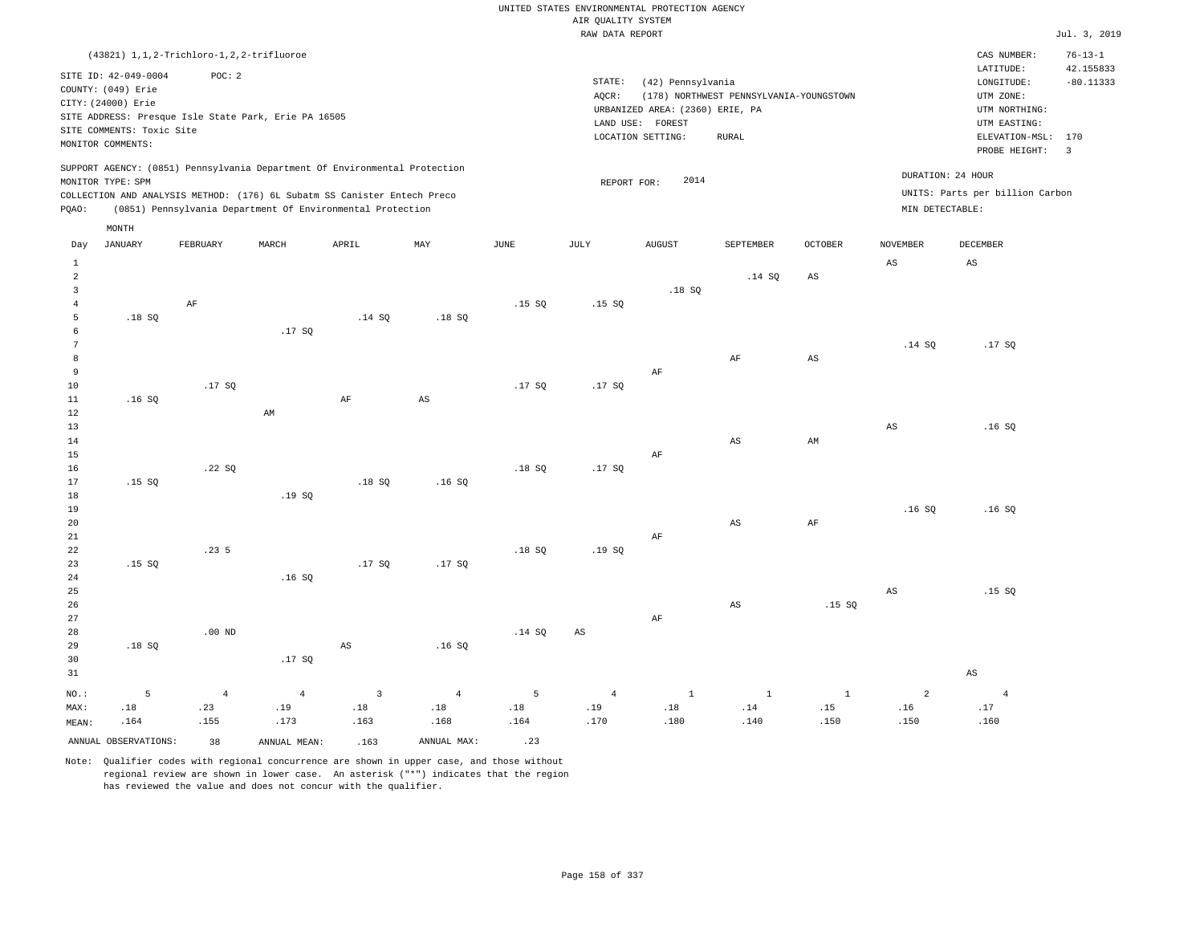|                |                                                                                                                    |                       |                                                                            |                         |                       |                                   | RAW DATA REPORT        |                                                                                               |                                                  |                     |                        |                                                                                                          | Jul. 3, 2019                                      |
|----------------|--------------------------------------------------------------------------------------------------------------------|-----------------------|----------------------------------------------------------------------------|-------------------------|-----------------------|-----------------------------------|------------------------|-----------------------------------------------------------------------------------------------|--------------------------------------------------|---------------------|------------------------|----------------------------------------------------------------------------------------------------------|---------------------------------------------------|
|                | (43821) 1, 1, 2-Trichloro-1, 2, 2-trifluoroe                                                                       |                       |                                                                            |                         |                       |                                   |                        |                                                                                               |                                                  |                     |                        | CAS NUMBER:                                                                                              | $76 - 13 - 1$                                     |
|                | SITE ID: 42-049-0004<br>COUNTY: (049) Erie<br>CITY: (24000) Erie<br>SITE COMMENTS: Toxic Site<br>MONITOR COMMENTS: | POC: 2                | SITE ADDRESS: Presque Isle State Park, Erie PA 16505                       |                         |                       |                                   | STATE:<br>AQCR:        | (42) Pennsylvania<br>URBANIZED AREA: (2360) ERIE, PA<br>LAND USE: FOREST<br>LOCATION SETTING: | (178) NORTHWEST PENNSYLVANIA-YOUNGSTOWN<br>RURAL |                     |                        | LATITUDE:<br>LONGITUDE:<br>UTM ZONE:<br>UTM NORTHING:<br>UTM EASTING:<br>ELEVATION-MSL:<br>PROBE HEIGHT: | 42.155833<br>$-80.11333$<br>170<br>$\overline{3}$ |
|                |                                                                                                                    |                       | SUPPORT AGENCY: (0851) Pennsylvania Department Of Environmental Protection |                         |                       |                                   |                        |                                                                                               |                                                  |                     |                        | DURATION: 24 HOUR                                                                                        |                                                   |
|                | MONITOR TYPE: SPM                                                                                                  |                       |                                                                            |                         |                       |                                   | REPORT FOR:            | 2014                                                                                          |                                                  |                     |                        |                                                                                                          |                                                   |
|                |                                                                                                                    |                       | COLLECTION AND ANALYSIS METHOD: (176) 6L Subatm SS Canister Entech Preco   |                         |                       |                                   |                        |                                                                                               |                                                  |                     |                        | UNITS: Parts per billion Carbon                                                                          |                                                   |
| PQAO:          |                                                                                                                    |                       | (0851) Pennsylvania Department Of Environmental Protection                 |                         |                       |                                   |                        |                                                                                               |                                                  |                     | MIN DETECTABLE:        |                                                                                                          |                                                   |
|                | MONTH                                                                                                              |                       |                                                                            |                         |                       |                                   |                        |                                                                                               |                                                  |                     |                        |                                                                                                          |                                                   |
| Day            | <b>JANUARY</b>                                                                                                     | <b>FEBRUARY</b>       | MARCH                                                                      | APRIL                   | MAY                   | JUNE                              | JULY                   | <b>AUGUST</b>                                                                                 | SEPTEMBER                                        | <b>OCTOBER</b>      | <b>NOVEMBER</b>        | <b>DECEMBER</b>                                                                                          |                                                   |
| 1              |                                                                                                                    |                       |                                                                            |                         |                       |                                   |                        |                                                                                               |                                                  |                     | AS                     | AS                                                                                                       |                                                   |
| $\overline{a}$ |                                                                                                                    |                       |                                                                            |                         |                       |                                   |                        |                                                                                               | .14 SQ                                           | AS                  |                        |                                                                                                          |                                                   |
| 3              |                                                                                                                    |                       |                                                                            |                         |                       |                                   |                        | .18SQ                                                                                         |                                                  |                     |                        |                                                                                                          |                                                   |
| $\overline{4}$ |                                                                                                                    | AF                    |                                                                            |                         |                       | .15S                              | .15S                   |                                                                                               |                                                  |                     |                        |                                                                                                          |                                                   |
| 5              | .18SQ                                                                                                              |                       |                                                                            | .14 SQ                  | .18S                  |                                   |                        |                                                                                               |                                                  |                     |                        |                                                                                                          |                                                   |
| 6              |                                                                                                                    |                       | .17SQ                                                                      |                         |                       |                                   |                        |                                                                                               |                                                  |                     |                        |                                                                                                          |                                                   |
| 7              |                                                                                                                    |                       |                                                                            |                         |                       |                                   |                        |                                                                                               |                                                  |                     | .14 SQ                 | .17SQ                                                                                                    |                                                   |
| 8              |                                                                                                                    |                       |                                                                            |                         |                       |                                   |                        |                                                                                               | $\rm AF$                                         | $_{\rm AS}$         |                        |                                                                                                          |                                                   |
| 9              |                                                                                                                    |                       |                                                                            |                         |                       |                                   |                        | AF                                                                                            |                                                  |                     |                        |                                                                                                          |                                                   |
| 10             |                                                                                                                    | .17SQ                 |                                                                            |                         |                       | .17S                              | .17S                   |                                                                                               |                                                  |                     |                        |                                                                                                          |                                                   |
| 11             | .16S                                                                                                               |                       |                                                                            | AF                      | AS                    |                                   |                        |                                                                                               |                                                  |                     |                        |                                                                                                          |                                                   |
| $1\,2$         |                                                                                                                    |                       | $\mathop{\rm AM}\nolimits$                                                 |                         |                       |                                   |                        |                                                                                               |                                                  |                     |                        |                                                                                                          |                                                   |
| 13             |                                                                                                                    |                       |                                                                            |                         |                       |                                   |                        |                                                                                               |                                                  |                     | $\mathbb{A}\mathbb{S}$ | .16SQ                                                                                                    |                                                   |
| 14             |                                                                                                                    |                       |                                                                            |                         |                       |                                   |                        |                                                                                               | AS                                               | AM                  |                        |                                                                                                          |                                                   |
| 15             |                                                                                                                    |                       |                                                                            |                         |                       |                                   |                        | $\rm AF$                                                                                      |                                                  |                     |                        |                                                                                                          |                                                   |
| 16             |                                                                                                                    | .22SQ                 |                                                                            |                         |                       | .18S                              | .17SQ                  |                                                                                               |                                                  |                     |                        |                                                                                                          |                                                   |
| 17             | .15S                                                                                                               |                       |                                                                            | .18S                    | .16S                  |                                   |                        |                                                                                               |                                                  |                     |                        |                                                                                                          |                                                   |
| $18\,$         |                                                                                                                    |                       | .19 SQ                                                                     |                         |                       |                                   |                        |                                                                                               |                                                  |                     |                        |                                                                                                          |                                                   |
| 19             |                                                                                                                    |                       |                                                                            |                         |                       |                                   |                        |                                                                                               |                                                  |                     | .16SQ                  | .16SQ                                                                                                    |                                                   |
| 20             |                                                                                                                    |                       |                                                                            |                         |                       |                                   |                        |                                                                                               | AS                                               | AF                  |                        |                                                                                                          |                                                   |
| $21\,$<br>22   |                                                                                                                    | .235                  |                                                                            |                         |                       | .18SQ                             | .19SQ                  | $\rm AF$                                                                                      |                                                  |                     |                        |                                                                                                          |                                                   |
| 23             | .15S                                                                                                               |                       |                                                                            | .17SQ                   | .17SQ                 |                                   |                        |                                                                                               |                                                  |                     |                        |                                                                                                          |                                                   |
| 24             |                                                                                                                    |                       | .16S                                                                       |                         |                       |                                   |                        |                                                                                               |                                                  |                     |                        |                                                                                                          |                                                   |
| 25             |                                                                                                                    |                       |                                                                            |                         |                       |                                   |                        |                                                                                               |                                                  |                     | $\mathbb{A}\mathbb{S}$ | .15S                                                                                                     |                                                   |
| 26             |                                                                                                                    |                       |                                                                            |                         |                       |                                   |                        |                                                                                               | AS                                               | .15S                |                        |                                                                                                          |                                                   |
| 27             |                                                                                                                    |                       |                                                                            |                         |                       |                                   |                        | AF                                                                                            |                                                  |                     |                        |                                                                                                          |                                                   |
| 28             |                                                                                                                    | .00 <sub>ND</sub>     |                                                                            |                         |                       | .14 SQ                            | $\mathbb{A}\mathbb{S}$ |                                                                                               |                                                  |                     |                        |                                                                                                          |                                                   |
| 29             | .18S                                                                                                               |                       |                                                                            | $\mathbb{A}\mathbb{S}$  | .16S                  |                                   |                        |                                                                                               |                                                  |                     |                        |                                                                                                          |                                                   |
| 30             |                                                                                                                    |                       | .17S                                                                       |                         |                       |                                   |                        |                                                                                               |                                                  |                     |                        |                                                                                                          |                                                   |
| 31             |                                                                                                                    |                       |                                                                            |                         |                       |                                   |                        |                                                                                               |                                                  |                     |                        | $\mathbb{A}\mathbb{S}$                                                                                   |                                                   |
|                | 5                                                                                                                  |                       |                                                                            | $\overline{\mathbf{3}}$ |                       |                                   |                        | $1\,$                                                                                         |                                                  |                     | $\overline{a}$         |                                                                                                          |                                                   |
| NO.:<br>MAX:   | $.18\,$                                                                                                            | $\overline{4}$<br>.23 | $\overline{4}$<br>.19                                                      | .18                     | $\overline{4}$<br>.18 | 5<br>$\footnotesize\substack{18}$ | $\overline{4}$<br>.19  | .18                                                                                           | $\mathbf{1}$<br>.14                              | $\mathbf{1}$<br>.15 | .16                    | $\overline{4}$<br>.17                                                                                    |                                                   |
|                | .164                                                                                                               | .155                  | .173                                                                       | .163                    | .168                  | .164                              | .170                   | .180                                                                                          | .140                                             | .150                | .150                   | .160                                                                                                     |                                                   |
| MEAN:          |                                                                                                                    |                       |                                                                            |                         |                       |                                   |                        |                                                                                               |                                                  |                     |                        |                                                                                                          |                                                   |
|                | ANNUAL OBSERVATIONS:                                                                                               | 38                    | ANNUAL MEAN:                                                               | .163                    | ANNUAL MAX:           | .23                               |                        |                                                                                               |                                                  |                     |                        |                                                                                                          |                                                   |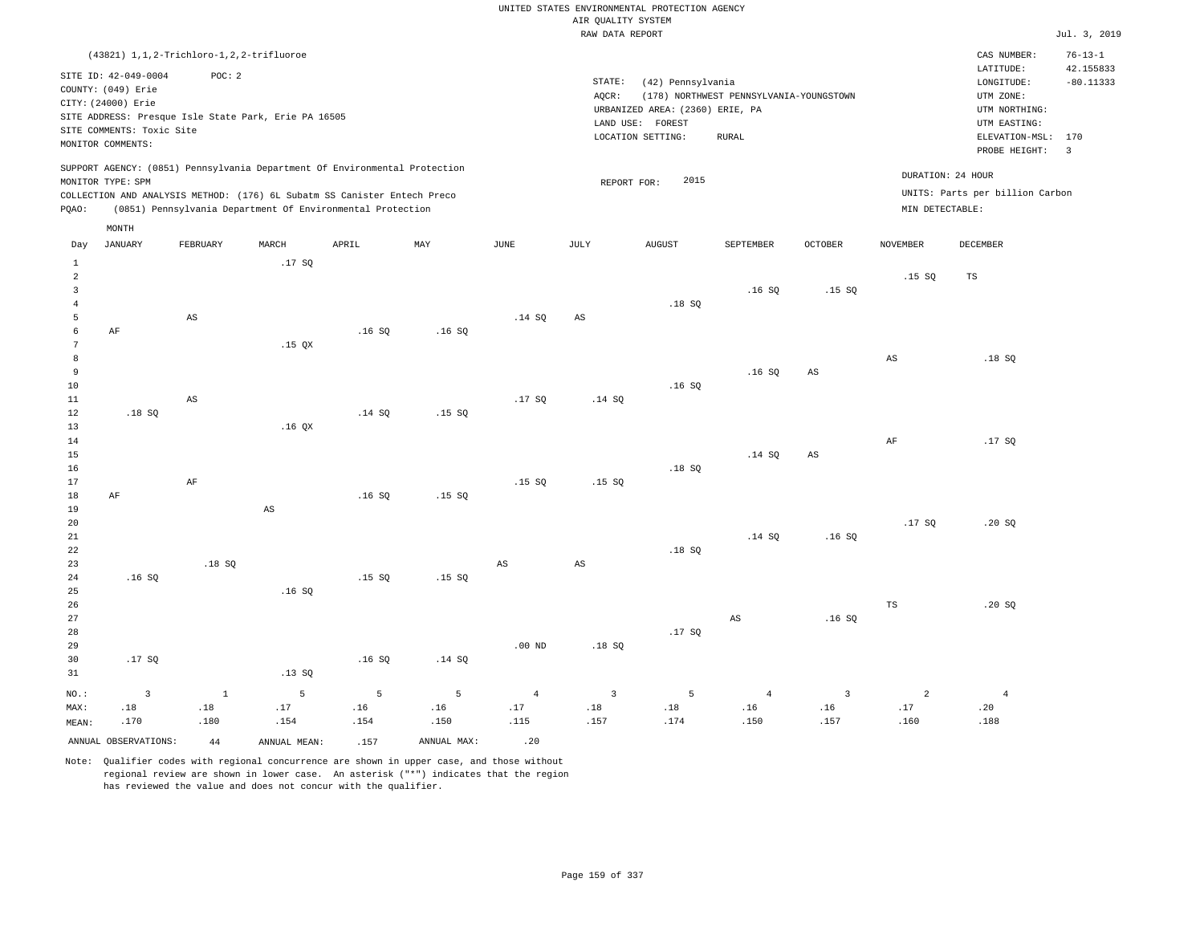|                         |                                              |                        |                                                                            |        |             |                | RAW DATA REPORT |                                 |                                         |                |                 |                                 | Jul. 3, 2019   |
|-------------------------|----------------------------------------------|------------------------|----------------------------------------------------------------------------|--------|-------------|----------------|-----------------|---------------------------------|-----------------------------------------|----------------|-----------------|---------------------------------|----------------|
|                         | (43821) 1, 1, 2-Trichloro-1, 2, 2-trifluoroe |                        |                                                                            |        |             |                |                 |                                 |                                         |                |                 | CAS NUMBER:                     | $76 - 13 - 1$  |
|                         |                                              |                        |                                                                            |        |             |                |                 |                                 |                                         |                |                 | LATITUDE:                       | 42.155833      |
|                         | SITE ID: 42-049-0004                         | POC: 2                 |                                                                            |        |             |                | STATE:          | (42) Pennsylvania               |                                         |                |                 | LONGITUDE:                      | $-80.11333$    |
|                         | COUNTY: (049) Erie                           |                        |                                                                            |        |             |                | AOCR:           |                                 | (178) NORTHWEST PENNSYLVANIA-YOUNGSTOWN |                |                 | UTM ZONE:                       |                |
|                         | CITY: (24000) Erie                           |                        |                                                                            |        |             |                |                 | URBANIZED AREA: (2360) ERIE, PA |                                         |                |                 | UTM NORTHING:                   |                |
|                         |                                              |                        | SITE ADDRESS: Presque Isle State Park, Erie PA 16505                       |        |             |                |                 | LAND USE: FOREST                |                                         |                |                 | UTM EASTING:                    |                |
|                         | SITE COMMENTS: Toxic Site                    |                        |                                                                            |        |             |                |                 | LOCATION SETTING:               | <b>RURAL</b>                            |                |                 | ELEVATION-MSL:                  | 170            |
|                         | MONITOR COMMENTS:                            |                        |                                                                            |        |             |                |                 |                                 |                                         |                |                 | PROBE HEIGHT:                   | $\overline{3}$ |
|                         |                                              |                        | SUPPORT AGENCY: (0851) Pennsylvania Department Of Environmental Protection |        |             |                |                 |                                 |                                         |                |                 |                                 |                |
|                         | MONITOR TYPE: SPM                            |                        |                                                                            |        |             |                | REPORT FOR:     | 2015                            |                                         |                |                 | DURATION: 24 HOUR               |                |
|                         |                                              |                        | COLLECTION AND ANALYSIS METHOD: (176) 6L Subatm SS Canister Entech Preco   |        |             |                |                 |                                 |                                         |                |                 | UNITS: Parts per billion Carbon |                |
| PQAO:                   |                                              |                        | (0851) Pennsylvania Department Of Environmental Protection                 |        |             |                |                 |                                 |                                         |                | MIN DETECTABLE: |                                 |                |
|                         | MONTH                                        |                        |                                                                            |        |             |                |                 |                                 |                                         |                |                 |                                 |                |
| Day                     | <b>JANUARY</b>                               | FEBRUARY               | MARCH                                                                      | APRIL  | MAY         | $_{\rm JUNE}$  | JULY            | <b>AUGUST</b>                   | SEPTEMBER                               | OCTOBER        | <b>NOVEMBER</b> | DECEMBER                        |                |
| $\mathbf{1}$            |                                              |                        | .17SQ                                                                      |        |             |                |                 |                                 |                                         |                |                 |                                 |                |
| $\overline{a}$          |                                              |                        |                                                                            |        |             |                |                 |                                 |                                         |                | .15S            | TS                              |                |
| $\overline{\mathbf{3}}$ |                                              |                        |                                                                            |        |             |                |                 |                                 | .16S                                    | .15S           |                 |                                 |                |
| $\overline{4}$          |                                              |                        |                                                                            |        |             |                |                 | .18S                            |                                         |                |                 |                                 |                |
| 5                       |                                              | $\mathbb{A}\mathbb{S}$ |                                                                            |        |             | .14 SQ         | AS              |                                 |                                         |                |                 |                                 |                |
| $\epsilon$              | AF                                           |                        |                                                                            | .16S   | .16S        |                |                 |                                 |                                         |                |                 |                                 |                |
| $7\phantom{.0}$         |                                              |                        | $.15$ QX                                                                   |        |             |                |                 |                                 |                                         |                |                 |                                 |                |
| 8                       |                                              |                        |                                                                            |        |             |                |                 |                                 |                                         |                | $_{\rm AS}$     | .18S                            |                |
| 9                       |                                              |                        |                                                                            |        |             |                |                 |                                 | .16S                                    | AS             |                 |                                 |                |
| 10                      |                                              |                        |                                                                            |        |             |                |                 | .16S                            |                                         |                |                 |                                 |                |
| 11                      |                                              | $\mathbb{A}\mathbb{S}$ |                                                                            |        |             | .17SQ          | .14 SQ          |                                 |                                         |                |                 |                                 |                |
| 12                      | .18SQ                                        |                        |                                                                            | .14 S0 | .15S        |                |                 |                                 |                                         |                |                 |                                 |                |
| 13                      |                                              |                        | $.16$ QX                                                                   |        |             |                |                 |                                 |                                         |                |                 |                                 |                |
| 14                      |                                              |                        |                                                                            |        |             |                |                 |                                 |                                         |                | AF              | .17SQ                           |                |
| 15                      |                                              |                        |                                                                            |        |             |                |                 |                                 | .14 SQ                                  | AS             |                 |                                 |                |
| 16                      |                                              |                        |                                                                            |        |             |                |                 | .18SQ                           |                                         |                |                 |                                 |                |
| 17                      |                                              | $\rm{AF}$              |                                                                            |        |             | .15S           | .15S            |                                 |                                         |                |                 |                                 |                |
| 18                      | AF                                           |                        |                                                                            | .16S   | .15S        |                |                 |                                 |                                         |                |                 |                                 |                |
| 19                      |                                              |                        | $_{\rm AS}$                                                                |        |             |                |                 |                                 |                                         |                |                 |                                 |                |
| 20                      |                                              |                        |                                                                            |        |             |                |                 |                                 |                                         |                | .17SQ           | .20 SQ                          |                |
| 21                      |                                              |                        |                                                                            |        |             |                |                 |                                 | .14 S0                                  | .16S           |                 |                                 |                |
| 22                      |                                              |                        |                                                                            |        |             |                |                 | .18SQ                           |                                         |                |                 |                                 |                |
| 23                      |                                              | .18S                   |                                                                            |        |             | AS             | AS              |                                 |                                         |                |                 |                                 |                |
| 24                      | .16S                                         |                        |                                                                            | .15SQ  | .15S        |                |                 |                                 |                                         |                |                 |                                 |                |
| 25                      |                                              |                        | .16SQ                                                                      |        |             |                |                 |                                 |                                         |                |                 |                                 |                |
| 26                      |                                              |                        |                                                                            |        |             |                |                 |                                 |                                         |                | TS              | .20S                            |                |
| 27                      |                                              |                        |                                                                            |        |             |                |                 |                                 | AS                                      | .16SQ          |                 |                                 |                |
|                         |                                              |                        |                                                                            |        |             |                |                 | .17SQ                           |                                         |                |                 |                                 |                |
| 28                      |                                              |                        |                                                                            |        |             | $.00$ ND       |                 |                                 |                                         |                |                 |                                 |                |
| 29                      |                                              |                        |                                                                            |        |             |                | .18S            |                                 |                                         |                |                 |                                 |                |
| 30                      | .17SQ                                        |                        |                                                                            | .16S   | .14 SQ      |                |                 |                                 |                                         |                |                 |                                 |                |
| 31                      |                                              |                        | .13SQ                                                                      |        |             |                |                 |                                 |                                         |                |                 |                                 |                |
| NO.:                    | $\overline{\mathbf{3}}$                      | $1\,$                  | 5                                                                          | 5      | 5           | $\overline{4}$ | $\overline{3}$  | 5                               | $\overline{4}$                          | $\overline{3}$ | $\overline{a}$  | $\overline{4}$                  |                |
| MAX:                    | $.18\,$                                      | $.18\,$                | .17                                                                        | .16    | .16         | .17            | .18             | .18                             | .16                                     | .16            | .17             | .20                             |                |
| MEAN:                   | .170                                         | .180                   | .154                                                                       | .154   | .150        | .115           | .157            | .174                            | .150                                    | .157           | .160            | .188                            |                |
|                         | ANNUAL OBSERVATIONS:                         | 44                     | ANNUAL MEAN:                                                               | .157   | ANNUAL MAX: | .20            |                 |                                 |                                         |                |                 |                                 |                |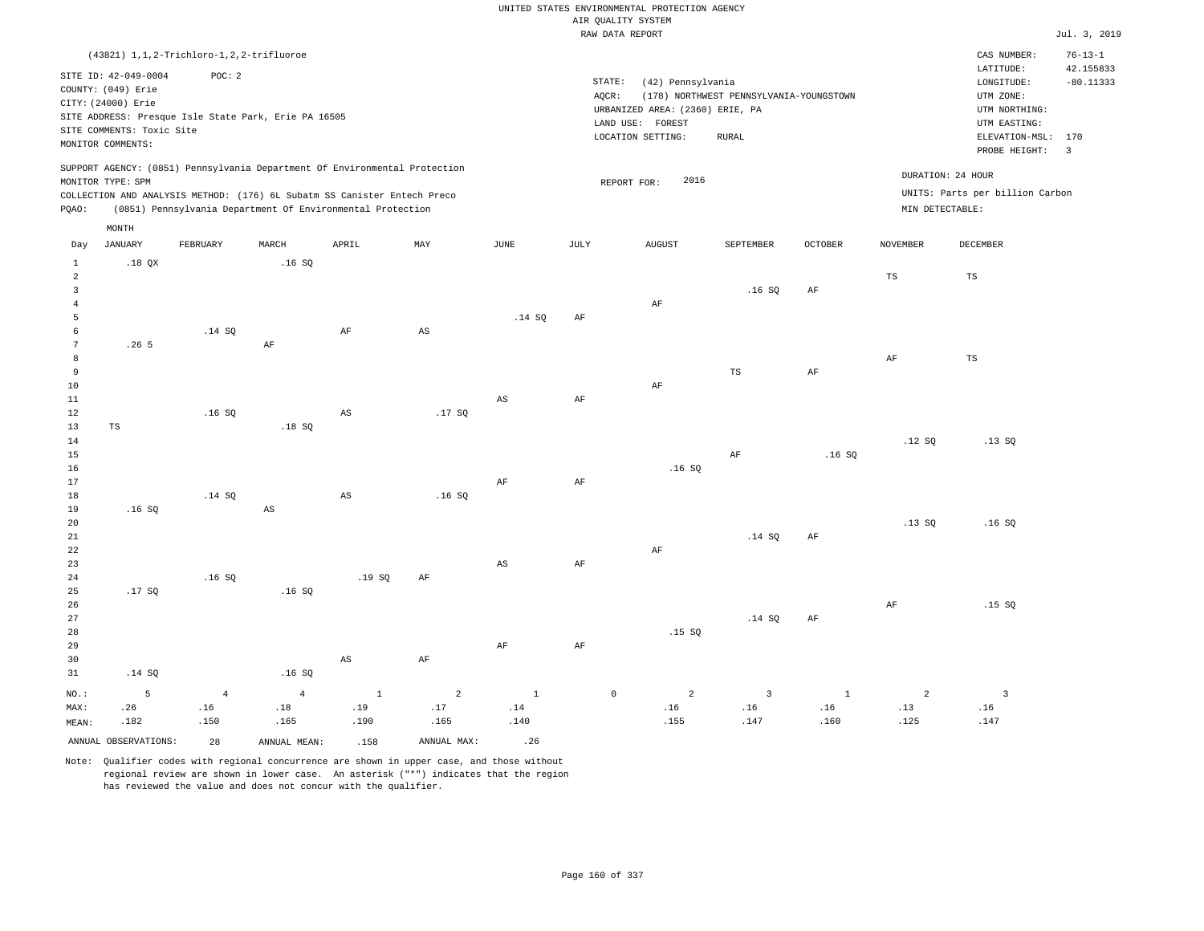|                         |                                          |                                                      |                |                                                                            |                        |                        |             | RAW DATA REPORT                 |                                         |                |                 |                                 | Jul. 3, 2019            |
|-------------------------|------------------------------------------|------------------------------------------------------|----------------|----------------------------------------------------------------------------|------------------------|------------------------|-------------|---------------------------------|-----------------------------------------|----------------|-----------------|---------------------------------|-------------------------|
|                         |                                          | (43821) 1, 1, 2-Trichloro-1, 2, 2-trifluoroe         |                |                                                                            |                        |                        |             |                                 |                                         |                |                 | CAS NUMBER:                     | $76 - 13 - 1$           |
|                         |                                          |                                                      |                |                                                                            |                        |                        |             |                                 |                                         |                |                 | LATITUDE:                       | 42.155833               |
|                         | SITE ID: 42-049-0004                     | POC: 2                                               |                |                                                                            |                        |                        | STATE:      | (42) Pennsylvania               |                                         |                |                 | LONGITUDE:                      | $-80.11333$             |
|                         | COUNTY: (049) Erie<br>CITY: (24000) Erie |                                                      |                |                                                                            |                        |                        | AOCR:       |                                 | (178) NORTHWEST PENNSYLVANIA-YOUNGSTOWN |                |                 | UTM ZONE:                       |                         |
|                         |                                          | SITE ADDRESS: Presque Isle State Park, Erie PA 16505 |                |                                                                            |                        |                        |             | URBANIZED AREA: (2360) ERIE, PA |                                         |                |                 | UTM NORTHING:                   |                         |
|                         | SITE COMMENTS: Toxic Site                |                                                      |                |                                                                            |                        |                        |             | LAND USE: FOREST                |                                         |                |                 | UTM EASTING:                    |                         |
|                         | MONITOR COMMENTS:                        |                                                      |                |                                                                            |                        |                        |             | LOCATION SETTING:               | RURAL                                   |                |                 | ELEVATION-MSL: 170              |                         |
|                         |                                          |                                                      |                |                                                                            |                        |                        |             |                                 |                                         |                |                 | PROBE HEIGHT:                   | $\overline{\mathbf{3}}$ |
|                         |                                          |                                                      |                | SUPPORT AGENCY: (0851) Pennsylvania Department Of Environmental Protection |                        |                        |             |                                 |                                         |                |                 | DURATION: 24 HOUR               |                         |
|                         | MONITOR TYPE: SPM                        |                                                      |                |                                                                            |                        |                        |             | 2016<br>REPORT FOR:             |                                         |                |                 |                                 |                         |
|                         |                                          |                                                      |                | COLLECTION AND ANALYSIS METHOD: (176) 6L Subatm SS Canister Entech Preco   |                        |                        |             |                                 |                                         |                |                 | UNITS: Parts per billion Carbon |                         |
| PQAO:                   |                                          |                                                      |                | (0851) Pennsylvania Department Of Environmental Protection                 |                        |                        |             |                                 |                                         |                | MIN DETECTABLE: |                                 |                         |
|                         | MONTH                                    |                                                      |                |                                                                            |                        |                        |             |                                 |                                         |                |                 |                                 |                         |
| Day                     | <b>JANUARY</b>                           | FEBRUARY                                             | MARCH          | APRIL                                                                      | MAY                    | $_{\rm JUNE}$          | JULY        | ${\tt AUGUST}$                  | SEPTEMBER                               | <b>OCTOBER</b> | <b>NOVEMBER</b> | <b>DECEMBER</b>                 |                         |
| $\mathbf{1}$            | $.18$ QX                                 |                                                      | .16S           |                                                                            |                        |                        |             |                                 |                                         |                |                 |                                 |                         |
| $\overline{a}$          |                                          |                                                      |                |                                                                            |                        |                        |             |                                 |                                         |                | $_{\rm TS}$     | TS                              |                         |
| $\overline{\mathbf{3}}$ |                                          |                                                      |                |                                                                            |                        |                        |             |                                 | .16SQ                                   | $\rm{AF}$      |                 |                                 |                         |
| $\overline{4}$          |                                          |                                                      |                |                                                                            |                        |                        |             | $\rm AF$                        |                                         |                |                 |                                 |                         |
| $\overline{5}$          |                                          |                                                      |                |                                                                            |                        | .14 SQ                 | AF          |                                 |                                         |                |                 |                                 |                         |
| 6                       |                                          | .14 SQ                                               |                | $\rm AF$                                                                   | $\mathbb{A}\mathbb{S}$ |                        |             |                                 |                                         |                |                 |                                 |                         |
| $7\phantom{.0}$         | .26 <sub>5</sub>                         |                                                      | AF             |                                                                            |                        |                        |             |                                 |                                         |                |                 |                                 |                         |
| 8                       |                                          |                                                      |                |                                                                            |                        |                        |             |                                 |                                         |                | $\rm AF$        | $_{\rm TS}$                     |                         |
| 9                       |                                          |                                                      |                |                                                                            |                        |                        |             |                                 | $\mathbb{TS}$                           | $\rm{AF}$      |                 |                                 |                         |
| 10                      |                                          |                                                      |                |                                                                            |                        |                        |             | AF                              |                                         |                |                 |                                 |                         |
| $11\,$                  |                                          |                                                      |                |                                                                            |                        | $\mathbb{A}\mathbb{S}$ | AF          |                                 |                                         |                |                 |                                 |                         |
| $1\,2$                  |                                          | .16S                                                 |                | $\mathbb{A}\mathbb{S}$                                                     | .17SQ                  |                        |             |                                 |                                         |                |                 |                                 |                         |
| 13                      | TS                                       |                                                      | .18S           |                                                                            |                        |                        |             |                                 |                                         |                |                 |                                 |                         |
| $14\,$                  |                                          |                                                      |                |                                                                            |                        |                        |             |                                 |                                         |                | .12S            | .13S                            |                         |
| 15                      |                                          |                                                      |                |                                                                            |                        |                        |             |                                 | $\rm AF$                                | .16S           |                 |                                 |                         |
| 16<br>17                |                                          |                                                      |                |                                                                            |                        |                        |             | .16S                            |                                         |                |                 |                                 |                         |
| $1\,8$                  |                                          | .14 SQ                                               |                | $\mathbb{A}\mathbb{S}$                                                     | .16SQ                  | AF                     | AF          |                                 |                                         |                |                 |                                 |                         |
| 19                      | .16S                                     |                                                      | AS             |                                                                            |                        |                        |             |                                 |                                         |                |                 |                                 |                         |
| 20                      |                                          |                                                      |                |                                                                            |                        |                        |             |                                 |                                         |                | .13SQ           | .16S                            |                         |
| 21                      |                                          |                                                      |                |                                                                            |                        |                        |             |                                 | .14 SQ                                  | $\rm{AF}$      |                 |                                 |                         |
| 22                      |                                          |                                                      |                |                                                                            |                        |                        |             | AF                              |                                         |                |                 |                                 |                         |
| 23                      |                                          |                                                      |                |                                                                            |                        | $\mathbb{A}\mathbb{S}$ | AF          |                                 |                                         |                |                 |                                 |                         |
| 24                      |                                          | .16SQ                                                |                | .19SQ                                                                      | $\rm AF$               |                        |             |                                 |                                         |                |                 |                                 |                         |
| 25                      | .17S                                     |                                                      | .16S           |                                                                            |                        |                        |             |                                 |                                         |                |                 |                                 |                         |
| 26                      |                                          |                                                      |                |                                                                            |                        |                        |             |                                 |                                         |                | AF              | .15SQ                           |                         |
| 27                      |                                          |                                                      |                |                                                                            |                        |                        |             |                                 | .14 SQ                                  | $\rm AF$       |                 |                                 |                         |
| 28                      |                                          |                                                      |                |                                                                            |                        |                        |             | .15S                            |                                         |                |                 |                                 |                         |
| 29                      |                                          |                                                      |                |                                                                            |                        | $\rm{AF}$              | AF          |                                 |                                         |                |                 |                                 |                         |
| 30                      |                                          |                                                      |                | $\mathbb{A}\mathbb{S}$                                                     | $\rm AF$               |                        |             |                                 |                                         |                |                 |                                 |                         |
| 31                      | .14 SQ                                   |                                                      | .16SQ          |                                                                            |                        |                        |             |                                 |                                         |                |                 |                                 |                         |
| NO.:                    | 5                                        | $\overline{4}$                                       | $\overline{4}$ | $\,$ 1                                                                     | $\overline{a}$         | $\,$ 1                 | $\mathbb O$ | 2                               | $\overline{3}$                          | $\mathbf{1}$   | $\overline{a}$  | $\overline{3}$                  |                         |
| MAX:                    | .26                                      | .16                                                  | .18            | .19                                                                        | .17                    | .14                    |             | .16                             | .16                                     | .16            | .13             | .16                             |                         |
| MEAN:                   | .182                                     | .150                                                 | .165           | .190                                                                       | .165                   | .140                   |             | .155                            | .147                                    | .160           | .125            | .147                            |                         |
|                         | ANNUAL OBSERVATIONS:                     | 28                                                   | ANNUAL MEAN:   | .158                                                                       | ANNUAL MAX:            | .26                    |             |                                 |                                         |                |                 |                                 |                         |
|                         |                                          |                                                      |                |                                                                            |                        |                        |             |                                 |                                         |                |                 |                                 |                         |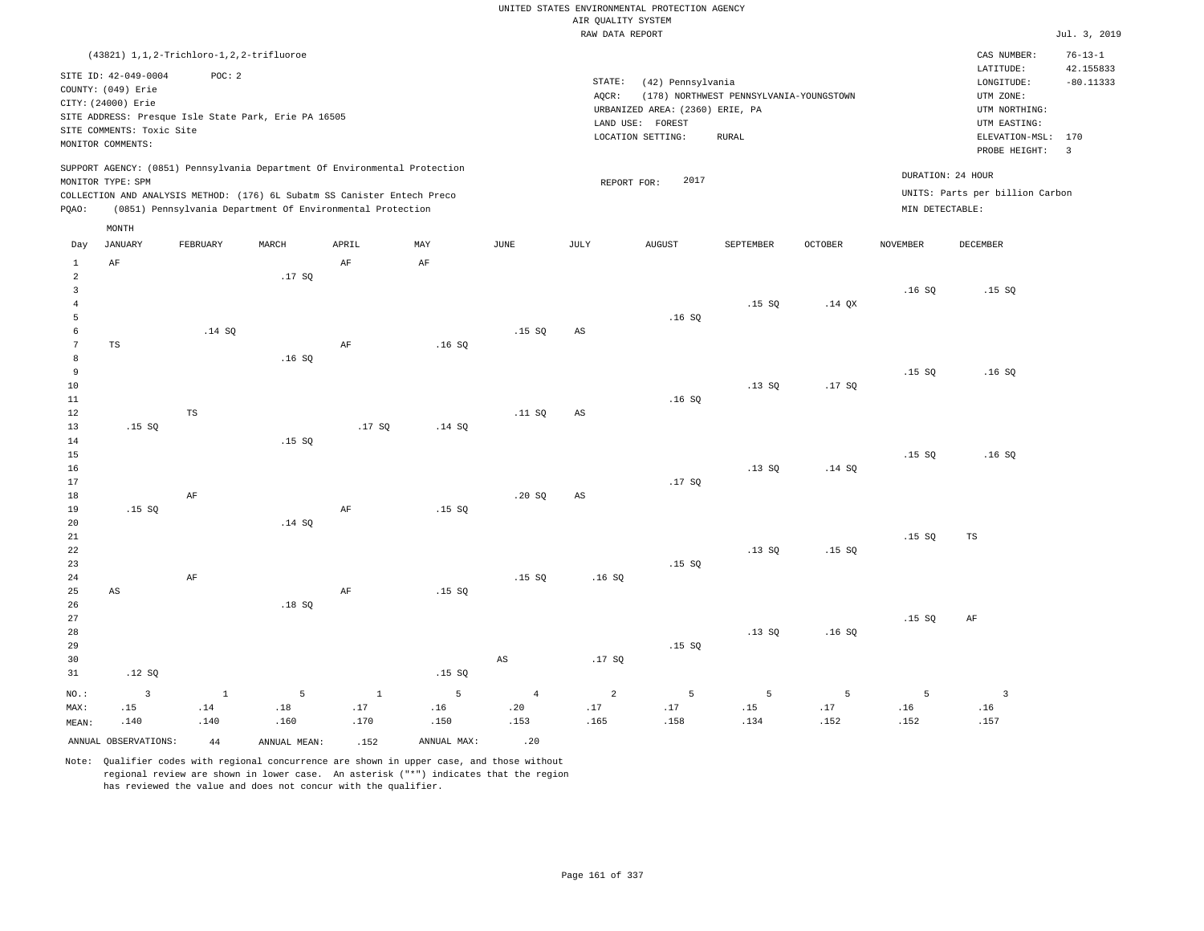|  |  |                    | UNITED STATES ENVIRONMENTAL PROTECTION AGENCY |  |
|--|--|--------------------|-----------------------------------------------|--|
|  |  | AIR OUALITY SYSTEM |                                               |  |

|                     |                                                                                                                                                                            |              |                 |                                                                            |             |                        | RAW DATA REPORT        |                                                                                               |                                                          |                |                 |                                                                                                                      | Jul. 3, 2019                                               |
|---------------------|----------------------------------------------------------------------------------------------------------------------------------------------------------------------------|--------------|-----------------|----------------------------------------------------------------------------|-------------|------------------------|------------------------|-----------------------------------------------------------------------------------------------|----------------------------------------------------------|----------------|-----------------|----------------------------------------------------------------------------------------------------------------------|------------------------------------------------------------|
|                     | (43821) 1, 1, 2-Trichloro-1, 2, 2-trifluoroe                                                                                                                               |              |                 |                                                                            |             |                        |                        |                                                                                               |                                                          |                |                 | CAS NUMBER:                                                                                                          | $76 - 13 - 1$                                              |
|                     | SITE ID: 42-049-0004<br>COUNTY: (049) Erie<br>CITY: (24000) Erie<br>SITE ADDRESS: Presque Isle State Park, Erie PA 16505<br>SITE COMMENTS: Toxic Site<br>MONITOR COMMENTS: | POC: 2       |                 |                                                                            |             |                        | STATE:<br>AQCR:        | (42) Pennsylvania<br>URBANIZED AREA: (2360) ERIE, PA<br>LAND USE: FOREST<br>LOCATION SETTING: | (178) NORTHWEST PENNSYLVANIA-YOUNGSTOWN<br>${\tt RURAL}$ |                |                 | LATITUDE:<br>$\texttt{LONGITUDE}$ :<br>UTM ZONE:<br>UTM NORTHING:<br>UTM EASTING:<br>ELEVATION-MSL:<br>PROBE HEIGHT: | 42.155833<br>$-80.11333$<br>170<br>$\overline{\mathbf{3}}$ |
|                     | MONITOR TYPE: SPM                                                                                                                                                          |              |                 | SUPPORT AGENCY: (0851) Pennsylvania Department Of Environmental Protection |             |                        |                        | 2017                                                                                          |                                                          |                |                 | DURATION: 24 HOUR                                                                                                    |                                                            |
|                     |                                                                                                                                                                            |              |                 | COLLECTION AND ANALYSIS METHOD: (176) 6L Subatm SS Canister Entech Preco   |             |                        | REPORT FOR:            |                                                                                               |                                                          |                |                 | UNITS: Parts per billion Carbon                                                                                      |                                                            |
| PQAO:               |                                                                                                                                                                            |              |                 | (0851) Pennsylvania Department Of Environmental Protection                 |             |                        |                        |                                                                                               |                                                          |                | MIN DETECTABLE: |                                                                                                                      |                                                            |
|                     | MONTH                                                                                                                                                                      |              |                 |                                                                            |             |                        |                        |                                                                                               |                                                          |                |                 |                                                                                                                      |                                                            |
| Day                 | <b>JANUARY</b>                                                                                                                                                             | FEBRUARY     | MARCH           | APRIL                                                                      | MAY         | <b>JUNE</b>            | JULY                   | <b>AUGUST</b>                                                                                 | SEPTEMBER                                                | <b>OCTOBER</b> | <b>NOVEMBER</b> | <b>DECEMBER</b>                                                                                                      |                                                            |
| $\mathbf{1}$        | AF                                                                                                                                                                         |              |                 | AF                                                                         | AF          |                        |                        |                                                                                               |                                                          |                |                 |                                                                                                                      |                                                            |
| $\overline{c}$      |                                                                                                                                                                            |              | .17SQ           |                                                                            |             |                        |                        |                                                                                               |                                                          |                |                 |                                                                                                                      |                                                            |
| $\overline{3}$<br>4 |                                                                                                                                                                            |              |                 |                                                                            |             |                        |                        |                                                                                               | .15S                                                     | $.14$ QX       | .16S            | .15S                                                                                                                 |                                                            |
| $\overline{5}$      |                                                                                                                                                                            |              |                 |                                                                            |             |                        |                        | .16S                                                                                          |                                                          |                |                 |                                                                                                                      |                                                            |
| 6                   |                                                                                                                                                                            | .14 SQ       |                 |                                                                            |             | .15S                   | $\mathbb{A}\mathbb{S}$ |                                                                                               |                                                          |                |                 |                                                                                                                      |                                                            |
| $7\phantom{.0}$     | TS                                                                                                                                                                         |              |                 | $\rm AF$                                                                   | .16S        |                        |                        |                                                                                               |                                                          |                |                 |                                                                                                                      |                                                            |
| 8                   |                                                                                                                                                                            |              | .16S            |                                                                            |             |                        |                        |                                                                                               |                                                          |                |                 |                                                                                                                      |                                                            |
| 9                   |                                                                                                                                                                            |              |                 |                                                                            |             |                        |                        |                                                                                               |                                                          |                | .15S            | .16S                                                                                                                 |                                                            |
| 10                  |                                                                                                                                                                            |              |                 |                                                                            |             |                        |                        |                                                                                               | .13S                                                     | .17SQ          |                 |                                                                                                                      |                                                            |
| $1\,1$              |                                                                                                                                                                            | $_{\rm TS}$  |                 |                                                                            |             |                        |                        | .16S                                                                                          |                                                          |                |                 |                                                                                                                      |                                                            |
| $1\,2$<br>13        | .15S                                                                                                                                                                       |              |                 | .17SQ                                                                      | .14 SQ      | .11 SQ                 | $\mathbb{A}\mathbb{S}$ |                                                                                               |                                                          |                |                 |                                                                                                                      |                                                            |
| 14                  |                                                                                                                                                                            |              | .15S            |                                                                            |             |                        |                        |                                                                                               |                                                          |                |                 |                                                                                                                      |                                                            |
| 15                  |                                                                                                                                                                            |              |                 |                                                                            |             |                        |                        |                                                                                               |                                                          |                | .15S            | .16S                                                                                                                 |                                                            |
| 16                  |                                                                                                                                                                            |              |                 |                                                                            |             |                        |                        |                                                                                               | .13SQ                                                    | .14 SQ         |                 |                                                                                                                      |                                                            |
| 17                  |                                                                                                                                                                            |              |                 |                                                                            |             |                        |                        | .17SQ                                                                                         |                                                          |                |                 |                                                                                                                      |                                                            |
| $1\,8$              |                                                                                                                                                                            | $\rm AF$     |                 |                                                                            |             | .20S                   | $\mathbb{A}\mathbb{S}$ |                                                                                               |                                                          |                |                 |                                                                                                                      |                                                            |
| 19                  | .15S                                                                                                                                                                       |              |                 | AF                                                                         | .15S        |                        |                        |                                                                                               |                                                          |                |                 |                                                                                                                      |                                                            |
| 20                  |                                                                                                                                                                            |              | .14 SQ          |                                                                            |             |                        |                        |                                                                                               |                                                          |                |                 |                                                                                                                      |                                                            |
| 21                  |                                                                                                                                                                            |              |                 |                                                                            |             |                        |                        |                                                                                               |                                                          |                | .15S            | $_{\rm TS}$                                                                                                          |                                                            |
| 22                  |                                                                                                                                                                            |              |                 |                                                                            |             |                        |                        |                                                                                               | .13S                                                     | .15S           |                 |                                                                                                                      |                                                            |
| 23                  |                                                                                                                                                                            |              |                 |                                                                            |             |                        |                        | .15SQ                                                                                         |                                                          |                |                 |                                                                                                                      |                                                            |
| 24                  |                                                                                                                                                                            | $\rm{AF}$    |                 |                                                                            |             | .15S                   | .16S                   |                                                                                               |                                                          |                |                 |                                                                                                                      |                                                            |
| 25                  | AS                                                                                                                                                                         |              | .18S            | AF                                                                         | .15SQ       |                        |                        |                                                                                               |                                                          |                |                 |                                                                                                                      |                                                            |
| 26<br>27            |                                                                                                                                                                            |              |                 |                                                                            |             |                        |                        |                                                                                               |                                                          |                | .15S            | AF                                                                                                                   |                                                            |
| 28                  |                                                                                                                                                                            |              |                 |                                                                            |             |                        |                        |                                                                                               | .13S                                                     | .16S           |                 |                                                                                                                      |                                                            |
| 29                  |                                                                                                                                                                            |              |                 |                                                                            |             |                        |                        | .15S                                                                                          |                                                          |                |                 |                                                                                                                      |                                                            |
| 30                  |                                                                                                                                                                            |              |                 |                                                                            |             | $\mathbb{A}\mathbb{S}$ | .17SQ                  |                                                                                               |                                                          |                |                 |                                                                                                                      |                                                            |
| 31                  | .12S                                                                                                                                                                       |              |                 |                                                                            | .15S        |                        |                        |                                                                                               |                                                          |                |                 |                                                                                                                      |                                                            |
|                     |                                                                                                                                                                            |              |                 |                                                                            |             |                        |                        |                                                                                               |                                                          |                |                 |                                                                                                                      |                                                            |
| NO.:                | $\overline{3}$                                                                                                                                                             | $\mathbf{1}$ | 5               | $\mathbf{1}$                                                               | 5           | $\overline{4}$         | 2                      | 5                                                                                             | 5                                                        | 5              | 5               | $\overline{3}$                                                                                                       |                                                            |
| MAX:                | .15<br>.140                                                                                                                                                                | .14<br>.140  | $.18\,$<br>.160 | .17<br>.170                                                                | .16<br>.150 | .20<br>.153            | .17<br>.165            | .17<br>.158                                                                                   | .15<br>.134                                              | .17<br>.152    | .16<br>.152     | .16<br>.157                                                                                                          |                                                            |
| MEAN:               |                                                                                                                                                                            |              |                 |                                                                            |             |                        |                        |                                                                                               |                                                          |                |                 |                                                                                                                      |                                                            |
|                     | ANNUAL OBSERVATIONS:                                                                                                                                                       | 44           | ANNUAL MEAN:    | .152                                                                       | ANNUAL MAX: | .20                    |                        |                                                                                               |                                                          |                |                 |                                                                                                                      |                                                            |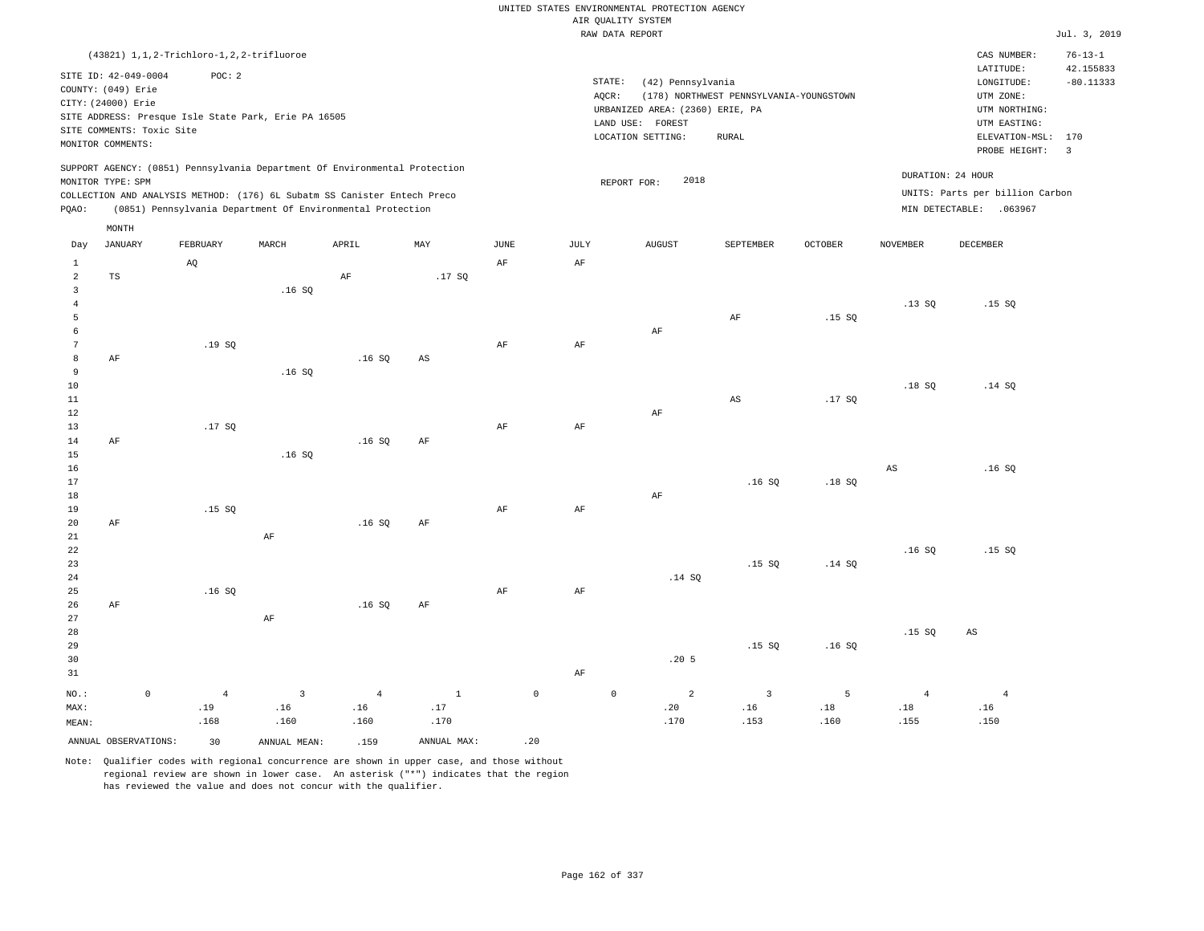|                                  |                                            |                           |                               |                                                      |                                                                                                                                        |                             |                          |                              | UNITED STATES ENVIRONMENTAL PROTECTION AGENCY       |                                         |                  |                                                        |                                                            |                          |
|----------------------------------|--------------------------------------------|---------------------------|-------------------------------|------------------------------------------------------|----------------------------------------------------------------------------------------------------------------------------------------|-----------------------------|--------------------------|------------------------------|-----------------------------------------------------|-----------------------------------------|------------------|--------------------------------------------------------|------------------------------------------------------------|--------------------------|
|                                  |                                            |                           |                               |                                                      |                                                                                                                                        |                             |                          |                              | AIR QUALITY SYSTEM<br>RAW DATA REPORT               |                                         |                  |                                                        |                                                            | Jul. 3, 2019             |
|                                  |                                            |                           |                               | (43821) 1, 1, 2-Trichloro-1, 2, 2-trifluoroe         |                                                                                                                                        |                             |                          |                              |                                                     |                                         |                  |                                                        | CAS NUMBER:                                                | $76 - 13 - 1$            |
|                                  | SITE ID: 42-049-0004<br>COUNTY: (049) Erie |                           | POC: 2                        |                                                      |                                                                                                                                        |                             |                          |                              | STATE:<br>(42) Pennsylvania<br>AQCR:                | (178) NORTHWEST PENNSYLVANIA-YOUNGSTOWN |                  |                                                        | LATITUDE:<br>LONGITUDE:<br>UTM ZONE:                       | 42.155833<br>$-80.11333$ |
|                                  | CITY: (24000) Erie                         | SITE COMMENTS: Toxic Site |                               | SITE ADDRESS: Presque Isle State Park, Erie PA 16505 |                                                                                                                                        |                             |                          |                              | URBANIZED AREA: (2360) ERIE, PA<br>LAND USE: FOREST |                                         |                  |                                                        | UTM NORTHING:<br>UTM EASTING:                              |                          |
|                                  | MONITOR COMMENTS:                          |                           |                               |                                                      |                                                                                                                                        |                             |                          |                              | LOCATION SETTING:                                   | RURAL                                   |                  |                                                        | ELEVATION-MSL:<br>PROBE HEIGHT:                            | 170<br>$\overline{3}$    |
|                                  | MONITOR TYPE: SPM                          |                           |                               |                                                      | SUPPORT AGENCY: (0851) Pennsylvania Department Of Environmental Protection                                                             |                             |                          |                              | 2018<br>REPORT FOR:                                 |                                         |                  |                                                        | DURATION: 24 HOUR                                          |                          |
| PQAO:                            |                                            |                           |                               |                                                      | COLLECTION AND ANALYSIS METHOD: (176) 6L Subatm SS Canister Entech Preco<br>(0851) Pennsylvania Department Of Environmental Protection |                             |                          |                              |                                                     |                                         |                  |                                                        | UNITS: Parts per billion Carbon<br>MIN DETECTABLE: .063967 |                          |
|                                  | MONTH                                      |                           |                               |                                                      |                                                                                                                                        |                             |                          |                              |                                                     |                                         |                  |                                                        |                                                            |                          |
| Day<br>1                         | <b>JANUARY</b>                             |                           | FEBRUARY<br>AQ                | MARCH                                                | APRIL                                                                                                                                  | MAY                         | <b>JUNE</b><br>$\rm{AF}$ | $\mathtt{JULY}$<br>$\rm{AF}$ | ${\tt AUGUST}$                                      | SEPTEMBER                               | <b>OCTOBER</b>   | <b>NOVEMBER</b>                                        | DECEMBER                                                   |                          |
| $\overline{a}$<br>$\overline{3}$ | TS                                         |                           |                               | .16S                                                 | AF                                                                                                                                     | .17SQ                       |                          |                              |                                                     |                                         |                  |                                                        |                                                            |                          |
| $\overline{4}$<br>5              |                                            |                           |                               |                                                      |                                                                                                                                        |                             |                          |                              |                                                     | $\rm{AF}$                               | .15SQ            | .13S                                                   | .15S                                                       |                          |
| 6<br>$7\phantom{.0}$             |                                            |                           | .19SQ                         |                                                      |                                                                                                                                        |                             | AF                       | $\rm{AF}$                    | AF                                                  |                                         |                  |                                                        |                                                            |                          |
| 8<br>$\overline{9}$              | AF                                         |                           |                               | .16SQ                                                | .16S                                                                                                                                   | AS                          |                          |                              |                                                     |                                         |                  |                                                        |                                                            |                          |
| $10$<br>$1\,1$                   |                                            |                           |                               |                                                      |                                                                                                                                        |                             |                          |                              |                                                     | $_{\rm AS}$                             | .17S             | .18S                                                   | .14 SQ                                                     |                          |
| $1\,2$<br>13                     |                                            |                           | .17SQ                         |                                                      |                                                                                                                                        |                             | AF                       | AF                           | AF                                                  |                                         |                  |                                                        |                                                            |                          |
| 14<br>15<br>16                   | AF                                         |                           |                               | .16S                                                 | .16S                                                                                                                                   | AF                          |                          |                              |                                                     |                                         |                  | $\mathbb{A}\mathbb{S}$                                 | .16SQ                                                      |                          |
| $17$<br>18                       |                                            |                           |                               |                                                      |                                                                                                                                        |                             |                          |                              | AF                                                  | .16S                                    | .18S             |                                                        |                                                            |                          |
| 19<br>20                         | AF                                         |                           | .15S                          |                                                      | .16SQ                                                                                                                                  | AF                          | AF                       | AF                           |                                                     |                                         |                  |                                                        |                                                            |                          |
| $2\sqrt{1}$<br>22<br>23          |                                            |                           |                               | $\rm AF$                                             |                                                                                                                                        |                             |                          |                              |                                                     | .15S                                    | .14SQ            | .16S                                                   | .15S                                                       |                          |
| 24<br>25<br>26                   | AF                                         |                           | .16S                          |                                                      | .16S                                                                                                                                   | AF                          | $\rm{AF}$                | $\rm{AF}$                    | .14 S0                                              |                                         |                  |                                                        |                                                            |                          |
| 27<br>28<br>29                   |                                            |                           |                               | AF                                                   |                                                                                                                                        |                             |                          |                              |                                                     | .15S                                    | .16S             | .15SQ                                                  | $\mathbb{A}\mathbb{S}$                                     |                          |
| 30<br>31                         |                                            |                           |                               |                                                      |                                                                                                                                        |                             |                          | AF                           | .205                                                |                                         |                  |                                                        |                                                            |                          |
| NO.:<br>MAX:<br>MEAN:            |                                            | $\mathbb O$               | $\overline{4}$<br>.19<br>.168 | $\overline{3}$<br>.16<br>.160                        | $\overline{4}$<br>.16<br>.160                                                                                                          | $\mathbf{1}$<br>.17<br>.170 |                          | $\mathsf{O}\xspace$          | $\mathbb O$<br>2<br>.20<br>.170                     | $\overline{\mathbf{3}}$<br>.16<br>.153  | 5<br>.18<br>.160 | $\overline{4}$<br>$\footnotesize\substack{18}$<br>.155 | $\overline{4}$<br>.16<br>.150                              |                          |
|                                  | ANNUAL OBSERVATIONS:                       |                           | 30                            | ANNUAL MEAN:                                         | .159                                                                                                                                   | ANNUAL MAX:                 | .20                      |                              |                                                     |                                         |                  |                                                        |                                                            |                          |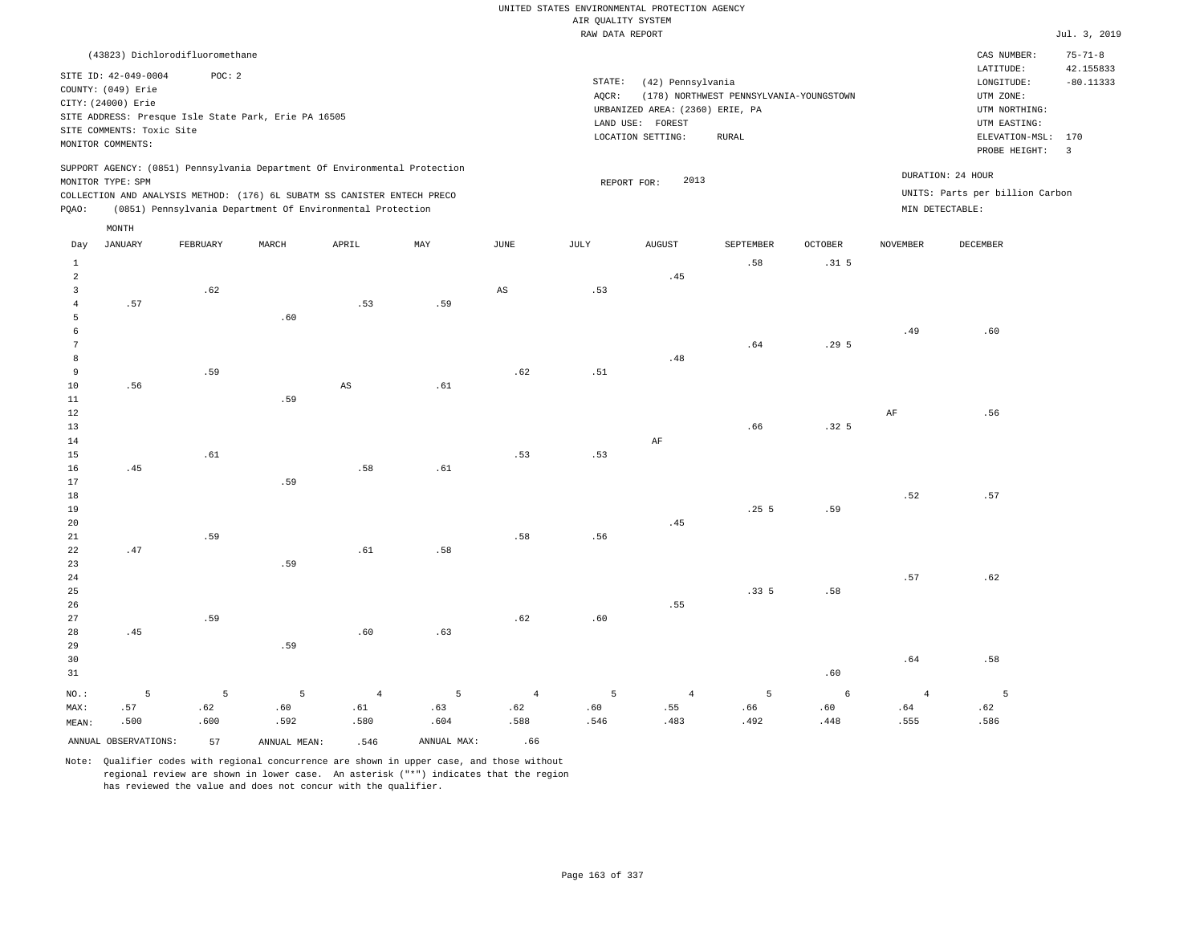|                |                                                                                                                    | (43823) Dichlorodifluoromethane |                                                                                                                                        |                        |                           |                 |                 |                                                                                               |                                                         |                  |                 | CAS NUMBER:                                                                                                  | $75 - 71 - 8$                 |
|----------------|--------------------------------------------------------------------------------------------------------------------|---------------------------------|----------------------------------------------------------------------------------------------------------------------------------------|------------------------|---------------------------|-----------------|-----------------|-----------------------------------------------------------------------------------------------|---------------------------------------------------------|------------------|-----------------|--------------------------------------------------------------------------------------------------------------|-------------------------------|
|                | SITE ID: 42-049-0004<br>COUNTY: (049) Erie<br>CITY: (24000) Erie<br>SITE COMMENTS: Toxic Site<br>MONITOR COMMENTS: | POC: 2                          | SITE ADDRESS: Presque Isle State Park, Erie PA 16505                                                                                   |                        |                           |                 | STATE:<br>AQCR: | (42) Pennsylvania<br>URBANIZED AREA: (2360) ERIE, PA<br>LAND USE: FOREST<br>LOCATION SETTING: | (178) NORTHWEST PENNSYLVANIA-YOUNGSTOWN<br><b>RURAL</b> |                  |                 | LATITUDE:<br>LONGITUDE:<br>UTM ZONE:<br>UTM NORTHING:<br>UTM EASTING:<br>ELEVATION-MSL: 170<br>PROBE HEIGHT: | 42.155833<br>$-80.11333$<br>3 |
|                | MONITOR TYPE: SPM                                                                                                  |                                 | SUPPORT AGENCY: (0851) Pennsylvania Department Of Environmental Protection                                                             |                        |                           |                 | REPORT FOR:     | 2013                                                                                          |                                                         |                  |                 | DURATION: 24 HOUR                                                                                            |                               |
| PQAO:          |                                                                                                                    |                                 | COLLECTION AND ANALYSIS METHOD: (176) 6L SUBATM SS CANISTER ENTECH PRECO<br>(0851) Pennsylvania Department Of Environmental Protection |                        |                           |                 |                 |                                                                                               |                                                         |                  |                 | UNITS: Parts per billion Carbon<br>MIN DETECTABLE:                                                           |                               |
|                | MONTH                                                                                                              |                                 |                                                                                                                                        |                        |                           |                 |                 |                                                                                               |                                                         |                  |                 |                                                                                                              |                               |
| Day            | <b>JANUARY</b>                                                                                                     | FEBRUARY                        | MARCH                                                                                                                                  | ${\tt APRIL}$          | $\ensuremath{\text{MAX}}$ | $\mathtt{JUNE}$ | $_{\rm JULY}$   | ${\tt AUGUST}$                                                                                | SEPTEMBER                                               | OCTOBER          | <b>NOVEMBER</b> | DECEMBER                                                                                                     |                               |
| $\,1\,$        |                                                                                                                    |                                 |                                                                                                                                        |                        |                           |                 |                 |                                                                                               | .58                                                     | .31 <sub>5</sub> |                 |                                                                                                              |                               |
| $\overline{a}$ |                                                                                                                    |                                 |                                                                                                                                        |                        |                           |                 |                 | .45                                                                                           |                                                         |                  |                 |                                                                                                              |                               |
| $\overline{3}$ |                                                                                                                    | .62                             |                                                                                                                                        |                        |                           | AS              | .53             |                                                                                               |                                                         |                  |                 |                                                                                                              |                               |
| $\overline{4}$ | .57                                                                                                                |                                 |                                                                                                                                        | .53                    | .59                       |                 |                 |                                                                                               |                                                         |                  |                 |                                                                                                              |                               |
| 5              |                                                                                                                    |                                 | .60                                                                                                                                    |                        |                           |                 |                 |                                                                                               |                                                         |                  |                 |                                                                                                              |                               |
| 6              |                                                                                                                    |                                 |                                                                                                                                        |                        |                           |                 |                 |                                                                                               |                                                         |                  | .49             | .60                                                                                                          |                               |
| 7              |                                                                                                                    |                                 |                                                                                                                                        |                        |                           |                 |                 |                                                                                               | .64                                                     | .295             |                 |                                                                                                              |                               |
| 8              |                                                                                                                    |                                 |                                                                                                                                        |                        |                           |                 |                 | .48                                                                                           |                                                         |                  |                 |                                                                                                              |                               |
| 9              |                                                                                                                    | .59                             |                                                                                                                                        |                        |                           | .62             | .51             |                                                                                               |                                                         |                  |                 |                                                                                                              |                               |
| $10$           | .56                                                                                                                |                                 |                                                                                                                                        | $\mathbb{A}\mathbb{S}$ | .61                       |                 |                 |                                                                                               |                                                         |                  |                 |                                                                                                              |                               |
| $1\,1$         |                                                                                                                    |                                 | .59                                                                                                                                    |                        |                           |                 |                 |                                                                                               |                                                         |                  |                 |                                                                                                              |                               |
| $12\,$         |                                                                                                                    |                                 |                                                                                                                                        |                        |                           |                 |                 |                                                                                               |                                                         |                  | $\rm{AF}$       | .56                                                                                                          |                               |
| 13<br>$14$     |                                                                                                                    |                                 |                                                                                                                                        |                        |                           |                 |                 | AF                                                                                            | .66                                                     | .32 <sub>5</sub> |                 |                                                                                                              |                               |
| 15             |                                                                                                                    | .61                             |                                                                                                                                        |                        |                           | .53             | .53             |                                                                                               |                                                         |                  |                 |                                                                                                              |                               |
| 16             | .45                                                                                                                |                                 |                                                                                                                                        | .58                    | .61                       |                 |                 |                                                                                               |                                                         |                  |                 |                                                                                                              |                               |
| 17             |                                                                                                                    |                                 | .59                                                                                                                                    |                        |                           |                 |                 |                                                                                               |                                                         |                  |                 |                                                                                                              |                               |
| 18             |                                                                                                                    |                                 |                                                                                                                                        |                        |                           |                 |                 |                                                                                               |                                                         |                  | .52             | .57                                                                                                          |                               |
| 19             |                                                                                                                    |                                 |                                                                                                                                        |                        |                           |                 |                 |                                                                                               | .255                                                    | .59              |                 |                                                                                                              |                               |
| 20             |                                                                                                                    |                                 |                                                                                                                                        |                        |                           |                 |                 | .45                                                                                           |                                                         |                  |                 |                                                                                                              |                               |
| 21             |                                                                                                                    | .59                             |                                                                                                                                        |                        |                           | .58             | .56             |                                                                                               |                                                         |                  |                 |                                                                                                              |                               |
| 22             | .47                                                                                                                |                                 |                                                                                                                                        | .61                    | .58                       |                 |                 |                                                                                               |                                                         |                  |                 |                                                                                                              |                               |
| 23             |                                                                                                                    |                                 | .59                                                                                                                                    |                        |                           |                 |                 |                                                                                               |                                                         |                  |                 |                                                                                                              |                               |
| 24             |                                                                                                                    |                                 |                                                                                                                                        |                        |                           |                 |                 |                                                                                               |                                                         |                  | .57             | .62                                                                                                          |                               |
| 25             |                                                                                                                    |                                 |                                                                                                                                        |                        |                           |                 |                 |                                                                                               | .335                                                    | .58              |                 |                                                                                                              |                               |
| 26             |                                                                                                                    |                                 |                                                                                                                                        |                        |                           |                 |                 | .55                                                                                           |                                                         |                  |                 |                                                                                                              |                               |
| 27             |                                                                                                                    | .59                             |                                                                                                                                        |                        |                           | .62             | .60             |                                                                                               |                                                         |                  |                 |                                                                                                              |                               |
| 28             | .45                                                                                                                |                                 |                                                                                                                                        | .60                    | .63                       |                 |                 |                                                                                               |                                                         |                  |                 |                                                                                                              |                               |
| 29             |                                                                                                                    |                                 | .59                                                                                                                                    |                        |                           |                 |                 |                                                                                               |                                                         |                  |                 |                                                                                                              |                               |
| 30             |                                                                                                                    |                                 |                                                                                                                                        |                        |                           |                 |                 |                                                                                               |                                                         |                  | .64             | .58                                                                                                          |                               |
| 31             |                                                                                                                    |                                 |                                                                                                                                        |                        |                           |                 |                 |                                                                                               |                                                         | .60              |                 |                                                                                                              |                               |
| NO.:           | 5                                                                                                                  | 5                               | 5                                                                                                                                      | $\overline{4}$         | $\overline{5}$            | $\overline{4}$  | 5               | $\overline{4}$                                                                                | 5                                                       | $\epsilon$       | $\overline{4}$  | 5                                                                                                            |                               |
| MAX:           | .57                                                                                                                | .62                             | .60                                                                                                                                    | .61                    | .63                       | .62             | .60             | .55                                                                                           | .66                                                     | .60              | .64             | .62                                                                                                          |                               |
| MEAN:          | .500                                                                                                               | .600                            | .592                                                                                                                                   | .580                   | .604                      | .588            | .546            | .483                                                                                          | .492                                                    | .448             | .555            | .586                                                                                                         |                               |
|                | ANNUAL OBSERVATIONS:                                                                                               | 57                              | ANNUAL MEAN:                                                                                                                           | .546                   | ANNUAL MAX:               | .66             |                 |                                                                                               |                                                         |                  |                 |                                                                                                              |                               |
|                |                                                                                                                    |                                 |                                                                                                                                        |                        |                           |                 |                 |                                                                                               |                                                         |                  |                 |                                                                                                              |                               |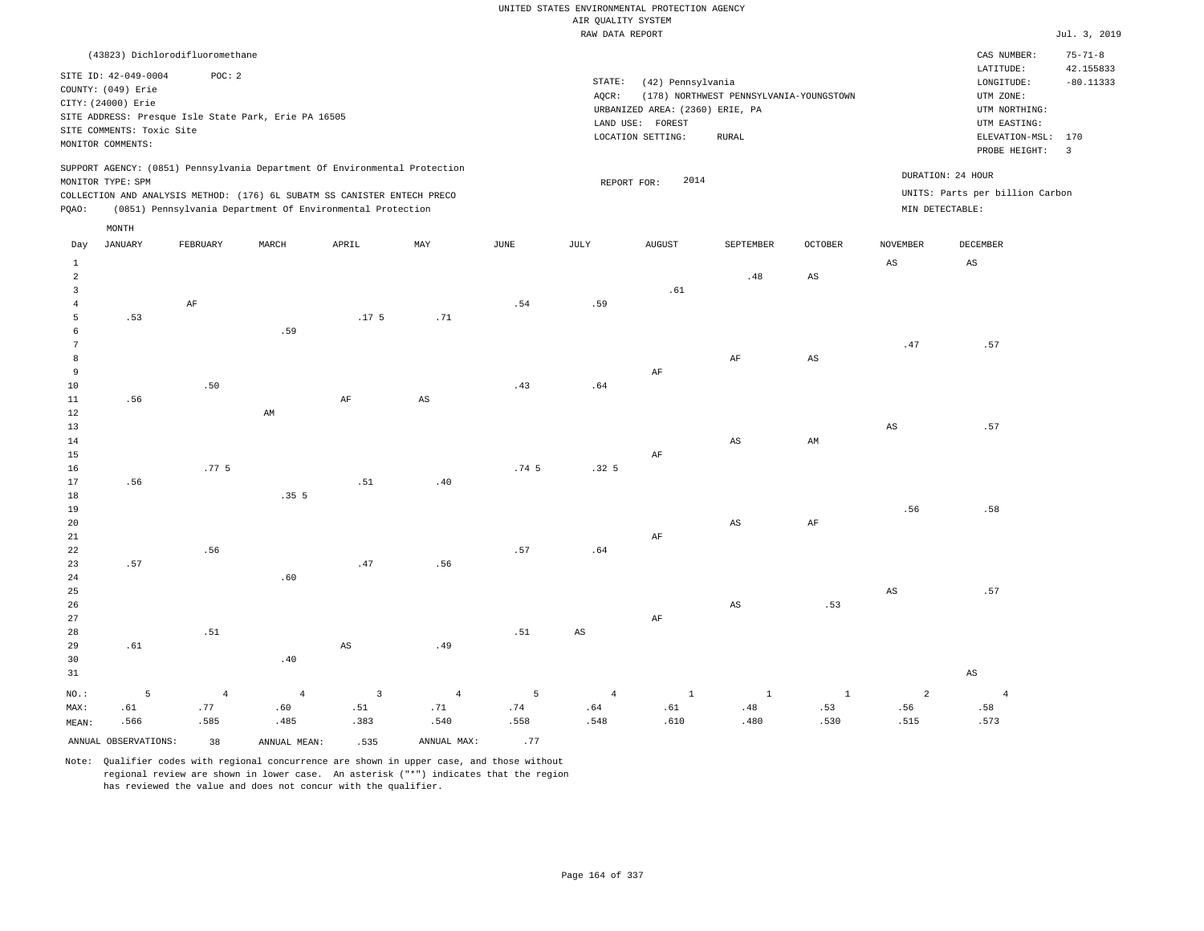|                |                           |                                                      |                |                                                                            |                        |                  | RAW DATA REPORT     |                                 |                                         |                        |                        |                                 | Jul. 3, 2019               |
|----------------|---------------------------|------------------------------------------------------|----------------|----------------------------------------------------------------------------|------------------------|------------------|---------------------|---------------------------------|-----------------------------------------|------------------------|------------------------|---------------------------------|----------------------------|
|                |                           | (43823) Dichlorodifluoromethane                      |                |                                                                            |                        |                  |                     |                                 |                                         |                        |                        | CAS NUMBER:<br>LATITUDE:        | $75 - 71 - 8$<br>42.155833 |
|                | SITE ID: 42-049-0004      | POC: 2                                               |                |                                                                            |                        |                  | $\texttt{STATE}{}:$ | (42) Pennsylvania               |                                         |                        |                        | LONGITUDE:                      | $-80.11333$                |
|                | COUNTY: (049) Erie        |                                                      |                |                                                                            |                        |                  | AQCR:               |                                 | (178) NORTHWEST PENNSYLVANIA-YOUNGSTOWN |                        |                        | UTM ZONE:                       |                            |
|                | CITY: (24000) Erie        |                                                      |                |                                                                            |                        |                  |                     | URBANIZED AREA: (2360) ERIE, PA |                                         |                        |                        | UTM NORTHING:                   |                            |
|                |                           | SITE ADDRESS: Presque Isle State Park, Erie PA 16505 |                |                                                                            |                        |                  |                     | LAND USE: FOREST                |                                         |                        |                        | UTM EASTING:                    |                            |
|                | SITE COMMENTS: Toxic Site |                                                      |                |                                                                            |                        |                  |                     | LOCATION SETTING:               | <b>RURAL</b>                            |                        |                        | ELEVATION-MSL: 170              |                            |
|                | MONITOR COMMENTS:         |                                                      |                |                                                                            |                        |                  |                     |                                 |                                         |                        |                        | PROBE HEIGHT:                   | $\overline{\mathbf{3}}$    |
|                |                           |                                                      |                | SUPPORT AGENCY: (0851) Pennsylvania Department Of Environmental Protection |                        |                  |                     | 2014                            |                                         |                        |                        | DURATION: 24 HOUR               |                            |
|                | MONITOR TYPE: SPM         |                                                      |                | COLLECTION AND ANALYSIS METHOD: (176) 6L SUBATM SS CANISTER ENTECH PRECO   |                        |                  |                     | REPORT FOR:                     |                                         |                        |                        | UNITS: Parts per billion Carbon |                            |
| PQAO:          |                           |                                                      |                | (0851) Pennsylvania Department Of Environmental Protection                 |                        |                  |                     |                                 |                                         |                        |                        | MIN DETECTABLE:                 |                            |
|                | MONTH                     |                                                      |                |                                                                            |                        |                  |                     |                                 |                                         |                        |                        |                                 |                            |
| Day            | <b>JANUARY</b>            | FEBRUARY                                             | MARCH          | APRIL                                                                      | MAY                    | <b>JUNE</b>      | JULY                | <b>AUGUST</b>                   | SEPTEMBER                               | OCTOBER                | <b>NOVEMBER</b>        | DECEMBER                        |                            |
| $\mathbf{1}$   |                           |                                                      |                |                                                                            |                        |                  |                     |                                 |                                         |                        | $\mathbb{A}\mathbb{S}$ | $_{\rm AS}$                     |                            |
| $\overline{a}$ |                           |                                                      |                |                                                                            |                        |                  |                     |                                 | .48                                     | $\mathbb{A}\mathbb{S}$ |                        |                                 |                            |
| 3              |                           |                                                      |                |                                                                            |                        |                  |                     | .61                             |                                         |                        |                        |                                 |                            |
| $\overline{4}$ |                           | $\rm AF$                                             |                |                                                                            |                        | .54              | .59                 |                                 |                                         |                        |                        |                                 |                            |
| 5              | .53                       |                                                      |                | .17 <sub>5</sub>                                                           | .71                    |                  |                     |                                 |                                         |                        |                        |                                 |                            |
| 6              |                           |                                                      | .59            |                                                                            |                        |                  |                     |                                 |                                         |                        |                        |                                 |                            |
| 7              |                           |                                                      |                |                                                                            |                        |                  |                     |                                 |                                         |                        | .47                    | .57                             |                            |
| 8              |                           |                                                      |                |                                                                            |                        |                  |                     |                                 | AF                                      | AS                     |                        |                                 |                            |
| 9              |                           |                                                      |                |                                                                            |                        |                  |                     | AF                              |                                         |                        |                        |                                 |                            |
| 10             |                           | .50                                                  |                |                                                                            |                        | .43              | .64                 |                                 |                                         |                        |                        |                                 |                            |
| $11\,$<br>12   | .56                       |                                                      | AM             | $\rm AF$                                                                   | $\mathbb{A}\mathbb{S}$ |                  |                     |                                 |                                         |                        |                        |                                 |                            |
| 13             |                           |                                                      |                |                                                                            |                        |                  |                     |                                 |                                         |                        | $\mathbb{A}\mathbb{S}$ | .57                             |                            |
| 14             |                           |                                                      |                |                                                                            |                        |                  |                     |                                 | AS                                      | AM                     |                        |                                 |                            |
| 15             |                           |                                                      |                |                                                                            |                        |                  |                     | AF                              |                                         |                        |                        |                                 |                            |
| 16             |                           | .77.5                                                |                |                                                                            |                        | .74 <sub>5</sub> | .32 <sub>5</sub>    |                                 |                                         |                        |                        |                                 |                            |
| 17             | .56                       |                                                      |                | .51                                                                        | .40                    |                  |                     |                                 |                                         |                        |                        |                                 |                            |
| 18             |                           |                                                      | .355           |                                                                            |                        |                  |                     |                                 |                                         |                        |                        |                                 |                            |
| 19             |                           |                                                      |                |                                                                            |                        |                  |                     |                                 |                                         |                        | .56                    | .58                             |                            |
| 20             |                           |                                                      |                |                                                                            |                        |                  |                     |                                 | AS                                      | AF                     |                        |                                 |                            |
| 21             |                           |                                                      |                |                                                                            |                        |                  |                     | AF                              |                                         |                        |                        |                                 |                            |
| 22             |                           | .56                                                  |                |                                                                            |                        | .57              | .64                 |                                 |                                         |                        |                        |                                 |                            |
| 23             | .57                       |                                                      |                | .47                                                                        | .56                    |                  |                     |                                 |                                         |                        |                        |                                 |                            |
| 24             |                           |                                                      | .60            |                                                                            |                        |                  |                     |                                 |                                         |                        |                        |                                 |                            |
| 25             |                           |                                                      |                |                                                                            |                        |                  |                     |                                 |                                         |                        | $\mathbb{A}\mathbb{S}$ | .57                             |                            |
| 26             |                           |                                                      |                |                                                                            |                        |                  |                     |                                 | $\mathbb{A}\mathbb{S}$                  | .53                    |                        |                                 |                            |
| 27             |                           |                                                      |                |                                                                            |                        |                  |                     | AF                              |                                         |                        |                        |                                 |                            |
| 28             |                           | .51                                                  |                |                                                                            |                        | .51              | $_{\rm AS}$         |                                 |                                         |                        |                        |                                 |                            |
| 29             | .61                       |                                                      |                | AS                                                                         | .49                    |                  |                     |                                 |                                         |                        |                        |                                 |                            |
| 30<br>31       |                           |                                                      | .40            |                                                                            |                        |                  |                     |                                 |                                         |                        |                        | $\mathbb{A}\mathbb{S}$          |                            |
|                |                           |                                                      |                |                                                                            |                        |                  |                     |                                 |                                         |                        |                        |                                 |                            |
| NO.:           | 5                         | $\overline{4}$                                       | $\overline{4}$ | $\overline{3}$                                                             | $\overline{4}$         | 5                | $\overline{4}$      | $\mathbf{1}$                    | $\mathbf{1}$                            | $\mathbf{1}$           | 2                      | $\overline{4}$                  |                            |
| MAX:<br>MEAN:  | .61<br>.566               | .77<br>.585                                          | .60<br>.485    | .51<br>.383                                                                | .71<br>.540            | .74<br>.558      | .64<br>.548         | .61<br>.610                     | .48<br>.480                             | .53<br>.530            | .56<br>.515            | .58<br>.573                     |                            |
|                |                           |                                                      |                |                                                                            |                        |                  |                     |                                 |                                         |                        |                        |                                 |                            |

ANNUAL OBSERVATIONS: 38 ANNUAL MEAN: .535 ANNUAL MAX: .77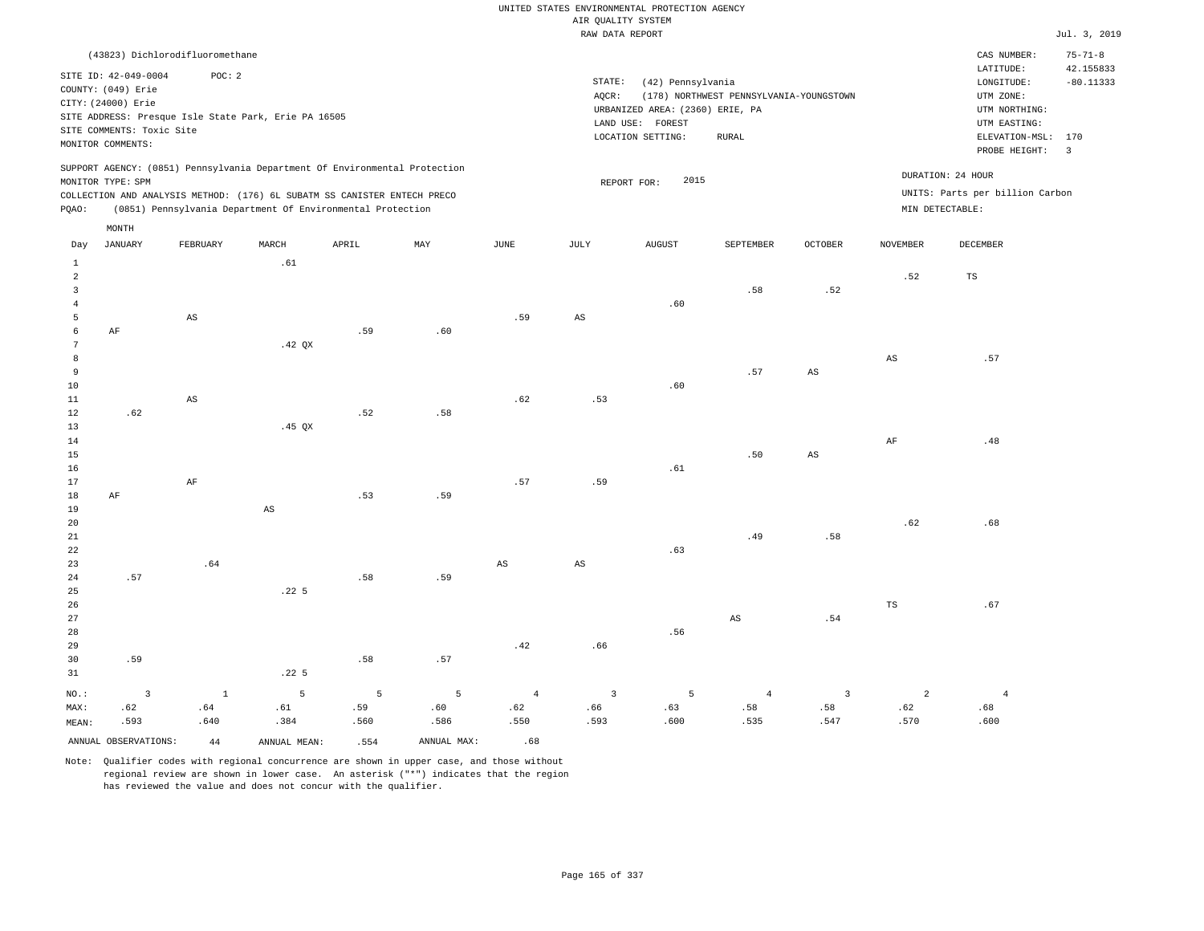|                                           |                                                                                               |                                                                                                                                        |                        |       |      |                | RAW DATA REPORT        |                                                                          |                                         |                        |                 |                                                                       | Jul. 3, 2019               |
|-------------------------------------------|-----------------------------------------------------------------------------------------------|----------------------------------------------------------------------------------------------------------------------------------------|------------------------|-------|------|----------------|------------------------|--------------------------------------------------------------------------|-----------------------------------------|------------------------|-----------------|-----------------------------------------------------------------------|----------------------------|
|                                           |                                                                                               | (43823) Dichlorodifluoromethane                                                                                                        |                        |       |      |                |                        |                                                                          |                                         |                        |                 | CAS NUMBER:                                                           | $75 - 71 - 8$<br>42.155833 |
|                                           | SITE ID: 42-049-0004<br>COUNTY: (049) Erie<br>CITY: (24000) Erie<br>SITE COMMENTS: Toxic Site | POC: 2<br>SITE ADDRESS: Presque Isle State Park, Erie PA 16505                                                                         |                        |       |      |                | STATE:<br>AQCR:        | (42) Pennsylvania<br>URBANIZED AREA: (2360) ERIE, PA<br>LAND USE: FOREST | (178) NORTHWEST PENNSYLVANIA-YOUNGSTOWN |                        |                 | LATITUDE:<br>LONGITUDE:<br>UTM ZONE:<br>UTM NORTHING:<br>UTM EASTING: | $-80.11333$                |
|                                           | MONITOR COMMENTS:                                                                             |                                                                                                                                        |                        |       |      |                |                        | LOCATION SETTING:                                                        | ${\tt RURAL}$                           |                        |                 | ELEVATION-MSL:                                                        | 170<br>$\overline{3}$      |
|                                           |                                                                                               | SUPPORT AGENCY: (0851) Pennsylvania Department Of Environmental Protection                                                             |                        |       |      |                |                        |                                                                          |                                         |                        |                 | PROBE HEIGHT:                                                         |                            |
|                                           | MONITOR TYPE: SPM                                                                             |                                                                                                                                        |                        |       |      |                |                        | 2015<br>REPORT FOR:                                                      |                                         |                        |                 | DURATION: 24 HOUR                                                     |                            |
| PQAO:                                     |                                                                                               | COLLECTION AND ANALYSIS METHOD: (176) 6L SUBATM SS CANISTER ENTECH PRECO<br>(0851) Pennsylvania Department Of Environmental Protection |                        |       |      |                |                        |                                                                          |                                         |                        |                 | UNITS: Parts per billion Carbon<br>MIN DETECTABLE:                    |                            |
|                                           | $\texttt{MONTH}$                                                                              |                                                                                                                                        |                        |       |      |                |                        |                                                                          |                                         |                        |                 |                                                                       |                            |
| Day                                       | <b>JANUARY</b>                                                                                | FEBRUARY                                                                                                                               | MARCH                  | APRIL | MAY  | JUNE           | JULY                   | <b>AUGUST</b>                                                            | SEPTEMBER                               | <b>OCTOBER</b>         | <b>NOVEMBER</b> | <b>DECEMBER</b>                                                       |                            |
| $\mathbf{1}$                              |                                                                                               |                                                                                                                                        | .61                    |       |      |                |                        |                                                                          |                                         |                        |                 |                                                                       |                            |
| $\overline{a}$<br>$\overline{\mathbf{3}}$ |                                                                                               |                                                                                                                                        |                        |       |      |                |                        |                                                                          | .58                                     | .52                    | .52             | TS                                                                    |                            |
| $\overline{4}$                            |                                                                                               |                                                                                                                                        |                        |       |      |                |                        | .60                                                                      |                                         |                        |                 |                                                                       |                            |
| 5                                         |                                                                                               | AS                                                                                                                                     |                        |       |      | .59            | $\mathbb{A}\mathbb{S}$ |                                                                          |                                         |                        |                 |                                                                       |                            |
| 6<br>$\overline{7}$                       | AF                                                                                            |                                                                                                                                        | $.42$ QX               | .59   | .60  |                |                        |                                                                          |                                         |                        |                 |                                                                       |                            |
| 8                                         |                                                                                               |                                                                                                                                        |                        |       |      |                |                        |                                                                          |                                         |                        | AS              | .57                                                                   |                            |
| 9                                         |                                                                                               |                                                                                                                                        |                        |       |      |                |                        |                                                                          | .57                                     | $\mathbb{A}\mathbb{S}$ |                 |                                                                       |                            |
| 10                                        |                                                                                               |                                                                                                                                        |                        |       |      |                |                        | .60                                                                      |                                         |                        |                 |                                                                       |                            |
| 11<br>12                                  | .62                                                                                           | $_{\rm AS}$                                                                                                                            |                        | .52   | .58  | .62            | .53                    |                                                                          |                                         |                        |                 |                                                                       |                            |
| 13                                        |                                                                                               |                                                                                                                                        | $.45$ QX               |       |      |                |                        |                                                                          |                                         |                        |                 |                                                                       |                            |
| 14                                        |                                                                                               |                                                                                                                                        |                        |       |      |                |                        |                                                                          |                                         |                        | $\rm{AF}$       | .48                                                                   |                            |
| 15<br>16                                  |                                                                                               |                                                                                                                                        |                        |       |      |                |                        | .61                                                                      | .50                                     | $\mathbb{A}\mathbb{S}$ |                 |                                                                       |                            |
| 17                                        |                                                                                               | $\rm AF$                                                                                                                               |                        |       |      | .57            | .59                    |                                                                          |                                         |                        |                 |                                                                       |                            |
| 18                                        | AF                                                                                            |                                                                                                                                        |                        | .53   | .59  |                |                        |                                                                          |                                         |                        |                 |                                                                       |                            |
| 19                                        |                                                                                               |                                                                                                                                        | $\mathbb{A}\mathbb{S}$ |       |      |                |                        |                                                                          |                                         |                        |                 |                                                                       |                            |
| 20<br>21                                  |                                                                                               |                                                                                                                                        |                        |       |      |                |                        |                                                                          | .49                                     | .58                    | .62             | .68                                                                   |                            |
| 22                                        |                                                                                               |                                                                                                                                        |                        |       |      |                |                        | .63                                                                      |                                         |                        |                 |                                                                       |                            |
| 23                                        |                                                                                               | .64                                                                                                                                    |                        |       |      | $_{\rm AS}$    | AS                     |                                                                          |                                         |                        |                 |                                                                       |                            |
| 24                                        | .57                                                                                           |                                                                                                                                        |                        | .58   | .59  |                |                        |                                                                          |                                         |                        |                 |                                                                       |                            |
| 25<br>26                                  |                                                                                               |                                                                                                                                        | $.22-5$                |       |      |                |                        |                                                                          |                                         |                        | $_{\rm TS}$     | .67                                                                   |                            |
| 27                                        |                                                                                               |                                                                                                                                        |                        |       |      |                |                        |                                                                          | $_{\rm AS}$                             | .54                    |                 |                                                                       |                            |
| 28                                        |                                                                                               |                                                                                                                                        |                        |       |      |                |                        | .56                                                                      |                                         |                        |                 |                                                                       |                            |
| 29                                        |                                                                                               |                                                                                                                                        |                        |       |      | .42            | .66                    |                                                                          |                                         |                        |                 |                                                                       |                            |
| 30<br>31                                  | .59                                                                                           |                                                                                                                                        | $.22-5$                | .58   | .57  |                |                        |                                                                          |                                         |                        |                 |                                                                       |                            |
| NO.:                                      | $\overline{\mathbf{3}}$                                                                       | $\,$ 1                                                                                                                                 | 5                      | 5     | 5    | $\overline{4}$ | $\overline{3}$         | 5                                                                        | $\overline{4}$                          | $\overline{3}$         | $\overline{2}$  | $\overline{4}$                                                        |                            |
| MAX:                                      | .62                                                                                           | .64                                                                                                                                    | .61                    | .59   | .60  | .62            | .66                    | .63                                                                      | .58                                     | .58                    | .62             | .68                                                                   |                            |
| MEAN:                                     | .593                                                                                          | .640                                                                                                                                   | .384                   | .560  | .586 | .550           | .593                   | .600                                                                     | .535                                    | .547                   | .570            | .600                                                                  |                            |

ANNUAL OBSERVATIONS:  $44$  ANNUAL MEAN: .554 ANNUAL MAX: .68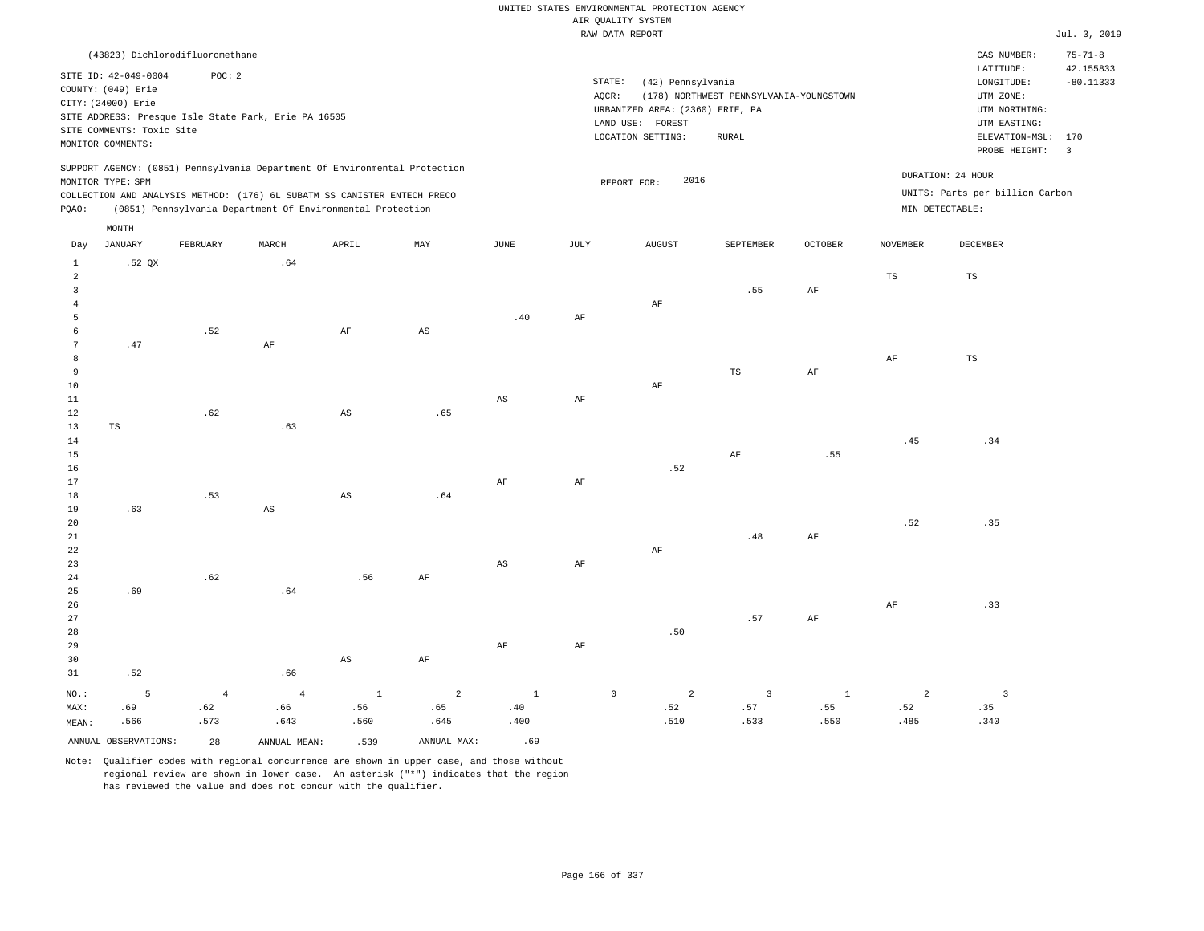|                                             |                                                                                               |                                 |                                                                                                                                                        |                             |                               |                             |           | RAW DATA REPORT                                                                             |                                         |                             |                  |                                                                       | Jul. 3, 2019             |
|---------------------------------------------|-----------------------------------------------------------------------------------------------|---------------------------------|--------------------------------------------------------------------------------------------------------------------------------------------------------|-----------------------------|-------------------------------|-----------------------------|-----------|---------------------------------------------------------------------------------------------|-----------------------------------------|-----------------------------|------------------|-----------------------------------------------------------------------|--------------------------|
|                                             |                                                                                               | (43823) Dichlorodifluoromethane |                                                                                                                                                        |                             |                               |                             |           |                                                                                             |                                         |                             |                  | CAS NUMBER:                                                           | $75 - 71 - 8$            |
|                                             | SITE ID: 42-049-0004<br>COUNTY: (049) Erie<br>CITY: (24000) Erie<br>SITE COMMENTS: Toxic Site | POC: 2                          | SITE ADDRESS: Presque Isle State Park, Erie PA 16505                                                                                                   |                             |                               |                             |           | STATE:<br>(42) Pennsylvania<br>AQCR:<br>URBANIZED AREA: (2360) ERIE, PA<br>LAND USE: FOREST | (178) NORTHWEST PENNSYLVANIA-YOUNGSTOWN |                             |                  | LATITUDE:<br>LONGITUDE:<br>UTM ZONE:<br>UTM NORTHING:<br>UTM EASTING: | 42.155833<br>$-80.11333$ |
|                                             | MONITOR COMMENTS:                                                                             |                                 |                                                                                                                                                        |                             |                               |                             |           | LOCATION SETTING:                                                                           | <b>RURAL</b>                            |                             |                  | ELEVATION-MSL: 170<br>PROBE HEIGHT:                                   | $\overline{\mathbf{3}}$  |
|                                             | MONITOR TYPE: SPM                                                                             |                                 | SUPPORT AGENCY: (0851) Pennsylvania Department Of Environmental Protection<br>COLLECTION AND ANALYSIS METHOD: (176) 6L SUBATM SS CANISTER ENTECH PRECO |                             |                               |                             |           | 2016<br>REPORT FOR:                                                                         |                                         |                             |                  | DURATION: 24 HOUR<br>UNITS: Parts per billion Carbon                  |                          |
| PQAO:                                       |                                                                                               |                                 | (0851) Pennsylvania Department Of Environmental Protection                                                                                             |                             |                               |                             |           |                                                                                             |                                         |                             | MIN DETECTABLE:  |                                                                       |                          |
|                                             | MONTH                                                                                         |                                 |                                                                                                                                                        |                             |                               |                             |           |                                                                                             |                                         |                             |                  |                                                                       |                          |
| Day                                         | <b>JANUARY</b>                                                                                | FEBRUARY                        | MARCH                                                                                                                                                  | APRIL                       | MAY                           | JUNE                        | JULY      | <b>AUGUST</b>                                                                               | SEPTEMBER                               | <b>OCTOBER</b>              | <b>NOVEMBER</b>  | <b>DECEMBER</b>                                                       |                          |
| $1\,$<br>$\overline{a}$                     | .52 QX                                                                                        |                                 | .64                                                                                                                                                    |                             |                               |                             |           |                                                                                             |                                         |                             | $_{\rm TS}$      | TS                                                                    |                          |
| $\overline{3}$<br>$\overline{4}$<br>5<br>6  |                                                                                               | .52                             |                                                                                                                                                        | AF                          | $\mathbb{A}\mathbb{S}$        | .40                         | $\rm{AF}$ | AF                                                                                          | .55                                     | AF                          |                  |                                                                       |                          |
| $\overline{7}$<br>8<br>$\overline{9}$<br>10 | .47                                                                                           |                                 | AF                                                                                                                                                     |                             |                               |                             |           | $\rm AF$                                                                                    | $_{\rm TS}$                             | $\rm{AF}$                   | $\rm{AF}$        | TS                                                                    |                          |
| 11<br>12<br>13                              | $\operatorname{TS}$                                                                           | .62                             | .63                                                                                                                                                    | AS                          | .65                           | $_{\rm AS}$                 | AF        |                                                                                             |                                         |                             |                  |                                                                       |                          |
| $14\,$<br>15<br>16<br>17                    |                                                                                               |                                 |                                                                                                                                                        |                             |                               | AF                          | AF        | .52                                                                                         | AF                                      | .55                         | .45              | .34                                                                   |                          |
| 18<br>19                                    | .63                                                                                           | .53                             | $\mathbb{A}\mathbb{S}$                                                                                                                                 | $\mathbb{A}\mathbb{S}$      | .64                           |                             |           |                                                                                             |                                         |                             |                  |                                                                       |                          |
| 20<br>21<br>22<br>23                        |                                                                                               |                                 |                                                                                                                                                        |                             |                               | $_{\rm AS}$                 | AF        | $\rm AF$                                                                                    | .48                                     | $\rm{AF}$                   | .52              | .35                                                                   |                          |
| 24<br>25<br>26                              | .69                                                                                           | .62                             | .64                                                                                                                                                    | .56                         | AF                            |                             |           |                                                                                             |                                         |                             | $\rm AF$         | .33                                                                   |                          |
| 27<br>28<br>29<br>30<br>31                  | .52                                                                                           |                                 | .66                                                                                                                                                    | AS                          | AF                            | AF                          | AF        | .50                                                                                         | .57                                     | AF                          |                  |                                                                       |                          |
|                                             |                                                                                               |                                 |                                                                                                                                                        |                             |                               |                             |           |                                                                                             |                                         |                             |                  |                                                                       |                          |
| $NO.$ :<br>MAX:<br>MEAN:                    | 5<br>.69<br>.566                                                                              | $\overline{4}$<br>.62<br>.573   | $\overline{4}$<br>.66<br>.643                                                                                                                          | $\mathbf{1}$<br>.56<br>.560 | $\overline{a}$<br>.65<br>.645 | $\mathbf{1}$<br>.40<br>.400 |           | $\mathbb O$<br>2<br>.52<br>.510                                                             | $\overline{\mathbf{3}}$<br>.57<br>.533  | $\mathbf{1}$<br>.55<br>.550 | 2<br>.52<br>.485 | $\overline{\mathbf{3}}$<br>.35<br>.340                                |                          |
|                                             | ANNUAL OBSERVATIONS:                                                                          | 28                              | ANNUAL MEAN:                                                                                                                                           | .539                        | ANNUAL MAX:                   | .69                         |           |                                                                                             |                                         |                             |                  |                                                                       |                          |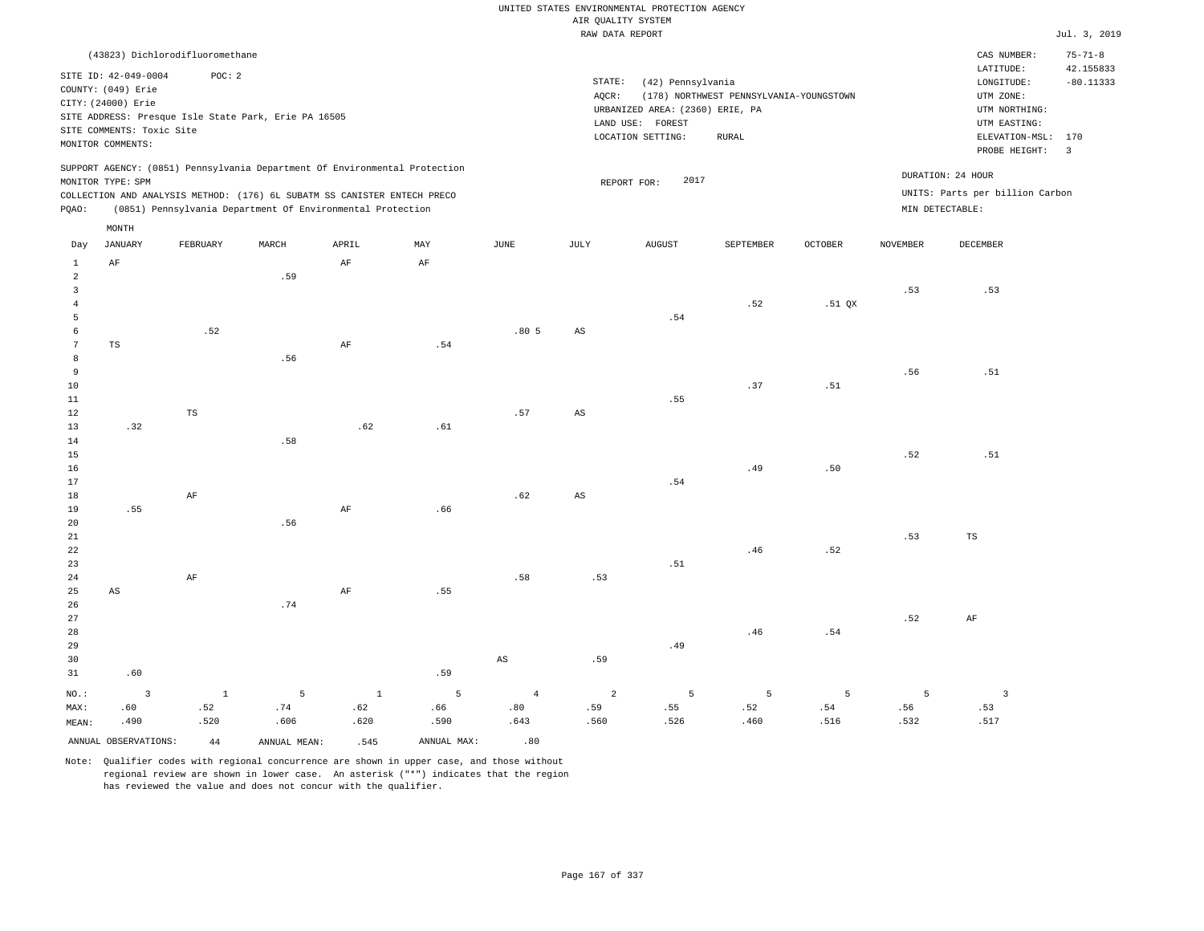|                                  |                                                                  | (43823) Dichlorodifluoromethane |                                                                            |              |                |                        |                        |                                                      |                                         |          |                 | CAS NUMBER:<br>LATITUDE:                 | $75 - 71 - 8$<br>42.155833 |
|----------------------------------|------------------------------------------------------------------|---------------------------------|----------------------------------------------------------------------------|--------------|----------------|------------------------|------------------------|------------------------------------------------------|-----------------------------------------|----------|-----------------|------------------------------------------|----------------------------|
|                                  | SITE ID: 42-049-0004<br>COUNTY: (049) Erie<br>CITY: (24000) Erie | POC: 2                          |                                                                            |              |                |                        | STATE:<br>AQCR:        | (42) Pennsylvania<br>URBANIZED AREA: (2360) ERIE, PA | (178) NORTHWEST PENNSYLVANIA-YOUNGSTOWN |          |                 | LONGITUDE:<br>UTM ZONE:<br>UTM NORTHING: | $-80.11333$                |
|                                  |                                                                  |                                 | SITE ADDRESS: Presque Isle State Park, Erie PA 16505                       |              |                |                        |                        | LAND USE: FOREST                                     |                                         |          |                 | UTM EASTING:                             |                            |
|                                  | SITE COMMENTS: Toxic Site<br>MONITOR COMMENTS:                   |                                 |                                                                            |              |                |                        |                        | LOCATION SETTING:                                    | <b>RURAL</b>                            |          |                 | ELEVATION-MSL: 170                       |                            |
|                                  |                                                                  |                                 |                                                                            |              |                |                        |                        |                                                      |                                         |          |                 | PROBE HEIGHT:                            | $\overline{\mathbf{3}}$    |
|                                  | MONITOR TYPE: SPM                                                |                                 | SUPPORT AGENCY: (0851) Pennsylvania Department Of Environmental Protection |              |                |                        |                        | 2017<br>REPORT FOR:                                  |                                         |          |                 | DURATION: 24 HOUR                        |                            |
|                                  |                                                                  |                                 | COLLECTION AND ANALYSIS METHOD: (176) 6L SUBATM SS CANISTER ENTECH PRECO   |              |                |                        |                        |                                                      |                                         |          |                 | UNITS: Parts per billion Carbon          |                            |
| PQAO:                            |                                                                  |                                 | (0851) Pennsylvania Department Of Environmental Protection                 |              |                |                        |                        |                                                      |                                         |          | MIN DETECTABLE: |                                          |                            |
|                                  | MONTH                                                            |                                 |                                                                            |              |                |                        |                        |                                                      |                                         |          |                 |                                          |                            |
| Day                              | <b>JANUARY</b>                                                   | FEBRUARY                        | MARCH                                                                      | APRIL        | MAY            | $_{\rm JUNE}$          | JULY                   | <b>AUGUST</b>                                        | SEPTEMBER                               | OCTOBER  | NOVEMBER        | DECEMBER                                 |                            |
| $\mathbf{1}$                     | $\rm AF$                                                         |                                 |                                                                            | $\rm AF$     | $\rm AF$       |                        |                        |                                                      |                                         |          |                 |                                          |                            |
| $\overline{a}$                   |                                                                  |                                 | .59                                                                        |              |                |                        |                        |                                                      |                                         |          |                 |                                          |                            |
| $\overline{3}$<br>$\overline{4}$ |                                                                  |                                 |                                                                            |              |                |                        |                        |                                                      | .52                                     | $.51$ QX | .53             | .53                                      |                            |
| $\overline{5}$                   |                                                                  |                                 |                                                                            |              |                |                        |                        | $\footnotesize\substack{+54}$                        |                                         |          |                 |                                          |                            |
| 6                                |                                                                  | .52                             |                                                                            |              |                | .805                   | $\mathbb{A}\mathbb{S}$ |                                                      |                                         |          |                 |                                          |                            |
| $7\phantom{.0}$                  | TS                                                               |                                 |                                                                            | AF           | .54            |                        |                        |                                                      |                                         |          |                 |                                          |                            |
| 8                                |                                                                  |                                 | .56                                                                        |              |                |                        |                        |                                                      |                                         |          |                 |                                          |                            |
| 9                                |                                                                  |                                 |                                                                            |              |                |                        |                        |                                                      |                                         |          | .56             | .51                                      |                            |
| $10$                             |                                                                  |                                 |                                                                            |              |                |                        |                        |                                                      | .37                                     | .51      |                 |                                          |                            |
| 11                               |                                                                  |                                 |                                                                            |              |                |                        |                        | .55                                                  |                                         |          |                 |                                          |                            |
| 12                               | .32                                                              | $\mathbb{TS}$                   |                                                                            |              |                | .57                    | $\mathbb{A}\mathbb{S}$ |                                                      |                                         |          |                 |                                          |                            |
| 13<br>14                         |                                                                  |                                 | .58                                                                        | .62          | .61            |                        |                        |                                                      |                                         |          |                 |                                          |                            |
| 15                               |                                                                  |                                 |                                                                            |              |                |                        |                        |                                                      |                                         |          | .52             | .51                                      |                            |
| 16                               |                                                                  |                                 |                                                                            |              |                |                        |                        |                                                      | .49                                     | .50      |                 |                                          |                            |
| 17                               |                                                                  |                                 |                                                                            |              |                |                        |                        | .54                                                  |                                         |          |                 |                                          |                            |
| 18                               |                                                                  | $\rm AF$                        |                                                                            |              |                | .62                    | $_{\rm AS}$            |                                                      |                                         |          |                 |                                          |                            |
| 19                               | .55                                                              |                                 |                                                                            | $\rm AF$     | .66            |                        |                        |                                                      |                                         |          |                 |                                          |                            |
| 20                               |                                                                  |                                 | .56                                                                        |              |                |                        |                        |                                                      |                                         |          |                 |                                          |                            |
| 21                               |                                                                  |                                 |                                                                            |              |                |                        |                        |                                                      |                                         |          | .53             | $_{\rm TS}$                              |                            |
| $2\sqrt{2}$                      |                                                                  |                                 |                                                                            |              |                |                        |                        |                                                      | .46                                     | .52      |                 |                                          |                            |
| 23<br>24                         |                                                                  | $\rm AF$                        |                                                                            |              |                | .58                    | .53                    | .51                                                  |                                         |          |                 |                                          |                            |
| 25                               | AS                                                               |                                 |                                                                            | AF           | .55            |                        |                        |                                                      |                                         |          |                 |                                          |                            |
| 26                               |                                                                  |                                 | .74                                                                        |              |                |                        |                        |                                                      |                                         |          |                 |                                          |                            |
| 27                               |                                                                  |                                 |                                                                            |              |                |                        |                        |                                                      |                                         |          | .52             | AF                                       |                            |
| 28                               |                                                                  |                                 |                                                                            |              |                |                        |                        |                                                      | .46                                     | .54      |                 |                                          |                            |
| 29                               |                                                                  |                                 |                                                                            |              |                |                        |                        | .49                                                  |                                         |          |                 |                                          |                            |
| 30                               |                                                                  |                                 |                                                                            |              |                | $\mathbb{A}\mathbb{S}$ | .59                    |                                                      |                                         |          |                 |                                          |                            |
| 31                               | .60                                                              |                                 |                                                                            |              | .59            |                        |                        |                                                      |                                         |          |                 |                                          |                            |
| $NO.$ :                          | $\overline{\mathbf{3}}$                                          | $\mathbf{1}$                    | 5                                                                          | $\mathbf{1}$ | $\overline{5}$ | $\overline{4}$         | $\overline{a}$         | 5                                                    | $\overline{5}$                          | 5        | 5               | $\overline{3}$                           |                            |
| MAX:                             | .60                                                              | .52                             | .74                                                                        | .62          | .66            | .80                    | .59                    | .55                                                  | .52                                     | .54      | .56             | .53                                      |                            |
| MEAN:                            | .490                                                             | .520                            | .606                                                                       | .620         | .590           | .643                   | .560                   | .526                                                 | .460                                    | .516     | .532            | .517                                     |                            |
|                                  | ANNUAL OBSERVATIONS:                                             | $4\,4$                          | ANNUAL MEAN:                                                               | .545         | ANNUAL MAX:    | .80                    |                        |                                                      |                                         |          |                 |                                          |                            |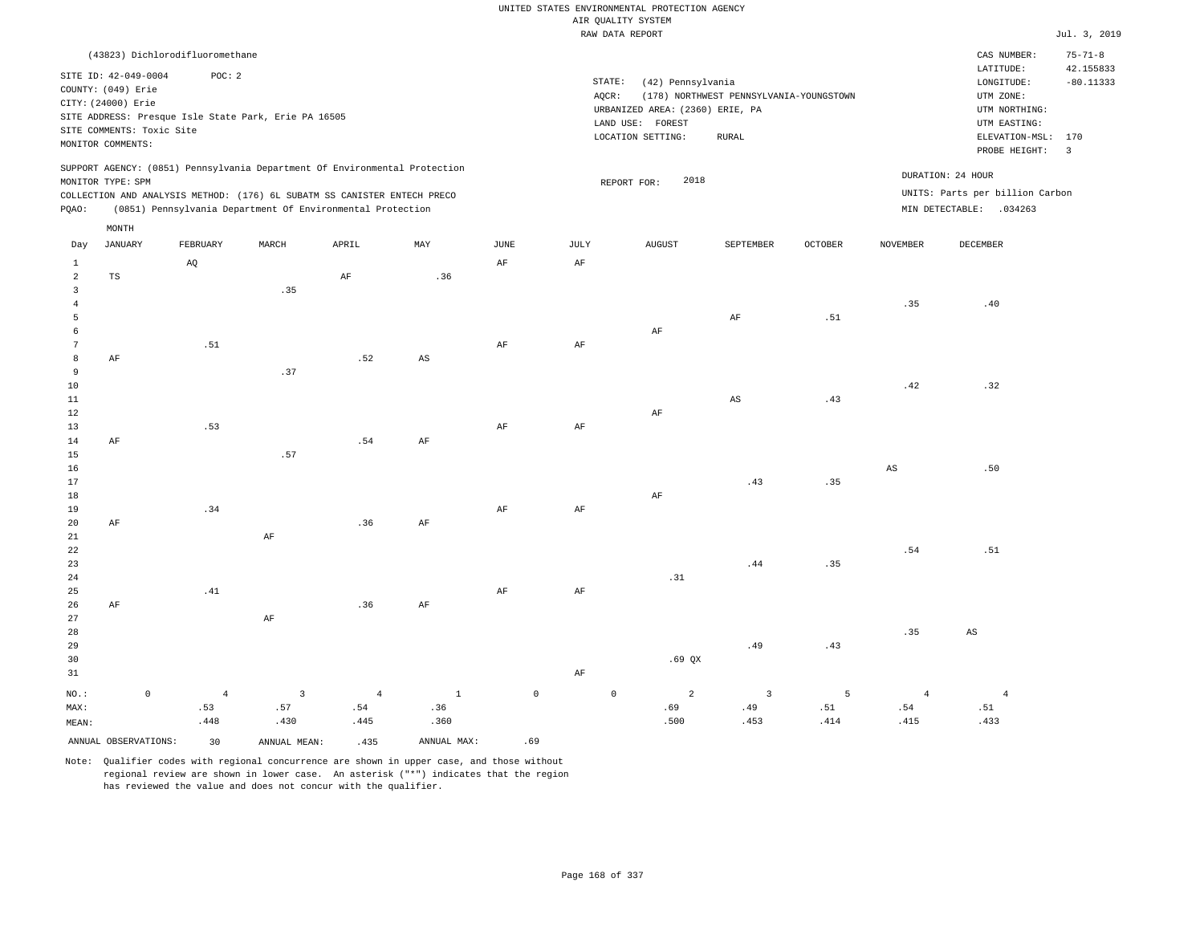|                                     |                                                                                               |                                 |                                                                                                                                                                                                                      |                           |                       |             |                 | UNITED STATES ENVIRONMENTAL PROTECTION AGENCY                                                 |                                                         |                  |                           |                                                                                 |                            |
|-------------------------------------|-----------------------------------------------------------------------------------------------|---------------------------------|----------------------------------------------------------------------------------------------------------------------------------------------------------------------------------------------------------------------|---------------------------|-----------------------|-------------|-----------------|-----------------------------------------------------------------------------------------------|---------------------------------------------------------|------------------|---------------------------|---------------------------------------------------------------------------------|----------------------------|
|                                     |                                                                                               |                                 |                                                                                                                                                                                                                      |                           |                       |             |                 | AIR OUALITY SYSTEM<br>RAW DATA REPORT                                                         |                                                         |                  |                           |                                                                                 | Jul. 3, 2019               |
|                                     |                                                                                               | (43823) Dichlorodifluoromethane |                                                                                                                                                                                                                      |                           |                       |             |                 |                                                                                               |                                                         |                  |                           | CAS NUMBER:<br>LATITUDE:                                                        | $75 - 71 - 8$<br>42.155833 |
|                                     | SITE ID: 42-049-0004<br>COUNTY: (049) Erie<br>CITY: (24000) Erie<br>SITE COMMENTS: Toxic Site | POC: 2                          | SITE ADDRESS: Presque Isle State Park, Erie PA 16505                                                                                                                                                                 |                           |                       |             | STATE:<br>AOCR: | (42) Pennsylvania<br>URBANIZED AREA: (2360) ERIE, PA<br>LAND USE: FOREST<br>LOCATION SETTING: | (178) NORTHWEST PENNSYLVANIA-YOUNGSTOWN<br><b>RURAL</b> |                  |                           | LONGITUDE:<br>UTM ZONE:<br>UTM NORTHING:<br>UTM EASTING:<br>ELEVATION-MSL: 170  | $-80.11333$                |
|                                     | MONITOR COMMENTS:                                                                             |                                 |                                                                                                                                                                                                                      |                           |                       |             |                 |                                                                                               |                                                         |                  |                           | PROBE HEIGHT:                                                                   | $\overline{3}$             |
| PQAO:                               | MONITOR TYPE: SPM                                                                             |                                 | SUPPORT AGENCY: (0851) Pennsylvania Department Of Environmental Protection<br>COLLECTION AND ANALYSIS METHOD: (176) 6L SUBATM SS CANISTER ENTECH PRECO<br>(0851) Pennsylvania Department Of Environmental Protection |                           |                       |             |                 | 2018<br>REPORT FOR:                                                                           |                                                         |                  |                           | DURATION: 24 HOUR<br>UNITS: Parts per billion Carbon<br>MIN DETECTABLE: .034263 |                            |
| Day                                 | MONTH<br><b>JANUARY</b>                                                                       | FEBRUARY                        | MARCH                                                                                                                                                                                                                | APRIL                     | MAY                   | JUNE        | JULY            | <b>AUGUST</b>                                                                                 | SEPTEMBER                                               | <b>OCTOBER</b>   | <b>NOVEMBER</b>           | DECEMBER                                                                        |                            |
| $\mathbf{1}$<br>$\overline{a}$      | $_{\rm TS}$                                                                                   | AQ                              |                                                                                                                                                                                                                      | AF                        | .36                   | AF          | AF              |                                                                                               |                                                         |                  |                           |                                                                                 |                            |
| $\overline{3}$<br>$\,4\,$<br>5<br>6 |                                                                                               |                                 | .35                                                                                                                                                                                                                  |                           |                       |             |                 | AF                                                                                            | AF                                                      | .51              | .35                       | .40                                                                             |                            |
| $7\phantom{.0}$<br>8<br>9           | AF                                                                                            | .51                             | .37                                                                                                                                                                                                                  | .52                       | $_{\rm AS}$           | AF          | AF              |                                                                                               |                                                         |                  |                           |                                                                                 |                            |
| 10<br>11<br>12                      |                                                                                               |                                 |                                                                                                                                                                                                                      |                           |                       |             |                 | $\rm{AF}$                                                                                     | $_{\rm AS}$                                             | .43              | .42                       | .32                                                                             |                            |
| $13$<br>14<br>15<br>16              | AF                                                                                            | .53                             | .57                                                                                                                                                                                                                  | .54                       | AF                    | $\rm AF$    | $\rm AF$        |                                                                                               |                                                         |                  | $\mathbb{A}\mathbb{S}$    | .50                                                                             |                            |
| 17<br>18<br>19                      |                                                                                               | .34                             |                                                                                                                                                                                                                      |                           |                       | AF          | AF              | AF                                                                                            | .43                                                     | .35              |                           |                                                                                 |                            |
| 20<br>21<br>22<br>23                | AF                                                                                            |                                 | AF                                                                                                                                                                                                                   | .36                       | $\rm AF$              |             |                 | .31                                                                                           | .44                                                     | .35              | .54                       | .51                                                                             |                            |
| $2\,4$<br>25<br>26<br>27            | AF                                                                                            | .41                             | AF                                                                                                                                                                                                                   | .36                       | $\rm{AF}$             | AF          | AF              |                                                                                               |                                                         |                  |                           |                                                                                 |                            |
| 28<br>29<br>30<br>31                |                                                                                               |                                 |                                                                                                                                                                                                                      |                           |                       |             | $\rm{AF}$       | $.69$ QX                                                                                      | .49                                                     | .43              | .35                       | $_{\rm AS}$                                                                     |                            |
| NO.:<br>MAX:<br>MEAN:               | $\mathsf{O}\xspace$                                                                           | $\overline{4}$<br>.53<br>.448   | $\overline{\mathbf{3}}$<br>.57<br>.430                                                                                                                                                                               | $\sqrt{4}$<br>.54<br>.445 | $\,$ 1<br>.36<br>.360 | $\mathbb O$ | $\mathbb O$     | $\overline{a}$<br>.69<br>.500                                                                 | $\overline{3}$<br>.49<br>.453                           | 5<br>.51<br>.414 | $\sqrt{4}$<br>.54<br>.415 | $\overline{4}$<br>.51<br>.433                                                   |                            |
|                                     | ANNUAL OBSERVATIONS:                                                                          | 30                              | ANNUAL, MEAN:                                                                                                                                                                                                        | .435                      | ANNUAL MAX:           | .69         |                 |                                                                                               |                                                         |                  |                           |                                                                                 |                            |

Note: Qualifier codes with regional concurrence are shown in upper case, and those without regional review are shown in lower case. An asterisk ("\*") indicates that the region has reviewed the value and does not concur with the qualifier.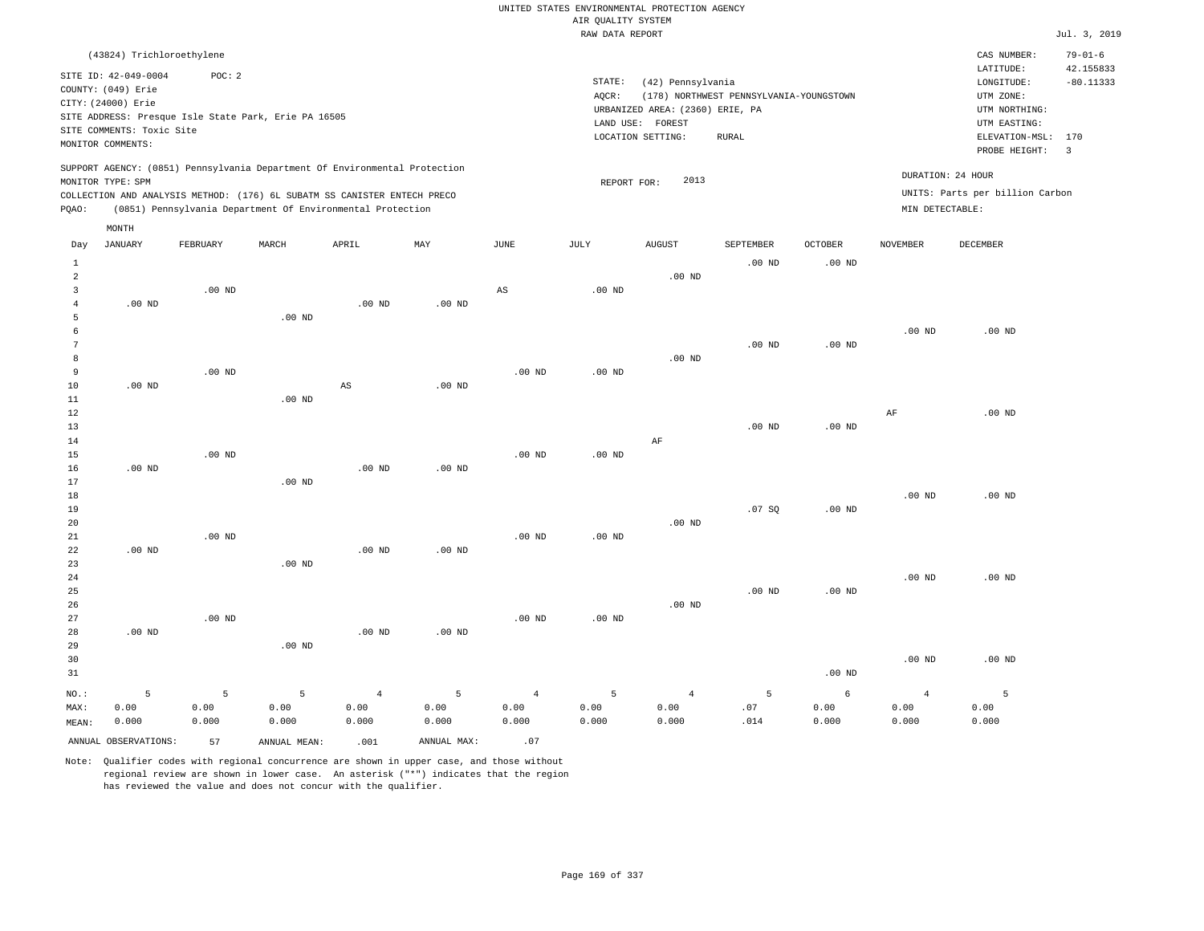|                                | (43824) Trichloroethylene                                        |                   |                                                                            |                   |                   |                       |                   |                                                                |                                         |                   |                             | CAS NUMBER:                                           | $79 - 01 - 6$            |
|--------------------------------|------------------------------------------------------------------|-------------------|----------------------------------------------------------------------------|-------------------|-------------------|-----------------------|-------------------|----------------------------------------------------------------|-----------------------------------------|-------------------|-----------------------------|-------------------------------------------------------|--------------------------|
|                                | SITE ID: 42-049-0004<br>COUNTY: (049) Erie<br>CITY: (24000) Erie | POC: 2            | SITE ADDRESS: Presque Isle State Park, Erie PA 16505                       |                   |                   |                       | STATE:<br>AQCR:   | (42) Pennsylvania<br>URBANIZED AREA: (2360) ERIE, PA<br>FOREST | (178) NORTHWEST PENNSYLVANIA-YOUNGSTOWN |                   |                             | LATITUDE:<br>LONGITUDE:<br>UTM ZONE:<br>UTM NORTHING: | 42.155833<br>$-80.11333$ |
|                                | SITE COMMENTS: Toxic Site<br>MONITOR COMMENTS:                   |                   |                                                                            |                   |                   |                       | LAND USE:         | LOCATION SETTING:                                              | <b>RURAL</b>                            |                   |                             | UTM EASTING:<br>ELEVATION-MSL: 170<br>PROBE HEIGHT:   | $\overline{3}$           |
|                                | MONITOR TYPE: SPM                                                |                   | SUPPORT AGENCY: (0851) Pennsylvania Department Of Environmental Protection |                   |                   |                       | REPORT FOR:       | 2013                                                           |                                         |                   |                             | DURATION: 24 HOUR                                     |                          |
|                                |                                                                  |                   | COLLECTION AND ANALYSIS METHOD: (176) 6L SUBATM SS CANISTER ENTECH PRECO   |                   |                   |                       |                   |                                                                |                                         |                   |                             | UNITS: Parts per billion Carbon                       |                          |
| PQAO:                          |                                                                  |                   | (0851) Pennsylvania Department Of Environmental Protection                 |                   |                   |                       |                   |                                                                |                                         |                   | $\texttt{MIN}$ DETECTABLE : |                                                       |                          |
|                                | MONTH                                                            |                   |                                                                            |                   |                   |                       |                   |                                                                |                                         |                   |                             |                                                       |                          |
| Day                            | <b>JANUARY</b>                                                   | FEBRUARY          | MARCH                                                                      | APRIL             | MAY               | $\operatorname{JUNE}$ | JULY              | <b>AUGUST</b>                                                  | SEPTEMBER                               | OCTOBER           | <b>NOVEMBER</b>             | DECEMBER                                              |                          |
|                                |                                                                  |                   |                                                                            |                   |                   |                       |                   |                                                                |                                         |                   |                             |                                                       |                          |
| $\mathbf{1}$<br>$\overline{a}$ |                                                                  |                   |                                                                            |                   |                   |                       |                   | $.00$ ND                                                       | $.00$ ND                                | .00 <sub>ND</sub> |                             |                                                       |                          |
| 3                              |                                                                  | $.00$ ND          |                                                                            |                   |                   | AS                    | $.00$ ND          |                                                                |                                         |                   |                             |                                                       |                          |
| $\overline{4}$                 | $.00$ ND                                                         |                   |                                                                            | .00 <sub>ND</sub> | $.00$ ND          |                       |                   |                                                                |                                         |                   |                             |                                                       |                          |
| 5                              |                                                                  |                   | .00 <sub>ND</sub>                                                          |                   |                   |                       |                   |                                                                |                                         |                   |                             |                                                       |                          |
| 6                              |                                                                  |                   |                                                                            |                   |                   |                       |                   |                                                                |                                         |                   | $.00$ ND                    | $.00$ ND                                              |                          |
| $\overline{7}$                 |                                                                  |                   |                                                                            |                   |                   |                       |                   |                                                                | $.00$ ND                                | .00 <sub>ND</sub> |                             |                                                       |                          |
| 8                              |                                                                  |                   |                                                                            |                   |                   |                       |                   | $.00$ ND                                                       |                                         |                   |                             |                                                       |                          |
| $\overline{9}$                 |                                                                  | $.00$ ND          |                                                                            |                   |                   | .00 <sub>ND</sub>     | .00 <sub>ND</sub> |                                                                |                                         |                   |                             |                                                       |                          |
| 10                             | $.00$ ND                                                         |                   |                                                                            | AS                | $.00$ ND          |                       |                   |                                                                |                                         |                   |                             |                                                       |                          |
| 11                             |                                                                  |                   | $.00$ ND                                                                   |                   |                   |                       |                   |                                                                |                                         |                   |                             |                                                       |                          |
| $1\,2$                         |                                                                  |                   |                                                                            |                   |                   |                       |                   |                                                                |                                         |                   | AF                          | $.00$ ND                                              |                          |
| 13                             |                                                                  |                   |                                                                            |                   |                   |                       |                   |                                                                | $.00$ ND                                | .00 <sub>ND</sub> |                             |                                                       |                          |
| 14                             |                                                                  |                   |                                                                            |                   |                   |                       |                   | AF                                                             |                                         |                   |                             |                                                       |                          |
| 15                             |                                                                  | $.00$ ND          |                                                                            |                   |                   | .00 <sub>ND</sub>     | $.00$ ND          |                                                                |                                         |                   |                             |                                                       |                          |
| 16                             | .00 <sub>ND</sub>                                                |                   |                                                                            | .00 <sub>ND</sub> | .00 $ND$          |                       |                   |                                                                |                                         |                   |                             |                                                       |                          |
| 17                             |                                                                  |                   | $.00$ ND                                                                   |                   |                   |                       |                   |                                                                |                                         |                   |                             |                                                       |                          |
| 18                             |                                                                  |                   |                                                                            |                   |                   |                       |                   |                                                                |                                         |                   | $.00$ ND                    | $.00$ ND                                              |                          |
| 19                             |                                                                  |                   |                                                                            |                   |                   |                       |                   |                                                                | .07S                                    | .00 <sub>ND</sub> |                             |                                                       |                          |
| 20                             |                                                                  |                   |                                                                            |                   |                   |                       |                   | $.00$ ND                                                       |                                         |                   |                             |                                                       |                          |
| 21                             |                                                                  | .00 <sub>ND</sub> |                                                                            |                   |                   | .00 <sub>ND</sub>     | .00 <sub>ND</sub> |                                                                |                                         |                   |                             |                                                       |                          |
| 22                             | $.00$ ND                                                         |                   |                                                                            | $.00$ ND          | $.00$ ND          |                       |                   |                                                                |                                         |                   |                             |                                                       |                          |
| 23                             |                                                                  |                   | $.00$ ND                                                                   |                   |                   |                       |                   |                                                                |                                         |                   |                             |                                                       |                          |
| 24                             |                                                                  |                   |                                                                            |                   |                   |                       |                   |                                                                |                                         |                   | .00 <sub>ND</sub>           | $.00$ ND                                              |                          |
| 25                             |                                                                  |                   |                                                                            |                   |                   |                       |                   |                                                                | $.00$ ND                                | .00 <sub>ND</sub> |                             |                                                       |                          |
| 26                             |                                                                  |                   |                                                                            |                   |                   |                       |                   | $.00$ ND                                                       |                                         |                   |                             |                                                       |                          |
| 27                             |                                                                  | $.00$ ND          |                                                                            |                   |                   | .00 <sub>ND</sub>     | $.00$ ND          |                                                                |                                         |                   |                             |                                                       |                          |
| 28                             | $.00$ ND                                                         |                   |                                                                            | .00 <sub>ND</sub> | .00 <sub>ND</sub> |                       |                   |                                                                |                                         |                   |                             |                                                       |                          |
| 29                             |                                                                  |                   | $.00$ ND                                                                   |                   |                   |                       |                   |                                                                |                                         |                   |                             |                                                       |                          |
| 30                             |                                                                  |                   |                                                                            |                   |                   |                       |                   |                                                                |                                         |                   | $.00$ ND                    | $.00$ ND                                              |                          |
| 31                             |                                                                  |                   |                                                                            |                   |                   |                       |                   |                                                                |                                         | $.00$ ND          |                             |                                                       |                          |
|                                | 5                                                                | 5                 | 5                                                                          | $\overline{4}$    | $\overline{5}$    | $\overline{4}$        | 5                 | $\overline{4}$                                                 | $\overline{5}$                          | $\epsilon$        | $\overline{4}$              | $\overline{5}$                                        |                          |
| NO.:<br>MAX:                   | 0.00                                                             | 0.00              | 0.00                                                                       | 0.00              | 0.00              | 0.00                  | 0.00              | 0.00                                                           | .07                                     | 0.00              | 0.00                        | 0.00                                                  |                          |
| MEAN:                          | 0.000                                                            | 0.000             | 0.000                                                                      | 0.000             | 0.000             | 0.000                 | 0.000             | 0.000                                                          | .014                                    | 0.000             | 0.000                       | 0.000                                                 |                          |
|                                |                                                                  |                   |                                                                            |                   |                   |                       |                   |                                                                |                                         |                   |                             |                                                       |                          |
|                                | ANNUAL OBSERVATIONS:                                             | 57                | ANNUAL MEAN:                                                               | .001              | ANNUAL MAX:       | .07                   |                   |                                                                |                                         |                   |                             |                                                       |                          |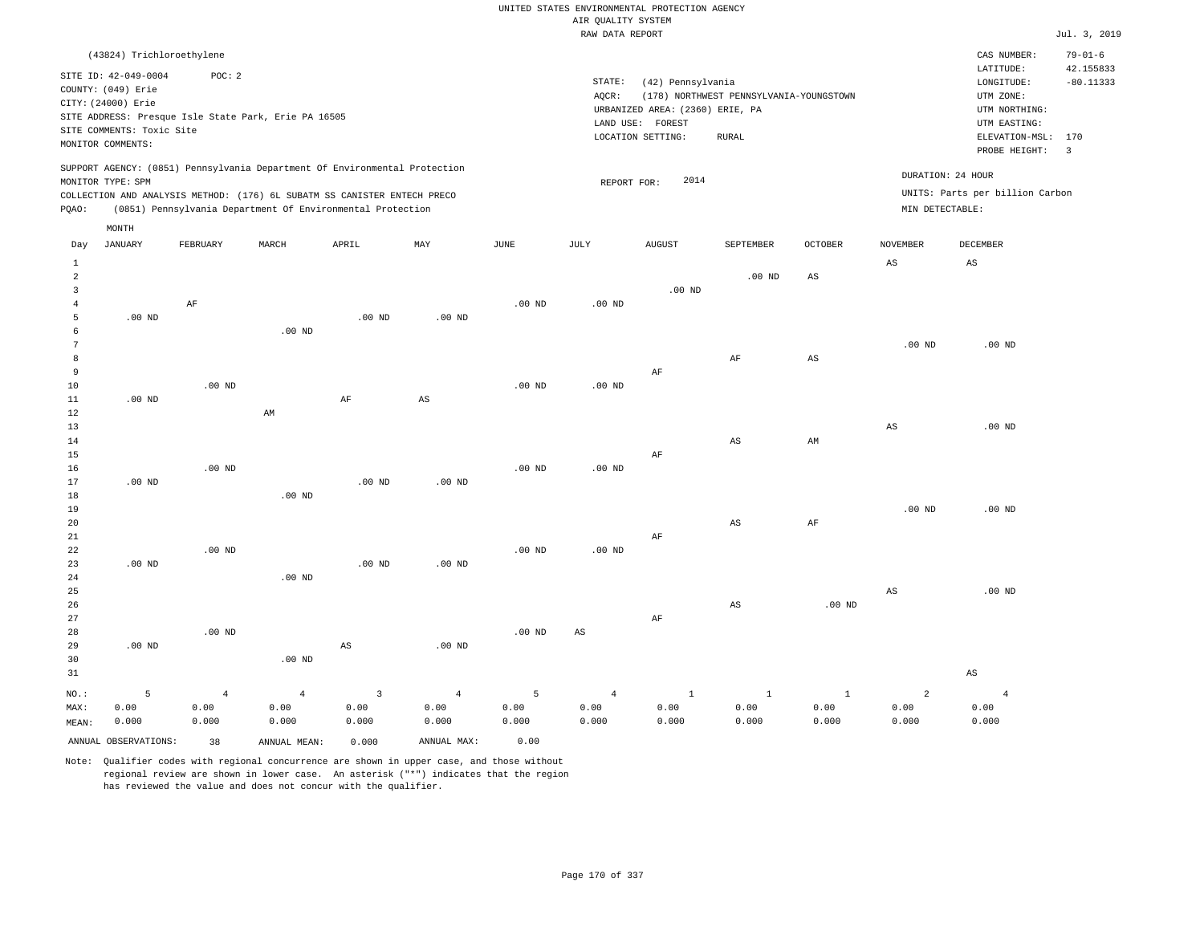|                |                                          |                                                      |                |                                                                            |                        |                   | RAW DATA REPORT        |                                 |                                         |                        |                        |                                 | Jul. 3, 2019            |
|----------------|------------------------------------------|------------------------------------------------------|----------------|----------------------------------------------------------------------------|------------------------|-------------------|------------------------|---------------------------------|-----------------------------------------|------------------------|------------------------|---------------------------------|-------------------------|
|                | (43824) Trichloroethylene                |                                                      |                |                                                                            |                        |                   |                        |                                 |                                         |                        |                        | CAS NUMBER:                     | $79 - 01 - 6$           |
|                |                                          |                                                      |                |                                                                            |                        |                   |                        |                                 |                                         |                        |                        | LATITUDE:                       | 42.155833               |
|                | SITE ID: 42-049-0004                     | POC: 2                                               |                |                                                                            |                        |                   | STATE:                 | (42) Pennsylvania               |                                         |                        |                        | LONGITUDE:                      | $-80.11333$             |
|                | COUNTY: (049) Erie<br>CITY: (24000) Erie |                                                      |                |                                                                            |                        |                   | AQCR:                  |                                 | (178) NORTHWEST PENNSYLVANIA-YOUNGSTOWN |                        |                        | UTM ZONE:                       |                         |
|                |                                          | SITE ADDRESS: Presque Isle State Park, Erie PA 16505 |                |                                                                            |                        |                   |                        | URBANIZED AREA: (2360) ERIE, PA |                                         |                        |                        | UTM NORTHING:                   |                         |
|                | SITE COMMENTS: Toxic Site                |                                                      |                |                                                                            |                        |                   |                        | LAND USE: FOREST                |                                         |                        |                        | UTM EASTING:                    |                         |
|                | MONITOR COMMENTS:                        |                                                      |                |                                                                            |                        |                   |                        | LOCATION SETTING:               | RURAL                                   |                        |                        | ELEVATION-MSL: 170              |                         |
|                |                                          |                                                      |                |                                                                            |                        |                   |                        |                                 |                                         |                        |                        | PROBE HEIGHT:                   | $\overline{\mathbf{3}}$ |
|                |                                          |                                                      |                | SUPPORT AGENCY: (0851) Pennsylvania Department Of Environmental Protection |                        |                   |                        |                                 |                                         |                        |                        |                                 |                         |
|                | MONITOR TYPE: SPM                        |                                                      |                |                                                                            |                        |                   | REPORT FOR:            | 2014                            |                                         |                        |                        | DURATION: 24 HOUR               |                         |
|                |                                          |                                                      |                | COLLECTION AND ANALYSIS METHOD: (176) 6L SUBATM SS CANISTER ENTECH PRECO   |                        |                   |                        |                                 |                                         |                        |                        | UNITS: Parts per billion Carbon |                         |
| PQAO:          |                                          |                                                      |                | (0851) Pennsylvania Department Of Environmental Protection                 |                        |                   |                        |                                 |                                         |                        | MIN DETECTABLE:        |                                 |                         |
|                | MONTH                                    |                                                      |                |                                                                            |                        |                   |                        |                                 |                                         |                        |                        |                                 |                         |
| Day            | <b>JANUARY</b>                           | FEBRUARY                                             | MARCH          | APRIL                                                                      | MAY                    | JUNE              | JULY                   | <b>AUGUST</b>                   | SEPTEMBER                               | <b>OCTOBER</b>         | <b>NOVEMBER</b>        | DECEMBER                        |                         |
| $\mathbf{1}$   |                                          |                                                      |                |                                                                            |                        |                   |                        |                                 |                                         |                        | $\mathbb{A}\mathbb{S}$ | AS                              |                         |
| $\overline{a}$ |                                          |                                                      |                |                                                                            |                        |                   |                        |                                 | $.00$ ND                                | $_{\rm AS}$            |                        |                                 |                         |
| $\overline{3}$ |                                          |                                                      |                |                                                                            |                        |                   |                        | $.00$ ND                        |                                         |                        |                        |                                 |                         |
| $\overline{4}$ |                                          | $\rm AF$                                             |                |                                                                            |                        | $.00$ ND          | $.00$ ND               |                                 |                                         |                        |                        |                                 |                         |
| 5              | $.00$ ND                                 |                                                      |                | .00 <sub>ND</sub>                                                          | $.00$ ND               |                   |                        |                                 |                                         |                        |                        |                                 |                         |
| 6              |                                          |                                                      | $.00$ ND       |                                                                            |                        |                   |                        |                                 |                                         |                        |                        |                                 |                         |
| $\overline{7}$ |                                          |                                                      |                |                                                                            |                        |                   |                        |                                 |                                         |                        | .00 <sub>ND</sub>      | $.00$ ND                        |                         |
| 8              |                                          |                                                      |                |                                                                            |                        |                   |                        |                                 | $\rm AF$                                | $\mathbb{A}\mathbb{S}$ |                        |                                 |                         |
| 9              |                                          |                                                      |                |                                                                            |                        |                   |                        | $\rm AF$                        |                                         |                        |                        |                                 |                         |
| 10             |                                          | $.00$ ND                                             |                |                                                                            |                        | $.00$ ND          | .00 <sub>ND</sub>      |                                 |                                         |                        |                        |                                 |                         |
| 11             | $.00$ ND                                 |                                                      |                | $\rm AF$                                                                   | $\mathbb{A}\mathbb{S}$ |                   |                        |                                 |                                         |                        |                        |                                 |                         |
| 12             |                                          |                                                      | AM             |                                                                            |                        |                   |                        |                                 |                                         |                        |                        |                                 |                         |
| 13             |                                          |                                                      |                |                                                                            |                        |                   |                        |                                 |                                         |                        | $_{\rm AS}$            | $.00$ ND                        |                         |
| 14<br>15       |                                          |                                                      |                |                                                                            |                        |                   |                        | $\rm{AF}$                       | AS                                      | AM                     |                        |                                 |                         |
| 16             |                                          | $.00$ ND                                             |                |                                                                            |                        | $.00$ ND          | $.00$ ND               |                                 |                                         |                        |                        |                                 |                         |
| 17             | $.00$ ND                                 |                                                      |                | .00 <sub>ND</sub>                                                          | $.00$ ND               |                   |                        |                                 |                                         |                        |                        |                                 |                         |
| 18             |                                          |                                                      | $.00$ ND       |                                                                            |                        |                   |                        |                                 |                                         |                        |                        |                                 |                         |
| 19             |                                          |                                                      |                |                                                                            |                        |                   |                        |                                 |                                         |                        | $.00$ ND               | .00 <sub>ND</sub>               |                         |
| 20             |                                          |                                                      |                |                                                                            |                        |                   |                        |                                 | $\mathbb{A}\mathbb{S}$                  | $\rm{AF}$              |                        |                                 |                         |
| 21             |                                          |                                                      |                |                                                                            |                        |                   |                        | $\rm AF$                        |                                         |                        |                        |                                 |                         |
| 22             |                                          | .00 <sub>ND</sub>                                    |                |                                                                            |                        | .00 <sub>ND</sub> | $.00$ ND               |                                 |                                         |                        |                        |                                 |                         |
| 23             | $.00$ ND                                 |                                                      |                | $.00$ ND                                                                   | $.00$ ND               |                   |                        |                                 |                                         |                        |                        |                                 |                         |
| 24             |                                          |                                                      | $.00$ ND       |                                                                            |                        |                   |                        |                                 |                                         |                        |                        |                                 |                         |
| 25             |                                          |                                                      |                |                                                                            |                        |                   |                        |                                 |                                         |                        | $_{\rm AS}$            | .00 <sub>ND</sub>               |                         |
| 26             |                                          |                                                      |                |                                                                            |                        |                   |                        |                                 | $\mathbb{A}\mathbb{S}$                  | $.00$ ND               |                        |                                 |                         |
| 27             |                                          |                                                      |                |                                                                            |                        |                   |                        | AF                              |                                         |                        |                        |                                 |                         |
| 28             |                                          | $.00$ ND                                             |                |                                                                            |                        | $.00$ ND          | $\mathbb{A}\mathbb{S}$ |                                 |                                         |                        |                        |                                 |                         |
| 29             | $.00$ ND                                 |                                                      |                | $\mathbb{A}\mathbb{S}$                                                     | .00 <sub>ND</sub>      |                   |                        |                                 |                                         |                        |                        |                                 |                         |
| 30             |                                          |                                                      | $.00$ ND       |                                                                            |                        |                   |                        |                                 |                                         |                        |                        |                                 |                         |
| 31             |                                          |                                                      |                |                                                                            |                        |                   |                        |                                 |                                         |                        |                        | $\mathbb{A}\mathbb{S}$          |                         |
| NO.:           | 5                                        | $\overline{4}$                                       | $\overline{4}$ | 3                                                                          | $\overline{4}$         | $5\overline{5}$   | $\overline{4}$         | $\mathbf{1}$                    | <sup>1</sup>                            | <sup>1</sup>           | 2                      | $\overline{4}$                  |                         |
| MAX:           | 0.00                                     | 0.00                                                 | 0.00           | 0.00                                                                       | 0.00                   | 0.00              | 0.00                   | 0.00                            | 0.00                                    | 0.00                   | 0.00                   | 0.00                            |                         |
| MEAN:          | 0.000                                    | 0.000                                                | 0.000          | 0.000                                                                      | 0.000                  | 0.000             | 0.000                  | 0.000                           | 0.000                                   | 0.000                  | 0.000                  | 0.000                           |                         |

Note: Qualifier codes with regional concurrence are shown in upper case, and those without regional review are shown in lower case. An asterisk ("\*") indicates that the region has reviewed the value and does not concur with the qualifier.

ANNUAL OBSERVATIONS: 38 ANNUAL MEAN: 0.000 ANNUAL MAX: 0.00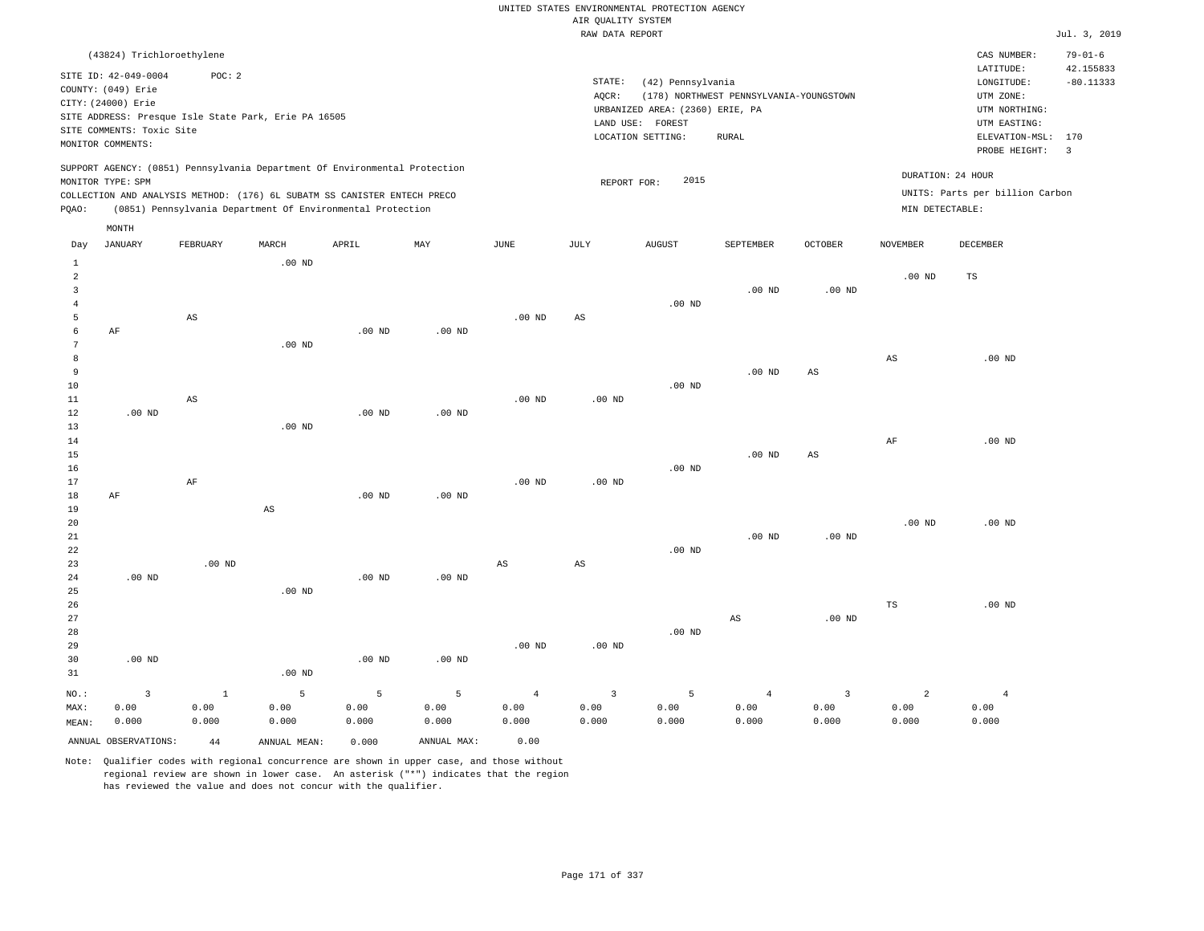|       | (43824) Trichloroethylene |                                                                          |          |       |                                                                            |      |        |                                 |                                         |                |                 | CAS NUMBER:                     | $79 - 01 - 6$           |
|-------|---------------------------|--------------------------------------------------------------------------|----------|-------|----------------------------------------------------------------------------|------|--------|---------------------------------|-----------------------------------------|----------------|-----------------|---------------------------------|-------------------------|
|       | SITE ID: 42-049-0004      | POC: 2                                                                   |          |       |                                                                            |      |        |                                 |                                         |                |                 | LATITUDE:                       | 42.155833               |
|       | COUNTY: (049) Erie        |                                                                          |          |       |                                                                            |      | STATE: | (42) Pennsylvania               |                                         |                |                 | LONGITUDE:                      | $-80.11333$             |
|       | CITY: (24000) Erie        |                                                                          |          |       |                                                                            |      | AOCR:  |                                 | (178) NORTHWEST PENNSYLVANIA-YOUNGSTOWN |                |                 | UTM ZONE:                       |                         |
|       |                           | SITE ADDRESS: Presque Isle State Park, Erie PA 16505                     |          |       |                                                                            |      |        | URBANIZED AREA: (2360) ERIE, PA |                                         |                |                 | UTM NORTHING:                   |                         |
|       | SITE COMMENTS: Toxic Site |                                                                          |          |       |                                                                            |      |        | LAND USE: FOREST                |                                         |                |                 | UTM EASTING:                    |                         |
|       | MONITOR COMMENTS:         |                                                                          |          |       |                                                                            |      |        | LOCATION SETTING:               | RURAL                                   |                |                 | ELEVATION-MSL: 170              |                         |
|       |                           |                                                                          |          |       |                                                                            |      |        |                                 |                                         |                |                 | PROBE HEIGHT:                   | $\overline{\mathbf{3}}$ |
|       |                           |                                                                          |          |       | SUPPORT AGENCY: (0851) Pennsylvania Department Of Environmental Protection |      |        |                                 |                                         |                |                 |                                 |                         |
|       | MONITOR TYPE: SPM         |                                                                          |          |       |                                                                            |      |        | 2015<br>REPORT FOR:             |                                         |                |                 | DURATION: 24 HOUR               |                         |
|       |                           | COLLECTION AND ANALYSIS METHOD: (176) 6L SUBATM SS CANISTER ENTECH PRECO |          |       |                                                                            |      |        |                                 |                                         |                |                 | UNITS: Parts per billion Carbon |                         |
| POAO: |                           | (0851) Pennsylvania Department Of Environmental Protection               |          |       |                                                                            |      |        |                                 |                                         |                | MIN DETECTABLE: |                                 |                         |
|       | MONTH                     |                                                                          |          |       |                                                                            |      |        |                                 |                                         |                |                 |                                 |                         |
| Day   | JANUARY                   | FEBRUARY                                                                 | MARCH    | APRIL | MAY                                                                        | JUNE | JULY   | <b>AUGUST</b>                   | SEPTEMBER                               | <b>OCTOBER</b> | <b>NOVEMBER</b> | DECEMBER                        |                         |
|       |                           |                                                                          | $.00$ ND |       |                                                                            |      |        |                                 |                                         |                |                 |                                 |                         |
|       |                           |                                                                          |          |       |                                                                            |      |        |                                 |                                         |                | $.00$ ND        | <b>TS</b>                       |                         |

| 3       |                   |                        |                        |          |          |                |                   |          | .00 <sub>ND</sub> | .00 <sub>ND</sub>       |                        |                |
|---------|-------------------|------------------------|------------------------|----------|----------|----------------|-------------------|----------|-------------------|-------------------------|------------------------|----------------|
| 4       |                   |                        |                        |          |          |                |                   | .00 $ND$ |                   |                         |                        |                |
| 5       |                   | $\mathbb{A}\mathbb{S}$ |                        |          |          | .00 $ND$       | AS                |          |                   |                         |                        |                |
| 6       | $\rm AF$          |                        |                        | .00 $ND$ | $.00$ ND |                |                   |          |                   |                         |                        |                |
| 7       |                   |                        | $.00$ ND               |          |          |                |                   |          |                   |                         |                        |                |
| 8       |                   |                        |                        |          |          |                |                   |          |                   |                         | $\mathbb{A}\mathbb{S}$ | $.00$ ND       |
| 9       |                   |                        |                        |          |          |                |                   |          | $.00$ ND          | $\mathbb{A}\mathbb{S}$  |                        |                |
| 10      |                   |                        |                        |          |          |                |                   | $.00$ ND |                   |                         |                        |                |
| 11      |                   | $\mathbb{A}\mathbb{S}$ |                        |          |          | $.00$ ND       | $.00$ ND          |          |                   |                         |                        |                |
| 12      | $.00$ ND          |                        |                        | $.00$ ND | $.00$ ND |                |                   |          |                   |                         |                        |                |
| 13      |                   |                        | $.00$ ND               |          |          |                |                   |          |                   |                         |                        |                |
| 14      |                   |                        |                        |          |          |                |                   |          |                   |                         | AF                     | $.00$ ND       |
| 15      |                   |                        |                        |          |          |                |                   |          | $.00$ ND          | $\mathbb{A}\mathbb{S}$  |                        |                |
| 16      |                   |                        |                        |          |          |                |                   | .00 $ND$ |                   |                         |                        |                |
| 17      |                   | $\rm AF$               |                        |          |          | $.00$ ND       | .00 <sub>ND</sub> |          |                   |                         |                        |                |
| 18      | $\rm AF$          |                        |                        | .00 $ND$ | $.00$ ND |                |                   |          |                   |                         |                        |                |
| 19      |                   |                        | $\mathbb{A}\mathbb{S}$ |          |          |                |                   |          |                   |                         |                        |                |
| 20      |                   |                        |                        |          |          |                |                   |          |                   |                         | .00 $ND$               | .00 $ND$       |
| 21      |                   |                        |                        |          |          |                |                   |          | $.00$ ND          | .00 <sub>ND</sub>       |                        |                |
| 22      |                   |                        |                        |          |          |                |                   | $.00$ ND |                   |                         |                        |                |
| 23      |                   | $.00$ ND               |                        |          |          | $_{\rm AS}$    | AS                |          |                   |                         |                        |                |
| 24      | $.00$ ND          |                        |                        | $.00$ ND | $.00$ ND |                |                   |          |                   |                         |                        |                |
| 25      |                   |                        | $.00$ ND               |          |          |                |                   |          |                   |                         |                        |                |
| 26      |                   |                        |                        |          |          |                |                   |          |                   |                         | $_{\rm TS}$            | $.00$ ND       |
| 27      |                   |                        |                        |          |          |                |                   |          | AS                | $.00$ ND                |                        |                |
| 28      |                   |                        |                        |          |          |                |                   | .00 $ND$ |                   |                         |                        |                |
| 29      |                   |                        |                        |          |          | $.00$ ND       | $.00$ ND          |          |                   |                         |                        |                |
| 30      | .00 <sub>ND</sub> |                        |                        | .00 $ND$ | .00 $ND$ |                |                   |          |                   |                         |                        |                |
| 31      |                   |                        | .00 $ND$               |          |          |                |                   |          |                   |                         |                        |                |
| $NO.$ : | 3                 | $1\,$                  | 5                      | 5        | 5        | $\overline{4}$ | 3                 | 5        | $\overline{4}$    | $\overline{\mathbf{3}}$ | $\overline{a}$         | $\overline{4}$ |
| MAX:    | 0.00              | 0.00                   | 0.00                   | 0.00     | 0.00     | 0.00           | 0.00              | 0.00     | 0.00              | 0.00                    | 0.00                   | 0.00           |
| MEAN:   | 0.000             | 0.000                  | 0.000                  | 0.000    | 0.000    | 0.000          | 0.000             | 0.000    | 0.000             | 0.000                   | 0.000                  | 0.000          |

Note: Qualifier codes with regional concurrence are shown in upper case, and those without regional review are shown in lower case. An asterisk ("\*") indicates that the region has reviewed the value and does not concur with the qualifier.

ANNUAL OBSERVATIONS: 44 ANNUAL MEAN: 0.000 ANNUAL MAX: 0.00

MEAN: 0.000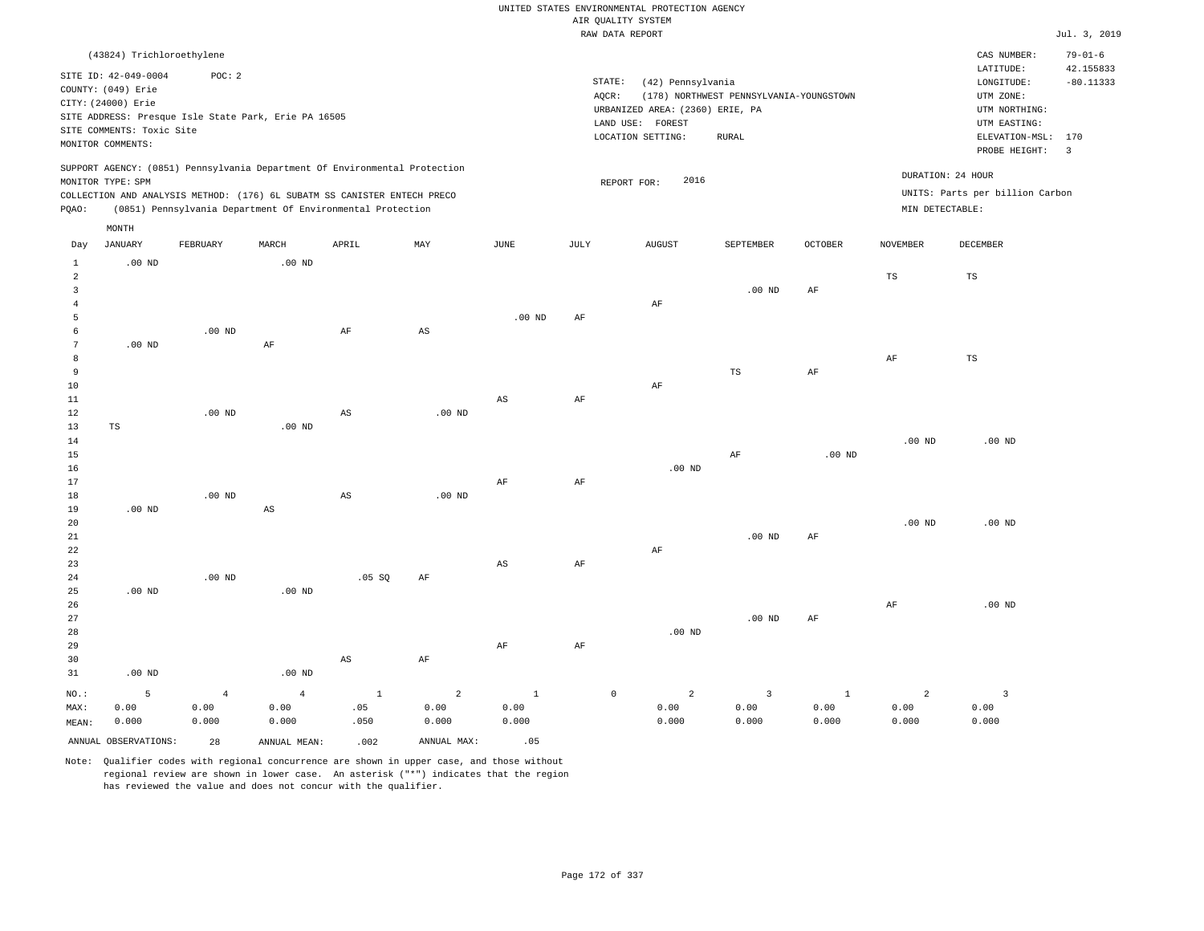|                      |                                            |                   |                                                                                                                                        |                        |                |                   |             | RAW DATA REPORT                 |                                         |                |                 |                                 | Jul. 3, 2019            |
|----------------------|--------------------------------------------|-------------------|----------------------------------------------------------------------------------------------------------------------------------------|------------------------|----------------|-------------------|-------------|---------------------------------|-----------------------------------------|----------------|-----------------|---------------------------------|-------------------------|
|                      | (43824) Trichloroethylene                  |                   |                                                                                                                                        |                        |                |                   |             |                                 |                                         |                |                 | CAS NUMBER:                     | $79 - 01 - 6$           |
|                      |                                            |                   |                                                                                                                                        |                        |                |                   |             |                                 |                                         |                |                 | LATITUDE:                       | 42.155833               |
|                      | SITE ID: 42-049-0004<br>COUNTY: (049) Erie | POC: 2            |                                                                                                                                        |                        |                |                   |             | STATE:<br>(42) Pennsylvania     |                                         |                |                 | LONGITUDE:                      | $-80.11333$             |
|                      | CITY: (24000) Erie                         |                   |                                                                                                                                        |                        |                |                   | AQCR:       |                                 | (178) NORTHWEST PENNSYLVANIA-YOUNGSTOWN |                |                 | UTM ZONE:                       |                         |
|                      |                                            |                   | SITE ADDRESS: Presque Isle State Park, Erie PA 16505                                                                                   |                        |                |                   |             | URBANIZED AREA: (2360) ERIE, PA |                                         |                |                 | UTM NORTHING:                   |                         |
|                      | SITE COMMENTS: Toxic Site                  |                   |                                                                                                                                        |                        |                |                   |             | LAND USE: FOREST                |                                         |                |                 | UTM EASTING:                    |                         |
|                      | MONITOR COMMENTS:                          |                   |                                                                                                                                        |                        |                |                   |             | LOCATION SETTING:               | <b>RURAL</b>                            |                |                 | ELEVATION-MSL: 170              |                         |
|                      |                                            |                   |                                                                                                                                        |                        |                |                   |             |                                 |                                         |                |                 | PROBE HEIGHT:                   | $\overline{\mathbf{3}}$ |
|                      |                                            |                   | SUPPORT AGENCY: (0851) Pennsylvania Department Of Environmental Protection                                                             |                        |                |                   |             | 2016                            |                                         |                |                 | DURATION: 24 HOUR               |                         |
|                      | MONITOR TYPE: SPM                          |                   |                                                                                                                                        |                        |                |                   |             | REPORT FOR:                     |                                         |                |                 | UNITS: Parts per billion Carbon |                         |
| PQAO:                |                                            |                   | COLLECTION AND ANALYSIS METHOD: (176) 6L SUBATM SS CANISTER ENTECH PRECO<br>(0851) Pennsylvania Department Of Environmental Protection |                        |                |                   |             |                                 |                                         |                | MIN DETECTABLE: |                                 |                         |
|                      |                                            |                   |                                                                                                                                        |                        |                |                   |             |                                 |                                         |                |                 |                                 |                         |
|                      | MONTH                                      |                   |                                                                                                                                        |                        |                |                   |             |                                 |                                         |                |                 |                                 |                         |
| Day                  | <b>JANUARY</b>                             | FEBRUARY          | MARCH                                                                                                                                  | APRIL                  | MAY            | JUNE              | <b>JULY</b> | <b>AUGUST</b>                   | SEPTEMBER                               | <b>OCTOBER</b> | <b>NOVEMBER</b> | <b>DECEMBER</b>                 |                         |
| $\mathbf{1}$         | $.00$ ND                                   |                   | $.00$ ND                                                                                                                               |                        |                |                   |             |                                 |                                         |                |                 |                                 |                         |
| 2                    |                                            |                   |                                                                                                                                        |                        |                |                   |             |                                 |                                         |                | TS              | TS                              |                         |
| 3                    |                                            |                   |                                                                                                                                        |                        |                |                   |             |                                 | .00 <sub>ND</sub>                       | AF             |                 |                                 |                         |
| $\overline{4}$       |                                            |                   |                                                                                                                                        |                        |                |                   |             | AF                              |                                         |                |                 |                                 |                         |
| 5                    |                                            |                   |                                                                                                                                        |                        |                | .00 <sub>ND</sub> | $\rm{AF}$   |                                 |                                         |                |                 |                                 |                         |
| 6                    |                                            | $.00$ ND          |                                                                                                                                        | $\rm AF$               | $_{\rm AS}$    |                   |             |                                 |                                         |                |                 |                                 |                         |
| $7\phantom{.0}$<br>8 | $.00$ ND                                   |                   | AF                                                                                                                                     |                        |                |                   |             |                                 |                                         |                | $\rm{AF}$       | $\mathbb{TS}$                   |                         |
| 9                    |                                            |                   |                                                                                                                                        |                        |                |                   |             |                                 | $_{\rm TS}$                             | $\rm{AF}$      |                 |                                 |                         |
| 10                   |                                            |                   |                                                                                                                                        |                        |                |                   |             | $\rm{AF}$                       |                                         |                |                 |                                 |                         |
| $1\,1$               |                                            |                   |                                                                                                                                        |                        |                | $_{\rm AS}$       | AF          |                                 |                                         |                |                 |                                 |                         |
| 12                   |                                            | .00 <sub>ND</sub> |                                                                                                                                        | $\mathbb{A}\mathbb{S}$ | $.00$ ND       |                   |             |                                 |                                         |                |                 |                                 |                         |
| 13                   | TS                                         |                   | .00 <sub>ND</sub>                                                                                                                      |                        |                |                   |             |                                 |                                         |                |                 |                                 |                         |
| 14                   |                                            |                   |                                                                                                                                        |                        |                |                   |             |                                 |                                         |                | $.00$ ND        | $.00$ ND                        |                         |
| $15$                 |                                            |                   |                                                                                                                                        |                        |                |                   |             |                                 | AF                                      | $.00$ ND       |                 |                                 |                         |
| 16                   |                                            |                   |                                                                                                                                        |                        |                |                   |             | $.00$ ND                        |                                         |                |                 |                                 |                         |
| 17                   |                                            |                   |                                                                                                                                        |                        |                | AF                | AF          |                                 |                                         |                |                 |                                 |                         |
| $18\,$               |                                            | $.00$ ND          |                                                                                                                                        | AS                     | $.00$ ND       |                   |             |                                 |                                         |                |                 |                                 |                         |
| 19                   | .00 <sub>ND</sub>                          |                   | $\mathbb{A}\mathbb{S}$                                                                                                                 |                        |                |                   |             |                                 |                                         |                |                 |                                 |                         |
| 20                   |                                            |                   |                                                                                                                                        |                        |                |                   |             |                                 |                                         |                | $.00$ ND        | $.00$ ND                        |                         |
| 21                   |                                            |                   |                                                                                                                                        |                        |                |                   |             |                                 | $.00$ ND                                | AF             |                 |                                 |                         |
| 22<br>23             |                                            |                   |                                                                                                                                        |                        |                | $_{\rm AS}$       | AF          | $\rm AF$                        |                                         |                |                 |                                 |                         |
| 24                   |                                            | .00 <sub>ND</sub> |                                                                                                                                        | .05S                   | AF             |                   |             |                                 |                                         |                |                 |                                 |                         |
| 25                   | .00 <sub>ND</sub>                          |                   | .00 <sub>ND</sub>                                                                                                                      |                        |                |                   |             |                                 |                                         |                |                 |                                 |                         |
| 26                   |                                            |                   |                                                                                                                                        |                        |                |                   |             |                                 |                                         |                | $\rm{AF}$       | $.00$ ND                        |                         |
| 27                   |                                            |                   |                                                                                                                                        |                        |                |                   |             |                                 | $.00$ ND                                | AF             |                 |                                 |                         |
| 28                   |                                            |                   |                                                                                                                                        |                        |                |                   |             | $.00$ ND                        |                                         |                |                 |                                 |                         |
| 29                   |                                            |                   |                                                                                                                                        |                        |                | AF                | AF          |                                 |                                         |                |                 |                                 |                         |
| 30                   |                                            |                   |                                                                                                                                        | AS                     | AF             |                   |             |                                 |                                         |                |                 |                                 |                         |
| 31                   | $.00$ ND                                   |                   | $.00$ ND                                                                                                                               |                        |                |                   |             |                                 |                                         |                |                 |                                 |                         |
| NO.:                 | 5                                          | $\overline{4}$    | $\overline{4}$                                                                                                                         | $\mathbf{1}$           | $\overline{a}$ | $\mathbf{1}$      |             | $\mathbb O$<br>2                | $\overline{3}$                          | $\mathbf{1}$   | $\overline{a}$  | $\overline{3}$                  |                         |
| MAX:                 | 0.00                                       | 0.00              | 0.00                                                                                                                                   | .05                    | 0.00           | 0.00              |             | 0.00                            | 0.00                                    | 0.00           | 0.00            | 0.00                            |                         |
| MEAN:                | 0.000                                      | 0.000             | 0.000                                                                                                                                  | .050                   | 0.000          | 0.000             |             | 0.000                           | 0.000                                   | 0.000          | 0.000           | 0.000                           |                         |
|                      | ANNUAL OBSERVATIONS:                       | 2.8               | ANNUAL, MEAN:                                                                                                                          | .002                   | ANNUAL MAX:    | .05               |             |                                 |                                         |                |                 |                                 |                         |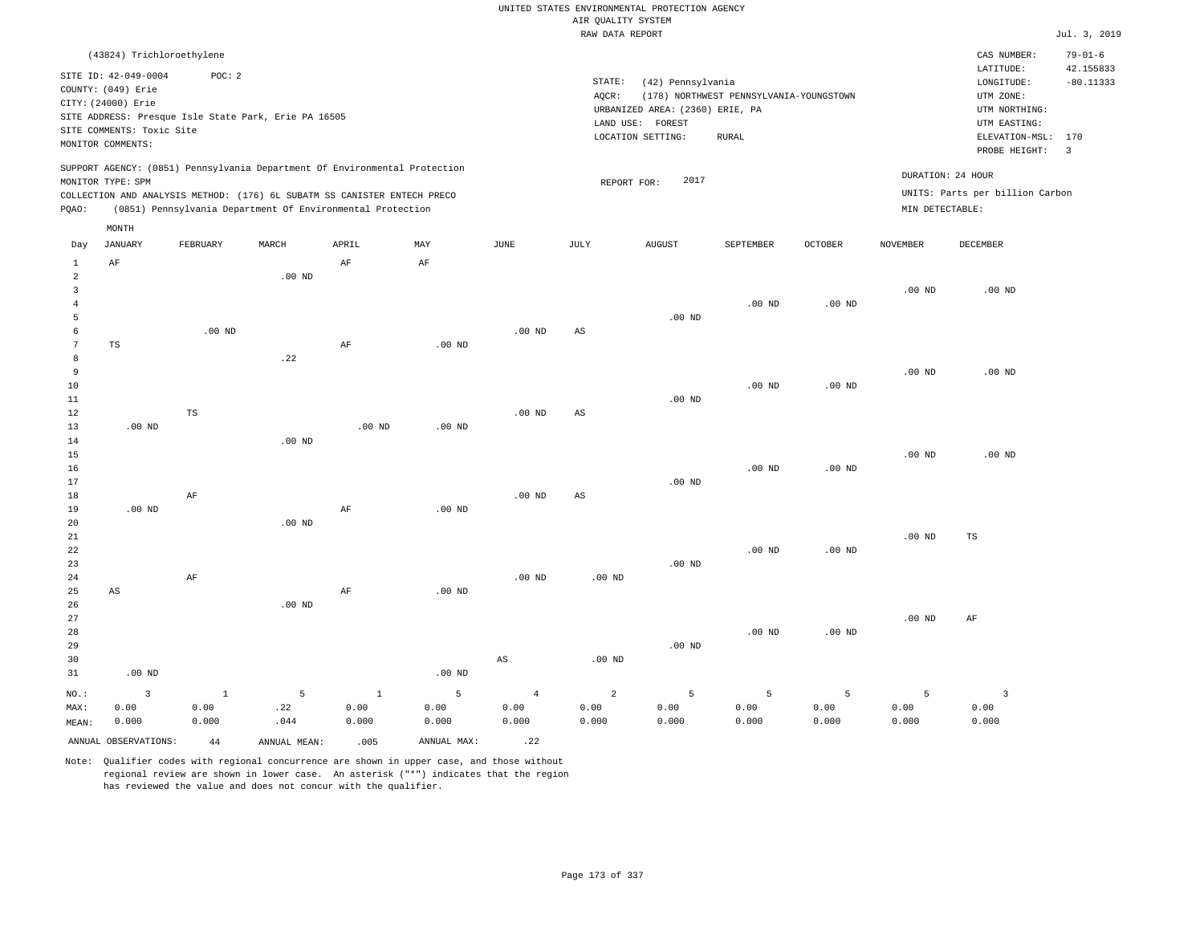|                                | (43824) Trichloroethylene                                                                                          |              |                                                      |                                                                                                                                                        |                   |                        |                                           |                                                                                     |                                                         |                   |                   | CAS NUMBER:                                                                                                  | $79 - 01 - 6$                                       |
|--------------------------------|--------------------------------------------------------------------------------------------------------------------|--------------|------------------------------------------------------|--------------------------------------------------------------------------------------------------------------------------------------------------------|-------------------|------------------------|-------------------------------------------|-------------------------------------------------------------------------------------|---------------------------------------------------------|-------------------|-------------------|--------------------------------------------------------------------------------------------------------------|-----------------------------------------------------|
|                                | SITE ID: 42-049-0004<br>COUNTY: (049) Erie<br>CITY: (24000) Erie<br>SITE COMMENTS: Toxic Site<br>MONITOR COMMENTS: | POC: 2       | SITE ADDRESS: Presque Isle State Park, Erie PA 16505 |                                                                                                                                                        |                   |                        | $\texttt{STATE}{}:$<br>AQCR:<br>LAND USE: | (42) Pennsylvania<br>URBANIZED AREA: (2360) ERIE, PA<br>FOREST<br>LOCATION SETTING: | (178) NORTHWEST PENNSYLVANIA-YOUNGSTOWN<br><b>RURAL</b> |                   |                   | LATITUDE:<br>LONGITUDE:<br>UTM ZONE:<br>UTM NORTHING:<br>UTM EASTING:<br>ELEVATION-MSL: 170<br>PROBE HEIGHT: | 42.155833<br>$-80.11333$<br>$\overline{\mathbf{3}}$ |
|                                | MONITOR TYPE: SPM                                                                                                  |              |                                                      | SUPPORT AGENCY: (0851) Pennsylvania Department Of Environmental Protection<br>COLLECTION AND ANALYSIS METHOD: (176) 6L SUBATM SS CANISTER ENTECH PRECO |                   |                        | REPORT FOR:                               | 2017                                                                                |                                                         |                   |                   | DURATION: 24 HOUR<br>UNITS: Parts per billion Carbon                                                         |                                                     |
| PQAO:                          |                                                                                                                    |              |                                                      | (0851) Pennsylvania Department Of Environmental Protection                                                                                             |                   |                        |                                           |                                                                                     |                                                         |                   | MIN DETECTABLE:   |                                                                                                              |                                                     |
|                                | MONTH                                                                                                              |              |                                                      |                                                                                                                                                        |                   |                        |                                           |                                                                                     |                                                         |                   |                   |                                                                                                              |                                                     |
| Day                            | <b>JANUARY</b>                                                                                                     | FEBRUARY     | MARCH                                                | APRIL                                                                                                                                                  | MAY               | $_{\rm JUNE}$          | $\mathtt{JULY}$                           | <b>AUGUST</b>                                                                       | SEPTEMBER                                               | OCTOBER           | <b>NOVEMBER</b>   | DECEMBER                                                                                                     |                                                     |
| $\mathbf{1}$                   | AF                                                                                                                 |              |                                                      | AF                                                                                                                                                     | AF                |                        |                                           |                                                                                     |                                                         |                   |                   |                                                                                                              |                                                     |
| $\overline{2}$                 |                                                                                                                    |              | .00 <sub>ND</sub>                                    |                                                                                                                                                        |                   |                        |                                           |                                                                                     |                                                         |                   |                   |                                                                                                              |                                                     |
| $\mathbf{3}$<br>$\overline{4}$ |                                                                                                                    |              |                                                      |                                                                                                                                                        |                   |                        |                                           |                                                                                     | $.00$ ND                                                | .00 <sub>ND</sub> | .00 <sub>ND</sub> | $.00$ ND                                                                                                     |                                                     |
| 5                              |                                                                                                                    |              |                                                      |                                                                                                                                                        |                   |                        |                                           | $.00$ ND                                                                            |                                                         |                   |                   |                                                                                                              |                                                     |
| 6                              |                                                                                                                    | $.00$ ND     |                                                      |                                                                                                                                                        |                   | $.00$ ND               | $_{\rm AS}$                               |                                                                                     |                                                         |                   |                   |                                                                                                              |                                                     |
| $\overline{7}$                 | TS                                                                                                                 |              |                                                      | $\rm AF$                                                                                                                                               | .00 <sub>ND</sub> |                        |                                           |                                                                                     |                                                         |                   |                   |                                                                                                              |                                                     |
| 8                              |                                                                                                                    |              | .22                                                  |                                                                                                                                                        |                   |                        |                                           |                                                                                     |                                                         |                   |                   |                                                                                                              |                                                     |
| 9<br>10                        |                                                                                                                    |              |                                                      |                                                                                                                                                        |                   |                        |                                           |                                                                                     | .00 <sub>ND</sub>                                       | $.00$ ND          | .00 <sub>ND</sub> | $.00$ ND                                                                                                     |                                                     |
| 11                             |                                                                                                                    |              |                                                      |                                                                                                                                                        |                   |                        |                                           | .00 <sub>ND</sub>                                                                   |                                                         |                   |                   |                                                                                                              |                                                     |
| 12                             |                                                                                                                    | $_{\rm TS}$  |                                                      |                                                                                                                                                        |                   | .00 <sub>ND</sub>      | $\mathbb{A}\mathbb{S}$                    |                                                                                     |                                                         |                   |                   |                                                                                                              |                                                     |
| 13                             | $.00$ ND                                                                                                           |              |                                                      | $.00$ ND                                                                                                                                               | $.00$ ND          |                        |                                           |                                                                                     |                                                         |                   |                   |                                                                                                              |                                                     |
| 14                             |                                                                                                                    |              | $.00$ ND                                             |                                                                                                                                                        |                   |                        |                                           |                                                                                     |                                                         |                   |                   |                                                                                                              |                                                     |
| 15                             |                                                                                                                    |              |                                                      |                                                                                                                                                        |                   |                        |                                           |                                                                                     |                                                         |                   | .00 <sub>ND</sub> | $.00$ ND                                                                                                     |                                                     |
| 16                             |                                                                                                                    |              |                                                      |                                                                                                                                                        |                   |                        |                                           |                                                                                     | .00 <sub>ND</sub>                                       | $.00$ ND          |                   |                                                                                                              |                                                     |
| 17<br>18                       |                                                                                                                    | $\rm AF$     |                                                      |                                                                                                                                                        |                   | .00 <sub>ND</sub>      | AS                                        | $.00$ ND                                                                            |                                                         |                   |                   |                                                                                                              |                                                     |
| 19                             | $.00$ ND                                                                                                           |              |                                                      | AF                                                                                                                                                     | .00 <sub>ND</sub> |                        |                                           |                                                                                     |                                                         |                   |                   |                                                                                                              |                                                     |
| 20                             |                                                                                                                    |              | $.00$ ND                                             |                                                                                                                                                        |                   |                        |                                           |                                                                                     |                                                         |                   |                   |                                                                                                              |                                                     |
| 21                             |                                                                                                                    |              |                                                      |                                                                                                                                                        |                   |                        |                                           |                                                                                     |                                                         |                   | $.00$ ND          | TS                                                                                                           |                                                     |
| 22                             |                                                                                                                    |              |                                                      |                                                                                                                                                        |                   |                        |                                           |                                                                                     | $.00$ ND                                                | $.00$ ND          |                   |                                                                                                              |                                                     |
| 23                             |                                                                                                                    |              |                                                      |                                                                                                                                                        |                   |                        |                                           | $.00$ ND                                                                            |                                                         |                   |                   |                                                                                                              |                                                     |
| 24<br>25                       | AS                                                                                                                 | $\rm{AF}$    |                                                      | AF                                                                                                                                                     | $.00$ ND          | $.00$ ND               | .00 <sub>ND</sub>                         |                                                                                     |                                                         |                   |                   |                                                                                                              |                                                     |
| 26                             |                                                                                                                    |              | $.00$ ND                                             |                                                                                                                                                        |                   |                        |                                           |                                                                                     |                                                         |                   |                   |                                                                                                              |                                                     |
| 27                             |                                                                                                                    |              |                                                      |                                                                                                                                                        |                   |                        |                                           |                                                                                     |                                                         |                   | .00 <sub>ND</sub> | AF                                                                                                           |                                                     |
| 28                             |                                                                                                                    |              |                                                      |                                                                                                                                                        |                   |                        |                                           |                                                                                     | $.00$ ND                                                | $.00$ ND          |                   |                                                                                                              |                                                     |
| 29                             |                                                                                                                    |              |                                                      |                                                                                                                                                        |                   |                        |                                           | $.00$ ND                                                                            |                                                         |                   |                   |                                                                                                              |                                                     |
| 30                             |                                                                                                                    |              |                                                      |                                                                                                                                                        |                   | $\mathbb{A}\mathbb{S}$ | .00 <sub>ND</sub>                         |                                                                                     |                                                         |                   |                   |                                                                                                              |                                                     |
| 31                             | $.00$ ND                                                                                                           |              |                                                      |                                                                                                                                                        | .00 <sub>ND</sub> |                        |                                           |                                                                                     |                                                         |                   |                   |                                                                                                              |                                                     |
| NO.:                           | $\overline{3}$                                                                                                     | $\mathbf{1}$ | 5                                                    | $\mathbf{1}$                                                                                                                                           | 5                 | $\overline{4}$         | 2                                         | 5                                                                                   | 5                                                       | 5                 | 5                 | $\overline{3}$                                                                                               |                                                     |
| MAX:                           | 0.00                                                                                                               | 0.00         | .22                                                  | 0.00                                                                                                                                                   | 0.00              | 0.00                   | 0.00                                      | 0.00                                                                                | 0.00                                                    | 0.00              | 0.00              | 0.00                                                                                                         |                                                     |
| MEAN:                          | 0.000                                                                                                              | 0.000        | .044                                                 | 0.000                                                                                                                                                  | 0.000             | 0.000                  | 0.000                                     | 0.000                                                                               | 0.000                                                   | 0.000             | 0.000             | 0.000                                                                                                        |                                                     |
|                                | ANNUAL OBSERVATIONS:                                                                                               | 44           | ANNUAL MEAN:                                         | .005                                                                                                                                                   | ANNUAL MAX:       | .22                    |                                           |                                                                                     |                                                         |                   |                   |                                                                                                              |                                                     |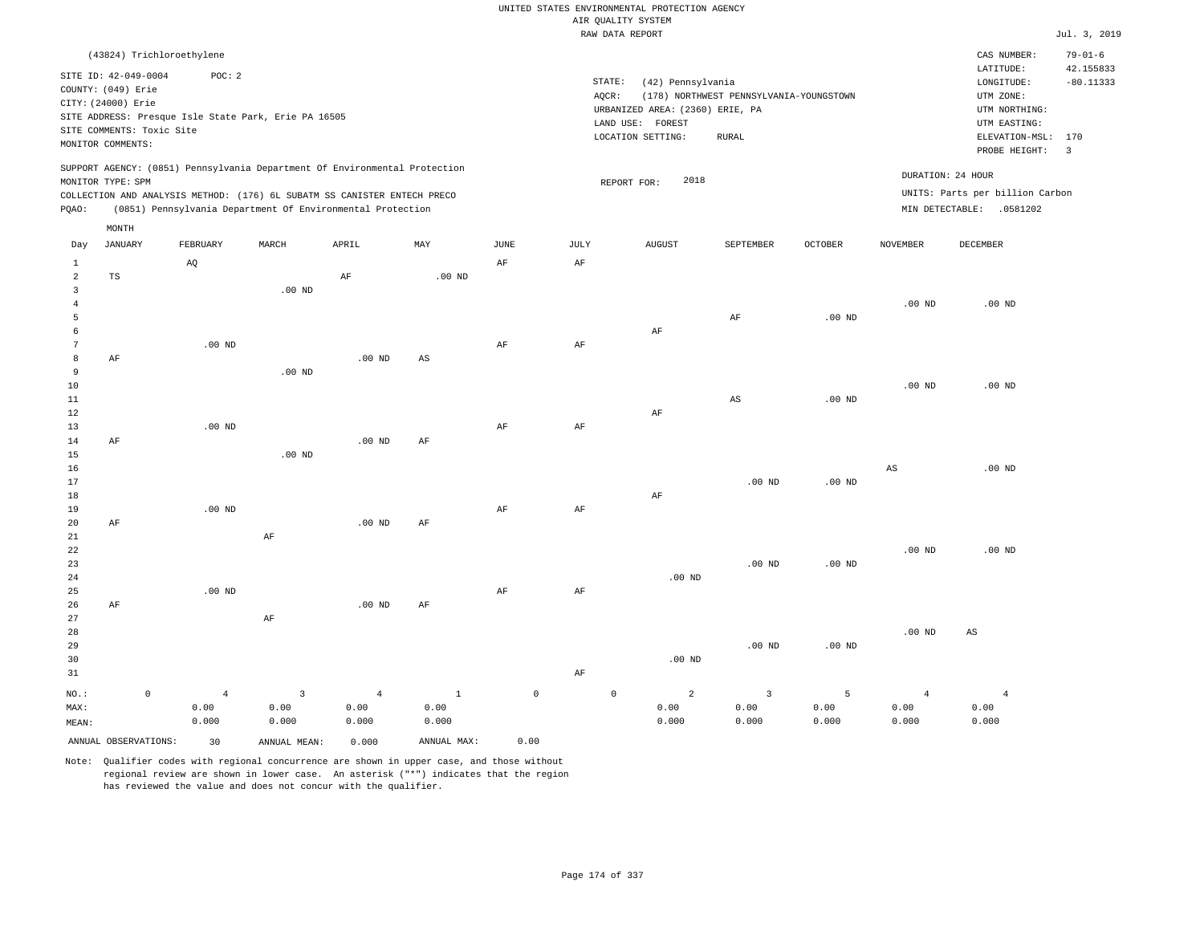|                                     |                                                   |             |                                 |                                                      |                                                                                                                                        |                               |               |           | UNITED STATES ENVIRONMENTAL PROTECTION AGENCY<br>AIR QUALITY SYSTEM     |                                         |                    |                                 |                                                             |                            |
|-------------------------------------|---------------------------------------------------|-------------|---------------------------------|------------------------------------------------------|----------------------------------------------------------------------------------------------------------------------------------------|-------------------------------|---------------|-----------|-------------------------------------------------------------------------|-----------------------------------------|--------------------|---------------------------------|-------------------------------------------------------------|----------------------------|
|                                     |                                                   |             |                                 |                                                      |                                                                                                                                        |                               |               |           | RAW DATA REPORT                                                         |                                         |                    |                                 |                                                             | Jul. 3, 2019               |
|                                     | (43824) Trichloroethylene<br>SITE ID: 42-049-0004 |             | POC: 2                          |                                                      |                                                                                                                                        |                               |               |           |                                                                         |                                         |                    |                                 | CAS NUMBER:<br>LATITUDE:                                    | $79 - 01 - 6$<br>42.155833 |
|                                     | COUNTY: (049) Erie<br>CITY: (24000) Erie          |             |                                 |                                                      |                                                                                                                                        |                               |               |           | STATE:<br>(42) Pennsylvania<br>AQCR:<br>URBANIZED AREA: (2360) ERIE, PA | (178) NORTHWEST PENNSYLVANIA-YOUNGSTOWN |                    |                                 | LONGITUDE:<br>UTM ZONE:<br>UTM NORTHING:                    | $-80.11333$                |
|                                     | SITE COMMENTS: Toxic Site<br>MONITOR COMMENTS:    |             |                                 | SITE ADDRESS: Presque Isle State Park, Erie PA 16505 |                                                                                                                                        |                               |               |           | LAND USE: FOREST<br>LOCATION SETTING:                                   | RURAL                                   |                    |                                 | UTM EASTING:<br>ELEVATION-MSL:<br>PROBE HEIGHT:             | 170<br>$\overline{3}$      |
|                                     | MONITOR TYPE: SPM                                 |             |                                 |                                                      | SUPPORT AGENCY: (0851) Pennsylvania Department Of Environmental Protection                                                             |                               |               |           | 2018<br>REPORT FOR:                                                     |                                         |                    |                                 | DURATION: 24 HOUR                                           |                            |
| PQAO:                               |                                                   |             |                                 |                                                      | COLLECTION AND ANALYSIS METHOD: (176) 6L SUBATM SS CANISTER ENTECH PRECO<br>(0851) Pennsylvania Department Of Environmental Protection |                               |               |           |                                                                         |                                         |                    |                                 | UNITS: Parts per billion Carbon<br>MIN DETECTABLE: .0581202 |                            |
| Day                                 | MONTH<br><b>JANUARY</b>                           |             | FEBRUARY                        | MARCH                                                | APRIL                                                                                                                                  | $_{\rm MAY}$                  | $_{\rm JUNE}$ | JULY      | <b>AUGUST</b>                                                           | SEPTEMBER                               | OCTOBER            | <b>NOVEMBER</b>                 | DECEMBER                                                    |                            |
| $\mathbf{1}$<br>$\overline{a}$      | $_{\rm TS}$                                       |             | AQ                              |                                                      | AF                                                                                                                                     | $.00$ ND                      | AF            | AF        |                                                                         |                                         |                    |                                 |                                                             |                            |
| $\mathbf{3}$<br>$\overline{4}$<br>5 |                                                   |             |                                 | .00 <sub>ND</sub>                                    |                                                                                                                                        |                               |               |           |                                                                         | $\rm AF$                                | $.00$ ND           | $.00$ ND                        | $.00$ ND                                                    |                            |
| 6<br>7                              |                                                   |             | $.00$ ND                        |                                                      |                                                                                                                                        |                               | AF            | AF        | AF                                                                      |                                         |                    |                                 |                                                             |                            |
| 8<br>$\overline{9}$<br>10           | AF                                                |             |                                 | $.00$ ND                                             | $.00$ ND                                                                                                                               | AS                            |               |           |                                                                         |                                         |                    | $.00$ ND                        | $.00$ ND                                                    |                            |
| 11<br>12                            |                                                   |             |                                 |                                                      |                                                                                                                                        |                               |               |           | AF                                                                      | $\mathbb{A}\mathbb{S}$                  | $.00$ ND           |                                 |                                                             |                            |
| 13<br>14<br>15                      | AF                                                |             | $.00$ ND                        | $.00$ ND                                             | $.00$ ND                                                                                                                               | AF                            | AF            | $\rm{AF}$ |                                                                         |                                         |                    |                                 |                                                             |                            |
| 16<br>17                            |                                                   |             |                                 |                                                      |                                                                                                                                        |                               |               |           |                                                                         | $.00$ ND                                | $.00$ ND           | AS                              | $.00$ ND                                                    |                            |
| 18<br>19<br>20                      | AF                                                |             | $.00$ ND                        |                                                      | $.00$ ND                                                                                                                               | AF                            | AF            | AF        | AF                                                                      |                                         |                    |                                 |                                                             |                            |
| $21\,$<br>22<br>23                  |                                                   |             |                                 | AF                                                   |                                                                                                                                        |                               |               |           |                                                                         | $.00$ ND                                | .00 <sub>ND</sub>  | $.00$ ND                        | $.00$ ND                                                    |                            |
| 24<br>25                            |                                                   |             | $.00$ ND                        |                                                      |                                                                                                                                        |                               | $\rm{AF}$     | $\rm{AF}$ | $.00$ ND                                                                |                                         |                    |                                 |                                                             |                            |
| 26<br>27<br>28                      | AF                                                |             |                                 | AF                                                   | $.00$ ND                                                                                                                               | AF                            |               |           |                                                                         |                                         |                    | $.00$ ND                        | $\mathbb{A}\mathbb{S}$                                      |                            |
| 29<br>30<br>31                      |                                                   |             |                                 |                                                      |                                                                                                                                        |                               |               | AF        | $.00$ ND                                                                | $.00$ ND                                | $.00$ ND           |                                 |                                                             |                            |
| $NO.$ :<br>MAX:<br>MEAN:            |                                                   | $\mathbb O$ | $\overline{4}$<br>0.00<br>0.000 | 3<br>0.00<br>0.000                                   | $\overline{4}$<br>0.00<br>0.000                                                                                                        | $\mathbf{1}$<br>0.00<br>0.000 | $\mathbb O$   |           | $\mathsf{O}\xspace$<br>$\overline{a}$<br>0.00<br>0.000                  | $\overline{3}$<br>0.00<br>0.000         | 5<br>0.00<br>0.000 | $\overline{4}$<br>0.00<br>0.000 | $\overline{4}$<br>0.00<br>0.000                             |                            |
|                                     | ANNUAL OBSERVATIONS:                              |             | 30                              | ANNUAL MEAN:                                         | 0.000                                                                                                                                  | ANNUAL MAX:                   | 0.00          |           |                                                                         |                                         |                    |                                 |                                                             |                            |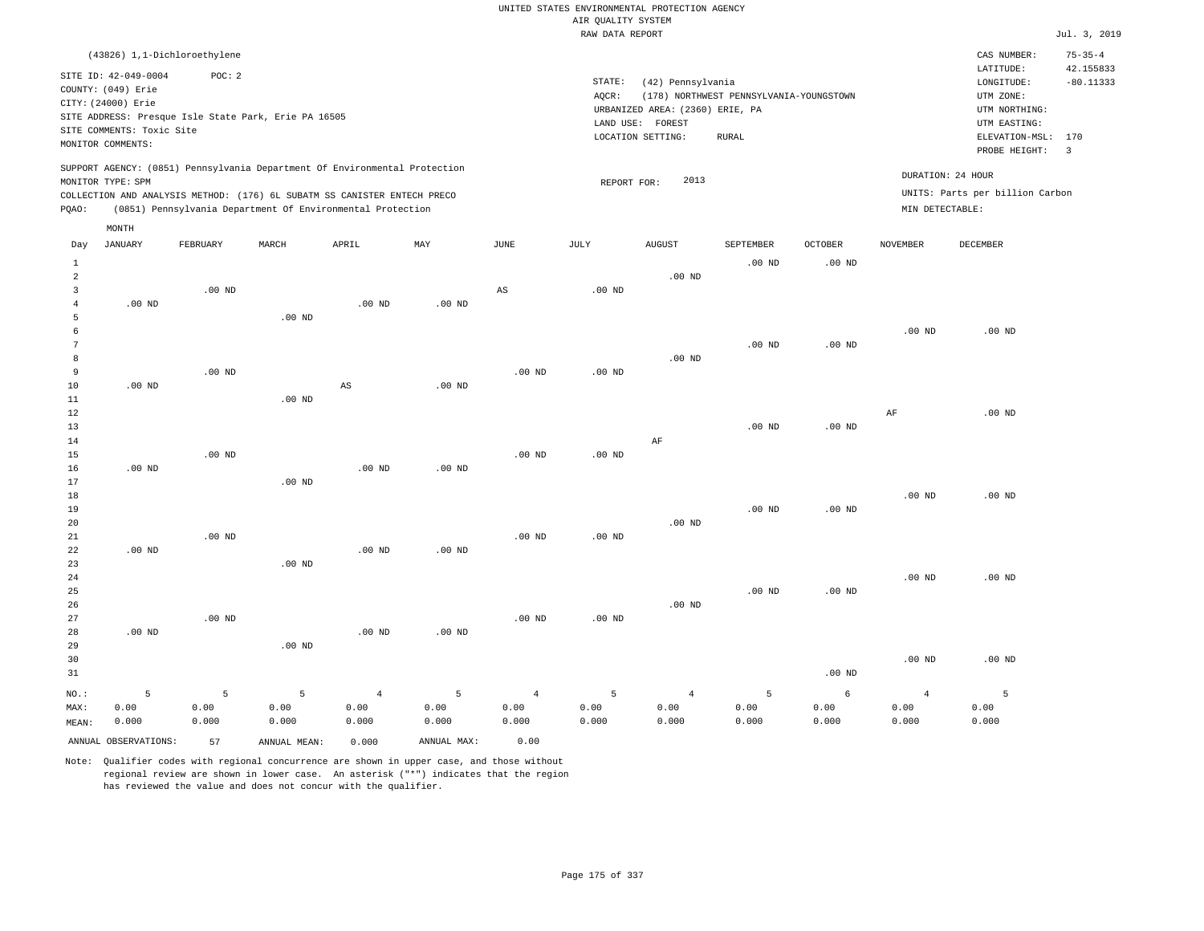|                |                              |                   |                                                                            |                |                   |                   | RAW DATA REPORT   |                                 |                                         |                   |                 |                                 | Jul. 3, 2019   |
|----------------|------------------------------|-------------------|----------------------------------------------------------------------------|----------------|-------------------|-------------------|-------------------|---------------------------------|-----------------------------------------|-------------------|-----------------|---------------------------------|----------------|
|                | (43826) 1,1-Dichloroethylene |                   |                                                                            |                |                   |                   |                   |                                 |                                         |                   |                 | CAS NUMBER:                     | $75 - 35 - 4$  |
|                |                              |                   |                                                                            |                |                   |                   |                   |                                 |                                         |                   |                 | LATITUDE:                       | 42.155833      |
|                | SITE ID: 42-049-0004         | POC: 2            |                                                                            |                |                   |                   | STATE:            | (42) Pennsylvania               |                                         |                   |                 | LONGITUDE:                      | $-80.11333$    |
|                | COUNTY: (049) Erie           |                   |                                                                            |                |                   |                   | AQCR:             |                                 | (178) NORTHWEST PENNSYLVANIA-YOUNGSTOWN |                   |                 | UTM ZONE:                       |                |
|                | CITY: (24000) Erie           |                   |                                                                            |                |                   |                   |                   | URBANIZED AREA: (2360) ERIE, PA |                                         |                   |                 | UTM NORTHING:                   |                |
|                |                              |                   | SITE ADDRESS: Presque Isle State Park, Erie PA 16505                       |                |                   |                   |                   | LAND USE: FOREST                |                                         |                   |                 | UTM EASTING:                    |                |
|                | SITE COMMENTS: Toxic Site    |                   |                                                                            |                |                   |                   |                   | LOCATION SETTING:               | RURAL                                   |                   |                 | ELEVATION-MSL:                  | 170            |
|                | MONITOR COMMENTS:            |                   |                                                                            |                |                   |                   |                   |                                 |                                         |                   |                 | PROBE HEIGHT:                   | $\overline{3}$ |
|                |                              |                   | SUPPORT AGENCY: (0851) Pennsylvania Department Of Environmental Protection |                |                   |                   |                   |                                 |                                         |                   |                 |                                 |                |
|                | MONITOR TYPE: SPM            |                   |                                                                            |                |                   |                   | REPORT FOR:       | 2013                            |                                         |                   |                 | DURATION: 24 HOUR               |                |
|                |                              |                   | COLLECTION AND ANALYSIS METHOD: (176) 6L SUBATM SS CANISTER ENTECH PRECO   |                |                   |                   |                   |                                 |                                         |                   |                 | UNITS: Parts per billion Carbon |                |
| PQAO:          |                              |                   | (0851) Pennsylvania Department Of Environmental Protection                 |                |                   |                   |                   |                                 |                                         |                   | MIN DETECTABLE: |                                 |                |
|                |                              |                   |                                                                            |                |                   |                   |                   |                                 |                                         |                   |                 |                                 |                |
|                | MONTH                        |                   |                                                                            |                |                   |                   |                   |                                 |                                         |                   |                 |                                 |                |
| Day            | <b>JANUARY</b>               | FEBRUARY          | MARCH                                                                      | APRIL          | MAY               | JUNE              | JULY              | <b>AUGUST</b>                   | SEPTEMBER                               | OCTOBER           | <b>NOVEMBER</b> | <b>DECEMBER</b>                 |                |
| $\mathbf{1}$   |                              |                   |                                                                            |                |                   |                   |                   |                                 | $.00$ ND                                | .00 <sub>ND</sub> |                 |                                 |                |
| $\overline{a}$ |                              |                   |                                                                            |                |                   |                   |                   | $.00$ ND                        |                                         |                   |                 |                                 |                |
| 3              |                              | $.00$ ND          |                                                                            |                |                   | AS                | $.00$ ND          |                                 |                                         |                   |                 |                                 |                |
| $\overline{4}$ | $.00$ ND                     |                   |                                                                            | $.00$ ND       | $.00$ ND          |                   |                   |                                 |                                         |                   |                 |                                 |                |
| 5              |                              |                   | $.00$ ND                                                                   |                |                   |                   |                   |                                 |                                         |                   |                 |                                 |                |
| 6              |                              |                   |                                                                            |                |                   |                   |                   |                                 |                                         |                   | $.00$ ND        | $.00$ ND                        |                |
| 7              |                              |                   |                                                                            |                |                   |                   |                   |                                 | $.00$ ND                                | $.00$ ND          |                 |                                 |                |
| 8              |                              |                   |                                                                            |                |                   |                   |                   | $.00$ ND                        |                                         |                   |                 |                                 |                |
| 9              |                              | $.00$ ND          |                                                                            |                |                   | $.00$ ND          | $.00$ ND          |                                 |                                         |                   |                 |                                 |                |
| 10             | $.00$ ND                     |                   |                                                                            | $_{\rm AS}$    | .00 <sub>ND</sub> |                   |                   |                                 |                                         |                   |                 |                                 |                |
| 11             |                              |                   | $.00$ ND                                                                   |                |                   |                   |                   |                                 |                                         |                   |                 |                                 |                |
| 12             |                              |                   |                                                                            |                |                   |                   |                   |                                 |                                         |                   | AF              | $.00$ ND                        |                |
| 13             |                              |                   |                                                                            |                |                   |                   |                   |                                 | $.00$ ND                                | .00 <sub>ND</sub> |                 |                                 |                |
| 14             |                              |                   |                                                                            |                |                   |                   |                   | AF                              |                                         |                   |                 |                                 |                |
| 15             |                              | $.00$ ND          |                                                                            |                |                   | $.00$ ND          | $.00$ ND          |                                 |                                         |                   |                 |                                 |                |
| 16             | $.00$ ND                     |                   |                                                                            | $.00$ ND       | .00 <sub>ND</sub> |                   |                   |                                 |                                         |                   |                 |                                 |                |
| 17             |                              |                   | $.00$ ND                                                                   |                |                   |                   |                   |                                 |                                         |                   |                 |                                 |                |
| 18             |                              |                   |                                                                            |                |                   |                   |                   |                                 |                                         |                   | $.00$ ND        | $.00$ ND                        |                |
| 19             |                              |                   |                                                                            |                |                   |                   |                   |                                 | $.00$ ND                                | $.00$ ND          |                 |                                 |                |
| 20             |                              |                   |                                                                            |                |                   |                   |                   | $.00$ ND                        |                                         |                   |                 |                                 |                |
| 21             |                              | .00 <sub>ND</sub> |                                                                            |                |                   | .00 <sub>ND</sub> | .00 <sub>ND</sub> |                                 |                                         |                   |                 |                                 |                |
| 22             | $.00$ ND                     |                   |                                                                            | $.00$ ND       | .00 <sub>ND</sub> |                   |                   |                                 |                                         |                   |                 |                                 |                |
| 23             |                              |                   | $.00$ ND                                                                   |                |                   |                   |                   |                                 |                                         |                   |                 |                                 |                |
| 24             |                              |                   |                                                                            |                |                   |                   |                   |                                 |                                         |                   | $.00$ ND        | .00 <sub>ND</sub>               |                |
| 25             |                              |                   |                                                                            |                |                   |                   |                   |                                 | $.00$ ND                                | .00 <sub>ND</sub> |                 |                                 |                |
| 26             |                              |                   |                                                                            |                |                   |                   |                   | $.00$ ND                        |                                         |                   |                 |                                 |                |
| 27             |                              | $.00$ ND          |                                                                            |                |                   | $.00$ ND          | .00 <sub>ND</sub> |                                 |                                         |                   |                 |                                 |                |
| 28             | $.00$ ND                     |                   |                                                                            | $.00$ ND       | .00 <sub>ND</sub> |                   |                   |                                 |                                         |                   |                 |                                 |                |
| 29             |                              |                   | $.00$ ND                                                                   |                |                   |                   |                   |                                 |                                         |                   |                 |                                 |                |
| 30             |                              |                   |                                                                            |                |                   |                   |                   |                                 |                                         |                   | $.00$ ND        | .00 <sub>ND</sub>               |                |
| 31             |                              |                   |                                                                            |                |                   |                   |                   |                                 |                                         | .00 <sub>ND</sub> |                 |                                 |                |
| NO.:           | 5                            | 5                 | 5                                                                          | $\overline{4}$ | 5                 | $\overline{4}$    | 5                 | $\overline{4}$                  | 5                                       | 6                 | $\overline{4}$  | 5                               |                |
| MAX:           | 0.00                         | 0.00              | 0.00                                                                       | 0.00           | 0.00              | 0.00              | 0.00              | 0.00                            | 0.00                                    | 0.00              | 0.00            | 0.00                            |                |
| MEAN:          | 0.000                        | 0.000             | 0.000                                                                      | 0.000          | 0.000             | 0.000             | 0.000             | 0.000                           | 0.000                                   | 0.000             | 0.000           | 0.000                           |                |
|                | ANNUAL OBSERVATIONS:         | 57                | ANNUAL MEAN:                                                               | 0.000          | ANNUAL MAX:       | 0.00              |                   |                                 |                                         |                   |                 |                                 |                |
|                |                              |                   |                                                                            |                |                   |                   |                   |                                 |                                         |                   |                 |                                 |                |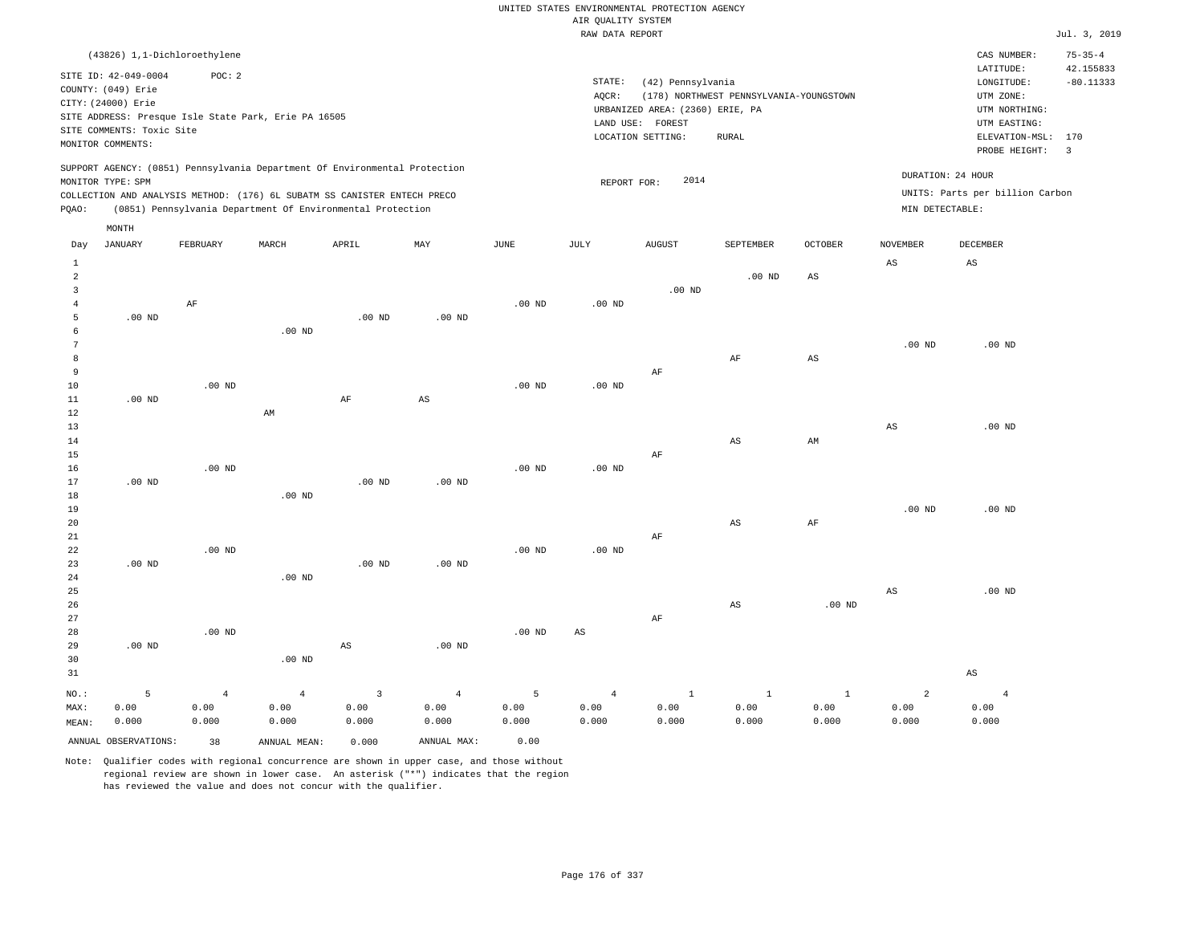|                |                                            |                   |                                                                            |             |                   |          | RAW DATA REPORT |                                 |                                         |                |                 |                                 | Jul. 3, 2019            |
|----------------|--------------------------------------------|-------------------|----------------------------------------------------------------------------|-------------|-------------------|----------|-----------------|---------------------------------|-----------------------------------------|----------------|-----------------|---------------------------------|-------------------------|
|                | (43826) 1,1-Dichloroethylene               |                   |                                                                            |             |                   |          |                 |                                 |                                         |                |                 | CAS NUMBER:                     | $75 - 35 - 4$           |
|                |                                            |                   |                                                                            |             |                   |          |                 |                                 |                                         |                |                 | LATITUDE:                       | 42.155833               |
|                | SITE ID: 42-049-0004<br>COUNTY: (049) Erie | POC: 2            |                                                                            |             |                   |          | STATE:          | (42) Pennsylvania               |                                         |                |                 | LONGITUDE:                      | $-80.11333$             |
|                | CITY: (24000) Erie                         |                   |                                                                            |             |                   |          | AQCR:           |                                 | (178) NORTHWEST PENNSYLVANIA-YOUNGSTOWN |                |                 | UTM ZONE:                       |                         |
|                |                                            |                   | SITE ADDRESS: Presque Isle State Park, Erie PA 16505                       |             |                   |          |                 | URBANIZED AREA: (2360) ERIE, PA |                                         |                |                 | UTM NORTHING:                   |                         |
|                | SITE COMMENTS: Toxic Site                  |                   |                                                                            |             |                   |          |                 | LAND USE: FOREST                |                                         |                |                 | UTM EASTING:                    |                         |
|                | MONITOR COMMENTS:                          |                   |                                                                            |             |                   |          |                 | LOCATION SETTING:               | <b>RURAL</b>                            |                |                 | ELEVATION-MSL: 170              |                         |
|                |                                            |                   |                                                                            |             |                   |          |                 |                                 |                                         |                |                 | PROBE HEIGHT:                   | $\overline{\mathbf{3}}$ |
|                |                                            |                   | SUPPORT AGENCY: (0851) Pennsylvania Department Of Environmental Protection |             |                   |          |                 |                                 |                                         |                |                 | DURATION: 24 HOUR               |                         |
|                | MONITOR TYPE: SPM                          |                   |                                                                            |             |                   |          | REPORT FOR:     | 2014                            |                                         |                |                 | UNITS: Parts per billion Carbon |                         |
|                |                                            |                   | COLLECTION AND ANALYSIS METHOD: (176) 6L SUBATM SS CANISTER ENTECH PRECO   |             |                   |          |                 |                                 |                                         |                |                 |                                 |                         |
| PQAO:          |                                            |                   | (0851) Pennsylvania Department Of Environmental Protection                 |             |                   |          |                 |                                 |                                         |                | MIN DETECTABLE: |                                 |                         |
|                | MONTH                                      |                   |                                                                            |             |                   |          |                 |                                 |                                         |                |                 |                                 |                         |
| Day            | <b>JANUARY</b>                             | FEBRUARY          | MARCH                                                                      | APRIL       | MAY               | JUNE     | JULY            | <b>AUGUST</b>                   | SEPTEMBER                               | <b>OCTOBER</b> | <b>NOVEMBER</b> | <b>DECEMBER</b>                 |                         |
| $\mathbf{1}$   |                                            |                   |                                                                            |             |                   |          |                 |                                 |                                         |                | AS              | AS                              |                         |
| $\overline{2}$ |                                            |                   |                                                                            |             |                   |          |                 |                                 | $.00$ ND                                | $_{\rm AS}$    |                 |                                 |                         |
| 3              |                                            |                   |                                                                            |             |                   |          |                 | $.00$ ND                        |                                         |                |                 |                                 |                         |
| $\overline{4}$ |                                            | AF                |                                                                            |             |                   | $.00$ ND | $.00$ ND        |                                 |                                         |                |                 |                                 |                         |
| 5              | $.00$ ND                                   |                   |                                                                            | $.00$ ND    | $.00$ ND          |          |                 |                                 |                                         |                |                 |                                 |                         |
| 6              |                                            |                   | .00 <sub>ND</sub>                                                          |             |                   |          |                 |                                 |                                         |                |                 |                                 |                         |
| 7              |                                            |                   |                                                                            |             |                   |          |                 |                                 |                                         |                | $.00$ ND        | $.00$ ND                        |                         |
| 8<br>9         |                                            |                   |                                                                            |             |                   |          |                 |                                 | $\rm AF$                                | $_{\rm AS}$    |                 |                                 |                         |
| 10             |                                            | $.00$ ND          |                                                                            |             |                   | $.00$ ND | $.00$ ND        | $\rm AF$                        |                                         |                |                 |                                 |                         |
| 11             | $.00$ ND                                   |                   |                                                                            | $\rm{AF}$   | AS                |          |                 |                                 |                                         |                |                 |                                 |                         |
| 12             |                                            |                   | AM                                                                         |             |                   |          |                 |                                 |                                         |                |                 |                                 |                         |
| 13             |                                            |                   |                                                                            |             |                   |          |                 |                                 |                                         |                | $_{\rm AS}$     | $.00$ ND                        |                         |
| 14             |                                            |                   |                                                                            |             |                   |          |                 |                                 | AS                                      | AM             |                 |                                 |                         |
| 15             |                                            |                   |                                                                            |             |                   |          |                 | AF                              |                                         |                |                 |                                 |                         |
| 16             |                                            | $.00$ ND          |                                                                            |             |                   | $.00$ ND | $.00$ ND        |                                 |                                         |                |                 |                                 |                         |
| 17             | $.00$ ND                                   |                   |                                                                            | $.00$ ND    | $.00$ ND          |          |                 |                                 |                                         |                |                 |                                 |                         |
| 18             |                                            |                   | $.00$ ND                                                                   |             |                   |          |                 |                                 |                                         |                |                 |                                 |                         |
| 19             |                                            |                   |                                                                            |             |                   |          |                 |                                 |                                         |                | $.00$ ND        | $.00$ ND                        |                         |
| 20             |                                            |                   |                                                                            |             |                   |          |                 |                                 | AS                                      | $\rm AF$       |                 |                                 |                         |
| 21             |                                            |                   |                                                                            |             |                   |          |                 | AF                              |                                         |                |                 |                                 |                         |
| 22<br>23       | $.00$ ND                                   | .00 <sub>ND</sub> |                                                                            | $.00$ ND    | $.00$ ND          | $.00$ ND | $.00$ ND        |                                 |                                         |                |                 |                                 |                         |
| 24             |                                            |                   | $.00$ ND                                                                   |             |                   |          |                 |                                 |                                         |                |                 |                                 |                         |
| 25             |                                            |                   |                                                                            |             |                   |          |                 |                                 |                                         |                | $_{\rm AS}$     | $.00$ ND                        |                         |
| 26             |                                            |                   |                                                                            |             |                   |          |                 |                                 | $\mathbb{A}\mathbb{S}$                  | $.00$ ND       |                 |                                 |                         |
| 27             |                                            |                   |                                                                            |             |                   |          |                 | $\rm AF$                        |                                         |                |                 |                                 |                         |
| 28             |                                            | $.00$ ND          |                                                                            |             |                   | $.00$ ND | $_{\rm AS}$     |                                 |                                         |                |                 |                                 |                         |
| 29             | $.00$ ND                                   |                   |                                                                            | $_{\rm AS}$ | .00 <sub>ND</sub> |          |                 |                                 |                                         |                |                 |                                 |                         |
| 30             |                                            |                   | $.00$ ND                                                                   |             |                   |          |                 |                                 |                                         |                |                 |                                 |                         |
| 31             |                                            |                   |                                                                            |             |                   |          |                 |                                 |                                         |                |                 | $\mathbb{A}\mathbb{S}$          |                         |
| NO.:           | 5                                          | $\overline{4}$    | $\overline{4}$                                                             | 3           | $\overline{4}$    | 5        | $\overline{4}$  | $\mathbf{1}$                    | $\mathbf{1}$                            | $\mathbf{1}$   | $\overline{a}$  | $\overline{4}$                  |                         |
| MAX:           | 0.00                                       | 0.00              | 0.00                                                                       | 0.00        | 0.00              | 0.00     | 0.00            | 0.00                            | 0.00                                    | 0.00           | 0.00            | 0.00                            |                         |
| MEAN:          | 0.000                                      | 0.000             | 0.000                                                                      | 0.000       | 0.000             | 0.000    | 0.000           | 0.000                           | 0.000                                   | 0.000          | 0.000           | 0.000                           |                         |
|                | ANNUAL OBSERVATIONS:                       | 38                | ANNUAL, MEAN:                                                              | 0.000       | ANNUAL MAX:       | 0.00     |                 |                                 |                                         |                |                 |                                 |                         |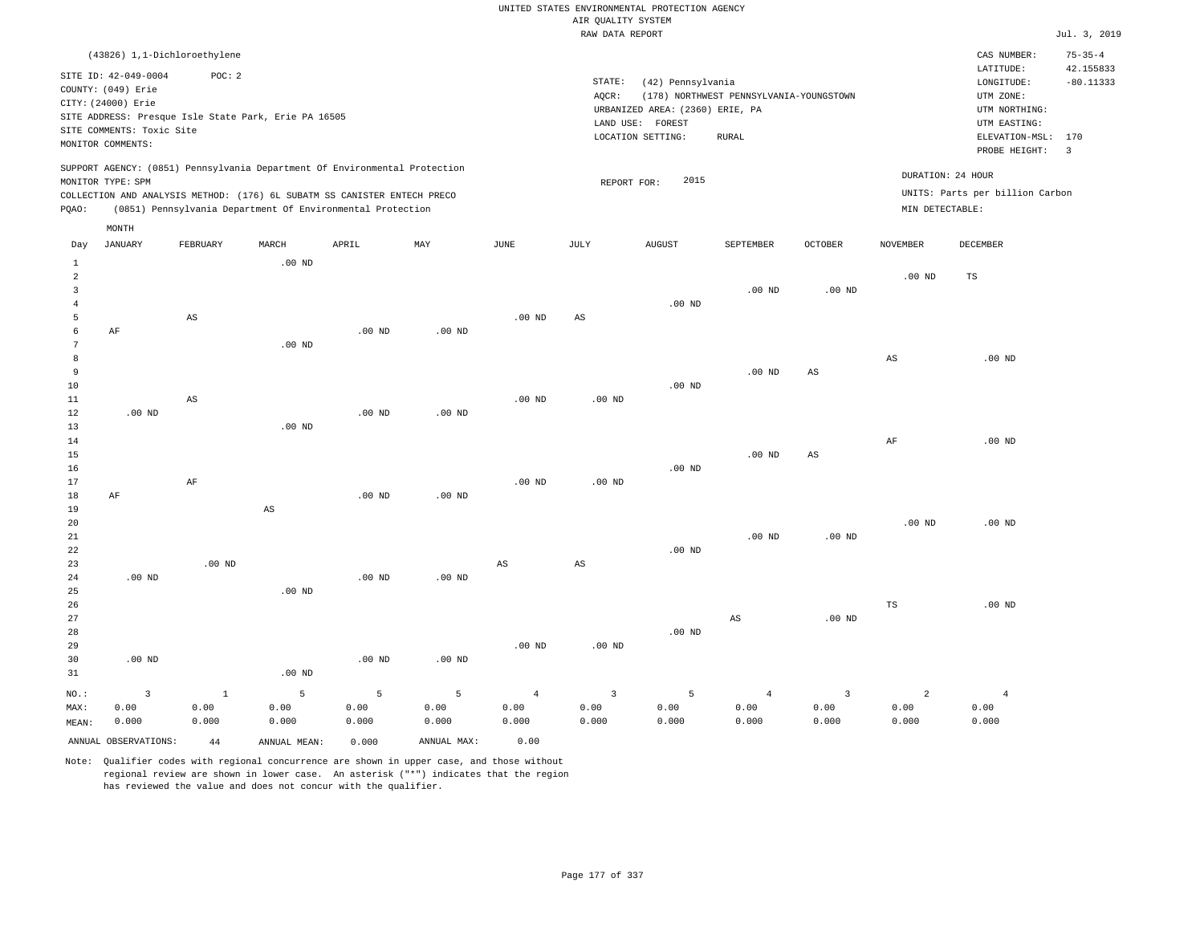|                    |                                                                                                         |                      | (43826) 1,1-Dichloroethylene |          |                                                                                                                                        |     |      |                 |                                                                                                   |                                                      |                         |                 | CAS NUMBER: | $75 - 35 - 4$ |  |
|--------------------|---------------------------------------------------------------------------------------------------------|----------------------|------------------------------|----------|----------------------------------------------------------------------------------------------------------------------------------------|-----|------|-----------------|---------------------------------------------------------------------------------------------------|------------------------------------------------------|-------------------------|-----------------|-------------|---------------|--|
|                    |                                                                                                         | SITE ID: 42-049-0004 | POC: 2                       |          |                                                                                                                                        |     |      |                 |                                                                                                   |                                                      |                         |                 | LATITUDE:   | 42.155833     |  |
| COUNTY: (049) Erie |                                                                                                         |                      |                              |          |                                                                                                                                        |     |      | STATE:<br>AOCR: | LONGITUDE:<br>UTM ZONE:                                                                           | $-80.11333$                                          |                         |                 |             |               |  |
|                    | CITY: (24000) Erie<br>SITE ADDRESS: Presque Isle State Park, Erie PA 16505<br>SITE COMMENTS: Toxic Site |                      |                              |          |                                                                                                                                        |     |      |                 | (178) NORTHWEST PENNSYLVANIA-YOUNGSTOWN<br>URBANIZED AREA: (2360) ERIE, PA<br>FOREST<br>LAND USE: |                                                      |                         |                 |             |               |  |
|                    |                                                                                                         | MONITOR COMMENTS:    |                              |          |                                                                                                                                        |     |      |                 | LOCATION SETTING:                                                                                 | ELEVATION-MSL: 170<br>PROBE HEIGHT:                  | $\overline{\mathbf{3}}$ |                 |             |               |  |
|                    |                                                                                                         | MONITOR TYPE: SPM    |                              |          | SUPPORT AGENCY: (0851) Pennsylvania Department Of Environmental Protection                                                             |     |      |                 | 2015<br>REPORT FOR:                                                                               | DURATION: 24 HOUR<br>UNITS: Parts per billion Carbon |                         |                 |             |               |  |
|                    | POAO:                                                                                                   |                      |                              |          | COLLECTION AND ANALYSIS METHOD: (176) 6L SUBATM SS CANISTER ENTECH PRECO<br>(0851) Pennsylvania Department Of Environmental Protection |     |      |                 |                                                                                                   |                                                      |                         | MIN DETECTABLE: |             |               |  |
|                    | Day                                                                                                     | MONTH<br>JANUARY     | FEBRUARY                     | MARCH    | APRIL                                                                                                                                  | MAY | JUNE | JULY            | <b>AUGUST</b>                                                                                     | SEPTEMBER                                            | OCTOBER                 | <b>NOVEMBER</b> | DECEMBER    |               |  |
|                    |                                                                                                         |                      |                              | $.00$ ND |                                                                                                                                        |     |      |                 |                                                                                                   |                                                      |                         | 00 MD           | <b>TPC</b>  |               |  |

|                |          |                        |                        |          |          |                        |                        |          |                        |                         | .0011                  | $\overline{\phantom{0}}$ |
|----------------|----------|------------------------|------------------------|----------|----------|------------------------|------------------------|----------|------------------------|-------------------------|------------------------|--------------------------|
| 3              |          |                        |                        |          |          |                        |                        |          | .00 $ND$               | .00 $ND$                |                        |                          |
| $\overline{4}$ |          |                        |                        |          |          |                        |                        | $.00$ ND |                        |                         |                        |                          |
| 5              |          | $\mathbb{A}\mathbb{S}$ |                        |          |          | $.00$ ND               | $_{\rm AS}$            |          |                        |                         |                        |                          |
| 6              | $\rm AF$ |                        |                        | .00 $ND$ | $.00$ ND |                        |                        |          |                        |                         |                        |                          |
| 7              |          |                        | $.00$ ND               |          |          |                        |                        |          |                        |                         |                        |                          |
| 8              |          |                        |                        |          |          |                        |                        |          |                        |                         | $\mathbb{A}\mathbb{S}$ | $.00$ ND                 |
| 9              |          |                        |                        |          |          |                        |                        |          | .00 $ND$               | $\mathbb{A}\mathbb{S}$  |                        |                          |
| $10$           |          |                        |                        |          |          |                        |                        | .00 $ND$ |                        |                         |                        |                          |
| $11\,$         |          | AS                     |                        |          |          | .00 $ND$               | .00 $ND$               |          |                        |                         |                        |                          |
| 12             | $.00$ ND |                        |                        | .00 $ND$ | $.00$ ND |                        |                        |          |                        |                         |                        |                          |
| 13             |          |                        | $.00$ ND               |          |          |                        |                        |          |                        |                         |                        |                          |
| 14             |          |                        |                        |          |          |                        |                        |          |                        |                         | $\rm{AF}$              | $.00$ ND                 |
| 15             |          |                        |                        |          |          |                        |                        |          | $.00$ ND               | $\mathbb{A}\mathbb{S}$  |                        |                          |
| 16             |          |                        |                        |          |          |                        |                        | $.00$ ND |                        |                         |                        |                          |
| 17             |          | $\rm AF$               |                        |          |          | $.00$ ND               | .00 $ND$               |          |                        |                         |                        |                          |
| 18             | $\rm AF$ |                        |                        | .00 $ND$ | $.00$ ND |                        |                        |          |                        |                         |                        |                          |
| 19             |          |                        | $\mathbb{A}\mathbb{S}$ |          |          |                        |                        |          |                        |                         |                        |                          |
| 20             |          |                        |                        |          |          |                        |                        |          |                        |                         | .00 <sub>ND</sub>      | $.00~\mathrm{ND}$        |
| 21             |          |                        |                        |          |          |                        |                        |          | $.00$ ND               | .00 $ND$                |                        |                          |
| 22             |          |                        |                        |          |          |                        |                        | .00 $ND$ |                        |                         |                        |                          |
| 23             |          | .00 $ND$               |                        |          |          | $\mathbb{A}\mathbb{S}$ | $\mathbb{A}\mathbb{S}$ |          |                        |                         |                        |                          |
| 24             | $.00$ ND |                        |                        | .00 $ND$ | $.00$ ND |                        |                        |          |                        |                         |                        |                          |
| 25             |          |                        | $.00$ ND               |          |          |                        |                        |          |                        |                         |                        |                          |
| 26             |          |                        |                        |          |          |                        |                        |          |                        |                         | $_{\rm TS}$            | $.00$ ND                 |
| 27             |          |                        |                        |          |          |                        |                        |          | $\mathbb{A}\mathbb{S}$ | $.00$ ND                |                        |                          |
| 28             |          |                        |                        |          |          |                        |                        | .00 $ND$ |                        |                         |                        |                          |
| 29             |          |                        |                        |          |          | $.00$ ND               | $.00$ ND               |          |                        |                         |                        |                          |
| 30             | $.00$ ND |                        |                        | $.00$ ND | $.00$ ND |                        |                        |          |                        |                         |                        |                          |
| 31             |          |                        | .00 $ND$               |          |          |                        |                        |          |                        |                         |                        |                          |
| $_{\rm NO.}$ : | 3        | $\mathbf{1}$           | $\overline{5}$         | 5        | 5        | $\overline{4}$         | $\mathsf 3$            | 5        | $\overline{4}$         | $\overline{\mathbf{3}}$ | $\overline{a}$         | $\overline{4}$           |
| MAX:           | 0.00     | 0.00                   | 0.00                   | 0.00     | 0.00     | 0.00                   | 0.00                   | 0.00     | 0.00                   | 0.00                    | 0.00                   | 0.00                     |
| MEAN:          | 0.000    | 0.000                  | 0.000                  | 0.000    | 0.000    | 0.000                  | 0.000                  | 0.000    | 0.000                  | 0.000                   | 0.000                  | 0.000                    |

ANNUAL OBSERVATIONS: 44 ANNUAL MEAN: 0.000 ANNUAL MAX: 0.00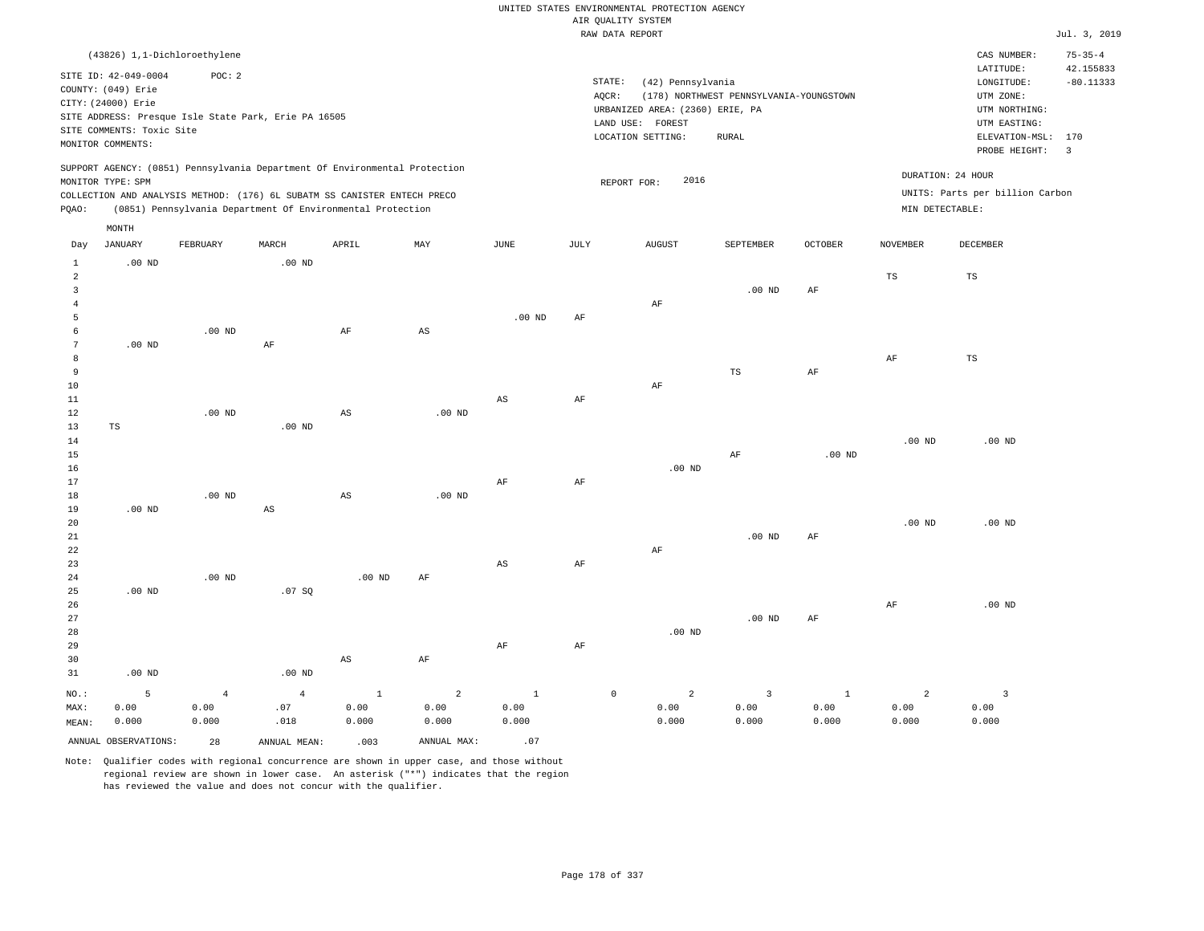|                 |                              |                |                                                      |                                                                            |                |                        |           | RAW DATA REPORT                 |                                         |                |                 |                                 | Jul. 3, 2019   |
|-----------------|------------------------------|----------------|------------------------------------------------------|----------------------------------------------------------------------------|----------------|------------------------|-----------|---------------------------------|-----------------------------------------|----------------|-----------------|---------------------------------|----------------|
|                 | (43826) 1,1-Dichloroethylene |                |                                                      |                                                                            |                |                        |           |                                 |                                         |                |                 | CAS NUMBER:                     | $75 - 35 - 4$  |
|                 |                              |                |                                                      |                                                                            |                |                        |           |                                 |                                         |                |                 | LATITUDE:                       | 42.155833      |
|                 | SITE ID: 42-049-0004         | POC: 2         |                                                      |                                                                            |                |                        |           | STATE:<br>(42) Pennsylvania     |                                         |                |                 | LONGITUDE:                      | $-80.11333$    |
|                 | COUNTY: (049) Erie           |                |                                                      |                                                                            |                |                        |           | AQCR:                           | (178) NORTHWEST PENNSYLVANIA-YOUNGSTOWN |                |                 | UTM ZONE:                       |                |
|                 | CITY: (24000) Erie           |                |                                                      |                                                                            |                |                        |           | URBANIZED AREA: (2360) ERIE, PA |                                         |                |                 | UTM NORTHING:                   |                |
|                 |                              |                | SITE ADDRESS: Presque Isle State Park, Erie PA 16505 |                                                                            |                |                        |           | LAND USE: FOREST                |                                         |                |                 | UTM EASTING:                    |                |
|                 | SITE COMMENTS: Toxic Site    |                |                                                      |                                                                            |                |                        |           | LOCATION SETTING:               | RURAL                                   |                |                 | ELEVATION-MSL: 170              |                |
|                 | MONITOR COMMENTS:            |                |                                                      |                                                                            |                |                        |           |                                 |                                         |                |                 | PROBE HEIGHT:                   | $\overline{3}$ |
|                 |                              |                |                                                      | SUPPORT AGENCY: (0851) Pennsylvania Department Of Environmental Protection |                |                        |           |                                 |                                         |                |                 |                                 |                |
|                 | MONITOR TYPE: SPM            |                |                                                      |                                                                            |                |                        |           | 2016<br>REPORT FOR:             |                                         |                |                 | DURATION: 24 HOUR               |                |
|                 |                              |                |                                                      | COLLECTION AND ANALYSIS METHOD: (176) 6L SUBATM SS CANISTER ENTECH PRECO   |                |                        |           |                                 |                                         |                |                 | UNITS: Parts per billion Carbon |                |
| PQAO:           |                              |                |                                                      | (0851) Pennsylvania Department Of Environmental Protection                 |                |                        |           |                                 |                                         |                | MIN DETECTABLE: |                                 |                |
|                 | MONTH                        |                |                                                      |                                                                            |                |                        |           |                                 |                                         |                |                 |                                 |                |
| Day             | <b>JANUARY</b>               | FEBRUARY       | MARCH                                                | APRIL                                                                      | MAY            | <b>JUNE</b>            | JULY      | <b>AUGUST</b>                   | SEPTEMBER                               | <b>OCTOBER</b> | <b>NOVEMBER</b> | <b>DECEMBER</b>                 |                |
|                 |                              |                |                                                      |                                                                            |                |                        |           |                                 |                                         |                |                 |                                 |                |
| $\mathbf{1}$    | $.00$ ND                     |                | $.00$ ND                                             |                                                                            |                |                        |           |                                 |                                         |                |                 |                                 |                |
| $\overline{a}$  |                              |                |                                                      |                                                                            |                |                        |           |                                 |                                         |                | $_{\rm TS}$     | $\mathbb{TS}$                   |                |
| $\overline{3}$  |                              |                |                                                      |                                                                            |                |                        |           |                                 | $.00$ ND                                | AF             |                 |                                 |                |
| $\overline{4}$  |                              |                |                                                      |                                                                            |                |                        |           | AF                              |                                         |                |                 |                                 |                |
| 5<br>6          |                              | $.00$ ND       |                                                      | $\rm{AF}$                                                                  | AS             | $.00$ ND               | AF        |                                 |                                         |                |                 |                                 |                |
| $7\phantom{.0}$ | $.00$ ND                     |                | $\rm{AF}$                                            |                                                                            |                |                        |           |                                 |                                         |                |                 |                                 |                |
| 8               |                              |                |                                                      |                                                                            |                |                        |           |                                 |                                         |                | $\rm{AF}$       | $_{\rm TS}$                     |                |
| $\overline{9}$  |                              |                |                                                      |                                                                            |                |                        |           |                                 | $_{\rm TS}$                             | $\rm{AF}$      |                 |                                 |                |
| 10              |                              |                |                                                      |                                                                            |                |                        |           | $\rm AF$                        |                                         |                |                 |                                 |                |
| $11\,$          |                              |                |                                                      |                                                                            |                | $\mathbb{A}\mathbb{S}$ | $\rm{AF}$ |                                 |                                         |                |                 |                                 |                |
| 12              |                              | $.00$ ND       |                                                      | $\mathbb{A}\mathbb{S}$                                                     | $.00$ ND       |                        |           |                                 |                                         |                |                 |                                 |                |
| 13              | $_{\rm TS}$                  |                | $.00$ ND                                             |                                                                            |                |                        |           |                                 |                                         |                |                 |                                 |                |
| 14              |                              |                |                                                      |                                                                            |                |                        |           |                                 |                                         |                | $.00$ ND        | $.00$ ND                        |                |
| 15              |                              |                |                                                      |                                                                            |                |                        |           |                                 | AF                                      | $.00$ ND       |                 |                                 |                |
| 16              |                              |                |                                                      |                                                                            |                |                        |           | $.00$ ND                        |                                         |                |                 |                                 |                |
| 17              |                              |                |                                                      |                                                                            |                | AF                     | AF        |                                 |                                         |                |                 |                                 |                |
| 18              |                              | $.00$ ND       |                                                      | AS                                                                         | $.00$ ND       |                        |           |                                 |                                         |                |                 |                                 |                |
| 19              | $.00$ ND                     |                | $\mathbb{A}\mathbb{S}$                               |                                                                            |                |                        |           |                                 |                                         |                |                 |                                 |                |
| 20              |                              |                |                                                      |                                                                            |                |                        |           |                                 |                                         |                | $.00$ ND        | $.00$ ND                        |                |
| 21              |                              |                |                                                      |                                                                            |                |                        |           |                                 | .00 <sub>ND</sub>                       | AF             |                 |                                 |                |
| 22              |                              |                |                                                      |                                                                            |                |                        |           | $\rm AF$                        |                                         |                |                 |                                 |                |
| 23              |                              |                |                                                      |                                                                            |                | AS                     | AF        |                                 |                                         |                |                 |                                 |                |
| 24<br>25        | $.00$ ND                     | $.00$ ND       | .07 SQ                                               | $.00$ ND                                                                   | AF             |                        |           |                                 |                                         |                |                 |                                 |                |
| 26              |                              |                |                                                      |                                                                            |                |                        |           |                                 |                                         |                | AF              | $.00$ ND                        |                |
| 27              |                              |                |                                                      |                                                                            |                |                        |           |                                 | .00 <sub>ND</sub>                       | AF             |                 |                                 |                |
| 28              |                              |                |                                                      |                                                                            |                |                        |           | $.00$ ND                        |                                         |                |                 |                                 |                |
| 29              |                              |                |                                                      |                                                                            |                | AF                     | AF        |                                 |                                         |                |                 |                                 |                |
| 30              |                              |                |                                                      | $\mathbb{A}\mathbb{S}$                                                     | AF             |                        |           |                                 |                                         |                |                 |                                 |                |
| 31              | $.00$ ND                     |                | $.00$ ND                                             |                                                                            |                |                        |           |                                 |                                         |                |                 |                                 |                |
|                 |                              |                |                                                      |                                                                            |                |                        |           |                                 |                                         |                |                 |                                 |                |
| NO.:            | 5                            | $\overline{4}$ | $\overline{4}$                                       | $\,$ 1                                                                     | $\overline{a}$ | $\mathbf{1}$           |           | 2<br>$\mathsf{O}\xspace$        | $\overline{3}$                          | $\mathbf{1}$   | $\overline{a}$  | $\overline{\mathbf{3}}$         |                |
| MAX:            | 0.00                         | 0.00           | .07                                                  | 0.00                                                                       | 0.00           | 0.00                   |           | 0.00                            | 0.00                                    | 0.00           | 0.00            | 0.00                            |                |
| MEAN:           | 0.000                        | 0.000          | .018                                                 | 0.000                                                                      | 0.000          | 0.000                  |           | 0.000                           | 0.000                                   | 0.000          | 0.000           | 0.000                           |                |
|                 | ANNUAL OBSERVATIONS:         | 28             | ANNUAL MEAN:                                         | .003                                                                       | ANNUAL MAX:    | .07                    |           |                                 |                                         |                |                 |                                 |                |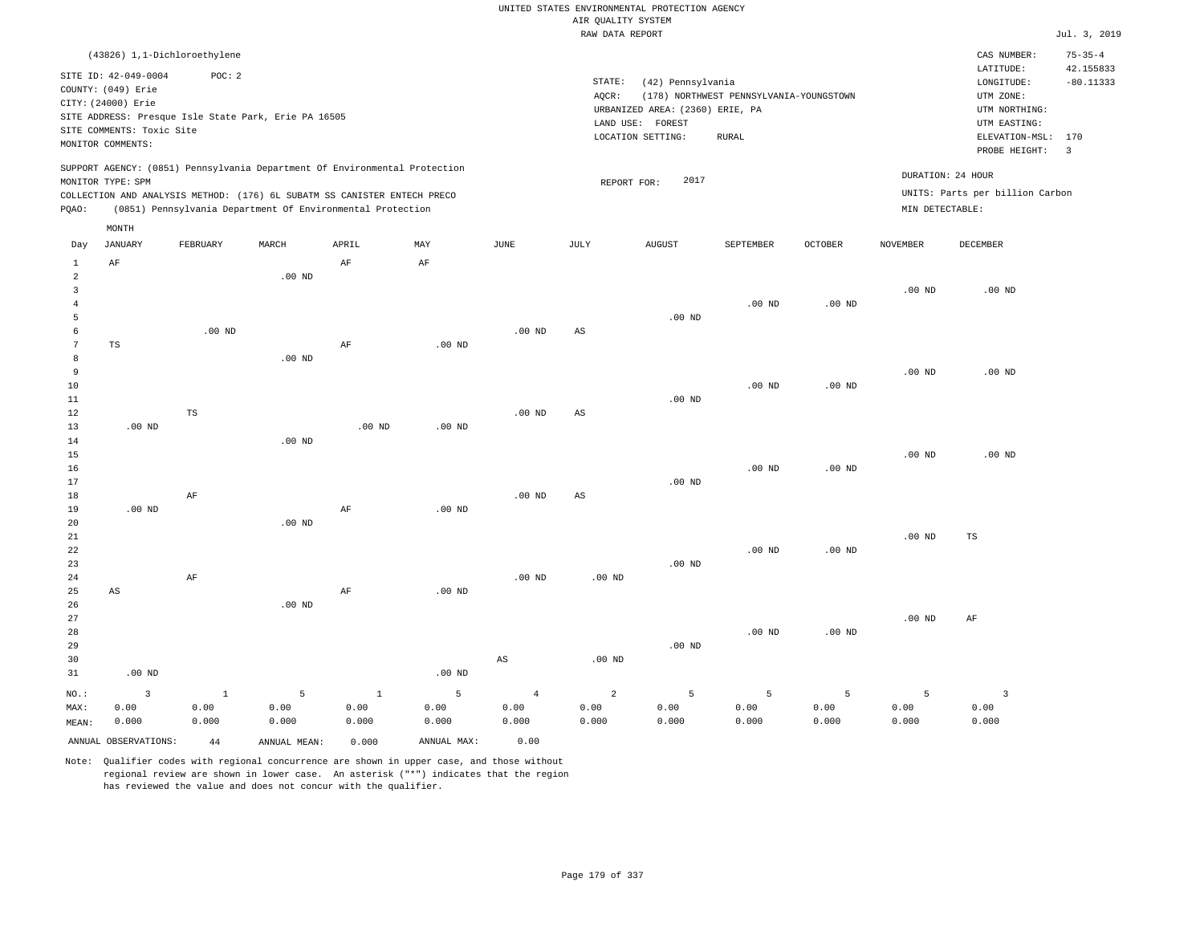|                     |                              |               |                                                      |                                                                            |                   |                   | RAW DATA REPORT |                                 |                                         |                   |                   |                                 | Jul. 3, 2019   |
|---------------------|------------------------------|---------------|------------------------------------------------------|----------------------------------------------------------------------------|-------------------|-------------------|-----------------|---------------------------------|-----------------------------------------|-------------------|-------------------|---------------------------------|----------------|
|                     | (43826) 1,1-Dichloroethylene |               |                                                      |                                                                            |                   |                   |                 |                                 |                                         |                   |                   | CAS NUMBER:                     | $75 - 35 - 4$  |
|                     |                              |               |                                                      |                                                                            |                   |                   |                 |                                 |                                         |                   |                   | LATITUDE:                       | 42.155833      |
|                     | SITE ID: 42-049-0004         | POC: 2        |                                                      |                                                                            |                   |                   | STATE:          | (42) Pennsylvania               |                                         |                   |                   | LONGITUDE:                      | $-80.11333$    |
|                     | COUNTY: (049) Erie           |               |                                                      |                                                                            |                   |                   | AQCR:           |                                 | (178) NORTHWEST PENNSYLVANIA-YOUNGSTOWN |                   |                   | UTM ZONE:                       |                |
|                     | CITY: (24000) Erie           |               |                                                      |                                                                            |                   |                   |                 | URBANIZED AREA: (2360) ERIE, PA |                                         |                   |                   | UTM NORTHING:                   |                |
|                     |                              |               | SITE ADDRESS: Presque Isle State Park, Erie PA 16505 |                                                                            |                   |                   |                 | LAND USE: FOREST                |                                         |                   |                   | UTM EASTING:                    |                |
|                     | SITE COMMENTS: Toxic Site    |               |                                                      |                                                                            |                   |                   |                 | LOCATION SETTING:               | <b>RURAL</b>                            |                   |                   | ELEVATION-MSL:                  | 170            |
|                     | MONITOR COMMENTS:            |               |                                                      |                                                                            |                   |                   |                 |                                 |                                         |                   |                   | PROBE HEIGHT:                   | $\overline{3}$ |
|                     |                              |               |                                                      | SUPPORT AGENCY: (0851) Pennsylvania Department Of Environmental Protection |                   |                   |                 |                                 |                                         |                   |                   |                                 |                |
|                     | MONITOR TYPE: SPM            |               |                                                      |                                                                            |                   |                   | REPORT FOR:     | 2017                            |                                         |                   |                   | DURATION: 24 HOUR               |                |
|                     |                              |               |                                                      | COLLECTION AND ANALYSIS METHOD: (176) 6L SUBATM SS CANISTER ENTECH PRECO   |                   |                   |                 |                                 |                                         |                   |                   | UNITS: Parts per billion Carbon |                |
| PQAO:               |                              |               |                                                      | (0851) Pennsylvania Department Of Environmental Protection                 |                   |                   |                 |                                 |                                         |                   | MIN DETECTABLE:   |                                 |                |
| MONTH               |                              |               |                                                      |                                                                            |                   |                   |                 |                                 |                                         |                   |                   |                                 |                |
| Day                 | <b>JANUARY</b>               | FEBRUARY      | MARCH                                                | APRIL                                                                      | MAY               | JUNE              | JULY            | <b>AUGUST</b>                   | SEPTEMBER                               | <b>OCTOBER</b>    | <b>NOVEMBER</b>   | DECEMBER                        |                |
| $\,1\,$             | AF                           |               |                                                      | $\rm AF$                                                                   | $\rm{AF}$         |                   |                 |                                 |                                         |                   |                   |                                 |                |
| 2                   |                              |               | .00 <sub>ND</sub>                                    |                                                                            |                   |                   |                 |                                 |                                         |                   |                   |                                 |                |
| $\overline{3}$      |                              |               |                                                      |                                                                            |                   |                   |                 |                                 |                                         |                   | $.00$ ND          | .00 <sub>ND</sub>               |                |
| $\overline{4}$      |                              |               |                                                      |                                                                            |                   |                   |                 |                                 | $.00$ ND                                | $.00$ ND          |                   |                                 |                |
| -5                  |                              |               |                                                      |                                                                            |                   |                   |                 | $.00$ ND                        |                                         |                   |                   |                                 |                |
| 6<br>$\overline{7}$ |                              | $.00$ ND      |                                                      |                                                                            |                   | $.00$ ND          | AS              |                                 |                                         |                   |                   |                                 |                |
|                     | TS                           |               |                                                      | AF                                                                         | $.00$ ND          |                   |                 |                                 |                                         |                   |                   |                                 |                |
| 8<br>$\overline{9}$ |                              |               | $.00$ ND                                             |                                                                            |                   |                   |                 |                                 |                                         |                   | .00 <sub>ND</sub> | .00 <sub>ND</sub>               |                |
| 10                  |                              |               |                                                      |                                                                            |                   |                   |                 |                                 | $.00$ ND                                | .00 <sub>ND</sub> |                   |                                 |                |
| 11                  |                              |               |                                                      |                                                                            |                   |                   |                 | $.00$ ND                        |                                         |                   |                   |                                 |                |
| 12                  |                              | $\mathbb{TS}$ |                                                      |                                                                            |                   | $.00$ ND          | AS              |                                 |                                         |                   |                   |                                 |                |
| 13                  | $.00$ ND                     |               |                                                      | .00 <sub>ND</sub>                                                          | .00 <sub>ND</sub> |                   |                 |                                 |                                         |                   |                   |                                 |                |
| 14                  |                              |               | $.00$ ND                                             |                                                                            |                   |                   |                 |                                 |                                         |                   |                   |                                 |                |
| 15                  |                              |               |                                                      |                                                                            |                   |                   |                 |                                 |                                         |                   | .00 <sub>ND</sub> | $.00$ ND                        |                |
| 16                  |                              |               |                                                      |                                                                            |                   |                   |                 |                                 | $.00$ ND                                | $.00$ ND          |                   |                                 |                |
| 17                  |                              |               |                                                      |                                                                            |                   |                   |                 | $.00$ ND                        |                                         |                   |                   |                                 |                |
| 18                  |                              | $\rm AF$      |                                                      |                                                                            |                   | .00 <sub>ND</sub> | AS              |                                 |                                         |                   |                   |                                 |                |
| 19                  | $.00$ ND                     |               |                                                      | $\rm AF$                                                                   | $.00$ ND          |                   |                 |                                 |                                         |                   |                   |                                 |                |
| 20                  |                              |               | .00 <sub>ND</sub>                                    |                                                                            |                   |                   |                 |                                 |                                         |                   |                   |                                 |                |
| 21                  |                              |               |                                                      |                                                                            |                   |                   |                 |                                 |                                         |                   | .00 <sub>ND</sub> | $_{\rm TS}$                     |                |
| 22                  |                              |               |                                                      |                                                                            |                   |                   |                 |                                 | $.00$ ND                                | $.00$ ND          |                   |                                 |                |
| 23<br>24            |                              | $\rm AF$      |                                                      |                                                                            |                   | .00 <sub>ND</sub> | $.00$ ND        | $.00$ ND                        |                                         |                   |                   |                                 |                |
| 25                  | AS                           |               |                                                      | AF                                                                         | $.00$ ND          |                   |                 |                                 |                                         |                   |                   |                                 |                |
| 26                  |                              |               | $.00$ ND                                             |                                                                            |                   |                   |                 |                                 |                                         |                   |                   |                                 |                |
| 27                  |                              |               |                                                      |                                                                            |                   |                   |                 |                                 |                                         |                   | .00 <sub>ND</sub> | AF                              |                |
| 28                  |                              |               |                                                      |                                                                            |                   |                   |                 |                                 | $.00$ ND                                | $.00$ ND          |                   |                                 |                |
| 29                  |                              |               |                                                      |                                                                            |                   |                   |                 | $.00$ ND                        |                                         |                   |                   |                                 |                |
| 30                  |                              |               |                                                      |                                                                            |                   | AS                | $.00$ ND        |                                 |                                         |                   |                   |                                 |                |
| 31                  | $.00$ ND                     |               |                                                      |                                                                            | .00 <sub>ND</sub> |                   |                 |                                 |                                         |                   |                   |                                 |                |
| NO.:                | $\overline{\mathbf{3}}$      | $1\,$         | 5                                                    | $\mathbf{1}$                                                               | 5                 | $\overline{4}$    | $\overline{a}$  | 5                               | 5                                       | 5                 | 5                 | $\overline{3}$                  |                |
| MAX:                | 0.00                         | 0.00          | 0.00                                                 | 0.00                                                                       | 0.00              | 0.00              | 0.00            | 0.00                            | 0.00                                    | 0.00              | 0.00              | 0.00                            |                |
| MEAN:               | 0.000                        | 0.000         | 0.000                                                | 0.000                                                                      | 0.000             | 0.000             | 0.000           | 0.000                           | 0.000                                   | 0.000             | 0.000             | 0.000                           |                |
|                     | ANNUAL OBSERVATIONS:         | $4\,4$        | ANNUAL MEAN:                                         | 0.000                                                                      | ANNUAL MAX:       | 0.00              |                 |                                 |                                         |                   |                   |                                 |                |
|                     |                              |               |                                                      |                                                                            |                   |                   |                 |                                 |                                         |                   |                   |                                 |                |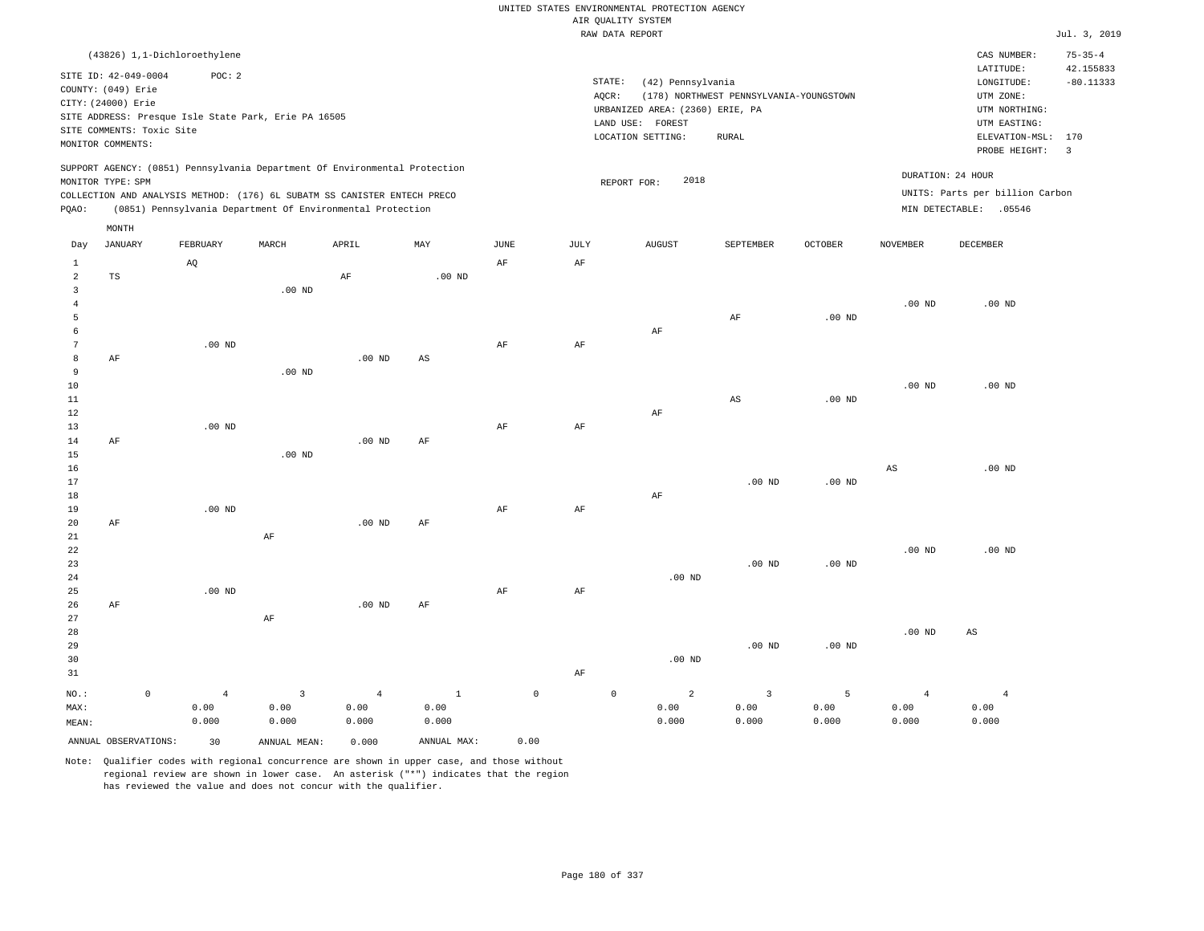|                |                           |                                        |                                                      |                                                                            |               |                     |           | UNITED STATES ENVIRONMENTAL PROTECTION AGENCY |                                         |                   |                   |                                 |                                           |
|----------------|---------------------------|----------------------------------------|------------------------------------------------------|----------------------------------------------------------------------------|---------------|---------------------|-----------|-----------------------------------------------|-----------------------------------------|-------------------|-------------------|---------------------------------|-------------------------------------------|
|                |                           |                                        |                                                      |                                                                            |               |                     |           | AIR QUALITY SYSTEM<br>RAW DATA REPORT         |                                         |                   |                   |                                 | Jul. 3, 2019                              |
|                |                           |                                        |                                                      |                                                                            |               |                     |           |                                               |                                         |                   |                   |                                 |                                           |
|                | SITE ID: 42-049-0004      | (43826) 1,1-Dichloroethylene<br>POC: 2 |                                                      |                                                                            |               |                     | STATE:    |                                               |                                         |                   |                   | CAS NUMBER:<br>LATITUDE:        | $75 - 35 - 4$<br>42.155833<br>$-80.11333$ |
|                | COUNTY: (049) Erie        |                                        |                                                      |                                                                            |               |                     | AQCR:     | (42) Pennsylvania                             | (178) NORTHWEST PENNSYLVANIA-YOUNGSTOWN |                   |                   | LONGITUDE:<br>UTM ZONE:         |                                           |
|                | CITY: (24000) Erie        |                                        |                                                      |                                                                            |               |                     |           | URBANIZED AREA: (2360) ERIE, PA               |                                         |                   |                   | UTM NORTHING:                   |                                           |
|                |                           |                                        | SITE ADDRESS: Presque Isle State Park, Erie PA 16505 |                                                                            |               |                     |           | LAND USE: FOREST                              |                                         |                   |                   | UTM EASTING:                    |                                           |
|                | SITE COMMENTS: Toxic Site |                                        |                                                      |                                                                            |               |                     |           | LOCATION SETTING:                             | <b>RURAL</b>                            |                   |                   | ELEVATION-MSL:                  | 170                                       |
|                | MONITOR COMMENTS:         |                                        |                                                      |                                                                            |               |                     |           |                                               |                                         |                   |                   | PROBE HEIGHT:                   | $\overline{3}$                            |
|                | MONITOR TYPE: SPM         |                                        |                                                      | SUPPORT AGENCY: (0851) Pennsylvania Department Of Environmental Protection |               |                     |           | 2018<br>REPORT FOR:                           |                                         |                   | DURATION: 24 HOUR |                                 |                                           |
|                |                           |                                        |                                                      | COLLECTION AND ANALYSIS METHOD: (176) 6L SUBATM SS CANISTER ENTECH PRECO   |               |                     |           |                                               |                                         |                   |                   | UNITS: Parts per billion Carbon |                                           |
| PQAO:          |                           |                                        |                                                      | (0851) Pennsylvania Department Of Environmental Protection                 |               |                     |           |                                               |                                         |                   |                   | MIN DETECTABLE: .05546          |                                           |
|                | MONTH                     |                                        |                                                      |                                                                            |               |                     |           |                                               |                                         |                   |                   |                                 |                                           |
| Day            | <b>JANUARY</b>            | FEBRUARY                               | MARCH                                                | APRIL                                                                      | MAY           | JUNE                | JULY      | <b>AUGUST</b>                                 | SEPTEMBER                               | OCTOBER           | <b>NOVEMBER</b>   | DECEMBER                        |                                           |
| $\mathbf{1}$   |                           | AQ                                     |                                                      |                                                                            |               | AF                  | AF        |                                               |                                         |                   |                   |                                 |                                           |
| $\overline{a}$ | $_{\rm TS}$               |                                        |                                                      | AF                                                                         | $.00$ ND      |                     |           |                                               |                                         |                   |                   |                                 |                                           |
| $\mathbf{3}$   |                           |                                        | $.00$ ND                                             |                                                                            |               |                     |           |                                               |                                         |                   |                   |                                 |                                           |
| $\overline{4}$ |                           |                                        |                                                      |                                                                            |               |                     |           |                                               |                                         |                   | .00 <sub>ND</sub> | $.00$ ND                        |                                           |
| 5<br>6         |                           |                                        |                                                      |                                                                            |               |                     |           | AF                                            | AF                                      | $.00$ ND          |                   |                                 |                                           |
| $\overline{7}$ |                           | .00 <sub>ND</sub>                      |                                                      |                                                                            |               | $\rm{AF}$           | $\rm{AF}$ |                                               |                                         |                   |                   |                                 |                                           |
| 8              | AF                        |                                        |                                                      | $.00$ ND                                                                   | AS            |                     |           |                                               |                                         |                   |                   |                                 |                                           |
| 9              |                           |                                        | $.00$ ND                                             |                                                                            |               |                     |           |                                               |                                         |                   |                   |                                 |                                           |
| $10$           |                           |                                        |                                                      |                                                                            |               |                     |           |                                               |                                         |                   | .00 <sub>ND</sub> | $.00$ ND                        |                                           |
| $11\,$         |                           |                                        |                                                      |                                                                            |               |                     |           |                                               | $_{\rm AS}$                             | $.00$ ND          |                   |                                 |                                           |
| 12             |                           |                                        |                                                      |                                                                            |               |                     |           | AF                                            |                                         |                   |                   |                                 |                                           |
| 13             |                           | $.00$ ND                               |                                                      |                                                                            |               | AF                  | AF        |                                               |                                         |                   |                   |                                 |                                           |
| 14<br>15       | $\rm AF$                  |                                        | $.00$ ND                                             | $.00$ ND                                                                   | AF            |                     |           |                                               |                                         |                   |                   |                                 |                                           |
| 16             |                           |                                        |                                                      |                                                                            |               |                     |           |                                               |                                         |                   | AS                | $.00$ ND                        |                                           |
| 17             |                           |                                        |                                                      |                                                                            |               |                     |           |                                               | $.00$ ND                                | $.00$ ND          |                   |                                 |                                           |
| 18             |                           |                                        |                                                      |                                                                            |               |                     |           | AF                                            |                                         |                   |                   |                                 |                                           |
| 19             |                           | $.00$ ND                               |                                                      |                                                                            |               | AF                  | AF        |                                               |                                         |                   |                   |                                 |                                           |
| 20             | $\rm AF$                  |                                        |                                                      | $.00$ ND                                                                   | AF            |                     |           |                                               |                                         |                   |                   |                                 |                                           |
| 21<br>22       |                           |                                        | $\rm AF$                                             |                                                                            |               |                     |           |                                               |                                         |                   | $.00$ ND          | $.00$ ND                        |                                           |
| 23             |                           |                                        |                                                      |                                                                            |               |                     |           |                                               | $.00$ ND                                | $.00$ ND          |                   |                                 |                                           |
| 24             |                           |                                        |                                                      |                                                                            |               |                     |           | $.00$ ND                                      |                                         |                   |                   |                                 |                                           |
| 25             |                           | $.00$ ND                               |                                                      |                                                                            |               | $\rm{AF}$           | $\rm{AF}$ |                                               |                                         |                   |                   |                                 |                                           |
| 26             | AF                        |                                        |                                                      | $.00$ ND                                                                   | AF            |                     |           |                                               |                                         |                   |                   |                                 |                                           |
| 27             |                           |                                        | AF                                                   |                                                                            |               |                     |           |                                               |                                         |                   |                   |                                 |                                           |
| 28             |                           |                                        |                                                      |                                                                            |               |                     |           |                                               |                                         |                   | .00 <sub>ND</sub> | AS                              |                                           |
| 29             |                           |                                        |                                                      |                                                                            |               |                     |           |                                               | $.00$ ND                                | .00 <sub>ND</sub> |                   |                                 |                                           |
| 30<br>31       |                           |                                        |                                                      |                                                                            |               |                     | AF        | $.00$ ND                                      |                                         |                   |                   |                                 |                                           |
|                |                           |                                        |                                                      |                                                                            |               |                     |           |                                               |                                         |                   |                   |                                 |                                           |
| $NO.$ :        | $\mathbb O$               | $\overline{4}$                         | $\overline{3}$                                       | $\overline{4}$                                                             | $\mathbf{1}$  | $\mathsf{O}\xspace$ |           | $\mathsf{O}\xspace$<br>2                      | $\overline{3}$                          | 5                 | $\overline{4}$    | $\overline{4}$                  |                                           |
| MAX:           |                           | 0.00<br>0.000                          | 0.00<br>0.000                                        | 0.00<br>0.000                                                              | 0.00<br>0.000 |                     |           | 0.00<br>0.000                                 | 0.00<br>0.000                           | 0.00<br>0.000     | 0.00<br>0.000     | 0.00<br>0.000                   |                                           |
| MEAN:          |                           |                                        |                                                      |                                                                            |               |                     |           |                                               |                                         |                   |                   |                                 |                                           |
|                | ANNUAL OBSERVATIONS:      | 30                                     | ANNUAL MEAN:                                         | 0.000                                                                      | ANNUAL MAX:   | 0.00                |           |                                               |                                         |                   |                   |                                 |                                           |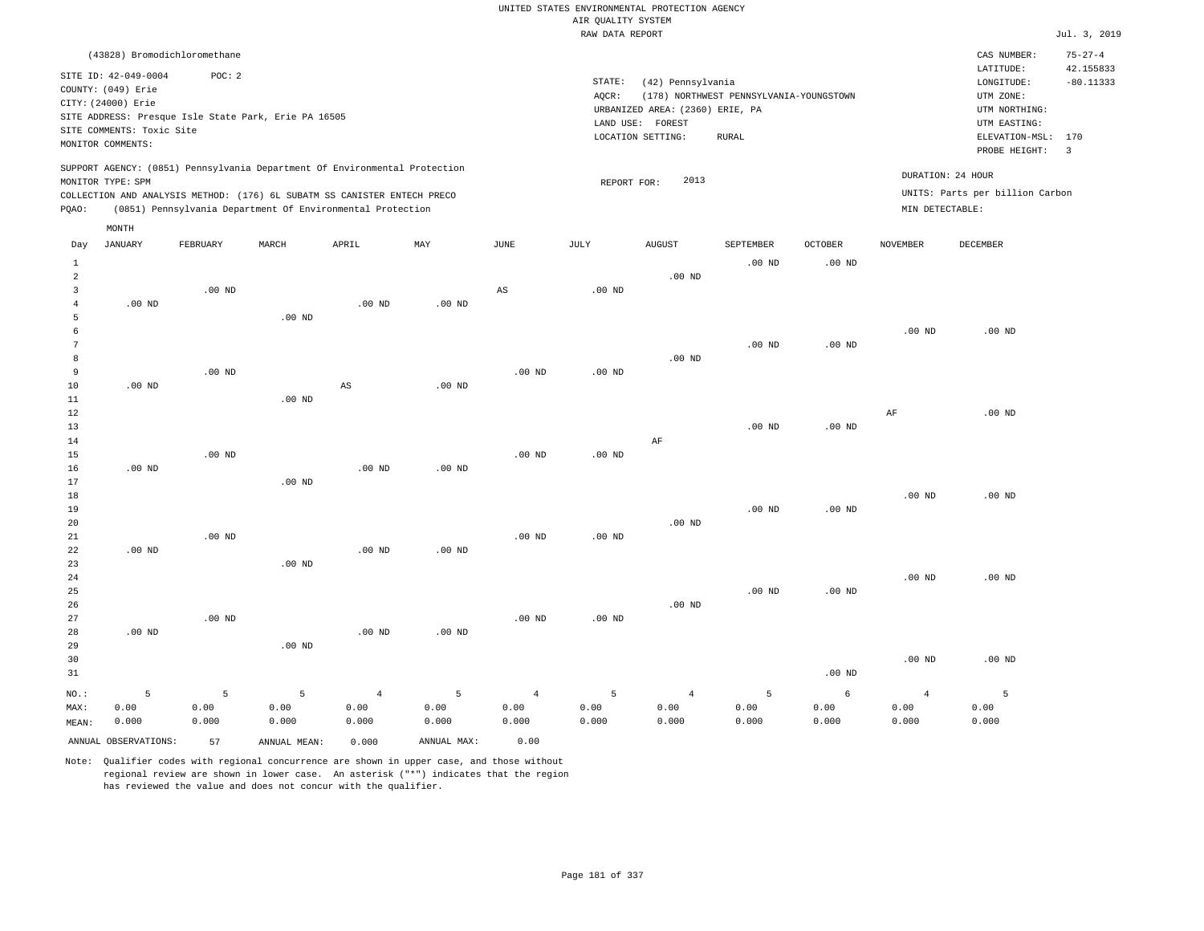### RAW DATA REPORT Jul. 3, 2019 UNITED STATES ENVIRONMENTAL PROTECTION AGENCY AIR QUALITY SYSTEM

|                | (43828) Bromodichloromethane |          |                                                                            |                   |                   |                        |                    |                                 |                                         |                   |                   | CAS NUMBER:                     | $75 - 27 - 4$           |
|----------------|------------------------------|----------|----------------------------------------------------------------------------|-------------------|-------------------|------------------------|--------------------|---------------------------------|-----------------------------------------|-------------------|-------------------|---------------------------------|-------------------------|
|                | SITE ID: 42-049-0004         | POC: 2   |                                                                            |                   |                   |                        |                    |                                 |                                         |                   |                   | LATITUDE:                       | 42.155833               |
|                | COUNTY: (049) Erie           |          |                                                                            |                   |                   |                        | $\texttt{STATE}$ : | (42) Pennsylvania               |                                         |                   |                   | LONGITUDE:                      | $-80.11333$             |
|                | CITY: (24000) Erie           |          |                                                                            |                   |                   |                        | AQCR:              |                                 | (178) NORTHWEST PENNSYLVANIA-YOUNGSTOWN |                   |                   | UTM ZONE:                       |                         |
|                |                              |          | SITE ADDRESS: Presque Isle State Park, Erie PA 16505                       |                   |                   |                        |                    | URBANIZED AREA: (2360) ERIE, PA |                                         |                   |                   | UTM NORTHING:                   |                         |
|                | SITE COMMENTS: Toxic Site    |          |                                                                            |                   |                   |                        |                    | LAND USE: FOREST                |                                         |                   |                   | UTM EASTING:                    |                         |
|                | MONITOR COMMENTS:            |          |                                                                            |                   |                   |                        |                    | LOCATION SETTING:               | RURAL                                   |                   |                   | ELEVATION-MSL: 170              |                         |
|                |                              |          |                                                                            |                   |                   |                        |                    |                                 |                                         |                   |                   | PROBE HEIGHT:                   | $\overline{\mathbf{3}}$ |
|                |                              |          | SUPPORT AGENCY: (0851) Pennsylvania Department Of Environmental Protection |                   |                   |                        |                    |                                 |                                         |                   | DURATION: 24 HOUR |                                 |                         |
|                | MONITOR TYPE: SPM            |          |                                                                            |                   |                   |                        | REPORT FOR:        | 2013                            |                                         |                   |                   | UNITS: Parts per billion Carbon |                         |
|                |                              |          | COLLECTION AND ANALYSIS METHOD: (176) 6L SUBATM SS CANISTER ENTECH PRECO   |                   |                   |                        |                    |                                 |                                         |                   | MIN DETECTABLE:   |                                 |                         |
| PQAO:          |                              |          | (0851) Pennsylvania Department Of Environmental Protection                 |                   |                   |                        |                    |                                 |                                         |                   |                   |                                 |                         |
|                | MONTH                        |          |                                                                            |                   |                   |                        |                    |                                 |                                         |                   |                   |                                 |                         |
| Day            | <b>JANUARY</b>               | FEBRUARY | MARCH                                                                      | APRIL             | MAY               | <b>JUNE</b>            | <b>JULY</b>        | <b>AUGUST</b>                   | SEPTEMBER                               | <b>OCTOBER</b>    | <b>NOVEMBER</b>   | DECEMBER                        |                         |
| $\mathbf{1}$   |                              |          |                                                                            |                   |                   |                        |                    |                                 | $.00$ ND                                | $.00$ ND          |                   |                                 |                         |
| $\sqrt{2}$     |                              |          |                                                                            |                   |                   |                        |                    | $.00$ ND                        |                                         |                   |                   |                                 |                         |
| 3              |                              | $.00$ ND |                                                                            |                   |                   | $\mathbb{A}\mathbb{S}$ | .00 <sub>ND</sub>  |                                 |                                         |                   |                   |                                 |                         |
| $\overline{4}$ | $.00$ ND                     |          |                                                                            | .00 <sub>ND</sub> | $.00$ ND          |                        |                    |                                 |                                         |                   |                   |                                 |                         |
| 5              |                              |          | $.00$ ND                                                                   |                   |                   |                        |                    |                                 |                                         |                   |                   |                                 |                         |
| 6              |                              |          |                                                                            |                   |                   |                        |                    |                                 |                                         |                   | $.00$ ND          | $.00$ ND                        |                         |
| 7              |                              |          |                                                                            |                   |                   |                        |                    |                                 | $.00$ ND                                | $.00$ ND          |                   |                                 |                         |
| 8              |                              |          |                                                                            |                   |                   |                        |                    | $.00$ ND                        |                                         |                   |                   |                                 |                         |
| $\overline{9}$ |                              | $.00$ ND |                                                                            |                   |                   | .00 <sub>ND</sub>      | .00 <sub>ND</sub>  |                                 |                                         |                   |                   |                                 |                         |
| 10             | $.00$ ND                     |          |                                                                            | $_{\rm AS}$       | $.00$ ND          |                        |                    |                                 |                                         |                   |                   |                                 |                         |
| 11             |                              |          | $.00$ ND                                                                   |                   |                   |                        |                    |                                 |                                         |                   |                   |                                 |                         |
| 12             |                              |          |                                                                            |                   |                   |                        |                    |                                 |                                         |                   | AF                | $.00$ ND                        |                         |
| 13             |                              |          |                                                                            |                   |                   |                        |                    |                                 | $.00$ ND                                | .00 <sub>ND</sub> |                   |                                 |                         |
| 14             |                              |          |                                                                            |                   |                   |                        |                    | AF                              |                                         |                   |                   |                                 |                         |
| 15             |                              | $.00$ ND |                                                                            |                   |                   | .00 <sub>ND</sub>      | $.00$ ND           |                                 |                                         |                   |                   |                                 |                         |
| 16<br>17       | $.00$ ND                     |          | $.00$ ND                                                                   | $.00$ ND          | $.00$ ND          |                        |                    |                                 |                                         |                   |                   |                                 |                         |
| 18             |                              |          |                                                                            |                   |                   |                        |                    |                                 |                                         |                   | $.00$ ND          | $.00$ ND                        |                         |
| 19             |                              |          |                                                                            |                   |                   |                        |                    |                                 | $.00$ ND                                | $.00$ ND          |                   |                                 |                         |
| 20             |                              |          |                                                                            |                   |                   |                        |                    | $.00$ ND                        |                                         |                   |                   |                                 |                         |
| 21             |                              | $.00$ ND |                                                                            |                   |                   | .00 <sub>ND</sub>      | .00 <sub>ND</sub>  |                                 |                                         |                   |                   |                                 |                         |
| 22             | $.00$ ND                     |          |                                                                            | .00 <sub>ND</sub> | .00 <sub>ND</sub> |                        |                    |                                 |                                         |                   |                   |                                 |                         |
| 23             |                              |          | .00 <sub>ND</sub>                                                          |                   |                   |                        |                    |                                 |                                         |                   |                   |                                 |                         |
| 24             |                              |          |                                                                            |                   |                   |                        |                    |                                 |                                         |                   | $.00$ ND          | $.00$ ND                        |                         |
| 25             |                              |          |                                                                            |                   |                   |                        |                    |                                 | $.00$ ND                                | $.00$ ND          |                   |                                 |                         |
| 26             |                              |          |                                                                            |                   |                   |                        |                    | $.00$ ND                        |                                         |                   |                   |                                 |                         |
| 27             |                              | $.00$ ND |                                                                            |                   |                   | .00 <sub>ND</sub>      | $.00$ ND           |                                 |                                         |                   |                   |                                 |                         |
| 28             | .00 <sub>ND</sub>            |          |                                                                            | .00 <sub>ND</sub> | .00 <sub>ND</sub> |                        |                    |                                 |                                         |                   |                   |                                 |                         |
| 29             |                              |          | $.00$ ND                                                                   |                   |                   |                        |                    |                                 |                                         |                   |                   |                                 |                         |
| 30             |                              |          |                                                                            |                   |                   |                        |                    |                                 |                                         |                   | $.00$ ND          | $.00$ ND                        |                         |
| 31             |                              |          |                                                                            |                   |                   |                        |                    |                                 |                                         | $.00$ ND          |                   |                                 |                         |
| NO.:           | 5                            | 5        | 5                                                                          | $\overline{4}$    | 5                 | $\overline{4}$         | 5                  | $\overline{4}$                  | 5                                       | 6                 | $\overline{4}$    | 5                               |                         |
| MAX:           | 0.00                         | 0.00     | 0.00                                                                       | 0.00              | 0.00              | 0.00                   | 0.00               | 0.00                            | 0.00                                    | 0.00              | 0.00              | 0.00                            |                         |
| MEAN:          | 0.000                        | 0.000    | 0.000                                                                      | 0.000             | 0.000             | 0.000                  | 0.000              | 0.000                           | 0.000                                   | 0.000             | 0.000             | 0.000                           |                         |
|                | ANNUAL OBSERVATIONS:         |          |                                                                            |                   | ANNUAL MAX:       | 0.00                   |                    |                                 |                                         |                   |                   |                                 |                         |
|                |                              | 57       | ANNUAL MEAN:                                                               | 0.000             |                   |                        |                    |                                 |                                         |                   |                   |                                 |                         |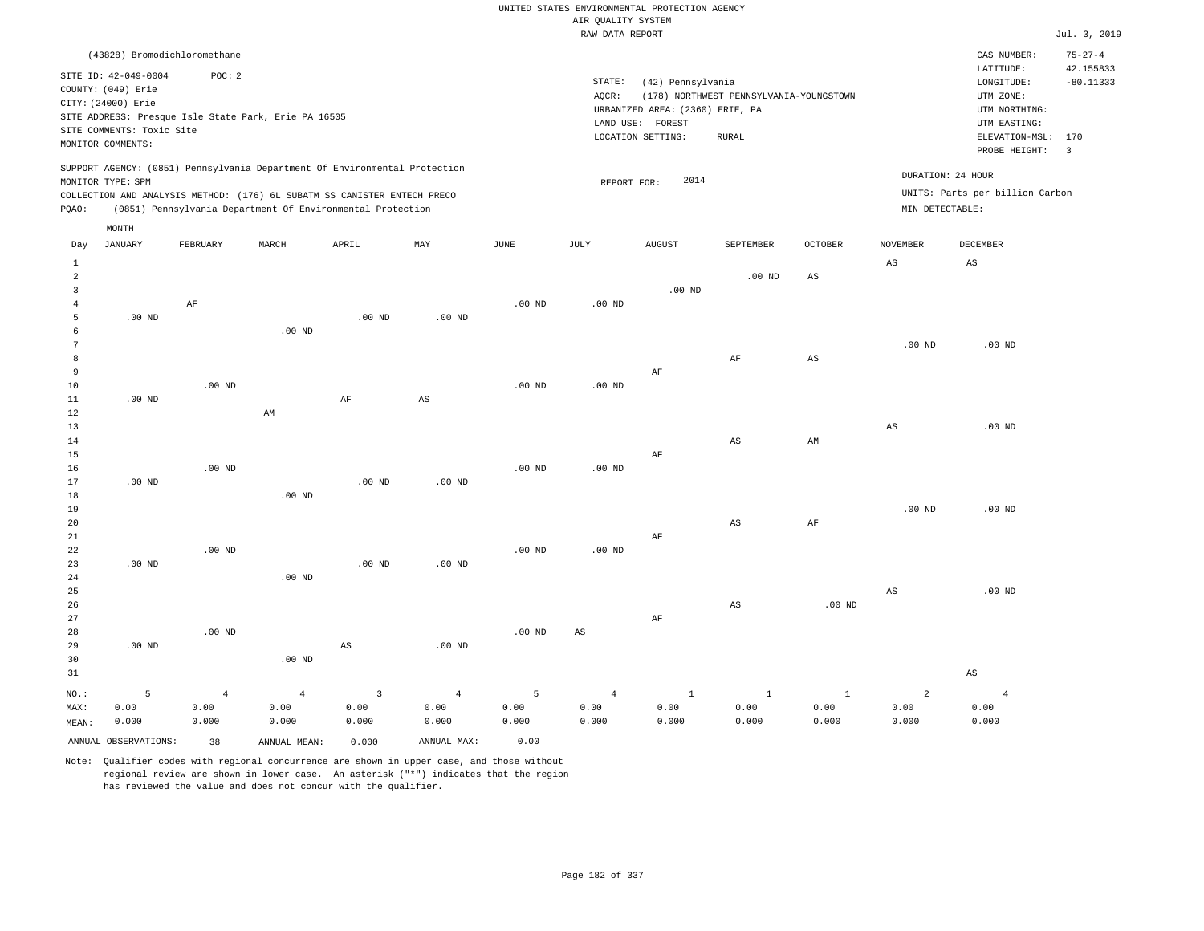|                                           |                                            |                |                                                                            |                        |                   |                   | RAW DATA REPORT   |                                 |                                         |                |                        |                                 | Jul. 3, 2019            |
|-------------------------------------------|--------------------------------------------|----------------|----------------------------------------------------------------------------|------------------------|-------------------|-------------------|-------------------|---------------------------------|-----------------------------------------|----------------|------------------------|---------------------------------|-------------------------|
|                                           | (43828) Bromodichloromethane               |                |                                                                            |                        |                   |                   |                   |                                 |                                         |                |                        | CAS NUMBER:                     | $75 - 27 - 4$           |
|                                           |                                            | POC: 2         |                                                                            |                        |                   |                   |                   |                                 |                                         |                |                        | LATITUDE:                       | 42.155833               |
|                                           | SITE ID: 42-049-0004<br>COUNTY: (049) Erie |                |                                                                            |                        |                   |                   | STATE:            | (42) Pennsylvania               |                                         |                |                        | LONGITUDE:                      | $-80.11333$             |
|                                           | CITY: (24000) Erie                         |                |                                                                            |                        |                   |                   | AQCR:             |                                 | (178) NORTHWEST PENNSYLVANIA-YOUNGSTOWN |                |                        | UTM ZONE:                       |                         |
|                                           |                                            |                | SITE ADDRESS: Presque Isle State Park, Erie PA 16505                       |                        |                   |                   |                   | URBANIZED AREA: (2360) ERIE, PA |                                         |                |                        | UTM NORTHING:                   |                         |
|                                           | SITE COMMENTS: Toxic Site                  |                |                                                                            |                        |                   |                   |                   | LAND USE: FOREST                |                                         |                |                        | UTM EASTING:                    |                         |
|                                           | MONITOR COMMENTS:                          |                |                                                                            |                        |                   |                   |                   | LOCATION SETTING:               | <b>RURAL</b>                            |                |                        | ELEVATION-MSL: 170              |                         |
|                                           |                                            |                |                                                                            |                        |                   |                   |                   |                                 |                                         |                |                        | PROBE HEIGHT:                   | $\overline{\mathbf{3}}$ |
|                                           |                                            |                | SUPPORT AGENCY: (0851) Pennsylvania Department Of Environmental Protection |                        |                   |                   |                   | 2014                            |                                         |                |                        | DURATION: 24 HOUR               |                         |
|                                           | MONITOR TYPE: SPM                          |                | COLLECTION AND ANALYSIS METHOD: (176) 6L SUBATM SS CANISTER ENTECH PRECO   |                        |                   |                   | REPORT FOR:       |                                 |                                         |                |                        | UNITS: Parts per billion Carbon |                         |
| PQAO:                                     |                                            |                | (0851) Pennsylvania Department Of Environmental Protection                 |                        |                   |                   |                   |                                 |                                         |                | MIN DETECTABLE:        |                                 |                         |
|                                           |                                            |                |                                                                            |                        |                   |                   |                   |                                 |                                         |                |                        |                                 |                         |
|                                           | MONTH                                      |                |                                                                            |                        |                   |                   |                   |                                 |                                         |                |                        |                                 |                         |
| Day                                       | <b>JANUARY</b>                             | FEBRUARY       | MARCH                                                                      | APRIL                  | MAY               | JUNE              | JULY              | <b>AUGUST</b>                   | SEPTEMBER                               | <b>OCTOBER</b> | <b>NOVEMBER</b>        | <b>DECEMBER</b>                 |                         |
| $\mathbf{1}$                              |                                            |                |                                                                            |                        |                   |                   |                   |                                 |                                         |                | AS                     | AS                              |                         |
| $\overline{a}$                            |                                            |                |                                                                            |                        |                   |                   |                   |                                 | $.00$ ND                                | $_{\rm AS}$    |                        |                                 |                         |
| $\overline{\mathbf{3}}$<br>$\overline{4}$ |                                            | $\rm AF$       |                                                                            |                        |                   | $.00$ ND          | $.00$ ND          | $.00$ ND                        |                                         |                |                        |                                 |                         |
| 5                                         | $.00$ ND                                   |                |                                                                            | $.00$ ND               | $.00$ ND          |                   |                   |                                 |                                         |                |                        |                                 |                         |
| $\epsilon$                                |                                            |                | $.00$ ND                                                                   |                        |                   |                   |                   |                                 |                                         |                |                        |                                 |                         |
| 7                                         |                                            |                |                                                                            |                        |                   |                   |                   |                                 |                                         |                | $.00$ ND               | $.00$ ND                        |                         |
| 8                                         |                                            |                |                                                                            |                        |                   |                   |                   |                                 | $\rm AF$                                | $_{\rm AS}$    |                        |                                 |                         |
| 9                                         |                                            |                |                                                                            |                        |                   |                   |                   | AF                              |                                         |                |                        |                                 |                         |
| 10                                        |                                            | $.00$ ND       |                                                                            |                        |                   | $.00$ ND          | .00 <sub>ND</sub> |                                 |                                         |                |                        |                                 |                         |
| $1\,1$                                    | $.00$ ND                                   |                |                                                                            | $\rm{AF}$              | AS                |                   |                   |                                 |                                         |                |                        |                                 |                         |
| 12                                        |                                            |                | AM                                                                         |                        |                   |                   |                   |                                 |                                         |                |                        |                                 |                         |
| 13                                        |                                            |                |                                                                            |                        |                   |                   |                   |                                 |                                         |                | $\mathbb{A}\mathbb{S}$ | $.00$ ND                        |                         |
| 14                                        |                                            |                |                                                                            |                        |                   |                   |                   |                                 | AS                                      | AM             |                        |                                 |                         |
| 15<br>16                                  |                                            | $.00$ ND       |                                                                            |                        |                   | $.00$ ND          | $.00$ ND          | AF                              |                                         |                |                        |                                 |                         |
| 17                                        | $.00$ ND                                   |                |                                                                            | $.00$ ND               | $.00$ ND          |                   |                   |                                 |                                         |                |                        |                                 |                         |
| $18$                                      |                                            |                | $.00$ ND                                                                   |                        |                   |                   |                   |                                 |                                         |                |                        |                                 |                         |
| 19                                        |                                            |                |                                                                            |                        |                   |                   |                   |                                 |                                         |                | $.00$ ND               | $.00$ ND                        |                         |
| 20                                        |                                            |                |                                                                            |                        |                   |                   |                   |                                 | AS                                      | $\rm{AF}$      |                        |                                 |                         |
| 21                                        |                                            |                |                                                                            |                        |                   |                   |                   | AF                              |                                         |                |                        |                                 |                         |
| 22                                        |                                            | .00 $ND$       |                                                                            |                        |                   | .00 <sub>ND</sub> | $.00$ ND          |                                 |                                         |                |                        |                                 |                         |
| 23                                        | $.00$ ND                                   |                |                                                                            | $.00$ ND               | .00 <sub>ND</sub> |                   |                   |                                 |                                         |                |                        |                                 |                         |
| 24                                        |                                            |                | $.00$ ND                                                                   |                        |                   |                   |                   |                                 |                                         |                |                        |                                 |                         |
| 25                                        |                                            |                |                                                                            |                        |                   |                   |                   |                                 |                                         |                | $\mathbb{A}\mathbb{S}$ | $.00$ ND                        |                         |
| 26                                        |                                            |                |                                                                            |                        |                   |                   |                   |                                 | $\mathbb{A}\mathbb{S}$                  | $.00$ ND       |                        |                                 |                         |
| 27                                        |                                            |                |                                                                            |                        |                   |                   |                   | $\rm AF$                        |                                         |                |                        |                                 |                         |
| 28                                        |                                            | $.00$ ND       |                                                                            |                        |                   | $.00$ ND          | $_{\rm AS}$       |                                 |                                         |                |                        |                                 |                         |
| 29<br>30                                  | $.00$ ND                                   |                | $.00$ ND                                                                   | $\mathbb{A}\mathbb{S}$ | .00 <sub>ND</sub> |                   |                   |                                 |                                         |                |                        |                                 |                         |
| 31                                        |                                            |                |                                                                            |                        |                   |                   |                   |                                 |                                         |                |                        | $\mathbb{A}\mathbb{S}$          |                         |
|                                           |                                            |                |                                                                            |                        |                   |                   |                   |                                 |                                         |                |                        |                                 |                         |
| NO.:                                      | 5                                          | $\overline{4}$ | $\overline{4}$                                                             | $\overline{3}$         | $\overline{4}$    | 5                 | $\overline{4}$    | <sup>1</sup>                    | $\mathbf{1}$                            | $\mathbf{1}$   | $\overline{a}$         | $\overline{4}$                  |                         |
| MAX:                                      | 0.00                                       | 0.00           | 0.00                                                                       | 0.00                   | 0.00              | 0.00              | 0.00              | 0.00                            | 0.00                                    | 0.00           | 0.00                   | 0.00                            |                         |
| MEAN:                                     | 0.000                                      | 0.000          | 0.000                                                                      | 0.000                  | 0.000             | 0.000             | 0.000             | 0.000                           | 0.000                                   | 0.000          | 0.000                  | 0.000                           |                         |
|                                           | ANNUAL OBSERVATIONS:                       | 38             | ANNUAL, MEAN:                                                              | 0.000                  | ANNUAL MAX:       | 0.00              |                   |                                 |                                         |                |                        |                                 |                         |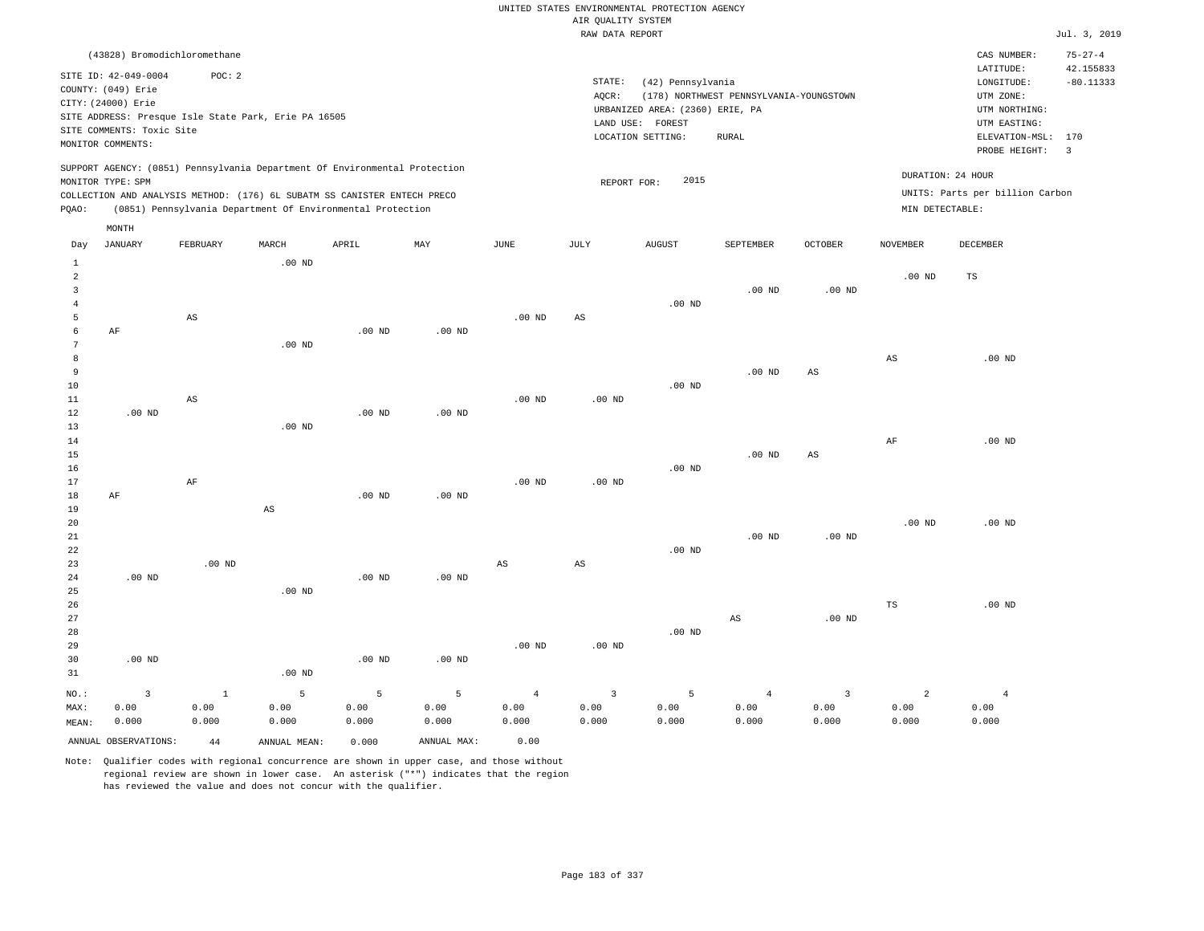### RAW DATA REPORT Jul. 3, 2019 UNITED STATES ENVIRONMENTAL PROTECTION AGENCY AIR QUALITY SYSTEM

| (43828) Bromodichloromethane                                                                                                                                                         |                                                            |          |     |      |                 |                                                                             |                                         |                |                 | CAS NUMBER:                                                           | $75 - 27 - 4$             |
|--------------------------------------------------------------------------------------------------------------------------------------------------------------------------------------|------------------------------------------------------------|----------|-----|------|-----------------|-----------------------------------------------------------------------------|-----------------------------------------|----------------|-----------------|-----------------------------------------------------------------------|---------------------------|
| SITE ID: 42-049-0004<br>COUNTY: (049) Erie<br>CITY: (24000) Erie<br>SITE ADDRESS: Presque Isle State Park, Erie PA 16505                                                             | POC: 2                                                     |          |     |      | STATE:<br>AOCR: | (42) Pennsylvania<br>URBANIZED AREA: (2360) ERIE, PA<br>FOREST<br>LAND USE: | (178) NORTHWEST PENNSYLVANIA-YOUNGSTOWN |                |                 | LATITUDE:<br>LONGITUDE:<br>UTM ZONE:<br>UTM NORTHING:<br>UTM EASTING: | 42.155833<br>$-80.11333$  |
| SITE COMMENTS: Toxic Site<br>MONITOR COMMENTS:                                                                                                                                       |                                                            |          |     |      |                 | LOCATION SETTING:                                                           | RURAL                                   |                |                 | ELEVATION-MSL: 170<br>PROBE HEIGHT:                                   | $\overline{\phantom{a}3}$ |
| SUPPORT AGENCY: (0851) Pennsylvania Department Of Environmental Protection<br>MONITOR TYPE: SPM<br>COLLECTION AND ANALYSIS METHOD: (176) 6L SUBATM SS CANISTER ENTECH PRECO<br>POAO: | (0851) Pennsylvania Department Of Environmental Protection |          |     |      |                 | 2015<br>REPORT FOR:                                                         |                                         |                | MIN DETECTABLE: | DURATION: 24 HOUR<br>UNITS: Parts per billion Carbon                  |                           |
| MONTH<br>JANUARY<br>Day                                                                                                                                                              | FEBRUARY<br>MARCH                                          | APRIL    | MAY | JUNE | JULY            | AUGUST                                                                      | SEPTEMBER                               | <b>OCTOBER</b> | NOVEMBER        | DECEMBER                                                              |                           |
|                                                                                                                                                                                      |                                                            | $.00$ ND |     |      |                 |                                                                             | $\sim$ $\sim$ $\sim$                    |                | $.00$ ND        | <b>TS</b>                                                             |                           |

| 3               |                         |                        |                        |          |          |                |                         |          | $.00$ ND               | $.00$ ND               |                        |                |
|-----------------|-------------------------|------------------------|------------------------|----------|----------|----------------|-------------------------|----------|------------------------|------------------------|------------------------|----------------|
| $\overline{4}$  |                         |                        |                        |          |          |                |                         | .00 $ND$ |                        |                        |                        |                |
| 5               |                         | $\mathbb{A}\mathbb{S}$ |                        |          |          | $.00$ ND       | AS                      |          |                        |                        |                        |                |
| 6               | $\rm AF$                |                        |                        | $.00$ ND | $.00$ ND |                |                         |          |                        |                        |                        |                |
| $7\phantom{.0}$ |                         |                        | .00 $ND$               |          |          |                |                         |          |                        |                        |                        |                |
| 8               |                         |                        |                        |          |          |                |                         |          |                        |                        | $\mathbb{A}\mathbb{S}$ | $.00$ ND       |
| 9               |                         |                        |                        |          |          |                |                         |          | $.00$ ND               | $\mathbb{A}\mathbb{S}$ |                        |                |
| $1\,0$          |                         |                        |                        |          |          |                |                         | .00 $ND$ |                        |                        |                        |                |
| $1\,1$          |                         | $\mathbb{A}\mathbb{S}$ |                        |          |          | $.00$ ND       | $.00$ ND                |          |                        |                        |                        |                |
| $1\,2$          | $.00$ ND                |                        |                        | $.00$ ND | $.00$ ND |                |                         |          |                        |                        |                        |                |
| $13$            |                         |                        | .00 $ND$               |          |          |                |                         |          |                        |                        |                        |                |
| $1\,4$          |                         |                        |                        |          |          |                |                         |          |                        |                        | $\rm AF$               | $.00$ ND       |
| $15\,$          |                         |                        |                        |          |          |                |                         |          | $.00$ ND               | $_{\rm AS}$            |                        |                |
| $16\,$          |                         |                        |                        |          |          |                |                         | $.00$ ND |                        |                        |                        |                |
| 17              |                         | $\rm AF$               |                        |          |          | $.00$ ND       | $.00$ ND                |          |                        |                        |                        |                |
| 18              | AF                      |                        |                        | $.00$ ND | $.00$ ND |                |                         |          |                        |                        |                        |                |
| 19              |                         |                        | $\mathbb{A}\mathbb{S}$ |          |          |                |                         |          |                        |                        |                        |                |
| $20\,$          |                         |                        |                        |          |          |                |                         |          |                        |                        | $.00$ ND               | $.00$ ND       |
| $2\sqrt{1}$     |                         |                        |                        |          |          |                |                         |          | $.00$ ND               | .00 $ND$               |                        |                |
| $\bf{^{22}}$    |                         |                        |                        |          |          |                |                         | .00 $ND$ |                        |                        |                        |                |
| 23              |                         | $.00~\mathrm{ND}$      |                        |          |          | $_{\rm AS}$    | AS                      |          |                        |                        |                        |                |
| 24              | $.00$ ND                |                        |                        | $.00$ ND | $.00$ ND |                |                         |          |                        |                        |                        |                |
| $2\sqrt{5}$     |                         |                        | $.00$ ND               |          |          |                |                         |          |                        |                        |                        |                |
| 26              |                         |                        |                        |          |          |                |                         |          |                        |                        | TS                     | $.00$ ND       |
| $2\,7$          |                         |                        |                        |          |          |                |                         |          | $\mathbb{A}\mathbb{S}$ | $.00$ ND               |                        |                |
| $2\,8$          |                         |                        |                        |          |          |                |                         | .00 $ND$ |                        |                        |                        |                |
| 29              |                         |                        |                        |          |          | .00 $ND$       | .00 $ND$                |          |                        |                        |                        |                |
| 30              | $.00$ ND                |                        |                        | $.00$ ND | $.00$ ND |                |                         |          |                        |                        |                        |                |
| 31              |                         |                        | $.00$ ND               |          |          |                |                         |          |                        |                        |                        |                |
| NO.:            | $\overline{\mathbf{3}}$ | $\overline{1}$         | 5                      | 5        | 5        | $\overline{4}$ | $\overline{\mathbf{3}}$ | 5        | $\overline{4}$         | 3                      | $\overline{c}$         | $\overline{4}$ |
| HAX:            | 0.00                    | 0.00                   | 0.00                   | 0.00     | 0.00     | 0.00           | 0.00                    | 0.00     | 0.00                   | 0.00                   | 0.00                   | 0.00           |
| MEAN:           | 0.000                   | 0.000                  | 0.000                  | 0.000    | 0.000    | 0.000          | 0.000                   | 0.000    | 0.000                  | 0.000                  | 0.000                  | 0.000          |

Note: Qualifier codes with regional concurrence are shown in upper case, and those without regional review are shown in lower case. An asterisk ("\*") indicates that the region has reviewed the value and does not concur with the qualifier.

ANNUAL OBSERVATIONS: 44 ANNUAL MEAN: 0.000 ANNUAL MAX: 0.00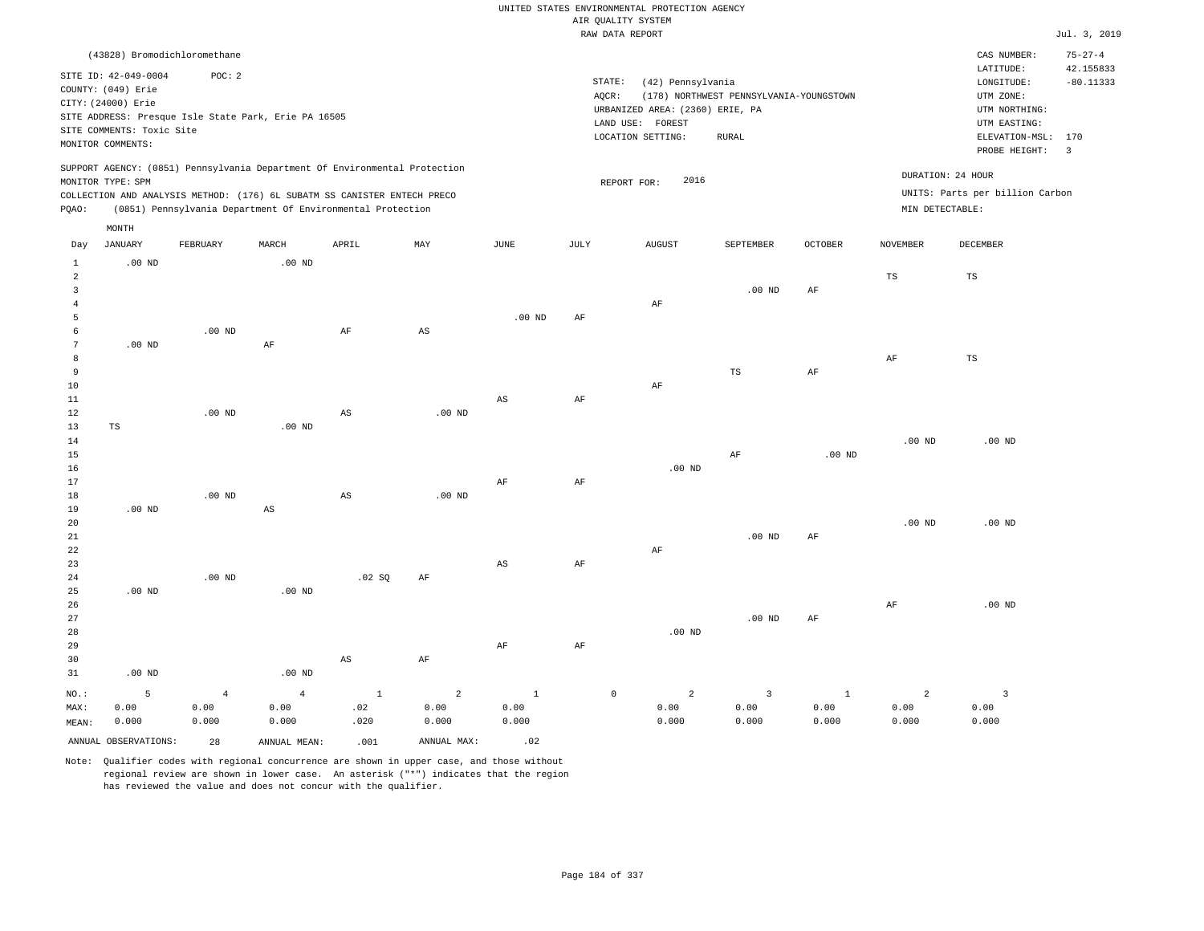|                     |                              |                |                                                      |                                                                            |                   |                        |             | RAW DATA REPORT                 |                                         |                |                 |                                 | Jul. 3, 2019   |
|---------------------|------------------------------|----------------|------------------------------------------------------|----------------------------------------------------------------------------|-------------------|------------------------|-------------|---------------------------------|-----------------------------------------|----------------|-----------------|---------------------------------|----------------|
|                     | (43828) Bromodichloromethane |                |                                                      |                                                                            |                   |                        |             |                                 |                                         |                |                 | CAS NUMBER:                     | $75 - 27 - 4$  |
|                     |                              |                |                                                      |                                                                            |                   |                        |             |                                 |                                         |                |                 | LATITUDE:                       | 42.155833      |
|                     | SITE ID: 42-049-0004         | POC: 2         |                                                      |                                                                            |                   |                        | STATE:      | (42) Pennsylvania               |                                         |                |                 | LONGITUDE:                      | $-80.11333$    |
|                     | COUNTY: (049) Erie           |                |                                                      |                                                                            |                   |                        | AQCR:       |                                 | (178) NORTHWEST PENNSYLVANIA-YOUNGSTOWN |                |                 | UTM ZONE:                       |                |
|                     | CITY: (24000) Erie           |                |                                                      |                                                                            |                   |                        |             | URBANIZED AREA: (2360) ERIE, PA |                                         |                |                 | UTM NORTHING:                   |                |
|                     |                              |                | SITE ADDRESS: Presque Isle State Park, Erie PA 16505 |                                                                            |                   |                        |             | LAND USE: FOREST                |                                         |                |                 | UTM EASTING:                    |                |
|                     | SITE COMMENTS: Toxic Site    |                |                                                      |                                                                            |                   |                        |             | LOCATION SETTING:               | <b>RURAL</b>                            |                |                 | ELEVATION-MSL: 170              |                |
|                     | MONITOR COMMENTS:            |                |                                                      |                                                                            |                   |                        |             |                                 |                                         |                |                 | PROBE HEIGHT:                   | $\overline{3}$ |
|                     |                              |                |                                                      | SUPPORT AGENCY: (0851) Pennsylvania Department Of Environmental Protection |                   |                        |             |                                 |                                         |                |                 |                                 |                |
|                     | MONITOR TYPE: SPM            |                |                                                      |                                                                            |                   |                        |             | 2016<br>REPORT FOR:             |                                         |                |                 | DURATION: 24 HOUR               |                |
|                     |                              |                |                                                      | COLLECTION AND ANALYSIS METHOD: (176) 6L SUBATM SS CANISTER ENTECH PRECO   |                   |                        |             |                                 |                                         |                |                 | UNITS: Parts per billion Carbon |                |
| PQAO:               |                              |                |                                                      | (0851) Pennsylvania Department Of Environmental Protection                 |                   |                        |             |                                 |                                         |                | MIN DETECTABLE: |                                 |                |
|                     | MONTH                        |                |                                                      |                                                                            |                   |                        |             |                                 |                                         |                |                 |                                 |                |
|                     | <b>JANUARY</b>               | FEBRUARY       | MARCH                                                | APRIL                                                                      | MAY               | JUNE                   | <b>JULY</b> | <b>AUGUST</b>                   | SEPTEMBER                               | <b>OCTOBER</b> | <b>NOVEMBER</b> | <b>DECEMBER</b>                 |                |
| Day                 |                              |                |                                                      |                                                                            |                   |                        |             |                                 |                                         |                |                 |                                 |                |
| $\mathbf{1}$        | $.00$ ND                     |                | .00 <sub>ND</sub>                                    |                                                                            |                   |                        |             |                                 |                                         |                |                 |                                 |                |
| $\overline{a}$      |                              |                |                                                      |                                                                            |                   |                        |             |                                 |                                         |                | $_{\rm TS}$     | $_{\rm TS}$                     |                |
| $\overline{3}$      |                              |                |                                                      |                                                                            |                   |                        |             |                                 | .00 <sub>ND</sub>                       | AF             |                 |                                 |                |
| $\overline{4}$      |                              |                |                                                      |                                                                            |                   |                        |             | $\rm AF$                        |                                         |                |                 |                                 |                |
| 5                   |                              |                |                                                      |                                                                            |                   | $.00$ ND               | AF          |                                 |                                         |                |                 |                                 |                |
| 6<br>$\overline{7}$ |                              | $.00$ ND       | $\rm{AF}$                                            | AF                                                                         | $_{\rm AS}$       |                        |             |                                 |                                         |                |                 |                                 |                |
| 8                   | $.00$ ND                     |                |                                                      |                                                                            |                   |                        |             |                                 |                                         |                | $\rm{AF}$       | TS                              |                |
| 9                   |                              |                |                                                      |                                                                            |                   |                        |             |                                 | $_{\rm TS}$                             | $\rm{AF}$      |                 |                                 |                |
| 10                  |                              |                |                                                      |                                                                            |                   |                        |             | $\rm{AF}$                       |                                         |                |                 |                                 |                |
| $11\,$              |                              |                |                                                      |                                                                            |                   | $\mathbb{A}\mathbb{S}$ | $\rm{AF}$   |                                 |                                         |                |                 |                                 |                |
| 12                  |                              | $.00$ ND       |                                                      | AS                                                                         | .00 <sub>ND</sub> |                        |             |                                 |                                         |                |                 |                                 |                |
| 13                  | $_{\rm TS}$                  |                | $.00$ ND                                             |                                                                            |                   |                        |             |                                 |                                         |                |                 |                                 |                |
| 14                  |                              |                |                                                      |                                                                            |                   |                        |             |                                 |                                         |                | $.00$ ND        | $.00$ ND                        |                |
| 15                  |                              |                |                                                      |                                                                            |                   |                        |             |                                 | AF                                      | $.00$ ND       |                 |                                 |                |
| 16                  |                              |                |                                                      |                                                                            |                   |                        |             | $.00$ ND                        |                                         |                |                 |                                 |                |
| 17                  |                              |                |                                                      |                                                                            |                   | AF                     | AF          |                                 |                                         |                |                 |                                 |                |
| 18                  |                              | $.00$ ND       |                                                      | AS                                                                         | $.00$ ND          |                        |             |                                 |                                         |                |                 |                                 |                |
| 19                  | $.00$ ND                     |                | $\mathbb{A}\mathbb{S}$                               |                                                                            |                   |                        |             |                                 |                                         |                |                 |                                 |                |
| 20                  |                              |                |                                                      |                                                                            |                   |                        |             |                                 |                                         |                | $.00$ ND        | $.00$ ND                        |                |
| 21                  |                              |                |                                                      |                                                                            |                   |                        |             |                                 | $.00$ ND                                | AF             |                 |                                 |                |
| 22                  |                              |                |                                                      |                                                                            |                   |                        |             | $\rm{AF}$                       |                                         |                |                 |                                 |                |
| 23                  |                              |                |                                                      |                                                                            |                   | $\mathbb{A}\mathbb{S}$ | $\rm{AF}$   |                                 |                                         |                |                 |                                 |                |
| 24<br>25            | $.00$ ND                     | $.00$ ND       | $.00$ ND                                             | .02 SQ                                                                     | AF                |                        |             |                                 |                                         |                |                 |                                 |                |
| 26                  |                              |                |                                                      |                                                                            |                   |                        |             |                                 |                                         |                | AF              | $.00$ ND                        |                |
| 27                  |                              |                |                                                      |                                                                            |                   |                        |             |                                 | $.00$ ND                                | AF             |                 |                                 |                |
| 28                  |                              |                |                                                      |                                                                            |                   |                        |             | .00 <sub>ND</sub>               |                                         |                |                 |                                 |                |
| 29                  |                              |                |                                                      |                                                                            |                   | AF                     | AF          |                                 |                                         |                |                 |                                 |                |
| 30                  |                              |                |                                                      | $\mathbb{A}\mathbb{S}$                                                     | AF                |                        |             |                                 |                                         |                |                 |                                 |                |
| 31                  | $.00$ ND                     |                | $.00$ ND                                             |                                                                            |                   |                        |             |                                 |                                         |                |                 |                                 |                |
|                     |                              |                |                                                      |                                                                            |                   |                        |             |                                 |                                         |                |                 |                                 |                |
| NO.:                | 5                            | $\overline{4}$ | $\overline{4}$                                       | $\mathbf{1}$                                                               | $\overline{a}$    | $1\,$                  |             | $\mathbb O$<br>2                | $\overline{3}$                          | $\mathbf{1}$   | $\overline{a}$  | $\overline{3}$                  |                |
| MAX:                | 0.00                         | 0.00           | 0.00                                                 | .02                                                                        | 0.00              | 0.00                   |             | 0.00                            | 0.00                                    | 0.00           | 0.00            | 0.00                            |                |
| MEAN:               | 0.000                        | 0.000          | 0.000                                                | .020                                                                       | 0.000             | 0.000                  |             | 0.000                           | 0.000                                   | 0.000          | 0.000           | 0.000                           |                |
|                     | ANNUAL OBSERVATIONS:         | 28             | ANNUAL MEAN:                                         | .001                                                                       | ANNUAL MAX:       | .02                    |             |                                 |                                         |                |                 |                                 |                |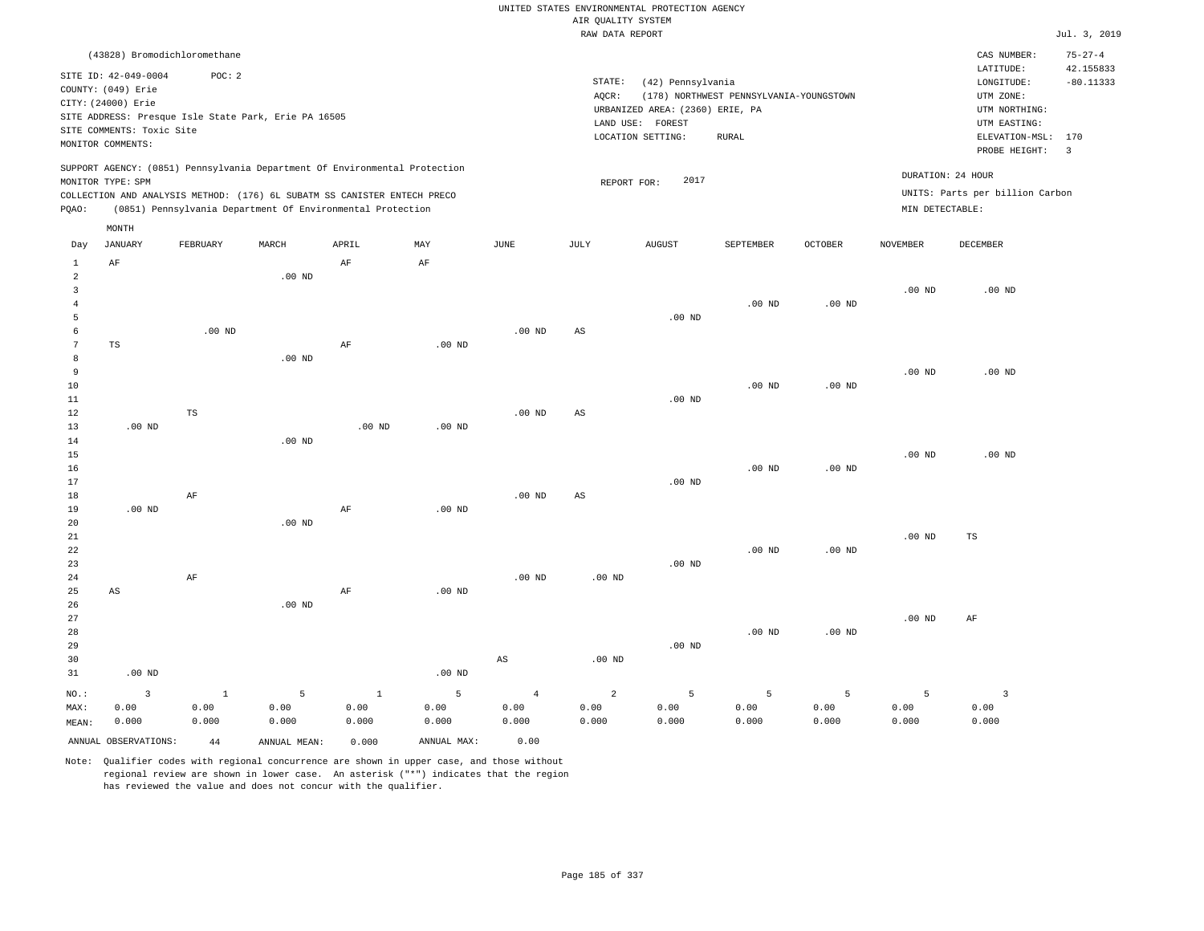|                 |                              |               |                                                                            |              |                   |                        | RAW DATA REPORT |                                 |                                         |                   |                   |                                 | Jul. 3, 2019            |
|-----------------|------------------------------|---------------|----------------------------------------------------------------------------|--------------|-------------------|------------------------|-----------------|---------------------------------|-----------------------------------------|-------------------|-------------------|---------------------------------|-------------------------|
|                 | (43828) Bromodichloromethane |               |                                                                            |              |                   |                        |                 |                                 |                                         |                   |                   | CAS NUMBER:                     | $75 - 27 - 4$           |
|                 |                              |               |                                                                            |              |                   |                        |                 |                                 |                                         |                   |                   | LATITUDE:                       | 42.155833               |
|                 | SITE ID: 42-049-0004         | POC: 2        |                                                                            |              |                   |                        | STATE:          | (42) Pennsylvania               |                                         |                   |                   | LONGITUDE:                      | $-80.11333$             |
|                 | COUNTY: (049) Erie           |               |                                                                            |              |                   |                        | AQCR:           |                                 | (178) NORTHWEST PENNSYLVANIA-YOUNGSTOWN |                   |                   | UTM ZONE:                       |                         |
|                 | CITY: (24000) Erie           |               |                                                                            |              |                   |                        |                 | URBANIZED AREA: (2360) ERIE, PA |                                         |                   |                   | UTM NORTHING:                   |                         |
|                 |                              |               | SITE ADDRESS: Presque Isle State Park, Erie PA 16505                       |              |                   |                        |                 | LAND USE: FOREST                |                                         |                   |                   | UTM EASTING:                    |                         |
|                 | SITE COMMENTS: Toxic Site    |               |                                                                            |              |                   |                        |                 | LOCATION SETTING:               | <b>RURAL</b>                            |                   |                   | ELEVATION-MSL:                  | 170                     |
|                 | MONITOR COMMENTS:            |               |                                                                            |              |                   |                        |                 |                                 |                                         |                   |                   | PROBE HEIGHT:                   | $\overline{\mathbf{3}}$ |
|                 |                              |               | SUPPORT AGENCY: (0851) Pennsylvania Department Of Environmental Protection |              |                   |                        |                 |                                 |                                         |                   |                   |                                 |                         |
|                 | MONITOR TYPE: SPM            |               |                                                                            |              |                   |                        | REPORT FOR:     | 2017                            |                                         |                   |                   | DURATION: 24 HOUR               |                         |
|                 |                              |               | COLLECTION AND ANALYSIS METHOD: (176) 6L SUBATM SS CANISTER ENTECH PRECO   |              |                   |                        |                 |                                 |                                         |                   |                   | UNITS: Parts per billion Carbon |                         |
| PQAO:           |                              |               | (0851) Pennsylvania Department Of Environmental Protection                 |              |                   |                        |                 |                                 |                                         |                   | MIN DETECTABLE:   |                                 |                         |
|                 | $\texttt{MONTH}$             |               |                                                                            |              |                   |                        |                 |                                 |                                         |                   |                   |                                 |                         |
| Day             | JANUARY                      | FEBRUARY      | MARCH                                                                      | APRIL        | MAY               | JUNE                   | JULY            | <b>AUGUST</b>                   | SEPTEMBER                               | OCTOBER           | <b>NOVEMBER</b>   | <b>DECEMBER</b>                 |                         |
| $1\,$           | $\rm AF$                     |               |                                                                            | $\rm AF$     | AF                |                        |                 |                                 |                                         |                   |                   |                                 |                         |
| $\overline{a}$  |                              |               | $.00$ ND                                                                   |              |                   |                        |                 |                                 |                                         |                   |                   |                                 |                         |
| $\overline{3}$  |                              |               |                                                                            |              |                   |                        |                 |                                 |                                         |                   | .00 <sub>ND</sub> | .00 <sub>ND</sub>               |                         |
| $\overline{4}$  |                              |               |                                                                            |              |                   |                        |                 |                                 | .00 <sub>ND</sub>                       | $.00$ ND          |                   |                                 |                         |
| 5               |                              |               |                                                                            |              |                   |                        |                 | $.00$ ND                        |                                         |                   |                   |                                 |                         |
| 6               |                              | $.00$ ND      |                                                                            |              |                   | .00 <sub>ND</sub>      | AS              |                                 |                                         |                   |                   |                                 |                         |
| $7\phantom{.0}$ | $_{\rm TS}$                  |               |                                                                            | AF           | $.00$ ND          |                        |                 |                                 |                                         |                   |                   |                                 |                         |
| 8               |                              |               | $.00$ ND                                                                   |              |                   |                        |                 |                                 |                                         |                   |                   |                                 |                         |
| 9               |                              |               |                                                                            |              |                   |                        |                 |                                 |                                         |                   | .00 <sub>ND</sub> | $.00$ ND                        |                         |
| 10              |                              |               |                                                                            |              |                   |                        |                 |                                 | $.00$ ND                                | $.00$ ND          |                   |                                 |                         |
| 11              |                              |               |                                                                            |              |                   |                        |                 | $.00$ ND                        |                                         |                   |                   |                                 |                         |
| 12              |                              | $\mathbb{TS}$ |                                                                            |              |                   | $.00$ ND               | AS              |                                 |                                         |                   |                   |                                 |                         |
| 13              | $.00$ ND                     |               |                                                                            | $.00$ ND     | $.00$ ND          |                        |                 |                                 |                                         |                   |                   |                                 |                         |
| 14              |                              |               | $.00$ ND                                                                   |              |                   |                        |                 |                                 |                                         |                   |                   |                                 |                         |
| 15              |                              |               |                                                                            |              |                   |                        |                 |                                 |                                         |                   | .00 <sub>ND</sub> | $.00$ ND                        |                         |
| 16              |                              |               |                                                                            |              |                   |                        |                 |                                 | $.00$ ND                                | .00 <sub>ND</sub> |                   |                                 |                         |
| 17              |                              |               |                                                                            |              |                   |                        |                 | .00 <sub>ND</sub>               |                                         |                   |                   |                                 |                         |
| 18              |                              | $\rm AF$      |                                                                            |              |                   | .00 <sub>ND</sub>      | $_{\rm AS}$     |                                 |                                         |                   |                   |                                 |                         |
| 19              | $.00$ ND                     |               |                                                                            | AF           | $.00$ ND          |                        |                 |                                 |                                         |                   |                   |                                 |                         |
| 20              |                              |               | $.00$ ND                                                                   |              |                   |                        |                 |                                 |                                         |                   |                   |                                 |                         |
| 21              |                              |               |                                                                            |              |                   |                        |                 |                                 |                                         |                   | .00 <sub>ND</sub> | $_{\rm TS}$                     |                         |
| 22              |                              |               |                                                                            |              |                   |                        |                 |                                 | $.00$ ND                                | $.00$ ND          |                   |                                 |                         |
| 23              |                              |               |                                                                            |              |                   |                        |                 | .00 <sub>ND</sub>               |                                         |                   |                   |                                 |                         |
| 24              |                              | AF            |                                                                            |              |                   | $.00$ ND               | $.00$ ND        |                                 |                                         |                   |                   |                                 |                         |
| 25              | $_{\rm AS}$                  |               |                                                                            | $\rm AF$     | .00 <sub>ND</sub> |                        |                 |                                 |                                         |                   |                   |                                 |                         |
| 26              |                              |               | $.00$ ND                                                                   |              |                   |                        |                 |                                 |                                         |                   |                   |                                 |                         |
| 27              |                              |               |                                                                            |              |                   |                        |                 |                                 |                                         |                   | $.00$ ND          | AF                              |                         |
| 28              |                              |               |                                                                            |              |                   |                        |                 |                                 | $.00$ ND                                | .00 <sub>ND</sub> |                   |                                 |                         |
| 29              |                              |               |                                                                            |              |                   |                        |                 | .00 <sub>ND</sub>               |                                         |                   |                   |                                 |                         |
| 30              |                              |               |                                                                            |              |                   | $\mathbb{A}\mathbb{S}$ | $.00$ ND        |                                 |                                         |                   |                   |                                 |                         |
| 31              | $.00$ ND                     |               |                                                                            |              | $.00$ ND          |                        |                 |                                 |                                         |                   |                   |                                 |                         |
|                 |                              |               |                                                                            |              |                   |                        |                 |                                 |                                         |                   |                   |                                 |                         |
| $NO.$ :         | $\overline{3}$<br>0.00       | $\mathbf{1}$  | 5                                                                          | $\mathbf{1}$ | 5                 | $\overline{4}$         | $\overline{a}$  | 5<br>0.00                       | 5                                       | 5<br>0.00         | 5                 | $\overline{3}$<br>0.00          |                         |
| MAX:            |                              | 0.00          | 0.00                                                                       | 0.00         | 0.00              | 0.00                   | 0.00            |                                 | 0.00                                    |                   | 0.00              |                                 |                         |
| MEAN:           | 0.000                        | 0.000         | 0.000                                                                      | 0.000        | 0.000             | 0.000                  | 0.000           | 0.000                           | 0.000                                   | 0.000             | 0.000             | 0.000                           |                         |
|                 | ANNUAL OBSERVATIONS:         | 44            | ANNUAL MEAN:                                                               | 0.000        | ANNUAL MAX:       | 0.00                   |                 |                                 |                                         |                   |                   |                                 |                         |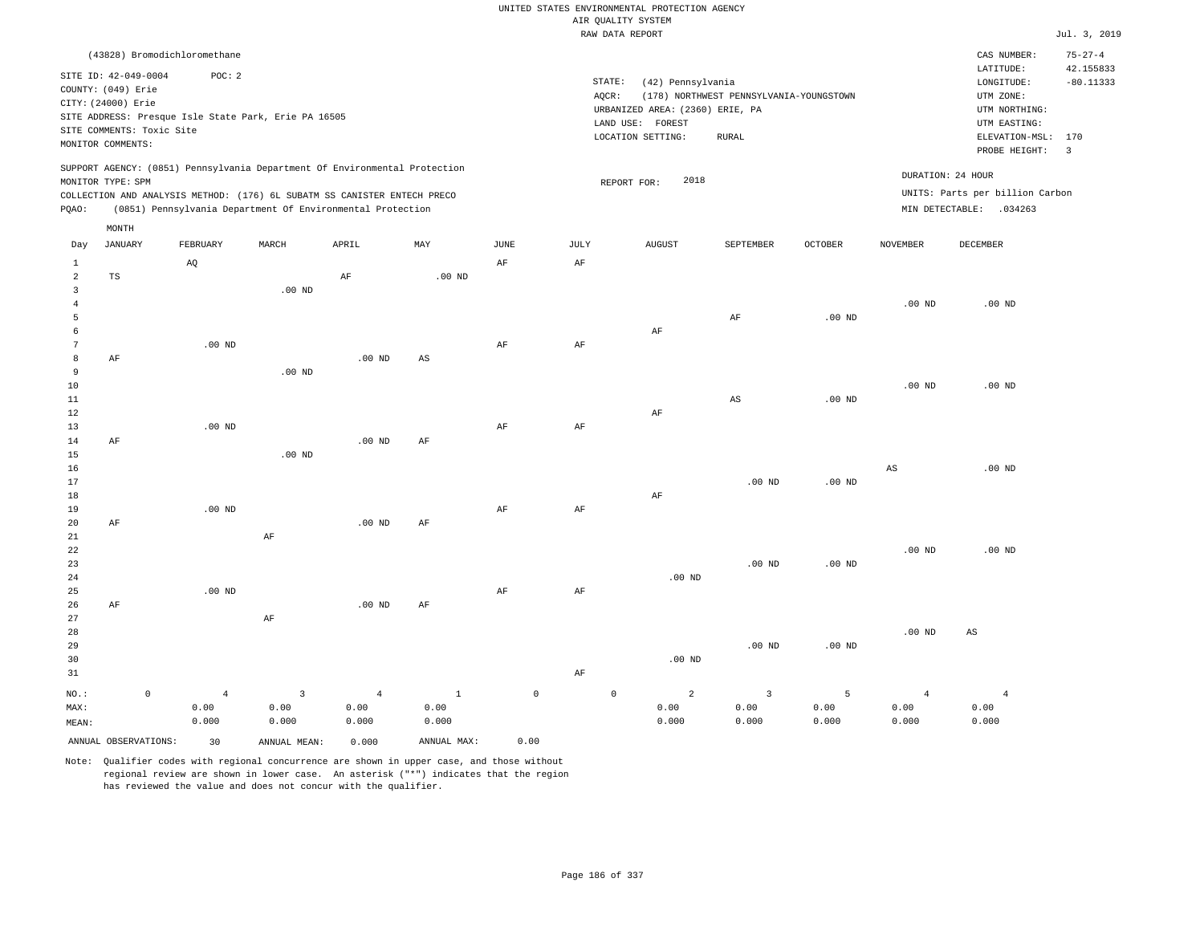|                                                                  |                                                                  |                                                                                                                                                                                                                      |                    |                                 |                               |                     |                 | UNITED STATES ENVIRONMENTAL PROTECTION AGENCY        |                                         |                    |                                 |                                                                      |                                           |
|------------------------------------------------------------------|------------------------------------------------------------------|----------------------------------------------------------------------------------------------------------------------------------------------------------------------------------------------------------------------|--------------------|---------------------------------|-------------------------------|---------------------|-----------------|------------------------------------------------------|-----------------------------------------|--------------------|---------------------------------|----------------------------------------------------------------------|-------------------------------------------|
|                                                                  |                                                                  |                                                                                                                                                                                                                      |                    |                                 |                               |                     |                 | AIR QUALITY SYSTEM<br>RAW DATA REPORT                |                                         |                    |                                 |                                                                      | Jul. 3, 2019                              |
|                                                                  |                                                                  |                                                                                                                                                                                                                      |                    |                                 |                               |                     |                 |                                                      |                                         |                    |                                 |                                                                      |                                           |
|                                                                  | SITE ID: 42-049-0004<br>COUNTY: (049) Erie<br>CITY: (24000) Erie | (43828) Bromodichloromethane<br>POC: 2<br>SITE ADDRESS: Presque Isle State Park, Erie PA 16505                                                                                                                       |                    |                                 |                               |                     | STATE:<br>AQCR: | (42) Pennsylvania<br>URBANIZED AREA: (2360) ERIE, PA | (178) NORTHWEST PENNSYLVANIA-YOUNGSTOWN |                    |                                 | CAS NUMBER:<br>LATITUDE:<br>LONGITUDE:<br>UTM ZONE:<br>UTM NORTHING: | $75 - 27 - 4$<br>42.155833<br>$-80.11333$ |
|                                                                  | SITE COMMENTS: Toxic Site<br>MONITOR COMMENTS:                   |                                                                                                                                                                                                                      |                    |                                 |                               |                     |                 | LAND USE: FOREST<br>LOCATION SETTING:                | <b>RURAL</b>                            |                    |                                 | UTM EASTING:<br>ELEVATION-MSL:<br>PROBE HEIGHT:                      | 170<br>$\overline{3}$                     |
| PQAO:                                                            | MONITOR TYPE: SPM                                                | SUPPORT AGENCY: (0851) Pennsylvania Department Of Environmental Protection<br>COLLECTION AND ANALYSIS METHOD: (176) 6L SUBATM SS CANISTER ENTECH PRECO<br>(0851) Pennsylvania Department Of Environmental Protection |                    |                                 |                               |                     |                 | 2018<br>REPORT FOR:                                  |                                         |                    | DURATION: 24 HOUR               | UNITS: Parts per billion Carbon<br>MIN DETECTABLE: .034263           |                                           |
| Day                                                              | MONTH<br><b>JANUARY</b>                                          | FEBRUARY                                                                                                                                                                                                             | MARCH              | APRIL                           | MAY                           | JUNE                | JULY            | <b>AUGUST</b>                                        | SEPTEMBER                               | OCTOBER            | <b>NOVEMBER</b>                 | DECEMBER                                                             |                                           |
| $\mathbf{1}$<br>$\overline{a}$<br>$\mathbf{3}$<br>$\overline{4}$ | $_{\rm TS}$                                                      | AQ                                                                                                                                                                                                                   | $.00$ ND           | AF                              | $.00$ ND                      | AF                  | AF              |                                                      |                                         |                    | .00 <sub>ND</sub>               | $.00$ ND                                                             |                                           |
| 5<br>6<br>$\overline{7}$<br>8                                    | AF                                                               | .00 <sub>ND</sub>                                                                                                                                                                                                    |                    | $.00$ ND                        | AS                            | $\rm{AF}$           | $\rm{AF}$       | AF                                                   | AF                                      | $.00$ ND           |                                 |                                                                      |                                           |
| 9<br>$10$<br>$11\,$<br>12<br>13                                  |                                                                  | $.00$ ND                                                                                                                                                                                                             | $.00$ ND           |                                 |                               | AF                  | AF              | AF                                                   | $_{\rm AS}$                             | $.00$ ND           | .00 <sub>ND</sub>               | $.00$ ND                                                             |                                           |
| 14<br>15<br>16<br>17                                             | $\rm AF$                                                         |                                                                                                                                                                                                                      | $.00$ ND           | $.00$ ND                        | AF                            |                     |                 |                                                      | $.00$ ND                                | $.00$ ND           | AS                              | $.00$ ND                                                             |                                           |
| 18<br>19<br>20<br>21                                             | $\rm AF$                                                         | $.00$ ND                                                                                                                                                                                                             | $\rm AF$           | $.00$ ND                        | AF                            | AF                  | AF              | AF                                                   |                                         |                    |                                 |                                                                      |                                           |
| 22<br>23<br>24<br>25<br>26                                       |                                                                  | $.00$ ND                                                                                                                                                                                                             |                    |                                 |                               | $\rm{AF}$           | $\rm{AF}$       | $.00$ ND                                             | $.00$ ND                                | $.00$ ND           | $.00$ ND                        | $.00$ ND                                                             |                                           |
| 27<br>28<br>29<br>30<br>31                                       | AF                                                               |                                                                                                                                                                                                                      | AF                 | $.00$ ND                        | AF                            |                     | AF              | $.00$ ND                                             | $.00$ ND                                | .00 <sub>ND</sub>  | .00 <sub>ND</sub>               | AS                                                                   |                                           |
| $NO.$ :<br>MAX:<br>MEAN:                                         | $\mathbb O$                                                      | $\overline{4}$<br>0.00<br>0.000                                                                                                                                                                                      | 3<br>0.00<br>0.000 | $\overline{4}$<br>0.00<br>0.000 | $\mathbf{1}$<br>0.00<br>0.000 | $\mathsf{O}\xspace$ |                 | $\mathsf{O}\xspace$<br>2<br>0.00<br>0.000            | $\overline{3}$<br>0.00<br>0.000         | 5<br>0.00<br>0.000 | $\overline{4}$<br>0.00<br>0.000 | $\overline{4}$<br>0.00<br>0.000                                      |                                           |
|                                                                  | ANNUAL OBSERVATIONS:                                             | 30                                                                                                                                                                                                                   | ANNUAL MEAN:       | 0.000                           | ANNUAL MAX:                   | 0.00                |                 |                                                      |                                         |                    |                                 |                                                                      |                                           |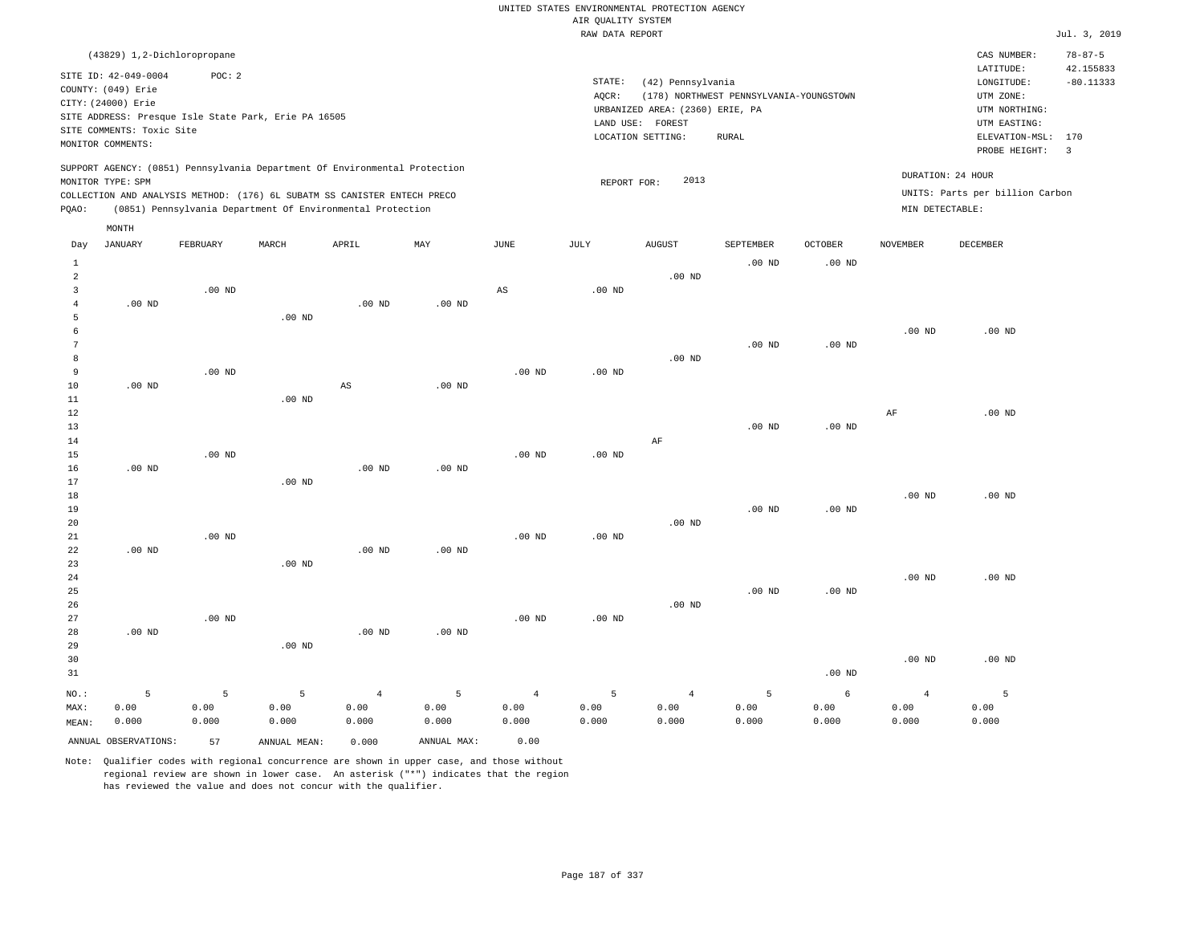|                     |                                                                            |                   |                   |                                                            |                |                   | <br>Rothers nemeter<br>RAW DATA REPORT |                                 |                                         |                   |                   |                                 | Jul. 3, 2019   |
|---------------------|----------------------------------------------------------------------------|-------------------|-------------------|------------------------------------------------------------|----------------|-------------------|----------------------------------------|---------------------------------|-----------------------------------------|-------------------|-------------------|---------------------------------|----------------|
|                     | (43829) 1,2-Dichloropropane                                                |                   |                   |                                                            |                |                   |                                        |                                 |                                         |                   |                   | CAS NUMBER:                     | $78 - 87 - 5$  |
|                     | SITE ID: 42-049-0004                                                       | POC: 2            |                   |                                                            |                |                   |                                        |                                 |                                         |                   |                   | LATITUDE:                       | 42.155833      |
|                     | COUNTY: (049) Erie                                                         |                   |                   |                                                            |                |                   | STATE:                                 | (42) Pennsylvania               |                                         |                   |                   | LONGITUDE:                      | $-80.11333$    |
|                     | CITY: (24000) Erie                                                         |                   |                   |                                                            |                |                   | AQCR:                                  | URBANIZED AREA: (2360) ERIE, PA | (178) NORTHWEST PENNSYLVANIA-YOUNGSTOWN |                   |                   | UTM ZONE:<br>UTM NORTHING:      |                |
|                     | SITE ADDRESS: Presque Isle State Park, Erie PA 16505                       |                   |                   |                                                            |                |                   |                                        | LAND USE: FOREST                |                                         |                   |                   | UTM EASTING:                    |                |
|                     | SITE COMMENTS: Toxic Site                                                  |                   |                   |                                                            |                |                   |                                        | LOCATION SETTING:               | <b>RURAL</b>                            |                   |                   | ELEVATION-MSL:                  | 170            |
|                     | MONITOR COMMENTS:                                                          |                   |                   |                                                            |                |                   |                                        |                                 |                                         |                   |                   | PROBE HEIGHT:                   | $\overline{3}$ |
|                     | SUPPORT AGENCY: (0851) Pennsylvania Department Of Environmental Protection |                   |                   |                                                            |                |                   |                                        |                                 |                                         |                   |                   | DURATION: 24 HOUR               |                |
|                     | MONITOR TYPE: SPM                                                          |                   |                   |                                                            |                |                   | REPORT FOR:                            | 2013                            |                                         |                   |                   |                                 |                |
|                     | COLLECTION AND ANALYSIS METHOD: (176) 6L SUBATM SS CANISTER ENTECH PRECO   |                   |                   |                                                            |                |                   |                                        |                                 |                                         |                   |                   | UNITS: Parts per billion Carbon |                |
| PQAO:               |                                                                            |                   |                   | (0851) Pennsylvania Department Of Environmental Protection |                |                   |                                        |                                 |                                         |                   | MIN DETECTABLE:   |                                 |                |
|                     | MONTH                                                                      |                   |                   |                                                            |                |                   |                                        |                                 |                                         |                   |                   |                                 |                |
| Day                 | JANUARY                                                                    | FEBRUARY          | MARCH             | APRIL                                                      | MAY            | $\mathtt{JUNE}$   | JULY                                   | <b>AUGUST</b>                   | SEPTEMBER                               | <b>OCTOBER</b>    | NOVEMBER          | DECEMBER                        |                |
| $\mathbf{1}$        |                                                                            |                   |                   |                                                            |                |                   |                                        |                                 | $.00$ ND                                | .00 <sub>ND</sub> |                   |                                 |                |
| $\overline{2}$      |                                                                            |                   |                   |                                                            |                |                   |                                        | $.00$ ND                        |                                         |                   |                   |                                 |                |
| 3                   |                                                                            | .00 <sub>ND</sub> |                   |                                                            |                | AS                | $.00$ ND                               |                                 |                                         |                   |                   |                                 |                |
| $\overline{4}$      | $.00$ ND                                                                   |                   |                   | $.00$ ND                                                   | $.00$ ND       |                   |                                        |                                 |                                         |                   |                   |                                 |                |
| 5                   |                                                                            |                   | $.00$ ND          |                                                            |                |                   |                                        |                                 |                                         |                   |                   |                                 |                |
| 6<br>$\overline{7}$ |                                                                            |                   |                   |                                                            |                |                   |                                        |                                 | $.00$ ND                                | .00 <sub>ND</sub> | $.00$ ND          | $.00$ ND                        |                |
| 8                   |                                                                            |                   |                   |                                                            |                |                   |                                        | $.00$ ND                        |                                         |                   |                   |                                 |                |
| 9                   |                                                                            | .00 <sub>ND</sub> |                   |                                                            |                | .00 <sub>ND</sub> | $.00$ ND                               |                                 |                                         |                   |                   |                                 |                |
| 10                  | $.00$ ND                                                                   |                   |                   | AS                                                         | $.00$ ND       |                   |                                        |                                 |                                         |                   |                   |                                 |                |
| 11                  |                                                                            |                   | .00 <sub>ND</sub> |                                                            |                |                   |                                        |                                 |                                         |                   |                   |                                 |                |
| 12                  |                                                                            |                   |                   |                                                            |                |                   |                                        |                                 |                                         |                   | $\rm{AF}$         | $.00$ ND                        |                |
| 13                  |                                                                            |                   |                   |                                                            |                |                   |                                        |                                 | $.00$ ND                                | .00 <sub>ND</sub> |                   |                                 |                |
| 14                  |                                                                            |                   |                   |                                                            |                |                   |                                        | AF                              |                                         |                   |                   |                                 |                |
| 15                  |                                                                            | $.00$ ND          |                   |                                                            |                | .00 <sub>ND</sub> | $.00$ ND                               |                                 |                                         |                   |                   |                                 |                |
| 16                  | $.00$ ND                                                                   |                   |                   | $.00$ ND                                                   | $.00$ ND       |                   |                                        |                                 |                                         |                   |                   |                                 |                |
| 17                  |                                                                            |                   | .00 <sub>ND</sub> |                                                            |                |                   |                                        |                                 |                                         |                   |                   |                                 |                |
| 18                  |                                                                            |                   |                   |                                                            |                |                   |                                        |                                 |                                         |                   | .00 <sub>ND</sub> | $.00$ ND                        |                |
| 19                  |                                                                            |                   |                   |                                                            |                |                   |                                        |                                 | $.00$ ND                                | $.00$ ND          |                   |                                 |                |
| 20<br>21            |                                                                            | $.00$ ND          |                   |                                                            |                | $.00$ ND          | $.00$ ND                               | $.00$ ND                        |                                         |                   |                   |                                 |                |
| 22                  | $.00$ ND                                                                   |                   |                   | $.00$ ND                                                   | $.00$ ND       |                   |                                        |                                 |                                         |                   |                   |                                 |                |
| 23                  |                                                                            |                   | .00 <sub>ND</sub> |                                                            |                |                   |                                        |                                 |                                         |                   |                   |                                 |                |
| 24                  |                                                                            |                   |                   |                                                            |                |                   |                                        |                                 |                                         |                   | .00 <sub>ND</sub> | $.00$ ND                        |                |
| 25                  |                                                                            |                   |                   |                                                            |                |                   |                                        |                                 | $.00$ ND                                | .00 <sub>ND</sub> |                   |                                 |                |
| 26                  |                                                                            |                   |                   |                                                            |                |                   |                                        | $.00$ ND                        |                                         |                   |                   |                                 |                |
| 27                  |                                                                            | $.00$ ND          |                   |                                                            |                | .00 <sub>ND</sub> | $.00$ ND                               |                                 |                                         |                   |                   |                                 |                |
| 28                  | $.00$ ND                                                                   |                   |                   | .00 <sub>ND</sub>                                          | $.00$ ND       |                   |                                        |                                 |                                         |                   |                   |                                 |                |
| 29                  |                                                                            |                   | .00 <sub>ND</sub> |                                                            |                |                   |                                        |                                 |                                         |                   |                   |                                 |                |
| 30                  |                                                                            |                   |                   |                                                            |                |                   |                                        |                                 |                                         |                   | $.00$ ND          | $.00$ ND                        |                |
| 31                  |                                                                            |                   |                   |                                                            |                |                   |                                        |                                 |                                         | .00 <sub>ND</sub> |                   |                                 |                |
| NO.:                | 5                                                                          | 5                 | 5                 | $\overline{4}$                                             | $\overline{5}$ | $\overline{4}$    | 5                                      | $\overline{4}$                  | 5                                       | 6                 | $\overline{4}$    | 5                               |                |
| MAX:                | 0.00                                                                       | 0.00              | 0.00              | 0.00                                                       | 0.00           | 0.00              | 0.00                                   | 0.00                            | 0.00                                    | 0.00              | 0.00              | 0.00                            |                |
| MEAN:               | 0.000                                                                      | 0.000             | 0.000             | 0.000                                                      | 0.000          | 0.000             | 0.000                                  | 0.000                           | 0.000                                   | 0.000             | 0.000             | 0.000                           |                |
|                     | ANNUAL OBSERVATIONS:                                                       | 57                | ANNUAL MEAN:      | 0.000                                                      | ANNUAL MAX:    | 0.00              |                                        |                                 |                                         |                   |                   |                                 |                |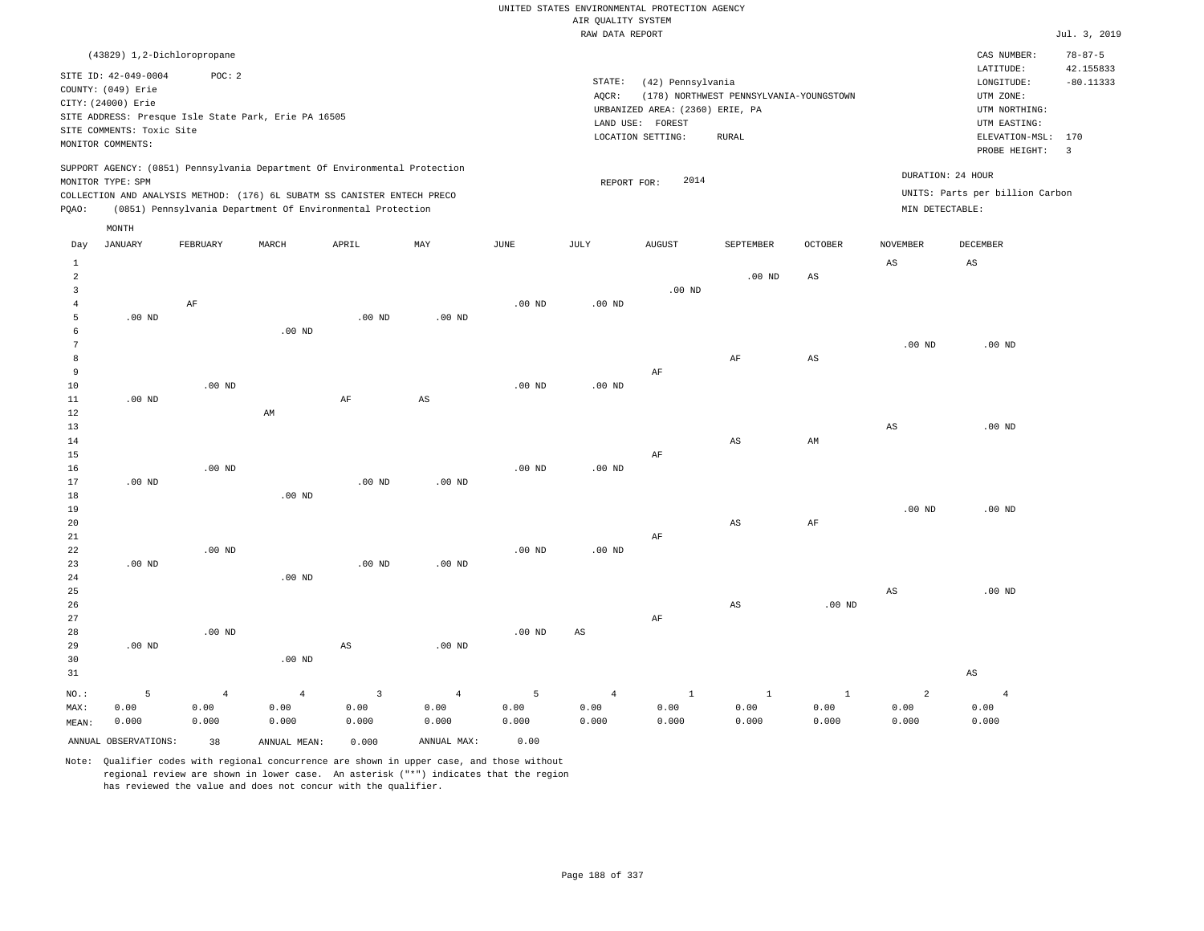### RAW DATA REPORT Jul. 3, 2019 UNITED STATES ENVIRONMENTAL PROTECTION AGENCY AIR QUALITY SYSTEM

|                                     | (43829) 1,2-Dichloropropane                                                                                        |                             |                                                                                                                                                                                                                      |                                 |                                 |                    |                                 |                                                                                     |                                                         |                               |                                      | CAS NUMBER:                                                                                                  | $78 - 87 - 5$                                       |
|-------------------------------------|--------------------------------------------------------------------------------------------------------------------|-----------------------------|----------------------------------------------------------------------------------------------------------------------------------------------------------------------------------------------------------------------|---------------------------------|---------------------------------|--------------------|---------------------------------|-------------------------------------------------------------------------------------|---------------------------------------------------------|-------------------------------|--------------------------------------|--------------------------------------------------------------------------------------------------------------|-----------------------------------------------------|
|                                     | SITE ID: 42-049-0004<br>COUNTY: (049) Erie<br>CITY: (24000) Erie<br>SITE COMMENTS: Toxic Site<br>MONITOR COMMENTS: | POC: 2                      | SITE ADDRESS: Presque Isle State Park, Erie PA 16505                                                                                                                                                                 |                                 |                                 |                    | STATE:<br>AQCR:<br>LAND USE:    | (42) Pennsylvania<br>URBANIZED AREA: (2360) ERIE, PA<br>FOREST<br>LOCATION SETTING: | (178) NORTHWEST PENNSYLVANIA-YOUNGSTOWN<br><b>RURAL</b> |                               |                                      | LATITUDE:<br>LONGITUDE:<br>UTM ZONE:<br>UTM NORTHING:<br>UTM EASTING:<br>ELEVATION-MSL: 170<br>PROBE HEIGHT: | 42.155833<br>$-80.11333$<br>$\overline{\mathbf{3}}$ |
| PQAO:                               | MONITOR TYPE: SPM                                                                                                  |                             | SUPPORT AGENCY: (0851) Pennsylvania Department Of Environmental Protection<br>COLLECTION AND ANALYSIS METHOD: (176) 6L SUBATM SS CANISTER ENTECH PRECO<br>(0851) Pennsylvania Department Of Environmental Protection |                                 |                                 |                    | REPORT FOR:                     | 2014                                                                                |                                                         |                               | DURATION: 24 HOUR<br>MIN DETECTABLE: | UNITS: Parts per billion Carbon                                                                              |                                                     |
|                                     | MONTH                                                                                                              |                             |                                                                                                                                                                                                                      |                                 |                                 |                    |                                 |                                                                                     |                                                         |                               |                                      |                                                                                                              |                                                     |
| Day                                 | <b>JANUARY</b>                                                                                                     | FEBRUARY                    | MARCH                                                                                                                                                                                                                | APRIL                           | MAY                             | JUNE               | JULY                            | <b>AUGUST</b>                                                                       | SEPTEMBER                                               | <b>OCTOBER</b>                | <b>NOVEMBER</b>                      | <b>DECEMBER</b>                                                                                              |                                                     |
| $\mathbf{1}$<br>$\overline{a}$<br>3 |                                                                                                                    |                             |                                                                                                                                                                                                                      |                                 |                                 |                    |                                 | $.00$ ND                                                                            | $.00$ ND                                                | AS                            | AS                                   | AS                                                                                                           |                                                     |
| $\overline{4}$<br>5<br>6            | $.00$ ND                                                                                                           | AF                          | .00 <sub>ND</sub>                                                                                                                                                                                                    | $.00$ ND                        | $.00$ ND                        | $.00$ ND           | $.00$ ND                        |                                                                                     |                                                         |                               |                                      |                                                                                                              |                                                     |
| $\overline{7}$<br>8<br>9<br>10      |                                                                                                                    | $.00$ ND                    |                                                                                                                                                                                                                      |                                 |                                 | .00 <sub>ND</sub>  | .00 <sub>ND</sub>               | AF                                                                                  | $\rm{AF}$                                               | $_{\rm AS}$                   | $.00$ ND                             | $.00$ ND                                                                                                     |                                                     |
| $11\,$<br>12<br>13                  | $.00$ ND                                                                                                           |                             | AM                                                                                                                                                                                                                   | $\rm AF$                        | $\mathbb{A}\mathbb{S}$          |                    |                                 |                                                                                     |                                                         |                               | $_{\rm AS}$                          | $.00$ ND                                                                                                     |                                                     |
| 14<br>15<br>16                      |                                                                                                                    | $.00$ ND                    |                                                                                                                                                                                                                      |                                 |                                 | .00 <sub>ND</sub>  | .00 <sub>ND</sub>               | AF                                                                                  | $\mathbb{A}\mathbb{S}$                                  | AM                            |                                      |                                                                                                              |                                                     |
| 17<br>18<br>19                      | $.00$ ND                                                                                                           |                             | $.00$ ND                                                                                                                                                                                                             | $.00$ ND                        | .00 <sub>ND</sub>               |                    |                                 |                                                                                     |                                                         |                               | $.00$ ND                             | $.00$ ND                                                                                                     |                                                     |
| 20<br>21<br>22                      |                                                                                                                    | $.00$ ND                    |                                                                                                                                                                                                                      |                                 |                                 | $.00$ ND           | $.00$ ND                        | AF                                                                                  | AS                                                      | AF                            |                                      |                                                                                                              |                                                     |
| 23<br>24<br>25<br>26                | $.00$ ND                                                                                                           |                             | $.00$ ND                                                                                                                                                                                                             | $.00$ ND                        | $.00$ ND                        |                    |                                 |                                                                                     | AS                                                      | $.00$ ND                      | $\mathbb{A}\mathbb{S}$               | $.00$ ND                                                                                                     |                                                     |
| 27<br>28<br>29                      | .00 <sub>ND</sub>                                                                                                  | $.00$ ND                    |                                                                                                                                                                                                                      | $\mathbb{A}\mathbb{S}$          | $.00$ ND                        | .00 <sub>ND</sub>  | $_{\rm AS}$                     | AF                                                                                  |                                                         |                               |                                      |                                                                                                              |                                                     |
| 30<br>31                            |                                                                                                                    |                             | .00 <sub>ND</sub>                                                                                                                                                                                                    |                                 |                                 |                    |                                 |                                                                                     |                                                         |                               |                                      | $\mathbb{A}\mathbb{S}$                                                                                       |                                                     |
| NO.:<br>MAX:<br>MEAN:               | 5<br>0.00<br>0.000                                                                                                 | $\sqrt{4}$<br>0.00<br>0.000 | $\overline{4}$<br>0.00<br>0.000                                                                                                                                                                                      | $\overline{3}$<br>0.00<br>0.000 | $\overline{4}$<br>0.00<br>0.000 | 5<br>0.00<br>0.000 | $\overline{4}$<br>0.00<br>0.000 | $\mathbf{1}$<br>0.00<br>0.000                                                       | $\,1\,$<br>0.00<br>0.000                                | $\mathbf{1}$<br>0.00<br>0.000 | $\overline{a}$<br>0.00<br>0.000      | $\overline{4}$<br>0.00<br>0.000                                                                              |                                                     |
|                                     | ANNUAL OBSERVATIONS:                                                                                               | 38                          | ANNUAL MEAN:                                                                                                                                                                                                         | 0.000                           | ANNUAL MAX:                     | 0.00               |                                 |                                                                                     |                                                         |                               |                                      |                                                                                                              |                                                     |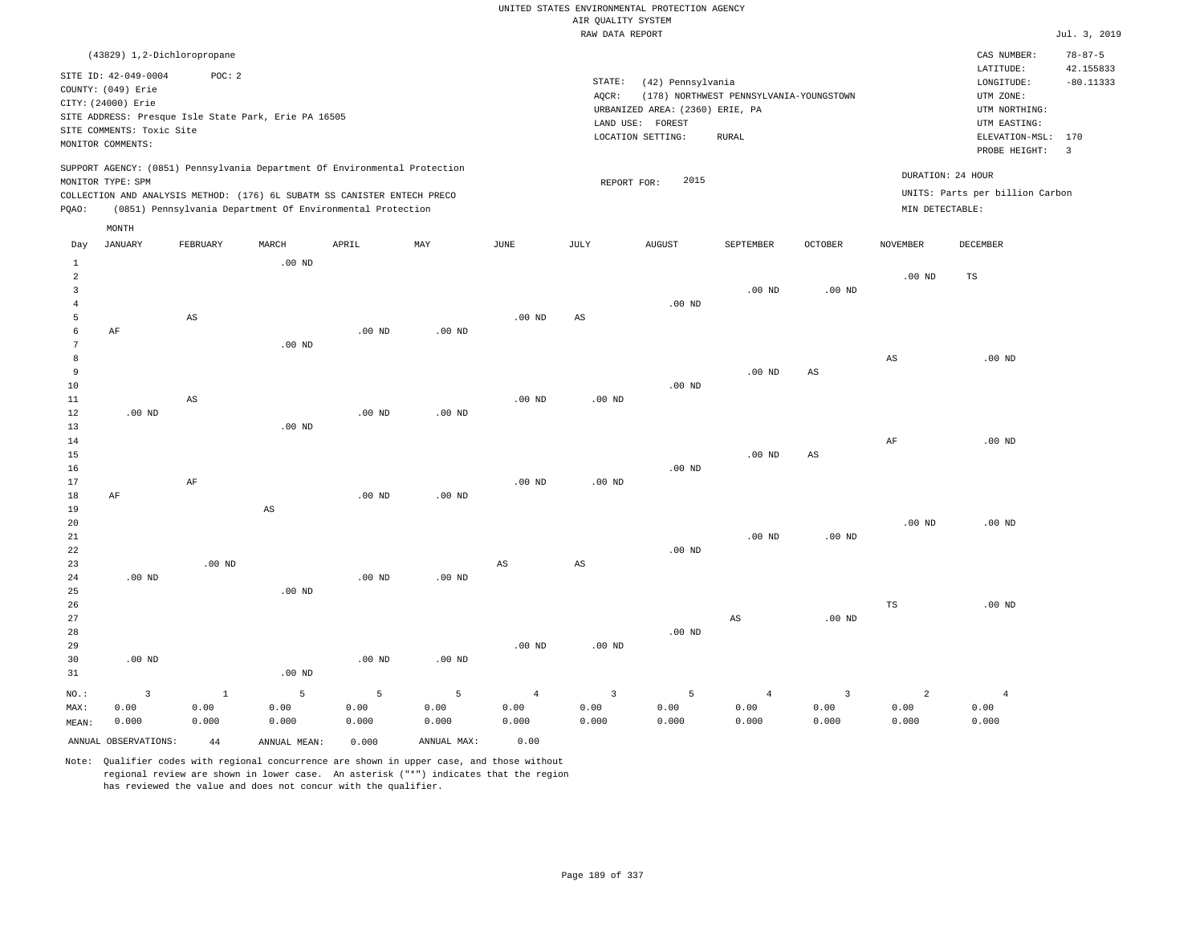### RAW DATA REPORT Jul. 3, 2019 UNITED STATES ENVIRONMENTAL PROTECTION AGENCY AIR QUALITY SYSTEM

|        | (43829) 1,2-Dichloropropane                                                                                                                                                                                                                        |          |          |       |     |          |       |                                                                                                            |                                                  |          |                                      | CAS NUMBER:                                                                                                  | $78 - 87 - 5$                                       |
|--------|----------------------------------------------------------------------------------------------------------------------------------------------------------------------------------------------------------------------------------------------------|----------|----------|-------|-----|----------|-------|------------------------------------------------------------------------------------------------------------|--------------------------------------------------|----------|--------------------------------------|--------------------------------------------------------------------------------------------------------------|-----------------------------------------------------|
|        | SITE ID: 42-049-0004<br>COUNTY: (049) Erie<br>CITY: (24000) Erie<br>SITE ADDRESS: Presque Isle State Park, Erie PA 16505<br>SITE COMMENTS: Toxic Site<br>MONITOR COMMENTS:                                                                         | POC: 2   |          |       |     |          | AOCR: | STATE:<br>(42) Pennsylvania<br>URBANIZED AREA: (2360) ERIE, PA<br>LAND USE:<br>FOREST<br>LOCATION SETTING: | (178) NORTHWEST PENNSYLVANIA-YOUNGSTOWN<br>RURAL |          |                                      | LATITUDE:<br>LONGITUDE:<br>UTM ZONE:<br>UTM NORTHING:<br>UTM EASTING:<br>ELEVATION-MSL: 170<br>PROBE HEIGHT: | 42.155833<br>$-80.11333$<br>$\overline{\mathbf{3}}$ |
| PQAO:  | SUPPORT AGENCY: (0851) Pennsylvania Department Of Environmental Protection<br>MONITOR TYPE: SPM<br>COLLECTION AND ANALYSIS METHOD: (176) 6L SUBATM SS CANISTER ENTECH PRECO<br>(0851) Pennsylvania Department Of Environmental Protection<br>MONTH |          |          |       |     |          |       | 2015<br>REPORT FOR:                                                                                        |                                                  |          | DURATION: 24 HOUR<br>MIN DETECTABLE: | UNITS: Parts per billion Carbon                                                                              |                                                     |
| Day    | JANUARY                                                                                                                                                                                                                                            | FEBRUARY | MARCH    | APRIL | MAY | JUNE     | JULY  | AUGUST                                                                                                     | SEPTEMBER                                        | OCTOBER  | <b>NOVEMBER</b>                      | DECEMBER                                                                                                     |                                                     |
| $\sim$ |                                                                                                                                                                                                                                                    |          | $.00$ ND |       |     |          |       | $.00$ ND                                                                                                   | $.00$ ND                                         | $.00$ ND | $.00$ ND                             | TS                                                                                                           |                                                     |
|        |                                                                                                                                                                                                                                                    | AS       |          |       |     | $.00$ ND | AS    |                                                                                                            |                                                  |          |                                      |                                                                                                              |                                                     |

 .00 ND AS .00 ND .00 ND .00 ND .00 ND .00 ND .00 ND .00 ND .00 ND .00 ND AS AS AS AF .00 ND .00 ND

17 18 19 20 21 22 23 24 25 26 27 28 29 30 AF .00 ND .00 ND AF .00 ND AS .00 ND .00 ND .00 ND .00 ND .00 ND .00 ND .00 ND .00 ND AS .00 ND .00 ND AS .00 ND .00 ND .00 ND .00 ND AS .00 ND .00 ND .00 ND TS .00 ND .00 ND

31 NO.: MAX: MEAN: 3 0.00 0.000 .00 ND 1 0.00 0.000 5 0.00 0.000 5 0.00 0.000 5 0.00 0.000 4 0.00 0.000 3 0.00 0.000 5 0.00 0.000 4 0.00 0.000 3 0.00 0.000 2 0.00 0.000 4 0.00 0.000 ANNUAL OBSERVATIONS: 44 ANNUAL MEAN: 0.000 ANNUAL MAX: 0.00

Note: Qualifier codes with regional concurrence are shown in upper case, and those without regional review are shown in lower case. An asterisk ("\*") indicates that the region has reviewed the value and does not concur with the qualifier.

.00 ND

.00 ND

.00 ND

AF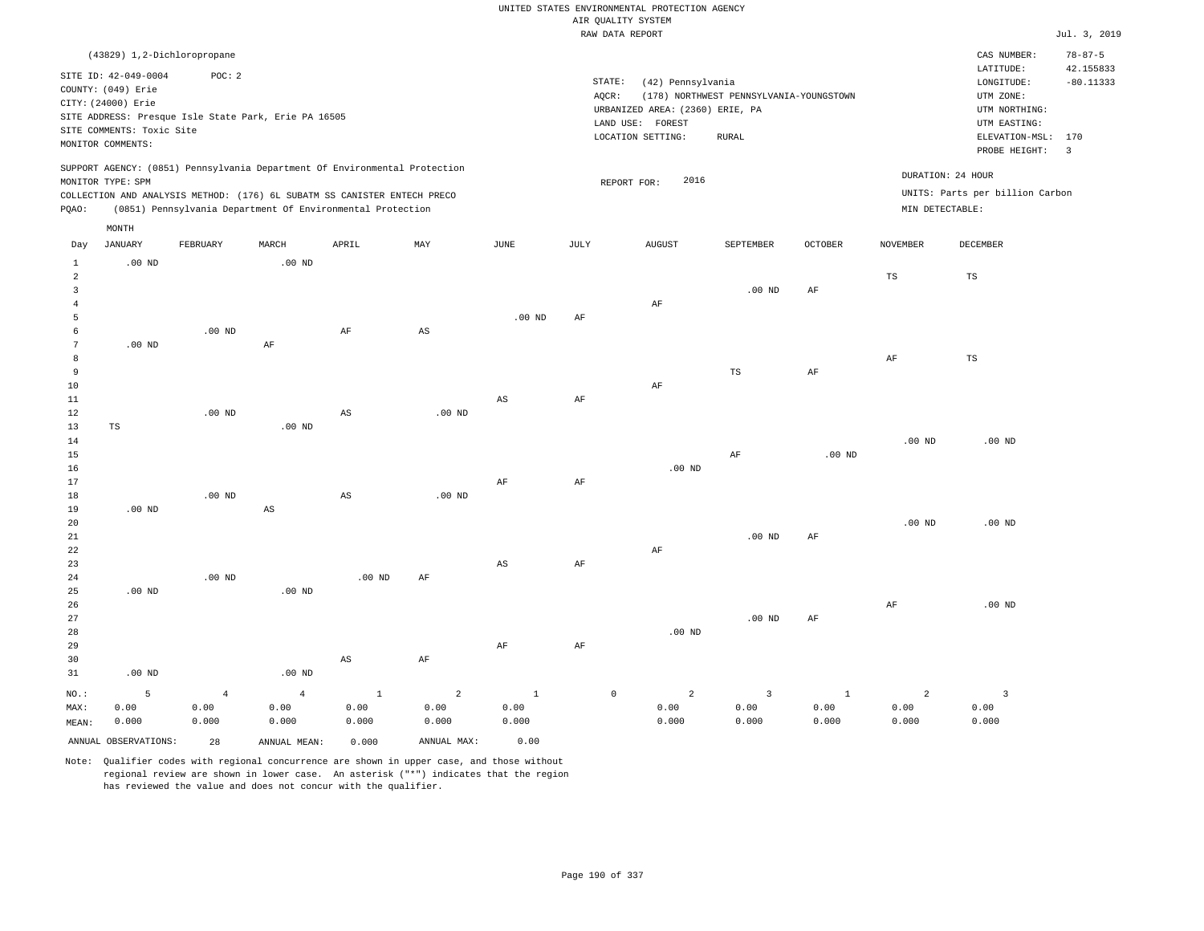|                   |                             |                   |                                                      |                                                                            |                        |                   |           | RAW DATA REPORT                 |                                         |                |                   |                                 | Jul. 3, 2019            |
|-------------------|-----------------------------|-------------------|------------------------------------------------------|----------------------------------------------------------------------------|------------------------|-------------------|-----------|---------------------------------|-----------------------------------------|----------------|-------------------|---------------------------------|-------------------------|
|                   | (43829) 1,2-Dichloropropane |                   |                                                      |                                                                            |                        |                   |           |                                 |                                         |                |                   | CAS NUMBER:                     | $78 - 87 - 5$           |
|                   |                             |                   |                                                      |                                                                            |                        |                   |           |                                 |                                         |                |                   | LATITUDE:                       | 42.155833               |
|                   | SITE ID: 42-049-0004        | POC: 2            |                                                      |                                                                            |                        |                   |           | STATE:<br>(42) Pennsylvania     |                                         |                |                   | LONGITUDE:                      | $-80.11333$             |
|                   | COUNTY: (049) Erie          |                   |                                                      |                                                                            |                        |                   |           | AQCR:                           | (178) NORTHWEST PENNSYLVANIA-YOUNGSTOWN |                |                   | UTM ZONE:                       |                         |
|                   | CITY: (24000) Erie          |                   |                                                      |                                                                            |                        |                   |           | URBANIZED AREA: (2360) ERIE, PA |                                         |                |                   | UTM NORTHING:                   |                         |
|                   |                             |                   | SITE ADDRESS: Presque Isle State Park, Erie PA 16505 |                                                                            |                        |                   |           | LAND USE: FOREST                |                                         |                |                   | UTM EASTING:                    |                         |
|                   | SITE COMMENTS: Toxic Site   |                   |                                                      |                                                                            |                        |                   |           | LOCATION SETTING:               | <b>RURAL</b>                            |                |                   | ELEVATION-MSL:                  | 170                     |
|                   | MONITOR COMMENTS:           |                   |                                                      |                                                                            |                        |                   |           |                                 |                                         |                |                   | PROBE HEIGHT:                   | $\overline{\mathbf{3}}$ |
|                   |                             |                   |                                                      | SUPPORT AGENCY: (0851) Pennsylvania Department Of Environmental Protection |                        |                   |           |                                 |                                         |                |                   |                                 |                         |
|                   | MONITOR TYPE: SPM           |                   |                                                      |                                                                            |                        |                   |           | 2016<br>REPORT FOR:             |                                         |                |                   | DURATION: 24 HOUR               |                         |
|                   |                             |                   |                                                      | COLLECTION AND ANALYSIS METHOD: (176) 6L SUBATM SS CANISTER ENTECH PRECO   |                        |                   |           |                                 |                                         |                |                   | UNITS: Parts per billion Carbon |                         |
| PQAO:             |                             |                   |                                                      | (0851) Pennsylvania Department Of Environmental Protection                 |                        |                   |           |                                 |                                         |                | MIN DETECTABLE:   |                                 |                         |
|                   | MONTH                       |                   |                                                      |                                                                            |                        |                   |           |                                 |                                         |                |                   |                                 |                         |
| Day               | JANUARY                     | FEBRUARY          | MARCH                                                | APRIL                                                                      | MAY                    | JUNE              | JULY      | AUGUST                          | SEPTEMBER                               | <b>OCTOBER</b> | <b>NOVEMBER</b>   | <b>DECEMBER</b>                 |                         |
| $\mathbf{1}$      | $.00$ ND                    |                   | $.00$ ND                                             |                                                                            |                        |                   |           |                                 |                                         |                |                   |                                 |                         |
| $\overline{2}$    |                             |                   |                                                      |                                                                            |                        |                   |           |                                 |                                         |                | $_{\rm TS}$       | TS                              |                         |
| $\overline{3}$    |                             |                   |                                                      |                                                                            |                        |                   |           |                                 | .00 <sub>ND</sub>                       | $\rm{AF}$      |                   |                                 |                         |
| $\overline{4}$    |                             |                   |                                                      |                                                                            |                        |                   |           | $\rm AF$                        |                                         |                |                   |                                 |                         |
| 5                 |                             |                   |                                                      |                                                                            |                        | .00 <sub>ND</sub> | AF        |                                 |                                         |                |                   |                                 |                         |
| 6                 |                             | $.00$ ND          |                                                      | AF                                                                         | $\mathbb{A}\mathbb{S}$ |                   |           |                                 |                                         |                |                   |                                 |                         |
| $7\phantom{.0}$   | $.00$ ND                    |                   | $\rm AF$                                             |                                                                            |                        |                   |           |                                 |                                         |                |                   |                                 |                         |
| 8                 |                             |                   |                                                      |                                                                            |                        |                   |           |                                 |                                         |                | $\rm{AF}$         | $_{\rm TS}$                     |                         |
| 9                 |                             |                   |                                                      |                                                                            |                        |                   |           |                                 | $_{\rm TS}$                             | AF             |                   |                                 |                         |
| 10                |                             |                   |                                                      |                                                                            |                        |                   |           | $\rm{AF}$                       |                                         |                |                   |                                 |                         |
| 11                |                             |                   |                                                      |                                                                            |                        | AS                | AF        |                                 |                                         |                |                   |                                 |                         |
| 12                |                             | .00 <sub>ND</sub> |                                                      | AS                                                                         | .00 <sub>ND</sub>      |                   |           |                                 |                                         |                |                   |                                 |                         |
| 13                | $\mathbb{TS}$               |                   | $.00$ ND                                             |                                                                            |                        |                   |           |                                 |                                         |                |                   |                                 |                         |
| 14                |                             |                   |                                                      |                                                                            |                        |                   |           |                                 |                                         |                | $.00$ ND          | .00 <sub>ND</sub>               |                         |
| 15                |                             |                   |                                                      |                                                                            |                        |                   |           |                                 | $\rm AF$                                | $.00$ ND       |                   |                                 |                         |
| 16                |                             |                   |                                                      |                                                                            |                        |                   |           | $.00$ ND                        |                                         |                |                   |                                 |                         |
| 17                |                             |                   |                                                      |                                                                            |                        | AF                | AF        |                                 |                                         |                |                   |                                 |                         |
| 18                |                             | $.00$ ND          |                                                      | $\mathbb{A}\mathbb{S}$                                                     | .00 <sub>ND</sub>      |                   |           |                                 |                                         |                |                   |                                 |                         |
| 19<br>20          | $.00$ ND                    |                   | $\mathbb{A}\mathbb{S}$                               |                                                                            |                        |                   |           |                                 |                                         |                |                   |                                 |                         |
|                   |                             |                   |                                                      |                                                                            |                        |                   |           |                                 |                                         |                | .00 <sub>ND</sub> | .00 <sub>ND</sub>               |                         |
| $2\sqrt{1}$<br>22 |                             |                   |                                                      |                                                                            |                        |                   |           | AF                              | $.00$ ND                                | AF             |                   |                                 |                         |
| 23                |                             |                   |                                                      |                                                                            |                        | $_{\rm AS}$       | AF        |                                 |                                         |                |                   |                                 |                         |
| 24                |                             | $.00$ ND          |                                                      | $.00$ ND                                                                   | AF                     |                   |           |                                 |                                         |                |                   |                                 |                         |
| 25                | $.00$ ND                    |                   | $.00$ ND                                             |                                                                            |                        |                   |           |                                 |                                         |                |                   |                                 |                         |
| 26                |                             |                   |                                                      |                                                                            |                        |                   |           |                                 |                                         |                | AF                | $.00$ ND                        |                         |
| 27                |                             |                   |                                                      |                                                                            |                        |                   |           |                                 | $.00$ ND                                | AF             |                   |                                 |                         |
| 28                |                             |                   |                                                      |                                                                            |                        |                   |           | $.00$ ND                        |                                         |                |                   |                                 |                         |
| 29                |                             |                   |                                                      |                                                                            |                        | $\rm AF$          | $\rm{AF}$ |                                 |                                         |                |                   |                                 |                         |
| 30                |                             |                   |                                                      | $\mathbb{A}\mathbb{S}$                                                     | $\rm{AF}$              |                   |           |                                 |                                         |                |                   |                                 |                         |
| 31                | $.00$ ND                    |                   | $.00$ ND                                             |                                                                            |                        |                   |           |                                 |                                         |                |                   |                                 |                         |
| NO.:              | 5                           | $\overline{4}$    | $\overline{4}$                                       | $\mathbf{1}$                                                               | $\overline{a}$         | $\mathbf{1}$      |           | $\mathbb O$<br>$\overline{a}$   | $\overline{3}$                          | $\mathbf{1}$   | $\overline{a}$    | $\mathbf{3}$                    |                         |
| MAX:              | 0.00                        | 0.00              | 0.00                                                 | 0.00                                                                       | 0.00                   | 0.00              |           | 0.00                            | 0.00                                    | 0.00           | 0.00              | 0.00                            |                         |
| MEAN:             | 0.000                       | 0.000             | 0.000                                                | 0.000                                                                      | 0.000                  | 0.000             |           | 0.000                           | 0.000                                   | 0.000          | 0.000             | 0.000                           |                         |
|                   |                             |                   |                                                      |                                                                            |                        |                   |           |                                 |                                         |                |                   |                                 |                         |
|                   | ANNUAL OBSERVATIONS:        | 28                | ANNUAL MEAN:                                         | 0.000                                                                      | ANNUAL MAX:            | 0.00              |           |                                 |                                         |                |                   |                                 |                         |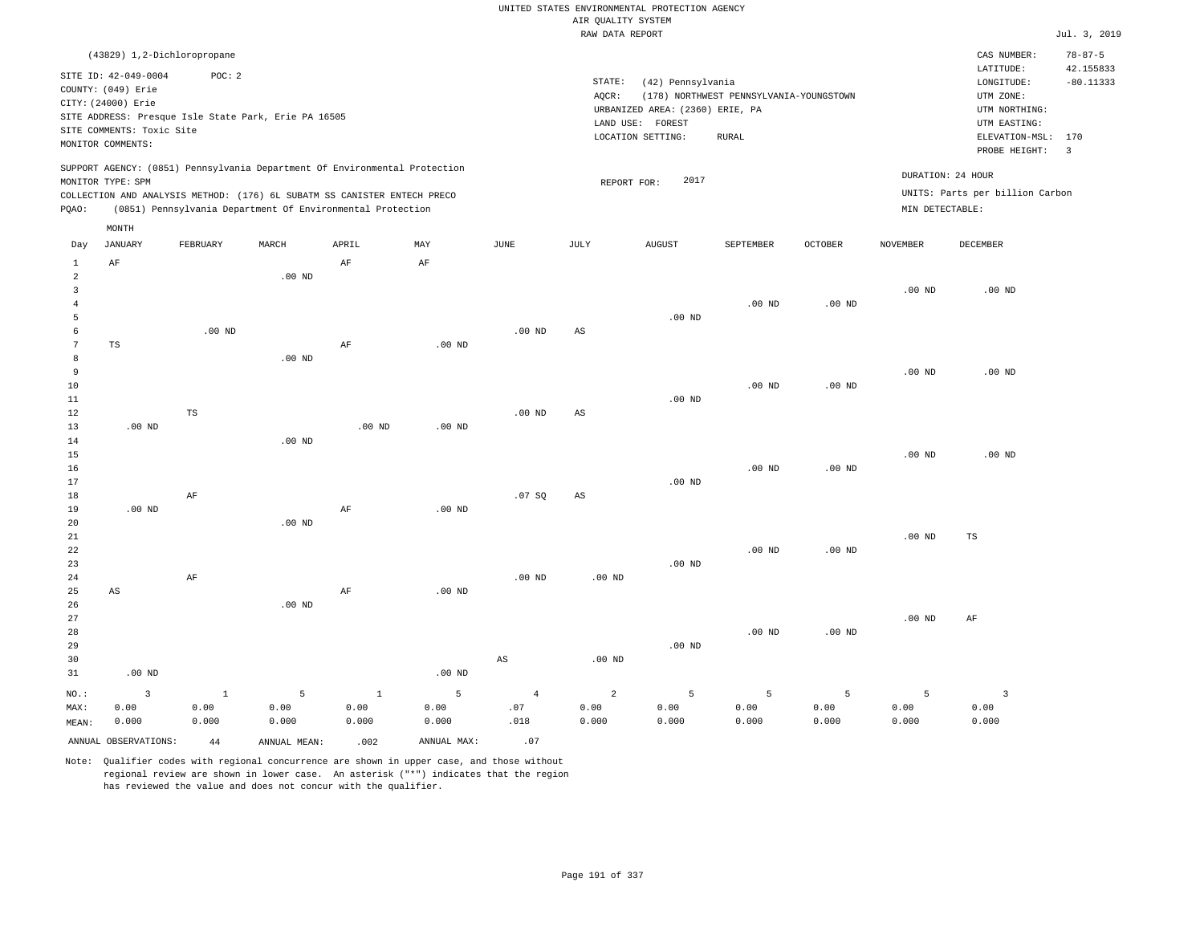|                 |                             |             |                                                      |                                                                            |             |                   | RAW DATA REPORT        |                                 |                                         |                   |                   |                                 | Jul. 3, 2019            |
|-----------------|-----------------------------|-------------|------------------------------------------------------|----------------------------------------------------------------------------|-------------|-------------------|------------------------|---------------------------------|-----------------------------------------|-------------------|-------------------|---------------------------------|-------------------------|
|                 | (43829) 1,2-Dichloropropane |             |                                                      |                                                                            |             |                   |                        |                                 |                                         |                   |                   | CAS NUMBER:                     | $78 - 87 - 5$           |
|                 |                             |             |                                                      |                                                                            |             |                   |                        |                                 |                                         |                   |                   | LATITUDE:                       | 42.155833               |
|                 | SITE ID: 42-049-0004        | POC: 2      |                                                      |                                                                            |             |                   | STATE:                 | (42) Pennsylvania               |                                         |                   |                   | LONGITUDE:                      | $-80.11333$             |
|                 | COUNTY: (049) Erie          |             |                                                      |                                                                            |             |                   | AQCR:                  |                                 | (178) NORTHWEST PENNSYLVANIA-YOUNGSTOWN |                   |                   | UTM ZONE:                       |                         |
|                 | CITY: (24000) Erie          |             |                                                      |                                                                            |             |                   |                        | URBANIZED AREA: (2360) ERIE, PA |                                         |                   |                   | UTM NORTHING:                   |                         |
|                 |                             |             | SITE ADDRESS: Presque Isle State Park, Erie PA 16505 |                                                                            |             |                   |                        | LAND USE: FOREST                |                                         |                   |                   | UTM EASTING:                    |                         |
|                 | SITE COMMENTS: Toxic Site   |             |                                                      |                                                                            |             |                   |                        | LOCATION SETTING:               | <b>RURAL</b>                            |                   |                   | ELEVATION-MSL:                  | 170                     |
|                 | MONITOR COMMENTS:           |             |                                                      |                                                                            |             |                   |                        |                                 |                                         |                   |                   | PROBE HEIGHT:                   | $\overline{\mathbf{3}}$ |
|                 |                             |             |                                                      | SUPPORT AGENCY: (0851) Pennsylvania Department Of Environmental Protection |             |                   |                        |                                 |                                         |                   |                   |                                 |                         |
|                 | MONITOR TYPE: SPM           |             |                                                      |                                                                            |             |                   | REPORT FOR:            | 2017                            |                                         |                   |                   | DURATION: 24 HOUR               |                         |
|                 |                             |             |                                                      | COLLECTION AND ANALYSIS METHOD: (176) 6L SUBATM SS CANISTER ENTECH PRECO   |             |                   |                        |                                 |                                         |                   |                   | UNITS: Parts per billion Carbon |                         |
| PQAO:           |                             |             |                                                      | (0851) Pennsylvania Department Of Environmental Protection                 |             |                   |                        |                                 |                                         |                   | MIN DETECTABLE:   |                                 |                         |
|                 | MONTH                       |             |                                                      |                                                                            |             |                   |                        |                                 |                                         |                   |                   |                                 |                         |
| Day             | JANUARY                     | FEBRUARY    | MARCH                                                | APRIL                                                                      | MAY         | JUNE              | JULY                   | <b>AUGUST</b>                   | SEPTEMBER                               | <b>OCTOBER</b>    | <b>NOVEMBER</b>   | DECEMBER                        |                         |
| $\mathbf{1}$    | AF                          |             |                                                      | AF                                                                         | AF          |                   |                        |                                 |                                         |                   |                   |                                 |                         |
| $\overline{2}$  |                             |             | .00 <sub>ND</sub>                                    |                                                                            |             |                   |                        |                                 |                                         |                   |                   |                                 |                         |
| $\overline{3}$  |                             |             |                                                      |                                                                            |             |                   |                        |                                 |                                         |                   | .00 <sub>ND</sub> | $.00$ ND                        |                         |
| $\overline{4}$  |                             |             |                                                      |                                                                            |             |                   |                        |                                 | $.00$ ND                                | .00 <sub>ND</sub> |                   |                                 |                         |
| 5               |                             |             |                                                      |                                                                            |             |                   |                        | $.00$ ND                        |                                         |                   |                   |                                 |                         |
| 6               |                             | $.00$ ND    |                                                      |                                                                            |             | $.00$ ND          | AS                     |                                 |                                         |                   |                   |                                 |                         |
| $7\phantom{.0}$ | TS                          |             |                                                      | $\rm AF$                                                                   | $.00$ ND    |                   |                        |                                 |                                         |                   |                   |                                 |                         |
| 8               |                             |             | $.00$ ND                                             |                                                                            |             |                   |                        |                                 |                                         |                   |                   |                                 |                         |
| $\overline{9}$  |                             |             |                                                      |                                                                            |             |                   |                        |                                 |                                         |                   | $.00$ ND          | .00 <sub>ND</sub>               |                         |
| 10              |                             |             |                                                      |                                                                            |             |                   |                        |                                 | $.00$ ND                                | $.00$ ND          |                   |                                 |                         |
| 11              |                             |             |                                                      |                                                                            |             |                   |                        | $.00$ ND                        |                                         |                   |                   |                                 |                         |
| $12\,$          |                             | $_{\rm TS}$ |                                                      |                                                                            |             | $.00$ ND          | AS                     |                                 |                                         |                   |                   |                                 |                         |
| 13              | .00 <sub>ND</sub>           |             |                                                      | .00 <sub>ND</sub>                                                          | $.00$ ND    |                   |                        |                                 |                                         |                   |                   |                                 |                         |
| 14              |                             |             | .00 <sub>ND</sub>                                    |                                                                            |             |                   |                        |                                 |                                         |                   |                   |                                 |                         |
| 15              |                             |             |                                                      |                                                                            |             |                   |                        |                                 | $.00$ ND                                | $.00$ ND          | .00 <sub>ND</sub> | .00 <sub>ND</sub>               |                         |
| 16<br>17        |                             |             |                                                      |                                                                            |             |                   |                        | $.00$ ND                        |                                         |                   |                   |                                 |                         |
| 18              |                             | $\rm AF$    |                                                      |                                                                            |             | .07SQ             | $\mathbb{A}\mathbb{S}$ |                                 |                                         |                   |                   |                                 |                         |
| 19              | $.00$ ND                    |             |                                                      | AF                                                                         | $.00$ ND    |                   |                        |                                 |                                         |                   |                   |                                 |                         |
| 20              |                             |             | $.00$ ND                                             |                                                                            |             |                   |                        |                                 |                                         |                   |                   |                                 |                         |
| 21              |                             |             |                                                      |                                                                            |             |                   |                        |                                 |                                         |                   | .00 <sub>ND</sub> | $_{\rm TS}$                     |                         |
| 22              |                             |             |                                                      |                                                                            |             |                   |                        |                                 | $.00$ ND                                | $.00$ ND          |                   |                                 |                         |
| 23              |                             |             |                                                      |                                                                            |             |                   |                        | $.00$ ND                        |                                         |                   |                   |                                 |                         |
| 24              |                             | $\rm{AF}$   |                                                      |                                                                            |             | .00 <sub>ND</sub> | $.00$ ND               |                                 |                                         |                   |                   |                                 |                         |
| 25              | $\mathbb{A}\mathbb{S}$      |             |                                                      | $\rm AF$                                                                   | $.00$ ND    |                   |                        |                                 |                                         |                   |                   |                                 |                         |
| 26              |                             |             | $.00$ ND                                             |                                                                            |             |                   |                        |                                 |                                         |                   |                   |                                 |                         |
| 27              |                             |             |                                                      |                                                                            |             |                   |                        |                                 |                                         |                   | .00 <sub>ND</sub> | AF                              |                         |
| 28              |                             |             |                                                      |                                                                            |             |                   |                        |                                 | $.00$ ND                                | $.00$ ND          |                   |                                 |                         |
| 29              |                             |             |                                                      |                                                                            |             |                   |                        | $.00$ ND                        |                                         |                   |                   |                                 |                         |
| 30              |                             |             |                                                      |                                                                            |             | AS                | $.00$ ND               |                                 |                                         |                   |                   |                                 |                         |
| 31              | $.00$ ND                    |             |                                                      |                                                                            | $.00$ ND    |                   |                        |                                 |                                         |                   |                   |                                 |                         |
| NO.:            | $\overline{\mathbf{3}}$     | $1\,$       | 5                                                    | $\mathbf{1}$                                                               | 5           | $\overline{4}$    | $\overline{a}$         | 5                               | 5                                       | 5                 | 5                 | $\overline{3}$                  |                         |
| MAX:            | 0.00                        | 0.00        | 0.00                                                 | 0.00                                                                       | 0.00        | .07               | 0.00                   | 0.00                            | 0.00                                    | 0.00              | 0.00              | 0.00                            |                         |
| MEAN:           | 0.000                       | 0.000       | 0.000                                                | 0.000                                                                      | 0.000       | .018              | 0.000                  | 0.000                           | 0.000                                   | 0.000             | 0.000             | 0.000                           |                         |
|                 | ANNUAL OBSERVATIONS:        | $4\,4$      | ANNUAL MEAN:                                         | .002                                                                       | ANNUAL MAX: | .07               |                        |                                 |                                         |                   |                   |                                 |                         |
|                 |                             |             |                                                      |                                                                            |             |                   |                        |                                 |                                         |                   |                   |                                 |                         |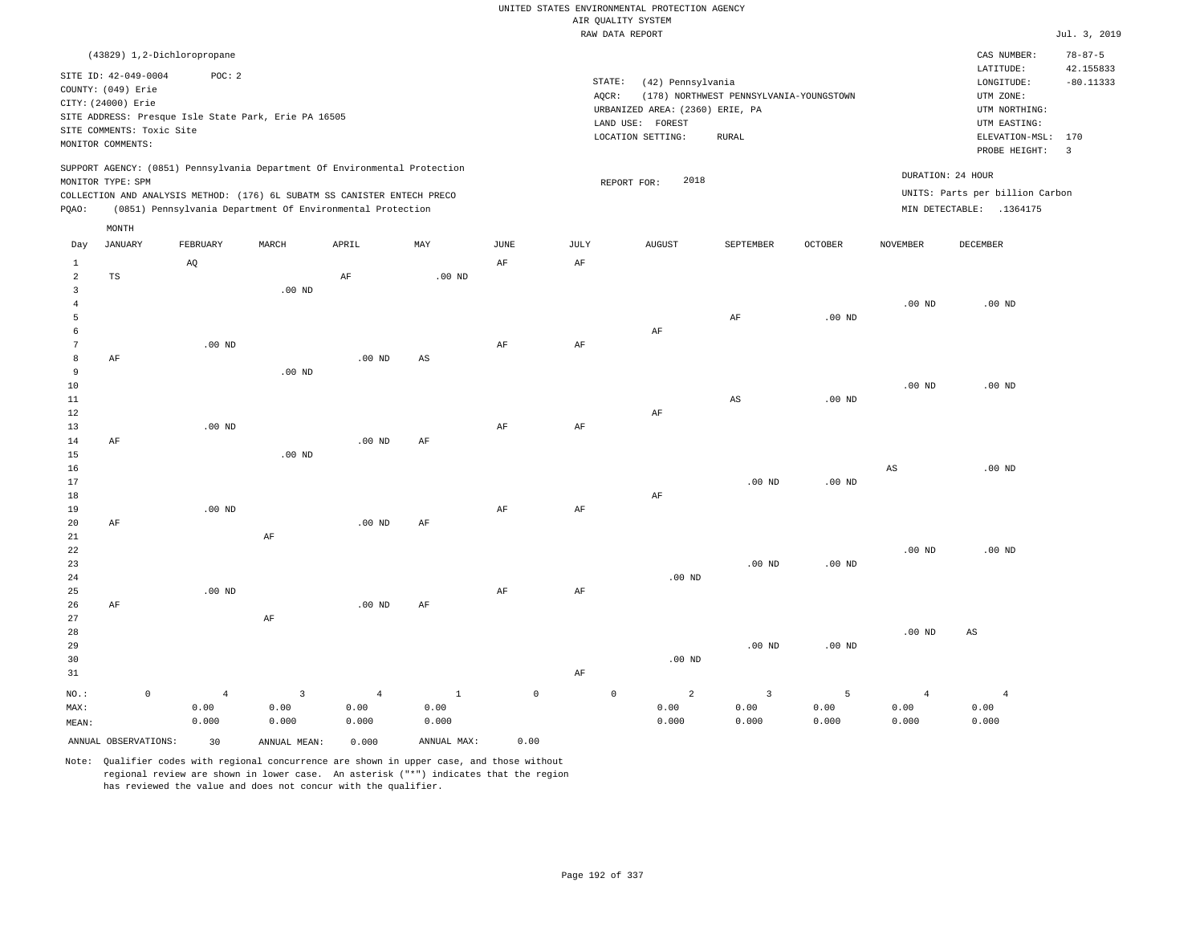|                                           |                                                                                               |             |                                 |                                                      |                                                                                                                                                                                                                      |                               |                     |                 | UNITED STATES ENVIRONMENTAL PROTECTION AGENCY<br>AIR OUALITY SYSTEM<br>RAW DATA REPORT |                                         |                    |                                 |                                                                       | Jul. 3, 2019             |
|-------------------------------------------|-----------------------------------------------------------------------------------------------|-------------|---------------------------------|------------------------------------------------------|----------------------------------------------------------------------------------------------------------------------------------------------------------------------------------------------------------------------|-------------------------------|---------------------|-----------------|----------------------------------------------------------------------------------------|-----------------------------------------|--------------------|---------------------------------|-----------------------------------------------------------------------|--------------------------|
|                                           |                                                                                               |             | (43829) 1,2-Dichloropropane     |                                                      |                                                                                                                                                                                                                      |                               |                     |                 |                                                                                        |                                         |                    |                                 | CAS NUMBER:                                                           | $78 - 87 - 5$            |
|                                           | SITE ID: 42-049-0004<br>COUNTY: (049) Erie<br>CITY: (24000) Erie<br>SITE COMMENTS: Toxic Site |             | POC: 2                          | SITE ADDRESS: Presque Isle State Park, Erie PA 16505 |                                                                                                                                                                                                                      |                               |                     | STATE:<br>AQCR: | (42) Pennsylvania<br>URBANIZED AREA: (2360) ERIE, PA<br>LAND USE: FOREST               | (178) NORTHWEST PENNSYLVANIA-YOUNGSTOWN |                    |                                 | LATITUDE:<br>LONGITUDE:<br>UTM ZONE:<br>UTM NORTHING:<br>UTM EASTING: | 42.155833<br>$-80.11333$ |
|                                           | MONITOR COMMENTS:                                                                             |             |                                 |                                                      |                                                                                                                                                                                                                      |                               |                     |                 | LOCATION SETTING:                                                                      | <b>RURAL</b>                            |                    |                                 | ELEVATION-MSL:<br>PROBE HEIGHT:                                       | 170<br>$\overline{3}$    |
| PQAO:                                     | MONITOR TYPE: SPM                                                                             |             |                                 |                                                      | SUPPORT AGENCY: (0851) Pennsylvania Department Of Environmental Protection<br>COLLECTION AND ANALYSIS METHOD: (176) 6L SUBATM SS CANISTER ENTECH PRECO<br>(0851) Pennsylvania Department Of Environmental Protection |                               |                     |                 | 2018<br>REPORT FOR:                                                                    |                                         |                    | DURATION: 24 HOUR               | UNITS: Parts per billion Carbon<br>MIN DETECTABLE: .1364175           |                          |
| Day                                       | MONTH<br>JANUARY                                                                              |             | FEBRUARY                        | MARCH                                                | APRIL                                                                                                                                                                                                                | MAY                           | JUNE                | JULY            | <b>AUGUST</b>                                                                          | SEPTEMBER                               | <b>OCTOBER</b>     | <b>NOVEMBER</b>                 | DECEMBER                                                              |                          |
| $\mathbf{1}$<br>$\overline{a}$            | TS                                                                                            |             | AQ                              |                                                      | AF                                                                                                                                                                                                                   | .00 <sub>ND</sub>             | AF                  | AF              |                                                                                        |                                         |                    |                                 |                                                                       |                          |
| 3<br>$\,4$<br>5<br>6                      |                                                                                               |             |                                 | $.00$ ND                                             |                                                                                                                                                                                                                      |                               |                     |                 | AF                                                                                     | $\rm AF$                                | $.00$ ND           | .00 <sub>ND</sub>               | $.00$ ND                                                              |                          |
| $\overline{7}$<br>$\mathbf{a}$<br>9<br>10 | AF                                                                                            |             | $.00$ ND                        | $.00$ ND                                             | .00 <sub>ND</sub>                                                                                                                                                                                                    | AS                            | AF                  | AF              |                                                                                        |                                         |                    | .00 <sub>ND</sub>               | $.00$ ND                                                              |                          |
| 11<br>12<br>13                            |                                                                                               |             | $.00$ ND                        |                                                      |                                                                                                                                                                                                                      |                               | AF                  | AF              | AF                                                                                     | $\mathbb{A}\mathbb{S}$                  | $.00$ ND           |                                 |                                                                       |                          |
| 14<br>15<br>16<br>17                      | AF                                                                                            |             |                                 | .00 <sub>ND</sub>                                    | $.00$ ND                                                                                                                                                                                                             | AF                            |                     |                 |                                                                                        | $.00$ ND                                | $.00$ ND           | AS                              | $.00$ ND                                                              |                          |
| 18<br>19<br>20<br>21                      | $\rm AF$                                                                                      |             | .00 <sub>ND</sub>               | AF                                                   | $.00$ ND                                                                                                                                                                                                             | AF                            | AF                  | AF              | AF                                                                                     |                                         |                    |                                 |                                                                       |                          |
| 22<br>23<br>24<br>25                      |                                                                                               |             | $.00$ ND                        |                                                      |                                                                                                                                                                                                                      |                               | $\rm{AF}$           | AF              | $.00$ ND                                                                               | $.00$ ND                                | .00 <sub>ND</sub>  | .00 <sub>ND</sub>               | $.00$ ND                                                              |                          |
| 26<br>27<br>28<br>29<br>30<br>31          | $\rm AF$                                                                                      |             |                                 | AF                                                   | $.00$ ND                                                                                                                                                                                                             | AF                            |                     | AF              | $.00$ ND                                                                               | $.00$ ND                                | .00 <sub>ND</sub>  | .00 <sub>ND</sub>               | AS                                                                    |                          |
| $NO.$ :<br>MAX:<br>MEAN:                  |                                                                                               | $\mathbb O$ | $\overline{4}$<br>0.00<br>0.000 | 3<br>0.00<br>0.000                                   | $\overline{4}$<br>0.00<br>0.000                                                                                                                                                                                      | $\mathbf{1}$<br>0.00<br>0.000 | $\mathsf{O}\xspace$ |                 | $\mathsf{O}\xspace$<br>2<br>0.00<br>0.000                                              | $\overline{3}$<br>0.00<br>0.000         | 5<br>0.00<br>0.000 | $\overline{4}$<br>0.00<br>0.000 | $\overline{4}$<br>0.00<br>0.000                                       |                          |
|                                           | ANNUAL OBSERVATIONS:                                                                          |             | 30                              | ANNUAL MEAN:                                         | 0.000                                                                                                                                                                                                                | ANNUAL MAX:                   | 0.00                |                 |                                                                                        |                                         |                    |                                 |                                                                       |                          |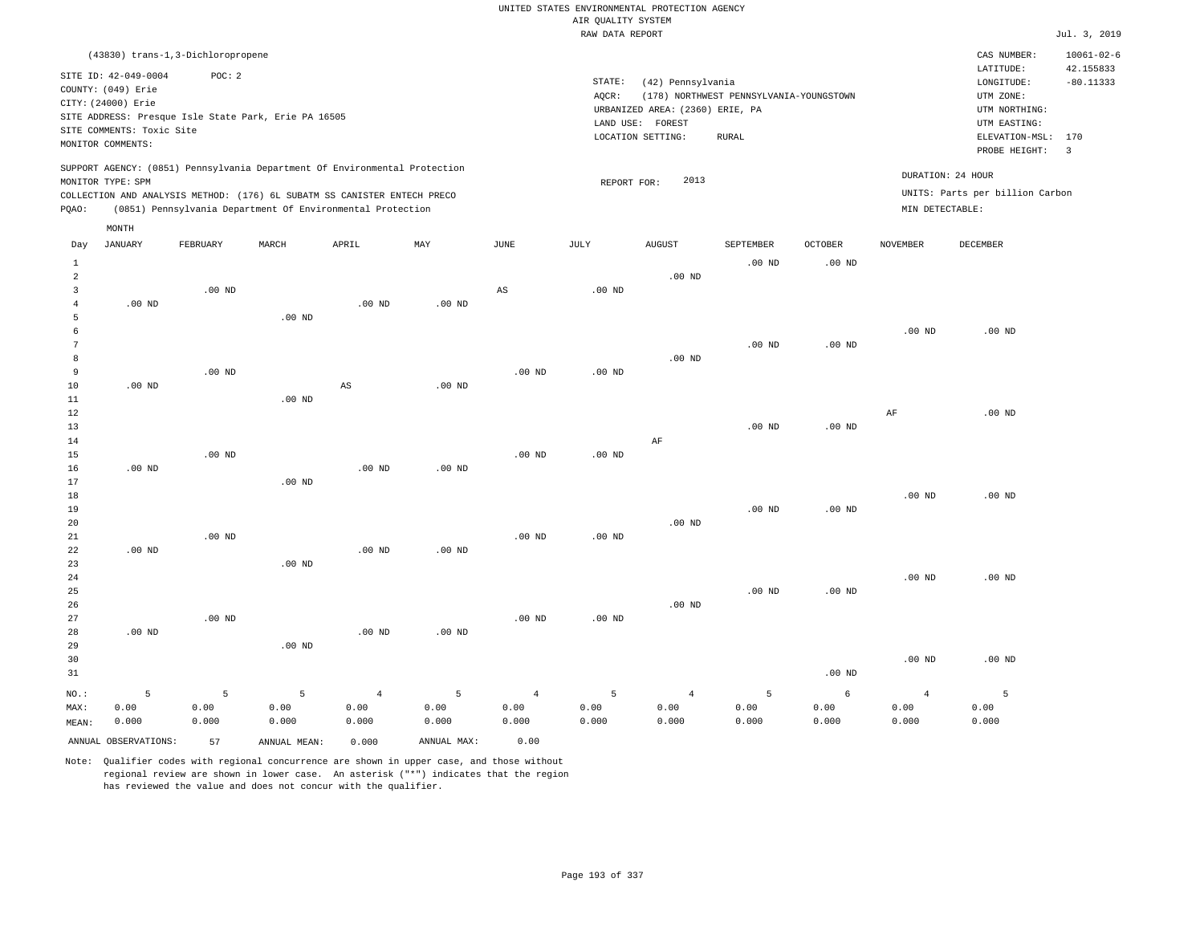|                         |                                   |          |                                                                            |                        |                |                   | RAW DATA REPORT   |                                 |                                         |                   |                   |                                 | Jul. 3, 2019                   |
|-------------------------|-----------------------------------|----------|----------------------------------------------------------------------------|------------------------|----------------|-------------------|-------------------|---------------------------------|-----------------------------------------|-------------------|-------------------|---------------------------------|--------------------------------|
|                         | (43830) trans-1,3-Dichloropropene |          |                                                                            |                        |                |                   |                   |                                 |                                         |                   |                   | CAS NUMBER:                     | $10061 - 02 - 6$               |
|                         | SITE ID: 42-049-0004              | POC: 2   |                                                                            |                        |                |                   |                   |                                 |                                         |                   |                   | LATITUDE:                       | 42.155833                      |
|                         | COUNTY: (049) Erie                |          |                                                                            |                        |                |                   | STATE:            | (42) Pennsylvania               |                                         |                   |                   | LONGITUDE:                      | $-80.11333$                    |
|                         | CITY: (24000) Erie                |          |                                                                            |                        |                |                   | AOCR:             |                                 | (178) NORTHWEST PENNSYLVANIA-YOUNGSTOWN |                   |                   | UTM ZONE:                       |                                |
|                         |                                   |          | SITE ADDRESS: Presque Isle State Park, Erie PA 16505                       |                        |                |                   |                   | URBANIZED AREA: (2360) ERIE, PA |                                         |                   |                   | UTM NORTHING:                   |                                |
|                         | SITE COMMENTS: Toxic Site         |          |                                                                            |                        |                |                   |                   | LAND USE: FOREST                |                                         |                   |                   | UTM EASTING:                    |                                |
|                         | MONITOR COMMENTS:                 |          |                                                                            |                        |                |                   |                   | LOCATION SETTING:               | <b>RURAL</b>                            |                   |                   | ELEVATION-MSL:                  | 170<br>$\overline{\mathbf{3}}$ |
|                         |                                   |          | SUPPORT AGENCY: (0851) Pennsylvania Department Of Environmental Protection |                        |                |                   |                   |                                 |                                         |                   |                   | PROBE HEIGHT:                   |                                |
|                         | MONITOR TYPE: SPM                 |          |                                                                            |                        |                |                   | REPORT FOR:       | 2013                            |                                         |                   |                   | DURATION: 24 HOUR               |                                |
|                         |                                   |          | COLLECTION AND ANALYSIS METHOD: (176) 6L SUBATM SS CANISTER ENTECH PRECO   |                        |                |                   |                   |                                 |                                         |                   |                   | UNITS: Parts per billion Carbon |                                |
| PQAO:                   |                                   |          | (0851) Pennsylvania Department Of Environmental Protection                 |                        |                |                   |                   |                                 |                                         |                   | MIN DETECTABLE:   |                                 |                                |
|                         | MONTH                             |          |                                                                            |                        |                |                   |                   |                                 |                                         |                   |                   |                                 |                                |
| Day                     | <b>JANUARY</b>                    | FEBRUARY | MARCH                                                                      | APRIL                  | MAY            | $_{\rm JUNE}$     | JULY              | <b>AUGUST</b>                   | SEPTEMBER                               | <b>OCTOBER</b>    | <b>NOVEMBER</b>   | DECEMBER                        |                                |
| $\mathbf{1}$            |                                   |          |                                                                            |                        |                |                   |                   |                                 | $.00$ ND                                | $.00$ ND          |                   |                                 |                                |
| 2                       |                                   |          |                                                                            |                        |                |                   |                   | $.00$ ND                        |                                         |                   |                   |                                 |                                |
| $\overline{\mathbf{3}}$ |                                   | $.00$ ND |                                                                            |                        |                | AS                | .00 <sub>ND</sub> |                                 |                                         |                   |                   |                                 |                                |
| $\overline{4}$          | $.00$ ND                          |          |                                                                            | $.00$ ND               | $.00$ ND       |                   |                   |                                 |                                         |                   |                   |                                 |                                |
| 5                       |                                   |          | $.00$ ND                                                                   |                        |                |                   |                   |                                 |                                         |                   |                   |                                 |                                |
| 6                       |                                   |          |                                                                            |                        |                |                   |                   |                                 |                                         |                   | .00 <sub>ND</sub> | $.00$ ND                        |                                |
| 7                       |                                   |          |                                                                            |                        |                |                   |                   |                                 | .00 <sub>ND</sub>                       | $.00$ ND          |                   |                                 |                                |
| 8                       |                                   |          |                                                                            |                        |                |                   |                   | $.00$ ND                        |                                         |                   |                   |                                 |                                |
| 9                       |                                   | $.00$ ND |                                                                            |                        |                | $.00$ ND          | $.00$ ND          |                                 |                                         |                   |                   |                                 |                                |
| 10                      | $.00$ ND                          |          |                                                                            | $\mathbb{A}\mathbb{S}$ | $.00$ ND       |                   |                   |                                 |                                         |                   |                   |                                 |                                |
| 11                      |                                   |          | $.00$ ND                                                                   |                        |                |                   |                   |                                 |                                         |                   |                   |                                 |                                |
| 12                      |                                   |          |                                                                            |                        |                |                   |                   |                                 |                                         |                   | AF                | $.00$ ND                        |                                |
| 13                      |                                   |          |                                                                            |                        |                |                   |                   |                                 | $.00$ ND                                | .00 <sub>ND</sub> |                   |                                 |                                |
| $1\,4$                  |                                   |          |                                                                            |                        |                |                   |                   | AF                              |                                         |                   |                   |                                 |                                |
| 15                      | $.00$ ND                          | $.00$ ND |                                                                            | $.00$ ND               | $.00$ ND       | $.00$ ND          | $.00$ ND          |                                 |                                         |                   |                   |                                 |                                |
| 16<br>17                |                                   |          | $.00$ ND                                                                   |                        |                |                   |                   |                                 |                                         |                   |                   |                                 |                                |
| 18                      |                                   |          |                                                                            |                        |                |                   |                   |                                 |                                         |                   | .00 <sub>ND</sub> | $.00$ ND                        |                                |
| 19                      |                                   |          |                                                                            |                        |                |                   |                   |                                 | .00 <sub>ND</sub>                       | .00 <sub>ND</sub> |                   |                                 |                                |
| 20                      |                                   |          |                                                                            |                        |                |                   |                   | .00 <sub>ND</sub>               |                                         |                   |                   |                                 |                                |
| 21                      |                                   | $.00$ ND |                                                                            |                        |                | .00 <sub>ND</sub> | .00 <sub>ND</sub> |                                 |                                         |                   |                   |                                 |                                |
| 22                      | $.00$ ND                          |          |                                                                            | $.00$ ND               | $.00$ ND       |                   |                   |                                 |                                         |                   |                   |                                 |                                |
| 23                      |                                   |          | $.00$ ND                                                                   |                        |                |                   |                   |                                 |                                         |                   |                   |                                 |                                |
| 24                      |                                   |          |                                                                            |                        |                |                   |                   |                                 |                                         |                   | .00 <sub>ND</sub> | $.00$ ND                        |                                |
| 25                      |                                   |          |                                                                            |                        |                |                   |                   |                                 | $.00$ ND                                | $.00$ ND          |                   |                                 |                                |
| 26                      |                                   |          |                                                                            |                        |                |                   |                   | $.00$ ND                        |                                         |                   |                   |                                 |                                |
| 27                      |                                   | $.00$ ND |                                                                            |                        |                | $.00$ ND          | $.00$ ND          |                                 |                                         |                   |                   |                                 |                                |
| 28                      | $.00$ ND                          |          |                                                                            | $.00$ ND               | $.00$ ND       |                   |                   |                                 |                                         |                   |                   |                                 |                                |
| 29                      |                                   |          | $.00$ ND                                                                   |                        |                |                   |                   |                                 |                                         |                   |                   |                                 |                                |
| 30                      |                                   |          |                                                                            |                        |                |                   |                   |                                 |                                         |                   | .00 <sub>ND</sub> | $.00$ ND                        |                                |
| 31                      |                                   |          |                                                                            |                        |                |                   |                   |                                 |                                         | $.00$ ND          |                   |                                 |                                |
| NO.:                    | 5                                 | 5        | 5                                                                          | $\overline{4}$         | $\overline{5}$ | $\overline{4}$    | 5                 | $\overline{4}$                  | 5                                       | $\epsilon$        | $\overline{4}$    | 5                               |                                |
| MAX:                    | 0.00                              | 0.00     | 0.00                                                                       | 0.00                   | 0.00           | 0.00              | 0.00              | 0.00                            | 0.00                                    | 0.00              | 0.00              | 0.00                            |                                |
| MEAN:                   | 0.000                             | 0.000    | 0.000                                                                      | 0.000                  | 0.000          | 0.000             | 0.000             | 0.000                           | 0.000                                   | 0.000             | 0.000             | 0.000                           |                                |
|                         |                                   |          |                                                                            |                        |                |                   |                   |                                 |                                         |                   |                   |                                 |                                |
|                         | ANNUAL OBSERVATIONS:              | 57       | ANNUAL MEAN:                                                               | 0.000                  | ANNUAL MAX:    | 0.00              |                   |                                 |                                         |                   |                   |                                 |                                |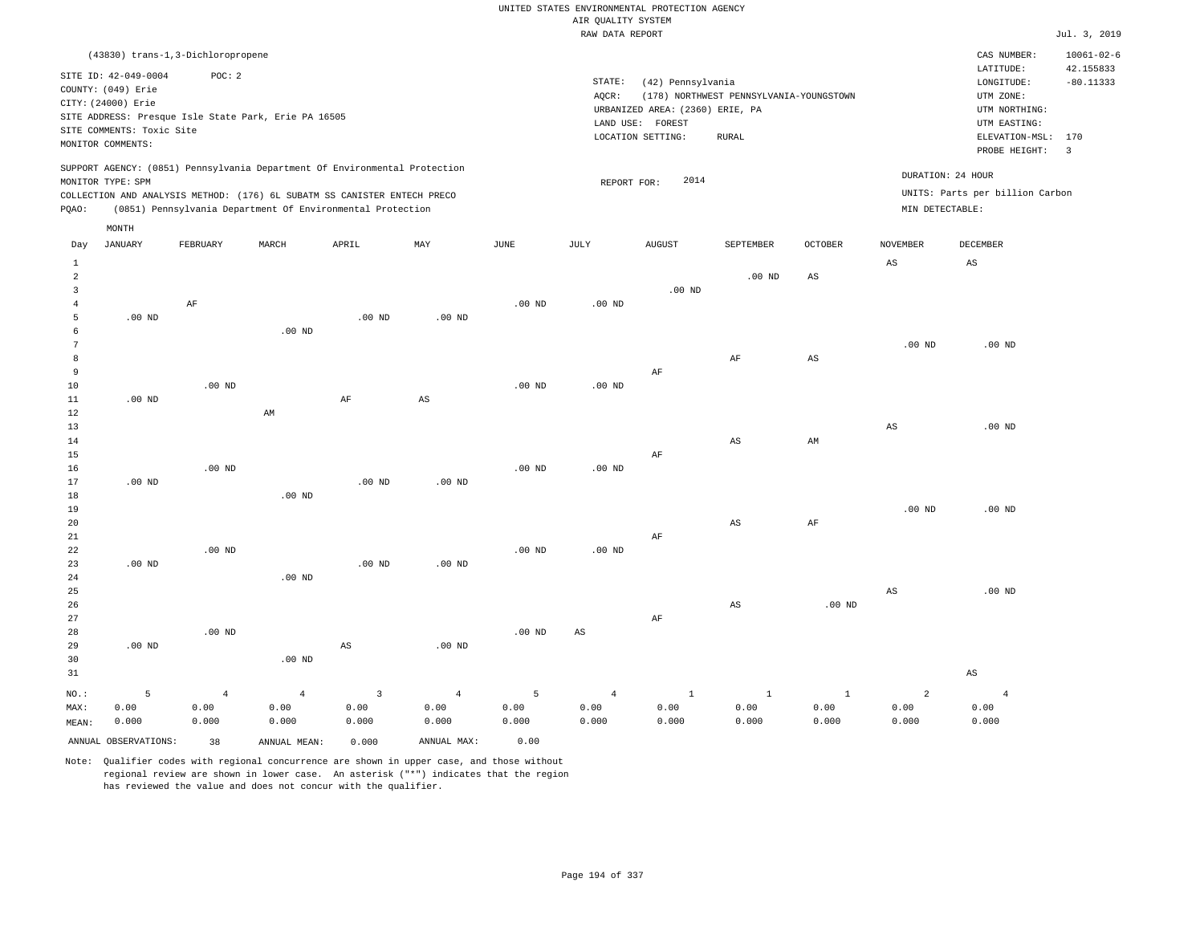|                         |                                                                                                 |                   |                |                                                            |                   |                   | RAW DATA REPORT        |                                 |                                         |                        |                        |                                 | Jul. 3, 2019             |
|-------------------------|-------------------------------------------------------------------------------------------------|-------------------|----------------|------------------------------------------------------------|-------------------|-------------------|------------------------|---------------------------------|-----------------------------------------|------------------------|------------------------|---------------------------------|--------------------------|
|                         | (43830) trans-1,3-Dichloropropene                                                               |                   |                |                                                            |                   |                   |                        |                                 |                                         |                        |                        | CAS NUMBER:                     | $10061 - 02 - 6$         |
|                         | SITE ID: 42-049-0004                                                                            | POC: 2            |                |                                                            |                   |                   | STATE:                 | (42) Pennsylvania               |                                         |                        |                        | LATITUDE:<br>LONGITUDE:         | 42.155833<br>$-80.11333$ |
|                         | COUNTY: (049) Erie                                                                              |                   |                |                                                            |                   |                   | AOCR:                  |                                 | (178) NORTHWEST PENNSYLVANIA-YOUNGSTOWN |                        |                        | UTM ZONE:                       |                          |
|                         | CITY: (24000) Erie                                                                              |                   |                |                                                            |                   |                   |                        | URBANIZED AREA: (2360) ERIE, PA |                                         |                        |                        | UTM NORTHING:                   |                          |
|                         | SITE ADDRESS: Presque Isle State Park, Erie PA 16505                                            |                   |                |                                                            |                   |                   |                        | LAND USE: FOREST                |                                         |                        |                        | UTM EASTING:                    |                          |
|                         | SITE COMMENTS: Toxic Site<br>MONITOR COMMENTS:                                                  |                   |                |                                                            |                   |                   |                        | LOCATION SETTING:               | <b>RURAL</b>                            |                        |                        | ELEVATION-MSL:                  | 170                      |
|                         |                                                                                                 |                   |                |                                                            |                   |                   |                        |                                 |                                         |                        |                        | PROBE HEIGHT:                   | $\overline{\mathbf{3}}$  |
|                         | SUPPORT AGENCY: (0851) Pennsylvania Department Of Environmental Protection<br>MONITOR TYPE: SPM |                   |                |                                                            |                   |                   | REPORT FOR:            | 2014                            |                                         |                        |                        | DURATION: 24 HOUR               |                          |
|                         | COLLECTION AND ANALYSIS METHOD: (176) 6L SUBATM SS CANISTER ENTECH PRECO                        |                   |                |                                                            |                   |                   |                        |                                 |                                         |                        |                        | UNITS: Parts per billion Carbon |                          |
| PQAO:                   |                                                                                                 |                   |                | (0851) Pennsylvania Department Of Environmental Protection |                   |                   |                        |                                 |                                         |                        | MIN DETECTABLE:        |                                 |                          |
|                         | MONTH                                                                                           |                   |                |                                                            |                   |                   |                        |                                 |                                         |                        |                        |                                 |                          |
| Day                     | <b>JANUARY</b>                                                                                  | FEBRUARY          | MARCH          | APRIL                                                      | MAY               | JUNE              | JULY                   | AUGUST                          | SEPTEMBER                               | OCTOBER                | <b>NOVEMBER</b>        | DECEMBER                        |                          |
| $\mathbf{1}$            |                                                                                                 |                   |                |                                                            |                   |                   |                        |                                 |                                         |                        | $_{\rm AS}$            | AS                              |                          |
| $\overline{a}$          |                                                                                                 |                   |                |                                                            |                   |                   |                        |                                 | $.00$ ND                                | $\mathbb{A}\mathbb{S}$ |                        |                                 |                          |
| $\overline{\mathbf{3}}$ |                                                                                                 |                   |                |                                                            |                   |                   |                        | $.00$ ND                        |                                         |                        |                        |                                 |                          |
| $\overline{4}$<br>5     |                                                                                                 | AF                |                |                                                            |                   | .00 <sub>ND</sub> | $.00$ ND               |                                 |                                         |                        |                        |                                 |                          |
| 6                       | $.00$ ND                                                                                        |                   | $.00$ ND       | $.00$ ND                                                   | $.00$ ND          |                   |                        |                                 |                                         |                        |                        |                                 |                          |
| 7                       |                                                                                                 |                   |                |                                                            |                   |                   |                        |                                 |                                         |                        | .00 <sub>ND</sub>      | .00 <sub>ND</sub>               |                          |
| 8                       |                                                                                                 |                   |                |                                                            |                   |                   |                        |                                 | AF                                      | $\mathbb{A}\mathbb{S}$ |                        |                                 |                          |
| 9                       |                                                                                                 |                   |                |                                                            |                   |                   |                        | AF                              |                                         |                        |                        |                                 |                          |
| 10                      |                                                                                                 | $.00$ ND          |                |                                                            |                   | .00 <sub>ND</sub> | .00 <sub>ND</sub>      |                                 |                                         |                        |                        |                                 |                          |
| 11                      | $.00$ ND                                                                                        |                   |                | AF                                                         | $_{\rm AS}$       |                   |                        |                                 |                                         |                        |                        |                                 |                          |
| 12                      |                                                                                                 |                   | AM             |                                                            |                   |                   |                        |                                 |                                         |                        |                        |                                 |                          |
| 13                      |                                                                                                 |                   |                |                                                            |                   |                   |                        |                                 |                                         |                        | $\mathbb{A}\mathbb{S}$ | $.00$ ND                        |                          |
| 14                      |                                                                                                 |                   |                |                                                            |                   |                   |                        |                                 | AS                                      | AM                     |                        |                                 |                          |
| 15                      |                                                                                                 |                   |                |                                                            |                   |                   |                        | AF                              |                                         |                        |                        |                                 |                          |
| 16<br>17                | .00 <sub>ND</sub>                                                                               | .00 <sub>ND</sub> |                | .00 <sub>ND</sub>                                          | .00 <sub>ND</sub> | $.00$ ND          | .00 <sub>ND</sub>      |                                 |                                         |                        |                        |                                 |                          |
| 18                      |                                                                                                 |                   | $.00$ ND       |                                                            |                   |                   |                        |                                 |                                         |                        |                        |                                 |                          |
| 19                      |                                                                                                 |                   |                |                                                            |                   |                   |                        |                                 |                                         |                        | .00 <sub>ND</sub>      | $.00$ ND                        |                          |
| 20                      |                                                                                                 |                   |                |                                                            |                   |                   |                        |                                 | AS                                      | AF                     |                        |                                 |                          |
| 21                      |                                                                                                 |                   |                |                                                            |                   |                   |                        | AF                              |                                         |                        |                        |                                 |                          |
| 22                      |                                                                                                 | $.00$ ND          |                |                                                            |                   | .00 <sub>ND</sub> | $.00$ ND               |                                 |                                         |                        |                        |                                 |                          |
| 23                      | .00 <sub>ND</sub>                                                                               |                   |                | .00 <sub>ND</sub>                                          | .00 <sub>ND</sub> |                   |                        |                                 |                                         |                        |                        |                                 |                          |
| 24                      |                                                                                                 |                   | $.00$ ND       |                                                            |                   |                   |                        |                                 |                                         |                        |                        |                                 |                          |
| 25                      |                                                                                                 |                   |                |                                                            |                   |                   |                        |                                 |                                         |                        | $\mathbb{A}\mathbb{S}$ | $.00$ ND                        |                          |
| 26                      |                                                                                                 |                   |                |                                                            |                   |                   |                        |                                 | AS                                      | $.00$ ND               |                        |                                 |                          |
| 27                      |                                                                                                 |                   |                |                                                            |                   |                   |                        | AF                              |                                         |                        |                        |                                 |                          |
| 28                      |                                                                                                 | $.00$ ND          |                |                                                            |                   | .00 <sub>ND</sub> | $\mathbb{A}\mathbb{S}$ |                                 |                                         |                        |                        |                                 |                          |
| 29<br>30                | $.00$ ND                                                                                        |                   | $.00$ ND       | AS                                                         | $.00$ ND          |                   |                        |                                 |                                         |                        |                        |                                 |                          |
| 31                      |                                                                                                 |                   |                |                                                            |                   |                   |                        |                                 |                                         |                        |                        | $\mathbb{A}\mathbb{S}$          |                          |
| NO.:                    | 5                                                                                               | $\overline{4}$    | $\overline{4}$ | 3                                                          | $\overline{4}$    | 5                 | $\overline{4}$         | $\mathbf{1}$                    | $\mathbf{1}$                            | $\mathbf{1}$           | $\overline{a}$         | $\overline{4}$                  |                          |
| MAX:                    | 0.00                                                                                            | 0.00              | 0.00           | 0.00                                                       | 0.00              | 0.00              | 0.00                   | 0.00                            | 0.00                                    | 0.00                   | 0.00                   | 0.00                            |                          |
| MEAN:                   | 0.000                                                                                           | 0.000             | 0.000          | 0.000                                                      | 0.000             | 0.000             | 0.000                  | 0.000                           | 0.000                                   | 0.000                  | 0.000                  | 0.000                           |                          |
|                         | ANNUAL OBSERVATIONS:                                                                            | 38                | ANNUAL MEAN:   | 0.000                                                      | ANNUAL MAX:       | 0.00              |                        |                                 |                                         |                        |                        |                                 |                          |
|                         |                                                                                                 |                   |                |                                                            |                   |                   |                        |                                 |                                         |                        |                        |                                 |                          |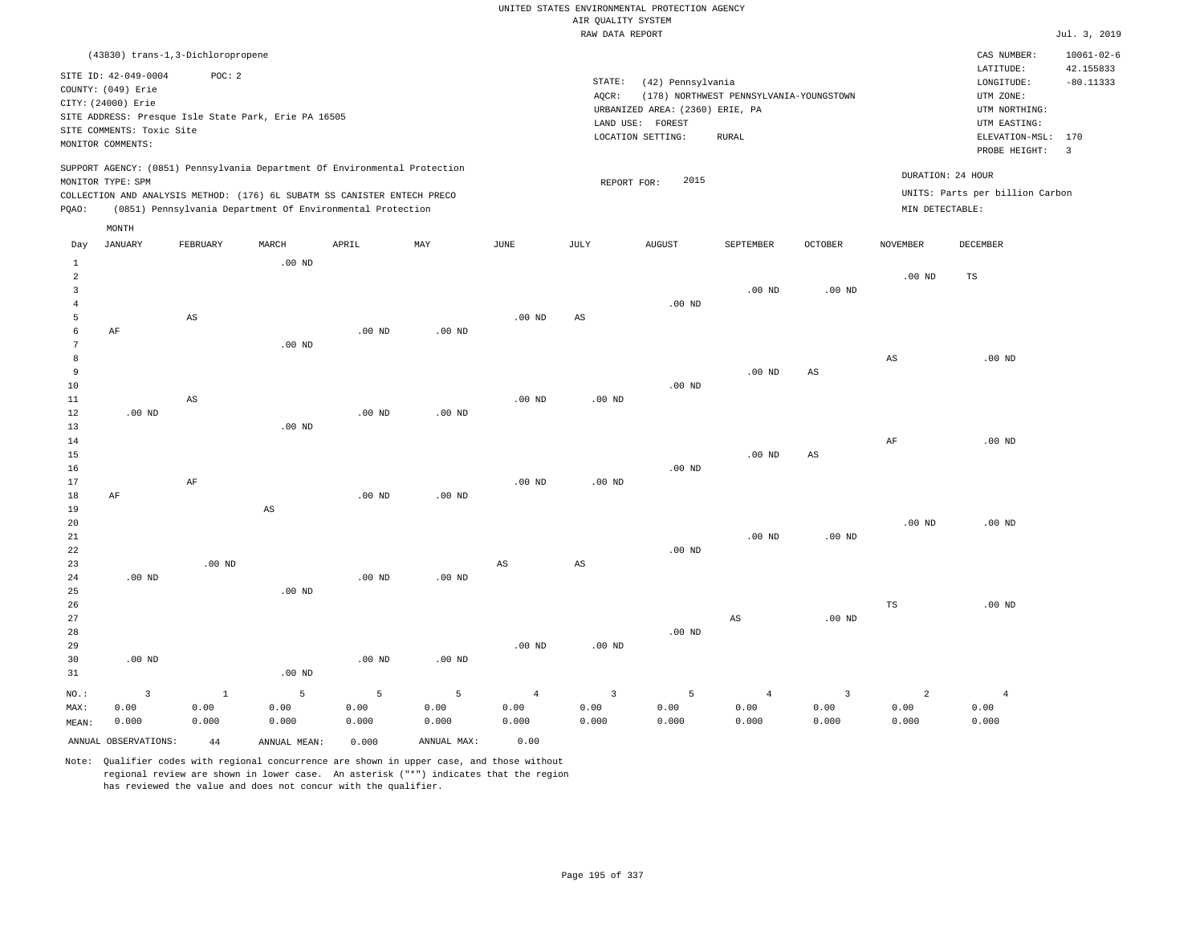RAW DATA REPORT Jul. 3, 2019 UNITED STATES ENVIRONMENTAL PROTECTION AGENCY AIR QUALITY SYSTEM

|                | (43830) trans-1,3-Dichloropropene                                                                                                                                           |                        |                        |                                                            |             |                        |                   |                                           |                                         |                        |                 | CAS NUMBER:                                          | $10061 - 02 - 6$        |
|----------------|-----------------------------------------------------------------------------------------------------------------------------------------------------------------------------|------------------------|------------------------|------------------------------------------------------------|-------------|------------------------|-------------------|-------------------------------------------|-----------------------------------------|------------------------|-----------------|------------------------------------------------------|-------------------------|
|                | SITE ID: 42-049-0004                                                                                                                                                        | POC: 2                 |                        |                                                            |             |                        |                   |                                           |                                         |                        |                 | LATITUDE:                                            | 42.155833               |
|                | COUNTY: (049) Erie                                                                                                                                                          |                        |                        |                                                            |             |                        | STATE:            | (42) Pennsylvania                         |                                         |                        |                 | LONGITUDE:                                           | $-80.11333$             |
|                | CITY: (24000) Erie                                                                                                                                                          |                        |                        |                                                            |             |                        | $AQCR$ :          |                                           | (178) NORTHWEST PENNSYLVANIA-YOUNGSTOWN |                        |                 | UTM ZONE:                                            |                         |
|                | SITE ADDRESS: Presque Isle State Park, Erie PA 16505                                                                                                                        |                        |                        |                                                            |             |                        |                   | URBANIZED AREA: (2360) ERIE, PA<br>FOREST |                                         |                        |                 | UTM NORTHING:                                        |                         |
|                | SITE COMMENTS: Toxic Site                                                                                                                                                   |                        |                        |                                                            |             |                        | LAND USE:         | LOCATION SETTING:                         | RURAL                                   |                        |                 | UTM EASTING:<br>ELEVATION-MSL:                       | 170                     |
|                | MONITOR COMMENTS:                                                                                                                                                           |                        |                        |                                                            |             |                        |                   |                                           |                                         |                        |                 | PROBE HEIGHT:                                        | $\overline{\mathbf{3}}$ |
| PQAO:          | SUPPORT AGENCY: (0851) Pennsylvania Department Of Environmental Protection<br>MONITOR TYPE: SPM<br>COLLECTION AND ANALYSIS METHOD: (176) 6L SUBATM SS CANISTER ENTECH PRECO |                        |                        | (0851) Pennsylvania Department Of Environmental Protection |             |                        | REPORT FOR:       | 2015                                      |                                         |                        | MIN DETECTABLE: | DURATION: 24 HOUR<br>UNITS: Parts per billion Carbon |                         |
|                | MONTH                                                                                                                                                                       |                        |                        |                                                            |             |                        |                   |                                           |                                         |                        |                 |                                                      |                         |
| Day            | <b>JANUARY</b>                                                                                                                                                              | FEBRUARY               | MARCH                  | APRIL                                                      | MAY         | <b>JUNE</b>            | JULY              | <b>AUGUST</b>                             | SEPTEMBER                               | <b>OCTOBER</b>         | <b>NOVEMBER</b> | DECEMBER                                             |                         |
| $\mathbf{1}$   |                                                                                                                                                                             |                        | $.00$ ND               |                                                            |             |                        |                   |                                           |                                         |                        |                 |                                                      |                         |
| $\overline{2}$ |                                                                                                                                                                             |                        |                        |                                                            |             |                        |                   |                                           |                                         |                        | $.00$ ND        | $\operatorname{TS}$                                  |                         |
| 3              |                                                                                                                                                                             |                        |                        |                                                            |             |                        |                   |                                           | $.00$ ND                                | .00 <sub>ND</sub>      |                 |                                                      |                         |
| $\overline{4}$ |                                                                                                                                                                             |                        |                        |                                                            |             |                        |                   | $.00$ ND                                  |                                         |                        |                 |                                                      |                         |
| 5              |                                                                                                                                                                             | AS                     |                        |                                                            |             | .00 <sub>ND</sub>      | AS                |                                           |                                         |                        |                 |                                                      |                         |
| 6              | AF                                                                                                                                                                          |                        |                        | $.00$ ND                                                   | $.00$ ND    |                        |                   |                                           |                                         |                        |                 |                                                      |                         |
| 7              |                                                                                                                                                                             |                        | .00 <sub>ND</sub>      |                                                            |             |                        |                   |                                           |                                         |                        |                 |                                                      |                         |
| 8              |                                                                                                                                                                             |                        |                        |                                                            |             |                        |                   |                                           |                                         |                        | $_{\rm AS}$     | $.00$ ND                                             |                         |
| 9              |                                                                                                                                                                             |                        |                        |                                                            |             |                        |                   |                                           | $.00$ ND                                | $\mathbb{A}\mathbb{S}$ |                 |                                                      |                         |
| 10             |                                                                                                                                                                             |                        |                        |                                                            |             |                        |                   | $.00$ ND                                  |                                         |                        |                 |                                                      |                         |
| 11             |                                                                                                                                                                             | $\mathbb{A}\mathbb{S}$ |                        |                                                            |             | .00 <sub>ND</sub>      | .00 <sub>ND</sub> |                                           |                                         |                        |                 |                                                      |                         |
| 12             | .00 <sub>ND</sub>                                                                                                                                                           |                        |                        | .00 <sub>ND</sub>                                          | $.00$ ND    |                        |                   |                                           |                                         |                        |                 |                                                      |                         |
| 13             |                                                                                                                                                                             |                        | $.00$ ND               |                                                            |             |                        |                   |                                           |                                         |                        |                 |                                                      |                         |
| 14<br>15       |                                                                                                                                                                             |                        |                        |                                                            |             |                        |                   |                                           | $.00$ ND                                | $_{\rm AS}$            | $\rm AF$        | $.00$ ND                                             |                         |
| 16             |                                                                                                                                                                             |                        |                        |                                                            |             |                        |                   | $.00$ ND                                  |                                         |                        |                 |                                                      |                         |
| 17             |                                                                                                                                                                             | $\rm AF$               |                        |                                                            |             | $.00$ ND               | .00 <sub>ND</sub> |                                           |                                         |                        |                 |                                                      |                         |
| 18             | AF                                                                                                                                                                          |                        |                        | .00 <sub>ND</sub>                                          | $.00$ ND    |                        |                   |                                           |                                         |                        |                 |                                                      |                         |
| 19             |                                                                                                                                                                             |                        | $\mathbb{A}\mathbb{S}$ |                                                            |             |                        |                   |                                           |                                         |                        |                 |                                                      |                         |
| 20             |                                                                                                                                                                             |                        |                        |                                                            |             |                        |                   |                                           |                                         |                        | $.00$ ND        | $.00$ ND                                             |                         |
| 21             |                                                                                                                                                                             |                        |                        |                                                            |             |                        |                   |                                           | $.00$ ND                                | .00 <sub>ND</sub>      |                 |                                                      |                         |
| 22             |                                                                                                                                                                             |                        |                        |                                                            |             |                        |                   | $.00$ ND                                  |                                         |                        |                 |                                                      |                         |
| 23             |                                                                                                                                                                             | $.00$ ND               |                        |                                                            |             | $\mathbb{A}\mathbb{S}$ | $_{\rm AS}$       |                                           |                                         |                        |                 |                                                      |                         |
| 24             | $.00$ ND                                                                                                                                                                    |                        |                        | $.00$ ND                                                   | $.00$ ND    |                        |                   |                                           |                                         |                        |                 |                                                      |                         |
| 25             |                                                                                                                                                                             |                        | $.00$ ND               |                                                            |             |                        |                   |                                           |                                         |                        |                 |                                                      |                         |
| 26             |                                                                                                                                                                             |                        |                        |                                                            |             |                        |                   |                                           |                                         |                        | TS              | $.00$ ND                                             |                         |
| 27             |                                                                                                                                                                             |                        |                        |                                                            |             |                        |                   |                                           | $\mathbb{A}\mathbb{S}$                  | .00 <sub>ND</sub>      |                 |                                                      |                         |
| 28             |                                                                                                                                                                             |                        |                        |                                                            |             |                        |                   | $.00$ ND                                  |                                         |                        |                 |                                                      |                         |
| 29             |                                                                                                                                                                             |                        |                        |                                                            |             | .00 <sub>ND</sub>      | .00 <sub>ND</sub> |                                           |                                         |                        |                 |                                                      |                         |
| 30             | $.00$ ND                                                                                                                                                                    |                        |                        | $.00$ ND                                                   | $.00$ ND    |                        |                   |                                           |                                         |                        |                 |                                                      |                         |
| 31             |                                                                                                                                                                             |                        | $.00$ ND               |                                                            |             |                        |                   |                                           |                                         |                        |                 |                                                      |                         |
| $NO.$ :        | $\overline{\mathbf{3}}$                                                                                                                                                     | $\mathbf{1}$           | 5                      | 5                                                          | 5           | $\overline{4}$         | $\mathbf{3}$      | 5                                         | $\overline{4}$                          | $\overline{3}$         | $\overline{a}$  | $\overline{4}$                                       |                         |
| MAX:           | 0.00                                                                                                                                                                        | 0.00                   | 0.00                   | 0.00                                                       | 0.00        | 0.00                   | 0.00              | 0.00                                      | 0.00                                    | 0.00                   | 0.00            | 0.00                                                 |                         |
| MEAN:          | 0.000                                                                                                                                                                       | 0.000                  | 0.000                  | 0.000                                                      | 0.000       | 0.000                  | 0.000             | 0.000                                     | 0.000                                   | 0.000                  | 0.000           | 0.000                                                |                         |
|                | ANNUAL OBSERVATIONS:                                                                                                                                                        | 44                     | ANNUAL MEAN:           | 0.000                                                      | ANNUAL MAX: | 0.00                   |                   |                                           |                                         |                        |                 |                                                      |                         |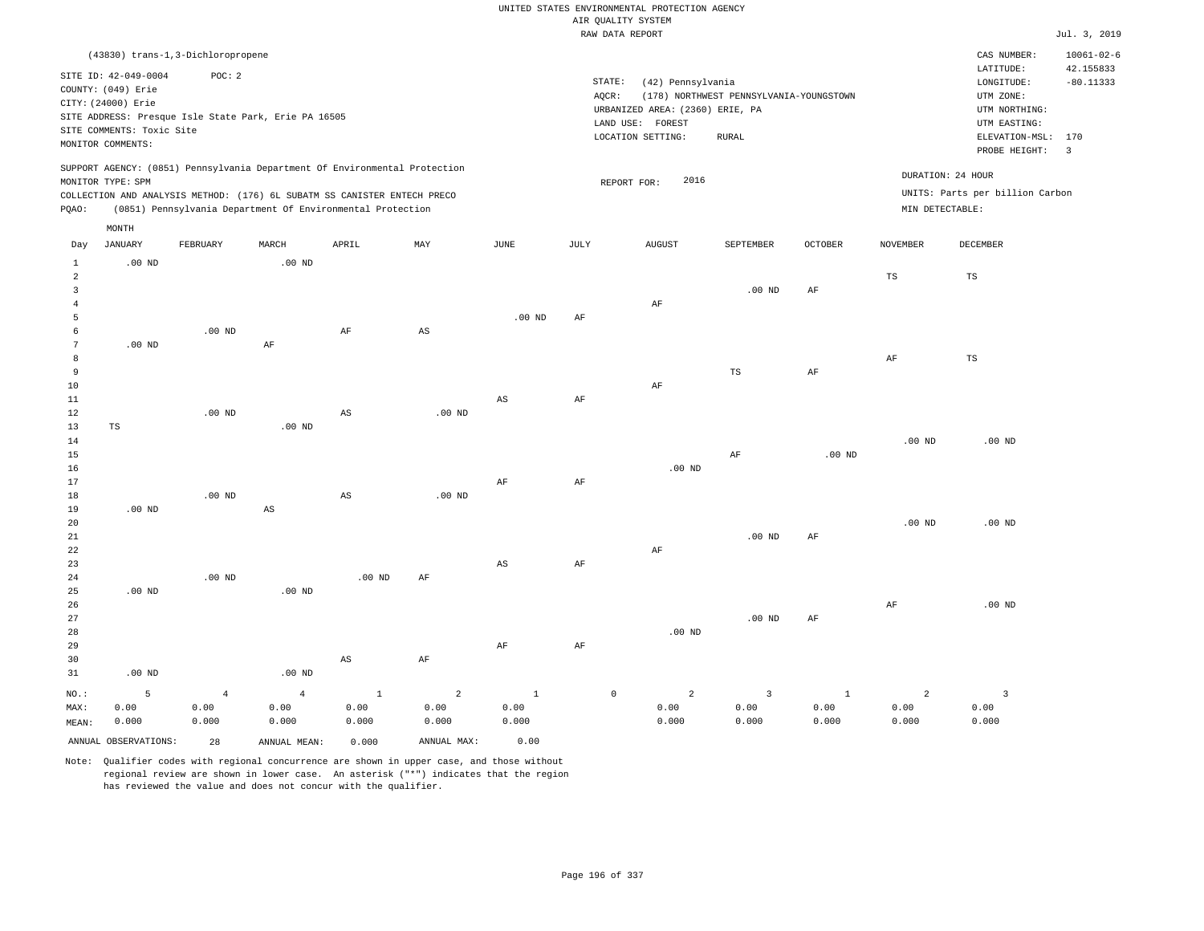|                                |                                   |                |                                                                            |                        |                           |                        |          | RAW DATA REPORT                 |                                         |                   |                   |                                 | Jul. 3, 2019     |
|--------------------------------|-----------------------------------|----------------|----------------------------------------------------------------------------|------------------------|---------------------------|------------------------|----------|---------------------------------|-----------------------------------------|-------------------|-------------------|---------------------------------|------------------|
|                                | (43830) trans-1,3-Dichloropropene |                |                                                                            |                        |                           |                        |          |                                 |                                         |                   |                   | CAS NUMBER:                     | $10061 - 02 - 6$ |
|                                |                                   |                |                                                                            |                        |                           |                        |          |                                 |                                         |                   |                   | LATITUDE:                       | 42.155833        |
|                                | SITE ID: 42-049-0004              | POC: 2         |                                                                            |                        |                           |                        |          | STATE:<br>(42) Pennsylvania     |                                         |                   |                   | LONGITUDE:                      | $-80.11333$      |
|                                | COUNTY: (049) Erie                |                |                                                                            |                        |                           |                        | AQCR:    |                                 | (178) NORTHWEST PENNSYLVANIA-YOUNGSTOWN |                   |                   | UTM ZONE:                       |                  |
|                                | CITY: (24000) Erie                |                |                                                                            |                        |                           |                        |          | URBANIZED AREA: (2360) ERIE, PA |                                         |                   |                   | UTM NORTHING:                   |                  |
|                                |                                   |                | SITE ADDRESS: Presque Isle State Park, Erie PA 16505                       |                        |                           |                        |          | LAND USE: FOREST                |                                         |                   |                   | UTM EASTING:                    |                  |
|                                | SITE COMMENTS: Toxic Site         |                |                                                                            |                        |                           |                        |          | LOCATION SETTING:               | RURAL                                   |                   |                   | ELEVATION-MSL:                  | 170              |
|                                | MONITOR COMMENTS:                 |                |                                                                            |                        |                           |                        |          |                                 |                                         |                   |                   | PROBE HEIGHT:                   | $\overline{3}$   |
|                                |                                   |                | SUPPORT AGENCY: (0851) Pennsylvania Department Of Environmental Protection |                        |                           |                        |          |                                 |                                         |                   |                   |                                 |                  |
|                                | MONITOR TYPE: SPM                 |                |                                                                            |                        |                           |                        |          | 2016<br>REPORT FOR:             |                                         |                   |                   | DURATION: 24 HOUR               |                  |
|                                |                                   |                | COLLECTION AND ANALYSIS METHOD: (176) 6L SUBATM SS CANISTER ENTECH PRECO   |                        |                           |                        |          |                                 |                                         |                   |                   | UNITS: Parts per billion Carbon |                  |
| PQAO:                          |                                   |                | (0851) Pennsylvania Department Of Environmental Protection                 |                        |                           |                        |          |                                 |                                         |                   | MIN DETECTABLE:   |                                 |                  |
|                                | MONTH                             |                |                                                                            |                        |                           |                        |          |                                 |                                         |                   |                   |                                 |                  |
| Day                            | <b>JANUARY</b>                    | FEBRUARY       | MARCH                                                                      | APRIL                  | $\ensuremath{\text{MAX}}$ | JUNE                   | JULY     | <b>AUGUST</b>                   | SEPTEMBER                               | OCTOBER           | NOVEMBER          | DECEMBER                        |                  |
|                                |                                   |                |                                                                            |                        |                           |                        |          |                                 |                                         |                   |                   |                                 |                  |
| $\mathbf{1}$<br>$\overline{a}$ | $.00$ ND                          |                | $.00$ ND                                                                   |                        |                           |                        |          |                                 |                                         |                   | $_{\rm TS}$       | $_{\rm TS}$                     |                  |
| $\overline{3}$                 |                                   |                |                                                                            |                        |                           |                        |          |                                 | $.00$ ND                                | AF                |                   |                                 |                  |
| $\overline{4}$                 |                                   |                |                                                                            |                        |                           |                        |          | AF                              |                                         |                   |                   |                                 |                  |
| 5                              |                                   |                |                                                                            |                        |                           | .00 <sub>ND</sub>      | $\rm AF$ |                                 |                                         |                   |                   |                                 |                  |
| 6                              |                                   | $.00$ ND       |                                                                            | AF                     | AS                        |                        |          |                                 |                                         |                   |                   |                                 |                  |
| $7\phantom{.0}$                | $.00$ ND                          |                | $\rm AF$                                                                   |                        |                           |                        |          |                                 |                                         |                   |                   |                                 |                  |
| 8                              |                                   |                |                                                                            |                        |                           |                        |          |                                 |                                         |                   | AF                | <b>TS</b>                       |                  |
| 9                              |                                   |                |                                                                            |                        |                           |                        |          |                                 | TS                                      | AF                |                   |                                 |                  |
| 10                             |                                   |                |                                                                            |                        |                           |                        |          | $\rm AF$                        |                                         |                   |                   |                                 |                  |
| 11                             |                                   |                |                                                                            |                        |                           | $\mathbb{A}\mathbb{S}$ | $\rm AF$ |                                 |                                         |                   |                   |                                 |                  |
| 12                             |                                   | $.00$ ND       |                                                                            | AS                     | $.00$ ND                  |                        |          |                                 |                                         |                   |                   |                                 |                  |
| 13                             | TS                                |                | $.00$ ND                                                                   |                        |                           |                        |          |                                 |                                         |                   |                   |                                 |                  |
| 14                             |                                   |                |                                                                            |                        |                           |                        |          |                                 |                                         |                   | .00 <sub>ND</sub> | $.00$ ND                        |                  |
| 15                             |                                   |                |                                                                            |                        |                           |                        |          |                                 | AF                                      | .00 <sub>ND</sub> |                   |                                 |                  |
| 16                             |                                   |                |                                                                            |                        |                           |                        |          | $.00$ ND                        |                                         |                   |                   |                                 |                  |
| 17                             |                                   |                |                                                                            |                        |                           | $\rm{AF}$              | $\rm AF$ |                                 |                                         |                   |                   |                                 |                  |
| 18                             |                                   | $.00$ ND       |                                                                            | $\mathbb{A}\mathbb{S}$ | $.00$ ND                  |                        |          |                                 |                                         |                   |                   |                                 |                  |
| 19                             | $.00$ ND                          |                | AS                                                                         |                        |                           |                        |          |                                 |                                         |                   |                   |                                 |                  |
| 20                             |                                   |                |                                                                            |                        |                           |                        |          |                                 |                                         |                   | $.00$ ND          | $.00$ ND                        |                  |
| 21                             |                                   |                |                                                                            |                        |                           |                        |          |                                 | $.00$ ND                                | AF                |                   |                                 |                  |
| 22                             |                                   |                |                                                                            |                        |                           |                        |          | AF                              |                                         |                   |                   |                                 |                  |
| 23                             |                                   |                |                                                                            |                        |                           | $\mathbb{A}\mathbb{S}$ | AF       |                                 |                                         |                   |                   |                                 |                  |
| 24<br>25                       | $.00$ ND                          | $.00$ ND       | $.00$ ND                                                                   | .00 <sub>ND</sub>      | AF                        |                        |          |                                 |                                         |                   |                   |                                 |                  |
| 26                             |                                   |                |                                                                            |                        |                           |                        |          |                                 |                                         |                   | $\rm{AF}$         | $.00$ ND                        |                  |
| 27                             |                                   |                |                                                                            |                        |                           |                        |          |                                 | $.00$ ND                                | AF                |                   |                                 |                  |
| 28                             |                                   |                |                                                                            |                        |                           |                        |          | $.00$ ND                        |                                         |                   |                   |                                 |                  |
| 29                             |                                   |                |                                                                            |                        |                           | $\rm{AF}$              | AF       |                                 |                                         |                   |                   |                                 |                  |
| 30                             |                                   |                |                                                                            | $\mathbb{A}\mathbb{S}$ | AF                        |                        |          |                                 |                                         |                   |                   |                                 |                  |
| 31                             | $.00$ ND                          |                | $.00$ ND                                                                   |                        |                           |                        |          |                                 |                                         |                   |                   |                                 |                  |
|                                |                                   |                |                                                                            |                        |                           |                        |          |                                 |                                         |                   |                   |                                 |                  |
| NO.:                           | 5                                 | $\overline{4}$ | $\overline{4}$                                                             | $\mathbf{1}$           | $\overline{a}$            | $\mathbf{1}$           |          | $\mathbb O$<br>$\overline{a}$   | $\overline{3}$                          | $\mathbf{1}$      | $\overline{a}$    | $\overline{3}$                  |                  |
| MAX:                           | 0.00                              | 0.00           | 0.00                                                                       | 0.00                   | 0.00                      | 0.00                   |          | 0.00                            | 0.00                                    | 0.00              | 0.00              | 0.00                            |                  |
| MEAN:                          | 0.000                             | 0.000          | 0.000                                                                      | 0.000                  | 0.000                     | 0.000                  |          | 0.000                           | 0.000                                   | 0.000             | 0.000             | 0.000                           |                  |
|                                | ANNUAL OBSERVATIONS:              | 28             | ANNUAL MEAN:                                                               | 0.000                  | ANNUAL MAX:               | 0.00                   |          |                                 |                                         |                   |                   |                                 |                  |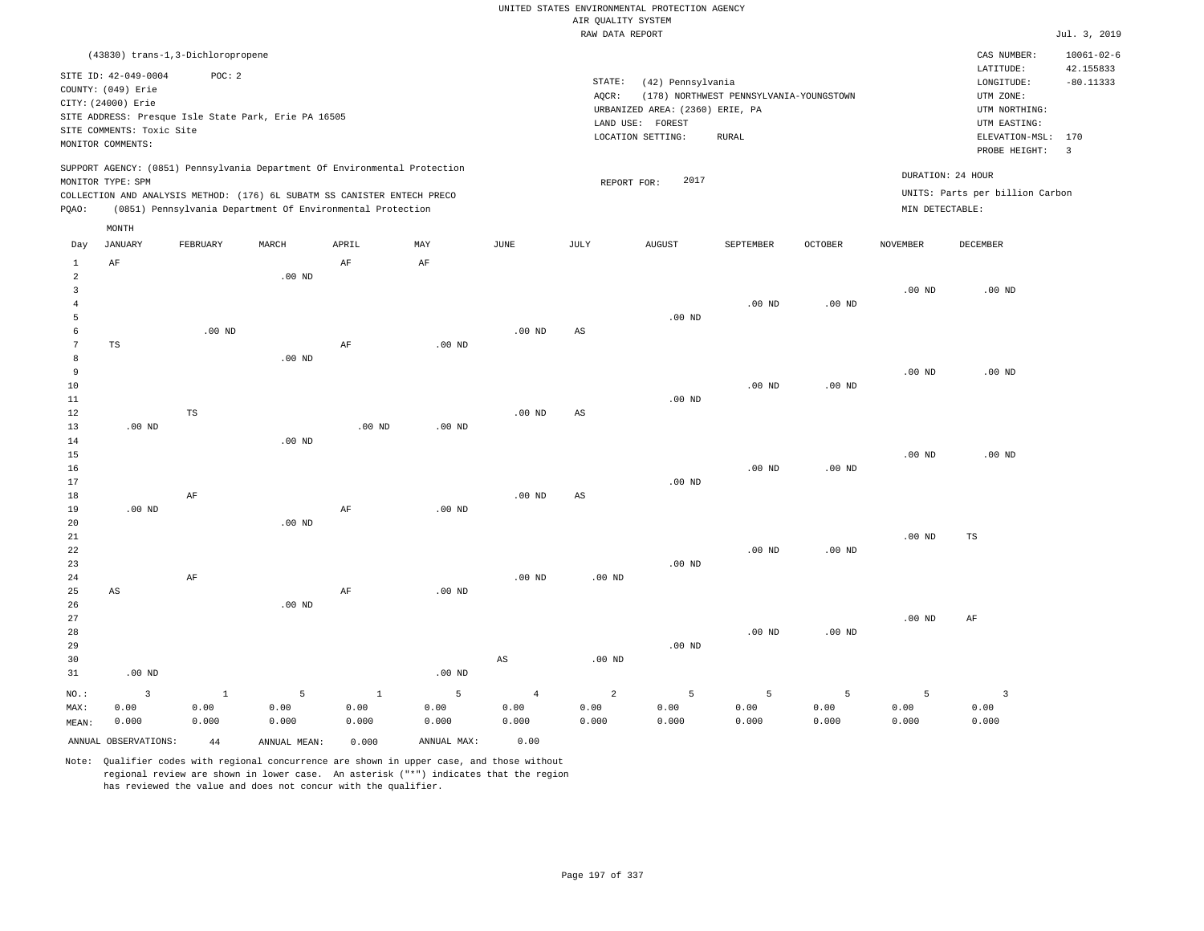|                |                                   |               |                                                                            |              |             |                   | RAW DATA REPORT        |                                 |                                         |                   |                   |                                 | Jul. 3, 2019     |
|----------------|-----------------------------------|---------------|----------------------------------------------------------------------------|--------------|-------------|-------------------|------------------------|---------------------------------|-----------------------------------------|-------------------|-------------------|---------------------------------|------------------|
|                | (43830) trans-1,3-Dichloropropene |               |                                                                            |              |             |                   |                        |                                 |                                         |                   |                   | CAS NUMBER:                     | $10061 - 02 - 6$ |
|                | SITE ID: 42-049-0004              | POC: 2        |                                                                            |              |             |                   |                        |                                 |                                         |                   |                   | LATITUDE:                       | 42.155833        |
|                | COUNTY: (049) Erie                |               |                                                                            |              |             |                   | STATE:                 | (42) Pennsylvania               |                                         |                   |                   | LONGITUDE:                      | $-80.11333$      |
|                | CITY: (24000) Erie                |               |                                                                            |              |             |                   | AQCR:                  |                                 | (178) NORTHWEST PENNSYLVANIA-YOUNGSTOWN |                   |                   | UTM ZONE:                       |                  |
|                |                                   |               | SITE ADDRESS: Presque Isle State Park, Erie PA 16505                       |              |             |                   |                        | URBANIZED AREA: (2360) ERIE, PA |                                         |                   |                   | UTM NORTHING:                   |                  |
|                | SITE COMMENTS: Toxic Site         |               |                                                                            |              |             |                   |                        | LAND USE: FOREST                |                                         |                   |                   | UTM EASTING:                    |                  |
|                | MONITOR COMMENTS:                 |               |                                                                            |              |             |                   |                        | LOCATION SETTING:               | RURAL                                   |                   |                   | ELEVATION-MSL: 170              |                  |
|                |                                   |               |                                                                            |              |             |                   |                        |                                 |                                         |                   |                   | PROBE HEIGHT:                   | $\overline{3}$   |
|                |                                   |               | SUPPORT AGENCY: (0851) Pennsylvania Department Of Environmental Protection |              |             |                   |                        | 2017                            |                                         |                   |                   | DURATION: 24 HOUR               |                  |
|                | MONITOR TYPE: SPM                 |               | COLLECTION AND ANALYSIS METHOD: (176) 6L SUBATM SS CANISTER ENTECH PRECO   |              |             |                   | REPORT FOR:            |                                 |                                         |                   |                   | UNITS: Parts per billion Carbon |                  |
| PQAO:          |                                   |               | (0851) Pennsylvania Department Of Environmental Protection                 |              |             |                   |                        |                                 |                                         |                   | MIN DETECTABLE:   |                                 |                  |
|                | MONTH                             |               |                                                                            |              |             |                   |                        |                                 |                                         |                   |                   |                                 |                  |
| Day            | JANUARY                           | FEBRUARY      | MARCH                                                                      | APRIL        | MAY         | JUNE              | JULY                   | <b>AUGUST</b>                   | SEPTEMBER                               | OCTOBER           | <b>NOVEMBER</b>   | DECEMBER                        |                  |
| $\mathbf{1}$   | $\rm AF$                          |               |                                                                            | AF           | AF          |                   |                        |                                 |                                         |                   |                   |                                 |                  |
| $\overline{a}$ |                                   |               | $.00$ ND                                                                   |              |             |                   |                        |                                 |                                         |                   |                   |                                 |                  |
| 3              |                                   |               |                                                                            |              |             |                   |                        |                                 |                                         |                   | .00 <sub>ND</sub> | $.00$ ND                        |                  |
| $\bf 4$        |                                   |               |                                                                            |              |             |                   |                        |                                 | $.00$ ND                                | .00 <sub>ND</sub> |                   |                                 |                  |
| 5              |                                   |               |                                                                            |              |             |                   |                        | $.00$ ND                        |                                         |                   |                   |                                 |                  |
| 6              |                                   | $.00$ ND      |                                                                            |              |             | .00 <sub>ND</sub> | $\mathbb{A}\mathbb{S}$ |                                 |                                         |                   |                   |                                 |                  |
| 7              | $_{\rm TS}$                       |               |                                                                            | $\rm{AF}$    | $.00$ ND    |                   |                        |                                 |                                         |                   |                   |                                 |                  |
| 8              |                                   |               | $.00$ ND                                                                   |              |             |                   |                        |                                 |                                         |                   |                   |                                 |                  |
| 9              |                                   |               |                                                                            |              |             |                   |                        |                                 |                                         |                   | .00 <sub>ND</sub> | $.00$ ND                        |                  |
| 10             |                                   |               |                                                                            |              |             |                   |                        |                                 | $.00$ ND                                | $.00$ ND          |                   |                                 |                  |
| 11             |                                   |               |                                                                            |              |             |                   |                        | $.00$ ND                        |                                         |                   |                   |                                 |                  |
| 12             |                                   | $\mathbb{TS}$ |                                                                            |              |             | $.00$ ND          | $\mathbb{A}\mathbb{S}$ |                                 |                                         |                   |                   |                                 |                  |
| 13<br>14       | $.00$ ND                          |               | $.00$ ND                                                                   | $.00$ ND     | $.00$ ND    |                   |                        |                                 |                                         |                   |                   |                                 |                  |
| 15             |                                   |               |                                                                            |              |             |                   |                        |                                 |                                         |                   | .00 <sub>ND</sub> | $.00$ ND                        |                  |
| 16             |                                   |               |                                                                            |              |             |                   |                        |                                 | $.00$ ND                                | $.00$ ND          |                   |                                 |                  |
| 17             |                                   |               |                                                                            |              |             |                   |                        | $.00$ ND                        |                                         |                   |                   |                                 |                  |
| 18             |                                   | $\rm AF$      |                                                                            |              |             | $.00$ ND          | $\mathbb{A}\mathbb{S}$ |                                 |                                         |                   |                   |                                 |                  |
| 19             | $.00$ ND                          |               |                                                                            | AF           | $.00$ ND    |                   |                        |                                 |                                         |                   |                   |                                 |                  |
| 20             |                                   |               | .00 <sub>ND</sub>                                                          |              |             |                   |                        |                                 |                                         |                   |                   |                                 |                  |
| 21             |                                   |               |                                                                            |              |             |                   |                        |                                 |                                         |                   | .00 <sub>ND</sub> | <b>TS</b>                       |                  |
| 22             |                                   |               |                                                                            |              |             |                   |                        |                                 | $.00$ ND                                | .00 <sub>ND</sub> |                   |                                 |                  |
| 23             |                                   |               |                                                                            |              |             |                   |                        | $.00$ ND                        |                                         |                   |                   |                                 |                  |
| 24             |                                   | AF            |                                                                            |              |             | $.00$ ND          | $.00$ ND               |                                 |                                         |                   |                   |                                 |                  |
| 25             | $\mathbb{A}\mathbb{S}$            |               |                                                                            | $\rm{AF}$    | $.00$ ND    |                   |                        |                                 |                                         |                   |                   |                                 |                  |
| 26             |                                   |               | .00 <sub>ND</sub>                                                          |              |             |                   |                        |                                 |                                         |                   |                   |                                 |                  |
| 27             |                                   |               |                                                                            |              |             |                   |                        |                                 |                                         |                   | .00 <sub>ND</sub> | AF                              |                  |
| 28             |                                   |               |                                                                            |              |             |                   |                        |                                 | $.00$ ND                                | .00 <sub>ND</sub> |                   |                                 |                  |
| 29             |                                   |               |                                                                            |              |             |                   |                        | $.00$ ND                        |                                         |                   |                   |                                 |                  |
| 30             |                                   |               |                                                                            |              |             | AS                | .00 <sub>ND</sub>      |                                 |                                         |                   |                   |                                 |                  |
| 31             | $.00$ ND                          |               |                                                                            |              | $.00$ ND    |                   |                        |                                 |                                         |                   |                   |                                 |                  |
| NO.:           | $\overline{3}$                    | $\mathbf{1}$  | 5                                                                          | $\mathbf{1}$ | 5           | $\overline{4}$    | 2                      | 5                               | 5                                       | 5                 | 5                 | $\overline{3}$                  |                  |
| MAX:           | 0.00                              | 0.00          | 0.00                                                                       | 0.00         | 0.00        | 0.00              | 0.00                   | 0.00                            | 0.00                                    | 0.00              | 0.00              | 0.00                            |                  |
| MEAN:          | 0.000                             | 0.000         | 0.000                                                                      | 0.000        | 0.000       | 0.000             | 0.000                  | 0.000                           | 0.000                                   | 0.000             | 0.000             | 0.000                           |                  |
|                | ANNUAL OBSERVATIONS:              | 44            | ANNUAL MEAN:                                                               | 0.000        | ANNUAL MAX: | 0.00              |                        |                                 |                                         |                   |                   |                                 |                  |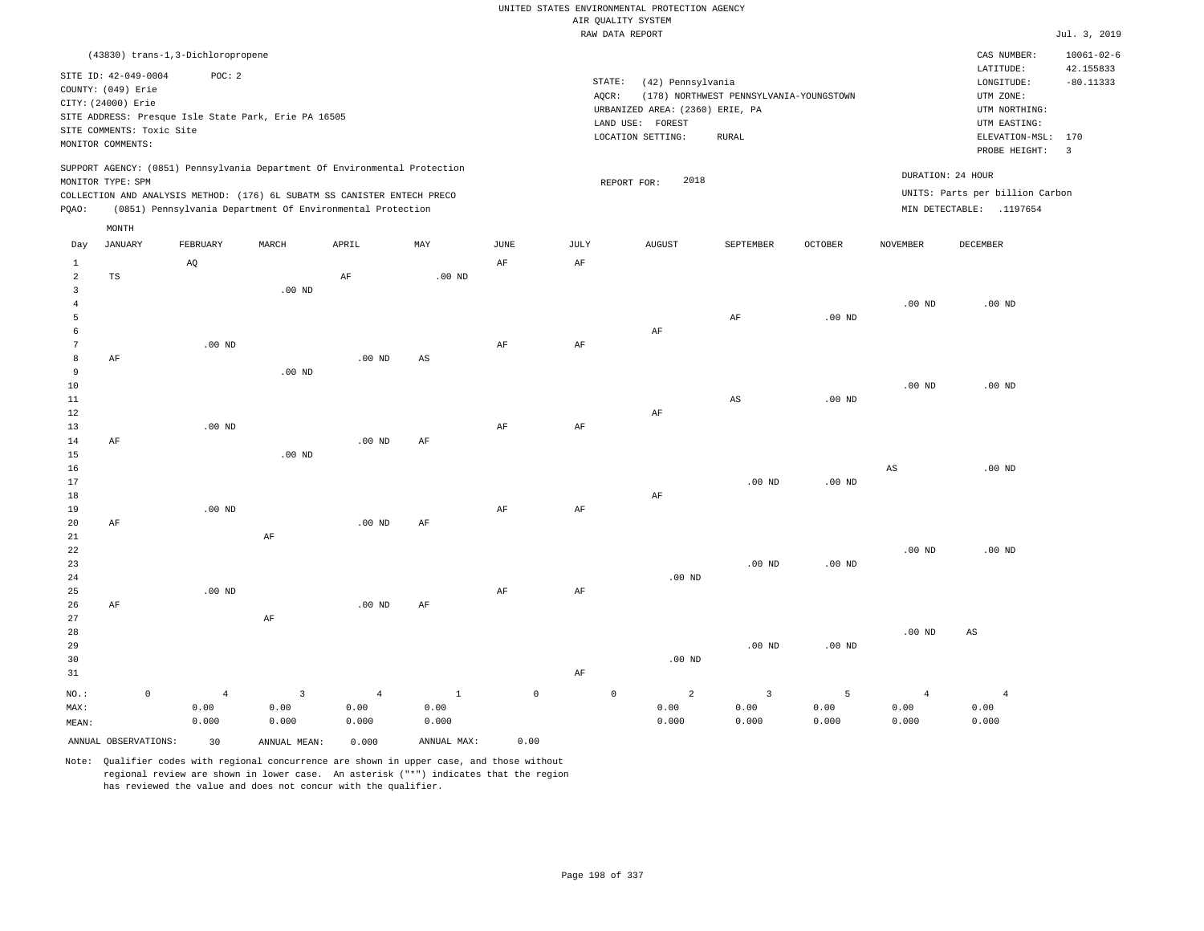|                         |                |                           |                                   |                                                      |                                                                            |              |             |           | UNITED STATES ENVIRONMENTAL PROTECTION AGENCY<br>AIR QUALITY SYSTEM |                                         |          |                   |                                 |                               |
|-------------------------|----------------|---------------------------|-----------------------------------|------------------------------------------------------|----------------------------------------------------------------------------|--------------|-------------|-----------|---------------------------------------------------------------------|-----------------------------------------|----------|-------------------|---------------------------------|-------------------------------|
|                         |                |                           |                                   |                                                      |                                                                            |              |             |           | RAW DATA REPORT                                                     |                                         |          |                   |                                 | Jul. 3, 2019                  |
|                         |                |                           | (43830) trans-1,3-Dichloropropene |                                                      |                                                                            |              |             |           |                                                                     |                                         |          |                   | CAS NUMBER:                     | $10061 - 02 - 6$<br>42.155833 |
| COUNTY: (049) Erie      |                | SITE ID: 42-049-0004      | POC: 2                            |                                                      |                                                                            |              |             |           | STATE:<br>(42) Pennsylvania                                         |                                         |          |                   | LATITUDE:<br>LONGITUDE:         | $-80.11333$                   |
| CITY: (24000) Erie      |                |                           |                                   |                                                      |                                                                            |              |             |           | AQCR:                                                               | (178) NORTHWEST PENNSYLVANIA-YOUNGSTOWN |          |                   | UTM ZONE:                       |                               |
|                         |                |                           |                                   | SITE ADDRESS: Presque Isle State Park, Erie PA 16505 |                                                                            |              |             |           | URBANIZED AREA: (2360) ERIE, PA<br>LAND USE: FOREST                 |                                         |          |                   | UTM NORTHING:<br>UTM EASTING:   |                               |
|                         |                | SITE COMMENTS: Toxic Site |                                   |                                                      |                                                                            |              |             |           | LOCATION SETTING:                                                   | RURAL                                   |          |                   | ELEVATION-MSL: 170              |                               |
| MONITOR COMMENTS:       |                |                           |                                   |                                                      |                                                                            |              |             |           |                                                                     |                                         |          |                   | PROBE HEIGHT:                   | $\overline{3}$                |
|                         |                |                           |                                   |                                                      | SUPPORT AGENCY: (0851) Pennsylvania Department Of Environmental Protection |              |             |           | 2018                                                                |                                         |          |                   | DURATION: 24 HOUR               |                               |
| MONITOR TYPE: SPM       |                |                           |                                   |                                                      | COLLECTION AND ANALYSIS METHOD: (176) 6L SUBATM SS CANISTER ENTECH PRECO   |              |             |           | REPORT FOR:                                                         |                                         |          |                   | UNITS: Parts per billion Carbon |                               |
| PQAO:                   |                |                           |                                   |                                                      | (0851) Pennsylvania Department Of Environmental Protection                 |              |             |           |                                                                     |                                         |          |                   | MIN DETECTABLE: .1197654        |                               |
|                         | MONTH          |                           |                                   |                                                      |                                                                            |              |             |           |                                                                     |                                         |          |                   |                                 |                               |
| Day                     | <b>JANUARY</b> |                           | FEBRUARY                          | MARCH                                                | APRIL                                                                      | MAY          | <b>JUNE</b> | JULY      | <b>AUGUST</b>                                                       | SEPTEMBER                               | OCTOBER  | <b>NOVEMBER</b>   | DECEMBER                        |                               |
| 1                       |                |                           | AQ                                |                                                      |                                                                            |              | $\rm AF$    | $\rm{AF}$ |                                                                     |                                         |          |                   |                                 |                               |
| $\overline{a}$          | TS             |                           |                                   |                                                      | AF                                                                         | $.00$ ND     |             |           |                                                                     |                                         |          |                   |                                 |                               |
| $\overline{\mathbf{3}}$ |                |                           |                                   | .00 <sub>ND</sub>                                    |                                                                            |              |             |           |                                                                     |                                         |          |                   |                                 |                               |
| $\overline{4}$          |                |                           |                                   |                                                      |                                                                            |              |             |           |                                                                     |                                         |          | .00 <sub>ND</sub> | .00 <sub>ND</sub>               |                               |
| 5                       |                |                           |                                   |                                                      |                                                                            |              |             |           |                                                                     | $\rm AF$                                | $.00$ ND |                   |                                 |                               |
| 6<br>$7\phantom{.0}$    |                |                           | $.00$ ND                          |                                                      |                                                                            |              | AF          | AF        | AF                                                                  |                                         |          |                   |                                 |                               |
| 8                       | AF             |                           |                                   |                                                      | $.00$ ND                                                                   | $_{\rm AS}$  |             |           |                                                                     |                                         |          |                   |                                 |                               |
| $\overline{9}$          |                |                           |                                   | $.00$ ND                                             |                                                                            |              |             |           |                                                                     |                                         |          |                   |                                 |                               |
| $10$                    |                |                           |                                   |                                                      |                                                                            |              |             |           |                                                                     |                                         |          | .00 <sub>ND</sub> | $.00$ ND                        |                               |
| $1\,1$                  |                |                           |                                   |                                                      |                                                                            |              |             |           |                                                                     | $_{\rm AS}$                             | $.00$ ND |                   |                                 |                               |
| $1\,2$                  |                |                           |                                   |                                                      |                                                                            |              |             |           | AF                                                                  |                                         |          |                   |                                 |                               |
| 13                      |                |                           | $.00$ ND                          |                                                      |                                                                            |              | AF          | $\rm{AF}$ |                                                                     |                                         |          |                   |                                 |                               |
| 14                      | AF             |                           |                                   |                                                      | .00 <sub>ND</sub>                                                          | AF           |             |           |                                                                     |                                         |          |                   |                                 |                               |
| 15                      |                |                           |                                   | $.00$ ND                                             |                                                                            |              |             |           |                                                                     |                                         |          |                   |                                 |                               |
| 16                      |                |                           |                                   |                                                      |                                                                            |              |             |           |                                                                     |                                         |          | AS                | $.00$ ND                        |                               |
| $17$                    |                |                           |                                   |                                                      |                                                                            |              |             |           |                                                                     | $.00$ ND                                | $.00$ ND |                   |                                 |                               |
| 18<br>19                |                |                           | $.00$ ND                          |                                                      |                                                                            |              | AF          | AF        | AF                                                                  |                                         |          |                   |                                 |                               |
| $20$                    | AF             |                           |                                   |                                                      | $.00$ ND                                                                   | AF           |             |           |                                                                     |                                         |          |                   |                                 |                               |
| $2\sqrt{1}$             |                |                           |                                   | $\rm AF$                                             |                                                                            |              |             |           |                                                                     |                                         |          |                   |                                 |                               |
| 22                      |                |                           |                                   |                                                      |                                                                            |              |             |           |                                                                     |                                         |          | $.00$ ND          | $.00$ ND                        |                               |
| 23                      |                |                           |                                   |                                                      |                                                                            |              |             |           |                                                                     | $.00$ ND                                | $.00$ ND |                   |                                 |                               |
| 24                      |                |                           |                                   |                                                      |                                                                            |              |             |           | $.00$ ND                                                            |                                         |          |                   |                                 |                               |
| 25                      |                |                           | $.00$ ND                          |                                                      |                                                                            |              | $\rm AF$    | $\rm{AF}$ |                                                                     |                                         |          |                   |                                 |                               |
| 26                      | AF             |                           |                                   |                                                      | .00 <sub>ND</sub>                                                          | AF           |             |           |                                                                     |                                         |          |                   |                                 |                               |
| 27                      |                |                           |                                   | AF                                                   |                                                                            |              |             |           |                                                                     |                                         |          |                   |                                 |                               |
| 28                      |                |                           |                                   |                                                      |                                                                            |              |             |           |                                                                     |                                         |          | .00 <sub>ND</sub> | AS                              |                               |
| 29<br>30                |                |                           |                                   |                                                      |                                                                            |              |             |           | $.00$ ND                                                            | $.00$ ND                                | $.00$ ND |                   |                                 |                               |
| 31                      |                |                           |                                   |                                                      |                                                                            |              |             | AF        |                                                                     |                                         |          |                   |                                 |                               |
|                         |                |                           |                                   |                                                      |                                                                            |              |             |           |                                                                     |                                         |          |                   |                                 |                               |
| NO.:                    |                | $\mathbb O$               | $\overline{4}$                    | $\overline{3}$                                       | $\overline{4}$                                                             | $\mathbf{1}$ | $\mathbb O$ |           | $\mathbb O$<br>$\overline{a}$                                       | $\overline{\mathbf{3}}$                 | 5        | $\overline{4}$    | $\overline{4}$                  |                               |
| MAX:                    |                |                           | 0.00                              | 0.00                                                 | 0.00                                                                       | 0.00         |             |           | 0.00                                                                | 0.00                                    | 0.00     | 0.00              | 0.00                            |                               |
| MEAN:                   |                |                           | 0.000                             | 0.000                                                | 0.000                                                                      | 0.000        |             |           | 0.000                                                               | 0.000                                   | 0.000    | 0.000             | 0.000                           |                               |
|                         |                | ANNUAL OBSERVATIONS:      | 30                                | ANNUAL MEAN:                                         | 0.000                                                                      | ANNUAL MAX:  | 0.00        |           |                                                                     |                                         |          |                   |                                 |                               |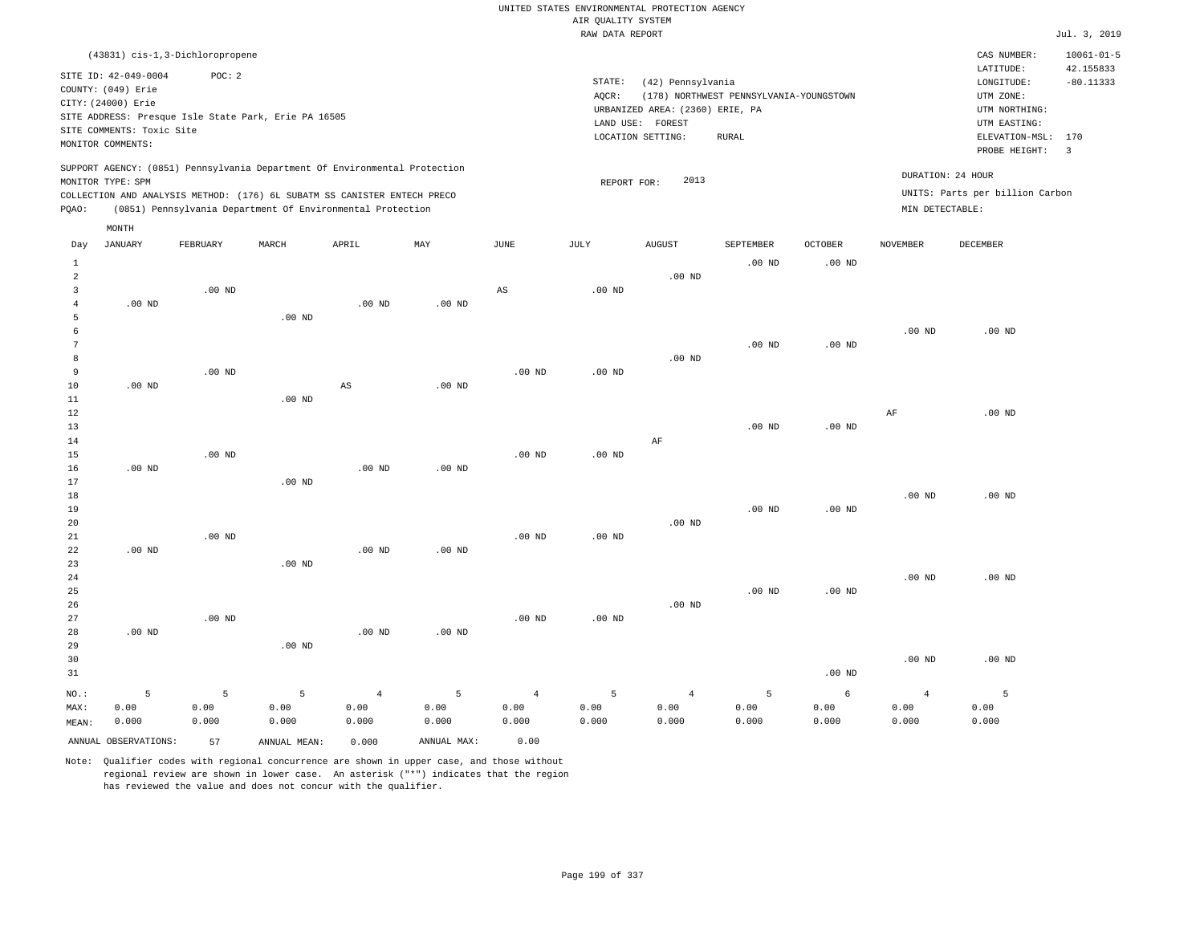|                |                                                                            |                   |              |                                                            |                   |                        | RAW DATA REPORT   |                                 |                                         |                   |                        |                                 | Jul. 3, 2019     |
|----------------|----------------------------------------------------------------------------|-------------------|--------------|------------------------------------------------------------|-------------------|------------------------|-------------------|---------------------------------|-----------------------------------------|-------------------|------------------------|---------------------------------|------------------|
|                | (43831) cis-1,3-Dichloropropene                                            |                   |              |                                                            |                   |                        |                   |                                 |                                         |                   |                        | CAS NUMBER:                     | $10061 - 01 - 5$ |
|                |                                                                            | POC: 2            |              |                                                            |                   |                        |                   |                                 |                                         |                   |                        | LATITUDE:                       | 42.155833        |
|                | SITE ID: 42-049-0004<br>COUNTY: (049) Erie                                 |                   |              |                                                            |                   |                        | STATE:            | (42) Pennsylvania               |                                         |                   |                        | LONGITUDE:                      | $-80.11333$      |
|                | CITY: (24000) Erie                                                         |                   |              |                                                            |                   |                        | AQCR:             |                                 | (178) NORTHWEST PENNSYLVANIA-YOUNGSTOWN |                   |                        | UTM ZONE:                       |                  |
|                | SITE ADDRESS: Presque Isle State Park, Erie PA 16505                       |                   |              |                                                            |                   |                        |                   | URBANIZED AREA: (2360) ERIE, PA |                                         |                   |                        | UTM NORTHING:                   |                  |
|                | SITE COMMENTS: Toxic Site                                                  |                   |              |                                                            |                   |                        |                   | LAND USE: FOREST                |                                         |                   |                        | UTM EASTING:                    |                  |
|                | MONITOR COMMENTS:                                                          |                   |              |                                                            |                   |                        |                   | LOCATION SETTING:               | RURAL                                   |                   |                        | ELEVATION-MSL:                  | 170              |
|                |                                                                            |                   |              |                                                            |                   |                        |                   |                                 |                                         |                   |                        | PROBE HEIGHT:                   | $\overline{3}$   |
|                | SUPPORT AGENCY: (0851) Pennsylvania Department Of Environmental Protection |                   |              |                                                            |                   |                        |                   |                                 |                                         |                   |                        |                                 |                  |
|                | MONITOR TYPE: SPM                                                          |                   |              |                                                            |                   |                        | REPORT FOR:       | 2013                            |                                         |                   |                        | DURATION: 24 HOUR               |                  |
|                | COLLECTION AND ANALYSIS METHOD: (176) 6L SUBATM SS CANISTER ENTECH PRECO   |                   |              |                                                            |                   |                        |                   |                                 |                                         |                   |                        | UNITS: Parts per billion Carbon |                  |
| PQAO:          |                                                                            |                   |              | (0851) Pennsylvania Department Of Environmental Protection |                   |                        |                   |                                 |                                         |                   | MIN DETECTABLE:        |                                 |                  |
|                | MONTH                                                                      |                   |              |                                                            |                   |                        |                   |                                 |                                         |                   |                        |                                 |                  |
| Day            | <b>JANUARY</b>                                                             | FEBRUARY          | MARCH        | APRIL                                                      | MAY               | $\operatorname{JUNE}$  | JULY              | <b>AUGUST</b>                   | SEPTEMBER                               | OCTOBER           | <b>NOVEMBER</b>        | DECEMBER                        |                  |
| $\mathbf{1}$   |                                                                            |                   |              |                                                            |                   |                        |                   |                                 | $.00$ ND                                | .00 <sub>ND</sub> |                        |                                 |                  |
| $\overline{a}$ |                                                                            |                   |              |                                                            |                   |                        |                   | $.00$ ND                        |                                         |                   |                        |                                 |                  |
| 3              |                                                                            | .00 <sub>ND</sub> |              |                                                            |                   | $_{\rm AS}$            | .00 <sub>ND</sub> |                                 |                                         |                   |                        |                                 |                  |
| $\overline{4}$ | $.00$ ND                                                                   |                   |              | $.00$ ND                                                   | $.00$ ND          |                        |                   |                                 |                                         |                   |                        |                                 |                  |
| 5              |                                                                            |                   | $.00$ ND     |                                                            |                   |                        |                   |                                 |                                         |                   |                        |                                 |                  |
| 6              |                                                                            |                   |              |                                                            |                   |                        |                   |                                 |                                         |                   | .00 <sub>ND</sub>      | $.00$ ND                        |                  |
| $\overline{7}$ |                                                                            |                   |              |                                                            |                   |                        |                   |                                 | $.00$ ND                                | $.00$ ND          |                        |                                 |                  |
| 8              |                                                                            |                   |              |                                                            |                   |                        |                   | $.00$ ND                        |                                         |                   |                        |                                 |                  |
| 9              |                                                                            | $.00$ ND          |              |                                                            |                   | .00 <sub>ND</sub>      | $.00$ ND          |                                 |                                         |                   |                        |                                 |                  |
| $10$           | .00 <sub>ND</sub>                                                          |                   |              | $\mathbb{A}\mathbb{S}$                                     | $.00$ ND          |                        |                   |                                 |                                         |                   |                        |                                 |                  |
| 11             |                                                                            |                   | $.00$ ND     |                                                            |                   |                        |                   |                                 |                                         |                   |                        |                                 |                  |
| 12             |                                                                            |                   |              |                                                            |                   |                        |                   |                                 |                                         |                   | AF                     | $.00$ ND                        |                  |
| 13             |                                                                            |                   |              |                                                            |                   |                        |                   |                                 | $.00$ ND                                | .00 <sub>ND</sub> |                        |                                 |                  |
| 14             |                                                                            |                   |              |                                                            |                   |                        |                   | AF                              |                                         |                   |                        |                                 |                  |
| 15             |                                                                            | $.00$ ND          |              |                                                            |                   | $.00$ ND               | $.00$ ND          |                                 |                                         |                   |                        |                                 |                  |
| 16             | $.00$ ND                                                                   |                   |              | $.00$ ND                                                   | $.00$ ND          |                        |                   |                                 |                                         |                   |                        |                                 |                  |
| 17             |                                                                            |                   | $.00$ ND     |                                                            |                   |                        |                   |                                 |                                         |                   |                        |                                 |                  |
| 18             |                                                                            |                   |              |                                                            |                   |                        |                   |                                 |                                         |                   | .00 <sub>ND</sub>      | $.00$ ND                        |                  |
| 19             |                                                                            |                   |              |                                                            |                   |                        |                   |                                 | .00 <sub>ND</sub>                       | .00 <sub>ND</sub> |                        |                                 |                  |
| 20<br>21       |                                                                            | $.00$ ND          |              |                                                            |                   | $.00$ ND               | $.00$ ND          | $.00$ ND                        |                                         |                   |                        |                                 |                  |
| 22             | $.00$ ND                                                                   |                   |              | $.00$ ND                                                   | .00 <sub>ND</sub> |                        |                   |                                 |                                         |                   |                        |                                 |                  |
| 23             |                                                                            |                   | $.00$ ND     |                                                            |                   |                        |                   |                                 |                                         |                   |                        |                                 |                  |
| 24             |                                                                            |                   |              |                                                            |                   |                        |                   |                                 |                                         |                   | .00 <sub>ND</sub>      | $.00$ ND                        |                  |
| 25             |                                                                            |                   |              |                                                            |                   |                        |                   |                                 | $.00$ ND                                | $.00$ ND          |                        |                                 |                  |
| 26             |                                                                            |                   |              |                                                            |                   |                        |                   | $.00$ ND                        |                                         |                   |                        |                                 |                  |
| 27             |                                                                            | $.00$ ND          |              |                                                            |                   | $.00$ ND               | $.00$ ND          |                                 |                                         |                   |                        |                                 |                  |
| 28             | $.00$ ND                                                                   |                   |              | $.00$ ND                                                   | $.00$ ND          |                        |                   |                                 |                                         |                   |                        |                                 |                  |
| 29             |                                                                            |                   | $.00$ ND     |                                                            |                   |                        |                   |                                 |                                         |                   |                        |                                 |                  |
| 30             |                                                                            |                   |              |                                                            |                   |                        |                   |                                 |                                         |                   | .00 <sub>ND</sub>      | $.00$ ND                        |                  |
| 31             |                                                                            |                   |              |                                                            |                   |                        |                   |                                 |                                         | .00 $ND$          |                        |                                 |                  |
|                |                                                                            |                   |              |                                                            |                   |                        |                   |                                 |                                         |                   |                        |                                 |                  |
| NO.:           | 5<br>0.00                                                                  | 5<br>0.00         | 5<br>0.00    | $\overline{4}$<br>0.00                                     | 5<br>0.00         | $\overline{4}$<br>0.00 | 5<br>0.00         | $\overline{4}$<br>0.00          | 5<br>0.00                               | 6<br>0.00         | $\overline{4}$<br>0.00 | 5<br>0.00                       |                  |
| MAX:           | 0.000                                                                      | 0.000             | 0.000        | 0.000                                                      | 0.000             | 0.000                  | 0.000             | 0.000                           | 0.000                                   | 0.000             | 0.000                  | 0.000                           |                  |
| MEAN:          |                                                                            |                   |              |                                                            |                   |                        |                   |                                 |                                         |                   |                        |                                 |                  |
|                | ANNUAL OBSERVATIONS:                                                       | 57                | ANNUAL MEAN: | 0.000                                                      | ANNUAL MAX:       | 0.00                   |                   |                                 |                                         |                   |                        |                                 |                  |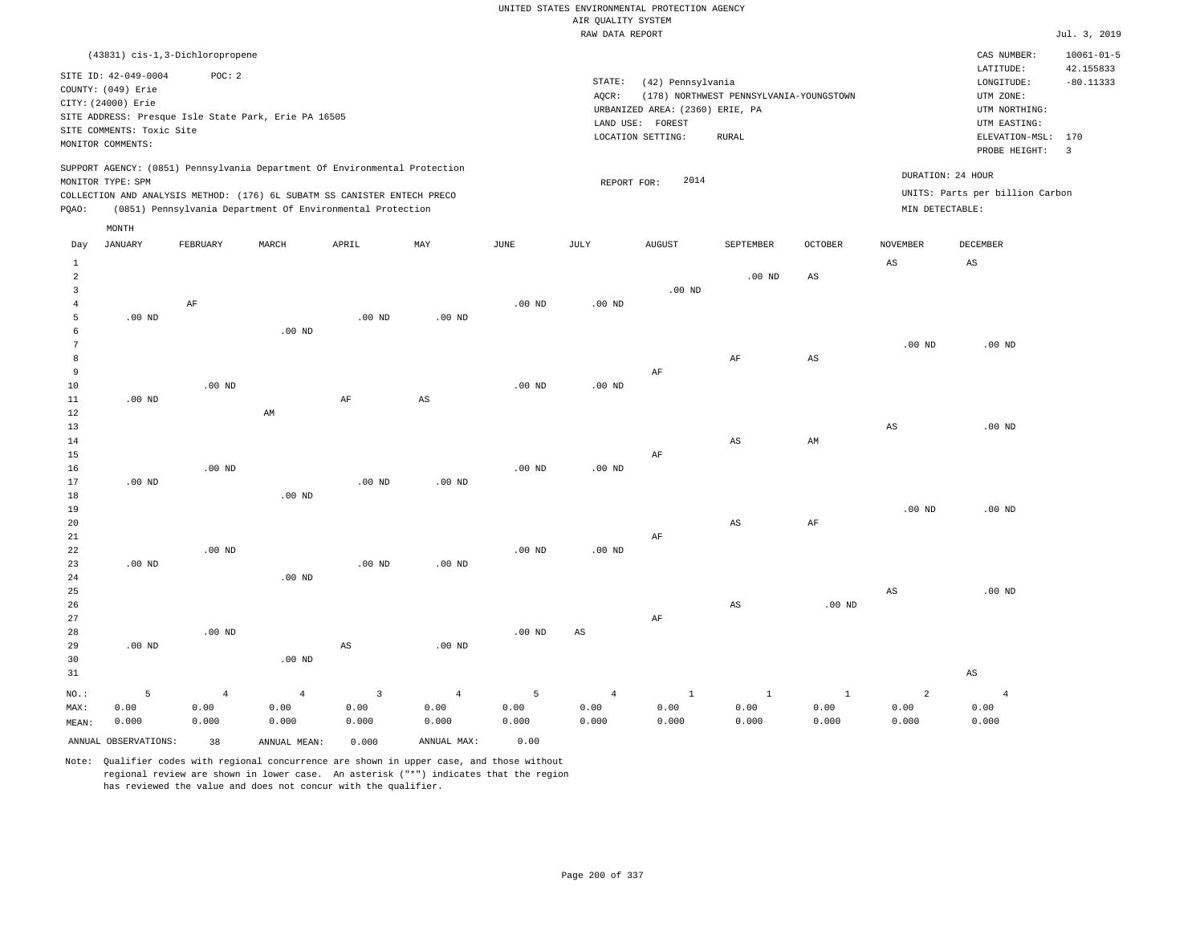|                               |                                            |                   |                                                                                                                                        |          |                        |                   | RAW DATA REPORT        |                                 |                                         |                        |                        |                                 | Jul. 3, 2019             |
|-------------------------------|--------------------------------------------|-------------------|----------------------------------------------------------------------------------------------------------------------------------------|----------|------------------------|-------------------|------------------------|---------------------------------|-----------------------------------------|------------------------|------------------------|---------------------------------|--------------------------|
|                               | (43831) cis-1,3-Dichloropropene            |                   |                                                                                                                                        |          |                        |                   |                        |                                 |                                         |                        |                        | CAS NUMBER:                     | $10061 - 01 - 5$         |
|                               | SITE ID: 42-049-0004<br>COUNTY: (049) Erie | POC: 2            |                                                                                                                                        |          |                        |                   | STATE:                 | (42) Pennsylvania               |                                         |                        |                        | LATITUDE:<br>LONGITUDE:         | 42.155833<br>$-80.11333$ |
|                               | CITY: (24000) Erie                         |                   |                                                                                                                                        |          |                        |                   | AOCR:                  |                                 | (178) NORTHWEST PENNSYLVANIA-YOUNGSTOWN |                        |                        | UTM ZONE:                       |                          |
|                               |                                            |                   | SITE ADDRESS: Presque Isle State Park, Erie PA 16505                                                                                   |          |                        |                   |                        | URBANIZED AREA: (2360) ERIE, PA |                                         |                        |                        | UTM NORTHING:                   |                          |
|                               | SITE COMMENTS: Toxic Site                  |                   |                                                                                                                                        |          |                        |                   |                        | LAND USE: FOREST                | <b>RURAL</b>                            |                        |                        | UTM EASTING:<br>ELEVATION-MSL:  | 170                      |
|                               | MONITOR COMMENTS:                          |                   |                                                                                                                                        |          |                        |                   |                        | LOCATION SETTING:               |                                         |                        |                        | PROBE HEIGHT:                   | $\overline{\mathbf{3}}$  |
|                               |                                            |                   | SUPPORT AGENCY: (0851) Pennsylvania Department Of Environmental Protection                                                             |          |                        |                   |                        |                                 |                                         |                        |                        | DURATION: 24 HOUR               |                          |
|                               | MONITOR TYPE: SPM                          |                   |                                                                                                                                        |          |                        |                   | REPORT FOR:            | 2014                            |                                         |                        |                        | UNITS: Parts per billion Carbon |                          |
| PQAO:                         |                                            |                   | COLLECTION AND ANALYSIS METHOD: (176) 6L SUBATM SS CANISTER ENTECH PRECO<br>(0851) Pennsylvania Department Of Environmental Protection |          |                        |                   |                        |                                 |                                         |                        | MIN DETECTABLE:        |                                 |                          |
|                               |                                            |                   |                                                                                                                                        |          |                        |                   |                        |                                 |                                         |                        |                        |                                 |                          |
|                               | MONTH                                      |                   |                                                                                                                                        |          |                        |                   |                        |                                 |                                         |                        |                        |                                 |                          |
| Day                           | <b>JANUARY</b>                             | FEBRUARY          | MARCH                                                                                                                                  | APRIL    | MAY                    | JUNE              | JULY                   | AUGUST                          | SEPTEMBER                               | OCTOBER                | <b>NOVEMBER</b>        | DECEMBER                        |                          |
| $\mathbf{1}$                  |                                            |                   |                                                                                                                                        |          |                        |                   |                        |                                 |                                         |                        | $_{\rm AS}$            | AS                              |                          |
| $\overline{a}$<br>$\mathsf 3$ |                                            |                   |                                                                                                                                        |          |                        |                   |                        | $.00$ ND                        | .00 <sub>ND</sub>                       | $\mathbb{A}\mathbb{S}$ |                        |                                 |                          |
| $\overline{4}$                |                                            | AF                |                                                                                                                                        |          |                        | $.00$ ND          | .00 <sub>ND</sub>      |                                 |                                         |                        |                        |                                 |                          |
| 5                             | $.00$ ND                                   |                   |                                                                                                                                        | $.00$ ND | .00 <sub>ND</sub>      |                   |                        |                                 |                                         |                        |                        |                                 |                          |
| 6                             |                                            |                   | $.00$ ND                                                                                                                               |          |                        |                   |                        |                                 |                                         |                        |                        |                                 |                          |
| 7                             |                                            |                   |                                                                                                                                        |          |                        |                   |                        |                                 |                                         |                        | $.00$ ND               | $.00$ ND                        |                          |
| 8                             |                                            |                   |                                                                                                                                        |          |                        |                   |                        |                                 | AF                                      | $\mathbb{A}\mathbb{S}$ |                        |                                 |                          |
| 9                             |                                            | $.00$ ND          |                                                                                                                                        |          |                        |                   |                        | $\rm AF$                        |                                         |                        |                        |                                 |                          |
| 10<br>11                      | $.00$ ND                                   |                   |                                                                                                                                        | AF       | $\mathbb{A}\mathbb{S}$ | .00 <sub>ND</sub> | .00 <sub>ND</sub>      |                                 |                                         |                        |                        |                                 |                          |
| $1\,2$                        |                                            |                   | AM                                                                                                                                     |          |                        |                   |                        |                                 |                                         |                        |                        |                                 |                          |
| 13                            |                                            |                   |                                                                                                                                        |          |                        |                   |                        |                                 |                                         |                        | $\mathbb{A}\mathbb{S}$ | $.00$ ND                        |                          |
| 14                            |                                            |                   |                                                                                                                                        |          |                        |                   |                        |                                 | AS                                      | AM                     |                        |                                 |                          |
| 15                            |                                            |                   |                                                                                                                                        |          |                        |                   |                        | $\rm AF$                        |                                         |                        |                        |                                 |                          |
| 16                            |                                            | $.00$ ND          |                                                                                                                                        |          |                        | $.00$ ND          | .00 <sub>ND</sub>      |                                 |                                         |                        |                        |                                 |                          |
| 17<br>18                      | $.00$ ND                                   |                   | $.00$ ND                                                                                                                               | $.00$ ND | .00 <sub>ND</sub>      |                   |                        |                                 |                                         |                        |                        |                                 |                          |
| 19                            |                                            |                   |                                                                                                                                        |          |                        |                   |                        |                                 |                                         |                        | $.00$ ND               | $.00$ ND                        |                          |
| 20                            |                                            |                   |                                                                                                                                        |          |                        |                   |                        |                                 | AS                                      | AF                     |                        |                                 |                          |
| 21                            |                                            |                   |                                                                                                                                        |          |                        |                   |                        | $\rm AF$                        |                                         |                        |                        |                                 |                          |
| 22                            |                                            | $.00$ ND          |                                                                                                                                        |          |                        | $.00$ ND          | $.00$ ND               |                                 |                                         |                        |                        |                                 |                          |
| 23                            | $.00$ ND                                   |                   |                                                                                                                                        | $.00$ ND | $.00$ ND               |                   |                        |                                 |                                         |                        |                        |                                 |                          |
| 24<br>25                      |                                            |                   | $.00$ ND                                                                                                                               |          |                        |                   |                        |                                 |                                         |                        | $\mathbb{A}\mathbb{S}$ | $.00$ ND                        |                          |
| 26                            |                                            |                   |                                                                                                                                        |          |                        |                   |                        |                                 | AS                                      | $.00$ ND               |                        |                                 |                          |
| 27                            |                                            |                   |                                                                                                                                        |          |                        |                   |                        | $\rm AF$                        |                                         |                        |                        |                                 |                          |
| 28                            |                                            | .00 <sub>ND</sub> |                                                                                                                                        |          |                        | .00 <sub>ND</sub> | $\mathbb{A}\mathbb{S}$ |                                 |                                         |                        |                        |                                 |                          |
| 29                            | $.00$ ND                                   |                   |                                                                                                                                        | AS       | $.00$ ND               |                   |                        |                                 |                                         |                        |                        |                                 |                          |
| 30                            |                                            |                   | $.00$ ND                                                                                                                               |          |                        |                   |                        |                                 |                                         |                        |                        |                                 |                          |
| 31                            |                                            |                   |                                                                                                                                        |          |                        |                   |                        |                                 |                                         |                        |                        | $\mathbb{A}\mathbb{S}$          |                          |
| NO.:                          | 5                                          | $\overline{4}$    | $\overline{4}$                                                                                                                         | 3        | $\overline{4}$         | 5                 | $\overline{4}$         | $\mathbf{1}$                    | $\mathbf{1}$                            | $\mathbf{1}$           | $\overline{a}$         | $\overline{4}$                  |                          |
| MAX:                          | 0.00                                       | 0.00              | 0.00                                                                                                                                   | 0.00     | 0.00                   | 0.00              | 0.00                   | 0.00                            | 0.00                                    | 0.00                   | 0.00                   | 0.00                            |                          |
| MEAN:                         | 0.000                                      | 0.000             | 0.000                                                                                                                                  | 0.000    | 0.000                  | 0.000             | 0.000                  | 0.000                           | 0.000                                   | 0.000                  | 0.000                  | 0.000                           |                          |
|                               | ANNUAL OBSERVATIONS:                       | 38                | ANNUAL MEAN:                                                                                                                           | 0.000    | ANNUAL MAX:            | 0.00              |                        |                                 |                                         |                        |                        |                                 |                          |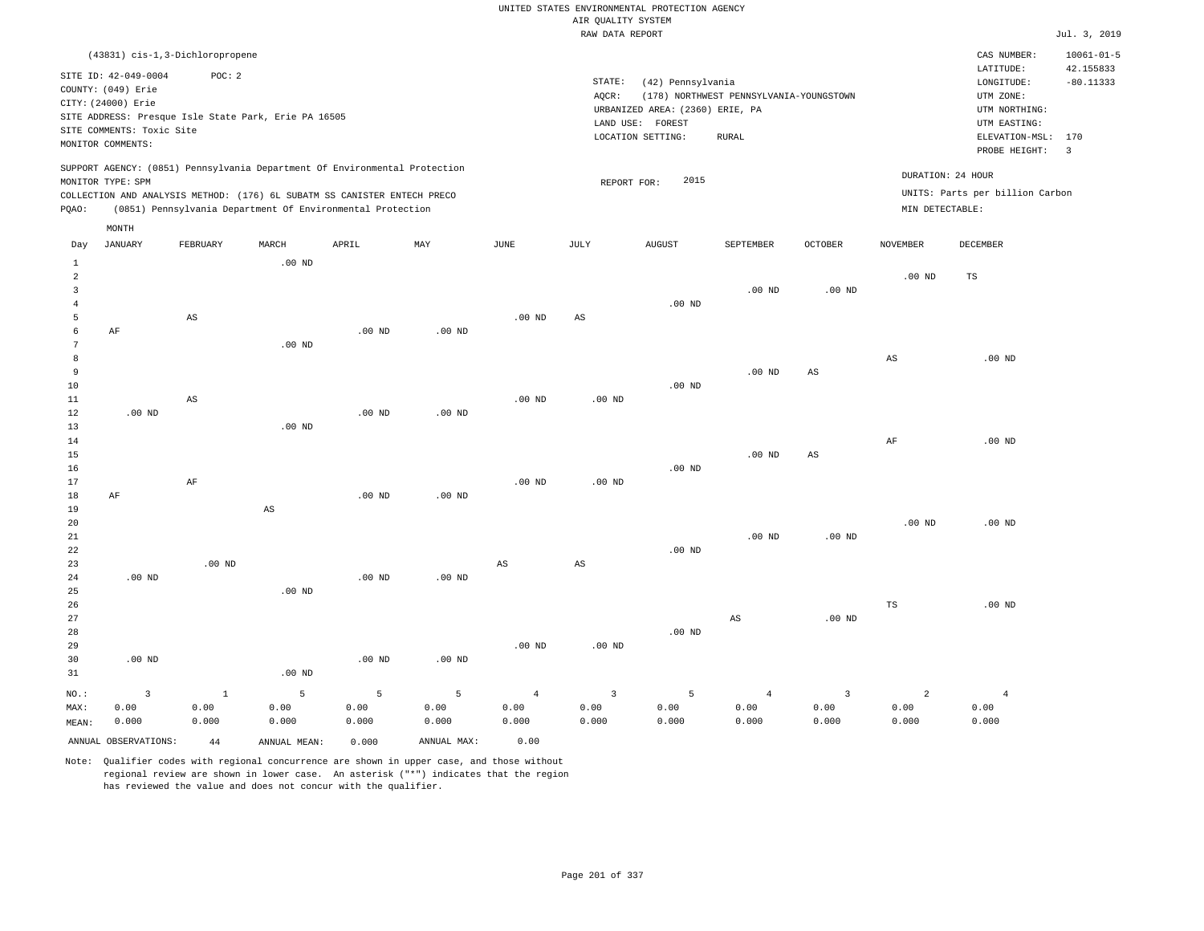| (43831) cis-1,3-Dichloropropene<br>$10061 - 01 - 5$<br>CAS NUMBER:<br>42.155833<br>LATITUDE:<br>POC: 2<br>SITE ID: 42-049-0004<br>STATE:<br>$-80.11333$<br>(42) Pennsylvania<br>LONGITUDE:<br>COUNTY: (049) Erie<br>AQCR:<br>(178) NORTHWEST PENNSYLVANIA-YOUNGSTOWN<br>UTM ZONE:<br>CITY: (24000) Erie<br>URBANIZED AREA: (2360) ERIE, PA<br>UTM NORTHING:<br>SITE ADDRESS: Presque Isle State Park, Erie PA 16505<br>LAND USE: FOREST<br>UTM EASTING:<br>SITE COMMENTS: Toxic Site<br>LOCATION SETTING:<br><b>RURAL</b><br>ELEVATION-MSL:<br>170<br>MONITOR COMMENTS:<br>PROBE HEIGHT:<br>$\overline{3}$<br>SUPPORT AGENCY: (0851) Pennsylvania Department Of Environmental Protection<br>DURATION: 24 HOUR<br>2015<br>MONITOR TYPE: SPM<br>REPORT FOR:<br>UNITS: Parts per billion Carbon<br>COLLECTION AND ANALYSIS METHOD: (176) 6L SUBATM SS CANISTER ENTECH PRECO<br>(0851) Pennsylvania Department Of Environmental Protection<br>MIN DETECTABLE:<br>PQAO:<br>MONTH<br>FEBRUARY<br>APRIL<br>MAY<br>$_{\rm JUNE}$<br>JULY<br><b>AUGUST</b><br>SEPTEMBER<br>OCTOBER<br><b>NOVEMBER</b><br>DECEMBER<br><b>JANUARY</b><br>MARCH<br>Day<br>$\mathbf{1}$<br>$.00$ ND<br>$\overline{a}$<br>$.00$ ND<br>$_{\rm TS}$<br>$\overline{\mathbf{3}}$<br>$.00$ ND<br>$.00$ ND<br>$\overline{4}$<br>$.00$ ND<br>5<br>AS<br>$.00$ ND<br>$_{\rm AS}$<br>$\epsilon$<br>$.00$ ND<br>AF<br>$.00$ ND<br>$7\phantom{.0}$<br>$.00$ ND<br>8<br>$.00$ ND<br>$_{\rm AS}$<br>9<br>.00 <sub>ND</sub><br>$\mathbb{A}\mathbb{S}$<br>$.00$ ND<br>10<br>11<br>AS<br>$.00$ ND<br>$.00$ ND<br>12<br>$.00$ ND<br>$.00$ ND<br>$.00$ ND<br>13<br>$.00$ ND<br>$14\,$<br>$.00$ ND<br>AF<br>15<br>.00 <sub>ND</sub><br>$\mathbb{A}\mathbb{S}$<br>$.00$ ND<br>16<br>17<br>$\rm AF$<br>$.00$ ND<br>.00 <sub>ND</sub><br>18<br>AF<br>$.00$ ND<br>$.00$ ND<br>19<br>$\mathbb{A}\mathbb{S}$<br>20<br>$.00$ ND<br>$.00$ ND<br>21<br>.00 <sub>ND</sub><br>.00 <sub>ND</sub><br>22<br>$.00$ ND<br>23<br>.00 <sub>ND</sub><br>AS<br>AS<br>24<br>$.00$ ND<br>$.00$ ND<br>$.00$ ND<br>25<br>$.00$ ND<br>26<br>TS<br>$.00$ ND<br>27<br>$.00$ ND<br>AS<br>28<br>$.00$ ND<br>.00 <sub>ND</sub><br>29<br>$.00$ ND<br>30<br>$.00$ ND<br>.00 <sub>ND</sub><br>$.00$ ND<br>31<br>$.00$ ND<br>5<br>$\overline{\mathbf{3}}$<br>$\mathbf{1}$<br>5<br>5<br>$\overline{3}$<br>5<br>$\overline{3}$<br>$\overline{a}$<br>NO.:<br>$\overline{4}$<br>$\overline{4}$<br>$\overline{4}$<br>0.00<br>0.00<br>0.00<br>0.00<br>0.00<br>0.00<br>0.00<br>0.00<br>0.00<br>0.00<br>0.00<br>0.00<br>MAX:<br>0.000<br>0.000<br>0.000<br>0.000<br>0.000<br>0.000<br>0.000<br>0.000<br>0.000<br>0.000<br>0.000<br>0.000<br>MEAN: |  |  |  | RAW DATA REPORT |  |  | Jul. 3, 2019 |
|--------------------------------------------------------------------------------------------------------------------------------------------------------------------------------------------------------------------------------------------------------------------------------------------------------------------------------------------------------------------------------------------------------------------------------------------------------------------------------------------------------------------------------------------------------------------------------------------------------------------------------------------------------------------------------------------------------------------------------------------------------------------------------------------------------------------------------------------------------------------------------------------------------------------------------------------------------------------------------------------------------------------------------------------------------------------------------------------------------------------------------------------------------------------------------------------------------------------------------------------------------------------------------------------------------------------------------------------------------------------------------------------------------------------------------------------------------------------------------------------------------------------------------------------------------------------------------------------------------------------------------------------------------------------------------------------------------------------------------------------------------------------------------------------------------------------------------------------------------------------------------------------------------------------------------------------------------------------------------------------------------------------------------------------------------------------------------------------------------------------------------------------------------------------------------------------------------------------------------------------------------------------------------------------------------------------------------------------------------------------------------------------------------------------------------------------------------------------------------------------------------------------------------------------------------------------------------------------------------------------------------------------------------|--|--|--|-----------------|--|--|--------------|
|                                                                                                                                                                                                                                                                                                                                                                                                                                                                                                                                                                                                                                                                                                                                                                                                                                                                                                                                                                                                                                                                                                                                                                                                                                                                                                                                                                                                                                                                                                                                                                                                                                                                                                                                                                                                                                                                                                                                                                                                                                                                                                                                                                                                                                                                                                                                                                                                                                                                                                                                                                                                                                                        |  |  |  |                 |  |  |              |
|                                                                                                                                                                                                                                                                                                                                                                                                                                                                                                                                                                                                                                                                                                                                                                                                                                                                                                                                                                                                                                                                                                                                                                                                                                                                                                                                                                                                                                                                                                                                                                                                                                                                                                                                                                                                                                                                                                                                                                                                                                                                                                                                                                                                                                                                                                                                                                                                                                                                                                                                                                                                                                                        |  |  |  |                 |  |  |              |
|                                                                                                                                                                                                                                                                                                                                                                                                                                                                                                                                                                                                                                                                                                                                                                                                                                                                                                                                                                                                                                                                                                                                                                                                                                                                                                                                                                                                                                                                                                                                                                                                                                                                                                                                                                                                                                                                                                                                                                                                                                                                                                                                                                                                                                                                                                                                                                                                                                                                                                                                                                                                                                                        |  |  |  |                 |  |  |              |
|                                                                                                                                                                                                                                                                                                                                                                                                                                                                                                                                                                                                                                                                                                                                                                                                                                                                                                                                                                                                                                                                                                                                                                                                                                                                                                                                                                                                                                                                                                                                                                                                                                                                                                                                                                                                                                                                                                                                                                                                                                                                                                                                                                                                                                                                                                                                                                                                                                                                                                                                                                                                                                                        |  |  |  |                 |  |  |              |
|                                                                                                                                                                                                                                                                                                                                                                                                                                                                                                                                                                                                                                                                                                                                                                                                                                                                                                                                                                                                                                                                                                                                                                                                                                                                                                                                                                                                                                                                                                                                                                                                                                                                                                                                                                                                                                                                                                                                                                                                                                                                                                                                                                                                                                                                                                                                                                                                                                                                                                                                                                                                                                                        |  |  |  |                 |  |  |              |
|                                                                                                                                                                                                                                                                                                                                                                                                                                                                                                                                                                                                                                                                                                                                                                                                                                                                                                                                                                                                                                                                                                                                                                                                                                                                                                                                                                                                                                                                                                                                                                                                                                                                                                                                                                                                                                                                                                                                                                                                                                                                                                                                                                                                                                                                                                                                                                                                                                                                                                                                                                                                                                                        |  |  |  |                 |  |  |              |
|                                                                                                                                                                                                                                                                                                                                                                                                                                                                                                                                                                                                                                                                                                                                                                                                                                                                                                                                                                                                                                                                                                                                                                                                                                                                                                                                                                                                                                                                                                                                                                                                                                                                                                                                                                                                                                                                                                                                                                                                                                                                                                                                                                                                                                                                                                                                                                                                                                                                                                                                                                                                                                                        |  |  |  |                 |  |  |              |
|                                                                                                                                                                                                                                                                                                                                                                                                                                                                                                                                                                                                                                                                                                                                                                                                                                                                                                                                                                                                                                                                                                                                                                                                                                                                                                                                                                                                                                                                                                                                                                                                                                                                                                                                                                                                                                                                                                                                                                                                                                                                                                                                                                                                                                                                                                                                                                                                                                                                                                                                                                                                                                                        |  |  |  |                 |  |  |              |
|                                                                                                                                                                                                                                                                                                                                                                                                                                                                                                                                                                                                                                                                                                                                                                                                                                                                                                                                                                                                                                                                                                                                                                                                                                                                                                                                                                                                                                                                                                                                                                                                                                                                                                                                                                                                                                                                                                                                                                                                                                                                                                                                                                                                                                                                                                                                                                                                                                                                                                                                                                                                                                                        |  |  |  |                 |  |  |              |
|                                                                                                                                                                                                                                                                                                                                                                                                                                                                                                                                                                                                                                                                                                                                                                                                                                                                                                                                                                                                                                                                                                                                                                                                                                                                                                                                                                                                                                                                                                                                                                                                                                                                                                                                                                                                                                                                                                                                                                                                                                                                                                                                                                                                                                                                                                                                                                                                                                                                                                                                                                                                                                                        |  |  |  |                 |  |  |              |
|                                                                                                                                                                                                                                                                                                                                                                                                                                                                                                                                                                                                                                                                                                                                                                                                                                                                                                                                                                                                                                                                                                                                                                                                                                                                                                                                                                                                                                                                                                                                                                                                                                                                                                                                                                                                                                                                                                                                                                                                                                                                                                                                                                                                                                                                                                                                                                                                                                                                                                                                                                                                                                                        |  |  |  |                 |  |  |              |
|                                                                                                                                                                                                                                                                                                                                                                                                                                                                                                                                                                                                                                                                                                                                                                                                                                                                                                                                                                                                                                                                                                                                                                                                                                                                                                                                                                                                                                                                                                                                                                                                                                                                                                                                                                                                                                                                                                                                                                                                                                                                                                                                                                                                                                                                                                                                                                                                                                                                                                                                                                                                                                                        |  |  |  |                 |  |  |              |
|                                                                                                                                                                                                                                                                                                                                                                                                                                                                                                                                                                                                                                                                                                                                                                                                                                                                                                                                                                                                                                                                                                                                                                                                                                                                                                                                                                                                                                                                                                                                                                                                                                                                                                                                                                                                                                                                                                                                                                                                                                                                                                                                                                                                                                                                                                                                                                                                                                                                                                                                                                                                                                                        |  |  |  |                 |  |  |              |
|                                                                                                                                                                                                                                                                                                                                                                                                                                                                                                                                                                                                                                                                                                                                                                                                                                                                                                                                                                                                                                                                                                                                                                                                                                                                                                                                                                                                                                                                                                                                                                                                                                                                                                                                                                                                                                                                                                                                                                                                                                                                                                                                                                                                                                                                                                                                                                                                                                                                                                                                                                                                                                                        |  |  |  |                 |  |  |              |
|                                                                                                                                                                                                                                                                                                                                                                                                                                                                                                                                                                                                                                                                                                                                                                                                                                                                                                                                                                                                                                                                                                                                                                                                                                                                                                                                                                                                                                                                                                                                                                                                                                                                                                                                                                                                                                                                                                                                                                                                                                                                                                                                                                                                                                                                                                                                                                                                                                                                                                                                                                                                                                                        |  |  |  |                 |  |  |              |
|                                                                                                                                                                                                                                                                                                                                                                                                                                                                                                                                                                                                                                                                                                                                                                                                                                                                                                                                                                                                                                                                                                                                                                                                                                                                                                                                                                                                                                                                                                                                                                                                                                                                                                                                                                                                                                                                                                                                                                                                                                                                                                                                                                                                                                                                                                                                                                                                                                                                                                                                                                                                                                                        |  |  |  |                 |  |  |              |
|                                                                                                                                                                                                                                                                                                                                                                                                                                                                                                                                                                                                                                                                                                                                                                                                                                                                                                                                                                                                                                                                                                                                                                                                                                                                                                                                                                                                                                                                                                                                                                                                                                                                                                                                                                                                                                                                                                                                                                                                                                                                                                                                                                                                                                                                                                                                                                                                                                                                                                                                                                                                                                                        |  |  |  |                 |  |  |              |
|                                                                                                                                                                                                                                                                                                                                                                                                                                                                                                                                                                                                                                                                                                                                                                                                                                                                                                                                                                                                                                                                                                                                                                                                                                                                                                                                                                                                                                                                                                                                                                                                                                                                                                                                                                                                                                                                                                                                                                                                                                                                                                                                                                                                                                                                                                                                                                                                                                                                                                                                                                                                                                                        |  |  |  |                 |  |  |              |
|                                                                                                                                                                                                                                                                                                                                                                                                                                                                                                                                                                                                                                                                                                                                                                                                                                                                                                                                                                                                                                                                                                                                                                                                                                                                                                                                                                                                                                                                                                                                                                                                                                                                                                                                                                                                                                                                                                                                                                                                                                                                                                                                                                                                                                                                                                                                                                                                                                                                                                                                                                                                                                                        |  |  |  |                 |  |  |              |
|                                                                                                                                                                                                                                                                                                                                                                                                                                                                                                                                                                                                                                                                                                                                                                                                                                                                                                                                                                                                                                                                                                                                                                                                                                                                                                                                                                                                                                                                                                                                                                                                                                                                                                                                                                                                                                                                                                                                                                                                                                                                                                                                                                                                                                                                                                                                                                                                                                                                                                                                                                                                                                                        |  |  |  |                 |  |  |              |
|                                                                                                                                                                                                                                                                                                                                                                                                                                                                                                                                                                                                                                                                                                                                                                                                                                                                                                                                                                                                                                                                                                                                                                                                                                                                                                                                                                                                                                                                                                                                                                                                                                                                                                                                                                                                                                                                                                                                                                                                                                                                                                                                                                                                                                                                                                                                                                                                                                                                                                                                                                                                                                                        |  |  |  |                 |  |  |              |
|                                                                                                                                                                                                                                                                                                                                                                                                                                                                                                                                                                                                                                                                                                                                                                                                                                                                                                                                                                                                                                                                                                                                                                                                                                                                                                                                                                                                                                                                                                                                                                                                                                                                                                                                                                                                                                                                                                                                                                                                                                                                                                                                                                                                                                                                                                                                                                                                                                                                                                                                                                                                                                                        |  |  |  |                 |  |  |              |
|                                                                                                                                                                                                                                                                                                                                                                                                                                                                                                                                                                                                                                                                                                                                                                                                                                                                                                                                                                                                                                                                                                                                                                                                                                                                                                                                                                                                                                                                                                                                                                                                                                                                                                                                                                                                                                                                                                                                                                                                                                                                                                                                                                                                                                                                                                                                                                                                                                                                                                                                                                                                                                                        |  |  |  |                 |  |  |              |
|                                                                                                                                                                                                                                                                                                                                                                                                                                                                                                                                                                                                                                                                                                                                                                                                                                                                                                                                                                                                                                                                                                                                                                                                                                                                                                                                                                                                                                                                                                                                                                                                                                                                                                                                                                                                                                                                                                                                                                                                                                                                                                                                                                                                                                                                                                                                                                                                                                                                                                                                                                                                                                                        |  |  |  |                 |  |  |              |
|                                                                                                                                                                                                                                                                                                                                                                                                                                                                                                                                                                                                                                                                                                                                                                                                                                                                                                                                                                                                                                                                                                                                                                                                                                                                                                                                                                                                                                                                                                                                                                                                                                                                                                                                                                                                                                                                                                                                                                                                                                                                                                                                                                                                                                                                                                                                                                                                                                                                                                                                                                                                                                                        |  |  |  |                 |  |  |              |
|                                                                                                                                                                                                                                                                                                                                                                                                                                                                                                                                                                                                                                                                                                                                                                                                                                                                                                                                                                                                                                                                                                                                                                                                                                                                                                                                                                                                                                                                                                                                                                                                                                                                                                                                                                                                                                                                                                                                                                                                                                                                                                                                                                                                                                                                                                                                                                                                                                                                                                                                                                                                                                                        |  |  |  |                 |  |  |              |
|                                                                                                                                                                                                                                                                                                                                                                                                                                                                                                                                                                                                                                                                                                                                                                                                                                                                                                                                                                                                                                                                                                                                                                                                                                                                                                                                                                                                                                                                                                                                                                                                                                                                                                                                                                                                                                                                                                                                                                                                                                                                                                                                                                                                                                                                                                                                                                                                                                                                                                                                                                                                                                                        |  |  |  |                 |  |  |              |
|                                                                                                                                                                                                                                                                                                                                                                                                                                                                                                                                                                                                                                                                                                                                                                                                                                                                                                                                                                                                                                                                                                                                                                                                                                                                                                                                                                                                                                                                                                                                                                                                                                                                                                                                                                                                                                                                                                                                                                                                                                                                                                                                                                                                                                                                                                                                                                                                                                                                                                                                                                                                                                                        |  |  |  |                 |  |  |              |
|                                                                                                                                                                                                                                                                                                                                                                                                                                                                                                                                                                                                                                                                                                                                                                                                                                                                                                                                                                                                                                                                                                                                                                                                                                                                                                                                                                                                                                                                                                                                                                                                                                                                                                                                                                                                                                                                                                                                                                                                                                                                                                                                                                                                                                                                                                                                                                                                                                                                                                                                                                                                                                                        |  |  |  |                 |  |  |              |
|                                                                                                                                                                                                                                                                                                                                                                                                                                                                                                                                                                                                                                                                                                                                                                                                                                                                                                                                                                                                                                                                                                                                                                                                                                                                                                                                                                                                                                                                                                                                                                                                                                                                                                                                                                                                                                                                                                                                                                                                                                                                                                                                                                                                                                                                                                                                                                                                                                                                                                                                                                                                                                                        |  |  |  |                 |  |  |              |
|                                                                                                                                                                                                                                                                                                                                                                                                                                                                                                                                                                                                                                                                                                                                                                                                                                                                                                                                                                                                                                                                                                                                                                                                                                                                                                                                                                                                                                                                                                                                                                                                                                                                                                                                                                                                                                                                                                                                                                                                                                                                                                                                                                                                                                                                                                                                                                                                                                                                                                                                                                                                                                                        |  |  |  |                 |  |  |              |
|                                                                                                                                                                                                                                                                                                                                                                                                                                                                                                                                                                                                                                                                                                                                                                                                                                                                                                                                                                                                                                                                                                                                                                                                                                                                                                                                                                                                                                                                                                                                                                                                                                                                                                                                                                                                                                                                                                                                                                                                                                                                                                                                                                                                                                                                                                                                                                                                                                                                                                                                                                                                                                                        |  |  |  |                 |  |  |              |
|                                                                                                                                                                                                                                                                                                                                                                                                                                                                                                                                                                                                                                                                                                                                                                                                                                                                                                                                                                                                                                                                                                                                                                                                                                                                                                                                                                                                                                                                                                                                                                                                                                                                                                                                                                                                                                                                                                                                                                                                                                                                                                                                                                                                                                                                                                                                                                                                                                                                                                                                                                                                                                                        |  |  |  |                 |  |  |              |
|                                                                                                                                                                                                                                                                                                                                                                                                                                                                                                                                                                                                                                                                                                                                                                                                                                                                                                                                                                                                                                                                                                                                                                                                                                                                                                                                                                                                                                                                                                                                                                                                                                                                                                                                                                                                                                                                                                                                                                                                                                                                                                                                                                                                                                                                                                                                                                                                                                                                                                                                                                                                                                                        |  |  |  |                 |  |  |              |
|                                                                                                                                                                                                                                                                                                                                                                                                                                                                                                                                                                                                                                                                                                                                                                                                                                                                                                                                                                                                                                                                                                                                                                                                                                                                                                                                                                                                                                                                                                                                                                                                                                                                                                                                                                                                                                                                                                                                                                                                                                                                                                                                                                                                                                                                                                                                                                                                                                                                                                                                                                                                                                                        |  |  |  |                 |  |  |              |

Note: Qualifier codes with regional concurrence are shown in upper case, and those without regional review are shown in lower case. An asterisk ("\*") indicates that the region has reviewed the value and does not concur with the qualifier.

ANNUAL OBSERVATIONS: 44 ANNUAL MEAN: 0.000 ANNUAL MAX: 0.00

MEAN: 0.000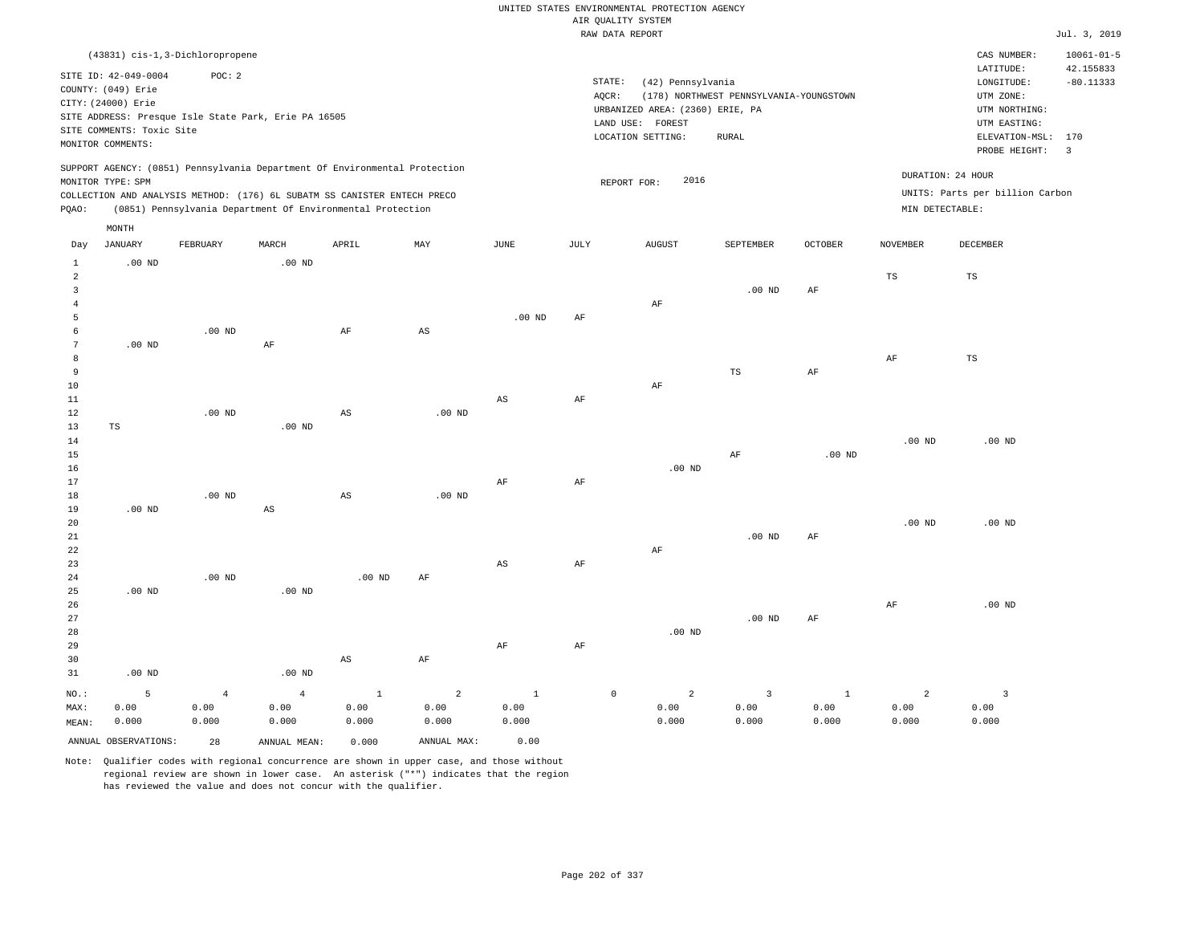|                     |                                          |                |                                                      |                                                                            |                |                        |          | RAW DATA REPORT                 |                                         |                |                 |                                 | Jul. 3, 2019             |
|---------------------|------------------------------------------|----------------|------------------------------------------------------|----------------------------------------------------------------------------|----------------|------------------------|----------|---------------------------------|-----------------------------------------|----------------|-----------------|---------------------------------|--------------------------|
|                     | (43831) cis-1, 3-Dichloropropene         |                |                                                      |                                                                            |                |                        |          |                                 |                                         |                |                 | CAS NUMBER:                     | $10061 - 01 - 5$         |
|                     | SITE ID: 42-049-0004                     | POC: 2         |                                                      |                                                                            |                |                        | STATE:   | (42) Pennsylvania               |                                         |                |                 | LATITUDE:<br>LONGITUDE:         | 42.155833<br>$-80.11333$ |
|                     | COUNTY: (049) Erie<br>CITY: (24000) Erie |                |                                                      |                                                                            |                |                        | AQCR:    |                                 | (178) NORTHWEST PENNSYLVANIA-YOUNGSTOWN |                |                 | UTM ZONE:                       |                          |
|                     |                                          |                | SITE ADDRESS: Presque Isle State Park, Erie PA 16505 |                                                                            |                |                        |          | URBANIZED AREA: (2360) ERIE, PA |                                         |                |                 | UTM NORTHING:                   |                          |
|                     | SITE COMMENTS: Toxic Site                |                |                                                      |                                                                            |                |                        |          | LAND USE: FOREST                |                                         |                |                 | UTM EASTING:                    |                          |
|                     | MONITOR COMMENTS:                        |                |                                                      |                                                                            |                |                        |          | LOCATION SETTING:               | RURAL                                   |                |                 | ELEVATION-MSL:<br>PROBE HEIGHT: | 170<br>$\overline{3}$    |
|                     | MONITOR TYPE: SPM                        |                |                                                      | SUPPORT AGENCY: (0851) Pennsylvania Department Of Environmental Protection |                |                        |          | 2016<br>REPORT FOR:             |                                         |                |                 | DURATION: 24 HOUR               |                          |
|                     |                                          |                |                                                      | COLLECTION AND ANALYSIS METHOD: (176) 6L SUBATM SS CANISTER ENTECH PRECO   |                |                        |          |                                 |                                         |                |                 | UNITS: Parts per billion Carbon |                          |
| PQAO:               |                                          |                |                                                      | (0851) Pennsylvania Department Of Environmental Protection                 |                |                        |          |                                 |                                         |                | MIN DETECTABLE: |                                 |                          |
|                     | MONTH                                    |                |                                                      |                                                                            |                |                        |          |                                 |                                         |                |                 |                                 |                          |
| Day                 | <b>JANUARY</b>                           | FEBRUARY       | MARCH                                                | APRIL                                                                      | MAY            | JUNE                   | JULY     | <b>AUGUST</b>                   | SEPTEMBER                               | <b>OCTOBER</b> | <b>NOVEMBER</b> | DECEMBER                        |                          |
| $1\,$<br>2          | $.00$ ND                                 |                | $.00$ ND                                             |                                                                            |                |                        |          |                                 |                                         |                | TS              | TS                              |                          |
| $\overline{3}$      |                                          |                |                                                      |                                                                            |                |                        |          |                                 | $.00$ ND                                | AF             |                 |                                 |                          |
| $\overline{4}$      |                                          |                |                                                      |                                                                            |                |                        |          | $\rm AF$                        |                                         |                |                 |                                 |                          |
| 5                   |                                          |                |                                                      |                                                                            |                | .00 <sub>ND</sub>      | $\rm AF$ |                                 |                                         |                |                 |                                 |                          |
| 6                   |                                          | $.00$ ND       |                                                      | AF                                                                         | AS             |                        |          |                                 |                                         |                |                 |                                 |                          |
| $7\phantom{.0}$     | $.00$ ND                                 |                | AF                                                   |                                                                            |                |                        |          |                                 |                                         |                |                 |                                 |                          |
| 8<br>$\overline{9}$ |                                          |                |                                                      |                                                                            |                |                        |          |                                 |                                         |                | $\rm{AF}$       | TS                              |                          |
| 10                  |                                          |                |                                                      |                                                                            |                |                        |          | AF                              | TS                                      | $\rm{AF}$      |                 |                                 |                          |
| 11                  |                                          |                |                                                      |                                                                            |                | $\mathbb{A}\mathbb{S}$ | AF       |                                 |                                         |                |                 |                                 |                          |
| 12                  |                                          | $.00$ ND       |                                                      | AS                                                                         | $.00$ ND       |                        |          |                                 |                                         |                |                 |                                 |                          |
| 13                  | TS                                       |                | $.00$ ND                                             |                                                                            |                |                        |          |                                 |                                         |                |                 |                                 |                          |
| 14                  |                                          |                |                                                      |                                                                            |                |                        |          |                                 |                                         |                | $.00$ ND        | $.00$ ND                        |                          |
| 15                  |                                          |                |                                                      |                                                                            |                |                        |          |                                 | AF                                      | $.00$ ND       |                 |                                 |                          |
| 16                  |                                          |                |                                                      |                                                                            |                |                        |          | $.00$ ND                        |                                         |                |                 |                                 |                          |
| 17<br>18            |                                          | $.00$ ND       |                                                      | AS                                                                         | $.00$ ND       | $\rm{AF}$              | $\rm AF$ |                                 |                                         |                |                 |                                 |                          |
| 19                  | $.00$ ND                                 |                | $\mathbb{A}\mathbb{S}$                               |                                                                            |                |                        |          |                                 |                                         |                |                 |                                 |                          |
| 20                  |                                          |                |                                                      |                                                                            |                |                        |          |                                 |                                         |                | $.00$ ND        | $.00$ ND                        |                          |
| $2\sqrt{1}$         |                                          |                |                                                      |                                                                            |                |                        |          |                                 | $.00$ ND                                | $\rm{AF}$      |                 |                                 |                          |
| 22                  |                                          |                |                                                      |                                                                            |                |                        |          | AF                              |                                         |                |                 |                                 |                          |
| 23                  |                                          |                |                                                      |                                                                            |                | AS                     | AF       |                                 |                                         |                |                 |                                 |                          |
| 24                  |                                          | $.00$ ND       |                                                      | $.00$ ND                                                                   | AF             |                        |          |                                 |                                         |                |                 |                                 |                          |
| 25<br>26            | $.00$ ND                                 |                | $.00$ ND                                             |                                                                            |                |                        |          |                                 |                                         |                | AF              | $.00$ ND                        |                          |
| 27                  |                                          |                |                                                      |                                                                            |                |                        |          |                                 | $.00$ ND                                | $\rm{AF}$      |                 |                                 |                          |
| 28                  |                                          |                |                                                      |                                                                            |                |                        |          | $.00$ ND                        |                                         |                |                 |                                 |                          |
| 29                  |                                          |                |                                                      |                                                                            |                | AF                     | AF       |                                 |                                         |                |                 |                                 |                          |
| 30                  |                                          |                |                                                      | $\mathbb{A}\mathbb{S}$                                                     | AF             |                        |          |                                 |                                         |                |                 |                                 |                          |
| 31                  | $.00$ ND                                 |                | $.00$ ND                                             |                                                                            |                |                        |          |                                 |                                         |                |                 |                                 |                          |
| NO.:                | 5                                        | $\overline{4}$ | $\overline{4}$                                       | $\mathbf{1}$                                                               | $\overline{a}$ | $\mathbf{1}$           |          | $\mathbb O$<br>$\overline{a}$   | $\overline{3}$                          | $\mathbf{1}$   | $\overline{a}$  | $\overline{\mathbf{3}}$         |                          |
| MAX:                | 0.00                                     | 0.00           | 0.00                                                 | 0.00                                                                       | 0.00           | 0.00                   |          | 0.00                            | 0.00                                    | 0.00           | 0.00            | 0.00                            |                          |
| MEAN:               | 0.000                                    | 0.000          | 0.000                                                | 0.000                                                                      | 0.000          | 0.000                  |          | 0.000                           | 0.000                                   | 0.000          | 0.000           | 0.000                           |                          |
|                     | ANNUAL OBSERVATIONS:                     | 28             | ANNUAL MEAN:                                         | 0.000                                                                      | ANNUAL MAX:    | 0.00                   |          |                                 |                                         |                |                 |                                 |                          |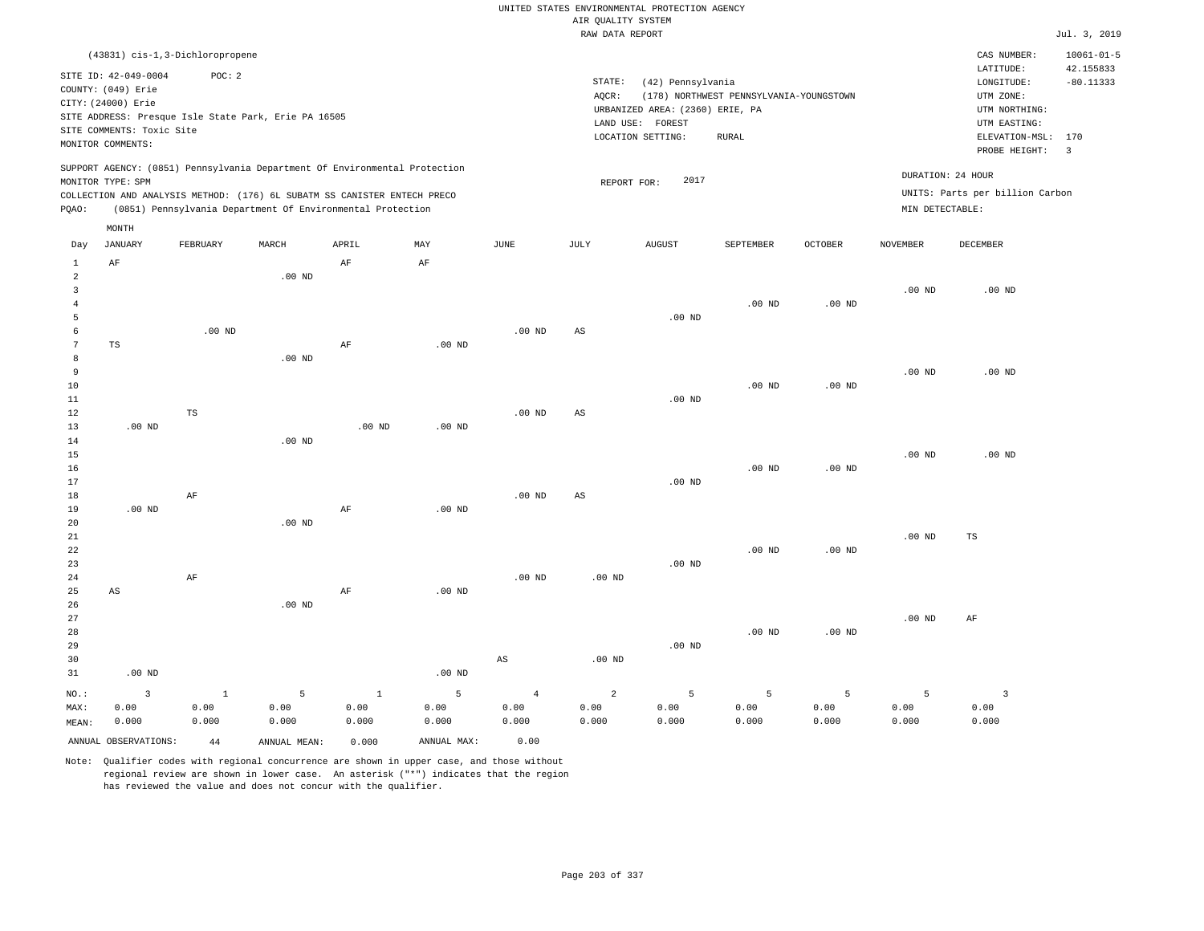|                                |                                 |                 |                                                                            |                   |             |                   | RAW DATA REPORT   |                                 |                                         |                   |                   |                                 | Jul. 3, 2019     |
|--------------------------------|---------------------------------|-----------------|----------------------------------------------------------------------------|-------------------|-------------|-------------------|-------------------|---------------------------------|-----------------------------------------|-------------------|-------------------|---------------------------------|------------------|
|                                | (43831) cis-1,3-Dichloropropene |                 |                                                                            |                   |             |                   |                   |                                 |                                         |                   |                   | CAS NUMBER:                     | $10061 - 01 - 5$ |
|                                | SITE ID: 42-049-0004            | POC: 2          |                                                                            |                   |             |                   |                   |                                 |                                         |                   |                   | LATITUDE:                       | 42.155833        |
|                                | COUNTY: (049) Erie              |                 |                                                                            |                   |             |                   | STATE:            | (42) Pennsylvania               |                                         |                   |                   | LONGITUDE:                      | $-80.11333$      |
|                                | CITY: (24000) Erie              |                 |                                                                            |                   |             |                   | AOCR:             |                                 | (178) NORTHWEST PENNSYLVANIA-YOUNGSTOWN |                   |                   | UTM ZONE:                       |                  |
|                                |                                 |                 | SITE ADDRESS: Presque Isle State Park, Erie PA 16505                       |                   |             |                   |                   | URBANIZED AREA: (2360) ERIE, PA |                                         |                   |                   | UTM NORTHING:                   |                  |
|                                | SITE COMMENTS: Toxic Site       |                 |                                                                            |                   |             |                   |                   | LAND USE: FOREST                |                                         |                   |                   | UTM EASTING:                    |                  |
|                                | MONITOR COMMENTS:               |                 |                                                                            |                   |             |                   |                   | LOCATION SETTING:               | RURAL                                   |                   |                   | ELEVATION-MSL: 170              |                  |
|                                |                                 |                 |                                                                            |                   |             |                   |                   |                                 |                                         |                   |                   | PROBE HEIGHT:                   | $\overline{3}$   |
|                                |                                 |                 | SUPPORT AGENCY: (0851) Pennsylvania Department Of Environmental Protection |                   |             |                   |                   |                                 |                                         |                   |                   | DURATION: 24 HOUR               |                  |
|                                | MONITOR TYPE: SPM               |                 |                                                                            |                   |             |                   | REPORT FOR:       | 2017                            |                                         |                   |                   |                                 |                  |
|                                |                                 |                 | COLLECTION AND ANALYSIS METHOD: (176) 6L SUBATM SS CANISTER ENTECH PRECO   |                   |             |                   |                   |                                 |                                         |                   |                   | UNITS: Parts per billion Carbon |                  |
| PQAO:                          |                                 |                 | (0851) Pennsylvania Department Of Environmental Protection                 |                   |             |                   |                   |                                 |                                         |                   | MIN DETECTABLE:   |                                 |                  |
|                                | MONTH                           |                 |                                                                            |                   |             |                   |                   |                                 |                                         |                   |                   |                                 |                  |
| Day                            | <b>JANUARY</b>                  | <b>FEBRUARY</b> | MARCH                                                                      | APRIL             | MAY         | JUNE              | JULY              | <b>AUGUST</b>                   | SEPTEMBER                               | <b>OCTOBER</b>    | <b>NOVEMBER</b>   | <b>DECEMBER</b>                 |                  |
| $\mathbf{1}$<br>$\overline{a}$ | $\rm AF$                        |                 | $.00$ ND                                                                   | $\rm{AF}$         | AF          |                   |                   |                                 |                                         |                   |                   |                                 |                  |
| $\overline{3}$                 |                                 |                 |                                                                            |                   |             |                   |                   |                                 |                                         |                   | $.00$ ND          | $.00$ ND                        |                  |
| $\overline{4}$                 |                                 |                 |                                                                            |                   |             |                   |                   |                                 | .00 <sub>ND</sub>                       | $.00$ ND          |                   |                                 |                  |
| 5                              |                                 |                 |                                                                            |                   |             |                   |                   | $.00$ ND                        |                                         |                   |                   |                                 |                  |
| 6                              |                                 | $.00$ ND        |                                                                            |                   |             | $.00$ ND          | AS                |                                 |                                         |                   |                   |                                 |                  |
| $7\phantom{.0}$                | $_{\rm TS}$                     |                 |                                                                            | $\rm{AF}$         | $.00$ ND    |                   |                   |                                 |                                         |                   |                   |                                 |                  |
| 8                              |                                 |                 | $.00$ ND                                                                   |                   |             |                   |                   |                                 |                                         |                   |                   |                                 |                  |
| 9                              |                                 |                 |                                                                            |                   |             |                   |                   |                                 |                                         |                   | .00 <sub>ND</sub> | $.00$ ND                        |                  |
| 10                             |                                 |                 |                                                                            |                   |             |                   |                   |                                 | $.00$ ND                                | .00 <sub>ND</sub> |                   |                                 |                  |
| 11                             |                                 |                 |                                                                            |                   |             |                   |                   | $.00$ ND                        |                                         |                   |                   |                                 |                  |
| 12                             |                                 | $\mathbb{TS}$   |                                                                            |                   |             | $.00$ ND          | AS                |                                 |                                         |                   |                   |                                 |                  |
| 13                             | .00 <sub>ND</sub>               |                 |                                                                            | .00 <sub>ND</sub> | $.00$ ND    |                   |                   |                                 |                                         |                   |                   |                                 |                  |
| 14                             |                                 |                 | $.00$ ND                                                                   |                   |             |                   |                   |                                 |                                         |                   |                   |                                 |                  |
| 15                             |                                 |                 |                                                                            |                   |             |                   |                   |                                 |                                         |                   | .00 <sub>ND</sub> | $.00$ ND                        |                  |
| 16                             |                                 |                 |                                                                            |                   |             |                   |                   |                                 | $.00$ ND                                | $.00$ ND          |                   |                                 |                  |
| 17                             |                                 |                 |                                                                            |                   |             |                   |                   | $.00$ ND                        |                                         |                   |                   |                                 |                  |
| 18<br>19                       | $.00$ ND                        | $\rm AF$        |                                                                            | $\rm{AF}$         | $.00$ ND    | .00 <sub>ND</sub> | AS                |                                 |                                         |                   |                   |                                 |                  |
| 20                             |                                 |                 | $.00$ ND                                                                   |                   |             |                   |                   |                                 |                                         |                   |                   |                                 |                  |
| 21                             |                                 |                 |                                                                            |                   |             |                   |                   |                                 |                                         |                   | .00 <sub>ND</sub> | $_{\rm TS}$                     |                  |
| 22                             |                                 |                 |                                                                            |                   |             |                   |                   |                                 | $.00$ ND                                | .00 <sub>ND</sub> |                   |                                 |                  |
| 23                             |                                 |                 |                                                                            |                   |             |                   |                   | $.00$ ND                        |                                         |                   |                   |                                 |                  |
| 24                             |                                 | $\rm AF$        |                                                                            |                   |             | .00 <sub>ND</sub> | .00 <sub>ND</sub> |                                 |                                         |                   |                   |                                 |                  |
| 25                             | AS                              |                 |                                                                            | AF                | $.00$ ND    |                   |                   |                                 |                                         |                   |                   |                                 |                  |
| 26                             |                                 |                 | .00 <sub>ND</sub>                                                          |                   |             |                   |                   |                                 |                                         |                   |                   |                                 |                  |
| 27                             |                                 |                 |                                                                            |                   |             |                   |                   |                                 |                                         |                   | .00 <sub>ND</sub> | AF                              |                  |
| 28                             |                                 |                 |                                                                            |                   |             |                   |                   |                                 | $.00$ ND                                | $.00$ ND          |                   |                                 |                  |
| 29                             |                                 |                 |                                                                            |                   |             |                   |                   | $.00$ ND                        |                                         |                   |                   |                                 |                  |
| 30                             |                                 |                 |                                                                            |                   |             | $_{\rm AS}$       | $.00$ ND          |                                 |                                         |                   |                   |                                 |                  |
| 31                             | $.00$ ND                        |                 |                                                                            |                   | $.00$ ND    |                   |                   |                                 |                                         |                   |                   |                                 |                  |
| $NO.$ :                        | $\overline{3}$                  | $\mathbf{1}$    | 5                                                                          | $\mathbf{1}$      | 5           | $\overline{4}$    | $\overline{a}$    | 5                               | 5                                       | 5                 | 5                 | $\overline{3}$                  |                  |
| MAX:                           | 0.00                            | 0.00            | 0.00                                                                       | 0.00              | 0.00        | 0.00              | 0.00              | 0.00                            | 0.00                                    | 0.00              | 0.00              | 0.00                            |                  |
| MEAN:                          | 0.000                           | 0.000           | 0.000                                                                      | 0.000             | 0.000       | 0.000             | 0.000             | 0.000                           | 0.000                                   | 0.000             | 0.000             | 0.000                           |                  |
|                                | ANNUAL OBSERVATIONS:            | 44              | ANNUAL MEAN:                                                               | 0.000             | ANNUAL MAX: | 0.00              |                   |                                 |                                         |                   |                   |                                 |                  |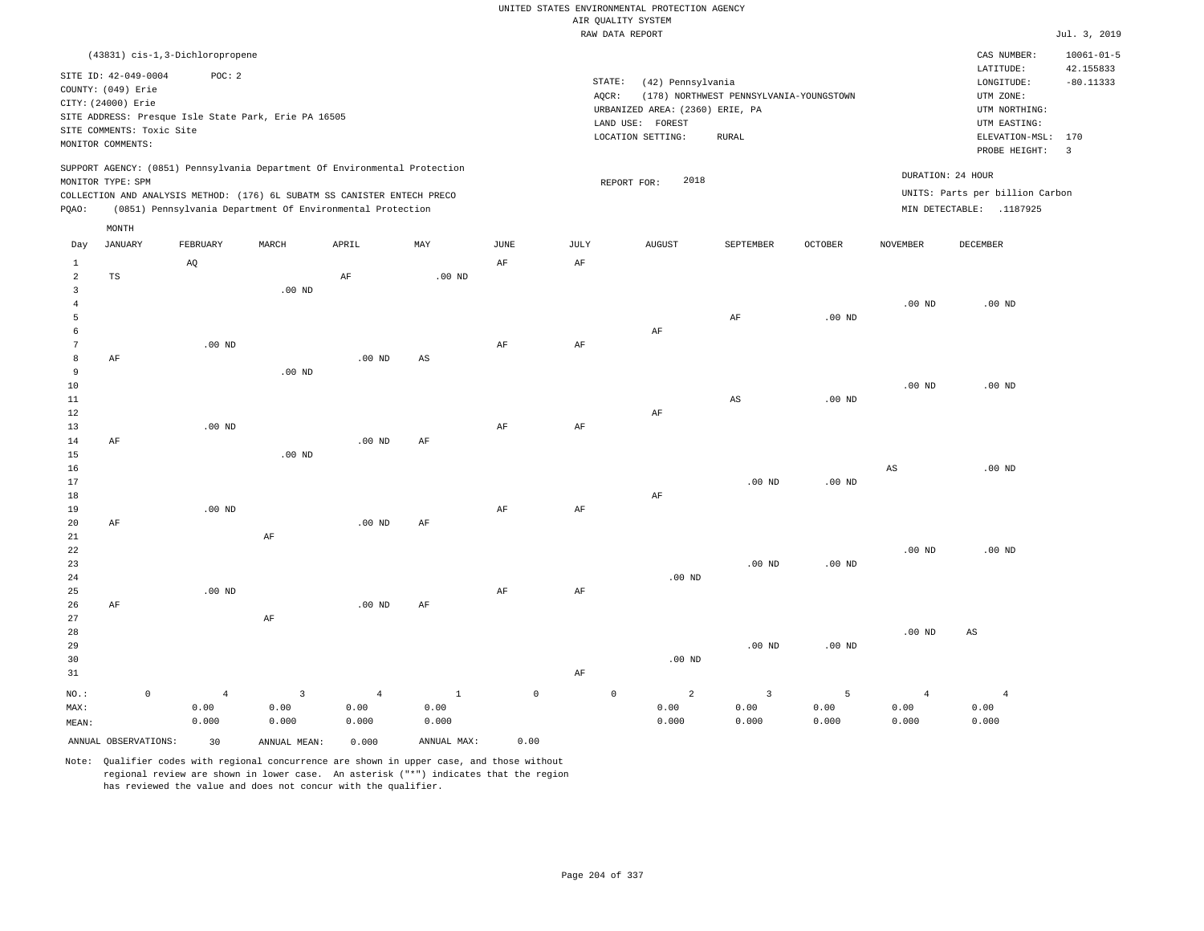|                         |                |                           |                                  |                                                      |                                                                            |              |             |           | UNITED STATES ENVIRONMENTAL PROTECTION AGENCY<br>AIR QUALITY SYSTEM |                                         |          |                   |                                 |                          |
|-------------------------|----------------|---------------------------|----------------------------------|------------------------------------------------------|----------------------------------------------------------------------------|--------------|-------------|-----------|---------------------------------------------------------------------|-----------------------------------------|----------|-------------------|---------------------------------|--------------------------|
|                         |                |                           |                                  |                                                      |                                                                            |              |             |           | RAW DATA REPORT                                                     |                                         |          |                   |                                 | Jul. 3, 2019             |
|                         |                |                           | (43831) cis-1, 3-Dichloropropene |                                                      |                                                                            |              |             |           |                                                                     |                                         |          |                   | CAS NUMBER:                     | $10061 - 01 - 5$         |
| COUNTY: (049) Erie      |                | SITE ID: 42-049-0004      | POC: 2                           |                                                      |                                                                            |              |             |           | STATE:<br>(42) Pennsylvania                                         |                                         |          |                   | LATITUDE:<br>LONGITUDE:         | 42.155833<br>$-80.11333$ |
| CITY: (24000) Erie      |                |                           |                                  |                                                      |                                                                            |              |             |           | AQCR:<br>URBANIZED AREA: (2360) ERIE, PA                            | (178) NORTHWEST PENNSYLVANIA-YOUNGSTOWN |          |                   | UTM ZONE:<br>UTM NORTHING:      |                          |
|                         |                |                           |                                  | SITE ADDRESS: Presque Isle State Park, Erie PA 16505 |                                                                            |              |             |           | LAND USE: FOREST                                                    |                                         |          |                   | UTM EASTING:                    |                          |
|                         |                | SITE COMMENTS: Toxic Site |                                  |                                                      |                                                                            |              |             |           | LOCATION SETTING:                                                   | RURAL                                   |          |                   | ELEVATION-MSL: 170              |                          |
| MONITOR COMMENTS:       |                |                           |                                  |                                                      |                                                                            |              |             |           |                                                                     |                                         |          |                   | PROBE HEIGHT:                   | $\overline{3}$           |
| MONITOR TYPE: SPM       |                |                           |                                  |                                                      | SUPPORT AGENCY: (0851) Pennsylvania Department Of Environmental Protection |              |             |           | 2018<br>REPORT FOR:                                                 |                                         |          |                   | DURATION: 24 HOUR               |                          |
|                         |                |                           |                                  |                                                      | COLLECTION AND ANALYSIS METHOD: (176) 6L SUBATM SS CANISTER ENTECH PRECO   |              |             |           |                                                                     |                                         |          |                   | UNITS: Parts per billion Carbon |                          |
| PQAO:                   |                |                           |                                  |                                                      | (0851) Pennsylvania Department Of Environmental Protection                 |              |             |           |                                                                     |                                         |          |                   | MIN DETECTABLE: .1187925        |                          |
|                         | MONTH          |                           |                                  |                                                      |                                                                            |              |             |           |                                                                     |                                         |          |                   |                                 |                          |
| Day                     | <b>JANUARY</b> |                           | FEBRUARY                         | MARCH                                                | APRIL                                                                      | MAY          | <b>JUNE</b> | JULY      | <b>AUGUST</b>                                                       | SEPTEMBER                               | OCTOBER  | <b>NOVEMBER</b>   | DECEMBER                        |                          |
| 1                       |                |                           | AQ                               |                                                      |                                                                            |              | $\rm AF$    | $\rm{AF}$ |                                                                     |                                         |          |                   |                                 |                          |
| $\overline{a}$          | TS             |                           |                                  |                                                      | AF                                                                         | $.00$ ND     |             |           |                                                                     |                                         |          |                   |                                 |                          |
| $\overline{\mathbf{3}}$ |                |                           |                                  | .00 <sub>ND</sub>                                    |                                                                            |              |             |           |                                                                     |                                         |          |                   |                                 |                          |
| $\overline{4}$          |                |                           |                                  |                                                      |                                                                            |              |             |           |                                                                     |                                         |          | .00 <sub>ND</sub> | .00 <sub>ND</sub>               |                          |
| 5                       |                |                           |                                  |                                                      |                                                                            |              |             |           |                                                                     | $\rm AF$                                | $.00$ ND |                   |                                 |                          |
| 6<br>$7\phantom{.0}$    |                |                           | $.00$ ND                         |                                                      |                                                                            |              | AF          | AF        | AF                                                                  |                                         |          |                   |                                 |                          |
| 8                       | AF             |                           |                                  |                                                      | $.00$ ND                                                                   | $_{\rm AS}$  |             |           |                                                                     |                                         |          |                   |                                 |                          |
| $\overline{9}$          |                |                           |                                  | $.00$ ND                                             |                                                                            |              |             |           |                                                                     |                                         |          |                   |                                 |                          |
| $10$                    |                |                           |                                  |                                                      |                                                                            |              |             |           |                                                                     |                                         |          | .00 <sub>ND</sub> | $.00$ ND                        |                          |
| $1\,1$                  |                |                           |                                  |                                                      |                                                                            |              |             |           |                                                                     | $_{\rm AS}$                             | $.00$ ND |                   |                                 |                          |
| $1\,2$                  |                |                           |                                  |                                                      |                                                                            |              |             |           | AF                                                                  |                                         |          |                   |                                 |                          |
| 13                      |                |                           | $.00$ ND                         |                                                      |                                                                            |              | AF          | $\rm{AF}$ |                                                                     |                                         |          |                   |                                 |                          |
| 14                      | AF             |                           |                                  |                                                      | .00 <sub>ND</sub>                                                          | AF           |             |           |                                                                     |                                         |          |                   |                                 |                          |
| 15                      |                |                           |                                  | $.00$ ND                                             |                                                                            |              |             |           |                                                                     |                                         |          |                   |                                 |                          |
| 16                      |                |                           |                                  |                                                      |                                                                            |              |             |           |                                                                     |                                         |          | AS                | $.00$ ND                        |                          |
| $17$                    |                |                           |                                  |                                                      |                                                                            |              |             |           |                                                                     | $.00$ ND                                | $.00$ ND |                   |                                 |                          |
| 18<br>19                |                |                           | $.00$ ND                         |                                                      |                                                                            |              | AF          | AF        | AF                                                                  |                                         |          |                   |                                 |                          |
| 20                      | AF             |                           |                                  |                                                      | $.00$ ND                                                                   | AF           |             |           |                                                                     |                                         |          |                   |                                 |                          |
| $2\sqrt{1}$             |                |                           |                                  | $\rm AF$                                             |                                                                            |              |             |           |                                                                     |                                         |          |                   |                                 |                          |
| 22                      |                |                           |                                  |                                                      |                                                                            |              |             |           |                                                                     |                                         |          | $.00$ ND          | $.00$ ND                        |                          |
| 23                      |                |                           |                                  |                                                      |                                                                            |              |             |           |                                                                     | $.00$ ND                                | $.00$ ND |                   |                                 |                          |
| 24                      |                |                           |                                  |                                                      |                                                                            |              |             |           | $.00$ ND                                                            |                                         |          |                   |                                 |                          |
| 25                      |                |                           | $.00$ ND                         |                                                      |                                                                            |              | $\rm AF$    | $\rm{AF}$ |                                                                     |                                         |          |                   |                                 |                          |
| 26                      | AF             |                           |                                  |                                                      | .00 <sub>ND</sub>                                                          | AF           |             |           |                                                                     |                                         |          |                   |                                 |                          |
| 27                      |                |                           |                                  | AF                                                   |                                                                            |              |             |           |                                                                     |                                         |          |                   |                                 |                          |
| 28                      |                |                           |                                  |                                                      |                                                                            |              |             |           |                                                                     |                                         |          | $.00$ ND          | AS                              |                          |
| 29<br>30                |                |                           |                                  |                                                      |                                                                            |              |             |           | $.00$ ND                                                            | $.00$ ND                                | $.00$ ND |                   |                                 |                          |
| 31                      |                |                           |                                  |                                                      |                                                                            |              |             | AF        |                                                                     |                                         |          |                   |                                 |                          |
|                         |                |                           |                                  |                                                      |                                                                            |              |             |           |                                                                     |                                         |          |                   |                                 |                          |
| NO.:                    |                | $\mathbb O$               | $\overline{4}$                   | $\overline{3}$                                       | $\overline{4}$                                                             | $\mathbf{1}$ | $\mathbb O$ |           | $\mathbb O$<br>$\overline{a}$                                       | $\overline{\mathbf{3}}$                 | 5        | $\overline{4}$    | $\overline{4}$                  |                          |
| MAX:                    |                |                           | 0.00                             | 0.00                                                 | 0.00                                                                       | 0.00         |             |           | 0.00                                                                | 0.00                                    | 0.00     | 0.00              | 0.00                            |                          |
| MEAN:                   |                |                           | 0.000                            | 0.000                                                | 0.000                                                                      | 0.000        |             |           | 0.000                                                               | 0.000                                   | 0.000    | 0.000             | 0.000                           |                          |
|                         |                | ANNUAL OBSERVATIONS:      | 30                               | ANNUAL MEAN:                                         | 0.000                                                                      | ANNUAL MAX:  | 0.00        |           |                                                                     |                                         |          |                   |                                 |                          |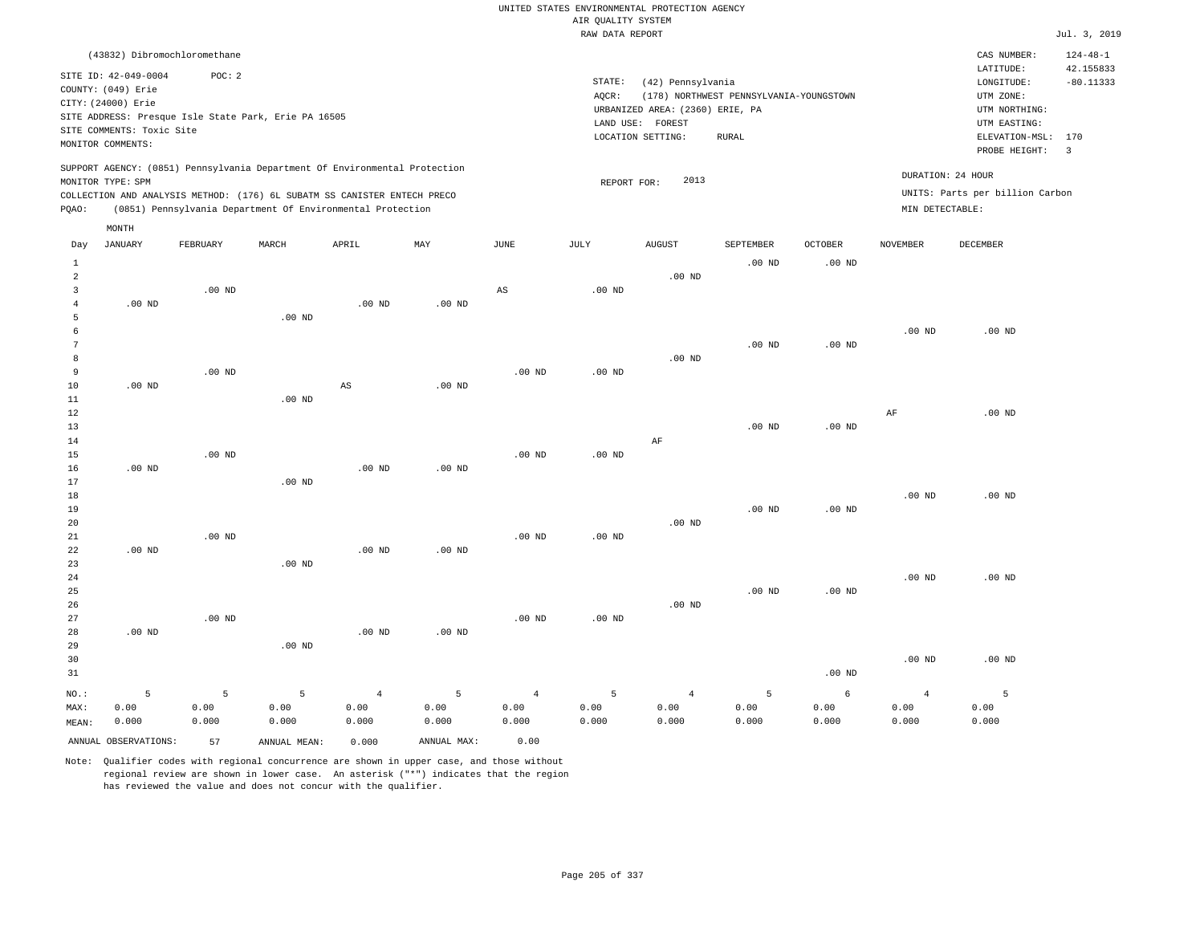|                     |                              |          |                                                                            |                        |                   |                        | RAW DATA REPORT   |                                 |                                         |                   |                   |                                 | Jul. 3, 2019   |
|---------------------|------------------------------|----------|----------------------------------------------------------------------------|------------------------|-------------------|------------------------|-------------------|---------------------------------|-----------------------------------------|-------------------|-------------------|---------------------------------|----------------|
|                     | (43832) Dibromochloromethane |          |                                                                            |                        |                   |                        |                   |                                 |                                         |                   |                   | CAS NUMBER:                     | $124 - 48 - 1$ |
|                     | SITE ID: 42-049-0004         | POC: 2   |                                                                            |                        |                   |                        |                   |                                 |                                         |                   |                   | LATITUDE:                       | 42.155833      |
|                     | COUNTY: (049) Erie           |          |                                                                            |                        |                   |                        | STATE:            | (42) Pennsylvania               |                                         |                   |                   | LONGITUDE:                      | $-80.11333$    |
|                     | CITY: (24000) Erie           |          |                                                                            |                        |                   |                        | AQCR:             |                                 | (178) NORTHWEST PENNSYLVANIA-YOUNGSTOWN |                   |                   | UTM ZONE:                       |                |
|                     |                              |          |                                                                            |                        |                   |                        |                   | URBANIZED AREA: (2360) ERIE, PA |                                         |                   |                   | UTM NORTHING:                   |                |
|                     | SITE COMMENTS: Toxic Site    |          | SITE ADDRESS: Presque Isle State Park, Erie PA 16505                       |                        |                   |                        |                   | LAND USE: FOREST                |                                         |                   |                   | UTM EASTING:                    |                |
|                     | MONITOR COMMENTS:            |          |                                                                            |                        |                   |                        |                   | LOCATION SETTING:               | RURAL                                   |                   |                   | ELEVATION-MSL: 170              |                |
|                     |                              |          |                                                                            |                        |                   |                        |                   |                                 |                                         |                   |                   | PROBE HEIGHT:                   | $\overline{3}$ |
|                     |                              |          | SUPPORT AGENCY: (0851) Pennsylvania Department Of Environmental Protection |                        |                   |                        |                   |                                 |                                         |                   |                   | DURATION: 24 HOUR               |                |
|                     | MONITOR TYPE: SPM            |          |                                                                            |                        |                   |                        | REPORT FOR:       | 2013                            |                                         |                   |                   |                                 |                |
|                     |                              |          | COLLECTION AND ANALYSIS METHOD: (176) 6L SUBATM SS CANISTER ENTECH PRECO   |                        |                   |                        |                   |                                 |                                         |                   |                   | UNITS: Parts per billion Carbon |                |
| PQAO:               |                              |          | (0851) Pennsylvania Department Of Environmental Protection                 |                        |                   |                        |                   |                                 |                                         |                   | MIN DETECTABLE:   |                                 |                |
|                     | MONTH                        |          |                                                                            |                        |                   |                        |                   |                                 |                                         |                   |                   |                                 |                |
| Day                 | <b>JANUARY</b>               | FEBRUARY | MARCH                                                                      | APRIL                  | MAY               | $_{\rm JUNE}$          | JULY              | <b>AUGUST</b>                   | SEPTEMBER                               | OCTOBER           | <b>NOVEMBER</b>   | DECEMBER                        |                |
| $\mathbf{1}$        |                              |          |                                                                            |                        |                   |                        |                   |                                 | $.00$ ND                                | $.00$ ND          |                   |                                 |                |
| 2                   |                              |          |                                                                            |                        |                   |                        |                   | $.00$ ND                        |                                         |                   |                   |                                 |                |
| $\overline{3}$      |                              | $.00$ ND |                                                                            |                        |                   | $\mathbb{A}\mathbb{S}$ | .00 <sub>ND</sub> |                                 |                                         |                   |                   |                                 |                |
| $\overline{4}$<br>5 | $.00$ ND                     |          |                                                                            | $.00$ ND               | $.00$ ND          |                        |                   |                                 |                                         |                   |                   |                                 |                |
| 6                   |                              |          | $.00$ ND                                                                   |                        |                   |                        |                   |                                 |                                         |                   | .00 <sub>ND</sub> | $.00$ ND                        |                |
| 7                   |                              |          |                                                                            |                        |                   |                        |                   |                                 | $.00$ ND                                | .00 <sub>ND</sub> |                   |                                 |                |
| 8                   |                              |          |                                                                            |                        |                   |                        |                   | $.00$ ND                        |                                         |                   |                   |                                 |                |
| 9                   |                              | $.00$ ND |                                                                            |                        |                   | .00 <sub>ND</sub>      | .00 <sub>ND</sub> |                                 |                                         |                   |                   |                                 |                |
| 10                  | $.00$ ND                     |          |                                                                            | $\mathbb{A}\mathbb{S}$ | $.00$ ND          |                        |                   |                                 |                                         |                   |                   |                                 |                |
| 11                  |                              |          | $.00$ ND                                                                   |                        |                   |                        |                   |                                 |                                         |                   |                   |                                 |                |
| 12                  |                              |          |                                                                            |                        |                   |                        |                   |                                 |                                         |                   | AF                | $.00$ ND                        |                |
| 13                  |                              |          |                                                                            |                        |                   |                        |                   |                                 | $.00$ ND                                | $.00$ ND          |                   |                                 |                |
| 14                  |                              |          |                                                                            |                        |                   |                        |                   | AF                              |                                         |                   |                   |                                 |                |
| 15                  |                              | $.00$ ND |                                                                            |                        |                   | .00 <sub>ND</sub>      | $.00$ ND          |                                 |                                         |                   |                   |                                 |                |
| 16                  | $.00$ ND                     |          |                                                                            | .00 <sub>ND</sub>      | .00 <sub>ND</sub> |                        |                   |                                 |                                         |                   |                   |                                 |                |
| 17                  |                              |          | $.00$ ND                                                                   |                        |                   |                        |                   |                                 |                                         |                   |                   |                                 |                |
| 18                  |                              |          |                                                                            |                        |                   |                        |                   |                                 |                                         |                   | .00 <sub>ND</sub> | $.00$ ND                        |                |
| 19                  |                              |          |                                                                            |                        |                   |                        |                   |                                 | $.00$ ND                                | .00 <sub>ND</sub> |                   |                                 |                |
| 20                  |                              |          |                                                                            |                        |                   |                        |                   | $.00$ ND                        |                                         |                   |                   |                                 |                |
| 21                  |                              | $.00$ ND |                                                                            |                        |                   | .00 <sub>ND</sub>      | .00 <sub>ND</sub> |                                 |                                         |                   |                   |                                 |                |
| $2\sqrt{2}$         | $.00$ ND                     |          |                                                                            | .00 <sub>ND</sub>      | $.00$ ND          |                        |                   |                                 |                                         |                   |                   |                                 |                |
| 23                  |                              |          | $.00$ ND                                                                   |                        |                   |                        |                   |                                 |                                         |                   |                   |                                 |                |
| 24                  |                              |          |                                                                            |                        |                   |                        |                   |                                 |                                         |                   | .00 <sub>ND</sub> | $.00$ ND                        |                |
| 25                  |                              |          |                                                                            |                        |                   |                        |                   |                                 | $.00$ ND                                | .00 <sub>ND</sub> |                   |                                 |                |
| 26                  |                              |          |                                                                            |                        |                   |                        |                   | $.00$ ND                        |                                         |                   |                   |                                 |                |
| 27                  |                              | $.00$ ND |                                                                            |                        |                   | .00 <sub>ND</sub>      | $.00$ ND          |                                 |                                         |                   |                   |                                 |                |
| 28<br>29            | $.00$ ND                     |          | $.00$ ND                                                                   | .00 <sub>ND</sub>      | .00 <sub>ND</sub> |                        |                   |                                 |                                         |                   |                   |                                 |                |
| 30                  |                              |          |                                                                            |                        |                   |                        |                   |                                 |                                         |                   | .00 <sub>ND</sub> | $.00$ ND                        |                |
|                     |                              |          |                                                                            |                        |                   |                        |                   |                                 |                                         | $.00$ ND          |                   |                                 |                |
| 31                  |                              |          |                                                                            |                        |                   |                        |                   |                                 |                                         |                   |                   |                                 |                |
| NO.:                | 5                            | 5        | 5                                                                          | $\overline{4}$         | 5                 | $\overline{4}$         | 5                 | $\overline{4}$                  | 5                                       | 6                 | $\overline{4}$    | 5                               |                |
| MAX:                | 0.00                         | 0.00     | 0.00                                                                       | 0.00                   | 0.00              | 0.00                   | 0.00              | 0.00                            | 0.00                                    | 0.00              | 0.00              | 0.00                            |                |
| MEAN:               | 0.000                        | 0.000    | 0.000                                                                      | 0.000                  | 0.000             | 0.000                  | 0.000             | 0.000                           | 0.000                                   | 0.000             | 0.000             | 0.000                           |                |
|                     | ANNUAL OBSERVATIONS:         | 57       | ANNUAL MEAN:                                                               | 0.000                  | ANNUAL MAX:       | 0.00                   |                   |                                 |                                         |                   |                   |                                 |                |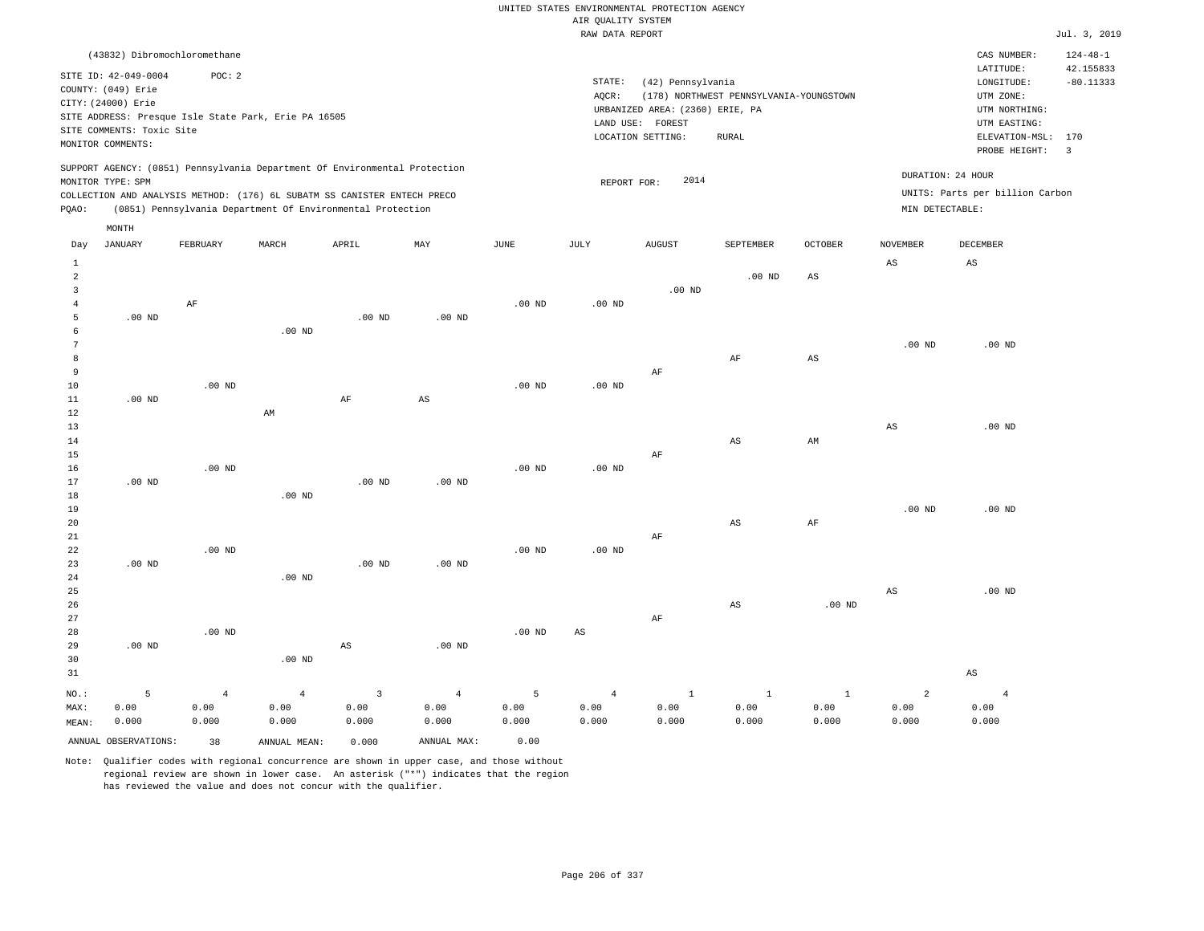|                 |                                                                                                                    |                   |                                                                            |                         |                   |                   | RAW DATA REPORT   |                                                                                               |                                                  |                        |                        |                                                                                                          | Jul. 3, 2019                                      |
|-----------------|--------------------------------------------------------------------------------------------------------------------|-------------------|----------------------------------------------------------------------------|-------------------------|-------------------|-------------------|-------------------|-----------------------------------------------------------------------------------------------|--------------------------------------------------|------------------------|------------------------|----------------------------------------------------------------------------------------------------------|---------------------------------------------------|
|                 | (43832) Dibromochloromethane                                                                                       |                   |                                                                            |                         |                   |                   |                   |                                                                                               |                                                  |                        |                        | CAS NUMBER:                                                                                              | $124 - 48 - 1$                                    |
|                 | SITE ID: 42-049-0004<br>COUNTY: (049) Erie<br>CITY: (24000) Erie<br>SITE COMMENTS: Toxic Site<br>MONITOR COMMENTS: | POC: 2            | SITE ADDRESS: Presque Isle State Park, Erie PA 16505                       |                         |                   |                   | STATE:<br>AQCR:   | (42) Pennsylvania<br>URBANIZED AREA: (2360) ERIE, PA<br>LAND USE: FOREST<br>LOCATION SETTING: | (178) NORTHWEST PENNSYLVANIA-YOUNGSTOWN<br>RURAL |                        |                        | LATITUDE:<br>LONGITUDE:<br>UTM ZONE:<br>UTM NORTHING:<br>UTM EASTING:<br>ELEVATION-MSL:<br>PROBE HEIGHT: | 42.155833<br>$-80.11333$<br>170<br>$\overline{3}$ |
|                 |                                                                                                                    |                   | SUPPORT AGENCY: (0851) Pennsylvania Department Of Environmental Protection |                         |                   |                   |                   |                                                                                               |                                                  |                        |                        | DURATION: 24 HOUR                                                                                        |                                                   |
|                 | MONITOR TYPE: SPM                                                                                                  |                   |                                                                            |                         |                   |                   | REPORT FOR:       | 2014                                                                                          |                                                  |                        |                        |                                                                                                          |                                                   |
|                 |                                                                                                                    |                   | COLLECTION AND ANALYSIS METHOD: (176) 6L SUBATM SS CANISTER ENTECH PRECO   |                         |                   |                   |                   |                                                                                               |                                                  |                        |                        | UNITS: Parts per billion Carbon                                                                          |                                                   |
| PQAO:           |                                                                                                                    |                   | (0851) Pennsylvania Department Of Environmental Protection                 |                         |                   |                   |                   |                                                                                               |                                                  |                        | MIN DETECTABLE:        |                                                                                                          |                                                   |
|                 | MONTH                                                                                                              |                   |                                                                            |                         |                   |                   |                   |                                                                                               |                                                  |                        |                        |                                                                                                          |                                                   |
| Day             | <b>JANUARY</b>                                                                                                     | <b>FEBRUARY</b>   | MARCH                                                                      | APRIL                   | MAY               | <b>JUNE</b>       | JULY              | <b>AUGUST</b>                                                                                 | SEPTEMBER                                        | <b>OCTOBER</b>         | <b>NOVEMBER</b>        | <b>DECEMBER</b>                                                                                          |                                                   |
| $1\,$           |                                                                                                                    |                   |                                                                            |                         |                   |                   |                   |                                                                                               |                                                  |                        | $\mathbb{A}\mathbb{S}$ | $_{\rm AS}$                                                                                              |                                                   |
| 2               |                                                                                                                    |                   |                                                                            |                         |                   |                   |                   |                                                                                               | $.00$ ND                                         | $_{\rm AS}$            |                        |                                                                                                          |                                                   |
| 3               |                                                                                                                    |                   |                                                                            |                         |                   |                   |                   | $.00$ ND                                                                                      |                                                  |                        |                        |                                                                                                          |                                                   |
| 4               |                                                                                                                    | AF                |                                                                            |                         |                   | $.00$ ND          | $.00$ ND          |                                                                                               |                                                  |                        |                        |                                                                                                          |                                                   |
| 5               | .00 <sub>ND</sub>                                                                                                  |                   |                                                                            | $.00$ ND                | $.00$ ND          |                   |                   |                                                                                               |                                                  |                        |                        |                                                                                                          |                                                   |
| 6               |                                                                                                                    |                   | $.00$ ND                                                                   |                         |                   |                   |                   |                                                                                               |                                                  |                        |                        |                                                                                                          |                                                   |
| $7\phantom{.0}$ |                                                                                                                    |                   |                                                                            |                         |                   |                   |                   |                                                                                               |                                                  |                        | .00 <sub>ND</sub>      | $.00$ ND                                                                                                 |                                                   |
| 8               |                                                                                                                    |                   |                                                                            |                         |                   |                   |                   |                                                                                               | AF                                               | $\mathbb{A}\mathbb{S}$ |                        |                                                                                                          |                                                   |
| 9               |                                                                                                                    |                   |                                                                            |                         |                   |                   |                   | AF                                                                                            |                                                  |                        |                        |                                                                                                          |                                                   |
| 10              |                                                                                                                    | .00 <sub>ND</sub> |                                                                            |                         |                   | .00 <sub>ND</sub> | .00 <sub>ND</sub> |                                                                                               |                                                  |                        |                        |                                                                                                          |                                                   |
| 11              | $.00$ ND                                                                                                           |                   |                                                                            | AF                      | AS                |                   |                   |                                                                                               |                                                  |                        |                        |                                                                                                          |                                                   |
| 12              |                                                                                                                    |                   | AM                                                                         |                         |                   |                   |                   |                                                                                               |                                                  |                        |                        |                                                                                                          |                                                   |
| 13              |                                                                                                                    |                   |                                                                            |                         |                   |                   |                   |                                                                                               |                                                  |                        | $_{\rm AS}$            | $.00$ ND                                                                                                 |                                                   |
| 14              |                                                                                                                    |                   |                                                                            |                         |                   |                   |                   |                                                                                               | $\mathbb{A}\mathbb{S}$                           | AM                     |                        |                                                                                                          |                                                   |
| 15              |                                                                                                                    |                   |                                                                            |                         |                   |                   |                   | AF                                                                                            |                                                  |                        |                        |                                                                                                          |                                                   |
| 16              |                                                                                                                    | $.00$ ND          |                                                                            |                         |                   | $.00$ ND          | $.00$ ND          |                                                                                               |                                                  |                        |                        |                                                                                                          |                                                   |
| 17              | $.00$ ND                                                                                                           |                   |                                                                            | .00 <sub>ND</sub>       | .00 <sub>ND</sub> |                   |                   |                                                                                               |                                                  |                        |                        |                                                                                                          |                                                   |
| 18<br>19        |                                                                                                                    |                   | $.00$ ND                                                                   |                         |                   |                   |                   |                                                                                               |                                                  |                        | .00 <sub>ND</sub>      | $.00$ ND                                                                                                 |                                                   |
| 20              |                                                                                                                    |                   |                                                                            |                         |                   |                   |                   |                                                                                               | AS                                               | AF                     |                        |                                                                                                          |                                                   |
| 21              |                                                                                                                    |                   |                                                                            |                         |                   |                   |                   | AF                                                                                            |                                                  |                        |                        |                                                                                                          |                                                   |
| 22              |                                                                                                                    | $.00$ ND          |                                                                            |                         |                   | $.00$ ND          | .00 <sub>ND</sub> |                                                                                               |                                                  |                        |                        |                                                                                                          |                                                   |
| 23              | $.00$ ND                                                                                                           |                   |                                                                            | $.00$ ND                | $.00$ ND          |                   |                   |                                                                                               |                                                  |                        |                        |                                                                                                          |                                                   |
| 24              |                                                                                                                    |                   | $.00$ ND                                                                   |                         |                   |                   |                   |                                                                                               |                                                  |                        |                        |                                                                                                          |                                                   |
| 25              |                                                                                                                    |                   |                                                                            |                         |                   |                   |                   |                                                                                               |                                                  |                        | $_{\rm AS}$            | $.00$ ND                                                                                                 |                                                   |
| 26              |                                                                                                                    |                   |                                                                            |                         |                   |                   |                   |                                                                                               | $\mathbb{A}\mathbb{S}$                           | $.00$ ND               |                        |                                                                                                          |                                                   |
| 27              |                                                                                                                    |                   |                                                                            |                         |                   |                   |                   | AF                                                                                            |                                                  |                        |                        |                                                                                                          |                                                   |
| 28              |                                                                                                                    | $.00$ ND          |                                                                            |                         |                   | $.00$ ND          | AS                |                                                                                               |                                                  |                        |                        |                                                                                                          |                                                   |
| 29              | $.00$ ND                                                                                                           |                   |                                                                            | $_{\rm AS}$             | $.00$ ND          |                   |                   |                                                                                               |                                                  |                        |                        |                                                                                                          |                                                   |
| 30              |                                                                                                                    |                   | $.00$ ND                                                                   |                         |                   |                   |                   |                                                                                               |                                                  |                        |                        |                                                                                                          |                                                   |
| 31              |                                                                                                                    |                   |                                                                            |                         |                   |                   |                   |                                                                                               |                                                  |                        |                        | $\mathbb{A}\mathbb{S}$                                                                                   |                                                   |
| NO.:            | 5                                                                                                                  | $\overline{4}$    | $\overline{4}$                                                             | $\overline{\mathbf{3}}$ | $\overline{4}$    | 5                 | $\overline{4}$    | $\mathbf{1}$                                                                                  | $\mathbf{1}$                                     | $\mathbf{1}$           | $\overline{a}$         | $\overline{4}$                                                                                           |                                                   |
| MAX:            | 0.00                                                                                                               | 0.00              | 0.00                                                                       | 0.00                    | 0.00              | 0.00              | 0.00              | 0.00                                                                                          | 0.00                                             | 0.00                   | 0.00                   | 0.00                                                                                                     |                                                   |
| MEAN:           | 0.000                                                                                                              | 0.000             | 0.000                                                                      | 0.000                   | 0.000             | 0.000             | 0.000             | 0.000                                                                                         | 0.000                                            | 0.000                  | 0.000                  | 0.000                                                                                                    |                                                   |
|                 |                                                                                                                    |                   |                                                                            |                         |                   |                   |                   |                                                                                               |                                                  |                        |                        |                                                                                                          |                                                   |
|                 | ANNUAL OBSERVATIONS:                                                                                               | 38                | ANNUAL MEAN:                                                               | 0.000                   | ANNUAL MAX:       | 0.00              |                   |                                                                                               |                                                  |                        |                        |                                                                                                          |                                                   |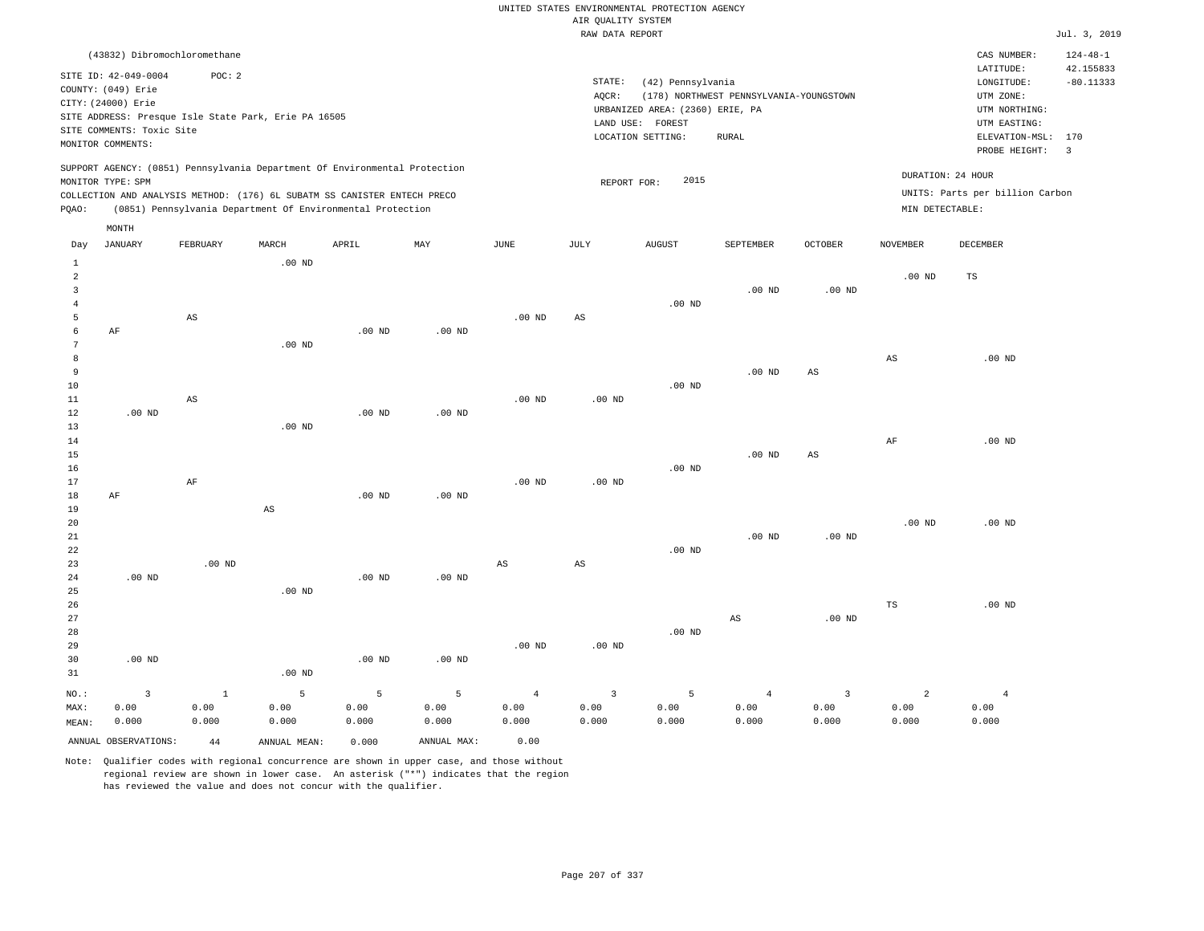|                |                                                                  |                              |                                                                                                                                                                                                                      |                   |          |                   | RAW DATA REPORT   |                                                                          |                                         |                |                   |                                                                       | Jul. 3, 2019             |
|----------------|------------------------------------------------------------------|------------------------------|----------------------------------------------------------------------------------------------------------------------------------------------------------------------------------------------------------------------|-------------------|----------|-------------------|-------------------|--------------------------------------------------------------------------|-----------------------------------------|----------------|-------------------|-----------------------------------------------------------------------|--------------------------|
|                |                                                                  | (43832) Dibromochloromethane |                                                                                                                                                                                                                      |                   |          |                   |                   |                                                                          |                                         |                |                   | CAS NUMBER:                                                           | $124 - 48 - 1$           |
|                | SITE ID: 42-049-0004<br>COUNTY: (049) Erie<br>CITY: (24000) Erie | POC: 2                       | SITE ADDRESS: Presque Isle State Park, Erie PA 16505                                                                                                                                                                 |                   |          |                   | STATE:<br>AQCR:   | (42) Pennsylvania<br>URBANIZED AREA: (2360) ERIE, PA<br>LAND USE: FOREST | (178) NORTHWEST PENNSYLVANIA-YOUNGSTOWN |                |                   | LATITUDE:<br>LONGITUDE:<br>UTM ZONE:<br>UTM NORTHING:<br>UTM EASTING: | 42.155833<br>$-80.11333$ |
|                | SITE COMMENTS: Toxic Site                                        |                              |                                                                                                                                                                                                                      |                   |          |                   |                   | LOCATION SETTING:                                                        | RURAL                                   |                |                   | ELEVATION-MSL:                                                        | 170                      |
|                | MONITOR COMMENTS:                                                |                              |                                                                                                                                                                                                                      |                   |          |                   |                   |                                                                          |                                         |                |                   | PROBE HEIGHT:                                                         | $\overline{\mathbf{3}}$  |
| PQAO:          | MONITOR TYPE: SPM                                                |                              | SUPPORT AGENCY: (0851) Pennsylvania Department Of Environmental Protection<br>COLLECTION AND ANALYSIS METHOD: (176) 6L SUBATM SS CANISTER ENTECH PRECO<br>(0851) Pennsylvania Department Of Environmental Protection |                   |          |                   | REPORT FOR:       | 2015                                                                     |                                         |                | MIN DETECTABLE:   | DURATION: 24 HOUR<br>UNITS: Parts per billion Carbon                  |                          |
|                | MONTH                                                            |                              |                                                                                                                                                                                                                      |                   |          |                   |                   |                                                                          |                                         |                |                   |                                                                       |                          |
| Day            | JANUARY                                                          | FEBRUARY                     | MARCH                                                                                                                                                                                                                | APRIL             | MAY      | JUNE              | JULY              | AUGUST                                                                   | SEPTEMBER                               | <b>OCTOBER</b> | NOVEMBER          | DECEMBER                                                              |                          |
| $\mathbf{1}$   |                                                                  |                              | .00 <sub>ND</sub>                                                                                                                                                                                                    |                   |          |                   |                   |                                                                          |                                         |                |                   |                                                                       |                          |
| $\overline{2}$ |                                                                  |                              |                                                                                                                                                                                                                      |                   |          |                   |                   |                                                                          |                                         |                | .00 <sub>ND</sub> | TS                                                                    |                          |
| 3              |                                                                  |                              |                                                                                                                                                                                                                      |                   |          |                   |                   |                                                                          | $.00$ ND                                | $.00$ ND       |                   |                                                                       |                          |
| 4<br>5         |                                                                  | AS                           |                                                                                                                                                                                                                      |                   |          | $.00$ ND          | AS                | $.00$ ND                                                                 |                                         |                |                   |                                                                       |                          |
| 6              | AF                                                               |                              |                                                                                                                                                                                                                      | .00 <sub>ND</sub> | $.00$ ND |                   |                   |                                                                          |                                         |                |                   |                                                                       |                          |
| 7              |                                                                  |                              | $.00$ ND                                                                                                                                                                                                             |                   |          |                   |                   |                                                                          |                                         |                |                   |                                                                       |                          |
| 8              |                                                                  |                              |                                                                                                                                                                                                                      |                   |          |                   |                   |                                                                          |                                         |                | AS                | $.00$ ND                                                              |                          |
| 9              |                                                                  |                              |                                                                                                                                                                                                                      |                   |          |                   |                   |                                                                          | $.00$ ND                                | $_{\rm AS}$    |                   |                                                                       |                          |
| 10<br>11       |                                                                  |                              |                                                                                                                                                                                                                      |                   |          | .00 <sub>ND</sub> | .00 <sub>ND</sub> | $.00$ ND                                                                 |                                         |                |                   |                                                                       |                          |
| 12             | $.00$ ND                                                         | AS                           |                                                                                                                                                                                                                      | $.00$ ND          | $.00$ ND |                   |                   |                                                                          |                                         |                |                   |                                                                       |                          |
| 13             |                                                                  |                              | $.00$ ND                                                                                                                                                                                                             |                   |          |                   |                   |                                                                          |                                         |                |                   |                                                                       |                          |
| 14             |                                                                  |                              |                                                                                                                                                                                                                      |                   |          |                   |                   |                                                                          |                                         |                | AF                | $.00$ ND                                                              |                          |
| 15             |                                                                  |                              |                                                                                                                                                                                                                      |                   |          |                   |                   |                                                                          | $.00$ ND                                | AS             |                   |                                                                       |                          |
| 16             |                                                                  |                              |                                                                                                                                                                                                                      |                   |          |                   |                   | $.00$ ND                                                                 |                                         |                |                   |                                                                       |                          |
| 17             |                                                                  | AF                           |                                                                                                                                                                                                                      |                   |          | $.00$ ND          | $.00$ ND          |                                                                          |                                         |                |                   |                                                                       |                          |
| 18<br>19       | AF                                                               |                              | $_{\rm AS}$                                                                                                                                                                                                          | $.00$ ND          | $.00$ ND |                   |                   |                                                                          |                                         |                |                   |                                                                       |                          |
| 20             |                                                                  |                              |                                                                                                                                                                                                                      |                   |          |                   |                   |                                                                          |                                         |                | .00 <sub>ND</sub> | $.00$ ND                                                              |                          |
| 21             |                                                                  |                              |                                                                                                                                                                                                                      |                   |          |                   |                   |                                                                          | $.00$ ND                                | $.00$ ND       |                   |                                                                       |                          |
| 22             |                                                                  |                              |                                                                                                                                                                                                                      |                   |          |                   |                   | $.00$ ND                                                                 |                                         |                |                   |                                                                       |                          |
| 23             |                                                                  | $.00$ ND                     |                                                                                                                                                                                                                      |                   |          | AS                | $_{\rm AS}$       |                                                                          |                                         |                |                   |                                                                       |                          |

| 24      | $.00$ ND |       |          | $.00$ ND | .00 <sub>ND</sub> |                |          |          |       |          |       |                   |
|---------|----------|-------|----------|----------|-------------------|----------------|----------|----------|-------|----------|-------|-------------------|
| 25      |          |       | $.00$ ND |          |                   |                |          |          |       |          |       |                   |
| 26      |          |       |          |          |                   |                |          |          |       |          | TS    | .00 <sub>ND</sub> |
| 27      |          |       |          |          |                   |                |          |          | AS    | $.00$ ND |       |                   |
| 28      |          |       |          |          |                   |                |          | $.00$ ND |       |          |       |                   |
| 29      |          |       |          |          |                   | $.00$ ND       | $.00$ ND |          |       |          |       |                   |
| 30      | $.00$ ND |       |          | $.00$ ND | $.00$ ND          |                |          |          |       |          |       |                   |
| 31      |          |       | $.00$ ND |          |                   |                |          |          |       |          |       |                   |
| $NO.$ : | 3        |       | 5        | 5        | 5                 | $\overline{4}$ | 3        | 5        | 4     |          | 2     | 4                 |
| MAX:    | 0.00     | 0.00  | 0.00     | 0.00     | 0.00              | 0.00           | 0.00     | 0.00     | 0.00  | 0.00     | 0.00  | 0.00              |
| MEAN:   | 0.000    | 0.000 | 0.000    | 0.000    | 0.000             | 0.000          | 0.000    | 0.000    | 0.000 | 0.000    | 0.000 | 0.000             |

Note: Qualifier codes with regional concurrence are shown in upper case, and those without regional review are shown in lower case. An asterisk ("\*") indicates that the region has reviewed the value and does not concur with the qualifier.

ANNUAL OBSERVATIONS: 44 ANNUAL MEAN: 0.000 ANNUAL MAX: 0.00

MEAN: 0.000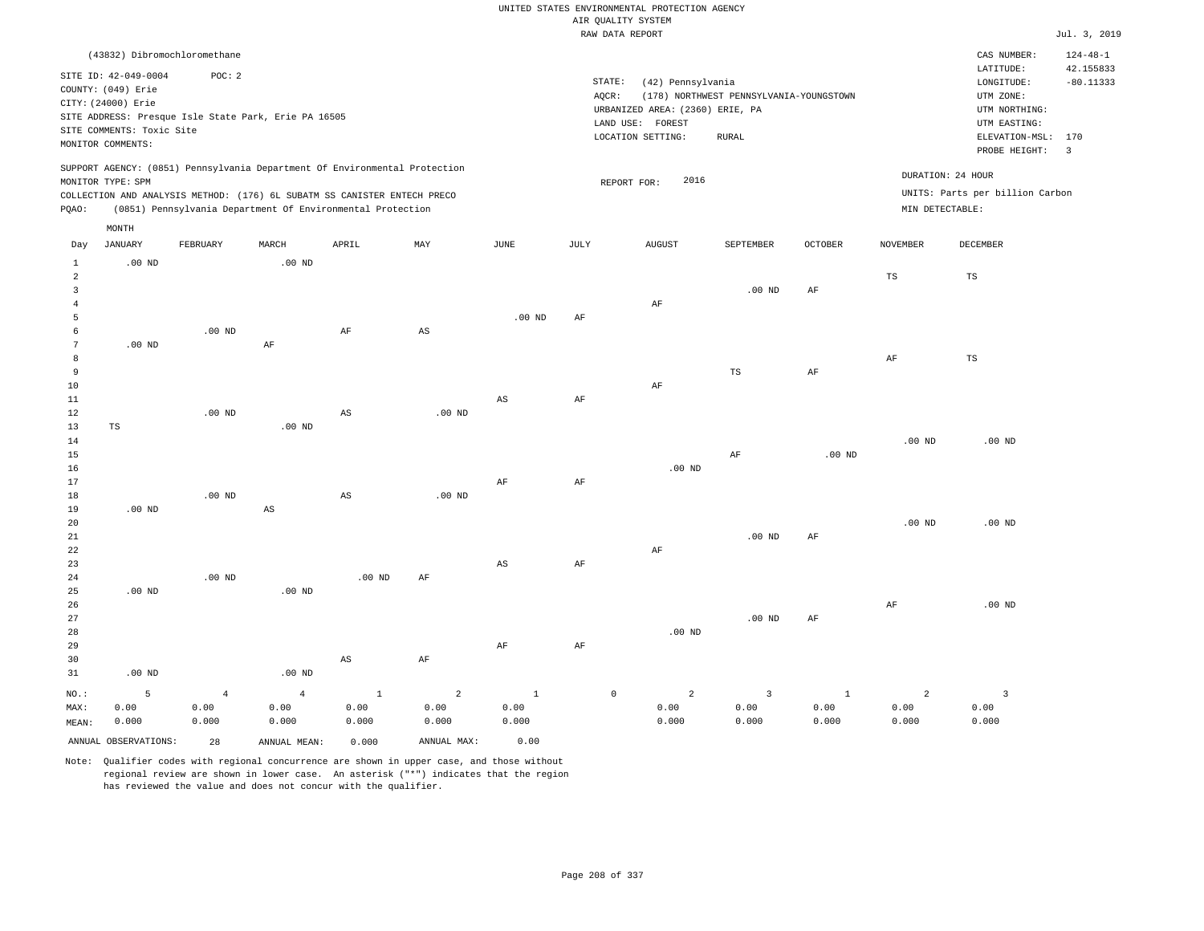### RAW DATA REPORT Jul. 3, 2019 UNITED STATES ENVIRONMENTAL PROTECTION AGENCY AIR QUALITY SYSTEM

|                | (43832) Dibromochloromethane |                |                                                                            |                        |                        |                   |           |                                 |                                         |                   |                   | CAS NUMBER:                     | $124 - 48 - 1$ |
|----------------|------------------------------|----------------|----------------------------------------------------------------------------|------------------------|------------------------|-------------------|-----------|---------------------------------|-----------------------------------------|-------------------|-------------------|---------------------------------|----------------|
|                | SITE ID: 42-049-0004         | POC: 2         |                                                                            |                        |                        |                   |           |                                 |                                         |                   |                   | LATITUDE:                       | 42.155833      |
|                | COUNTY: (049) Erie           |                |                                                                            |                        |                        |                   |           | STATE:<br>(42) Pennsylvania     |                                         |                   |                   | LONGITUDE:                      | $-80.11333$    |
|                | CITY: (24000) Erie           |                |                                                                            |                        |                        |                   |           | $AQCR$ :                        | (178) NORTHWEST PENNSYLVANIA-YOUNGSTOWN |                   |                   | UTM ZONE:                       |                |
|                |                              |                | SITE ADDRESS: Presque Isle State Park, Erie PA 16505                       |                        |                        |                   |           | URBANIZED AREA: (2360) ERIE, PA |                                         |                   |                   | UTM NORTHING:                   |                |
|                |                              |                |                                                                            |                        |                        |                   |           | LAND USE: FOREST                |                                         |                   |                   | UTM EASTING:                    |                |
|                | SITE COMMENTS: Toxic Site    |                |                                                                            |                        |                        |                   |           | LOCATION SETTING:               | <b>RURAL</b>                            |                   |                   | ELEVATION-MSL: 170              |                |
|                | MONITOR COMMENTS:            |                |                                                                            |                        |                        |                   |           |                                 |                                         |                   |                   | PROBE HEIGHT:                   | $\overline{3}$ |
|                | MONITOR TYPE: SPM            |                | SUPPORT AGENCY: (0851) Pennsylvania Department Of Environmental Protection |                        |                        |                   |           | 2016<br>REPORT FOR:             |                                         |                   | DURATION: 24 HOUR |                                 |                |
|                |                              |                | COLLECTION AND ANALYSIS METHOD: (176) 6L SUBATM SS CANISTER ENTECH PRECO   |                        |                        |                   |           |                                 |                                         |                   |                   | UNITS: Parts per billion Carbon |                |
| PQAO:          |                              |                | (0851) Pennsylvania Department Of Environmental Protection                 |                        |                        |                   |           |                                 |                                         |                   | MIN DETECTABLE:   |                                 |                |
|                | MONTH                        |                |                                                                            |                        |                        |                   |           |                                 |                                         |                   |                   |                                 |                |
| Day            | <b>JANUARY</b>               | FEBRUARY       | MARCH                                                                      | APRIL                  | MAY                    | JUNE              | JULY      | <b>AUGUST</b>                   | <b>SEPTEMBER</b>                        | OCTOBER           | NOVEMBER          | DECEMBER                        |                |
| $\mathbf{1}$   | $.00$ ND                     |                | $.00$ ND                                                                   |                        |                        |                   |           |                                 |                                         |                   |                   |                                 |                |
| $\overline{a}$ |                              |                |                                                                            |                        |                        |                   |           |                                 |                                         |                   | TS                | TS                              |                |
| $\overline{3}$ |                              |                |                                                                            |                        |                        |                   |           |                                 | $.00$ ND                                | AF                |                   |                                 |                |
| $\overline{4}$ |                              |                |                                                                            |                        |                        |                   |           | $\rm AF$                        |                                         |                   |                   |                                 |                |
| $\overline{5}$ |                              |                |                                                                            |                        |                        | .00 <sub>ND</sub> | $\rm{AF}$ |                                 |                                         |                   |                   |                                 |                |
| $\epsilon$     |                              | $.00$ ND       |                                                                            | $\rm{AF}$              | $\mathbb{A}\mathbb{S}$ |                   |           |                                 |                                         |                   |                   |                                 |                |
| $\overline{7}$ | $.00$ ND                     |                | AF                                                                         |                        |                        |                   |           |                                 |                                         |                   |                   |                                 |                |
| 8              |                              |                |                                                                            |                        |                        |                   |           |                                 |                                         |                   | AF                | TS                              |                |
| 9              |                              |                |                                                                            |                        |                        |                   |           |                                 | TS                                      | $\rm{AF}$         |                   |                                 |                |
| $10$           |                              |                |                                                                            |                        |                        |                   |           | $\rm AF$                        |                                         |                   |                   |                                 |                |
| $11\,$         |                              |                |                                                                            |                        |                        | AS                | $\rm{AF}$ |                                 |                                         |                   |                   |                                 |                |
| 12             |                              | $.00$ ND       |                                                                            | $\mathbb{A}\mathbb{S}$ | $.00$ ND               |                   |           |                                 |                                         |                   |                   |                                 |                |
| 13             | TS                           |                | $.00$ ND                                                                   |                        |                        |                   |           |                                 |                                         |                   |                   |                                 |                |
| 14             |                              |                |                                                                            |                        |                        |                   |           |                                 |                                         |                   | .00 <sub>ND</sub> | $.00$ ND                        |                |
| 15             |                              |                |                                                                            |                        |                        |                   |           |                                 | AF                                      | .00 <sub>ND</sub> |                   |                                 |                |
| 16             |                              |                |                                                                            |                        |                        |                   |           | $.00$ ND                        |                                         |                   |                   |                                 |                |
| 17             |                              |                |                                                                            |                        |                        | AF                | $\rm{AF}$ |                                 |                                         |                   |                   |                                 |                |
| $1\,8$         |                              | $.00$ ND       |                                                                            | $\mathbb{A}\mathbb{S}$ | $.00$ ND               |                   |           |                                 |                                         |                   |                   |                                 |                |
| 19             | $.00$ ND                     |                | AS                                                                         |                        |                        |                   |           |                                 |                                         |                   |                   |                                 |                |
| 20             |                              |                |                                                                            |                        |                        |                   |           |                                 |                                         |                   | $.00$ ND          | $.00$ ND                        |                |
| 21             |                              |                |                                                                            |                        |                        |                   |           |                                 | $.00$ ND                                | AF                |                   |                                 |                |
| 22             |                              |                |                                                                            |                        |                        |                   |           | AF                              |                                         |                   |                   |                                 |                |
| 23             |                              |                |                                                                            |                        |                        | $_{\rm AS}$       | AF        |                                 |                                         |                   |                   |                                 |                |
| 24             |                              | $.00$ ND       |                                                                            | .00 <sub>ND</sub>      | $\rm AF$               |                   |           |                                 |                                         |                   |                   |                                 |                |
| 25             | $.00$ ND                     |                | $.00$ ND                                                                   |                        |                        |                   |           |                                 |                                         |                   |                   |                                 |                |
| 26             |                              |                |                                                                            |                        |                        |                   |           |                                 |                                         |                   | AF                | $.00$ ND                        |                |
| 27             |                              |                |                                                                            |                        |                        |                   |           |                                 | $.00$ ND                                | AF                |                   |                                 |                |
| 28             |                              |                |                                                                            |                        |                        |                   |           | $.00$ ND                        |                                         |                   |                   |                                 |                |
| 29             |                              |                |                                                                            |                        |                        | $\rm AF$          | $\rm{AF}$ |                                 |                                         |                   |                   |                                 |                |
| 30             |                              |                |                                                                            | $_{\rm AS}$            | $\rm{AF}$              |                   |           |                                 |                                         |                   |                   |                                 |                |
| 31             | $.00$ ND                     |                | .00 <sub>ND</sub>                                                          |                        |                        |                   |           |                                 |                                         |                   |                   |                                 |                |
| $NO.$ :        | 5                            | $\overline{4}$ | $\overline{4}$                                                             | $\,$ 1                 | $\overline{a}$         | $1\,$             |           | $\mathsf{O}$<br>$\overline{a}$  | $\overline{\mathbf{3}}$                 | $\mathbf{1}$      | $\overline{2}$    | $\overline{3}$                  |                |
| MAX:           | 0.00                         | 0.00           | 0.00                                                                       | 0.00                   | 0.00                   | 0.00              |           | 0.00                            | 0.00                                    | 0.00              | 0.00              | 0.00                            |                |
| MEAN:          | 0.000                        | 0.000          | 0.000                                                                      | 0.000                  | 0.000                  | 0.000             |           | 0.000                           | 0.000                                   | 0.000             | 0.000             | 0.000                           |                |
|                |                              |                |                                                                            |                        |                        |                   |           |                                 |                                         |                   |                   |                                 |                |
|                | ANNUAL OBSERVATIONS:         | 28             | ANNUAL MEAN:                                                               | 0.000                  | ANNUAL MAX:            | 0.00              |           |                                 |                                         |                   |                   |                                 |                |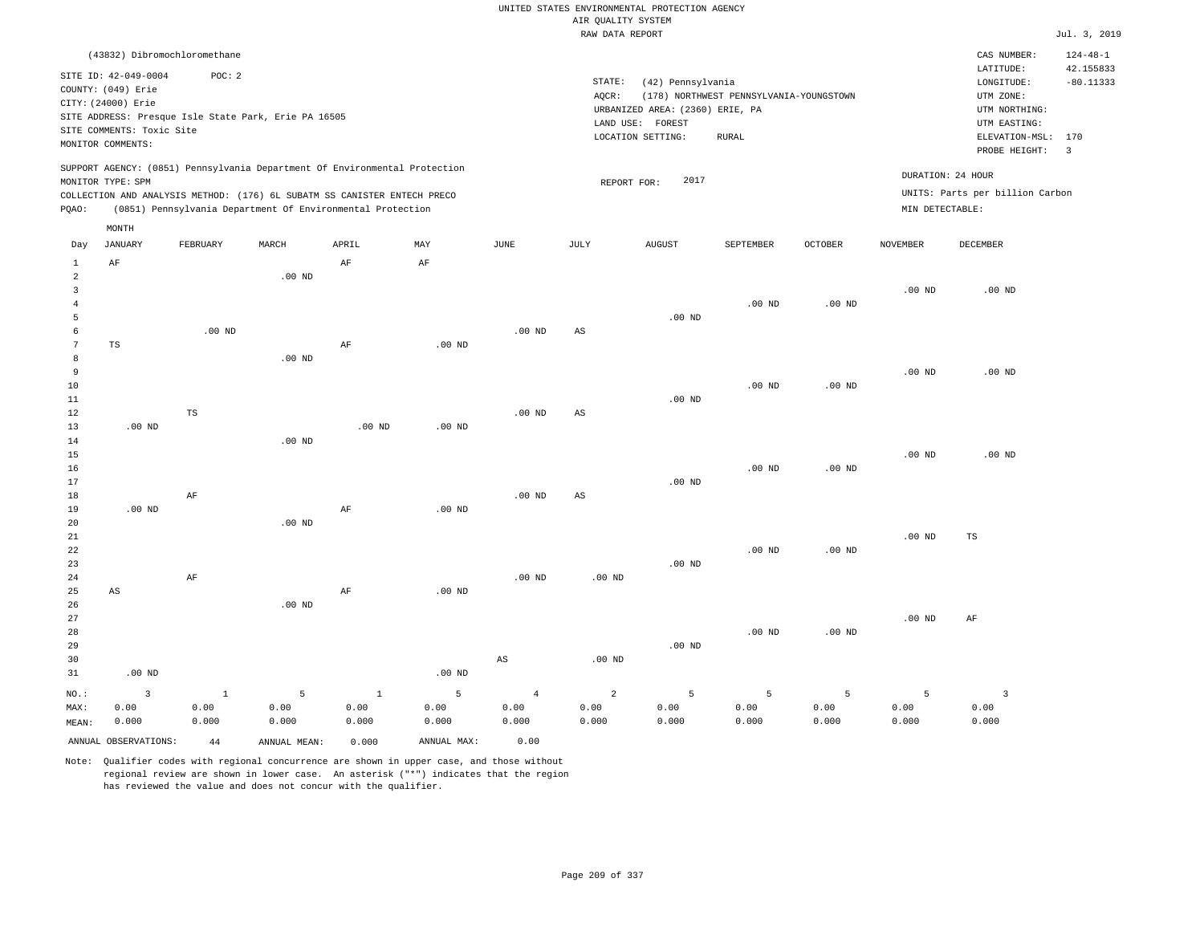|                 |                              |               |                                                                            |              |                   |                        | RAW DATA REPORT |                                 |                                         |                   |                   |                                 | Jul. 3, 2019            |
|-----------------|------------------------------|---------------|----------------------------------------------------------------------------|--------------|-------------------|------------------------|-----------------|---------------------------------|-----------------------------------------|-------------------|-------------------|---------------------------------|-------------------------|
|                 | (43832) Dibromochloromethane |               |                                                                            |              |                   |                        |                 |                                 |                                         |                   |                   | CAS NUMBER:                     | $124 - 48 - 1$          |
|                 |                              |               |                                                                            |              |                   |                        |                 |                                 |                                         |                   |                   | LATITUDE:                       | 42.155833               |
|                 | SITE ID: 42-049-0004         | POC: 2        |                                                                            |              |                   |                        | STATE:          | (42) Pennsylvania               |                                         |                   |                   | LONGITUDE:                      | $-80.11333$             |
|                 | COUNTY: (049) Erie           |               |                                                                            |              |                   |                        | AQCR:           |                                 | (178) NORTHWEST PENNSYLVANIA-YOUNGSTOWN |                   |                   | UTM ZONE:                       |                         |
|                 | CITY: (24000) Erie           |               |                                                                            |              |                   |                        |                 | URBANIZED AREA: (2360) ERIE, PA |                                         |                   |                   | UTM NORTHING:                   |                         |
|                 |                              |               | SITE ADDRESS: Presque Isle State Park, Erie PA 16505                       |              |                   |                        |                 | LAND USE: FOREST                |                                         |                   |                   | UTM EASTING:                    |                         |
|                 | SITE COMMENTS: Toxic Site    |               |                                                                            |              |                   |                        |                 | LOCATION SETTING:               | <b>RURAL</b>                            |                   |                   | ELEVATION-MSL:                  | 170                     |
|                 | MONITOR COMMENTS:            |               |                                                                            |              |                   |                        |                 |                                 |                                         |                   |                   | PROBE HEIGHT:                   | $\overline{\mathbf{3}}$ |
|                 |                              |               | SUPPORT AGENCY: (0851) Pennsylvania Department Of Environmental Protection |              |                   |                        |                 |                                 |                                         |                   |                   |                                 |                         |
|                 | MONITOR TYPE: SPM            |               |                                                                            |              |                   |                        | REPORT FOR:     | 2017                            |                                         |                   |                   | DURATION: 24 HOUR               |                         |
|                 |                              |               | COLLECTION AND ANALYSIS METHOD: (176) 6L SUBATM SS CANISTER ENTECH PRECO   |              |                   |                        |                 |                                 |                                         |                   |                   | UNITS: Parts per billion Carbon |                         |
| PQAO:           |                              |               | (0851) Pennsylvania Department Of Environmental Protection                 |              |                   |                        |                 |                                 |                                         |                   | MIN DETECTABLE:   |                                 |                         |
|                 | $\texttt{MONTH}$             |               |                                                                            |              |                   |                        |                 |                                 |                                         |                   |                   |                                 |                         |
| Day             | JANUARY                      | FEBRUARY      | MARCH                                                                      | APRIL        | MAY               | JUNE                   | JULY            | <b>AUGUST</b>                   | SEPTEMBER                               | OCTOBER           | <b>NOVEMBER</b>   | <b>DECEMBER</b>                 |                         |
| $1\,$           | $\rm AF$                     |               |                                                                            | $\rm AF$     | AF                |                        |                 |                                 |                                         |                   |                   |                                 |                         |
| $\overline{a}$  |                              |               | $.00$ ND                                                                   |              |                   |                        |                 |                                 |                                         |                   |                   |                                 |                         |
| $\overline{3}$  |                              |               |                                                                            |              |                   |                        |                 |                                 |                                         |                   | .00 <sub>ND</sub> | .00 <sub>ND</sub>               |                         |
| $\overline{4}$  |                              |               |                                                                            |              |                   |                        |                 |                                 | .00 <sub>ND</sub>                       | $.00$ ND          |                   |                                 |                         |
| 5               |                              |               |                                                                            |              |                   |                        |                 | $.00$ ND                        |                                         |                   |                   |                                 |                         |
| 6               |                              | $.00$ ND      |                                                                            |              |                   | .00 <sub>ND</sub>      | AS              |                                 |                                         |                   |                   |                                 |                         |
| $7\phantom{.0}$ | $_{\rm TS}$                  |               |                                                                            | AF           | .00 <sub>ND</sub> |                        |                 |                                 |                                         |                   |                   |                                 |                         |
| 8               |                              |               | $.00$ ND                                                                   |              |                   |                        |                 |                                 |                                         |                   |                   |                                 |                         |
| 9               |                              |               |                                                                            |              |                   |                        |                 |                                 |                                         |                   | .00 <sub>ND</sub> | $.00$ ND                        |                         |
| 10              |                              |               |                                                                            |              |                   |                        |                 |                                 | $.00$ ND                                | $.00$ ND          |                   |                                 |                         |
| 11              |                              |               |                                                                            |              |                   |                        |                 | $.00$ ND                        |                                         |                   |                   |                                 |                         |
| 12              |                              | $\mathbb{TS}$ |                                                                            |              |                   | $.00$ ND               | AS              |                                 |                                         |                   |                   |                                 |                         |
| 13              | $.00$ ND                     |               |                                                                            | $.00$ ND     | $.00$ ND          |                        |                 |                                 |                                         |                   |                   |                                 |                         |
| 14              |                              |               | $.00$ ND                                                                   |              |                   |                        |                 |                                 |                                         |                   |                   |                                 |                         |
| 15              |                              |               |                                                                            |              |                   |                        |                 |                                 |                                         |                   | .00 <sub>ND</sub> | $.00$ ND                        |                         |
| 16              |                              |               |                                                                            |              |                   |                        |                 |                                 | $.00$ ND                                | .00 <sub>ND</sub> |                   |                                 |                         |
| 17              |                              |               |                                                                            |              |                   |                        |                 | .00 <sub>ND</sub>               |                                         |                   |                   |                                 |                         |
| 18              |                              | $\rm AF$      |                                                                            |              |                   | .00 <sub>ND</sub>      | $_{\rm AS}$     |                                 |                                         |                   |                   |                                 |                         |
| 19              | $.00$ ND                     |               |                                                                            | AF           | $.00$ ND          |                        |                 |                                 |                                         |                   |                   |                                 |                         |
| 20              |                              |               | $.00$ ND                                                                   |              |                   |                        |                 |                                 |                                         |                   |                   |                                 |                         |
| 21              |                              |               |                                                                            |              |                   |                        |                 |                                 |                                         |                   | .00 <sub>ND</sub> | $_{\rm TS}$                     |                         |
| 22              |                              |               |                                                                            |              |                   |                        |                 |                                 | $.00$ ND                                | $.00$ ND          |                   |                                 |                         |
| 23              |                              |               |                                                                            |              |                   |                        |                 | .00 <sub>ND</sub>               |                                         |                   |                   |                                 |                         |
| 24              |                              | AF            |                                                                            |              |                   | $.00$ ND               | $.00$ ND        |                                 |                                         |                   |                   |                                 |                         |
| 25              | $_{\rm AS}$                  |               |                                                                            | $\rm AF$     | .00 <sub>ND</sub> |                        |                 |                                 |                                         |                   |                   |                                 |                         |
| 26              |                              |               | $.00$ ND                                                                   |              |                   |                        |                 |                                 |                                         |                   |                   |                                 |                         |
| 27              |                              |               |                                                                            |              |                   |                        |                 |                                 |                                         |                   | $.00$ ND          | AF                              |                         |
| 28              |                              |               |                                                                            |              |                   |                        |                 |                                 | $.00$ ND                                | .00 <sub>ND</sub> |                   |                                 |                         |
| 29              |                              |               |                                                                            |              |                   |                        |                 | .00 <sub>ND</sub>               |                                         |                   |                   |                                 |                         |
| 30              |                              |               |                                                                            |              |                   | $\mathbb{A}\mathbb{S}$ | $.00$ ND        |                                 |                                         |                   |                   |                                 |                         |
| 31              | $.00$ ND                     |               |                                                                            |              | .00 <sub>ND</sub> |                        |                 |                                 |                                         |                   |                   |                                 |                         |
| $NO.$ :         | $\overline{3}$               | $\mathbf{1}$  | 5                                                                          | $\mathbf{1}$ | 5                 | $\overline{4}$         | $\overline{a}$  | 5                               | 5                                       | 5                 | 5                 | $\overline{3}$                  |                         |
| MAX:            | 0.00                         | 0.00          | 0.00                                                                       | 0.00         | 0.00              | 0.00                   | 0.00            | 0.00                            | 0.00                                    | 0.00              | 0.00              | 0.00                            |                         |
| MEAN:           | 0.000                        | 0.000         | 0.000                                                                      | 0.000        | 0.000             | 0.000                  | 0.000           | 0.000                           | 0.000                                   | 0.000             | 0.000             | 0.000                           |                         |
|                 | ANNUAL OBSERVATIONS:         | 44            | ANNUAL MEAN:                                                               | 0.000        | ANNUAL MAX:       | 0.00                   |                 |                                 |                                         |                   |                   |                                 |                         |
|                 |                              |               |                                                                            |              |                   |                        |                 |                                 |                                         |                   |                   |                                 |                         |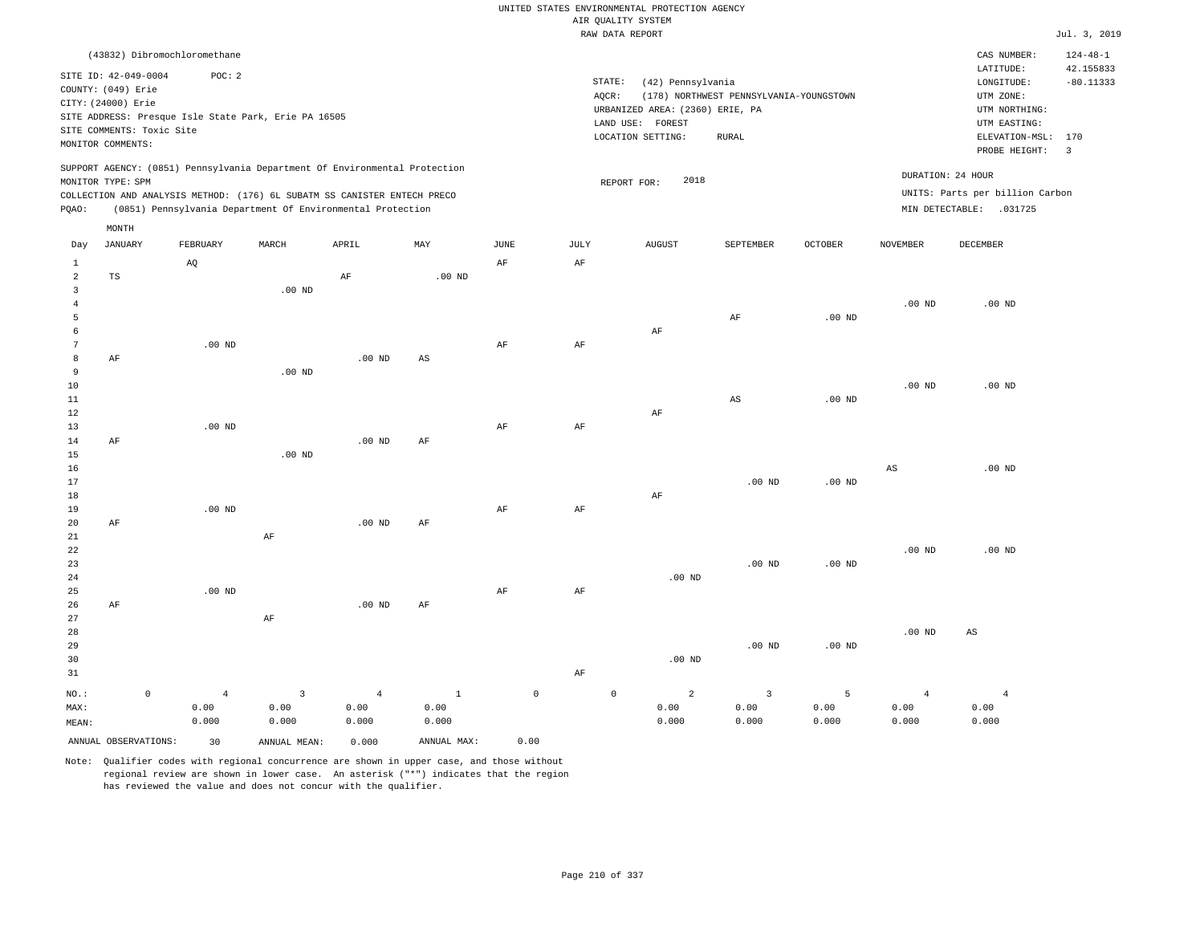|  | UNITED STATES ENVIRONMENTAL PROTECTION AGENCY |  |
|--|-----------------------------------------------|--|
|  | AIR OUALITY SYSTEM                            |  |
|  | RAW DATA REPORT                               |  |

|                 |                           |                                                                            |                   |                   |              |             |           | RAW DATA REPORT                 |                                         |                   |                   |                                 | Jul. 3, 2019   |
|-----------------|---------------------------|----------------------------------------------------------------------------|-------------------|-------------------|--------------|-------------|-----------|---------------------------------|-----------------------------------------|-------------------|-------------------|---------------------------------|----------------|
|                 |                           | (43832) Dibromochloromethane                                               |                   |                   |              |             |           |                                 |                                         |                   |                   | CAS NUMBER:                     | $124 - 48 - 1$ |
|                 | SITE ID: 42-049-0004      | POC: 2                                                                     |                   |                   |              |             |           |                                 |                                         |                   |                   | LATITUDE:                       | 42.155833      |
|                 | COUNTY: (049) Erie        |                                                                            |                   |                   |              |             | STATE:    | (42) Pennsylvania               |                                         |                   |                   | LONGITUDE:                      | $-80.11333$    |
|                 | CITY: (24000) Erie        |                                                                            |                   |                   |              |             | AQCR:     |                                 | (178) NORTHWEST PENNSYLVANIA-YOUNGSTOWN |                   |                   | UTM ZONE:                       |                |
|                 |                           | SITE ADDRESS: Presque Isle State Park, Erie PA 16505                       |                   |                   |              |             |           | URBANIZED AREA: (2360) ERIE, PA |                                         |                   |                   | UTM NORTHING:                   |                |
|                 | SITE COMMENTS: Toxic Site |                                                                            |                   |                   |              |             |           | LAND USE: FOREST                |                                         |                   |                   | UTM EASTING:                    |                |
|                 | MONITOR COMMENTS:         |                                                                            |                   |                   |              |             |           | LOCATION SETTING:               | RURAL                                   |                   |                   | ELEVATION-MSL:                  | 170            |
|                 |                           |                                                                            |                   |                   |              |             |           |                                 |                                         |                   |                   | PROBE HEIGHT:                   | 3              |
|                 | MONITOR TYPE: SPM         | SUPPORT AGENCY: (0851) Pennsylvania Department Of Environmental Protection |                   |                   |              |             |           | 2018<br>REPORT FOR:             |                                         |                   |                   | DURATION: 24 HOUR               |                |
|                 |                           | COLLECTION AND ANALYSIS METHOD: (176) 6L SUBATM SS CANISTER ENTECH PRECO   |                   |                   |              |             |           |                                 |                                         |                   |                   | UNITS: Parts per billion Carbon |                |
| PQAO:           |                           | (0851) Pennsylvania Department Of Environmental Protection                 |                   |                   |              |             |           |                                 |                                         |                   |                   | MIN DETECTABLE: .031725         |                |
|                 | MONTH                     |                                                                            |                   |                   |              |             |           |                                 |                                         |                   |                   |                                 |                |
| Day             | JANUARY                   | FEBRUARY                                                                   | MARCH             | APRIL             | MAY          | JUNE        | JULY      | <b>AUGUST</b>                   | SEPTEMBER                               | <b>OCTOBER</b>    | <b>NOVEMBER</b>   | DECEMBER                        |                |
| $\,1\,$         |                           | AQ                                                                         |                   |                   |              | $\rm{AF}$   | $\rm AF$  |                                 |                                         |                   |                   |                                 |                |
| $\overline{a}$  | $\mathbb{TS}$             |                                                                            |                   | $\rm AF$          | $.00$ ND     |             |           |                                 |                                         |                   |                   |                                 |                |
| 3               |                           |                                                                            | .00 <sub>ND</sub> |                   |              |             |           |                                 |                                         |                   |                   |                                 |                |
| $\overline{4}$  |                           |                                                                            |                   |                   |              |             |           |                                 |                                         |                   | .00 <sub>ND</sub> | $.00$ ND                        |                |
| 5               |                           |                                                                            |                   |                   |              |             |           |                                 | AF                                      | .00 <sub>ND</sub> |                   |                                 |                |
| 6               |                           |                                                                            |                   |                   |              |             |           | AF                              |                                         |                   |                   |                                 |                |
| $7\phantom{.0}$ |                           | $.00$ ND                                                                   |                   |                   |              | AF          | AF        |                                 |                                         |                   |                   |                                 |                |
| 8<br>9          | $\rm AF$                  |                                                                            | .00 <sub>ND</sub> | .00 <sub>ND</sub> | $_{\rm AS}$  |             |           |                                 |                                         |                   |                   |                                 |                |
| 10              |                           |                                                                            |                   |                   |              |             |           |                                 |                                         |                   | .00 <sub>ND</sub> | $.00$ ND                        |                |
| $1\,1$          |                           |                                                                            |                   |                   |              |             |           |                                 | $_{\rm AS}$                             | .00 <sub>ND</sub> |                   |                                 |                |
| $1\,2$          |                           |                                                                            |                   |                   |              |             |           | $\rm{AF}$                       |                                         |                   |                   |                                 |                |
| 13              |                           | $.00$ ND                                                                   |                   |                   |              | $\rm{AF}$   | $\rm{AF}$ |                                 |                                         |                   |                   |                                 |                |
| 14              | AF                        |                                                                            |                   | $.00$ ND          | AF           |             |           |                                 |                                         |                   |                   |                                 |                |
| 15              |                           |                                                                            | $.00$ ND          |                   |              |             |           |                                 |                                         |                   |                   |                                 |                |
| 16              |                           |                                                                            |                   |                   |              |             |           |                                 |                                         |                   | $_{\rm AS}$       | $.00$ ND                        |                |
| 17              |                           |                                                                            |                   |                   |              |             |           |                                 | $.00$ ND                                | $.00$ ND          |                   |                                 |                |
| 18              |                           |                                                                            |                   |                   |              |             |           | AF                              |                                         |                   |                   |                                 |                |
| 19              |                           | $.00$ ND                                                                   |                   |                   |              | AF          | AF        |                                 |                                         |                   |                   |                                 |                |
| 20<br>21        | AF                        |                                                                            | AF                | $.00$ ND          | AF           |             |           |                                 |                                         |                   |                   |                                 |                |
| 22              |                           |                                                                            |                   |                   |              |             |           |                                 |                                         |                   | .00 <sub>ND</sub> | $.00$ ND                        |                |
| 23              |                           |                                                                            |                   |                   |              |             |           |                                 | .00 <sub>ND</sub>                       | .00 <sub>ND</sub> |                   |                                 |                |
| $2\,4$          |                           |                                                                            |                   |                   |              |             |           | .00 <sub>ND</sub>               |                                         |                   |                   |                                 |                |
| 25              |                           | $.00$ ND                                                                   |                   |                   |              | AF          | AF        |                                 |                                         |                   |                   |                                 |                |
| 26              | AF                        |                                                                            |                   | .00 <sub>ND</sub> | AF           |             |           |                                 |                                         |                   |                   |                                 |                |
| 27              |                           |                                                                            | $\rm AF$          |                   |              |             |           |                                 |                                         |                   |                   |                                 |                |
| 28              |                           |                                                                            |                   |                   |              |             |           |                                 |                                         |                   | .00 <sub>ND</sub> | AS                              |                |
| 29              |                           |                                                                            |                   |                   |              |             |           |                                 | .00 <sub>ND</sub>                       | .00 <sub>ND</sub> |                   |                                 |                |
| 30              |                           |                                                                            |                   |                   |              |             |           | $.00$ ND                        |                                         |                   |                   |                                 |                |
| 31              |                           |                                                                            |                   |                   |              |             | $\rm{AF}$ |                                 |                                         |                   |                   |                                 |                |
| NO.:            | $\mathsf{O}\xspace$       | $\overline{4}$                                                             | 3                 | $\overline{4}$    | $\mathbf{1}$ | $\mathbb O$ |           | $\mathbb O$<br>$\overline{a}$   | $\overline{3}$                          | 5                 | $\overline{4}$    | $\overline{4}$                  |                |
| MAX:            |                           | 0.00                                                                       | 0.00              | 0.00              | 0.00         |             |           | 0.00                            | 0.00                                    | 0.00              | 0.00              | 0.00                            |                |
| MEAN:           |                           | 0.000                                                                      | 0.000             | 0.000             | 0.000        |             |           | 0.000                           | 0.000                                   | 0.000             | 0.000             | 0.000                           |                |
|                 | ANNUAL OBSERVATIONS:      | 30                                                                         | ANNUAL MEAN:      | 0.000             | ANNUAL MAX:  | 0.00        |           |                                 |                                         |                   |                   |                                 |                |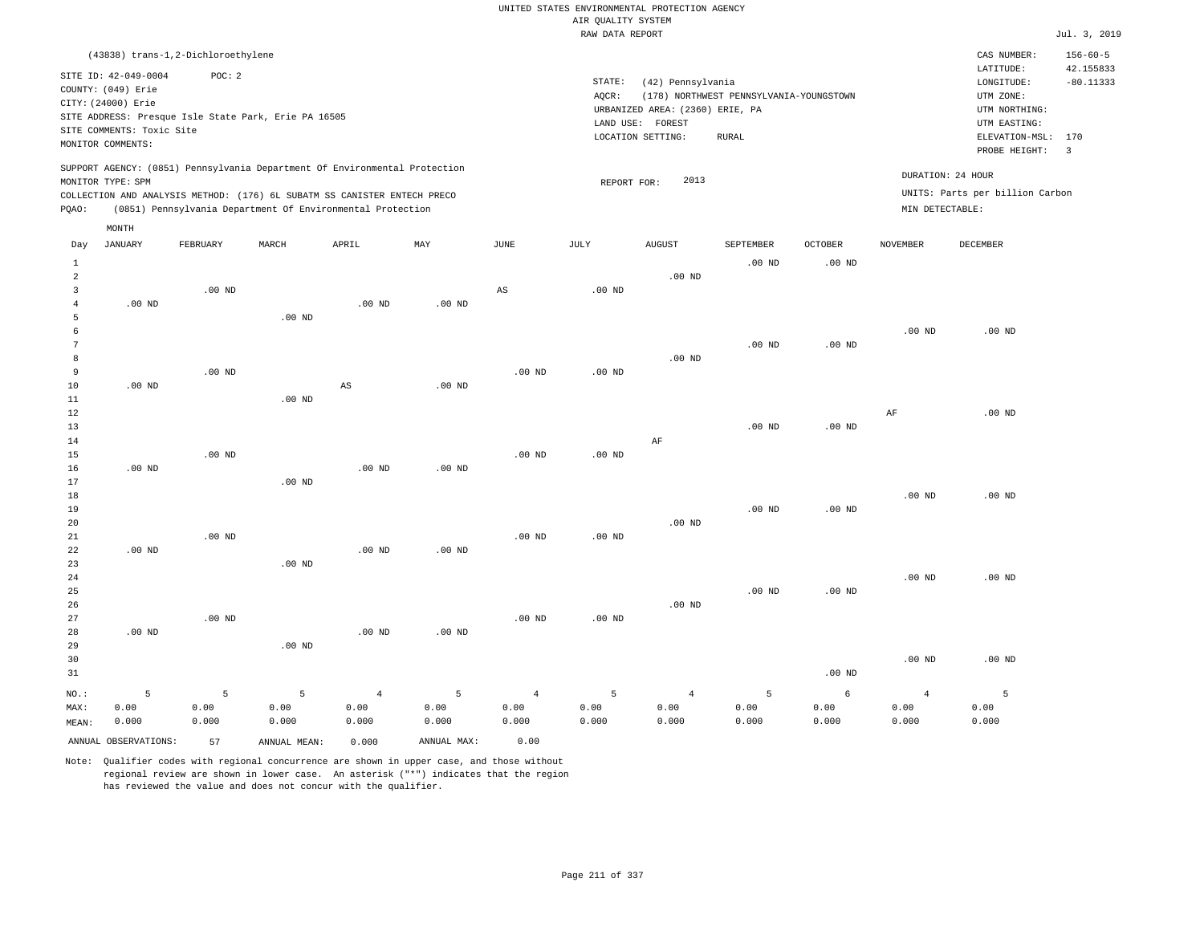|                |                                                                                                                    |                   |                                                                            |                        |                   |                    | RAW DATA REPORT   |                                                                                               |                                                         |                   |                    |                                                                                         | Jul. 3, 2019                    |
|----------------|--------------------------------------------------------------------------------------------------------------------|-------------------|----------------------------------------------------------------------------|------------------------|-------------------|--------------------|-------------------|-----------------------------------------------------------------------------------------------|---------------------------------------------------------|-------------------|--------------------|-----------------------------------------------------------------------------------------|---------------------------------|
|                | (43838) trans-1,2-Dichloroethylene                                                                                 |                   |                                                                            |                        |                   |                    |                   |                                                                                               |                                                         |                   |                    | CAS NUMBER:                                                                             | $156 - 60 - 5$                  |
|                | SITE ID: 42-049-0004<br>COUNTY: (049) Erie<br>CITY: (24000) Erie<br>SITE COMMENTS: Toxic Site<br>MONITOR COMMENTS: | POC: 2            | SITE ADDRESS: Presque Isle State Park, Erie PA 16505                       |                        |                   |                    | STATE:<br>AQCR:   | (42) Pennsylvania<br>URBANIZED AREA: (2360) ERIE, PA<br>LAND USE: FOREST<br>LOCATION SETTING: | (178) NORTHWEST PENNSYLVANIA-YOUNGSTOWN<br><b>RURAL</b> |                   |                    | LATITUDE:<br>LONGITUDE:<br>UTM ZONE:<br>UTM NORTHING:<br>UTM EASTING:<br>ELEVATION-MSL: | 42.155833<br>$-80.11333$<br>170 |
|                |                                                                                                                    |                   |                                                                            |                        |                   |                    |                   |                                                                                               |                                                         |                   |                    | PROBE HEIGHT:                                                                           | $\overline{3}$                  |
|                | MONITOR TYPE: SPM                                                                                                  |                   | SUPPORT AGENCY: (0851) Pennsylvania Department Of Environmental Protection |                        |                   |                    | REPORT FOR:       | 2013                                                                                          |                                                         |                   |                    | DURATION: 24 HOUR                                                                       |                                 |
|                |                                                                                                                    |                   | COLLECTION AND ANALYSIS METHOD: (176) 6L SUBATM SS CANISTER ENTECH PRECO   |                        |                   |                    |                   |                                                                                               |                                                         |                   |                    | UNITS: Parts per billion Carbon                                                         |                                 |
| PQAO:          |                                                                                                                    |                   | (0851) Pennsylvania Department Of Environmental Protection                 |                        |                   |                    |                   |                                                                                               |                                                         |                   | MIN DETECTABLE:    |                                                                                         |                                 |
|                | MONTH                                                                                                              |                   |                                                                            |                        |                   |                    |                   |                                                                                               |                                                         |                   |                    |                                                                                         |                                 |
| Day            | <b>JANUARY</b>                                                                                                     | FEBRUARY          | MARCH                                                                      | APRIL                  | MAY               | JUNE               | JULY              | <b>AUGUST</b>                                                                                 | SEPTEMBER                                               | <b>OCTOBER</b>    | <b>NOVEMBER</b>    | DECEMBER                                                                                |                                 |
| $\mathbf{1}$   |                                                                                                                    |                   |                                                                            |                        |                   |                    |                   |                                                                                               | $.00$ ND                                                | .00 <sub>ND</sub> |                    |                                                                                         |                                 |
| $\overline{a}$ |                                                                                                                    |                   |                                                                            |                        |                   |                    |                   | $.00$ ND                                                                                      |                                                         |                   |                    |                                                                                         |                                 |
| $\overline{3}$ |                                                                                                                    | $.00$ ND          |                                                                            |                        |                   | $_{\rm AS}$        | $.00$ ND          |                                                                                               |                                                         |                   |                    |                                                                                         |                                 |
| $\overline{4}$ | $.00$ ND                                                                                                           |                   |                                                                            | $.00$ ND               | $.00$ ND          |                    |                   |                                                                                               |                                                         |                   |                    |                                                                                         |                                 |
| 5              |                                                                                                                    |                   | $.00$ ND                                                                   |                        |                   |                    |                   |                                                                                               |                                                         |                   |                    |                                                                                         |                                 |
| 6              |                                                                                                                    |                   |                                                                            |                        |                   |                    |                   |                                                                                               |                                                         |                   | .00 <sub>ND</sub>  | $.00$ ND                                                                                |                                 |
| 7<br>8         |                                                                                                                    |                   |                                                                            |                        |                   |                    |                   |                                                                                               | $.00$ ND                                                | .00 <sub>ND</sub> |                    |                                                                                         |                                 |
| 9              |                                                                                                                    | $.00$ ND          |                                                                            |                        |                   | $.00$ ND           | $.00$ ND          | $.00$ ND                                                                                      |                                                         |                   |                    |                                                                                         |                                 |
| 10             | $.00$ ND                                                                                                           |                   |                                                                            | AS                     | $.00$ ND          |                    |                   |                                                                                               |                                                         |                   |                    |                                                                                         |                                 |
| $1\,1$         |                                                                                                                    |                   | .00 <sub>ND</sub>                                                          |                        |                   |                    |                   |                                                                                               |                                                         |                   |                    |                                                                                         |                                 |
| $1\,2$         |                                                                                                                    |                   |                                                                            |                        |                   |                    |                   |                                                                                               |                                                         |                   | AF                 | .00 <sub>ND</sub>                                                                       |                                 |
| 13             |                                                                                                                    |                   |                                                                            |                        |                   |                    |                   |                                                                                               | .00 <sub>ND</sub>                                       | .00 <sub>ND</sub> |                    |                                                                                         |                                 |
| 14             |                                                                                                                    |                   |                                                                            |                        |                   |                    |                   | AF                                                                                            |                                                         |                   |                    |                                                                                         |                                 |
| 15             |                                                                                                                    | .00 <sub>ND</sub> |                                                                            |                        |                   | $.00$ ND           | .00 <sub>ND</sub> |                                                                                               |                                                         |                   |                    |                                                                                         |                                 |
| 16             | $.00$ ND                                                                                                           |                   |                                                                            | .00 <sub>ND</sub>      | $.00$ ND          |                    |                   |                                                                                               |                                                         |                   |                    |                                                                                         |                                 |
| 17             |                                                                                                                    |                   | $.00$ ND                                                                   |                        |                   |                    |                   |                                                                                               |                                                         |                   |                    |                                                                                         |                                 |
| 18             |                                                                                                                    |                   |                                                                            |                        |                   |                    |                   |                                                                                               |                                                         |                   | .00 <sub>ND</sub>  | .00 <sub>ND</sub>                                                                       |                                 |
| 19             |                                                                                                                    |                   |                                                                            |                        |                   |                    |                   |                                                                                               | $.00$ ND                                                | .00 <sub>ND</sub> |                    |                                                                                         |                                 |
| 20             |                                                                                                                    |                   |                                                                            |                        |                   |                    |                   | $.00$ ND                                                                                      |                                                         |                   |                    |                                                                                         |                                 |
| $2\sqrt{1}$    |                                                                                                                    | .00 <sub>ND</sub> |                                                                            |                        |                   | $.00$ ND           | .00 <sub>ND</sub> |                                                                                               |                                                         |                   |                    |                                                                                         |                                 |
| 22             | $.00$ ND                                                                                                           |                   |                                                                            | .00 <sub>ND</sub>      | .00 <sub>ND</sub> |                    |                   |                                                                                               |                                                         |                   |                    |                                                                                         |                                 |
| 23             |                                                                                                                    |                   | .00 <sub>ND</sub>                                                          |                        |                   |                    |                   |                                                                                               |                                                         |                   |                    |                                                                                         |                                 |
| 24<br>25       |                                                                                                                    |                   |                                                                            |                        |                   |                    |                   |                                                                                               | .00 <sub>ND</sub>                                       | .00 <sub>ND</sub> | .00 <sub>ND</sub>  | $.00$ ND                                                                                |                                 |
| 26             |                                                                                                                    |                   |                                                                            |                        |                   |                    |                   | $.00$ ND                                                                                      |                                                         |                   |                    |                                                                                         |                                 |
| 27             |                                                                                                                    | $.00$ ND          |                                                                            |                        |                   | $.00$ ND           | $.00$ ND          |                                                                                               |                                                         |                   |                    |                                                                                         |                                 |
| 28             | $.00$ ND                                                                                                           |                   |                                                                            | $.00$ ND               | $.00$ ND          |                    |                   |                                                                                               |                                                         |                   |                    |                                                                                         |                                 |
| 29             |                                                                                                                    |                   | .00 <sub>ND</sub>                                                          |                        |                   |                    |                   |                                                                                               |                                                         |                   |                    |                                                                                         |                                 |
| 30             |                                                                                                                    |                   |                                                                            |                        |                   |                    |                   |                                                                                               |                                                         |                   | .00 <sub>ND</sub>  | $.00$ ND                                                                                |                                 |
| 31             |                                                                                                                    |                   |                                                                            |                        |                   |                    |                   |                                                                                               |                                                         | $.00$ ND          |                    |                                                                                         |                                 |
|                |                                                                                                                    |                   |                                                                            |                        |                   |                    |                   |                                                                                               |                                                         |                   |                    |                                                                                         |                                 |
| NO.:<br>MAX:   | 5<br>0.00                                                                                                          | 5<br>0.00         | 5<br>0.00                                                                  | $\overline{4}$<br>0.00 | 5<br>0.00         | $\sqrt{4}$<br>0.00 | 5<br>0.00         | $\overline{4}$<br>0.00                                                                        | 5<br>0.00                                               | 6<br>0.00         | $\sqrt{4}$<br>0.00 | 5<br>0.00                                                                               |                                 |
| MEAN:          | 0.000                                                                                                              | 0.000             | 0.000                                                                      | 0.000                  | 0.000             | 0.000              | 0.000             | 0.000                                                                                         | 0.000                                                   | 0.000             | 0.000              | 0.000                                                                                   |                                 |
|                | ANNUAL OBSERVATIONS:                                                                                               | 57                | ANNUAL MEAN:                                                               | 0.000                  | ANNUAL MAX:       | 0.00               |                   |                                                                                               |                                                         |                   |                    |                                                                                         |                                 |
|                |                                                                                                                    |                   |                                                                            |                        |                   |                    |                   |                                                                                               |                                                         |                   |                    |                                                                                         |                                 |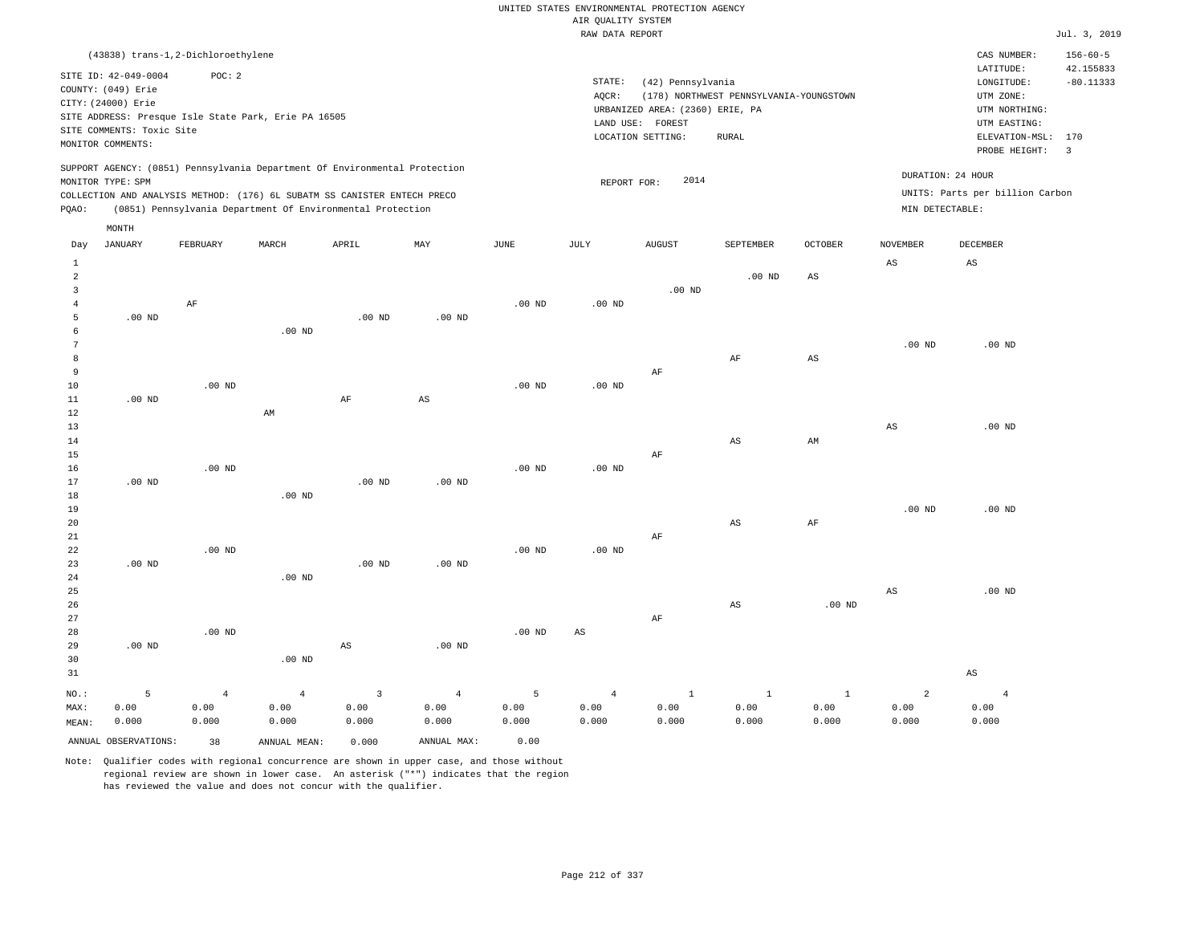|                                                    |                                                                                                                    |                   |                                                                                                                                                                                                                      |                        |                   |                   | RAW DATA REPORT |                                                                                               |                                                  |                        |                                      |                                                                                                          | Jul. 3, 2019                                               |
|----------------------------------------------------|--------------------------------------------------------------------------------------------------------------------|-------------------|----------------------------------------------------------------------------------------------------------------------------------------------------------------------------------------------------------------------|------------------------|-------------------|-------------------|-----------------|-----------------------------------------------------------------------------------------------|--------------------------------------------------|------------------------|--------------------------------------|----------------------------------------------------------------------------------------------------------|------------------------------------------------------------|
|                                                    | (43838) trans-1,2-Dichloroethylene                                                                                 |                   |                                                                                                                                                                                                                      |                        |                   |                   |                 |                                                                                               |                                                  |                        |                                      | CAS NUMBER:                                                                                              | $156 - 60 - 5$                                             |
|                                                    | SITE ID: 42-049-0004<br>COUNTY: (049) Erie<br>CITY: (24000) Erie<br>SITE COMMENTS: Toxic Site<br>MONITOR COMMENTS: | POC: 2            | SITE ADDRESS: Presque Isle State Park, Erie PA 16505                                                                                                                                                                 |                        |                   |                   | STATE:<br>AQCR: | (42) Pennsylvania<br>URBANIZED AREA: (2360) ERIE, PA<br>LAND USE: FOREST<br>LOCATION SETTING: | (178) NORTHWEST PENNSYLVANIA-YOUNGSTOWN<br>RURAL |                        |                                      | LATITUDE:<br>LONGITUDE:<br>UTM ZONE:<br>UTM NORTHING:<br>UTM EASTING:<br>ELEVATION-MSL:<br>PROBE HEIGHT: | 42.155833<br>$-80.11333$<br>170<br>$\overline{\mathbf{3}}$ |
| PQAO:                                              | MONITOR TYPE: SPM                                                                                                  |                   | SUPPORT AGENCY: (0851) Pennsylvania Department Of Environmental Protection<br>COLLECTION AND ANALYSIS METHOD: (176) 6L SUBATM SS CANISTER ENTECH PRECO<br>(0851) Pennsylvania Department Of Environmental Protection |                        |                   |                   | REPORT FOR:     | 2014                                                                                          |                                                  |                        | DURATION: 24 HOUR<br>MIN DETECTABLE: | UNITS: Parts per billion Carbon                                                                          |                                                            |
| Day                                                | MONTH<br>JANUARY                                                                                                   | FEBRUARY          | MARCH                                                                                                                                                                                                                | APRIL                  | MAY               | JUNE              | JULY            | <b>AUGUST</b>                                                                                 | SEPTEMBER                                        | <b>OCTOBER</b>         | <b>NOVEMBER</b>                      | DECEMBER                                                                                                 |                                                            |
| $\mathbf{1}$                                       |                                                                                                                    |                   |                                                                                                                                                                                                                      |                        |                   |                   |                 |                                                                                               |                                                  |                        | $\mathbb{A}\mathbb{S}$               | $\mathbb{A}\mathbb{S}$                                                                                   |                                                            |
| $\overline{a}$<br>$\overline{3}$<br>$\overline{4}$ |                                                                                                                    | $\rm AF$          |                                                                                                                                                                                                                      |                        |                   | .00 <sub>ND</sub> | $.00$ ND        | $.00$ ND                                                                                      | $.00$ ND                                         | $_{\rm AS}$            |                                      |                                                                                                          |                                                            |
| 5                                                  | $.00$ ND                                                                                                           |                   |                                                                                                                                                                                                                      | $.00$ ND               | $.00$ ND          |                   |                 |                                                                                               |                                                  |                        |                                      |                                                                                                          |                                                            |
| 6<br>7<br>8                                        |                                                                                                                    |                   | $.00$ ND                                                                                                                                                                                                             |                        |                   |                   |                 |                                                                                               | $\rm AF$                                         | $\mathbb{A}\mathbb{S}$ | .00 <sub>ND</sub>                    | $.00$ ND                                                                                                 |                                                            |
| 9                                                  |                                                                                                                    |                   |                                                                                                                                                                                                                      |                        |                   |                   |                 | $\rm{AF}$                                                                                     |                                                  |                        |                                      |                                                                                                          |                                                            |
| 10                                                 |                                                                                                                    | $.00$ ND          |                                                                                                                                                                                                                      |                        |                   | .00 <sub>ND</sub> | $.00$ ND        |                                                                                               |                                                  |                        |                                      |                                                                                                          |                                                            |
| 11<br>12                                           | .00 <sub>ND</sub>                                                                                                  |                   |                                                                                                                                                                                                                      | $\rm AF$               | $_{\rm AS}$       |                   |                 |                                                                                               |                                                  |                        |                                      |                                                                                                          |                                                            |
| 13                                                 |                                                                                                                    |                   | AM                                                                                                                                                                                                                   |                        |                   |                   |                 |                                                                                               |                                                  |                        | $\mathbb{A}\mathbb{S}$               | $.00$ ND                                                                                                 |                                                            |
| 14                                                 |                                                                                                                    |                   |                                                                                                                                                                                                                      |                        |                   |                   |                 |                                                                                               | AS                                               | AM                     |                                      |                                                                                                          |                                                            |
| 15                                                 |                                                                                                                    |                   |                                                                                                                                                                                                                      |                        |                   |                   |                 | AF                                                                                            |                                                  |                        |                                      |                                                                                                          |                                                            |
| 16                                                 |                                                                                                                    | $.00$ ND          |                                                                                                                                                                                                                      |                        |                   | .00 <sub>ND</sub> | $.00$ ND        |                                                                                               |                                                  |                        |                                      |                                                                                                          |                                                            |
| 17<br>18                                           | $.00$ ND                                                                                                           |                   | $.00$ ND                                                                                                                                                                                                             | $.00$ ND               | $.00$ ND          |                   |                 |                                                                                               |                                                  |                        |                                      |                                                                                                          |                                                            |
| 19                                                 |                                                                                                                    |                   |                                                                                                                                                                                                                      |                        |                   |                   |                 |                                                                                               |                                                  |                        | $.00$ ND                             | $.00$ ND                                                                                                 |                                                            |
| 20                                                 |                                                                                                                    |                   |                                                                                                                                                                                                                      |                        |                   |                   |                 |                                                                                               | $\mathbb{A}\mathbb{S}$                           | $\rm AF$               |                                      |                                                                                                          |                                                            |
| 21                                                 |                                                                                                                    |                   |                                                                                                                                                                                                                      |                        |                   |                   |                 | AF                                                                                            |                                                  |                        |                                      |                                                                                                          |                                                            |
| 22<br>23                                           | .00 <sub>ND</sub>                                                                                                  | .00 <sub>ND</sub> |                                                                                                                                                                                                                      | .00 <sub>ND</sub>      | .00 <sub>ND</sub> | $.00$ ND          | $.00$ ND        |                                                                                               |                                                  |                        |                                      |                                                                                                          |                                                            |
| 24                                                 |                                                                                                                    |                   | .00 <sub>ND</sub>                                                                                                                                                                                                    |                        |                   |                   |                 |                                                                                               |                                                  |                        |                                      |                                                                                                          |                                                            |
| 25                                                 |                                                                                                                    |                   |                                                                                                                                                                                                                      |                        |                   |                   |                 |                                                                                               |                                                  |                        | $\mathbb{A}\mathbb{S}$               | $.00$ ND                                                                                                 |                                                            |
| 26                                                 |                                                                                                                    |                   |                                                                                                                                                                                                                      |                        |                   |                   |                 |                                                                                               | AS                                               | .00 <sub>ND</sub>      |                                      |                                                                                                          |                                                            |
| 27<br>28                                           |                                                                                                                    | $.00$ ND          |                                                                                                                                                                                                                      |                        |                   | .00 <sub>ND</sub> | AS              | AF                                                                                            |                                                  |                        |                                      |                                                                                                          |                                                            |
| 29                                                 | $.00$ ND                                                                                                           |                   |                                                                                                                                                                                                                      | $\mathbb{A}\mathbb{S}$ | $.00$ ND          |                   |                 |                                                                                               |                                                  |                        |                                      |                                                                                                          |                                                            |
| 30                                                 |                                                                                                                    |                   | $.00$ ND                                                                                                                                                                                                             |                        |                   |                   |                 |                                                                                               |                                                  |                        |                                      |                                                                                                          |                                                            |
| 31                                                 |                                                                                                                    |                   |                                                                                                                                                                                                                      |                        |                   |                   |                 |                                                                                               |                                                  |                        |                                      | $_{\rm AS}$                                                                                              |                                                            |
| NO.:                                               | 5                                                                                                                  | $\overline{4}$    | $\overline{4}$                                                                                                                                                                                                       | $\overline{3}$         | $\overline{4}$    | 5                 | $\sqrt{4}$      | $\,$ 1                                                                                        | $\mathbf{1}$                                     | $\mathbf{1}$           | $\overline{a}$                       | $\overline{4}$                                                                                           |                                                            |
| MAX:                                               | 0.00                                                                                                               | 0.00              | 0.00                                                                                                                                                                                                                 | 0.00                   | 0.00              | 0.00              | 0.00            | 0.00                                                                                          | 0.00                                             | 0.00                   | 0.00                                 | 0.00                                                                                                     |                                                            |
| MEAN:                                              | 0.000                                                                                                              | 0.000             | 0.000                                                                                                                                                                                                                | 0.000                  | 0.000             | 0.000             | 0.000           | 0.000                                                                                         | 0.000                                            | 0.000                  | 0.000                                | 0.000                                                                                                    |                                                            |
|                                                    | ANNUAL OBSERVATIONS:                                                                                               | 38                | ANNUAL MEAN:                                                                                                                                                                                                         | 0.000                  | ANNUAL MAX:       | 0.00              |                 |                                                                                               |                                                  |                        |                                      |                                                                                                          |                                                            |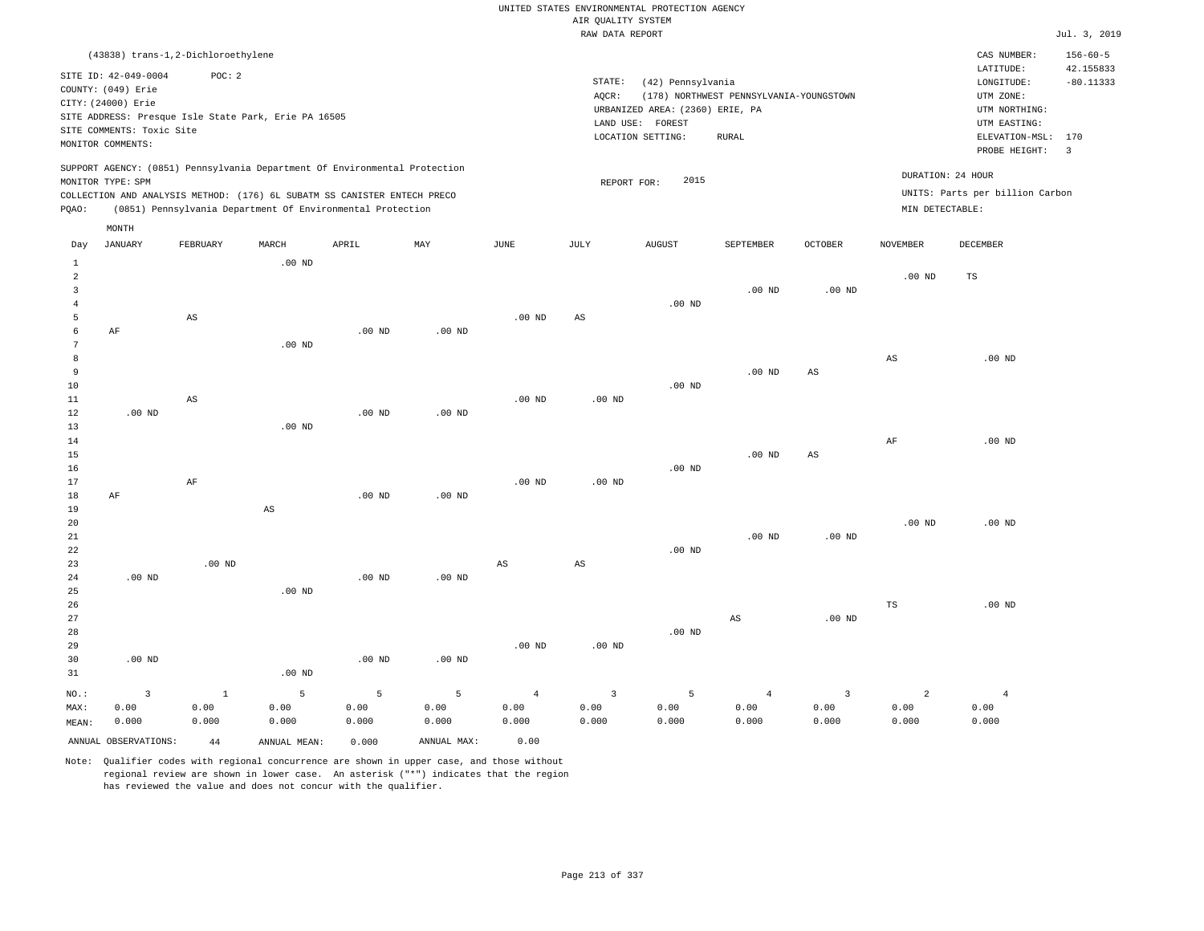|                                  |                                                                  |                                    |                                                      |                                                                                                                                                        |                   |          | RAW DATA REPORT        |                                                                          |                                         |                   |                   |                                                                       | Jul. 3, 2019             |
|----------------------------------|------------------------------------------------------------------|------------------------------------|------------------------------------------------------|--------------------------------------------------------------------------------------------------------------------------------------------------------|-------------------|----------|------------------------|--------------------------------------------------------------------------|-----------------------------------------|-------------------|-------------------|-----------------------------------------------------------------------|--------------------------|
|                                  |                                                                  | (43838) trans-1,2-Dichloroethylene |                                                      |                                                                                                                                                        |                   |          |                        |                                                                          |                                         |                   |                   | CAS NUMBER:                                                           | $156 - 60 - 5$           |
|                                  | SITE ID: 42-049-0004<br>COUNTY: (049) Erie<br>CITY: (24000) Erie | POC: 2                             | SITE ADDRESS: Presque Isle State Park, Erie PA 16505 |                                                                                                                                                        |                   |          | STATE:<br>AQCR:        | (42) Pennsylvania<br>URBANIZED AREA: (2360) ERIE, PA<br>LAND USE: FOREST | (178) NORTHWEST PENNSYLVANIA-YOUNGSTOWN |                   |                   | LATITUDE:<br>LONGITUDE:<br>UTM ZONE:<br>UTM NORTHING:<br>UTM EASTING: | 42.155833<br>$-80.11333$ |
|                                  | SITE COMMENTS: Toxic Site                                        |                                    |                                                      |                                                                                                                                                        |                   |          |                        | LOCATION SETTING:                                                        | <b>RURAL</b>                            |                   |                   | ELEVATION-MSL: 170                                                    |                          |
|                                  | MONITOR COMMENTS:                                                |                                    |                                                      |                                                                                                                                                        |                   |          |                        |                                                                          |                                         |                   |                   | PROBE HEIGHT: 3                                                       |                          |
|                                  | MONITOR TYPE: SPM                                                |                                    |                                                      | SUPPORT AGENCY: (0851) Pennsylvania Department Of Environmental Protection<br>COLLECTION AND ANALYSIS METHOD: (176) 6L SUBATM SS CANISTER ENTECH PRECO |                   |          | REPORT FOR:            | 2015                                                                     |                                         |                   |                   | DURATION: 24 HOUR<br>UNITS: Parts per billion Carbon                  |                          |
| PQAO:                            |                                                                  |                                    |                                                      | (0851) Pennsylvania Department Of Environmental Protection                                                                                             |                   |          |                        |                                                                          |                                         |                   | MIN DETECTABLE:   |                                                                       |                          |
|                                  | MONTH                                                            |                                    |                                                      |                                                                                                                                                        |                   |          |                        |                                                                          |                                         |                   |                   |                                                                       |                          |
| Day                              | <b>JANUARY</b>                                                   | FEBRUARY                           | MARCH                                                | APRIL                                                                                                                                                  | MAY               | JUNE     | JULY                   | <b>AUGUST</b>                                                            | SEPTEMBER                               | OCTOBER           | <b>NOVEMBER</b>   | <b>DECEMBER</b>                                                       |                          |
| $\mathbf{1}$                     |                                                                  |                                    | $.00$ ND                                             |                                                                                                                                                        |                   |          |                        |                                                                          |                                         |                   |                   |                                                                       |                          |
| 2                                |                                                                  |                                    |                                                      |                                                                                                                                                        |                   |          |                        |                                                                          |                                         |                   | .00 <sub>ND</sub> | $_{\rm TS}$                                                           |                          |
| $\overline{3}$<br>$\overline{4}$ |                                                                  |                                    |                                                      |                                                                                                                                                        |                   |          |                        | $.00$ ND                                                                 | $.00$ ND                                | .00 <sub>ND</sub> |                   |                                                                       |                          |
| 5                                |                                                                  | $\mathbb{A}\mathbb{S}$             |                                                      |                                                                                                                                                        |                   | $.00$ ND | $_{\rm AS}$            |                                                                          |                                         |                   |                   |                                                                       |                          |
| 6                                | $\rm AF$                                                         |                                    |                                                      | .00 <sub>ND</sub>                                                                                                                                      | .00 <sub>ND</sub> |          |                        |                                                                          |                                         |                   |                   |                                                                       |                          |
| 7<br>8                           |                                                                  |                                    | $.00$ ND                                             |                                                                                                                                                        |                   |          |                        |                                                                          |                                         |                   | AS                | $.00$ ND                                                              |                          |
| 9                                |                                                                  |                                    |                                                      |                                                                                                                                                        |                   |          |                        |                                                                          | $.00$ ND                                | $_{\rm AS}$       |                   |                                                                       |                          |
| 10                               |                                                                  |                                    |                                                      |                                                                                                                                                        |                   |          |                        | $.00$ ND                                                                 |                                         |                   |                   |                                                                       |                          |
| 11                               |                                                                  | AS                                 |                                                      |                                                                                                                                                        |                   | $.00$ ND | $.00$ ND               |                                                                          |                                         |                   |                   |                                                                       |                          |
| 12<br>13                         | .00 <sub>ND</sub>                                                |                                    | $.00$ ND                                             | .00 <sub>ND</sub>                                                                                                                                      | .00 <sub>ND</sub> |          |                        |                                                                          |                                         |                   |                   |                                                                       |                          |
| 14                               |                                                                  |                                    |                                                      |                                                                                                                                                        |                   |          |                        |                                                                          |                                         |                   | AF                | .00 <sub>ND</sub>                                                     |                          |
| 15                               |                                                                  |                                    |                                                      |                                                                                                                                                        |                   |          |                        |                                                                          | $.00$ ND                                | $_{\rm AS}$       |                   |                                                                       |                          |
| 16<br>17                         |                                                                  |                                    |                                                      |                                                                                                                                                        |                   | $.00$ ND | $.00$ ND               | $.00$ ND                                                                 |                                         |                   |                   |                                                                       |                          |
| 18                               | AF                                                               | AF                                 |                                                      | $.00$ ND                                                                                                                                               | $.00$ ND          |          |                        |                                                                          |                                         |                   |                   |                                                                       |                          |
| 19                               |                                                                  |                                    | AS                                                   |                                                                                                                                                        |                   |          |                        |                                                                          |                                         |                   |                   |                                                                       |                          |
| 20                               |                                                                  |                                    |                                                      |                                                                                                                                                        |                   |          |                        |                                                                          |                                         |                   | $.00$ ND          | .00 <sub>ND</sub>                                                     |                          |
| 21<br>22                         |                                                                  |                                    |                                                      |                                                                                                                                                        |                   |          |                        | $.00$ ND                                                                 | $.00$ ND                                | .00 <sub>ND</sub> |                   |                                                                       |                          |
| 23                               |                                                                  | $.00$ ND                           |                                                      |                                                                                                                                                        |                   | AS       | $\mathbb{A}\mathbb{S}$ |                                                                          |                                         |                   |                   |                                                                       |                          |
| 24                               | .00 <sub>ND</sub>                                                |                                    |                                                      | .00 <sub>ND</sub>                                                                                                                                      | $.00$ ND          |          |                        |                                                                          |                                         |                   |                   |                                                                       |                          |
| 25                               |                                                                  |                                    | $.00$ ND                                             |                                                                                                                                                        |                   |          |                        |                                                                          |                                         |                   |                   |                                                                       |                          |
| 26                               |                                                                  |                                    |                                                      |                                                                                                                                                        |                   |          |                        |                                                                          |                                         |                   | $_{\rm TS}$       | .00 <sub>ND</sub>                                                     |                          |

27 28 29 30 31 .00 ND NO.: MAX: MEAN: 3 0.00 0.000 .00 ND .00 ND .00 ND .00 ND .00 ND .00 ND AS .00 ND 1 0.00 0.000 5 0.00 0.000 5 0.00 0.000 5 0.00 0.000 4 0.00 0.000 3 0.00 0.000 5 0.00 0.000 4 0.00 0.000 3 0.00 0.000 2 0.00 0.000 4 0.00 0.000 ANNUAL OBSERVATIONS: 44 ANNUAL MEAN: 0.000 ANNUAL MAX: 0.00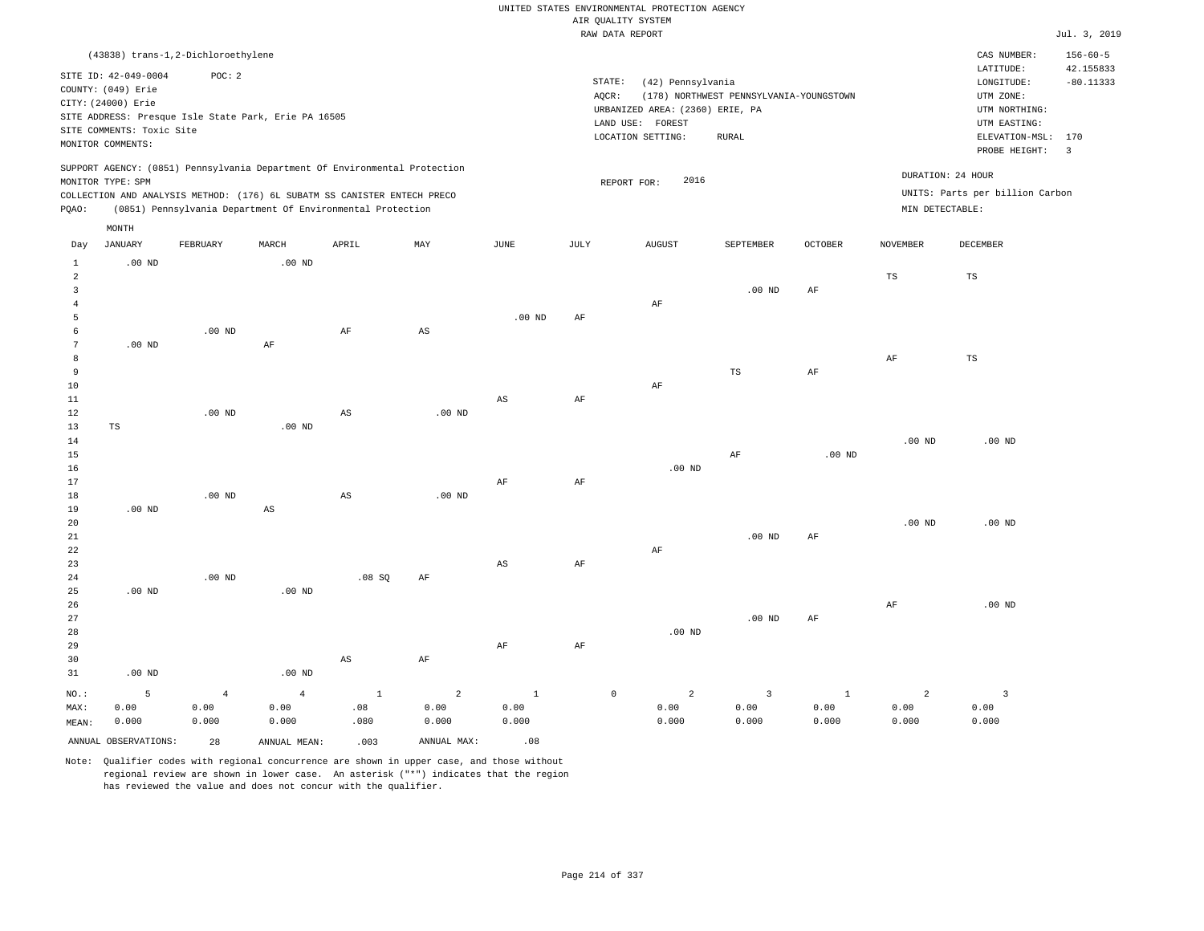RAW DATA REPORT Jul. 3, 2019 UNITED STATES ENVIRONMENTAL PROTECTION AGENCY AIR QUALITY SYSTEM

|                |                           | (43838) trans-1,2-Dichloroethylene |                                                                            |              |                   |               |                 |                                 |                                         |                   |                   | CAS NUMBER:                         | $156 - 60 - 5$          |
|----------------|---------------------------|------------------------------------|----------------------------------------------------------------------------|--------------|-------------------|---------------|-----------------|---------------------------------|-----------------------------------------|-------------------|-------------------|-------------------------------------|-------------------------|
|                | SITE ID: 42-049-0004      | POC: 2                             |                                                                            |              |                   |               |                 |                                 |                                         |                   |                   | LATITUDE:                           | 42.155833               |
|                | COUNTY: (049) Erie        |                                    |                                                                            |              |                   |               | STATE:          | (42) Pennsylvania               |                                         |                   |                   | LONGITUDE:                          | $-80.11333$             |
|                | CITY: (24000) Erie        |                                    |                                                                            |              |                   |               | AQCR:           |                                 | (178) NORTHWEST PENNSYLVANIA-YOUNGSTOWN |                   |                   | UTM ZONE:                           |                         |
|                |                           |                                    | SITE ADDRESS: Presque Isle State Park, Erie PA 16505                       |              |                   |               |                 | URBANIZED AREA: (2360) ERIE, PA |                                         |                   |                   | UTM NORTHING:                       |                         |
|                | SITE COMMENTS: Toxic Site |                                    |                                                                            |              |                   |               |                 | LAND USE: FOREST                |                                         |                   |                   | UTM EASTING:                        |                         |
|                | MONITOR COMMENTS:         |                                    |                                                                            |              |                   |               |                 | LOCATION SETTING:               | RURAL                                   |                   |                   | ELEVATION-MSL: 170<br>PROBE HEIGHT: | $\overline{\mathbf{3}}$ |
|                |                           |                                    | SUPPORT AGENCY: (0851) Pennsylvania Department Of Environmental Protection |              |                   |               |                 |                                 |                                         |                   |                   |                                     |                         |
|                | MONITOR TYPE: SPM         |                                    |                                                                            |              |                   |               |                 | 2016<br>REPORT FOR:             |                                         |                   |                   | DURATION: 24 HOUR                   |                         |
|                |                           |                                    | COLLECTION AND ANALYSIS METHOD: (176) 6L SUBATM SS CANISTER ENTECH PRECO   |              |                   |               |                 |                                 |                                         |                   |                   | UNITS: Parts per billion Carbon     |                         |
| PQAO:          |                           |                                    | (0851) Pennsylvania Department Of Environmental Protection                 |              |                   |               |                 |                                 |                                         |                   | MIN DETECTABLE:   |                                     |                         |
|                | MONTH                     |                                    |                                                                            |              |                   |               |                 |                                 |                                         |                   |                   |                                     |                         |
| Day            | <b>JANUARY</b>            | FEBRUARY                           | MARCH                                                                      | APRIL        | MAY               | $_{\rm JUNE}$ | $\mathtt{JULY}$ | <b>AUGUST</b>                   | SEPTEMBER                               | OCTOBER           | <b>NOVEMBER</b>   | DECEMBER                            |                         |
| $\mathbf{1}$   | $.00$ ND                  |                                    | $.00$ ND                                                                   |              |                   |               |                 |                                 |                                         |                   |                   |                                     |                         |
| $\overline{a}$ |                           |                                    |                                                                            |              |                   |               |                 |                                 |                                         |                   | TS                | TS                                  |                         |
| $\mathbf{3}$   |                           |                                    |                                                                            |              |                   |               |                 |                                 | $.00$ ND                                | AF                |                   |                                     |                         |
| $\overline{4}$ |                           |                                    |                                                                            |              |                   |               |                 | AF                              |                                         |                   |                   |                                     |                         |
| 5              |                           |                                    |                                                                            |              |                   | $.00$ ND      | AF              |                                 |                                         |                   |                   |                                     |                         |
| 6              |                           | $.00$ ND                           |                                                                            | AF           | $_{\rm AS}$       |               |                 |                                 |                                         |                   |                   |                                     |                         |
| $\overline{7}$ | $.00$ ND                  |                                    | AF                                                                         |              |                   |               |                 |                                 |                                         |                   |                   | $_{\rm TS}$                         |                         |
| 8<br>9         |                           |                                    |                                                                            |              |                   |               |                 |                                 | TS                                      | AF                | AF                |                                     |                         |
| 10             |                           |                                    |                                                                            |              |                   |               |                 | AF                              |                                         |                   |                   |                                     |                         |
| 11             |                           |                                    |                                                                            |              |                   | AS            | AF              |                                 |                                         |                   |                   |                                     |                         |
| 12             |                           | $.00$ ND                           |                                                                            | $_{\rm AS}$  | .00 <sub>ND</sub> |               |                 |                                 |                                         |                   |                   |                                     |                         |
| 13             | $_{\rm TS}$               |                                    | .00 <sub>ND</sub>                                                          |              |                   |               |                 |                                 |                                         |                   |                   |                                     |                         |
| 14             |                           |                                    |                                                                            |              |                   |               |                 |                                 |                                         |                   | .00 <sub>ND</sub> | $.00$ ND                            |                         |
| 15             |                           |                                    |                                                                            |              |                   |               |                 |                                 | $\rm AF$                                | .00 <sub>ND</sub> |                   |                                     |                         |
| 16             |                           |                                    |                                                                            |              |                   |               |                 | $.00$ ND                        |                                         |                   |                   |                                     |                         |
| 17             |                           |                                    |                                                                            |              |                   | AF            | AF              |                                 |                                         |                   |                   |                                     |                         |
| 18             |                           | $.00$ ND                           |                                                                            | AS           | $.00$ ND          |               |                 |                                 |                                         |                   |                   |                                     |                         |
| 19             | $.00$ ND                  |                                    | $_{\rm AS}$                                                                |              |                   |               |                 |                                 |                                         |                   |                   |                                     |                         |
| 20<br>21       |                           |                                    |                                                                            |              |                   |               |                 |                                 |                                         |                   | $.00$ ND          | $.00$ ND                            |                         |
| 22             |                           |                                    |                                                                            |              |                   |               |                 | $\rm{AF}$                       | $.00$ ND                                | AF                |                   |                                     |                         |
| 23             |                           |                                    |                                                                            |              |                   | $_{\rm AS}$   | AF              |                                 |                                         |                   |                   |                                     |                         |
| 24             |                           | $.00$ ND                           |                                                                            | .08S         | AF                |               |                 |                                 |                                         |                   |                   |                                     |                         |
| 25             | $.00$ ND                  |                                    | $.00$ ND                                                                   |              |                   |               |                 |                                 |                                         |                   |                   |                                     |                         |
| 26             |                           |                                    |                                                                            |              |                   |               |                 |                                 |                                         |                   | AF                | $.00$ ND                            |                         |
| 27             |                           |                                    |                                                                            |              |                   |               |                 |                                 | $.00$ ND                                | AF                |                   |                                     |                         |
| 28             |                           |                                    |                                                                            |              |                   |               |                 | $.00$ ND                        |                                         |                   |                   |                                     |                         |
| 29             |                           |                                    |                                                                            |              |                   | $\rm{AF}$     | $\rm{AF}$       |                                 |                                         |                   |                   |                                     |                         |
| 30             |                           |                                    |                                                                            | $_{\rm AS}$  | $\rm{AF}$         |               |                 |                                 |                                         |                   |                   |                                     |                         |
| 31             | $.00$ ND                  |                                    | .00 <sub>ND</sub>                                                          |              |                   |               |                 |                                 |                                         |                   |                   |                                     |                         |
| $NO.$ :        | 5                         | $\overline{4}$                     | $\overline{4}$                                                             | $\mathbf{1}$ | $\overline{2}$    | $\mathbf{1}$  |                 | $\mathbb O$<br>$\overline{a}$   | $\overline{3}$                          | <sup>1</sup>      | $\overline{2}$    | $\overline{\mathbf{3}}$             |                         |
| MAX:           | 0.00                      | 0.00                               | 0.00                                                                       | .08          | 0.00              | 0.00          |                 | 0.00                            | 0.00                                    | 0.00              | 0.00              | 0.00                                |                         |
| MEAN:          | 0.000                     | 0.000                              | 0.000                                                                      | .080         | 0.000             | 0.000         |                 | 0.000                           | 0.000                                   | 0.000             | 0.000             | 0.000                               |                         |
|                | ANNUAL OBSERVATIONS:      | 28                                 | ANNUAL MEAN:                                                               | .003         | ANNUAL MAX:       | .08           |                 |                                 |                                         |                   |                   |                                     |                         |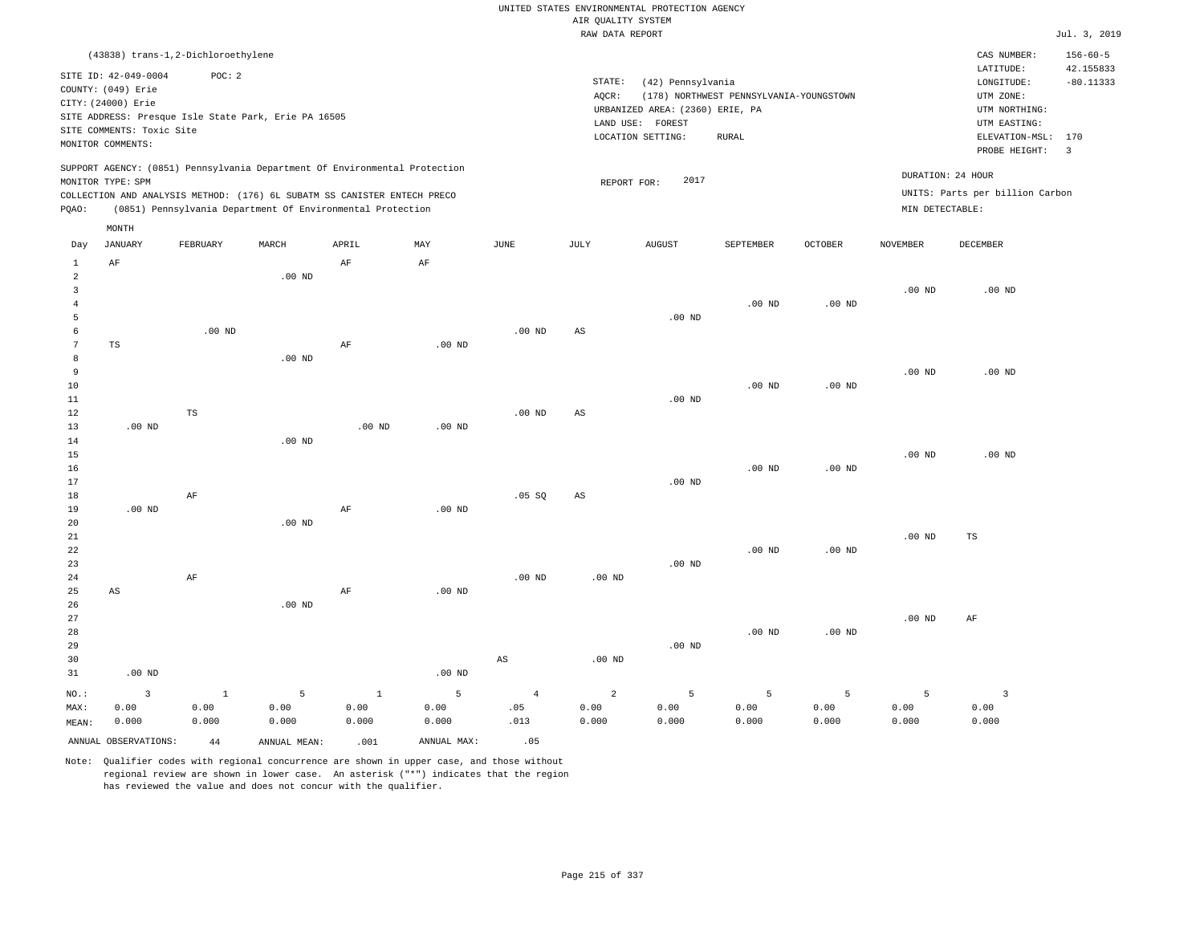|                 |                                                      |               |              |                                                                            |                   |                        | RAW DATA REPORT |                                 |                                         |                   |                   |                                 | Jul. 3, 2019            |
|-----------------|------------------------------------------------------|---------------|--------------|----------------------------------------------------------------------------|-------------------|------------------------|-----------------|---------------------------------|-----------------------------------------|-------------------|-------------------|---------------------------------|-------------------------|
|                 | (43838) trans-1,2-Dichloroethylene                   |               |              |                                                                            |                   |                        |                 |                                 |                                         |                   |                   | CAS NUMBER:                     | $156 - 60 - 5$          |
|                 |                                                      |               |              |                                                                            |                   |                        |                 |                                 |                                         |                   |                   | LATITUDE:                       | 42.155833               |
|                 | SITE ID: 42-049-0004                                 | POC: 2        |              |                                                                            |                   |                        | STATE:          | (42) Pennsylvania               |                                         |                   |                   | LONGITUDE:                      | $-80.11333$             |
|                 | COUNTY: (049) Erie                                   |               |              |                                                                            |                   |                        | AOCR:           |                                 | (178) NORTHWEST PENNSYLVANIA-YOUNGSTOWN |                   |                   | UTM ZONE:                       |                         |
|                 | CITY: (24000) Erie                                   |               |              |                                                                            |                   |                        |                 | URBANIZED AREA: (2360) ERIE, PA |                                         |                   |                   | UTM NORTHING:                   |                         |
|                 | SITE ADDRESS: Presque Isle State Park, Erie PA 16505 |               |              |                                                                            |                   |                        |                 | LAND USE: FOREST                |                                         |                   |                   | UTM EASTING:                    |                         |
|                 | SITE COMMENTS: Toxic Site                            |               |              |                                                                            |                   |                        |                 | LOCATION SETTING:               | RURAL                                   |                   |                   | ELEVATION-MSL:                  | 170                     |
|                 | MONITOR COMMENTS:                                    |               |              |                                                                            |                   |                        |                 |                                 |                                         |                   |                   | PROBE HEIGHT:                   | $\overline{\mathbf{3}}$ |
|                 |                                                      |               |              | SUPPORT AGENCY: (0851) Pennsylvania Department Of Environmental Protection |                   |                        |                 |                                 |                                         |                   |                   |                                 |                         |
|                 | MONITOR TYPE: SPM                                    |               |              |                                                                            |                   |                        | REPORT FOR:     | 2017                            |                                         |                   |                   | DURATION: 24 HOUR               |                         |
|                 |                                                      |               |              | COLLECTION AND ANALYSIS METHOD: (176) 6L SUBATM SS CANISTER ENTECH PRECO   |                   |                        |                 |                                 |                                         |                   |                   | UNITS: Parts per billion Carbon |                         |
| PQAO:           |                                                      |               |              | (0851) Pennsylvania Department Of Environmental Protection                 |                   |                        |                 |                                 |                                         |                   | MIN DETECTABLE:   |                                 |                         |
|                 | MONTH                                                |               |              |                                                                            |                   |                        |                 |                                 |                                         |                   |                   |                                 |                         |
| Day             | <b>JANUARY</b>                                       | FEBRUARY      | MARCH        | APRIL                                                                      | MAY               | JUNE                   | JULY            | <b>AUGUST</b>                   | SEPTEMBER                               | <b>OCTOBER</b>    | <b>NOVEMBER</b>   | DECEMBER                        |                         |
| 1               | $\rm AF$                                             |               |              | $\rm{AF}$                                                                  | $\rm{AF}$         |                        |                 |                                 |                                         |                   |                   |                                 |                         |
| $\overline{a}$  |                                                      |               | $.00$ ND     |                                                                            |                   |                        |                 |                                 |                                         |                   |                   |                                 |                         |
| $\mathbf{3}$    |                                                      |               |              |                                                                            |                   |                        |                 |                                 |                                         |                   | .00 <sub>ND</sub> | $.00$ ND                        |                         |
| $\overline{4}$  |                                                      |               |              |                                                                            |                   |                        |                 |                                 | $.00$ ND                                | .00 <sub>ND</sub> |                   |                                 |                         |
| 5               |                                                      |               |              |                                                                            |                   |                        |                 | $.00$ ND                        |                                         |                   |                   |                                 |                         |
| 6               |                                                      | $.00$ ND      |              |                                                                            |                   | .00 <sub>ND</sub>      | AS              |                                 |                                         |                   |                   |                                 |                         |
| $7\phantom{.0}$ | $_{\rm TS}$                                          |               |              | $\rm AF$                                                                   | $.00$ ND          |                        |                 |                                 |                                         |                   |                   |                                 |                         |
| 8               |                                                      |               | $.00$ ND     |                                                                            |                   |                        |                 |                                 |                                         |                   |                   |                                 |                         |
| 9               |                                                      |               |              |                                                                            |                   |                        |                 |                                 |                                         |                   | .00 <sub>ND</sub> | $.00$ ND                        |                         |
| 10              |                                                      |               |              |                                                                            |                   |                        |                 |                                 | $.00$ ND                                | .00 <sub>ND</sub> |                   |                                 |                         |
| 11              |                                                      |               |              |                                                                            |                   |                        |                 | $.00$ ND                        |                                         |                   |                   |                                 |                         |
| $1\,2$          |                                                      | $\mathbb{TS}$ |              |                                                                            |                   | $.00$ ND               | $_{\rm AS}$     |                                 |                                         |                   |                   |                                 |                         |
| 13              | $.00$ ND                                             |               |              | .00 <sub>ND</sub>                                                          | .00 <sub>ND</sub> |                        |                 |                                 |                                         |                   |                   |                                 |                         |
| 14              |                                                      |               | $.00$ ND     |                                                                            |                   |                        |                 |                                 |                                         |                   |                   |                                 |                         |
| 15              |                                                      |               |              |                                                                            |                   |                        |                 |                                 |                                         |                   | .00 <sub>ND</sub> | $.00$ ND                        |                         |
| 16              |                                                      |               |              |                                                                            |                   |                        |                 |                                 | $.00$ ND                                | .00 <sub>ND</sub> |                   |                                 |                         |
| 17              |                                                      |               |              |                                                                            |                   |                        |                 | $.00$ ND                        |                                         |                   |                   |                                 |                         |
| 18              |                                                      | AF            |              |                                                                            |                   | .05 SQ                 | $_{\rm AS}$     |                                 |                                         |                   |                   |                                 |                         |
| 19              | $.00$ ND                                             |               |              | AF                                                                         | $.00$ ND          |                        |                 |                                 |                                         |                   |                   |                                 |                         |
| 20              |                                                      |               | $.00$ ND     |                                                                            |                   |                        |                 |                                 |                                         |                   |                   |                                 |                         |
| 21              |                                                      |               |              |                                                                            |                   |                        |                 |                                 |                                         |                   | .00 <sub>ND</sub> | $_{\rm TS}$                     |                         |
| 22              |                                                      |               |              |                                                                            |                   |                        |                 |                                 | $.00$ ND                                | $.00$ ND          |                   |                                 |                         |
| 23              |                                                      |               |              |                                                                            |                   |                        |                 | $.00$ ND                        |                                         |                   |                   |                                 |                         |
| 24              |                                                      | $\rm AF$      |              |                                                                            |                   | .00 <sub>ND</sub>      | $.00$ ND        |                                 |                                         |                   |                   |                                 |                         |
| 25              | AS                                                   |               |              | $\rm AF$                                                                   | $.00$ ND          |                        |                 |                                 |                                         |                   |                   |                                 |                         |
| 26              |                                                      |               | $.00$ ND     |                                                                            |                   |                        |                 |                                 |                                         |                   |                   |                                 |                         |
| 27              |                                                      |               |              |                                                                            |                   |                        |                 |                                 |                                         |                   | .00 <sub>ND</sub> | AF                              |                         |
| 28              |                                                      |               |              |                                                                            |                   |                        |                 |                                 | $.00$ ND                                | .00 <sub>ND</sub> |                   |                                 |                         |
| 29              |                                                      |               |              |                                                                            |                   |                        |                 | $.00$ ND                        |                                         |                   |                   |                                 |                         |
| 30              |                                                      |               |              |                                                                            |                   | $\mathbb{A}\mathbb{S}$ | $.00$ ND        |                                 |                                         |                   |                   |                                 |                         |
| 31              | $.00$ ND                                             |               |              |                                                                            | .00 <sub>ND</sub> |                        |                 |                                 |                                         |                   |                   |                                 |                         |
| NO.:            | $\overline{3}$                                       | $\mathbf{1}$  | 5            | $\mathbf{1}$                                                               | 5                 | $\overline{4}$         | $\overline{a}$  | 5                               | 5                                       | 5                 | 5                 | $\overline{\mathbf{3}}$         |                         |
| MAX:            | 0.00                                                 | 0.00          | 0.00         | 0.00                                                                       | 0.00              | .05                    | 0.00            | 0.00                            | 0.00                                    | 0.00              | 0.00              | 0.00                            |                         |
| MEAN:           | 0.000                                                | 0.000         | 0.000        | 0.000                                                                      | 0.000             | .013                   | 0.000           | 0.000                           | 0.000                                   | 0.000             | 0.000             | 0.000                           |                         |
|                 | ANNUAL OBSERVATIONS:                                 | 44            | ANNUAL MEAN: | .001                                                                       | ANNUAL MAX:       | .05                    |                 |                                 |                                         |                   |                   |                                 |                         |
|                 |                                                      |               |              |                                                                            |                   |                        |                 |                                 |                                         |                   |                   |                                 |                         |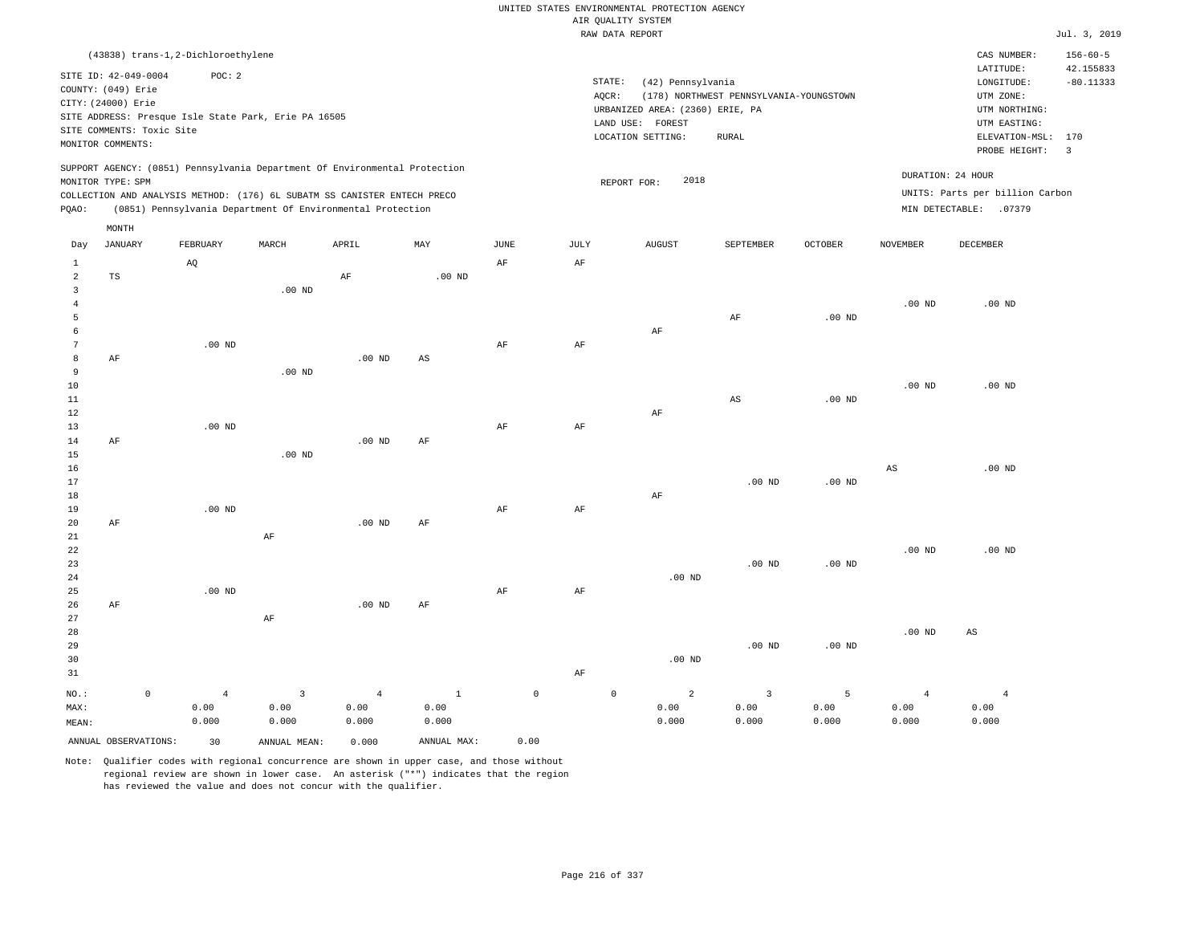|                                  |                                                                  |                                                                                                                                        |                    |                                 |                               |                   |                   | UNITED STATES ENVIRONMENTAL PROTECTION AGENCY<br>AIR QUALITY SYSTEM     |                                         |                    |                                 |                                                           |                                |
|----------------------------------|------------------------------------------------------------------|----------------------------------------------------------------------------------------------------------------------------------------|--------------------|---------------------------------|-------------------------------|-------------------|-------------------|-------------------------------------------------------------------------|-----------------------------------------|--------------------|---------------------------------|-----------------------------------------------------------|--------------------------------|
|                                  |                                                                  |                                                                                                                                        |                    |                                 |                               |                   |                   | RAW DATA REPORT                                                         |                                         |                    |                                 |                                                           | Jul. 3, 2019                   |
|                                  |                                                                  | (43838) trans-1,2-Dichloroethylene                                                                                                     |                    |                                 |                               |                   |                   |                                                                         |                                         |                    |                                 | CAS NUMBER:                                               | $156 - 60 - 5$                 |
|                                  | SITE ID: 42-049-0004<br>COUNTY: (049) Erie<br>CITY: (24000) Erie | POC: 2<br>SITE ADDRESS: Presque Isle State Park, Erie PA 16505                                                                         |                    |                                 |                               |                   |                   | STATE:<br>(42) Pennsylvania<br>AQCR:<br>URBANIZED AREA: (2360) ERIE, PA | (178) NORTHWEST PENNSYLVANIA-YOUNGSTOWN |                    |                                 | LATITUDE:<br>LONGITUDE:<br>UTM ZONE:<br>UTM NORTHING:     | 42.155833<br>$-80.11333$       |
|                                  | SITE COMMENTS: Toxic Site<br>MONITOR COMMENTS:                   |                                                                                                                                        |                    |                                 |                               |                   |                   | LAND USE: FOREST<br>LOCATION SETTING:                                   | ${\tt RURAL}$                           |                    |                                 | UTM EASTING:<br>ELEVATION-MSL:<br>PROBE HEIGHT:           | 170<br>$\overline{\mathbf{3}}$ |
|                                  | MONITOR TYPE: SPM                                                | SUPPORT AGENCY: (0851) Pennsylvania Department Of Environmental Protection                                                             |                    |                                 |                               |                   |                   | 2018<br>REPORT FOR:                                                     |                                         |                    |                                 | DURATION: 24 HOUR                                         |                                |
| PQAO:                            |                                                                  | COLLECTION AND ANALYSIS METHOD: (176) 6L SUBATM SS CANISTER ENTECH PRECO<br>(0851) Pennsylvania Department Of Environmental Protection |                    |                                 |                               |                   |                   |                                                                         |                                         |                    |                                 | UNITS: Parts per billion Carbon<br>MIN DETECTABLE: .07379 |                                |
|                                  | MONTH                                                            |                                                                                                                                        |                    |                                 |                               |                   |                   |                                                                         |                                         |                    |                                 |                                                           |                                |
| Day<br>$\mathbf{1}$              | <b>JANUARY</b>                                                   | FEBRUARY<br>AQ                                                                                                                         | MARCH              | APRIL                           | MAY                           | <b>JUNE</b><br>AF | <b>JULY</b><br>AF | <b>AUGUST</b>                                                           | SEPTEMBER                               | <b>OCTOBER</b>     | <b>NOVEMBER</b>                 | <b>DECEMBER</b>                                           |                                |
| $\overline{2}$<br>$\overline{3}$ | TS                                                               |                                                                                                                                        | $.00$ ND           | $\rm{AF}$                       | $.00$ ND                      |                   |                   |                                                                         |                                         |                    |                                 |                                                           |                                |
| $\overline{4}$<br>5<br>6         |                                                                  |                                                                                                                                        |                    |                                 |                               |                   |                   | AF                                                                      | AF                                      | $.00$ ND           | .00 <sub>ND</sub>               | $.00$ ND                                                  |                                |
| 7<br>8<br>9                      | AF                                                               | $.00$ ND                                                                                                                               | .00 <sub>ND</sub>  | $.00$ ND                        | AS                            | $\rm{AF}$         | AF                |                                                                         |                                         |                    |                                 |                                                           |                                |
| 10<br>11<br>12                   |                                                                  |                                                                                                                                        |                    |                                 |                               |                   |                   | AF                                                                      | $\mathbb{A}\mathbb{S}$                  | .00 <sub>ND</sub>  | $.00$ ND                        | $.00$ ND                                                  |                                |
| 13<br>$1\,4$<br>15               | AF                                                               | $.00$ ND                                                                                                                               | $.00$ ND           | .00 <sub>ND</sub>               | AF                            | $\rm{AF}$         | AF                |                                                                         |                                         |                    |                                 |                                                           |                                |
| 16<br>17<br>$1\,8$               |                                                                  |                                                                                                                                        |                    |                                 |                               |                   |                   | AF                                                                      | $.00$ ND                                | $.00$ ND           | $\mathbb{A}\mathbb{S}$          | $.00$ ND                                                  |                                |
| 19<br>20<br>$2\sqrt{1}$          | AF                                                               | $.00$ ND                                                                                                                               | $\rm AF$           | .00 <sub>ND</sub>               | AF                            | AF                | $\rm{AF}$         |                                                                         |                                         |                    |                                 |                                                           |                                |
| 22<br>23<br>24                   |                                                                  |                                                                                                                                        |                    |                                 |                               |                   |                   | .00 <sub>ND</sub>                                                       | $.00$ ND                                | $.00$ ND           | $.00$ ND                        | $.00$ ND                                                  |                                |
| 25<br>26<br>27                   | AF                                                               | $.00$ ND                                                                                                                               | AF                 | $.00$ ND                        | AF                            | $\rm{AF}$         | AF                |                                                                         |                                         |                    |                                 |                                                           |                                |
| 28<br>29<br>30<br>31             |                                                                  |                                                                                                                                        |                    |                                 |                               |                   | AF                | $.00$ ND                                                                | $.00$ ND                                | $.00$ ND           | .00 <sub>ND</sub>               | $\mathbb{A}\mathbb{S}$                                    |                                |
| NO.:<br>MAX:<br>MEAN:            | $\mathbb O$                                                      | $\overline{4}$<br>0.00<br>0.000                                                                                                        | 3<br>0.00<br>0.000 | $\overline{4}$<br>0.00<br>0.000 | <sup>1</sup><br>0.00<br>0.000 |                   | $\mathbb O$       | $\mathbb O$<br>$\overline{a}$<br>0.00<br>0.000                          | $\mathbf{3}$<br>0.00<br>0.000           | 5<br>0.00<br>0.000 | $\overline{4}$<br>0.00<br>0.000 | $\overline{4}$<br>0.00<br>0.000                           |                                |

Note: Qualifier codes with regional concurrence are shown in upper case, and those without regional review are shown in lower case. An asterisk ("\*") indicates that the region has reviewed the value and does not concur with the qualifier.

ANNUAL OBSERVATIONS: 30 ANNUAL MEAN: 0.000 ANNUAL MAX: 0.00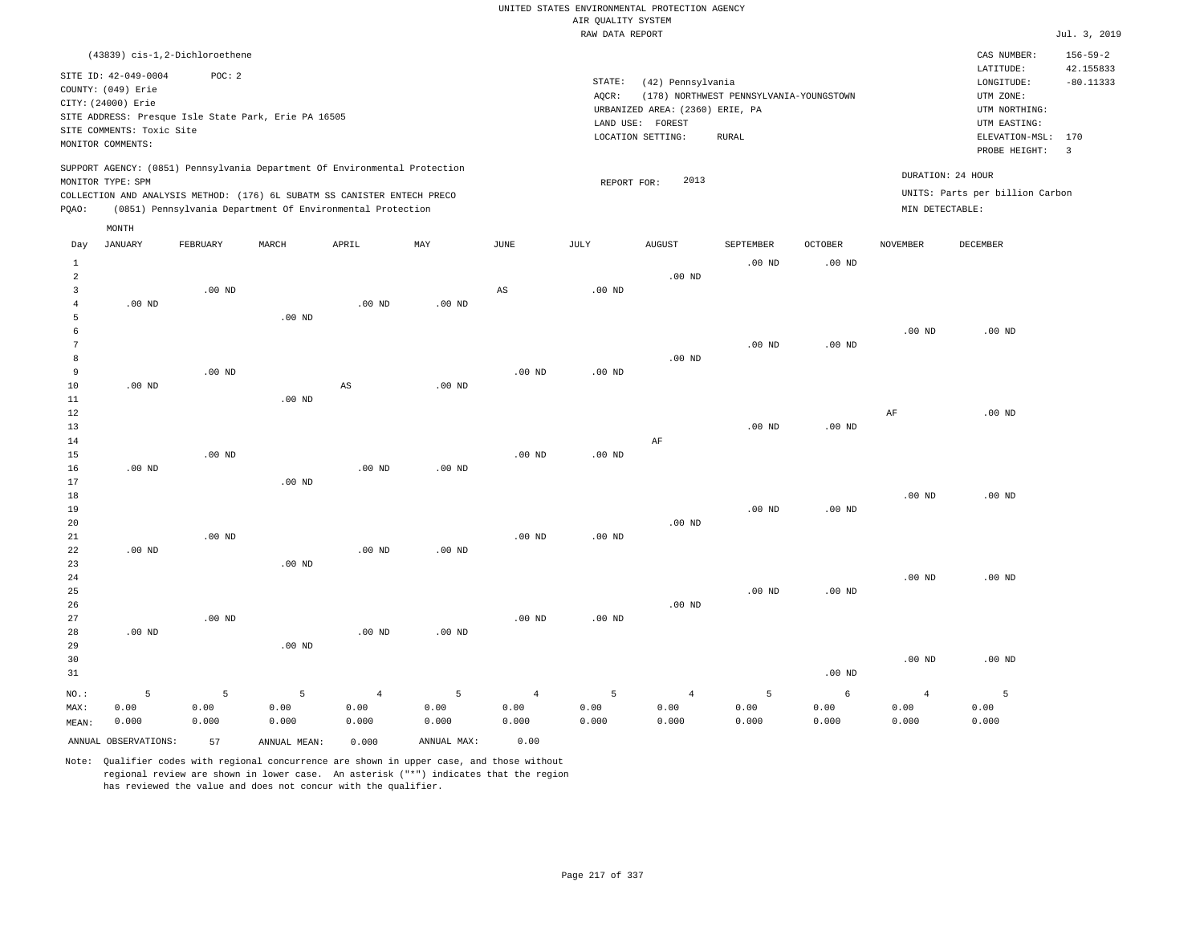| $156 - 59 - 2$<br>(43839) cis-1,2-Dichloroethene<br>CAS NUMBER:<br>42.155833<br>LATITUDE:<br>POC: 2<br>SITE ID: 42-049-0004<br>STATE:<br>$-80.11333$<br>(42) Pennsylvania<br>LONGITUDE:<br>COUNTY: (049) Erie<br>AQCR:<br>(178) NORTHWEST PENNSYLVANIA-YOUNGSTOWN<br>UTM ZONE:<br>CITY: (24000) Erie<br>URBANIZED AREA: (2360) ERIE, PA<br>UTM NORTHING:<br>SITE ADDRESS: Presque Isle State Park, Erie PA 16505<br>LAND USE: FOREST<br>UTM EASTING:<br>SITE COMMENTS: Toxic Site<br>LOCATION SETTING:<br><b>RURAL</b><br>ELEVATION-MSL: 170<br>MONITOR COMMENTS:<br>PROBE HEIGHT:<br>$\overline{3}$<br>SUPPORT AGENCY: (0851) Pennsylvania Department Of Environmental Protection<br>DURATION: 24 HOUR<br>2013<br>MONITOR TYPE: SPM<br>REPORT FOR:<br>UNITS: Parts per billion Carbon<br>COLLECTION AND ANALYSIS METHOD: (176) 6L SUBATM SS CANISTER ENTECH PRECO<br>(0851) Pennsylvania Department Of Environmental Protection<br>MIN DETECTABLE:<br>MONTH<br><b>JANUARY</b><br>MARCH<br>APRIL<br>MAY<br><b>JUNE</b><br>JULY<br><b>AUGUST</b><br>SEPTEMBER<br><b>OCTOBER</b><br><b>NOVEMBER</b><br><b>DECEMBER</b><br>FEBRUARY<br>Day<br>$.00$ ND<br>.00 <sub>ND</sub><br>$\mathbf{1}$<br>2<br>$.00$ ND |       |  |  |  | RAW DATA REPORT |  |  | Jul. 3, 2019 |
|-----------------------------------------------------------------------------------------------------------------------------------------------------------------------------------------------------------------------------------------------------------------------------------------------------------------------------------------------------------------------------------------------------------------------------------------------------------------------------------------------------------------------------------------------------------------------------------------------------------------------------------------------------------------------------------------------------------------------------------------------------------------------------------------------------------------------------------------------------------------------------------------------------------------------------------------------------------------------------------------------------------------------------------------------------------------------------------------------------------------------------------------------------------------------------------------------------------|-------|--|--|--|-----------------|--|--|--------------|
|                                                                                                                                                                                                                                                                                                                                                                                                                                                                                                                                                                                                                                                                                                                                                                                                                                                                                                                                                                                                                                                                                                                                                                                                           |       |  |  |  |                 |  |  |              |
|                                                                                                                                                                                                                                                                                                                                                                                                                                                                                                                                                                                                                                                                                                                                                                                                                                                                                                                                                                                                                                                                                                                                                                                                           |       |  |  |  |                 |  |  |              |
|                                                                                                                                                                                                                                                                                                                                                                                                                                                                                                                                                                                                                                                                                                                                                                                                                                                                                                                                                                                                                                                                                                                                                                                                           |       |  |  |  |                 |  |  |              |
|                                                                                                                                                                                                                                                                                                                                                                                                                                                                                                                                                                                                                                                                                                                                                                                                                                                                                                                                                                                                                                                                                                                                                                                                           |       |  |  |  |                 |  |  |              |
|                                                                                                                                                                                                                                                                                                                                                                                                                                                                                                                                                                                                                                                                                                                                                                                                                                                                                                                                                                                                                                                                                                                                                                                                           |       |  |  |  |                 |  |  |              |
|                                                                                                                                                                                                                                                                                                                                                                                                                                                                                                                                                                                                                                                                                                                                                                                                                                                                                                                                                                                                                                                                                                                                                                                                           |       |  |  |  |                 |  |  |              |
|                                                                                                                                                                                                                                                                                                                                                                                                                                                                                                                                                                                                                                                                                                                                                                                                                                                                                                                                                                                                                                                                                                                                                                                                           |       |  |  |  |                 |  |  |              |
|                                                                                                                                                                                                                                                                                                                                                                                                                                                                                                                                                                                                                                                                                                                                                                                                                                                                                                                                                                                                                                                                                                                                                                                                           |       |  |  |  |                 |  |  |              |
|                                                                                                                                                                                                                                                                                                                                                                                                                                                                                                                                                                                                                                                                                                                                                                                                                                                                                                                                                                                                                                                                                                                                                                                                           |       |  |  |  |                 |  |  |              |
|                                                                                                                                                                                                                                                                                                                                                                                                                                                                                                                                                                                                                                                                                                                                                                                                                                                                                                                                                                                                                                                                                                                                                                                                           |       |  |  |  |                 |  |  |              |
|                                                                                                                                                                                                                                                                                                                                                                                                                                                                                                                                                                                                                                                                                                                                                                                                                                                                                                                                                                                                                                                                                                                                                                                                           |       |  |  |  |                 |  |  |              |
|                                                                                                                                                                                                                                                                                                                                                                                                                                                                                                                                                                                                                                                                                                                                                                                                                                                                                                                                                                                                                                                                                                                                                                                                           | PQAO: |  |  |  |                 |  |  |              |
|                                                                                                                                                                                                                                                                                                                                                                                                                                                                                                                                                                                                                                                                                                                                                                                                                                                                                                                                                                                                                                                                                                                                                                                                           |       |  |  |  |                 |  |  |              |
|                                                                                                                                                                                                                                                                                                                                                                                                                                                                                                                                                                                                                                                                                                                                                                                                                                                                                                                                                                                                                                                                                                                                                                                                           |       |  |  |  |                 |  |  |              |
|                                                                                                                                                                                                                                                                                                                                                                                                                                                                                                                                                                                                                                                                                                                                                                                                                                                                                                                                                                                                                                                                                                                                                                                                           |       |  |  |  |                 |  |  |              |
|                                                                                                                                                                                                                                                                                                                                                                                                                                                                                                                                                                                                                                                                                                                                                                                                                                                                                                                                                                                                                                                                                                                                                                                                           |       |  |  |  |                 |  |  |              |
| $.00$ ND<br>$.00$ ND<br>3<br>$_{\rm AS}$                                                                                                                                                                                                                                                                                                                                                                                                                                                                                                                                                                                                                                                                                                                                                                                                                                                                                                                                                                                                                                                                                                                                                                  |       |  |  |  |                 |  |  |              |
| $.00$ ND<br>$.00$ ND<br>.00 <sub>ND</sub><br>$\overline{4}$                                                                                                                                                                                                                                                                                                                                                                                                                                                                                                                                                                                                                                                                                                                                                                                                                                                                                                                                                                                                                                                                                                                                               |       |  |  |  |                 |  |  |              |
| 5<br>$.00$ ND                                                                                                                                                                                                                                                                                                                                                                                                                                                                                                                                                                                                                                                                                                                                                                                                                                                                                                                                                                                                                                                                                                                                                                                             |       |  |  |  |                 |  |  |              |
| $.00$ ND<br>$.00$ ND<br>6                                                                                                                                                                                                                                                                                                                                                                                                                                                                                                                                                                                                                                                                                                                                                                                                                                                                                                                                                                                                                                                                                                                                                                                 |       |  |  |  |                 |  |  |              |
| $\overline{7}$<br>$.00$ ND<br>.00 <sub>ND</sub>                                                                                                                                                                                                                                                                                                                                                                                                                                                                                                                                                                                                                                                                                                                                                                                                                                                                                                                                                                                                                                                                                                                                                           |       |  |  |  |                 |  |  |              |
| $.00$ ND<br>8                                                                                                                                                                                                                                                                                                                                                                                                                                                                                                                                                                                                                                                                                                                                                                                                                                                                                                                                                                                                                                                                                                                                                                                             |       |  |  |  |                 |  |  |              |
| 9<br>$.00$ ND<br>.00 <sub>ND</sub><br>$.00$ ND                                                                                                                                                                                                                                                                                                                                                                                                                                                                                                                                                                                                                                                                                                                                                                                                                                                                                                                                                                                                                                                                                                                                                            |       |  |  |  |                 |  |  |              |
| 10<br>$.00$ ND<br>AS<br>.00 <sub>ND</sub>                                                                                                                                                                                                                                                                                                                                                                                                                                                                                                                                                                                                                                                                                                                                                                                                                                                                                                                                                                                                                                                                                                                                                                 |       |  |  |  |                 |  |  |              |
| 11<br>.00 <sub>ND</sub>                                                                                                                                                                                                                                                                                                                                                                                                                                                                                                                                                                                                                                                                                                                                                                                                                                                                                                                                                                                                                                                                                                                                                                                   |       |  |  |  |                 |  |  |              |
| 12<br>$.00$ ND<br>$\rm AF$                                                                                                                                                                                                                                                                                                                                                                                                                                                                                                                                                                                                                                                                                                                                                                                                                                                                                                                                                                                                                                                                                                                                                                                |       |  |  |  |                 |  |  |              |
| 13<br>$.00$ ND<br>.00 <sub>ND</sub>                                                                                                                                                                                                                                                                                                                                                                                                                                                                                                                                                                                                                                                                                                                                                                                                                                                                                                                                                                                                                                                                                                                                                                       |       |  |  |  |                 |  |  |              |
| 14<br>AF                                                                                                                                                                                                                                                                                                                                                                                                                                                                                                                                                                                                                                                                                                                                                                                                                                                                                                                                                                                                                                                                                                                                                                                                  |       |  |  |  |                 |  |  |              |
| 15<br>$.00$ ND<br>.00 <sub>ND</sub><br>.00 <sub>ND</sub>                                                                                                                                                                                                                                                                                                                                                                                                                                                                                                                                                                                                                                                                                                                                                                                                                                                                                                                                                                                                                                                                                                                                                  |       |  |  |  |                 |  |  |              |
| 16<br>$.00$ ND<br>$.00$ ND<br>.00 <sub>ND</sub>                                                                                                                                                                                                                                                                                                                                                                                                                                                                                                                                                                                                                                                                                                                                                                                                                                                                                                                                                                                                                                                                                                                                                           |       |  |  |  |                 |  |  |              |
| 17<br>.00 <sub>ND</sub>                                                                                                                                                                                                                                                                                                                                                                                                                                                                                                                                                                                                                                                                                                                                                                                                                                                                                                                                                                                                                                                                                                                                                                                   |       |  |  |  |                 |  |  |              |
| 18<br>.00 <sub>ND</sub><br>$.00$ ND                                                                                                                                                                                                                                                                                                                                                                                                                                                                                                                                                                                                                                                                                                                                                                                                                                                                                                                                                                                                                                                                                                                                                                       |       |  |  |  |                 |  |  |              |
| 19<br>$.00$ ND<br>.00 <sub>ND</sub>                                                                                                                                                                                                                                                                                                                                                                                                                                                                                                                                                                                                                                                                                                                                                                                                                                                                                                                                                                                                                                                                                                                                                                       |       |  |  |  |                 |  |  |              |
| 20<br>$.00$ ND                                                                                                                                                                                                                                                                                                                                                                                                                                                                                                                                                                                                                                                                                                                                                                                                                                                                                                                                                                                                                                                                                                                                                                                            |       |  |  |  |                 |  |  |              |
| 21<br>$.00$ ND<br>.00 <sub>ND</sub><br>$.00$ ND                                                                                                                                                                                                                                                                                                                                                                                                                                                                                                                                                                                                                                                                                                                                                                                                                                                                                                                                                                                                                                                                                                                                                           |       |  |  |  |                 |  |  |              |
| 22<br>$.00$ ND<br>$.00$ ND<br>$.00$ ND                                                                                                                                                                                                                                                                                                                                                                                                                                                                                                                                                                                                                                                                                                                                                                                                                                                                                                                                                                                                                                                                                                                                                                    |       |  |  |  |                 |  |  |              |
| 23<br>.00 <sub>ND</sub>                                                                                                                                                                                                                                                                                                                                                                                                                                                                                                                                                                                                                                                                                                                                                                                                                                                                                                                                                                                                                                                                                                                                                                                   |       |  |  |  |                 |  |  |              |
| 24<br>.00 <sub>ND</sub><br>$.00$ ND                                                                                                                                                                                                                                                                                                                                                                                                                                                                                                                                                                                                                                                                                                                                                                                                                                                                                                                                                                                                                                                                                                                                                                       |       |  |  |  |                 |  |  |              |
| 25<br>$.00$ ND<br>.00 <sub>ND</sub>                                                                                                                                                                                                                                                                                                                                                                                                                                                                                                                                                                                                                                                                                                                                                                                                                                                                                                                                                                                                                                                                                                                                                                       |       |  |  |  |                 |  |  |              |
| 26<br>$.00$ ND                                                                                                                                                                                                                                                                                                                                                                                                                                                                                                                                                                                                                                                                                                                                                                                                                                                                                                                                                                                                                                                                                                                                                                                            |       |  |  |  |                 |  |  |              |
| 27<br>$.00$ ND<br>.00 <sub>ND</sub><br>$.00$ ND                                                                                                                                                                                                                                                                                                                                                                                                                                                                                                                                                                                                                                                                                                                                                                                                                                                                                                                                                                                                                                                                                                                                                           |       |  |  |  |                 |  |  |              |
| 28<br>$.00$ ND<br>.00 <sub>ND</sub><br>.00 <sub>ND</sub>                                                                                                                                                                                                                                                                                                                                                                                                                                                                                                                                                                                                                                                                                                                                                                                                                                                                                                                                                                                                                                                                                                                                                  |       |  |  |  |                 |  |  |              |
| 29<br>.00 <sub>ND</sub>                                                                                                                                                                                                                                                                                                                                                                                                                                                                                                                                                                                                                                                                                                                                                                                                                                                                                                                                                                                                                                                                                                                                                                                   |       |  |  |  |                 |  |  |              |
| 30<br>$.00$ ND<br>$.00$ ND                                                                                                                                                                                                                                                                                                                                                                                                                                                                                                                                                                                                                                                                                                                                                                                                                                                                                                                                                                                                                                                                                                                                                                                |       |  |  |  |                 |  |  |              |
| 31<br>.00 <sub>ND</sub>                                                                                                                                                                                                                                                                                                                                                                                                                                                                                                                                                                                                                                                                                                                                                                                                                                                                                                                                                                                                                                                                                                                                                                                   |       |  |  |  |                 |  |  |              |
| 5<br>5<br>5<br>5<br>5<br>$\overline{4}$<br>5<br>$\overline{4}$<br>$\overline{4}$<br>5<br>6<br>$\overline{4}$<br>NO.:                                                                                                                                                                                                                                                                                                                                                                                                                                                                                                                                                                                                                                                                                                                                                                                                                                                                                                                                                                                                                                                                                      |       |  |  |  |                 |  |  |              |
| 0.00<br>0.00<br>0.00<br>0.00<br>0.00<br>0.00<br>0.00<br>0.00<br>0.00<br>0.00<br>0.00<br>0.00<br>MAX:                                                                                                                                                                                                                                                                                                                                                                                                                                                                                                                                                                                                                                                                                                                                                                                                                                                                                                                                                                                                                                                                                                      |       |  |  |  |                 |  |  |              |
| 0.000<br>0.000<br>0.000<br>0.000<br>0.000<br>0.000<br>0.000<br>0.000<br>0.000<br>0.000<br>0.000<br>0.000<br>MEAN:                                                                                                                                                                                                                                                                                                                                                                                                                                                                                                                                                                                                                                                                                                                                                                                                                                                                                                                                                                                                                                                                                         |       |  |  |  |                 |  |  |              |
| ANNUAL OBSERVATIONS:<br>ANNUAL MAX:<br>0.00<br>57<br>ANNUAL MEAN:<br>0.000                                                                                                                                                                                                                                                                                                                                                                                                                                                                                                                                                                                                                                                                                                                                                                                                                                                                                                                                                                                                                                                                                                                                |       |  |  |  |                 |  |  |              |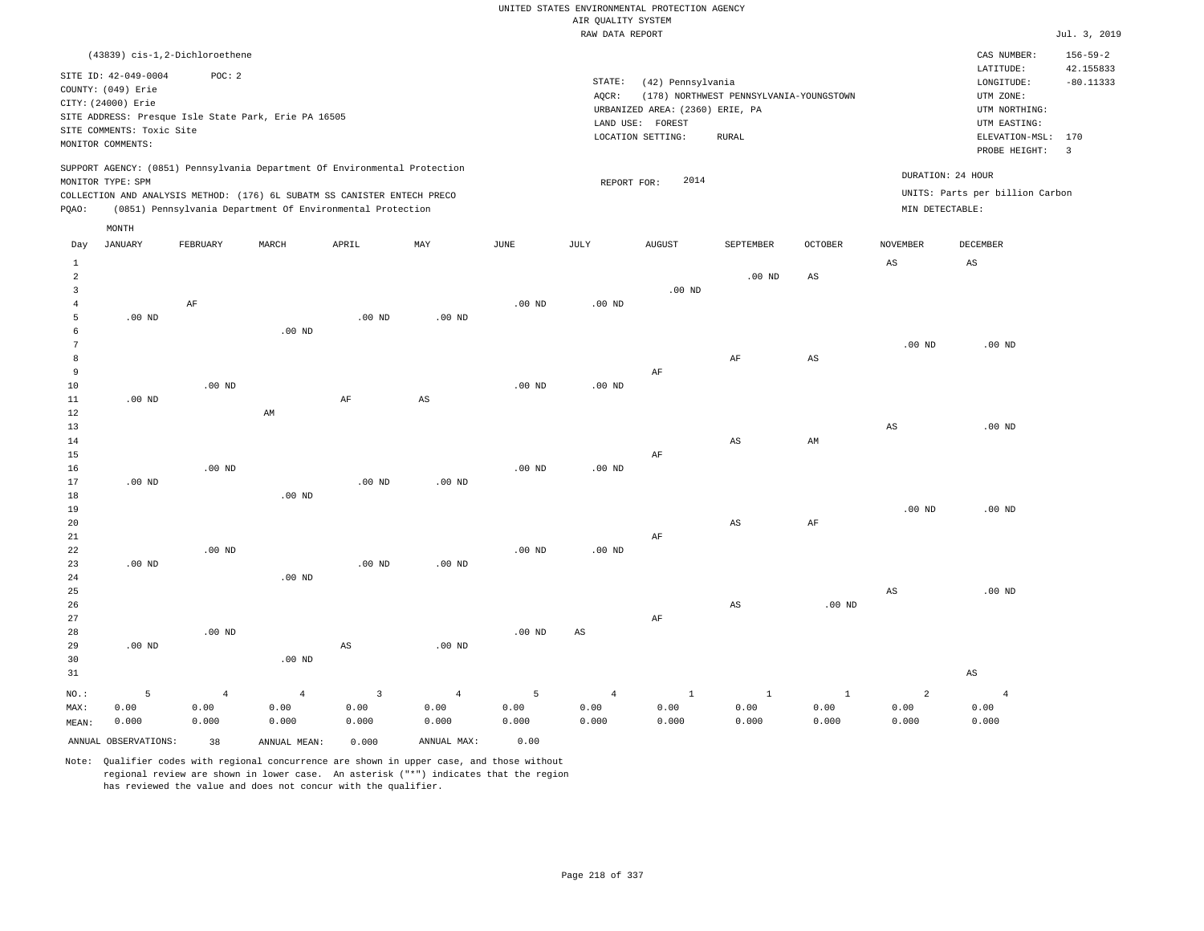|                | (43839) cis-1,2-Dichloroethene |                   |                                                                            |                   |                   |             |                        |                                 |                                         |                |                   | CAS NUMBER:                     | $156 - 59 - 2$           |
|----------------|--------------------------------|-------------------|----------------------------------------------------------------------------|-------------------|-------------------|-------------|------------------------|---------------------------------|-----------------------------------------|----------------|-------------------|---------------------------------|--------------------------|
|                | SITE ID: 42-049-0004           | POC: 2            |                                                                            |                   |                   |             | STATE:                 | (42) Pennsylvania               |                                         |                |                   | LATITUDE:<br>LONGITUDE:         | 42.155833<br>$-80.11333$ |
|                | COUNTY: (049) Erie             |                   |                                                                            |                   |                   |             | AQCR:                  |                                 | (178) NORTHWEST PENNSYLVANIA-YOUNGSTOWN |                |                   | UTM ZONE:                       |                          |
|                | CITY: (24000) Erie             |                   |                                                                            |                   |                   |             |                        | URBANIZED AREA: (2360) ERIE, PA |                                         |                |                   | UTM NORTHING:                   |                          |
|                |                                |                   | SITE ADDRESS: Presque Isle State Park, Erie PA 16505                       |                   |                   |             |                        | LAND USE: FOREST                |                                         |                |                   | UTM EASTING:                    |                          |
|                | SITE COMMENTS: Toxic Site      |                   |                                                                            |                   |                   |             |                        | LOCATION SETTING:               | <b>RURAL</b>                            |                |                   | ELEVATION-MSL:                  | 170                      |
|                | MONITOR COMMENTS:              |                   |                                                                            |                   |                   |             |                        |                                 |                                         |                |                   | PROBE HEIGHT:                   | $\overline{\mathbf{3}}$  |
|                | MONITOR TYPE: SPM              |                   | SUPPORT AGENCY: (0851) Pennsylvania Department Of Environmental Protection |                   |                   |             | REPORT FOR:            | 2014                            |                                         |                |                   | DURATION: 24 HOUR               |                          |
|                |                                |                   | COLLECTION AND ANALYSIS METHOD: (176) 6L SUBATM SS CANISTER ENTECH PRECO   |                   |                   |             |                        |                                 |                                         |                |                   | UNITS: Parts per billion Carbon |                          |
| PQAO:          |                                |                   | (0851) Pennsylvania Department Of Environmental Protection                 |                   |                   |             |                        |                                 |                                         |                | MIN DETECTABLE:   |                                 |                          |
|                | MONTH                          |                   |                                                                            |                   |                   |             |                        |                                 |                                         |                |                   |                                 |                          |
| Day            | <b>JANUARY</b>                 | FEBRUARY          | MARCH                                                                      | APRIL             | MAY               | <b>JUNE</b> | JULY                   | <b>AUGUST</b>                   | SEPTEMBER                               | <b>OCTOBER</b> | <b>NOVEMBER</b>   | <b>DECEMBER</b>                 |                          |
| $\mathbf{1}$   |                                |                   |                                                                            |                   |                   |             |                        |                                 |                                         |                | AS                | $_{\rm AS}$                     |                          |
| $\overline{a}$ |                                |                   |                                                                            |                   |                   |             |                        |                                 | $.00$ ND                                | AS             |                   |                                 |                          |
| 3              |                                |                   |                                                                            |                   |                   |             |                        | $.00$ ND                        |                                         |                |                   |                                 |                          |
| $\overline{4}$ |                                | AF                |                                                                            |                   |                   | $.00$ ND    | .00 <sub>ND</sub>      |                                 |                                         |                |                   |                                 |                          |
| 5              | $.00$ ND                       |                   |                                                                            | $.00$ ND          | $.00$ ND          |             |                        |                                 |                                         |                |                   |                                 |                          |
| 6              |                                |                   | $.00$ ND                                                                   |                   |                   |             |                        |                                 |                                         |                |                   |                                 |                          |
| $\overline{7}$ |                                |                   |                                                                            |                   |                   |             |                        |                                 |                                         |                | .00 <sub>ND</sub> | $.00$ ND                        |                          |
| 8              |                                |                   |                                                                            |                   |                   |             |                        |                                 | $\rm{AF}$                               | $_{\rm AS}$    |                   |                                 |                          |
| 9              |                                |                   |                                                                            |                   |                   |             |                        | $\rm AF$                        |                                         |                |                   |                                 |                          |
| 10             |                                | $.00$ ND          |                                                                            |                   |                   | $.00$ ND    | .00 <sub>ND</sub>      |                                 |                                         |                |                   |                                 |                          |
| $11\,$<br>12   | $.00$ ND                       |                   |                                                                            | AF                | AS                |             |                        |                                 |                                         |                |                   |                                 |                          |
| 13             |                                |                   | AM                                                                         |                   |                   |             |                        |                                 |                                         |                | AS                | $.00$ ND                        |                          |
| 14             |                                |                   |                                                                            |                   |                   |             |                        |                                 | AS                                      | AM             |                   |                                 |                          |
| 15             |                                |                   |                                                                            |                   |                   |             |                        | AF                              |                                         |                |                   |                                 |                          |
| 16             |                                | $.00$ ND          |                                                                            |                   |                   | $.00$ ND    | $.00$ ND               |                                 |                                         |                |                   |                                 |                          |
| 17             | $.00$ ND                       |                   |                                                                            | .00 <sub>ND</sub> | $.00$ ND          |             |                        |                                 |                                         |                |                   |                                 |                          |
| 18             |                                |                   | $.00$ ND                                                                   |                   |                   |             |                        |                                 |                                         |                |                   |                                 |                          |
| 19             |                                |                   |                                                                            |                   |                   |             |                        |                                 |                                         |                | .00 <sub>ND</sub> | $.00$ ND                        |                          |
| 20             |                                |                   |                                                                            |                   |                   |             |                        |                                 | $\mathbb{A}\mathbb{S}$                  | AF             |                   |                                 |                          |
| 21             |                                |                   |                                                                            |                   |                   |             |                        | AF                              |                                         |                |                   |                                 |                          |
| 22             |                                | .00 <sub>ND</sub> |                                                                            |                   |                   | $.00$ ND    | .00 <sub>ND</sub>      |                                 |                                         |                |                   |                                 |                          |
| 23<br>24       | $.00$ ND                       |                   | $.00$ ND                                                                   | $.00$ ND          | .00 <sub>ND</sub> |             |                        |                                 |                                         |                |                   |                                 |                          |
| 25             |                                |                   |                                                                            |                   |                   |             |                        |                                 |                                         |                | $_{\rm AS}$       | $.00$ ND                        |                          |
| 26             |                                |                   |                                                                            |                   |                   |             |                        |                                 | AS                                      | $.00$ ND       |                   |                                 |                          |
| 27             |                                |                   |                                                                            |                   |                   |             |                        | $\rm AF$                        |                                         |                |                   |                                 |                          |
| 28             |                                | $.00$ ND          |                                                                            |                   |                   | $.00$ ND    | $\mathbb{A}\mathbb{S}$ |                                 |                                         |                |                   |                                 |                          |
| 29             | $.00$ ND                       |                   |                                                                            | AS                | $.00$ ND          |             |                        |                                 |                                         |                |                   |                                 |                          |
| 30             |                                |                   | $.00$ ND                                                                   |                   |                   |             |                        |                                 |                                         |                |                   |                                 |                          |
| 31             |                                |                   |                                                                            |                   |                   |             |                        |                                 |                                         |                |                   | $\mathbb{A}\mathbb{S}$          |                          |
| NO.:           | 5                              | $\overline{4}$    | $\overline{4}$                                                             | $\overline{3}$    | $\overline{4}$    | 5           | $\overline{4}$         | $1\,$                           | $1\,$                                   | $\mathbf{1}$   | $\overline{a}$    | $\overline{4}$                  |                          |
| MAX:           | 0.00                           | 0.00              | 0.00                                                                       | 0.00              | 0.00              | 0.00        | 0.00                   | 0.00                            | 0.00                                    | 0.00           | 0.00              | 0.00                            |                          |
| MEAN:          | 0.000                          | 0.000             | 0.000                                                                      | 0.000             | 0.000             | 0.000       | 0.000                  | 0.000                           | 0.000                                   | 0.000          | 0.000             | 0.000                           |                          |
|                | ANNUAL OBSERVATIONS:           | 38                | ANNUAL MEAN:                                                               | 0.000             | ANNUAL MAX:       | 0.00        |                        |                                 |                                         |                |                   |                                 |                          |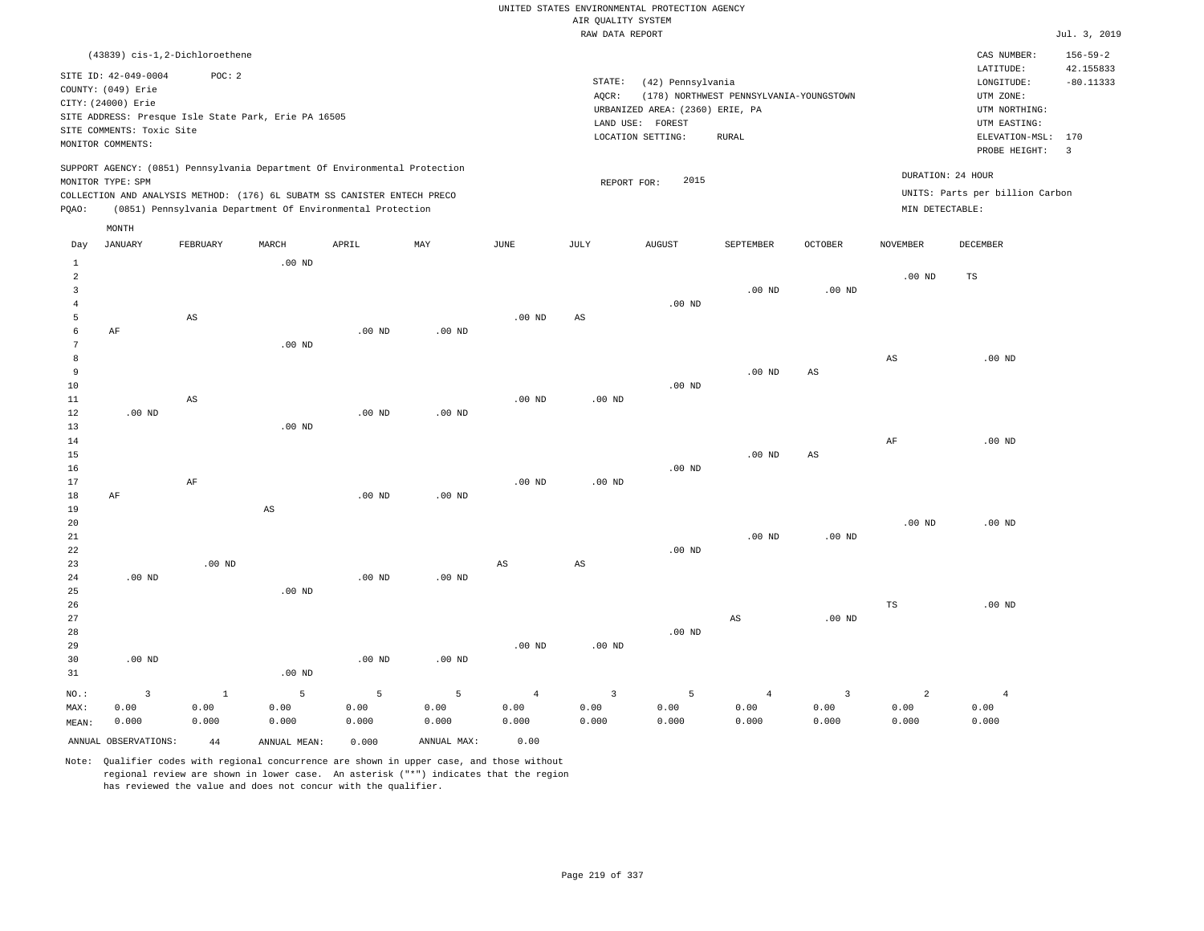|       |                           | (43839) cis-1,2-Dichloroethene |                                                                          |       |                                                                            |          |                 |                                 |                                         |                |                   | CAS NUMBER:                     | $156 - 59 - 2$ |
|-------|---------------------------|--------------------------------|--------------------------------------------------------------------------|-------|----------------------------------------------------------------------------|----------|-----------------|---------------------------------|-----------------------------------------|----------------|-------------------|---------------------------------|----------------|
|       | SITE ID: 42-049-0004      | POC: 2                         |                                                                          |       |                                                                            |          |                 |                                 |                                         |                |                   | LATITUDE:                       | 42.155833      |
|       | COUNTY: (049) Erie        |                                |                                                                          |       |                                                                            |          | STATE:<br>AQCR: | (42) Pennsylvania               | (178) NORTHWEST PENNSYLVANIA-YOUNGSTOWN |                |                   | LONGITUDE:<br>UTM ZONE:         | $-80.11333$    |
|       | CITY: (24000) Erie        |                                |                                                                          |       |                                                                            |          |                 | URBANIZED AREA: (2360) ERIE, PA |                                         |                |                   | UTM NORTHING:                   |                |
|       | SITE COMMENTS: Toxic Site |                                | SITE ADDRESS: Presque Isle State Park, Erie PA 16505                     |       |                                                                            |          |                 | LAND USE:<br>FOREST             |                                         |                |                   | UTM EASTING:                    |                |
|       | MONITOR COMMENTS:         |                                |                                                                          |       |                                                                            |          |                 | LOCATION SETTING:               | RURAL                                   |                |                   | ELEVATION-MSL:                  | 170            |
|       |                           |                                |                                                                          |       |                                                                            |          |                 |                                 |                                         |                |                   | PROBE HEIGHT:                   | -3             |
|       |                           |                                |                                                                          |       | SUPPORT AGENCY: (0851) Pennsylvania Department Of Environmental Protection |          |                 | 2015                            |                                         |                |                   | DURATION: 24 HOUR               |                |
|       | MONITOR TYPE: SPM         |                                | COLLECTION AND ANALYSIS METHOD: (176) 6L SUBATM SS CANISTER ENTECH PRECO |       |                                                                            |          |                 | REPORT FOR:                     |                                         |                |                   | UNITS: Parts per billion Carbon |                |
| POAO: |                           |                                | (0851) Pennsylvania Department Of Environmental Protection               |       |                                                                            |          |                 |                                 |                                         |                | MIN DETECTABLE:   |                                 |                |
|       | MONTH                     |                                |                                                                          |       |                                                                            |          |                 |                                 |                                         |                |                   |                                 |                |
| Day   | JANUARY                   | FEBRUARY                       | MARCH                                                                    | APRIL | MAY                                                                        | JUNE     | JULY            | AUGUST                          | SEPTEMBER                               | <b>OCTOBER</b> | <b>NOVEMBER</b>   | DECEMBER                        |                |
|       |                           |                                | $.00$ ND                                                                 |       |                                                                            |          |                 |                                 |                                         |                |                   |                                 |                |
|       |                           |                                |                                                                          |       |                                                                            |          |                 |                                 |                                         |                | .00 <sub>ND</sub> | <b>TS</b>                       |                |
|       |                           |                                |                                                                          |       |                                                                            |          |                 |                                 | $.00$ ND                                | $.00$ ND       |                   |                                 |                |
|       |                           |                                |                                                                          |       |                                                                            |          |                 | $.00$ ND                        |                                         |                |                   |                                 |                |
|       |                           | AS                             |                                                                          |       |                                                                            | $.00$ ND | AS              |                                 |                                         |                |                   |                                 |                |

| 6           | AF       |                        |                        | $.00$ ND | $.00$ ND |                        |                        |          |          |          |             |          |
|-------------|----------|------------------------|------------------------|----------|----------|------------------------|------------------------|----------|----------|----------|-------------|----------|
| 7           |          |                        | $.00$ ND               |          |          |                        |                        |          |          |          |             |          |
| 8           |          |                        |                        |          |          |                        |                        |          |          |          | AS          | $.00$ ND |
| 9           |          |                        |                        |          |          |                        |                        |          | $.00$ ND | AS       |             |          |
| 10          |          |                        |                        |          |          |                        |                        | $.00$ ND |          |          |             |          |
| $11\,$      |          | $\mathbb{A}\mathbb{S}$ |                        |          |          | .00 $ND$               | $.00$ ND               |          |          |          |             |          |
| 12          | $.00$ ND |                        |                        | $.00$ ND | $.00$ ND |                        |                        |          |          |          |             |          |
| 13          |          |                        | $.00$ ND               |          |          |                        |                        |          |          |          |             |          |
| 14          |          |                        |                        |          |          |                        |                        |          |          |          | AF          | .00 $ND$ |
| 15          |          |                        |                        |          |          |                        |                        |          | $.00$ ND | AS       |             |          |
| 16          |          |                        |                        |          |          |                        |                        | $.00$ ND |          |          |             |          |
| 17          |          | $\rm{AF}$              |                        |          |          | $.00$ ND               | $.00$ ND               |          |          |          |             |          |
| 18          | AF       |                        |                        | $.00$ ND | $.00$ ND |                        |                        |          |          |          |             |          |
| 19          |          |                        | $\mathbb{A}\mathbb{S}$ |          |          |                        |                        |          |          |          |             |          |
| 20          |          |                        |                        |          |          |                        |                        |          |          |          | $.00$ ND    | .00 $ND$ |
| $21\,$      |          |                        |                        |          |          |                        |                        |          | .00 $ND$ | $.00$ ND |             |          |
| $^{\rm 22}$ |          |                        |                        |          |          |                        |                        | .00 $ND$ |          |          |             |          |
| 23          |          | $.00$ ND               |                        |          |          | $\mathbb{A}\mathbb{S}$ | $\mathbb{A}\mathbb{S}$ |          |          |          |             |          |
| 24          | $.00$ ND |                        |                        | $.00$ ND | $.00$ ND |                        |                        |          |          |          |             |          |
| $25\,$      |          |                        | $.00$ ND               |          |          |                        |                        |          |          |          |             |          |
| $26\,$      |          |                        |                        |          |          |                        |                        |          |          |          | $_{\rm TS}$ | $.00$ ND |
| $27\,$      |          |                        |                        |          |          |                        |                        |          | AS       | .00 $ND$ |             |          |
| 28          |          |                        |                        |          |          |                        |                        | $.00$ ND |          |          |             |          |
| 29          |          |                        |                        |          |          | $.00$ ND               | $.00$ ND               |          |          |          |             |          |
| 30          | $.00$ ND |                        |                        | $.00$ ND | $.00$ ND |                        |                        |          |          |          |             |          |
| 31          |          |                        | $.00$ ND               |          |          |                        |                        |          |          |          |             |          |

| NO.:  |                      |       |              |       |             |       |       |       |       |       |       |       |
|-------|----------------------|-------|--------------|-------|-------------|-------|-------|-------|-------|-------|-------|-------|
| MAX:  | 0.00                 | 0.00  | 0.00         | 0.00  | 0.00        | 0.00  | 0.00  | 0.00  | 0.00  | 0.00  | 0.00  | 0.00  |
| MEAN: | 0.000                | 0.000 | 0.000        | 0.000 | 0.000       | 0.000 | 0.000 | 0.000 | 0.000 | 0.000 | 0.000 | 0.000 |
|       | ANNUAL OBSERVATIONS: | 44    | ANNUAL MEAN: | 0.000 | ANNUAL MAX: | 0.00  |       |       |       |       |       |       |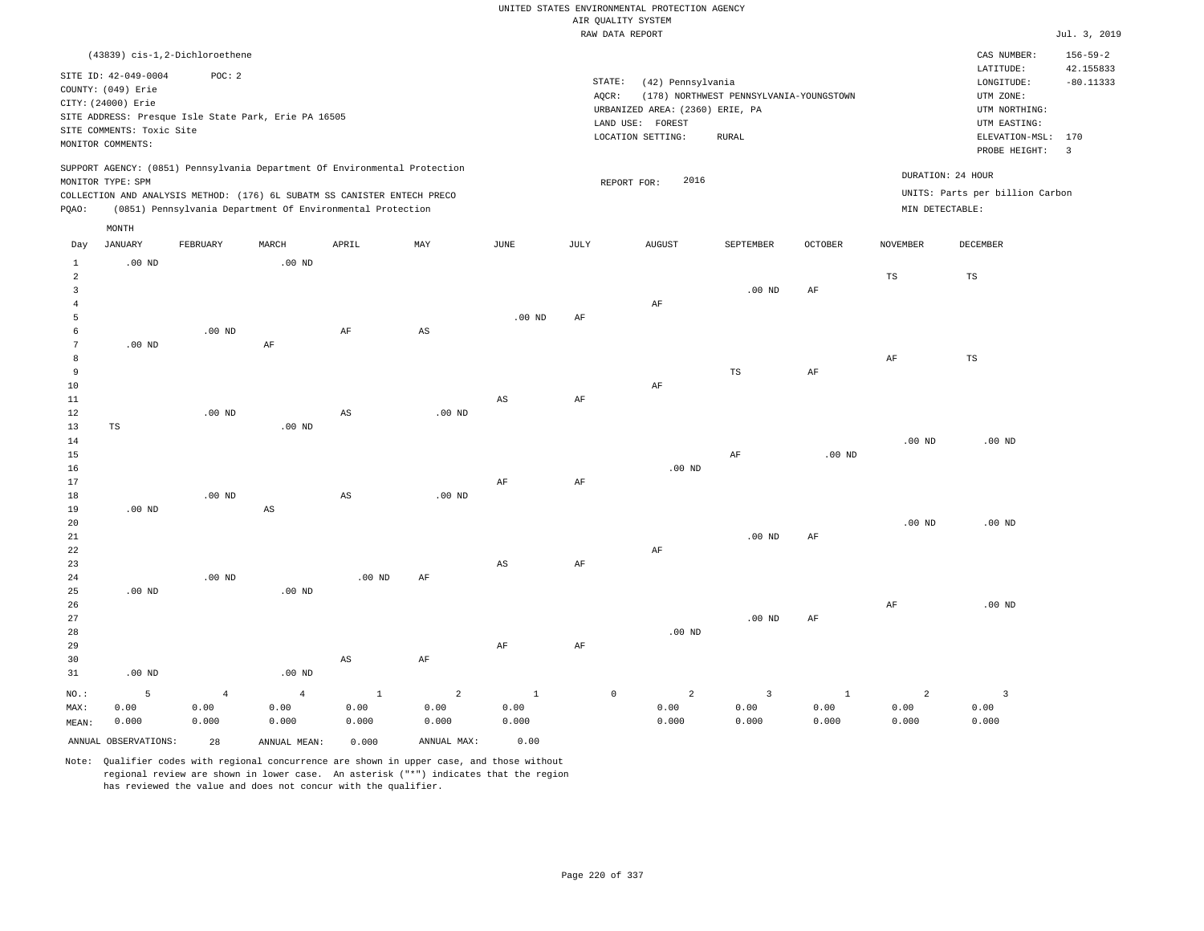|                                  |                                                                                                                    |                                                                            |                   |                        |                        |                        |          | RAW DATA REPORT                                                                             |                   |                                                         |                |                   |                                                                                         | Jul. 3, 2019                    |
|----------------------------------|--------------------------------------------------------------------------------------------------------------------|----------------------------------------------------------------------------|-------------------|------------------------|------------------------|------------------------|----------|---------------------------------------------------------------------------------------------|-------------------|---------------------------------------------------------|----------------|-------------------|-----------------------------------------------------------------------------------------|---------------------------------|
|                                  |                                                                                                                    | (43839) cis-1,2-Dichloroethene                                             |                   |                        |                        |                        |          |                                                                                             |                   |                                                         |                |                   | CAS NUMBER:                                                                             | $156 - 59 - 2$                  |
|                                  | SITE ID: 42-049-0004<br>COUNTY: (049) Erie<br>CITY: (24000) Erie<br>SITE COMMENTS: Toxic Site<br>MONITOR COMMENTS: | POC: 2<br>SITE ADDRESS: Presque Isle State Park, Erie PA 16505             |                   |                        |                        |                        |          | STATE:<br>AOCR:<br>URBANIZED AREA: (2360) ERIE, PA<br>LAND USE: FOREST<br>LOCATION SETTING: | (42) Pennsylvania | (178) NORTHWEST PENNSYLVANIA-YOUNGSTOWN<br><b>RURAL</b> |                |                   | LATITUDE:<br>LONGITUDE:<br>UTM ZONE:<br>UTM NORTHING:<br>UTM EASTING:<br>ELEVATION-MSL: | 42.155833<br>$-80.11333$<br>170 |
|                                  |                                                                                                                    |                                                                            |                   |                        |                        |                        |          |                                                                                             |                   |                                                         |                |                   | PROBE HEIGHT:                                                                           | $\overline{\mathbf{3}}$         |
|                                  | MONITOR TYPE: SPM                                                                                                  | SUPPORT AGENCY: (0851) Pennsylvania Department Of Environmental Protection |                   |                        |                        |                        |          | REPORT FOR:                                                                                 | 2016              |                                                         |                | DURATION: 24 HOUR |                                                                                         |                                 |
|                                  |                                                                                                                    | COLLECTION AND ANALYSIS METHOD: (176) 6L SUBATM SS CANISTER ENTECH PRECO   |                   |                        |                        |                        |          |                                                                                             |                   |                                                         |                |                   | UNITS: Parts per billion Carbon                                                         |                                 |
| PQAO:                            |                                                                                                                    | (0851) Pennsylvania Department Of Environmental Protection                 |                   |                        |                        |                        |          |                                                                                             |                   |                                                         |                | MIN DETECTABLE:   |                                                                                         |                                 |
|                                  | MONTH                                                                                                              |                                                                            |                   |                        |                        |                        |          |                                                                                             |                   |                                                         |                |                   |                                                                                         |                                 |
| Day                              | <b>JANUARY</b>                                                                                                     | FEBRUARY                                                                   | MARCH             | APRIL                  | MAY                    | JUNE                   | JULY     |                                                                                             | <b>AUGUST</b>     | SEPTEMBER                                               | <b>OCTOBER</b> | <b>NOVEMBER</b>   | <b>DECEMBER</b>                                                                         |                                 |
| $\mathbf{1}$                     | $.00$ ND                                                                                                           |                                                                            | .00 <sub>ND</sub> |                        |                        |                        |          |                                                                                             |                   |                                                         |                |                   |                                                                                         |                                 |
| $\overline{a}$                   |                                                                                                                    |                                                                            |                   |                        |                        |                        |          |                                                                                             |                   |                                                         |                | TS                | TS                                                                                      |                                 |
| $\overline{3}$<br>$\overline{4}$ |                                                                                                                    |                                                                            |                   |                        |                        |                        |          | $\rm AF$                                                                                    |                   | $.00$ ND                                                | $\rm{AF}$      |                   |                                                                                         |                                 |
| 5                                |                                                                                                                    |                                                                            |                   |                        |                        | .00 <sub>ND</sub>      | AF       |                                                                                             |                   |                                                         |                |                   |                                                                                         |                                 |
| 6                                |                                                                                                                    | $.00$ ND                                                                   |                   | $\rm{AF}$              | $\mathbb{A}\mathbb{S}$ |                        |          |                                                                                             |                   |                                                         |                |                   |                                                                                         |                                 |
| $\overline{7}$                   | $.00$ ND                                                                                                           |                                                                            | AF                |                        |                        |                        |          |                                                                                             |                   |                                                         |                |                   |                                                                                         |                                 |
| 8<br>9                           |                                                                                                                    |                                                                            |                   |                        |                        |                        |          |                                                                                             |                   | TS                                                      | $\rm{AF}$      | AF                | $_{\rm TS}$                                                                             |                                 |
| 10                               |                                                                                                                    |                                                                            |                   |                        |                        |                        |          | $\rm{AF}$                                                                                   |                   |                                                         |                |                   |                                                                                         |                                 |
| 11                               |                                                                                                                    |                                                                            |                   |                        |                        | $\mathbb{A}\mathbb{S}$ | AF       |                                                                                             |                   |                                                         |                |                   |                                                                                         |                                 |
| 12                               |                                                                                                                    | $.00$ ND                                                                   |                   | $_{\rm AS}$            | $.00$ ND               |                        |          |                                                                                             |                   |                                                         |                |                   |                                                                                         |                                 |
| 13                               | TS                                                                                                                 |                                                                            | .00 <sub>ND</sub> |                        |                        |                        |          |                                                                                             |                   |                                                         |                |                   |                                                                                         |                                 |
| 14<br>15                         |                                                                                                                    |                                                                            |                   |                        |                        |                        |          |                                                                                             |                   | AF                                                      | $.00$ ND       | .00 <sub>ND</sub> | $.00$ ND                                                                                |                                 |
| 16                               |                                                                                                                    |                                                                            |                   |                        |                        |                        |          |                                                                                             | .00 <sub>ND</sub> |                                                         |                |                   |                                                                                         |                                 |
| 17                               |                                                                                                                    |                                                                            |                   |                        |                        | AF                     | AF       |                                                                                             |                   |                                                         |                |                   |                                                                                         |                                 |
| 18                               |                                                                                                                    | $.00$ ND                                                                   |                   | AS                     | $.00$ ND               |                        |          |                                                                                             |                   |                                                         |                |                   |                                                                                         |                                 |
| 19<br>20                         | $.00$ ND                                                                                                           |                                                                            | $_{\rm AS}$       |                        |                        |                        |          |                                                                                             |                   |                                                         |                | .00 <sub>ND</sub> | $.00$ ND                                                                                |                                 |
| 21                               |                                                                                                                    |                                                                            |                   |                        |                        |                        |          |                                                                                             |                   | $.00$ ND                                                | $\rm{AF}$      |                   |                                                                                         |                                 |
| 22                               |                                                                                                                    |                                                                            |                   |                        |                        |                        |          | $\rm AF$                                                                                    |                   |                                                         |                |                   |                                                                                         |                                 |
| 23                               |                                                                                                                    |                                                                            |                   |                        |                        | $_{\rm AS}$            | AF       |                                                                                             |                   |                                                         |                |                   |                                                                                         |                                 |
| 24<br>25                         | $.00$ ND                                                                                                           | $.00$ ND                                                                   | .00 <sub>ND</sub> | $.00$ ND               | AF                     |                        |          |                                                                                             |                   |                                                         |                |                   |                                                                                         |                                 |
| 26                               |                                                                                                                    |                                                                            |                   |                        |                        |                        |          |                                                                                             |                   |                                                         |                | AF                | $.00$ ND                                                                                |                                 |
| 27                               |                                                                                                                    |                                                                            |                   |                        |                        |                        |          |                                                                                             |                   | $.00$ ND                                                | AF             |                   |                                                                                         |                                 |
| 28                               |                                                                                                                    |                                                                            |                   |                        |                        |                        |          |                                                                                             | $.00$ ND          |                                                         |                |                   |                                                                                         |                                 |
| 29                               |                                                                                                                    |                                                                            |                   |                        |                        | AF                     | $\rm AF$ |                                                                                             |                   |                                                         |                |                   |                                                                                         |                                 |
| 30<br>31                         | $.00$ ND                                                                                                           |                                                                            | $.00$ ND          | $\mathbb{A}\mathbb{S}$ | AF                     |                        |          |                                                                                             |                   |                                                         |                |                   |                                                                                         |                                 |
| NO.:                             | 5                                                                                                                  | $\overline{4}$                                                             | $\overline{4}$    | $\mathbf{1}$           | $\overline{a}$         | $\mathbf{1}$           |          | $\mathbb O$                                                                                 | 2                 | $\overline{\mathbf{3}}$                                 | <sup>1</sup>   | 2                 | $\overline{3}$                                                                          |                                 |
| MAX:                             | 0.00                                                                                                               | 0.00                                                                       | 0.00              | 0.00                   | 0.00                   | 0.00                   |          |                                                                                             | 0.00              | 0.00                                                    | 0.00           | 0.00              | 0.00                                                                                    |                                 |
| MEAN:                            | 0.000                                                                                                              | 0.000                                                                      | 0.000             | 0.000                  | 0.000                  | 0.000                  |          |                                                                                             | 0.000             | 0.000                                                   | 0.000          | 0.000             | 0.000                                                                                   |                                 |

ANNUAL OBSERVATIONS: 28 ANNUAL MEAN: 0.000 ANNUAL MAX: 0.00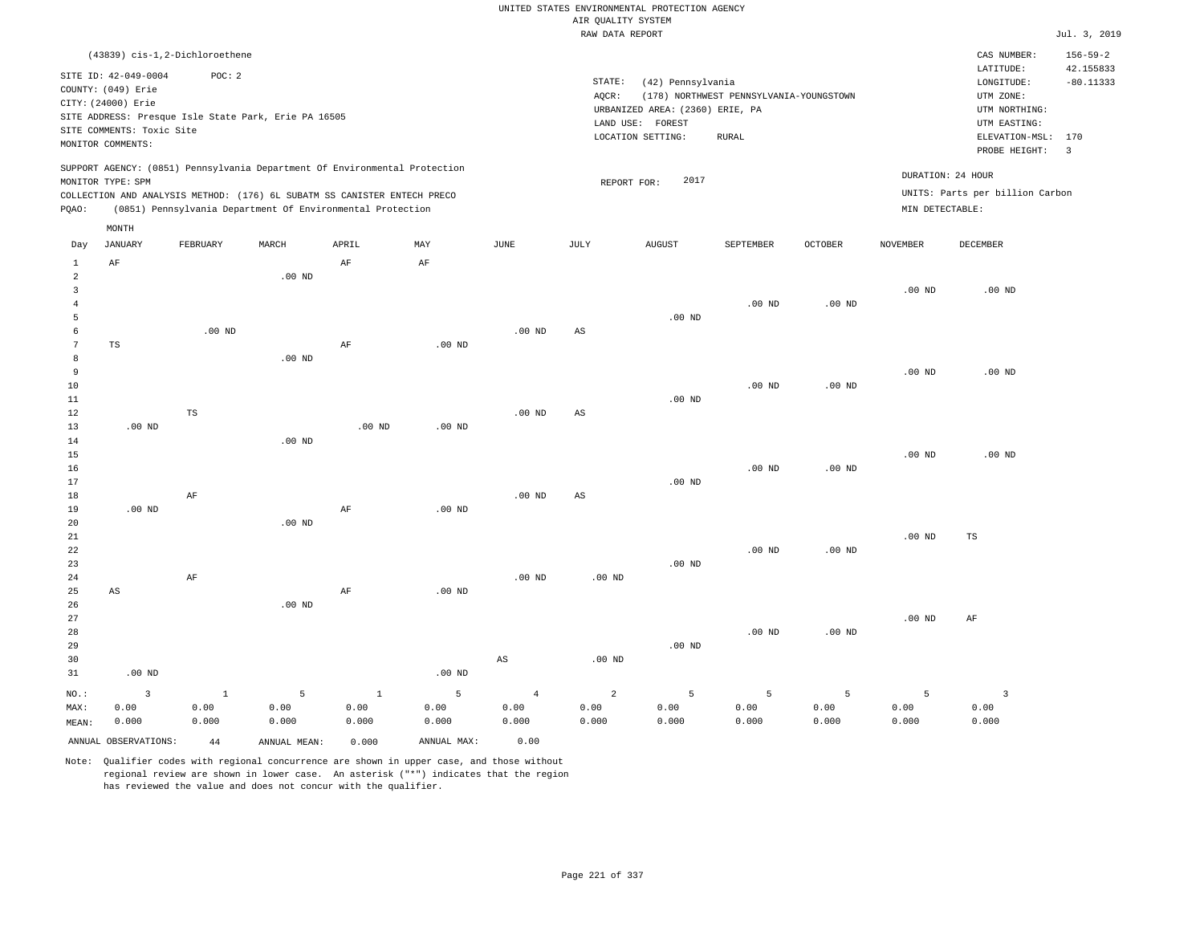|                 |                                |             |                                                      |                                                                            |             |                   | RAW DATA REPORT        |                                 |                                         |                   |                   |                                 | Jul. 3, 2019            |
|-----------------|--------------------------------|-------------|------------------------------------------------------|----------------------------------------------------------------------------|-------------|-------------------|------------------------|---------------------------------|-----------------------------------------|-------------------|-------------------|---------------------------------|-------------------------|
|                 | (43839) cis-1,2-Dichloroethene |             |                                                      |                                                                            |             |                   |                        |                                 |                                         |                   |                   | CAS NUMBER:                     | $156 - 59 - 2$          |
|                 |                                |             |                                                      |                                                                            |             |                   |                        |                                 |                                         |                   |                   | LATITUDE:                       | 42.155833               |
|                 | SITE ID: 42-049-0004           | POC: 2      |                                                      |                                                                            |             |                   | STATE:                 | (42) Pennsylvania               |                                         |                   |                   | LONGITUDE:                      | $-80.11333$             |
|                 | COUNTY: (049) Erie             |             |                                                      |                                                                            |             |                   | AQCR:                  |                                 | (178) NORTHWEST PENNSYLVANIA-YOUNGSTOWN |                   |                   | UTM ZONE:                       |                         |
|                 | CITY: (24000) Erie             |             |                                                      |                                                                            |             |                   |                        | URBANIZED AREA: (2360) ERIE, PA |                                         |                   |                   | UTM NORTHING:                   |                         |
|                 |                                |             | SITE ADDRESS: Presque Isle State Park, Erie PA 16505 |                                                                            |             |                   |                        | LAND USE: FOREST                |                                         |                   |                   | UTM EASTING:                    |                         |
|                 | SITE COMMENTS: Toxic Site      |             |                                                      |                                                                            |             |                   |                        | LOCATION SETTING:               | <b>RURAL</b>                            |                   |                   | ELEVATION-MSL:                  | 170                     |
|                 | MONITOR COMMENTS:              |             |                                                      |                                                                            |             |                   |                        |                                 |                                         |                   |                   | PROBE HEIGHT:                   | $\overline{\mathbf{3}}$ |
|                 |                                |             |                                                      | SUPPORT AGENCY: (0851) Pennsylvania Department Of Environmental Protection |             |                   |                        |                                 |                                         |                   |                   |                                 |                         |
|                 | MONITOR TYPE: SPM              |             |                                                      |                                                                            |             |                   | REPORT FOR:            | 2017                            |                                         |                   |                   | DURATION: 24 HOUR               |                         |
|                 |                                |             |                                                      | COLLECTION AND ANALYSIS METHOD: (176) 6L SUBATM SS CANISTER ENTECH PRECO   |             |                   |                        |                                 |                                         |                   |                   | UNITS: Parts per billion Carbon |                         |
| PQAO:           |                                |             |                                                      | (0851) Pennsylvania Department Of Environmental Protection                 |             |                   |                        |                                 |                                         |                   | MIN DETECTABLE:   |                                 |                         |
|                 | MONTH                          |             |                                                      |                                                                            |             |                   |                        |                                 |                                         |                   |                   |                                 |                         |
| Day             | JANUARY                        | FEBRUARY    | MARCH                                                | APRIL                                                                      | MAY         | JUNE              | JULY                   | <b>AUGUST</b>                   | SEPTEMBER                               | <b>OCTOBER</b>    | <b>NOVEMBER</b>   | DECEMBER                        |                         |
| $\mathbf{1}$    | AF                             |             |                                                      | AF                                                                         | AF          |                   |                        |                                 |                                         |                   |                   |                                 |                         |
| $\overline{2}$  |                                |             | .00 <sub>ND</sub>                                    |                                                                            |             |                   |                        |                                 |                                         |                   |                   |                                 |                         |
| $\overline{3}$  |                                |             |                                                      |                                                                            |             |                   |                        |                                 |                                         |                   | .00 <sub>ND</sub> | $.00$ ND                        |                         |
| $\overline{4}$  |                                |             |                                                      |                                                                            |             |                   |                        |                                 | $.00$ ND                                | .00 <sub>ND</sub> |                   |                                 |                         |
| 5               |                                |             |                                                      |                                                                            |             |                   |                        | $.00$ ND                        |                                         |                   |                   |                                 |                         |
| 6               |                                | $.00$ ND    |                                                      |                                                                            |             | $.00$ ND          | AS                     |                                 |                                         |                   |                   |                                 |                         |
| $7\phantom{.0}$ | TS                             |             |                                                      | $\rm AF$                                                                   | $.00$ ND    |                   |                        |                                 |                                         |                   |                   |                                 |                         |
| 8               |                                |             | $.00$ ND                                             |                                                                            |             |                   |                        |                                 |                                         |                   |                   |                                 |                         |
| $\overline{9}$  |                                |             |                                                      |                                                                            |             |                   |                        |                                 |                                         |                   | $.00$ ND          | $.00$ ND                        |                         |
| 10              |                                |             |                                                      |                                                                            |             |                   |                        |                                 | $.00$ ND                                | $.00$ ND          |                   |                                 |                         |
| 11<br>$12\,$    |                                |             |                                                      |                                                                            |             |                   |                        | $.00$ ND                        |                                         |                   |                   |                                 |                         |
| 13              | .00 <sub>ND</sub>              | $_{\rm TS}$ |                                                      | .00 <sub>ND</sub>                                                          | $.00$ ND    | $.00$ ND          | AS                     |                                 |                                         |                   |                   |                                 |                         |
| 14              |                                |             | .00 <sub>ND</sub>                                    |                                                                            |             |                   |                        |                                 |                                         |                   |                   |                                 |                         |
| 15              |                                |             |                                                      |                                                                            |             |                   |                        |                                 |                                         |                   | .00 <sub>ND</sub> | .00 <sub>ND</sub>               |                         |
| 16              |                                |             |                                                      |                                                                            |             |                   |                        |                                 | $.00$ ND                                | $.00$ ND          |                   |                                 |                         |
| 17              |                                |             |                                                      |                                                                            |             |                   |                        | $.00$ ND                        |                                         |                   |                   |                                 |                         |
| 18              |                                | $\rm AF$    |                                                      |                                                                            |             | $.00$ ND          | $\mathbb{A}\mathbb{S}$ |                                 |                                         |                   |                   |                                 |                         |
| 19              | $.00$ ND                       |             |                                                      | AF                                                                         | $.00$ ND    |                   |                        |                                 |                                         |                   |                   |                                 |                         |
| 20              |                                |             | $.00$ ND                                             |                                                                            |             |                   |                        |                                 |                                         |                   |                   |                                 |                         |
| 21              |                                |             |                                                      |                                                                            |             |                   |                        |                                 |                                         |                   | .00 <sub>ND</sub> | $_{\rm TS}$                     |                         |
| 22              |                                |             |                                                      |                                                                            |             |                   |                        |                                 | $.00$ ND                                | $.00$ ND          |                   |                                 |                         |
| 23              |                                |             |                                                      |                                                                            |             |                   |                        | $.00$ ND                        |                                         |                   |                   |                                 |                         |
| 24              |                                | $\rm{AF}$   |                                                      |                                                                            |             | .00 <sub>ND</sub> | $.00$ ND               |                                 |                                         |                   |                   |                                 |                         |
| 25              | $\mathbb{A}\mathbb{S}$         |             |                                                      | $\rm AF$                                                                   | $.00$ ND    |                   |                        |                                 |                                         |                   |                   |                                 |                         |
| 26              |                                |             | $.00$ ND                                             |                                                                            |             |                   |                        |                                 |                                         |                   |                   |                                 |                         |
| 27              |                                |             |                                                      |                                                                            |             |                   |                        |                                 |                                         |                   | .00 <sub>ND</sub> | AF                              |                         |
| 28<br>29        |                                |             |                                                      |                                                                            |             |                   |                        |                                 | $.00$ ND                                | $.00$ ND          |                   |                                 |                         |
|                 |                                |             |                                                      |                                                                            |             |                   |                        | $.00$ ND                        |                                         |                   |                   |                                 |                         |
| 30<br>31        | $.00$ ND                       |             |                                                      |                                                                            | $.00$ ND    | AS                | $.00$ ND               |                                 |                                         |                   |                   |                                 |                         |
|                 |                                |             |                                                      |                                                                            |             |                   |                        |                                 |                                         |                   |                   |                                 |                         |
| NO.:            | $\overline{\mathbf{3}}$        | $1\,$       | 5                                                    | $\mathbf{1}$                                                               | 5           | $\overline{4}$    | $\overline{a}$         | 5                               | 5                                       | 5                 | 5                 | $\overline{3}$                  |                         |
| MAX:            | 0.00                           | 0.00        | 0.00                                                 | 0.00                                                                       | 0.00        | 0.00              | 0.00                   | 0.00                            | 0.00                                    | 0.00              | 0.00              | 0.00                            |                         |
| MEAN:           | 0.000                          | 0.000       | 0.000                                                | 0.000                                                                      | 0.000       | 0.000             | 0.000                  | 0.000                           | 0.000                                   | 0.000             | 0.000             | 0.000                           |                         |
|                 | ANNUAL OBSERVATIONS:           | $4\,4$      | ANNUAL MEAN:                                         | 0.000                                                                      | ANNUAL MAX: | 0.00              |                        |                                 |                                         |                   |                   |                                 |                         |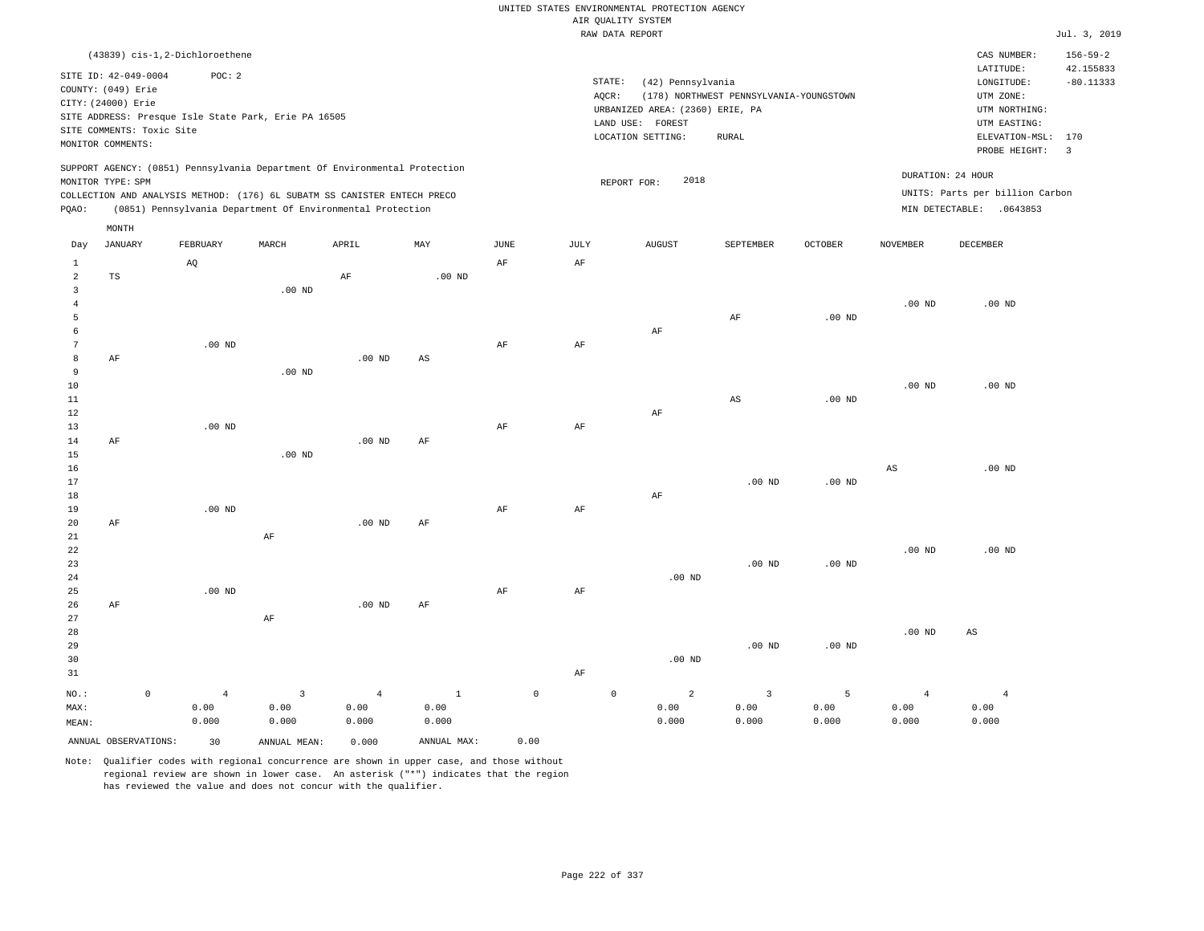|  | UNITED STATES ENVIRONMENTAL PROTECTION AGENCY |  |
|--|-----------------------------------------------|--|
|  | AIR OUALITY SYSTEM                            |  |
|  | RAW DATA REPORT                               |  |

|                      |                           |                                                                            |                   |                   |              |             |           | RAW DATA REPORT                 |                                         |                   |                   |                                 | Jul. 3, 2019   |
|----------------------|---------------------------|----------------------------------------------------------------------------|-------------------|-------------------|--------------|-------------|-----------|---------------------------------|-----------------------------------------|-------------------|-------------------|---------------------------------|----------------|
|                      |                           | (43839) cis-1,2-Dichloroethene                                             |                   |                   |              |             |           |                                 |                                         |                   |                   | CAS NUMBER:                     | $156 - 59 - 2$ |
|                      | SITE ID: 42-049-0004      | POC: 2                                                                     |                   |                   |              |             |           |                                 |                                         |                   |                   | LATITUDE:                       | 42.155833      |
|                      | COUNTY: (049) Erie        |                                                                            |                   |                   |              |             | STATE:    | (42) Pennsylvania               |                                         |                   |                   | LONGITUDE:                      | $-80.11333$    |
|                      | CITY: (24000) Erie        |                                                                            |                   |                   |              |             | AQCR:     |                                 | (178) NORTHWEST PENNSYLVANIA-YOUNGSTOWN |                   |                   | UTM ZONE:                       |                |
|                      |                           | SITE ADDRESS: Presque Isle State Park, Erie PA 16505                       |                   |                   |              |             |           | URBANIZED AREA: (2360) ERIE, PA |                                         |                   |                   | UTM NORTHING:                   |                |
|                      | SITE COMMENTS: Toxic Site |                                                                            |                   |                   |              |             |           | LAND USE: FOREST                |                                         |                   |                   | UTM EASTING:                    |                |
|                      | MONITOR COMMENTS:         |                                                                            |                   |                   |              |             |           | LOCATION SETTING:               | RURAL                                   |                   |                   | ELEVATION-MSL:                  | 170            |
|                      |                           |                                                                            |                   |                   |              |             |           |                                 |                                         |                   |                   | PROBE HEIGHT:                   | 3              |
|                      | MONITOR TYPE: SPM         | SUPPORT AGENCY: (0851) Pennsylvania Department Of Environmental Protection |                   |                   |              |             |           | 2018<br>REPORT FOR:             |                                         |                   |                   | DURATION: 24 HOUR               |                |
|                      |                           | COLLECTION AND ANALYSIS METHOD: (176) 6L SUBATM SS CANISTER ENTECH PRECO   |                   |                   |              |             |           |                                 |                                         |                   |                   | UNITS: Parts per billion Carbon |                |
| PQAO:                |                           | (0851) Pennsylvania Department Of Environmental Protection                 |                   |                   |              |             |           |                                 |                                         |                   |                   | MIN DETECTABLE: .0643853        |                |
|                      | MONTH                     |                                                                            |                   |                   |              |             |           |                                 |                                         |                   |                   |                                 |                |
| Day                  | JANUARY                   | FEBRUARY                                                                   | MARCH             | APRIL             | MAY          | JUNE        | JULY      | <b>AUGUST</b>                   | SEPTEMBER                               | <b>OCTOBER</b>    | <b>NOVEMBER</b>   | DECEMBER                        |                |
| $\mathbf{1}$         |                           | AQ                                                                         |                   |                   |              | $\rm{AF}$   | $\rm AF$  |                                 |                                         |                   |                   |                                 |                |
| $\overline{a}$       | $\mathbb{TS}$             |                                                                            |                   | $\rm{AF}$         | $.00$ ND     |             |           |                                 |                                         |                   |                   |                                 |                |
| 3                    |                           |                                                                            | .00 <sub>ND</sub> |                   |              |             |           |                                 |                                         |                   |                   |                                 |                |
| $\overline{4}$       |                           |                                                                            |                   |                   |              |             |           |                                 |                                         |                   | .00 <sub>ND</sub> | $.00$ ND                        |                |
| 5                    |                           |                                                                            |                   |                   |              |             |           |                                 | AF                                      | .00 <sub>ND</sub> |                   |                                 |                |
| 6                    |                           |                                                                            |                   |                   |              |             |           | AF                              |                                         |                   |                   |                                 |                |
| $7\phantom{.0}$<br>8 |                           | $.00$ ND                                                                   |                   |                   |              | AF          | AF        |                                 |                                         |                   |                   |                                 |                |
| 9                    | $\rm AF$                  |                                                                            | .00 <sub>ND</sub> | .00 <sub>ND</sub> | $_{\rm AS}$  |             |           |                                 |                                         |                   |                   |                                 |                |
| 10                   |                           |                                                                            |                   |                   |              |             |           |                                 |                                         |                   | .00 <sub>ND</sub> | $.00$ ND                        |                |
| $1\,1$               |                           |                                                                            |                   |                   |              |             |           |                                 | $_{\rm AS}$                             | .00 <sub>ND</sub> |                   |                                 |                |
| $1\,2$               |                           |                                                                            |                   |                   |              |             |           | $\rm{AF}$                       |                                         |                   |                   |                                 |                |
| 13                   |                           | $.00$ ND                                                                   |                   |                   |              | $\rm{AF}$   | $\rm{AF}$ |                                 |                                         |                   |                   |                                 |                |
| 14                   | AF                        |                                                                            |                   | $.00$ ND          | AF           |             |           |                                 |                                         |                   |                   |                                 |                |
| 15                   |                           |                                                                            | $.00$ ND          |                   |              |             |           |                                 |                                         |                   |                   |                                 |                |
| 16                   |                           |                                                                            |                   |                   |              |             |           |                                 |                                         |                   | $_{\rm AS}$       | $.00$ ND                        |                |
| 17                   |                           |                                                                            |                   |                   |              |             |           |                                 | $.00$ ND                                | $.00$ ND          |                   |                                 |                |
| 18                   |                           |                                                                            |                   |                   |              |             |           | AF                              |                                         |                   |                   |                                 |                |
| 19<br>20             | AF                        | $.00$ ND                                                                   |                   | $.00$ ND          | AF           | AF          | AF        |                                 |                                         |                   |                   |                                 |                |
| 21                   |                           |                                                                            | AF                |                   |              |             |           |                                 |                                         |                   |                   |                                 |                |
| 22                   |                           |                                                                            |                   |                   |              |             |           |                                 |                                         |                   | .00 <sub>ND</sub> | $.00$ ND                        |                |
| 23                   |                           |                                                                            |                   |                   |              |             |           |                                 | $.00$ ND                                | .00 <sub>ND</sub> |                   |                                 |                |
| $2\,4$               |                           |                                                                            |                   |                   |              |             |           | $.00$ ND                        |                                         |                   |                   |                                 |                |
| 25                   |                           | $.00$ ND                                                                   |                   |                   |              | AF          | AF        |                                 |                                         |                   |                   |                                 |                |
| 26                   | AF                        |                                                                            |                   | .00 <sub>ND</sub> | AF           |             |           |                                 |                                         |                   |                   |                                 |                |
| 27                   |                           |                                                                            | $\rm AF$          |                   |              |             |           |                                 |                                         |                   |                   |                                 |                |
| 28                   |                           |                                                                            |                   |                   |              |             |           |                                 |                                         |                   | .00 <sub>ND</sub> | AS                              |                |
| 29                   |                           |                                                                            |                   |                   |              |             |           |                                 | .00 <sub>ND</sub>                       | .00 <sub>ND</sub> |                   |                                 |                |
| 30                   |                           |                                                                            |                   |                   |              |             |           | $.00$ ND                        |                                         |                   |                   |                                 |                |
| 31                   |                           |                                                                            |                   |                   |              |             | $\rm{AF}$ |                                 |                                         |                   |                   |                                 |                |
| NO.:                 | $\mathsf{O}\xspace$       | $\overline{4}$                                                             | 3                 | $\overline{4}$    | $\mathbf{1}$ | $\mathbb O$ |           | $\mathbb O$<br>$\overline{a}$   | $\overline{3}$                          | 5                 | $\overline{4}$    | $\overline{4}$                  |                |
| MAX:                 |                           | 0.00                                                                       | 0.00              | 0.00              | 0.00         |             |           | 0.00                            | 0.00                                    | 0.00              | 0.00              | 0.00                            |                |
| MEAN:                |                           | 0.000                                                                      | 0.000             | 0.000             | 0.000        |             |           | 0.000                           | 0.000                                   | 0.000             | 0.000             | 0.000                           |                |
|                      | ANNUAL OBSERVATIONS:      | 30                                                                         | ANNUAL MEAN:      | 0.000             | ANNUAL MAX:  | 0.00        |           |                                 |                                         |                   |                   |                                 |                |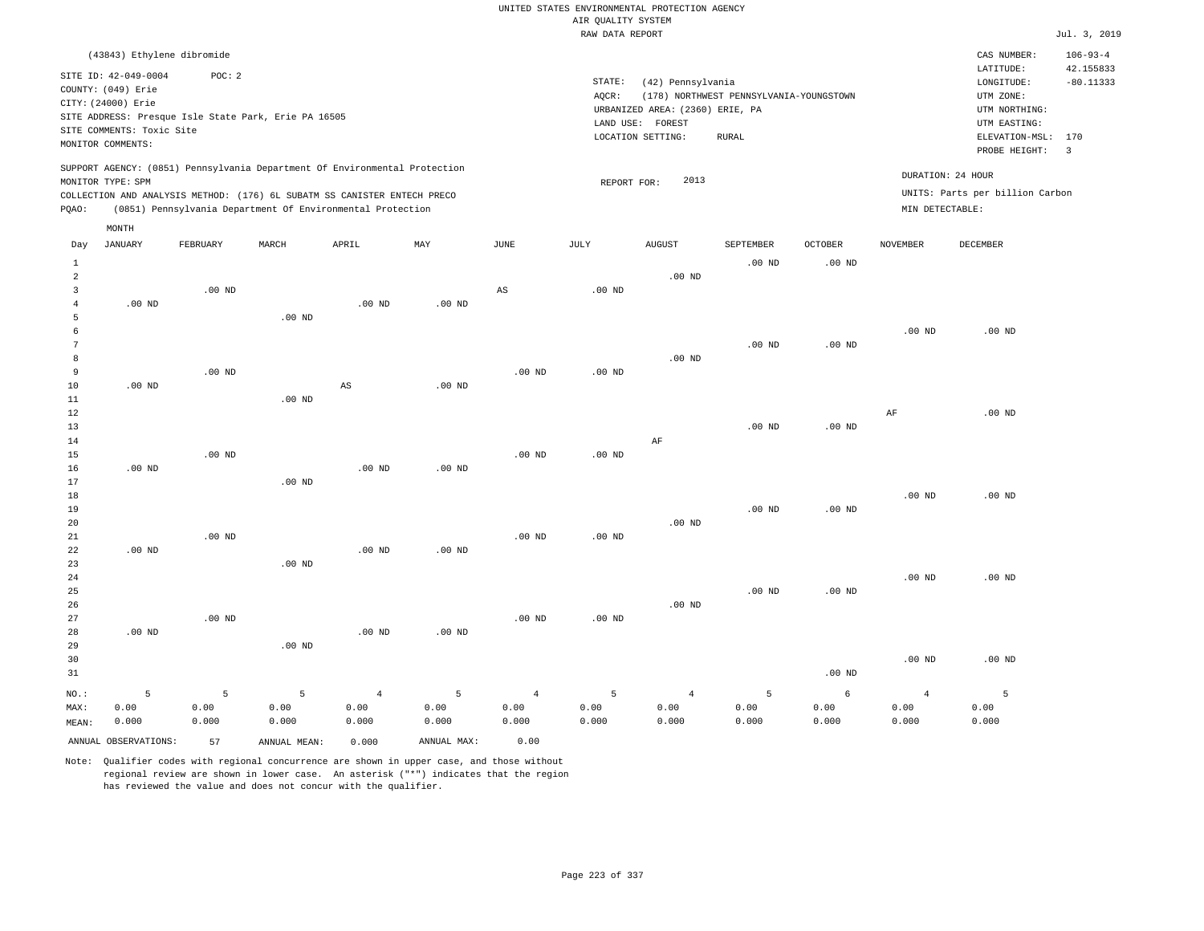|                         | (43843) Ethylene dibromide |          |                                                                            |                        |             |                        |                   |                                 |                                         |                   |                   | CAS NUMBER:                     | $106 - 93 - 4$          |
|-------------------------|----------------------------|----------|----------------------------------------------------------------------------|------------------------|-------------|------------------------|-------------------|---------------------------------|-----------------------------------------|-------------------|-------------------|---------------------------------|-------------------------|
|                         | SITE ID: 42-049-0004       | POC: 2   |                                                                            |                        |             |                        |                   |                                 |                                         |                   |                   | LATITUDE:                       | 42.155833               |
|                         | COUNTY: (049) Erie         |          |                                                                            |                        |             |                        | STATE:            | (42) Pennsylvania               |                                         |                   |                   | LONGITUDE:                      | $-80.11333$             |
|                         | CITY: (24000) Erie         |          |                                                                            |                        |             |                        | AQCR:             |                                 | (178) NORTHWEST PENNSYLVANIA-YOUNGSTOWN |                   |                   | UTM ZONE:                       |                         |
|                         |                            |          | SITE ADDRESS: Presque Isle State Park, Erie PA 16505                       |                        |             |                        |                   | URBANIZED AREA: (2360) ERIE, PA |                                         |                   |                   | UTM NORTHING:                   |                         |
|                         | SITE COMMENTS: Toxic Site  |          |                                                                            |                        |             |                        |                   | LAND USE: FOREST                |                                         |                   |                   | UTM EASTING:                    |                         |
|                         | MONITOR COMMENTS:          |          |                                                                            |                        |             |                        |                   | LOCATION SETTING:               | <b>RURAL</b>                            |                   |                   | ELEVATION-MSL: 170              |                         |
|                         |                            |          |                                                                            |                        |             |                        |                   |                                 |                                         |                   |                   | PROBE HEIGHT:                   | $\overline{\mathbf{3}}$ |
|                         |                            |          | SUPPORT AGENCY: (0851) Pennsylvania Department Of Environmental Protection |                        |             |                        |                   |                                 |                                         |                   |                   | DURATION: 24 HOUR               |                         |
|                         | MONITOR TYPE: SPM          |          |                                                                            |                        |             |                        | REPORT FOR:       | 2013                            |                                         |                   |                   |                                 |                         |
|                         |                            |          | COLLECTION AND ANALYSIS METHOD: (176) 6L SUBATM SS CANISTER ENTECH PRECO   |                        |             |                        |                   |                                 |                                         |                   |                   | UNITS: Parts per billion Carbon |                         |
| PQAO:                   |                            |          | (0851) Pennsylvania Department Of Environmental Protection                 |                        |             |                        |                   |                                 |                                         |                   | MIN DETECTABLE:   |                                 |                         |
|                         | MONTH                      |          |                                                                            |                        |             |                        |                   |                                 |                                         |                   |                   |                                 |                         |
| Day                     | JANUARY                    | FEBRUARY | MARCH                                                                      | APRIL                  | MAY         | JUNE                   | JULY              | <b>AUGUST</b>                   | SEPTEMBER                               | <b>OCTOBER</b>    | <b>NOVEMBER</b>   | DECEMBER                        |                         |
| $\mathbf{1}$            |                            |          |                                                                            |                        |             |                        |                   |                                 | .00 <sub>ND</sub>                       | $.00$ ND          |                   |                                 |                         |
| $\overline{a}$          |                            |          |                                                                            |                        |             |                        |                   | $.00$ ND                        |                                         |                   |                   |                                 |                         |
| $\overline{\mathbf{3}}$ |                            | $.00$ ND |                                                                            |                        |             | $\mathbb{A}\mathbb{S}$ | $.00$ ND          |                                 |                                         |                   |                   |                                 |                         |
| $\overline{4}$          | $.00$ ND                   |          |                                                                            | $.00$ ND               | $.00$ ND    |                        |                   |                                 |                                         |                   |                   |                                 |                         |
| 5                       |                            |          | $.00$ ND                                                                   |                        |             |                        |                   |                                 |                                         |                   |                   |                                 |                         |
| 6                       |                            |          |                                                                            |                        |             |                        |                   |                                 |                                         |                   | $.00$ ND          | $.00$ ND                        |                         |
| $\overline{7}$          |                            |          |                                                                            |                        |             |                        |                   |                                 | $.00$ ND                                | $.00$ ND          |                   |                                 |                         |
| 8                       |                            |          |                                                                            |                        |             |                        |                   | $.00$ ND                        |                                         |                   |                   |                                 |                         |
| 9                       |                            | $.00$ ND |                                                                            |                        |             | .00 <sub>ND</sub>      | .00 <sub>ND</sub> |                                 |                                         |                   |                   |                                 |                         |
| $10$                    | $.00$ ND                   |          |                                                                            | $\mathbb{A}\mathbb{S}$ | $.00$ ND    |                        |                   |                                 |                                         |                   |                   |                                 |                         |
| $1\,1$                  |                            |          | $.00$ ND                                                                   |                        |             |                        |                   |                                 |                                         |                   |                   |                                 |                         |
| 12                      |                            |          |                                                                            |                        |             |                        |                   |                                 |                                         |                   | AF                | $.00$ ND                        |                         |
| 13                      |                            |          |                                                                            |                        |             |                        |                   |                                 | .00 <sub>ND</sub>                       | $.00$ ND          |                   |                                 |                         |
| 14                      |                            |          |                                                                            |                        |             |                        |                   | $\rm AF$                        |                                         |                   |                   |                                 |                         |
| 15                      |                            | $.00$ ND |                                                                            |                        |             | $.00$ ND               | $.00$ ND          |                                 |                                         |                   |                   |                                 |                         |
| 16                      | $.00$ ND                   |          |                                                                            | $.00$ ND               | $.00$ ND    |                        |                   |                                 |                                         |                   |                   |                                 |                         |
| 17                      |                            |          | $.00$ ND                                                                   |                        |             |                        |                   |                                 |                                         |                   |                   |                                 |                         |
| $1\,8$                  |                            |          |                                                                            |                        |             |                        |                   |                                 |                                         |                   | .00 <sub>ND</sub> | $.00$ ND                        |                         |
| 19                      |                            |          |                                                                            |                        |             |                        |                   |                                 | $.00$ ND                                | $.00$ ND          |                   |                                 |                         |
| 20                      |                            |          |                                                                            |                        |             |                        |                   | $.00$ ND                        |                                         |                   |                   |                                 |                         |
| 21                      |                            | $.00$ ND |                                                                            |                        |             | .00 <sub>ND</sub>      | .00 <sub>ND</sub> |                                 |                                         |                   |                   |                                 |                         |
| 22                      | $.00$ ND                   |          |                                                                            | $.00$ ND               | $.00$ ND    |                        |                   |                                 |                                         |                   |                   |                                 |                         |
| 23                      |                            |          | $.00$ ND                                                                   |                        |             |                        |                   |                                 |                                         |                   |                   |                                 |                         |
| 24                      |                            |          |                                                                            |                        |             |                        |                   |                                 |                                         |                   | $.00$ ND          | $.00$ ND                        |                         |
| 25                      |                            |          |                                                                            |                        |             |                        |                   |                                 | .00 <sub>ND</sub>                       | .00 <sub>ND</sub> |                   |                                 |                         |
| 26                      |                            |          |                                                                            |                        |             |                        |                   | $.00$ ND                        |                                         |                   |                   |                                 |                         |
| 27                      |                            | $.00$ ND |                                                                            |                        |             | $.00$ ND               | .00 <sub>ND</sub> |                                 |                                         |                   |                   |                                 |                         |
| 28                      | $.00$ ND                   |          |                                                                            | $.00$ ND               | $.00$ ND    |                        |                   |                                 |                                         |                   |                   |                                 |                         |
| 29                      |                            |          | $.00$ ND                                                                   |                        |             |                        |                   |                                 |                                         |                   |                   |                                 |                         |
| 30                      |                            |          |                                                                            |                        |             |                        |                   |                                 |                                         |                   | .00 <sub>ND</sub> | $.00$ ND                        |                         |
| 31                      |                            |          |                                                                            |                        |             |                        |                   |                                 |                                         | $.00$ ND          |                   |                                 |                         |
| NO.:                    | 5                          | 5        | 5                                                                          | $\overline{4}$         | 5           | $\overline{4}$         | 5                 | $\overline{4}$                  | 5                                       | 6                 | $\overline{4}$    | 5                               |                         |
| MAX:                    | 0.00                       | 0.00     | 0.00                                                                       | 0.00                   | 0.00        | 0.00                   | 0.00              | 0.00                            | 0.00                                    | 0.00              | 0.00              | 0.00                            |                         |
| MEAN:                   | 0.000                      | 0.000    | 0.000                                                                      | 0.000                  | 0.000       | 0.000                  | 0.000             | 0.000                           | 0.000                                   | 0.000             | 0.000             | 0.000                           |                         |
|                         | ANNUAL OBSERVATIONS:       | 57       | ANNUAL MEAN:                                                               | 0.000                  | ANNUAL MAX: | 0.00                   |                   |                                 |                                         |                   |                   |                                 |                         |
|                         |                            |          |                                                                            |                        |             |                        |                   |                                 |                                         |                   |                   |                                 |                         |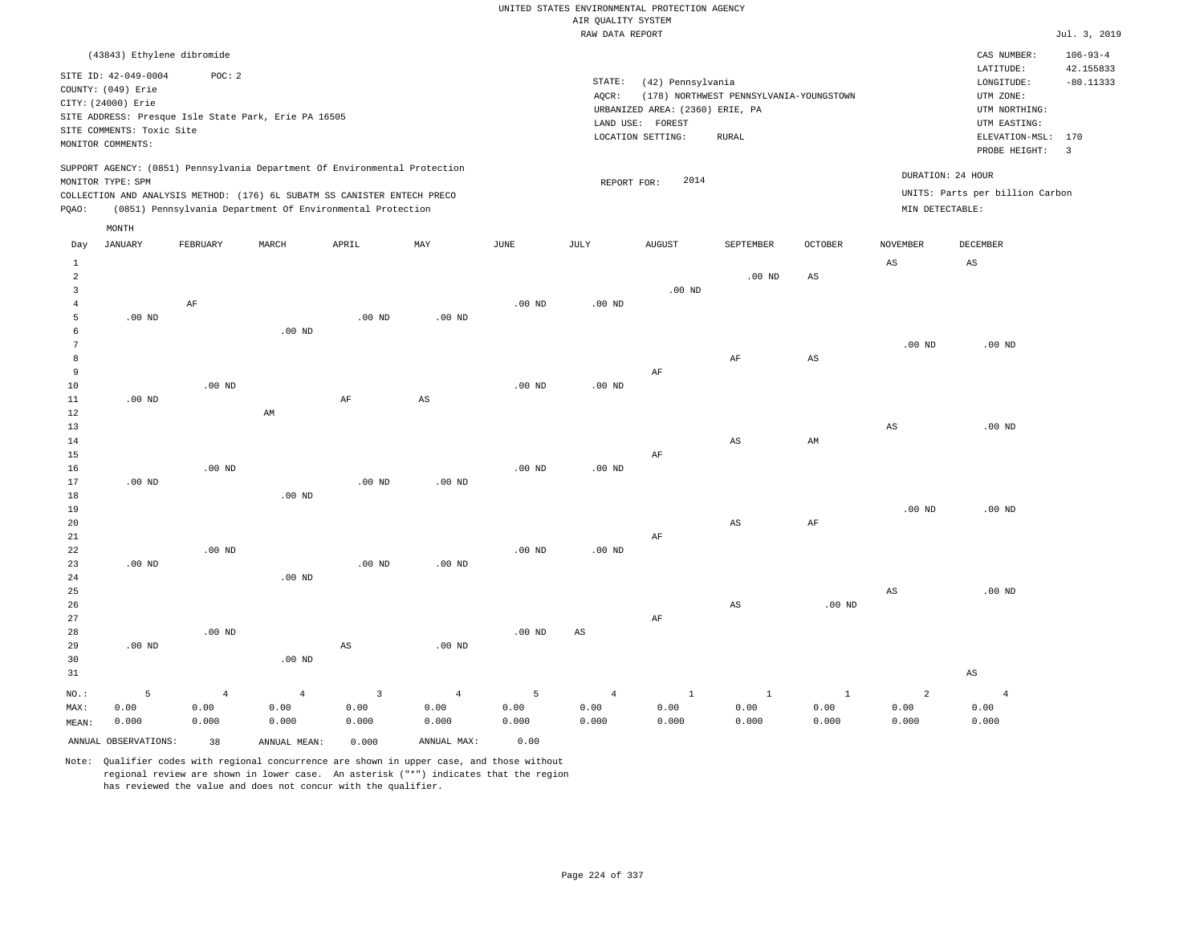|                                | (43843) Ethylene dibromide                                                                    |          |                                                                            |                        |                   |                   |                   |                                                                          |                                         |                        |                   | CAS NUMBER:                                                           | $106 - 93 - 4$           |
|--------------------------------|-----------------------------------------------------------------------------------------------|----------|----------------------------------------------------------------------------|------------------------|-------------------|-------------------|-------------------|--------------------------------------------------------------------------|-----------------------------------------|------------------------|-------------------|-----------------------------------------------------------------------|--------------------------|
|                                | SITE ID: 42-049-0004<br>COUNTY: (049) Erie<br>CITY: (24000) Erie<br>SITE COMMENTS: Toxic Site | POC: 2   | SITE ADDRESS: Presque Isle State Park, Erie PA 16505                       |                        |                   |                   | STATE:<br>AQCR:   | (42) Pennsylvania<br>URBANIZED AREA: (2360) ERIE, PA<br>LAND USE: FOREST | (178) NORTHWEST PENNSYLVANIA-YOUNGSTOWN |                        |                   | LATITUDE:<br>LONGITUDE:<br>UTM ZONE:<br>UTM NORTHING:<br>UTM EASTING: | 42.155833<br>$-80.11333$ |
|                                | MONITOR COMMENTS:                                                                             |          |                                                                            |                        |                   |                   |                   | LOCATION SETTING:                                                        | <b>RURAL</b>                            |                        |                   | ELEVATION-MSL:<br>PROBE HEIGHT:                                       | 170<br>$\overline{3}$    |
|                                | MONITOR TYPE: SPM                                                                             |          | SUPPORT AGENCY: (0851) Pennsylvania Department Of Environmental Protection |                        |                   |                   | REPORT FOR:       | 2014                                                                     |                                         |                        | DURATION: 24 HOUR |                                                                       |                          |
|                                |                                                                                               |          | COLLECTION AND ANALYSIS METHOD: (176) 6L SUBATM SS CANISTER ENTECH PRECO   |                        |                   |                   |                   |                                                                          |                                         |                        |                   | UNITS: Parts per billion Carbon                                       |                          |
| PQAO:                          |                                                                                               |          | (0851) Pennsylvania Department Of Environmental Protection                 |                        |                   |                   |                   |                                                                          |                                         |                        | MIN DETECTABLE:   |                                                                       |                          |
|                                | MONTH                                                                                         |          |                                                                            |                        |                   |                   |                   |                                                                          |                                         |                        |                   |                                                                       |                          |
| Day                            | <b>JANUARY</b>                                                                                | FEBRUARY | MARCH                                                                      | APRIL                  | MAY               | <b>JUNE</b>       | JULY              | <b>AUGUST</b>                                                            | SEPTEMBER                               | OCTOBER                | <b>NOVEMBER</b>   | DECEMBER                                                              |                          |
|                                |                                                                                               |          |                                                                            |                        |                   |                   |                   |                                                                          |                                         |                        |                   |                                                                       |                          |
| $\mathbf{1}$<br>$\overline{a}$ |                                                                                               |          |                                                                            |                        |                   |                   |                   |                                                                          | $.00$ ND                                | $_{\rm AS}$            | $_{\rm AS}$       | $\mathbb{A}\mathbb{S}$                                                |                          |
| 3                              |                                                                                               |          |                                                                            |                        |                   |                   |                   | $.00$ ND                                                                 |                                         |                        |                   |                                                                       |                          |
| $\overline{4}$                 |                                                                                               | AF       |                                                                            |                        |                   | .00 <sub>ND</sub> | $.00$ ND          |                                                                          |                                         |                        |                   |                                                                       |                          |
| 5                              | $.00$ ND                                                                                      |          |                                                                            | .00 <sub>ND</sub>      | .00 <sub>ND</sub> |                   |                   |                                                                          |                                         |                        |                   |                                                                       |                          |
| 6                              |                                                                                               |          | $.00$ ND                                                                   |                        |                   |                   |                   |                                                                          |                                         |                        |                   |                                                                       |                          |
| $\overline{7}$                 |                                                                                               |          |                                                                            |                        |                   |                   |                   |                                                                          |                                         |                        | .00 <sub>ND</sub> | $.00$ ND                                                              |                          |
| 8                              |                                                                                               |          |                                                                            |                        |                   |                   |                   |                                                                          | AF                                      | $\mathbb{A}\mathbb{S}$ |                   |                                                                       |                          |
| $\overline{9}$                 |                                                                                               |          |                                                                            |                        |                   |                   |                   | AF                                                                       |                                         |                        |                   |                                                                       |                          |
| 10                             |                                                                                               | $.00$ ND |                                                                            |                        |                   | .00 <sub>ND</sub> | .00 <sub>ND</sub> |                                                                          |                                         |                        |                   |                                                                       |                          |
| 11                             | $.00$ ND                                                                                      |          |                                                                            | AF                     | AS                |                   |                   |                                                                          |                                         |                        |                   |                                                                       |                          |
| 12                             |                                                                                               |          | AM                                                                         |                        |                   |                   |                   |                                                                          |                                         |                        |                   |                                                                       |                          |
| 13                             |                                                                                               |          |                                                                            |                        |                   |                   |                   |                                                                          |                                         |                        | $_{\rm AS}$       | $.00$ ND                                                              |                          |
| $14\,$                         |                                                                                               |          |                                                                            |                        |                   |                   |                   |                                                                          | $_{\rm AS}$                             | $\mathsf{AM}$          |                   |                                                                       |                          |
| 15                             |                                                                                               |          |                                                                            |                        |                   |                   |                   | AF                                                                       |                                         |                        |                   |                                                                       |                          |
| 16                             |                                                                                               | $.00$ ND |                                                                            |                        |                   | $.00$ ND          | .00 <sub>ND</sub> |                                                                          |                                         |                        |                   |                                                                       |                          |
| 17                             | $.00$ ND                                                                                      |          |                                                                            | .00 <sub>ND</sub>      | .00 <sub>ND</sub> |                   |                   |                                                                          |                                         |                        |                   |                                                                       |                          |
| 18                             |                                                                                               |          | $.00$ ND                                                                   |                        |                   |                   |                   |                                                                          |                                         |                        |                   |                                                                       |                          |
| 19                             |                                                                                               |          |                                                                            |                        |                   |                   |                   |                                                                          |                                         |                        | $.00$ ND          | $.00$ ND                                                              |                          |
| 20                             |                                                                                               |          |                                                                            |                        |                   |                   |                   |                                                                          | $\mathbb{A}\mathbb{S}$                  | AF                     |                   |                                                                       |                          |
| 21                             |                                                                                               |          |                                                                            |                        |                   |                   |                   | $\rm{AF}$                                                                |                                         |                        |                   |                                                                       |                          |
| 22                             |                                                                                               | $.00$ ND |                                                                            |                        |                   | $.00$ ND          | .00 $ND$          |                                                                          |                                         |                        |                   |                                                                       |                          |
| 23                             | $.00$ ND                                                                                      |          |                                                                            | $.00$ ND               | $.00$ ND          |                   |                   |                                                                          |                                         |                        |                   |                                                                       |                          |
| 24                             |                                                                                               |          | $.00$ ND                                                                   |                        |                   |                   |                   |                                                                          |                                         |                        |                   |                                                                       |                          |
| 25                             |                                                                                               |          |                                                                            |                        |                   |                   |                   |                                                                          |                                         |                        | $_{\rm AS}$       | .00 <sub>ND</sub>                                                     |                          |
| 26                             |                                                                                               |          |                                                                            |                        |                   |                   |                   |                                                                          | AS                                      | $.00$ ND               |                   |                                                                       |                          |
| 27                             |                                                                                               |          |                                                                            |                        |                   |                   |                   | AF                                                                       |                                         |                        |                   |                                                                       |                          |
| 28                             |                                                                                               | $.00$ ND |                                                                            |                        |                   | .00 <sub>ND</sub> | AS                |                                                                          |                                         |                        |                   |                                                                       |                          |
| 29                             | .00 <sub>ND</sub>                                                                             |          |                                                                            | $\mathbb{A}\mathbb{S}$ | .00 <sub>ND</sub> |                   |                   |                                                                          |                                         |                        |                   |                                                                       |                          |
| 30<br>31                       |                                                                                               |          | .00 <sub>ND</sub>                                                          |                        |                   |                   |                   |                                                                          |                                         |                        |                   | $\mathbb{A}\mathbb{S}$                                                |                          |
|                                |                                                                                               |          |                                                                            |                        |                   |                   |                   |                                                                          |                                         |                        |                   |                                                                       |                          |
| NO.:                           | 5                                                                                             | $\bf{4}$ | $\overline{4}$                                                             | $\overline{3}$         | $\overline{4}$    | 5                 | $\overline{4}$    | $\mathbf{1}$                                                             | $\,$ 1                                  | $\mathbf{1}$           | $\overline{a}$    | $\overline{4}$                                                        |                          |
| MAX:                           | 0.00                                                                                          | 0.00     | 0.00                                                                       | 0.00                   | 0.00              | 0.00              | 0.00              | 0.00                                                                     | 0.00                                    | 0.00                   | 0.00              | 0.00                                                                  |                          |
| MEAN:                          | 0.000                                                                                         | 0.000    | 0.000                                                                      | 0.000                  | 0.000             | 0.000             | 0.000             | 0.000                                                                    | 0.000                                   | 0.000                  | 0.000             | 0.000                                                                 |                          |
|                                | ANNUAL OBSERVATIONS:                                                                          | 38       | ANNUAL MEAN:                                                               | 0.000                  | ANNUAL MAX:       | 0.00              |                   |                                                                          |                                         |                        |                   |                                                                       |                          |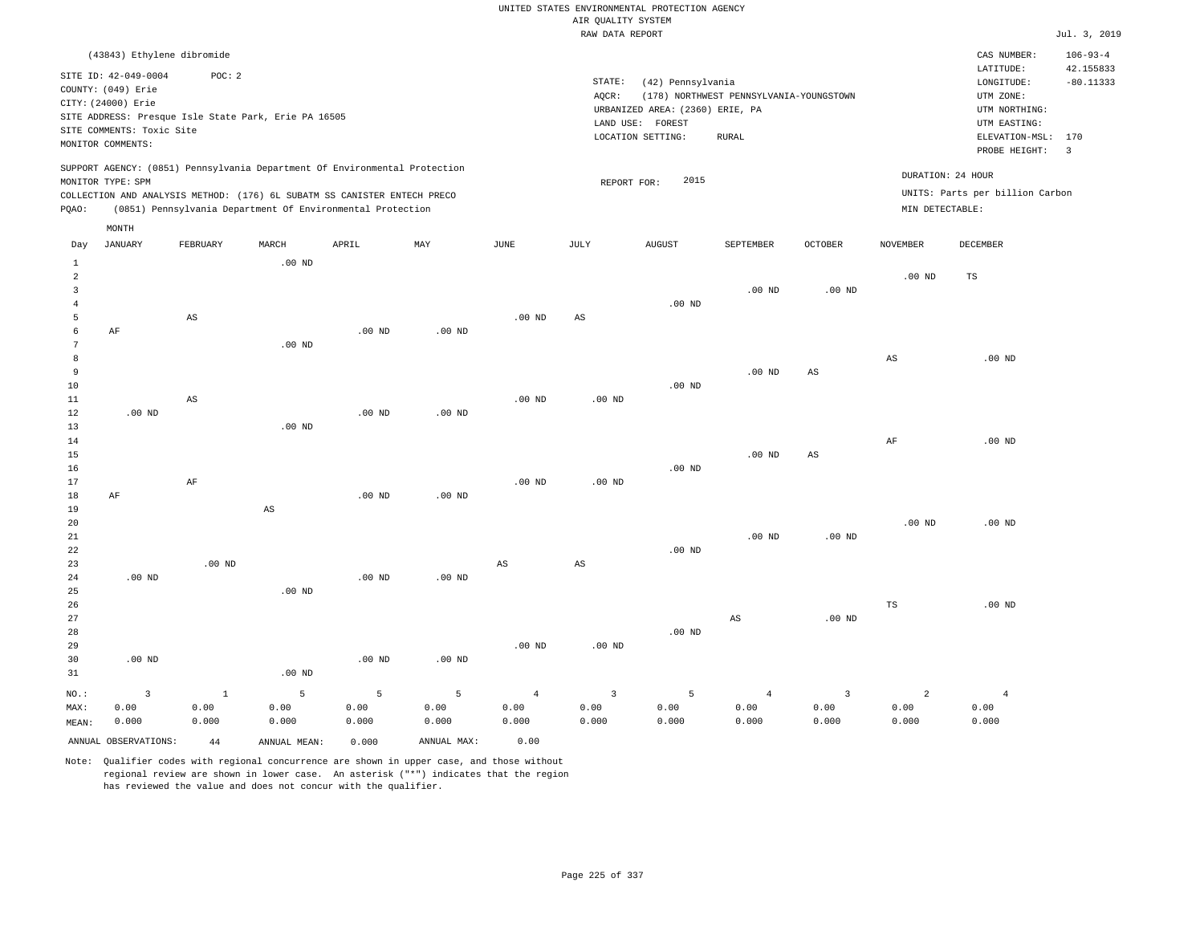|       | (43843) Ethylene dibromide                                                                                                                                                  |          |                   |                                                            |     |      |                 |                                                                                               |                                                  |          |                 | CAS NUMBER:                                                                                                  | $106 - 93 - 4$                                       |
|-------|-----------------------------------------------------------------------------------------------------------------------------------------------------------------------------|----------|-------------------|------------------------------------------------------------|-----|------|-----------------|-----------------------------------------------------------------------------------------------|--------------------------------------------------|----------|-----------------|--------------------------------------------------------------------------------------------------------------|------------------------------------------------------|
|       | SITE ID: 42-049-0004<br>COUNTY: (049) Erie<br>CITY: (24000) Erie<br>SITE ADDRESS: Presque Isle State Park, Erie PA 16505<br>SITE COMMENTS: Toxic Site<br>MONITOR COMMENTS:  | POC: 2   |                   |                                                            |     |      | STATE:<br>AOCR: | (42) Pennsylvania<br>URBANIZED AREA: (2360) ERIE, PA<br>LAND USE: FOREST<br>LOCATION SETTING: | (178) NORTHWEST PENNSYLVANIA-YOUNGSTOWN<br>RURAL |          |                 | LATITUDE:<br>LONGITUDE:<br>UTM ZONE:<br>UTM NORTHING:<br>UTM EASTING:<br>ELEVATION-MSL: 170<br>PROBE HEIGHT: | 42.155833<br>$-80.11333$<br>$\overline{\phantom{a}}$ |
| PQAO: | SUPPORT AGENCY: (0851) Pennsylvania Department Of Environmental Protection<br>MONITOR TYPE: SPM<br>COLLECTION AND ANALYSIS METHOD: (176) 6L SUBATM SS CANISTER ENTECH PRECO |          |                   | (0851) Pennsylvania Department Of Environmental Protection |     |      |                 | 2015<br>REPORT FOR:                                                                           |                                                  |          | MIN DETECTABLE: | DURATION: 24 HOUR<br>UNITS: Parts per billion Carbon                                                         |                                                      |
| Day   | MONTH<br>JANUARY                                                                                                                                                            | FEBRUARY | MARCH<br>$.00$ ND | APRIL                                                      | MAY | JUNE | JULY            | AUGUST                                                                                        | SEPTEMBER                                        | OCTOBER  | NOVEMBER        | DECEMBER                                                                                                     |                                                      |
|       |                                                                                                                                                                             |          |                   |                                                            |     |      |                 | $.00$ ND                                                                                      | $.00$ ND                                         | $.00$ ND | $.00$ ND        | TS                                                                                                           |                                                      |

| 5           |          | $\mathbb{A}\mathbb{S}$ |                        |          |          | .00 $ND$ | AS       |          |          |             |                        |          |
|-------------|----------|------------------------|------------------------|----------|----------|----------|----------|----------|----------|-------------|------------------------|----------|
| 6           | AF       |                        |                        | $.00$ ND | $.00$ ND |          |          |          |          |             |                        |          |
| 7           |          |                        | $.00$ ND               |          |          |          |          |          |          |             |                        |          |
| 8           |          |                        |                        |          |          |          |          |          |          |             | $\mathbb{A}\mathbb{S}$ | $.00$ ND |
| 9           |          |                        |                        |          |          |          |          |          | $.00$ ND | $_{\rm AS}$ |                        |          |
| 10          |          |                        |                        |          |          |          |          | $.00$ ND |          |             |                        |          |
| $11\,$      |          | $_{\rm AS}$            |                        |          |          | $.00$ ND | $.00$ ND |          |          |             |                        |          |
| 12          | .00 $ND$ |                        |                        | $.00$ ND | $.00$ ND |          |          |          |          |             |                        |          |
| $13\,$      |          |                        | $.00$ ND               |          |          |          |          |          |          |             |                        |          |
| $14\,$      |          |                        |                        |          |          |          |          |          |          |             | AF                     | $.00$ ND |
| $15\,$      |          |                        |                        |          |          |          |          |          | $.00$ ND | $_{\rm AS}$ |                        |          |
| 16          |          |                        |                        |          |          |          |          | $.00$ ND |          |             |                        |          |
| 17          |          | AF                     |                        |          |          | $.00$ ND | $.00$ ND |          |          |             |                        |          |
| 18          | $\rm AF$ |                        |                        | .00 $ND$ | $.00$ ND |          |          |          |          |             |                        |          |
| 19          |          |                        | $\mathbb{A}\mathbb{S}$ |          |          |          |          |          |          |             |                        |          |
| 20          |          |                        |                        |          |          |          |          |          |          |             | .00 $ND$               | $.00$ ND |
| $21\,$      |          |                        |                        |          |          |          |          |          | $.00$ ND | $.00$ ND    |                        |          |
| $^{\rm 22}$ |          |                        |                        |          |          |          |          | $.00$ ND |          |             |                        |          |
| 23          |          | .00 $ND$               |                        |          |          | AS       | AS       |          |          |             |                        |          |
| 24          | $.00$ ND |                        |                        | $.00$ ND | $.00$ ND |          |          |          |          |             |                        |          |
| 25          |          |                        | $.00$ ND               |          |          |          |          |          |          |             |                        |          |
| 26          |          |                        |                        |          |          |          |          |          |          |             | TS                     | .00 $ND$ |
| 27          |          |                        |                        |          |          |          |          |          | AS       | $.00$ ND    |                        |          |
| 28          |          |                        |                        |          |          |          |          | $.00$ ND |          |             |                        |          |
| 29          |          |                        |                        |          |          | $.00$ ND | $.00$ ND |          |          |             |                        |          |

31 NO.: MAX: MEAN: 3 0.00 0.000 .00 ND 1 0.00 0.000 5 0.00 0.000 5 0.00 0.000 5 0.00 0.000 4 0.00 0.000 3 0.00 0.000 5 0.00 0.000 4 0.00 0.000 3 0.00 0.000 2 0.00 0.000 4 0.00 0.000 ANNUAL OBSERVATIONS: 44 ANNUAL MEAN: 0.000 ANNUAL MAX: 0.00

Note: Qualifier codes with regional concurrence are shown in upper case, and those without regional review are shown in lower case. An asterisk ("\*") indicates that the region has reviewed the value and does not concur with the qualifier.

.00 ND

.00 ND

30

.00 ND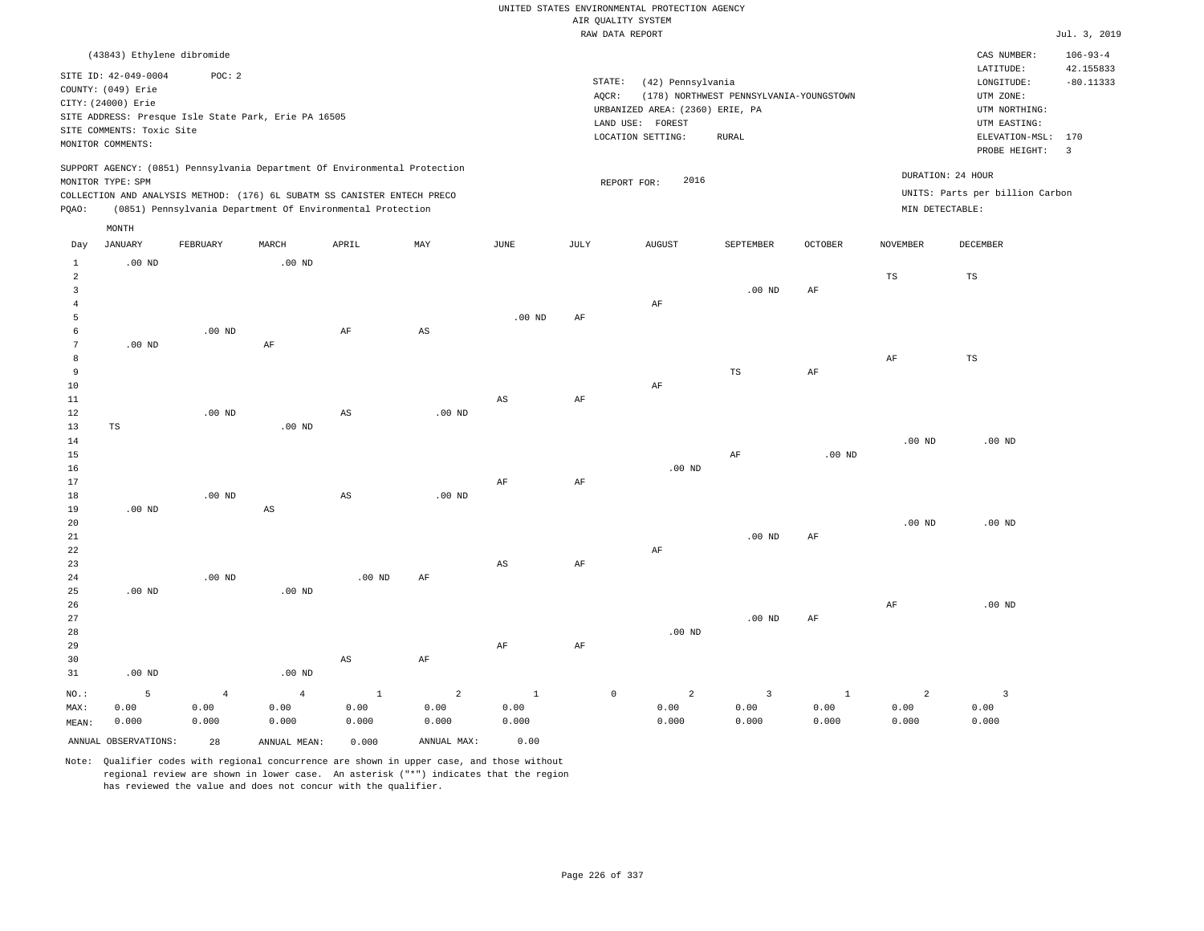|                 |                            |                   |                                                                            |                        |                |              |           | RAW DATA REPORT                 |                                         |              |                 |                                 | Jul. 3, 2019            |
|-----------------|----------------------------|-------------------|----------------------------------------------------------------------------|------------------------|----------------|--------------|-----------|---------------------------------|-----------------------------------------|--------------|-----------------|---------------------------------|-------------------------|
|                 | (43843) Ethylene dibromide |                   |                                                                            |                        |                |              |           |                                 |                                         |              |                 | CAS NUMBER:                     | $106 - 93 - 4$          |
|                 |                            |                   |                                                                            |                        |                |              |           |                                 |                                         |              |                 | LATITUDE:                       | 42.155833               |
|                 | SITE ID: 42-049-0004       | POC: 2            |                                                                            |                        |                |              | STATE:    | (42) Pennsylvania               |                                         |              |                 | LONGITUDE:                      | $-80.11333$             |
|                 | COUNTY: (049) Erie         |                   |                                                                            |                        |                |              | AQCR:     |                                 | (178) NORTHWEST PENNSYLVANIA-YOUNGSTOWN |              |                 | UTM ZONE:                       |                         |
|                 | CITY: (24000) Erie         |                   |                                                                            |                        |                |              |           | URBANIZED AREA: (2360) ERIE, PA |                                         |              |                 | UTM NORTHING:                   |                         |
|                 |                            |                   | SITE ADDRESS: Presque Isle State Park, Erie PA 16505                       |                        |                |              |           | LAND USE: FOREST                |                                         |              |                 | UTM EASTING:                    |                         |
|                 | SITE COMMENTS: Toxic Site  |                   |                                                                            |                        |                |              |           | LOCATION SETTING:               | <b>RURAL</b>                            |              |                 | ELEVATION-MSL:                  | 170                     |
|                 | MONITOR COMMENTS:          |                   |                                                                            |                        |                |              |           |                                 |                                         |              |                 | PROBE HEIGHT:                   | $\overline{\mathbf{3}}$ |
|                 |                            |                   | SUPPORT AGENCY: (0851) Pennsylvania Department Of Environmental Protection |                        |                |              |           |                                 |                                         |              |                 |                                 |                         |
|                 | MONITOR TYPE: SPM          |                   |                                                                            |                        |                |              |           | 2016<br>REPORT FOR:             |                                         |              |                 | DURATION: 24 HOUR               |                         |
|                 |                            |                   | COLLECTION AND ANALYSIS METHOD: (176) 6L SUBATM SS CANISTER ENTECH PRECO   |                        |                |              |           |                                 |                                         |              |                 | UNITS: Parts per billion Carbon |                         |
| PQAO:           |                            |                   | (0851) Pennsylvania Department Of Environmental Protection                 |                        |                |              |           |                                 |                                         |              | MIN DETECTABLE: |                                 |                         |
|                 | $\texttt{MONTH}$           |                   |                                                                            |                        |                |              |           |                                 |                                         |              |                 |                                 |                         |
| Day             | <b>JANUARY</b>             | FEBRUARY          | MARCH                                                                      | APRIL                  | MAY            | JUNE         | JULY      | <b>AUGUST</b>                   | SEPTEMBER                               | OCTOBER      | <b>NOVEMBER</b> | DECEMBER                        |                         |
| $\mathbf{1}$    | $.00$ ND                   |                   | .00 <sub>ND</sub>                                                          |                        |                |              |           |                                 |                                         |              |                 |                                 |                         |
| $\overline{2}$  |                            |                   |                                                                            |                        |                |              |           |                                 |                                         |              | TS              | TS                              |                         |
| $\overline{3}$  |                            |                   |                                                                            |                        |                |              |           |                                 | $.00$ ND                                | AF           |                 |                                 |                         |
| $\overline{4}$  |                            |                   |                                                                            |                        |                |              |           | $\rm AF$                        |                                         |              |                 |                                 |                         |
| 5               |                            |                   |                                                                            |                        |                | $.00$ ND     | $\rm{AF}$ |                                 |                                         |              |                 |                                 |                         |
| 6               |                            | $.00$ ND          |                                                                            | AF                     | AS             |              |           |                                 |                                         |              |                 |                                 |                         |
| $7\phantom{.0}$ | $.00$ ND                   |                   | AF                                                                         |                        |                |              |           |                                 |                                         |              |                 |                                 |                         |
| 8               |                            |                   |                                                                            |                        |                |              |           |                                 |                                         |              | $\rm{AF}$       | TS                              |                         |
| $\overline{9}$  |                            |                   |                                                                            |                        |                |              |           |                                 | $_{\rm TS}$                             | $\rm{AF}$    |                 |                                 |                         |
| 10              |                            |                   |                                                                            |                        |                |              |           | AF                              |                                         |              |                 |                                 |                         |
| $11\,$          |                            |                   |                                                                            |                        |                | $_{\rm AS}$  | $\rm{AF}$ |                                 |                                         |              |                 |                                 |                         |
| 12<br>13        | TS                         | .00 <sub>ND</sub> | $.00$ ND                                                                   | $\mathbb{A}\mathbb{S}$ | $.00$ ND       |              |           |                                 |                                         |              |                 |                                 |                         |
| 14              |                            |                   |                                                                            |                        |                |              |           |                                 |                                         |              | $.00$ ND        | $.00$ ND                        |                         |
| 15              |                            |                   |                                                                            |                        |                |              |           |                                 | $\rm AF$                                | $.00$ ND     |                 |                                 |                         |
| 16              |                            |                   |                                                                            |                        |                |              |           | .00 <sub>ND</sub>               |                                         |              |                 |                                 |                         |
| 17              |                            |                   |                                                                            |                        |                | AF           | AF        |                                 |                                         |              |                 |                                 |                         |
| 18              |                            | .00 <sub>ND</sub> |                                                                            | $\mathbb{A}\mathbb{S}$ | $.00$ ND       |              |           |                                 |                                         |              |                 |                                 |                         |
| 19              | $.00$ ND                   |                   | $\mathbb{A}\mathbb{S}$                                                     |                        |                |              |           |                                 |                                         |              |                 |                                 |                         |
| 20              |                            |                   |                                                                            |                        |                |              |           |                                 |                                         |              | $.00$ ND        | $.00$ ND                        |                         |
| 21              |                            |                   |                                                                            |                        |                |              |           |                                 | $.00$ ND                                | AF           |                 |                                 |                         |
| 22              |                            |                   |                                                                            |                        |                |              |           | $\rm AF$                        |                                         |              |                 |                                 |                         |
| 23              |                            |                   |                                                                            |                        |                | $_{\rm AS}$  | AF        |                                 |                                         |              |                 |                                 |                         |
| 24              |                            | $.00$ ND          |                                                                            | $.00$ ND               | AF             |              |           |                                 |                                         |              |                 |                                 |                         |
| 25              | $.00$ ND                   |                   | $.00$ ND                                                                   |                        |                |              |           |                                 |                                         |              |                 |                                 |                         |
| 26              |                            |                   |                                                                            |                        |                |              |           |                                 |                                         |              | $\rm{AF}$       | $.00$ ND                        |                         |
| 27              |                            |                   |                                                                            |                        |                |              |           |                                 | $.00$ ND                                | AF           |                 |                                 |                         |
| 28              |                            |                   |                                                                            |                        |                |              |           | $.00$ ND                        |                                         |              |                 |                                 |                         |
| 29              |                            |                   |                                                                            |                        |                | $\rm{AF}$    | AF        |                                 |                                         |              |                 |                                 |                         |
| 30              |                            |                   |                                                                            | $\mathbb{A}\mathbb{S}$ | AF             |              |           |                                 |                                         |              |                 |                                 |                         |
| 31              | $.00$ ND                   |                   | .00 <sub>ND</sub>                                                          |                        |                |              |           |                                 |                                         |              |                 |                                 |                         |
| NO.:            | $5\phantom{.0}$            | $\overline{4}$    | $\overline{4}$                                                             | $\mathbf{1}$           | $\overline{a}$ | $\mathbf{1}$ |           | $\mathsf{O}$<br>$\overline{a}$  | $\overline{3}$                          | $\mathbf{1}$ | $\overline{a}$  | $\mathbf{3}$                    |                         |
| MAX:            | 0.00                       | 0.00              | 0.00                                                                       | 0.00                   | 0.00           | 0.00         |           | 0.00                            | 0.00                                    | 0.00         | 0.00            | 0.00                            |                         |
| MEAN:           | 0.000                      | 0.000             | 0.000                                                                      | 0.000                  | 0.000          | 0.000        |           | 0.000                           | 0.000                                   | 0.000        | 0.000           | 0.000                           |                         |
|                 | ANNUAL OBSERVATIONS:       | 2.8               | ANNUAL, MEAN:                                                              | 0.000                  | ANNUAL MAX:    | 0.00         |           |                                 |                                         |              |                 |                                 |                         |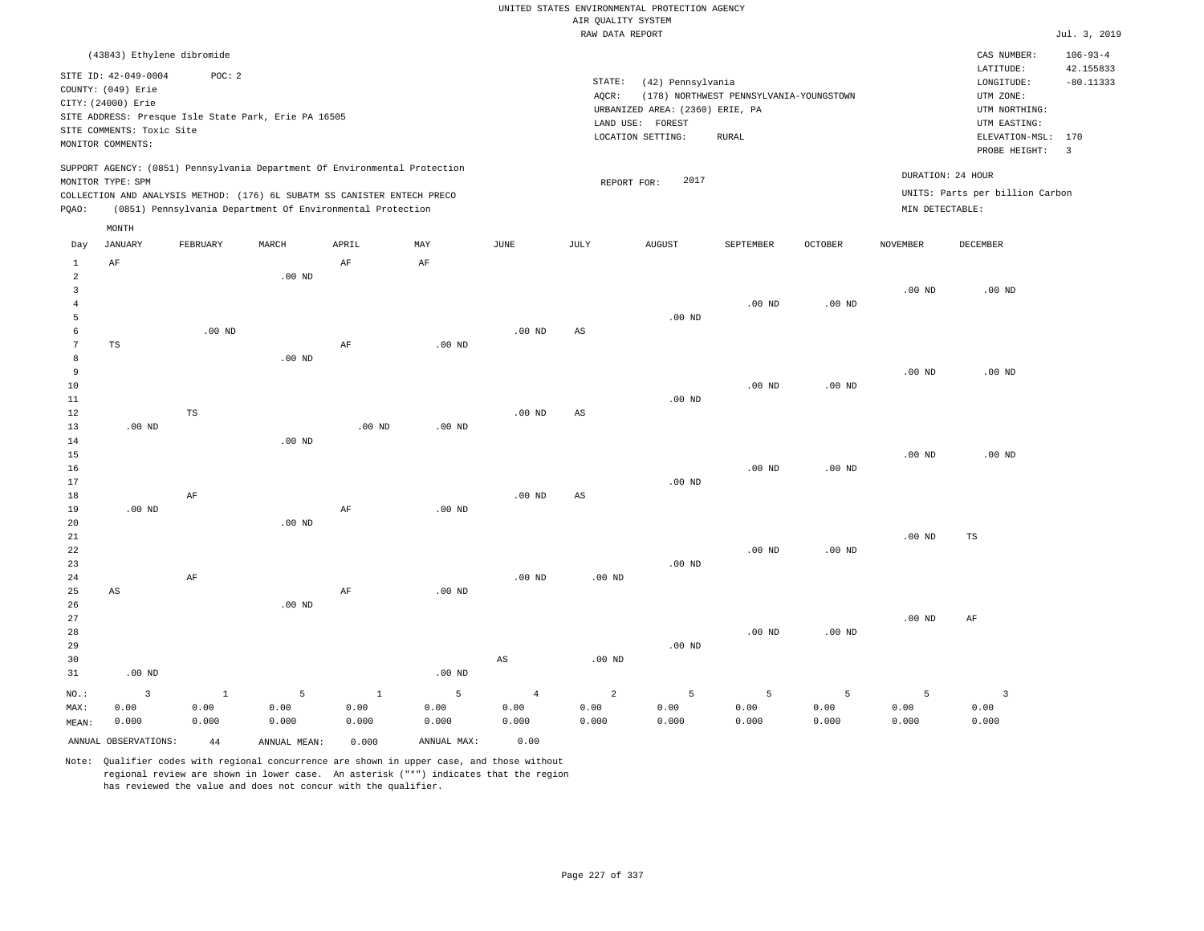|                 |                            |                   |                                                                            |           |                           |                   | RAW DATA REPORT |                                 |                                         |                   |                   |                                 | Jul. 3, 2019            |
|-----------------|----------------------------|-------------------|----------------------------------------------------------------------------|-----------|---------------------------|-------------------|-----------------|---------------------------------|-----------------------------------------|-------------------|-------------------|---------------------------------|-------------------------|
|                 | (43843) Ethylene dibromide |                   |                                                                            |           |                           |                   |                 |                                 |                                         |                   |                   | CAS NUMBER:                     | $106 - 93 - 4$          |
|                 |                            |                   |                                                                            |           |                           |                   |                 |                                 |                                         |                   |                   | LATITUDE:                       | 42.155833               |
|                 | SITE ID: 42-049-0004       | POC: 2            |                                                                            |           |                           |                   | STATE:          | (42) Pennsylvania               |                                         |                   |                   | LONGITUDE:                      | $-80.11333$             |
|                 | COUNTY: (049) Erie         |                   |                                                                            |           |                           |                   | AQCR:           |                                 | (178) NORTHWEST PENNSYLVANIA-YOUNGSTOWN |                   |                   | UTM ZONE:                       |                         |
|                 | CITY: (24000) Erie         |                   |                                                                            |           |                           |                   |                 | URBANIZED AREA: (2360) ERIE, PA |                                         |                   |                   | UTM NORTHING:                   |                         |
|                 |                            |                   | SITE ADDRESS: Presque Isle State Park, Erie PA 16505                       |           |                           |                   |                 | LAND USE: FOREST                |                                         |                   |                   | UTM EASTING:                    |                         |
|                 | SITE COMMENTS: Toxic Site  |                   |                                                                            |           |                           |                   |                 | LOCATION SETTING:               | <b>RURAL</b>                            |                   |                   | ELEVATION-MSL:                  | 170                     |
|                 | MONITOR COMMENTS:          |                   |                                                                            |           |                           |                   |                 |                                 |                                         |                   |                   | PROBE HEIGHT:                   | $\overline{\mathbf{3}}$ |
|                 |                            |                   | SUPPORT AGENCY: (0851) Pennsylvania Department Of Environmental Protection |           |                           |                   |                 |                                 |                                         |                   |                   |                                 |                         |
|                 | MONITOR TYPE: SPM          |                   |                                                                            |           |                           |                   | REPORT FOR:     | 2017                            |                                         |                   |                   | DURATION: 24 HOUR               |                         |
|                 |                            |                   | COLLECTION AND ANALYSIS METHOD: (176) 6L SUBATM SS CANISTER ENTECH PRECO   |           |                           |                   |                 |                                 |                                         |                   |                   | UNITS: Parts per billion Carbon |                         |
| PQAO:           |                            |                   | (0851) Pennsylvania Department Of Environmental Protection                 |           |                           |                   |                 |                                 |                                         |                   | MIN DETECTABLE:   |                                 |                         |
|                 | MONTH                      |                   |                                                                            |           |                           |                   |                 |                                 |                                         |                   |                   |                                 |                         |
| Day             | <b>JANUARY</b>             | FEBRUARY          | MARCH                                                                      | APRIL     | $\ensuremath{\text{MAX}}$ | JUNE              | JULY            | <b>AUGUST</b>                   | SEPTEMBER                               | OCTOBER           | <b>NOVEMBER</b>   | DECEMBER                        |                         |
| $\mathbf{1}$    | $\rm AF$                   |                   |                                                                            | $\rm{AF}$ | AF                        |                   |                 |                                 |                                         |                   |                   |                                 |                         |
| $\overline{a}$  |                            |                   | .00 <sub>ND</sub>                                                          |           |                           |                   |                 |                                 |                                         |                   |                   |                                 |                         |
| 3               |                            |                   |                                                                            |           |                           |                   |                 |                                 |                                         |                   | $.00$ ND          | $.00$ ND                        |                         |
| $\overline{4}$  |                            |                   |                                                                            |           |                           |                   |                 |                                 | $.00$ ND                                | .00 <sub>ND</sub> |                   |                                 |                         |
| 5               |                            |                   |                                                                            |           |                           |                   |                 | $.00$ ND                        |                                         |                   |                   |                                 |                         |
| 6               |                            | .00 <sub>ND</sub> |                                                                            |           |                           | .00 <sub>ND</sub> | AS              |                                 |                                         |                   |                   |                                 |                         |
| $7\phantom{.0}$ | $_{\rm TS}$                |                   |                                                                            | $\rm{AF}$ | $.00$ ND                  |                   |                 |                                 |                                         |                   |                   |                                 |                         |
| 8               |                            |                   | $.00$ ND                                                                   |           |                           |                   |                 |                                 |                                         |                   |                   |                                 |                         |
| 9               |                            |                   |                                                                            |           |                           |                   |                 |                                 |                                         |                   | $.00$ ND          | .00 <sub>ND</sub>               |                         |
| 10              |                            |                   |                                                                            |           |                           |                   |                 |                                 | $.00$ ND                                | .00 <sub>ND</sub> |                   |                                 |                         |
| 11              |                            |                   |                                                                            |           |                           |                   |                 | $.00$ ND                        |                                         |                   |                   |                                 |                         |
| 12              |                            | $\mathbb{TS}$     |                                                                            |           |                           | .00 <sub>ND</sub> | AS              |                                 |                                         |                   |                   |                                 |                         |
| 13              | $.00$ ND                   |                   |                                                                            | $.00$ ND  | $.00$ ND                  |                   |                 |                                 |                                         |                   |                   |                                 |                         |
| 14              |                            |                   | .00 <sub>ND</sub>                                                          |           |                           |                   |                 |                                 |                                         |                   |                   |                                 |                         |
| 15              |                            |                   |                                                                            |           |                           |                   |                 |                                 |                                         |                   | .00 <sub>ND</sub> | .00 <sub>ND</sub>               |                         |
| 16              |                            |                   |                                                                            |           |                           |                   |                 |                                 | .00 <sub>ND</sub>                       | $.00$ ND          |                   |                                 |                         |
| 17              |                            |                   |                                                                            |           |                           |                   |                 | $.00$ ND                        |                                         |                   |                   |                                 |                         |
| 18              |                            | AF                |                                                                            |           |                           | .00 <sub>ND</sub> | $_{\rm AS}$     |                                 |                                         |                   |                   |                                 |                         |
| 19              | $.00$ ND                   |                   |                                                                            | AF        | $.00$ ND                  |                   |                 |                                 |                                         |                   |                   |                                 |                         |
| 20<br>21        |                            |                   | $.00$ ND                                                                   |           |                           |                   |                 |                                 |                                         |                   | $.00$ ND          | $_{\rm TS}$                     |                         |
| 22              |                            |                   |                                                                            |           |                           |                   |                 |                                 | $.00$ ND                                | .00 <sub>ND</sub> |                   |                                 |                         |
| 23              |                            |                   |                                                                            |           |                           |                   |                 | $.00$ ND                        |                                         |                   |                   |                                 |                         |
| 24              |                            | $\rm AF$          |                                                                            |           |                           | $.00$ ND          | $.00$ ND        |                                 |                                         |                   |                   |                                 |                         |
| 25              | $\mathbb{A}\mathbb{S}$     |                   |                                                                            | AF        | .00 <sub>ND</sub>         |                   |                 |                                 |                                         |                   |                   |                                 |                         |
| 26              |                            |                   | $.00$ ND                                                                   |           |                           |                   |                 |                                 |                                         |                   |                   |                                 |                         |
| 27              |                            |                   |                                                                            |           |                           |                   |                 |                                 |                                         |                   | .00 <sub>ND</sub> | AF                              |                         |
| 28              |                            |                   |                                                                            |           |                           |                   |                 |                                 | $.00$ ND                                | $.00$ ND          |                   |                                 |                         |
| 29              |                            |                   |                                                                            |           |                           |                   |                 | $.00$ ND                        |                                         |                   |                   |                                 |                         |
| 30              |                            |                   |                                                                            |           |                           | AS                | $.00$ ND        |                                 |                                         |                   |                   |                                 |                         |
| 31              | $.00$ ND                   |                   |                                                                            |           | .00 <sub>ND</sub>         |                   |                 |                                 |                                         |                   |                   |                                 |                         |
| NO.:            | $\overline{3}$             | $1\,$             | 5                                                                          | $\,$ 1    | 5                         | $\overline{4}$    | $\overline{a}$  | 5                               | 5                                       | 5                 | 5                 | $\overline{3}$                  |                         |
| MAX:            | 0.00                       | 0.00              | 0.00                                                                       | 0.00      | 0.00                      | 0.00              | 0.00            | 0.00                            | 0.00                                    | 0.00              | 0.00              | 0.00                            |                         |
| MEAN:           | 0.000                      | 0.000             | 0.000                                                                      | 0.000     | 0.000                     | 0.000             | 0.000           | 0.000                           | 0.000                                   | 0.000             | 0.000             | 0.000                           |                         |
|                 |                            |                   |                                                                            |           | ANNUAL MAX:               | 0.00              |                 |                                 |                                         |                   |                   |                                 |                         |
|                 | ANNUAL OBSERVATIONS:       | $4\,4$            | ANNUAL MEAN:                                                               | 0.000     |                           |                   |                 |                                 |                                         |                   |                   |                                 |                         |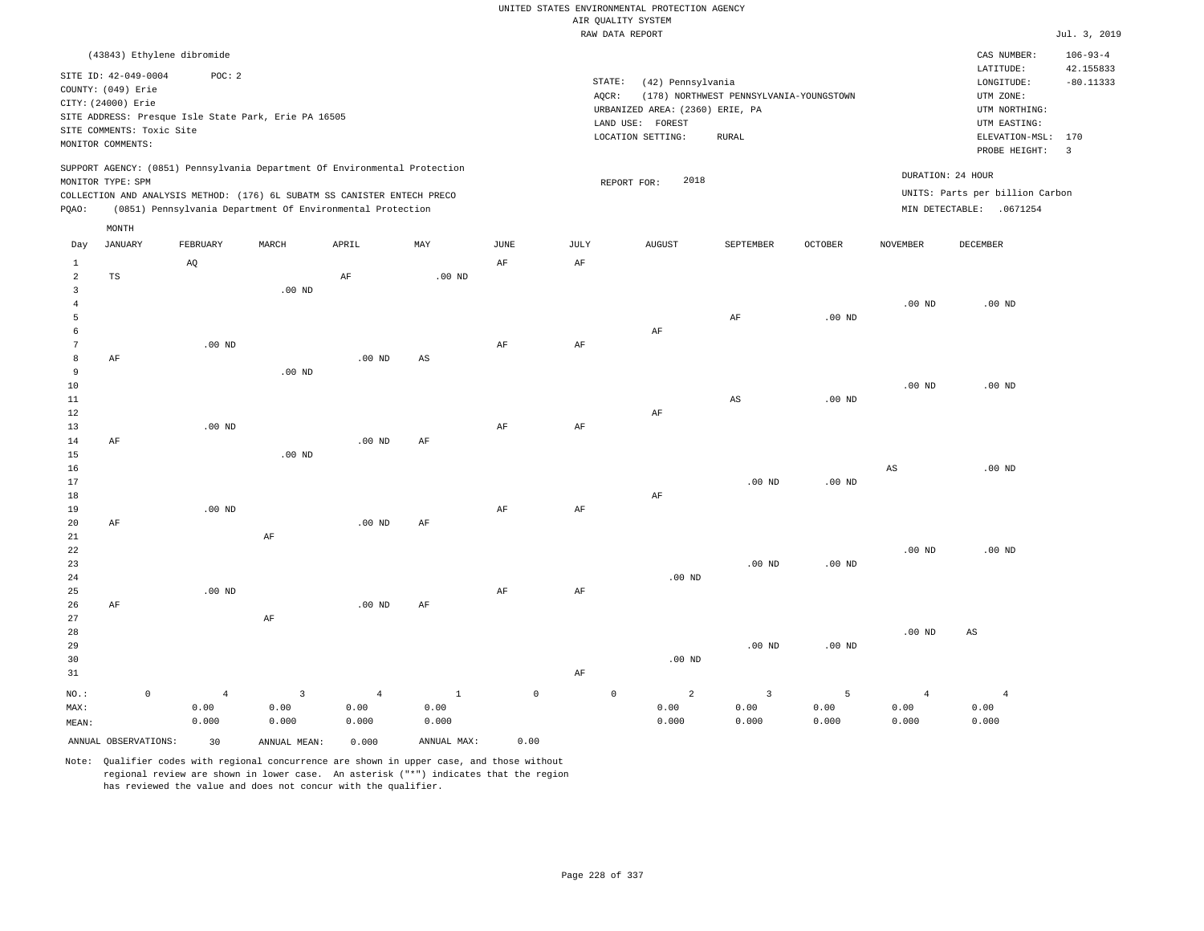|                                  |                                                                                                                    |             |                            |                                                                            |                   |                        |                     |           | UNITED STATES ENVIRONMENTAL PROTECTION AGENCY<br>AIR QUALITY SYSTEM<br>RAW DATA REPORT                  |                                                         |                |                   |                                                                                                          | Jul. 3, 2019                                      |
|----------------------------------|--------------------------------------------------------------------------------------------------------------------|-------------|----------------------------|----------------------------------------------------------------------------|-------------------|------------------------|---------------------|-----------|---------------------------------------------------------------------------------------------------------|---------------------------------------------------------|----------------|-------------------|----------------------------------------------------------------------------------------------------------|---------------------------------------------------|
|                                  |                                                                                                                    |             | (43843) Ethylene dibromide |                                                                            |                   |                        |                     |           |                                                                                                         |                                                         |                |                   | CAS NUMBER:                                                                                              | $106 - 93 - 4$                                    |
|                                  | SITE ID: 42-049-0004<br>COUNTY: (049) Erie<br>CITY: (24000) Erie<br>SITE COMMENTS: Toxic Site<br>MONITOR COMMENTS: |             | POC: 2                     | SITE ADDRESS: Presque Isle State Park, Erie PA 16505                       |                   |                        |                     | AOCR:     | STATE:<br>(42) Pennsylvania<br>URBANIZED AREA: (2360) ERIE, PA<br>LAND USE: FOREST<br>LOCATION SETTING: | (178) NORTHWEST PENNSYLVANIA-YOUNGSTOWN<br><b>RURAL</b> |                |                   | LATITUDE:<br>LONGITUDE:<br>UTM ZONE:<br>UTM NORTHING:<br>UTM EASTING:<br>ELEVATION-MSL:<br>PROBE HEIGHT: | 42.155833<br>$-80.11333$<br>170<br>$\overline{3}$ |
|                                  |                                                                                                                    |             |                            | SUPPORT AGENCY: (0851) Pennsylvania Department Of Environmental Protection |                   |                        |                     |           |                                                                                                         |                                                         |                | DURATION: 24 HOUR |                                                                                                          |                                                   |
|                                  | MONITOR TYPE: SPM                                                                                                  |             |                            | COLLECTION AND ANALYSIS METHOD: (176) 6L SUBATM SS CANISTER ENTECH PRECO   |                   |                        |                     |           | 2018<br>REPORT FOR:                                                                                     |                                                         |                |                   | UNITS: Parts per billion Carbon                                                                          |                                                   |
| PQAO:                            |                                                                                                                    |             |                            | (0851) Pennsylvania Department Of Environmental Protection                 |                   |                        |                     |           |                                                                                                         |                                                         |                |                   | MIN DETECTABLE: .0671254                                                                                 |                                                   |
|                                  | MONTH                                                                                                              |             |                            |                                                                            |                   |                        |                     |           |                                                                                                         |                                                         |                |                   |                                                                                                          |                                                   |
| Day                              | <b>JANUARY</b>                                                                                                     |             | FEBRUARY                   | MARCH                                                                      | APRIL             | MAY                    | <b>JUNE</b>         | JULY      | <b>AUGUST</b>                                                                                           | SEPTEMBER                                               | <b>OCTOBER</b> | <b>NOVEMBER</b>   | <b>DECEMBER</b>                                                                                          |                                                   |
| $\mathbf{1}$                     |                                                                                                                    |             | AQ                         |                                                                            |                   |                        | AF                  | AF        |                                                                                                         |                                                         |                |                   |                                                                                                          |                                                   |
| $\sqrt{2}$                       | TS                                                                                                                 |             |                            |                                                                            | AF                | $.00$ ND               |                     |           |                                                                                                         |                                                         |                |                   |                                                                                                          |                                                   |
| $\overline{3}$<br>$\overline{4}$ |                                                                                                                    |             |                            | $.00$ ND                                                                   |                   |                        |                     |           |                                                                                                         |                                                         |                | .00 <sub>ND</sub> | $.00$ ND                                                                                                 |                                                   |
| 5                                |                                                                                                                    |             |                            |                                                                            |                   |                        |                     |           |                                                                                                         | $\rm{AF}$                                               | $.00$ ND       |                   |                                                                                                          |                                                   |
| 6                                |                                                                                                                    |             |                            |                                                                            |                   |                        |                     |           | AF                                                                                                      |                                                         |                |                   |                                                                                                          |                                                   |
| 7                                |                                                                                                                    |             | $.00$ ND                   |                                                                            |                   |                        | AF                  | AF        |                                                                                                         |                                                         |                |                   |                                                                                                          |                                                   |
| 8                                | AF                                                                                                                 |             |                            |                                                                            | $.00$ ND          | $\mathbb{A}\mathbb{S}$ |                     |           |                                                                                                         |                                                         |                |                   |                                                                                                          |                                                   |
| 9<br>$10$                        |                                                                                                                    |             |                            | $.00$ ND                                                                   |                   |                        |                     |           |                                                                                                         |                                                         |                | $.00$ ND          | $.00$ ND                                                                                                 |                                                   |
| $1\,1$                           |                                                                                                                    |             |                            |                                                                            |                   |                        |                     |           |                                                                                                         | $\mathbb{A}\mathbb{S}$                                  | $.00$ ND       |                   |                                                                                                          |                                                   |
| 12                               |                                                                                                                    |             |                            |                                                                            |                   |                        |                     |           | AF                                                                                                      |                                                         |                |                   |                                                                                                          |                                                   |
| 13                               |                                                                                                                    |             | $.00$ ND                   |                                                                            |                   |                        | $\rm{AF}$           | $\rm{AF}$ |                                                                                                         |                                                         |                |                   |                                                                                                          |                                                   |
| 14                               | AF                                                                                                                 |             |                            |                                                                            | .00 <sub>ND</sub> | AF                     |                     |           |                                                                                                         |                                                         |                |                   |                                                                                                          |                                                   |
| 15                               |                                                                                                                    |             |                            | $.00$ ND                                                                   |                   |                        |                     |           |                                                                                                         |                                                         |                |                   |                                                                                                          |                                                   |
| 16<br>17                         |                                                                                                                    |             |                            |                                                                            |                   |                        |                     |           |                                                                                                         | $.00$ ND                                                | $.00$ ND       | AS                | $.00$ ND                                                                                                 |                                                   |
| $1\,8$                           |                                                                                                                    |             |                            |                                                                            |                   |                        |                     |           | AF                                                                                                      |                                                         |                |                   |                                                                                                          |                                                   |
| 19                               |                                                                                                                    |             | $.00$ ND                   |                                                                            |                   |                        | AF                  | AF        |                                                                                                         |                                                         |                |                   |                                                                                                          |                                                   |
| 20                               | AF                                                                                                                 |             |                            |                                                                            | .00 <sub>ND</sub> | AF                     |                     |           |                                                                                                         |                                                         |                |                   |                                                                                                          |                                                   |
| $2\sqrt{1}$                      |                                                                                                                    |             |                            | AF                                                                         |                   |                        |                     |           |                                                                                                         |                                                         |                |                   |                                                                                                          |                                                   |
| 22                               |                                                                                                                    |             |                            |                                                                            |                   |                        |                     |           |                                                                                                         |                                                         |                | $.00$ ND          | $.00$ ND                                                                                                 |                                                   |
| 23                               |                                                                                                                    |             |                            |                                                                            |                   |                        |                     |           |                                                                                                         | $.00$ ND                                                | $.00$ ND       |                   |                                                                                                          |                                                   |
| 24<br>25                         |                                                                                                                    |             | $.00$ ND                   |                                                                            |                   |                        | AF                  | AF        | $.00$ ND                                                                                                |                                                         |                |                   |                                                                                                          |                                                   |
| 26                               | AF                                                                                                                 |             |                            |                                                                            | $.00$ ND          | AF                     |                     |           |                                                                                                         |                                                         |                |                   |                                                                                                          |                                                   |
| 27                               |                                                                                                                    |             |                            | $\rm{AF}$                                                                  |                   |                        |                     |           |                                                                                                         |                                                         |                |                   |                                                                                                          |                                                   |
| 28                               |                                                                                                                    |             |                            |                                                                            |                   |                        |                     |           |                                                                                                         |                                                         |                | $.00$ ND          | AS                                                                                                       |                                                   |
| 29                               |                                                                                                                    |             |                            |                                                                            |                   |                        |                     |           |                                                                                                         | $.00$ ND                                                | $.00$ ND       |                   |                                                                                                          |                                                   |
| 30                               |                                                                                                                    |             |                            |                                                                            |                   |                        |                     |           | $.00$ ND                                                                                                |                                                         |                |                   |                                                                                                          |                                                   |
| 31                               |                                                                                                                    |             |                            |                                                                            |                   |                        |                     | AF        |                                                                                                         |                                                         |                |                   |                                                                                                          |                                                   |
| $NO.$ :                          |                                                                                                                    | $\mathsf 0$ | $\overline{4}$             | $\overline{3}$                                                             | $\overline{4}$    | $\mathbf{1}$           | $\mathsf{O}\xspace$ |           | 2<br>$\mathbb O$                                                                                        | $\overline{3}$                                          | 5              | $\overline{4}$    | $\overline{4}$                                                                                           |                                                   |
| MAX:                             |                                                                                                                    |             | 0.00                       | 0.00                                                                       | 0.00              | 0.00                   |                     |           | 0.00                                                                                                    | 0.00                                                    | 0.00           | 0.00              | 0.00                                                                                                     |                                                   |
| MEAN:                            |                                                                                                                    |             | 0.000                      | 0.000                                                                      | 0.000             | 0.000                  |                     |           | 0.000                                                                                                   | 0.000                                                   | 0.000          | 0.000             | 0.000                                                                                                    |                                                   |
|                                  | ANNUAL OBSERVATIONS:                                                                                               |             | 30                         | ANNUAL MEAN:                                                               | 0.000             | ANNUAL MAX:            | 0.00                |           |                                                                                                         |                                                         |                |                   |                                                                                                          |                                                   |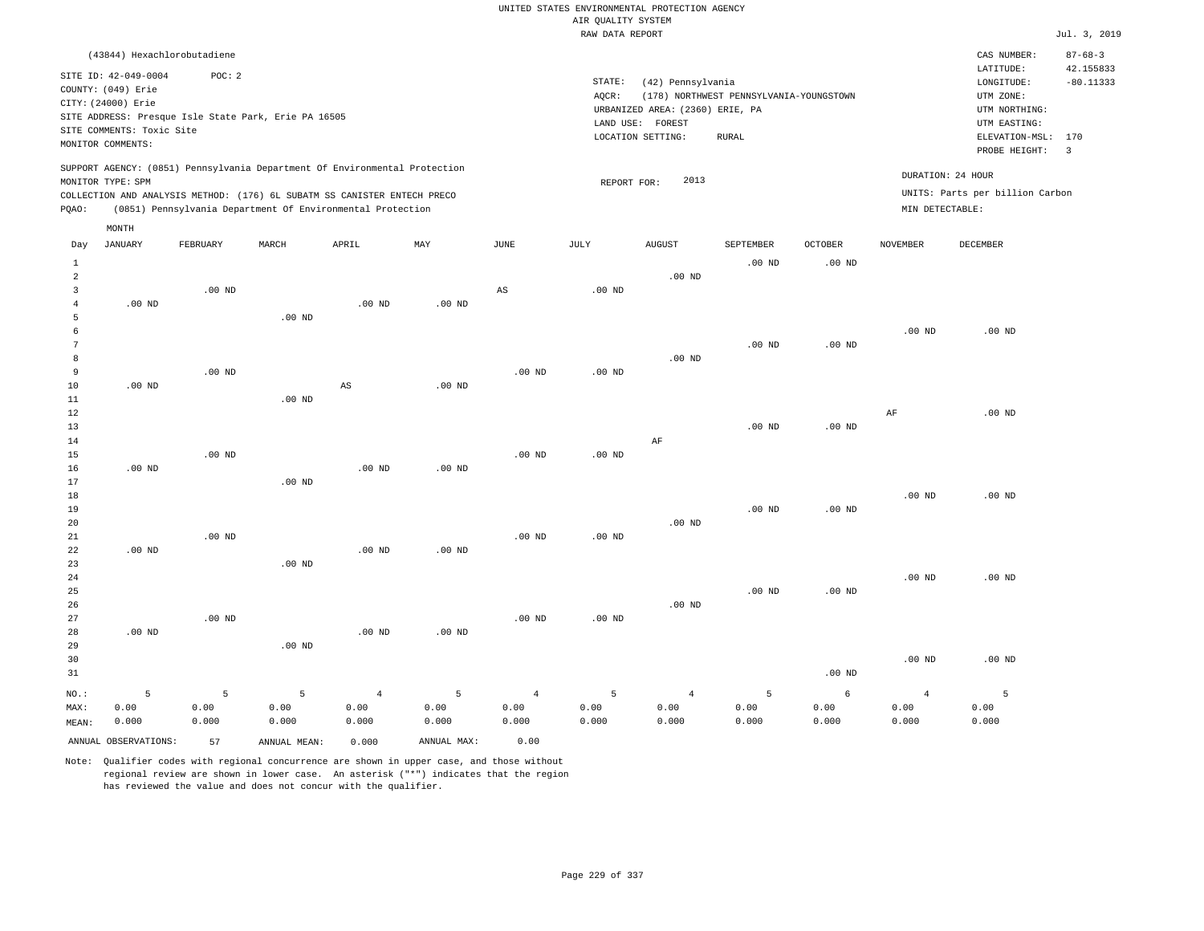|                | (43844) Hexachlorobutadiene                                      |          |                                                                            |                   |                |                       |                   |                                 |                                         |                   |                   | CAS NUMBER:                          | $87 - 68 - 3$            |
|----------------|------------------------------------------------------------------|----------|----------------------------------------------------------------------------|-------------------|----------------|-----------------------|-------------------|---------------------------------|-----------------------------------------|-------------------|-------------------|--------------------------------------|--------------------------|
|                | SITE ID: 42-049-0004<br>COUNTY: (049) Erie<br>CITY: (24000) Erie | POC: 2   |                                                                            |                   |                |                       | STATE:<br>AQCR:   | (42) Pennsylvania               | (178) NORTHWEST PENNSYLVANIA-YOUNGSTOWN |                   |                   | LATITUDE:<br>LONGITUDE:<br>UTM ZONE: | 42.155833<br>$-80.11333$ |
|                |                                                                  |          | SITE ADDRESS: Presque Isle State Park, Erie PA 16505                       |                   |                |                       |                   | URBANIZED AREA: (2360) ERIE, PA |                                         |                   |                   | UTM NORTHING:                        |                          |
|                | SITE COMMENTS: Toxic Site                                        |          |                                                                            |                   |                |                       | LAND USE:         | FOREST                          |                                         |                   |                   | UTM EASTING:                         |                          |
|                | MONITOR COMMENTS:                                                |          |                                                                            |                   |                |                       |                   | LOCATION SETTING:               | <b>RURAL</b>                            |                   |                   | ELEVATION-MSL: 170                   |                          |
|                | MONITOR TYPE: SPM                                                |          | SUPPORT AGENCY: (0851) Pennsylvania Department Of Environmental Protection |                   |                |                       |                   | 2013                            |                                         |                   |                   | PROBE HEIGHT:<br>DURATION: 24 HOUR   | $\overline{\mathbf{3}}$  |
|                |                                                                  |          | COLLECTION AND ANALYSIS METHOD: (176) 6L SUBATM SS CANISTER ENTECH PRECO   |                   |                |                       | REPORT FOR:       |                                 |                                         |                   |                   | UNITS: Parts per billion Carbon      |                          |
| PQAO:          |                                                                  |          | (0851) Pennsylvania Department Of Environmental Protection                 |                   |                |                       |                   |                                 |                                         |                   | MIN DETECTABLE:   |                                      |                          |
|                |                                                                  |          |                                                                            |                   |                |                       |                   |                                 |                                         |                   |                   |                                      |                          |
|                | MONTH                                                            |          |                                                                            |                   |                |                       |                   |                                 |                                         |                   |                   |                                      |                          |
| Day            | <b>JANUARY</b>                                                   | FEBRUARY | MARCH                                                                      | APRIL             | MAY            | $\operatorname{JUNE}$ | JULY              | <b>AUGUST</b>                   | SEPTEMBER                               | OCTOBER           | <b>NOVEMBER</b>   | DECEMBER                             |                          |
| $\mathbf{1}$   |                                                                  |          |                                                                            |                   |                |                       |                   |                                 | $.00$ ND                                | .00 <sub>ND</sub> |                   |                                      |                          |
| $\overline{a}$ |                                                                  |          |                                                                            |                   |                |                       |                   | $.00$ ND                        |                                         |                   |                   |                                      |                          |
| 3              |                                                                  | $.00$ ND |                                                                            |                   |                | AS                    | $.00$ ND          |                                 |                                         |                   |                   |                                      |                          |
| $\overline{4}$ | $.00$ ND                                                         |          |                                                                            | .00 <sub>ND</sub> | $.00$ ND       |                       |                   |                                 |                                         |                   |                   |                                      |                          |
| 5              |                                                                  |          | .00 <sub>ND</sub>                                                          |                   |                |                       |                   |                                 |                                         |                   |                   |                                      |                          |
| 6              |                                                                  |          |                                                                            |                   |                |                       |                   |                                 |                                         |                   | $.00$ ND          | $.00$ ND                             |                          |
| 7              |                                                                  |          |                                                                            |                   |                |                       |                   |                                 | $.00$ ND                                | .00 <sub>ND</sub> |                   |                                      |                          |
| 8              |                                                                  |          |                                                                            |                   |                |                       |                   | $.00$ ND                        |                                         |                   |                   |                                      |                          |
| $\overline{9}$ |                                                                  | $.00$ ND |                                                                            |                   |                | .00 <sub>ND</sub>     | .00 <sub>ND</sub> |                                 |                                         |                   |                   |                                      |                          |
| 10             | $.00$ ND                                                         |          |                                                                            | AS                | $.00$ ND       |                       |                   |                                 |                                         |                   |                   |                                      |                          |
| 11             |                                                                  |          | $.00$ ND                                                                   |                   |                |                       |                   |                                 |                                         |                   |                   |                                      |                          |
| $1\,2$         |                                                                  |          |                                                                            |                   |                |                       |                   |                                 |                                         |                   | AF                | $.00$ ND                             |                          |
| 13             |                                                                  |          |                                                                            |                   |                |                       |                   |                                 | $.00$ ND                                | .00 <sub>ND</sub> |                   |                                      |                          |
| 14             |                                                                  |          |                                                                            |                   |                |                       |                   | AF                              |                                         |                   |                   |                                      |                          |
| 15             |                                                                  | $.00$ ND |                                                                            |                   |                | .00 <sub>ND</sub>     | $.00$ ND          |                                 |                                         |                   |                   |                                      |                          |
| 16<br>17       | .00 <sub>ND</sub>                                                |          | $.00$ ND                                                                   | .00 <sub>ND</sub> | $.00$ ND       |                       |                   |                                 |                                         |                   |                   |                                      |                          |
| 18             |                                                                  |          |                                                                            |                   |                |                       |                   |                                 |                                         |                   | $.00$ ND          | $.00$ ND                             |                          |
| 19             |                                                                  |          |                                                                            |                   |                |                       |                   |                                 | $.00$ ND                                | $.00$ ND          |                   |                                      |                          |
| 20             |                                                                  |          |                                                                            |                   |                |                       |                   | $.00$ ND                        |                                         |                   |                   |                                      |                          |
| 21             |                                                                  | $.00$ ND |                                                                            |                   |                | .00 <sub>ND</sub>     | .00 <sub>ND</sub> |                                 |                                         |                   |                   |                                      |                          |
| 22             | $.00$ ND                                                         |          |                                                                            | $.00$ ND          | $.00$ ND       |                       |                   |                                 |                                         |                   |                   |                                      |                          |
| 23             |                                                                  |          | $.00$ ND                                                                   |                   |                |                       |                   |                                 |                                         |                   |                   |                                      |                          |
| 24             |                                                                  |          |                                                                            |                   |                |                       |                   |                                 |                                         |                   | .00 <sub>ND</sub> | $.00$ ND                             |                          |
| 25             |                                                                  |          |                                                                            |                   |                |                       |                   |                                 | $.00$ ND                                | .00 <sub>ND</sub> |                   |                                      |                          |
| 26             |                                                                  |          |                                                                            |                   |                |                       |                   | $.00$ ND                        |                                         |                   |                   |                                      |                          |
| 27             |                                                                  | $.00$ ND |                                                                            |                   |                | .00 <sub>ND</sub>     | .00 <sub>ND</sub> |                                 |                                         |                   |                   |                                      |                          |
| 28             | $.00$ ND                                                         |          |                                                                            | .00 <sub>ND</sub> | $.00$ ND       |                       |                   |                                 |                                         |                   |                   |                                      |                          |
| 29             |                                                                  |          | $.00$ ND                                                                   |                   |                |                       |                   |                                 |                                         |                   |                   |                                      |                          |
| 30             |                                                                  |          |                                                                            |                   |                |                       |                   |                                 |                                         |                   | $.00$ ND          | $.00$ ND                             |                          |
| 31             |                                                                  |          |                                                                            |                   |                |                       |                   |                                 |                                         | $.00$ ND          |                   |                                      |                          |
|                |                                                                  |          |                                                                            |                   |                |                       |                   |                                 |                                         |                   |                   |                                      |                          |
| NO.:           | 5                                                                | 5        | 5                                                                          | $\overline{4}$    | $\overline{5}$ | $\overline{4}$        | 5                 | $\bf{4}$                        | 5                                       | $\epsilon$        | $\overline{4}$    | $\overline{5}$                       |                          |
| MAX:           | 0.00                                                             | 0.00     | 0.00                                                                       | 0.00              | 0.00           | 0.00                  | 0.00              | 0.00                            | 0.00                                    | 0.00              | 0.00              | 0.00                                 |                          |
| MEAN:          | 0.000                                                            | 0.000    | 0.000                                                                      | 0.000             | 0.000          | 0.000                 | 0.000             | 0.000                           | 0.000                                   | 0.000             | 0.000             | 0.000                                |                          |
|                | ANNUAL OBSERVATIONS:                                             | 57       | ANNUAL MEAN:                                                               | 0.000             | ANNUAL MAX:    | 0.00                  |                   |                                 |                                         |                   |                   |                                      |                          |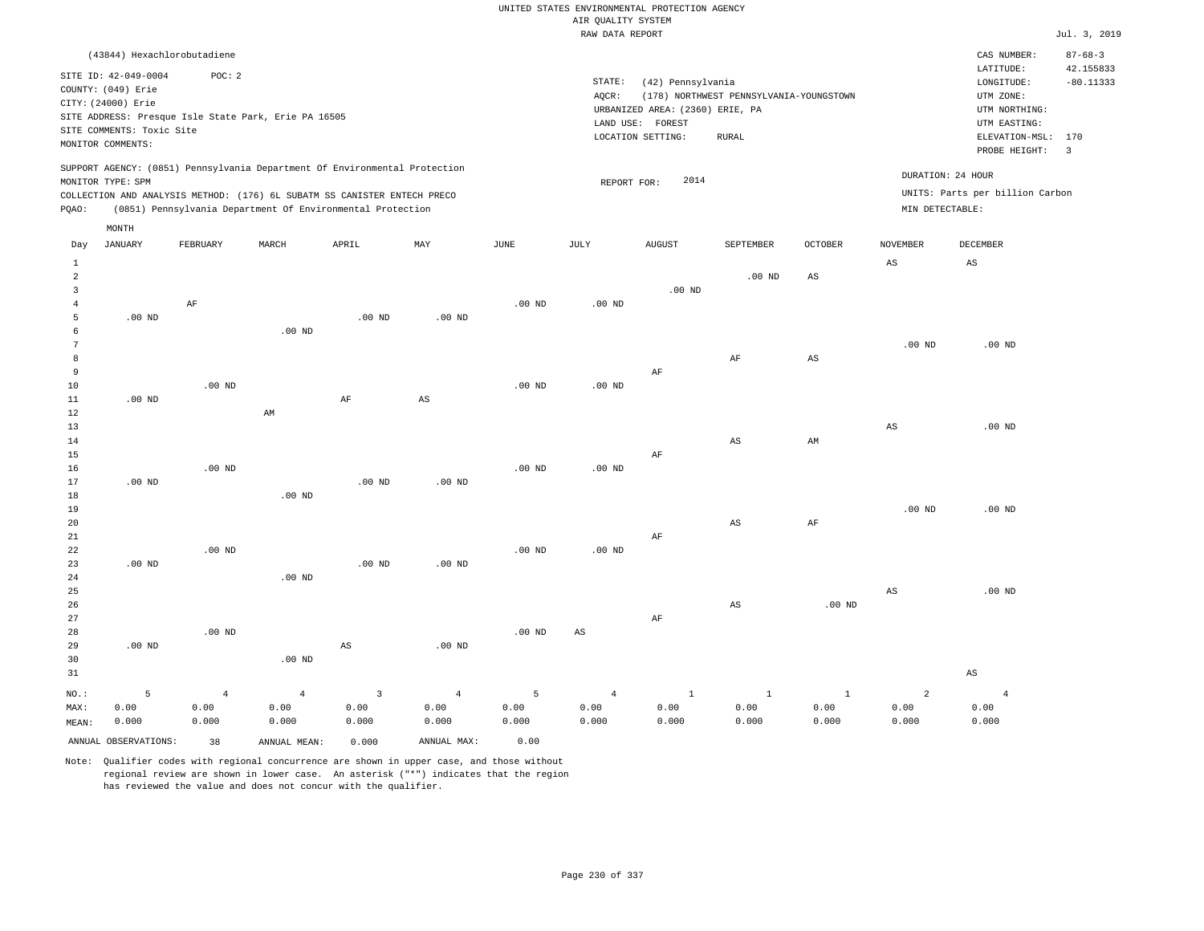|                                                  | (43844) Hexachlorobutadiene                                                                                        |                                 |                                                                                                                                                                                                                      |                                 |                                 |                    |                                 |                                                                                               |                                                         |                               |                    | CAS NUMBER:                                                                                                  | $87 - 68 - 3$                              |
|--------------------------------------------------|--------------------------------------------------------------------------------------------------------------------|---------------------------------|----------------------------------------------------------------------------------------------------------------------------------------------------------------------------------------------------------------------|---------------------------------|---------------------------------|--------------------|---------------------------------|-----------------------------------------------------------------------------------------------|---------------------------------------------------------|-------------------------------|--------------------|--------------------------------------------------------------------------------------------------------------|--------------------------------------------|
|                                                  | SITE ID: 42-049-0004<br>COUNTY: (049) Erie<br>CITY: (24000) Erie<br>SITE COMMENTS: Toxic Site<br>MONITOR COMMENTS: | POC: 2                          | SITE ADDRESS: Presque Isle State Park, Erie PA 16505                                                                                                                                                                 |                                 |                                 |                    | STATE:<br>AQCR:                 | (42) Pennsylvania<br>URBANIZED AREA: (2360) ERIE, PA<br>LAND USE: FOREST<br>LOCATION SETTING: | (178) NORTHWEST PENNSYLVANIA-YOUNGSTOWN<br><b>RURAL</b> |                               |                    | LATITUDE:<br>LONGITUDE:<br>UTM ZONE:<br>UTM NORTHING:<br>UTM EASTING:<br>ELEVATION-MSL: 170<br>PROBE HEIGHT: | 42.155833<br>$-80.11333$<br>$\overline{3}$ |
| PQAO:                                            | MONITOR TYPE: SPM                                                                                                  |                                 | SUPPORT AGENCY: (0851) Pennsylvania Department Of Environmental Protection<br>COLLECTION AND ANALYSIS METHOD: (176) 6L SUBATM SS CANISTER ENTECH PRECO<br>(0851) Pennsylvania Department Of Environmental Protection |                                 |                                 |                    | REPORT FOR:                     | 2014                                                                                          |                                                         |                               | MIN DETECTABLE:    | DURATION: 24 HOUR<br>UNITS: Parts per billion Carbon                                                         |                                            |
|                                                  | MONTH                                                                                                              |                                 |                                                                                                                                                                                                                      |                                 |                                 |                    |                                 |                                                                                               |                                                         |                               |                    |                                                                                                              |                                            |
| Day                                              | <b>JANUARY</b>                                                                                                     | FEBRUARY                        | MARCH                                                                                                                                                                                                                | APRIL                           | MAY                             | JUNE               | JULY                            | <b>AUGUST</b>                                                                                 | SEPTEMBER                                               | <b>OCTOBER</b>                | <b>NOVEMBER</b>    | <b>DECEMBER</b>                                                                                              |                                            |
| $\mathbf{1}$<br>$\overline{a}$<br>$\overline{3}$ |                                                                                                                    |                                 |                                                                                                                                                                                                                      |                                 |                                 |                    |                                 | $.00$ ND                                                                                      | $.00$ ND                                                | $_{\rm AS}$                   | $_{\rm AS}$        | $_{\rm AS}$                                                                                                  |                                            |
| $\overline{4}$<br>5<br>6                         | $.00$ ND                                                                                                           | $\rm AF$                        | $.00$ ND                                                                                                                                                                                                             | .00 <sub>ND</sub>               | $.00$ ND                        | $.00$ ND           | .00 <sub>ND</sub>               |                                                                                               |                                                         |                               |                    |                                                                                                              |                                            |
| $7\phantom{.0}$<br>$^{\rm 8}$<br>$\overline{9}$  |                                                                                                                    |                                 |                                                                                                                                                                                                                      |                                 |                                 |                    |                                 | $\rm AF$                                                                                      | $\rm{AF}$                                               | $_{\rm AS}$                   | .00 <sub>ND</sub>  | $.00$ ND                                                                                                     |                                            |
| 10<br>11<br>12                                   | $.00$ ND                                                                                                           | $.00$ ND                        | AM                                                                                                                                                                                                                   | AF                              | AS                              | $.00$ ND           | $.00$ ND                        |                                                                                               |                                                         |                               |                    |                                                                                                              |                                            |
| 13<br>14<br>15<br>16                             |                                                                                                                    | $.00$ ND                        |                                                                                                                                                                                                                      |                                 |                                 | $.00$ ND           | $.00$ ND                        | AF                                                                                            | AS                                                      | AM                            | $_{\rm AS}$        | $.00$ ND                                                                                                     |                                            |
| 17<br>18<br>19                                   | $.00$ ND                                                                                                           |                                 | $.00$ ND                                                                                                                                                                                                             | $.00$ ND                        | $.00$ ND                        |                    |                                 |                                                                                               |                                                         |                               | $.00$ ND           | $.00$ ND                                                                                                     |                                            |
| 20<br>21<br>22                                   |                                                                                                                    | $.00$ ND                        |                                                                                                                                                                                                                      |                                 |                                 | .00 <sub>ND</sub>  | $.00$ ND                        | AF                                                                                            | AS                                                      | $\rm{AF}$                     |                    |                                                                                                              |                                            |
| 23<br>24<br>25                                   | $.00$ ND                                                                                                           |                                 | $.00$ ND                                                                                                                                                                                                             | .00 <sub>ND</sub>               | $.00$ ND                        |                    |                                 |                                                                                               |                                                         |                               | AS                 | $.00$ ND                                                                                                     |                                            |
| 26<br>27<br>28<br>29                             | $.00$ ND                                                                                                           | $.00$ ND                        |                                                                                                                                                                                                                      | AS                              | $.00$ ND                        | .00 <sub>ND</sub>  | $\mathbb{A}\mathbb{S}$          | AF                                                                                            | AS                                                      | $.00$ ND                      |                    |                                                                                                              |                                            |
| 30                                               |                                                                                                                    |                                 | .00 <sub>ND</sub>                                                                                                                                                                                                    |                                 |                                 |                    |                                 |                                                                                               |                                                         |                               |                    |                                                                                                              |                                            |
| 31                                               |                                                                                                                    |                                 |                                                                                                                                                                                                                      |                                 |                                 |                    |                                 |                                                                                               |                                                         |                               |                    | $\mathbb{A}\mathbb{S}$                                                                                       |                                            |
| NO.:<br>MAX:<br>MEAN:                            | 5<br>0.00<br>0.000                                                                                                 | $\overline{4}$<br>0.00<br>0.000 | $\overline{4}$<br>0.00<br>0.000                                                                                                                                                                                      | $\overline{3}$<br>0.00<br>0.000 | $\overline{4}$<br>0.00<br>0.000 | 5<br>0.00<br>0.000 | $\overline{4}$<br>0.00<br>0.000 | $\mathbf{1}$<br>0.00<br>0.000                                                                 | $\mathbf{1}$<br>0.00<br>0.000                           | $\mathbf{1}$<br>0.00<br>0.000 | 2<br>0.00<br>0.000 | $\overline{4}$<br>0.00<br>0.000                                                                              |                                            |
|                                                  | ANNUAL OBSERVATIONS:                                                                                               | 38                              | ANNUAL MEAN:                                                                                                                                                                                                         | 0.000                           | ANNUAL MAX:                     | 0.00               |                                 |                                                                                               |                                                         |                               |                    |                                                                                                              |                                            |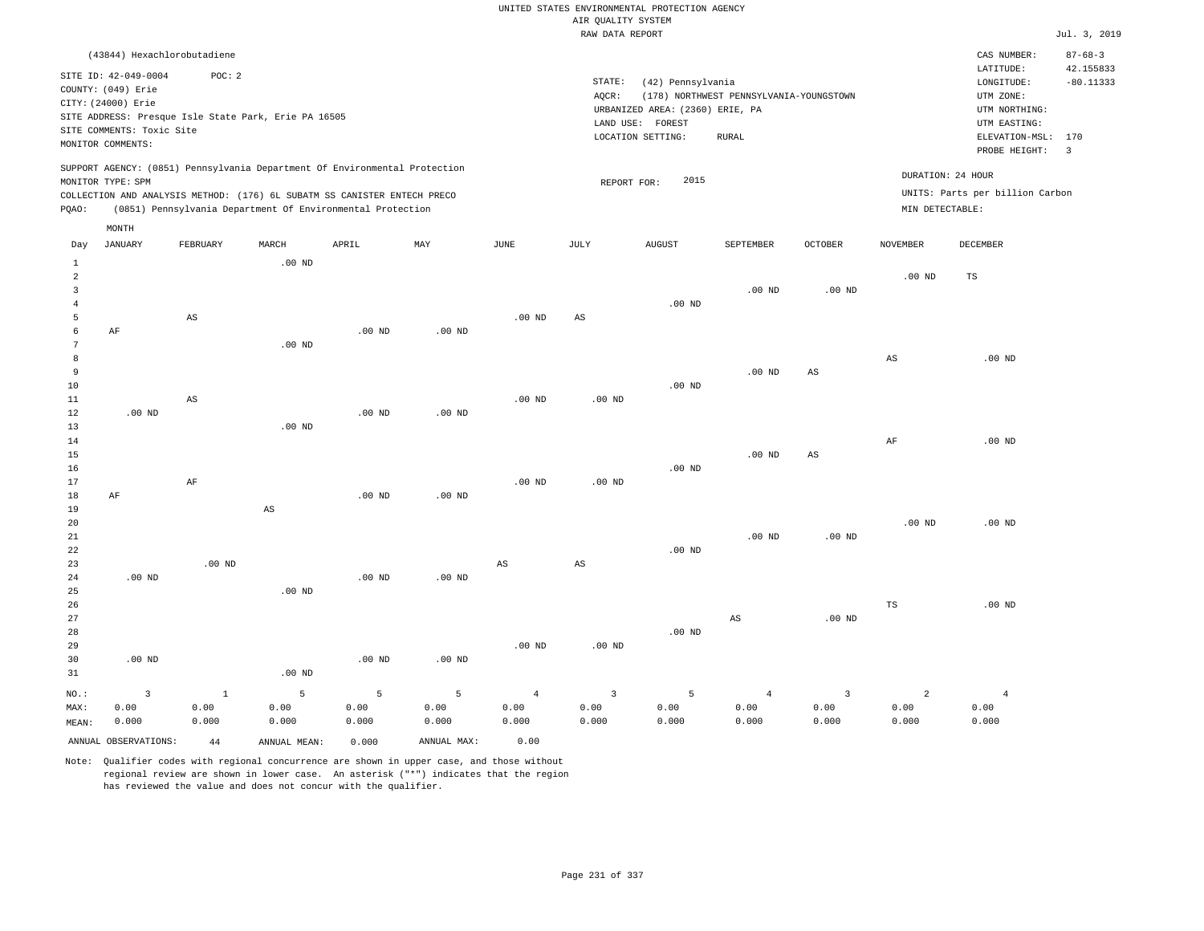|       |                           | (43844) Hexachlorobutadiene                                              |          |       |                                                                            |      |        |                                 |                                         |                |                 | CAS NUMBER:                     | $87 - 68 - 3$           |
|-------|---------------------------|--------------------------------------------------------------------------|----------|-------|----------------------------------------------------------------------------|------|--------|---------------------------------|-----------------------------------------|----------------|-----------------|---------------------------------|-------------------------|
|       | SITE ID: 42-049-0004      | POC: 2                                                                   |          |       |                                                                            |      |        |                                 |                                         |                |                 | LATITUDE:                       | 42.155833               |
|       | COUNTY: (049) Erie        |                                                                          |          |       |                                                                            |      | STATE: | (42) Pennsylvania               |                                         |                |                 | LONGITUDE:                      | $-80.11333$             |
|       | CITY: (24000) Erie        |                                                                          |          |       |                                                                            |      | AOCR:  |                                 | (178) NORTHWEST PENNSYLVANIA-YOUNGSTOWN |                |                 | UTM ZONE:                       |                         |
|       |                           | SITE ADDRESS: Presque Isle State Park, Erie PA 16505                     |          |       |                                                                            |      |        | URBANIZED AREA: (2360) ERIE, PA |                                         |                |                 | UTM NORTHING:                   |                         |
|       | SITE COMMENTS: Toxic Site |                                                                          |          |       |                                                                            |      |        | LAND USE: FOREST                |                                         |                |                 | UTM EASTING:                    |                         |
|       | MONITOR COMMENTS:         |                                                                          |          |       |                                                                            |      |        | LOCATION SETTING:               | RURAL                                   |                |                 | ELEVATION-MSL: 170              |                         |
|       |                           |                                                                          |          |       |                                                                            |      |        |                                 |                                         |                |                 | PROBE HEIGHT:                   | $\overline{\mathbf{3}}$ |
|       |                           |                                                                          |          |       | SUPPORT AGENCY: (0851) Pennsylvania Department Of Environmental Protection |      |        |                                 |                                         |                |                 |                                 |                         |
|       | MONITOR TYPE: SPM         |                                                                          |          |       |                                                                            |      |        | 2015<br>REPORT FOR:             |                                         |                |                 | DURATION: 24 HOUR               |                         |
|       |                           | COLLECTION AND ANALYSIS METHOD: (176) 6L SUBATM SS CANISTER ENTECH PRECO |          |       |                                                                            |      |        |                                 |                                         |                |                 | UNITS: Parts per billion Carbon |                         |
| POAO: |                           | (0851) Pennsylvania Department Of Environmental Protection               |          |       |                                                                            |      |        |                                 |                                         |                | MIN DETECTABLE: |                                 |                         |
|       | MONTH                     |                                                                          |          |       |                                                                            |      |        |                                 |                                         |                |                 |                                 |                         |
| Day   | JANUARY                   | FEBRUARY                                                                 | MARCH    | APRIL | MAY                                                                        | JUNE | JULY   | <b>AUGUST</b>                   | SEPTEMBER                               | <b>OCTOBER</b> | NOVEMBER        | DECEMBER                        |                         |
|       |                           |                                                                          | $.00$ ND |       |                                                                            |      |        |                                 |                                         |                |                 |                                 |                         |
|       |                           |                                                                          |          |       |                                                                            |      |        |                                 |                                         |                | $.00$ ND        | <b>TS</b>                       |                         |

|                |                |                        |                        |          |                   |                        |                        |                   |                |                         | $\cdots$               | $-$               |
|----------------|----------------|------------------------|------------------------|----------|-------------------|------------------------|------------------------|-------------------|----------------|-------------------------|------------------------|-------------------|
| 3              |                |                        |                        |          |                   |                        |                        |                   | .00 $ND$       | $.00{\rm ~ND}$          |                        |                   |
| $\overline{4}$ |                |                        |                        |          |                   |                        |                        | $.00$ ND          |                |                         |                        |                   |
| 5              |                | $\mathbb{A}\mathbb{S}$ |                        |          |                   | .00 $ND$               | $\mathbb{A}\mathbb{S}$ |                   |                |                         |                        |                   |
| 6              | $\rm AF$       |                        |                        | .00 $ND$ | $.00$ ND          |                        |                        |                   |                |                         |                        |                   |
| 7              |                |                        | $.00$ ND               |          |                   |                        |                        |                   |                |                         |                        |                   |
| 8              |                |                        |                        |          |                   |                        |                        |                   |                |                         | $\mathbb{A}\mathbb{S}$ | $.00$ ND          |
| 9              |                |                        |                        |          |                   |                        |                        |                   | $.00$ ND       | $\mathbb{A}\mathbb{S}$  |                        |                   |
| 10             |                |                        |                        |          |                   |                        |                        | $.00$ ND          |                |                         |                        |                   |
| 11             |                | $\mathbb{A}\mathbb{S}$ |                        |          |                   | $.00$ ND               | .00 $ND$               |                   |                |                         |                        |                   |
| 12             | $.00$ ND       |                        |                        | $.00$ ND | $.00$ ND          |                        |                        |                   |                |                         |                        |                   |
| 13             |                |                        | $.00$ ND               |          |                   |                        |                        |                   |                |                         |                        |                   |
| 14             |                |                        |                        |          |                   |                        |                        |                   |                |                         | $\rm{AF}$              | $.00~\mathrm{ND}$ |
| 15             |                |                        |                        |          |                   |                        |                        |                   | $.00$ ND       | $\mathbb{A}\mathbb{S}$  |                        |                   |
| 16             |                |                        |                        |          |                   |                        |                        | $.00~\mathrm{ND}$ |                |                         |                        |                   |
| 17             |                | $\rm AF$               |                        |          |                   | $.00$ ND               | .00 $ND$               |                   |                |                         |                        |                   |
| 18             | $\rm AF$       |                        |                        | .00 $ND$ | $.00$ ND          |                        |                        |                   |                |                         |                        |                   |
| 19             |                |                        | $\mathbb{A}\mathbb{S}$ |          |                   |                        |                        |                   |                |                         |                        |                   |
| 20             |                |                        |                        |          |                   |                        |                        |                   |                |                         | .00 <sub>ND</sub>      | $.00$ ND          |
| $_{\rm 21}$    |                |                        |                        |          |                   |                        |                        |                   | $.00$ ND       | .00 $ND$                |                        |                   |
| 22             |                |                        |                        |          |                   |                        |                        | $.00$ ND          |                |                         |                        |                   |
| 23             |                | .00 $ND$               |                        |          |                   | $\mathbb{A}\mathbb{S}$ | $\mathbb{A}\mathbb{S}$ |                   |                |                         |                        |                   |
| 24             | $.00$ ND       |                        |                        | $.00$ ND | $.00$ ND          |                        |                        |                   |                |                         |                        |                   |
| 25             |                |                        | $.00$ ND               |          |                   |                        |                        |                   |                |                         |                        |                   |
| 26             |                |                        |                        |          |                   |                        |                        |                   |                |                         | $_{\rm TS}$            | $.00$ ND          |
| 27             |                |                        |                        |          |                   |                        |                        |                   | AS             | .00 $ND$                |                        |                   |
| 28             |                |                        |                        |          |                   |                        |                        | .00 $ND$          |                |                         |                        |                   |
| 29             |                |                        |                        |          |                   | $.00$ ND               | $.00$ ND               |                   |                |                         |                        |                   |
| 30             | .00 $ND$       |                        |                        | .00 $ND$ | .00 <sub>ND</sub> |                        |                        |                   |                |                         |                        |                   |
| 31             |                |                        | $.00$ ND               |          |                   |                        |                        |                   |                |                         |                        |                   |
| $_{\rm NO.}$ : | $\overline{3}$ | $1\,$                  | 5                      | 5        | 5                 | $\overline{4}$         | $\overline{3}$         | 5                 | $\overline{4}$ | $\overline{\mathbf{3}}$ | $\overline{a}$         | $\overline{4}$    |
| MAX:           | 0.00           | 0.00                   | 0.00                   | 0.00     | 0.00              | 0.00                   | 0.00                   | 0.00              | 0.00           | 0.00                    | 0.00                   | 0.00              |
| MEAN:          | 0.000          | 0.000                  | 0.000                  | 0.000    | 0.000             | 0.000                  | 0.000                  | 0.000             | 0.000          | 0.000                   | 0.000                  | 0.000             |

Note: Qualifier codes with regional concurrence are shown in upper case, and those without regional review are shown in lower case. An asterisk ("\*") indicates that the region has reviewed the value and does not concur with the qualifier.

ANNUAL OBSERVATIONS: 44 ANNUAL MEAN: 0.000 ANNUAL MAX: 0.00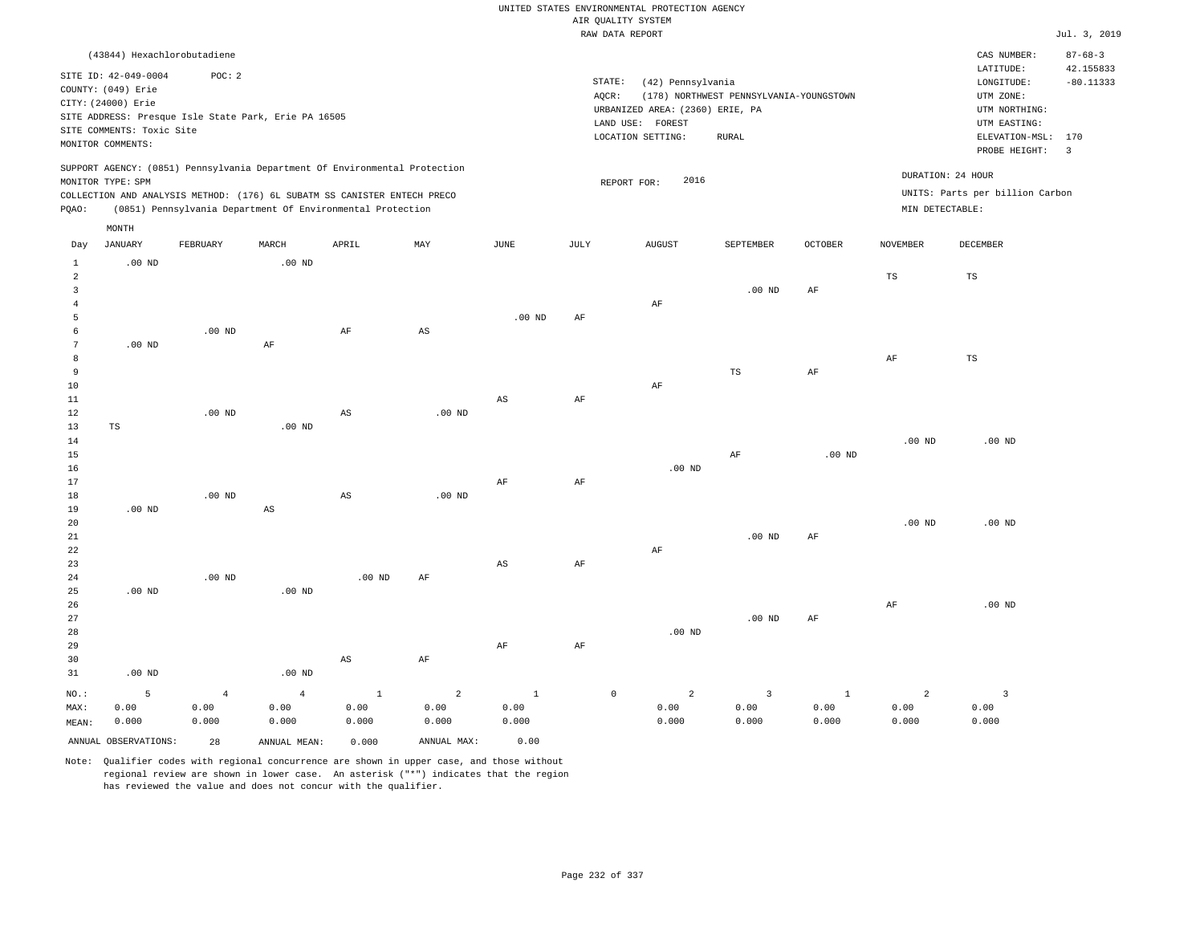|                 |                             |                |                                                                            |               |                        |                   |           | RAW DATA REPORT                       |                                         |               |                        |                                 | Jul. 3, 2019            |
|-----------------|-----------------------------|----------------|----------------------------------------------------------------------------|---------------|------------------------|-------------------|-----------|---------------------------------------|-----------------------------------------|---------------|------------------------|---------------------------------|-------------------------|
|                 | (43844) Hexachlorobutadiene |                |                                                                            |               |                        |                   |           |                                       |                                         |               |                        | CAS NUMBER:                     | $87 - 68 - 3$           |
|                 |                             |                |                                                                            |               |                        |                   |           |                                       |                                         |               |                        | LATITUDE:                       | 42.155833               |
|                 | SITE ID: 42-049-0004        | POC: 2         |                                                                            |               |                        |                   |           | STATE:<br>(42) Pennsylvania           |                                         |               |                        | LONGITUDE:                      | $-80.11333$             |
|                 | COUNTY: (049) Erie          |                |                                                                            |               |                        |                   |           | AQCR:                                 | (178) NORTHWEST PENNSYLVANIA-YOUNGSTOWN |               |                        | UTM ZONE:                       |                         |
|                 | CITY: (24000) Erie          |                | SITE ADDRESS: Presque Isle State Park, Erie PA 16505                       |               |                        |                   |           | URBANIZED AREA: (2360) ERIE, PA       |                                         |               |                        | UTM NORTHING:                   |                         |
|                 | SITE COMMENTS: Toxic Site   |                |                                                                            |               |                        |                   |           | LAND USE: FOREST                      |                                         |               |                        | UTM EASTING:                    |                         |
|                 | MONITOR COMMENTS:           |                |                                                                            |               |                        |                   |           | LOCATION SETTING:                     | RURAL                                   |               |                        | ELEVATION-MSL:                  | 170                     |
|                 |                             |                |                                                                            |               |                        |                   |           |                                       |                                         |               |                        | PROBE HEIGHT:                   | $\overline{\mathbf{3}}$ |
|                 |                             |                | SUPPORT AGENCY: (0851) Pennsylvania Department Of Environmental Protection |               |                        |                   |           |                                       |                                         |               |                        | DURATION: 24 HOUR               |                         |
|                 | MONITOR TYPE: SPM           |                |                                                                            |               |                        |                   |           | 2016<br>REPORT FOR:                   |                                         |               |                        |                                 |                         |
|                 |                             |                | COLLECTION AND ANALYSIS METHOD: (176) 6L SUBATM SS CANISTER ENTECH PRECO   |               |                        |                   |           |                                       |                                         |               |                        | UNITS: Parts per billion Carbon |                         |
| PQAO:           |                             |                | (0851) Pennsylvania Department Of Environmental Protection                 |               |                        |                   |           |                                       |                                         |               | MIN DETECTABLE:        |                                 |                         |
|                 | MONTH                       |                |                                                                            |               |                        |                   |           |                                       |                                         |               |                        |                                 |                         |
| Day             | <b>JANUARY</b>              | FEBRUARY       | MARCH                                                                      | APRIL         | MAY                    | $_{\rm JUNE}$     | JULY      | <b>AUGUST</b>                         | SEPTEMBER                               | OCTOBER       | <b>NOVEMBER</b>        | DECEMBER                        |                         |
| $\mathbf{1}$    | $.00$ ND                    |                | $.00$ ND                                                                   |               |                        |                   |           |                                       |                                         |               |                        |                                 |                         |
| $\overline{2}$  |                             |                |                                                                            |               |                        |                   |           |                                       |                                         |               | $_{\rm TS}$            | $\mathbb{TS}$                   |                         |
| $\overline{3}$  |                             |                |                                                                            |               |                        |                   |           |                                       | .00 <sub>ND</sub>                       | AF            |                        |                                 |                         |
| $\overline{4}$  |                             |                |                                                                            |               |                        |                   |           | AF                                    |                                         |               |                        |                                 |                         |
| -5              |                             |                |                                                                            |               |                        | .00 <sub>ND</sub> | $\rm{AF}$ |                                       |                                         |               |                        |                                 |                         |
| 6               |                             | $.00$ ND       |                                                                            | AF            | $\mathbb{A}\mathbb{S}$ |                   |           |                                       |                                         |               |                        |                                 |                         |
| $7\phantom{.0}$ | $.00$ ND                    |                | AF                                                                         |               |                        |                   |           |                                       |                                         |               |                        |                                 |                         |
| 8               |                             |                |                                                                            |               |                        |                   |           |                                       |                                         |               | $\rm{AF}$              | $\mathbb{TS}$                   |                         |
| 9               |                             |                |                                                                            |               |                        |                   |           |                                       | $\mathbb{TS}$                           | AF            |                        |                                 |                         |
| 10<br>11        |                             |                |                                                                            |               |                        | AS                | $\rm{AF}$ | AF                                    |                                         |               |                        |                                 |                         |
| $12$            |                             | $.00$ ND       |                                                                            | $_{\rm AS}$   | .00 <sub>ND</sub>      |                   |           |                                       |                                         |               |                        |                                 |                         |
| 13              | TS                          |                | $.00$ ND                                                                   |               |                        |                   |           |                                       |                                         |               |                        |                                 |                         |
| 14              |                             |                |                                                                            |               |                        |                   |           |                                       |                                         |               | $.00$ ND               | $.00$ ND                        |                         |
| 15              |                             |                |                                                                            |               |                        |                   |           |                                       | $\rm{AF}$                               | $.00$ ND      |                        |                                 |                         |
| 16              |                             |                |                                                                            |               |                        |                   |           | $.00$ ND                              |                                         |               |                        |                                 |                         |
| 17              |                             |                |                                                                            |               |                        | AF                | AF        |                                       |                                         |               |                        |                                 |                         |
| $18\,$          |                             | $.00$ ND       |                                                                            | $_{\rm AS}$   | .00 <sub>ND</sub>      |                   |           |                                       |                                         |               |                        |                                 |                         |
| 19              | $.00$ ND                    |                | $\mathbb{A}\mathbb{S}$                                                     |               |                        |                   |           |                                       |                                         |               |                        |                                 |                         |
| 20              |                             |                |                                                                            |               |                        |                   |           |                                       |                                         |               | $.00$ ND               | $.00$ ND                        |                         |
| 21              |                             |                |                                                                            |               |                        |                   |           |                                       | $.00$ ND                                | AF            |                        |                                 |                         |
| 22              |                             |                |                                                                            |               |                        |                   |           | $\rm AF$                              |                                         |               |                        |                                 |                         |
| 23              |                             |                |                                                                            |               |                        | AS                | AF        |                                       |                                         |               |                        |                                 |                         |
| 24<br>25        |                             | $.00$ ND       |                                                                            | $.00$ ND      | AF                     |                   |           |                                       |                                         |               |                        |                                 |                         |
| 26              | $.00$ ND                    |                | $.00$ ND                                                                   |               |                        |                   |           |                                       |                                         |               | $\rm{AF}$              | $.00$ ND                        |                         |
| 27              |                             |                |                                                                            |               |                        |                   |           |                                       | $.00$ ND                                | AF            |                        |                                 |                         |
| 28              |                             |                |                                                                            |               |                        |                   |           | $.00$ ND                              |                                         |               |                        |                                 |                         |
| 29              |                             |                |                                                                            |               |                        | $\rm AF$          | AF        |                                       |                                         |               |                        |                                 |                         |
| 30              |                             |                |                                                                            | AS            | AF                     |                   |           |                                       |                                         |               |                        |                                 |                         |
| 31              | $.00$ ND                    |                | .00 <sub>ND</sub>                                                          |               |                        |                   |           |                                       |                                         |               |                        |                                 |                         |
|                 |                             |                |                                                                            |               |                        |                   |           |                                       |                                         |               |                        |                                 |                         |
| NO.:            | 5<br>0.00                   | $\overline{4}$ | $\overline{4}$                                                             | $\,$ 1        | $\overline{a}$         | $\mathbf{1}$      |           | $\mathbb O$<br>$\overline{a}$<br>0.00 | $\overline{3}$<br>0.00                  | $\mathbf{1}$  | $\overline{a}$<br>0.00 | $\overline{3}$                  |                         |
| MAX:<br>MEAN:   | 0.000                       | 0.00<br>0.000  | 0.00<br>0.000                                                              | 0.00<br>0.000 | 0.00<br>0.000          | 0.00<br>0.000     |           | 0.000                                 | 0.000                                   | 0.00<br>0.000 | 0.000                  | 0.00<br>0.000                   |                         |
|                 |                             |                |                                                                            |               |                        |                   |           |                                       |                                         |               |                        |                                 |                         |
|                 | ANNUAL OBSERVATIONS:        | 28             | ANNUAL, MEAN:                                                              | 0.000         | ANNUAL MAX:            | 0.00              |           |                                       |                                         |               |                        |                                 |                         |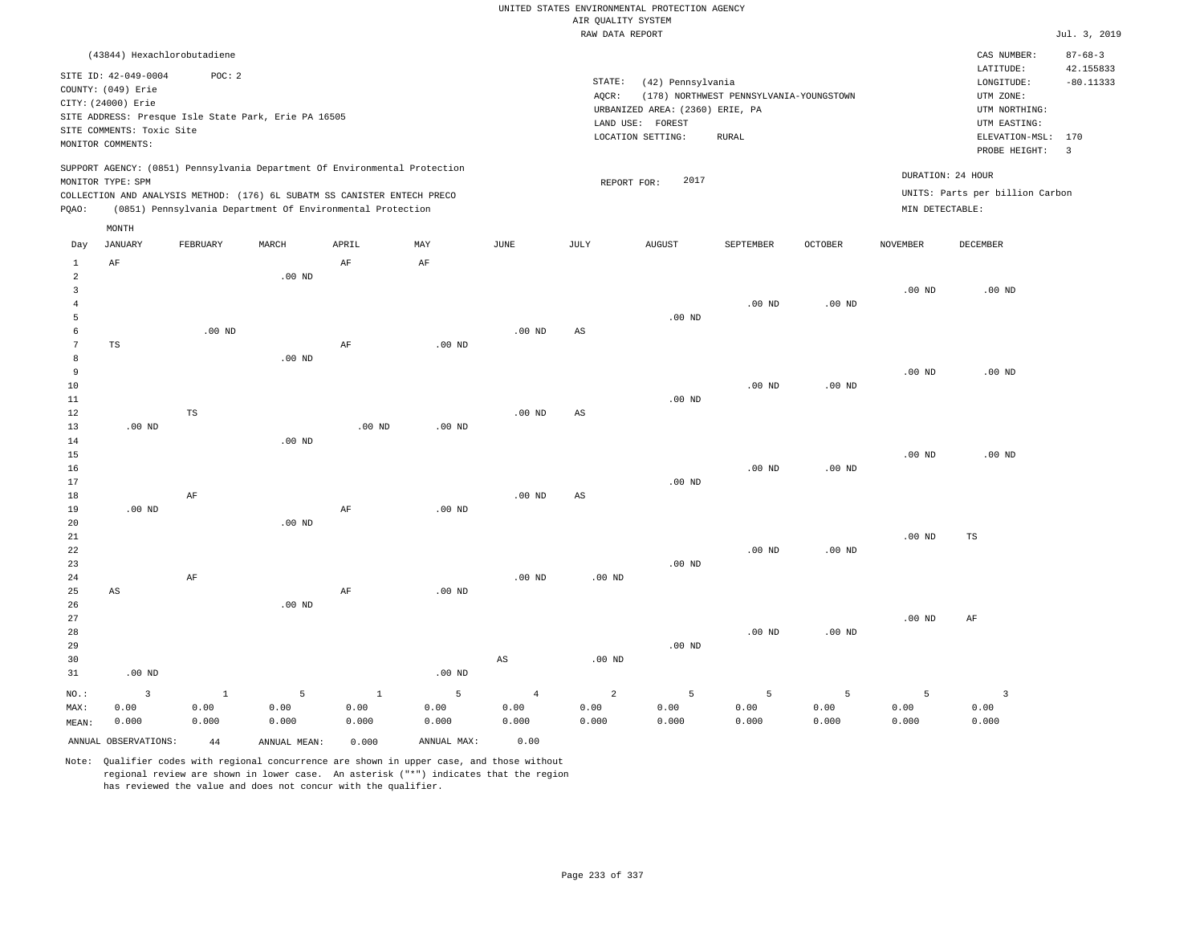|                 | (43844) Hexachlorobutadiene |              |                                                      |                                                                            |                   |                        |                        |                                 |                                         |                   |                   | CAS NUMBER:                     | $87 - 68 - 3$           |
|-----------------|-----------------------------|--------------|------------------------------------------------------|----------------------------------------------------------------------------|-------------------|------------------------|------------------------|---------------------------------|-----------------------------------------|-------------------|-------------------|---------------------------------|-------------------------|
|                 | SITE ID: 42-049-0004        | POC: 2       |                                                      |                                                                            |                   |                        |                        |                                 |                                         |                   |                   | LATITUDE:                       | 42.155833               |
|                 | COUNTY: (049) Erie          |              |                                                      |                                                                            |                   |                        | STATE:                 | (42) Pennsylvania               |                                         |                   |                   | LONGITUDE:                      | $-80.11333$             |
|                 | CITY: (24000) Erie          |              |                                                      |                                                                            |                   |                        | AQCR:                  |                                 | (178) NORTHWEST PENNSYLVANIA-YOUNGSTOWN |                   |                   | UTM ZONE:                       |                         |
|                 |                             |              | SITE ADDRESS: Presque Isle State Park, Erie PA 16505 |                                                                            |                   |                        |                        | URBANIZED AREA: (2360) ERIE, PA |                                         |                   |                   | UTM NORTHING:                   |                         |
|                 | SITE COMMENTS: Toxic Site   |              |                                                      |                                                                            |                   |                        |                        | LAND USE: FOREST                |                                         |                   |                   | UTM EASTING:                    |                         |
|                 | MONITOR COMMENTS:           |              |                                                      |                                                                            |                   |                        |                        | LOCATION SETTING:               | RURAL                                   |                   |                   | ELEVATION-MSL: 170              |                         |
|                 |                             |              |                                                      |                                                                            |                   |                        |                        |                                 |                                         |                   |                   | PROBE HEIGHT:                   | $\overline{\mathbf{3}}$ |
|                 |                             |              |                                                      | SUPPORT AGENCY: (0851) Pennsylvania Department Of Environmental Protection |                   |                        |                        |                                 |                                         |                   |                   | DURATION: 24 HOUR               |                         |
|                 | MONITOR TYPE: SPM           |              |                                                      |                                                                            |                   |                        | REPORT FOR:            | 2017                            |                                         |                   |                   | UNITS: Parts per billion Carbon |                         |
|                 |                             |              |                                                      | COLLECTION AND ANALYSIS METHOD: (176) 6L SUBATM SS CANISTER ENTECH PRECO   |                   |                        |                        |                                 |                                         |                   |                   |                                 |                         |
| PQAO:           |                             |              |                                                      | (0851) Pennsylvania Department Of Environmental Protection                 |                   |                        |                        |                                 |                                         |                   | MIN DETECTABLE:   |                                 |                         |
|                 | MONTH                       |              |                                                      |                                                                            |                   |                        |                        |                                 |                                         |                   |                   |                                 |                         |
| Day             | <b>JANUARY</b>              | FEBRUARY     | MARCH                                                | APRIL                                                                      | MAY               | JUNE                   | JULY                   | <b>AUGUST</b>                   | SEPTEMBER                               | <b>OCTOBER</b>    | <b>NOVEMBER</b>   | <b>DECEMBER</b>                 |                         |
| $1\,$           | AF                          |              |                                                      | $\rm AF$                                                                   | $\rm{AF}$         |                        |                        |                                 |                                         |                   |                   |                                 |                         |
| $\overline{a}$  |                             |              | $.00$ ND                                             |                                                                            |                   |                        |                        |                                 |                                         |                   |                   |                                 |                         |
| 3               |                             |              |                                                      |                                                                            |                   |                        |                        |                                 |                                         |                   | .00 <sub>ND</sub> | $.00$ ND                        |                         |
| $\overline{4}$  |                             |              |                                                      |                                                                            |                   |                        |                        |                                 | $.00$ ND                                | $.00$ ND          |                   |                                 |                         |
| 5               |                             |              |                                                      |                                                                            |                   |                        |                        | $.00~\mathrm{ND}$               |                                         |                   |                   |                                 |                         |
| 6               |                             | $.00$ ND     |                                                      |                                                                            |                   | .00 <sub>ND</sub>      | $\mathbb{A}\mathbb{S}$ |                                 |                                         |                   |                   |                                 |                         |
| $7\phantom{.0}$ | TS                          |              |                                                      | AF                                                                         | $.00$ ND          |                        |                        |                                 |                                         |                   |                   |                                 |                         |
| 8               |                             |              | $.00$ ND                                             |                                                                            |                   |                        |                        |                                 |                                         |                   |                   |                                 |                         |
| 9               |                             |              |                                                      |                                                                            |                   |                        |                        |                                 |                                         |                   | .00 <sub>ND</sub> | $.00$ ND                        |                         |
| 10              |                             |              |                                                      |                                                                            |                   |                        |                        |                                 | $.00$ ND                                | $.00$ ND          |                   |                                 |                         |
| 11              |                             |              |                                                      |                                                                            |                   |                        |                        | .00 <sub>ND</sub>               |                                         |                   |                   |                                 |                         |
| 12              |                             | TS           |                                                      |                                                                            |                   | .00 <sub>ND</sub>      | $\mathbb{A}\mathbb{S}$ |                                 |                                         |                   |                   |                                 |                         |
| 13              | $.00$ ND                    |              |                                                      | $.00$ ND                                                                   | $.00$ ND          |                        |                        |                                 |                                         |                   |                   |                                 |                         |
| 14              |                             |              | $.00$ ND                                             |                                                                            |                   |                        |                        |                                 |                                         |                   |                   |                                 |                         |
| 15              |                             |              |                                                      |                                                                            |                   |                        |                        |                                 |                                         |                   | $.00$ ND          | $.00$ ND                        |                         |
| 16              |                             |              |                                                      |                                                                            |                   |                        |                        |                                 | $.00$ ND                                | $.00$ ND          |                   |                                 |                         |
| 17              |                             |              |                                                      |                                                                            |                   |                        |                        | $.00$ ND                        |                                         |                   |                   |                                 |                         |
| 18              |                             | AF           |                                                      |                                                                            |                   | $.00$ ND               | $\mathbb{A}\mathbb{S}$ |                                 |                                         |                   |                   |                                 |                         |
| 19<br>20        | $.00$ ND                    |              | $.00$ ND                                             | $\rm AF$                                                                   | .00 <sub>ND</sub> |                        |                        |                                 |                                         |                   |                   |                                 |                         |
| 21              |                             |              |                                                      |                                                                            |                   |                        |                        |                                 |                                         |                   | .00 <sub>ND</sub> | TS                              |                         |
| 22              |                             |              |                                                      |                                                                            |                   |                        |                        |                                 | $.00$ ND                                | $.00$ ND          |                   |                                 |                         |
| 23              |                             |              |                                                      |                                                                            |                   |                        |                        | $.00$ ND                        |                                         |                   |                   |                                 |                         |
| 24              |                             | AF           |                                                      |                                                                            |                   | $.00$ ND               | $.00$ ND               |                                 |                                         |                   |                   |                                 |                         |
| 25              | AS                          |              |                                                      | AF                                                                         | .00 <sub>ND</sub> |                        |                        |                                 |                                         |                   |                   |                                 |                         |
| 26              |                             |              | $.00$ ND                                             |                                                                            |                   |                        |                        |                                 |                                         |                   |                   |                                 |                         |
| 27              |                             |              |                                                      |                                                                            |                   |                        |                        |                                 |                                         |                   | $.00$ ND          | AF                              |                         |
| 28              |                             |              |                                                      |                                                                            |                   |                        |                        |                                 | $.00$ ND                                | .00 <sub>ND</sub> |                   |                                 |                         |
| 29              |                             |              |                                                      |                                                                            |                   |                        |                        | .00 <sub>ND</sub>               |                                         |                   |                   |                                 |                         |
| 30              |                             |              |                                                      |                                                                            |                   | $\mathbb{A}\mathbb{S}$ | $.00$ ND               |                                 |                                         |                   |                   |                                 |                         |
| 31              | $.00$ ND                    |              |                                                      |                                                                            | .00 <sub>ND</sub> |                        |                        |                                 |                                         |                   |                   |                                 |                         |
| NO.:            | $\overline{3}$              | $\mathbf{1}$ | 5                                                    | $\mathbf{1}$                                                               | 5                 | $\overline{4}$         | $\overline{a}$         | 5                               | 5                                       | 5                 | 5                 | $\overline{\mathbf{3}}$         |                         |
| MAX:            | 0.00                        | 0.00         | 0.00                                                 | 0.00                                                                       | 0.00              | 0.00                   | 0.00                   | 0.00                            | 0.00                                    | 0.00              | 0.00              | 0.00                            |                         |
| MEAN:           | 0.000                       | 0.000        | 0.000                                                | 0.000                                                                      | 0.000             | 0.000                  | 0.000                  | 0.000                           | 0.000                                   | 0.000             | 0.000             | 0.000                           |                         |
|                 |                             |              |                                                      |                                                                            |                   |                        |                        |                                 |                                         |                   |                   |                                 |                         |
|                 | ANNUAL OBSERVATIONS:        | 44           | ANNUAL MEAN:                                         | 0.000                                                                      | ANNUAL MAX:       | 0.00                   |                        |                                 |                                         |                   |                   |                                 |                         |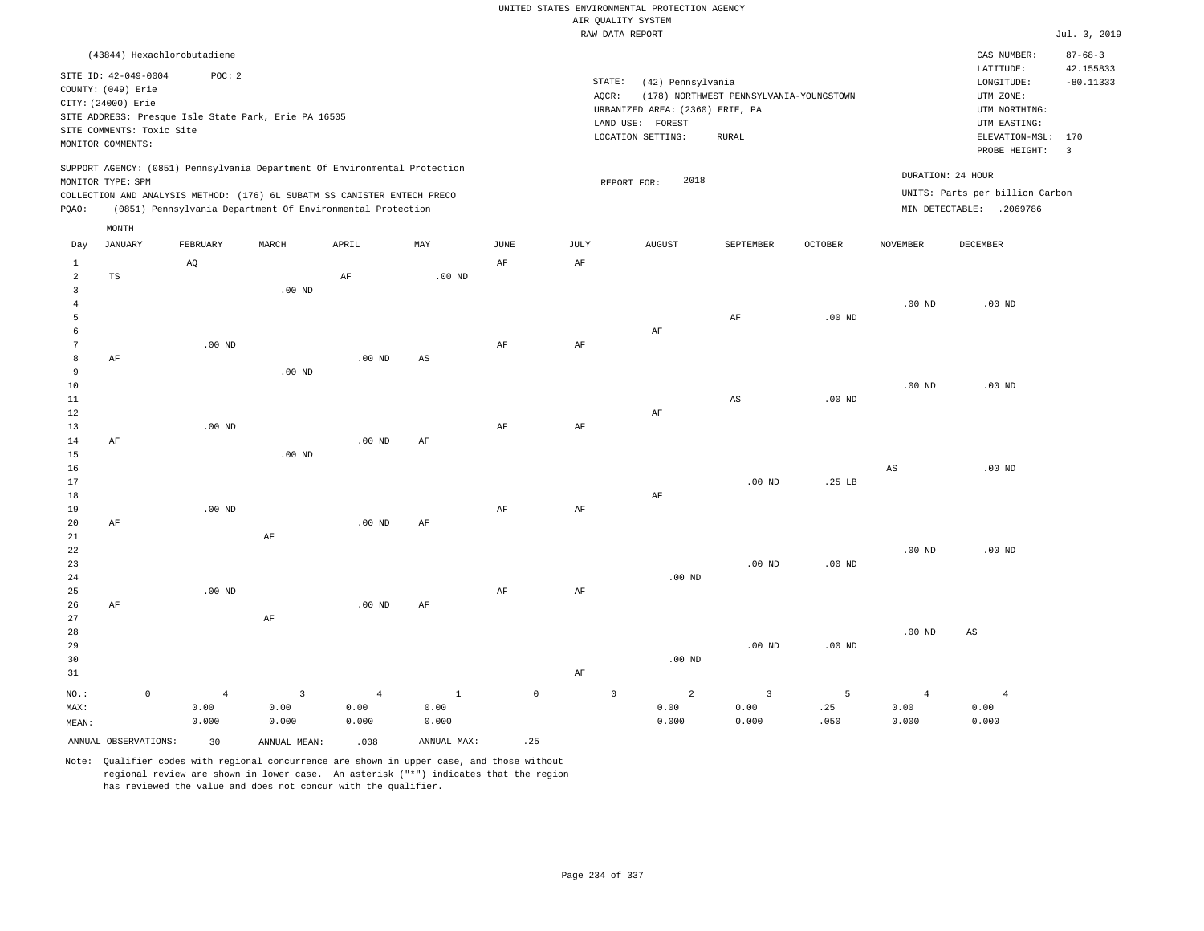|                                |                                            |             |                |                                                      |                                                                            |              |               |                     |                     | UNITED STATES ENVIRONMENTAL PROTECTION AGENCY<br>AIR QUALITY SYSTEM |                                         |                   |                 |                                 |                            |
|--------------------------------|--------------------------------------------|-------------|----------------|------------------------------------------------------|----------------------------------------------------------------------------|--------------|---------------|---------------------|---------------------|---------------------------------------------------------------------|-----------------------------------------|-------------------|-----------------|---------------------------------|----------------------------|
|                                |                                            |             |                |                                                      |                                                                            |              |               |                     | RAW DATA REPORT     |                                                                     |                                         |                   |                 |                                 | Jul. 3, 2019               |
|                                | (43844) Hexachlorobutadiene                |             |                |                                                      |                                                                            |              |               |                     |                     |                                                                     |                                         |                   |                 | CAS NUMBER:<br>LATITUDE:        | $87 - 68 - 3$<br>42.155833 |
|                                | SITE ID: 42-049-0004<br>COUNTY: (049) Erie |             | POC: 2         |                                                      |                                                                            |              |               |                     | STATE:<br>AQCR:     | (42) Pennsylvania                                                   | (178) NORTHWEST PENNSYLVANIA-YOUNGSTOWN |                   |                 | LONGITUDE:<br>UTM ZONE:         | $-80.11333$                |
|                                | CITY: (24000) Erie                         |             |                |                                                      |                                                                            |              |               |                     |                     | URBANIZED AREA: (2360) ERIE, PA                                     |                                         |                   |                 | UTM NORTHING:                   |                            |
|                                | SITE COMMENTS: Toxic Site                  |             |                | SITE ADDRESS: Presque Isle State Park, Erie PA 16505 |                                                                            |              |               |                     |                     | LAND USE: FOREST                                                    |                                         |                   |                 | UTM EASTING:                    |                            |
|                                | MONITOR COMMENTS:                          |             |                |                                                      |                                                                            |              |               |                     |                     | LOCATION SETTING:                                                   | <b>RURAL</b>                            |                   |                 | ELEVATION-MSL:<br>PROBE HEIGHT: | 170<br>$\overline{3}$      |
|                                | MONITOR TYPE: SPM                          |             |                |                                                      | SUPPORT AGENCY: (0851) Pennsylvania Department Of Environmental Protection |              |               |                     |                     | 2018<br>REPORT FOR:                                                 |                                         |                   |                 | DURATION: 24 HOUR               |                            |
|                                |                                            |             |                |                                                      | COLLECTION AND ANALYSIS METHOD: (176) 6L SUBATM SS CANISTER ENTECH PRECO   |              |               |                     |                     |                                                                     |                                         |                   |                 | UNITS: Parts per billion Carbon |                            |
| PQAO:                          |                                            |             |                |                                                      | (0851) Pennsylvania Department Of Environmental Protection                 |              |               |                     |                     |                                                                     |                                         |                   |                 | MIN DETECTABLE: .2069786        |                            |
|                                | MONTH                                      |             |                |                                                      |                                                                            |              |               |                     |                     |                                                                     |                                         |                   |                 |                                 |                            |
| Day                            | <b>JANUARY</b>                             |             | FEBRUARY       | MARCH                                                | APRIL                                                                      | $_{\rm MAY}$ | $_{\rm JUNE}$ |                     | JULY                | <b>AUGUST</b>                                                       | SEPTEMBER                               | OCTOBER           | <b>NOVEMBER</b> | DECEMBER                        |                            |
| $\mathbf{1}$<br>$\overline{a}$ | $_{\rm TS}$                                |             | AQ             |                                                      | AF                                                                         | $.00$ ND     | AF            |                     | AF                  |                                                                     |                                         |                   |                 |                                 |                            |
| $\mathbf{3}$                   |                                            |             |                | .00 <sub>ND</sub>                                    |                                                                            |              |               |                     |                     |                                                                     |                                         |                   |                 |                                 |                            |
| $\overline{4}$<br>5            |                                            |             |                |                                                      |                                                                            |              |               |                     |                     |                                                                     | $\rm AF$                                | $.00$ ND          | $.00$ ND        | $.00$ ND                        |                            |
| 6                              |                                            |             |                |                                                      |                                                                            |              |               |                     |                     | AF                                                                  |                                         |                   |                 |                                 |                            |
| 7                              |                                            |             | $.00$ ND       |                                                      |                                                                            |              | AF            |                     | AF                  |                                                                     |                                         |                   |                 |                                 |                            |
| 8                              | AF                                         |             |                |                                                      | $.00$ ND                                                                   | AS           |               |                     |                     |                                                                     |                                         |                   |                 |                                 |                            |
| $\overline{9}$                 |                                            |             |                | $.00$ ND                                             |                                                                            |              |               |                     |                     |                                                                     |                                         |                   |                 |                                 |                            |
| 10<br>11                       |                                            |             |                |                                                      |                                                                            |              |               |                     |                     |                                                                     | $\mathbb{A}\mathbb{S}$                  | $.00$ ND          | $.00$ ND        | $.00$ ND                        |                            |
| 12                             |                                            |             |                |                                                      |                                                                            |              |               |                     |                     | AF                                                                  |                                         |                   |                 |                                 |                            |
| 13                             |                                            |             | $.00$ ND       |                                                      |                                                                            |              | AF            |                     | $\rm{AF}$           |                                                                     |                                         |                   |                 |                                 |                            |
| 14                             | AF                                         |             |                |                                                      | $.00$ ND                                                                   | AF           |               |                     |                     |                                                                     |                                         |                   |                 |                                 |                            |
| 15                             |                                            |             |                | $.00$ ND                                             |                                                                            |              |               |                     |                     |                                                                     |                                         |                   |                 |                                 |                            |
| 16<br>17                       |                                            |             |                |                                                      |                                                                            |              |               |                     |                     |                                                                     | $.00$ ND                                | .25 LB            | AS              | $.00$ ND                        |                            |
| 18                             |                                            |             |                |                                                      |                                                                            |              |               |                     |                     | AF                                                                  |                                         |                   |                 |                                 |                            |
| 19                             |                                            |             | $.00$ ND       |                                                      |                                                                            |              | AF            |                     | AF                  |                                                                     |                                         |                   |                 |                                 |                            |
| 20                             | AF                                         |             |                |                                                      | $.00$ ND                                                                   | AF           |               |                     |                     |                                                                     |                                         |                   |                 |                                 |                            |
| $2\sqrt{1}$                    |                                            |             |                | AF                                                   |                                                                            |              |               |                     |                     |                                                                     |                                         |                   |                 |                                 |                            |
| 22<br>23                       |                                            |             |                |                                                      |                                                                            |              |               |                     |                     |                                                                     | $.00$ ND                                | .00 <sub>ND</sub> | $.00$ ND        | $.00$ ND                        |                            |
| 24                             |                                            |             |                |                                                      |                                                                            |              |               |                     |                     | $.00$ ND                                                            |                                         |                   |                 |                                 |                            |
| 25                             |                                            |             | $.00$ ND       |                                                      |                                                                            |              | $\rm{AF}$     |                     | $\rm{AF}$           |                                                                     |                                         |                   |                 |                                 |                            |
| 26                             | AF                                         |             |                |                                                      | $.00$ ND                                                                   | AF           |               |                     |                     |                                                                     |                                         |                   |                 |                                 |                            |
| 27                             |                                            |             |                | AF                                                   |                                                                            |              |               |                     |                     |                                                                     |                                         |                   |                 |                                 |                            |
| 28<br>29                       |                                            |             |                |                                                      |                                                                            |              |               |                     |                     |                                                                     | $.00$ ND                                | $.00$ ND          | $.00$ ND        | $\mathbb{A}\mathbb{S}$          |                            |
| 30                             |                                            |             |                |                                                      |                                                                            |              |               |                     |                     | $.00$ ND                                                            |                                         |                   |                 |                                 |                            |
| 31                             |                                            |             |                |                                                      |                                                                            |              |               |                     | AF                  |                                                                     |                                         |                   |                 |                                 |                            |
| $NO.$ :                        |                                            | $\mathbb O$ | $\overline{4}$ | 3                                                    | $\overline{4}$                                                             | $\mathbf{1}$ |               | $\mathsf{O}\xspace$ | $\mathsf{O}\xspace$ | $\overline{a}$                                                      | $\overline{3}$                          | 5                 | $\overline{4}$  | $\overline{4}$                  |                            |
| MAX:                           |                                            |             | 0.00           | 0.00                                                 | 0.00                                                                       | 0.00         |               |                     |                     | 0.00                                                                | 0.00                                    | .25               | 0.00            | 0.00                            |                            |
| MEAN:                          |                                            |             | 0.000          | 0.000                                                | 0.000                                                                      | 0.000        |               |                     |                     | 0.000                                                               | 0.000                                   | .050              | 0.000           | 0.000                           |                            |
|                                | ANNUAL OBSERVATIONS:                       |             | 30             | ANNUAL MEAN:                                         | .008                                                                       | ANNUAL MAX:  |               | .25                 |                     |                                                                     |                                         |                   |                 |                                 |                            |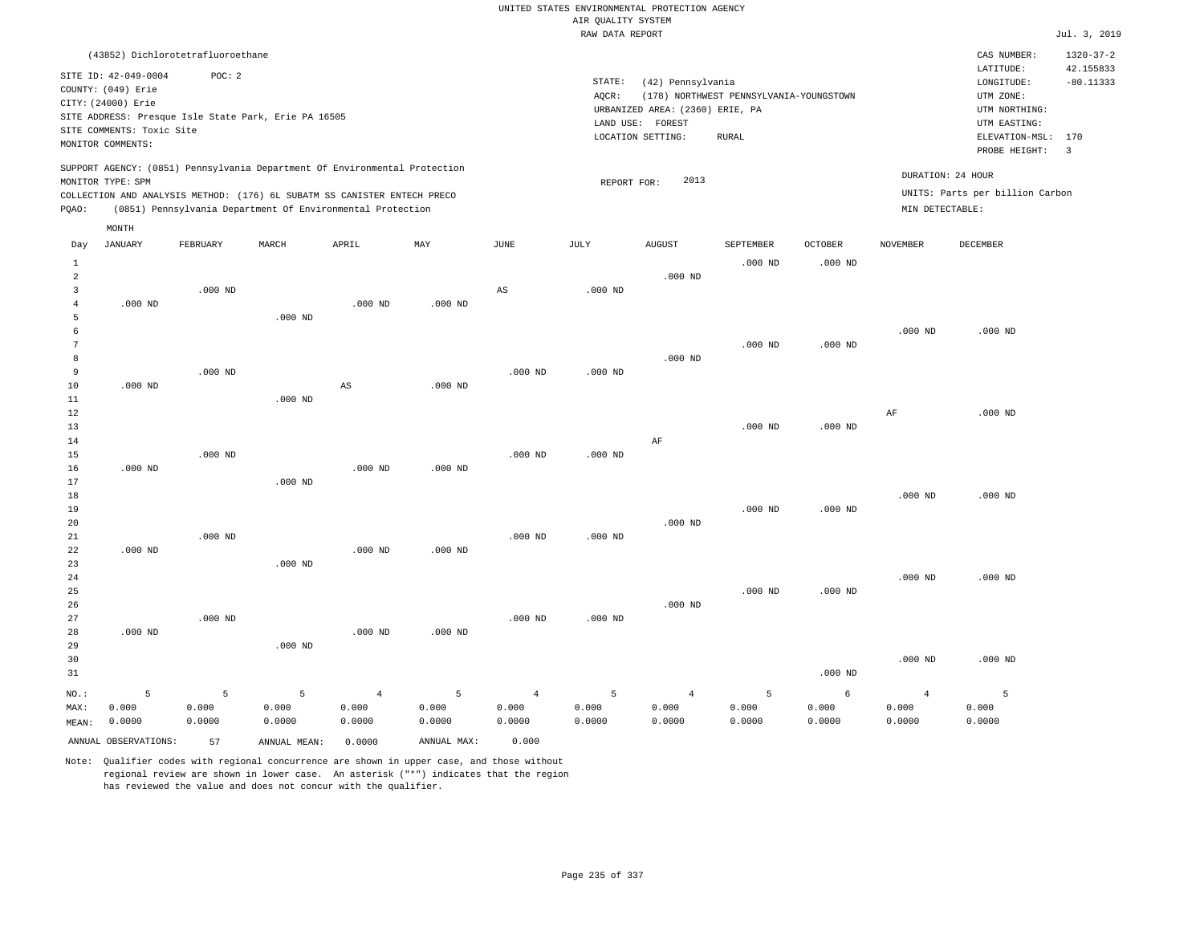|                     |                                   |           |                                                                            |                |                           |                       | RAW DATA REPORT |                                 |                                         |                |                 |                                 | Jul. 3, 2019    |
|---------------------|-----------------------------------|-----------|----------------------------------------------------------------------------|----------------|---------------------------|-----------------------|-----------------|---------------------------------|-----------------------------------------|----------------|-----------------|---------------------------------|-----------------|
|                     | (43852) Dichlorotetrafluoroethane |           |                                                                            |                |                           |                       |                 |                                 |                                         |                |                 | CAS NUMBER:                     | $1320 - 37 - 2$ |
|                     |                                   |           |                                                                            |                |                           |                       |                 |                                 |                                         |                |                 | LATITUDE:                       | 42.155833       |
|                     | SITE ID: 42-049-0004              | POC: 2    |                                                                            |                |                           |                       | STATE:          | (42) Pennsylvania               |                                         |                |                 | LONGITUDE:                      | $-80.11333$     |
|                     | COUNTY: (049) Erie                |           |                                                                            |                |                           |                       | AQCR:           |                                 | (178) NORTHWEST PENNSYLVANIA-YOUNGSTOWN |                |                 | UTM ZONE:                       |                 |
|                     | CITY: (24000) Erie                |           |                                                                            |                |                           |                       |                 | URBANIZED AREA: (2360) ERIE, PA |                                         |                |                 | UTM NORTHING:                   |                 |
|                     |                                   |           | SITE ADDRESS: Presque Isle State Park, Erie PA 16505                       |                |                           |                       |                 | LAND USE: FOREST                |                                         |                |                 | UTM EASTING:                    |                 |
|                     | SITE COMMENTS: Toxic Site         |           |                                                                            |                |                           |                       |                 | LOCATION SETTING:               | <b>RURAL</b>                            |                |                 | ELEVATION-MSL:                  | 170             |
|                     | MONITOR COMMENTS:                 |           |                                                                            |                |                           |                       |                 |                                 |                                         |                |                 | PROBE HEIGHT:                   | $\overline{3}$  |
|                     |                                   |           | SUPPORT AGENCY: (0851) Pennsylvania Department Of Environmental Protection |                |                           |                       |                 |                                 |                                         |                |                 | DURATION: 24 HOUR               |                 |
|                     | MONITOR TYPE: SPM                 |           |                                                                            |                |                           |                       | REPORT FOR:     | 2013                            |                                         |                |                 |                                 |                 |
|                     |                                   |           | COLLECTION AND ANALYSIS METHOD: (176) 6L SUBATM SS CANISTER ENTECH PRECO   |                |                           |                       |                 |                                 |                                         |                |                 | UNITS: Parts per billion Carbon |                 |
| POAO:               |                                   |           | (0851) Pennsylvania Department Of Environmental Protection                 |                |                           |                       |                 |                                 |                                         |                | MIN DETECTABLE: |                                 |                 |
|                     | MONTH<br><b>JANUARY</b>           | FEBRUARY  |                                                                            | APRIL          | $\ensuremath{\text{MAX}}$ | $\operatorname{JUNE}$ |                 | ${\tt AUGUST}$                  |                                         | <b>OCTOBER</b> | <b>NOVEMBER</b> | DECEMBER                        |                 |
| Day<br>$\mathbf{1}$ |                                   |           | MARCH                                                                      |                |                           |                       | JULY            |                                 | SEPTEMBER<br>$.000$ ND                  | $.000$ ND      |                 |                                 |                 |
| $\overline{a}$      |                                   |           |                                                                            |                |                           |                       |                 | $.000$ ND                       |                                         |                |                 |                                 |                 |
| $\overline{3}$      |                                   | $.000$ ND |                                                                            |                |                           | AS                    | $.000$ ND       |                                 |                                         |                |                 |                                 |                 |
| $\overline{4}$      | $.000$ ND                         |           |                                                                            | $.000$ ND      | $.000$ ND                 |                       |                 |                                 |                                         |                |                 |                                 |                 |
| 5                   |                                   |           | $.000$ ND                                                                  |                |                           |                       |                 |                                 |                                         |                |                 |                                 |                 |
| 6                   |                                   |           |                                                                            |                |                           |                       |                 |                                 |                                         |                | $.000$ ND       | $.000$ ND                       |                 |
| $7\phantom{.0}$     |                                   |           |                                                                            |                |                           |                       |                 |                                 | $.000$ ND                               | $.000$ ND      |                 |                                 |                 |
| 8                   |                                   |           |                                                                            |                |                           |                       |                 | $.000$ ND                       |                                         |                |                 |                                 |                 |
| $\overline{9}$      |                                   | $.000$ ND |                                                                            |                |                           | $.000$ ND             | $.000$ ND       |                                 |                                         |                |                 |                                 |                 |
| 10                  | .000 <sub>ND</sub>                |           |                                                                            | AS             | $.000$ ND                 |                       |                 |                                 |                                         |                |                 |                                 |                 |
| 11                  |                                   |           | $.000$ ND                                                                  |                |                           |                       |                 |                                 |                                         |                |                 |                                 |                 |
| 12                  |                                   |           |                                                                            |                |                           |                       |                 |                                 |                                         |                | AF              | $.000$ ND                       |                 |
| 13                  |                                   |           |                                                                            |                |                           |                       |                 |                                 | $.000$ ND                               | $.000$ ND      |                 |                                 |                 |
| 14                  |                                   |           |                                                                            |                |                           |                       |                 | AF                              |                                         |                |                 |                                 |                 |
| 15                  |                                   | $.000$ ND |                                                                            |                |                           | $.000$ ND             | $.000$ ND       |                                 |                                         |                |                 |                                 |                 |
| 16                  | $.000$ ND                         |           |                                                                            | $.000$ ND      | $.000$ ND                 |                       |                 |                                 |                                         |                |                 |                                 |                 |
| 17                  |                                   |           | $.000$ ND                                                                  |                |                           |                       |                 |                                 |                                         |                |                 |                                 |                 |
| 18                  |                                   |           |                                                                            |                |                           |                       |                 |                                 |                                         |                | $.000$ ND       | $.000$ ND                       |                 |
| 19                  |                                   |           |                                                                            |                |                           |                       |                 |                                 | $.000$ ND                               | $.000$ ND      |                 |                                 |                 |
| 20                  |                                   |           |                                                                            |                |                           |                       |                 | $.000$ ND                       |                                         |                |                 |                                 |                 |
| 21                  |                                   | $.000$ ND |                                                                            |                |                           | $.000$ ND             | $.000$ ND       |                                 |                                         |                |                 |                                 |                 |
| 22                  | $.000$ ND                         |           |                                                                            | $.000$ ND      | $.000$ ND                 |                       |                 |                                 |                                         |                |                 |                                 |                 |
| 23                  |                                   |           | $.000$ ND                                                                  |                |                           |                       |                 |                                 |                                         |                |                 |                                 |                 |
| 24                  |                                   |           |                                                                            |                |                           |                       |                 |                                 |                                         |                | $.000$ ND       | $.000$ ND                       |                 |
| 25                  |                                   |           |                                                                            |                |                           |                       |                 |                                 | $.000$ ND                               | $.000$ ND      |                 |                                 |                 |
| 26                  |                                   |           |                                                                            |                |                           |                       |                 | $.000$ ND                       |                                         |                |                 |                                 |                 |
| 27                  |                                   | $.000$ ND |                                                                            |                |                           | $.000$ ND             | $.000$ ND       |                                 |                                         |                |                 |                                 |                 |
| 28                  | $.000$ ND                         |           |                                                                            | $.000$ ND      | $.000$ ND                 |                       |                 |                                 |                                         |                |                 |                                 |                 |
| 29                  |                                   |           | $.000$ ND                                                                  |                |                           |                       |                 |                                 |                                         |                |                 |                                 |                 |
| 30                  |                                   |           |                                                                            |                |                           |                       |                 |                                 |                                         |                | $.000$ ND       | $.000$ ND                       |                 |
| 31                  |                                   |           |                                                                            |                |                           |                       |                 |                                 |                                         | $.000$ ND      |                 |                                 |                 |
| NO.:                | 5                                 | 5         | 5                                                                          | $\overline{4}$ | 5                         | $\overline{4}$        | 5               | $\overline{4}$                  | 5                                       | 6              | $\overline{4}$  | 5                               |                 |
| MAX:                | 0.000                             | 0.000     | 0.000                                                                      | 0.000          | 0.000                     | 0.000                 | 0.000           | 0.000                           | 0.000                                   | 0.000          | 0.000           | 0.000                           |                 |
| MEAN:               | 0.0000                            | 0.0000    | 0.0000                                                                     | 0.0000         | 0.0000                    | 0.0000                | 0.0000          | 0.0000                          | 0.0000                                  | 0.0000         | 0.0000          | 0.0000                          |                 |
|                     | ANNUAL OBSERVATIONS:              | 57        | ANNUAL MEAN:                                                               | 0.0000         | ANNUAL MAX:               | 0.000                 |                 |                                 |                                         |                |                 |                                 |                 |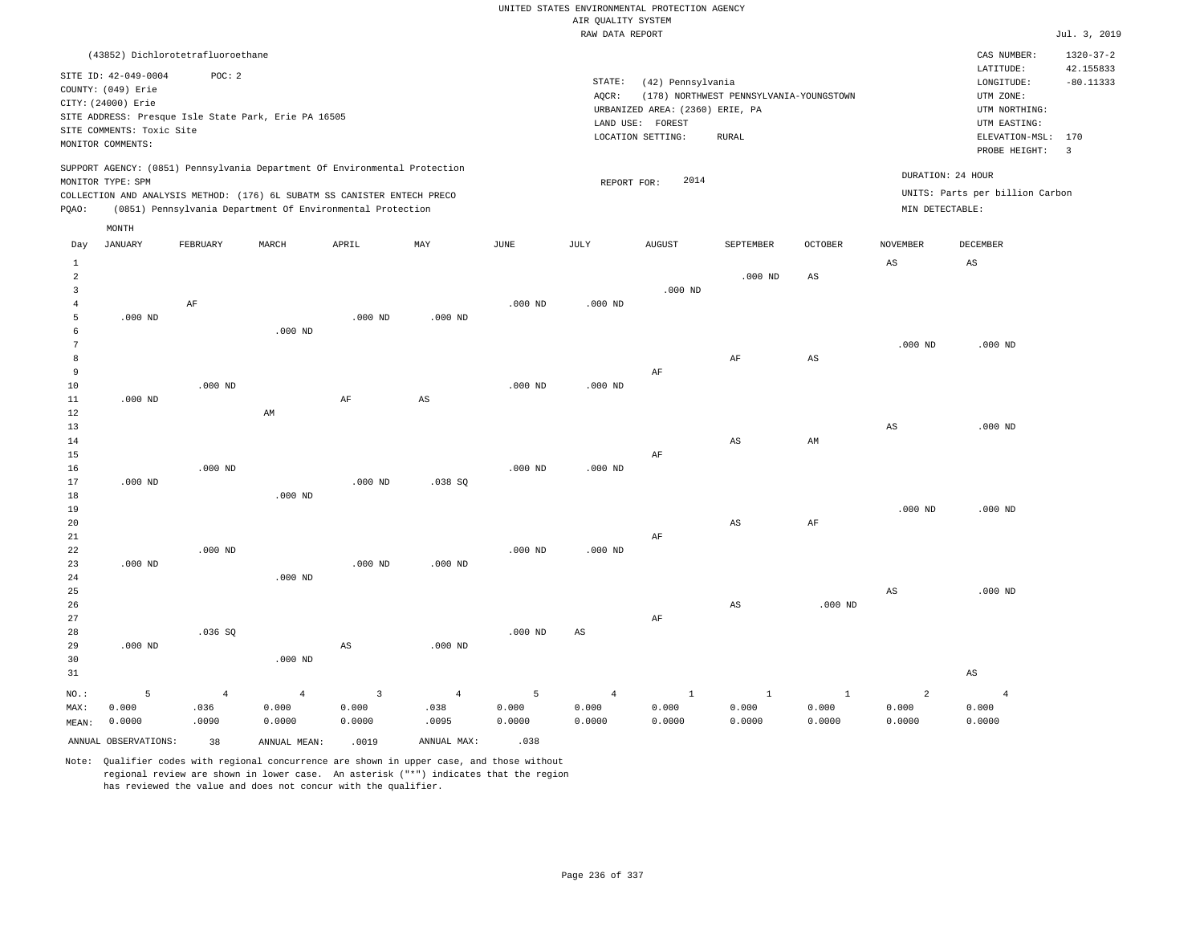|                 |                                                                  |                |                                                                            |                         |                        |                 | RAW DATA REPORT |                                                      |                                         |                        |                 |                                                       | Jul. 3, 2019             |
|-----------------|------------------------------------------------------------------|----------------|----------------------------------------------------------------------------|-------------------------|------------------------|-----------------|-----------------|------------------------------------------------------|-----------------------------------------|------------------------|-----------------|-------------------------------------------------------|--------------------------|
|                 | (43852) Dichlorotetrafluoroethane                                |                |                                                                            |                         |                        |                 |                 |                                                      |                                         |                        |                 | CAS NUMBER:                                           | $1320 - 37 - 2$          |
|                 | SITE ID: 42-049-0004<br>COUNTY: (049) Erie<br>CITY: (24000) Erie | POC: 2         | SITE ADDRESS: Presque Isle State Park, Erie PA 16505                       |                         |                        |                 | STATE:<br>AQCR: | (42) Pennsylvania<br>URBANIZED AREA: (2360) ERIE, PA | (178) NORTHWEST PENNSYLVANIA-YOUNGSTOWN |                        |                 | LATITUDE:<br>LONGITUDE:<br>UTM ZONE:<br>UTM NORTHING: | 42.155833<br>$-80.11333$ |
|                 | SITE COMMENTS: Toxic Site                                        |                |                                                                            |                         |                        |                 |                 | LAND USE: FOREST                                     |                                         |                        |                 | UTM EASTING:                                          |                          |
|                 | MONITOR COMMENTS:                                                |                |                                                                            |                         |                        |                 |                 | LOCATION SETTING:                                    | <b>RURAL</b>                            |                        |                 | ELEVATION-MSL:<br>PROBE HEIGHT:                       | 170<br>$\overline{3}$    |
|                 |                                                                  |                | SUPPORT AGENCY: (0851) Pennsylvania Department Of Environmental Protection |                         |                        |                 |                 |                                                      |                                         |                        |                 |                                                       |                          |
|                 | MONITOR TYPE: SPM                                                |                |                                                                            |                         |                        |                 | REPORT FOR:     | 2014                                                 |                                         |                        |                 | DURATION: 24 HOUR                                     |                          |
|                 |                                                                  |                | COLLECTION AND ANALYSIS METHOD: (176) 6L SUBATM SS CANISTER ENTECH PRECO   |                         |                        |                 |                 |                                                      |                                         |                        |                 | UNITS: Parts per billion Carbon                       |                          |
| PQAO:           |                                                                  |                | (0851) Pennsylvania Department Of Environmental Protection                 |                         |                        |                 |                 |                                                      |                                         |                        | MIN DETECTABLE: |                                                       |                          |
|                 | MONTH                                                            |                |                                                                            |                         |                        |                 |                 |                                                      |                                         |                        |                 |                                                       |                          |
| Day             | <b>JANUARY</b>                                                   | FEBRUARY       | MARCH                                                                      | APRIL                   | MAY                    | $\mathtt{JUNE}$ | JULY            | ${\tt AUGUST}$                                       | SEPTEMBER                               | <b>OCTOBER</b>         | <b>NOVEMBER</b> | DECEMBER                                              |                          |
| $\mathbf{1}$    |                                                                  |                |                                                                            |                         |                        |                 |                 |                                                      |                                         |                        | AS              | AS                                                    |                          |
| $\overline{2}$  |                                                                  |                |                                                                            |                         |                        |                 |                 |                                                      | $.000$ ND                               | $\mathbb{A}\mathbb{S}$ |                 |                                                       |                          |
| $\overline{3}$  |                                                                  |                |                                                                            |                         |                        |                 |                 | $.000$ ND                                            |                                         |                        |                 |                                                       |                          |
| $\overline{4}$  |                                                                  | AF             |                                                                            |                         |                        | $.000$ ND       | $.000$ ND       |                                                      |                                         |                        |                 |                                                       |                          |
| 5               | $.000$ ND                                                        |                |                                                                            | $.000$ ND               | $.000$ ND              |                 |                 |                                                      |                                         |                        |                 |                                                       |                          |
| 6               |                                                                  |                | $.000$ ND                                                                  |                         |                        |                 |                 |                                                      |                                         |                        |                 |                                                       |                          |
| $7\phantom{.0}$ |                                                                  |                |                                                                            |                         |                        |                 |                 |                                                      |                                         |                        | $.000$ ND       | $.000$ ND                                             |                          |
| 8<br>9          |                                                                  |                |                                                                            |                         |                        |                 |                 |                                                      | $\rm{AF}$                               | $\mathbb{A}\mathbb{S}$ |                 |                                                       |                          |
| 10              |                                                                  | $.000$ ND      |                                                                            |                         |                        | $.000$ ND       | $.000$ ND       | AF                                                   |                                         |                        |                 |                                                       |                          |
| $11\,$          | $.000$ ND                                                        |                |                                                                            | $\rm{AF}$               | $\mathbb{A}\mathbb{S}$ |                 |                 |                                                      |                                         |                        |                 |                                                       |                          |
| 12              |                                                                  |                | AM                                                                         |                         |                        |                 |                 |                                                      |                                         |                        |                 |                                                       |                          |
| 13              |                                                                  |                |                                                                            |                         |                        |                 |                 |                                                      |                                         |                        | AS              | $.000$ ND                                             |                          |
| 14              |                                                                  |                |                                                                            |                         |                        |                 |                 |                                                      | AS                                      | AM                     |                 |                                                       |                          |
| 15              |                                                                  |                |                                                                            |                         |                        |                 |                 | $\rm AF$                                             |                                         |                        |                 |                                                       |                          |
| 16              |                                                                  | $.000$ ND      |                                                                            |                         |                        | $.000$ ND       | $.000$ ND       |                                                      |                                         |                        |                 |                                                       |                          |
| 17              | $.000$ ND                                                        |                |                                                                            | $.000$ ND               | .038 SQ                |                 |                 |                                                      |                                         |                        |                 |                                                       |                          |
| 18              |                                                                  |                | $.000$ ND                                                                  |                         |                        |                 |                 |                                                      |                                         |                        |                 |                                                       |                          |
| 19              |                                                                  |                |                                                                            |                         |                        |                 |                 |                                                      |                                         |                        | $.000$ ND       | $.000$ ND                                             |                          |
| 20              |                                                                  |                |                                                                            |                         |                        |                 |                 |                                                      | $_{\rm AS}$                             | $\rm{AF}$              |                 |                                                       |                          |
| $2\sqrt{1}$     |                                                                  |                |                                                                            |                         |                        |                 |                 | $\rm AF$                                             |                                         |                        |                 |                                                       |                          |
| 22              |                                                                  | $.000$ ND      |                                                                            |                         |                        | $.000$ ND       | $.000$ ND       |                                                      |                                         |                        |                 |                                                       |                          |
| 23              | $.000$ ND                                                        |                |                                                                            | $.000$ ND               | $.000$ ND              |                 |                 |                                                      |                                         |                        |                 |                                                       |                          |
| 24              |                                                                  |                | $.000$ ND                                                                  |                         |                        |                 |                 |                                                      |                                         |                        |                 |                                                       |                          |
| 25              |                                                                  |                |                                                                            |                         |                        |                 |                 |                                                      |                                         |                        | $_{\rm AS}$     | $.000$ ND                                             |                          |
| 26<br>27        |                                                                  |                |                                                                            |                         |                        |                 |                 | AF                                                   | $\mathbb{A}\mathbb{S}$                  | $.000$ ND              |                 |                                                       |                          |
| 28              |                                                                  | .036S          |                                                                            |                         |                        | $.000$ ND       | AS              |                                                      |                                         |                        |                 |                                                       |                          |
| 29              | $.000$ ND                                                        |                |                                                                            | $_{\rm AS}$             | $.000$ ND              |                 |                 |                                                      |                                         |                        |                 |                                                       |                          |
| 30              |                                                                  |                | $.000$ ND                                                                  |                         |                        |                 |                 |                                                      |                                         |                        |                 |                                                       |                          |
| 31              |                                                                  |                |                                                                            |                         |                        |                 |                 |                                                      |                                         |                        |                 | $\mathbb{A}\mathbb{S}$                                |                          |
|                 |                                                                  |                |                                                                            |                         |                        |                 |                 |                                                      |                                         |                        |                 |                                                       |                          |
| NO.:            | 5                                                                | $\overline{4}$ | $\overline{4}$                                                             | $\overline{\mathbf{3}}$ | $\overline{4}$         | 5               | $\overline{4}$  | $\mathbf{1}$                                         | $\mathbf{1}$                            | $\mathbf{1}$           | $\overline{a}$  | $\overline{4}$                                        |                          |
| MAX:            | 0.000<br>0.0000                                                  | .036<br>.0090  | 0.000<br>0.0000                                                            | 0.000<br>0.0000         | .038<br>.0095          | 0.000<br>0.0000 | 0.000<br>0.0000 | 0.000<br>0.0000                                      | 0.000<br>0.0000                         | 0.000<br>0.0000        | 0.000<br>0.0000 | 0.000<br>0.0000                                       |                          |
| MEAN:           |                                                                  |                |                                                                            |                         |                        |                 |                 |                                                      |                                         |                        |                 |                                                       |                          |
|                 | ANNUAL OBSERVATIONS:                                             | 38             | ANNUAL MEAN:                                                               | .0019                   | ANNUAL MAX:            | .038            |                 |                                                      |                                         |                        |                 |                                                       |                          |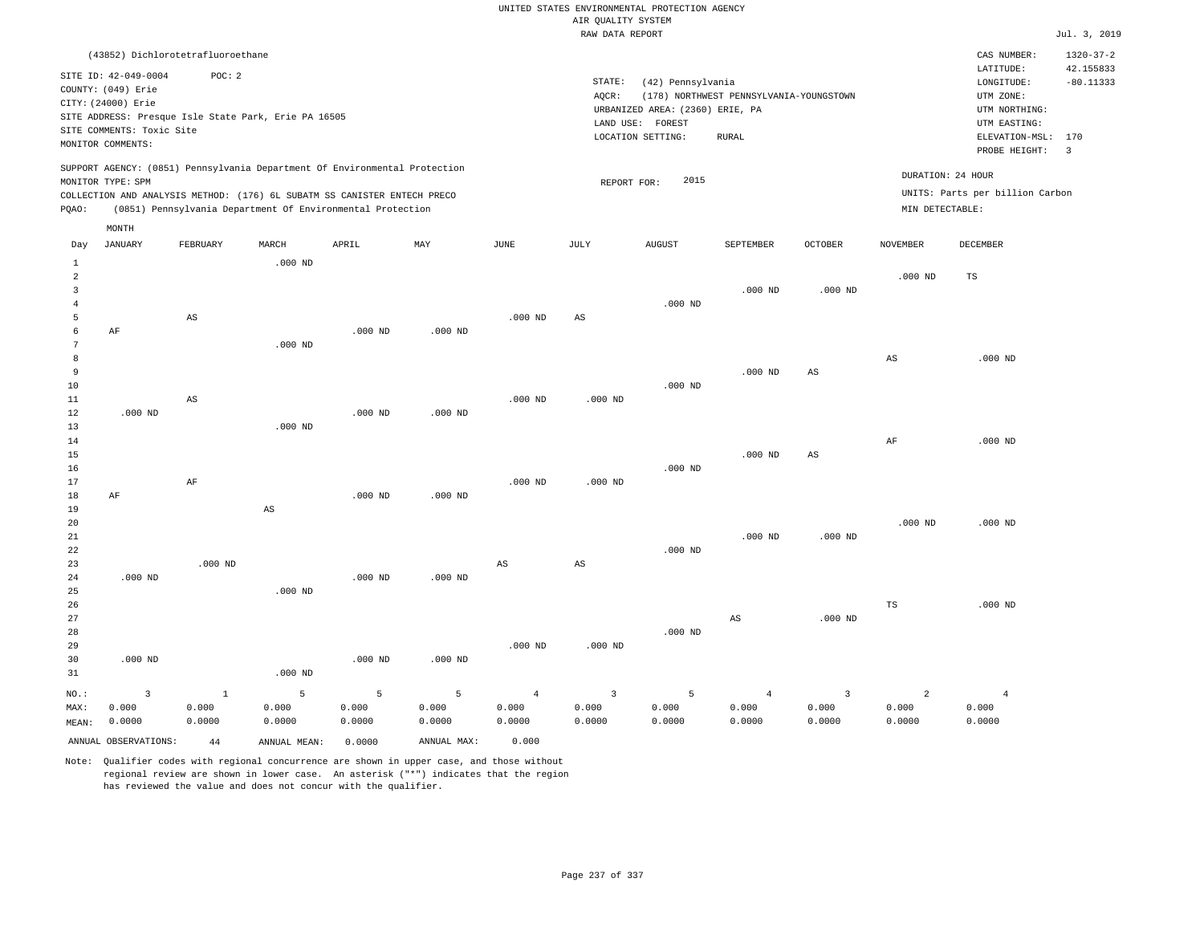|                |                                   |           |                                                                            |           |             |                    | RAW DATA REPORT         |                                 |                                         |                |                 |                                 | Jul. 3, 2019    |
|----------------|-----------------------------------|-----------|----------------------------------------------------------------------------|-----------|-------------|--------------------|-------------------------|---------------------------------|-----------------------------------------|----------------|-----------------|---------------------------------|-----------------|
|                | (43852) Dichlorotetrafluoroethane |           |                                                                            |           |             |                    |                         |                                 |                                         |                |                 | CAS NUMBER:                     | $1320 - 37 - 2$ |
|                |                                   |           |                                                                            |           |             |                    |                         |                                 |                                         |                |                 | LATITUDE:                       | 42.155833       |
|                | SITE ID: 42-049-0004              | POC: 2    |                                                                            |           |             |                    | STATE:                  | (42) Pennsylvania               |                                         |                |                 | LONGITUDE:                      | $-80.11333$     |
|                | COUNTY: (049) Erie                |           |                                                                            |           |             |                    | AQCR:                   |                                 | (178) NORTHWEST PENNSYLVANIA-YOUNGSTOWN |                |                 | UTM ZONE:                       |                 |
|                | CITY: (24000) Erie                |           |                                                                            |           |             |                    |                         | URBANIZED AREA: (2360) ERIE, PA |                                         |                |                 | UTM NORTHING:                   |                 |
|                |                                   |           | SITE ADDRESS: Presque Isle State Park, Erie PA 16505                       |           |             |                    |                         | LAND USE: FOREST                |                                         |                |                 | UTM EASTING:                    |                 |
|                | SITE COMMENTS: Toxic Site         |           |                                                                            |           |             |                    |                         | LOCATION SETTING:               | ${\tt RURAL}$                           |                |                 | ELEVATION-MSL:                  | 170             |
|                | MONITOR COMMENTS:                 |           |                                                                            |           |             |                    |                         |                                 |                                         |                |                 | PROBE HEIGHT:                   | $\overline{3}$  |
|                |                                   |           | SUPPORT AGENCY: (0851) Pennsylvania Department Of Environmental Protection |           |             |                    |                         |                                 |                                         |                |                 |                                 |                 |
|                | MONITOR TYPE: SPM                 |           |                                                                            |           |             |                    | REPORT FOR:             | 2015                            |                                         |                |                 | DURATION: 24 HOUR               |                 |
|                |                                   |           | COLLECTION AND ANALYSIS METHOD: (176) 6L SUBATM SS CANISTER ENTECH PRECO   |           |             |                    |                         |                                 |                                         |                |                 | UNITS: Parts per billion Carbon |                 |
| PQAO:          |                                   |           | (0851) Pennsylvania Department Of Environmental Protection                 |           |             |                    |                         |                                 |                                         |                | MIN DETECTABLE: |                                 |                 |
|                | MONTH                             |           |                                                                            |           |             |                    |                         |                                 |                                         |                |                 |                                 |                 |
| Day            | <b>JANUARY</b>                    | FEBRUARY  | MARCH                                                                      | APRIL     | MAY         | JUNE               | JULY                    | <b>AUGUST</b>                   | SEPTEMBER                               | OCTOBER        | <b>NOVEMBER</b> | DECEMBER                        |                 |
| $\,1\,$        |                                   |           | $.000$ ND                                                                  |           |             |                    |                         |                                 |                                         |                |                 |                                 |                 |
| 2              |                                   |           |                                                                            |           |             |                    |                         |                                 |                                         |                | $.000$ ND       | TS                              |                 |
| $\mathbf{3}$   |                                   |           |                                                                            |           |             |                    |                         |                                 | $.000$ ND                               | $.000$ ND      |                 |                                 |                 |
| $\overline{4}$ |                                   |           |                                                                            |           |             |                    |                         | $.000$ ND                       |                                         |                |                 |                                 |                 |
| 5              |                                   | AS        |                                                                            |           |             | $.000$ ND          | $_{\rm AS}$             |                                 |                                         |                |                 |                                 |                 |
| 6              | $\rm AF$                          |           |                                                                            | $.000$ ND | $.000$ ND   |                    |                         |                                 |                                         |                |                 |                                 |                 |
| $\overline{7}$ |                                   |           | $.000$ ND                                                                  |           |             |                    |                         |                                 |                                         |                |                 |                                 |                 |
| 8              |                                   |           |                                                                            |           |             |                    |                         |                                 |                                         |                | $_{\rm AS}$     | $.000$ ND                       |                 |
| 9              |                                   |           |                                                                            |           |             |                    |                         |                                 | $.000$ ND                               | $_{\rm AS}$    |                 |                                 |                 |
| 10             |                                   |           |                                                                            |           |             |                    |                         | $.000$ ND                       |                                         |                |                 |                                 |                 |
| 11             |                                   | AS        |                                                                            |           |             | $.000$ ND          | $.000$ ND               |                                 |                                         |                |                 |                                 |                 |
| 12             | $.000$ ND                         |           |                                                                            | $.000$ ND | $.000$ ND   |                    |                         |                                 |                                         |                |                 |                                 |                 |
| 13             |                                   |           | $.000$ ND                                                                  |           |             |                    |                         |                                 |                                         |                |                 |                                 |                 |
| 14             |                                   |           |                                                                            |           |             |                    |                         |                                 |                                         |                | AF              | $.000$ ND                       |                 |
| 15             |                                   |           |                                                                            |           |             |                    |                         |                                 | $.000$ ND                               | AS             |                 |                                 |                 |
| 16             |                                   |           |                                                                            |           |             |                    |                         | $.000$ ND                       |                                         |                |                 |                                 |                 |
| 17             |                                   | $\rm{AF}$ |                                                                            |           |             | .000 <sub>ND</sub> | $.000$ ND               |                                 |                                         |                |                 |                                 |                 |
| 18             | $\rm AF$                          |           |                                                                            | $.000$ ND | $.000$ ND   |                    |                         |                                 |                                         |                |                 |                                 |                 |
| 19             |                                   |           | $\mathbb{A}\mathbb{S}$                                                     |           |             |                    |                         |                                 |                                         |                |                 |                                 |                 |
| 20             |                                   |           |                                                                            |           |             |                    |                         |                                 |                                         |                | $.000$ ND       | $.000$ ND                       |                 |
| 21             |                                   |           |                                                                            |           |             |                    |                         |                                 | $.000$ ND                               | $.000$ ND      |                 |                                 |                 |
| 22             |                                   |           |                                                                            |           |             |                    |                         | $.000$ ND                       |                                         |                |                 |                                 |                 |
| 23             |                                   | $.000$ ND |                                                                            |           |             | $_{\rm AS}$        | $_{\rm AS}$             |                                 |                                         |                |                 |                                 |                 |
| 24             | $.000$ ND                         |           |                                                                            | $.000$ ND | $.000$ ND   |                    |                         |                                 |                                         |                |                 |                                 |                 |
| 25             |                                   |           | $.000$ ND                                                                  |           |             |                    |                         |                                 |                                         |                |                 |                                 |                 |
| 26<br>27       |                                   |           |                                                                            |           |             |                    |                         |                                 | $\mathbb{A}\mathbb{S}$                  | $.000$ ND      | $_{\rm TS}$     | $.000$ ND                       |                 |
| 28             |                                   |           |                                                                            |           |             |                    |                         | $.000$ ND                       |                                         |                |                 |                                 |                 |
| 29             |                                   |           |                                                                            |           |             | $.000$ ND          | $.000$ ND               |                                 |                                         |                |                 |                                 |                 |
| 30             | $.000$ ND                         |           |                                                                            | $.000$ ND | $.000$ ND   |                    |                         |                                 |                                         |                |                 |                                 |                 |
| 31             |                                   |           | $.000$ ND                                                                  |           |             |                    |                         |                                 |                                         |                |                 |                                 |                 |
|                |                                   |           |                                                                            |           |             |                    |                         |                                 |                                         |                |                 |                                 |                 |
| NO.:           | $\overline{3}$                    | $1\,$     | 5                                                                          | 5         | 5           | $\overline{4}$     | $\overline{\mathbf{3}}$ | 5                               | $\overline{4}$                          | $\overline{3}$ | $\overline{a}$  | $\,4\,$                         |                 |
| MAX:           | 0.000                             | 0.000     | 0.000                                                                      | 0.000     | 0.000       | 0.000              | 0.000                   | 0.000                           | 0.000                                   | 0.000          | 0.000           | 0.000                           |                 |
| MEAN:          | 0.0000                            | 0.0000    | 0.0000                                                                     | 0.0000    | 0.0000      | 0.0000             | 0.0000                  | 0.0000                          | 0.0000                                  | 0.0000         | 0.0000          | 0.0000                          |                 |
|                | ANNUAL OBSERVATIONS:              | 44        | ANNUAL MEAN:                                                               | 0.0000    | ANNUAL MAX: | 0.000              |                         |                                 |                                         |                |                 |                                 |                 |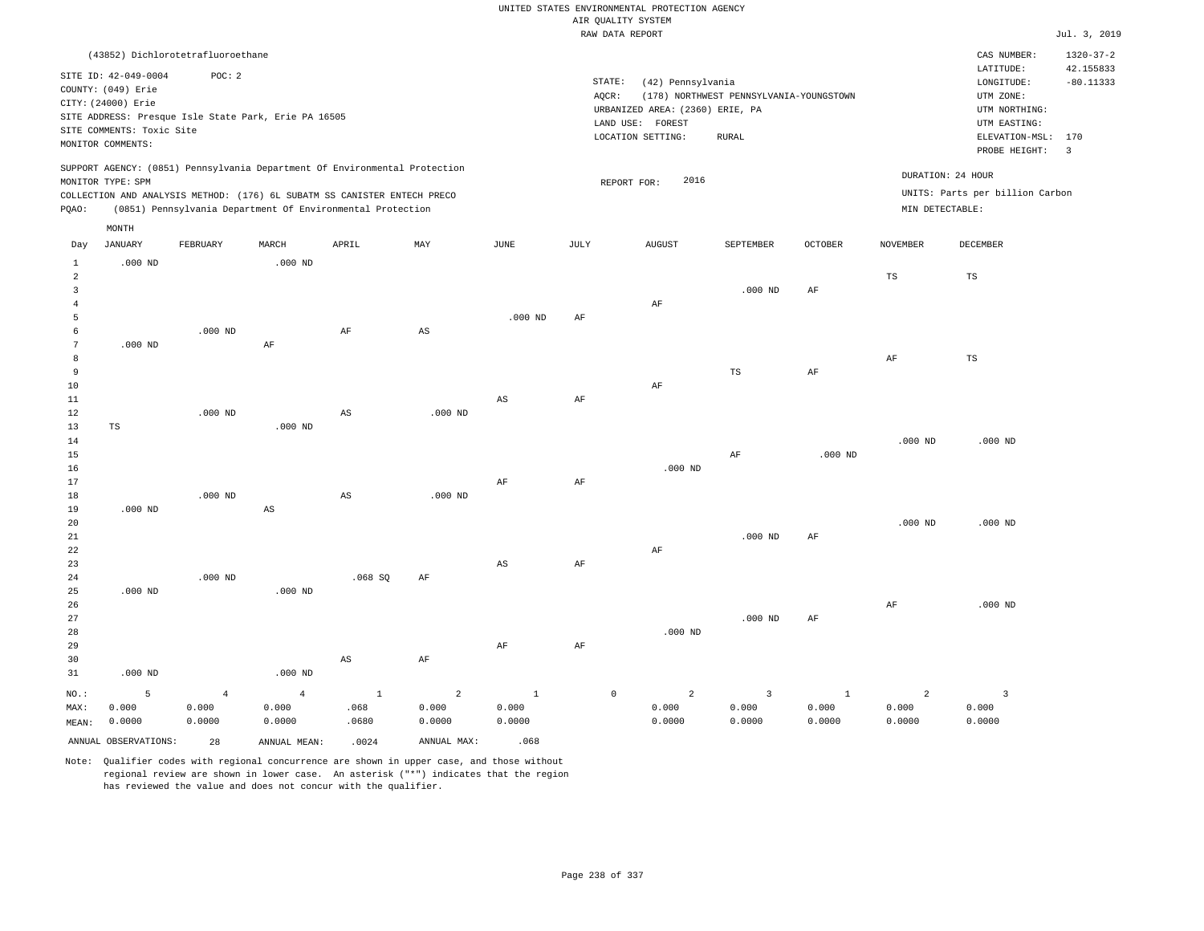|                      |                                            |                                   |                                                      |                                                                            |             |              |           | RAW DATA REPORT                 |                                         |                |                 |                                 | Jul. 3, 2019    |
|----------------------|--------------------------------------------|-----------------------------------|------------------------------------------------------|----------------------------------------------------------------------------|-------------|--------------|-----------|---------------------------------|-----------------------------------------|----------------|-----------------|---------------------------------|-----------------|
|                      |                                            | (43852) Dichlorotetrafluoroethane |                                                      |                                                                            |             |              |           |                                 |                                         |                |                 | CAS NUMBER:                     | $1320 - 37 - 2$ |
|                      |                                            |                                   |                                                      |                                                                            |             |              |           |                                 |                                         |                |                 | LATITUDE:                       | 42.155833       |
|                      | SITE ID: 42-049-0004<br>COUNTY: (049) Erie | POC: 2                            |                                                      |                                                                            |             |              |           | STATE:<br>(42) Pennsylvania     |                                         |                |                 | LONGITUDE:                      | $-80.11333$     |
|                      | CITY: (24000) Erie                         |                                   |                                                      |                                                                            |             |              |           | AOCR:                           | (178) NORTHWEST PENNSYLVANIA-YOUNGSTOWN |                |                 | UTM ZONE:                       |                 |
|                      |                                            |                                   | SITE ADDRESS: Presque Isle State Park, Erie PA 16505 |                                                                            |             |              |           | URBANIZED AREA: (2360) ERIE, PA |                                         |                |                 | UTM NORTHING:                   |                 |
|                      | SITE COMMENTS: Toxic Site                  |                                   |                                                      |                                                                            |             |              |           | LAND USE: FOREST                |                                         |                |                 | UTM EASTING:                    |                 |
|                      | MONITOR COMMENTS:                          |                                   |                                                      |                                                                            |             |              |           | LOCATION SETTING:               | RURAL                                   |                |                 | ELEVATION-MSL:                  | 170             |
|                      |                                            |                                   |                                                      |                                                                            |             |              |           |                                 |                                         |                |                 | PROBE HEIGHT:                   | $\overline{3}$  |
|                      |                                            |                                   |                                                      | SUPPORT AGENCY: (0851) Pennsylvania Department Of Environmental Protection |             |              |           |                                 |                                         |                |                 | DURATION: 24 HOUR               |                 |
|                      | MONITOR TYPE: SPM                          |                                   |                                                      |                                                                            |             |              |           | 2016<br>REPORT FOR:             |                                         |                |                 | UNITS: Parts per billion Carbon |                 |
|                      |                                            |                                   |                                                      | COLLECTION AND ANALYSIS METHOD: (176) 6L SUBATM SS CANISTER ENTECH PRECO   |             |              |           |                                 |                                         |                | MIN DETECTABLE: |                                 |                 |
| PQAO:                |                                            |                                   |                                                      | (0851) Pennsylvania Department Of Environmental Protection                 |             |              |           |                                 |                                         |                |                 |                                 |                 |
|                      | MONTH                                      |                                   |                                                      |                                                                            |             |              |           |                                 |                                         |                |                 |                                 |                 |
| Day                  | <b>JANUARY</b>                             | FEBRUARY                          | MARCH                                                | APRIL                                                                      | MAY         | JUNE         | JULY      | AUGUST                          | SEPTEMBER                               | <b>OCTOBER</b> | <b>NOVEMBER</b> | DECEMBER                        |                 |
| $\mathbf 1$          | $.000$ ND                                  |                                   | $.000$ ND                                            |                                                                            |             |              |           |                                 |                                         |                |                 |                                 |                 |
| $\overline{2}$       |                                            |                                   |                                                      |                                                                            |             |              |           |                                 |                                         |                | $_{\rm TS}$     | $\mathbb{TS}$                   |                 |
| $\overline{3}$       |                                            |                                   |                                                      |                                                                            |             |              |           |                                 | $.000$ ND                               | AF             |                 |                                 |                 |
| $\overline{4}$       |                                            |                                   |                                                      |                                                                            |             |              |           | AF                              |                                         |                |                 |                                 |                 |
| 5                    |                                            |                                   |                                                      |                                                                            |             | $.000$ ND    | AF        |                                 |                                         |                |                 |                                 |                 |
| 6<br>$7\phantom{.0}$ |                                            | $.000$ ND                         |                                                      | $\rm AF$                                                                   | AS          |              |           |                                 |                                         |                |                 |                                 |                 |
| 8                    | $.000$ ND                                  |                                   | $\rm AF$                                             |                                                                            |             |              |           |                                 |                                         |                | AF              | TS                              |                 |
| 9                    |                                            |                                   |                                                      |                                                                            |             |              |           |                                 | $\mathbb{TS}$                           | AF             |                 |                                 |                 |
| 10                   |                                            |                                   |                                                      |                                                                            |             |              |           | AF                              |                                         |                |                 |                                 |                 |
| $1\,1$               |                                            |                                   |                                                      |                                                                            |             | AS           | AF        |                                 |                                         |                |                 |                                 |                 |
| 12                   |                                            | $.000$ ND                         |                                                      | $\mathbb{A}\mathbb{S}$                                                     | $.000$ ND   |              |           |                                 |                                         |                |                 |                                 |                 |
| 13                   | TS                                         |                                   | $.000$ ND                                            |                                                                            |             |              |           |                                 |                                         |                |                 |                                 |                 |
| 14                   |                                            |                                   |                                                      |                                                                            |             |              |           |                                 |                                         |                | $.000$ ND       | $.000$ ND                       |                 |
| 15                   |                                            |                                   |                                                      |                                                                            |             |              |           |                                 | AF                                      | $.000$ ND      |                 |                                 |                 |
| 16                   |                                            |                                   |                                                      |                                                                            |             |              |           | $.000$ ND                       |                                         |                |                 |                                 |                 |
| $17$                 |                                            |                                   |                                                      |                                                                            |             | AF           | AF        |                                 |                                         |                |                 |                                 |                 |
| 18                   |                                            | $.000$ ND                         |                                                      | $\mathbb{A}\mathbb{S}$                                                     | $.000$ ND   |              |           |                                 |                                         |                |                 |                                 |                 |
| 19<br>20             | $.000$ ND                                  |                                   | $\mathbb{A}\mathbb{S}$                               |                                                                            |             |              |           |                                 |                                         |                | $.000$ ND       | $.000$ ND                       |                 |
| 21                   |                                            |                                   |                                                      |                                                                            |             |              |           |                                 | $.000$ ND                               | AF             |                 |                                 |                 |
| 22                   |                                            |                                   |                                                      |                                                                            |             |              |           | AF                              |                                         |                |                 |                                 |                 |
| 23                   |                                            |                                   |                                                      |                                                                            |             | AS           | $\rm{AF}$ |                                 |                                         |                |                 |                                 |                 |
| 24                   |                                            | $.000$ ND                         |                                                      | .068SQ                                                                     | AF          |              |           |                                 |                                         |                |                 |                                 |                 |
| 25                   | $.000$ ND                                  |                                   | $.000$ ND                                            |                                                                            |             |              |           |                                 |                                         |                |                 |                                 |                 |
| 26                   |                                            |                                   |                                                      |                                                                            |             |              |           |                                 |                                         |                | $\rm{AF}$       | $.000$ ND                       |                 |
| 27                   |                                            |                                   |                                                      |                                                                            |             |              |           |                                 | $.000$ ND                               | AF             |                 |                                 |                 |
| 28                   |                                            |                                   |                                                      |                                                                            |             |              |           | $.000$ ND                       |                                         |                |                 |                                 |                 |
| 29                   |                                            |                                   |                                                      |                                                                            |             | $\rm{AF}$    | $\rm{AF}$ |                                 |                                         |                |                 |                                 |                 |
| 30                   |                                            |                                   |                                                      | $_{\rm AS}$                                                                | AF          |              |           |                                 |                                         |                |                 |                                 |                 |
| 31                   | $.000$ ND                                  |                                   | $.000$ ND                                            |                                                                            |             |              |           |                                 |                                         |                |                 |                                 |                 |
| $NO.$ :              | 5                                          | $\overline{4}$                    | $\overline{4}$                                       | $\mathbf{1}$                                                               | 2           | <sup>1</sup> |           | $\mathbb O$<br>2                | $\overline{3}$                          | <sup>1</sup>   | $\overline{a}$  | 3                               |                 |
| MAX:                 | 0.000                                      | 0.000                             | 0.000                                                | .068                                                                       | 0.000       | 0.000        |           | 0.000                           | 0.000                                   | 0.000          | 0.000           | 0.000                           |                 |
| MEAN:                | 0.0000                                     | 0.0000                            | 0.0000                                               | .0680                                                                      | 0.0000      | 0.0000       |           | 0.0000                          | 0.0000                                  | 0.0000         | 0.0000          | 0.0000                          |                 |
|                      | ANNUAL OBSERVATIONS:                       | 28                                | ANNUAL MEAN:                                         | .0024                                                                      | ANNUAL MAX: | .068         |           |                                 |                                         |                |                 |                                 |                 |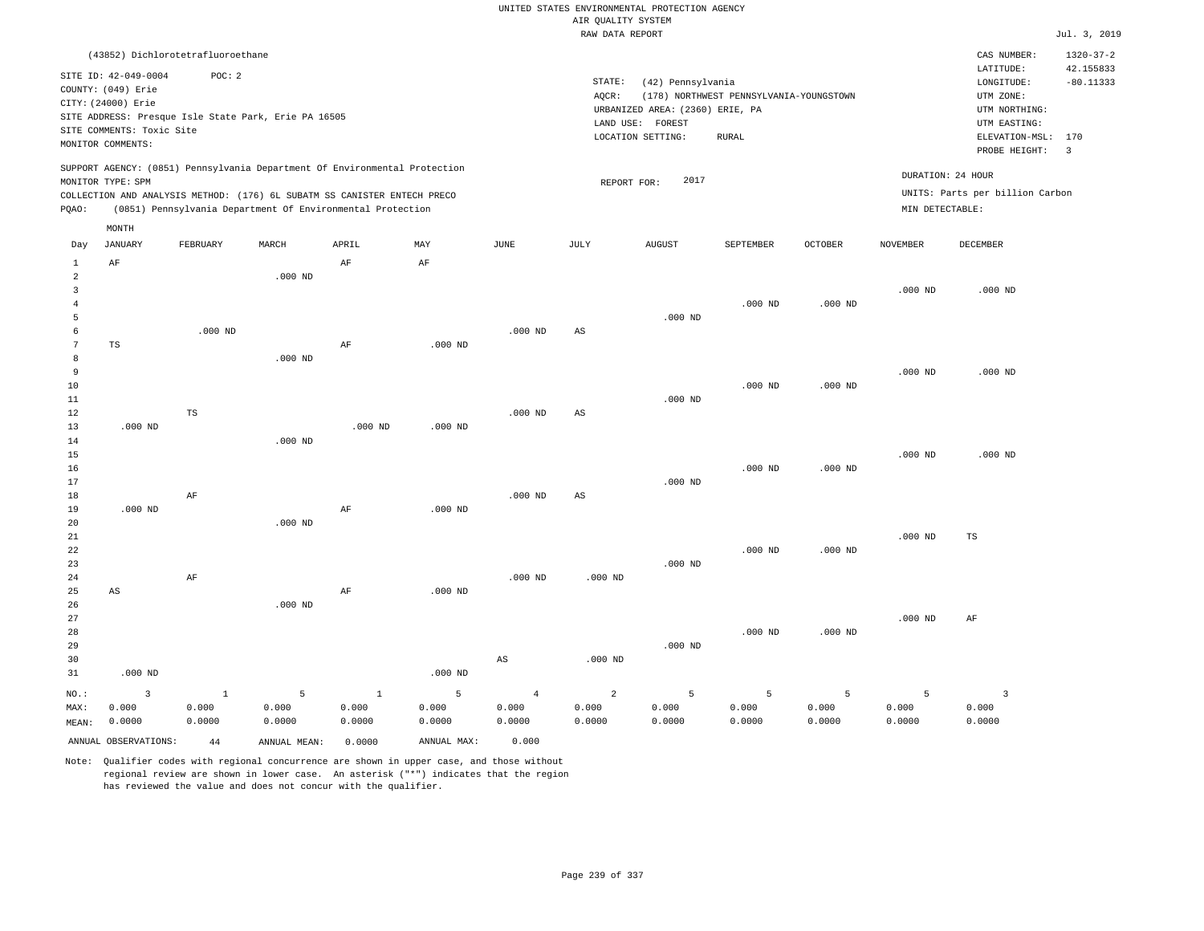|                 |                                            | (43852) Dichlorotetrafluoroethane                    |              |                                                                            |             |                 |                        |                                                     |                                         |                 |                 | CAS NUMBER:                     | $1320 - 37 - 2$          |
|-----------------|--------------------------------------------|------------------------------------------------------|--------------|----------------------------------------------------------------------------|-------------|-----------------|------------------------|-----------------------------------------------------|-----------------------------------------|-----------------|-----------------|---------------------------------|--------------------------|
|                 | SITE ID: 42-049-0004<br>COUNTY: (049) Erie | POC: 2                                               |              |                                                                            |             |                 | STATE:                 | (42) Pennsylvania                                   |                                         |                 |                 | LATITUDE:<br>LONGITUDE:         | 42.155833<br>$-80.11333$ |
|                 | CITY: (24000) Erie                         |                                                      |              |                                                                            |             |                 | AOCR:                  |                                                     | (178) NORTHWEST PENNSYLVANIA-YOUNGSTOWN |                 |                 | UTM ZONE:                       |                          |
|                 |                                            | SITE ADDRESS: Presque Isle State Park, Erie PA 16505 |              |                                                                            |             |                 |                        | URBANIZED AREA: (2360) ERIE, PA<br>LAND USE: FOREST |                                         |                 |                 | UTM NORTHING:<br>UTM EASTING:   |                          |
|                 | SITE COMMENTS: Toxic Site                  |                                                      |              |                                                                            |             |                 |                        | LOCATION SETTING:                                   | <b>RURAL</b>                            |                 |                 | ELEVATION-MSL:                  | 170                      |
|                 | MONITOR COMMENTS:                          |                                                      |              |                                                                            |             |                 |                        |                                                     |                                         |                 |                 | PROBE HEIGHT:                   | $\overline{3}$           |
|                 | MONITOR TYPE: SPM                          |                                                      |              | SUPPORT AGENCY: (0851) Pennsylvania Department Of Environmental Protection |             |                 | REPORT FOR:            | 2017                                                |                                         |                 |                 | DURATION: 24 HOUR               |                          |
|                 |                                            |                                                      |              | COLLECTION AND ANALYSIS METHOD: (176) 6L SUBATM SS CANISTER ENTECH PRECO   |             |                 |                        |                                                     |                                         |                 |                 | UNITS: Parts per billion Carbon |                          |
| PQAO:           |                                            |                                                      |              | (0851) Pennsylvania Department Of Environmental Protection                 |             |                 |                        |                                                     |                                         |                 | MIN DETECTABLE: |                                 |                          |
|                 | MONTH                                      |                                                      |              |                                                                            |             |                 |                        |                                                     |                                         |                 |                 |                                 |                          |
| Day             | <b>JANUARY</b>                             | FEBRUARY                                             | MARCH        | APRIL                                                                      | MAY         | JUNE            | JULY                   | <b>AUGUST</b>                                       | SEPTEMBER                               | <b>OCTOBER</b>  | <b>NOVEMBER</b> | DECEMBER                        |                          |
| 1               | AF                                         |                                                      |              | AF                                                                         | AF          |                 |                        |                                                     |                                         |                 |                 |                                 |                          |
| 2               |                                            |                                                      | $.000$ ND    |                                                                            |             |                 |                        |                                                     |                                         |                 |                 |                                 |                          |
| $\overline{3}$  |                                            |                                                      |              |                                                                            |             |                 |                        |                                                     |                                         |                 | $.000$ ND       | $.000$ ND                       |                          |
| 4<br>5          |                                            |                                                      |              |                                                                            |             |                 |                        |                                                     | $.000$ ND                               | $.000$ ND       |                 |                                 |                          |
| 6               |                                            | $.000$ ND                                            |              |                                                                            |             | $.000$ ND       | $_{\rm AS}$            | $.000$ ND                                           |                                         |                 |                 |                                 |                          |
| $7\phantom{.0}$ | TS                                         |                                                      |              | AF                                                                         | $.000$ ND   |                 |                        |                                                     |                                         |                 |                 |                                 |                          |
| 8               |                                            |                                                      | $.000$ ND    |                                                                            |             |                 |                        |                                                     |                                         |                 |                 |                                 |                          |
| 9               |                                            |                                                      |              |                                                                            |             |                 |                        |                                                     |                                         |                 | $.000$ ND       | $.000$ ND                       |                          |
| 10              |                                            |                                                      |              |                                                                            |             |                 |                        |                                                     | $.000$ ND                               | $.000$ ND       |                 |                                 |                          |
| 11              |                                            |                                                      |              |                                                                            |             |                 |                        | $.000$ ND                                           |                                         |                 |                 |                                 |                          |
| 12              |                                            | TS                                                   |              |                                                                            |             | $.000$ ND       | $\mathbb{A}\mathbb{S}$ |                                                     |                                         |                 |                 |                                 |                          |
| 13              | $.000$ ND                                  |                                                      |              | $.000$ ND                                                                  | $.000$ ND   |                 |                        |                                                     |                                         |                 |                 |                                 |                          |
| 14              |                                            |                                                      | $.000$ ND    |                                                                            |             |                 |                        |                                                     |                                         |                 |                 |                                 |                          |
| $15$            |                                            |                                                      |              |                                                                            |             |                 |                        |                                                     |                                         |                 | $.000$ ND       | $.000$ ND                       |                          |
| 16<br>17        |                                            |                                                      |              |                                                                            |             |                 |                        | $.000$ ND                                           | $.000$ ND                               | $.000$ ND       |                 |                                 |                          |
| 18              |                                            | AF                                                   |              |                                                                            |             | $.000$ ND       | AS                     |                                                     |                                         |                 |                 |                                 |                          |
| 19              | $.000$ ND                                  |                                                      |              | AF                                                                         | $.000$ ND   |                 |                        |                                                     |                                         |                 |                 |                                 |                          |
| 20              |                                            |                                                      | $.000$ ND    |                                                                            |             |                 |                        |                                                     |                                         |                 |                 |                                 |                          |
| 21              |                                            |                                                      |              |                                                                            |             |                 |                        |                                                     |                                         |                 | $.000$ ND       | TS                              |                          |
| 22              |                                            |                                                      |              |                                                                            |             |                 |                        |                                                     | .000 <sub>ND</sub>                      | $.000$ ND       |                 |                                 |                          |
| 23              |                                            |                                                      |              |                                                                            |             |                 |                        | $.000$ ND                                           |                                         |                 |                 |                                 |                          |
| 24              |                                            | AF                                                   |              |                                                                            |             | $.000$ ND       | $.000$ ND              |                                                     |                                         |                 |                 |                                 |                          |
| 25              | AS                                         |                                                      |              | $\rm AF$                                                                   | $.000$ ND   |                 |                        |                                                     |                                         |                 |                 |                                 |                          |
| 26              |                                            |                                                      | $.000$ ND    |                                                                            |             |                 |                        |                                                     |                                         |                 |                 |                                 |                          |
| 27              |                                            |                                                      |              |                                                                            |             |                 |                        |                                                     |                                         |                 | $.000$ ND       | AF                              |                          |
| 28<br>29        |                                            |                                                      |              |                                                                            |             |                 |                        | $.000$ ND                                           | $.000$ ND                               | $.000$ ND       |                 |                                 |                          |
| 30              |                                            |                                                      |              |                                                                            |             | AS              | $.000$ ND              |                                                     |                                         |                 |                 |                                 |                          |
| 31              | $.000$ ND                                  |                                                      |              |                                                                            | $.000$ ND   |                 |                        |                                                     |                                         |                 |                 |                                 |                          |
|                 |                                            |                                                      |              |                                                                            |             |                 |                        |                                                     |                                         |                 |                 |                                 |                          |
| NO.:            | $\overline{\mathbf{3}}$                    | <sup>1</sup>                                         | 5            | $\mathbf{1}$                                                               | 5           | $\overline{4}$  | $\overline{2}$         | 5                                                   | 5                                       | 5               | 5               | $\overline{3}$                  |                          |
| MAX:            | 0.000                                      | 0.000<br>0.0000                                      | 0.000        | 0.000<br>0.0000                                                            | 0.000       | 0.000<br>0.0000 | 0.000<br>0.0000        | 0.000<br>0.0000                                     | 0.000<br>0.0000                         | 0.000<br>0.0000 | 0.000<br>0.0000 | 0.000<br>0.0000                 |                          |
| MEAN:           | 0.0000                                     |                                                      | 0.0000       |                                                                            | 0.0000      |                 |                        |                                                     |                                         |                 |                 |                                 |                          |
|                 | ANNUAL OBSERVATIONS:                       | 44                                                   | ANNUAL MEAN: | 0.0000                                                                     | ANNUAL MAX: | 0.000           |                        |                                                     |                                         |                 |                 |                                 |                          |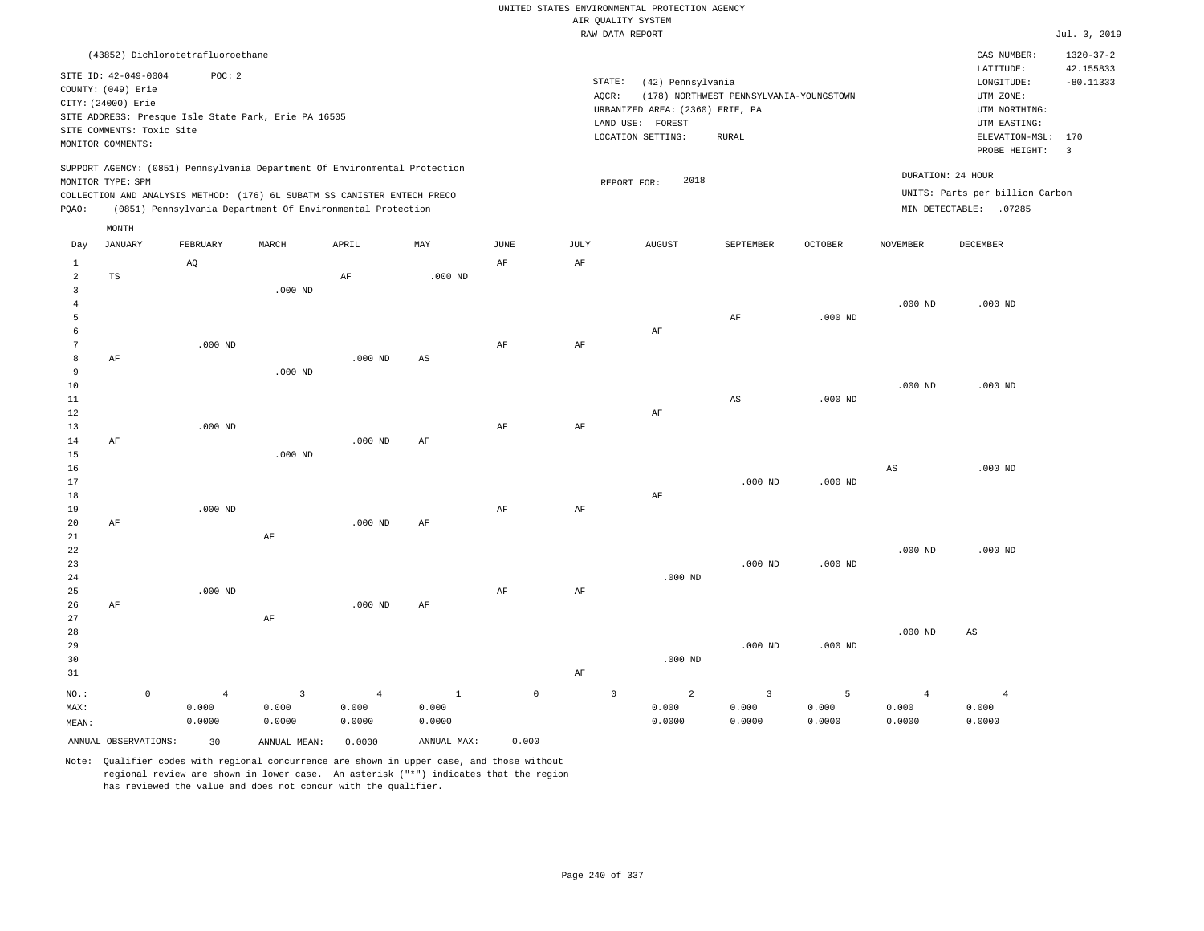|                     |                           |                                                                            |                         |                |                        |             |              | UNITED STATES ENVIRONMENTAL PROTECTION AGENCY |                                         |                |                 |                                 |                 |
|---------------------|---------------------------|----------------------------------------------------------------------------|-------------------------|----------------|------------------------|-------------|--------------|-----------------------------------------------|-----------------------------------------|----------------|-----------------|---------------------------------|-----------------|
|                     |                           |                                                                            |                         |                |                        |             |              | AIR QUALITY SYSTEM                            |                                         |                |                 |                                 |                 |
|                     |                           |                                                                            |                         |                |                        |             |              | RAW DATA REPORT                               |                                         |                |                 |                                 | Jul. 3, 2019    |
|                     |                           | (43852) Dichlorotetrafluoroethane                                          |                         |                |                        |             |              |                                               |                                         |                |                 | CAS NUMBER:                     | $1320 - 37 - 2$ |
|                     | SITE ID: 42-049-0004      | POC: 2                                                                     |                         |                |                        |             |              |                                               |                                         |                |                 | LATITUDE:                       | 42.155833       |
|                     | COUNTY: (049) Erie        |                                                                            |                         |                |                        |             | STATE:       | (42) Pennsylvania                             |                                         |                |                 | $\texttt{LONGITUDE}$ :          | $-80.11333$     |
|                     | CITY: (24000) Erie        |                                                                            |                         |                |                        |             | AQCR:        |                                               | (178) NORTHWEST PENNSYLVANIA-YOUNGSTOWN |                |                 | UTM ZONE:                       |                 |
|                     |                           | SITE ADDRESS: Presque Isle State Park, Erie PA 16505                       |                         |                |                        |             |              | URBANIZED AREA: (2360) ERIE, PA               |                                         |                |                 | UTM NORTHING:                   |                 |
|                     | SITE COMMENTS: Toxic Site |                                                                            |                         |                |                        |             |              | LAND USE: FOREST                              |                                         |                |                 | UTM EASTING:                    |                 |
|                     | MONITOR COMMENTS:         |                                                                            |                         |                |                        |             |              | LOCATION SETTING:                             | <b>RURAL</b>                            |                |                 | ELEVATION-MSL:<br>PROBE HEIGHT: | 170<br>3        |
|                     |                           | SUPPORT AGENCY: (0851) Pennsylvania Department Of Environmental Protection |                         |                |                        |             |              |                                               |                                         |                |                 |                                 |                 |
|                     | MONITOR TYPE: SPM         |                                                                            |                         |                |                        |             |              | 2018<br>REPORT FOR:                           |                                         |                |                 | DURATION: 24 HOUR               |                 |
|                     |                           | COLLECTION AND ANALYSIS METHOD: (176) 6L SUBATM SS CANISTER ENTECH PRECO   |                         |                |                        |             |              |                                               |                                         |                |                 | UNITS: Parts per billion Carbon |                 |
| PQAO:               |                           | (0851) Pennsylvania Department Of Environmental Protection                 |                         |                |                        |             |              |                                               |                                         |                |                 | MIN DETECTABLE: .07285          |                 |
| Day                 | MONTH<br><b>JANUARY</b>   | FEBRUARY                                                                   | MARCH                   | APRIL          | MAY                    | <b>JUNE</b> | JULY         | <b>AUGUST</b>                                 | SEPTEMBER                               | <b>OCTOBER</b> | <b>NOVEMBER</b> | DECEMBER                        |                 |
|                     |                           |                                                                            |                         |                |                        |             |              |                                               |                                         |                |                 |                                 |                 |
| $\mathbf{1}$        |                           | AQ                                                                         |                         |                |                        | AF          | AF           |                                               |                                         |                |                 |                                 |                 |
| $\overline{a}$<br>3 | TS                        |                                                                            | $.000$ ND               | AF             | $.000$ ND              |             |              |                                               |                                         |                |                 |                                 |                 |
| $\overline{4}$      |                           |                                                                            |                         |                |                        |             |              |                                               |                                         |                | $.000$ ND       | $.000$ ND                       |                 |
| 5                   |                           |                                                                            |                         |                |                        |             |              |                                               | AF                                      | $.000$ ND      |                 |                                 |                 |
| 6                   |                           |                                                                            |                         |                |                        |             |              | AF                                            |                                         |                |                 |                                 |                 |
| $\overline{7}$      |                           | $.000$ ND                                                                  |                         |                |                        | $\rm AF$    | AF           |                                               |                                         |                |                 |                                 |                 |
| 8                   | $\rm{AF}$                 |                                                                            |                         | $.000$ ND      | $\mathbb{A}\mathbb{S}$ |             |              |                                               |                                         |                |                 |                                 |                 |
| 9                   |                           |                                                                            | $.000$ ND               |                |                        |             |              |                                               |                                         |                |                 |                                 |                 |
| $10$                |                           |                                                                            |                         |                |                        |             |              |                                               |                                         |                | $.000$ ND       | $.000$ ND                       |                 |
| 11                  |                           |                                                                            |                         |                |                        |             |              |                                               | $\mathbb{A}\mathbb{S}$                  | $.000$ ND      |                 |                                 |                 |
| 12                  |                           |                                                                            |                         |                |                        |             |              | AF                                            |                                         |                |                 |                                 |                 |
| 13                  |                           | $.000$ ND                                                                  |                         |                |                        | AF          | AF           |                                               |                                         |                |                 |                                 |                 |
| 14                  | AF                        |                                                                            |                         | $.000$ ND      | AF                     |             |              |                                               |                                         |                |                 |                                 |                 |
| 15                  |                           |                                                                            | $.000$ ND               |                |                        |             |              |                                               |                                         |                |                 |                                 |                 |
| 16                  |                           |                                                                            |                         |                |                        |             |              |                                               |                                         |                | $_{\rm AS}$     | $.000$ ND                       |                 |
| 17                  |                           |                                                                            |                         |                |                        |             |              |                                               | $.000$ ND                               | $.000$ ND      |                 |                                 |                 |
| 18                  |                           |                                                                            |                         |                |                        |             |              | $\rm{AF}$                                     |                                         |                |                 |                                 |                 |
| 19                  |                           | $.000$ ND                                                                  |                         |                |                        | AF          | AF           |                                               |                                         |                |                 |                                 |                 |
| 20                  | AF                        |                                                                            |                         | $.000$ ND      | AF                     |             |              |                                               |                                         |                |                 |                                 |                 |
| 21                  |                           |                                                                            | $\rm AF$                |                |                        |             |              |                                               |                                         |                |                 |                                 |                 |
| 22                  |                           |                                                                            |                         |                |                        |             |              |                                               |                                         |                | $.000$ ND       | $.000$ ND                       |                 |
| 23                  |                           |                                                                            |                         |                |                        |             |              |                                               | $.000$ ND                               | $.000$ ND      |                 |                                 |                 |
| 24                  |                           |                                                                            |                         |                |                        |             |              | $.000$ ND                                     |                                         |                |                 |                                 |                 |
| 25                  |                           | $.000$ ND                                                                  |                         |                |                        | AF          | AF           |                                               |                                         |                |                 |                                 |                 |
| 26                  | AF                        |                                                                            |                         | $.000$ ND      | AF                     |             |              |                                               |                                         |                |                 |                                 |                 |
| 27                  |                           |                                                                            | AF                      |                |                        |             |              |                                               |                                         |                |                 |                                 |                 |
| 28                  |                           |                                                                            |                         |                |                        |             |              |                                               |                                         |                | $.000$ ND       | AS                              |                 |
| 29                  |                           |                                                                            |                         |                |                        |             |              |                                               | $.000$ ND                               | $.000$ ND      |                 |                                 |                 |
| 30<br>31            |                           |                                                                            |                         |                |                        |             | AF           | $.000$ ND                                     |                                         |                |                 |                                 |                 |
|                     |                           |                                                                            |                         |                |                        |             |              |                                               |                                         |                |                 |                                 |                 |
| NO.:                | $\mathbb O$               | $\overline{4}$                                                             | $\overline{\mathbf{3}}$ | $\overline{4}$ | $\mathbf{1}$           | $\mathbb O$ | $\mathbf{0}$ | 2                                             | $\overline{3}$                          | 5              | $\overline{4}$  | $\overline{4}$                  |                 |
| MAX:                |                           | 0.000                                                                      | 0.000                   | 0.000          | 0.000                  |             |              | 0.000                                         | 0.000                                   | 0.000          | 0.000           | 0.000                           |                 |

Note: Qualifier codes with regional concurrence are shown in upper case, and those without regional review are shown in lower case. An asterisk ("\*") indicates that the region has reviewed the value and does not concur with the qualifier.

ANNUAL OBSERVATIONS: 30 ANNUAL MEAN: 0.0000 ANNUAL MAX: 0.000

0.0000

0.0000

0.0000

0.0000

NO.: MAX: MEAN:

0.0000

0.0000

0.0000

0.0000

0.0000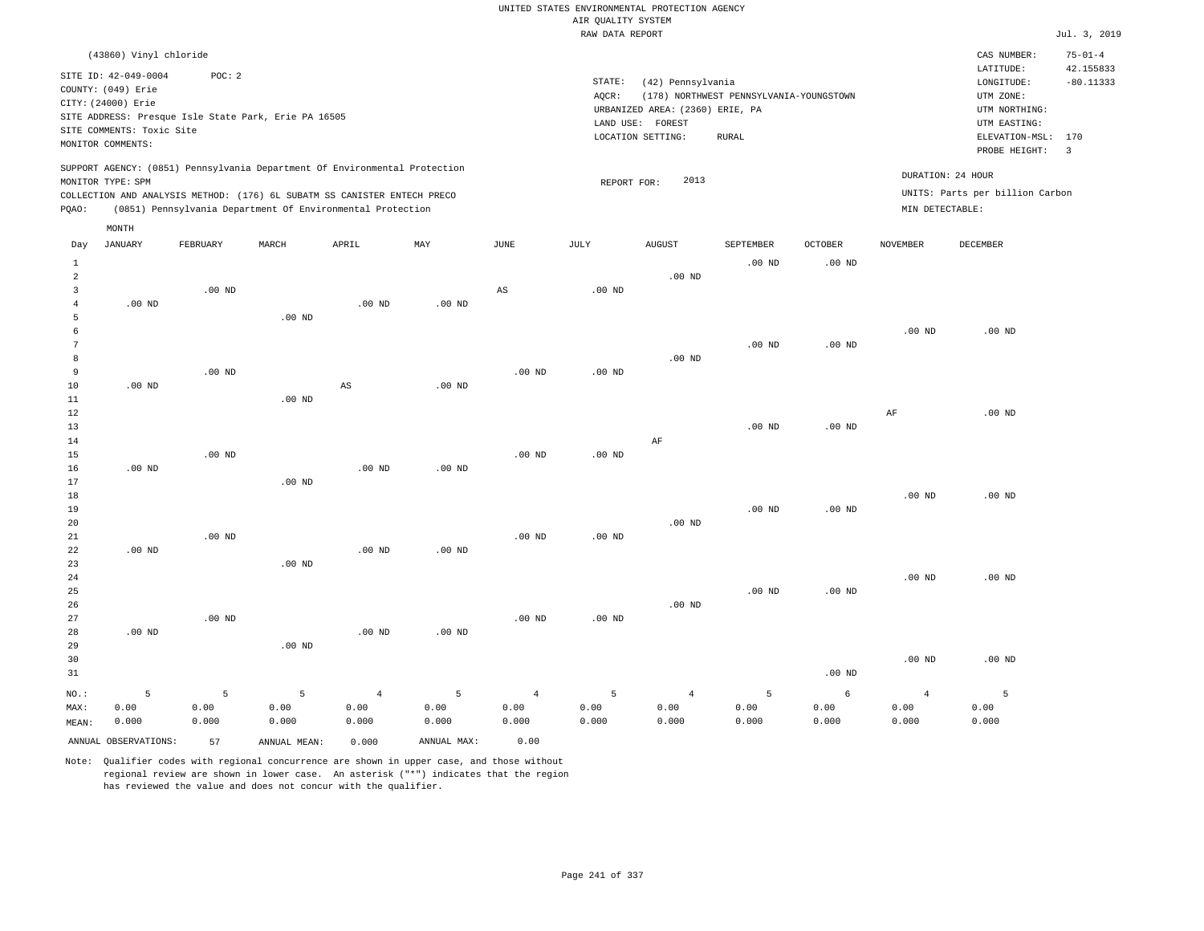|                     | (43860) Vinyl chloride                                                                                             |          |                                                                                                                                                        |                        |                   |                        |                              |                                                                                     |                                                         |                   |                   | CAS NUMBER:                                                                                                  | $75 - 01 - 4$                                       |
|---------------------|--------------------------------------------------------------------------------------------------------------------|----------|--------------------------------------------------------------------------------------------------------------------------------------------------------|------------------------|-------------------|------------------------|------------------------------|-------------------------------------------------------------------------------------|---------------------------------------------------------|-------------------|-------------------|--------------------------------------------------------------------------------------------------------------|-----------------------------------------------------|
|                     | SITE ID: 42-049-0004<br>COUNTY: (049) Erie<br>CITY: (24000) Erie<br>SITE COMMENTS: Toxic Site<br>MONITOR COMMENTS: | POC: 2   | SITE ADDRESS: Presque Isle State Park, Erie PA 16505                                                                                                   |                        |                   |                        | STATE:<br>AQCR:<br>LAND USE: | (42) Pennsylvania<br>URBANIZED AREA: (2360) ERIE, PA<br>FOREST<br>LOCATION SETTING: | (178) NORTHWEST PENNSYLVANIA-YOUNGSTOWN<br><b>RURAL</b> |                   |                   | LATITUDE:<br>LONGITUDE:<br>UTM ZONE:<br>UTM NORTHING:<br>UTM EASTING:<br>ELEVATION-MSL: 170<br>PROBE HEIGHT: | 42.155833<br>$-80.11333$<br>$\overline{\mathbf{3}}$ |
|                     | MONITOR TYPE: SPM                                                                                                  |          | SUPPORT AGENCY: (0851) Pennsylvania Department Of Environmental Protection<br>COLLECTION AND ANALYSIS METHOD: (176) 6L SUBATM SS CANISTER ENTECH PRECO |                        |                   |                        | REPORT FOR:                  | 2013                                                                                |                                                         |                   |                   | DURATION: 24 HOUR<br>UNITS: Parts per billion Carbon                                                         |                                                     |
| PQAO:               |                                                                                                                    |          | (0851) Pennsylvania Department Of Environmental Protection                                                                                             |                        |                   |                        |                              |                                                                                     |                                                         |                   | MIN DETECTABLE:   |                                                                                                              |                                                     |
|                     | MONTH                                                                                                              |          |                                                                                                                                                        |                        |                   |                        |                              |                                                                                     |                                                         |                   |                   |                                                                                                              |                                                     |
| Day                 | JANUARY                                                                                                            | FEBRUARY | MARCH                                                                                                                                                  | APRIL                  | MAY               | $\mathtt{JUNE}$        | JULY                         | <b>AUGUST</b>                                                                       | SEPTEMBER                                               | OCTOBER           | NOVEMBER          | DECEMBER                                                                                                     |                                                     |
| $\mathbf{1}$        |                                                                                                                    |          |                                                                                                                                                        |                        |                   |                        |                              |                                                                                     | $.00$ ND                                                | .00 <sub>ND</sub> |                   |                                                                                                              |                                                     |
| $\overline{a}$<br>3 |                                                                                                                    | $.00$ ND |                                                                                                                                                        |                        |                   | $\mathbb{A}\mathbb{S}$ | .00 <sub>ND</sub>            | $.00$ ND                                                                            |                                                         |                   |                   |                                                                                                              |                                                     |
| $\bf{4}$            | .00 <sub>ND</sub>                                                                                                  |          |                                                                                                                                                        | .00 <sub>ND</sub>      | $.00$ ND          |                        |                              |                                                                                     |                                                         |                   |                   |                                                                                                              |                                                     |
| 5                   |                                                                                                                    |          | $.00$ ND                                                                                                                                               |                        |                   |                        |                              |                                                                                     |                                                         |                   |                   |                                                                                                              |                                                     |
| 6                   |                                                                                                                    |          |                                                                                                                                                        |                        |                   |                        |                              |                                                                                     |                                                         |                   | $.00$ ND          | $.00$ ND                                                                                                     |                                                     |
| $\overline{7}$      |                                                                                                                    |          |                                                                                                                                                        |                        |                   |                        |                              |                                                                                     | $.00$ ND                                                | $.00$ ND          |                   |                                                                                                              |                                                     |
| 8<br>9              |                                                                                                                    | $.00$ ND |                                                                                                                                                        |                        |                   | $.00$ ND               | .00 <sub>ND</sub>            | $.00$ ND                                                                            |                                                         |                   |                   |                                                                                                              |                                                     |
| 10                  | $.00$ ND                                                                                                           |          |                                                                                                                                                        | $\mathbb{A}\mathbb{S}$ | $.00$ ND          |                        |                              |                                                                                     |                                                         |                   |                   |                                                                                                              |                                                     |
| 11                  |                                                                                                                    |          | $.00$ ND                                                                                                                                               |                        |                   |                        |                              |                                                                                     |                                                         |                   |                   |                                                                                                              |                                                     |
| $1\,2$              |                                                                                                                    |          |                                                                                                                                                        |                        |                   |                        |                              |                                                                                     |                                                         |                   | AF                | $.00$ ND                                                                                                     |                                                     |
| 13                  |                                                                                                                    |          |                                                                                                                                                        |                        |                   |                        |                              |                                                                                     | .00 <sub>ND</sub>                                       | .00 <sub>ND</sub> |                   |                                                                                                              |                                                     |
| $14\,$<br>15        |                                                                                                                    | $.00$ ND |                                                                                                                                                        |                        |                   | .00 <sub>ND</sub>      | .00 <sub>ND</sub>            | AF                                                                                  |                                                         |                   |                   |                                                                                                              |                                                     |
| 16                  | .00 <sub>ND</sub>                                                                                                  |          |                                                                                                                                                        | .00 <sub>ND</sub>      | $.00$ ND          |                        |                              |                                                                                     |                                                         |                   |                   |                                                                                                              |                                                     |
| 17                  |                                                                                                                    |          | $.00$ ND                                                                                                                                               |                        |                   |                        |                              |                                                                                     |                                                         |                   |                   |                                                                                                              |                                                     |
| 18                  |                                                                                                                    |          |                                                                                                                                                        |                        |                   |                        |                              |                                                                                     |                                                         |                   | $.00$ ND          | $.00$ ND                                                                                                     |                                                     |
| 19                  |                                                                                                                    |          |                                                                                                                                                        |                        |                   |                        |                              |                                                                                     | $.00$ ND                                                | $.00$ ND          |                   |                                                                                                              |                                                     |
| 20                  |                                                                                                                    |          |                                                                                                                                                        |                        |                   |                        |                              | .00 <sub>ND</sub>                                                                   |                                                         |                   |                   |                                                                                                              |                                                     |
| 21<br>22            | $.00$ ND                                                                                                           | $.00$ ND |                                                                                                                                                        | $.00$ ND               | .00 <sub>ND</sub> | .00 <sub>ND</sub>      | .00 <sub>ND</sub>            |                                                                                     |                                                         |                   |                   |                                                                                                              |                                                     |
| 23                  |                                                                                                                    |          | $.00$ ND                                                                                                                                               |                        |                   |                        |                              |                                                                                     |                                                         |                   |                   |                                                                                                              |                                                     |
| 24                  |                                                                                                                    |          |                                                                                                                                                        |                        |                   |                        |                              |                                                                                     |                                                         |                   | .00 <sub>ND</sub> | $.00$ ND                                                                                                     |                                                     |
| 25                  |                                                                                                                    |          |                                                                                                                                                        |                        |                   |                        |                              |                                                                                     | $.00$ ND                                                | $.00$ ND          |                   |                                                                                                              |                                                     |
| 26                  |                                                                                                                    |          |                                                                                                                                                        |                        |                   |                        |                              | $.00$ ND                                                                            |                                                         |                   |                   |                                                                                                              |                                                     |
| 27<br>28            | $.00$ ND                                                                                                           | $.00$ ND |                                                                                                                                                        | .00 <sub>ND</sub>      | .00 <sub>ND</sub> | .00 <sub>ND</sub>      | $.00$ ND                     |                                                                                     |                                                         |                   |                   |                                                                                                              |                                                     |
| 29                  |                                                                                                                    |          | $.00$ ND                                                                                                                                               |                        |                   |                        |                              |                                                                                     |                                                         |                   |                   |                                                                                                              |                                                     |
| 30                  |                                                                                                                    |          |                                                                                                                                                        |                        |                   |                        |                              |                                                                                     |                                                         |                   | $.00$ ND          | $.00$ ND                                                                                                     |                                                     |
| 31                  |                                                                                                                    |          |                                                                                                                                                        |                        |                   |                        |                              |                                                                                     |                                                         | $.00$ ND          |                   |                                                                                                              |                                                     |
| NO.:                | 5                                                                                                                  | 5        | 5                                                                                                                                                      | $\overline{4}$         | 5                 | $\overline{4}$         | 5                            | $\bf{4}$                                                                            | 5                                                       | $\epsilon$        | $\overline{4}$    | 5                                                                                                            |                                                     |
| MAX:                | 0.00                                                                                                               | 0.00     | 0.00                                                                                                                                                   | 0.00                   | 0.00              | 0.00                   | 0.00                         | 0.00                                                                                | 0.00                                                    | 0.00              | 0.00              | 0.00                                                                                                         |                                                     |
| MEAN:               | 0.000                                                                                                              | 0.000    | 0.000                                                                                                                                                  | 0.000                  | 0.000             | 0.000                  | 0.000                        | 0.000                                                                               | 0.000                                                   | 0.000             | 0.000             | 0.000                                                                                                        |                                                     |
|                     | ANNUAL OBSERVATIONS:                                                                                               | 57       | ANNUAL MEAN:                                                                                                                                           | 0.000                  | ANNUAL MAX:       | 0.00                   |                              |                                                                                     |                                                         |                   |                   |                                                                                                              |                                                     |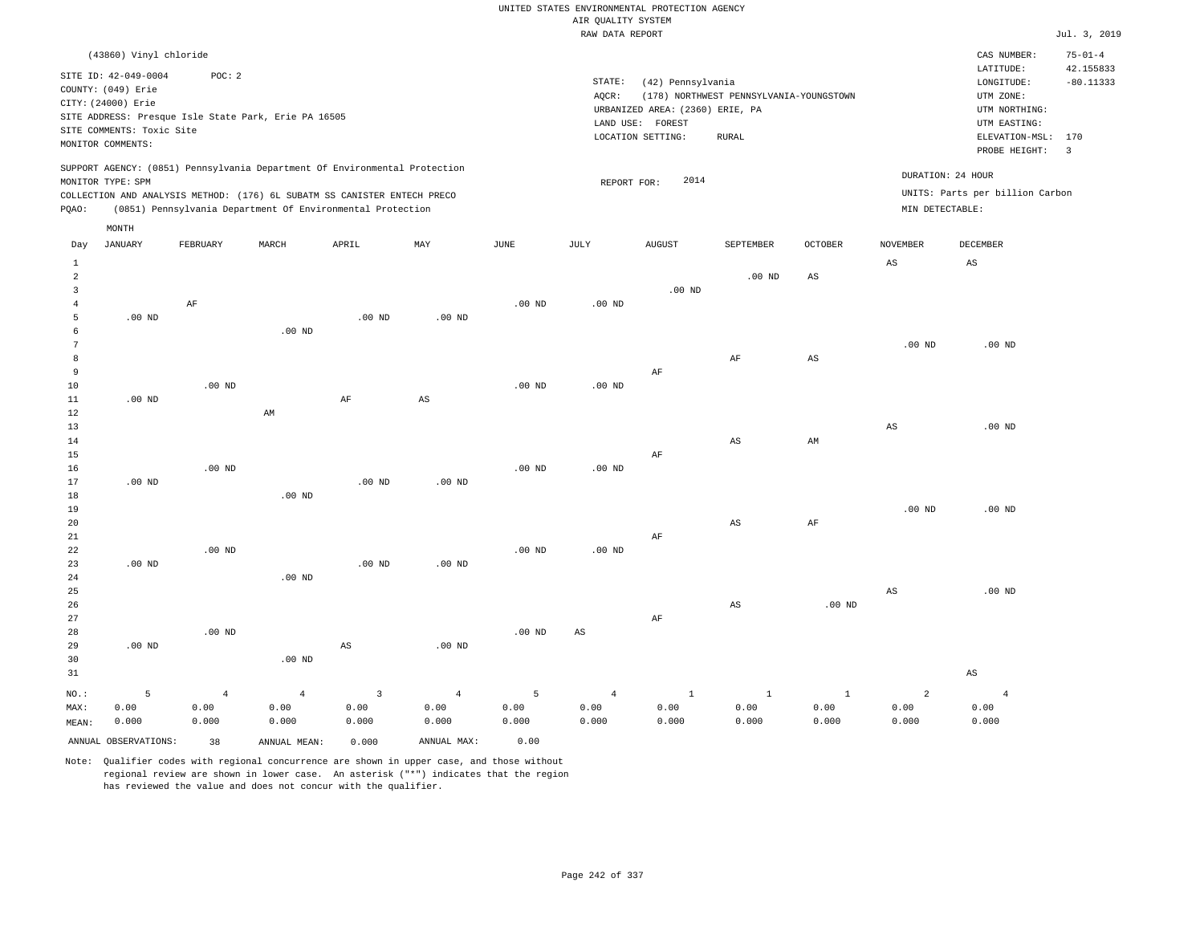|                     |                                                                                                                    |                                                                |                        |                                                                            |                        |                   | RAW DATA REPORT        |                                                                                               |                                                         |                            |                        |                                                                                             | Jul. 3, 2019                         |
|---------------------|--------------------------------------------------------------------------------------------------------------------|----------------------------------------------------------------|------------------------|----------------------------------------------------------------------------|------------------------|-------------------|------------------------|-----------------------------------------------------------------------------------------------|---------------------------------------------------------|----------------------------|------------------------|---------------------------------------------------------------------------------------------|--------------------------------------|
|                     | (43860) Vinyl chloride                                                                                             |                                                                |                        |                                                                            |                        |                   |                        |                                                                                               |                                                         |                            |                        | CAS NUMBER:<br>LATITUDE:                                                                    | $75 - 01 - 4$<br>42.155833           |
|                     | SITE ID: 42-049-0004<br>COUNTY: (049) Erie<br>CITY: (24000) Erie<br>SITE COMMENTS: Toxic Site<br>MONITOR COMMENTS: | POC: 2<br>SITE ADDRESS: Presque Isle State Park, Erie PA 16505 |                        |                                                                            |                        |                   | STATE:<br>AQCR:        | (42) Pennsylvania<br>URBANIZED AREA: (2360) ERIE, PA<br>LAND USE: FOREST<br>LOCATION SETTING: | (178) NORTHWEST PENNSYLVANIA-YOUNGSTOWN<br><b>RURAL</b> |                            |                        | LONGITUDE:<br>UTM ZONE:<br>UTM NORTHING:<br>UTM EASTING:<br>ELEVATION-MSL:<br>PROBE HEIGHT: | $-80.11333$<br>170<br>$\overline{3}$ |
|                     |                                                                                                                    |                                                                |                        | SUPPORT AGENCY: (0851) Pennsylvania Department Of Environmental Protection |                        |                   |                        |                                                                                               |                                                         |                            |                        | DURATION: 24 HOUR                                                                           |                                      |
|                     | MONITOR TYPE: SPM                                                                                                  |                                                                |                        | COLLECTION AND ANALYSIS METHOD: (176) 6L SUBATM SS CANISTER ENTECH PRECO   |                        |                   | REPORT FOR:            | 2014                                                                                          |                                                         |                            |                        | UNITS: Parts per billion Carbon                                                             |                                      |
| PQAO:               |                                                                                                                    |                                                                |                        | (0851) Pennsylvania Department Of Environmental Protection                 |                        |                   |                        |                                                                                               |                                                         |                            | MIN DETECTABLE:        |                                                                                             |                                      |
|                     | MONTH                                                                                                              |                                                                |                        |                                                                            |                        |                   |                        |                                                                                               |                                                         |                            |                        |                                                                                             |                                      |
| Day                 | JANUARY                                                                                                            | FEBRUARY                                                       | MARCH                  | APRIL                                                                      | MAY                    | $\mathtt{JUNE}$   | JULY                   | <b>AUGUST</b>                                                                                 | SEPTEMBER                                               | OCTOBER                    | <b>NOVEMBER</b>        | DECEMBER                                                                                    |                                      |
| 1                   |                                                                                                                    |                                                                |                        |                                                                            |                        |                   |                        |                                                                                               |                                                         |                            | $\mathbb{A}\mathbb{S}$ | $_{\rm AS}$                                                                                 |                                      |
| $\overline{a}$      |                                                                                                                    |                                                                |                        |                                                                            |                        |                   |                        |                                                                                               | $.00$ ND                                                | $_{\rm AS}$                |                        |                                                                                             |                                      |
| $\overline{3}$      |                                                                                                                    |                                                                |                        |                                                                            |                        |                   |                        | $.00$ ND                                                                                      |                                                         |                            |                        |                                                                                             |                                      |
| $\overline{4}$<br>5 | $.00$ ND                                                                                                           | $\rm{AF}$                                                      |                        | $.00$ ND                                                                   | $.00$ ND               | $.00$ ND          | .00 <sub>ND</sub>      |                                                                                               |                                                         |                            |                        |                                                                                             |                                      |
| 6                   |                                                                                                                    |                                                                | $.00$ ND               |                                                                            |                        |                   |                        |                                                                                               |                                                         |                            |                        |                                                                                             |                                      |
| $7\phantom{.0}$     |                                                                                                                    |                                                                |                        |                                                                            |                        |                   |                        |                                                                                               |                                                         |                            | $.00$ ND               | $.00$ ND                                                                                    |                                      |
| 8                   |                                                                                                                    |                                                                |                        |                                                                            |                        |                   |                        |                                                                                               | $\rm{AF}$                                               | $_{\rm AS}$                |                        |                                                                                             |                                      |
| 9                   |                                                                                                                    |                                                                |                        |                                                                            |                        |                   |                        | AF                                                                                            |                                                         |                            |                        |                                                                                             |                                      |
| $10$                |                                                                                                                    | $.00$ ND                                                       |                        |                                                                            |                        | $.00$ ND          | $.00$ ND               |                                                                                               |                                                         |                            |                        |                                                                                             |                                      |
| $11\,$              | $.00$ ND                                                                                                           |                                                                |                        | AF                                                                         | AS                     |                   |                        |                                                                                               |                                                         |                            |                        |                                                                                             |                                      |
| 12                  |                                                                                                                    |                                                                | AM                     |                                                                            |                        |                   |                        |                                                                                               |                                                         |                            |                        |                                                                                             |                                      |
| $13$<br>14          |                                                                                                                    |                                                                |                        |                                                                            |                        |                   |                        |                                                                                               | AS                                                      | $\mathop{\rm AM}\nolimits$ | $_{\rm AS}$            | $.00$ ND                                                                                    |                                      |
| 15                  |                                                                                                                    |                                                                |                        |                                                                            |                        |                   |                        | $\rm AF$                                                                                      |                                                         |                            |                        |                                                                                             |                                      |
| 16                  |                                                                                                                    | .00 <sub>ND</sub>                                              |                        |                                                                            |                        | .00 <sub>ND</sub> | .00 <sub>ND</sub>      |                                                                                               |                                                         |                            |                        |                                                                                             |                                      |
| 17                  | $.00$ ND                                                                                                           |                                                                |                        | $.00$ ND                                                                   | .00 <sub>ND</sub>      |                   |                        |                                                                                               |                                                         |                            |                        |                                                                                             |                                      |
| 18                  |                                                                                                                    |                                                                | $.00$ ND               |                                                                            |                        |                   |                        |                                                                                               |                                                         |                            |                        |                                                                                             |                                      |
| 19                  |                                                                                                                    |                                                                |                        |                                                                            |                        |                   |                        |                                                                                               |                                                         |                            | $.00$ ND               | $.00$ ND                                                                                    |                                      |
| 20                  |                                                                                                                    |                                                                |                        |                                                                            |                        |                   |                        |                                                                                               | $\mathbb{A}\mathbb{S}$                                  | AF                         |                        |                                                                                             |                                      |
| 21<br>22            |                                                                                                                    | .00 <sub>ND</sub>                                              |                        |                                                                            |                        | .00 <sub>ND</sub> | $.00$ ND               | $\rm{AF}$                                                                                     |                                                         |                            |                        |                                                                                             |                                      |
| 23                  | $.00$ ND                                                                                                           |                                                                |                        | $.00$ ND                                                                   | $.00$ ND               |                   |                        |                                                                                               |                                                         |                            |                        |                                                                                             |                                      |
| 24                  |                                                                                                                    |                                                                | $.00$ ND               |                                                                            |                        |                   |                        |                                                                                               |                                                         |                            |                        |                                                                                             |                                      |
| 25                  |                                                                                                                    |                                                                |                        |                                                                            |                        |                   |                        |                                                                                               |                                                         |                            | AS                     | $.00$ ND                                                                                    |                                      |
| 26                  |                                                                                                                    |                                                                |                        |                                                                            |                        |                   |                        |                                                                                               | $\mathbb{A}\mathbb{S}$                                  | $.00$ ND                   |                        |                                                                                             |                                      |
| 27                  |                                                                                                                    |                                                                |                        |                                                                            |                        |                   |                        | $\rm AF$                                                                                      |                                                         |                            |                        |                                                                                             |                                      |
| 28                  |                                                                                                                    | $.00$ ND                                                       |                        |                                                                            |                        | .00 <sub>ND</sub> | $\mathbb{A}\mathbb{S}$ |                                                                                               |                                                         |                            |                        |                                                                                             |                                      |
| 29                  | $.00$ ND                                                                                                           |                                                                |                        | $\mathbb{A}\mathbb{S}$                                                     | $.00$ ND               |                   |                        |                                                                                               |                                                         |                            |                        |                                                                                             |                                      |
| 30<br>31            |                                                                                                                    |                                                                | $.00$ ND               |                                                                            |                        |                   |                        |                                                                                               |                                                         |                            |                        | $\mathbb{A}\mathbb{S}$                                                                      |                                      |
|                     |                                                                                                                    |                                                                |                        |                                                                            |                        |                   |                        |                                                                                               |                                                         |                            |                        |                                                                                             |                                      |
| NO.:<br>MAX:        | 5<br>0.00                                                                                                          | $\overline{4}$<br>0.00                                         | $\overline{4}$<br>0.00 | $\overline{3}$<br>0.00                                                     | $\overline{4}$<br>0.00 | 5<br>0.00         | $\overline{4}$<br>0.00 | $1\,$<br>0.00                                                                                 | $\mathbf{1}$<br>0.00                                    | $\mathbf{1}$<br>0.00       | $\overline{a}$<br>0.00 | $\overline{4}$<br>0.00                                                                      |                                      |
| MEAN:               | 0.000                                                                                                              | 0.000                                                          | 0.000                  | 0.000                                                                      | 0.000                  | 0.000             | 0.000                  | 0.000                                                                                         | 0.000                                                   | 0.000                      | 0.000                  | 0.000                                                                                       |                                      |

Note: Qualifier codes with regional concurrence are shown in upper case, and those without regional review are shown in lower case. An asterisk ("\*") indicates that the region has reviewed the value and does not concur with the qualifier.

ANNUAL OBSERVATIONS: 38 ANNUAL MEAN: 0.000 ANNUAL MAX: 0.00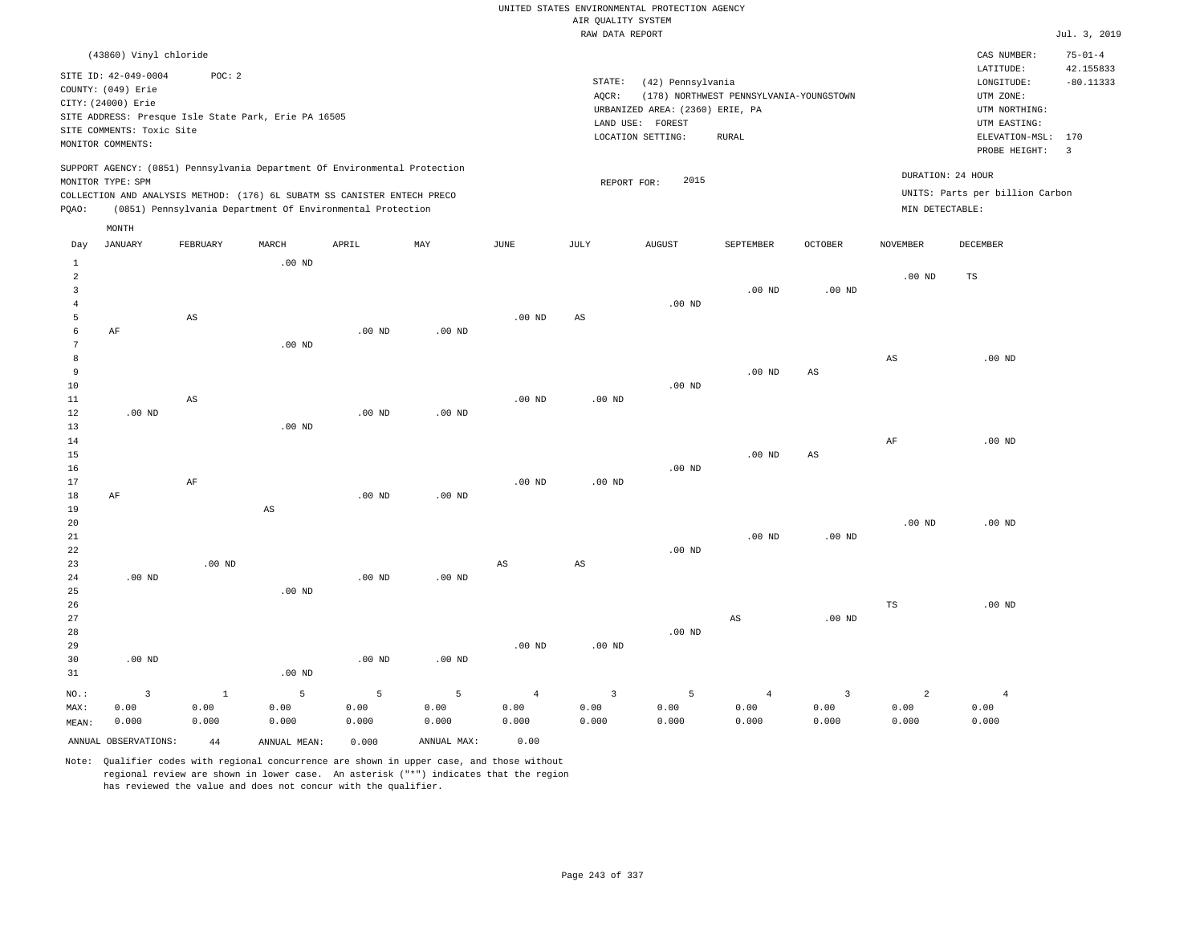|       | (43860) Vinyl chloride                                                     |          |          |                                                            |     |      |             |                                 |                                         |         |                   | CAS NUMBER:                     | $75 - 01 - 4$           |
|-------|----------------------------------------------------------------------------|----------|----------|------------------------------------------------------------|-----|------|-------------|---------------------------------|-----------------------------------------|---------|-------------------|---------------------------------|-------------------------|
|       | SITE ID: 42-049-0004                                                       | POC: 2   |          |                                                            |     |      |             |                                 |                                         |         |                   | LATITUDE:                       | 42.155833               |
|       | COUNTY: (049) Erie                                                         |          |          |                                                            |     |      | STATE:      | (42) Pennsylvania               |                                         |         |                   | LONGITUDE:                      | $-80.11333$             |
|       | CITY: (24000) Erie                                                         |          |          |                                                            |     |      | AOCR:       |                                 | (178) NORTHWEST PENNSYLVANIA-YOUNGSTOWN |         |                   | UTM ZONE:                       |                         |
|       | SITE ADDRESS: Presque Isle State Park, Erie PA 16505                       |          |          |                                                            |     |      |             | URBANIZED AREA: (2360) ERIE, PA |                                         |         |                   | UTM NORTHING:                   |                         |
|       | SITE COMMENTS: Toxic Site                                                  |          |          |                                                            |     |      | LAND USE:   | FOREST                          |                                         |         |                   | UTM EASTING:                    |                         |
|       | MONITOR COMMENTS:                                                          |          |          |                                                            |     |      |             | LOCATION SETTING:               | RURAL                                   |         |                   | ELEVATION-MSL: 170              |                         |
|       |                                                                            |          |          |                                                            |     |      |             |                                 |                                         |         |                   | PROBE HEIGHT:                   | $\overline{\mathbf{3}}$ |
|       | SUPPORT AGENCY: (0851) Pennsylvania Department Of Environmental Protection |          |          |                                                            |     |      |             |                                 |                                         |         | DURATION: 24 HOUR |                                 |                         |
|       | MONITOR TYPE: SPM                                                          |          |          |                                                            |     |      | REPORT FOR: | 2015                            |                                         |         |                   |                                 |                         |
|       | COLLECTION AND ANALYSIS METHOD: (176) 6L SUBATM SS CANISTER ENTECH PRECO   |          |          |                                                            |     |      |             |                                 |                                         |         |                   | UNITS: Parts per billion Carbon |                         |
| POAO: |                                                                            |          |          | (0851) Pennsylvania Department Of Environmental Protection |     |      |             |                                 |                                         |         | MIN DETECTABLE:   |                                 |                         |
|       | MONTH                                                                      |          |          |                                                            |     |      |             |                                 |                                         |         |                   |                                 |                         |
| Day   | JANUARY                                                                    | FEBRUARY | MARCH    | APRIL                                                      | MAY | JUNE | JULY        | <b>AUGUST</b>                   | SEPTEMBER                               | OCTOBER | <b>NOVEMBER</b>   | DECEMBER                        |                         |
|       |                                                                            |          |          |                                                            |     |      |             |                                 |                                         |         |                   |                                 |                         |
|       |                                                                            |          | $.00$ ND |                                                            |     |      |             |                                 |                                         |         |                   |                                 |                         |

| $\overline{c}$ |                |                        |                        |          |                |                        |                        |          |                |                        | .00 $ND$               | TS             |
|----------------|----------------|------------------------|------------------------|----------|----------------|------------------------|------------------------|----------|----------------|------------------------|------------------------|----------------|
| 3              |                |                        |                        |          |                |                        |                        |          | $.00$ ND       | .00 $ND$               |                        |                |
| $\overline{4}$ |                |                        |                        |          |                |                        |                        | $.00$ ND |                |                        |                        |                |
| 5              |                | $\mathbb{A}\mathbb{S}$ |                        |          |                | $.00$ ND               | $\mathbb{A}\mathbb{S}$ |          |                |                        |                        |                |
| 6              | $\rm AF$       |                        |                        | $.00$ ND | $.00$ ND       |                        |                        |          |                |                        |                        |                |
| 7              |                |                        | .00 $ND$               |          |                |                        |                        |          |                |                        |                        |                |
| 8              |                |                        |                        |          |                |                        |                        |          |                |                        | $\mathbb{A}\mathbb{S}$ | .00 $ND$       |
| 9              |                |                        |                        |          |                |                        |                        |          | $.00$ ND       | $\mathbb{A}\mathbb{S}$ |                        |                |
| 10             |                |                        |                        |          |                |                        |                        | $.00$ ND |                |                        |                        |                |
| 11             |                | AS                     |                        |          |                | $.00$ ND               | $.00$ ND               |          |                |                        |                        |                |
| 12             | .00 $ND$       |                        |                        | .00 $ND$ | $.00$ ND       |                        |                        |          |                |                        |                        |                |
| 13             |                |                        | $.00$ ND               |          |                |                        |                        |          |                |                        |                        |                |
| 14             |                |                        |                        |          |                |                        |                        |          |                |                        | $\rm{AF}$              | $.00$ ND       |
| 15             |                |                        |                        |          |                |                        |                        | $.00$ ND | $.00$ ND       | $\mathbb{A}\mathbb{S}$ |                        |                |
| 16<br>17       |                | $\rm AF$               |                        |          |                | $.00$ ND               | $.00$ ND               |          |                |                        |                        |                |
| 18             | $\rm AF$       |                        |                        | $.00$ ND | $.00$ ND       |                        |                        |          |                |                        |                        |                |
| 19             |                |                        | $\mathbb{A}\mathbb{S}$ |          |                |                        |                        |          |                |                        |                        |                |
| 20             |                |                        |                        |          |                |                        |                        |          |                |                        | .00 $ND$               | .00 $ND$       |
| $2\sqrt{1}$    |                |                        |                        |          |                |                        |                        |          | .00 $ND$       | .00 $ND$               |                        |                |
| 22             |                |                        |                        |          |                |                        |                        | $.00$ ND |                |                        |                        |                |
| 23             |                | $.00$ ND               |                        |          |                | $\mathbb{A}\mathbb{S}$ | $\mathbb{A}\mathbb{S}$ |          |                |                        |                        |                |
| 24             | $.00$ ND       |                        |                        | $.00$ ND | $.00$ ND       |                        |                        |          |                |                        |                        |                |
| 25             |                |                        | $.00$ ND               |          |                |                        |                        |          |                |                        |                        |                |
| 26             |                |                        |                        |          |                |                        |                        |          |                |                        | TS                     | .00 $ND$       |
| 27             |                |                        |                        |          |                |                        |                        |          | $_{\rm AS}$    | .00 $ND$               |                        |                |
| 28             |                |                        |                        |          |                |                        |                        | $.00$ ND |                |                        |                        |                |
| 29             |                |                        |                        |          |                | .00 $ND$               | .00 $ND$               |          |                |                        |                        |                |
| 30             | $.00$ ND       |                        |                        | $.00$ ND | $.00$ ND       |                        |                        |          |                |                        |                        |                |
| 31             |                |                        | $.00$ ND               |          |                |                        |                        |          |                |                        |                        |                |
| $NO.$ :        | $\overline{3}$ | $\mathbf{1}$           | 5                      | 5        | $\overline{5}$ | $\overline{4}$         | $\overline{3}$         | 5        | $\overline{4}$ | $\overline{3}$         | $\overline{a}$         | $\overline{4}$ |
| MAX:           | 0.00           | 0.00                   | 0.00                   | 0.00     | 0.00           | 0.00                   | 0.00                   | 0.00     | 0.00           | 0.00                   | 0.00                   | 0.00           |
| MEAN:          | 0.000          | 0.000                  | 0.000                  | 0.000    | 0.000          | 0.000                  | 0.000                  | 0.000    | 0.000          | 0.000                  | 0.000                  | 0.000          |

ANNUAL OBSERVATIONS: 44 ANNUAL MEAN: 0.000 ANNUAL MAX: 0.00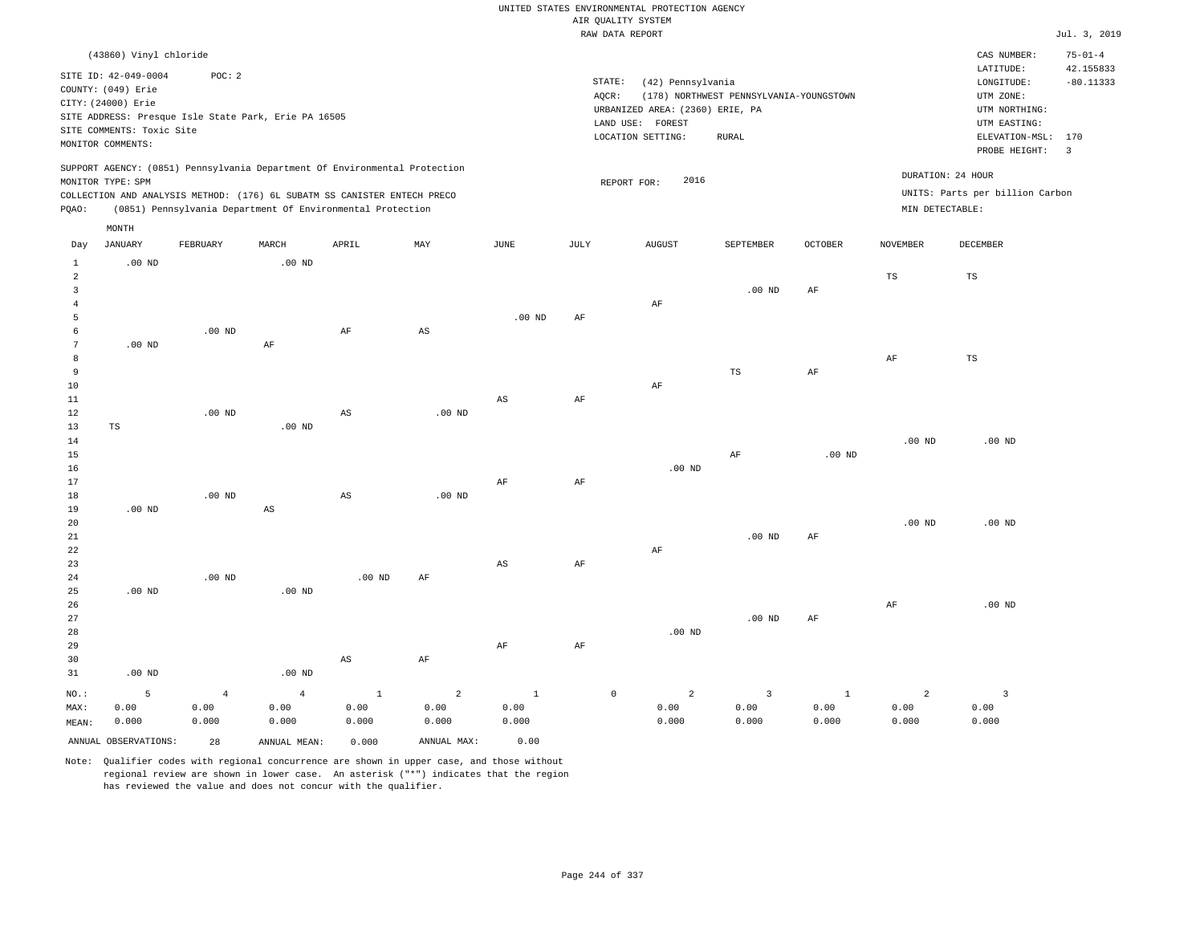|                |                           |                |                                                      |                                                                            |                |                        |           | RAW DATA REPORT                 |                                         |                |                 |                                 | Jul. 3, 2019   |
|----------------|---------------------------|----------------|------------------------------------------------------|----------------------------------------------------------------------------|----------------|------------------------|-----------|---------------------------------|-----------------------------------------|----------------|-----------------|---------------------------------|----------------|
|                | (43860) Vinyl chloride    |                |                                                      |                                                                            |                |                        |           |                                 |                                         |                |                 | CAS NUMBER:                     | $75 - 01 - 4$  |
|                |                           |                |                                                      |                                                                            |                |                        |           |                                 |                                         |                |                 | LATITUDE:                       | 42.155833      |
|                | SITE ID: 42-049-0004      | POC: 2         |                                                      |                                                                            |                |                        |           | STATE:<br>(42) Pennsylvania     |                                         |                |                 | LONGITUDE:                      | $-80.11333$    |
|                | COUNTY: (049) Erie        |                |                                                      |                                                                            |                |                        | AQCR:     |                                 | (178) NORTHWEST PENNSYLVANIA-YOUNGSTOWN |                |                 | UTM ZONE:                       |                |
|                | CITY: (24000) Erie        |                |                                                      |                                                                            |                |                        |           | URBANIZED AREA: (2360) ERIE, PA |                                         |                |                 | UTM NORTHING:                   |                |
|                |                           |                | SITE ADDRESS: Presque Isle State Park, Erie PA 16505 |                                                                            |                |                        |           | LAND USE: FOREST                |                                         |                |                 | UTM EASTING:                    |                |
|                | SITE COMMENTS: Toxic Site |                |                                                      |                                                                            |                |                        |           | LOCATION SETTING:               | <b>RURAL</b>                            |                |                 | ELEVATION-MSL: 170              |                |
|                | MONITOR COMMENTS:         |                |                                                      |                                                                            |                |                        |           |                                 |                                         |                |                 | PROBE HEIGHT:                   | $\overline{3}$ |
|                |                           |                |                                                      | SUPPORT AGENCY: (0851) Pennsylvania Department Of Environmental Protection |                |                        |           |                                 |                                         |                |                 |                                 |                |
|                | MONITOR TYPE: SPM         |                |                                                      |                                                                            |                |                        |           | 2016<br>REPORT FOR:             |                                         |                |                 | DURATION: 24 HOUR               |                |
|                |                           |                |                                                      | COLLECTION AND ANALYSIS METHOD: (176) 6L SUBATM SS CANISTER ENTECH PRECO   |                |                        |           |                                 |                                         |                |                 | UNITS: Parts per billion Carbon |                |
| PQAO:          |                           |                |                                                      | (0851) Pennsylvania Department Of Environmental Protection                 |                |                        |           |                                 |                                         |                | MIN DETECTABLE: |                                 |                |
|                | MONTH                     |                |                                                      |                                                                            |                |                        |           |                                 |                                         |                |                 |                                 |                |
| Day            | <b>JANUARY</b>            | FEBRUARY       | MARCH                                                | APRIL                                                                      | MAY            | JUNE                   | JULY      | <b>AUGUST</b>                   | SEPTEMBER                               | <b>OCTOBER</b> | <b>NOVEMBER</b> | <b>DECEMBER</b>                 |                |
| $\mathbf{1}$   | $.00$ ND                  |                | .00 <sub>ND</sub>                                    |                                                                            |                |                        |           |                                 |                                         |                |                 |                                 |                |
| $\overline{a}$ |                           |                |                                                      |                                                                            |                |                        |           |                                 |                                         |                | $_{\rm TS}$     | $_{\rm TS}$                     |                |
| $\overline{3}$ |                           |                |                                                      |                                                                            |                |                        |           |                                 | .00 <sub>ND</sub>                       | AF             |                 |                                 |                |
| $\overline{4}$ |                           |                |                                                      |                                                                            |                |                        |           | $\rm AF$                        |                                         |                |                 |                                 |                |
| 5              |                           |                |                                                      |                                                                            |                | $.00$ ND               | AF        |                                 |                                         |                |                 |                                 |                |
| 6              |                           | $.00$ ND       |                                                      | AF                                                                         | $_{\rm AS}$    |                        |           |                                 |                                         |                |                 |                                 |                |
| $\overline{7}$ | $.00$ ND                  |                | $\rm{AF}$                                            |                                                                            |                |                        |           |                                 |                                         |                |                 |                                 |                |
| 8              |                           |                |                                                      |                                                                            |                |                        |           |                                 |                                         |                | $\rm{AF}$       | TS                              |                |
| 9              |                           |                |                                                      |                                                                            |                |                        |           |                                 | $_{\rm TS}$                             | $\rm{AF}$      |                 |                                 |                |
| 10             |                           |                |                                                      |                                                                            |                |                        |           | $\rm{AF}$                       |                                         |                |                 |                                 |                |
| 11             |                           |                |                                                      |                                                                            |                | $\mathbb{A}\mathbb{S}$ | $\rm{AF}$ |                                 |                                         |                |                 |                                 |                |
| 12             |                           | $.00$ ND       |                                                      | AS                                                                         | $.00$ ND       |                        |           |                                 |                                         |                |                 |                                 |                |
| 13             | $_{\rm TS}$               |                | $.00$ ND                                             |                                                                            |                |                        |           |                                 |                                         |                |                 |                                 |                |
| 14             |                           |                |                                                      |                                                                            |                |                        |           |                                 |                                         |                | $.00$ ND        | $.00$ ND                        |                |
| 15             |                           |                |                                                      |                                                                            |                |                        |           |                                 | AF                                      | $.00$ ND       |                 |                                 |                |
| 16             |                           |                |                                                      |                                                                            |                |                        |           | $.00$ ND                        |                                         |                |                 |                                 |                |
| 17             |                           |                |                                                      |                                                                            |                | AF                     | AF        |                                 |                                         |                |                 |                                 |                |
| 18             |                           | $.00$ ND       |                                                      | AS                                                                         | $.00$ ND       |                        |           |                                 |                                         |                |                 |                                 |                |
| 19             | $.00$ ND                  |                | $\mathbb{A}\mathbb{S}$                               |                                                                            |                |                        |           |                                 |                                         |                |                 |                                 |                |
| 20             |                           |                |                                                      |                                                                            |                |                        |           |                                 |                                         |                | $.00$ ND        | $.00$ ND                        |                |
| 21             |                           |                |                                                      |                                                                            |                |                        |           |                                 | $.00$ ND                                | AF             |                 |                                 |                |
| 22             |                           |                |                                                      |                                                                            |                |                        |           | $\rm{AF}$                       |                                         |                |                 |                                 |                |
| 23             |                           |                |                                                      |                                                                            |                | $\mathbb{A}\mathbb{S}$ | $\rm{AF}$ |                                 |                                         |                |                 |                                 |                |
| 24             |                           | $.00$ ND       |                                                      | .00 <sub>ND</sub>                                                          | AF             |                        |           |                                 |                                         |                |                 |                                 |                |
| 25             | $.00$ ND                  |                | $.00$ ND                                             |                                                                            |                |                        |           |                                 |                                         |                |                 |                                 |                |
| 26             |                           |                |                                                      |                                                                            |                |                        |           |                                 |                                         |                | AF              | $.00$ ND                        |                |
| 27             |                           |                |                                                      |                                                                            |                |                        |           |                                 | $.00$ ND                                | AF             |                 |                                 |                |
| 28             |                           |                |                                                      |                                                                            |                |                        |           | $.00$ ND                        |                                         |                |                 |                                 |                |
| 29             |                           |                |                                                      |                                                                            |                | AF                     | AF        |                                 |                                         |                |                 |                                 |                |
| 30             |                           |                |                                                      | AS                                                                         | AF             |                        |           |                                 |                                         |                |                 |                                 |                |
| 31             | $.00$ ND                  |                | $.00$ ND                                             |                                                                            |                |                        |           |                                 |                                         |                |                 |                                 |                |
| NO.:           | 5                         | $\overline{4}$ | $\overline{4}$                                       | $\mathbf{1}$                                                               | $\overline{a}$ | $\mathbf{1}$           |           | $\mathbb O$<br>$\overline{2}$   | $\overline{3}$                          | $\mathbf{1}$   | $\overline{a}$  | $\overline{3}$                  |                |
| MAX:           | 0.00                      | 0.00           | 0.00                                                 | 0.00                                                                       | 0.00           | 0.00                   |           | 0.00                            | 0.00                                    | 0.00           | 0.00            | 0.00                            |                |
| MEAN:          | 0.000                     | 0.000          | 0.000                                                | 0.000                                                                      | 0.000          | 0.000                  |           | 0.000                           | 0.000                                   | 0.000          | 0.000           | 0.000                           |                |
|                | ANNUAL OBSERVATIONS:      | 28             | ANNUAL MEAN:                                         | 0.000                                                                      | ANNUAL MAX:    | 0.00                   |           |                                 |                                         |                |                 |                                 |                |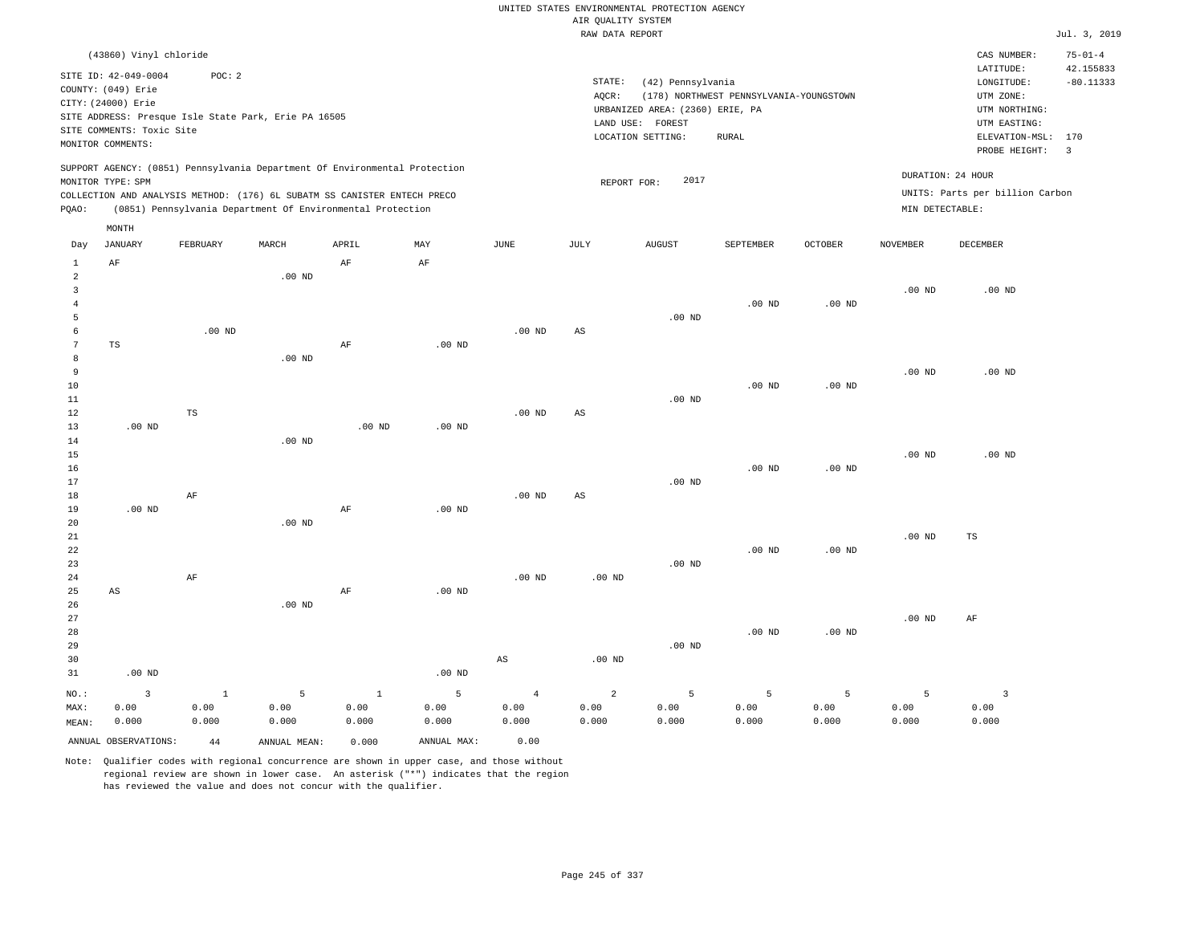|                |                           |               |                                                                            |              |             |                   | RAW DATA REPORT        |                                 |                                         |                   |                   |                                 | Jul. 3, 2019   |
|----------------|---------------------------|---------------|----------------------------------------------------------------------------|--------------|-------------|-------------------|------------------------|---------------------------------|-----------------------------------------|-------------------|-------------------|---------------------------------|----------------|
|                | (43860) Vinyl chloride    |               |                                                                            |              |             |                   |                        |                                 |                                         |                   |                   | CAS NUMBER:                     | $75 - 01 - 4$  |
|                | SITE ID: 42-049-0004      | POC: 2        |                                                                            |              |             |                   |                        |                                 |                                         |                   |                   | LATITUDE:                       | 42.155833      |
|                | COUNTY: (049) Erie        |               |                                                                            |              |             |                   | STATE:                 | (42) Pennsylvania               |                                         |                   |                   | LONGITUDE:                      | $-80.11333$    |
|                | CITY: (24000) Erie        |               |                                                                            |              |             |                   | AQCR:                  |                                 | (178) NORTHWEST PENNSYLVANIA-YOUNGSTOWN |                   |                   | UTM ZONE:                       |                |
|                |                           |               | SITE ADDRESS: Presque Isle State Park, Erie PA 16505                       |              |             |                   |                        | URBANIZED AREA: (2360) ERIE, PA |                                         |                   |                   | UTM NORTHING:                   |                |
|                | SITE COMMENTS: Toxic Site |               |                                                                            |              |             |                   |                        | LAND USE: FOREST                |                                         |                   |                   | UTM EASTING:                    |                |
|                | MONITOR COMMENTS:         |               |                                                                            |              |             |                   |                        | LOCATION SETTING:               | RURAL                                   |                   |                   | ELEVATION-MSL: 170              |                |
|                |                           |               |                                                                            |              |             |                   |                        |                                 |                                         |                   |                   | PROBE HEIGHT:                   | $\overline{3}$ |
|                |                           |               | SUPPORT AGENCY: (0851) Pennsylvania Department Of Environmental Protection |              |             |                   |                        |                                 |                                         |                   |                   | DURATION: 24 HOUR               |                |
|                | MONITOR TYPE: SPM         |               |                                                                            |              |             |                   | REPORT FOR:            | 2017                            |                                         |                   |                   |                                 |                |
|                |                           |               | COLLECTION AND ANALYSIS METHOD: (176) 6L SUBATM SS CANISTER ENTECH PRECO   |              |             |                   |                        |                                 |                                         |                   |                   | UNITS: Parts per billion Carbon |                |
| PQAO:          |                           |               | (0851) Pennsylvania Department Of Environmental Protection                 |              |             |                   |                        |                                 |                                         |                   | MIN DETECTABLE:   |                                 |                |
|                | MONTH                     |               |                                                                            |              |             |                   |                        |                                 |                                         |                   |                   |                                 |                |
| Day            | JANUARY                   | FEBRUARY      | MARCH                                                                      | APRIL        | MAY         | JUNE              | JULY                   | <b>AUGUST</b>                   | SEPTEMBER                               | OCTOBER           | <b>NOVEMBER</b>   | DECEMBER                        |                |
| $\mathbf{1}$   | $\rm AF$                  |               |                                                                            | AF           | AF          |                   |                        |                                 |                                         |                   |                   |                                 |                |
| $\overline{a}$ |                           |               | $.00$ ND                                                                   |              |             |                   |                        |                                 |                                         |                   |                   |                                 |                |
| 3              |                           |               |                                                                            |              |             |                   |                        |                                 |                                         |                   | .00 <sub>ND</sub> | $.00$ ND                        |                |
| $\bf 4$        |                           |               |                                                                            |              |             |                   |                        |                                 | $.00$ ND                                | .00 <sub>ND</sub> |                   |                                 |                |
| 5              |                           |               |                                                                            |              |             |                   |                        | $.00$ ND                        |                                         |                   |                   |                                 |                |
| 6<br>7         |                           | $.00$ ND      |                                                                            |              |             | .00 <sub>ND</sub> | $\mathbb{A}\mathbb{S}$ |                                 |                                         |                   |                   |                                 |                |
| 8              | $_{\rm TS}$               |               |                                                                            | $\rm{AF}$    | $.00$ ND    |                   |                        |                                 |                                         |                   |                   |                                 |                |
| 9              |                           |               | $.00$ ND                                                                   |              |             |                   |                        |                                 |                                         |                   | .00 <sub>ND</sub> | $.00$ ND                        |                |
| 10             |                           |               |                                                                            |              |             |                   |                        |                                 | $.00$ ND                                | $.00$ ND          |                   |                                 |                |
| 11             |                           |               |                                                                            |              |             |                   |                        | $.00$ ND                        |                                         |                   |                   |                                 |                |
| 12             |                           | $\mathbb{TS}$ |                                                                            |              |             | $.00$ ND          | $\mathbb{A}\mathbb{S}$ |                                 |                                         |                   |                   |                                 |                |
| 13             | $.00$ ND                  |               |                                                                            | $.00$ ND     | $.00$ ND    |                   |                        |                                 |                                         |                   |                   |                                 |                |
| 14             |                           |               | $.00$ ND                                                                   |              |             |                   |                        |                                 |                                         |                   |                   |                                 |                |
| 15             |                           |               |                                                                            |              |             |                   |                        |                                 |                                         |                   | .00 <sub>ND</sub> | $.00$ ND                        |                |
| 16             |                           |               |                                                                            |              |             |                   |                        |                                 | $.00$ ND                                | $.00$ ND          |                   |                                 |                |
| 17             |                           |               |                                                                            |              |             |                   |                        | $.00$ ND                        |                                         |                   |                   |                                 |                |
| 18             |                           | $\rm AF$      |                                                                            |              |             | $.00$ ND          | $\mathbb{A}\mathbb{S}$ |                                 |                                         |                   |                   |                                 |                |
| 19             | $.00$ ND                  |               |                                                                            | AF           | $.00$ ND    |                   |                        |                                 |                                         |                   |                   |                                 |                |
| 20             |                           |               | .00 <sub>ND</sub>                                                          |              |             |                   |                        |                                 |                                         |                   |                   |                                 |                |
| 21             |                           |               |                                                                            |              |             |                   |                        |                                 |                                         |                   | .00 <sub>ND</sub> | <b>TS</b>                       |                |
| 22             |                           |               |                                                                            |              |             |                   |                        |                                 | $.00$ ND                                | .00 <sub>ND</sub> |                   |                                 |                |
| 23             |                           |               |                                                                            |              |             |                   |                        | $.00$ ND                        |                                         |                   |                   |                                 |                |
| 24             |                           | AF            |                                                                            |              |             | $.00$ ND          | $.00$ ND               |                                 |                                         |                   |                   |                                 |                |
| 25             | $\mathbb{A}\mathbb{S}$    |               |                                                                            | $\rm{AF}$    | $.00$ ND    |                   |                        |                                 |                                         |                   |                   |                                 |                |
| 26             |                           |               | $.00$ ND                                                                   |              |             |                   |                        |                                 |                                         |                   |                   |                                 |                |
| 27             |                           |               |                                                                            |              |             |                   |                        |                                 |                                         |                   | .00 <sub>ND</sub> | AF                              |                |
| 28             |                           |               |                                                                            |              |             |                   |                        |                                 | $.00$ ND                                | .00 <sub>ND</sub> |                   |                                 |                |
| 29             |                           |               |                                                                            |              |             |                   |                        | $.00$ ND                        |                                         |                   |                   |                                 |                |
| 30             |                           |               |                                                                            |              |             | AS                | .00 <sub>ND</sub>      |                                 |                                         |                   |                   |                                 |                |
| 31             | $.00$ ND                  |               |                                                                            |              | $.00$ ND    |                   |                        |                                 |                                         |                   |                   |                                 |                |
| NO.:           | $\overline{3}$            | $\mathbf{1}$  | 5                                                                          | $\mathbf{1}$ | 5           | $\overline{4}$    | 2                      | 5                               | 5                                       | 5                 | 5                 | $\overline{3}$                  |                |
| MAX:           | 0.00                      | 0.00          | 0.00                                                                       | 0.00         | 0.00        | 0.00              | 0.00                   | 0.00                            | 0.00                                    | 0.00              | 0.00              | 0.00                            |                |
| MEAN:          | 0.000                     | 0.000         | 0.000                                                                      | 0.000        | 0.000       | 0.000             | 0.000                  | 0.000                           | 0.000                                   | 0.000             | 0.000             | 0.000                           |                |
|                | ANNUAL OBSERVATIONS:      | 44            | ANNUAL MEAN:                                                               | 0.000        | ANNUAL MAX: | 0.00              |                        |                                 |                                         |                   |                   |                                 |                |
|                |                           |               |                                                                            |              |             |                   |                        |                                 |                                         |                   |                   |                                 |                |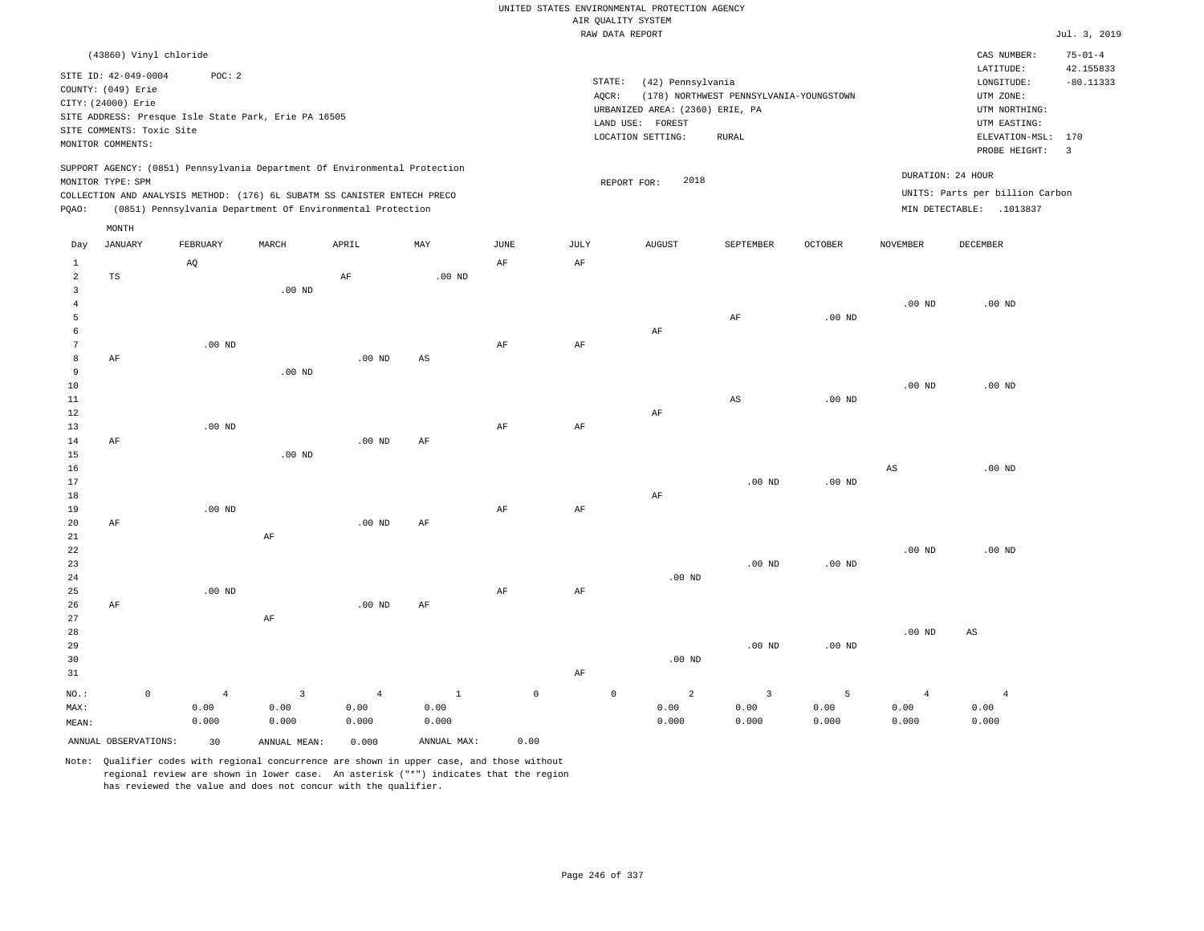|                      |                           |             |                   |                                                      |                                                                            |              |                       |           | UNITED STATES ENVIRONMENTAL PROTECTION AGENCY |                   |                                         |                   |                        |                                 |                            |
|----------------------|---------------------------|-------------|-------------------|------------------------------------------------------|----------------------------------------------------------------------------|--------------|-----------------------|-----------|-----------------------------------------------|-------------------|-----------------------------------------|-------------------|------------------------|---------------------------------|----------------------------|
|                      |                           |             |                   |                                                      |                                                                            |              |                       |           | AIR QUALITY SYSTEM                            |                   |                                         |                   |                        |                                 |                            |
|                      |                           |             |                   |                                                      |                                                                            |              |                       |           | RAW DATA REPORT                               |                   |                                         |                   |                        |                                 | Jul. 3, 2019               |
|                      | (43860) Vinyl chloride    |             |                   |                                                      |                                                                            |              |                       |           |                                               |                   |                                         |                   |                        | CAS NUMBER:<br>LATITUDE:        | $75 - 01 - 4$<br>42.155833 |
|                      | SITE ID: 42-049-0004      |             | POC: 2            |                                                      |                                                                            |              |                       |           | STATE:                                        | (42) Pennsylvania |                                         |                   |                        | LONGITUDE:                      | $-80.11333$                |
|                      | COUNTY: (049) Erie        |             |                   |                                                      |                                                                            |              |                       |           | AQCR:                                         |                   | (178) NORTHWEST PENNSYLVANIA-YOUNGSTOWN |                   |                        | UTM ZONE:                       |                            |
|                      | CITY: (24000) Erie        |             |                   |                                                      |                                                                            |              |                       |           | URBANIZED AREA: (2360) ERIE, PA               |                   |                                         |                   |                        | UTM NORTHING:                   |                            |
|                      | SITE COMMENTS: Toxic Site |             |                   | SITE ADDRESS: Presque Isle State Park, Erie PA 16505 |                                                                            |              |                       |           | LAND USE: FOREST                              |                   |                                         |                   |                        | UTM EASTING:                    |                            |
|                      | MONITOR COMMENTS:         |             |                   |                                                      |                                                                            |              |                       |           | LOCATION SETTING:                             |                   | <b>RURAL</b>                            |                   |                        | ELEVATION-MSL:<br>PROBE HEIGHT: | 170<br>$\overline{3}$      |
|                      | MONITOR TYPE: SPM         |             |                   |                                                      | SUPPORT AGENCY: (0851) Pennsylvania Department Of Environmental Protection |              |                       |           | REPORT FOR:                                   | 2018              |                                         |                   |                        | DURATION: 24 HOUR               |                            |
|                      |                           |             |                   |                                                      | COLLECTION AND ANALYSIS METHOD: (176) 6L SUBATM SS CANISTER ENTECH PRECO   |              |                       |           |                                               |                   |                                         |                   |                        | UNITS: Parts per billion Carbon |                            |
| PQAO:                |                           |             |                   |                                                      | (0851) Pennsylvania Department Of Environmental Protection                 |              |                       |           |                                               |                   |                                         |                   |                        | MIN DETECTABLE: .1013837        |                            |
|                      | MONTH                     |             |                   |                                                      |                                                                            |              |                       |           |                                               |                   |                                         |                   |                        |                                 |                            |
| Day                  | <b>JANUARY</b>            |             | FEBRUARY          | MARCH                                                | APRIL                                                                      | MAY          | $\operatorname{JUNE}$ | JULY      | <b>AUGUST</b>                                 |                   | SEPTEMBER                               | OCTOBER           | <b>NOVEMBER</b>        | DECEMBER                        |                            |
| $\mathbf{1}$         |                           |             | AQ                |                                                      |                                                                            |              | AF                    | AF        |                                               |                   |                                         |                   |                        |                                 |                            |
| 2                    | TS                        |             |                   |                                                      | AF                                                                         | $.00$ ND     |                       |           |                                               |                   |                                         |                   |                        |                                 |                            |
| $\overline{3}$       |                           |             |                   | $.00$ ND                                             |                                                                            |              |                       |           |                                               |                   |                                         |                   |                        |                                 |                            |
| $\overline{4}$       |                           |             |                   |                                                      |                                                                            |              |                       |           |                                               |                   |                                         |                   | $.00$ ND               | $.00$ ND                        |                            |
| 5                    |                           |             |                   |                                                      |                                                                            |              |                       |           |                                               |                   | $\rm{AF}$                               | $.00$ ND          |                        |                                 |                            |
| 6<br>$7\phantom{.0}$ |                           |             |                   |                                                      |                                                                            |              |                       |           | $\rm{AF}$                                     |                   |                                         |                   |                        |                                 |                            |
| 8                    | AF                        |             | .00 <sub>ND</sub> |                                                      | $.00$ ND                                                                   | AS           | AF                    | AF        |                                               |                   |                                         |                   |                        |                                 |                            |
| 9                    |                           |             |                   | $.00$ ND                                             |                                                                            |              |                       |           |                                               |                   |                                         |                   |                        |                                 |                            |
| 10                   |                           |             |                   |                                                      |                                                                            |              |                       |           |                                               |                   |                                         |                   | .00 <sub>ND</sub>      | $.00$ ND                        |                            |
| 11                   |                           |             |                   |                                                      |                                                                            |              |                       |           |                                               |                   | $\mathbb{A}\mathbb{S}$                  | $.00$ ND          |                        |                                 |                            |
| 12                   |                           |             |                   |                                                      |                                                                            |              |                       |           | AF                                            |                   |                                         |                   |                        |                                 |                            |
| 13                   |                           |             | $.00$ ND          |                                                      |                                                                            |              | AF                    | AF        |                                               |                   |                                         |                   |                        |                                 |                            |
| 14                   | AF                        |             |                   |                                                      | $.00$ ND                                                                   | AF           |                       |           |                                               |                   |                                         |                   |                        |                                 |                            |
| 15                   |                           |             |                   | .00 <sub>ND</sub>                                    |                                                                            |              |                       |           |                                               |                   |                                         |                   |                        |                                 |                            |
| 16                   |                           |             |                   |                                                      |                                                                            |              |                       |           |                                               |                   |                                         |                   | $\mathbb{A}\mathbb{S}$ | $.00$ ND                        |                            |
| 17                   |                           |             |                   |                                                      |                                                                            |              |                       |           |                                               |                   | $.00$ ND                                | $.00$ ND          |                        |                                 |                            |
| 18                   |                           |             |                   |                                                      |                                                                            |              |                       |           | AF                                            |                   |                                         |                   |                        |                                 |                            |
| 19                   |                           |             | $.00$ ND          |                                                      |                                                                            |              | AF                    | AF        |                                               |                   |                                         |                   |                        |                                 |                            |
| 20                   | $\rm AF$                  |             |                   |                                                      | $.00$ ND                                                                   | AF           |                       |           |                                               |                   |                                         |                   |                        |                                 |                            |
| 21<br>22             |                           |             |                   | AF                                                   |                                                                            |              |                       |           |                                               |                   |                                         |                   | .00 <sub>ND</sub>      | .00 <sub>ND</sub>               |                            |
| 23                   |                           |             |                   |                                                      |                                                                            |              |                       |           |                                               |                   | $.00$ ND                                | $.00$ ND          |                        |                                 |                            |
| 24                   |                           |             |                   |                                                      |                                                                            |              |                       |           |                                               | $.00$ ND          |                                         |                   |                        |                                 |                            |
| 25                   |                           |             | $.00$ ND          |                                                      |                                                                            |              | $\rm AF$              | $\rm AF$  |                                               |                   |                                         |                   |                        |                                 |                            |
| 26                   | AF                        |             |                   |                                                      | $.00$ ND                                                                   | AF           |                       |           |                                               |                   |                                         |                   |                        |                                 |                            |
| 27                   |                           |             |                   | $\rm AF$                                             |                                                                            |              |                       |           |                                               |                   |                                         |                   |                        |                                 |                            |
| 28                   |                           |             |                   |                                                      |                                                                            |              |                       |           |                                               |                   |                                         |                   | $.00$ ND               | AS                              |                            |
| 29                   |                           |             |                   |                                                      |                                                                            |              |                       |           |                                               |                   | $.00$ ND                                | $.00~\mathrm{ND}$ |                        |                                 |                            |
| 30                   |                           |             |                   |                                                      |                                                                            |              |                       |           |                                               | $.00$ ND          |                                         |                   |                        |                                 |                            |
| 31                   |                           |             |                   |                                                      |                                                                            |              |                       | $\rm{AF}$ |                                               |                   |                                         |                   |                        |                                 |                            |
| NO.:                 |                           | $\mathbb O$ | $\overline{4}$    | $\mathbf{3}$                                         | $\overline{4}$                                                             | $\mathbf{1}$ | $\mathsf 0$           |           | $\mathsf{O}\xspace$                           | $\overline{a}$    | $\overline{3}$                          | 5                 | $\overline{4}$         | $\overline{4}$                  |                            |
| MAX:                 |                           |             | 0.00              | 0.00                                                 | 0.00                                                                       | 0.00         |                       |           |                                               | 0.00              | 0.00                                    | 0.00              | 0.00                   | 0.00                            |                            |
| MEAN:                |                           |             | 0.000             | 0.000                                                | 0.000                                                                      | 0.000        |                       |           |                                               | 0.000             | 0.000                                   | 0.000             | 0.000                  | 0.000                           |                            |
|                      | ANNUAL OBSERVATIONS:      |             | 30                | ANNUAL MEAN:                                         | 0.000                                                                      | ANNUAL MAX:  | 0.00                  |           |                                               |                   |                                         |                   |                        |                                 |                            |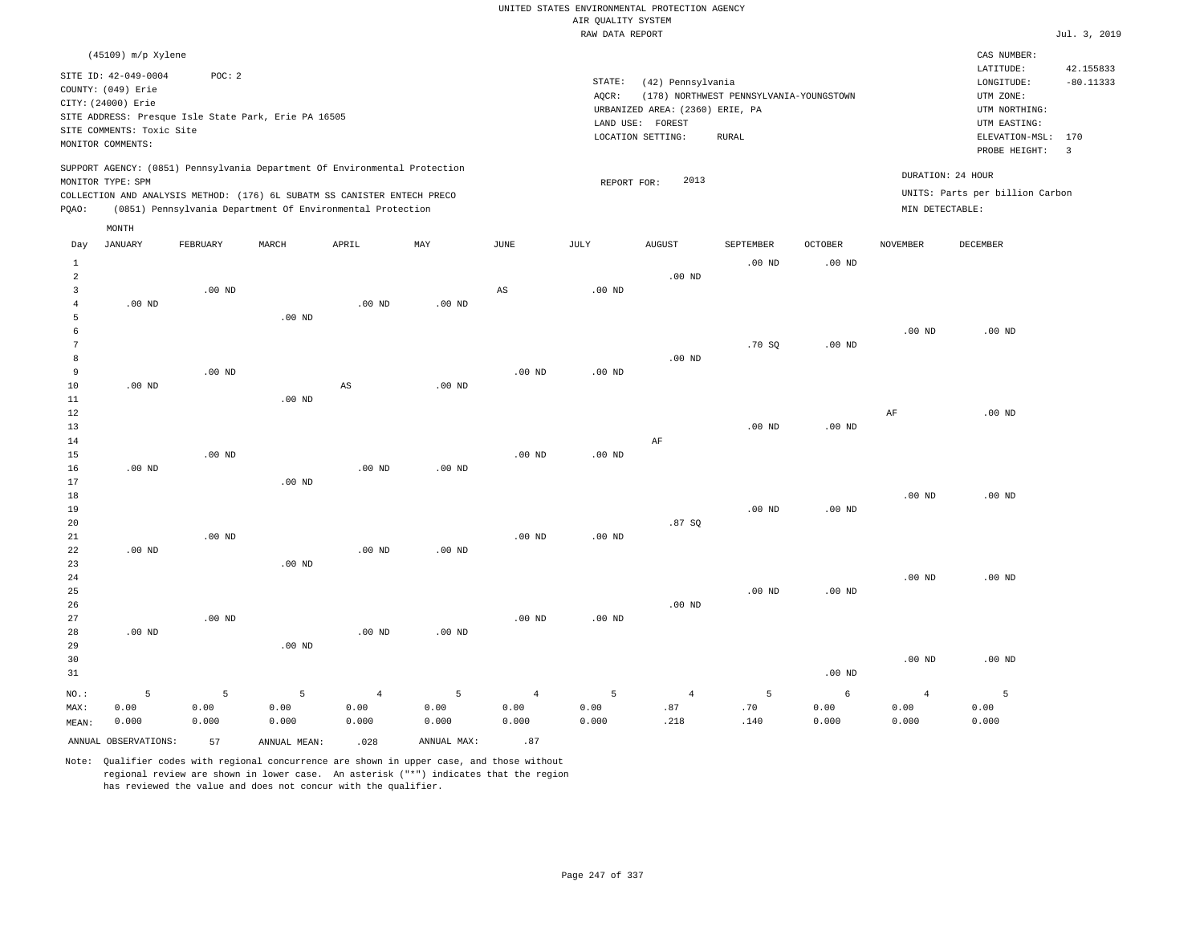| Jul. | 3, 2019 |
|------|---------|

| SITE COMMENTS: Toxic Site<br>LOCATION SETTING:<br><b>RURAL</b><br>ELEVATION-MSL: 170<br>MONITOR COMMENTS:<br>PROBE HEIGHT:<br>$\overline{3}$<br>SUPPORT AGENCY: (0851) Pennsylvania Department Of Environmental Protection<br>DURATION: 24 HOUR<br>2013<br>MONITOR TYPE: SPM<br>REPORT FOR:<br>UNITS: Parts per billion Carbon<br>COLLECTION AND ANALYSIS METHOD: (176) 6L SUBATM SS CANISTER ENTECH PRECO<br>(0851) Pennsylvania Department Of Environmental Protection<br>MIN DETECTABLE:<br>PQAO:<br>MONTH<br>APRIL<br><b>AUGUST</b><br>SEPTEMBER<br><b>OCTOBER</b><br><b>JANUARY</b><br>FEBRUARY<br>MARCH<br>MAY<br><b>JUNE</b><br>JULY<br><b>NOVEMBER</b><br><b>DECEMBER</b><br>Day<br>$\mathbf{1}$<br>$.00$ ND<br>.00 <sub>ND</sub><br>$\overline{a}$<br>$.00$ ND<br>$\overline{3}$<br>$.00$ ND<br>$.00$ ND<br>$_{\rm AS}$<br>$\overline{4}$<br>$.00$ ND<br>$.00$ ND<br>$.00$ ND<br>5<br>$.00$ ND<br>6<br>$.00$ ND<br>$.00$ ND<br>$7\phantom{.0}$<br>.70SQ<br>.00 <sub>ND</sub><br>8<br>$.00$ ND<br>9<br>$.00$ ND<br>.00 <sub>ND</sub><br>.00 <sub>ND</sub><br>$10$<br>$.00$ ND<br>$\mathbb{A}\mathbb{S}$<br>$.00$ ND<br>$11\,$<br>.00 <sub>ND</sub><br>12<br>$.00$ ND<br>$\rm AF$<br>13<br>$.00$ ND<br>.00 <sub>ND</sub><br>14<br>AF<br>15<br>$.00$ ND<br>.00 <sub>ND</sub><br>.00 <sub>ND</sub><br>.00 <sub>ND</sub><br>.00 <sub>ND</sub><br>16<br>.00 <sub>ND</sub><br>17<br>$.00$ ND<br>18<br>$.00$ ND<br>$.00$ ND<br>19<br>$.00$ ND<br>.00 <sub>ND</sub><br>20<br>.87S<br>$21\,$<br>$.00$ ND<br>$.00$ ND<br>$.00$ ND<br>22<br>$.00$ ND<br>$.00$ ND<br>$.00$ ND<br>23<br>.00 <sub>ND</sub><br>24<br>$.00$ ND<br>$.00$ ND<br>25<br>$.00$ ND<br>.00 <sub>ND</sub><br>26<br>$.00$ ND<br>27<br>.00 <sub>ND</sub><br>.00 <sub>ND</sub><br>$.00$ ND<br>28<br>$.00$ ND<br>.00 <sub>ND</sub><br>$.00$ ND<br>29<br>$.00$ ND<br>30<br>.00 <sub>ND</sub><br>$.00$ ND<br>31<br>.00 <sub>ND</sub><br>$\overline{5}$<br>5<br>$\overline{4}$<br>5<br>NO.:<br>5<br>5<br>5<br>$\overline{4}$<br>6<br>$\overline{4}$<br>5<br>$\overline{4}$<br>0.00<br>0.00<br>0.00<br>.87<br>.70<br>0.00<br>0.00<br>0.00<br>0.00<br>0.00<br>0.00<br>0.00<br>MAX:<br>0.000<br>0.000<br>0.000<br>0.000<br>0.000<br>0.000<br>0.000<br>0.000<br>0.000<br>.218<br>.140<br>0.000<br>MEAN:<br>ANNUAL OBSERVATIONS:<br>ANNUAL MAX:<br>.87<br>57<br>ANNUAL MEAN:<br>.028 | (45109) m/p Xylene<br>SITE ID: 42-049-0004<br>COUNTY: (049) Erie<br>CITY: (24000) Erie | POC: 2 | SITE ADDRESS: Presque Isle State Park, Erie PA 16505 |  | STATE:<br>AQCR: | (42) Pennsylvania<br>URBANIZED AREA: (2360) ERIE, PA<br>LAND USE: FOREST | (178) NORTHWEST PENNSYLVANIA-YOUNGSTOWN |  | CAS NUMBER:<br>LATITUDE:<br>$\texttt{LONGITUDE}$ :<br>UTM ZONE:<br>UTM NORTHING:<br>UTM EASTING: | 42.155833<br>$-80.11333$ |
|------------------------------------------------------------------------------------------------------------------------------------------------------------------------------------------------------------------------------------------------------------------------------------------------------------------------------------------------------------------------------------------------------------------------------------------------------------------------------------------------------------------------------------------------------------------------------------------------------------------------------------------------------------------------------------------------------------------------------------------------------------------------------------------------------------------------------------------------------------------------------------------------------------------------------------------------------------------------------------------------------------------------------------------------------------------------------------------------------------------------------------------------------------------------------------------------------------------------------------------------------------------------------------------------------------------------------------------------------------------------------------------------------------------------------------------------------------------------------------------------------------------------------------------------------------------------------------------------------------------------------------------------------------------------------------------------------------------------------------------------------------------------------------------------------------------------------------------------------------------------------------------------------------------------------------------------------------------------------------------------------------------------------------------------------------------------------------------------------------------------------------------------------------------------------------------------------------------------------------------------------------------------------------------------------------------------------------------|----------------------------------------------------------------------------------------|--------|------------------------------------------------------|--|-----------------|--------------------------------------------------------------------------|-----------------------------------------|--|--------------------------------------------------------------------------------------------------|--------------------------|
|                                                                                                                                                                                                                                                                                                                                                                                                                                                                                                                                                                                                                                                                                                                                                                                                                                                                                                                                                                                                                                                                                                                                                                                                                                                                                                                                                                                                                                                                                                                                                                                                                                                                                                                                                                                                                                                                                                                                                                                                                                                                                                                                                                                                                                                                                                                                          |                                                                                        |        |                                                      |  |                 |                                                                          |                                         |  |                                                                                                  |                          |
|                                                                                                                                                                                                                                                                                                                                                                                                                                                                                                                                                                                                                                                                                                                                                                                                                                                                                                                                                                                                                                                                                                                                                                                                                                                                                                                                                                                                                                                                                                                                                                                                                                                                                                                                                                                                                                                                                                                                                                                                                                                                                                                                                                                                                                                                                                                                          |                                                                                        |        |                                                      |  |                 |                                                                          |                                         |  |                                                                                                  |                          |
|                                                                                                                                                                                                                                                                                                                                                                                                                                                                                                                                                                                                                                                                                                                                                                                                                                                                                                                                                                                                                                                                                                                                                                                                                                                                                                                                                                                                                                                                                                                                                                                                                                                                                                                                                                                                                                                                                                                                                                                                                                                                                                                                                                                                                                                                                                                                          |                                                                                        |        |                                                      |  |                 |                                                                          |                                         |  |                                                                                                  |                          |
|                                                                                                                                                                                                                                                                                                                                                                                                                                                                                                                                                                                                                                                                                                                                                                                                                                                                                                                                                                                                                                                                                                                                                                                                                                                                                                                                                                                                                                                                                                                                                                                                                                                                                                                                                                                                                                                                                                                                                                                                                                                                                                                                                                                                                                                                                                                                          |                                                                                        |        |                                                      |  |                 |                                                                          |                                         |  |                                                                                                  |                          |
|                                                                                                                                                                                                                                                                                                                                                                                                                                                                                                                                                                                                                                                                                                                                                                                                                                                                                                                                                                                                                                                                                                                                                                                                                                                                                                                                                                                                                                                                                                                                                                                                                                                                                                                                                                                                                                                                                                                                                                                                                                                                                                                                                                                                                                                                                                                                          |                                                                                        |        |                                                      |  |                 |                                                                          |                                         |  |                                                                                                  |                          |
|                                                                                                                                                                                                                                                                                                                                                                                                                                                                                                                                                                                                                                                                                                                                                                                                                                                                                                                                                                                                                                                                                                                                                                                                                                                                                                                                                                                                                                                                                                                                                                                                                                                                                                                                                                                                                                                                                                                                                                                                                                                                                                                                                                                                                                                                                                                                          |                                                                                        |        |                                                      |  |                 |                                                                          |                                         |  |                                                                                                  |                          |
|                                                                                                                                                                                                                                                                                                                                                                                                                                                                                                                                                                                                                                                                                                                                                                                                                                                                                                                                                                                                                                                                                                                                                                                                                                                                                                                                                                                                                                                                                                                                                                                                                                                                                                                                                                                                                                                                                                                                                                                                                                                                                                                                                                                                                                                                                                                                          |                                                                                        |        |                                                      |  |                 |                                                                          |                                         |  |                                                                                                  |                          |
|                                                                                                                                                                                                                                                                                                                                                                                                                                                                                                                                                                                                                                                                                                                                                                                                                                                                                                                                                                                                                                                                                                                                                                                                                                                                                                                                                                                                                                                                                                                                                                                                                                                                                                                                                                                                                                                                                                                                                                                                                                                                                                                                                                                                                                                                                                                                          |                                                                                        |        |                                                      |  |                 |                                                                          |                                         |  |                                                                                                  |                          |
|                                                                                                                                                                                                                                                                                                                                                                                                                                                                                                                                                                                                                                                                                                                                                                                                                                                                                                                                                                                                                                                                                                                                                                                                                                                                                                                                                                                                                                                                                                                                                                                                                                                                                                                                                                                                                                                                                                                                                                                                                                                                                                                                                                                                                                                                                                                                          |                                                                                        |        |                                                      |  |                 |                                                                          |                                         |  |                                                                                                  |                          |
|                                                                                                                                                                                                                                                                                                                                                                                                                                                                                                                                                                                                                                                                                                                                                                                                                                                                                                                                                                                                                                                                                                                                                                                                                                                                                                                                                                                                                                                                                                                                                                                                                                                                                                                                                                                                                                                                                                                                                                                                                                                                                                                                                                                                                                                                                                                                          |                                                                                        |        |                                                      |  |                 |                                                                          |                                         |  |                                                                                                  |                          |
|                                                                                                                                                                                                                                                                                                                                                                                                                                                                                                                                                                                                                                                                                                                                                                                                                                                                                                                                                                                                                                                                                                                                                                                                                                                                                                                                                                                                                                                                                                                                                                                                                                                                                                                                                                                                                                                                                                                                                                                                                                                                                                                                                                                                                                                                                                                                          |                                                                                        |        |                                                      |  |                 |                                                                          |                                         |  |                                                                                                  |                          |
|                                                                                                                                                                                                                                                                                                                                                                                                                                                                                                                                                                                                                                                                                                                                                                                                                                                                                                                                                                                                                                                                                                                                                                                                                                                                                                                                                                                                                                                                                                                                                                                                                                                                                                                                                                                                                                                                                                                                                                                                                                                                                                                                                                                                                                                                                                                                          |                                                                                        |        |                                                      |  |                 |                                                                          |                                         |  |                                                                                                  |                          |
|                                                                                                                                                                                                                                                                                                                                                                                                                                                                                                                                                                                                                                                                                                                                                                                                                                                                                                                                                                                                                                                                                                                                                                                                                                                                                                                                                                                                                                                                                                                                                                                                                                                                                                                                                                                                                                                                                                                                                                                                                                                                                                                                                                                                                                                                                                                                          |                                                                                        |        |                                                      |  |                 |                                                                          |                                         |  |                                                                                                  |                          |
|                                                                                                                                                                                                                                                                                                                                                                                                                                                                                                                                                                                                                                                                                                                                                                                                                                                                                                                                                                                                                                                                                                                                                                                                                                                                                                                                                                                                                                                                                                                                                                                                                                                                                                                                                                                                                                                                                                                                                                                                                                                                                                                                                                                                                                                                                                                                          |                                                                                        |        |                                                      |  |                 |                                                                          |                                         |  |                                                                                                  |                          |
|                                                                                                                                                                                                                                                                                                                                                                                                                                                                                                                                                                                                                                                                                                                                                                                                                                                                                                                                                                                                                                                                                                                                                                                                                                                                                                                                                                                                                                                                                                                                                                                                                                                                                                                                                                                                                                                                                                                                                                                                                                                                                                                                                                                                                                                                                                                                          |                                                                                        |        |                                                      |  |                 |                                                                          |                                         |  |                                                                                                  |                          |
|                                                                                                                                                                                                                                                                                                                                                                                                                                                                                                                                                                                                                                                                                                                                                                                                                                                                                                                                                                                                                                                                                                                                                                                                                                                                                                                                                                                                                                                                                                                                                                                                                                                                                                                                                                                                                                                                                                                                                                                                                                                                                                                                                                                                                                                                                                                                          |                                                                                        |        |                                                      |  |                 |                                                                          |                                         |  |                                                                                                  |                          |
|                                                                                                                                                                                                                                                                                                                                                                                                                                                                                                                                                                                                                                                                                                                                                                                                                                                                                                                                                                                                                                                                                                                                                                                                                                                                                                                                                                                                                                                                                                                                                                                                                                                                                                                                                                                                                                                                                                                                                                                                                                                                                                                                                                                                                                                                                                                                          |                                                                                        |        |                                                      |  |                 |                                                                          |                                         |  |                                                                                                  |                          |
|                                                                                                                                                                                                                                                                                                                                                                                                                                                                                                                                                                                                                                                                                                                                                                                                                                                                                                                                                                                                                                                                                                                                                                                                                                                                                                                                                                                                                                                                                                                                                                                                                                                                                                                                                                                                                                                                                                                                                                                                                                                                                                                                                                                                                                                                                                                                          |                                                                                        |        |                                                      |  |                 |                                                                          |                                         |  |                                                                                                  |                          |
|                                                                                                                                                                                                                                                                                                                                                                                                                                                                                                                                                                                                                                                                                                                                                                                                                                                                                                                                                                                                                                                                                                                                                                                                                                                                                                                                                                                                                                                                                                                                                                                                                                                                                                                                                                                                                                                                                                                                                                                                                                                                                                                                                                                                                                                                                                                                          |                                                                                        |        |                                                      |  |                 |                                                                          |                                         |  |                                                                                                  |                          |
|                                                                                                                                                                                                                                                                                                                                                                                                                                                                                                                                                                                                                                                                                                                                                                                                                                                                                                                                                                                                                                                                                                                                                                                                                                                                                                                                                                                                                                                                                                                                                                                                                                                                                                                                                                                                                                                                                                                                                                                                                                                                                                                                                                                                                                                                                                                                          |                                                                                        |        |                                                      |  |                 |                                                                          |                                         |  |                                                                                                  |                          |
|                                                                                                                                                                                                                                                                                                                                                                                                                                                                                                                                                                                                                                                                                                                                                                                                                                                                                                                                                                                                                                                                                                                                                                                                                                                                                                                                                                                                                                                                                                                                                                                                                                                                                                                                                                                                                                                                                                                                                                                                                                                                                                                                                                                                                                                                                                                                          |                                                                                        |        |                                                      |  |                 |                                                                          |                                         |  |                                                                                                  |                          |
|                                                                                                                                                                                                                                                                                                                                                                                                                                                                                                                                                                                                                                                                                                                                                                                                                                                                                                                                                                                                                                                                                                                                                                                                                                                                                                                                                                                                                                                                                                                                                                                                                                                                                                                                                                                                                                                                                                                                                                                                                                                                                                                                                                                                                                                                                                                                          |                                                                                        |        |                                                      |  |                 |                                                                          |                                         |  |                                                                                                  |                          |
|                                                                                                                                                                                                                                                                                                                                                                                                                                                                                                                                                                                                                                                                                                                                                                                                                                                                                                                                                                                                                                                                                                                                                                                                                                                                                                                                                                                                                                                                                                                                                                                                                                                                                                                                                                                                                                                                                                                                                                                                                                                                                                                                                                                                                                                                                                                                          |                                                                                        |        |                                                      |  |                 |                                                                          |                                         |  |                                                                                                  |                          |
|                                                                                                                                                                                                                                                                                                                                                                                                                                                                                                                                                                                                                                                                                                                                                                                                                                                                                                                                                                                                                                                                                                                                                                                                                                                                                                                                                                                                                                                                                                                                                                                                                                                                                                                                                                                                                                                                                                                                                                                                                                                                                                                                                                                                                                                                                                                                          |                                                                                        |        |                                                      |  |                 |                                                                          |                                         |  |                                                                                                  |                          |
|                                                                                                                                                                                                                                                                                                                                                                                                                                                                                                                                                                                                                                                                                                                                                                                                                                                                                                                                                                                                                                                                                                                                                                                                                                                                                                                                                                                                                                                                                                                                                                                                                                                                                                                                                                                                                                                                                                                                                                                                                                                                                                                                                                                                                                                                                                                                          |                                                                                        |        |                                                      |  |                 |                                                                          |                                         |  |                                                                                                  |                          |
|                                                                                                                                                                                                                                                                                                                                                                                                                                                                                                                                                                                                                                                                                                                                                                                                                                                                                                                                                                                                                                                                                                                                                                                                                                                                                                                                                                                                                                                                                                                                                                                                                                                                                                                                                                                                                                                                                                                                                                                                                                                                                                                                                                                                                                                                                                                                          |                                                                                        |        |                                                      |  |                 |                                                                          |                                         |  |                                                                                                  |                          |
|                                                                                                                                                                                                                                                                                                                                                                                                                                                                                                                                                                                                                                                                                                                                                                                                                                                                                                                                                                                                                                                                                                                                                                                                                                                                                                                                                                                                                                                                                                                                                                                                                                                                                                                                                                                                                                                                                                                                                                                                                                                                                                                                                                                                                                                                                                                                          |                                                                                        |        |                                                      |  |                 |                                                                          |                                         |  |                                                                                                  |                          |
|                                                                                                                                                                                                                                                                                                                                                                                                                                                                                                                                                                                                                                                                                                                                                                                                                                                                                                                                                                                                                                                                                                                                                                                                                                                                                                                                                                                                                                                                                                                                                                                                                                                                                                                                                                                                                                                                                                                                                                                                                                                                                                                                                                                                                                                                                                                                          |                                                                                        |        |                                                      |  |                 |                                                                          |                                         |  |                                                                                                  |                          |
|                                                                                                                                                                                                                                                                                                                                                                                                                                                                                                                                                                                                                                                                                                                                                                                                                                                                                                                                                                                                                                                                                                                                                                                                                                                                                                                                                                                                                                                                                                                                                                                                                                                                                                                                                                                                                                                                                                                                                                                                                                                                                                                                                                                                                                                                                                                                          |                                                                                        |        |                                                      |  |                 |                                                                          |                                         |  |                                                                                                  |                          |
|                                                                                                                                                                                                                                                                                                                                                                                                                                                                                                                                                                                                                                                                                                                                                                                                                                                                                                                                                                                                                                                                                                                                                                                                                                                                                                                                                                                                                                                                                                                                                                                                                                                                                                                                                                                                                                                                                                                                                                                                                                                                                                                                                                                                                                                                                                                                          |                                                                                        |        |                                                      |  |                 |                                                                          |                                         |  |                                                                                                  |                          |
|                                                                                                                                                                                                                                                                                                                                                                                                                                                                                                                                                                                                                                                                                                                                                                                                                                                                                                                                                                                                                                                                                                                                                                                                                                                                                                                                                                                                                                                                                                                                                                                                                                                                                                                                                                                                                                                                                                                                                                                                                                                                                                                                                                                                                                                                                                                                          |                                                                                        |        |                                                      |  |                 |                                                                          |                                         |  |                                                                                                  |                          |
|                                                                                                                                                                                                                                                                                                                                                                                                                                                                                                                                                                                                                                                                                                                                                                                                                                                                                                                                                                                                                                                                                                                                                                                                                                                                                                                                                                                                                                                                                                                                                                                                                                                                                                                                                                                                                                                                                                                                                                                                                                                                                                                                                                                                                                                                                                                                          |                                                                                        |        |                                                      |  |                 |                                                                          |                                         |  |                                                                                                  |                          |
|                                                                                                                                                                                                                                                                                                                                                                                                                                                                                                                                                                                                                                                                                                                                                                                                                                                                                                                                                                                                                                                                                                                                                                                                                                                                                                                                                                                                                                                                                                                                                                                                                                                                                                                                                                                                                                                                                                                                                                                                                                                                                                                                                                                                                                                                                                                                          |                                                                                        |        |                                                      |  |                 |                                                                          |                                         |  |                                                                                                  |                          |
|                                                                                                                                                                                                                                                                                                                                                                                                                                                                                                                                                                                                                                                                                                                                                                                                                                                                                                                                                                                                                                                                                                                                                                                                                                                                                                                                                                                                                                                                                                                                                                                                                                                                                                                                                                                                                                                                                                                                                                                                                                                                                                                                                                                                                                                                                                                                          |                                                                                        |        |                                                      |  |                 |                                                                          |                                         |  |                                                                                                  |                          |
|                                                                                                                                                                                                                                                                                                                                                                                                                                                                                                                                                                                                                                                                                                                                                                                                                                                                                                                                                                                                                                                                                                                                                                                                                                                                                                                                                                                                                                                                                                                                                                                                                                                                                                                                                                                                                                                                                                                                                                                                                                                                                                                                                                                                                                                                                                                                          |                                                                                        |        |                                                      |  |                 |                                                                          |                                         |  |                                                                                                  |                          |
|                                                                                                                                                                                                                                                                                                                                                                                                                                                                                                                                                                                                                                                                                                                                                                                                                                                                                                                                                                                                                                                                                                                                                                                                                                                                                                                                                                                                                                                                                                                                                                                                                                                                                                                                                                                                                                                                                                                                                                                                                                                                                                                                                                                                                                                                                                                                          |                                                                                        |        |                                                      |  |                 |                                                                          |                                         |  |                                                                                                  |                          |
|                                                                                                                                                                                                                                                                                                                                                                                                                                                                                                                                                                                                                                                                                                                                                                                                                                                                                                                                                                                                                                                                                                                                                                                                                                                                                                                                                                                                                                                                                                                                                                                                                                                                                                                                                                                                                                                                                                                                                                                                                                                                                                                                                                                                                                                                                                                                          |                                                                                        |        |                                                      |  |                 |                                                                          |                                         |  |                                                                                                  |                          |
|                                                                                                                                                                                                                                                                                                                                                                                                                                                                                                                                                                                                                                                                                                                                                                                                                                                                                                                                                                                                                                                                                                                                                                                                                                                                                                                                                                                                                                                                                                                                                                                                                                                                                                                                                                                                                                                                                                                                                                                                                                                                                                                                                                                                                                                                                                                                          |                                                                                        |        |                                                      |  |                 |                                                                          |                                         |  |                                                                                                  |                          |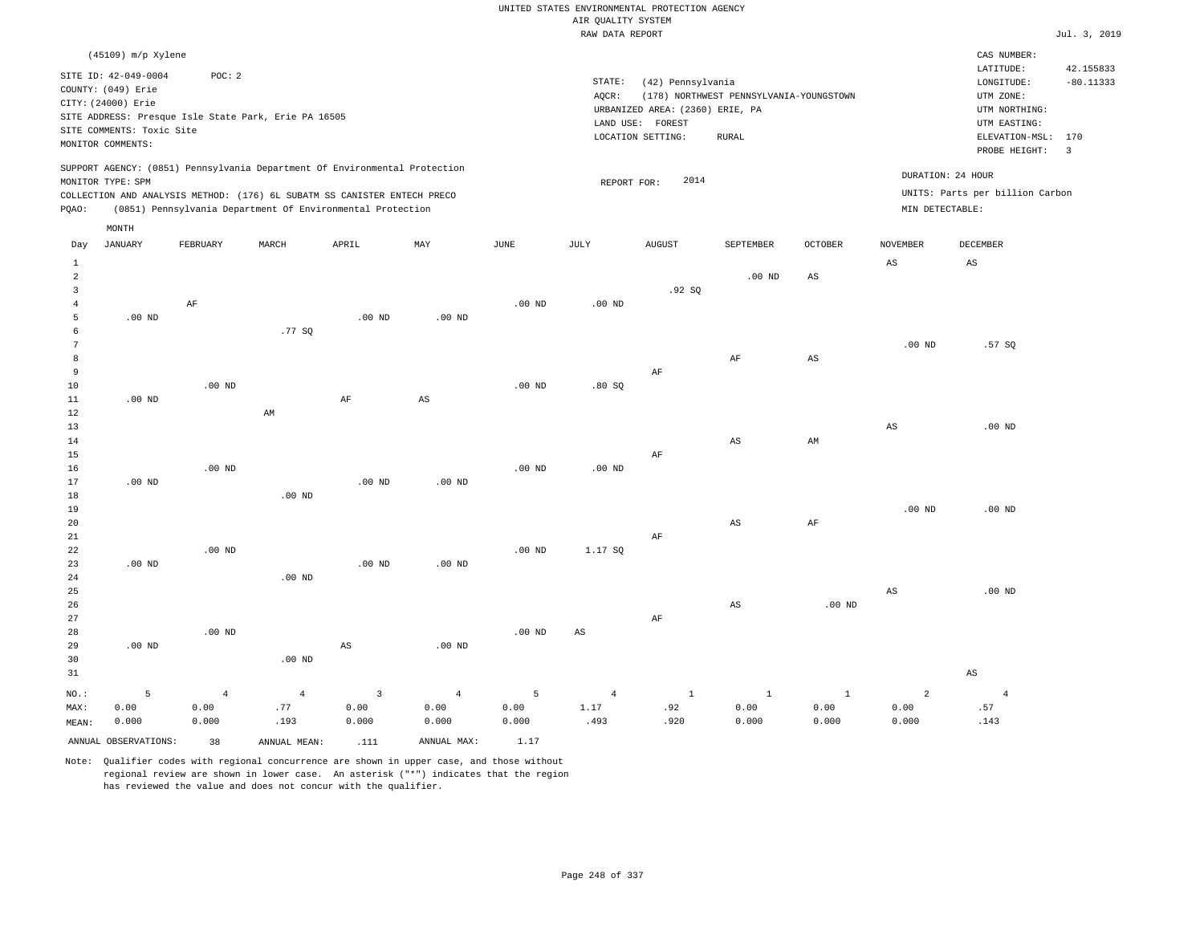| Jul. | 3, 2019 |
|------|---------|

|                                                  | (45109) m/p Xylene<br>SITE ID: 42-049-0004<br>COUNTY: (049) Erie<br>CITY: (24000) Erie<br>SITE COMMENTS: Toxic Site<br>MONITOR COMMENTS: | POC: 2         | SITE ADDRESS: Presque Isle State Park, Erie PA 16505<br>SUPPORT AGENCY: (0851) Pennsylvania Department Of Environmental Protection     |                        |                        |                   | STATE:<br>$AQCR$ :     | (42) Pennsylvania<br>URBANIZED AREA: (2360) ERIE, PA<br>LAND USE: FOREST<br>LOCATION SETTING: | (178) NORTHWEST PENNSYLVANIA-YOUNGSTOWN<br><b>RURAL</b> |                        |                                      | CAS NUMBER:<br>LATITUDE:<br>$\texttt{LONGITUDE}$ :<br>UTM ZONE:<br>UTM NORTHING:<br>UTM EASTING:<br>ELEVATION-MSL: 170<br>PROBE HEIGHT: | 42.155833<br>$-80.11333$<br>$\overline{3}$ |
|--------------------------------------------------|------------------------------------------------------------------------------------------------------------------------------------------|----------------|----------------------------------------------------------------------------------------------------------------------------------------|------------------------|------------------------|-------------------|------------------------|-----------------------------------------------------------------------------------------------|---------------------------------------------------------|------------------------|--------------------------------------|-----------------------------------------------------------------------------------------------------------------------------------------|--------------------------------------------|
| PQAO:                                            | MONITOR TYPE: SPM                                                                                                                        |                | COLLECTION AND ANALYSIS METHOD: (176) 6L SUBATM SS CANISTER ENTECH PRECO<br>(0851) Pennsylvania Department Of Environmental Protection |                        |                        |                   | REPORT FOR:            | 2014                                                                                          |                                                         |                        | DURATION: 24 HOUR<br>MIN DETECTABLE: | UNITS: Parts per billion Carbon                                                                                                         |                                            |
|                                                  | MONTH                                                                                                                                    |                |                                                                                                                                        |                        |                        |                   |                        |                                                                                               |                                                         |                        |                                      |                                                                                                                                         |                                            |
| Day                                              | <b>JANUARY</b>                                                                                                                           | FEBRUARY       | MARCH                                                                                                                                  | APRIL                  | MAY                    | <b>JUNE</b>       | JULY                   | <b>AUGUST</b>                                                                                 | SEPTEMBER                                               | <b>OCTOBER</b>         | <b>NOVEMBER</b>                      | <b>DECEMBER</b>                                                                                                                         |                                            |
| $\mathbf{1}$<br>$\overline{2}$<br>$\overline{3}$ |                                                                                                                                          |                |                                                                                                                                        |                        |                        |                   |                        | .92SQ                                                                                         | $.00$ ND                                                | $\mathbb{A}\mathbb{S}$ | $_{\rm AS}$                          | $\mathbb{A}\mathbb{S}$                                                                                                                  |                                            |
| $\overline{4}$<br>5                              | $.00$ ND                                                                                                                                 | AF             |                                                                                                                                        | $.00$ ND               | $.00$ ND               | .00 <sub>ND</sub> | .00 <sub>ND</sub>      |                                                                                               |                                                         |                        |                                      |                                                                                                                                         |                                            |
| 6<br>$7\phantom{.0}$<br>8<br>9                   |                                                                                                                                          |                | .77SQ                                                                                                                                  |                        |                        |                   |                        | AF                                                                                            | AF                                                      | AS                     | $.00$ ND                             | .57SQ                                                                                                                                   |                                            |
| $10$<br>$11\,$<br>12                             | $.00$ ND                                                                                                                                 | $.00$ ND       | AM                                                                                                                                     | $\rm{AF}$              | $\mathbb{A}\mathbb{S}$ | $.00$ ND          | .80 SQ                 |                                                                                               |                                                         |                        |                                      |                                                                                                                                         |                                            |
| 13<br>14<br>15                                   |                                                                                                                                          |                |                                                                                                                                        |                        |                        |                   |                        | AF                                                                                            | AS                                                      | AM                     | $\mathbb{A}\mathbb{S}$               | $.00$ ND                                                                                                                                |                                            |
| 16<br>17<br>18                                   | .00 <sub>ND</sub>                                                                                                                        | $.00$ ND       | $.00$ ND                                                                                                                               | .00 <sub>ND</sub>      | $.00$ ND               | .00 <sub>ND</sub> | $.00$ ND               |                                                                                               |                                                         |                        |                                      |                                                                                                                                         |                                            |
| 19<br>20<br>$21\,$                               |                                                                                                                                          |                |                                                                                                                                        |                        |                        |                   |                        | $\rm AF$                                                                                      | AS                                                      | AF                     | $.00$ ND                             | $.00$ ND                                                                                                                                |                                            |
| 22<br>23<br>24                                   | $.00$ ND                                                                                                                                 | $.00$ ND       | .00 <sub>ND</sub>                                                                                                                      | $.00$ ND               | $.00$ ND               | .00 <sub>ND</sub> | 1.17 SQ                |                                                                                               |                                                         |                        |                                      |                                                                                                                                         |                                            |
| 25<br>26<br>27<br>$2\,8$                         |                                                                                                                                          | $.00$ ND       |                                                                                                                                        |                        |                        | $.00$ ND          | $\mathbb{A}\mathbb{S}$ | AF                                                                                            | AS                                                      | .00 <sub>ND</sub>      | $\mathbb{A}\mathbb{S}$               | $.00$ ND                                                                                                                                |                                            |
| 29<br>30<br>31                                   | $.00$ ND                                                                                                                                 |                | $.00$ ND                                                                                                                               | $\mathbb{A}\mathbb{S}$ | $.00$ ND               |                   |                        |                                                                                               |                                                         |                        |                                      | $\mathbb{A}\mathbb{S}$                                                                                                                  |                                            |
| NO.:                                             | 5                                                                                                                                        | $\overline{4}$ | $\overline{4}$                                                                                                                         | $\overline{3}$         | $\overline{4}$         | 5                 | $\overline{4}$         | $\mathbf{1}$                                                                                  | $\mathbf{1}$                                            | <sup>1</sup>           | $\overline{a}$                       | $\overline{4}$                                                                                                                          |                                            |
| MAX:<br>MEAN:                                    | 0.00<br>0.000                                                                                                                            | 0.00<br>0.000  | .77<br>.193                                                                                                                            | 0.00<br>0.000          | 0.00<br>0.000          | 0.00<br>0.000     | 1.17<br>.493           | .92<br>.920                                                                                   | 0.00<br>0.000                                           | 0.00<br>0.000          | 0.00<br>0.000                        | .57<br>.143                                                                                                                             |                                            |
|                                                  | ANNUAL OBSERVATIONS:                                                                                                                     | 38             | ANNUAL MEAN:                                                                                                                           | .111                   | ANNUAL MAX:            | 1.17              |                        |                                                                                               |                                                         |                        |                                      |                                                                                                                                         |                                            |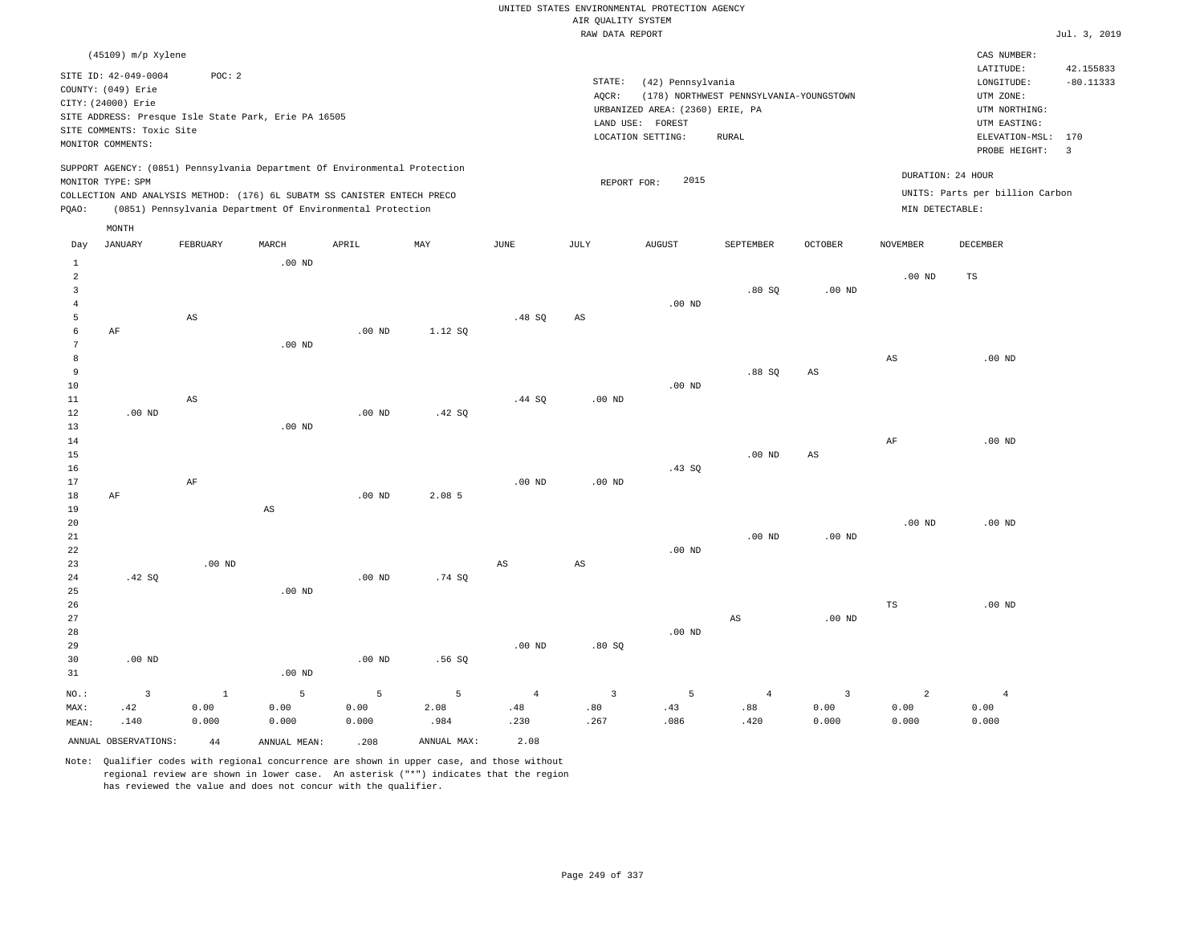|                | (45109) m/p Xylene        |          |                                                      |                                                                                                                                                        |         |        |          |                                 |                                         |                |                   | CAS NUMBER:                     |                         |
|----------------|---------------------------|----------|------------------------------------------------------|--------------------------------------------------------------------------------------------------------------------------------------------------------|---------|--------|----------|---------------------------------|-----------------------------------------|----------------|-------------------|---------------------------------|-------------------------|
|                | SITE ID: 42-049-0004      | POC: 2   |                                                      |                                                                                                                                                        |         |        |          |                                 |                                         |                |                   | LATITUDE:                       | 42.155833               |
|                | COUNTY: (049) Erie        |          |                                                      |                                                                                                                                                        |         |        | STATE:   | (42) Pennsylvania               |                                         |                |                   | LONGITUDE:                      | $-80.11333$             |
|                | CITY: (24000) Erie        |          |                                                      |                                                                                                                                                        |         |        | AOCR:    |                                 | (178) NORTHWEST PENNSYLVANIA-YOUNGSTOWN |                |                   | UTM ZONE:                       |                         |
|                |                           |          | SITE ADDRESS: Presque Isle State Park, Erie PA 16505 |                                                                                                                                                        |         |        |          | URBANIZED AREA: (2360) ERIE, PA |                                         |                |                   | UTM NORTHING:                   |                         |
|                | SITE COMMENTS: Toxic Site |          |                                                      |                                                                                                                                                        |         |        |          | LAND USE: FOREST                |                                         |                |                   | UTM EASTING:                    |                         |
|                | MONITOR COMMENTS:         |          |                                                      |                                                                                                                                                        |         |        |          | LOCATION SETTING:               | <b>RURAL</b>                            |                |                   | ELEVATION-MSL: 170              |                         |
|                |                           |          |                                                      |                                                                                                                                                        |         |        |          |                                 |                                         |                |                   | PROBE HEIGHT:                   | $\overline{\mathbf{3}}$ |
|                | MONITOR TYPE: SPM         |          |                                                      | SUPPORT AGENCY: (0851) Pennsylvania Department Of Environmental Protection<br>COLLECTION AND ANALYSIS METHOD: (176) 6L SUBATM SS CANISTER ENTECH PRECO |         |        |          | 2015<br>REPORT FOR:             |                                         |                | DURATION: 24 HOUR | UNITS: Parts per billion Carbon |                         |
| POAO:          |                           |          |                                                      | (0851) Pennsylvania Department Of Environmental Protection                                                                                             |         |        |          |                                 |                                         |                | MIN DETECTABLE:   |                                 |                         |
|                |                           |          |                                                      |                                                                                                                                                        |         |        |          |                                 |                                         |                |                   |                                 |                         |
|                | MONTH                     |          |                                                      |                                                                                                                                                        |         |        |          |                                 |                                         |                |                   |                                 |                         |
| Day            | JANUARY                   | FEBRUARY | MARCH                                                | APRIL                                                                                                                                                  | MAY     | JUNE   | JULY     | <b>AUGUST</b>                   | SEPTEMBER                               | <b>OCTOBER</b> | <b>NOVEMBER</b>   | <b>DECEMBER</b>                 |                         |
|                |                           |          | $.00$ ND                                             |                                                                                                                                                        |         |        |          |                                 |                                         |                |                   |                                 |                         |
| $\overline{2}$ |                           |          |                                                      |                                                                                                                                                        |         |        |          |                                 |                                         |                | $.00$ ND          | TS                              |                         |
| 3              |                           |          |                                                      |                                                                                                                                                        |         |        |          |                                 | .80S                                    | $.00$ ND       |                   |                                 |                         |
|                |                           |          |                                                      |                                                                                                                                                        |         |        |          | $.00$ ND                        |                                         |                |                   |                                 |                         |
|                |                           | AS       |                                                      |                                                                                                                                                        |         | .48 SQ | AS       |                                 |                                         |                |                   |                                 |                         |
| 6              | AF                        |          |                                                      | $.00$ ND                                                                                                                                               | 1.12 SO |        |          |                                 |                                         |                |                   |                                 |                         |
| 7              |                           |          | $.00$ ND                                             |                                                                                                                                                        |         |        |          |                                 |                                         |                |                   |                                 |                         |
|                |                           |          |                                                      |                                                                                                                                                        |         |        |          |                                 |                                         |                | AS                | $.00$ ND                        |                         |
| -9             |                           |          |                                                      |                                                                                                                                                        |         |        |          |                                 | .88SQ                                   | AS             |                   |                                 |                         |
| 10             |                           |          |                                                      |                                                                                                                                                        |         |        |          | $.00$ ND                        |                                         |                |                   |                                 |                         |
| 11             |                           | AS       |                                                      |                                                                                                                                                        |         | .44 S0 | $.00$ ND |                                 |                                         |                |                   |                                 |                         |
| 12             | $.00$ ND                  |          |                                                      | $.00$ ND                                                                                                                                               | .42 SO  |        |          |                                 |                                         |                |                   |                                 |                         |

13 14 15 16 17 AF .00 ND .00 ND .00 ND .43 SQ .00 ND AS AF .00 ND

| 18          | AF       |          | $.00$ ND | 2.08 5 |                        |      |          |          |          |          |          |
|-------------|----------|----------|----------|--------|------------------------|------|----------|----------|----------|----------|----------|
| 19          |          | AS       |          |        |                        |      |          |          |          |          |          |
| 20          |          |          |          |        |                        |      |          |          |          | $.00$ ND | $.00$ ND |
| $2\sqrt{1}$ |          |          |          |        |                        |      |          | $.00$ ND | $.00$ ND |          |          |
| 22          |          |          |          |        |                        |      | $.00$ ND |          |          |          |          |
| 23          |          | $.00$ ND |          |        | $\mathbb{A}\mathbb{S}$ | AS   |          |          |          |          |          |
| 24          | .42 SQ   |          | $.00$ ND | .74 SQ |                        |      |          |          |          |          |          |
| 25          |          | $.00$ ND |          |        |                        |      |          |          |          |          |          |
| 26          |          |          |          |        |                        |      |          |          |          | TS       | $.00$ ND |
| 27          |          |          |          |        |                        |      |          | AS       | $.00$ ND |          |          |
| 28          |          |          |          |        |                        |      | $.00$ ND |          |          |          |          |
| 29          |          |          |          |        | $.00$ ND               | .80S |          |          |          |          |          |
| 30          | $.00$ ND |          | $.00$ ND | .56SQ  |                        |      |          |          |          |          |          |
| 31          |          | $.00$ ND |          |        |                        |      |          |          |          |          |          |
|             |          |          |          |        |                        |      |          |          |          |          |          |

| MAX:  | .42                     | 0.00  | 0.00         | 0.00  | 2.08        | .48  | .80  | .43  | .88  | 0.00  | 0.00  | 0.00  |
|-------|-------------------------|-------|--------------|-------|-------------|------|------|------|------|-------|-------|-------|
| MEAN: | .140                    | 0.000 | 0.000        | 0.000 | .984        | .230 | .267 | .086 | .420 | 0.000 | 0.000 | 0.000 |
|       | ANNUAL OBSERVATIONS: 44 |       | ANNUAL MEAN: | .208  | ANNUAL MAX: | 2.08 |      |      |      |       |       |       |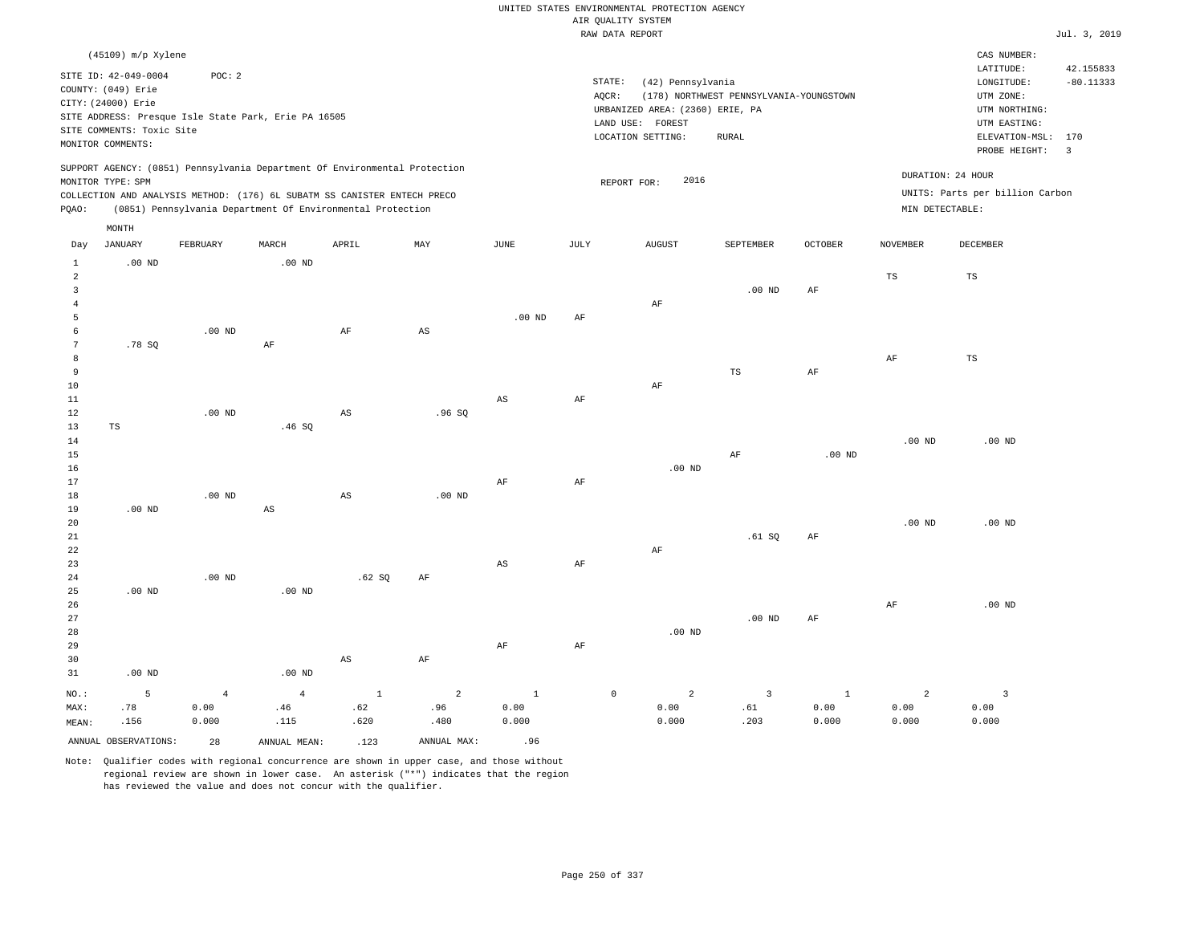| Jul. 3, 2019 |  |
|--------------|--|

|                                                                      |                                                                                                                    |                   |                                                                                                                                                                                                                      |                        |                |                        |           | ----- ------ ---- ----                                                                                           |                                                  |               |                                      |                                                                                                              |                                            |
|----------------------------------------------------------------------|--------------------------------------------------------------------------------------------------------------------|-------------------|----------------------------------------------------------------------------------------------------------------------------------------------------------------------------------------------------------------------|------------------------|----------------|------------------------|-----------|------------------------------------------------------------------------------------------------------------------|--------------------------------------------------|---------------|--------------------------------------|--------------------------------------------------------------------------------------------------------------|--------------------------------------------|
|                                                                      | (45109) m/p Xylene                                                                                                 |                   |                                                                                                                                                                                                                      |                        |                |                        |           |                                                                                                                  |                                                  |               |                                      | CAS NUMBER:                                                                                                  |                                            |
|                                                                      | SITE ID: 42-049-0004<br>COUNTY: (049) Erie<br>CITY: (24000) Erie<br>SITE COMMENTS: Toxic Site<br>MONITOR COMMENTS: | POC: 2            | SITE ADDRESS: Presque Isle State Park, Erie PA 16505                                                                                                                                                                 |                        |                |                        |           | STATE:<br>(42) Pennsylvania<br>AQCR:<br>URBANIZED AREA: (2360) ERIE, PA<br>LAND USE: FOREST<br>LOCATION SETTING: | (178) NORTHWEST PENNSYLVANIA-YOUNGSTOWN<br>RURAL |               |                                      | LATITUDE:<br>LONGITUDE:<br>UTM ZONE:<br>UTM NORTHING:<br>UTM EASTING:<br>ELEVATION-MSL: 170<br>PROBE HEIGHT: | 42.155833<br>$-80.11333$<br>$\overline{3}$ |
| PQAO:                                                                | MONITOR TYPE: SPM                                                                                                  |                   | SUPPORT AGENCY: (0851) Pennsylvania Department Of Environmental Protection<br>COLLECTION AND ANALYSIS METHOD: (176) 6L SUBATM SS CANISTER ENTECH PRECO<br>(0851) Pennsylvania Department Of Environmental Protection |                        |                |                        |           | 2016<br>REPORT FOR:                                                                                              |                                                  |               | DURATION: 24 HOUR<br>MIN DETECTABLE: | UNITS: Parts per billion Carbon                                                                              |                                            |
|                                                                      | MONTH                                                                                                              |                   |                                                                                                                                                                                                                      |                        |                |                        |           |                                                                                                                  |                                                  |               |                                      |                                                                                                              |                                            |
| Day                                                                  | <b>JANUARY</b>                                                                                                     | FEBRUARY          | MARCH                                                                                                                                                                                                                | APRIL                  | MAY            | JUNE                   | JULY      | <b>AUGUST</b>                                                                                                    | SEPTEMBER                                        | OCTOBER       | <b>NOVEMBER</b>                      | DECEMBER                                                                                                     |                                            |
| $1\,$<br>$\overline{a}$<br>$\overline{\mathbf{3}}$<br>$\overline{4}$ | $.00$ ND                                                                                                           |                   | .00 <sub>ND</sub>                                                                                                                                                                                                    |                        |                |                        |           | AF                                                                                                               | $.00$ ND                                         | $\rm{AF}$     | $\mathbb{TS}$                        | $_{\rm TS}$                                                                                                  |                                            |
| $\overline{5}$                                                       |                                                                                                                    |                   |                                                                                                                                                                                                                      |                        |                | .00 <sub>ND</sub>      | AF        |                                                                                                                  |                                                  |               |                                      |                                                                                                              |                                            |
| 6<br>$7\phantom{.0}$                                                 |                                                                                                                    | $.00$ ND          |                                                                                                                                                                                                                      | $\rm{AF}$              | $_{\rm AS}$    |                        |           |                                                                                                                  |                                                  |               |                                      |                                                                                                              |                                            |
| 8<br>$\overline{9}$                                                  | .78S                                                                                                               |                   | $\rm AF$                                                                                                                                                                                                             |                        |                |                        |           |                                                                                                                  | TS                                               | AF            | AF                                   | $_{\rm TS}$                                                                                                  |                                            |
| $10$                                                                 |                                                                                                                    |                   |                                                                                                                                                                                                                      |                        |                |                        |           | $\rm{AF}$                                                                                                        |                                                  |               |                                      |                                                                                                              |                                            |
| $11\,$                                                               |                                                                                                                    |                   |                                                                                                                                                                                                                      |                        |                | $\mathbb{A}\mathbb{S}$ | $\rm{AF}$ |                                                                                                                  |                                                  |               |                                      |                                                                                                              |                                            |
| 12<br>13                                                             | TS                                                                                                                 | .00 <sub>ND</sub> |                                                                                                                                                                                                                      | AS                     | .96SQ          |                        |           |                                                                                                                  |                                                  |               |                                      |                                                                                                              |                                            |
| 14<br>15<br>16                                                       |                                                                                                                    |                   | .46 SQ                                                                                                                                                                                                               |                        |                |                        |           | $.00$ ND                                                                                                         | $\rm{AF}$                                        | $.00$ ND      | $.00$ ND                             | $.00$ ND                                                                                                     |                                            |
| 17                                                                   |                                                                                                                    |                   |                                                                                                                                                                                                                      |                        |                | AF                     | AF        |                                                                                                                  |                                                  |               |                                      |                                                                                                              |                                            |
| 18                                                                   |                                                                                                                    | .00 <sub>ND</sub> |                                                                                                                                                                                                                      | $\mathbb{A}\mathbb{S}$ | $.00$ ND       |                        |           |                                                                                                                  |                                                  |               |                                      |                                                                                                              |                                            |
| 19<br>20<br>21                                                       | $.00$ ND                                                                                                           |                   | $\mathbb{A}\mathbb{S}$                                                                                                                                                                                               |                        |                |                        |           |                                                                                                                  |                                                  | AF            | .00 $ND$                             | .00 <sub>ND</sub>                                                                                            |                                            |
| 22                                                                   |                                                                                                                    |                   |                                                                                                                                                                                                                      |                        |                |                        |           | AF                                                                                                               | .61 SQ                                           |               |                                      |                                                                                                              |                                            |
| 23                                                                   |                                                                                                                    |                   |                                                                                                                                                                                                                      |                        |                | AS                     | AF        |                                                                                                                  |                                                  |               |                                      |                                                                                                              |                                            |
| 24                                                                   |                                                                                                                    | $.00$ ND          |                                                                                                                                                                                                                      | .62SQ                  | $\rm AF$       |                        |           |                                                                                                                  |                                                  |               |                                      |                                                                                                              |                                            |
| 25                                                                   | $.00$ ND                                                                                                           |                   | .00 <sub>ND</sub>                                                                                                                                                                                                    |                        |                |                        |           |                                                                                                                  |                                                  |               |                                      |                                                                                                              |                                            |
| 26<br>27                                                             |                                                                                                                    |                   |                                                                                                                                                                                                                      |                        |                |                        |           |                                                                                                                  | $.00$ ND                                         | AF            | $\rm{AF}$                            | $.00$ ND                                                                                                     |                                            |
| 28                                                                   |                                                                                                                    |                   |                                                                                                                                                                                                                      |                        |                |                        |           | $.00$ ND                                                                                                         |                                                  |               |                                      |                                                                                                              |                                            |
| 29                                                                   |                                                                                                                    |                   |                                                                                                                                                                                                                      |                        |                | AF                     | $\rm AF$  |                                                                                                                  |                                                  |               |                                      |                                                                                                              |                                            |
| 30                                                                   |                                                                                                                    |                   |                                                                                                                                                                                                                      | $_{\rm AS}$            | AF             |                        |           |                                                                                                                  |                                                  |               |                                      |                                                                                                              |                                            |
| 31                                                                   | $.00$ ND                                                                                                           |                   | .00 <sub>ND</sub>                                                                                                                                                                                                    |                        |                |                        |           |                                                                                                                  |                                                  |               |                                      |                                                                                                              |                                            |
| NO.:                                                                 | 5                                                                                                                  | $\overline{4}$    | $\overline{4}$                                                                                                                                                                                                       | $\mathbf{1}$           | $\overline{2}$ | $\mathbf{1}$           |           | $\mathsf{O}\xspace$<br>$\overline{a}$                                                                            | $\overline{3}$                                   | <sup>1</sup>  | $\overline{2}$                       | $\overline{3}$                                                                                               |                                            |
| MAX:<br>MEAN:                                                        | .78<br>.156                                                                                                        | 0.00<br>0.000     | .46<br>.115                                                                                                                                                                                                          | .62<br>.620            | .96<br>.480    | 0.00<br>0.000          |           | 0.00<br>0.000                                                                                                    | .61<br>.203                                      | 0.00<br>0.000 | 0.00<br>0.000                        | 0.00<br>0.000                                                                                                |                                            |
|                                                                      | ANNUAL OBSERVATIONS:                                                                                               |                   |                                                                                                                                                                                                                      |                        |                | .96                    |           |                                                                                                                  |                                                  |               |                                      |                                                                                                              |                                            |
|                                                                      |                                                                                                                    | 28                | ANNUAL MEAN:                                                                                                                                                                                                         | .123                   | ANNUAL MAX:    |                        |           |                                                                                                                  |                                                  |               |                                      |                                                                                                              |                                            |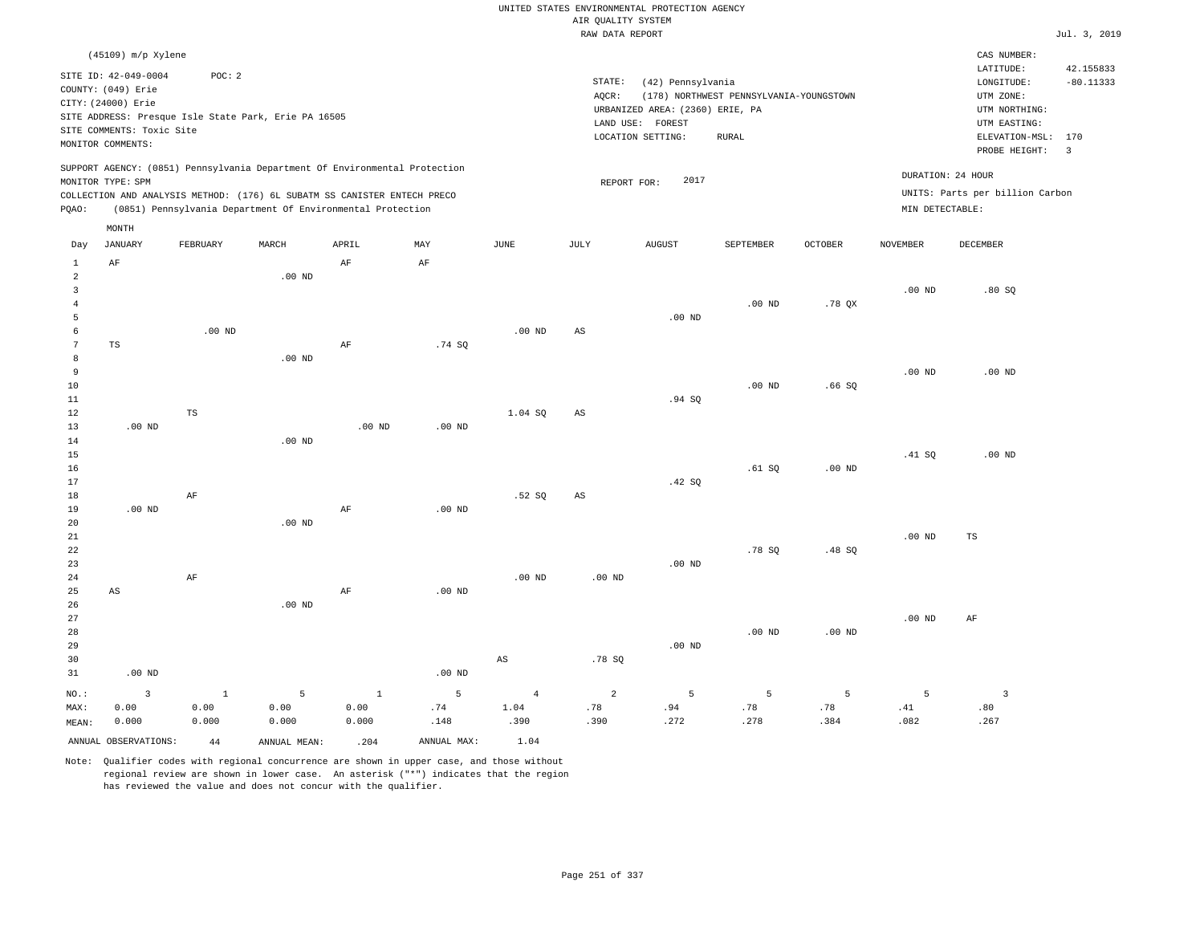| Jul. | 3. 2019 |
|------|---------|

|                                |                                                                                                                    |               |                                                                                                                                                                                                                      |               |                   |                   | TOTAL DITTLE TOPS OFFER |                                                                                               |                                                  |                   |                                      |                                                                                                              | $0.421$ , $0.721$                                   |
|--------------------------------|--------------------------------------------------------------------------------------------------------------------|---------------|----------------------------------------------------------------------------------------------------------------------------------------------------------------------------------------------------------------------|---------------|-------------------|-------------------|-------------------------|-----------------------------------------------------------------------------------------------|--------------------------------------------------|-------------------|--------------------------------------|--------------------------------------------------------------------------------------------------------------|-----------------------------------------------------|
|                                | (45109) m/p Xylene                                                                                                 |               |                                                                                                                                                                                                                      |               |                   |                   |                         |                                                                                               |                                                  |                   |                                      | CAS NUMBER:                                                                                                  |                                                     |
|                                | SITE ID: 42-049-0004<br>COUNTY: (049) Erie<br>CITY: (24000) Erie<br>SITE COMMENTS: Toxic Site<br>MONITOR COMMENTS: | POC: 2        | SITE ADDRESS: Presque Isle State Park, Erie PA 16505                                                                                                                                                                 |               |                   |                   | STATE:<br>AQCR:         | (42) Pennsylvania<br>URBANIZED AREA: (2360) ERIE, PA<br>LAND USE: FOREST<br>LOCATION SETTING: | (178) NORTHWEST PENNSYLVANIA-YOUNGSTOWN<br>RURAL |                   |                                      | LATITUDE:<br>LONGITUDE:<br>UTM ZONE:<br>UTM NORTHING:<br>UTM EASTING:<br>ELEVATION-MSL: 170<br>PROBE HEIGHT: | 42.155833<br>$-80.11333$<br>$\overline{\mathbf{3}}$ |
| PQAO:                          | MONITOR TYPE: SPM                                                                                                  |               | SUPPORT AGENCY: (0851) Pennsylvania Department Of Environmental Protection<br>COLLECTION AND ANALYSIS METHOD: (176) 6L SUBATM SS CANISTER ENTECH PRECO<br>(0851) Pennsylvania Department Of Environmental Protection |               |                   |                   | REPORT FOR:             | 2017                                                                                          |                                                  |                   | DURATION: 24 HOUR<br>MIN DETECTABLE: | UNITS: Parts per billion Carbon                                                                              |                                                     |
|                                | MONTH                                                                                                              |               |                                                                                                                                                                                                                      |               |                   |                   |                         |                                                                                               |                                                  |                   |                                      |                                                                                                              |                                                     |
| Day                            | <b>JANUARY</b>                                                                                                     | FEBRUARY      | MARCH                                                                                                                                                                                                                | APRIL         | MAY               | JUNE              | JULY                    | <b>AUGUST</b>                                                                                 | SEPTEMBER                                        | <b>OCTOBER</b>    | <b>NOVEMBER</b>                      | DECEMBER                                                                                                     |                                                     |
| $\mathbf{1}$<br>$\overline{a}$ | AF                                                                                                                 |               | $.00$ ND                                                                                                                                                                                                             | AF            | AF                |                   |                         |                                                                                               |                                                  |                   |                                      |                                                                                                              |                                                     |
| 3<br>$\overline{4}$<br>5       |                                                                                                                    |               |                                                                                                                                                                                                                      |               |                   |                   |                         | $.00$ ND                                                                                      | $.00$ ND                                         | $.78$ QX          | $.00$ ND                             | .80S                                                                                                         |                                                     |
| 6<br>7                         | $_{\rm TS}$                                                                                                        | $.00$ ND      |                                                                                                                                                                                                                      | $\rm AF$      | .74 SQ            | .00 <sub>ND</sub> | $_{\rm AS}$             |                                                                                               |                                                  |                   |                                      |                                                                                                              |                                                     |
| 8<br>9<br>10                   |                                                                                                                    |               | .00 <sub>ND</sub>                                                                                                                                                                                                    |               |                   |                   |                         |                                                                                               | $.00$ ND                                         | .66S              | $.00$ ND                             | $.00$ ND                                                                                                     |                                                     |
| 11<br>12<br>13                 | $.00$ ND                                                                                                           | $\mathbb{TS}$ |                                                                                                                                                                                                                      | $.00$ ND      | .00 <sub>ND</sub> | $1.04$ SQ         | $\mathbb{A}\mathbb{S}$  | .94SQ                                                                                         |                                                  |                   |                                      |                                                                                                              |                                                     |
| 14<br>15                       |                                                                                                                    |               | $.00$ ND                                                                                                                                                                                                             |               |                   |                   |                         |                                                                                               |                                                  |                   | .41 SQ                               | $.00$ ND                                                                                                     |                                                     |
| 16<br>17<br>18                 |                                                                                                                    | AF            |                                                                                                                                                                                                                      |               |                   | .52SQ             | $_{\rm AS}$             | .42 SQ                                                                                        | .61 SQ                                           | .00 <sub>ND</sub> |                                      |                                                                                                              |                                                     |
| 19<br>20<br>21                 | $.00$ ND                                                                                                           |               | $.00$ ND                                                                                                                                                                                                             | AF            | $.00$ ND          |                   |                         |                                                                                               |                                                  |                   | .00 <sub>ND</sub>                    | TS                                                                                                           |                                                     |
| 22<br>23                       |                                                                                                                    |               |                                                                                                                                                                                                                      |               |                   |                   |                         | $.00$ ND                                                                                      | .78S                                             | .48SQ             |                                      |                                                                                                              |                                                     |
| 24<br>25<br>26                 | $_{\rm AS}$                                                                                                        | $\rm AF$      | $.00$ ND                                                                                                                                                                                                             | $\rm AF$      | $.00$ ND          | .00 <sub>ND</sub> | .00 <sub>ND</sub>       |                                                                                               |                                                  |                   |                                      |                                                                                                              |                                                     |
| 27<br>28<br>29                 |                                                                                                                    |               |                                                                                                                                                                                                                      |               |                   |                   |                         | $.00$ ND                                                                                      | $.00$ ND                                         | .00 <sub>ND</sub> | $.00$ ND                             | AF                                                                                                           |                                                     |
| 30<br>31                       | $.00$ ND                                                                                                           |               |                                                                                                                                                                                                                      |               | $.00$ ND          | AS                | .78S                    |                                                                                               |                                                  |                   |                                      |                                                                                                              |                                                     |
| NO.:                           | $\overline{3}$                                                                                                     | $\mathbf{1}$  | 5                                                                                                                                                                                                                    | <sup>1</sup>  | 5                 | $\overline{4}$    | 2                       | 5                                                                                             | 5                                                | 5                 | 5                                    | $\overline{3}$                                                                                               |                                                     |
| MAX:<br>MEAN:                  | 0.00<br>0.000                                                                                                      | 0.00<br>0.000 | 0.00<br>0.000                                                                                                                                                                                                        | 0.00<br>0.000 | .74<br>.148       | 1.04<br>.390      | .78<br>.390             | .94<br>.272                                                                                   | .78<br>.278                                      | .78<br>.384       | .41<br>.082                          | .80<br>.267                                                                                                  |                                                     |
|                                | ANNUAL OBSERVATIONS:                                                                                               | 44            | ANNUAL MEAN:                                                                                                                                                                                                         | .204          | ANNUAL MAX:       | 1.04              |                         |                                                                                               |                                                  |                   |                                      |                                                                                                              |                                                     |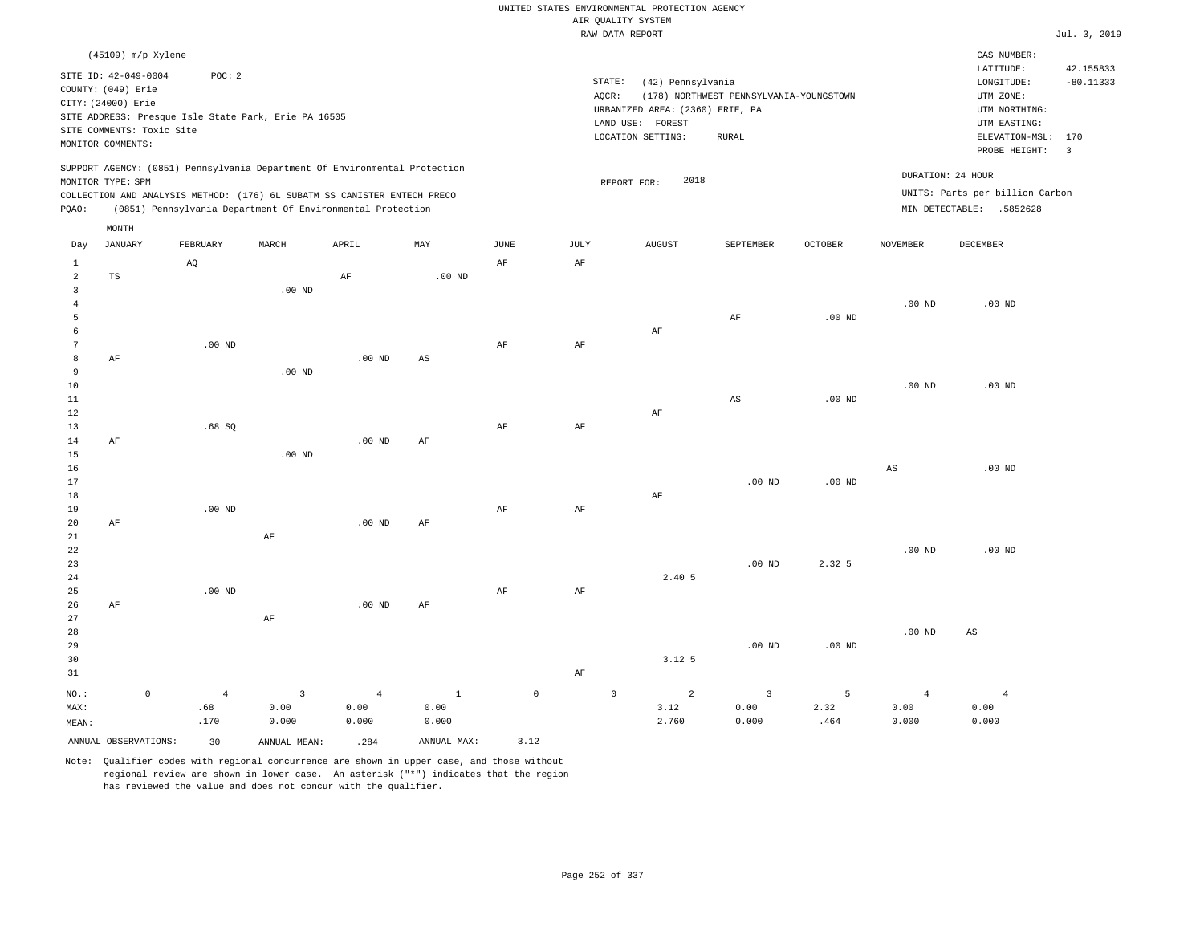|                                             |                                                                                                                    |                                                                |                    |                                                                                                                                                                                                                      |                               |                     |                 | UNITED STATES ENVIRONMENTAL PROTECTION AGENCY<br>AIR QUALITY SYSTEM<br>RAW DATA REPORT        |                                                         |                   |                                 |                                                                                                          | Jul. 3, 2019                                               |
|---------------------------------------------|--------------------------------------------------------------------------------------------------------------------|----------------------------------------------------------------|--------------------|----------------------------------------------------------------------------------------------------------------------------------------------------------------------------------------------------------------------|-------------------------------|---------------------|-----------------|-----------------------------------------------------------------------------------------------|---------------------------------------------------------|-------------------|---------------------------------|----------------------------------------------------------------------------------------------------------|------------------------------------------------------------|
|                                             | (45109) m/p Xylene                                                                                                 |                                                                |                    |                                                                                                                                                                                                                      |                               |                     |                 |                                                                                               |                                                         |                   |                                 | CAS NUMBER:                                                                                              |                                                            |
|                                             | SITE ID: 42-049-0004<br>COUNTY: (049) Erie<br>CITY: (24000) Erie<br>SITE COMMENTS: Toxic Site<br>MONITOR COMMENTS: | POC: 2<br>SITE ADDRESS: Presque Isle State Park, Erie PA 16505 |                    |                                                                                                                                                                                                                      |                               |                     | STATE:<br>AQCR: | (42) Pennsylvania<br>URBANIZED AREA: (2360) ERIE, PA<br>LAND USE: FOREST<br>LOCATION SETTING: | (178) NORTHWEST PENNSYLVANIA-YOUNGSTOWN<br><b>RURAL</b> |                   |                                 | LATITUDE:<br>LONGITUDE:<br>UTM ZONE:<br>UTM NORTHING:<br>UTM EASTING:<br>ELEVATION-MSL:<br>PROBE HEIGHT: | 42.155833<br>$-80.11333$<br>170<br>$\overline{\mathbf{3}}$ |
| PQAO:                                       | MONITOR TYPE: SPM                                                                                                  |                                                                |                    | SUPPORT AGENCY: (0851) Pennsylvania Department Of Environmental Protection<br>COLLECTION AND ANALYSIS METHOD: (176) 6L SUBATM SS CANISTER ENTECH PRECO<br>(0851) Pennsylvania Department Of Environmental Protection |                               |                     |                 | 2018<br>REPORT FOR:                                                                           |                                                         |                   | DURATION: 24 HOUR               | UNITS: Parts per billion Carbon<br>MIN DETECTABLE: .5852628                                              |                                                            |
| Day                                         | MONTH<br>JANUARY                                                                                                   | FEBRUARY                                                       | MARCH              | APRIL                                                                                                                                                                                                                | MAY                           | JUNE                | JULY            | <b>AUGUST</b>                                                                                 | SEPTEMBER                                               | <b>OCTOBER</b>    | <b>NOVEMBER</b>                 | DECEMBER                                                                                                 |                                                            |
| $\mathbf{1}$<br>$\overline{a}$              | $_{\rm TS}$                                                                                                        | AQ                                                             |                    | AF                                                                                                                                                                                                                   | $.00$ ND                      | AF                  | AF              |                                                                                               |                                                         |                   |                                 |                                                                                                          |                                                            |
| $\overline{3}$<br>$\,4$<br>5<br>6           |                                                                                                                    |                                                                | $.00$ ND           |                                                                                                                                                                                                                      |                               |                     |                 | AF                                                                                            | $\rm AF$                                                | $.00$ ND          | .00 <sub>ND</sub>               | $.00$ ND                                                                                                 |                                                            |
| $\overline{7}$<br>8<br>$\overline{9}$<br>10 | AF                                                                                                                 | $.00$ ND                                                       | .00 <sub>ND</sub>  | $.00$ ND                                                                                                                                                                                                             | $\mathbb{A}\mathbb{S}$        | AF                  | AF              |                                                                                               |                                                         |                   | .00 <sub>ND</sub>               | $.00$ ND                                                                                                 |                                                            |
| 11<br>12<br>13                              |                                                                                                                    | .68SQ                                                          |                    |                                                                                                                                                                                                                      |                               | AF                  | AF              | AF                                                                                            | $\mathbb{A}\mathbb{S}$                                  | .00 <sub>ND</sub> |                                 |                                                                                                          |                                                            |
| 14<br>15<br>16<br>17                        | AF                                                                                                                 |                                                                | .00 <sub>ND</sub>  | $.00$ ND                                                                                                                                                                                                             | AF                            |                     |                 |                                                                                               | $.00$ ND                                                | $.00$ ND          | AS                              | .00 <sub>ND</sub>                                                                                        |                                                            |
| 18<br>19<br>20<br>21                        | AF                                                                                                                 | .00 <sub>ND</sub>                                              | AF                 | $.00$ ND                                                                                                                                                                                                             | AF                            | $\rm{AF}$           | AF              | AF                                                                                            |                                                         |                   |                                 |                                                                                                          |                                                            |
| 22<br>23<br>24<br>25                        |                                                                                                                    | .00 <sub>ND</sub>                                              |                    |                                                                                                                                                                                                                      |                               | AF                  | AF              | 2.40 5                                                                                        | $.00$ ND                                                | 2.32 5            | $.00$ ND                        | .00 <sub>ND</sub>                                                                                        |                                                            |
| 26<br>27<br>28<br>29<br>30                  | AF                                                                                                                 |                                                                | AF                 | $.00$ ND                                                                                                                                                                                                             | AF                            |                     |                 | 3.12.5                                                                                        | .00 <sub>ND</sub>                                       | .00 <sub>ND</sub> | $.00$ ND                        | AS                                                                                                       |                                                            |
| 31<br>NO.:<br>MAX:<br>MEAN:                 | $\mathbb O$                                                                                                        | $\overline{4}$<br>.68<br>.170                                  | 3<br>0.00<br>0.000 | $\overline{4}$<br>0.00<br>0.000                                                                                                                                                                                      | $\mathbf{1}$<br>0.00<br>0.000 | $\mathsf{O}\xspace$ | AF              | $\mathbb O$<br>$\overline{a}$<br>3.12<br>2.760                                                | $\overline{3}$<br>0.00<br>0.000                         | 5<br>2.32<br>.464 | $\overline{4}$<br>0.00<br>0.000 | $\overline{4}$<br>0.00<br>0.000                                                                          |                                                            |
|                                             | ANNUAL OBSERVATIONS:                                                                                               | 30                                                             | ANNUAL MEAN:       | .284                                                                                                                                                                                                                 | ANNUAL MAX:                   | 3.12                |                 |                                                                                               |                                                         |                   |                                 |                                                                                                          |                                                            |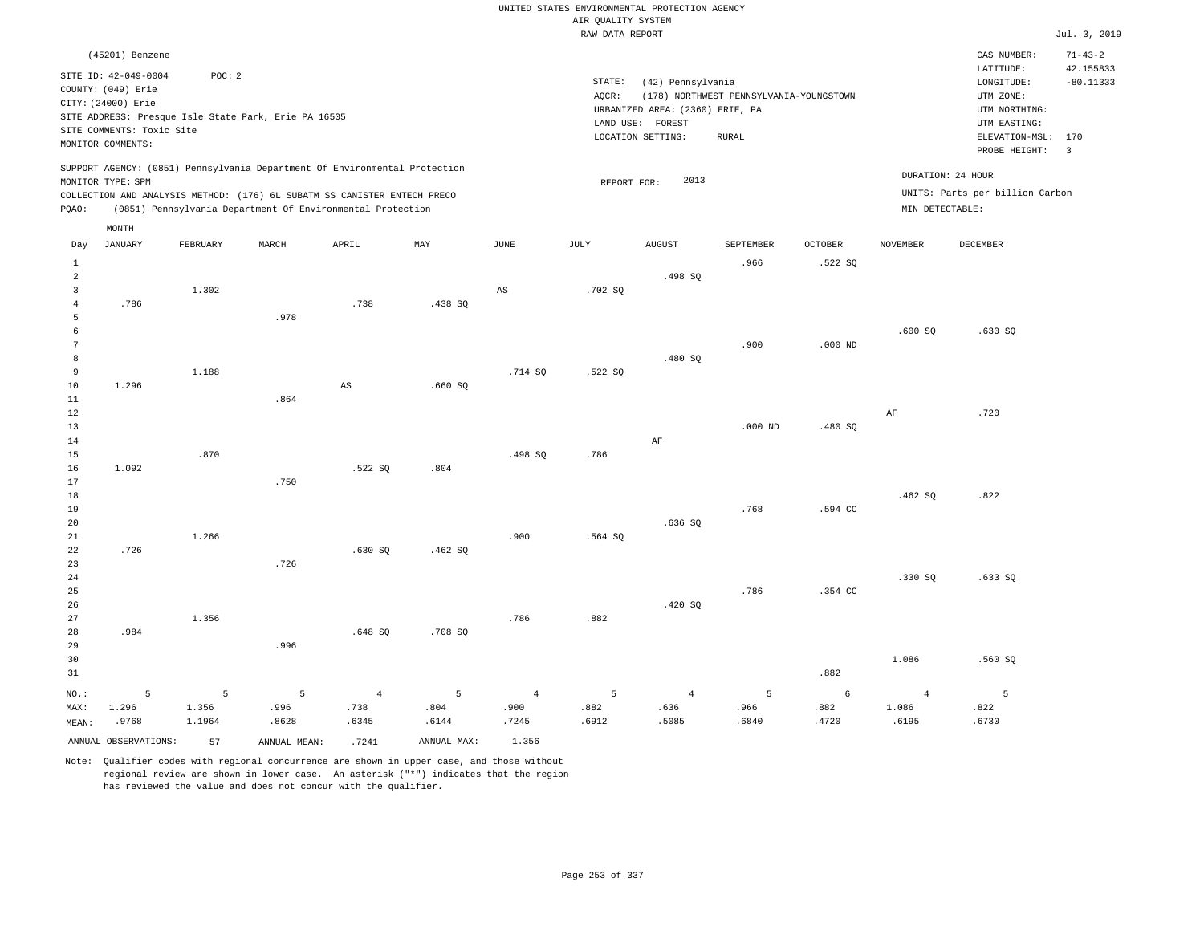|                |                           |          |                                                                            |                |             |                | RAW DATA REPORT |                                 |                                         |                |                 |                                 | Jul. 3, 2019   |
|----------------|---------------------------|----------|----------------------------------------------------------------------------|----------------|-------------|----------------|-----------------|---------------------------------|-----------------------------------------|----------------|-----------------|---------------------------------|----------------|
|                | (45201) Benzene           |          |                                                                            |                |             |                |                 |                                 |                                         |                |                 | CAS NUMBER:                     | $71 - 43 - 2$  |
|                |                           |          |                                                                            |                |             |                |                 |                                 |                                         |                |                 | LATITUDE:                       | 42.155833      |
|                | SITE ID: 42-049-0004      | POC: 2   |                                                                            |                |             |                | STATE:          | (42) Pennsylvania               |                                         |                |                 | LONGITUDE:                      | $-80.11333$    |
|                | COUNTY: (049) Erie        |          |                                                                            |                |             |                | AQCR:           |                                 | (178) NORTHWEST PENNSYLVANIA-YOUNGSTOWN |                |                 | UTM ZONE:                       |                |
|                | CITY: (24000) Erie        |          |                                                                            |                |             |                |                 | URBANIZED AREA: (2360) ERIE, PA |                                         |                |                 | UTM NORTHING:                   |                |
|                |                           |          | SITE ADDRESS: Presque Isle State Park, Erie PA 16505                       |                |             |                |                 | LAND USE: FOREST                |                                         |                |                 | UTM EASTING:                    |                |
|                | SITE COMMENTS: Toxic Site |          |                                                                            |                |             |                |                 | LOCATION SETTING:               | ${\tt RURAL}$                           |                |                 | ELEVATION-MSL: 170              |                |
|                | MONITOR COMMENTS:         |          |                                                                            |                |             |                |                 |                                 |                                         |                |                 | PROBE HEIGHT:                   | $\overline{3}$ |
|                |                           |          | SUPPORT AGENCY: (0851) Pennsylvania Department Of Environmental Protection |                |             |                |                 |                                 |                                         |                |                 |                                 |                |
|                | MONITOR TYPE: SPM         |          |                                                                            |                |             |                | REPORT FOR:     | 2013                            |                                         |                |                 | DURATION: 24 HOUR               |                |
|                |                           |          | COLLECTION AND ANALYSIS METHOD: (176) 6L SUBATM SS CANISTER ENTECH PRECO   |                |             |                |                 |                                 |                                         |                |                 | UNITS: Parts per billion Carbon |                |
| PQAO:          |                           |          | (0851) Pennsylvania Department Of Environmental Protection                 |                |             |                |                 |                                 |                                         |                | MIN DETECTABLE: |                                 |                |
|                | MONTH                     |          |                                                                            |                |             |                |                 |                                 |                                         |                |                 |                                 |                |
| Day            | <b>JANUARY</b>            | FEBRUARY | MARCH                                                                      | APRIL          | MAY         | <b>JUNE</b>    | JULY            | <b>AUGUST</b>                   | SEPTEMBER                               | <b>OCTOBER</b> | <b>NOVEMBER</b> | <b>DECEMBER</b>                 |                |
| $\mathbf{1}$   |                           |          |                                                                            |                |             |                |                 |                                 | .966                                    | .522S          |                 |                                 |                |
| $\overline{a}$ |                           |          |                                                                            |                |             |                |                 | .498 SQ                         |                                         |                |                 |                                 |                |
| 3              |                           | 1.302    |                                                                            |                |             | AS             | .702 SQ         |                                 |                                         |                |                 |                                 |                |
| $\bf 4$        | .786                      |          |                                                                            | .738           | .438 SQ     |                |                 |                                 |                                         |                |                 |                                 |                |
| 5              |                           |          | .978                                                                       |                |             |                |                 |                                 |                                         |                |                 |                                 |                |
| 6              |                           |          |                                                                            |                |             |                |                 |                                 |                                         |                | .600S           | .630S                           |                |
| $\overline{7}$ |                           |          |                                                                            |                |             |                |                 |                                 | .900                                    | $.000$ ND      |                 |                                 |                |
| 8              |                           |          |                                                                            |                |             |                |                 | .480 SQ                         |                                         |                |                 |                                 |                |
| 9              |                           | 1.188    |                                                                            |                |             | .714 SO        | .522S           |                                 |                                         |                |                 |                                 |                |
| 10             | 1.296                     |          |                                                                            | AS             | .660SQ      |                |                 |                                 |                                         |                |                 |                                 |                |
| $11\,$         |                           |          | .864                                                                       |                |             |                |                 |                                 |                                         |                |                 |                                 |                |
| 12             |                           |          |                                                                            |                |             |                |                 |                                 |                                         |                | AF              | .720                            |                |
| 13             |                           |          |                                                                            |                |             |                |                 |                                 | $.000$ ND                               | .480SQ         |                 |                                 |                |
| 14             |                           |          |                                                                            |                |             |                |                 | $\rm{AF}$                       |                                         |                |                 |                                 |                |
| 15             |                           | .870     |                                                                            |                |             | .498 SQ        | .786            |                                 |                                         |                |                 |                                 |                |
| 16             | 1.092                     |          |                                                                            | .522S          | .804        |                |                 |                                 |                                         |                |                 |                                 |                |
| 17             |                           |          | .750                                                                       |                |             |                |                 |                                 |                                         |                |                 |                                 |                |
| 18             |                           |          |                                                                            |                |             |                |                 |                                 |                                         |                | .462SQ          | .822                            |                |
| 19             |                           |          |                                                                            |                |             |                |                 |                                 | .768                                    | .594 CC        |                 |                                 |                |
| 20             |                           |          |                                                                            |                |             |                |                 | .636SQ                          |                                         |                |                 |                                 |                |
| 21             |                           | 1.266    |                                                                            |                |             | .900           | .564 SQ         |                                 |                                         |                |                 |                                 |                |
| 22             | .726                      |          |                                                                            | .630S          | .462S       |                |                 |                                 |                                         |                |                 |                                 |                |
| 23             |                           |          | .726                                                                       |                |             |                |                 |                                 |                                         |                |                 |                                 |                |
| 24             |                           |          |                                                                            |                |             |                |                 |                                 |                                         |                | .330 SQ         | .633S                           |                |
| 25             |                           |          |                                                                            |                |             |                |                 |                                 | .786                                    | .354 CC        |                 |                                 |                |
| 26             |                           |          |                                                                            |                |             |                |                 | .420SQ                          |                                         |                |                 |                                 |                |
| 27             |                           | 1.356    |                                                                            |                |             | .786           | .882            |                                 |                                         |                |                 |                                 |                |
| 28             | .984                      |          |                                                                            | .648 SO        | .708 SO     |                |                 |                                 |                                         |                |                 |                                 |                |
| 29             |                           |          | .996                                                                       |                |             |                |                 |                                 |                                         |                |                 |                                 |                |
| 30             |                           |          |                                                                            |                |             |                |                 |                                 |                                         |                | 1.086           | .560 SQ                         |                |
| 31             |                           |          |                                                                            |                |             |                |                 |                                 |                                         | .882           |                 |                                 |                |
| NO.:           | 5                         | 5        | 5                                                                          | $\overline{4}$ | 5           | $\overline{4}$ | 5               | $\overline{4}$                  | 5                                       | 6              | $\overline{4}$  | 5                               |                |
| MAX:           | 1.296                     | 1.356    | .996                                                                       | .738           | .804        | .900           | .882            | .636                            | .966                                    | .882           | 1.086           | .822                            |                |
| MEAN:          | .9768                     | 1.1964   | .8628                                                                      | .6345          | .6144       | .7245          | .6912           | .5085                           | .6840                                   | .4720          | .6195           | .6730                           |                |
|                | ANNUAL OBSERVATIONS:      | 57       | ANNUAL MEAN:                                                               | .7241          | ANNUAL MAX: | 1.356          |                 |                                 |                                         |                |                 |                                 |                |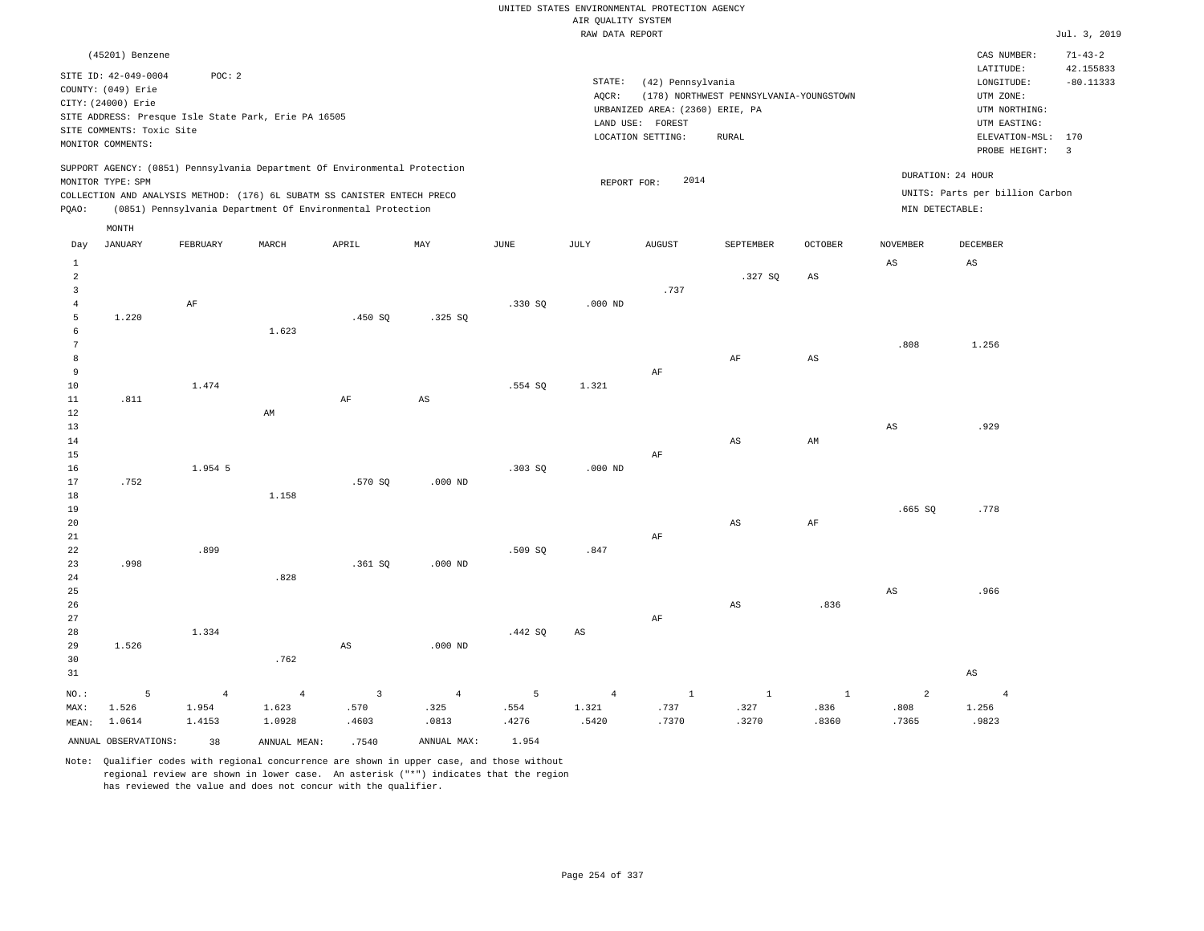|                 | (45201) Benzene           |                |                                                                            |                        |                        |         |                        |                                 |                                         |                |                        | CAS NUMBER:<br>LATITUDE:        | $71 - 43 - 2$<br>42.155833 |
|-----------------|---------------------------|----------------|----------------------------------------------------------------------------|------------------------|------------------------|---------|------------------------|---------------------------------|-----------------------------------------|----------------|------------------------|---------------------------------|----------------------------|
|                 | SITE ID: 42-049-0004      | POC: 2         |                                                                            |                        |                        |         | STATE:                 | (42) Pennsylvania               |                                         |                |                        | LONGITUDE:                      | $-80.11333$                |
|                 | COUNTY: (049) Erie        |                |                                                                            |                        |                        |         | AQCR:                  |                                 | (178) NORTHWEST PENNSYLVANIA-YOUNGSTOWN |                |                        | UTM ZONE:                       |                            |
|                 | CITY: (24000) Erie        |                |                                                                            |                        |                        |         |                        | URBANIZED AREA: (2360) ERIE, PA |                                         |                |                        | UTM NORTHING:                   |                            |
|                 |                           |                | SITE ADDRESS: Presque Isle State Park, Erie PA 16505                       |                        |                        |         |                        | LAND USE: FOREST                |                                         |                |                        | UTM EASTING:                    |                            |
|                 | SITE COMMENTS: Toxic Site |                |                                                                            |                        |                        |         |                        | LOCATION SETTING:               | <b>RURAL</b>                            |                |                        | ELEVATION-MSL: 170              |                            |
|                 | MONITOR COMMENTS:         |                |                                                                            |                        |                        |         |                        |                                 |                                         |                |                        | PROBE HEIGHT:                   | $\overline{3}$             |
|                 | MONITOR TYPE: SPM         |                | SUPPORT AGENCY: (0851) Pennsylvania Department Of Environmental Protection |                        |                        |         | REPORT FOR:            | 2014                            |                                         |                | DURATION: 24 HOUR      |                                 |                            |
|                 |                           |                | COLLECTION AND ANALYSIS METHOD: (176) 6L SUBATM SS CANISTER ENTECH PRECO   |                        |                        |         |                        |                                 |                                         |                |                        | UNITS: Parts per billion Carbon |                            |
| PQAO:           |                           |                | (0851) Pennsylvania Department Of Environmental Protection                 |                        |                        |         |                        |                                 |                                         |                | MIN DETECTABLE:        |                                 |                            |
|                 | MONTH                     |                |                                                                            |                        |                        |         |                        |                                 |                                         |                |                        |                                 |                            |
| Day             | JANUARY                   | FEBRUARY       | MARCH                                                                      | APRIL                  | MAY                    | JUNE    | JULY                   | <b>AUGUST</b>                   | SEPTEMBER                               | <b>OCTOBER</b> | <b>NOVEMBER</b>        | <b>DECEMBER</b>                 |                            |
| $\mathbf{1}$    |                           |                |                                                                            |                        |                        |         |                        |                                 |                                         |                | $_{\rm AS}$            | $\mathbb{A}\mathbb{S}$          |                            |
| $\overline{a}$  |                           |                |                                                                            |                        |                        |         |                        |                                 | .327S                                   | AS             |                        |                                 |                            |
| $\overline{3}$  |                           |                |                                                                            |                        |                        |         |                        | .737                            |                                         |                |                        |                                 |                            |
| $\overline{4}$  |                           | AF             |                                                                            |                        |                        | .330SQ  | $.000$ ND              |                                 |                                         |                |                        |                                 |                            |
| 5               | 1.220                     |                |                                                                            | .450SQ                 | .325 SQ                |         |                        |                                 |                                         |                |                        |                                 |                            |
| 6               |                           |                | 1.623                                                                      |                        |                        |         |                        |                                 |                                         |                |                        |                                 |                            |
| $7\phantom{.0}$ |                           |                |                                                                            |                        |                        |         |                        |                                 |                                         |                | .808                   | 1.256                           |                            |
| 8               |                           |                |                                                                            |                        |                        |         |                        |                                 | AF                                      | $_{\rm AS}$    |                        |                                 |                            |
| 9               |                           |                |                                                                            |                        |                        |         |                        | AF                              |                                         |                |                        |                                 |                            |
| $10$            |                           | 1.474          |                                                                            |                        |                        | .554 SQ | 1.321                  |                                 |                                         |                |                        |                                 |                            |
| $11\,$          | .811                      |                |                                                                            | $\rm AF$               | $\mathbb{A}\mathbb{S}$ |         |                        |                                 |                                         |                |                        |                                 |                            |
| 12              |                           |                | AM                                                                         |                        |                        |         |                        |                                 |                                         |                |                        |                                 |                            |
| 13              |                           |                |                                                                            |                        |                        |         |                        |                                 |                                         |                | $\mathbb{A}\mathbb{S}$ | .929                            |                            |
| 14              |                           |                |                                                                            |                        |                        |         |                        |                                 | $\mathbb{A}\mathbb{S}$                  | AM             |                        |                                 |                            |
| 15              |                           |                |                                                                            |                        |                        |         |                        | AF                              |                                         |                |                        |                                 |                            |
| 16              |                           | 1.954 5        |                                                                            |                        |                        | .303SQ  | $.000$ ND              |                                 |                                         |                |                        |                                 |                            |
| 17              | .752                      |                |                                                                            | .570 SQ                | $.000$ ND              |         |                        |                                 |                                         |                |                        |                                 |                            |
| 18              |                           |                | 1.158                                                                      |                        |                        |         |                        |                                 |                                         |                |                        |                                 |                            |
| 19              |                           |                |                                                                            |                        |                        |         |                        |                                 | $\mathbb{A}\mathbb{S}$                  |                | .665SQ                 | .778                            |                            |
| 20<br>21        |                           |                |                                                                            |                        |                        |         |                        | AF                              |                                         | $\rm{AF}$      |                        |                                 |                            |
| 22              |                           | .899           |                                                                            |                        |                        | .509 SO | .847                   |                                 |                                         |                |                        |                                 |                            |
| 23              | .998                      |                |                                                                            | .361SQ                 | $.000$ ND              |         |                        |                                 |                                         |                |                        |                                 |                            |
| 24              |                           |                | .828                                                                       |                        |                        |         |                        |                                 |                                         |                |                        |                                 |                            |
| 25              |                           |                |                                                                            |                        |                        |         |                        |                                 |                                         |                | $\mathbb{A}\mathbb{S}$ | .966                            |                            |
| 26              |                           |                |                                                                            |                        |                        |         |                        |                                 | AS                                      | .836           |                        |                                 |                            |
| 27              |                           |                |                                                                            |                        |                        |         |                        | AF                              |                                         |                |                        |                                 |                            |
| 28              |                           | 1.334          |                                                                            |                        |                        | .442 SQ | $\mathbb{A}\mathbb{S}$ |                                 |                                         |                |                        |                                 |                            |
| 29              | 1.526                     |                |                                                                            | $\mathbb{A}\mathbb{S}$ | $.000$ ND              |         |                        |                                 |                                         |                |                        |                                 |                            |
| 30              |                           |                | .762                                                                       |                        |                        |         |                        |                                 |                                         |                |                        |                                 |                            |
| 31              |                           |                |                                                                            |                        |                        |         |                        |                                 |                                         |                |                        | AS                              |                            |
| NO.:            | 5                         | $\overline{4}$ | $\overline{4}$                                                             | $\overline{3}$         | $\overline{4}$         | 5       | $\overline{4}$         | $\mathbf{1}$                    | $\mathbf{1}$                            | $\,$ 1         | $\overline{a}$         | $\overline{4}$                  |                            |
| MAX:            | 1.526                     | 1.954          | 1.623                                                                      | .570                   | .325                   | .554    | 1.321                  | .737                            | .327                                    | .836           | .808                   | 1.256                           |                            |
|                 |                           |                |                                                                            |                        |                        |         |                        |                                 |                                         |                |                        |                                 |                            |
| MEAN:           | 1.0614                    | 1.4153         | 1.0928                                                                     | .4603                  | .0813                  | .4276   | .5420                  | .7370                           | .3270                                   | .8360          | .7365                  | .9823                           |                            |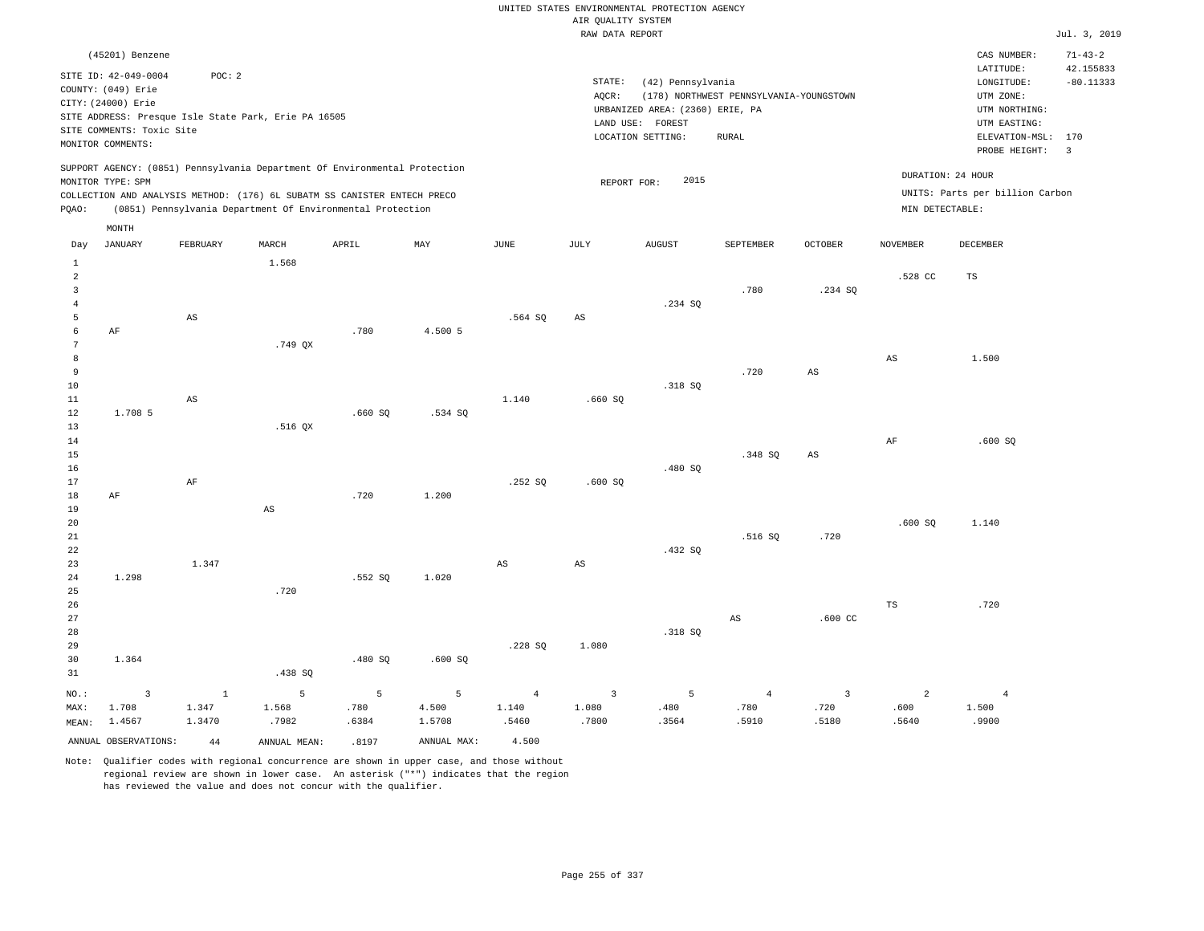|                | (45201) Benzene                                |              |                                                                            |         |             |                |                         |                                 |                                         |                |                   | CAS NUMBER:<br>LATITUDE:        | $71 - 43 - 2$<br>42.155833 |
|----------------|------------------------------------------------|--------------|----------------------------------------------------------------------------|---------|-------------|----------------|-------------------------|---------------------------------|-----------------------------------------|----------------|-------------------|---------------------------------|----------------------------|
|                | SITE ID: 42-049-0004<br>COUNTY: (049) Erie     | POC: 2       |                                                                            |         |             |                | STATE:<br>AQCR:         | (42) Pennsylvania               | (178) NORTHWEST PENNSYLVANIA-YOUNGSTOWN |                |                   | LONGITUDE:<br>UTM ZONE:         | $-80.11333$                |
|                | CITY: (24000) Erie                             |              |                                                                            |         |             |                |                         | URBANIZED AREA: (2360) ERIE, PA |                                         |                |                   | UTM NORTHING:                   |                            |
|                |                                                |              | SITE ADDRESS: Presque Isle State Park, Erie PA 16505                       |         |             |                |                         | LAND USE: FOREST                |                                         |                |                   | UTM EASTING:                    |                            |
|                | SITE COMMENTS: Toxic Site<br>MONITOR COMMENTS: |              |                                                                            |         |             |                |                         | LOCATION SETTING:               | <b>RURAL</b>                            |                |                   | ELEVATION-MSL:                  | 170                        |
|                |                                                |              |                                                                            |         |             |                |                         |                                 |                                         |                |                   | PROBE HEIGHT:                   | $\overline{\mathbf{3}}$    |
|                | MONITOR TYPE: SPM                              |              | SUPPORT AGENCY: (0851) Pennsylvania Department Of Environmental Protection |         |             |                | REPORT FOR:             | 2015                            |                                         |                | DURATION: 24 HOUR |                                 |                            |
|                |                                                |              | COLLECTION AND ANALYSIS METHOD: (176) 6L SUBATM SS CANISTER ENTECH PRECO   |         |             |                |                         |                                 |                                         |                |                   | UNITS: Parts per billion Carbon |                            |
| PQAO:          |                                                |              | (0851) Pennsylvania Department Of Environmental Protection                 |         |             |                |                         |                                 |                                         |                | MIN DETECTABLE:   |                                 |                            |
|                | MONTH                                          |              |                                                                            |         |             |                |                         |                                 |                                         |                |                   |                                 |                            |
| Day            | <b>JANUARY</b>                                 | FEBRUARY     | MARCH                                                                      | APRIL   | MAY         | JUNE           | JULY                    | <b>AUGUST</b>                   | <b>SEPTEMBER</b>                        | <b>OCTOBER</b> | <b>NOVEMBER</b>   | DECEMBER                        |                            |
| $\mathbf{1}$   |                                                |              | 1.568                                                                      |         |             |                |                         |                                 |                                         |                |                   |                                 |                            |
| $\overline{a}$ |                                                |              |                                                                            |         |             |                |                         |                                 |                                         |                | .528 CC           | <b>TS</b>                       |                            |
| 3              |                                                |              |                                                                            |         |             |                |                         |                                 | .780                                    | .234 SQ        |                   |                                 |                            |
| $\overline{4}$ |                                                |              |                                                                            |         |             |                |                         | .234 SO                         |                                         |                |                   |                                 |                            |
| 5              |                                                | $_{\rm AS}$  |                                                                            |         |             | .564 SO        | AS                      |                                 |                                         |                |                   |                                 |                            |
| 6              | AF                                             |              |                                                                            | .780    | 4.500 5     |                |                         |                                 |                                         |                |                   |                                 |                            |
| 7              |                                                |              | .749 QX                                                                    |         |             |                |                         |                                 |                                         |                |                   |                                 |                            |
| 8              |                                                |              |                                                                            |         |             |                |                         |                                 |                                         |                | $_{\rm AS}$       | 1,500                           |                            |
| 9              |                                                |              |                                                                            |         |             |                |                         |                                 | .720                                    | $_{\rm AS}$    |                   |                                 |                            |
| 10             |                                                |              |                                                                            |         |             |                |                         | .318 SQ                         |                                         |                |                   |                                 |                            |
| $11\,$         |                                                | AS           |                                                                            |         |             | 1.140          | .660SQ                  |                                 |                                         |                |                   |                                 |                            |
| 12             | 1.708 5                                        |              |                                                                            | .660SQ  | .534 SQ     |                |                         |                                 |                                         |                |                   |                                 |                            |
| 13             |                                                |              | $.516$ QX                                                                  |         |             |                |                         |                                 |                                         |                |                   |                                 |                            |
| 14             |                                                |              |                                                                            |         |             |                |                         |                                 |                                         |                | $\rm{AF}$         | .600SQ                          |                            |
| 15<br>16       |                                                |              |                                                                            |         |             |                |                         | .480 SQ                         | .348 SQ                                 | $_{\rm AS}$    |                   |                                 |                            |
| 17             |                                                | $\rm AF$     |                                                                            |         |             | .252SQ         | .600SQ                  |                                 |                                         |                |                   |                                 |                            |
| 18             | $\rm AF$                                       |              |                                                                            | .720    | 1.200       |                |                         |                                 |                                         |                |                   |                                 |                            |
| 19             |                                                |              | $\mathbb{A}\mathbb{S}$                                                     |         |             |                |                         |                                 |                                         |                |                   |                                 |                            |
| 20             |                                                |              |                                                                            |         |             |                |                         |                                 |                                         |                | .600SQ            | 1.140                           |                            |
| $2\sqrt{1}$    |                                                |              |                                                                            |         |             |                |                         |                                 | .516S                                   | .720           |                   |                                 |                            |
| 22             |                                                |              |                                                                            |         |             |                |                         | .432 SQ                         |                                         |                |                   |                                 |                            |
| 23             |                                                | 1.347        |                                                                            |         |             | $_{\rm AS}$    | $_{\rm AS}$             |                                 |                                         |                |                   |                                 |                            |
| 24             | 1.298                                          |              |                                                                            | .552 SQ | 1.020       |                |                         |                                 |                                         |                |                   |                                 |                            |
| 25             |                                                |              | .720                                                                       |         |             |                |                         |                                 |                                         |                |                   |                                 |                            |
| 26             |                                                |              |                                                                            |         |             |                |                         |                                 |                                         |                | $_{\rm TS}$       | .720                            |                            |
| 27             |                                                |              |                                                                            |         |             |                |                         |                                 | $_{\rm AS}$                             | $.600$ CC      |                   |                                 |                            |
| 28             |                                                |              |                                                                            |         |             |                |                         | .318 SQ                         |                                         |                |                   |                                 |                            |
| 29             |                                                |              |                                                                            |         |             | .228S          | 1.080                   |                                 |                                         |                |                   |                                 |                            |
| 30             | 1.364                                          |              |                                                                            | .480SQ  | .600 SQ     |                |                         |                                 |                                         |                |                   |                                 |                            |
| 31             |                                                |              | .438 SQ                                                                    |         |             |                |                         |                                 |                                         |                |                   |                                 |                            |
| NO.:           | 3                                              | $\mathbf{1}$ | 5                                                                          | 5       | 5           | $\overline{4}$ | $\overline{\mathbf{3}}$ | 5                               | $\overline{4}$                          | $\overline{3}$ | $\overline{a}$    | $\overline{4}$                  |                            |
| MAX:           | 1.708                                          | 1.347        | 1.568                                                                      | .780    | 4.500       | 1.140          | 1.080                   | .480                            | .780                                    | .720           | .600              | 1.500                           |                            |
| MEAN:          | 1.4567                                         | 1.3470       | .7982                                                                      | .6384   | 1.5708      | .5460          | .7800                   | .3564                           | .5910                                   | .5180          | .5640             | .9900                           |                            |
|                | ANNUAL OBSERVATIONS:                           | 44           | ANNUAL MEAN:                                                               | .8197   | ANNUAL MAX: | 4.500          |                         |                                 |                                         |                |                   |                                 |                            |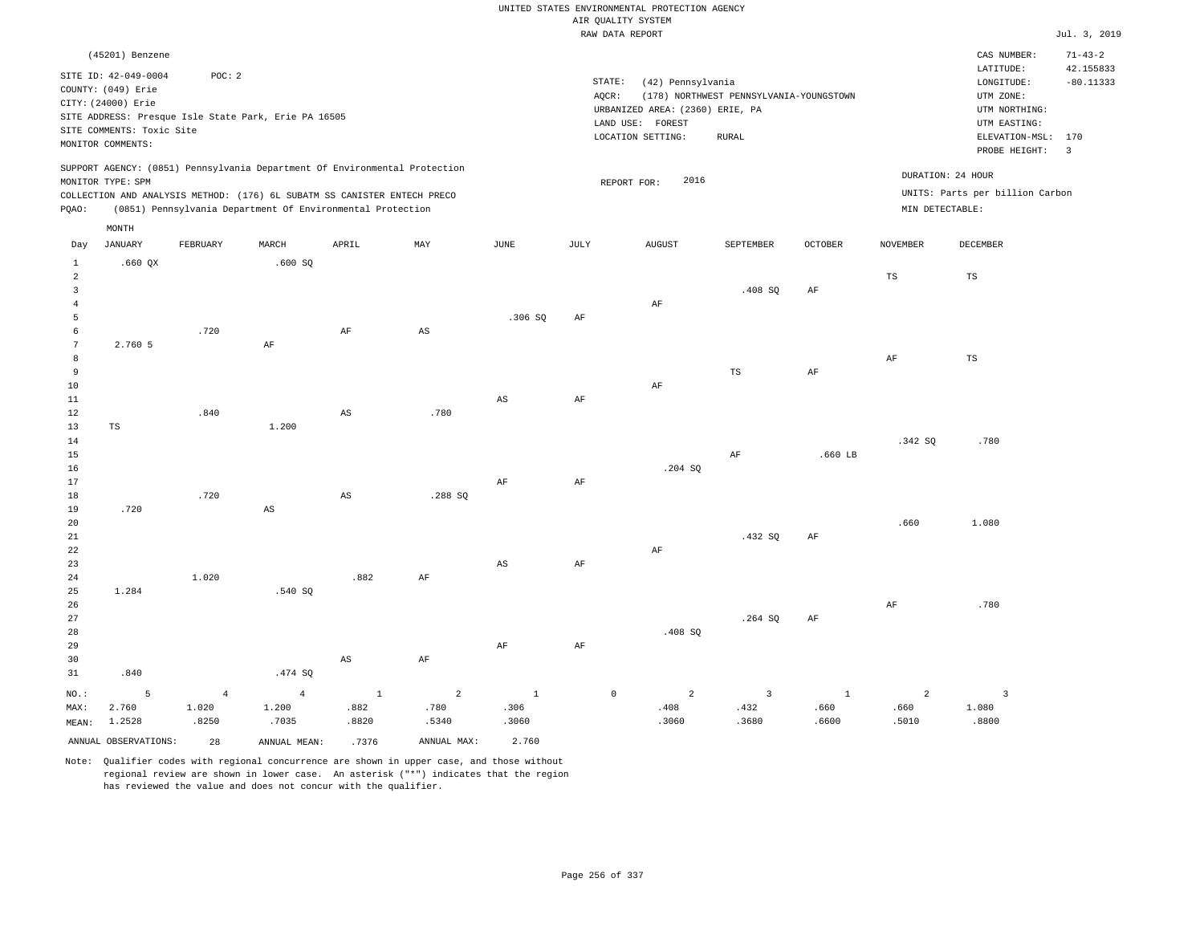|                         |                                          |                |                                                                            |                        |                |                        |             | RAW DATA REPORT                 |                                         |                |                 |                                 | Jul. 3, 2019   |
|-------------------------|------------------------------------------|----------------|----------------------------------------------------------------------------|------------------------|----------------|------------------------|-------------|---------------------------------|-----------------------------------------|----------------|-----------------|---------------------------------|----------------|
|                         | (45201) Benzene                          |                |                                                                            |                        |                |                        |             |                                 |                                         |                |                 | CAS NUMBER:                     | $71 - 43 - 2$  |
|                         |                                          |                |                                                                            |                        |                |                        |             |                                 |                                         |                |                 | LATITUDE:                       | 42.155833      |
|                         | SITE ID: 42-049-0004                     | POC: 2         |                                                                            |                        |                |                        | STATE:      | (42) Pennsylvania               |                                         |                |                 | LONGITUDE:                      | $-80.11333$    |
|                         | COUNTY: (049) Erie<br>CITY: (24000) Erie |                |                                                                            |                        |                |                        | AQCR:       |                                 | (178) NORTHWEST PENNSYLVANIA-YOUNGSTOWN |                |                 | UTM ZONE:                       |                |
|                         |                                          |                | SITE ADDRESS: Presque Isle State Park, Erie PA 16505                       |                        |                |                        |             | URBANIZED AREA: (2360) ERIE, PA |                                         |                |                 | UTM NORTHING:                   |                |
|                         | SITE COMMENTS: Toxic Site                |                |                                                                            |                        |                |                        |             | LAND USE: FOREST                |                                         |                |                 | UTM EASTING:                    |                |
|                         | MONITOR COMMENTS:                        |                |                                                                            |                        |                |                        |             | LOCATION SETTING:               | <b>RURAL</b>                            |                |                 | ELEVATION-MSL: 170              |                |
|                         |                                          |                |                                                                            |                        |                |                        |             |                                 |                                         |                |                 | PROBE HEIGHT:                   | $\overline{3}$ |
|                         |                                          |                | SUPPORT AGENCY: (0851) Pennsylvania Department Of Environmental Protection |                        |                |                        |             |                                 |                                         |                |                 | DURATION: 24 HOUR               |                |
|                         | MONITOR TYPE: SPM                        |                |                                                                            |                        |                |                        |             | 2016<br>REPORT FOR:             |                                         |                |                 |                                 |                |
|                         |                                          |                | COLLECTION AND ANALYSIS METHOD: (176) 6L SUBATM SS CANISTER ENTECH PRECO   |                        |                |                        |             |                                 |                                         |                |                 | UNITS: Parts per billion Carbon |                |
| PQAO:                   |                                          |                | (0851) Pennsylvania Department Of Environmental Protection                 |                        |                |                        |             |                                 |                                         |                | MIN DETECTABLE: |                                 |                |
|                         | MONTH                                    |                |                                                                            |                        |                |                        |             |                                 |                                         |                |                 |                                 |                |
| Day                     | <b>JANUARY</b>                           | FEBRUARY       | MARCH                                                                      | APRIL                  | MAY            | <b>JUNE</b>            | JULY        | <b>AUGUST</b>                   | SEPTEMBER                               | <b>OCTOBER</b> | <b>NOVEMBER</b> | <b>DECEMBER</b>                 |                |
| $\mathbf{1}$            | $.660$ QX                                |                | .600SQ                                                                     |                        |                |                        |             |                                 |                                         |                |                 |                                 |                |
| $\overline{a}$          |                                          |                |                                                                            |                        |                |                        |             |                                 |                                         |                | TS              | $_{\rm TS}$                     |                |
| $\overline{\mathbf{3}}$ |                                          |                |                                                                            |                        |                |                        |             |                                 | .408SQ                                  | AF             |                 |                                 |                |
| $\overline{4}$          |                                          |                |                                                                            |                        |                |                        |             | $\rm AF$                        |                                         |                |                 |                                 |                |
| $\overline{5}$          |                                          |                |                                                                            |                        |                | .306SQ                 | $\rm AF$    |                                 |                                         |                |                 |                                 |                |
| 6                       |                                          | .720           |                                                                            | AF                     | $_{\rm AS}$    |                        |             |                                 |                                         |                |                 |                                 |                |
| 7                       | 2.760 5                                  |                | $\rm{AF}$                                                                  |                        |                |                        |             |                                 |                                         |                |                 |                                 |                |
| 8                       |                                          |                |                                                                            |                        |                |                        |             |                                 |                                         |                | $\rm{AF}$       | TS                              |                |
| 9                       |                                          |                |                                                                            |                        |                |                        |             |                                 | TS                                      | AF             |                 |                                 |                |
| $10$                    |                                          |                |                                                                            |                        |                |                        |             | $\rm AF$                        |                                         |                |                 |                                 |                |
| $1\,1$                  |                                          |                |                                                                            |                        |                | $\mathbb{A}\mathbb{S}$ | $\rm{AF}$   |                                 |                                         |                |                 |                                 |                |
| 12                      |                                          | .840           |                                                                            | AS                     | .780           |                        |             |                                 |                                         |                |                 |                                 |                |
| 13<br>$14$              | TS                                       |                | 1.200                                                                      |                        |                |                        |             |                                 |                                         |                | .342 SQ         | .780                            |                |
| 15                      |                                          |                |                                                                            |                        |                |                        |             |                                 | AF                                      | .660 LB        |                 |                                 |                |
| 16                      |                                          |                |                                                                            |                        |                |                        |             | .204 SQ                         |                                         |                |                 |                                 |                |
| 17                      |                                          |                |                                                                            |                        |                | AF                     | AF          |                                 |                                         |                |                 |                                 |                |
| 18                      |                                          | .720           |                                                                            | AS                     | .288 SO        |                        |             |                                 |                                         |                |                 |                                 |                |
| 19                      | .720                                     |                | $\mathbb{A}\mathbb{S}$                                                     |                        |                |                        |             |                                 |                                         |                |                 |                                 |                |
| 20                      |                                          |                |                                                                            |                        |                |                        |             |                                 |                                         |                | .660            | 1.080                           |                |
| 21                      |                                          |                |                                                                            |                        |                |                        |             |                                 | .432SQ                                  | AF             |                 |                                 |                |
| 22                      |                                          |                |                                                                            |                        |                |                        |             | $\rm AF$                        |                                         |                |                 |                                 |                |
| 23                      |                                          |                |                                                                            |                        |                | $\mathbb{A}\mathbb{S}$ | $\rm{AF}$   |                                 |                                         |                |                 |                                 |                |
| 24                      |                                          | 1.020          |                                                                            | .882                   | AF             |                        |             |                                 |                                         |                |                 |                                 |                |
| 25                      | 1.284                                    |                | .540 SQ                                                                    |                        |                |                        |             |                                 |                                         |                |                 |                                 |                |
| 26                      |                                          |                |                                                                            |                        |                |                        |             |                                 |                                         |                | AF              | .780                            |                |
| 27                      |                                          |                |                                                                            |                        |                |                        |             |                                 | .264SQ                                  | AF             |                 |                                 |                |
| 28                      |                                          |                |                                                                            |                        |                |                        |             | .408SQ                          |                                         |                |                 |                                 |                |
| 29                      |                                          |                |                                                                            |                        |                | AF                     | AF          |                                 |                                         |                |                 |                                 |                |
| 30                      |                                          |                |                                                                            | $\mathbb{A}\mathbb{S}$ | AF             |                        |             |                                 |                                         |                |                 |                                 |                |
| 31                      | .840                                     |                | .474 SQ                                                                    |                        |                |                        |             |                                 |                                         |                |                 |                                 |                |
| NO.:                    | 5                                        | $\overline{4}$ | $\overline{4}$                                                             | $1\,$                  | $\overline{2}$ | $\mathbf{1}$           | $\mathbb O$ | $\overline{a}$                  | $\overline{3}$                          | $\mathbf{1}$   | $\overline{a}$  | $\overline{3}$                  |                |
| MAX:                    | 2.760                                    | 1.020          | 1.200                                                                      | .882                   | .780           | .306                   |             | .408                            | .432                                    | .660           | .660            | 1.080                           |                |
| MEAN:                   | 1.2528                                   | .8250          | .7035                                                                      | .8820                  | .5340          | .3060                  |             | .3060                           | .3680                                   | .6600          | .5010           | .8800                           |                |
|                         | ANNUAL OBSERVATIONS:                     | 28             | ANNUAL MEAN:                                                               | .7376                  | ANNUAL MAX:    | 2.760                  |             |                                 |                                         |                |                 |                                 |                |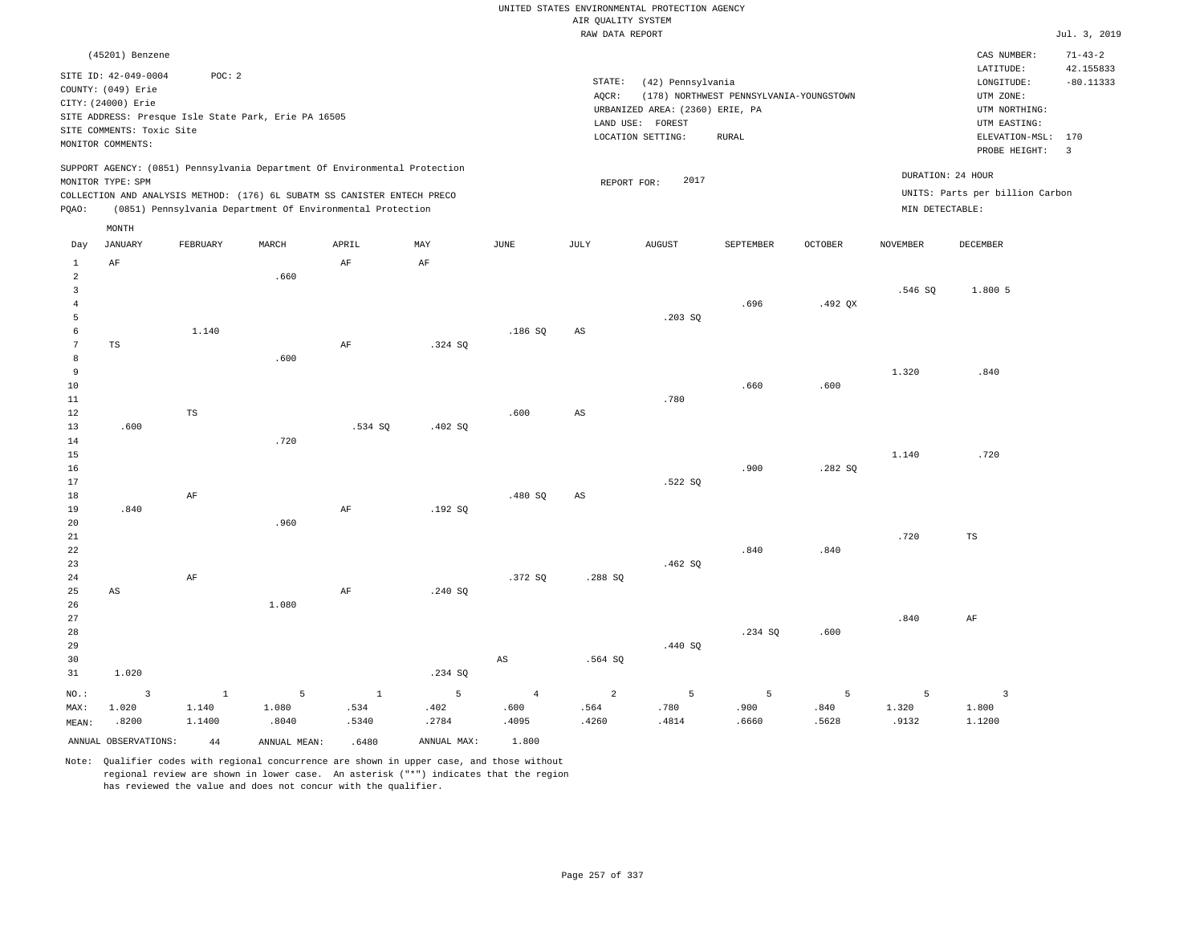| (45201) Benzene<br>$71 - 43 - 2$<br>CAS NUMBER:<br>42.155833<br>LATITUDE:<br>SITE ID: 42-049-0004<br>POC: 2<br>STATE:<br>$-80.11333$<br>(42) Pennsylvania<br>LONGITUDE:<br>COUNTY: (049) Erie<br>AQCR:<br>(178) NORTHWEST PENNSYLVANIA-YOUNGSTOWN<br>UTM ZONE:<br>CITY: (24000) Erie<br>URBANIZED AREA: (2360) ERIE, PA<br>UTM NORTHING:<br>SITE ADDRESS: Presque Isle State Park, Erie PA 16505<br>LAND USE: FOREST<br>UTM EASTING:<br>SITE COMMENTS: Toxic Site<br>LOCATION SETTING:<br>RURAL<br>ELEVATION-MSL: 170<br>MONITOR COMMENTS:<br>PROBE HEIGHT:<br>$\overline{3}$<br>SUPPORT AGENCY: (0851) Pennsylvania Department Of Environmental Protection |
|-------------------------------------------------------------------------------------------------------------------------------------------------------------------------------------------------------------------------------------------------------------------------------------------------------------------------------------------------------------------------------------------------------------------------------------------------------------------------------------------------------------------------------------------------------------------------------------------------------------------------------------------------------------|
|                                                                                                                                                                                                                                                                                                                                                                                                                                                                                                                                                                                                                                                             |
|                                                                                                                                                                                                                                                                                                                                                                                                                                                                                                                                                                                                                                                             |
|                                                                                                                                                                                                                                                                                                                                                                                                                                                                                                                                                                                                                                                             |
|                                                                                                                                                                                                                                                                                                                                                                                                                                                                                                                                                                                                                                                             |
|                                                                                                                                                                                                                                                                                                                                                                                                                                                                                                                                                                                                                                                             |
|                                                                                                                                                                                                                                                                                                                                                                                                                                                                                                                                                                                                                                                             |
|                                                                                                                                                                                                                                                                                                                                                                                                                                                                                                                                                                                                                                                             |
|                                                                                                                                                                                                                                                                                                                                                                                                                                                                                                                                                                                                                                                             |
| DURATION: 24 HOUR                                                                                                                                                                                                                                                                                                                                                                                                                                                                                                                                                                                                                                           |
| 2017<br>MONITOR TYPE: SPM<br>REPORT FOR:<br>UNITS: Parts per billion Carbon                                                                                                                                                                                                                                                                                                                                                                                                                                                                                                                                                                                 |
| COLLECTION AND ANALYSIS METHOD: (176) 6L SUBATM SS CANISTER ENTECH PRECO                                                                                                                                                                                                                                                                                                                                                                                                                                                                                                                                                                                    |
| (0851) Pennsylvania Department Of Environmental Protection<br>PQAO:<br>MIN DETECTABLE:                                                                                                                                                                                                                                                                                                                                                                                                                                                                                                                                                                      |
| MONTH                                                                                                                                                                                                                                                                                                                                                                                                                                                                                                                                                                                                                                                       |
| <b>JANUARY</b><br>MARCH<br>APRIL<br>MAX<br>$\operatorname{JUNE}$<br>JULY<br><b>AUGUST</b><br>SEPTEMBER<br>OCTOBER<br><b>NOVEMBER</b><br>DECEMBER<br>FEBRUARY<br>Day<br>$\rm{AF}$                                                                                                                                                                                                                                                                                                                                                                                                                                                                            |
| $\rm{AF}$<br>$\mathbf{1}$<br>$\rm AF$<br>$\overline{a}$<br>.660                                                                                                                                                                                                                                                                                                                                                                                                                                                                                                                                                                                             |
| $\overline{3}$<br>.546 SQ<br>1.800 5                                                                                                                                                                                                                                                                                                                                                                                                                                                                                                                                                                                                                        |
| .696<br>$\bf 4$<br>.492 QX                                                                                                                                                                                                                                                                                                                                                                                                                                                                                                                                                                                                                                  |
| 5<br>.203 SO                                                                                                                                                                                                                                                                                                                                                                                                                                                                                                                                                                                                                                                |
| 6<br>1.140<br>.186S<br>AS                                                                                                                                                                                                                                                                                                                                                                                                                                                                                                                                                                                                                                   |
| 7<br>$\rm{AF}$<br>.324 SQ<br>TS                                                                                                                                                                                                                                                                                                                                                                                                                                                                                                                                                                                                                             |
| 8<br>.600                                                                                                                                                                                                                                                                                                                                                                                                                                                                                                                                                                                                                                                   |
| 9<br>1.320<br>.840                                                                                                                                                                                                                                                                                                                                                                                                                                                                                                                                                                                                                                          |
| 10<br>.660<br>.600                                                                                                                                                                                                                                                                                                                                                                                                                                                                                                                                                                                                                                          |
| 11<br>.780                                                                                                                                                                                                                                                                                                                                                                                                                                                                                                                                                                                                                                                  |
| 12<br>.600<br>TS<br>AS                                                                                                                                                                                                                                                                                                                                                                                                                                                                                                                                                                                                                                      |
| 13<br>.600<br>.534 SQ<br>.402 SQ                                                                                                                                                                                                                                                                                                                                                                                                                                                                                                                                                                                                                            |
| .720<br>14                                                                                                                                                                                                                                                                                                                                                                                                                                                                                                                                                                                                                                                  |
| 15<br>1.140<br>.720                                                                                                                                                                                                                                                                                                                                                                                                                                                                                                                                                                                                                                         |
| 16<br>.900<br>.282 SQ                                                                                                                                                                                                                                                                                                                                                                                                                                                                                                                                                                                                                                       |
| 17<br>.522S                                                                                                                                                                                                                                                                                                                                                                                                                                                                                                                                                                                                                                                 |
| 18<br>AF<br>.480 SQ<br>AS                                                                                                                                                                                                                                                                                                                                                                                                                                                                                                                                                                                                                                   |
| 19<br>.840<br>$\rm AF$<br>.192SQ                                                                                                                                                                                                                                                                                                                                                                                                                                                                                                                                                                                                                            |
| 20<br>.960<br>21<br>.720<br>TS                                                                                                                                                                                                                                                                                                                                                                                                                                                                                                                                                                                                                              |
| 22<br>.840<br>.840                                                                                                                                                                                                                                                                                                                                                                                                                                                                                                                                                                                                                                          |
| 23<br>.462SQ                                                                                                                                                                                                                                                                                                                                                                                                                                                                                                                                                                                                                                                |
| 24<br>$\rm{AF}$<br>.372 SQ<br>.288 SQ                                                                                                                                                                                                                                                                                                                                                                                                                                                                                                                                                                                                                       |
| 25<br>$\rm{AF}$<br>.240 SQ<br>$_{\rm AS}$                                                                                                                                                                                                                                                                                                                                                                                                                                                                                                                                                                                                                   |
| 26<br>1.080                                                                                                                                                                                                                                                                                                                                                                                                                                                                                                                                                                                                                                                 |
| 27<br>.840<br>AF                                                                                                                                                                                                                                                                                                                                                                                                                                                                                                                                                                                                                                            |
| 28<br>.234 SQ<br>.600                                                                                                                                                                                                                                                                                                                                                                                                                                                                                                                                                                                                                                       |
| 29<br>.440SQ                                                                                                                                                                                                                                                                                                                                                                                                                                                                                                                                                                                                                                                |
| 30<br>AS<br>.564 SQ                                                                                                                                                                                                                                                                                                                                                                                                                                                                                                                                                                                                                                         |
| 31<br>1.020<br>.234 SQ                                                                                                                                                                                                                                                                                                                                                                                                                                                                                                                                                                                                                                      |
| $\mathbf{1}$<br>5<br>5<br>$\overline{\mathbf{3}}$<br><sup>1</sup><br>5<br>$\overline{4}$<br>2<br>5<br>5<br>5<br>$\overline{\mathbf{3}}$<br>NO.:                                                                                                                                                                                                                                                                                                                                                                                                                                                                                                             |
| .780<br>1.320<br>1.020<br>1.140<br>1.080<br>.534<br>.402<br>.600<br>.564<br>.900<br>.840<br>1.800<br>MAX:                                                                                                                                                                                                                                                                                                                                                                                                                                                                                                                                                   |
| .5340<br>.4814<br>.9132<br>1.1200<br>.8200<br>1.1400<br>.8040<br>.2784<br>.4095<br>.4260<br>.6660<br>.5628<br>MEAN:                                                                                                                                                                                                                                                                                                                                                                                                                                                                                                                                         |
| ANNUAL OBSERVATIONS:<br>ANNUAL MAX:<br>1.800<br>$4\,4$<br>ANNUAL MEAN:<br>.6480                                                                                                                                                                                                                                                                                                                                                                                                                                                                                                                                                                             |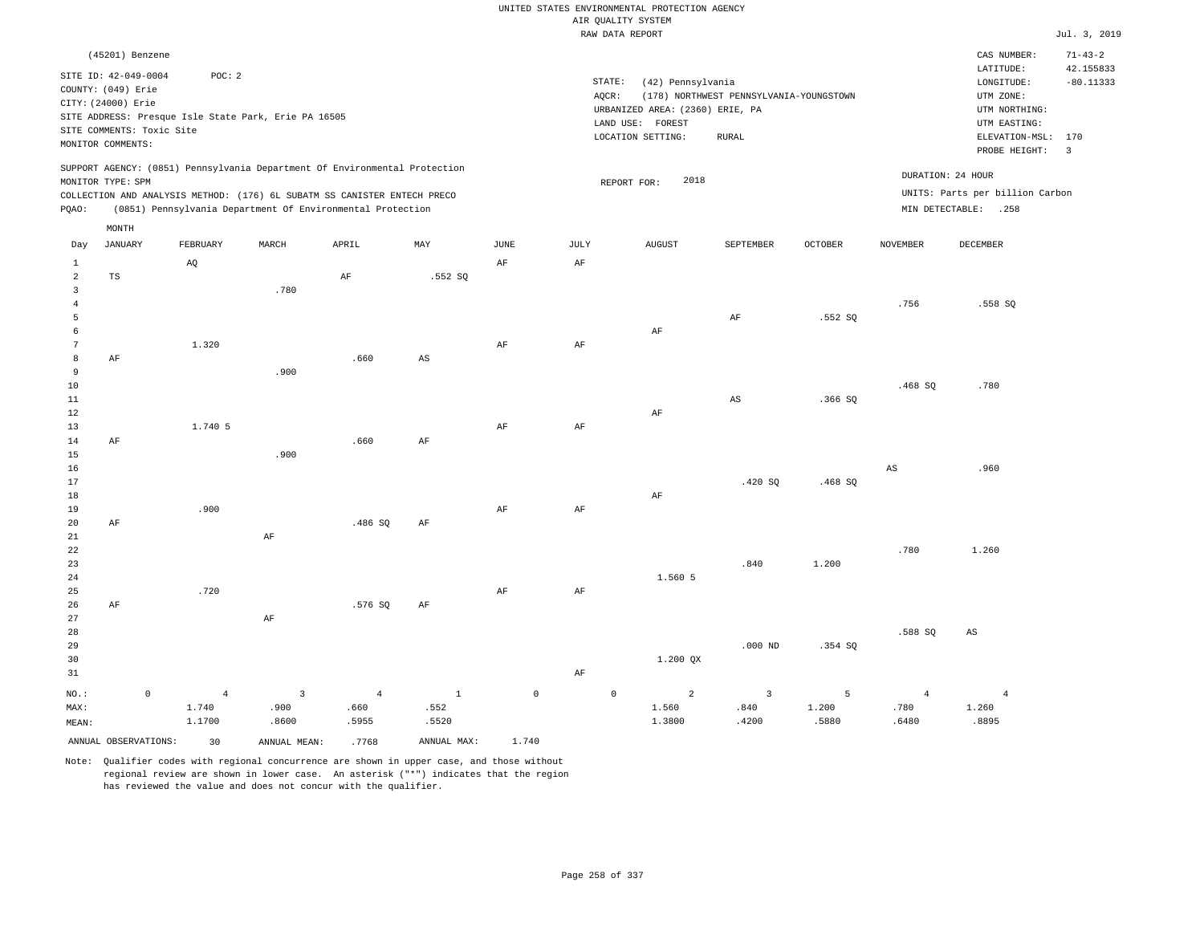|                      |                                            |                |                                                      |                                                                                                                                        |             |                     |               | UNITED STATES ENVIRONMENTAL PROTECTION AGENCY |                                         |                    |                   |                                 |                          |
|----------------------|--------------------------------------------|----------------|------------------------------------------------------|----------------------------------------------------------------------------------------------------------------------------------------|-------------|---------------------|---------------|-----------------------------------------------|-----------------------------------------|--------------------|-------------------|---------------------------------|--------------------------|
|                      |                                            |                |                                                      |                                                                                                                                        |             |                     |               | AIR QUALITY SYSTEM<br>RAW DATA REPORT         |                                         |                    |                   |                                 | Jul. 3, 2019             |
|                      | (45201) Benzene                            |                |                                                      |                                                                                                                                        |             |                     |               |                                               |                                         |                    |                   | CAS NUMBER:                     | $71 - 43 - 2$            |
|                      | SITE ID: 42-049-0004<br>COUNTY: (049) Erie | POC: 2         |                                                      |                                                                                                                                        |             |                     | STATE:        | (42) Pennsylvania                             |                                         |                    |                   | LATITUDE:<br>LONGITUDE:         | 42.155833<br>$-80.11333$ |
|                      | CITY: (24000) Erie                         |                |                                                      |                                                                                                                                        |             |                     | AQCR:         |                                               | (178) NORTHWEST PENNSYLVANIA-YOUNGSTOWN |                    |                   | UTM ZONE:                       |                          |
|                      |                                            |                | SITE ADDRESS: Presque Isle State Park, Erie PA 16505 |                                                                                                                                        |             |                     |               | URBANIZED AREA: (2360) ERIE, PA               |                                         |                    |                   | UTM NORTHING:                   |                          |
|                      | SITE COMMENTS: Toxic Site                  |                |                                                      |                                                                                                                                        |             |                     |               | LAND USE: FOREST                              |                                         |                    |                   | UTM EASTING:                    | 170                      |
|                      | MONITOR COMMENTS:                          |                |                                                      |                                                                                                                                        |             |                     |               | LOCATION SETTING:                             | RURAL                                   |                    |                   | ELEVATION-MSL:<br>PROBE HEIGHT: | $\overline{3}$           |
|                      |                                            |                |                                                      | SUPPORT AGENCY: (0851) Pennsylvania Department Of Environmental Protection                                                             |             |                     |               |                                               |                                         |                    | DURATION: 24 HOUR |                                 |                          |
|                      | MONITOR TYPE: SPM                          |                |                                                      |                                                                                                                                        |             |                     |               | 2018<br>REPORT FOR:                           |                                         |                    |                   | UNITS: Parts per billion Carbon |                          |
| PQAO:                |                                            |                |                                                      | COLLECTION AND ANALYSIS METHOD: (176) 6L SUBATM SS CANISTER ENTECH PRECO<br>(0851) Pennsylvania Department Of Environmental Protection |             |                     |               |                                               |                                         |                    |                   | MIN DETECTABLE: .258            |                          |
|                      |                                            |                |                                                      |                                                                                                                                        |             |                     |               |                                               |                                         |                    |                   |                                 |                          |
| Day                  | MONTH<br>JANUARY                           | FEBRUARY       | $\tt MARCH$                                          | APRIL                                                                                                                                  | MAY         | JUNE                | $_{\rm JULY}$ | AUGUST                                        | SEPTEMBER                               | $\mathtt{OCTOBER}$ | <b>NOVEMBER</b>   | <b>DECEMBER</b>                 |                          |
| <sup>1</sup>         |                                            | AQ             |                                                      |                                                                                                                                        |             | AF                  | AF            |                                               |                                         |                    |                   |                                 |                          |
| $\sqrt{2}$           | TS                                         |                |                                                      | AF                                                                                                                                     | .552 SQ     |                     |               |                                               |                                         |                    |                   |                                 |                          |
| $\overline{3}$       |                                            |                | .780                                                 |                                                                                                                                        |             |                     |               |                                               |                                         |                    |                   |                                 |                          |
| $\overline{4}$       |                                            |                |                                                      |                                                                                                                                        |             |                     |               |                                               |                                         |                    | .756              | .558 SQ                         |                          |
| 5                    |                                            |                |                                                      |                                                                                                                                        |             |                     |               |                                               | AF                                      | .552 SO            |                   |                                 |                          |
| 6                    |                                            |                |                                                      |                                                                                                                                        |             |                     |               | $\rm{AF}$                                     |                                         |                    |                   |                                 |                          |
| $7\phantom{.0}$<br>8 | AF                                         | 1.320          |                                                      | .660                                                                                                                                   | AS          | AF                  | AF            |                                               |                                         |                    |                   |                                 |                          |
| 9                    |                                            |                | .900                                                 |                                                                                                                                        |             |                     |               |                                               |                                         |                    |                   |                                 |                          |
| $10$                 |                                            |                |                                                      |                                                                                                                                        |             |                     |               |                                               |                                         |                    | .468 SQ           | .780                            |                          |
| $1\,1$               |                                            |                |                                                      |                                                                                                                                        |             |                     |               |                                               | $\mathbb{A}\mathbb{S}$                  | .366SQ             |                   |                                 |                          |
| 12                   |                                            |                |                                                      |                                                                                                                                        |             |                     |               | AF                                            |                                         |                    |                   |                                 |                          |
| 13                   |                                            | 1.740 5        |                                                      |                                                                                                                                        |             | $\rm{AF}$           | $\rm{AF}$     |                                               |                                         |                    |                   |                                 |                          |
| 14                   | AF                                         |                |                                                      | .660                                                                                                                                   | AF          |                     |               |                                               |                                         |                    |                   |                                 |                          |
| 15                   |                                            |                | .900                                                 |                                                                                                                                        |             |                     |               |                                               |                                         |                    |                   |                                 |                          |
| 16                   |                                            |                |                                                      |                                                                                                                                        |             |                     |               |                                               |                                         |                    | AS                | .960                            |                          |
| 17                   |                                            |                |                                                      |                                                                                                                                        |             |                     |               |                                               | .420 SQ                                 | .468SQ             |                   |                                 |                          |
| 18                   |                                            | .900           |                                                      |                                                                                                                                        |             |                     |               | AF                                            |                                         |                    |                   |                                 |                          |
| 19<br>20             | AF                                         |                |                                                      | .486 SQ                                                                                                                                | AF          | $\rm{AF}$           | $\rm{AF}$     |                                               |                                         |                    |                   |                                 |                          |
| 21                   |                                            |                | AF                                                   |                                                                                                                                        |             |                     |               |                                               |                                         |                    |                   |                                 |                          |
| 22                   |                                            |                |                                                      |                                                                                                                                        |             |                     |               |                                               |                                         |                    | .780              | 1.260                           |                          |
| 23                   |                                            |                |                                                      |                                                                                                                                        |             |                     |               |                                               | .840                                    | 1.200              |                   |                                 |                          |
| 24                   |                                            |                |                                                      |                                                                                                                                        |             |                     |               | 1.560 5                                       |                                         |                    |                   |                                 |                          |
| 25                   |                                            | .720           |                                                      |                                                                                                                                        |             | AF                  | AF            |                                               |                                         |                    |                   |                                 |                          |
| 26                   | AF                                         |                |                                                      | .576 SQ                                                                                                                                | AF          |                     |               |                                               |                                         |                    |                   |                                 |                          |
| 27                   |                                            |                | AF                                                   |                                                                                                                                        |             |                     |               |                                               |                                         |                    |                   |                                 |                          |
| 28                   |                                            |                |                                                      |                                                                                                                                        |             |                     |               |                                               |                                         |                    | .588 SQ           | $\mathbb{A}\mathbb{S}$          |                          |
| 29                   |                                            |                |                                                      |                                                                                                                                        |             |                     |               |                                               | $.000$ ND                               | .354 SQ            |                   |                                 |                          |
| 30                   |                                            |                |                                                      |                                                                                                                                        |             |                     |               | 1.200 QX                                      |                                         |                    |                   |                                 |                          |
| 31                   |                                            |                |                                                      |                                                                                                                                        |             |                     | $\rm{AF}$     |                                               |                                         |                    |                   |                                 |                          |
| NO.:                 | $\mathsf{O}\xspace$                        | $\overline{4}$ | $\overline{3}$                                       | $\overline{4}$                                                                                                                         | $\,1\,$     | $\mathsf{O}\xspace$ | $\mathbb O$   | $\overline{a}$                                | $\overline{3}$                          | 5                  | $\overline{4}$    | $\overline{4}$                  |                          |
| MAX:                 |                                            | 1.740          | .900                                                 | .660                                                                                                                                   | .552        |                     |               | 1.560                                         | .840                                    | 1.200              | .780              | 1.260                           |                          |
| MEAN:                |                                            | 1.1700         | .8600                                                | .5955                                                                                                                                  | .5520       |                     |               | 1.3800                                        | .4200                                   | .5880              | .6480             | .8895                           |                          |
|                      | ANNUAL OBSERVATIONS:                       | 30             | ANNUAL MEAN:                                         | .7768                                                                                                                                  | ANNUAL MAX: | 1.740               |               |                                               |                                         |                    |                   |                                 |                          |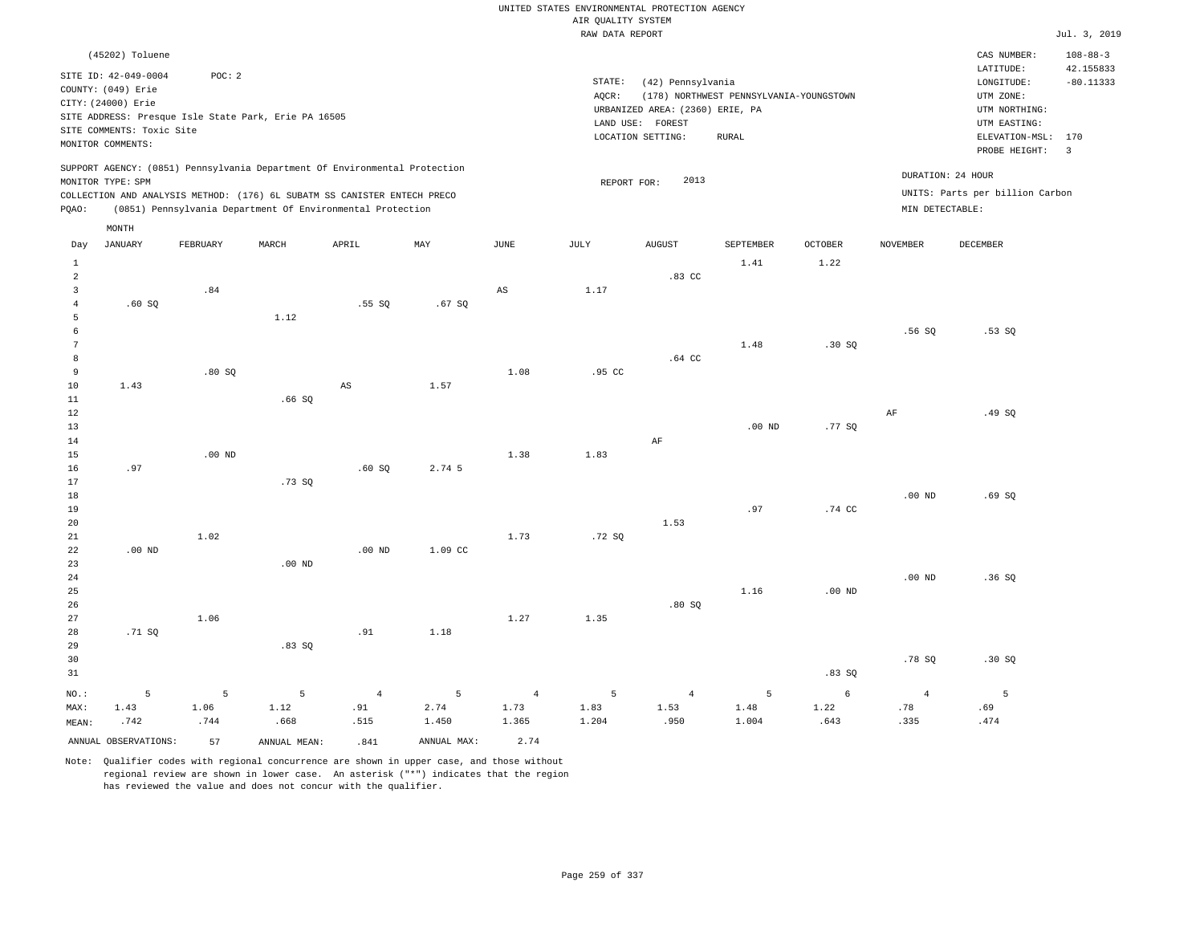|                                | (45202) Toluene<br>SITE ID: 42-049-0004<br>COUNTY: (049) Erie<br>CITY: (24000) Erie<br>SITE COMMENTS: Toxic Site<br>MONITOR COMMENTS: | POC: 2   | SITE ADDRESS: Presque Isle State Park, Erie PA 16505 |                                                                                                                                        |             |                        | STATE:<br>AQCR:<br>LAND USE: | (42) Pennsylvania<br>URBANIZED AREA: (2360) ERIE, PA<br>FOREST<br>LOCATION SETTING: | (178) NORTHWEST PENNSYLVANIA-YOUNGSTOWN<br><b>RURAL</b> |                   |                   | CAS NUMBER:<br>LATITUDE:<br>$\texttt{LONGITUDE}$ :<br>UTM ZONE:<br>UTM NORTHING:<br>UTM EASTING:<br>ELEVATION-MSL: 170<br>PROBE HEIGHT: | $108 - 88 - 3$<br>42.155833<br>$-80.11333$<br>$\overline{\mathbf{3}}$ |
|--------------------------------|---------------------------------------------------------------------------------------------------------------------------------------|----------|------------------------------------------------------|----------------------------------------------------------------------------------------------------------------------------------------|-------------|------------------------|------------------------------|-------------------------------------------------------------------------------------|---------------------------------------------------------|-------------------|-------------------|-----------------------------------------------------------------------------------------------------------------------------------------|-----------------------------------------------------------------------|
|                                | MONITOR TYPE: SPM                                                                                                                     |          |                                                      | SUPPORT AGENCY: (0851) Pennsylvania Department Of Environmental Protection                                                             |             |                        | REPORT FOR:                  | 2013                                                                                |                                                         |                   | DURATION: 24 HOUR |                                                                                                                                         |                                                                       |
| PQAO:                          |                                                                                                                                       |          |                                                      | COLLECTION AND ANALYSIS METHOD: (176) 6L SUBATM SS CANISTER ENTECH PRECO<br>(0851) Pennsylvania Department Of Environmental Protection |             |                        |                              |                                                                                     |                                                         |                   | MIN DETECTABLE:   | UNITS: Parts per billion Carbon                                                                                                         |                                                                       |
|                                |                                                                                                                                       |          |                                                      |                                                                                                                                        |             |                        |                              |                                                                                     |                                                         |                   |                   |                                                                                                                                         |                                                                       |
| Day                            | MONTH<br><b>JANUARY</b>                                                                                                               | FEBRUARY | MARCH                                                | APRIL                                                                                                                                  | MAY         | <b>JUNE</b>            | JULY                         | <b>AUGUST</b>                                                                       | SEPTEMBER                                               | <b>OCTOBER</b>    | <b>NOVEMBER</b>   | <b>DECEMBER</b>                                                                                                                         |                                                                       |
|                                |                                                                                                                                       |          |                                                      |                                                                                                                                        |             |                        |                              |                                                                                     |                                                         |                   |                   |                                                                                                                                         |                                                                       |
| $\mathbf{1}$<br>$\overline{a}$ |                                                                                                                                       |          |                                                      |                                                                                                                                        |             |                        |                              | .83 CC                                                                              | 1.41                                                    | 1.22              |                   |                                                                                                                                         |                                                                       |
| $\overline{3}$                 |                                                                                                                                       | .84      |                                                      |                                                                                                                                        |             | $\mathbb{A}\mathbb{S}$ | 1.17                         |                                                                                     |                                                         |                   |                   |                                                                                                                                         |                                                                       |
| $\overline{4}$                 | .60S                                                                                                                                  |          |                                                      | .55SQ                                                                                                                                  | .67S        |                        |                              |                                                                                     |                                                         |                   |                   |                                                                                                                                         |                                                                       |
| 5                              |                                                                                                                                       |          | 1.12                                                 |                                                                                                                                        |             |                        |                              |                                                                                     |                                                         |                   |                   |                                                                                                                                         |                                                                       |
| 6                              |                                                                                                                                       |          |                                                      |                                                                                                                                        |             |                        |                              |                                                                                     |                                                         |                   | .56SQ             | .53S                                                                                                                                    |                                                                       |
| 7                              |                                                                                                                                       |          |                                                      |                                                                                                                                        |             |                        |                              |                                                                                     | 1.48                                                    | .30S              |                   |                                                                                                                                         |                                                                       |
| 8                              |                                                                                                                                       |          |                                                      |                                                                                                                                        |             |                        |                              | $.64$ CC                                                                            |                                                         |                   |                   |                                                                                                                                         |                                                                       |
| 9<br>10                        | 1.43                                                                                                                                  | .80S     |                                                      | $_{\rm AS}$                                                                                                                            | 1.57        | 1.08                   | .95 <sub>c</sub>             |                                                                                     |                                                         |                   |                   |                                                                                                                                         |                                                                       |
| 11                             |                                                                                                                                       |          | .66SQ                                                |                                                                                                                                        |             |                        |                              |                                                                                     |                                                         |                   |                   |                                                                                                                                         |                                                                       |
| 12                             |                                                                                                                                       |          |                                                      |                                                                                                                                        |             |                        |                              |                                                                                     |                                                         |                   | AF                | .49 SO                                                                                                                                  |                                                                       |
| 13                             |                                                                                                                                       |          |                                                      |                                                                                                                                        |             |                        |                              |                                                                                     | $.00$ ND                                                | .77SQ             |                   |                                                                                                                                         |                                                                       |
| 14                             |                                                                                                                                       |          |                                                      |                                                                                                                                        |             |                        |                              | $\rm AF$                                                                            |                                                         |                   |                   |                                                                                                                                         |                                                                       |
| 15                             |                                                                                                                                       | $.00$ ND |                                                      |                                                                                                                                        |             | 1.38                   | 1.83                         |                                                                                     |                                                         |                   |                   |                                                                                                                                         |                                                                       |
| 16                             | .97                                                                                                                                   |          |                                                      | .60SQ                                                                                                                                  | 2.74 5      |                        |                              |                                                                                     |                                                         |                   |                   |                                                                                                                                         |                                                                       |
| 17                             |                                                                                                                                       |          | .73SQ                                                |                                                                                                                                        |             |                        |                              |                                                                                     |                                                         |                   |                   |                                                                                                                                         |                                                                       |
| $1\,8$                         |                                                                                                                                       |          |                                                      |                                                                                                                                        |             |                        |                              |                                                                                     |                                                         |                   | .00 <sub>ND</sub> | .69SQ                                                                                                                                   |                                                                       |
| 19                             |                                                                                                                                       |          |                                                      |                                                                                                                                        |             |                        |                              |                                                                                     | .97                                                     | .74 CC            |                   |                                                                                                                                         |                                                                       |
| 20                             |                                                                                                                                       |          |                                                      |                                                                                                                                        |             |                        |                              | 1.53                                                                                |                                                         |                   |                   |                                                                                                                                         |                                                                       |
| 21                             |                                                                                                                                       | 1.02     |                                                      |                                                                                                                                        |             | 1.73                   | .72S                         |                                                                                     |                                                         |                   |                   |                                                                                                                                         |                                                                       |
| 22                             | $.00$ ND                                                                                                                              |          |                                                      | $.00$ ND                                                                                                                               | 1.09 CC     |                        |                              |                                                                                     |                                                         |                   |                   |                                                                                                                                         |                                                                       |
| 23<br>24                       |                                                                                                                                       |          | .00 <sub>ND</sub>                                    |                                                                                                                                        |             |                        |                              |                                                                                     |                                                         |                   | .00 <sub>ND</sub> | .36S                                                                                                                                    |                                                                       |
| 25                             |                                                                                                                                       |          |                                                      |                                                                                                                                        |             |                        |                              |                                                                                     | 1.16                                                    | .00 <sub>ND</sub> |                   |                                                                                                                                         |                                                                       |
| 26                             |                                                                                                                                       |          |                                                      |                                                                                                                                        |             |                        |                              | .80SQ                                                                               |                                                         |                   |                   |                                                                                                                                         |                                                                       |
| 27                             |                                                                                                                                       | 1.06     |                                                      |                                                                                                                                        |             | 1.27                   | 1.35                         |                                                                                     |                                                         |                   |                   |                                                                                                                                         |                                                                       |
| 28                             | .71 S0                                                                                                                                |          |                                                      | .91                                                                                                                                    | 1.18        |                        |                              |                                                                                     |                                                         |                   |                   |                                                                                                                                         |                                                                       |
| 29                             |                                                                                                                                       |          | .83SQ                                                |                                                                                                                                        |             |                        |                              |                                                                                     |                                                         |                   |                   |                                                                                                                                         |                                                                       |
| 30                             |                                                                                                                                       |          |                                                      |                                                                                                                                        |             |                        |                              |                                                                                     |                                                         |                   | .78S              | .30 SQ                                                                                                                                  |                                                                       |
| 31                             |                                                                                                                                       |          |                                                      |                                                                                                                                        |             |                        |                              |                                                                                     |                                                         | .83SQ             |                   |                                                                                                                                         |                                                                       |
| NO.:                           | 5                                                                                                                                     | 5        | 5                                                    | $\overline{4}$                                                                                                                         | 5           | $\overline{4}$         | 5                            | $\overline{4}$                                                                      | 5                                                       | $\epsilon$        | $\overline{4}$    | 5                                                                                                                                       |                                                                       |
| MAX:                           | 1.43                                                                                                                                  | 1.06     | 1.12                                                 | .91                                                                                                                                    | 2.74        | 1.73                   | 1.83                         | 1.53                                                                                | 1.48                                                    | 1.22              | .78               | .69                                                                                                                                     |                                                                       |
| MEAN:                          | .742                                                                                                                                  | .744     | .668                                                 | .515                                                                                                                                   | 1.450       | 1.365                  | 1.204                        | .950                                                                                | 1.004                                                   | .643              | .335              | .474                                                                                                                                    |                                                                       |
|                                | ANNUAL OBSERVATIONS:                                                                                                                  | 57       | ANNUAL MEAN:                                         | .841                                                                                                                                   | ANNUAL MAX: | 2.74                   |                              |                                                                                     |                                                         |                   |                   |                                                                                                                                         |                                                                       |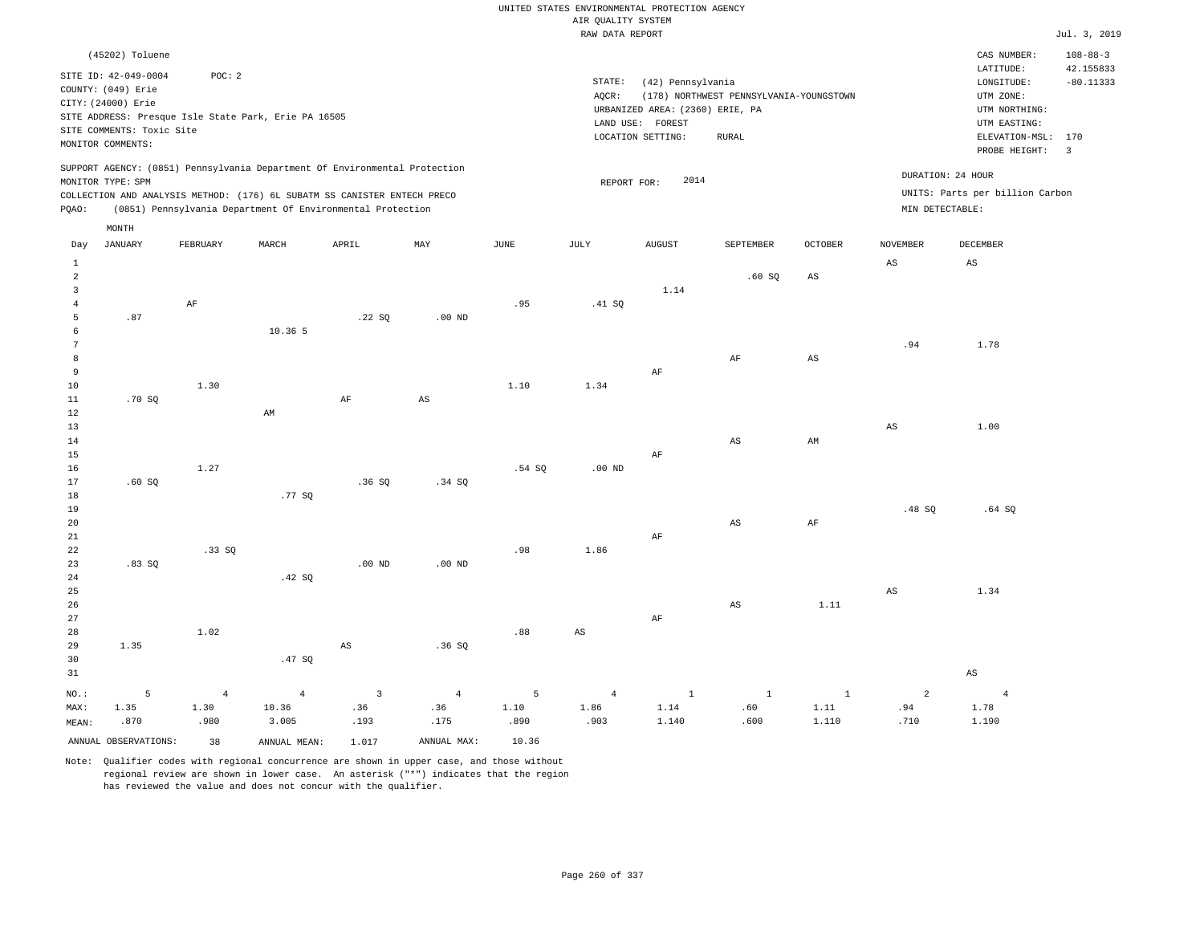|                                                  | (45202) Toluene                                                                                                                                                             |                        |                                                            |                        |                       |             |                        |                                                                                               |                                                         |                        |                                      | CAS NUMBER:                                                                                                  | $108 - 88 - 3$                                      |
|--------------------------------------------------|-----------------------------------------------------------------------------------------------------------------------------------------------------------------------------|------------------------|------------------------------------------------------------|------------------------|-----------------------|-------------|------------------------|-----------------------------------------------------------------------------------------------|---------------------------------------------------------|------------------------|--------------------------------------|--------------------------------------------------------------------------------------------------------------|-----------------------------------------------------|
|                                                  | SITE ID: 42-049-0004<br>COUNTY: (049) Erie<br>CITY: (24000) Erie<br>SITE ADDRESS: Presque Isle State Park, Erie PA 16505<br>SITE COMMENTS: Toxic Site<br>MONITOR COMMENTS:  | POC: 2                 |                                                            |                        |                       |             | STATE:<br>AQCR:        | (42) Pennsylvania<br>URBANIZED AREA: (2360) ERIE, PA<br>LAND USE: FOREST<br>LOCATION SETTING: | (178) NORTHWEST PENNSYLVANIA-YOUNGSTOWN<br><b>RURAL</b> |                        |                                      | LATITUDE:<br>LONGITUDE:<br>UTM ZONE:<br>UTM NORTHING:<br>UTM EASTING:<br>ELEVATION-MSL: 170<br>PROBE HEIGHT: | 42.155833<br>$-80.11333$<br>$\overline{\mathbf{3}}$ |
| PQAO:                                            | SUPPORT AGENCY: (0851) Pennsylvania Department Of Environmental Protection<br>MONITOR TYPE: SPM<br>COLLECTION AND ANALYSIS METHOD: (176) 6L SUBATM SS CANISTER ENTECH PRECO |                        | (0851) Pennsylvania Department Of Environmental Protection |                        |                       |             | REPORT FOR:            | 2014                                                                                          |                                                         |                        | DURATION: 24 HOUR<br>MIN DETECTABLE: | UNITS: Parts per billion Carbon                                                                              |                                                     |
|                                                  | MONTH                                                                                                                                                                       |                        |                                                            |                        |                       |             |                        |                                                                                               |                                                         |                        |                                      |                                                                                                              |                                                     |
| Day                                              | <b>JANUARY</b>                                                                                                                                                              | FEBRUARY               | MARCH                                                      | APRIL                  | MAY                   | <b>JUNE</b> | JULY                   | <b>AUGUST</b>                                                                                 | SEPTEMBER                                               | <b>OCTOBER</b>         | <b>NOVEMBER</b>                      | <b>DECEMBER</b>                                                                                              |                                                     |
| $\mathbf{1}$<br>$\overline{a}$<br>$\overline{3}$ |                                                                                                                                                                             |                        |                                                            |                        |                       |             |                        | 1.14                                                                                          | .60SQ                                                   | $\mathbb{A}\mathbb{S}$ | AS                                   | AS                                                                                                           |                                                     |
| $\overline{4}$<br>5<br>6<br>7                    | .87                                                                                                                                                                         | AF                     | 10.36 5                                                    | .22SQ                  | $.00$ ND              | .95         | .41 SQ                 |                                                                                               |                                                         |                        | .94                                  | 1.78                                                                                                         |                                                     |
| 8<br>9<br>10                                     |                                                                                                                                                                             | 1.30                   |                                                            |                        |                       | 1.10        | 1.34                   | AF                                                                                            | $\rm{AF}$                                               | $\mathbb{A}\mathbb{S}$ |                                      |                                                                                                              |                                                     |
| 11<br>12<br>13                                   | .70SQ                                                                                                                                                                       |                        | AM                                                         | AF                     | $_{\rm AS}$           |             |                        |                                                                                               |                                                         |                        | AS                                   | 1.00                                                                                                         |                                                     |
| 14<br>15<br>16<br>17                             | .60SQ                                                                                                                                                                       | 1.27                   |                                                            | .36SQ                  | .34 SQ                | .54S        | .00 <sub>ND</sub>      | $\rm AF$                                                                                      | $\mathbb{A}\mathbb{S}$                                  | $\mathsf{AM}$          |                                      |                                                                                                              |                                                     |
| 18<br>19<br>20                                   |                                                                                                                                                                             |                        | .77SQ                                                      |                        |                       |             |                        |                                                                                               | $\mathbb{A}\mathbb{S}$                                  | $\rm{AF}$              | .48SQ                                | .64SQ                                                                                                        |                                                     |
| 21<br>22<br>23<br>24                             | .83S                                                                                                                                                                        | .33 S0                 | .42 SQ                                                     | $.00$ ND               | $.00$ ND              | .98         | 1.86                   | AF                                                                                            |                                                         |                        |                                      |                                                                                                              |                                                     |
| 25<br>26<br>27                                   |                                                                                                                                                                             |                        |                                                            |                        |                       |             |                        | $\rm AF$                                                                                      | AS                                                      | 1.11                   | $\mathbb{A}\mathbb{S}$               | 1.34                                                                                                         |                                                     |
| 28<br>29<br>30                                   | 1.35                                                                                                                                                                        | 1.02                   | .47 SQ                                                     | $\mathbb{A}\mathbb{S}$ | .36SQ                 | .88         | $\mathbb{A}\mathbb{S}$ |                                                                                               |                                                         |                        |                                      |                                                                                                              |                                                     |
| 31                                               |                                                                                                                                                                             |                        |                                                            |                        |                       |             |                        |                                                                                               |                                                         |                        |                                      | $\mathbb{A}\mathbb{S}$                                                                                       |                                                     |
| NO.:<br>MAX:                                     | 5<br>1.35                                                                                                                                                                   | $\overline{4}$<br>1.30 | $\overline{4}$<br>10.36                                    | $\overline{3}$<br>.36  | $\overline{4}$<br>.36 | 5<br>1.10   | $\overline{4}$<br>1.86 | $\mathbf{1}$<br>1.14                                                                          | $\mathbf{1}$<br>.60                                     | $\mathbf{1}$<br>1.11   | $\overline{a}$<br>.94                | $\overline{4}$<br>1.78                                                                                       |                                                     |
| MEAN:                                            | .870                                                                                                                                                                        | .980                   | 3.005                                                      | .193                   | .175                  | .890        | .903                   | 1.140                                                                                         | .600                                                    | 1.110                  | .710                                 | 1.190                                                                                                        |                                                     |
|                                                  | ANNUAL OBSERVATIONS:                                                                                                                                                        | 38                     | ANNUAL MEAN:                                               | 1.017                  | ANNUAL MAX:           | 10.36       |                        |                                                                                               |                                                         |                        |                                      |                                                                                                              |                                                     |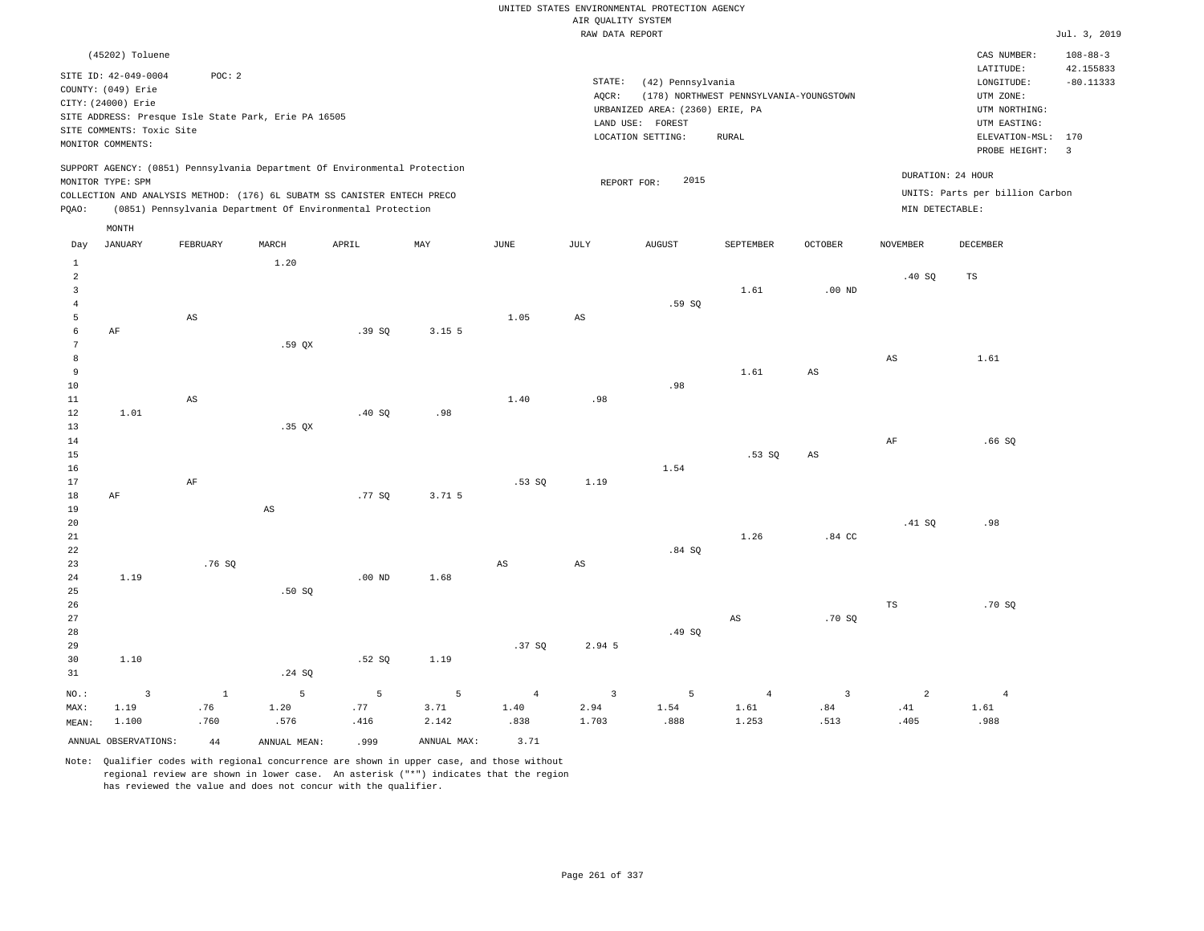|                                  | (45202) Toluene                                                                                                    |                        |                                                      |                                                                            |                   |                        |                         |                                                                                               |                                                         |                         |                   | CAS NUMBER:                                                                             | $108 - 88 - 3$                  |
|----------------------------------|--------------------------------------------------------------------------------------------------------------------|------------------------|------------------------------------------------------|----------------------------------------------------------------------------|-------------------|------------------------|-------------------------|-----------------------------------------------------------------------------------------------|---------------------------------------------------------|-------------------------|-------------------|-----------------------------------------------------------------------------------------|---------------------------------|
|                                  | SITE ID: 42-049-0004<br>COUNTY: (049) Erie<br>CITY: (24000) Erie<br>SITE COMMENTS: Toxic Site<br>MONITOR COMMENTS: | POC: 2                 | SITE ADDRESS: Presque Isle State Park, Erie PA 16505 |                                                                            |                   |                        | STATE:<br>AQCR:         | (42) Pennsylvania<br>URBANIZED AREA: (2360) ERIE, PA<br>LAND USE: FOREST<br>LOCATION SETTING: | (178) NORTHWEST PENNSYLVANIA-YOUNGSTOWN<br><b>RURAL</b> |                         |                   | LATITUDE:<br>LONGITUDE:<br>UTM ZONE:<br>UTM NORTHING:<br>UTM EASTING:<br>ELEVATION-MSL: | 42.155833<br>$-80.11333$<br>170 |
|                                  |                                                                                                                    |                        |                                                      | SUPPORT AGENCY: (0851) Pennsylvania Department Of Environmental Protection |                   |                        |                         |                                                                                               |                                                         |                         |                   | PROBE HEIGHT:                                                                           | $\overline{3}$                  |
|                                  | MONITOR TYPE: SPM                                                                                                  |                        |                                                      |                                                                            |                   |                        | REPORT FOR:             | 2015                                                                                          |                                                         |                         | DURATION: 24 HOUR |                                                                                         |                                 |
|                                  |                                                                                                                    |                        |                                                      | COLLECTION AND ANALYSIS METHOD: (176) 6L SUBATM SS CANISTER ENTECH PRECO   |                   |                        |                         |                                                                                               |                                                         |                         |                   | UNITS: Parts per billion Carbon                                                         |                                 |
| PQAO:                            |                                                                                                                    |                        |                                                      | (0851) Pennsylvania Department Of Environmental Protection                 |                   |                        |                         |                                                                                               |                                                         |                         | MIN DETECTABLE:   |                                                                                         |                                 |
|                                  | MONTH                                                                                                              |                        |                                                      |                                                                            |                   |                        |                         |                                                                                               |                                                         |                         |                   |                                                                                         |                                 |
| Day                              | <b>JANUARY</b>                                                                                                     | FEBRUARY               | MARCH                                                | APRIL                                                                      | MAY               | JUNE                   | JULY                    | <b>AUGUST</b>                                                                                 | SEPTEMBER                                               | OCTOBER                 | NOVEMBER          | DECEMBER                                                                                |                                 |
| $\mathbf{1}$                     |                                                                                                                    |                        | 1.20                                                 |                                                                            |                   |                        |                         |                                                                                               |                                                         |                         |                   |                                                                                         |                                 |
| $\overline{a}$                   |                                                                                                                    |                        |                                                      |                                                                            |                   |                        |                         |                                                                                               |                                                         |                         | .40SQ             | $_{\rm TS}$                                                                             |                                 |
| $\overline{3}$<br>$\overline{4}$ |                                                                                                                    |                        |                                                      |                                                                            |                   |                        |                         | .59SQ                                                                                         | 1.61                                                    | .00 <sub>ND</sub>       |                   |                                                                                         |                                 |
| 5                                |                                                                                                                    | $\mathbb{A}\mathbb{S}$ |                                                      |                                                                            |                   | 1.05                   | $\mathbb{A}\mathbb{S}$  |                                                                                               |                                                         |                         |                   |                                                                                         |                                 |
| 6                                | AF                                                                                                                 |                        |                                                      | .39SQ                                                                      | 3.15 <sub>5</sub> |                        |                         |                                                                                               |                                                         |                         |                   |                                                                                         |                                 |
| 7                                |                                                                                                                    |                        | .59 OX                                               |                                                                            |                   |                        |                         |                                                                                               |                                                         |                         |                   |                                                                                         |                                 |
| 8                                |                                                                                                                    |                        |                                                      |                                                                            |                   |                        |                         |                                                                                               |                                                         |                         | $_{\rm AS}$       | 1.61                                                                                    |                                 |
| 9                                |                                                                                                                    |                        |                                                      |                                                                            |                   |                        |                         |                                                                                               | 1.61                                                    | $_{\rm AS}$             |                   |                                                                                         |                                 |
| $10$<br>$1\,1$                   |                                                                                                                    | $\mathbb{A}\mathbb{S}$ |                                                      |                                                                            |                   | 1.40                   | .98                     | .98                                                                                           |                                                         |                         |                   |                                                                                         |                                 |
| 12                               | 1.01                                                                                                               |                        |                                                      | .40SQ                                                                      | .98               |                        |                         |                                                                                               |                                                         |                         |                   |                                                                                         |                                 |
| 13                               |                                                                                                                    |                        | $.35$ QX                                             |                                                                            |                   |                        |                         |                                                                                               |                                                         |                         |                   |                                                                                         |                                 |
| 14                               |                                                                                                                    |                        |                                                      |                                                                            |                   |                        |                         |                                                                                               |                                                         |                         | AF                | .66SQ                                                                                   |                                 |
| 15                               |                                                                                                                    |                        |                                                      |                                                                            |                   |                        |                         |                                                                                               | .53S                                                    | AS                      |                   |                                                                                         |                                 |
| 16<br>17                         |                                                                                                                    | $\rm{AF}$              |                                                      |                                                                            |                   | .53SQ                  | 1.19                    | 1.54                                                                                          |                                                         |                         |                   |                                                                                         |                                 |
| $1\,8$                           | AF                                                                                                                 |                        |                                                      | .77SQ                                                                      | 3.71.5            |                        |                         |                                                                                               |                                                         |                         |                   |                                                                                         |                                 |
| 19                               |                                                                                                                    |                        | $\mathbb{A}\mathbb{S}$                               |                                                                            |                   |                        |                         |                                                                                               |                                                         |                         |                   |                                                                                         |                                 |
| 20                               |                                                                                                                    |                        |                                                      |                                                                            |                   |                        |                         |                                                                                               |                                                         |                         | .41 SQ            | .98                                                                                     |                                 |
| 21                               |                                                                                                                    |                        |                                                      |                                                                            |                   |                        |                         |                                                                                               | 1.26                                                    | .84 <sub>C</sub>        |                   |                                                                                         |                                 |
| 22<br>23                         |                                                                                                                    | .76SQ                  |                                                      |                                                                            |                   | $\mathbb{A}\mathbb{S}$ | $\mathbb{A}\mathbb{S}$  | .84SQ                                                                                         |                                                         |                         |                   |                                                                                         |                                 |
| 24                               | 1.19                                                                                                               |                        |                                                      | .00 <sub>ND</sub>                                                          | 1.68              |                        |                         |                                                                                               |                                                         |                         |                   |                                                                                         |                                 |
| 25                               |                                                                                                                    |                        | .50S                                                 |                                                                            |                   |                        |                         |                                                                                               |                                                         |                         |                   |                                                                                         |                                 |
| 26                               |                                                                                                                    |                        |                                                      |                                                                            |                   |                        |                         |                                                                                               |                                                         |                         | $_{\rm TS}$       | .70SQ                                                                                   |                                 |
| 27                               |                                                                                                                    |                        |                                                      |                                                                            |                   |                        |                         |                                                                                               | AS                                                      | .70S                    |                   |                                                                                         |                                 |
| 28<br>29                         |                                                                                                                    |                        |                                                      |                                                                            |                   | .37SQ                  | 2.94 5                  | .49 SQ                                                                                        |                                                         |                         |                   |                                                                                         |                                 |
| 30                               | 1.10                                                                                                               |                        |                                                      | .52SQ                                                                      | 1.19              |                        |                         |                                                                                               |                                                         |                         |                   |                                                                                         |                                 |
| 31                               |                                                                                                                    |                        | .24 SQ                                               |                                                                            |                   |                        |                         |                                                                                               |                                                         |                         |                   |                                                                                         |                                 |
| NO.:                             | $\overline{3}$                                                                                                     | $\mathbf{1}$           | 5                                                    | 5                                                                          | $\overline{5}$    | $\overline{4}$         | $\overline{\mathbf{3}}$ | 5                                                                                             | $\overline{4}$                                          | $\overline{\mathbf{3}}$ | $\overline{a}$    | $\overline{4}$                                                                          |                                 |
| MAX:                             | 1.19                                                                                                               | .76                    | 1.20                                                 | .77                                                                        | 3.71              | 1.40                   | 2.94                    | 1.54                                                                                          | 1.61                                                    | .84                     | .41               | 1.61                                                                                    |                                 |
| MEAN:                            | 1.100                                                                                                              | .760                   | .576                                                 | .416                                                                       | 2.142             | .838                   | 1.703                   | .888                                                                                          | 1.253                                                   | .513                    | .405              | .988                                                                                    |                                 |
|                                  | ANNUAL OBSERVATIONS:                                                                                               | 44                     | ANNUAL MEAN:                                         | .999                                                                       | ANNUAL MAX:       | 3.71                   |                         |                                                                                               |                                                         |                         |                   |                                                                                         |                                 |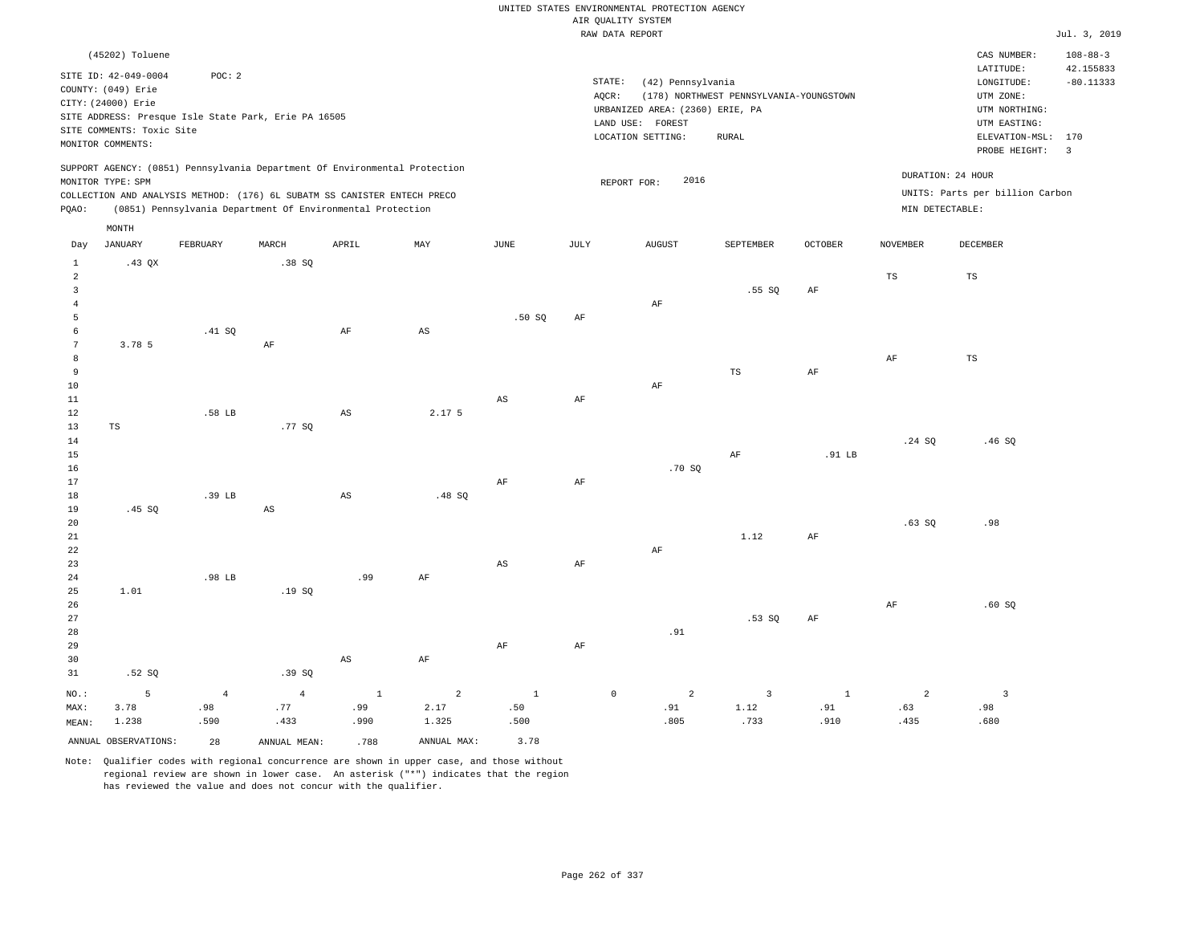|                                                           | (45202) Toluene<br>SITE ID: 42-049-0004<br>COUNTY: (049) Erie<br>CITY: (24000) Erie<br>SITE COMMENTS: Toxic Site<br>MONITOR COMMENTS: | POC: 2         | SITE ADDRESS: Presque Isle State Park, Erie PA 16505                                                                                                                                                                 |             |                |                        | STATE:<br>AQCR: | (42) Pennsylvania<br>URBANIZED AREA: (2360) ERIE, PA<br>LAND USE: FOREST<br>LOCATION SETTING: | (178) NORTHWEST PENNSYLVANIA-YOUNGSTOWN<br><b>RURAL</b> |                    |                                      | CAS NUMBER:<br>LATITUDE:<br>LONGITUDE:<br>UTM ZONE:<br>UTM NORTHING:<br>UTM EASTING:<br>ELEVATION-MSL: 170<br>PROBE HEIGHT: | $108 - 88 - 3$<br>42.155833<br>$-80.11333$<br>$\overline{3}$ |
|-----------------------------------------------------------|---------------------------------------------------------------------------------------------------------------------------------------|----------------|----------------------------------------------------------------------------------------------------------------------------------------------------------------------------------------------------------------------|-------------|----------------|------------------------|-----------------|-----------------------------------------------------------------------------------------------|---------------------------------------------------------|--------------------|--------------------------------------|-----------------------------------------------------------------------------------------------------------------------------|--------------------------------------------------------------|
| PQAO:                                                     | MONITOR TYPE: SPM                                                                                                                     |                | SUPPORT AGENCY: (0851) Pennsylvania Department Of Environmental Protection<br>COLLECTION AND ANALYSIS METHOD: (176) 6L SUBATM SS CANISTER ENTECH PRECO<br>(0851) Pennsylvania Department Of Environmental Protection |             |                |                        |                 | 2016<br>REPORT FOR:                                                                           |                                                         |                    | DURATION: 24 HOUR<br>MIN DETECTABLE: | UNITS: Parts per billion Carbon                                                                                             |                                                              |
|                                                           | MONTH                                                                                                                                 |                |                                                                                                                                                                                                                      |             |                |                        |                 |                                                                                               |                                                         |                    |                                      |                                                                                                                             |                                                              |
| Day                                                       | <b>JANUARY</b>                                                                                                                        | FEBRUARY       | MARCH                                                                                                                                                                                                                | APRIL       | MAY            | <b>JUNE</b>            | JULY            | AUGUST                                                                                        | SEPTEMBER                                               | $\mathtt{OCTOBER}$ | <b>NOVEMBER</b>                      | DECEMBER                                                                                                                    |                                                              |
| $\mathbf{1}$<br>$\overline{a}$<br>$\overline{\mathbf{3}}$ | $.43$ QX                                                                                                                              |                | .38SQ                                                                                                                                                                                                                |             |                |                        |                 |                                                                                               | .55SQ                                                   | AF                 | TS                                   | TS                                                                                                                          |                                                              |
| $\overline{4}$                                            |                                                                                                                                       |                |                                                                                                                                                                                                                      |             |                |                        |                 | $\rm AF$                                                                                      |                                                         |                    |                                      |                                                                                                                             |                                                              |
| 5                                                         |                                                                                                                                       |                |                                                                                                                                                                                                                      |             |                | .50SQ                  | $\rm{AF}$       |                                                                                               |                                                         |                    |                                      |                                                                                                                             |                                                              |
| $\epsilon$<br>$7\phantom{.0}$                             | 3.78 5                                                                                                                                | .41 SQ         | AF                                                                                                                                                                                                                   | AF          | $_{\rm AS}$    |                        |                 |                                                                                               |                                                         |                    |                                      |                                                                                                                             |                                                              |
| 8                                                         |                                                                                                                                       |                |                                                                                                                                                                                                                      |             |                |                        |                 |                                                                                               |                                                         |                    | $\rm{AF}$                            | $\mathbb{TS}$                                                                                                               |                                                              |
| 9                                                         |                                                                                                                                       |                |                                                                                                                                                                                                                      |             |                |                        |                 |                                                                                               | $_{\rm TS}$                                             | $\rm{AF}$          |                                      |                                                                                                                             |                                                              |
| 10                                                        |                                                                                                                                       |                |                                                                                                                                                                                                                      |             |                |                        |                 | $\rm AF$                                                                                      |                                                         |                    |                                      |                                                                                                                             |                                                              |
| $11\,$                                                    |                                                                                                                                       |                |                                                                                                                                                                                                                      |             |                | $\mathbb{A}\mathbb{S}$ | AF              |                                                                                               |                                                         |                    |                                      |                                                                                                                             |                                                              |
| $1\,2$<br>13                                              | $\mathbb{TS}$                                                                                                                         | .58 LB         | .77SQ                                                                                                                                                                                                                | AS          | 2.17 5         |                        |                 |                                                                                               |                                                         |                    |                                      |                                                                                                                             |                                                              |
| 14                                                        |                                                                                                                                       |                |                                                                                                                                                                                                                      |             |                |                        |                 |                                                                                               |                                                         |                    | .24SQ                                | .46SQ                                                                                                                       |                                                              |
| 15                                                        |                                                                                                                                       |                |                                                                                                                                                                                                                      |             |                |                        |                 |                                                                                               | AF                                                      | .91 LB             |                                      |                                                                                                                             |                                                              |
| 16                                                        |                                                                                                                                       |                |                                                                                                                                                                                                                      |             |                |                        |                 | .70 SO                                                                                        |                                                         |                    |                                      |                                                                                                                             |                                                              |
| 17                                                        |                                                                                                                                       |                |                                                                                                                                                                                                                      |             |                | AF                     | AF              |                                                                                               |                                                         |                    |                                      |                                                                                                                             |                                                              |
| $18$<br>19                                                | .45 SO                                                                                                                                | .39 LB         | AS                                                                                                                                                                                                                   | AS          | .48 SQ         |                        |                 |                                                                                               |                                                         |                    |                                      |                                                                                                                             |                                                              |
| 20                                                        |                                                                                                                                       |                |                                                                                                                                                                                                                      |             |                |                        |                 |                                                                                               |                                                         |                    | .63SQ                                | .98                                                                                                                         |                                                              |
| 21                                                        |                                                                                                                                       |                |                                                                                                                                                                                                                      |             |                |                        |                 |                                                                                               | 1.12                                                    | AF                 |                                      |                                                                                                                             |                                                              |
| 22                                                        |                                                                                                                                       |                |                                                                                                                                                                                                                      |             |                |                        |                 | AF                                                                                            |                                                         |                    |                                      |                                                                                                                             |                                                              |
| 23                                                        |                                                                                                                                       |                |                                                                                                                                                                                                                      |             |                | $_{\rm AS}$            | AF              |                                                                                               |                                                         |                    |                                      |                                                                                                                             |                                                              |
| 24                                                        |                                                                                                                                       | .98 LB         |                                                                                                                                                                                                                      | .99         | $\rm AF$       |                        |                 |                                                                                               |                                                         |                    |                                      |                                                                                                                             |                                                              |
| 25<br>26                                                  | 1.01                                                                                                                                  |                | .19SQ                                                                                                                                                                                                                |             |                |                        |                 |                                                                                               |                                                         |                    | AF                                   | .60S                                                                                                                        |                                                              |
| 27                                                        |                                                                                                                                       |                |                                                                                                                                                                                                                      |             |                |                        |                 |                                                                                               | .53SQ                                                   | AF                 |                                      |                                                                                                                             |                                                              |
| 28                                                        |                                                                                                                                       |                |                                                                                                                                                                                                                      |             |                |                        |                 | .91                                                                                           |                                                         |                    |                                      |                                                                                                                             |                                                              |
| 29                                                        |                                                                                                                                       |                |                                                                                                                                                                                                                      |             |                | AF                     | AF              |                                                                                               |                                                         |                    |                                      |                                                                                                                             |                                                              |
| 30                                                        |                                                                                                                                       |                |                                                                                                                                                                                                                      | $_{\rm AS}$ | AF             |                        |                 |                                                                                               |                                                         |                    |                                      |                                                                                                                             |                                                              |
| 31                                                        | .52S                                                                                                                                  |                | .39SQ                                                                                                                                                                                                                |             |                |                        |                 |                                                                                               |                                                         |                    |                                      |                                                                                                                             |                                                              |
| $NO.$ :                                                   | 5                                                                                                                                     | $\overline{4}$ | $\overline{4}$                                                                                                                                                                                                       | $1\,$       | $\overline{a}$ | $1\,$                  | $\mathbb O$     | $\overline{a}$                                                                                | $\overline{3}$                                          | $\mathbf{1}$       | $\overline{a}$                       | $\overline{\mathbf{3}}$                                                                                                     |                                                              |
| MAX:                                                      | 3.78                                                                                                                                  | .98            | .77                                                                                                                                                                                                                  | .99         | 2.17           | .50                    |                 | .91                                                                                           | 1.12                                                    | .91                | .63                                  | .98                                                                                                                         |                                                              |
| MEAN:                                                     | 1.238                                                                                                                                 | .590           | .433                                                                                                                                                                                                                 | .990        | 1.325          | .500                   |                 | .805                                                                                          | .733                                                    | .910               | .435                                 | .680                                                                                                                        |                                                              |
|                                                           | ANNUAL OBSERVATIONS:                                                                                                                  | 28             | ANNUAL MEAN:                                                                                                                                                                                                         | .788        | ANNUAL MAX:    | 3.78                   |                 |                                                                                               |                                                         |                    |                                      |                                                                                                                             |                                                              |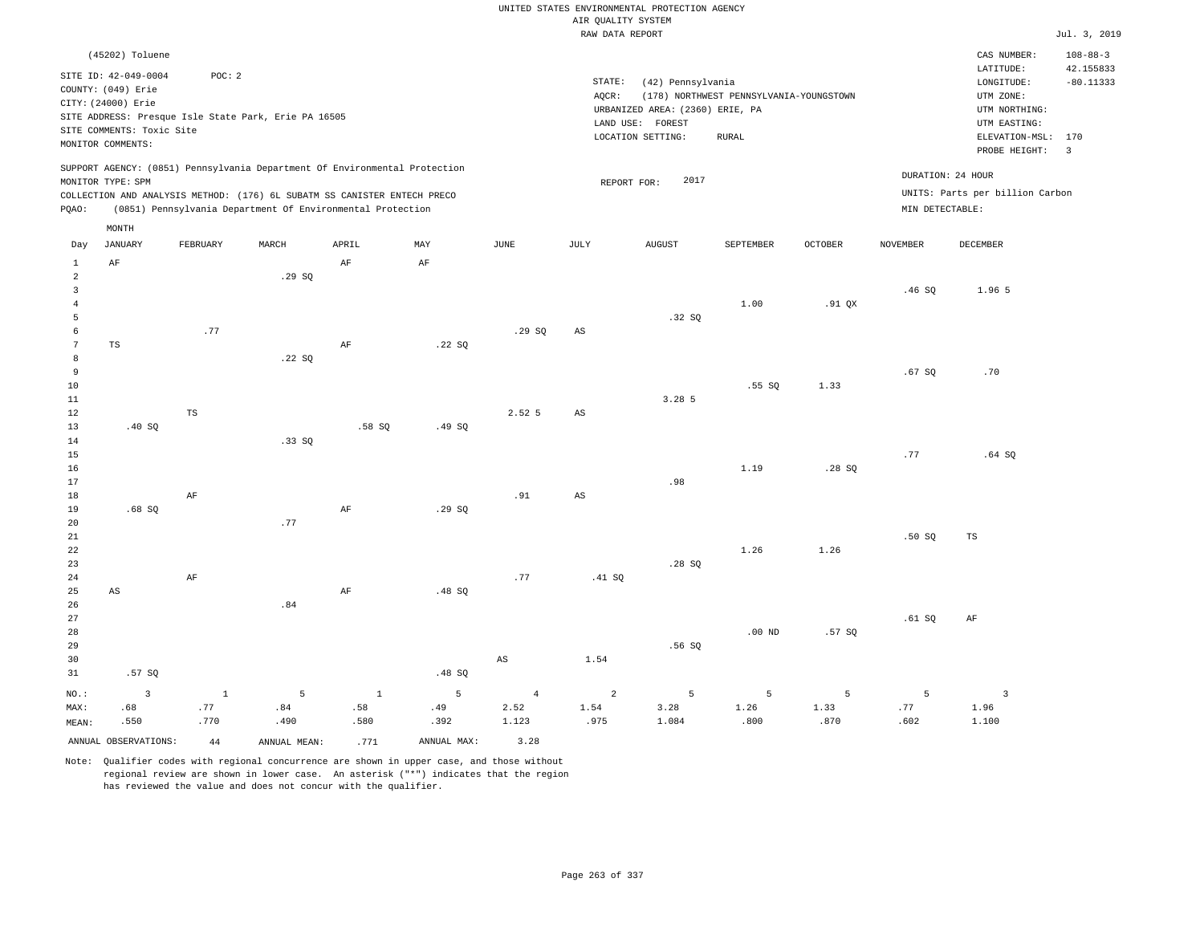|                         | (45202) Toluene<br>SITE ID: 42-049-0004<br>COUNTY: (049) Erie<br>CITY: (24000) Erie<br>SITE COMMENTS: Toxic Site<br>MONITOR COMMENTS: | POC: 2       | SITE ADDRESS: Presque Isle State Park, Erie PA 16505 | SUPPORT AGENCY: (0851) Pennsylvania Department Of Environmental Protection                                                             |             |                | STATE:<br>AQCR:        | (42) Pennsylvania<br>URBANIZED AREA: (2360) ERIE, PA<br>LAND USE: FOREST<br>LOCATION SETTING: | (178) NORTHWEST PENNSYLVANIA-YOUNGSTOWN<br>RURAL |                |                   | CAS NUMBER:<br>LATITUDE:<br>LONGITUDE:<br>UTM ZONE:<br>UTM NORTHING:<br>UTM EASTING:<br>ELEVATION-MSL: 170<br>PROBE HEIGHT: | $108 - 88 - 3$<br>42.155833<br>$-80.11333$<br>$\overline{3}$ |
|-------------------------|---------------------------------------------------------------------------------------------------------------------------------------|--------------|------------------------------------------------------|----------------------------------------------------------------------------------------------------------------------------------------|-------------|----------------|------------------------|-----------------------------------------------------------------------------------------------|--------------------------------------------------|----------------|-------------------|-----------------------------------------------------------------------------------------------------------------------------|--------------------------------------------------------------|
|                         | MONITOR TYPE: SPM                                                                                                                     |              |                                                      |                                                                                                                                        |             |                | REPORT FOR:            | 2017                                                                                          |                                                  |                | DURATION: 24 HOUR | UNITS: Parts per billion Carbon                                                                                             |                                                              |
| PQAO:                   |                                                                                                                                       |              |                                                      | COLLECTION AND ANALYSIS METHOD: (176) 6L SUBATM SS CANISTER ENTECH PRECO<br>(0851) Pennsylvania Department Of Environmental Protection |             |                |                        |                                                                                               |                                                  |                | MIN DETECTABLE:   |                                                                                                                             |                                                              |
|                         | MONTH                                                                                                                                 |              |                                                      |                                                                                                                                        |             |                |                        |                                                                                               |                                                  |                |                   |                                                                                                                             |                                                              |
| Day                     | <b>JANUARY</b>                                                                                                                        | FEBRUARY     | MARCH                                                | APRIL                                                                                                                                  | MAY         | JUNE           | JULY                   | <b>AUGUST</b>                                                                                 | SEPTEMBER                                        | <b>OCTOBER</b> | <b>NOVEMBER</b>   | <b>DECEMBER</b>                                                                                                             |                                                              |
| $\mathbf{1}$            | $\rm{AF}$                                                                                                                             |              |                                                      | $\rm AF$                                                                                                                               | AF          |                |                        |                                                                                               |                                                  |                |                   |                                                                                                                             |                                                              |
| $\overline{a}$          |                                                                                                                                       |              | .29SQ                                                |                                                                                                                                        |             |                |                        |                                                                                               |                                                  |                |                   |                                                                                                                             |                                                              |
| $\overline{\mathbf{3}}$ |                                                                                                                                       |              |                                                      |                                                                                                                                        |             |                |                        |                                                                                               |                                                  |                | .46SQ             | 1.96 5                                                                                                                      |                                                              |
| $\bf{4}$                |                                                                                                                                       |              |                                                      |                                                                                                                                        |             |                |                        |                                                                                               | 1.00                                             | .91 QX         |                   |                                                                                                                             |                                                              |
| 5                       |                                                                                                                                       |              |                                                      |                                                                                                                                        |             |                |                        | .32SQ                                                                                         |                                                  |                |                   |                                                                                                                             |                                                              |
| 6                       |                                                                                                                                       | .77          |                                                      |                                                                                                                                        |             | .29SQ          | $\mathbb{A}\mathbb{S}$ |                                                                                               |                                                  |                |                   |                                                                                                                             |                                                              |
| $\overline{7}$          | $_{\rm TS}$                                                                                                                           |              |                                                      | $\rm AF$                                                                                                                               | .22SQ       |                |                        |                                                                                               |                                                  |                |                   |                                                                                                                             |                                                              |
| 8                       |                                                                                                                                       |              | .22SQ                                                |                                                                                                                                        |             |                |                        |                                                                                               |                                                  |                |                   |                                                                                                                             |                                                              |
| 9<br>10                 |                                                                                                                                       |              |                                                      |                                                                                                                                        |             |                |                        |                                                                                               | .55S                                             | 1.33           | .67SQ             | .70                                                                                                                         |                                                              |
| 11                      |                                                                                                                                       |              |                                                      |                                                                                                                                        |             |                |                        | 3.28 5                                                                                        |                                                  |                |                   |                                                                                                                             |                                                              |
| 12                      |                                                                                                                                       | $_{\rm TS}$  |                                                      |                                                                                                                                        |             | 2.52 5         | $\mathbb{A}\mathbb{S}$ |                                                                                               |                                                  |                |                   |                                                                                                                             |                                                              |
| 13                      | .40 SQ                                                                                                                                |              |                                                      | .58SQ                                                                                                                                  | .49SQ       |                |                        |                                                                                               |                                                  |                |                   |                                                                                                                             |                                                              |
| 14                      |                                                                                                                                       |              | .33SQ                                                |                                                                                                                                        |             |                |                        |                                                                                               |                                                  |                |                   |                                                                                                                             |                                                              |
| 15                      |                                                                                                                                       |              |                                                      |                                                                                                                                        |             |                |                        |                                                                                               |                                                  |                | .77               | .64SQ                                                                                                                       |                                                              |
| 16                      |                                                                                                                                       |              |                                                      |                                                                                                                                        |             |                |                        |                                                                                               | 1.19                                             | .28SQ          |                   |                                                                                                                             |                                                              |
| 17                      |                                                                                                                                       |              |                                                      |                                                                                                                                        |             |                |                        | .98                                                                                           |                                                  |                |                   |                                                                                                                             |                                                              |
| 18                      |                                                                                                                                       | AF           |                                                      |                                                                                                                                        |             | .91            | $\mathbb{A}\mathbb{S}$ |                                                                                               |                                                  |                |                   |                                                                                                                             |                                                              |
| 19                      | .68SQ                                                                                                                                 |              |                                                      | $\rm AF$                                                                                                                               | .29SQ       |                |                        |                                                                                               |                                                  |                |                   |                                                                                                                             |                                                              |
| 20                      |                                                                                                                                       |              | .77                                                  |                                                                                                                                        |             |                |                        |                                                                                               |                                                  |                |                   |                                                                                                                             |                                                              |
| 21<br>22                |                                                                                                                                       |              |                                                      |                                                                                                                                        |             |                |                        |                                                                                               | 1.26                                             | 1.26           | .50S              | TS                                                                                                                          |                                                              |
| 23                      |                                                                                                                                       |              |                                                      |                                                                                                                                        |             |                |                        | .28SQ                                                                                         |                                                  |                |                   |                                                                                                                             |                                                              |
| 24                      |                                                                                                                                       | $\rm AF$     |                                                      |                                                                                                                                        |             | .77            | .41 SQ                 |                                                                                               |                                                  |                |                   |                                                                                                                             |                                                              |
| 25                      | $_{\rm AS}$                                                                                                                           |              |                                                      | AF                                                                                                                                     | .48 SQ      |                |                        |                                                                                               |                                                  |                |                   |                                                                                                                             |                                                              |
| 26                      |                                                                                                                                       |              | .84                                                  |                                                                                                                                        |             |                |                        |                                                                                               |                                                  |                |                   |                                                                                                                             |                                                              |
| 27                      |                                                                                                                                       |              |                                                      |                                                                                                                                        |             |                |                        |                                                                                               |                                                  |                | .61SQ             | AF                                                                                                                          |                                                              |
| 28                      |                                                                                                                                       |              |                                                      |                                                                                                                                        |             |                |                        |                                                                                               | $.00$ ND                                         | .57SQ          |                   |                                                                                                                             |                                                              |
| 29                      |                                                                                                                                       |              |                                                      |                                                                                                                                        |             |                |                        | .56SQ                                                                                         |                                                  |                |                   |                                                                                                                             |                                                              |
| 30                      |                                                                                                                                       |              |                                                      |                                                                                                                                        |             | AS             | 1.54                   |                                                                                               |                                                  |                |                   |                                                                                                                             |                                                              |
| 31                      | .57SQ                                                                                                                                 |              |                                                      |                                                                                                                                        | .48 SQ      |                |                        |                                                                                               |                                                  |                |                   |                                                                                                                             |                                                              |
| NO.:                    | $\overline{3}$                                                                                                                        | $\mathbf{1}$ | 5                                                    | $\mathbf{1}$                                                                                                                           | 5           | $\overline{4}$ | 2                      | 5                                                                                             | 5                                                | 5              | 5                 | $\overline{3}$                                                                                                              |                                                              |
| MAX:                    | .68                                                                                                                                   | .77          | .84                                                  | .58                                                                                                                                    | .49         | 2.52           | 1.54                   | 3.28                                                                                          | 1.26                                             | 1.33           | .77               | 1.96                                                                                                                        |                                                              |
| MEAN:                   | .550                                                                                                                                  | .770         | .490                                                 | .580                                                                                                                                   | .392        | 1.123          | .975                   | 1.084                                                                                         | .800                                             | .870           | .602              | 1.100                                                                                                                       |                                                              |
|                         | ANNUAL OBSERVATIONS:                                                                                                                  | $4\,4$       | ANNUAL MEAN:                                         | .771                                                                                                                                   | ANNUAL MAX: | 3.28           |                        |                                                                                               |                                                  |                |                   |                                                                                                                             |                                                              |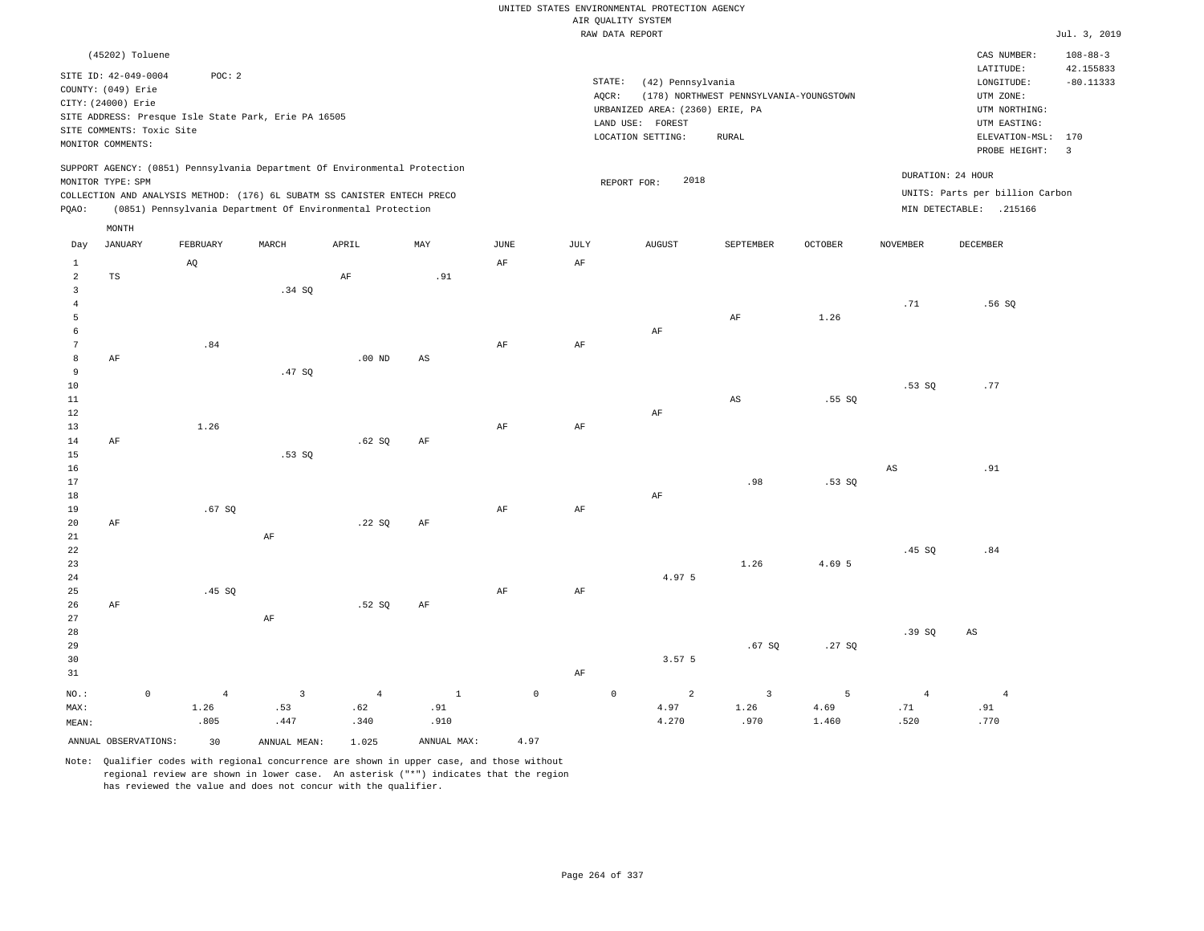|                 |                                            |                           |                |                                                      |                                                                            |              |                     |             | UNITED STATES ENVIRONMENTAL PROTECTION AGENCY<br>AIR QUALITY SYSTEM |                                         |                |                        |                                      |                          |
|-----------------|--------------------------------------------|---------------------------|----------------|------------------------------------------------------|----------------------------------------------------------------------------|--------------|---------------------|-------------|---------------------------------------------------------------------|-----------------------------------------|----------------|------------------------|--------------------------------------|--------------------------|
|                 |                                            |                           |                |                                                      |                                                                            |              |                     |             | RAW DATA REPORT                                                     |                                         |                |                        |                                      | Jul. 3, 2019             |
|                 | (45202) Toluene                            |                           |                |                                                      |                                                                            |              |                     |             |                                                                     |                                         |                |                        | CAS NUMBER:                          | $108 - 88 - 3$           |
|                 | SITE ID: 42-049-0004<br>COUNTY: (049) Erie |                           | POC: 2         |                                                      |                                                                            |              |                     |             | STATE:<br>(42) Pennsylvania                                         |                                         |                |                        | LATITUDE:<br>LONGITUDE:<br>UTM ZONE: | 42.155833<br>$-80.11333$ |
|                 | CITY: (24000) Erie                         |                           |                |                                                      |                                                                            |              |                     |             | $AQCR$ :<br>URBANIZED AREA: (2360) ERIE, PA                         | (178) NORTHWEST PENNSYLVANIA-YOUNGSTOWN |                |                        | UTM NORTHING:                        |                          |
|                 |                                            |                           |                | SITE ADDRESS: Presque Isle State Park, Erie PA 16505 |                                                                            |              |                     |             | LAND USE: FOREST                                                    |                                         |                |                        | UTM EASTING:                         |                          |
|                 |                                            | SITE COMMENTS: Toxic Site |                |                                                      |                                                                            |              |                     |             | LOCATION SETTING:                                                   | RURAL                                   |                |                        | ELEVATION-MSL:                       | 170                      |
|                 | MONITOR COMMENTS:                          |                           |                |                                                      |                                                                            |              |                     |             |                                                                     |                                         |                |                        | PROBE HEIGHT:                        | $\overline{3}$           |
|                 | MONITOR TYPE: SPM                          |                           |                |                                                      | SUPPORT AGENCY: (0851) Pennsylvania Department Of Environmental Protection |              |                     |             | 2018<br>REPORT FOR:                                                 |                                         |                |                        | DURATION: 24 HOUR                    |                          |
|                 |                                            |                           |                |                                                      | COLLECTION AND ANALYSIS METHOD: (176) 6L SUBATM SS CANISTER ENTECH PRECO   |              |                     |             |                                                                     |                                         |                |                        | UNITS: Parts per billion Carbon      |                          |
| PQAO:           |                                            |                           |                |                                                      | (0851) Pennsylvania Department Of Environmental Protection                 |              |                     |             |                                                                     |                                         |                |                        | MIN DETECTABLE: .215166              |                          |
|                 | MONTH                                      |                           |                |                                                      |                                                                            |              |                     |             |                                                                     |                                         |                |                        |                                      |                          |
| Day             | <b>JANUARY</b>                             |                           | FEBRUARY       | MARCH                                                | APRIL                                                                      | MAY          | <b>JUNE</b>         | <b>JULY</b> | <b>AUGUST</b>                                                       | <b>SEPTEMBER</b>                        | <b>OCTOBER</b> | <b>NOVEMBER</b>        | DECEMBER                             |                          |
| $1\,$           |                                            |                           | AQ             |                                                      |                                                                            |              | AF                  | AF          |                                                                     |                                         |                |                        |                                      |                          |
| $\overline{a}$  | $\mathbb{TS}$                              |                           |                |                                                      | AF                                                                         | .91          |                     |             |                                                                     |                                         |                |                        |                                      |                          |
| $\overline{3}$  |                                            |                           |                | .34 SQ                                               |                                                                            |              |                     |             |                                                                     |                                         |                |                        |                                      |                          |
| $\overline{4}$  |                                            |                           |                |                                                      |                                                                            |              |                     |             |                                                                     |                                         |                | .71                    | .56 SO                               |                          |
| $\overline{5}$  |                                            |                           |                |                                                      |                                                                            |              |                     |             |                                                                     | $\rm{AF}$                               | 1.26           |                        |                                      |                          |
| 6               |                                            |                           |                |                                                      |                                                                            |              |                     |             | AF                                                                  |                                         |                |                        |                                      |                          |
| $7\phantom{.0}$ |                                            |                           | .84            |                                                      |                                                                            |              | AF                  | AF          |                                                                     |                                         |                |                        |                                      |                          |
| 8               | $\rm AF$                                   |                           |                |                                                      | .00 <sub>ND</sub>                                                          | $_{\rm AS}$  |                     |             |                                                                     |                                         |                |                        |                                      |                          |
| 9<br>$10$       |                                            |                           |                | .47SQ                                                |                                                                            |              |                     |             |                                                                     |                                         |                | .53SQ                  | .77                                  |                          |
| $1\,1$          |                                            |                           |                |                                                      |                                                                            |              |                     |             |                                                                     | AS                                      | .55 SO         |                        |                                      |                          |
| $1\,2$          |                                            |                           |                |                                                      |                                                                            |              |                     |             | $\rm{AF}$                                                           |                                         |                |                        |                                      |                          |
| 13              |                                            |                           | 1.26           |                                                      |                                                                            |              | AF                  | AF          |                                                                     |                                         |                |                        |                                      |                          |
| 14              | $\rm AF$                                   |                           |                |                                                      | .62SQ                                                                      | AF           |                     |             |                                                                     |                                         |                |                        |                                      |                          |
| 15              |                                            |                           |                | .53SQ                                                |                                                                            |              |                     |             |                                                                     |                                         |                |                        |                                      |                          |
| 16              |                                            |                           |                |                                                      |                                                                            |              |                     |             |                                                                     |                                         |                | $\mathbb{A}\mathbb{S}$ | .91                                  |                          |
| 17              |                                            |                           |                |                                                      |                                                                            |              |                     |             |                                                                     | .98                                     | .53SQ          |                        |                                      |                          |
| 18              |                                            |                           |                |                                                      |                                                                            |              |                     |             | AF                                                                  |                                         |                |                        |                                      |                          |
| 19<br>20        |                                            |                           | .67SQ          |                                                      |                                                                            |              | $\rm{AF}$           | $\rm{AF}$   |                                                                     |                                         |                |                        |                                      |                          |
| 21              | AF                                         |                           |                | AF                                                   | .22SQ                                                                      | AF           |                     |             |                                                                     |                                         |                |                        |                                      |                          |
| 22              |                                            |                           |                |                                                      |                                                                            |              |                     |             |                                                                     |                                         |                | .45SQ                  | .84                                  |                          |
| 23              |                                            |                           |                |                                                      |                                                                            |              |                     |             |                                                                     | 1.26                                    | 4.69 5         |                        |                                      |                          |
| 24              |                                            |                           |                |                                                      |                                                                            |              |                     |             | 4.97 5                                                              |                                         |                |                        |                                      |                          |
| 25              |                                            |                           | .45 S          |                                                      |                                                                            |              | AF                  | AF          |                                                                     |                                         |                |                        |                                      |                          |
| 26              | AF                                         |                           |                |                                                      | .52SQ                                                                      | AF           |                     |             |                                                                     |                                         |                |                        |                                      |                          |
| 27              |                                            |                           |                | AF                                                   |                                                                            |              |                     |             |                                                                     |                                         |                |                        |                                      |                          |
| 28              |                                            |                           |                |                                                      |                                                                            |              |                     |             |                                                                     |                                         |                | .39SQ                  | $_{\rm AS}$                          |                          |
| 29              |                                            |                           |                |                                                      |                                                                            |              |                     |             |                                                                     | .67SQ                                   | .27SQ          |                        |                                      |                          |
| 30              |                                            |                           |                |                                                      |                                                                            |              |                     |             | 3.57 5                                                              |                                         |                |                        |                                      |                          |
| $3\,1$          |                                            |                           |                |                                                      |                                                                            |              |                     | $\rm{AF}$   |                                                                     |                                         |                |                        |                                      |                          |
| NO.:            |                                            | $\circ$                   | $\overline{4}$ | $\overline{3}$                                       | $\overline{4}$                                                             | $\mathbf{1}$ | $\mathsf{O}\xspace$ |             | 2<br>$\mathbb O$                                                    | $\overline{3}$                          | 5              | $\overline{4}$         | $\overline{4}$                       |                          |
| MAX:            |                                            |                           | 1.26           | .53                                                  | .62                                                                        | .91          |                     |             | 4.97                                                                | 1.26                                    | 4.69           | .71                    | .91                                  |                          |
| MEAN:           |                                            |                           | .805           | .447                                                 | .340                                                                       | .910         |                     |             | 4.270                                                               | .970                                    | 1.460          | .520                   | .770                                 |                          |
|                 | ANNUAL OBSERVATIONS:                       |                           | 30             | ANNUAL MEAN:                                         | 1.025                                                                      | ANNUAL MAX:  | 4.97                |             |                                                                     |                                         |                |                        |                                      |                          |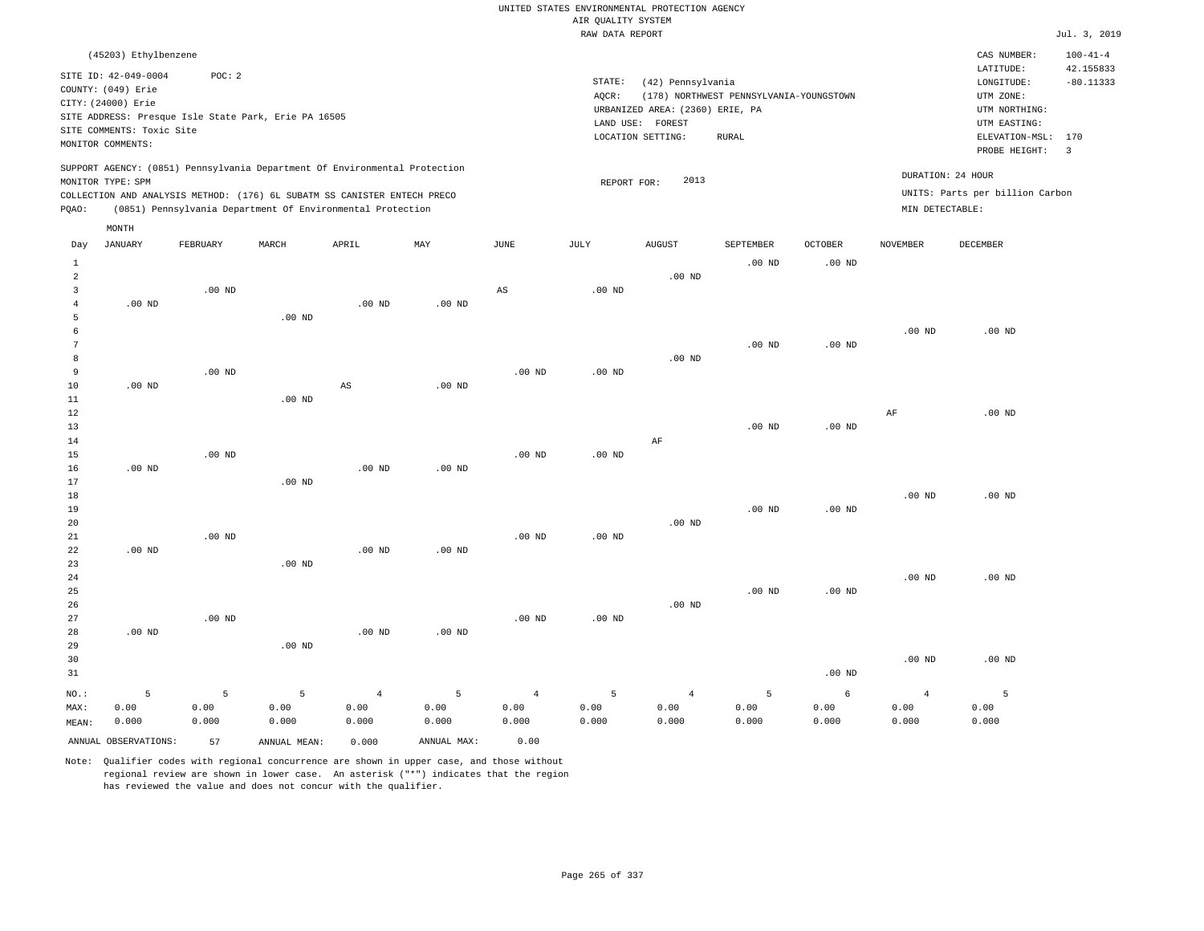|                |                           |          |                                                                            |                        |                   |                   | RAW DATA REPORT   |                                 |                                         |                   |                 |                                 | Jul. 3, 2019   |
|----------------|---------------------------|----------|----------------------------------------------------------------------------|------------------------|-------------------|-------------------|-------------------|---------------------------------|-----------------------------------------|-------------------|-----------------|---------------------------------|----------------|
|                | (45203) Ethylbenzene      |          |                                                                            |                        |                   |                   |                   |                                 |                                         |                   |                 | CAS NUMBER:                     | $100 - 41 - 4$ |
|                |                           |          |                                                                            |                        |                   |                   |                   |                                 |                                         |                   |                 | LATITUDE:                       | 42.155833      |
|                | SITE ID: 42-049-0004      | POC: 2   |                                                                            |                        |                   |                   | STATE:            | (42) Pennsylvania               |                                         |                   |                 | LONGITUDE:                      | $-80.11333$    |
|                | COUNTY: (049) Erie        |          |                                                                            |                        |                   |                   | AQCR:             |                                 | (178) NORTHWEST PENNSYLVANIA-YOUNGSTOWN |                   |                 | UTM ZONE:                       |                |
|                | CITY: (24000) Erie        |          |                                                                            |                        |                   |                   |                   | URBANIZED AREA: (2360) ERIE, PA |                                         |                   |                 | UTM NORTHING:                   |                |
|                |                           |          | SITE ADDRESS: Presque Isle State Park, Erie PA 16505                       |                        |                   |                   |                   | LAND USE: FOREST                |                                         |                   |                 | UTM EASTING:                    |                |
|                | SITE COMMENTS: Toxic Site |          |                                                                            |                        |                   |                   |                   | LOCATION SETTING:               | RURAL                                   |                   |                 | ELEVATION-MSL:                  | 170            |
|                | MONITOR COMMENTS:         |          |                                                                            |                        |                   |                   |                   |                                 |                                         |                   |                 | PROBE HEIGHT:                   | $\overline{3}$ |
|                |                           |          | SUPPORT AGENCY: (0851) Pennsylvania Department Of Environmental Protection |                        |                   |                   |                   |                                 |                                         |                   |                 |                                 |                |
|                | MONITOR TYPE: SPM         |          |                                                                            |                        |                   |                   | REPORT FOR:       | 2013                            |                                         |                   |                 | DURATION: 24 HOUR               |                |
|                |                           |          | COLLECTION AND ANALYSIS METHOD: (176) 6L SUBATM SS CANISTER ENTECH PRECO   |                        |                   |                   |                   |                                 |                                         |                   |                 | UNITS: Parts per billion Carbon |                |
| PQAO:          |                           |          | (0851) Pennsylvania Department Of Environmental Protection                 |                        |                   |                   |                   |                                 |                                         |                   | MIN DETECTABLE: |                                 |                |
|                | MONTH                     |          |                                                                            |                        |                   |                   |                   |                                 |                                         |                   |                 |                                 |                |
| Day            | <b>JANUARY</b>            | FEBRUARY | MARCH                                                                      | APRIL                  | MAY               | JUNE              | JULY              | <b>AUGUST</b>                   | SEPTEMBER                               | <b>OCTOBER</b>    | <b>NOVEMBER</b> | <b>DECEMBER</b>                 |                |
| $\mathbf{1}$   |                           |          |                                                                            |                        |                   |                   |                   |                                 | .00 <sub>ND</sub>                       | $.00$ ND          |                 |                                 |                |
| $\overline{a}$ |                           |          |                                                                            |                        |                   |                   |                   | $.00$ ND                        |                                         |                   |                 |                                 |                |
| $\overline{3}$ |                           | $.00$ ND |                                                                            |                        |                   | AS                | $.00$ ND          |                                 |                                         |                   |                 |                                 |                |
| $\overline{4}$ | $.00$ ND                  |          |                                                                            | .00 <sub>ND</sub>      | $.00$ ND          |                   |                   |                                 |                                         |                   |                 |                                 |                |
| 5              |                           |          | $.00$ ND                                                                   |                        |                   |                   |                   |                                 |                                         |                   |                 |                                 |                |
| 6              |                           |          |                                                                            |                        |                   |                   |                   |                                 |                                         |                   | $.00$ ND        | $.00$ ND                        |                |
| $\overline{7}$ |                           |          |                                                                            |                        |                   |                   |                   |                                 | $.00$ ND                                | .00 <sub>ND</sub> |                 |                                 |                |
| 8              |                           |          |                                                                            |                        |                   |                   |                   | $.00$ ND                        |                                         |                   |                 |                                 |                |
| $\overline{9}$ |                           | $.00$ ND |                                                                            |                        |                   | .00 <sub>ND</sub> | .00 <sub>ND</sub> |                                 |                                         |                   |                 |                                 |                |
| 10             | $.00$ ND                  |          |                                                                            | $\mathbb{A}\mathbb{S}$ | .00 <sub>ND</sub> |                   |                   |                                 |                                         |                   |                 |                                 |                |
| 11             |                           |          | $.00$ ND                                                                   |                        |                   |                   |                   |                                 |                                         |                   |                 |                                 |                |
| 12             |                           |          |                                                                            |                        |                   |                   |                   |                                 |                                         |                   | AF              | $.00$ ND                        |                |
| 13             |                           |          |                                                                            |                        |                   |                   |                   |                                 | .00 <sub>ND</sub>                       | .00 <sub>ND</sub> |                 |                                 |                |
| 14             |                           |          |                                                                            |                        |                   |                   |                   | AF                              |                                         |                   |                 |                                 |                |
| 15             |                           | $.00$ ND |                                                                            |                        |                   | $.00$ ND          | .00 <sub>ND</sub> |                                 |                                         |                   |                 |                                 |                |
| 16             | $.00$ ND                  |          |                                                                            | .00 <sub>ND</sub>      | .00 <sub>ND</sub> |                   |                   |                                 |                                         |                   |                 |                                 |                |
| 17             |                           |          | $.00$ ND                                                                   |                        |                   |                   |                   |                                 |                                         |                   |                 |                                 |                |
| 18             |                           |          |                                                                            |                        |                   |                   |                   |                                 |                                         |                   | $.00$ ND        | $.00$ ND                        |                |
| 19             |                           |          |                                                                            |                        |                   |                   |                   |                                 | $.00$ ND                                | $.00$ ND          |                 |                                 |                |
| 20             |                           |          |                                                                            |                        |                   |                   |                   | $.00$ ND                        |                                         |                   |                 |                                 |                |
| 21             |                           | $.00$ ND |                                                                            |                        |                   | .00 <sub>ND</sub> | .00 <sub>ND</sub> |                                 |                                         |                   |                 |                                 |                |
| 22             | $.00$ ND                  |          |                                                                            | .00 <sub>ND</sub>      | $.00$ ND          |                   |                   |                                 |                                         |                   |                 |                                 |                |
| 23             |                           |          | $.00$ ND                                                                   |                        |                   |                   |                   |                                 |                                         |                   |                 |                                 |                |
| 24             |                           |          |                                                                            |                        |                   |                   |                   |                                 |                                         |                   | $.00$ ND        | .00 <sub>ND</sub>               |                |
| 25             |                           |          |                                                                            |                        |                   |                   |                   |                                 | $.00$ ND                                | .00 <sub>ND</sub> |                 |                                 |                |
| 26             |                           |          |                                                                            |                        |                   |                   |                   | $.00$ ND                        |                                         |                   |                 |                                 |                |
| 27             |                           | $.00$ ND |                                                                            |                        |                   | .00 <sub>ND</sub> | .00 <sub>ND</sub> |                                 |                                         |                   |                 |                                 |                |
| 28             | $.00$ ND                  |          |                                                                            | .00 <sub>ND</sub>      | $.00$ ND          |                   |                   |                                 |                                         |                   |                 |                                 |                |
| 29             |                           |          | $.00$ ND                                                                   |                        |                   |                   |                   |                                 |                                         |                   |                 |                                 |                |
| 30             |                           |          |                                                                            |                        |                   |                   |                   |                                 |                                         |                   | $.00$ ND        | .00 <sub>ND</sub>               |                |
| 31             |                           |          |                                                                            |                        |                   |                   |                   |                                 |                                         | .00 <sub>ND</sub> |                 |                                 |                |
| NO.:           | 5                         | 5        | 5                                                                          | $\overline{4}$         | 5                 | $\overline{4}$    | 5                 | $\overline{4}$                  | 5                                       | $\epsilon$        | $\overline{4}$  | 5                               |                |
| MAX:           | 0.00                      | 0.00     | 0.00                                                                       | 0.00                   | 0.00              | 0.00              | 0.00              | 0.00                            | 0.00                                    | 0.00              | 0.00            | 0.00                            |                |
| MEAN:          | 0.000                     | 0.000    | 0.000                                                                      | 0.000                  | 0.000             | 0.000             | 0.000             | 0.000                           | 0.000                                   | 0.000             | 0.000           | 0.000                           |                |
|                | ANNUAL OBSERVATIONS:      | 57       | ANNUAL MEAN:                                                               | 0.000                  | ANNUAL MAX:       | 0.00              |                   |                                 |                                         |                   |                 |                                 |                |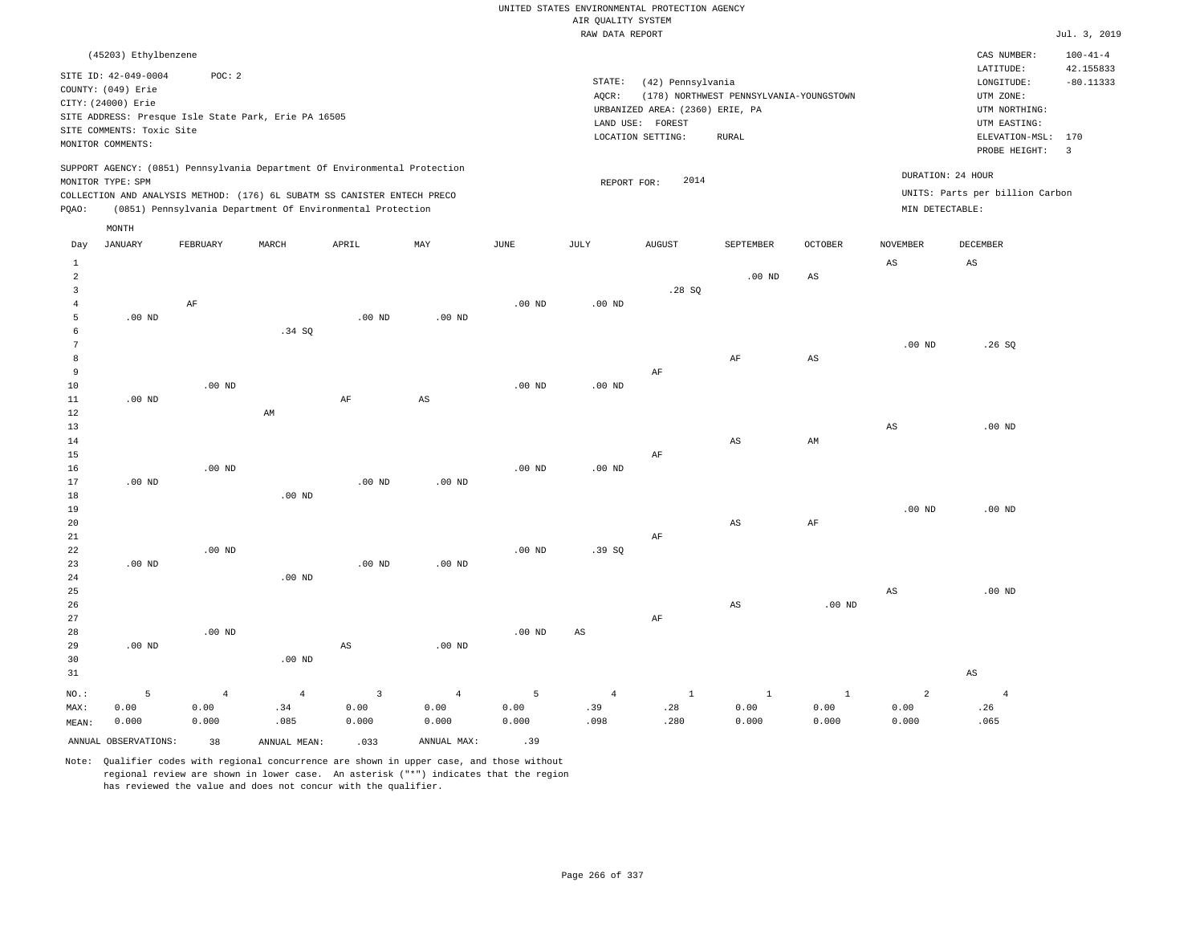|                | (45203) Ethylbenzene      |                |                                                                            |                        |                        |                   |                        |                                 |                                         |                   |                   | CAS NUMBER:                     | $100 - 41 - 4$ |
|----------------|---------------------------|----------------|----------------------------------------------------------------------------|------------------------|------------------------|-------------------|------------------------|---------------------------------|-----------------------------------------|-------------------|-------------------|---------------------------------|----------------|
|                | SITE ID: 42-049-0004      | POC: 2         |                                                                            |                        |                        |                   |                        |                                 |                                         |                   |                   | LATITUDE:                       | 42.155833      |
|                | COUNTY: (049) Erie        |                |                                                                            |                        |                        |                   | STATE:                 | (42) Pennsylvania               |                                         |                   |                   | LONGITUDE:                      | $-80.11333$    |
|                | CITY: (24000) Erie        |                |                                                                            |                        |                        |                   | AQCR:                  |                                 | (178) NORTHWEST PENNSYLVANIA-YOUNGSTOWN |                   |                   | UTM ZONE:                       |                |
|                |                           |                | SITE ADDRESS: Presque Isle State Park, Erie PA 16505                       |                        |                        |                   |                        | URBANIZED AREA: (2360) ERIE, PA |                                         |                   |                   | UTM NORTHING:                   |                |
|                | SITE COMMENTS: Toxic Site |                |                                                                            |                        |                        |                   |                        | LAND USE: FOREST                |                                         |                   |                   | UTM EASTING:                    |                |
|                | MONITOR COMMENTS:         |                |                                                                            |                        |                        |                   |                        | LOCATION SETTING:               | <b>RURAL</b>                            |                   |                   | ELEVATION-MSL: 170              |                |
|                |                           |                |                                                                            |                        |                        |                   |                        |                                 |                                         |                   |                   | PROBE HEIGHT:                   | $\overline{3}$ |
|                | MONITOR TYPE: SPM         |                | SUPPORT AGENCY: (0851) Pennsylvania Department Of Environmental Protection |                        |                        |                   | REPORT FOR:            | 2014                            |                                         |                   | DURATION: 24 HOUR |                                 |                |
|                |                           |                | COLLECTION AND ANALYSIS METHOD: (176) 6L SUBATM SS CANISTER ENTECH PRECO   |                        |                        |                   |                        |                                 |                                         |                   |                   | UNITS: Parts per billion Carbon |                |
| PQAO:          |                           |                | (0851) Pennsylvania Department Of Environmental Protection                 |                        |                        |                   |                        |                                 |                                         |                   | MIN DETECTABLE:   |                                 |                |
|                | MONTH                     |                |                                                                            |                        |                        |                   |                        |                                 |                                         |                   |                   |                                 |                |
|                |                           |                |                                                                            |                        |                        |                   |                        |                                 |                                         |                   |                   | <b>DECEMBER</b>                 |                |
| Day            | <b>JANUARY</b>            | FEBRUARY       | MARCH                                                                      | APRIL                  | MAY                    | JUNE              | JULY                   | <b>AUGUST</b>                   | SEPTEMBER                               | <b>OCTOBER</b>    | <b>NOVEMBER</b>   |                                 |                |
| $\mathbf{1}$   |                           |                |                                                                            |                        |                        |                   |                        |                                 |                                         |                   | $_{\rm AS}$       | $\mathbb{A}\mathbb{S}$          |                |
| $\overline{2}$ |                           |                |                                                                            |                        |                        |                   |                        |                                 | $.00$ ND                                | $_{\rm AS}$       |                   |                                 |                |
| 3              |                           |                |                                                                            |                        |                        |                   |                        | .28S                            |                                         |                   |                   |                                 |                |
| $\overline{4}$ |                           | $\rm{AF}$      |                                                                            |                        |                        | .00 <sub>ND</sub> | .00 <sub>ND</sub>      |                                 |                                         |                   |                   |                                 |                |
| $\overline{5}$ | $.00$ ND                  |                |                                                                            | .00 <sub>ND</sub>      | $.00$ ND               |                   |                        |                                 |                                         |                   |                   |                                 |                |
| 6              |                           |                | .34 SQ                                                                     |                        |                        |                   |                        |                                 |                                         |                   |                   |                                 |                |
| 7              |                           |                |                                                                            |                        |                        |                   |                        |                                 |                                         |                   | .00 <sub>ND</sub> | .26S                            |                |
| 8              |                           |                |                                                                            |                        |                        |                   |                        |                                 | AF                                      | AS                |                   |                                 |                |
| 9              |                           |                |                                                                            |                        |                        |                   |                        | AF                              |                                         |                   |                   |                                 |                |
| $10$           |                           | $.00$ ND       |                                                                            |                        |                        | .00 <sub>ND</sub> | $.00$ ND               |                                 |                                         |                   |                   |                                 |                |
| $11\,$         | $.00$ ND                  |                |                                                                            | $\rm AF$               | $\mathbb{A}\mathbb{S}$ |                   |                        |                                 |                                         |                   |                   |                                 |                |
| 12             |                           |                | AM                                                                         |                        |                        |                   |                        |                                 |                                         |                   |                   |                                 |                |
| 13<br>14       |                           |                |                                                                            |                        |                        |                   |                        |                                 |                                         |                   | $_{\rm AS}$       | $.00$ ND                        |                |
| 15             |                           |                |                                                                            |                        |                        |                   |                        | AF                              | AS                                      | AM                |                   |                                 |                |
| 16             |                           | $.00$ ND       |                                                                            |                        |                        | $.00$ ND          | .00 <sub>ND</sub>      |                                 |                                         |                   |                   |                                 |                |
| 17             | $.00$ ND                  |                |                                                                            | $.00$ ND               | $.00$ ND               |                   |                        |                                 |                                         |                   |                   |                                 |                |
| 18             |                           |                | .00 <sub>ND</sub>                                                          |                        |                        |                   |                        |                                 |                                         |                   |                   |                                 |                |
| 19             |                           |                |                                                                            |                        |                        |                   |                        |                                 |                                         |                   | .00 <sub>ND</sub> | $.00$ ND                        |                |
| 20             |                           |                |                                                                            |                        |                        |                   |                        |                                 | AS                                      | AF                |                   |                                 |                |
| 21             |                           |                |                                                                            |                        |                        |                   |                        | AF                              |                                         |                   |                   |                                 |                |
| 22             |                           | $.00$ ND       |                                                                            |                        |                        | $.00$ ND          | .39SQ                  |                                 |                                         |                   |                   |                                 |                |
| 23             | $.00$ ND                  |                |                                                                            | .00 <sub>ND</sub>      | .00 <sub>ND</sub>      |                   |                        |                                 |                                         |                   |                   |                                 |                |
| 24             |                           |                | $.00$ ND                                                                   |                        |                        |                   |                        |                                 |                                         |                   |                   |                                 |                |
| 25             |                           |                |                                                                            |                        |                        |                   |                        |                                 |                                         |                   | $_{\rm AS}$       | $.00$ ND                        |                |
| 26             |                           |                |                                                                            |                        |                        |                   |                        |                                 | AS                                      | .00 <sub>ND</sub> |                   |                                 |                |
| 27             |                           |                |                                                                            |                        |                        |                   |                        | AF                              |                                         |                   |                   |                                 |                |
| 28             |                           | $.00$ ND       |                                                                            |                        |                        | .00 <sub>ND</sub> | $\mathbb{A}\mathbb{S}$ |                                 |                                         |                   |                   |                                 |                |
| 29             | $.00$ ND                  |                |                                                                            | $\mathbb{A}\mathbb{S}$ | $.00$ ND               |                   |                        |                                 |                                         |                   |                   |                                 |                |
| 30             |                           |                | $.00$ ND                                                                   |                        |                        |                   |                        |                                 |                                         |                   |                   |                                 |                |
| 31             |                           |                |                                                                            |                        |                        |                   |                        |                                 |                                         |                   |                   | $\mathbb{A}\mathbb{S}$          |                |
| NO.:           | 5                         | $\overline{4}$ | $\overline{4}$                                                             | $\overline{3}$         | $\overline{4}$         | 5                 | $\overline{4}$         | $\mathbf{1}$                    | $\,1\,$                                 | $\mathbf{1}$      | $\overline{a}$    | $\overline{4}$                  |                |
| MAX:           | 0.00                      | 0.00           | .34                                                                        | 0.00                   | 0.00                   | 0.00              | .39                    | .28                             | 0.00                                    | 0.00              | 0.00              | .26                             |                |
| MEAN:          | 0.000                     | 0.000          | .085                                                                       | 0.000                  | 0.000                  | 0.000             | .098                   | .280                            | 0.000                                   | 0.000             | 0.000             | .065                            |                |
|                |                           |                |                                                                            |                        |                        |                   |                        |                                 |                                         |                   |                   |                                 |                |
|                | ANNUAL OBSERVATIONS:      | 38             | ANNUAL MEAN:                                                               | .033                   | ANNUAL MAX:            | .39               |                        |                                 |                                         |                   |                   |                                 |                |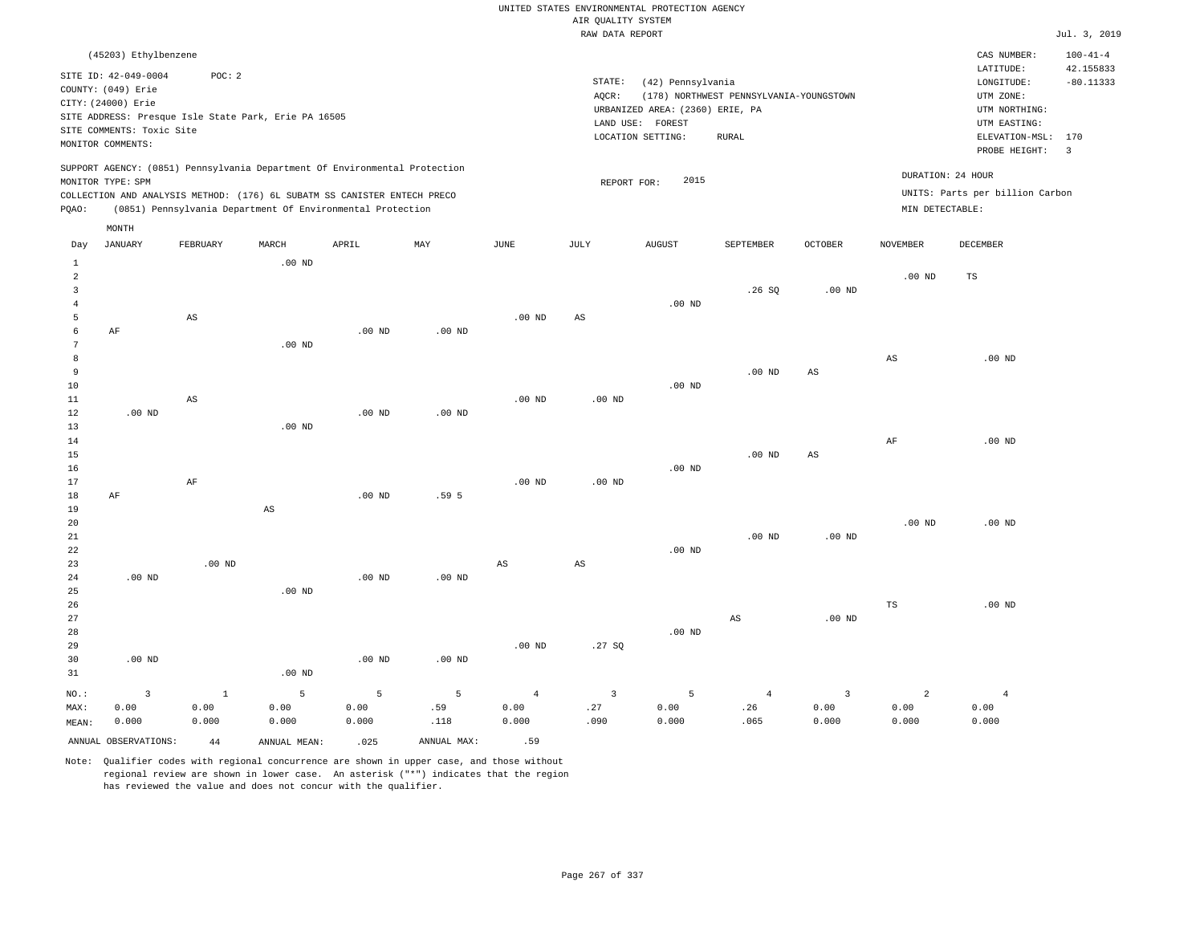|                 | (45203) Ethylbenzene      |                                                                            |                   |          |          |                   |        |                                 |                                         |                |                 | CAS NUMBER:                     | $100 - 41 - 4$ |
|-----------------|---------------------------|----------------------------------------------------------------------------|-------------------|----------|----------|-------------------|--------|---------------------------------|-----------------------------------------|----------------|-----------------|---------------------------------|----------------|
|                 | SITE ID: 42-049-0004      | POC:2                                                                      |                   |          |          |                   |        |                                 |                                         |                |                 | LATITUDE:                       | 42.155833      |
|                 | COUNTY: (049) Erie        |                                                                            |                   |          |          |                   | STATE: | (42) Pennsylvania               |                                         |                |                 | LONGITUDE:                      | $-80.11333$    |
|                 | CITY: (24000) Erie        |                                                                            |                   |          |          |                   | AOCR:  |                                 | (178) NORTHWEST PENNSYLVANIA-YOUNGSTOWN |                |                 | UTM ZONE:                       |                |
|                 |                           | SITE ADDRESS: Presque Isle State Park, Erie PA 16505                       |                   |          |          |                   |        | URBANIZED AREA: (2360) ERIE, PA |                                         |                |                 | UTM NORTHING:                   |                |
|                 | SITE COMMENTS: Toxic Site |                                                                            |                   |          |          |                   |        | LAND USE:<br>FOREST             |                                         |                |                 | UTM EASTING:                    |                |
|                 | MONITOR COMMENTS:         |                                                                            |                   |          |          |                   |        | LOCATION SETTING:               | RURAL                                   |                |                 | ELEVATION-MSL: 170              |                |
|                 |                           |                                                                            |                   |          |          |                   |        |                                 |                                         |                |                 | PROBE HEIGHT:                   | -3             |
|                 |                           | SUPPORT AGENCY: (0851) Pennsylvania Department Of Environmental Protection |                   |          |          |                   |        |                                 |                                         |                |                 | DURATION: 24 HOUR               |                |
|                 | MONITOR TYPE: SPM         |                                                                            |                   |          |          |                   |        | 2015<br>REPORT FOR:             |                                         |                |                 |                                 |                |
|                 |                           | COLLECTION AND ANALYSIS METHOD: (176) 6L SUBATM SS CANISTER ENTECH PRECO   |                   |          |          |                   |        |                                 |                                         |                |                 | UNITS: Parts per billion Carbon |                |
| PQAO:           |                           | (0851) Pennsylvania Department Of Environmental Protection                 |                   |          |          |                   |        |                                 |                                         |                | MIN DETECTABLE: |                                 |                |
|                 | MONTH                     |                                                                            |                   |          |          |                   |        |                                 |                                         |                |                 |                                 |                |
| Day             | JANUARY                   | FEBRUARY                                                                   | MARCH             | APRIL    | MAY      | JUNE              | JULY   | <b>AUGUST</b>                   | SEPTEMBER                               | <b>OCTOBER</b> | <b>NOVEMBER</b> | <b>DECEMBER</b>                 |                |
|                 |                           |                                                                            | $.00$ ND          |          |          |                   |        |                                 |                                         |                |                 |                                 |                |
| 2               |                           |                                                                            |                   |          |          |                   |        |                                 |                                         |                | $.00$ ND        | TS                              |                |
| 3               |                           |                                                                            |                   |          |          |                   |        |                                 | .26S                                    | $.00$ ND       |                 |                                 |                |
|                 |                           |                                                                            |                   |          |          |                   |        | .00 <sub>ND</sub>               |                                         |                |                 |                                 |                |
|                 |                           | AS                                                                         |                   |          |          | .00 <sub>ND</sub> | AS     |                                 |                                         |                |                 |                                 |                |
|                 | AF                        |                                                                            |                   | $.00$ ND | $.00$ ND |                   |        |                                 |                                         |                |                 |                                 |                |
|                 |                           |                                                                            | .00 <sub>ND</sub> |          |          |                   |        |                                 |                                         |                |                 |                                 |                |
| 8               |                           |                                                                            |                   |          |          |                   |        |                                 |                                         |                | AS              | $.00$ ND                        |                |
| 9               |                           |                                                                            |                   |          |          |                   |        |                                 | $.00$ ND                                | AS             |                 |                                 |                |
| 10 <sup>°</sup> |                           |                                                                            |                   |          |          |                   |        | .00 <sub>ND</sub>               |                                         |                |                 |                                 |                |

| 11 |           | AS       |          |          |          | $.00$ ND | $.00$ ND |          |          |          |          |          |
|----|-----------|----------|----------|----------|----------|----------|----------|----------|----------|----------|----------|----------|
| 12 | $.00$ ND  |          |          | $.00$ ND | $.00$ ND |          |          |          |          |          |          |          |
| 13 |           |          | $.00$ ND |          |          |          |          |          |          |          |          |          |
| 14 |           |          |          |          |          |          |          |          |          |          | AF       | $.00$ ND |
| 15 |           |          |          |          |          |          |          |          | $.00$ ND | AS       |          |          |
| 16 |           |          |          |          |          |          |          | $.00$ ND |          |          |          |          |
| 17 |           | AF       |          |          |          | $.00$ ND | $.00$ ND |          |          |          |          |          |
| 18 | $\rm{AF}$ |          |          | $.00$ ND | .59 5    |          |          |          |          |          |          |          |
| 19 |           |          | AS       |          |          |          |          |          |          |          |          |          |
| 20 |           |          |          |          |          |          |          |          |          |          | $.00$ ND | $.00$ ND |
| 21 |           |          |          |          |          |          |          |          | $.00$ ND | $.00$ ND |          |          |
| 22 |           |          |          |          |          |          |          | $.00$ ND |          |          |          |          |
| 23 |           | $.00$ ND |          |          |          | AS       | AS       |          |          |          |          |          |
| 24 | $.00$ ND  |          |          | $.00$ ND | $.00$ ND |          |          |          |          |          |          |          |

| $ -$    | .        |      |          | .        | .        |          |        |          |     |          |      |          |
|---------|----------|------|----------|----------|----------|----------|--------|----------|-----|----------|------|----------|
| 25      |          |      | $.00$ ND |          |          |          |        |          |     |          |      |          |
| 26      |          |      |          |          |          |          |        |          |     |          | TS   | $.00$ ND |
| 27      |          |      |          |          |          |          |        |          | AS  | $.00$ ND |      |          |
| 28      |          |      |          |          |          |          |        | $.00$ ND |     |          |      |          |
| 29      |          |      |          |          |          | $.00$ ND | .27 SQ |          |     |          |      |          |
| 30      | $.00$ ND |      |          | $.00$ ND | $.00$ ND |          |        |          |     |          |      |          |
| 31      |          |      | $.00$ ND |          |          |          |        |          |     |          |      |          |
| $NO.$ : |          |      | 5        | 5        | $5 -$    | 4        |        | 5        | 4   |          | 2    | 4        |
| MAX:    | 0.00     | 0.00 | 0.00     | 0.00     | .59      | 0.00     | .27    | 0.00     | .26 | 0.00     | 0.00 | 0.00     |

0.000

Note: Qualifier codes with regional concurrence are shown in upper case, and those without regional review are shown in lower case. An asterisk ("\*") indicates that the region has reviewed the value and does not concur with the qualifier.

ANNUAL OBSERVATIONS:  $44$  ANNUAL MEAN: .025 ANNUAL MAX: .59

0.000

.118

0.000

MEAN:

0.000

0.000

.090

0.000

.065

0.000

0.000

0.000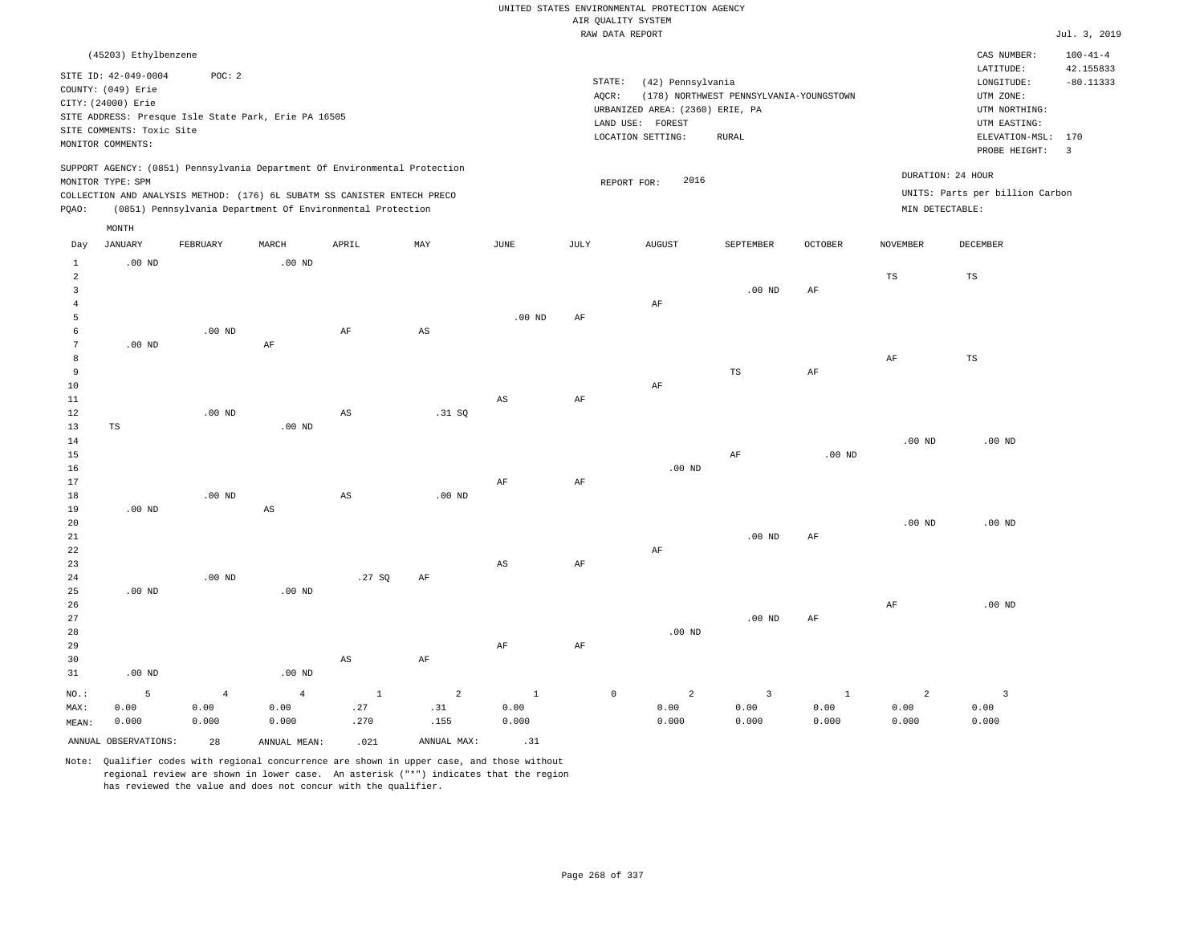|                 |                           |                   |                                                      |                                                                            |                        |                   |             | RAW DATA REPORT                 |                                         |              |                   |                                 | Jul. 3, 2019            |
|-----------------|---------------------------|-------------------|------------------------------------------------------|----------------------------------------------------------------------------|------------------------|-------------------|-------------|---------------------------------|-----------------------------------------|--------------|-------------------|---------------------------------|-------------------------|
|                 | (45203) Ethylbenzene      |                   |                                                      |                                                                            |                        |                   |             |                                 |                                         |              |                   | CAS NUMBER:                     | $100 - 41 - 4$          |
|                 |                           |                   |                                                      |                                                                            |                        |                   |             |                                 |                                         |              |                   | LATITUDE:                       | 42.155833               |
|                 | SITE ID: 42-049-0004      | POC: 2            |                                                      |                                                                            |                        |                   | STATE:      | (42) Pennsylvania               |                                         |              |                   | LONGITUDE:                      | $-80.11333$             |
|                 | COUNTY: (049) Erie        |                   |                                                      |                                                                            |                        |                   | AQCR:       |                                 | (178) NORTHWEST PENNSYLVANIA-YOUNGSTOWN |              |                   | UTM ZONE:                       |                         |
|                 | CITY: (24000) Erie        |                   |                                                      |                                                                            |                        |                   |             | URBANIZED AREA: (2360) ERIE, PA |                                         |              |                   | UTM NORTHING:                   |                         |
|                 |                           |                   | SITE ADDRESS: Presque Isle State Park, Erie PA 16505 |                                                                            |                        |                   |             | LAND USE: FOREST                |                                         |              |                   | UTM EASTING:                    |                         |
|                 | SITE COMMENTS: Toxic Site |                   |                                                      |                                                                            |                        |                   |             | LOCATION SETTING:               | RURAL                                   |              |                   | ELEVATION-MSL:                  | 170                     |
|                 | MONITOR COMMENTS:         |                   |                                                      |                                                                            |                        |                   |             |                                 |                                         |              |                   | PROBE HEIGHT:                   | $\overline{\mathbf{3}}$ |
|                 |                           |                   |                                                      | SUPPORT AGENCY: (0851) Pennsylvania Department Of Environmental Protection |                        |                   |             |                                 |                                         |              |                   |                                 |                         |
|                 | MONITOR TYPE: SPM         |                   |                                                      |                                                                            |                        |                   |             | 2016<br>REPORT FOR:             |                                         |              |                   | DURATION: 24 HOUR               |                         |
|                 |                           |                   |                                                      | COLLECTION AND ANALYSIS METHOD: (176) 6L SUBATM SS CANISTER ENTECH PRECO   |                        |                   |             |                                 |                                         |              |                   | UNITS: Parts per billion Carbon |                         |
| PQAO:           |                           |                   |                                                      | (0851) Pennsylvania Department Of Environmental Protection                 |                        |                   |             |                                 |                                         |              | MIN DETECTABLE:   |                                 |                         |
|                 |                           |                   |                                                      |                                                                            |                        |                   |             |                                 |                                         |              |                   |                                 |                         |
|                 | MONTH                     |                   |                                                      |                                                                            |                        |                   |             |                                 |                                         |              |                   |                                 |                         |
| Day             | JANUARY                   | FEBRUARY          | MARCH                                                | APRIL                                                                      | MAY                    | <b>JUNE</b>       | <b>JULY</b> | <b>AUGUST</b>                   | SEPTEMBER                               | OCTOBER      | <b>NOVEMBER</b>   | DECEMBER                        |                         |
| $\mathbf{1}$    | $.00$ ND                  |                   | $.00$ ND                                             |                                                                            |                        |                   |             |                                 |                                         |              |                   |                                 |                         |
| $\overline{2}$  |                           |                   |                                                      |                                                                            |                        |                   |             |                                 |                                         |              | $_{\rm TS}$       | $_{\rm TS}$                     |                         |
| 3               |                           |                   |                                                      |                                                                            |                        |                   |             |                                 | .00 <sub>ND</sub>                       | AF           |                   |                                 |                         |
| $\overline{4}$  |                           |                   |                                                      |                                                                            |                        |                   |             | $\rm AF$                        |                                         |              |                   |                                 |                         |
| 5               |                           |                   |                                                      |                                                                            |                        | .00 <sub>ND</sub> | AF          |                                 |                                         |              |                   |                                 |                         |
| 6               |                           | $.00$ ND          |                                                      | $\rm{AF}$                                                                  | $\mathbb{A}\mathbb{S}$ |                   |             |                                 |                                         |              |                   |                                 |                         |
| $7\phantom{.0}$ | $.00$ ND                  |                   | $\rm AF$                                             |                                                                            |                        |                   |             |                                 |                                         |              |                   |                                 |                         |
| 8               |                           |                   |                                                      |                                                                            |                        |                   |             |                                 |                                         |              | AF                | TS                              |                         |
| 9               |                           |                   |                                                      |                                                                            |                        |                   |             |                                 | $_{\rm TS}$                             | AF           |                   |                                 |                         |
| 10              |                           |                   |                                                      |                                                                            |                        |                   |             | $\rm AF$                        |                                         |              |                   |                                 |                         |
| 11<br>12        |                           |                   |                                                      |                                                                            |                        | AS                | $\rm{AF}$   |                                 |                                         |              |                   |                                 |                         |
| 13              |                           | $.00$ ND          | $.00$ ND                                             | $_{\rm AS}$                                                                | .31 SQ                 |                   |             |                                 |                                         |              |                   |                                 |                         |
| 14              | $_{\rm TS}$               |                   |                                                      |                                                                            |                        |                   |             |                                 |                                         |              | $.00$ ND          | $.00$ ND                        |                         |
| 15              |                           |                   |                                                      |                                                                            |                        |                   |             |                                 | AF                                      | $.00$ ND     |                   |                                 |                         |
| 16              |                           |                   |                                                      |                                                                            |                        |                   |             | $.00$ ND                        |                                         |              |                   |                                 |                         |
| 17              |                           |                   |                                                      |                                                                            |                        | AF                | AF          |                                 |                                         |              |                   |                                 |                         |
| 18              |                           | .00 <sub>ND</sub> |                                                      | AS                                                                         | $.00$ ND               |                   |             |                                 |                                         |              |                   |                                 |                         |
| 19              | $.00$ ND                  |                   | $\mathbb{A}\mathbb{S}$                               |                                                                            |                        |                   |             |                                 |                                         |              |                   |                                 |                         |
| 20              |                           |                   |                                                      |                                                                            |                        |                   |             |                                 |                                         |              | .00 <sub>ND</sub> | $.00$ ND                        |                         |
| 21              |                           |                   |                                                      |                                                                            |                        |                   |             |                                 | $.00$ ND                                | $\rm{AF}$    |                   |                                 |                         |
| 22              |                           |                   |                                                      |                                                                            |                        |                   |             | AF                              |                                         |              |                   |                                 |                         |
| 23              |                           |                   |                                                      |                                                                            |                        | $_{\rm AS}$       | AF          |                                 |                                         |              |                   |                                 |                         |
| 24              |                           | $.00$ ND          |                                                      | .27SQ                                                                      | $\rm AF$               |                   |             |                                 |                                         |              |                   |                                 |                         |
| 25              | $.00$ ND                  |                   | $.00$ ND                                             |                                                                            |                        |                   |             |                                 |                                         |              |                   |                                 |                         |
| 26              |                           |                   |                                                      |                                                                            |                        |                   |             |                                 |                                         |              | $\rm{AF}$         | $.00$ ND                        |                         |
| 27              |                           |                   |                                                      |                                                                            |                        |                   |             |                                 | $.00$ ND                                | AF           |                   |                                 |                         |
| 28              |                           |                   |                                                      |                                                                            |                        |                   |             | $.00$ ND                        |                                         |              |                   |                                 |                         |
| 29              |                           |                   |                                                      |                                                                            |                        | $\rm AF$          | AF          |                                 |                                         |              |                   |                                 |                         |
| 30              |                           |                   |                                                      | $\mathbb{A}\mathbb{S}$                                                     | $\rm AF$               |                   |             |                                 |                                         |              |                   |                                 |                         |
| 31              | $.00$ ND                  |                   | $.00$ ND                                             |                                                                            |                        |                   |             |                                 |                                         |              |                   |                                 |                         |
| $NO.$ :         | 5                         | $\overline{4}$    | $\overline{4}$                                       | $\,$ 1                                                                     | $\overline{a}$         | $1\,$             |             | $\mathbb O$<br>$\overline{a}$   | $\overline{3}$                          | $\mathbf{1}$ | $\overline{a}$    | $\overline{\mathbf{3}}$         |                         |
| MAX:            | 0.00                      | 0.00              | 0.00                                                 | .27                                                                        | .31                    | 0.00              |             | 0.00                            | 0.00                                    | 0.00         | 0.00              | 0.00                            |                         |
| MEAN:           | 0.000                     | 0.000             | 0.000                                                | .270                                                                       | .155                   | 0.000             |             | 0.000                           | 0.000                                   | 0.000        | 0.000             | 0.000                           |                         |
|                 |                           |                   |                                                      |                                                                            |                        |                   |             |                                 |                                         |              |                   |                                 |                         |
|                 | ANNUAL OBSERVATIONS:      | 28                | ANNUAL MEAN:                                         | .021                                                                       | ANNUAL MAX:            | .31               |             |                                 |                                         |              |                   |                                 |                         |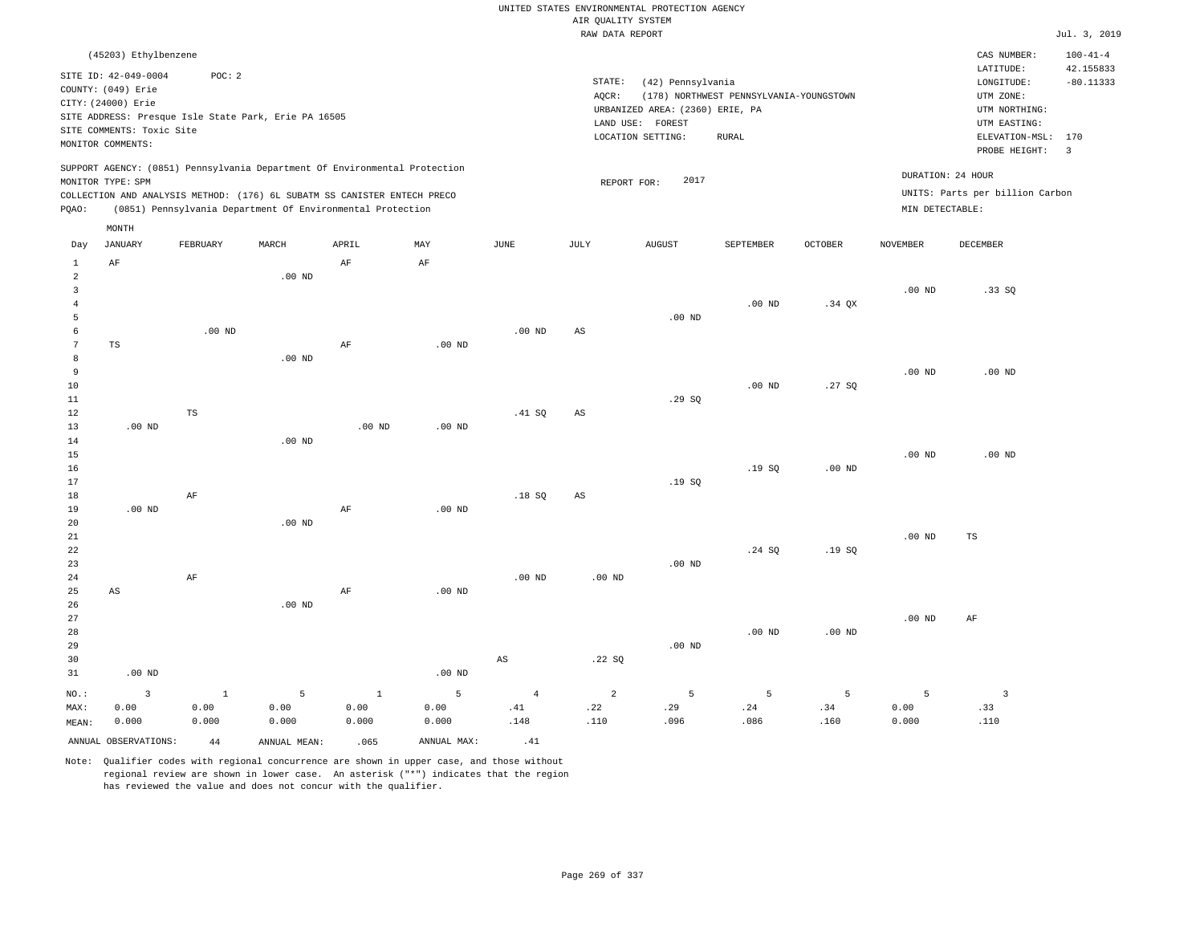|                |                                                                            |               |                                                            |              |                   |                        | RAW DATA REPORT |                                 |                                         |          |                   |                                 | Jul. 3, 2019            |
|----------------|----------------------------------------------------------------------------|---------------|------------------------------------------------------------|--------------|-------------------|------------------------|-----------------|---------------------------------|-----------------------------------------|----------|-------------------|---------------------------------|-------------------------|
|                | (45203) Ethylbenzene                                                       |               |                                                            |              |                   |                        |                 |                                 |                                         |          |                   | CAS NUMBER:                     | $100 - 41 - 4$          |
|                |                                                                            |               |                                                            |              |                   |                        |                 |                                 |                                         |          |                   | LATITUDE:                       | 42.155833               |
|                | SITE ID: 42-049-0004                                                       | POC: 2        |                                                            |              |                   |                        | STATE:          | (42) Pennsylvania               |                                         |          |                   | LONGITUDE:                      | $-80.11333$             |
|                | COUNTY: (049) Erie                                                         |               |                                                            |              |                   |                        | AQCR:           |                                 | (178) NORTHWEST PENNSYLVANIA-YOUNGSTOWN |          |                   | UTM ZONE:                       |                         |
|                | CITY: (24000) Erie                                                         |               |                                                            |              |                   |                        |                 | URBANIZED AREA: (2360) ERIE, PA |                                         |          |                   | UTM NORTHING:                   |                         |
|                | SITE ADDRESS: Presque Isle State Park, Erie PA 16505                       |               |                                                            |              |                   |                        |                 | LAND USE: FOREST                |                                         |          |                   | UTM EASTING:                    |                         |
|                | SITE COMMENTS: Toxic Site                                                  |               |                                                            |              |                   |                        |                 | LOCATION SETTING:               | ${\tt RURAL}$                           |          |                   | ELEVATION-MSL:                  | 170                     |
|                | MONITOR COMMENTS:                                                          |               |                                                            |              |                   |                        |                 |                                 |                                         |          |                   | PROBE HEIGHT:                   | $\overline{\mathbf{3}}$ |
|                | SUPPORT AGENCY: (0851) Pennsylvania Department Of Environmental Protection |               |                                                            |              |                   |                        |                 |                                 |                                         |          |                   |                                 |                         |
|                | MONITOR TYPE: SPM                                                          |               |                                                            |              |                   |                        | REPORT FOR:     | 2017                            |                                         |          |                   | DURATION: 24 HOUR               |                         |
|                | COLLECTION AND ANALYSIS METHOD: (176) 6L SUBATM SS CANISTER ENTECH PRECO   |               |                                                            |              |                   |                        |                 |                                 |                                         |          |                   | UNITS: Parts per billion Carbon |                         |
| PQAO:          |                                                                            |               | (0851) Pennsylvania Department Of Environmental Protection |              |                   |                        |                 |                                 |                                         |          | MIN DETECTABLE:   |                                 |                         |
|                | MONTH                                                                      |               |                                                            |              |                   |                        |                 |                                 |                                         |          |                   |                                 |                         |
| Day            | JANUARY                                                                    | FEBRUARY      | MARCH                                                      | APRIL        | MAY               | JUNE                   | JULY            | <b>AUGUST</b>                   | SEPTEMBER                               | OCTOBER  | <b>NOVEMBER</b>   | DECEMBER                        |                         |
| $\,1\,$        | $\rm AF$                                                                   |               |                                                            | $\rm AF$     | $\rm{AF}$         |                        |                 |                                 |                                         |          |                   |                                 |                         |
| $\overline{a}$ |                                                                            |               | $.00$ ND                                                   |              |                   |                        |                 |                                 |                                         |          |                   |                                 |                         |
| $\overline{3}$ |                                                                            |               |                                                            |              |                   |                        |                 |                                 |                                         |          | $.00$ ND          | .33SQ                           |                         |
| $\overline{4}$ |                                                                            |               |                                                            |              |                   |                        |                 |                                 | $.00$ ND                                | $.34$ QX |                   |                                 |                         |
| 5              |                                                                            |               |                                                            |              |                   |                        |                 | $.00$ ND                        |                                         |          |                   |                                 |                         |
| 6              |                                                                            | $.00$ ND      |                                                            |              |                   | .00 <sub>ND</sub>      | AS              |                                 |                                         |          |                   |                                 |                         |
| 7              | TS                                                                         |               |                                                            | $\rm AF$     | $.00$ ND          |                        |                 |                                 |                                         |          |                   |                                 |                         |
| 8              |                                                                            |               | $.00$ ND                                                   |              |                   |                        |                 |                                 |                                         |          |                   |                                 |                         |
| 9              |                                                                            |               |                                                            |              |                   |                        |                 |                                 |                                         |          | $.00$ ND          | $.00$ ND                        |                         |
| 10             |                                                                            |               |                                                            |              |                   |                        |                 |                                 | $.00$ ND                                | .27SQ    |                   |                                 |                         |
| 11             |                                                                            |               |                                                            |              |                   |                        |                 | .29S                            |                                         |          |                   |                                 |                         |
| 12             |                                                                            | $\mathbb{TS}$ |                                                            |              |                   | .41 SQ                 | $_{\rm AS}$     |                                 |                                         |          |                   |                                 |                         |
| 13             | $.00$ ND                                                                   |               |                                                            | $.00$ ND     | $.00$ ND          |                        |                 |                                 |                                         |          |                   |                                 |                         |
| 14             |                                                                            |               | .00 <sub>ND</sub>                                          |              |                   |                        |                 |                                 |                                         |          |                   |                                 |                         |
| 15             |                                                                            |               |                                                            |              |                   |                        |                 |                                 |                                         |          | .00 <sub>ND</sub> | $.00$ ND                        |                         |
| 16             |                                                                            |               |                                                            |              |                   |                        |                 |                                 | .19S                                    | $.00$ ND |                   |                                 |                         |
| 17             |                                                                            |               |                                                            |              |                   |                        |                 | .19SQ                           |                                         |          |                   |                                 |                         |
| 18             |                                                                            | $\rm AF$      |                                                            |              |                   | .18SQ                  | AS              |                                 |                                         |          |                   |                                 |                         |
| 19             | $.00$ ND                                                                   |               |                                                            | AF           | $.00$ ND          |                        |                 |                                 |                                         |          |                   |                                 |                         |
| 20             |                                                                            |               | .00 <sub>ND</sub>                                          |              |                   |                        |                 |                                 |                                         |          |                   |                                 |                         |
| 21             |                                                                            |               |                                                            |              |                   |                        |                 |                                 |                                         |          | .00 <sub>ND</sub> | <b>TS</b>                       |                         |
| 22             |                                                                            |               |                                                            |              |                   |                        |                 |                                 | .24 SQ                                  | .19SQ    |                   |                                 |                         |
| 23             |                                                                            |               |                                                            |              |                   |                        |                 | .00 <sub>ND</sub>               |                                         |          |                   |                                 |                         |
| 24             |                                                                            | $\rm{AF}$     |                                                            |              |                   | $.00$ ND               | $.00$ ND        |                                 |                                         |          |                   |                                 |                         |
| 25             | AS                                                                         |               |                                                            | AF           | .00 <sub>ND</sub> |                        |                 |                                 |                                         |          |                   |                                 |                         |
| 26             |                                                                            |               | $.00$ ND                                                   |              |                   |                        |                 |                                 |                                         |          |                   |                                 |                         |
| 27             |                                                                            |               |                                                            |              |                   |                        |                 |                                 |                                         |          | $.00$ ND          | AF                              |                         |
| 28             |                                                                            |               |                                                            |              |                   |                        |                 |                                 | $.00$ ND                                | $.00$ ND |                   |                                 |                         |
| 29             |                                                                            |               |                                                            |              |                   |                        |                 | $.00$ ND                        |                                         |          |                   |                                 |                         |
| 30             |                                                                            |               |                                                            |              |                   | $\mathbb{A}\mathbb{S}$ | .22SQ           |                                 |                                         |          |                   |                                 |                         |
| 31             | $.00$ ND                                                                   |               |                                                            |              | $.00$ ND          |                        |                 |                                 |                                         |          |                   |                                 |                         |
| $NO.$ :        | $\overline{3}$                                                             | $\mathbf{1}$  | 5                                                          | $\mathbf{1}$ | 5                 | $\overline{4}$         | $\overline{a}$  | 5                               | 5                                       | 5        | 5                 | $\mathbf{3}$                    |                         |
| MAX:           | 0.00                                                                       | 0.00          | 0.00                                                       | 0.00         | 0.00              | .41                    | .22             | .29                             | .24                                     | .34      | 0.00              | .33                             |                         |
| MEAN:          | 0.000                                                                      | 0.000         | 0.000                                                      | 0.000        | 0.000             | .148                   | .110            | .096                            | .086                                    | .160     | 0.000             | .110                            |                         |
|                | ANNUAL OBSERVATIONS:                                                       | 44            | ANNUAL MEAN:                                               | .065         | ANNUAL MAX:       | .41                    |                 |                                 |                                         |          |                   |                                 |                         |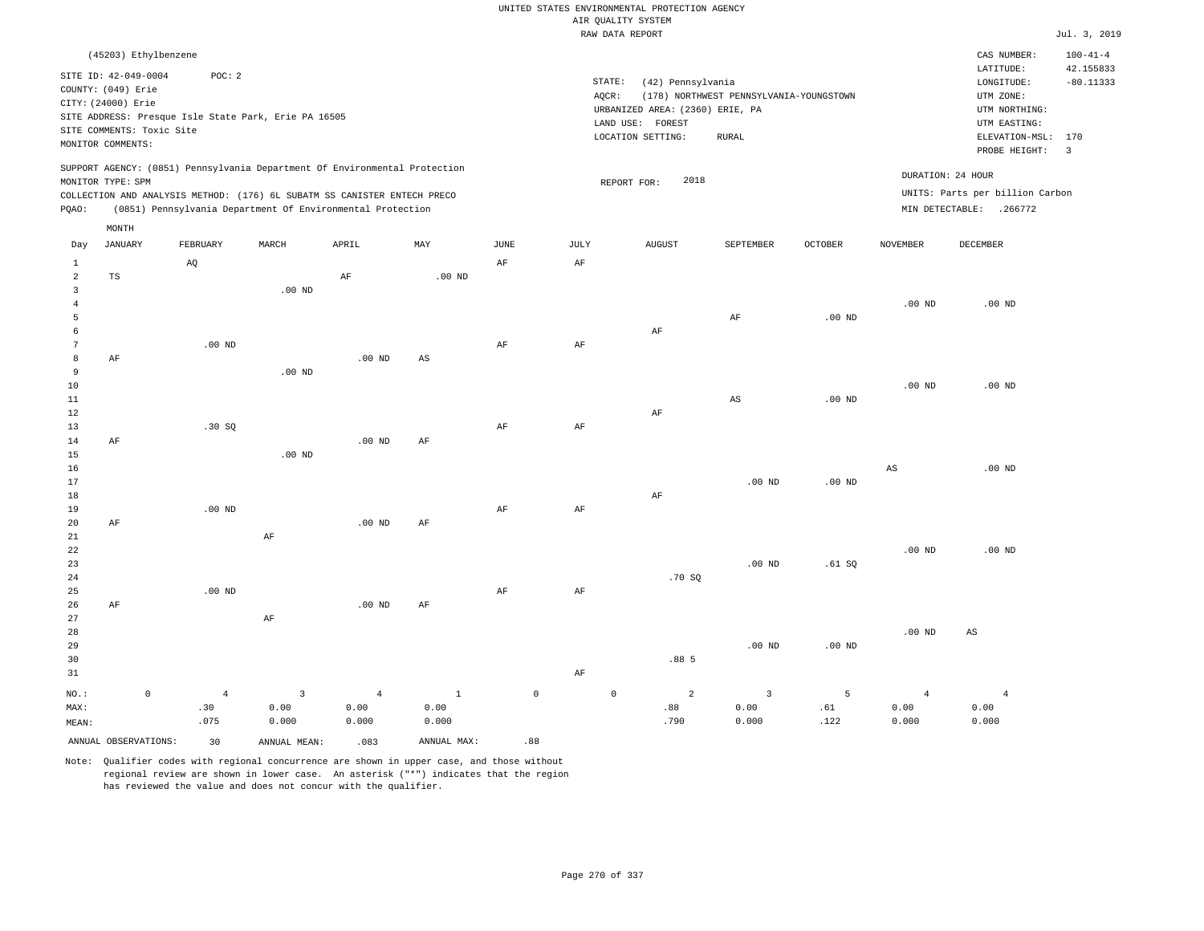|                                          |                                                                                                                                            |                                                                                                                                                                                                                      |                    |                                 |                        |                     |             | UNITED STATES ENVIRONMENTAL PROTECTION AGENCY                                                                    |                                                          |                  |                                 |                                                                                                                         |                                                                     |
|------------------------------------------|--------------------------------------------------------------------------------------------------------------------------------------------|----------------------------------------------------------------------------------------------------------------------------------------------------------------------------------------------------------------------|--------------------|---------------------------------|------------------------|---------------------|-------------|------------------------------------------------------------------------------------------------------------------|----------------------------------------------------------|------------------|---------------------------------|-------------------------------------------------------------------------------------------------------------------------|---------------------------------------------------------------------|
|                                          |                                                                                                                                            |                                                                                                                                                                                                                      |                    |                                 |                        |                     |             | AIR QUALITY SYSTEM                                                                                               |                                                          |                  |                                 |                                                                                                                         |                                                                     |
|                                          |                                                                                                                                            |                                                                                                                                                                                                                      |                    |                                 |                        |                     |             | RAW DATA REPORT                                                                                                  |                                                          |                  |                                 |                                                                                                                         | Jul. 3, 2019                                                        |
|                                          | (45203) Ethylbenzene<br>SITE ID: 42-049-0004<br>COUNTY: (049) Erie<br>CITY: (24000) Erie<br>SITE COMMENTS: Toxic Site<br>MONITOR COMMENTS: | POC: 2<br>SITE ADDRESS: Presque Isle State Park, Erie PA 16505                                                                                                                                                       |                    |                                 |                        |                     |             | STATE:<br>(42) Pennsylvania<br>AQCR:<br>URBANIZED AREA: (2360) ERIE, PA<br>LAND USE: FOREST<br>LOCATION SETTING: | (178) NORTHWEST PENNSYLVANIA-YOUNGSTOWN<br>${\tt RURAL}$ |                  |                                 | CAS NUMBER:<br>LATITUDE:<br>LONGITUDE:<br>UTM ZONE:<br>UTM NORTHING:<br>UTM EASTING:<br>ELEVATION-MSL:<br>PROBE HEIGHT: | $100 - 41 - 4$<br>42.155833<br>$-80.11333$<br>170<br>$\overline{3}$ |
| PQAO:                                    | MONITOR TYPE: SPM                                                                                                                          | SUPPORT AGENCY: (0851) Pennsylvania Department Of Environmental Protection<br>COLLECTION AND ANALYSIS METHOD: (176) 6L SUBATM SS CANISTER ENTECH PRECO<br>(0851) Pennsylvania Department Of Environmental Protection |                    |                                 |                        |                     |             | 2018<br>REPORT FOR:                                                                                              |                                                          |                  | DURATION: 24 HOUR               | UNITS: Parts per billion Carbon<br>MIN DETECTABLE: .266772                                                              |                                                                     |
|                                          | MONTH<br><b>JANUARY</b>                                                                                                                    | FEBRUARY                                                                                                                                                                                                             | MARCH              | APRIL                           | MAY                    | <b>JUNE</b>         | <b>JULY</b> | <b>AUGUST</b>                                                                                                    | SEPTEMBER                                                | <b>OCTOBER</b>   | <b>NOVEMBER</b>                 | <b>DECEMBER</b>                                                                                                         |                                                                     |
| Day<br>$\mathbf{1}$<br>$\overline{2}$    | <b>TS</b>                                                                                                                                  | AQ                                                                                                                                                                                                                   |                    | AF                              | $.00$ ND               | AF                  | AF          |                                                                                                                  |                                                          |                  |                                 |                                                                                                                         |                                                                     |
| $\mathbf{3}$<br>$\overline{4}$<br>5<br>6 |                                                                                                                                            |                                                                                                                                                                                                                      | $.00$ ND           |                                 |                        |                     |             | AF                                                                                                               | AF                                                       | $.00$ ND         | .00 <sub>ND</sub>               | $.00$ ND                                                                                                                |                                                                     |
| $\overline{7}$<br>8<br>9<br>10           | AF                                                                                                                                         | $.00$ ND                                                                                                                                                                                                             | $.00$ ND           | $.00$ ND                        | AS                     | AF                  | $\rm{AF}$   |                                                                                                                  |                                                          |                  | .00 <sub>ND</sub>               | $.00$ ND                                                                                                                |                                                                     |
| 11<br>12<br>13<br>14                     | AF                                                                                                                                         | .30S                                                                                                                                                                                                                 |                    | .00 <sub>ND</sub>               | $\rm{AF}$              | AF                  | AF          | AF                                                                                                               | $\mathbb{A}\mathbb{S}$                                   | $.00$ ND         |                                 |                                                                                                                         |                                                                     |
| 15<br>16<br>17<br>18                     |                                                                                                                                            |                                                                                                                                                                                                                      | .00 <sub>ND</sub>  |                                 |                        |                     |             | AF                                                                                                               | .00 <sub>ND</sub>                                        | $.00$ ND         | $\mathbb{A}\mathbb{S}$          | .00 <sub>ND</sub>                                                                                                       |                                                                     |
| 19<br>20<br>21                           | AF                                                                                                                                         | $.00$ ND                                                                                                                                                                                                             | AF                 | $.00$ ND                        | $\rm{AF}$              | $\rm{AF}$           | $\rm AF$    |                                                                                                                  |                                                          |                  |                                 |                                                                                                                         |                                                                     |
| 22<br>23<br>24<br>25                     |                                                                                                                                            | $.00$ ND                                                                                                                                                                                                             |                    |                                 |                        | AF                  | AF          | .70SQ                                                                                                            | $.00$ ND                                                 | .61SQ            | $.00$ ND                        | $.00$ ND                                                                                                                |                                                                     |
| 26<br>27<br>28<br>29<br>30<br>31         | AF                                                                                                                                         |                                                                                                                                                                                                                      | AF                 | $.00$ ND                        | AF                     |                     | AF          | .885                                                                                                             | $.00$ ND                                                 | $.00$ ND         | $.00$ ND                        | $\mathbb{A}\mathbb{S}$                                                                                                  |                                                                     |
| NO.:<br>MAX:<br>MEAN:                    | $\mathbb O$                                                                                                                                | $\overline{4}$<br>.30<br>.075                                                                                                                                                                                        | 3<br>0.00<br>0.000 | $\overline{4}$<br>0.00<br>0.000 | $1\,$<br>0.00<br>0.000 | $\mathsf{O}\xspace$ |             | $\mathbb O$<br>$\overline{a}$<br>.88<br>.790                                                                     | $\overline{3}$<br>0.00<br>0.000                          | 5<br>.61<br>.122 | $\overline{4}$<br>0.00<br>0.000 | $\overline{4}$<br>0.00<br>0.000                                                                                         |                                                                     |
|                                          | ANNUAL OBSERVATIONS:                                                                                                                       | 30                                                                                                                                                                                                                   | ANNUAL MEAN:       | .083                            | ANNUAL MAX:            | .88                 |             |                                                                                                                  |                                                          |                  |                                 |                                                                                                                         |                                                                     |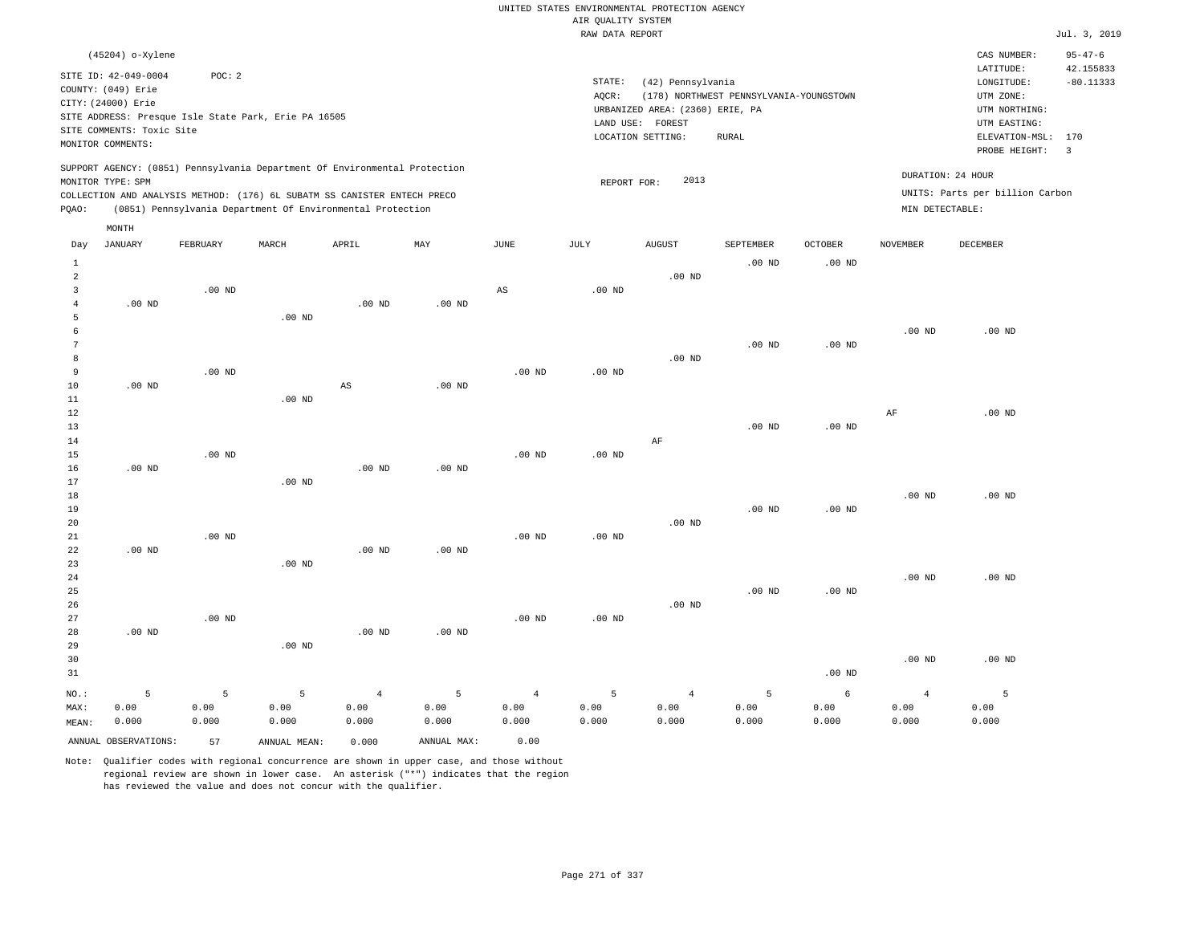|                                | (45204) o-Xylene<br>SITE ID: 42-049-0004<br>COUNTY: (049) Erie<br>CITY: (24000) Erie<br>SITE COMMENTS: Toxic Site<br>MONITOR COMMENTS: | POC: 2            | SITE ADDRESS: Presque Isle State Park, Erie PA 16505<br>SUPPORT AGENCY: (0851) Pennsylvania Department Of Environmental Protection     |                   |                   |                   | STATE:<br>AQCR:   | (42) Pennsylvania<br>URBANIZED AREA: (2360) ERIE, PA<br>LAND USE: FOREST<br>LOCATION SETTING: | (178) NORTHWEST PENNSYLVANIA-YOUNGSTOWN<br>RURAL |                   |                   | CAS NUMBER:<br>LATITUDE:<br>LONGITUDE:<br>UTM ZONE:<br>UTM NORTHING:<br>UTM EASTING:<br>ELEVATION-MSL:<br>PROBE HEIGHT: | $95 - 47 - 6$<br>42.155833<br>$-80.11333$<br>170<br>$\overline{3}$ |
|--------------------------------|----------------------------------------------------------------------------------------------------------------------------------------|-------------------|----------------------------------------------------------------------------------------------------------------------------------------|-------------------|-------------------|-------------------|-------------------|-----------------------------------------------------------------------------------------------|--------------------------------------------------|-------------------|-------------------|-------------------------------------------------------------------------------------------------------------------------|--------------------------------------------------------------------|
|                                | MONITOR TYPE: SPM                                                                                                                      |                   |                                                                                                                                        |                   |                   |                   | REPORT FOR:       | 2013                                                                                          |                                                  |                   |                   | DURATION: 24 HOUR                                                                                                       |                                                                    |
| PQAO:                          |                                                                                                                                        |                   | COLLECTION AND ANALYSIS METHOD: (176) 6L SUBATM SS CANISTER ENTECH PRECO<br>(0851) Pennsylvania Department Of Environmental Protection |                   |                   |                   |                   |                                                                                               |                                                  |                   | MIN DETECTABLE:   | UNITS: Parts per billion Carbon                                                                                         |                                                                    |
|                                | MONTH                                                                                                                                  |                   |                                                                                                                                        |                   |                   |                   |                   |                                                                                               |                                                  |                   |                   |                                                                                                                         |                                                                    |
| Day                            | JANUARY                                                                                                                                | FEBRUARY          | $\tt MARCH$                                                                                                                            | ${\tt APRIL}$     | MAY               | <b>JUNE</b>       | JULY              | AUGUST                                                                                        | SEPTEMBER                                        | <b>OCTOBER</b>    | <b>NOVEMBER</b>   | <b>DECEMBER</b>                                                                                                         |                                                                    |
|                                |                                                                                                                                        |                   |                                                                                                                                        |                   |                   |                   |                   |                                                                                               | $.00$ ND                                         | $.00$ ND          |                   |                                                                                                                         |                                                                    |
| $\mathbf{1}$<br>$\overline{a}$ |                                                                                                                                        |                   |                                                                                                                                        |                   |                   |                   |                   | $.00$ ND                                                                                      |                                                  |                   |                   |                                                                                                                         |                                                                    |
| 3                              |                                                                                                                                        | $.00$ ND          |                                                                                                                                        |                   |                   | AS                | .00 <sub>ND</sub> |                                                                                               |                                                  |                   |                   |                                                                                                                         |                                                                    |
| $\bf{4}$                       | $.00$ ND                                                                                                                               |                   |                                                                                                                                        | $.00$ ND          | $.00$ ND          |                   |                   |                                                                                               |                                                  |                   |                   |                                                                                                                         |                                                                    |
| 5                              |                                                                                                                                        |                   | .00 <sub>ND</sub>                                                                                                                      |                   |                   |                   |                   |                                                                                               |                                                  |                   |                   |                                                                                                                         |                                                                    |
| 6                              |                                                                                                                                        |                   |                                                                                                                                        |                   |                   |                   |                   |                                                                                               |                                                  |                   | $.00$ ND          | $.00$ ND                                                                                                                |                                                                    |
| $\overline{7}$                 |                                                                                                                                        |                   |                                                                                                                                        |                   |                   |                   |                   |                                                                                               | $.00$ ND                                         | .00 <sub>ND</sub> |                   |                                                                                                                         |                                                                    |
| 8<br>9                         |                                                                                                                                        | $.00$ ND          |                                                                                                                                        |                   |                   | $.00$ ND          | .00 <sub>ND</sub> | $.00$ ND                                                                                      |                                                  |                   |                   |                                                                                                                         |                                                                    |
| 10                             | $.00$ ND                                                                                                                               |                   |                                                                                                                                        | AS                | $.00$ ND          |                   |                   |                                                                                               |                                                  |                   |                   |                                                                                                                         |                                                                    |
| 11                             |                                                                                                                                        |                   | $.00$ ND                                                                                                                               |                   |                   |                   |                   |                                                                                               |                                                  |                   |                   |                                                                                                                         |                                                                    |
| 12                             |                                                                                                                                        |                   |                                                                                                                                        |                   |                   |                   |                   |                                                                                               |                                                  |                   | AF                | $.00$ ND                                                                                                                |                                                                    |
| 13                             |                                                                                                                                        |                   |                                                                                                                                        |                   |                   |                   |                   |                                                                                               | .00 <sub>ND</sub>                                | $.00$ ND          |                   |                                                                                                                         |                                                                    |
| 14                             |                                                                                                                                        |                   |                                                                                                                                        |                   |                   |                   |                   | AF                                                                                            |                                                  |                   |                   |                                                                                                                         |                                                                    |
| 15                             |                                                                                                                                        | .00 <sub>ND</sub> |                                                                                                                                        |                   |                   | .00 <sub>ND</sub> | .00 <sub>ND</sub> |                                                                                               |                                                  |                   |                   |                                                                                                                         |                                                                    |
| 16                             | $.00$ ND                                                                                                                               |                   |                                                                                                                                        | $.00$ ND          | $.00$ ND          |                   |                   |                                                                                               |                                                  |                   |                   |                                                                                                                         |                                                                    |
| 17                             |                                                                                                                                        |                   | $.00$ ND                                                                                                                               |                   |                   |                   |                   |                                                                                               |                                                  |                   |                   |                                                                                                                         |                                                                    |
| 18                             |                                                                                                                                        |                   |                                                                                                                                        |                   |                   |                   |                   |                                                                                               |                                                  |                   | $.00$ ND          | $.00$ ND                                                                                                                |                                                                    |
| 19                             |                                                                                                                                        |                   |                                                                                                                                        |                   |                   |                   |                   |                                                                                               | $.00$ ND                                         | $.00$ ND          |                   |                                                                                                                         |                                                                    |
| 20                             |                                                                                                                                        |                   |                                                                                                                                        |                   |                   |                   |                   | $.00$ ND                                                                                      |                                                  |                   |                   |                                                                                                                         |                                                                    |
| 21<br>22                       | $.00$ ND                                                                                                                               | $.00$ ND          |                                                                                                                                        | $.00$ ND          | $.00$ ND          | $.00$ ND          | .00 <sub>ND</sub> |                                                                                               |                                                  |                   |                   |                                                                                                                         |                                                                    |
| 23                             |                                                                                                                                        |                   | $.00$ ND                                                                                                                               |                   |                   |                   |                   |                                                                                               |                                                  |                   |                   |                                                                                                                         |                                                                    |
| 24                             |                                                                                                                                        |                   |                                                                                                                                        |                   |                   |                   |                   |                                                                                               |                                                  |                   | .00 <sub>ND</sub> | $.00$ ND                                                                                                                |                                                                    |
| 25                             |                                                                                                                                        |                   |                                                                                                                                        |                   |                   |                   |                   |                                                                                               | $.00$ ND                                         | $.00$ ND          |                   |                                                                                                                         |                                                                    |
| 26                             |                                                                                                                                        |                   |                                                                                                                                        |                   |                   |                   |                   | $.00$ ND                                                                                      |                                                  |                   |                   |                                                                                                                         |                                                                    |
| 27                             |                                                                                                                                        | $.00$ ND          |                                                                                                                                        |                   |                   | $.00$ ND          | $.00$ ND          |                                                                                               |                                                  |                   |                   |                                                                                                                         |                                                                    |
| 28                             | $.00$ ND                                                                                                                               |                   |                                                                                                                                        | .00 <sub>ND</sub> | .00 <sub>ND</sub> |                   |                   |                                                                                               |                                                  |                   |                   |                                                                                                                         |                                                                    |
| 29                             |                                                                                                                                        |                   | $.00$ ND                                                                                                                               |                   |                   |                   |                   |                                                                                               |                                                  |                   |                   |                                                                                                                         |                                                                    |
| 30                             |                                                                                                                                        |                   |                                                                                                                                        |                   |                   |                   |                   |                                                                                               |                                                  |                   | $.00$ ND          | $.00$ ND                                                                                                                |                                                                    |
| 31                             |                                                                                                                                        |                   |                                                                                                                                        |                   |                   |                   |                   |                                                                                               |                                                  | $.00$ ND          |                   |                                                                                                                         |                                                                    |
| NO.:                           | 5                                                                                                                                      | 5                 | 5                                                                                                                                      | $\overline{4}$    | $\overline{5}$    | $\overline{4}$    | 5                 | $\overline{4}$                                                                                | 5                                                | $\epsilon$        | $\overline{4}$    | $\overline{5}$                                                                                                          |                                                                    |
| MAX:                           | 0.00                                                                                                                                   | 0.00              | 0.00                                                                                                                                   | 0.00              | 0.00              | 0.00              | 0.00              | 0.00                                                                                          | 0.00                                             | 0.00              | 0.00              | 0.00                                                                                                                    |                                                                    |
| MEAN:                          | 0.000                                                                                                                                  | 0.000             | 0.000                                                                                                                                  | 0.000             | 0.000             | 0.000             | 0.000             | 0.000                                                                                         | 0.000                                            | 0.000             | 0.000             | 0.000                                                                                                                   |                                                                    |
|                                | ANNUAL OBSERVATIONS:                                                                                                                   | 57                | ANNUAL MEAN:                                                                                                                           | 0.000             | ANNUAL MAX:       | 0.00              |                   |                                                                                               |                                                  |                   |                   |                                                                                                                         |                                                                    |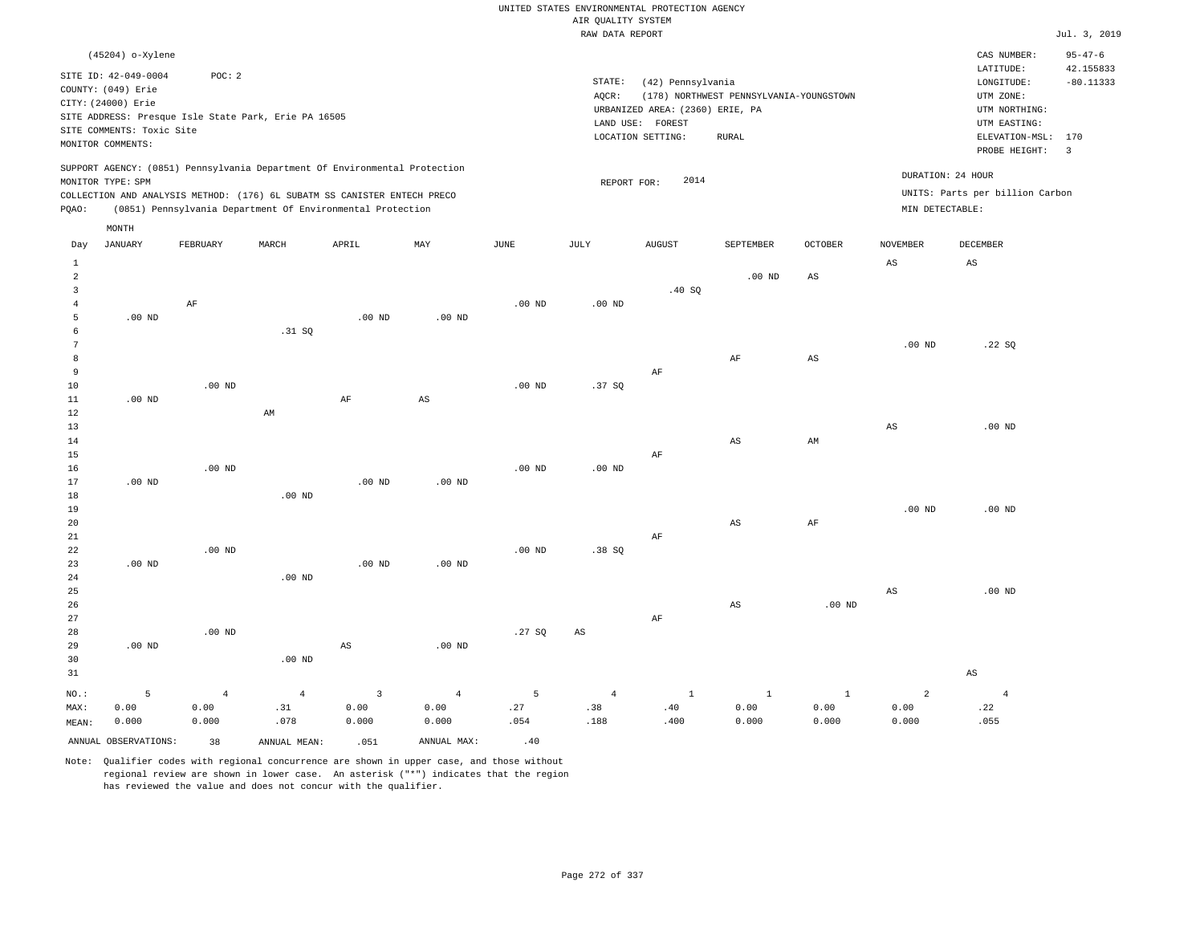|                   | (45204) o-Xylene                           |                |                                                                            |                        |                        |                   |                        |                                 |                                         |                   |                        | CAS NUMBER:<br>LATITUDE:        | $95 - 47 - 6$<br>42.155833 |
|-------------------|--------------------------------------------|----------------|----------------------------------------------------------------------------|------------------------|------------------------|-------------------|------------------------|---------------------------------|-----------------------------------------|-------------------|------------------------|---------------------------------|----------------------------|
|                   | SITE ID: 42-049-0004<br>COUNTY: (049) Erie | POC: 2         |                                                                            |                        |                        |                   | STATE:<br>AQCR:        | (42) Pennsylvania               | (178) NORTHWEST PENNSYLVANIA-YOUNGSTOWN |                   |                        | LONGITUDE:<br>UTM ZONE:         | $-80.11333$                |
|                   | CITY: (24000) Erie                         |                |                                                                            |                        |                        |                   |                        | URBANIZED AREA: (2360) ERIE, PA |                                         |                   |                        | UTM NORTHING:                   |                            |
|                   |                                            |                | SITE ADDRESS: Presque Isle State Park, Erie PA 16505                       |                        |                        |                   |                        | LAND USE: FOREST                |                                         |                   |                        | UTM EASTING:                    |                            |
|                   | SITE COMMENTS: Toxic Site                  |                |                                                                            |                        |                        |                   |                        | LOCATION SETTING:               | <b>RURAL</b>                            |                   |                        | ELEVATION-MSL: 170              |                            |
|                   | MONITOR COMMENTS:                          |                |                                                                            |                        |                        |                   |                        |                                 |                                         |                   |                        | PROBE HEIGHT:                   | $\overline{3}$             |
|                   | MONITOR TYPE: SPM                          |                | SUPPORT AGENCY: (0851) Pennsylvania Department Of Environmental Protection |                        |                        |                   | REPORT FOR:            | 2014                            |                                         |                   | DURATION: 24 HOUR      |                                 |                            |
|                   |                                            |                | COLLECTION AND ANALYSIS METHOD: (176) 6L SUBATM SS CANISTER ENTECH PRECO   |                        |                        |                   |                        |                                 |                                         |                   |                        | UNITS: Parts per billion Carbon |                            |
| PQAO:             |                                            |                | (0851) Pennsylvania Department Of Environmental Protection                 |                        |                        |                   |                        |                                 |                                         |                   | MIN DETECTABLE:        |                                 |                            |
|                   | MONTH                                      |                |                                                                            |                        |                        |                   |                        |                                 |                                         |                   |                        |                                 |                            |
| Day               | <b>JANUARY</b>                             | FEBRUARY       | MARCH                                                                      | APRIL                  | MAY                    | JUNE              | JULY                   | <b>AUGUST</b>                   | SEPTEMBER                               | <b>OCTOBER</b>    | <b>NOVEMBER</b>        | DECEMBER                        |                            |
| $\mathbf{1}$      |                                            |                |                                                                            |                        |                        |                   |                        |                                 |                                         |                   | AS                     | AS                              |                            |
| $\overline{a}$    |                                            |                |                                                                            |                        |                        |                   |                        |                                 | $.00$ ND                                | AS                |                        |                                 |                            |
| 3                 |                                            |                |                                                                            |                        |                        |                   |                        | .40SQ                           |                                         |                   |                        |                                 |                            |
| $\overline{4}$    |                                            | AF             |                                                                            |                        |                        | $.00$ ND          | $.00$ ND               |                                 |                                         |                   |                        |                                 |                            |
| 5                 | $.00$ ND                                   |                |                                                                            | $.00$ ND               | .00 <sub>ND</sub>      |                   |                        |                                 |                                         |                   |                        |                                 |                            |
| 6                 |                                            |                | .31 SQ                                                                     |                        |                        |                   |                        |                                 |                                         |                   |                        |                                 |                            |
| 7                 |                                            |                |                                                                            |                        |                        |                   |                        |                                 |                                         |                   | $.00$ ND               | .22SQ                           |                            |
| 8                 |                                            |                |                                                                            |                        |                        |                   |                        |                                 | AF                                      | $_{\rm AS}$       |                        |                                 |                            |
| $\overline{9}$    |                                            |                |                                                                            |                        |                        |                   |                        | AF                              |                                         |                   |                        |                                 |                            |
| 10                |                                            | $.00$ ND       |                                                                            |                        |                        | $.00$ ND          | .37S                   |                                 |                                         |                   |                        |                                 |                            |
| 11                | $.00$ ND                                   |                |                                                                            | $\rm AF$               | $\mathbb{A}\mathbb{S}$ |                   |                        |                                 |                                         |                   |                        |                                 |                            |
| 12                |                                            |                | AM                                                                         |                        |                        |                   |                        |                                 |                                         |                   |                        |                                 |                            |
| 13                |                                            |                |                                                                            |                        |                        |                   |                        |                                 |                                         |                   | $\mathbb{A}\mathbb{S}$ | $.00$ ND                        |                            |
| 14                |                                            |                |                                                                            |                        |                        |                   |                        |                                 | AS                                      | AM                |                        |                                 |                            |
| $15\,$            |                                            |                |                                                                            |                        |                        |                   |                        | AF                              |                                         |                   |                        |                                 |                            |
| 16                |                                            | $.00$ ND       |                                                                            |                        |                        | .00 <sub>ND</sub> | $.00$ ND               |                                 |                                         |                   |                        |                                 |                            |
| 17                | $.00$ ND                                   |                |                                                                            | $.00$ ND               | .00 <sub>ND</sub>      |                   |                        |                                 |                                         |                   |                        |                                 |                            |
| 18                |                                            |                | $.00$ ND                                                                   |                        |                        |                   |                        |                                 |                                         |                   |                        |                                 |                            |
| 19                |                                            |                |                                                                            |                        |                        |                   |                        |                                 |                                         |                   | .00 <sub>ND</sub>      | $.00$ ND                        |                            |
| 20                |                                            |                |                                                                            |                        |                        |                   |                        |                                 | AS                                      | $\rm{AF}$         |                        |                                 |                            |
| $2\sqrt{1}$<br>22 |                                            | $.00$ ND       |                                                                            |                        |                        | $.00$ ND          | .38 SQ                 | AF                              |                                         |                   |                        |                                 |                            |
| 23                | $.00$ ND                                   |                |                                                                            | $.00$ ND               | $.00$ ND               |                   |                        |                                 |                                         |                   |                        |                                 |                            |
| 24                |                                            |                | .00 <sub>ND</sub>                                                          |                        |                        |                   |                        |                                 |                                         |                   |                        |                                 |                            |
| 25                |                                            |                |                                                                            |                        |                        |                   |                        |                                 |                                         |                   | $_{\rm AS}$            | $.00$ ND                        |                            |
| 26                |                                            |                |                                                                            |                        |                        |                   |                        |                                 | AS                                      | .00 <sub>ND</sub> |                        |                                 |                            |
| 27                |                                            |                |                                                                            |                        |                        |                   |                        | AF                              |                                         |                   |                        |                                 |                            |
| 28                |                                            | $.00$ ND       |                                                                            |                        |                        | .27SQ             | $\mathbb{A}\mathbb{S}$ |                                 |                                         |                   |                        |                                 |                            |
| 29                | $.00$ ND                                   |                |                                                                            | $\mathbb{A}\mathbb{S}$ | .00 <sub>ND</sub>      |                   |                        |                                 |                                         |                   |                        |                                 |                            |
| 30                |                                            |                | $.00$ ND                                                                   |                        |                        |                   |                        |                                 |                                         |                   |                        |                                 |                            |
| 31                |                                            |                |                                                                            |                        |                        |                   |                        |                                 |                                         |                   |                        | $\mathbb{A}\mathbb{S}$          |                            |
| NO.:              | 5                                          | $\overline{4}$ | $\overline{4}$                                                             | $\overline{3}$         | $\overline{4}$         | 5                 | $\overline{4}$         | $\mathbf{1}$                    | $\mathbf{1}$                            | $\mathbf{1}$      | $\overline{2}$         | $\overline{4}$                  |                            |
| MAX:              | 0.00                                       | 0.00           | .31                                                                        | 0.00                   | 0.00                   | .27               | .38                    | .40                             | 0.00                                    | 0.00              | 0.00                   | .22                             |                            |
| MEAN:             | 0.000                                      | 0.000          | .078                                                                       | 0.000                  | 0.000                  | .054              | .188                   | .400                            | 0.000                                   | 0.000             | 0.000                  | .055                            |                            |
|                   |                                            |                |                                                                            |                        |                        |                   |                        |                                 |                                         |                   |                        |                                 |                            |
|                   | ANNUAL OBSERVATIONS:                       | 38             | ANNUAL MEAN:                                                               | .051                   | ANNUAL MAX:            | .40               |                        |                                 |                                         |                   |                        |                                 |                            |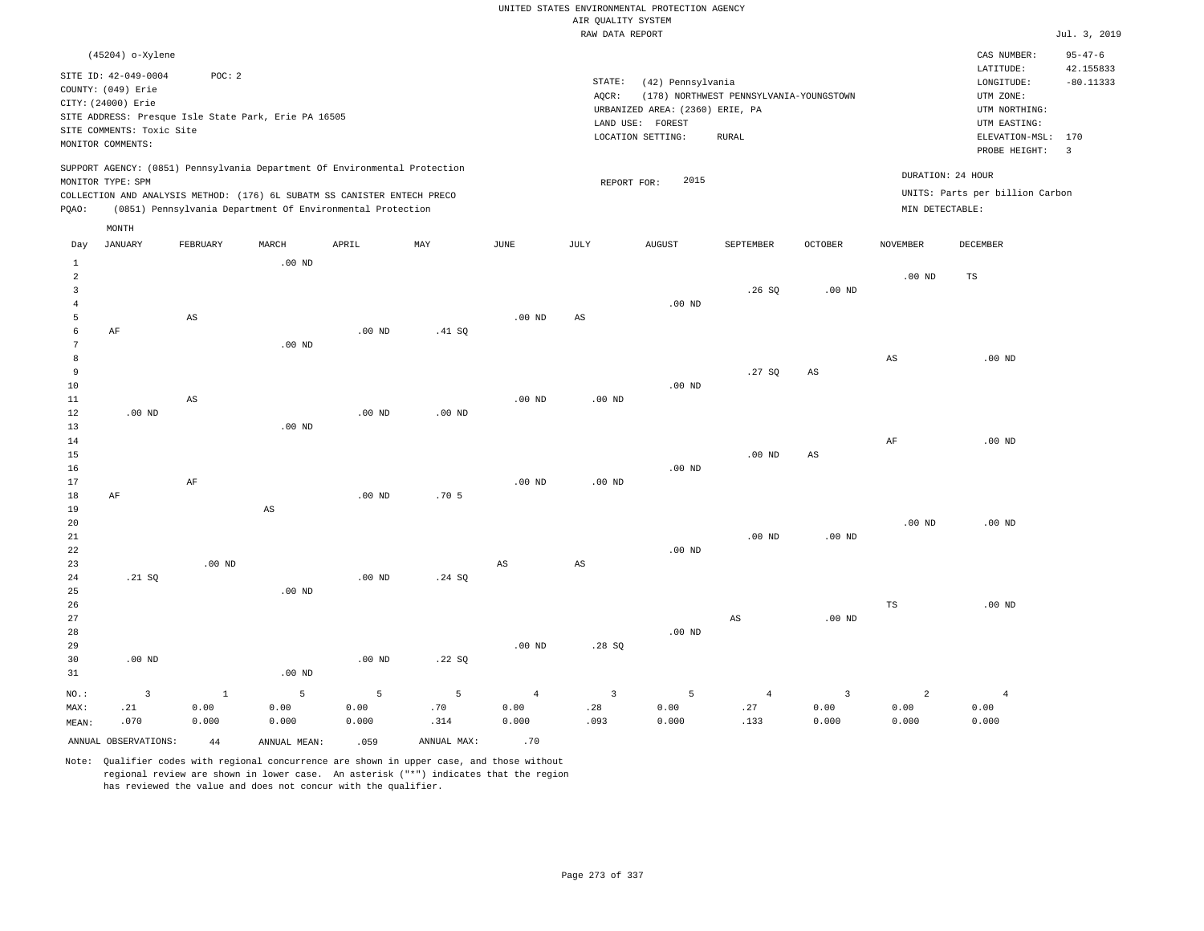|                |                           |          |                                                      |                                                                            |          |                   | RAW DATA REPORT        |                                 |                                         |                        |                        |                                 | Jul. 3, 2019            |
|----------------|---------------------------|----------|------------------------------------------------------|----------------------------------------------------------------------------|----------|-------------------|------------------------|---------------------------------|-----------------------------------------|------------------------|------------------------|---------------------------------|-------------------------|
|                | (45204) o-Xylene          |          |                                                      |                                                                            |          |                   |                        |                                 |                                         |                        |                        | CAS NUMBER:                     | $95 - 47 - 6$           |
|                | SITE ID: 42-049-0004      | POC: 2   |                                                      |                                                                            |          |                   |                        |                                 |                                         |                        |                        | LATITUDE:                       | 42.155833               |
|                | COUNTY: (049) Erie        |          |                                                      |                                                                            |          |                   | STATE:                 | (42) Pennsylvania               |                                         |                        |                        | LONGITUDE:                      | $-80.11333$             |
|                | CITY: (24000) Erie        |          |                                                      |                                                                            |          |                   | $AQCR$ :               |                                 | (178) NORTHWEST PENNSYLVANIA-YOUNGSTOWN |                        |                        | UTM ZONE:                       |                         |
|                |                           |          | SITE ADDRESS: Presque Isle State Park, Erie PA 16505 |                                                                            |          |                   |                        | URBANIZED AREA: (2360) ERIE, PA |                                         |                        |                        | UTM NORTHING:                   |                         |
|                | SITE COMMENTS: Toxic Site |          |                                                      |                                                                            |          |                   |                        | LAND USE: FOREST                |                                         |                        |                        | UTM EASTING:                    |                         |
|                | MONITOR COMMENTS:         |          |                                                      |                                                                            |          |                   |                        | LOCATION SETTING:               | RURAL                                   |                        |                        | ELEVATION-MSL:                  | 170                     |
|                |                           |          |                                                      | SUPPORT AGENCY: (0851) Pennsylvania Department Of Environmental Protection |          |                   |                        |                                 |                                         |                        |                        | PROBE HEIGHT:                   | $\overline{\mathbf{3}}$ |
|                | MONITOR TYPE: SPM         |          |                                                      |                                                                            |          |                   | REPORT FOR:            | 2015                            |                                         |                        |                        | DURATION: 24 HOUR               |                         |
|                |                           |          |                                                      | COLLECTION AND ANALYSIS METHOD: (176) 6L SUBATM SS CANISTER ENTECH PRECO   |          |                   |                        |                                 |                                         |                        |                        | UNITS: Parts per billion Carbon |                         |
| PQAO:          |                           |          |                                                      | (0851) Pennsylvania Department Of Environmental Protection                 |          |                   |                        |                                 |                                         |                        | MIN DETECTABLE:        |                                 |                         |
|                | MONTH                     |          |                                                      |                                                                            |          |                   |                        |                                 |                                         |                        |                        |                                 |                         |
| Day            | JANUARY                   | FEBRUARY | MARCH                                                | APRIL                                                                      | MAY      | JUNE              | JULY                   | AUGUST                          | SEPTEMBER                               | <b>OCTOBER</b>         | NOVEMBER               | DECEMBER                        |                         |
| $\mathbf{1}$   |                           |          | $.00$ ND                                             |                                                                            |          |                   |                        |                                 |                                         |                        |                        |                                 |                         |
| $\overline{a}$ |                           |          |                                                      |                                                                            |          |                   |                        |                                 |                                         |                        | .00 <sub>ND</sub>      | TS                              |                         |
| $\overline{3}$ |                           |          |                                                      |                                                                            |          |                   |                        |                                 | .26SQ                                   | .00 <sub>ND</sub>      |                        |                                 |                         |
| $\overline{4}$ |                           |          |                                                      |                                                                            |          |                   |                        | $.00$ ND                        |                                         |                        |                        |                                 |                         |
| 5              |                           | AS       |                                                      |                                                                            |          | .00 <sub>ND</sub> | AS                     |                                 |                                         |                        |                        |                                 |                         |
| 6<br>7         | $\rm AF$                  |          |                                                      | .00 <sub>ND</sub>                                                          | .41 SQ   |                   |                        |                                 |                                         |                        |                        |                                 |                         |
| 8              |                           |          | $.00$ ND                                             |                                                                            |          |                   |                        |                                 |                                         |                        | $\mathbb{A}\mathbb{S}$ | $.00$ ND                        |                         |
| 9              |                           |          |                                                      |                                                                            |          |                   |                        |                                 | .27SQ                                   | AS                     |                        |                                 |                         |
| 10             |                           |          |                                                      |                                                                            |          |                   |                        | $.00$ ND                        |                                         |                        |                        |                                 |                         |
| 11             |                           | AS       |                                                      |                                                                            |          | .00 <sub>ND</sub> | $.00$ ND               |                                 |                                         |                        |                        |                                 |                         |
| 12             | $.00$ ND                  |          |                                                      | $.00$ ND                                                                   | $.00$ ND |                   |                        |                                 |                                         |                        |                        |                                 |                         |
| 13             |                           |          | $.00$ ND                                             |                                                                            |          |                   |                        |                                 |                                         |                        |                        |                                 |                         |
| 14             |                           |          |                                                      |                                                                            |          |                   |                        |                                 |                                         |                        | AF                     | $.00$ ND                        |                         |
| 15             |                           |          |                                                      |                                                                            |          |                   |                        |                                 | .00 <sub>ND</sub>                       | $\mathbb{A}\mathbb{S}$ |                        |                                 |                         |
| 16             |                           |          |                                                      |                                                                            |          |                   |                        | $.00$ ND                        |                                         |                        |                        |                                 |                         |
| 17             |                           | AF       |                                                      |                                                                            |          | $.00$ ND          | $.00$ ND               |                                 |                                         |                        |                        |                                 |                         |
| 18             | AF                        |          |                                                      | $.00$ ND                                                                   | .705     |                   |                        |                                 |                                         |                        |                        |                                 |                         |
| 19             |                           |          | $_{\rm AS}$                                          |                                                                            |          |                   |                        |                                 |                                         |                        |                        |                                 |                         |
| 20             |                           |          |                                                      |                                                                            |          |                   |                        |                                 |                                         |                        | $.00$ ND               | $.00$ ND                        |                         |
| 21             |                           |          |                                                      |                                                                            |          |                   |                        |                                 | $.00$ ND                                | .00 <sub>ND</sub>      |                        |                                 |                         |
| 22             |                           |          |                                                      |                                                                            |          |                   |                        | $.00$ ND                        |                                         |                        |                        |                                 |                         |
| 23             |                           | $.00$ ND |                                                      |                                                                            |          | AS                | $\mathbb{A}\mathbb{S}$ |                                 |                                         |                        |                        |                                 |                         |
| 24             | .21 SQ                    |          |                                                      | .00 <sub>ND</sub>                                                          | .24 SQ   |                   |                        |                                 |                                         |                        |                        |                                 |                         |
| 25             |                           |          | $.00$ ND                                             |                                                                            |          |                   |                        |                                 |                                         |                        |                        |                                 |                         |
| 26             |                           |          |                                                      |                                                                            |          |                   |                        |                                 |                                         |                        | TS                     | $.00$ ND                        |                         |
| 27<br>28       |                           |          |                                                      |                                                                            |          |                   |                        | $.00$ ND                        | AS                                      | .00 <sub>ND</sub>      |                        |                                 |                         |
| 29             |                           |          |                                                      |                                                                            |          | $.00$ ND          | .28S                   |                                 |                                         |                        |                        |                                 |                         |
|                |                           |          |                                                      |                                                                            |          |                   |                        |                                 |                                         |                        |                        |                                 |                         |

31 NO.: MAX: MEAN: 3 .21 .070 .00 ND 1 0.00 0.000 5 0.00 0.000 5 0.00 0.000 5 .70 .314 4 0.00 0.000 3 .28 .093 5 0.00 0.000 4 .27 .133 3 0.00 0.000 2 0.00 0.000 4 0.00 0.000 ANNUAL OBSERVATIONS:  $44$  ANNUAL MEAN: .059 ANNUAL MAX: .050

Note: Qualifier codes with regional concurrence are shown in upper case, and those without regional review are shown in lower case. An asterisk ("\*") indicates that the region has reviewed the value and does not concur with the qualifier.

.00 ND

.22 SQ

30

.00 ND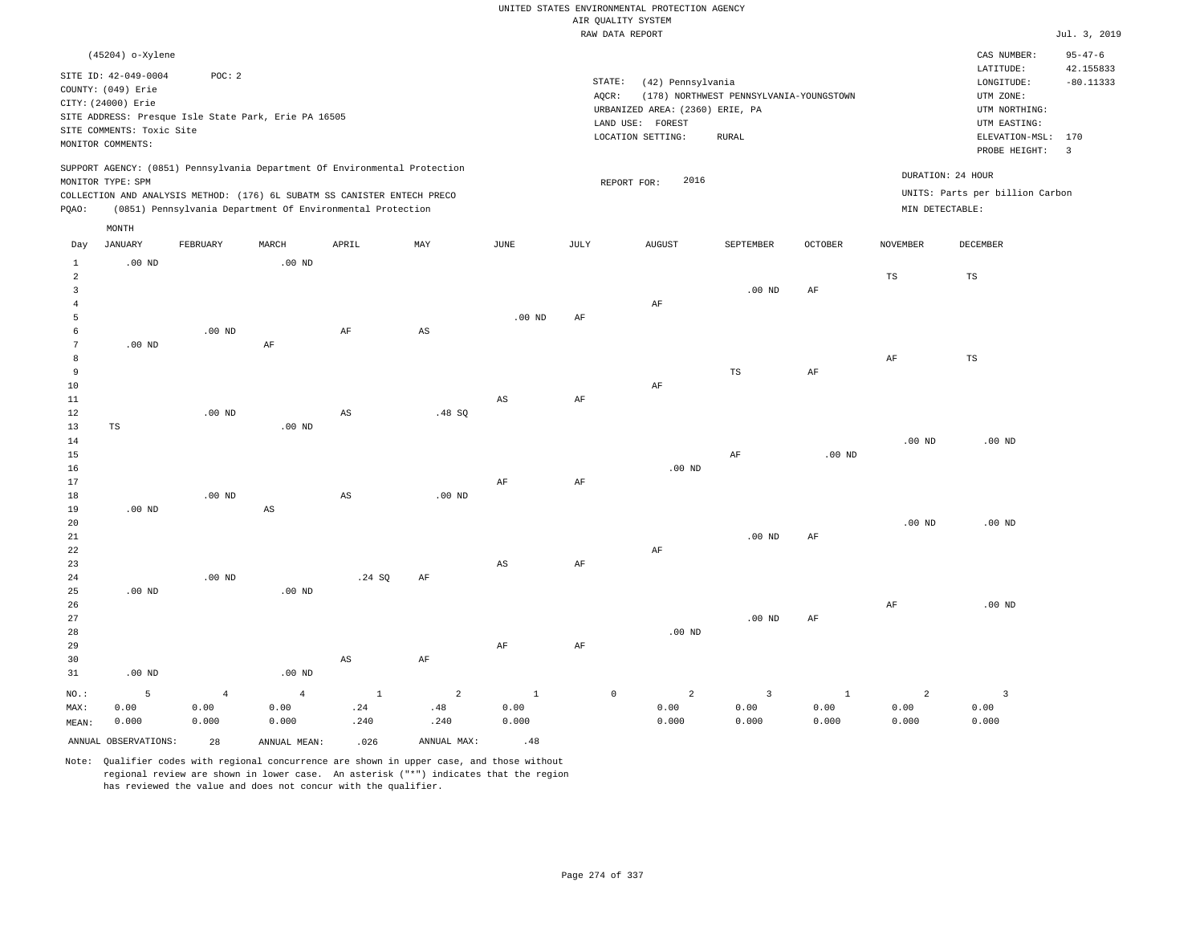|                 | (45204) o-Xylene                               |                   |                                                                            |                        |                |                        |                 |                                 |                                         |              |                    | CAS NUMBER:<br>LATITUDE:        | $95 - 47 - 6$<br>42.155833 |
|-----------------|------------------------------------------------|-------------------|----------------------------------------------------------------------------|------------------------|----------------|------------------------|-----------------|---------------------------------|-----------------------------------------|--------------|--------------------|---------------------------------|----------------------------|
|                 | SITE ID: 42-049-0004                           | POC: 2            |                                                                            |                        |                |                        | STATE:          | (42) Pennsylvania               |                                         |              |                    | LONGITUDE:                      | $-80.11333$                |
|                 | COUNTY: (049) Erie                             |                   |                                                                            |                        |                |                        | AQCR:           |                                 | (178) NORTHWEST PENNSYLVANIA-YOUNGSTOWN |              |                    | UTM ZONE:                       |                            |
|                 | CITY: (24000) Erie                             |                   |                                                                            |                        |                |                        |                 | URBANIZED AREA: (2360) ERIE, PA |                                         |              |                    | UTM NORTHING:                   |                            |
|                 |                                                |                   | SITE ADDRESS: Presque Isle State Park, Erie PA 16505                       |                        |                |                        |                 | LAND USE: FOREST                |                                         |              |                    | UTM EASTING:                    |                            |
|                 | SITE COMMENTS: Toxic Site<br>MONITOR COMMENTS: |                   |                                                                            |                        |                |                        |                 | LOCATION SETTING:               | <b>RURAL</b>                            |              |                    | ELEVATION-MSL: 170              |                            |
|                 |                                                |                   |                                                                            |                        |                |                        |                 |                                 |                                         |              |                    | PROBE HEIGHT:                   | $\overline{3}$             |
|                 | MONITOR TYPE: SPM                              |                   | SUPPORT AGENCY: (0851) Pennsylvania Department Of Environmental Protection |                        |                |                        |                 | 2016<br>REPORT FOR:             |                                         |              | DURATION: 24 HOUR  |                                 |                            |
|                 |                                                |                   | COLLECTION AND ANALYSIS METHOD: (176) 6L SUBATM SS CANISTER ENTECH PRECO   |                        |                |                        |                 |                                 |                                         |              |                    | UNITS: Parts per billion Carbon |                            |
| PQAO:           |                                                |                   | (0851) Pennsylvania Department Of Environmental Protection                 |                        |                |                        |                 |                                 |                                         |              | $MIN$ DETECTABLE : |                                 |                            |
|                 | MONTH                                          |                   |                                                                            |                        |                |                        |                 |                                 |                                         |              |                    |                                 |                            |
| Day             | <b>JANUARY</b>                                 | FEBRUARY          | MARCH                                                                      | APRIL                  | MAY            | JUNE                   | $\mathtt{JULY}$ | <b>AUGUST</b>                   | SEPTEMBER                               | OCTOBER      | <b>NOVEMBER</b>    | DECEMBER                        |                            |
| $\mathbf{1}$    | $.00$ ND                                       |                   | $.00$ ND                                                                   |                        |                |                        |                 |                                 |                                         |              |                    |                                 |                            |
| 2               |                                                |                   |                                                                            |                        |                |                        |                 |                                 |                                         |              | $_{\rm TS}$        | TS                              |                            |
| $\overline{3}$  |                                                |                   |                                                                            |                        |                |                        |                 |                                 | $.00$ ND                                | AF           |                    |                                 |                            |
| $\overline{4}$  |                                                |                   |                                                                            |                        |                |                        |                 | AF                              |                                         |              |                    |                                 |                            |
| 5               |                                                |                   |                                                                            |                        |                | $.00$ ND               | AF              |                                 |                                         |              |                    |                                 |                            |
| 6               |                                                | $.00$ ND          |                                                                            | AF                     | AS             |                        |                 |                                 |                                         |              |                    |                                 |                            |
| $7\phantom{.0}$ | $.00$ ND                                       |                   | $\rm{AF}$                                                                  |                        |                |                        |                 |                                 |                                         |              |                    |                                 |                            |
| 8               |                                                |                   |                                                                            |                        |                |                        |                 |                                 |                                         |              | AF                 | TS                              |                            |
| $\overline{9}$  |                                                |                   |                                                                            |                        |                |                        |                 |                                 | <b>TS</b>                               | AF           |                    |                                 |                            |
| 10              |                                                |                   |                                                                            |                        |                |                        |                 | AF                              |                                         |              |                    |                                 |                            |
| 11              |                                                |                   |                                                                            |                        |                | $_{\rm AS}$            | $\rm AF$        |                                 |                                         |              |                    |                                 |                            |
| 12              |                                                | $.00$ ND          |                                                                            | $\mathbb{A}\mathbb{S}$ | .48 SQ         |                        |                 |                                 |                                         |              |                    |                                 |                            |
| 13              | TS                                             |                   | $.00$ ND                                                                   |                        |                |                        |                 |                                 |                                         |              |                    |                                 |                            |
| $14\,$          |                                                |                   |                                                                            |                        |                |                        |                 |                                 |                                         |              | $.00$ ND           | .00 <sub>ND</sub>               |                            |
| 15              |                                                |                   |                                                                            |                        |                |                        |                 |                                 | $\rm AF$                                | $.00$ ND     |                    |                                 |                            |
| 16              |                                                |                   |                                                                            |                        |                |                        |                 | $.00$ ND                        |                                         |              |                    |                                 |                            |
| 17              |                                                |                   |                                                                            |                        |                | AF                     | AF              |                                 |                                         |              |                    |                                 |                            |
| $1\,8$          |                                                | $.00$ ND          |                                                                            | $\mathbb{A}\mathbb{S}$ | $.00$ ND       |                        |                 |                                 |                                         |              |                    |                                 |                            |
| 19<br>20        | $.00$ ND                                       |                   | $\mathbb{A}\mathbb{S}$                                                     |                        |                |                        |                 |                                 |                                         |              | $.00$ ND           | $.00$ ND                        |                            |
| 21              |                                                |                   |                                                                            |                        |                |                        |                 |                                 | $.00$ ND                                | AF           |                    |                                 |                            |
| 22              |                                                |                   |                                                                            |                        |                |                        |                 | AF                              |                                         |              |                    |                                 |                            |
| 23              |                                                |                   |                                                                            |                        |                | $\mathbb{A}\mathbb{S}$ | AF              |                                 |                                         |              |                    |                                 |                            |
| 24              |                                                | .00 <sub>ND</sub> |                                                                            | .24S                   | AF             |                        |                 |                                 |                                         |              |                    |                                 |                            |
| 25              | $.00$ ND                                       |                   | $.00$ ND                                                                   |                        |                |                        |                 |                                 |                                         |              |                    |                                 |                            |
| 26              |                                                |                   |                                                                            |                        |                |                        |                 |                                 |                                         |              | AF                 | $.00$ ND                        |                            |
| 27              |                                                |                   |                                                                            |                        |                |                        |                 |                                 | $.00$ ND                                | AF           |                    |                                 |                            |
| 28              |                                                |                   |                                                                            |                        |                |                        |                 | $.00$ ND                        |                                         |              |                    |                                 |                            |
| 29              |                                                |                   |                                                                            |                        |                | AF                     | AF              |                                 |                                         |              |                    |                                 |                            |
| 30              |                                                |                   |                                                                            | $\mathbb{A}\mathbb{S}$ | $\rm{AF}$      |                        |                 |                                 |                                         |              |                    |                                 |                            |
| 31              | $.00$ ND                                       |                   | $.00$ ND                                                                   |                        |                |                        |                 |                                 |                                         |              |                    |                                 |                            |
| NO.:            | 5                                              | $\overline{4}$    | $\overline{4}$                                                             | $\mathbf{1}$           | $\overline{2}$ | $\mathbf{1}$           |                 | $\mathbb O$<br>$\overline{a}$   | $\overline{3}$                          | $\mathbf{1}$ | $\overline{2}$     | $\overline{3}$                  |                            |
| MAX:            | 0.00                                           | 0.00              | 0.00                                                                       | .24                    | .48            | 0.00                   |                 | 0.00                            | 0.00                                    | 0.00         | 0.00               | 0.00                            |                            |
| MEAN:           | 0.000                                          | 0.000             | 0.000                                                                      | .240                   | .240           | 0.000                  |                 | 0.000                           | 0.000                                   | 0.000        | 0.000              | 0.000                           |                            |
|                 | ANNUAL OBSERVATIONS:                           | 28                | ANNUAL MEAN:                                                               | .026                   | ANNUAL MAX:    | .48                    |                 |                                 |                                         |              |                    |                                 |                            |
|                 |                                                |                   |                                                                            |                        |                |                        |                 |                                 |                                         |              |                    |                                 |                            |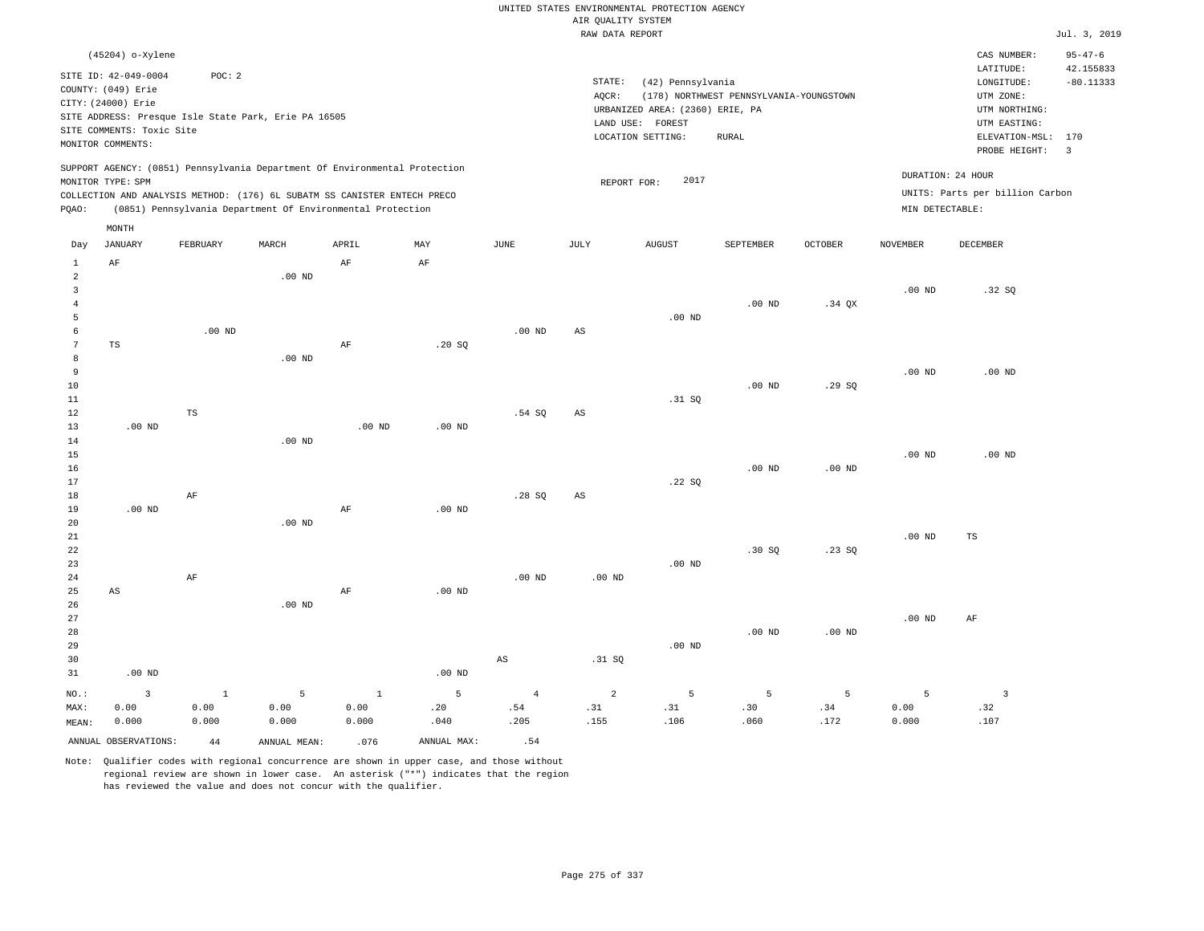|                |                           |             |                                                      |                                                                            |                   |            | RAW DATA REPORT        |                                 |                                         |                   |                   |                                 | Jul. 3, 2019   |
|----------------|---------------------------|-------------|------------------------------------------------------|----------------------------------------------------------------------------|-------------------|------------|------------------------|---------------------------------|-----------------------------------------|-------------------|-------------------|---------------------------------|----------------|
|                | (45204) o-Xylene          |             |                                                      |                                                                            |                   |            |                        |                                 |                                         |                   |                   | CAS NUMBER:                     | $95 - 47 - 6$  |
|                |                           |             |                                                      |                                                                            |                   |            |                        |                                 |                                         |                   |                   | LATITUDE:                       | 42.155833      |
|                | SITE ID: 42-049-0004      | POC: 2      |                                                      |                                                                            |                   |            | STATE:                 | (42) Pennsylvania               |                                         |                   |                   | LONGITUDE:                      | $-80.11333$    |
|                | COUNTY: (049) Erie        |             |                                                      |                                                                            |                   |            | AQCR:                  |                                 | (178) NORTHWEST PENNSYLVANIA-YOUNGSTOWN |                   |                   | UTM ZONE:                       |                |
|                | CITY: (24000) Erie        |             |                                                      |                                                                            |                   |            |                        | URBANIZED AREA: (2360) ERIE, PA |                                         |                   |                   | UTM NORTHING:                   |                |
|                |                           |             | SITE ADDRESS: Presque Isle State Park, Erie PA 16505 |                                                                            |                   |            |                        | LAND USE: FOREST                |                                         |                   |                   | UTM EASTING:                    |                |
|                | SITE COMMENTS: Toxic Site |             |                                                      |                                                                            |                   |            |                        | LOCATION SETTING:               | <b>RURAL</b>                            |                   |                   | ELEVATION-MSL: 170              |                |
|                | MONITOR COMMENTS:         |             |                                                      |                                                                            |                   |            |                        |                                 |                                         |                   |                   | PROBE HEIGHT:                   | $\overline{3}$ |
|                |                           |             |                                                      | SUPPORT AGENCY: (0851) Pennsylvania Department Of Environmental Protection |                   |            |                        |                                 |                                         |                   |                   |                                 |                |
|                | MONITOR TYPE: SPM         |             |                                                      |                                                                            |                   |            | REPORT FOR:            | 2017                            |                                         |                   |                   | DURATION: 24 HOUR               |                |
|                |                           |             |                                                      | COLLECTION AND ANALYSIS METHOD: (176) 6L SUBATM SS CANISTER ENTECH PRECO   |                   |            |                        |                                 |                                         |                   |                   | UNITS: Parts per billion Carbon |                |
| PQAO:          |                           |             |                                                      | (0851) Pennsylvania Department Of Environmental Protection                 |                   |            |                        |                                 |                                         |                   | MIN DETECTABLE:   |                                 |                |
|                | MONTH                     |             |                                                      |                                                                            |                   |            |                        |                                 |                                         |                   |                   |                                 |                |
| Day            | <b>JANUARY</b>            | FEBRUARY    | MARCH                                                | APRIL                                                                      | MAY               | JUNE       | JULY                   | <b>AUGUST</b>                   | SEPTEMBER                               | <b>OCTOBER</b>    | <b>NOVEMBER</b>   | DECEMBER                        |                |
| $\mathbf{1}$   | $\rm AF$                  |             |                                                      | $\rm{AF}$                                                                  | AF                |            |                        |                                 |                                         |                   |                   |                                 |                |
| $\overline{a}$ |                           |             | .00 <sub>ND</sub>                                    |                                                                            |                   |            |                        |                                 |                                         |                   |                   |                                 |                |
| $\overline{3}$ |                           |             |                                                      |                                                                            |                   |            |                        |                                 |                                         |                   | $.00$ ND          | .32S                            |                |
| $\bf 4$        |                           |             |                                                      |                                                                            |                   |            |                        |                                 | $.00$ ND                                | .34 QX            |                   |                                 |                |
| 5              |                           |             |                                                      |                                                                            |                   |            |                        | $.00$ ND                        |                                         |                   |                   |                                 |                |
| 6              |                           | $.00$ ND    |                                                      |                                                                            |                   | $.00$ ND   | AS                     |                                 |                                         |                   |                   |                                 |                |
| $\overline{7}$ | $\mathbb{TS}$             |             |                                                      | $\rm{AF}$                                                                  | .20SQ             |            |                        |                                 |                                         |                   |                   |                                 |                |
| 8              |                           |             | $.00$ ND                                             |                                                                            |                   |            |                        |                                 |                                         |                   |                   |                                 |                |
| 9              |                           |             |                                                      |                                                                            |                   |            |                        |                                 |                                         |                   | .00 <sub>ND</sub> | .00 <sub>ND</sub>               |                |
| 10             |                           |             |                                                      |                                                                            |                   |            |                        |                                 | $.00$ ND                                | .29SQ             |                   |                                 |                |
| 11             |                           |             |                                                      |                                                                            |                   |            |                        | .31 S0                          |                                         |                   |                   |                                 |                |
| $12\,$         |                           | $_{\rm TS}$ |                                                      |                                                                            |                   | .54 SQ     | AS                     |                                 |                                         |                   |                   |                                 |                |
| 13             | $.00$ ND                  |             |                                                      | .00 <sub>ND</sub>                                                          | $.00$ ND          |            |                        |                                 |                                         |                   |                   |                                 |                |
| 14             |                           |             | $.00$ ND                                             |                                                                            |                   |            |                        |                                 |                                         |                   |                   |                                 |                |
| 15             |                           |             |                                                      |                                                                            |                   |            |                        |                                 |                                         |                   | .00 <sub>ND</sub> | .00 <sub>ND</sub>               |                |
| 16             |                           |             |                                                      |                                                                            |                   |            |                        |                                 | $.00$ ND                                | .00 <sub>ND</sub> |                   |                                 |                |
| 17             |                           |             |                                                      |                                                                            |                   |            |                        | .22SQ                           |                                         |                   |                   |                                 |                |
| 18             |                           | AF          |                                                      |                                                                            |                   | .28SQ      | $\mathbb{A}\mathbb{S}$ |                                 |                                         |                   |                   |                                 |                |
| 19             | $.00$ ND                  |             |                                                      | AF                                                                         | $.00$ ND          |            |                        |                                 |                                         |                   |                   |                                 |                |
| 20             |                           |             | $.00$ ND                                             |                                                                            |                   |            |                        |                                 |                                         |                   |                   |                                 |                |
| 21             |                           |             |                                                      |                                                                            |                   |            |                        |                                 |                                         |                   | .00 <sub>ND</sub> | $\mathbb{TS}$                   |                |
| 22             |                           |             |                                                      |                                                                            |                   |            |                        |                                 | .30SQ                                   | .23SQ             |                   |                                 |                |
| 23<br>24       |                           | $\rm{AF}$   |                                                      |                                                                            |                   | $.00$ ND   | .00 <sub>ND</sub>      | $.00$ ND                        |                                         |                   |                   |                                 |                |
| 25             | $_{\rm AS}$               |             |                                                      | AF                                                                         | .00 <sub>ND</sub> |            |                        |                                 |                                         |                   |                   |                                 |                |
| 26             |                           |             | .00 <sub>ND</sub>                                    |                                                                            |                   |            |                        |                                 |                                         |                   |                   |                                 |                |
| 27             |                           |             |                                                      |                                                                            |                   |            |                        |                                 |                                         |                   | .00 <sub>ND</sub> | AF                              |                |
| 28             |                           |             |                                                      |                                                                            |                   |            |                        |                                 | $.00$ ND                                | $.00$ ND          |                   |                                 |                |
| 29             |                           |             |                                                      |                                                                            |                   |            |                        | $.00$ ND                        |                                         |                   |                   |                                 |                |
| 30             |                           |             |                                                      |                                                                            |                   | AS         | .31 SQ                 |                                 |                                         |                   |                   |                                 |                |
| 31             | $.00$ ND                  |             |                                                      |                                                                            | .00 <sub>ND</sub> |            |                        |                                 |                                         |                   |                   |                                 |                |
|                |                           |             |                                                      |                                                                            |                   |            |                        |                                 |                                         |                   |                   |                                 |                |
| NO.:           | $\overline{3}$            | $\,$ 1      | 5                                                    | $\,$ 1                                                                     | 5                 | $\sqrt{4}$ | $\overline{a}$         | 5                               | $\overline{5}$                          | 5                 | 5                 | $\overline{3}$                  |                |
| MAX:           | 0.00                      | 0.00        | 0.00                                                 | 0.00                                                                       | .20               | .54        | .31                    | .31                             | .30                                     | .34               | 0.00              | .32                             |                |
| MEAN:          | 0.000                     | 0.000       | 0.000                                                | 0.000                                                                      | .040              | .205       | .155                   | .106                            | .060                                    | .172              | 0.000             | .107                            |                |
|                | ANNUAL OBSERVATIONS:      | $4\,4$      | ANNUAL MEAN:                                         | .076                                                                       | ANNUAL MAX:       | .54        |                        |                                 |                                         |                   |                   |                                 |                |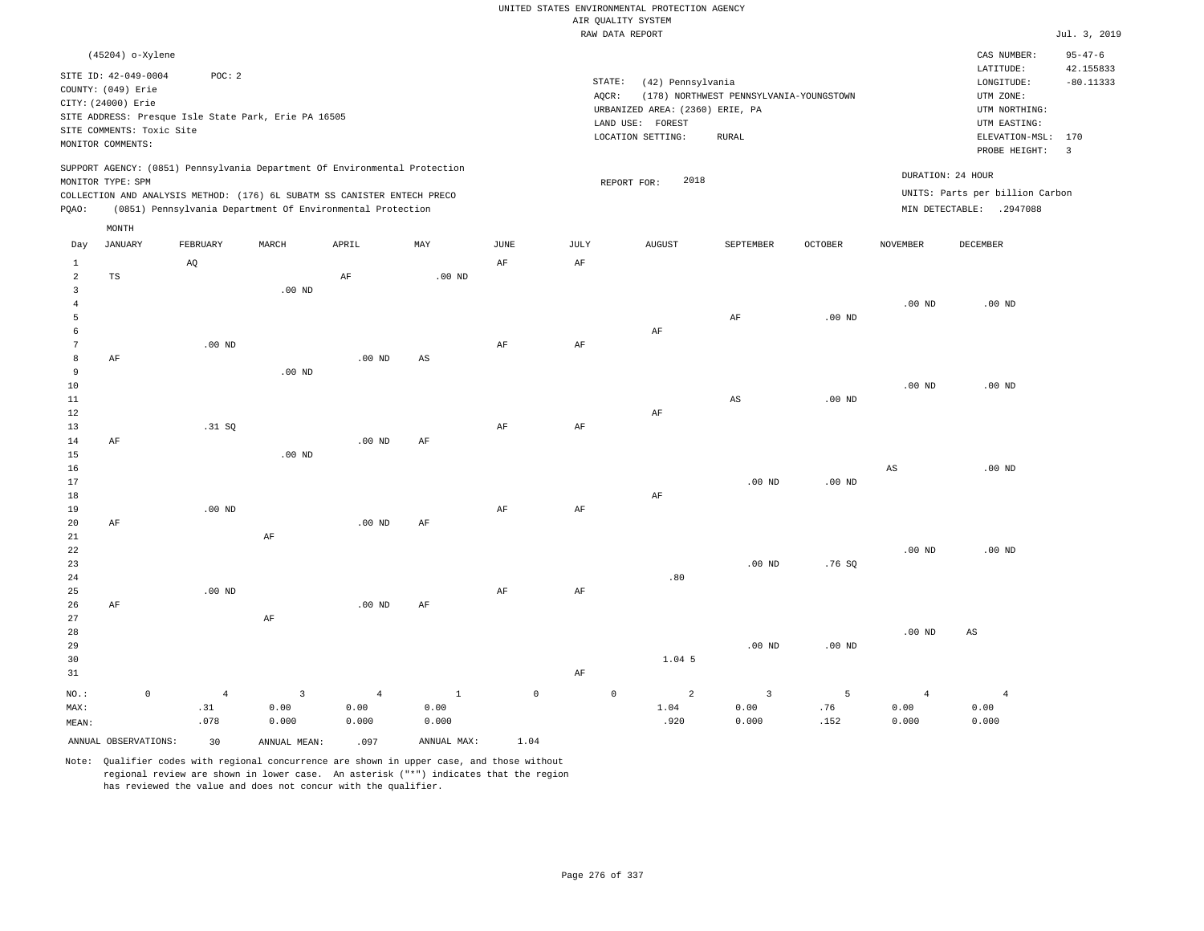|                                                                 |                                                                                                                                        |                                                                                                                                                        |                                 |                                 |                               |                     |                   | UNITED STATES ENVIRONMENTAL PROTECTION AGENCY                                                 |                                                          |                   |                                 |                                                                                                                         |                                                                    |
|-----------------------------------------------------------------|----------------------------------------------------------------------------------------------------------------------------------------|--------------------------------------------------------------------------------------------------------------------------------------------------------|---------------------------------|---------------------------------|-------------------------------|---------------------|-------------------|-----------------------------------------------------------------------------------------------|----------------------------------------------------------|-------------------|---------------------------------|-------------------------------------------------------------------------------------------------------------------------|--------------------------------------------------------------------|
|                                                                 |                                                                                                                                        |                                                                                                                                                        |                                 |                                 |                               |                     |                   | AIR QUALITY SYSTEM                                                                            |                                                          |                   |                                 |                                                                                                                         | Jul. 3, 2019                                                       |
|                                                                 |                                                                                                                                        |                                                                                                                                                        |                                 |                                 |                               |                     |                   | RAW DATA REPORT                                                                               |                                                          |                   |                                 |                                                                                                                         |                                                                    |
|                                                                 | (45204) o-Xylene<br>SITE ID: 42-049-0004<br>COUNTY: (049) Erie<br>CITY: (24000) Erie<br>SITE COMMENTS: Toxic Site<br>MONITOR COMMENTS: | POC: 2<br>SITE ADDRESS: Presque Isle State Park, Erie PA 16505                                                                                         |                                 |                                 |                               |                     | STATE:<br>AQCR:   | (42) Pennsylvania<br>URBANIZED AREA: (2360) ERIE, PA<br>LAND USE: FOREST<br>LOCATION SETTING: | (178) NORTHWEST PENNSYLVANIA-YOUNGSTOWN<br>${\tt RURAL}$ |                   |                                 | CAS NUMBER:<br>LATITUDE:<br>LONGITUDE:<br>UTM ZONE:<br>UTM NORTHING:<br>UTM EASTING:<br>ELEVATION-MSL:<br>PROBE HEIGHT: | $95 - 47 - 6$<br>42.155833<br>$-80.11333$<br>170<br>$\overline{3}$ |
|                                                                 | MONITOR TYPE: SPM                                                                                                                      | SUPPORT AGENCY: (0851) Pennsylvania Department Of Environmental Protection<br>COLLECTION AND ANALYSIS METHOD: (176) 6L SUBATM SS CANISTER ENTECH PRECO |                                 |                                 |                               |                     |                   | 2018<br>REPORT FOR:                                                                           |                                                          |                   | DURATION: 24 HOUR               | UNITS: Parts per billion Carbon                                                                                         |                                                                    |
| PQAO:                                                           |                                                                                                                                        | (0851) Pennsylvania Department Of Environmental Protection                                                                                             |                                 |                                 |                               |                     |                   |                                                                                               |                                                          |                   |                                 | MIN DETECTABLE: .2947088                                                                                                |                                                                    |
| Day<br>$1\,$                                                    | MONTH<br><b>JANUARY</b>                                                                                                                | FEBRUARY<br>AQ                                                                                                                                         | MARCH                           | APRIL                           | MAY                           | $_{\rm JUNE}$<br>AF | <b>JULY</b><br>AF | <b>AUGUST</b>                                                                                 | SEPTEMBER                                                | <b>OCTOBER</b>    | <b>NOVEMBER</b>                 | DECEMBER                                                                                                                |                                                                    |
| $\overline{2}$<br>$\mathbf{3}$<br>$\overline{4}$<br>5<br>6<br>7 | <b>TS</b>                                                                                                                              | $.00$ ND                                                                                                                                               | $.00$ ND                        | AF                              | $.00$ ND                      | $\rm{AF}$           | $\rm AF$          | AF                                                                                            | $\rm AF$                                                 | .00 <sub>ND</sub> | .00 <sub>ND</sub>               | $.00$ ND                                                                                                                |                                                                    |
| 8<br>$\overline{9}$<br>$10$<br>$11\,$<br>$12$<br>13             | AF                                                                                                                                     | .31 S0                                                                                                                                                 | $.00$ ND                        | $.00$ ND                        | AS                            | AF                  | AF                | AF                                                                                            | $\mathbb{A}\mathbb{S}$                                   | $.00$ ND          | .00 <sub>ND</sub>               | $.00$ ND                                                                                                                |                                                                    |
| 14<br>15<br>16<br>17<br>18<br>19                                | AF                                                                                                                                     | $.00$ ND                                                                                                                                               | $.00$ ND                        | $.00$ ND                        | AF                            | $\rm{AF}$           | AF                | AF                                                                                            | $.00$ ND                                                 | $.00$ ND          | $\mathbb{A}\mathbb{S}$          | $.00$ ND                                                                                                                |                                                                    |
| 20<br>21<br>22<br>23<br>24<br>25                                | AF                                                                                                                                     | .00 <sub>ND</sub>                                                                                                                                      | AF                              | $.00$ ND                        | AF                            | AF                  | AF                | .80                                                                                           | $.00$ ND                                                 | .76SQ             | $.00$ ND                        | $.00$ ND                                                                                                                |                                                                    |
| 26<br>27<br>28<br>29<br>30<br>31                                | AF                                                                                                                                     |                                                                                                                                                        | AF                              | $.00$ ND                        | AF                            |                     | AF                | 1.04 5                                                                                        | $.00$ ND                                                 | $.00$ ND          | .00 <sub>ND</sub>               | $\mathbb{A}\mathbb{S}$                                                                                                  |                                                                    |
| NO.:<br>MAX:<br>MEAN:                                           | $\mathsf{O}\xspace$                                                                                                                    | $\overline{4}$<br>.31<br>.078                                                                                                                          | $\overline{3}$<br>0.00<br>0.000 | $\overline{4}$<br>0.00<br>0.000 | $\mathbf{1}$<br>0.00<br>0.000 | $\mathsf{O}\xspace$ |                   | $\mathsf{O}$<br>$\overline{a}$<br>1.04<br>.920                                                | $\overline{3}$<br>0.00<br>0.000                          | 5<br>.76<br>.152  | $\overline{4}$<br>0.00<br>0.000 | $\overline{4}$<br>0.00<br>0.000                                                                                         |                                                                    |
|                                                                 | ANNUAL OBSERVATIONS:                                                                                                                   | 30                                                                                                                                                     | ANNUAL MEAN:                    | .097                            | ANNUAL MAX:                   | 1.04                |                   |                                                                                               |                                                          |                   |                                 |                                                                                                                         |                                                                    |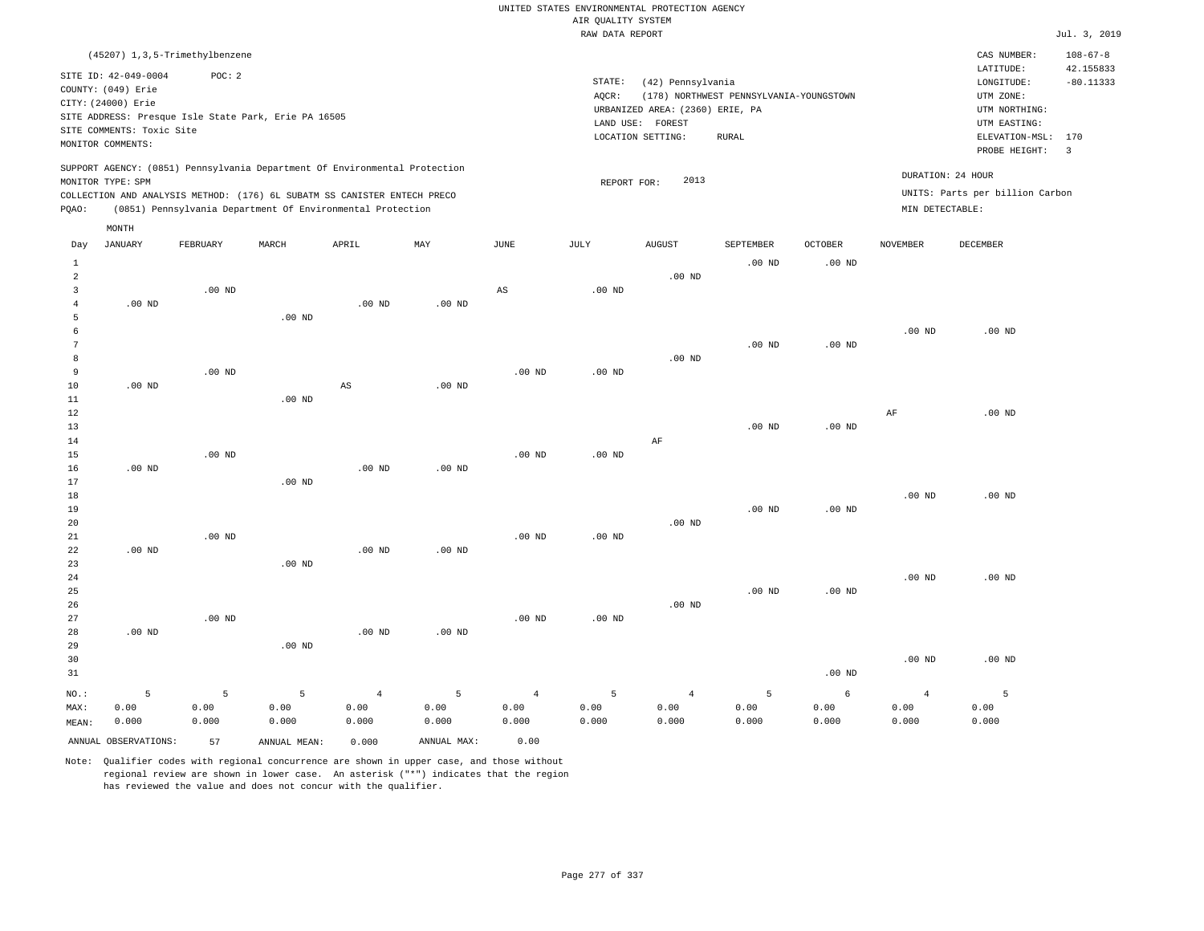|                         |                                  |          |                                                                            |                        |                   |                   | RAW DATA REPORT |                                 |                                         |                |                   |                                 | Jul. 3, 2019   |
|-------------------------|----------------------------------|----------|----------------------------------------------------------------------------|------------------------|-------------------|-------------------|-----------------|---------------------------------|-----------------------------------------|----------------|-------------------|---------------------------------|----------------|
|                         | (45207) 1, 3, 5-Trimethylbenzene |          |                                                                            |                        |                   |                   |                 |                                 |                                         |                |                   | CAS NUMBER:                     | $108 - 67 - 8$ |
|                         |                                  |          |                                                                            |                        |                   |                   |                 |                                 |                                         |                |                   | LATITUDE:                       | 42.155833      |
|                         | SITE ID: 42-049-0004             | POC: 2   |                                                                            |                        |                   |                   | STATE:          | (42) Pennsylvania               |                                         |                |                   | LONGITUDE:                      | $-80.11333$    |
|                         | COUNTY: (049) Erie               |          |                                                                            |                        |                   |                   | AQCR:           |                                 | (178) NORTHWEST PENNSYLVANIA-YOUNGSTOWN |                |                   | UTM ZONE:                       |                |
|                         | CITY: (24000) Erie               |          |                                                                            |                        |                   |                   |                 | URBANIZED AREA: (2360) ERIE, PA |                                         |                |                   | UTM NORTHING:                   |                |
|                         |                                  |          | SITE ADDRESS: Presque Isle State Park, Erie PA 16505                       |                        |                   |                   | LAND USE:       | FOREST                          |                                         |                |                   | UTM EASTING:                    |                |
|                         | SITE COMMENTS: Toxic Site        |          |                                                                            |                        |                   |                   |                 | LOCATION SETTING:               | <b>RURAL</b>                            |                |                   | ELEVATION-MSL:                  | 170            |
|                         | MONITOR COMMENTS:                |          |                                                                            |                        |                   |                   |                 |                                 |                                         |                |                   | PROBE HEIGHT:                   | $\overline{3}$ |
|                         |                                  |          | SUPPORT AGENCY: (0851) Pennsylvania Department Of Environmental Protection |                        |                   |                   |                 |                                 |                                         |                |                   |                                 |                |
|                         | MONITOR TYPE: SPM                |          |                                                                            |                        |                   |                   | REPORT FOR:     | 2013                            |                                         |                |                   | DURATION: 24 HOUR               |                |
|                         |                                  |          | COLLECTION AND ANALYSIS METHOD: (176) 6L SUBATM SS CANISTER ENTECH PRECO   |                        |                   |                   |                 |                                 |                                         |                |                   | UNITS: Parts per billion Carbon |                |
| PQAO:                   |                                  |          | (0851) Pennsylvania Department Of Environmental Protection                 |                        |                   |                   |                 |                                 |                                         |                | MIN DETECTABLE:   |                                 |                |
|                         | MONTH                            |          |                                                                            |                        |                   |                   |                 |                                 |                                         |                |                   |                                 |                |
| Day                     | <b>JANUARY</b>                   | FEBRUARY | MARCH                                                                      | APRIL                  | MAY               | JUNE              | JULY            | <b>AUGUST</b>                   | SEPTEMBER                               | <b>OCTOBER</b> | <b>NOVEMBER</b>   | <b>DECEMBER</b>                 |                |
| $\mathbf{1}$            |                                  |          |                                                                            |                        |                   |                   |                 |                                 | $.00$ ND                                | $.00$ ND       |                   |                                 |                |
| $\overline{a}$          |                                  |          |                                                                            |                        |                   |                   |                 | $.00$ ND                        |                                         |                |                   |                                 |                |
| $\overline{\mathbf{3}}$ |                                  | $.00$ ND |                                                                            |                        |                   | AS                | $.00$ ND        |                                 |                                         |                |                   |                                 |                |
| $\overline{4}$          | $.00$ ND                         |          |                                                                            | .00 <sub>ND</sub>      | .00 <sub>ND</sub> |                   |                 |                                 |                                         |                |                   |                                 |                |
| 5                       |                                  |          | $.00$ ND                                                                   |                        |                   |                   |                 |                                 |                                         |                |                   |                                 |                |
| 6                       |                                  |          |                                                                            |                        |                   |                   |                 |                                 |                                         |                | $.00$ ND          | $.00$ ND                        |                |
| $\overline{7}$          |                                  |          |                                                                            |                        |                   |                   |                 |                                 | .00 <sub>ND</sub>                       | $.00$ ND       |                   |                                 |                |
| 8                       |                                  |          |                                                                            |                        |                   |                   |                 | $.00$ ND                        |                                         |                |                   |                                 |                |
| 9                       |                                  | $.00$ ND |                                                                            |                        |                   | $.00$ ND          | $.00$ ND        |                                 |                                         |                |                   |                                 |                |
| 10                      | $.00$ ND                         |          |                                                                            | $\mathbb{A}\mathbb{S}$ | $.00$ ND          |                   |                 |                                 |                                         |                |                   |                                 |                |
| $11\,$                  |                                  |          | $.00$ ND                                                                   |                        |                   |                   |                 |                                 |                                         |                |                   |                                 |                |
| 12                      |                                  |          |                                                                            |                        |                   |                   |                 |                                 |                                         |                | AF                | .00 <sub>ND</sub>               |                |
| 13                      |                                  |          |                                                                            |                        |                   |                   |                 |                                 | $.00$ ND                                | $.00$ ND       |                   |                                 |                |
| 14                      |                                  |          |                                                                            |                        |                   |                   |                 | $\rm{AF}$                       |                                         |                |                   |                                 |                |
| 15                      |                                  | $.00$ ND |                                                                            |                        |                   | .00 <sub>ND</sub> | $.00$ ND        |                                 |                                         |                |                   |                                 |                |
| 16                      | $.00$ ND                         |          |                                                                            | .00 <sub>ND</sub>      | .00 <sub>ND</sub> |                   |                 |                                 |                                         |                |                   |                                 |                |
| $17$                    |                                  |          | $.00$ ND                                                                   |                        |                   |                   |                 |                                 |                                         |                |                   |                                 |                |
| $18\,$                  |                                  |          |                                                                            |                        |                   |                   |                 |                                 |                                         |                | $.00$ ND          | $.00$ ND                        |                |
| 19                      |                                  |          |                                                                            |                        |                   |                   |                 |                                 | .00 <sub>ND</sub>                       | $.00$ ND       |                   |                                 |                |
| 20                      |                                  |          |                                                                            |                        |                   |                   |                 | $.00$ ND                        |                                         |                |                   |                                 |                |
| 21                      |                                  | $.00$ ND |                                                                            |                        |                   | $.00$ ND          | $.00$ ND        |                                 |                                         |                |                   |                                 |                |
| 22                      | $.00$ ND                         |          |                                                                            | $.00$ ND               | $.00$ ND          |                   |                 |                                 |                                         |                |                   |                                 |                |
| 23                      |                                  |          | $.00$ ND                                                                   |                        |                   |                   |                 |                                 |                                         |                |                   |                                 |                |
| 24                      |                                  |          |                                                                            |                        |                   |                   |                 |                                 |                                         |                | .00 <sub>ND</sub> | .00 <sub>ND</sub>               |                |
| 25                      |                                  |          |                                                                            |                        |                   |                   |                 |                                 | $.00$ ND                                | $.00$ ND       |                   |                                 |                |
| 26                      |                                  |          |                                                                            |                        |                   |                   |                 | $.00$ ND                        |                                         |                |                   |                                 |                |
| 27                      |                                  | $.00$ ND |                                                                            |                        |                   | $.00$ ND          | $.00$ ND        |                                 |                                         |                |                   |                                 |                |
| 28                      | $.00$ ND                         |          |                                                                            | $.00$ ND               | $.00$ ND          |                   |                 |                                 |                                         |                |                   |                                 |                |
| 29                      |                                  |          | $.00$ ND                                                                   |                        |                   |                   |                 |                                 |                                         |                |                   |                                 |                |
| 30                      |                                  |          |                                                                            |                        |                   |                   |                 |                                 |                                         |                | $.00$ ND          | $.00$ ND                        |                |
| 31                      |                                  |          |                                                                            |                        |                   |                   |                 |                                 |                                         | $.00$ ND       |                   |                                 |                |
| NO.:                    | 5                                | 5        | 5                                                                          | $\overline{4}$         | 5                 | $\overline{4}$    | 5               | $\overline{4}$                  | 5                                       | 6              | $\overline{4}$    | 5                               |                |
| MAX:                    | 0.00                             | 0.00     | 0.00                                                                       | 0.00                   | 0.00              | 0.00              | 0.00            | 0.00                            | 0.00                                    | 0.00           | 0.00              | 0.00                            |                |
| MEAN:                   | 0.000                            | 0.000    | 0.000                                                                      | 0.000                  | 0.000             | 0.000             | 0.000           | 0.000                           | 0.000                                   | 0.000          | 0.000             | 0.000                           |                |
|                         | ANNUAL OBSERVATIONS:             | 57       | ANNUAL MEAN:                                                               | 0.000                  | ANNUAL MAX:       | 0.00              |                 |                                 |                                         |                |                   |                                 |                |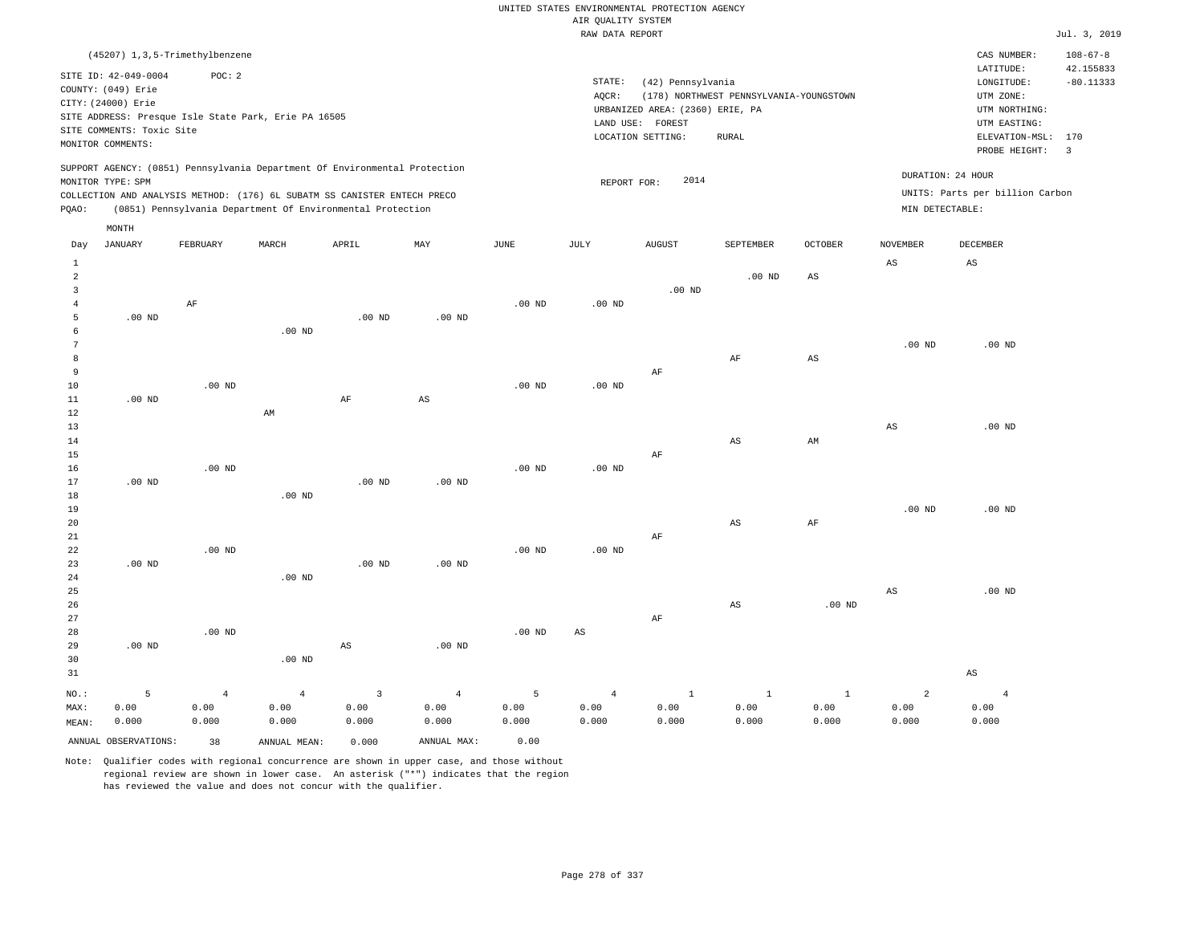|                 |                                  |                   |                                                                            |                        |                   |                   | RAW DATA REPORT |                                 |                                         |                |                        |                                 | Jul. 3, 2019   |
|-----------------|----------------------------------|-------------------|----------------------------------------------------------------------------|------------------------|-------------------|-------------------|-----------------|---------------------------------|-----------------------------------------|----------------|------------------------|---------------------------------|----------------|
|                 | (45207) 1, 3, 5-Trimethylbenzene |                   |                                                                            |                        |                   |                   |                 |                                 |                                         |                |                        | CAS NUMBER:                     | $108 - 67 - 8$ |
|                 | SITE ID: 42-049-0004             | POC: 2            |                                                                            |                        |                   |                   |                 |                                 |                                         |                |                        | LATITUDE:                       | 42.155833      |
|                 | COUNTY: (049) Erie               |                   |                                                                            |                        |                   |                   | STATE:          | (42) Pennsylvania               |                                         |                |                        | $\texttt{LONGITUDE}$ :          | $-80.11333$    |
|                 | CITY: (24000) Erie               |                   |                                                                            |                        |                   |                   | AOCR:           |                                 | (178) NORTHWEST PENNSYLVANIA-YOUNGSTOWN |                |                        | UTM ZONE:                       |                |
|                 |                                  |                   | SITE ADDRESS: Presque Isle State Park, Erie PA 16505                       |                        |                   |                   |                 | URBANIZED AREA: (2360) ERIE, PA |                                         |                |                        | UTM NORTHING:                   |                |
|                 | SITE COMMENTS: Toxic Site        |                   |                                                                            |                        |                   |                   |                 | LAND USE: FOREST                |                                         |                |                        | UTM EASTING:                    |                |
|                 | MONITOR COMMENTS:                |                   |                                                                            |                        |                   |                   |                 | LOCATION SETTING:               | <b>RURAL</b>                            |                |                        | ELEVATION-MSL: 170              |                |
|                 |                                  |                   |                                                                            |                        |                   |                   |                 |                                 |                                         |                |                        | PROBE HEIGHT:                   | $\overline{3}$ |
|                 |                                  |                   | SUPPORT AGENCY: (0851) Pennsylvania Department Of Environmental Protection |                        |                   |                   |                 |                                 |                                         |                |                        | DURATION: 24 HOUR               |                |
|                 | MONITOR TYPE: SPM                |                   |                                                                            |                        |                   |                   | REPORT FOR:     | 2014                            |                                         |                |                        | UNITS: Parts per billion Carbon |                |
|                 |                                  |                   | COLLECTION AND ANALYSIS METHOD: (176) 6L SUBATM SS CANISTER ENTECH PRECO   |                        |                   |                   |                 |                                 |                                         |                |                        |                                 |                |
| PQAO:           |                                  |                   | (0851) Pennsylvania Department Of Environmental Protection                 |                        |                   |                   |                 |                                 |                                         |                | MIN DETECTABLE:        |                                 |                |
| Day             | MONTH<br>JANUARY                 | FEBRUARY          | MARCH                                                                      | APRIL                  | MAY               | <b>JUNE</b>       | JULY            | AUGUST                          | <b>SEPTEMBER</b>                        | <b>OCTOBER</b> | <b>NOVEMBER</b>        | <b>DECEMBER</b>                 |                |
|                 |                                  |                   |                                                                            |                        |                   |                   |                 |                                 |                                         |                |                        |                                 |                |
| $\mathbf{1}$    |                                  |                   |                                                                            |                        |                   |                   |                 |                                 |                                         |                | $\mathbb{A}\mathbb{S}$ | $_{\rm AS}$                     |                |
| $\overline{a}$  |                                  |                   |                                                                            |                        |                   |                   |                 |                                 | $.00$ ND                                | AS             |                        |                                 |                |
| 3               |                                  |                   |                                                                            |                        |                   |                   |                 | $.00$ ND                        |                                         |                |                        |                                 |                |
| $\,4\,$         |                                  | $\rm AF$          |                                                                            |                        |                   | .00 <sub>ND</sub> | $.00$ ND        |                                 |                                         |                |                        |                                 |                |
| 5               | $.00$ ND                         |                   |                                                                            | $.00$ ND               | $.00$ ND          |                   |                 |                                 |                                         |                |                        |                                 |                |
| 6               |                                  |                   | $.00$ ND                                                                   |                        |                   |                   |                 |                                 |                                         |                |                        |                                 |                |
| $7\phantom{.0}$ |                                  |                   |                                                                            |                        |                   |                   |                 |                                 |                                         |                | .00 <sub>ND</sub>      | $.00$ ND                        |                |
| 8               |                                  |                   |                                                                            |                        |                   |                   |                 |                                 | $\rm{AF}$                               | AS             |                        |                                 |                |
| 9               |                                  |                   |                                                                            |                        |                   |                   |                 | AF                              |                                         |                |                        |                                 |                |
| $10$            |                                  | .00 <sub>ND</sub> |                                                                            |                        |                   | $.00$ ND          | $.00$ ND        |                                 |                                         |                |                        |                                 |                |
| 11              | $.00$ ND                         |                   |                                                                            | $\rm{AF}$              | AS                |                   |                 |                                 |                                         |                |                        |                                 |                |
| 12              |                                  |                   | AM                                                                         |                        |                   |                   |                 |                                 |                                         |                |                        |                                 |                |
| 13              |                                  |                   |                                                                            |                        |                   |                   |                 |                                 |                                         |                | $\mathbb{A}\mathbb{S}$ | .00 <sub>ND</sub>               |                |
| 14<br>15        |                                  |                   |                                                                            |                        |                   |                   |                 |                                 | $_{\rm AS}$                             | AM             |                        |                                 |                |
| 16              |                                  | $.00$ ND          |                                                                            |                        |                   | .00 <sub>ND</sub> | $.00$ ND        | AF                              |                                         |                |                        |                                 |                |
| 17              | $.00$ ND                         |                   |                                                                            | $.00$ ND               | $.00$ ND          |                   |                 |                                 |                                         |                |                        |                                 |                |
| $18\,$          |                                  |                   | $.00$ ND                                                                   |                        |                   |                   |                 |                                 |                                         |                |                        |                                 |                |
| 19              |                                  |                   |                                                                            |                        |                   |                   |                 |                                 |                                         |                | .00 <sub>ND</sub>      | $.00$ ND                        |                |
| 20              |                                  |                   |                                                                            |                        |                   |                   |                 |                                 | $\mathbb{A}\mathbb{S}$                  | $\rm{AF}$      |                        |                                 |                |
| $2\sqrt{1}$     |                                  |                   |                                                                            |                        |                   |                   |                 | AF                              |                                         |                |                        |                                 |                |
| 22              |                                  | $.00$ ND          |                                                                            |                        |                   | .00 <sub>ND</sub> | $.00$ ND        |                                 |                                         |                |                        |                                 |                |
| 23              | $.00$ ND                         |                   |                                                                            | .00 <sub>ND</sub>      | .00 <sub>ND</sub> |                   |                 |                                 |                                         |                |                        |                                 |                |
| 24              |                                  |                   | $.00$ ND                                                                   |                        |                   |                   |                 |                                 |                                         |                |                        |                                 |                |
| 25              |                                  |                   |                                                                            |                        |                   |                   |                 |                                 |                                         |                | $\mathbb{A}\mathbb{S}$ | $.00$ ND                        |                |
| 26              |                                  |                   |                                                                            |                        |                   |                   |                 |                                 | AS                                      | $.00$ ND       |                        |                                 |                |
| 27              |                                  |                   |                                                                            |                        |                   |                   |                 | AF                              |                                         |                |                        |                                 |                |
| 28              |                                  | $.00$ ND          |                                                                            |                        |                   | $.00$ ND          | $_{\rm AS}$     |                                 |                                         |                |                        |                                 |                |
| 29              | $.00$ ND                         |                   |                                                                            | $\mathbb{A}\mathbb{S}$ | $.00$ ND          |                   |                 |                                 |                                         |                |                        |                                 |                |
| 30              |                                  |                   | $.00$ ND                                                                   |                        |                   |                   |                 |                                 |                                         |                |                        |                                 |                |
| 31              |                                  |                   |                                                                            |                        |                   |                   |                 |                                 |                                         |                |                        | $\mathbb{A}\mathbb{S}$          |                |
|                 |                                  |                   |                                                                            |                        |                   |                   |                 |                                 |                                         |                |                        |                                 |                |
| $NO.$ :         | 5                                | $\overline{4}$    | $\overline{4}$                                                             | $\overline{3}$         | $\overline{4}$    | 5                 | $\overline{4}$  | $\mathbf{1}$                    | $\mathbf{1}$                            | $\mathbf{1}$   | $\overline{a}$         | $\overline{4}$                  |                |
| MAX:            | 0.00                             | 0.00              | 0.00                                                                       | 0.00                   | 0.00              | 0.00              | 0.00            | 0.00                            | 0.00                                    | 0.00           | 0.00                   | 0.00                            |                |
| MEAN:           | 0.000                            | 0.000             | 0.000                                                                      | 0.000                  | 0.000             | 0.000             | 0.000           | 0.000                           | 0.000                                   | 0.000          | 0.000                  | 0.000                           |                |
|                 | ANNUAL OBSERVATIONS:             | 38                | ANNUAL MEAN:                                                               | 0.000                  | ANNUAL MAX:       | 0.00              |                 |                                 |                                         |                |                        |                                 |                |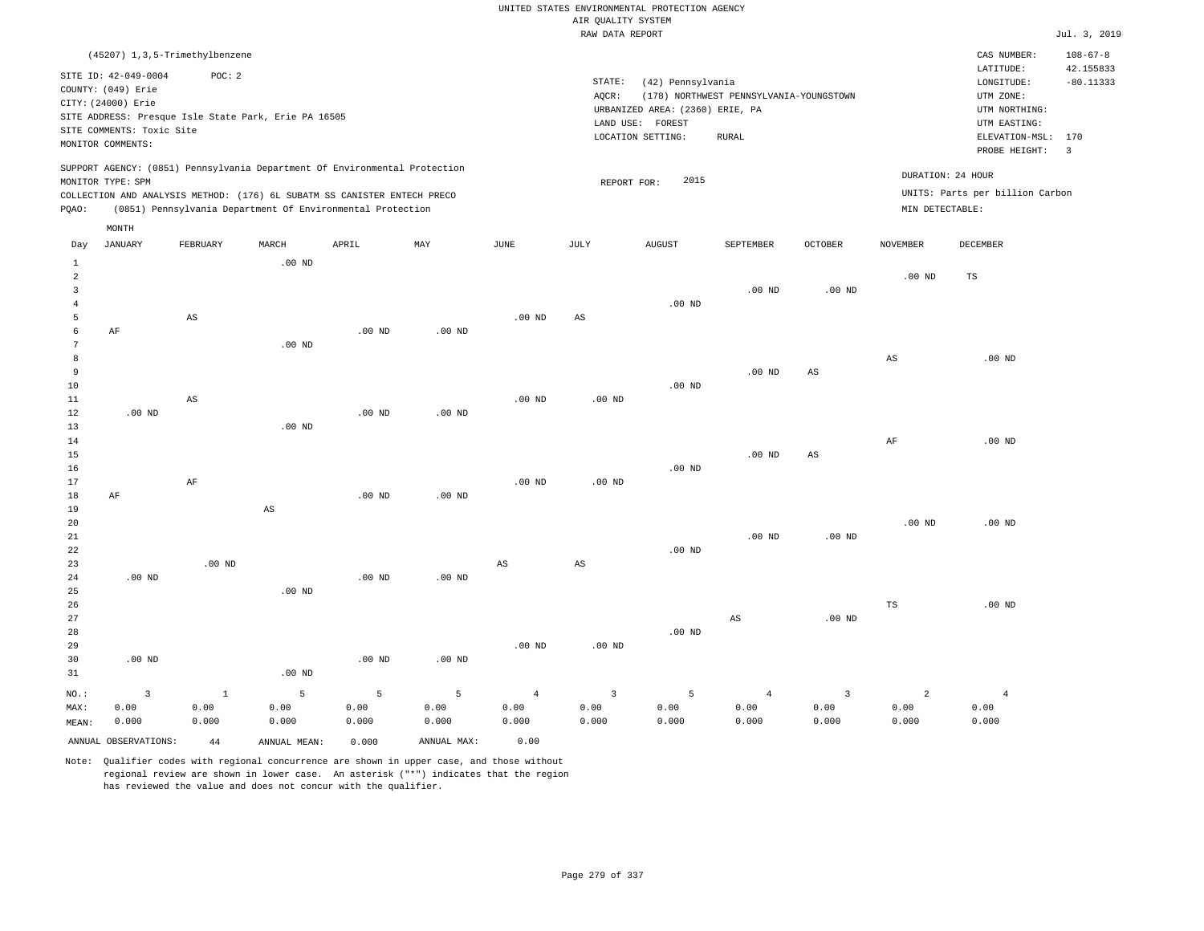|       | (45207) 1,3,5-Trimethylbenzene                                           |          |          |                                                            |                                                                            |      |        |                                 |                                         |          |                 | CAS NUMBER:                     | $108 - 67 - 8$          |
|-------|--------------------------------------------------------------------------|----------|----------|------------------------------------------------------------|----------------------------------------------------------------------------|------|--------|---------------------------------|-----------------------------------------|----------|-----------------|---------------------------------|-------------------------|
|       | SITE ID: 42-049-0004                                                     | POC: 2   |          |                                                            |                                                                            |      |        |                                 |                                         |          |                 | LATITUDE:                       | 42.155833               |
|       | COUNTY: (049) Erie                                                       |          |          |                                                            |                                                                            |      | STATE: | (42) Pennsylvania               |                                         |          |                 | LONGITUDE:                      | $-80.11333$             |
|       | CITY: (24000) Erie                                                       |          |          |                                                            |                                                                            |      | AOCR:  |                                 | (178) NORTHWEST PENNSYLVANIA-YOUNGSTOWN |          |                 | UTM ZONE:                       |                         |
|       | SITE ADDRESS: Presque Isle State Park, Erie PA 16505                     |          |          |                                                            |                                                                            |      |        | URBANIZED AREA: (2360) ERIE, PA |                                         |          |                 | UTM NORTHING:                   |                         |
|       | SITE COMMENTS: Toxic Site                                                |          |          |                                                            |                                                                            |      |        | LAND USE:<br>FOREST             |                                         |          |                 | UTM EASTING:                    |                         |
|       | MONITOR COMMENTS:                                                        |          |          |                                                            |                                                                            |      |        | LOCATION SETTING:               | RURAL                                   |          |                 | ELEVATION-MSL: 170              |                         |
|       |                                                                          |          |          |                                                            |                                                                            |      |        |                                 |                                         |          |                 | PROBE HEIGHT:                   | $\overline{\mathbf{3}}$ |
|       |                                                                          |          |          |                                                            | SUPPORT AGENCY: (0851) Pennsylvania Department Of Environmental Protection |      |        |                                 |                                         |          |                 | DURATION: 24 HOUR               |                         |
|       | MONITOR TYPE: SPM                                                        |          |          |                                                            |                                                                            |      |        | 2015<br>REPORT FOR:             |                                         |          |                 |                                 |                         |
|       | COLLECTION AND ANALYSIS METHOD: (176) 6L SUBATM SS CANISTER ENTECH PRECO |          |          |                                                            |                                                                            |      |        |                                 |                                         |          |                 | UNITS: Parts per billion Carbon |                         |
| POAO: |                                                                          |          |          | (0851) Pennsylvania Department Of Environmental Protection |                                                                            |      |        |                                 |                                         |          | MIN DETECTABLE: |                                 |                         |
|       | MONTH                                                                    |          |          |                                                            |                                                                            |      |        |                                 |                                         |          |                 |                                 |                         |
| Day   | JANUARY                                                                  | FEBRUARY | MARCH    | APRIL                                                      | MAY                                                                        | JUNE | JULY   | AUGUST                          | SEPTEMBER                               | OCTOBER  | <b>NOVEMBER</b> | DECEMBER                        |                         |
|       |                                                                          |          | $.00$ ND |                                                            |                                                                            |      |        |                                 |                                         |          |                 |                                 |                         |
|       |                                                                          |          |          |                                                            |                                                                            |      |        |                                 |                                         |          | $.00$ ND        | TS                              |                         |
|       |                                                                          |          |          |                                                            |                                                                            |      |        |                                 | $.00$ ND                                | $.00$ ND |                 |                                 |                         |

| 4        |          |                        |                        |          |          |                        |                        | .00 $ND$ |                        |          |             |          |
|----------|----------|------------------------|------------------------|----------|----------|------------------------|------------------------|----------|------------------------|----------|-------------|----------|
| 5        |          | $\mathbb{A}\mathbb{S}$ |                        |          |          | $.00$ ND               | $\mathbb{A}\mathbb{S}$ |          |                        |          |             |          |
| 6        | AF       |                        |                        | $.00$ ND | $.00$ ND |                        |                        |          |                        |          |             |          |
| 7        |          |                        | $.00$ ND               |          |          |                        |                        |          |                        |          |             |          |
| 8        |          |                        |                        |          |          |                        |                        |          |                        |          | AS          | $.00$ ND |
| 9        |          |                        |                        |          |          |                        |                        |          | $.00$ ND               | AS       |             |          |
| $10$     |          |                        |                        |          |          |                        |                        | .00 $ND$ |                        |          |             |          |
| $11\,$   |          | AS                     |                        |          |          | $.00$ ND               | .00 $ND$               |          |                        |          |             |          |
| 12       | $.00$ ND |                        |                        | $.00$ ND | .00 $ND$ |                        |                        |          |                        |          |             |          |
| 13       |          |                        | $.00$ ND               |          |          |                        |                        |          |                        |          |             |          |
| 14       |          |                        |                        |          |          |                        |                        |          |                        |          | AF          | $.00$ ND |
| 15       |          |                        |                        |          |          |                        |                        |          | $.00$ ND               | AS       |             |          |
| 16       |          |                        |                        |          |          |                        |                        | .00 $ND$ |                        |          |             |          |
| 17<br>18 |          | $\rm{AF}$              |                        |          | .00 $ND$ | .00 $ND$               | $.00$ ND               |          |                        |          |             |          |
| 19       | AF       |                        | $\mathbb{A}\mathbb{S}$ | .00 $ND$ |          |                        |                        |          |                        |          |             |          |
| 20       |          |                        |                        |          |          |                        |                        |          |                        |          | .00 $ND$    | $.00$ ND |
| 21       |          |                        |                        |          |          |                        |                        |          | $.00$ ND               | .00 $ND$ |             |          |
| 22       |          |                        |                        |          |          |                        |                        | .00 $ND$ |                        |          |             |          |
| 23       |          | .00 $ND$               |                        |          |          | $\mathbb{A}\mathbb{S}$ | $\mathbb{A}\mathbb{S}$ |          |                        |          |             |          |
| 24       | $.00$ ND |                        |                        | $.00$ ND | $.00$ ND |                        |                        |          |                        |          |             |          |
| 25       |          |                        | $.00$ ND               |          |          |                        |                        |          |                        |          |             |          |
| 26       |          |                        |                        |          |          |                        |                        |          |                        |          | $_{\rm TS}$ | $.00$ ND |
| 27       |          |                        |                        |          |          |                        |                        |          | $\mathbb{A}\mathbb{S}$ | .00 $ND$ |             |          |
| 28       |          |                        |                        |          |          |                        |                        | .00 $ND$ |                        |          |             |          |
| 29       |          |                        |                        |          |          | .00 $ND$               | .00 $ND$               |          |                        |          |             |          |
| 30       | $.00$ ND |                        |                        | $.00$ ND | .00 $ND$ |                        |                        |          |                        |          |             |          |
| 31       |          |                        | $.00$ ND               |          |          |                        |                        |          |                        |          |             |          |

| MAX:  | 0.00                    | 0.00  | 0.00         | 0.00  | 0.00        | 0.00  | 0.00  | 0.00  | 0.00  | 0.00  | 0.00  | 0.00  |
|-------|-------------------------|-------|--------------|-------|-------------|-------|-------|-------|-------|-------|-------|-------|
| MEAN: | 0.000                   | 0.000 | 0.000        | 0.000 | 0.000       | 0.000 | 0.000 | 0.000 | 0.000 | 0.000 | 0.000 | 0.000 |
|       | ANNUAL OBSERVATIONS: 44 |       | ANNUAL MEAN: | 0.000 | ANNUAL MAX: | 0.00  |       |       |       |       |       |       |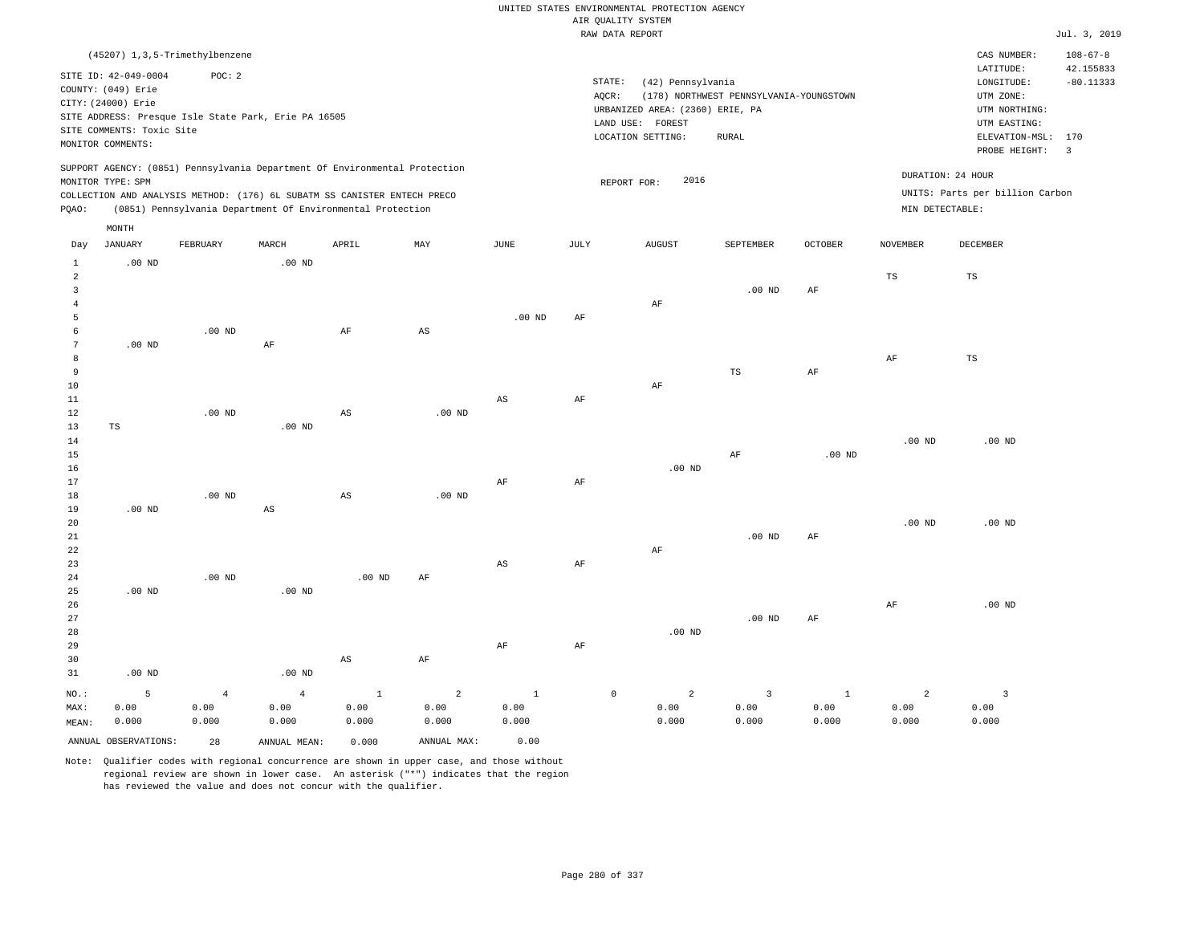|                 |                           |                                                                            |                        |                        |                        |             |                 | RAW DATA REPORT   |                                 |                                         |                |                   |                                 | Jul. 3, 2019   |
|-----------------|---------------------------|----------------------------------------------------------------------------|------------------------|------------------------|------------------------|-------------|-----------------|-------------------|---------------------------------|-----------------------------------------|----------------|-------------------|---------------------------------|----------------|
|                 |                           | (45207) 1, 3, 5-Trimethylbenzene                                           |                        |                        |                        |             |                 |                   |                                 |                                         |                |                   | CAS NUMBER:                     | $108 - 67 - 8$ |
|                 |                           |                                                                            |                        |                        |                        |             |                 |                   |                                 |                                         |                |                   | LATITUDE:                       | 42.155833      |
|                 | SITE ID: 42-049-0004      | POC: 2                                                                     |                        |                        |                        |             |                 | STATE:            | (42) Pennsylvania               |                                         |                |                   | LONGITUDE:                      | $-80.11333$    |
|                 | COUNTY: (049) Erie        |                                                                            |                        |                        |                        |             |                 | AQCR:             |                                 | (178) NORTHWEST PENNSYLVANIA-YOUNGSTOWN |                |                   | UTM ZONE:                       |                |
|                 | CITY: (24000) Erie        |                                                                            |                        |                        |                        |             |                 |                   | URBANIZED AREA: (2360) ERIE, PA |                                         |                |                   | UTM NORTHING:                   |                |
|                 |                           | SITE ADDRESS: Presque Isle State Park, Erie PA 16505                       |                        |                        |                        |             |                 | LAND USE: FOREST  |                                 |                                         |                |                   | UTM EASTING:                    |                |
|                 | SITE COMMENTS: Toxic Site |                                                                            |                        |                        |                        |             |                 | LOCATION SETTING: |                                 | <b>RURAL</b>                            |                |                   | ELEVATION-MSL:                  | 170            |
|                 | MONITOR COMMENTS:         |                                                                            |                        |                        |                        |             |                 |                   |                                 |                                         |                |                   | PROBE HEIGHT:                   | $\overline{3}$ |
|                 |                           | SUPPORT AGENCY: (0851) Pennsylvania Department Of Environmental Protection |                        |                        |                        |             |                 |                   |                                 |                                         |                |                   |                                 |                |
|                 | MONITOR TYPE: SPM         |                                                                            |                        |                        |                        |             |                 | REPORT FOR:       | 2016                            |                                         |                |                   | DURATION: 24 HOUR               |                |
|                 |                           | COLLECTION AND ANALYSIS METHOD: (176) 6L SUBATM SS CANISTER ENTECH PRECO   |                        |                        |                        |             |                 |                   |                                 |                                         |                |                   | UNITS: Parts per billion Carbon |                |
| POAO:           |                           | (0851) Pennsylvania Department Of Environmental Protection                 |                        |                        |                        |             |                 |                   |                                 |                                         |                | MIN DETECTABLE:   |                                 |                |
|                 | MONTH                     |                                                                            |                        |                        |                        |             |                 |                   |                                 |                                         |                |                   |                                 |                |
|                 |                           | FEBRUARY                                                                   | MARCH                  | APRIL                  | MAY                    | JUNE        |                 |                   |                                 |                                         |                | <b>NOVEMBER</b>   | <b>DECEMBER</b>                 |                |
| Day             | <b>JANUARY</b>            |                                                                            |                        |                        |                        |             | $\mathtt{JULY}$ |                   | <b>AUGUST</b>                   | SEPTEMBER                               | <b>OCTOBER</b> |                   |                                 |                |
| $\mathbf{1}$    | $.00$ ND                  |                                                                            | $.00$ ND               |                        |                        |             |                 |                   |                                 |                                         |                |                   |                                 |                |
| $\overline{a}$  |                           |                                                                            |                        |                        |                        |             |                 |                   |                                 |                                         |                | TS                | TS                              |                |
| $\overline{3}$  |                           |                                                                            |                        |                        |                        |             |                 |                   |                                 | .00 <sub>ND</sub>                       | AF             |                   |                                 |                |
| $\overline{4}$  |                           |                                                                            |                        |                        |                        |             |                 |                   | AF                              |                                         |                |                   |                                 |                |
| 5               |                           |                                                                            |                        |                        |                        | $.00$ ND    | AF              |                   |                                 |                                         |                |                   |                                 |                |
| 6               |                           | $.00$ ND                                                                   |                        | $\rm AF$               | $\mathbb{A}\mathbb{S}$ |             |                 |                   |                                 |                                         |                |                   |                                 |                |
| $7\phantom{.0}$ | $.00$ ND                  |                                                                            | $\rm{AF}$              |                        |                        |             |                 |                   |                                 |                                         |                |                   |                                 |                |
| 8               |                           |                                                                            |                        |                        |                        |             |                 |                   |                                 |                                         |                | AF                | TS                              |                |
| $\mathbf{q}$    |                           |                                                                            |                        |                        |                        |             |                 |                   |                                 | <b>TS</b>                               | $\rm{AF}$      |                   |                                 |                |
| 10<br>11        |                           |                                                                            |                        |                        |                        | AS          |                 |                   | AF                              |                                         |                |                   |                                 |                |
| 12              |                           | $.00$ ND                                                                   |                        |                        | $.00$ ND               |             | $\rm AF$        |                   |                                 |                                         |                |                   |                                 |                |
| 13              | $\mathbb{TS}$             |                                                                            | .00 <sub>ND</sub>      | $\mathbb{A}\mathbb{S}$ |                        |             |                 |                   |                                 |                                         |                |                   |                                 |                |
| 14              |                           |                                                                            |                        |                        |                        |             |                 |                   |                                 |                                         |                | $.00$ ND          | $.00$ ND                        |                |
| 15              |                           |                                                                            |                        |                        |                        |             |                 |                   |                                 | $\rm AF$                                | $.00$ ND       |                   |                                 |                |
| 16              |                           |                                                                            |                        |                        |                        |             |                 |                   | $.00$ ND                        |                                         |                |                   |                                 |                |
| 17              |                           |                                                                            |                        |                        |                        | $\rm{AF}$   | $\rm AF$        |                   |                                 |                                         |                |                   |                                 |                |
| 18              |                           | $.00$ ND                                                                   |                        | $\mathbb{A}\mathbb{S}$ | $.00$ ND               |             |                 |                   |                                 |                                         |                |                   |                                 |                |
| 19              | $.00$ ND                  |                                                                            | $\mathbb{A}\mathbb{S}$ |                        |                        |             |                 |                   |                                 |                                         |                |                   |                                 |                |
| 20              |                           |                                                                            |                        |                        |                        |             |                 |                   |                                 |                                         |                | .00 <sub>ND</sub> | $.00$ ND                        |                |
| 21              |                           |                                                                            |                        |                        |                        |             |                 |                   |                                 | $.00$ ND                                | $\rm{AF}$      |                   |                                 |                |
| 22              |                           |                                                                            |                        |                        |                        |             |                 |                   | $\rm AF$                        |                                         |                |                   |                                 |                |
| 23              |                           |                                                                            |                        |                        |                        | $_{\rm AS}$ | $\rm AF$        |                   |                                 |                                         |                |                   |                                 |                |
| 24              |                           | $.00$ ND                                                                   |                        | .00 <sub>ND</sub>      | AF                     |             |                 |                   |                                 |                                         |                |                   |                                 |                |
| 25              | $.00$ ND                  |                                                                            | .00 <sub>ND</sub>      |                        |                        |             |                 |                   |                                 |                                         |                |                   |                                 |                |
| 26              |                           |                                                                            |                        |                        |                        |             |                 |                   |                                 |                                         |                | AF                | .00 <sub>ND</sub>               |                |
| 27              |                           |                                                                            |                        |                        |                        |             |                 |                   |                                 | .00 <sub>ND</sub>                       | AF             |                   |                                 |                |
| 28              |                           |                                                                            |                        |                        |                        |             |                 |                   | $.00$ ND                        |                                         |                |                   |                                 |                |
| 29              |                           |                                                                            |                        |                        |                        | $\rm{AF}$   | AF              |                   |                                 |                                         |                |                   |                                 |                |
| 30              |                           |                                                                            |                        | $\mathbb{A}\mathbb{S}$ | AF                     |             |                 |                   |                                 |                                         |                |                   |                                 |                |
| 31              | $.00$ ND                  |                                                                            | $.00$ ND               |                        |                        |             |                 |                   |                                 |                                         |                |                   |                                 |                |
| $NO.$ :         | 5                         | $\overline{4}$                                                             | $\overline{4}$         | $\mathbf{1}$           | $\overline{a}$         | 1           |                 | $\mathbb O$       | 2                               | $\overline{3}$                          | <sup>1</sup>   | $\overline{a}$    | $\overline{3}$                  |                |
| MAX:            | 0.00                      | 0.00                                                                       | 0.00                   | 0.00                   | 0.00                   | 0.00        |                 |                   | 0.00                            | 0.00                                    | 0.00           | 0.00              | 0.00                            |                |
| MEAN:           | 0.000                     | 0.000                                                                      | 0.000                  | 0.000                  | 0.000                  | 0.000       |                 |                   | 0.000                           | 0.000                                   | 0.000          | 0.000             | 0.000                           |                |

ANNUAL OBSERVATIONS: 28 ANNUAL MEAN: 0.000 ANNUAL MAX: 0.00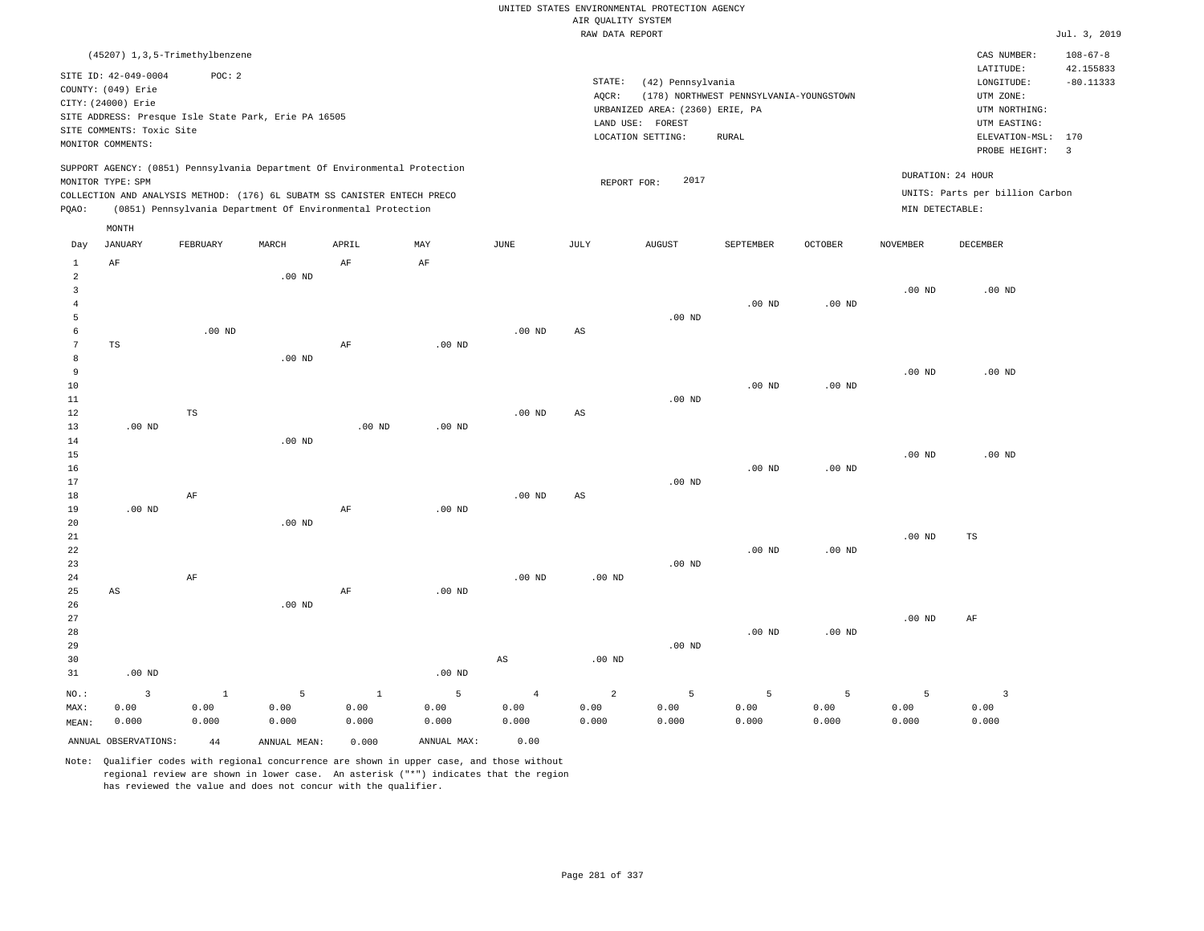|                      | (45207) 1, 3, 5-Trimethylbenzene                                                                |               |                                                            |              |                   |                   |                        |                                 |                                         |                   |                   | CAS NUMBER:                     | $108 - 67 - 8$          |
|----------------------|-------------------------------------------------------------------------------------------------|---------------|------------------------------------------------------------|--------------|-------------------|-------------------|------------------------|---------------------------------|-----------------------------------------|-------------------|-------------------|---------------------------------|-------------------------|
|                      | SITE ID: 42-049-0004                                                                            | POC: 2        |                                                            |              |                   |                   |                        |                                 |                                         |                   |                   | LATITUDE:                       | 42.155833               |
|                      | COUNTY: (049) Erie                                                                              |               |                                                            |              |                   |                   | STATE:                 | (42) Pennsylvania               |                                         |                   |                   | LONGITUDE:                      | $-80.11333$             |
|                      | CITY: (24000) Erie                                                                              |               |                                                            |              |                   |                   | AQCR:                  |                                 | (178) NORTHWEST PENNSYLVANIA-YOUNGSTOWN |                   |                   | UTM ZONE:                       |                         |
|                      | SITE ADDRESS: Presque Isle State Park, Erie PA 16505                                            |               |                                                            |              |                   |                   |                        | URBANIZED AREA: (2360) ERIE, PA |                                         |                   |                   | UTM NORTHING:                   |                         |
|                      | SITE COMMENTS: Toxic Site                                                                       |               |                                                            |              |                   |                   |                        | LAND USE: FOREST                |                                         |                   |                   | UTM EASTING:                    |                         |
|                      | MONITOR COMMENTS:                                                                               |               |                                                            |              |                   |                   |                        | LOCATION SETTING:               | <b>RURAL</b>                            |                   |                   | ELEVATION-MSL: 170              |                         |
|                      |                                                                                                 |               |                                                            |              |                   |                   |                        |                                 |                                         |                   |                   | PROBE HEIGHT:                   | $\overline{\mathbf{3}}$ |
|                      | SUPPORT AGENCY: (0851) Pennsylvania Department Of Environmental Protection<br>MONITOR TYPE: SPM |               |                                                            |              |                   |                   | REPORT FOR:            | 2017                            |                                         |                   |                   | DURATION: 24 HOUR               |                         |
|                      | COLLECTION AND ANALYSIS METHOD: (176) 6L SUBATM SS CANISTER ENTECH PRECO                        |               |                                                            |              |                   |                   |                        |                                 |                                         |                   |                   | UNITS: Parts per billion Carbon |                         |
| PQAO:                |                                                                                                 |               | (0851) Pennsylvania Department Of Environmental Protection |              |                   |                   |                        |                                 |                                         |                   | MIN DETECTABLE:   |                                 |                         |
|                      |                                                                                                 |               |                                                            |              |                   |                   |                        |                                 |                                         |                   |                   |                                 |                         |
| Day                  | MONTH<br><b>JANUARY</b>                                                                         | FEBRUARY      | MARCH                                                      | APRIL        | MAY               | JUNE              | JULY                   | <b>AUGUST</b>                   | SEPTEMBER                               | OCTOBER           | <b>NOVEMBER</b>   | DECEMBER                        |                         |
|                      |                                                                                                 |               |                                                            |              |                   |                   |                        |                                 |                                         |                   |                   |                                 |                         |
| $\mathbf{1}$         | AF                                                                                              |               |                                                            | AF           | AF                |                   |                        |                                 |                                         |                   |                   |                                 |                         |
| $\overline{a}$       |                                                                                                 |               | $.00$ ND                                                   |              |                   |                   |                        |                                 |                                         |                   |                   |                                 |                         |
| $\overline{3}$       |                                                                                                 |               |                                                            |              |                   |                   |                        |                                 |                                         |                   | $.00$ ND          | $.00$ ND                        |                         |
| $\overline{4}$       |                                                                                                 |               |                                                            |              |                   |                   |                        |                                 | .00 <sub>ND</sub>                       | .00 <sub>ND</sub> |                   |                                 |                         |
| 5                    |                                                                                                 |               |                                                            |              |                   |                   |                        | $.00~\mathrm{ND}$               |                                         |                   |                   |                                 |                         |
| 6<br>$7\phantom{.0}$ |                                                                                                 | $.00$ ND      |                                                            |              |                   | .00 <sub>ND</sub> | $\mathbb{A}\mathbb{S}$ |                                 |                                         |                   |                   |                                 |                         |
|                      | $\operatorname{TS}$                                                                             |               |                                                            | AF           | .00 <sub>ND</sub> |                   |                        |                                 |                                         |                   |                   |                                 |                         |
| 8                    |                                                                                                 |               | $.00$ ND                                                   |              |                   |                   |                        |                                 |                                         |                   |                   |                                 |                         |
| 9                    |                                                                                                 |               |                                                            |              |                   |                   |                        |                                 |                                         |                   | .00 <sub>ND</sub> | $.00$ ND                        |                         |
| 10                   |                                                                                                 |               |                                                            |              |                   |                   |                        |                                 | $.00$ ND                                | .00 <sub>ND</sub> |                   |                                 |                         |
| 11                   |                                                                                                 |               |                                                            |              |                   |                   |                        | $.00$ ND                        |                                         |                   |                   |                                 |                         |
| 12                   |                                                                                                 | $\mathbb{TS}$ |                                                            |              |                   | .00 <sub>ND</sub> | AS                     |                                 |                                         |                   |                   |                                 |                         |
| 13                   | $.00$ ND                                                                                        |               |                                                            | $.00$ ND     | $.00$ ND          |                   |                        |                                 |                                         |                   |                   |                                 |                         |
| 14                   |                                                                                                 |               | $.00$ ND                                                   |              |                   |                   |                        |                                 |                                         |                   |                   |                                 |                         |
| 15                   |                                                                                                 |               |                                                            |              |                   |                   |                        |                                 |                                         |                   | $.00$ ND          | $.00$ ND                        |                         |
| 16                   |                                                                                                 |               |                                                            |              |                   |                   |                        |                                 | .00 <sub>ND</sub>                       | .00 <sub>ND</sub> |                   |                                 |                         |
| 17                   |                                                                                                 |               |                                                            |              |                   |                   |                        | $.00$ ND                        |                                         |                   |                   |                                 |                         |
| 18                   |                                                                                                 | AF            |                                                            |              |                   | .00 <sub>ND</sub> | $\mathbb{A}\mathbb{S}$ |                                 |                                         |                   |                   |                                 |                         |
| 19                   | $.00$ ND                                                                                        |               |                                                            | AF           | $.00$ ND          |                   |                        |                                 |                                         |                   |                   |                                 |                         |
| 20                   |                                                                                                 |               | $.00$ ND                                                   |              |                   |                   |                        |                                 |                                         |                   |                   |                                 |                         |
| 21<br>22             |                                                                                                 |               |                                                            |              |                   |                   |                        |                                 | $.00$ ND                                | $.00$ ND          | $.00$ ND          | $\mathbb{TS}$                   |                         |
| 23                   |                                                                                                 |               |                                                            |              |                   |                   |                        | $.00$ ND                        |                                         |                   |                   |                                 |                         |
| 24                   |                                                                                                 | AF            |                                                            |              |                   | .00 <sub>ND</sub> | $.00$ ND               |                                 |                                         |                   |                   |                                 |                         |
| 25                   |                                                                                                 |               |                                                            | AF           | $.00$ ND          |                   |                        |                                 |                                         |                   |                   |                                 |                         |
| 26                   | AS                                                                                              |               | $.00$ ND                                                   |              |                   |                   |                        |                                 |                                         |                   |                   |                                 |                         |
| 27                   |                                                                                                 |               |                                                            |              |                   |                   |                        |                                 |                                         |                   | $.00$ ND          |                                 |                         |
|                      |                                                                                                 |               |                                                            |              |                   |                   |                        |                                 |                                         |                   |                   | AF                              |                         |
| 28<br>29             |                                                                                                 |               |                                                            |              |                   |                   |                        | $.00$ ND                        | .00 <sub>ND</sub>                       | $.00$ ND          |                   |                                 |                         |
|                      |                                                                                                 |               |                                                            |              |                   |                   |                        |                                 |                                         |                   |                   |                                 |                         |
| 30                   |                                                                                                 |               |                                                            |              |                   | AS                | $.00$ ND               |                                 |                                         |                   |                   |                                 |                         |
| 31                   | $.00$ ND                                                                                        |               |                                                            |              | $.00$ ND          |                   |                        |                                 |                                         |                   |                   |                                 |                         |
| NO.:                 | $\overline{3}$                                                                                  | $\mathbf{1}$  | 5                                                          | $\mathbf{1}$ | 5                 | $\overline{4}$    | $\overline{a}$         | 5                               | 5                                       | 5                 | 5                 | $\overline{3}$                  |                         |
| MAX:                 | 0.00                                                                                            | 0.00          | 0.00                                                       | 0.00         | 0.00              | 0.00              | 0.00                   | 0.00                            | 0.00                                    | 0.00              | 0.00              | 0.00                            |                         |
| MEAN:                | 0.000                                                                                           | 0.000         | 0.000                                                      | 0.000        | 0.000             | 0.000             | 0.000                  | 0.000                           | 0.000                                   | 0.000             | 0.000             | 0.000                           |                         |
|                      | ANNUAL OBSERVATIONS:                                                                            | 44            | ANNUAL MEAN:                                               | 0.000        | ANNUAL MAX:       | 0.00              |                        |                                 |                                         |                   |                   |                                 |                         |
|                      |                                                                                                 |               |                                                            |              |                   |                   |                        |                                 |                                         |                   |                   |                                 |                         |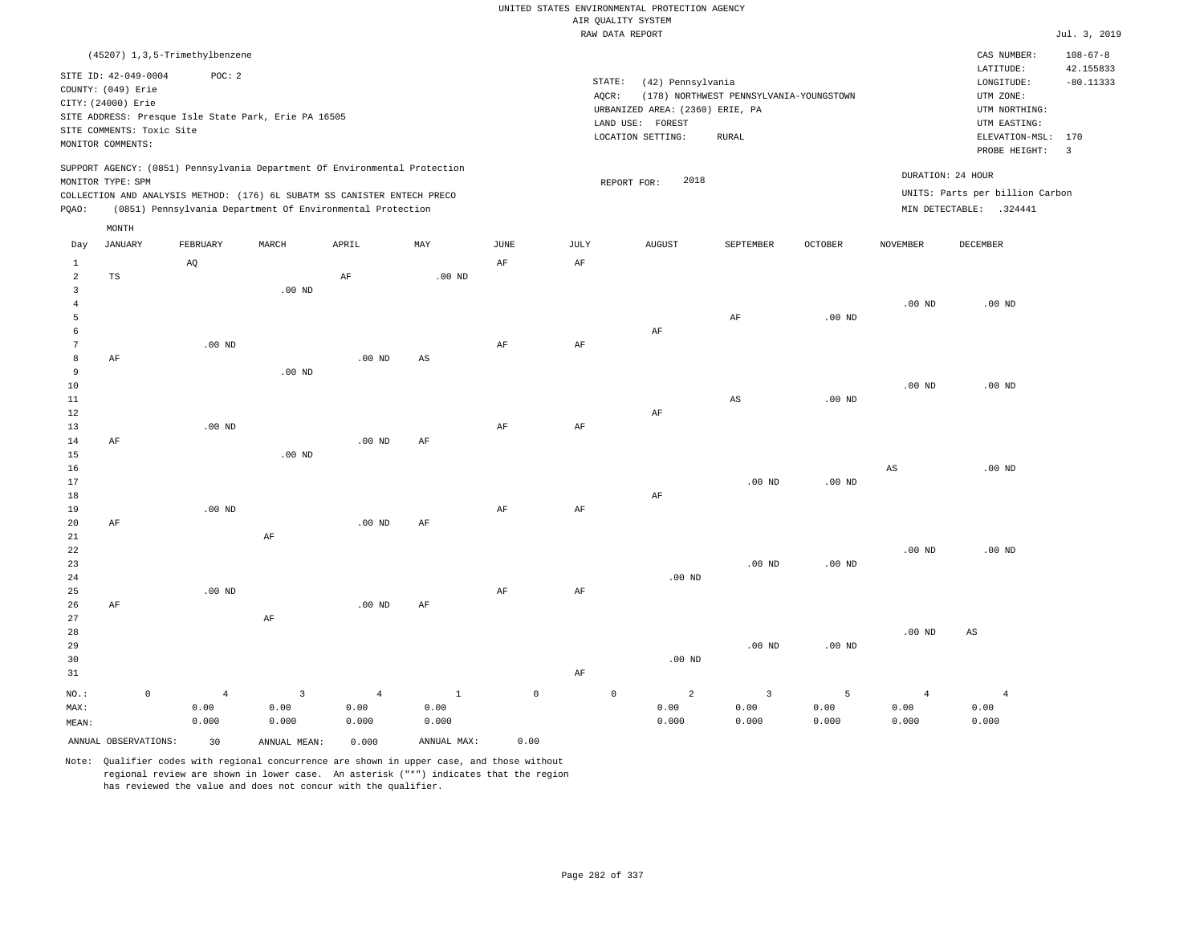|                                  |                                                                  |                                |                                                      |                                                                            |                        |             |                 | UNITED STATES ENVIRONMENTAL PROTECTION AGENCY<br>AIR QUALITY SYSTEM      |                                         |                   |                   |                                                                      |                             |
|----------------------------------|------------------------------------------------------------------|--------------------------------|------------------------------------------------------|----------------------------------------------------------------------------|------------------------|-------------|-----------------|--------------------------------------------------------------------------|-----------------------------------------|-------------------|-------------------|----------------------------------------------------------------------|-----------------------------|
|                                  |                                                                  |                                |                                                      |                                                                            |                        |             |                 | RAW DATA REPORT                                                          |                                         |                   |                   |                                                                      | Jul. 3, 2019                |
|                                  |                                                                  | (45207) 1,3,5-Trimethylbenzene |                                                      |                                                                            |                        |             |                 |                                                                          |                                         |                   |                   | CAS NUMBER:<br>LATITUDE:                                             | $108 - 67 - 8$<br>42.155833 |
|                                  | SITE ID: 42-049-0004<br>COUNTY: (049) Erie<br>CITY: (24000) Erie | POC: 2                         |                                                      |                                                                            |                        |             | STATE:<br>AQCR: | (42) Pennsylvania                                                        | (178) NORTHWEST PENNSYLVANIA-YOUNGSTOWN |                   |                   | LONGITUDE:<br>UTM ZONE:                                              | $-80.11333$                 |
|                                  | SITE COMMENTS: Toxic Site<br>MONITOR COMMENTS:                   |                                | SITE ADDRESS: Presque Isle State Park, Erie PA 16505 |                                                                            |                        |             |                 | URBANIZED AREA: (2360) ERIE, PA<br>LAND USE: FOREST<br>LOCATION SETTING: | <b>RURAL</b>                            |                   |                   | UTM NORTHING:<br>UTM EASTING:<br>ELEVATION-MSL: 170<br>PROBE HEIGHT: | $\overline{\mathbf{3}}$     |
|                                  | MONITOR TYPE: SPM                                                |                                |                                                      | SUPPORT AGENCY: (0851) Pennsylvania Department Of Environmental Protection |                        |             |                 | 2018<br>REPORT FOR:                                                      |                                         |                   |                   | DURATION: 24 HOUR                                                    |                             |
|                                  |                                                                  |                                |                                                      | COLLECTION AND ANALYSIS METHOD: (176) 6L SUBATM SS CANISTER ENTECH PRECO   |                        |             |                 |                                                                          |                                         |                   |                   | UNITS: Parts per billion Carbon                                      |                             |
| PQAO:                            |                                                                  |                                |                                                      | (0851) Pennsylvania Department Of Environmental Protection                 |                        |             |                 |                                                                          |                                         |                   |                   | MIN DETECTABLE: .324441                                              |                             |
|                                  | MONTH                                                            |                                |                                                      |                                                                            |                        |             |                 |                                                                          |                                         |                   |                   |                                                                      |                             |
| Day                              | <b>JANUARY</b>                                                   | FEBRUARY                       | MARCH                                                | APRIL                                                                      | MAY                    | <b>JUNE</b> | <b>JULY</b>     | <b>AUGUST</b>                                                            | SEPTEMBER                               | OCTOBER           | <b>NOVEMBER</b>   | <b>DECEMBER</b>                                                      |                             |
| $\mathbf{1}$                     |                                                                  | AQ                             |                                                      |                                                                            |                        | AF          | AF              |                                                                          |                                         |                   |                   |                                                                      |                             |
| $\overline{a}$<br>$\overline{3}$ | TS                                                               |                                | .00 <sub>ND</sub>                                    | $\rm{AF}$                                                                  | $.00$ ND               |             |                 |                                                                          |                                         |                   |                   |                                                                      |                             |
| $\overline{4}$                   |                                                                  |                                |                                                      |                                                                            |                        |             |                 |                                                                          |                                         |                   | $.00$ ND          | $.00$ ND                                                             |                             |
| $\overline{5}$                   |                                                                  |                                |                                                      |                                                                            |                        |             |                 |                                                                          | $\rm AF$                                | $.00$ ND          |                   |                                                                      |                             |
| 6                                |                                                                  |                                |                                                      |                                                                            |                        |             |                 | AF                                                                       |                                         |                   |                   |                                                                      |                             |
| 7                                |                                                                  | $.00$ ND                       |                                                      |                                                                            |                        | AF          | AF              |                                                                          |                                         |                   |                   |                                                                      |                             |
| $^{\rm 8}$                       | AF                                                               |                                |                                                      | .00 <sub>ND</sub>                                                          | $\mathbb{A}\mathbb{S}$ |             |                 |                                                                          |                                         |                   |                   |                                                                      |                             |
| 9                                |                                                                  |                                | $.00$ ND                                             |                                                                            |                        |             |                 |                                                                          |                                         |                   |                   |                                                                      |                             |
| $10$                             |                                                                  |                                |                                                      |                                                                            |                        |             |                 |                                                                          |                                         |                   | $.00$ ND          | $.00$ ND                                                             |                             |
| $1\,1$<br>$12\,$                 |                                                                  |                                |                                                      |                                                                            |                        |             |                 | AF                                                                       | $\mathbb{A}\mathbb{S}$                  | $.00$ ND          |                   |                                                                      |                             |
| 13                               |                                                                  | $.00$ ND                       |                                                      |                                                                            |                        | $\rm{AF}$   | $\rm{AF}$       |                                                                          |                                         |                   |                   |                                                                      |                             |
| $14$                             | AF                                                               |                                |                                                      | $.00$ ND                                                                   | $\rm{AF}$              |             |                 |                                                                          |                                         |                   |                   |                                                                      |                             |
| 15                               |                                                                  |                                | $.00$ ND                                             |                                                                            |                        |             |                 |                                                                          |                                         |                   |                   |                                                                      |                             |
| 16                               |                                                                  |                                |                                                      |                                                                            |                        |             |                 |                                                                          |                                         |                   | AS                | $.00$ ND                                                             |                             |
| 17                               |                                                                  |                                |                                                      |                                                                            |                        |             |                 |                                                                          | $.00$ ND                                | $.00$ ND          |                   |                                                                      |                             |
| 18                               |                                                                  |                                |                                                      |                                                                            |                        |             |                 | AF                                                                       |                                         |                   |                   |                                                                      |                             |
| 19                               |                                                                  | $.00$ ND                       |                                                      |                                                                            |                        | $\rm{AF}$   | AF              |                                                                          |                                         |                   |                   |                                                                      |                             |
| 20                               | AF                                                               |                                |                                                      | .00 <sub>ND</sub>                                                          | $\rm AF$               |             |                 |                                                                          |                                         |                   |                   |                                                                      |                             |
| 21<br>22                         |                                                                  |                                | AF                                                   |                                                                            |                        |             |                 |                                                                          |                                         |                   | .00 <sub>ND</sub> | .00 <sub>ND</sub>                                                    |                             |
| 23                               |                                                                  |                                |                                                      |                                                                            |                        |             |                 |                                                                          | $.00$ ND                                | .00 <sub>ND</sub> |                   |                                                                      |                             |
| 24                               |                                                                  |                                |                                                      |                                                                            |                        |             |                 | $.00$ ND                                                                 |                                         |                   |                   |                                                                      |                             |
| 25                               |                                                                  | .00 <sub>ND</sub>              |                                                      |                                                                            |                        | $\rm{AF}$   | $\rm{AF}$       |                                                                          |                                         |                   |                   |                                                                      |                             |
| 26                               | AF                                                               |                                |                                                      | $.00$ ND                                                                   | AF                     |             |                 |                                                                          |                                         |                   |                   |                                                                      |                             |
| 27                               |                                                                  |                                | AF                                                   |                                                                            |                        |             |                 |                                                                          |                                         |                   |                   |                                                                      |                             |
| 28                               |                                                                  |                                |                                                      |                                                                            |                        |             |                 |                                                                          |                                         |                   | $.00$ ND          | $\mathbb{A}\mathbb{S}$                                               |                             |
| 29                               |                                                                  |                                |                                                      |                                                                            |                        |             |                 |                                                                          | $.00$ ND                                | $.00$ ND          |                   |                                                                      |                             |
| 30                               |                                                                  |                                |                                                      |                                                                            |                        |             |                 | $.00$ ND                                                                 |                                         |                   |                   |                                                                      |                             |
| 31                               |                                                                  |                                |                                                      |                                                                            |                        |             | $\rm{AF}$       |                                                                          |                                         |                   |                   |                                                                      |                             |
| NO.:                             | $\mathsf{O}$                                                     | $\overline{4}$                 | $\overline{3}$                                       | $\overline{4}$                                                             | $\mathbf{1}$           | $\mathbb O$ | $\mathbb O$     | $\overline{a}$                                                           | $\overline{3}$                          | 5                 | $\overline{4}$    | $\overline{4}$                                                       |                             |
| MAX:                             |                                                                  | 0.00                           | 0.00                                                 | 0.00                                                                       | 0.00                   |             |                 | 0.00                                                                     | 0.00                                    | 0.00              | 0.00              | 0.00                                                                 |                             |
| MEAN:                            |                                                                  | 0.000                          | 0.000                                                | 0.000                                                                      | 0.000                  |             |                 | 0.000                                                                    | 0.000                                   | 0.000             | 0.000             | 0.000                                                                |                             |
|                                  | ANNUAL OBSERVATIONS:                                             | 30                             | ANNUAL MEAN:                                         | 0.000                                                                      | ANNUAL MAX:            | 0.00        |                 |                                                                          |                                         |                   |                   |                                                                      |                             |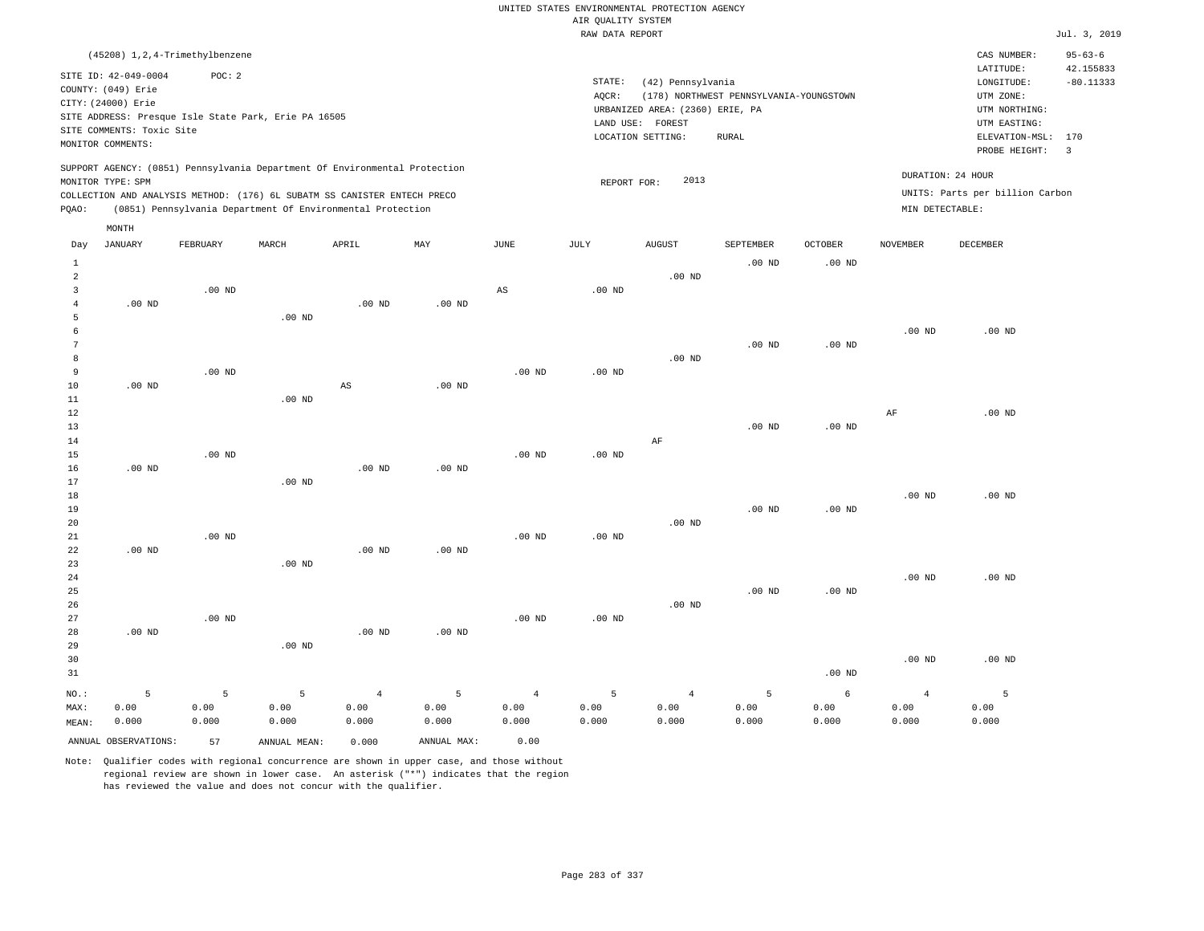|                     | (45208) 1, 2, 4-Trimethylbenzene                                 |          |                                                                            |                   |                   |                   |                              |                                                                |                                         |                   |                   | CAS NUMBER:                                                           | $95 - 63 - 6$            |
|---------------------|------------------------------------------------------------------|----------|----------------------------------------------------------------------------|-------------------|-------------------|-------------------|------------------------------|----------------------------------------------------------------|-----------------------------------------|-------------------|-------------------|-----------------------------------------------------------------------|--------------------------|
|                     | SITE ID: 42-049-0004<br>COUNTY: (049) Erie<br>CITY: (24000) Erie | POC: 2   | SITE ADDRESS: Presque Isle State Park, Erie PA 16505                       |                   |                   |                   | STATE:<br>AQCR:<br>LAND USE: | (42) Pennsylvania<br>URBANIZED AREA: (2360) ERIE, PA<br>FOREST | (178) NORTHWEST PENNSYLVANIA-YOUNGSTOWN |                   |                   | LATITUDE:<br>LONGITUDE:<br>UTM ZONE:<br>UTM NORTHING:<br>UTM EASTING: | 42.155833<br>$-80.11333$ |
|                     | SITE COMMENTS: Toxic Site<br>MONITOR COMMENTS:                   |          |                                                                            |                   |                   |                   |                              | LOCATION SETTING:                                              | <b>RURAL</b>                            |                   |                   | ELEVATION-MSL: 170<br>PROBE HEIGHT:                                   | $\overline{3}$           |
|                     | MONITOR TYPE: SPM                                                |          | SUPPORT AGENCY: (0851) Pennsylvania Department Of Environmental Protection |                   |                   |                   | REPORT FOR:                  | 2013                                                           |                                         |                   |                   | DURATION: 24 HOUR                                                     |                          |
|                     |                                                                  |          | COLLECTION AND ANALYSIS METHOD: (176) 6L SUBATM SS CANISTER ENTECH PRECO   |                   |                   |                   |                              |                                                                |                                         |                   |                   | UNITS: Parts per billion Carbon                                       |                          |
| PQAO:               |                                                                  |          | (0851) Pennsylvania Department Of Environmental Protection                 |                   |                   |                   |                              |                                                                |                                         |                   | MIN DETECTABLE:   |                                                                       |                          |
|                     | MONTH                                                            |          |                                                                            |                   |                   |                   |                              |                                                                |                                         |                   |                   |                                                                       |                          |
| Day                 | <b>JANUARY</b>                                                   | FEBRUARY | MARCH                                                                      | APRIL             | MAY               | $\mathtt{JUNE}$   | JULY                         | <b>AUGUST</b>                                                  | SEPTEMBER                               | <b>OCTOBER</b>    | NOVEMBER          | DECEMBER                                                              |                          |
| $\mathbf{1}$        |                                                                  |          |                                                                            |                   |                   |                   |                              |                                                                | $.00$ ND                                | .00 <sub>ND</sub> |                   |                                                                       |                          |
| $\sqrt{2}$          |                                                                  |          |                                                                            |                   |                   |                   |                              | $.00$ ND                                                       |                                         |                   |                   |                                                                       |                          |
| $\overline{3}$      |                                                                  | $.00$ ND |                                                                            |                   |                   | $_{\rm AS}$       | $.00$ ND                     |                                                                |                                         |                   |                   |                                                                       |                          |
| $\overline{4}$<br>5 | $.00$ ND                                                         |          | $.00$ ND                                                                   | .00 <sub>ND</sub> | $.00$ ND          |                   |                              |                                                                |                                         |                   |                   |                                                                       |                          |
| 6                   |                                                                  |          |                                                                            |                   |                   |                   |                              |                                                                |                                         |                   | $.00$ ND          | .00 <sub>ND</sub>                                                     |                          |
| 7                   |                                                                  |          |                                                                            |                   |                   |                   |                              |                                                                | $.00$ ND                                | $.00$ ND          |                   |                                                                       |                          |
| 8                   |                                                                  |          |                                                                            |                   |                   |                   |                              | .00 <sub>ND</sub>                                              |                                         |                   |                   |                                                                       |                          |
| $\overline{9}$      |                                                                  | $.00$ ND |                                                                            |                   |                   | .00 <sub>ND</sub> | $.00$ ND                     |                                                                |                                         |                   |                   |                                                                       |                          |
| 10                  | $.00$ ND                                                         |          |                                                                            | $_{\rm AS}$       | $.00$ ND          |                   |                              |                                                                |                                         |                   |                   |                                                                       |                          |
| 11                  |                                                                  |          | $.00$ ND                                                                   |                   |                   |                   |                              |                                                                |                                         |                   |                   |                                                                       |                          |
| 12                  |                                                                  |          |                                                                            |                   |                   |                   |                              |                                                                |                                         |                   | AF                | $.00$ ND                                                              |                          |
| 13                  |                                                                  |          |                                                                            |                   |                   |                   |                              | $\rm{AF}$                                                      | $.00$ ND                                | $.00$ ND          |                   |                                                                       |                          |
| 14<br>15            |                                                                  | $.00$ ND |                                                                            |                   |                   | $.00$ ND          | .00 <sub>ND</sub>            |                                                                |                                         |                   |                   |                                                                       |                          |
| 16                  | $.00$ ND                                                         |          |                                                                            | $.00$ ND          | $.00$ ND          |                   |                              |                                                                |                                         |                   |                   |                                                                       |                          |
| 17                  |                                                                  |          | $.00$ ND                                                                   |                   |                   |                   |                              |                                                                |                                         |                   |                   |                                                                       |                          |
| 18                  |                                                                  |          |                                                                            |                   |                   |                   |                              |                                                                |                                         |                   | .00 <sub>ND</sub> | .00 <sub>ND</sub>                                                     |                          |
| 19                  |                                                                  |          |                                                                            |                   |                   |                   |                              |                                                                | $.00$ ND                                | .00 <sub>ND</sub> |                   |                                                                       |                          |
| 20                  |                                                                  |          |                                                                            |                   |                   |                   |                              | $.00$ ND                                                       |                                         |                   |                   |                                                                       |                          |
| 21                  |                                                                  | $.00$ ND |                                                                            |                   |                   | .00 <sub>ND</sub> | $.00$ ND                     |                                                                |                                         |                   |                   |                                                                       |                          |
| 22<br>23            | $.00$ ND                                                         |          | $.00$ ND                                                                   | $.00$ ND          | $.00$ ND          |                   |                              |                                                                |                                         |                   |                   |                                                                       |                          |
| 24                  |                                                                  |          |                                                                            |                   |                   |                   |                              |                                                                |                                         |                   | $.00$ ND          | $.00$ ND                                                              |                          |
| 25                  |                                                                  |          |                                                                            |                   |                   |                   |                              |                                                                | $.00$ ND                                | $.00$ ND          |                   |                                                                       |                          |
| 26                  |                                                                  |          |                                                                            |                   |                   |                   |                              | $.00$ ND                                                       |                                         |                   |                   |                                                                       |                          |
| 27                  |                                                                  | $.00$ ND |                                                                            |                   |                   | $.00$ ND          | .00 <sub>ND</sub>            |                                                                |                                         |                   |                   |                                                                       |                          |
| 28                  | $.00$ ND                                                         |          |                                                                            | .00 <sub>ND</sub> | .00 <sub>ND</sub> |                   |                              |                                                                |                                         |                   |                   |                                                                       |                          |
| 29                  |                                                                  |          | $.00$ ND                                                                   |                   |                   |                   |                              |                                                                |                                         |                   |                   |                                                                       |                          |
| 30<br>31            |                                                                  |          |                                                                            |                   |                   |                   |                              |                                                                |                                         | $.00$ ND          | $.00$ ND          | $.00$ ND                                                              |                          |
|                     |                                                                  |          |                                                                            |                   |                   |                   |                              |                                                                |                                         |                   |                   |                                                                       |                          |
| NO.:                | 5                                                                | 5        | 5                                                                          | $\overline{4}$    | $\overline{5}$    | $\overline{4}$    | 5                            | $\overline{4}$                                                 | 5                                       | $\epsilon$        | $\overline{4}$    | $\overline{5}$                                                        |                          |
| MAX:                | 0.00                                                             | 0.00     | 0.00                                                                       | 0.00              | 0.00              | 0.00              | 0.00                         | 0.00                                                           | 0.00                                    | 0.00              | 0.00              | 0.00                                                                  |                          |
| MEAN:               | 0.000                                                            | 0.000    | 0.000                                                                      | 0.000             | 0.000             | 0.000             | 0.000                        | 0.000                                                          | 0.000                                   | 0.000             | 0.000             | 0.000                                                                 |                          |
|                     | ANNUAL OBSERVATIONS:                                             | 57       | ANNUAL MEAN:                                                               | 0.000             | ANNUAL MAX:       | 0.00              |                              |                                                                |                                         |                   |                   |                                                                       |                          |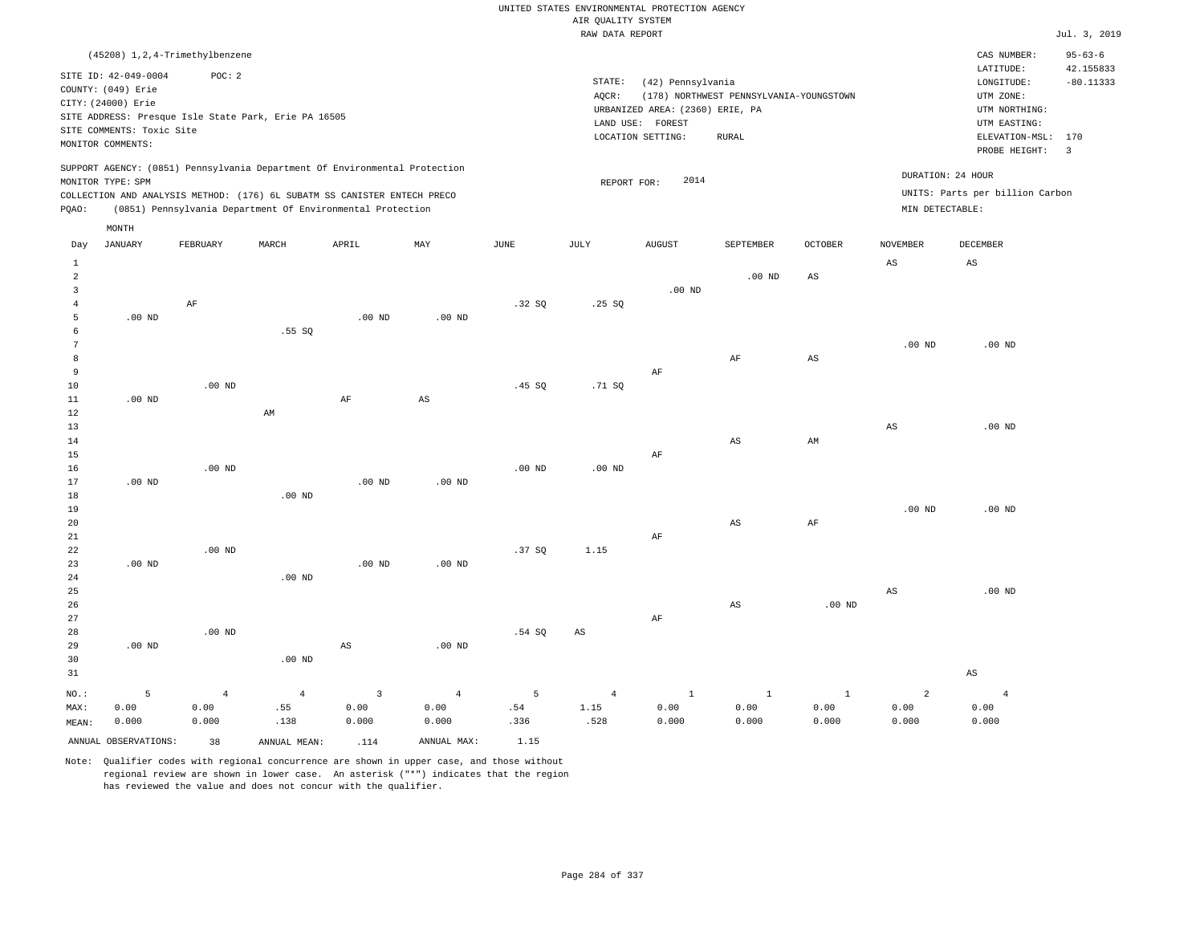|                     |                                                                                                                    |                                                                |                |                                                                            |                   |                   | RAW DATA REPORT                                                                                                                                                      |               |                        |                        |                        |                                 | Jul. 3, 2019                                      |
|---------------------|--------------------------------------------------------------------------------------------------------------------|----------------------------------------------------------------|----------------|----------------------------------------------------------------------------|-------------------|-------------------|----------------------------------------------------------------------------------------------------------------------------------------------------------------------|---------------|------------------------|------------------------|------------------------|---------------------------------|---------------------------------------------------|
|                     |                                                                                                                    | (45208) 1, 2, 4-Trimethylbenzene                               |                |                                                                            |                   |                   |                                                                                                                                                                      |               |                        |                        |                        | CAS NUMBER:                     | $95 - 63 - 6$                                     |
|                     | SITE ID: 42-049-0004<br>COUNTY: (049) Erie<br>CITY: (24000) Erie<br>SITE COMMENTS: Toxic Site<br>MONITOR COMMENTS: | POC: 2<br>SITE ADDRESS: Presque Isle State Park, Erie PA 16505 |                |                                                                            |                   |                   | STATE:<br>(42) Pennsylvania<br>(178) NORTHWEST PENNSYLVANIA-YOUNGSTOWN<br>AQCR:<br>URBANIZED AREA: (2360) ERIE, PA<br>LAND USE: FOREST<br>LOCATION SETTING:<br>RURAL |               |                        |                        |                        |                                 | 42.155833<br>$-80.11333$<br>ELEVATION-MSL:<br>170 |
|                     |                                                                                                                    |                                                                |                |                                                                            |                   |                   |                                                                                                                                                                      |               |                        |                        |                        | PROBE HEIGHT:                   | $\overline{\mathbf{3}}$                           |
|                     | MONITOR TYPE: SPM                                                                                                  |                                                                |                | SUPPORT AGENCY: (0851) Pennsylvania Department Of Environmental Protection |                   |                   |                                                                                                                                                                      | 2014          |                        |                        |                        | DURATION: 24 HOUR               |                                                   |
|                     |                                                                                                                    |                                                                |                | COLLECTION AND ANALYSIS METHOD: (176) 6L SUBATM SS CANISTER ENTECH PRECO   |                   |                   | REPORT FOR:                                                                                                                                                          |               |                        |                        |                        | UNITS: Parts per billion Carbon |                                                   |
| PQAO:               |                                                                                                                    |                                                                |                | (0851) Pennsylvania Department Of Environmental Protection                 |                   |                   |                                                                                                                                                                      |               |                        |                        | MIN DETECTABLE:        |                                 |                                                   |
|                     | MONTH                                                                                                              |                                                                |                |                                                                            |                   |                   |                                                                                                                                                                      |               |                        |                        |                        |                                 |                                                   |
| Day                 | <b>JANUARY</b>                                                                                                     | FEBRUARY                                                       | MARCH          | APRIL                                                                      | MAY               | JUNE              | JULY                                                                                                                                                                 | <b>AUGUST</b> | SEPTEMBER              | OCTOBER                | NOVEMBER               | <b>DECEMBER</b>                 |                                                   |
| $\,1\,$             |                                                                                                                    |                                                                |                |                                                                            |                   |                   |                                                                                                                                                                      |               |                        |                        | $\mathbb{A}\mathbb{S}$ | $\mathbb{A}\mathbb{S}$          |                                                   |
| $\overline{a}$      |                                                                                                                    |                                                                |                |                                                                            |                   |                   |                                                                                                                                                                      |               | $.00$ ND               | $_{\rm AS}$            |                        |                                 |                                                   |
| 3                   |                                                                                                                    |                                                                |                |                                                                            |                   |                   |                                                                                                                                                                      | $.00$ ND      |                        |                        |                        |                                 |                                                   |
| $\overline{4}$<br>5 |                                                                                                                    | $\rm AF$                                                       |                |                                                                            |                   | .32SQ             | .25 SQ                                                                                                                                                               |               |                        |                        |                        |                                 |                                                   |
| 6                   | $.00$ ND                                                                                                           |                                                                | .55SQ          | .00 <sub>ND</sub>                                                          | $.00$ ND          |                   |                                                                                                                                                                      |               |                        |                        |                        |                                 |                                                   |
| $\overline{7}$      |                                                                                                                    |                                                                |                |                                                                            |                   |                   |                                                                                                                                                                      |               |                        |                        | $.00$ ND               | .00 <sub>ND</sub>               |                                                   |
| 8                   |                                                                                                                    |                                                                |                |                                                                            |                   |                   |                                                                                                                                                                      |               | $\rm{AF}$              | $\mathbb{A}\mathbb{S}$ |                        |                                 |                                                   |
| 9                   |                                                                                                                    |                                                                |                |                                                                            |                   |                   |                                                                                                                                                                      | AF            |                        |                        |                        |                                 |                                                   |
| 10                  |                                                                                                                    | $.00$ ND                                                       |                |                                                                            |                   | .45SQ             | .71SQ                                                                                                                                                                |               |                        |                        |                        |                                 |                                                   |
| 11<br>12            | $.00$ ND                                                                                                           |                                                                |                | AF                                                                         | AS                |                   |                                                                                                                                                                      |               |                        |                        |                        |                                 |                                                   |
| 13                  |                                                                                                                    |                                                                | AM             |                                                                            |                   |                   |                                                                                                                                                                      |               |                        |                        | $\mathbb{A}\mathbb{S}$ | $.00$ ND                        |                                                   |
| 14                  |                                                                                                                    |                                                                |                |                                                                            |                   |                   |                                                                                                                                                                      |               | AS                     | AM                     |                        |                                 |                                                   |
| 15                  |                                                                                                                    |                                                                |                |                                                                            |                   |                   |                                                                                                                                                                      | $\rm{AF}$     |                        |                        |                        |                                 |                                                   |
| 16                  |                                                                                                                    | .00 <sub>ND</sub>                                              |                |                                                                            |                   | .00 <sub>ND</sub> | .00 <sub>ND</sub>                                                                                                                                                    |               |                        |                        |                        |                                 |                                                   |
| 17                  | $.00$ ND                                                                                                           |                                                                |                | .00 <sub>ND</sub>                                                          | $.00$ ND          |                   |                                                                                                                                                                      |               |                        |                        |                        |                                 |                                                   |
| 18<br>19            |                                                                                                                    |                                                                | $.00$ ND       |                                                                            |                   |                   |                                                                                                                                                                      |               |                        |                        | .00 <sub>ND</sub>      | $.00$ ND                        |                                                   |
| 20                  |                                                                                                                    |                                                                |                |                                                                            |                   |                   |                                                                                                                                                                      |               | AS                     | AF                     |                        |                                 |                                                   |
| 21                  |                                                                                                                    |                                                                |                |                                                                            |                   |                   |                                                                                                                                                                      | $\rm AF$      |                        |                        |                        |                                 |                                                   |
| 22                  |                                                                                                                    | $.00$ ND                                                       |                |                                                                            |                   | .37S              | 1.15                                                                                                                                                                 |               |                        |                        |                        |                                 |                                                   |
| 23                  | $.00$ ND                                                                                                           |                                                                |                | .00 <sub>ND</sub>                                                          | $.00$ ND          |                   |                                                                                                                                                                      |               |                        |                        |                        |                                 |                                                   |
| 24<br>25            |                                                                                                                    |                                                                | $.00$ ND       |                                                                            |                   |                   |                                                                                                                                                                      |               |                        |                        | $_{\rm AS}$            | $.00$ ND                        |                                                   |
| 26                  |                                                                                                                    |                                                                |                |                                                                            |                   |                   |                                                                                                                                                                      |               | $\mathbb{A}\mathbb{S}$ | $.00$ ND               |                        |                                 |                                                   |
| 27                  |                                                                                                                    |                                                                |                |                                                                            |                   |                   |                                                                                                                                                                      | $\rm AF$      |                        |                        |                        |                                 |                                                   |
| 28                  |                                                                                                                    | $.00$ ND                                                       |                |                                                                            |                   | .54S              | $\mathbb{A}\mathbb{S}$                                                                                                                                               |               |                        |                        |                        |                                 |                                                   |
| 29                  | $.00$ ND                                                                                                           |                                                                |                | $\mathbb{A}\mathbb{S}$                                                     | .00 <sub>ND</sub> |                   |                                                                                                                                                                      |               |                        |                        |                        |                                 |                                                   |
| 30<br>31            |                                                                                                                    |                                                                | $.00$ ND       |                                                                            |                   |                   |                                                                                                                                                                      |               |                        |                        |                        | $\mathbb{A}\mathbb{S}$          |                                                   |
| NO.:                | 5                                                                                                                  | $\overline{4}$                                                 | $\overline{4}$ | 3                                                                          | $\overline{4}$    | 5                 | $\overline{4}$                                                                                                                                                       | $\mathbf{1}$  |                        | $\mathbf{1}$           | $\overline{c}$         | $\overline{4}$                  |                                                   |
| MAX:                | 0.00                                                                                                               | 0.00                                                           | .55            | 0.00                                                                       | 0.00              | .54               | 1.15                                                                                                                                                                 | 0.00          | $\mathbf{1}$<br>0.00   | 0.00                   | 0.00                   | 0.00                            |                                                   |
| MEAN:               | 0.000                                                                                                              | 0.000                                                          | .138           | 0.000                                                                      | 0.000             | .336              | .528                                                                                                                                                                 | 0.000         | 0.000                  | 0.000                  | 0.000                  | 0.000                           |                                                   |

ANNUAL OBSERVATIONS: 38 ANNUAL MEAN: .114 ANNUAL MAX: 1.15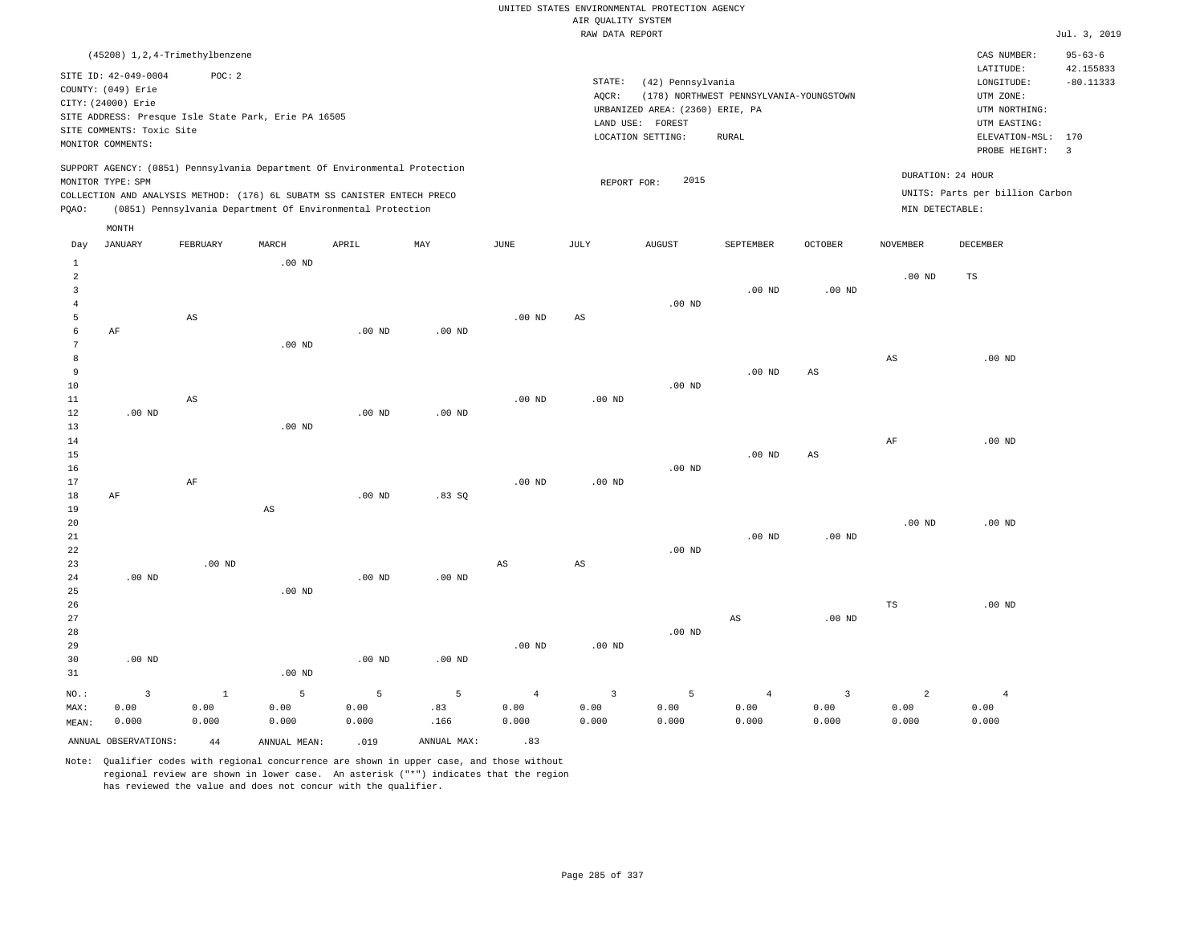|                                                                                                                                                                                                                                                    |     |                  | (45208) 1,2,4-Trimethylbenzene |                   |       |     |      |                 |                                                                                                  |                                                  |         |                                                                                                              | CAS NUMBER:                                          | $95 - 63 - 6$ |
|----------------------------------------------------------------------------------------------------------------------------------------------------------------------------------------------------------------------------------------------------|-----|------------------|--------------------------------|-------------------|-------|-----|------|-----------------|--------------------------------------------------------------------------------------------------|--------------------------------------------------|---------|--------------------------------------------------------------------------------------------------------------|------------------------------------------------------|---------------|
| SITE ID: 42-049-0004<br>POC: 2<br>COUNTY: (049) Erie<br>CITY: (24000) Erie<br>SITE ADDRESS: Presque Isle State Park, Erie PA 16505<br>SITE COMMENTS: Toxic Site<br>MONITOR COMMENTS:                                                               |     |                  |                                |                   |       |     |      | STATE:<br>AOCR: | (42) Pennsylvania<br>URBANIZED AREA: (2360) ERIE, PA<br>LAND USE:<br>FOREST<br>LOCATION SETTING: | (178) NORTHWEST PENNSYLVANIA-YOUNGSTOWN<br>RURAL |         | LATITUDE:<br>LONGITUDE:<br>UTM ZONE:<br>UTM NORTHING:<br>UTM EASTING:<br>ELEVATION-MSL: 170<br>PROBE HEIGHT: | 42.155833<br>$-80.11333$<br>$_{3}$                   |               |
| SUPPORT AGENCY: (0851) Pennsylvania Department Of Environmental Protection<br>MONITOR TYPE: SPM<br>COLLECTION AND ANALYSIS METHOD: (176) 6L SUBATM SS CANISTER ENTECH PRECO<br>(0851) Pennsylvania Department Of Environmental Protection<br>POAO: |     |                  |                                |                   |       |     |      |                 | 2015<br>REPORT FOR:                                                                              |                                                  |         | MIN DETECTABLE:                                                                                              | DURATION: 24 HOUR<br>UNITS: Parts per billion Carbon |               |
|                                                                                                                                                                                                                                                    | Day | MONTH<br>JANUARY | FEBRUARY                       | MARCH<br>$.00$ ND | APRIL | MAY | JUNE | JULY            | AUGUST                                                                                           | SEPTEMBER                                        | OCTOBER | <b>NOVEMBER</b>                                                                                              | DECEMBER                                             |               |

| NO.:           | $\overline{3}$ | <sup>1</sup> | 5                      | -5       | 5        | $\overline{4}$         | $\overline{3}$         | -5             | $\overline{4}$         | $\overline{3}$ | 2                      | $\overline{4}$ |
|----------------|----------------|--------------|------------------------|----------|----------|------------------------|------------------------|----------------|------------------------|----------------|------------------------|----------------|
| 31             |                |              | $.00$ ND               |          |          |                        |                        |                |                        |                |                        |                |
| 30             | $.00$ ND       |              |                        | $.00$ ND | $.00$ ND |                        |                        |                |                        |                |                        |                |
| 29             |                |              |                        |          |          | .00 $ND$               | $.00$ ND               |                |                        |                |                        |                |
| 28             |                |              |                        |          |          |                        |                        | $.00$ ND       |                        |                |                        |                |
| $2\,7$         |                |              |                        |          |          |                        |                        |                | $\mathbb{A}\mathbb{S}$ | .00 $ND$       |                        |                |
| 26             |                |              |                        |          |          |                        |                        |                |                        |                | $_{\rm TS}$            | $.00$ ND       |
| 25             |                |              | $.00$ ND               |          |          |                        |                        |                |                        |                |                        |                |
| 24             | $.00$ ND       |              |                        | $.00$ ND | $.00$ ND |                        |                        |                |                        |                |                        |                |
| 23             |                | $.00$ ND     |                        |          |          | $\mathbb{A}\mathbb{S}$ | $\mathbb{A}\mathbb{S}$ |                |                        |                |                        |                |
| 22             |                |              |                        |          |          |                        |                        | $.00{\rm ~ND}$ |                        |                |                        |                |
| 21             |                |              |                        |          |          |                        |                        |                | .00 $ND$               | .00 $ND$       |                        |                |
| 20             |                |              |                        |          |          |                        |                        |                |                        |                | .00 $ND$               | $.00$ ND       |
| 19             |                |              | $\mathbb{A}\mathbb{S}$ |          |          |                        |                        |                |                        |                |                        |                |
| 18             | $\rm AF$       |              |                        | $.00$ ND | .83SQ    |                        |                        |                |                        |                |                        |                |
| 17             |                | $\rm{AF}$    |                        |          |          | .00 $ND$               | $.00$ ND               |                |                        |                |                        |                |
| 16             |                |              |                        |          |          |                        |                        | $.00$ ND       |                        |                |                        |                |
| 15             |                |              |                        |          |          |                        |                        |                | .00 $ND$               | AS             |                        |                |
| 14             |                |              |                        |          |          |                        |                        |                |                        |                | AF                     | $.00$ ND       |
| 13             |                |              | $.00$ ND               |          |          |                        |                        |                |                        |                |                        |                |
| 12             | .00 $ND$       |              |                        | .00 $ND$ | .00 $ND$ |                        |                        |                |                        |                |                        |                |
| 11             |                | AS           |                        |          |          | $.00$ ND               | $.00$ ND               |                |                        |                |                        |                |
| 9<br>10        |                |              |                        |          |          |                        |                        | $.00$ ND       | $.00$ ND               | AS             |                        |                |
| 8              |                |              |                        |          |          |                        |                        |                |                        |                | $\mathbb{A}\mathbb{S}$ | $.00$ ND       |
| 7              |                |              | .00 $ND$               |          |          |                        |                        |                |                        |                |                        |                |
| 6              | $\rm AF$       |              |                        | $.00$ ND | $.00$ ND |                        |                        |                |                        |                |                        |                |
| 5              |                | AS           |                        |          |          | $.00$ ND               | $\mathbb{A}\mathbb{S}$ |                |                        |                |                        |                |
| 4              |                |              |                        |          |          |                        |                        | .00 $ND$       |                        |                |                        |                |
| 3              |                |              |                        |          |          |                        |                        |                | $.00$ ND               | $.00$ ND       |                        |                |
| $\overline{a}$ |                |              |                        |          |          |                        |                        |                |                        |                | $.00$ ND               | TS             |

| NO.:  |                      |       | $\mathcal{D}$ |       | $-5$ $-5$   | $\sim$ 4 $\sim$ |       |       | 4     |       |       |
|-------|----------------------|-------|---------------|-------|-------------|-----------------|-------|-------|-------|-------|-------|
| MAX:  | 0.00                 | 0.00  | 0.00          | 0.00  | .83         | 0.00            | 0.00  | 0.00  | 0.00  | 0.00  | 0.00  |
| MEAN: | 0.000                | 0.000 | 0.000         | 0.000 | .166        | 0.000           | 0.000 | 0.000 | 0.000 | 0.000 | 0.000 |
|       | ANNUAL OBSERVATIONS: | 44    | ANNUAL MEAN:  | .019  | ANNUAL MAX: | .83             |       |       |       |       |       |

Note: Qualifier codes with regional concurrence are shown in upper case, and those without regional review are shown in lower case. An asterisk ("\*") indicates that the region has reviewed the value and does not concur with the qualifier.

 $\sim$ 

 0.00 0.000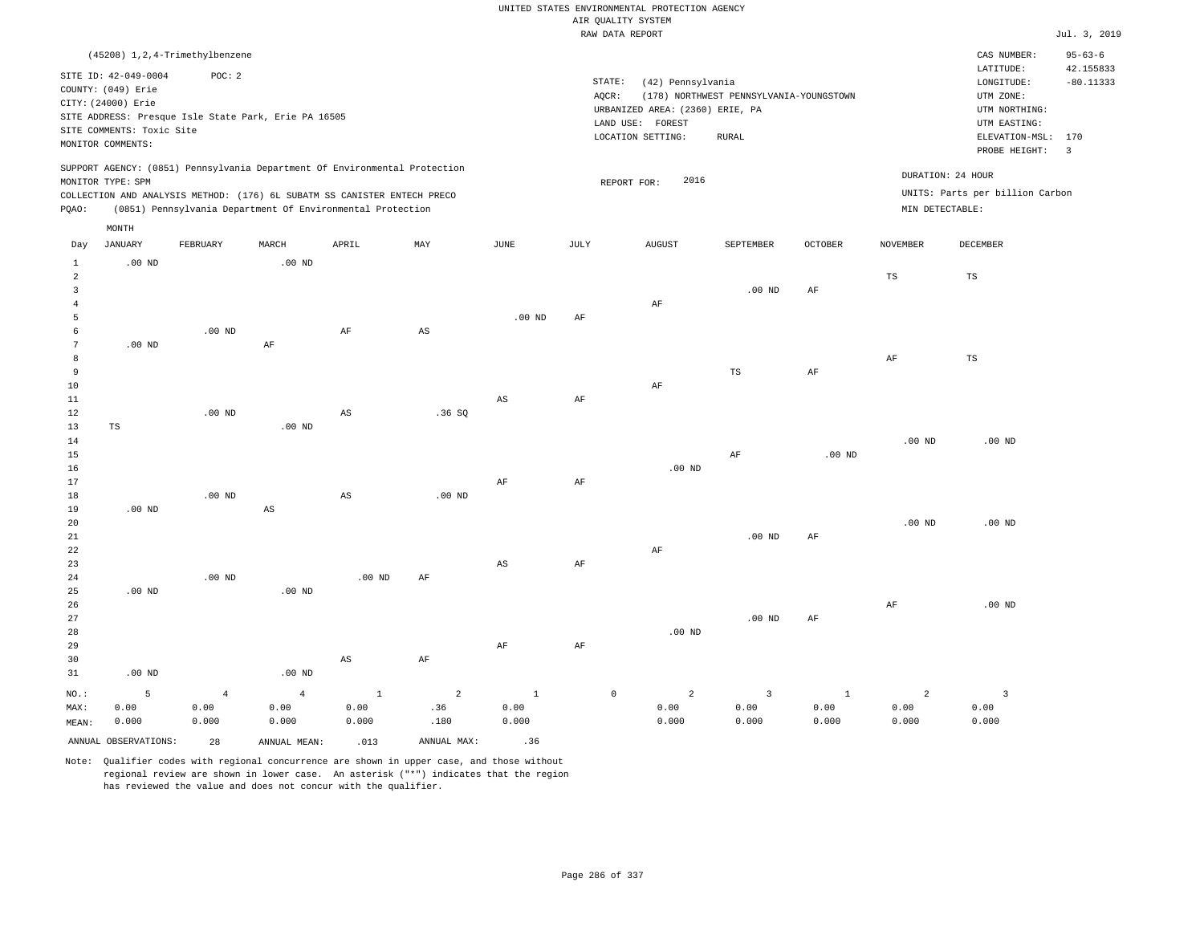|                                                                                                                                                                                      |                   |                                                                                                                                        |                        |                        |                        |             |                 | RAW DATA REPORT                                                                                                                          |                                                                                             |                                               |                   |                                 | Jul. 3, 2019               |
|--------------------------------------------------------------------------------------------------------------------------------------------------------------------------------------|-------------------|----------------------------------------------------------------------------------------------------------------------------------------|------------------------|------------------------|------------------------|-------------|-----------------|------------------------------------------------------------------------------------------------------------------------------------------|---------------------------------------------------------------------------------------------|-----------------------------------------------|-------------------|---------------------------------|----------------------------|
|                                                                                                                                                                                      |                   | (45208) 1, 2, 4-Trimethylbenzene                                                                                                       |                        |                        |                        |             |                 |                                                                                                                                          |                                                                                             |                                               |                   | CAS NUMBER:<br>LATITUDE:        | $95 - 63 - 6$<br>42.155833 |
| SITE ID: 42-049-0004<br>POC: 2<br>COUNTY: (049) Erie<br>CITY: (24000) Erie<br>SITE ADDRESS: Presque Isle State Park, Erie PA 16505<br>SITE COMMENTS: Toxic Site<br>MONITOR COMMENTS: |                   |                                                                                                                                        |                        |                        |                        |             | STATE:<br>AQCR: | (42) Pennsylvania<br>(178) NORTHWEST PENNSYLVANIA-YOUNGSTOWN<br>URBANIZED AREA: (2360) ERIE, PA<br>LAND USE: FOREST<br>LOCATION SETTING: | LONGITUDE:<br>UTM ZONE:<br>UTM NORTHING:<br>UTM EASTING:<br>ELEVATION-MSL:<br>PROBE HEIGHT: | $-80.11333$<br>170<br>$\overline{\mathbf{3}}$ |                   |                                 |                            |
|                                                                                                                                                                                      |                   | SUPPORT AGENCY: (0851) Pennsylvania Department Of Environmental Protection                                                             |                        |                        |                        |             |                 |                                                                                                                                          |                                                                                             |                                               |                   | DURATION: 24 HOUR               |                            |
|                                                                                                                                                                                      | MONITOR TYPE: SPM |                                                                                                                                        |                        |                        |                        |             |                 | 2016<br>REPORT FOR:                                                                                                                      |                                                                                             |                                               |                   | UNITS: Parts per billion Carbon |                            |
| PQAO:                                                                                                                                                                                |                   | COLLECTION AND ANALYSIS METHOD: (176) 6L SUBATM SS CANISTER ENTECH PRECO<br>(0851) Pennsylvania Department Of Environmental Protection |                        |                        |                        |             |                 |                                                                                                                                          |                                                                                             |                                               | MIN DETECTABLE:   |                                 |                            |
|                                                                                                                                                                                      | MONTH             |                                                                                                                                        |                        |                        |                        |             |                 |                                                                                                                                          |                                                                                             |                                               |                   |                                 |                            |
| Day                                                                                                                                                                                  | <b>JANUARY</b>    | FEBRUARY                                                                                                                               | MARCH                  | APRIL                  | MAY                    | <b>JUNE</b> | <b>JULY</b>     | ${\tt AUGUST}$                                                                                                                           | SEPTEMBER                                                                                   | <b>OCTOBER</b>                                | <b>NOVEMBER</b>   | DECEMBER                        |                            |
| $\mathbf{1}$                                                                                                                                                                         | $.00$ ND          |                                                                                                                                        | $.00$ ND               |                        |                        |             |                 |                                                                                                                                          |                                                                                             |                                               |                   |                                 |                            |
| $\overline{2}$<br>$\overline{\mathbf{3}}$<br>$\overline{4}$                                                                                                                          |                   |                                                                                                                                        |                        |                        |                        |             |                 | AF                                                                                                                                       | $.00$ ND                                                                                    | AF                                            | $_{\rm TS}$       | $_{\rm TS}$                     |                            |
| 5                                                                                                                                                                                    |                   |                                                                                                                                        |                        |                        |                        | $.00$ ND    | AF              |                                                                                                                                          |                                                                                             |                                               |                   |                                 |                            |
| 6<br>$7\phantom{.0}$                                                                                                                                                                 | $.00$ ND          | $.00$ ND                                                                                                                               | $\rm AF$               | AF                     | $\mathbb{A}\mathbb{S}$ |             |                 |                                                                                                                                          |                                                                                             |                                               |                   |                                 |                            |
| 8                                                                                                                                                                                    |                   |                                                                                                                                        |                        |                        |                        |             |                 |                                                                                                                                          |                                                                                             |                                               | $\rm{AF}$         | $_{\rm TS}$                     |                            |
| 9                                                                                                                                                                                    |                   |                                                                                                                                        |                        |                        |                        |             |                 |                                                                                                                                          | <b>TS</b>                                                                                   | AF                                            |                   |                                 |                            |
| 10                                                                                                                                                                                   |                   |                                                                                                                                        |                        |                        |                        |             |                 | $\rm{AF}$                                                                                                                                |                                                                                             |                                               |                   |                                 |                            |
| 11<br>12                                                                                                                                                                             |                   | $.00$ ND                                                                                                                               |                        | $\mathbb{A}\mathbb{S}$ | .36SQ                  | AS          | AF              |                                                                                                                                          |                                                                                             |                                               |                   |                                 |                            |
| 13                                                                                                                                                                                   | $\mathbb{TS}$     |                                                                                                                                        | $.00$ ND               |                        |                        |             |                 |                                                                                                                                          |                                                                                             |                                               |                   |                                 |                            |
| 14                                                                                                                                                                                   |                   |                                                                                                                                        |                        |                        |                        |             |                 |                                                                                                                                          |                                                                                             |                                               | .00 <sub>ND</sub> | $.00$ ND                        |                            |
| 15                                                                                                                                                                                   |                   |                                                                                                                                        |                        |                        |                        |             |                 |                                                                                                                                          | $\rm AF$                                                                                    | $.00$ ND                                      |                   |                                 |                            |
| 16                                                                                                                                                                                   |                   |                                                                                                                                        |                        |                        |                        |             |                 | $.00$ ND                                                                                                                                 |                                                                                             |                                               |                   |                                 |                            |
| 17<br>18                                                                                                                                                                             |                   | $.00$ ND                                                                                                                               |                        | AS                     | $.00$ ND               | AF          | AF              |                                                                                                                                          |                                                                                             |                                               |                   |                                 |                            |
| 19                                                                                                                                                                                   | $.00$ ND          |                                                                                                                                        | $\mathbb{A}\mathbb{S}$ |                        |                        |             |                 |                                                                                                                                          |                                                                                             |                                               |                   |                                 |                            |
| 20                                                                                                                                                                                   |                   |                                                                                                                                        |                        |                        |                        |             |                 |                                                                                                                                          |                                                                                             |                                               | .00 <sub>ND</sub> | $.00$ ND                        |                            |
| 21                                                                                                                                                                                   |                   |                                                                                                                                        |                        |                        |                        |             |                 |                                                                                                                                          | $.00$ ND                                                                                    | AF                                            |                   |                                 |                            |
| 22                                                                                                                                                                                   |                   |                                                                                                                                        |                        |                        |                        |             |                 | $\rm{AF}$                                                                                                                                |                                                                                             |                                               |                   |                                 |                            |
| 23                                                                                                                                                                                   |                   |                                                                                                                                        |                        |                        |                        | AS          | AF              |                                                                                                                                          |                                                                                             |                                               |                   |                                 |                            |
| 24<br>25                                                                                                                                                                             | $.00$ ND          | $.00$ ND                                                                                                                               | $.00$ ND               | $.00$ ND               | AF                     |             |                 |                                                                                                                                          |                                                                                             |                                               |                   |                                 |                            |
| 26                                                                                                                                                                                   |                   |                                                                                                                                        |                        |                        |                        |             |                 |                                                                                                                                          |                                                                                             |                                               | $\rm{AF}$         | $.00$ ND                        |                            |
| 27                                                                                                                                                                                   |                   |                                                                                                                                        |                        |                        |                        |             |                 |                                                                                                                                          | $.00$ ND                                                                                    | AF                                            |                   |                                 |                            |
| 28                                                                                                                                                                                   |                   |                                                                                                                                        |                        |                        |                        |             |                 | $.00$ ND                                                                                                                                 |                                                                                             |                                               |                   |                                 |                            |
| 29                                                                                                                                                                                   |                   |                                                                                                                                        |                        |                        |                        | AF          | AF              |                                                                                                                                          |                                                                                             |                                               |                   |                                 |                            |
| 30                                                                                                                                                                                   |                   |                                                                                                                                        |                        | AS                     | AF                     |             |                 |                                                                                                                                          |                                                                                             |                                               |                   |                                 |                            |
| 31                                                                                                                                                                                   | $.00$ ND          |                                                                                                                                        | $.00$ ND               |                        |                        |             |                 |                                                                                                                                          |                                                                                             |                                               |                   |                                 |                            |
| NO.:                                                                                                                                                                                 | 5                 | $\overline{4}$                                                                                                                         | $\overline{4}$         | $\mathbf{1}$           | 2                      | $1\,$       |                 | $\mathbb O$<br>2                                                                                                                         | $\overline{3}$                                                                              | $\mathbf{1}$                                  | $\overline{a}$    | $\overline{3}$                  |                            |
| MAX:                                                                                                                                                                                 | 0.00              | 0.00                                                                                                                                   | 0.00                   | 0.00                   | .36                    | 0.00        |                 | 0.00                                                                                                                                     | 0.00                                                                                        | 0.00                                          | 0.00              | 0.00                            |                            |
| MEAN:                                                                                                                                                                                | 0.000             | 0.000                                                                                                                                  | 0.000                  | 0.000                  | .180                   | 0.000       |                 | 0.000                                                                                                                                    | 0.000                                                                                       | 0.000                                         | 0.000             | 0.000                           |                            |

ANNUAL OBSERVATIONS: 28 ANNUAL MEAN: .013 ANNUAL MAX: .36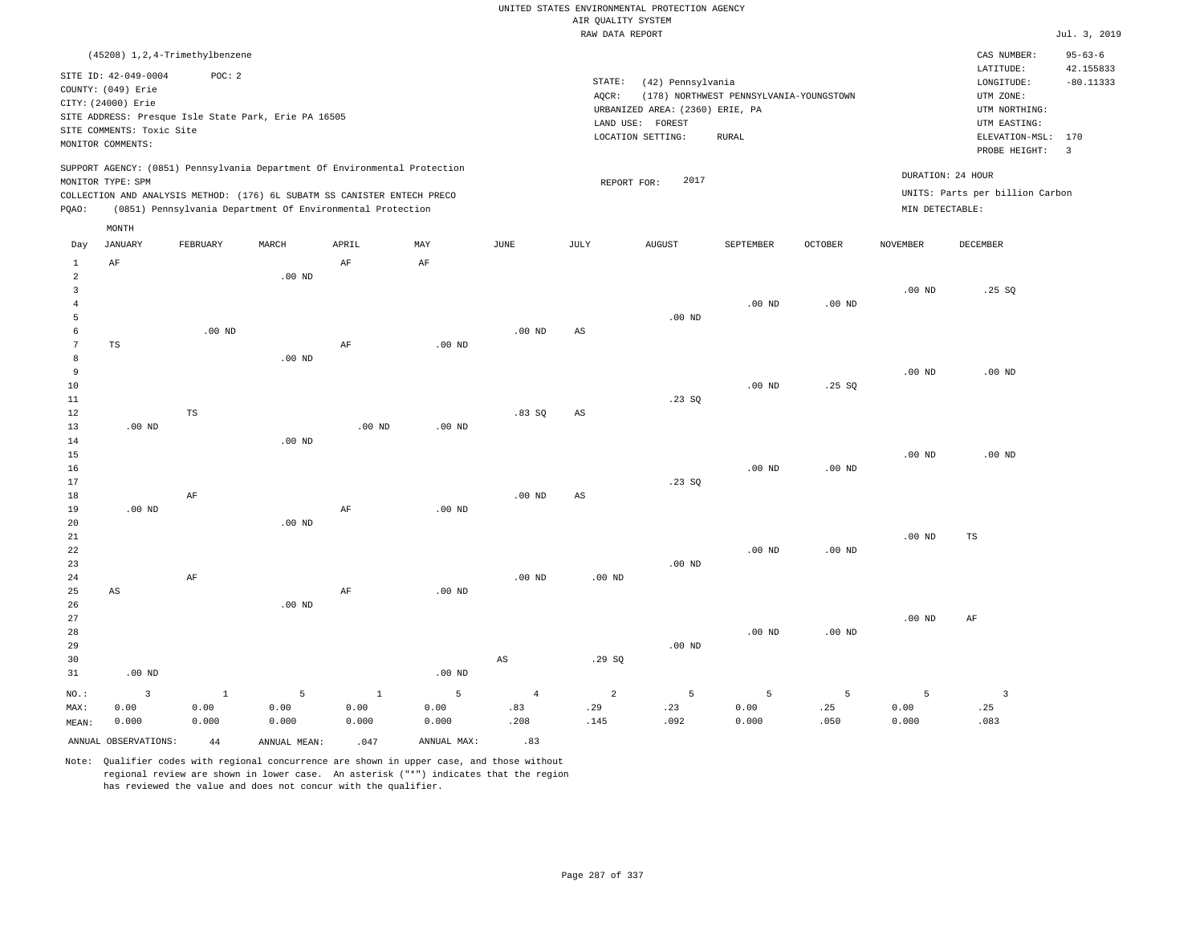|                                | (45208) 1, 2, 4-Trimethylbenzene                                                                                         |             |                   |                                                                            |                   |                        |                        |                                                                                                 |                                                       |                          |                   | CAS NUMBER:                        | $95 - 63 - 6$  |
|--------------------------------|--------------------------------------------------------------------------------------------------------------------------|-------------|-------------------|----------------------------------------------------------------------------|-------------------|------------------------|------------------------|-------------------------------------------------------------------------------------------------|-------------------------------------------------------|--------------------------|-------------------|------------------------------------|----------------|
|                                | SITE ID: 42-049-0004<br>COUNTY: (049) Erie<br>CITY: (24000) Erie<br>SITE ADDRESS: Presque Isle State Park, Erie PA 16505 | POC: 2      |                   |                                                                            |                   |                        | STATE:<br>AQCR:        | (42) Pennsylvania<br>(178) NORTHWEST PENNSYLVANIA-YOUNGSTOWN<br>URBANIZED AREA: (2360) ERIE, PA | LATITUDE:<br>LONGITUDE:<br>UTM ZONE:<br>UTM NORTHING: | 42.155833<br>$-80.11333$ |                   |                                    |                |
|                                | SITE COMMENTS: Toxic Site                                                                                                |             |                   |                                                                            |                   |                        | LAND USE:              | FOREST<br>LOCATION SETTING:                                                                     | <b>RURAL</b>                                          |                          |                   | UTM EASTING:<br>ELEVATION-MSL: 170 |                |
|                                | MONITOR COMMENTS:                                                                                                        |             |                   |                                                                            |                   |                        |                        |                                                                                                 |                                                       |                          |                   | PROBE HEIGHT:                      | $\overline{3}$ |
|                                | MONITOR TYPE: SPM                                                                                                        |             |                   | SUPPORT AGENCY: (0851) Pennsylvania Department Of Environmental Protection |                   |                        |                        | DURATION: 24 HOUR<br>2017<br>REPORT FOR:                                                        |                                                       |                          |                   |                                    |                |
|                                |                                                                                                                          |             |                   | COLLECTION AND ANALYSIS METHOD: (176) 6L SUBATM SS CANISTER ENTECH PRECO   |                   |                        |                        |                                                                                                 |                                                       |                          |                   | UNITS: Parts per billion Carbon    |                |
| PQAO:                          |                                                                                                                          |             |                   | (0851) Pennsylvania Department Of Environmental Protection                 |                   |                        |                        | MIN DETECTABLE:                                                                                 |                                                       |                          |                   |                                    |                |
|                                | MONTH                                                                                                                    |             |                   |                                                                            |                   |                        |                        |                                                                                                 |                                                       |                          |                   |                                    |                |
| Day                            | <b>JANUARY</b>                                                                                                           | FEBRUARY    | MARCH             | APRIL                                                                      | MAY               | JUNE                   | JULY                   | <b>AUGUST</b>                                                                                   | SEPTEMBER                                             | OCTOBER                  | <b>NOVEMBER</b>   | <b>DECEMBER</b>                    |                |
| $\mathbf{1}$<br>$\overline{a}$ | AF                                                                                                                       |             | $.00$ ND          | AF                                                                         | AF                |                        |                        |                                                                                                 |                                                       |                          |                   |                                    |                |
| $\mathbf{3}$                   |                                                                                                                          |             |                   |                                                                            |                   |                        |                        |                                                                                                 |                                                       |                          | .00 <sub>ND</sub> | .25S                               |                |
| $\overline{4}$                 |                                                                                                                          |             |                   |                                                                            |                   |                        |                        |                                                                                                 | $.00$ ND                                              | .00 <sub>ND</sub>        |                   |                                    |                |
| 5                              |                                                                                                                          |             |                   |                                                                            |                   |                        |                        | $.00$ ND                                                                                        |                                                       |                          |                   |                                    |                |
| 6                              |                                                                                                                          | $.00$ ND    |                   |                                                                            |                   | .00 <sub>ND</sub>      | AS                     |                                                                                                 |                                                       |                          |                   |                                    |                |
| $\overline{7}$                 | TS                                                                                                                       |             | $.00$ ND          | AF                                                                         | $.00$ ND          |                        |                        |                                                                                                 |                                                       |                          |                   |                                    |                |
| 8<br>9                         |                                                                                                                          |             |                   |                                                                            |                   |                        |                        |                                                                                                 |                                                       |                          | $.00$ ND          | $.00$ ND                           |                |
| 10                             |                                                                                                                          |             |                   |                                                                            |                   |                        |                        |                                                                                                 | .00 <sub>ND</sub>                                     | .25SQ                    |                   |                                    |                |
| 11                             |                                                                                                                          |             |                   |                                                                            |                   |                        |                        | .23SQ                                                                                           |                                                       |                          |                   |                                    |                |
| 12                             |                                                                                                                          | $_{\rm TS}$ |                   |                                                                            |                   | .83SQ                  | $\mathbb{A}\mathbb{S}$ |                                                                                                 |                                                       |                          |                   |                                    |                |
| 13                             | $.00$ ND                                                                                                                 |             |                   | $.00$ ND                                                                   | $.00$ ND          |                        |                        |                                                                                                 |                                                       |                          |                   |                                    |                |
| 14                             |                                                                                                                          |             | $.00$ ND          |                                                                            |                   |                        |                        |                                                                                                 |                                                       |                          |                   |                                    |                |
| 15<br>16                       |                                                                                                                          |             |                   |                                                                            |                   |                        |                        |                                                                                                 | .00 <sub>ND</sub>                                     | $.00$ ND                 | .00 <sub>ND</sub> | $.00$ ND                           |                |
| 17                             |                                                                                                                          |             |                   |                                                                            |                   |                        |                        | .23 S0                                                                                          |                                                       |                          |                   |                                    |                |
| 18                             |                                                                                                                          | AF          |                   |                                                                            |                   | .00 <sub>ND</sub>      | AS                     |                                                                                                 |                                                       |                          |                   |                                    |                |
| 19                             | $.00$ ND                                                                                                                 |             |                   | AF                                                                         | $.00$ ND          |                        |                        |                                                                                                 |                                                       |                          |                   |                                    |                |
| 20                             |                                                                                                                          |             | .00 <sub>ND</sub> |                                                                            |                   |                        |                        |                                                                                                 |                                                       |                          |                   |                                    |                |
| 21                             |                                                                                                                          |             |                   |                                                                            |                   |                        |                        |                                                                                                 |                                                       |                          | .00 <sub>ND</sub> | TS                                 |                |
| 22                             |                                                                                                                          |             |                   |                                                                            |                   |                        |                        |                                                                                                 | $.00$ ND                                              | .00 <sub>ND</sub>        |                   |                                    |                |
| 23<br>24                       |                                                                                                                          | AF          |                   |                                                                            |                   | $.00$ ND               | $.00$ ND               | $.00$ ND                                                                                        |                                                       |                          |                   |                                    |                |
| 25                             | AS                                                                                                                       |             |                   | $\rm AF$                                                                   | .00 <sub>ND</sub> |                        |                        |                                                                                                 |                                                       |                          |                   |                                    |                |
| 26                             |                                                                                                                          |             | $.00$ ND          |                                                                            |                   |                        |                        |                                                                                                 |                                                       |                          |                   |                                    |                |
| 27                             |                                                                                                                          |             |                   |                                                                            |                   |                        |                        |                                                                                                 |                                                       |                          | $.00$ ND          | AF                                 |                |
| 28                             |                                                                                                                          |             |                   |                                                                            |                   |                        |                        |                                                                                                 | .00 <sub>ND</sub>                                     | $.00$ ND                 |                   |                                    |                |
| 29                             |                                                                                                                          |             |                   |                                                                            |                   |                        |                        | $.00$ ND                                                                                        |                                                       |                          |                   |                                    |                |
| 30                             |                                                                                                                          |             |                   |                                                                            |                   | $\mathbb{A}\mathbb{S}$ | .29SQ                  |                                                                                                 |                                                       |                          |                   |                                    |                |
| 31                             | $.00$ ND                                                                                                                 |             |                   |                                                                            | $.00$ ND          |                        |                        |                                                                                                 |                                                       |                          |                   |                                    |                |
| NO.:                           | $\overline{3}$                                                                                                           | $1\,$       | 5                 | $\mathbf{1}$                                                               | 5                 | $\overline{4}$         | $\overline{2}$         | 5                                                                                               | 5                                                     | 5                        | 5                 | $\overline{3}$                     |                |
| MAX:                           | 0.00                                                                                                                     | 0.00        | 0.00              | 0.00                                                                       | 0.00              | .83<br>.208            | .29                    | .23                                                                                             | 0.00                                                  | .25                      | 0.00              | .25<br>.083                        |                |
| MEAN:                          | 0.000                                                                                                                    | 0.000       | 0.000             | 0.000                                                                      | 0.000             |                        | .145                   | .092                                                                                            | 0.000                                                 | .050                     | 0.000             |                                    |                |
|                                | ANNUAL OBSERVATIONS:                                                                                                     | 44          | ANNUAL MEAN:      | .047                                                                       | ANNUAL MAX:       | .83                    |                        |                                                                                                 |                                                       |                          |                   |                                    |                |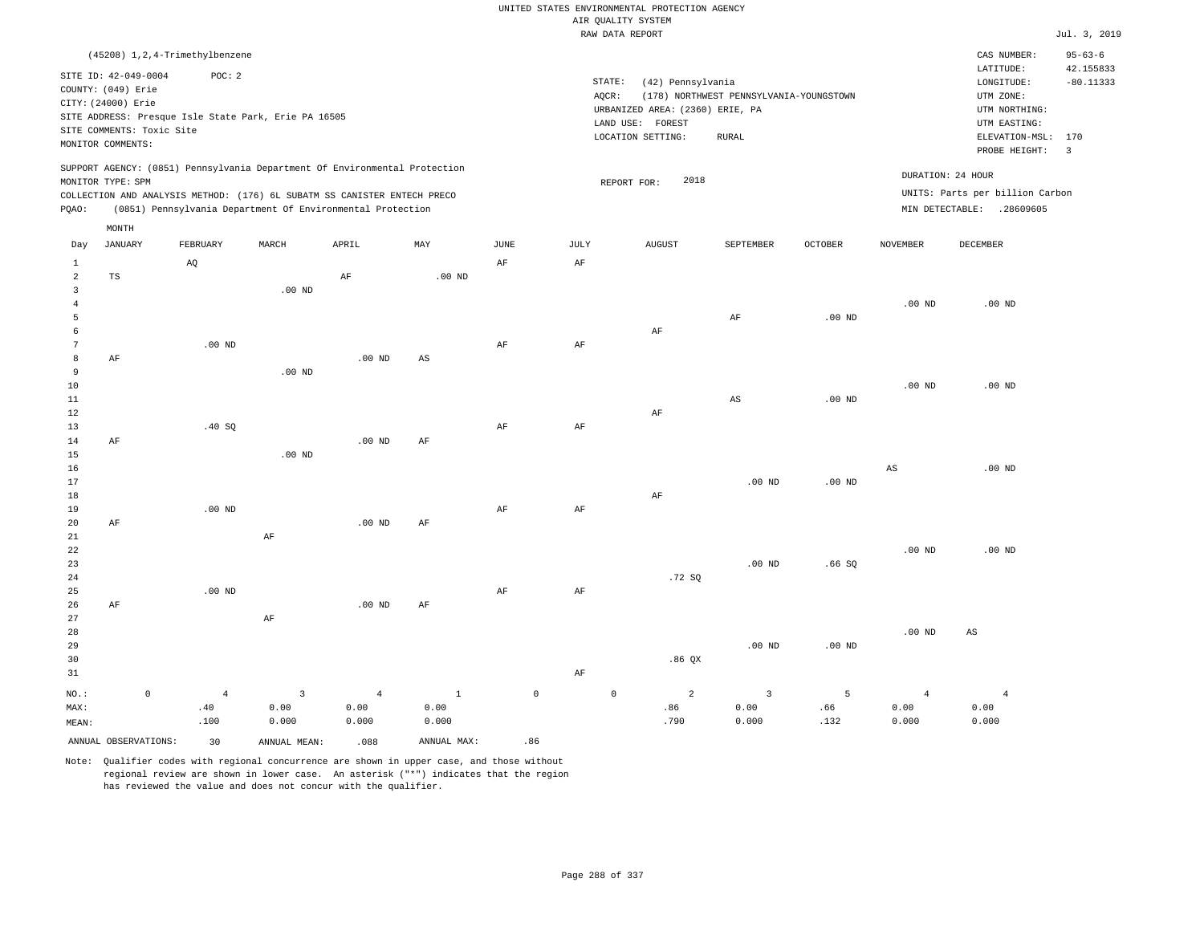|                                                         |                                                                                                                    |                                                                                                                                                                                                                      |                                 |                                 |                               |                     |               | UNITED STATES ENVIRONMENTAL PROTECTION AGENCY<br>AIR OUALITY SYSTEM<br>RAW DATA REPORT                              |                                                         |                   |                                 |                                                                                                          | Jul. 3, 2019                                      |
|---------------------------------------------------------|--------------------------------------------------------------------------------------------------------------------|----------------------------------------------------------------------------------------------------------------------------------------------------------------------------------------------------------------------|---------------------------------|---------------------------------|-------------------------------|---------------------|---------------|---------------------------------------------------------------------------------------------------------------------|---------------------------------------------------------|-------------------|---------------------------------|----------------------------------------------------------------------------------------------------------|---------------------------------------------------|
|                                                         |                                                                                                                    | (45208) 1, 2, 4-Trimethylbenzene                                                                                                                                                                                     |                                 |                                 |                               |                     |               |                                                                                                                     |                                                         |                   |                                 | CAS NUMBER:                                                                                              | $95 - 63 - 6$                                     |
|                                                         | SITE ID: 42-049-0004<br>COUNTY: (049) Erie<br>CITY: (24000) Erie<br>SITE COMMENTS: Toxic Site<br>MONITOR COMMENTS: | POC: 2<br>SITE ADDRESS: Presque Isle State Park, Erie PA 16505                                                                                                                                                       |                                 |                                 |                               |                     |               | STATE:<br>(42) Pennsylvania<br>$AQCR$ :<br>URBANIZED AREA: (2360) ERIE, PA<br>LAND USE: FOREST<br>LOCATION SETTING: | (178) NORTHWEST PENNSYLVANIA-YOUNGSTOWN<br><b>RURAL</b> |                   |                                 | LATITUDE:<br>LONGITUDE:<br>UTM ZONE:<br>UTM NORTHING:<br>UTM EASTING:<br>ELEVATION-MSL:<br>PROBE HEIGHT: | 42.155833<br>$-80.11333$<br>170<br>$\overline{3}$ |
| PQAO:                                                   | MONITOR TYPE: SPM                                                                                                  | SUPPORT AGENCY: (0851) Pennsylvania Department Of Environmental Protection<br>COLLECTION AND ANALYSIS METHOD: (176) 6L SUBATM SS CANISTER ENTECH PRECO<br>(0851) Pennsylvania Department Of Environmental Protection |                                 |                                 |                               |                     |               | 2018<br>REPORT FOR:                                                                                                 |                                                         |                   | DURATION: 24 HOUR               | UNITS: Parts per billion Carbon<br>MIN DETECTABLE: .28609605                                             |                                                   |
| Day                                                     | MONTH<br>JANUARY                                                                                                   | FEBRUARY                                                                                                                                                                                                             | MARCH                           | APRIL                           | MAY                           | JUNE                | $_{\rm JULY}$ | AUGUST                                                                                                              | SEPTEMBER                                               | <b>OCTOBER</b>    | <b>NOVEMBER</b>                 | DECEMBER                                                                                                 |                                                   |
| $\mathbf{1}$<br>$\sqrt{2}$<br>$\overline{3}$            | $\operatorname{TS}$                                                                                                | AQ                                                                                                                                                                                                                   | $.00$ ND                        | AF                              | $.00$ ND                      | AF                  | AF            |                                                                                                                     |                                                         |                   |                                 |                                                                                                          |                                                   |
| $\sqrt{4}$<br>5<br>6                                    |                                                                                                                    |                                                                                                                                                                                                                      |                                 |                                 |                               |                     |               | AF                                                                                                                  | $\rm{AF}$                                               | .00 <sub>ND</sub> | .00 <sub>ND</sub>               | $.00$ ND                                                                                                 |                                                   |
| $7\phantom{.0}$<br>$\mathbf{a}$<br>$\overline{9}$<br>10 | AF                                                                                                                 | $.00$ ND                                                                                                                                                                                                             | $.00$ ND                        | $.00$ ND                        | AS                            | AF                  | AF            |                                                                                                                     |                                                         |                   | $.00$ ND                        | $.00$ ND                                                                                                 |                                                   |
| $1\,1$<br>$1\,2$<br>13<br>14                            | AF                                                                                                                 | .40SQ                                                                                                                                                                                                                |                                 | .00 <sub>ND</sub>               | AF                            | AF                  | AF            | AF                                                                                                                  | $_{\rm AS}$                                             | $.00$ ND          |                                 |                                                                                                          |                                                   |
| 15<br>16<br>17<br>18                                    |                                                                                                                    |                                                                                                                                                                                                                      | .00 <sub>ND</sub>               |                                 |                               |                     |               | AF                                                                                                                  | $.00$ ND                                                | $.00$ ND          | AS                              | $.00$ ND                                                                                                 |                                                   |
| 19<br>20<br>$2\sqrt{1}$                                 | AF                                                                                                                 | $.00$ ND                                                                                                                                                                                                             | AF                              | .00 <sub>ND</sub>               | AF                            | AF                  | AF            |                                                                                                                     |                                                         |                   |                                 |                                                                                                          |                                                   |
| 22<br>23<br>24<br>25                                    |                                                                                                                    | $.00$ ND                                                                                                                                                                                                             |                                 |                                 |                               | AF                  | AF            | .72S                                                                                                                | $.00$ ND                                                | .66SQ             | .00 <sub>ND</sub>               | $.00$ ND                                                                                                 |                                                   |
| 26<br>27<br>28<br>29<br>30<br>31                        | AF                                                                                                                 |                                                                                                                                                                                                                      | AF                              | .00 <sub>ND</sub>               | AF                            |                     | AF            | .86QX                                                                                                               | $.00$ ND                                                | .00 <sub>ND</sub> | .00 <sub>ND</sub>               | AS                                                                                                       |                                                   |
| NO.:<br>MAX:<br>MEAN:                                   | $\mathsf 0$                                                                                                        | $\overline{4}$<br>.40<br>.100                                                                                                                                                                                        | $\overline{3}$<br>0.00<br>0.000 | $\overline{4}$<br>0.00<br>0.000 | $\mathbf{1}$<br>0.00<br>0.000 | $\mathsf{O}\xspace$ |               | $\mathbb O$<br>2<br>.86<br>.790                                                                                     | $\overline{3}$<br>0.00<br>0.000                         | 5<br>.66<br>.132  | $\overline{4}$<br>0.00<br>0.000 | $\overline{4}$<br>0.00<br>0.000                                                                          |                                                   |
|                                                         | ANNUAL OBSERVATIONS:                                                                                               | 30                                                                                                                                                                                                                   | ANNUAL MEAN:                    | .088                            | ANNUAL MAX:                   | .86                 |               |                                                                                                                     |                                                         |                   |                                 |                                                                                                          |                                                   |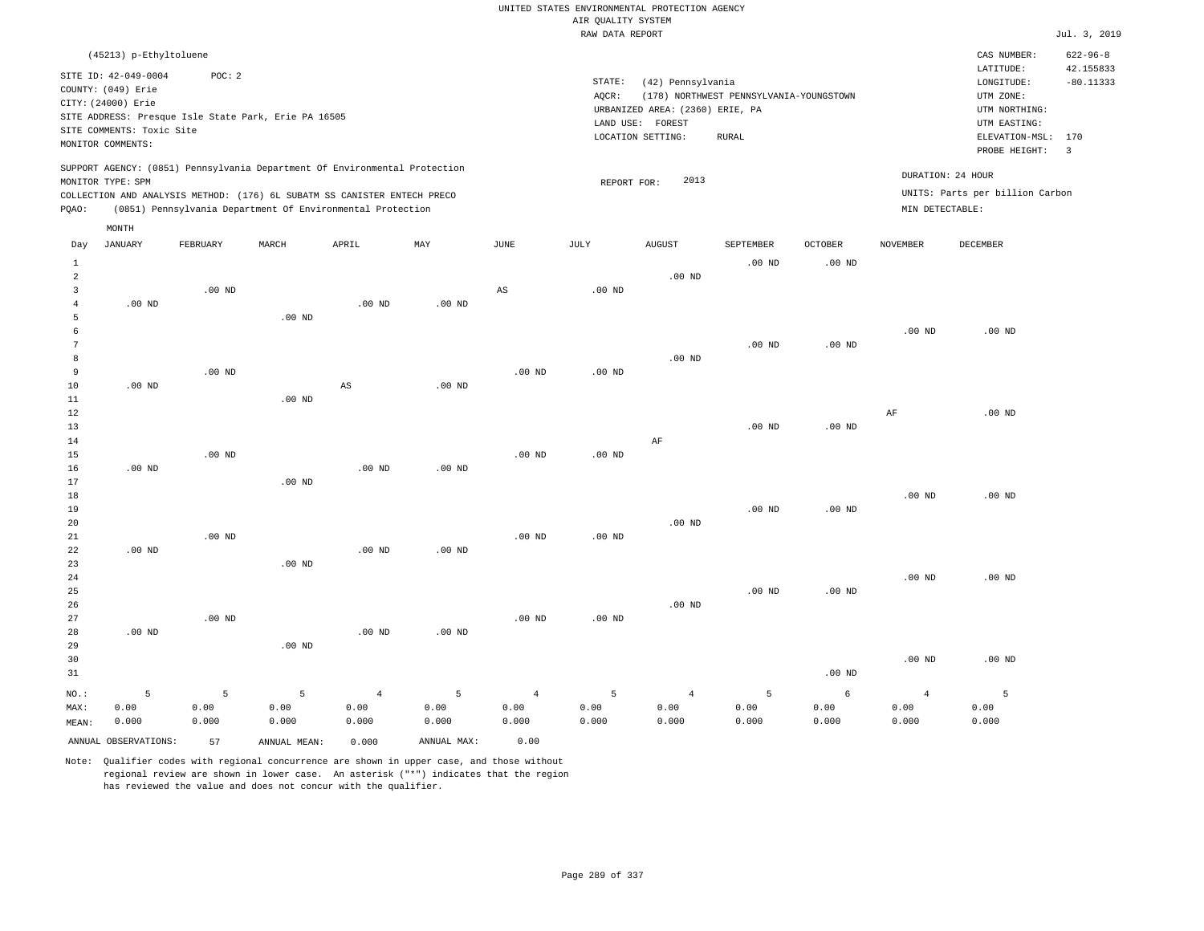|                                | (45213) p-Ethyltoluene                                                                                             |               |                                                                                                                                        |                   |                   |                   |                              |                                                                                     |                                                         |                   |                   | CAS NUMBER:                                                                                                  | $622 - 96 - 8$                                      |
|--------------------------------|--------------------------------------------------------------------------------------------------------------------|---------------|----------------------------------------------------------------------------------------------------------------------------------------|-------------------|-------------------|-------------------|------------------------------|-------------------------------------------------------------------------------------|---------------------------------------------------------|-------------------|-------------------|--------------------------------------------------------------------------------------------------------------|-----------------------------------------------------|
|                                | SITE ID: 42-049-0004<br>COUNTY: (049) Erie<br>CITY: (24000) Erie<br>SITE COMMENTS: Toxic Site<br>MONITOR COMMENTS: | POC: 2        | SITE ADDRESS: Presque Isle State Park, Erie PA 16505                                                                                   |                   |                   |                   | STATE:<br>AQCR:<br>LAND USE: | (42) Pennsylvania<br>URBANIZED AREA: (2360) ERIE, PA<br>FOREST<br>LOCATION SETTING: | (178) NORTHWEST PENNSYLVANIA-YOUNGSTOWN<br><b>RURAL</b> |                   |                   | LATITUDE:<br>LONGITUDE:<br>UTM ZONE:<br>UTM NORTHING:<br>UTM EASTING:<br>ELEVATION-MSL: 170<br>PROBE HEIGHT: | 42.155833<br>$-80.11333$<br>$\overline{\mathbf{3}}$ |
|                                | MONITOR TYPE: SPM                                                                                                  |               | SUPPORT AGENCY: (0851) Pennsylvania Department Of Environmental Protection                                                             |                   |                   |                   | REPORT FOR:                  | 2013                                                                                |                                                         |                   |                   | DURATION: 24 HOUR                                                                                            |                                                     |
| PQAO:                          |                                                                                                                    |               | COLLECTION AND ANALYSIS METHOD: (176) 6L SUBATM SS CANISTER ENTECH PRECO<br>(0851) Pennsylvania Department Of Environmental Protection |                   |                   |                   |                              |                                                                                     |                                                         |                   | MIN DETECTABLE:   | UNITS: Parts per billion Carbon                                                                              |                                                     |
|                                | MONTH                                                                                                              |               |                                                                                                                                        |                   |                   |                   |                              |                                                                                     |                                                         |                   |                   |                                                                                                              |                                                     |
| Day                            | <b>JANUARY</b>                                                                                                     | FEBRUARY      | MARCH                                                                                                                                  | APRIL             | MAY               | $\mathtt{JUNE}$   | JULY                         | <b>AUGUST</b>                                                                       | SEPTEMBER                                               | <b>OCTOBER</b>    | NOVEMBER          | DECEMBER                                                                                                     |                                                     |
| $\mathbf{1}$<br>$\overline{a}$ |                                                                                                                    |               |                                                                                                                                        |                   |                   |                   |                              | $.00$ ND                                                                            | $.00$ ND                                                | $.00$ ND          |                   |                                                                                                              |                                                     |
| 3                              |                                                                                                                    | $.00$ ND      |                                                                                                                                        |                   |                   | $_{\rm AS}$       | $.00$ ND                     |                                                                                     |                                                         |                   |                   |                                                                                                              |                                                     |
| $\overline{4}$                 | $.00$ ND                                                                                                           |               |                                                                                                                                        | .00 <sub>ND</sub> | $.00$ ND          |                   |                              |                                                                                     |                                                         |                   |                   |                                                                                                              |                                                     |
| 5<br>6                         |                                                                                                                    |               | .00 <sub>ND</sub>                                                                                                                      |                   |                   |                   |                              |                                                                                     |                                                         |                   | $.00$ ND          | $.00$ ND                                                                                                     |                                                     |
| 7                              |                                                                                                                    |               |                                                                                                                                        |                   |                   |                   |                              |                                                                                     | $.00$ ND                                                | $.00$ ND          |                   |                                                                                                              |                                                     |
| 8                              |                                                                                                                    |               |                                                                                                                                        |                   |                   |                   |                              | $.00$ ND                                                                            |                                                         |                   |                   |                                                                                                              |                                                     |
| $\overline{9}$                 |                                                                                                                    | $.00$ ND      |                                                                                                                                        |                   |                   | .00 <sub>ND</sub> | $.00$ ND                     |                                                                                     |                                                         |                   |                   |                                                                                                              |                                                     |
| 10<br>11                       | $.00$ ND                                                                                                           |               | .00 <sub>ND</sub>                                                                                                                      | $_{\rm AS}$       | $.00$ ND          |                   |                              |                                                                                     |                                                         |                   |                   |                                                                                                              |                                                     |
| 12                             |                                                                                                                    |               |                                                                                                                                        |                   |                   |                   |                              |                                                                                     |                                                         |                   | AF                | $.00$ ND                                                                                                     |                                                     |
| 13                             |                                                                                                                    |               |                                                                                                                                        |                   |                   |                   |                              |                                                                                     | $.00$ ND                                                | .00 <sub>ND</sub> |                   |                                                                                                              |                                                     |
| 14                             |                                                                                                                    |               |                                                                                                                                        |                   |                   |                   |                              | AF                                                                                  |                                                         |                   |                   |                                                                                                              |                                                     |
| 15<br>16                       | $.00$ ND                                                                                                           | $.00$ ND      |                                                                                                                                        | $.00$ ND          | $.00$ ND          | .00 <sub>ND</sub> | $.00$ ND                     |                                                                                     |                                                         |                   |                   |                                                                                                              |                                                     |
| 17                             |                                                                                                                    |               | $.00$ ND                                                                                                                               |                   |                   |                   |                              |                                                                                     |                                                         |                   |                   |                                                                                                              |                                                     |
| 18                             |                                                                                                                    |               |                                                                                                                                        |                   |                   |                   |                              |                                                                                     |                                                         |                   | $.00$ ND          | $.00$ ND                                                                                                     |                                                     |
| 19                             |                                                                                                                    |               |                                                                                                                                        |                   |                   |                   |                              |                                                                                     | $.00$ ND                                                | .00 <sub>ND</sub> |                   |                                                                                                              |                                                     |
| 20<br>21                       |                                                                                                                    | $.00$ ND      |                                                                                                                                        |                   |                   | .00 <sub>ND</sub> | .00 <sub>ND</sub>            | $.00$ ND                                                                            |                                                         |                   |                   |                                                                                                              |                                                     |
| 22                             | $.00$ ND                                                                                                           |               |                                                                                                                                        | .00 <sub>ND</sub> | .00 <sub>ND</sub> |                   |                              |                                                                                     |                                                         |                   |                   |                                                                                                              |                                                     |
| 23                             |                                                                                                                    |               | $.00$ ND                                                                                                                               |                   |                   |                   |                              |                                                                                     |                                                         |                   |                   |                                                                                                              |                                                     |
| 24                             |                                                                                                                    |               |                                                                                                                                        |                   |                   |                   |                              |                                                                                     |                                                         |                   | .00 <sub>ND</sub> | $.00$ ND                                                                                                     |                                                     |
| 25<br>26                       |                                                                                                                    |               |                                                                                                                                        |                   |                   |                   |                              | $.00$ ND                                                                            | $.00$ ND                                                | .00 <sub>ND</sub> |                   |                                                                                                              |                                                     |
| 27                             |                                                                                                                    | $.00$ ND      |                                                                                                                                        |                   |                   | .00 <sub>ND</sub> | $.00$ ND                     |                                                                                     |                                                         |                   |                   |                                                                                                              |                                                     |
| 28                             | $.00$ ND                                                                                                           |               |                                                                                                                                        | $.00$ ND          | $.00$ ND          |                   |                              |                                                                                     |                                                         |                   |                   |                                                                                                              |                                                     |
| 29                             |                                                                                                                    |               | .00 <sub>ND</sub>                                                                                                                      |                   |                   |                   |                              |                                                                                     |                                                         |                   |                   |                                                                                                              |                                                     |
| 30                             |                                                                                                                    |               |                                                                                                                                        |                   |                   |                   |                              |                                                                                     |                                                         |                   | $.00$ ND          | $.00$ ND                                                                                                     |                                                     |
| 31                             |                                                                                                                    |               |                                                                                                                                        |                   |                   |                   |                              |                                                                                     |                                                         | $.00$ ND          |                   |                                                                                                              |                                                     |
| NO.:                           | 5                                                                                                                  | 5             | 5                                                                                                                                      | $\overline{4}$    | 5                 | $\overline{4}$    | 5                            | $\overline{4}$                                                                      | 5                                                       | 6                 | $\overline{4}$    | 5                                                                                                            |                                                     |
| MAX:<br>MEAN:                  | 0.00<br>0.000                                                                                                      | 0.00<br>0.000 | 0.00<br>0.000                                                                                                                          | 0.00<br>0.000     | 0.00<br>0.000     | 0.00<br>0.000     | 0.00<br>0.000                | 0.00<br>0.000                                                                       | 0.00<br>0.000                                           | 0.00<br>0.000     | 0.00<br>0.000     | 0.00<br>0.000                                                                                                |                                                     |
|                                | ANNUAL OBSERVATIONS:                                                                                               |               |                                                                                                                                        |                   | ANNUAL MAX:       | 0.00              |                              |                                                                                     |                                                         |                   |                   |                                                                                                              |                                                     |
|                                |                                                                                                                    | 57            | ANNUAL MEAN:                                                                                                                           | 0.000             |                   |                   |                              |                                                                                     |                                                         |                   |                   |                                                                                                              |                                                     |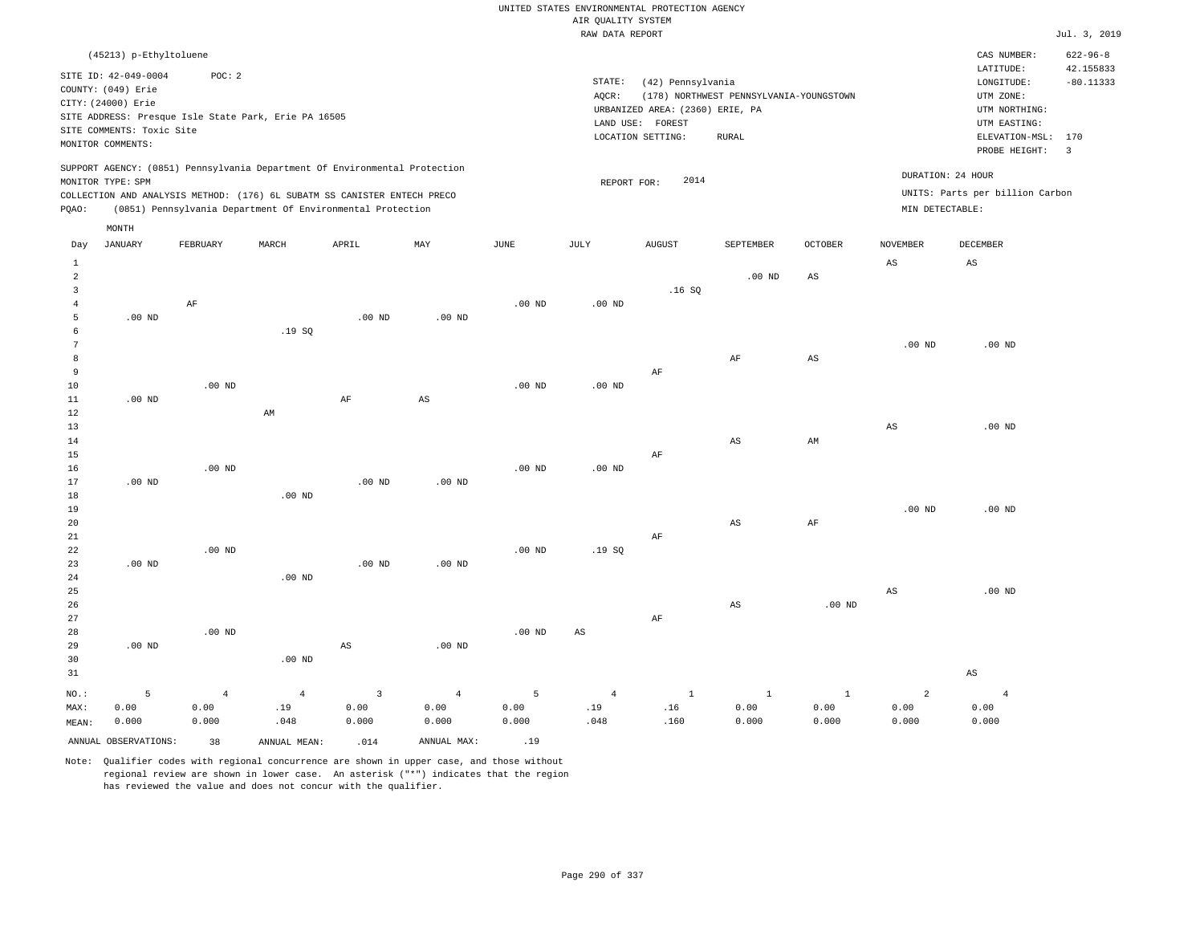|                 | (45213) p-Ethyltoluene    |                   |                                                                            |                         |                        |                   |                        |                                 |                                         |                        |                        | CAS NUMBER:<br>LATITUDE:        | $622 - 96 - 8$<br>42.155833 |
|-----------------|---------------------------|-------------------|----------------------------------------------------------------------------|-------------------------|------------------------|-------------------|------------------------|---------------------------------|-----------------------------------------|------------------------|------------------------|---------------------------------|-----------------------------|
|                 | SITE ID: 42-049-0004      | POC: 2            |                                                                            |                         |                        |                   | STATE:                 | (42) Pennsylvania               |                                         |                        |                        | LONGITUDE:                      | $-80.11333$                 |
|                 | COUNTY: (049) Erie        |                   |                                                                            |                         |                        |                   | AQCR:                  |                                 | (178) NORTHWEST PENNSYLVANIA-YOUNGSTOWN |                        |                        | UTM ZONE:                       |                             |
|                 | CITY: (24000) Erie        |                   |                                                                            |                         |                        |                   |                        | URBANIZED AREA: (2360) ERIE, PA |                                         |                        |                        | UTM NORTHING:                   |                             |
|                 |                           |                   | SITE ADDRESS: Presque Isle State Park, Erie PA 16505                       |                         |                        |                   |                        | LAND USE: FOREST                |                                         |                        |                        | UTM EASTING:                    |                             |
|                 | SITE COMMENTS: Toxic Site |                   |                                                                            |                         |                        |                   |                        | LOCATION SETTING:               | <b>RURAL</b>                            |                        |                        | ELEVATION-MSL: 170              |                             |
|                 | MONITOR COMMENTS:         |                   |                                                                            |                         |                        |                   |                        |                                 |                                         |                        |                        | PROBE HEIGHT:                   | $\overline{3}$              |
|                 |                           |                   | SUPPORT AGENCY: (0851) Pennsylvania Department Of Environmental Protection |                         |                        |                   |                        |                                 |                                         |                        |                        | DURATION: 24 HOUR               |                             |
|                 | MONITOR TYPE: SPM         |                   |                                                                            |                         |                        |                   | REPORT FOR:            | 2014                            |                                         |                        |                        |                                 |                             |
|                 |                           |                   | COLLECTION AND ANALYSIS METHOD: (176) 6L SUBATM SS CANISTER ENTECH PRECO   |                         |                        |                   |                        |                                 |                                         |                        |                        | UNITS: Parts per billion Carbon |                             |
| PQAO:           |                           |                   | (0851) Pennsylvania Department Of Environmental Protection                 |                         |                        |                   |                        |                                 |                                         |                        | MIN DETECTABLE:        |                                 |                             |
|                 | MONTH                     |                   |                                                                            |                         |                        |                   |                        |                                 |                                         |                        |                        |                                 |                             |
| Day             | <b>JANUARY</b>            | FEBRUARY          | MARCH                                                                      | APRIL                   | MAY                    | JUNE              | <b>JULY</b>            | <b>AUGUST</b>                   | SEPTEMBER                               | <b>OCTOBER</b>         | <b>NOVEMBER</b>        | <b>DECEMBER</b>                 |                             |
|                 |                           |                   |                                                                            |                         |                        |                   |                        |                                 |                                         |                        |                        |                                 |                             |
| $\mathbf{1}$    |                           |                   |                                                                            |                         |                        |                   |                        |                                 |                                         |                        | AS                     | AS                              |                             |
| $\overline{a}$  |                           |                   |                                                                            |                         |                        |                   |                        |                                 | $.00$ ND                                | AS                     |                        |                                 |                             |
| $\overline{3}$  |                           |                   |                                                                            |                         |                        |                   |                        | .16S                            |                                         |                        |                        |                                 |                             |
| $\sqrt{4}$      |                           | AF                |                                                                            |                         |                        | $.00$ ND          | $.00$ ND               |                                 |                                         |                        |                        |                                 |                             |
| 5               | $.00$ ND                  |                   |                                                                            | $.00$ ND                | $.00$ ND               |                   |                        |                                 |                                         |                        |                        |                                 |                             |
| $\epsilon$      |                           |                   | .19S                                                                       |                         |                        |                   |                        |                                 |                                         |                        |                        |                                 |                             |
| $7\phantom{.0}$ |                           |                   |                                                                            |                         |                        |                   |                        |                                 |                                         |                        | .00 <sub>ND</sub>      | $.00$ ND                        |                             |
| 8               |                           |                   |                                                                            |                         |                        |                   |                        |                                 | AF                                      | $\mathbb{A}\mathbb{S}$ |                        |                                 |                             |
| 9               |                           |                   |                                                                            |                         |                        |                   |                        | AF                              |                                         |                        |                        |                                 |                             |
| 10              |                           | $.00$ ND          |                                                                            |                         |                        | $.00$ ND          | $.00$ ND               |                                 |                                         |                        |                        |                                 |                             |
| 11              | $.00$ ND                  |                   |                                                                            | $\rm AF$                | $\mathbb{A}\mathbb{S}$ |                   |                        |                                 |                                         |                        |                        |                                 |                             |
| 12              |                           |                   | AM                                                                         |                         |                        |                   |                        |                                 |                                         |                        |                        |                                 |                             |
| 13              |                           |                   |                                                                            |                         |                        |                   |                        |                                 |                                         |                        | $\mathbb{A}\mathbb{S}$ | $.00$ ND                        |                             |
| 14              |                           |                   |                                                                            |                         |                        |                   |                        |                                 | $_{\rm AS}$                             | AM                     |                        |                                 |                             |
| 15              |                           |                   |                                                                            |                         |                        |                   |                        | $\rm AF$                        |                                         |                        |                        |                                 |                             |
| 16<br>17        |                           | $.00$ ND          |                                                                            |                         | $.00$ ND               | $.00$ ND          | .00 <sub>ND</sub>      |                                 |                                         |                        |                        |                                 |                             |
| 18              | $.00$ ND                  |                   | $.00$ ND                                                                   | $.00$ ND                |                        |                   |                        |                                 |                                         |                        |                        |                                 |                             |
| 19              |                           |                   |                                                                            |                         |                        |                   |                        |                                 |                                         |                        | $.00$ ND               | $.00$ ND                        |                             |
| 20              |                           |                   |                                                                            |                         |                        |                   |                        |                                 | $\mathbb{A}\mathbb{S}$                  | $\rm{AF}$              |                        |                                 |                             |
| 21              |                           |                   |                                                                            |                         |                        |                   |                        | $\rm AF$                        |                                         |                        |                        |                                 |                             |
| 22              |                           | $.00$ ND          |                                                                            |                         |                        | $.00$ ND          | .19SQ                  |                                 |                                         |                        |                        |                                 |                             |
| 23              | .00 <sub>ND</sub>         |                   |                                                                            | $.00$ ND                | $.00$ ND               |                   |                        |                                 |                                         |                        |                        |                                 |                             |
| 24              |                           |                   | $.00$ ND                                                                   |                         |                        |                   |                        |                                 |                                         |                        |                        |                                 |                             |
| 25              |                           |                   |                                                                            |                         |                        |                   |                        |                                 |                                         |                        | $_{\rm AS}$            | $.00$ ND                        |                             |
| 26              |                           |                   |                                                                            |                         |                        |                   |                        |                                 | $_{\rm AS}$                             | $.00$ ND               |                        |                                 |                             |
| 27              |                           |                   |                                                                            |                         |                        |                   |                        | $\rm AF$                        |                                         |                        |                        |                                 |                             |
| 28              |                           | .00 <sub>ND</sub> |                                                                            |                         |                        | .00 <sub>ND</sub> | $\mathbb{A}\mathbb{S}$ |                                 |                                         |                        |                        |                                 |                             |
| 29              | $.00$ ND                  |                   |                                                                            | $\mathbb{A}\mathbb{S}$  | $.00$ ND               |                   |                        |                                 |                                         |                        |                        |                                 |                             |
| 30              |                           |                   | $.00$ ND                                                                   |                         |                        |                   |                        |                                 |                                         |                        |                        |                                 |                             |
| 31              |                           |                   |                                                                            |                         |                        |                   |                        |                                 |                                         |                        |                        | $\mathbb{A}\mathbb{S}$          |                             |
|                 |                           |                   |                                                                            |                         |                        |                   |                        |                                 |                                         |                        |                        |                                 |                             |
| $NO.$ :         | 5                         | $\overline{4}$    | $\overline{4}$                                                             | $\overline{\mathbf{3}}$ | $\overline{4}$         | 5                 | $\overline{4}$         | $\mathbf{1}$                    | $\mathbf{1}$                            | $\mathbf{1}$           | $\overline{a}$         | $\overline{4}$                  |                             |
| MAX:            | 0.00                      | 0.00              | .19                                                                        | 0.00                    | 0.00                   | 0.00              | .19                    | .16                             | 0.00                                    | 0.00                   | 0.00                   | 0.00                            |                             |
| MEAN:           | 0.000                     | 0.000             | .048                                                                       | 0.000                   | 0.000                  | 0.000             | .048                   | .160                            | 0.000                                   | 0.000                  | 0.000                  | 0.000                           |                             |
|                 | ANNUAL OBSERVATIONS:      | 38                | ANNUAL MEAN:                                                               | .014                    | ANNUAL MAX:            | .19               |                        |                                 |                                         |                        |                        |                                 |                             |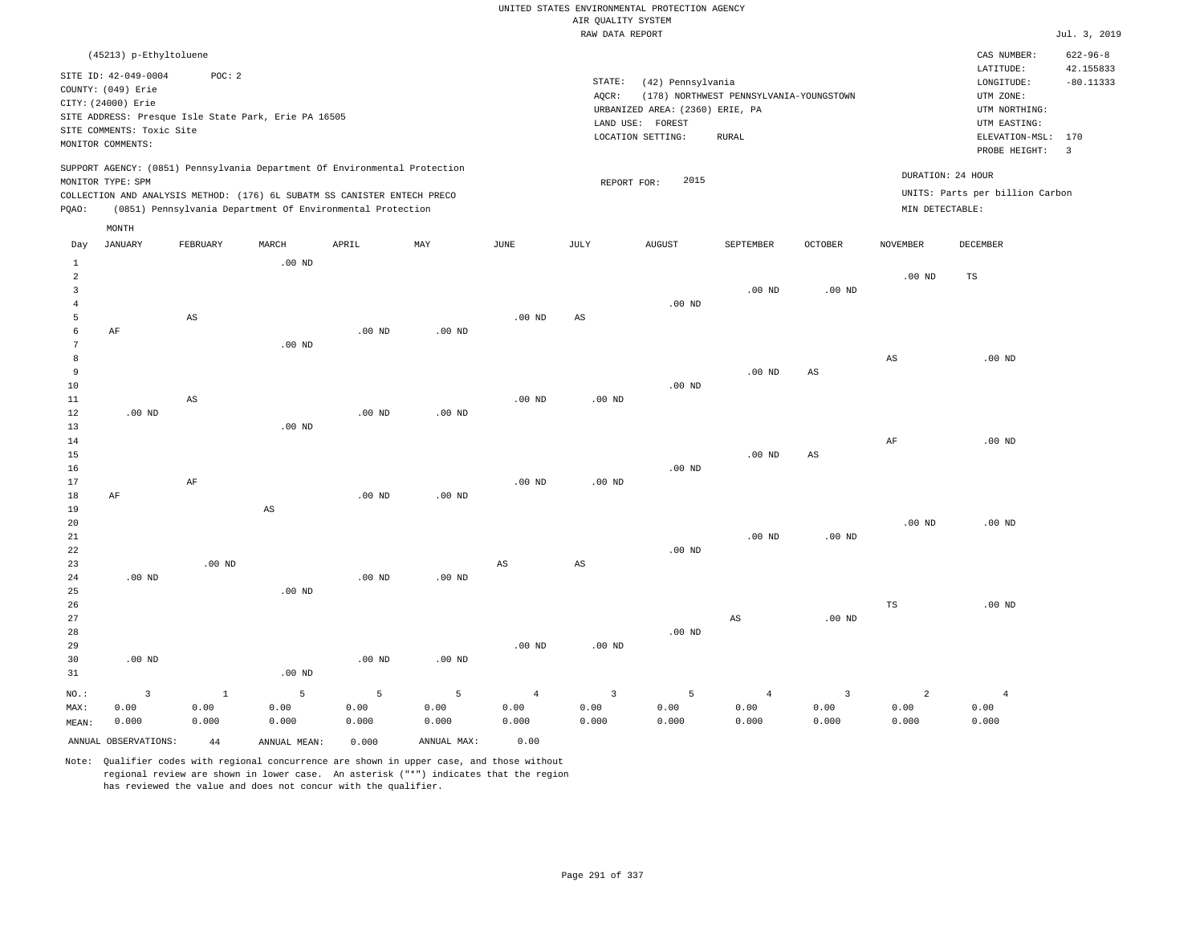|       | (45213) p-Ethyltoluene                                                                        |          |          |                                                            |                                                                            |      |        |                                 |                                         |          |                 | CAS NUMBER:                                          | $622 - 96 - 8$ |
|-------|-----------------------------------------------------------------------------------------------|----------|----------|------------------------------------------------------------|----------------------------------------------------------------------------|------|--------|---------------------------------|-----------------------------------------|----------|-----------------|------------------------------------------------------|----------------|
|       | SITE ID: 42-049-0004                                                                          | POC:2    |          |                                                            |                                                                            |      |        |                                 |                                         |          |                 | LATITUDE:                                            | 42.155833      |
|       | COUNTY: (049) Erie                                                                            |          |          |                                                            |                                                                            |      | STATE: | (42) Pennsylvania               |                                         |          |                 | LONGITUDE:                                           | $-80.11333$    |
|       | CITY: (24000) Erie                                                                            |          |          |                                                            |                                                                            |      | AOCR:  |                                 | (178) NORTHWEST PENNSYLVANIA-YOUNGSTOWN |          |                 | UTM ZONE:                                            |                |
|       | SITE ADDRESS: Presque Isle State Park, Erie PA 16505                                          |          |          |                                                            |                                                                            |      |        | URBANIZED AREA: (2360) ERIE, PA |                                         |          |                 | UTM NORTHING:                                        |                |
|       | SITE COMMENTS: Toxic Site                                                                     |          |          |                                                            |                                                                            |      |        | LAND USE:<br>FOREST             |                                         |          |                 | UTM EASTING:                                         |                |
|       | MONITOR COMMENTS:                                                                             |          |          |                                                            |                                                                            |      |        | LOCATION SETTING:               | RURAL                                   |          |                 | ELEVATION-MSL: 170                                   |                |
|       |                                                                                               |          |          |                                                            |                                                                            |      |        |                                 |                                         |          |                 | PROBE HEIGHT:                                        | $_{3}$         |
| POAO: | MONITOR TYPE: SPM<br>COLLECTION AND ANALYSIS METHOD: (176) 6L SUBATM SS CANISTER ENTECH PRECO |          |          | (0851) Pennsylvania Department Of Environmental Protection | SUPPORT AGENCY: (0851) Pennsylvania Department Of Environmental Protection |      |        | 2015<br>REPORT FOR:             |                                         |          | MIN DETECTABLE: | DURATION: 24 HOUR<br>UNITS: Parts per billion Carbon |                |
|       | MONTH                                                                                         |          |          |                                                            |                                                                            |      |        |                                 |                                         |          |                 |                                                      |                |
| Day   | JANUARY                                                                                       | FEBRUARY | MARCH    | APRIL                                                      | MAY                                                                        | JUNE | JULY   | AUGUST                          | SEPTEMBER                               | OCTOBER  | <b>NOVEMBER</b> | DECEMBER                                             |                |
|       |                                                                                               |          | $.00$ ND |                                                            |                                                                            |      |        |                                 |                                         |          |                 |                                                      |                |
|       |                                                                                               |          |          |                                                            |                                                                            |      |        |                                 |                                         |          | $.00$ ND        | <b>TS</b>                                            |                |
|       |                                                                                               |          |          |                                                            |                                                                            |      |        |                                 | $.00$ ND                                | $.00$ ND |                 |                                                      |                |

| 4  |          |                        |                        |          |                   |          |             | .00 $ND$ |                        |                        |                        |          |
|----|----------|------------------------|------------------------|----------|-------------------|----------|-------------|----------|------------------------|------------------------|------------------------|----------|
| 5  |          |                        |                        |          |                   | .00 $ND$ |             |          |                        |                        |                        |          |
|    |          | AS                     |                        |          |                   |          | AS          |          |                        |                        |                        |          |
| 6  | AF       |                        |                        | .00 $ND$ | .00 <sub>ND</sub> |          |             |          |                        |                        |                        |          |
| 7  |          |                        | $.00$ ND               |          |                   |          |             |          |                        |                        |                        |          |
| 8  |          |                        |                        |          |                   |          |             |          |                        |                        | $\mathbb{A}\mathbb{S}$ | $.00$ ND |
| 9  |          |                        |                        |          |                   |          |             |          | $.00$ ND               | $\mathbb{A}\mathbb{S}$ |                        |          |
| 10 |          |                        |                        |          |                   |          |             | $.00$ ND |                        |                        |                        |          |
| 11 |          | $\mathbb{A}\mathbb{S}$ |                        |          |                   | $.00$ ND | $.00$ ND    |          |                        |                        |                        |          |
| 12 | .00 $ND$ |                        |                        | $.00$ ND | $.00$ ND          |          |             |          |                        |                        |                        |          |
| 13 |          |                        | $.00$ ND               |          |                   |          |             |          |                        |                        |                        |          |
| 14 |          |                        |                        |          |                   |          |             |          |                        |                        | $\rm{AF}$              | .00 $ND$ |
| 15 |          |                        |                        |          |                   |          |             |          | $.00$ ND               | $\mathbb{A}\mathbb{S}$ |                        |          |
| 16 |          |                        |                        |          |                   |          |             | .00 $ND$ |                        |                        |                        |          |
| 17 |          | $\rm AF$               |                        |          |                   | .00 $ND$ | .00 $ND$    |          |                        |                        |                        |          |
| 18 | AF       |                        |                        | .00 $ND$ | .00 $ND$          |          |             |          |                        |                        |                        |          |
| 19 |          |                        | $\mathbb{A}\mathbb{S}$ |          |                   |          |             |          |                        |                        |                        |          |
| 20 |          |                        |                        |          |                   |          |             |          |                        |                        | $.00$ ND               | $.00$ ND |
| 21 |          |                        |                        |          |                   |          |             |          | $.00$ ND               | .00 $ND$               |                        |          |
| 22 |          |                        |                        |          |                   |          |             | $.00$ ND |                        |                        |                        |          |
| 23 |          | $.00$ ND               |                        |          |                   | AS       | $_{\rm AS}$ |          |                        |                        |                        |          |
| 24 | $.00$ ND |                        |                        | $.00$ ND | $.00$ ND          |          |             |          |                        |                        |                        |          |
| 25 |          |                        | $.00$ ND               |          |                   |          |             |          |                        |                        |                        |          |
| 26 |          |                        |                        |          |                   |          |             |          |                        |                        | $_{\rm TS}$            | $.00$ ND |
| 27 |          |                        |                        |          |                   |          |             |          | $\mathbb{A}\mathbb{S}$ | $.00$ ND               |                        |          |
| 28 |          |                        |                        |          |                   |          |             | .00 $ND$ |                        |                        |                        |          |
| 29 |          |                        |                        |          |                   | .00 $ND$ | $.00$ ND    |          |                        |                        |                        |          |
| 30 | $.00$ ND |                        |                        | $.00$ ND | $.00$ ND          |          |             |          |                        |                        |                        |          |

| 31      |                          |       | .00 <sub>ND</sub> |       |                                |       |                       |         |          |       |       |       |
|---------|--------------------------|-------|-------------------|-------|--------------------------------|-------|-----------------------|---------|----------|-------|-------|-------|
| $NO.$ : | $\overline{\phantom{a}}$ |       |                   |       | $5 \qquad 5 \qquad 5 \qquad 4$ |       | $\sim$ 3 and $\sim$ 3 | $5 - 5$ | $\sim$ 4 |       |       |       |
| MAX:    | 0.00                     | 0.00  | 0.00              | 0.00  | 0.00                           | 0.00  | 0.00                  | 0.00    | 0.00     | 0.00  | 0.00  | 0.00  |
| MEAN:   | 0.000                    | 0.000 | 0.000             | 0.000 | 0.000                          | 0.000 | 0.000                 | 0.000   | 0.000    | 0.000 | 0.000 | 0.000 |
|         | ANNUAL OBSERVATIONS:     | 44    | ANNUAL MEAN:      | 0.000 | ANNUAL MAX:                    | 0.00  |                       |         |          |       |       |       |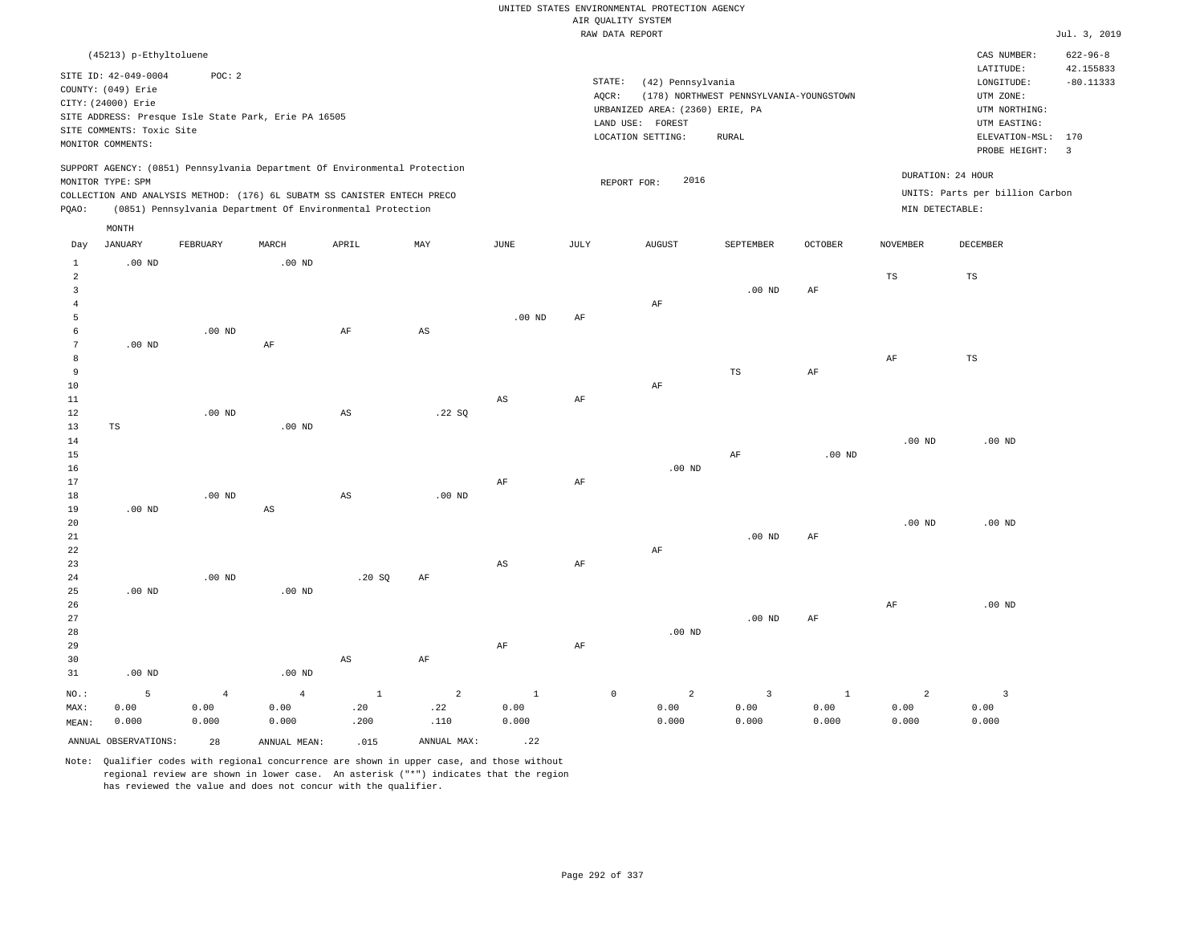|                 |                                            |                |                                                                            |                        |                |                        |           | RAW DATA REPORT                 |                                         |                |                 |                                 | Jul. 3, 2019            |
|-----------------|--------------------------------------------|----------------|----------------------------------------------------------------------------|------------------------|----------------|------------------------|-----------|---------------------------------|-----------------------------------------|----------------|-----------------|---------------------------------|-------------------------|
|                 | (45213) p-Ethyltoluene                     |                |                                                                            |                        |                |                        |           |                                 |                                         |                |                 | CAS NUMBER:                     | $622 - 96 - 8$          |
|                 |                                            |                |                                                                            |                        |                |                        |           |                                 |                                         |                |                 | LATITUDE:                       | 42.155833               |
|                 | SITE ID: 42-049-0004<br>COUNTY: (049) Erie | POC: 2         |                                                                            |                        |                |                        |           | STATE:<br>(42) Pennsylvania     |                                         |                |                 | LONGITUDE:                      | $-80.11333$             |
|                 | CITY: (24000) Erie                         |                |                                                                            |                        |                |                        |           | AQCR:                           | (178) NORTHWEST PENNSYLVANIA-YOUNGSTOWN |                |                 | UTM ZONE:                       |                         |
|                 |                                            |                | SITE ADDRESS: Presque Isle State Park, Erie PA 16505                       |                        |                |                        |           | URBANIZED AREA: (2360) ERIE, PA |                                         |                |                 | UTM NORTHING:                   |                         |
|                 | SITE COMMENTS: Toxic Site                  |                |                                                                            |                        |                |                        |           | LAND USE: FOREST                |                                         |                |                 | UTM EASTING:                    |                         |
|                 | MONITOR COMMENTS:                          |                |                                                                            |                        |                |                        |           | LOCATION SETTING:               | <b>RURAL</b>                            |                |                 | ELEVATION-MSL:                  | 170                     |
|                 |                                            |                |                                                                            |                        |                |                        |           |                                 |                                         |                |                 | PROBE HEIGHT:                   | $\overline{\mathbf{3}}$ |
|                 |                                            |                | SUPPORT AGENCY: (0851) Pennsylvania Department Of Environmental Protection |                        |                |                        |           |                                 |                                         |                |                 | DURATION: 24 HOUR               |                         |
|                 | MONITOR TYPE: SPM                          |                |                                                                            |                        |                |                        |           | 2016<br>REPORT FOR:             |                                         |                |                 | UNITS: Parts per billion Carbon |                         |
|                 |                                            |                | COLLECTION AND ANALYSIS METHOD: (176) 6L SUBATM SS CANISTER ENTECH PRECO   |                        |                |                        |           |                                 |                                         |                | MIN DETECTABLE: |                                 |                         |
| PQAO:           |                                            |                | (0851) Pennsylvania Department Of Environmental Protection                 |                        |                |                        |           |                                 |                                         |                |                 |                                 |                         |
|                 | MONTH                                      |                |                                                                            |                        |                |                        |           |                                 |                                         |                |                 |                                 |                         |
| Day             | <b>JANUARY</b>                             | FEBRUARY       | MARCH                                                                      | APRIL                  | MAY            | JUNE                   | JULY      | <b>AUGUST</b>                   | SEPTEMBER                               | <b>OCTOBER</b> | <b>NOVEMBER</b> | DECEMBER                        |                         |
| $\mathbf{1}$    | $.00$ ND                                   |                | $.00$ ND                                                                   |                        |                |                        |           |                                 |                                         |                |                 |                                 |                         |
| $\overline{a}$  |                                            |                |                                                                            |                        |                |                        |           |                                 |                                         |                | $_{\rm TS}$     | TS                              |                         |
| 3               |                                            |                |                                                                            |                        |                |                        |           |                                 | .00 <sub>ND</sub>                       | AF             |                 |                                 |                         |
| $\overline{4}$  |                                            |                |                                                                            |                        |                |                        |           | AF                              |                                         |                |                 |                                 |                         |
| 5<br>6          |                                            | $.00$ ND       |                                                                            | AF                     |                | $.00$ ND               | $\rm{AF}$ |                                 |                                         |                |                 |                                 |                         |
| $7\phantom{.0}$ | $.00$ ND                                   |                | AF                                                                         |                        | $_{\rm AS}$    |                        |           |                                 |                                         |                |                 |                                 |                         |
| 8               |                                            |                |                                                                            |                        |                |                        |           |                                 |                                         |                | $\rm AF$        | TS                              |                         |
| 9               |                                            |                |                                                                            |                        |                |                        |           |                                 | TS                                      | $\rm{AF}$      |                 |                                 |                         |
| 10              |                                            |                |                                                                            |                        |                |                        |           | $\rm{AF}$                       |                                         |                |                 |                                 |                         |
| $1\,1$          |                                            |                |                                                                            |                        |                | $\mathbb{A}\mathbb{S}$ | $\rm{AF}$ |                                 |                                         |                |                 |                                 |                         |
| 12              |                                            | $.00$ ND       |                                                                            | $\mathbb{A}\mathbb{S}$ | .22SQ          |                        |           |                                 |                                         |                |                 |                                 |                         |
| 13              | TS                                         |                | $.00$ ND                                                                   |                        |                |                        |           |                                 |                                         |                |                 |                                 |                         |
| 14              |                                            |                |                                                                            |                        |                |                        |           |                                 |                                         |                | $.00$ ND        | $.00$ ND                        |                         |
| 15              |                                            |                |                                                                            |                        |                |                        |           |                                 | $\rm AF$                                | $.00$ ND       |                 |                                 |                         |
| 16              |                                            |                |                                                                            |                        |                |                        |           | $.00$ ND                        |                                         |                |                 |                                 |                         |
| 17              |                                            |                |                                                                            |                        |                | AF                     | AF        |                                 |                                         |                |                 |                                 |                         |
| $18\,$          |                                            | $.00$ ND       |                                                                            | $\mathbb{A}\mathbb{S}$ | $.00$ ND       |                        |           |                                 |                                         |                |                 |                                 |                         |
| 19<br>20        | $.00$ ND                                   |                | $_{\rm AS}$                                                                |                        |                |                        |           |                                 |                                         |                | $.00$ ND        | $.00$ ND                        |                         |
| 21              |                                            |                |                                                                            |                        |                |                        |           |                                 | $.00$ ND                                | AF             |                 |                                 |                         |
| 22              |                                            |                |                                                                            |                        |                |                        |           | $\rm AF$                        |                                         |                |                 |                                 |                         |
| 23              |                                            |                |                                                                            |                        |                | $\mathbb{A}\mathbb{S}$ | $\rm{AF}$ |                                 |                                         |                |                 |                                 |                         |
| 24              |                                            | $.00$ ND       |                                                                            | .20S                   | AF             |                        |           |                                 |                                         |                |                 |                                 |                         |
| 25              | $.00$ ND                                   |                | $.00$ ND                                                                   |                        |                |                        |           |                                 |                                         |                |                 |                                 |                         |
| 26              |                                            |                |                                                                            |                        |                |                        |           |                                 |                                         |                | $\rm AF$        | $.00$ ND                        |                         |
| 27              |                                            |                |                                                                            |                        |                |                        |           |                                 | $.00$ ND                                | AF             |                 |                                 |                         |
| 28              |                                            |                |                                                                            |                        |                |                        |           | $.00$ ND                        |                                         |                |                 |                                 |                         |
| 29              |                                            |                |                                                                            |                        |                | $\rm{AF}$              | AF        |                                 |                                         |                |                 |                                 |                         |
| 30              |                                            |                |                                                                            | $\mathbb{A}\mathbb{S}$ | AF             |                        |           |                                 |                                         |                |                 |                                 |                         |
| 31              | $.00$ ND                                   |                | $.00$ ND                                                                   |                        |                |                        |           |                                 |                                         |                |                 |                                 |                         |
| $NO.$ :         | 5                                          | $\overline{4}$ | $\overline{4}$                                                             | $\mathbf{1}$           | $\overline{a}$ | $\mathbf{1}$           |           | $\mathbb O$<br>$\overline{a}$   | $\overline{\mathbf{3}}$                 | $1\,$          | $\overline{a}$  | $\overline{3}$                  |                         |
| MAX:            | 0.00                                       | 0.00           | 0.00                                                                       | .20                    | .22            | 0.00                   |           | 0.00                            | 0.00                                    | 0.00           | 0.00            | 0.00                            |                         |
| MEAN:           | 0.000                                      | 0.000          | 0.000                                                                      | .200                   | .110           | 0.000                  |           | 0.000                           | 0.000                                   | 0.000          | 0.000           | 0.000                           |                         |
|                 | ANNUAL OBSERVATIONS:                       | 2.8            | ANNUAL, MEAN:                                                              | .015                   | ANNUAL MAX:    | .22                    |           |                                 |                                         |                |                 |                                 |                         |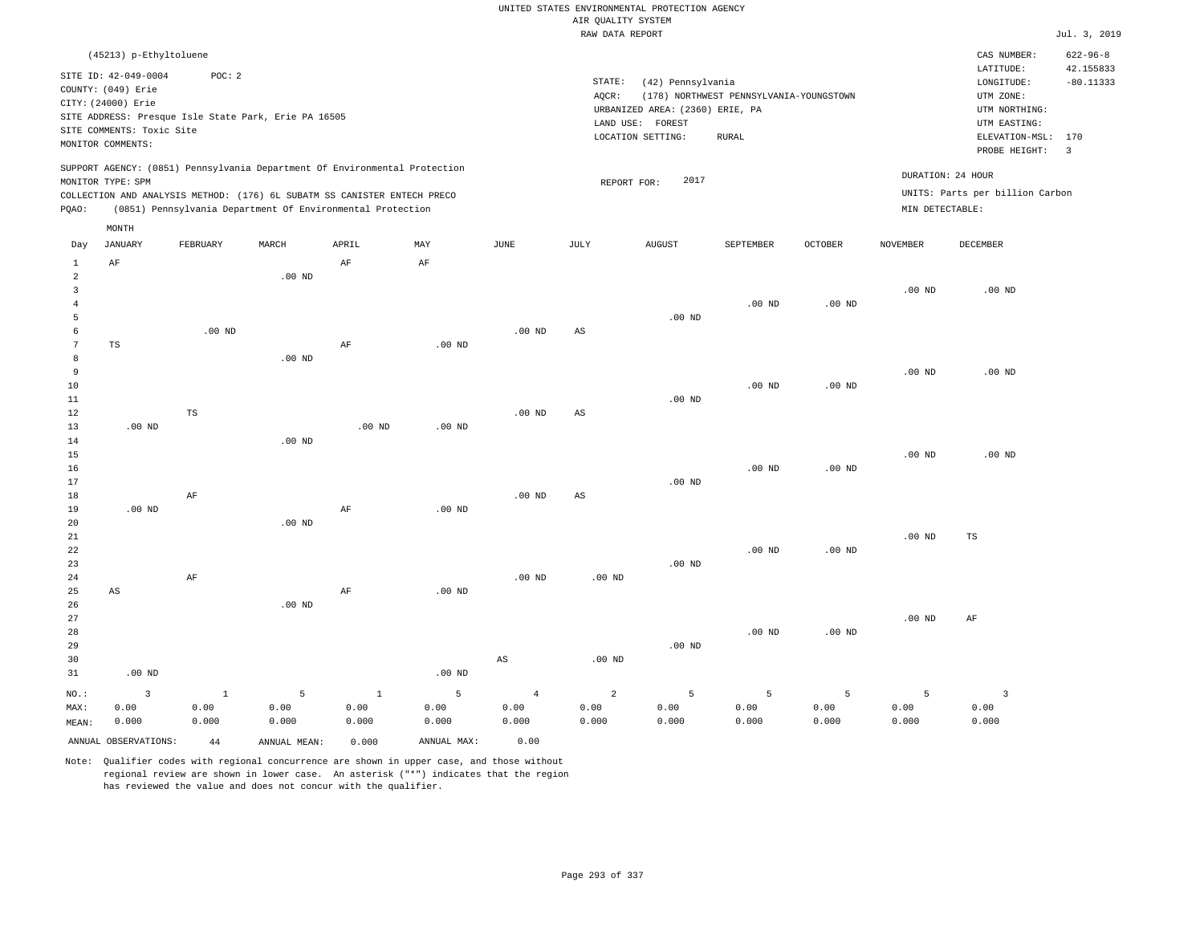|                 | (45213) p-Ethyltoluene    |              |                                                      |                                                                            |                   |                   |                        |                                 |                                         |                   |                   | CAS NUMBER:                     | $622 - 96 - 8$          |
|-----------------|---------------------------|--------------|------------------------------------------------------|----------------------------------------------------------------------------|-------------------|-------------------|------------------------|---------------------------------|-----------------------------------------|-------------------|-------------------|---------------------------------|-------------------------|
|                 | SITE ID: 42-049-0004      | POC: 2       |                                                      |                                                                            |                   |                   |                        |                                 |                                         |                   |                   | LATITUDE:                       | 42.155833               |
|                 | COUNTY: (049) Erie        |              |                                                      |                                                                            |                   |                   | STATE:                 | (42) Pennsylvania               |                                         |                   |                   | LONGITUDE:                      | $-80.11333$             |
|                 | CITY: (24000) Erie        |              |                                                      |                                                                            |                   |                   | AQCR:                  |                                 | (178) NORTHWEST PENNSYLVANIA-YOUNGSTOWN |                   |                   | UTM ZONE:                       |                         |
|                 |                           |              | SITE ADDRESS: Presque Isle State Park, Erie PA 16505 |                                                                            |                   |                   |                        | URBANIZED AREA: (2360) ERIE, PA |                                         |                   |                   | UTM NORTHING:                   |                         |
|                 | SITE COMMENTS: Toxic Site |              |                                                      |                                                                            |                   |                   |                        | LAND USE: FOREST                |                                         |                   |                   | UTM EASTING:                    |                         |
|                 | MONITOR COMMENTS:         |              |                                                      |                                                                            |                   |                   |                        | LOCATION SETTING:               | RURAL                                   |                   |                   | ELEVATION-MSL: 170              |                         |
|                 |                           |              |                                                      |                                                                            |                   |                   |                        |                                 |                                         |                   |                   | PROBE HEIGHT:                   | $\overline{\mathbf{3}}$ |
|                 |                           |              |                                                      | SUPPORT AGENCY: (0851) Pennsylvania Department Of Environmental Protection |                   |                   |                        | 2017                            |                                         |                   |                   | DURATION: 24 HOUR               |                         |
|                 | MONITOR TYPE: SPM         |              |                                                      |                                                                            |                   |                   | REPORT FOR:            |                                 |                                         |                   |                   | UNITS: Parts per billion Carbon |                         |
|                 |                           |              |                                                      | COLLECTION AND ANALYSIS METHOD: (176) 6L SUBATM SS CANISTER ENTECH PRECO   |                   |                   |                        |                                 |                                         |                   | MIN DETECTABLE:   |                                 |                         |
| PQAO:           |                           |              |                                                      | (0851) Pennsylvania Department Of Environmental Protection                 |                   |                   |                        |                                 |                                         |                   |                   |                                 |                         |
|                 | MONTH                     |              |                                                      |                                                                            |                   |                   |                        |                                 |                                         |                   |                   |                                 |                         |
| Day             | <b>JANUARY</b>            | FEBRUARY     | MARCH                                                | APRIL                                                                      | MAY               | JUNE              | JULY                   | <b>AUGUST</b>                   | SEPTEMBER                               | OCTOBER           | <b>NOVEMBER</b>   | <b>DECEMBER</b>                 |                         |
| $1\,$           | $\rm{AF}$                 |              |                                                      | $\rm AF$                                                                   | $\rm{AF}$         |                   |                        |                                 |                                         |                   |                   |                                 |                         |
| $\overline{a}$  |                           |              | $.00$ ND                                             |                                                                            |                   |                   |                        |                                 |                                         |                   |                   |                                 |                         |
| 3               |                           |              |                                                      |                                                                            |                   |                   |                        |                                 |                                         |                   | .00 <sub>ND</sub> | $.00$ ND                        |                         |
| $\overline{4}$  |                           |              |                                                      |                                                                            |                   |                   |                        |                                 | $.00$ ND                                | $.00$ ND          |                   |                                 |                         |
| 5               |                           |              |                                                      |                                                                            |                   |                   |                        | $.00~\mathrm{ND}$               |                                         |                   |                   |                                 |                         |
| 6               |                           | $.00$ ND     |                                                      |                                                                            |                   | .00 <sub>ND</sub> | $\mathbb{A}\mathbb{S}$ |                                 |                                         |                   |                   |                                 |                         |
| $7\phantom{.0}$ | $_{\rm TS}$               |              |                                                      | AF                                                                         | $.00$ ND          |                   |                        |                                 |                                         |                   |                   |                                 |                         |
| 8               |                           |              | $.00$ ND                                             |                                                                            |                   |                   |                        |                                 |                                         |                   |                   |                                 |                         |
| 9               |                           |              |                                                      |                                                                            |                   |                   |                        |                                 |                                         |                   | .00 <sub>ND</sub> | $.00$ ND                        |                         |
| 10              |                           |              |                                                      |                                                                            |                   |                   |                        |                                 | $.00$ ND                                | $.00$ ND          |                   |                                 |                         |
| 11              |                           |              |                                                      |                                                                            |                   |                   |                        | .00 <sub>ND</sub>               |                                         |                   |                   |                                 |                         |
| 12              |                           | TS           |                                                      |                                                                            |                   | .00 <sub>ND</sub> | $\mathbb{A}\mathbb{S}$ |                                 |                                         |                   |                   |                                 |                         |
| 13              | $.00$ ND                  |              |                                                      | $.00$ ND                                                                   | $.00$ ND          |                   |                        |                                 |                                         |                   |                   |                                 |                         |
| 14              |                           |              | $.00$ ND                                             |                                                                            |                   |                   |                        |                                 |                                         |                   |                   |                                 |                         |
| 15              |                           |              |                                                      |                                                                            |                   |                   |                        |                                 |                                         |                   | $.00$ ND          | $.00$ ND                        |                         |
| 16              |                           |              |                                                      |                                                                            |                   |                   |                        |                                 | $.00$ ND                                | $.00$ ND          |                   |                                 |                         |
| 17              |                           |              |                                                      |                                                                            |                   |                   |                        | $.00$ ND                        |                                         |                   |                   |                                 |                         |
| 18              |                           | AF           |                                                      |                                                                            |                   | $.00$ ND          | $\mathbb{A}\mathbb{S}$ |                                 |                                         |                   |                   |                                 |                         |
| 19              | $.00$ ND                  |              |                                                      | $\rm AF$                                                                   | .00 <sub>ND</sub> |                   |                        |                                 |                                         |                   |                   |                                 |                         |
| 20              |                           |              | $.00$ ND                                             |                                                                            |                   |                   |                        |                                 |                                         |                   |                   |                                 |                         |
| 21              |                           |              |                                                      |                                                                            |                   |                   |                        |                                 |                                         |                   | .00 <sub>ND</sub> | TS                              |                         |
| 22              |                           |              |                                                      |                                                                            |                   |                   |                        |                                 | $.00$ ND                                | $.00$ ND          |                   |                                 |                         |
| 23              |                           |              |                                                      |                                                                            |                   |                   |                        | $.00$ ND                        |                                         |                   |                   |                                 |                         |
| 24              |                           | AF           |                                                      |                                                                            |                   | $.00$ ND          | $.00$ ND               |                                 |                                         |                   |                   |                                 |                         |
| 25              | AS                        |              |                                                      | AF                                                                         | .00 <sub>ND</sub> |                   |                        |                                 |                                         |                   |                   |                                 |                         |
| 26              |                           |              | $.00$ ND                                             |                                                                            |                   |                   |                        |                                 |                                         |                   |                   |                                 |                         |
| 27              |                           |              |                                                      |                                                                            |                   |                   |                        |                                 |                                         |                   | $.00$ ND          | AF                              |                         |
| 28              |                           |              |                                                      |                                                                            |                   |                   |                        |                                 | $.00$ ND                                | .00 <sub>ND</sub> |                   |                                 |                         |
| 29              |                           |              |                                                      |                                                                            |                   |                   |                        | $.00$ ND                        |                                         |                   |                   |                                 |                         |
| 30              |                           |              |                                                      |                                                                            |                   | $_{\rm AS}$       | $.00$ ND               |                                 |                                         |                   |                   |                                 |                         |
| 31              | $.00$ ND                  |              |                                                      |                                                                            | .00 <sub>ND</sub> |                   |                        |                                 |                                         |                   |                   |                                 |                         |
| NO.:            | $\overline{3}$            | $\mathbf{1}$ | 5                                                    | $\mathbf{1}$                                                               | 5                 | $\overline{4}$    | $\overline{a}$         | 5                               | 5                                       | 5                 | 5                 | $\overline{\mathbf{3}}$         |                         |
| MAX:            | 0.00                      | 0.00         | 0.00                                                 | 0.00                                                                       | 0.00              | 0.00              | 0.00                   | 0.00                            | 0.00                                    | 0.00              | 0.00              | 0.00                            |                         |
| MEAN:           | 0.000                     | 0.000        | 0.000                                                | 0.000                                                                      | 0.000             | 0.000             | 0.000                  | 0.000                           | 0.000                                   | 0.000             | 0.000             | 0.000                           |                         |
|                 | ANNUAL OBSERVATIONS:      | 44           | ANNUAL MEAN:                                         | 0.000                                                                      | ANNUAL MAX:       | 0.00              |                        |                                 |                                         |                   |                   |                                 |                         |
|                 |                           |              |                                                      |                                                                            |                   |                   |                        |                                 |                                         |                   |                   |                                 |                         |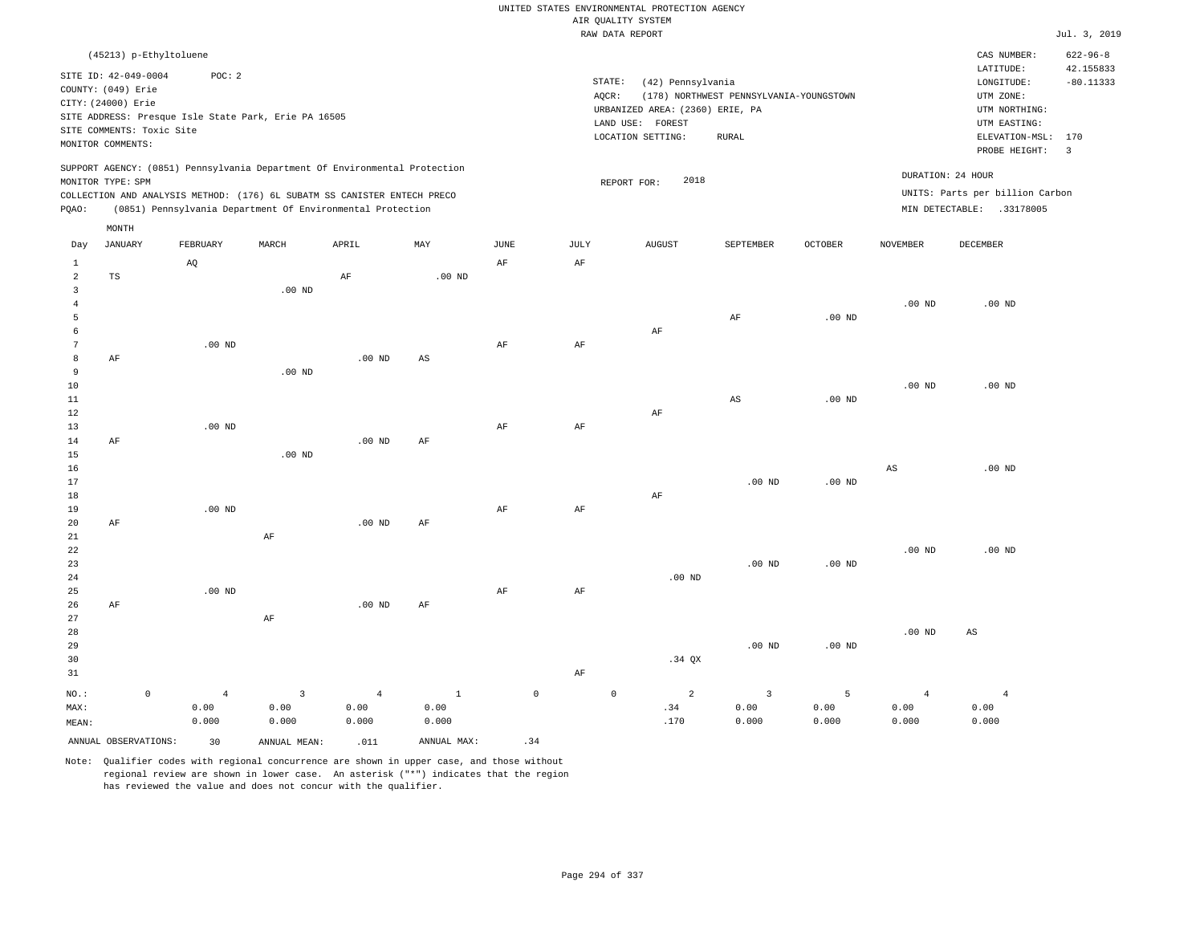|                                                    |                                                                                                                                              |             |                                 |                                                      |                                                                                                                                                                                                                      |                               |                     |                     |                     | UNITED STATES ENVIRONMENTAL PROTECTION AGENCY                                                 |                                                          |                    |                                 |                                                                                                                         |                                                                     |
|----------------------------------------------------|----------------------------------------------------------------------------------------------------------------------------------------------|-------------|---------------------------------|------------------------------------------------------|----------------------------------------------------------------------------------------------------------------------------------------------------------------------------------------------------------------------|-------------------------------|---------------------|---------------------|---------------------|-----------------------------------------------------------------------------------------------|----------------------------------------------------------|--------------------|---------------------------------|-------------------------------------------------------------------------------------------------------------------------|---------------------------------------------------------------------|
|                                                    |                                                                                                                                              |             |                                 |                                                      |                                                                                                                                                                                                                      |                               |                     |                     | AIR QUALITY SYSTEM  |                                                                                               |                                                          |                    |                                 |                                                                                                                         |                                                                     |
|                                                    |                                                                                                                                              |             |                                 |                                                      |                                                                                                                                                                                                                      |                               |                     |                     | RAW DATA REPORT     |                                                                                               |                                                          |                    |                                 |                                                                                                                         | Jul. 3, 2019                                                        |
|                                                    | (45213) p-Ethyltoluene<br>SITE ID: 42-049-0004<br>COUNTY: (049) Erie<br>CITY: (24000) Erie<br>SITE COMMENTS: Toxic Site<br>MONITOR COMMENTS: |             | POC: 2                          | SITE ADDRESS: Presque Isle State Park, Erie PA 16505 |                                                                                                                                                                                                                      |                               |                     |                     | STATE:<br>AQCR:     | (42) Pennsylvania<br>URBANIZED AREA: (2360) ERIE, PA<br>LAND USE: FOREST<br>LOCATION SETTING: | (178) NORTHWEST PENNSYLVANIA-YOUNGSTOWN<br>${\tt RURAL}$ |                    |                                 | CAS NUMBER:<br>LATITUDE:<br>LONGITUDE:<br>UTM ZONE:<br>UTM NORTHING:<br>UTM EASTING:<br>ELEVATION-MSL:<br>PROBE HEIGHT: | $622 - 96 - 8$<br>42.155833<br>$-80.11333$<br>170<br>$\overline{3}$ |
| PQAO:                                              | MONITOR TYPE: SPM                                                                                                                            |             |                                 |                                                      | SUPPORT AGENCY: (0851) Pennsylvania Department Of Environmental Protection<br>COLLECTION AND ANALYSIS METHOD: (176) 6L SUBATM SS CANISTER ENTECH PRECO<br>(0851) Pennsylvania Department Of Environmental Protection |                               |                     |                     |                     | 2018<br>REPORT FOR:                                                                           |                                                          |                    |                                 | DURATION: 24 HOUR<br>UNITS: Parts per billion Carbon<br>MIN DETECTABLE: .33178005                                       |                                                                     |
|                                                    | MONTH                                                                                                                                        |             |                                 |                                                      |                                                                                                                                                                                                                      |                               |                     |                     |                     |                                                                                               |                                                          |                    |                                 |                                                                                                                         |                                                                     |
| Day<br>$1\,$<br>$\overline{2}$                     | <b>JANUARY</b><br><b>TS</b>                                                                                                                  |             | FEBRUARY<br>AQ                  | MARCH                                                | APRIL<br>AF                                                                                                                                                                                                          | MAY<br>$.00$ ND               | $_{\rm JUNE}$<br>AF |                     | <b>JULY</b><br>AF   | <b>AUGUST</b>                                                                                 | SEPTEMBER                                                | <b>OCTOBER</b>     | <b>NOVEMBER</b>                 | DECEMBER                                                                                                                |                                                                     |
| $\mathbf{3}$<br>$\overline{4}$<br>5<br>6           |                                                                                                                                              |             |                                 | $.00$ ND                                             |                                                                                                                                                                                                                      |                               |                     |                     |                     | AF                                                                                            | $\rm AF$                                                 | .00 <sub>ND</sub>  | .00 <sub>ND</sub>               | $.00$ ND                                                                                                                |                                                                     |
| 7<br>8<br>$\overline{9}$<br>$10$<br>$11\,$<br>$12$ | AF                                                                                                                                           |             | $.00$ ND                        | $.00$ ND                                             | $.00$ ND                                                                                                                                                                                                             | AS                            | $\rm{AF}$           |                     | $\rm AF$            | AF                                                                                            | $\mathbb{A}\mathbb{S}$                                   | $.00$ ND           | .00 <sub>ND</sub>               | $.00$ ND                                                                                                                |                                                                     |
| 13<br>14<br>15<br>16<br>17<br>18                   | AF                                                                                                                                           |             | $.00$ ND                        | $.00$ ND                                             | $.00$ ND                                                                                                                                                                                                             | AF                            | AF                  |                     | AF                  | AF                                                                                            | $.00$ ND                                                 | $.00$ ND           | $\mathbb{A}\mathbb{S}$          | $.00$ ND                                                                                                                |                                                                     |
| 19<br>20<br>21<br>22<br>23<br>24<br>25             | AF                                                                                                                                           |             | $.00$ ND<br>.00 <sub>ND</sub>   | AF                                                   | $.00$ ND                                                                                                                                                                                                             | AF                            | $\rm{AF}$<br>AF     |                     | AF<br>AF            | $.00$ ND                                                                                      | $.00$ ND                                                 | $.00$ ND           | $.00$ ND                        | $.00$ ND                                                                                                                |                                                                     |
| 26<br>27<br>28<br>29<br>30<br>31                   | AF                                                                                                                                           |             |                                 | AF                                                   | $.00$ ND                                                                                                                                                                                                             | AF                            |                     |                     | AF                  | .34 QX                                                                                        | $.00$ ND                                                 | $.00$ ND           | .00 <sub>ND</sub>               | $\mathbb{A}\mathbb{S}$                                                                                                  |                                                                     |
| NO.:<br>MAX:<br>MEAN:                              |                                                                                                                                              | $\mathbb O$ | $\overline{4}$<br>0.00<br>0.000 | 3<br>0.00<br>0.000                                   | $\overline{4}$<br>0.00<br>0.000                                                                                                                                                                                      | $\mathbf{1}$<br>0.00<br>0.000 |                     | $\mathsf{O}\xspace$ | $\mathsf{O}\xspace$ | $\overline{a}$<br>.34<br>.170                                                                 | $\overline{3}$<br>0.00<br>0.000                          | 5<br>0.00<br>0.000 | $\overline{4}$<br>0.00<br>0.000 | $\overline{4}$<br>0.00<br>0.000                                                                                         |                                                                     |
|                                                    | ANNUAL OBSERVATIONS:                                                                                                                         |             | 30                              | ANNUAL MEAN:                                         | .011                                                                                                                                                                                                                 | ANNUAL MAX:                   |                     | .34                 |                     |                                                                                               |                                                          |                    |                                 |                                                                                                                         |                                                                     |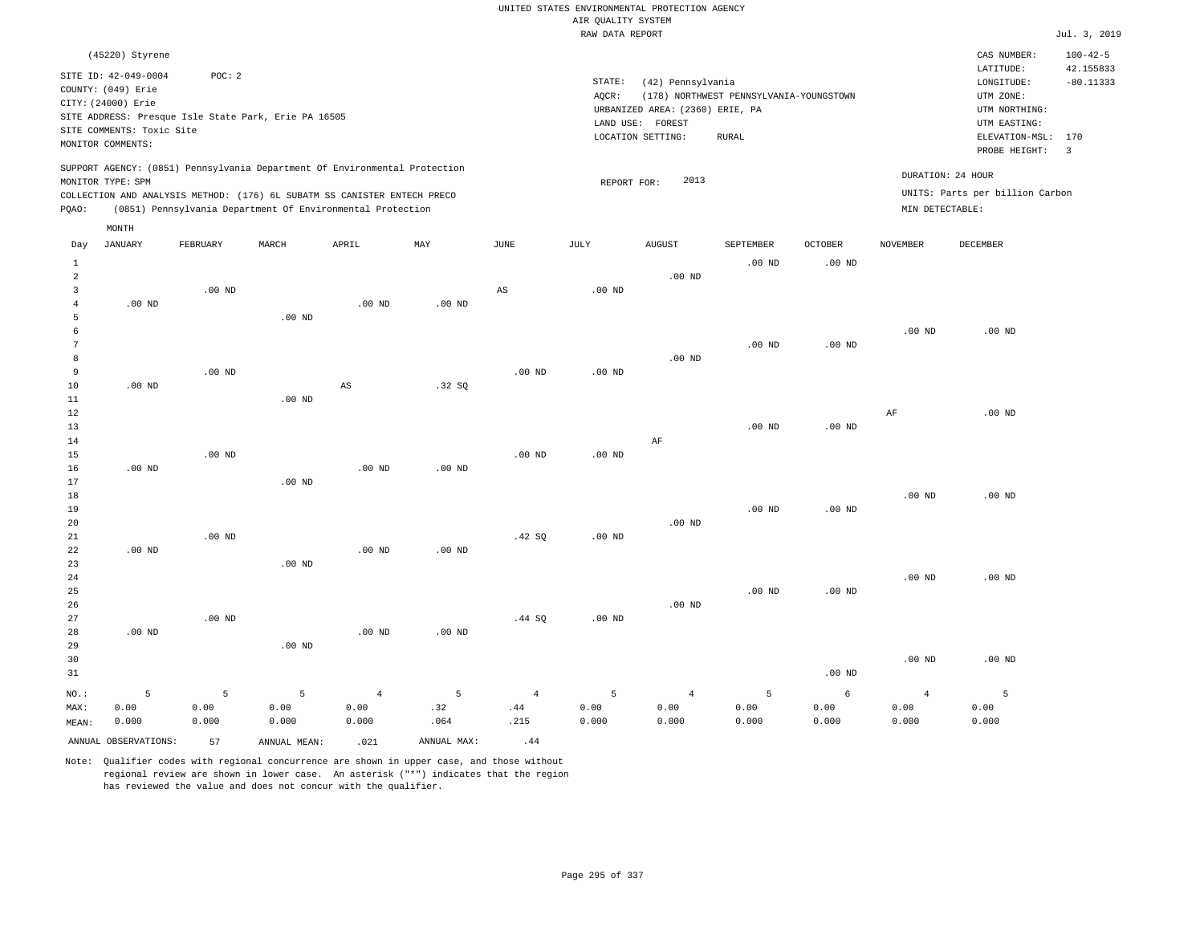|                | (45220) Styrene<br>SITE ID: 42-049-0004<br>COUNTY: (049) Erie<br>CITY: (24000) Erie<br>SITE COMMENTS: Toxic Site<br>MONITOR COMMENTS: | POC: 2    | SITE ADDRESS: Presque Isle State Park, Erie PA 16505<br>SUPPORT AGENCY: (0851) Pennsylvania Department Of Environmental Protection |                    |                       |                        | STATE:<br>AQCR:   | (42) Pennsylvania<br>URBANIZED AREA: (2360) ERIE, PA<br>LAND USE: FOREST<br>LOCATION SETTING: | (178) NORTHWEST PENNSYLVANIA-YOUNGSTOWN<br><b>RURAL</b> |                    |                        | CAS NUMBER:<br>LATITUDE:<br>LONGITUDE:<br>UTM ZONE:<br>UTM NORTHING:<br>UTM EASTING:<br>ELEVATION-MSL:<br>PROBE HEIGHT: | $100 - 42 - 5$<br>42.155833<br>$-80.11333$<br>170<br>$\overline{3}$ |
|----------------|---------------------------------------------------------------------------------------------------------------------------------------|-----------|------------------------------------------------------------------------------------------------------------------------------------|--------------------|-----------------------|------------------------|-------------------|-----------------------------------------------------------------------------------------------|---------------------------------------------------------|--------------------|------------------------|-------------------------------------------------------------------------------------------------------------------------|---------------------------------------------------------------------|
|                | MONITOR TYPE: SPM                                                                                                                     |           |                                                                                                                                    |                    |                       |                        | REPORT FOR:       | 2013                                                                                          |                                                         |                    |                        | DURATION: 24 HOUR                                                                                                       |                                                                     |
|                |                                                                                                                                       |           | COLLECTION AND ANALYSIS METHOD: (176) 6L SUBATM SS CANISTER ENTECH PRECO                                                           |                    |                       |                        |                   |                                                                                               |                                                         |                    |                        | UNITS: Parts per billion Carbon                                                                                         |                                                                     |
| PQAO:          |                                                                                                                                       |           | (0851) Pennsylvania Department Of Environmental Protection                                                                         |                    |                       |                        |                   |                                                                                               |                                                         |                    | MIN DETECTABLE:        |                                                                                                                         |                                                                     |
|                | MONTH                                                                                                                                 |           |                                                                                                                                    |                    |                       |                        |                   |                                                                                               |                                                         |                    |                        |                                                                                                                         |                                                                     |
| Day            | JANUARY                                                                                                                               | FEBRUARY  | MARCH                                                                                                                              | APRIL              | MAY                   | <b>JUNE</b>            | $_{\rm JULY}$     | AUGUST                                                                                        | SEPTEMBER                                               | OCTOBER            | <b>NOVEMBER</b>        | DECEMBER                                                                                                                |                                                                     |
| $\mathbf{1}$   |                                                                                                                                       |           |                                                                                                                                    |                    |                       |                        |                   |                                                                                               | $.00$ ND                                                | $.00$ ND           |                        |                                                                                                                         |                                                                     |
| $\overline{a}$ |                                                                                                                                       |           |                                                                                                                                    |                    |                       |                        |                   | $.00$ ND                                                                                      |                                                         |                    |                        |                                                                                                                         |                                                                     |
| 3<br>$\bf{4}$  | $.00$ ND                                                                                                                              | $.00$ ND  |                                                                                                                                    | .00 <sub>ND</sub>  | .00 <sub>ND</sub>     | $\mathbb{A}\mathbb{S}$ | .00 <sub>ND</sub> |                                                                                               |                                                         |                    |                        |                                                                                                                         |                                                                     |
| 5              |                                                                                                                                       |           | $.00$ ND                                                                                                                           |                    |                       |                        |                   |                                                                                               |                                                         |                    |                        |                                                                                                                         |                                                                     |
| 6              |                                                                                                                                       |           |                                                                                                                                    |                    |                       |                        |                   |                                                                                               |                                                         |                    | $.00$ ND               | $.00$ ND                                                                                                                |                                                                     |
| $\overline{7}$ |                                                                                                                                       |           |                                                                                                                                    |                    |                       |                        |                   |                                                                                               | $.00$ ND                                                | .00 <sub>ND</sub>  |                        |                                                                                                                         |                                                                     |
| 8              |                                                                                                                                       |           |                                                                                                                                    |                    |                       |                        |                   | $.00$ ND                                                                                      |                                                         |                    |                        |                                                                                                                         |                                                                     |
| $\overline{9}$ |                                                                                                                                       | $.00$ ND  |                                                                                                                                    |                    |                       | .00 <sub>ND</sub>      | $.00$ ND          |                                                                                               |                                                         |                    |                        |                                                                                                                         |                                                                     |
| 10             | $.00$ ND                                                                                                                              |           |                                                                                                                                    | $_{\rm AS}$        | .32S                  |                        |                   |                                                                                               |                                                         |                    |                        |                                                                                                                         |                                                                     |
| 11             |                                                                                                                                       |           | .00 <sub>ND</sub>                                                                                                                  |                    |                       |                        |                   |                                                                                               |                                                         |                    |                        |                                                                                                                         |                                                                     |
| $1\,2$         |                                                                                                                                       |           |                                                                                                                                    |                    |                       |                        |                   |                                                                                               |                                                         |                    | AF                     | .00 <sub>ND</sub>                                                                                                       |                                                                     |
| 13             |                                                                                                                                       |           |                                                                                                                                    |                    |                       |                        |                   |                                                                                               | $.00$ ND                                                | $.00$ ND           |                        |                                                                                                                         |                                                                     |
| 14<br>15       |                                                                                                                                       | $.00$ ND  |                                                                                                                                    |                    |                       | .00 <sub>ND</sub>      | .00 <sub>ND</sub> | AF                                                                                            |                                                         |                    |                        |                                                                                                                         |                                                                     |
| 16             | $.00$ ND                                                                                                                              |           |                                                                                                                                    | $.00$ ND           | $.00$ ND              |                        |                   |                                                                                               |                                                         |                    |                        |                                                                                                                         |                                                                     |
| 17             |                                                                                                                                       |           | $.00$ ND                                                                                                                           |                    |                       |                        |                   |                                                                                               |                                                         |                    |                        |                                                                                                                         |                                                                     |
| 18             |                                                                                                                                       |           |                                                                                                                                    |                    |                       |                        |                   |                                                                                               |                                                         |                    | $.00$ ND               | $.00$ ND                                                                                                                |                                                                     |
| 19             |                                                                                                                                       |           |                                                                                                                                    |                    |                       |                        |                   |                                                                                               | $.00$ ND                                                | .00 <sub>ND</sub>  |                        |                                                                                                                         |                                                                     |
| 20             |                                                                                                                                       |           |                                                                                                                                    |                    |                       |                        |                   | $.00$ ND                                                                                      |                                                         |                    |                        |                                                                                                                         |                                                                     |
| 21             |                                                                                                                                       | $.00$ ND  |                                                                                                                                    |                    |                       | .42 SQ                 | .00 <sub>ND</sub> |                                                                                               |                                                         |                    |                        |                                                                                                                         |                                                                     |
| 22             | $.00$ ND                                                                                                                              |           |                                                                                                                                    | $.00$ ND           | $.00$ ND              |                        |                   |                                                                                               |                                                         |                    |                        |                                                                                                                         |                                                                     |
| 23             |                                                                                                                                       |           | $.00$ ND                                                                                                                           |                    |                       |                        |                   |                                                                                               |                                                         |                    |                        |                                                                                                                         |                                                                     |
| 24             |                                                                                                                                       |           |                                                                                                                                    |                    |                       |                        |                   |                                                                                               |                                                         |                    | $.00$ ND               | $.00$ ND                                                                                                                |                                                                     |
| 25             |                                                                                                                                       |           |                                                                                                                                    |                    |                       |                        |                   |                                                                                               | $.00$ ND                                                | .00 <sub>ND</sub>  |                        |                                                                                                                         |                                                                     |
| 26<br>27       |                                                                                                                                       | $.00$ ND  |                                                                                                                                    |                    |                       | .44 S0                 | $.00$ ND          | $.00$ ND                                                                                      |                                                         |                    |                        |                                                                                                                         |                                                                     |
| 28             | .00 <sub>ND</sub>                                                                                                                     |           |                                                                                                                                    | .00 <sub>ND</sub>  | .00 <sub>ND</sub>     |                        |                   |                                                                                               |                                                         |                    |                        |                                                                                                                         |                                                                     |
| 29             |                                                                                                                                       |           | .00 <sub>ND</sub>                                                                                                                  |                    |                       |                        |                   |                                                                                               |                                                         |                    |                        |                                                                                                                         |                                                                     |
| 30             |                                                                                                                                       |           |                                                                                                                                    |                    |                       |                        |                   |                                                                                               |                                                         |                    | $.00$ ND               | $.00$ ND                                                                                                                |                                                                     |
| 31             |                                                                                                                                       |           |                                                                                                                                    |                    |                       |                        |                   |                                                                                               |                                                         | $.00$ ND           |                        |                                                                                                                         |                                                                     |
|                |                                                                                                                                       |           |                                                                                                                                    |                    |                       |                        |                   |                                                                                               |                                                         |                    |                        |                                                                                                                         |                                                                     |
| NO.:<br>MAX:   | 5<br>0.00                                                                                                                             | 5<br>0.00 | 5<br>0.00                                                                                                                          | $\sqrt{4}$<br>0.00 | $\overline{5}$<br>.32 | $\overline{4}$<br>.44  | 5<br>0.00         | $\bf{4}$<br>0.00                                                                              | 5<br>0.00                                               | $\epsilon$<br>0.00 | $\overline{4}$<br>0.00 | $\overline{5}$<br>0.00                                                                                                  |                                                                     |
| MEAN:          | 0.000                                                                                                                                 | 0.000     | 0.000                                                                                                                              | 0.000              | .064                  | .215                   | 0.000             | 0.000                                                                                         | 0.000                                                   | 0.000              | 0.000                  | 0.000                                                                                                                   |                                                                     |
|                |                                                                                                                                       |           |                                                                                                                                    |                    |                       |                        |                   |                                                                                               |                                                         |                    |                        |                                                                                                                         |                                                                     |
|                | ANNUAL OBSERVATIONS:                                                                                                                  | 57        | ANNUAL MEAN:                                                                                                                       | .021               | ANNUAL MAX:           | .44                    |                   |                                                                                               |                                                         |                    |                        |                                                                                                                         |                                                                     |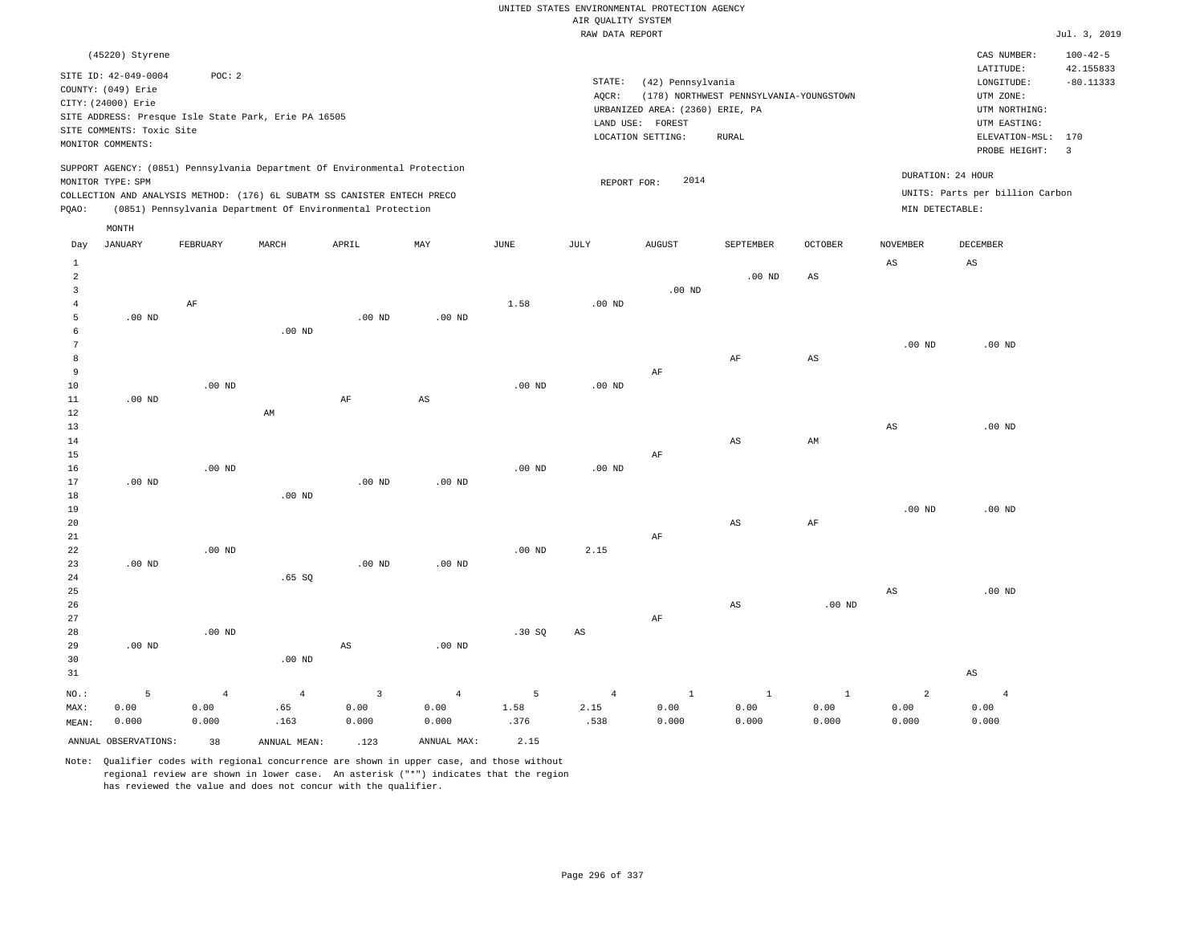|                                                  | (45220) Styrene<br>SITE ID: 42-049-0004<br>COUNTY: (049) Erie<br>CITY: (24000) Erie<br>SITE COMMENTS: Toxic Site<br>MONITOR COMMENTS: | POC: 2            | SITE ADDRESS: Presque Isle State Park, Erie PA 16505                                                                                                                                                                 |                        |                   |                   | STATE:<br>AQCR:        | (42) Pennsylvania<br>URBANIZED AREA: (2360) ERIE, PA<br>LAND USE: FOREST<br>LOCATION SETTING: | (178) NORTHWEST PENNSYLVANIA-YOUNGSTOWN<br><b>RURAL</b> |              |                                      | CAS NUMBER:<br>LATITUDE:<br>LONGITUDE:<br>UTM ZONE:<br>UTM NORTHING:<br>UTM EASTING:<br>ELEVATION-MSL: 170 | $100 - 42 - 5$<br>42.155833<br>$-80.11333$ |
|--------------------------------------------------|---------------------------------------------------------------------------------------------------------------------------------------|-------------------|----------------------------------------------------------------------------------------------------------------------------------------------------------------------------------------------------------------------|------------------------|-------------------|-------------------|------------------------|-----------------------------------------------------------------------------------------------|---------------------------------------------------------|--------------|--------------------------------------|------------------------------------------------------------------------------------------------------------|--------------------------------------------|
| PQAO:                                            | MONITOR TYPE: SPM                                                                                                                     |                   | SUPPORT AGENCY: (0851) Pennsylvania Department Of Environmental Protection<br>COLLECTION AND ANALYSIS METHOD: (176) 6L SUBATM SS CANISTER ENTECH PRECO<br>(0851) Pennsylvania Department Of Environmental Protection |                        |                   |                   | REPORT FOR:            | 2014                                                                                          |                                                         |              | DURATION: 24 HOUR<br>MIN DETECTABLE: | PROBE HEIGHT:<br>UNITS: Parts per billion Carbon                                                           | $\overline{\mathbf{3}}$                    |
|                                                  | MONTH                                                                                                                                 |                   |                                                                                                                                                                                                                      |                        |                   |                   |                        |                                                                                               |                                                         |              |                                      |                                                                                                            |                                            |
| Day                                              | <b>JANUARY</b>                                                                                                                        | FEBRUARY          | MARCH                                                                                                                                                                                                                | APRIL                  | MAY               | JUNE              | JULY                   | <b>AUGUST</b>                                                                                 | SEPTEMBER                                               | OCTOBER      | <b>NOVEMBER</b>                      | <b>DECEMBER</b>                                                                                            |                                            |
| $\mathbf{1}$<br>$\overline{a}$<br>$\overline{3}$ |                                                                                                                                       |                   |                                                                                                                                                                                                                      |                        |                   |                   |                        | $.00$ ND                                                                                      | $.00$ ND                                                | $_{\rm AS}$  | $_{\rm AS}$                          | $\mathbb{A}\mathbb{S}$                                                                                     |                                            |
| $\overline{4}$                                   |                                                                                                                                       | $\rm{AF}$         |                                                                                                                                                                                                                      |                        |                   | 1.58              | .00 <sub>ND</sub>      |                                                                                               |                                                         |              |                                      |                                                                                                            |                                            |
| 5<br>6<br>$\overline{7}$                         | $.00$ ND                                                                                                                              |                   | $.00$ ND                                                                                                                                                                                                             | $.00$ ND               | $.00$ ND          |                   |                        |                                                                                               |                                                         |              | .00 <sub>ND</sub>                    | $.00$ ND                                                                                                   |                                            |
| 8                                                |                                                                                                                                       |                   |                                                                                                                                                                                                                      |                        |                   |                   |                        |                                                                                               | $\rm AF$                                                | $_{\rm AS}$  |                                      |                                                                                                            |                                            |
| $\overline{9}$                                   |                                                                                                                                       |                   |                                                                                                                                                                                                                      |                        |                   |                   |                        | $\rm AF$                                                                                      |                                                         |              |                                      |                                                                                                            |                                            |
| 10<br>11                                         | $.00$ ND                                                                                                                              | $.00$ ND          |                                                                                                                                                                                                                      | AF                     |                   | $.00$ ND          | .00 <sub>ND</sub>      |                                                                                               |                                                         |              |                                      |                                                                                                            |                                            |
| 12                                               |                                                                                                                                       |                   | AM                                                                                                                                                                                                                   |                        | AS                |                   |                        |                                                                                               |                                                         |              |                                      |                                                                                                            |                                            |
| 13                                               |                                                                                                                                       |                   |                                                                                                                                                                                                                      |                        |                   |                   |                        |                                                                                               |                                                         |              | $_{\rm AS}$                          | $.00$ ND                                                                                                   |                                            |
| 14                                               |                                                                                                                                       |                   |                                                                                                                                                                                                                      |                        |                   |                   |                        |                                                                                               | AS                                                      | AM           |                                      |                                                                                                            |                                            |
| 15                                               |                                                                                                                                       |                   |                                                                                                                                                                                                                      |                        |                   |                   |                        | AF                                                                                            |                                                         |              |                                      |                                                                                                            |                                            |
| 16                                               |                                                                                                                                       | $.00$ ND          |                                                                                                                                                                                                                      |                        |                   | $.00$ ND          | $.00$ ND               |                                                                                               |                                                         |              |                                      |                                                                                                            |                                            |
| 17<br>18                                         | $.00$ ND                                                                                                                              |                   | .00 <sub>ND</sub>                                                                                                                                                                                                    | $.00$ ND               | $.00$ ND          |                   |                        |                                                                                               |                                                         |              |                                      |                                                                                                            |                                            |
| 19                                               |                                                                                                                                       |                   |                                                                                                                                                                                                                      |                        |                   |                   |                        |                                                                                               |                                                         |              | .00 <sub>ND</sub>                    | $.00$ ND                                                                                                   |                                            |
| 20                                               |                                                                                                                                       |                   |                                                                                                                                                                                                                      |                        |                   |                   |                        |                                                                                               | AS                                                      | $\rm{AF}$    |                                      |                                                                                                            |                                            |
| 21                                               |                                                                                                                                       |                   |                                                                                                                                                                                                                      |                        |                   |                   |                        | AF                                                                                            |                                                         |              |                                      |                                                                                                            |                                            |
| 22                                               |                                                                                                                                       | .00 <sub>ND</sub> |                                                                                                                                                                                                                      |                        |                   | .00 <sub>ND</sub> | 2.15                   |                                                                                               |                                                         |              |                                      |                                                                                                            |                                            |
| 23<br>24                                         | .00 <sub>ND</sub>                                                                                                                     |                   | .65 SQ                                                                                                                                                                                                               | $.00$ ND               | .00 <sub>ND</sub> |                   |                        |                                                                                               |                                                         |              |                                      |                                                                                                            |                                            |
| 25                                               |                                                                                                                                       |                   |                                                                                                                                                                                                                      |                        |                   |                   |                        |                                                                                               |                                                         |              | $_{\rm AS}$                          | $.00$ ND                                                                                                   |                                            |
| 26                                               |                                                                                                                                       |                   |                                                                                                                                                                                                                      |                        |                   |                   |                        |                                                                                               | AS                                                      | $.00$ ND     |                                      |                                                                                                            |                                            |
| 27                                               |                                                                                                                                       |                   |                                                                                                                                                                                                                      |                        |                   |                   |                        | AF                                                                                            |                                                         |              |                                      |                                                                                                            |                                            |
| 28                                               |                                                                                                                                       | $.00$ ND          |                                                                                                                                                                                                                      |                        |                   | .30 SQ            | $\mathbb{A}\mathbb{S}$ |                                                                                               |                                                         |              |                                      |                                                                                                            |                                            |
| 29                                               | $.00$ ND                                                                                                                              |                   |                                                                                                                                                                                                                      | $\mathbb{A}\mathbb{S}$ | $.00$ ND          |                   |                        |                                                                                               |                                                         |              |                                      |                                                                                                            |                                            |
| 30<br>31                                         |                                                                                                                                       |                   | $.00$ ND                                                                                                                                                                                                             |                        |                   |                   |                        |                                                                                               |                                                         |              |                                      | $\mathbb{A}\mathbb{S}$                                                                                     |                                            |
| $NO.$ :                                          | 5                                                                                                                                     | $\overline{4}$    | $\overline{4}$                                                                                                                                                                                                       | $\overline{3}$         | $\overline{4}$    | 5                 | $\overline{4}$         | $\mathbf{1}$                                                                                  | $\mathbf{1}$                                            | $\mathbf{1}$ | $\overline{2}$                       | $\overline{4}$                                                                                             |                                            |
| MAX:                                             | 0.00                                                                                                                                  | 0.00              | .65                                                                                                                                                                                                                  | 0.00                   | 0.00              | 1.58              | 2.15                   | 0.00                                                                                          | 0.00                                                    | 0.00         | 0.00                                 | 0.00                                                                                                       |                                            |
| MEAN:                                            | 0.000                                                                                                                                 | 0.000             | .163                                                                                                                                                                                                                 | 0.000                  | 0.000             | .376              | .538                   | 0.000                                                                                         | 0.000                                                   | 0.000        | 0.000                                | 0.000                                                                                                      |                                            |
|                                                  | ANNUAL OBSERVATIONS:                                                                                                                  | 38                | ANNUAL MEAN:                                                                                                                                                                                                         | .123                   | ANNUAL MAX:       | 2.15              |                        |                                                                                               |                                                         |              |                                      |                                                                                                            |                                            |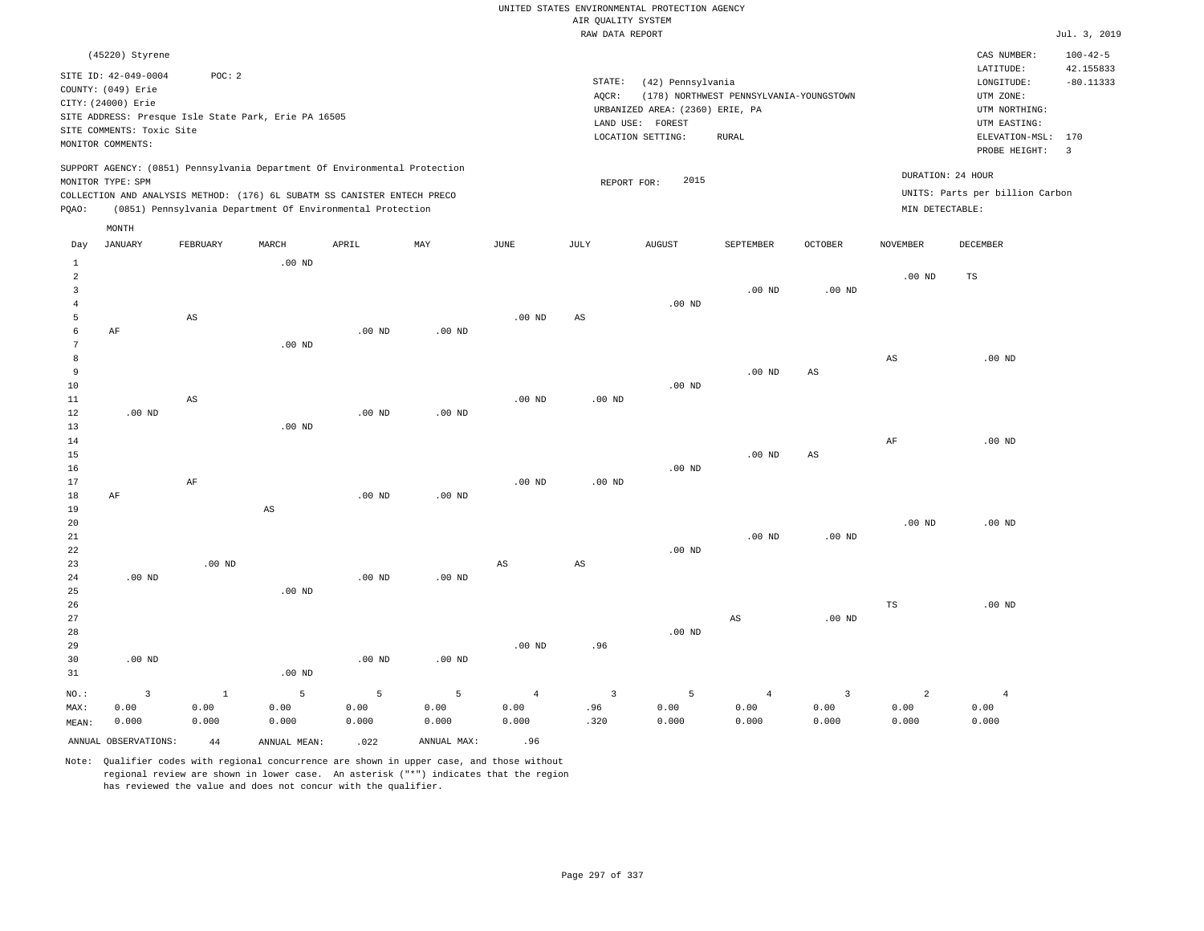|                | (45220) Styrene           |                                                      |          |                                                                            |                   |          |      |                                 |                                         |          |                   | CAS NUMBER:                     | $100 - 42 - 5$          |
|----------------|---------------------------|------------------------------------------------------|----------|----------------------------------------------------------------------------|-------------------|----------|------|---------------------------------|-----------------------------------------|----------|-------------------|---------------------------------|-------------------------|
|                | SITE ID: 42-049-0004      | POC:2                                                |          |                                                                            |                   |          |      |                                 |                                         |          |                   | LATITUDE:                       | 42.155833               |
|                | COUNTY: (049) Erie        |                                                      |          |                                                                            |                   |          |      | STATE:<br>(42) Pennsylvania     |                                         |          |                   | LONGITUDE:                      | $-80.11333$             |
|                | CITY: (24000) Erie        |                                                      |          |                                                                            |                   |          |      | AQCR:                           | (178) NORTHWEST PENNSYLVANIA-YOUNGSTOWN |          |                   | UTM ZONE:                       |                         |
|                |                           | SITE ADDRESS: Presque Isle State Park, Erie PA 16505 |          |                                                                            |                   |          |      | URBANIZED AREA: (2360) ERIE, PA |                                         |          |                   | UTM NORTHING:                   |                         |
|                | SITE COMMENTS: Toxic Site |                                                      |          |                                                                            |                   |          |      | LAND USE:<br>FOREST             |                                         |          |                   | UTM EASTING:                    |                         |
|                | MONITOR COMMENTS:         |                                                      |          |                                                                            |                   |          |      | LOCATION SETTING:               | <b>RURAL</b>                            |          |                   | ELEVATION-MSL: 170              |                         |
|                |                           |                                                      |          |                                                                            |                   |          |      |                                 |                                         |          |                   | PROBE HEIGHT:                   | $\overline{\mathbf{3}}$ |
|                | MONITOR TYPE: SPM         |                                                      |          | SUPPORT AGENCY: (0851) Pennsylvania Department Of Environmental Protection |                   |          |      | 2015<br>REPORT FOR:             |                                         |          | DURATION: 24 HOUR |                                 |                         |
|                |                           |                                                      |          | COLLECTION AND ANALYSIS METHOD: (176) 6L SUBATM SS CANISTER ENTECH PRECO   |                   |          |      |                                 |                                         |          |                   | UNITS: Parts per billion Carbon |                         |
| POAO:          |                           |                                                      |          | (0851) Pennsylvania Department Of Environmental Protection                 |                   |          |      |                                 |                                         |          | MIN DETECTABLE:   |                                 |                         |
|                | MONTH                     |                                                      |          |                                                                            |                   |          |      |                                 |                                         |          |                   |                                 |                         |
| Day            | JANUARY                   | FEBRUARY                                             | MARCH    | APRIL                                                                      | MAY               | JUNE     | JULY | <b>AUGUST</b>                   | SEPTEMBER                               | OCTOBER  | <b>NOVEMBER</b>   | DECEMBER                        |                         |
|                |                           |                                                      | $.00$ ND |                                                                            |                   |          |      |                                 |                                         |          |                   |                                 |                         |
| $\overline{2}$ |                           |                                                      |          |                                                                            |                   |          |      |                                 |                                         |          | $.00$ ND          | TS                              |                         |
|                |                           |                                                      |          |                                                                            |                   |          |      |                                 | $.00$ ND                                | $.00$ ND |                   |                                 |                         |
|                |                           |                                                      |          |                                                                            |                   |          |      | $.00$ ND                        |                                         |          |                   |                                 |                         |
|                |                           | AS                                                   |          |                                                                            |                   | $.00$ ND | AS   |                                 |                                         |          |                   |                                 |                         |
| -6             | AF                        |                                                      |          | .00 <sub>ND</sub>                                                          | .00 <sub>ND</sub> |          |      |                                 |                                         |          |                   |                                 |                         |

| $\mathcal{L}$ |          | $.00$ ND |          |          |          |          |          |                   |    |    |                   |
|---------------|----------|----------|----------|----------|----------|----------|----------|-------------------|----|----|-------------------|
| 8             |          |          |          |          |          |          |          |                   |    | AS | .00 <sub>ND</sub> |
| 9             |          |          |          |          |          |          |          | .00 <sub>ND</sub> | AS |    |                   |
| 10            |          |          |          |          |          |          | $.00$ ND |                   |    |    |                   |
| 11            | AS       |          |          |          | $.00$ ND | $.00$ ND |          |                   |    |    |                   |
| 12            | $.00$ ND |          | $.00$ ND | $.00$ ND |          |          |          |                   |    |    |                   |

| 13     | $.00$ ND |                             |                                   |          |          |    |    |          |
|--------|----------|-----------------------------|-----------------------------------|----------|----------|----|----|----------|
| 14     |          |                             |                                   |          |          |    | AF | $.00$ ND |
| 15     |          |                             |                                   |          | $.00$ ND | AS |    |          |
| 16     |          |                             |                                   | $.00$ ND |          |    |    |          |
| $\sim$ |          | $\sim$ $\sim$ $\sim$ $\sim$ | <b>Contract Contract Contract</b> |          |          |    |    |          |

| 17 |          | AF       |          |          |          | .00 ND | .00 ND |          |          |          |          |          |
|----|----------|----------|----------|----------|----------|--------|--------|----------|----------|----------|----------|----------|
| 18 | AF       |          |          | $.00$ ND | $.00$ ND |        |        |          |          |          |          |          |
| 19 |          |          | AS       |          |          |        |        |          |          |          |          |          |
| 20 |          |          |          |          |          |        |        |          |          |          | $.00$ ND | $.00$ ND |
| 21 |          |          |          |          |          |        |        |          | $.00$ ND | $.00$ ND |          |          |
| 22 |          |          |          |          |          |        |        | $.00$ ND |          |          |          |          |
| 23 |          | $.00$ ND |          |          |          | AS     | AS     |          |          |          |          |          |
| 24 | $.00$ ND |          |          | $.00$ ND | $.00$ ND |        |        |          |          |          |          |          |
| 25 |          |          | $.00$ ND |          |          |        |        |          |          |          |          |          |
| 26 |          |          |          |          |          |        |        |          |          |          | TS       | $.00$ ND |

| 27    |          |       |          |          |          |          |      |          | AS    | $.00$ ND |       |       |
|-------|----------|-------|----------|----------|----------|----------|------|----------|-------|----------|-------|-------|
| 28    |          |       |          |          |          |          |      | $.00$ ND |       |          |       |       |
| 29    |          |       |          |          |          | $.00$ ND | .96  |          |       |          |       |       |
| 30    | $.00$ ND |       |          | $.00$ ND | $.00$ ND |          |      |          |       |          |       |       |
| 31    |          |       | $.00$ ND |          |          |          |      |          |       |          |       |       |
| NO.:  |          |       | 5        | 5        |          | -4       |      | Б.       |       |          |       |       |
| : MAX | 0.00     | 0.00  | 0.00     | 0.00     | 0.00     | 0.00     | .96  | 0.00     | 0.00  | 0.00     | 0.00  | 0.00  |
| MEAN: | 0.000    | 0.000 | 0.000    | 0.000    | 0.000    | 0.000    | .320 | 0.000    | 0.000 | 0.000    | 0.000 | 0.000 |

ANNUAL OBSERVATIONS:  $44$  ANNUAL MEAN: .022 ANNUAL MAX: .96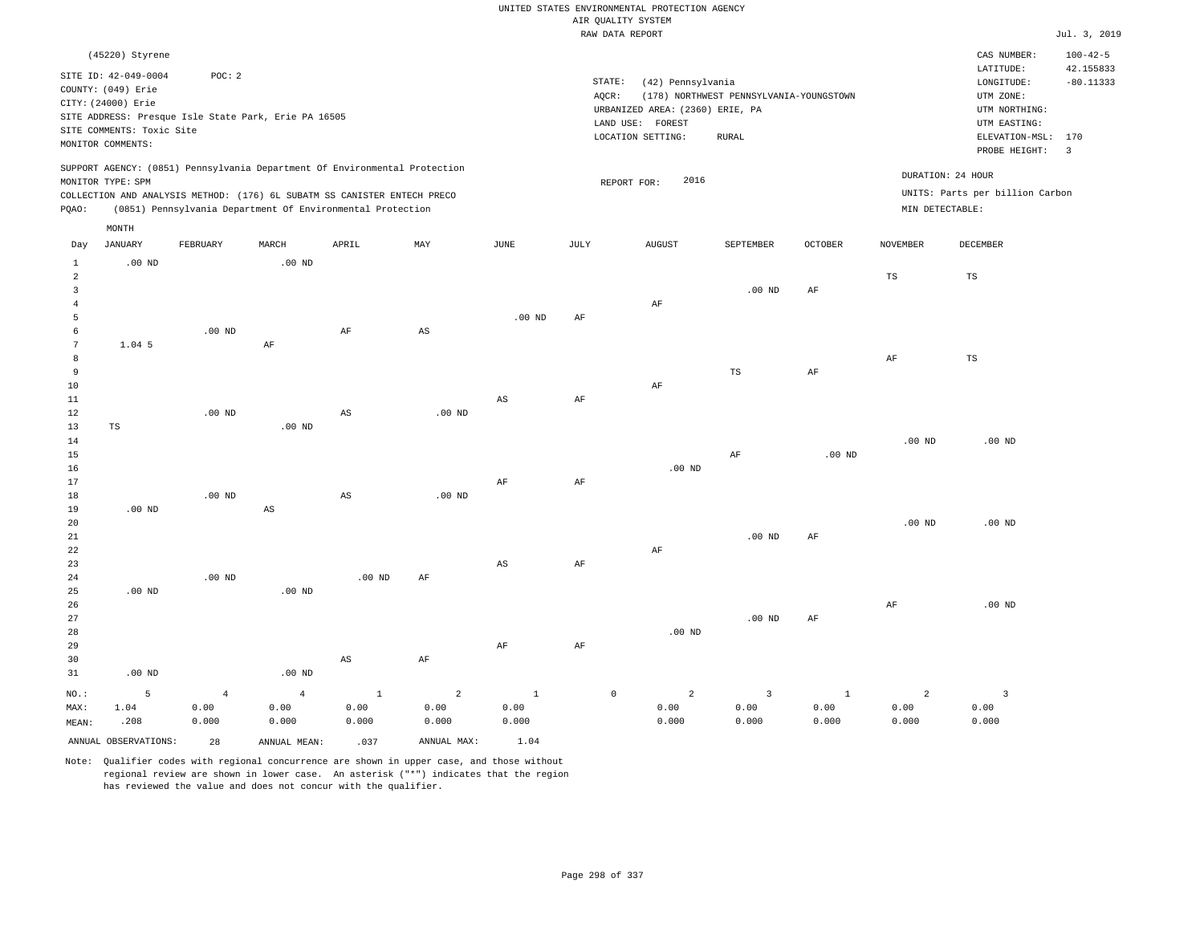|                                                           | (45220) Styrene<br>SITE ID: 42-049-0004<br>COUNTY: (049) Erie<br>CITY: (24000) Erie<br>SITE COMMENTS: Toxic Site<br>MONITOR COMMENTS: | POC: 2         | SITE ADDRESS: Presque Isle State Park, Erie PA 16505                                                                                                                                                                 |                        |                        |                        | STATE:<br>AQCR: | (42) Pennsylvania<br>URBANIZED AREA: (2360) ERIE, PA<br>LAND USE: FOREST<br>LOCATION SETTING: | (178) NORTHWEST PENNSYLVANIA-YOUNGSTOWN<br><b>RURAL</b> |              |                                      | CAS NUMBER:<br>LATITUDE:<br>LONGITUDE:<br>UTM ZONE:<br>UTM NORTHING:<br>UTM EASTING:<br>ELEVATION-MSL: 170<br>PROBE HEIGHT: | $100 - 42 - 5$<br>42.155833<br>$-80.11333$<br>$\overline{3}$ |
|-----------------------------------------------------------|---------------------------------------------------------------------------------------------------------------------------------------|----------------|----------------------------------------------------------------------------------------------------------------------------------------------------------------------------------------------------------------------|------------------------|------------------------|------------------------|-----------------|-----------------------------------------------------------------------------------------------|---------------------------------------------------------|--------------|--------------------------------------|-----------------------------------------------------------------------------------------------------------------------------|--------------------------------------------------------------|
| PQAO:                                                     | MONITOR TYPE: SPM                                                                                                                     |                | SUPPORT AGENCY: (0851) Pennsylvania Department Of Environmental Protection<br>COLLECTION AND ANALYSIS METHOD: (176) 6L SUBATM SS CANISTER ENTECH PRECO<br>(0851) Pennsylvania Department Of Environmental Protection |                        |                        |                        |                 | 2016<br>REPORT FOR:                                                                           |                                                         |              | DURATION: 24 HOUR<br>MIN DETECTABLE: | UNITS: Parts per billion Carbon                                                                                             |                                                              |
|                                                           | MONTH                                                                                                                                 |                |                                                                                                                                                                                                                      |                        |                        |                        |                 |                                                                                               |                                                         |              |                                      |                                                                                                                             |                                                              |
| Day                                                       | <b>JANUARY</b>                                                                                                                        | FEBRUARY       | MARCH                                                                                                                                                                                                                | APRIL                  | MAY                    | <b>JUNE</b>            | JULY            | <b>AUGUST</b>                                                                                 | SEPTEMBER                                               | OCTOBER      | <b>NOVEMBER</b>                      | DECEMBER                                                                                                                    |                                                              |
| $\mathbf{1}$<br>$\overline{a}$<br>$\overline{\mathbf{3}}$ | $.00$ ND                                                                                                                              |                | $.00$ ND                                                                                                                                                                                                             |                        |                        |                        |                 |                                                                                               | $.00$ ND                                                | AF           | $_{\rm TS}$                          | $\mathbb{TS}$                                                                                                               |                                                              |
| $\overline{4}$                                            |                                                                                                                                       |                |                                                                                                                                                                                                                      |                        |                        |                        |                 | AF                                                                                            |                                                         |              |                                      |                                                                                                                             |                                                              |
| 5                                                         |                                                                                                                                       |                |                                                                                                                                                                                                                      |                        |                        | $.00$ ND               | AF              |                                                                                               |                                                         |              |                                      |                                                                                                                             |                                                              |
| 6                                                         |                                                                                                                                       | $.00$ ND       |                                                                                                                                                                                                                      | $\rm{AF}$              | $\mathbb{A}\mathbb{S}$ |                        |                 |                                                                                               |                                                         |              |                                      |                                                                                                                             |                                                              |
| $7\phantom{.0}$<br>8                                      | $1.04$ 5                                                                                                                              |                | $\rm AF$                                                                                                                                                                                                             |                        |                        |                        |                 |                                                                                               |                                                         |              | $\rm{AF}$                            | $\mathbb{TS}$                                                                                                               |                                                              |
| 9                                                         |                                                                                                                                       |                |                                                                                                                                                                                                                      |                        |                        |                        |                 |                                                                                               | $_{\rm TS}$                                             | AF           |                                      |                                                                                                                             |                                                              |
| $10$                                                      |                                                                                                                                       |                |                                                                                                                                                                                                                      |                        |                        |                        |                 | $\rm AF$                                                                                      |                                                         |              |                                      |                                                                                                                             |                                                              |
| 11                                                        |                                                                                                                                       |                |                                                                                                                                                                                                                      |                        |                        | $\mathbb{A}\mathbb{S}$ | $\rm{AF}$       |                                                                                               |                                                         |              |                                      |                                                                                                                             |                                                              |
| 12                                                        |                                                                                                                                       | $.00$ ND       |                                                                                                                                                                                                                      | AS                     | $.00$ ND               |                        |                 |                                                                                               |                                                         |              |                                      |                                                                                                                             |                                                              |
| 13<br>14                                                  | TS                                                                                                                                    |                | .00 <sub>ND</sub>                                                                                                                                                                                                    |                        |                        |                        |                 |                                                                                               |                                                         |              | .00 <sub>ND</sub>                    | $.00$ ND                                                                                                                    |                                                              |
| 15                                                        |                                                                                                                                       |                |                                                                                                                                                                                                                      |                        |                        |                        |                 |                                                                                               | AF                                                      | $.00$ ND     |                                      |                                                                                                                             |                                                              |
| 16                                                        |                                                                                                                                       |                |                                                                                                                                                                                                                      |                        |                        |                        |                 | $.00$ ND                                                                                      |                                                         |              |                                      |                                                                                                                             |                                                              |
| 17                                                        |                                                                                                                                       |                |                                                                                                                                                                                                                      |                        |                        | AF                     | AF              |                                                                                               |                                                         |              |                                      |                                                                                                                             |                                                              |
| 18                                                        |                                                                                                                                       | $.00$ ND       |                                                                                                                                                                                                                      | $\mathbb{A}\mathbb{S}$ | .00 <sub>ND</sub>      |                        |                 |                                                                                               |                                                         |              |                                      |                                                                                                                             |                                                              |
| 19                                                        | $.00$ ND                                                                                                                              |                | $\mathbb{A}\mathbb{S}$                                                                                                                                                                                               |                        |                        |                        |                 |                                                                                               |                                                         |              |                                      |                                                                                                                             |                                                              |
| 20<br>21                                                  |                                                                                                                                       |                |                                                                                                                                                                                                                      |                        |                        |                        |                 |                                                                                               | $.00$ ND                                                | AF           | .00 <sub>ND</sub>                    | $.00$ ND                                                                                                                    |                                                              |
| 22                                                        |                                                                                                                                       |                |                                                                                                                                                                                                                      |                        |                        |                        |                 | AF                                                                                            |                                                         |              |                                      |                                                                                                                             |                                                              |
| 23                                                        |                                                                                                                                       |                |                                                                                                                                                                                                                      |                        |                        | $_{\rm AS}$            | AF              |                                                                                               |                                                         |              |                                      |                                                                                                                             |                                                              |
| 24                                                        |                                                                                                                                       | $.00$ ND       |                                                                                                                                                                                                                      | .00 <sub>ND</sub>      | AF                     |                        |                 |                                                                                               |                                                         |              |                                      |                                                                                                                             |                                                              |
| 25                                                        | $.00$ ND                                                                                                                              |                | $.00$ ND                                                                                                                                                                                                             |                        |                        |                        |                 |                                                                                               |                                                         |              |                                      |                                                                                                                             |                                                              |
| 26<br>27                                                  |                                                                                                                                       |                |                                                                                                                                                                                                                      |                        |                        |                        |                 |                                                                                               | $.00$ ND                                                | $\rm AF$     | $\rm AF$                             | $.00$ ND                                                                                                                    |                                                              |
| 28                                                        |                                                                                                                                       |                |                                                                                                                                                                                                                      |                        |                        |                        |                 | $.00$ ND                                                                                      |                                                         |              |                                      |                                                                                                                             |                                                              |
| 29                                                        |                                                                                                                                       |                |                                                                                                                                                                                                                      |                        |                        | AF                     | AF              |                                                                                               |                                                         |              |                                      |                                                                                                                             |                                                              |
| 30                                                        |                                                                                                                                       |                |                                                                                                                                                                                                                      | $_{\rm AS}$            | $\rm{AF}$              |                        |                 |                                                                                               |                                                         |              |                                      |                                                                                                                             |                                                              |
| 31                                                        | $.00$ ND                                                                                                                              |                | $.00$ ND                                                                                                                                                                                                             |                        |                        |                        |                 |                                                                                               |                                                         |              |                                      |                                                                                                                             |                                                              |
| NO.:                                                      | 5                                                                                                                                     | $\overline{4}$ | $\overline{4}$                                                                                                                                                                                                       | $\mathbf{1}$           | 2                      | $\mathbf{1}$           | $\mathbb O$     | $\overline{a}$                                                                                | $\overline{3}$                                          | $\mathbf{1}$ | 2                                    | $\overline{3}$                                                                                                              |                                                              |
| MAX:                                                      | 1.04                                                                                                                                  | 0.00           | 0.00                                                                                                                                                                                                                 | 0.00                   | 0.00                   | 0.00                   |                 | 0.00                                                                                          | 0.00                                                    | 0.00         | 0.00                                 | 0.00                                                                                                                        |                                                              |
| MEAN:                                                     | .208                                                                                                                                  | 0.000          | 0.000                                                                                                                                                                                                                | 0.000                  | 0.000                  | 0.000                  |                 | 0.000                                                                                         | 0.000                                                   | 0.000        | 0.000                                | 0.000                                                                                                                       |                                                              |
|                                                           | ANNUAL OBSERVATIONS:                                                                                                                  | 28             | ANNUAL MEAN:                                                                                                                                                                                                         | .037                   | ANNUAL MAX:            | 1.04                   |                 |                                                                                               |                                                         |              |                                      |                                                                                                                             |                                                              |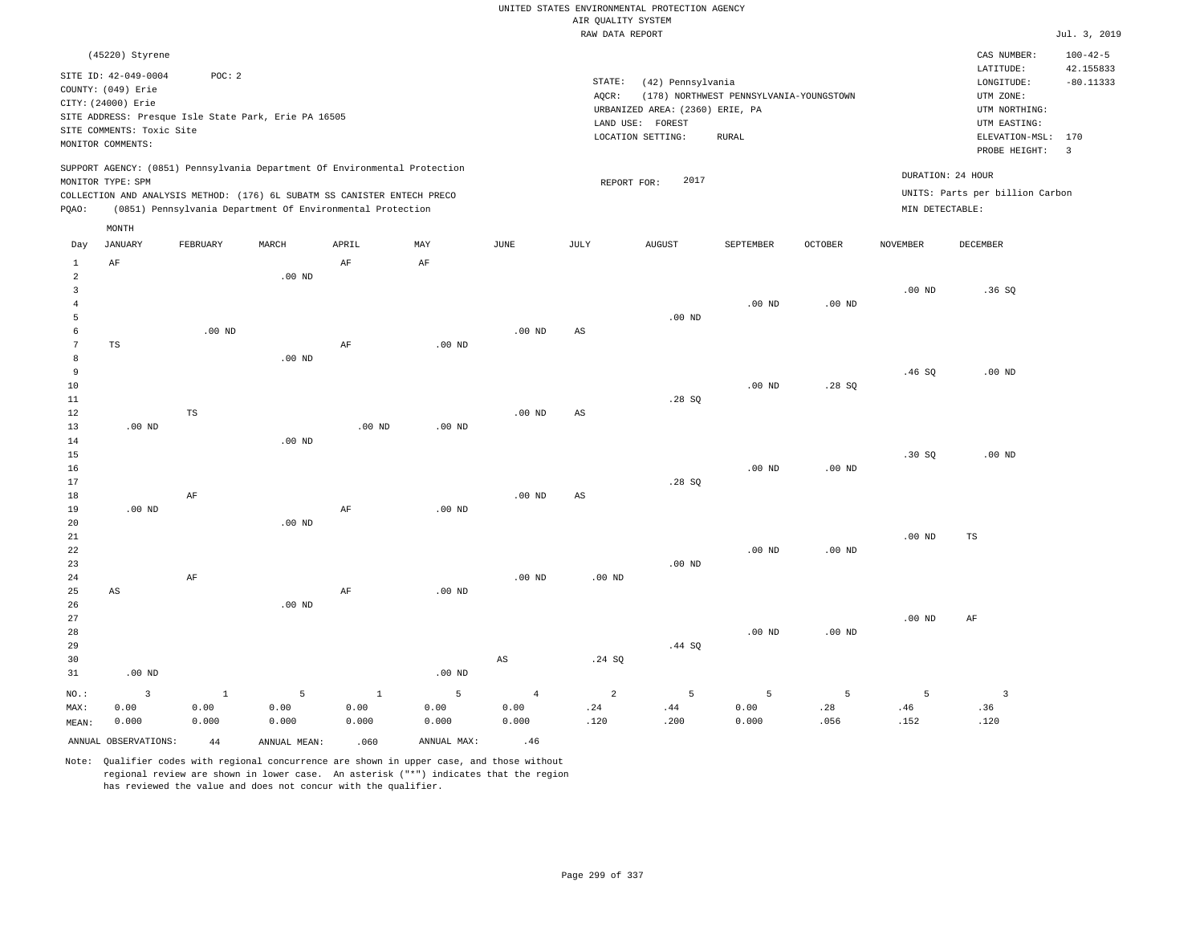|                                  | (45220) Styrene<br>SITE ID: 42-049-0004<br>COUNTY: (049) Erie<br>CITY: (24000) Erie | POC: 2       |                                                                            |              |                   |                        | STATE:<br>AQCR:        | (42) Pennsylvania<br>URBANIZED AREA: (2360) ERIE, PA | (178) NORTHWEST PENNSYLVANIA-YOUNGSTOWN |                   |                   | CAS NUMBER:<br>LATITUDE:<br>LONGITUDE:<br>UTM ZONE:<br>UTM NORTHING: | $100 - 42 - 5$<br>42.155833<br>$-80.11333$ |
|----------------------------------|-------------------------------------------------------------------------------------|--------------|----------------------------------------------------------------------------|--------------|-------------------|------------------------|------------------------|------------------------------------------------------|-----------------------------------------|-------------------|-------------------|----------------------------------------------------------------------|--------------------------------------------|
|                                  | SITE COMMENTS: Toxic Site<br>MONITOR COMMENTS:                                      |              | SITE ADDRESS: Presque Isle State Park, Erie PA 16505                       |              |                   |                        | LAND USE:              | FOREST<br>LOCATION SETTING:                          | <b>RURAL</b>                            |                   |                   | UTM EASTING:<br>ELEVATION-MSL: 170<br>PROBE HEIGHT:                  | $\overline{3}$                             |
|                                  | MONITOR TYPE: SPM                                                                   |              | SUPPORT AGENCY: (0851) Pennsylvania Department Of Environmental Protection |              |                   |                        | REPORT FOR:            | 2017                                                 |                                         |                   |                   | DURATION: 24 HOUR                                                    |                                            |
|                                  |                                                                                     |              | COLLECTION AND ANALYSIS METHOD: (176) 6L SUBATM SS CANISTER ENTECH PRECO   |              |                   |                        |                        |                                                      |                                         |                   |                   | UNITS: Parts per billion Carbon                                      |                                            |
| PQAO:                            |                                                                                     |              | (0851) Pennsylvania Department Of Environmental Protection                 |              |                   |                        |                        |                                                      |                                         |                   | MIN DETECTABLE:   |                                                                      |                                            |
|                                  | MONTH                                                                               |              |                                                                            |              |                   |                        |                        |                                                      |                                         |                   |                   |                                                                      |                                            |
| Day                              | <b>JANUARY</b>                                                                      | FEBRUARY     | MARCH                                                                      | APRIL        | MAY               | JUNE                   | JULY                   | <b>AUGUST</b>                                        | SEPTEMBER                               | <b>OCTOBER</b>    | <b>NOVEMBER</b>   | <b>DECEMBER</b>                                                      |                                            |
| $\mathbf{1}$                     | $\rm AF$                                                                            |              |                                                                            | AF           | $\rm AF$          |                        |                        |                                                      |                                         |                   |                   |                                                                      |                                            |
| $\overline{a}$                   |                                                                                     |              | $.00$ ND                                                                   |              |                   |                        |                        |                                                      |                                         |                   |                   |                                                                      |                                            |
| $\overline{3}$<br>$\overline{4}$ |                                                                                     |              |                                                                            |              |                   |                        |                        |                                                      | .00 <sub>ND</sub>                       | .00 <sub>ND</sub> | .00 <sub>ND</sub> | .36S                                                                 |                                            |
| 5                                |                                                                                     |              |                                                                            |              |                   |                        |                        | $.00$ ND                                             |                                         |                   |                   |                                                                      |                                            |
| 6                                |                                                                                     | $.00$ ND     |                                                                            |              |                   | .00 <sub>ND</sub>      | $\mathbb{A}\mathbb{S}$ |                                                      |                                         |                   |                   |                                                                      |                                            |
| $\overline{7}$                   | TS                                                                                  |              |                                                                            | AF           | $.00$ ND          |                        |                        |                                                      |                                         |                   |                   |                                                                      |                                            |
| $\,8\,$                          |                                                                                     |              | $.00$ ND                                                                   |              |                   |                        |                        |                                                      |                                         |                   |                   |                                                                      |                                            |
| 9                                |                                                                                     |              |                                                                            |              |                   |                        |                        |                                                      |                                         |                   | .46SQ             | $.00$ ND                                                             |                                            |
| 10                               |                                                                                     |              |                                                                            |              |                   |                        |                        |                                                      | $.00$ ND                                | .28S              |                   |                                                                      |                                            |
| 11                               |                                                                                     |              |                                                                            |              |                   |                        |                        | .28SQ                                                |                                         |                   |                   |                                                                      |                                            |
| 12                               |                                                                                     | $_{\rm TS}$  |                                                                            |              |                   | .00 <sub>ND</sub>      | AS                     |                                                      |                                         |                   |                   |                                                                      |                                            |
| 13<br>14                         | $.00$ ND                                                                            |              | $.00$ ND                                                                   | $.00$ ND     | $.00$ ND          |                        |                        |                                                      |                                         |                   |                   |                                                                      |                                            |
| 15                               |                                                                                     |              |                                                                            |              |                   |                        |                        |                                                      |                                         |                   | .30S              | $.00$ ND                                                             |                                            |
| 16                               |                                                                                     |              |                                                                            |              |                   |                        |                        |                                                      | $.00$ ND                                | $.00$ ND          |                   |                                                                      |                                            |
| 17                               |                                                                                     |              |                                                                            |              |                   |                        |                        | .28SQ                                                |                                         |                   |                   |                                                                      |                                            |
| 18                               |                                                                                     | AF           |                                                                            |              |                   | $.00$ ND               | AS                     |                                                      |                                         |                   |                   |                                                                      |                                            |
| 19                               | $.00$ ND                                                                            |              |                                                                            | AF           | $.00$ ND          |                        |                        |                                                      |                                         |                   |                   |                                                                      |                                            |
| 20                               |                                                                                     |              | $.00$ ND                                                                   |              |                   |                        |                        |                                                      |                                         |                   |                   |                                                                      |                                            |
| 21                               |                                                                                     |              |                                                                            |              |                   |                        |                        |                                                      |                                         |                   | $.00$ ND          | TS                                                                   |                                            |
| 22                               |                                                                                     |              |                                                                            |              |                   |                        |                        |                                                      | $.00$ ND                                | $.00$ ND          |                   |                                                                      |                                            |
| 23                               |                                                                                     |              |                                                                            |              |                   |                        |                        | $.00$ ND                                             |                                         |                   |                   |                                                                      |                                            |
| 24                               |                                                                                     | $\rm AF$     |                                                                            |              |                   | .00 <sub>ND</sub>      | $.00$ ND               |                                                      |                                         |                   |                   |                                                                      |                                            |
| 25<br>26                         | $\mathbb{A}\mathbb{S}$                                                              |              | $.00$ ND                                                                   | AF           | $.00$ ND          |                        |                        |                                                      |                                         |                   |                   |                                                                      |                                            |
| 27                               |                                                                                     |              |                                                                            |              |                   |                        |                        |                                                      |                                         |                   | .00 <sub>ND</sub> | AF                                                                   |                                            |
| 28                               |                                                                                     |              |                                                                            |              |                   |                        |                        |                                                      | .00 <sub>ND</sub>                       | .00 <sub>ND</sub> |                   |                                                                      |                                            |
| 29                               |                                                                                     |              |                                                                            |              |                   |                        |                        | .44 SQ                                               |                                         |                   |                   |                                                                      |                                            |
| 30                               |                                                                                     |              |                                                                            |              |                   | $\mathbb{A}\mathbb{S}$ | .24 SQ                 |                                                      |                                         |                   |                   |                                                                      |                                            |
| 31                               | $.00$ ND                                                                            |              |                                                                            |              | .00 <sub>ND</sub> |                        |                        |                                                      |                                         |                   |                   |                                                                      |                                            |
| NO.:                             | $\overline{3}$                                                                      | $\mathbf{1}$ | 5                                                                          | $\mathbf{1}$ | 5                 | $\overline{4}$         | 2                      | 5                                                    | 5                                       | 5                 | 5                 | $\overline{\mathbf{3}}$                                              |                                            |
| MAX:                             | 0.00                                                                                | 0.00         | 0.00                                                                       | 0.00         | 0.00              | 0.00                   | .24                    | .44                                                  | 0.00                                    | .28               | .46               | .36                                                                  |                                            |
| MEAN:                            | 0.000                                                                               | 0.000        | 0.000                                                                      | 0.000        | 0.000             | 0.000                  | .120                   | .200                                                 | 0.000                                   | .056              | .152              | .120                                                                 |                                            |
|                                  | ANNUAL OBSERVATIONS:                                                                | 44           | ANNUAL MEAN:                                                               | .060         | ANNUAL MAX:       | .46                    |                        |                                                      |                                         |                   |                   |                                                                      |                                            |
|                                  |                                                                                     |              |                                                                            |              |                   |                        |                        |                                                      |                                         |                   |                   |                                                                      |                                            |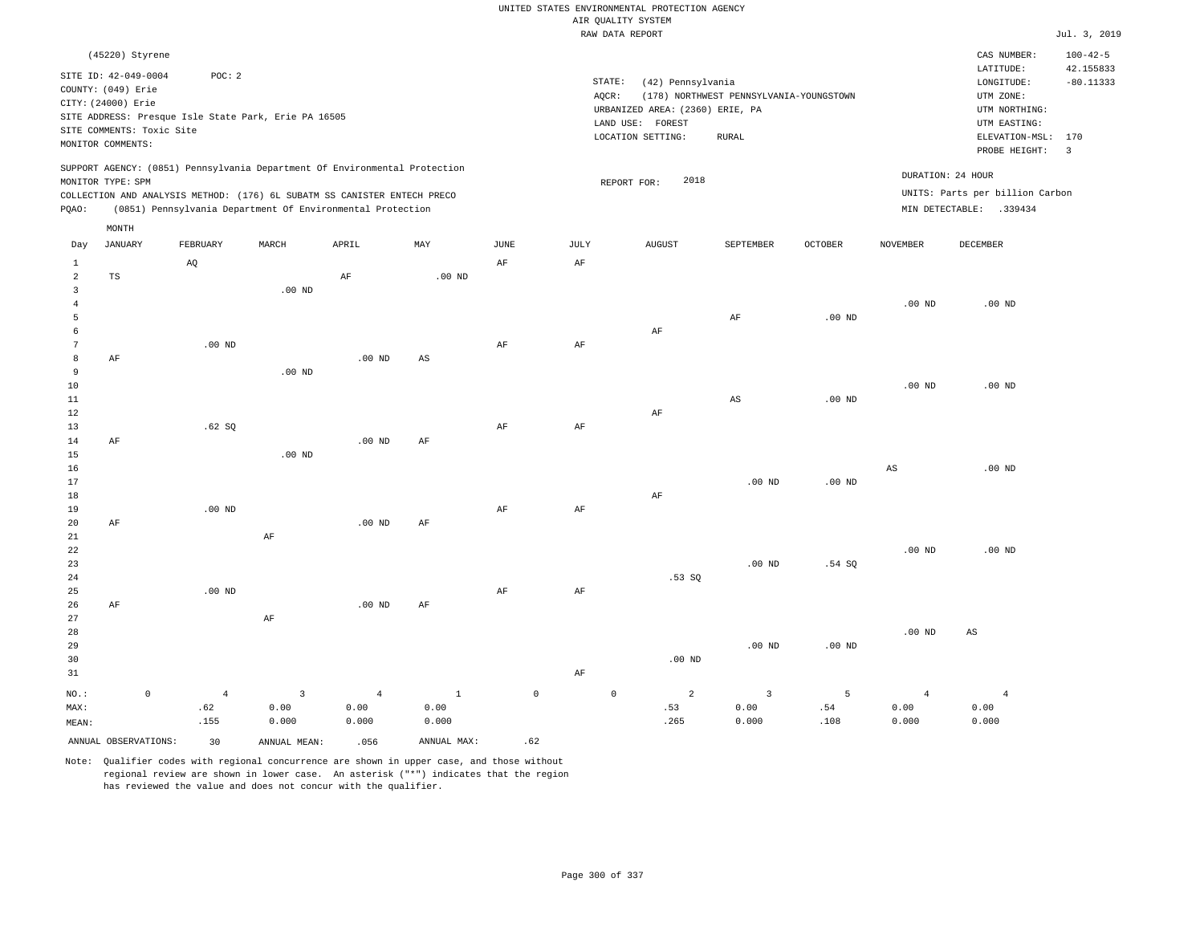|                                  |                                            |                           |                |                                                      |                                                                            |              |               |                     |                                       | UNITED STATES ENVIRONMENTAL PROTECTION AGENCY       |                                         |                   |                   |                                 |                          |
|----------------------------------|--------------------------------------------|---------------------------|----------------|------------------------------------------------------|----------------------------------------------------------------------------|--------------|---------------|---------------------|---------------------------------------|-----------------------------------------------------|-----------------------------------------|-------------------|-------------------|---------------------------------|--------------------------|
|                                  |                                            |                           |                |                                                      |                                                                            |              |               |                     | AIR QUALITY SYSTEM<br>RAW DATA REPORT |                                                     |                                         |                   |                   |                                 | Jul. 3, 2019             |
|                                  | (45220) Styrene                            |                           |                |                                                      |                                                                            |              |               |                     |                                       |                                                     |                                         |                   |                   | CAS NUMBER:                     | $100 - 42 - 5$           |
|                                  | SITE ID: 42-049-0004<br>COUNTY: (049) Erie |                           | POC: 2         |                                                      |                                                                            |              |               |                     | STATE:                                | (42) Pennsylvania                                   |                                         |                   |                   | LATITUDE:<br>LONGITUDE:         | 42.155833<br>$-80.11333$ |
|                                  | CITY: (24000) Erie                         |                           |                |                                                      |                                                                            |              |               |                     | AQCR:                                 |                                                     | (178) NORTHWEST PENNSYLVANIA-YOUNGSTOWN |                   |                   | UTM ZONE:                       |                          |
|                                  |                                            |                           |                | SITE ADDRESS: Presque Isle State Park, Erie PA 16505 |                                                                            |              |               |                     |                                       | URBANIZED AREA: (2360) ERIE, PA<br>LAND USE: FOREST |                                         |                   |                   | UTM NORTHING:<br>UTM EASTING:   |                          |
|                                  |                                            | SITE COMMENTS: Toxic Site |                |                                                      |                                                                            |              |               |                     |                                       | LOCATION SETTING:                                   | RURAL                                   |                   |                   | ELEVATION-MSL:                  | 170                      |
|                                  | MONITOR COMMENTS:                          |                           |                |                                                      |                                                                            |              |               |                     |                                       |                                                     |                                         |                   |                   | PROBE HEIGHT:                   | $\overline{3}$           |
|                                  | MONITOR TYPE: SPM                          |                           |                |                                                      | SUPPORT AGENCY: (0851) Pennsylvania Department Of Environmental Protection |              |               |                     |                                       | 2018<br>REPORT FOR:                                 |                                         |                   |                   | DURATION: 24 HOUR               |                          |
|                                  |                                            |                           |                |                                                      | COLLECTION AND ANALYSIS METHOD: (176) 6L SUBATM SS CANISTER ENTECH PRECO   |              |               |                     |                                       |                                                     |                                         |                   |                   | UNITS: Parts per billion Carbon |                          |
| PQAO:                            |                                            |                           |                |                                                      | (0851) Pennsylvania Department Of Environmental Protection                 |              |               |                     |                                       |                                                     |                                         |                   |                   | MIN DETECTABLE: .339434         |                          |
|                                  | MONTH                                      |                           |                |                                                      |                                                                            |              |               |                     |                                       |                                                     |                                         |                   |                   |                                 |                          |
| Day                              | <b>JANUARY</b>                             |                           | FEBRUARY       | MARCH                                                | APRIL                                                                      | MAY          | $_{\rm JUNE}$ |                     | $\mathtt{JULY}$                       | ${\tt AUGUST}$                                      | SEPTEMBER                               | <b>OCTOBER</b>    | <b>NOVEMBER</b>   | DECEMBER                        |                          |
| 1                                |                                            |                           | AQ             |                                                      |                                                                            |              | AF            |                     | AF                                    |                                                     |                                         |                   |                   |                                 |                          |
| $\overline{a}$                   | TS                                         |                           |                |                                                      | AF                                                                         | $.00$ ND     |               |                     |                                       |                                                     |                                         |                   |                   |                                 |                          |
| $\overline{3}$<br>$\overline{4}$ |                                            |                           |                | $.00$ ND                                             |                                                                            |              |               |                     |                                       |                                                     |                                         |                   | .00 <sub>ND</sub> | .00 <sub>ND</sub>               |                          |
| 5                                |                                            |                           |                |                                                      |                                                                            |              |               |                     |                                       |                                                     | $\rm{AF}$                               | .00 <sub>ND</sub> |                   |                                 |                          |
| 6                                |                                            |                           |                |                                                      |                                                                            |              |               |                     |                                       | AF                                                  |                                         |                   |                   |                                 |                          |
| $7\phantom{.0}$                  |                                            |                           | $.00$ ND       |                                                      |                                                                            |              | AF            |                     | $\rm{AF}$                             |                                                     |                                         |                   |                   |                                 |                          |
| 8                                | AF                                         |                           |                |                                                      | $.00$ ND                                                                   | AS           |               |                     |                                       |                                                     |                                         |                   |                   |                                 |                          |
| 9                                |                                            |                           |                | $.00$ ND                                             |                                                                            |              |               |                     |                                       |                                                     |                                         |                   |                   |                                 |                          |
| 10<br>$1\,1$                     |                                            |                           |                |                                                      |                                                                            |              |               |                     |                                       |                                                     | $_{\rm AS}$                             | .00 <sub>ND</sub> | .00 <sub>ND</sub> | $.00$ ND                        |                          |
| $1\,2$                           |                                            |                           |                |                                                      |                                                                            |              |               |                     |                                       | AF                                                  |                                         |                   |                   |                                 |                          |
| 13                               |                                            |                           | .62SQ          |                                                      |                                                                            |              | AF            |                     | AF                                    |                                                     |                                         |                   |                   |                                 |                          |
| 14                               | AF                                         |                           |                |                                                      | .00 <sub>ND</sub>                                                          | AF           |               |                     |                                       |                                                     |                                         |                   |                   |                                 |                          |
| 15                               |                                            |                           |                | $.00$ ND                                             |                                                                            |              |               |                     |                                       |                                                     |                                         |                   |                   |                                 |                          |
| 16                               |                                            |                           |                |                                                      |                                                                            |              |               |                     |                                       |                                                     |                                         |                   | AS                | $.00$ ND                        |                          |
| $17$                             |                                            |                           |                |                                                      |                                                                            |              |               |                     |                                       | AF                                                  | $.00$ ND                                | $.00$ ND          |                   |                                 |                          |
| 18<br>19                         |                                            |                           | $.00$ ND       |                                                      |                                                                            |              | AF            |                     | AF                                    |                                                     |                                         |                   |                   |                                 |                          |
| $20$                             | AF                                         |                           |                |                                                      | $.00$ ND                                                                   | AF           |               |                     |                                       |                                                     |                                         |                   |                   |                                 |                          |
| $2\sqrt{1}$                      |                                            |                           |                | $\rm{AF}$                                            |                                                                            |              |               |                     |                                       |                                                     |                                         |                   |                   |                                 |                          |
| 22                               |                                            |                           |                |                                                      |                                                                            |              |               |                     |                                       |                                                     |                                         |                   | $.00$ ND          | $.00$ ND                        |                          |
| 23                               |                                            |                           |                |                                                      |                                                                            |              |               |                     |                                       |                                                     | $.00$ ND                                | .54S              |                   |                                 |                          |
| 24                               |                                            |                           |                |                                                      |                                                                            |              |               |                     |                                       | .53S                                                |                                         |                   |                   |                                 |                          |
| 25<br>26                         | AF                                         |                           | $.00$ ND       |                                                      | .00 <sub>ND</sub>                                                          | AF           | $\rm{AF}$     |                     | $\rm{AF}$                             |                                                     |                                         |                   |                   |                                 |                          |
| 27                               |                                            |                           |                | AF                                                   |                                                                            |              |               |                     |                                       |                                                     |                                         |                   |                   |                                 |                          |
| 28                               |                                            |                           |                |                                                      |                                                                            |              |               |                     |                                       |                                                     |                                         |                   | .00 <sub>ND</sub> | $\mathbb{A}\mathbb{S}$          |                          |
| 29                               |                                            |                           |                |                                                      |                                                                            |              |               |                     |                                       |                                                     | $.00$ ND                                | $.00$ ND          |                   |                                 |                          |
| 30                               |                                            |                           |                |                                                      |                                                                            |              |               |                     |                                       | $.00$ ND                                            |                                         |                   |                   |                                 |                          |
| 31                               |                                            |                           |                |                                                      |                                                                            |              |               |                     | AF                                    |                                                     |                                         |                   |                   |                                 |                          |
| NO.:                             |                                            | $\mathbb O$               | $\overline{4}$ | $\overline{3}$                                       | $\overline{4}$                                                             | $\mathbf{1}$ |               | $\mathsf{O}\xspace$ | $\mathbb O$                           | 2                                                   | $\overline{\mathbf{3}}$                 | 5                 | $\overline{4}$    | $\overline{4}$                  |                          |
| MAX:                             |                                            |                           | .62            | 0.00                                                 | 0.00                                                                       | 0.00         |               |                     |                                       | .53                                                 | 0.00                                    | .54               | 0.00              | 0.00                            |                          |
| MEAN:                            |                                            |                           | .155           | 0.000                                                | 0.000                                                                      | 0.000        |               |                     |                                       | .265                                                | 0.000                                   | .108              | 0.000             | 0.000                           |                          |
|                                  | ANNUAL OBSERVATIONS:                       |                           | 30             | ANNUAL MEAN:                                         | .056                                                                       | ANNUAL MAX:  |               | .62                 |                                       |                                                     |                                         |                   |                   |                                 |                          |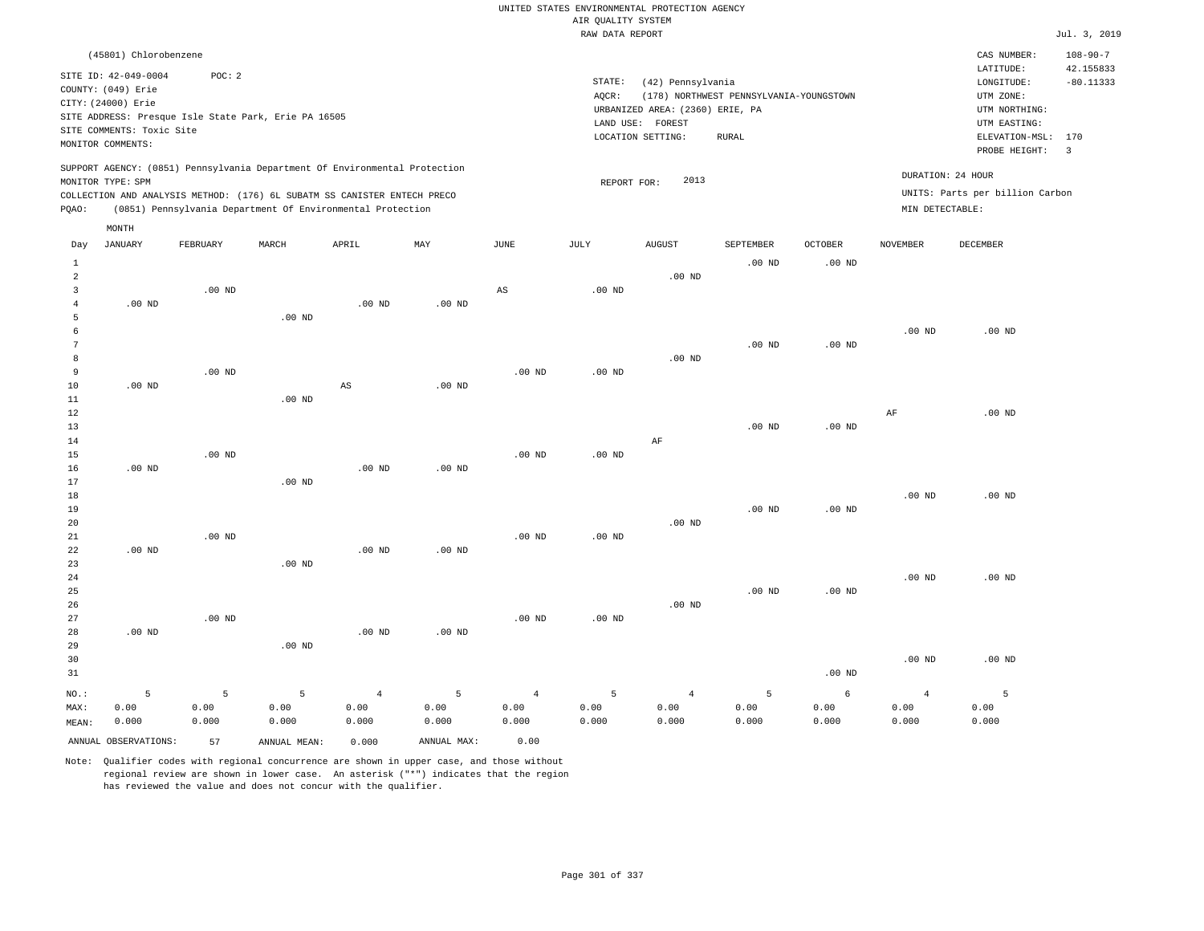|                |                           |          |                                                                            |                   |                   |                   | RAW DATA REPORT   |                                 |                                         |                |                   |                                 | Jul. 3, 2019            |
|----------------|---------------------------|----------|----------------------------------------------------------------------------|-------------------|-------------------|-------------------|-------------------|---------------------------------|-----------------------------------------|----------------|-------------------|---------------------------------|-------------------------|
|                | (45801) Chlorobenzene     |          |                                                                            |                   |                   |                   |                   |                                 |                                         |                |                   | CAS NUMBER:                     | $108 - 90 - 7$          |
|                |                           |          |                                                                            |                   |                   |                   |                   |                                 |                                         |                |                   | LATITUDE:                       | 42.155833               |
|                | SITE ID: 42-049-0004      | POC: 2   |                                                                            |                   |                   |                   | STATE:            | (42) Pennsylvania               |                                         |                |                   | LONGITUDE:                      | $-80.11333$             |
|                | COUNTY: (049) Erie        |          |                                                                            |                   |                   |                   | AQCR:             |                                 | (178) NORTHWEST PENNSYLVANIA-YOUNGSTOWN |                |                   | UTM ZONE:                       |                         |
|                | CITY: (24000) Erie        |          |                                                                            |                   |                   |                   |                   | URBANIZED AREA: (2360) ERIE, PA |                                         |                |                   | UTM NORTHING:                   |                         |
|                |                           |          | SITE ADDRESS: Presque Isle State Park, Erie PA 16505                       |                   |                   |                   |                   | LAND USE: FOREST                |                                         |                |                   | UTM EASTING:                    |                         |
|                | SITE COMMENTS: Toxic Site |          |                                                                            |                   |                   |                   |                   | LOCATION SETTING:               | RURAL                                   |                |                   | ELEVATION-MSL:                  | 170                     |
|                | MONITOR COMMENTS:         |          |                                                                            |                   |                   |                   |                   |                                 |                                         |                |                   | PROBE HEIGHT:                   | $\overline{\mathbf{3}}$ |
|                |                           |          | SUPPORT AGENCY: (0851) Pennsylvania Department Of Environmental Protection |                   |                   |                   |                   |                                 |                                         |                |                   |                                 |                         |
|                | MONITOR TYPE: SPM         |          |                                                                            |                   |                   |                   | REPORT FOR:       | 2013                            |                                         |                |                   | DURATION: 24 HOUR               |                         |
|                |                           |          | COLLECTION AND ANALYSIS METHOD: (176) 6L SUBATM SS CANISTER ENTECH PRECO   |                   |                   |                   |                   |                                 |                                         |                |                   | UNITS: Parts per billion Carbon |                         |
| PQAO:          |                           |          | (0851) Pennsylvania Department Of Environmental Protection                 |                   |                   |                   |                   |                                 |                                         |                | MIN DETECTABLE:   |                                 |                         |
|                | MONTH                     |          |                                                                            |                   |                   |                   |                   |                                 |                                         |                |                   |                                 |                         |
| Day            | <b>JANUARY</b>            | FEBRUARY | MARCH                                                                      | APRIL             | MAY               | JUNE              | JULY              | <b>AUGUST</b>                   | SEPTEMBER                               | <b>OCTOBER</b> | <b>NOVEMBER</b>   | <b>DECEMBER</b>                 |                         |
| $\mathbf{1}$   |                           |          |                                                                            |                   |                   |                   |                   |                                 | $.00$ ND                                | $.00$ ND       |                   |                                 |                         |
| $\overline{a}$ |                           |          |                                                                            |                   |                   |                   |                   | $.00$ ND                        |                                         |                |                   |                                 |                         |
| 3              |                           | $.00$ ND |                                                                            |                   |                   | AS                | $.00$ ND          |                                 |                                         |                |                   |                                 |                         |
| $\overline{4}$ | $.00$ ND                  |          |                                                                            | $.00$ ND          | .00 <sub>ND</sub> |                   |                   |                                 |                                         |                |                   |                                 |                         |
| 5              |                           |          | .00 <sub>ND</sub>                                                          |                   |                   |                   |                   |                                 |                                         |                |                   |                                 |                         |
| 6              |                           |          |                                                                            |                   |                   |                   |                   |                                 |                                         |                | $.00$ ND          | .00 <sub>ND</sub>               |                         |
| 7              |                           |          |                                                                            |                   |                   |                   |                   |                                 | $.00$ ND                                | $.00$ ND       |                   |                                 |                         |
| 8              |                           |          |                                                                            |                   |                   |                   |                   | $.00$ ND                        |                                         |                |                   |                                 |                         |
| $\overline{9}$ |                           | $.00$ ND |                                                                            |                   |                   | .00 <sub>ND</sub> | .00 <sub>ND</sub> |                                 |                                         |                |                   |                                 |                         |
| 10             | $.00$ ND                  |          |                                                                            | $_{\rm AS}$       | $.00$ ND          |                   |                   |                                 |                                         |                |                   |                                 |                         |
| 11             |                           |          | .00 <sub>ND</sub>                                                          |                   |                   |                   |                   |                                 |                                         |                |                   |                                 |                         |
| 12             |                           |          |                                                                            |                   |                   |                   |                   |                                 |                                         |                | $\rm{AF}$         | $.00$ ND                        |                         |
| 13             |                           |          |                                                                            |                   |                   |                   |                   |                                 | .00 <sub>ND</sub>                       | $.00$ ND       |                   |                                 |                         |
| 14             |                           |          |                                                                            |                   |                   |                   |                   | AF                              |                                         |                |                   |                                 |                         |
| 15             |                           | $.00$ ND |                                                                            |                   |                   | .00 <sub>ND</sub> | $.00$ ND          |                                 |                                         |                |                   |                                 |                         |
| 16             | $.00$ ND                  |          |                                                                            | $.00$ ND          | .00 <sub>ND</sub> |                   |                   |                                 |                                         |                |                   |                                 |                         |
| 17             |                           |          | $.00$ ND                                                                   |                   |                   |                   |                   |                                 |                                         |                |                   |                                 |                         |
| 18             |                           |          |                                                                            |                   |                   |                   |                   |                                 |                                         |                | $.00$ ND          | $.00$ ND                        |                         |
| 19             |                           |          |                                                                            |                   |                   |                   |                   |                                 | $.00$ ND                                | $.00$ ND       |                   |                                 |                         |
| 20             |                           |          |                                                                            |                   |                   |                   |                   | $.00$ ND                        |                                         |                |                   |                                 |                         |
| 21             |                           | $.00$ ND |                                                                            |                   |                   | $.00$ ND          | $.00$ ND          |                                 |                                         |                |                   |                                 |                         |
| 22             | $.00$ ND                  |          |                                                                            | $.00$ ND          | $.00$ ND          |                   |                   |                                 |                                         |                |                   |                                 |                         |
| 23             |                           |          | $.00$ ND                                                                   |                   |                   |                   |                   |                                 |                                         |                |                   |                                 |                         |
| 24             |                           |          |                                                                            |                   |                   |                   |                   |                                 |                                         |                | .00 <sub>ND</sub> | .00 <sub>ND</sub>               |                         |
| 25             |                           |          |                                                                            |                   |                   |                   |                   |                                 | $.00$ ND                                | $.00$ ND       |                   |                                 |                         |
| 26             |                           |          |                                                                            |                   |                   |                   |                   | $.00$ ND                        |                                         |                |                   |                                 |                         |
| 27<br>28       | .00 $ND$                  | $.00$ ND |                                                                            | .00 <sub>ND</sub> | $.00$ ND          | $.00$ ND          | .00 <sub>ND</sub> |                                 |                                         |                |                   |                                 |                         |
| 29             |                           |          | $.00$ ND                                                                   |                   |                   |                   |                   |                                 |                                         |                |                   |                                 |                         |
| 30             |                           |          |                                                                            |                   |                   |                   |                   |                                 |                                         |                | $.00$ ND          | $.00$ ND                        |                         |
| 31             |                           |          |                                                                            |                   |                   |                   |                   |                                 |                                         | $.00$ ND       |                   |                                 |                         |
|                |                           |          |                                                                            |                   |                   |                   |                   |                                 |                                         |                |                   |                                 |                         |
| NO.:           | 5                         | 5        | 5                                                                          | $\overline{4}$    | 5                 | $\overline{4}$    | 5                 | $\overline{4}$                  | 5                                       | 6              | $\overline{4}$    | 5                               |                         |
| MAX:           | 0.00                      | 0.00     | 0.00                                                                       | 0.00              | 0.00              | 0.00              | 0.00              | 0.00                            | 0.00                                    | 0.00           | 0.00              | 0.00                            |                         |
| MEAN:          | 0.000                     | 0.000    | 0.000                                                                      | 0.000             | 0.000             | 0.000             | 0.000             | 0.000                           | 0.000                                   | 0.000          | 0.000             | 0.000                           |                         |
|                | ANNUAL OBSERVATIONS:      | 57       | ANNUAL MEAN:                                                               | 0.000             | ANNUAL MAX:       | 0.00              |                   |                                 |                                         |                |                   |                                 |                         |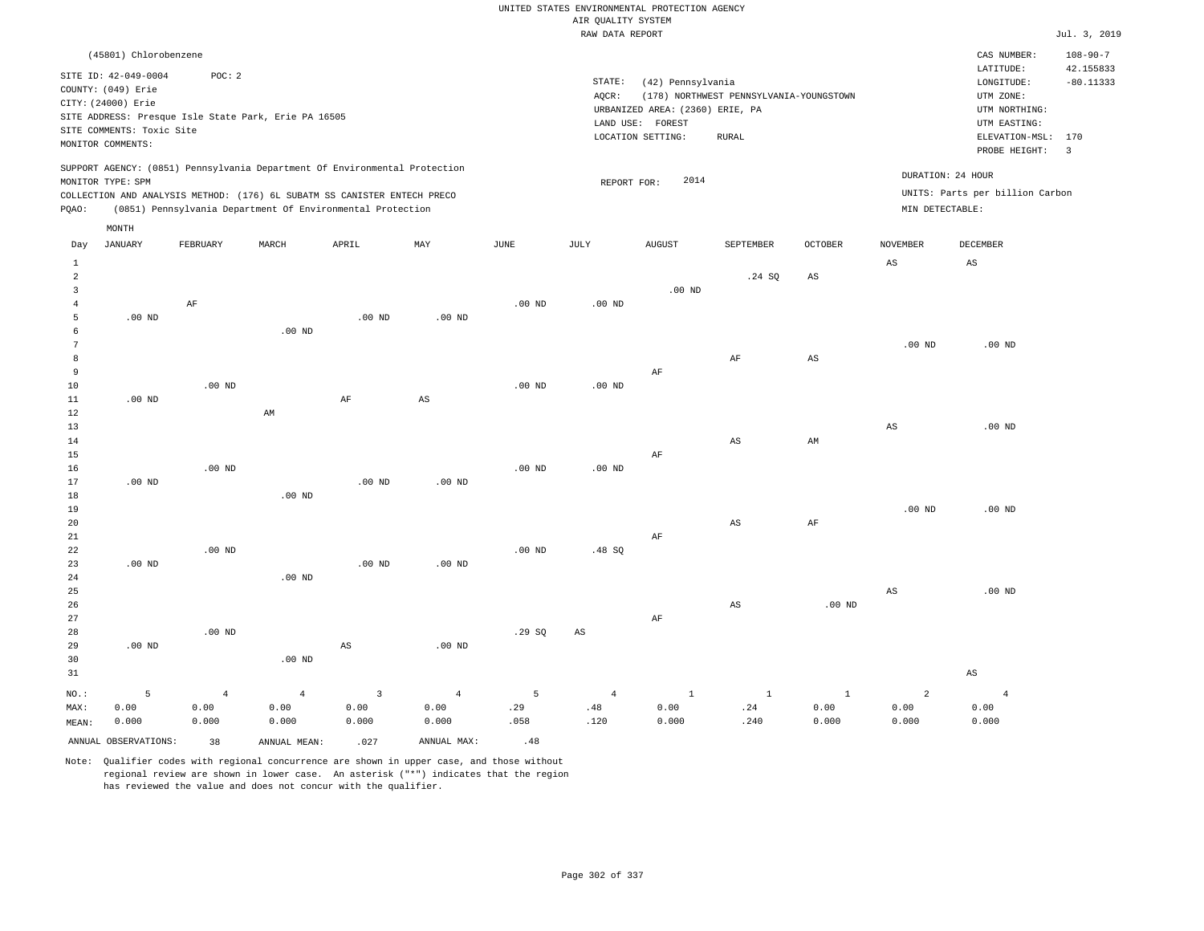|                   | (45801) Chlorobenzene                      | POC: 2             |                                                                            |                   |                        |                   |                       |                                       |                                         |                            |                        | CAS NUMBER:<br>LATITUDE:           | $108 - 90 - 7$<br>42.155833 |
|-------------------|--------------------------------------------|--------------------|----------------------------------------------------------------------------|-------------------|------------------------|-------------------|-----------------------|---------------------------------------|-----------------------------------------|----------------------------|------------------------|------------------------------------|-----------------------------|
|                   | SITE ID: 42-049-0004<br>COUNTY: (049) Erie |                    |                                                                            |                   |                        |                   | STATE:                | (42) Pennsylvania                     |                                         |                            |                        | LONGITUDE:                         | $-80.11333$                 |
|                   | CITY: (24000) Erie                         |                    |                                                                            |                   |                        |                   | AQCR:                 |                                       | (178) NORTHWEST PENNSYLVANIA-YOUNGSTOWN |                            |                        | UTM ZONE:                          |                             |
|                   |                                            |                    | SITE ADDRESS: Presque Isle State Park, Erie PA 16505                       |                   |                        |                   |                       | URBANIZED AREA: (2360) ERIE, PA       |                                         |                            |                        | UTM NORTHING:                      |                             |
|                   | SITE COMMENTS: Toxic Site                  |                    |                                                                            |                   |                        |                   |                       | LAND USE: FOREST<br>LOCATION SETTING: | RURAL                                   |                            |                        | UTM EASTING:<br>ELEVATION-MSL: 170 |                             |
|                   | MONITOR COMMENTS:                          |                    |                                                                            |                   |                        |                   |                       |                                       |                                         |                            |                        | PROBE HEIGHT:                      | $\overline{\mathbf{3}}$     |
|                   | MONITOR TYPE: SPM                          |                    | SUPPORT AGENCY: (0851) Pennsylvania Department Of Environmental Protection |                   |                        |                   |                       | 2014                                  |                                         |                            | DURATION: 24 HOUR      |                                    |                             |
|                   |                                            |                    | COLLECTION AND ANALYSIS METHOD: (176) 6L SUBATM SS CANISTER ENTECH PRECO   |                   |                        |                   | REPORT FOR:           |                                       |                                         |                            |                        | UNITS: Parts per billion Carbon    |                             |
| PQAO:             |                                            |                    | (0851) Pennsylvania Department Of Environmental Protection                 |                   |                        |                   |                       |                                       |                                         |                            | MIN DETECTABLE:        |                                    |                             |
|                   | MONTH                                      |                    |                                                                            |                   |                        |                   |                       |                                       |                                         |                            |                        |                                    |                             |
| Day               | JANUARY                                    | FEBRUARY           | MARCH                                                                      | APRIL             | MAY                    | JUNE              | JULY                  | <b>AUGUST</b>                         | SEPTEMBER                               | <b>OCTOBER</b>             | <b>NOVEMBER</b>        | <b>DECEMBER</b>                    |                             |
|                   |                                            |                    |                                                                            |                   |                        |                   |                       |                                       |                                         |                            |                        |                                    |                             |
| $\mathbf{1}$<br>2 |                                            |                    |                                                                            |                   |                        |                   |                       |                                       |                                         |                            | $\mathbb{A}\mathbb{S}$ | AS                                 |                             |
| $\overline{3}$    |                                            |                    |                                                                            |                   |                        |                   |                       | $.00$ ND                              | .24 SQ                                  | AS                         |                        |                                    |                             |
| $\overline{4}$    |                                            | AF                 |                                                                            |                   |                        | $.00$ ND          | $.00$ ND              |                                       |                                         |                            |                        |                                    |                             |
| 5                 | $.00$ ND                                   |                    |                                                                            | .00 <sub>ND</sub> | .00 <sub>ND</sub>      |                   |                       |                                       |                                         |                            |                        |                                    |                             |
| 6                 |                                            |                    | .00 <sub>ND</sub>                                                          |                   |                        |                   |                       |                                       |                                         |                            |                        |                                    |                             |
| $7\phantom{.0}$   |                                            |                    |                                                                            |                   |                        |                   |                       |                                       |                                         |                            | .00 <sub>ND</sub>      | $.00$ ND                           |                             |
| 8                 |                                            |                    |                                                                            |                   |                        |                   |                       |                                       | AF                                      | AS                         |                        |                                    |                             |
| 9                 |                                            |                    |                                                                            |                   |                        |                   |                       | AF                                    |                                         |                            |                        |                                    |                             |
| 10                |                                            | .00 <sub>ND</sub>  |                                                                            |                   |                        | $.00$ ND          | $.00$ ND              |                                       |                                         |                            |                        |                                    |                             |
| 11                | $.00$ ND                                   |                    |                                                                            | $\rm{AF}$         | $\mathbb{A}\mathbb{S}$ |                   |                       |                                       |                                         |                            |                        |                                    |                             |
| 12                |                                            |                    | AM                                                                         |                   |                        |                   |                       |                                       |                                         |                            |                        |                                    |                             |
| 13                |                                            |                    |                                                                            |                   |                        |                   |                       |                                       |                                         |                            | $\mathbb{A}\mathbb{S}$ | $.00$ ND                           |                             |
| 14<br>$15$        |                                            |                    |                                                                            |                   |                        |                   |                       |                                       | $\mathbb{A}\mathbb{S}$                  | $\mathop{\rm AM}\nolimits$ |                        |                                    |                             |
| 16                |                                            | $.00$ ND           |                                                                            |                   |                        | $.00$ ND          | $.00$ ND              | $\rm AF$                              |                                         |                            |                        |                                    |                             |
| 17                | $.00$ ND                                   |                    |                                                                            | $.00$ ND          | $.00$ ND               |                   |                       |                                       |                                         |                            |                        |                                    |                             |
| $1\,8$            |                                            |                    | $.00$ ND                                                                   |                   |                        |                   |                       |                                       |                                         |                            |                        |                                    |                             |
| 19                |                                            |                    |                                                                            |                   |                        |                   |                       |                                       |                                         |                            | .00 <sub>ND</sub>      | $.00$ ND                           |                             |
| 20                |                                            |                    |                                                                            |                   |                        |                   |                       |                                       | AS                                      | $\rm{AF}$                  |                        |                                    |                             |
| 21                |                                            |                    |                                                                            |                   |                        |                   |                       | $\rm AF$                              |                                         |                            |                        |                                    |                             |
| 22                |                                            | $.00$ ND           |                                                                            |                   |                        | .00 <sub>ND</sub> | .48SQ                 |                                       |                                         |                            |                        |                                    |                             |
| 23                | $.00$ ND                                   |                    |                                                                            | $.00$ ND          | .00 <sub>ND</sub>      |                   |                       |                                       |                                         |                            |                        |                                    |                             |
| 24                |                                            |                    | .00 <sub>ND</sub>                                                          |                   |                        |                   |                       |                                       |                                         |                            |                        |                                    |                             |
| 25                |                                            |                    |                                                                            |                   |                        |                   |                       |                                       |                                         |                            | $\mathbb{A}\mathbb{S}$ | .00 <sub>ND</sub>                  |                             |
| 26                |                                            |                    |                                                                            |                   |                        |                   |                       |                                       | AS                                      | .00 <sub>ND</sub>          |                        |                                    |                             |
| 27<br>28          |                                            | $.00$ ND           |                                                                            |                   |                        | .29SQ             | $_{\rm AS}$           | $\rm AF$                              |                                         |                            |                        |                                    |                             |
| 29                | $.00$ ND                                   |                    |                                                                            | $_{\rm AS}$       | $.00$ ND               |                   |                       |                                       |                                         |                            |                        |                                    |                             |
| 30                |                                            |                    | .00 <sub>ND</sub>                                                          |                   |                        |                   |                       |                                       |                                         |                            |                        |                                    |                             |
| 31                |                                            |                    |                                                                            |                   |                        |                   |                       |                                       |                                         |                            |                        | $\mathbb{A}\mathbb{S}$             |                             |
|                   |                                            |                    |                                                                            | $\overline{3}$    |                        | 5                 |                       | $\mathbf{1}$                          |                                         |                            | $\overline{a}$         |                                    |                             |
| NO.:<br>MAX:      | 5<br>0.00                                  | $\sqrt{4}$<br>0.00 | $\overline{4}$<br>0.00                                                     | 0.00              | $\overline{4}$<br>0.00 | .29               | $\overline{4}$<br>.48 | 0.00                                  | $\mathbf{1}$<br>.24                     | $\mathbf{1}$<br>0.00       | 0.00                   | $\overline{4}$<br>0.00             |                             |
| MEAN:             | 0.000                                      | 0.000              | 0.000                                                                      | 0.000             | 0.000                  | .058              | .120                  | 0.000                                 | .240                                    | 0.000                      | 0.000                  | 0.000                              |                             |
|                   |                                            |                    |                                                                            |                   |                        |                   |                       |                                       |                                         |                            |                        |                                    |                             |
|                   | ANNUAL OBSERVATIONS:                       | 38                 | ANNUAL MEAN:                                                               | .027              | ANNUAL MAX:            | .48               |                       |                                       |                                         |                            |                        |                                    |                             |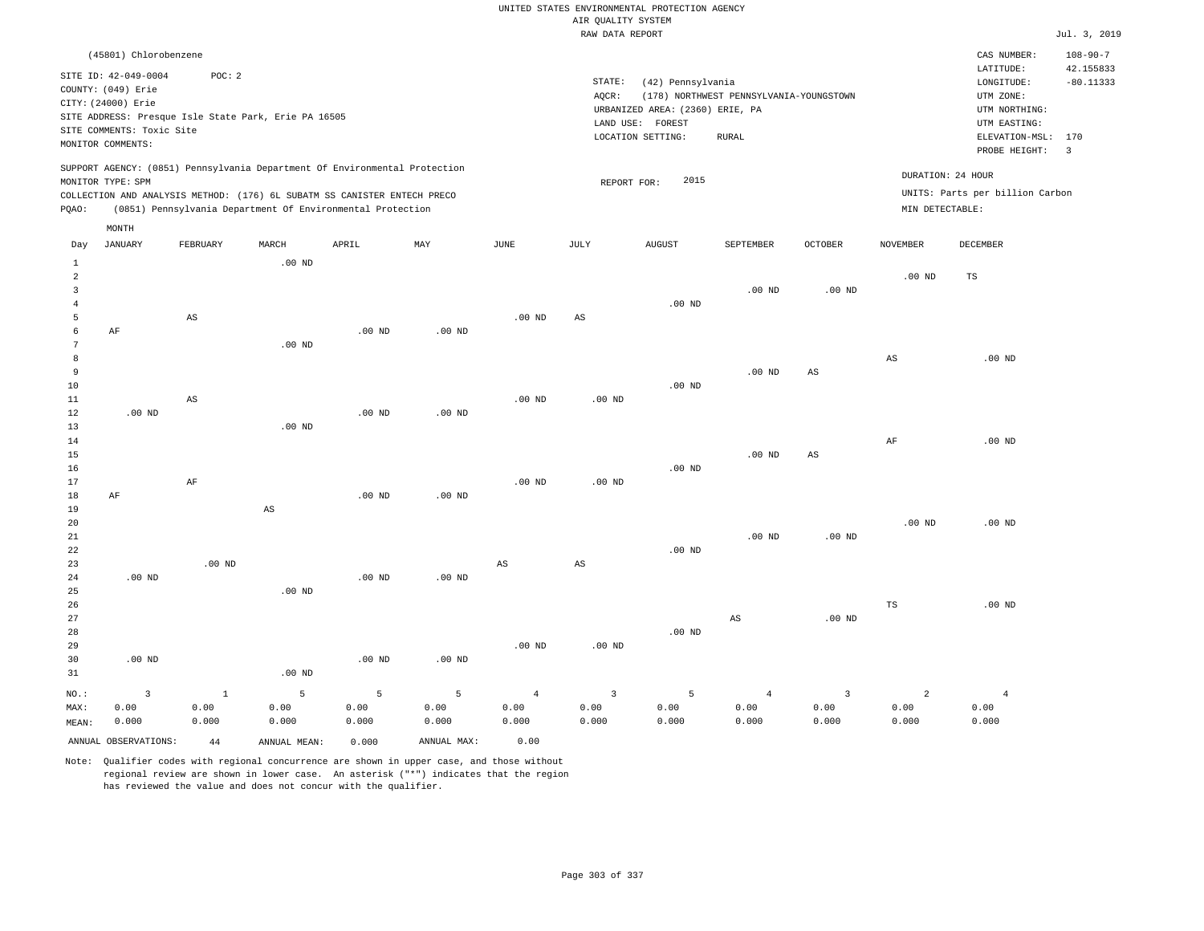|       | (45801) Chlorobenzene                                                                                              |                                                                                                                                                                                                                      |          |          |          |          |                 |                                                                                                  |                                                  |          |                                      | CAS NUMBER:                                                                                                  | $108 - 90 - 7$                     |
|-------|--------------------------------------------------------------------------------------------------------------------|----------------------------------------------------------------------------------------------------------------------------------------------------------------------------------------------------------------------|----------|----------|----------|----------|-----------------|--------------------------------------------------------------------------------------------------|--------------------------------------------------|----------|--------------------------------------|--------------------------------------------------------------------------------------------------------------|------------------------------------|
|       | SITE ID: 42-049-0004<br>COUNTY: (049) Erie<br>CITY: (24000) Erie<br>SITE COMMENTS: Toxic Site<br>MONITOR COMMENTS: | POC: 2<br>SITE ADDRESS: Presque Isle State Park, Erie PA 16505                                                                                                                                                       |          |          |          |          | STATE:<br>AOCR: | (42) Pennsylvania<br>URBANIZED AREA: (2360) ERIE, PA<br>LAND USE:<br>FOREST<br>LOCATION SETTING: | (178) NORTHWEST PENNSYLVANIA-YOUNGSTOWN<br>RURAL |          |                                      | LATITUDE:<br>LONGITUDE:<br>UTM ZONE:<br>UTM NORTHING:<br>UTM EASTING:<br>ELEVATION-MSL: 170<br>PROBE HEIGHT: | 42.155833<br>$-80.11333$<br>$_{3}$ |
| PQAO: | MONITOR TYPE: SPM                                                                                                  | SUPPORT AGENCY: (0851) Pennsylvania Department Of Environmental Protection<br>COLLECTION AND ANALYSIS METHOD: (176) 6L SUBATM SS CANISTER ENTECH PRECO<br>(0851) Pennsylvania Department Of Environmental Protection |          |          |          |          |                 | 2015<br>REPORT FOR:                                                                              |                                                  |          | DURATION: 24 HOUR<br>MIN DETECTABLE: | UNITS: Parts per billion Carbon                                                                              |                                    |
| Day   | MONTH<br>JANUARY                                                                                                   | FEBRUARY                                                                                                                                                                                                             | MARCH    | APRIL    | MAY      | JUNE     | JULY            | AUGUST                                                                                           | SEPTEMBER                                        | OCTOBER  | NOVEMBER                             | DECEMBER                                                                                                     |                                    |
|       |                                                                                                                    |                                                                                                                                                                                                                      | $.00$ ND |          |          |          |                 | $.00$ ND                                                                                         | .00 <sub>ND</sub>                                | $.00$ ND | $.00$ ND                             | TS                                                                                                           |                                    |
|       |                                                                                                                    | AS                                                                                                                                                                                                                   |          |          |          | $.00$ ND | AS              |                                                                                                  |                                                  |          |                                      |                                                                                                              |                                    |
|       | AF                                                                                                                 |                                                                                                                                                                                                                      |          | $.00$ ND | $.00$ ND |          |                 |                                                                                                  |                                                  |          |                                      |                                                                                                              |                                    |

|    |          |    | .00 <sub>ND</sub> |          |                   |          |          |          |          |    |    |          |
|----|----------|----|-------------------|----------|-------------------|----------|----------|----------|----------|----|----|----------|
| 8  |          |    |                   |          |                   |          |          |          |          |    | AS | $.00$ ND |
| 9  |          |    |                   |          |                   |          |          |          | $.00$ ND | AS |    |          |
| 10 |          |    |                   |          |                   |          |          | $.00$ ND |          |    |    |          |
| 11 |          | AS |                   |          |                   | $.00$ ND | $.00$ ND |          |          |    |    |          |
| 12 | $.00$ ND |    |                   | $.00$ ND | .00 <sub>ND</sub> |          |          |          |          |    |    |          |
| 13 |          |    | $.00$ ND          |          |                   |          |          |          |          |    |    |          |
| 14 |          |    |                   |          |                   |          |          |          |          |    | AF | $.00$ ND |

| - -     |    |          |          |          |                   |              | $\sim$ $\sim$ $\sim$ | . |
|---------|----|----------|----------|----------|-------------------|--------------|----------------------|---|
| 15      |    |          |          |          | .00 <sub>ND</sub> | AS<br>$\sim$ |                      |   |
| 16      |    |          |          | $.00$ ND |                   |              |                      |   |
| 17<br>∸ | ΔF | $.00$ ND | $.00$ ND |          |                   |              |                      |   |

| 18 | AF       |          |          | $.00$ ND | $.00$ ND |          |                   |          |          |          |          |          |
|----|----------|----------|----------|----------|----------|----------|-------------------|----------|----------|----------|----------|----------|
| 19 |          |          | AS       |          |          |          |                   |          |          |          |          |          |
| 20 |          |          |          |          |          |          |                   |          |          |          | $.00$ ND | $.00$ ND |
| 21 |          |          |          |          |          |          |                   |          | $.00$ ND | $.00$ ND |          |          |
| 22 |          |          |          |          |          |          |                   | $.00$ ND |          |          |          |          |
| 23 |          | $.00$ ND |          |          |          | AS       | AS                |          |          |          |          |          |
| 24 | $.00$ ND |          |          | $.00$ ND | $.00$ ND |          |                   |          |          |          |          |          |
| 25 |          |          | $.00$ ND |          |          |          |                   |          |          |          |          |          |
| 26 |          |          |          |          |          |          |                   |          |          |          | TS       | $.00$ ND |
| 27 |          |          |          |          |          |          |                   |          | AS       | $.00$ ND |          |          |
| 28 |          |          |          |          |          |          |                   | $.00$ ND |          |          |          |          |
| 29 |          |          |          |          |          | $.00$ ND | .00 <sub>ND</sub> |          |          |          |          |          |

| 30    | $.00$ ND             |       |              | .00 <sub>ND</sub> | $.00$ ND    |       |       |       |       |       |       |       |
|-------|----------------------|-------|--------------|-------------------|-------------|-------|-------|-------|-------|-------|-------|-------|
| 31    |                      |       | $.00$ ND     |                   |             |       |       |       |       |       |       |       |
| NO.:  |                      |       |              |                   |             |       |       |       |       |       |       |       |
| MAX:  | 0.00                 | 0.00  | 0.00         | 0.00              | 0.00        | 0.00  | 0.00  | 0.00  | 0.00  | 0.00  | 0.00  | 0.00  |
| MEAN: | 0.000                | 0.000 | 0.000        | 0.000             | 0.000       | 0.000 | 0.000 | 0.000 | 0.000 | 0.000 | 0.000 | 0.000 |
|       | ANNUAL OBSERVATIONS: | 44    | ANNUAL MEAN: | 0.000             | ANNUAL MAX: | 0.00  |       |       |       |       |       |       |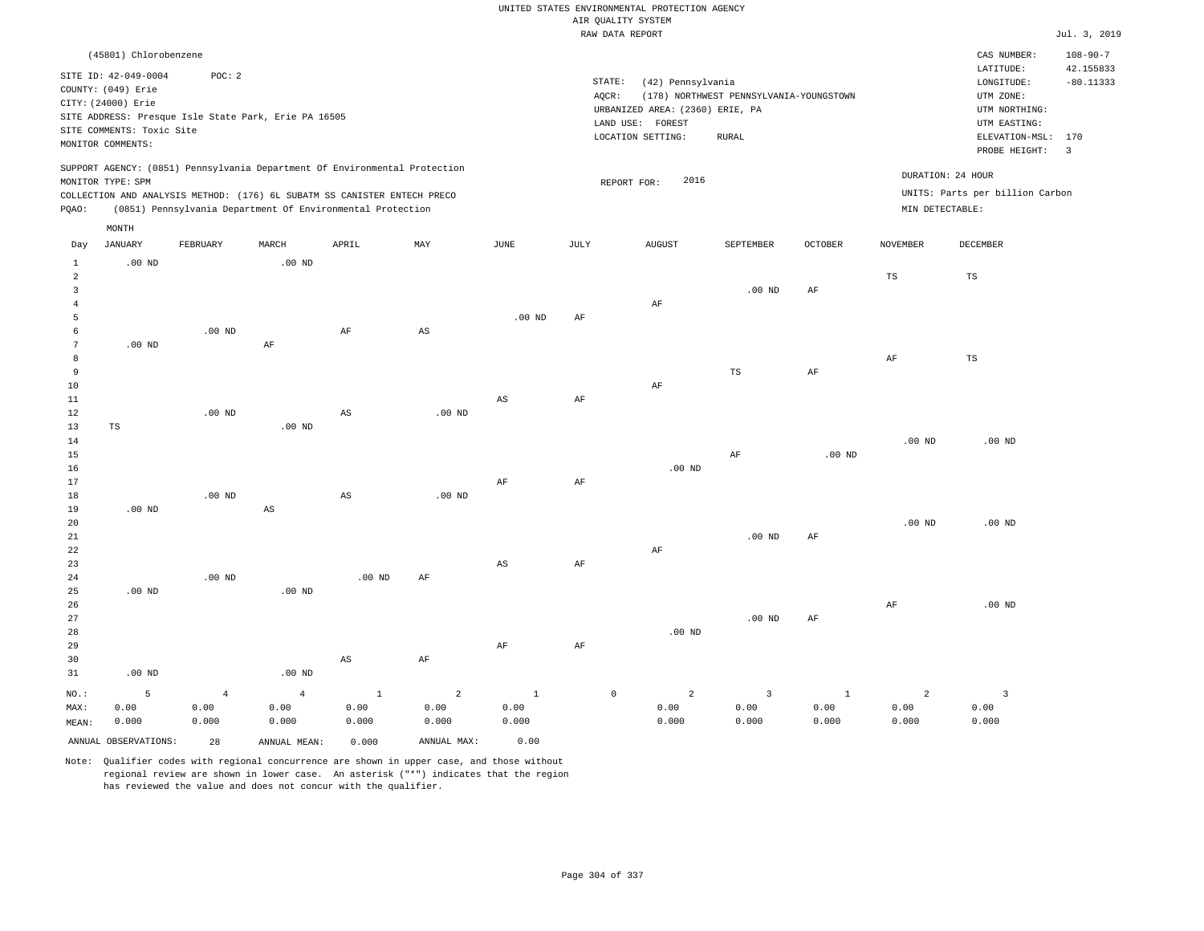| $108 - 90 - 7$<br>(45801) Chlorobenzene<br>CAS NUMBER:<br>42.155833<br>LATITUDE:<br>SITE ID: 42-049-0004<br>POC: 2<br>STATE:<br>$-80.11333$<br>(42) Pennsylvania<br>LONGITUDE:<br>COUNTY: (049) Erie<br>(178) NORTHWEST PENNSYLVANIA-YOUNGSTOWN<br>UTM ZONE:<br>AQCR:<br>CITY: (24000) Erie<br>URBANIZED AREA: (2360) ERIE, PA<br>UTM NORTHING:<br>SITE ADDRESS: Presque Isle State Park, Erie PA 16505<br>LAND USE: FOREST<br>UTM EASTING:<br>SITE COMMENTS: Toxic Site<br>LOCATION SETTING:<br>ELEVATION-MSL:<br>170<br>RURAL<br>MONITOR COMMENTS:<br>PROBE HEIGHT:<br>$\overline{\mathbf{3}}$<br>SUPPORT AGENCY: (0851) Pennsylvania Department Of Environmental Protection<br>DURATION: 24 HOUR<br>2016<br>MONITOR TYPE: SPM<br>REPORT FOR:<br>UNITS: Parts per billion Carbon<br>COLLECTION AND ANALYSIS METHOD: (176) 6L SUBATM SS CANISTER ENTECH PRECO<br>(0851) Pennsylvania Department Of Environmental Protection<br>MIN DETECTABLE:<br>PQAO:<br>MONTH<br><b>JANUARY</b><br>FEBRUARY<br>APRIL<br>JUNE<br><b>JULY</b><br><b>AUGUST</b><br>SEPTEMBER<br><b>OCTOBER</b><br><b>NOVEMBER</b><br><b>DECEMBER</b><br>Day<br>MARCH<br>MAY<br>$.00$ ND<br>$.00$ ND<br>$\mathbf{1}$<br>$\overline{a}$<br>$_{\rm TS}$<br>$_{\rm TS}$<br>$\overline{3}$<br>$.00$ ND<br>AF<br>AF<br>4<br>5<br>$.00$ ND<br>AF<br>6<br>$.00$ ND<br>$\rm{AF}$<br>AS<br>$\overline{7}$<br>$.00$ ND<br>$\rm AF$<br>8<br>$\rm{AF}$<br>$_{\rm TS}$<br>9<br>TS<br>AF<br>10<br>$\rm AF$<br>11<br>$\mathbb{A}\mathbb{S}$<br>AF<br>$.00$ ND<br>12<br>.00 <sub>ND</sub><br>$\mathbb{A}\mathbb{S}$<br>13<br>$_{\rm TS}$<br>$.00$ ND<br>14<br>$.00$ ND<br>$.00$ ND<br>15<br>.00 <sub>ND</sub><br>AF<br>16<br>$.00$ ND<br>17<br>AF<br>AF<br>18<br>$.00$ ND<br>$.00$ ND<br>$_{\rm AS}$<br>19<br>$.00$ ND<br>$_{\rm AS}$<br>20<br>$.00$ ND<br>$.00$ ND<br>21<br>$.00$ ND<br>AF<br>22<br>$\rm{AF}$<br>23<br>$_{\rm AS}$<br>AF<br>24<br>$.00$ ND<br>$.00$ ND<br>AF<br>25<br>$.00$ ND<br>.00 <sub>ND</sub><br>26<br>$.00$ ND<br>AF<br>27<br>.00 <sub>ND</sub><br>$\rm{AF}$<br>28<br>$.00$ ND<br>29<br>AF<br>AF<br>30<br>$_{\rm AS}$<br>AF<br>31<br>$.00$ ND<br>$.00$ ND<br>NO.:<br>5<br>$\overline{4}$<br>$\overline{4}$<br>$\mathbf{1}$<br>$\overline{a}$<br>$\mathbb O$<br>2<br>$\overline{3}$<br>$\mathbf{1}$<br>$\overline{a}$<br>$\overline{3}$<br>$\mathbf{1}$<br>0.00<br>0.00<br>0.00<br>0.00<br>0.00<br>0.00<br>0.00<br>0.00<br>MAX:<br>0.00<br>0.00<br>0.00<br>0.000<br>0.000<br>0.000<br>0.000<br>0.000<br>0.000<br>0.000<br>0.000<br>0.000<br>0.000<br>0.000<br>MEAN: |  |  |  |  | RAW DATA REPORT |  |  | Jul. 3, 2019 |
|--------------------------------------------------------------------------------------------------------------------------------------------------------------------------------------------------------------------------------------------------------------------------------------------------------------------------------------------------------------------------------------------------------------------------------------------------------------------------------------------------------------------------------------------------------------------------------------------------------------------------------------------------------------------------------------------------------------------------------------------------------------------------------------------------------------------------------------------------------------------------------------------------------------------------------------------------------------------------------------------------------------------------------------------------------------------------------------------------------------------------------------------------------------------------------------------------------------------------------------------------------------------------------------------------------------------------------------------------------------------------------------------------------------------------------------------------------------------------------------------------------------------------------------------------------------------------------------------------------------------------------------------------------------------------------------------------------------------------------------------------------------------------------------------------------------------------------------------------------------------------------------------------------------------------------------------------------------------------------------------------------------------------------------------------------------------------------------------------------------------------------------------------------------------------------------------------------------------------------------------------------------------------------------------------------------------------------------------------------------------------------------------------------------------------------------------------------------------------------------------------------------------------------------------|--|--|--|--|-----------------|--|--|--------------|
|                                                                                                                                                                                                                                                                                                                                                                                                                                                                                                                                                                                                                                                                                                                                                                                                                                                                                                                                                                                                                                                                                                                                                                                                                                                                                                                                                                                                                                                                                                                                                                                                                                                                                                                                                                                                                                                                                                                                                                                                                                                                                                                                                                                                                                                                                                                                                                                                                                                                                                                                            |  |  |  |  |                 |  |  |              |
|                                                                                                                                                                                                                                                                                                                                                                                                                                                                                                                                                                                                                                                                                                                                                                                                                                                                                                                                                                                                                                                                                                                                                                                                                                                                                                                                                                                                                                                                                                                                                                                                                                                                                                                                                                                                                                                                                                                                                                                                                                                                                                                                                                                                                                                                                                                                                                                                                                                                                                                                            |  |  |  |  |                 |  |  |              |
|                                                                                                                                                                                                                                                                                                                                                                                                                                                                                                                                                                                                                                                                                                                                                                                                                                                                                                                                                                                                                                                                                                                                                                                                                                                                                                                                                                                                                                                                                                                                                                                                                                                                                                                                                                                                                                                                                                                                                                                                                                                                                                                                                                                                                                                                                                                                                                                                                                                                                                                                            |  |  |  |  |                 |  |  |              |
|                                                                                                                                                                                                                                                                                                                                                                                                                                                                                                                                                                                                                                                                                                                                                                                                                                                                                                                                                                                                                                                                                                                                                                                                                                                                                                                                                                                                                                                                                                                                                                                                                                                                                                                                                                                                                                                                                                                                                                                                                                                                                                                                                                                                                                                                                                                                                                                                                                                                                                                                            |  |  |  |  |                 |  |  |              |
|                                                                                                                                                                                                                                                                                                                                                                                                                                                                                                                                                                                                                                                                                                                                                                                                                                                                                                                                                                                                                                                                                                                                                                                                                                                                                                                                                                                                                                                                                                                                                                                                                                                                                                                                                                                                                                                                                                                                                                                                                                                                                                                                                                                                                                                                                                                                                                                                                                                                                                                                            |  |  |  |  |                 |  |  |              |
|                                                                                                                                                                                                                                                                                                                                                                                                                                                                                                                                                                                                                                                                                                                                                                                                                                                                                                                                                                                                                                                                                                                                                                                                                                                                                                                                                                                                                                                                                                                                                                                                                                                                                                                                                                                                                                                                                                                                                                                                                                                                                                                                                                                                                                                                                                                                                                                                                                                                                                                                            |  |  |  |  |                 |  |  |              |
|                                                                                                                                                                                                                                                                                                                                                                                                                                                                                                                                                                                                                                                                                                                                                                                                                                                                                                                                                                                                                                                                                                                                                                                                                                                                                                                                                                                                                                                                                                                                                                                                                                                                                                                                                                                                                                                                                                                                                                                                                                                                                                                                                                                                                                                                                                                                                                                                                                                                                                                                            |  |  |  |  |                 |  |  |              |
|                                                                                                                                                                                                                                                                                                                                                                                                                                                                                                                                                                                                                                                                                                                                                                                                                                                                                                                                                                                                                                                                                                                                                                                                                                                                                                                                                                                                                                                                                                                                                                                                                                                                                                                                                                                                                                                                                                                                                                                                                                                                                                                                                                                                                                                                                                                                                                                                                                                                                                                                            |  |  |  |  |                 |  |  |              |
|                                                                                                                                                                                                                                                                                                                                                                                                                                                                                                                                                                                                                                                                                                                                                                                                                                                                                                                                                                                                                                                                                                                                                                                                                                                                                                                                                                                                                                                                                                                                                                                                                                                                                                                                                                                                                                                                                                                                                                                                                                                                                                                                                                                                                                                                                                                                                                                                                                                                                                                                            |  |  |  |  |                 |  |  |              |
|                                                                                                                                                                                                                                                                                                                                                                                                                                                                                                                                                                                                                                                                                                                                                                                                                                                                                                                                                                                                                                                                                                                                                                                                                                                                                                                                                                                                                                                                                                                                                                                                                                                                                                                                                                                                                                                                                                                                                                                                                                                                                                                                                                                                                                                                                                                                                                                                                                                                                                                                            |  |  |  |  |                 |  |  |              |
|                                                                                                                                                                                                                                                                                                                                                                                                                                                                                                                                                                                                                                                                                                                                                                                                                                                                                                                                                                                                                                                                                                                                                                                                                                                                                                                                                                                                                                                                                                                                                                                                                                                                                                                                                                                                                                                                                                                                                                                                                                                                                                                                                                                                                                                                                                                                                                                                                                                                                                                                            |  |  |  |  |                 |  |  |              |
|                                                                                                                                                                                                                                                                                                                                                                                                                                                                                                                                                                                                                                                                                                                                                                                                                                                                                                                                                                                                                                                                                                                                                                                                                                                                                                                                                                                                                                                                                                                                                                                                                                                                                                                                                                                                                                                                                                                                                                                                                                                                                                                                                                                                                                                                                                                                                                                                                                                                                                                                            |  |  |  |  |                 |  |  |              |
|                                                                                                                                                                                                                                                                                                                                                                                                                                                                                                                                                                                                                                                                                                                                                                                                                                                                                                                                                                                                                                                                                                                                                                                                                                                                                                                                                                                                                                                                                                                                                                                                                                                                                                                                                                                                                                                                                                                                                                                                                                                                                                                                                                                                                                                                                                                                                                                                                                                                                                                                            |  |  |  |  |                 |  |  |              |
|                                                                                                                                                                                                                                                                                                                                                                                                                                                                                                                                                                                                                                                                                                                                                                                                                                                                                                                                                                                                                                                                                                                                                                                                                                                                                                                                                                                                                                                                                                                                                                                                                                                                                                                                                                                                                                                                                                                                                                                                                                                                                                                                                                                                                                                                                                                                                                                                                                                                                                                                            |  |  |  |  |                 |  |  |              |
|                                                                                                                                                                                                                                                                                                                                                                                                                                                                                                                                                                                                                                                                                                                                                                                                                                                                                                                                                                                                                                                                                                                                                                                                                                                                                                                                                                                                                                                                                                                                                                                                                                                                                                                                                                                                                                                                                                                                                                                                                                                                                                                                                                                                                                                                                                                                                                                                                                                                                                                                            |  |  |  |  |                 |  |  |              |
|                                                                                                                                                                                                                                                                                                                                                                                                                                                                                                                                                                                                                                                                                                                                                                                                                                                                                                                                                                                                                                                                                                                                                                                                                                                                                                                                                                                                                                                                                                                                                                                                                                                                                                                                                                                                                                                                                                                                                                                                                                                                                                                                                                                                                                                                                                                                                                                                                                                                                                                                            |  |  |  |  |                 |  |  |              |
|                                                                                                                                                                                                                                                                                                                                                                                                                                                                                                                                                                                                                                                                                                                                                                                                                                                                                                                                                                                                                                                                                                                                                                                                                                                                                                                                                                                                                                                                                                                                                                                                                                                                                                                                                                                                                                                                                                                                                                                                                                                                                                                                                                                                                                                                                                                                                                                                                                                                                                                                            |  |  |  |  |                 |  |  |              |
|                                                                                                                                                                                                                                                                                                                                                                                                                                                                                                                                                                                                                                                                                                                                                                                                                                                                                                                                                                                                                                                                                                                                                                                                                                                                                                                                                                                                                                                                                                                                                                                                                                                                                                                                                                                                                                                                                                                                                                                                                                                                                                                                                                                                                                                                                                                                                                                                                                                                                                                                            |  |  |  |  |                 |  |  |              |
|                                                                                                                                                                                                                                                                                                                                                                                                                                                                                                                                                                                                                                                                                                                                                                                                                                                                                                                                                                                                                                                                                                                                                                                                                                                                                                                                                                                                                                                                                                                                                                                                                                                                                                                                                                                                                                                                                                                                                                                                                                                                                                                                                                                                                                                                                                                                                                                                                                                                                                                                            |  |  |  |  |                 |  |  |              |
|                                                                                                                                                                                                                                                                                                                                                                                                                                                                                                                                                                                                                                                                                                                                                                                                                                                                                                                                                                                                                                                                                                                                                                                                                                                                                                                                                                                                                                                                                                                                                                                                                                                                                                                                                                                                                                                                                                                                                                                                                                                                                                                                                                                                                                                                                                                                                                                                                                                                                                                                            |  |  |  |  |                 |  |  |              |
|                                                                                                                                                                                                                                                                                                                                                                                                                                                                                                                                                                                                                                                                                                                                                                                                                                                                                                                                                                                                                                                                                                                                                                                                                                                                                                                                                                                                                                                                                                                                                                                                                                                                                                                                                                                                                                                                                                                                                                                                                                                                                                                                                                                                                                                                                                                                                                                                                                                                                                                                            |  |  |  |  |                 |  |  |              |
|                                                                                                                                                                                                                                                                                                                                                                                                                                                                                                                                                                                                                                                                                                                                                                                                                                                                                                                                                                                                                                                                                                                                                                                                                                                                                                                                                                                                                                                                                                                                                                                                                                                                                                                                                                                                                                                                                                                                                                                                                                                                                                                                                                                                                                                                                                                                                                                                                                                                                                                                            |  |  |  |  |                 |  |  |              |
|                                                                                                                                                                                                                                                                                                                                                                                                                                                                                                                                                                                                                                                                                                                                                                                                                                                                                                                                                                                                                                                                                                                                                                                                                                                                                                                                                                                                                                                                                                                                                                                                                                                                                                                                                                                                                                                                                                                                                                                                                                                                                                                                                                                                                                                                                                                                                                                                                                                                                                                                            |  |  |  |  |                 |  |  |              |
|                                                                                                                                                                                                                                                                                                                                                                                                                                                                                                                                                                                                                                                                                                                                                                                                                                                                                                                                                                                                                                                                                                                                                                                                                                                                                                                                                                                                                                                                                                                                                                                                                                                                                                                                                                                                                                                                                                                                                                                                                                                                                                                                                                                                                                                                                                                                                                                                                                                                                                                                            |  |  |  |  |                 |  |  |              |
|                                                                                                                                                                                                                                                                                                                                                                                                                                                                                                                                                                                                                                                                                                                                                                                                                                                                                                                                                                                                                                                                                                                                                                                                                                                                                                                                                                                                                                                                                                                                                                                                                                                                                                                                                                                                                                                                                                                                                                                                                                                                                                                                                                                                                                                                                                                                                                                                                                                                                                                                            |  |  |  |  |                 |  |  |              |
|                                                                                                                                                                                                                                                                                                                                                                                                                                                                                                                                                                                                                                                                                                                                                                                                                                                                                                                                                                                                                                                                                                                                                                                                                                                                                                                                                                                                                                                                                                                                                                                                                                                                                                                                                                                                                                                                                                                                                                                                                                                                                                                                                                                                                                                                                                                                                                                                                                                                                                                                            |  |  |  |  |                 |  |  |              |
|                                                                                                                                                                                                                                                                                                                                                                                                                                                                                                                                                                                                                                                                                                                                                                                                                                                                                                                                                                                                                                                                                                                                                                                                                                                                                                                                                                                                                                                                                                                                                                                                                                                                                                                                                                                                                                                                                                                                                                                                                                                                                                                                                                                                                                                                                                                                                                                                                                                                                                                                            |  |  |  |  |                 |  |  |              |
|                                                                                                                                                                                                                                                                                                                                                                                                                                                                                                                                                                                                                                                                                                                                                                                                                                                                                                                                                                                                                                                                                                                                                                                                                                                                                                                                                                                                                                                                                                                                                                                                                                                                                                                                                                                                                                                                                                                                                                                                                                                                                                                                                                                                                                                                                                                                                                                                                                                                                                                                            |  |  |  |  |                 |  |  |              |
|                                                                                                                                                                                                                                                                                                                                                                                                                                                                                                                                                                                                                                                                                                                                                                                                                                                                                                                                                                                                                                                                                                                                                                                                                                                                                                                                                                                                                                                                                                                                                                                                                                                                                                                                                                                                                                                                                                                                                                                                                                                                                                                                                                                                                                                                                                                                                                                                                                                                                                                                            |  |  |  |  |                 |  |  |              |
|                                                                                                                                                                                                                                                                                                                                                                                                                                                                                                                                                                                                                                                                                                                                                                                                                                                                                                                                                                                                                                                                                                                                                                                                                                                                                                                                                                                                                                                                                                                                                                                                                                                                                                                                                                                                                                                                                                                                                                                                                                                                                                                                                                                                                                                                                                                                                                                                                                                                                                                                            |  |  |  |  |                 |  |  |              |
|                                                                                                                                                                                                                                                                                                                                                                                                                                                                                                                                                                                                                                                                                                                                                                                                                                                                                                                                                                                                                                                                                                                                                                                                                                                                                                                                                                                                                                                                                                                                                                                                                                                                                                                                                                                                                                                                                                                                                                                                                                                                                                                                                                                                                                                                                                                                                                                                                                                                                                                                            |  |  |  |  |                 |  |  |              |
|                                                                                                                                                                                                                                                                                                                                                                                                                                                                                                                                                                                                                                                                                                                                                                                                                                                                                                                                                                                                                                                                                                                                                                                                                                                                                                                                                                                                                                                                                                                                                                                                                                                                                                                                                                                                                                                                                                                                                                                                                                                                                                                                                                                                                                                                                                                                                                                                                                                                                                                                            |  |  |  |  |                 |  |  |              |
|                                                                                                                                                                                                                                                                                                                                                                                                                                                                                                                                                                                                                                                                                                                                                                                                                                                                                                                                                                                                                                                                                                                                                                                                                                                                                                                                                                                                                                                                                                                                                                                                                                                                                                                                                                                                                                                                                                                                                                                                                                                                                                                                                                                                                                                                                                                                                                                                                                                                                                                                            |  |  |  |  |                 |  |  |              |
|                                                                                                                                                                                                                                                                                                                                                                                                                                                                                                                                                                                                                                                                                                                                                                                                                                                                                                                                                                                                                                                                                                                                                                                                                                                                                                                                                                                                                                                                                                                                                                                                                                                                                                                                                                                                                                                                                                                                                                                                                                                                                                                                                                                                                                                                                                                                                                                                                                                                                                                                            |  |  |  |  |                 |  |  |              |
|                                                                                                                                                                                                                                                                                                                                                                                                                                                                                                                                                                                                                                                                                                                                                                                                                                                                                                                                                                                                                                                                                                                                                                                                                                                                                                                                                                                                                                                                                                                                                                                                                                                                                                                                                                                                                                                                                                                                                                                                                                                                                                                                                                                                                                                                                                                                                                                                                                                                                                                                            |  |  |  |  |                 |  |  |              |
|                                                                                                                                                                                                                                                                                                                                                                                                                                                                                                                                                                                                                                                                                                                                                                                                                                                                                                                                                                                                                                                                                                                                                                                                                                                                                                                                                                                                                                                                                                                                                                                                                                                                                                                                                                                                                                                                                                                                                                                                                                                                                                                                                                                                                                                                                                                                                                                                                                                                                                                                            |  |  |  |  |                 |  |  |              |
|                                                                                                                                                                                                                                                                                                                                                                                                                                                                                                                                                                                                                                                                                                                                                                                                                                                                                                                                                                                                                                                                                                                                                                                                                                                                                                                                                                                                                                                                                                                                                                                                                                                                                                                                                                                                                                                                                                                                                                                                                                                                                                                                                                                                                                                                                                                                                                                                                                                                                                                                            |  |  |  |  |                 |  |  |              |
|                                                                                                                                                                                                                                                                                                                                                                                                                                                                                                                                                                                                                                                                                                                                                                                                                                                                                                                                                                                                                                                                                                                                                                                                                                                                                                                                                                                                                                                                                                                                                                                                                                                                                                                                                                                                                                                                                                                                                                                                                                                                                                                                                                                                                                                                                                                                                                                                                                                                                                                                            |  |  |  |  |                 |  |  |              |
|                                                                                                                                                                                                                                                                                                                                                                                                                                                                                                                                                                                                                                                                                                                                                                                                                                                                                                                                                                                                                                                                                                                                                                                                                                                                                                                                                                                                                                                                                                                                                                                                                                                                                                                                                                                                                                                                                                                                                                                                                                                                                                                                                                                                                                                                                                                                                                                                                                                                                                                                            |  |  |  |  |                 |  |  |              |
|                                                                                                                                                                                                                                                                                                                                                                                                                                                                                                                                                                                                                                                                                                                                                                                                                                                                                                                                                                                                                                                                                                                                                                                                                                                                                                                                                                                                                                                                                                                                                                                                                                                                                                                                                                                                                                                                                                                                                                                                                                                                                                                                                                                                                                                                                                                                                                                                                                                                                                                                            |  |  |  |  |                 |  |  |              |
|                                                                                                                                                                                                                                                                                                                                                                                                                                                                                                                                                                                                                                                                                                                                                                                                                                                                                                                                                                                                                                                                                                                                                                                                                                                                                                                                                                                                                                                                                                                                                                                                                                                                                                                                                                                                                                                                                                                                                                                                                                                                                                                                                                                                                                                                                                                                                                                                                                                                                                                                            |  |  |  |  |                 |  |  |              |
|                                                                                                                                                                                                                                                                                                                                                                                                                                                                                                                                                                                                                                                                                                                                                                                                                                                                                                                                                                                                                                                                                                                                                                                                                                                                                                                                                                                                                                                                                                                                                                                                                                                                                                                                                                                                                                                                                                                                                                                                                                                                                                                                                                                                                                                                                                                                                                                                                                                                                                                                            |  |  |  |  |                 |  |  |              |

Note: Qualifier codes with regional concurrence are shown in upper case, and those without regional review are shown in lower case. An asterisk ("\*") indicates that the region

ANNUAL OBSERVATIONS: 28 ANNUAL MEAN: 0.000 ANNUAL MAX: 0.00

has reviewed the value and does not concur with the qualifier.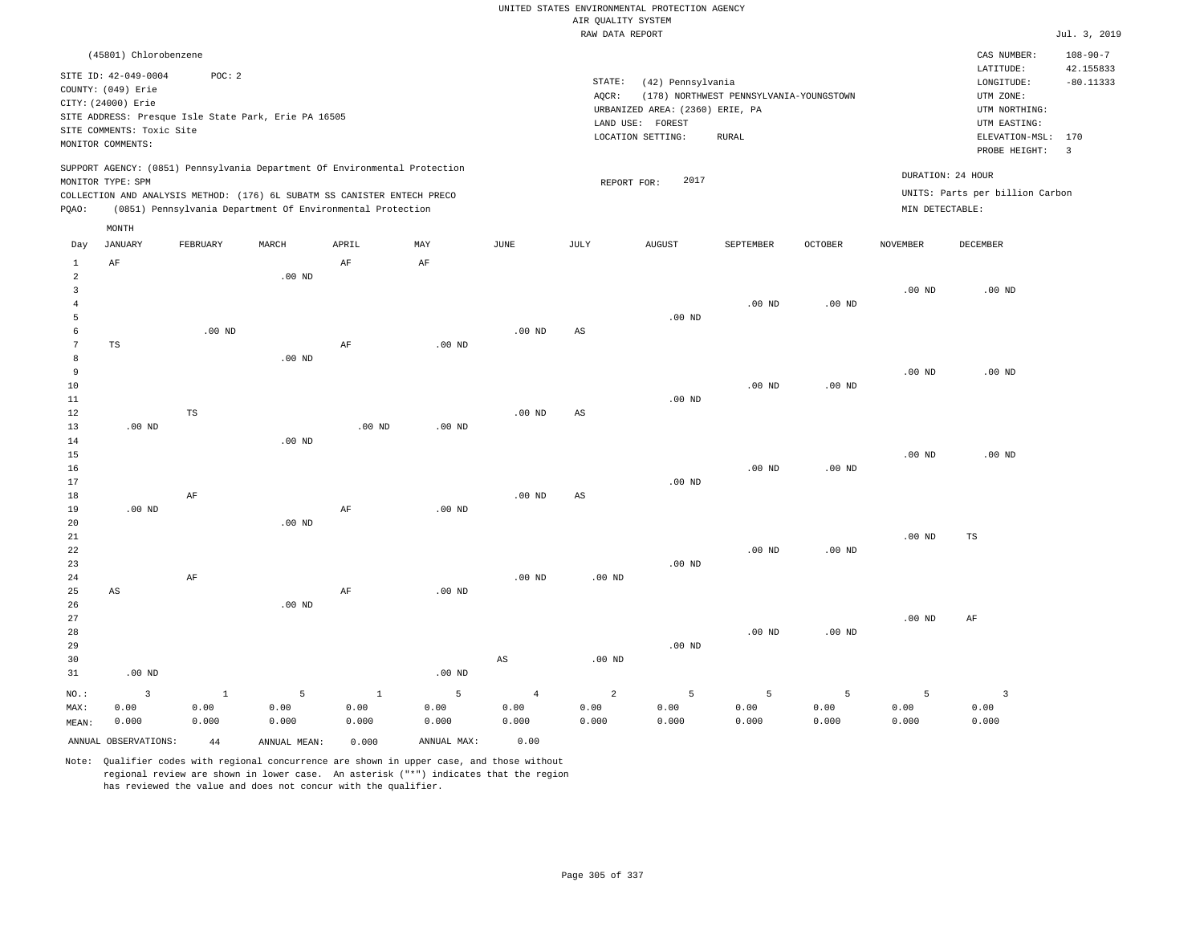|                      | (45801) Chlorobenzene     |              |                                                                            |              |                   |                        |                        |                                 |                                         |                   |                   | CAS NUMBER:                     | $108 - 90 - 7$          |
|----------------------|---------------------------|--------------|----------------------------------------------------------------------------|--------------|-------------------|------------------------|------------------------|---------------------------------|-----------------------------------------|-------------------|-------------------|---------------------------------|-------------------------|
|                      | SITE ID: 42-049-0004      | POC: 2       |                                                                            |              |                   |                        |                        |                                 |                                         |                   |                   | LATITUDE:                       | 42.155833               |
|                      | COUNTY: (049) Erie        |              |                                                                            |              |                   |                        | STATE:                 | (42) Pennsylvania               |                                         |                   |                   | LONGITUDE:                      | $-80.11333$             |
|                      | CITY: (24000) Erie        |              |                                                                            |              |                   |                        | AQCR:                  |                                 | (178) NORTHWEST PENNSYLVANIA-YOUNGSTOWN |                   |                   | UTM ZONE:                       |                         |
|                      |                           |              | SITE ADDRESS: Presque Isle State Park, Erie PA 16505                       |              |                   |                        |                        | URBANIZED AREA: (2360) ERIE, PA |                                         |                   |                   | UTM NORTHING:                   |                         |
|                      | SITE COMMENTS: Toxic Site |              |                                                                            |              |                   |                        |                        | LAND USE: FOREST                |                                         |                   |                   | UTM EASTING:                    |                         |
|                      | MONITOR COMMENTS:         |              |                                                                            |              |                   |                        |                        | LOCATION SETTING:               | <b>RURAL</b>                            |                   |                   | ELEVATION-MSL: 170              |                         |
|                      |                           |              |                                                                            |              |                   |                        |                        |                                 |                                         |                   |                   | PROBE HEIGHT:                   | $\overline{\mathbf{3}}$ |
|                      |                           |              | SUPPORT AGENCY: (0851) Pennsylvania Department Of Environmental Protection |              |                   |                        |                        | 2017                            |                                         |                   |                   | DURATION: 24 HOUR               |                         |
|                      | MONITOR TYPE: SPM         |              | COLLECTION AND ANALYSIS METHOD: (176) 6L SUBATM SS CANISTER ENTECH PRECO   |              |                   |                        | REPORT FOR:            |                                 |                                         |                   |                   | UNITS: Parts per billion Carbon |                         |
| PQAO:                |                           |              | (0851) Pennsylvania Department Of Environmental Protection                 |              |                   |                        |                        |                                 |                                         |                   | MIN DETECTABLE:   |                                 |                         |
|                      |                           |              |                                                                            |              |                   |                        |                        |                                 |                                         |                   |                   |                                 |                         |
|                      | MONTH                     |              |                                                                            |              |                   |                        |                        |                                 |                                         |                   |                   |                                 |                         |
| Day                  | <b>JANUARY</b>            | FEBRUARY     | MARCH                                                                      | APRIL        | MAY               | JUNE                   | JULY                   | <b>AUGUST</b>                   | SEPTEMBER                               | OCTOBER           | <b>NOVEMBER</b>   | <b>DECEMBER</b>                 |                         |
| $\mathbf{1}$         | $\rm AF$                  |              |                                                                            | AF           | $\rm AF$          |                        |                        |                                 |                                         |                   |                   |                                 |                         |
| $\overline{a}$       |                           |              | $.00$ ND                                                                   |              |                   |                        |                        |                                 |                                         |                   |                   |                                 |                         |
| $\overline{3}$       |                           |              |                                                                            |              |                   |                        |                        |                                 |                                         |                   | $.00$ ND          | $.00$ ND                        |                         |
| $\overline{4}$       |                           |              |                                                                            |              |                   |                        |                        |                                 | .00 <sub>ND</sub>                       | .00 <sub>ND</sub> |                   |                                 |                         |
| 5                    |                           |              |                                                                            |              |                   |                        |                        | .00 <sub>ND</sub>               |                                         |                   |                   |                                 |                         |
| 6                    |                           | $.00$ ND     |                                                                            |              |                   | $.00$ ND               | $_{\rm AS}$            |                                 |                                         |                   |                   |                                 |                         |
| $7\phantom{.0}$<br>8 | TS                        |              | $.00$ ND                                                                   | AF           | $.00$ ND          |                        |                        |                                 |                                         |                   |                   |                                 |                         |
| 9                    |                           |              |                                                                            |              |                   |                        |                        |                                 |                                         |                   | .00 <sub>ND</sub> | $.00$ ND                        |                         |
| 10                   |                           |              |                                                                            |              |                   |                        |                        |                                 | $.00$ ND                                | .00 <sub>ND</sub> |                   |                                 |                         |
| 11                   |                           |              |                                                                            |              |                   |                        |                        | $.00$ ND                        |                                         |                   |                   |                                 |                         |
| $1\,2$               |                           | $_{\rm TS}$  |                                                                            |              |                   | .00 <sub>ND</sub>      | $\mathbb{A}\mathbb{S}$ |                                 |                                         |                   |                   |                                 |                         |
| 13                   | $.00$ ND                  |              |                                                                            | $.00$ ND     | $.00$ ND          |                        |                        |                                 |                                         |                   |                   |                                 |                         |
| 14                   |                           |              | $.00$ ND                                                                   |              |                   |                        |                        |                                 |                                         |                   |                   |                                 |                         |
| 15                   |                           |              |                                                                            |              |                   |                        |                        |                                 |                                         |                   | $.00$ ND          | .00 <sub>ND</sub>               |                         |
| 16                   |                           |              |                                                                            |              |                   |                        |                        |                                 | $.00$ ND                                | .00 <sub>ND</sub> |                   |                                 |                         |
| 17                   |                           |              |                                                                            |              |                   |                        |                        | $.00$ ND                        |                                         |                   |                   |                                 |                         |
| 18                   |                           | AF           |                                                                            |              |                   | .00 <sub>ND</sub>      | AS                     |                                 |                                         |                   |                   |                                 |                         |
| 19                   | $.00$ ND                  |              |                                                                            | AF           | $.00$ ND          |                        |                        |                                 |                                         |                   |                   |                                 |                         |
| 20                   |                           |              | $.00$ ND                                                                   |              |                   |                        |                        |                                 |                                         |                   |                   |                                 |                         |
| 21                   |                           |              |                                                                            |              |                   |                        |                        |                                 |                                         |                   | $.00$ ND          | $_{\rm TS}$                     |                         |
| 22                   |                           |              |                                                                            |              |                   |                        |                        |                                 | .00 <sub>ND</sub>                       | .00 <sub>ND</sub> |                   |                                 |                         |
| 23                   |                           |              |                                                                            |              |                   |                        |                        | $.00$ ND                        |                                         |                   |                   |                                 |                         |
| 24                   |                           | AF           |                                                                            |              |                   | $.00$ ND               | .00 <sub>ND</sub>      |                                 |                                         |                   |                   |                                 |                         |
| 25                   | AS                        |              |                                                                            | $\rm AF$     | $.00$ ND          |                        |                        |                                 |                                         |                   |                   |                                 |                         |
| 26                   |                           |              | $.00$ ND                                                                   |              |                   |                        |                        |                                 |                                         |                   |                   |                                 |                         |
| 27                   |                           |              |                                                                            |              |                   |                        |                        |                                 |                                         |                   | $.00$ ND          | $\rm AF$                        |                         |
| 28<br>29             |                           |              |                                                                            |              |                   |                        |                        | $.00$ ND                        | $.00$ ND                                | $.00$ ND          |                   |                                 |                         |
| 30                   |                           |              |                                                                            |              |                   | $\mathbb{A}\mathbb{S}$ | .00 <sub>ND</sub>      |                                 |                                         |                   |                   |                                 |                         |
| 31                   | $.00$ ND                  |              |                                                                            |              | .00 <sub>ND</sub> |                        |                        |                                 |                                         |                   |                   |                                 |                         |
|                      |                           |              |                                                                            |              |                   |                        |                        |                                 |                                         |                   |                   |                                 |                         |
| NO.:                 | $\overline{3}$            | $\mathbf{1}$ | 5                                                                          | $\mathbf{1}$ | 5                 | $\overline{4}$         | $\overline{a}$         | 5                               | 5                                       | 5                 | 5                 | $\overline{3}$                  |                         |
| MAX:                 | 0.00                      | 0.00         | 0.00                                                                       | 0.00         | 0.00              | 0.00                   | 0.00                   | 0.00                            | 0.00                                    | 0.00              | 0.00              | 0.00                            |                         |
| MEAN:                | 0.000                     | 0.000        | 0.000                                                                      | 0.000        | 0.000             | 0.000                  | 0.000                  | 0.000                           | 0.000                                   | 0.000             | 0.000             | 0.000                           |                         |
|                      | ANNUAL OBSERVATIONS:      | 44           | ANNUAL MEAN:                                                               | 0.000        | ANNUAL MAX:       | 0.00                   |                        |                                 |                                         |                   |                   |                                 |                         |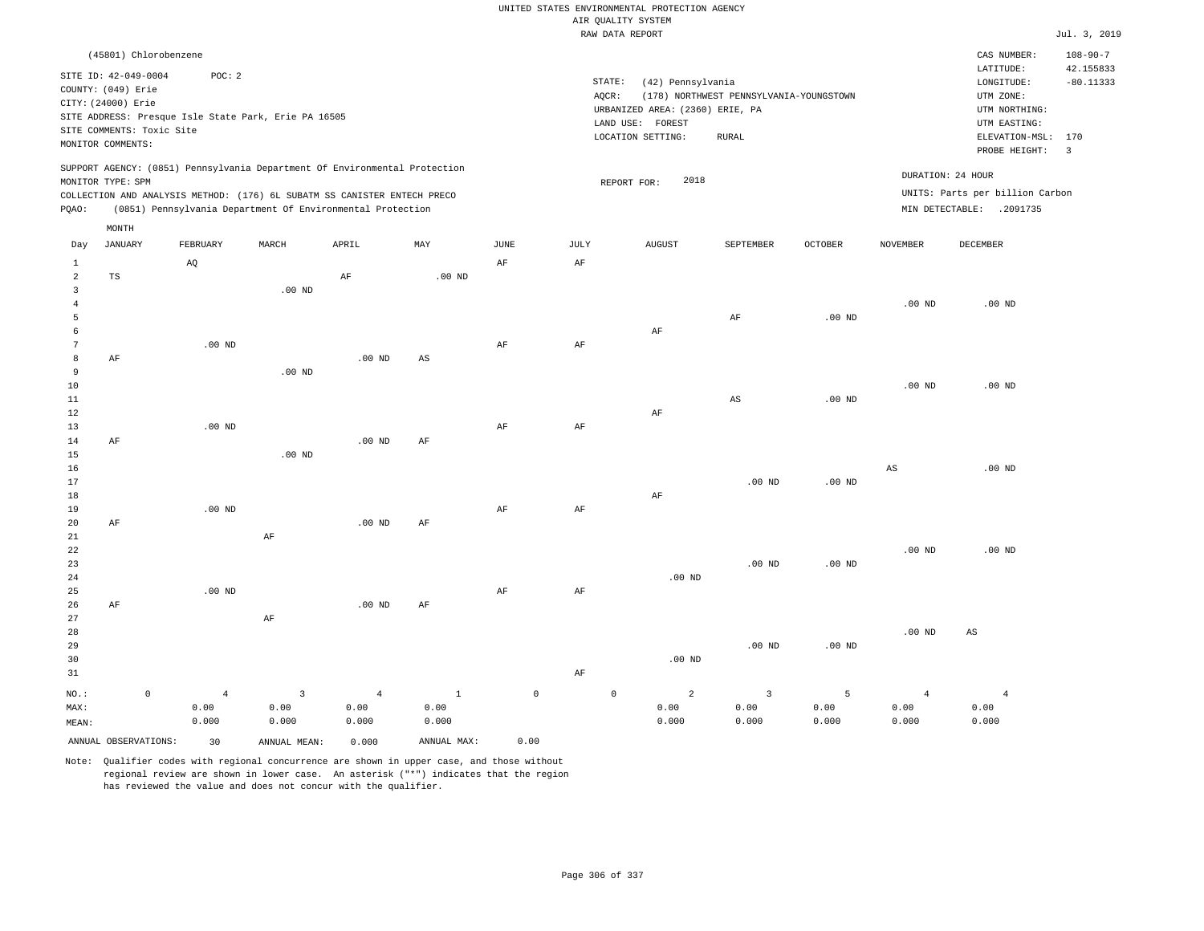|                |                                               |          |                   |                                                      |                                                                            |              |                     |           | UNITED STATES ENVIRONMENTAL PROTECTION AGENCY |                                         |                   |                   |                                        |                                            |
|----------------|-----------------------------------------------|----------|-------------------|------------------------------------------------------|----------------------------------------------------------------------------|--------------|---------------------|-----------|-----------------------------------------------|-----------------------------------------|-------------------|-------------------|----------------------------------------|--------------------------------------------|
|                |                                               |          |                   |                                                      |                                                                            |              |                     |           | AIR QUALITY SYSTEM<br>RAW DATA REPORT         |                                         |                   |                   |                                        | Jul. 3, 2019                               |
|                |                                               |          |                   |                                                      |                                                                            |              |                     |           |                                               |                                         |                   |                   |                                        |                                            |
|                | (45801) Chlorobenzene<br>SITE ID: 42-049-0004 |          | POC: 2            |                                                      |                                                                            |              |                     |           | STATE:<br>(42) Pennsylvania                   |                                         |                   |                   | CAS NUMBER:<br>LATITUDE:<br>LONGITUDE: | $108 - 90 - 7$<br>42.155833<br>$-80.11333$ |
|                | COUNTY: (049) Erie                            |          |                   |                                                      |                                                                            |              |                     |           | AQCR:                                         | (178) NORTHWEST PENNSYLVANIA-YOUNGSTOWN |                   |                   | UTM ZONE:                              |                                            |
|                | CITY: (24000) Erie                            |          |                   |                                                      |                                                                            |              |                     |           | URBANIZED AREA: (2360) ERIE, PA               |                                         |                   |                   | UTM NORTHING:                          |                                            |
|                | SITE COMMENTS: Toxic Site                     |          |                   | SITE ADDRESS: Presque Isle State Park, Erie PA 16505 |                                                                            |              |                     |           | LAND USE: FOREST                              |                                         |                   |                   | UTM EASTING:                           |                                            |
|                | MONITOR COMMENTS:                             |          |                   |                                                      |                                                                            |              |                     |           | LOCATION SETTING:                             | <b>RURAL</b>                            |                   |                   | ELEVATION-MSL:                         | 170                                        |
|                |                                               |          |                   |                                                      |                                                                            |              |                     |           |                                               |                                         |                   |                   | PROBE HEIGHT:                          | $\overline{3}$                             |
|                | MONITOR TYPE: SPM                             |          |                   |                                                      | SUPPORT AGENCY: (0851) Pennsylvania Department Of Environmental Protection |              |                     |           | 2018<br>REPORT FOR:                           |                                         |                   | DURATION: 24 HOUR |                                        |                                            |
|                |                                               |          |                   |                                                      | COLLECTION AND ANALYSIS METHOD: (176) 6L SUBATM SS CANISTER ENTECH PRECO   |              |                     |           |                                               |                                         |                   |                   | UNITS: Parts per billion Carbon        |                                            |
| PQAO:          |                                               |          |                   |                                                      | (0851) Pennsylvania Department Of Environmental Protection                 |              |                     |           |                                               |                                         |                   |                   | MIN DETECTABLE: .2091735               |                                            |
|                | MONTH                                         |          |                   |                                                      |                                                                            |              |                     |           |                                               |                                         |                   |                   |                                        |                                            |
| Day            | <b>JANUARY</b>                                | FEBRUARY |                   | MARCH                                                | APRIL                                                                      | MAY          | JUNE                | JULY      | <b>AUGUST</b>                                 | SEPTEMBER                               | OCTOBER           | <b>NOVEMBER</b>   | DECEMBER                               |                                            |
| $\mathbf{1}$   |                                               | AQ       |                   |                                                      |                                                                            |              | AF                  | AF        |                                               |                                         |                   |                   |                                        |                                            |
| $\overline{a}$ | $_{\rm TS}$                                   |          |                   |                                                      | AF                                                                         | $.00$ ND     |                     |           |                                               |                                         |                   |                   |                                        |                                            |
| $\mathbf{3}$   |                                               |          |                   | $.00$ ND                                             |                                                                            |              |                     |           |                                               |                                         |                   |                   |                                        |                                            |
| $\overline{4}$ |                                               |          |                   |                                                      |                                                                            |              |                     |           |                                               |                                         |                   | .00 <sub>ND</sub> | $.00$ ND                               |                                            |
| 5<br>6         |                                               |          |                   |                                                      |                                                                            |              |                     |           | AF                                            | AF                                      | $.00$ ND          |                   |                                        |                                            |
| $\overline{7}$ |                                               |          | .00 <sub>ND</sub> |                                                      |                                                                            |              | $\rm{AF}$           | $\rm{AF}$ |                                               |                                         |                   |                   |                                        |                                            |
| 8              | AF                                            |          |                   |                                                      | $.00$ ND                                                                   | AS           |                     |           |                                               |                                         |                   |                   |                                        |                                            |
| 9              |                                               |          |                   | $.00$ ND                                             |                                                                            |              |                     |           |                                               |                                         |                   |                   |                                        |                                            |
| $10$           |                                               |          |                   |                                                      |                                                                            |              |                     |           |                                               |                                         |                   | .00 <sub>ND</sub> | $.00$ ND                               |                                            |
| $11\,$         |                                               |          |                   |                                                      |                                                                            |              |                     |           |                                               | $_{\rm AS}$                             | $.00$ ND          |                   |                                        |                                            |
| 12             |                                               |          |                   |                                                      |                                                                            |              |                     |           | AF                                            |                                         |                   |                   |                                        |                                            |
| 13             |                                               |          | $.00$ ND          |                                                      |                                                                            |              | AF                  | AF        |                                               |                                         |                   |                   |                                        |                                            |
| 14             | $\rm AF$                                      |          |                   |                                                      | $.00$ ND                                                                   | AF           |                     |           |                                               |                                         |                   |                   |                                        |                                            |
| 15<br>16       |                                               |          |                   | $.00$ ND                                             |                                                                            |              |                     |           |                                               |                                         |                   | AS                | $.00$ ND                               |                                            |
| 17             |                                               |          |                   |                                                      |                                                                            |              |                     |           |                                               | $.00$ ND                                | $.00$ ND          |                   |                                        |                                            |
| 18             |                                               |          |                   |                                                      |                                                                            |              |                     |           | AF                                            |                                         |                   |                   |                                        |                                            |
| 19             |                                               |          | $.00$ ND          |                                                      |                                                                            |              | AF                  | AF        |                                               |                                         |                   |                   |                                        |                                            |
| 20             | $\rm AF$                                      |          |                   |                                                      | $.00$ ND                                                                   | AF           |                     |           |                                               |                                         |                   |                   |                                        |                                            |
| 21             |                                               |          |                   | $\rm AF$                                             |                                                                            |              |                     |           |                                               |                                         |                   |                   |                                        |                                            |
| 22             |                                               |          |                   |                                                      |                                                                            |              |                     |           |                                               |                                         |                   | $.00$ ND          | $.00$ ND                               |                                            |
| 23<br>24       |                                               |          |                   |                                                      |                                                                            |              |                     |           | $.00$ ND                                      | $.00$ ND                                | $.00$ ND          |                   |                                        |                                            |
| 25             |                                               |          | $.00$ ND          |                                                      |                                                                            |              | $\rm{AF}$           | $\rm{AF}$ |                                               |                                         |                   |                   |                                        |                                            |
| 26             | AF                                            |          |                   |                                                      | $.00$ ND                                                                   | AF           |                     |           |                                               |                                         |                   |                   |                                        |                                            |
| 27             |                                               |          |                   | AF                                                   |                                                                            |              |                     |           |                                               |                                         |                   |                   |                                        |                                            |
| 28             |                                               |          |                   |                                                      |                                                                            |              |                     |           |                                               |                                         |                   | .00 <sub>ND</sub> | AS                                     |                                            |
| 29             |                                               |          |                   |                                                      |                                                                            |              |                     |           |                                               | $.00$ ND                                | .00 <sub>ND</sub> |                   |                                        |                                            |
| 30             |                                               |          |                   |                                                      |                                                                            |              |                     |           | $.00$ ND                                      |                                         |                   |                   |                                        |                                            |
| 31             |                                               |          |                   |                                                      |                                                                            |              |                     | AF        |                                               |                                         |                   |                   |                                        |                                            |
| $NO.$ :        | $\mathbb O$                                   |          | $\overline{4}$    | 3                                                    | $\overline{4}$                                                             | $\mathbf{1}$ | $\mathsf{O}\xspace$ |           | $\mathsf{O}\xspace$<br>2                      | $\overline{\mathbf{3}}$                 | 5                 | $\overline{4}$    | $\overline{4}$                         |                                            |
| MAX:           |                                               |          | 0.00              | 0.00                                                 | 0.00                                                                       | 0.00         |                     |           | 0.00                                          | 0.00                                    | 0.00              | 0.00              | 0.00                                   |                                            |
| MEAN:          |                                               |          | 0.000             | 0.000                                                | 0.000                                                                      | 0.000        |                     |           | 0.000                                         | 0.000                                   | 0.000             | 0.000             | 0.000                                  |                                            |
|                | ANNUAL OBSERVATIONS:                          |          | 30                | ANNUAL MEAN:                                         | 0.000                                                                      | ANNUAL MAX:  | 0.00                |           |                                               |                                         |                   |                   |                                        |                                            |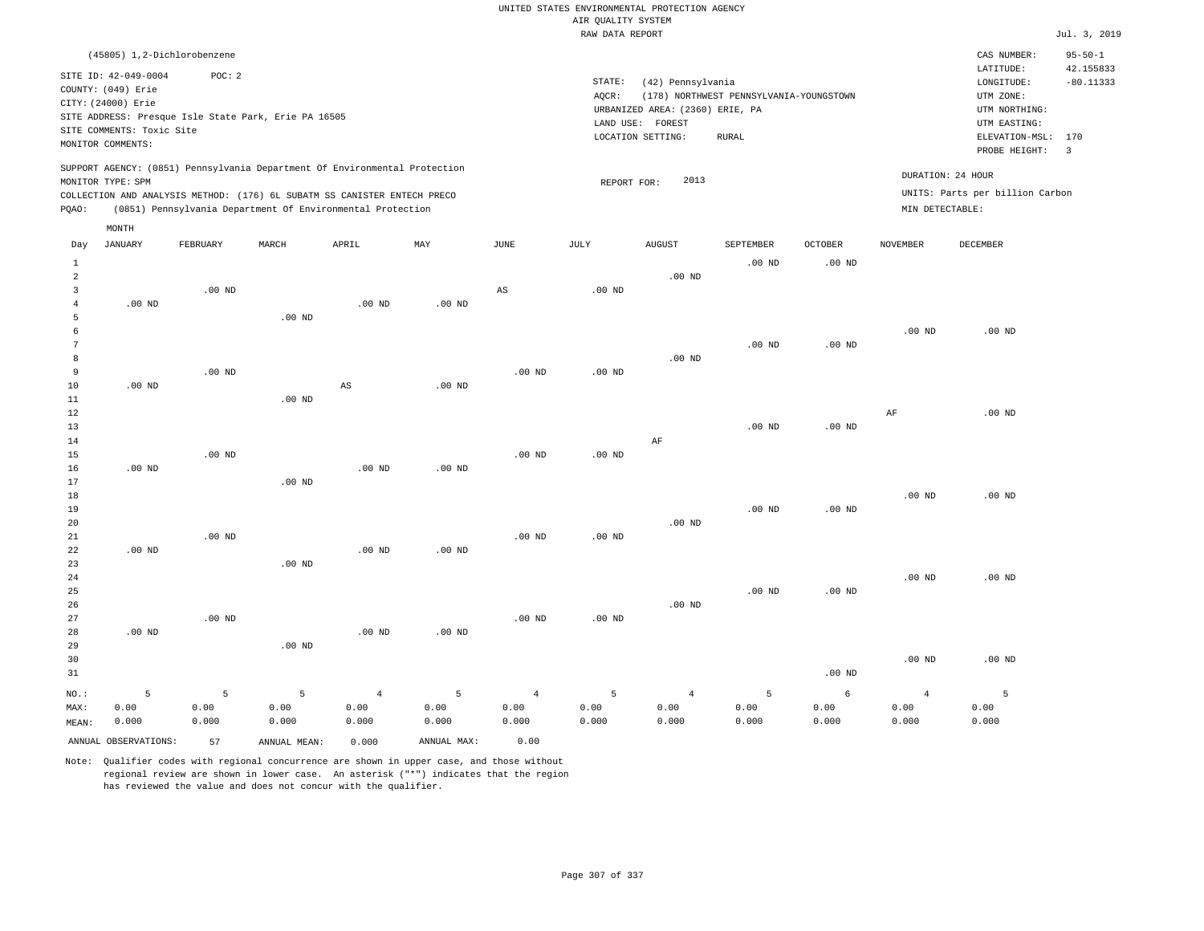|                | (45805) 1,2-Dichlorobenzene |                   |                                                                            |                   |                   |                   |                   |                                 |                                         |          |                   | CAS NUMBER:                     | $95 - 50 - 1$            |
|----------------|-----------------------------|-------------------|----------------------------------------------------------------------------|-------------------|-------------------|-------------------|-------------------|---------------------------------|-----------------------------------------|----------|-------------------|---------------------------------|--------------------------|
|                | SITE ID: 42-049-0004        | POC: 2            |                                                                            |                   |                   |                   | STATE:            | (42) Pennsylvania               |                                         |          |                   | LATITUDE:<br>LONGITUDE:         | 42.155833<br>$-80.11333$ |
|                | COUNTY: (049) Erie          |                   |                                                                            |                   |                   |                   | AQCR:             |                                 | (178) NORTHWEST PENNSYLVANIA-YOUNGSTOWN |          |                   | UTM ZONE:                       |                          |
|                | CITY: (24000) Erie          |                   |                                                                            |                   |                   |                   |                   | URBANIZED AREA: (2360) ERIE, PA |                                         |          |                   | UTM NORTHING:                   |                          |
|                |                             |                   | SITE ADDRESS: Presque Isle State Park, Erie PA 16505                       |                   |                   |                   |                   | LAND USE: FOREST                |                                         |          |                   | UTM EASTING:                    |                          |
|                | SITE COMMENTS: Toxic Site   |                   |                                                                            |                   |                   |                   |                   | LOCATION SETTING:               | RURAL                                   |          |                   | ELEVATION-MSL: 170              |                          |
|                | MONITOR COMMENTS:           |                   |                                                                            |                   |                   |                   |                   |                                 |                                         |          |                   | PROBE HEIGHT:                   | $\overline{3}$           |
|                | MONITOR TYPE: SPM           |                   | SUPPORT AGENCY: (0851) Pennsylvania Department Of Environmental Protection |                   |                   |                   | REPORT FOR:       | 2013                            |                                         |          |                   | DURATION: 24 HOUR               |                          |
|                |                             |                   | COLLECTION AND ANALYSIS METHOD: (176) 6L SUBATM SS CANISTER ENTECH PRECO   |                   |                   |                   |                   |                                 |                                         |          |                   | UNITS: Parts per billion Carbon |                          |
| PQAO:          |                             |                   | (0851) Pennsylvania Department Of Environmental Protection                 |                   |                   |                   |                   |                                 |                                         |          | MIN DETECTABLE:   |                                 |                          |
|                | MONTH                       |                   |                                                                            |                   |                   |                   |                   |                                 |                                         |          |                   |                                 |                          |
| Day            | <b>JANUARY</b>              | FEBRUARY          | MARCH                                                                      | APRIL             | MAY               | $_{\rm JUNE}$     | JULY              | <b>AUGUST</b>                   | SEPTEMBER                               | OCTOBER  | <b>NOVEMBER</b>   | <b>DECEMBER</b>                 |                          |
| $\mathbf{1}$   |                             |                   |                                                                            |                   |                   |                   |                   |                                 | $.00$ ND                                | $.00$ ND |                   |                                 |                          |
| $\overline{a}$ |                             |                   |                                                                            |                   |                   |                   |                   | $.00$ ND                        |                                         |          |                   |                                 |                          |
| $\overline{3}$ |                             | $.00$ ND          |                                                                            |                   |                   | AS                | $.00$ ND          |                                 |                                         |          |                   |                                 |                          |
| $\bf{4}$       | $.00$ ND                    |                   |                                                                            | .00 <sub>ND</sub> | .00 <sub>ND</sub> |                   |                   |                                 |                                         |          |                   |                                 |                          |
| 5              |                             |                   | .00 <sub>ND</sub>                                                          |                   |                   |                   |                   |                                 |                                         |          |                   |                                 |                          |
| 6              |                             |                   |                                                                            |                   |                   |                   |                   |                                 |                                         |          | $.00$ ND          | $.00$ ND                        |                          |
| $\overline{7}$ |                             |                   |                                                                            |                   |                   |                   |                   |                                 | $.00$ ND                                | $.00$ ND |                   |                                 |                          |
| 8              |                             |                   |                                                                            |                   |                   |                   |                   | $.00$ ND                        |                                         |          |                   |                                 |                          |
| 9              |                             | $.00$ ND          |                                                                            |                   |                   | .00 <sub>ND</sub> | .00 <sub>ND</sub> |                                 |                                         |          |                   |                                 |                          |
| 10<br>11       | $.00$ ND                    |                   | $.00$ ND                                                                   | AS                | $.00$ ND          |                   |                   |                                 |                                         |          |                   |                                 |                          |
| 12             |                             |                   |                                                                            |                   |                   |                   |                   |                                 |                                         |          | AF                | $.00$ ND                        |                          |
| 13             |                             |                   |                                                                            |                   |                   |                   |                   |                                 | $.00$ ND                                | $.00$ ND |                   |                                 |                          |
| 14             |                             |                   |                                                                            |                   |                   |                   |                   | AF                              |                                         |          |                   |                                 |                          |
| 15             |                             | .00 <sub>ND</sub> |                                                                            |                   |                   | $.00$ ND          | $.00$ ND          |                                 |                                         |          |                   |                                 |                          |
| 16             | $.00$ ND                    |                   |                                                                            | $.00$ ND          | $.00$ ND          |                   |                   |                                 |                                         |          |                   |                                 |                          |
| 17             |                             |                   | .00 <sub>ND</sub>                                                          |                   |                   |                   |                   |                                 |                                         |          |                   |                                 |                          |
| 18             |                             |                   |                                                                            |                   |                   |                   |                   |                                 |                                         |          | .00 <sub>ND</sub> | $.00$ ND                        |                          |
| 19             |                             |                   |                                                                            |                   |                   |                   |                   |                                 | $.00$ ND                                | $.00$ ND |                   |                                 |                          |
| 20             |                             |                   |                                                                            |                   |                   |                   |                   | $.00$ ND                        |                                         |          |                   |                                 |                          |
| $21\,$         |                             | $.00$ ND          |                                                                            |                   |                   | .00 <sub>ND</sub> | .00 <sub>ND</sub> |                                 |                                         |          |                   |                                 |                          |
| 22             | $.00$ ND                    |                   |                                                                            | $.00$ ND          | $.00$ ND          |                   |                   |                                 |                                         |          |                   |                                 |                          |
| 23<br>24       |                             |                   | $.00$ ND                                                                   |                   |                   |                   |                   |                                 |                                         |          | $.00$ ND          | $.00$ ND                        |                          |
| 25             |                             |                   |                                                                            |                   |                   |                   |                   |                                 | $.00$ ND                                | $.00$ ND |                   |                                 |                          |
| 26             |                             |                   |                                                                            |                   |                   |                   |                   | $.00$ ND                        |                                         |          |                   |                                 |                          |
| 27             |                             | $.00$ ND          |                                                                            |                   |                   | .00 <sub>ND</sub> | .00 <sub>ND</sub> |                                 |                                         |          |                   |                                 |                          |
| 28             | $.00$ ND                    |                   |                                                                            | .00 <sub>ND</sub> | $.00$ ND          |                   |                   |                                 |                                         |          |                   |                                 |                          |
| 29             |                             |                   | $.00$ ND                                                                   |                   |                   |                   |                   |                                 |                                         |          |                   |                                 |                          |
| 30             |                             |                   |                                                                            |                   |                   |                   |                   |                                 |                                         |          | .00 <sub>ND</sub> | $.00$ ND                        |                          |
| 31             |                             |                   |                                                                            |                   |                   |                   |                   |                                 |                                         | $.00$ ND |                   |                                 |                          |
| NO.:           | 5                           | 5                 | 5                                                                          | $\overline{4}$    | 5                 | $\overline{4}$    | 5                 | $\overline{4}$                  | 5                                       | 6        | $\overline{4}$    | 5                               |                          |
| MAX:           | 0.00                        | 0.00              | 0.00                                                                       | 0.00              | 0.00              | 0.00              | 0.00              | 0.00                            | 0.00                                    | 0.00     | 0.00              | 0.00                            |                          |
| MEAN:          | 0.000                       | 0.000             | 0.000                                                                      | 0.000             | 0.000             | 0.000             | 0.000             | 0.000                           | 0.000                                   | 0.000    | 0.000             | 0.000                           |                          |
|                | ANNUAL OBSERVATIONS:        | 57                | ANNUAL MEAN:                                                               | 0.000             | ANNUAL MAX:       | 0.00              |                   |                                 |                                         |          |                   |                                 |                          |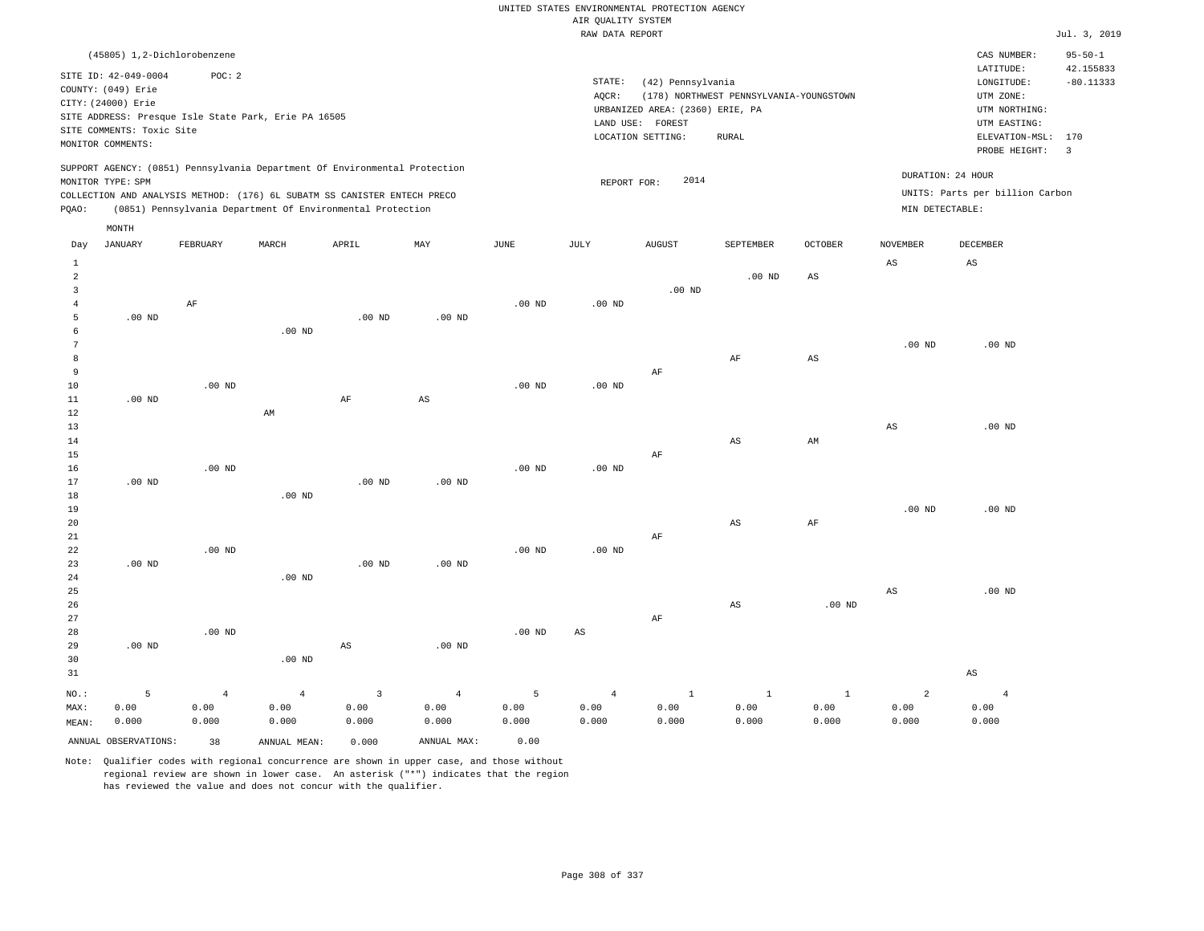|                |                           |                                                                            |                   |                        |                        |                   | RAW DATA REPORT        |                                 |                                         |                |                        |                                 | Jul. 3, 2019            |
|----------------|---------------------------|----------------------------------------------------------------------------|-------------------|------------------------|------------------------|-------------------|------------------------|---------------------------------|-----------------------------------------|----------------|------------------------|---------------------------------|-------------------------|
|                |                           | (45805) 1,2-Dichlorobenzene                                                |                   |                        |                        |                   |                        |                                 |                                         |                |                        | CAS NUMBER:                     | $95 - 50 - 1$           |
|                |                           |                                                                            |                   |                        |                        |                   |                        |                                 |                                         |                |                        | LATITUDE:                       | 42.155833               |
|                | SITE ID: 42-049-0004      | POC: 2                                                                     |                   |                        |                        |                   | STATE:                 | (42) Pennsylvania               |                                         |                |                        | LONGITUDE:                      | $-80.11333$             |
|                | COUNTY: (049) Erie        |                                                                            |                   |                        |                        |                   | AQCR:                  |                                 | (178) NORTHWEST PENNSYLVANIA-YOUNGSTOWN |                |                        | UTM ZONE:                       |                         |
|                | CITY: (24000) Erie        | SITE ADDRESS: Presque Isle State Park, Erie PA 16505                       |                   |                        |                        |                   |                        | URBANIZED AREA: (2360) ERIE, PA |                                         |                |                        | UTM NORTHING:                   |                         |
|                | SITE COMMENTS: Toxic Site |                                                                            |                   |                        |                        |                   |                        | LAND USE: FOREST                |                                         |                |                        | UTM EASTING:                    |                         |
|                | MONITOR COMMENTS:         |                                                                            |                   |                        |                        |                   |                        | LOCATION SETTING:               | <b>RURAL</b>                            |                |                        | ELEVATION-MSL:                  | 170                     |
|                |                           |                                                                            |                   |                        |                        |                   |                        |                                 |                                         |                |                        | PROBE HEIGHT:                   | $\overline{\mathbf{3}}$ |
|                |                           | SUPPORT AGENCY: (0851) Pennsylvania Department Of Environmental Protection |                   |                        |                        |                   |                        |                                 |                                         |                |                        |                                 |                         |
|                | MONITOR TYPE: SPM         |                                                                            |                   |                        |                        |                   | REPORT FOR:            | 2014                            |                                         |                |                        | DURATION: 24 HOUR               |                         |
|                |                           | COLLECTION AND ANALYSIS METHOD: (176) 6L SUBATM SS CANISTER ENTECH PRECO   |                   |                        |                        |                   |                        |                                 |                                         |                |                        | UNITS: Parts per billion Carbon |                         |
| PQAO:          |                           | (0851) Pennsylvania Department Of Environmental Protection                 |                   |                        |                        |                   |                        |                                 |                                         |                | MIN DETECTABLE:        |                                 |                         |
|                | MONTH                     |                                                                            |                   |                        |                        |                   |                        |                                 |                                         |                |                        |                                 |                         |
| Day            | <b>JANUARY</b>            | FEBRUARY                                                                   | MARCH             | APRIL                  | MAY                    | JUNE              | JULY                   | <b>AUGUST</b>                   | SEPTEMBER                               | <b>OCTOBER</b> | <b>NOVEMBER</b>        | <b>DECEMBER</b>                 |                         |
| $\mathbf{1}$   |                           |                                                                            |                   |                        |                        |                   |                        |                                 |                                         |                | $_{\rm AS}$            | AS                              |                         |
| $\overline{2}$ |                           |                                                                            |                   |                        |                        |                   |                        |                                 | $.00$ ND                                | $_{\rm AS}$    |                        |                                 |                         |
| 3              |                           |                                                                            |                   |                        |                        |                   |                        | .00 <sub>ND</sub>               |                                         |                |                        |                                 |                         |
| $\overline{4}$ |                           | AF                                                                         |                   |                        |                        | .00 <sub>ND</sub> | $.00$ ND               |                                 |                                         |                |                        |                                 |                         |
| 5              | $.00$ ND                  |                                                                            |                   | .00 <sub>ND</sub>      | $.00$ ND               |                   |                        |                                 |                                         |                |                        |                                 |                         |
| 6              |                           |                                                                            | .00 <sub>ND</sub> |                        |                        |                   |                        |                                 |                                         |                |                        |                                 |                         |
| 7              |                           |                                                                            |                   |                        |                        |                   |                        |                                 |                                         |                | .00 <sub>ND</sub>      | $.00$ ND                        |                         |
| 8              |                           |                                                                            |                   |                        |                        |                   |                        |                                 | AF                                      | $_{\rm AS}$    |                        |                                 |                         |
| 9              |                           |                                                                            |                   |                        |                        |                   |                        | $\rm AF$                        |                                         |                |                        |                                 |                         |
| 10             |                           | .00 <sub>ND</sub>                                                          |                   |                        |                        | .00 <sub>ND</sub> | .00 <sub>ND</sub>      |                                 |                                         |                |                        |                                 |                         |
| 11             | $.00$ ND                  |                                                                            |                   | $\rm AF$               | $\mathbb{A}\mathbb{S}$ |                   |                        |                                 |                                         |                |                        |                                 |                         |
| 12<br>13       |                           |                                                                            | AM                |                        |                        |                   |                        |                                 |                                         |                | $\mathbb{A}\mathbb{S}$ | $.00$ ND                        |                         |
| 14             |                           |                                                                            |                   |                        |                        |                   |                        |                                 | AS                                      | AM             |                        |                                 |                         |
| 15             |                           |                                                                            |                   |                        |                        |                   |                        | AF                              |                                         |                |                        |                                 |                         |
| $16$           |                           | .00 <sub>ND</sub>                                                          |                   |                        |                        | $.00$ ND          | $.00$ ND               |                                 |                                         |                |                        |                                 |                         |
| 17             | $.00$ ND                  |                                                                            |                   | $.00$ ND               | $.00$ ND               |                   |                        |                                 |                                         |                |                        |                                 |                         |
| 18             |                           |                                                                            | .00 <sub>ND</sub> |                        |                        |                   |                        |                                 |                                         |                |                        |                                 |                         |
| 19             |                           |                                                                            |                   |                        |                        |                   |                        |                                 |                                         |                | $.00$ ND               | $.00$ ND                        |                         |
| 20             |                           |                                                                            |                   |                        |                        |                   |                        |                                 | AS                                      | AF             |                        |                                 |                         |
| 21             |                           |                                                                            |                   |                        |                        |                   |                        | AF                              |                                         |                |                        |                                 |                         |
| 22             |                           | $.00$ ND                                                                   |                   |                        |                        | .00 <sub>ND</sub> | $.00$ ND               |                                 |                                         |                |                        |                                 |                         |
| 23             | $.00$ ND                  |                                                                            |                   | $.00$ ND               | $.00$ ND               |                   |                        |                                 |                                         |                |                        |                                 |                         |
| 24             |                           |                                                                            | $.00$ ND          |                        |                        |                   |                        |                                 |                                         |                |                        |                                 |                         |
| 25             |                           |                                                                            |                   |                        |                        |                   |                        |                                 |                                         |                | $\mathbb{A}\mathbb{S}$ | .00 <sub>ND</sub>               |                         |
| 26<br>27       |                           |                                                                            |                   |                        |                        |                   |                        | $\rm AF$                        | AS                                      | $.00$ ND       |                        |                                 |                         |
| 28             |                           | $.00$ ND                                                                   |                   |                        |                        | .00 <sub>ND</sub> | $\mathbb{A}\mathbb{S}$ |                                 |                                         |                |                        |                                 |                         |
| 29             | $.00$ ND                  |                                                                            |                   | $\mathbb{A}\mathbb{S}$ | $.00$ ND               |                   |                        |                                 |                                         |                |                        |                                 |                         |
| 30             |                           |                                                                            | .00 <sub>ND</sub> |                        |                        |                   |                        |                                 |                                         |                |                        |                                 |                         |
| 31             |                           |                                                                            |                   |                        |                        |                   |                        |                                 |                                         |                |                        | AS                              |                         |
| NO.:           | 5                         | $\overline{4}$                                                             | $\overline{4}$    | $\mathbf{3}$           | $\overline{4}$         | 5                 | $\overline{4}$         | $\mathbf{1}$                    | $\,1\,$                                 | $1\,$          | $\overline{a}$         | $\overline{4}$                  |                         |
| MAX:           | 0.00                      | 0.00                                                                       | 0.00              | 0.00                   | 0.00                   | 0.00              | 0.00                   | 0.00                            | 0.00                                    | 0.00           | 0.00                   | 0.00                            |                         |
| MEAN:          | 0.000                     | 0.000                                                                      | 0.000             | 0.000                  | 0.000                  | 0.000             | 0.000                  | 0.000                           | 0.000                                   | 0.000          | 0.000                  | 0.000                           |                         |
|                |                           |                                                                            |                   |                        |                        |                   |                        |                                 |                                         |                |                        |                                 |                         |

ANNUAL OBSERVATIONS: 38 ANNUAL MEAN: 0.000 ANNUAL MAX: 0.00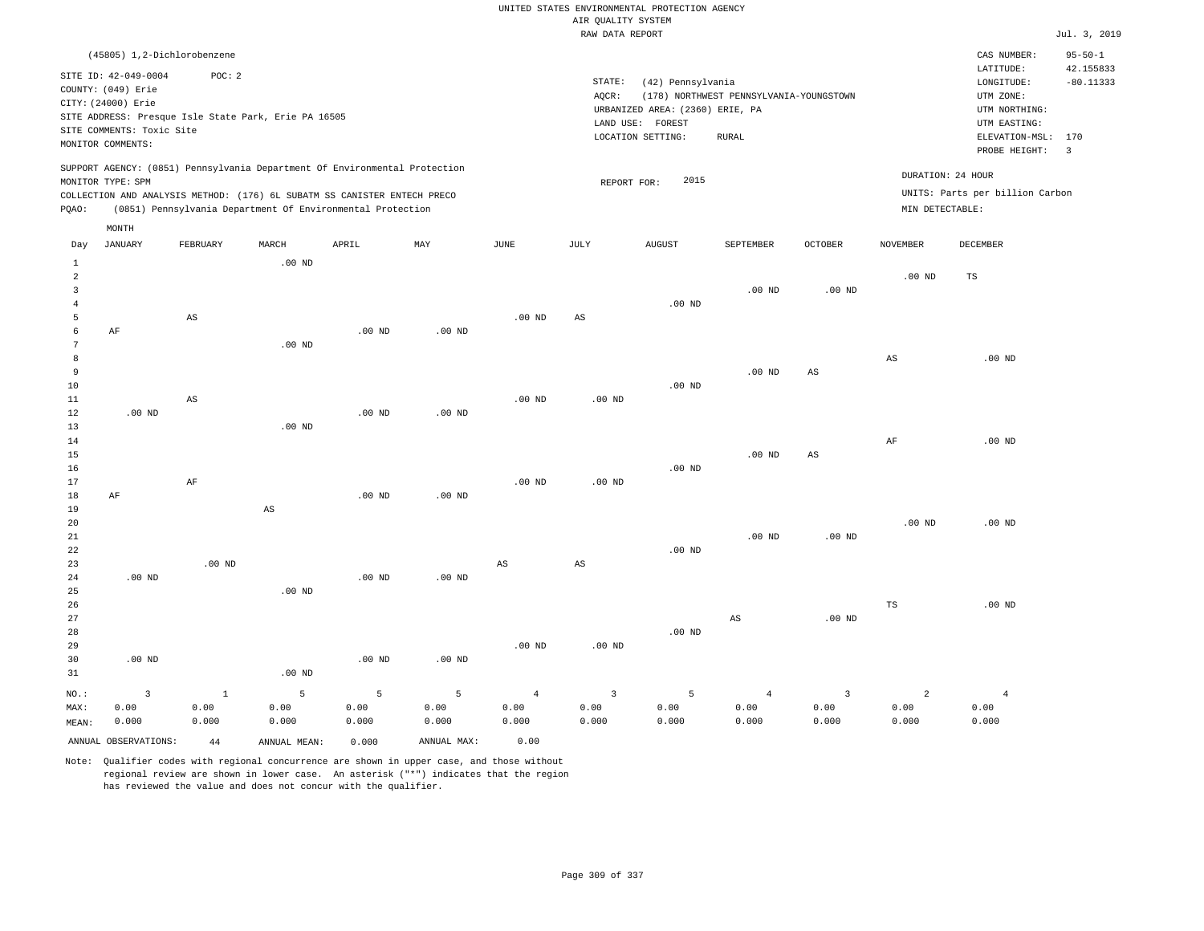|       |                           | (45805) 1,2-Dichlorobenzene                                                |          |       |     |      |        |                                 |                                         |                |                 | CAS NUMBER:                     | $95 - 50 - 1$           |
|-------|---------------------------|----------------------------------------------------------------------------|----------|-------|-----|------|--------|---------------------------------|-----------------------------------------|----------------|-----------------|---------------------------------|-------------------------|
|       | SITE ID: 42-049-0004      | POC: 2                                                                     |          |       |     |      |        |                                 |                                         |                |                 | LATITUDE:                       | 42.155833               |
|       | COUNTY: (049) Erie        |                                                                            |          |       |     |      | STATE: | (42) Pennsylvania               |                                         |                |                 | LONGITUDE:                      | $-80.11333$             |
|       | CITY: (24000) Erie        |                                                                            |          |       |     |      | AOCR:  |                                 | (178) NORTHWEST PENNSYLVANIA-YOUNGSTOWN |                |                 | UTM ZONE:                       |                         |
|       |                           | SITE ADDRESS: Presque Isle State Park, Erie PA 16505                       |          |       |     |      |        | URBANIZED AREA: (2360) ERIE, PA |                                         |                |                 | UTM NORTHING:                   |                         |
|       | SITE COMMENTS: Toxic Site |                                                                            |          |       |     |      |        | LAND USE: FOREST                |                                         |                |                 | UTM EASTING:                    |                         |
|       | MONITOR COMMENTS:         |                                                                            |          |       |     |      |        | LOCATION SETTING:               | RURAL                                   |                |                 | ELEVATION-MSL: 170              |                         |
|       |                           |                                                                            |          |       |     |      |        |                                 |                                         |                |                 | PROBE HEIGHT:                   | $\overline{\mathbf{3}}$ |
|       |                           | SUPPORT AGENCY: (0851) Pennsylvania Department Of Environmental Protection |          |       |     |      |        |                                 |                                         |                |                 |                                 |                         |
|       | MONITOR TYPE: SPM         |                                                                            |          |       |     |      |        | 2015<br>REPORT FOR:             |                                         |                |                 | DURATION: 24 HOUR               |                         |
|       |                           | COLLECTION AND ANALYSIS METHOD: (176) 6L SUBATM SS CANISTER ENTECH PRECO   |          |       |     |      |        |                                 |                                         |                |                 | UNITS: Parts per billion Carbon |                         |
| POAO: |                           | (0851) Pennsylvania Department Of Environmental Protection                 |          |       |     |      |        |                                 |                                         |                | MIN DETECTABLE: |                                 |                         |
|       | MONTH                     |                                                                            |          |       |     |      |        |                                 |                                         |                |                 |                                 |                         |
| Day   | JANUARY                   | FEBRUARY                                                                   | MARCH    | APRIL | MAY | JUNE | JULY   | <b>AUGUST</b>                   | SEPTEMBER                               | <b>OCTOBER</b> | NOVEMBER        | DECEMBER                        |                         |
|       |                           |                                                                            | $.00$ ND |       |     |      |        |                                 |                                         |                |                 |                                 |                         |
|       |                           |                                                                            |          |       |     |      |        |                                 |                                         |                | $.00$ ND        | <b>TS</b>                       |                         |

| NO.:     | 3        | $\mathbf{1}$           | 5                      | 5        | 5        | $\overline{4}$         | 3                      | 5        | $\overline{4}$         | 3                      | 2         | $\overline{4}$ |
|----------|----------|------------------------|------------------------|----------|----------|------------------------|------------------------|----------|------------------------|------------------------|-----------|----------------|
| 31       |          |                        | .00 $ND$               |          |          |                        |                        |          |                        |                        |           |                |
| 30       | $.00$ ND |                        |                        | $.00$ ND | .00 $ND$ |                        |                        |          |                        |                        |           |                |
| 29       |          |                        |                        |          |          | $.00$ ND               | $.00$ ND               |          |                        |                        |           |                |
| 28       |          |                        |                        |          |          |                        |                        | $.00$ ND |                        |                        |           |                |
| 27       |          |                        |                        |          |          |                        |                        |          | $\mathbb{A}\mathbb{S}$ | .00 $ND$               |           |                |
| 26       |          |                        |                        |          |          |                        |                        |          |                        |                        | TS        | .00 $ND$       |
| 25       |          |                        | $.00$ ND               |          |          |                        |                        |          |                        |                        |           |                |
| 24       | $.00$ ND |                        |                        | $.00$ ND | $.00$ ND |                        |                        |          |                        |                        |           |                |
| 23       |          | $.00$ ND               |                        |          |          | $\mathbb{A}\mathbb{S}$ | $\mathbb{A}\mathbb{S}$ |          |                        |                        |           |                |
| 22       |          |                        |                        |          |          |                        |                        | .00 $ND$ |                        |                        |           |                |
| 21       |          |                        |                        |          |          |                        |                        |          | $.00$ ND               | $.00~\mathrm{ND}$      |           |                |
| 20       |          |                        |                        |          |          |                        |                        |          |                        |                        | $.00$ ND  | .00 $ND$       |
| 19       |          |                        | $\mathbb{A}\mathbb{S}$ |          |          |                        |                        |          |                        |                        |           |                |
| 18       | $\rm AF$ |                        |                        | $.00$ ND | $.00$ ND |                        |                        |          |                        |                        |           |                |
| 17       |          | $\rm AF$               |                        |          |          | $.00$ ND               | .00 $ND$               |          |                        |                        |           |                |
| 16       |          |                        |                        |          |          |                        |                        | $.00$ ND |                        |                        |           |                |
| 15       |          |                        |                        |          |          |                        |                        |          | $.00$ ND               | AS                     |           |                |
| 14       |          |                        |                        |          |          |                        |                        |          |                        |                        | $\rm{AF}$ | .00 $ND$       |
| 12<br>13 | $.00$ ND |                        | $.00$ ND               | $.00$ ND | $.00$ ND |                        |                        |          |                        |                        |           |                |
| 11       |          | AS                     |                        |          |          | .00 $ND$               | .00 $ND$               |          |                        |                        |           |                |
| 10       |          |                        |                        |          |          |                        |                        | .00 $ND$ |                        |                        |           |                |
| 9        |          |                        |                        |          |          |                        |                        |          | $.00$ ND               | $\mathbb{A}\mathbb{S}$ |           |                |
| 8        |          |                        |                        |          |          |                        |                        |          |                        |                        | AS        | $.00$ ND       |
| 7        |          |                        | $.00$ ND               |          |          |                        |                        |          |                        |                        |           |                |
| 6        | AF       |                        |                        | $.00$ ND | $.00$ ND |                        |                        |          |                        |                        |           |                |
| 5        |          | $\mathbb{A}\mathbb{S}$ |                        |          |          | .00 $ND$               | $\mathbb{A}\mathbb{S}$ |          |                        |                        |           |                |
| 4        |          |                        |                        |          |          |                        |                        | $.00$ ND |                        |                        |           |                |
| 3        |          |                        |                        |          |          |                        |                        |          | .00 $ND$               | $.00~\mathrm{ND}$      |           |                |
|          |          |                        |                        |          |          |                        |                        |          |                        |                        | $\cdots$  | $-$            |

MEAN: 0.000 0.000 0.000 ANNUAL OBSERVATIONS: 44 ANNUAL MEAN: 0.000 ANNUAL MAX: 0.00

0.00

 0.00 0.000  0.00 0.000

Note: Qualifier codes with regional concurrence are shown in upper case, and those without regional review are shown in lower case. An asterisk ("\*") indicates that the region has reviewed the value and does not concur with the qualifier.

0.00

MAX:

0.00

 0.00 0.000  0.00 0.000  0.00 0.000  0.00 0.000

 0.00 0.000

 0.00 0.000

 0.00 0.000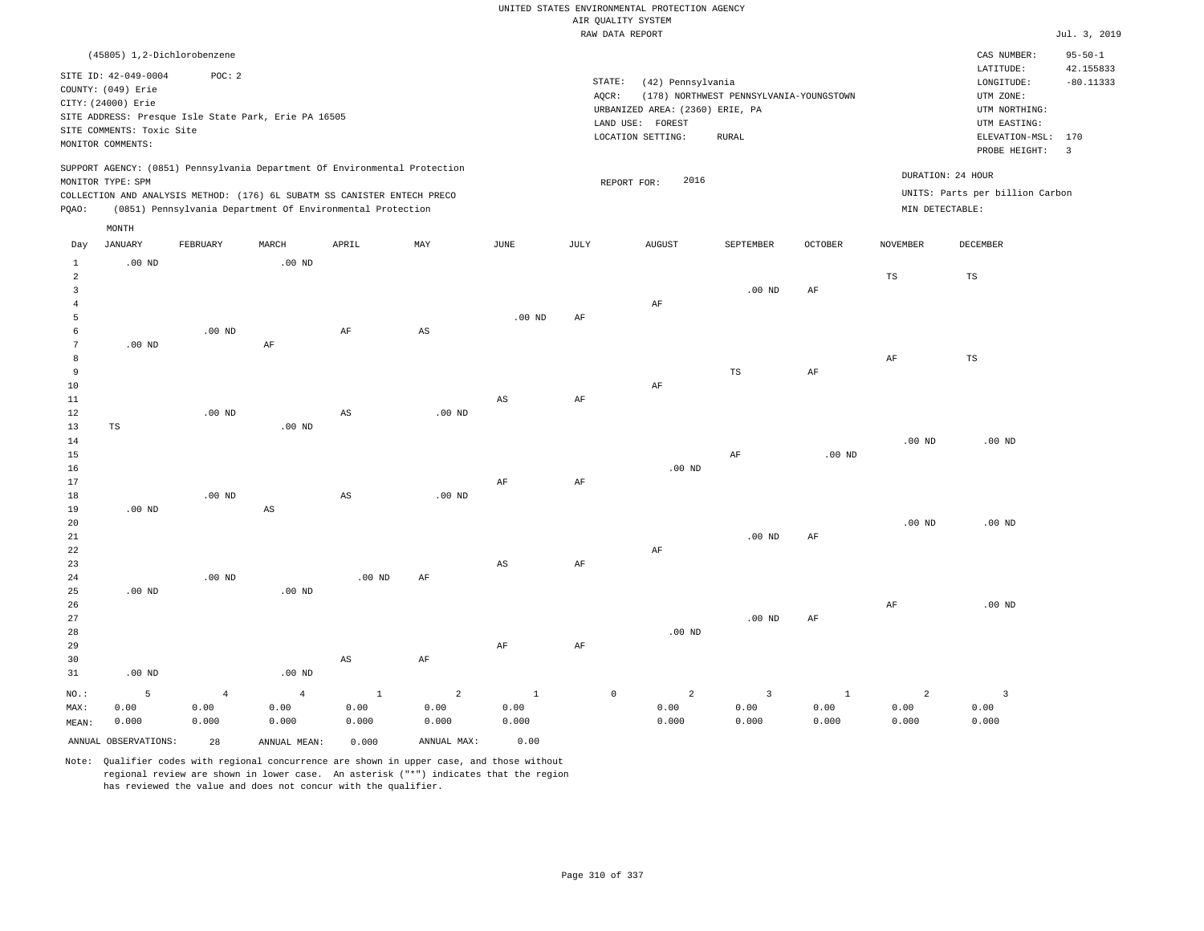|                |                             |                |                                                      |                                                                            |             |                        |           | RAW DATA REPORT                 |                   |                                         |              |                   |                                 | Jul. 3, 2019            |
|----------------|-----------------------------|----------------|------------------------------------------------------|----------------------------------------------------------------------------|-------------|------------------------|-----------|---------------------------------|-------------------|-----------------------------------------|--------------|-------------------|---------------------------------|-------------------------|
|                | (45805) 1,2-Dichlorobenzene |                |                                                      |                                                                            |             |                        |           |                                 |                   |                                         |              |                   | CAS NUMBER:                     | $95 - 50 - 1$           |
|                |                             |                |                                                      |                                                                            |             |                        |           |                                 |                   |                                         |              |                   | LATITUDE:                       | 42.155833               |
|                | SITE ID: 42-049-0004        | POC: 2         |                                                      |                                                                            |             |                        |           | STATE:                          | (42) Pennsylvania |                                         |              |                   | LONGITUDE:                      | $-80.11333$             |
|                | COUNTY: (049) Erie          |                |                                                      |                                                                            |             |                        |           | AQCR:                           |                   | (178) NORTHWEST PENNSYLVANIA-YOUNGSTOWN |              |                   | UTM ZONE:                       |                         |
|                | CITY: (24000) Erie          |                |                                                      |                                                                            |             |                        |           | URBANIZED AREA: (2360) ERIE, PA |                   |                                         |              |                   | UTM NORTHING:                   |                         |
|                |                             |                | SITE ADDRESS: Presque Isle State Park, Erie PA 16505 |                                                                            |             |                        |           | LAND USE: FOREST                |                   |                                         |              |                   | UTM EASTING:                    |                         |
|                | SITE COMMENTS: Toxic Site   |                |                                                      |                                                                            |             |                        |           | LOCATION SETTING:               |                   | RURAL                                   |              |                   | ELEVATION-MSL:                  | 170                     |
|                | MONITOR COMMENTS:           |                |                                                      |                                                                            |             |                        |           |                                 |                   |                                         |              |                   | PROBE HEIGHT:                   | $\overline{\mathbf{3}}$ |
|                |                             |                |                                                      | SUPPORT AGENCY: (0851) Pennsylvania Department Of Environmental Protection |             |                        |           |                                 |                   |                                         |              |                   |                                 |                         |
|                | MONITOR TYPE: SPM           |                |                                                      |                                                                            |             |                        |           | REPORT FOR:                     | 2016              |                                         |              | DURATION: 24 HOUR |                                 |                         |
|                |                             |                |                                                      | COLLECTION AND ANALYSIS METHOD: (176) 6L SUBATM SS CANISTER ENTECH PRECO   |             |                        |           |                                 |                   |                                         |              |                   | UNITS: Parts per billion Carbon |                         |
| PQAO:          |                             |                |                                                      | (0851) Pennsylvania Department Of Environmental Protection                 |             |                        |           |                                 |                   |                                         |              | MIN DETECTABLE:   |                                 |                         |
|                | MONTH                       |                |                                                      |                                                                            |             |                        |           |                                 |                   |                                         |              |                   |                                 |                         |
| Day            | <b>JANUARY</b>              | FEBRUARY       | MARCH                                                | APRIL                                                                      | MAY         | $\operatorname{JUNE}$  | JULY      |                                 | AUGUST            | SEPTEMBER                               | OCTOBER      | <b>NOVEMBER</b>   | DECEMBER                        |                         |
| $1\,$          | $.00$ ND                    |                | $.00$ ND                                             |                                                                            |             |                        |           |                                 |                   |                                         |              |                   |                                 |                         |
| 2              |                             |                |                                                      |                                                                            |             |                        |           |                                 |                   |                                         |              | TS                | TS                              |                         |
| $\overline{3}$ |                             |                |                                                      |                                                                            |             |                        |           |                                 |                   | .00 <sub>ND</sub>                       |              |                   |                                 |                         |
| $\overline{4}$ |                             |                |                                                      |                                                                            |             |                        |           |                                 | $\rm AF$          |                                         | AF           |                   |                                 |                         |
| 5              |                             |                |                                                      |                                                                            |             | $.00$ ND               | AF        |                                 |                   |                                         |              |                   |                                 |                         |
| 6              |                             | $.00$ ND       |                                                      | $\rm{AF}$                                                                  | AS          |                        |           |                                 |                   |                                         |              |                   |                                 |                         |
| 7              | $.00$ ND                    |                | $\rm AF$                                             |                                                                            |             |                        |           |                                 |                   |                                         |              |                   |                                 |                         |
| 8              |                             |                |                                                      |                                                                            |             |                        |           |                                 |                   |                                         |              | AF                | TS                              |                         |
| 9              |                             |                |                                                      |                                                                            |             |                        |           |                                 |                   | TS                                      | AF           |                   |                                 |                         |
| 10             |                             |                |                                                      |                                                                            |             |                        |           |                                 | $\rm AF$          |                                         |              |                   |                                 |                         |
| $11\,$         |                             |                |                                                      |                                                                            |             | $\mathbb{A}\mathbb{S}$ | $\rm{AF}$ |                                 |                   |                                         |              |                   |                                 |                         |
| 12             |                             | $.00$ ND       |                                                      | $\mathbb{A}\mathbb{S}$                                                     | $.00$ ND    |                        |           |                                 |                   |                                         |              |                   |                                 |                         |
| 13             | TS                          |                | $.00$ ND                                             |                                                                            |             |                        |           |                                 |                   |                                         |              |                   |                                 |                         |
| 14             |                             |                |                                                      |                                                                            |             |                        |           |                                 |                   |                                         |              | .00 <sub>ND</sub> | .00 <sub>ND</sub>               |                         |
| 15             |                             |                |                                                      |                                                                            |             |                        |           |                                 |                   | $\rm{AF}$                               | $.00$ ND     |                   |                                 |                         |
| 16             |                             |                |                                                      |                                                                            |             |                        |           |                                 | $.00$ ND          |                                         |              |                   |                                 |                         |
| $17$           |                             |                |                                                      |                                                                            |             | AF                     | AF        |                                 |                   |                                         |              |                   |                                 |                         |
| 18             |                             | $.00$ ND       |                                                      | $\mathbb{A}\mathbb{S}$                                                     | $.00$ ND    |                        |           |                                 |                   |                                         |              |                   |                                 |                         |
| 19             | $.00$ ND                    |                | $\mathbb{A}\mathbb{S}$                               |                                                                            |             |                        |           |                                 |                   |                                         |              |                   |                                 |                         |
| 20             |                             |                |                                                      |                                                                            |             |                        |           |                                 |                   |                                         |              | $.00$ ND          | .00 <sub>ND</sub>               |                         |
| 21             |                             |                |                                                      |                                                                            |             |                        |           |                                 |                   | .00 <sub>ND</sub>                       | AF           |                   |                                 |                         |
| 22             |                             |                |                                                      |                                                                            |             |                        |           |                                 | AF                |                                         |              |                   |                                 |                         |
| 23             |                             |                |                                                      |                                                                            |             | AS                     | AF        |                                 |                   |                                         |              |                   |                                 |                         |
| 24             |                             | $.00$ ND       |                                                      | .00 <sub>ND</sub>                                                          | AF          |                        |           |                                 |                   |                                         |              |                   |                                 |                         |
| 25             | $.00$ ND                    |                | .00 $ND$                                             |                                                                            |             |                        |           |                                 |                   |                                         |              |                   |                                 |                         |
| 26<br>27       |                             |                |                                                      |                                                                            |             |                        |           |                                 |                   |                                         |              | AF                | $.00$ ND                        |                         |
| 28             |                             |                |                                                      |                                                                            |             |                        |           |                                 | $.00$ ND          | .00 <sub>ND</sub>                       | AF           |                   |                                 |                         |
| 29             |                             |                |                                                      |                                                                            |             | AF                     | AF        |                                 |                   |                                         |              |                   |                                 |                         |
| 30             |                             |                |                                                      | AS                                                                         | AF          |                        |           |                                 |                   |                                         |              |                   |                                 |                         |
| 31             | $.00$ ND                    |                | .00 $ND$                                             |                                                                            |             |                        |           |                                 |                   |                                         |              |                   |                                 |                         |
|                |                             |                |                                                      |                                                                            |             |                        |           |                                 |                   |                                         |              |                   |                                 |                         |
| NO.:           | - 5                         | $\overline{4}$ | $\overline{4}$                                       | $\mathbf{1}$                                                               | 2           | <sup>1</sup>           |           | $\circ$                         | 2                 | $\overline{\mathbf{3}}$                 | $\mathbf{1}$ | 2                 | $\overline{3}$                  |                         |
| MAX:           | 0.00                        | 0.00           | 0.00                                                 | 0.00                                                                       | 0.00        | 0.00                   |           |                                 | 0.00              | 0.00                                    | 0.00         | 0.00              | 0.00                            |                         |
| MEAN:          | 0.000                       | 0.000          | 0.000                                                | 0.000                                                                      | 0.000       | 0.000                  |           |                                 | 0.000             | 0.000                                   | 0.000        | 0.000             | 0.000                           |                         |
|                | ANNUAL OBSERVATIONS:        | 28             | ANNUAL MEAN:                                         | 0.000                                                                      | ANNUAL MAX: | 0.00                   |           |                                 |                   |                                         |              |                   |                                 |                         |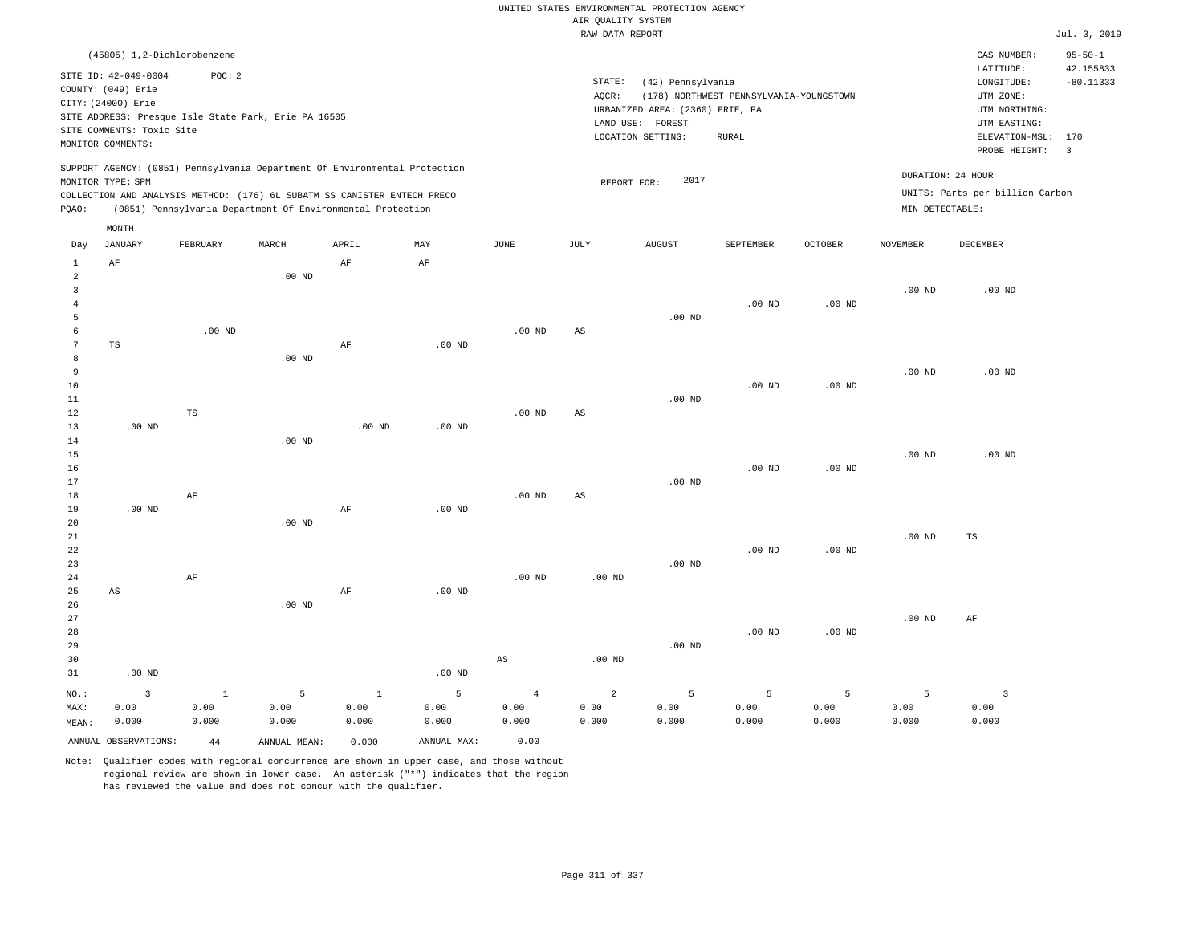|                      | (45805) 1,2-Dichlorobenzene                                      |               |                                                      |                                                                            |                   |                       |                        |                                                      |                                         |                   |                   | CAS NUMBER:<br>LATITUDE:                         | $95 - 50 - 1$<br>42.155833 |
|----------------------|------------------------------------------------------------------|---------------|------------------------------------------------------|----------------------------------------------------------------------------|-------------------|-----------------------|------------------------|------------------------------------------------------|-----------------------------------------|-------------------|-------------------|--------------------------------------------------|----------------------------|
|                      | SITE ID: 42-049-0004<br>COUNTY: (049) Erie<br>CITY: (24000) Erie | POC: 2        |                                                      |                                                                            |                   |                       | STATE:<br>AQCR:        | (42) Pennsylvania<br>URBANIZED AREA: (2360) ERIE, PA | (178) NORTHWEST PENNSYLVANIA-YOUNGSTOWN |                   |                   | ${\tt LONGITUDE:}$<br>UTM ZONE:<br>UTM NORTHING: | $-80.11333$                |
|                      | SITE COMMENTS: Toxic Site                                        |               | SITE ADDRESS: Presque Isle State Park, Erie PA 16505 |                                                                            |                   |                       |                        | LAND USE: FOREST                                     |                                         |                   |                   | UTM EASTING:                                     |                            |
|                      | MONITOR COMMENTS:                                                |               |                                                      |                                                                            |                   |                       |                        | LOCATION SETTING:                                    | <b>RURAL</b>                            |                   |                   | ELEVATION-MSL: 170                               |                            |
|                      |                                                                  |               |                                                      |                                                                            |                   |                       |                        |                                                      |                                         |                   |                   | PROBE HEIGHT:                                    | $\overline{3}$             |
|                      | MONITOR TYPE: SPM                                                |               |                                                      | SUPPORT AGENCY: (0851) Pennsylvania Department Of Environmental Protection |                   |                       | REPORT FOR:            | 2017                                                 |                                         |                   | DURATION: 24 HOUR |                                                  |                            |
|                      |                                                                  |               |                                                      | COLLECTION AND ANALYSIS METHOD: (176) 6L SUBATM SS CANISTER ENTECH PRECO   |                   |                       |                        |                                                      |                                         |                   |                   | UNITS: Parts per billion Carbon                  |                            |
| PQAO:                |                                                                  |               |                                                      | (0851) Pennsylvania Department Of Environmental Protection                 |                   |                       |                        |                                                      |                                         |                   | MIN DETECTABLE:   |                                                  |                            |
|                      | MONTH                                                            |               |                                                      |                                                                            |                   |                       |                        |                                                      |                                         |                   |                   |                                                  |                            |
| Day                  | <b>JANUARY</b>                                                   | FEBRUARY      | MARCH                                                | APRIL                                                                      | MAX               | $\operatorname{JUNE}$ | JULY                   | <b>AUGUST</b>                                        | SEPTEMBER                               | <b>OCTOBER</b>    | <b>NOVEMBER</b>   | DECEMBER                                         |                            |
| $\mathbf{1}$         | AF                                                               |               |                                                      | AF                                                                         | AF                |                       |                        |                                                      |                                         |                   |                   |                                                  |                            |
| $\overline{2}$       |                                                                  |               | $.00$ ND                                             |                                                                            |                   |                       |                        |                                                      |                                         |                   |                   |                                                  |                            |
| $\overline{3}$       |                                                                  |               |                                                      |                                                                            |                   |                       |                        |                                                      |                                         |                   | $.00$ ND          | $.00$ ND                                         |                            |
| $\overline{4}$       |                                                                  |               |                                                      |                                                                            |                   |                       |                        |                                                      | .00 <sub>ND</sub>                       | .00 <sub>ND</sub> |                   |                                                  |                            |
| 5                    |                                                                  |               |                                                      |                                                                            |                   |                       |                        | $.00$ ND                                             |                                         |                   |                   |                                                  |                            |
| 6                    |                                                                  | $.00$ ND      |                                                      |                                                                            |                   | $.00$ ND              | $\mathbb{A}\mathbb{S}$ |                                                      |                                         |                   |                   |                                                  |                            |
| $7\phantom{.0}$<br>8 | $_{\rm TS}$                                                      |               |                                                      | AF                                                                         | $.00$ ND          |                       |                        |                                                      |                                         |                   |                   |                                                  |                            |
| $\overline{9}$       |                                                                  |               | .00 <sub>ND</sub>                                    |                                                                            |                   |                       |                        |                                                      |                                         |                   | $.00$ ND          | $.00$ ND                                         |                            |
| 10                   |                                                                  |               |                                                      |                                                                            |                   |                       |                        |                                                      | $.00$ ND                                | .00 <sub>ND</sub> |                   |                                                  |                            |
| 11                   |                                                                  |               |                                                      |                                                                            |                   |                       |                        | $.00$ ND                                             |                                         |                   |                   |                                                  |                            |
| 12                   |                                                                  | $\mathbb{TS}$ |                                                      |                                                                            |                   | $.00$ ND              | $_{\rm AS}$            |                                                      |                                         |                   |                   |                                                  |                            |
| 13                   | $.00$ ND                                                         |               |                                                      | .00 <sub>ND</sub>                                                          | .00 <sub>ND</sub> |                       |                        |                                                      |                                         |                   |                   |                                                  |                            |
| 14                   |                                                                  |               | $.00$ ND                                             |                                                                            |                   |                       |                        |                                                      |                                         |                   |                   |                                                  |                            |
| 15                   |                                                                  |               |                                                      |                                                                            |                   |                       |                        |                                                      |                                         |                   | .00 <sub>ND</sub> | $.00$ ND                                         |                            |
| 16                   |                                                                  |               |                                                      |                                                                            |                   |                       |                        |                                                      | .00 <sub>ND</sub>                       | .00 <sub>ND</sub> |                   |                                                  |                            |
| 17                   |                                                                  |               |                                                      |                                                                            |                   |                       |                        | .00 <sub>ND</sub>                                    |                                         |                   |                   |                                                  |                            |
| $18\,$               |                                                                  | AF            |                                                      |                                                                            |                   | $.00$ ND              | AS                     |                                                      |                                         |                   |                   |                                                  |                            |
| 19                   | $.00$ ND                                                         |               |                                                      | $\rm{AF}$                                                                  | $.00$ ND          |                       |                        |                                                      |                                         |                   |                   |                                                  |                            |
| 20<br>21             |                                                                  |               | $.00$ ND                                             |                                                                            |                   |                       |                        |                                                      |                                         |                   |                   |                                                  |                            |
| 22                   |                                                                  |               |                                                      |                                                                            |                   |                       |                        |                                                      | .00 <sub>ND</sub>                       | .00 <sub>ND</sub> | $.00$ ND          | TS                                               |                            |
| 23                   |                                                                  |               |                                                      |                                                                            |                   |                       |                        | $.00$ ND                                             |                                         |                   |                   |                                                  |                            |
| 24                   |                                                                  | $\rm{AF}$     |                                                      |                                                                            |                   | $.00$ ND              | $.00$ ND               |                                                      |                                         |                   |                   |                                                  |                            |
| 25                   | AS                                                               |               |                                                      | AF                                                                         | $.00$ ND          |                       |                        |                                                      |                                         |                   |                   |                                                  |                            |
| 26                   |                                                                  |               | $.00$ ND                                             |                                                                            |                   |                       |                        |                                                      |                                         |                   |                   |                                                  |                            |
| 27                   |                                                                  |               |                                                      |                                                                            |                   |                       |                        |                                                      |                                         |                   | $.00$ ND          | AF                                               |                            |
| 28                   |                                                                  |               |                                                      |                                                                            |                   |                       |                        |                                                      | $.00$ ND                                | $.00$ ND          |                   |                                                  |                            |
| 29                   |                                                                  |               |                                                      |                                                                            |                   |                       |                        | $.00$ ND                                             |                                         |                   |                   |                                                  |                            |
| 30                   |                                                                  |               |                                                      |                                                                            |                   | AS                    | $.00$ ND               |                                                      |                                         |                   |                   |                                                  |                            |
| 31                   | $.00$ ND                                                         |               |                                                      |                                                                            | $.00$ ND          |                       |                        |                                                      |                                         |                   |                   |                                                  |                            |
| NO.:                 | $\overline{3}$                                                   | $\mathbf{1}$  | 5                                                    | <sup>1</sup>                                                               | 5                 | $\overline{4}$        | 2                      | 5                                                    | 5                                       | 5                 | 5                 | $\overline{3}$                                   |                            |
| MAX:                 | 0.00                                                             | 0.00          | 0.00                                                 | 0.00                                                                       | 0.00              | 0.00                  | 0.00                   | 0.00                                                 | 0.00                                    | 0.00              | 0.00              | 0.00                                             |                            |
| MEAN:                | 0.000                                                            | 0.000         | 0.000                                                | 0.000                                                                      | 0.000             | 0.000                 | 0.000                  | 0.000                                                | 0.000                                   | 0.000             | 0.000             | 0.000                                            |                            |
|                      | ANNUAL OBSERVATIONS:                                             | 44            | ANNUAL MEAN:                                         | 0.000                                                                      | ANNUAL MAX:       | 0.00                  |                        |                                                      |                                         |                   |                   |                                                  |                            |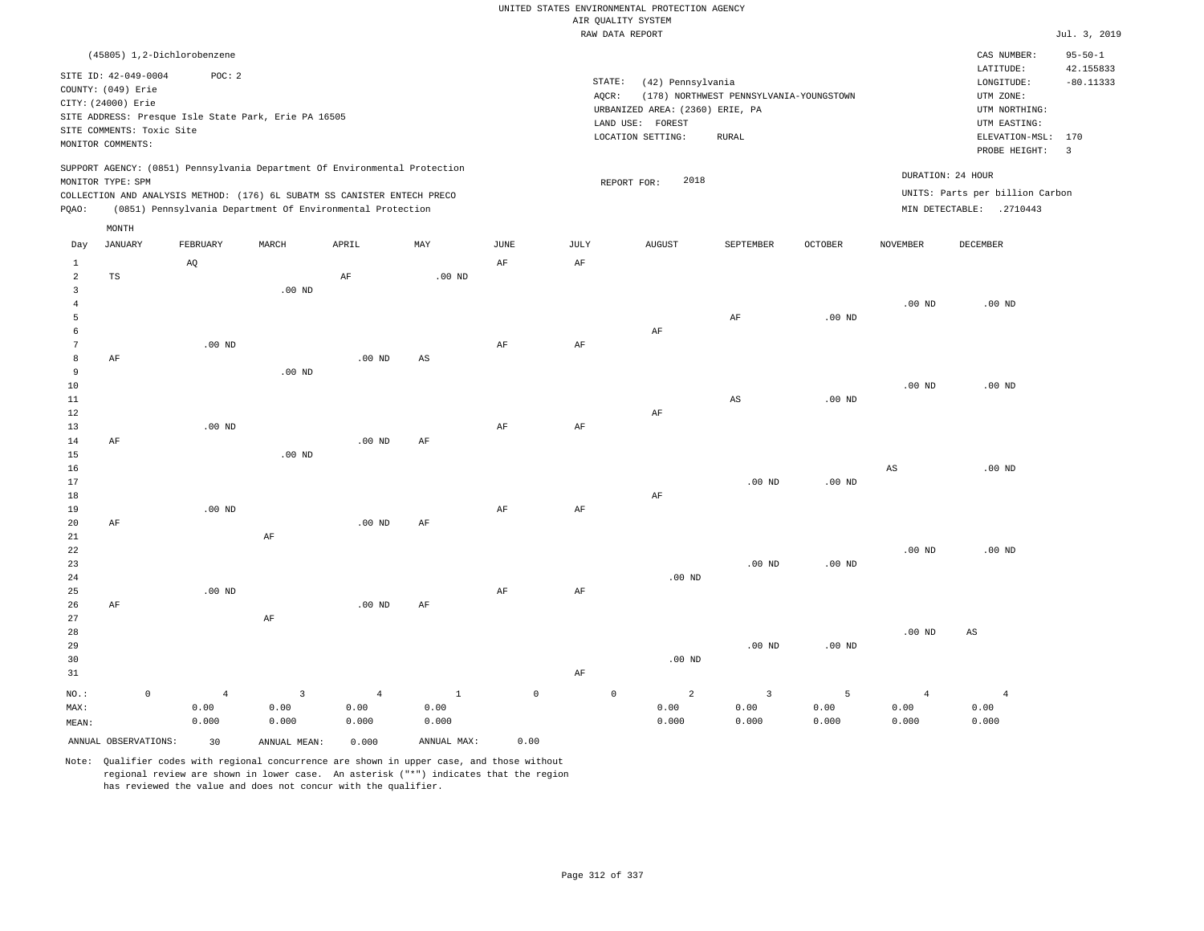|                     |                           |                                                                            |              |                |              |                     |           | UNITED STATES ENVIRONMENTAL PROTECTION AGENCY |                                         |                   |                   |                                 |                            |
|---------------------|---------------------------|----------------------------------------------------------------------------|--------------|----------------|--------------|---------------------|-----------|-----------------------------------------------|-----------------------------------------|-------------------|-------------------|---------------------------------|----------------------------|
|                     |                           |                                                                            |              |                |              |                     |           | AIR QUALITY SYSTEM<br>RAW DATA REPORT         |                                         |                   |                   |                                 | Jul. 3, 2019               |
|                     |                           |                                                                            |              |                |              |                     |           |                                               |                                         |                   |                   |                                 |                            |
|                     | SITE ID: 42-049-0004      | (45805) 1,2-Dichlorobenzene<br>POC: 2                                      |              |                |              |                     |           |                                               |                                         |                   |                   | CAS NUMBER:<br>LATITUDE:        | $95 - 50 - 1$<br>42.155833 |
|                     | COUNTY: (049) Erie        |                                                                            |              |                |              |                     | STATE:    | (42) Pennsylvania                             |                                         |                   |                   | LONGITUDE:                      | $-80.11333$                |
|                     | CITY: (24000) Erie        |                                                                            |              |                |              |                     | AQCR:     | URBANIZED AREA: (2360) ERIE, PA               | (178) NORTHWEST PENNSYLVANIA-YOUNGSTOWN |                   |                   | UTM ZONE:<br>UTM NORTHING:      |                            |
|                     |                           | SITE ADDRESS: Presque Isle State Park, Erie PA 16505                       |              |                |              |                     |           | LAND USE: FOREST                              |                                         |                   |                   | UTM EASTING:                    |                            |
|                     | SITE COMMENTS: Toxic Site |                                                                            |              |                |              |                     |           | LOCATION SETTING:                             | <b>RURAL</b>                            |                   |                   | ELEVATION-MSL:                  | 170                        |
|                     | MONITOR COMMENTS:         |                                                                            |              |                |              |                     |           |                                               |                                         |                   |                   | PROBE HEIGHT:                   | $\overline{3}$             |
|                     | MONITOR TYPE: SPM         | SUPPORT AGENCY: (0851) Pennsylvania Department Of Environmental Protection |              |                |              |                     |           | 2018<br>REPORT FOR:                           |                                         |                   | DURATION: 24 HOUR |                                 |                            |
|                     |                           | COLLECTION AND ANALYSIS METHOD: (176) 6L SUBATM SS CANISTER ENTECH PRECO   |              |                |              |                     |           |                                               |                                         |                   |                   | UNITS: Parts per billion Carbon |                            |
| PQAO:               |                           | (0851) Pennsylvania Department Of Environmental Protection                 |              |                |              |                     |           |                                               |                                         |                   |                   | MIN DETECTABLE: .2710443        |                            |
|                     | MONTH                     |                                                                            |              |                |              |                     |           |                                               |                                         |                   |                   |                                 |                            |
| Day                 | <b>JANUARY</b>            | FEBRUARY                                                                   | MARCH        | APRIL          | MAY          | JUNE                | JULY      | <b>AUGUST</b>                                 | SEPTEMBER                               | OCTOBER           | <b>NOVEMBER</b>   | DECEMBER                        |                            |
| $\mathbf{1}$        |                           | AQ                                                                         |              |                |              | AF                  | AF        |                                               |                                         |                   |                   |                                 |                            |
| $\overline{a}$      | $_{\rm TS}$               |                                                                            |              | AF             | $.00$ ND     |                     |           |                                               |                                         |                   |                   |                                 |                            |
| $\mathbf{3}$        |                           |                                                                            | $.00$ ND     |                |              |                     |           |                                               |                                         |                   |                   |                                 |                            |
| $\overline{4}$      |                           |                                                                            |              |                |              |                     |           |                                               |                                         |                   | .00 <sub>ND</sub> | $.00$ ND                        |                            |
| 5                   |                           |                                                                            |              |                |              |                     |           |                                               | AF                                      | $.00$ ND          |                   |                                 |                            |
| 6<br>$\overline{7}$ |                           |                                                                            |              |                |              |                     |           | AF                                            |                                         |                   |                   |                                 |                            |
| 8                   | AF                        | .00 <sub>ND</sub>                                                          |              | $.00$ ND       | AS           | $\rm{AF}$           | $\rm{AF}$ |                                               |                                         |                   |                   |                                 |                            |
| 9                   |                           |                                                                            | $.00$ ND     |                |              |                     |           |                                               |                                         |                   |                   |                                 |                            |
| $10$                |                           |                                                                            |              |                |              |                     |           |                                               |                                         |                   | .00 <sub>ND</sub> | $.00$ ND                        |                            |
| $11\,$              |                           |                                                                            |              |                |              |                     |           |                                               | $_{\rm AS}$                             | $.00$ ND          |                   |                                 |                            |
| 12                  |                           |                                                                            |              |                |              |                     |           | AF                                            |                                         |                   |                   |                                 |                            |
| 13                  |                           | $.00$ ND                                                                   |              |                |              | AF                  | AF        |                                               |                                         |                   |                   |                                 |                            |
| 14                  | $\rm AF$                  |                                                                            |              | $.00$ ND       | AF           |                     |           |                                               |                                         |                   |                   |                                 |                            |
| 15                  |                           |                                                                            | $.00$ ND     |                |              |                     |           |                                               |                                         |                   |                   |                                 |                            |
| 16                  |                           |                                                                            |              |                |              |                     |           |                                               |                                         |                   | AS                | $.00$ ND                        |                            |
| 17<br>18            |                           |                                                                            |              |                |              |                     |           | AF                                            | $.00$ ND                                | $.00$ ND          |                   |                                 |                            |
| 19                  |                           | $.00$ ND                                                                   |              |                |              | AF                  | AF        |                                               |                                         |                   |                   |                                 |                            |
| 20                  | $\rm AF$                  |                                                                            |              | $.00$ ND       | AF           |                     |           |                                               |                                         |                   |                   |                                 |                            |
| 21                  |                           |                                                                            | $\rm AF$     |                |              |                     |           |                                               |                                         |                   |                   |                                 |                            |
| 22                  |                           |                                                                            |              |                |              |                     |           |                                               |                                         |                   | $.00$ ND          | $.00$ ND                        |                            |
| 23                  |                           |                                                                            |              |                |              |                     |           |                                               | $.00$ ND                                | $.00$ ND          |                   |                                 |                            |
| 24                  |                           |                                                                            |              |                |              |                     |           | $.00$ ND                                      |                                         |                   |                   |                                 |                            |
| 25                  |                           | $.00$ ND                                                                   |              |                |              | $\rm{AF}$           | $\rm{AF}$ |                                               |                                         |                   |                   |                                 |                            |
| 26<br>27            | AF                        |                                                                            |              | $.00$ ND       | AF           |                     |           |                                               |                                         |                   |                   |                                 |                            |
| 28                  |                           |                                                                            | AF           |                |              |                     |           |                                               |                                         |                   | .00 <sub>ND</sub> | AS                              |                            |
| 29                  |                           |                                                                            |              |                |              |                     |           |                                               | $.00$ ND                                | .00 <sub>ND</sub> |                   |                                 |                            |
| 30                  |                           |                                                                            |              |                |              |                     |           | $.00$ ND                                      |                                         |                   |                   |                                 |                            |
| 31                  |                           |                                                                            |              |                |              |                     | AF        |                                               |                                         |                   |                   |                                 |                            |
| $NO.$ :             | $\mathbb O$               | $\overline{4}$                                                             | 3            | $\overline{4}$ | $\mathbf{1}$ | $\mathsf{O}\xspace$ |           | $\mathsf{O}\xspace$<br>2                      | $\overline{3}$                          | 5                 | $\overline{4}$    | $\overline{4}$                  |                            |
| MAX:                |                           | 0.00                                                                       | 0.00         | 0.00           | 0.00         |                     |           | 0.00                                          | 0.00                                    | 0.00              | 0.00              | 0.00                            |                            |
| MEAN:               |                           | 0.000                                                                      | 0.000        | 0.000          | 0.000        |                     |           | 0.000                                         | 0.000                                   | 0.000             | 0.000             | 0.000                           |                            |
|                     | ANNUAL OBSERVATIONS:      | 30                                                                         | ANNUAL MEAN: | 0.000          | ANNUAL MAX:  | 0.00                |           |                                               |                                         |                   |                   |                                 |                            |
|                     |                           |                                                                            |              |                |              |                     |           |                                               |                                         |                   |                   |                                 |                            |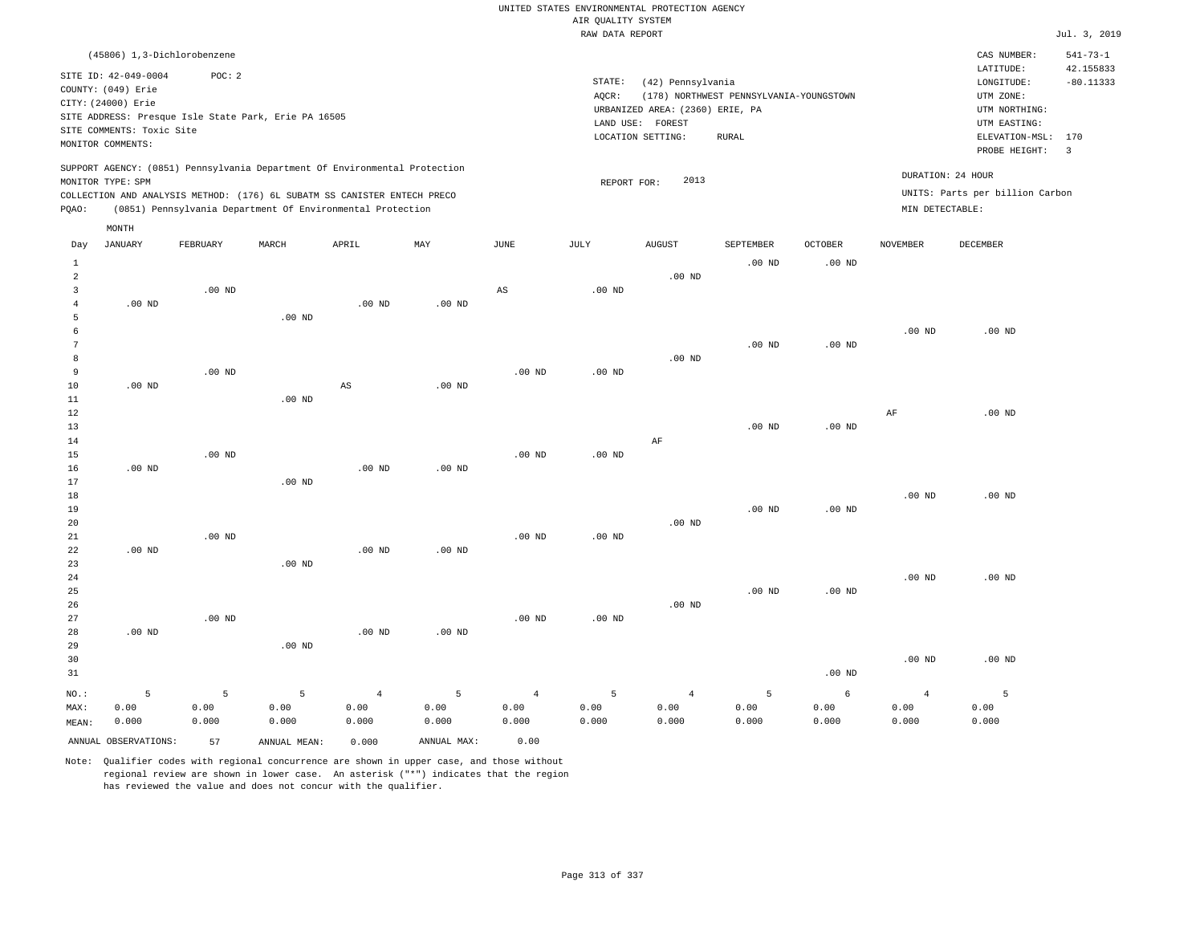|                |                             |          |                                                                            |                   |             |                        | RAW DATA REPORT |                                 |                                         |                   |                   |                                 | Jul. 3, 2019   |
|----------------|-----------------------------|----------|----------------------------------------------------------------------------|-------------------|-------------|------------------------|-----------------|---------------------------------|-----------------------------------------|-------------------|-------------------|---------------------------------|----------------|
|                | (45806) 1,3-Dichlorobenzene |          |                                                                            |                   |             |                        |                 |                                 |                                         |                   |                   | CAS NUMBER:                     | $541 - 73 - 1$ |
|                | SITE ID: 42-049-0004        | POC: 2   |                                                                            |                   |             |                        |                 |                                 |                                         |                   |                   | LATITUDE:                       | 42.155833      |
|                |                             |          |                                                                            |                   |             |                        | STATE:          | (42) Pennsylvania               |                                         |                   |                   | LONGITUDE:                      | $-80.11333$    |
|                | COUNTY: (049) Erie          |          |                                                                            |                   |             |                        | AOCR:           |                                 | (178) NORTHWEST PENNSYLVANIA-YOUNGSTOWN |                   |                   | UTM ZONE:                       |                |
|                | CITY: (24000) Erie          |          |                                                                            |                   |             |                        |                 | URBANIZED AREA: (2360) ERIE, PA |                                         |                   |                   | UTM NORTHING:                   |                |
|                |                             |          | SITE ADDRESS: Presque Isle State Park, Erie PA 16505                       |                   |             |                        |                 | LAND USE: FOREST                |                                         |                   |                   | UTM EASTING:                    |                |
|                | SITE COMMENTS: Toxic Site   |          |                                                                            |                   |             |                        |                 | LOCATION SETTING:               | RURAL                                   |                   |                   | ELEVATION-MSL: 170              |                |
|                | MONITOR COMMENTS:           |          |                                                                            |                   |             |                        |                 |                                 |                                         |                   |                   | PROBE HEIGHT:                   | $\overline{3}$ |
|                |                             |          | SUPPORT AGENCY: (0851) Pennsylvania Department Of Environmental Protection |                   |             |                        |                 |                                 |                                         |                   |                   |                                 |                |
|                | MONITOR TYPE: SPM           |          |                                                                            |                   |             |                        | REPORT FOR:     | 2013                            |                                         |                   |                   | DURATION: 24 HOUR               |                |
|                |                             |          | COLLECTION AND ANALYSIS METHOD: (176) 6L SUBATM SS CANISTER ENTECH PRECO   |                   |             |                        |                 |                                 |                                         |                   |                   | UNITS: Parts per billion Carbon |                |
| PQAO:          |                             |          | (0851) Pennsylvania Department Of Environmental Protection                 |                   |             |                        |                 |                                 |                                         |                   | MIN DETECTABLE:   |                                 |                |
|                | MONTH                       |          |                                                                            |                   |             |                        |                 |                                 |                                         |                   |                   |                                 |                |
| Day            | <b>JANUARY</b>              | FEBRUARY | MARCH                                                                      | APRIL             | MAY         | $\mathtt{JUNE}$        | JULY            | <b>AUGUST</b>                   | SEPTEMBER                               | <b>OCTOBER</b>    | <b>NOVEMBER</b>   | DECEMBER                        |                |
| 1              |                             |          |                                                                            |                   |             |                        |                 |                                 | $.00$ ND                                | $.00$ ND          |                   |                                 |                |
| $\overline{a}$ |                             |          |                                                                            |                   |             |                        |                 | $.00$ ND                        |                                         |                   |                   |                                 |                |
| $\overline{3}$ |                             | $.00$ ND |                                                                            |                   |             | $\mathbb{A}\mathbb{S}$ | $.00$ ND        |                                 |                                         |                   |                   |                                 |                |
| $\overline{4}$ | $.00$ ND                    |          |                                                                            | .00 <sub>ND</sub> | $.00$ ND    |                        |                 |                                 |                                         |                   |                   |                                 |                |
| 5              |                             |          | $.00$ ND                                                                   |                   |             |                        |                 |                                 |                                         |                   |                   |                                 |                |
| 6              |                             |          |                                                                            |                   |             |                        |                 |                                 |                                         |                   | .00 <sub>ND</sub> | $.00$ ND                        |                |
| $\overline{7}$ |                             |          |                                                                            |                   |             |                        |                 |                                 | $.00$ ND                                | $.00$ ND          |                   |                                 |                |
| 8              |                             |          |                                                                            |                   |             |                        |                 | $.00$ ND                        |                                         |                   |                   |                                 |                |
| 9              |                             | $.00$ ND |                                                                            |                   |             | .00 <sub>ND</sub>      | $.00$ ND        |                                 |                                         |                   |                   |                                 |                |
| 10             | $.00$ ND                    |          |                                                                            | AS                | $.00$ ND    |                        |                 |                                 |                                         |                   |                   |                                 |                |
| $1\,1$         |                             |          | $.00$ ND                                                                   |                   |             |                        |                 |                                 |                                         |                   |                   |                                 |                |
| 12             |                             |          |                                                                            |                   |             |                        |                 |                                 |                                         |                   | $\rm AF$          | $.00$ ND                        |                |
| 13             |                             |          |                                                                            |                   |             |                        |                 |                                 | $.00$ ND                                | $.00$ ND          |                   |                                 |                |
|                |                             |          |                                                                            |                   |             |                        |                 |                                 |                                         |                   |                   |                                 |                |
| 14             |                             |          |                                                                            |                   |             |                        |                 | AF                              |                                         |                   |                   |                                 |                |
| 15             |                             | $.00$ ND |                                                                            |                   |             | .00 <sub>ND</sub>      | $.00$ ND        |                                 |                                         |                   |                   |                                 |                |
| 16             | $.00$ ND                    |          |                                                                            | $.00$ ND          | $.00$ ND    |                        |                 |                                 |                                         |                   |                   |                                 |                |
| 17             |                             |          | $.00$ ND                                                                   |                   |             |                        |                 |                                 |                                         |                   |                   |                                 |                |
| 18             |                             |          |                                                                            |                   |             |                        |                 |                                 |                                         |                   | .00 <sub>ND</sub> | $.00$ ND                        |                |
| 19             |                             |          |                                                                            |                   |             |                        |                 |                                 | $.00$ ND                                | .00 <sub>ND</sub> |                   |                                 |                |
| 20             |                             |          |                                                                            |                   |             |                        |                 | $.00$ ND                        |                                         |                   |                   |                                 |                |
| 21             |                             | $.00$ ND |                                                                            |                   |             | .00 <sub>ND</sub>      | $.00$ ND        |                                 |                                         |                   |                   |                                 |                |
| 22             | $.00$ ND                    |          |                                                                            | $.00$ ND          | $.00$ ND    |                        |                 |                                 |                                         |                   |                   |                                 |                |
| 23             |                             |          | $.00$ ND                                                                   |                   |             |                        |                 |                                 |                                         |                   |                   |                                 |                |
| 24             |                             |          |                                                                            |                   |             |                        |                 |                                 |                                         |                   | .00 <sub>ND</sub> | $.00$ ND                        |                |
| 25             |                             |          |                                                                            |                   |             |                        |                 |                                 | $.00$ ND                                | $.00$ ND          |                   |                                 |                |
| 26             |                             |          |                                                                            |                   |             |                        |                 | $.00$ ND                        |                                         |                   |                   |                                 |                |
| 27             |                             | $.00$ ND |                                                                            |                   |             | $.00$ ND               | $.00$ ND        |                                 |                                         |                   |                   |                                 |                |
| 28             | $.00$ ND                    |          |                                                                            | $.00$ ND          | $.00$ ND    |                        |                 |                                 |                                         |                   |                   |                                 |                |
| 29             |                             |          | $.00$ ND                                                                   |                   |             |                        |                 |                                 |                                         |                   |                   |                                 |                |
| 30             |                             |          |                                                                            |                   |             |                        |                 |                                 |                                         |                   | $.00$ ND          | $.00$ ND                        |                |
| 31             |                             |          |                                                                            |                   |             |                        |                 |                                 |                                         | $.00$ ND          |                   |                                 |                |
| NO.:           | 5                           | 5        | 5                                                                          | $\overline{4}$    | 5           | $\overline{4}$         | 5               | $\overline{4}$                  | 5                                       | 6                 | $\overline{4}$    | 5                               |                |
|                | 0.00                        | 0.00     | 0.00                                                                       | 0.00              | 0.00        | 0.00                   | 0.00            | 0.00                            | 0.00                                    | 0.00              | 0.00              | 0.00                            |                |
| MAX:           |                             |          |                                                                            |                   |             | 0.000                  |                 |                                 | 0.000                                   |                   | 0.000             | 0.000                           |                |
| MEAN:          | 0.000                       | 0.000    | 0.000                                                                      | 0.000             | 0.000       |                        | 0.000           | 0.000                           |                                         | 0.000             |                   |                                 |                |
|                | ANNUAL OBSERVATIONS:        | 57       | ANNUAL MEAN:                                                               | 0.000             | ANNUAL MAX: | 0.00                   |                 |                                 |                                         |                   |                   |                                 |                |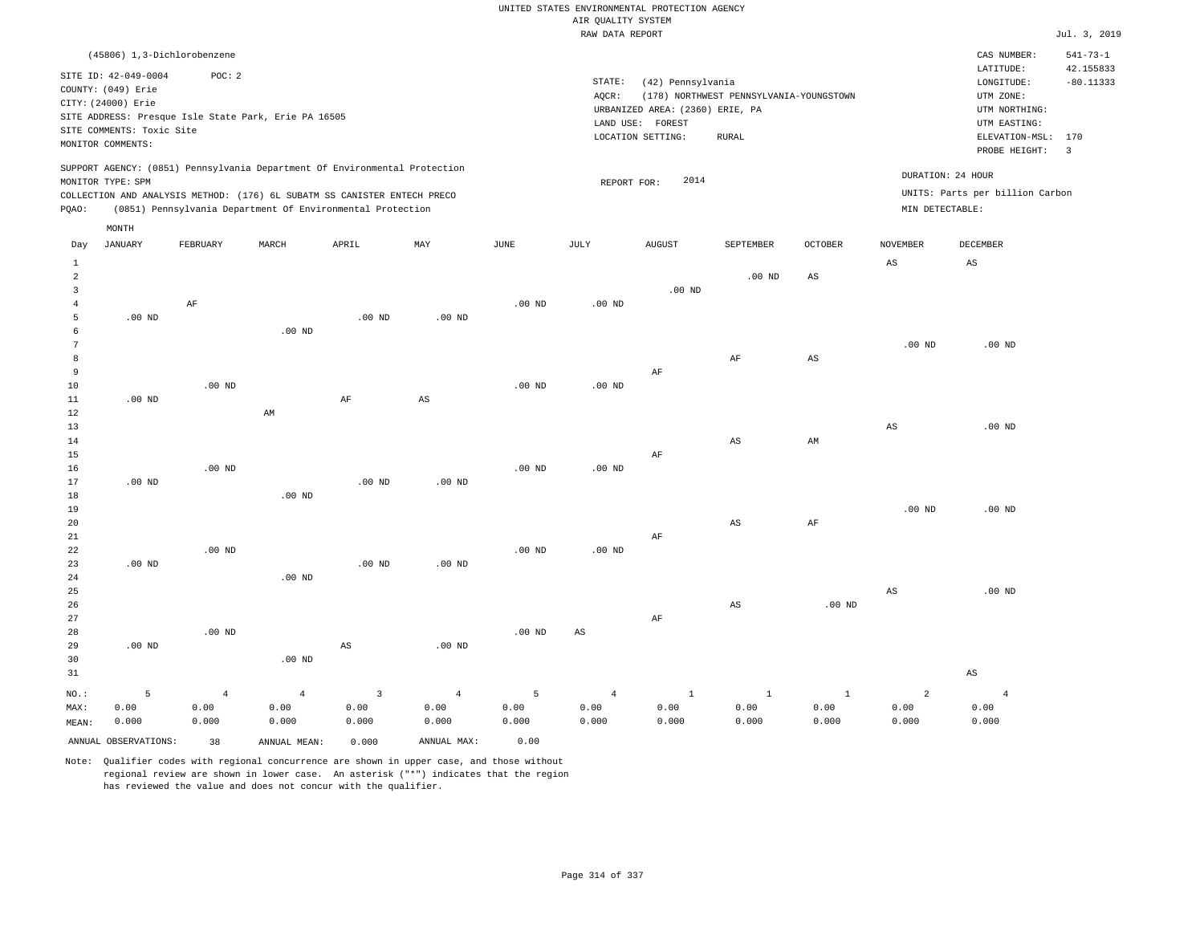|                                |                                                                                                                    |                   |                                                                                                                                        |                        |                        |                   | RAW DATA REPORT   |                                                                                               |                                                         |                        |                        |                                                                                                              | Jul. 3, 2019                               |
|--------------------------------|--------------------------------------------------------------------------------------------------------------------|-------------------|----------------------------------------------------------------------------------------------------------------------------------------|------------------------|------------------------|-------------------|-------------------|-----------------------------------------------------------------------------------------------|---------------------------------------------------------|------------------------|------------------------|--------------------------------------------------------------------------------------------------------------|--------------------------------------------|
|                                | (45806) 1,3-Dichlorobenzene                                                                                        |                   |                                                                                                                                        |                        |                        |                   |                   |                                                                                               |                                                         |                        |                        | CAS NUMBER:                                                                                                  | $541 - 73 - 1$                             |
|                                | SITE ID: 42-049-0004<br>COUNTY: (049) Erie<br>CITY: (24000) Erie<br>SITE COMMENTS: Toxic Site<br>MONITOR COMMENTS: | POC: 2            | SITE ADDRESS: Presque Isle State Park, Erie PA 16505                                                                                   |                        |                        |                   | STATE:<br>AOCR:   | (42) Pennsylvania<br>URBANIZED AREA: (2360) ERIE, PA<br>LAND USE: FOREST<br>LOCATION SETTING: | (178) NORTHWEST PENNSYLVANIA-YOUNGSTOWN<br><b>RURAL</b> |                        |                        | LATITUDE:<br>LONGITUDE:<br>UTM ZONE:<br>UTM NORTHING:<br>UTM EASTING:<br>ELEVATION-MSL: 170<br>PROBE HEIGHT: | 42.155833<br>$-80.11333$<br>$\overline{3}$ |
|                                |                                                                                                                    |                   | SUPPORT AGENCY: (0851) Pennsylvania Department Of Environmental Protection                                                             |                        |                        |                   |                   |                                                                                               |                                                         |                        |                        | DURATION: 24 HOUR                                                                                            |                                            |
|                                | MONITOR TYPE: SPM                                                                                                  |                   |                                                                                                                                        |                        |                        |                   | REPORT FOR:       | 2014                                                                                          |                                                         |                        |                        | UNITS: Parts per billion Carbon                                                                              |                                            |
| PQAO:                          |                                                                                                                    |                   | COLLECTION AND ANALYSIS METHOD: (176) 6L SUBATM SS CANISTER ENTECH PRECO<br>(0851) Pennsylvania Department Of Environmental Protection |                        |                        |                   |                   |                                                                                               |                                                         |                        | MIN DETECTABLE:        |                                                                                                              |                                            |
|                                | MONTH                                                                                                              |                   |                                                                                                                                        |                        |                        |                   |                   |                                                                                               |                                                         |                        |                        |                                                                                                              |                                            |
| Day                            | <b>JANUARY</b>                                                                                                     | FEBRUARY          | MARCH                                                                                                                                  | APRIL                  | MAY                    | <b>JUNE</b>       | <b>JULY</b>       | <b>AUGUST</b>                                                                                 | SEPTEMBER                                               | <b>OCTOBER</b>         | <b>NOVEMBER</b>        | <b>DECEMBER</b>                                                                                              |                                            |
| $\mathbf{1}$<br>$\overline{a}$ |                                                                                                                    |                   |                                                                                                                                        |                        |                        |                   |                   |                                                                                               | $.00$ ND                                                | AS                     | $\mathbb{A}\mathbb{S}$ | AS                                                                                                           |                                            |
| 3                              |                                                                                                                    |                   |                                                                                                                                        |                        |                        |                   |                   | $.00$ ND                                                                                      |                                                         |                        |                        |                                                                                                              |                                            |
| $\overline{4}$                 |                                                                                                                    | AF                |                                                                                                                                        |                        |                        | .00 <sub>ND</sub> | $.00$ ND          |                                                                                               |                                                         |                        |                        |                                                                                                              |                                            |
| 5<br>6                         | $.00$ ND                                                                                                           |                   | $.00$ ND                                                                                                                               | $.00$ ND               | $.00$ ND               |                   |                   |                                                                                               |                                                         |                        |                        |                                                                                                              |                                            |
| $7\phantom{.0}$                |                                                                                                                    |                   |                                                                                                                                        |                        |                        |                   |                   |                                                                                               |                                                         |                        | .00 <sub>ND</sub>      | $.00$ ND                                                                                                     |                                            |
| 8                              |                                                                                                                    |                   |                                                                                                                                        |                        |                        |                   |                   |                                                                                               | AF                                                      | $\mathbb{A}\mathbb{S}$ |                        |                                                                                                              |                                            |
| 9                              |                                                                                                                    |                   |                                                                                                                                        |                        |                        |                   |                   | AF                                                                                            |                                                         |                        |                        |                                                                                                              |                                            |
| 10                             |                                                                                                                    | $.00$ ND          |                                                                                                                                        |                        |                        | $.00$ ND          | .00 <sub>ND</sub> |                                                                                               |                                                         |                        |                        |                                                                                                              |                                            |
| $11\,$                         | $.00$ ND                                                                                                           |                   |                                                                                                                                        | $\rm AF$               | $\mathbb{A}\mathbb{S}$ |                   |                   |                                                                                               |                                                         |                        |                        |                                                                                                              |                                            |
| 12                             |                                                                                                                    |                   | AM                                                                                                                                     |                        |                        |                   |                   |                                                                                               |                                                         |                        |                        |                                                                                                              |                                            |
| 13<br>$14\,$                   |                                                                                                                    |                   |                                                                                                                                        |                        |                        |                   |                   |                                                                                               | $\mathbb{A}\mathbb{S}$                                  | $\mathbb{A}\mathbb{M}$ | $\mathbb{A}\mathbb{S}$ | $.00$ ND                                                                                                     |                                            |
| 15                             |                                                                                                                    |                   |                                                                                                                                        |                        |                        |                   |                   | AF                                                                                            |                                                         |                        |                        |                                                                                                              |                                            |
| 16                             |                                                                                                                    | .00 <sub>ND</sub> |                                                                                                                                        |                        |                        | .00 <sub>ND</sub> | .00 <sub>ND</sub> |                                                                                               |                                                         |                        |                        |                                                                                                              |                                            |
| 17                             | $.00$ ND                                                                                                           |                   |                                                                                                                                        | .00 <sub>ND</sub>      | $.00$ ND               |                   |                   |                                                                                               |                                                         |                        |                        |                                                                                                              |                                            |
| 18                             |                                                                                                                    |                   | .00 <sub>ND</sub>                                                                                                                      |                        |                        |                   |                   |                                                                                               |                                                         |                        |                        |                                                                                                              |                                            |
| 19                             |                                                                                                                    |                   |                                                                                                                                        |                        |                        |                   |                   |                                                                                               |                                                         |                        | .00 <sub>ND</sub>      | $.00$ ND                                                                                                     |                                            |
| 20<br>21                       |                                                                                                                    |                   |                                                                                                                                        |                        |                        |                   |                   | AF                                                                                            | $_{\rm AS}$                                             | $\rm{AF}$              |                        |                                                                                                              |                                            |
| 22                             |                                                                                                                    | $.00$ ND          |                                                                                                                                        |                        |                        | .00 <sub>ND</sub> | $.00$ ND          |                                                                                               |                                                         |                        |                        |                                                                                                              |                                            |
| 23                             | $.00$ ND                                                                                                           |                   |                                                                                                                                        | $.00$ ND               | $.00$ ND               |                   |                   |                                                                                               |                                                         |                        |                        |                                                                                                              |                                            |
| 24                             |                                                                                                                    |                   | $.00$ ND                                                                                                                               |                        |                        |                   |                   |                                                                                               |                                                         |                        |                        |                                                                                                              |                                            |
| 25                             |                                                                                                                    |                   |                                                                                                                                        |                        |                        |                   |                   |                                                                                               |                                                         |                        | $\mathbb{A}\mathbb{S}$ | $.00$ ND                                                                                                     |                                            |
| 26                             |                                                                                                                    |                   |                                                                                                                                        |                        |                        |                   |                   |                                                                                               | AS                                                      | $.00$ ND               |                        |                                                                                                              |                                            |
| 27                             |                                                                                                                    |                   |                                                                                                                                        |                        |                        |                   |                   | AF                                                                                            |                                                         |                        |                        |                                                                                                              |                                            |
| 28<br>29                       | $.00$ ND                                                                                                           | $.00$ ND          |                                                                                                                                        | $\mathbb{A}\mathbb{S}$ | $.00$ ND               | $.00$ ND          | $_{\rm AS}$       |                                                                                               |                                                         |                        |                        |                                                                                                              |                                            |
| 30                             |                                                                                                                    |                   | $.00$ ND                                                                                                                               |                        |                        |                   |                   |                                                                                               |                                                         |                        |                        |                                                                                                              |                                            |
| 31                             |                                                                                                                    |                   |                                                                                                                                        |                        |                        |                   |                   |                                                                                               |                                                         |                        |                        | $\mathbb{A}\mathbb{S}$                                                                                       |                                            |
| $NO.$ :                        | 5                                                                                                                  | $\overline{4}$    | $\overline{4}$                                                                                                                         | $\overline{3}$         | $\overline{4}$         | 5                 | $\overline{4}$    | $\mathbf{1}$                                                                                  | <sup>1</sup>                                            | $\mathbf{1}$           | 2                      | $\overline{4}$                                                                                               |                                            |
| MAX:                           | 0.00                                                                                                               | 0.00              | 0.00                                                                                                                                   | 0.00                   | 0.00                   | 0.00              | 0.00              | 0.00                                                                                          | 0.00                                                    | 0.00                   | 0.00                   | 0.00                                                                                                         |                                            |
| MEAN:                          | 0.000                                                                                                              | 0.000             | 0.000                                                                                                                                  | 0.000                  | 0.000                  | 0.000             | 0.000             | 0.000                                                                                         | 0.000                                                   | 0.000                  | 0.000                  | 0.000                                                                                                        |                                            |
|                                | ANNUAL OBSERVATIONS:                                                                                               | 38                | ANNUAL MEAN:                                                                                                                           | 0.000                  | ANNUAL MAX:            | 0.00              |                   |                                                                                               |                                                         |                        |                        |                                                                                                              |                                            |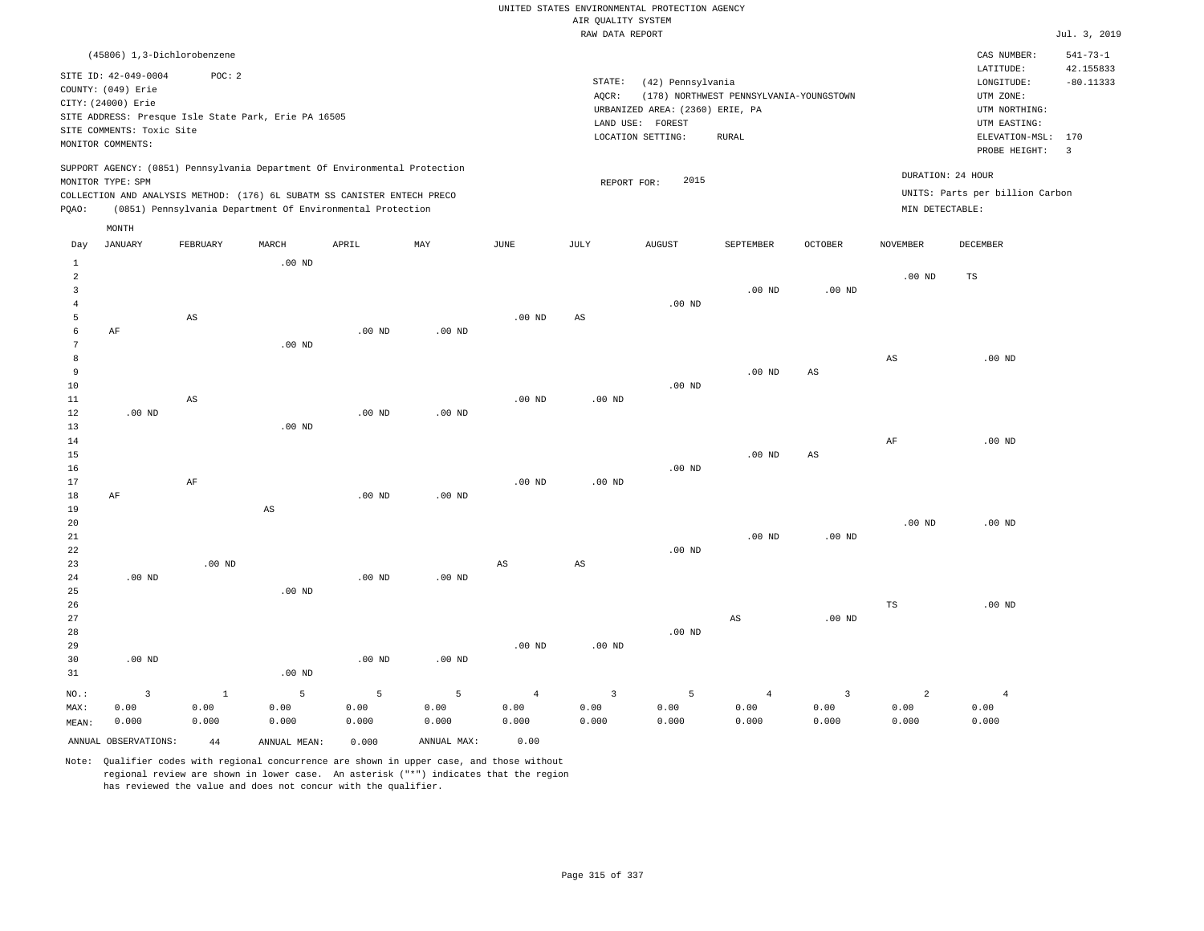|       |                                                                                            | (45806) 1,3-Dichlorobenzene                                                                                                            |          |       |                                                                            |      |        |                                                                                                           |                                                  |                |                                      | CAS NUMBER:                                                                    | $541 - 73 - 1$          |
|-------|--------------------------------------------------------------------------------------------|----------------------------------------------------------------------------------------------------------------------------------------|----------|-------|----------------------------------------------------------------------------|------|--------|-----------------------------------------------------------------------------------------------------------|--------------------------------------------------|----------------|--------------------------------------|--------------------------------------------------------------------------------|-------------------------|
|       | SITE ID: 42-049-0004                                                                       | POC: 2                                                                                                                                 |          |       |                                                                            |      |        |                                                                                                           |                                                  |                |                                      | LATITUDE:                                                                      | 42.155833               |
|       | COUNTY: (049) Erie<br>CITY: (24000) Erie<br>SITE COMMENTS: Toxic Site<br>MONITOR COMMENTS: | SITE ADDRESS: Presque Isle State Park, Erie PA 16505                                                                                   |          |       |                                                                            |      | STATE: | (42) Pennsylvania<br>AQCR:<br>URBANIZED AREA: (2360) ERIE, PA<br>LAND USE:<br>FOREST<br>LOCATION SETTING: | (178) NORTHWEST PENNSYLVANIA-YOUNGSTOWN<br>RURAL |                |                                      | LONGITUDE:<br>UTM ZONE:<br>UTM NORTHING:<br>UTM EASTING:<br>ELEVATION-MSL: 170 | $-80.11333$             |
| PQAO: | MONITOR TYPE: SPM                                                                          | COLLECTION AND ANALYSIS METHOD: (176) 6L SUBATM SS CANISTER ENTECH PRECO<br>(0851) Pennsylvania Department Of Environmental Protection |          |       | SUPPORT AGENCY: (0851) Pennsylvania Department Of Environmental Protection |      |        | 2015<br>REPORT FOR:                                                                                       |                                                  |                | DURATION: 24 HOUR<br>MIN DETECTABLE: | PROBE HEIGHT:<br>UNITS: Parts per billion Carbon                               | $\overline{\mathbf{3}}$ |
| Day   | MONTH<br>JANUARY                                                                           | FEBRUARY                                                                                                                               | MARCH    | APRIL | MAY                                                                        | JUNE | JULY   | <b>AUGUST</b>                                                                                             | SEPTEMBER                                        | <b>OCTOBER</b> | NOVEMBER                             | DECEMBER                                                                       |                         |
|       |                                                                                            |                                                                                                                                        | $.00$ ND |       |                                                                            |      |        |                                                                                                           | $.00$ ND                                         | $.00$ ND       | $.00$ ND                             | TS                                                                             |                         |

| $NO.$ :        | 3              | $\mathbf{1}$           | 5                      | 5        | 5        | $\overline{4}$ | $\overline{3}$         | 5              | $\overline{4}$    | 3                      | 2                      | $\overline{4}$ |
|----------------|----------------|------------------------|------------------------|----------|----------|----------------|------------------------|----------------|-------------------|------------------------|------------------------|----------------|
| 31             |                |                        | $.00$ ND               |          |          |                |                        |                |                   |                        |                        |                |
| 30             | $.00{\rm ~ND}$ |                        |                        | $.00$ ND | $.00$ ND |                |                        |                |                   |                        |                        |                |
| 29             |                |                        |                        |          |          | $.00$ ND       | $.00$ ND               |                |                   |                        |                        |                |
| 28             |                |                        |                        |          |          |                |                        | .00 $ND$       |                   |                        |                        |                |
| 27             |                |                        |                        |          |          |                |                        |                | AS                | .00 $ND$               |                        |                |
| 26             |                |                        |                        |          |          |                |                        |                |                   |                        | $_{\rm TS}$            | $.00$ ND       |
| 25             |                |                        | $.00$ ND               |          |          |                |                        |                |                   |                        |                        |                |
| 24             | $.00{\rm ~ND}$ |                        |                        | .00 $ND$ | $.00$ ND |                |                        |                |                   |                        |                        |                |
| 23             |                | $.00{\rm ~ND}$         |                        |          |          | $_{\rm AS}$    | $\mathbb{A}\mathbb{S}$ |                |                   |                        |                        |                |
| 22             |                |                        |                        |          |          |                |                        | $.00{\rm ~ND}$ |                   |                        |                        |                |
| 21             |                |                        |                        |          |          |                |                        |                | .00 $ND$          | .00 $ND$               |                        |                |
| 20             |                |                        |                        |          |          |                |                        |                |                   |                        | $.00$ ND               | .00 $ND$       |
| 19             |                |                        | $\mathbb{A}\mathbb{S}$ |          |          |                |                        |                |                   |                        |                        |                |
| 18             | AF             |                        |                        | $.00$ ND | $.00$ ND |                |                        |                |                   |                        |                        |                |
| 17             |                | $\rm AF$               |                        |          |          | .00 $ND$       | $.00$ ND               |                |                   |                        |                        |                |
| 16             |                |                        |                        |          |          |                |                        | .00 $ND$       |                   |                        |                        |                |
| 15             |                |                        |                        |          |          |                |                        |                | .00 <sub>ND</sub> | $\mathbb{A}\mathbb{S}$ |                        |                |
| 14             |                |                        |                        |          |          |                |                        |                |                   |                        | $\rm{AF}$              | $.00$ ND       |
| 13             |                |                        | $.00$ ND               |          |          |                |                        |                |                   |                        |                        |                |
| 12             | $.00$ ND       |                        |                        | .00 $ND$ | $.00$ ND |                |                        |                |                   |                        |                        |                |
| 11             |                | $\mathbb{A}\mathbb{S}$ |                        |          |          | $.00$ ND       | $.00$ ND               |                |                   |                        |                        |                |
| 10             |                |                        |                        |          |          |                |                        | $.00$ ND       |                   |                        |                        |                |
| 9              |                |                        |                        |          |          |                |                        |                | .00 <sub>ND</sub> | AS                     |                        |                |
| 8              |                |                        |                        |          |          |                |                        |                |                   |                        | $\mathbb{A}\mathbb{S}$ | $.00$ ND       |
| 7              |                |                        | $.00$ ND               |          |          |                |                        |                |                   |                        |                        |                |
| 6              | AF             |                        |                        | .00 $ND$ | $.00$ ND |                |                        |                |                   |                        |                        |                |
| 5              |                | $\mathbb{A}\mathbb{S}$ |                        |          |          | $.00$ ND       | $\mathbb{A}\mathbb{S}$ |                |                   |                        |                        |                |
| $\overline{4}$ |                |                        |                        |          |          |                |                        | $.00$ ND       |                   |                        |                        |                |

ANNUAL OBSERVATIONS: 44 ANNUAL MEAN: 0.000 ANNUAL MAX: 0.00

 0.00 0.000

MAX: MEAN:

 0.00 0.000  0.00 0.000

Note: Qualifier codes with regional concurrence are shown in upper case, and those without regional review are shown in lower case. An asterisk ("\*") indicates that the region has reviewed the value and does not concur with the qualifier.

 0.00 0.000  0.00 0.000  0.00 0.000  0.00 0.000  0.00 0.000  0.00 0.000  0.00 0.000  0.00 0.000

 0.00 0.000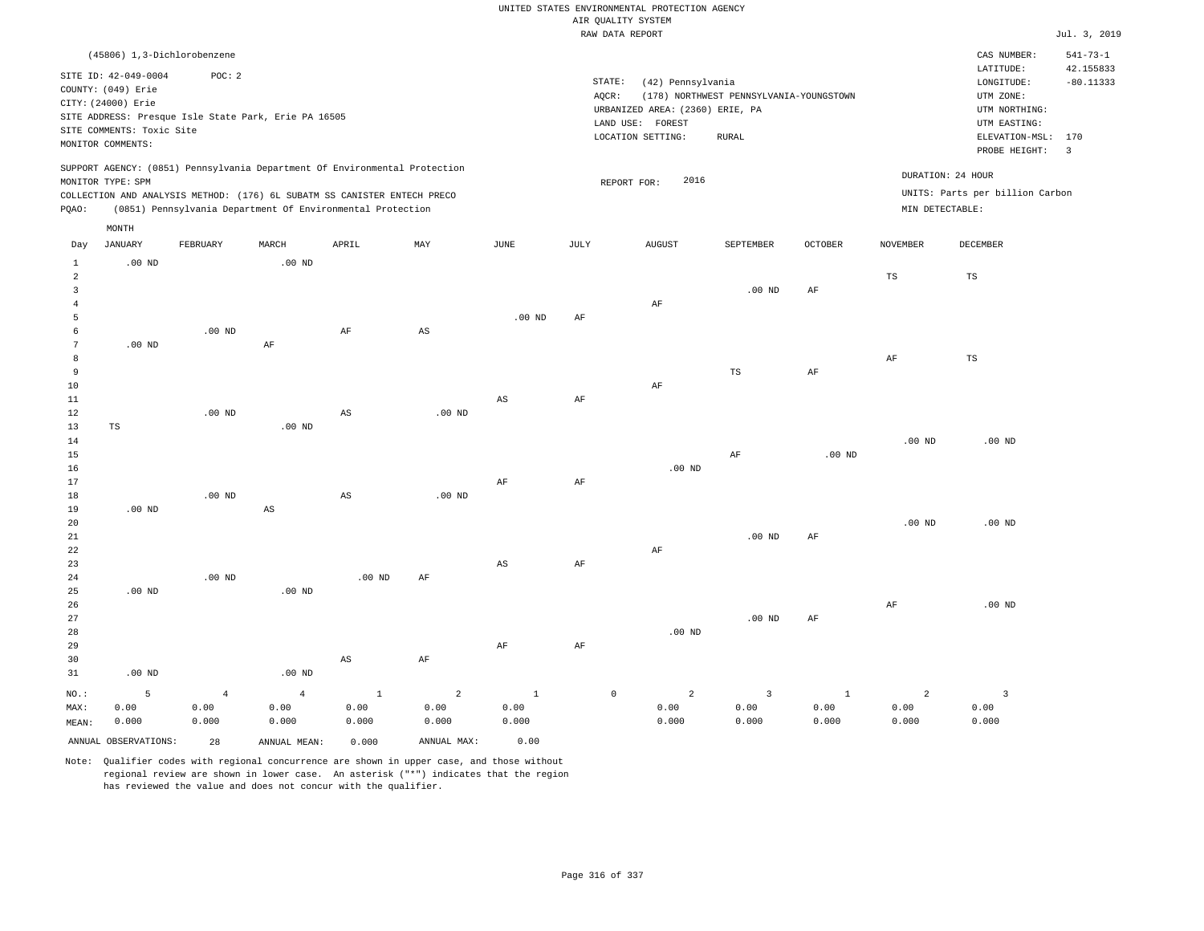|                         |                             |                   |                                                                            |                        |                        |                        |           | RAW DATA REPORT                 |                                         |                |                 |                                 | Jul. 3, 2019            |
|-------------------------|-----------------------------|-------------------|----------------------------------------------------------------------------|------------------------|------------------------|------------------------|-----------|---------------------------------|-----------------------------------------|----------------|-----------------|---------------------------------|-------------------------|
|                         | (45806) 1,3-Dichlorobenzene |                   |                                                                            |                        |                        |                        |           |                                 |                                         |                |                 | CAS NUMBER:                     | $541 - 73 - 1$          |
|                         |                             |                   |                                                                            |                        |                        |                        |           |                                 |                                         |                |                 | LATITUDE:                       | 42.155833               |
|                         | SITE ID: 42-049-0004        | POC: 2            |                                                                            |                        |                        |                        |           | STATE:<br>(42) Pennsylvania     |                                         |                |                 | LONGITUDE:                      | $-80.11333$             |
|                         | COUNTY: (049) Erie          |                   |                                                                            |                        |                        |                        | AQCR:     |                                 | (178) NORTHWEST PENNSYLVANIA-YOUNGSTOWN |                |                 | UTM ZONE:                       |                         |
|                         | CITY: (24000) Erie          |                   |                                                                            |                        |                        |                        |           | URBANIZED AREA: (2360) ERIE, PA |                                         |                |                 | UTM NORTHING:                   |                         |
|                         | SITE COMMENTS: Toxic Site   |                   | SITE ADDRESS: Presque Isle State Park, Erie PA 16505                       |                        |                        |                        |           | LAND USE: FOREST                |                                         |                |                 | UTM EASTING:                    |                         |
|                         | MONITOR COMMENTS:           |                   |                                                                            |                        |                        |                        |           | LOCATION SETTING:               | <b>RURAL</b>                            |                |                 | ELEVATION-MSL: 170              |                         |
|                         |                             |                   |                                                                            |                        |                        |                        |           |                                 |                                         |                |                 | PROBE HEIGHT:                   | $\overline{\mathbf{3}}$ |
|                         |                             |                   | SUPPORT AGENCY: (0851) Pennsylvania Department Of Environmental Protection |                        |                        |                        |           |                                 |                                         |                |                 | DURATION: 24 HOUR               |                         |
|                         | MONITOR TYPE: SPM           |                   |                                                                            |                        |                        |                        |           | 2016<br>REPORT FOR:             |                                         |                |                 |                                 |                         |
|                         |                             |                   | COLLECTION AND ANALYSIS METHOD: (176) 6L SUBATM SS CANISTER ENTECH PRECO   |                        |                        |                        |           |                                 |                                         |                |                 | UNITS: Parts per billion Carbon |                         |
| PQAO:                   |                             |                   | (0851) Pennsylvania Department Of Environmental Protection                 |                        |                        |                        |           |                                 |                                         |                | MIN DETECTABLE: |                                 |                         |
|                         | MONTH                       |                   |                                                                            |                        |                        |                        |           |                                 |                                         |                |                 |                                 |                         |
| Day                     | <b>JANUARY</b>              | FEBRUARY          | MARCH                                                                      | APRIL                  | MAY                    | JUNE                   | JULY      | <b>AUGUST</b>                   | SEPTEMBER                               | <b>OCTOBER</b> | <b>NOVEMBER</b> | <b>DECEMBER</b>                 |                         |
| $\mathbf{1}$            | $.00$ ND                    |                   | $.00$ ND                                                                   |                        |                        |                        |           |                                 |                                         |                |                 |                                 |                         |
| $\overline{2}$          |                             |                   |                                                                            |                        |                        |                        |           |                                 |                                         |                | $_{\rm TS}$     | TS                              |                         |
| $\overline{\mathbf{3}}$ |                             |                   |                                                                            |                        |                        |                        |           |                                 | .00 <sub>ND</sub>                       | AF             |                 |                                 |                         |
| $\overline{4}$          |                             |                   |                                                                            |                        |                        |                        |           | AF                              |                                         |                |                 |                                 |                         |
| 5                       |                             |                   |                                                                            |                        |                        | .00 <sub>ND</sub>      | $\rm{AF}$ |                                 |                                         |                |                 |                                 |                         |
| $\epsilon$              |                             | $.00$ ND          |                                                                            | $\rm{AF}$              | $\mathbb{A}\mathbb{S}$ |                        |           |                                 |                                         |                |                 |                                 |                         |
| 7                       | $.00$ ND                    |                   | AF                                                                         |                        |                        |                        |           |                                 |                                         |                |                 |                                 |                         |
| 8                       |                             |                   |                                                                            |                        |                        |                        |           |                                 |                                         |                | $\rm{AF}$       | $\mathbb{TS}$                   |                         |
| 9                       |                             |                   |                                                                            |                        |                        |                        |           |                                 | $\mathbb{TS}$                           | $\rm{AF}$      |                 |                                 |                         |
| 10<br>$1\,1$            |                             |                   |                                                                            |                        |                        | $_{\rm AS}$            | AF        | $\rm{AF}$                       |                                         |                |                 |                                 |                         |
| 12                      |                             | .00 <sub>ND</sub> |                                                                            | $\mathbb{A}\mathbb{S}$ | $.00$ ND               |                        |           |                                 |                                         |                |                 |                                 |                         |
| 13                      | TS                          |                   | $.00$ ND                                                                   |                        |                        |                        |           |                                 |                                         |                |                 |                                 |                         |
| 14                      |                             |                   |                                                                            |                        |                        |                        |           |                                 |                                         |                | $.00$ ND        | $.00$ ND                        |                         |
| 15                      |                             |                   |                                                                            |                        |                        |                        |           |                                 | AF                                      | $.00$ ND       |                 |                                 |                         |
| 16                      |                             |                   |                                                                            |                        |                        |                        |           | $.00$ ND                        |                                         |                |                 |                                 |                         |
| 17                      |                             |                   |                                                                            |                        |                        | AF                     | AF        |                                 |                                         |                |                 |                                 |                         |
| 18                      |                             | $.00$ ND          |                                                                            | AS                     | $.00$ ND               |                        |           |                                 |                                         |                |                 |                                 |                         |
| 19                      | $.00$ ND                    |                   | AS                                                                         |                        |                        |                        |           |                                 |                                         |                |                 |                                 |                         |
| 20                      |                             |                   |                                                                            |                        |                        |                        |           |                                 |                                         |                | $.00$ ND        | $.00$ ND                        |                         |
| 21                      |                             |                   |                                                                            |                        |                        |                        |           |                                 | $.00$ ND                                | AF             |                 |                                 |                         |
| 22                      |                             |                   |                                                                            |                        |                        |                        |           | $\rm AF$                        |                                         |                |                 |                                 |                         |
| 23<br>24                |                             | .00 <sub>ND</sub> |                                                                            | $.00$ ND               |                        | $\mathbb{A}\mathbb{S}$ | AF        |                                 |                                         |                |                 |                                 |                         |
| 25                      | $.00$ ND                    |                   | .00 <sub>ND</sub>                                                          |                        | AF                     |                        |           |                                 |                                         |                |                 |                                 |                         |
| 26                      |                             |                   |                                                                            |                        |                        |                        |           |                                 |                                         |                | $\rm{AF}$       | $.00$ ND                        |                         |
| 27                      |                             |                   |                                                                            |                        |                        |                        |           |                                 | $.00$ ND                                | $\rm{AF}$      |                 |                                 |                         |
| 28                      |                             |                   |                                                                            |                        |                        |                        |           | $.00$ ND                        |                                         |                |                 |                                 |                         |
| 29                      |                             |                   |                                                                            |                        |                        | AF                     | AF        |                                 |                                         |                |                 |                                 |                         |
| 30                      |                             |                   |                                                                            | $\mathbb{A}\mathbb{S}$ | AF                     |                        |           |                                 |                                         |                |                 |                                 |                         |
| 31                      | $.00$ ND                    |                   | $.00$ ND                                                                   |                        |                        |                        |           |                                 |                                         |                |                 |                                 |                         |
| NO.:                    | 5                           | $\overline{4}$    | $\overline{4}$                                                             | $\mathbf{1}$           | $\overline{a}$         | $\mathbf{1}$           |           | $\mathsf{O}\xspace$<br>2        | $\overline{3}$                          | $\mathbf{1}$   | $\overline{a}$  | $\overline{3}$                  |                         |
| MAX:                    | 0.00                        | 0.00              | 0.00                                                                       | 0.00                   | 0.00                   | 0.00                   |           | 0.00                            | 0.00                                    | 0.00           | 0.00            | 0.00                            |                         |
| MEAN:                   | 0.000                       | 0.000             | 0.000                                                                      | 0.000                  | 0.000                  | 0.000                  |           | 0.000                           | 0.000                                   | 0.000          | 0.000           | 0.000                           |                         |
|                         | ANNUAL OBSERVATIONS:        | 2.8               | ANNUAL, MEAN:                                                              | 0.000                  | ANNUAL MAX:            | 0.00                   |           |                                 |                                         |                |                 |                                 |                         |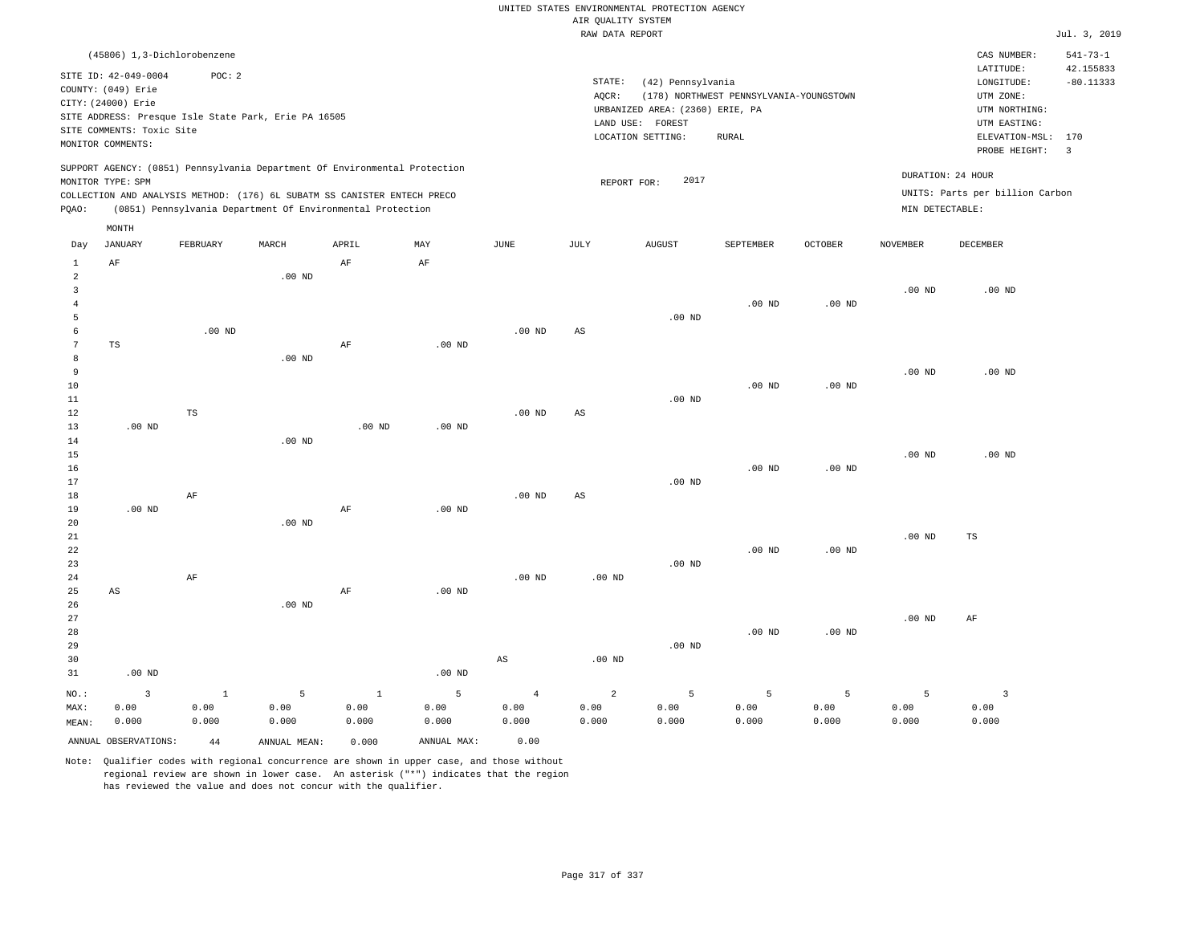|                 | (45806) 1,3-Dichlorobenzene |               |                                                      |                                                                            |             |                |                        |                                 |                                         |                   |                   | CAS NUMBER:                     | $541 - 73 - 1$ |
|-----------------|-----------------------------|---------------|------------------------------------------------------|----------------------------------------------------------------------------|-------------|----------------|------------------------|---------------------------------|-----------------------------------------|-------------------|-------------------|---------------------------------|----------------|
|                 | SITE ID: 42-049-0004        | POC: 2        |                                                      |                                                                            |             |                |                        |                                 |                                         |                   |                   | LATITUDE:                       | 42.155833      |
|                 | COUNTY: (049) Erie          |               |                                                      |                                                                            |             |                | STATE:                 | (42) Pennsylvania               |                                         |                   |                   | LONGITUDE:                      | $-80.11333$    |
|                 | CITY: (24000) Erie          |               |                                                      |                                                                            |             |                | AQCR:                  |                                 | (178) NORTHWEST PENNSYLVANIA-YOUNGSTOWN |                   |                   | UTM ZONE:                       |                |
|                 |                             |               | SITE ADDRESS: Presque Isle State Park, Erie PA 16505 |                                                                            |             |                |                        | URBANIZED AREA: (2360) ERIE, PA |                                         |                   |                   | UTM NORTHING:                   |                |
|                 | SITE COMMENTS: Toxic Site   |               |                                                      |                                                                            |             |                |                        | LAND USE: FOREST                |                                         |                   |                   | UTM EASTING:                    |                |
|                 | MONITOR COMMENTS:           |               |                                                      |                                                                            |             |                |                        | LOCATION SETTING:               | <b>RURAL</b>                            |                   |                   | ELEVATION-MSL: 170              |                |
|                 |                             |               |                                                      |                                                                            |             |                |                        |                                 |                                         |                   |                   | PROBE HEIGHT:                   | $\overline{3}$ |
|                 |                             |               |                                                      | SUPPORT AGENCY: (0851) Pennsylvania Department Of Environmental Protection |             |                |                        | 2017                            |                                         |                   |                   | DURATION: 24 HOUR               |                |
|                 | MONITOR TYPE: SPM           |               |                                                      |                                                                            |             |                | REPORT FOR:            |                                 |                                         |                   |                   | UNITS: Parts per billion Carbon |                |
|                 |                             |               |                                                      | COLLECTION AND ANALYSIS METHOD: (176) 6L SUBATM SS CANISTER ENTECH PRECO   |             |                |                        |                                 |                                         |                   | MIN DETECTABLE:   |                                 |                |
| PQAO:           |                             |               |                                                      | (0851) Pennsylvania Department Of Environmental Protection                 |             |                |                        |                                 |                                         |                   |                   |                                 |                |
|                 | MONTH                       |               |                                                      |                                                                            |             |                |                        |                                 |                                         |                   |                   |                                 |                |
| Day             | <b>JANUARY</b>              | FEBRUARY      | MARCH                                                | APRIL                                                                      | MAY         | JUNE           | JULY                   | <b>AUGUST</b>                   | SEPTEMBER                               | <b>OCTOBER</b>    | <b>NOVEMBER</b>   | <b>DECEMBER</b>                 |                |
| 1               | AF                          |               |                                                      | AF                                                                         | AF          |                |                        |                                 |                                         |                   |                   |                                 |                |
| $\overline{a}$  |                             |               | $.00$ ND                                             |                                                                            |             |                |                        |                                 |                                         |                   |                   |                                 |                |
| $\overline{3}$  |                             |               |                                                      |                                                                            |             |                |                        |                                 |                                         |                   | .00 <sub>ND</sub> | $.00$ ND                        |                |
| $\overline{4}$  |                             |               |                                                      |                                                                            |             |                |                        |                                 | .00 <sub>ND</sub>                       | .00 <sub>ND</sub> |                   |                                 |                |
| 5               |                             |               |                                                      |                                                                            |             |                |                        | $.00~$ ND                       |                                         |                   |                   |                                 |                |
| $\epsilon$      |                             | $.00$ ND      |                                                      |                                                                            |             | $.00$ ND       | $\mathbb{A}\mathbb{S}$ |                                 |                                         |                   |                   |                                 |                |
| $7\phantom{.0}$ | $_{\rm TS}$                 |               |                                                      | AF                                                                         | $.00$ ND    |                |                        |                                 |                                         |                   |                   |                                 |                |
| $^{\rm 8}$      |                             |               | $.00$ ND                                             |                                                                            |             |                |                        |                                 |                                         |                   |                   |                                 |                |
| $\overline{9}$  |                             |               |                                                      |                                                                            |             |                |                        |                                 |                                         |                   | .00 <sub>ND</sub> | $.00$ ND                        |                |
| 10              |                             |               |                                                      |                                                                            |             |                |                        |                                 | $.00$ ND                                | $.00$ ND          |                   |                                 |                |
| 11              |                             |               |                                                      |                                                                            |             |                |                        | $.00$ ND                        |                                         |                   |                   |                                 |                |
| 12              |                             | $\mathbb{TS}$ |                                                      |                                                                            |             | $.00$ ND       | AS                     |                                 |                                         |                   |                   |                                 |                |
| 13              | $.00$ ND                    |               |                                                      | $.00$ ND                                                                   | $.00$ ND    |                |                        |                                 |                                         |                   |                   |                                 |                |
| 14              |                             |               | $.00$ ND                                             |                                                                            |             |                |                        |                                 |                                         |                   |                   |                                 |                |
| 15              |                             |               |                                                      |                                                                            |             |                |                        |                                 |                                         |                   | .00 <sub>ND</sub> | $.00$ ND                        |                |
| 16              |                             |               |                                                      |                                                                            |             |                |                        |                                 | .00 <sub>ND</sub>                       | .00 <sub>ND</sub> |                   |                                 |                |
| 17              |                             |               |                                                      |                                                                            |             |                |                        | $.00$ ND                        |                                         |                   |                   |                                 |                |
| 18              |                             | AF            |                                                      |                                                                            |             | $.00$ ND       | AS                     |                                 |                                         |                   |                   |                                 |                |
| 19              | $.00$ ND                    |               |                                                      | AF                                                                         | $.00$ ND    |                |                        |                                 |                                         |                   |                   |                                 |                |
| 20              |                             |               | $.00$ ND                                             |                                                                            |             |                |                        |                                 |                                         |                   |                   |                                 |                |
| 21              |                             |               |                                                      |                                                                            |             |                |                        |                                 |                                         |                   | $.00$ ND          | $\mathbb{TS}$                   |                |
| 22              |                             |               |                                                      |                                                                            |             |                |                        |                                 | $.00$ ND                                | $.00$ ND          |                   |                                 |                |
| 23              |                             | $\rm{AF}$     |                                                      |                                                                            |             | $.00$ ND       | $.00$ ND               | $.00$ ND                        |                                         |                   |                   |                                 |                |
| 24<br>25        | AS                          |               |                                                      | AF                                                                         | $.00$ ND    |                |                        |                                 |                                         |                   |                   |                                 |                |
| 26              |                             |               | $.00$ ND                                             |                                                                            |             |                |                        |                                 |                                         |                   |                   |                                 |                |
| 27              |                             |               |                                                      |                                                                            |             |                |                        |                                 |                                         |                   |                   |                                 |                |
| 28              |                             |               |                                                      |                                                                            |             |                |                        |                                 |                                         |                   | $.00$ ND          | AF                              |                |
| 29              |                             |               |                                                      |                                                                            |             |                |                        |                                 | .00 <sub>ND</sub>                       | $.00$ ND          |                   |                                 |                |
|                 |                             |               |                                                      |                                                                            |             |                |                        | $.00$ ND                        |                                         |                   |                   |                                 |                |
| 30              |                             |               |                                                      |                                                                            |             | $_{\rm AS}$    | .00 <sub>ND</sub>      |                                 |                                         |                   |                   |                                 |                |
| 31              | $.00$ ND                    |               |                                                      |                                                                            | $.00$ ND    |                |                        |                                 |                                         |                   |                   |                                 |                |
| NO.:            | $\overline{3}$              | $\mathbf{1}$  | 5                                                    | $\mathbf{1}$                                                               | 5           | $\overline{4}$ | $\overline{c}$         | 5                               | 5                                       | 5                 | 5                 | $\overline{3}$                  |                |
| MAX:            | 0.00                        | 0.00          | 0.00                                                 | 0.00                                                                       | 0.00        | 0.00           | 0.00                   | 0.00                            | 0.00                                    | 0.00              | 0.00              | 0.00                            |                |
| MEAN:           | 0.000                       | 0.000         | 0.000                                                | 0.000                                                                      | 0.000       | 0.000          | 0.000                  | 0.000                           | 0.000                                   | 0.000             | 0.000             | 0.000                           |                |
|                 | ANNUAL OBSERVATIONS:        | 44            | ANNUAL MEAN:                                         | 0.000                                                                      | ANNUAL MAX: | 0.00           |                        |                                 |                                         |                   |                   |                                 |                |
|                 |                             |               |                                                      |                                                                            |             |                |                        |                                 |                                         |                   |                   |                                 |                |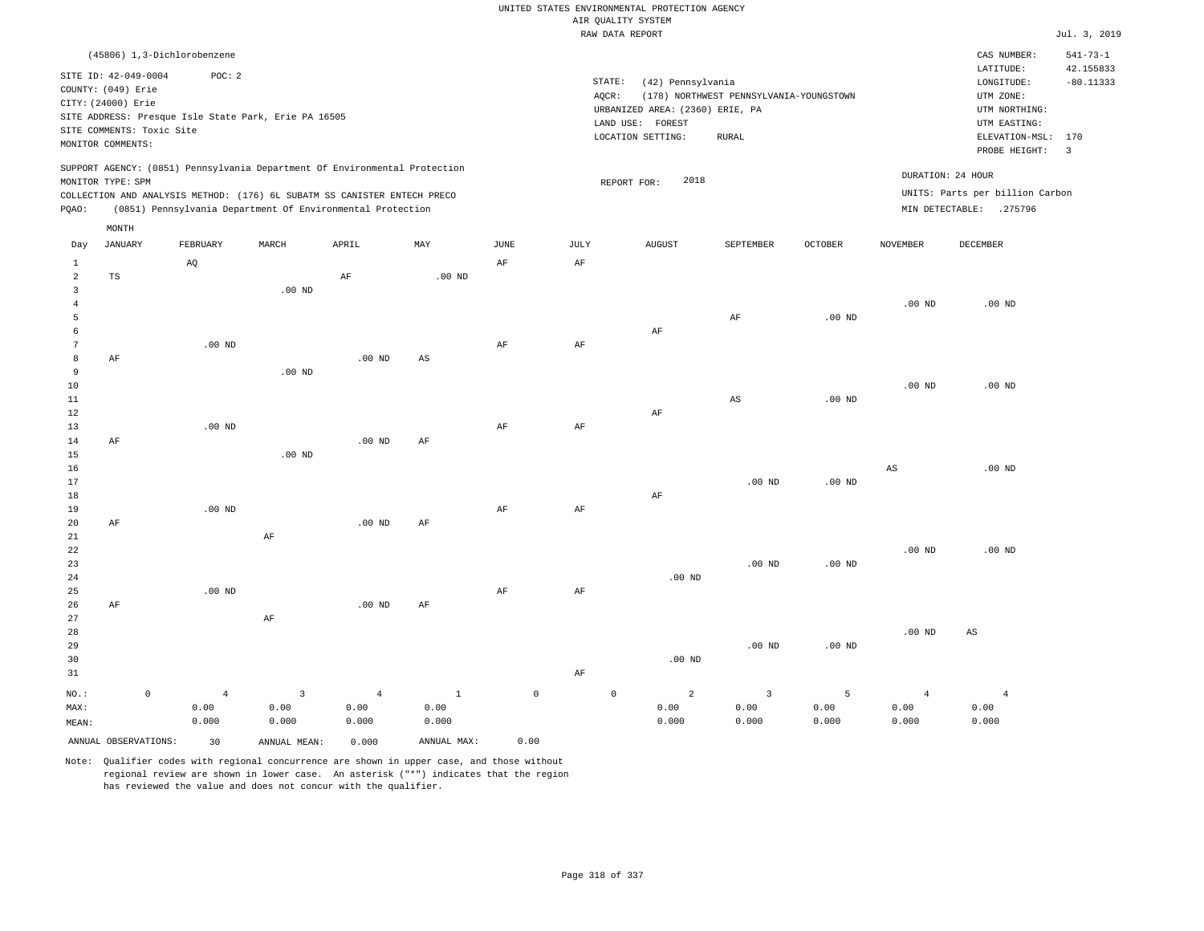|                                              |                                                                                       |                           |                                       |                                                      |                                                                                                                                                                                                                      |                               |                     |                    | UNITED STATES ENVIRONMENTAL PROTECTION AGENCY<br>AIR OUALITY SYSTEM<br>RAW DATA REPORT        |                                                         |                    |                                 |                                                                                                                         | Jul. 3, 2019                                                        |
|----------------------------------------------|---------------------------------------------------------------------------------------|---------------------------|---------------------------------------|------------------------------------------------------|----------------------------------------------------------------------------------------------------------------------------------------------------------------------------------------------------------------------|-------------------------------|---------------------|--------------------|-----------------------------------------------------------------------------------------------|---------------------------------------------------------|--------------------|---------------------------------|-------------------------------------------------------------------------------------------------------------------------|---------------------------------------------------------------------|
|                                              |                                                                                       |                           |                                       |                                                      |                                                                                                                                                                                                                      |                               |                     |                    |                                                                                               |                                                         |                    |                                 |                                                                                                                         |                                                                     |
|                                              | SITE ID: 42-049-0004<br>COUNTY: (049) Erie<br>CITY: (24000) Erie<br>MONITOR COMMENTS: | SITE COMMENTS: Toxic Site | (45806) 1,3-Dichlorobenzene<br>POC: 2 | SITE ADDRESS: Presque Isle State Park, Erie PA 16505 |                                                                                                                                                                                                                      |                               |                     | STATE:<br>$AQCR$ : | (42) Pennsylvania<br>URBANIZED AREA: (2360) ERIE, PA<br>LAND USE: FOREST<br>LOCATION SETTING: | (178) NORTHWEST PENNSYLVANIA-YOUNGSTOWN<br><b>RURAL</b> |                    |                                 | CAS NUMBER:<br>LATITUDE:<br>LONGITUDE:<br>UTM ZONE:<br>UTM NORTHING:<br>UTM EASTING:<br>ELEVATION-MSL:<br>PROBE HEIGHT: | $541 - 73 - 1$<br>42.155833<br>$-80.11333$<br>170<br>$\overline{3}$ |
| PQAO:                                        | MONITOR TYPE: SPM                                                                     |                           |                                       |                                                      | SUPPORT AGENCY: (0851) Pennsylvania Department Of Environmental Protection<br>COLLECTION AND ANALYSIS METHOD: (176) 6L SUBATM SS CANISTER ENTECH PRECO<br>(0851) Pennsylvania Department Of Environmental Protection |                               |                     |                    | 2018<br>REPORT FOR:                                                                           |                                                         |                    | DURATION: 24 HOUR               | UNITS: Parts per billion Carbon<br>MIN DETECTABLE: .275796                                                              |                                                                     |
| Day                                          | MONTH<br>JANUARY                                                                      |                           | FEBRUARY                              | MARCH                                                | APRIL                                                                                                                                                                                                                | MAY                           | JUNE                | $_{\rm JULY}$      | AUGUST                                                                                        | SEPTEMBER                                               | <b>OCTOBER</b>     | <b>NOVEMBER</b>                 | DECEMBER                                                                                                                |                                                                     |
| $\mathbf{1}$<br>$\sqrt{2}$<br>$\overline{3}$ | $\operatorname{TS}$                                                                   |                           | AQ                                    | $.00$ ND                                             | AF                                                                                                                                                                                                                   | $.00$ ND                      | AF                  | AF                 |                                                                                               |                                                         |                    |                                 |                                                                                                                         |                                                                     |
| $\sqrt{4}$<br>5<br>6                         |                                                                                       |                           |                                       |                                                      |                                                                                                                                                                                                                      |                               |                     |                    | AF                                                                                            | $\rm{AF}$                                               | $.00$ ND           | .00 <sub>ND</sub>               | $.00$ ND                                                                                                                |                                                                     |
| $7\phantom{.0}$<br>8<br>$\overline{9}$<br>10 | AF                                                                                    |                           | $.00$ ND                              | $.00$ ND                                             | .00 <sub>ND</sub>                                                                                                                                                                                                    | AS                            | AF                  | AF                 |                                                                                               |                                                         |                    | $.00$ ND                        | $.00$ ND                                                                                                                |                                                                     |
| $1\,1$<br>$1\,2$<br>13<br>14                 | AF                                                                                    |                           | $.00$ ND                              |                                                      | .00 <sub>ND</sub>                                                                                                                                                                                                    | AF                            | AF                  | AF                 | AF                                                                                            | $_{\rm AS}$                                             | $.00$ ND           |                                 |                                                                                                                         |                                                                     |
| 15<br>16<br>17<br>18                         |                                                                                       |                           |                                       | .00 <sub>ND</sub>                                    |                                                                                                                                                                                                                      |                               |                     |                    | AF                                                                                            | $.00$ ND                                                | $.00$ ND           | AS                              | .00 <sub>ND</sub>                                                                                                       |                                                                     |
| 19<br>20<br>$2\sqrt{1}$                      | AF                                                                                    |                           | $.00$ ND                              | AF                                                   | .00 <sub>ND</sub>                                                                                                                                                                                                    | AF                            | AF                  | AF                 |                                                                                               |                                                         |                    |                                 |                                                                                                                         |                                                                     |
| 22<br>23<br>24<br>25<br>26                   | AF                                                                                    |                           | $.00$ ND                              |                                                      | .00 <sub>ND</sub>                                                                                                                                                                                                    | AF                            | AF                  | AF                 | $.00$ ND                                                                                      | $.00$ ND                                                | .00 <sub>ND</sub>  | $.00$ ND                        | $.00$ ND                                                                                                                |                                                                     |
| 27<br>28<br>29<br>30<br>31                   |                                                                                       |                           |                                       | AF                                                   |                                                                                                                                                                                                                      |                               |                     | AF                 | $.00$ ND                                                                                      | $.00$ ND                                                | $.00$ ND           | .00 <sub>ND</sub>               | AS                                                                                                                      |                                                                     |
| NO.:<br>MAX:<br>MEAN:                        |                                                                                       | $\mathbb O$               | $\overline{4}$<br>0.00<br>0.000       | $\overline{3}$<br>0.00<br>0.000                      | $\overline{4}$<br>0.00<br>0.000                                                                                                                                                                                      | $\mathbf{1}$<br>0.00<br>0.000 | $\mathsf{O}\xspace$ |                    | $\mathbb O$<br>2<br>0.00<br>0.000                                                             | $\overline{3}$<br>0.00<br>0.000                         | 5<br>0.00<br>0.000 | $\overline{4}$<br>0.00<br>0.000 | $\overline{4}$<br>0.00<br>0.000                                                                                         |                                                                     |
|                                              |                                                                                       | ANNUAL OBSERVATIONS:      | 30                                    | ANNUAL MEAN:                                         | 0.000                                                                                                                                                                                                                | ANNUAL MAX:                   | 0.00                |                    |                                                                                               |                                                         |                    |                                 |                                                                                                                         |                                                                     |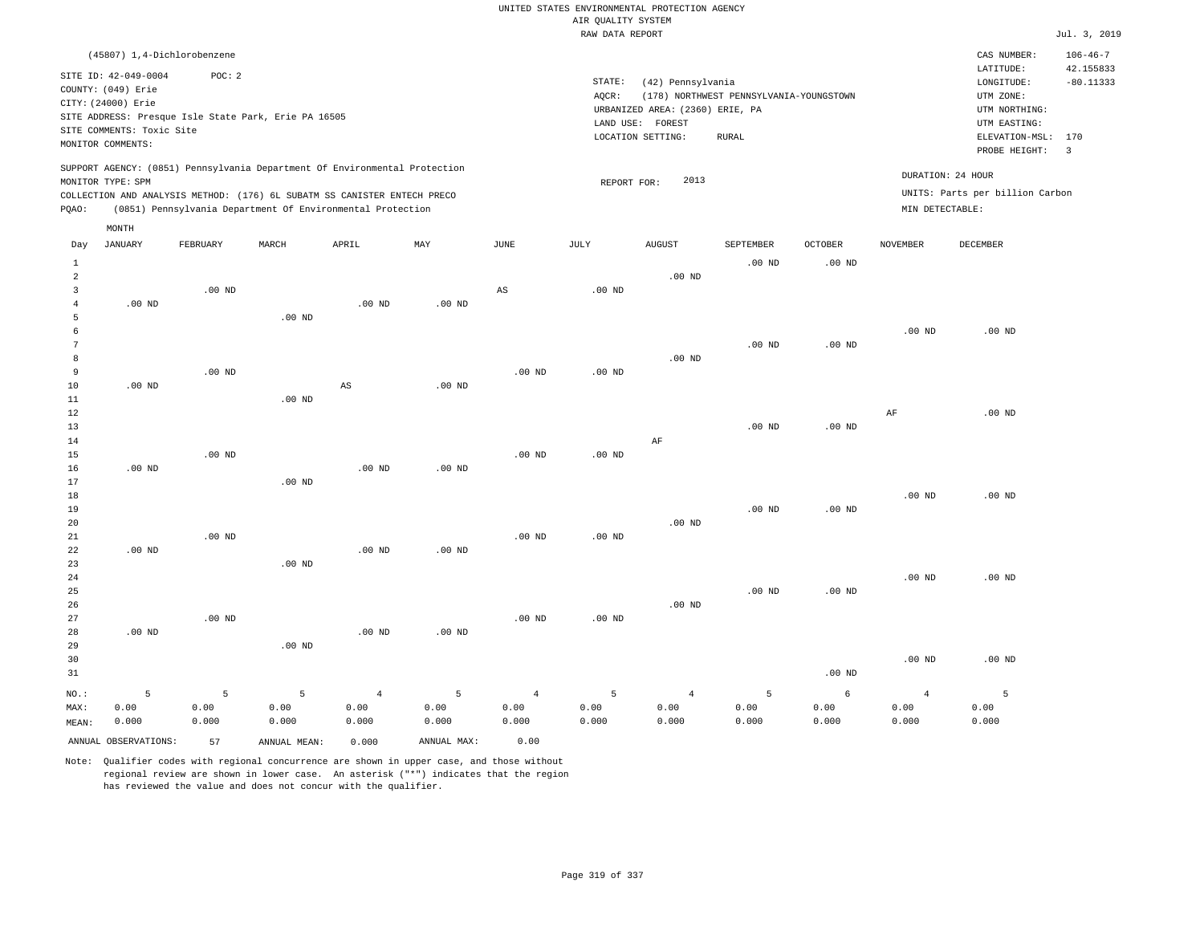|                | (45807) 1,4-Dichlorobenzene |          |                                                                            |                   |             |                        |                   |                                 |                                         |                   |                   | CAS NUMBER:                     | $106 - 46 - 7$          |
|----------------|-----------------------------|----------|----------------------------------------------------------------------------|-------------------|-------------|------------------------|-------------------|---------------------------------|-----------------------------------------|-------------------|-------------------|---------------------------------|-------------------------|
|                | SITE ID: 42-049-0004        | POC: 2   |                                                                            |                   |             |                        |                   |                                 |                                         |                   |                   | LATITUDE:                       | 42.155833               |
|                | COUNTY: (049) Erie          |          |                                                                            |                   |             |                        | STATE:            | (42) Pennsylvania               |                                         |                   |                   | LONGITUDE:                      | $-80.11333$             |
|                | CITY: (24000) Erie          |          |                                                                            |                   |             |                        | AQCR:             |                                 | (178) NORTHWEST PENNSYLVANIA-YOUNGSTOWN |                   |                   | UTM ZONE:                       |                         |
|                |                             |          | SITE ADDRESS: Presque Isle State Park, Erie PA 16505                       |                   |             |                        |                   | URBANIZED AREA: (2360) ERIE, PA |                                         |                   |                   | UTM NORTHING:                   |                         |
|                | SITE COMMENTS: Toxic Site   |          |                                                                            |                   |             |                        |                   | LAND USE: FOREST                |                                         |                   |                   | UTM EASTING:                    |                         |
|                | MONITOR COMMENTS:           |          |                                                                            |                   |             |                        |                   | LOCATION SETTING:               | RURAL                                   |                   |                   | ELEVATION-MSL: 170              |                         |
|                |                             |          |                                                                            |                   |             |                        |                   |                                 |                                         |                   |                   | PROBE HEIGHT:                   | $\overline{\mathbf{3}}$ |
|                |                             |          | SUPPORT AGENCY: (0851) Pennsylvania Department Of Environmental Protection |                   |             |                        |                   |                                 |                                         |                   |                   | DURATION: 24 HOUR               |                         |
|                | MONITOR TYPE: SPM           |          |                                                                            |                   |             |                        | REPORT FOR:       | 2013                            |                                         |                   |                   |                                 |                         |
|                |                             |          | COLLECTION AND ANALYSIS METHOD: (176) 6L SUBATM SS CANISTER ENTECH PRECO   |                   |             |                        |                   |                                 |                                         |                   |                   | UNITS: Parts per billion Carbon |                         |
| PQAO:          |                             |          | (0851) Pennsylvania Department Of Environmental Protection                 |                   |             |                        |                   |                                 |                                         |                   | MIN DETECTABLE:   |                                 |                         |
|                | MONTH                       |          |                                                                            |                   |             |                        |                   |                                 |                                         |                   |                   |                                 |                         |
| Day            | <b>JANUARY</b>              | FEBRUARY | MARCH                                                                      | APRIL             | MAY         | <b>JUNE</b>            | JULY              | <b>AUGUST</b>                   | SEPTEMBER                               | <b>OCTOBER</b>    | <b>NOVEMBER</b>   | <b>DECEMBER</b>                 |                         |
| $\mathbf{1}$   |                             |          |                                                                            |                   |             |                        |                   |                                 | $.00$ ND                                | $.00$ ND          |                   |                                 |                         |
| $\overline{a}$ |                             |          |                                                                            |                   |             |                        |                   | $.00$ ND                        |                                         |                   |                   |                                 |                         |
| 3              |                             | $.00$ ND |                                                                            |                   |             | $\mathbb{A}\mathbb{S}$ | .00 <sub>ND</sub> |                                 |                                         |                   |                   |                                 |                         |
| $\overline{4}$ | $.00$ ND                    |          |                                                                            | $.00$ ND          | $.00$ ND    |                        |                   |                                 |                                         |                   |                   |                                 |                         |
| 5              |                             |          | $.00$ ND                                                                   |                   |             |                        |                   |                                 |                                         |                   |                   |                                 |                         |
| 6              |                             |          |                                                                            |                   |             |                        |                   |                                 |                                         |                   | .00 <sub>ND</sub> | $.00$ ND                        |                         |
| 7              |                             |          |                                                                            |                   |             |                        |                   |                                 | $.00$ ND                                | .00 <sub>ND</sub> |                   |                                 |                         |
| 8              |                             |          |                                                                            |                   |             |                        |                   | $.00$ ND                        |                                         |                   |                   |                                 |                         |
| $\overline{9}$ |                             | $.00$ ND |                                                                            |                   |             | .00 <sub>ND</sub>      | $.00$ ND          |                                 |                                         |                   |                   |                                 |                         |
| 10             | .00 <sub>ND</sub>           |          |                                                                            | $_{\rm AS}$       | $.00$ ND    |                        |                   |                                 |                                         |                   |                   |                                 |                         |
| 11             |                             |          | .00 <sub>ND</sub>                                                          |                   |             |                        |                   |                                 |                                         |                   |                   |                                 |                         |
| 12             |                             |          |                                                                            |                   |             |                        |                   |                                 |                                         |                   | AF                | $.00$ ND                        |                         |
| 13             |                             |          |                                                                            |                   |             |                        |                   |                                 | .00 <sub>ND</sub>                       | $.00$ ND          |                   |                                 |                         |
| 14             |                             |          |                                                                            |                   |             |                        |                   | AF                              |                                         |                   |                   |                                 |                         |
| 15             |                             | $.00$ ND |                                                                            |                   |             | .00 <sub>ND</sub>      | .00 <sub>ND</sub> |                                 |                                         |                   |                   |                                 |                         |
| 16             | $.00$ ND                    |          |                                                                            | $.00$ ND          | $.00$ ND    |                        |                   |                                 |                                         |                   |                   |                                 |                         |
| 17             |                             |          | $.00$ ND                                                                   |                   |             |                        |                   |                                 |                                         |                   |                   |                                 |                         |
| 18             |                             |          |                                                                            |                   |             |                        |                   |                                 |                                         |                   | .00 <sub>ND</sub> | .00 <sub>ND</sub>               |                         |
| 19             |                             |          |                                                                            |                   |             |                        |                   |                                 | $.00$ ND                                | .00 <sub>ND</sub> |                   |                                 |                         |
| 20             |                             |          |                                                                            |                   |             |                        |                   | $.00$ ND                        |                                         |                   |                   |                                 |                         |
| 21             |                             | $.00$ ND |                                                                            |                   |             | $.00$ ND               | .00 <sub>ND</sub> |                                 |                                         |                   |                   |                                 |                         |
| 22             | .00 <sub>ND</sub>           |          |                                                                            | .00 <sub>ND</sub> | $.00$ ND    |                        |                   |                                 |                                         |                   |                   |                                 |                         |
| 23             |                             |          | .00 <sub>ND</sub>                                                          |                   |             |                        |                   |                                 |                                         |                   |                   |                                 |                         |
| 24             |                             |          |                                                                            |                   |             |                        |                   |                                 |                                         |                   | $.00$ ND          | $.00$ ND                        |                         |
| 25             |                             |          |                                                                            |                   |             |                        |                   |                                 | $.00$ ND                                | .00 <sub>ND</sub> |                   |                                 |                         |
| 26             |                             |          |                                                                            |                   |             |                        |                   | $.00$ ND                        |                                         |                   |                   |                                 |                         |
| 27             |                             | $.00$ ND |                                                                            |                   |             | .00 <sub>ND</sub>      | .00 <sub>ND</sub> |                                 |                                         |                   |                   |                                 |                         |
| 28             | $.00$ ND                    |          |                                                                            | $.00$ ND          | $.00$ ND    |                        |                   |                                 |                                         |                   |                   |                                 |                         |
| 29             |                             |          | $.00$ ND                                                                   |                   |             |                        |                   |                                 |                                         |                   |                   |                                 |                         |
| 30             |                             |          |                                                                            |                   |             |                        |                   |                                 |                                         |                   | $.00$ ND          | $.00$ ND                        |                         |
| 31             |                             |          |                                                                            |                   |             |                        |                   |                                 |                                         | $.00$ ND          |                   |                                 |                         |
| NO.:           | 5                           | 5        | 5                                                                          | $\overline{4}$    | 5           | $\overline{4}$         | 5                 | $\overline{4}$                  | 5                                       | $\epsilon$        | $\overline{4}$    | 5                               |                         |
| MAX:           | 0.00                        | 0.00     | 0.00                                                                       | 0.00              | 0.00        | 0.00                   | 0.00              | 0.00                            | 0.00                                    | 0.00              | 0.00              | 0.00                            |                         |
| MEAN:          | 0.000                       | 0.000    | 0.000                                                                      | 0.000             | 0.000       | 0.000                  | 0.000             | 0.000                           | 0.000                                   | 0.000             | 0.000             | 0.000                           |                         |
|                | ANNUAL OBSERVATIONS:        | 57       | ANNUAL MEAN:                                                               | 0.000             | ANNUAL MAX: | 0.00                   |                   |                                 |                                         |                   |                   |                                 |                         |
|                |                             |          |                                                                            |                   |             |                        |                   |                                 |                                         |                   |                   |                                 |                         |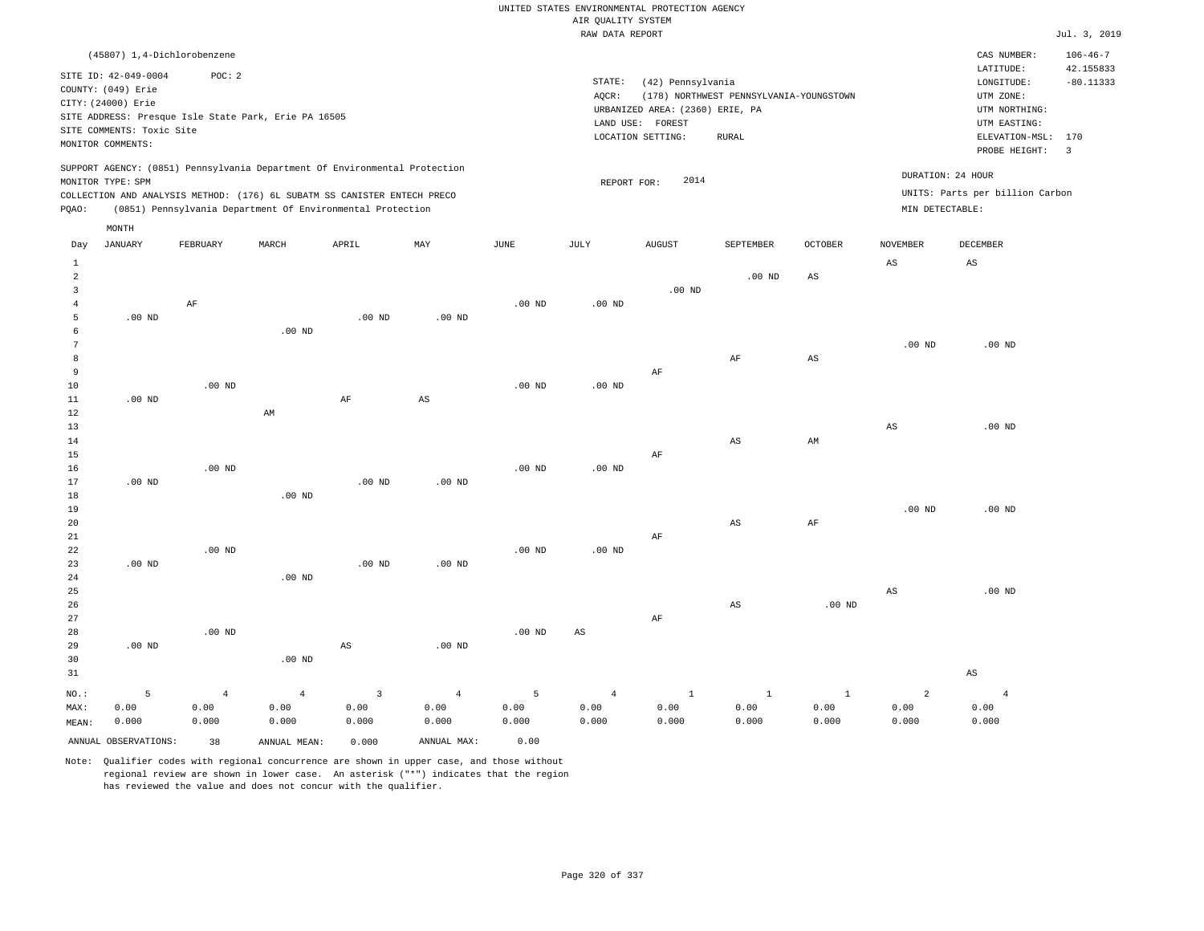|                                  |                             |                |                                                                            |                         |                |                       | RAW DATA REPORT        |                                 |                                         |              |                   |                                 | Jul. 3, 2019   |
|----------------------------------|-----------------------------|----------------|----------------------------------------------------------------------------|-------------------------|----------------|-----------------------|------------------------|---------------------------------|-----------------------------------------|--------------|-------------------|---------------------------------|----------------|
|                                  | (45807) 1,4-Dichlorobenzene |                |                                                                            |                         |                |                       |                        |                                 |                                         |              |                   | CAS NUMBER:                     | $106 - 46 - 7$ |
|                                  | SITE ID: 42-049-0004        | POC: 2         |                                                                            |                         |                |                       |                        |                                 |                                         |              |                   | LATITUDE:                       | 42.155833      |
|                                  | COUNTY: (049) Erie          |                |                                                                            |                         |                |                       | STATE:                 | (42) Pennsylvania               |                                         |              |                   | LONGITUDE:                      | $-80.11333$    |
|                                  | CITY: (24000) Erie          |                |                                                                            |                         |                |                       | AQCR:                  |                                 | (178) NORTHWEST PENNSYLVANIA-YOUNGSTOWN |              |                   | UTM ZONE:                       |                |
|                                  |                             |                | SITE ADDRESS: Presque Isle State Park, Erie PA 16505                       |                         |                |                       |                        | URBANIZED AREA: (2360) ERIE, PA |                                         |              |                   | UTM NORTHING:                   |                |
|                                  | SITE COMMENTS: Toxic Site   |                |                                                                            |                         |                |                       |                        | LAND USE: FOREST                |                                         |              |                   | UTM EASTING:                    |                |
|                                  | MONITOR COMMENTS:           |                |                                                                            |                         |                |                       |                        | LOCATION SETTING:               | RURAL                                   |              |                   | ELEVATION-MSL: 170              |                |
|                                  |                             |                |                                                                            |                         |                |                       |                        |                                 |                                         |              |                   | PROBE HEIGHT:                   | $\overline{3}$ |
|                                  |                             |                | SUPPORT AGENCY: (0851) Pennsylvania Department Of Environmental Protection |                         |                |                       |                        |                                 |                                         |              |                   | DURATION: 24 HOUR               |                |
|                                  | MONITOR TYPE: SPM           |                |                                                                            |                         |                |                       | REPORT FOR:            | 2014                            |                                         |              |                   | UNITS: Parts per billion Carbon |                |
|                                  |                             |                | COLLECTION AND ANALYSIS METHOD: (176) 6L SUBATM SS CANISTER ENTECH PRECO   |                         |                |                       |                        |                                 |                                         |              |                   |                                 |                |
| PQAO:                            |                             |                | (0851) Pennsylvania Department Of Environmental Protection                 |                         |                |                       |                        |                                 |                                         |              | MIN DETECTABLE:   |                                 |                |
| Day                              | MONTH<br><b>JANUARY</b>     | FEBRUARY       | MARCH                                                                      | APRIL                   | $\texttt{MAY}$ | $\operatorname{JUNE}$ | JULY                   | <b>AUGUST</b>                   | SEPTEMBER                               | OCTOBER      | <b>NOVEMBER</b>   | DECEMBER                        |                |
|                                  |                             |                |                                                                            |                         |                |                       |                        |                                 |                                         |              |                   |                                 |                |
| $\mathbf{1}$                     |                             |                |                                                                            |                         |                |                       |                        |                                 |                                         |              | $_{\rm AS}$       | $_{\rm AS}$                     |                |
| $\overline{a}$                   |                             |                |                                                                            |                         |                |                       |                        |                                 | $.00$ ND                                | $_{\rm AS}$  |                   |                                 |                |
| $\overline{3}$<br>$\overline{4}$ |                             |                |                                                                            |                         |                | .00 <sub>ND</sub>     | .00 <sub>ND</sub>      | $.00$ ND                        |                                         |              |                   |                                 |                |
| 5                                | $.00$ ND                    | $\rm AF$       |                                                                            | $.00$ ND                | $.00$ ND       |                       |                        |                                 |                                         |              |                   |                                 |                |
| 6                                |                             |                | $.00$ ND                                                                   |                         |                |                       |                        |                                 |                                         |              |                   |                                 |                |
| $7\phantom{.0}$                  |                             |                |                                                                            |                         |                |                       |                        |                                 |                                         |              | .00 <sub>ND</sub> | $.00$ ND                        |                |
| 8                                |                             |                |                                                                            |                         |                |                       |                        |                                 | AF                                      | $_{\rm AS}$  |                   |                                 |                |
| $\overline{9}$                   |                             |                |                                                                            |                         |                |                       |                        | AF                              |                                         |              |                   |                                 |                |
| 10                               |                             | $.00$ ND       |                                                                            |                         |                | .00 <sub>ND</sub>     | .00 <sub>ND</sub>      |                                 |                                         |              |                   |                                 |                |
| $11\,$                           | $.00$ ND                    |                |                                                                            | AF                      | AS             |                       |                        |                                 |                                         |              |                   |                                 |                |
| 12                               |                             |                | AM                                                                         |                         |                |                       |                        |                                 |                                         |              |                   |                                 |                |
| 13                               |                             |                |                                                                            |                         |                |                       |                        |                                 |                                         |              | AS                | $.00$ ND                        |                |
| 14                               |                             |                |                                                                            |                         |                |                       |                        |                                 | $\mathbb{A}\mathbb{S}$                  | AM           |                   |                                 |                |
| 15                               |                             |                |                                                                            |                         |                |                       |                        | AF                              |                                         |              |                   |                                 |                |
| 16                               |                             | $.00$ ND       |                                                                            |                         |                | $.00$ ND              | .00 <sub>ND</sub>      |                                 |                                         |              |                   |                                 |                |
| 17                               | $.00$ ND                    |                |                                                                            | $.00$ ND                | $.00$ ND       |                       |                        |                                 |                                         |              |                   |                                 |                |
| 18                               |                             |                | $.00$ ND                                                                   |                         |                |                       |                        |                                 |                                         |              |                   |                                 |                |
| 19                               |                             |                |                                                                            |                         |                |                       |                        |                                 |                                         |              | .00 <sub>ND</sub> | $.00$ ND                        |                |
| 20                               |                             |                |                                                                            |                         |                |                       |                        |                                 | $_{\rm AS}$                             | AF           |                   |                                 |                |
| 21                               |                             |                |                                                                            |                         |                |                       |                        | AF                              |                                         |              |                   |                                 |                |
| 22                               |                             | $.00$ ND       |                                                                            |                         |                | $.00$ ND              | .00 <sub>ND</sub>      |                                 |                                         |              |                   |                                 |                |
| 23                               | $.00$ ND                    |                |                                                                            | $.00$ ND                | $.00$ ND       |                       |                        |                                 |                                         |              |                   |                                 |                |
| 24                               |                             |                | $.00$ ND                                                                   |                         |                |                       |                        |                                 |                                         |              |                   |                                 |                |
| 25                               |                             |                |                                                                            |                         |                |                       |                        |                                 |                                         |              | AS                | $.00$ ND                        |                |
| 26                               |                             |                |                                                                            |                         |                |                       |                        |                                 | AS                                      | $.00$ ND     |                   |                                 |                |
| 27<br>28                         |                             | $.00$ ND       |                                                                            |                         |                | .00 <sub>ND</sub>     |                        | $\rm{AF}$                       |                                         |              |                   |                                 |                |
| 29                               | $.00$ ND                    |                |                                                                            | $\mathbb{A}\mathbb{S}$  | $.00$ ND       |                       | $\mathbb{A}\mathbb{S}$ |                                 |                                         |              |                   |                                 |                |
| 30                               |                             |                | $.00$ ND                                                                   |                         |                |                       |                        |                                 |                                         |              |                   |                                 |                |
| 31                               |                             |                |                                                                            |                         |                |                       |                        |                                 |                                         |              |                   | $_{\rm AS}$                     |                |
|                                  |                             |                |                                                                            |                         |                |                       |                        |                                 |                                         |              |                   |                                 |                |
| NO.:                             | 5                           | $\overline{4}$ | $\overline{4}$                                                             | $\overline{\mathbf{3}}$ | $\overline{4}$ | 5                     | $\overline{4}$         | $\mathbf{1}$                    | <sup>1</sup>                            | <sup>1</sup> | 2                 | $\overline{4}$                  |                |
| MAX:                             | 0.00                        | 0.00           | 0.00                                                                       | 0.00                    | 0.00           | 0.00                  | 0.00                   | 0.00                            | 0.00                                    | 0.00         | 0.00              | 0.00                            |                |
| MEAN:                            | 0.000                       | 0.000          | 0.000                                                                      | 0.000                   | 0.000          | 0.000                 | 0.000                  | 0.000                           | 0.000                                   | 0.000        | 0.000             | 0.000                           |                |
|                                  | ANNUAL OBSERVATIONS:        | 38             | ANNUAL MEAN:                                                               | 0.000                   | ANNUAL MAX:    | 0.00                  |                        |                                 |                                         |              |                   |                                 |                |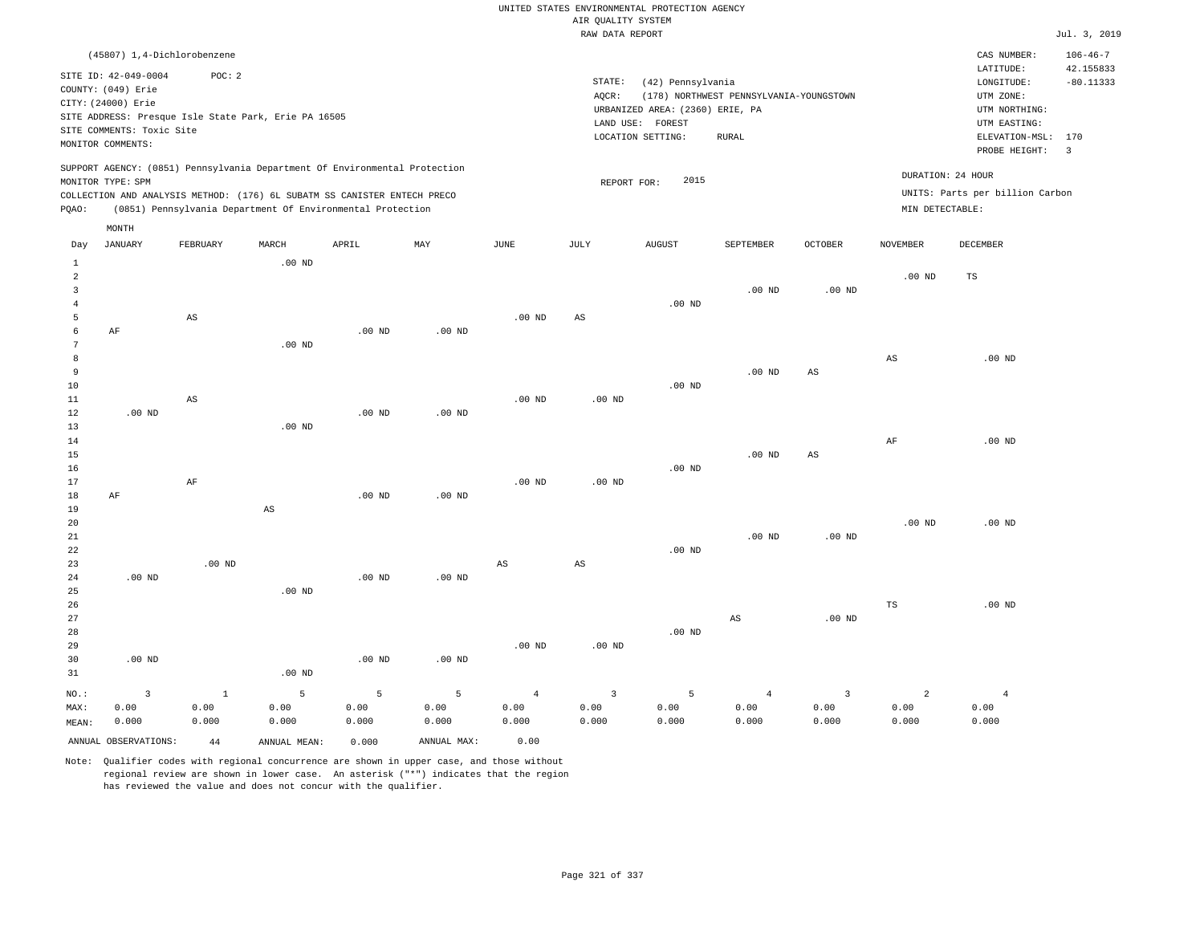|       |                                                     |          |                                                                            |                   |                   |          |           | RAW DATA REPORT                 |                                         |                |                 |                                 | Jul. 3, 2019                |
|-------|-----------------------------------------------------|----------|----------------------------------------------------------------------------|-------------------|-------------------|----------|-----------|---------------------------------|-----------------------------------------|----------------|-----------------|---------------------------------|-----------------------------|
|       | (45807) 1,4-Dichlorobenzene<br>SITE ID: 42-049-0004 | POC: 2   |                                                                            |                   |                   |          |           |                                 |                                         |                |                 | CAS NUMBER:<br>LATITUDE:        | $106 - 46 - 7$<br>42.155833 |
|       | COUNTY: (049) Erie                                  |          |                                                                            |                   |                   |          | STATE:    | (42) Pennsylvania               |                                         |                |                 | LONGITUDE:                      | $-80.11333$                 |
|       | CITY: (24000) Erie                                  |          |                                                                            |                   |                   |          | AQCR:     |                                 | (178) NORTHWEST PENNSYLVANIA-YOUNGSTOWN |                |                 | UTM ZONE:                       |                             |
|       |                                                     |          | SITE ADDRESS: Presque Isle State Park, Erie PA 16505                       |                   |                   |          |           | URBANIZED AREA: (2360) ERIE, PA |                                         |                |                 | UTM NORTHING:                   |                             |
|       | SITE COMMENTS: Toxic Site                           |          |                                                                            |                   |                   |          | LAND USE: | FOREST                          |                                         |                |                 | UTM EASTING:                    |                             |
|       | MONITOR COMMENTS:                                   |          |                                                                            |                   |                   |          |           | LOCATION SETTING:               | RURAL                                   |                |                 | ELEVATION-MSL:                  | 170                         |
|       |                                                     |          |                                                                            |                   |                   |          |           |                                 |                                         |                |                 | PROBE HEIGHT:                   | $\overline{\mathbf{3}}$     |
|       |                                                     |          | SUPPORT AGENCY: (0851) Pennsylvania Department Of Environmental Protection |                   |                   |          |           |                                 |                                         |                |                 | DURATION: 24 HOUR               |                             |
|       | MONITOR TYPE: SPM                                   |          |                                                                            |                   |                   |          |           | 2015<br>REPORT FOR:             |                                         |                |                 | UNITS: Parts per billion Carbon |                             |
|       |                                                     |          | COLLECTION AND ANALYSIS METHOD: (176) 6L SUBATM SS CANISTER ENTECH PRECO   |                   |                   |          |           |                                 |                                         |                |                 |                                 |                             |
| POAO: |                                                     |          | (0851) Pennsylvania Department Of Environmental Protection                 |                   |                   |          |           |                                 |                                         |                | MIN DETECTABLE: |                                 |                             |
|       | MONTH                                               |          |                                                                            |                   |                   |          |           |                                 |                                         |                |                 |                                 |                             |
| Day   | <b>JANUARY</b>                                      | FEBRUARY | MARCH                                                                      | APRIL             | MAY               | JUNE     | JULY      | <b>AUGUST</b>                   | SEPTEMBER                               | <b>OCTOBER</b> | <b>NOVEMBER</b> | DECEMBER                        |                             |
| 1     |                                                     |          | $.00$ ND                                                                   |                   |                   |          |           |                                 |                                         |                |                 |                                 |                             |
| 2     |                                                     |          |                                                                            |                   |                   |          |           |                                 |                                         |                | $.00$ ND        | TS                              |                             |
|       |                                                     |          |                                                                            |                   |                   |          |           |                                 | $.00$ ND                                | $.00$ ND       |                 |                                 |                             |
|       |                                                     |          |                                                                            |                   |                   |          |           | $.00$ ND                        |                                         |                |                 |                                 |                             |
| 5     |                                                     | AS       |                                                                            |                   |                   | $.00$ ND | AS        |                                 |                                         |                |                 |                                 |                             |
|       | AF                                                  |          |                                                                            | .00 <sub>ND</sub> | $.00$ ND          |          |           |                                 |                                         |                |                 |                                 |                             |
| 7     |                                                     |          | $.00$ ND                                                                   |                   |                   |          |           |                                 |                                         |                |                 |                                 |                             |
| 8     |                                                     |          |                                                                            |                   |                   |          |           |                                 |                                         |                | AS              | $.00$ ND                        |                             |
| 9     |                                                     |          |                                                                            |                   |                   |          |           |                                 | $.00$ ND                                | $_{\rm AS}$    |                 |                                 |                             |
| 10    |                                                     |          |                                                                            |                   |                   |          |           | $.00$ ND                        |                                         |                |                 |                                 |                             |
| 11    |                                                     | AS       |                                                                            |                   |                   | $.00$ ND | $.00$ ND  |                                 |                                         |                |                 |                                 |                             |
| 12    | $.00$ ND                                            |          |                                                                            | $.00$ ND          | $.00$ ND          |          |           |                                 |                                         |                |                 |                                 |                             |
| 13    |                                                     |          | $.00$ ND                                                                   |                   |                   |          |           |                                 |                                         |                |                 |                                 |                             |
| 14    |                                                     |          |                                                                            |                   |                   |          |           |                                 |                                         |                | AF              | $.00$ ND                        |                             |
| 15    |                                                     |          |                                                                            |                   |                   |          |           |                                 | $.00$ ND                                | AS             |                 |                                 |                             |
| 16    |                                                     |          |                                                                            |                   |                   |          |           | $.00$ ND                        |                                         |                |                 |                                 |                             |
| 17    |                                                     | AF       |                                                                            |                   |                   | $.00$ ND | $.00$ ND  |                                 |                                         |                |                 |                                 |                             |
| 18    | AF                                                  |          |                                                                            | .00 <sub>ND</sub> | .00 <sub>ND</sub> |          |           |                                 |                                         |                |                 |                                 |                             |

| 19          |          |          | AS       |          |          |          |          |          |          |          |          |          |
|-------------|----------|----------|----------|----------|----------|----------|----------|----------|----------|----------|----------|----------|
| 20          |          |          |          |          |          |          |          |          |          |          | $.00$ ND | $.00$ ND |
| $21\,$      |          |          |          |          |          |          |          |          | $.00$ ND | $.00$ ND |          |          |
| $2\sqrt{2}$ |          |          |          |          |          |          |          | $.00$ ND |          |          |          |          |
| 23          |          | $.00$ ND |          |          |          | AS       | AS       |          |          |          |          |          |
| 24          | $.00$ ND |          |          | $.00$ ND | $.00$ ND |          |          |          |          |          |          |          |
| 25          |          |          | $.00$ ND |          |          |          |          |          |          |          |          |          |
| 26          |          |          |          |          |          |          |          |          |          |          | TS       | $.00$ ND |
| 27          |          |          |          |          |          |          |          |          | AS       | $.00$ ND |          |          |
| 28          |          |          |          |          |          |          |          | $.00$ ND |          |          |          |          |
| 29          |          |          |          |          |          | $.00$ ND | $.00$ ND |          |          |          |          |          |
| 30          | $.00$ ND |          |          | $.00$ ND | $.00$ ND |          |          |          |          |          |          |          |

| 31    |                      |       | $.00$ ND     |           |             |           |                       |         |       |       |       |       |
|-------|----------------------|-------|--------------|-----------|-------------|-----------|-----------------------|---------|-------|-------|-------|-------|
| NO.:  |                      |       |              | $-5$ $-5$ | $5 - 5$     | $4\sigma$ | $\sim$ 3 and $\sim$ 3 | $5 - 5$ |       |       |       |       |
| MAX:  | 0.00                 | 0.00  | 0.00         | 0.00      | 0.00        | 0.00      | 0.00                  | 0.00    | 0.00  | 0.00  | 0.00  | 0.00  |
| MEAN: | 0.000                | 0.000 | 0.000        | 0.000     | 0.000       | 0.000     | 0.000                 | 0.000   | 0.000 | 0.000 | 0.000 | 0.000 |
|       | ANNUAL OBSERVATIONS: | 44    | ANNUAL MEAN: | 0.000     | ANNUAL MAX: | 0.00      |                       |         |       |       |       |       |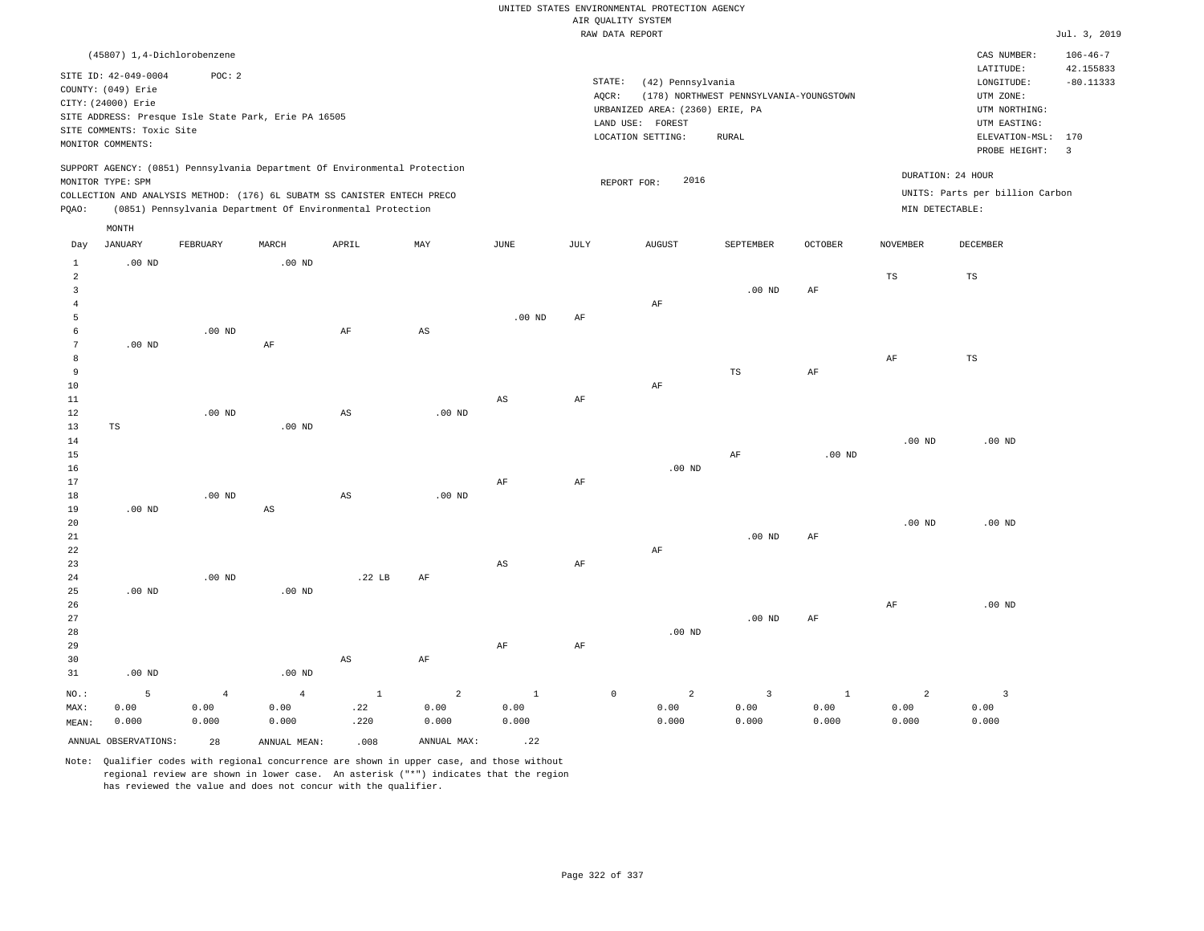|                                                                                                                                                 |                             |                                                                            |                |                        |                        |              |                                                  | RAW DATA REPORT               |                         |                                 |                   |                    | Jul. 3, 2019            |
|-------------------------------------------------------------------------------------------------------------------------------------------------|-----------------------------|----------------------------------------------------------------------------|----------------|------------------------|------------------------|--------------|--------------------------------------------------|-------------------------------|-------------------------|---------------------------------|-------------------|--------------------|-------------------------|
|                                                                                                                                                 | (45807) 1,4-Dichlorobenzene |                                                                            |                |                        |                        |              |                                                  |                               |                         |                                 |                   | CAS NUMBER:        | $106 - 46 - 7$          |
|                                                                                                                                                 |                             |                                                                            |                |                        |                        |              |                                                  |                               |                         |                                 |                   | LATITUDE:          | 42.155833               |
|                                                                                                                                                 | SITE ID: 42-049-0004        | POC: 2                                                                     |                |                        |                        |              | STATE:                                           | (42) Pennsylvania             |                         |                                 |                   | LONGITUDE:         | $-80.11333$             |
| COUNTY: (049) Erie<br>CITY: (24000) Erie                                                                                                        |                             |                                                                            |                |                        |                        |              | (178) NORTHWEST PENNSYLVANIA-YOUNGSTOWN<br>AQCR: |                               |                         |                                 |                   |                    |                         |
| SITE ADDRESS: Presque Isle State Park, Erie PA 16505                                                                                            |                             |                                                                            |                |                        |                        |              | URBANIZED AREA: (2360) ERIE, PA                  |                               |                         |                                 |                   |                    |                         |
| SITE COMMENTS: Toxic Site                                                                                                                       |                             |                                                                            |                |                        |                        |              | LAND USE: FOREST                                 |                               |                         |                                 |                   |                    |                         |
|                                                                                                                                                 | MONITOR COMMENTS:           |                                                                            |                |                        |                        |              |                                                  | LOCATION SETTING:             | <b>RURAL</b>            |                                 |                   | ELEVATION-MSL: 170 |                         |
|                                                                                                                                                 |                             |                                                                            |                |                        |                        |              |                                                  |                               |                         |                                 |                   | PROBE HEIGHT:      | $\overline{\mathbf{3}}$ |
|                                                                                                                                                 |                             | SUPPORT AGENCY: (0851) Pennsylvania Department Of Environmental Protection |                |                        |                        |              |                                                  |                               |                         |                                 |                   | DURATION: 24 HOUR  |                         |
| MONITOR TYPE: SPM                                                                                                                               |                             |                                                                            |                |                        |                        |              |                                                  | 2016<br>REPORT FOR:           |                         | UNITS: Parts per billion Carbon |                   |                    |                         |
| COLLECTION AND ANALYSIS METHOD: (176) 6L SUBATM SS CANISTER ENTECH PRECO<br>(0851) Pennsylvania Department Of Environmental Protection<br>PQAO: |                             |                                                                            |                |                        |                        |              |                                                  | MIN DETECTABLE:               |                         |                                 |                   |                    |                         |
|                                                                                                                                                 |                             |                                                                            |                |                        |                        |              |                                                  |                               |                         |                                 |                   |                    |                         |
|                                                                                                                                                 | MONTH                       |                                                                            |                |                        |                        |              |                                                  |                               |                         |                                 |                   |                    |                         |
| Day                                                                                                                                             | JANUARY                     | FEBRUARY                                                                   | MARCH          | APRIL                  | MAY                    | JUNE         | JULY                                             | <b>AUGUST</b>                 | SEPTEMBER               | OCTOBER                         | <b>NOVEMBER</b>   | DECEMBER           |                         |
| $\mathbf{1}$                                                                                                                                    | $.00$ ND                    |                                                                            | $.00$ ND       |                        |                        |              |                                                  |                               |                         |                                 |                   |                    |                         |
| $\overline{a}$<br>$\overline{3}$                                                                                                                |                             |                                                                            |                |                        |                        |              |                                                  |                               | $.00$ ND                | AF                              | $\mathbb{TS}$     | TS                 |                         |
| $\overline{4}$                                                                                                                                  |                             |                                                                            |                |                        |                        |              |                                                  | AF                            |                         |                                 |                   |                    |                         |
| 5                                                                                                                                               |                             |                                                                            |                |                        |                        | $.00$ ND     | AF                                               |                               |                         |                                 |                   |                    |                         |
| 6                                                                                                                                               |                             | $.00$ ND                                                                   |                | $\rm{AF}$              | $\mathbb{A}\mathbb{S}$ |              |                                                  |                               |                         |                                 |                   |                    |                         |
| $7\phantom{.0}$                                                                                                                                 | $.00$ ND                    |                                                                            | $\rm{AF}$      |                        |                        |              |                                                  |                               |                         |                                 |                   |                    |                         |
| 8                                                                                                                                               |                             |                                                                            |                |                        |                        |              |                                                  |                               |                         |                                 | AF                | $_{\rm TS}$        |                         |
| 9                                                                                                                                               |                             |                                                                            |                |                        |                        |              |                                                  |                               | $\mathbb{TS}$           | $\rm{AF}$                       |                   |                    |                         |
| 10                                                                                                                                              |                             |                                                                            |                |                        |                        |              |                                                  | $\rm AF$                      |                         |                                 |                   |                    |                         |
| 11                                                                                                                                              |                             |                                                                            |                |                        |                        | AS           | AF                                               |                               |                         |                                 |                   |                    |                         |
| 12                                                                                                                                              |                             | $.00$ ND                                                                   |                | $\mathbb{A}\mathbb{S}$ | $.00$ ND               |              |                                                  |                               |                         |                                 |                   |                    |                         |
| 13                                                                                                                                              | $_{\rm TS}$                 |                                                                            | $.00$ ND       |                        |                        |              |                                                  |                               |                         |                                 |                   |                    |                         |
| 14                                                                                                                                              |                             |                                                                            |                |                        |                        |              |                                                  |                               |                         |                                 | $.00$ ND          | $.00$ ND           |                         |
| 15                                                                                                                                              |                             |                                                                            |                |                        |                        |              |                                                  |                               | AF                      | $.00$ ND                        |                   |                    |                         |
| 16                                                                                                                                              |                             |                                                                            |                |                        |                        |              |                                                  | $.00$ ND                      |                         |                                 |                   |                    |                         |
| 17                                                                                                                                              |                             |                                                                            |                |                        |                        | $\rm AF$     | $\rm AF$                                         |                               |                         |                                 |                   |                    |                         |
| 18<br>19                                                                                                                                        | $.00$ ND                    | $.00$ ND                                                                   | AS             | $\mathbb{A}\mathbb{S}$ | $.00$ ND               |              |                                                  |                               |                         |                                 |                   |                    |                         |
| 20                                                                                                                                              |                             |                                                                            |                |                        |                        |              |                                                  |                               |                         |                                 | .00 <sub>ND</sub> | $.00$ ND           |                         |
| 21                                                                                                                                              |                             |                                                                            |                |                        |                        |              |                                                  |                               | $.00$ ND                | AF                              |                   |                    |                         |
| 22                                                                                                                                              |                             |                                                                            |                |                        |                        |              |                                                  | $\rm{AF}$                     |                         |                                 |                   |                    |                         |
| 23                                                                                                                                              |                             |                                                                            |                |                        |                        | $_{\rm AS}$  | AF                                               |                               |                         |                                 |                   |                    |                         |
| 24                                                                                                                                              |                             | $.00$ ND                                                                   |                | .22 <sub>LB</sub>      | $\rm AF$               |              |                                                  |                               |                         |                                 |                   |                    |                         |
| 25                                                                                                                                              | .00 <sub>ND</sub>           |                                                                            | $.00$ ND       |                        |                        |              |                                                  |                               |                         |                                 |                   |                    |                         |
| 26                                                                                                                                              |                             |                                                                            |                |                        |                        |              |                                                  |                               |                         |                                 | AF                | $.00$ ND           |                         |
| 27                                                                                                                                              |                             |                                                                            |                |                        |                        |              |                                                  |                               | $.00$ ND                | $\rm{AF}$                       |                   |                    |                         |
| 28                                                                                                                                              |                             |                                                                            |                |                        |                        |              |                                                  | $.00$ ND                      |                         |                                 |                   |                    |                         |
| 29                                                                                                                                              |                             |                                                                            |                |                        |                        | AF           | $\rm AF$                                         |                               |                         |                                 |                   |                    |                         |
| 30                                                                                                                                              |                             |                                                                            |                | $\mathbb{A}\mathbb{S}$ | $\rm AF$               |              |                                                  |                               |                         |                                 |                   |                    |                         |
| 31                                                                                                                                              | $.00$ ND                    |                                                                            | $.00$ ND       |                        |                        |              |                                                  |                               |                         |                                 |                   |                    |                         |
| NO.:                                                                                                                                            | 5                           | $\sqrt{4}$                                                                 | $\overline{4}$ | $\,1\,$                | $\sqrt{2}$             | $\mathbf{1}$ |                                                  | $\mathbb O$<br>$\overline{a}$ | $\overline{\mathbf{3}}$ | $1\,$                           | $\overline{a}$    | $\overline{3}$     |                         |
| MAX:                                                                                                                                            | 0.00                        | 0.00                                                                       | 0.00           | .22                    | 0.00                   | 0.00         |                                                  | 0.00                          | 0.00                    | 0.00                            | 0.00              | 0.00               |                         |
| MEAN:                                                                                                                                           | 0.000                       | 0.000                                                                      | 0.000          | .220                   | 0.000                  | 0.000        |                                                  | 0.000                         | 0.000                   | 0.000                           | 0.000             | 0.000              |                         |

ANNUAL OBSERVATIONS: 28 ANNUAL MEAN: .008 ANNUAL MAX: .22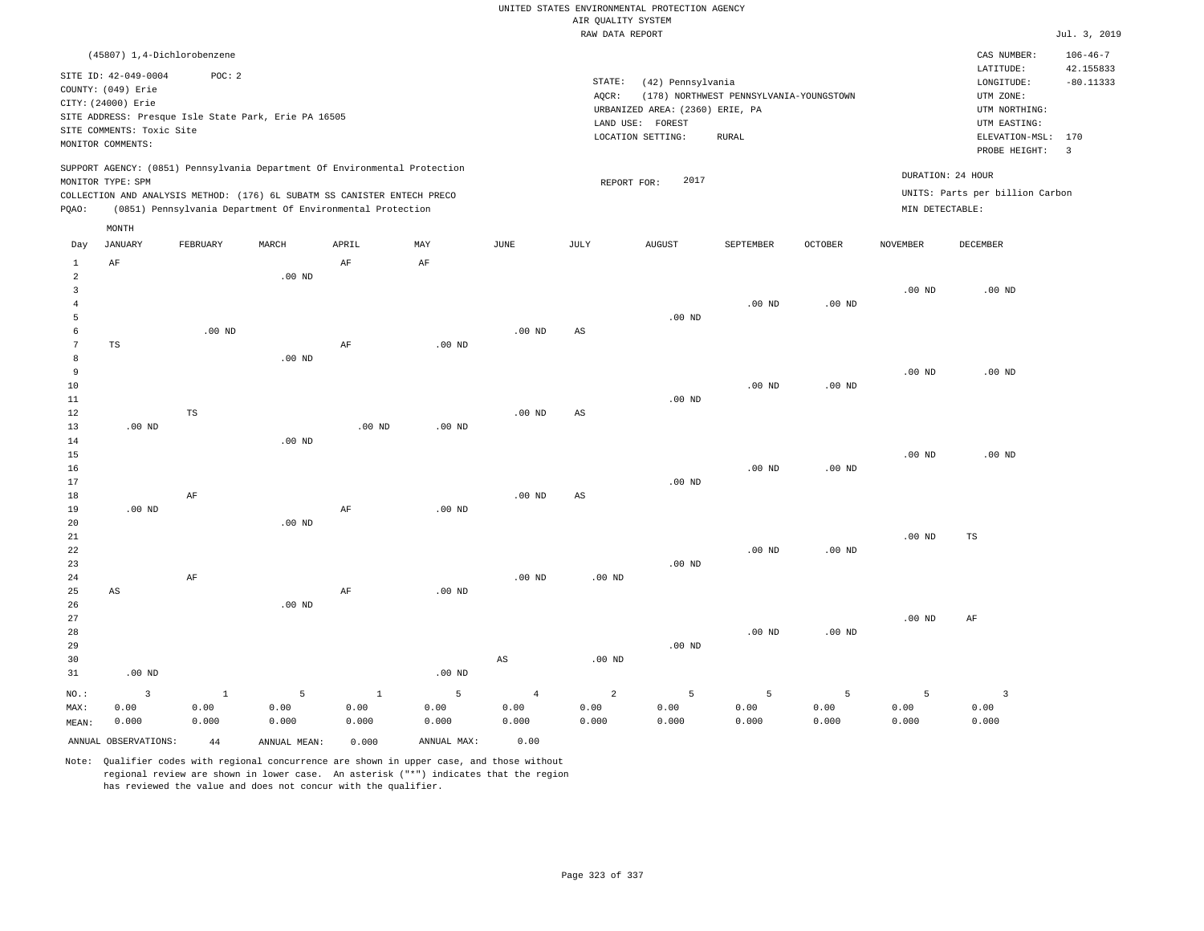|                                                                          |                             |             |                   |                                                                            |             |                                                  | RAW DATA REPORT                 |                   |              |                                 |                   |                                | Jul. 3, 2019            |  |
|--------------------------------------------------------------------------|-----------------------------|-------------|-------------------|----------------------------------------------------------------------------|-------------|--------------------------------------------------|---------------------------------|-------------------|--------------|---------------------------------|-------------------|--------------------------------|-------------------------|--|
|                                                                          | (45807) 1,4-Dichlorobenzene |             |                   |                                                                            |             |                                                  |                                 |                   |              |                                 |                   | CAS NUMBER:                    | $106 - 46 - 7$          |  |
|                                                                          |                             |             |                   |                                                                            |             |                                                  |                                 |                   |              |                                 |                   | LATITUDE:                      | 42.155833               |  |
|                                                                          | SITE ID: 42-049-0004        | POC: 2      |                   |                                                                            |             |                                                  | STATE:                          | (42) Pennsylvania |              |                                 |                   | LONGITUDE:                     | $-80.11333$             |  |
| COUNTY: (049) Erie                                                       |                             |             |                   |                                                                            |             | (178) NORTHWEST PENNSYLVANIA-YOUNGSTOWN<br>AQCR: |                                 |                   |              |                                 |                   | UTM ZONE:                      |                         |  |
| CITY: (24000) Erie                                                       |                             |             |                   |                                                                            |             |                                                  | URBANIZED AREA: (2360) ERIE, PA |                   |              |                                 |                   |                                | UTM NORTHING:           |  |
| SITE ADDRESS: Presque Isle State Park, Erie PA 16505                     |                             |             |                   |                                                                            |             |                                                  | LAND USE: FOREST                |                   |              |                                 |                   |                                |                         |  |
|                                                                          | SITE COMMENTS: Toxic Site   |             |                   |                                                                            |             |                                                  |                                 | LOCATION SETTING: | <b>RURAL</b> |                                 |                   | UTM EASTING:<br>ELEVATION-MSL: | 170                     |  |
|                                                                          | MONITOR COMMENTS:           |             |                   |                                                                            |             |                                                  |                                 |                   |              |                                 |                   | PROBE HEIGHT:                  | $\overline{\mathbf{3}}$ |  |
|                                                                          |                             |             |                   | SUPPORT AGENCY: (0851) Pennsylvania Department Of Environmental Protection |             |                                                  |                                 |                   |              |                                 |                   |                                |                         |  |
|                                                                          | MONITOR TYPE: SPM           |             |                   |                                                                            |             | 2017<br>REPORT FOR:                              |                                 |                   |              |                                 | DURATION: 24 HOUR |                                |                         |  |
| COLLECTION AND ANALYSIS METHOD: (176) 6L SUBATM SS CANISTER ENTECH PRECO |                             |             |                   |                                                                            |             |                                                  |                                 |                   |              | UNITS: Parts per billion Carbon |                   |                                |                         |  |
| (0851) Pennsylvania Department Of Environmental Protection<br>PQAO:      |                             |             |                   |                                                                            |             |                                                  |                                 |                   |              |                                 |                   | MIN DETECTABLE:                |                         |  |
|                                                                          | MONTH                       |             |                   |                                                                            |             |                                                  |                                 |                   |              |                                 |                   |                                |                         |  |
| Day                                                                      | JANUARY                     | FEBRUARY    | MARCH             | APRIL                                                                      | MAY         | JUNE                                             | JULY                            | <b>AUGUST</b>     | SEPTEMBER    | <b>OCTOBER</b>                  | <b>NOVEMBER</b>   | DECEMBER                       |                         |  |
| $\mathbf{1}$                                                             | AF                          |             |                   | AF                                                                         | AF          |                                                  |                                 |                   |              |                                 |                   |                                |                         |  |
| $\overline{2}$                                                           |                             |             | .00 <sub>ND</sub> |                                                                            |             |                                                  |                                 |                   |              |                                 |                   |                                |                         |  |
| $\overline{3}$                                                           |                             |             |                   |                                                                            |             |                                                  |                                 |                   |              |                                 | .00 <sub>ND</sub> | $.00$ ND                       |                         |  |
| $\overline{4}$                                                           |                             |             |                   |                                                                            |             |                                                  |                                 |                   | $.00$ ND     | .00 <sub>ND</sub>               |                   |                                |                         |  |
| 5                                                                        |                             |             |                   |                                                                            |             |                                                  |                                 | $.00$ ND          |              |                                 |                   |                                |                         |  |
| 6                                                                        |                             | $.00$ ND    |                   |                                                                            |             | $.00$ ND                                         | AS                              |                   |              |                                 |                   |                                |                         |  |
| $7\phantom{.0}$                                                          | TS                          |             |                   | $\rm AF$                                                                   | $.00$ ND    |                                                  |                                 |                   |              |                                 |                   |                                |                         |  |
| 8                                                                        |                             |             | $.00$ ND          |                                                                            |             |                                                  |                                 |                   |              |                                 |                   |                                |                         |  |
| 9                                                                        |                             |             |                   |                                                                            |             |                                                  |                                 |                   |              |                                 | $.00$ ND          | $.00$ ND                       |                         |  |
| 10                                                                       |                             |             |                   |                                                                            |             |                                                  |                                 |                   | $.00$ ND     | $.00$ ND                        |                   |                                |                         |  |
| 11                                                                       |                             |             |                   |                                                                            |             |                                                  |                                 | $.00$ ND          |              |                                 |                   |                                |                         |  |
| $12\,$                                                                   |                             | $_{\rm TS}$ |                   |                                                                            |             | $.00$ ND                                         | AS                              |                   |              |                                 |                   |                                |                         |  |
| 13                                                                       | $.00$ ND                    |             |                   | .00 <sub>ND</sub>                                                          | $.00$ ND    |                                                  |                                 |                   |              |                                 |                   |                                |                         |  |
| 14<br>15                                                                 |                             |             | .00 <sub>ND</sub> |                                                                            |             |                                                  |                                 |                   |              |                                 | .00 <sub>ND</sub> | .00 <sub>ND</sub>              |                         |  |
| 16                                                                       |                             |             |                   |                                                                            |             |                                                  |                                 |                   | $.00$ ND     | $.00$ ND                        |                   |                                |                         |  |
| 17                                                                       |                             |             |                   |                                                                            |             |                                                  |                                 | $.00$ ND          |              |                                 |                   |                                |                         |  |
| 18                                                                       |                             | $\rm AF$    |                   |                                                                            |             | $.00$ ND                                         | $\mathbb{A}\mathbb{S}$          |                   |              |                                 |                   |                                |                         |  |
| 19                                                                       | $.00$ ND                    |             |                   | AF                                                                         | $.00$ ND    |                                                  |                                 |                   |              |                                 |                   |                                |                         |  |
| 20                                                                       |                             |             | $.00$ ND          |                                                                            |             |                                                  |                                 |                   |              |                                 |                   |                                |                         |  |
| 21                                                                       |                             |             |                   |                                                                            |             |                                                  |                                 |                   |              |                                 | .00 <sub>ND</sub> | $_{\rm TS}$                    |                         |  |
| 22                                                                       |                             |             |                   |                                                                            |             |                                                  |                                 |                   | $.00$ ND     | .00 <sub>ND</sub>               |                   |                                |                         |  |
| 23                                                                       |                             |             |                   |                                                                            |             |                                                  |                                 | $.00$ ND          |              |                                 |                   |                                |                         |  |
| 24                                                                       |                             | $\rm{AF}$   |                   |                                                                            |             | $.00$ ND                                         | $.00$ ND                        |                   |              |                                 |                   |                                |                         |  |
| 25                                                                       | $\mathbb{A}\mathbb{S}$      |             |                   | $\rm AF$                                                                   | $.00$ ND    |                                                  |                                 |                   |              |                                 |                   |                                |                         |  |
| 26                                                                       |                             |             | $.00$ ND          |                                                                            |             |                                                  |                                 |                   |              |                                 |                   |                                |                         |  |
| 27                                                                       |                             |             |                   |                                                                            |             |                                                  |                                 |                   |              |                                 | .00 <sub>ND</sub> | AF                             |                         |  |
| 28                                                                       |                             |             |                   |                                                                            |             |                                                  |                                 |                   | $.00$ ND     | $.00$ ND                        |                   |                                |                         |  |
| 29                                                                       |                             |             |                   |                                                                            |             |                                                  |                                 | $.00$ ND          |              |                                 |                   |                                |                         |  |
| 30                                                                       |                             |             |                   |                                                                            |             | AS                                               | $.00$ ND                        |                   |              |                                 |                   |                                |                         |  |
| 31                                                                       | $.00$ ND                    |             |                   |                                                                            | $.00$ ND    |                                                  |                                 |                   |              |                                 |                   |                                |                         |  |
| NO.:                                                                     | $\overline{\mathbf{3}}$     | $1\,$       | 5                 | $\mathbf{1}$                                                               | 5           | $\overline{4}$                                   | $\overline{a}$                  | 5                 | 5            | 5                               | 5                 | $\overline{3}$                 |                         |  |
| MAX:                                                                     | 0.00                        | 0.00        | 0.00              | 0.00                                                                       | 0.00        | 0.00                                             | 0.00                            | 0.00              | 0.00         | 0.00                            | 0.00              | 0.00                           |                         |  |
| MEAN:                                                                    | 0.000                       | 0.000       | 0.000             | 0.000                                                                      | 0.000       | 0.000                                            | 0.000                           | 0.000             | 0.000        | 0.000                           | 0.000             | 0.000                          |                         |  |
|                                                                          | ANNUAL OBSERVATIONS:        | $4\,4$      | ANNUAL MEAN:      | 0.000                                                                      | ANNUAL MAX: | 0.00                                             |                                 |                   |              |                                 |                   |                                |                         |  |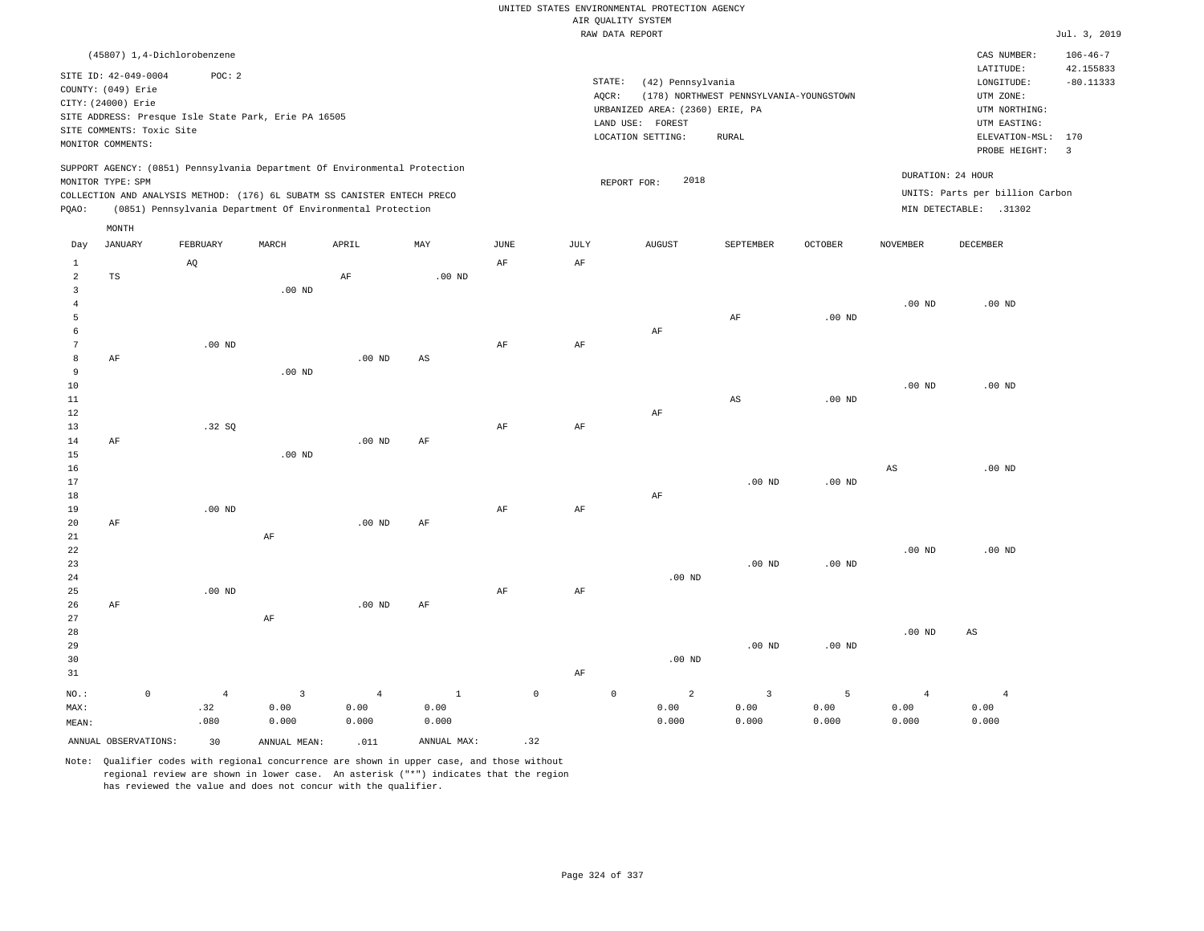|                |                           |                             |                                                                            |                |              |             |             | UNITED STATES ENVIRONMENTAL PROTECTION AGENCY |                                         |                   |                        |                                 |                             |
|----------------|---------------------------|-----------------------------|----------------------------------------------------------------------------|----------------|--------------|-------------|-------------|-----------------------------------------------|-----------------------------------------|-------------------|------------------------|---------------------------------|-----------------------------|
|                |                           |                             |                                                                            |                |              |             |             | AIR QUALITY SYSTEM                            |                                         |                   |                        |                                 |                             |
|                |                           |                             |                                                                            |                |              |             |             | RAW DATA REPORT                               |                                         |                   |                        |                                 | Jul. 3, 2019                |
|                |                           | (45807) 1,4-Dichlorobenzene |                                                                            |                |              |             |             |                                               |                                         |                   |                        | CAS NUMBER:<br>LATITUDE:        | $106 - 46 - 7$<br>42.155833 |
|                | SITE ID: 42-049-0004      | POC: 2                      |                                                                            |                |              |             | STATE:      | (42) Pennsylvania                             |                                         |                   |                        | LONGITUDE:                      | $-80.11333$                 |
|                | COUNTY: (049) Erie        |                             |                                                                            |                |              |             | AOCR:       |                                               | (178) NORTHWEST PENNSYLVANIA-YOUNGSTOWN |                   |                        | UTM ZONE:                       |                             |
|                | CITY: (24000) Erie        |                             |                                                                            |                |              |             |             | URBANIZED AREA: (2360) ERIE, PA               |                                         |                   |                        | UTM NORTHING:                   |                             |
|                |                           |                             | SITE ADDRESS: Presque Isle State Park, Erie PA 16505                       |                |              |             |             | LAND USE: FOREST                              |                                         |                   |                        | UTM EASTING:                    |                             |
|                | SITE COMMENTS: Toxic Site |                             |                                                                            |                |              |             |             | LOCATION SETTING:                             | <b>RURAL</b>                            |                   |                        | ELEVATION-MSL:                  | 170                         |
|                | MONITOR COMMENTS:         |                             |                                                                            |                |              |             |             |                                               |                                         |                   |                        | PROBE HEIGHT:                   | $\overline{\mathbf{3}}$     |
|                |                           |                             | SUPPORT AGENCY: (0851) Pennsylvania Department Of Environmental Protection |                |              |             |             |                                               |                                         |                   |                        | DURATION: 24 HOUR               |                             |
|                | MONITOR TYPE: SPM         |                             |                                                                            |                |              |             |             | 2018<br>REPORT FOR:                           |                                         |                   |                        |                                 |                             |
|                |                           |                             | COLLECTION AND ANALYSIS METHOD: (176) 6L SUBATM SS CANISTER ENTECH PRECO   |                |              |             |             |                                               |                                         |                   |                        | UNITS: Parts per billion Carbon |                             |
| PQAO:          |                           |                             | (0851) Pennsylvania Department Of Environmental Protection                 |                |              |             |             |                                               |                                         |                   |                        | MIN DETECTABLE: .31302          |                             |
|                | MONTH                     |                             |                                                                            |                |              |             |             |                                               |                                         |                   |                        |                                 |                             |
| Day            | <b>JANUARY</b>            | ${\tt FEBRUARY}$            | MARCH                                                                      | APRIL          | MAY          | JUNE        | JULY        | <b>AUGUST</b>                                 | SEPTEMBER                               | <b>OCTOBER</b>    | <b>NOVEMBER</b>        | DECEMBER                        |                             |
| $\mathbf{1}$   |                           | AQ                          |                                                                            |                |              | AF          | AF          |                                               |                                         |                   |                        |                                 |                             |
| $\overline{a}$ | TS                        |                             |                                                                            | $\rm AF$       | $.00$ ND     |             |             |                                               |                                         |                   |                        |                                 |                             |
| 3              |                           |                             | $.00$ ND                                                                   |                |              |             |             |                                               |                                         |                   |                        |                                 |                             |
| $\overline{4}$ |                           |                             |                                                                            |                |              |             |             |                                               |                                         |                   | .00 <sub>ND</sub>      | $.00$ ND                        |                             |
| 5<br>6         |                           |                             |                                                                            |                |              |             |             | AF                                            | $\rm AF$                                | $.00$ ND          |                        |                                 |                             |
| $\overline{7}$ |                           | $.00$ ND                    |                                                                            |                |              | $\rm{AF}$   | $\rm AF$    |                                               |                                         |                   |                        |                                 |                             |
| 8              | AF                        |                             |                                                                            | $.00$ ND       | AS           |             |             |                                               |                                         |                   |                        |                                 |                             |
| 9              |                           |                             | $.00$ ND                                                                   |                |              |             |             |                                               |                                         |                   |                        |                                 |                             |
| $10$           |                           |                             |                                                                            |                |              |             |             |                                               |                                         |                   | .00 <sub>ND</sub>      | $.00$ ND                        |                             |
| $11\,$         |                           |                             |                                                                            |                |              |             |             |                                               | AS                                      | $.00$ ND          |                        |                                 |                             |
| 12             |                           |                             |                                                                            |                |              |             |             | AF                                            |                                         |                   |                        |                                 |                             |
| 13             |                           | .32S                        |                                                                            |                |              | $\rm{AF}$   | $\rm AF$    |                                               |                                         |                   |                        |                                 |                             |
| 14             | AF                        |                             |                                                                            | $.00$ ND       | AF           |             |             |                                               |                                         |                   |                        |                                 |                             |
| 15             |                           |                             | $.00$ ND                                                                   |                |              |             |             |                                               |                                         |                   |                        | .00 <sub>ND</sub>               |                             |
| 16<br>17       |                           |                             |                                                                            |                |              |             |             |                                               | $.00$ ND                                | $.00$ ND          | $\mathbb{A}\mathbb{S}$ |                                 |                             |
| 18             |                           |                             |                                                                            |                |              |             |             | $\rm{AF}$                                     |                                         |                   |                        |                                 |                             |
| 19             |                           | $.00$ ND                    |                                                                            |                |              | $\rm{AF}$   | $\rm AF$    |                                               |                                         |                   |                        |                                 |                             |
| 20             | AF                        |                             |                                                                            | $.00$ ND       | AF           |             |             |                                               |                                         |                   |                        |                                 |                             |
| $2\sqrt{1}$    |                           |                             | $\rm{AF}$                                                                  |                |              |             |             |                                               |                                         |                   |                        |                                 |                             |
| ${\bf 22}$     |                           |                             |                                                                            |                |              |             |             |                                               |                                         |                   | .00 <sub>ND</sub>      | .00 <sub>ND</sub>               |                             |
| 23             |                           |                             |                                                                            |                |              |             |             |                                               | $.00$ ND                                | .00 <sub>ND</sub> |                        |                                 |                             |
| 24             |                           |                             |                                                                            |                |              |             |             | $.00$ ND                                      |                                         |                   |                        |                                 |                             |
| 25             |                           | $.00$ ND                    |                                                                            |                |              | AF          | AF          |                                               |                                         |                   |                        |                                 |                             |
| 26             | AF                        |                             |                                                                            | $.00$ ND       | AF           |             |             |                                               |                                         |                   |                        |                                 |                             |
| 27<br>$2\,8$   |                           |                             | AF                                                                         |                |              |             |             |                                               |                                         |                   | $.00$ ND               | $\mathbb{A}\mathbb{S}$          |                             |
| 29             |                           |                             |                                                                            |                |              |             |             |                                               | $.00$ ND                                | $.00$ ND          |                        |                                 |                             |
| 30             |                           |                             |                                                                            |                |              |             |             | $.00$ ND                                      |                                         |                   |                        |                                 |                             |
| 31             |                           |                             |                                                                            |                |              |             | AF          |                                               |                                         |                   |                        |                                 |                             |
| NO.:           | $\mathbb O$               | $\overline{4}$              | $\overline{3}$                                                             | $\overline{4}$ | $\mathbf{1}$ | $\mathbb O$ | $\mathbb O$ | $\overline{a}$                                | $\overline{3}$                          | 5                 | $\overline{4}$         | $\overline{4}$                  |                             |
| MAX:           |                           | .32                         | 0.00                                                                       | 0.00           | 0.00         |             |             | 0.00                                          | 0.00                                    | 0.00              | 0.00                   | 0.00                            |                             |
| MEAN:          |                           | .080                        | 0.000                                                                      | 0.000          | 0.000        |             |             | 0.000                                         | 0.000                                   | 0.000             | 0.000                  | 0.000                           |                             |
|                | ANNUAL OBSERVATIONS:      | 30                          | ANNUAL, MEAN:                                                              | .011           | ANNUAL MAX:  | .32         |             |                                               |                                         |                   |                        |                                 |                             |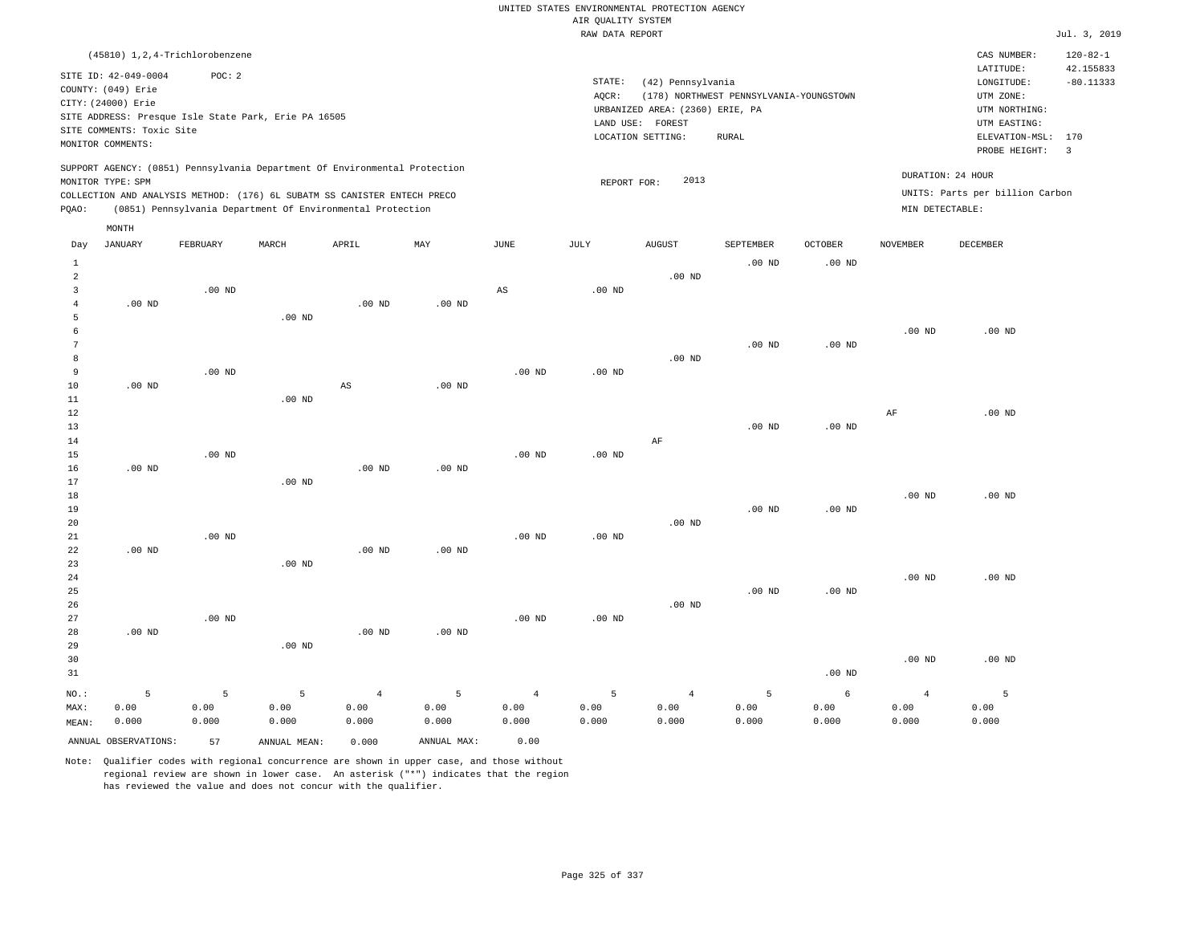|                |                                                                            |                   |                                                            |                        |                   |                       | RAW DATA REPORT   |                                 |                                         |                   |                   |                                 | Jul. 3, 2019   |
|----------------|----------------------------------------------------------------------------|-------------------|------------------------------------------------------------|------------------------|-------------------|-----------------------|-------------------|---------------------------------|-----------------------------------------|-------------------|-------------------|---------------------------------|----------------|
|                | (45810) 1,2,4-Trichlorobenzene                                             |                   |                                                            |                        |                   |                       |                   |                                 |                                         |                   |                   | CAS NUMBER:                     | $120 - 82 - 1$ |
|                |                                                                            |                   |                                                            |                        |                   |                       |                   |                                 |                                         |                   |                   | LATITUDE:                       | 42.155833      |
|                | SITE ID: 42-049-0004                                                       | POC: 2            |                                                            |                        |                   |                       | STATE:            | (42) Pennsylvania               |                                         |                   |                   | LONGITUDE:                      | $-80.11333$    |
|                | COUNTY: (049) Erie                                                         |                   |                                                            |                        |                   |                       | AQCR:             |                                 | (178) NORTHWEST PENNSYLVANIA-YOUNGSTOWN |                   |                   | UTM ZONE:                       |                |
|                | CITY: (24000) Erie                                                         |                   |                                                            |                        |                   |                       |                   | URBANIZED AREA: (2360) ERIE, PA |                                         |                   |                   | UTM NORTHING:                   |                |
|                | SITE ADDRESS: Presque Isle State Park, Erie PA 16505                       |                   |                                                            |                        |                   |                       |                   | LAND USE: FOREST                |                                         |                   |                   | UTM EASTING:                    |                |
|                | SITE COMMENTS: Toxic Site                                                  |                   |                                                            |                        |                   |                       |                   | LOCATION SETTING:               | <b>RURAL</b>                            |                   |                   | ELEVATION-MSL: 170              |                |
|                | MONITOR COMMENTS:                                                          |                   |                                                            |                        |                   |                       |                   |                                 |                                         |                   |                   | PROBE HEIGHT:                   | $\overline{3}$ |
|                | SUPPORT AGENCY: (0851) Pennsylvania Department Of Environmental Protection |                   |                                                            |                        |                   |                       |                   |                                 |                                         |                   |                   | DURATION: 24 HOUR               |                |
|                | MONITOR TYPE: SPM                                                          |                   |                                                            |                        |                   |                       | REPORT FOR:       | 2013                            |                                         |                   |                   |                                 |                |
|                | COLLECTION AND ANALYSIS METHOD: (176) 6L SUBATM SS CANISTER ENTECH PRECO   |                   |                                                            |                        |                   |                       |                   |                                 |                                         |                   |                   | UNITS: Parts per billion Carbon |                |
| PQAO:          |                                                                            |                   | (0851) Pennsylvania Department Of Environmental Protection |                        |                   |                       |                   |                                 |                                         |                   | MIN DETECTABLE:   |                                 |                |
|                | MONTH                                                                      |                   |                                                            |                        |                   |                       |                   |                                 |                                         |                   |                   |                                 |                |
| Day            | <b>JANUARY</b>                                                             | FEBRUARY          | MARCH                                                      | APRIL                  | MAY               | $\operatorname{JUNE}$ | JULY              | ${\tt AUGUST}$                  | SEPTEMBER                               | <b>OCTOBER</b>    | <b>NOVEMBER</b>   | <b>DECEMBER</b>                 |                |
| $\mathbf{1}$   |                                                                            |                   |                                                            |                        |                   |                       |                   |                                 | $.00$ ND                                | .00 <sub>ND</sub> |                   |                                 |                |
| $\overline{2}$ |                                                                            |                   |                                                            |                        |                   |                       |                   | $.00$ ND                        |                                         |                   |                   |                                 |                |
| $\overline{3}$ |                                                                            | $.00$ ND          |                                                            |                        |                   | AS                    | $.00$ ND          |                                 |                                         |                   |                   |                                 |                |
| $\overline{4}$ | $.00$ ND                                                                   |                   |                                                            | $.00$ ND               | .00 <sub>ND</sub> |                       |                   |                                 |                                         |                   |                   |                                 |                |
| 5              |                                                                            |                   | $.00$ ND                                                   |                        |                   |                       |                   |                                 |                                         |                   |                   |                                 |                |
| 6              |                                                                            |                   |                                                            |                        |                   |                       |                   |                                 |                                         |                   | .00 <sub>ND</sub> | $.00$ ND                        |                |
| 7              |                                                                            |                   |                                                            |                        |                   |                       |                   |                                 | $.00$ ND                                | .00 <sub>ND</sub> |                   |                                 |                |
| 8              |                                                                            |                   |                                                            |                        |                   |                       |                   | $.00$ ND                        |                                         |                   |                   |                                 |                |
| 9              |                                                                            | $.00$ ND          |                                                            |                        |                   | $.00$ ND              | $.00$ ND          |                                 |                                         |                   |                   |                                 |                |
| $10$           | $.00$ ND                                                                   |                   |                                                            | $\mathbb{A}\mathbb{S}$ | $.00$ ND          |                       |                   |                                 |                                         |                   |                   |                                 |                |
| 11             |                                                                            |                   | $.00$ ND                                                   |                        |                   |                       |                   |                                 |                                         |                   |                   |                                 |                |
| 12             |                                                                            |                   |                                                            |                        |                   |                       |                   |                                 |                                         |                   | AF                | $.00$ ND                        |                |
| 13             |                                                                            |                   |                                                            |                        |                   |                       |                   |                                 | $.00$ ND                                | .00 <sub>ND</sub> |                   |                                 |                |
| 14             |                                                                            |                   |                                                            |                        |                   |                       |                   | AF                              |                                         |                   |                   |                                 |                |
| 15             |                                                                            | $.00$ ND          |                                                            | $.00$ ND               |                   | $.00$ ND              | $.00$ ND          |                                 |                                         |                   |                   |                                 |                |
| 16<br>17       | $.00$ ND                                                                   |                   | $.00$ ND                                                   |                        | .00 <sub>ND</sub> |                       |                   |                                 |                                         |                   |                   |                                 |                |
| 18             |                                                                            |                   |                                                            |                        |                   |                       |                   |                                 |                                         |                   | $.00$ ND          | $.00$ ND                        |                |
| 19             |                                                                            |                   |                                                            |                        |                   |                       |                   |                                 | $.00$ ND                                | .00 <sub>ND</sub> |                   |                                 |                |
| 20             |                                                                            |                   |                                                            |                        |                   |                       |                   | $.00$ ND                        |                                         |                   |                   |                                 |                |
| 21             |                                                                            | $.00$ ND          |                                                            |                        |                   | $.00$ ND              | $.00$ ND          |                                 |                                         |                   |                   |                                 |                |
| $2\sqrt{2}$    | $.00$ ND                                                                   |                   |                                                            | .00 <sub>ND</sub>      | .00 <sub>ND</sub> |                       |                   |                                 |                                         |                   |                   |                                 |                |
| 23             |                                                                            |                   | $.00$ ND                                                   |                        |                   |                       |                   |                                 |                                         |                   |                   |                                 |                |
| 24             |                                                                            |                   |                                                            |                        |                   |                       |                   |                                 |                                         |                   | .00 <sub>ND</sub> | $.00$ ND                        |                |
| 25             |                                                                            |                   |                                                            |                        |                   |                       |                   |                                 | .00 <sub>ND</sub>                       | .00 <sub>ND</sub> |                   |                                 |                |
| 26             |                                                                            |                   |                                                            |                        |                   |                       |                   | $.00$ ND                        |                                         |                   |                   |                                 |                |
| 27             |                                                                            | .00 <sub>ND</sub> |                                                            |                        |                   | .00 <sub>ND</sub>     | .00 <sub>ND</sub> |                                 |                                         |                   |                   |                                 |                |
| 28             | $.00$ ND                                                                   |                   |                                                            | .00 <sub>ND</sub>      | .00 <sub>ND</sub> |                       |                   |                                 |                                         |                   |                   |                                 |                |
| 29             |                                                                            |                   | $.00$ ND                                                   |                        |                   |                       |                   |                                 |                                         |                   |                   |                                 |                |
| 30             |                                                                            |                   |                                                            |                        |                   |                       |                   |                                 |                                         |                   | $.00$ ND          | $.00$ ND                        |                |
| 31             |                                                                            |                   |                                                            |                        |                   |                       |                   |                                 |                                         | .00 <sub>ND</sub> |                   |                                 |                |
| NO.:           | 5                                                                          | 5                 | 5                                                          | $\overline{4}$         | 5                 | $\overline{4}$        | 5                 | $\overline{4}$                  | 5                                       | 6                 | $\overline{4}$    | 5                               |                |
| MAX:           | 0.00                                                                       | 0.00              | 0.00                                                       | 0.00                   | 0.00              | 0.00                  | 0.00              | 0.00                            | 0.00                                    | 0.00              | 0.00              | 0.00                            |                |
| MEAN:          | 0.000                                                                      | 0.000             | 0.000                                                      | 0.000                  | 0.000             | 0.000                 | 0.000             | 0.000                           | 0.000                                   | 0.000             | 0.000             | 0.000                           |                |
|                | ANNUAL OBSERVATIONS:                                                       | 57                | ANNUAL MEAN:                                               | 0.000                  | ANNUAL MAX:       | 0.00                  |                   |                                 |                                         |                   |                   |                                 |                |
|                |                                                                            |                   |                                                            |                        |                   |                       |                   |                                 |                                         |                   |                   |                                 |                |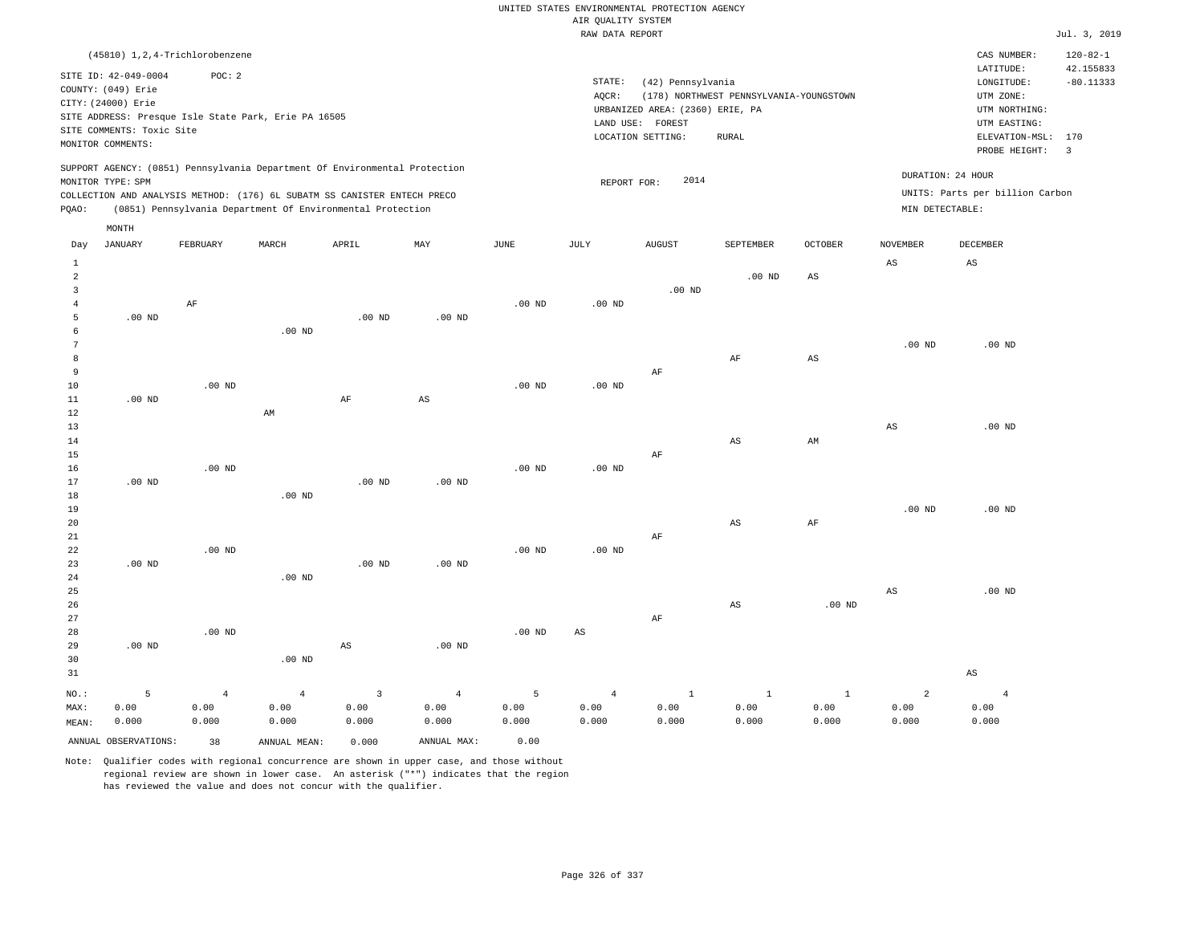|                                     | (45810) 1, 2, 4-Trichlorobenzene                                                                                   |                |                                                                                                                                                        |                   |                   |                   |                   |                                                                                               |                                                         |                        |                   | CAS NUMBER:                                                                             | $120 - 82 - 1$                  |
|-------------------------------------|--------------------------------------------------------------------------------------------------------------------|----------------|--------------------------------------------------------------------------------------------------------------------------------------------------------|-------------------|-------------------|-------------------|-------------------|-----------------------------------------------------------------------------------------------|---------------------------------------------------------|------------------------|-------------------|-----------------------------------------------------------------------------------------|---------------------------------|
|                                     | SITE ID: 42-049-0004<br>COUNTY: (049) Erie<br>CITY: (24000) Erie<br>SITE COMMENTS: Toxic Site<br>MONITOR COMMENTS: | POC: 2         | SITE ADDRESS: Presque Isle State Park, Erie PA 16505                                                                                                   |                   |                   |                   | STATE:<br>AOCR:   | (42) Pennsylvania<br>URBANIZED AREA: (2360) ERIE, PA<br>LAND USE: FOREST<br>LOCATION SETTING: | (178) NORTHWEST PENNSYLVANIA-YOUNGSTOWN<br><b>RURAL</b> |                        |                   | LATITUDE:<br>LONGITUDE:<br>UTM ZONE:<br>UTM NORTHING:<br>UTM EASTING:<br>ELEVATION-MSL: | 42.155833<br>$-80.11333$<br>170 |
|                                     | MONITOR TYPE: SPM                                                                                                  |                | SUPPORT AGENCY: (0851) Pennsylvania Department Of Environmental Protection<br>COLLECTION AND ANALYSIS METHOD: (176) 6L SUBATM SS CANISTER ENTECH PRECO |                   |                   |                   | REPORT FOR:       | 2014                                                                                          |                                                         |                        | DURATION: 24 HOUR | PROBE HEIGHT:<br>UNITS: Parts per billion Carbon                                        | $\overline{3}$                  |
| PQAO:                               |                                                                                                                    |                | (0851) Pennsylvania Department Of Environmental Protection                                                                                             |                   |                   |                   |                   |                                                                                               |                                                         |                        | MIN DETECTABLE:   |                                                                                         |                                 |
|                                     | MONTH                                                                                                              |                |                                                                                                                                                        |                   |                   |                   |                   |                                                                                               |                                                         |                        |                   |                                                                                         |                                 |
| Day                                 | <b>JANUARY</b>                                                                                                     | FEBRUARY       | MARCH                                                                                                                                                  | APRIL             | MAY               | <b>JUNE</b>       | $\mathtt{JULY}$   | <b>AUGUST</b>                                                                                 | SEPTEMBER                                               | OCTOBER                | <b>NOVEMBER</b>   | DECEMBER                                                                                |                                 |
| $\mathbf{1}$<br>$\overline{2}$<br>3 |                                                                                                                    |                |                                                                                                                                                        |                   |                   |                   |                   | $.00$ ND                                                                                      | $.00$ ND                                                | $_{\rm AS}$            | AS                | AS                                                                                      |                                 |
| $\overline{4}$<br>5                 | $.00$ ND                                                                                                           | $\rm AF$       |                                                                                                                                                        | .00 <sub>ND</sub> | .00 <sub>ND</sub> | $.00$ ND          | .00 <sub>ND</sub> |                                                                                               |                                                         |                        |                   |                                                                                         |                                 |
| 6<br>$\overline{7}$<br>8            |                                                                                                                    |                | $.00$ ND                                                                                                                                               |                   |                   |                   |                   |                                                                                               | AF                                                      | $\mathbb{A}\mathbb{S}$ | $.00$ ND          | $.00$ ND                                                                                |                                 |
| $\overline{9}$<br>10<br>11          | .00 <sub>ND</sub>                                                                                                  | $.00$ ND       |                                                                                                                                                        | AF                | $_{\rm AS}$       | .00 <sub>ND</sub> | .00 <sub>ND</sub> | $\rm{AF}$                                                                                     |                                                         |                        |                   |                                                                                         |                                 |
| 12<br>13<br>$14\,$                  |                                                                                                                    |                | AM                                                                                                                                                     |                   |                   |                   |                   |                                                                                               | $\mathbb{A}\mathbb{S}$                                  | $\mathbb{A}\mathbb{M}$ | $_{\rm AS}$       | $.00$ ND                                                                                |                                 |
| 15<br>16                            |                                                                                                                    | $.00$ ND       |                                                                                                                                                        |                   |                   | .00 <sub>ND</sub> | .00 <sub>ND</sub> | $\rm AF$                                                                                      |                                                         |                        |                   |                                                                                         |                                 |
| 17<br>18<br>19                      | $.00$ ND                                                                                                           |                | $.00$ ND                                                                                                                                               | $.00$ ND          | $.00$ ND          |                   |                   |                                                                                               |                                                         |                        | $.00$ ND          | $.00$ ND                                                                                |                                 |
| 20<br>21<br>22                      |                                                                                                                    | $.00$ ND       |                                                                                                                                                        |                   |                   | .00 <sub>ND</sub> | .00 <sub>ND</sub> | $\rm{AF}$                                                                                     | AS                                                      | AF                     |                   |                                                                                         |                                 |
| 23<br>24<br>25                      | $.00$ ND                                                                                                           |                | $.00$ ND                                                                                                                                               | .00 <sub>ND</sub> | .00 <sub>ND</sub> |                   |                   |                                                                                               |                                                         |                        | AS                | .00 <sub>ND</sub>                                                                       |                                 |
| 26<br>27<br>28                      |                                                                                                                    | $.00$ ND       |                                                                                                                                                        |                   |                   | .00 <sub>ND</sub> | AS                | $\rm{AF}$                                                                                     | AS                                                      | $.00$ ND               |                   |                                                                                         |                                 |
| 29<br>30<br>31                      | $.00$ ND                                                                                                           |                | $.00$ ND                                                                                                                                               | $_{\rm AS}$       | $.00$ ND          |                   |                   |                                                                                               |                                                         |                        |                   | $\mathbb{A}\mathbb{S}$                                                                  |                                 |
| NO.:                                | 5                                                                                                                  | $\overline{4}$ | $\overline{4}$                                                                                                                                         | $\overline{3}$    | $\overline{4}$    | 5                 | $\overline{4}$    | $\mathbf{1}$                                                                                  | $\mathbf{1}$                                            | $\mathbf{1}$           | $\overline{a}$    | $\overline{4}$                                                                          |                                 |
| MAX:<br>MEAN:                       | 0.00<br>0.000                                                                                                      | 0.00<br>0.000  | 0.00<br>0.000                                                                                                                                          | 0.00<br>0.000     | 0.00<br>0.000     | 0.00<br>0.000     | 0.00<br>0.000     | 0.00<br>0.000                                                                                 | 0.00<br>0.000                                           | 0.00<br>0.000          | 0.00<br>0.000     | 0.00<br>0.000                                                                           |                                 |
|                                     | ANNUAL OBSERVATIONS:                                                                                               | 38             | ANNUAL MEAN:                                                                                                                                           | 0.000             | ANNUAL MAX:       | 0.00              |                   |                                                                                               |                                                         |                        |                   |                                                                                         |                                 |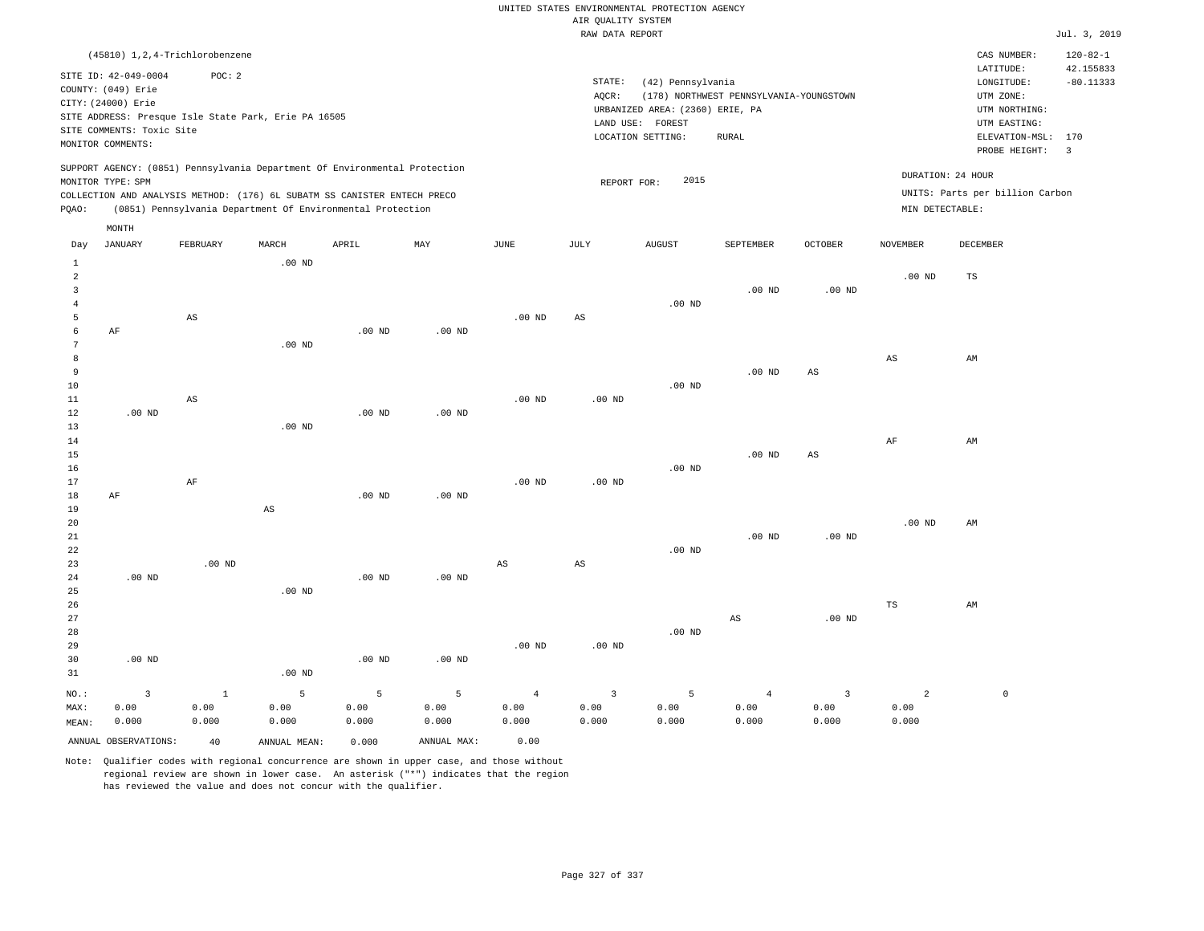|                |                                                                                                                    | (45810) 1,2,4-Trichlorobenzene                                |          |                                                                                                                                                                                                                      |     |      |                 |                                                                                                  |                                                  |                |                 | CAS NUMBER:                                                                                              | $120 - 82 - 1$                                             |
|----------------|--------------------------------------------------------------------------------------------------------------------|---------------------------------------------------------------|----------|----------------------------------------------------------------------------------------------------------------------------------------------------------------------------------------------------------------------|-----|------|-----------------|--------------------------------------------------------------------------------------------------|--------------------------------------------------|----------------|-----------------|----------------------------------------------------------------------------------------------------------|------------------------------------------------------------|
|                | SITE ID: 42-049-0004<br>COUNTY: (049) Erie<br>CITY: (24000) Erie<br>SITE COMMENTS: Toxic Site<br>MONITOR COMMENTS: | POC:2<br>SITE ADDRESS: Presque Isle State Park, Erie PA 16505 |          |                                                                                                                                                                                                                      |     |      | STATE:<br>AQCR: | (42) Pennsylvania<br>URBANIZED AREA: (2360) ERIE, PA<br>LAND USE:<br>FOREST<br>LOCATION SETTING: | (178) NORTHWEST PENNSYLVANIA-YOUNGSTOWN<br>RURAL |                |                 | LATITUDE:<br>LONGITUDE:<br>UTM ZONE:<br>UTM NORTHING:<br>UTM EASTING:<br>ELEVATION-MSL:<br>PROBE HEIGHT: | 42.155833<br>$-80.11333$<br>170<br>$\overline{\mathbf{3}}$ |
| POAO:          | MONITOR TYPE: SPM                                                                                                  |                                                               |          | SUPPORT AGENCY: (0851) Pennsylvania Department Of Environmental Protection<br>COLLECTION AND ANALYSIS METHOD: (176) 6L SUBATM SS CANISTER ENTECH PRECO<br>(0851) Pennsylvania Department Of Environmental Protection |     |      |                 | 2015<br>REPORT FOR:                                                                              |                                                  |                | MIN DETECTABLE: | DURATION: 24 HOUR<br>UNITS: Parts per billion Carbon                                                     |                                                            |
|                | MONTH                                                                                                              |                                                               |          |                                                                                                                                                                                                                      |     |      |                 |                                                                                                  |                                                  |                |                 |                                                                                                          |                                                            |
| Day            | JANUARY                                                                                                            | FEBRUARY                                                      | MARCH    | APRIL                                                                                                                                                                                                                | MAY | JUNE | JULY            | AUGUST                                                                                           | SEPTEMBER                                        | <b>OCTOBER</b> | NOVEMBER        | <b>DECEMBER</b>                                                                                          |                                                            |
| $\overline{2}$ |                                                                                                                    |                                                               | $.00$ ND |                                                                                                                                                                                                                      |     |      |                 |                                                                                                  |                                                  |                | $.00$ ND        | TS                                                                                                       |                                                            |
|                |                                                                                                                    |                                                               |          |                                                                                                                                                                                                                      |     |      |                 |                                                                                                  | $.00$ ND                                         | $.00$ ND       |                 |                                                                                                          |                                                            |

| $\overline{4}$  |                |                        |                        |          |          |                        |                        | $.00$ ND |                        |                        |                        |    |             |
|-----------------|----------------|------------------------|------------------------|----------|----------|------------------------|------------------------|----------|------------------------|------------------------|------------------------|----|-------------|
| 5               |                | AS                     |                        |          |          | $.00$ ND               | AS                     |          |                        |                        |                        |    |             |
| 6               | AF             |                        |                        | $.00$ ND | $.00$ ND |                        |                        |          |                        |                        |                        |    |             |
| $7\phantom{.0}$ |                |                        | $.00$ ND               |          |          |                        |                        |          |                        |                        |                        |    |             |
| 8               |                |                        |                        |          |          |                        |                        |          |                        |                        | $\mathbb{A}\mathbb{S}$ | AM |             |
| 9               |                |                        |                        |          |          |                        |                        |          | $.00$ ND               | $\mathbb{A}\mathbb{S}$ |                        |    |             |
| $1\,0$          |                |                        |                        |          |          |                        |                        | $.00$ ND |                        |                        |                        |    |             |
| $11\,$          |                | $\mathbb{A}\mathbb{S}$ |                        |          |          | $.00$ ND               | .00 $ND$               |          |                        |                        |                        |    |             |
| $1\,2$          | $.00$ ND       |                        |                        | $.00$ ND | $.00$ ND |                        |                        |          |                        |                        |                        |    |             |
| $1\sqrt{3}$     |                |                        | $.00$ ND               |          |          |                        |                        |          |                        |                        |                        |    |             |
| $1\,4$          |                |                        |                        |          |          |                        |                        |          |                        |                        | $\rm{AF}$              | AM |             |
| $1\,5$          |                |                        |                        |          |          |                        |                        |          | $.00$ ND               | $\mathbb{A}\mathbb{S}$ |                        |    |             |
| $16\,$          |                |                        |                        |          |          |                        |                        | $.00$ ND |                        |                        |                        |    |             |
| 17              |                | $\rm{AF}$              |                        |          |          | $.00$ ND               | .00 <sub>ND</sub>      |          |                        |                        |                        |    |             |
| $1\,8$          | AF             |                        |                        | $.00$ ND | $.00$ ND |                        |                        |          |                        |                        |                        |    |             |
| 19<br>$20\,$    |                |                        | $\mathbb{A}\mathbb{S}$ |          |          |                        |                        |          |                        |                        | .00 $ND$               |    |             |
| $2\sqrt{1}$     |                |                        |                        |          |          |                        |                        |          | $.00$ ND               | .00 $ND$               |                        | AM |             |
| $^{\rm 22}$     |                |                        |                        |          |          |                        |                        | $.00$ ND |                        |                        |                        |    |             |
| 23              |                | $.00$ ND               |                        |          |          | $\mathbb{A}\mathbb{S}$ | $\mathbb{A}\mathbb{S}$ |          |                        |                        |                        |    |             |
| 24              | .00 $ND$       |                        |                        | $.00$ ND | $.00$ ND |                        |                        |          |                        |                        |                        |    |             |
| $25\,$          |                |                        | $.00$ ND               |          |          |                        |                        |          |                        |                        |                        |    |             |
| 26              |                |                        |                        |          |          |                        |                        |          |                        |                        | $_{\rm TS}$            | AM |             |
| $2\,7$          |                |                        |                        |          |          |                        |                        |          | $\mathbb{A}\mathbb{S}$ | $.00$ ND               |                        |    |             |
| $2\,8$          |                |                        |                        |          |          |                        |                        | $.00$ ND |                        |                        |                        |    |             |
| 29              |                |                        |                        |          |          | $.00$ ND               | .00 <sub>ND</sub>      |          |                        |                        |                        |    |             |
| 30              | .00 $ND$       |                        |                        | $.00$ ND | $.00$ ND |                        |                        |          |                        |                        |                        |    |             |
| 31              |                |                        | $.00$ ND               |          |          |                        |                        |          |                        |                        |                        |    |             |
| NO.:            | $\overline{3}$ | $\mathbf{1}$           | 5                      | 5        | 5        | $\overline{4}$         | $\overline{3}$         | 5        | $\overline{4}$         | $\overline{3}$         | $\overline{a}$         |    | $\mathbb O$ |
| : MAX           | 0.00           | 0.00                   | 0.00                   | 0.00     | 0.00     | 0.00                   | 0.00                   | 0.00     | 0.00                   | 0.00                   | 0.00                   |    |             |
| MEAN:           | 0.000          | 0.000                  | 0.000                  | 0.000    | 0.000    | 0.000                  | 0.000                  | 0.000    | 0.000                  | 0.000                  | 0.000                  |    |             |

ANNUAL OBSERVATIONS: 40 ANNUAL MEAN: 0.000 ANNUAL MAX: 0.00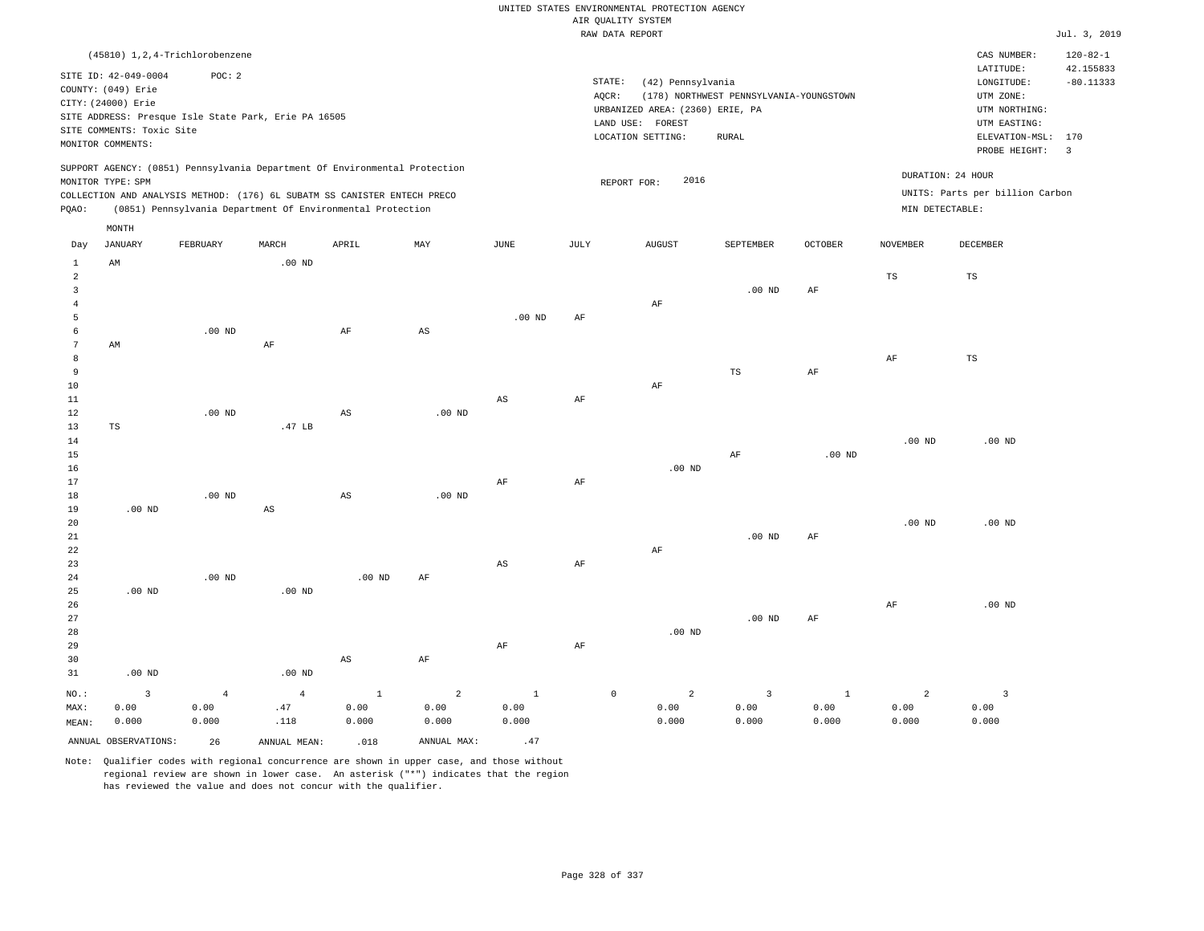|                                |                                                                                                                    |                                                                                                                                        |                        |                        |                |              |                 | RAW DATA REPORT                                                                               |                                                         |                   |                   |                                                                                                          | Jul. 3, 2019                                               |
|--------------------------------|--------------------------------------------------------------------------------------------------------------------|----------------------------------------------------------------------------------------------------------------------------------------|------------------------|------------------------|----------------|--------------|-----------------|-----------------------------------------------------------------------------------------------|---------------------------------------------------------|-------------------|-------------------|----------------------------------------------------------------------------------------------------------|------------------------------------------------------------|
|                                |                                                                                                                    | (45810) 1, 2, 4-Trichlorobenzene                                                                                                       |                        |                        |                |              |                 |                                                                                               |                                                         |                   |                   | CAS NUMBER:                                                                                              | $120 - 82 - 1$                                             |
|                                | SITE ID: 42-049-0004<br>COUNTY: (049) Erie<br>CITY: (24000) Erie<br>SITE COMMENTS: Toxic Site<br>MONITOR COMMENTS: | POC: 2<br>SITE ADDRESS: Presque Isle State Park, Erie PA 16505                                                                         |                        |                        |                |              | STATE:<br>AQCR: | (42) Pennsylvania<br>URBANIZED AREA: (2360) ERIE, PA<br>LAND USE: FOREST<br>LOCATION SETTING: | (178) NORTHWEST PENNSYLVANIA-YOUNGSTOWN<br><b>RURAL</b> |                   |                   | LATITUDE:<br>LONGITUDE:<br>UTM ZONE:<br>UTM NORTHING:<br>UTM EASTING:<br>ELEVATION-MSL:<br>PROBE HEIGHT: | 42.155833<br>$-80.11333$<br>170<br>$\overline{\mathbf{3}}$ |
|                                |                                                                                                                    | SUPPORT AGENCY: (0851) Pennsylvania Department Of Environmental Protection                                                             |                        |                        |                |              |                 |                                                                                               |                                                         |                   |                   | DURATION: 24 HOUR                                                                                        |                                                            |
| PQAO:                          | MONITOR TYPE: SPM                                                                                                  | COLLECTION AND ANALYSIS METHOD: (176) 6L SUBATM SS CANISTER ENTECH PRECO<br>(0851) Pennsylvania Department Of Environmental Protection |                        |                        |                |              |                 | 2016<br>REPORT FOR:                                                                           |                                                         |                   | MIN DETECTABLE:   | UNITS: Parts per billion Carbon                                                                          |                                                            |
|                                | MONTH                                                                                                              |                                                                                                                                        |                        |                        |                |              |                 |                                                                                               |                                                         |                   |                   |                                                                                                          |                                                            |
| Day                            | <b>JANUARY</b>                                                                                                     | FEBRUARY                                                                                                                               | MARCH                  | APRIL                  | MAY            | JUNE         | JULY            | <b>AUGUST</b>                                                                                 | SEPTEMBER                                               | OCTOBER           | <b>NOVEMBER</b>   | DECEMBER                                                                                                 |                                                            |
| $\mathbf{1}$<br>$\overline{a}$ | AM                                                                                                                 |                                                                                                                                        | .00 <sub>ND</sub>      |                        |                |              |                 |                                                                                               |                                                         |                   | TS                | $_{\rm TS}$                                                                                              |                                                            |
| $\overline{3}$                 |                                                                                                                    |                                                                                                                                        |                        |                        |                |              |                 |                                                                                               | $.00$ ND                                                | $\rm{AF}$         |                   |                                                                                                          |                                                            |
| $\overline{4}$<br>5            |                                                                                                                    |                                                                                                                                        |                        |                        |                | $.00$ ND     | AF              | $\rm AF$                                                                                      |                                                         |                   |                   |                                                                                                          |                                                            |
| 6                              |                                                                                                                    | $.00$ ND                                                                                                                               |                        | AF                     | AS             |              |                 |                                                                                               |                                                         |                   |                   |                                                                                                          |                                                            |
| $\overline{7}$                 | AM                                                                                                                 |                                                                                                                                        | $\rm{AF}$              |                        |                |              |                 |                                                                                               |                                                         |                   |                   |                                                                                                          |                                                            |
| 8                              |                                                                                                                    |                                                                                                                                        |                        |                        |                |              |                 |                                                                                               |                                                         |                   | $\rm{AF}$         | $_{\rm TS}$                                                                                              |                                                            |
| $\overline{9}$<br>10           |                                                                                                                    |                                                                                                                                        |                        |                        |                |              |                 |                                                                                               | $\mathbb{TS}$                                           | $\rm AF$          |                   |                                                                                                          |                                                            |
| $11\,$                         |                                                                                                                    |                                                                                                                                        |                        |                        |                | $_{\rm AS}$  | AF              | AF                                                                                            |                                                         |                   |                   |                                                                                                          |                                                            |
| 12                             |                                                                                                                    | $.00$ ND                                                                                                                               |                        | $\mathbb{A}\mathbb{S}$ | $.00$ ND       |              |                 |                                                                                               |                                                         |                   |                   |                                                                                                          |                                                            |
| 13                             | TS                                                                                                                 |                                                                                                                                        | .47 LB                 |                        |                |              |                 |                                                                                               |                                                         |                   |                   |                                                                                                          |                                                            |
| 14                             |                                                                                                                    |                                                                                                                                        |                        |                        |                |              |                 |                                                                                               |                                                         |                   | .00 <sub>ND</sub> | $.00$ ND                                                                                                 |                                                            |
| 15<br>16                       |                                                                                                                    |                                                                                                                                        |                        |                        |                |              |                 | $.00$ ND                                                                                      | AF                                                      | .00 <sub>ND</sub> |                   |                                                                                                          |                                                            |
| 17                             |                                                                                                                    |                                                                                                                                        |                        |                        |                | $\rm{AF}$    | $\rm{AF}$       |                                                                                               |                                                         |                   |                   |                                                                                                          |                                                            |
| 18                             |                                                                                                                    | $.00$ ND                                                                                                                               |                        | $\mathbb{A}\mathbb{S}$ | $.00$ ND       |              |                 |                                                                                               |                                                         |                   |                   |                                                                                                          |                                                            |
| 19                             | $.00$ ND                                                                                                           |                                                                                                                                        | $\mathbb{A}\mathbb{S}$ |                        |                |              |                 |                                                                                               |                                                         |                   |                   |                                                                                                          |                                                            |
| 20                             |                                                                                                                    |                                                                                                                                        |                        |                        |                |              |                 |                                                                                               |                                                         |                   | $.00$ ND          | $.00$ ND                                                                                                 |                                                            |
| 21<br>22                       |                                                                                                                    |                                                                                                                                        |                        |                        |                |              |                 | AF                                                                                            | $.00$ ND                                                | $\rm AF$          |                   |                                                                                                          |                                                            |
| 23                             |                                                                                                                    |                                                                                                                                        |                        |                        |                | $_{\rm AS}$  | AF              |                                                                                               |                                                         |                   |                   |                                                                                                          |                                                            |
| 24                             |                                                                                                                    | $.00$ ND                                                                                                                               |                        | .00 <sub>ND</sub>      | AF             |              |                 |                                                                                               |                                                         |                   |                   |                                                                                                          |                                                            |
| 25                             | $.00$ ND                                                                                                           |                                                                                                                                        | $.00$ ND               |                        |                |              |                 |                                                                                               |                                                         |                   |                   |                                                                                                          |                                                            |
| 26                             |                                                                                                                    |                                                                                                                                        |                        |                        |                |              |                 |                                                                                               |                                                         |                   | AF                | $.00$ ND                                                                                                 |                                                            |
| 27                             |                                                                                                                    |                                                                                                                                        |                        |                        |                |              |                 |                                                                                               | $.00$ ND                                                | AF                |                   |                                                                                                          |                                                            |
| 28<br>29                       |                                                                                                                    |                                                                                                                                        |                        |                        |                | AF           | AF              | $.00$ ND                                                                                      |                                                         |                   |                   |                                                                                                          |                                                            |
| 30                             |                                                                                                                    |                                                                                                                                        |                        | AS                     | AF             |              |                 |                                                                                               |                                                         |                   |                   |                                                                                                          |                                                            |
| 31                             | $.00$ ND                                                                                                           |                                                                                                                                        | $.00$ ND               |                        |                |              |                 |                                                                                               |                                                         |                   |                   |                                                                                                          |                                                            |
| NO.:                           | $\overline{3}$                                                                                                     | $\overline{4}$                                                                                                                         | $\overline{4}$         | $1\,$                  | $\overline{a}$ | $\mathbf{1}$ |                 | $\circ$<br>2                                                                                  | $\overline{3}$                                          | $\mathbf{1}$      | $\overline{a}$    | $\overline{3}$                                                                                           |                                                            |
| MAX:                           | 0.00                                                                                                               | 0.00                                                                                                                                   | .47                    | 0.00                   | 0.00           | 0.00         |                 | 0.00                                                                                          | 0.00                                                    | 0.00              | 0.00              | 0.00                                                                                                     |                                                            |

Note: Qualifier codes with regional concurrence are shown in upper case, and those without regional review are shown in lower case. An asterisk ("\*") indicates that the region has reviewed the value and does not concur with the qualifier.

ANNUAL OBSERVATIONS:  $26$  ANNUAL MEAN: .018 ANNUAL MAX: .47

0.000

0.000

0.000

.118

MEAN: 0.000

0.000

0.000

0.000

0.000

0.000

0.000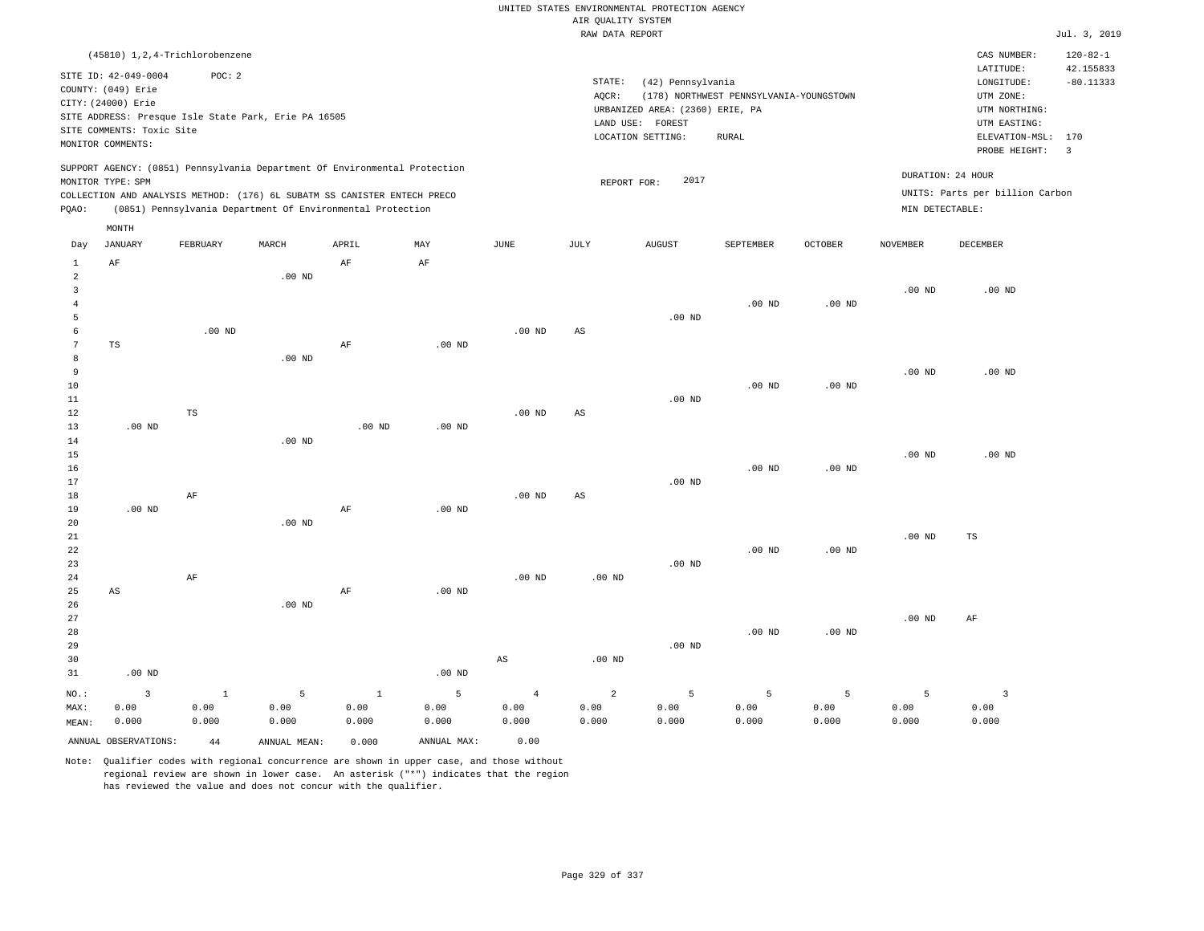|                 |                                  |                   |                                                                            |           |                           |                   | RAW DATA REPORT |                                 |                                         |                   |                   |                                 | Jul. 3, 2019            |
|-----------------|----------------------------------|-------------------|----------------------------------------------------------------------------|-----------|---------------------------|-------------------|-----------------|---------------------------------|-----------------------------------------|-------------------|-------------------|---------------------------------|-------------------------|
|                 | (45810) 1, 2, 4-Trichlorobenzene |                   |                                                                            |           |                           |                   |                 |                                 |                                         |                   |                   | CAS NUMBER:                     | $120 - 82 - 1$          |
|                 |                                  |                   |                                                                            |           |                           |                   |                 |                                 |                                         |                   |                   | LATITUDE:                       | 42.155833               |
|                 | SITE ID: 42-049-0004             | POC: 2            |                                                                            |           |                           |                   | STATE:          | (42) Pennsylvania               |                                         |                   |                   | LONGITUDE:                      | $-80.11333$             |
|                 | COUNTY: (049) Erie               |                   |                                                                            |           |                           |                   | AQCR:           |                                 | (178) NORTHWEST PENNSYLVANIA-YOUNGSTOWN |                   |                   | UTM ZONE:                       |                         |
|                 | CITY: (24000) Erie               |                   |                                                                            |           |                           |                   |                 | URBANIZED AREA: (2360) ERIE, PA |                                         |                   |                   | UTM NORTHING:                   |                         |
|                 |                                  |                   | SITE ADDRESS: Presque Isle State Park, Erie PA 16505                       |           |                           |                   |                 | LAND USE: FOREST                |                                         |                   |                   | UTM EASTING:                    |                         |
|                 | SITE COMMENTS: Toxic Site        |                   |                                                                            |           |                           |                   |                 | LOCATION SETTING:               | <b>RURAL</b>                            |                   |                   | ELEVATION-MSL:                  | 170                     |
|                 | MONITOR COMMENTS:                |                   |                                                                            |           |                           |                   |                 |                                 |                                         |                   |                   | PROBE HEIGHT:                   | $\overline{\mathbf{3}}$ |
|                 |                                  |                   | SUPPORT AGENCY: (0851) Pennsylvania Department Of Environmental Protection |           |                           |                   |                 |                                 |                                         |                   |                   |                                 |                         |
|                 | MONITOR TYPE: SPM                |                   |                                                                            |           |                           |                   | REPORT FOR:     | 2017                            |                                         |                   |                   | DURATION: 24 HOUR               |                         |
|                 |                                  |                   | COLLECTION AND ANALYSIS METHOD: (176) 6L SUBATM SS CANISTER ENTECH PRECO   |           |                           |                   |                 |                                 |                                         |                   |                   | UNITS: Parts per billion Carbon |                         |
| PQAO:           |                                  |                   | (0851) Pennsylvania Department Of Environmental Protection                 |           |                           |                   |                 |                                 |                                         |                   | MIN DETECTABLE:   |                                 |                         |
|                 | MONTH                            |                   |                                                                            |           |                           |                   |                 |                                 |                                         |                   |                   |                                 |                         |
| Day             | <b>JANUARY</b>                   | FEBRUARY          | MARCH                                                                      | APRIL     | $\ensuremath{\text{MAX}}$ | JUNE              | JULY            | <b>AUGUST</b>                   | SEPTEMBER                               | OCTOBER           | <b>NOVEMBER</b>   | DECEMBER                        |                         |
| $\mathbf{1}$    | $\rm AF$                         |                   |                                                                            | $\rm{AF}$ | AF                        |                   |                 |                                 |                                         |                   |                   |                                 |                         |
| $\overline{a}$  |                                  |                   | .00 <sub>ND</sub>                                                          |           |                           |                   |                 |                                 |                                         |                   |                   |                                 |                         |
| 3               |                                  |                   |                                                                            |           |                           |                   |                 |                                 |                                         |                   | $.00$ ND          | $.00$ ND                        |                         |
| $\overline{4}$  |                                  |                   |                                                                            |           |                           |                   |                 |                                 | $.00$ ND                                | .00 <sub>ND</sub> |                   |                                 |                         |
| 5               |                                  |                   |                                                                            |           |                           |                   |                 | $.00$ ND                        |                                         |                   |                   |                                 |                         |
| 6               |                                  | .00 <sub>ND</sub> |                                                                            |           |                           | .00 <sub>ND</sub> | AS              |                                 |                                         |                   |                   |                                 |                         |
| $7\phantom{.0}$ | $_{\rm TS}$                      |                   |                                                                            | $\rm{AF}$ | $.00$ ND                  |                   |                 |                                 |                                         |                   |                   |                                 |                         |
| 8               |                                  |                   | $.00$ ND                                                                   |           |                           |                   |                 |                                 |                                         |                   |                   |                                 |                         |
| 9               |                                  |                   |                                                                            |           |                           |                   |                 |                                 |                                         |                   | $.00$ ND          | .00 <sub>ND</sub>               |                         |
| 10              |                                  |                   |                                                                            |           |                           |                   |                 |                                 | $.00$ ND                                | .00 <sub>ND</sub> |                   |                                 |                         |
| 11              |                                  |                   |                                                                            |           |                           |                   |                 | $.00$ ND                        |                                         |                   |                   |                                 |                         |
| 12              |                                  | $\mathbb{TS}$     |                                                                            |           |                           | $.00$ ND          | AS              |                                 |                                         |                   |                   |                                 |                         |
| 13              | $.00$ ND                         |                   |                                                                            | $.00$ ND  | $.00$ ND                  |                   |                 |                                 |                                         |                   |                   |                                 |                         |
| 14              |                                  |                   | .00 <sub>ND</sub>                                                          |           |                           |                   |                 |                                 |                                         |                   |                   |                                 |                         |
| 15              |                                  |                   |                                                                            |           |                           |                   |                 |                                 |                                         |                   | .00 <sub>ND</sub> | .00 <sub>ND</sub>               |                         |
| 16              |                                  |                   |                                                                            |           |                           |                   |                 |                                 | .00 <sub>ND</sub>                       | $.00$ ND          |                   |                                 |                         |
| 17              |                                  |                   |                                                                            |           |                           |                   |                 | $.00$ ND                        |                                         |                   |                   |                                 |                         |
| 18              |                                  | AF                |                                                                            |           |                           | .00 <sub>ND</sub> | AS              |                                 |                                         |                   |                   |                                 |                         |
| 19              | $.00$ ND                         |                   |                                                                            | AF        | $.00$ ND                  |                   |                 |                                 |                                         |                   |                   |                                 |                         |
| 20<br>21        |                                  |                   | $.00$ ND                                                                   |           |                           |                   |                 |                                 |                                         |                   | $.00$ ND          | $_{\rm TS}$                     |                         |
| 22              |                                  |                   |                                                                            |           |                           |                   |                 |                                 | $.00$ ND                                | .00 <sub>ND</sub> |                   |                                 |                         |
| 23              |                                  |                   |                                                                            |           |                           |                   |                 | $.00$ ND                        |                                         |                   |                   |                                 |                         |
| 24              |                                  | $\rm AF$          |                                                                            |           |                           | $.00$ ND          | $.00$ ND        |                                 |                                         |                   |                   |                                 |                         |
| 25              | $\mathbb{A}\mathbb{S}$           |                   |                                                                            | AF        | .00 <sub>ND</sub>         |                   |                 |                                 |                                         |                   |                   |                                 |                         |
| 26              |                                  |                   | $.00$ ND                                                                   |           |                           |                   |                 |                                 |                                         |                   |                   |                                 |                         |
| 27              |                                  |                   |                                                                            |           |                           |                   |                 |                                 |                                         |                   | .00 <sub>ND</sub> | AF                              |                         |
| 28              |                                  |                   |                                                                            |           |                           |                   |                 |                                 | $.00$ ND                                | $.00$ ND          |                   |                                 |                         |
| 29              |                                  |                   |                                                                            |           |                           |                   |                 | $.00$ ND                        |                                         |                   |                   |                                 |                         |
| 30              |                                  |                   |                                                                            |           |                           | AS                | $.00$ ND        |                                 |                                         |                   |                   |                                 |                         |
| 31              | $.00$ ND                         |                   |                                                                            |           | $.00$ ND                  |                   |                 |                                 |                                         |                   |                   |                                 |                         |
| $NO.$ :         | $\overline{3}$                   | $1\,$             | 5                                                                          | $\,$ 1    | 5                         | $\overline{4}$    | $\overline{a}$  | 5                               | 5                                       | 5                 | 5                 | $\overline{3}$                  |                         |
| MAX:            | 0.00                             | 0.00              | 0.00                                                                       | 0.00      | 0.00                      | 0.00              | 0.00            | 0.00                            | 0.00                                    | 0.00              | 0.00              | 0.00                            |                         |
| MEAN:           | 0.000                            | 0.000             | 0.000                                                                      | 0.000     | 0.000                     | 0.000             | 0.000           | 0.000                           | 0.000                                   | 0.000             | 0.000             | 0.000                           |                         |
|                 |                                  |                   |                                                                            |           | ANNUAL MAX:               | 0.00              |                 |                                 |                                         |                   |                   |                                 |                         |
|                 | ANNUAL OBSERVATIONS:             | $4\,4$            | ANNUAL MEAN:                                                               | 0.000     |                           |                   |                 |                                 |                                         |                   |                   |                                 |                         |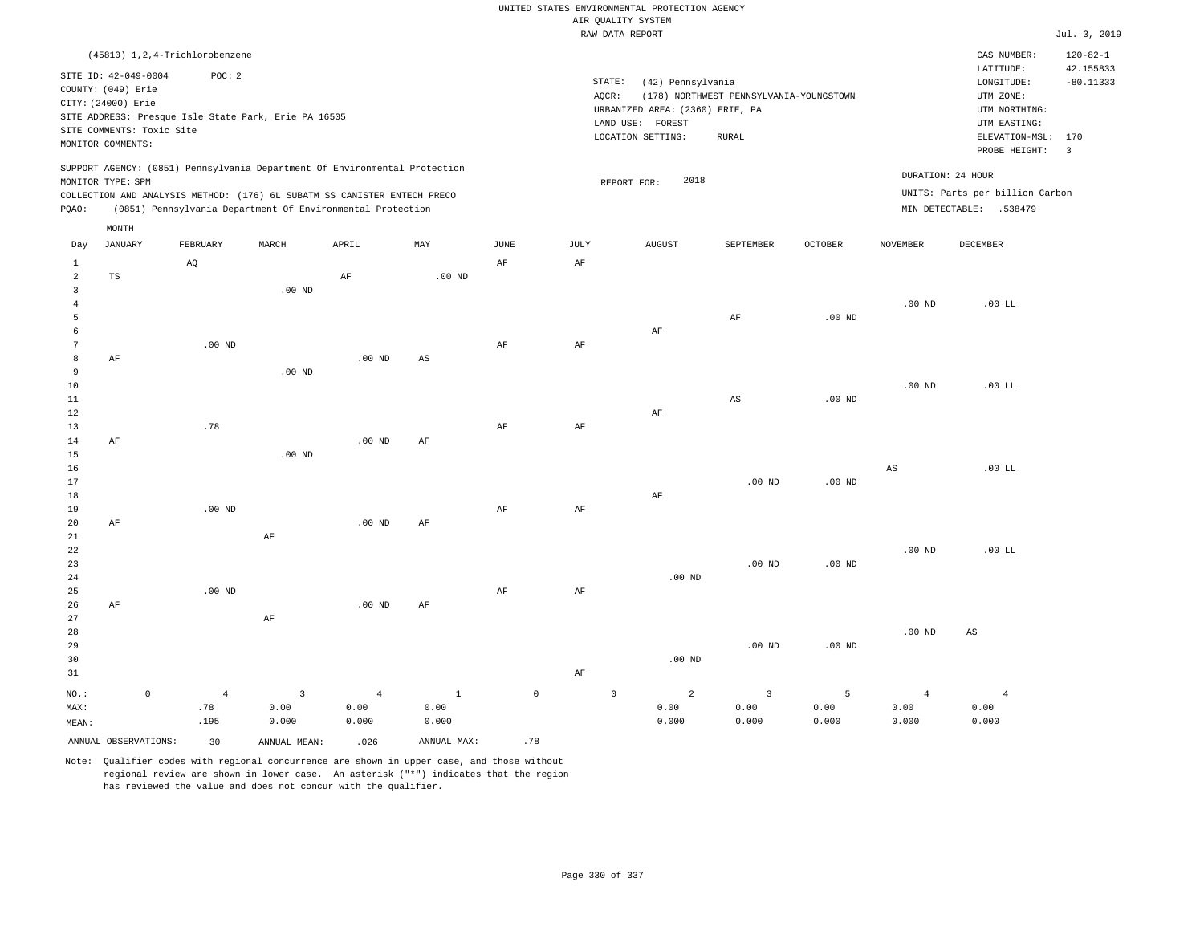|                |                           |                                                                            |                   |          |          |      | UNITED STATES ENVIRONMENTAL PROTECTION AGENCY |                                 |                                         |                   |                 |                                 |                |
|----------------|---------------------------|----------------------------------------------------------------------------|-------------------|----------|----------|------|-----------------------------------------------|---------------------------------|-----------------------------------------|-------------------|-----------------|---------------------------------|----------------|
|                |                           |                                                                            |                   |          |          |      |                                               | AIR OUALITY SYSTEM              |                                         |                   |                 |                                 |                |
|                |                           |                                                                            |                   |          |          |      |                                               | RAW DATA REPORT                 |                                         |                   |                 |                                 | Jul. 3, 201    |
|                |                           | (45810) 1,2,4-Trichlorobenzene                                             |                   |          |          |      |                                               |                                 |                                         |                   |                 | CAS NUMBER:                     | $120 - 82 - 1$ |
|                | SITE ID: 42-049-0004      | POC: 2                                                                     |                   |          |          |      |                                               |                                 |                                         |                   |                 | LATITUDE:                       | 42.155833      |
|                | COUNTY: (049) Erie        |                                                                            |                   |          |          |      | STATE:                                        | (42) Pennsylvania               |                                         |                   |                 | LONGITUDE:                      | $-80.11333$    |
|                | CITY: (24000) Erie        |                                                                            |                   |          |          |      | AQCR:                                         |                                 | (178) NORTHWEST PENNSYLVANIA-YOUNGSTOWN |                   |                 | UTM ZONE:                       |                |
|                |                           | SITE ADDRESS: Presque Isle State Park, Erie PA 16505                       |                   |          |          |      |                                               | URBANIZED AREA: (2360) ERIE, PA |                                         |                   |                 | UTM NORTHING:                   |                |
|                | SITE COMMENTS: Toxic Site |                                                                            |                   |          |          |      |                                               | LAND USE: FOREST                |                                         |                   |                 | UTM EASTING:                    |                |
|                | MONITOR COMMENTS:         |                                                                            |                   |          |          |      |                                               | LOCATION SETTING:               | <b>RURAL</b>                            |                   |                 | ELEVATION-MSL: 170              |                |
|                |                           |                                                                            |                   |          |          |      |                                               |                                 |                                         |                   |                 | PROBE HEIGHT:                   | -3             |
|                |                           | SUPPORT AGENCY: (0851) Pennsylvania Department Of Environmental Protection |                   |          |          |      |                                               | 2018                            |                                         |                   |                 | DURATION: 24 HOUR               |                |
|                | MONITOR TYPE: SPM         | COLLECTION AND ANALYSIS METHOD: (176) 6L SUBATM SS CANISTER ENTECH PRECO   |                   |          |          |      |                                               | REPORT FOR:                     |                                         |                   |                 | UNITS: Parts per billion Carbon |                |
| POAO:          |                           | (0851) Pennsylvania Department Of Environmental Protection                 |                   |          |          |      |                                               |                                 |                                         |                   |                 | MIN DETECTABLE: .538479         |                |
|                |                           |                                                                            |                   |          |          |      |                                               |                                 |                                         |                   |                 |                                 |                |
|                | MONTH                     |                                                                            |                   |          |          |      |                                               |                                 |                                         |                   |                 |                                 |                |
| Day            | JANUARY                   | FEBRUARY                                                                   | MARCH             | APRIL    | MAY      | JUNE | JULY                                          | <b>AUGUST</b>                   | SEPTEMBER                               | <b>OCTOBER</b>    | <b>NOVEMBER</b> | DECEMBER                        |                |
| 1              |                           | AQ                                                                         |                   |          |          | AF   | AF                                            |                                 |                                         |                   |                 |                                 |                |
| $\overline{2}$ | TS                        |                                                                            |                   | AF       | $.00$ ND |      |                                               |                                 |                                         |                   |                 |                                 |                |
| 3              |                           |                                                                            | $.00$ ND          |          |          |      |                                               |                                 |                                         |                   |                 |                                 |                |
|                |                           |                                                                            |                   |          |          |      |                                               |                                 |                                         |                   | $.00$ ND        | $.00$ LL                        |                |
| 5              |                           |                                                                            |                   |          |          |      |                                               |                                 | AF                                      | .00 <sub>ND</sub> |                 |                                 |                |
| 6              |                           |                                                                            |                   |          |          |      |                                               | AF                              |                                         |                   |                 |                                 |                |
|                |                           | $.00$ ND                                                                   |                   |          |          | AF   | AF                                            |                                 |                                         |                   |                 |                                 |                |
| 8              | AF                        |                                                                            |                   | $.00$ ND | AS       |      |                                               |                                 |                                         |                   |                 |                                 |                |
| -9             |                           |                                                                            | .00 <sub>ND</sub> |          |          |      |                                               |                                 |                                         |                   |                 |                                 |                |
| 10             |                           |                                                                            |                   |          |          |      |                                               |                                 |                                         |                   | $.00$ ND        | $.00$ LL                        |                |
| 11             |                           |                                                                            |                   |          |          |      |                                               |                                 | AS                                      | .00 <sub>ND</sub> |                 |                                 |                |
| 12             |                           |                                                                            |                   |          |          |      |                                               | AF                              |                                         |                   |                 |                                 |                |
| 13             |                           | .78                                                                        |                   |          |          | AF   | AF                                            |                                 |                                         |                   |                 |                                 |                |

Jul. 3, 2019

|           |          |          |    |    |    |          |          |          | AS       | $.00$ LL |
|-----------|----------|----------|----|----|----|----------|----------|----------|----------|----------|
|           |          |          |    |    |    |          | $.00$ ND | $.00$ ND |          |          |
|           |          |          |    |    |    | AF       |          |          |          |          |
|           | $.00$ ND |          |    | AF | AF |          |          |          |          |          |
| AF        |          | $.00$ ND | AF |    |    |          |          |          |          |          |
|           | AF       |          |    |    |    |          |          |          |          |          |
|           |          |          |    |    |    |          |          |          | $.00$ ND | $.00$ LL |
|           |          |          |    |    |    |          | $.00$ ND | $.00$ ND |          |          |
|           |          |          |    |    |    | $.00$ ND |          |          |          |          |
|           | $.00$ ND |          |    | AF | AF |          |          |          |          |          |
| $\rm{AF}$ |          | $.00$ ND | AF |    |    |          |          |          |          |          |
|           | AF       |          |    |    |    |          |          |          |          |          |
|           |          |          |    |    |    |          |          |          |          |          |

| ANNUAL OBSERVATIONS: |   | 30   | ANNUAL MEAN: | .026  | ANNUAL MAX: | .78        |          |          |                   |          |                   |       |
|----------------------|---|------|--------------|-------|-------------|------------|----------|----------|-------------------|----------|-------------------|-------|
| MEAN:                |   | .195 | 0.000        | 0.000 | 0.000       |            |          | 0.000    | 0.000             | 0.000    | 0.000             | 0.000 |
| MAX:                 |   | .78  | 0.00         | 0.00  | 0.00        |            |          | 0.00     | 0.00              | 0.00     | 0.00              | 0.00  |
| NO.:                 | 0 |      |              | 4     |             | $^{\circ}$ | $\Omega$ | 2        |                   |          | $\mathbf{a}$      |       |
| 31                   |   |      |              |       |             |            | AF       |          |                   |          |                   |       |
| 30                   |   |      |              |       |             |            |          | $.00$ ND |                   |          |                   |       |
| 29                   |   |      |              |       |             |            |          |          | .00 <sub>ND</sub> | $.00$ ND |                   |       |
| 28                   |   |      |              |       |             |            |          |          |                   |          | .00 <sub>ND</sub> | AS    |

Note: Qualifier codes with regional concurrence are shown in upper case, and those without regional review are shown in lower case. An asterisk ("\*") indicates that the region has reviewed the value and does not concur with the qualifier.

.00 ND

.00 ND

AF

AF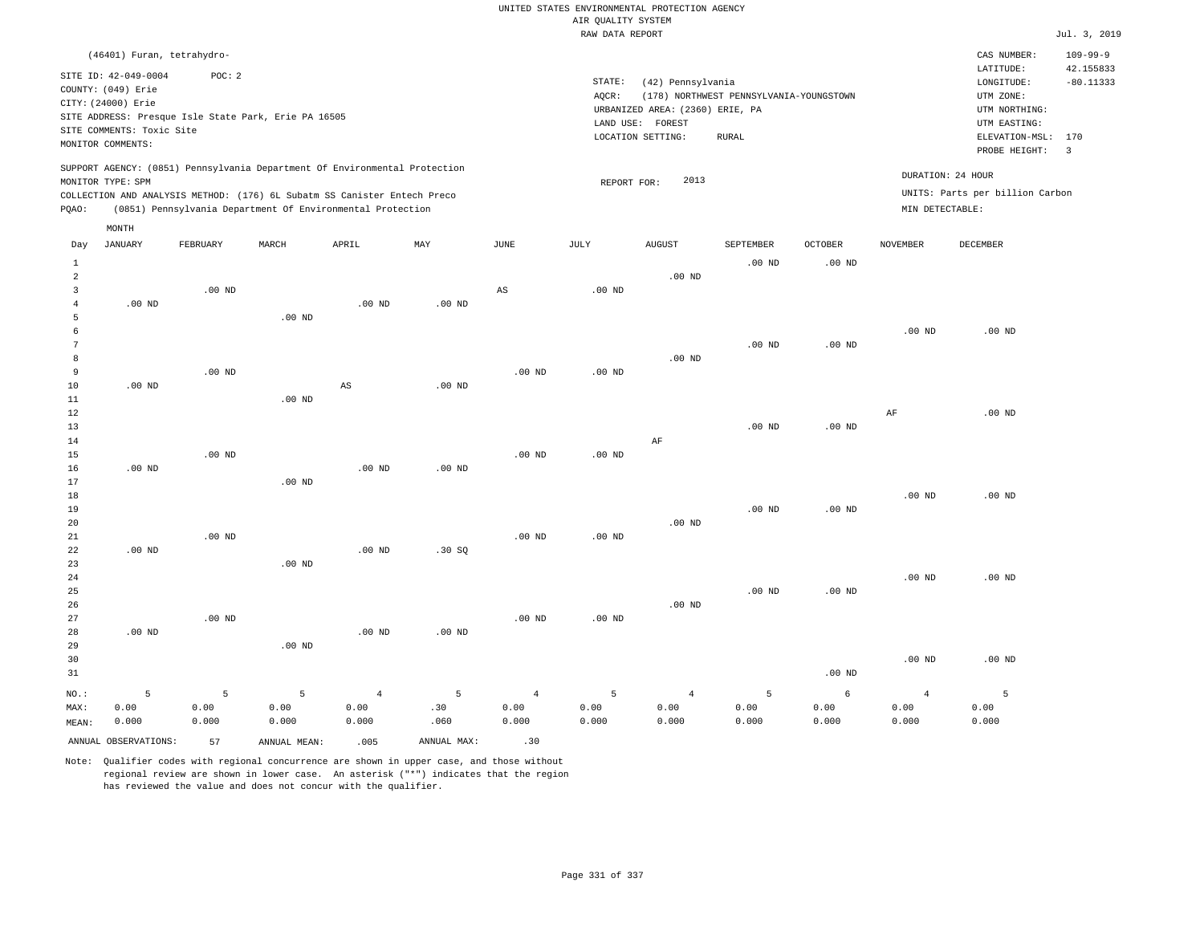|                     | (46401) Furan, tetrahydro-<br>SITE ID: 42-049-0004<br>COUNTY: (049) Erie<br>CITY: (24000) Erie<br>SITE ADDRESS: Presque Isle State Park, Erie PA 16505<br>SITE COMMENTS: Toxic Site<br>MONITOR COMMENTS:<br>SUPPORT AGENCY: (0851) Pennsylvania Department Of Environmental Protection | POC: 2   |                                                            |                   |                   |                   | STATE:<br>AQCR:   | (42) Pennsylvania<br>URBANIZED AREA: (2360) ERIE, PA<br>LAND USE: FOREST<br>LOCATION SETTING: | (178) NORTHWEST PENNSYLVANIA-YOUNGSTOWN<br><b>RURAL</b> |                   |                   | CAS NUMBER:<br>LATITUDE:<br>LONGITUDE:<br>UTM ZONE:<br>UTM NORTHING:<br>UTM EASTING:<br>ELEVATION-MSL:<br>PROBE HEIGHT: | $109 - 99 - 9$<br>42.155833<br>$-80.11333$<br>170<br>$\overline{3}$ |
|---------------------|----------------------------------------------------------------------------------------------------------------------------------------------------------------------------------------------------------------------------------------------------------------------------------------|----------|------------------------------------------------------------|-------------------|-------------------|-------------------|-------------------|-----------------------------------------------------------------------------------------------|---------------------------------------------------------|-------------------|-------------------|-------------------------------------------------------------------------------------------------------------------------|---------------------------------------------------------------------|
|                     | MONITOR TYPE: SPM                                                                                                                                                                                                                                                                      |          |                                                            |                   |                   |                   | REPORT FOR:       | 2013                                                                                          |                                                         |                   |                   | DURATION: 24 HOUR                                                                                                       |                                                                     |
|                     | COLLECTION AND ANALYSIS METHOD: (176) 6L Subatm SS Canister Entech Preco                                                                                                                                                                                                               |          |                                                            |                   |                   |                   |                   |                                                                                               |                                                         |                   |                   | UNITS: Parts per billion Carbon                                                                                         |                                                                     |
| PQAO:               |                                                                                                                                                                                                                                                                                        |          | (0851) Pennsylvania Department Of Environmental Protection |                   |                   |                   |                   |                                                                                               |                                                         |                   | MIN DETECTABLE:   |                                                                                                                         |                                                                     |
|                     | MONTH                                                                                                                                                                                                                                                                                  |          |                                                            |                   |                   |                   |                   |                                                                                               |                                                         |                   |                   |                                                                                                                         |                                                                     |
| Day                 | JANUARY                                                                                                                                                                                                                                                                                | FEBRUARY | MARCH                                                      | APRIL             | MAY               | $_{\rm JUNE}$     | JULY              | <b>AUGUST</b>                                                                                 | SEPTEMBER                                               | <b>OCTOBER</b>    | <b>NOVEMBER</b>   | <b>DECEMBER</b>                                                                                                         |                                                                     |
| $1\,$               |                                                                                                                                                                                                                                                                                        |          |                                                            |                   |                   |                   |                   |                                                                                               | $.00$ ND                                                | $.00$ ND          |                   |                                                                                                                         |                                                                     |
| $\overline{a}$      |                                                                                                                                                                                                                                                                                        |          |                                                            |                   |                   |                   |                   | $.00$ ND                                                                                      |                                                         |                   |                   |                                                                                                                         |                                                                     |
| $\overline{3}$      |                                                                                                                                                                                                                                                                                        | $.00$ ND |                                                            |                   |                   | $_{\rm AS}$       | .00 <sub>ND</sub> |                                                                                               |                                                         |                   |                   |                                                                                                                         |                                                                     |
| $\overline{4}$<br>5 | $.00$ ND                                                                                                                                                                                                                                                                               |          |                                                            | $.00$ ND          | $.00$ ND          |                   |                   |                                                                                               |                                                         |                   |                   |                                                                                                                         |                                                                     |
| 6                   |                                                                                                                                                                                                                                                                                        |          | .00 <sub>ND</sub>                                          |                   |                   |                   |                   |                                                                                               |                                                         |                   | $.00$ ND          | $.00$ ND                                                                                                                |                                                                     |
| $7\phantom{.0}$     |                                                                                                                                                                                                                                                                                        |          |                                                            |                   |                   |                   |                   |                                                                                               | .00 <sub>ND</sub>                                       | .00 <sub>ND</sub> |                   |                                                                                                                         |                                                                     |
| 8                   |                                                                                                                                                                                                                                                                                        |          |                                                            |                   |                   |                   |                   | $.00$ ND                                                                                      |                                                         |                   |                   |                                                                                                                         |                                                                     |
| 9                   |                                                                                                                                                                                                                                                                                        | $.00$ ND |                                                            |                   |                   | $.00$ ND          | .00 <sub>ND</sub> |                                                                                               |                                                         |                   |                   |                                                                                                                         |                                                                     |
| 10                  | $.00$ ND                                                                                                                                                                                                                                                                               |          |                                                            | $_{\rm AS}$       | $.00$ ND          |                   |                   |                                                                                               |                                                         |                   |                   |                                                                                                                         |                                                                     |
| $1\,1$              |                                                                                                                                                                                                                                                                                        |          | $.00$ ND                                                   |                   |                   |                   |                   |                                                                                               |                                                         |                   |                   |                                                                                                                         |                                                                     |
| $1\,2$              |                                                                                                                                                                                                                                                                                        |          |                                                            |                   |                   |                   |                   |                                                                                               |                                                         |                   | $\rm AF$          | $.00$ ND                                                                                                                |                                                                     |
| 13                  |                                                                                                                                                                                                                                                                                        |          |                                                            |                   |                   |                   |                   |                                                                                               | $.00$ ND                                                | $.00$ ND          |                   |                                                                                                                         |                                                                     |
| 14                  |                                                                                                                                                                                                                                                                                        |          |                                                            |                   |                   |                   |                   | AF                                                                                            |                                                         |                   |                   |                                                                                                                         |                                                                     |
| 15                  |                                                                                                                                                                                                                                                                                        | $.00$ ND |                                                            |                   |                   | .00 <sub>ND</sub> | .00 <sub>ND</sub> |                                                                                               |                                                         |                   |                   |                                                                                                                         |                                                                     |
| 16                  | $.00$ ND                                                                                                                                                                                                                                                                               |          |                                                            | $.00$ ND          | $.00$ ND          |                   |                   |                                                                                               |                                                         |                   |                   |                                                                                                                         |                                                                     |
| 17                  |                                                                                                                                                                                                                                                                                        |          | $.00$ ND                                                   |                   |                   |                   |                   |                                                                                               |                                                         |                   |                   |                                                                                                                         |                                                                     |
| 18                  |                                                                                                                                                                                                                                                                                        |          |                                                            |                   |                   |                   |                   |                                                                                               |                                                         |                   | .00 <sub>ND</sub> | $.00$ ND                                                                                                                |                                                                     |
| 19                  |                                                                                                                                                                                                                                                                                        |          |                                                            |                   |                   |                   |                   |                                                                                               | $.00$ ND                                                | $.00$ ND          |                   |                                                                                                                         |                                                                     |
| 20<br>21            |                                                                                                                                                                                                                                                                                        | $.00$ ND |                                                            |                   |                   |                   |                   | $.00$ ND                                                                                      |                                                         |                   |                   |                                                                                                                         |                                                                     |
| 22                  | $.00$ ND                                                                                                                                                                                                                                                                               |          |                                                            | $.00$ ND          | .30 S             | .00 <sub>ND</sub> | .00 <sub>ND</sub> |                                                                                               |                                                         |                   |                   |                                                                                                                         |                                                                     |
| 23                  |                                                                                                                                                                                                                                                                                        |          | $.00$ ND                                                   |                   |                   |                   |                   |                                                                                               |                                                         |                   |                   |                                                                                                                         |                                                                     |
| 24                  |                                                                                                                                                                                                                                                                                        |          |                                                            |                   |                   |                   |                   |                                                                                               |                                                         |                   | .00 <sub>ND</sub> | $.00$ ND                                                                                                                |                                                                     |
| 25                  |                                                                                                                                                                                                                                                                                        |          |                                                            |                   |                   |                   |                   |                                                                                               | $.00$ ND                                                | $.00$ ND          |                   |                                                                                                                         |                                                                     |
| 26                  |                                                                                                                                                                                                                                                                                        |          |                                                            |                   |                   |                   |                   | $.00$ ND                                                                                      |                                                         |                   |                   |                                                                                                                         |                                                                     |
| 27                  |                                                                                                                                                                                                                                                                                        | $.00$ ND |                                                            |                   |                   | $.00$ ND          | .00 <sub>ND</sub> |                                                                                               |                                                         |                   |                   |                                                                                                                         |                                                                     |
| 28                  | $.00$ ND                                                                                                                                                                                                                                                                               |          |                                                            | .00 <sub>ND</sub> | .00 <sub>ND</sub> |                   |                   |                                                                                               |                                                         |                   |                   |                                                                                                                         |                                                                     |
| 29                  |                                                                                                                                                                                                                                                                                        |          | $.00$ ND                                                   |                   |                   |                   |                   |                                                                                               |                                                         |                   |                   |                                                                                                                         |                                                                     |
| 30                  |                                                                                                                                                                                                                                                                                        |          |                                                            |                   |                   |                   |                   |                                                                                               |                                                         |                   | $.00$ ND          | $.00$ ND                                                                                                                |                                                                     |
| 31                  |                                                                                                                                                                                                                                                                                        |          |                                                            |                   |                   |                   |                   |                                                                                               |                                                         | $.00$ ND          |                   |                                                                                                                         |                                                                     |
| NO.:                | 5                                                                                                                                                                                                                                                                                      | 5        | 5                                                          | $\overline{4}$    | 5                 | $\overline{4}$    | 5                 | $\overline{4}$                                                                                | 5                                                       | $6\phantom{.}6$   | $\overline{4}$    | 5                                                                                                                       |                                                                     |
| MAX:                | 0.00                                                                                                                                                                                                                                                                                   | 0.00     | 0.00                                                       | 0.00              | .30               | 0.00              | 0.00              | 0.00                                                                                          | 0.00                                                    | 0.00              | 0.00              | 0.00                                                                                                                    |                                                                     |
| MEAN:               | 0.000                                                                                                                                                                                                                                                                                  | 0.000    | 0.000                                                      | 0.000             | .060              | 0.000             | 0.000             | 0.000                                                                                         | 0.000                                                   | 0.000             | 0.000             | 0.000                                                                                                                   |                                                                     |
|                     | ANNUAL OBSERVATIONS:                                                                                                                                                                                                                                                                   | 57       | ANNUAL MEAN:                                               | .005              | ANNUAL MAX:       | .30               |                   |                                                                                               |                                                         |                   |                   |                                                                                                                         |                                                                     |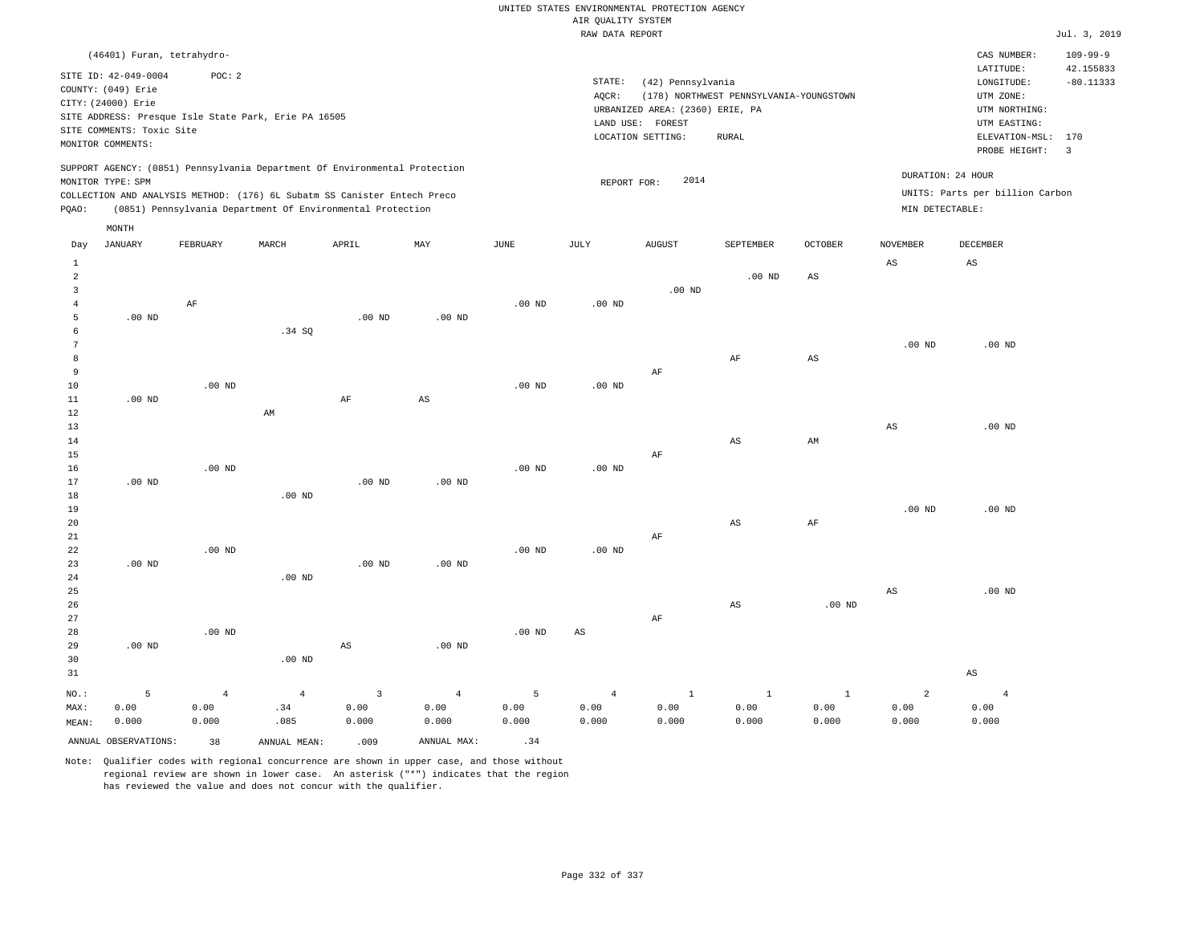|                 |                            |                |                                                                            |                |                |             | RAW DATA REPORT |                                 |                                         |                        |                        |                                 | Jul. 3, 2019   |
|-----------------|----------------------------|----------------|----------------------------------------------------------------------------|----------------|----------------|-------------|-----------------|---------------------------------|-----------------------------------------|------------------------|------------------------|---------------------------------|----------------|
|                 | (46401) Furan, tetrahydro- |                |                                                                            |                |                |             |                 |                                 |                                         |                        |                        | CAS NUMBER:                     | $109 - 99 - 9$ |
|                 | SITE ID: 42-049-0004       | POC: 2         |                                                                            |                |                |             |                 |                                 |                                         |                        |                        | LATITUDE:                       | 42.155833      |
|                 | COUNTY: (049) Erie         |                |                                                                            |                |                |             | STATE:          | (42) Pennsylvania               |                                         |                        |                        | LONGITUDE:                      | $-80.11333$    |
|                 | CITY: (24000) Erie         |                |                                                                            |                |                |             | AQCR:           |                                 | (178) NORTHWEST PENNSYLVANIA-YOUNGSTOWN |                        |                        | UTM ZONE:                       |                |
|                 |                            |                | SITE ADDRESS: Presque Isle State Park, Erie PA 16505                       |                |                |             |                 | URBANIZED AREA: (2360) ERIE, PA |                                         |                        |                        | UTM NORTHING:                   |                |
|                 | SITE COMMENTS: Toxic Site  |                |                                                                            |                |                |             |                 | LAND USE: FOREST                |                                         |                        |                        | UTM EASTING:                    |                |
|                 | MONITOR COMMENTS:          |                |                                                                            |                |                |             |                 | LOCATION SETTING:               | RURAL                                   |                        |                        | ELEVATION-MSL: 170              | $\overline{3}$ |
|                 |                            |                | SUPPORT AGENCY: (0851) Pennsylvania Department Of Environmental Protection |                |                |             |                 |                                 |                                         |                        |                        | PROBE HEIGHT:                   |                |
|                 | MONITOR TYPE: SPM          |                |                                                                            |                |                |             | REPORT FOR:     | 2014                            |                                         |                        |                        | DURATION: 24 HOUR               |                |
|                 |                            |                | COLLECTION AND ANALYSIS METHOD: (176) 6L Subatm SS Canister Entech Preco   |                |                |             |                 |                                 |                                         |                        |                        | UNITS: Parts per billion Carbon |                |
| PQAO:           |                            |                | (0851) Pennsylvania Department Of Environmental Protection                 |                |                |             |                 |                                 |                                         |                        | MIN DETECTABLE:        |                                 |                |
|                 | MONTH                      |                |                                                                            |                |                |             |                 |                                 |                                         |                        |                        |                                 |                |
| Day             | <b>JANUARY</b>             | FEBRUARY       | MARCH                                                                      | APRIL          | MAY            | <b>JUNE</b> | JULY            | <b>AUGUST</b>                   | SEPTEMBER                               | OCTOBER                | <b>NOVEMBER</b>        | DECEMBER                        |                |
| $\mathbf{1}$    |                            |                |                                                                            |                |                |             |                 |                                 |                                         |                        | $\mathbb{A}\mathbb{S}$ | AS                              |                |
| $\overline{a}$  |                            |                |                                                                            |                |                |             |                 |                                 | $.00$ ND                                | $_{\rm AS}$            |                        |                                 |                |
| 3               |                            |                |                                                                            |                |                |             |                 | $.00$ ND                        |                                         |                        |                        |                                 |                |
| $\overline{4}$  |                            | AF             |                                                                            |                |                | $.00$ ND    | $.00$ ND        |                                 |                                         |                        |                        |                                 |                |
| 5               | $.00$ ND                   |                |                                                                            | $.00$ ND       | $.00$ ND       |             |                 |                                 |                                         |                        |                        |                                 |                |
| 6               |                            |                | .34 SQ                                                                     |                |                |             |                 |                                 |                                         |                        |                        |                                 |                |
| $7\phantom{.0}$ |                            |                |                                                                            |                |                |             |                 |                                 |                                         |                        | .00 <sub>ND</sub>      | $.00$ ND                        |                |
| 8               |                            |                |                                                                            |                |                |             |                 |                                 | $\rm{AF}$                               | $\mathbb{A}\mathbb{S}$ |                        |                                 |                |
| 9               |                            |                |                                                                            |                |                |             |                 | AF                              |                                         |                        |                        |                                 |                |
| 10              |                            | $.00$ ND       |                                                                            |                |                | $.00$ ND    | $.00$ ND        |                                 |                                         |                        |                        |                                 |                |
| $1\,1$          | $.00$ ND                   |                |                                                                            | AF             | AS             |             |                 |                                 |                                         |                        |                        |                                 |                |
| 12              |                            |                | AM                                                                         |                |                |             |                 |                                 |                                         |                        |                        |                                 |                |
| 13              |                            |                |                                                                            |                |                |             |                 |                                 |                                         |                        | $\mathbb{A}\mathbb{S}$ | $.00$ ND                        |                |
| 14              |                            |                |                                                                            |                |                |             |                 |                                 | AS                                      | AM                     |                        |                                 |                |
| 15              |                            | $.00$ ND       |                                                                            |                |                | $.00$ ND    | $.00$ ND        | AF                              |                                         |                        |                        |                                 |                |
| 16<br>17        | $.00$ ND                   |                |                                                                            | $.00$ ND       | $.00$ ND       |             |                 |                                 |                                         |                        |                        |                                 |                |
| 18              |                            |                | $.00$ ND                                                                   |                |                |             |                 |                                 |                                         |                        |                        |                                 |                |
| 19              |                            |                |                                                                            |                |                |             |                 |                                 |                                         |                        | .00 <sub>ND</sub>      | $.00$ ND                        |                |
| 20              |                            |                |                                                                            |                |                |             |                 |                                 | AS                                      | AF                     |                        |                                 |                |
| 21              |                            |                |                                                                            |                |                |             |                 | AF                              |                                         |                        |                        |                                 |                |
| 22              |                            | $.00$ ND       |                                                                            |                |                | $.00$ ND    | $.00$ ND        |                                 |                                         |                        |                        |                                 |                |
| 23              | $.00$ ND                   |                |                                                                            | $.00$ ND       | $.00$ ND       |             |                 |                                 |                                         |                        |                        |                                 |                |
| 24              |                            |                | $.00$ ND                                                                   |                |                |             |                 |                                 |                                         |                        |                        |                                 |                |
| 25              |                            |                |                                                                            |                |                |             |                 |                                 |                                         |                        | $\mathbb{A}\mathbb{S}$ | $.00$ ND                        |                |
| 26              |                            |                |                                                                            |                |                |             |                 |                                 | AS                                      | $.00$ ND               |                        |                                 |                |
| 27              |                            |                |                                                                            |                |                |             |                 | $\rm AF$                        |                                         |                        |                        |                                 |                |
| 28              |                            | $.00$ ND       |                                                                            |                |                | $.00$ ND    | AS              |                                 |                                         |                        |                        |                                 |                |
| 29              | $.00$ ND                   |                |                                                                            | $_{\rm AS}$    | $.00$ ND       |             |                 |                                 |                                         |                        |                        |                                 |                |
| 30              |                            |                | $.00$ ND                                                                   |                |                |             |                 |                                 |                                         |                        |                        |                                 |                |
| 31              |                            |                |                                                                            |                |                |             |                 |                                 |                                         |                        |                        | $\mathbb{A}\mathbb{S}$          |                |
| NO.:            | 5                          | $\overline{4}$ | $\overline{4}$                                                             | $\overline{3}$ | $\overline{4}$ | 5           | $\overline{4}$  | $\mathbf{1}$                    | $\mathbf{1}$                            | $\mathbf{1}$           | 2                      | $\overline{4}$                  |                |
| MAX:            | 0.00                       | 0.00           | .34                                                                        | 0.00           | 0.00           | 0.00        | 0.00            | 0.00                            | 0.00                                    | 0.00                   | 0.00                   | 0.00                            |                |
| MEAN:           | 0.000                      | 0.000          | .085                                                                       | 0.000          | 0.000          | 0.000       | 0.000           | 0.000                           | 0.000                                   | 0.000                  | 0.000                  | 0.000                           |                |
|                 | ANNUAL OBSERVATIONS:       |                |                                                                            |                | ANNUAL MAX:    | .34         |                 |                                 |                                         |                        |                        |                                 |                |
|                 |                            | 38             | ANNUAL MEAN:                                                               | .009           |                |             |                 |                                 |                                         |                        |                        |                                 |                |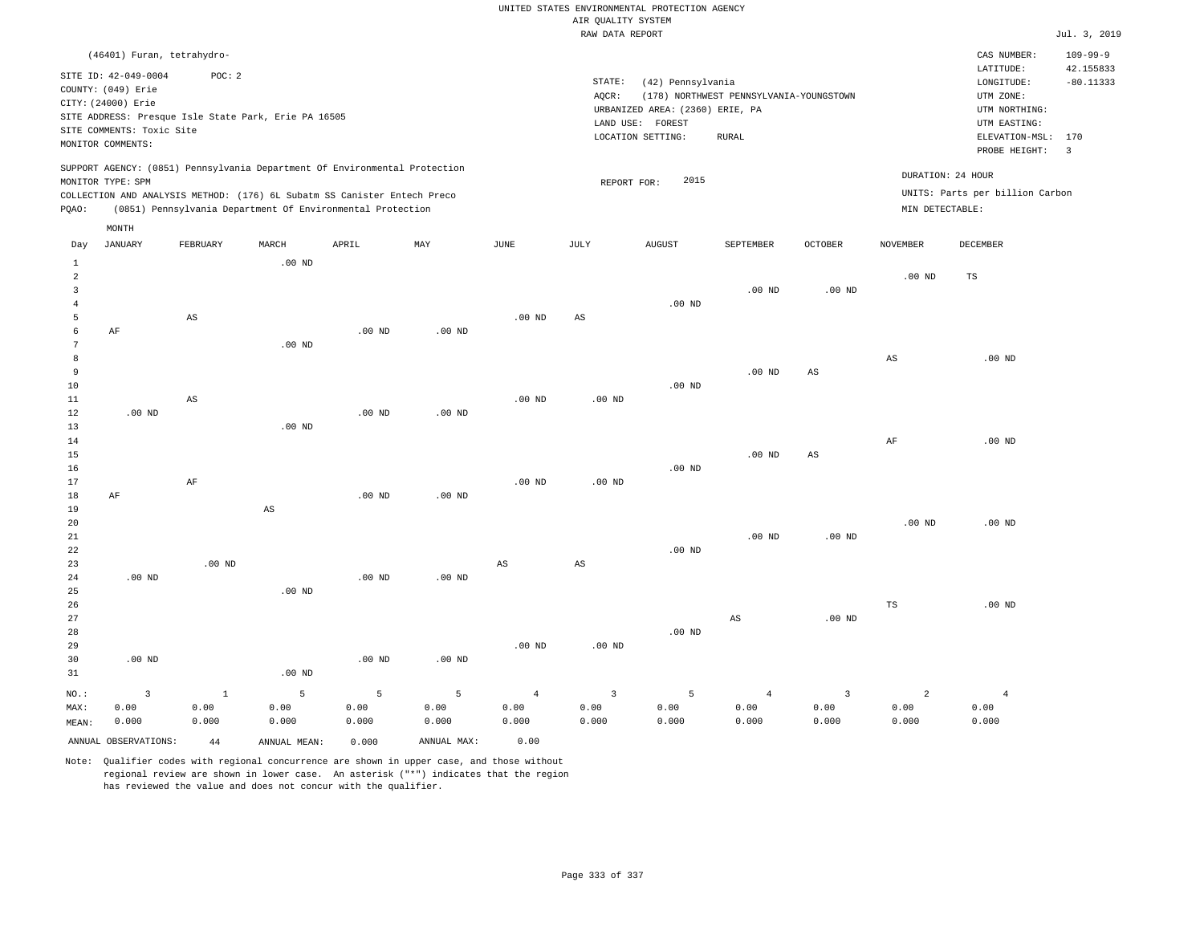| (46401) Furan, tetrahydro-                                                                                                                                                                                                                         |      | CAS NUMBER:                                                                                                                                                                                                                                   | $109 - 99 - 9$                                                                             |
|----------------------------------------------------------------------------------------------------------------------------------------------------------------------------------------------------------------------------------------------------|------|-----------------------------------------------------------------------------------------------------------------------------------------------------------------------------------------------------------------------------------------------|--------------------------------------------------------------------------------------------|
| SITE ID: 42-049-0004<br>POC: 2<br>COUNTY: (049) Erie<br>CITY: (24000) Erie<br>SITE ADDRESS: Presque Isle State Park, Erie PA 16505<br>SITE COMMENTS: Toxic Site<br>MONITOR COMMENTS:                                                               |      | LATITUDE:<br>STATE:<br>(42) Pennsylvania<br>LONGITUDE:<br>AOCR:<br>(178) NORTHWEST PENNSYLVANIA-YOUNGSTOWN<br>UTM ZONE:<br>URBANIZED AREA: (2360) ERIE, PA<br>UTM NORTHING:<br>UTM EASTING:<br>LAND USE: FOREST<br>LOCATION SETTING:<br>RURAL | 42.155833<br>$-80.11333$<br>ELEVATION-MSL: 170<br>PROBE HEIGHT:<br>$\overline{\mathbf{3}}$ |
| SUPPORT AGENCY: (0851) Pennsylvania Department Of Environmental Protection<br>MONITOR TYPE: SPM<br>COLLECTION AND ANALYSIS METHOD: (176) 6L Subatm SS Canister Entech Preco<br>(0851) Pennsylvania Department Of Environmental Protection<br>POAO: |      | DURATION: 24 HOUR<br>2015<br>REPORT FOR:<br>UNITS: Parts per billion Carbon<br>MIN DETECTABLE:                                                                                                                                                |                                                                                            |
| MONTH<br>MARCH<br>APRIL<br>MAY<br>JANUARY<br>FEBRUARY<br>Day                                                                                                                                                                                       | JUNE | JULY<br>AUGUST<br>SEPTEMBER<br>OCTOBER<br>NOVEMBER<br>DECEMBER                                                                                                                                                                                |                                                                                            |

| $\mathbf{1}$        |                         |                        | $.00$ ND               |          |                   |                        |                         |                   |                        |                        |                        |                |
|---------------------|-------------------------|------------------------|------------------------|----------|-------------------|------------------------|-------------------------|-------------------|------------------------|------------------------|------------------------|----------------|
| $\overline{a}$<br>3 |                         |                        |                        |          |                   |                        |                         |                   | $.00$ ND               | .00 $ND$               | $.00$ ND               | $_{\rm TS}$    |
| $\overline{4}$      |                         |                        |                        |          |                   |                        |                         | $.00$ ND          |                        |                        |                        |                |
| 5                   |                         | $\mathbb{A}\mathbb{S}$ |                        |          |                   | $.00$ ND               | $\mathbb{A}\mathbb{S}$  |                   |                        |                        |                        |                |
| 6                   | $\rm AF$                |                        |                        | .00 $ND$ | $.00$ ND          |                        |                         |                   |                        |                        |                        |                |
| 7                   |                         |                        | $.00$ ND               |          |                   |                        |                         |                   |                        |                        |                        |                |
| 8                   |                         |                        |                        |          |                   |                        |                         |                   |                        |                        | $\mathbb{A}\mathbb{S}$ | $.00$ ND       |
| 9                   |                         |                        |                        |          |                   |                        |                         |                   | $.00$ ND               | $_{\rm AS}$            |                        |                |
| 10                  |                         |                        |                        |          |                   |                        |                         | $.00$ ND          |                        |                        |                        |                |
| $11\,$              |                         | AS                     |                        |          |                   | $.00$ ND               | $.00$ ND                |                   |                        |                        |                        |                |
| 12                  | $.00$ ND                |                        |                        | $.00$ ND | $.00$ ND          |                        |                         |                   |                        |                        |                        |                |
| 13                  |                         |                        | .00 $ND$               |          |                   |                        |                         |                   |                        |                        |                        |                |
| 14                  |                         |                        |                        |          |                   |                        |                         |                   |                        |                        | $\rm{AF}$              | $.00$ ND       |
| 15                  |                         |                        |                        |          |                   |                        |                         |                   | $.00$ ND               | $\mathbb{A}\mathbb{S}$ |                        |                |
| 16                  |                         |                        |                        |          |                   |                        |                         | $.00$ ND          |                        |                        |                        |                |
| 17<br>18            | $\rm AF$                | $\rm AF$               |                        | $.00$ ND | $.00$ ND          | $.00$ ND               | $.00$ ND                |                   |                        |                        |                        |                |
| 19                  |                         |                        | $\mathbb{A}\mathbb{S}$ |          |                   |                        |                         |                   |                        |                        |                        |                |
| 20                  |                         |                        |                        |          |                   |                        |                         |                   |                        |                        | $.00$ ND               | $.00$ ND       |
| $21\,$              |                         |                        |                        |          |                   |                        |                         |                   | $.00$ ND               | $.00$ ND               |                        |                |
| $2\sqrt{2}$         |                         |                        |                        |          |                   |                        |                         | $.00~\mathrm{ND}$ |                        |                        |                        |                |
| 23                  |                         | .00 $ND$               |                        |          |                   | $\mathbb{A}\mathbb{S}$ | $\mathbb{A}\mathbb{S}$  |                   |                        |                        |                        |                |
| $2\,4$              | $.00$ ND                |                        |                        | .00 $ND$ | .00 <sub>ND</sub> |                        |                         |                   |                        |                        |                        |                |
| 25                  |                         |                        | $.00$ ND               |          |                   |                        |                         |                   |                        |                        |                        |                |
| 26                  |                         |                        |                        |          |                   |                        |                         |                   |                        |                        | TS                     | $.00$ ND       |
| 27                  |                         |                        |                        |          |                   |                        |                         |                   | $\mathbb{A}\mathbb{S}$ | .00 $ND$               |                        |                |
| 28                  |                         |                        |                        |          |                   |                        |                         | .00 $ND$          |                        |                        |                        |                |
| 29                  |                         |                        |                        |          |                   | $.00$ ND               | $.00$ ND                |                   |                        |                        |                        |                |
| 30                  | $.00$ ND                |                        |                        | $.00$ ND | .00 $ND$          |                        |                         |                   |                        |                        |                        |                |
| 31                  |                         |                        | $.00$ ND               |          |                   |                        |                         |                   |                        |                        |                        |                |
| $NO.$ :             | $\overline{\mathbf{3}}$ | $\,$ 1 $\,$            | $\overline{5}$         | 5        | $5\phantom{.0}$   | $\overline{4}$         | $\overline{\mathbf{3}}$ | $5\phantom{.0}$   | $\overline{4}$         | $\mathbf{3}$           | $\overline{a}$         | $\overline{4}$ |
| MAX:                | 0.00                    | 0.00                   | 0.00                   | 0.00     | 0.00              | 0.00                   | 0.00                    | 0.00              | 0.00                   | 0.00                   | 0.00                   | 0.00           |
| MEAN:               | 0.000                   | 0.000                  | 0.000                  | 0.000    | 0.000             | 0.000                  | 0.000                   | 0.000             | 0.000                  | 0.000                  | 0.000                  | 0.000          |
|                     | ANNUAL OBSERVATIONS:    | 44                     | ANNUAL MEAN:           | 0.000    | ANNUAL MAX:       | 0.00                   |                         |                   |                        |                        |                        |                |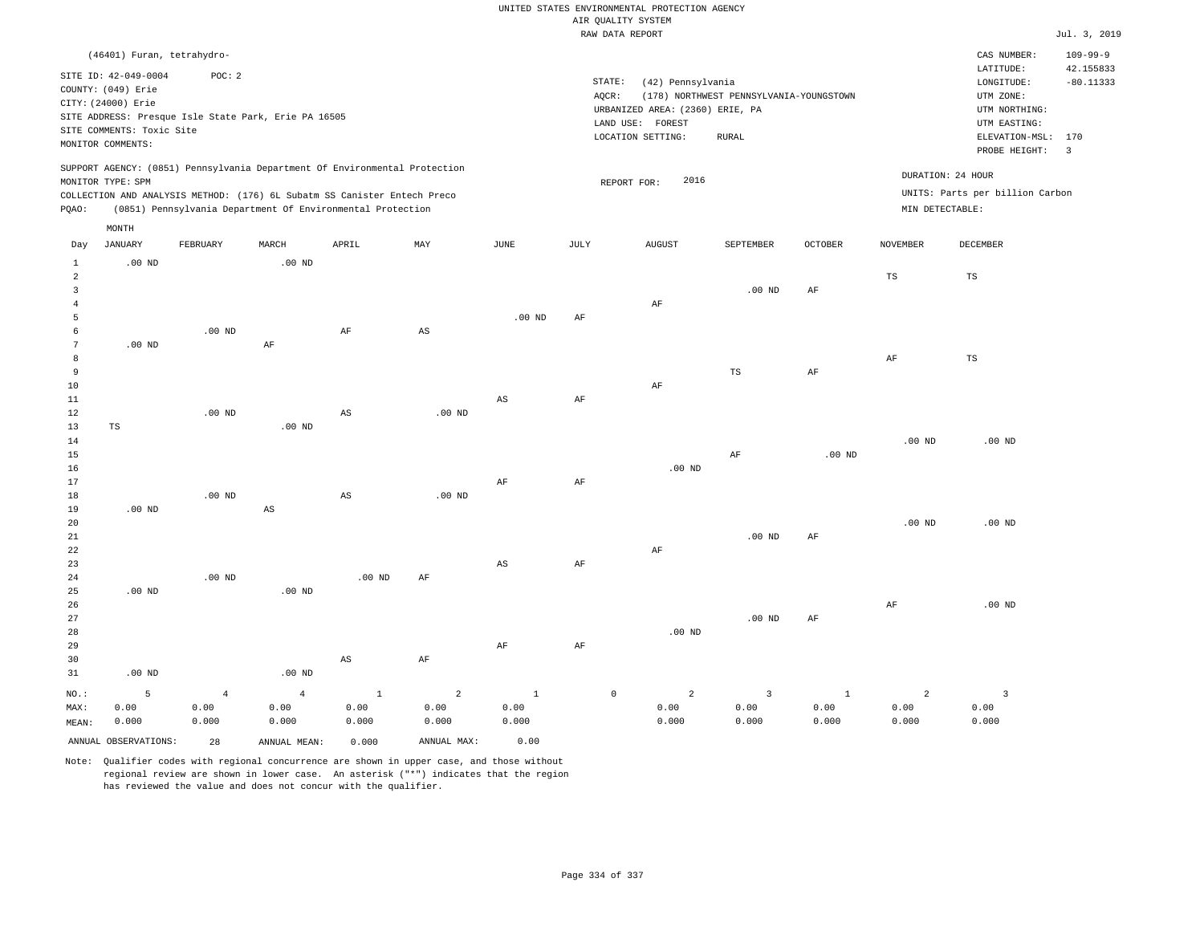|                     |                                            |                   |                                                                                                                                        |                        |                |              |           | RAW DATA REPORT                 |                                         |                |                   |                                 | Jul. 3, 2019            |
|---------------------|--------------------------------------------|-------------------|----------------------------------------------------------------------------------------------------------------------------------------|------------------------|----------------|--------------|-----------|---------------------------------|-----------------------------------------|----------------|-------------------|---------------------------------|-------------------------|
|                     | (46401) Furan, tetrahydro-                 |                   |                                                                                                                                        |                        |                |              |           |                                 |                                         |                |                   | CAS NUMBER:                     | $109 - 99 - 9$          |
|                     |                                            |                   |                                                                                                                                        |                        |                |              |           |                                 |                                         |                |                   | LATITUDE:                       | 42.155833               |
|                     | SITE ID: 42-049-0004<br>COUNTY: (049) Erie | POC: 2            |                                                                                                                                        |                        |                |              |           | STATE:<br>(42) Pennsylvania     |                                         |                |                   | LONGITUDE:                      | $-80.11333$             |
|                     | CITY: (24000) Erie                         |                   |                                                                                                                                        |                        |                |              |           | AQCR:                           | (178) NORTHWEST PENNSYLVANIA-YOUNGSTOWN |                |                   | UTM ZONE:                       |                         |
|                     |                                            |                   | SITE ADDRESS: Presque Isle State Park, Erie PA 16505                                                                                   |                        |                |              |           | URBANIZED AREA: (2360) ERIE, PA |                                         |                |                   | UTM NORTHING:                   |                         |
|                     | SITE COMMENTS: Toxic Site                  |                   |                                                                                                                                        |                        |                |              |           | LAND USE: FOREST                |                                         |                |                   | UTM EASTING:                    |                         |
|                     | MONITOR COMMENTS:                          |                   |                                                                                                                                        |                        |                |              |           | LOCATION SETTING:               | <b>RURAL</b>                            |                |                   | ELEVATION-MSL:                  | 170                     |
|                     |                                            |                   |                                                                                                                                        |                        |                |              |           |                                 |                                         |                |                   | PROBE HEIGHT:                   | $\overline{\mathbf{3}}$ |
|                     |                                            |                   | SUPPORT AGENCY: (0851) Pennsylvania Department Of Environmental Protection                                                             |                        |                |              |           |                                 |                                         |                |                   | DURATION: 24 HOUR               |                         |
|                     | MONITOR TYPE: SPM                          |                   |                                                                                                                                        |                        |                |              |           | 2016<br>REPORT FOR:             |                                         |                |                   | UNITS: Parts per billion Carbon |                         |
| PQAO:               |                                            |                   | COLLECTION AND ANALYSIS METHOD: (176) 6L Subatm SS Canister Entech Preco<br>(0851) Pennsylvania Department Of Environmental Protection |                        |                |              |           |                                 |                                         |                | MIN DETECTABLE:   |                                 |                         |
|                     |                                            |                   |                                                                                                                                        |                        |                |              |           |                                 |                                         |                |                   |                                 |                         |
|                     | MONTH                                      |                   |                                                                                                                                        |                        |                |              |           |                                 |                                         |                |                   |                                 |                         |
| Day                 | <b>JANUARY</b>                             | FEBRUARY          | MARCH                                                                                                                                  | APRIL                  | MAY            | JUNE         | JULY      | <b>AUGUST</b>                   | SEPTEMBER                               | <b>OCTOBER</b> | <b>NOVEMBER</b>   | DECEMBER                        |                         |
| $\mathbf{1}$        | $.00$ ND                                   |                   | $.00$ ND                                                                                                                               |                        |                |              |           |                                 |                                         |                |                   |                                 |                         |
| $\overline{2}$      |                                            |                   |                                                                                                                                        |                        |                |              |           |                                 |                                         |                | $_{\rm TS}$       | TS                              |                         |
| 3                   |                                            |                   |                                                                                                                                        |                        |                |              |           |                                 | .00 <sub>ND</sub>                       | AF             |                   |                                 |                         |
| $\overline{4}$<br>5 |                                            |                   |                                                                                                                                        |                        |                |              |           | AF                              |                                         |                |                   |                                 |                         |
| 6                   |                                            | $.00$ ND          |                                                                                                                                        | AF                     | AS             | $.00$ ND     | $\rm AF$  |                                 |                                         |                |                   |                                 |                         |
| 7                   | $.00$ ND                                   |                   | AF                                                                                                                                     |                        |                |              |           |                                 |                                         |                |                   |                                 |                         |
| 8                   |                                            |                   |                                                                                                                                        |                        |                |              |           |                                 |                                         |                | $\rm{AF}$         | $_{\rm TS}$                     |                         |
| 9                   |                                            |                   |                                                                                                                                        |                        |                |              |           |                                 | TS                                      | $\rm{AF}$      |                   |                                 |                         |
| 10                  |                                            |                   |                                                                                                                                        |                        |                |              |           | $\rm{AF}$                       |                                         |                |                   |                                 |                         |
| $1\,1$              |                                            |                   |                                                                                                                                        |                        |                | $_{\rm AS}$  | $\rm AF$  |                                 |                                         |                |                   |                                 |                         |
| 12                  |                                            | .00 <sub>ND</sub> |                                                                                                                                        | $\mathbb{A}\mathbb{S}$ | $.00$ ND       |              |           |                                 |                                         |                |                   |                                 |                         |
| 13                  | TS                                         |                   | $.00$ ND                                                                                                                               |                        |                |              |           |                                 |                                         |                |                   |                                 |                         |
| 14                  |                                            |                   |                                                                                                                                        |                        |                |              |           |                                 |                                         |                | $.00$ ND          | $.00$ ND                        |                         |
| 15                  |                                            |                   |                                                                                                                                        |                        |                |              |           |                                 | $\rm AF$                                | $.00$ ND       |                   |                                 |                         |
| 16<br>17            |                                            |                   |                                                                                                                                        |                        |                |              |           | $.00$ ND                        |                                         |                |                   |                                 |                         |
| $1\,8$              |                                            | .00 <sub>ND</sub> |                                                                                                                                        | $\mathbb{A}\mathbb{S}$ | $.00$ ND       | AF           | AF        |                                 |                                         |                |                   |                                 |                         |
| 19                  | $.00$ ND                                   |                   | $\mathbb{A}\mathbb{S}$                                                                                                                 |                        |                |              |           |                                 |                                         |                |                   |                                 |                         |
| 20                  |                                            |                   |                                                                                                                                        |                        |                |              |           |                                 |                                         |                | .00 <sub>ND</sub> | $.00$ ND                        |                         |
| 21                  |                                            |                   |                                                                                                                                        |                        |                |              |           |                                 | $.00$ ND                                | AF             |                   |                                 |                         |
| 22                  |                                            |                   |                                                                                                                                        |                        |                |              |           | $\rm AF$                        |                                         |                |                   |                                 |                         |
| 23                  |                                            |                   |                                                                                                                                        |                        |                | $_{\rm AS}$  | $\rm{AF}$ |                                 |                                         |                |                   |                                 |                         |
| 24                  |                                            | $.00$ ND          |                                                                                                                                        | $.00$ ND               | AF             |              |           |                                 |                                         |                |                   |                                 |                         |
| 25                  | $.00$ ND                                   |                   | $.00$ ND                                                                                                                               |                        |                |              |           |                                 |                                         |                |                   |                                 |                         |
| 26                  |                                            |                   |                                                                                                                                        |                        |                |              |           |                                 |                                         |                | $\rm{AF}$         | $.00$ ND                        |                         |
| 27                  |                                            |                   |                                                                                                                                        |                        |                |              |           |                                 | $.00$ ND                                | AF             |                   |                                 |                         |
| 28                  |                                            |                   |                                                                                                                                        |                        |                |              |           | $.00$ ND                        |                                         |                |                   |                                 |                         |
| 29<br>30            |                                            |                   |                                                                                                                                        |                        | AF             | $\rm{AF}$    | AF        |                                 |                                         |                |                   |                                 |                         |
| 31                  | $.00$ ND                                   |                   | $.00$ ND                                                                                                                               | $_{\rm AS}$            |                |              |           |                                 |                                         |                |                   |                                 |                         |
|                     |                                            |                   |                                                                                                                                        |                        |                |              |           |                                 |                                         |                |                   |                                 |                         |
| NO.:                | 5                                          | $\overline{4}$    | $\overline{4}$                                                                                                                         | $\mathbf{1}$           | $\overline{a}$ | $\mathbf{1}$ |           | $\mathbb O$<br>$\overline{a}$   | $\overline{\mathbf{3}}$                 | $1\,$          | $\overline{a}$    | $\overline{3}$                  |                         |
| MAX:                | 0.00                                       | 0.00              | 0.00                                                                                                                                   | 0.00                   | 0.00           | 0.00         |           | 0.00                            | 0.00                                    | 0.00           | 0.00              | 0.00                            |                         |
| MEAN:               | 0.000                                      | 0.000             | 0.000                                                                                                                                  | 0.000                  | 0.000          | 0.000        |           | 0.000                           | 0.000                                   | 0.000          | 0.000             | 0.000                           |                         |
|                     | ANNUAL OBSERVATIONS:                       | 2.8               | ANNUAL, MEAN:                                                                                                                          | 0.000                  | ANNUAL MAX:    | 0.00         |           |                                 |                                         |                |                   |                                 |                         |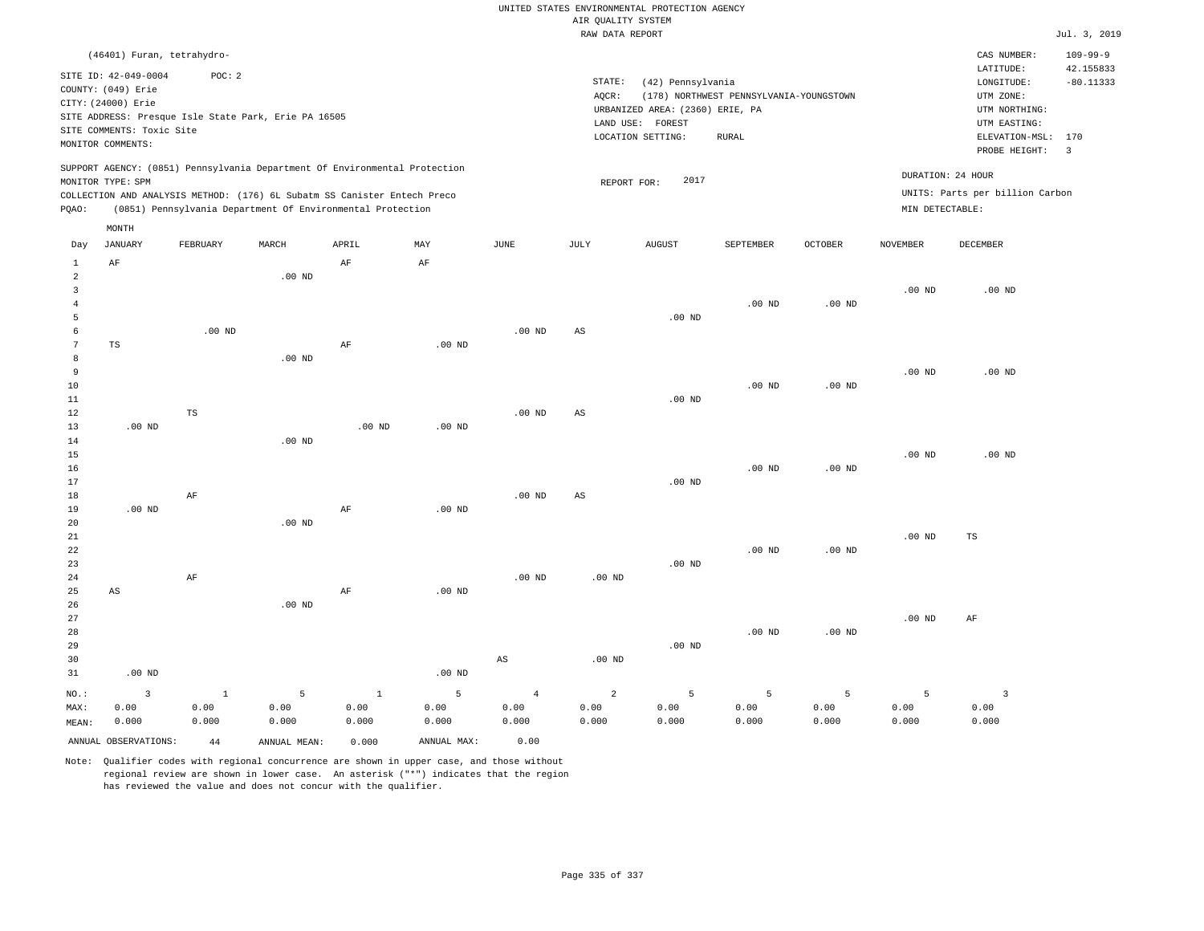|                     | (46401) Furan, tetrahydro-<br>SITE ID: 42-049-0004<br>COUNTY: (049) Erie<br>CITY: (24000) Erie<br>SITE COMMENTS: Toxic Site<br>MONITOR COMMENTS: | POC: 2               | SITE ADDRESS: Presque Isle State Park, Erie PA 16505 |                                                                                                                                                        |                   |                        | STATE:<br>AQCR:        | (42) Pennsylvania<br>URBANIZED AREA: (2360) ERIE, PA<br>LAND USE: FOREST<br>LOCATION SETTING: | (178) NORTHWEST PENNSYLVANIA-YOUNGSTOWN<br><b>RURAL</b> |                   |                   | CAS NUMBER:<br>LATITUDE:<br>LONGITUDE:<br>UTM ZONE:<br>UTM NORTHING:<br>UTM EASTING:<br>ELEVATION-MSL: 170<br>PROBE HEIGHT: | $109 - 99 - 9$<br>42.155833<br>$-80.11333$<br>$\overline{3}$ |
|---------------------|--------------------------------------------------------------------------------------------------------------------------------------------------|----------------------|------------------------------------------------------|--------------------------------------------------------------------------------------------------------------------------------------------------------|-------------------|------------------------|------------------------|-----------------------------------------------------------------------------------------------|---------------------------------------------------------|-------------------|-------------------|-----------------------------------------------------------------------------------------------------------------------------|--------------------------------------------------------------|
|                     | MONITOR TYPE: SPM                                                                                                                                |                      |                                                      | SUPPORT AGENCY: (0851) Pennsylvania Department Of Environmental Protection<br>COLLECTION AND ANALYSIS METHOD: (176) 6L Subatm SS Canister Entech Preco |                   |                        | REPORT FOR:            | 2017                                                                                          |                                                         |                   |                   | DURATION: 24 HOUR<br>UNITS: Parts per billion Carbon                                                                        |                                                              |
| PQAO:               |                                                                                                                                                  |                      |                                                      | (0851) Pennsylvania Department Of Environmental Protection                                                                                             |                   |                        |                        |                                                                                               |                                                         |                   | MIN DETECTABLE:   |                                                                                                                             |                                                              |
|                     | MONTH                                                                                                                                            |                      |                                                      |                                                                                                                                                        |                   |                        |                        |                                                                                               |                                                         |                   |                   |                                                                                                                             |                                                              |
| Day                 | <b>JANUARY</b>                                                                                                                                   | FEBRUARY             | MARCH                                                | APRIL                                                                                                                                                  | MAY               | JUNE                   | JULY                   | <b>AUGUST</b>                                                                                 | SEPTEMBER                                               | <b>OCTOBER</b>    | <b>NOVEMBER</b>   | DECEMBER                                                                                                                    |                                                              |
| $\mathbf{1}$        | AF                                                                                                                                               |                      |                                                      | AF                                                                                                                                                     | AF                |                        |                        |                                                                                               |                                                         |                   |                   |                                                                                                                             |                                                              |
| $\overline{a}$<br>3 |                                                                                                                                                  |                      | $.00$ ND                                             |                                                                                                                                                        |                   |                        |                        |                                                                                               |                                                         |                   | .00 <sub>ND</sub> | $.00$ ND                                                                                                                    |                                                              |
| $\overline{4}$      |                                                                                                                                                  |                      |                                                      |                                                                                                                                                        |                   |                        |                        |                                                                                               | .00 <sub>ND</sub>                                       | .00 <sub>ND</sub> |                   |                                                                                                                             |                                                              |
| 5                   |                                                                                                                                                  |                      |                                                      |                                                                                                                                                        |                   |                        |                        | $.00$ ND                                                                                      |                                                         |                   |                   |                                                                                                                             |                                                              |
| 6                   |                                                                                                                                                  | $.00$ ND             |                                                      |                                                                                                                                                        |                   | .00 <sub>ND</sub>      | $_{\rm AS}$            |                                                                                               |                                                         |                   |                   |                                                                                                                             |                                                              |
| $7\phantom{.0}$     | TS                                                                                                                                               |                      |                                                      | AF                                                                                                                                                     | $.00$ ND          |                        |                        |                                                                                               |                                                         |                   |                   |                                                                                                                             |                                                              |
| 8                   |                                                                                                                                                  |                      | $.00$ ND                                             |                                                                                                                                                        |                   |                        |                        |                                                                                               |                                                         |                   |                   |                                                                                                                             |                                                              |
| 9                   |                                                                                                                                                  |                      |                                                      |                                                                                                                                                        |                   |                        |                        |                                                                                               |                                                         |                   | $.00$ ND          | .00 <sub>ND</sub>                                                                                                           |                                                              |
| 10                  |                                                                                                                                                  |                      |                                                      |                                                                                                                                                        |                   |                        |                        |                                                                                               | $.00$ ND                                                | $.00$ ND          |                   |                                                                                                                             |                                                              |
| $11\,$              |                                                                                                                                                  |                      |                                                      |                                                                                                                                                        |                   |                        |                        | .00 <sub>ND</sub>                                                                             |                                                         |                   |                   |                                                                                                                             |                                                              |
| 12                  |                                                                                                                                                  | TS                   |                                                      |                                                                                                                                                        |                   | $.00$ ND               | $\mathbb{A}\mathbb{S}$ |                                                                                               |                                                         |                   |                   |                                                                                                                             |                                                              |
| 13                  | .00 <sub>ND</sub>                                                                                                                                |                      |                                                      | $.00$ ND                                                                                                                                               | .00 <sub>ND</sub> |                        |                        |                                                                                               |                                                         |                   |                   |                                                                                                                             |                                                              |
| 14<br>15            |                                                                                                                                                  |                      | .00 <sub>ND</sub>                                    |                                                                                                                                                        |                   |                        |                        |                                                                                               |                                                         |                   | .00 <sub>ND</sub> | $.00$ ND                                                                                                                    |                                                              |
| 16                  |                                                                                                                                                  |                      |                                                      |                                                                                                                                                        |                   |                        |                        |                                                                                               | $.00$ ND                                                | $.00$ ND          |                   |                                                                                                                             |                                                              |
| 17                  |                                                                                                                                                  |                      |                                                      |                                                                                                                                                        |                   |                        |                        | $.00$ ND                                                                                      |                                                         |                   |                   |                                                                                                                             |                                                              |
| 18                  |                                                                                                                                                  | AF                   |                                                      |                                                                                                                                                        |                   | .00 <sub>ND</sub>      | $_{\rm AS}$            |                                                                                               |                                                         |                   |                   |                                                                                                                             |                                                              |
| 19                  | .00 <sub>ND</sub>                                                                                                                                |                      |                                                      | $\rm{AF}$                                                                                                                                              | $.00$ ND          |                        |                        |                                                                                               |                                                         |                   |                   |                                                                                                                             |                                                              |
| 20                  |                                                                                                                                                  |                      | $.00$ ND                                             |                                                                                                                                                        |                   |                        |                        |                                                                                               |                                                         |                   |                   |                                                                                                                             |                                                              |
| 21                  |                                                                                                                                                  |                      |                                                      |                                                                                                                                                        |                   |                        |                        |                                                                                               |                                                         |                   | $.00$ ND          | TS                                                                                                                          |                                                              |
| 22                  |                                                                                                                                                  |                      |                                                      |                                                                                                                                                        |                   |                        |                        |                                                                                               | $.00$ ND                                                | $.00$ ND          |                   |                                                                                                                             |                                                              |
| 23                  |                                                                                                                                                  |                      |                                                      |                                                                                                                                                        |                   |                        |                        | .00 <sub>ND</sub>                                                                             |                                                         |                   |                   |                                                                                                                             |                                                              |
| 24                  |                                                                                                                                                  | AF                   |                                                      |                                                                                                                                                        |                   | .00 <sub>ND</sub>      | $.00$ ND               |                                                                                               |                                                         |                   |                   |                                                                                                                             |                                                              |
| 25                  | AS                                                                                                                                               |                      |                                                      | AF                                                                                                                                                     | $.00$ ND          |                        |                        |                                                                                               |                                                         |                   |                   |                                                                                                                             |                                                              |
| 26<br>27            |                                                                                                                                                  |                      | $.00$ ND                                             |                                                                                                                                                        |                   |                        |                        |                                                                                               |                                                         |                   | $.00$ ND          | AF                                                                                                                          |                                                              |
| 28                  |                                                                                                                                                  |                      |                                                      |                                                                                                                                                        |                   |                        |                        |                                                                                               | .00 $ND$                                                | .00 <sub>ND</sub> |                   |                                                                                                                             |                                                              |
| 29                  |                                                                                                                                                  |                      |                                                      |                                                                                                                                                        |                   |                        |                        | .00 <sub>ND</sub>                                                                             |                                                         |                   |                   |                                                                                                                             |                                                              |
| 30                  |                                                                                                                                                  |                      |                                                      |                                                                                                                                                        |                   | $\mathbb{A}\mathbb{S}$ | $.00$ ND               |                                                                                               |                                                         |                   |                   |                                                                                                                             |                                                              |
| 31                  | .00 <sub>ND</sub>                                                                                                                                |                      |                                                      |                                                                                                                                                        | $.00$ ND          |                        |                        |                                                                                               |                                                         |                   |                   |                                                                                                                             |                                                              |
| NO.:                | $\overline{3}$                                                                                                                                   |                      |                                                      | $\mathbf{1}$                                                                                                                                           | 5                 |                        | 2                      | 5                                                                                             |                                                         | 5                 | 5                 | $\overline{3}$                                                                                                              |                                                              |
| MAX:                | 0.00                                                                                                                                             | $\mathbf{1}$<br>0.00 | 5<br>0.00                                            | 0.00                                                                                                                                                   | 0.00              | $\overline{4}$<br>0.00 | 0.00                   | 0.00                                                                                          | 5<br>0.00                                               | 0.00              | 0.00              | 0.00                                                                                                                        |                                                              |
| MEAN:               | 0.000                                                                                                                                            | 0.000                | 0.000                                                | 0.000                                                                                                                                                  | 0.000             | 0.000                  | 0.000                  | 0.000                                                                                         | 0.000                                                   | 0.000             | 0.000             | 0.000                                                                                                                       |                                                              |
|                     |                                                                                                                                                  |                      |                                                      |                                                                                                                                                        |                   |                        |                        |                                                                                               |                                                         |                   |                   |                                                                                                                             |                                                              |
|                     | ANNUAL OBSERVATIONS:                                                                                                                             | 44                   | ANNUAL MEAN:                                         | 0.000                                                                                                                                                  | ANNUAL MAX:       | 0.00                   |                        |                                                                                               |                                                         |                   |                   |                                                                                                                             |                                                              |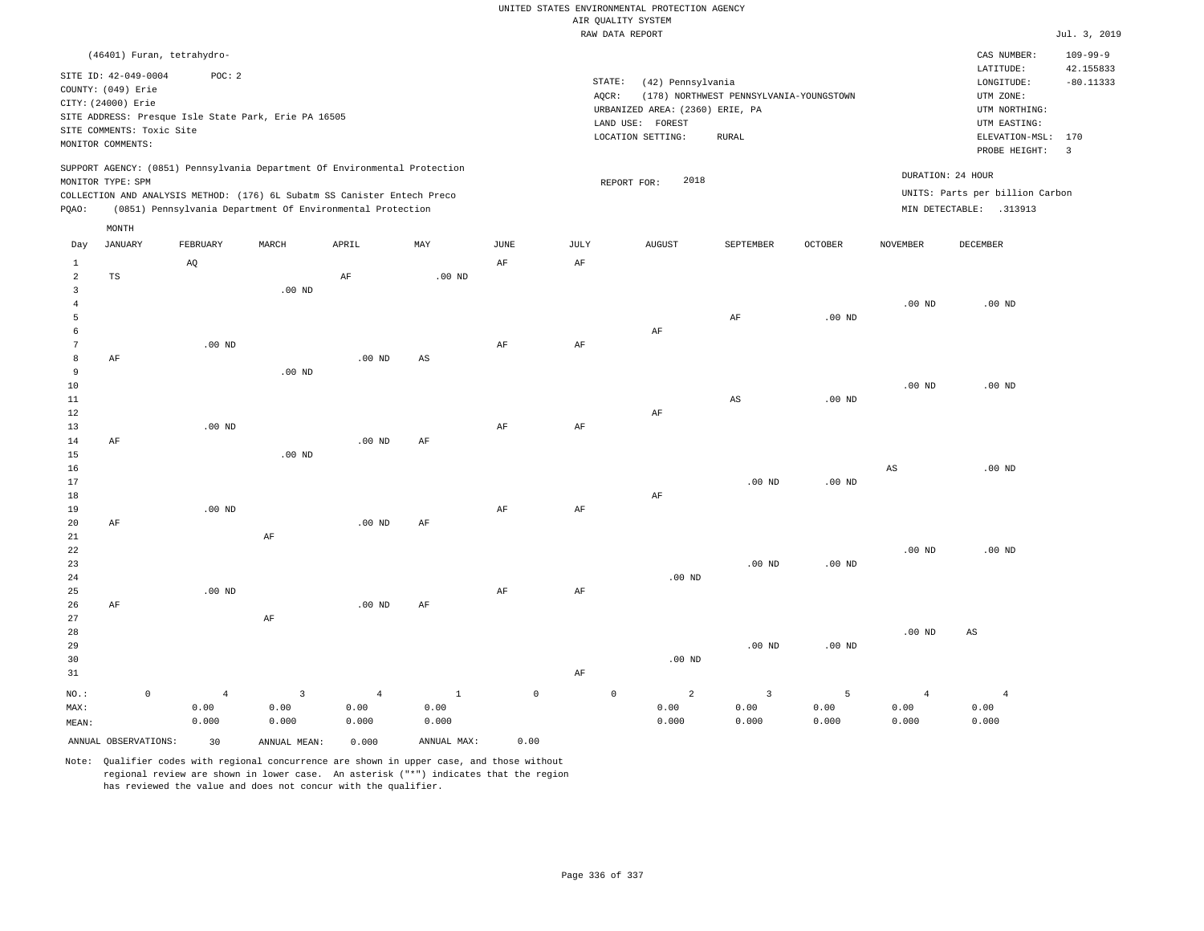|                                                     |                                                               |                                                   |                                 |                                                                                                                                                                                                                      |                                 |                              |                     |             | UNITED STATES ENVIRONMENTAL PROTECTION AGENCY                                                                    |                                                  |                    |                                 |                                                                                                          |                                                   |
|-----------------------------------------------------|---------------------------------------------------------------|---------------------------------------------------|---------------------------------|----------------------------------------------------------------------------------------------------------------------------------------------------------------------------------------------------------------------|---------------------------------|------------------------------|---------------------|-------------|------------------------------------------------------------------------------------------------------------------|--------------------------------------------------|--------------------|---------------------------------|----------------------------------------------------------------------------------------------------------|---------------------------------------------------|
|                                                     |                                                               |                                                   |                                 |                                                                                                                                                                                                                      |                                 |                              |                     |             | AIR QUALITY SYSTEM<br>RAW DATA REPORT                                                                            |                                                  |                    |                                 |                                                                                                          | Jul. 3, 2019                                      |
|                                                     |                                                               |                                                   | (46401) Furan, tetrahydro-      |                                                                                                                                                                                                                      |                                 |                              |                     |             |                                                                                                                  |                                                  |                    |                                 | CAS NUMBER:                                                                                              | $109 - 99 - 9$                                    |
|                                                     | COUNTY: (049) Erie<br>CITY: (24000) Erie<br>MONITOR COMMENTS: | SITE ID: 42-049-0004<br>SITE COMMENTS: Toxic Site | POC: 2                          | SITE ADDRESS: Presque Isle State Park, Erie PA 16505                                                                                                                                                                 |                                 |                              |                     |             | STATE:<br>(42) Pennsylvania<br>AQCR:<br>URBANIZED AREA: (2360) ERIE, PA<br>LAND USE: FOREST<br>LOCATION SETTING: | (178) NORTHWEST PENNSYLVANIA-YOUNGSTOWN<br>RURAL |                    |                                 | LATITUDE:<br>LONGITUDE:<br>UTM ZONE:<br>UTM NORTHING:<br>UTM EASTING:<br>ELEVATION-MSL:<br>PROBE HEIGHT: | 42.155833<br>$-80.11333$<br>170<br>$\overline{3}$ |
| PQAO:                                               | MONITOR TYPE: SPM                                             |                                                   |                                 | SUPPORT AGENCY: (0851) Pennsylvania Department Of Environmental Protection<br>COLLECTION AND ANALYSIS METHOD: (176) 6L Subatm SS Canister Entech Preco<br>(0851) Pennsylvania Department Of Environmental Protection |                                 |                              |                     |             | 2018<br>REPORT FOR:                                                                                              |                                                  |                    | DURATION: 24 HOUR               | UNITS: Parts per billion Carbon<br>MIN DETECTABLE: .313913                                               |                                                   |
| Day                                                 | MONTH<br><b>JANUARY</b>                                       |                                                   | FEBRUARY                        | MARCH                                                                                                                                                                                                                | APRIL                           | MAY                          | $_{\rm JUNE}$       | <b>JULY</b> | <b>AUGUST</b>                                                                                                    | SEPTEMBER                                        | <b>OCTOBER</b>     | <b>NOVEMBER</b>                 | DECEMBER                                                                                                 |                                                   |
| 1<br>$\overline{2}$                                 | <b>TS</b>                                                     |                                                   | AQ                              |                                                                                                                                                                                                                      | AF                              | .00 <sub>ND</sub>            | AF                  | AF          |                                                                                                                  |                                                  |                    |                                 |                                                                                                          |                                                   |
| $\overline{\mathbf{3}}$<br>$\overline{4}$<br>5<br>6 |                                                               |                                                   |                                 | $.00$ ND                                                                                                                                                                                                             |                                 |                              |                     |             | AF                                                                                                               | $\rm{AF}$                                        | .00 <sub>ND</sub>  | .00 <sub>ND</sub>               | $.00$ ND                                                                                                 |                                                   |
| $\overline{7}$<br>8<br>9<br>$10$                    | AF                                                            |                                                   | .00 <sub>ND</sub>               | $.00$ ND                                                                                                                                                                                                             | .00 <sub>ND</sub>               | AS                           | $\rm AF$            | $\rm{AF}$   |                                                                                                                  |                                                  |                    | .00 <sub>ND</sub>               | $.00$ ND                                                                                                 |                                                   |
| $1\,1$<br>$1\,2$<br>13<br>14                        | AF                                                            |                                                   | $.00$ ND                        |                                                                                                                                                                                                                      | $.00$ ND                        | AF                           | AF                  | AF          | AF                                                                                                               | $_{\rm AS}$                                      | $.00$ ND           |                                 |                                                                                                          |                                                   |
| 15<br>16<br>17<br>$1\,8$                            |                                                               |                                                   |                                 | $.00$ ND                                                                                                                                                                                                             |                                 |                              |                     |             | AF                                                                                                               | $.00$ ND                                         | $.00$ ND           | $\mathbb{A}\mathbb{S}$          | .00 <sub>ND</sub>                                                                                        |                                                   |
| 19<br>20<br>21<br>22                                | AF                                                            |                                                   | $.00$ ND                        | AF                                                                                                                                                                                                                   | .00 <sub>ND</sub>               | AF                           | AF                  | AF          |                                                                                                                  |                                                  |                    | $.00$ ND                        | $.00$ ND                                                                                                 |                                                   |
| 23<br>24<br>25<br>26                                | AF                                                            |                                                   | $.00$ ND                        |                                                                                                                                                                                                                      | .00 <sub>ND</sub>               | AF                           | AF                  | AF          | $.00$ ND                                                                                                         | $.00$ ND                                         | $.00$ ND           |                                 |                                                                                                          |                                                   |
| 27<br>28<br>29<br>30<br>31                          |                                                               |                                                   |                                 | AF                                                                                                                                                                                                                   |                                 |                              |                     | AF          | $.00$ ND                                                                                                         | $.00$ ND                                         | $.00$ ND           | $.00$ ND                        | $\mathbb{A}\mathbb{S}$                                                                                   |                                                   |
| NO.:<br>MAX:<br>MEAN:                               |                                                               | $\mathsf{O}\xspace$                               | $\overline{4}$<br>0.00<br>0.000 | $\overline{3}$<br>0.00<br>0.000                                                                                                                                                                                      | $\overline{4}$<br>0.00<br>0.000 | $\mathbf 1$<br>0.00<br>0.000 | $\mathsf{O}\xspace$ |             | $\mathbb O$<br>2<br>0.00<br>0.000                                                                                | $\overline{3}$<br>0.00<br>0.000                  | 5<br>0.00<br>0.000 | $\overline{4}$<br>0.00<br>0.000 | $\overline{4}$<br>0.00<br>0.000                                                                          |                                                   |
|                                                     |                                                               | ANNUAL OBSERVATIONS:                              | 30                              | ANNUAL MEAN:                                                                                                                                                                                                         | 0.000                           | ANNUAL MAX:                  | 0.00                |             |                                                                                                                  |                                                  |                    |                                 |                                                                                                          |                                                   |